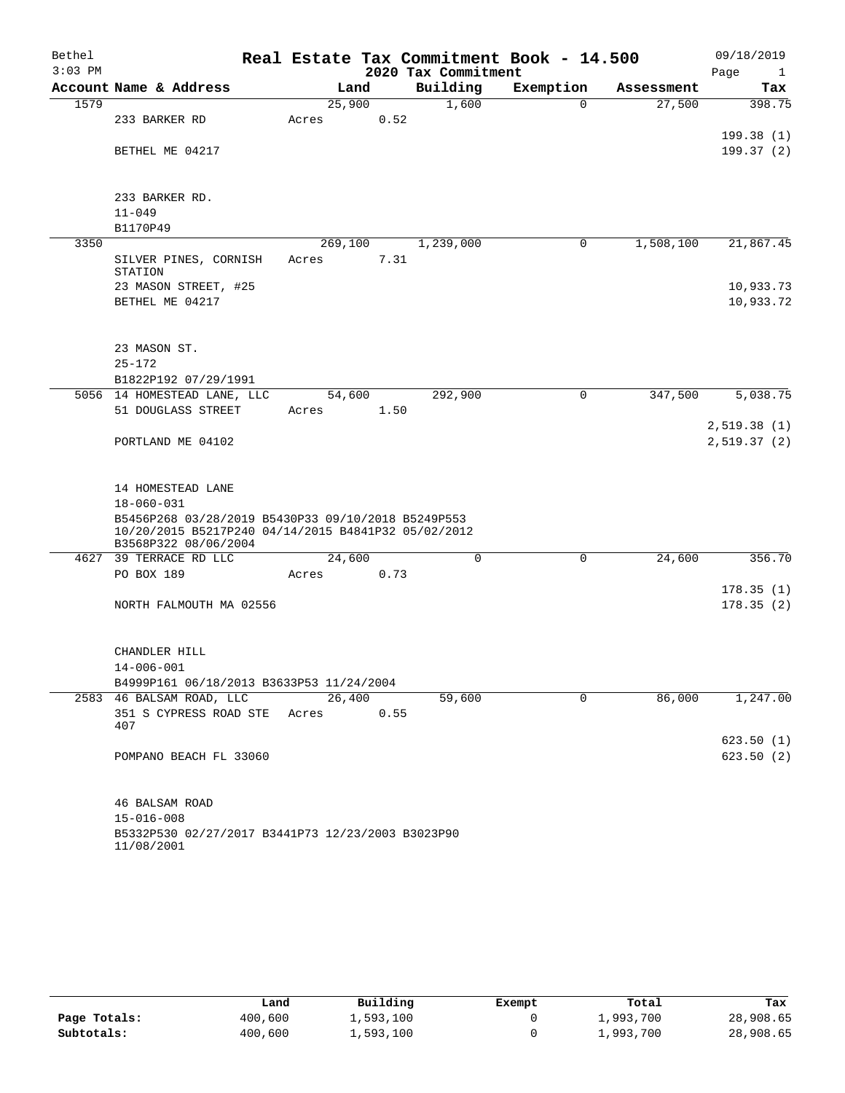| Bethel    |                                                                                                           | Real Estate Tax Commitment Book - 14.500 |                     |           |            | 09/18/2019           |
|-----------|-----------------------------------------------------------------------------------------------------------|------------------------------------------|---------------------|-----------|------------|----------------------|
| $3:03$ PM |                                                                                                           |                                          | 2020 Tax Commitment |           |            | Page<br>$\mathbf{1}$ |
|           | Account Name & Address                                                                                    | Land                                     | Building            | Exemption | Assessment | Tax                  |
| 1579      |                                                                                                           | 25,900                                   | 1,600               | $\Omega$  | 27,500     | 398.75               |
|           | 233 BARKER RD                                                                                             | 0.52<br>Acres                            |                     |           |            |                      |
|           |                                                                                                           |                                          |                     |           |            | 199.38(1)            |
|           | BETHEL ME 04217                                                                                           |                                          |                     |           |            | 199.37(2)            |
|           |                                                                                                           |                                          |                     |           |            |                      |
|           | 233 BARKER RD.                                                                                            |                                          |                     |           |            |                      |
|           | $11 - 049$                                                                                                |                                          |                     |           |            |                      |
|           | B1170P49                                                                                                  |                                          |                     |           |            |                      |
| 3350      |                                                                                                           | 269,100                                  | 1,239,000           | 0         | 1,508,100  | 21,867.45            |
|           | SILVER PINES, CORNISH                                                                                     | 7.31<br>Acres                            |                     |           |            |                      |
|           | STATION                                                                                                   |                                          |                     |           |            |                      |
|           | 23 MASON STREET, #25                                                                                      |                                          |                     |           |            | 10,933.73            |
|           | BETHEL ME 04217                                                                                           |                                          |                     |           |            | 10,933.72            |
|           |                                                                                                           |                                          |                     |           |            |                      |
|           | 23 MASON ST.                                                                                              |                                          |                     |           |            |                      |
|           | $25 - 172$                                                                                                |                                          |                     |           |            |                      |
|           | B1822P192 07/29/1991                                                                                      |                                          |                     |           |            |                      |
|           | 5056 14 HOMESTEAD LANE, LLC                                                                               | 54,600                                   | 292,900             | 0         | 347,500    | 5,038.75             |
|           | 51 DOUGLASS STREET                                                                                        | 1.50<br>Acres                            |                     |           |            |                      |
|           |                                                                                                           |                                          |                     |           |            | 2,519.38(1)          |
|           | PORTLAND ME 04102                                                                                         |                                          |                     |           |            | 2,519.37(2)          |
|           |                                                                                                           |                                          |                     |           |            |                      |
|           |                                                                                                           |                                          |                     |           |            |                      |
|           | 14 HOMESTEAD LANE                                                                                         |                                          |                     |           |            |                      |
|           | $18 - 060 - 031$                                                                                          |                                          |                     |           |            |                      |
|           | B5456P268 03/28/2019 B5430P33 09/10/2018 B5249P553<br>10/20/2015 B5217P240 04/14/2015 B4841P32 05/02/2012 |                                          |                     |           |            |                      |
|           | B3568P322 08/06/2004                                                                                      |                                          |                     |           |            |                      |
|           | 4627 39 TERRACE RD LLC                                                                                    | 24,600                                   | $\mathbf 0$         | 0         | 24,600     | 356.70               |
|           | PO BOX 189                                                                                                | 0.73<br>Acres                            |                     |           |            |                      |
|           |                                                                                                           |                                          |                     |           |            | 178.35(1)            |
|           | NORTH FALMOUTH MA 02556                                                                                   |                                          |                     |           |            | 178.35(2)            |
|           |                                                                                                           |                                          |                     |           |            |                      |
|           | CHANDLER HILL                                                                                             |                                          |                     |           |            |                      |
|           | $14 - 006 - 001$                                                                                          |                                          |                     |           |            |                      |
|           | B4999P161 06/18/2013 B3633P53 11/24/2004                                                                  |                                          |                     |           |            |                      |
|           | 2583 46 BALSAM ROAD, LLC                                                                                  | 26,400                                   | 59,600              | 0         | 86,000     | 1,247.00             |
|           | 351 S CYPRESS ROAD STE                                                                                    | 0.55<br>Acres                            |                     |           |            |                      |
|           | 407                                                                                                       |                                          |                     |           |            |                      |
|           |                                                                                                           |                                          |                     |           |            | 623.50(1)            |
|           | POMPANO BEACH FL 33060                                                                                    |                                          |                     |           |            | 623.50(2)            |
|           |                                                                                                           |                                          |                     |           |            |                      |
|           | 46 BALSAM ROAD                                                                                            |                                          |                     |           |            |                      |
|           | $15 - 016 - 008$                                                                                          |                                          |                     |           |            |                      |
|           | B5332P530 02/27/2017 B3441P73 12/23/2003 B3023P90                                                         |                                          |                     |           |            |                      |

11/08/2001

|              | Land    | Building  | Exempt | Total     | Tax       |
|--------------|---------|-----------|--------|-----------|-----------|
| Page Totals: | 400,600 | 1,593,100 |        | 1,993,700 | 28,908.65 |
| Subtotals:   | 400,600 | 1,593,100 |        | 1,993,700 | 28,908.65 |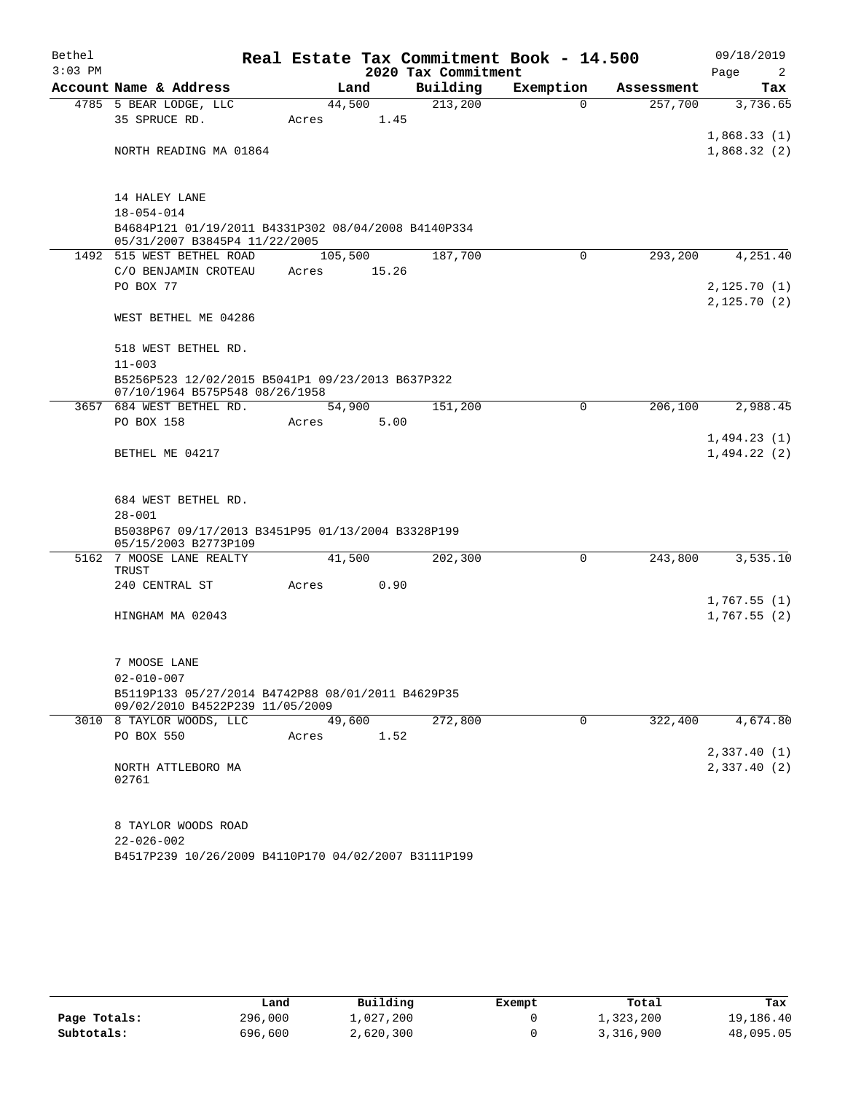| Bethel<br>$3:03$ PM |                                                                                      |         |       | 2020 Tax Commitment | Real Estate Tax Commitment Book - 14.500 |            | 09/18/2019<br>Page<br>2    |
|---------------------|--------------------------------------------------------------------------------------|---------|-------|---------------------|------------------------------------------|------------|----------------------------|
|                     | Account Name & Address                                                               | Land    |       | Building            | Exemption                                | Assessment | Tax                        |
|                     | 4785 5 BEAR LODGE, LLC                                                               | 44,500  |       | 213,200             | $\Omega$                                 | 257,700    | 3,736.65                   |
|                     | 35 SPRUCE RD.                                                                        | Acres   | 1.45  |                     |                                          |            |                            |
|                     |                                                                                      |         |       |                     |                                          |            | 1,868.33(1)                |
|                     | NORTH READING MA 01864                                                               |         |       |                     |                                          |            | 1,868.32(2)                |
|                     | 14 HALEY LANE                                                                        |         |       |                     |                                          |            |                            |
|                     | $18 - 054 - 014$                                                                     |         |       |                     |                                          |            |                            |
|                     | B4684P121 01/19/2011 B4331P302 08/04/2008 B4140P334<br>05/31/2007 B3845P4 11/22/2005 |         |       |                     |                                          |            |                            |
|                     | 1492 515 WEST BETHEL ROAD                                                            | 105,500 |       | 187,700             | $\mathbf 0$                              | 293,200    | 4,251.40                   |
|                     | C/O BENJAMIN CROTEAU                                                                 | Acres   | 15.26 |                     |                                          |            |                            |
|                     | PO BOX 77                                                                            |         |       |                     |                                          |            | 2,125.70(1)<br>2,125.70(2) |
|                     | WEST BETHEL ME 04286                                                                 |         |       |                     |                                          |            |                            |
|                     | 518 WEST BETHEL RD.                                                                  |         |       |                     |                                          |            |                            |
|                     | $11 - 003$                                                                           |         |       |                     |                                          |            |                            |
|                     | B5256P523 12/02/2015 B5041P1 09/23/2013 B637P322<br>07/10/1964 B575P548 08/26/1958   |         |       |                     |                                          |            |                            |
|                     | 3657 684 WEST BETHEL RD.                                                             | 54,900  |       | 151,200             | 0                                        | 206,100    | 2,988.45                   |
|                     | PO BOX 158                                                                           | Acres   | 5.00  |                     |                                          |            |                            |
|                     |                                                                                      |         |       |                     |                                          |            | 1,494.23(1)                |
|                     | BETHEL ME 04217                                                                      |         |       |                     |                                          |            | 1,494.22(2)                |
|                     | 684 WEST BETHEL RD.                                                                  |         |       |                     |                                          |            |                            |
|                     | $28 - 001$                                                                           |         |       |                     |                                          |            |                            |
|                     | B5038P67 09/17/2013 B3451P95 01/13/2004 B3328P199                                    |         |       |                     |                                          |            |                            |
|                     | 05/15/2003 B2773P109<br>5162 7 MOOSE LANE REALTY                                     | 41,500  |       | 202,300             | 0                                        | 243,800    | 3,535.10                   |
|                     | TRUST                                                                                |         |       |                     |                                          |            |                            |
|                     | 240 CENTRAL ST                                                                       | Acres   | 0.90  |                     |                                          |            |                            |
|                     |                                                                                      |         |       |                     |                                          |            | 1,767.55(1)                |
|                     | HINGHAM MA 02043                                                                     |         |       |                     |                                          |            | 1,767.55(2)                |
|                     | 7 MOOSE LANE                                                                         |         |       |                     |                                          |            |                            |
|                     | $02 - 010 - 007$                                                                     |         |       |                     |                                          |            |                            |
|                     | B5119P133 05/27/2014 B4742P88 08/01/2011 B4629P35                                    |         |       |                     |                                          |            |                            |
|                     | 09/02/2010 B4522P239 11/05/2009                                                      |         |       |                     |                                          |            |                            |
|                     | 3010 8 TAYLOR WOODS, LLC                                                             | 49,600  |       | 272,800             | 0                                        | 322,400    | 4,674.80                   |
|                     | PO BOX 550                                                                           | Acres   | 1.52  |                     |                                          |            |                            |
|                     |                                                                                      |         |       |                     |                                          |            | 2,337.40(1)                |
|                     | NORTH ATTLEBORO MA<br>02761                                                          |         |       |                     |                                          |            | 2,337.40(2)                |
|                     | 8 TAYLOR WOODS ROAD                                                                  |         |       |                     |                                          |            |                            |
|                     | $22 - 026 - 002$                                                                     |         |       |                     |                                          |            |                            |
|                     | B4517P239 10/26/2009 B4110P170 04/02/2007 B3111P199                                  |         |       |                     |                                          |            |                            |

|              | Land    | Building  | Exempt | Total     | Tax       |
|--------------|---------|-----------|--------|-----------|-----------|
| Page Totals: | 296,000 | 1,027,200 |        | 1,323,200 | 19,186.40 |
| Subtotals:   | 696,600 | 2,620,300 |        | 3,316,900 | 48,095.05 |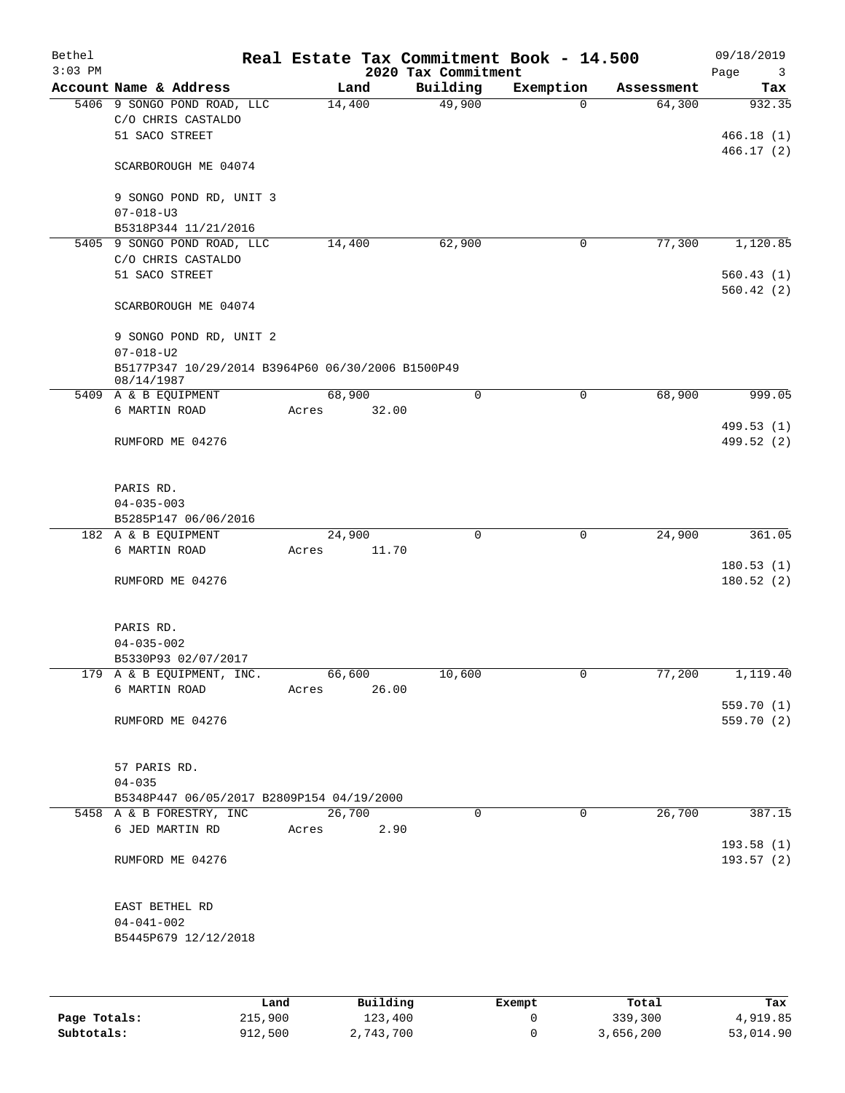| Bethel<br>$3:03$ PM |                                                                       |        | 2020 Tax Commitment | Real Estate Tax Commitment Book - 14.500 |            | 09/18/2019<br>Page<br>3  |
|---------------------|-----------------------------------------------------------------------|--------|---------------------|------------------------------------------|------------|--------------------------|
|                     | Account Name & Address                                                | Land   | Building            | Exemption                                | Assessment | Tax                      |
|                     | 5406 9 SONGO POND ROAD, LLC<br>C/O CHRIS CASTALDO<br>51 SACO STREET   | 14,400 | 49,900              | $\Omega$                                 | 64,300     | 932.35<br>466.18(1)      |
|                     | SCARBOROUGH ME 04074                                                  |        |                     |                                          |            | 466.17(2)                |
|                     | 9 SONGO POND RD, UNIT 3<br>$07 - 018 - U3$                            |        |                     |                                          |            |                          |
|                     | B5318P344 11/21/2016                                                  |        |                     |                                          |            |                          |
|                     | 5405 9 SONGO POND ROAD, LLC                                           | 14,400 | 62,900              | $\mathbf 0$                              | 77,300     | 1,120.85                 |
|                     | C/O CHRIS CASTALDO<br>51 SACO STREET                                  |        |                     |                                          |            | 560.43(1)                |
|                     | SCARBOROUGH ME 04074                                                  |        |                     |                                          |            | 560.42(2)                |
|                     | 9 SONGO POND RD, UNIT 2<br>$07 - 018 - U2$                            |        |                     |                                          |            |                          |
|                     | B5177P347 10/29/2014 B3964P60 06/30/2006 B1500P49<br>08/14/1987       |        |                     |                                          |            |                          |
|                     | 5409 A & B EQUIPMENT                                                  | 68,900 | $\mathbf 0$         | $\mathbf 0$                              | 68,900     | 999.05                   |
|                     | 6 MARTIN ROAD                                                         | Acres  | 32.00               |                                          |            |                          |
|                     | RUMFORD ME 04276                                                      |        |                     |                                          |            | 499.53 (1)<br>499.52 (2) |
|                     | PARIS RD.<br>$04 - 035 - 003$                                         |        |                     |                                          |            |                          |
|                     | B5285P147 06/06/2016                                                  |        |                     |                                          |            |                          |
|                     | 182 A & B EQUIPMENT                                                   | 24,900 | $\mathbf 0$         | $\mathbf 0$                              | 24,900     | 361.05                   |
|                     | 6 MARTIN ROAD                                                         | Acres  | 11.70               |                                          |            |                          |
|                     | RUMFORD ME 04276                                                      |        |                     |                                          |            | 180.53(1)<br>180.52(2)   |
|                     | PARIS RD.<br>$04 - 035 - 002$<br>B5330P93 02/07/2017                  |        |                     |                                          |            |                          |
|                     | 179 A & B EQUIPMENT, INC.                                             | 66,600 | 10,600              | 0                                        | 77,200     | 1,119.40                 |
|                     | 6 MARTIN ROAD                                                         | Acres  | 26.00               |                                          |            |                          |
|                     | RUMFORD ME 04276                                                      |        |                     |                                          |            | 559.70 (1)<br>559.70 (2) |
|                     | 57 PARIS RD.                                                          |        |                     |                                          |            |                          |
|                     | $04 - 035$                                                            |        |                     |                                          |            |                          |
|                     | B5348P447 06/05/2017 B2809P154 04/19/2000<br>5458 A & B FORESTRY, INC | 26,700 | $\Omega$            | $\mathbf 0$                              | 26,700     | 387.15                   |
|                     | 6 JED MARTIN RD                                                       | Acres  | 2.90                |                                          |            | 193.58 (1)               |
|                     | RUMFORD ME 04276                                                      |        |                     |                                          |            | 193.57 (2)               |
|                     | EAST BETHEL RD<br>$04 - 041 - 002$<br>B5445P679 12/12/2018            |        |                     |                                          |            |                          |
|                     |                                                                       |        |                     |                                          |            |                          |
|                     | Land                                                                  |        | Building            | Exempt                                   | Total      | Tax                      |
| Page Totals:        | 215,900                                                               |        | 123,400             | 0                                        | 339,300    | 4,919.85                 |

**Subtotals:** 912,500 2,743,700 0 3,656,200 53,014.90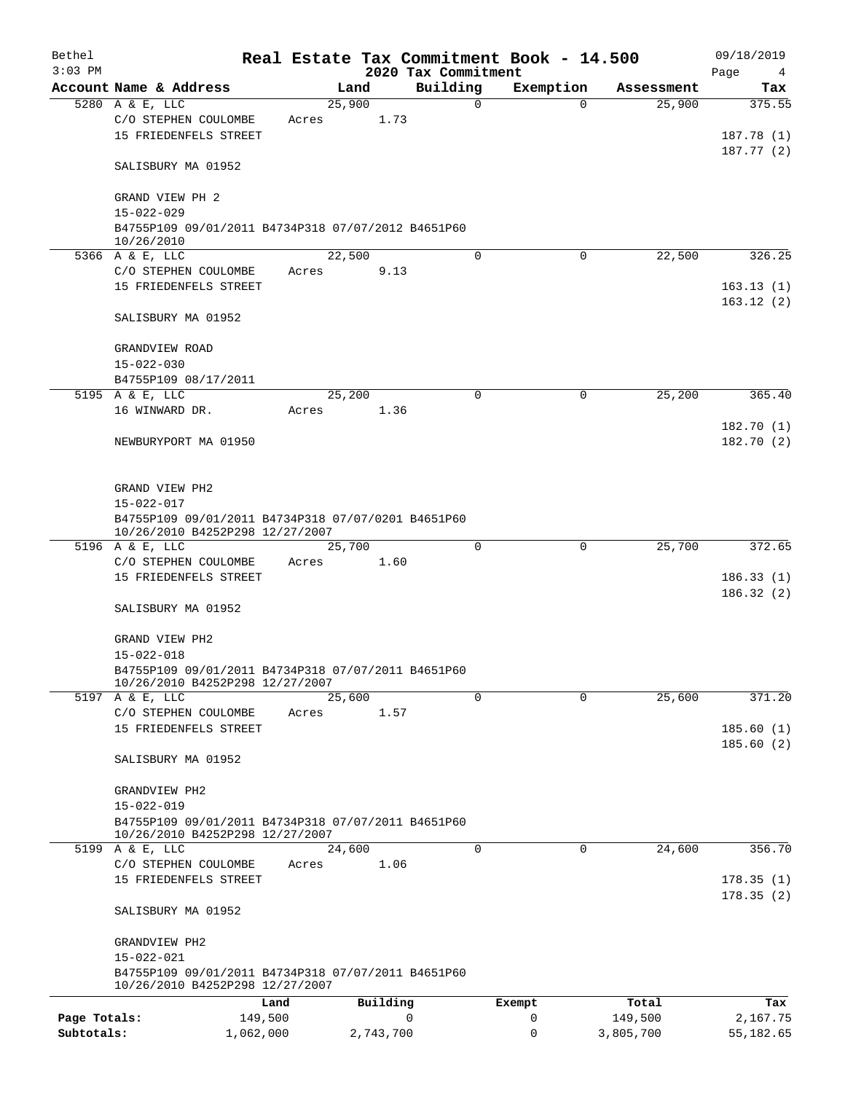| Bethel                     |                                                                                       |       |                |                                 | Real Estate Tax Commitment Book - 14.500 |                      | 09/18/2019             |
|----------------------------|---------------------------------------------------------------------------------------|-------|----------------|---------------------------------|------------------------------------------|----------------------|------------------------|
| $3:03$ PM                  | Account Name & Address                                                                |       | Land           | 2020 Tax Commitment<br>Building | Exemption                                | Assessment           | Page<br>4              |
|                            | 5280 A & E, LLC                                                                       |       | 25,900         | 0                               | $\Omega$                                 | 25,900               | Tax<br>375.55          |
|                            | C/O STEPHEN COULOMBE<br>15 FRIEDENFELS STREET                                         | Acres | 1.73           |                                 |                                          |                      | 187.78(1)              |
|                            | SALISBURY MA 01952                                                                    |       |                |                                 |                                          |                      | 187.77(2)              |
|                            | GRAND VIEW PH 2<br>$15 - 022 - 029$                                                   |       |                |                                 |                                          |                      |                        |
|                            | B4755P109 09/01/2011 B4734P318 07/07/2012 B4651P60                                    |       |                |                                 |                                          |                      |                        |
|                            | 10/26/2010                                                                            |       |                |                                 |                                          |                      |                        |
|                            | 5366 A & E, LLC<br>C/O STEPHEN COULOMBE                                               | Acres | 22,500<br>9.13 | 0                               | $\Omega$                                 | 22,500               | 326.25                 |
|                            | 15 FRIEDENFELS STREET                                                                 |       |                |                                 |                                          |                      | 163.13(1)<br>163.12(2) |
|                            | SALISBURY MA 01952                                                                    |       |                |                                 |                                          |                      |                        |
|                            | GRANDVIEW ROAD                                                                        |       |                |                                 |                                          |                      |                        |
|                            | $15 - 022 - 030$                                                                      |       |                |                                 |                                          |                      |                        |
|                            | B4755P109 08/17/2011<br>5195 A & E, LLC                                               |       | 25,200         | 0                               | 0                                        | 25,200               | 365.40                 |
|                            | 16 WINWARD DR.                                                                        | Acres | 1.36           |                                 |                                          |                      |                        |
|                            |                                                                                       |       |                |                                 |                                          |                      | 182.70(1)              |
|                            | NEWBURYPORT MA 01950                                                                  |       |                |                                 |                                          |                      | 182.70(2)              |
|                            | GRAND VIEW PH2                                                                        |       |                |                                 |                                          |                      |                        |
|                            | $15 - 022 - 017$                                                                      |       |                |                                 |                                          |                      |                        |
|                            | B4755P109 09/01/2011 B4734P318 07/07/0201 B4651P60<br>10/26/2010 B4252P298 12/27/2007 |       |                |                                 |                                          |                      |                        |
|                            | 5196 A & E, LLC                                                                       |       | 25,700         | 0                               | $\mathbf 0$                              | 25,700               | 372.65                 |
|                            | C/O STEPHEN COULOMBE                                                                  | Acres | 1.60           |                                 |                                          |                      |                        |
|                            | 15 FRIEDENFELS STREET                                                                 |       |                |                                 |                                          |                      | 186.33(1)<br>186.32(2) |
|                            | SALISBURY MA 01952                                                                    |       |                |                                 |                                          |                      |                        |
|                            | GRAND VIEW PH2                                                                        |       |                |                                 |                                          |                      |                        |
|                            | $15 - 022 - 018$                                                                      |       |                |                                 |                                          |                      |                        |
|                            | B4755P109 09/01/2011 B4734P318 07/07/2011 B4651P60<br>10/26/2010 B4252P298 12/27/2007 |       |                |                                 |                                          |                      |                        |
|                            | 5197 A & E, LLC                                                                       |       | 25,600         | $\Omega$                        | 0                                        | 25,600               | 371.20                 |
|                            | C/O STEPHEN COULOMBE                                                                  | Acres | 1.57           |                                 |                                          |                      |                        |
|                            | 15 FRIEDENFELS STREET                                                                 |       |                |                                 |                                          |                      | 185.60(1)              |
|                            | SALISBURY MA 01952                                                                    |       |                |                                 |                                          |                      | 185.60(2)              |
|                            | GRANDVIEW PH2                                                                         |       |                |                                 |                                          |                      |                        |
|                            | $15 - 022 - 019$<br>B4755P109 09/01/2011 B4734P318 07/07/2011 B4651P60                |       |                |                                 |                                          |                      |                        |
|                            | 10/26/2010 B4252P298 12/27/2007<br>5199 A & E, LLC                                    |       | 24,600         | $\Omega$                        | 0                                        | 24,600               | 356.70                 |
|                            | C/O STEPHEN COULOMBE<br>15 FRIEDENFELS STREET                                         | Acres | 1.06           |                                 |                                          |                      | 178.35(1)              |
|                            | SALISBURY MA 01952                                                                    |       |                |                                 |                                          |                      | 178.35(2)              |
|                            | GRANDVIEW PH2                                                                         |       |                |                                 |                                          |                      |                        |
|                            | 15-022-021                                                                            |       |                |                                 |                                          |                      |                        |
|                            | B4755P109 09/01/2011 B4734P318 07/07/2011 B4651P60<br>10/26/2010 B4252P298 12/27/2007 |       |                |                                 |                                          |                      |                        |
|                            | Land                                                                                  |       | Building       |                                 | Exempt                                   | Total                | Tax                    |
| Page Totals:<br>Subtotals: | 149,500<br>1,062,000                                                                  |       | 2,743,700      | 0                               | 0<br>$\mathbf 0$                         | 149,500<br>3,805,700 | 2,167.75<br>55,182.65  |
|                            |                                                                                       |       |                |                                 |                                          |                      |                        |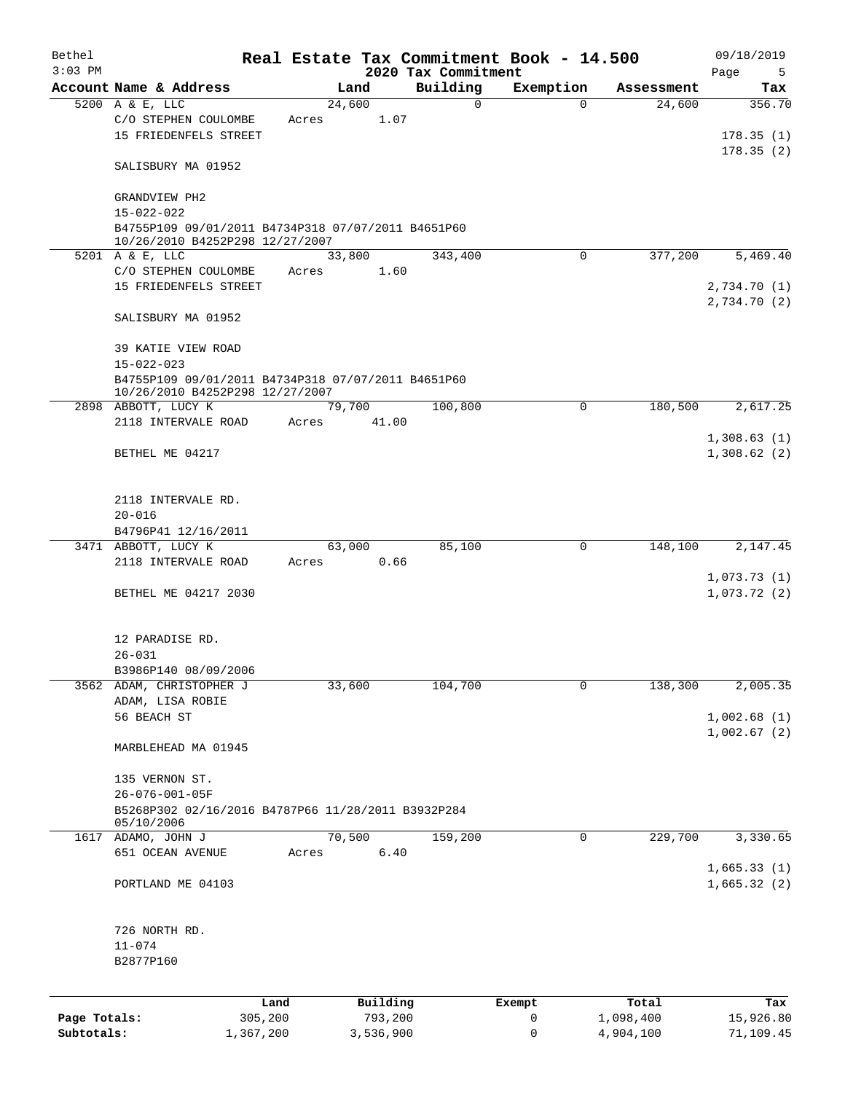| Bethel       |                                                                                       |        |                |                                 | Real Estate Tax Commitment Book - 14.500 |            | 09/18/2019                  |
|--------------|---------------------------------------------------------------------------------------|--------|----------------|---------------------------------|------------------------------------------|------------|-----------------------------|
| $3:03$ PM    | Account Name & Address                                                                |        | Land           | 2020 Tax Commitment<br>Building | Exemption                                | Assessment | Page<br>5                   |
|              | 5200 A & E, LLC                                                                       | 24,600 |                | $\mathbf 0$                     | $\Omega$                                 | 24,600     | Tax<br>356.70               |
|              | C/O STEPHEN COULOMBE<br>15 FRIEDENFELS STREET                                         | Acres  | 1.07           |                                 |                                          |            | 178.35(1)                   |
|              | SALISBURY MA 01952                                                                    |        |                |                                 |                                          |            | 178.35(2)                   |
|              | GRANDVIEW PH2                                                                         |        |                |                                 |                                          |            |                             |
|              | $15 - 022 - 022$<br>B4755P109 09/01/2011 B4734P318 07/07/2011 B4651P60                |        |                |                                 |                                          |            |                             |
|              | 10/26/2010 B4252P298 12/27/2007                                                       |        |                |                                 |                                          |            |                             |
|              | 5201 A & E, LLC                                                                       |        | 33,800         | 343,400                         | $\Omega$                                 | 377,200    | 5,469.40                    |
|              | C/O STEPHEN COULOMBE                                                                  | Acres  | 1.60           |                                 |                                          |            |                             |
|              | 15 FRIEDENFELS STREET                                                                 |        |                |                                 |                                          |            | 2,734.70 (1)<br>2,734.70(2) |
|              | SALISBURY MA 01952                                                                    |        |                |                                 |                                          |            |                             |
|              | <b>39 KATIE VIEW ROAD</b><br>$15 - 022 - 023$                                         |        |                |                                 |                                          |            |                             |
|              | B4755P109 09/01/2011 B4734P318 07/07/2011 B4651P60<br>10/26/2010 B4252P298 12/27/2007 |        |                |                                 |                                          |            |                             |
|              | 2898 ABBOTT, LUCY K                                                                   |        | 79,700         | 100,800                         | $\Omega$                                 | 180,500    | 2,617.25                    |
|              | 2118 INTERVALE ROAD                                                                   | Acres  | 41.00          |                                 |                                          |            |                             |
|              | BETHEL ME 04217                                                                       |        |                |                                 |                                          |            | 1,308.63(1)<br>1,308.62(2)  |
|              | 2118 INTERVALE RD.                                                                    |        |                |                                 |                                          |            |                             |
|              | $20 - 016$                                                                            |        |                |                                 |                                          |            |                             |
|              | B4796P41 12/16/2011                                                                   |        |                |                                 |                                          |            |                             |
|              | 3471 ABBOTT, LUCY K<br>2118 INTERVALE ROAD                                            | Acres  | 63,000<br>0.66 | 85,100                          | 0                                        | 148,100    | 2,147.45                    |
|              |                                                                                       |        |                |                                 |                                          |            | 1,073.73(1)                 |
|              | BETHEL ME 04217 2030                                                                  |        |                |                                 |                                          |            | 1,073.72(2)                 |
|              | 12 PARADISE RD.                                                                       |        |                |                                 |                                          |            |                             |
|              | $26 - 031$                                                                            |        |                |                                 |                                          |            |                             |
|              | B3986P140 08/09/2006                                                                  |        |                |                                 |                                          |            |                             |
|              | 3562 ADAM, CHRISTOPHER J<br>ADAM, LISA ROBIE                                          | 33,600 |                | 104,700                         | 0                                        | 138,300    | 2,005.35                    |
|              | 56 BEACH ST                                                                           |        |                |                                 |                                          |            | 1,002.68(1)                 |
|              |                                                                                       |        |                |                                 |                                          |            | 1,002.67(2)                 |
|              | MARBLEHEAD MA 01945                                                                   |        |                |                                 |                                          |            |                             |
|              | 135 VERNON ST.                                                                        |        |                |                                 |                                          |            |                             |
|              | 26-076-001-05F                                                                        |        |                |                                 |                                          |            |                             |
|              | B5268P302 02/16/2016 B4787P66 11/28/2011 B3932P284                                    |        |                |                                 |                                          |            |                             |
|              | 05/10/2006<br>1617 ADAMO, JOHN J                                                      |        | 70,500         | 159,200                         | 0                                        | 229,700    | 3,330.65                    |
|              | 651 OCEAN AVENUE                                                                      | Acres  | 6.40           |                                 |                                          |            |                             |
|              |                                                                                       |        |                |                                 |                                          |            | 1,665.33(1)                 |
|              | PORTLAND ME 04103                                                                     |        |                |                                 |                                          |            | 1,665.32(2)                 |
|              | 726 NORTH RD.                                                                         |        |                |                                 |                                          |            |                             |
|              | $11 - 074$                                                                            |        |                |                                 |                                          |            |                             |
|              | B2877P160                                                                             |        |                |                                 |                                          |            |                             |
|              |                                                                                       |        |                |                                 |                                          |            |                             |
|              | Land                                                                                  |        | Building       |                                 | Exempt                                   | Total      | Tax                         |
| Page Totals: | 305,200                                                                               |        | 793,200        |                                 | 0                                        | 1,098,400  | 15,926.80                   |
| Subtotals:   | 1,367,200                                                                             |        | 3,536,900      |                                 | $\mathbf 0$                              | 4,904,100  | 71,109.45                   |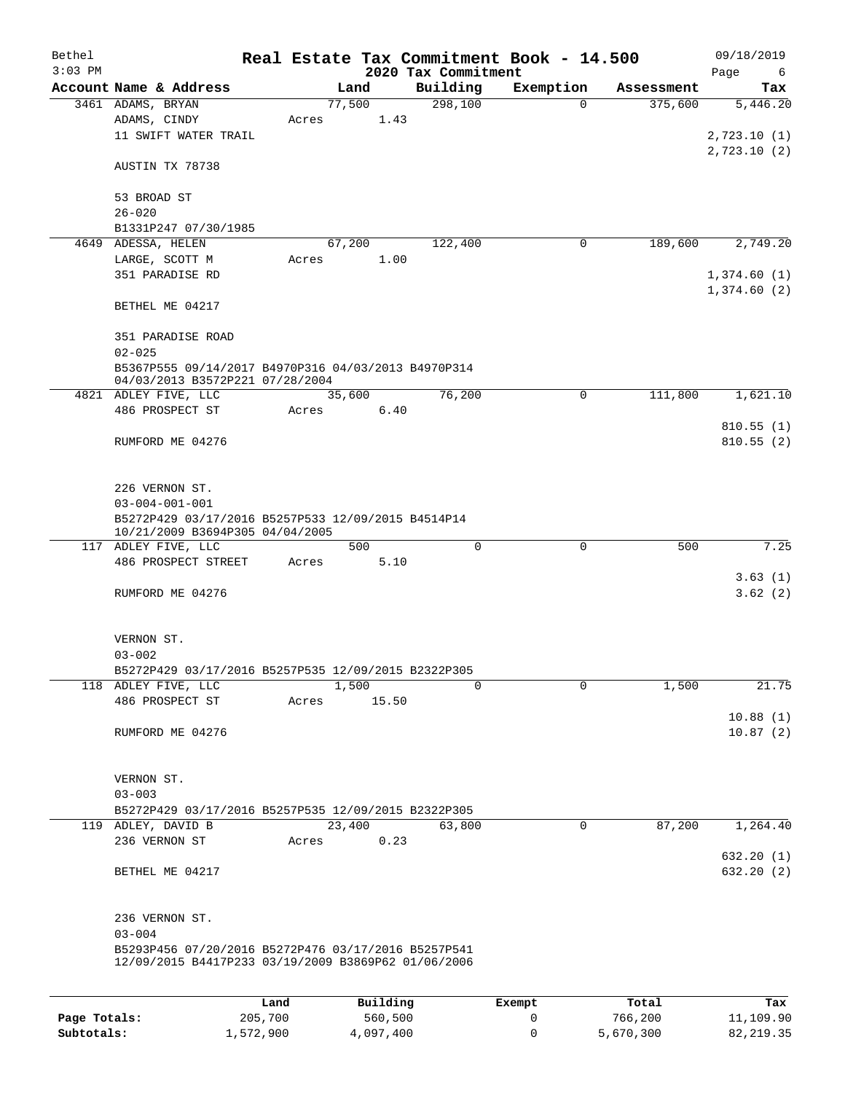| Bethel<br>$3:03$ PM |                                                                                        |         |        |          | 2020 Tax Commitment | Real Estate Tax Commitment Book - 14.500 |            | 09/18/2019<br>Page<br>6 |
|---------------------|----------------------------------------------------------------------------------------|---------|--------|----------|---------------------|------------------------------------------|------------|-------------------------|
|                     | Account Name & Address                                                                 |         |        | Land     | Building            | Exemption                                | Assessment | Tax                     |
|                     | 3461 ADAMS, BRYAN                                                                      |         | 77,500 |          | 298,100             | 0                                        | 375,600    | 5,446.20                |
|                     | ADAMS, CINDY                                                                           | Acres   |        | 1.43     |                     |                                          |            |                         |
|                     | 11 SWIFT WATER TRAIL                                                                   |         |        |          |                     |                                          |            | 2,723.10(1)             |
|                     |                                                                                        |         |        |          |                     |                                          |            | 2,723.10(2)             |
|                     | AUSTIN TX 78738                                                                        |         |        |          |                     |                                          |            |                         |
|                     | 53 BROAD ST                                                                            |         |        |          |                     |                                          |            |                         |
|                     | $26 - 020$                                                                             |         |        |          |                     |                                          |            |                         |
|                     | B1331P247 07/30/1985                                                                   |         |        |          |                     |                                          |            |                         |
|                     | 4649 ADESSA, HELEN                                                                     |         | 67,200 |          | 122,400             | 0                                        | 189,600    | 2,749.20                |
|                     | LARGE, SCOTT M                                                                         | Acres   |        | 1.00     |                     |                                          |            |                         |
|                     | 351 PARADISE RD                                                                        |         |        |          |                     |                                          |            | 1,374.60(1)             |
|                     |                                                                                        |         |        |          |                     |                                          |            | 1,374.60(2)             |
|                     | BETHEL ME 04217                                                                        |         |        |          |                     |                                          |            |                         |
|                     |                                                                                        |         |        |          |                     |                                          |            |                         |
|                     | 351 PARADISE ROAD                                                                      |         |        |          |                     |                                          |            |                         |
|                     | $02 - 025$                                                                             |         |        |          |                     |                                          |            |                         |
|                     |                                                                                        |         |        |          |                     |                                          |            |                         |
|                     | B5367P555 09/14/2017 B4970P316 04/03/2013 B4970P314<br>04/03/2013 B3572P221 07/28/2004 |         |        |          |                     |                                          |            |                         |
|                     | 4821 ADLEY FIVE, LLC                                                                   |         | 35,600 |          | 76,200              | $\mathbf 0$                              | 111,800    | 1,621.10                |
|                     | 486 PROSPECT ST                                                                        | Acres   |        | 6.40     |                     |                                          |            |                         |
|                     |                                                                                        |         |        |          |                     |                                          |            | 810.55(1)               |
|                     | RUMFORD ME 04276                                                                       |         |        |          |                     |                                          |            | 810.55(2)               |
|                     |                                                                                        |         |        |          |                     |                                          |            |                         |
|                     |                                                                                        |         |        |          |                     |                                          |            |                         |
|                     | 226 VERNON ST.                                                                         |         |        |          |                     |                                          |            |                         |
|                     | $03 - 004 - 001 - 001$                                                                 |         |        |          |                     |                                          |            |                         |
|                     | B5272P429 03/17/2016 B5257P533 12/09/2015 B4514P14                                     |         |        |          |                     |                                          |            |                         |
|                     | 10/21/2009 B3694P305 04/04/2005                                                        |         |        |          |                     |                                          |            |                         |
|                     | 117 ADLEY FIVE, LLC                                                                    |         |        | 500      | 0                   | $\mathbf 0$                              | 500        | 7.25                    |
|                     | 486 PROSPECT STREET                                                                    | Acres   |        | 5.10     |                     |                                          |            |                         |
|                     |                                                                                        |         |        |          |                     |                                          |            | 3.63(1)                 |
|                     | RUMFORD ME 04276                                                                       |         |        |          |                     |                                          |            | 3.62(2)                 |
|                     |                                                                                        |         |        |          |                     |                                          |            |                         |
|                     |                                                                                        |         |        |          |                     |                                          |            |                         |
|                     | VERNON ST.                                                                             |         |        |          |                     |                                          |            |                         |
|                     | $03 - 002$                                                                             |         |        |          |                     |                                          |            |                         |
|                     | B5272P429 03/17/2016 B5257P535 12/09/2015 B2322P305                                    |         |        |          |                     |                                          |            |                         |
|                     | 118 ADLEY FIVE, LLC                                                                    |         | 1,500  |          | 0                   | 0                                        | 1,500      | 21.75                   |
|                     | 486 PROSPECT ST                                                                        | Acres   |        | 15.50    |                     |                                          |            |                         |
|                     |                                                                                        |         |        |          |                     |                                          |            | 10.88(1)                |
|                     | RUMFORD ME 04276                                                                       |         |        |          |                     |                                          |            | 10.87(2)                |
|                     |                                                                                        |         |        |          |                     |                                          |            |                         |
|                     |                                                                                        |         |        |          |                     |                                          |            |                         |
|                     | VERNON ST.                                                                             |         |        |          |                     |                                          |            |                         |
|                     | $03 - 003$                                                                             |         |        |          |                     |                                          |            |                         |
|                     | B5272P429 03/17/2016 B5257P535 12/09/2015 B2322P305                                    |         |        |          |                     |                                          |            |                         |
|                     | 119 ADLEY, DAVID B                                                                     |         | 23,400 |          | 63,800              | $\mathbf 0$                              | 87,200     | 1,264.40                |
|                     | 236 VERNON ST                                                                          | Acres   |        | 0.23     |                     |                                          |            |                         |
|                     |                                                                                        |         |        |          |                     |                                          |            | 632.20 (1)              |
|                     | BETHEL ME 04217                                                                        |         |        |          |                     |                                          |            | 632.20 (2)              |
|                     |                                                                                        |         |        |          |                     |                                          |            |                         |
|                     |                                                                                        |         |        |          |                     |                                          |            |                         |
|                     | 236 VERNON ST.                                                                         |         |        |          |                     |                                          |            |                         |
|                     | $03 - 004$                                                                             |         |        |          |                     |                                          |            |                         |
|                     | B5293P456 07/20/2016 B5272P476 03/17/2016 B5257P541                                    |         |        |          |                     |                                          |            |                         |
|                     | 12/09/2015 B4417P233 03/19/2009 B3869P62 01/06/2006                                    |         |        |          |                     |                                          |            |                         |
|                     |                                                                                        |         |        |          |                     |                                          |            |                         |
|                     |                                                                                        |         |        |          |                     |                                          |            |                         |
|                     |                                                                                        | Land    |        | Building |                     | Exempt                                   | Total      | Tax                     |
| Page Totals:        |                                                                                        | 205,700 |        | 560,500  |                     | 0                                        | 766,200    | 11,109.90               |

**Subtotals:** 1,572,900 4,097,400 0 5,670,300 82,219.35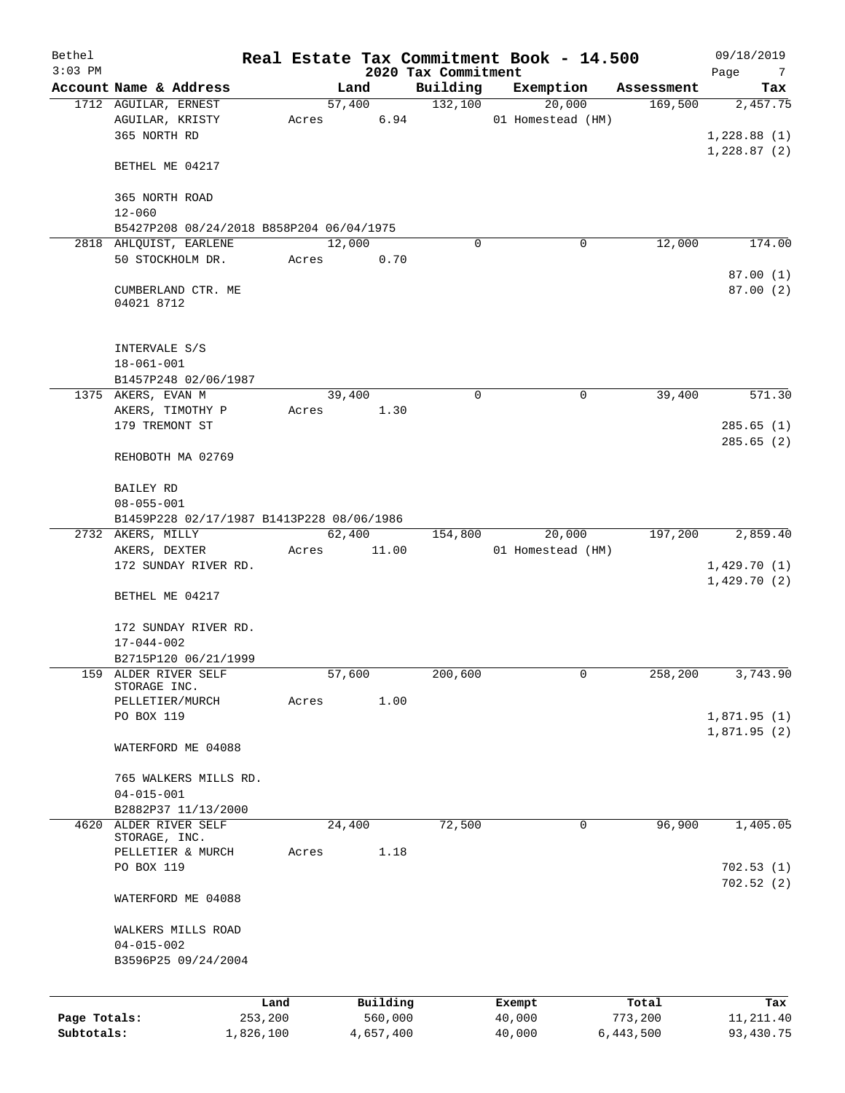| Bethel<br>$3:03$ PM        |                                                               |       |        |                      | 2020 Tax Commitment | Real Estate Tax Commitment Book - 14.500 |                      | 09/18/2019<br>Page<br>$\overline{7}$ |
|----------------------------|---------------------------------------------------------------|-------|--------|----------------------|---------------------|------------------------------------------|----------------------|--------------------------------------|
|                            | Account Name & Address                                        |       | Land   |                      | Building            | Exemption                                | Assessment           | Tax                                  |
|                            | 1712 AGUILAR, ERNEST                                          |       | 57,400 |                      | 132,100             | 20,000                                   | 169,500              | 2,457.75                             |
|                            | AGUILAR, KRISTY<br>365 NORTH RD                               | Acres |        | 6.94                 |                     | 01 Homestead (HM)                        |                      | 1,228.88(1)                          |
|                            | BETHEL ME 04217                                               |       |        |                      |                     |                                          |                      | 1,228.87(2)                          |
|                            | 365 NORTH ROAD<br>$12 - 060$                                  |       |        |                      |                     |                                          |                      |                                      |
|                            | B5427P208 08/24/2018 B858P204 06/04/1975                      |       |        |                      |                     |                                          |                      |                                      |
|                            | 2818 AHLQUIST, EARLENE                                        |       | 12,000 |                      | $\Omega$            | 0                                        | 12,000               | 174.00                               |
|                            | 50 STOCKHOLM DR.                                              | Acres |        | 0.70                 |                     |                                          |                      |                                      |
|                            | CUMBERLAND CTR. ME<br>04021 8712                              |       |        |                      |                     |                                          |                      | 87.00(1)<br>87.00(2)                 |
|                            | INTERVALE S/S<br>$18 - 061 - 001$                             |       |        |                      |                     |                                          |                      |                                      |
|                            | B1457P248 02/06/1987<br>1375 AKERS, EVAN M                    |       |        |                      | 0                   | 0                                        | 39,400               | 571.30                               |
|                            | AKERS, TIMOTHY P                                              | Acres | 39,400 | 1.30                 |                     |                                          |                      |                                      |
|                            | 179 TREMONT ST                                                |       |        |                      |                     |                                          |                      | 285.65(1)                            |
|                            | REHOBOTH MA 02769                                             |       |        |                      |                     |                                          |                      | 285.65(2)                            |
|                            |                                                               |       |        |                      |                     |                                          |                      |                                      |
|                            | BAILEY RD                                                     |       |        |                      |                     |                                          |                      |                                      |
|                            | $08 - 055 - 001$                                              |       |        |                      |                     |                                          |                      |                                      |
|                            | B1459P228 02/17/1987 B1413P228 08/06/1986                     |       |        |                      |                     |                                          |                      |                                      |
|                            | 2732 AKERS, MILLY                                             |       | 62,400 |                      | 154,800             | 20,000                                   | 197,200              | 2,859.40                             |
|                            | AKERS, DEXTER<br>172 SUNDAY RIVER RD.                         | Acres |        | 11.00                |                     | 01 Homestead (HM)                        |                      | 1,429.70(1)                          |
|                            | BETHEL ME 04217                                               |       |        |                      |                     |                                          |                      | 1,429.70(2)                          |
|                            | 172 SUNDAY RIVER RD.<br>$17 - 044 - 002$                      |       |        |                      |                     |                                          |                      |                                      |
|                            | B2715P120 06/21/1999                                          |       |        |                      |                     |                                          |                      |                                      |
| 159                        | ALDER RIVER SELF<br>STORAGE INC.                              |       | 57,600 | 1.00                 | 200,600             | 0                                        | 258,200              | 3,743.90                             |
|                            | PELLETIER/MURCH<br>PO BOX 119                                 | Acres |        |                      |                     |                                          |                      | 1,871.95(1)                          |
|                            | WATERFORD ME 04088                                            |       |        |                      |                     |                                          |                      | 1,871.95(2)                          |
|                            |                                                               |       |        |                      |                     |                                          |                      |                                      |
|                            | 765 WALKERS MILLS RD.<br>$04 - 015 - 001$                     |       |        |                      |                     |                                          |                      |                                      |
|                            | B2882P37 11/13/2000                                           |       |        |                      |                     |                                          |                      |                                      |
| 4620                       | ALDER RIVER SELF<br>STORAGE, INC.                             |       | 24,400 |                      | 72,500              | $\mathbf 0$                              | 96,900               | 1,405.05                             |
|                            | PELLETIER & MURCH                                             | Acres |        | 1.18                 |                     |                                          |                      |                                      |
|                            | PO BOX 119                                                    |       |        |                      |                     |                                          |                      | 702.53(1)<br>702.52(2)               |
|                            | WATERFORD ME 04088                                            |       |        |                      |                     |                                          |                      |                                      |
|                            | WALKERS MILLS ROAD<br>$04 - 015 - 002$<br>B3596P25 09/24/2004 |       |        |                      |                     |                                          |                      |                                      |
|                            |                                                               | Land  |        | Building             |                     | Exempt                                   | Total                | Tax                                  |
| Page Totals:<br>Subtotals: | 253,200<br>1,826,100                                          |       |        | 560,000<br>4,657,400 |                     | 40,000<br>40,000                         | 773,200<br>6,443,500 | 11,211.40<br>93,430.75               |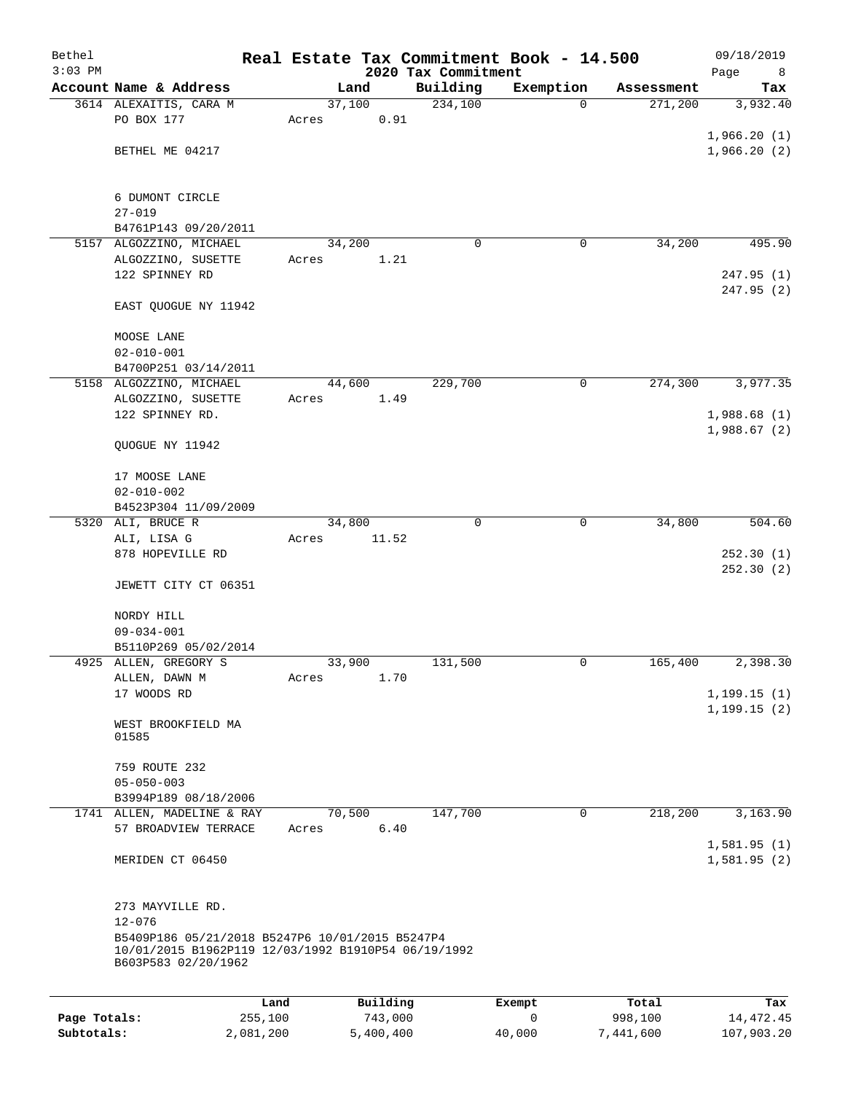| Bethel<br>$3:03$ PM |                                                                                                        |        |           | Real Estate Tax Commitment Book - 14.500 |                |            | 09/18/2019       |
|---------------------|--------------------------------------------------------------------------------------------------------|--------|-----------|------------------------------------------|----------------|------------|------------------|
|                     | Account Name & Address                                                                                 |        | Land      | 2020 Tax Commitment<br>Building          | Exemption      | Assessment | Page<br>8<br>Tax |
|                     | 3614 ALEXAITIS, CARA M                                                                                 | 37,100 |           | 234,100                                  | $\Omega$       | 271,200    | 3,932.40         |
|                     | PO BOX 177                                                                                             | Acres  | 0.91      |                                          |                |            |                  |
|                     |                                                                                                        |        |           |                                          |                |            | 1,966.20(1)      |
|                     | BETHEL ME 04217                                                                                        |        |           |                                          |                |            | 1,966.20(2)      |
|                     |                                                                                                        |        |           |                                          |                |            |                  |
|                     |                                                                                                        |        |           |                                          |                |            |                  |
|                     | 6 DUMONT CIRCLE<br>$27 - 019$                                                                          |        |           |                                          |                |            |                  |
|                     | B4761P143 09/20/2011                                                                                   |        |           |                                          |                |            |                  |
|                     | 5157 ALGOZZINO, MICHAEL                                                                                | 34,200 |           | $\Omega$                                 | 0              | 34,200     | 495.90           |
|                     | ALGOZZINO, SUSETTE                                                                                     | Acres  | 1.21      |                                          |                |            |                  |
|                     | 122 SPINNEY RD                                                                                         |        |           |                                          |                |            | 247.95(1)        |
|                     |                                                                                                        |        |           |                                          |                |            | 247.95 (2)       |
|                     | EAST QUOGUE NY 11942                                                                                   |        |           |                                          |                |            |                  |
|                     | MOOSE LANE                                                                                             |        |           |                                          |                |            |                  |
|                     | $02 - 010 - 001$                                                                                       |        |           |                                          |                |            |                  |
|                     | B4700P251 03/14/2011                                                                                   |        |           |                                          |                |            |                  |
|                     | 5158 ALGOZZINO, MICHAEL                                                                                | 44,600 |           | 229,700                                  | $\mathsf{O}$   | 274,300    | 3,977.35         |
|                     | ALGOZZINO, SUSETTE                                                                                     | Acres  | 1.49      |                                          |                |            |                  |
|                     | 122 SPINNEY RD.                                                                                        |        |           |                                          |                |            | 1,988.68(1)      |
|                     |                                                                                                        |        |           |                                          |                |            | 1,988.67(2)      |
|                     | QUOGUE NY 11942                                                                                        |        |           |                                          |                |            |                  |
|                     | 17 MOOSE LANE                                                                                          |        |           |                                          |                |            |                  |
|                     | $02 - 010 - 002$                                                                                       |        |           |                                          |                |            |                  |
|                     | B4523P304 11/09/2009                                                                                   |        |           |                                          |                |            |                  |
|                     | 5320 ALI, BRUCE R                                                                                      | 34,800 |           | $\Omega$                                 | $\mathbf 0$    | 34,800     | 504.60           |
|                     | ALI, LISA G                                                                                            | Acres  | 11.52     |                                          |                |            |                  |
|                     | 878 HOPEVILLE RD                                                                                       |        |           |                                          |                |            | 252.30(1)        |
|                     |                                                                                                        |        |           |                                          |                |            | 252.30(2)        |
|                     | JEWETT CITY CT 06351                                                                                   |        |           |                                          |                |            |                  |
|                     | NORDY HILL                                                                                             |        |           |                                          |                |            |                  |
|                     | $09 - 034 - 001$                                                                                       |        |           |                                          |                |            |                  |
|                     | B5110P269 05/02/2014                                                                                   |        |           |                                          |                |            |                  |
|                     | 4925 ALLEN, GREGORY S                                                                                  | 33,900 |           | 131,500                                  | 0              | 165,400    | 2,398.30         |
|                     | ALLEN, DAWN M                                                                                          | Acres  | 1.70      |                                          |                |            |                  |
|                     | 17 WOODS RD                                                                                            |        |           |                                          |                |            | 1, 199.15(1)     |
|                     |                                                                                                        |        |           |                                          |                |            | 1, 199.15(2)     |
|                     | WEST BROOKFIELD MA<br>01585                                                                            |        |           |                                          |                |            |                  |
|                     |                                                                                                        |        |           |                                          |                |            |                  |
|                     | 759 ROUTE 232                                                                                          |        |           |                                          |                |            |                  |
|                     | $05 - 050 - 003$                                                                                       |        |           |                                          |                |            |                  |
|                     | B3994P189 08/18/2006                                                                                   |        |           |                                          |                |            |                  |
|                     | 1741 ALLEN, MADELINE & RAY                                                                             | 70,500 |           | 147,700                                  | $\overline{0}$ | 218,200    | 3,163.90         |
|                     | 57 BROADVIEW TERRACE                                                                                   | Acres  | 6.40      |                                          |                |            | 1,581.95(1)      |
|                     | MERIDEN CT 06450                                                                                       |        |           |                                          |                |            | 1,581.95(2)      |
|                     |                                                                                                        |        |           |                                          |                |            |                  |
|                     |                                                                                                        |        |           |                                          |                |            |                  |
|                     | 273 MAYVILLE RD.                                                                                       |        |           |                                          |                |            |                  |
|                     | $12 - 076$                                                                                             |        |           |                                          |                |            |                  |
|                     | B5409P186 05/21/2018 B5247P6 10/01/2015 B5247P4<br>10/01/2015 B1962P119 12/03/1992 B1910P54 06/19/1992 |        |           |                                          |                |            |                  |
|                     | B603P583 02/20/1962                                                                                    |        |           |                                          |                |            |                  |
|                     |                                                                                                        |        |           |                                          |                |            |                  |
|                     |                                                                                                        | Land   | Building  |                                          | Exempt         | Total      | Tax              |
| Page Totals:        | 255,100                                                                                                |        | 743,000   |                                          | 0              | 998,100    | 14, 472. 45      |
| Subtotals:          | 2,081,200                                                                                              |        | 5,400,400 |                                          | 40,000         | 7,441,600  | 107,903.20       |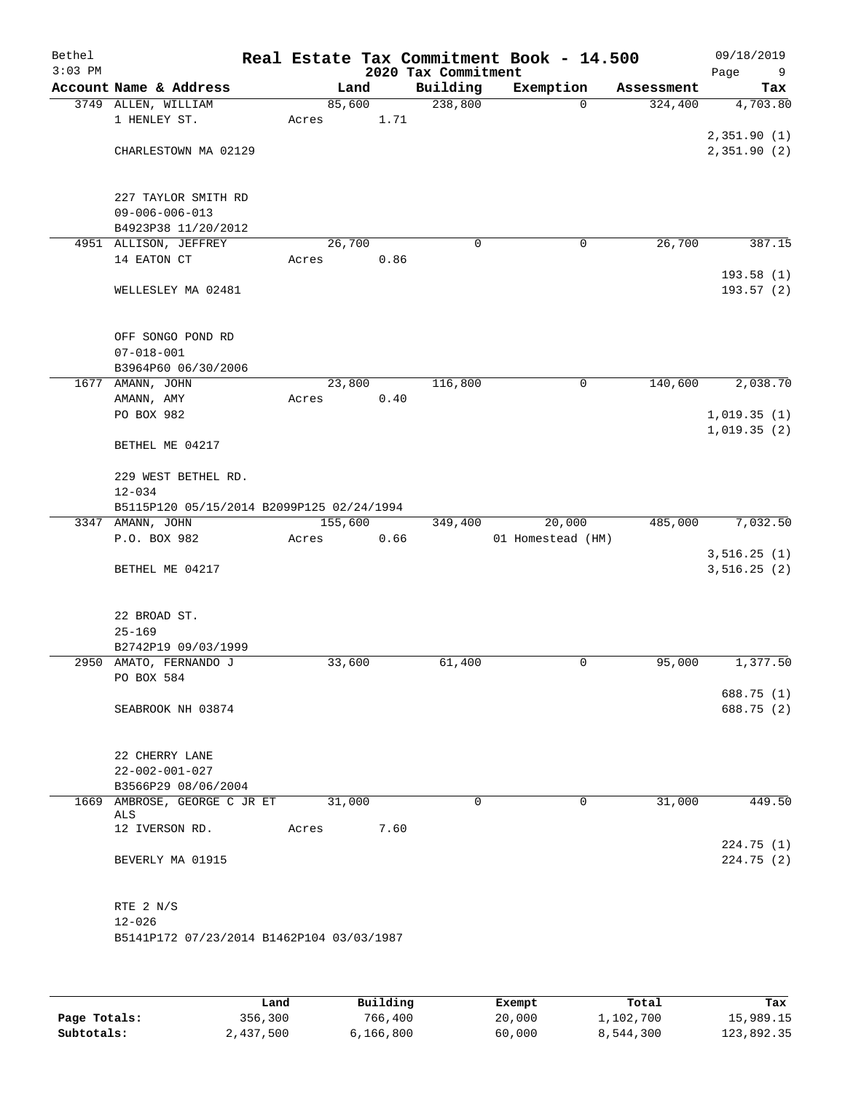| Bethel<br>$3:03$ PM |                                               |         |      | 2020 Tax Commitment | Real Estate Tax Commitment Book - 14.500 |            | 09/18/2019<br>Page<br>9    |
|---------------------|-----------------------------------------------|---------|------|---------------------|------------------------------------------|------------|----------------------------|
|                     | Account Name & Address                        | Land    |      | Building            | Exemption                                | Assessment | Tax                        |
|                     | 3749 ALLEN, WILLIAM                           | 85,600  |      | 238,800             | $\mathbf 0$                              | 324,400    | 4,703.80                   |
|                     | 1 HENLEY ST.                                  | Acres   | 1.71 |                     |                                          |            |                            |
|                     |                                               |         |      |                     |                                          |            | 2,351.90(1)                |
|                     | CHARLESTOWN MA 02129                          |         |      |                     |                                          |            | 2,351.90(2)                |
|                     |                                               |         |      |                     |                                          |            |                            |
|                     |                                               |         |      |                     |                                          |            |                            |
|                     | 227 TAYLOR SMITH RD                           |         |      |                     |                                          |            |                            |
|                     | $09 - 006 - 006 - 013$<br>B4923P38 11/20/2012 |         |      |                     |                                          |            |                            |
|                     | 4951 ALLISON, JEFFREY                         | 26,700  |      | 0                   | 0                                        | 26,700     | 387.15                     |
|                     | 14 EATON CT                                   | Acres   | 0.86 |                     |                                          |            |                            |
|                     |                                               |         |      |                     |                                          |            | 193.58(1)                  |
|                     | WELLESLEY MA 02481                            |         |      |                     |                                          |            | 193.57 (2)                 |
|                     |                                               |         |      |                     |                                          |            |                            |
|                     |                                               |         |      |                     |                                          |            |                            |
|                     | OFF SONGO POND RD                             |         |      |                     |                                          |            |                            |
|                     | $07 - 018 - 001$                              |         |      |                     |                                          |            |                            |
|                     | B3964P60 06/30/2006                           |         |      |                     |                                          |            |                            |
|                     | 1677 AMANN, JOHN                              | 23,800  |      | 116,800             | 0                                        | 140,600    | 2,038.70                   |
|                     | AMANN, AMY                                    | Acres   | 0.40 |                     |                                          |            |                            |
|                     | PO BOX 982                                    |         |      |                     |                                          |            | 1,019.35(1)<br>1,019.35(2) |
|                     | BETHEL ME 04217                               |         |      |                     |                                          |            |                            |
|                     |                                               |         |      |                     |                                          |            |                            |
|                     | 229 WEST BETHEL RD.                           |         |      |                     |                                          |            |                            |
|                     | $12 - 034$                                    |         |      |                     |                                          |            |                            |
|                     | B5115P120 05/15/2014 B2099P125 02/24/1994     |         |      |                     |                                          |            |                            |
|                     | 3347 AMANN, JOHN                              | 155,600 |      | 349,400             | 20,000                                   | 485,000    | 7,032.50                   |
|                     | P.O. BOX 982                                  | Acres   | 0.66 |                     | 01 Homestead (HM)                        |            |                            |
|                     |                                               |         |      |                     |                                          |            | 3,516.25(1)                |
|                     | BETHEL ME 04217                               |         |      |                     |                                          |            | 3,516.25(2)                |
|                     |                                               |         |      |                     |                                          |            |                            |
|                     | 22 BROAD ST.                                  |         |      |                     |                                          |            |                            |
|                     | $25 - 169$                                    |         |      |                     |                                          |            |                            |
|                     | B2742P19 09/03/1999                           |         |      |                     |                                          |            |                            |
|                     | 2950 AMATO, FERNANDO J                        | 33,600  |      | 61,400              | 0                                        | 95,000     | 1,377.50                   |
|                     | PO BOX 584                                    |         |      |                     |                                          |            |                            |
|                     |                                               |         |      |                     |                                          |            | 688.75 (1)                 |
|                     | SEABROOK NH 03874                             |         |      |                     |                                          |            | 688.75 (2)                 |
|                     |                                               |         |      |                     |                                          |            |                            |
|                     |                                               |         |      |                     |                                          |            |                            |
|                     | 22 CHERRY LANE                                |         |      |                     |                                          |            |                            |
|                     | $22 - 002 - 001 - 027$                        |         |      |                     |                                          |            |                            |
|                     | B3566P29 08/06/2004                           |         |      |                     |                                          |            |                            |
|                     | 1669 AMBROSE, GEORGE C JR ET<br>ALS           | 31,000  |      | 0                   | $\mathbf 0$                              | 31,000     | 449.50                     |
|                     | 12 IVERSON RD.                                | Acres   | 7.60 |                     |                                          |            |                            |
|                     |                                               |         |      |                     |                                          |            | 224.75(1)                  |
|                     | BEVERLY MA 01915                              |         |      |                     |                                          |            | 224.75(2)                  |
|                     |                                               |         |      |                     |                                          |            |                            |
|                     |                                               |         |      |                     |                                          |            |                            |
|                     | RTE 2 N/S                                     |         |      |                     |                                          |            |                            |
|                     | $12 - 026$                                    |         |      |                     |                                          |            |                            |
|                     | B5141P172 07/23/2014 B1462P104 03/03/1987     |         |      |                     |                                          |            |                            |
|                     |                                               |         |      |                     |                                          |            |                            |
|                     |                                               |         |      |                     |                                          |            |                            |

|              | Land      | Building  | Exempt | Total     | Tax        |
|--------------|-----------|-----------|--------|-----------|------------|
| Page Totals: | 356,300   | 766,400   | 20,000 | 1,102,700 | 15,989.15  |
| Subtotals:   | 2,437,500 | 6,166,800 | 60,000 | 8,544,300 | 123,892.35 |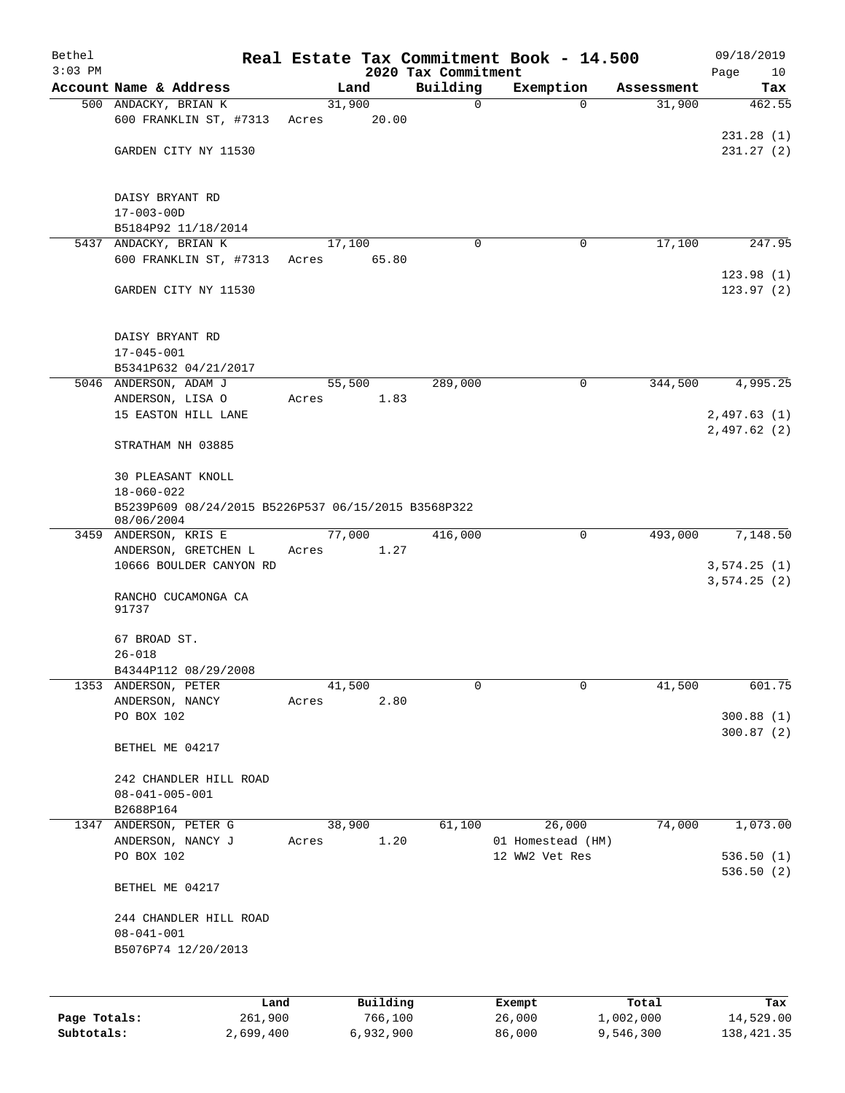| Bethel<br>$3:03$ PM |                                                     |       |        |          | 2020 Tax Commitment | Real Estate Tax Commitment Book - 14.500 |            | 09/18/2019<br>Page<br>10 |
|---------------------|-----------------------------------------------------|-------|--------|----------|---------------------|------------------------------------------|------------|--------------------------|
|                     | Account Name & Address                              |       | Land   |          | Building            | Exemption                                | Assessment | Tax                      |
|                     | 500 ANDACKY, BRIAN K                                |       | 31,900 |          | 0                   | $\Omega$                                 | 31,900     | 462.55                   |
|                     | 600 FRANKLIN ST, #7313                              | Acres |        | 20.00    |                     |                                          |            |                          |
|                     |                                                     |       |        |          |                     |                                          |            | 231.28(1)                |
|                     | GARDEN CITY NY 11530                                |       |        |          |                     |                                          |            | 231.27(2)                |
|                     | DAISY BRYANT RD                                     |       |        |          |                     |                                          |            |                          |
|                     | $17 - 003 - 00D$                                    |       |        |          |                     |                                          |            |                          |
|                     | B5184P92 11/18/2014                                 |       |        |          |                     |                                          |            |                          |
|                     | 5437 ANDACKY, BRIAN K                               |       | 17,100 |          | $\Omega$            | 0                                        | 17,100     | 247.95                   |
|                     | 600 FRANKLIN ST, #7313                              | Acres |        | 65.80    |                     |                                          |            |                          |
|                     | GARDEN CITY NY 11530                                |       |        |          |                     |                                          |            | 123.98(1)<br>123.97(2)   |
|                     | DAISY BRYANT RD                                     |       |        |          |                     |                                          |            |                          |
|                     | $17 - 045 - 001$                                    |       |        |          |                     |                                          |            |                          |
|                     | B5341P632 04/21/2017                                |       |        |          |                     |                                          |            |                          |
|                     | 5046 ANDERSON, ADAM J<br>ANDERSON, LISA O           |       | 55,500 |          | 289,000             | 0                                        | 344,500    | 4,995.25                 |
|                     | 15 EASTON HILL LANE                                 | Acres |        | 1.83     |                     |                                          |            | 2,497.63(1)              |
|                     |                                                     |       |        |          |                     |                                          |            | 2,497.62(2)              |
|                     | STRATHAM NH 03885                                   |       |        |          |                     |                                          |            |                          |
|                     | 30 PLEASANT KNOLL<br>$18 - 060 - 022$               |       |        |          |                     |                                          |            |                          |
|                     | B5239P609 08/24/2015 B5226P537 06/15/2015 B3568P322 |       |        |          |                     |                                          |            |                          |
|                     | 08/06/2004                                          |       |        |          |                     |                                          |            |                          |
|                     | 3459 ANDERSON, KRIS E                               |       | 77,000 |          | 416,000             | 0                                        | 493,000    | 7,148.50                 |
|                     | ANDERSON, GRETCHEN L<br>10666 BOULDER CANYON RD     | Acres |        | 1.27     |                     |                                          |            | 3,574.25(1)              |
|                     | RANCHO CUCAMONGA CA<br>91737                        |       |        |          |                     |                                          |            | 3,574.25(2)              |
|                     | 67 BROAD ST.                                        |       |        |          |                     |                                          |            |                          |
|                     | $26 - 018$                                          |       |        |          |                     |                                          |            |                          |
|                     | B4344P112 08/29/2008                                |       |        |          |                     |                                          |            |                          |
| 1353                | ANDERSON, PETER                                     |       | 41,500 |          | 0                   | $\mathbf 0$                              | 41,500     | 601.75                   |
|                     | ANDERSON, NANCY<br>PO BOX 102                       | Acres |        | 2.80     |                     |                                          |            | 300.88(1)                |
|                     |                                                     |       |        |          |                     |                                          |            | 300.87(2)                |
|                     | BETHEL ME 04217                                     |       |        |          |                     |                                          |            |                          |
|                     | 242 CHANDLER HILL ROAD                              |       |        |          |                     |                                          |            |                          |
|                     | $08 - 041 - 005 - 001$                              |       |        |          |                     |                                          |            |                          |
|                     | B2688P164                                           |       |        |          |                     |                                          |            |                          |
| 1347                | ANDERSON, PETER G                                   |       | 38,900 |          | 61,100              | 26,000                                   | 74,000     | 1,073.00                 |
|                     | ANDERSON, NANCY J                                   | Acres |        | 1.20     |                     | 01 Homestead (HM)                        |            |                          |
|                     | PO BOX 102                                          |       |        |          |                     | 12 WW2 Vet Res                           |            | 536.50(1)                |
|                     | BETHEL ME 04217                                     |       |        |          |                     |                                          |            | 536.50(2)                |
|                     |                                                     |       |        |          |                     |                                          |            |                          |
|                     | 244 CHANDLER HILL ROAD                              |       |        |          |                     |                                          |            |                          |
|                     | $08 - 041 - 001$                                    |       |        |          |                     |                                          |            |                          |
|                     | B5076P74 12/20/2013                                 |       |        |          |                     |                                          |            |                          |
|                     |                                                     |       |        |          |                     |                                          |            |                          |
|                     | Land                                                |       |        | Building |                     | Exempt                                   | Total      | Tax                      |
| Page Totals:        | 261,900                                             |       |        | 766,100  |                     | 26,000                                   | 1,002,000  | 14,529.00                |

**Subtotals:** 2,699,400 6,932,900 86,000 9,546,300 138,421.35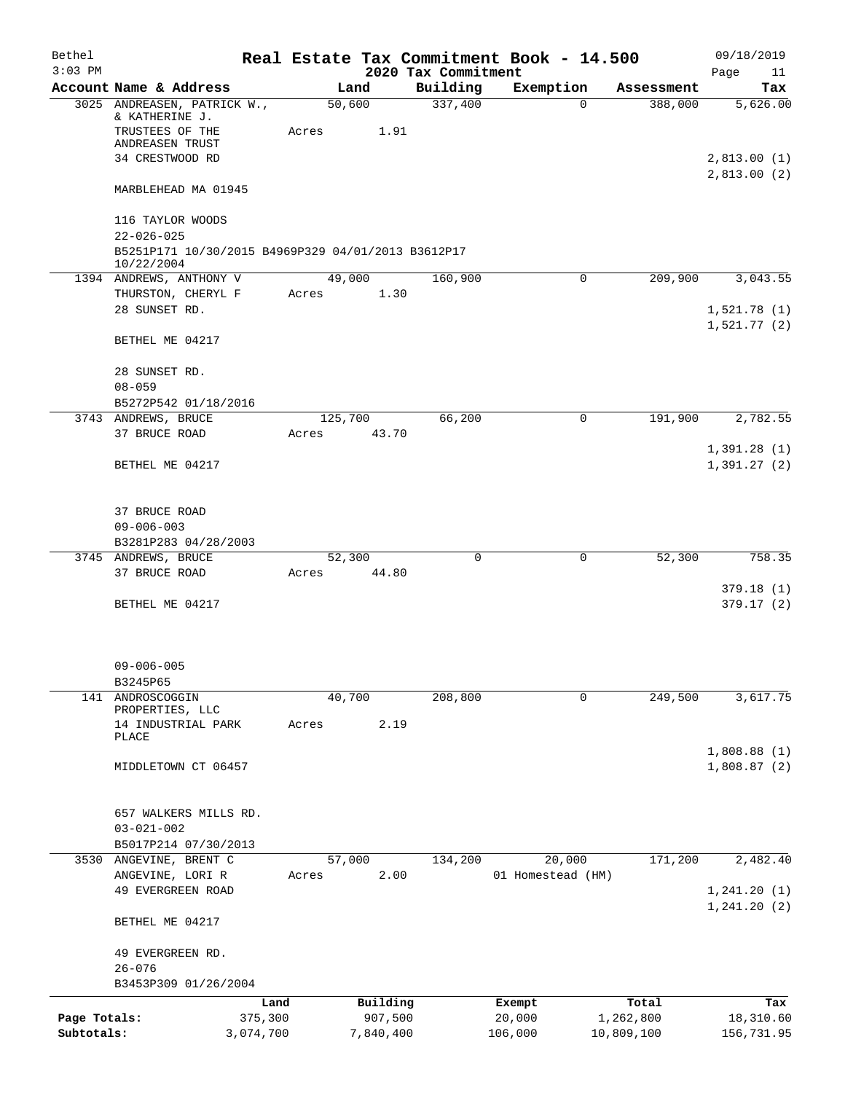| Bethel<br>$3:03$ PM |                                                                                                          | Real Estate Tax Commitment Book - 14.500 | 2020 Tax Commitment |                   |            | 09/18/2019<br>Page<br>11   |
|---------------------|----------------------------------------------------------------------------------------------------------|------------------------------------------|---------------------|-------------------|------------|----------------------------|
|                     | Account Name & Address                                                                                   | Land                                     | Building            | Exemption         | Assessment | Tax                        |
|                     | 3025 ANDREASEN, PATRICK W.,<br>& KATHERINE J.<br>TRUSTEES OF THE<br>ANDREASEN TRUST                      | 50,600<br>Acres                          | 337,400<br>1.91     | $\Omega$          | 388,000    | 5,626.00                   |
|                     | 34 CRESTWOOD RD                                                                                          |                                          |                     |                   |            | 2,813.00(1)<br>2,813.00(2) |
|                     | MARBLEHEAD MA 01945                                                                                      |                                          |                     |                   |            |                            |
|                     | 116 TAYLOR WOODS<br>$22 - 026 - 025$<br>B5251P171 10/30/2015 B4969P329 04/01/2013 B3612P17<br>10/22/2004 |                                          |                     |                   |            |                            |
|                     | 1394 ANDREWS, ANTHONY V                                                                                  | 49,000                                   | 160,900             | $\mathbf 0$       | 209,900    | 3,043.55                   |
|                     | THURSTON, CHERYL F<br>28 SUNSET RD.                                                                      | Acres                                    | 1.30                |                   |            | 1,521.78(1)<br>1,521.77(2) |
|                     | BETHEL ME 04217                                                                                          |                                          |                     |                   |            |                            |
|                     | 28 SUNSET RD.<br>$08 - 059$                                                                              |                                          |                     |                   |            |                            |
|                     | B5272P542 01/18/2016<br>3743 ANDREWS, BRUCE                                                              | 125,700                                  | 66,200              | 0                 | 191,900    | 2,782.55                   |
|                     | 37 BRUCE ROAD                                                                                            | Acres                                    | 43.70               |                   |            | 1,391.28(1)                |
|                     | BETHEL ME 04217                                                                                          |                                          |                     |                   |            | 1,391.27(2)                |
|                     | 37 BRUCE ROAD<br>$09 - 006 - 003$                                                                        |                                          |                     |                   |            |                            |
|                     | B3281P283 04/28/2003                                                                                     |                                          | $\Omega$            |                   |            |                            |
|                     | 3745 ANDREWS, BRUCE<br>37 BRUCE ROAD                                                                     | 52,300<br>Acres                          | 44.80               | 0                 | 52,300     | 758.35                     |
|                     | BETHEL ME 04217                                                                                          |                                          |                     |                   |            | 379.18(1)<br>379.17(2)     |
|                     | $09 - 006 - 005$<br>B3245P65                                                                             |                                          |                     |                   |            |                            |
|                     | 141 ANDROSCOGGIN                                                                                         | 40,700                                   | 208,800             | 0                 | 249,500    | 3,617.75                   |
|                     | PROPERTIES, LLC<br>14 INDUSTRIAL PARK<br>PLACE                                                           | Acres                                    | 2.19                |                   |            |                            |
|                     | MIDDLETOWN CT 06457                                                                                      |                                          |                     |                   |            | 1,808.88(1)<br>1,808.87(2) |
|                     | 657 WALKERS MILLS RD.<br>$03 - 021 - 002$<br>B5017P214 07/30/2013                                        |                                          |                     |                   |            |                            |
|                     | 3530 ANGEVINE, BRENT C                                                                                   | 57,000                                   | 134,200             | 20,000            | 171,200    | 2,482.40                   |
|                     | ANGEVINE, LORI R<br>49 EVERGREEN ROAD                                                                    | Acres                                    | 2.00                | 01 Homestead (HM) |            | 1, 241.20(1)               |
|                     | BETHEL ME 04217                                                                                          |                                          |                     |                   |            | 1, 241.20(2)               |
|                     | 49 EVERGREEN RD.<br>$26 - 076$                                                                           |                                          |                     |                   |            |                            |
|                     | B3453P309 01/26/2004                                                                                     |                                          |                     |                   |            |                            |
|                     |                                                                                                          | Building<br>Land                         |                     | Exempt            | Total      | Tax                        |
| Page Totals:        | 375,300                                                                                                  |                                          | 907,500             | 20,000            | 1,262,800  | 18,310.60                  |
| Subtotals:          | 3,074,700                                                                                                | 7,840,400                                |                     | 106,000           | 10,809,100 | 156,731.95                 |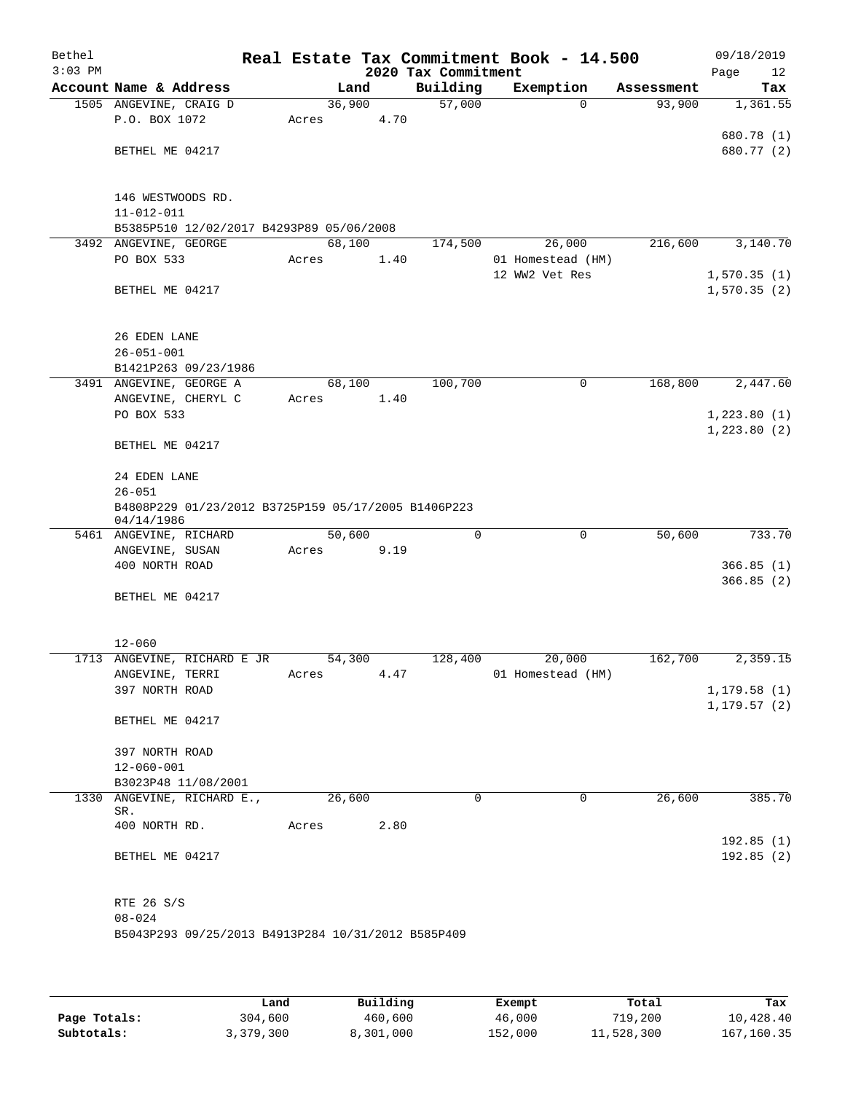| Bethel<br>$3:03$ PM |                                                                   |        |      | 2020 Tax Commitment | Real Estate Tax Commitment Book - 14.500 |            | 09/18/2019<br>Page<br>12 |
|---------------------|-------------------------------------------------------------------|--------|------|---------------------|------------------------------------------|------------|--------------------------|
|                     | Account Name & Address                                            |        | Land | Building            | Exemption                                | Assessment | Tax                      |
|                     | 1505 ANGEVINE, CRAIG D                                            | 36,900 |      | 57,000              | $\Omega$                                 | 93,900     | 1,361.55                 |
|                     | P.O. BOX 1072                                                     | Acres  | 4.70 |                     |                                          |            |                          |
|                     |                                                                   |        |      |                     |                                          |            | 680.78 (1)               |
|                     | BETHEL ME 04217                                                   |        |      |                     |                                          |            | 680.77 (2)               |
|                     | 146 WESTWOODS RD.                                                 |        |      |                     |                                          |            |                          |
|                     | $11 - 012 - 011$                                                  |        |      |                     |                                          |            |                          |
|                     | B5385P510 12/02/2017 B4293P89 05/06/2008                          |        |      |                     |                                          |            |                          |
|                     | 3492 ANGEVINE, GEORGE                                             | 68,100 |      | 174,500             | 26,000                                   | 216,600    | 3,140.70                 |
|                     | PO BOX 533                                                        | Acres  | 1.40 |                     | 01 Homestead (HM)                        |            |                          |
|                     |                                                                   |        |      |                     | 12 WW2 Vet Res                           |            | 1,570.35(1)              |
|                     | BETHEL ME 04217                                                   |        |      |                     |                                          |            | 1,570.35(2)              |
|                     | 26 EDEN LANE                                                      |        |      |                     |                                          |            |                          |
|                     | $26 - 051 - 001$                                                  |        |      |                     |                                          |            |                          |
|                     | B1421P263 09/23/1986                                              |        |      |                     |                                          |            |                          |
|                     | 3491 ANGEVINE, GEORGE A                                           | 68,100 |      | 100,700             | 0                                        | 168,800    | 2,447.60                 |
|                     | ANGEVINE, CHERYL C                                                | Acres  | 1.40 |                     |                                          |            |                          |
|                     | PO BOX 533                                                        |        |      |                     |                                          |            | 1,223.80(1)              |
|                     | BETHEL ME 04217                                                   |        |      |                     |                                          |            | 1,223.80(2)              |
|                     | 24 EDEN LANE                                                      |        |      |                     |                                          |            |                          |
|                     | $26 - 051$                                                        |        |      |                     |                                          |            |                          |
|                     | B4808P229 01/23/2012 B3725P159 05/17/2005 B1406P223<br>04/14/1986 |        |      |                     |                                          |            |                          |
|                     | 5461 ANGEVINE, RICHARD                                            | 50,600 |      | $\mathbf 0$         | $\mathbf 0$                              | 50,600     | 733.70                   |
|                     | ANGEVINE, SUSAN                                                   | Acres  | 9.19 |                     |                                          |            |                          |
|                     | 400 NORTH ROAD                                                    |        |      |                     |                                          |            | 366.85(1)                |
|                     |                                                                   |        |      |                     |                                          |            | 366.85(2)                |
|                     | BETHEL ME 04217                                                   |        |      |                     |                                          |            |                          |
|                     | $12 - 060$                                                        |        |      |                     |                                          |            |                          |
|                     | 1713 ANGEVINE, RICHARD E JR                                       | 54,300 |      | 128,400             | 20,000                                   | 162,700    | 2,359.15                 |
|                     | ANGEVINE, TERRI                                                   | Acres  | 4.47 |                     | 01 Homestead (HM)                        |            |                          |
|                     | 397 NORTH ROAD                                                    |        |      |                     |                                          |            | 1,179.58(1)              |
|                     |                                                                   |        |      |                     |                                          |            | 1, 179.57(2)             |
|                     | BETHEL ME 04217                                                   |        |      |                     |                                          |            |                          |
|                     | 397 NORTH ROAD                                                    |        |      |                     |                                          |            |                          |
|                     | $12 - 060 - 001$                                                  |        |      |                     |                                          |            |                          |
|                     | B3023P48 11/08/2001                                               |        |      |                     |                                          |            |                          |
| 1330                | ANGEVINE, RICHARD E.,                                             | 26,600 |      | 0                   | 0                                        | 26,600     | 385.70                   |
|                     | SR.                                                               |        |      |                     |                                          |            |                          |
|                     | 400 NORTH RD.                                                     | Acres  | 2.80 |                     |                                          |            |                          |
|                     | BETHEL ME 04217                                                   |        |      |                     |                                          |            | 192.85(1)<br>192.85(2)   |
|                     |                                                                   |        |      |                     |                                          |            |                          |
|                     | RTE 26 S/S                                                        |        |      |                     |                                          |            |                          |
|                     | $08 - 024$<br>B5043P293 09/25/2013 B4913P284 10/31/2012 B585P409  |        |      |                     |                                          |            |                          |
|                     |                                                                   |        |      |                     |                                          |            |                          |

|              | Land      | Building  | Exempt  | Total      | Tax          |
|--------------|-----------|-----------|---------|------------|--------------|
| Page Totals: | 304,600   | 460,600   | 46,000  | 719,200    | 10,428.40    |
| Subtotals:   | 3,379,300 | 8,301,000 | 152,000 | 11,528,300 | 167, 160. 35 |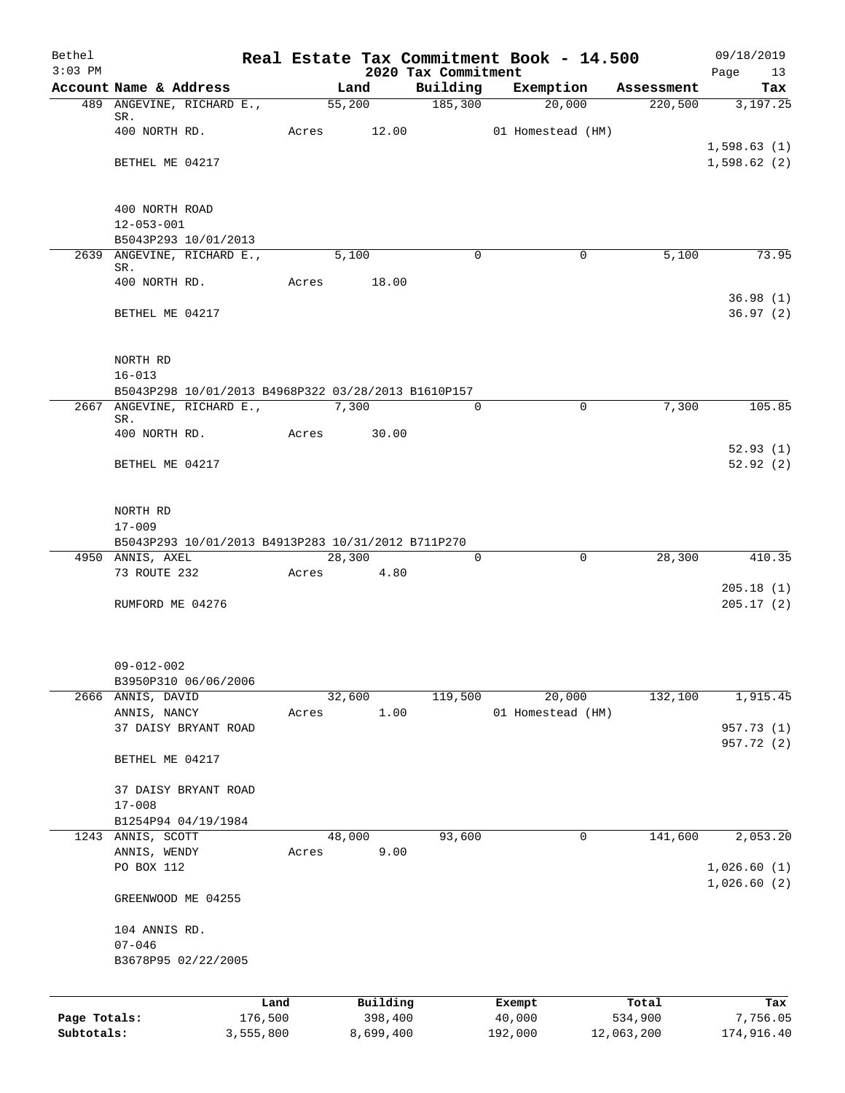| Bethel<br>$3:03$ PM |                                                                                   |         |            |           | 2020 Tax Commitment | Real Estate Tax Commitment Book - 14.500 |            | 09/18/2019<br>Page<br>13 |
|---------------------|-----------------------------------------------------------------------------------|---------|------------|-----------|---------------------|------------------------------------------|------------|--------------------------|
|                     | Account Name & Address                                                            |         | Land       |           |                     | Building Exemption                       | Assessment | Tax                      |
|                     | 489 ANGEVINE, RICHARD E.,                                                         |         | 55,200     |           | $\frac{185,300}{ }$ | 20,000                                   |            | $220,500$ $3,197.25$     |
|                     | SR.                                                                               |         |            |           |                     |                                          |            |                          |
|                     | 400 NORTH RD.                                                                     | Acres   |            | 12.00     |                     | 01 Homestead (HM)                        |            | 1,598.63(1)              |
|                     | BETHEL ME 04217                                                                   |         |            |           |                     |                                          |            | 1,598.62(2)              |
|                     |                                                                                   |         |            |           |                     |                                          |            |                          |
|                     |                                                                                   |         |            |           |                     |                                          |            |                          |
|                     | 400 NORTH ROAD                                                                    |         |            |           |                     |                                          |            |                          |
|                     | $12 - 053 - 001$                                                                  |         |            |           |                     |                                          |            |                          |
|                     | B5043P293 10/01/2013                                                              |         |            |           |                     |                                          |            |                          |
|                     | 2639 ANGEVINE, RICHARD E.,<br>SR.                                                 |         | 5,100      |           | $\Omega$            | $\Omega$                                 | 5,100      | $\overline{7}3.95$       |
|                     | 400 NORTH RD.                                                                     | Acres   |            | 18.00     |                     |                                          |            |                          |
|                     |                                                                                   |         |            |           |                     |                                          |            | 36.98(1)                 |
|                     | BETHEL ME 04217                                                                   |         |            |           |                     |                                          |            | 36.97(2)                 |
|                     |                                                                                   |         |            |           |                     |                                          |            |                          |
|                     |                                                                                   |         |            |           |                     |                                          |            |                          |
|                     | NORTH RD                                                                          |         |            |           |                     |                                          |            |                          |
|                     | $16 - 013$                                                                        |         |            |           |                     |                                          |            |                          |
|                     | B5043P298 10/01/2013 B4968P322 03/28/2013 B1610P157<br>2667 ANGEVINE, RICHARD E., |         | 7,300      |           | $\Omega$            | $\Omega$                                 | 7,300      | 105.85                   |
|                     | SR.                                                                               |         |            |           |                     |                                          |            |                          |
|                     | 400 NORTH RD.                                                                     | Acres   |            | 30.00     |                     |                                          |            |                          |
|                     |                                                                                   |         |            |           |                     |                                          |            | 52.93(1)                 |
|                     | BETHEL ME 04217                                                                   |         |            |           |                     |                                          |            | 52.92(2)                 |
|                     |                                                                                   |         |            |           |                     |                                          |            |                          |
|                     |                                                                                   |         |            |           |                     |                                          |            |                          |
|                     | NORTH RD<br>$17 - 009$                                                            |         |            |           |                     |                                          |            |                          |
|                     | B5043P293 10/01/2013 B4913P283 10/31/2012 B711P270                                |         |            |           |                     |                                          |            |                          |
|                     | 4950 ANNIS, AXEL                                                                  |         | 28,300     |           | $\Omega$            | $\mathbf 0$                              | 28,300     | 410.35                   |
|                     | 73 ROUTE 232                                                                      |         | Acres 4.80 |           |                     |                                          |            |                          |
|                     |                                                                                   |         |            |           |                     |                                          |            | 205.18(1)                |
|                     | RUMFORD ME 04276                                                                  |         |            |           |                     |                                          |            | 205.17(2)                |
|                     |                                                                                   |         |            |           |                     |                                          |            |                          |
|                     |                                                                                   |         |            |           |                     |                                          |            |                          |
|                     | $09 - 012 - 002$                                                                  |         |            |           |                     |                                          |            |                          |
|                     | B3950P310 06/06/2006                                                              |         |            |           |                     |                                          |            |                          |
| 2666                | ANNIS, DAVID                                                                      |         | 32,600     |           | 119,500             | 20,000                                   | 132,100    | 1,915.45                 |
|                     | ANNIS, NANCY                                                                      | Acres   |            | 1.00      |                     | 01 Homestead (HM)                        |            |                          |
|                     | 37 DAISY BRYANT ROAD                                                              |         |            |           |                     |                                          |            | 957.73 (1)               |
|                     |                                                                                   |         |            |           |                     |                                          |            | 957.72 (2)               |
|                     | BETHEL ME 04217                                                                   |         |            |           |                     |                                          |            |                          |
|                     |                                                                                   |         |            |           |                     |                                          |            |                          |
|                     | 37 DAISY BRYANT ROAD                                                              |         |            |           |                     |                                          |            |                          |
|                     | $17 - 008$                                                                        |         |            |           |                     |                                          |            |                          |
|                     | B1254P94 04/19/1984<br>1243 ANNIS, SCOTT                                          |         | 48,000     |           | 93,600              | 0                                        | 141,600    | 2,053.20                 |
|                     | ANNIS, WENDY                                                                      | Acres   |            | 9.00      |                     |                                          |            |                          |
|                     | PO BOX 112                                                                        |         |            |           |                     |                                          |            | 1,026.60(1)              |
|                     |                                                                                   |         |            |           |                     |                                          |            | 1,026.60(2)              |
|                     | GREENWOOD ME 04255                                                                |         |            |           |                     |                                          |            |                          |
|                     |                                                                                   |         |            |           |                     |                                          |            |                          |
|                     | 104 ANNIS RD.                                                                     |         |            |           |                     |                                          |            |                          |
|                     | $07 - 046$                                                                        |         |            |           |                     |                                          |            |                          |
|                     | B3678P95 02/22/2005                                                               |         |            |           |                     |                                          |            |                          |
|                     |                                                                                   |         |            |           |                     |                                          |            |                          |
|                     |                                                                                   | Land    |            | Building  |                     | Exempt                                   | Total      | Tax                      |
| Page Totals:        |                                                                                   | 176,500 |            | 398,400   |                     | 40,000                                   | 534,900    | 7,756.05                 |
| Subtotals:          | 3,555,800                                                                         |         |            | 8,699,400 |                     | 192,000                                  | 12,063,200 | 174,916.40               |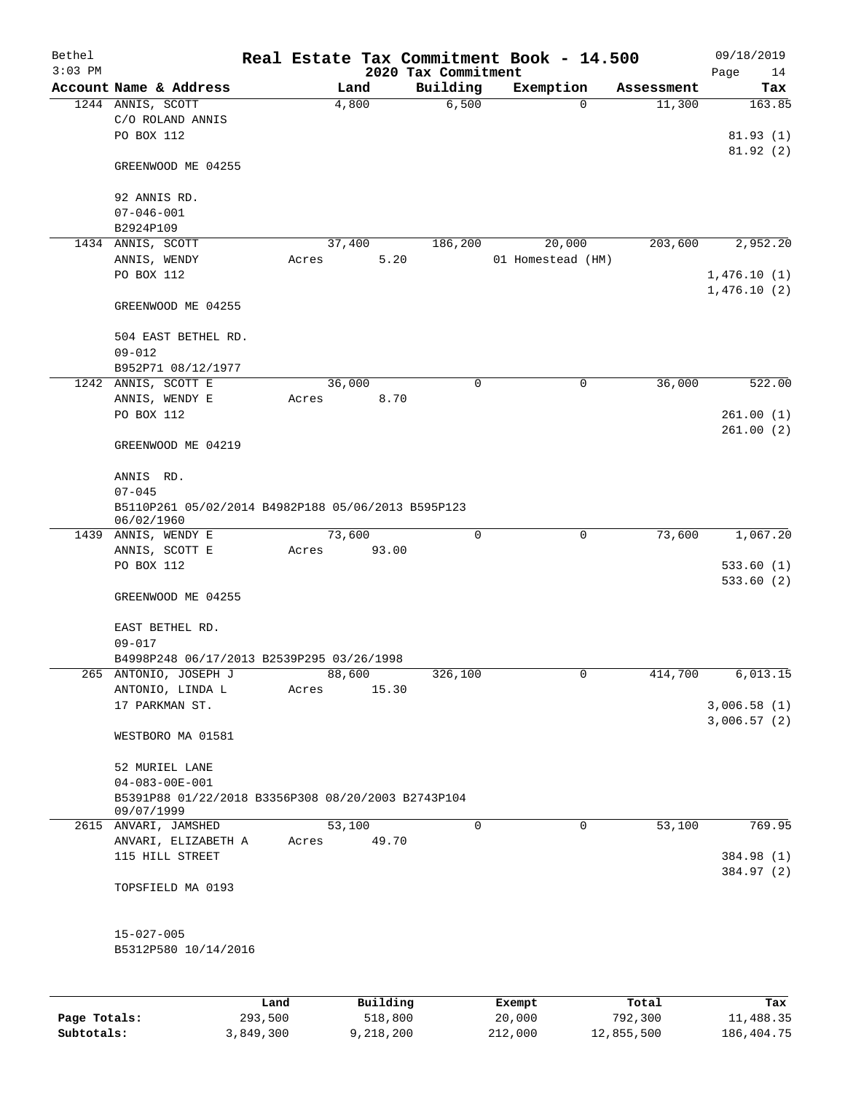| Bethel       |                                                                  |                 |       |        |                     | Real Estate Tax Commitment Book - 14.500 |         |                   |                      |      | 09/18/2019       |
|--------------|------------------------------------------------------------------|-----------------|-------|--------|---------------------|------------------------------------------|---------|-------------------|----------------------|------|------------------|
| $3:03$ PM    | Account Name & Address                                           |                 |       | Land   |                     | 2020 Tax Commitment<br>Building          |         |                   |                      | Page | 14               |
|              | 1244 ANNIS, SCOTT                                                |                 |       | 4,800  |                     | 6,500                                    |         | Exemption<br>0    | Assessment<br>11,300 |      | Tax<br>163.85    |
|              | C/O ROLAND ANNIS<br>PO BOX 112                                   |                 |       |        |                     |                                          |         |                   |                      |      | 81.93(1)         |
|              |                                                                  |                 |       |        |                     |                                          |         |                   |                      |      | 81.92(2)         |
|              | GREENWOOD ME 04255                                               |                 |       |        |                     |                                          |         |                   |                      |      |                  |
|              | 92 ANNIS RD.                                                     |                 |       |        |                     |                                          |         |                   |                      |      |                  |
|              | $07 - 046 - 001$<br>B2924P109                                    |                 |       |        |                     |                                          |         |                   |                      |      |                  |
|              | 1434 ANNIS, SCOTT                                                |                 |       | 37,400 |                     | 186,200                                  |         | 20,000            | 203,600              |      | 2,952.20         |
|              | ANNIS, WENDY                                                     |                 | Acres |        | 5.20                |                                          |         | 01 Homestead (HM) |                      |      |                  |
|              | PO BOX 112                                                       |                 |       |        |                     |                                          |         |                   |                      |      | 1,476.10(1)      |
|              | GREENWOOD ME 04255                                               |                 |       |        |                     |                                          |         |                   |                      |      | 1,476.10(2)      |
|              | 504 EAST BETHEL RD.                                              |                 |       |        |                     |                                          |         |                   |                      |      |                  |
|              | $09 - 012$                                                       |                 |       |        |                     |                                          |         |                   |                      |      |                  |
|              | B952P71 08/12/1977<br>1242 ANNIS, SCOTT E                        |                 |       | 36,000 |                     | 0                                        |         | 0                 | 36,000               |      | 522.00           |
|              | ANNIS, WENDY E                                                   |                 | Acres |        | 8.70                |                                          |         |                   |                      |      |                  |
|              | PO BOX 112                                                       |                 |       |        |                     |                                          |         |                   |                      |      | 261.00(1)        |
|              | GREENWOOD ME 04219                                               |                 |       |        |                     |                                          |         |                   |                      |      | 261.00(2)        |
|              | ANNIS RD.                                                        |                 |       |        |                     |                                          |         |                   |                      |      |                  |
|              | $07 - 045$                                                       |                 |       |        |                     |                                          |         |                   |                      |      |                  |
|              | B5110P261 05/02/2014 B4982P188 05/06/2013 B595P123<br>06/02/1960 |                 |       |        |                     |                                          |         |                   |                      |      |                  |
|              | 1439 ANNIS, WENDY E                                              |                 |       | 73,600 |                     | 0                                        |         | $\mathbf 0$       | 73,600               |      | 1,067.20         |
|              | ANNIS, SCOTT E<br>PO BOX 112                                     |                 | Acres |        | 93.00               |                                          |         |                   |                      |      | 533.60(1)        |
|              | GREENWOOD ME 04255                                               |                 |       |        |                     |                                          |         |                   |                      |      | 533.60(2)        |
|              | EAST BETHEL RD.                                                  |                 |       |        |                     |                                          |         |                   |                      |      |                  |
|              | $09 - 017$<br>B4998P248 06/17/2013 B2539P295 03/26/1998          |                 |       |        |                     |                                          |         |                   |                      |      |                  |
|              | 265 ANTONIO, JOSEPH J                                            |                 |       | 88,600 |                     | 326,100                                  |         | 0                 | 414,700              |      | 6,013.15         |
|              | ANTONIO, LINDA L                                                 |                 | Acres |        | 15.30               |                                          |         |                   |                      |      |                  |
|              | 17 PARKMAN ST.                                                   |                 |       |        |                     |                                          |         |                   |                      |      | 3,006.58(1)      |
|              | WESTBORO MA 01581                                                |                 |       |        |                     |                                          |         |                   |                      |      | 3,006.57(2)      |
|              | 52 MURIEL LANE                                                   |                 |       |        |                     |                                          |         |                   |                      |      |                  |
|              | $04 - 083 - 00E - 001$                                           |                 |       |        |                     |                                          |         |                   |                      |      |                  |
|              | B5391P88 01/22/2018 B3356P308 08/20/2003 B2743P104               |                 |       |        |                     |                                          |         |                   |                      |      |                  |
|              | 09/07/1999<br>2615 ANVARI, JAMSHED                               |                 |       | 53,100 |                     | 0                                        |         | 0                 | 53,100               |      | 769.95           |
|              | ANVARI, ELIZABETH A                                              |                 | Acres |        | 49.70               |                                          |         |                   |                      |      |                  |
|              | 115 HILL STREET                                                  |                 |       |        |                     |                                          |         |                   |                      |      | 384.98 (1)       |
|              | TOPSFIELD MA 0193                                                |                 |       |        |                     |                                          |         |                   |                      |      | 384.97 (2)       |
|              | $15 - 027 - 005$                                                 |                 |       |        |                     |                                          |         |                   |                      |      |                  |
|              | B5312P580 10/14/2016                                             |                 |       |        |                     |                                          |         |                   |                      |      |                  |
|              |                                                                  |                 |       |        |                     |                                          |         |                   |                      |      |                  |
| Page Totals: |                                                                  | Land<br>293,500 |       |        | Building<br>518,800 |                                          |         | Exempt<br>20,000  | Total<br>792,300     |      | Tax<br>11,488.35 |
| Subtotals:   |                                                                  | 3,849,300       |       |        | 9,218,200           |                                          | 212,000 |                   | 12,855,500           |      | 186, 404. 75     |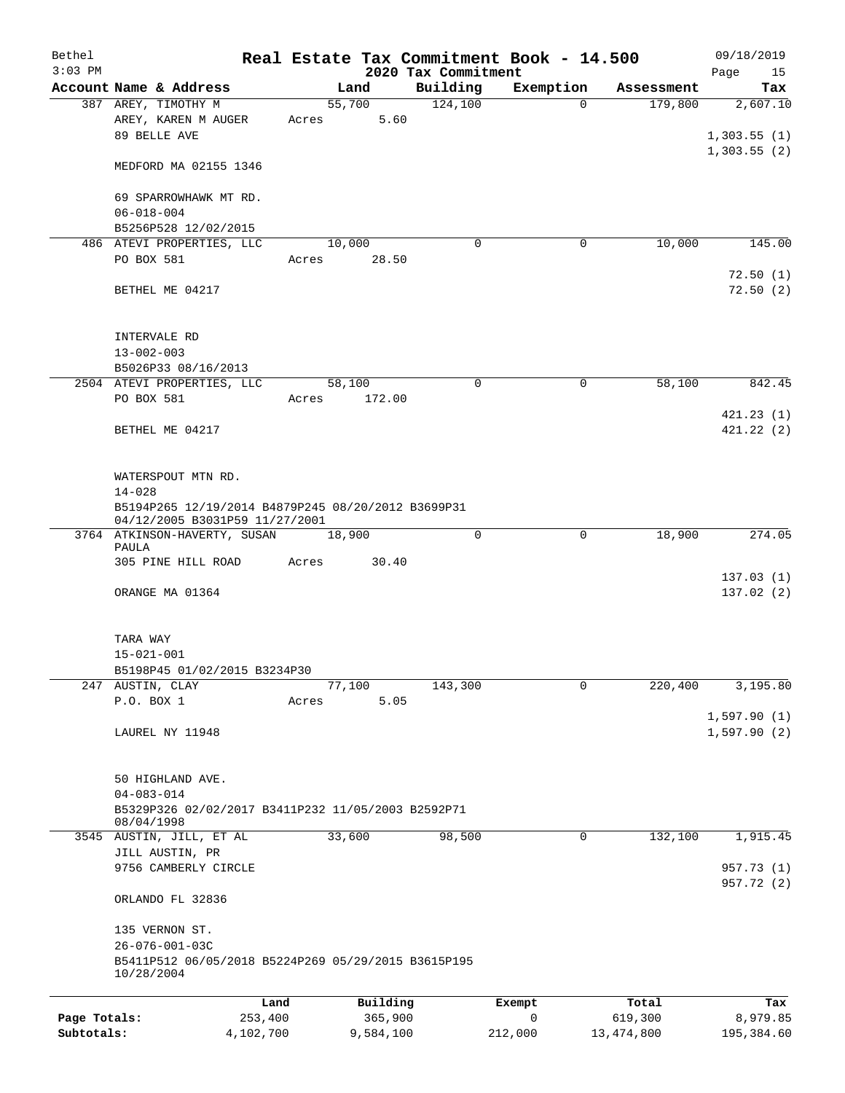| Bethel<br>$3:03$ PM |                                                                                                               |           |           | 2020 Tax Commitment | Real Estate Tax Commitment Book - 14.500 |              | 09/18/2019<br>15 |
|---------------------|---------------------------------------------------------------------------------------------------------------|-----------|-----------|---------------------|------------------------------------------|--------------|------------------|
|                     | Account Name & Address                                                                                        |           | Land      | Building            | Exemption                                | Assessment   | Page<br>Tax      |
|                     | 387 AREY, TIMOTHY M                                                                                           |           | 55,700    | 124,100             | $\Omega$                                 | 179,800      | 2,607.10         |
|                     | AREY, KAREN M AUGER<br>89 BELLE AVE                                                                           | Acres     | 5.60      |                     |                                          |              | 1,303.55(1)      |
|                     | MEDFORD MA 02155 1346                                                                                         |           |           |                     |                                          |              | 1,303.55(2)      |
|                     | 69 SPARROWHAWK MT RD.<br>$06 - 018 - 004$                                                                     |           |           |                     |                                          |              |                  |
|                     | B5256P528 12/02/2015                                                                                          |           |           |                     |                                          |              |                  |
|                     | 486 ATEVI PROPERTIES, LLC                                                                                     |           | 10,000    | $\Omega$            | 0                                        | 10,000       | 145.00           |
|                     | PO BOX 581                                                                                                    | Acres     | 28.50     |                     |                                          |              | 72.50(1)         |
|                     | BETHEL ME 04217                                                                                               |           |           |                     |                                          |              | 72.50(2)         |
|                     | INTERVALE RD                                                                                                  |           |           |                     |                                          |              |                  |
|                     | $13 - 002 - 003$                                                                                              |           |           |                     |                                          |              |                  |
|                     | B5026P33 08/16/2013<br>2504 ATEVI PROPERTIES, LLC                                                             |           | 58,100    | 0                   | $\mathbf 0$                              | 58,100       | 842.45           |
|                     | PO BOX 581                                                                                                    | Acres     | 172.00    |                     |                                          |              | 421.23(1)        |
|                     | BETHEL ME 04217                                                                                               |           |           |                     |                                          |              | 421.22(2)        |
|                     | WATERSPOUT MTN RD.                                                                                            |           |           |                     |                                          |              |                  |
|                     | $14 - 028$<br>B5194P265 12/19/2014 B4879P245 08/20/2012 B3699P31<br>04/12/2005 B3031P59 11/27/2001            |           |           |                     |                                          |              |                  |
|                     | 3764 ATKINSON-HAVERTY, SUSAN<br>PAULA                                                                         |           | 18,900    | $\mathbf 0$         | $\mathbf 0$                              | 18,900       | 274.05           |
|                     | 305 PINE HILL ROAD                                                                                            | Acres     | 30.40     |                     |                                          |              | 137.03(1)        |
|                     | ORANGE MA 01364                                                                                               |           |           |                     |                                          |              | 137.02(2)        |
|                     | TARA WAY                                                                                                      |           |           |                     |                                          |              |                  |
|                     | $15 - 021 - 001$                                                                                              |           |           |                     |                                          |              |                  |
|                     | B5198P45 01/02/2015 B3234P30                                                                                  |           |           |                     |                                          |              |                  |
|                     | 247 AUSTIN, CLAY                                                                                              |           | 77,100    | 143,300             | $\mathbf 0$                              | 220,400      | 3,195.80         |
|                     | P.O. BOX 1                                                                                                    | Acres     | 5.05      |                     |                                          |              | 1,597.90(1)      |
|                     | LAUREL NY 11948                                                                                               |           |           |                     |                                          |              | 1,597.90(2)      |
|                     | 50 HIGHLAND AVE.                                                                                              |           |           |                     |                                          |              |                  |
|                     | $04 - 083 - 014$<br>B5329P326 02/02/2017 B3411P232 11/05/2003 B2592P71<br>08/04/1998                          |           |           |                     |                                          |              |                  |
|                     | 3545 AUSTIN, JILL, ET AL                                                                                      |           | 33,600    | 98,500              | 0                                        | 132,100      | 1,915.45         |
|                     | JILL AUSTIN, PR<br>9756 CAMBERLY CIRCLE                                                                       |           |           |                     |                                          |              | 957.73 (1)       |
|                     | ORLANDO FL 32836                                                                                              |           |           |                     |                                          |              | 957.72 (2)       |
|                     | 135 VERNON ST.<br>$26 - 076 - 001 - 03C$<br>B5411P512 06/05/2018 B5224P269 05/29/2015 B3615P195<br>10/28/2004 |           |           |                     |                                          |              |                  |
|                     |                                                                                                               | Land      | Building  |                     | Exempt                                   | Total        | Tax              |
| Page Totals:        |                                                                                                               | 253,400   | 365,900   |                     | $\mathbf 0$                              | 619,300      | 8,979.85         |
| Subtotals:          |                                                                                                               | 4,102,700 | 9,584,100 |                     | 212,000                                  | 13, 474, 800 | 195,384.60       |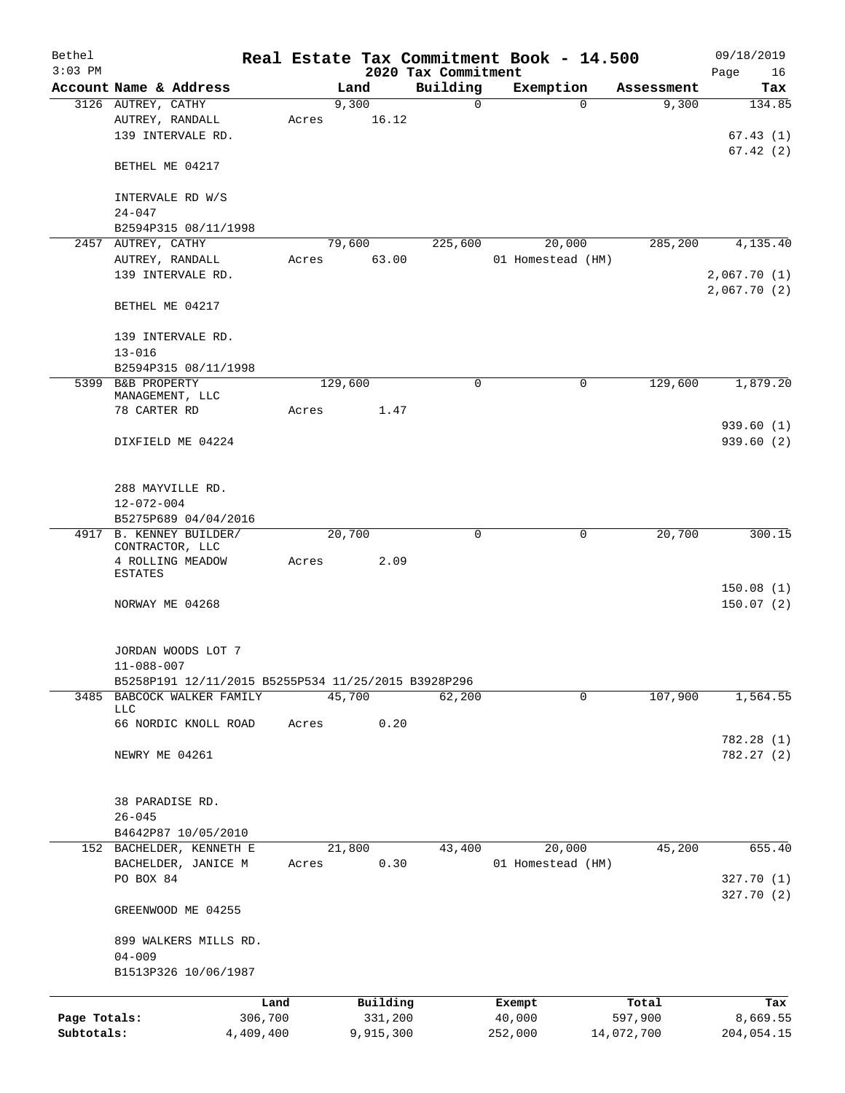| Bethel<br>$3:03$ PM        |                                                     |                      |       |         |                      | Real Estate Tax Commitment Book - 14.500 |   |                             |          |                       | 09/18/2019               |
|----------------------------|-----------------------------------------------------|----------------------|-------|---------|----------------------|------------------------------------------|---|-----------------------------|----------|-----------------------|--------------------------|
|                            | Account Name & Address                              |                      |       | Land    |                      | 2020 Tax Commitment<br>Building          |   | Exemption                   |          | Assessment            | Page<br>16<br>Tax        |
|                            | 3126 AUTREY, CATHY                                  |                      |       | 9,300   |                      |                                          | 0 |                             | $\Omega$ | 9,300                 | 134.85                   |
|                            | AUTREY, RANDALL<br>139 INTERVALE RD.                |                      | Acres |         | 16.12                |                                          |   |                             |          |                       | 67.43(1)<br>67.42(2)     |
|                            | BETHEL ME 04217                                     |                      |       |         |                      |                                          |   |                             |          |                       |                          |
|                            | INTERVALE RD W/S<br>$24 - 047$                      |                      |       |         |                      |                                          |   |                             |          |                       |                          |
|                            | B2594P315 08/11/1998                                |                      |       |         |                      |                                          |   |                             |          |                       |                          |
|                            | 2457 AUTREY, CATHY<br>AUTREY, RANDALL               |                      | Acres | 79,600  | 63.00                | 225,600                                  |   | 20,000<br>01 Homestead (HM) |          | 285,200               | 4,135.40                 |
|                            | 139 INTERVALE RD.                                   |                      |       |         |                      |                                          |   |                             |          |                       | 2,067.70(1)              |
|                            |                                                     |                      |       |         |                      |                                          |   |                             |          |                       | 2,067.70(2)              |
|                            | BETHEL ME 04217                                     |                      |       |         |                      |                                          |   |                             |          |                       |                          |
|                            | 139 INTERVALE RD.<br>$13 - 016$                     |                      |       |         |                      |                                          |   |                             |          |                       |                          |
|                            | B2594P315 08/11/1998                                |                      |       |         |                      |                                          |   |                             |          |                       |                          |
|                            | 5399 B&B PROPERTY<br>MANAGEMENT, LLC                |                      |       | 129,600 |                      |                                          | 0 |                             | 0        | 129,600               | 1,879.20                 |
|                            | 78 CARTER RD                                        |                      | Acres |         | 1.47                 |                                          |   |                             |          |                       |                          |
|                            | DIXFIELD ME 04224                                   |                      |       |         |                      |                                          |   |                             |          |                       | 939.60 (1)<br>939.60 (2) |
|                            | 288 MAYVILLE RD.<br>$12 - 072 - 004$                |                      |       |         |                      |                                          |   |                             |          |                       |                          |
|                            | B5275P689 04/04/2016                                |                      |       |         |                      |                                          |   |                             |          |                       |                          |
|                            | 4917 B. KENNEY BUILDER/<br>CONTRACTOR, LLC          |                      |       | 20,700  |                      |                                          | 0 |                             | 0        | 20,700                | 300.15                   |
|                            | 4 ROLLING MEADOW                                    |                      | Acres |         | 2.09                 |                                          |   |                             |          |                       |                          |
|                            | <b>ESTATES</b>                                      |                      |       |         |                      |                                          |   |                             |          |                       | 150.08(1)                |
|                            | NORWAY ME 04268                                     |                      |       |         |                      |                                          |   |                             |          |                       | 150.07(2)                |
|                            | JORDAN WOODS LOT 7<br>11-088-007                    |                      |       |         |                      |                                          |   |                             |          |                       |                          |
| 3485                       | B5258P191 12/11/2015 B5255P534 11/25/2015 B3928P296 |                      |       |         |                      |                                          |   |                             |          |                       |                          |
|                            | BABCOCK WALKER FAMILY<br><b>LLC</b>                 |                      |       | 45,700  |                      | 62,200                                   |   |                             | 0        | 107,900               | 1,564.55                 |
|                            | 66 NORDIC KNOLL ROAD                                |                      | Acres |         | 0.20                 |                                          |   |                             |          |                       | 782.28 (1)               |
|                            | NEWRY ME 04261                                      |                      |       |         |                      |                                          |   |                             |          |                       | 782.27 (2)               |
|                            | 38 PARADISE RD.                                     |                      |       |         |                      |                                          |   |                             |          |                       |                          |
|                            | $26 - 045$<br>B4642P87 10/05/2010                   |                      |       |         |                      |                                          |   |                             |          |                       |                          |
|                            | 152 BACHELDER, KENNETH E                            |                      |       | 21,800  |                      | 43,400                                   |   | 20,000                      |          | 45,200                | 655.40                   |
|                            | BACHELDER, JANICE M<br>PO BOX 84                    |                      | Acres |         | 0.30                 |                                          |   | 01 Homestead (HM)           |          |                       |                          |
|                            |                                                     |                      |       |         |                      |                                          |   |                             |          |                       | 327.70 (1)<br>327.70(2)  |
|                            | GREENWOOD ME 04255                                  |                      |       |         |                      |                                          |   |                             |          |                       |                          |
|                            | 899 WALKERS MILLS RD.<br>$04 - 009$                 |                      |       |         |                      |                                          |   |                             |          |                       |                          |
|                            | B1513P326 10/06/1987                                |                      |       |         |                      |                                          |   |                             |          |                       |                          |
|                            |                                                     | Land                 |       |         | Building             |                                          |   | Exempt                      |          | Total                 | Tax                      |
| Page Totals:<br>Subtotals: |                                                     | 306,700<br>4,409,400 |       |         | 331,200<br>9,915,300 |                                          |   | 40,000<br>252,000           |          | 597,900<br>14,072,700 | 8,669.55<br>204,054.15   |
|                            |                                                     |                      |       |         |                      |                                          |   |                             |          |                       |                          |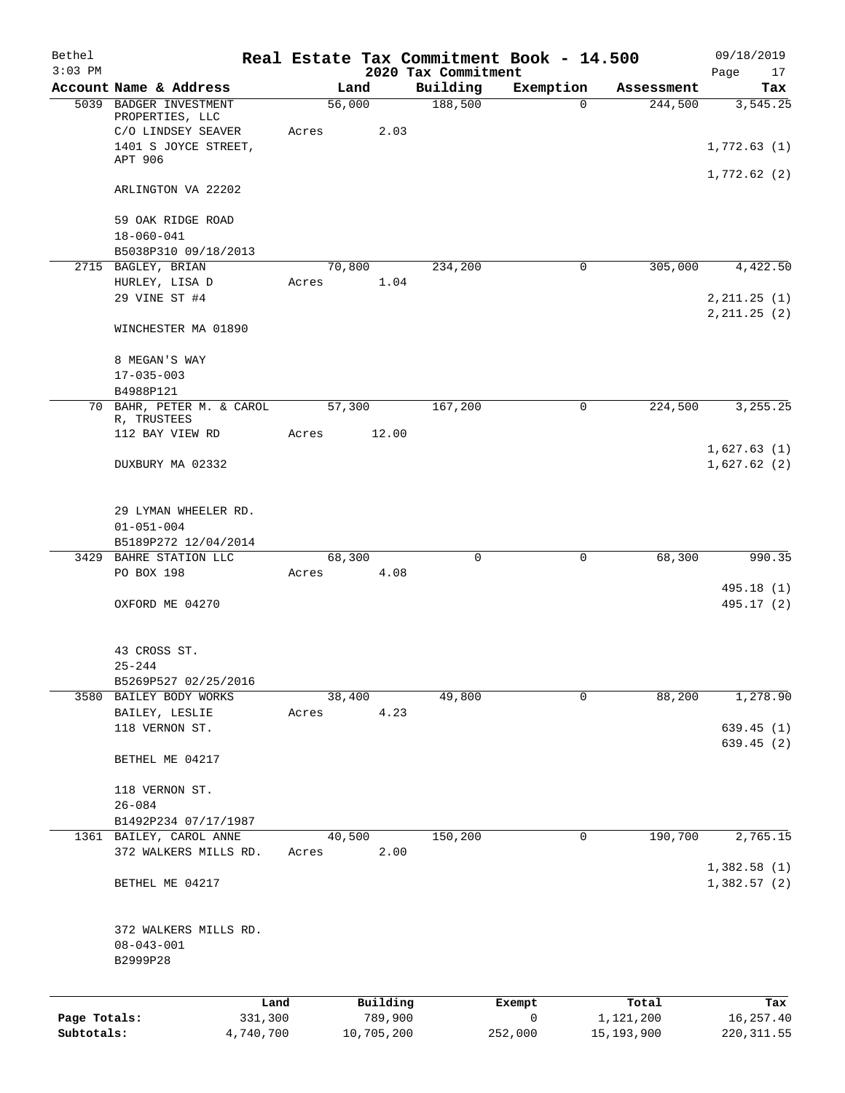| Bethel       |                                                  |       |                |                                 | Real Estate Tax Commitment Book - 14.500 |              | 09/18/2019               |
|--------------|--------------------------------------------------|-------|----------------|---------------------------------|------------------------------------------|--------------|--------------------------|
| $3:03$ PM    | Account Name & Address                           |       | Land           | 2020 Tax Commitment<br>Building | Exemption                                | Assessment   | Page<br>17<br>Tax        |
|              | 5039 BADGER INVESTMENT                           |       | 56,000         | 188,500                         | $\mathbf 0$                              | 244,500      | 3,545.25                 |
|              | PROPERTIES, LLC<br>C/O LINDSEY SEAVER            | Acres | 2.03           |                                 |                                          |              |                          |
|              | 1401 S JOYCE STREET,<br>APT 906                  |       |                |                                 |                                          |              | 1,772.63(1)              |
|              | ARLINGTON VA 22202                               |       |                |                                 |                                          |              | 1,772.62(2)              |
|              |                                                  |       |                |                                 |                                          |              |                          |
|              | 59 OAK RIDGE ROAD                                |       |                |                                 |                                          |              |                          |
|              | $18 - 060 - 041$<br>B5038P310 09/18/2013         |       |                |                                 |                                          |              |                          |
|              | 2715 BAGLEY, BRIAN                               |       | 70,800         | 234,200                         | 0                                        | 305,000      | 4,422.50                 |
|              | HURLEY, LISA D                                   | Acres | 1.04           |                                 |                                          |              |                          |
|              | 29 VINE ST #4                                    |       |                |                                 |                                          |              | 2, 211.25 (1)            |
|              | WINCHESTER MA 01890                              |       |                |                                 |                                          |              | 2, 211.25 (2)            |
|              | 8 MEGAN'S WAY                                    |       |                |                                 |                                          |              |                          |
|              | $17 - 035 - 003$                                 |       |                |                                 |                                          |              |                          |
|              | B4988P121                                        |       |                |                                 |                                          |              |                          |
|              | 70 BAHR, PETER M. & CAROL<br>R, TRUSTEES         |       | 57,300         | 167,200                         | 0                                        | 224,500      | 3, 255. 25               |
|              | 112 BAY VIEW RD                                  | Acres | 12.00          |                                 |                                          |              | 1,627.63(1)              |
|              | DUXBURY MA 02332                                 |       |                |                                 |                                          |              | 1,627.62(2)              |
|              |                                                  |       |                |                                 |                                          |              |                          |
|              | 29 LYMAN WHEELER RD.<br>$01 - 051 - 004$         |       |                |                                 |                                          |              |                          |
|              | B5189P272 12/04/2014                             |       |                |                                 |                                          |              |                          |
| 3429         | BAHRE STATION LLC                                |       | 68,300         | 0                               | 0                                        | 68,300       | 990.35                   |
|              | PO BOX 198                                       | Acres | 4.08           |                                 |                                          |              |                          |
|              | OXFORD ME 04270                                  |       |                |                                 |                                          |              | 495.18 (1)<br>495.17 (2) |
|              |                                                  |       |                |                                 |                                          |              |                          |
|              | 43 CROSS ST.                                     |       |                |                                 |                                          |              |                          |
|              | $25 - 244$<br>B5269P527 02/25/2016               |       |                |                                 |                                          |              |                          |
|              | 3580 BAILEY BODY WORKS                           |       | 38,400         | 49,800                          | 0                                        | 88,200       | 1,278.90                 |
|              | BAILEY, LESLIE                                   | Acres | 4.23           |                                 |                                          |              |                          |
|              | 118 VERNON ST.                                   |       |                |                                 |                                          |              | 639.45(1)<br>639.45 (2)  |
|              | BETHEL ME 04217                                  |       |                |                                 |                                          |              |                          |
|              | 118 VERNON ST.                                   |       |                |                                 |                                          |              |                          |
|              | $26 - 084$                                       |       |                |                                 |                                          |              |                          |
|              | B1492P234 07/17/1987                             |       |                |                                 |                                          |              |                          |
|              | 1361 BAILEY, CAROL ANNE<br>372 WALKERS MILLS RD. | Acres | 40,500<br>2.00 | 150,200                         | 0                                        | 190,700      | 2,765.15                 |
|              |                                                  |       |                |                                 |                                          |              | 1,382.58(1)              |
|              | BETHEL ME 04217                                  |       |                |                                 |                                          |              | 1,382.57(2)              |
|              | 372 WALKERS MILLS RD.                            |       |                |                                 |                                          |              |                          |
|              | $08 - 043 - 001$                                 |       |                |                                 |                                          |              |                          |
|              | B2999P28                                         |       |                |                                 |                                          |              |                          |
|              | Land                                             |       | Building       |                                 | Exempt                                   | Total        | Tax                      |
| Page Totals: | 331,300                                          |       | 789,900        |                                 | 0                                        | 1,121,200    | 16,257.40                |
| Subtotals:   | 4,740,700                                        |       | 10,705,200     |                                 | 252,000                                  | 15, 193, 900 | 220, 311.55              |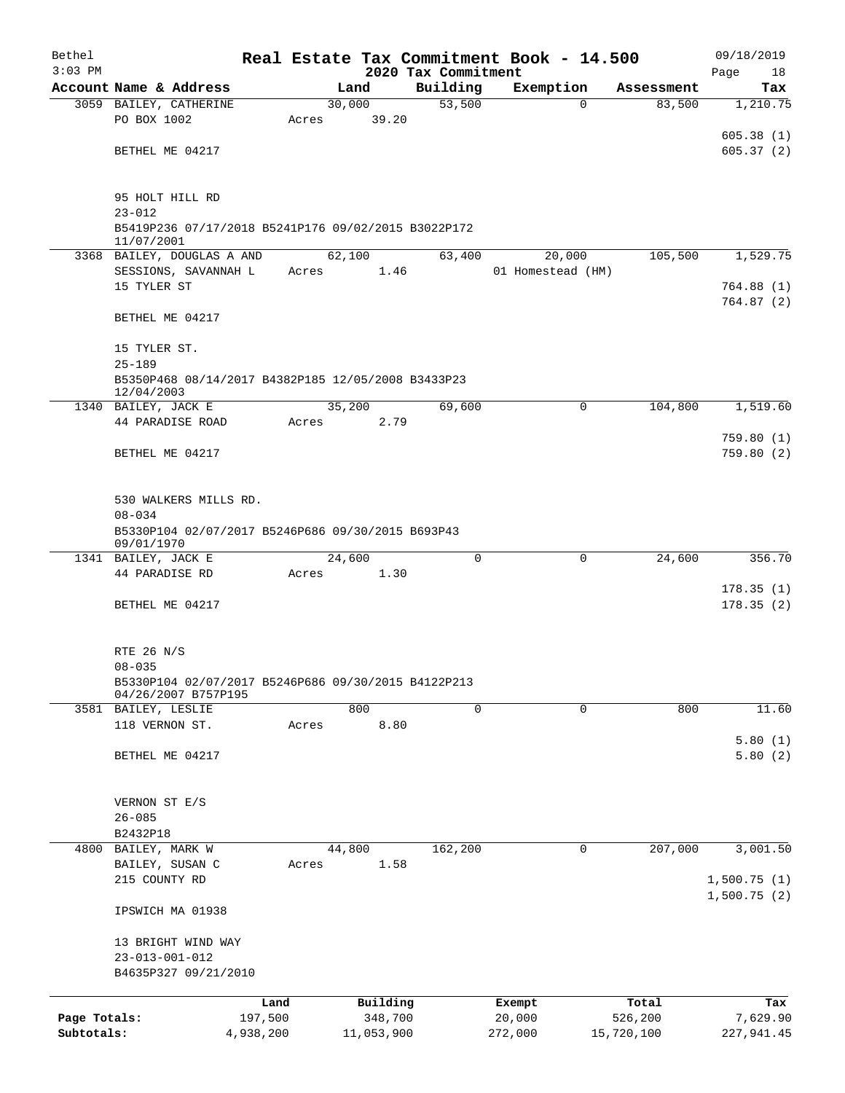| Bethel<br>$3:03$ PM        |                                                                            |                      |       |                       | 2020 Tax Commitment | Real Estate Tax Commitment Book - 14.500 |                       | 09/18/2019<br>Page<br>18 |
|----------------------------|----------------------------------------------------------------------------|----------------------|-------|-----------------------|---------------------|------------------------------------------|-----------------------|--------------------------|
|                            | Account Name & Address                                                     |                      |       | Land                  | Building            | Exemption                                | Assessment            | Tax                      |
|                            | 3059 BAILEY, CATHERINE                                                     |                      |       | 30,000                | 53,500              | $\Omega$                                 | 83,500                | 1,210.75                 |
|                            | PO BOX 1002                                                                |                      | Acres | 39.20                 |                     |                                          |                       |                          |
|                            |                                                                            |                      |       |                       |                     |                                          |                       | 605.38(1)                |
|                            | BETHEL ME 04217                                                            |                      |       |                       |                     |                                          |                       | 605.37(2)                |
|                            | 95 HOLT HILL RD                                                            |                      |       |                       |                     |                                          |                       |                          |
|                            | $23 - 012$                                                                 |                      |       |                       |                     |                                          |                       |                          |
|                            | B5419P236 07/17/2018 B5241P176 09/02/2015 B3022P172<br>11/07/2001          |                      |       |                       |                     |                                          |                       |                          |
|                            | 3368 BAILEY, DOUGLAS A AND                                                 |                      |       | 62,100                | 63,400              | 20,000                                   | 105,500               | 1,529.75                 |
|                            | SESSIONS, SAVANNAH L                                                       |                      | Acres | 1.46                  |                     | 01 Homestead (HM)                        |                       |                          |
|                            | 15 TYLER ST                                                                |                      |       |                       |                     |                                          |                       | 764.88(1)<br>764.87(2)   |
|                            | BETHEL ME 04217                                                            |                      |       |                       |                     |                                          |                       |                          |
|                            | 15 TYLER ST.                                                               |                      |       |                       |                     |                                          |                       |                          |
|                            | $25 - 189$                                                                 |                      |       |                       |                     |                                          |                       |                          |
|                            | B5350P468 08/14/2017 B4382P185 12/05/2008 B3433P23<br>12/04/2003           |                      |       |                       |                     |                                          |                       |                          |
|                            | 1340 BAILEY, JACK E                                                        |                      |       | 35,200                | 69,600              | 0                                        | 104,800               | 1,519.60                 |
|                            | 44 PARADISE ROAD                                                           |                      | Acres | 2.79                  |                     |                                          |                       |                          |
|                            | BETHEL ME 04217                                                            |                      |       |                       |                     |                                          |                       | 759.80(1)<br>759.80(2)   |
|                            | 530 WALKERS MILLS RD.                                                      |                      |       |                       |                     |                                          |                       |                          |
|                            | $08 - 034$                                                                 |                      |       |                       |                     |                                          |                       |                          |
|                            | B5330P104 02/07/2017 B5246P686 09/30/2015 B693P43<br>09/01/1970            |                      |       |                       |                     |                                          |                       |                          |
|                            | 1341 BAILEY, JACK E                                                        |                      |       | 24,600                | $\Omega$            | 0                                        | 24,600                | 356.70                   |
|                            | 44 PARADISE RD                                                             |                      | Acres | 1.30                  |                     |                                          |                       |                          |
|                            | BETHEL ME 04217                                                            |                      |       |                       |                     |                                          |                       | 178.35(1)<br>178.35(2)   |
|                            |                                                                            |                      |       |                       |                     |                                          |                       |                          |
|                            | RTE 26 N/S                                                                 |                      |       |                       |                     |                                          |                       |                          |
|                            | $08 - 035$                                                                 |                      |       |                       |                     |                                          |                       |                          |
|                            | B5330P104 02/07/2017 B5246P686 09/30/2015 B4122P213<br>04/26/2007 B757P195 |                      |       |                       |                     |                                          |                       |                          |
|                            | 3581 BAILEY, LESLIE                                                        |                      |       | 800                   | 0                   | $\mathbf 0$                              | 800                   | 11.60                    |
|                            | 118 VERNON ST.                                                             |                      | Acres | 8.80                  |                     |                                          |                       | 5.80(1)                  |
|                            | BETHEL ME 04217                                                            |                      |       |                       |                     |                                          |                       | 5.80(2)                  |
|                            |                                                                            |                      |       |                       |                     |                                          |                       |                          |
|                            | VERNON ST E/S                                                              |                      |       |                       |                     |                                          |                       |                          |
|                            | $26 - 085$<br>B2432P18                                                     |                      |       |                       |                     |                                          |                       |                          |
| 4800                       | BAILEY, MARK W                                                             |                      |       | 44,800                | 162,200             | 0                                        | 207,000               | 3,001.50                 |
|                            | BAILEY, SUSAN C                                                            |                      | Acres | 1.58                  |                     |                                          |                       |                          |
|                            | 215 COUNTY RD                                                              |                      |       |                       |                     |                                          |                       | 1,500.75(1)              |
|                            | IPSWICH MA 01938                                                           |                      |       |                       |                     |                                          |                       | 1,500.75(2)              |
|                            | 13 BRIGHT WIND WAY                                                         |                      |       |                       |                     |                                          |                       |                          |
|                            | $23 - 013 - 001 - 012$                                                     |                      |       |                       |                     |                                          |                       |                          |
|                            | B4635P327 09/21/2010                                                       |                      |       |                       |                     |                                          |                       |                          |
|                            |                                                                            | Land                 |       | Building              |                     | Exempt                                   | Total                 | Tax                      |
| Page Totals:<br>Subtotals: |                                                                            | 197,500<br>4,938,200 |       | 348,700<br>11,053,900 |                     | 20,000<br>272,000                        | 526,200<br>15,720,100 | 7,629.90<br>227,941.45   |
|                            |                                                                            |                      |       |                       |                     |                                          |                       |                          |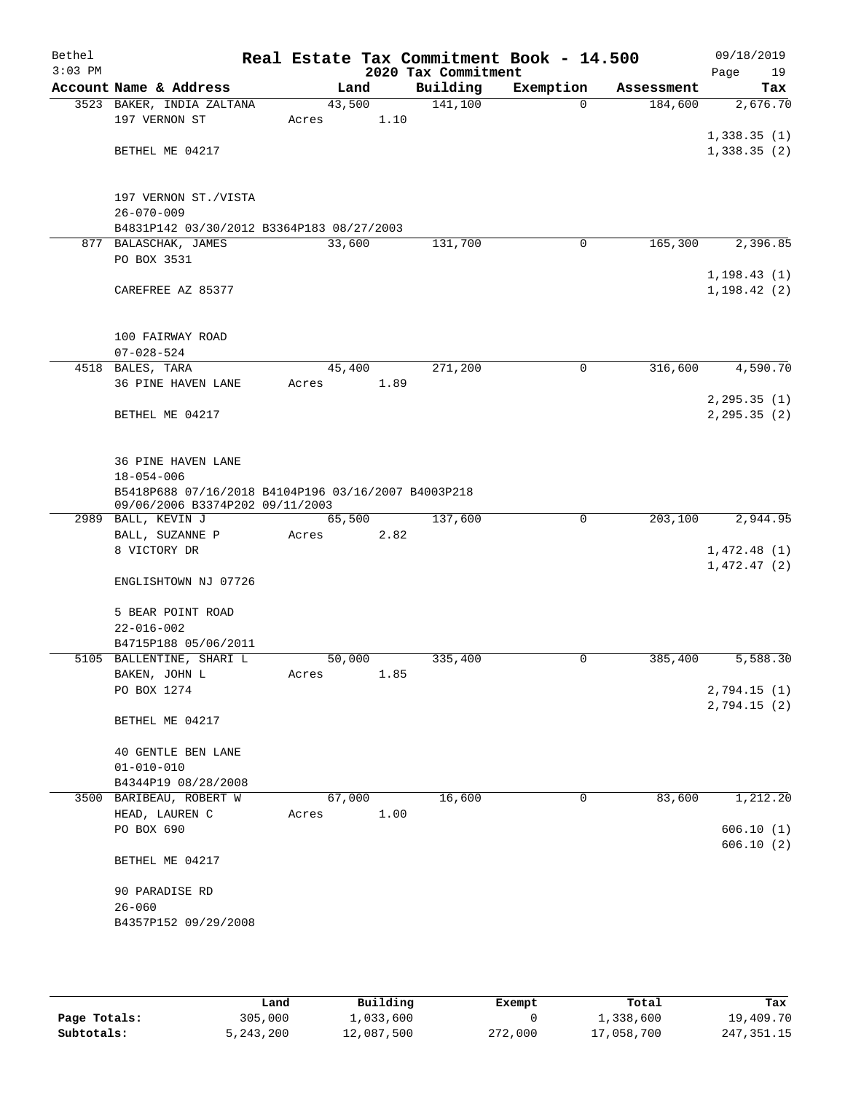| Bethel<br>$3:03$ PM |                                                                                        |        |      | 2020 Tax Commitment | Real Estate Tax Commitment Book - 14.500 |            | 09/18/2019<br>Page<br>19     |
|---------------------|----------------------------------------------------------------------------------------|--------|------|---------------------|------------------------------------------|------------|------------------------------|
|                     | Account Name & Address                                                                 | Land   |      | Building            | Exemption                                | Assessment | Tax                          |
|                     | 3523 BAKER, INDIA ZALTANA                                                              | 43,500 |      | 141,100             | $\Omega$                                 | 184,600    | 2,676.70                     |
|                     | 197 VERNON ST                                                                          | Acres  | 1.10 |                     |                                          |            |                              |
|                     |                                                                                        |        |      |                     |                                          |            | 1,338.35(1)                  |
|                     | BETHEL ME 04217                                                                        |        |      |                     |                                          |            | 1,338.35(2)                  |
|                     | 197 VERNON ST./VISTA                                                                   |        |      |                     |                                          |            |                              |
|                     | $26 - 070 - 009$                                                                       |        |      |                     |                                          |            |                              |
|                     | B4831P142 03/30/2012 B3364P183 08/27/2003                                              |        |      |                     |                                          |            |                              |
|                     | 877 BALASCHAK, JAMES                                                                   | 33,600 |      | 131,700             | 0                                        | 165,300    | 2,396.85                     |
|                     | PO BOX 3531                                                                            |        |      |                     |                                          |            |                              |
|                     | CAREFREE AZ 85377                                                                      |        |      |                     |                                          |            | 1, 198.43(1)<br>1, 198.42(2) |
|                     |                                                                                        |        |      |                     |                                          |            |                              |
|                     | 100 FAIRWAY ROAD                                                                       |        |      |                     |                                          |            |                              |
|                     | $07 - 028 - 524$                                                                       |        |      |                     |                                          |            |                              |
|                     | 4518 BALES, TARA                                                                       | 45,400 |      | 271,200             | 0                                        | 316,600    | 4,590.70                     |
|                     | 36 PINE HAVEN LANE                                                                     | Acres  | 1.89 |                     |                                          |            |                              |
|                     |                                                                                        |        |      |                     |                                          |            | 2, 295.35(1)                 |
|                     | BETHEL ME 04217                                                                        |        |      |                     |                                          |            | 2, 295.35(2)                 |
|                     | 36 PINE HAVEN LANE                                                                     |        |      |                     |                                          |            |                              |
|                     | $18 - 054 - 006$                                                                       |        |      |                     |                                          |            |                              |
|                     | B5418P688 07/16/2018 B4104P196 03/16/2007 B4003P218<br>09/06/2006 B3374P202 09/11/2003 |        |      |                     |                                          |            |                              |
|                     | 2989 BALL, KEVIN J                                                                     | 65,500 |      | 137,600             | $\mathbf 0$                              | 203,100    | 2,944.95                     |
|                     | BALL, SUZANNE P                                                                        | Acres  | 2.82 |                     |                                          |            |                              |
|                     | 8 VICTORY DR                                                                           |        |      |                     |                                          |            | 1,472.48(1)<br>1,472.47(2)   |
|                     | ENGLISHTOWN NJ 07726                                                                   |        |      |                     |                                          |            |                              |
|                     | 5 BEAR POINT ROAD                                                                      |        |      |                     |                                          |            |                              |
|                     | $22 - 016 - 002$                                                                       |        |      |                     |                                          |            |                              |
|                     | B4715P188 05/06/2011                                                                   |        |      |                     |                                          |            |                              |
|                     | 5105 BALLENTINE, SHARI L                                                               | 50,000 |      | 335,400             | 0                                        | 385,400    | 5,588.30                     |
|                     | BAKEN, JOHN L                                                                          | Acres  | 1.85 |                     |                                          |            |                              |
|                     | PO BOX 1274                                                                            |        |      |                     |                                          |            | 2,794.15(1)                  |
|                     | BETHEL ME 04217                                                                        |        |      |                     |                                          |            | 2,794.15(2)                  |
|                     | 40 GENTLE BEN LANE                                                                     |        |      |                     |                                          |            |                              |
|                     | $01 - 010 - 010$                                                                       |        |      |                     |                                          |            |                              |
|                     | B4344P19 08/28/2008                                                                    |        |      |                     |                                          |            |                              |
|                     | 3500 BARIBEAU, ROBERT W                                                                | 67,000 |      | 16,600              | 0                                        | 83,600     | 1,212.20                     |
|                     | HEAD, LAUREN C<br>PO BOX 690                                                           | Acres  | 1.00 |                     |                                          |            | 606.10(1)                    |
|                     |                                                                                        |        |      |                     |                                          |            | 606.10(2)                    |
|                     | BETHEL ME 04217                                                                        |        |      |                     |                                          |            |                              |
|                     | 90 PARADISE RD                                                                         |        |      |                     |                                          |            |                              |
|                     | $26 - 060$                                                                             |        |      |                     |                                          |            |                              |
|                     | B4357P152 09/29/2008                                                                   |        |      |                     |                                          |            |                              |
|                     |                                                                                        |        |      |                     |                                          |            |                              |

|              | Land      | Building   | Exempt  | Total      | Tax          |
|--------------|-----------|------------|---------|------------|--------------|
| Page Totals: | 305,000   | 1,033,600  |         | 1,338,600  | 19,409.70    |
| Subtotals:   | 5,243,200 | 12,087,500 | 272,000 | 17,058,700 | 247, 351, 15 |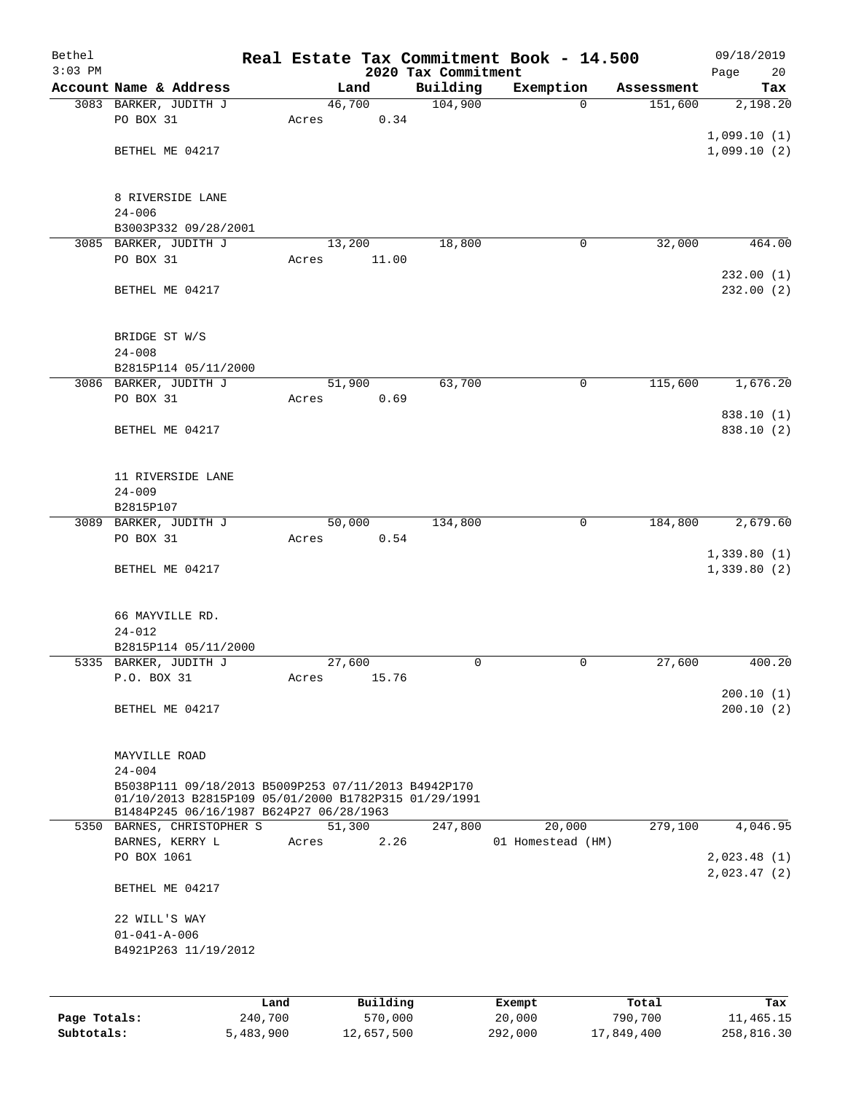| Bethel<br>$3:03$ PM |                                                                                                             |       |          | 2020 Tax Commitment | Real Estate Tax Commitment Book - 14.500 |            | 09/18/2019<br>Page<br>20 |
|---------------------|-------------------------------------------------------------------------------------------------------------|-------|----------|---------------------|------------------------------------------|------------|--------------------------|
|                     | Account Name & Address                                                                                      |       | Land     | Building            | Exemption                                | Assessment | Tax                      |
|                     | 3083 BARKER, JUDITH J                                                                                       |       | 46,700   | 104,900             | $\Omega$                                 | 151,600    | 2,198.20                 |
|                     | PO BOX 31                                                                                                   | Acres | 0.34     |                     |                                          |            |                          |
|                     |                                                                                                             |       |          |                     |                                          |            | 1,099.10(1)              |
|                     | BETHEL ME 04217                                                                                             |       |          |                     |                                          |            | 1,099.10(2)              |
|                     | 8 RIVERSIDE LANE<br>$24 - 006$                                                                              |       |          |                     |                                          |            |                          |
|                     | B3003P332 09/28/2001                                                                                        |       |          |                     |                                          |            |                          |
|                     | 3085 BARKER, JUDITH J                                                                                       |       | 13,200   | 18,800              | 0                                        | 32,000     | 464.00                   |
|                     | PO BOX 31                                                                                                   | Acres | 11.00    |                     |                                          |            |                          |
|                     | BETHEL ME 04217                                                                                             |       |          |                     |                                          |            | 232.00(1)<br>232.00 (2)  |
|                     | BRIDGE ST W/S<br>$24 - 008$                                                                                 |       |          |                     |                                          |            |                          |
|                     | B2815P114 05/11/2000                                                                                        |       |          |                     |                                          |            |                          |
|                     | 3086 BARKER, JUDITH J                                                                                       |       | 51,900   | 63,700              | 0                                        | 115,600    | 1,676.20                 |
|                     | PO BOX 31                                                                                                   | Acres | 0.69     |                     |                                          |            |                          |
|                     |                                                                                                             |       |          |                     |                                          |            | 838.10 (1)               |
|                     | BETHEL ME 04217                                                                                             |       |          |                     |                                          |            | 838.10 (2)               |
|                     | 11 RIVERSIDE LANE                                                                                           |       |          |                     |                                          |            |                          |
|                     | $24 - 009$                                                                                                  |       |          |                     |                                          |            |                          |
|                     | B2815P107                                                                                                   |       |          |                     |                                          |            |                          |
|                     | 3089 BARKER, JUDITH J                                                                                       |       | 50,000   | 134,800             | 0                                        | 184,800    | 2,679.60                 |
|                     | PO BOX 31                                                                                                   | Acres | 0.54     |                     |                                          |            | 1,339.80(1)              |
|                     | BETHEL ME 04217                                                                                             |       |          |                     |                                          |            | 1,339.80(2)              |
|                     | 66 MAYVILLE RD.                                                                                             |       |          |                     |                                          |            |                          |
|                     | $24 - 012$                                                                                                  |       |          |                     |                                          |            |                          |
|                     | B2815P114 05/11/2000                                                                                        |       |          |                     |                                          |            |                          |
|                     | 5335 BARKER, JUDITH J                                                                                       |       | 27,600   | 0                   | 0                                        | 27,600     | 400.20                   |
|                     | P.O. BOX 31                                                                                                 | Acres | 15.76    |                     |                                          |            |                          |
|                     | BETHEL ME 04217                                                                                             |       |          |                     |                                          |            | 200.10(1)<br>200.10(2)   |
|                     |                                                                                                             |       |          |                     |                                          |            |                          |
|                     | MAYVILLE ROAD<br>$24 - 004$                                                                                 |       |          |                     |                                          |            |                          |
|                     | B5038P111 09/18/2013 B5009P253 07/11/2013 B4942P170<br>01/10/2013 B2815P109 05/01/2000 B1782P315 01/29/1991 |       |          |                     |                                          |            |                          |
|                     | B1484P245 06/16/1987 B624P27 06/28/1963<br>5350 BARNES, CHRISTOPHER S                                       |       | 51,300   | 247,800             | 20,000                                   | 279,100    | 4,046.95                 |
|                     | BARNES, KERRY L<br>PO BOX 1061                                                                              | Acres | 2.26     |                     | 01 Homestead (HM)                        |            | 2,023.48(1)              |
|                     | BETHEL ME 04217                                                                                             |       |          |                     |                                          |            | 2,023.47(2)              |
|                     | 22 WILL'S WAY                                                                                               |       |          |                     |                                          |            |                          |
|                     | $01 - 041 - A - 006$                                                                                        |       |          |                     |                                          |            |                          |
|                     | B4921P263 11/19/2012                                                                                        |       |          |                     |                                          |            |                          |
|                     |                                                                                                             |       |          |                     |                                          |            |                          |
|                     | Land                                                                                                        |       | Building |                     | Exempt                                   | Total      | Tax                      |
| Page Totals:        | 240,700                                                                                                     |       | 570,000  |                     | 20,000                                   | 790,700    | 11,465.15                |

**Subtotals:** 5,483,900 12,657,500 292,000 17,849,400 258,816.30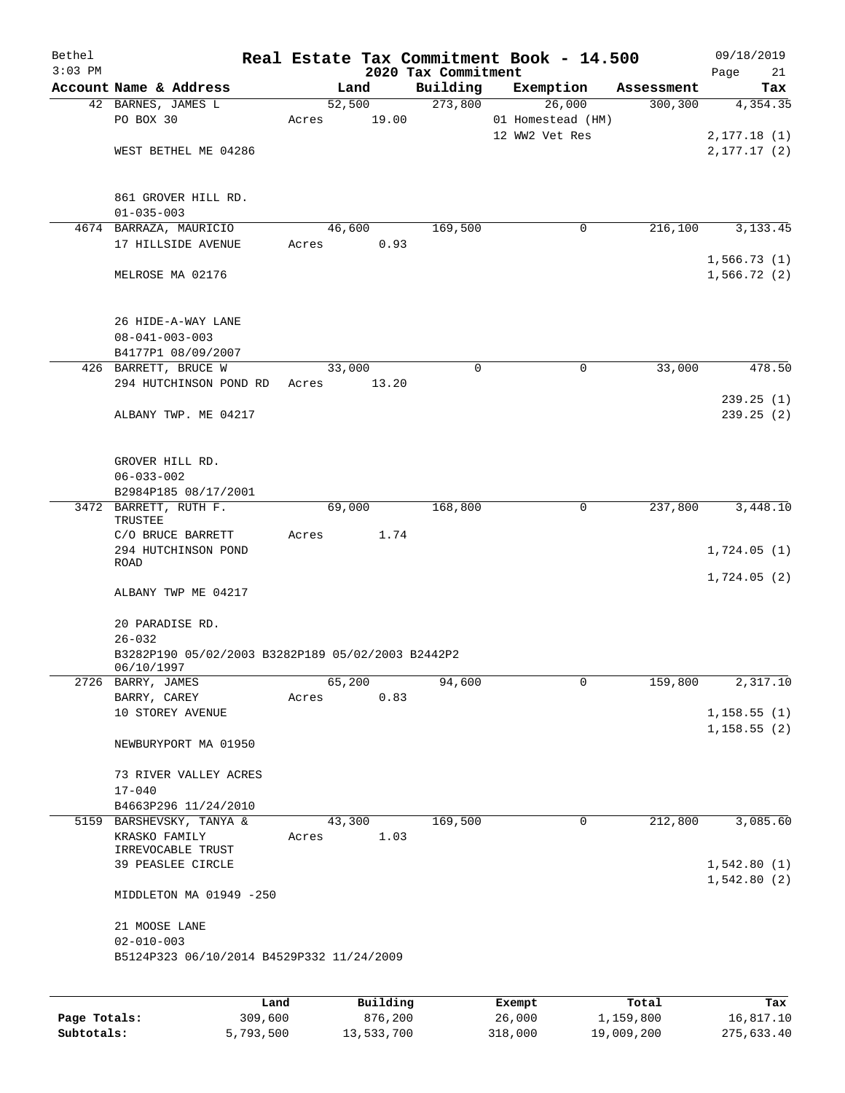| Bethel<br>$3:03$ PM |                                                                    |        |                | 2020 Tax Commitment | Real Estate Tax Commitment Book - 14.500 |            | 09/18/2019<br>Page<br>21   |
|---------------------|--------------------------------------------------------------------|--------|----------------|---------------------|------------------------------------------|------------|----------------------------|
|                     | Account Name & Address                                             |        | Land           | Building            | Exemption                                | Assessment | Tax                        |
|                     | 42 BARNES, JAMES L                                                 |        | 52,500         | 273,800             | 26,000                                   | 300, 300   | 4,354.35                   |
|                     | PO BOX 30                                                          | Acres  | 19.00          |                     | 01 Homestead (HM)                        |            |                            |
|                     |                                                                    |        |                |                     | 12 WW2 Vet Res                           |            | 2,177.18(1)                |
|                     | WEST BETHEL ME 04286                                               |        |                |                     |                                          |            | 2, 177.17(2)               |
|                     | 861 GROVER HILL RD.<br>$01 - 035 - 003$                            |        |                |                     |                                          |            |                            |
|                     | 4674 BARRAZA, MAURICIO                                             |        | 46,600         | 169,500             | 0                                        | 216,100    | 3, 133. 45                 |
|                     | 17 HILLSIDE AVENUE                                                 | Acres  | 0.93           |                     |                                          |            |                            |
|                     |                                                                    |        |                |                     |                                          |            | 1,566.73(1)                |
|                     | MELROSE MA 02176                                                   |        |                |                     |                                          |            | 1,566.72(2)                |
|                     | 26 HIDE-A-WAY LANE<br>$08 - 041 - 003 - 003$<br>B4177P1 08/09/2007 |        |                |                     |                                          |            |                            |
|                     | 426 BARRETT, BRUCE W                                               | 33,000 |                | 0                   | 0                                        | 33,000     | 478.50                     |
|                     | 294 HUTCHINSON POND RD                                             | Acres  | 13.20          |                     |                                          |            |                            |
|                     |                                                                    |        |                |                     |                                          |            | 239.25(1)                  |
|                     | ALBANY TWP. ME 04217                                               |        |                |                     |                                          |            | 239.25(2)                  |
|                     | GROVER HILL RD.                                                    |        |                |                     |                                          |            |                            |
|                     | $06 - 033 - 002$                                                   |        |                |                     |                                          |            |                            |
|                     | B2984P185 08/17/2001                                               |        |                |                     |                                          |            |                            |
|                     | 3472 BARRETT, RUTH F.<br>TRUSTEE                                   | 69,000 |                | 168,800             | 0                                        | 237,800    | 3,448.10                   |
|                     | C/O BRUCE BARRETT                                                  | Acres  | 1.74           |                     |                                          |            |                            |
|                     | 294 HUTCHINSON POND                                                |        |                |                     |                                          |            | 1,724.05(1)                |
|                     | ROAD                                                               |        |                |                     |                                          |            | 1,724.05(2)                |
|                     | ALBANY TWP ME 04217                                                |        |                |                     |                                          |            |                            |
|                     | 20 PARADISE RD.<br>$26 - 032$                                      |        |                |                     |                                          |            |                            |
|                     | B3282P190 05/02/2003 B3282P189 05/02/2003 B2442P2<br>06/10/1997    |        |                |                     |                                          |            |                            |
|                     | 2726 BARRY, JAMES                                                  | 65,200 |                | 94,600              | $\mathbf 0$                              | 159,800    | 2,317.10                   |
|                     | BARRY, CAREY                                                       | Acres  | 0.83           |                     |                                          |            |                            |
|                     | 10 STOREY AVENUE                                                   |        |                |                     |                                          |            | 1,158.55(1)                |
|                     | NEWBURYPORT MA 01950                                               |        |                |                     |                                          |            | 1, 158.55(2)               |
|                     | 73 RIVER VALLEY ACRES                                              |        |                |                     |                                          |            |                            |
|                     | $17 - 040$                                                         |        |                |                     |                                          |            |                            |
|                     | B4663P296 11/24/2010                                               |        |                |                     |                                          |            | 3,085.60                   |
|                     | 5159 BARSHEVSKY, TANYA &<br>KRASKO FAMILY<br>IRREVOCABLE TRUST     | Acres  | 43,300<br>1.03 | 169,500             | 0                                        | 212,800    |                            |
|                     | 39 PEASLEE CIRCLE                                                  |        |                |                     |                                          |            | 1,542.80(1)<br>1,542.80(2) |
|                     | MIDDLETON MA 01949 -250                                            |        |                |                     |                                          |            |                            |
|                     | 21 MOOSE LANE                                                      |        |                |                     |                                          |            |                            |
|                     | $02 - 010 - 003$<br>B5124P323 06/10/2014 B4529P332 11/24/2009      |        |                |                     |                                          |            |                            |
|                     |                                                                    |        |                |                     |                                          |            |                            |
|                     |                                                                    |        |                |                     |                                          |            |                            |
|                     | Land                                                               |        | Building       |                     | Exempt                                   | Total      | Tax                        |

|              | uanu      | <b>DULLUILLY</b> | <b>BACILDL</b> | 106a1      | $\sqrt{2}$ |
|--------------|-----------|------------------|----------------|------------|------------|
| Page Totals: | 309,600   | 876,200          | 26,000         | 1,159,800  | 16,817.10  |
| Subtotals:   | 5,793,500 | 13,533,700       | 318,000        | 19,009,200 | 275,633.40 |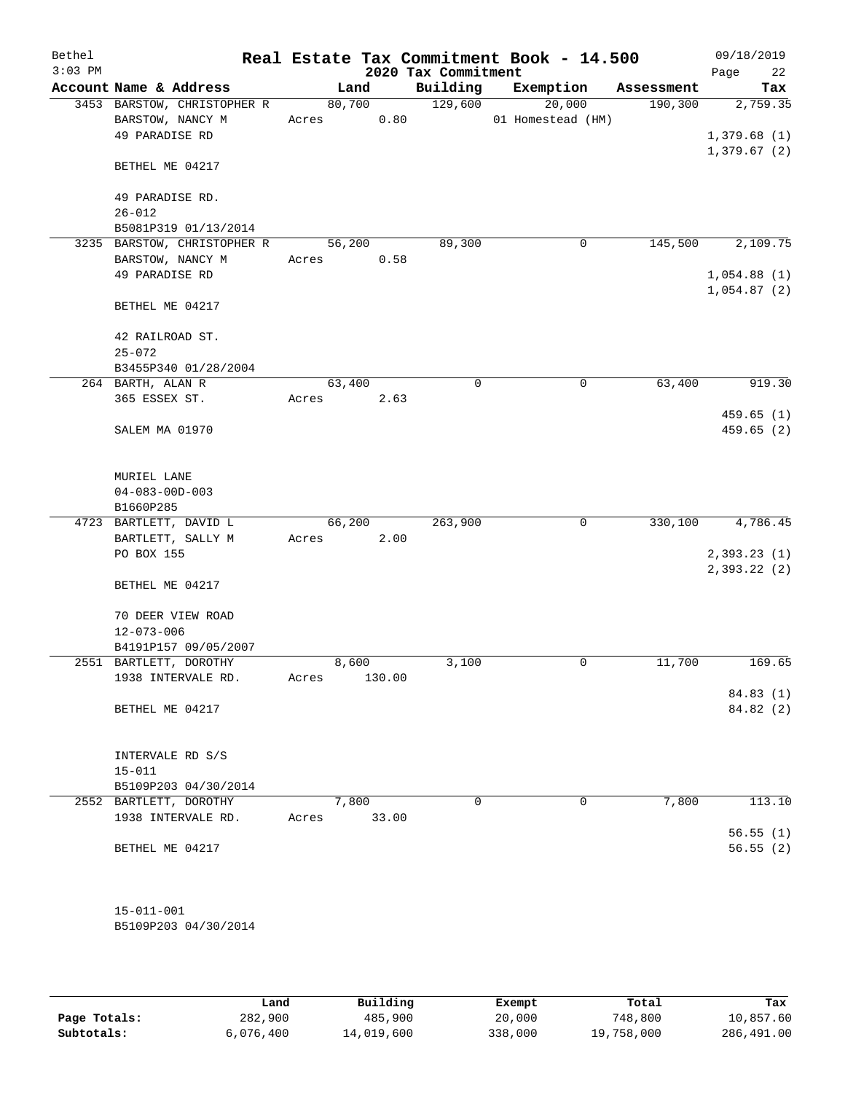| Bethel<br>$3:03$ PM |                                                 |        |                 | 2020 Tax Commitment | Real Estate Tax Commitment Book - 14.500 |            | 09/18/2019<br>22<br>Page   |
|---------------------|-------------------------------------------------|--------|-----------------|---------------------|------------------------------------------|------------|----------------------------|
|                     | Account Name & Address                          |        | Land            | Building            | Exemption                                | Assessment | Tax                        |
|                     | 3453 BARSTOW, CHRISTOPHER R<br>BARSTOW, NANCY M | Acres  | 80,700<br>0.80  | 129,600             | 20,000<br>01 Homestead (HM)              | 190, 300   | 2,759.35                   |
|                     | 49 PARADISE RD                                  |        |                 |                     |                                          |            | 1,379.68(1)<br>1,379.67(2) |
|                     | BETHEL ME 04217                                 |        |                 |                     |                                          |            |                            |
|                     | 49 PARADISE RD.<br>$26 - 012$                   |        |                 |                     |                                          |            |                            |
|                     | B5081P319 01/13/2014                            |        |                 |                     |                                          |            |                            |
|                     | 3235 BARSTOW, CHRISTOPHER R                     | 56,200 |                 | 89,300              | $\mathbf 0$                              | 145,500    | 2,109.75                   |
|                     | BARSTOW, NANCY M<br>49 PARADISE RD              | Acres  | 0.58            |                     |                                          |            | 1,054.88(1)<br>1,054.87(2) |
|                     | BETHEL ME 04217                                 |        |                 |                     |                                          |            |                            |
|                     | 42 RAILROAD ST.<br>$25 - 072$                   |        |                 |                     |                                          |            |                            |
|                     | B3455P340 01/28/2004                            |        |                 |                     |                                          |            |                            |
|                     | 264 BARTH, ALAN R                               | 63,400 |                 | $\Omega$            | $\mathbf 0$                              | 63,400     | 919.30                     |
|                     | 365 ESSEX ST.                                   | Acres  | 2.63            |                     |                                          |            | 459.65(1)                  |
|                     | SALEM MA 01970                                  |        |                 |                     |                                          |            | 459.65(2)                  |
|                     | MURIEL LANE                                     |        |                 |                     |                                          |            |                            |
|                     | $04 - 083 - 00D - 003$                          |        |                 |                     |                                          |            |                            |
|                     | B1660P285                                       |        |                 |                     |                                          |            |                            |
|                     | 4723 BARTLETT, DAVID L                          | 66,200 |                 | 263,900             | 0                                        | 330,100    | 4,786.45                   |
|                     | BARTLETT, SALLY M                               | Acres  | 2.00            |                     |                                          |            |                            |
|                     | PO BOX 155                                      |        |                 |                     |                                          |            | 2,393.23(1)                |
|                     | BETHEL ME 04217                                 |        |                 |                     |                                          |            | 2,393.22 (2)               |
|                     | 70 DEER VIEW ROAD                               |        |                 |                     |                                          |            |                            |
|                     | $12 - 073 - 006$                                |        |                 |                     |                                          |            |                            |
|                     | B4191P157 09/05/2007                            |        |                 |                     |                                          |            | 169.65                     |
|                     | 2551 BARTLETT, DOROTHY<br>1938 INTERVALE RD.    | Acres  | 8,600<br>130.00 | 3,100               | $\mathbf 0$                              | 11,700     |                            |
|                     |                                                 |        |                 |                     |                                          |            | 84.83 (1)                  |
|                     | BETHEL ME 04217                                 |        |                 |                     |                                          |            | 84.82 (2)                  |
|                     | INTERVALE RD S/S<br>$15 - 011$                  |        |                 |                     |                                          |            |                            |
|                     | B5109P203 04/30/2014                            |        |                 |                     |                                          |            |                            |
|                     | 2552 BARTLETT, DOROTHY                          |        | 7,800           | 0                   | $\mathbf 0$                              | 7,800      | 113.10                     |
|                     | 1938 INTERVALE RD.                              | Acres  | 33.00           |                     |                                          |            |                            |
|                     |                                                 |        |                 |                     |                                          |            | 56.55(1)                   |
|                     | BETHEL ME 04217                                 |        |                 |                     |                                          |            | 56.55(2)                   |
|                     | $15 - 011 - 001$                                |        |                 |                     |                                          |            |                            |
|                     | B5109P203 04/30/2014                            |        |                 |                     |                                          |            |                            |
|                     |                                                 |        |                 |                     |                                          |            |                            |

|              | Land      | Building   | Exempt  | Total      | Tax        |
|--------------|-----------|------------|---------|------------|------------|
| Page Totals: | 282,900   | 485,900    | 20,000  | 748,800    | 10,857.60  |
| Subtotals:   | 6.076.400 | 14,019,600 | 338,000 | 19,758,000 | 286,491.00 |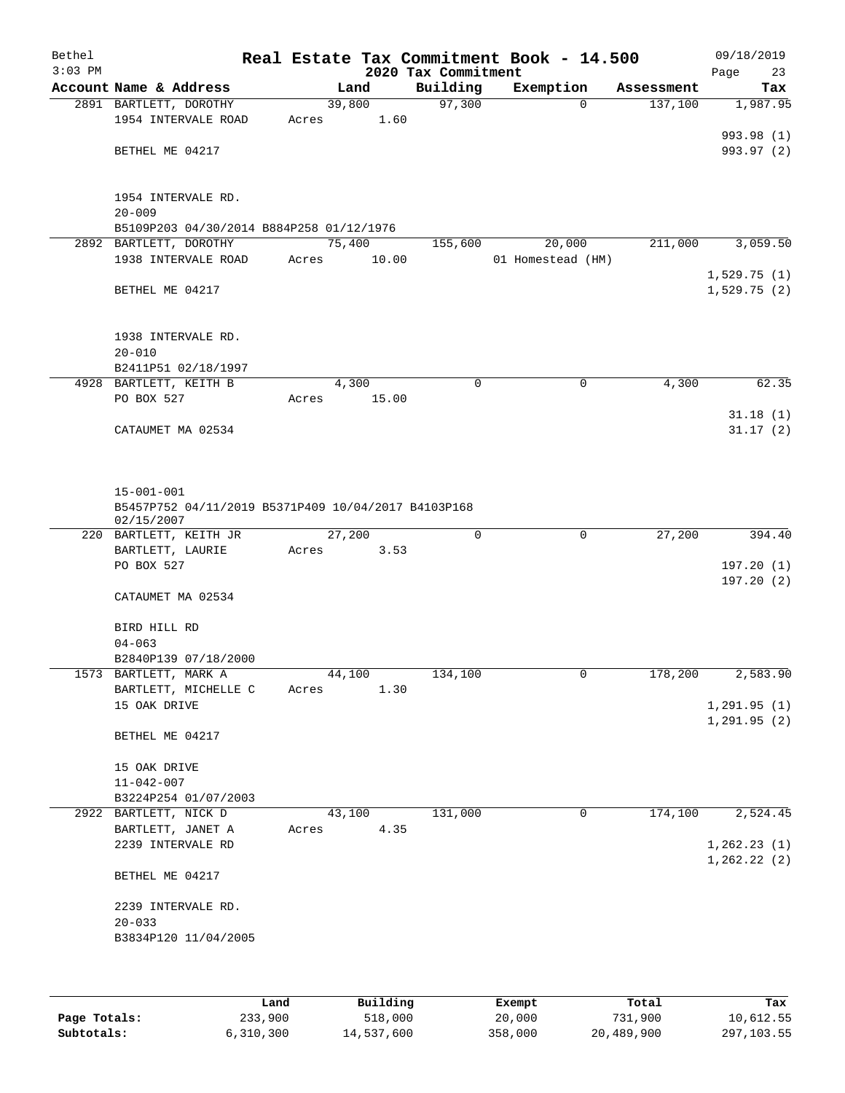| Bethel    |                                                                   |       |                |       |                     | Real Estate Tax Commitment Book - 14.500 |          |                       | 09/18/2019           |
|-----------|-------------------------------------------------------------------|-------|----------------|-------|---------------------|------------------------------------------|----------|-----------------------|----------------------|
| $3:03$ PM |                                                                   |       |                |       | 2020 Tax Commitment |                                          |          |                       | Page<br>23           |
|           | Account Name & Address<br>2891 BARTLETT, DOROTHY                  |       | Land<br>39,800 |       | Building<br>97,300  | Exemption                                | $\Omega$ | Assessment<br>137,100 | Tax<br>1,987.95      |
|           | 1954 INTERVALE ROAD                                               | Acres |                | 1.60  |                     |                                          |          |                       |                      |
|           |                                                                   |       |                |       |                     |                                          |          |                       | 993.98 (1)           |
|           | BETHEL ME 04217                                                   |       |                |       |                     |                                          |          |                       | 993.97 (2)           |
|           |                                                                   |       |                |       |                     |                                          |          |                       |                      |
|           |                                                                   |       |                |       |                     |                                          |          |                       |                      |
|           | 1954 INTERVALE RD.<br>$20 - 009$                                  |       |                |       |                     |                                          |          |                       |                      |
|           | B5109P203 04/30/2014 B884P258 01/12/1976                          |       |                |       |                     |                                          |          |                       |                      |
|           | 2892 BARTLETT, DOROTHY                                            |       | 75,400         |       | 155,600             | 20,000                                   |          | 211,000               | 3,059.50             |
|           | 1938 INTERVALE ROAD                                               | Acres |                | 10.00 |                     | 01 Homestead (HM)                        |          |                       |                      |
|           |                                                                   |       |                |       |                     |                                          |          |                       | 1,529.75(1)          |
|           | BETHEL ME 04217                                                   |       |                |       |                     |                                          |          |                       | 1,529.75(2)          |
|           |                                                                   |       |                |       |                     |                                          |          |                       |                      |
|           | 1938 INTERVALE RD.                                                |       |                |       |                     |                                          |          |                       |                      |
|           | $20 - 010$                                                        |       |                |       |                     |                                          |          |                       |                      |
|           | B2411P51 02/18/1997                                               |       |                |       |                     |                                          |          |                       |                      |
|           | 4928 BARTLETT, KEITH B                                            |       | 4,300          |       | 0                   |                                          | 0        | 4,300                 | 62.35                |
|           | PO BOX 527                                                        | Acres |                | 15.00 |                     |                                          |          |                       |                      |
|           | CATAUMET MA 02534                                                 |       |                |       |                     |                                          |          |                       | 31.18(1)<br>31.17(2) |
|           |                                                                   |       |                |       |                     |                                          |          |                       |                      |
|           |                                                                   |       |                |       |                     |                                          |          |                       |                      |
|           |                                                                   |       |                |       |                     |                                          |          |                       |                      |
|           | $15 - 001 - 001$                                                  |       |                |       |                     |                                          |          |                       |                      |
|           | B5457P752 04/11/2019 B5371P409 10/04/2017 B4103P168<br>02/15/2007 |       |                |       |                     |                                          |          |                       |                      |
|           | 220 BARTLETT, KEITH JR                                            |       | 27,200         |       | 0                   |                                          | 0        | 27,200                | 394.40               |
|           | BARTLETT, LAURIE                                                  | Acres |                | 3.53  |                     |                                          |          |                       |                      |
|           | PO BOX 527                                                        |       |                |       |                     |                                          |          |                       | 197.20(1)            |
|           | CATAUMET MA 02534                                                 |       |                |       |                     |                                          |          |                       | 197.20(2)            |
|           |                                                                   |       |                |       |                     |                                          |          |                       |                      |
|           | BIRD HILL RD                                                      |       |                |       |                     |                                          |          |                       |                      |
|           | $04 - 063$                                                        |       |                |       |                     |                                          |          |                       |                      |
|           | B2840P139 07/18/2000                                              |       |                |       |                     |                                          |          |                       |                      |
|           | 1573 BARTLETT, MARK A                                             |       | 44,100         |       | 134,100             |                                          | 0        | 178,200               | 2,583.90             |
|           | BARTLETT, MICHELLE C<br>15 OAK DRIVE                              | Acres |                | 1.30  |                     |                                          |          |                       | 1, 291.95(1)         |
|           |                                                                   |       |                |       |                     |                                          |          |                       | 1, 291.95(2)         |
|           | BETHEL ME 04217                                                   |       |                |       |                     |                                          |          |                       |                      |
|           |                                                                   |       |                |       |                     |                                          |          |                       |                      |
|           | 15 OAK DRIVE                                                      |       |                |       |                     |                                          |          |                       |                      |
|           | $11 - 042 - 007$<br>B3224P254 01/07/2003                          |       |                |       |                     |                                          |          |                       |                      |
|           | 2922 BARTLETT, NICK D                                             |       | 43,100         |       | 131,000             |                                          | 0        | 174,100               | 2,524.45             |
|           | BARTLETT, JANET A                                                 | Acres |                | 4.35  |                     |                                          |          |                       |                      |
|           | 2239 INTERVALE RD                                                 |       |                |       |                     |                                          |          |                       | 1,262.23(1)          |
|           |                                                                   |       |                |       |                     |                                          |          |                       | 1, 262.22(2)         |
|           | BETHEL ME 04217                                                   |       |                |       |                     |                                          |          |                       |                      |
|           | 2239 INTERVALE RD.                                                |       |                |       |                     |                                          |          |                       |                      |
|           | $20 - 033$                                                        |       |                |       |                     |                                          |          |                       |                      |
|           | B3834P120 11/04/2005                                              |       |                |       |                     |                                          |          |                       |                      |
|           |                                                                   |       |                |       |                     |                                          |          |                       |                      |
|           |                                                                   |       |                |       |                     |                                          |          |                       |                      |
|           |                                                                   |       |                |       |                     |                                          |          |                       |                      |

|              | Land        | Building   | Exempt  | Total      | Tax         |
|--------------|-------------|------------|---------|------------|-------------|
| Page Totals: | 233,900     | 518,000    | 20,000  | 731,900    | 10,612.55   |
| Subtotals:   | 6, 310, 300 | 14,537,600 | 358,000 | 20,489,900 | 297, 103.55 |
|              |             |            |         |            |             |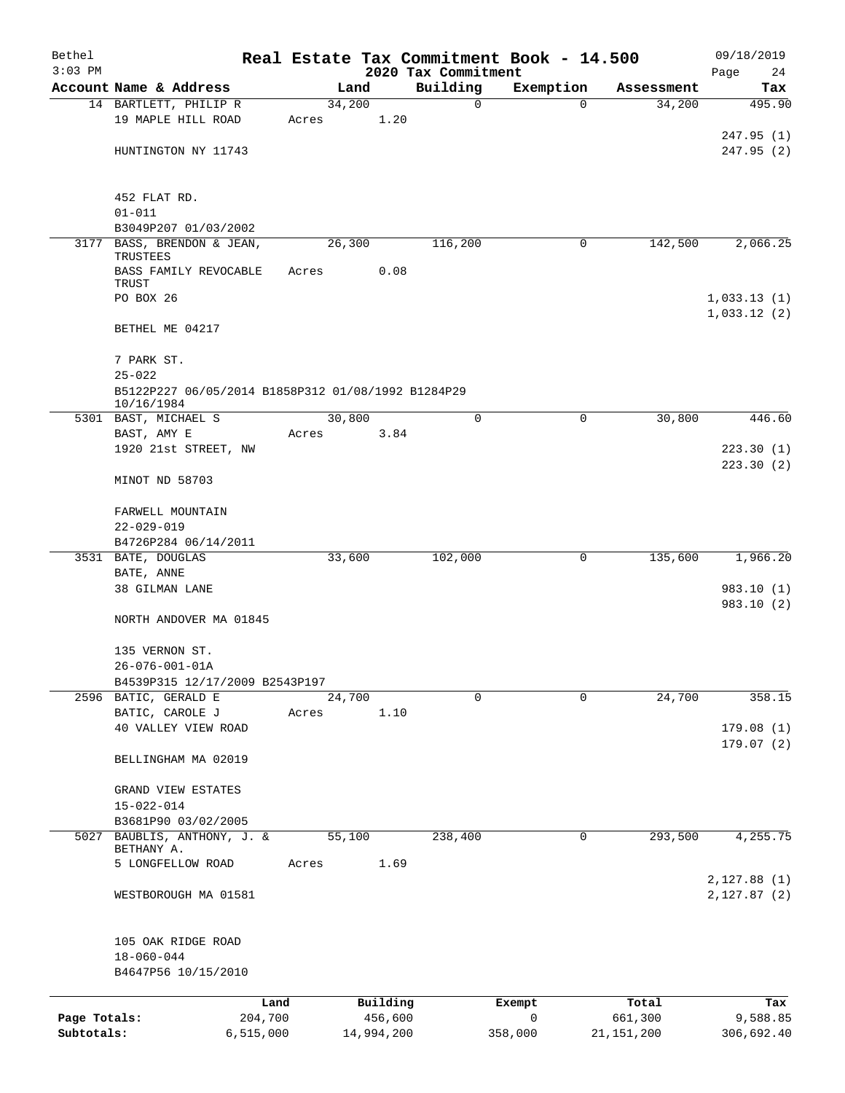| Bethel       |                                                    |       |                |            |                     | Real Estate Tax Commitment Book - 14.500 |                      | 09/18/2019    |
|--------------|----------------------------------------------------|-------|----------------|------------|---------------------|------------------------------------------|----------------------|---------------|
| $3:03$ PM    | Account Name & Address                             |       |                |            | 2020 Tax Commitment |                                          |                      | Page<br>24    |
|              | 14 BARTLETT, PHILIP R                              |       | Land<br>34,200 |            | Building<br>0       | Exemption<br>0                           | Assessment<br>34,200 | Tax<br>495.90 |
|              | 19 MAPLE HILL ROAD                                 | Acres |                | 1.20       |                     |                                          |                      |               |
|              |                                                    |       |                |            |                     |                                          |                      | 247.95(1)     |
|              | HUNTINGTON NY 11743                                |       |                |            |                     |                                          |                      | 247.95(2)     |
|              |                                                    |       |                |            |                     |                                          |                      |               |
|              |                                                    |       |                |            |                     |                                          |                      |               |
|              | 452 FLAT RD.<br>$01 - 011$                         |       |                |            |                     |                                          |                      |               |
|              | B3049P207 01/03/2002                               |       |                |            |                     |                                          |                      |               |
| 3177         | BASS, BRENDON & JEAN,                              |       | 26,300         |            | 116,200             | 0                                        | 142,500              | 2,066.25      |
|              | TRUSTEES                                           |       |                |            |                     |                                          |                      |               |
|              | BASS FAMILY REVOCABLE                              | Acres |                | 0.08       |                     |                                          |                      |               |
|              | TRUST<br>PO BOX 26                                 |       |                |            |                     |                                          |                      | 1,033.13(1)   |
|              |                                                    |       |                |            |                     |                                          |                      | 1,033.12(2)   |
|              | BETHEL ME 04217                                    |       |                |            |                     |                                          |                      |               |
|              |                                                    |       |                |            |                     |                                          |                      |               |
|              | 7 PARK ST.                                         |       |                |            |                     |                                          |                      |               |
|              | $25 - 022$                                         |       |                |            |                     |                                          |                      |               |
|              | B5122P227 06/05/2014 B1858P312 01/08/1992 B1284P29 |       |                |            |                     |                                          |                      |               |
|              | 10/16/1984<br>5301 BAST, MICHAEL S                 |       | 30,800         |            | 0                   | 0                                        | 30,800               | 446.60        |
|              | BAST, AMY E                                        | Acres |                | 3.84       |                     |                                          |                      |               |
|              | 1920 21st STREET, NW                               |       |                |            |                     |                                          |                      | 223.30(1)     |
|              |                                                    |       |                |            |                     |                                          |                      | 223.30(2)     |
|              | MINOT ND 58703                                     |       |                |            |                     |                                          |                      |               |
|              |                                                    |       |                |            |                     |                                          |                      |               |
|              | FARWELL MOUNTAIN                                   |       |                |            |                     |                                          |                      |               |
|              | 22-029-019                                         |       |                |            |                     |                                          |                      |               |
|              | B4726P284 06/14/2011                               |       |                |            |                     |                                          |                      |               |
|              | 3531 BATE, DOUGLAS<br>BATE, ANNE                   |       | 33,600         |            | 102,000             | 0                                        | 135,600              | 1,966.20      |
|              | 38 GILMAN LANE                                     |       |                |            |                     |                                          |                      | 983.10 (1)    |
|              |                                                    |       |                |            |                     |                                          |                      | 983.10 (2)    |
|              | NORTH ANDOVER MA 01845                             |       |                |            |                     |                                          |                      |               |
|              |                                                    |       |                |            |                     |                                          |                      |               |
|              | 135 VERNON ST.                                     |       |                |            |                     |                                          |                      |               |
|              | $26 - 076 - 001 - 01A$                             |       |                |            |                     |                                          |                      |               |
|              | B4539P315 12/17/2009 B2543P197                     |       |                |            |                     |                                          |                      |               |
|              | 2596 BATIC, GERALD E<br>BATIC, CAROLE J            |       | 24,700         | 1.10       | 0                   | 0                                        | 24,700               | 358.15        |
|              | 40 VALLEY VIEW ROAD                                | Acres |                |            |                     |                                          |                      | 179.08(1)     |
|              |                                                    |       |                |            |                     |                                          |                      | 179.07(2)     |
|              | BELLINGHAM MA 02019                                |       |                |            |                     |                                          |                      |               |
|              |                                                    |       |                |            |                     |                                          |                      |               |
|              | GRAND VIEW ESTATES                                 |       |                |            |                     |                                          |                      |               |
|              | $15 - 022 - 014$                                   |       |                |            |                     |                                          |                      |               |
|              | B3681P90 03/02/2005                                |       |                |            |                     |                                          |                      |               |
|              | 5027 BAUBLIS, ANTHONY, J. &<br>BETHANY A.          |       | 55,100         |            | 238,400             | 0                                        | 293,500              | 4,255.75      |
|              | 5 LONGFELLOW ROAD                                  | Acres |                | 1.69       |                     |                                          |                      |               |
|              |                                                    |       |                |            |                     |                                          |                      | 2,127.88 (1)  |
|              | WESTBOROUGH MA 01581                               |       |                |            |                     |                                          |                      | 2,127.87 (2)  |
|              |                                                    |       |                |            |                     |                                          |                      |               |
|              |                                                    |       |                |            |                     |                                          |                      |               |
|              | 105 OAK RIDGE ROAD                                 |       |                |            |                     |                                          |                      |               |
|              | $18 - 060 - 044$                                   |       |                |            |                     |                                          |                      |               |
|              | B4647P56 10/15/2010                                |       |                |            |                     |                                          |                      |               |
|              | Land                                               |       |                | Building   |                     | Exempt                                   | Total                | Tax           |
| Page Totals: | 204,700                                            |       |                | 456,600    |                     | $\mathsf{O}$                             | 661,300              | 9,588.85      |
| Subtotals:   | 6, 515, 000                                        |       |                | 14,994,200 |                     | 358,000                                  | 21, 151, 200         | 306,692.40    |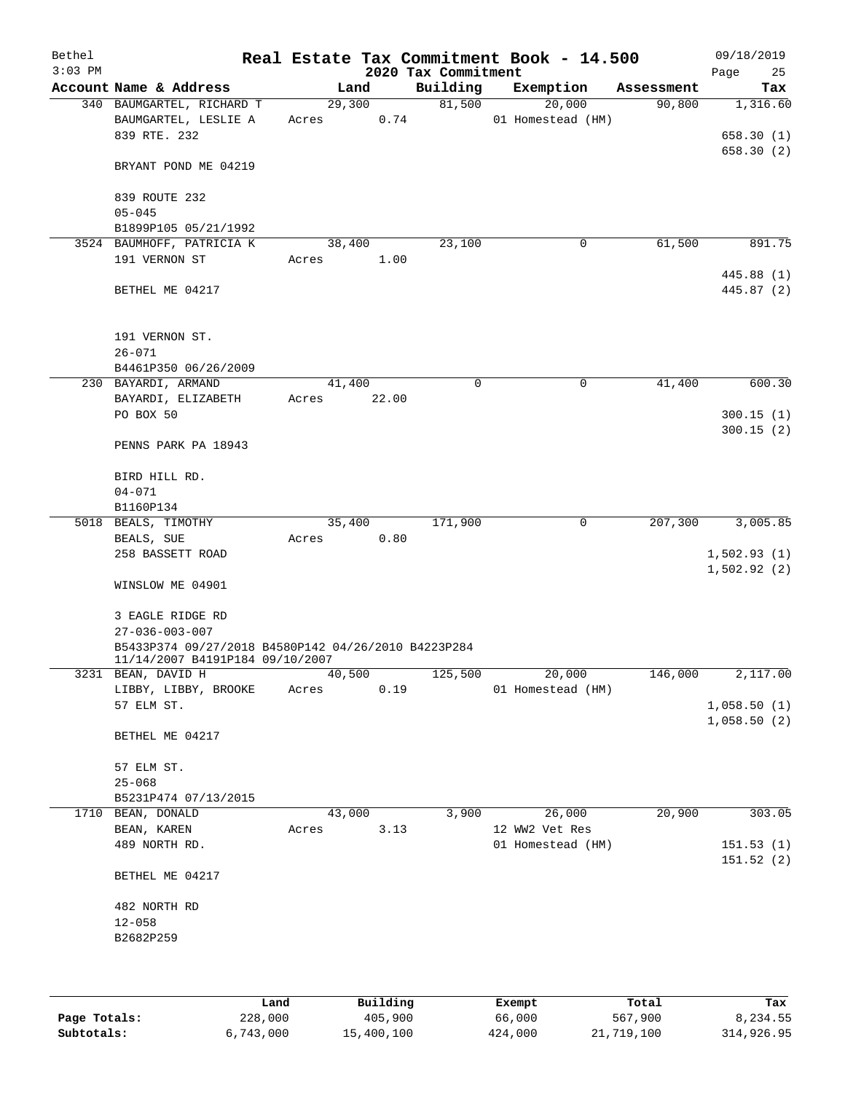| Bethel<br>$3:03$ PM |                                                                                        |                 |       | 2020 Tax Commitment | Real Estate Tax Commitment Book - 14.500 |            | 09/18/2019<br>Page<br>25           |
|---------------------|----------------------------------------------------------------------------------------|-----------------|-------|---------------------|------------------------------------------|------------|------------------------------------|
|                     | Account Name & Address                                                                 | Land            |       | Building            | Exemption                                | Assessment | Tax                                |
|                     | 340 BAUMGARTEL, RICHARD T<br>BAUMGARTEL, LESLIE A<br>839 RTE. 232                      | 29,300<br>Acres | 0.74  | 81,500              | 20,000<br>01 Homestead (HM)              | 90,800     | 1,316.60<br>658.30(1)<br>658.30(2) |
|                     | BRYANT POND ME 04219                                                                   |                 |       |                     |                                          |            |                                    |
|                     | 839 ROUTE 232<br>$05 - 045$                                                            |                 |       |                     |                                          |            |                                    |
|                     | B1899P105 05/21/1992<br>3524 BAUMHOFF, PATRICIA K                                      |                 |       |                     | $\mathsf{O}$                             | 61,500     | 891.75                             |
|                     | 191 VERNON ST                                                                          | 38,400<br>Acres | 1.00  | 23,100              |                                          |            | 445.88 (1)                         |
|                     | BETHEL ME 04217                                                                        |                 |       |                     |                                          |            | 445.87 (2)                         |
|                     | 191 VERNON ST.<br>$26 - 071$                                                           |                 |       |                     |                                          |            |                                    |
|                     | B4461P350 06/26/2009                                                                   |                 |       |                     |                                          |            |                                    |
|                     | 230 BAYARDI, ARMAND                                                                    | 41,400          |       | 0                   | 0                                        | 41,400     | 600.30                             |
|                     | BAYARDI, ELIZABETH                                                                     | Acres           | 22.00 |                     |                                          |            |                                    |
|                     | PO BOX 50                                                                              |                 |       |                     |                                          |            | 300.15(1)                          |
|                     | PENNS PARK PA 18943                                                                    |                 |       |                     |                                          |            | 300.15(2)                          |
|                     | BIRD HILL RD.                                                                          |                 |       |                     |                                          |            |                                    |
|                     | $04 - 071$                                                                             |                 |       |                     |                                          |            |                                    |
|                     | B1160P134<br>5018 BEALS, TIMOTHY                                                       | 35,400          |       | 171,900             | $\mathbf 0$                              | 207,300    | 3,005.85                           |
|                     | BEALS, SUE                                                                             | Acres           | 0.80  |                     |                                          |            |                                    |
|                     | 258 BASSETT ROAD                                                                       |                 |       |                     |                                          |            | 1,502.93(1)<br>1,502.92(2)         |
|                     | WINSLOW ME 04901                                                                       |                 |       |                     |                                          |            |                                    |
|                     | 3 EAGLE RIDGE RD                                                                       |                 |       |                     |                                          |            |                                    |
|                     | $27 - 036 - 003 - 007$                                                                 |                 |       |                     |                                          |            |                                    |
|                     | B5433P374 09/27/2018 B4580P142 04/26/2010 B4223P284<br>11/14/2007 B4191P184 09/10/2007 |                 |       |                     |                                          |            |                                    |
|                     | 3231 BEAN, DAVID H                                                                     | 40,500          |       | 125,500             | 20,000                                   | 146,000    | 2,117.00                           |
|                     | LIBBY, LIBBY, BROOKE                                                                   | Acres           | 0.19  |                     | 01 Homestead (HM)                        |            |                                    |
|                     | 57 ELM ST.                                                                             |                 |       |                     |                                          |            | 1,058.50(1)<br>1,058.50(2)         |
|                     | BETHEL ME 04217                                                                        |                 |       |                     |                                          |            |                                    |
|                     | 57 ELM ST.                                                                             |                 |       |                     |                                          |            |                                    |
|                     | $25 - 068$                                                                             |                 |       |                     |                                          |            |                                    |
|                     | B5231P474 07/13/2015                                                                   |                 |       |                     |                                          |            |                                    |
| 1710                | BEAN, DONALD                                                                           | 43,000          |       | 3,900               | 26,000                                   | 20,900     | 303.05                             |
|                     | BEAN, KAREN<br>489 NORTH RD.                                                           | Acres           | 3.13  |                     | 12 WW2 Vet Res<br>01 Homestead (HM)      |            | 151.53(1)                          |
|                     |                                                                                        |                 |       |                     |                                          |            | 151.52 (2)                         |
|                     | BETHEL ME 04217                                                                        |                 |       |                     |                                          |            |                                    |
|                     | 482 NORTH RD                                                                           |                 |       |                     |                                          |            |                                    |
|                     | $12 - 058$                                                                             |                 |       |                     |                                          |            |                                    |
|                     | B2682P259                                                                              |                 |       |                     |                                          |            |                                    |
|                     |                                                                                        |                 |       |                     |                                          |            |                                    |
|                     |                                                                                        |                 |       |                     |                                          |            |                                    |
|                     |                                                                                        |                 |       |                     |                                          |            |                                    |

|              | Land      | Building   | Exempt  | Total      | Tax        |
|--------------|-----------|------------|---------|------------|------------|
| Page Totals: | 228,000   | 405,900    | 66,000  | 567,900    | 8,234.55   |
| Subtotals:   | 6,743,000 | 15,400,100 | 424,000 | 21,719,100 | 314,926.95 |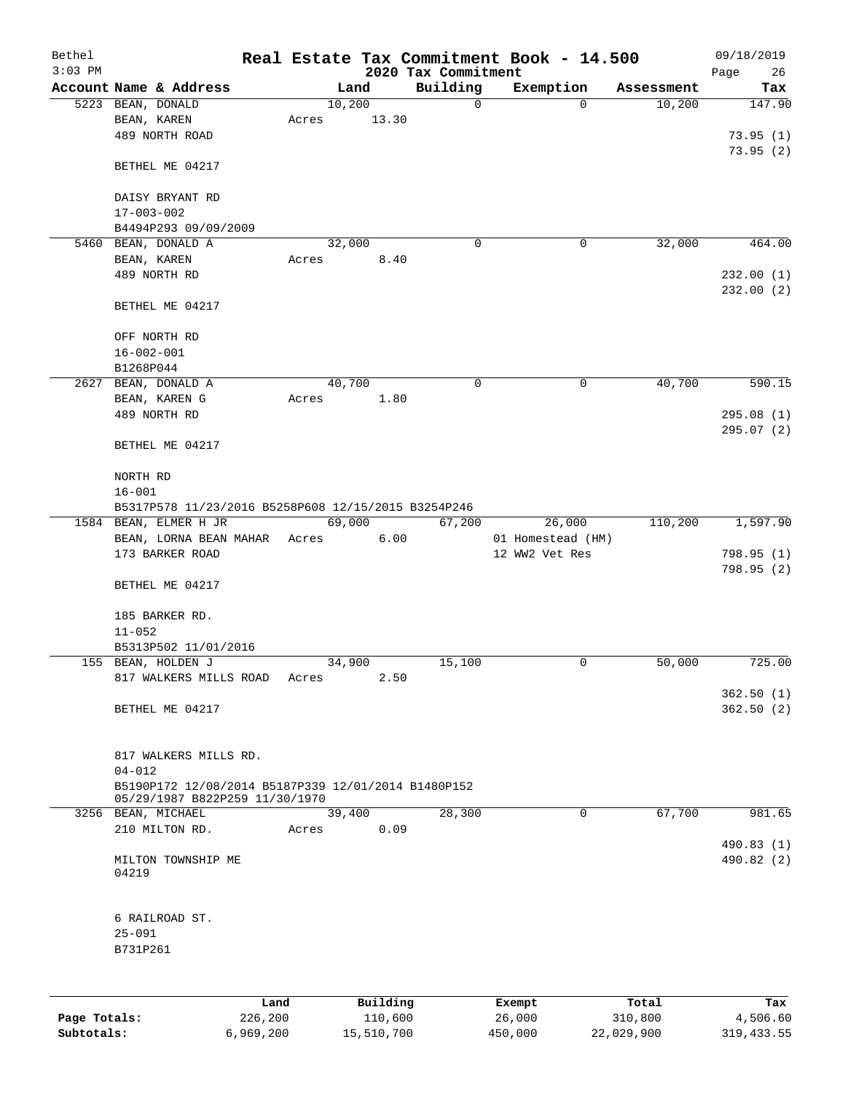| Bethel<br>$3:03$ PM |                                                                                       |       |        |          | 2020 Tax Commitment | Real Estate Tax Commitment Book - 14.500 |            | 09/18/2019        |
|---------------------|---------------------------------------------------------------------------------------|-------|--------|----------|---------------------|------------------------------------------|------------|-------------------|
|                     | Account Name & Address                                                                |       | Land   |          | Building            | Exemption                                | Assessment | Page<br>26<br>Tax |
|                     | 5223 BEAN, DONALD                                                                     |       | 10,200 |          | $\mathsf{O}$        | $\Omega$                                 | 10,200     | 147.90            |
|                     | BEAN, KAREN                                                                           | Acres |        | 13.30    |                     |                                          |            |                   |
|                     | 489 NORTH ROAD                                                                        |       |        |          |                     |                                          |            | 73.95(1)          |
|                     |                                                                                       |       |        |          |                     |                                          |            | 73.95(2)          |
|                     | BETHEL ME 04217                                                                       |       |        |          |                     |                                          |            |                   |
|                     | DAISY BRYANT RD                                                                       |       |        |          |                     |                                          |            |                   |
|                     | $17 - 003 - 002$                                                                      |       |        |          |                     |                                          |            |                   |
|                     | B4494P293 09/09/2009                                                                  |       |        |          |                     |                                          |            |                   |
|                     | 5460 BEAN, DONALD A                                                                   |       | 32,000 |          | $\mathbf 0$         | 0                                        | 32,000     | 464.00            |
|                     | BEAN, KAREN                                                                           | Acres |        | 8.40     |                     |                                          |            |                   |
|                     | 489 NORTH RD                                                                          |       |        |          |                     |                                          |            | 232.00(1)         |
|                     | BETHEL ME 04217                                                                       |       |        |          |                     |                                          |            | 232.00(2)         |
|                     |                                                                                       |       |        |          |                     |                                          |            |                   |
|                     | OFF NORTH RD<br>$16 - 002 - 001$                                                      |       |        |          |                     |                                          |            |                   |
|                     | B1268P044                                                                             |       |        |          |                     |                                          |            |                   |
|                     | 2627 BEAN, DONALD A                                                                   |       | 40,700 |          | 0                   | 0                                        | 40,700     | 590.15            |
|                     | BEAN, KAREN G                                                                         | Acres |        | 1.80     |                     |                                          |            |                   |
|                     | 489 NORTH RD                                                                          |       |        |          |                     |                                          |            | 295.08(1)         |
|                     | BETHEL ME 04217                                                                       |       |        |          |                     |                                          |            | 295.07(2)         |
|                     |                                                                                       |       |        |          |                     |                                          |            |                   |
|                     | NORTH RD<br>$16 - 001$                                                                |       |        |          |                     |                                          |            |                   |
|                     | B5317P578 11/23/2016 B5258P608 12/15/2015 B3254P246                                   |       |        |          |                     |                                          |            |                   |
|                     | 1584 BEAN, ELMER H JR                                                                 |       | 69,000 |          | 67,200              | 26,000                                   | 110,200    | 1,597.90          |
|                     | BEAN, LORNA BEAN MAHAR Acres                                                          |       |        | 6.00     |                     | 01 Homestead (HM)                        |            |                   |
|                     | 173 BARKER ROAD                                                                       |       |        |          |                     | 12 WW2 Vet Res                           |            | 798.95 (1)        |
|                     |                                                                                       |       |        |          |                     |                                          |            | 798.95(2)         |
|                     | BETHEL ME 04217                                                                       |       |        |          |                     |                                          |            |                   |
|                     | 185 BARKER RD.                                                                        |       |        |          |                     |                                          |            |                   |
|                     | $11 - 052$                                                                            |       |        |          |                     |                                          |            |                   |
|                     | B5313P502 11/01/2016                                                                  |       |        |          |                     |                                          |            |                   |
|                     | 155 BEAN, HOLDEN J                                                                    |       | 34,900 |          | 15,100              | 0                                        | 50,000     | 725.00            |
|                     | 817 WALKERS MILLS ROAD                                                                | Acres |        | 2.50     |                     |                                          |            |                   |
|                     |                                                                                       |       |        |          |                     |                                          |            | 362.50(1)         |
|                     | BETHEL ME 04217                                                                       |       |        |          |                     |                                          |            | 362.50(2)         |
|                     | 817 WALKERS MILLS RD.                                                                 |       |        |          |                     |                                          |            |                   |
|                     | $04 - 012$                                                                            |       |        |          |                     |                                          |            |                   |
|                     | B5190P172 12/08/2014 B5187P339 12/01/2014 B1480P152<br>05/29/1987 B822P259 11/30/1970 |       |        |          |                     |                                          |            |                   |
|                     | 3256 BEAN, MICHAEL                                                                    |       | 39,400 |          | 28,300              | 0                                        | 67,700     | 981.65            |
|                     | 210 MILTON RD.                                                                        | Acres |        | 0.09     |                     |                                          |            |                   |
|                     |                                                                                       |       |        |          |                     |                                          |            | 490.83 (1)        |
|                     | MILTON TOWNSHIP ME<br>04219                                                           |       |        |          |                     |                                          |            | 490.82 (2)        |
|                     | 6 RAILROAD ST.                                                                        |       |        |          |                     |                                          |            |                   |
|                     | $25 - 091$                                                                            |       |        |          |                     |                                          |            |                   |
|                     | B731P261                                                                              |       |        |          |                     |                                          |            |                   |
|                     |                                                                                       |       |        |          |                     |                                          |            |                   |
|                     |                                                                                       | Land  |        | Building |                     | Exempt                                   | Total      | Tax               |

|              | Land      | Building   | Exempt  | Total      | Tax         |
|--------------|-----------|------------|---------|------------|-------------|
| Page Totals: | 226,200   | 110,600    | 26,000  | 310,800    | 4,506.60    |
| Subtotals:   | 6,969,200 | 15,510,700 | 450,000 | 22,029,900 | 319, 433.55 |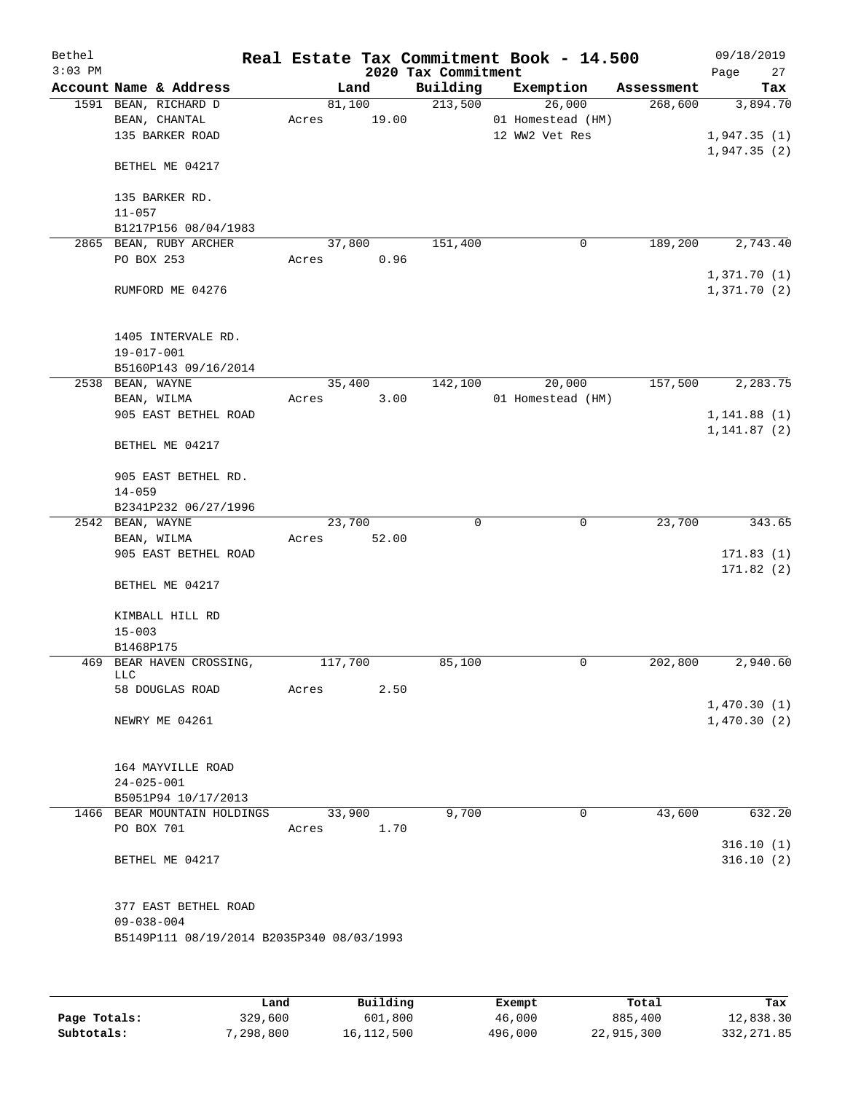| Bethel<br>$3:03$ PM |                                                          |                 |                 | 2020 Tax Commitment | Real Estate Tax Commitment Book - 14.500      |             |            | 09/18/2019<br>27<br>Page   |
|---------------------|----------------------------------------------------------|-----------------|-----------------|---------------------|-----------------------------------------------|-------------|------------|----------------------------|
|                     | Account Name & Address                                   |                 | Land            | Building            | Exemption                                     |             | Assessment | Tax                        |
|                     | 1591 BEAN, RICHARD D<br>BEAN, CHANTAL<br>135 BARKER ROAD | Acres           | 81,100<br>19.00 | 213,500             | 26,000<br>01 Homestead (HM)<br>12 WW2 Vet Res |             | 268,600    | 3,894.70<br>1,947.35(1)    |
|                     | BETHEL ME 04217                                          |                 |                 |                     |                                               |             |            | 1,947.35(2)                |
|                     | 135 BARKER RD.<br>$11 - 057$                             |                 |                 |                     |                                               |             |            |                            |
|                     | B1217P156 08/04/1983                                     |                 |                 |                     |                                               |             |            |                            |
|                     | 2865 BEAN, RUBY ARCHER                                   |                 | 37,800          | 151,400             |                                               | 0           | 189,200    | 2,743.40                   |
|                     | PO BOX 253                                               | Acres           | 0.96            |                     |                                               |             |            |                            |
|                     | RUMFORD ME 04276                                         |                 |                 |                     |                                               |             |            | 1,371.70(1)<br>1,371.70(2) |
|                     | 1405 INTERVALE RD.<br>$19 - 017 - 001$                   |                 |                 |                     |                                               |             |            |                            |
|                     | B5160P143 09/16/2014                                     |                 |                 |                     |                                               |             |            |                            |
|                     | 2538 BEAN, WAYNE<br>BEAN, WILMA                          | 35,400<br>Acres | 3.00            | 142,100             | 20,000<br>01 Homestead (HM)                   |             | 157,500    | 2,283.75                   |
|                     | 905 EAST BETHEL ROAD                                     |                 |                 |                     |                                               |             |            | 1, 141.88(1)               |
|                     | BETHEL ME 04217                                          |                 |                 |                     |                                               |             |            | 1, 141.87(2)               |
|                     | 905 EAST BETHEL RD.<br>$14 - 059$                        |                 |                 |                     |                                               |             |            |                            |
|                     | B2341P232 06/27/1996                                     |                 |                 |                     |                                               |             |            |                            |
|                     | 2542 BEAN, WAYNE<br>BEAN, WILMA                          | 23,700<br>Acres | 52.00           | $\mathbf 0$         |                                               | $\mathbf 0$ | 23,700     | 343.65                     |
|                     | 905 EAST BETHEL ROAD                                     |                 |                 |                     |                                               |             |            | 171.83(1)<br>171.82(2)     |
|                     | BETHEL ME 04217                                          |                 |                 |                     |                                               |             |            |                            |
|                     | KIMBALL HILL RD<br>$15 - 003$                            |                 |                 |                     |                                               |             |            |                            |
|                     | B1468P175                                                |                 |                 |                     |                                               |             |            |                            |
|                     | 469 BEAR HAVEN CROSSING,<br>LLC                          | 117,700         |                 | 85,100              |                                               | 0           | 202,800    | 2,940.60                   |
|                     | 58 DOUGLAS ROAD                                          | Acres           | 2.50            |                     |                                               |             |            |                            |
|                     | NEWRY ME 04261                                           |                 |                 |                     |                                               |             |            | 1,470.30(1)<br>1,470.30(2) |
|                     | 164 MAYVILLE ROAD<br>$24 - 025 - 001$                    |                 |                 |                     |                                               |             |            |                            |
|                     | B5051P94 10/17/2013                                      |                 |                 |                     |                                               |             |            |                            |
|                     | 1466 BEAR MOUNTAIN HOLDINGS                              |                 | 33,900          | 9,700               |                                               | 0           | 43,600     | 632.20                     |
|                     | PO BOX 701                                               | Acres           | 1.70            |                     |                                               |             |            |                            |
|                     | BETHEL ME 04217                                          |                 |                 |                     |                                               |             |            | 316.10(1)<br>316.10(2)     |
|                     | 377 EAST BETHEL ROAD<br>$09 - 038 - 004$                 |                 |                 |                     |                                               |             |            |                            |
|                     | B5149P111 08/19/2014 B2035P340 08/03/1993                |                 |                 |                     |                                               |             |            |                            |
|                     |                                                          |                 |                 |                     |                                               |             |            |                            |

|              | Land      | Building   | Exempt  | Total      | Tax          |
|--------------|-----------|------------|---------|------------|--------------|
| Page Totals: | 329,600   | 601,800    | 46,000  | 885,400    | 12,838.30    |
| Subtotals:   | 7,298,800 | 16,112,500 | 496,000 | 22,915,300 | 332, 271, 85 |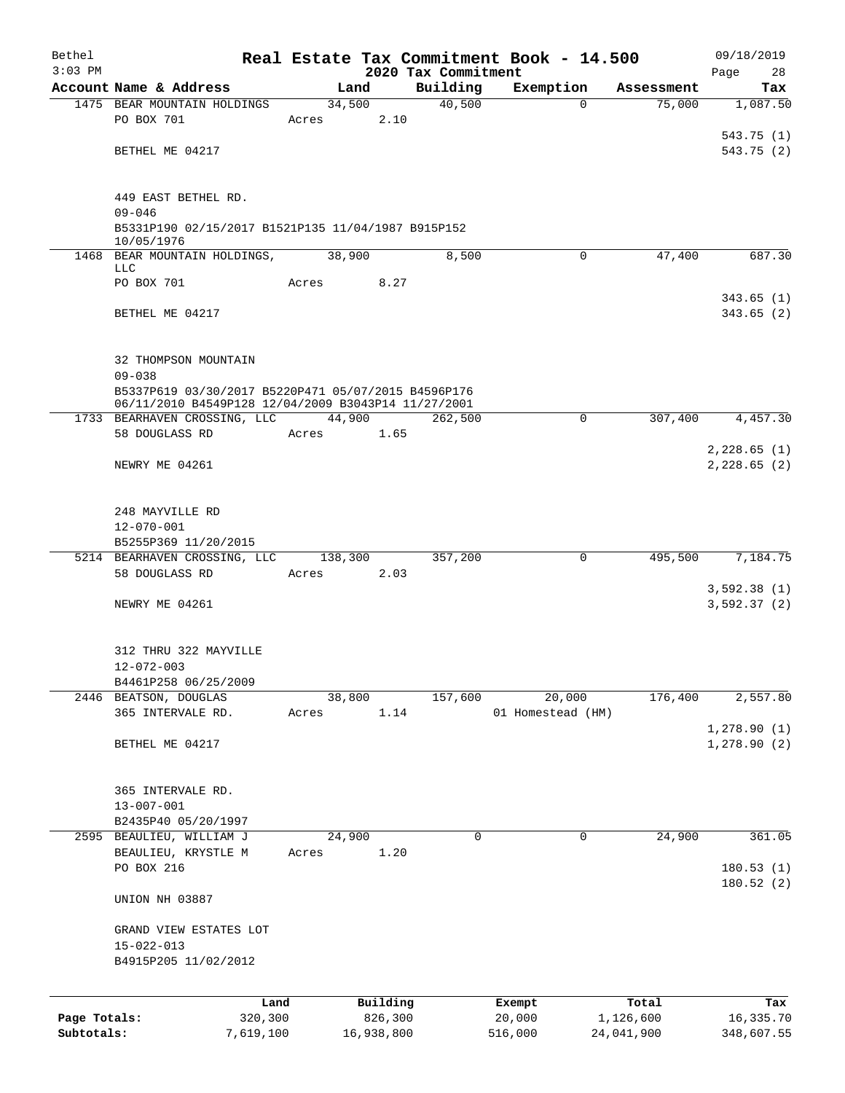| Bethel       |                                                                                                            |        |                 |                                 | Real Estate Tax Commitment Book - 14.500 |                                  | 09/18/2019                   |
|--------------|------------------------------------------------------------------------------------------------------------|--------|-----------------|---------------------------------|------------------------------------------|----------------------------------|------------------------------|
| $3:03$ PM    | Account Name & Address                                                                                     |        | Land            | 2020 Tax Commitment<br>Building | Exemption                                |                                  | Page<br>28                   |
|              | 1475 BEAR MOUNTAIN HOLDINGS                                                                                |        | 34,500          | 40,500                          |                                          | Assessment<br>75,000<br>$\Omega$ | Tax<br>1,087.50              |
|              | PO BOX 701                                                                                                 | Acres  | 2.10            |                                 |                                          |                                  |                              |
|              |                                                                                                            |        |                 |                                 |                                          |                                  | 543.75 (1)                   |
|              | BETHEL ME 04217                                                                                            |        |                 |                                 |                                          |                                  | 543.75 (2)                   |
|              |                                                                                                            |        |                 |                                 |                                          |                                  |                              |
|              | 449 EAST BETHEL RD.                                                                                        |        |                 |                                 |                                          |                                  |                              |
|              | $09 - 046$                                                                                                 |        |                 |                                 |                                          |                                  |                              |
|              | B5331P190 02/15/2017 B1521P135 11/04/1987 B915P152                                                         |        |                 |                                 |                                          |                                  |                              |
|              | 10/05/1976<br>1468 BEAR MOUNTAIN HOLDINGS,                                                                 | 38,900 |                 | 8,500                           |                                          | 47,400<br>$\Omega$               | 687.30                       |
|              | LLC                                                                                                        |        |                 |                                 |                                          |                                  |                              |
|              | PO BOX 701                                                                                                 | Acres  | 8.27            |                                 |                                          |                                  |                              |
|              |                                                                                                            |        |                 |                                 |                                          |                                  | 343.65(1)                    |
|              | BETHEL ME 04217                                                                                            |        |                 |                                 |                                          |                                  | 343.65(2)                    |
|              |                                                                                                            |        |                 |                                 |                                          |                                  |                              |
|              | 32 THOMPSON MOUNTAIN                                                                                       |        |                 |                                 |                                          |                                  |                              |
|              | $09 - 038$                                                                                                 |        |                 |                                 |                                          |                                  |                              |
|              | B5337P619 03/30/2017 B5220P471 05/07/2015 B4596P176<br>06/11/2010 B4549P128 12/04/2009 B3043P14 11/27/2001 |        |                 |                                 |                                          |                                  |                              |
|              | 1733 BEARHAVEN CROSSING, LLC                                                                               |        | 44,900          | 262,500                         |                                          | $\Omega$<br>307,400              | 4,457.30                     |
|              | 58 DOUGLASS RD                                                                                             | Acres  | 1.65            |                                 |                                          |                                  |                              |
|              |                                                                                                            |        |                 |                                 |                                          |                                  | 2,228.65(1)                  |
|              | NEWRY ME 04261                                                                                             |        |                 |                                 |                                          |                                  | 2,228.65(2)                  |
|              |                                                                                                            |        |                 |                                 |                                          |                                  |                              |
|              | 248 MAYVILLE RD                                                                                            |        |                 |                                 |                                          |                                  |                              |
|              | $12 - 070 - 001$                                                                                           |        |                 |                                 |                                          |                                  |                              |
|              | B5255P369 11/20/2015                                                                                       |        |                 |                                 |                                          |                                  |                              |
|              | 5214 BEARHAVEN CROSSING, LLC<br>58 DOUGLASS RD                                                             | Acres  | 138,300<br>2.03 | 357,200                         |                                          | 495,500<br>0                     | 7,184.75                     |
|              |                                                                                                            |        |                 |                                 |                                          |                                  | 3,592.38(1)                  |
|              | NEWRY ME 04261                                                                                             |        |                 |                                 |                                          |                                  | 3,592.37 (2)                 |
|              |                                                                                                            |        |                 |                                 |                                          |                                  |                              |
|              | 312 THRU 322 MAYVILLE                                                                                      |        |                 |                                 |                                          |                                  |                              |
|              | $12 - 072 - 003$                                                                                           |        |                 |                                 |                                          |                                  |                              |
|              | B4461P258 06/25/2009                                                                                       |        |                 |                                 |                                          |                                  |                              |
|              | 2446 BEATSON, DOUGLAS                                                                                      | 38,800 |                 | 157,600                         | 20,000                                   | 176,400                          | 2,557.80                     |
|              | 365 INTERVALE RD.                                                                                          | Acres  | 1.14            |                                 | 01 Homestead (HM)                        |                                  |                              |
|              | BETHEL ME 04217                                                                                            |        |                 |                                 |                                          |                                  | 1, 278.90(1)<br>1,278.90 (2) |
|              |                                                                                                            |        |                 |                                 |                                          |                                  |                              |
|              |                                                                                                            |        |                 |                                 |                                          |                                  |                              |
|              | 365 INTERVALE RD.                                                                                          |        |                 |                                 |                                          |                                  |                              |
|              | $13 - 007 - 001$                                                                                           |        |                 |                                 |                                          |                                  |                              |
|              | B2435P40 05/20/1997<br>2595 BEAULIEU, WILLIAM J                                                            | 24,900 |                 | 0                               |                                          | 0<br>24,900                      | 361.05                       |
|              | BEAULIEU, KRYSTLE M                                                                                        | Acres  | 1.20            |                                 |                                          |                                  |                              |
|              | PO BOX 216                                                                                                 |        |                 |                                 |                                          |                                  | 180.53(1)                    |
|              |                                                                                                            |        |                 |                                 |                                          |                                  | 180.52 (2)                   |
|              | UNION NH 03887                                                                                             |        |                 |                                 |                                          |                                  |                              |
|              | GRAND VIEW ESTATES LOT                                                                                     |        |                 |                                 |                                          |                                  |                              |
|              | $15 - 022 - 013$                                                                                           |        |                 |                                 |                                          |                                  |                              |
|              | B4915P205 11/02/2012                                                                                       |        |                 |                                 |                                          |                                  |                              |
|              |                                                                                                            |        |                 |                                 |                                          |                                  |                              |
|              | Land                                                                                                       |        | Building        |                                 | Exempt                                   | Total                            | Tax                          |
| Page Totals: | 320,300                                                                                                    |        | 826,300         |                                 | 20,000                                   | 1,126,600                        | 16,335.70                    |
| Subtotals:   | 7,619,100                                                                                                  |        | 16,938,800      |                                 | 516,000                                  | 24,041,900                       | 348,607.55                   |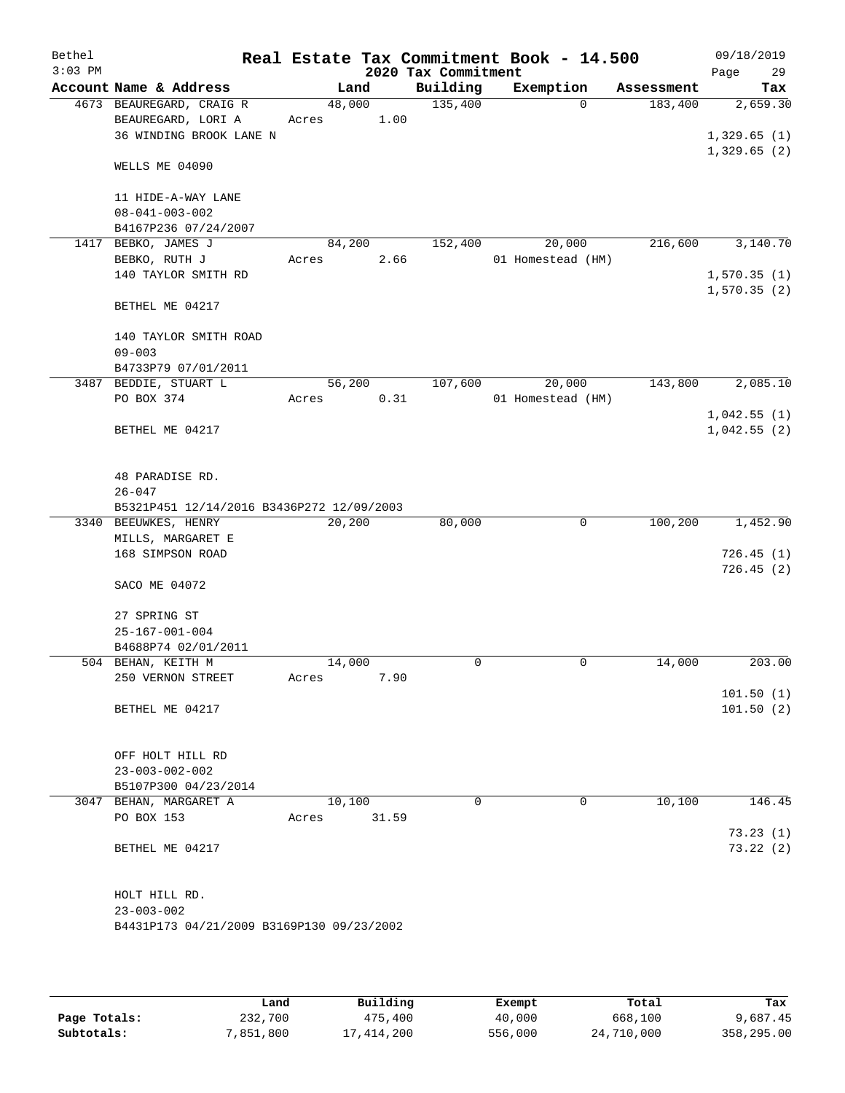| Bethel<br>$3:03$ PM |                                           |        |       | 2020 Tax Commitment | Real Estate Tax Commitment Book - 14.500 |            | 09/18/2019<br>29<br>Page |
|---------------------|-------------------------------------------|--------|-------|---------------------|------------------------------------------|------------|--------------------------|
|                     | Account Name & Address                    |        | Land  | Building            | Exemption                                | Assessment | Tax                      |
|                     | 4673 BEAUREGARD, CRAIG R                  | 48,000 |       | 135,400             | $\Omega$                                 | 183,400    | 2,659.30                 |
|                     | BEAUREGARD, LORI A                        | Acres  | 1.00  |                     |                                          |            |                          |
|                     | 36 WINDING BROOK LANE N                   |        |       |                     |                                          |            | 1,329.65(1)              |
|                     | WELLS ME 04090                            |        |       |                     |                                          |            | 1,329.65(2)              |
|                     | 11 HIDE-A-WAY LANE                        |        |       |                     |                                          |            |                          |
|                     | $08 - 041 - 003 - 002$                    |        |       |                     |                                          |            |                          |
|                     | B4167P236 07/24/2007                      |        |       |                     |                                          |            |                          |
| 1417                | BEBKO, JAMES J                            | 84,200 |       | 152,400             | 20,000                                   | 216,600    | 3,140.70                 |
|                     | BEBKO, RUTH J                             | Acres  | 2.66  |                     | 01 Homestead (HM)                        |            |                          |
|                     | 140 TAYLOR SMITH RD                       |        |       |                     |                                          |            | 1,570.35(1)              |
|                     |                                           |        |       |                     |                                          |            | 1,570.35(2)              |
|                     | BETHEL ME 04217                           |        |       |                     |                                          |            |                          |
|                     | 140 TAYLOR SMITH ROAD                     |        |       |                     |                                          |            |                          |
|                     | $09 - 003$                                |        |       |                     |                                          |            |                          |
|                     | B4733P79 07/01/2011                       |        |       |                     |                                          |            |                          |
|                     | 3487 BEDDIE, STUART L                     | 56,200 |       | 107,600             | 20,000                                   | 143,800    | 2,085.10                 |
|                     | PO BOX 374                                | Acres  | 0.31  |                     | 01 Homestead (HM)                        |            |                          |
|                     |                                           |        |       |                     |                                          |            | 1,042.55(1)              |
|                     | BETHEL ME 04217                           |        |       |                     |                                          |            | 1,042.55(2)              |
|                     | 48 PARADISE RD.<br>$26 - 047$             |        |       |                     |                                          |            |                          |
|                     | B5321P451 12/14/2016 B3436P272 12/09/2003 |        |       |                     |                                          |            |                          |
|                     | 3340 BEEUWKES, HENRY                      | 20,200 |       | 80,000              | 0                                        | 100,200    | 1,452.90                 |
|                     | MILLS, MARGARET E                         |        |       |                     |                                          |            |                          |
|                     | 168 SIMPSON ROAD                          |        |       |                     |                                          |            | 726.45(1)                |
|                     | SACO ME 04072                             |        |       |                     |                                          |            | 726.45(2)                |
|                     | 27 SPRING ST                              |        |       |                     |                                          |            |                          |
|                     | $25 - 167 - 001 - 004$                    |        |       |                     |                                          |            |                          |
|                     | B4688P74 02/01/2011                       |        |       |                     |                                          |            |                          |
|                     | 504 BEHAN, KEITH M                        | 14,000 |       | 0                   | $\mathbf 0$                              | 14,000     | 203.00                   |
|                     | 250 VERNON STREET                         | Acres  | 7.90  |                     |                                          |            |                          |
|                     |                                           |        |       |                     |                                          |            | 101.50(1)                |
|                     | BETHEL ME 04217                           |        |       |                     |                                          |            | 101.50(2)                |
|                     | OFF HOLT HILL RD                          |        |       |                     |                                          |            |                          |
|                     | $23 - 003 - 002 - 002$                    |        |       |                     |                                          |            |                          |
|                     | B5107P300 04/23/2014                      |        |       |                     |                                          |            |                          |
|                     | 3047 BEHAN, MARGARET A                    | 10,100 |       | $\Omega$            | $\mathbf 0$                              | 10,100     | 146.45                   |
|                     | PO BOX 153                                | Acres  | 31.59 |                     |                                          |            |                          |
|                     | BETHEL ME 04217                           |        |       |                     |                                          |            | 73.23(1)<br>73.22(2)     |
|                     | HOLT HILL RD.                             |        |       |                     |                                          |            |                          |
|                     | $23 - 003 - 002$                          |        |       |                     |                                          |            |                          |
|                     | B4431P173 04/21/2009 B3169P130 09/23/2002 |        |       |                     |                                          |            |                          |
|                     |                                           |        |       |                     |                                          |            |                          |
|                     |                                           |        |       |                     |                                          |            |                          |

|              | Land      | Building   | Exempt  | Total      | Tax        |
|--------------|-----------|------------|---------|------------|------------|
| Page Totals: | 232,700   | 475,400    | 40,000  | 668,100    | 9,687.45   |
| Subtotals:   | 7,851,800 | 17,414,200 | 556,000 | 24,710,000 | 358,295.00 |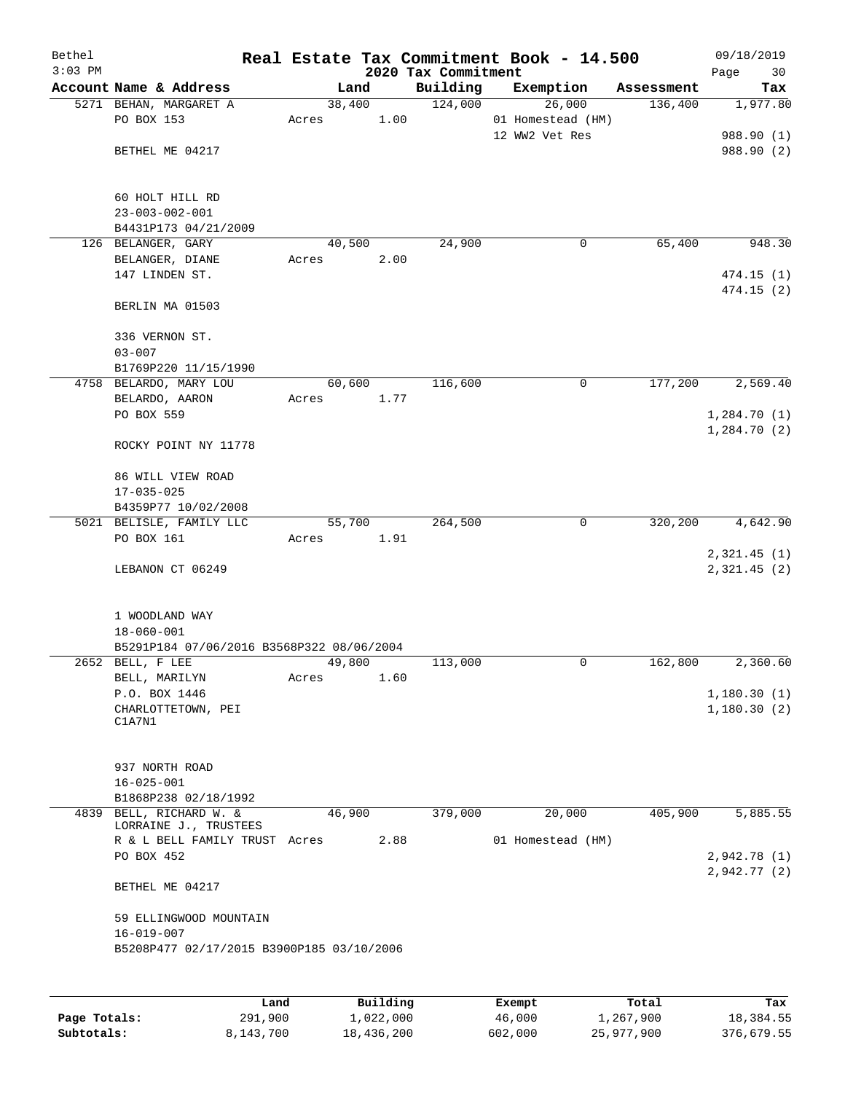| Bethel<br>$3:03$ PM |                                                  |       |                | 2020 Tax Commitment | Real Estate Tax Commitment Book - 14.500 |            | 09/18/2019<br>Page<br>30   |
|---------------------|--------------------------------------------------|-------|----------------|---------------------|------------------------------------------|------------|----------------------------|
|                     | Account Name & Address                           |       | Land           | Building            | Exemption                                | Assessment | Tax                        |
|                     | 5271 BEHAN, MARGARET A                           |       | 38,400         | 124,000             | 26,000                                   | 136,400    | 1,977.80                   |
|                     | PO BOX 153                                       | Acres | 1.00           |                     | 01 Homestead (HM)                        |            |                            |
|                     |                                                  |       |                |                     | 12 WW2 Vet Res                           |            | 988.90 (1)                 |
|                     | BETHEL ME 04217                                  |       |                |                     |                                          |            | 988.90 (2)                 |
|                     |                                                  |       |                |                     |                                          |            |                            |
|                     |                                                  |       |                |                     |                                          |            |                            |
|                     | 60 HOLT HILL RD<br>$23 - 003 - 002 - 001$        |       |                |                     |                                          |            |                            |
|                     | B4431P173 04/21/2009                             |       |                |                     |                                          |            |                            |
|                     | 126 BELANGER, GARY                               |       | 40,500         | 24,900              | 0                                        | 65,400     | 948.30                     |
|                     | BELANGER, DIANE                                  | Acres | 2.00           |                     |                                          |            |                            |
|                     | 147 LINDEN ST.                                   |       |                |                     |                                          |            | 474.15(1)                  |
|                     |                                                  |       |                |                     |                                          |            | 474.15 (2)                 |
|                     | BERLIN MA 01503                                  |       |                |                     |                                          |            |                            |
|                     |                                                  |       |                |                     |                                          |            |                            |
|                     | 336 VERNON ST.                                   |       |                |                     |                                          |            |                            |
|                     | $03 - 007$                                       |       |                |                     |                                          |            |                            |
|                     | B1769P220 11/15/1990                             |       |                |                     |                                          |            | 2,569.40                   |
|                     | 4758 BELARDO, MARY LOU<br>BELARDO, AARON         | Acres | 60,600<br>1.77 | 116,600             | 0                                        | 177,200    |                            |
|                     | PO BOX 559                                       |       |                |                     |                                          |            | 1,284.70(1)                |
|                     |                                                  |       |                |                     |                                          |            | 1,284.70(2)                |
|                     | ROCKY POINT NY 11778                             |       |                |                     |                                          |            |                            |
|                     |                                                  |       |                |                     |                                          |            |                            |
|                     | 86 WILL VIEW ROAD                                |       |                |                     |                                          |            |                            |
|                     | $17 - 035 - 025$                                 |       |                |                     |                                          |            |                            |
|                     | B4359P77 10/02/2008                              |       |                |                     |                                          |            |                            |
|                     | 5021 BELISLE, FAMILY LLC                         |       | 55,700         | 264,500             | $\mathbf 0$                              | 320,200    | 4,642.90                   |
|                     | PO BOX 161                                       | Acres | 1.91           |                     |                                          |            |                            |
|                     | LEBANON CT 06249                                 |       |                |                     |                                          |            | 2,321.45(1)<br>2,321.45(2) |
|                     |                                                  |       |                |                     |                                          |            |                            |
|                     |                                                  |       |                |                     |                                          |            |                            |
|                     | 1 WOODLAND WAY                                   |       |                |                     |                                          |            |                            |
|                     | $18 - 060 - 001$                                 |       |                |                     |                                          |            |                            |
|                     | B5291P184 07/06/2016 B3568P322 08/06/2004        |       |                |                     |                                          |            |                            |
|                     | 2652 BELL, F LEE                                 |       | 49,800         | 113,000             | 0                                        | 162,800    | 2,360.60                   |
|                     | BELL, MARILYN                                    | Acres | 1.60           |                     |                                          |            |                            |
|                     | P.O. BOX 1446                                    |       |                |                     |                                          |            | 1,180.30(1)                |
|                     | CHARLOTTETOWN, PEI<br>C1A7N1                     |       |                |                     |                                          |            | 1,180.30(2)                |
|                     |                                                  |       |                |                     |                                          |            |                            |
|                     |                                                  |       |                |                     |                                          |            |                            |
|                     | 937 NORTH ROAD                                   |       |                |                     |                                          |            |                            |
|                     | $16 - 025 - 001$                                 |       |                |                     |                                          |            |                            |
|                     | B1868P238 02/18/1992                             |       |                |                     |                                          |            |                            |
|                     | 4839 BELL, RICHARD W. &<br>LORRAINE J., TRUSTEES |       | 46,900         | 379,000             | 20,000                                   | 405,900    | 5,885.55                   |
|                     | R & L BELL FAMILY TRUST Acres                    |       | 2.88           |                     | 01 Homestead (HM)                        |            |                            |
|                     | PO BOX 452                                       |       |                |                     |                                          |            | 2,942.78(1)                |
|                     |                                                  |       |                |                     |                                          |            | 2,942.77(2)                |
|                     | BETHEL ME 04217                                  |       |                |                     |                                          |            |                            |
|                     |                                                  |       |                |                     |                                          |            |                            |
|                     | 59 ELLINGWOOD MOUNTAIN                           |       |                |                     |                                          |            |                            |
|                     | $16 - 019 - 007$                                 |       |                |                     |                                          |            |                            |
|                     | B5208P477 02/17/2015 B3900P185 03/10/2006        |       |                |                     |                                          |            |                            |
|                     |                                                  |       |                |                     |                                          |            |                            |
|                     |                                                  |       |                |                     |                                          |            |                            |

|              | Land      | Building   | Exempt  | Total      | Tax        |
|--------------|-----------|------------|---------|------------|------------|
| Page Totals: | 291,900   | 1,022,000  | 46,000  | 1,267,900  | 18,384.55  |
| Subtotals:   | 8,143,700 | 18,436,200 | 602,000 | 25,977,900 | 376,679.55 |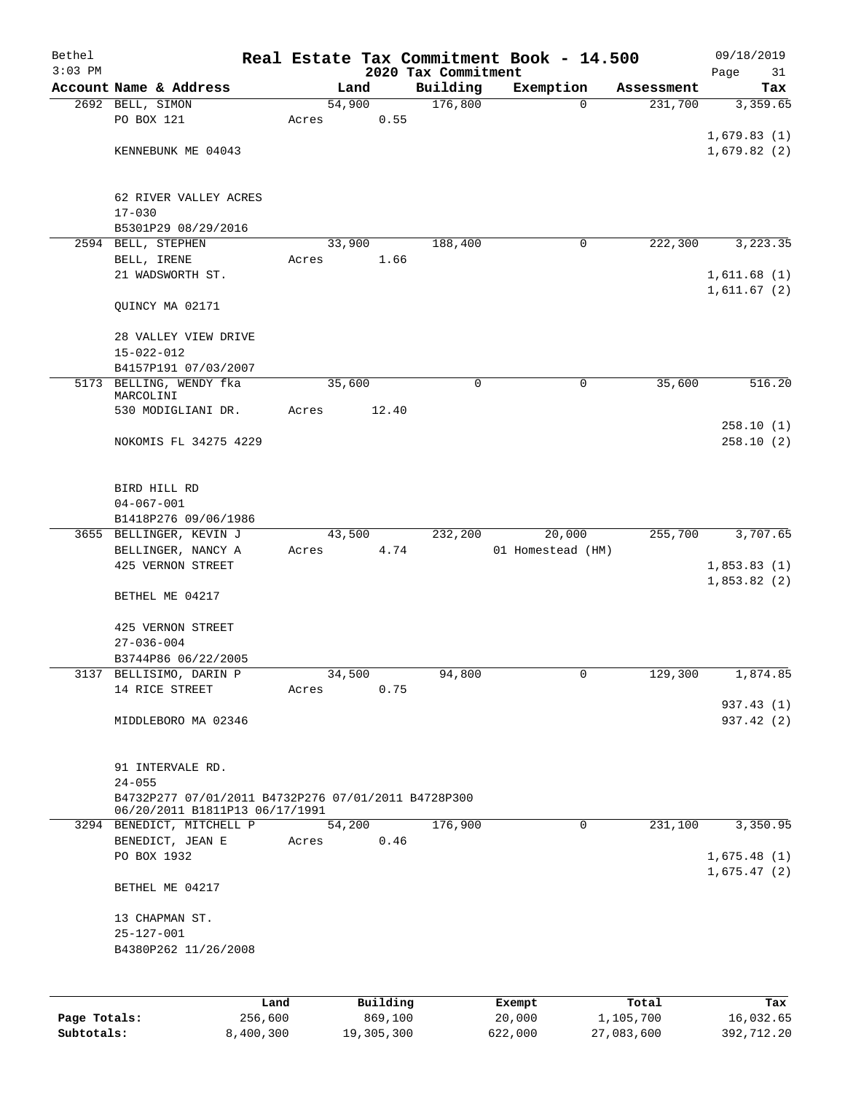| Bethel       |                                                                   |       |        |          |                                 | Real Estate Tax Commitment Book - 14.500 |                      | 09/18/2019                 |
|--------------|-------------------------------------------------------------------|-------|--------|----------|---------------------------------|------------------------------------------|----------------------|----------------------------|
| $3:03$ PM    | Account Name & Address                                            |       | Land   |          | 2020 Tax Commitment<br>Building | Exemption                                | Assessment           | Page<br>31<br>Tax          |
|              | 2692 BELL, SIMON                                                  |       | 54,900 |          | 176,800                         | $\mathbf 0$                              | 231,700              | 3,359.65                   |
|              | PO BOX 121                                                        | Acres |        | 0.55     |                                 |                                          |                      |                            |
|              |                                                                   |       |        |          |                                 |                                          |                      | 1,679.83(1)                |
|              | KENNEBUNK ME 04043                                                |       |        |          |                                 |                                          |                      | 1,679.82(2)                |
|              |                                                                   |       |        |          |                                 |                                          |                      |                            |
|              |                                                                   |       |        |          |                                 |                                          |                      |                            |
|              | 62 RIVER VALLEY ACRES<br>$17 - 030$                               |       |        |          |                                 |                                          |                      |                            |
|              | B5301P29 08/29/2016                                               |       |        |          |                                 |                                          |                      |                            |
| 2594         | BELL, STEPHEN                                                     |       | 33,900 |          | 188,400                         | 0                                        | 222,300              | 3,223.35                   |
|              | BELL, IRENE                                                       | Acres |        | 1.66     |                                 |                                          |                      |                            |
|              | 21 WADSWORTH ST.                                                  |       |        |          |                                 |                                          |                      | 1,611.68(1)                |
|              |                                                                   |       |        |          |                                 |                                          |                      | 1,611.67(2)                |
|              | QUINCY MA 02171                                                   |       |        |          |                                 |                                          |                      |                            |
|              | 28 VALLEY VIEW DRIVE                                              |       |        |          |                                 |                                          |                      |                            |
|              | $15 - 022 - 012$                                                  |       |        |          |                                 |                                          |                      |                            |
|              | B4157P191 07/03/2007                                              |       |        |          |                                 |                                          |                      |                            |
|              | 5173 BELLING, WENDY fka                                           |       | 35,600 |          | 0                               | 0                                        | 35,600               | 516.20                     |
|              | MARCOLINI<br>530 MODIGLIANI DR.                                   | Acres |        | 12.40    |                                 |                                          |                      |                            |
|              |                                                                   |       |        |          |                                 |                                          |                      | 258.10(1)                  |
|              | NOKOMIS FL 34275 4229                                             |       |        |          |                                 |                                          |                      | 258.10(2)                  |
|              |                                                                   |       |        |          |                                 |                                          |                      |                            |
|              |                                                                   |       |        |          |                                 |                                          |                      |                            |
|              | BIRD HILL RD<br>$04 - 067 - 001$                                  |       |        |          |                                 |                                          |                      |                            |
|              | B1418P276 09/06/1986                                              |       |        |          |                                 |                                          |                      |                            |
|              | 3655 BELLINGER, KEVIN J                                           |       | 43,500 |          | 232,200                         | 20,000                                   | $\overline{255,700}$ | 3,707.65                   |
|              | BELLINGER, NANCY A                                                | Acres |        | 4.74     |                                 | 01 Homestead (HM)                        |                      |                            |
|              | 425 VERNON STREET                                                 |       |        |          |                                 |                                          |                      | 1,853.83(1)                |
|              | BETHEL ME 04217                                                   |       |        |          |                                 |                                          |                      | 1,853.82(2)                |
|              |                                                                   |       |        |          |                                 |                                          |                      |                            |
|              | 425 VERNON STREET                                                 |       |        |          |                                 |                                          |                      |                            |
|              | $27 - 036 - 004$                                                  |       |        |          |                                 |                                          |                      |                            |
|              | B3744P86 06/22/2005                                               |       |        |          |                                 |                                          |                      |                            |
|              | 3137 BELLISIMO, DARIN P<br>14 RICE STREET                         |       | 34,500 | 0.75     | 94,800                          | 0                                        | 129,300              | 1,874.85                   |
|              |                                                                   | Acres |        |          |                                 |                                          |                      | 937.43 (1)                 |
|              | MIDDLEBORO MA 02346                                               |       |        |          |                                 |                                          |                      | 937.42 (2)                 |
|              |                                                                   |       |        |          |                                 |                                          |                      |                            |
|              |                                                                   |       |        |          |                                 |                                          |                      |                            |
|              | 91 INTERVALE RD.                                                  |       |        |          |                                 |                                          |                      |                            |
|              | $24 - 055$<br>B4732P277 07/01/2011 B4732P276 07/01/2011 B4728P300 |       |        |          |                                 |                                          |                      |                            |
|              | 06/20/2011 B1811P13 06/17/1991                                    |       |        |          |                                 |                                          |                      |                            |
|              | 3294 BENEDICT, MITCHELL P                                         |       | 54,200 |          | 176,900                         | 0                                        | 231,100              | 3,350.95                   |
|              | BENEDICT, JEAN E                                                  | Acres |        | 0.46     |                                 |                                          |                      |                            |
|              | PO BOX 1932                                                       |       |        |          |                                 |                                          |                      | 1,675.48(1)<br>1,675.47(2) |
|              | BETHEL ME 04217                                                   |       |        |          |                                 |                                          |                      |                            |
|              |                                                                   |       |        |          |                                 |                                          |                      |                            |
|              | 13 CHAPMAN ST.                                                    |       |        |          |                                 |                                          |                      |                            |
|              | $25 - 127 - 001$                                                  |       |        |          |                                 |                                          |                      |                            |
|              | B4380P262 11/26/2008                                              |       |        |          |                                 |                                          |                      |                            |
|              |                                                                   |       |        |          |                                 |                                          |                      |                            |
|              |                                                                   | Land  |        | Building |                                 | Exempt                                   | Total                | Tax                        |
| Page Totals: | 256,600                                                           |       |        | 869,100  |                                 | 20,000                                   | 1,105,700            | 16,032.65                  |

**Subtotals:** 8,400,300 19,305,300 622,000 27,083,600 392,712.20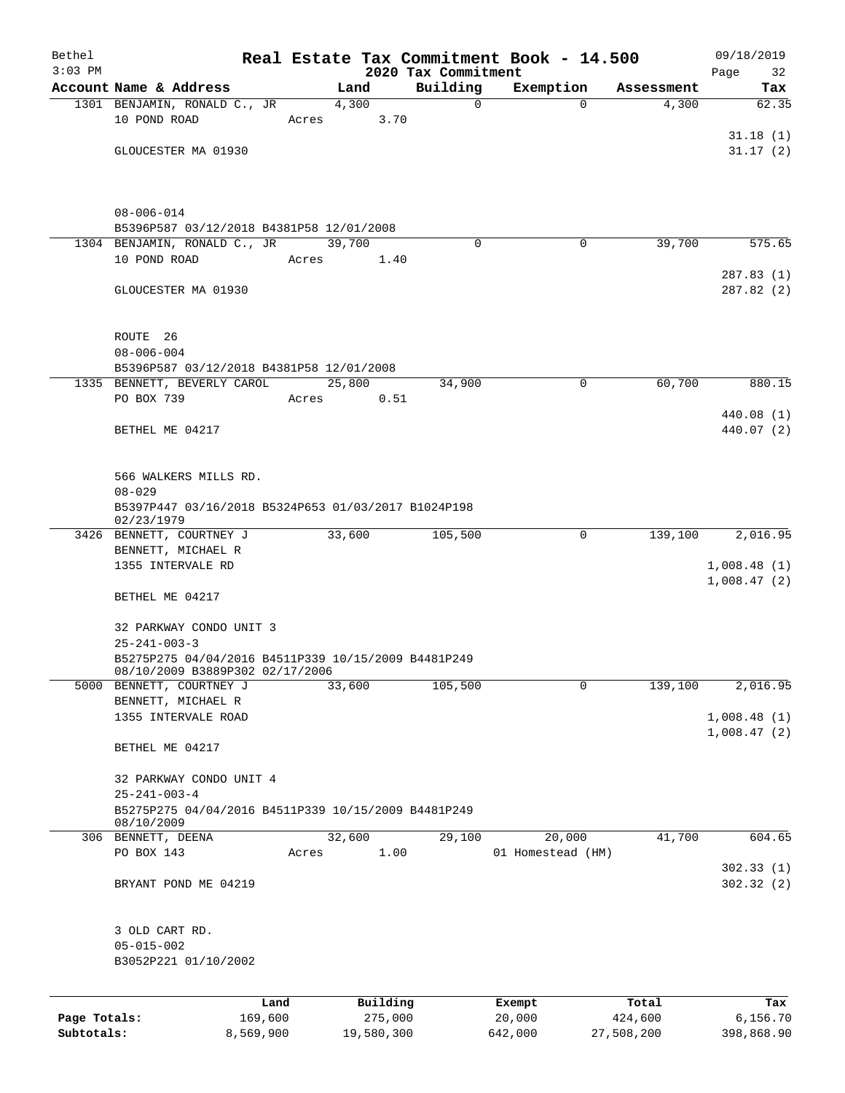| Bethel       |                                                                                        |           |       |               |                         | Real Estate Tax Commitment Book - 14.500 |            | 09/18/2019               |  |  |
|--------------|----------------------------------------------------------------------------------------|-----------|-------|---------------|-------------------------|------------------------------------------|------------|--------------------------|--|--|
| $3:03$ PM    | Account Name & Address                                                                 |           |       |               | 2020 Tax Commitment     |                                          | Assessment | Page<br>32               |  |  |
|              | 1301 BENJAMIN, RONALD C., JR                                                           |           |       | Land<br>4,300 | Building<br>$\mathbf 0$ | Exemption<br>$\Omega$                    | 4,300      | Tax<br>62.35             |  |  |
|              | 10 POND ROAD                                                                           |           | Acres | 3.70          |                         |                                          |            |                          |  |  |
|              |                                                                                        |           |       |               |                         |                                          |            | 31.18(1)                 |  |  |
|              | GLOUCESTER MA 01930                                                                    |           |       |               |                         |                                          |            | 31.17(2)                 |  |  |
|              |                                                                                        |           |       |               |                         |                                          |            |                          |  |  |
|              | $08 - 006 - 014$                                                                       |           |       |               |                         |                                          |            |                          |  |  |
|              | B5396P587 03/12/2018 B4381P58 12/01/2008                                               |           |       |               |                         |                                          |            |                          |  |  |
|              | 1304 BENJAMIN, RONALD C., JR                                                           |           |       | 39,700        | $\Omega$                | 0                                        | 39,700     | 575.65                   |  |  |
|              | 10 POND ROAD                                                                           |           | Acres | 1.40          |                         |                                          |            |                          |  |  |
|              | GLOUCESTER MA 01930                                                                    |           |       |               |                         |                                          |            | 287.83(1)<br>287.82 (2)  |  |  |
|              | ROUTE <sub>26</sub>                                                                    |           |       |               |                         |                                          |            |                          |  |  |
|              | $08 - 006 - 004$                                                                       |           |       |               |                         |                                          |            |                          |  |  |
|              | B5396P587 03/12/2018 B4381P58 12/01/2008                                               |           |       |               |                         |                                          |            |                          |  |  |
|              | 1335 BENNETT, BEVERLY CAROL                                                            |           |       | 25,800        | 34,900                  | $\mathbf 0$                              | 60,700     | 880.15                   |  |  |
|              | PO BOX 739                                                                             |           | Acres | 0.51          |                         |                                          |            |                          |  |  |
|              | BETHEL ME 04217                                                                        |           |       |               |                         |                                          |            | 440.08 (1)<br>440.07 (2) |  |  |
|              |                                                                                        |           |       |               |                         |                                          |            |                          |  |  |
|              | 566 WALKERS MILLS RD.<br>$08 - 029$                                                    |           |       |               |                         |                                          |            |                          |  |  |
|              | B5397P447 03/16/2018 B5324P653 01/03/2017 B1024P198<br>02/23/1979                      |           |       |               |                         |                                          |            |                          |  |  |
|              | 3426 BENNETT, COURTNEY J                                                               |           |       | 33,600        | 105,500                 | 0                                        | 139,100    | 2,016.95                 |  |  |
|              | BENNETT, MICHAEL R                                                                     |           |       |               |                         |                                          |            |                          |  |  |
|              | 1355 INTERVALE RD                                                                      |           |       |               |                         |                                          |            | 1,008.48(1)              |  |  |
|              | BETHEL ME 04217                                                                        |           |       |               |                         |                                          |            | 1,008.47(2)              |  |  |
|              | 32 PARKWAY CONDO UNIT 3                                                                |           |       |               |                         |                                          |            |                          |  |  |
|              | $25 - 241 - 003 - 3$                                                                   |           |       |               |                         |                                          |            |                          |  |  |
|              | B5275P275 04/04/2016 B4511P339 10/15/2009 B4481P249<br>08/10/2009 B3889P302 02/17/2006 |           |       |               |                         |                                          |            |                          |  |  |
|              | 5000 BENNETT, COURTNEY J                                                               |           |       | 33,600        | 105,500                 | $\mathbf 0$                              | 139,100    | 2,016.95                 |  |  |
|              | BENNETT, MICHAEL R                                                                     |           |       |               |                         |                                          |            |                          |  |  |
|              | 1355 INTERVALE ROAD                                                                    |           |       |               |                         |                                          |            | 1,008.48(1)              |  |  |
|              | BETHEL ME 04217                                                                        |           |       |               |                         |                                          |            | 1,008.47(2)              |  |  |
|              | 32 PARKWAY CONDO UNIT 4                                                                |           |       |               |                         |                                          |            |                          |  |  |
|              | $25 - 241 - 003 - 4$                                                                   |           |       |               |                         |                                          |            |                          |  |  |
|              | B5275P275 04/04/2016 B4511P339 10/15/2009 B4481P249<br>08/10/2009                      |           |       |               |                         |                                          |            |                          |  |  |
|              | 306 BENNETT, DEENA                                                                     |           |       | 32,600        | 29,100                  | 20,000                                   | 41,700     | 604.65                   |  |  |
|              | PO BOX 143                                                                             |           | Acres | 1.00          |                         | 01 Homestead (HM)                        |            |                          |  |  |
|              |                                                                                        |           |       |               |                         |                                          |            | 302.33(1)                |  |  |
|              | BRYANT POND ME 04219                                                                   |           |       |               |                         |                                          |            | 302.32(2)                |  |  |
|              | 3 OLD CART RD.                                                                         |           |       |               |                         |                                          |            |                          |  |  |
|              | $05 - 015 - 002$                                                                       |           |       |               |                         |                                          |            |                          |  |  |
|              | B3052P221 01/10/2002                                                                   |           |       |               |                         |                                          |            |                          |  |  |
|              |                                                                                        | Land      |       | Building      |                         | Exempt                                   | Total      | Tax                      |  |  |
| Page Totals: |                                                                                        | 169,600   |       | 275,000       |                         | 20,000                                   | 424,600    | 6,156.70                 |  |  |
| Subtotals:   |                                                                                        | 8,569,900 |       | 19,580,300    |                         | 642,000                                  | 27,508,200 | 398,868.90               |  |  |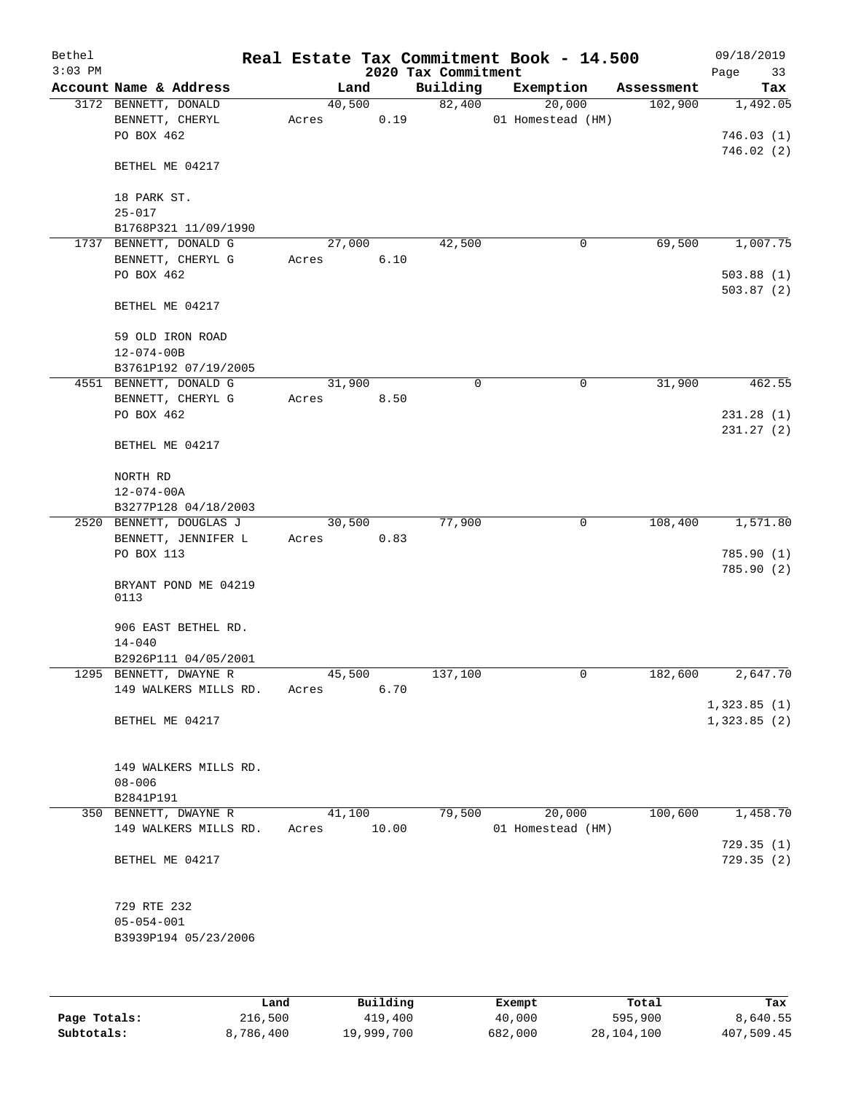| Bethel<br>$3:03$ PM |                                                       |                 |       | 2020 Tax Commitment | Real Estate Tax Commitment Book - 14.500 |            | 09/18/2019<br>Page<br>33 |
|---------------------|-------------------------------------------------------|-----------------|-------|---------------------|------------------------------------------|------------|--------------------------|
|                     | Account Name & Address                                | Land            |       | Building            | Exemption                                | Assessment | Tax                      |
|                     | 3172 BENNETT, DONALD<br>BENNETT, CHERYL<br>PO BOX 462 | 40,500<br>Acres | 0.19  | 82,400              | 20,000<br>01 Homestead (HM)              | 102,900    | 1,492.05<br>746.03(1)    |
|                     | BETHEL ME 04217                                       |                 |       |                     |                                          |            | 746.02(2)                |
|                     | 18 PARK ST.<br>$25 - 017$                             |                 |       |                     |                                          |            |                          |
|                     | B1768P321 11/09/1990                                  |                 |       |                     |                                          |            |                          |
|                     | 1737 BENNETT, DONALD G                                | 27,000          |       | 42,500              | 0                                        | 69,500     | 1,007.75                 |
|                     | BENNETT, CHERYL G                                     | Acres           | 6.10  |                     |                                          |            |                          |
|                     | PO BOX 462                                            |                 |       |                     |                                          |            | 503.88(1)                |
|                     | BETHEL ME 04217                                       |                 |       |                     |                                          |            | 503.87(2)                |
|                     | 59 OLD IRON ROAD                                      |                 |       |                     |                                          |            |                          |
|                     | $12 - 074 - 00B$                                      |                 |       |                     |                                          |            |                          |
|                     | B3761P192 07/19/2005                                  |                 |       |                     |                                          |            |                          |
|                     | 4551 BENNETT, DONALD G                                | 31,900          |       | $\mathbf 0$         | $\mathbf 0$                              | 31,900     | 462.55                   |
|                     | BENNETT, CHERYL G                                     | Acres           | 8.50  |                     |                                          |            |                          |
|                     | PO BOX 462                                            |                 |       |                     |                                          |            | 231.28 (1)               |
|                     | BETHEL ME 04217                                       |                 |       |                     |                                          |            | 231.27(2)                |
|                     | NORTH RD                                              |                 |       |                     |                                          |            |                          |
|                     | $12 - 074 - 00A$                                      |                 |       |                     |                                          |            |                          |
|                     | B3277P128 04/18/2003                                  |                 |       |                     |                                          |            |                          |
|                     | 2520 BENNETT, DOUGLAS J                               | 30,500          |       | 77,900              | 0                                        | 108,400    | 1,571.80                 |
|                     | BENNETT, JENNIFER L                                   | Acres           | 0.83  |                     |                                          |            |                          |
|                     | PO BOX 113                                            |                 |       |                     |                                          |            | 785.90(1)                |
|                     | BRYANT POND ME 04219<br>0113                          |                 |       |                     |                                          |            | 785.90(2)                |
|                     | 906 EAST BETHEL RD.<br>$14 - 040$                     |                 |       |                     |                                          |            |                          |
|                     | B2926P111 04/05/2001                                  |                 |       |                     |                                          |            |                          |
|                     | 1295 BENNETT, DWAYNE R                                | 45,500          |       | 137,100             | 0                                        | 182,600    | 2,647.70                 |
|                     | 149 WALKERS MILLS RD.                                 | Acres           | 6.70  |                     |                                          |            |                          |
|                     |                                                       |                 |       |                     |                                          |            | 1,323.85(1)              |
|                     | BETHEL ME 04217                                       |                 |       |                     |                                          |            | 1,323.85(2)              |
|                     | 149 WALKERS MILLS RD.                                 |                 |       |                     |                                          |            |                          |
|                     | $08 - 006$                                            |                 |       |                     |                                          |            |                          |
|                     | B2841P191                                             |                 |       |                     |                                          |            |                          |
|                     | 350 BENNETT, DWAYNE R                                 | 41,100          |       | 79,500              | 20,000                                   | 100,600    | 1,458.70                 |
|                     | 149 WALKERS MILLS RD.                                 | Acres           | 10.00 |                     | 01 Homestead (HM)                        |            |                          |
|                     | BETHEL ME 04217                                       |                 |       |                     |                                          |            | 729.35(1)<br>729.35(2)   |
|                     | 729 RTE 232                                           |                 |       |                     |                                          |            |                          |
|                     | $05 - 054 - 001$                                      |                 |       |                     |                                          |            |                          |
|                     | B3939P194 05/23/2006                                  |                 |       |                     |                                          |            |                          |
|                     |                                                       |                 |       |                     |                                          |            |                          |
|                     |                                                       |                 |       |                     |                                          |            |                          |

|              | Land      | Building   | Exempt  | Total      | Tax        |
|--------------|-----------|------------|---------|------------|------------|
| Page Totals: | 216,500   | 419,400    | 40,000  | 595,900    | 8,640.55   |
| Subtotals:   | 8,786,400 | 19,999,700 | 682,000 | 28,104,100 | 407,509.45 |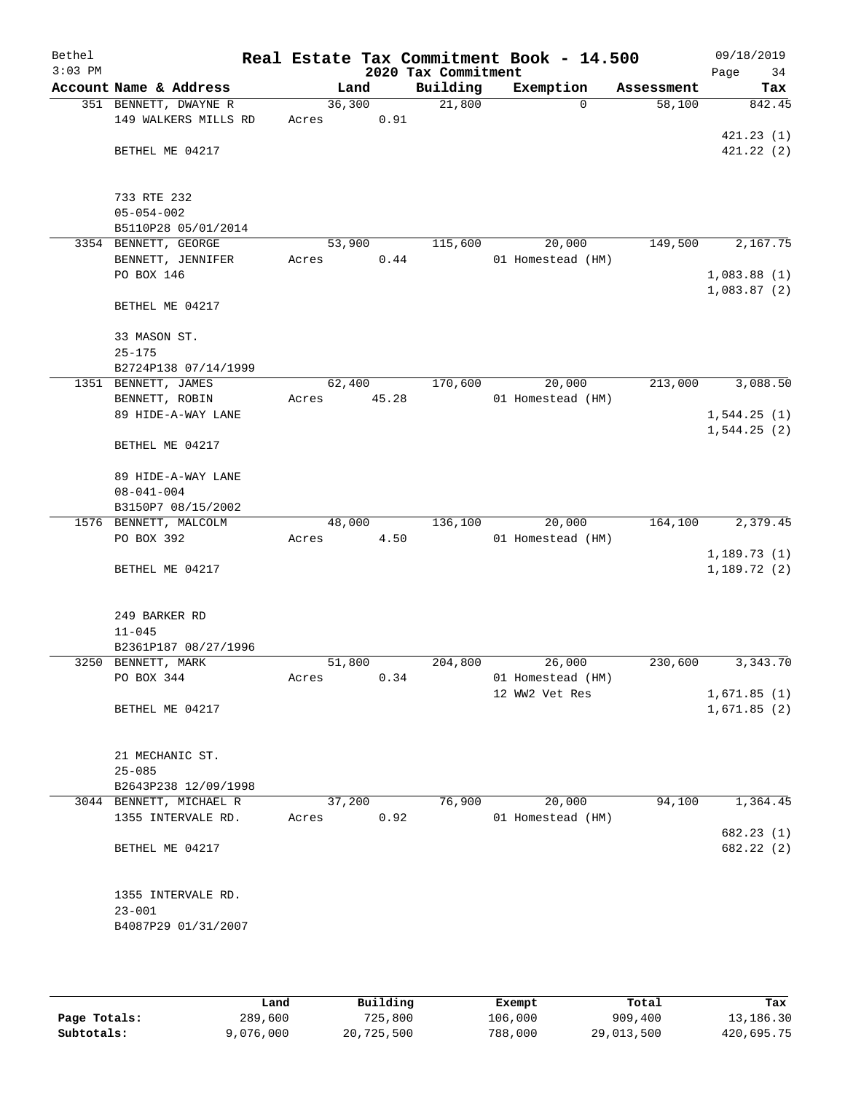| Bethel<br>$3:03$ PM |                         |        |       | 2020 Tax Commitment | Real Estate Tax Commitment Book - 14.500 |            | 09/18/2019<br>Page<br>34   |
|---------------------|-------------------------|--------|-------|---------------------|------------------------------------------|------------|----------------------------|
|                     | Account Name & Address  |        | Land  | Building            | Exemption                                | Assessment | Tax                        |
|                     | 351 BENNETT, DWAYNE R   | 36,300 |       | 21,800              | $\mathbf 0$                              | 58,100     | 842.45                     |
|                     | 149 WALKERS MILLS RD    | Acres  | 0.91  |                     |                                          |            |                            |
|                     |                         |        |       |                     |                                          |            | 421.23(1)                  |
|                     | BETHEL ME 04217         |        |       |                     |                                          |            | 421.22(2)                  |
|                     |                         |        |       |                     |                                          |            |                            |
|                     | 733 RTE 232             |        |       |                     |                                          |            |                            |
|                     | $05 - 054 - 002$        |        |       |                     |                                          |            |                            |
|                     | B5110P28 05/01/2014     |        |       |                     |                                          |            |                            |
|                     | 3354 BENNETT, GEORGE    | 53,900 |       | 115,600             | 20,000                                   | 149,500    | 2,167.75                   |
|                     | BENNETT, JENNIFER       | Acres  | 0.44  |                     | 01 Homestead (HM)                        |            |                            |
|                     | PO BOX 146              |        |       |                     |                                          |            | 1,083.88(1)                |
|                     |                         |        |       |                     |                                          |            | 1,083.87(2)                |
|                     | BETHEL ME 04217         |        |       |                     |                                          |            |                            |
|                     | 33 MASON ST.            |        |       |                     |                                          |            |                            |
|                     | $25 - 175$              |        |       |                     |                                          |            |                            |
|                     | B2724P138 07/14/1999    |        |       |                     |                                          |            |                            |
|                     | 1351 BENNETT, JAMES     | 62,400 |       | 170,600             | 20,000                                   | 213,000    | 3,088.50                   |
|                     | BENNETT, ROBIN          | Acres  | 45.28 |                     | 01 Homestead (HM)                        |            |                            |
|                     | 89 HIDE-A-WAY LANE      |        |       |                     |                                          |            | 1,544.25(1)                |
|                     |                         |        |       |                     |                                          |            | 1,544.25(2)                |
|                     | BETHEL ME 04217         |        |       |                     |                                          |            |                            |
|                     | 89 HIDE-A-WAY LANE      |        |       |                     |                                          |            |                            |
|                     | $08 - 041 - 004$        |        |       |                     |                                          |            |                            |
|                     | B3150P7 08/15/2002      |        |       |                     |                                          |            |                            |
|                     | 1576 BENNETT, MALCOLM   | 48,000 |       | 136,100             | 20,000                                   | 164,100    | 2,379.45                   |
|                     | PO BOX 392              | Acres  | 4.50  |                     | 01 Homestead (HM)                        |            |                            |
|                     |                         |        |       |                     |                                          |            | 1,189.73(1)                |
|                     | BETHEL ME 04217         |        |       |                     |                                          |            | 1,189.72(2)                |
|                     |                         |        |       |                     |                                          |            |                            |
|                     | 249 BARKER RD           |        |       |                     |                                          |            |                            |
|                     | $11 - 045$              |        |       |                     |                                          |            |                            |
|                     | B2361P187 08/27/1996    |        |       |                     |                                          |            |                            |
|                     | 3250 BENNETT, MARK      | 51,800 |       | 204,800             | 26,000                                   | 230,600    | 3,343.70                   |
|                     | PO BOX 344              | Acres  | 0.34  |                     | 01 Homestead (HM)                        |            |                            |
|                     | BETHEL ME 04217         |        |       |                     | 12 WW2 Vet Res                           |            | 1,671.85(1)<br>1,671.85(2) |
|                     |                         |        |       |                     |                                          |            |                            |
|                     |                         |        |       |                     |                                          |            |                            |
|                     | 21 MECHANIC ST.         |        |       |                     |                                          |            |                            |
|                     | $25 - 085$              |        |       |                     |                                          |            |                            |
|                     | B2643P238 12/09/1998    |        |       |                     |                                          |            |                            |
|                     | 3044 BENNETT, MICHAEL R | 37,200 |       | 76,900              | 20,000                                   | 94,100     | 1,364.45                   |
|                     | 1355 INTERVALE RD.      | Acres  | 0.92  |                     | 01 Homestead (HM)                        |            | 682.23(1)                  |
|                     | BETHEL ME 04217         |        |       |                     |                                          |            | 682.22 (2)                 |
|                     |                         |        |       |                     |                                          |            |                            |
|                     |                         |        |       |                     |                                          |            |                            |
|                     | 1355 INTERVALE RD.      |        |       |                     |                                          |            |                            |
|                     | $23 - 001$              |        |       |                     |                                          |            |                            |
|                     | B4087P29 01/31/2007     |        |       |                     |                                          |            |                            |
|                     |                         |        |       |                     |                                          |            |                            |

|              | Land      | Building   | Exempt  | Total      | Tax        |
|--------------|-----------|------------|---------|------------|------------|
| Page Totals: | 289,600   | 725,800    | 106,000 | 909,400    | 13,186.30  |
| Subtotals:   | 9,076,000 | 20,725,500 | 788,000 | 29,013,500 | 420,695.75 |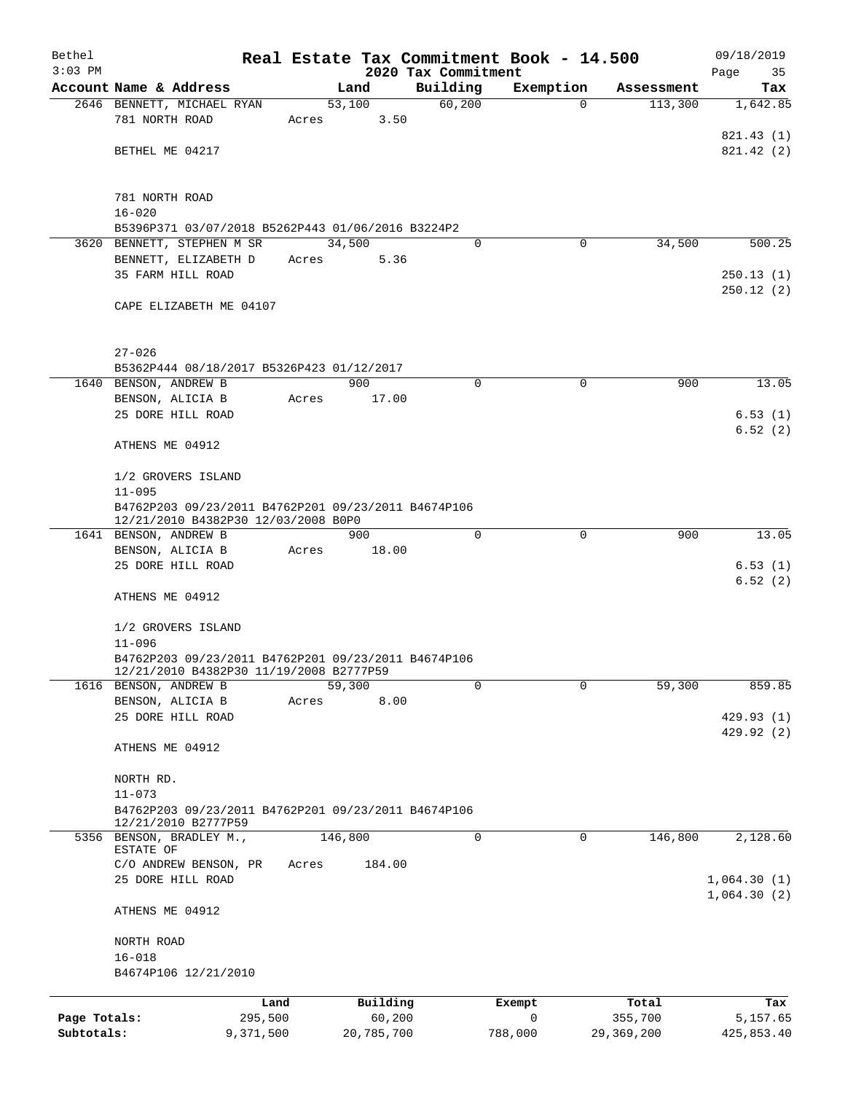| Bethel       |                                                                                                |           |       |         |            |                                 | Real Estate Tax Commitment Book - 14.500 |             |            | 09/18/2019      |
|--------------|------------------------------------------------------------------------------------------------|-----------|-------|---------|------------|---------------------------------|------------------------------------------|-------------|------------|-----------------|
| $3:03$ PM    | Account Name & Address                                                                         |           |       | Land    |            | 2020 Tax Commitment<br>Building |                                          |             | Assessment | Page<br>35      |
|              | 2646 BENNETT, MICHAEL RYAN                                                                     |           |       | 53,100  |            | 60,200                          | Exemption                                | $\Omega$    | 113,300    | Tax<br>1,642.85 |
|              | 781 NORTH ROAD                                                                                 |           | Acres |         | 3.50       |                                 |                                          |             |            |                 |
|              |                                                                                                |           |       |         |            |                                 |                                          |             |            | 821.43 (1)      |
|              | BETHEL ME 04217                                                                                |           |       |         |            |                                 |                                          |             |            | 821.42 (2)      |
|              |                                                                                                |           |       |         |            |                                 |                                          |             |            |                 |
|              |                                                                                                |           |       |         |            |                                 |                                          |             |            |                 |
|              | 781 NORTH ROAD                                                                                 |           |       |         |            |                                 |                                          |             |            |                 |
|              | $16 - 020$<br>B5396P371 03/07/2018 B5262P443 01/06/2016 B3224P2                                |           |       |         |            |                                 |                                          |             |            |                 |
|              | 3620 BENNETT, STEPHEN M SR                                                                     |           |       | 34,500  |            | $\Omega$                        |                                          | 0           | 34,500     | 500.25          |
|              | BENNETT, ELIZABETH D                                                                           |           | Acres |         | 5.36       |                                 |                                          |             |            |                 |
|              | 35 FARM HILL ROAD                                                                              |           |       |         |            |                                 |                                          |             |            | 250.13(1)       |
|              |                                                                                                |           |       |         |            |                                 |                                          |             |            | 250.12(2)       |
|              | CAPE ELIZABETH ME 04107                                                                        |           |       |         |            |                                 |                                          |             |            |                 |
|              |                                                                                                |           |       |         |            |                                 |                                          |             |            |                 |
|              |                                                                                                |           |       |         |            |                                 |                                          |             |            |                 |
|              | $27 - 026$<br>B5362P444 08/18/2017 B5326P423 01/12/2017                                        |           |       |         |            |                                 |                                          |             |            |                 |
|              | 1640 BENSON, ANDREW B                                                                          |           |       | 900     |            | $\Omega$                        |                                          | $\mathbf 0$ | 900        | 13.05           |
|              | BENSON, ALICIA B                                                                               |           | Acres |         | 17.00      |                                 |                                          |             |            |                 |
|              | 25 DORE HILL ROAD                                                                              |           |       |         |            |                                 |                                          |             |            | 6.53(1)         |
|              |                                                                                                |           |       |         |            |                                 |                                          |             |            | 6.52(2)         |
|              | ATHENS ME 04912                                                                                |           |       |         |            |                                 |                                          |             |            |                 |
|              |                                                                                                |           |       |         |            |                                 |                                          |             |            |                 |
|              | 1/2 GROVERS ISLAND                                                                             |           |       |         |            |                                 |                                          |             |            |                 |
|              | $11 - 095$                                                                                     |           |       |         |            |                                 |                                          |             |            |                 |
|              | B4762P203 09/23/2011 B4762P201 09/23/2011 B4674P106<br>12/21/2010 B4382P30 12/03/2008 B0P0     |           |       |         |            |                                 |                                          |             |            |                 |
|              | 1641 BENSON, ANDREW B                                                                          |           |       | 900     |            | $\Omega$                        |                                          | $\mathbf 0$ | 900        | 13.05           |
|              | BENSON, ALICIA B                                                                               |           | Acres |         | 18.00      |                                 |                                          |             |            |                 |
|              | 25 DORE HILL ROAD                                                                              |           |       |         |            |                                 |                                          |             |            | 6.53(1)         |
|              |                                                                                                |           |       |         |            |                                 |                                          |             |            | 6.52(2)         |
|              | ATHENS ME 04912                                                                                |           |       |         |            |                                 |                                          |             |            |                 |
|              |                                                                                                |           |       |         |            |                                 |                                          |             |            |                 |
|              | 1/2 GROVERS ISLAND                                                                             |           |       |         |            |                                 |                                          |             |            |                 |
|              | $11 - 096$                                                                                     |           |       |         |            |                                 |                                          |             |            |                 |
|              | B4762P203 09/23/2011 B4762P201 09/23/2011 B4674P106<br>12/21/2010 B4382P30 11/19/2008 B2777P59 |           |       |         |            |                                 |                                          |             |            |                 |
| 1616         | BENSON, ANDREW B                                                                               |           |       | 59,300  |            | 0                               |                                          | $\mathbf 0$ | 59,300     | 859.85          |
|              | BENSON, ALICIA B                                                                               |           | Acres |         | 8.00       |                                 |                                          |             |            |                 |
|              | 25 DORE HILL ROAD                                                                              |           |       |         |            |                                 |                                          |             |            | 429.93 (1)      |
|              |                                                                                                |           |       |         |            |                                 |                                          |             |            | 429.92 (2)      |
|              | ATHENS ME 04912                                                                                |           |       |         |            |                                 |                                          |             |            |                 |
|              |                                                                                                |           |       |         |            |                                 |                                          |             |            |                 |
|              | NORTH RD.<br>$11 - 073$                                                                        |           |       |         |            |                                 |                                          |             |            |                 |
|              | B4762P203 09/23/2011 B4762P201 09/23/2011 B4674P106                                            |           |       |         |            |                                 |                                          |             |            |                 |
|              | 12/21/2010 B2777P59                                                                            |           |       |         |            |                                 |                                          |             |            |                 |
|              | 5356 BENSON, BRADLEY M.,                                                                       |           |       | 146,800 |            | 0                               |                                          | 0           | 146,800    | 2,128.60        |
|              | ESTATE OF<br>C/O ANDREW BENSON, PR                                                             |           | Acres |         | 184.00     |                                 |                                          |             |            |                 |
|              | 25 DORE HILL ROAD                                                                              |           |       |         |            |                                 |                                          |             |            | 1,064.30(1)     |
|              |                                                                                                |           |       |         |            |                                 |                                          |             |            | 1,064.30(2)     |
|              | ATHENS ME 04912                                                                                |           |       |         |            |                                 |                                          |             |            |                 |
|              |                                                                                                |           |       |         |            |                                 |                                          |             |            |                 |
|              | NORTH ROAD                                                                                     |           |       |         |            |                                 |                                          |             |            |                 |
|              | $16 - 018$                                                                                     |           |       |         |            |                                 |                                          |             |            |                 |
|              | B4674P106 12/21/2010                                                                           |           |       |         |            |                                 |                                          |             |            |                 |
|              |                                                                                                | Land      |       |         | Building   |                                 | Exempt                                   |             | Total      | Tax             |
| Page Totals: |                                                                                                | 295,500   |       |         | 60,200     |                                 | 0                                        |             | 355,700    | 5,157.65        |
| Subtotals:   |                                                                                                | 9,371,500 |       |         | 20,785,700 |                                 | 788,000                                  |             | 29,369,200 | 425,853.40      |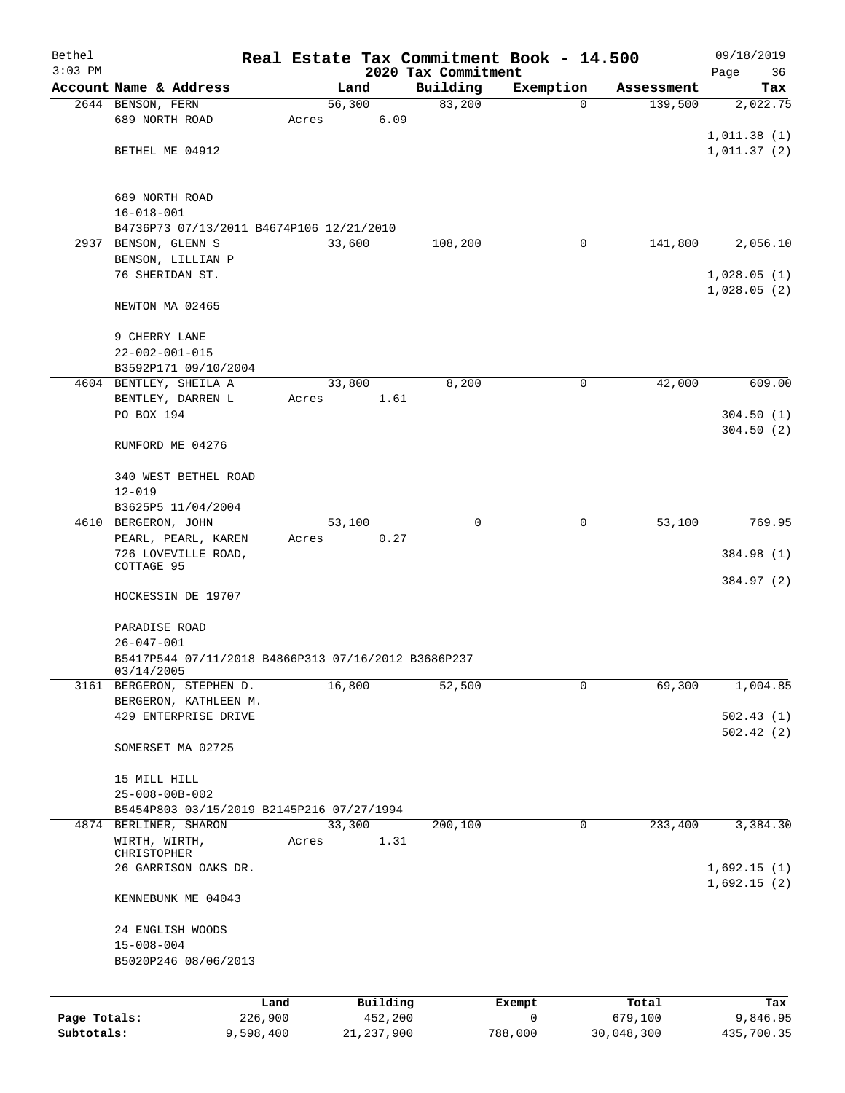| Bethel       |                                                     |           |       |        |              |                     | Real Estate Tax Commitment Book - 14.500 |   |            | 09/18/2019  |
|--------------|-----------------------------------------------------|-----------|-------|--------|--------------|---------------------|------------------------------------------|---|------------|-------------|
| $3:03$ PM    |                                                     |           |       |        |              | 2020 Tax Commitment |                                          |   |            | Page<br>36  |
|              | Account Name & Address                              |           |       | Land   |              | Building            | Exemption                                |   | Assessment | Tax         |
|              | 2644 BENSON, FERN                                   |           |       | 56,300 |              | 83,200              |                                          | 0 | 139,500    | 2,022.75    |
|              | 689 NORTH ROAD                                      |           | Acres |        | 6.09         |                     |                                          |   |            |             |
|              | BETHEL ME 04912                                     |           |       |        |              |                     |                                          |   |            | 1,011.38(1) |
|              |                                                     |           |       |        |              |                     |                                          |   |            | 1,011.37(2) |
|              |                                                     |           |       |        |              |                     |                                          |   |            |             |
|              | 689 NORTH ROAD                                      |           |       |        |              |                     |                                          |   |            |             |
|              | $16 - 018 - 001$                                    |           |       |        |              |                     |                                          |   |            |             |
|              | B4736P73 07/13/2011 B4674P106 12/21/2010            |           |       |        |              |                     |                                          |   |            |             |
| 2937         | BENSON, GLENN S                                     |           |       | 33,600 |              | 108,200             |                                          | 0 | 141,800    | 2,056.10    |
|              | BENSON, LILLIAN P                                   |           |       |        |              |                     |                                          |   |            |             |
|              | 76 SHERIDAN ST.                                     |           |       |        |              |                     |                                          |   |            | 1,028.05(1) |
|              | NEWTON MA 02465                                     |           |       |        |              |                     |                                          |   |            | 1,028.05(2) |
|              |                                                     |           |       |        |              |                     |                                          |   |            |             |
|              | 9 CHERRY LANE                                       |           |       |        |              |                     |                                          |   |            |             |
|              | $22 - 002 - 001 - 015$                              |           |       |        |              |                     |                                          |   |            |             |
|              | B3592P171 09/10/2004<br>4604 BENTLEY, SHEILA A      |           |       | 33,800 |              | 8,200               |                                          | 0 | 42,000     | 609.00      |
|              |                                                     |           |       |        |              |                     |                                          |   |            |             |
|              | BENTLEY, DARREN L<br>PO BOX 194                     |           | Acres |        | 1.61         |                     |                                          |   |            | 304.50(1)   |
|              |                                                     |           |       |        |              |                     |                                          |   |            | 304.50(2)   |
|              | RUMFORD ME 04276                                    |           |       |        |              |                     |                                          |   |            |             |
|              |                                                     |           |       |        |              |                     |                                          |   |            |             |
|              | 340 WEST BETHEL ROAD                                |           |       |        |              |                     |                                          |   |            |             |
|              | $12 - 019$                                          |           |       |        |              |                     |                                          |   |            |             |
|              | B3625P5 11/04/2004                                  |           |       |        |              |                     |                                          |   |            |             |
|              | 4610 BERGERON, JOHN                                 |           |       | 53,100 |              | $\Omega$            |                                          | 0 | 53,100     | 769.95      |
|              | PEARL, PEARL, KAREN                                 |           | Acres |        | 0.27         |                     |                                          |   |            |             |
|              | 726 LOVEVILLE ROAD,                                 |           |       |        |              |                     |                                          |   |            | 384.98 (1)  |
|              | COTTAGE 95                                          |           |       |        |              |                     |                                          |   |            |             |
|              |                                                     |           |       |        |              |                     |                                          |   |            | 384.97 (2)  |
|              | HOCKESSIN DE 19707                                  |           |       |        |              |                     |                                          |   |            |             |
|              | PARADISE ROAD                                       |           |       |        |              |                     |                                          |   |            |             |
|              | $26 - 047 - 001$                                    |           |       |        |              |                     |                                          |   |            |             |
|              | B5417P544 07/11/2018 B4866P313 07/16/2012 B3686P237 |           |       |        |              |                     |                                          |   |            |             |
|              | 03/14/2005                                          |           |       |        |              |                     |                                          |   |            |             |
| 3161         | BERGERON, STEPHEN D.                                |           |       | 16,800 |              | 52,500              | 0                                        |   | 69,300     | 1,004.85    |
|              | BERGERON, KATHLEEN M.                               |           |       |        |              |                     |                                          |   |            |             |
|              | 429 ENTERPRISE DRIVE                                |           |       |        |              |                     |                                          |   |            | 502.43(1)   |
|              |                                                     |           |       |        |              |                     |                                          |   |            | 502.42(2)   |
|              | SOMERSET MA 02725                                   |           |       |        |              |                     |                                          |   |            |             |
|              | 15 MILL HILL                                        |           |       |        |              |                     |                                          |   |            |             |
|              | $25 - 008 - 00B - 002$                              |           |       |        |              |                     |                                          |   |            |             |
|              | B5454P803 03/15/2019 B2145P216 07/27/1994           |           |       |        |              |                     |                                          |   |            |             |
|              | 4874 BERLINER, SHARON                               |           |       | 33,300 |              | 200,100             |                                          | 0 | 233,400    | 3,384.30    |
|              | WIRTH, WIRTH,                                       |           | Acres |        | 1.31         |                     |                                          |   |            |             |
|              | CHRISTOPHER                                         |           |       |        |              |                     |                                          |   |            |             |
|              | 26 GARRISON OAKS DR.                                |           |       |        |              |                     |                                          |   |            | 1,692.15(1) |
|              |                                                     |           |       |        |              |                     |                                          |   |            | 1,692.15(2) |
|              | KENNEBUNK ME 04043                                  |           |       |        |              |                     |                                          |   |            |             |
|              | 24 ENGLISH WOODS                                    |           |       |        |              |                     |                                          |   |            |             |
|              | $15 - 008 - 004$                                    |           |       |        |              |                     |                                          |   |            |             |
|              | B5020P246 08/06/2013                                |           |       |        |              |                     |                                          |   |            |             |
|              |                                                     |           |       |        |              |                     |                                          |   |            |             |
|              |                                                     | Land      |       |        | Building     |                     | Exempt                                   |   | Total      | Tax         |
| Page Totals: |                                                     | 226,900   |       |        | 452,200      |                     | 0                                        |   | 679,100    | 9,846.95    |
| Subtotals:   |                                                     | 9,598,400 |       |        | 21, 237, 900 |                     | 788,000                                  |   | 30,048,300 | 435,700.35  |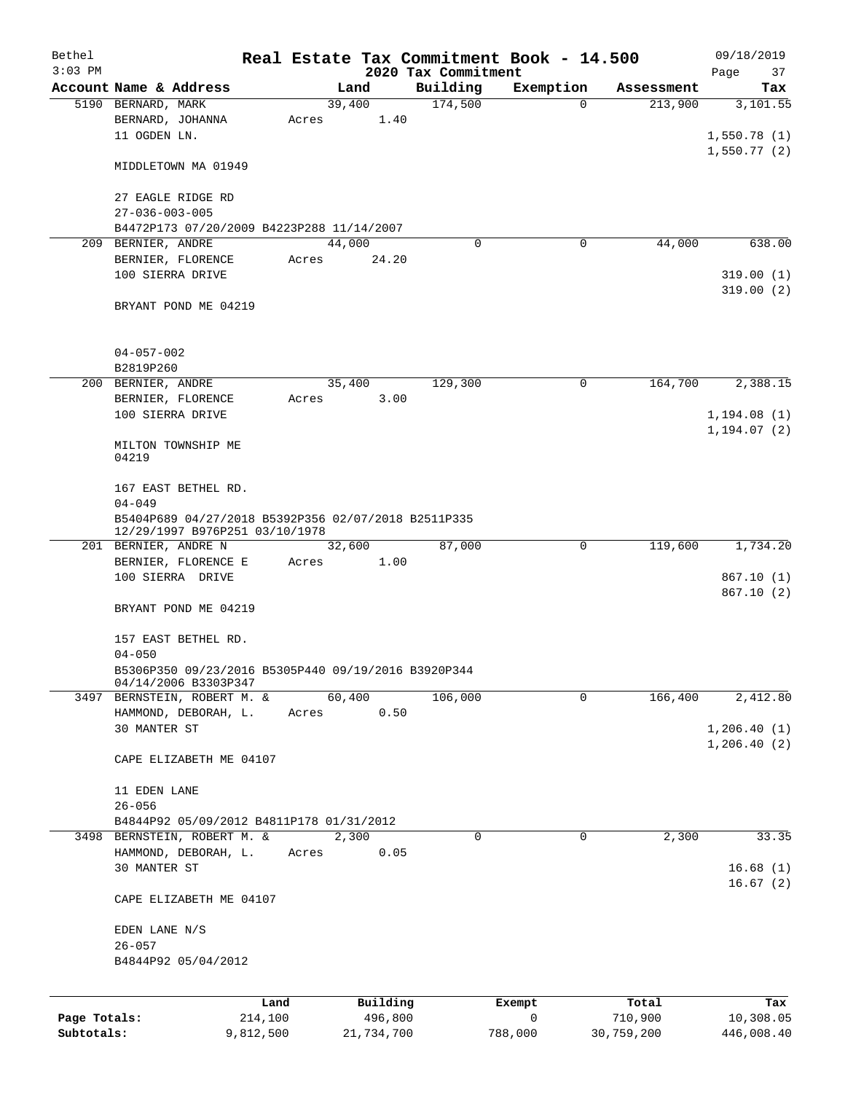| Bethel                     |                                                                                       |                      |       |        |                       | Real Estate Tax Commitment Book - 14.500 |              |             |                       | 09/18/2019                 |
|----------------------------|---------------------------------------------------------------------------------------|----------------------|-------|--------|-----------------------|------------------------------------------|--------------|-------------|-----------------------|----------------------------|
| $3:03$ PM                  | Account Name & Address                                                                |                      |       | Land   |                       | 2020 Tax Commitment<br>Building          |              | Exemption   | Assessment            | Page<br>37<br>Tax          |
|                            | 5190 BERNARD, MARK                                                                    |                      |       | 39,400 |                       | 174,500                                  |              | $\Omega$    | 213,900               | 3,101.55                   |
|                            | BERNARD, JOHANNA<br>11 OGDEN LN.                                                      |                      | Acres |        | 1.40                  |                                          |              |             |                       | 1,550.78(1)                |
|                            | MIDDLETOWN MA 01949                                                                   |                      |       |        |                       |                                          |              |             |                       | 1,550.77(2)                |
|                            | 27 EAGLE RIDGE RD<br>$27 - 036 - 003 - 005$                                           |                      |       |        |                       |                                          |              |             |                       |                            |
|                            | B4472P173 07/20/2009 B4223P288 11/14/2007                                             |                      |       |        |                       |                                          |              |             |                       |                            |
|                            | 209 BERNIER, ANDRE                                                                    |                      |       | 44,000 |                       |                                          | $\mathbf 0$  | 0           | 44,000                | 638.00                     |
|                            | BERNIER, FLORENCE                                                                     |                      | Acres |        | 24.20                 |                                          |              |             |                       |                            |
|                            | 100 SIERRA DRIVE                                                                      |                      |       |        |                       |                                          |              |             |                       | 319.00(1)<br>319.00(2)     |
|                            | BRYANT POND ME 04219                                                                  |                      |       |        |                       |                                          |              |             |                       |                            |
|                            | $04 - 057 - 002$<br>B2819P260                                                         |                      |       |        |                       |                                          |              |             |                       |                            |
|                            | 200 BERNIER, ANDRE                                                                    |                      |       | 35,400 |                       | 129,300                                  |              | $\mathbf 0$ | 164,700               | 2,388.15                   |
|                            | BERNIER, FLORENCE                                                                     |                      | Acres |        | 3.00                  |                                          |              |             |                       |                            |
|                            | 100 SIERRA DRIVE                                                                      |                      |       |        |                       |                                          |              |             |                       | 1,194.08(1)                |
|                            | MILTON TOWNSHIP ME<br>04219                                                           |                      |       |        |                       |                                          |              |             |                       | 1, 194.07(2)               |
|                            | 167 EAST BETHEL RD.<br>$04 - 049$                                                     |                      |       |        |                       |                                          |              |             |                       |                            |
|                            | B5404P689 04/27/2018 B5392P356 02/07/2018 B2511P335<br>12/29/1997 B976P251 03/10/1978 |                      |       |        |                       |                                          |              |             |                       |                            |
|                            | 201 BERNIER, ANDRE N                                                                  |                      |       | 32,600 |                       | 87,000                                   |              | 0           | 119,600               | 1,734.20                   |
|                            | BERNIER, FLORENCE E                                                                   |                      | Acres |        | 1.00                  |                                          |              |             |                       |                            |
|                            | 100 SIERRA DRIVE                                                                      |                      |       |        |                       |                                          |              |             |                       | 867.10(1)<br>867.10(2)     |
|                            | BRYANT POND ME 04219                                                                  |                      |       |        |                       |                                          |              |             |                       |                            |
|                            | 157 EAST BETHEL RD.<br>$04 - 050$                                                     |                      |       |        |                       |                                          |              |             |                       |                            |
|                            | B5306P350 09/23/2016 B5305P440 09/19/2016 B3920P344<br>04/14/2006 B3303P347           |                      |       |        |                       |                                          |              |             |                       |                            |
|                            | 3497 BERNSTEIN, ROBERT M. &                                                           |                      |       | 60,400 |                       | 106,000                                  |              | 0           | 166,400               | 2,412.80                   |
|                            | HAMMOND, DEBORAH, L.<br>30 MANTER ST                                                  |                      | Acres |        | 0.50                  |                                          |              |             |                       |                            |
|                            |                                                                                       |                      |       |        |                       |                                          |              |             |                       | 1,206.40(1)<br>1,206.40(2) |
|                            | CAPE ELIZABETH ME 04107                                                               |                      |       |        |                       |                                          |              |             |                       |                            |
|                            | 11 EDEN LANE                                                                          |                      |       |        |                       |                                          |              |             |                       |                            |
|                            | $26 - 056$                                                                            |                      |       |        |                       |                                          |              |             |                       |                            |
|                            | B4844P92 05/09/2012 B4811P178 01/31/2012<br>3498 BERNSTEIN, ROBERT M. &               |                      |       | 2,300  |                       |                                          | 0            | 0           | 2,300                 | 33.35                      |
|                            | HAMMOND, DEBORAH, L.                                                                  |                      | Acres |        | 0.05                  |                                          |              |             |                       |                            |
|                            | 30 MANTER ST                                                                          |                      |       |        |                       |                                          |              |             |                       | 16.68(1)                   |
|                            | CAPE ELIZABETH ME 04107                                                               |                      |       |        |                       |                                          |              |             |                       | 16.67(2)                   |
|                            | EDEN LANE N/S                                                                         |                      |       |        |                       |                                          |              |             |                       |                            |
|                            | $26 - 057$                                                                            |                      |       |        |                       |                                          |              |             |                       |                            |
|                            | B4844P92 05/04/2012                                                                   |                      |       |        |                       |                                          |              |             |                       |                            |
|                            |                                                                                       |                      |       |        |                       |                                          |              |             |                       |                            |
|                            |                                                                                       | Land                 |       |        | Building              |                                          | Exempt       |             | Total                 | Tax                        |
| Page Totals:<br>Subtotals: |                                                                                       | 214,100<br>9,812,500 |       |        | 496,800<br>21,734,700 |                                          | 0<br>788,000 |             | 710,900<br>30,759,200 | 10,308.05<br>446,008.40    |
|                            |                                                                                       |                      |       |        |                       |                                          |              |             |                       |                            |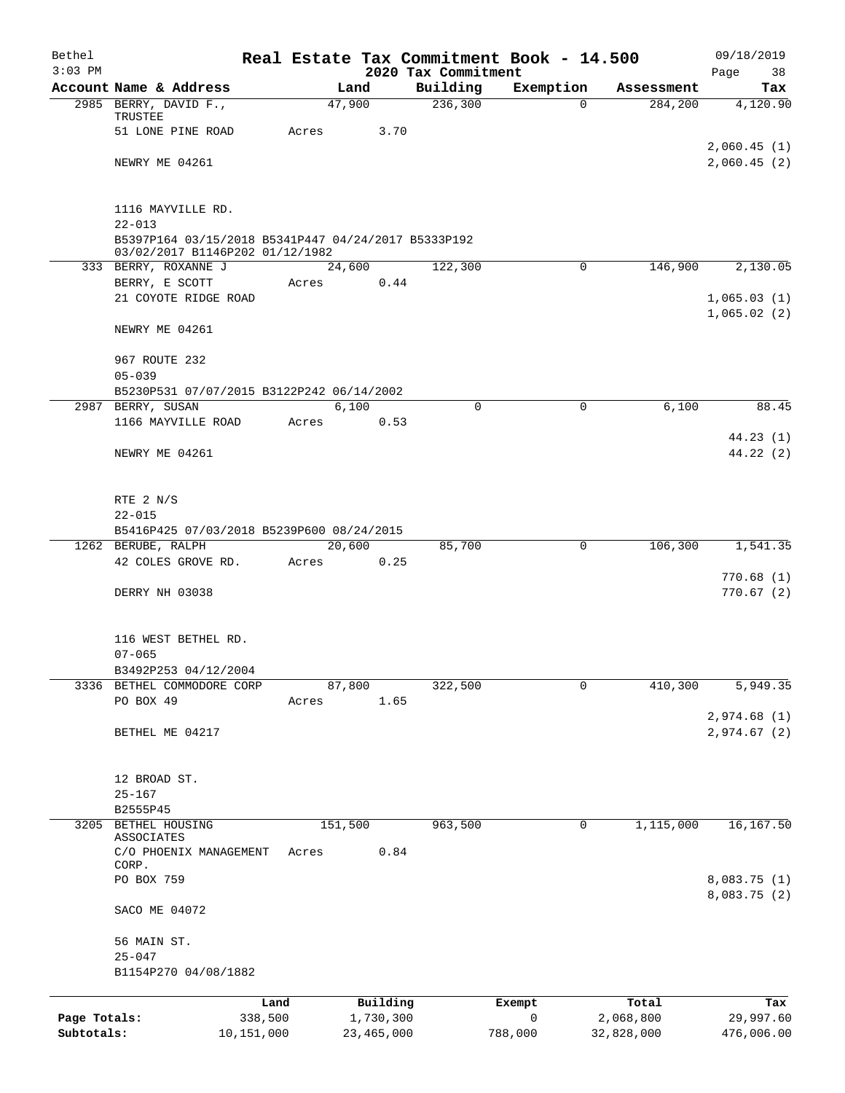| Bethel<br>$3:03$ PM |                                                                                                      |            |              | 2020 Tax Commitment | Real Estate Tax Commitment Book - 14.500 |            | 09/18/2019<br>Page<br>38     |
|---------------------|------------------------------------------------------------------------------------------------------|------------|--------------|---------------------|------------------------------------------|------------|------------------------------|
|                     | Account Name & Address                                                                               |            | Land         | Building            | Exemption                                | Assessment | Tax                          |
|                     | 2985 BERRY, DAVID F.,<br>TRUSTEE                                                                     |            | 47,900       | 236,300             | 0                                        | 284,200    | 4,120.90                     |
|                     | 51 LONE PINE ROAD                                                                                    | Acres      | 3.70         |                     |                                          |            |                              |
|                     | NEWRY ME 04261                                                                                       |            |              |                     |                                          |            | 2,060.45(1)<br>2,060.45(2)   |
|                     |                                                                                                      |            |              |                     |                                          |            |                              |
|                     | 1116 MAYVILLE RD.                                                                                    |            |              |                     |                                          |            |                              |
|                     | $22 - 013$<br>B5397P164 03/15/2018 B5341P447 04/24/2017 B5333P192<br>03/02/2017 B1146P202 01/12/1982 |            |              |                     |                                          |            |                              |
|                     | 333 BERRY, ROXANNE J                                                                                 |            | 24,600       | 122,300             | 0                                        | 146,900    | 2,130.05                     |
|                     | BERRY, E SCOTT                                                                                       | Acres      | 0.44         |                     |                                          |            |                              |
|                     | 21 COYOTE RIDGE ROAD                                                                                 |            |              |                     |                                          |            | 1,065.03(1)<br>1,065.02(2)   |
|                     | NEWRY ME 04261                                                                                       |            |              |                     |                                          |            |                              |
|                     | 967 ROUTE 232                                                                                        |            |              |                     |                                          |            |                              |
|                     | $05 - 039$                                                                                           |            |              |                     |                                          |            |                              |
|                     | B5230P531 07/07/2015 B3122P242 06/14/2002<br>2987 BERRY, SUSAN                                       |            | 6,100        | $\Omega$            | $\Omega$                                 | 6,100      | 88.45                        |
|                     | 1166 MAYVILLE ROAD                                                                                   | Acres      | 0.53         |                     |                                          |            |                              |
|                     |                                                                                                      |            |              |                     |                                          |            | 44.23(1)                     |
|                     | NEWRY ME 04261                                                                                       |            |              |                     |                                          |            | 44.22(2)                     |
|                     | RTE 2 N/S                                                                                            |            |              |                     |                                          |            |                              |
|                     | $22 - 015$                                                                                           |            |              |                     |                                          |            |                              |
|                     | B5416P425 07/03/2018 B5239P600 08/24/2015                                                            |            |              |                     |                                          |            |                              |
|                     | 1262 BERUBE, RALPH                                                                                   |            | 20,600       | 85,700              | 0                                        | 106,300    | 1,541.35                     |
|                     | 42 COLES GROVE RD.                                                                                   | Acres      | 0.25         |                     |                                          |            |                              |
|                     |                                                                                                      |            |              |                     |                                          |            | 770.68(1)                    |
|                     | DERRY NH 03038                                                                                       |            |              |                     |                                          |            | 770.67(2)                    |
|                     | 116 WEST BETHEL RD.                                                                                  |            |              |                     |                                          |            |                              |
|                     | $07 - 065$                                                                                           |            |              |                     |                                          |            |                              |
|                     | B3492P253 04/12/2004                                                                                 |            |              |                     |                                          |            |                              |
| 3336                | BETHEL COMMODORE CORP                                                                                |            | 87,800       | 322,500             | 0                                        | 410,300    | 5,949.35                     |
|                     | PO BOX 49                                                                                            | Acres      | 1.65         |                     |                                          |            |                              |
|                     |                                                                                                      |            |              |                     |                                          |            | 2,974.68 (1)                 |
|                     | BETHEL ME 04217                                                                                      |            |              |                     |                                          |            | 2,974.67 (2)                 |
|                     | 12 BROAD ST.                                                                                         |            |              |                     |                                          |            |                              |
|                     | $25 - 167$                                                                                           |            |              |                     |                                          |            |                              |
|                     | B2555P45                                                                                             |            |              |                     |                                          |            |                              |
| 3205                | BETHEL HOUSING<br>ASSOCIATES                                                                         |            | 151,500      | 963,500             | 0                                        | 1,115,000  | 16, 167.50                   |
|                     | C/O PHOENIX MANAGEMENT<br>CORP.                                                                      | Acres      | 0.84         |                     |                                          |            |                              |
|                     | PO BOX 759                                                                                           |            |              |                     |                                          |            | 8,083.75 (1)<br>8,083.75 (2) |
|                     | SACO ME 04072                                                                                        |            |              |                     |                                          |            |                              |
|                     | 56 MAIN ST.<br>$25 - 047$                                                                            |            |              |                     |                                          |            |                              |
|                     | B1154P270 04/08/1882                                                                                 |            |              |                     |                                          |            |                              |
|                     |                                                                                                      | Land       | Building     |                     | Exempt                                   | Total      | Tax                          |
| Page Totals:        |                                                                                                      | 338,500    | 1,730,300    |                     | $\mathsf{O}$                             | 2,068,800  | 29,997.60                    |
| Subtotals:          |                                                                                                      | 10,151,000 | 23, 465, 000 |                     | 788,000                                  | 32,828,000 | 476,006.00                   |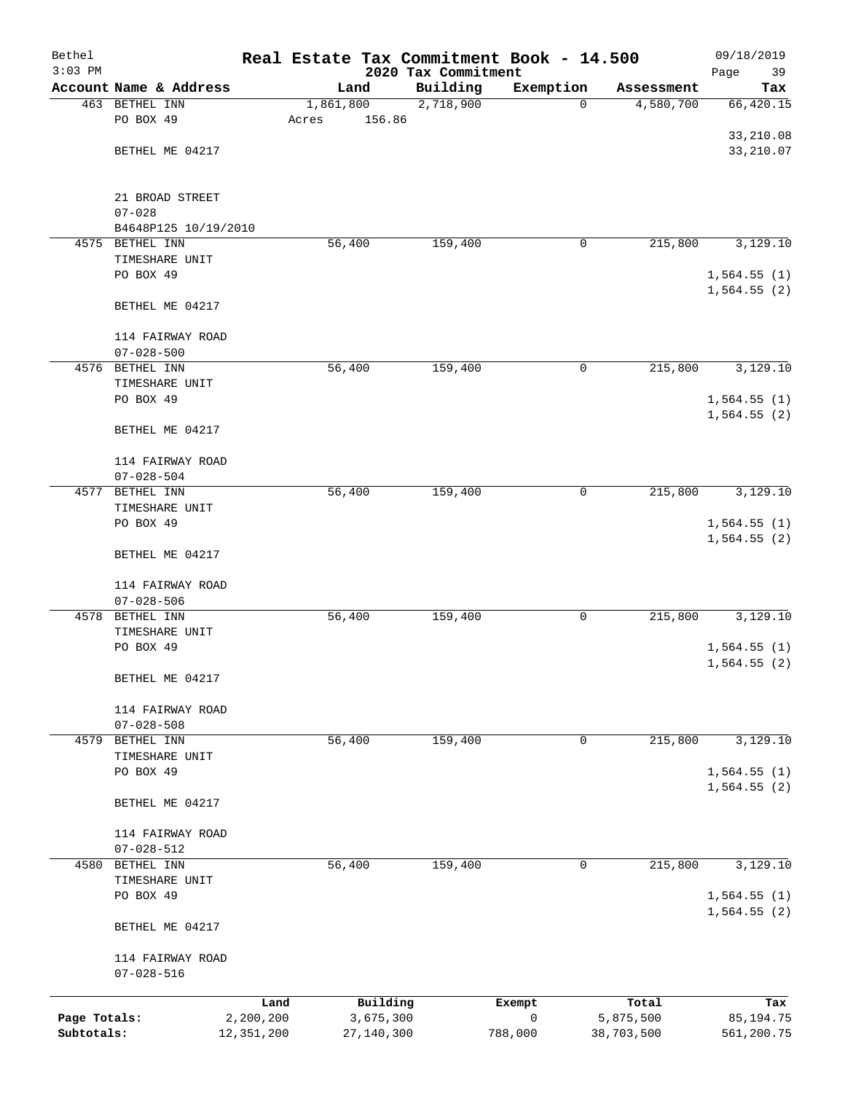| Bethel       |                                          |            |           |            | Real Estate Tax Commitment Book - 14.500 |                |                         | 09/18/2019                 |
|--------------|------------------------------------------|------------|-----------|------------|------------------------------------------|----------------|-------------------------|----------------------------|
| $3:03$ PM    |                                          |            |           |            | 2020 Tax Commitment                      |                |                         | Page<br>39                 |
|              | Account Name & Address<br>463 BETHEL INN |            | 1,861,800 | Land       | Building<br>2,718,900                    | Exemption<br>0 | Assessment<br>4,580,700 | Tax                        |
|              | PO BOX 49                                |            | Acres     | 156.86     |                                          |                |                         | 66,420.15                  |
|              |                                          |            |           |            |                                          |                |                         | 33,210.08                  |
|              | BETHEL ME 04217                          |            |           |            |                                          |                |                         | 33, 210.07                 |
|              |                                          |            |           |            |                                          |                |                         |                            |
|              | 21 BROAD STREET                          |            |           |            |                                          |                |                         |                            |
|              | $07 - 028$                               |            |           |            |                                          |                |                         |                            |
|              | B4648P125 10/19/2010                     |            |           |            |                                          |                |                         |                            |
| 4575         | BETHEL INN                               |            | 56, 400   |            | 159,400                                  | 0              | 215,800                 | 3,129.10                   |
|              | TIMESHARE UNIT                           |            |           |            |                                          |                |                         |                            |
|              | PO BOX 49                                |            |           |            |                                          |                |                         | 1,564.55(1)<br>1,564.55(2) |
|              | BETHEL ME 04217                          |            |           |            |                                          |                |                         |                            |
|              | 114 FAIRWAY ROAD                         |            |           |            |                                          |                |                         |                            |
|              | $07 - 028 - 500$                         |            |           |            |                                          |                |                         |                            |
|              | 4576 BETHEL INN                          |            | 56,400    |            | 159,400                                  | 0              | 215,800                 | 3,129.10                   |
|              | TIMESHARE UNIT                           |            |           |            |                                          |                |                         |                            |
|              | PO BOX 49                                |            |           |            |                                          |                |                         | 1,564.55(1)<br>1,564.55(2) |
|              | BETHEL ME 04217                          |            |           |            |                                          |                |                         |                            |
|              | 114 FAIRWAY ROAD                         |            |           |            |                                          |                |                         |                            |
|              | $07 - 028 - 504$                         |            |           |            |                                          |                |                         |                            |
|              | 4577 BETHEL INN                          |            | 56,400    |            | 159,400                                  | 0              | 215,800                 | 3,129.10                   |
|              | TIMESHARE UNIT                           |            |           |            |                                          |                |                         |                            |
|              | PO BOX 49                                |            |           |            |                                          |                |                         | 1,564.55(1)<br>1,564.55(2) |
|              | BETHEL ME 04217                          |            |           |            |                                          |                |                         |                            |
|              | 114 FAIRWAY ROAD                         |            |           |            |                                          |                |                         |                            |
|              | $07 - 028 - 506$                         |            |           |            |                                          |                |                         |                            |
| 4578         | BETHEL INN                               |            | 56,400    |            | 159,400                                  | 0              | 215,800                 | 3,129.10                   |
|              | TIMESHARE UNIT                           |            |           |            |                                          |                |                         |                            |
|              | PO BOX 49                                |            |           |            |                                          |                |                         | 1,564.55(1)<br>1,564.55(2) |
|              | BETHEL ME 04217                          |            |           |            |                                          |                |                         |                            |
|              | 114 FAIRWAY ROAD                         |            |           |            |                                          |                |                         |                            |
|              | $07 - 028 - 508$                         |            |           |            |                                          |                |                         |                            |
| 4579         | BETHEL INN                               |            | 56,400    |            | 159,400                                  | 0              | 215,800                 | 3,129.10                   |
|              | TIMESHARE UNIT                           |            |           |            |                                          |                |                         |                            |
|              | PO BOX 49                                |            |           |            |                                          |                |                         | 1,564.55(1)                |
|              | BETHEL ME 04217                          |            |           |            |                                          |                |                         | 1,564.55(2)                |
|              |                                          |            |           |            |                                          |                |                         |                            |
|              | 114 FAIRWAY ROAD<br>$07 - 028 - 512$     |            |           |            |                                          |                |                         |                            |
|              | 4580 BETHEL INN                          |            | 56,400    |            | 159,400                                  | 0              | 215,800                 | 3,129.10                   |
|              | TIMESHARE UNIT                           |            |           |            |                                          |                |                         |                            |
|              | PO BOX 49                                |            |           |            |                                          |                |                         | 1,564.55(1)                |
|              | BETHEL ME 04217                          |            |           |            |                                          |                |                         | 1,564.55(2)                |
|              | 114 FAIRWAY ROAD                         |            |           |            |                                          |                |                         |                            |
|              | $07 - 028 - 516$                         |            |           |            |                                          |                |                         |                            |
|              |                                          | Land       |           | Building   |                                          | Exempt         | Total                   | Tax                        |
| Page Totals: |                                          | 2,200,200  |           | 3,675,300  |                                          | $\mathsf{O}$   | 5,875,500               | 85,194.75                  |
| Subtotals:   |                                          | 12,351,200 |           | 27,140,300 |                                          | 788,000        | 38,703,500              | 561,200.75                 |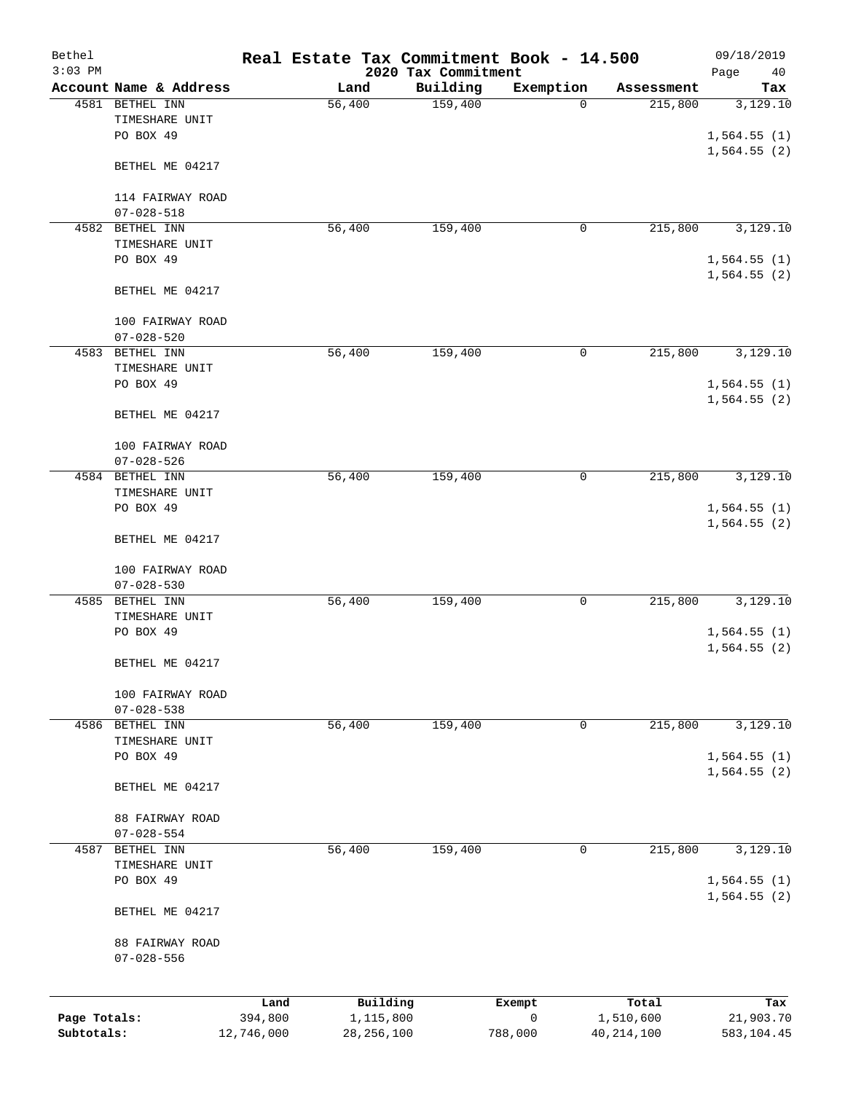| Bethel       |                                     |            | Real Estate Tax Commitment Book - 14.500 |                                 |              |              | 09/18/2019        |
|--------------|-------------------------------------|------------|------------------------------------------|---------------------------------|--------------|--------------|-------------------|
| $3:03$ PM    | Account Name & Address              |            | Land                                     | 2020 Tax Commitment<br>Building | Exemption    | Assessment   | Page<br>40<br>Tax |
|              | 4581 BETHEL INN                     |            | 56,400                                   | 159,400                         | 0            | 215,800      | 3,129.10          |
|              | TIMESHARE UNIT                      |            |                                          |                                 |              |              |                   |
|              | PO BOX 49                           |            |                                          |                                 |              |              | 1,564.55(1)       |
|              |                                     |            |                                          |                                 |              |              | 1,564.55(2)       |
|              | BETHEL ME 04217                     |            |                                          |                                 |              |              |                   |
|              |                                     |            |                                          |                                 |              |              |                   |
|              | 114 FAIRWAY ROAD                    |            |                                          |                                 |              |              |                   |
|              | $07 - 028 - 518$                    |            |                                          |                                 |              |              |                   |
|              | 4582 BETHEL INN                     |            | 56,400                                   | 159,400                         | 0            | 215,800      | 3,129.10          |
|              | TIMESHARE UNIT                      |            |                                          |                                 |              |              |                   |
|              | PO BOX 49                           |            |                                          |                                 |              |              | 1,564.55(1)       |
|              | BETHEL ME 04217                     |            |                                          |                                 |              |              | 1,564.55(2)       |
|              | 100 FAIRWAY ROAD                    |            |                                          |                                 |              |              |                   |
|              | $07 - 028 - 520$                    |            |                                          |                                 |              |              |                   |
| 4583         | BETHEL INN                          |            | 56,400                                   | 159,400                         | $\mathsf{O}$ | 215,800      | 3,129.10          |
|              | TIMESHARE UNIT                      |            |                                          |                                 |              |              |                   |
|              | PO BOX 49                           |            |                                          |                                 |              |              | 1,564.55(1)       |
|              |                                     |            |                                          |                                 |              |              | 1,564.55(2)       |
|              | BETHEL ME 04217                     |            |                                          |                                 |              |              |                   |
|              | 100 FAIRWAY ROAD                    |            |                                          |                                 |              |              |                   |
|              | $07 - 028 - 526$                    |            |                                          |                                 |              |              |                   |
|              | 4584 BETHEL INN                     |            | 56,400                                   | 159,400                         | $\mathsf{O}$ | 215,800      | 3,129.10          |
|              | TIMESHARE UNIT                      |            |                                          |                                 |              |              |                   |
|              | PO BOX 49                           |            |                                          |                                 |              |              | 1,564.55(1)       |
|              |                                     |            |                                          |                                 |              |              | 1,564.55(2)       |
|              | BETHEL ME 04217                     |            |                                          |                                 |              |              |                   |
|              | 100 FAIRWAY ROAD                    |            |                                          |                                 |              |              |                   |
|              | $07 - 028 - 530$                    |            |                                          |                                 |              |              |                   |
| 4585         | BETHEL INN                          |            | 56,400                                   | 159,400                         | 0            | 215,800      | 3,129.10          |
|              | TIMESHARE UNIT                      |            |                                          |                                 |              |              |                   |
|              | PO BOX 49                           |            |                                          |                                 |              |              | 1,564.55(1)       |
|              |                                     |            |                                          |                                 |              |              | 1,564.55(2)       |
|              | BETHEL ME 04217                     |            |                                          |                                 |              |              |                   |
|              | 100 FAIRWAY ROAD                    |            |                                          |                                 |              |              |                   |
|              | $07 - 028 - 538$                    |            |                                          |                                 |              |              |                   |
|              | 4586 BETHEL INN                     |            | 56,400                                   | 159,400                         | 0            | 215,800      | 3,129.10          |
|              | TIMESHARE UNIT                      |            |                                          |                                 |              |              |                   |
|              | PO BOX 49                           |            |                                          |                                 |              |              | 1,564.55(1)       |
|              |                                     |            |                                          |                                 |              |              | 1,564.55(2)       |
|              | BETHEL ME 04217                     |            |                                          |                                 |              |              |                   |
|              |                                     |            |                                          |                                 |              |              |                   |
|              | 88 FAIRWAY ROAD<br>$07 - 028 - 554$ |            |                                          |                                 |              |              |                   |
| 4587         | BETHEL INN                          |            | 56,400                                   | 159,400                         | 0            | 215,800      | 3,129.10          |
|              | TIMESHARE UNIT                      |            |                                          |                                 |              |              |                   |
|              | PO BOX 49                           |            |                                          |                                 |              |              | 1,564.55(1)       |
|              |                                     |            |                                          |                                 |              |              | 1,564.55(2)       |
|              | BETHEL ME 04217                     |            |                                          |                                 |              |              |                   |
|              |                                     |            |                                          |                                 |              |              |                   |
|              | 88 FAIRWAY ROAD<br>$07 - 028 - 556$ |            |                                          |                                 |              |              |                   |
|              |                                     |            |                                          |                                 |              |              |                   |
|              |                                     | Land       | Building                                 |                                 | Exempt       | Total        | Tax               |
| Page Totals: |                                     | 394,800    | 1,115,800                                |                                 | $\mathsf{O}$ | 1,510,600    | 21,903.70         |
| Subtotals:   |                                     | 12,746,000 | 28, 256, 100                             |                                 | 788,000      | 40, 214, 100 | 583,104.45        |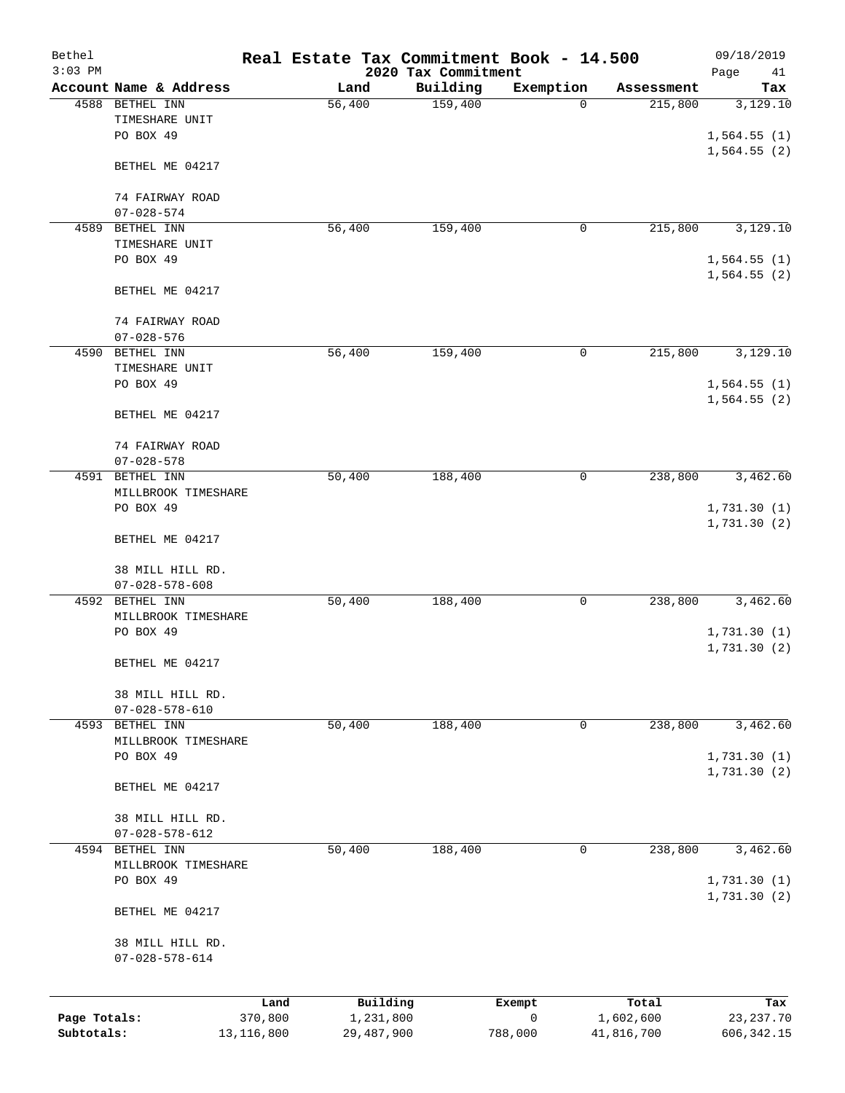| Bethel<br>$3:03$ PM |                                            |              | Real Estate Tax Commitment Book - 14.500 |                                 |             |            | 09/18/2019                  |
|---------------------|--------------------------------------------|--------------|------------------------------------------|---------------------------------|-------------|------------|-----------------------------|
|                     | Account Name & Address                     |              | Land                                     | 2020 Tax Commitment<br>Building | Exemption   | Assessment | Page<br>41<br>Tax           |
|                     | 4588 BETHEL INN                            |              | 56,400                                   | 159,400                         | 0           | 215,800    | 3,129.10                    |
|                     | TIMESHARE UNIT                             |              |                                          |                                 |             |            |                             |
|                     | PO BOX 49                                  |              |                                          |                                 |             |            | 1,564.55(1)                 |
|                     | BETHEL ME 04217                            |              |                                          |                                 |             |            | 1,564.55(2)                 |
|                     | 74 FAIRWAY ROAD                            |              |                                          |                                 |             |            |                             |
|                     | $07 - 028 - 574$                           |              |                                          |                                 |             |            |                             |
| 4589                | BETHEL INN                                 |              | 56,400                                   | 159,400                         | 0           | 215,800    | 3,129.10                    |
|                     | TIMESHARE UNIT                             |              |                                          |                                 |             |            |                             |
|                     | PO BOX 49                                  |              |                                          |                                 |             |            | 1,564.55(1)<br>1,564.55(2)  |
|                     | BETHEL ME 04217                            |              |                                          |                                 |             |            |                             |
|                     | 74 FAIRWAY ROAD                            |              |                                          |                                 |             |            |                             |
|                     | $07 - 028 - 576$                           |              |                                          |                                 |             |            |                             |
|                     | 4590 BETHEL INN                            |              | 56,400                                   | 159,400                         | 0           | 215,800    | 3,129.10                    |
|                     | TIMESHARE UNIT                             |              |                                          |                                 |             |            |                             |
|                     | PO BOX 49                                  |              |                                          |                                 |             |            | 1,564.55(1)                 |
|                     | BETHEL ME 04217                            |              |                                          |                                 |             |            | 1,564.55(2)                 |
|                     | 74 FAIRWAY ROAD                            |              |                                          |                                 |             |            |                             |
|                     | $07 - 028 - 578$                           |              |                                          |                                 |             |            |                             |
| 4591                | BETHEL INN                                 |              | 50,400                                   | 188,400                         | 0           | 238,800    | 3,462.60                    |
|                     | MILLBROOK TIMESHARE                        |              |                                          |                                 |             |            |                             |
|                     | PO BOX 49                                  |              |                                          |                                 |             |            | 1,731.30(1)                 |
|                     | BETHEL ME 04217                            |              |                                          |                                 |             |            | 1,731.30(2)                 |
|                     | 38 MILL HILL RD.                           |              |                                          |                                 |             |            |                             |
|                     | $07 - 028 - 578 - 608$                     |              |                                          |                                 |             |            |                             |
| 4592                | BETHEL INN                                 |              | 50,400                                   | 188,400                         | 0           | 238,800    | 3,462.60                    |
|                     | MILLBROOK TIMESHARE                        |              |                                          |                                 |             |            |                             |
|                     | PO BOX 49                                  |              |                                          |                                 |             |            | 1,731.30(1)                 |
|                     | BETHEL ME 04217                            |              |                                          |                                 |             |            | 1,731.30(2)                 |
|                     | 38 MILL HILL RD.                           |              |                                          |                                 |             |            |                             |
|                     | $07 - 028 - 578 - 610$                     |              |                                          |                                 |             |            |                             |
|                     | 4593 BETHEL INN                            |              | 50,400                                   | 188,400                         | 0           | 238,800    | 3,462.60                    |
|                     | MILLBROOK TIMESHARE                        |              |                                          |                                 |             |            |                             |
|                     | PO BOX 49                                  |              |                                          |                                 |             |            | 1,731.30(1)<br>1,731.30 (2) |
|                     | BETHEL ME 04217                            |              |                                          |                                 |             |            |                             |
|                     | 38 MILL HILL RD.                           |              |                                          |                                 |             |            |                             |
|                     | $07 - 028 - 578 - 612$                     |              |                                          |                                 |             |            |                             |
|                     | 4594 BETHEL INN                            |              | 50,400                                   | 188,400                         | 0           | 238,800    | 3,462.60                    |
|                     | MILLBROOK TIMESHARE                        |              |                                          |                                 |             |            |                             |
|                     | PO BOX 49                                  |              |                                          |                                 |             |            | 1,731.30(1)<br>1,731.30 (2) |
|                     | BETHEL ME 04217                            |              |                                          |                                 |             |            |                             |
|                     | 38 MILL HILL RD.<br>$07 - 028 - 578 - 614$ |              |                                          |                                 |             |            |                             |
|                     |                                            | Land         | Building                                 |                                 | Exempt      | Total      | Tax                         |
| Page Totals:        |                                            | 370,800      | 1,231,800                                |                                 | $\mathbf 0$ | 1,602,600  | 23, 237.70                  |
| Subtotals:          |                                            | 13, 116, 800 | 29,487,900                               |                                 | 788,000     | 41,816,700 | 606, 342.15                 |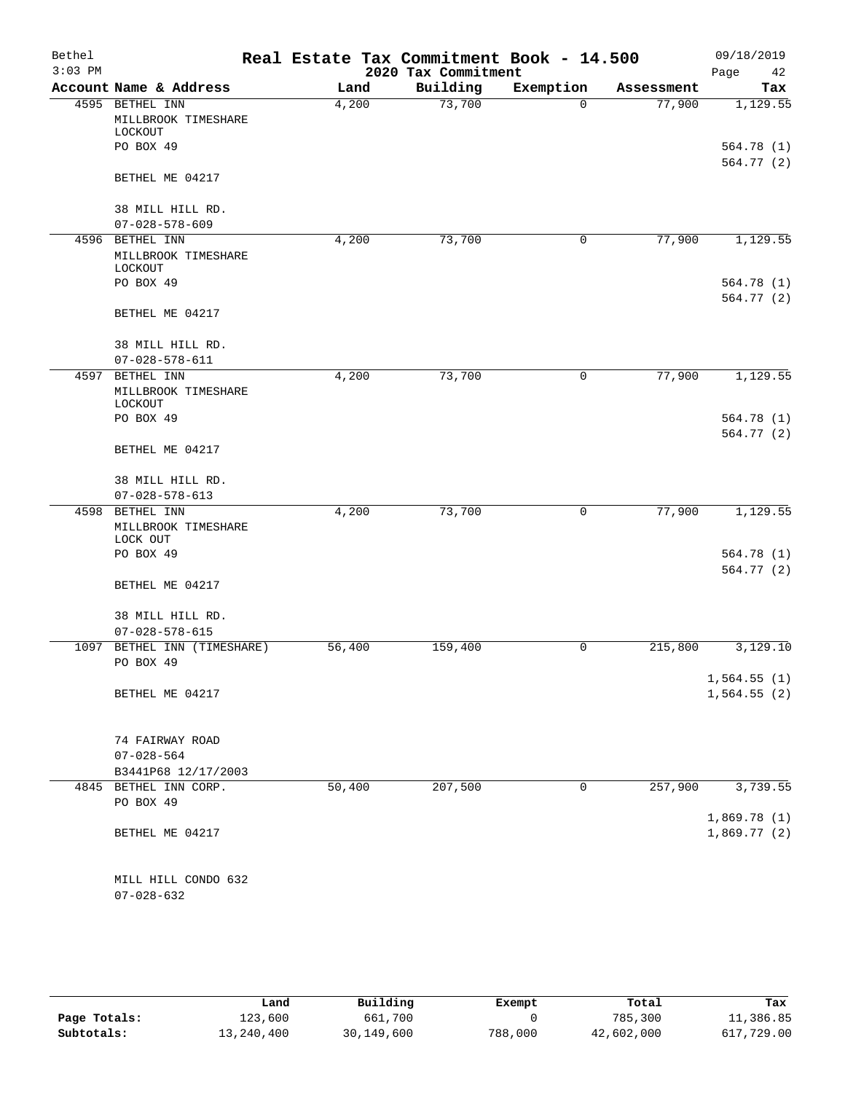| Bethel    |                                                    | Real Estate Tax Commitment Book - 14.500 |                     |              |            | 09/18/2019                 |
|-----------|----------------------------------------------------|------------------------------------------|---------------------|--------------|------------|----------------------------|
| $3:03$ PM |                                                    |                                          | 2020 Tax Commitment |              |            | Page<br>42                 |
|           | Account Name & Address                             | Land                                     | Building            | Exemption    | Assessment | Tax                        |
| 4595      | BETHEL INN<br>MILLBROOK TIMESHARE<br>LOCKOUT       | 4,200                                    | 73,700              | $\Omega$     | 77,900     | 1,129.55                   |
|           | PO BOX 49                                          |                                          |                     |              |            | 564.78(1)<br>564.77(2)     |
|           | BETHEL ME 04217                                    |                                          |                     |              |            |                            |
|           | 38 MILL HILL RD.                                   |                                          |                     |              |            |                            |
|           | $07 - 028 - 578 - 609$                             |                                          |                     |              |            |                            |
|           | 4596 BETHEL INN<br>MILLBROOK TIMESHARE<br>LOCKOUT  | 4,200                                    | 73,700              | 0            | 77,900     | 1,129.55                   |
|           | PO BOX 49                                          |                                          |                     |              |            | 564.78 (1)                 |
|           | BETHEL ME 04217                                    |                                          |                     |              |            | 564.77(2)                  |
|           | 38 MILL HILL RD.<br>$07 - 028 - 578 - 611$         |                                          |                     |              |            |                            |
| 4597      | BETHEL INN                                         | 4,200                                    | 73,700              | $\mathsf{O}$ | 77,900     | 1,129.55                   |
|           | MILLBROOK TIMESHARE<br>LOCKOUT                     |                                          |                     |              |            |                            |
|           | PO BOX 49                                          |                                          |                     |              |            | 564.78 (1)                 |
|           | BETHEL ME 04217                                    |                                          |                     |              |            | 564.77(2)                  |
|           | 38 MILL HILL RD.                                   |                                          |                     |              |            |                            |
|           | $07 - 028 - 578 - 613$                             |                                          |                     |              |            |                            |
|           | 4598 BETHEL INN<br>MILLBROOK TIMESHARE<br>LOCK OUT | 4,200                                    | 73,700              | 0            | 77,900     | 1,129.55                   |
|           | PO BOX 49                                          |                                          |                     |              |            | 564.78 (1)<br>564.77(2)    |
|           | BETHEL ME 04217                                    |                                          |                     |              |            |                            |
|           | 38 MILL HILL RD.<br>$07 - 028 - 578 - 615$         |                                          |                     |              |            |                            |
| 1097      | BETHEL INN (TIMESHARE)                             | 56,400                                   | 159,400             | 0            | 215,800    | 3,129.10                   |
|           | PO BOX 49                                          |                                          |                     |              |            |                            |
|           | BETHEL ME 04217                                    |                                          |                     |              |            | 1,564.55(1)<br>1,564.55(2) |
|           | 74 FAIRWAY ROAD                                    |                                          |                     |              |            |                            |
|           | $07 - 028 - 564$                                   |                                          |                     |              |            |                            |
|           | B3441P68 12/17/2003                                |                                          |                     |              |            |                            |
|           | 4845 BETHEL INN CORP.<br>PO BOX 49                 | 50,400                                   | 207,500             | 0            | 257,900    | 3,739.55                   |
|           | BETHEL ME 04217                                    |                                          |                     |              |            | 1,869.78(1)<br>1,869.77(2) |
|           | MILL HILL CONDO 632                                |                                          |                     |              |            |                            |
|           | $07 - 028 - 632$                                   |                                          |                     |              |            |                            |

|              | Land       | Building     | Exempt  | Total      | Tax        |
|--------------|------------|--------------|---------|------------|------------|
| Page Totals: | 123,600    | 661,700      |         | 785,300    | 11,386.85  |
| Subtotals:   | 13,240,400 | 30, 149, 600 | 788,000 | 42,602,000 | 617,729.00 |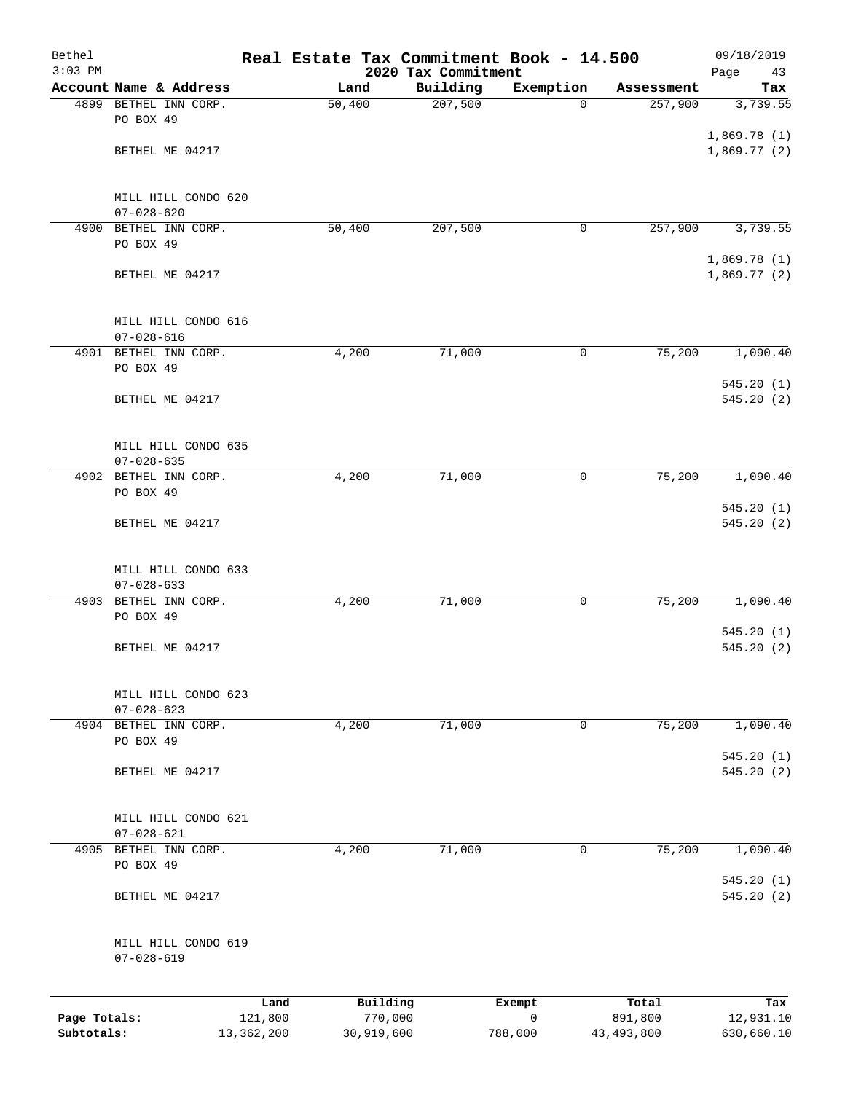| Bethel<br>$3:03$ PM |                                         |              | Real Estate Tax Commitment Book - 14.500 | 2020 Tax Commitment |              |              | 09/18/2019<br>Page<br>43   |
|---------------------|-----------------------------------------|--------------|------------------------------------------|---------------------|--------------|--------------|----------------------------|
|                     | Account Name & Address                  |              | Land                                     | Building            | Exemption    | Assessment   | Tax                        |
|                     | 4899 BETHEL INN CORP.                   |              | 50,400                                   | 207,500             | $\Omega$     | 257,900      | 3,739.55                   |
|                     | PO BOX 49                               |              |                                          |                     |              |              |                            |
|                     |                                         |              |                                          |                     |              |              | 1,869.78(1)                |
|                     | BETHEL ME 04217                         |              |                                          |                     |              |              | 1,869.77(2)                |
|                     | MILL HILL CONDO 620                     |              |                                          |                     |              |              |                            |
|                     | $07 - 028 - 620$                        |              |                                          |                     |              |              |                            |
| 4900                | BETHEL INN CORP.                        |              | 50,400                                   | 207,500             | 0            | 257,900      | 3,739.55                   |
|                     | PO BOX 49                               |              |                                          |                     |              |              |                            |
|                     | BETHEL ME 04217                         |              |                                          |                     |              |              | 1,869.78(1)<br>1,869.77(2) |
|                     | MILL HILL CONDO 616                     |              |                                          |                     |              |              |                            |
|                     | $07 - 028 - 616$                        |              |                                          |                     |              |              |                            |
|                     | 4901 BETHEL INN CORP.                   |              | 4,200                                    | 71,000              | 0            | 75,200       | 1,090.40                   |
|                     | PO BOX 49                               |              |                                          |                     |              |              | 545.20(1)                  |
|                     | BETHEL ME 04217                         |              |                                          |                     |              |              | 545.20(2)                  |
|                     | MILL HILL CONDO 635                     |              |                                          |                     |              |              |                            |
|                     | $07 - 028 - 635$                        |              |                                          |                     |              |              |                            |
|                     | 4902 BETHEL INN CORP.                   |              | 4,200                                    | 71,000              | $\mathsf{O}$ | 75,200       | 1,090.40                   |
|                     | PO BOX 49                               |              |                                          |                     |              |              |                            |
|                     | BETHEL ME 04217                         |              |                                          |                     |              |              | 545.20(1)<br>545.20 (2)    |
|                     | MILL HILL CONDO 633                     |              |                                          |                     |              |              |                            |
|                     | $07 - 028 - 633$                        |              |                                          |                     |              |              |                            |
| 4903                | BETHEL INN CORP.                        |              | 4,200                                    | 71,000              | 0            | 75,200       | 1,090.40                   |
|                     | PO BOX 49                               |              |                                          |                     |              |              |                            |
|                     |                                         |              |                                          |                     |              |              | 545.20(1)<br>545.20(2)     |
|                     | BETHEL ME 04217                         |              |                                          |                     |              |              |                            |
|                     | MILL HILL CONDO 623                     |              |                                          |                     |              |              |                            |
|                     | $07 - 028 - 623$                        |              |                                          |                     |              |              |                            |
|                     | 4904 BETHEL INN CORP.                   |              | 4,200                                    | 71,000              | 0            | 75,200       | 1,090.40                   |
|                     | PO BOX 49                               |              |                                          |                     |              |              | 545.20(1)                  |
|                     | BETHEL ME 04217                         |              |                                          |                     |              |              | 545.20 (2)                 |
|                     |                                         |              |                                          |                     |              |              |                            |
|                     | MILL HILL CONDO 621<br>$07 - 028 - 621$ |              |                                          |                     |              |              |                            |
| 4905                | BETHEL INN CORP.                        |              | 4,200                                    | 71,000              | 0            | 75,200       | 1,090.40                   |
|                     | PO BOX 49                               |              |                                          |                     |              |              |                            |
|                     |                                         |              |                                          |                     |              |              | 545.20(1)                  |
|                     | BETHEL ME 04217                         |              |                                          |                     |              |              | 545.20(2)                  |
|                     | MILL HILL CONDO 619<br>$07 - 028 - 619$ |              |                                          |                     |              |              |                            |
|                     |                                         | Land         | Building                                 |                     | Exempt       | Total        | Tax                        |
| Page Totals:        |                                         | 121,800      | 770,000                                  |                     | $\mathbf 0$  | 891,800      | 12,931.10                  |
| Subtotals:          |                                         | 13, 362, 200 | 30,919,600                               |                     | 788,000      | 43, 493, 800 | 630,660.10                 |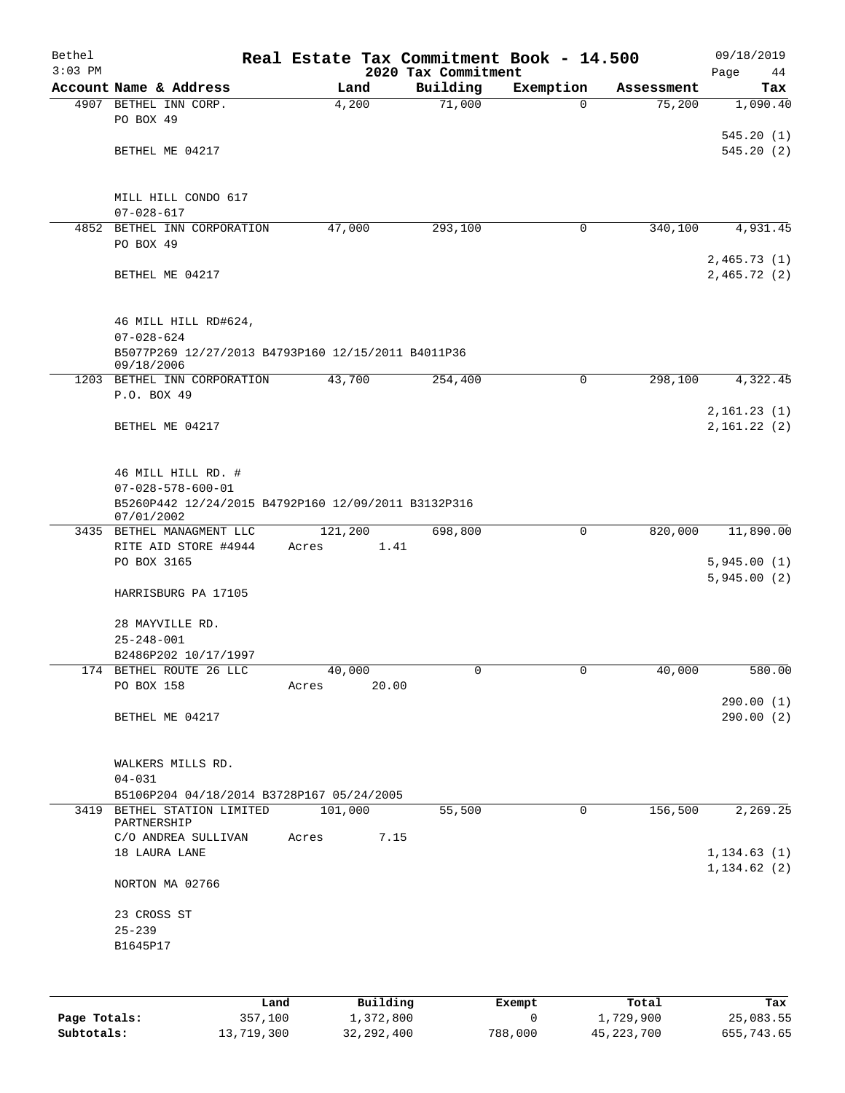| Bethel<br>$3:03$ PM |                                                                                                          | Real Estate Tax Commitment Book - 14.500 | 2020 Tax Commitment |             |            | 09/18/2019<br>Page<br>44   |
|---------------------|----------------------------------------------------------------------------------------------------------|------------------------------------------|---------------------|-------------|------------|----------------------------|
|                     | Account Name & Address                                                                                   | Land                                     | Building            | Exemption   | Assessment | Tax                        |
|                     | 4907 BETHEL INN CORP.<br>PO BOX 49                                                                       | 4,200                                    | 71,000              | $\mathbf 0$ | 75,200     | 1,090.40                   |
|                     | BETHEL ME 04217                                                                                          |                                          |                     |             |            | 545.20(1)<br>545.20(2)     |
|                     |                                                                                                          |                                          |                     |             |            |                            |
|                     | MILL HILL CONDO 617<br>$07 - 028 - 617$                                                                  |                                          |                     |             |            |                            |
|                     | 4852 BETHEL INN CORPORATION<br>PO BOX 49                                                                 | 47,000                                   | 293,100             | 0           | 340,100    | 4,931.45                   |
|                     | BETHEL ME 04217                                                                                          |                                          |                     |             |            | 2,465.73(1)<br>2,465.72(2) |
|                     | 46 MILL HILL RD#624,<br>$07 - 028 - 624$<br>B5077P269 12/27/2013 B4793P160 12/15/2011 B4011P36           |                                          |                     |             |            |                            |
|                     | 09/18/2006                                                                                               |                                          |                     |             |            |                            |
|                     | 1203 BETHEL INN CORPORATION                                                                              | 43,700                                   | 254,400             | 0           | 298,100    | 4,322.45                   |
|                     | P.O. BOX 49                                                                                              |                                          |                     |             |            |                            |
|                     | BETHEL ME 04217                                                                                          |                                          |                     |             |            | 2,161.23(1)<br>2,161.22(2) |
|                     | 46 MILL HILL RD. #<br>$07 - 028 - 578 - 600 - 01$<br>B5260P442 12/24/2015 B4792P160 12/09/2011 B3132P316 |                                          |                     |             |            |                            |
|                     | 07/01/2002<br>3435 BETHEL MANAGMENT LLC                                                                  | 121,200                                  | 698,800             | 0           | 820,000    | 11,890.00                  |
|                     | RITE AID STORE #4944<br>PO BOX 3165                                                                      | 1.41<br>Acres                            |                     |             |            | 5,945.00(1)<br>5,945.00(2) |
|                     | HARRISBURG PA 17105                                                                                      |                                          |                     |             |            |                            |
|                     | 28 MAYVILLE RD.<br>$25 - 248 - 001$                                                                      |                                          |                     |             |            |                            |
|                     | B2486P202 10/17/1997                                                                                     |                                          |                     |             |            |                            |
|                     | 174 BETHEL ROUTE 26 LLC<br>PO BOX 158                                                                    | 40,000<br>20.00<br>Acres                 | 0                   | $\sigma$    | 40,000     | 580.00                     |
|                     | BETHEL ME 04217                                                                                          |                                          |                     |             |            | 290.00(1)<br>290.00(2)     |
|                     | WALKERS MILLS RD.<br>$04 - 031$                                                                          |                                          |                     |             |            |                            |
|                     | B5106P204 04/18/2014 B3728P167 05/24/2005                                                                |                                          |                     |             |            |                            |
|                     | 3419 BETHEL STATION LIMITED                                                                              | 101,000                                  | 55,500              | 0           | 156,500    | 2,269.25                   |
|                     | PARTNERSHIP                                                                                              |                                          |                     |             |            |                            |
|                     | C/O ANDREA SULLIVAN<br>18 LAURA LANE                                                                     | 7.15<br>Acres                            |                     |             |            | 1, 134.63(1)               |
|                     | NORTON MA 02766                                                                                          |                                          |                     |             |            | 1, 134.62(2)               |
|                     | 23 CROSS ST                                                                                              |                                          |                     |             |            |                            |
|                     | $25 - 239$<br>B1645P17                                                                                   |                                          |                     |             |            |                            |
|                     |                                                                                                          |                                          |                     |             |            |                            |
|                     |                                                                                                          |                                          |                     |             |            |                            |

|              | Land       | Building     | Exempt  | Total        | Tax        |
|--------------|------------|--------------|---------|--------------|------------|
| Page Totals: | 357,100    | 1,372,800    |         | 1,729,900    | 25,083.55  |
| Subtotals:   | 13,719,300 | 32, 292, 400 | 788,000 | 45, 223, 700 | 655,743.65 |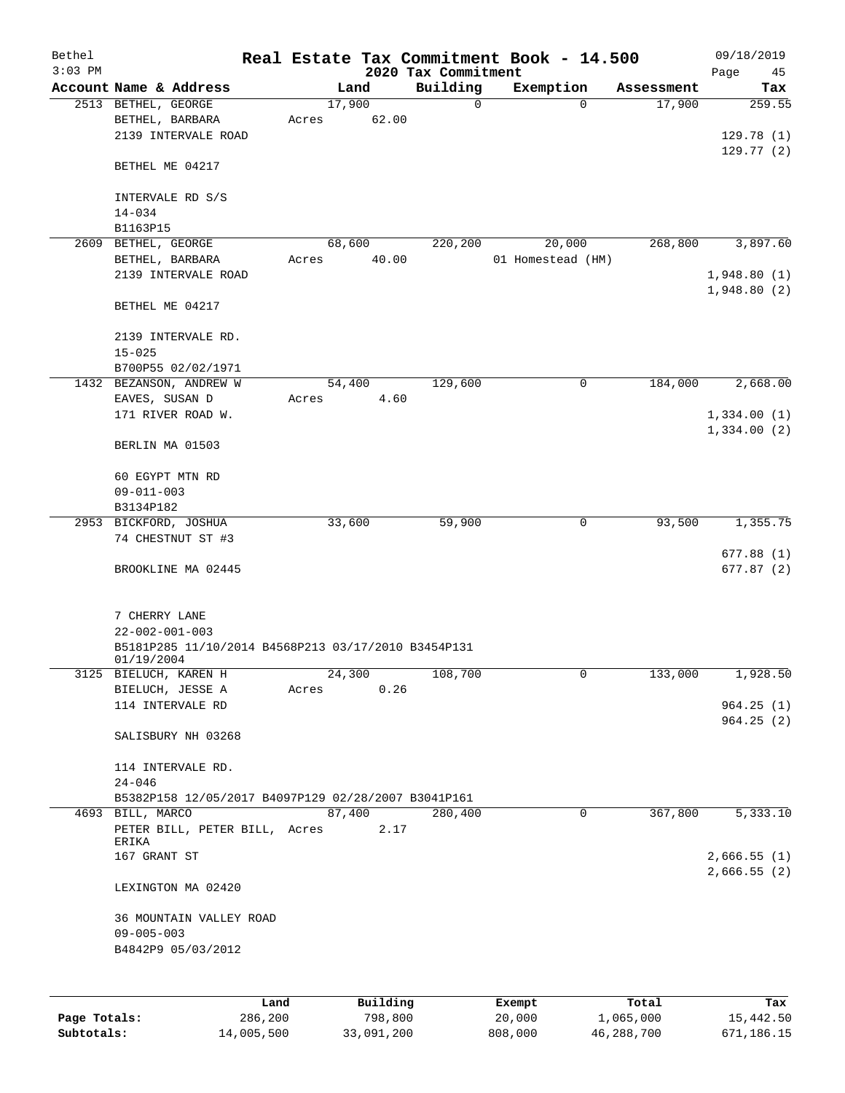| Bethel       |                                                     |       |        |          |                     | Real Estate Tax Commitment Book - 14.500 |             |            | 09/18/2019  |
|--------------|-----------------------------------------------------|-------|--------|----------|---------------------|------------------------------------------|-------------|------------|-------------|
| $3:03$ PM    |                                                     |       |        |          | 2020 Tax Commitment |                                          |             |            | Page<br>45  |
|              | Account Name & Address                              |       | Land   |          | Building            | Exemption                                |             | Assessment | Tax         |
|              | 2513 BETHEL, GEORGE                                 |       | 17,900 |          | 0                   |                                          | $\mathbf 0$ | 17,900     | 259.55      |
|              | BETHEL, BARBARA                                     | Acres |        | 62.00    |                     |                                          |             |            |             |
|              | 2139 INTERVALE ROAD                                 |       |        |          |                     |                                          |             |            | 129.78(1)   |
|              |                                                     |       |        |          |                     |                                          |             |            | 129.77(2)   |
|              | BETHEL ME 04217                                     |       |        |          |                     |                                          |             |            |             |
|              |                                                     |       |        |          |                     |                                          |             |            |             |
|              | INTERVALE RD S/S                                    |       |        |          |                     |                                          |             |            |             |
|              | $14 - 034$                                          |       |        |          |                     |                                          |             |            |             |
|              | B1163P15                                            |       |        |          |                     |                                          |             |            |             |
|              | 2609 BETHEL, GEORGE                                 |       | 68,600 |          | 220,200             | 20,000                                   |             | 268,800    | 3,897.60    |
|              | BETHEL, BARBARA                                     | Acres |        | 40.00    |                     | 01 Homestead (HM)                        |             |            |             |
|              | 2139 INTERVALE ROAD                                 |       |        |          |                     |                                          |             |            | 1,948.80(1) |
|              |                                                     |       |        |          |                     |                                          |             |            | 1,948.80(2) |
|              | BETHEL ME 04217                                     |       |        |          |                     |                                          |             |            |             |
|              |                                                     |       |        |          |                     |                                          |             |            |             |
|              | 2139 INTERVALE RD.                                  |       |        |          |                     |                                          |             |            |             |
|              | $15 - 025$                                          |       |        |          |                     |                                          |             |            |             |
|              | B700P55 02/02/1971                                  |       |        |          |                     |                                          |             |            |             |
|              | 1432 BEZANSON, ANDREW W                             |       | 54,400 |          | 129,600             |                                          | 0           | 184,000    | 2,668.00    |
|              | EAVES, SUSAN D                                      | Acres |        | 4.60     |                     |                                          |             |            |             |
|              | 171 RIVER ROAD W.                                   |       |        |          |                     |                                          |             |            | 1,334.00(1) |
|              |                                                     |       |        |          |                     |                                          |             |            | 1,334.00(2) |
|              | BERLIN MA 01503                                     |       |        |          |                     |                                          |             |            |             |
|              |                                                     |       |        |          |                     |                                          |             |            |             |
|              | 60 EGYPT MTN RD                                     |       |        |          |                     |                                          |             |            |             |
|              | $09 - 011 - 003$                                    |       |        |          |                     |                                          |             |            |             |
|              | B3134P182                                           |       |        |          |                     |                                          |             |            |             |
|              | 2953 BICKFORD, JOSHUA                               |       | 33,600 |          | 59,900              |                                          | 0           | 93,500     | 1,355.75    |
|              | 74 CHESTNUT ST #3                                   |       |        |          |                     |                                          |             |            |             |
|              |                                                     |       |        |          |                     |                                          |             |            | 677.88(1)   |
|              | BROOKLINE MA 02445                                  |       |        |          |                     |                                          |             |            | 677.87(2)   |
|              |                                                     |       |        |          |                     |                                          |             |            |             |
|              | 7 CHERRY LANE                                       |       |        |          |                     |                                          |             |            |             |
|              | $22 - 002 - 001 - 003$                              |       |        |          |                     |                                          |             |            |             |
|              | B5181P285 11/10/2014 B4568P213 03/17/2010 B3454P131 |       |        |          |                     |                                          |             |            |             |
|              | 01/19/2004                                          |       |        |          |                     |                                          |             |            |             |
|              | 3125 BIELUCH, KAREN H                               |       | 24,300 |          | 108,700             |                                          | 0           | 133,000    | 1,928.50    |
|              | BIELUCH, JESSE A                                    | Acres |        | 0.26     |                     |                                          |             |            |             |
|              | 114 INTERVALE RD                                    |       |        |          |                     |                                          |             |            | 964.25(1)   |
|              |                                                     |       |        |          |                     |                                          |             |            | 964.25(2)   |
|              | SALISBURY NH 03268                                  |       |        |          |                     |                                          |             |            |             |
|              |                                                     |       |        |          |                     |                                          |             |            |             |
|              | 114 INTERVALE RD.                                   |       |        |          |                     |                                          |             |            |             |
|              | $24 - 046$                                          |       |        |          |                     |                                          |             |            |             |
|              | B5382P158 12/05/2017 B4097P129 02/28/2007 B3041P161 |       |        |          |                     |                                          |             |            |             |
|              | 4693 BILL, MARCO                                    |       | 87,400 |          | 280,400             |                                          | 0           | 367,800    | 5,333.10    |
|              | PETER BILL, PETER BILL, Acres                       |       |        | 2.17     |                     |                                          |             |            |             |
|              | ERIKA                                               |       |        |          |                     |                                          |             |            |             |
|              | 167 GRANT ST                                        |       |        |          |                     |                                          |             |            | 2,666.55(1) |
|              |                                                     |       |        |          |                     |                                          |             |            | 2,666.55(2) |
|              | LEXINGTON MA 02420                                  |       |        |          |                     |                                          |             |            |             |
|              |                                                     |       |        |          |                     |                                          |             |            |             |
|              | 36 MOUNTAIN VALLEY ROAD                             |       |        |          |                     |                                          |             |            |             |
|              | $09 - 005 - 003$                                    |       |        |          |                     |                                          |             |            |             |
|              | B4842P9 05/03/2012                                  |       |        |          |                     |                                          |             |            |             |
|              |                                                     |       |        |          |                     |                                          |             |            |             |
|              |                                                     |       |        |          |                     |                                          |             |            |             |
|              | Land                                                |       |        | Building |                     | Exempt                                   |             | Total      | Tax         |
| Page Totals: | 286,200                                             |       |        | 798,800  |                     | 20,000                                   |             | 1,065,000  | 15,442.50   |

**Subtotals:** 14,005,500 33,091,200 808,000 46,288,700 671,186.15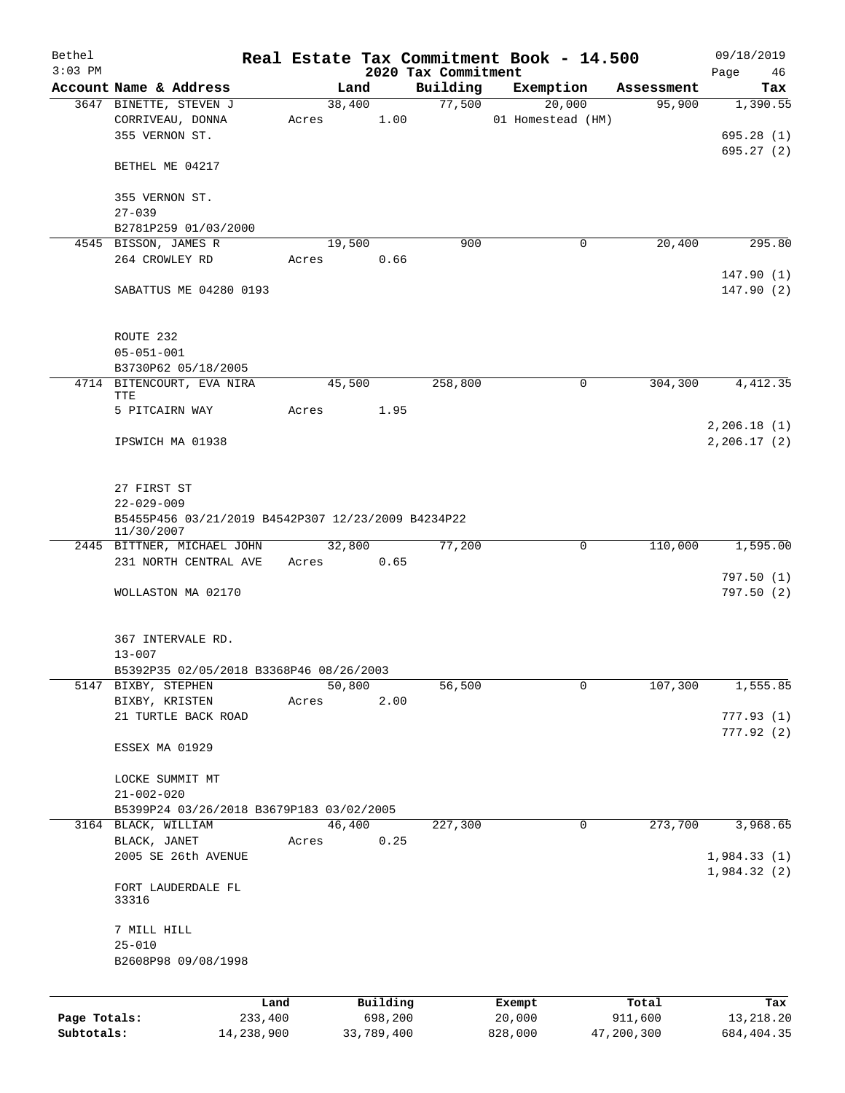| Bethel       |                                                                  |            |                |                      |                     | Real Estate Tax Commitment Book - 14.500 |                      | 09/18/2019                   |
|--------------|------------------------------------------------------------------|------------|----------------|----------------------|---------------------|------------------------------------------|----------------------|------------------------------|
| $3:03$ PM    |                                                                  |            |                |                      | 2020 Tax Commitment |                                          |                      | Page<br>46                   |
|              | Account Name & Address<br>3647 BINETTE, STEVEN J                 |            | Land<br>38,400 |                      | Building<br>77,500  | Exemption<br>20,000                      | Assessment<br>95,900 | Tax<br>1,390.55              |
|              | CORRIVEAU, DONNA<br>355 VERNON ST.                               |            |                | Acres 1.00           |                     | 01 Homestead (HM)                        |                      | 695.28(1)                    |
|              | BETHEL ME 04217                                                  |            |                |                      |                     |                                          |                      | 695.27(2)                    |
|              | 355 VERNON ST.<br>$27 - 039$                                     |            |                |                      |                     |                                          |                      |                              |
|              | B2781P259 01/03/2000                                             |            |                |                      |                     |                                          |                      |                              |
|              | 4545 BISSON, JAMES R                                             |            | 19,500         |                      | 900                 | $\mathbf 0$                              | 20,400               | 295.80                       |
|              | 264 CROWLEY RD                                                   |            | Acres          | 0.66                 |                     |                                          |                      |                              |
|              | SABATTUS ME 04280 0193                                           |            |                |                      |                     |                                          |                      | 147.90(1)<br>147.90(2)       |
|              | ROUTE 232<br>$05 - 051 - 001$                                    |            |                |                      |                     |                                          |                      |                              |
|              | B3730P62 05/18/2005                                              |            |                |                      |                     |                                          |                      |                              |
|              | 4714 BITENCOURT, EVA NIRA<br>TTE                                 |            | 45,500         |                      | 258,800             | 0                                        | 304,300              | 4,412.35                     |
|              | 5 PITCAIRN WAY                                                   | Acres      |                | 1.95                 |                     |                                          |                      |                              |
|              | IPSWICH MA 01938                                                 |            |                |                      |                     |                                          |                      | 2, 206.18(1)<br>2, 206.17(2) |
|              | 27 FIRST ST<br>$22 - 029 - 009$                                  |            |                |                      |                     |                                          |                      |                              |
|              | B5455P456 03/21/2019 B4542P307 12/23/2009 B4234P22<br>11/30/2007 |            |                |                      |                     |                                          |                      |                              |
|              | 2445 BITTNER, MICHAEL JOHN<br>231 NORTH CENTRAL AVE              |            |                | 32,800<br>Acres 0.65 | 77,200              | 0                                        | 110,000              | 1,595.00                     |
|              |                                                                  |            |                |                      |                     |                                          |                      | 797.50(1)                    |
|              | WOLLASTON MA 02170                                               |            |                |                      |                     |                                          |                      | 797.50(2)                    |
|              | 367 INTERVALE RD.<br>$13 - 007$                                  |            |                |                      |                     |                                          |                      |                              |
|              | B5392P35 02/05/2018 B3368P46 08/26/2003                          |            |                |                      |                     |                                          |                      |                              |
|              | 5147 BIXBY, STEPHEN                                              |            | 50,800         |                      | 56,500              | 0                                        | 107,300              | 1,555.85                     |
|              | BIXBY, KRISTEN<br>21 TURTLE BACK ROAD                            | Acres      |                | 2.00                 |                     |                                          |                      | 777.93(1)                    |
|              | ESSEX MA 01929                                                   |            |                |                      |                     |                                          |                      | 777.92(2)                    |
|              | LOCKE SUMMIT MT                                                  |            |                |                      |                     |                                          |                      |                              |
|              | $21 - 002 - 020$                                                 |            |                |                      |                     |                                          |                      |                              |
|              | B5399P24 03/26/2018 B3679P183 03/02/2005                         |            |                |                      |                     |                                          |                      |                              |
|              | 3164 BLACK, WILLIAM                                              |            | 46,400         |                      | 227,300             | $\mathbf 0$                              | 273,700              | 3,968.65                     |
|              | BLACK, JANET                                                     | Acres      |                | 0.25                 |                     |                                          |                      |                              |
|              | 2005 SE 26th AVENUE                                              |            |                |                      |                     |                                          |                      | 1,984.33(1)<br>1,984.32(2)   |
|              | FORT LAUDERDALE FL<br>33316                                      |            |                |                      |                     |                                          |                      |                              |
|              | 7 MILL HILL<br>$25 - 010$<br>B2608P98 09/08/1998                 |            |                |                      |                     |                                          |                      |                              |
|              |                                                                  | Land       |                | Building             |                     | Exempt                                   | Total                | Tax                          |
| Page Totals: |                                                                  | 233,400    |                | 698,200              |                     | 20,000                                   | 911,600              | 13,218.20                    |
| Subtotals:   |                                                                  | 14,238,900 |                | 33,789,400           |                     | 828,000                                  | 47,200,300           | 684,404.35                   |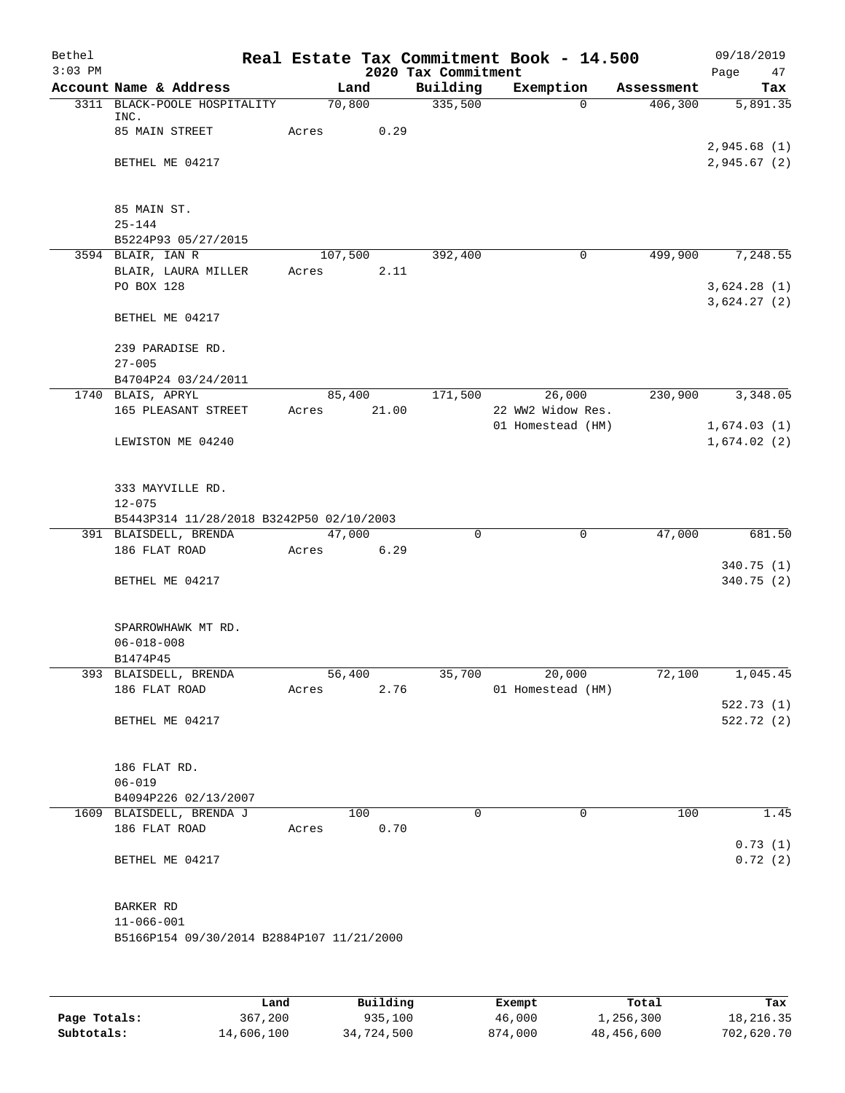| Bethel    |                                           |       |         |                     | Real Estate Tax Commitment Book - 14.500 |            | 09/18/2019                 |
|-----------|-------------------------------------------|-------|---------|---------------------|------------------------------------------|------------|----------------------------|
| $3:03$ PM |                                           |       |         | 2020 Tax Commitment |                                          |            | 47<br>Page                 |
|           | Account Name & Address                    |       | Land    | Building            | Exemption                                | Assessment | Tax                        |
|           | 3311 BLACK-POOLE HOSPITALITY<br>INC.      |       | 70,800  | 335,500             | $\Omega$                                 | 406,300    | 5,891.35                   |
|           | 85 MAIN STREET                            | Acres | 0.29    |                     |                                          |            | 2,945.68(1)                |
|           | BETHEL ME 04217                           |       |         |                     |                                          |            | 2,945.67(2)                |
|           | 85 MAIN ST.                               |       |         |                     |                                          |            |                            |
|           | $25 - 144$                                |       |         |                     |                                          |            |                            |
|           | B5224P93 05/27/2015<br>3594 BLAIR, IAN R  |       | 107,500 | 392,400             | $\mathbf 0$                              | 499,900    | 7,248.55                   |
|           | BLAIR, LAURA MILLER<br>PO BOX 128         | Acres | 2.11    |                     |                                          |            | 3,624.28(1)<br>3,624.27(2) |
|           | BETHEL ME 04217                           |       |         |                     |                                          |            |                            |
|           | 239 PARADISE RD.<br>$27 - 005$            |       |         |                     |                                          |            |                            |
|           | B4704P24 03/24/2011                       |       |         |                     |                                          |            |                            |
|           | 1740 BLAIS, APRYL                         |       | 85,400  | 171,500             | 26,000                                   | 230,900    | 3,348.05                   |
|           | 165 PLEASANT STREET                       | Acres | 21.00   |                     | 22 WW2 Widow Res.                        |            |                            |
|           | LEWISTON ME 04240                         |       |         |                     | 01 Homestead (HM)                        |            | 1,674.03(1)<br>1,674.02(2) |
|           | 333 MAYVILLE RD.<br>$12 - 075$            |       |         |                     |                                          |            |                            |
|           | B5443P314 11/28/2018 B3242P50 02/10/2003  |       |         |                     |                                          |            |                            |
|           | 391 BLAISDELL, BRENDA                     |       | 47,000  | $\mathbf 0$         | $\mathbf 0$                              | 47,000     | 681.50                     |
|           | 186 FLAT ROAD                             | Acres | 6.29    |                     |                                          |            |                            |
|           |                                           |       |         |                     |                                          |            | 340.75(1)                  |
|           | BETHEL ME 04217                           |       |         |                     |                                          |            | 340.75(2)                  |
|           | SPARROWHAWK MT RD.                        |       |         |                     |                                          |            |                            |
|           | $06 - 018 - 008$<br>B1474P45              |       |         |                     |                                          |            |                            |
|           | 393 BLAISDELL, BRENDA                     |       | 56, 400 | 35,700              | 20,000                                   | 72,100     | 1,045.45                   |
|           | 186 FLAT ROAD                             | Acres | 2.76    |                     | 01 Homestead (HM)                        |            |                            |
|           |                                           |       |         |                     |                                          |            | 522.73(1)                  |
|           | BETHEL ME 04217                           |       |         |                     |                                          |            | 522.72(2)                  |
|           | 186 FLAT RD.                              |       |         |                     |                                          |            |                            |
|           | $06 - 019$                                |       |         |                     |                                          |            |                            |
|           | B4094P226 02/13/2007                      |       |         |                     |                                          |            |                            |
|           | 1609 BLAISDELL, BRENDA J                  |       | 100     | $\Omega$            | 0                                        | 100        | 1.45                       |
|           | 186 FLAT ROAD                             | Acres | 0.70    |                     |                                          |            |                            |
|           | BETHEL ME 04217                           |       |         |                     |                                          |            | 0.73(1)<br>0.72(2)         |
|           | BARKER RD                                 |       |         |                     |                                          |            |                            |
|           | $11 - 066 - 001$                          |       |         |                     |                                          |            |                            |
|           | B5166P154 09/30/2014 B2884P107 11/21/2000 |       |         |                     |                                          |            |                            |
|           |                                           |       |         |                     |                                          |            |                            |

|              | Land       | Building   | Exempt  | Total      | Tax        |
|--------------|------------|------------|---------|------------|------------|
| Page Totals: | 367,200    | 935,100    | 46,000  | 1,256,300  | 18,216.35  |
| Subtotals:   | 14,606,100 | 34,724,500 | 874,000 | 48,456,600 | 702,620.70 |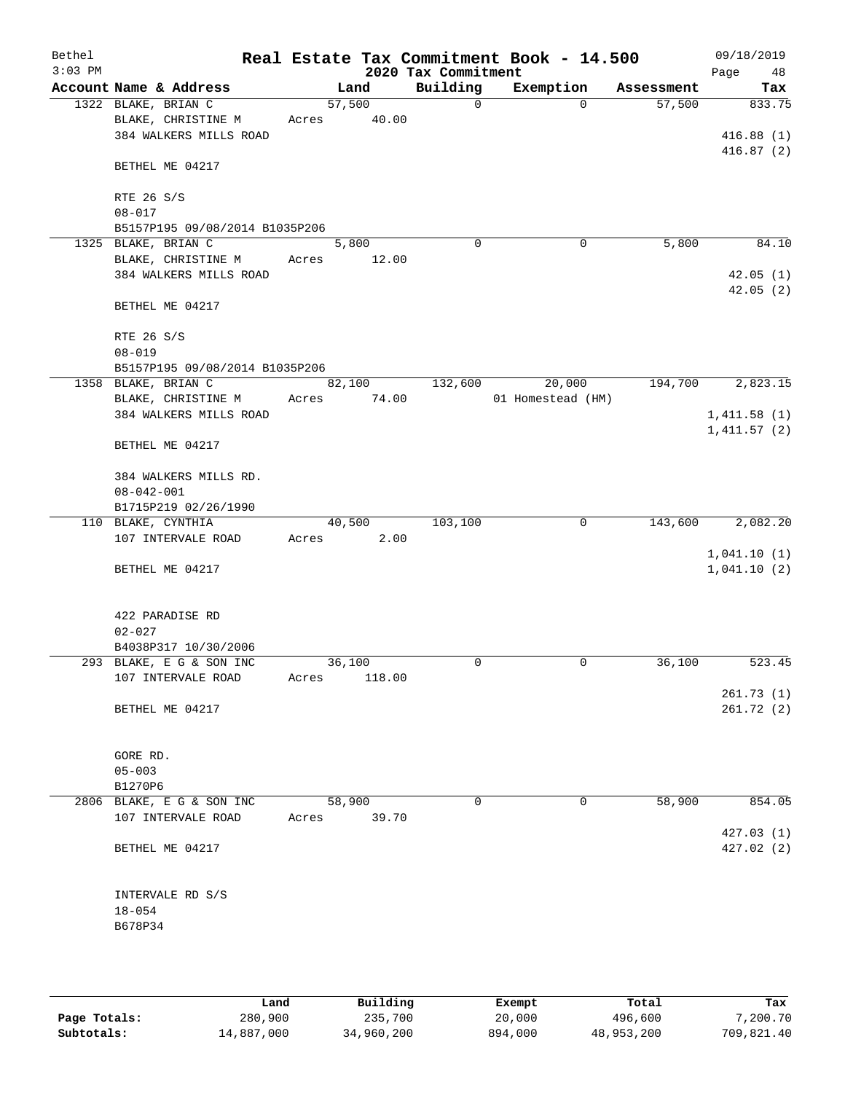| Bethel<br>$3:03$ PM |                                |       |        |        | 2020 Tax Commitment | Real Estate Tax Commitment Book - 14.500 |            | 09/18/2019<br>Page<br>48 |
|---------------------|--------------------------------|-------|--------|--------|---------------------|------------------------------------------|------------|--------------------------|
|                     | Account Name & Address         |       | Land   |        | Building            | Exemption                                | Assessment | Tax                      |
|                     | 1322 BLAKE, BRIAN C            |       | 57,500 |        | $\mathbf 0$         | $\Omega$                                 | 57,500     | 833.75                   |
|                     | BLAKE, CHRISTINE M             | Acres |        | 40.00  |                     |                                          |            |                          |
|                     | 384 WALKERS MILLS ROAD         |       |        |        |                     |                                          |            | 416.88(1)                |
|                     |                                |       |        |        |                     |                                          |            | 416.87(2)                |
|                     | BETHEL ME 04217                |       |        |        |                     |                                          |            |                          |
|                     |                                |       |        |        |                     |                                          |            |                          |
|                     | RTE 26 S/S                     |       |        |        |                     |                                          |            |                          |
|                     | $08 - 017$                     |       |        |        |                     |                                          |            |                          |
|                     | B5157P195 09/08/2014 B1035P206 |       |        |        |                     |                                          |            |                          |
|                     | 1325 BLAKE, BRIAN C            |       | 5,800  |        | $\Omega$            | 0                                        | 5,800      | 84.10                    |
|                     | BLAKE, CHRISTINE M             | Acres |        | 12.00  |                     |                                          |            |                          |
|                     | 384 WALKERS MILLS ROAD         |       |        |        |                     |                                          |            | 42.05(1)                 |
|                     |                                |       |        |        |                     |                                          |            | 42.05(2)                 |
|                     | BETHEL ME 04217                |       |        |        |                     |                                          |            |                          |
|                     |                                |       |        |        |                     |                                          |            |                          |
|                     | RTE 26 S/S                     |       |        |        |                     |                                          |            |                          |
|                     | $08 - 019$                     |       |        |        |                     |                                          |            |                          |
|                     | B5157P195 09/08/2014 B1035P206 |       |        |        |                     |                                          |            |                          |
|                     | 1358 BLAKE, BRIAN C            |       | 82,100 |        | 132,600             | 20,000                                   | 194,700    | 2,823.15                 |
|                     | BLAKE, CHRISTINE M             | Acres |        | 74.00  |                     | 01 Homestead (HM)                        |            |                          |
|                     | 384 WALKERS MILLS ROAD         |       |        |        |                     |                                          |            | 1,411.58(1)              |
|                     |                                |       |        |        |                     |                                          |            | 1,411.57(2)              |
|                     | BETHEL ME 04217                |       |        |        |                     |                                          |            |                          |
|                     |                                |       |        |        |                     |                                          |            |                          |
|                     | 384 WALKERS MILLS RD.          |       |        |        |                     |                                          |            |                          |
|                     | $08 - 042 - 001$               |       |        |        |                     |                                          |            |                          |
|                     | B1715P219 02/26/1990           |       |        |        |                     |                                          |            |                          |
|                     | 110 BLAKE, CYNTHIA             |       | 40,500 |        | 103,100             | 0                                        | 143,600    | 2,082.20                 |
|                     | 107 INTERVALE ROAD             | Acres |        | 2.00   |                     |                                          |            |                          |
|                     |                                |       |        |        |                     |                                          |            | 1,041.10(1)              |
|                     | BETHEL ME 04217                |       |        |        |                     |                                          |            | 1,041.10(2)              |
|                     |                                |       |        |        |                     |                                          |            |                          |
|                     |                                |       |        |        |                     |                                          |            |                          |
|                     | 422 PARADISE RD                |       |        |        |                     |                                          |            |                          |
|                     | $02 - 027$                     |       |        |        |                     |                                          |            |                          |
|                     | B4038P317 10/30/2006           |       |        |        |                     |                                          |            |                          |
|                     | 293 BLAKE, E G & SON INC       |       | 36,100 |        | 0                   | 0                                        | 36,100     | 523.45                   |
|                     | 107 INTERVALE ROAD             | Acres |        | 118.00 |                     |                                          |            |                          |
|                     |                                |       |        |        |                     |                                          |            | 261.73(1)                |
|                     | BETHEL ME 04217                |       |        |        |                     |                                          |            | 261.72(2)                |
|                     |                                |       |        |        |                     |                                          |            |                          |
|                     |                                |       |        |        |                     |                                          |            |                          |
|                     | GORE RD.                       |       |        |        |                     |                                          |            |                          |
|                     | $05 - 003$                     |       |        |        |                     |                                          |            |                          |
|                     | B1270P6                        |       |        |        |                     |                                          |            |                          |
|                     | 2806 BLAKE, E G & SON INC      |       | 58,900 |        | 0                   | 0                                        | 58,900     | 854.05                   |
|                     | 107 INTERVALE ROAD             | Acres |        | 39.70  |                     |                                          |            |                          |
|                     |                                |       |        |        |                     |                                          |            | 427.03(1)                |
|                     | BETHEL ME 04217                |       |        |        |                     |                                          |            | 427.02(2)                |
|                     |                                |       |        |        |                     |                                          |            |                          |
|                     |                                |       |        |        |                     |                                          |            |                          |
|                     | INTERVALE RD S/S               |       |        |        |                     |                                          |            |                          |
|                     | $18 - 054$                     |       |        |        |                     |                                          |            |                          |
|                     | B678P34                        |       |        |        |                     |                                          |            |                          |
|                     |                                |       |        |        |                     |                                          |            |                          |
|                     |                                |       |        |        |                     |                                          |            |                          |
|                     |                                |       |        |        |                     |                                          |            |                          |

|              | Land       | Building   | Exempt  | Total      | Tax        |
|--------------|------------|------------|---------|------------|------------|
| Page Totals: | 280,900    | 235,700    | 20,000  | 496,600    | 7,200.70   |
| Subtotals:   | 14,887,000 | 34,960,200 | 894,000 | 48,953,200 | 709,821.40 |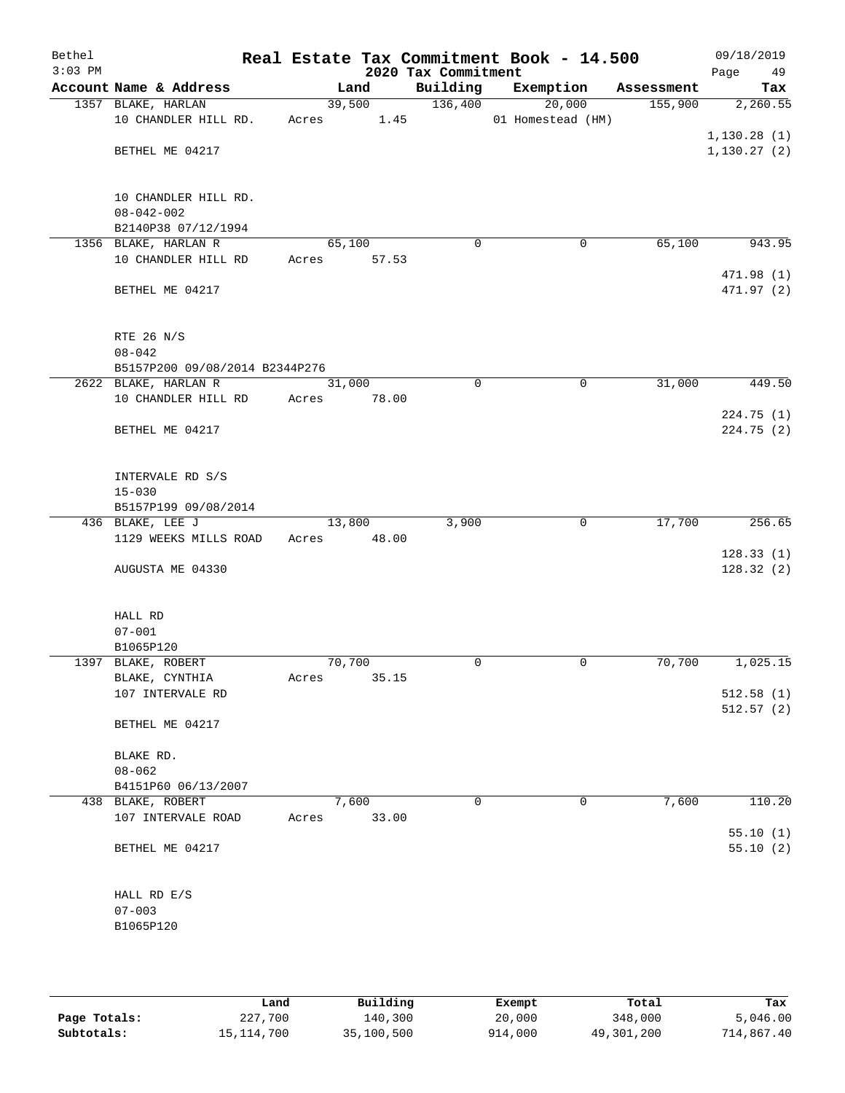| Bethel<br>$3:03$ PM |                                             |        |        | 2020 Tax Commitment | Real Estate Tax Commitment Book - 14.500 |            | 09/18/2019<br>Page<br>49 |
|---------------------|---------------------------------------------|--------|--------|---------------------|------------------------------------------|------------|--------------------------|
|                     | Account Name & Address                      |        | Land   | Building            | Exemption                                | Assessment | Tax                      |
|                     | 1357 BLAKE, HARLAN                          |        | 39,500 | 136,400             | 20,000                                   | 155,900    | 2,260.55                 |
|                     | 10 CHANDLER HILL RD.                        | Acres  | 1.45   |                     | 01 Homestead (HM)                        |            |                          |
|                     |                                             |        |        |                     |                                          |            | 1,130.28(1)              |
|                     | BETHEL ME 04217                             |        |        |                     |                                          |            | 1, 130.27(2)             |
|                     |                                             |        |        |                     |                                          |            |                          |
|                     | 10 CHANDLER HILL RD.                        |        |        |                     |                                          |            |                          |
|                     | $08 - 042 - 002$                            |        |        |                     |                                          |            |                          |
|                     | B2140P38 07/12/1994<br>1356 BLAKE, HARLAN R | 65,100 |        | $\mathbf 0$         | $\mathbf 0$                              | 65,100     | 943.95                   |
|                     | 10 CHANDLER HILL RD                         | Acres  | 57.53  |                     |                                          |            |                          |
|                     |                                             |        |        |                     |                                          |            | 471.98 (1)               |
|                     | BETHEL ME 04217                             |        |        |                     |                                          |            | 471.97 (2)               |
|                     | RTE 26 N/S                                  |        |        |                     |                                          |            |                          |
|                     | $08 - 042$                                  |        |        |                     |                                          |            |                          |
|                     | B5157P200 09/08/2014 B2344P276              |        |        |                     |                                          |            |                          |
|                     | 2622 BLAKE, HARLAN R                        | 31,000 |        | 0                   | 0                                        | 31,000     | 449.50                   |
|                     | 10 CHANDLER HILL RD                         | Acres  | 78.00  |                     |                                          |            |                          |
|                     |                                             |        |        |                     |                                          |            | 224.75 (1)               |
|                     | BETHEL ME 04217                             |        |        |                     |                                          |            | 224.75(2)                |
|                     | INTERVALE RD S/S                            |        |        |                     |                                          |            |                          |
|                     | $15 - 030$                                  |        |        |                     |                                          |            |                          |
|                     | B5157P199 09/08/2014                        |        |        |                     |                                          |            |                          |
|                     | 436 BLAKE, LEE J                            | 13,800 |        | 3,900               | $\mathsf{O}$                             | 17,700     | 256.65                   |
|                     | 1129 WEEKS MILLS ROAD                       | Acres  | 48.00  |                     |                                          |            |                          |
|                     |                                             |        |        |                     |                                          |            | 128.33(1)                |
|                     | AUGUSTA ME 04330                            |        |        |                     |                                          |            | 128.32(2)                |
|                     | HALL RD                                     |        |        |                     |                                          |            |                          |
|                     | $07 - 001$                                  |        |        |                     |                                          |            |                          |
|                     | B1065P120                                   |        |        |                     |                                          |            |                          |
|                     | 1397 BLAKE, ROBERT                          | 70,700 |        | 0                   | 0                                        | 70,700     | 1,025.15                 |
|                     | BLAKE, CYNTHIA                              | Acres  | 35.15  |                     |                                          |            |                          |
|                     | 107 INTERVALE RD                            |        |        |                     |                                          |            | 512.58(1)                |
|                     | BETHEL ME 04217                             |        |        |                     |                                          |            | 512.57(2)                |
|                     | BLAKE RD.                                   |        |        |                     |                                          |            |                          |
|                     | $08 - 062$                                  |        |        |                     |                                          |            |                          |
|                     | B4151P60 06/13/2007                         |        |        |                     |                                          |            |                          |
|                     | 438 BLAKE, ROBERT                           |        | 7,600  | 0                   | $\mathbf 0$                              | 7,600      | 110.20                   |
|                     | 107 INTERVALE ROAD                          | Acres  | 33.00  |                     |                                          |            |                          |
|                     | BETHEL ME 04217                             |        |        |                     |                                          |            | 55.10(1)<br>55.10(2)     |
|                     | HALL RD E/S                                 |        |        |                     |                                          |            |                          |
|                     | $07 - 003$                                  |        |        |                     |                                          |            |                          |
|                     | B1065P120                                   |        |        |                     |                                          |            |                          |
|                     |                                             |        |        |                     |                                          |            |                          |
|                     |                                             |        |        |                     |                                          |            |                          |

|              | Land       | Building   | Exempt  | Total      | Tax        |
|--------------|------------|------------|---------|------------|------------|
| Page Totals: | 227,700    | 140,300    | 20,000  | 348,000    | 5,046.00   |
| Subtotals:   | 15,114,700 | 35,100,500 | 914,000 | 49,301,200 | 714,867.40 |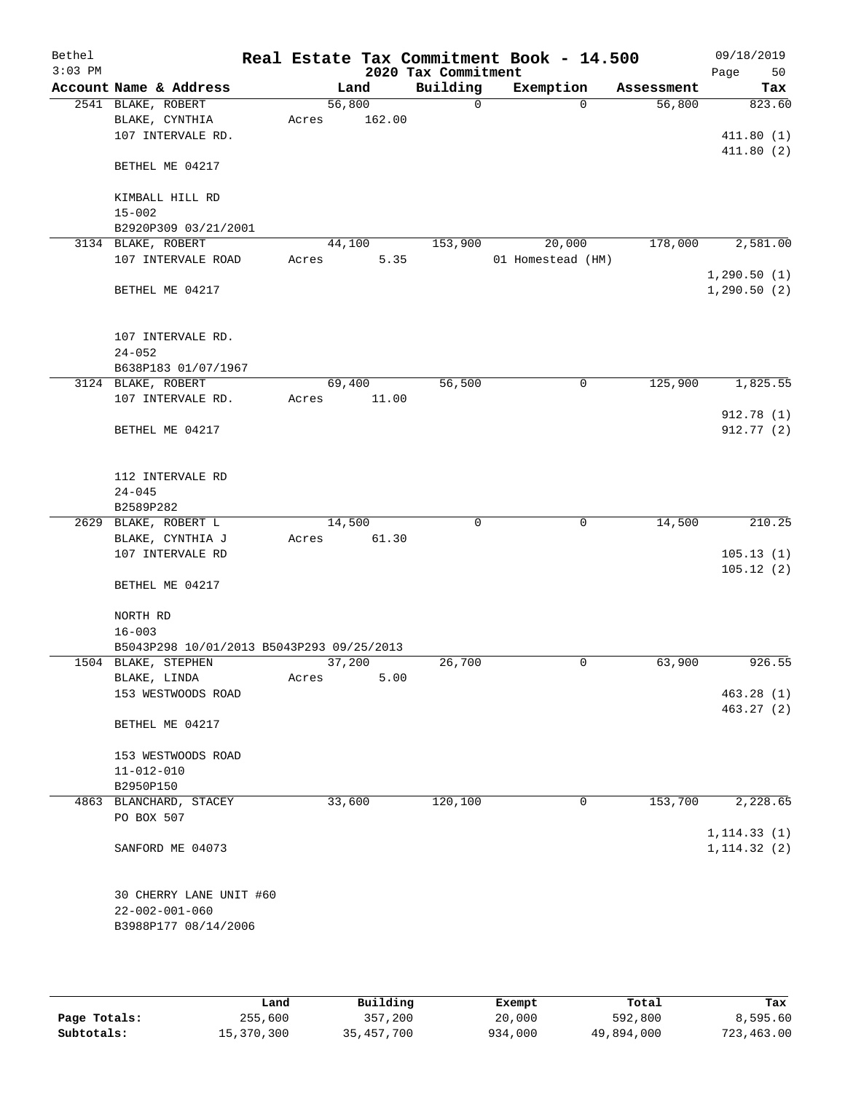| Bethel<br>$3:03$ PM |                                                         |       |        |        | 2020 Tax Commitment | Real Estate Tax Commitment Book - 14.500 |            | 09/18/2019<br>Page<br>50     |
|---------------------|---------------------------------------------------------|-------|--------|--------|---------------------|------------------------------------------|------------|------------------------------|
|                     | Account Name & Address                                  |       | Land   |        | Building            | Exemption                                | Assessment | Tax                          |
|                     | 2541 BLAKE, ROBERT                                      |       | 56,800 |        | 0                   | $\Omega$                                 | 56,800     | 823.60                       |
|                     | BLAKE, CYNTHIA                                          | Acres |        | 162.00 |                     |                                          |            |                              |
|                     | 107 INTERVALE RD.                                       |       |        |        |                     |                                          |            | 411.80(1)                    |
|                     | BETHEL ME 04217                                         |       |        |        |                     |                                          |            | 411.80(2)                    |
|                     | KIMBALL HILL RD                                         |       |        |        |                     |                                          |            |                              |
|                     | $15 - 002$                                              |       |        |        |                     |                                          |            |                              |
|                     | B2920P309 03/21/2001                                    |       |        |        |                     |                                          |            |                              |
|                     | 3134 BLAKE, ROBERT                                      |       | 44,100 |        | 153,900             | 20,000                                   | 178,000    | 2,581.00                     |
|                     | 107 INTERVALE ROAD                                      | Acres |        | 5.35   |                     | 01 Homestead (HM)                        |            |                              |
|                     | BETHEL ME 04217                                         |       |        |        |                     |                                          |            | 1,290.50(1)<br>1, 290.50(2)  |
|                     | 107 INTERVALE RD.                                       |       |        |        |                     |                                          |            |                              |
|                     | $24 - 052$<br>B638P183 01/07/1967                       |       |        |        |                     |                                          |            |                              |
|                     | 3124 BLAKE, ROBERT                                      |       | 69,400 |        | 56,500              | 0                                        | 125,900    | 1,825.55                     |
|                     | 107 INTERVALE RD.                                       | Acres |        | 11.00  |                     |                                          |            |                              |
|                     |                                                         |       |        |        |                     |                                          |            | 912.78 (1)                   |
|                     | BETHEL ME 04217                                         |       |        |        |                     |                                          |            | 912.77 (2)                   |
|                     | 112 INTERVALE RD<br>$24 - 045$                          |       |        |        |                     |                                          |            |                              |
|                     | B2589P282                                               |       |        |        |                     |                                          |            |                              |
|                     | 2629 BLAKE, ROBERT L                                    |       | 14,500 |        | $\mathbf 0$         | 0                                        | 14,500     | 210.25                       |
|                     | BLAKE, CYNTHIA J                                        | Acres |        | 61.30  |                     |                                          |            |                              |
|                     | 107 INTERVALE RD                                        |       |        |        |                     |                                          |            | 105.13(1)                    |
|                     | BETHEL ME 04217                                         |       |        |        |                     |                                          |            | 105.12(2)                    |
|                     | NORTH RD                                                |       |        |        |                     |                                          |            |                              |
|                     | $16 - 003$<br>B5043P298 10/01/2013 B5043P293 09/25/2013 |       |        |        |                     |                                          |            |                              |
|                     | 1504 BLAKE, STEPHEN                                     |       | 37,200 |        | 26,700              | $\mathbf 0$                              | 63,900     | 926.55                       |
|                     | BLAKE, LINDA                                            | Acres |        | 5.00   |                     |                                          |            |                              |
|                     | 153 WESTWOODS ROAD                                      |       |        |        |                     |                                          |            | 463.28(1)                    |
|                     | BETHEL ME 04217                                         |       |        |        |                     |                                          |            | 463.27 (2)                   |
|                     |                                                         |       |        |        |                     |                                          |            |                              |
|                     | 153 WESTWOODS ROAD                                      |       |        |        |                     |                                          |            |                              |
|                     | $11 - 012 - 010$                                        |       |        |        |                     |                                          |            |                              |
|                     | B2950P150                                               |       |        |        |                     |                                          |            |                              |
|                     | 4863 BLANCHARD, STACEY                                  |       | 33,600 |        | 120,100             | 0                                        | 153,700    | 2,228.65                     |
|                     | PO BOX 507                                              |       |        |        |                     |                                          |            |                              |
|                     | SANFORD ME 04073                                        |       |        |        |                     |                                          |            | 1, 114.33(1)<br>1, 114.32(2) |
|                     |                                                         |       |        |        |                     |                                          |            |                              |
|                     | 30 CHERRY LANE UNIT #60                                 |       |        |        |                     |                                          |            |                              |
|                     | $22 - 002 - 001 - 060$<br>B3988P177 08/14/2006          |       |        |        |                     |                                          |            |                              |
|                     |                                                         |       |        |        |                     |                                          |            |                              |
|                     |                                                         |       |        |        |                     |                                          |            |                              |

|              | Land       | Building   | Exempt  | Total      | Tax        |
|--------------|------------|------------|---------|------------|------------|
| Page Totals: | 255,600    | 357,200    | 20,000  | 592,800    | 8,595.60   |
| Subtotals:   | 15,370,300 | 35,457,700 | 934,000 | 49,894,000 | 723,463.00 |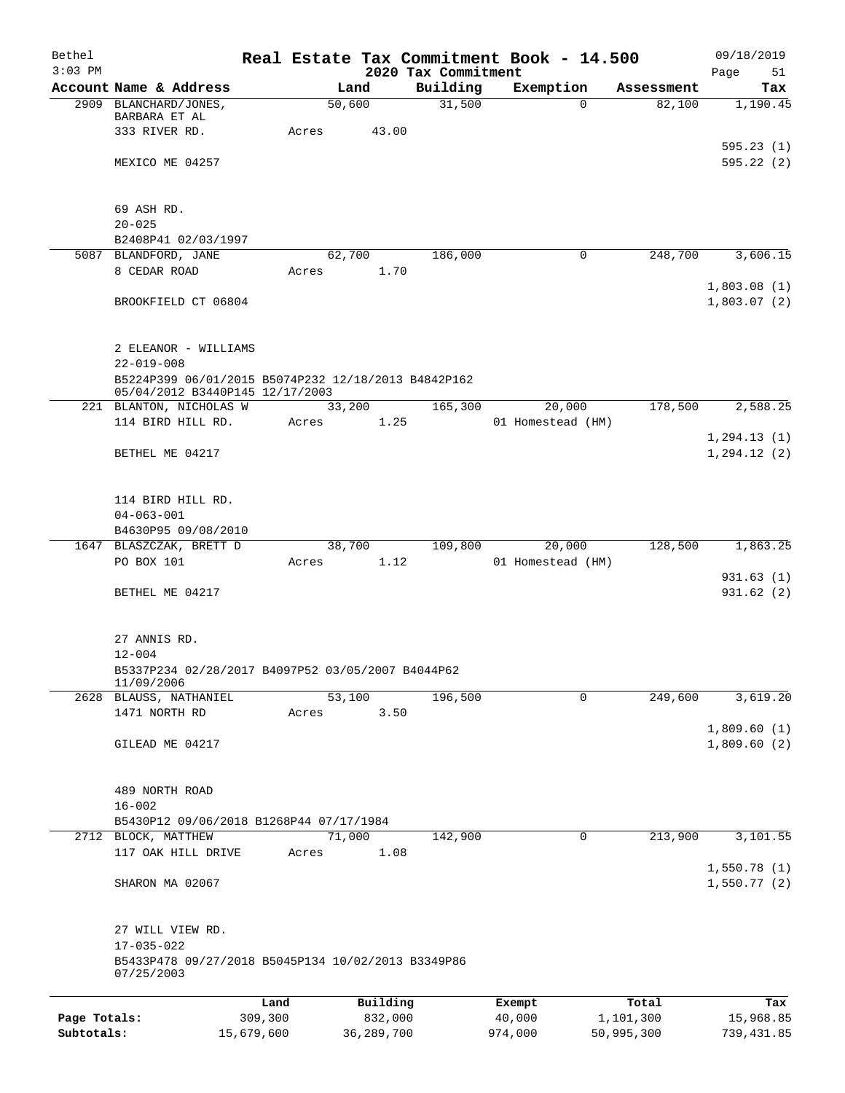| Bethel<br>$3:03$ PM |                                                                                        |            |       |                |                                 | Real Estate Tax Commitment Book - 14.500 |          |            | 09/18/2019             |
|---------------------|----------------------------------------------------------------------------------------|------------|-------|----------------|---------------------------------|------------------------------------------|----------|------------|------------------------|
|                     | Account Name & Address                                                                 |            |       | Land           | 2020 Tax Commitment<br>Building | Exemption                                |          | Assessment | Page<br>51<br>Tax      |
|                     | 2909 BLANCHARD/JONES,                                                                  |            |       | 50,600         | 31,500                          |                                          | $\Omega$ | 82,100     | 1,190.45               |
|                     | BARBARA ET AL                                                                          |            |       |                |                                 |                                          |          |            |                        |
|                     | 333 RIVER RD.                                                                          |            | Acres | 43.00          |                                 |                                          |          |            |                        |
|                     | MEXICO ME 04257                                                                        |            |       |                |                                 |                                          |          |            | 595.23(1)<br>595.22(2) |
|                     |                                                                                        |            |       |                |                                 |                                          |          |            |                        |
|                     |                                                                                        |            |       |                |                                 |                                          |          |            |                        |
|                     | 69 ASH RD.<br>$20 - 025$                                                               |            |       |                |                                 |                                          |          |            |                        |
|                     | B2408P41 02/03/1997                                                                    |            |       |                |                                 |                                          |          |            |                        |
|                     | 5087 BLANDFORD, JANE                                                                   |            |       | 62,700         | 186,000                         |                                          | 0        | 248,700    | 3,606.15               |
|                     | 8 CEDAR ROAD                                                                           |            | Acres | 1.70           |                                 |                                          |          |            |                        |
|                     |                                                                                        |            |       |                |                                 |                                          |          |            | 1,803.08(1)            |
|                     | BROOKFIELD CT 06804                                                                    |            |       |                |                                 |                                          |          |            | 1,803.07(2)            |
|                     |                                                                                        |            |       |                |                                 |                                          |          |            |                        |
|                     | 2 ELEANOR - WILLIAMS                                                                   |            |       |                |                                 |                                          |          |            |                        |
|                     | $22 - 019 - 008$                                                                       |            |       |                |                                 |                                          |          |            |                        |
|                     | B5224P399 06/01/2015 B5074P232 12/18/2013 B4842P162<br>05/04/2012 B3440P145 12/17/2003 |            |       |                |                                 |                                          |          |            |                        |
|                     | 221 BLANTON, NICHOLAS W                                                                |            |       | 33,200         | 165,300                         | 20,000                                   |          | 178,500    | 2,588.25               |
|                     | 114 BIRD HILL RD.                                                                      |            | Acres | 1.25           |                                 | 01 Homestead (HM)                        |          |            |                        |
|                     |                                                                                        |            |       |                |                                 |                                          |          |            | 1, 294.13(1)           |
|                     | BETHEL ME 04217                                                                        |            |       |                |                                 |                                          |          |            | 1, 294.12(2)           |
|                     |                                                                                        |            |       |                |                                 |                                          |          |            |                        |
|                     | 114 BIRD HILL RD.                                                                      |            |       |                |                                 |                                          |          |            |                        |
|                     | $04 - 063 - 001$                                                                       |            |       |                |                                 |                                          |          |            |                        |
|                     | B4630P95 09/08/2010                                                                    |            |       |                |                                 |                                          |          |            |                        |
|                     | 1647 BLASZCZAK, BRETT D<br>PO BOX 101                                                  |            | Acres | 38,700<br>1.12 | 109,800                         | 20,000<br>01 Homestead (HM)              |          | 128,500    | 1,863.25               |
|                     |                                                                                        |            |       |                |                                 |                                          |          |            | 931.63(1)              |
|                     | BETHEL ME 04217                                                                        |            |       |                |                                 |                                          |          |            | 931.62(2)              |
|                     |                                                                                        |            |       |                |                                 |                                          |          |            |                        |
|                     | 27 ANNIS RD.                                                                           |            |       |                |                                 |                                          |          |            |                        |
|                     | $12 - 004$                                                                             |            |       |                |                                 |                                          |          |            |                        |
|                     | B5337P234 02/28/2017 B4097P52 03/05/2007 B4044P62                                      |            |       |                |                                 |                                          |          |            |                        |
|                     | 11/09/2006                                                                             |            |       |                |                                 |                                          |          |            |                        |
|                     | 2628 BLAUSS, NATHANIEL                                                                 |            | Acres | 53,100         | 196,500                         |                                          | 0        | 249,600    | 3,619.20               |
|                     | 1471 NORTH RD                                                                          |            |       | 3.50           |                                 |                                          |          |            | 1,809.60(1)            |
|                     | GILEAD ME 04217                                                                        |            |       |                |                                 |                                          |          |            | 1,809.60(2)            |
|                     |                                                                                        |            |       |                |                                 |                                          |          |            |                        |
|                     |                                                                                        |            |       |                |                                 |                                          |          |            |                        |
|                     | 489 NORTH ROAD<br>$16 - 002$                                                           |            |       |                |                                 |                                          |          |            |                        |
|                     | B5430P12 09/06/2018 B1268P44 07/17/1984                                                |            |       |                |                                 |                                          |          |            |                        |
|                     | 2712 BLOCK, MATTHEW                                                                    |            |       | 71,000         | 142,900                         |                                          | 0        | 213,900    | 3,101.55               |
|                     | 117 OAK HILL DRIVE                                                                     |            | Acres | 1.08           |                                 |                                          |          |            |                        |
|                     |                                                                                        |            |       |                |                                 |                                          |          |            | 1,550.78(1)            |
|                     | SHARON MA 02067                                                                        |            |       |                |                                 |                                          |          |            | 1,550.77(2)            |
|                     |                                                                                        |            |       |                |                                 |                                          |          |            |                        |
|                     | 27 WILL VIEW RD.                                                                       |            |       |                |                                 |                                          |          |            |                        |
|                     | $17 - 035 - 022$                                                                       |            |       |                |                                 |                                          |          |            |                        |
|                     | B5433P478 09/27/2018 B5045P134 10/02/2013 B3349P86<br>07/25/2003                       |            |       |                |                                 |                                          |          |            |                        |
|                     |                                                                                        | Land       |       | Building       |                                 | Exempt                                   |          | Total      | Tax                    |
| Page Totals:        |                                                                                        | 309,300    |       | 832,000        |                                 | 40,000                                   |          | 1,101,300  | 15,968.85              |
| Subtotals:          |                                                                                        | 15,679,600 |       | 36,289,700     |                                 | 974,000                                  |          | 50,995,300 | 739, 431.85            |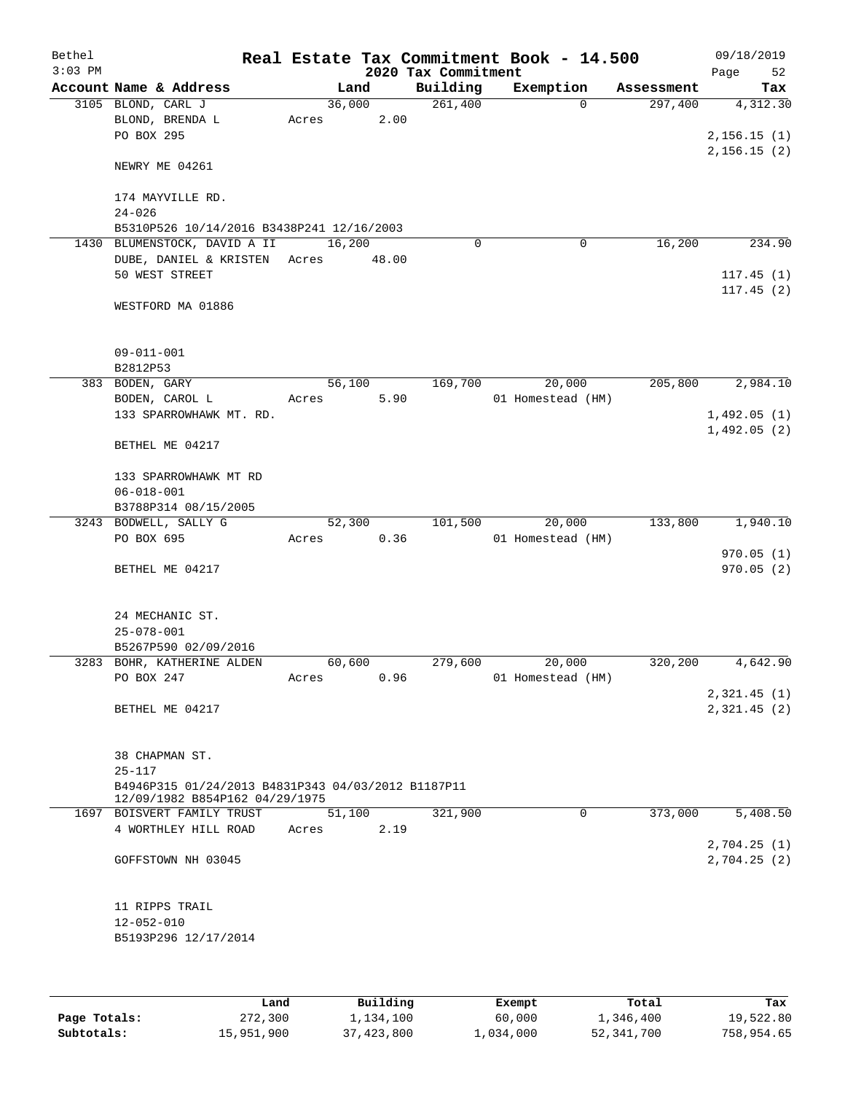| Bethel<br>$3:03$ PM |                                                    |       |        | 2020 Tax Commitment | Real Estate Tax Commitment Book - 14.500 |            | 09/18/2019<br>Page<br>52 |
|---------------------|----------------------------------------------------|-------|--------|---------------------|------------------------------------------|------------|--------------------------|
|                     | Account Name & Address                             |       | Land   | Building            | Exemption                                | Assessment | Tax                      |
|                     | 3105 BLOND, CARL J                                 |       | 36,000 | 261,400             | $\Omega$                                 | 297,400    | 4,312.30                 |
|                     | BLOND, BRENDA L                                    | Acres | 2.00   |                     |                                          |            |                          |
|                     | PO BOX 295                                         |       |        |                     |                                          |            | 2, 156.15(1)             |
|                     |                                                    |       |        |                     |                                          |            | 2,156.15(2)              |
|                     | NEWRY ME 04261                                     |       |        |                     |                                          |            |                          |
|                     |                                                    |       |        |                     |                                          |            |                          |
|                     | 174 MAYVILLE RD.                                   |       |        |                     |                                          |            |                          |
|                     | $24 - 026$                                         |       |        |                     |                                          |            |                          |
|                     | B5310P526 10/14/2016 B3438P241 12/16/2003          |       |        |                     |                                          |            |                          |
| 1430                | BLUMENSTOCK, DAVID A II                            |       | 16,200 | $\Omega$            | 0                                        | 16,200     | 234.90                   |
|                     | DUBE, DANIEL & KRISTEN Acres                       |       | 48.00  |                     |                                          |            |                          |
|                     | 50 WEST STREET                                     |       |        |                     |                                          |            | 117.45(1)                |
|                     |                                                    |       |        |                     |                                          |            | 117.45(2)                |
|                     | WESTFORD MA 01886                                  |       |        |                     |                                          |            |                          |
|                     |                                                    |       |        |                     |                                          |            |                          |
|                     |                                                    |       |        |                     |                                          |            |                          |
|                     |                                                    |       |        |                     |                                          |            |                          |
|                     | $09 - 011 - 001$                                   |       |        |                     |                                          |            |                          |
|                     | B2812P53                                           |       |        |                     |                                          |            | 2,984.10                 |
|                     | 383 BODEN, GARY                                    |       | 56,100 | 169,700             | 20,000                                   | 205,800    |                          |
|                     | BODEN, CAROL L                                     | Acres | 5.90   |                     | 01 Homestead (HM)                        |            |                          |
|                     | 133 SPARROWHAWK MT. RD.                            |       |        |                     |                                          |            | 1,492.05(1)              |
|                     |                                                    |       |        |                     |                                          |            | 1,492.05(2)              |
|                     | BETHEL ME 04217                                    |       |        |                     |                                          |            |                          |
|                     |                                                    |       |        |                     |                                          |            |                          |
|                     | 133 SPARROWHAWK MT RD                              |       |        |                     |                                          |            |                          |
|                     | $06 - 018 - 001$                                   |       |        |                     |                                          |            |                          |
|                     | B3788P314 08/15/2005                               |       |        |                     |                                          |            |                          |
|                     | 3243 BODWELL, SALLY G                              |       | 52,300 | 101,500             | 20,000                                   | 133,800    | 1,940.10                 |
|                     | PO BOX 695                                         | Acres | 0.36   |                     | 01 Homestead (HM)                        |            |                          |
|                     |                                                    |       |        |                     |                                          |            | 970.05(1)                |
|                     | BETHEL ME 04217                                    |       |        |                     |                                          |            | 970.05(2)                |
|                     |                                                    |       |        |                     |                                          |            |                          |
|                     |                                                    |       |        |                     |                                          |            |                          |
|                     | 24 MECHANIC ST.                                    |       |        |                     |                                          |            |                          |
|                     | $25 - 078 - 001$                                   |       |        |                     |                                          |            |                          |
|                     | B5267P590 02/09/2016                               |       |        |                     |                                          |            |                          |
|                     | 3283 BOHR, KATHERINE ALDEN                         |       | 60,600 | 279,600             | 20,000                                   | 320,200    | 4,642.90                 |
|                     | PO BOX 247                                         | Acres | 0.96   |                     | 01 Homestead (HM)                        |            |                          |
|                     |                                                    |       |        |                     |                                          |            | 2,321.45(1)              |
|                     | BETHEL ME 04217                                    |       |        |                     |                                          |            | 2,321.45(2)              |
|                     |                                                    |       |        |                     |                                          |            |                          |
|                     |                                                    |       |        |                     |                                          |            |                          |
|                     | 38 CHAPMAN ST.                                     |       |        |                     |                                          |            |                          |
|                     | $25 - 117$                                         |       |        |                     |                                          |            |                          |
|                     | B4946P315 01/24/2013 B4831P343 04/03/2012 B1187P11 |       |        |                     |                                          |            |                          |
|                     | 12/09/1982 B854P162 04/29/1975                     |       |        |                     |                                          |            |                          |
|                     | 1697 BOISVERT FAMILY TRUST                         |       | 51,100 | 321,900             | 0                                        | 373,000    | 5,408.50                 |
|                     | 4 WORTHLEY HILL ROAD                               | Acres | 2.19   |                     |                                          |            |                          |
|                     |                                                    |       |        |                     |                                          |            | 2,704.25(1)              |
|                     | GOFFSTOWN NH 03045                                 |       |        |                     |                                          |            | 2,704.25 (2)             |
|                     |                                                    |       |        |                     |                                          |            |                          |
|                     |                                                    |       |        |                     |                                          |            |                          |
|                     | 11 RIPPS TRAIL                                     |       |        |                     |                                          |            |                          |
|                     | $12 - 052 - 010$                                   |       |        |                     |                                          |            |                          |
|                     | B5193P296 12/17/2014                               |       |        |                     |                                          |            |                          |
|                     |                                                    |       |        |                     |                                          |            |                          |
|                     |                                                    |       |        |                     |                                          |            |                          |

|              | Land       | Building   | Exempt    | Total      | Tax        |
|--------------|------------|------------|-----------|------------|------------|
| Page Totals: | 272,300    | 1,134,100  | 60,000    | 1,346,400  | 19,522.80  |
| Subtotals:   | 15,951,900 | 37,423,800 | 1,034,000 | 52,341,700 | 758,954.65 |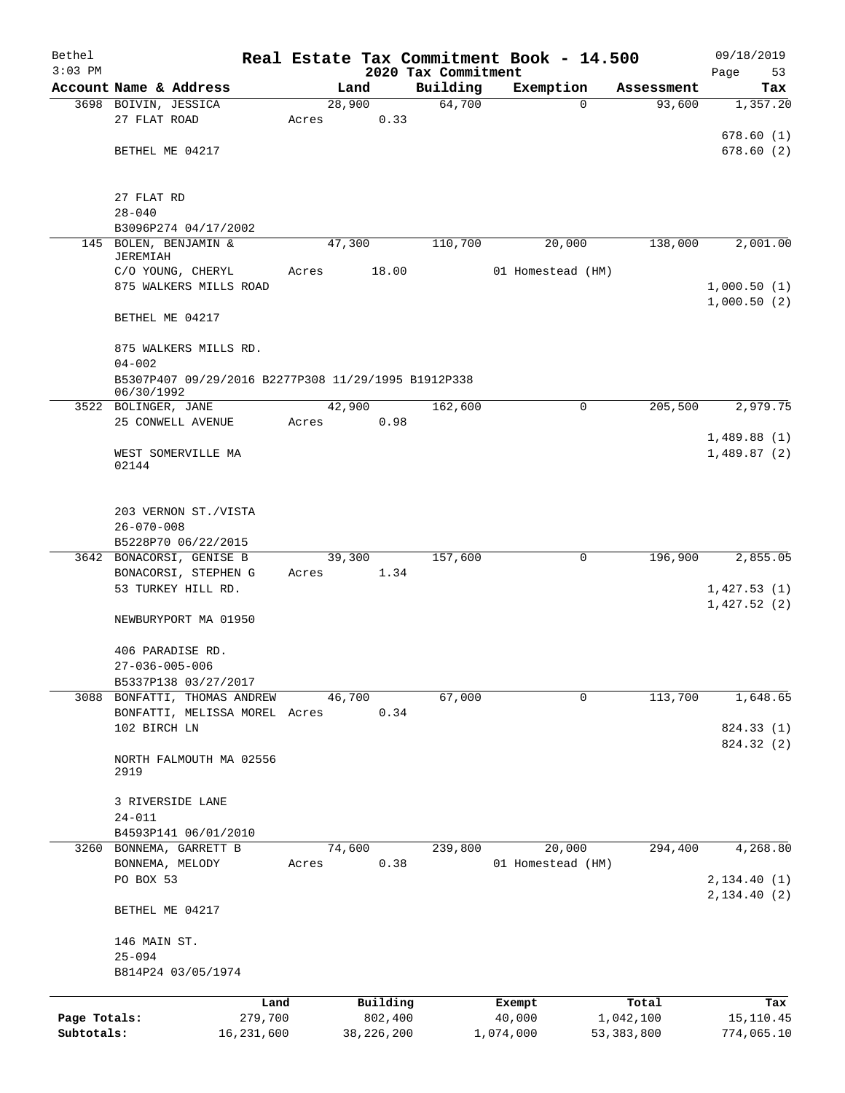| Bethel                     |                                                                                 |       |        |                         |                                 | Real Estate Tax Commitment Book - 14.500 |                           | 09/18/2019                 |
|----------------------------|---------------------------------------------------------------------------------|-------|--------|-------------------------|---------------------------------|------------------------------------------|---------------------------|----------------------------|
| $3:03$ PM                  | Account Name & Address                                                          |       | Land   |                         | 2020 Tax Commitment<br>Building |                                          |                           | Page<br>53                 |
|                            | 3698 BOIVIN, JESSICA                                                            |       | 28,900 |                         | 64,700                          | Exemption<br>0                           | Assessment<br>93,600      | Tax<br>1,357.20            |
|                            | 27 FLAT ROAD                                                                    | Acres |        | 0.33                    |                                 |                                          |                           |                            |
|                            |                                                                                 |       |        |                         |                                 |                                          |                           | 678.60(1)                  |
|                            | BETHEL ME 04217                                                                 |       |        |                         |                                 |                                          |                           | 678.60(2)                  |
|                            | 27 FLAT RD                                                                      |       |        |                         |                                 |                                          |                           |                            |
|                            | $28 - 040$                                                                      |       |        |                         |                                 |                                          |                           |                            |
|                            | B3096P274 04/17/2002                                                            |       |        |                         |                                 |                                          |                           |                            |
| 145                        | BOLEN, BENJAMIN &<br><b>JEREMIAH</b>                                            |       | 47,300 |                         | 110,700                         | 20,000                                   | 138,000                   | 2,001.00                   |
|                            | C/O YOUNG, CHERYL                                                               | Acres |        | 18.00                   |                                 | 01 Homestead (HM)                        |                           |                            |
|                            | 875 WALKERS MILLS ROAD                                                          |       |        |                         |                                 |                                          |                           | 1,000.50(1)<br>1,000.50(2) |
|                            | BETHEL ME 04217                                                                 |       |        |                         |                                 |                                          |                           |                            |
|                            | 875 WALKERS MILLS RD.                                                           |       |        |                         |                                 |                                          |                           |                            |
|                            | $04 - 002$<br>B5307P407 09/29/2016 B2277P308 11/29/1995 B1912P338<br>06/30/1992 |       |        |                         |                                 |                                          |                           |                            |
|                            | 3522 BOLINGER, JANE                                                             |       | 42,900 |                         | 162,600                         | 0                                        | 205,500                   | 2,979.75                   |
|                            | 25 CONWELL AVENUE                                                               | Acres |        | 0.98                    |                                 |                                          |                           |                            |
|                            | WEST SOMERVILLE MA<br>02144                                                     |       |        |                         |                                 |                                          |                           | 1,489.88(1)<br>1,489.87(2) |
|                            |                                                                                 |       |        |                         |                                 |                                          |                           |                            |
|                            | 203 VERNON ST./VISTA<br>$26 - 070 - 008$                                        |       |        |                         |                                 |                                          |                           |                            |
|                            | B5228P70 06/22/2015                                                             |       |        |                         |                                 |                                          |                           |                            |
|                            | 3642 BONACORSI, GENISE B                                                        |       | 39,300 |                         | 157,600                         | 0                                        | 196,900                   | 2,855.05                   |
|                            | BONACORSI, STEPHEN G                                                            | Acres |        | 1.34                    |                                 |                                          |                           |                            |
|                            | 53 TURKEY HILL RD.                                                              |       |        |                         |                                 |                                          |                           | 1,427.53(1)                |
|                            | NEWBURYPORT MA 01950                                                            |       |        |                         |                                 |                                          |                           | 1,427.52(2)                |
|                            | 406 PARADISE RD.                                                                |       |        |                         |                                 |                                          |                           |                            |
|                            | $27 - 036 - 005 - 006$                                                          |       |        |                         |                                 |                                          |                           |                            |
|                            | B5337P138 03/27/2017                                                            |       |        |                         |                                 |                                          |                           |                            |
|                            | 3088 BONFATTI, THOMAS ANDREW<br>BONFATTI, MELISSA MOREL Acres                   |       | 46,700 | 0.34                    | 67,000                          | 0                                        | 113,700                   | 1,648.65                   |
|                            | 102 BIRCH LN                                                                    |       |        |                         |                                 |                                          |                           | 824.33 (1)                 |
|                            |                                                                                 |       |        |                         |                                 |                                          |                           | 824.32 (2)                 |
|                            | NORTH FALMOUTH MA 02556<br>2919                                                 |       |        |                         |                                 |                                          |                           |                            |
|                            | 3 RIVERSIDE LANE                                                                |       |        |                         |                                 |                                          |                           |                            |
|                            | $24 - 011$                                                                      |       |        |                         |                                 |                                          |                           |                            |
|                            | B4593P141 06/01/2010                                                            |       |        |                         |                                 |                                          |                           |                            |
| 3260                       | BONNEMA, GARRETT B                                                              |       | 74,600 |                         | 239,800                         | 20,000                                   | 294,400                   | 4,268.80                   |
|                            | BONNEMA, MELODY<br>PO BOX 53                                                    | Acres |        | 0.38                    |                                 | 01 Homestead (HM)                        |                           | 2,134.40 (1)               |
|                            |                                                                                 |       |        |                         |                                 |                                          |                           | 2,134.40(2)                |
|                            | BETHEL ME 04217                                                                 |       |        |                         |                                 |                                          |                           |                            |
|                            | 146 MAIN ST.<br>$25 - 094$                                                      |       |        |                         |                                 |                                          |                           |                            |
|                            | B814P24 03/05/1974                                                              |       |        |                         |                                 |                                          |                           |                            |
|                            | Land                                                                            |       |        | Building                |                                 | Exempt                                   | Total                     | Tax                        |
| Page Totals:<br>Subtotals: | 279,700<br>16,231,600                                                           |       |        | 802,400<br>38, 226, 200 |                                 | 40,000<br>1,074,000                      | 1,042,100<br>53, 383, 800 | 15,110.45<br>774,065.10    |
|                            |                                                                                 |       |        |                         |                                 |                                          |                           |                            |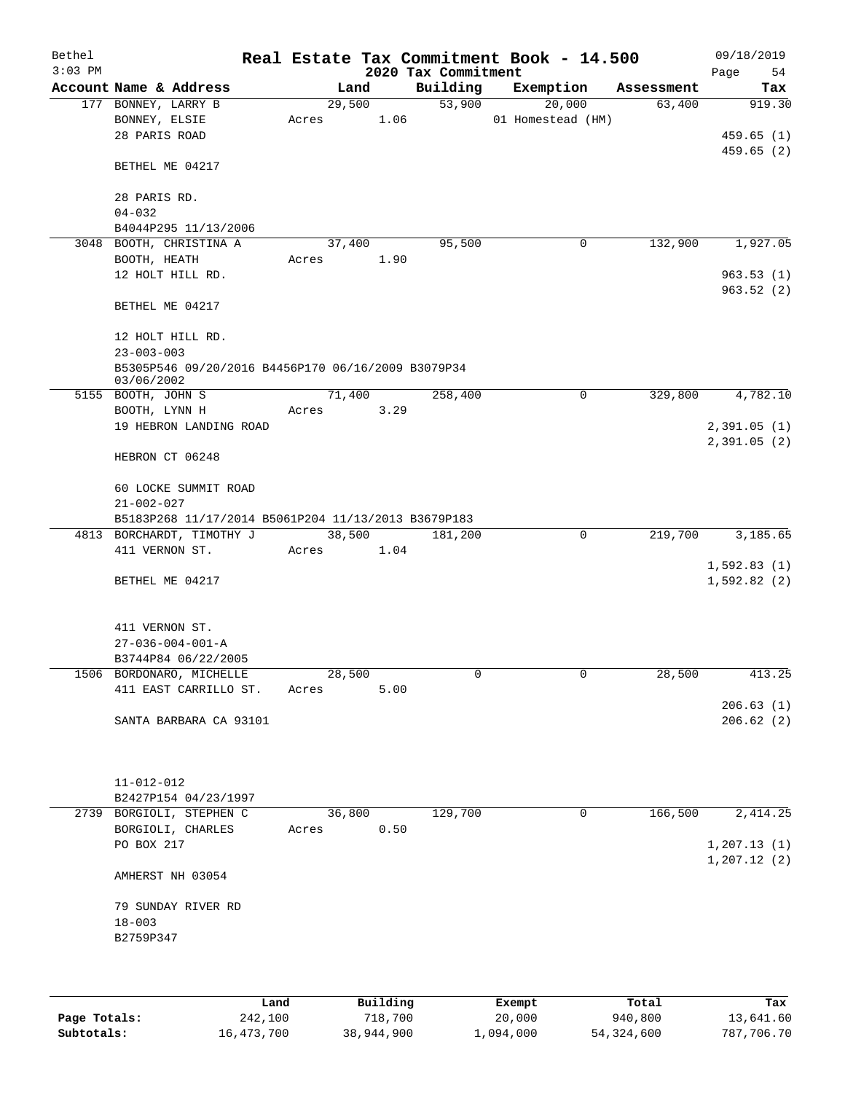| Bethel    |                                                                                  |       |        |                                 | Real Estate Tax Commitment Book - 14.500 |            | 09/18/2019    |
|-----------|----------------------------------------------------------------------------------|-------|--------|---------------------------------|------------------------------------------|------------|---------------|
| $3:03$ PM | Account Name & Address                                                           |       | Land   | 2020 Tax Commitment<br>Building | Exemption                                | Assessment | 54<br>Page    |
|           | 177 BONNEY, LARRY B                                                              |       | 29,500 | 53,900                          | 20,000                                   | 63,400     | Tax<br>919.30 |
|           | BONNEY, ELSIE                                                                    | Acres | 1.06   |                                 | 01 Homestead (HM)                        |            |               |
|           | 28 PARIS ROAD                                                                    |       |        |                                 |                                          |            | 459.65(1)     |
|           |                                                                                  |       |        |                                 |                                          |            | 459.65(2)     |
|           | BETHEL ME 04217                                                                  |       |        |                                 |                                          |            |               |
|           | 28 PARIS RD.                                                                     |       |        |                                 |                                          |            |               |
|           | $04 - 032$                                                                       |       |        |                                 |                                          |            |               |
|           | B4044P295 11/13/2006                                                             |       |        |                                 |                                          |            |               |
|           | 3048 BOOTH, CHRISTINA A                                                          |       | 37,400 | 95,500                          | 0                                        | 132,900    | 1,927.05      |
|           | BOOTH, HEATH                                                                     | Acres | 1.90   |                                 |                                          |            |               |
|           | 12 HOLT HILL RD.                                                                 |       |        |                                 |                                          |            | 963.53(1)     |
|           | BETHEL ME 04217                                                                  |       |        |                                 |                                          |            | 963.52(2)     |
|           | 12 HOLT HILL RD.                                                                 |       |        |                                 |                                          |            |               |
|           | $23 - 003 - 003$                                                                 |       |        |                                 |                                          |            |               |
|           | B5305P546 09/20/2016 B4456P170 06/16/2009 B3079P34                               |       |        |                                 |                                          |            |               |
|           | 03/06/2002<br>5155 BOOTH, JOHN S                                                 |       | 71,400 | 258,400                         | 0                                        | 329,800    | 4,782.10      |
|           | BOOTH, LYNN H                                                                    | Acres | 3.29   |                                 |                                          |            |               |
|           | 19 HEBRON LANDING ROAD                                                           |       |        |                                 |                                          |            | 2,391.05(1)   |
|           |                                                                                  |       |        |                                 |                                          |            | 2,391.05(2)   |
|           | HEBRON CT 06248                                                                  |       |        |                                 |                                          |            |               |
|           | 60 LOCKE SUMMIT ROAD                                                             |       |        |                                 |                                          |            |               |
|           | $21 - 002 - 027$                                                                 |       |        |                                 |                                          |            |               |
|           | B5183P268 11/17/2014 B5061P204 11/13/2013 B3679P183<br>4813 BORCHARDT, TIMOTHY J |       | 38,500 | 181,200                         | $\mathbf 0$                              | 219,700    | 3,185.65      |
|           | 411 VERNON ST.                                                                   | Acres | 1.04   |                                 |                                          |            |               |
|           |                                                                                  |       |        |                                 |                                          |            | 1,592.83(1)   |
|           | BETHEL ME 04217                                                                  |       |        |                                 |                                          |            | 1,592.82(2)   |
|           |                                                                                  |       |        |                                 |                                          |            |               |
|           | 411 VERNON ST.                                                                   |       |        |                                 |                                          |            |               |
|           | $27 - 036 - 004 - 001 - A$                                                       |       |        |                                 |                                          |            |               |
|           | B3744P84 06/22/2005                                                              |       |        |                                 |                                          |            |               |
|           | 1506 BORDONARO, MICHELLE                                                         |       | 28,500 | 0                               | 0                                        | 28,500     | 413.25        |
|           | 411 EAST CARRILLO ST.                                                            | Acres | 5.00   |                                 |                                          |            |               |
|           |                                                                                  |       |        |                                 |                                          |            | 206.63(1)     |
|           | SANTA BARBARA CA 93101                                                           |       |        |                                 |                                          |            | 206.62(2)     |
|           |                                                                                  |       |        |                                 |                                          |            |               |
|           | $11 - 012 - 012$                                                                 |       |        |                                 |                                          |            |               |
|           | B2427P154 04/23/1997                                                             |       |        |                                 |                                          |            |               |
|           | 2739 BORGIOLI, STEPHEN C                                                         |       | 36,800 | 129,700                         | 0                                        | 166,500    | 2, 414.25     |
|           | BORGIOLI, CHARLES                                                                | Acres | 0.50   |                                 |                                          |            |               |
|           | PO BOX 217                                                                       |       |        |                                 |                                          |            | 1, 207.13(1)  |
|           | AMHERST NH 03054                                                                 |       |        |                                 |                                          |            | 1, 207.12(2)  |
|           | 79 SUNDAY RIVER RD                                                               |       |        |                                 |                                          |            |               |
|           | $18 - 003$                                                                       |       |        |                                 |                                          |            |               |
|           | B2759P347                                                                        |       |        |                                 |                                          |            |               |
|           |                                                                                  |       |        |                                 |                                          |            |               |
|           |                                                                                  |       |        |                                 |                                          |            |               |
|           |                                                                                  |       |        |                                 |                                          |            |               |

|              | Land       | Building   | Exempt    | Total        | Tax        |
|--------------|------------|------------|-----------|--------------|------------|
| Page Totals: | 242,100    | 718,700    | 20,000    | 940,800      | 13,641.60  |
| Subtotals:   | 16,473,700 | 38,944,900 | 1,094,000 | 54, 324, 600 | 787,706.70 |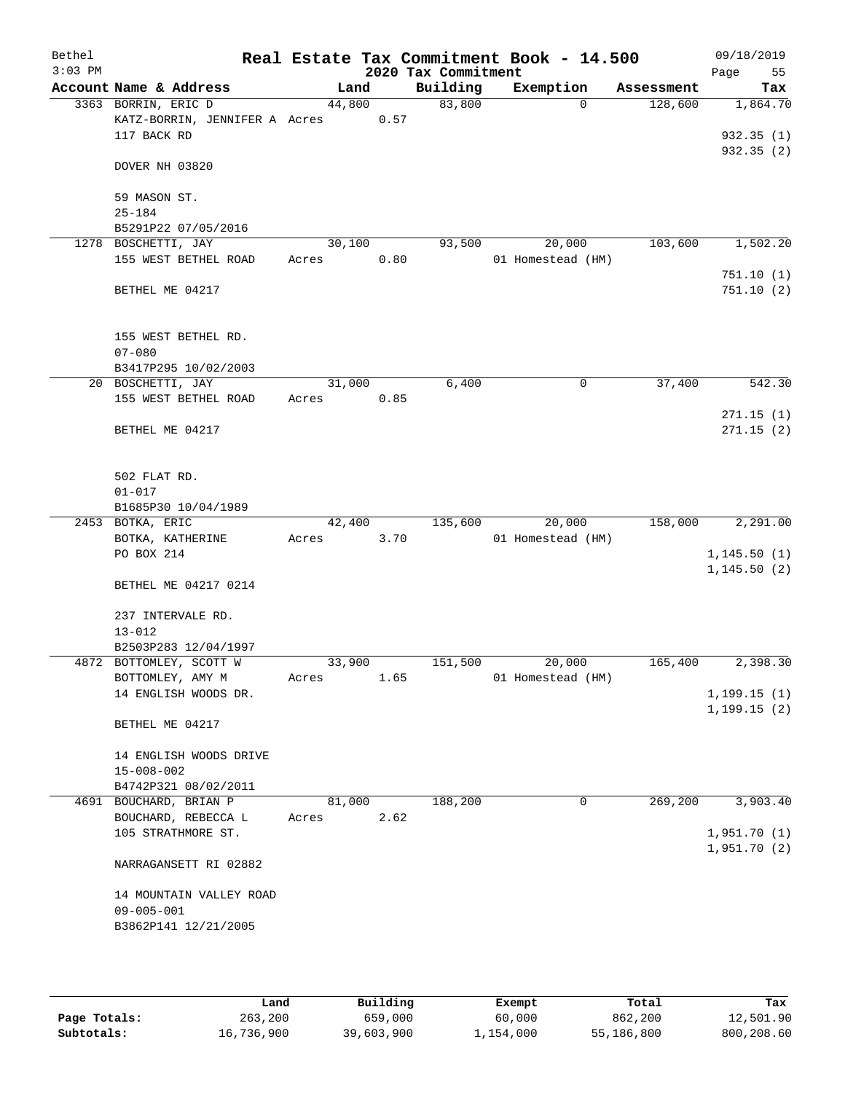| Bethel<br>$3:03$ PM |                                           |       |        |      | Real Estate Tax Commitment Book - 14.500<br>2020 Tax Commitment |                   |             |            | 09/18/2019<br>55<br>Page |
|---------------------|-------------------------------------------|-------|--------|------|-----------------------------------------------------------------|-------------------|-------------|------------|--------------------------|
|                     | Account Name & Address                    |       | Land   |      | Building                                                        | Exemption         |             | Assessment | Tax                      |
|                     | 3363 BORRIN, ERIC D                       |       | 44,800 |      | 83,800                                                          |                   | $\Omega$    | 128,600    | 1,864.70                 |
|                     | KATZ-BORRIN, JENNIFER A Acres             |       |        | 0.57 |                                                                 |                   |             |            |                          |
|                     | 117 BACK RD                               |       |        |      |                                                                 |                   |             |            | 932.35(1)                |
|                     | DOVER NH 03820                            |       |        |      |                                                                 |                   |             |            | 932.35(2)                |
|                     | 59 MASON ST.                              |       |        |      |                                                                 |                   |             |            |                          |
|                     | $25 - 184$                                |       |        |      |                                                                 |                   |             |            |                          |
|                     | B5291P22 07/05/2016                       |       |        |      |                                                                 |                   |             |            |                          |
|                     | 1278 BOSCHETTI, JAY                       |       | 30,100 |      | 93,500                                                          |                   | 20,000      | 103,600    | 1,502.20                 |
|                     | 155 WEST BETHEL ROAD                      | Acres |        | 0.80 |                                                                 | 01 Homestead (HM) |             |            |                          |
|                     |                                           |       |        |      |                                                                 |                   |             |            | 751.10(1)                |
|                     | BETHEL ME 04217                           |       |        |      |                                                                 |                   |             |            | 751.10(2)                |
|                     | 155 WEST BETHEL RD.                       |       |        |      |                                                                 |                   |             |            |                          |
|                     | $07 - 080$                                |       |        |      |                                                                 |                   |             |            |                          |
|                     | B3417P295 10/02/2003                      |       |        |      |                                                                 |                   |             |            |                          |
|                     | 20 BOSCHETTI, JAY<br>155 WEST BETHEL ROAD |       | 31,000 | 0.85 | 6,400                                                           |                   | $\mathbf 0$ | 37,400     | 542.30                   |
|                     |                                           | Acres |        |      |                                                                 |                   |             |            | 271.15(1)                |
|                     | BETHEL ME 04217                           |       |        |      |                                                                 |                   |             |            | 271.15(2)                |
|                     |                                           |       |        |      |                                                                 |                   |             |            |                          |
|                     | 502 FLAT RD.                              |       |        |      |                                                                 |                   |             |            |                          |
|                     | $01 - 017$                                |       |        |      |                                                                 |                   |             |            |                          |
|                     | B1685P30 10/04/1989<br>2453 BOTKA, ERIC   |       | 42,400 |      | 135,600                                                         |                   | 20,000      | 158,000    | 2,291.00                 |
|                     | BOTKA, KATHERINE                          | Acres |        | 3.70 |                                                                 | 01 Homestead (HM) |             |            |                          |
|                     | PO BOX 214                                |       |        |      |                                                                 |                   |             |            | 1, 145.50(1)             |
|                     |                                           |       |        |      |                                                                 |                   |             |            | 1, 145.50(2)             |
|                     | BETHEL ME 04217 0214                      |       |        |      |                                                                 |                   |             |            |                          |
|                     | 237 INTERVALE RD.                         |       |        |      |                                                                 |                   |             |            |                          |
|                     | $13 - 012$<br>B2503P283 12/04/1997        |       |        |      |                                                                 |                   |             |            |                          |
|                     | 4872 BOTTOMLEY, SCOTT W                   |       | 33,900 |      | 151,500                                                         |                   | 20,000      | 165,400    | 2,398.30                 |
|                     | BOTTOMLEY, AMY M                          | Acres |        | 1.65 |                                                                 | 01 Homestead (HM) |             |            |                          |
|                     | 14 ENGLISH WOODS DR.                      |       |        |      |                                                                 |                   |             |            | 1, 199.15(1)             |
|                     |                                           |       |        |      |                                                                 |                   |             |            | 1, 199.15(2)             |
|                     | BETHEL ME 04217                           |       |        |      |                                                                 |                   |             |            |                          |
|                     | 14 ENGLISH WOODS DRIVE                    |       |        |      |                                                                 |                   |             |            |                          |
|                     | $15 - 008 - 002$                          |       |        |      |                                                                 |                   |             |            |                          |
|                     | B4742P321 08/02/2011                      |       |        |      |                                                                 |                   |             |            |                          |
|                     | 4691 BOUCHARD, BRIAN P                    |       | 81,000 |      | 188,200                                                         |                   | $\mathbf 0$ | 269,200    | 3,903.40                 |
|                     | BOUCHARD, REBECCA L                       | Acres |        | 2.62 |                                                                 |                   |             |            |                          |
|                     | 105 STRATHMORE ST.                        |       |        |      |                                                                 |                   |             |            | 1,951.70(1)              |
|                     | NARRAGANSETT RI 02882                     |       |        |      |                                                                 |                   |             |            | 1,951.70(2)              |
|                     |                                           |       |        |      |                                                                 |                   |             |            |                          |
|                     | 14 MOUNTAIN VALLEY ROAD                   |       |        |      |                                                                 |                   |             |            |                          |
|                     | $09 - 005 - 001$                          |       |        |      |                                                                 |                   |             |            |                          |
|                     | B3862P141 12/21/2005                      |       |        |      |                                                                 |                   |             |            |                          |
|                     |                                           |       |        |      |                                                                 |                   |             |            |                          |

|              | Land       | Building   | Exempt    | Total      | Tax        |
|--------------|------------|------------|-----------|------------|------------|
| Page Totals: | 263,200    | 659,000    | 60,000    | 862,200    | 12,501.90  |
| Subtotals:   | 16,736,900 | 39,603,900 | 1,154,000 | 55,186,800 | 800,208.60 |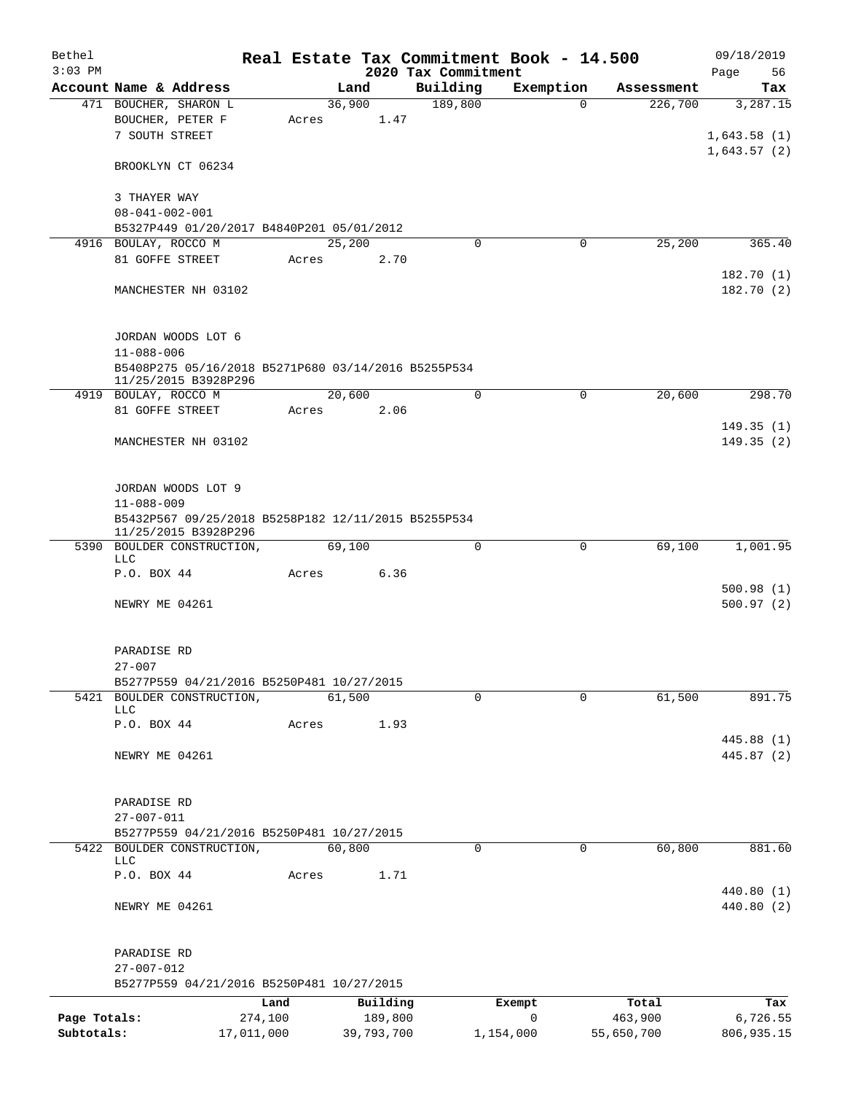| Bethel       |                                                                             |            |       |        |            |  | Real Estate Tax Commitment Book - 14.500 |              |             |            | 09/18/2019                             |
|--------------|-----------------------------------------------------------------------------|------------|-------|--------|------------|--|------------------------------------------|--------------|-------------|------------|----------------------------------------|
| $3:03$ PM    |                                                                             |            |       |        |            |  | 2020 Tax Commitment                      |              |             |            | Page<br>56                             |
|              | Account Name & Address                                                      |            |       | Land   |            |  | Building                                 | Exemption    |             | Assessment | Tax                                    |
|              | 471 BOUCHER, SHARON L<br>BOUCHER, PETER F<br>7 SOUTH STREET                 |            | Acres | 36,900 | 1.47       |  | 189,800                                  |              | $\Omega$    | 226,700    | 3,287.15<br>1,643.58(1)<br>1,643.57(2) |
|              | BROOKLYN CT 06234                                                           |            |       |        |            |  |                                          |              |             |            |                                        |
|              | 3 THAYER WAY<br>$08 - 041 - 002 - 001$                                      |            |       |        |            |  |                                          |              |             |            |                                        |
|              | B5327P449 01/20/2017 B4840P201 05/01/2012                                   |            |       |        |            |  |                                          |              |             |            |                                        |
|              | 4916 BOULAY, ROCCO M                                                        |            |       | 25,200 |            |  | 0                                        |              | 0           | 25,200     | 365.40                                 |
|              | 81 GOFFE STREET                                                             |            | Acres |        | 2.70       |  |                                          |              |             |            |                                        |
|              | MANCHESTER NH 03102                                                         |            |       |        |            |  |                                          |              |             |            | 182.70 (1)<br>182.70 (2)               |
|              | JORDAN WOODS LOT 6<br>$11 - 088 - 006$                                      |            |       |        |            |  |                                          |              |             |            |                                        |
|              | B5408P275 05/16/2018 B5271P680 03/14/2016 B5255P534<br>11/25/2015 B3928P296 |            |       |        |            |  |                                          |              |             |            |                                        |
|              | 4919 BOULAY, ROCCO M                                                        |            |       | 20,600 |            |  | $\mathbf 0$                              |              | $\mathbf 0$ | 20,600     | 298.70                                 |
|              | 81 GOFFE STREET                                                             |            | Acres |        | 2.06       |  |                                          |              |             |            |                                        |
|              | MANCHESTER NH 03102                                                         |            |       |        |            |  |                                          |              |             |            | 149.35(1)<br>149.35(2)                 |
|              |                                                                             |            |       |        |            |  |                                          |              |             |            |                                        |
|              | JORDAN WOODS LOT 9<br>$11 - 088 - 009$                                      |            |       |        |            |  |                                          |              |             |            |                                        |
|              | B5432P567 09/25/2018 B5258P182 12/11/2015 B5255P534<br>11/25/2015 B3928P296 |            |       |        |            |  |                                          |              |             |            |                                        |
|              | 5390 BOULDER CONSTRUCTION,<br>LLC                                           |            |       | 69,100 |            |  | 0                                        |              | 0           | 69,100     | 1,001.95                               |
|              | P.O. BOX 44                                                                 |            | Acres |        | 6.36       |  |                                          |              |             |            |                                        |
|              | NEWRY ME 04261                                                              |            |       |        |            |  |                                          |              |             |            | 500.98(1)<br>500.97(2)                 |
|              |                                                                             |            |       |        |            |  |                                          |              |             |            |                                        |
|              | PARADISE RD                                                                 |            |       |        |            |  |                                          |              |             |            |                                        |
|              | $27 - 007$<br>B5277P559 04/21/2016 B5250P481 10/27/2015                     |            |       |        |            |  |                                          |              |             |            |                                        |
|              | 5421 BOULDER CONSTRUCTION,                                                  |            |       | 61,500 |            |  | $\Omega$                                 |              | $\Omega$    | 61,500     | 891.75                                 |
|              | <b>LLC</b>                                                                  |            |       |        |            |  |                                          |              |             |            |                                        |
|              | P.O. BOX 44                                                                 |            | Acres |        | 1.93       |  |                                          |              |             |            |                                        |
|              | NEWRY ME 04261                                                              |            |       |        |            |  |                                          |              |             |            | 445.88 (1)<br>445.87 (2)               |
|              |                                                                             |            |       |        |            |  |                                          |              |             |            |                                        |
|              | PARADISE RD                                                                 |            |       |        |            |  |                                          |              |             |            |                                        |
|              | $27 - 007 - 011$                                                            |            |       |        |            |  |                                          |              |             |            |                                        |
|              | B5277P559 04/21/2016 B5250P481 10/27/2015                                   |            |       |        |            |  |                                          |              |             |            |                                        |
|              | 5422 BOULDER CONSTRUCTION,<br><b>LLC</b>                                    |            |       | 60,800 |            |  | $\mathbf 0$                              |              | $\mathbf 0$ | 60,800     | 881.60                                 |
|              | P.O. BOX 44                                                                 |            | Acres |        | 1.71       |  |                                          |              |             |            |                                        |
|              | NEWRY ME 04261                                                              |            |       |        |            |  |                                          |              |             |            | 440.80 (1)<br>440.80 (2)               |
|              | PARADISE RD                                                                 |            |       |        |            |  |                                          |              |             |            |                                        |
|              | $27 - 007 - 012$                                                            |            |       |        |            |  |                                          |              |             |            |                                        |
|              | B5277P559 04/21/2016 B5250P481 10/27/2015                                   |            |       |        |            |  |                                          |              |             |            |                                        |
|              |                                                                             | Land       |       |        | Building   |  |                                          | Exempt       |             | Total      | Tax                                    |
| Page Totals: |                                                                             | 274,100    |       |        | 189,800    |  |                                          | $\mathsf{O}$ |             | 463,900    | 6,726.55                               |
| Subtotals:   |                                                                             | 17,011,000 |       |        | 39,793,700 |  |                                          | 1,154,000    |             | 55,650,700 | 806,935.15                             |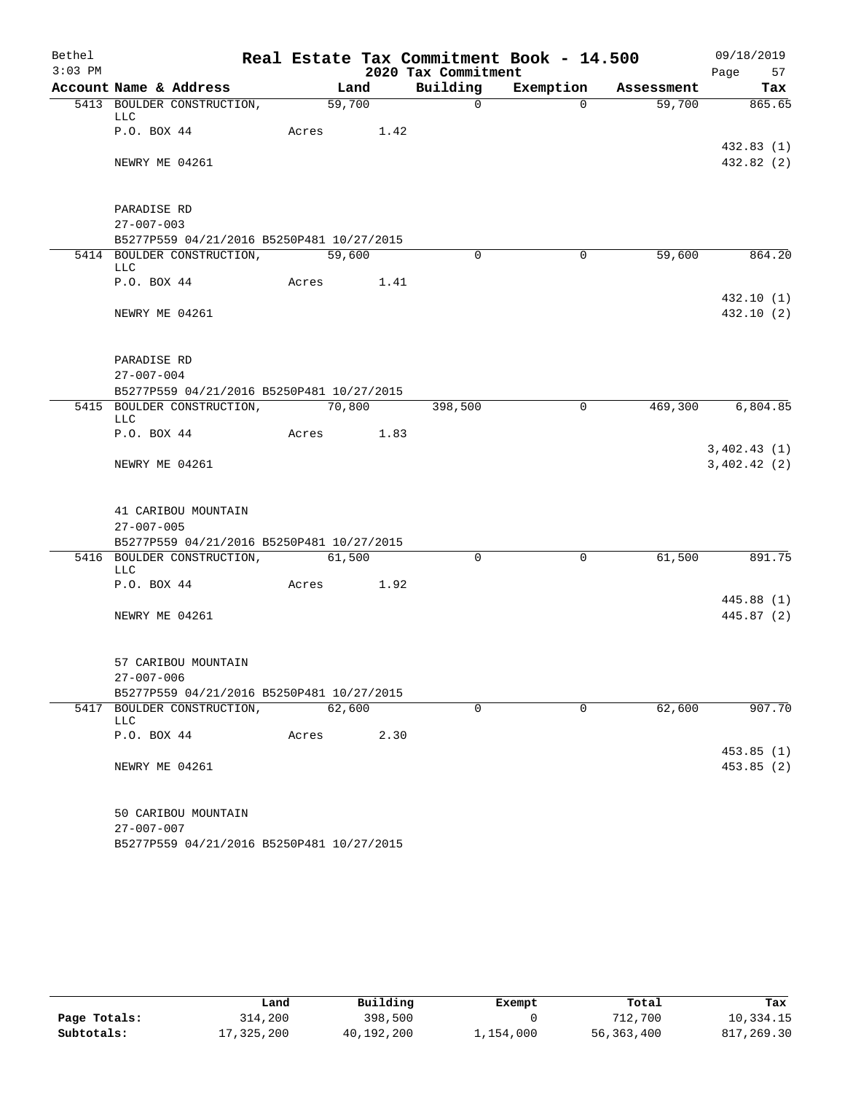| Bethel    |                                 |                                                                  |                    |      |                     | Real Estate Tax Commitment Book - 14.500 |            | 09/18/2019               |
|-----------|---------------------------------|------------------------------------------------------------------|--------------------|------|---------------------|------------------------------------------|------------|--------------------------|
| $3:03$ PM |                                 |                                                                  |                    |      | 2020 Tax Commitment |                                          |            | Page<br>57               |
|           |                                 | Account Name & Address                                           |                    | Land | Building            | Exemption                                | Assessment | Tax                      |
|           | LLC                             | 5413 BOULDER CONSTRUCTION,                                       | $\frac{59,700}{ }$ |      | $\Omega$            | $\Omega$                                 | 59,700     | 865.65                   |
|           | P.O. BOX 44                     |                                                                  | Acres 1.42         |      |                     |                                          |            | 432.83(1)                |
|           | NEWRY ME 04261                  |                                                                  |                    |      |                     |                                          |            | 432.82 (2)               |
|           | PARADISE RD                     |                                                                  |                    |      |                     |                                          |            |                          |
|           | $27 - 007 - 003$                |                                                                  |                    |      |                     |                                          |            |                          |
|           |                                 | B5277P559 04/21/2016 B5250P481 10/27/2015                        |                    |      | $\Omega$            | $\Omega$                                 |            |                          |
|           | <b>LLC</b>                      | 5414 BOULDER CONSTRUCTION,                                       | 59,600             |      |                     |                                          | 59,600     | 864.20                   |
|           |                                 | P.O. BOX 44                                                      | Acres 1.41         |      |                     |                                          |            |                          |
|           | NEWRY ME 04261                  |                                                                  |                    |      |                     |                                          |            | 432.10 (1)<br>432.10 (2) |
|           | PARADISE RD<br>$27 - 007 - 004$ |                                                                  |                    |      |                     |                                          |            |                          |
|           |                                 | B5277P559 04/21/2016 B5250P481 10/27/2015                        |                    |      |                     |                                          |            |                          |
|           | <b>LLC</b>                      | 5415 BOULDER CONSTRUCTION,                                       | 70,800             |      | 398,500             | $\mathbf 0$                              |            | 469,300 6,804.85         |
|           |                                 | P.O. BOX 44                                                      | Acres 1.83         |      |                     |                                          |            | 3,402.43(1)              |
|           | NEWRY ME 04261                  |                                                                  |                    |      |                     |                                          |            | 3,402.42(2)              |
|           | $27 - 007 - 005$                | 41 CARIBOU MOUNTAIN<br>B5277P559 04/21/2016 B5250P481 10/27/2015 |                    |      |                     |                                          |            |                          |
|           |                                 | 5416 BOULDER CONSTRUCTION,                                       | 61,500             |      | $\mathbf 0$         | $\mathbf 0$                              | 61,500     | 891.75                   |
|           | LLC                             |                                                                  |                    |      |                     |                                          |            |                          |
|           | P.O. BOX 44                     |                                                                  | Acres 1.92         |      |                     |                                          |            |                          |
|           | NEWRY ME 04261                  |                                                                  |                    |      |                     |                                          |            | 445.88 (1)<br>445.87 (2) |
|           |                                 | 57 CARIBOU MOUNTAIN                                              |                    |      |                     |                                          |            |                          |
|           | $27 - 007 - 006$                |                                                                  |                    |      |                     |                                          |            |                          |
|           |                                 | B5277P559 04/21/2016 B5250P481 10/27/2015                        |                    |      |                     |                                          |            |                          |
|           | LLC                             | 5417 BOULDER CONSTRUCTION,                                       | 62,600             |      | $\mathbf 0$         | $\Omega$                                 | 62,600     | 907.70                   |
|           | P.O. BOX 44                     |                                                                  | Acres              | 2.30 |                     |                                          |            |                          |
|           | NEWRY ME 04261                  |                                                                  |                    |      |                     |                                          |            | 453.85(1)<br>453.85(2)   |
|           | $27 - 007 - 007$                | 50 CARIBOU MOUNTAIN<br>B5277P559 04/21/2016 B5250P481 10/27/2015 |                    |      |                     |                                          |            |                          |

|              | Land       | Building   | Exempt    | Total      | Tax        |
|--------------|------------|------------|-----------|------------|------------|
| Page Totals: | 314,200    | 398,500    |           | 712,700    | 10,334.15  |
| Subtotals:   | 17,325,200 | 40,192,200 | 1,154,000 | 56,363,400 | 817,269.30 |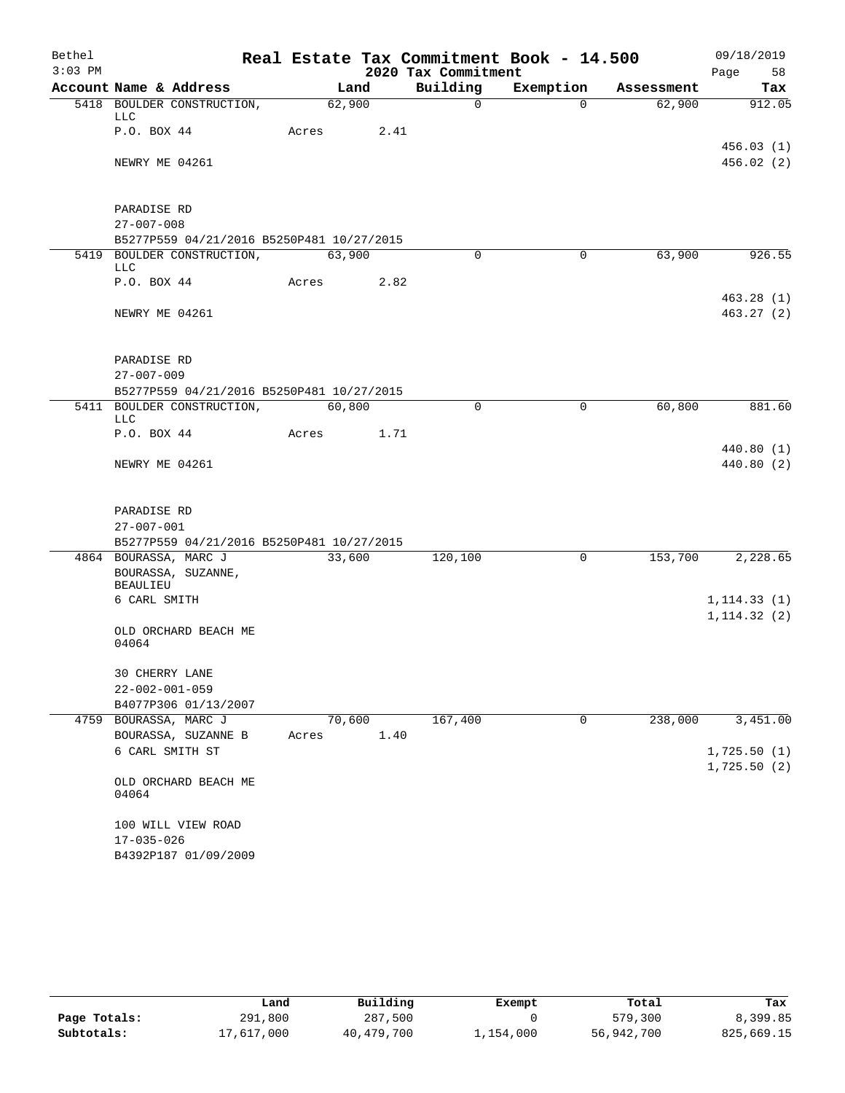| Bethel    |                                 |                                                                         |       |                |      |                      | Real Estate Tax Commitment Book - 14.500 |                      | 09/18/2019               |
|-----------|---------------------------------|-------------------------------------------------------------------------|-------|----------------|------|----------------------|------------------------------------------|----------------------|--------------------------|
| $3:03$ PM |                                 |                                                                         |       |                |      | 2020 Tax Commitment  |                                          |                      | Page<br>58               |
|           |                                 | Account Name & Address<br>5418 BOULDER CONSTRUCTION,                    |       | Land<br>62,900 |      | Building<br>$\Omega$ | Exemption<br>$\Omega$                    | Assessment<br>62,900 | Tax<br>912.05            |
|           | LLC                             |                                                                         |       |                |      |                      |                                          |                      |                          |
|           | P.O. BOX 44                     |                                                                         | Acres |                | 2.41 |                      |                                          |                      | 456.03(1)                |
|           | NEWRY ME 04261                  |                                                                         |       |                |      |                      |                                          |                      | 456.02(2)                |
|           | PARADISE RD                     |                                                                         |       |                |      |                      |                                          |                      |                          |
|           | $27 - 007 - 008$                |                                                                         |       |                |      |                      |                                          |                      |                          |
|           |                                 | B5277P559 04/21/2016 B5250P481 10/27/2015<br>5419 BOULDER CONSTRUCTION, |       | 63,900         |      | $\Omega$             | $\mathbf 0$                              | 63,900               | 926.55                   |
|           | LLC                             |                                                                         |       |                |      |                      |                                          |                      |                          |
|           | P.O. BOX 44                     |                                                                         | Acres |                | 2.82 |                      |                                          |                      |                          |
|           | NEWRY ME 04261                  |                                                                         |       |                |      |                      |                                          |                      | 463.28(1)<br>463.27(2)   |
|           | PARADISE RD<br>$27 - 007 - 009$ |                                                                         |       |                |      |                      |                                          |                      |                          |
|           |                                 | B5277P559 04/21/2016 B5250P481 10/27/2015                               |       |                |      |                      |                                          |                      |                          |
|           | LLC                             | 5411 BOULDER CONSTRUCTION,                                              |       | 60,800         |      | $\Omega$             | 0                                        | 60,800               | 881.60                   |
|           | P.O. BOX 44                     |                                                                         | Acres |                | 1.71 |                      |                                          |                      |                          |
|           | NEWRY ME 04261                  |                                                                         |       |                |      |                      |                                          |                      | 440.80 (1)<br>440.80 (2) |
|           |                                 |                                                                         |       |                |      |                      |                                          |                      |                          |
|           | PARADISE RD<br>$27 - 007 - 001$ |                                                                         |       |                |      |                      |                                          |                      |                          |
|           |                                 | B5277P559 04/21/2016 B5250P481 10/27/2015                               |       |                |      |                      |                                          |                      |                          |
|           |                                 | 4864 BOURASSA, MARC J                                                   |       | 33,600         |      | 120,100              | $\mathsf{O}$                             | 153,700              | 2,228.65                 |
|           | <b>BEAULIEU</b>                 | BOURASSA, SUZANNE,                                                      |       |                |      |                      |                                          |                      |                          |
|           | 6 CARL SMITH                    |                                                                         |       |                |      |                      |                                          |                      | 1, 114.33(1)             |
|           |                                 |                                                                         |       |                |      |                      |                                          |                      | 1, 114.32(2)             |
|           | 04064                           | OLD ORCHARD BEACH ME                                                    |       |                |      |                      |                                          |                      |                          |
|           | 30 CHERRY LANE                  |                                                                         |       |                |      |                      |                                          |                      |                          |
|           | $22 - 002 - 001 - 059$          |                                                                         |       |                |      |                      |                                          |                      |                          |
|           |                                 | B4077P306 01/13/2007                                                    |       |                |      |                      |                                          |                      |                          |
|           |                                 | 4759 BOURASSA, MARC J                                                   |       | 70,600         |      | 167,400              | 0                                        | 238,000              | 3,451.00                 |
|           |                                 | BOURASSA, SUZANNE B<br>6 CARL SMITH ST                                  | Acres |                | 1.40 |                      |                                          |                      | 1,725.50(1)              |
|           |                                 |                                                                         |       |                |      |                      |                                          |                      | 1,725.50(2)              |
|           | 04064                           | OLD ORCHARD BEACH ME                                                    |       |                |      |                      |                                          |                      |                          |
|           |                                 | 100 WILL VIEW ROAD                                                      |       |                |      |                      |                                          |                      |                          |
|           | $17 - 035 - 026$                |                                                                         |       |                |      |                      |                                          |                      |                          |
|           |                                 | B4392P187 01/09/2009                                                    |       |                |      |                      |                                          |                      |                          |

|              | Land       | Building   | Exempt    | Total      | Tax        |
|--------------|------------|------------|-----------|------------|------------|
| Page Totals: | 291,800    | 287,500    |           | 579,300    | 8,399.85   |
| Subtotals:   | 17,617,000 | 40,479,700 | 1,154,000 | 56,942,700 | 825,669.15 |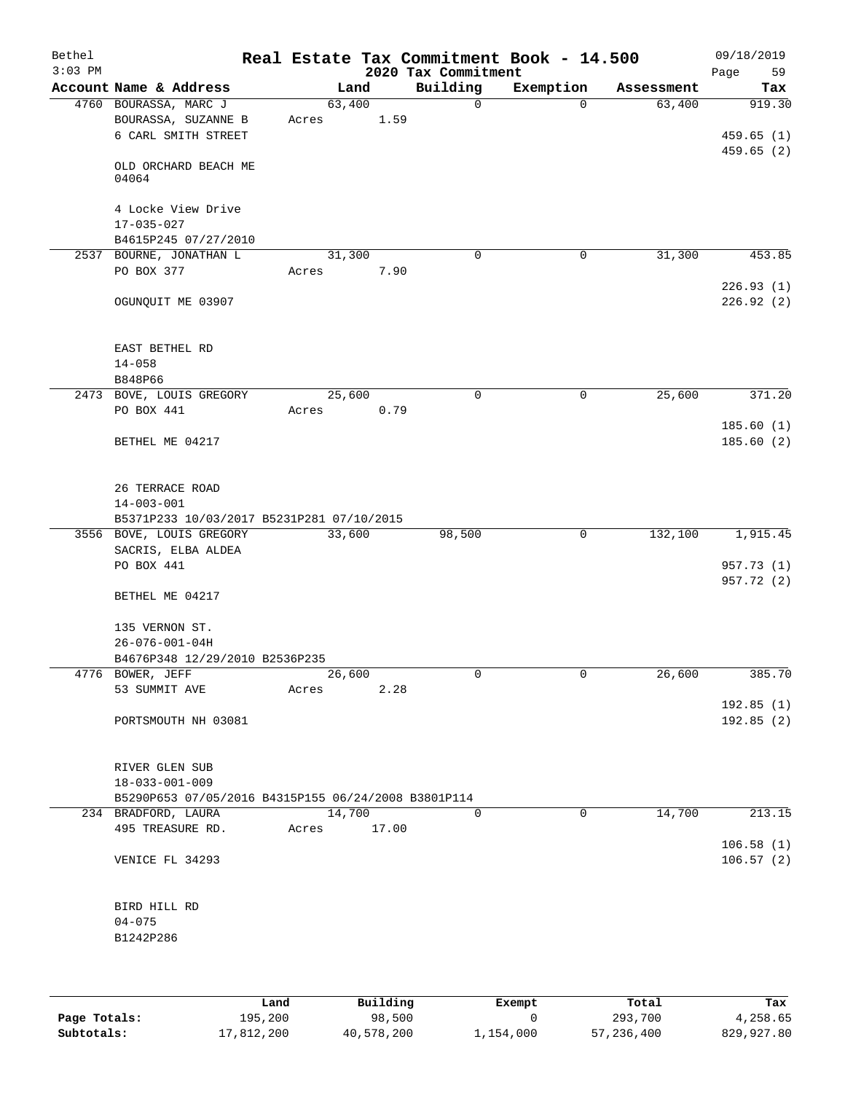| Bethel<br>$3:03$ PM |                                                                |        |       | 2020 Tax Commitment | Real Estate Tax Commitment Book - 14.500 |            | 09/18/2019<br>Page<br>59 |
|---------------------|----------------------------------------------------------------|--------|-------|---------------------|------------------------------------------|------------|--------------------------|
|                     | Account Name & Address                                         |        | Land  | Building            | Exemption                                | Assessment | Tax                      |
|                     | 4760 BOURASSA, MARC J                                          | 63,400 |       | 0                   | $\Omega$                                 | 63,400     | 919.30                   |
|                     | BOURASSA, SUZANNE B<br>6 CARL SMITH STREET                     | Acres  | 1.59  |                     |                                          |            | 459.65(1)                |
|                     | OLD ORCHARD BEACH ME<br>04064                                  |        |       |                     |                                          |            | 459.65 (2)               |
|                     | 4 Locke View Drive<br>$17 - 035 - 027$<br>B4615P245 07/27/2010 |        |       |                     |                                          |            |                          |
|                     | 2537 BOURNE, JONATHAN L                                        | 31,300 |       | 0                   | 0                                        | 31,300     | 453.85                   |
|                     | PO BOX 377                                                     | Acres  | 7.90  |                     |                                          |            | 226.93(1)                |
|                     | OGUNQUIT ME 03907                                              |        |       |                     |                                          |            | 226.92(2)                |
|                     | EAST BETHEL RD                                                 |        |       |                     |                                          |            |                          |
|                     | $14 - 058$<br>B848P66                                          |        |       |                     |                                          |            |                          |
|                     | 2473 BOVE, LOUIS GREGORY                                       | 25,600 |       | 0                   | $\mathbf 0$                              | 25,600     | 371.20                   |
|                     | PO BOX 441                                                     | Acres  | 0.79  |                     |                                          |            |                          |
|                     |                                                                |        |       |                     |                                          |            | 185.60(1)                |
|                     | BETHEL ME 04217                                                |        |       |                     |                                          |            | 185.60(2)                |
|                     | 26 TERRACE ROAD<br>$14 - 003 - 001$                            |        |       |                     |                                          |            |                          |
|                     | B5371P233 10/03/2017 B5231P281 07/10/2015                      |        |       |                     |                                          |            |                          |
|                     | 3556 BOVE, LOUIS GREGORY                                       | 33,600 |       | 98,500              | 0                                        | 132,100    | 1,915.45                 |
|                     | SACRIS, ELBA ALDEA                                             |        |       |                     |                                          |            |                          |
|                     | PO BOX 441                                                     |        |       |                     |                                          |            | 957.73 (1)               |
|                     | BETHEL ME 04217                                                |        |       |                     |                                          |            | 957.72 (2)               |
|                     | 135 VERNON ST.                                                 |        |       |                     |                                          |            |                          |
|                     | $26 - 076 - 001 - 04H$<br>B4676P348 12/29/2010 B2536P235       |        |       |                     |                                          |            |                          |
|                     | 4776 BOWER, JEFF                                               | 26,600 |       | 0                   | 0                                        | 26,600     | 385.70                   |
|                     | 53 SUMMIT AVE                                                  | Acres  | 2.28  |                     |                                          |            |                          |
|                     | PORTSMOUTH NH 03081                                            |        |       |                     |                                          |            | 192.85(1)<br>192.85(2)   |
|                     |                                                                |        |       |                     |                                          |            |                          |
|                     | RIVER GLEN SUB<br>$18 - 033 - 001 - 009$                       |        |       |                     |                                          |            |                          |
|                     | B5290P653 07/05/2016 B4315P155 06/24/2008 B3801P114            |        |       |                     |                                          |            |                          |
|                     | 234 BRADFORD, LAURA                                            | 14,700 |       | $\Omega$            | $\Omega$                                 | 14,700     | 213.15                   |
|                     | 495 TREASURE RD.                                               | Acres  | 17.00 |                     |                                          |            |                          |
|                     | VENICE FL 34293                                                |        |       |                     |                                          |            | 106.58(1)<br>106.57(2)   |
|                     | BIRD HILL RD                                                   |        |       |                     |                                          |            |                          |
|                     | $04 - 075$                                                     |        |       |                     |                                          |            |                          |
|                     | B1242P286                                                      |        |       |                     |                                          |            |                          |
|                     |                                                                |        |       |                     |                                          |            |                          |
|                     |                                                                |        |       |                     |                                          |            |                          |

|              | Land       | Building   | Exempt    | Total      | Tax        |
|--------------|------------|------------|-----------|------------|------------|
| Page Totals: | 195,200    | 98,500     |           | 293,700    | 4,258.65   |
| Subtotals:   | 17,812,200 | 40,578,200 | 1,154,000 | 57,236,400 | 829,927.80 |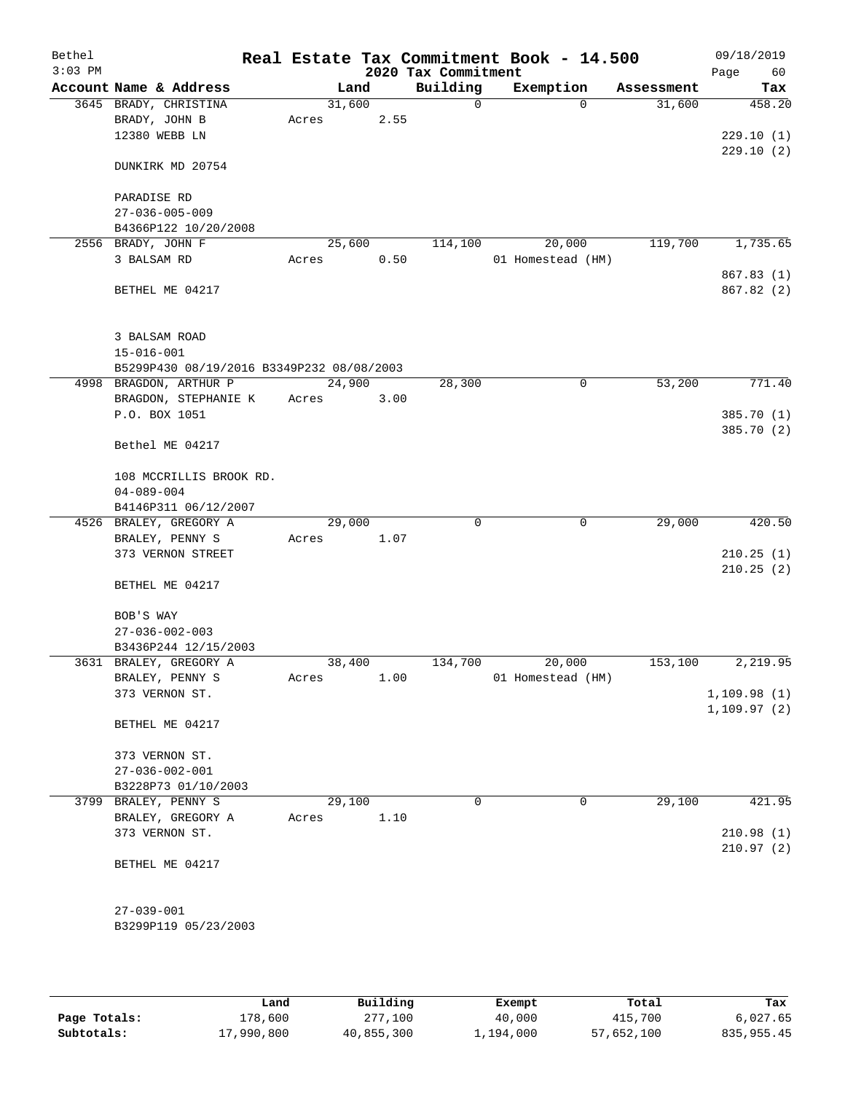| Bethel<br>$3:03$ PM |                                           |        |      | 2020 Tax Commitment | Real Estate Tax Commitment Book - 14.500 |            | 09/18/2019<br>Page<br>60 |
|---------------------|-------------------------------------------|--------|------|---------------------|------------------------------------------|------------|--------------------------|
|                     | Account Name & Address                    |        | Land | Building            | Exemption                                | Assessment | Tax                      |
|                     | 3645 BRADY, CHRISTINA                     | 31,600 |      | $\mathbf 0$         | $\Omega$                                 | 31,600     | 458.20                   |
|                     | BRADY, JOHN B                             | Acres  | 2.55 |                     |                                          |            |                          |
|                     | 12380 WEBB LN                             |        |      |                     |                                          |            | 229.10(1)                |
|                     | DUNKIRK MD 20754                          |        |      |                     |                                          |            | 229.10(2)                |
|                     | PARADISE RD                               |        |      |                     |                                          |            |                          |
|                     | $27 - 036 - 005 - 009$                    |        |      |                     |                                          |            |                          |
|                     | B4366P122 10/20/2008                      |        |      |                     |                                          |            |                          |
|                     | 2556 BRADY, JOHN F                        | 25,600 |      | 114,100             | 20,000                                   | 119,700    | 1,735.65                 |
|                     | 3 BALSAM RD                               | Acres  | 0.50 |                     | 01 Homestead (HM)                        |            |                          |
|                     |                                           |        |      |                     |                                          |            | 867.83 (1)               |
|                     | BETHEL ME 04217                           |        |      |                     |                                          |            | 867.82 (2)               |
|                     | 3 BALSAM ROAD                             |        |      |                     |                                          |            |                          |
|                     | $15 - 016 - 001$                          |        |      |                     |                                          |            |                          |
|                     | B5299P430 08/19/2016 B3349P232 08/08/2003 |        |      |                     |                                          |            |                          |
|                     | 4998 BRAGDON, ARTHUR P                    | 24,900 |      | 28,300              | 0                                        | 53,200     | 771.40                   |
|                     | BRAGDON, STEPHANIE K                      | Acres  | 3.00 |                     |                                          |            |                          |
|                     | P.O. BOX 1051                             |        |      |                     |                                          |            | 385.70 (1)               |
|                     | Bethel ME 04217                           |        |      |                     |                                          |            | 385.70 (2)               |
|                     |                                           |        |      |                     |                                          |            |                          |
|                     | 108 MCCRILLIS BROOK RD.                   |        |      |                     |                                          |            |                          |
|                     | $04 - 089 - 004$                          |        |      |                     |                                          |            |                          |
|                     | B4146P311 06/12/2007                      |        |      |                     |                                          |            |                          |
|                     | 4526 BRALEY, GREGORY A                    | 29,000 |      | $\mathbf 0$         | $\mathbf 0$                              | 29,000     | 420.50                   |
|                     | BRALEY, PENNY S                           | Acres  | 1.07 |                     |                                          |            |                          |
|                     | 373 VERNON STREET                         |        |      |                     |                                          |            | 210.25(1)                |
|                     | BETHEL ME 04217                           |        |      |                     |                                          |            | 210.25(2)                |
|                     | BOB'S WAY                                 |        |      |                     |                                          |            |                          |
|                     | $27 - 036 - 002 - 003$                    |        |      |                     |                                          |            |                          |
|                     | B3436P244 12/15/2003                      |        |      |                     |                                          |            |                          |
|                     | 3631 BRALEY, GREGORY A                    | 38,400 |      | 134,700             | 20,000                                   | 153,100    | 2,219.95                 |
|                     | BRALEY, PENNY S                           | Acres  | 1.00 |                     | 01 Homestead (HM)                        |            |                          |
|                     | 373 VERNON ST.                            |        |      |                     |                                          |            | 1,109.98(1)              |
|                     | BETHEL ME 04217                           |        |      |                     |                                          |            | 1,109.97(2)              |
|                     | 373 VERNON ST.                            |        |      |                     |                                          |            |                          |
|                     | $27 - 036 - 002 - 001$                    |        |      |                     |                                          |            |                          |
|                     | B3228P73 01/10/2003                       |        |      |                     |                                          |            |                          |
|                     | 3799 BRALEY, PENNY S                      | 29,100 |      | 0                   | 0                                        | 29,100     | 421.95                   |
|                     | BRALEY, GREGORY A                         | Acres  | 1.10 |                     |                                          |            |                          |
|                     | 373 VERNON ST.                            |        |      |                     |                                          |            | 210.98(1)                |
|                     |                                           |        |      |                     |                                          |            | 210.97(2)                |
|                     | BETHEL ME 04217                           |        |      |                     |                                          |            |                          |
|                     | $27 - 039 - 001$                          |        |      |                     |                                          |            |                          |
|                     | B3299P119 05/23/2003                      |        |      |                     |                                          |            |                          |
|                     |                                           |        |      |                     |                                          |            |                          |
|                     |                                           |        |      |                     |                                          |            |                          |

|              | Land       | Building   | Exempt    | Total      | Tax        |
|--------------|------------|------------|-----------|------------|------------|
| Page Totals: | 178,600    | 277,100    | 40,000    | 415,700    | 6,027.65   |
| Subtotals:   | 17,990,800 | 40,855,300 | 1,194,000 | 57,652,100 | 835,955.45 |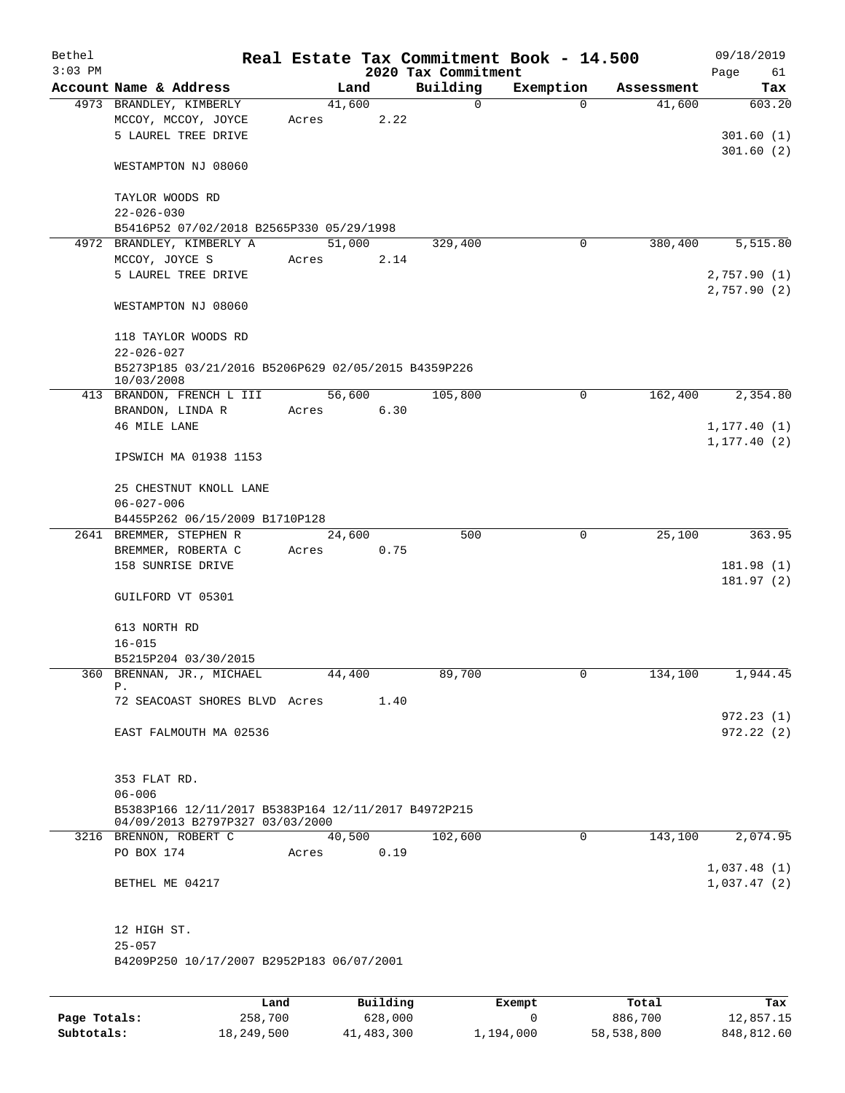| Bethel<br>$3:03$ PM |                                                                                                      |       |                | 2020 Tax Commitment | Real Estate Tax Commitment Book - 14.500 |            | 09/18/2019<br>Page<br>61     |
|---------------------|------------------------------------------------------------------------------------------------------|-------|----------------|---------------------|------------------------------------------|------------|------------------------------|
|                     | Account Name & Address                                                                               |       | Land           | Building            | Exemption                                | Assessment | Tax                          |
|                     | 4973 BRANDLEY, KIMBERLY                                                                              |       | 41,600         | 0                   | $\Omega$                                 | 41,600     | 603.20                       |
|                     | MCCOY, MCCOY, JOYCE<br>5 LAUREL TREE DRIVE                                                           | Acres | 2.22           |                     |                                          |            | 301.60(1)                    |
|                     | WESTAMPTON NJ 08060                                                                                  |       |                |                     |                                          |            | 301.60(2)                    |
|                     | TAYLOR WOODS RD<br>$22 - 026 - 030$                                                                  |       |                |                     |                                          |            |                              |
|                     | B5416P52 07/02/2018 B2565P330 05/29/1998                                                             |       |                |                     |                                          |            |                              |
|                     | 4972 BRANDLEY, KIMBERLY A                                                                            |       | 51,000         | 329,400             | 0                                        | 380,400    | 5,515.80                     |
|                     | MCCOY, JOYCE S<br>5 LAUREL TREE DRIVE                                                                | Acres | 2.14           |                     |                                          |            | 2,757.90(1)<br>2,757.90(2)   |
|                     | WESTAMPTON NJ 08060                                                                                  |       |                |                     |                                          |            |                              |
|                     | 118 TAYLOR WOODS RD<br>$22 - 026 - 027$                                                              |       |                |                     |                                          |            |                              |
|                     | B5273P185 03/21/2016 B5206P629 02/05/2015 B4359P226<br>10/03/2008                                    |       |                |                     |                                          |            |                              |
|                     | 413 BRANDON, FRENCH L III                                                                            |       | 56,600         | 105,800             | 0                                        | 162,400    | 2,354.80                     |
|                     | BRANDON, LINDA R<br>46 MILE LANE                                                                     | Acres | 6.30           |                     |                                          |            | 1, 177.40(1)<br>1, 177.40(2) |
|                     | IPSWICH MA 01938 1153                                                                                |       |                |                     |                                          |            |                              |
|                     | 25 CHESTNUT KNOLL LANE<br>$06 - 027 - 006$                                                           |       |                |                     |                                          |            |                              |
|                     | B4455P262 06/15/2009 B1710P128                                                                       |       |                |                     |                                          |            |                              |
|                     | 2641 BREMMER, STEPHEN R<br>BREMMER, ROBERTA C<br>158 SUNRISE DRIVE                                   | Acres | 24,600<br>0.75 | 500                 | 0                                        | 25,100     | 363.95<br>181.98 (1)         |
|                     | GUILFORD VT 05301                                                                                    |       |                |                     |                                          |            | 181.97 (2)                   |
|                     |                                                                                                      |       |                |                     |                                          |            |                              |
|                     | 613 NORTH RD                                                                                         |       |                |                     |                                          |            |                              |
|                     | $16 - 015$                                                                                           |       |                |                     |                                          |            |                              |
|                     | B5215P204 03/30/2015<br>360 BRENNAN, JR., MICHAEL                                                    |       | 44,400         | 89,700              | 0                                        | 134,100    | 1,944.45                     |
|                     | Ρ.                                                                                                   |       |                |                     |                                          |            |                              |
|                     | 72 SEACOAST SHORES BLVD Acres                                                                        |       | 1.40           |                     |                                          |            | 972.23(1)                    |
|                     | EAST FALMOUTH MA 02536                                                                               |       |                |                     |                                          |            | 972.22(2)                    |
|                     | 353 FLAT RD.                                                                                         |       |                |                     |                                          |            |                              |
|                     | $06 - 006$<br>B5383P166 12/11/2017 B5383P164 12/11/2017 B4972P215<br>04/09/2013 B2797P327 03/03/2000 |       |                |                     |                                          |            |                              |
|                     | 3216 BRENNON, ROBERT C                                                                               |       | 40,500         | 102,600             | $\mathbf 0$                              | 143,100    | 2,074.95                     |
|                     | PO BOX 174                                                                                           | Acres | 0.19           |                     |                                          |            | 1,037.48(1)                  |
|                     | BETHEL ME 04217                                                                                      |       |                |                     |                                          |            | 1,037.47(2)                  |
|                     | 12 HIGH ST.<br>$25 - 057$                                                                            |       |                |                     |                                          |            |                              |
|                     | B4209P250 10/17/2007 B2952P183 06/07/2001                                                            |       |                |                     |                                          |            |                              |
|                     |                                                                                                      |       |                |                     |                                          |            |                              |
|                     |                                                                                                      | Land  | Building       |                     | Exempt                                   | Total      | Tax                          |

|              | Land       | Building   | Exempt    | Total      | Tax        |
|--------------|------------|------------|-----------|------------|------------|
| Page Totals: | 258,700    | 628,000    |           | 886,700    | 12,857.15  |
| Subtotals:   | 18,249,500 | 41,483,300 | 1,194,000 | 58,538,800 | 848,812.60 |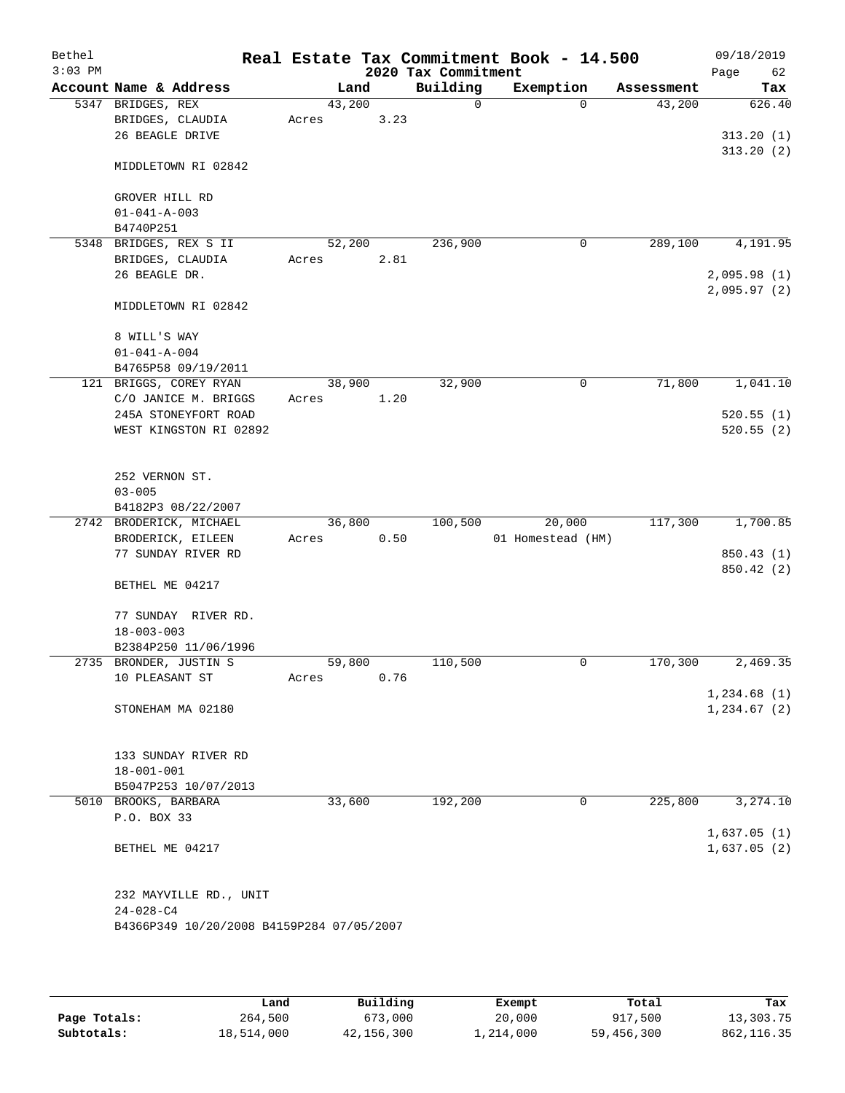| Bethel    |                                              |        |      |                     | Real Estate Tax Commitment Book - 14.500 |            | 09/18/2019    |
|-----------|----------------------------------------------|--------|------|---------------------|------------------------------------------|------------|---------------|
| $3:03$ PM |                                              |        |      | 2020 Tax Commitment |                                          |            | Page<br>62    |
|           | Account Name & Address                       | Land   |      | Building            | Exemption                                | Assessment | Tax           |
|           | 5347 BRIDGES, REX                            | 43,200 | 3.23 | $\mathbf 0$         | $\Omega$                                 | 43,200     | 626.40        |
|           | BRIDGES, CLAUDIA<br>26 BEAGLE DRIVE          | Acres  |      |                     |                                          |            | 313.20(1)     |
|           |                                              |        |      |                     |                                          |            | 313.20(2)     |
|           | MIDDLETOWN RI 02842                          |        |      |                     |                                          |            |               |
|           | GROVER HILL RD                               |        |      |                     |                                          |            |               |
|           | $01 - 041 - A - 003$                         |        |      |                     |                                          |            |               |
|           | B4740P251                                    |        |      |                     |                                          |            |               |
| 5348      | BRIDGES, REX S II                            | 52,200 |      | 236,900             | 0                                        | 289,100    | 4,191.95      |
|           | BRIDGES, CLAUDIA                             | Acres  | 2.81 |                     |                                          |            |               |
|           | 26 BEAGLE DR.                                |        |      |                     |                                          |            | 2,095.98(1)   |
|           | MIDDLETOWN RI 02842                          |        |      |                     |                                          |            | 2,095.97 (2)  |
|           | 8 WILL'S WAY                                 |        |      |                     |                                          |            |               |
|           | $01 - 041 - A - 004$                         |        |      |                     |                                          |            |               |
|           | B4765P58 09/19/2011                          |        |      |                     |                                          |            |               |
|           | 121 BRIGGS, COREY RYAN                       | 38,900 |      | 32,900              | 0                                        | 71,800     | 1,041.10      |
|           | C/O JANICE M. BRIGGS<br>245A STONEYFORT ROAD | Acres  | 1.20 |                     |                                          |            |               |
|           |                                              |        |      |                     |                                          |            | 520.55(1)     |
|           | WEST KINGSTON RI 02892                       |        |      |                     |                                          |            | 520.55(2)     |
|           | 252 VERNON ST.                               |        |      |                     |                                          |            |               |
|           | $03 - 005$                                   |        |      |                     |                                          |            |               |
|           | B4182P3 08/22/2007                           |        |      |                     |                                          |            |               |
|           | 2742 BRODERICK, MICHAEL                      | 36,800 |      | 100,500             | 20,000                                   | 117,300    | 1,700.85      |
|           | BRODERICK, EILEEN                            | Acres  | 0.50 |                     | 01 Homestead (HM)                        |            |               |
|           | 77 SUNDAY RIVER RD                           |        |      |                     |                                          |            | 850.43 (1)    |
|           |                                              |        |      |                     |                                          |            | 850.42 (2)    |
|           | BETHEL ME 04217                              |        |      |                     |                                          |            |               |
|           | 77 SUNDAY RIVER RD.                          |        |      |                     |                                          |            |               |
|           | $18 - 003 - 003$                             |        |      |                     |                                          |            |               |
|           | B2384P250 11/06/1996                         |        |      |                     |                                          |            |               |
|           | 2735 BRONDER, JUSTIN S                       | 59,800 |      | 110,500             | 0                                        | 170,300    | 2,469.35      |
|           | 10 PLEASANT ST                               | Acres  | 0.76 |                     |                                          |            |               |
|           |                                              |        |      |                     |                                          |            | 1,234.68(1)   |
|           | STONEHAM MA 02180                            |        |      |                     |                                          |            | 1, 234.67 (2) |
|           | 133 SUNDAY RIVER RD                          |        |      |                     |                                          |            |               |
|           | $18 - 001 - 001$                             |        |      |                     |                                          |            |               |
|           | B5047P253 10/07/2013                         |        |      |                     |                                          |            |               |
|           | 5010 BROOKS, BARBARA                         | 33,600 |      | 192,200             | 0                                        | 225,800    | 3,274.10      |
|           | P.O. BOX 33                                  |        |      |                     |                                          |            |               |
|           |                                              |        |      |                     |                                          |            | 1,637.05(1)   |
|           | BETHEL ME 04217                              |        |      |                     |                                          |            | 1,637.05(2)   |
|           | 232 MAYVILLE RD., UNIT                       |        |      |                     |                                          |            |               |
|           | $24 - 028 - C4$                              |        |      |                     |                                          |            |               |
|           | B4366P349 10/20/2008 B4159P284 07/05/2007    |        |      |                     |                                          |            |               |
|           |                                              |        |      |                     |                                          |            |               |

|              | Land       | Building   | Exempt    | Total      | Tax         |
|--------------|------------|------------|-----------|------------|-------------|
| Page Totals: | 264,500    | 673,000    | 20,000    | 917,500    | 13,303.75   |
| Subtotals:   | 18,514,000 | 42,156,300 | 1,214,000 | 59,456,300 | 862, 116.35 |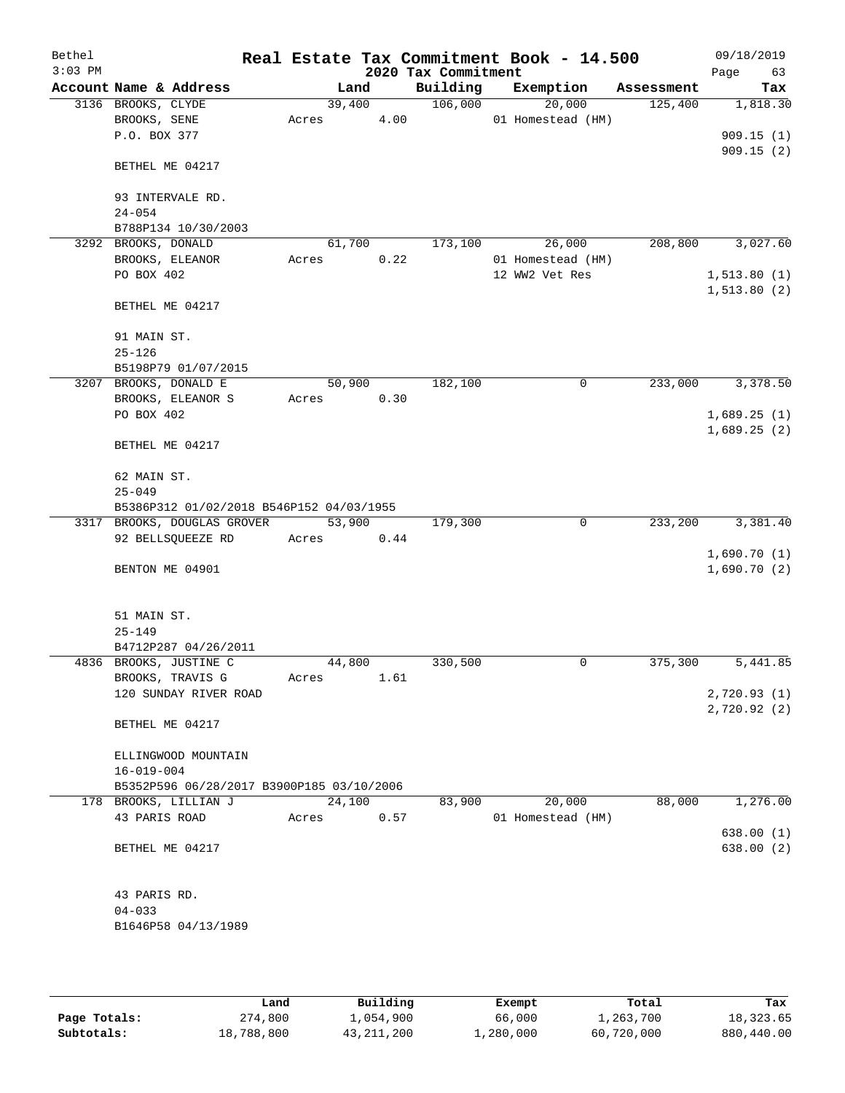| Bethel<br>$3:03$ PM |                                           |       |        |      | 2020 Tax Commitment | Real Estate Tax Commitment Book - 14.500 |            | 09/18/2019<br>Page<br>63 |
|---------------------|-------------------------------------------|-------|--------|------|---------------------|------------------------------------------|------------|--------------------------|
|                     | Account Name & Address                    |       | Land   |      | Building            | Exemption                                | Assessment | Tax                      |
|                     | 3136 BROOKS, CLYDE                        |       | 39,400 |      | 106,000             | 20,000                                   | 125,400    | 1,818.30                 |
|                     | BROOKS, SENE                              | Acres |        | 4.00 |                     | 01 Homestead (HM)                        |            |                          |
|                     | P.O. BOX 377                              |       |        |      |                     |                                          |            | 909.15(1)                |
|                     | BETHEL ME 04217                           |       |        |      |                     |                                          |            | 909.15(2)                |
|                     | 93 INTERVALE RD.                          |       |        |      |                     |                                          |            |                          |
|                     | $24 - 054$                                |       |        |      |                     |                                          |            |                          |
|                     | B788P134 10/30/2003                       |       |        |      |                     |                                          |            |                          |
|                     | 3292 BROOKS, DONALD                       |       | 61,700 |      | 173,100             | 26,000                                   | 208,800    | 3,027.60                 |
|                     | BROOKS, ELEANOR                           | Acres |        | 0.22 |                     | 01 Homestead (HM)                        |            |                          |
|                     | PO BOX 402                                |       |        |      |                     | 12 WW2 Vet Res                           |            | 1, 513.80(1)             |
|                     | BETHEL ME 04217                           |       |        |      |                     |                                          |            | 1, 513.80 (2)            |
|                     | 91 MAIN ST.                               |       |        |      |                     |                                          |            |                          |
|                     | $25 - 126$                                |       |        |      |                     |                                          |            |                          |
|                     | B5198P79 01/07/2015                       |       |        |      |                     |                                          |            |                          |
|                     | 3207 BROOKS, DONALD E                     |       | 50,900 |      | 182,100             | 0                                        | 233,000    | 3,378.50                 |
|                     | BROOKS, ELEANOR S<br>PO BOX 402           | Acres |        | 0.30 |                     |                                          |            | 1,689.25(1)              |
|                     |                                           |       |        |      |                     |                                          |            | 1,689.25(2)              |
|                     | BETHEL ME 04217                           |       |        |      |                     |                                          |            |                          |
|                     | 62 MAIN ST.                               |       |        |      |                     |                                          |            |                          |
|                     | $25 - 049$                                |       |        |      |                     |                                          |            |                          |
|                     | B5386P312 01/02/2018 B546P152 04/03/1955  |       |        |      |                     |                                          |            |                          |
|                     | 3317 BROOKS, DOUGLAS GROVER               |       | 53,900 |      | 179,300             | $\mathbf 0$                              | 233,200    | 3,381.40                 |
|                     | 92 BELLSQUEEZE RD                         | Acres |        | 0.44 |                     |                                          |            |                          |
|                     |                                           |       |        |      |                     |                                          |            | 1,690.70(1)              |
|                     | BENTON ME 04901                           |       |        |      |                     |                                          |            | 1,690.70(2)              |
|                     | 51 MAIN ST.                               |       |        |      |                     |                                          |            |                          |
|                     | $25 - 149$                                |       |        |      |                     |                                          |            |                          |
|                     | B4712P287 04/26/2011                      |       |        |      |                     |                                          |            |                          |
|                     | 4836 BROOKS, JUSTINE C                    |       | 44,800 |      | 330,500             | 0                                        | 375,300    | 5,441.85                 |
|                     | BROOKS, TRAVIS G                          | Acres |        | 1.61 |                     |                                          |            |                          |
|                     | 120 SUNDAY RIVER ROAD                     |       |        |      |                     |                                          |            | 2,720.93(1)              |
|                     | BETHEL ME 04217                           |       |        |      |                     |                                          |            | 2,720.92(2)              |
|                     | ELLINGWOOD MOUNTAIN                       |       |        |      |                     |                                          |            |                          |
|                     | $16 - 019 - 004$                          |       |        |      |                     |                                          |            |                          |
|                     | B5352P596 06/28/2017 B3900P185 03/10/2006 |       |        |      |                     |                                          |            |                          |
|                     | 178 BROOKS, LILLIAN J                     |       | 24,100 |      | 83,900              | 20,000                                   | 88,000     | 1,276.00                 |
|                     | 43 PARIS ROAD                             | Acres |        | 0.57 |                     | 01 Homestead (HM)                        |            |                          |
|                     |                                           |       |        |      |                     |                                          |            | 638.00(1)                |
|                     | BETHEL ME 04217                           |       |        |      |                     |                                          |            | 638.00(2)                |
|                     | 43 PARIS RD.                              |       |        |      |                     |                                          |            |                          |
|                     | $04 - 033$                                |       |        |      |                     |                                          |            |                          |
|                     | B1646P58 04/13/1989                       |       |        |      |                     |                                          |            |                          |
|                     |                                           |       |        |      |                     |                                          |            |                          |

|              | Land       | Building     | Exempt    | Total      | Tax        |
|--------------|------------|--------------|-----------|------------|------------|
| Page Totals: | 274,800    | l,054,900    | 66,000    | 1,263,700  | 18,323.65  |
| Subtotals:   | 18,788,800 | 43, 211, 200 | ⊥,280,000 | 60,720,000 | 880,440.00 |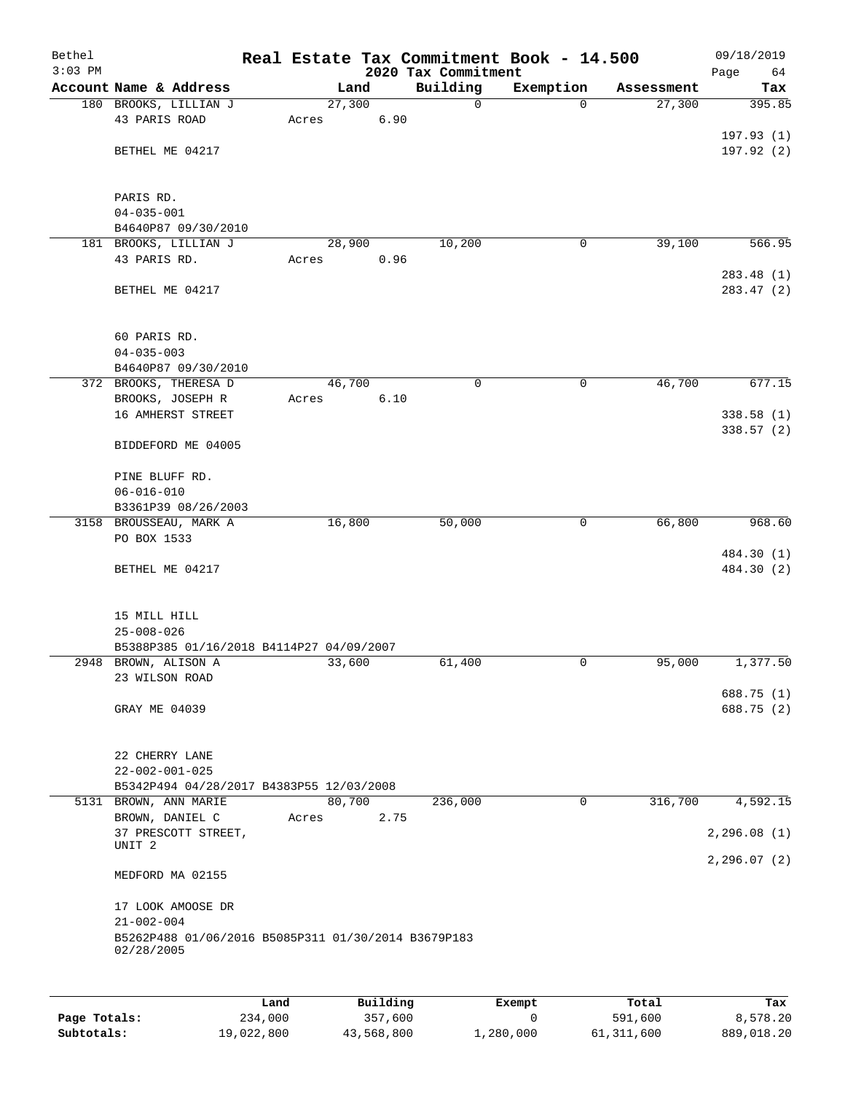| Bethel<br>$3:03$ PM |                                                                   |        |      | Real Estate Tax Commitment Book - 14.500<br>2020 Tax Commitment |             |            | 09/18/2019<br>Page<br>64 |
|---------------------|-------------------------------------------------------------------|--------|------|-----------------------------------------------------------------|-------------|------------|--------------------------|
|                     | Account Name & Address                                            | Land   |      | Building                                                        | Exemption   | Assessment | Tax                      |
|                     | 180 BROOKS, LILLIAN J                                             | 27,300 |      | $\mathbf 0$                                                     | $\Omega$    | 27,300     | 395.85                   |
|                     | 43 PARIS ROAD                                                     | Acres  | 6.90 |                                                                 |             |            |                          |
|                     |                                                                   |        |      |                                                                 |             |            | 197.93(1)                |
|                     | BETHEL ME 04217                                                   |        |      |                                                                 |             |            | 197.92 (2)               |
|                     | PARIS RD.                                                         |        |      |                                                                 |             |            |                          |
|                     | $04 - 035 - 001$                                                  |        |      |                                                                 |             |            |                          |
|                     | B4640P87 09/30/2010                                               |        |      |                                                                 |             |            |                          |
|                     | 181 BROOKS, LILLIAN J                                             | 28,900 |      | 10,200                                                          | 0           | 39,100     | 566.95                   |
|                     | 43 PARIS RD.                                                      | Acres  | 0.96 |                                                                 |             |            |                          |
|                     | BETHEL ME 04217                                                   |        |      |                                                                 |             |            | 283.48 (1)<br>283.47 (2) |
|                     | 60 PARIS RD.                                                      |        |      |                                                                 |             |            |                          |
|                     | $04 - 035 - 003$                                                  |        |      |                                                                 |             |            |                          |
|                     | B4640P87 09/30/2010                                               |        |      |                                                                 |             |            |                          |
|                     | 372 BROOKS, THERESA D                                             | 46,700 |      | $\mathbf 0$                                                     | $\mathbf 0$ | 46,700     | 677.15                   |
|                     | BROOKS, JOSEPH R                                                  | Acres  | 6.10 |                                                                 |             |            |                          |
|                     | 16 AMHERST STREET                                                 |        |      |                                                                 |             |            | 338.58 (1)               |
|                     | BIDDEFORD ME 04005                                                |        |      |                                                                 |             |            | 338.57 (2)               |
|                     | PINE BLUFF RD.                                                    |        |      |                                                                 |             |            |                          |
|                     | $06 - 016 - 010$                                                  |        |      |                                                                 |             |            |                          |
|                     | B3361P39 08/26/2003                                               |        |      |                                                                 |             |            |                          |
|                     | 3158 BROUSSEAU, MARK A                                            | 16,800 |      | 50,000                                                          | 0           | 66,800     | 968.60                   |
|                     | PO BOX 1533                                                       |        |      |                                                                 |             |            |                          |
|                     |                                                                   |        |      |                                                                 |             |            | 484.30 (1)               |
|                     | BETHEL ME 04217                                                   |        |      |                                                                 |             |            | 484.30 (2)               |
|                     | 15 MILL HILL                                                      |        |      |                                                                 |             |            |                          |
|                     | $25 - 008 - 026$                                                  |        |      |                                                                 |             |            |                          |
|                     | B5388P385 01/16/2018 B4114P27 04/09/2007                          |        |      |                                                                 |             |            |                          |
|                     | 2948 BROWN, ALISON A                                              | 33,600 |      | 61,400                                                          | 0           | 95,000     | 1,377.50                 |
|                     | 23 WILSON ROAD                                                    |        |      |                                                                 |             |            |                          |
|                     | GRAY ME 04039                                                     |        |      |                                                                 |             |            | 688.75 (1)<br>688.75 (2) |
|                     |                                                                   |        |      |                                                                 |             |            |                          |
|                     | 22 CHERRY LANE                                                    |        |      |                                                                 |             |            |                          |
|                     | $22 - 002 - 001 - 025$                                            |        |      |                                                                 |             |            |                          |
|                     | B5342P494 04/28/2017 B4383P55 12/03/2008                          |        |      |                                                                 |             |            |                          |
|                     | 5131 BROWN, ANN MARIE                                             | 80,700 | 2.75 | 236,000                                                         | 0           | 316,700    | 4,592.15                 |
|                     | BROWN, DANIEL C<br>37 PRESCOTT STREET,                            | Acres  |      |                                                                 |             |            | 2, 296.08(1)             |
|                     | UNIT <sub>2</sub>                                                 |        |      |                                                                 |             |            |                          |
|                     | MEDFORD MA 02155                                                  |        |      |                                                                 |             |            | 2,296.07(2)              |
|                     |                                                                   |        |      |                                                                 |             |            |                          |
|                     | 17 LOOK AMOOSE DR<br>$21 - 002 - 004$                             |        |      |                                                                 |             |            |                          |
|                     | B5262P488 01/06/2016 B5085P311 01/30/2014 B3679P183<br>02/28/2005 |        |      |                                                                 |             |            |                          |
|                     |                                                                   |        |      |                                                                 |             |            |                          |
|                     |                                                                   |        |      |                                                                 |             |            |                          |

|              | Land       | Building   | Exempt    | Total      | Tax        |
|--------------|------------|------------|-----------|------------|------------|
| Page Totals: | 234,000    | 357,600    |           | 591,600    | 8,578.20   |
| Subtotals:   | 19,022,800 | 43,568,800 | 1,280,000 | 61,311,600 | 889,018.20 |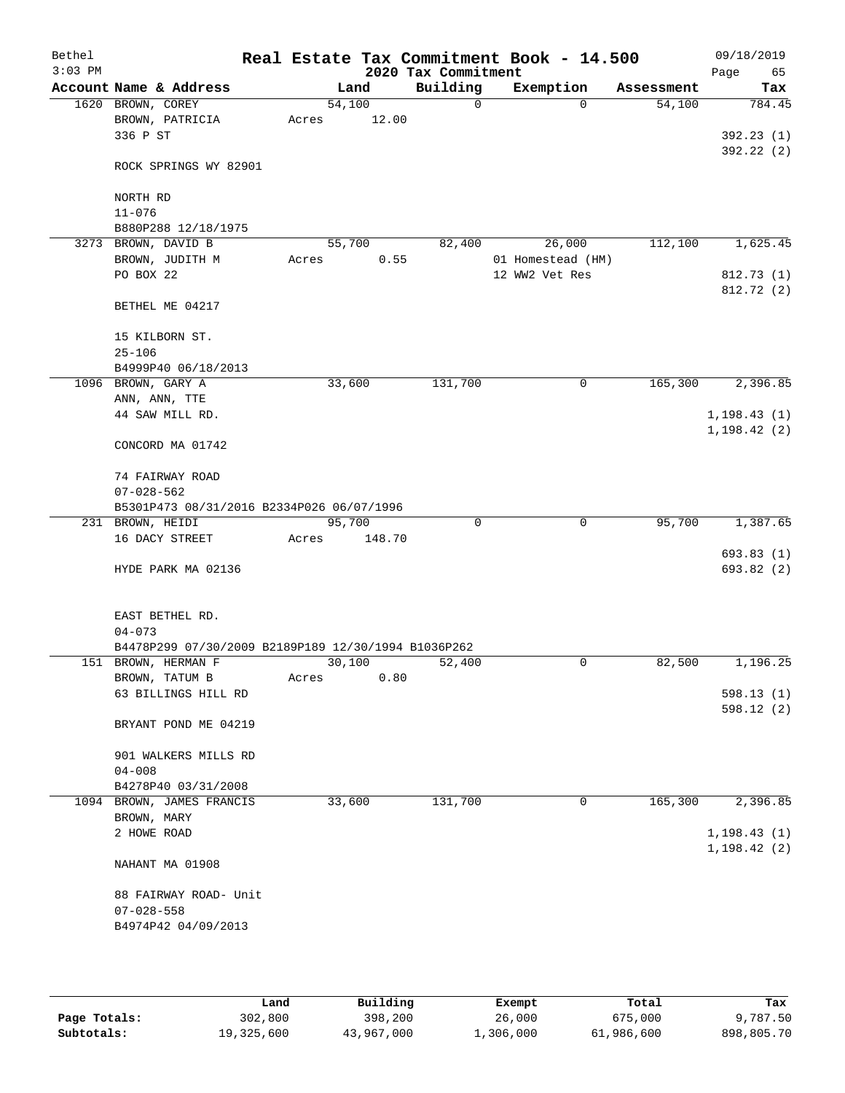| Bethel<br>$3:03$ PM |                                                                            |       |        |        | 2020 Tax Commitment | Real Estate Tax Commitment Book - 14.500 |            | 09/18/2019<br>Page<br>65 |
|---------------------|----------------------------------------------------------------------------|-------|--------|--------|---------------------|------------------------------------------|------------|--------------------------|
|                     | Account Name & Address                                                     |       |        | Land   | Building            | Exemption                                | Assessment | Tax                      |
|                     | 1620 BROWN, COREY                                                          |       | 54,100 |        | $\mathbf 0$         | $\Omega$                                 | 54,100     | 784.45                   |
|                     | BROWN, PATRICIA                                                            | Acres |        | 12.00  |                     |                                          |            |                          |
|                     | 336 P ST                                                                   |       |        |        |                     |                                          |            | 392.23(1)                |
|                     | ROCK SPRINGS WY 82901                                                      |       |        |        |                     |                                          |            | 392.22(2)                |
|                     | NORTH RD                                                                   |       |        |        |                     |                                          |            |                          |
|                     | $11 - 076$                                                                 |       |        |        |                     |                                          |            |                          |
|                     | B880P288 12/18/1975                                                        |       |        |        |                     |                                          |            |                          |
|                     | 3273 BROWN, DAVID B                                                        |       | 55,700 |        | 82,400              | 26,000                                   | 112,100    | 1,625.45                 |
|                     | BROWN, JUDITH M                                                            | Acres |        | 0.55   |                     | 01 Homestead (HM)                        |            |                          |
|                     | PO BOX 22                                                                  |       |        |        |                     | 12 WW2 Vet Res                           |            | 812.73 (1)               |
|                     | BETHEL ME 04217                                                            |       |        |        |                     |                                          |            | 812.72 (2)               |
|                     | 15 KILBORN ST.<br>$25 - 106$                                               |       |        |        |                     |                                          |            |                          |
|                     | B4999P40 06/18/2013                                                        |       |        |        |                     |                                          |            |                          |
|                     | 1096 BROWN, GARY A                                                         |       | 33,600 |        | 131,700             | 0                                        | 165,300    | 2,396.85                 |
|                     | ANN, ANN, TTE                                                              |       |        |        |                     |                                          |            |                          |
|                     | 44 SAW MILL RD.                                                            |       |        |        |                     |                                          |            | 1, 198.43(1)             |
|                     | CONCORD MA 01742                                                           |       |        |        |                     |                                          |            | 1, 198.42(2)             |
|                     | 74 FAIRWAY ROAD<br>$07 - 028 - 562$                                        |       |        |        |                     |                                          |            |                          |
|                     | B5301P473 08/31/2016 B2334P026 06/07/1996                                  |       |        |        |                     |                                          |            |                          |
|                     | 231 BROWN, HEIDI                                                           |       | 95,700 |        | 0                   | $\mathbf 0$                              | 95,700     | 1,387.65                 |
|                     | 16 DACY STREET                                                             | Acres |        | 148.70 |                     |                                          |            |                          |
|                     |                                                                            |       |        |        |                     |                                          |            | 693.83(1)                |
|                     | HYDE PARK MA 02136                                                         |       |        |        |                     |                                          |            | 693.82(2)                |
|                     | EAST BETHEL RD.                                                            |       |        |        |                     |                                          |            |                          |
|                     | $04 - 073$                                                                 |       |        |        |                     |                                          |            |                          |
|                     | B4478P299 07/30/2009 B2189P189 12/30/1994 B1036P262<br>151 BROWN, HERMAN F |       | 30,100 |        | 52,400              | 0                                        | 82,500     | 1,196.25                 |
|                     | BROWN, TATUM B                                                             | Acres |        | 0.80   |                     |                                          |            |                          |
|                     | 63 BILLINGS HILL RD                                                        |       |        |        |                     |                                          |            | 598.13(1)                |
|                     |                                                                            |       |        |        |                     |                                          |            | 598.12(2)                |
|                     | BRYANT POND ME 04219                                                       |       |        |        |                     |                                          |            |                          |
|                     | 901 WALKERS MILLS RD                                                       |       |        |        |                     |                                          |            |                          |
|                     | $04 - 008$                                                                 |       |        |        |                     |                                          |            |                          |
|                     | B4278P40 03/31/2008                                                        |       |        |        |                     |                                          |            |                          |
|                     | 1094 BROWN, JAMES FRANCIS                                                  |       | 33,600 |        | 131,700             | 0                                        | 165,300    | 2,396.85                 |
|                     | BROWN, MARY                                                                |       |        |        |                     |                                          |            |                          |
|                     | 2 HOWE ROAD                                                                |       |        |        |                     |                                          |            | 1, 198.43(1)             |
|                     | NAHANT MA 01908                                                            |       |        |        |                     |                                          |            | 1, 198.42(2)             |
|                     | 88 FAIRWAY ROAD- Unit                                                      |       |        |        |                     |                                          |            |                          |
|                     | $07 - 028 - 558$                                                           |       |        |        |                     |                                          |            |                          |
|                     | B4974P42 04/09/2013                                                        |       |        |        |                     |                                          |            |                          |
|                     |                                                                            |       |        |        |                     |                                          |            |                          |
|                     |                                                                            |       |        |        |                     |                                          |            |                          |

|              | Land       | Building   | Exempt    | Total      | Tax        |
|--------------|------------|------------|-----------|------------|------------|
| Page Totals: | 302,800    | 398,200    | 26,000    | 675,000    | 9,787.50   |
| Subtotals:   | 19,325,600 | 43,967,000 | ⊥,306,000 | 61,986,600 | 898,805.70 |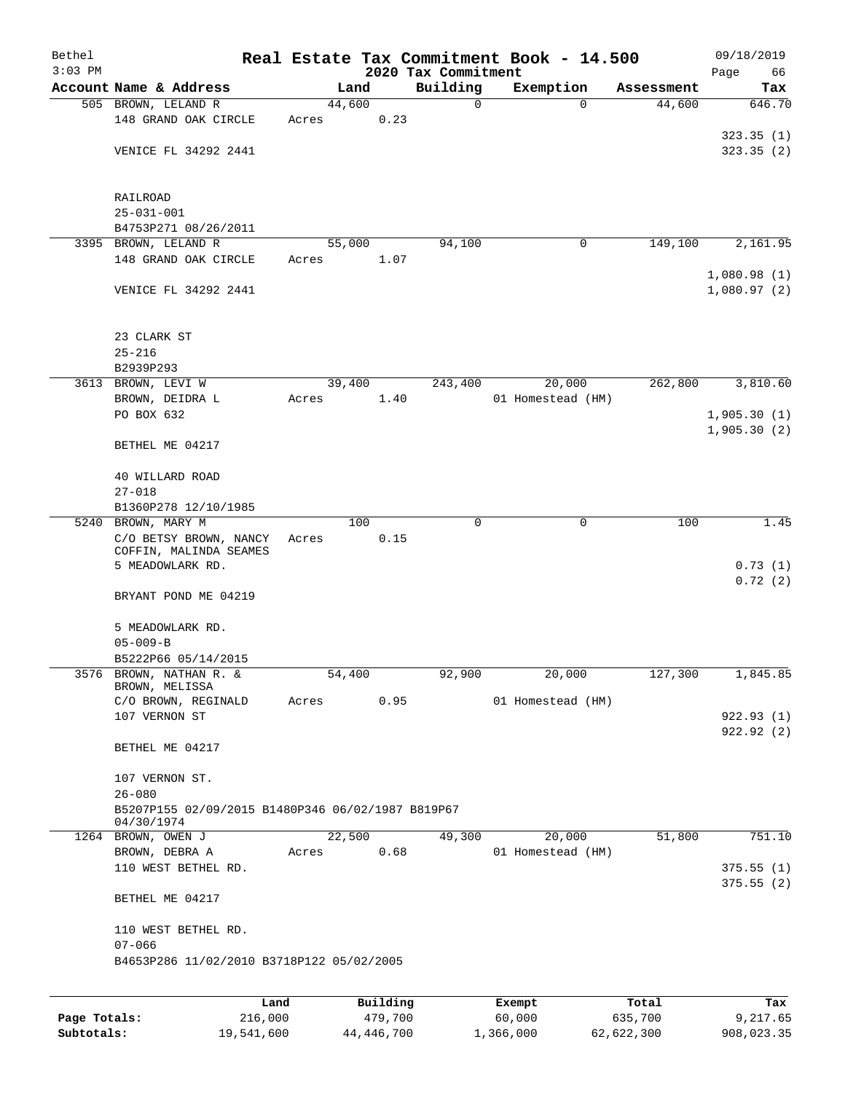| Bethel       |                                                                 |       |        |          |                     | Real Estate Tax Commitment Book - 14.500 |            | 09/18/2019                 |
|--------------|-----------------------------------------------------------------|-------|--------|----------|---------------------|------------------------------------------|------------|----------------------------|
| $3:03$ PM    |                                                                 |       |        |          | 2020 Tax Commitment |                                          |            | Page<br>66                 |
|              | Account Name & Address                                          |       | Land   |          | Building            | Exemption                                | Assessment | Tax                        |
|              | 505 BROWN, LELAND R                                             |       | 44,600 |          | 0                   | 0                                        | 44,600     | 646.70                     |
|              | 148 GRAND OAK CIRCLE                                            | Acres |        | 0.23     |                     |                                          |            | 323.35(1)                  |
|              | VENICE FL 34292 2441                                            |       |        |          |                     |                                          |            | 323.35(2)                  |
|              |                                                                 |       |        |          |                     |                                          |            |                            |
|              | RAILROAD                                                        |       |        |          |                     |                                          |            |                            |
|              | $25 - 031 - 001$                                                |       |        |          |                     |                                          |            |                            |
|              | B4753P271 08/26/2011                                            |       |        |          |                     |                                          |            |                            |
|              | 3395 BROWN, LELAND R                                            |       | 55,000 |          | 94,100              | 0                                        | 149,100    | 2,161.95                   |
|              | 148 GRAND OAK CIRCLE                                            | Acres |        | 1.07     |                     |                                          |            |                            |
|              | VENICE FL 34292 2441                                            |       |        |          |                     |                                          |            | 1,080.98(1)<br>1,080.97(2) |
|              | 23 CLARK ST<br>$25 - 216$                                       |       |        |          |                     |                                          |            |                            |
|              | B2939P293                                                       |       |        |          |                     |                                          |            |                            |
|              | 3613 BROWN, LEVI W                                              |       | 39,400 |          | 243,400             | 20,000                                   | 262,800    | 3,810.60                   |
|              | BROWN, DEIDRA L                                                 | Acres |        | 1.40     |                     | 01 Homestead (HM)                        |            |                            |
|              | PO BOX 632                                                      |       |        |          |                     |                                          |            | 1,905.30(1)                |
|              |                                                                 |       |        |          |                     |                                          |            | 1,905.30(2)                |
|              | BETHEL ME 04217                                                 |       |        |          |                     |                                          |            |                            |
|              | 40 WILLARD ROAD                                                 |       |        |          |                     |                                          |            |                            |
|              | $27 - 018$                                                      |       |        |          |                     |                                          |            |                            |
|              | B1360P278 12/10/1985                                            |       |        |          |                     |                                          |            |                            |
|              | 5240 BROWN, MARY M                                              |       | 100    |          | $\Omega$            | 0                                        | 100        | 1.45                       |
|              | C/O BETSY BROWN, NANCY                                          | Acres |        | 0.15     |                     |                                          |            |                            |
|              | COFFIN, MALINDA SEAMES                                          |       |        |          |                     |                                          |            |                            |
|              | 5 MEADOWLARK RD.                                                |       |        |          |                     |                                          |            | 0.73(1)<br>0.72(2)         |
|              | BRYANT POND ME 04219                                            |       |        |          |                     |                                          |            |                            |
|              | 5 MEADOWLARK RD.                                                |       |        |          |                     |                                          |            |                            |
|              | $05 - 009 - B$                                                  |       |        |          |                     |                                          |            |                            |
|              | B5222P66 05/14/2015                                             |       |        |          |                     |                                          |            |                            |
|              | 3576 BROWN, NATHAN R. &                                         |       | 54,400 |          | 92,900              | 20,000                                   | 127,300    | 1,845.85                   |
|              | BROWN, MELISSA                                                  |       |        |          |                     |                                          |            |                            |
|              | C/O BROWN, REGINALD                                             | Acres |        | 0.95     |                     | 01 Homestead (HM)                        |            |                            |
|              | 107 VERNON ST                                                   |       |        |          |                     |                                          |            | 922.93(1)                  |
|              | BETHEL ME 04217                                                 |       |        |          |                     |                                          |            | 922.92(2)                  |
|              | 107 VERNON ST.                                                  |       |        |          |                     |                                          |            |                            |
|              | $26 - 080$                                                      |       |        |          |                     |                                          |            |                            |
|              | B5207P155 02/09/2015 B1480P346 06/02/1987 B819P67<br>04/30/1974 |       |        |          |                     |                                          |            |                            |
|              | 1264 BROWN, OWEN J                                              |       | 22,500 |          | 49,300              | 20,000                                   | 51,800     | 751.10                     |
|              | BROWN, DEBRA A                                                  | Acres |        | 0.68     |                     | 01 Homestead (HM)                        |            |                            |
|              | 110 WEST BETHEL RD.                                             |       |        |          |                     |                                          |            | 375.55(1)                  |
|              | BETHEL ME 04217                                                 |       |        |          |                     |                                          |            | 375.55(2)                  |
|              |                                                                 |       |        |          |                     |                                          |            |                            |
|              | 110 WEST BETHEL RD.<br>$07 - 066$                               |       |        |          |                     |                                          |            |                            |
|              | B4653P286 11/02/2010 B3718P122 05/02/2005                       |       |        |          |                     |                                          |            |                            |
|              |                                                                 |       |        |          |                     |                                          |            |                            |
|              | Land                                                            |       |        | Building |                     | Exempt                                   | Total      | Tax                        |
| Page Totals: | 216,000                                                         |       |        | 479,700  |                     | 60,000                                   | 635,700    | 9,217.65                   |

**Subtotals:** 19,541,600 44,446,700 1,366,000 62,622,300 908,023.35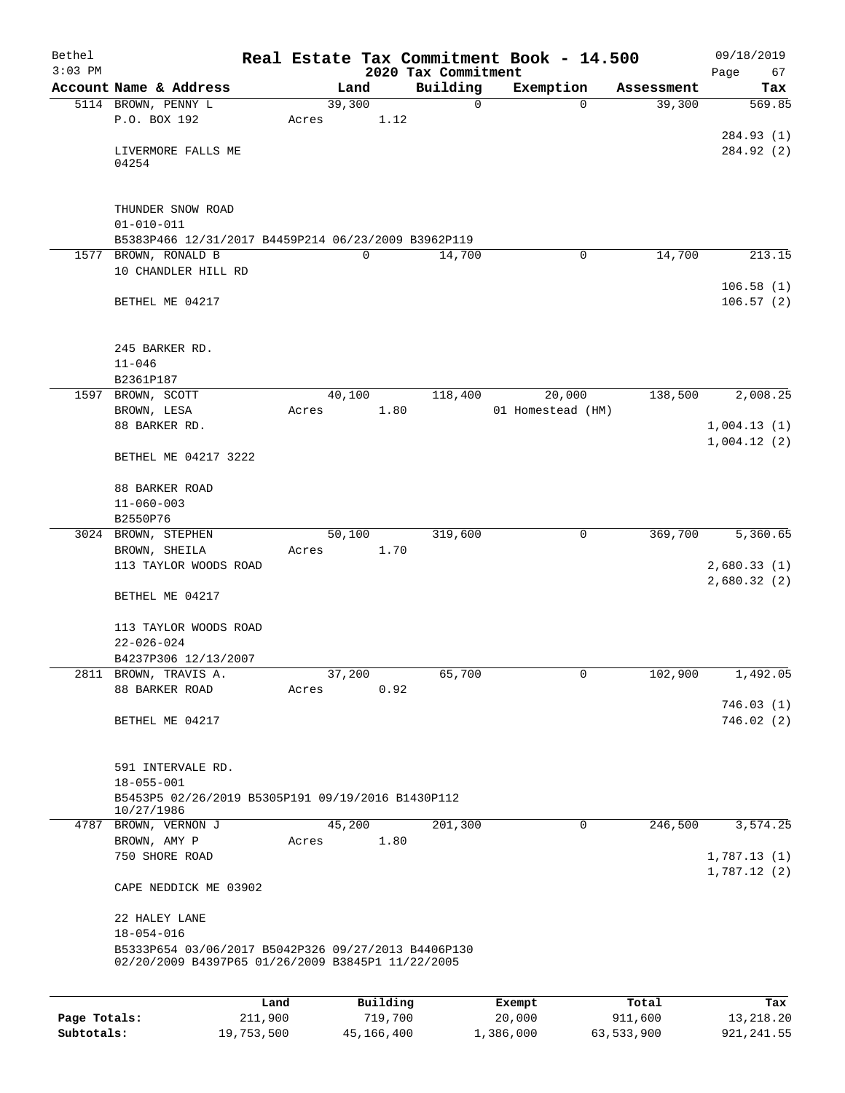| Bethel<br>$3:03$ PM |                                                     |         |       |        |          | Real Estate Tax Commitment Book - 14.500<br>2020 Tax Commitment |                   |             |            | 09/18/2019<br>Page<br>67 |
|---------------------|-----------------------------------------------------|---------|-------|--------|----------|-----------------------------------------------------------------|-------------------|-------------|------------|--------------------------|
|                     | Account Name & Address                              |         |       | Land   |          | Building                                                        | Exemption         |             | Assessment | Tax                      |
|                     | 5114 BROWN, PENNY L                                 |         |       | 39,300 |          | 0                                                               |                   | $\mathbf 0$ | 39,300     | 569.85                   |
|                     | P.O. BOX 192                                        |         | Acres |        | 1.12     |                                                                 |                   |             |            |                          |
|                     |                                                     |         |       |        |          |                                                                 |                   |             |            | 284.93 (1)               |
|                     | LIVERMORE FALLS ME                                  |         |       |        |          |                                                                 |                   |             |            | 284.92 (2)               |
|                     | 04254                                               |         |       |        |          |                                                                 |                   |             |            |                          |
|                     |                                                     |         |       |        |          |                                                                 |                   |             |            |                          |
|                     | THUNDER SNOW ROAD                                   |         |       |        |          |                                                                 |                   |             |            |                          |
|                     | $01 - 010 - 011$                                    |         |       |        |          |                                                                 |                   |             |            |                          |
|                     | B5383P466 12/31/2017 B4459P214 06/23/2009 B3962P119 |         |       |        |          |                                                                 |                   |             |            |                          |
|                     | 1577 BROWN, RONALD B<br>10 CHANDLER HILL RD         |         |       | 0      |          | 14,700                                                          |                   | $\mathbf 0$ | 14,700     | 213.15                   |
|                     |                                                     |         |       |        |          |                                                                 |                   |             |            | 106.58(1)                |
|                     | BETHEL ME 04217                                     |         |       |        |          |                                                                 |                   |             |            | 106.57(2)                |
|                     |                                                     |         |       |        |          |                                                                 |                   |             |            |                          |
|                     |                                                     |         |       |        |          |                                                                 |                   |             |            |                          |
|                     | 245 BARKER RD.<br>$11 - 046$                        |         |       |        |          |                                                                 |                   |             |            |                          |
|                     | B2361P187                                           |         |       |        |          |                                                                 |                   |             |            |                          |
| 1597                | BROWN, SCOTT                                        |         |       | 40,100 |          | 118,400                                                         |                   | 20,000      | 138,500    | 2,008.25                 |
|                     | BROWN, LESA                                         |         | Acres |        | 1.80     |                                                                 | 01 Homestead (HM) |             |            |                          |
|                     | 88 BARKER RD.                                       |         |       |        |          |                                                                 |                   |             |            | 1,004.13(1)              |
|                     |                                                     |         |       |        |          |                                                                 |                   |             |            | 1,004.12(2)              |
|                     | BETHEL ME 04217 3222                                |         |       |        |          |                                                                 |                   |             |            |                          |
|                     | 88 BARKER ROAD                                      |         |       |        |          |                                                                 |                   |             |            |                          |
|                     | $11 - 060 - 003$                                    |         |       |        |          |                                                                 |                   |             |            |                          |
|                     | B2550P76                                            |         |       |        |          |                                                                 |                   |             |            |                          |
|                     | 3024 BROWN, STEPHEN                                 |         |       | 50,100 |          | 319,600                                                         |                   | 0           | 369,700    | 5,360.65                 |
|                     | BROWN, SHEILA<br>113 TAYLOR WOODS ROAD              |         | Acres |        | 1.70     |                                                                 |                   |             |            | 2,680.33(1)              |
|                     |                                                     |         |       |        |          |                                                                 |                   |             |            | 2,680.32(2)              |
|                     | BETHEL ME 04217                                     |         |       |        |          |                                                                 |                   |             |            |                          |
|                     |                                                     |         |       |        |          |                                                                 |                   |             |            |                          |
|                     | 113 TAYLOR WOODS ROAD                               |         |       |        |          |                                                                 |                   |             |            |                          |
|                     | $22 - 026 - 024$<br>B4237P306 12/13/2007            |         |       |        |          |                                                                 |                   |             |            |                          |
|                     | 2811 BROWN, TRAVIS A.                               |         |       | 37,200 |          | 65,700                                                          |                   | 0           | 102,900    | 1,492.05                 |
|                     | 88 BARKER ROAD                                      |         | Acres |        | 0.92     |                                                                 |                   |             |            |                          |
|                     |                                                     |         |       |        |          |                                                                 |                   |             |            | 746.03(1)                |
|                     | BETHEL ME 04217                                     |         |       |        |          |                                                                 |                   |             |            | 746.02(2)                |
|                     |                                                     |         |       |        |          |                                                                 |                   |             |            |                          |
|                     | 591 INTERVALE RD.                                   |         |       |        |          |                                                                 |                   |             |            |                          |
|                     | $18 - 055 - 001$                                    |         |       |        |          |                                                                 |                   |             |            |                          |
|                     | B5453P5 02/26/2019 B5305P191 09/19/2016 B1430P112   |         |       |        |          |                                                                 |                   |             |            |                          |
|                     | 10/27/1986<br>4787 BROWN, VERNON J                  |         |       | 45,200 |          | 201,300                                                         |                   | 0           | 246,500    | 3,574.25                 |
|                     | BROWN, AMY P                                        |         | Acres |        | 1.80     |                                                                 |                   |             |            |                          |
|                     | 750 SHORE ROAD                                      |         |       |        |          |                                                                 |                   |             |            | 1,787.13(1)              |
|                     |                                                     |         |       |        |          |                                                                 |                   |             |            | 1,787.12(2)              |
|                     | CAPE NEDDICK ME 03902                               |         |       |        |          |                                                                 |                   |             |            |                          |
|                     | 22 HALEY LANE                                       |         |       |        |          |                                                                 |                   |             |            |                          |
|                     | $18 - 054 - 016$                                    |         |       |        |          |                                                                 |                   |             |            |                          |
|                     | B5333P654 03/06/2017 B5042P326 09/27/2013 B4406P130 |         |       |        |          |                                                                 |                   |             |            |                          |
|                     | 02/20/2009 B4397P65 01/26/2009 B3845P1 11/22/2005   |         |       |        |          |                                                                 |                   |             |            |                          |
|                     |                                                     |         |       |        |          |                                                                 |                   |             |            |                          |
|                     |                                                     | Land    |       |        | Building |                                                                 | Exempt            |             | Total      | Tax                      |
| Page Totals:        |                                                     | 211,900 |       |        | 719,700  |                                                                 | 20,000            |             | 911,600    | 13,218.20                |

**Subtotals:** 19,753,500 45,166,400 1,386,000 63,533,900 921,241.55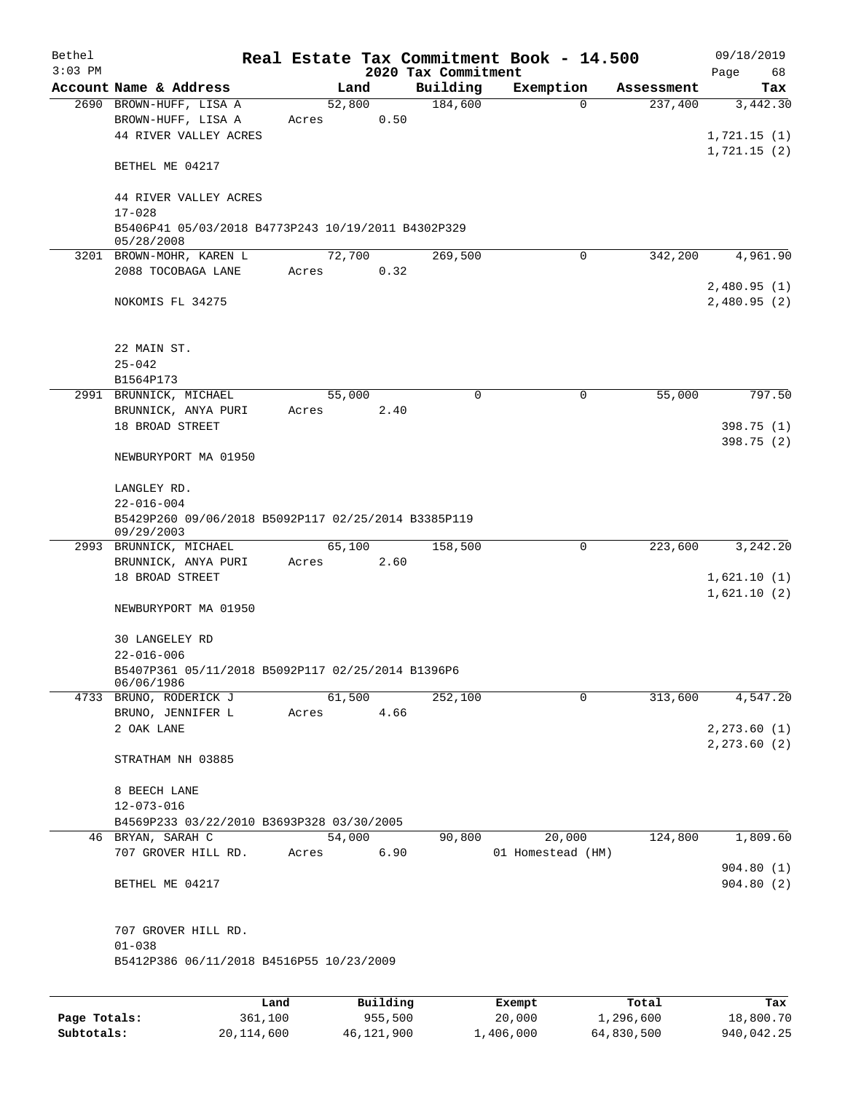| Bethel<br>$3:03$ PM |                                                                         |        |          |                                 | Real Estate Tax Commitment Book - 14.500 |            | 09/18/2019        |  |  |
|---------------------|-------------------------------------------------------------------------|--------|----------|---------------------------------|------------------------------------------|------------|-------------------|--|--|
|                     | Account Name & Address                                                  |        | Land     | 2020 Tax Commitment<br>Building | Exemption                                | Assessment | Page<br>68<br>Tax |  |  |
|                     | 2690 BROWN-HUFF, LISA A                                                 | 52,800 |          | 184,600                         | $\Omega$                                 | 237,400    | 3,442.30          |  |  |
|                     | BROWN-HUFF, LISA A                                                      | Acres  | 0.50     |                                 |                                          |            |                   |  |  |
|                     | 44 RIVER VALLEY ACRES                                                   |        |          |                                 |                                          |            | 1,721.15(1)       |  |  |
|                     |                                                                         |        |          |                                 |                                          |            | 1,721.15(2)       |  |  |
|                     | BETHEL ME 04217                                                         |        |          |                                 |                                          |            |                   |  |  |
|                     | 44 RIVER VALLEY ACRES                                                   |        |          |                                 |                                          |            |                   |  |  |
|                     | $17 - 028$                                                              |        |          |                                 |                                          |            |                   |  |  |
|                     | B5406P41 05/03/2018 B4773P243 10/19/2011 B4302P329<br>05/28/2008        |        |          |                                 |                                          |            |                   |  |  |
|                     | 3201 BROWN-MOHR, KAREN L                                                | 72,700 |          | 269,500                         | $\mathbf 0$                              | 342,200    | 4,961.90          |  |  |
|                     | 2088 TOCOBAGA LANE                                                      | Acres  | 0.32     |                                 |                                          |            |                   |  |  |
|                     |                                                                         |        |          |                                 |                                          |            | 2,480.95(1)       |  |  |
|                     | NOKOMIS FL 34275                                                        |        |          |                                 |                                          |            | 2,480.95(2)       |  |  |
|                     |                                                                         |        |          |                                 |                                          |            |                   |  |  |
|                     | 22 MAIN ST.                                                             |        |          |                                 |                                          |            |                   |  |  |
|                     | $25 - 042$                                                              |        |          |                                 |                                          |            |                   |  |  |
|                     | B1564P173                                                               |        |          |                                 |                                          |            |                   |  |  |
|                     | 2991 BRUNNICK, MICHAEL                                                  | 55,000 |          | $\mathbf 0$                     | 0                                        | 55,000     | 797.50            |  |  |
|                     | BRUNNICK, ANYA PURI                                                     | Acres  | 2.40     |                                 |                                          |            |                   |  |  |
|                     | 18 BROAD STREET                                                         |        |          |                                 |                                          |            | 398.75(1)         |  |  |
|                     | NEWBURYPORT MA 01950                                                    |        |          |                                 |                                          |            | 398.75 (2)        |  |  |
|                     |                                                                         |        |          |                                 |                                          |            |                   |  |  |
|                     | LANGLEY RD.                                                             |        |          |                                 |                                          |            |                   |  |  |
|                     | $22 - 016 - 004$<br>B5429P260 09/06/2018 B5092P117 02/25/2014 B3385P119 |        |          |                                 |                                          |            |                   |  |  |
|                     | 09/29/2003                                                              |        |          |                                 |                                          |            |                   |  |  |
|                     | 2993 BRUNNICK, MICHAEL                                                  | 65,100 |          | 158,500                         | 0                                        | 223,600    | 3,242.20          |  |  |
|                     | BRUNNICK, ANYA PURI                                                     | Acres  | 2.60     |                                 |                                          |            |                   |  |  |
|                     | 18 BROAD STREET                                                         |        |          |                                 |                                          |            | 1,621.10(1)       |  |  |
|                     | NEWBURYPORT MA 01950                                                    |        |          |                                 |                                          |            | 1,621.10(2)       |  |  |
|                     |                                                                         |        |          |                                 |                                          |            |                   |  |  |
|                     | <b>30 LANGELEY RD</b>                                                   |        |          |                                 |                                          |            |                   |  |  |
|                     | $22 - 016 - 006$                                                        |        |          |                                 |                                          |            |                   |  |  |
|                     | B5407P361 05/11/2018 B5092P117 02/25/2014 B1396P6<br>06/06/1986         |        |          |                                 |                                          |            |                   |  |  |
|                     | 4733 BRUNO, RODERICK J                                                  |        | 61,500   | 252,100                         | 0                                        | 313,600    | 4,547.20          |  |  |
|                     | BRUNO, JENNIFER L                                                       | Acres  | 4.66     |                                 |                                          |            |                   |  |  |
|                     | 2 OAK LANE                                                              |        |          |                                 |                                          |            | 2, 273.60 (1)     |  |  |
|                     |                                                                         |        |          |                                 |                                          |            | 2, 273.60 (2)     |  |  |
|                     | STRATHAM NH 03885                                                       |        |          |                                 |                                          |            |                   |  |  |
|                     | 8 BEECH LANE                                                            |        |          |                                 |                                          |            |                   |  |  |
|                     | $12 - 073 - 016$                                                        |        |          |                                 |                                          |            |                   |  |  |
|                     | B4569P233 03/22/2010 B3693P328 03/30/2005                               |        |          |                                 |                                          |            |                   |  |  |
|                     | 46 BRYAN, SARAH C                                                       |        | 54,000   | 90,800                          | 20,000                                   | 124,800    | 1,809.60          |  |  |
|                     | 707 GROVER HILL RD.                                                     | Acres  | 6.90     |                                 | 01 Homestead (HM)                        |            |                   |  |  |
|                     |                                                                         |        |          |                                 |                                          |            | 904.80(1)         |  |  |
|                     | BETHEL ME 04217                                                         |        |          |                                 |                                          |            | 904.80(2)         |  |  |
|                     | 707 GROVER HILL RD.                                                     |        |          |                                 |                                          |            |                   |  |  |
|                     | $01 - 038$                                                              |        |          |                                 |                                          |            |                   |  |  |
|                     | B5412P386 06/11/2018 B4516P55 10/23/2009                                |        |          |                                 |                                          |            |                   |  |  |
|                     |                                                                         |        |          |                                 |                                          |            |                   |  |  |
|                     | Land                                                                    |        | Building |                                 | Exempt                                   | Total      | Tax               |  |  |
| Page Totals:        | 361,100                                                                 |        | 955,500  |                                 | 20,000                                   | 1,296,600  | 18,800.70         |  |  |

**Subtotals:** 20,114,600 46,121,900 1,406,000 64,830,500 940,042.25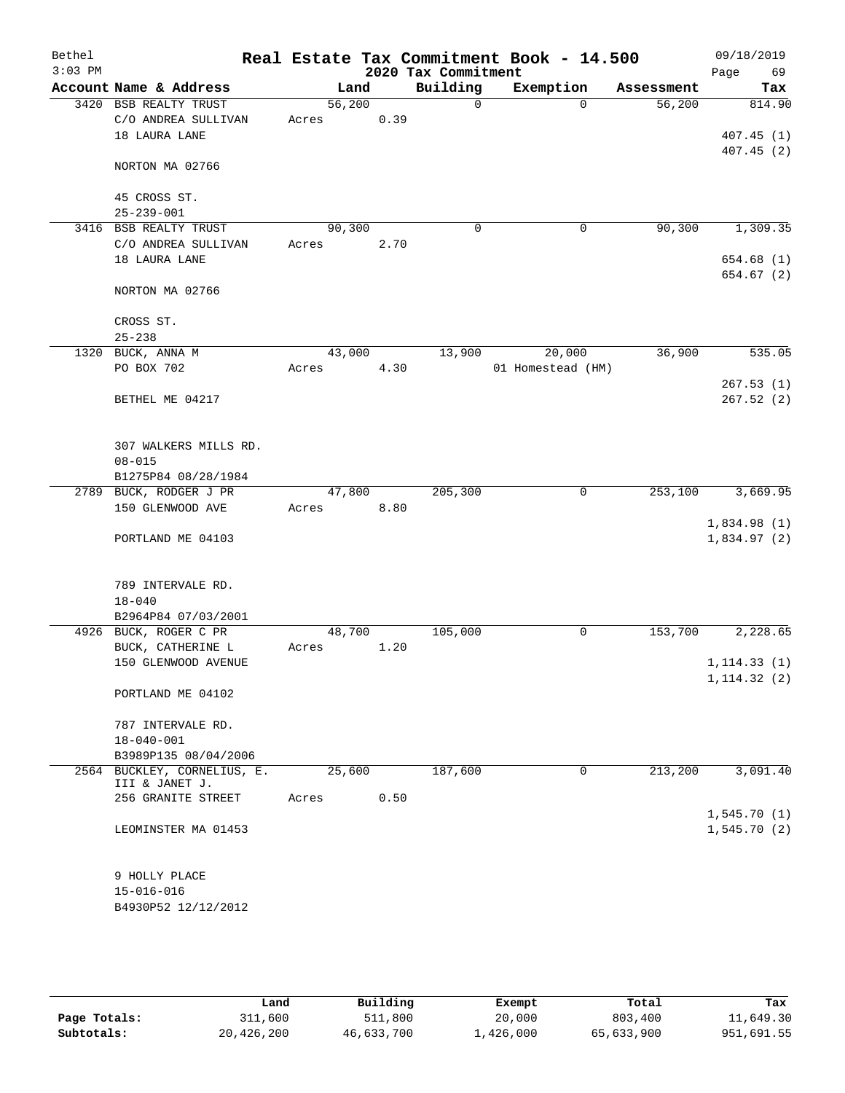| Bethel<br>$3:03$ PM |                                       |        |      | 2020 Tax Commitment | Real Estate Tax Commitment Book - 14.500 |            | 09/18/2019<br>Page<br>69 |
|---------------------|---------------------------------------|--------|------|---------------------|------------------------------------------|------------|--------------------------|
|                     | Account Name & Address                | Land   |      | Building            | Exemption                                | Assessment | Tax                      |
|                     | 3420 BSB REALTY TRUST                 | 56,200 |      | 0                   | $\Omega$                                 | 56,200     | 814.90                   |
|                     | C/O ANDREA SULLIVAN                   | Acres  | 0.39 |                     |                                          |            |                          |
|                     | 18 LAURA LANE                         |        |      |                     |                                          |            | 407.45(1)                |
|                     | NORTON MA 02766                       |        |      |                     |                                          |            | 407.45(2)                |
|                     |                                       |        |      |                     |                                          |            |                          |
|                     | 45 CROSS ST.                          |        |      |                     |                                          |            |                          |
|                     | $25 - 239 - 001$                      |        |      |                     |                                          |            |                          |
|                     | 3416 BSB REALTY TRUST                 | 90,300 |      | 0                   | 0                                        | 90, 300    | 1,309.35                 |
|                     | C/O ANDREA SULLIVAN<br>18 LAURA LANE  | Acres  | 2.70 |                     |                                          |            | 654.68 (1)               |
|                     |                                       |        |      |                     |                                          |            | 654.67 (2)               |
|                     | NORTON MA 02766                       |        |      |                     |                                          |            |                          |
|                     | CROSS ST.                             |        |      |                     |                                          |            |                          |
|                     | $25 - 238$                            |        |      |                     |                                          |            |                          |
|                     | 1320 BUCK, ANNA M                     | 43,000 |      | 13,900              | 20,000                                   | 36,900     | 535.05                   |
|                     | PO BOX 702                            | Acres  | 4.30 |                     | 01 Homestead (HM)                        |            |                          |
|                     |                                       |        |      |                     |                                          |            | 267.53(1)                |
|                     | BETHEL ME 04217                       |        |      |                     |                                          |            | 267.52(2)                |
|                     |                                       |        |      |                     |                                          |            |                          |
|                     |                                       |        |      |                     |                                          |            |                          |
|                     | 307 WALKERS MILLS RD.<br>$08 - 015$   |        |      |                     |                                          |            |                          |
|                     | B1275P84 08/28/1984                   |        |      |                     |                                          |            |                          |
| 2789                | BUCK, RODGER J PR                     | 47,800 |      | 205,300             | 0                                        | 253,100    | 3,669.95                 |
|                     | 150 GLENWOOD AVE                      | Acres  | 8.80 |                     |                                          |            |                          |
|                     |                                       |        |      |                     |                                          |            | 1,834.98(1)              |
|                     | PORTLAND ME 04103                     |        |      |                     |                                          |            | 1,834.97(2)              |
|                     |                                       |        |      |                     |                                          |            |                          |
|                     |                                       |        |      |                     |                                          |            |                          |
|                     | 789 INTERVALE RD.<br>$18 - 040$       |        |      |                     |                                          |            |                          |
|                     | B2964P84 07/03/2001                   |        |      |                     |                                          |            |                          |
|                     | 4926 BUCK, ROGER C PR                 | 48,700 |      | 105,000             | 0                                        | 153,700    | 2,228.65                 |
|                     | BUCK, CATHERINE L                     | Acres  | 1.20 |                     |                                          |            |                          |
|                     | 150 GLENWOOD AVENUE                   |        |      |                     |                                          |            | 1, 114.33(1)             |
|                     |                                       |        |      |                     |                                          |            | 1, 114.32(2)             |
|                     | PORTLAND ME 04102                     |        |      |                     |                                          |            |                          |
|                     |                                       |        |      |                     |                                          |            |                          |
|                     | 787 INTERVALE RD.<br>$18 - 040 - 001$ |        |      |                     |                                          |            |                          |
|                     | B3989P135 08/04/2006                  |        |      |                     |                                          |            |                          |
|                     | 2564 BUCKLEY, CORNELIUS, E.           | 25,600 |      | 187,600             | 0                                        | 213,200    | 3,091.40                 |
|                     | III & JANET J.                        |        |      |                     |                                          |            |                          |
|                     | 256 GRANITE STREET                    | Acres  | 0.50 |                     |                                          |            |                          |
|                     |                                       |        |      |                     |                                          |            | 1,545.70(1)              |
|                     | LEOMINSTER MA 01453                   |        |      |                     |                                          |            | 1,545.70(2)              |
|                     |                                       |        |      |                     |                                          |            |                          |
|                     | 9 HOLLY PLACE<br>$15 - 016 - 016$     |        |      |                     |                                          |            |                          |
|                     | B4930P52 12/12/2012                   |        |      |                     |                                          |            |                          |
|                     |                                       |        |      |                     |                                          |            |                          |
|                     |                                       |        |      |                     |                                          |            |                          |

|              | Land       | Building   | Exempt    | Total      | Tax        |
|--------------|------------|------------|-----------|------------|------------|
| Page Totals: | 311,600    | 511,800    | 20,000    | 803,400    | 11,649.30  |
| Subtotals:   | 20,426,200 | 46,633,700 | 1,426,000 | 65,633,900 | 951,691.55 |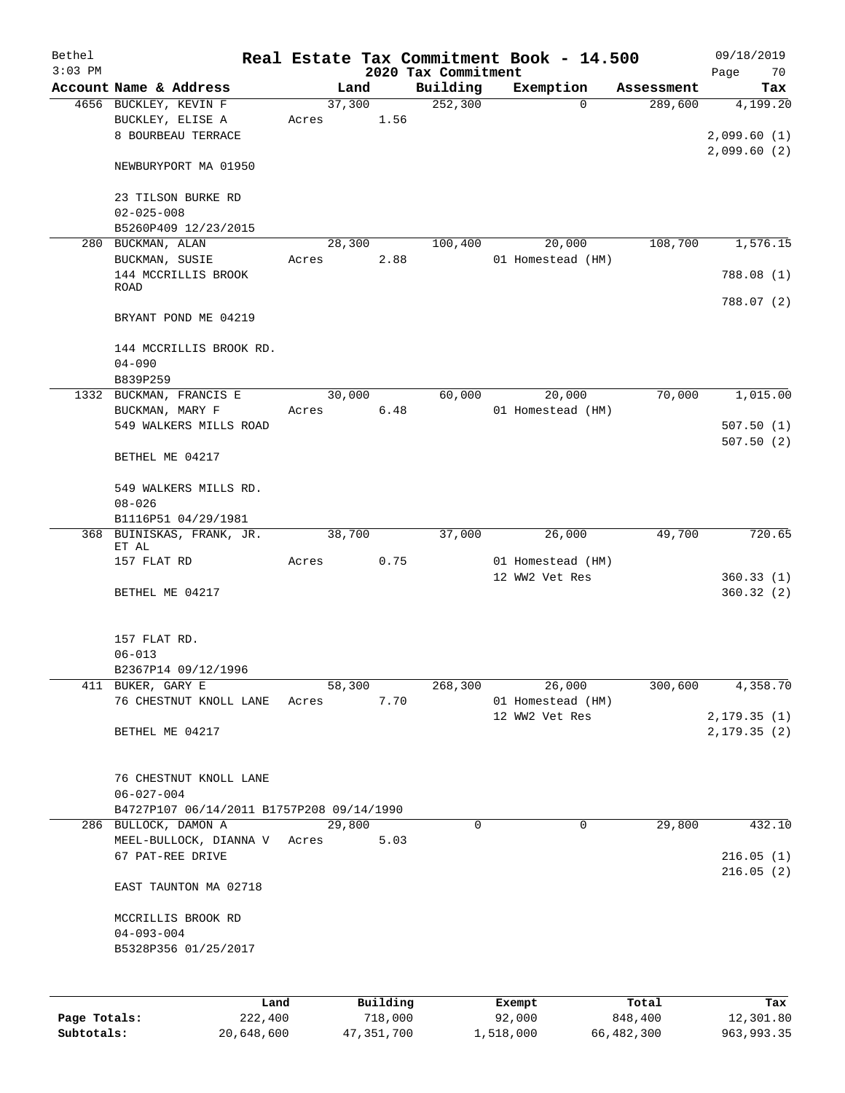| Bethel<br>$3:03$ PM |                                           |        |                     | 2020 Tax Commitment | Real Estate Tax Commitment Book - 14.500 |                  | 09/18/2019<br>70       |
|---------------------|-------------------------------------------|--------|---------------------|---------------------|------------------------------------------|------------------|------------------------|
|                     | Account Name & Address                    |        | Land                | Building            | Exemption                                | Assessment       | Page<br>Tax            |
|                     | 4656 BUCKLEY, KEVIN F                     | 37,300 |                     | 252,300             | $\Omega$                                 | 289,600          | 4,199.20               |
|                     | BUCKLEY, ELISE A                          | Acres  | 1.56                |                     |                                          |                  |                        |
|                     | 8 BOURBEAU TERRACE                        |        |                     |                     |                                          |                  | 2,099.60(1)            |
|                     |                                           |        |                     |                     |                                          |                  | 2,099.60(2)            |
|                     | NEWBURYPORT MA 01950                      |        |                     |                     |                                          |                  |                        |
|                     |                                           |        |                     |                     |                                          |                  |                        |
|                     | 23 TILSON BURKE RD<br>$02 - 025 - 008$    |        |                     |                     |                                          |                  |                        |
|                     | B5260P409 12/23/2015                      |        |                     |                     |                                          |                  |                        |
|                     | 280 BUCKMAN, ALAN                         | 28,300 |                     | 100,400             | 20,000                                   | 108,700          | 1,576.15               |
|                     | BUCKMAN, SUSIE                            | Acres  | 2.88                |                     | 01 Homestead (HM)                        |                  |                        |
|                     | 144 MCCRILLIS BROOK                       |        |                     |                     |                                          |                  | 788.08 (1)             |
|                     | <b>ROAD</b>                               |        |                     |                     |                                          |                  | 788.07 (2)             |
|                     | BRYANT POND ME 04219                      |        |                     |                     |                                          |                  |                        |
|                     |                                           |        |                     |                     |                                          |                  |                        |
|                     | 144 MCCRILLIS BROOK RD.                   |        |                     |                     |                                          |                  |                        |
|                     | $04 - 090$                                |        |                     |                     |                                          |                  |                        |
|                     | B839P259                                  |        |                     |                     |                                          |                  |                        |
| 1332                | BUCKMAN, FRANCIS E                        | 30,000 |                     | 60,000              | 20,000                                   | 70,000           | 1,015.00               |
|                     | BUCKMAN, MARY F                           | Acres  | 6.48                |                     | 01 Homestead (HM)                        |                  |                        |
|                     | 549 WALKERS MILLS ROAD                    |        |                     |                     |                                          |                  | 507.50(1)<br>507.50(2) |
|                     | BETHEL ME 04217                           |        |                     |                     |                                          |                  |                        |
|                     |                                           |        |                     |                     |                                          |                  |                        |
|                     | 549 WALKERS MILLS RD.                     |        |                     |                     |                                          |                  |                        |
|                     | $08 - 026$                                |        |                     |                     |                                          |                  |                        |
|                     | B1116P51 04/29/1981                       |        |                     |                     |                                          |                  |                        |
| 368                 | BUINISKAS, FRANK, JR.<br>ET AL            | 38,700 |                     | 37,000              | 26,000                                   | 49,700           | 720.65                 |
|                     | 157 FLAT RD                               | Acres  | 0.75                |                     | 01 Homestead (HM)                        |                  |                        |
|                     |                                           |        |                     |                     | 12 WW2 Vet Res                           |                  | 360.33(1)              |
|                     | BETHEL ME 04217                           |        |                     |                     |                                          |                  | 360.32(2)              |
|                     |                                           |        |                     |                     |                                          |                  |                        |
|                     | 157 FLAT RD.                              |        |                     |                     |                                          |                  |                        |
|                     | $06 - 013$                                |        |                     |                     |                                          |                  |                        |
|                     | B2367P14 09/12/1996                       |        |                     |                     |                                          |                  |                        |
|                     | 411 BUKER, GARY E                         | 58,300 |                     | $\frac{268}{300}$   | 26,000                                   | 300,600          | 4,358.70               |
|                     | 76 CHESTNUT KNOLL LANE                    | Acres  | 7.70                |                     | 01 Homestead (HM)                        |                  |                        |
|                     |                                           |        |                     |                     | 12 WW2 Vet Res                           |                  | 2,179.35(1)            |
|                     | BETHEL ME 04217                           |        |                     |                     |                                          |                  | 2, 179.35(2)           |
|                     |                                           |        |                     |                     |                                          |                  |                        |
|                     | 76 CHESTNUT KNOLL LANE                    |        |                     |                     |                                          |                  |                        |
|                     | $06 - 027 - 004$                          |        |                     |                     |                                          |                  |                        |
|                     | B4727P107 06/14/2011 B1757P208 09/14/1990 |        |                     |                     |                                          |                  |                        |
|                     | 286 BULLOCK, DAMON A                      | 29,800 |                     | 0                   | 0                                        | 29,800           | 432.10                 |
|                     | MEEL-BULLOCK, DIANNA V Acres              |        | 5.03                |                     |                                          |                  |                        |
|                     | 67 PAT-REE DRIVE                          |        |                     |                     |                                          |                  | 216.05(1)<br>216.05(2) |
|                     | EAST TAUNTON MA 02718                     |        |                     |                     |                                          |                  |                        |
|                     |                                           |        |                     |                     |                                          |                  |                        |
|                     | MCCRILLIS BROOK RD                        |        |                     |                     |                                          |                  |                        |
|                     | $04 - 093 - 004$                          |        |                     |                     |                                          |                  |                        |
|                     | B5328P356 01/25/2017                      |        |                     |                     |                                          |                  |                        |
|                     |                                           |        |                     |                     |                                          |                  |                        |
|                     |                                           |        |                     |                     |                                          |                  |                        |
| Page Totals:        | Land<br>222,400                           |        | Building<br>718,000 |                     | Exempt<br>92,000                         | Total<br>848,400 | Tax<br>12,301.80       |
|                     |                                           |        |                     |                     |                                          |                  |                        |

**Subtotals:** 20,648,600 47,351,700 1,518,000 66,482,300 963,993.35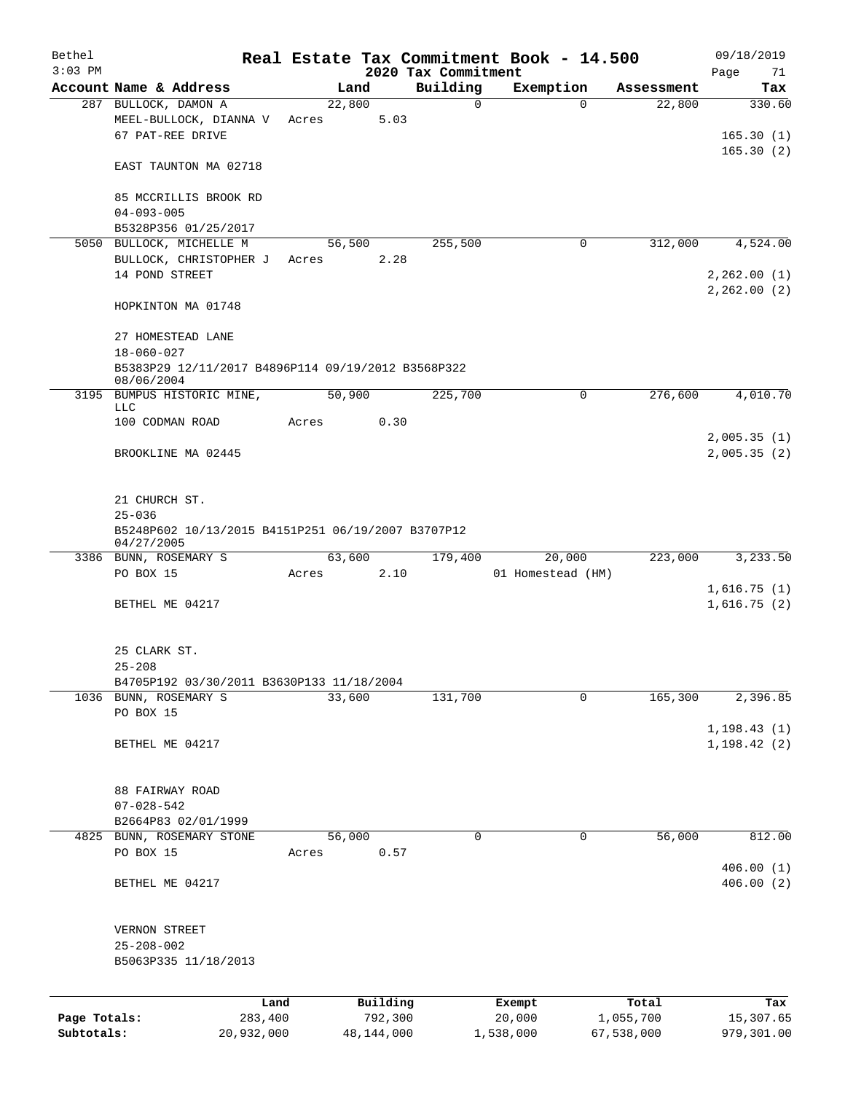| $3:03$ PM<br>2020 Tax Commitment<br>Page<br>Building<br>Account Name & Address<br>Exemption<br>Land<br>Assessment<br>22,800<br>$\mathbf 0$<br>287 BULLOCK, DAMON A<br>$\Omega$<br>22,800<br>MEEL-BULLOCK, DIANNA V<br>5.03<br>Acres<br>67 PAT-REE DRIVE<br>EAST TAUNTON MA 02718<br>85 MCCRILLIS BROOK RD<br>$04 - 093 - 005$<br>B5328P356 01/25/2017<br>5050 BULLOCK, MICHELLE M<br>56,500<br>255,500<br>0<br>312,000<br>BULLOCK, CHRISTOPHER J<br>2.28<br>Acres<br>14 POND STREET<br>HOPKINTON MA 01748<br>27 HOMESTEAD LANE<br>$18 - 060 - 027$<br>B5383P29 12/11/2017 B4896P114 09/19/2012 B3568P322<br>08/06/2004<br>50,900<br>276,600<br>3195<br>BUMPUS HISTORIC MINE,<br>225,700<br>0<br>LLC<br>100 CODMAN ROAD<br>0.30<br>Acres<br>BROOKLINE MA 02445<br>21 CHURCH ST.<br>$25 - 036$<br>B5248P602 10/13/2015 B4151P251 06/19/2007 B3707P12<br>04/27/2005<br>3386 BUNN, ROSEMARY S<br>63,600<br>223,000<br>179,400<br>20,000<br>PO BOX 15<br>01 Homestead (HM)<br>Acres<br>2.10<br>BETHEL ME 04217<br>25 CLARK ST.<br>$25 - 208$<br>B4705P192 03/30/2011 B3630P133 11/18/2004<br>33,600<br>1036 BUNN, ROSEMARY S<br>131,700<br>165,300<br>0<br>PO BOX 15<br>BETHEL ME 04217<br>88 FAIRWAY ROAD<br>$07 - 028 - 542$<br>B2664P83 02/01/1999<br>56,000<br>$\mathsf{O}$<br>56,000<br>4825 BUNN, ROSEMARY STONE<br>0<br>PO BOX 15<br>0.57<br>Acres<br>BETHEL ME 04217<br>VERNON STREET<br>$25 - 208 - 002$<br>B5063P335 11/18/2013 | 09/18/2019                              | Real Estate Tax Commitment Book - 14.500 |  |  |  | Bethel |
|--------------------------------------------------------------------------------------------------------------------------------------------------------------------------------------------------------------------------------------------------------------------------------------------------------------------------------------------------------------------------------------------------------------------------------------------------------------------------------------------------------------------------------------------------------------------------------------------------------------------------------------------------------------------------------------------------------------------------------------------------------------------------------------------------------------------------------------------------------------------------------------------------------------------------------------------------------------------------------------------------------------------------------------------------------------------------------------------------------------------------------------------------------------------------------------------------------------------------------------------------------------------------------------------------------------------------------------------------------------------------------------------------------------------------------------|-----------------------------------------|------------------------------------------|--|--|--|--------|
|                                                                                                                                                                                                                                                                                                                                                                                                                                                                                                                                                                                                                                                                                                                                                                                                                                                                                                                                                                                                                                                                                                                                                                                                                                                                                                                                                                                                                                      | 71                                      |                                          |  |  |  |        |
|                                                                                                                                                                                                                                                                                                                                                                                                                                                                                                                                                                                                                                                                                                                                                                                                                                                                                                                                                                                                                                                                                                                                                                                                                                                                                                                                                                                                                                      | Tax                                     |                                          |  |  |  |        |
|                                                                                                                                                                                                                                                                                                                                                                                                                                                                                                                                                                                                                                                                                                                                                                                                                                                                                                                                                                                                                                                                                                                                                                                                                                                                                                                                                                                                                                      | 330.60<br>165.30(1)<br>165.30(2)        |                                          |  |  |  |        |
|                                                                                                                                                                                                                                                                                                                                                                                                                                                                                                                                                                                                                                                                                                                                                                                                                                                                                                                                                                                                                                                                                                                                                                                                                                                                                                                                                                                                                                      |                                         |                                          |  |  |  |        |
|                                                                                                                                                                                                                                                                                                                                                                                                                                                                                                                                                                                                                                                                                                                                                                                                                                                                                                                                                                                                                                                                                                                                                                                                                                                                                                                                                                                                                                      |                                         |                                          |  |  |  |        |
|                                                                                                                                                                                                                                                                                                                                                                                                                                                                                                                                                                                                                                                                                                                                                                                                                                                                                                                                                                                                                                                                                                                                                                                                                                                                                                                                                                                                                                      |                                         |                                          |  |  |  |        |
|                                                                                                                                                                                                                                                                                                                                                                                                                                                                                                                                                                                                                                                                                                                                                                                                                                                                                                                                                                                                                                                                                                                                                                                                                                                                                                                                                                                                                                      | 4,524.00<br>2,262.00(1)<br>2, 262.00(2) |                                          |  |  |  |        |
|                                                                                                                                                                                                                                                                                                                                                                                                                                                                                                                                                                                                                                                                                                                                                                                                                                                                                                                                                                                                                                                                                                                                                                                                                                                                                                                                                                                                                                      |                                         |                                          |  |  |  |        |
|                                                                                                                                                                                                                                                                                                                                                                                                                                                                                                                                                                                                                                                                                                                                                                                                                                                                                                                                                                                                                                                                                                                                                                                                                                                                                                                                                                                                                                      |                                         |                                          |  |  |  |        |
|                                                                                                                                                                                                                                                                                                                                                                                                                                                                                                                                                                                                                                                                                                                                                                                                                                                                                                                                                                                                                                                                                                                                                                                                                                                                                                                                                                                                                                      |                                         |                                          |  |  |  |        |
|                                                                                                                                                                                                                                                                                                                                                                                                                                                                                                                                                                                                                                                                                                                                                                                                                                                                                                                                                                                                                                                                                                                                                                                                                                                                                                                                                                                                                                      | 4,010.70                                |                                          |  |  |  |        |
|                                                                                                                                                                                                                                                                                                                                                                                                                                                                                                                                                                                                                                                                                                                                                                                                                                                                                                                                                                                                                                                                                                                                                                                                                                                                                                                                                                                                                                      | 2,005.35(1)                             |                                          |  |  |  |        |
|                                                                                                                                                                                                                                                                                                                                                                                                                                                                                                                                                                                                                                                                                                                                                                                                                                                                                                                                                                                                                                                                                                                                                                                                                                                                                                                                                                                                                                      | 2,005.35(2)                             |                                          |  |  |  |        |
|                                                                                                                                                                                                                                                                                                                                                                                                                                                                                                                                                                                                                                                                                                                                                                                                                                                                                                                                                                                                                                                                                                                                                                                                                                                                                                                                                                                                                                      |                                         |                                          |  |  |  |        |
|                                                                                                                                                                                                                                                                                                                                                                                                                                                                                                                                                                                                                                                                                                                                                                                                                                                                                                                                                                                                                                                                                                                                                                                                                                                                                                                                                                                                                                      | 3,233.50                                |                                          |  |  |  |        |
|                                                                                                                                                                                                                                                                                                                                                                                                                                                                                                                                                                                                                                                                                                                                                                                                                                                                                                                                                                                                                                                                                                                                                                                                                                                                                                                                                                                                                                      |                                         |                                          |  |  |  |        |
|                                                                                                                                                                                                                                                                                                                                                                                                                                                                                                                                                                                                                                                                                                                                                                                                                                                                                                                                                                                                                                                                                                                                                                                                                                                                                                                                                                                                                                      | 1,616.75(1)<br>1,616.75(2)              |                                          |  |  |  |        |
|                                                                                                                                                                                                                                                                                                                                                                                                                                                                                                                                                                                                                                                                                                                                                                                                                                                                                                                                                                                                                                                                                                                                                                                                                                                                                                                                                                                                                                      |                                         |                                          |  |  |  |        |
|                                                                                                                                                                                                                                                                                                                                                                                                                                                                                                                                                                                                                                                                                                                                                                                                                                                                                                                                                                                                                                                                                                                                                                                                                                                                                                                                                                                                                                      |                                         |                                          |  |  |  |        |
|                                                                                                                                                                                                                                                                                                                                                                                                                                                                                                                                                                                                                                                                                                                                                                                                                                                                                                                                                                                                                                                                                                                                                                                                                                                                                                                                                                                                                                      | 2,396.85                                |                                          |  |  |  |        |
|                                                                                                                                                                                                                                                                                                                                                                                                                                                                                                                                                                                                                                                                                                                                                                                                                                                                                                                                                                                                                                                                                                                                                                                                                                                                                                                                                                                                                                      | 1, 198.43(1)<br>1, 198.42(2)            |                                          |  |  |  |        |
|                                                                                                                                                                                                                                                                                                                                                                                                                                                                                                                                                                                                                                                                                                                                                                                                                                                                                                                                                                                                                                                                                                                                                                                                                                                                                                                                                                                                                                      |                                         |                                          |  |  |  |        |
|                                                                                                                                                                                                                                                                                                                                                                                                                                                                                                                                                                                                                                                                                                                                                                                                                                                                                                                                                                                                                                                                                                                                                                                                                                                                                                                                                                                                                                      |                                         |                                          |  |  |  |        |
|                                                                                                                                                                                                                                                                                                                                                                                                                                                                                                                                                                                                                                                                                                                                                                                                                                                                                                                                                                                                                                                                                                                                                                                                                                                                                                                                                                                                                                      | 812.00                                  |                                          |  |  |  |        |
|                                                                                                                                                                                                                                                                                                                                                                                                                                                                                                                                                                                                                                                                                                                                                                                                                                                                                                                                                                                                                                                                                                                                                                                                                                                                                                                                                                                                                                      | 406.00(1)<br>406.00(2)                  |                                          |  |  |  |        |
|                                                                                                                                                                                                                                                                                                                                                                                                                                                                                                                                                                                                                                                                                                                                                                                                                                                                                                                                                                                                                                                                                                                                                                                                                                                                                                                                                                                                                                      |                                         |                                          |  |  |  |        |
| Building<br>Land<br>Total<br>Exempt                                                                                                                                                                                                                                                                                                                                                                                                                                                                                                                                                                                                                                                                                                                                                                                                                                                                                                                                                                                                                                                                                                                                                                                                                                                                                                                                                                                                  | Tax                                     |                                          |  |  |  |        |
| 792,300<br>Page Totals:<br>283,400<br>20,000<br>1,055,700<br>Subtotals:<br>20,932,000<br>48,144,000<br>1,538,000<br>67,538,000                                                                                                                                                                                                                                                                                                                                                                                                                                                                                                                                                                                                                                                                                                                                                                                                                                                                                                                                                                                                                                                                                                                                                                                                                                                                                                       | 15,307.65<br>979,301.00                 |                                          |  |  |  |        |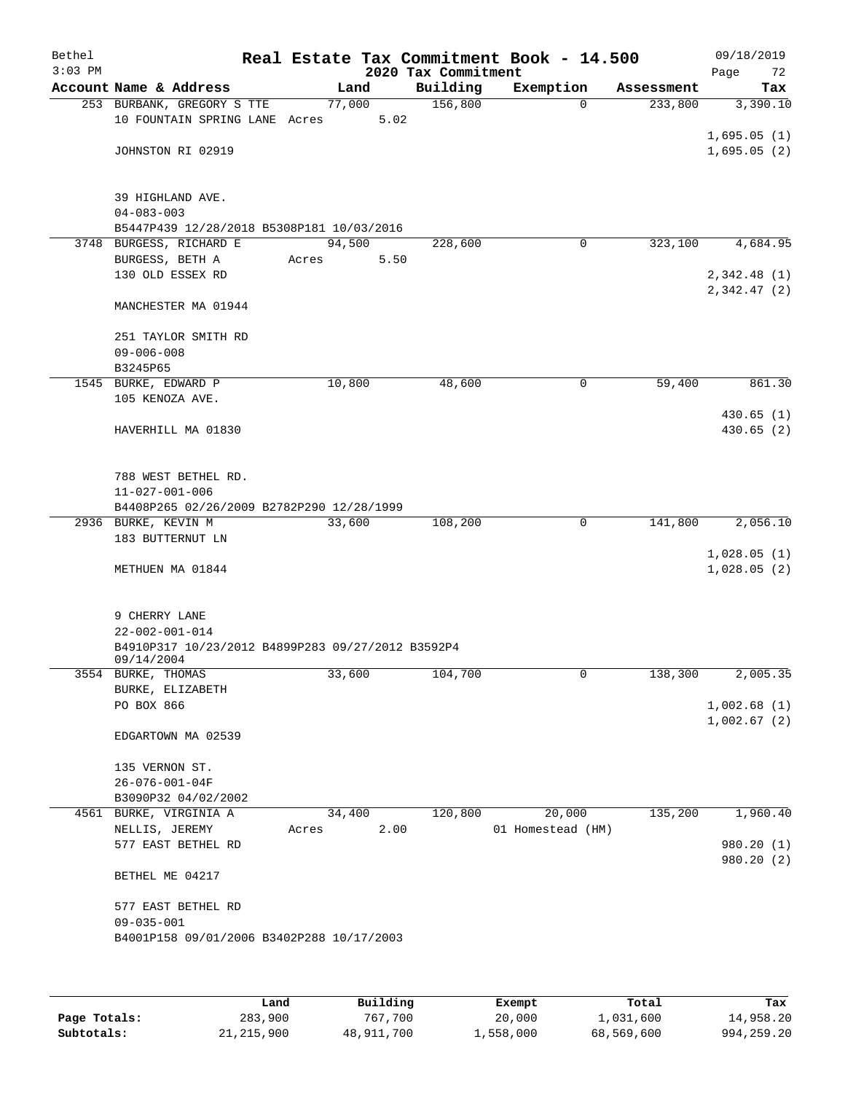| Bethel<br>$3:03$ PM |                                                                 |        |      | 2020 Tax Commitment | Real Estate Tax Commitment Book - 14.500 |            | 09/18/2019<br>Page<br>72   |
|---------------------|-----------------------------------------------------------------|--------|------|---------------------|------------------------------------------|------------|----------------------------|
|                     | Account Name & Address                                          | Land   |      | Building            | Exemption                                | Assessment | Tax                        |
|                     | 253 BURBANK, GREGORY S TTE<br>10 FOUNTAIN SPRING LANE Acres     | 77,000 | 5.02 | 156,800             | $\Omega$                                 | 233,800    | 3,390.10                   |
|                     | JOHNSTON RI 02919                                               |        |      |                     |                                          |            | 1,695.05(1)<br>1,695.05(2) |
|                     |                                                                 |        |      |                     |                                          |            |                            |
|                     | 39 HIGHLAND AVE.                                                |        |      |                     |                                          |            |                            |
|                     | $04 - 083 - 003$                                                |        |      |                     |                                          |            |                            |
|                     | B5447P439 12/28/2018 B5308P181 10/03/2016                       | 94,500 |      |                     | 0                                        | 323,100    | 4,684.95                   |
|                     | 3748 BURGESS, RICHARD E<br>BURGESS, BETH A                      | Acres  | 5.50 | 228,600             |                                          |            |                            |
|                     | 130 OLD ESSEX RD                                                |        |      |                     |                                          |            | 2,342.48(1)                |
|                     |                                                                 |        |      |                     |                                          |            | 2,342.47(2)                |
|                     | MANCHESTER MA 01944                                             |        |      |                     |                                          |            |                            |
|                     | 251 TAYLOR SMITH RD                                             |        |      |                     |                                          |            |                            |
|                     | $09 - 006 - 008$                                                |        |      |                     |                                          |            |                            |
|                     | B3245P65                                                        |        |      |                     |                                          |            |                            |
|                     | 1545 BURKE, EDWARD P                                            | 10,800 |      | 48,600              | 0                                        | 59,400     | 861.30                     |
|                     | 105 KENOZA AVE.                                                 |        |      |                     |                                          |            | 430.65(1)                  |
|                     | HAVERHILL MA 01830                                              |        |      |                     |                                          |            | 430.65(2)                  |
|                     |                                                                 |        |      |                     |                                          |            |                            |
|                     | 788 WEST BETHEL RD.                                             |        |      |                     |                                          |            |                            |
|                     | $11 - 027 - 001 - 006$                                          |        |      |                     |                                          |            |                            |
|                     | B4408P265 02/26/2009 B2782P290 12/28/1999                       |        |      |                     |                                          |            |                            |
|                     | 2936 BURKE, KEVIN M                                             | 33,600 |      | 108,200             | $\mathbf 0$                              | 141,800    | 2,056.10                   |
|                     | 183 BUTTERNUT LN                                                |        |      |                     |                                          |            |                            |
|                     | METHUEN MA 01844                                                |        |      |                     |                                          |            | 1,028.05(1)<br>1,028.05(2) |
|                     |                                                                 |        |      |                     |                                          |            |                            |
|                     | 9 CHERRY LANE                                                   |        |      |                     |                                          |            |                            |
|                     | $22 - 002 - 001 - 014$                                          |        |      |                     |                                          |            |                            |
|                     | B4910P317 10/23/2012 B4899P283 09/27/2012 B3592P4<br>09/14/2004 |        |      |                     |                                          |            |                            |
|                     | 3554 BURKE, THOMAS                                              | 33,600 |      | 104,700             | 0                                        | 138,300    | 2,005.35                   |
|                     | BURKE, ELIZABETH                                                |        |      |                     |                                          |            |                            |
|                     | PO BOX 866                                                      |        |      |                     |                                          |            | 1,002.68(1)                |
|                     | EDGARTOWN MA 02539                                              |        |      |                     |                                          |            | 1,002.67(2)                |
|                     | 135 VERNON ST.                                                  |        |      |                     |                                          |            |                            |
|                     | $26 - 076 - 001 - 04F$                                          |        |      |                     |                                          |            |                            |
|                     | B3090P32 04/02/2002                                             |        |      |                     |                                          |            |                            |
|                     | 4561 BURKE, VIRGINIA A                                          | 34,400 |      | 120,800             | 20,000                                   | 135,200    | 1,960.40                   |
|                     | NELLIS, JEREMY                                                  | Acres  | 2.00 |                     | 01 Homestead (HM)                        |            |                            |
|                     | 577 EAST BETHEL RD                                              |        |      |                     |                                          |            | 980.20 (1)                 |
|                     | BETHEL ME 04217                                                 |        |      |                     |                                          |            | 980.20 (2)                 |
|                     | 577 EAST BETHEL RD                                              |        |      |                     |                                          |            |                            |
|                     | $09 - 035 - 001$                                                |        |      |                     |                                          |            |                            |
|                     | B4001P158 09/01/2006 B3402P288 10/17/2003                       |        |      |                     |                                          |            |                            |
|                     |                                                                 |        |      |                     |                                          |            |                            |
|                     |                                                                 |        |      |                     |                                          |            |                            |
|                     |                                                                 |        |      |                     |                                          |            |                            |

|              | Land       | Building   | Exempt    | Total      | Tax          |
|--------------|------------|------------|-----------|------------|--------------|
| Page Totals: | 283,900    | 767.700    | 20,000    | 1,031,600  | 14,958.20    |
| Subtotals:   | 21,215,900 | 48,911,700 | 1,558,000 | 68,569,600 | 994, 259, 20 |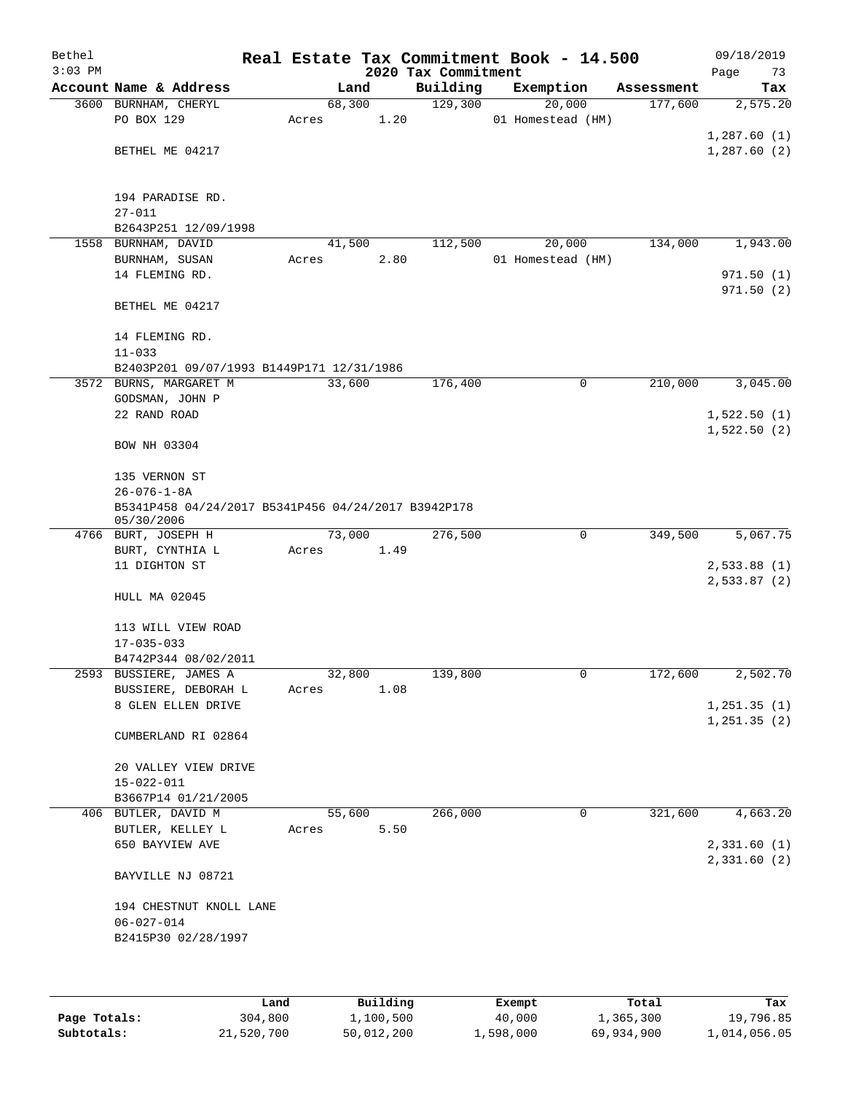| Bethel<br>$3:03$ PM |                                                                   |       |        |      | Real Estate Tax Commitment Book - 14.500<br>2020 Tax Commitment |                   |             |            | 09/18/2019<br>Page<br>73 |
|---------------------|-------------------------------------------------------------------|-------|--------|------|-----------------------------------------------------------------|-------------------|-------------|------------|--------------------------|
|                     | Account Name & Address                                            |       | Land   |      | Building                                                        | Exemption         |             | Assessment | Tax                      |
|                     | 3600 BURNHAM, CHERYL                                              |       | 68,300 |      | 129,300                                                         |                   | 20,000      | 177,600    | 2,575.20                 |
|                     | PO BOX 129                                                        | Acres |        | 1.20 |                                                                 | 01 Homestead (HM) |             |            |                          |
|                     |                                                                   |       |        |      |                                                                 |                   |             |            | 1,287.60(1)              |
|                     | BETHEL ME 04217                                                   |       |        |      |                                                                 |                   |             |            | 1,287.60(2)              |
|                     |                                                                   |       |        |      |                                                                 |                   |             |            |                          |
|                     | 194 PARADISE RD.                                                  |       |        |      |                                                                 |                   |             |            |                          |
|                     | $27 - 011$                                                        |       |        |      |                                                                 |                   |             |            |                          |
|                     | B2643P251 12/09/1998                                              |       |        |      |                                                                 |                   |             |            |                          |
|                     | 1558 BURNHAM, DAVID                                               |       | 41,500 |      | 112,500                                                         |                   | 20,000      | 134,000    | 1,943.00                 |
|                     | BURNHAM, SUSAN                                                    | Acres |        | 2.80 |                                                                 | 01 Homestead (HM) |             |            |                          |
|                     | 14 FLEMING RD.                                                    |       |        |      |                                                                 |                   |             |            | 971.50(1)                |
|                     |                                                                   |       |        |      |                                                                 |                   |             |            | 971.50(2)                |
|                     | BETHEL ME 04217                                                   |       |        |      |                                                                 |                   |             |            |                          |
|                     |                                                                   |       |        |      |                                                                 |                   |             |            |                          |
|                     | 14 FLEMING RD.<br>$11 - 033$                                      |       |        |      |                                                                 |                   |             |            |                          |
|                     | B2403P201 09/07/1993 B1449P171 12/31/1986                         |       |        |      |                                                                 |                   |             |            |                          |
|                     | 3572 BURNS, MARGARET M                                            |       | 33,600 |      | 176,400                                                         |                   | 0           | 210,000    | 3,045.00                 |
|                     | GODSMAN, JOHN P                                                   |       |        |      |                                                                 |                   |             |            |                          |
|                     | 22 RAND ROAD                                                      |       |        |      |                                                                 |                   |             |            | 1,522.50(1)              |
|                     |                                                                   |       |        |      |                                                                 |                   |             |            | 1,522.50(2)              |
|                     | BOW NH 03304                                                      |       |        |      |                                                                 |                   |             |            |                          |
|                     |                                                                   |       |        |      |                                                                 |                   |             |            |                          |
|                     | 135 VERNON ST                                                     |       |        |      |                                                                 |                   |             |            |                          |
|                     | $26 - 076 - 1 - 8A$                                               |       |        |      |                                                                 |                   |             |            |                          |
|                     | B5341P458 04/24/2017 B5341P456 04/24/2017 B3942P178<br>05/30/2006 |       |        |      |                                                                 |                   |             |            |                          |
|                     | 4766 BURT, JOSEPH H                                               |       | 73,000 |      | 276,500                                                         |                   | 0           | 349,500    | 5,067.75                 |
|                     | BURT, CYNTHIA L                                                   | Acres |        | 1.49 |                                                                 |                   |             |            |                          |
|                     | 11 DIGHTON ST                                                     |       |        |      |                                                                 |                   |             |            | 2,533.88(1)              |
|                     |                                                                   |       |        |      |                                                                 |                   |             |            | 2,533.87 (2)             |
|                     | HULL MA 02045                                                     |       |        |      |                                                                 |                   |             |            |                          |
|                     |                                                                   |       |        |      |                                                                 |                   |             |            |                          |
|                     | 113 WILL VIEW ROAD<br>$17 - 035 - 033$                            |       |        |      |                                                                 |                   |             |            |                          |
|                     | B4742P344 08/02/2011                                              |       |        |      |                                                                 |                   |             |            |                          |
|                     | 2593 BUSSIERE, JAMES A                                            |       | 32,800 |      | 139,800                                                         |                   | 0           | 172,600    | 2,502.70                 |
|                     | BUSSIERE, DEBORAH L                                               | Acres |        | 1.08 |                                                                 |                   |             |            |                          |
|                     | 8 GLEN ELLEN DRIVE                                                |       |        |      |                                                                 |                   |             |            | 1, 251.35(1)             |
|                     |                                                                   |       |        |      |                                                                 |                   |             |            | 1, 251.35(2)             |
|                     | CUMBERLAND RI 02864                                               |       |        |      |                                                                 |                   |             |            |                          |
|                     |                                                                   |       |        |      |                                                                 |                   |             |            |                          |
|                     | 20 VALLEY VIEW DRIVE<br>$15 - 022 - 011$                          |       |        |      |                                                                 |                   |             |            |                          |
|                     | B3667P14 01/21/2005                                               |       |        |      |                                                                 |                   |             |            |                          |
|                     | 406 BUTLER, DAVID M                                               |       | 55,600 |      | 266,000                                                         |                   | $\mathbf 0$ | 321,600    | 4,663.20                 |
|                     | BUTLER, KELLEY L                                                  | Acres |        | 5.50 |                                                                 |                   |             |            |                          |
|                     | 650 BAYVIEW AVE                                                   |       |        |      |                                                                 |                   |             |            | 2,331.60(1)              |
|                     |                                                                   |       |        |      |                                                                 |                   |             |            | 2,331.60(2)              |
|                     | BAYVILLE NJ 08721                                                 |       |        |      |                                                                 |                   |             |            |                          |
|                     |                                                                   |       |        |      |                                                                 |                   |             |            |                          |
|                     | 194 CHESTNUT KNOLL LANE                                           |       |        |      |                                                                 |                   |             |            |                          |
|                     | $06 - 027 - 014$                                                  |       |        |      |                                                                 |                   |             |            |                          |
|                     | B2415P30 02/28/1997                                               |       |        |      |                                                                 |                   |             |            |                          |
|                     |                                                                   |       |        |      |                                                                 |                   |             |            |                          |
|                     |                                                                   |       |        |      |                                                                 |                   |             |            |                          |
|                     |                                                                   |       |        |      |                                                                 |                   |             |            |                          |

|              | Land       | Building   | Exempt    | Total      | Tax          |
|--------------|------------|------------|-----------|------------|--------------|
| Page Totals: | 304,800    | 1,100,500  | 40,000    | 1,365,300  | 19,796.85    |
| Subtotals:   | 21,520,700 | 50,012,200 | 1,598,000 | 69,934,900 | 1,014,056.05 |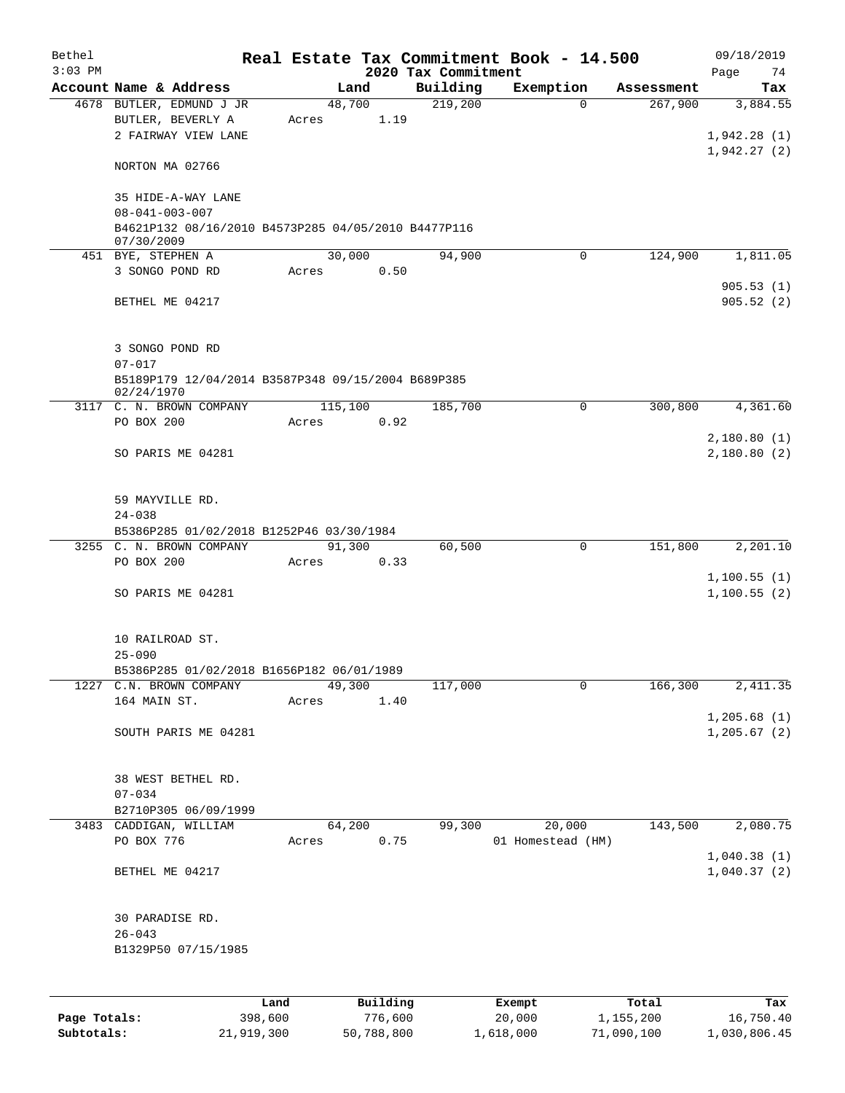| Bethel    |                                                                      |       |         |          |                     | Real Estate Tax Commitment Book - 14.500 |            | 09/18/2019                 |
|-----------|----------------------------------------------------------------------|-------|---------|----------|---------------------|------------------------------------------|------------|----------------------------|
| $3:03$ PM |                                                                      |       |         |          | 2020 Tax Commitment |                                          |            | 74<br>Page                 |
|           | Account Name & Address                                               |       | Land    |          | Building            | Exemption                                | Assessment | Tax                        |
|           | 4678 BUTLER, EDMUND J JR<br>BUTLER, BEVERLY A<br>2 FAIRWAY VIEW LANE | Acres | 48,700  | 1.19     | 219,200             | $\Omega$                                 | 267,900    | 3,884.55<br>1,942.28(1)    |
|           | NORTON MA 02766                                                      |       |         |          |                     |                                          |            | 1,942.27(2)                |
|           | 35 HIDE-A-WAY LANE<br>$08 - 041 - 003 - 007$                         |       |         |          |                     |                                          |            |                            |
|           | B4621P132 08/16/2010 B4573P285 04/05/2010 B4477P116<br>07/30/2009    |       |         |          |                     |                                          |            |                            |
|           | 451 BYE, STEPHEN A                                                   |       | 30,000  |          | 94,900              | $\Omega$                                 | 124,900    | 1,811.05                   |
|           | 3 SONGO POND RD                                                      |       | Acres   | 0.50     |                     |                                          |            | 905.53(1)                  |
|           | BETHEL ME 04217                                                      |       |         |          |                     |                                          |            | 905.52(2)                  |
|           | 3 SONGO POND RD                                                      |       |         |          |                     |                                          |            |                            |
|           | $07 - 017$<br>B5189P179 12/04/2014 B3587P348 09/15/2004 B689P385     |       |         |          |                     |                                          |            |                            |
|           | 02/24/1970<br>3117 C. N. BROWN COMPANY                               |       | 115,100 |          | 185,700             | 0                                        | 300,800    | 4,361.60                   |
|           | PO BOX 200                                                           | Acres |         | 0.92     |                     |                                          |            |                            |
|           | SO PARIS ME 04281                                                    |       |         |          |                     |                                          |            | 2,180.80(1)<br>2,180.80(2) |
|           | 59 MAYVILLE RD.<br>$24 - 038$                                        |       |         |          |                     |                                          |            |                            |
|           | B5386P285 01/02/2018 B1252P46 03/30/1984<br>3255 C. N. BROWN COMPANY |       |         |          |                     | 0                                        | 151,800    | 2,201.10                   |
|           | PO BOX 200                                                           | Acres | 91,300  | 0.33     | 60,500              |                                          |            |                            |
|           | SO PARIS ME 04281                                                    |       |         |          |                     |                                          |            | 1,100.55(1)<br>1,100.55(2) |
|           | 10 RAILROAD ST.<br>$25 - 090$                                        |       |         |          |                     |                                          |            |                            |
|           | B5386P285 01/02/2018 B1656P182 06/01/1989<br>1227 C.N. BROWN COMPANY |       | 49,300  |          | 117,000             | 0                                        | 166,300    | 2, 411.35                  |
|           | 164 MAIN ST.                                                         | Acres |         | 1.40     |                     |                                          |            |                            |
|           |                                                                      |       |         |          |                     |                                          |            | 1, 205.68(1)               |
|           | SOUTH PARIS ME 04281                                                 |       |         |          |                     |                                          |            | 1, 205.67 (2)              |
|           | 38 WEST BETHEL RD.<br>$07 - 034$                                     |       |         |          |                     |                                          |            |                            |
|           | B2710P305 06/09/1999                                                 |       |         |          |                     |                                          |            |                            |
|           | 3483 CADDIGAN, WILLIAM                                               |       | 64,200  |          | 99,300              | 20,000                                   | 143,500    | 2,080.75                   |
|           | PO BOX 776                                                           | Acres |         | 0.75     |                     | 01 Homestead (HM)                        |            |                            |
|           | BETHEL ME 04217                                                      |       |         |          |                     |                                          |            | 1,040.38(1)<br>1,040.37(2) |
|           | 30 PARADISE RD.<br>$26 - 043$                                        |       |         |          |                     |                                          |            |                            |
|           | B1329P50 07/15/1985                                                  |       |         |          |                     |                                          |            |                            |
|           |                                                                      | Land  |         | Building |                     | Exempt                                   | Total      | Tax                        |

**Page Totals:** 398,600 776,600 20,000 1,155,200 16,750.40 **Subtotals:** 21,919,300 50,788,800 1,618,000 71,090,100 1,030,806.45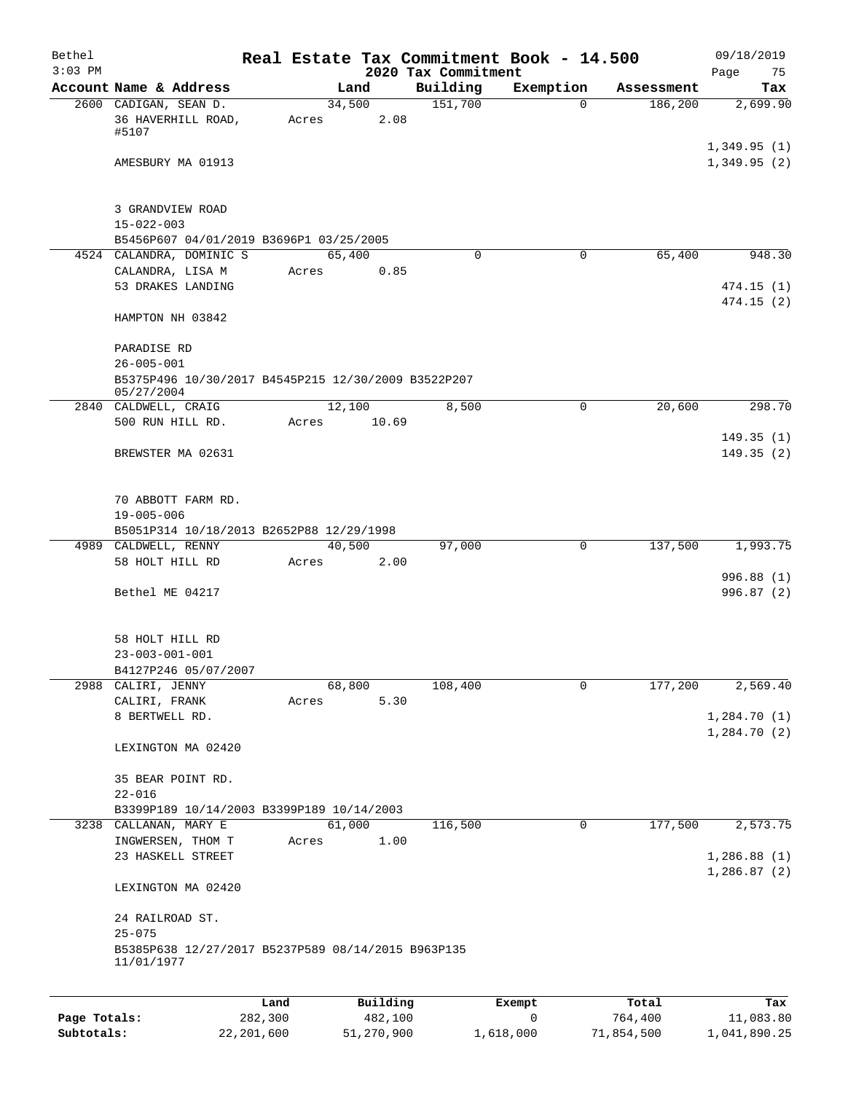| Bethel<br>$3:03$ PM |                                                                                    |       |                | 2020 Tax Commitment | Real Estate Tax Commitment Book - 14.500 |            | 09/18/2019<br>Page<br>75   |
|---------------------|------------------------------------------------------------------------------------|-------|----------------|---------------------|------------------------------------------|------------|----------------------------|
|                     | Account Name & Address                                                             |       | Land           | Building            | Exemption                                | Assessment | Tax                        |
|                     | 2600 CADIGAN, SEAN D.<br>36 HAVERHILL ROAD,<br>#5107                               | Acres | 34,500<br>2.08 | 151,700             | $\Omega$                                 | 186,200    | 2,699.90                   |
|                     | AMESBURY MA 01913                                                                  |       |                |                     |                                          |            | 1,349.95(1)<br>1,349.95(2) |
|                     | 3 GRANDVIEW ROAD<br>$15 - 022 - 003$                                               |       |                |                     |                                          |            |                            |
|                     | B5456P607 04/01/2019 B3696P1 03/25/2005                                            |       |                |                     |                                          |            |                            |
|                     | 4524 CALANDRA, DOMINIC S                                                           |       | 65,400         | $\Omega$            | $\Omega$                                 | 65,400     | 948.30                     |
|                     | CALANDRA, LISA M<br>53 DRAKES LANDING                                              | Acres | 0.85           |                     |                                          |            | 474.15(1)<br>474.15(2)     |
|                     | HAMPTON NH 03842                                                                   |       |                |                     |                                          |            |                            |
|                     | PARADISE RD<br>$26 - 005 - 001$                                                    |       |                |                     |                                          |            |                            |
|                     | B5375P496 10/30/2017 B4545P215 12/30/2009 B3522P207                                |       |                |                     |                                          |            |                            |
|                     | 05/27/2004<br>2840 CALDWELL, CRAIG                                                 |       | 12,100         | 8,500               | $\Omega$                                 | 20,600     | 298.70                     |
|                     | 500 RUN HILL RD.                                                                   | Acres | 10.69          |                     |                                          |            |                            |
|                     | BREWSTER MA 02631                                                                  |       |                |                     |                                          |            | 149.35(1)<br>149.35(2)     |
|                     | 70 ABBOTT FARM RD.<br>$19 - 005 - 006$<br>B5051P314 10/18/2013 B2652P88 12/29/1998 |       |                |                     |                                          |            |                            |
|                     | 4989 CALDWELL, RENNY                                                               |       | 40,500         | 97,000              | $\mathbf 0$                              | 137,500    | 1,993.75                   |
|                     | 58 HOLT HILL RD                                                                    | Acres | 2.00           |                     |                                          |            |                            |
|                     | Bethel ME 04217                                                                    |       |                |                     |                                          |            | 996.88 (1)<br>996.87(2)    |
|                     | 58 HOLT HILL RD<br>$23 - 003 - 001 - 001$                                          |       |                |                     |                                          |            |                            |
|                     | B4127P246 05/07/2007<br>2988 CALIRI, JENNY                                         |       | 68,800         | 108,400             | 0                                        | 177,200    | 2,569.40                   |
|                     | CALIRI, FRANK                                                                      | Acres | 5.30           |                     |                                          |            |                            |
|                     | 8 BERTWELL RD.                                                                     |       |                |                     |                                          |            | 1,284.70(1)<br>1,284.70(2) |
|                     | LEXINGTON MA 02420                                                                 |       |                |                     |                                          |            |                            |
|                     | 35 BEAR POINT RD.<br>$22 - 016$                                                    |       |                |                     |                                          |            |                            |
|                     | B3399P189 10/14/2003 B3399P189 10/14/2003                                          |       |                |                     |                                          |            |                            |
|                     | 3238 CALLANAN, MARY E                                                              |       | 61,000         | 116,500             | 0                                        | 177,500    | 2,573.75                   |
|                     | INGWERSEN, THOM T<br>23 HASKELL STREET                                             | Acres | 1.00           |                     |                                          |            | 1,286.88(1)                |
|                     | LEXINGTON MA 02420                                                                 |       |                |                     |                                          |            | 1,286.87(2)                |
|                     | 24 RAILROAD ST.<br>$25 - 075$                                                      |       |                |                     |                                          |            |                            |
|                     | B5385P638 12/27/2017 B5237P589 08/14/2015 B963P135<br>11/01/1977                   |       |                |                     |                                          |            |                            |
|                     |                                                                                    | Land  | Building       |                     | Exempt                                   | Total      | Tax                        |

|              | Lanu       | <b>BUILQING</b> | LXCMDL    | TOLAT      | 1ax.         |
|--------------|------------|-----------------|-----------|------------|--------------|
| Page Totals: | 282,300    | 482,100         |           | 764,400    | 11,083.80    |
| Subtotals:   | 22,201,600 | 51,270,900      | 1,618,000 | 71,854,500 | 1,041,890.25 |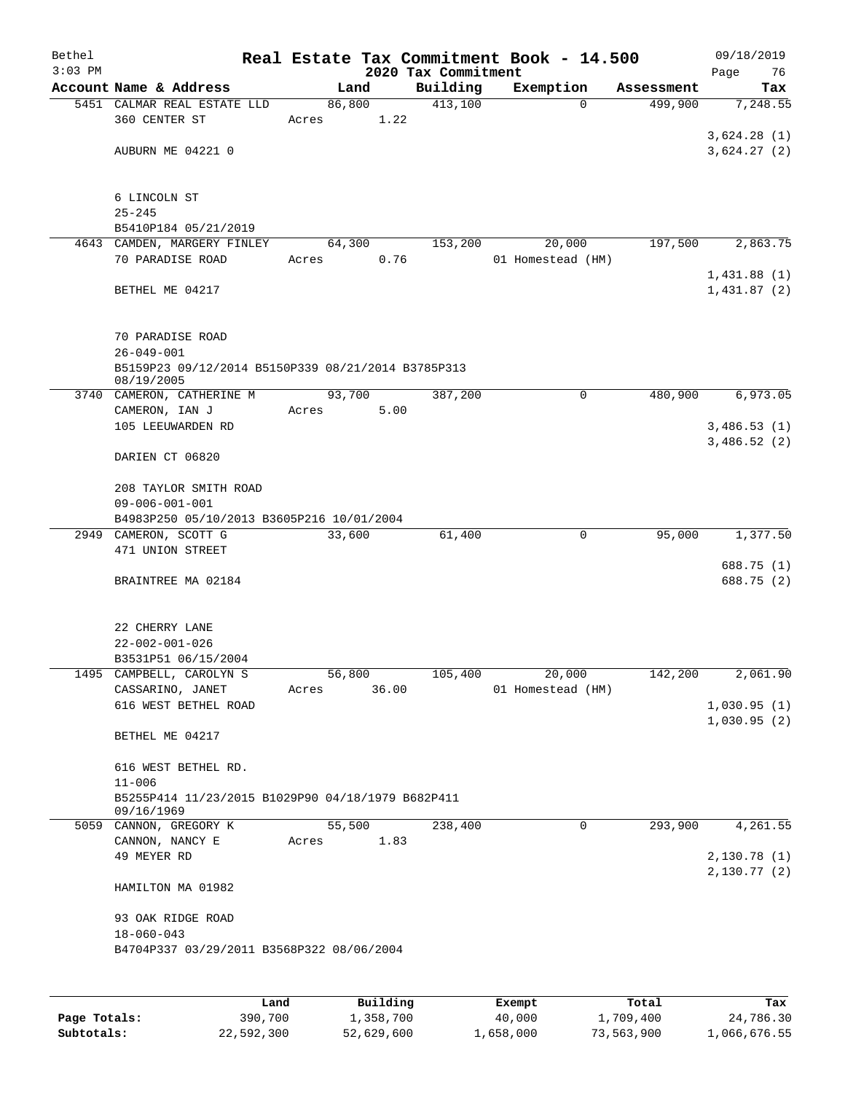| Bethel                     |                                                                     |       |                         |                     | Real Estate Tax Commitment Book - 14.500 |                         | 09/18/2019                 |  |
|----------------------------|---------------------------------------------------------------------|-------|-------------------------|---------------------|------------------------------------------|-------------------------|----------------------------|--|
| $3:03$ PM                  | Account Name & Address                                              |       |                         | 2020 Tax Commitment |                                          |                         | Page<br>76                 |  |
|                            | 5451 CALMAR REAL ESTATE LLD                                         |       | Land<br>86,800          | Building<br>413,100 | Exemption<br>$\Omega$                    | Assessment<br>499,900   | Tax<br>7,248.55            |  |
|                            | 360 CENTER ST                                                       | Acres | 1.22                    |                     |                                          |                         |                            |  |
|                            |                                                                     |       |                         |                     |                                          |                         | 3,624.28(1)                |  |
|                            | AUBURN ME 04221 0                                                   |       |                         |                     |                                          |                         | 3,624.27(2)                |  |
|                            |                                                                     |       |                         |                     |                                          |                         |                            |  |
|                            | 6 LINCOLN ST                                                        |       |                         |                     |                                          |                         |                            |  |
|                            | $25 - 245$                                                          |       |                         |                     |                                          |                         |                            |  |
|                            | B5410P184 05/21/2019                                                |       |                         |                     |                                          |                         |                            |  |
|                            | 4643 CAMDEN, MARGERY FINLEY                                         |       | 64,300                  | 153,200             | 20,000                                   | 197,500                 | 2,863.75                   |  |
|                            | 70 PARADISE ROAD                                                    | Acres | 0.76                    |                     | 01 Homestead (HM)                        |                         |                            |  |
|                            | BETHEL ME 04217                                                     |       |                         |                     |                                          |                         | 1,431.88(1)<br>1,431.87(2) |  |
|                            | 70 PARADISE ROAD<br>$26 - 049 - 001$                                |       |                         |                     |                                          |                         |                            |  |
|                            | B5159P23 09/12/2014 B5150P339 08/21/2014 B3785P313<br>08/19/2005    |       |                         |                     |                                          |                         |                            |  |
|                            | 3740 CAMERON, CATHERINE M                                           |       | 93,700                  | 387,200             | $\mathbf 0$                              | 480,900                 | 6,973.05                   |  |
|                            | CAMERON, IAN J                                                      | Acres | 5.00                    |                     |                                          |                         |                            |  |
|                            | 105 LEEUWARDEN RD                                                   |       |                         |                     |                                          |                         | 3,486.53(1)                |  |
|                            | DARIEN CT 06820                                                     |       |                         |                     |                                          |                         | 3,486.52(2)                |  |
|                            | 208 TAYLOR SMITH ROAD                                               |       |                         |                     |                                          |                         |                            |  |
|                            | $09 - 006 - 001 - 001$<br>B4983P250 05/10/2013 B3605P216 10/01/2004 |       |                         |                     |                                          |                         |                            |  |
|                            |                                                                     |       |                         |                     | 0                                        |                         | 1,377.50                   |  |
| 2949                       | CAMERON, SCOTT G<br>471 UNION STREET                                |       | 33,600                  | 61,400              |                                          | 95,000                  |                            |  |
|                            | BRAINTREE MA 02184                                                  |       |                         |                     |                                          |                         | 688.75 (1)<br>688.75 (2)   |  |
|                            | 22 CHERRY LANE                                                      |       |                         |                     |                                          |                         |                            |  |
|                            | $22 - 002 - 001 - 026$                                              |       |                         |                     |                                          |                         |                            |  |
|                            | B3531P51 06/15/2004                                                 |       |                         |                     |                                          |                         |                            |  |
|                            | 1495 CAMPBELL, CAROLYN S                                            |       | 56,800                  | 105,400             | 20,000                                   | 142,200                 | 2,061.90                   |  |
|                            | CASSARINO, JANET                                                    | Acres | 36.00                   |                     | 01 Homestead (HM)                        |                         |                            |  |
|                            | 616 WEST BETHEL ROAD                                                |       |                         |                     |                                          |                         | 1,030.95(1)                |  |
|                            | BETHEL ME 04217                                                     |       |                         |                     |                                          |                         | 1,030.95(2)                |  |
|                            | 616 WEST BETHEL RD.                                                 |       |                         |                     |                                          |                         |                            |  |
|                            | $11 - 006$                                                          |       |                         |                     |                                          |                         |                            |  |
|                            | B5255P414 11/23/2015 B1029P90 04/18/1979 B682P411<br>09/16/1969     |       |                         |                     |                                          |                         |                            |  |
|                            | 5059 CANNON, GREGORY K                                              |       | 55,500                  | 238,400             | 0                                        | 293,900                 | 4,261.55                   |  |
|                            | CANNON, NANCY E                                                     | Acres | 1.83                    |                     |                                          |                         |                            |  |
|                            | 49 MEYER RD                                                         |       |                         |                     |                                          |                         | 2,130.78(1)                |  |
|                            | HAMILTON MA 01982                                                   |       |                         |                     |                                          |                         | 2,130.77 (2)               |  |
|                            | 93 OAK RIDGE ROAD                                                   |       |                         |                     |                                          |                         |                            |  |
|                            | $18 - 060 - 043$<br>B4704P337 03/29/2011 B3568P322 08/06/2004       |       |                         |                     |                                          |                         |                            |  |
|                            |                                                                     |       |                         |                     |                                          |                         |                            |  |
|                            | Land                                                                |       | Building                |                     | Exempt                                   | Total                   | Tax                        |  |
| Page Totals:<br>Subtotals: | 390,700<br>22,592,300                                               |       | 1,358,700<br>52,629,600 |                     | 40,000<br>1,658,000                      | 1,709,400<br>73,563,900 | 24,786.30<br>1,066,676.55  |  |
|                            |                                                                     |       |                         |                     |                                          |                         |                            |  |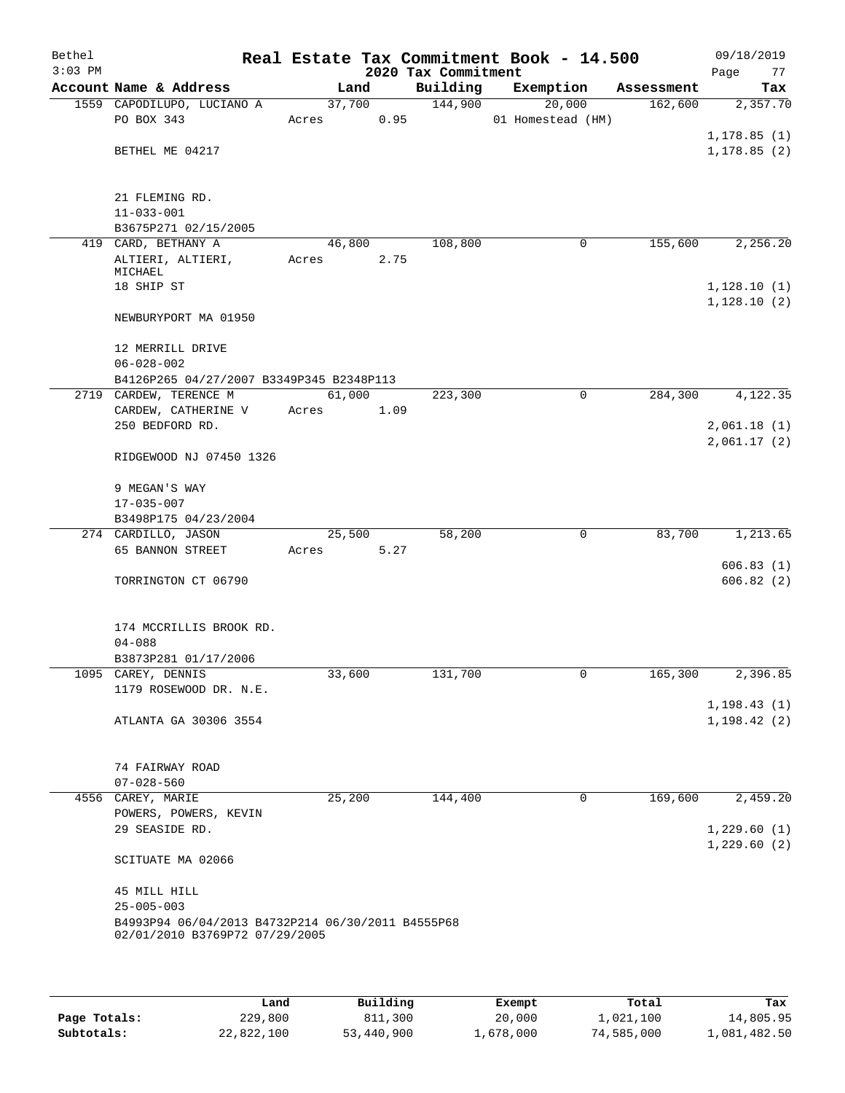| Bethel<br>$3:03$ PM |                                                                                     |        |      | 2020 Tax Commitment | Real Estate Tax Commitment Book - 14.500 |            | 09/18/2019<br>Page<br>77 |
|---------------------|-------------------------------------------------------------------------------------|--------|------|---------------------|------------------------------------------|------------|--------------------------|
|                     | Account Name & Address                                                              | Land   |      | Building            | Exemption                                | Assessment | Tax                      |
|                     | 1559 CAPODILUPO, LUCIANO A                                                          | 37,700 |      | 144,900             | 20,000                                   | 162,600    | 2,357.70                 |
|                     | PO BOX 343                                                                          | Acres  | 0.95 |                     | 01 Homestead (HM)                        |            |                          |
|                     |                                                                                     |        |      |                     |                                          |            | 1, 178.85(1)             |
|                     | BETHEL ME 04217                                                                     |        |      |                     |                                          |            | 1, 178.85(2)             |
|                     | 21 FLEMING RD.                                                                      |        |      |                     |                                          |            |                          |
|                     | $11 - 033 - 001$                                                                    |        |      |                     |                                          |            |                          |
|                     | B3675P271 02/15/2005                                                                |        |      |                     |                                          |            |                          |
|                     | 419 CARD, BETHANY A                                                                 | 46,800 |      | 108,800             | 0                                        | 155,600    | 2,256.20                 |
|                     | ALTIERI, ALTIERI,                                                                   | Acres  | 2.75 |                     |                                          |            |                          |
|                     | MICHAEL                                                                             |        |      |                     |                                          |            |                          |
|                     | 18 SHIP ST                                                                          |        |      |                     |                                          |            | 1,128.10(1)              |
|                     | NEWBURYPORT MA 01950                                                                |        |      |                     |                                          |            | 1,128.10(2)              |
|                     | 12 MERRILL DRIVE                                                                    |        |      |                     |                                          |            |                          |
|                     | $06 - 028 - 002$                                                                    |        |      |                     |                                          |            |                          |
|                     | B4126P265 04/27/2007 B3349P345 B2348P113                                            |        |      |                     |                                          |            |                          |
|                     | 2719 CARDEW, TERENCE M                                                              | 61,000 |      | 223,300             | 0                                        | 284,300    | 4,122.35                 |
|                     | CARDEW, CATHERINE V                                                                 | Acres  | 1.09 |                     |                                          |            |                          |
|                     | 250 BEDFORD RD.                                                                     |        |      |                     |                                          |            | 2,061.18(1)              |
|                     |                                                                                     |        |      |                     |                                          |            | 2,061.17(2)              |
|                     | RIDGEWOOD NJ 07450 1326                                                             |        |      |                     |                                          |            |                          |
|                     | 9 MEGAN'S WAY                                                                       |        |      |                     |                                          |            |                          |
|                     | $17 - 035 - 007$                                                                    |        |      |                     |                                          |            |                          |
|                     | B3498P175 04/23/2004                                                                |        |      |                     |                                          |            |                          |
|                     | 274 CARDILLO, JASON                                                                 | 25,500 |      | 58,200              | 0                                        | 83,700     | 1,213.65                 |
|                     | 65 BANNON STREET                                                                    | Acres  | 5.27 |                     |                                          |            |                          |
|                     |                                                                                     |        |      |                     |                                          |            | 606.83(1)                |
|                     | TORRINGTON CT 06790                                                                 |        |      |                     |                                          |            | 606.82(2)                |
|                     | 174 MCCRILLIS BROOK RD.                                                             |        |      |                     |                                          |            |                          |
|                     | $04 - 088$                                                                          |        |      |                     |                                          |            |                          |
|                     | B3873P281 01/17/2006                                                                |        |      |                     |                                          |            |                          |
|                     | 1095 CAREY, DENNIS                                                                  | 33,600 |      | 131,700             | 0                                        | 165,300    | 2,396.85                 |
|                     | 1179 ROSEWOOD DR. N.E.                                                              |        |      |                     |                                          |            |                          |
|                     |                                                                                     |        |      |                     |                                          |            | 1, 198.43(1)             |
|                     | ATLANTA GA 30306 3554                                                               |        |      |                     |                                          |            | 1, 198.42(2)             |
|                     | 74 FAIRWAY ROAD                                                                     |        |      |                     |                                          |            |                          |
|                     | $07 - 028 - 560$                                                                    |        |      |                     |                                          |            |                          |
|                     | 4556 CAREY, MARIE                                                                   | 25,200 |      | 144,400             | 0                                        | 169,600    | 2,459.20                 |
|                     | POWERS, POWERS, KEVIN                                                               |        |      |                     |                                          |            |                          |
|                     | 29 SEASIDE RD.                                                                      |        |      |                     |                                          |            | 1,229.60(1)              |
|                     | SCITUATE MA 02066                                                                   |        |      |                     |                                          |            | 1,229.60(2)              |
|                     |                                                                                     |        |      |                     |                                          |            |                          |
|                     | 45 MILL HILL                                                                        |        |      |                     |                                          |            |                          |
|                     | $25 - 005 - 003$                                                                    |        |      |                     |                                          |            |                          |
|                     | B4993P94 06/04/2013 B4732P214 06/30/2011 B4555P68<br>02/01/2010 B3769P72 07/29/2005 |        |      |                     |                                          |            |                          |
|                     |                                                                                     |        |      |                     |                                          |            |                          |
|                     |                                                                                     |        |      |                     |                                          |            |                          |

|              | Land       | Building   | Exempt    | Total      | Tax          |
|--------------|------------|------------|-----------|------------|--------------|
| Page Totals: | 229,800    | 811,300    | 20,000    | 1,021,100  | 14,805.95    |
| Subtotals:   | 22,822,100 | 53,440,900 | 1,678,000 | 74,585,000 | 1,081,482.50 |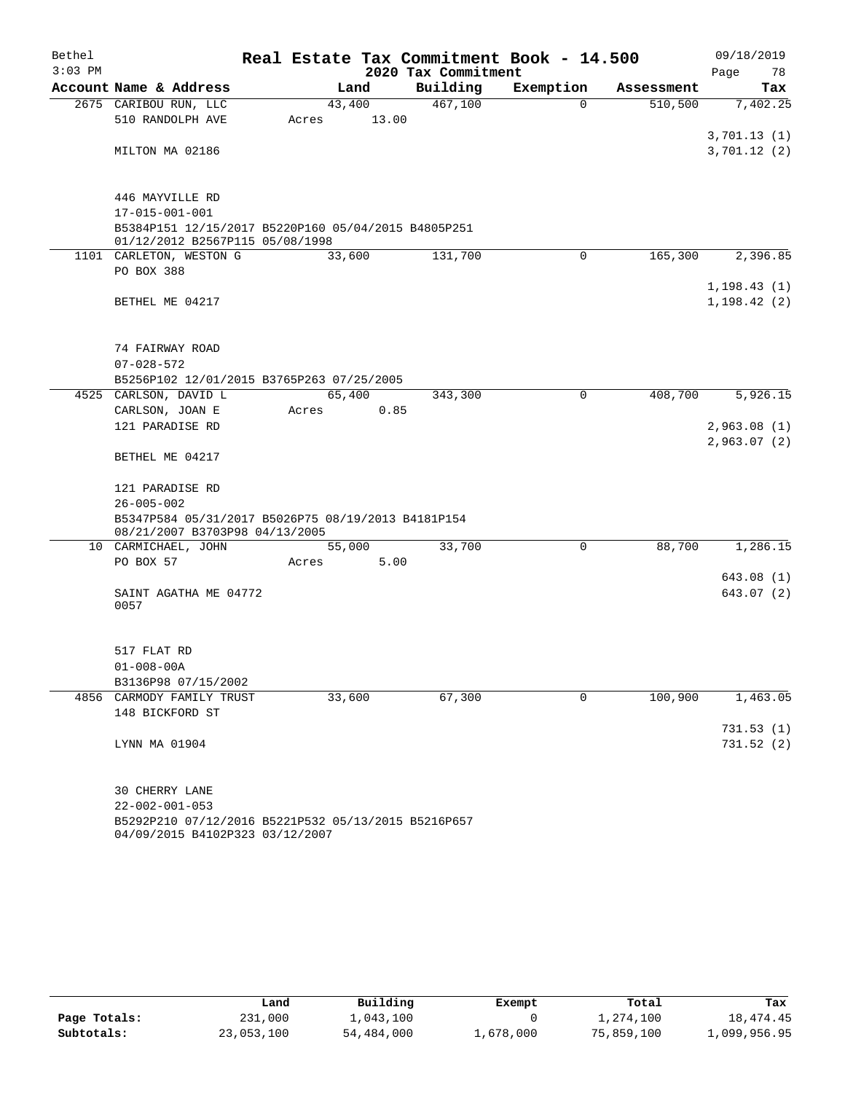| Bethel    |                                                                                        |        |       |                     | Real Estate Tax Commitment Book - 14.500 |             |         | 09/18/2019   |
|-----------|----------------------------------------------------------------------------------------|--------|-------|---------------------|------------------------------------------|-------------|---------|--------------|
| $3:03$ PM |                                                                                        |        |       | 2020 Tax Commitment |                                          |             |         | Page<br>78   |
|           | Account Name & Address                                                                 |        | Land  | Building            | Exemption                                | Assessment  |         | Tax          |
|           | 2675 CARIBOU RUN, LLC                                                                  | 43,400 |       | 467,100             |                                          | $\Omega$    | 510,500 | 7,402.25     |
|           | 510 RANDOLPH AVE                                                                       | Acres  | 13.00 |                     |                                          |             |         |              |
|           |                                                                                        |        |       |                     |                                          |             |         | 3,701.13(1)  |
|           | MILTON MA 02186                                                                        |        |       |                     |                                          |             |         | 3,701.12(2)  |
|           | 446 MAYVILLE RD                                                                        |        |       |                     |                                          |             |         |              |
|           | $17 - 015 - 001 - 001$                                                                 |        |       |                     |                                          |             |         |              |
|           | B5384P151 12/15/2017 B5220P160 05/04/2015 B4805P251<br>01/12/2012 B2567P115 05/08/1998 |        |       |                     |                                          |             |         |              |
|           | 1101 CARLETON, WESTON G                                                                | 33,600 |       | 131,700             |                                          | 0           | 165,300 | 2,396.85     |
|           | PO BOX 388                                                                             |        |       |                     |                                          |             |         |              |
|           |                                                                                        |        |       |                     |                                          |             |         | 1, 198.43(1) |
|           | BETHEL ME 04217                                                                        |        |       |                     |                                          |             |         | 1, 198.42(2) |
|           | 74 FAIRWAY ROAD                                                                        |        |       |                     |                                          |             |         |              |
|           | $07 - 028 - 572$                                                                       |        |       |                     |                                          |             |         |              |
|           | B5256P102 12/01/2015 B3765P263 07/25/2005                                              |        |       |                     |                                          |             |         |              |
|           | 4525 CARLSON, DAVID L                                                                  | 65,400 |       | 343,300             |                                          | $\mathbf 0$ | 408,700 | 5,926.15     |
|           | CARLSON, JOAN E                                                                        | Acres  | 0.85  |                     |                                          |             |         |              |
|           | 121 PARADISE RD                                                                        |        |       |                     |                                          |             |         | 2,963.08(1)  |
|           | BETHEL ME 04217                                                                        |        |       |                     |                                          |             |         | 2,963.07(2)  |
|           | 121 PARADISE RD                                                                        |        |       |                     |                                          |             |         |              |
|           | $26 - 005 - 002$                                                                       |        |       |                     |                                          |             |         |              |
|           | B5347P584 05/31/2017 B5026P75 08/19/2013 B4181P154<br>08/21/2007 B3703P98 04/13/2005   |        |       |                     |                                          |             |         |              |
|           | 10 CARMICHAEL, JOHN                                                                    | 55,000 |       | 33,700              |                                          | $\mathbf 0$ | 88,700  | 1,286.15     |
|           | PO BOX 57                                                                              | Acres  | 5.00  |                     |                                          |             |         |              |
|           |                                                                                        |        |       |                     |                                          |             |         | 643.08(1)    |
|           | SAINT AGATHA ME 04772<br>0057                                                          |        |       |                     |                                          |             |         | 643.07(2)    |
|           |                                                                                        |        |       |                     |                                          |             |         |              |
|           | 517 FLAT RD                                                                            |        |       |                     |                                          |             |         |              |
|           | $01 - 008 - 00A$                                                                       |        |       |                     |                                          |             |         |              |
|           | B3136P98 07/15/2002                                                                    |        |       |                     |                                          |             |         |              |
|           | 4856 CARMODY FAMILY TRUST<br>148 BICKFORD ST                                           | 33,600 |       | 67,300              |                                          | 0           | 100,900 | 1,463.05     |
|           |                                                                                        |        |       |                     |                                          |             |         | 731.53(1)    |
|           | LYNN MA 01904                                                                          |        |       |                     |                                          |             |         | 731.52(2)    |
|           |                                                                                        |        |       |                     |                                          |             |         |              |
|           | <b>30 CHERRY LANE</b>                                                                  |        |       |                     |                                          |             |         |              |
|           | $22 - 002 - 001 - 053$                                                                 |        |       |                     |                                          |             |         |              |
|           | B5292P210 07/12/2016 B5221P532 05/13/2015 B5216P657<br>04/09/2015 B4102P323 03/12/2007 |        |       |                     |                                          |             |         |              |

|              | Land       | Building   | Exempt    | Total      | Tax          |
|--------------|------------|------------|-----------|------------|--------------|
| Page Totals: | 231,000    | ⊥,043,100  |           | 1,274,100  | 18,474.45    |
| Subtotals:   | 23,053,100 | 54,484,000 | 1,678,000 | 75,859,100 | 1,099,956.95 |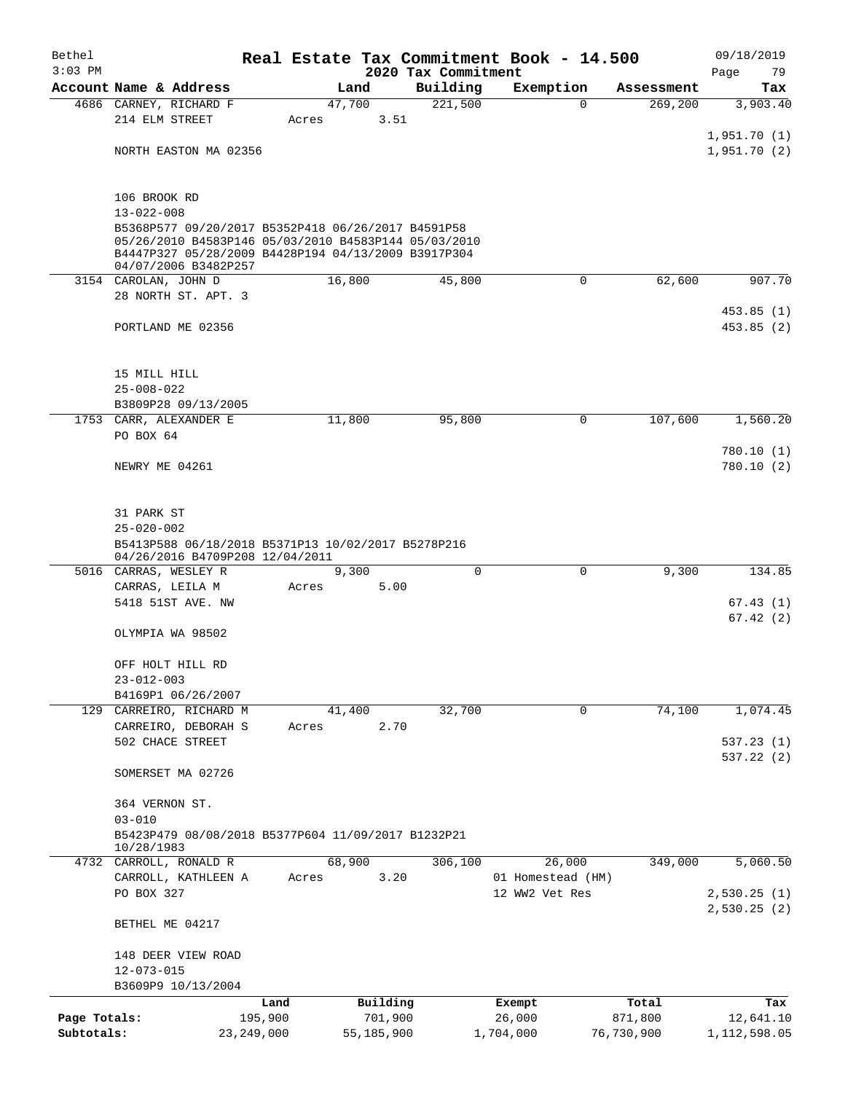| Bethel<br>$3:03$ PM |                                                                                                                                                                                           |              |       |            | 2020 Tax Commitment | Real Estate Tax Commitment Book - 14.500 |                       | 09/18/2019<br>Page<br>79   |
|---------------------|-------------------------------------------------------------------------------------------------------------------------------------------------------------------------------------------|--------------|-------|------------|---------------------|------------------------------------------|-----------------------|----------------------------|
|                     | Account Name & Address                                                                                                                                                                    |              |       | Land       | Building            | Exemption                                | Assessment            | Tax                        |
|                     | 4686 CARNEY, RICHARD F                                                                                                                                                                    |              |       | 47,700     | 221,500             |                                          | 269,200<br>$\Omega$   | 3,903.40                   |
|                     | 214 ELM STREET                                                                                                                                                                            |              | Acres | 3.51       |                     |                                          |                       |                            |
|                     |                                                                                                                                                                                           |              |       |            |                     |                                          |                       | 1,951.70(1)                |
|                     | NORTH EASTON MA 02356                                                                                                                                                                     |              |       |            |                     |                                          |                       | 1,951.70(2)                |
|                     | 106 BROOK RD                                                                                                                                                                              |              |       |            |                     |                                          |                       |                            |
|                     | $13 - 022 - 008$                                                                                                                                                                          |              |       |            |                     |                                          |                       |                            |
|                     | B5368P577 09/20/2017 B5352P418 06/26/2017 B4591P58<br>05/26/2010 B4583P146 05/03/2010 B4583P144 05/03/2010<br>B4447P327 05/28/2009 B4428P194 04/13/2009 B3917P304<br>04/07/2006 B3482P257 |              |       |            |                     |                                          |                       |                            |
|                     | 3154 CAROLAN, JOHN D                                                                                                                                                                      |              |       | 16,800     | 45,800              |                                          | 0<br>62,600           | 907.70                     |
|                     | 28 NORTH ST. APT. 3                                                                                                                                                                       |              |       |            |                     |                                          |                       |                            |
|                     | PORTLAND ME 02356                                                                                                                                                                         |              |       |            |                     |                                          |                       | 453.85(1)<br>453.85 (2)    |
|                     |                                                                                                                                                                                           |              |       |            |                     |                                          |                       |                            |
|                     | 15 MILL HILL<br>$25 - 008 - 022$                                                                                                                                                          |              |       |            |                     |                                          |                       |                            |
|                     | B3809P28 09/13/2005                                                                                                                                                                       |              |       |            |                     |                                          |                       |                            |
|                     | 1753 CARR, ALEXANDER E                                                                                                                                                                    |              |       | 11,800     | 95,800              |                                          | 107,600<br>0          | 1,560.20                   |
|                     | PO BOX 64                                                                                                                                                                                 |              |       |            |                     |                                          |                       |                            |
|                     |                                                                                                                                                                                           |              |       |            |                     |                                          |                       | 780.10(1)                  |
|                     | NEWRY ME 04261                                                                                                                                                                            |              |       |            |                     |                                          |                       | 780.10(2)                  |
|                     | 31 PARK ST                                                                                                                                                                                |              |       |            |                     |                                          |                       |                            |
|                     | $25 - 020 - 002$                                                                                                                                                                          |              |       |            |                     |                                          |                       |                            |
|                     | B5413P588 06/18/2018 B5371P13 10/02/2017 B5278P216<br>04/26/2016 B4709P208 12/04/2011                                                                                                     |              |       |            |                     |                                          |                       |                            |
|                     | 5016 CARRAS, WESLEY R                                                                                                                                                                     |              |       | 9,300      |                     | $\Omega$                                 | $\Omega$<br>9,300     | 134.85                     |
|                     | CARRAS, LEILA M                                                                                                                                                                           |              | Acres | 5.00       |                     |                                          |                       |                            |
|                     | 5418 51ST AVE. NW                                                                                                                                                                         |              |       |            |                     |                                          |                       | 67.43(1)<br>67.42(2)       |
|                     | OLYMPIA WA 98502                                                                                                                                                                          |              |       |            |                     |                                          |                       |                            |
|                     | OFF HOLT HILL RD                                                                                                                                                                          |              |       |            |                     |                                          |                       |                            |
|                     | $23 - 012 - 003$                                                                                                                                                                          |              |       |            |                     |                                          |                       |                            |
|                     | B4169P1 06/26/2007<br>129 CARREIRO, RICHARD M                                                                                                                                             |              |       | 41,400     | 32,700              |                                          | $\mathbf 0$<br>74,100 | 1,074.45                   |
|                     | CARREIRO, DEBORAH S                                                                                                                                                                       |              | Acres | 2.70       |                     |                                          |                       |                            |
|                     | 502 CHACE STREET                                                                                                                                                                          |              |       |            |                     |                                          |                       | 537.23(1)                  |
|                     | SOMERSET MA 02726                                                                                                                                                                         |              |       |            |                     |                                          |                       | 537.22(2)                  |
|                     | 364 VERNON ST.                                                                                                                                                                            |              |       |            |                     |                                          |                       |                            |
|                     | $03 - 010$                                                                                                                                                                                |              |       |            |                     |                                          |                       |                            |
|                     | B5423P479 08/08/2018 B5377P604 11/09/2017 B1232P21<br>10/28/1983                                                                                                                          |              |       |            |                     |                                          |                       |                            |
|                     | 4732 CARROLL, RONALD R                                                                                                                                                                    |              |       | 68,900     | 306,100             | 26,000                                   | 349,000               | 5,060.50                   |
|                     | CARROLL, KATHLEEN A                                                                                                                                                                       |              | Acres | 3.20       |                     | 01 Homestead (HM)                        |                       |                            |
|                     | PO BOX 327                                                                                                                                                                                |              |       |            |                     | 12 WW2 Vet Res                           |                       | 2,530.25(1)<br>2,530.25(2) |
|                     | BETHEL ME 04217                                                                                                                                                                           |              |       |            |                     |                                          |                       |                            |
|                     | 148 DEER VIEW ROAD                                                                                                                                                                        |              |       |            |                     |                                          |                       |                            |
|                     | $12 - 073 - 015$                                                                                                                                                                          |              |       |            |                     |                                          |                       |                            |
|                     | B3609P9 10/13/2004                                                                                                                                                                        |              |       |            |                     |                                          |                       |                            |
|                     |                                                                                                                                                                                           | Land         |       | Building   |                     | Exempt                                   | Total                 | Tax                        |
| Page Totals:        |                                                                                                                                                                                           | 195,900      |       | 701,900    |                     | 26,000                                   | 871,800               | 12,641.10                  |
| Subtotals:          |                                                                                                                                                                                           | 23, 249, 000 |       | 55,185,900 |                     | 1,704,000                                | 76,730,900            | 1, 112, 598.05             |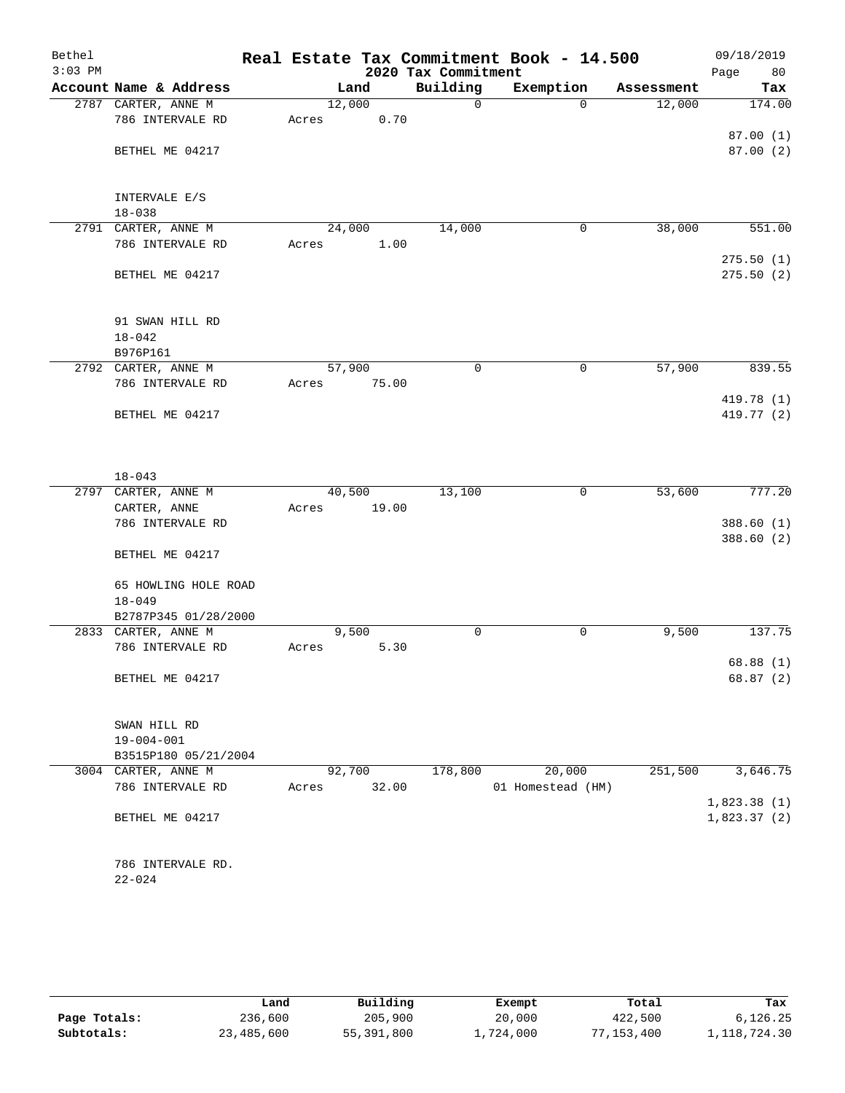| Bethel<br>$3:03$ PM |                                         |        |       | 2020 Tax Commitment | Real Estate Tax Commitment Book - 14.500 |            | 09/18/2019<br>Page<br>80 |
|---------------------|-----------------------------------------|--------|-------|---------------------|------------------------------------------|------------|--------------------------|
|                     | Account Name & Address                  |        | Land  | Building            | Exemption                                | Assessment | Tax                      |
|                     | 2787 CARTER, ANNE M                     | 12,000 |       | $\mathbf 0$         | $\Omega$                                 | 12,000     | 174.00                   |
|                     | 786 INTERVALE RD                        | Acres  | 0.70  |                     |                                          |            |                          |
|                     |                                         |        |       |                     |                                          |            | 87.00(1)                 |
|                     | BETHEL ME 04217                         |        |       |                     |                                          |            | 87.00(2)                 |
|                     |                                         |        |       |                     |                                          |            |                          |
|                     |                                         |        |       |                     |                                          |            |                          |
|                     | INTERVALE E/S                           |        |       |                     |                                          |            |                          |
|                     | $18 - 038$                              |        |       |                     |                                          |            |                          |
|                     | 2791 CARTER, ANNE M<br>786 INTERVALE RD | 24,000 | 1.00  | 14,000              | 0                                        | 38,000     | 551.00                   |
|                     |                                         | Acres  |       |                     |                                          |            | 275.50(1)                |
|                     | BETHEL ME 04217                         |        |       |                     |                                          |            | 275.50(2)                |
|                     |                                         |        |       |                     |                                          |            |                          |
|                     |                                         |        |       |                     |                                          |            |                          |
|                     | 91 SWAN HILL RD                         |        |       |                     |                                          |            |                          |
|                     | $18 - 042$                              |        |       |                     |                                          |            |                          |
|                     | B976P161                                |        |       |                     |                                          |            |                          |
|                     | 2792 CARTER, ANNE M                     | 57,900 |       | $\mathbf 0$         | $\mathbf 0$                              | 57,900     | 839.55                   |
|                     | 786 INTERVALE RD                        | Acres  | 75.00 |                     |                                          |            |                          |
|                     |                                         |        |       |                     |                                          |            | 419.78 (1)               |
|                     | BETHEL ME 04217                         |        |       |                     |                                          |            | 419.77 (2)               |
|                     |                                         |        |       |                     |                                          |            |                          |
|                     |                                         |        |       |                     |                                          |            |                          |
|                     |                                         |        |       |                     |                                          |            |                          |
| 2797                | $18 - 043$<br>CARTER, ANNE M            | 40,500 |       | 13,100              | $\mathsf{O}$                             | 53,600     | 777.20                   |
|                     | CARTER, ANNE                            | Acres  | 19.00 |                     |                                          |            |                          |
|                     | 786 INTERVALE RD                        |        |       |                     |                                          |            | 388.60(1)                |
|                     |                                         |        |       |                     |                                          |            | 388.60 (2)               |
|                     | BETHEL ME 04217                         |        |       |                     |                                          |            |                          |
|                     |                                         |        |       |                     |                                          |            |                          |
|                     | 65 HOWLING HOLE ROAD                    |        |       |                     |                                          |            |                          |
|                     | $18 - 049$                              |        |       |                     |                                          |            |                          |
|                     | B2787P345 01/28/2000                    |        |       |                     |                                          |            |                          |
|                     | 2833 CARTER, ANNE M                     |        | 9,500 | 0                   | 0                                        | 9,500      | 137.75                   |
|                     | 786 INTERVALE RD                        | Acres  | 5.30  |                     |                                          |            |                          |
|                     |                                         |        |       |                     |                                          |            | 68.88(1)                 |
|                     | BETHEL ME 04217                         |        |       |                     |                                          |            | 68.87 (2)                |
|                     |                                         |        |       |                     |                                          |            |                          |
|                     |                                         |        |       |                     |                                          |            |                          |
|                     | SWAN HILL RD<br>$19 - 004 - 001$        |        |       |                     |                                          |            |                          |
|                     | B3515P180 05/21/2004                    |        |       |                     |                                          |            |                          |
|                     | 3004 CARTER, ANNE M                     | 92,700 |       | 178,800             | 20,000                                   | 251,500    | 3,646.75                 |
|                     | 786 INTERVALE RD                        | Acres  | 32.00 |                     | 01 Homestead (HM)                        |            |                          |
|                     |                                         |        |       |                     |                                          |            | 1,823.38(1)              |
|                     | BETHEL ME 04217                         |        |       |                     |                                          |            | 1,823.37(2)              |
|                     |                                         |        |       |                     |                                          |            |                          |
|                     |                                         |        |       |                     |                                          |            |                          |
|                     | 786 INTERVALE RD.                       |        |       |                     |                                          |            |                          |
|                     | $22 - 024$                              |        |       |                     |                                          |            |                          |
|                     |                                         |        |       |                     |                                          |            |                          |
|                     |                                         |        |       |                     |                                          |            |                          |

|              | Land       | Building   | Exempt    | Total      | Tax          |
|--------------|------------|------------|-----------|------------|--------------|
| Page Totals: | 236,600    | 205,900    | 20,000    | 422,500    | 6,126.25     |
| Subtotals:   | 23,485,600 | 55,391,800 | 1,724,000 | '7,153,400 | 1,118,724.30 |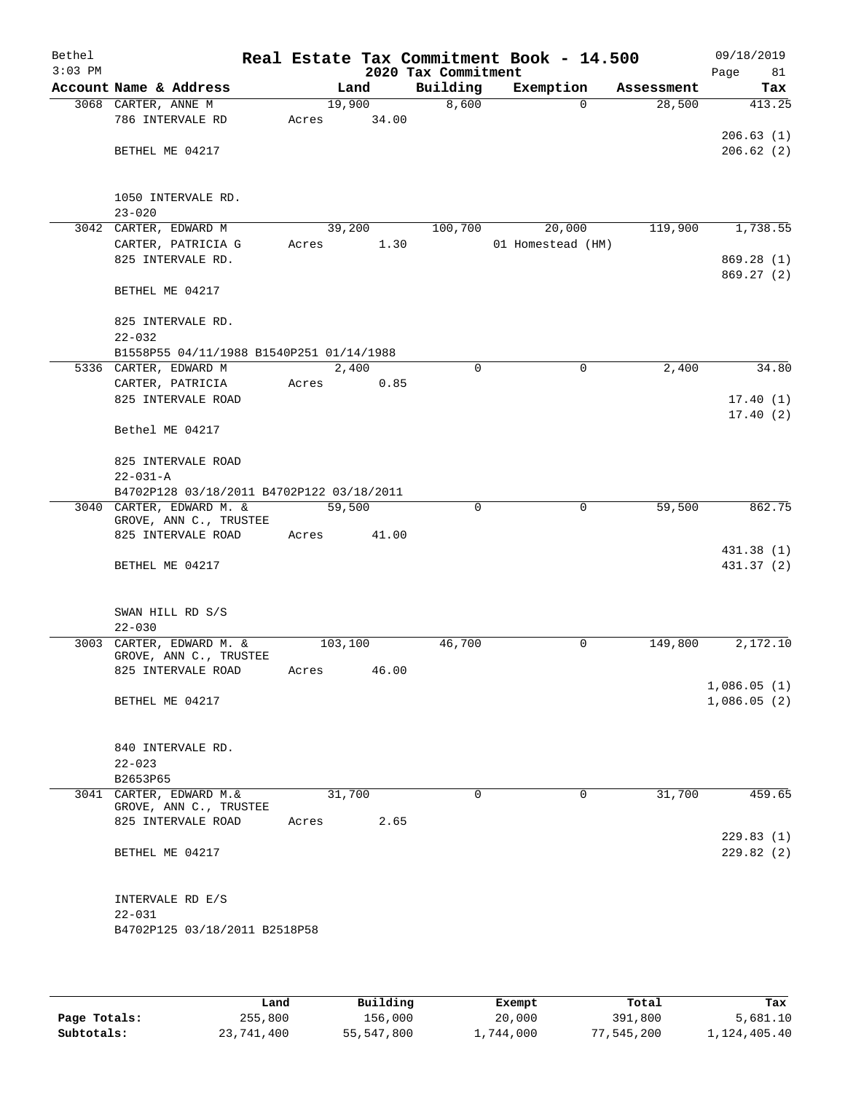| Bethel<br>$3:03$ PM |                                               |         |       | 2020 Tax Commitment | Real Estate Tax Commitment Book - 14.500 |                       | 09/18/2019<br>81<br>Page |
|---------------------|-----------------------------------------------|---------|-------|---------------------|------------------------------------------|-----------------------|--------------------------|
|                     | Account Name & Address                        |         | Land  | Building            | Exemption                                | Assessment            | Tax                      |
|                     | 3068 CARTER, ANNE M                           | 19,900  |       | 8,600               |                                          | 28,500<br>$\Omega$    | 413.25                   |
|                     | 786 INTERVALE RD                              | Acres   | 34.00 |                     |                                          |                       |                          |
|                     |                                               |         |       |                     |                                          |                       | 206.63(1)                |
|                     | BETHEL ME 04217                               |         |       |                     |                                          |                       | 206.62(2)                |
|                     |                                               |         |       |                     |                                          |                       |                          |
|                     |                                               |         |       |                     |                                          |                       |                          |
|                     | 1050 INTERVALE RD.                            |         |       |                     |                                          |                       |                          |
|                     | $23 - 020$                                    |         |       |                     |                                          |                       |                          |
|                     | 3042 CARTER, EDWARD M                         | 39,200  |       | 100,700             | 20,000                                   | 119,900               | 1,738.55                 |
|                     | CARTER, PATRICIA G                            | Acres   | 1.30  |                     | 01 Homestead (HM)                        |                       |                          |
|                     | 825 INTERVALE RD.                             |         |       |                     |                                          |                       | 869.28 (1)<br>869.27 (2) |
|                     | BETHEL ME 04217                               |         |       |                     |                                          |                       |                          |
|                     |                                               |         |       |                     |                                          |                       |                          |
|                     | 825 INTERVALE RD.                             |         |       |                     |                                          |                       |                          |
|                     | $22 - 032$                                    |         |       |                     |                                          |                       |                          |
|                     | B1558P55 04/11/1988 B1540P251 01/14/1988      |         |       |                     |                                          |                       |                          |
|                     | 5336 CARTER, EDWARD M                         | 2,400   |       | $\mathbf 0$         |                                          | 2,400<br>0            | 34.80                    |
|                     | CARTER, PATRICIA                              | Acres   | 0.85  |                     |                                          |                       |                          |
|                     | 825 INTERVALE ROAD                            |         |       |                     |                                          |                       | 17.40(1)                 |
|                     |                                               |         |       |                     |                                          |                       | 17.40(2)                 |
|                     | Bethel ME 04217                               |         |       |                     |                                          |                       |                          |
|                     |                                               |         |       |                     |                                          |                       |                          |
|                     | 825 INTERVALE ROAD                            |         |       |                     |                                          |                       |                          |
|                     | $22 - 031 - A$                                |         |       |                     |                                          |                       |                          |
|                     | B4702P128 03/18/2011 B4702P122 03/18/2011     |         |       |                     |                                          |                       |                          |
|                     | 3040 CARTER, EDWARD M. &                      | 59,500  |       | $\Omega$            |                                          | 59,500<br>0           | 862.75                   |
|                     | GROVE, ANN C., TRUSTEE                        |         |       |                     |                                          |                       |                          |
|                     | 825 INTERVALE ROAD                            | Acres   | 41.00 |                     |                                          |                       |                          |
|                     |                                               |         |       |                     |                                          |                       | 431.38 (1)               |
|                     | BETHEL ME 04217                               |         |       |                     |                                          |                       | 431.37 (2)               |
|                     |                                               |         |       |                     |                                          |                       |                          |
|                     |                                               |         |       |                     |                                          |                       |                          |
|                     | SWAN HILL RD S/S                              |         |       |                     |                                          |                       |                          |
|                     | $22 - 030$                                    |         |       |                     |                                          |                       |                          |
| 3003                | CARTER, EDWARD M. &<br>GROVE, ANN C., TRUSTEE | 103,100 |       | 46,700              |                                          | 149,800<br>0          | 2,172.10                 |
|                     | 825 INTERVALE ROAD                            | Acres   | 46.00 |                     |                                          |                       |                          |
|                     |                                               |         |       |                     |                                          |                       | 1,086.05(1)              |
|                     | BETHEL ME 04217                               |         |       |                     |                                          |                       | 1,086.05(2)              |
|                     |                                               |         |       |                     |                                          |                       |                          |
|                     |                                               |         |       |                     |                                          |                       |                          |
|                     | 840 INTERVALE RD.                             |         |       |                     |                                          |                       |                          |
|                     | $22 - 023$                                    |         |       |                     |                                          |                       |                          |
|                     | B2653P65                                      |         |       |                     |                                          |                       |                          |
|                     | 3041 CARTER, EDWARD M. &                      | 31,700  |       | $\Omega$            |                                          | $\mathbf 0$<br>31,700 | 459.65                   |
|                     | GROVE, ANN C., TRUSTEE                        |         |       |                     |                                          |                       |                          |
|                     | 825 INTERVALE ROAD                            | Acres   | 2.65  |                     |                                          |                       |                          |
|                     |                                               |         |       |                     |                                          |                       | 229.83(1)                |
|                     | BETHEL ME 04217                               |         |       |                     |                                          |                       | 229.82(2)                |
|                     |                                               |         |       |                     |                                          |                       |                          |
|                     | INTERVALE RD E/S                              |         |       |                     |                                          |                       |                          |
|                     | $22 - 031$                                    |         |       |                     |                                          |                       |                          |
|                     | B4702P125 03/18/2011 B2518P58                 |         |       |                     |                                          |                       |                          |
|                     |                                               |         |       |                     |                                          |                       |                          |
|                     |                                               |         |       |                     |                                          |                       |                          |

|              | Land       | Building   | Exempt    | Total      | Tax          |
|--------------|------------|------------|-----------|------------|--------------|
| Page Totals: | 255,800    | 156,000    | 20,000    | 391,800    | 5,681.10     |
| Subtotals:   | 23,741,400 | 55,547,800 | 1,744,000 | 77,545,200 | 1,124,405.40 |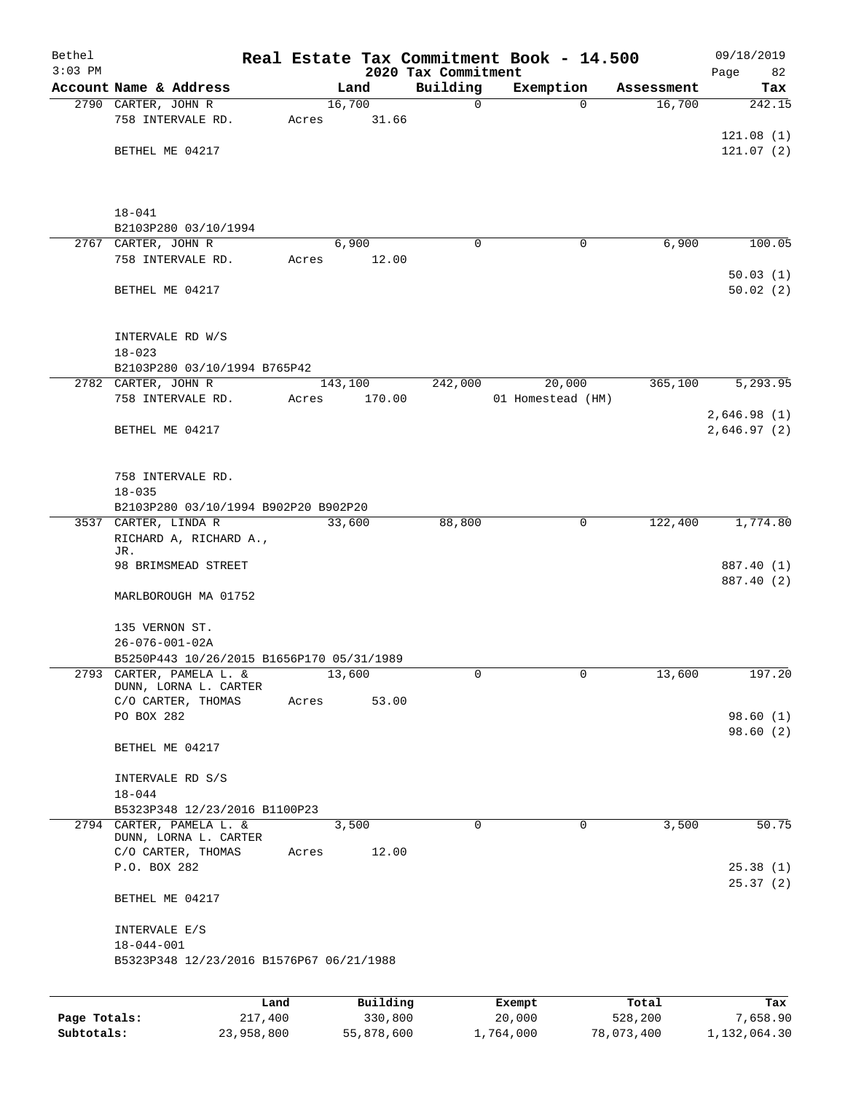| Bethel<br>$3:03$ PM |                                                                  |                 |       |         |                     | 2020 Tax Commitment | Real Estate Tax Commitment Book - 14.500 |                  | 09/18/2019<br>Page<br>82   |
|---------------------|------------------------------------------------------------------|-----------------|-------|---------|---------------------|---------------------|------------------------------------------|------------------|----------------------------|
|                     | Account Name & Address                                           |                 |       | Land    |                     | Building            | Exemption                                | Assessment       | Tax                        |
|                     | 2790 CARTER, JOHN R                                              |                 |       | 16,700  |                     | 0                   | $\Omega$                                 | 16,700           | 242.15                     |
|                     | 758 INTERVALE RD.                                                |                 | Acres |         | 31.66               |                     |                                          |                  |                            |
|                     |                                                                  |                 |       |         |                     |                     |                                          |                  | 121.08(1)                  |
|                     | BETHEL ME 04217                                                  |                 |       |         |                     |                     |                                          |                  | 121.07(2)                  |
|                     | $18 - 041$<br>B2103P280 03/10/1994                               |                 |       |         |                     |                     |                                          |                  |                            |
|                     | 2767 CARTER, JOHN R                                              |                 |       | 6,900   |                     | $\Omega$            | 0                                        | 6,900            | 100.05                     |
|                     | 758 INTERVALE RD.                                                |                 | Acres |         | 12.00               |                     |                                          |                  |                            |
|                     | BETHEL ME 04217                                                  |                 |       |         |                     |                     |                                          |                  | 50.03(1)<br>50.02(2)       |
|                     | INTERVALE RD W/S<br>$18 - 023$                                   |                 |       |         |                     |                     |                                          |                  |                            |
|                     | B2103P280 03/10/1994 B765P42                                     |                 |       |         |                     |                     |                                          |                  |                            |
|                     | 2782 CARTER, JOHN R                                              |                 |       | 143,100 |                     | 242,000             | 20,000                                   | 365,100          | 5,293.95                   |
|                     | 758 INTERVALE RD.                                                |                 | Acres |         | 170.00              |                     | 01 Homestead (HM)                        |                  |                            |
|                     | BETHEL ME 04217                                                  |                 |       |         |                     |                     |                                          |                  | 2,646.98(1)<br>2,646.97(2) |
|                     | 758 INTERVALE RD.<br>$18 - 035$                                  |                 |       |         |                     |                     |                                          |                  |                            |
|                     | B2103P280 03/10/1994 B902P20 B902P20                             |                 |       |         |                     |                     |                                          |                  |                            |
|                     | 3537 CARTER, LINDA R<br>RICHARD A, RICHARD A.,<br>JR.            |                 |       | 33,600  |                     | 88,800              | $\mathbf 0$                              | 122,400          | 1,774.80                   |
|                     | 98 BRIMSMEAD STREET                                              |                 |       |         |                     |                     |                                          |                  | 887.40 (1)<br>887.40 (2)   |
|                     | MARLBOROUGH MA 01752                                             |                 |       |         |                     |                     |                                          |                  |                            |
|                     | 135 VERNON ST.                                                   |                 |       |         |                     |                     |                                          |                  |                            |
|                     | $26 - 076 - 001 - 02A$                                           |                 |       |         |                     |                     |                                          |                  |                            |
| 2793                | B5250P443 10/26/2015 B1656P170 05/31/1989<br>CARTER, PAMELA L. & |                 |       | 13,600  |                     | 0                   | 0                                        | 13,600           | 197.20                     |
|                     | DUNN, LORNA L. CARTER                                            |                 |       |         |                     |                     |                                          |                  |                            |
|                     | C/O CARTER, THOMAS                                               |                 | Acres |         | 53.00               |                     |                                          |                  |                            |
|                     | PO BOX 282                                                       |                 |       |         |                     |                     |                                          |                  | 98.60(1)                   |
|                     | BETHEL ME 04217                                                  |                 |       |         |                     |                     |                                          |                  | 98.60(2)                   |
|                     | INTERVALE RD S/S<br>$18 - 044$                                   |                 |       |         |                     |                     |                                          |                  |                            |
|                     | B5323P348 12/23/2016 B1100P23                                    |                 |       |         |                     |                     |                                          |                  |                            |
|                     | 2794 CARTER, PAMELA L. &<br>DUNN, LORNA L. CARTER                |                 |       | 3,500   |                     | $\mathbf 0$         | $\mathbf 0$                              | 3,500            | 50.75                      |
|                     | C/O CARTER, THOMAS<br>P.O. BOX 282                               |                 | Acres |         | 12.00               |                     |                                          |                  | 25.38(1)<br>25.37(2)       |
|                     | BETHEL ME 04217                                                  |                 |       |         |                     |                     |                                          |                  |                            |
|                     | INTERVALE E/S<br>$18 - 044 - 001$                                |                 |       |         |                     |                     |                                          |                  |                            |
|                     | B5323P348 12/23/2016 B1576P67 06/21/1988                         |                 |       |         |                     |                     |                                          |                  |                            |
|                     |                                                                  |                 |       |         |                     |                     |                                          |                  |                            |
| Page Totals:        |                                                                  | Land<br>217,400 |       |         | Building<br>330,800 |                     | Exempt<br>20,000                         | Total<br>528,200 | Tax<br>7,658.90            |

**Subtotals:** 23,958,800 55,878,600 1,764,000 78,073,400 1,132,064.30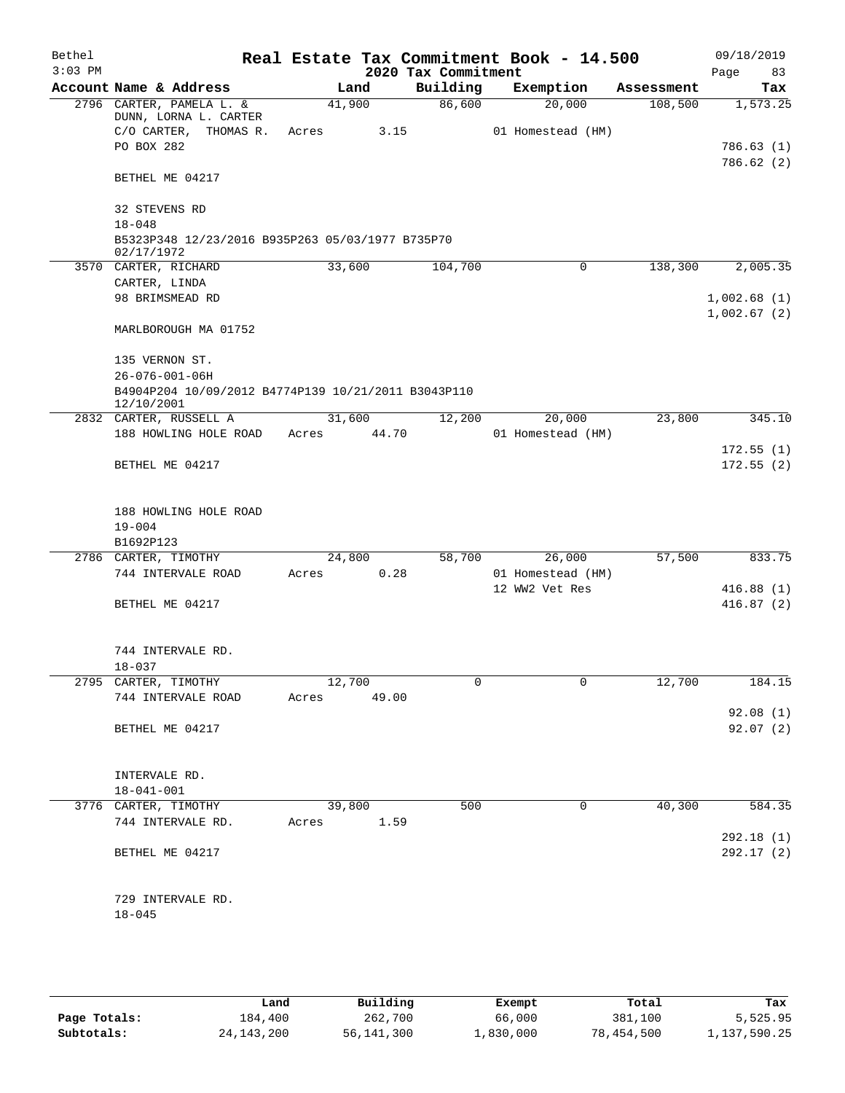| Bethel    |                                                     |             |       |                     | Real Estate Tax Commitment Book - 14.500 |            | 09/18/2019           |
|-----------|-----------------------------------------------------|-------------|-------|---------------------|------------------------------------------|------------|----------------------|
| $3:03$ PM |                                                     |             |       | 2020 Tax Commitment |                                          |            | 83<br>Page           |
|           | Account Name & Address                              | Land        |       | Building            | Exemption                                | Assessment | Tax                  |
|           | 2796 CARTER, PAMELA L. &                            | 41,900      |       | 86,600              | 20,000                                   | 108,500    | 1,573.25             |
|           | DUNN, LORNA L. CARTER<br>C/O CARTER, THOMAS R.      | Acres       | 3.15  |                     | 01 Homestead (HM)                        |            |                      |
|           | PO BOX 282                                          |             |       |                     |                                          |            | 786.63(1)            |
|           |                                                     |             |       |                     |                                          |            | 786.62(2)            |
|           | BETHEL ME 04217                                     |             |       |                     |                                          |            |                      |
|           | 32 STEVENS RD                                       |             |       |                     |                                          |            |                      |
|           | $18 - 048$                                          |             |       |                     |                                          |            |                      |
|           | B5323P348 12/23/2016 B935P263 05/03/1977 B735P70    |             |       |                     |                                          |            |                      |
|           | 02/17/1972<br>3570 CARTER, RICHARD                  | 33,600      |       | 104,700             | 0                                        | 138,300    | 2,005.35             |
|           | CARTER, LINDA                                       |             |       |                     |                                          |            |                      |
|           | 98 BRIMSMEAD RD                                     |             |       |                     |                                          |            | 1,002.68(1)          |
|           |                                                     |             |       |                     |                                          |            | 1,002.67(2)          |
|           | MARLBOROUGH MA 01752                                |             |       |                     |                                          |            |                      |
|           | 135 VERNON ST.                                      |             |       |                     |                                          |            |                      |
|           | $26 - 076 - 001 - 06H$                              |             |       |                     |                                          |            |                      |
|           | B4904P204 10/09/2012 B4774P139 10/21/2011 B3043P110 |             |       |                     |                                          |            |                      |
|           | 12/10/2001                                          |             |       |                     |                                          |            |                      |
|           | 2832 CARTER, RUSSELL A                              | 31,600      |       | 12,200              | 20,000                                   | 23,800     | 345.10               |
|           | 188 HOWLING HOLE ROAD                               | Acres       | 44.70 |                     | 01 Homestead (HM)                        |            |                      |
|           |                                                     |             |       |                     |                                          |            | 172.55(1)            |
|           | BETHEL ME 04217                                     |             |       |                     |                                          |            | 172.55(2)            |
|           |                                                     |             |       |                     |                                          |            |                      |
|           | 188 HOWLING HOLE ROAD                               |             |       |                     |                                          |            |                      |
|           | $19 - 004$                                          |             |       |                     |                                          |            |                      |
|           | B1692P123                                           |             |       |                     |                                          |            |                      |
|           | 2786 CARTER, TIMOTHY                                | 24,800      |       | 58,700              | 26,000                                   | 57,500     | 833.75               |
|           | 744 INTERVALE ROAD                                  | Acres       | 0.28  |                     | 01 Homestead (HM)                        |            |                      |
|           |                                                     |             |       |                     | 12 WW2 Vet Res                           |            | 416.88(1)            |
|           | BETHEL ME 04217                                     |             |       |                     |                                          |            | 416.87(2)            |
|           |                                                     |             |       |                     |                                          |            |                      |
|           |                                                     |             |       |                     |                                          |            |                      |
|           | 744 INTERVALE RD.                                   |             |       |                     |                                          |            |                      |
|           | $18 - 037$                                          |             |       |                     |                                          |            |                      |
|           | 2795 CARTER, TIMOTHY                                | 12,700      |       | $\Omega$            | 0                                        | 12,700     | 184.15               |
|           | 744 INTERVALE ROAD                                  | Acres 49.00 |       |                     |                                          |            |                      |
|           | BETHEL ME 04217                                     |             |       |                     |                                          |            | 92.08(1)<br>92.07(2) |
|           |                                                     |             |       |                     |                                          |            |                      |
|           |                                                     |             |       |                     |                                          |            |                      |
|           | INTERVALE RD.                                       |             |       |                     |                                          |            |                      |
|           | $18 - 041 - 001$                                    |             |       |                     |                                          |            |                      |
|           | 3776 CARTER, TIMOTHY                                | 39,800      |       | 500                 | 0                                        | 40,300     | 584.35               |
|           | 744 INTERVALE RD.                                   | Acres 1.59  |       |                     |                                          |            |                      |
|           |                                                     |             |       |                     |                                          |            | 292.18(1)            |
|           | BETHEL ME 04217                                     |             |       |                     |                                          |            | 292.17(2)            |
|           |                                                     |             |       |                     |                                          |            |                      |
|           |                                                     |             |       |                     |                                          |            |                      |
|           | 729 INTERVALE RD.                                   |             |       |                     |                                          |            |                      |
|           | $18 - 045$                                          |             |       |                     |                                          |            |                      |
|           |                                                     |             |       |                     |                                          |            |                      |

|              | Land         | Building     | Exempt    | Total      | Tax          |
|--------------|--------------|--------------|-----------|------------|--------------|
| Page Totals: | 184,400      | 262,700      | 66,000    | 381,100    | 5,525.95     |
| Subtotals:   | 24, 143, 200 | 56, 141, 300 | 1,830,000 | 78,454,500 | 1,137,590.25 |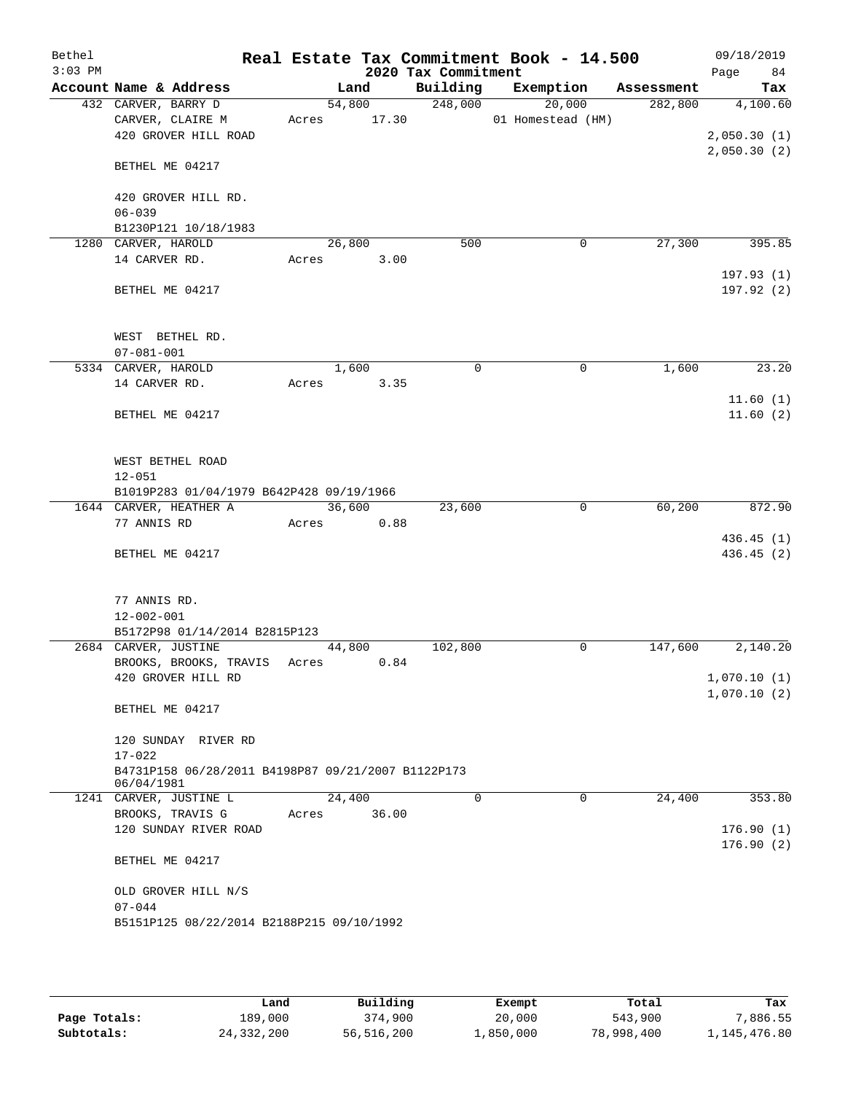| Bethel<br>$3:03$ PM |                                                                  | Real Estate Tax Commitment Book - 14.500 | 2020 Tax Commitment |                   |            | 09/18/2019<br>84<br>Page   |
|---------------------|------------------------------------------------------------------|------------------------------------------|---------------------|-------------------|------------|----------------------------|
|                     | Account Name & Address                                           | Land                                     | Building            | Exemption         | Assessment | Tax                        |
|                     | 432 CARVER, BARRY D                                              | 54,800                                   | 248,000             | 20,000            | 282,800    | 4,100.60                   |
|                     | CARVER, CLAIRE M                                                 | 17.30<br>Acres                           |                     | 01 Homestead (HM) |            |                            |
|                     | 420 GROVER HILL ROAD                                             |                                          |                     |                   |            | 2,050.30(1)                |
|                     | BETHEL ME 04217                                                  |                                          |                     |                   |            | 2,050.30(2)                |
|                     | 420 GROVER HILL RD.                                              |                                          |                     |                   |            |                            |
|                     | $06 - 039$                                                       |                                          |                     |                   |            |                            |
|                     | B1230P121 10/18/1983<br>1280 CARVER, HAROLD                      | 26,800                                   | 500                 | 0                 | 27,300     | 395.85                     |
|                     | 14 CARVER RD.                                                    | Acres<br>3.00                            |                     |                   |            |                            |
|                     |                                                                  |                                          |                     |                   |            | 197.93(1)                  |
|                     | BETHEL ME 04217                                                  |                                          |                     |                   |            | 197.92(2)                  |
|                     | WEST BETHEL RD.                                                  |                                          |                     |                   |            |                            |
|                     | $07 - 081 - 001$                                                 |                                          |                     |                   |            |                            |
|                     | 5334 CARVER, HAROLD                                              | 1,600                                    | 0                   | 0                 | 1,600      | 23.20                      |
|                     | 14 CARVER RD.                                                    | 3.35<br>Acres                            |                     |                   |            |                            |
|                     | BETHEL ME 04217                                                  |                                          |                     |                   |            | 11.60(1)<br>11.60(2)       |
|                     | WEST BETHEL ROAD                                                 |                                          |                     |                   |            |                            |
|                     | $12 - 051$                                                       |                                          |                     |                   |            |                            |
|                     | B1019P283 01/04/1979 B642P428 09/19/1966                         | 36,600                                   | 23,600              | 0                 | 60,200     | 872.90                     |
|                     | 1644 CARVER, HEATHER A<br>77 ANNIS RD                            | 0.88<br>Acres                            |                     |                   |            |                            |
|                     |                                                                  |                                          |                     |                   |            | 436.45 (1)                 |
|                     | BETHEL ME 04217                                                  |                                          |                     |                   |            | 436.45 (2)                 |
|                     | 77 ANNIS RD.                                                     |                                          |                     |                   |            |                            |
|                     | $12 - 002 - 001$                                                 |                                          |                     |                   |            |                            |
|                     | B5172P98 01/14/2014 B2815P123                                    |                                          |                     |                   |            |                            |
|                     | 2684 CARVER, JUSTINE                                             | 44,800                                   | 102,800             | 0                 | 147,600    | 2,140.20                   |
|                     | BROOKS, BROOKS, TRAVIS<br>420 GROVER HILL RD                     | 0.84<br>Acres                            |                     |                   |            |                            |
|                     |                                                                  |                                          |                     |                   |            | 1,070.10(1)<br>1,070.10(2) |
|                     | BETHEL ME 04217                                                  |                                          |                     |                   |            |                            |
|                     | 120 SUNDAY RIVER RD<br>$17 - 022$                                |                                          |                     |                   |            |                            |
|                     | B4731P158 06/28/2011 B4198P87 09/21/2007 B1122P173<br>06/04/1981 |                                          |                     |                   |            |                            |
|                     | 1241 CARVER, JUSTINE L                                           | 24,400                                   | $\Omega$            | $\Omega$          | 24,400     | 353.80                     |
|                     | BROOKS, TRAVIS G                                                 | 36.00<br>Acres                           |                     |                   |            |                            |
|                     | 120 SUNDAY RIVER ROAD                                            |                                          |                     |                   |            | 176.90(1)<br>176.90(2)     |
|                     | BETHEL ME 04217                                                  |                                          |                     |                   |            |                            |
|                     | OLD GROVER HILL N/S                                              |                                          |                     |                   |            |                            |
|                     | $07 - 044$                                                       |                                          |                     |                   |            |                            |
|                     | B5151P125 08/22/2014 B2188P215 09/10/1992                        |                                          |                     |                   |            |                            |
|                     |                                                                  |                                          |                     |                   |            |                            |

|              | Land       | Building   | Exempt    | Total      | Tax          |
|--------------|------------|------------|-----------|------------|--------------|
| Page Totals: | 189,000    | 374,900    | 20,000    | 543,900    | ,886.55      |
| Subtotals:   | 24,332,200 | 56,516,200 | 1,850,000 | 78,998,400 | 1,145,476.80 |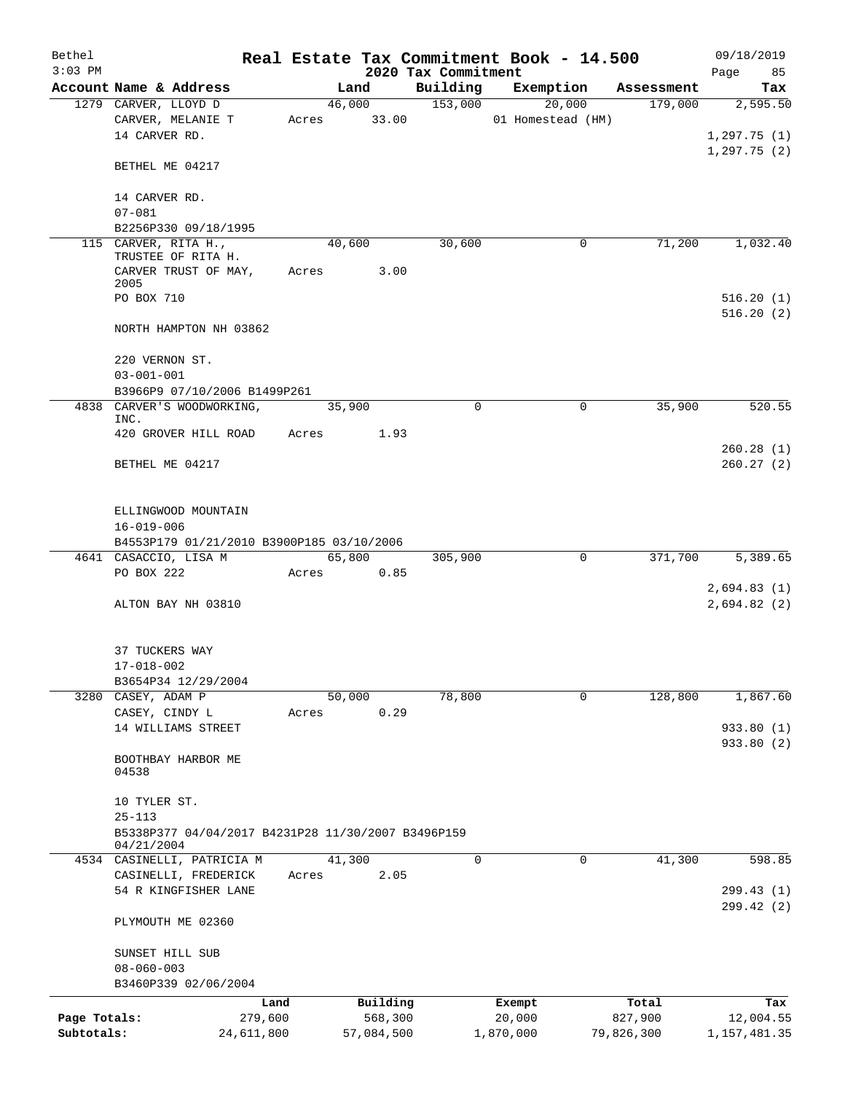| Bethel<br>$3:03$ PM        |                                                    |       |                       | 2020 Tax Commitment | Real Estate Tax Commitment Book - 14.500 |                       | 09/18/2019<br>85<br>Page  |
|----------------------------|----------------------------------------------------|-------|-----------------------|---------------------|------------------------------------------|-----------------------|---------------------------|
|                            | Account Name & Address                             |       | Land                  | Building            | Exemption                                | Assessment            | Tax                       |
|                            | 1279 CARVER, LLOYD D                               |       | 46,000                | 153,000             | 20,000                                   | 179,000               | 2,595.50                  |
|                            | CARVER, MELANIE T                                  | Acres | 33.00                 |                     | 01 Homestead (HM)                        |                       |                           |
|                            | 14 CARVER RD.                                      |       |                       |                     |                                          |                       | 1, 297.75(1)              |
|                            |                                                    |       |                       |                     |                                          |                       | 1, 297.75(2)              |
|                            | BETHEL ME 04217                                    |       |                       |                     |                                          |                       |                           |
|                            | 14 CARVER RD.                                      |       |                       |                     |                                          |                       |                           |
|                            | $07 - 081$                                         |       |                       |                     |                                          |                       |                           |
|                            | B2256P330 09/18/1995                               |       |                       |                     |                                          |                       |                           |
|                            | 115 CARVER, RITA H.,                               |       | 40,600                | 30,600              | 0                                        | 71,200                | 1,032.40                  |
|                            | TRUSTEE OF RITA H.<br>CARVER TRUST OF MAY,         | Acres | 3.00                  |                     |                                          |                       |                           |
|                            | 2005                                               |       |                       |                     |                                          |                       |                           |
|                            | PO BOX 710                                         |       |                       |                     |                                          |                       | 516.20(1)                 |
|                            |                                                    |       |                       |                     |                                          |                       | 516.20(2)                 |
|                            | NORTH HAMPTON NH 03862                             |       |                       |                     |                                          |                       |                           |
|                            | 220 VERNON ST.                                     |       |                       |                     |                                          |                       |                           |
|                            | $03 - 001 - 001$                                   |       |                       |                     |                                          |                       |                           |
|                            | B3966P9 07/10/2006 B1499P261                       |       |                       |                     |                                          |                       |                           |
|                            | 4838 CARVER'S WOODWORKING,                         |       | 35,900                | $\Omega$            | 0                                        | 35,900                | 520.55                    |
|                            | INC.                                               |       |                       |                     |                                          |                       |                           |
|                            | 420 GROVER HILL ROAD                               | Acres | 1.93                  |                     |                                          |                       | 260.28(1)                 |
|                            | BETHEL ME 04217                                    |       |                       |                     |                                          |                       | 260.27(2)                 |
|                            |                                                    |       |                       |                     |                                          |                       |                           |
|                            |                                                    |       |                       |                     |                                          |                       |                           |
|                            | ELLINGWOOD MOUNTAIN                                |       |                       |                     |                                          |                       |                           |
|                            | $16 - 019 - 006$                                   |       |                       |                     |                                          |                       |                           |
|                            | B4553P179 01/21/2010 B3900P185 03/10/2006          |       |                       |                     |                                          |                       |                           |
|                            | 4641 CASACCIO, LISA M<br>PO BOX 222                |       | 65,800                | 305,900             | 0                                        | 371,700               | 5,389.65                  |
|                            |                                                    | Acres | 0.85                  |                     |                                          |                       | 2,694.83(1)               |
|                            | ALTON BAY NH 03810                                 |       |                       |                     |                                          |                       | 2,694.82(2)               |
|                            |                                                    |       |                       |                     |                                          |                       |                           |
|                            |                                                    |       |                       |                     |                                          |                       |                           |
|                            | 37 TUCKERS WAY                                     |       |                       |                     |                                          |                       |                           |
|                            | $17 - 018 - 002$                                   |       |                       |                     |                                          |                       |                           |
|                            | B3654P34 12/29/2004                                |       |                       | 78,800              | $\Omega$                                 | 128,800               | 1,867.60                  |
|                            | 3280 CASEY, ADAM P<br>CASEY, CINDY L               | Acres | 50,000<br>0.29        |                     |                                          |                       |                           |
|                            | 14 WILLIAMS STREET                                 |       |                       |                     |                                          |                       | 933.80 (1)                |
|                            |                                                    |       |                       |                     |                                          |                       | 933.80 (2)                |
|                            | BOOTHBAY HARBOR ME                                 |       |                       |                     |                                          |                       |                           |
|                            | 04538                                              |       |                       |                     |                                          |                       |                           |
|                            | 10 TYLER ST.                                       |       |                       |                     |                                          |                       |                           |
|                            | $25 - 113$                                         |       |                       |                     |                                          |                       |                           |
|                            | B5338P377 04/04/2017 B4231P28 11/30/2007 B3496P159 |       |                       |                     |                                          |                       |                           |
|                            | 04/21/2004                                         |       |                       |                     |                                          |                       |                           |
|                            | 4534 CASINELLI, PATRICIA M                         |       | 41,300                | $\mathbf 0$         | 0                                        | 41,300                | 598.85                    |
|                            | CASINELLI, FREDERICK<br>54 R KINGFISHER LANE       | Acres | 2.05                  |                     |                                          |                       | 299.43 (1)                |
|                            |                                                    |       |                       |                     |                                          |                       | 299.42(2)                 |
|                            | PLYMOUTH ME 02360                                  |       |                       |                     |                                          |                       |                           |
|                            |                                                    |       |                       |                     |                                          |                       |                           |
|                            | SUNSET HILL SUB                                    |       |                       |                     |                                          |                       |                           |
|                            | $08 - 060 - 003$                                   |       |                       |                     |                                          |                       |                           |
|                            | B3460P339 02/06/2004                               |       |                       |                     |                                          |                       |                           |
|                            | Land                                               |       | Building              |                     | Exempt                                   | Total                 | Tax                       |
| Page Totals:<br>Subtotals: | 279,600<br>24,611,800                              |       | 568,300<br>57,084,500 |                     | 20,000<br>1,870,000                      | 827,900<br>79,826,300 | 12,004.55<br>1,157,481.35 |
|                            |                                                    |       |                       |                     |                                          |                       |                           |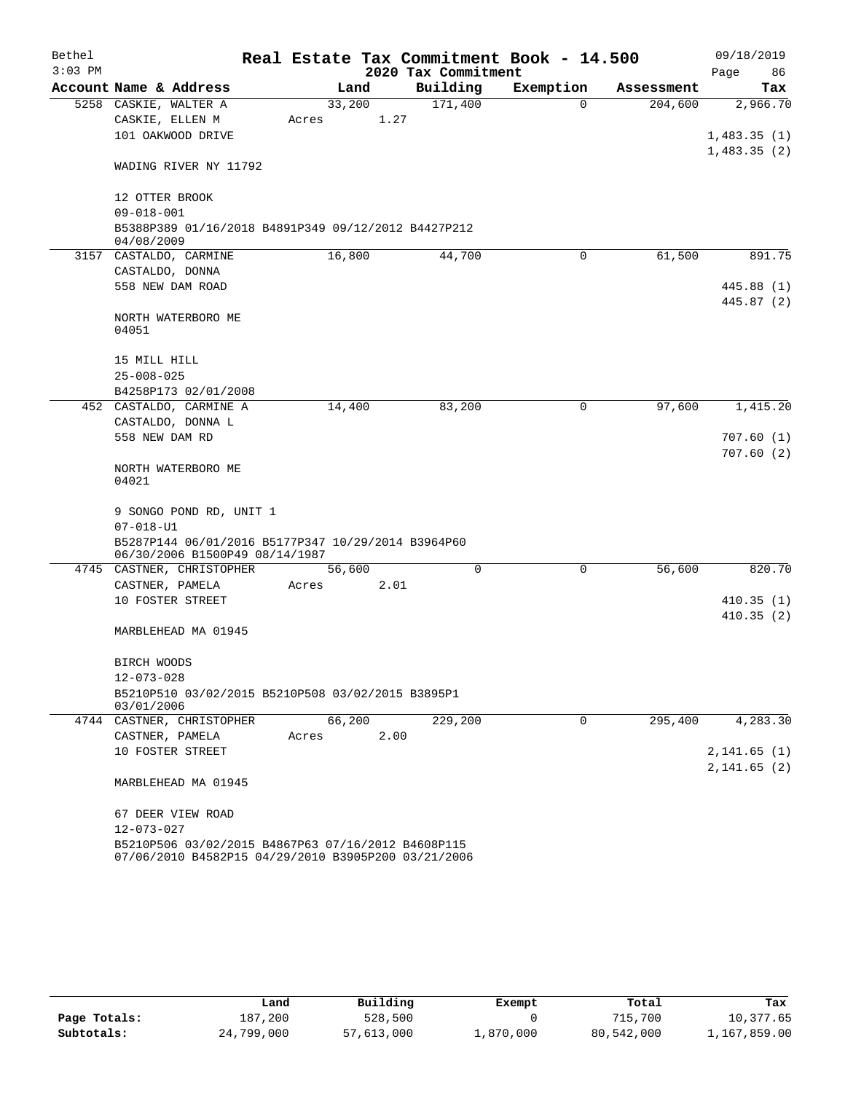| Bethel<br>$3:03$ PM |                                                                                                           |       |        | Real Estate Tax Commitment Book - 14.500<br>2020 Tax Commitment |             |            | 09/18/2019<br>Page<br>86 |
|---------------------|-----------------------------------------------------------------------------------------------------------|-------|--------|-----------------------------------------------------------------|-------------|------------|--------------------------|
|                     | Account Name & Address                                                                                    |       | Land   | Building                                                        | Exemption   | Assessment | Tax                      |
|                     | 5258 CASKIE, WALTER A                                                                                     |       | 33,200 | 171,400                                                         | $\Omega$    | 204,600    | 2,966.70                 |
|                     | CASKIE, ELLEN M                                                                                           | Acres |        | 1.27                                                            |             |            |                          |
|                     | 101 OAKWOOD DRIVE                                                                                         |       |        |                                                                 |             |            | 1,483.35(1)              |
|                     | WADING RIVER NY 11792                                                                                     |       |        |                                                                 |             |            | 1,483.35(2)              |
|                     |                                                                                                           |       |        |                                                                 |             |            |                          |
|                     | 12 OTTER BROOK                                                                                            |       |        |                                                                 |             |            |                          |
|                     | $09 - 018 - 001$                                                                                          |       |        |                                                                 |             |            |                          |
|                     | B5388P389 01/16/2018 B4891P349 09/12/2012 B4427P212<br>04/08/2009                                         |       |        |                                                                 |             |            |                          |
|                     | 3157 CASTALDO, CARMINE                                                                                    |       | 16,800 | 44,700                                                          | 0           | 61,500     | 891.75                   |
|                     | CASTALDO, DONNA                                                                                           |       |        |                                                                 |             |            |                          |
|                     | 558 NEW DAM ROAD                                                                                          |       |        |                                                                 |             |            | 445.88(1)                |
|                     | NORTH WATERBORO ME                                                                                        |       |        |                                                                 |             |            | 445.87 (2)               |
|                     | 04051                                                                                                     |       |        |                                                                 |             |            |                          |
|                     |                                                                                                           |       |        |                                                                 |             |            |                          |
|                     | 15 MILL HILL                                                                                              |       |        |                                                                 |             |            |                          |
|                     | $25 - 008 - 025$                                                                                          |       |        |                                                                 |             |            |                          |
|                     | B4258P173 02/01/2008                                                                                      |       |        |                                                                 |             |            |                          |
|                     | 452 CASTALDO, CARMINE A                                                                                   |       | 14,400 | 83,200                                                          | 0           | 97,600     | 1,415.20                 |
|                     | CASTALDO, DONNA L                                                                                         |       |        |                                                                 |             |            |                          |
|                     | 558 NEW DAM RD                                                                                            |       |        |                                                                 |             |            | 707.60(1)<br>707.60(2)   |
|                     | NORTH WATERBORO ME<br>04021                                                                               |       |        |                                                                 |             |            |                          |
|                     | 9 SONGO POND RD, UNIT 1                                                                                   |       |        |                                                                 |             |            |                          |
|                     | $07 - 018 - U1$                                                                                           |       |        |                                                                 |             |            |                          |
|                     | B5287P144 06/01/2016 B5177P347 10/29/2014 B3964P60                                                        |       |        |                                                                 |             |            |                          |
|                     | 06/30/2006 B1500P49 08/14/1987                                                                            |       |        |                                                                 |             |            |                          |
|                     | 4745 CASTNER, CHRISTOPHER                                                                                 |       | 56,600 | $\Omega$                                                        | $\mathbf 0$ | 56,600     | 820.70                   |
|                     | CASTNER, PAMELA                                                                                           | Acres |        | 2.01                                                            |             |            |                          |
|                     | 10 FOSTER STREET                                                                                          |       |        |                                                                 |             |            | 410.35(1)                |
|                     |                                                                                                           |       |        |                                                                 |             |            | 410.35(2)                |
|                     | MARBLEHEAD MA 01945                                                                                       |       |        |                                                                 |             |            |                          |
|                     | BIRCH WOODS                                                                                               |       |        |                                                                 |             |            |                          |
|                     | $12 - 073 - 028$                                                                                          |       |        |                                                                 |             |            |                          |
|                     | B5210P510 03/02/2015 B5210P508 03/02/2015 B3895P1<br>03/01/2006                                           |       |        |                                                                 |             |            |                          |
|                     | 4744 CASTNER, CHRISTOPHER                                                                                 |       | 66,200 | 229,200                                                         | 0           | 295,400    | 4,283.30                 |
|                     | CASTNER, PAMELA                                                                                           | Acres |        | 2.00                                                            |             |            |                          |
|                     | 10 FOSTER STREET                                                                                          |       |        |                                                                 |             |            | 2,141.65(1)              |
|                     |                                                                                                           |       |        |                                                                 |             |            | 2, 141.65 (2)            |
|                     | MARBLEHEAD MA 01945                                                                                       |       |        |                                                                 |             |            |                          |
|                     | 67 DEER VIEW ROAD                                                                                         |       |        |                                                                 |             |            |                          |
|                     | 12-073-027                                                                                                |       |        |                                                                 |             |            |                          |
|                     | B5210P506 03/02/2015 B4867P63 07/16/2012 B4608P115<br>07/06/2010 B4582P15 04/29/2010 B3905P200 03/21/2006 |       |        |                                                                 |             |            |                          |

|              | Land       | Building   | Exempt    | Total      | Tax          |
|--------------|------------|------------|-----------|------------|--------------|
| Page Totals: | 187.200    | 528,500    |           | 715,700    | 10,377.65    |
| Subtotals:   | 24,799,000 | 57,613,000 | 1,870,000 | 80,542,000 | 1,167,859.00 |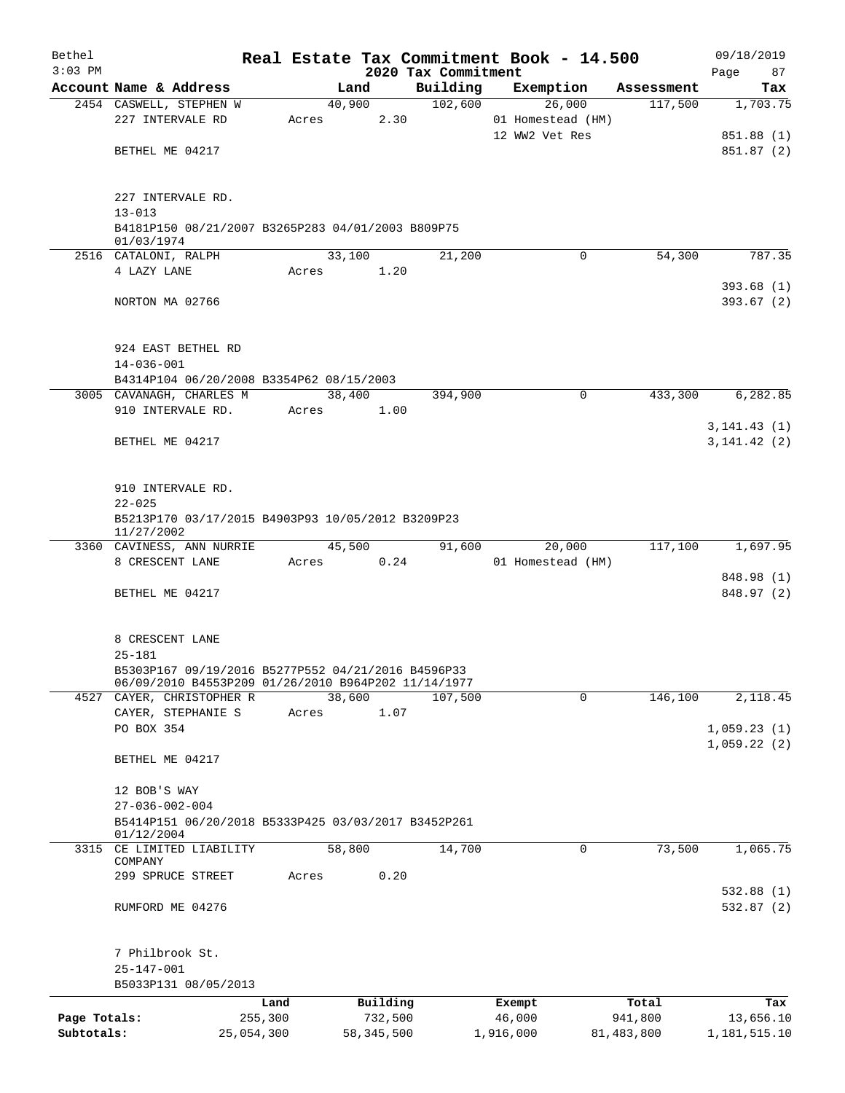| Bethel       |                                                                 |       |                |                     | Real Estate Tax Commitment Book - 14.500 |                        | 09/18/2019                 |
|--------------|-----------------------------------------------------------------|-------|----------------|---------------------|------------------------------------------|------------------------|----------------------------|
| $3:03$ PM    |                                                                 |       |                | 2020 Tax Commitment |                                          |                        | Page<br>87                 |
|              | Account Name & Address<br>2454 CASWELL, STEPHEN W               |       | Land<br>40,900 | Building<br>102,600 | Exemption<br>26,000                      | Assessment<br>117,500  | Tax<br>1,703.75            |
|              | 227 INTERVALE RD                                                |       | Acres          | 2.30                | 01 Homestead (HM)                        |                        |                            |
|              |                                                                 |       |                |                     | 12 WW2 Vet Res                           |                        | 851.88 (1)                 |
|              | BETHEL ME 04217                                                 |       |                |                     |                                          |                        | 851.87 (2)                 |
|              |                                                                 |       |                |                     |                                          |                        |                            |
|              |                                                                 |       |                |                     |                                          |                        |                            |
|              | 227 INTERVALE RD.                                               |       |                |                     |                                          |                        |                            |
|              | $13 - 013$                                                      |       |                |                     |                                          |                        |                            |
|              | B4181P150 08/21/2007 B3265P283 04/01/2003 B809P75<br>01/03/1974 |       |                |                     |                                          |                        |                            |
|              | 2516 CATALONI, RALPH                                            |       | 33,100         | 21,200              |                                          | $\mathbf 0$<br>54,300  | 787.35                     |
|              | 4 LAZY LANE                                                     | Acres | 1.20           |                     |                                          |                        |                            |
|              |                                                                 |       |                |                     |                                          |                        | 393.68(1)                  |
|              | NORTON MA 02766                                                 |       |                |                     |                                          |                        | 393.67(2)                  |
|              |                                                                 |       |                |                     |                                          |                        |                            |
|              |                                                                 |       |                |                     |                                          |                        |                            |
|              | 924 EAST BETHEL RD<br>$14 - 036 - 001$                          |       |                |                     |                                          |                        |                            |
|              | B4314P104 06/20/2008 B3354P62 08/15/2003                        |       |                |                     |                                          |                        |                            |
|              | 3005 CAVANAGH, CHARLES M                                        |       | 38,400         | 394,900             |                                          | 433,300<br>$\mathbf 0$ | 6, 282.85                  |
|              | 910 INTERVALE RD.                                               |       | Acres<br>1.00  |                     |                                          |                        |                            |
|              |                                                                 |       |                |                     |                                          |                        | 3, 141.43(1)               |
|              | BETHEL ME 04217                                                 |       |                |                     |                                          |                        | 3, 141.42 (2)              |
|              |                                                                 |       |                |                     |                                          |                        |                            |
|              |                                                                 |       |                |                     |                                          |                        |                            |
|              | 910 INTERVALE RD.                                               |       |                |                     |                                          |                        |                            |
|              | $22 - 025$<br>B5213P170 03/17/2015 B4903P93 10/05/2012 B3209P23 |       |                |                     |                                          |                        |                            |
|              | 11/27/2002                                                      |       |                |                     |                                          |                        |                            |
|              | 3360 CAVINESS, ANN NURRIE                                       |       | 45,500         |                     | 91,600<br>20,000                         | 117,100                | 1,697.95                   |
|              | 8 CRESCENT LANE                                                 |       | Acres 0.24     |                     | 01 Homestead (HM)                        |                        |                            |
|              |                                                                 |       |                |                     |                                          |                        | 848.98 (1)                 |
|              | BETHEL ME 04217                                                 |       |                |                     |                                          |                        | 848.97 (2)                 |
|              |                                                                 |       |                |                     |                                          |                        |                            |
|              | 8 CRESCENT LANE                                                 |       |                |                     |                                          |                        |                            |
|              | $25 - 181$                                                      |       |                |                     |                                          |                        |                            |
|              | B5303P167 09/19/2016 B5277P552 04/21/2016 B4596P33              |       |                |                     |                                          |                        |                            |
|              | 06/09/2010 B4553P209 01/26/2010 B964P202 11/14/1977             |       |                |                     |                                          |                        |                            |
|              | 4527 CAYER, CHRISTOPHER R                                       |       | 38,600         | 107,500             |                                          | $\mathbf 0$<br>146,100 | 2,118.45                   |
|              | CAYER, STEPHANIE S<br>PO BOX 354                                | Acres | 1.07           |                     |                                          |                        |                            |
|              |                                                                 |       |                |                     |                                          |                        | 1,059.23(1)<br>1,059.22(2) |
|              | BETHEL ME 04217                                                 |       |                |                     |                                          |                        |                            |
|              |                                                                 |       |                |                     |                                          |                        |                            |
|              | 12 BOB'S WAY                                                    |       |                |                     |                                          |                        |                            |
|              | $27 - 036 - 002 - 004$                                          |       |                |                     |                                          |                        |                            |
|              | B5414P151 06/20/2018 B5333P425 03/03/2017 B3452P261             |       |                |                     |                                          |                        |                            |
| 3315         | 01/12/2004<br>CE LIMITED LIABILITY                              |       | 58,800         | 14,700              |                                          | 73,500<br>0            | 1,065.75                   |
|              | COMPANY                                                         |       |                |                     |                                          |                        |                            |
|              | 299 SPRUCE STREET                                               | Acres | 0.20           |                     |                                          |                        |                            |
|              |                                                                 |       |                |                     |                                          |                        | 532.88(1)                  |
|              | RUMFORD ME 04276                                                |       |                |                     |                                          |                        | 532.87(2)                  |
|              |                                                                 |       |                |                     |                                          |                        |                            |
|              |                                                                 |       |                |                     |                                          |                        |                            |
|              | 7 Philbrook St.<br>$25 - 147 - 001$                             |       |                |                     |                                          |                        |                            |
|              | B5033P131 08/05/2013                                            |       |                |                     |                                          |                        |                            |
|              |                                                                 | Land  | Building       |                     | Exempt                                   | Total                  | Tax                        |
| Page Totals: | 255,300                                                         |       | 732,500        |                     | 46,000                                   | 941,800                | 13,656.10                  |
| Subtotals:   | 25,054,300                                                      |       | 58,345,500     |                     | 1,916,000                                | 81,483,800             | 1,181,515.10               |
|              |                                                                 |       |                |                     |                                          |                        |                            |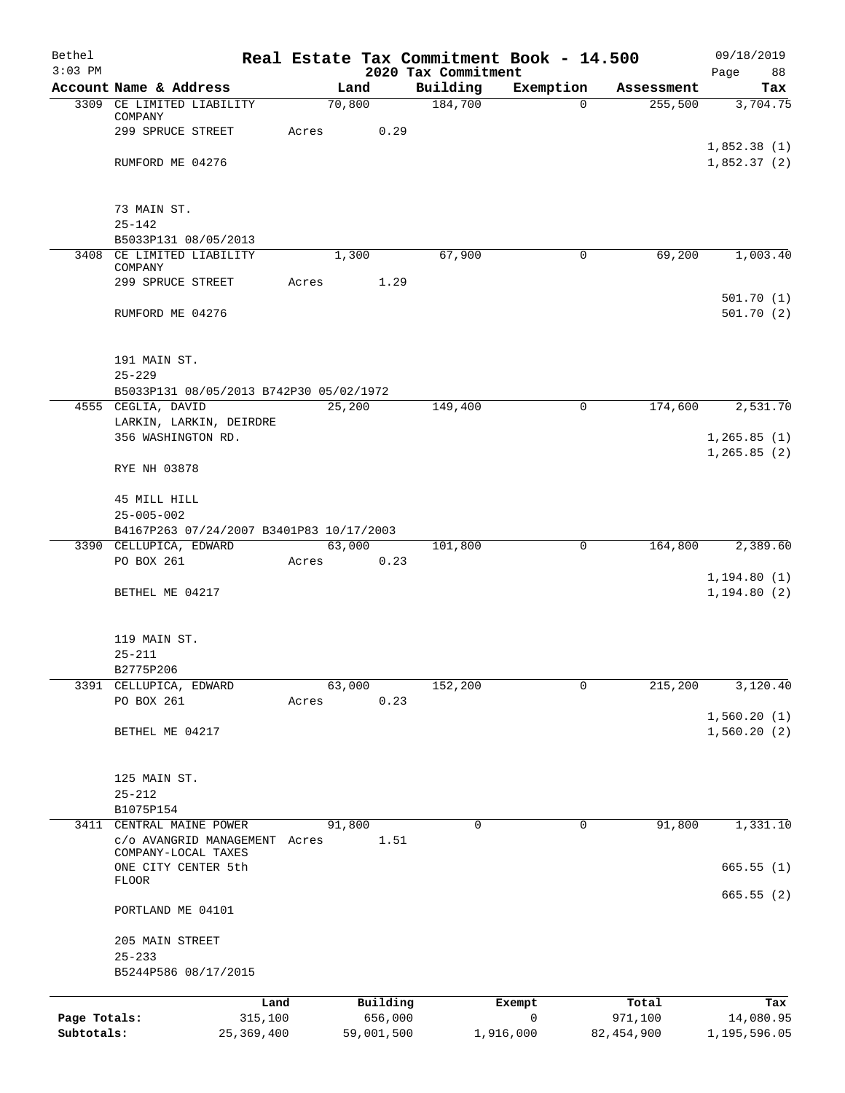| Bethel       |                                               |        |            |                                 | Real Estate Tax Commitment Book - 14.500 |              | 09/18/2019                   |
|--------------|-----------------------------------------------|--------|------------|---------------------------------|------------------------------------------|--------------|------------------------------|
| $3:03$ PM    | Account Name & Address                        |        | Land       | 2020 Tax Commitment<br>Building | Exemption                                | Assessment   | Page<br>88<br>Tax            |
|              | 3309 CE LIMITED LIABILITY                     | 70,800 |            | 184,700                         | $\Omega$                                 | 255,500      | 3,704.75                     |
|              | COMPANY                                       |        |            |                                 |                                          |              |                              |
|              | 299 SPRUCE STREET                             | Acres  | 0.29       |                                 |                                          |              |                              |
|              | RUMFORD ME 04276                              |        |            |                                 |                                          |              | 1,852.38(1)<br>1,852.37(2)   |
|              |                                               |        |            |                                 |                                          |              |                              |
|              |                                               |        |            |                                 |                                          |              |                              |
|              | 73 MAIN ST.<br>$25 - 142$                     |        |            |                                 |                                          |              |                              |
|              | B5033P131 08/05/2013                          |        |            |                                 |                                          |              |                              |
| 3408         | CE LIMITED LIABILITY                          |        | 1,300      | 67,900                          | $\mathbf 0$                              | 69,200       | 1,003.40                     |
|              | COMPANY<br>299 SPRUCE STREET                  | Acres  | 1.29       |                                 |                                          |              |                              |
|              |                                               |        |            |                                 |                                          |              | 501.70(1)                    |
|              | RUMFORD ME 04276                              |        |            |                                 |                                          |              | 501.70(2)                    |
|              |                                               |        |            |                                 |                                          |              |                              |
|              | 191 MAIN ST.                                  |        |            |                                 |                                          |              |                              |
|              | $25 - 229$                                    |        |            |                                 |                                          |              |                              |
|              | B5033P131 08/05/2013 B742P30 05/02/1972       |        |            |                                 |                                          |              |                              |
|              | 4555 CEGLIA, DAVID                            | 25,200 |            | 149,400                         | 0                                        | 174,600      | 2,531.70                     |
|              | LARKIN, LARKIN, DEIRDRE<br>356 WASHINGTON RD. |        |            |                                 |                                          |              | 1, 265.85(1)                 |
|              |                                               |        |            |                                 |                                          |              | 1, 265.85(2)                 |
|              | RYE NH 03878                                  |        |            |                                 |                                          |              |                              |
|              |                                               |        |            |                                 |                                          |              |                              |
|              | 45 MILL HILL<br>$25 - 005 - 002$              |        |            |                                 |                                          |              |                              |
|              | B4167P263 07/24/2007 B3401P83 10/17/2003      |        |            |                                 |                                          |              |                              |
|              | 3390 CELLUPICA, EDWARD                        | 63,000 |            | 101,800                         | 0                                        | 164,800      | 2,389.60                     |
|              | PO BOX 261                                    | Acres  | 0.23       |                                 |                                          |              |                              |
|              | BETHEL ME 04217                               |        |            |                                 |                                          |              | 1, 194.80(1)<br>1, 194.80(2) |
|              |                                               |        |            |                                 |                                          |              |                              |
|              |                                               |        |            |                                 |                                          |              |                              |
|              | 119 MAIN ST.                                  |        |            |                                 |                                          |              |                              |
|              | $25 - 211$<br>B2775P206                       |        |            |                                 |                                          |              |                              |
| 3391         | CELLUPICA, EDWARD                             | 63,000 |            | 152,200                         | $\mathbf 0$                              | 215,200      | 3,120.40                     |
|              | PO BOX 261                                    | Acres  | 0.23       |                                 |                                          |              |                              |
|              |                                               |        |            |                                 |                                          |              | 1,560.20(1)                  |
|              | BETHEL ME 04217                               |        |            |                                 |                                          |              | 1,560.20(2)                  |
|              |                                               |        |            |                                 |                                          |              |                              |
|              | 125 MAIN ST.                                  |        |            |                                 |                                          |              |                              |
|              | $25 - 212$<br>B1075P154                       |        |            |                                 |                                          |              |                              |
| 3411         | CENTRAL MAINE POWER                           | 91,800 |            | 0                               | 0                                        | 91,800       | 1,331.10                     |
|              | c/o AVANGRID MANAGEMENT Acres                 |        | 1.51       |                                 |                                          |              |                              |
|              | COMPANY-LOCAL TAXES<br>ONE CITY CENTER 5th    |        |            |                                 |                                          |              | 665.55(1)                    |
|              | <b>FLOOR</b>                                  |        |            |                                 |                                          |              |                              |
|              | PORTLAND ME 04101                             |        |            |                                 |                                          |              | 665.55(2)                    |
|              | 205 MAIN STREET                               |        |            |                                 |                                          |              |                              |
|              | $25 - 233$                                    |        |            |                                 |                                          |              |                              |
|              | B5244P586 08/17/2015                          |        |            |                                 |                                          |              |                              |
|              | Land                                          |        | Building   |                                 | Exempt                                   | Total        | Tax                          |
| Page Totals: | 315,100                                       |        | 656,000    |                                 | $\mathbf 0$                              | 971,100      | 14,080.95                    |
| Subtotals:   | 25, 369, 400                                  |        | 59,001,500 |                                 | 1,916,000                                | 82, 454, 900 | 1,195,596.05                 |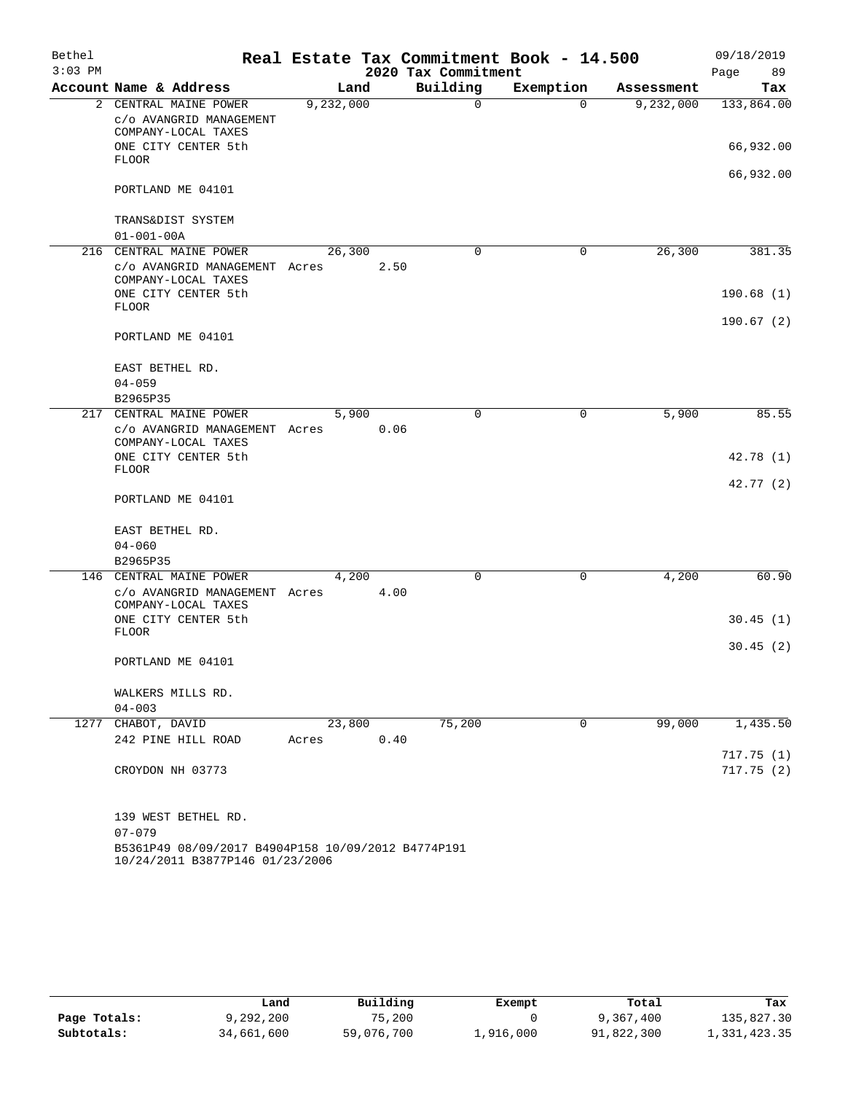| Bethel<br>$3:03$ PM |                                                                                       |           |      |                     | Real Estate Tax Commitment Book - 14.500 |            | 09/18/2019 |
|---------------------|---------------------------------------------------------------------------------------|-----------|------|---------------------|------------------------------------------|------------|------------|
|                     |                                                                                       |           |      | 2020 Tax Commitment |                                          |            | 89<br>Page |
|                     | Account Name & Address                                                                | Land      |      | Building            | Exemption                                | Assessment | Tax        |
| $\overline{a}$      | CENTRAL MAINE POWER<br>C/O AVANGRID MANAGEMENT<br>COMPANY-LOCAL TAXES                 | 9,232,000 |      | 0                   | $\Omega$                                 | 9,232,000  | 133,864.00 |
|                     | ONE CITY CENTER 5th<br><b>FLOOR</b>                                                   |           |      |                     |                                          |            | 66,932.00  |
|                     | PORTLAND ME 04101                                                                     |           |      |                     |                                          |            | 66,932.00  |
|                     |                                                                                       |           |      |                     |                                          |            |            |
|                     | TRANS&DIST SYSTEM<br>$01 - 001 - 00A$                                                 |           |      |                     |                                          |            |            |
|                     | 216 CENTRAL MAINE POWER                                                               | 26,300    |      | 0                   | 0                                        | 26,300     | 381.35     |
|                     | c/o AVANGRID MANAGEMENT Acres<br>COMPANY-LOCAL TAXES                                  |           | 2.50 |                     |                                          |            |            |
|                     | ONE CITY CENTER 5th<br><b>FLOOR</b>                                                   |           |      |                     |                                          |            | 190.68(1)  |
|                     | PORTLAND ME 04101                                                                     |           |      |                     |                                          |            | 190.67(2)  |
|                     | EAST BETHEL RD.<br>$04 - 059$                                                         |           |      |                     |                                          |            |            |
|                     | B2965P35                                                                              |           |      |                     |                                          |            |            |
|                     | 217 CENTRAL MAINE POWER                                                               | 5,900     |      | 0                   | 0                                        | 5,900      | 85.55      |
|                     | c/o AVANGRID MANAGEMENT Acres<br>COMPANY-LOCAL TAXES                                  |           | 0.06 |                     |                                          |            |            |
|                     | ONE CITY CENTER 5th<br><b>FLOOR</b>                                                   |           |      |                     |                                          |            | 42.78 (1)  |
|                     | PORTLAND ME 04101                                                                     |           |      |                     |                                          |            | 42.77 (2)  |
|                     | EAST BETHEL RD.                                                                       |           |      |                     |                                          |            |            |
|                     | $04 - 060$                                                                            |           |      |                     |                                          |            |            |
|                     | B2965P35                                                                              |           |      |                     |                                          |            |            |
| 146                 | CENTRAL MAINE POWER                                                                   | 4,200     |      | 0                   | 0                                        | 4,200      | 60.90      |
|                     | c/o AVANGRID MANAGEMENT Acres<br>COMPANY-LOCAL TAXES                                  |           | 4.00 |                     |                                          |            |            |
|                     | ONE CITY CENTER 5th<br><b>FLOOR</b>                                                   |           |      |                     |                                          |            | 30.45(1)   |
|                     | PORTLAND ME 04101                                                                     |           |      |                     |                                          |            | 30.45(2)   |
|                     | WALKERS MILLS RD.                                                                     |           |      |                     |                                          |            |            |
|                     | $04 - 003$                                                                            |           |      |                     |                                          |            |            |
|                     | 1277 CHABOT, DAVID                                                                    | 23,800    |      | 75,200              | 0                                        | 99,000     | 1,435.50   |
|                     | 242 PINE HILL ROAD                                                                    | Acres     | 0.40 |                     |                                          |            |            |
|                     |                                                                                       |           |      |                     |                                          |            | 717.75(1)  |
|                     | CROYDON NH 03773                                                                      |           |      |                     |                                          |            | 717.75(2)  |
|                     | 139 WEST BETHEL RD.                                                                   |           |      |                     |                                          |            |            |
|                     | $07 - 079$                                                                            |           |      |                     |                                          |            |            |
|                     | B5361P49 08/09/2017 B4904P158 10/09/2012 B4774P191<br>10/24/2011 B3877P146 01/23/2006 |           |      |                     |                                          |            |            |

|              | Land       | Building   | Exempt    | Total      | Tax          |
|--------------|------------|------------|-----------|------------|--------------|
| Page Totals: | 9,292,200  | 75,200     |           | 9,367,400  | 135,827.30   |
| Subtotals:   | 34,661,600 | 59,076,700 | 1,916,000 | 91,822,300 | 1,331,423.35 |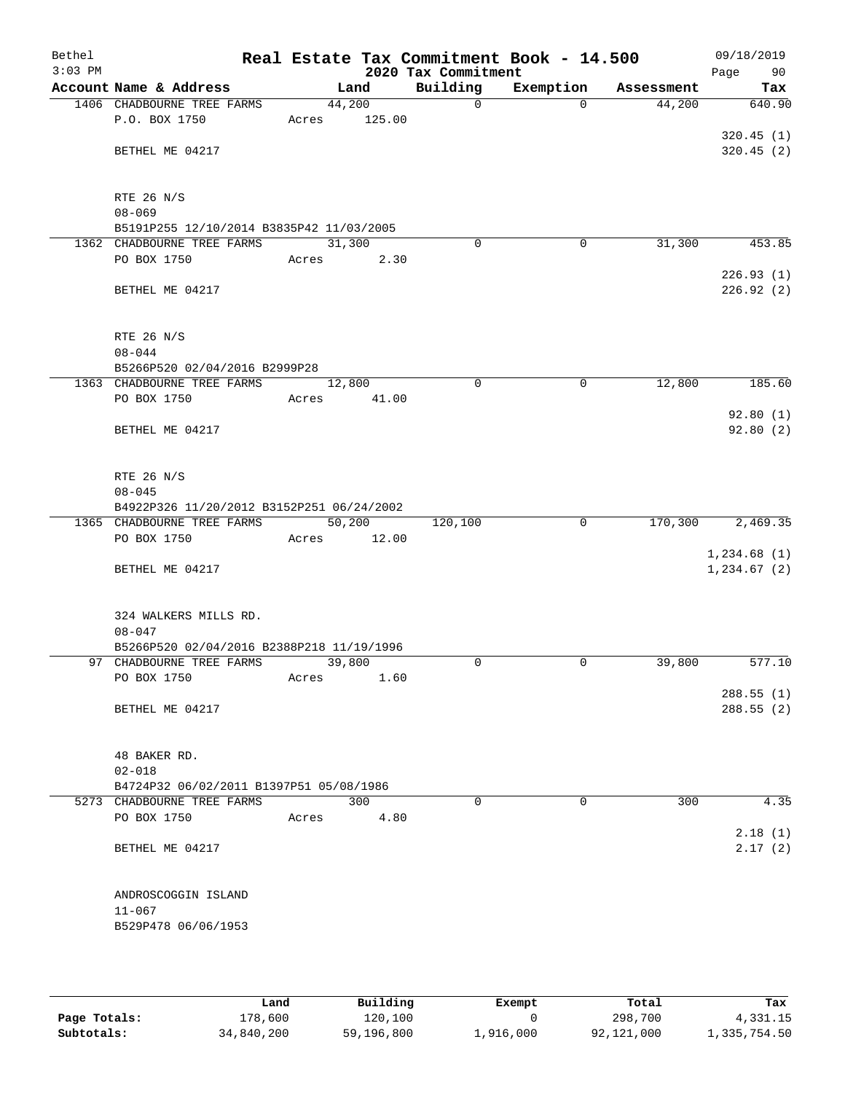| Bethel<br>$3:03$ PM |                                                                       |       |        | 2020 Tax Commitment | Real Estate Tax Commitment Book - 14.500 |            | 09/18/2019<br>Page<br>90 |
|---------------------|-----------------------------------------------------------------------|-------|--------|---------------------|------------------------------------------|------------|--------------------------|
|                     | Account Name & Address                                                |       | Land   | Building            | Exemption                                | Assessment | Tax                      |
|                     | 1406 CHADBOURNE TREE FARMS                                            |       | 44,200 | $\mathbf 0$         | $\Omega$                                 | 44,200     | 640.90                   |
|                     | P.O. BOX 1750                                                         | Acres | 125.00 |                     |                                          |            |                          |
|                     |                                                                       |       |        |                     |                                          |            | 320.45(1)                |
|                     | BETHEL ME 04217                                                       |       |        |                     |                                          |            | 320.45 (2)               |
|                     |                                                                       |       |        |                     |                                          |            |                          |
|                     |                                                                       |       |        |                     |                                          |            |                          |
|                     | RTE 26 N/S<br>$08 - 069$                                              |       |        |                     |                                          |            |                          |
|                     | B5191P255 12/10/2014 B3835P42 11/03/2005                              |       |        |                     |                                          |            |                          |
|                     | 1362 CHADBOURNE TREE FARMS                                            |       | 31,300 | 0                   | 0                                        | 31,300     | 453.85                   |
|                     | PO BOX 1750                                                           | Acres | 2.30   |                     |                                          |            |                          |
|                     |                                                                       |       |        |                     |                                          |            | 226.93(1)                |
|                     | BETHEL ME 04217                                                       |       |        |                     |                                          |            | 226.92 (2)               |
|                     |                                                                       |       |        |                     |                                          |            |                          |
|                     |                                                                       |       |        |                     |                                          |            |                          |
|                     | RTE 26 N/S                                                            |       |        |                     |                                          |            |                          |
|                     | $08 - 044$                                                            |       |        |                     |                                          |            |                          |
|                     | B5266P520 02/04/2016 B2999P28                                         |       |        |                     |                                          |            |                          |
|                     | 1363 CHADBOURNE TREE FARMS                                            |       | 12,800 | $\mathbf 0$         | $\mathbf 0$                              | 12,800     | 185.60                   |
|                     | PO BOX 1750                                                           | Acres | 41.00  |                     |                                          |            |                          |
|                     |                                                                       |       |        |                     |                                          |            | 92.80(1)                 |
|                     | BETHEL ME 04217                                                       |       |        |                     |                                          |            | 92.80(2)                 |
|                     |                                                                       |       |        |                     |                                          |            |                          |
|                     | RTE 26 N/S                                                            |       |        |                     |                                          |            |                          |
|                     | $08 - 045$                                                            |       |        |                     |                                          |            |                          |
|                     | B4922P326 11/20/2012 B3152P251 06/24/2002                             |       |        |                     |                                          |            |                          |
|                     | 1365 CHADBOURNE TREE FARMS                                            |       | 50,200 | 120,100             | $\mathbf 0$                              | 170,300    | 2,469.35                 |
|                     | PO BOX 1750                                                           | Acres | 12.00  |                     |                                          |            |                          |
|                     |                                                                       |       |        |                     |                                          |            | 1,234.68(1)              |
|                     | BETHEL ME 04217                                                       |       |        |                     |                                          |            | 1, 234.67 (2)            |
|                     |                                                                       |       |        |                     |                                          |            |                          |
|                     |                                                                       |       |        |                     |                                          |            |                          |
|                     | 324 WALKERS MILLS RD.                                                 |       |        |                     |                                          |            |                          |
|                     | $08 - 047$                                                            |       |        |                     |                                          |            |                          |
|                     | B5266P520 02/04/2016 B2388P218 11/19/1996<br>97 CHADBOURNE TREE FARMS |       | 39,800 | $\Omega$            | 0                                        | 39,800     | 577.10                   |
|                     | PO BOX 1750                                                           | Acres | 1.60   |                     |                                          |            |                          |
|                     |                                                                       |       |        |                     |                                          |            | 288.55 (1)               |
|                     | BETHEL ME 04217                                                       |       |        |                     |                                          |            | 288.55(2)                |
|                     |                                                                       |       |        |                     |                                          |            |                          |
|                     |                                                                       |       |        |                     |                                          |            |                          |
|                     | 48 BAKER RD.                                                          |       |        |                     |                                          |            |                          |
|                     | $02 - 018$                                                            |       |        |                     |                                          |            |                          |
|                     | B4724P32 06/02/2011 B1397P51 05/08/1986                               |       |        |                     |                                          |            |                          |
|                     | 5273 CHADBOURNE TREE FARMS                                            |       | 300    | $\Omega$            | $\Omega$                                 | 300        | 4.35                     |
|                     | PO BOX 1750                                                           | Acres | 4.80   |                     |                                          |            |                          |
|                     |                                                                       |       |        |                     |                                          |            | 2.18(1)                  |
|                     | BETHEL ME 04217                                                       |       |        |                     |                                          |            | 2.17(2)                  |
|                     |                                                                       |       |        |                     |                                          |            |                          |
|                     | ANDROSCOGGIN ISLAND                                                   |       |        |                     |                                          |            |                          |
|                     | $11 - 067$                                                            |       |        |                     |                                          |            |                          |
|                     | B529P478 06/06/1953                                                   |       |        |                     |                                          |            |                          |
|                     |                                                                       |       |        |                     |                                          |            |                          |
|                     |                                                                       |       |        |                     |                                          |            |                          |

|              | Land       | Building   | Exempt    | Total      | Tax          |
|--------------|------------|------------|-----------|------------|--------------|
| Page Totals: | 178,600    | 120,100    |           | 298,700    | 4,331.15     |
| Subtotals:   | 34,840,200 | 59,196,800 | 1,916,000 | 92,121,000 | 1,335,754.50 |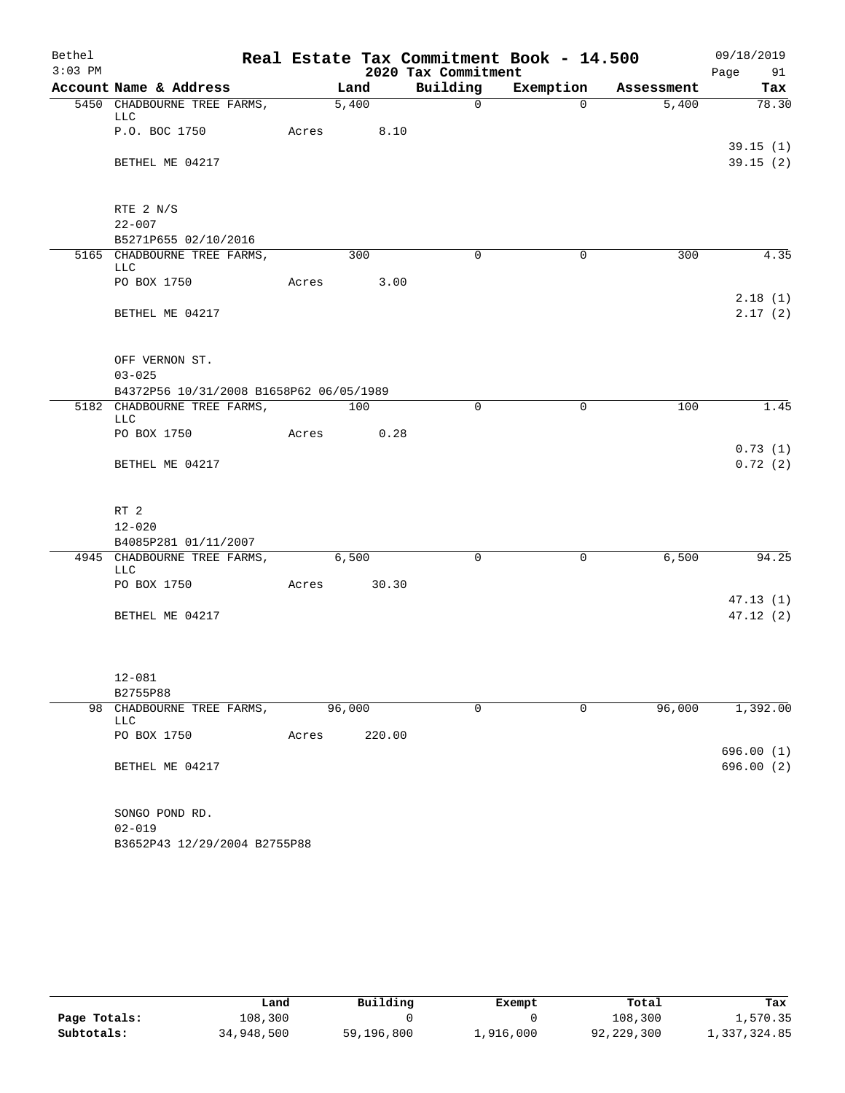| Bethel    |                                           |       |                   |                     | Real Estate Tax Commitment Book - 14.500 |            | 09/18/2019         |
|-----------|-------------------------------------------|-------|-------------------|---------------------|------------------------------------------|------------|--------------------|
| $3:03$ PM |                                           |       |                   | 2020 Tax Commitment |                                          |            | Page 91            |
|           | Account Name & Address                    |       | Land              | Building            | Exemption                                | Assessment | Tax                |
|           | 5450 CHADBOURNE TREE FARMS,<br>LLC        |       | $\frac{1}{5,400}$ | $\overline{0}$      | $\Omega$                                 | 5,400      | 78.30              |
|           | P.O. BOC 1750                             |       | Acres 8.10        |                     |                                          |            | 39.15(1)           |
|           | BETHEL ME 04217                           |       |                   |                     |                                          |            | 39.15(2)           |
|           | RTE 2 N/S                                 |       |                   |                     |                                          |            |                    |
|           | $22 - 007$                                |       |                   |                     |                                          |            |                    |
|           | B5271P655 02/10/2016                      |       |                   |                     |                                          |            |                    |
|           | 5165 CHADBOURNE TREE FARMS,<br><b>LLC</b> |       | 300               | 0                   | 0                                        | 300        | 4.35               |
|           | PO BOX 1750                               | Acres | 3.00              |                     |                                          |            |                    |
|           | BETHEL ME 04217                           |       |                   |                     |                                          |            | 2.18(1)<br>2.17(2) |
|           | OFF VERNON ST.                            |       |                   |                     |                                          |            |                    |
|           | $03 - 025$                                |       |                   |                     |                                          |            |                    |
|           | B4372P56 10/31/2008 B1658P62 06/05/1989   |       |                   |                     |                                          |            |                    |
|           | 5182 CHADBOURNE TREE FARMS,<br><b>LLC</b> |       | 100               | $\Omega$            | 0                                        | 100        | 1.45               |
|           | PO BOX 1750                               | Acres | 0.28              |                     |                                          |            |                    |
|           | BETHEL ME 04217                           |       |                   |                     |                                          |            | 0.73(1)<br>0.72(2) |
|           | RT <sub>2</sub>                           |       |                   |                     |                                          |            |                    |
|           | $12 - 020$                                |       |                   |                     |                                          |            |                    |
|           | B4085P281 01/11/2007                      |       |                   |                     |                                          |            |                    |
|           | 4945 CHADBOURNE TREE FARMS,<br><b>LLC</b> |       | 6,500             | $\mathbf 0$         | $\mathsf{O}$                             | 6,500      | 94.25              |
|           | PO BOX 1750                               | Acres | 30.30             |                     |                                          |            |                    |
|           |                                           |       |                   |                     |                                          |            | 47.13(1)           |
|           | BETHEL ME 04217                           |       |                   |                     |                                          |            | 47.12(2)           |
|           | $12 - 081$                                |       |                   |                     |                                          |            |                    |
|           | B2755P88                                  |       |                   |                     |                                          |            |                    |
|           | 98 CHADBOURNE TREE FARMS,<br>LLC          |       | 96,000            | $\mathbf 0$         | 0                                        | 96,000     | 1,392.00           |
|           | PO BOX 1750                               | Acres | 220.00            |                     |                                          |            | 696.00(1)          |
|           | BETHEL ME 04217                           |       |                   |                     |                                          |            | 696.00 (2)         |
|           | SONGO POND RD.                            |       |                   |                     |                                          |            |                    |
|           | $02 - 019$                                |       |                   |                     |                                          |            |                    |
|           | B3652P43 12/29/2004 B2755P88              |       |                   |                     |                                          |            |                    |

|              | Land       | Building   | Exempt    | Total      | Tax          |
|--------------|------------|------------|-----------|------------|--------------|
| Page Totals: | 108,300    |            |           | 108,300    | 1,570.35     |
| Subtotals:   | 34,948,500 | 59,196,800 | 1,916,000 | 92,229,300 | 1,337,324.85 |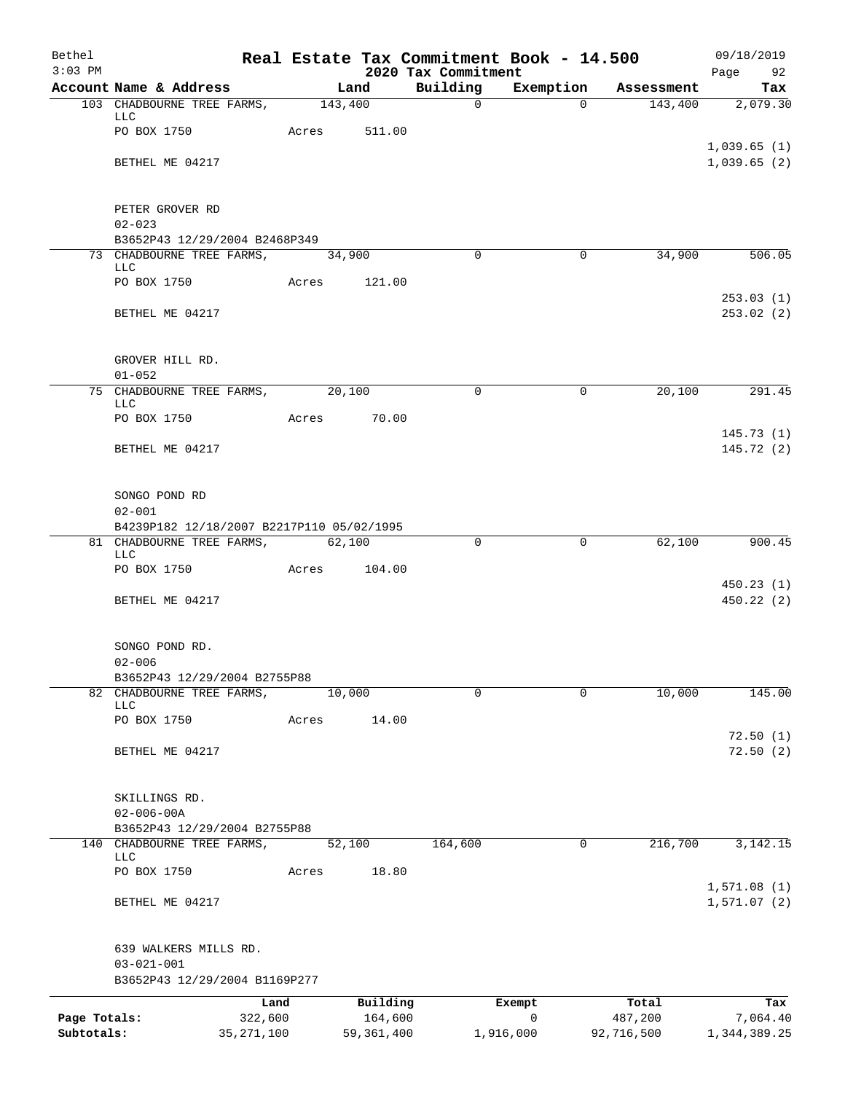| Bethel<br>$3:03$ PM |                                                                            |                 |       |         |                     | 2020 Tax Commitment | Real Estate Tax Commitment Book - 14.500 |                  | 09/18/2019<br>Page<br>92   |
|---------------------|----------------------------------------------------------------------------|-----------------|-------|---------|---------------------|---------------------|------------------------------------------|------------------|----------------------------|
|                     | Account Name & Address                                                     |                 |       | Land    |                     | Building            | Exemption                                | Assessment       | Tax                        |
|                     | 103 CHADBOURNE TREE FARMS,<br>LLC                                          |                 |       | 143,400 |                     | $\overline{0}$      | $\Omega$                                 | 143,400          | 2,079.30                   |
|                     | PO BOX 1750                                                                |                 | Acres |         | 511.00              |                     |                                          |                  |                            |
|                     | BETHEL ME 04217                                                            |                 |       |         |                     |                     |                                          |                  | 1,039.65(1)<br>1,039.65(2) |
|                     | PETER GROVER RD<br>$02 - 023$                                              |                 |       |         |                     |                     |                                          |                  |                            |
|                     | B3652P43 12/29/2004 B2468P349                                              |                 |       |         |                     |                     |                                          |                  |                            |
|                     | 73 CHADBOURNE TREE FARMS,<br>LLC                                           |                 |       | 34,900  |                     | $\Omega$            | $\Omega$                                 | 34,900           | 506.05                     |
|                     | PO BOX 1750                                                                |                 | Acres |         | 121.00              |                     |                                          |                  | 253.03(1)                  |
|                     | BETHEL ME 04217                                                            |                 |       |         |                     |                     |                                          |                  | 253.02 (2)                 |
|                     | GROVER HILL RD.                                                            |                 |       |         |                     |                     |                                          |                  |                            |
|                     | $01 - 052$                                                                 |                 |       |         |                     |                     |                                          |                  |                            |
|                     | 75 CHADBOURNE TREE FARMS, 20,100<br>LLC                                    |                 |       |         |                     | $\Omega$            | 0                                        | 20,100           | 291.45                     |
|                     | PO BOX 1750                                                                |                 | Acres |         | 70.00               |                     |                                          |                  | 145.73(1)                  |
|                     | BETHEL ME 04217                                                            |                 |       |         |                     |                     |                                          |                  | 145.72(2)                  |
|                     | SONGO POND RD<br>$02 - 001$                                                |                 |       |         |                     |                     |                                          |                  |                            |
|                     | B4239P182 12/18/2007 B2217P110 05/02/1995                                  |                 |       |         |                     |                     |                                          |                  |                            |
|                     | 81 CHADBOURNE TREE FARMS,<br>LLC                                           |                 |       | 62,100  |                     | $\Omega$            | 0                                        | 62,100           | 900.45                     |
|                     | PO BOX 1750                                                                |                 | Acres |         | 104.00              |                     |                                          |                  | 450.23(1)                  |
|                     | BETHEL ME 04217                                                            |                 |       |         |                     |                     |                                          |                  | 450.22(2)                  |
|                     | SONGO POND RD.                                                             |                 |       |         |                     |                     |                                          |                  |                            |
|                     | $02 - 006$<br>B3652P43 12/29/2004 B2755P88                                 |                 |       |         |                     |                     |                                          |                  |                            |
|                     | 82 CHADBOURNE TREE FARMS,<br>LLC                                           |                 |       | 10,000  |                     | $\mathbf 0$         | $\mathbf 0$                              | 10,000           | 145.00                     |
|                     | PO BOX 1750                                                                |                 | Acres |         | 14.00               |                     |                                          |                  |                            |
|                     | BETHEL ME 04217                                                            |                 |       |         |                     |                     |                                          |                  | 72.50(1)<br>72.50(2)       |
|                     | SKILLINGS RD.<br>$02 - 006 - 00A$                                          |                 |       |         |                     |                     |                                          |                  |                            |
|                     | B3652P43 12/29/2004 B2755P88                                               |                 |       |         |                     |                     |                                          |                  |                            |
|                     | 140 CHADBOURNE TREE FARMS,<br><b>LLC</b>                                   |                 |       | 52,100  |                     | 164,600             | 0                                        | 216,700          | 3,142.15                   |
|                     | PO BOX 1750                                                                |                 | Acres |         | 18.80               |                     |                                          |                  | 1,571.08(1)                |
|                     | BETHEL ME 04217                                                            |                 |       |         |                     |                     |                                          |                  | 1,571.07(2)                |
|                     | 639 WALKERS MILLS RD.<br>$03 - 021 - 001$<br>B3652P43 12/29/2004 B1169P277 |                 |       |         |                     |                     |                                          |                  |                            |
|                     |                                                                            |                 |       |         |                     |                     |                                          |                  |                            |
| Page Totals:        |                                                                            | Land<br>322,600 |       |         | Building<br>164,600 |                     | Exempt<br>$\mathbf 0$                    | Total<br>487,200 | Tax<br>7,064.40            |
| Subtotals:          |                                                                            | 35, 271, 100    |       |         | 59, 361, 400        |                     | 1,916,000                                | 92,716,500       | 1,344,389.25               |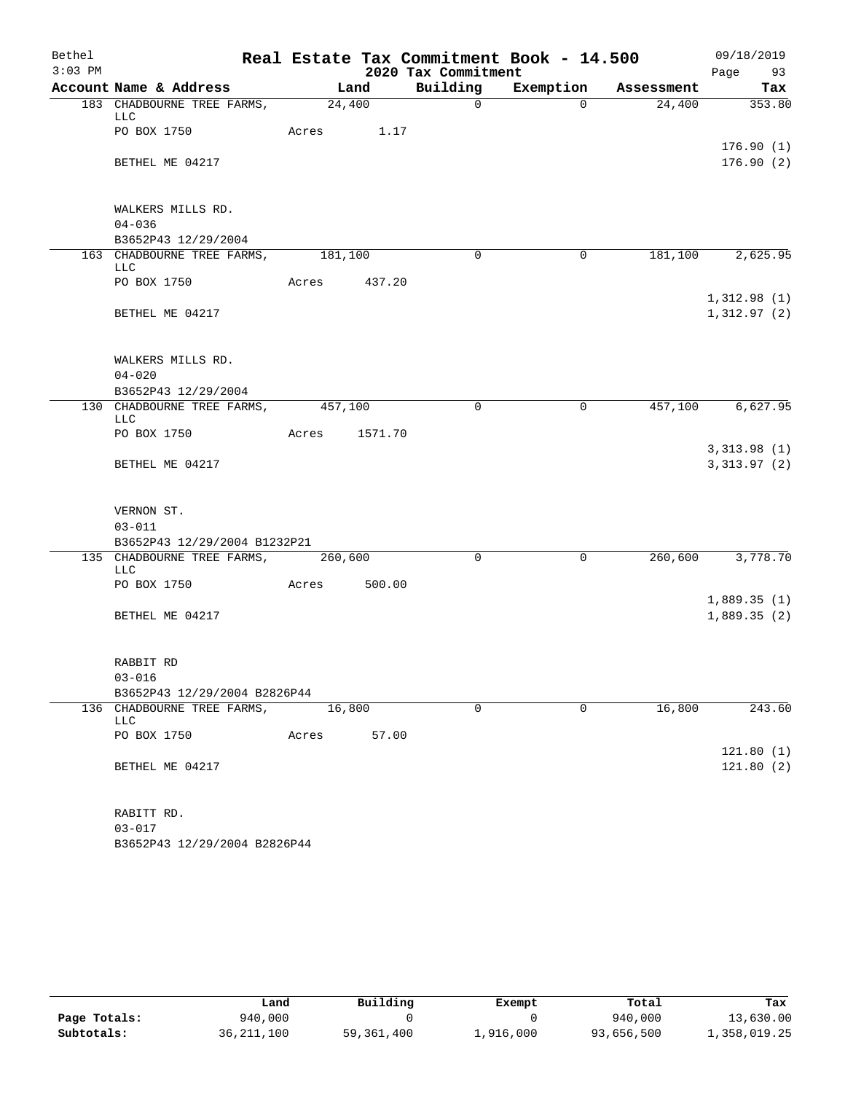| Bethel    |                                           |               |        |                     | Real Estate Tax Commitment Book - 14.500 |                               | 09/18/2019                 |
|-----------|-------------------------------------------|---------------|--------|---------------------|------------------------------------------|-------------------------------|----------------------------|
| $3:03$ PM |                                           |               |        | 2020 Tax Commitment |                                          |                               | Page 93                    |
|           | Account Name & Address                    | Land          |        |                     |                                          | Building Exemption Assessment | Tax                        |
|           | 183 CHADBOURNE TREE FARMS, 24,400<br>LLC  |               |        | $\Omega$            | $\Omega$                                 | 24,400                        | 353.80                     |
|           | PO BOX 1750                               | Acres 1.17    |        |                     |                                          |                               | 176.90(1)                  |
|           | BETHEL ME 04217                           |               |        |                     |                                          |                               | 176.90(2)                  |
|           | WALKERS MILLS RD.                         |               |        |                     |                                          |                               |                            |
|           | $04 - 036$                                |               |        |                     |                                          |                               |                            |
|           | B3652P43 12/29/2004                       |               |        |                     |                                          |                               |                            |
|           | 163 CHADBOURNE TREE FARMS, 181,100<br>LLC |               |        | $\Omega$            | $\Omega$                                 |                               | 181,100 2,625.95           |
|           | PO BOX 1750                               | Acres 437.20  |        |                     |                                          |                               |                            |
|           | BETHEL ME 04217                           |               |        |                     |                                          |                               | 1,312.98(1)<br>1,312.97(2) |
|           | WALKERS MILLS RD.                         |               |        |                     |                                          |                               |                            |
|           | $04 - 020$                                |               |        |                     |                                          |                               |                            |
|           | B3652P43 12/29/2004                       |               |        |                     |                                          |                               |                            |
|           | 130 CHADBOURNE TREE FARMS, 457,100<br>LLC |               |        | $\Omega$            | 0                                        |                               | 457,100 6,627.95           |
|           | PO BOX 1750                               | Acres 1571.70 |        |                     |                                          |                               |                            |
|           |                                           |               |        |                     |                                          |                               | 3,313.98(1)                |
|           | BETHEL ME 04217                           |               |        |                     |                                          |                               | 3,313.97(2)                |
|           | VERNON ST.                                |               |        |                     |                                          |                               |                            |
|           | $03 - 011$                                |               |        |                     |                                          |                               |                            |
|           | B3652P43 12/29/2004 B1232P21              |               |        |                     |                                          |                               |                            |
|           | 135 CHADBOURNE TREE FARMS, 260,600<br>LLC |               |        | $\Omega$            | $\mathbf 0$                              |                               | 260,600 3,778.70           |
|           | PO BOX 1750<br>Acres                      |               | 500.00 |                     |                                          |                               |                            |
|           | BETHEL ME 04217                           |               |        |                     |                                          |                               | 1,889.35(1)<br>1,889.35(2) |
|           |                                           |               |        |                     |                                          |                               |                            |
|           | RABBIT RD                                 |               |        |                     |                                          |                               |                            |
|           | $03 - 016$                                |               |        |                     |                                          |                               |                            |
|           | B3652P43 12/29/2004 B2826P44              |               |        |                     |                                          |                               |                            |
|           | 136 CHADBOURNE TREE FARMS,<br><b>LLC</b>  | 16,800        |        | $\mathbf 0$         | $\Omega$                                 | 16,800                        | 243.60                     |
|           | PO BOX 1750                               | Acres         | 57.00  |                     |                                          |                               | 121.80(1)                  |
|           | BETHEL ME 04217                           |               |        |                     |                                          |                               | 121.80(2)                  |
|           | RABITT RD.                                |               |        |                     |                                          |                               |                            |
|           | $03 - 017$                                |               |        |                     |                                          |                               |                            |

B3652P43 12/29/2004 B2826P44

|              | Land         | Building   | Exempt    | Total      | Tax          |
|--------------|--------------|------------|-----------|------------|--------------|
| Page Totals: | 940,000      |            |           | 940,000    | 13,630.00    |
| Subtotals:   | 36, 211, 100 | 59,361,400 | 1,916,000 | 93,656,500 | 1,358,019.25 |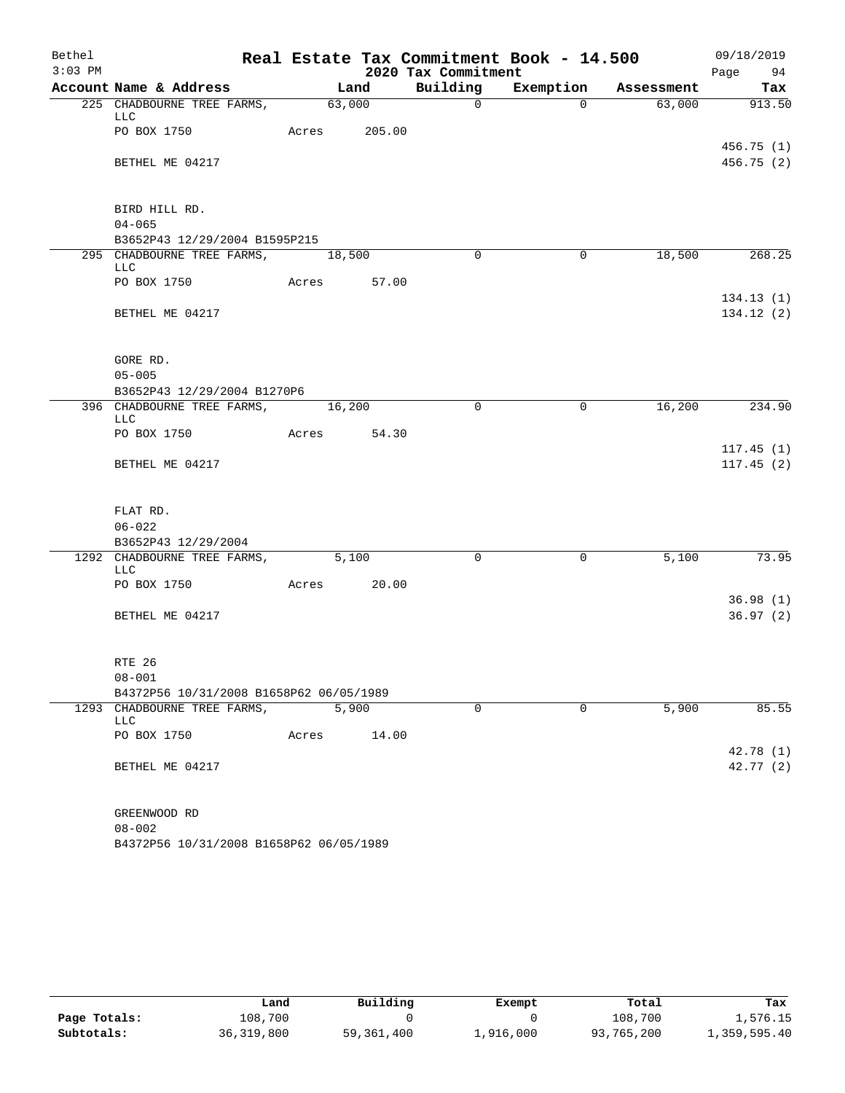| Bethel    |                                         |                    |       |                     | Real Estate Tax Commitment Book - 14.500 |                               | 09/18/2019              |
|-----------|-----------------------------------------|--------------------|-------|---------------------|------------------------------------------|-------------------------------|-------------------------|
| $3:03$ PM |                                         |                    |       | 2020 Tax Commitment |                                          |                               | Page 94                 |
|           | Account Name & Address                  | Land               |       |                     |                                          | Building Exemption Assessment | Tax                     |
|           | 225 CHADBOURNE TREE FARMS,<br>LLC       | $\frac{1}{63,000}$ |       | $\mathsf{O}$        | $\Omega$                                 | 63,000                        | 913.50                  |
|           | PO BOX 1750                             | Acres 205.00       |       |                     |                                          |                               | 456.75(1)               |
|           | BETHEL ME 04217                         |                    |       |                     |                                          |                               | 456.75 (2)              |
|           | BIRD HILL RD.                           |                    |       |                     |                                          |                               |                         |
|           | $04 - 065$                              |                    |       |                     |                                          |                               |                         |
|           | B3652P43 12/29/2004 B1595P215           |                    |       |                     |                                          |                               |                         |
|           | 295 CHADBOURNE TREE FARMS,<br>LLC       | 18,500             |       | $\Omega$            | $\Omega$                                 | 18,500                        | 268.25                  |
|           | PO BOX 1750                             | Acres 57.00        |       |                     |                                          |                               |                         |
|           | BETHEL ME 04217                         |                    |       |                     |                                          |                               | 134.13(1)<br>134.12 (2) |
|           | GORE RD.                                |                    |       |                     |                                          |                               |                         |
|           | $05 - 005$                              |                    |       |                     |                                          |                               |                         |
|           | B3652P43 12/29/2004 B1270P6             |                    |       |                     |                                          |                               |                         |
|           | 396 CHADBOURNE TREE FARMS,<br>LLC       | 16, 200            |       | $\Omega$            | 0                                        | 16,200                        | 234.90                  |
|           | PO BOX 1750                             | Acres 54.30        |       |                     |                                          |                               |                         |
|           | BETHEL ME 04217                         |                    |       |                     |                                          |                               | 117.45(1)<br>117.45(2)  |
|           | FLAT RD.                                |                    |       |                     |                                          |                               |                         |
|           | $06 - 022$                              |                    |       |                     |                                          |                               |                         |
|           | B3652P43 12/29/2004                     |                    |       |                     |                                          |                               |                         |
|           | 1292 CHADBOURNE TREE FARMS,<br>LLC      | 5,100              |       | $\Omega$            | $\mathbf 0$                              | 5,100                         | 73.95                   |
|           | PO BOX 1750                             | Acres 20.00        |       |                     |                                          |                               |                         |
|           | BETHEL ME 04217                         |                    |       |                     |                                          |                               | 36.98(1)<br>36.97(2)    |
|           | RTE 26                                  |                    |       |                     |                                          |                               |                         |
|           | $08 - 001$                              |                    |       |                     |                                          |                               |                         |
|           | B4372P56 10/31/2008 B1658P62 06/05/1989 |                    |       |                     |                                          |                               |                         |
|           | 1293 CHADBOURNE TREE FARMS,<br>LLC      | 5,900              |       | $\mathbf 0$         | $\Omega$                                 | 5,900                         | 85.55                   |
|           | PO BOX 1750                             | Acres              | 14.00 |                     |                                          |                               | 42.78 (1)               |
|           | BETHEL ME 04217                         |                    |       |                     |                                          |                               | 42.77(2)                |
|           | GREENWOOD RD                            |                    |       |                     |                                          |                               |                         |
|           | $08 - 002$                              |                    |       |                     |                                          |                               |                         |
|           | B4372P56 10/31/2008 B1658P62 06/05/1989 |                    |       |                     |                                          |                               |                         |

|              | Land         | Building   | Exempt    | Total      | Tax          |
|--------------|--------------|------------|-----------|------------|--------------|
| Page Totals: | 108,700      |            |           | 108,700    | 1,576.15     |
| Subtotals:   | 36, 319, 800 | 59,361,400 | 1,916,000 | 93,765,200 | 1,359,595.40 |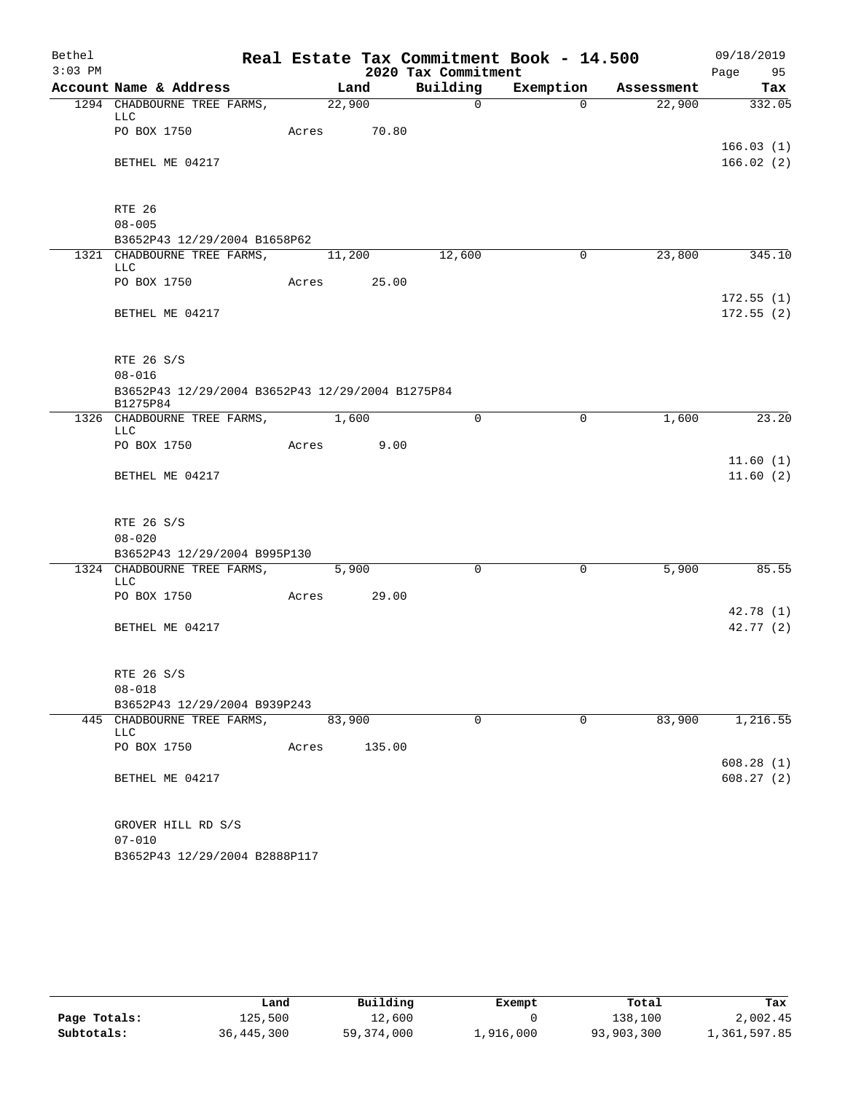| Bethel    |                                                              |        |        |                     | Real Estate Tax Commitment Book - 14.500 |            | 09/18/2019             |
|-----------|--------------------------------------------------------------|--------|--------|---------------------|------------------------------------------|------------|------------------------|
| $3:03$ PM |                                                              |        |        | 2020 Tax Commitment |                                          |            | Page 95                |
|           | Account Name & Address                                       |        | Land   | Building            | Exemption                                | Assessment | Tax                    |
|           | 1294 CHADBOURNE TREE FARMS,<br>LLC                           | 22,900 |        | $\mathbf 0$         | $\Omega$                                 | 22,900     | 332.05                 |
|           | PO BOX 1750                                                  | Acres  | 70.80  |                     |                                          |            | 166.03(1)              |
|           | BETHEL ME 04217                                              |        |        |                     |                                          |            | 166.02(2)              |
|           | RTE 26                                                       |        |        |                     |                                          |            |                        |
|           | $08 - 005$                                                   |        |        |                     |                                          |            |                        |
|           | B3652P43 12/29/2004 B1658P62                                 |        |        |                     |                                          |            |                        |
|           | 1321 CHADBOURNE TREE FARMS,<br><b>LLC</b>                    | 11,200 |        | 12,600              | 0                                        | 23,800     | 345.10                 |
|           | PO BOX 1750                                                  | Acres  | 25.00  |                     |                                          |            |                        |
|           | BETHEL ME 04217                                              |        |        |                     |                                          |            | 172.55(1)<br>172.55(2) |
|           | RTE 26 S/S                                                   |        |        |                     |                                          |            |                        |
|           | $08 - 016$                                                   |        |        |                     |                                          |            |                        |
|           | B3652P43 12/29/2004 B3652P43 12/29/2004 B1275P84<br>B1275P84 |        |        |                     |                                          |            |                        |
|           | 1326 CHADBOURNE TREE FARMS, 1,600<br><b>LLC</b>              |        |        | 0                   | 0                                        | 1,600      | 23.20                  |
|           | PO BOX 1750                                                  | Acres  | 9.00   |                     |                                          |            |                        |
|           | BETHEL ME 04217                                              |        |        |                     |                                          |            | 11.60(1)<br>11.60(2)   |
|           | RTE 26 S/S                                                   |        |        |                     |                                          |            |                        |
|           | $08 - 020$                                                   |        |        |                     |                                          |            |                        |
|           | B3652P43 12/29/2004 B995P130                                 |        |        |                     |                                          |            |                        |
|           | 1324 CHADBOURNE TREE FARMS,<br>LLC                           | 5,900  |        | $\Omega$            | 0                                        | 5,900      | 85.55                  |
|           | PO BOX 1750                                                  | Acres  | 29.00  |                     |                                          |            |                        |
|           | BETHEL ME 04217                                              |        |        |                     |                                          |            | 42.78(1)<br>42.77 (2)  |
|           | RTE 26 S/S                                                   |        |        |                     |                                          |            |                        |
|           | $08 - 018$                                                   |        |        |                     |                                          |            |                        |
|           | B3652P43 12/29/2004 B939P243                                 |        |        |                     |                                          |            |                        |
|           | 445 CHADBOURNE TREE FARMS,<br>LLC                            | 83,900 |        | 0                   | 0                                        | 83,900     | 1,216.55               |
|           | PO BOX 1750                                                  | Acres  | 135.00 |                     |                                          |            |                        |
|           | BETHEL ME 04217                                              |        |        |                     |                                          |            | 608.28(1)<br>608.27(2) |
|           |                                                              |        |        |                     |                                          |            |                        |
|           | GROVER HILL RD S/S<br>$07 - 010$                             |        |        |                     |                                          |            |                        |

B3652P43 12/29/2004 B2888P117

|              | Land       | Building   | Exempt    | Total      | Tax          |
|--------------|------------|------------|-----------|------------|--------------|
| Page Totals: | 125,500    | 12,600     |           | 138,100    | 2,002.45     |
| Subtotals:   | 36,445,300 | 59,374,000 | ⊥,916,000 | 93,903,300 | 1,361,597.85 |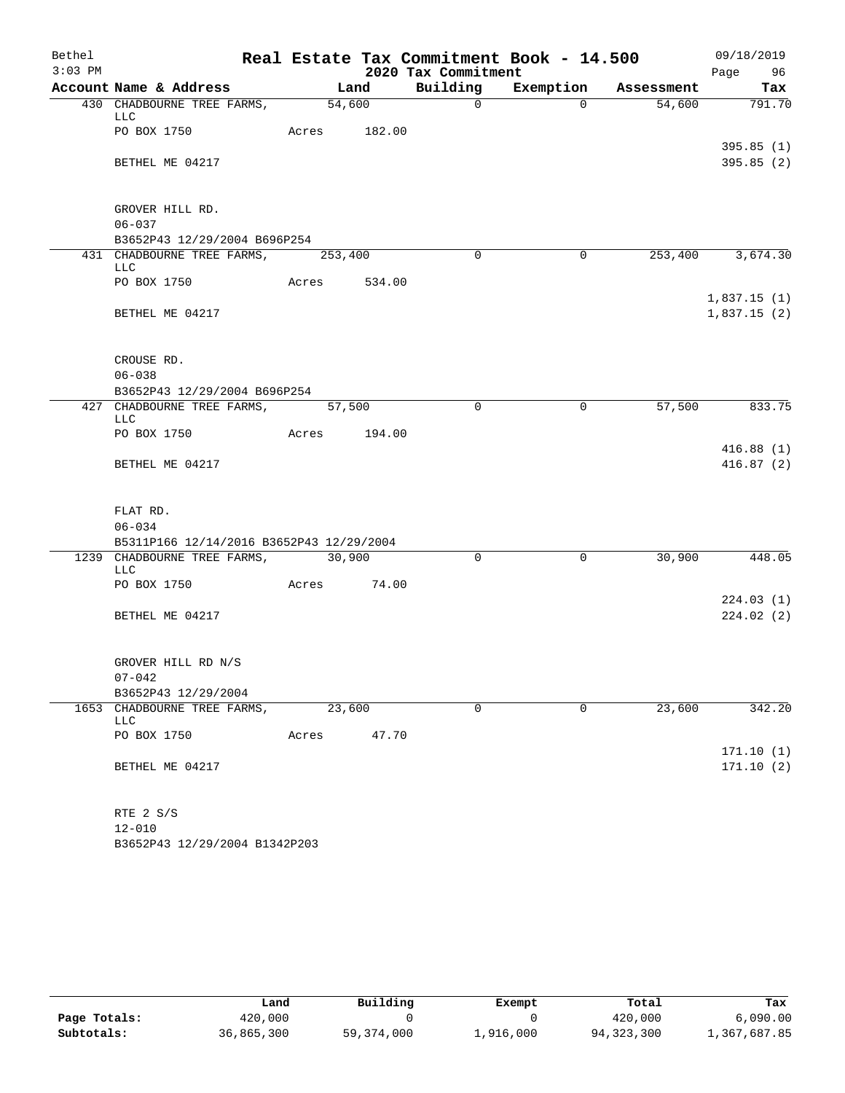| Bethel    |                                                        |        |        |                     | Real Estate Tax Commitment Book - 14.500 |            | 09/18/2019       |
|-----------|--------------------------------------------------------|--------|--------|---------------------|------------------------------------------|------------|------------------|
| $3:03$ PM |                                                        |        |        | 2020 Tax Commitment |                                          |            | Page 96          |
|           | Account Name & Address                                 |        | Land   | Building            | Exemption                                | Assessment | Tax              |
|           | 430 CHADBOURNE TREE FARMS,<br>LLC                      |        | 54,600 | $\overline{0}$      | $\Omega$                                 | 54,600     | 791.70           |
|           | PO BOX 1750                                            | Acres  | 182.00 |                     |                                          |            |                  |
|           |                                                        |        |        |                     |                                          |            | 395.85(1)        |
|           | BETHEL ME 04217                                        |        |        |                     |                                          |            | 395.85(2)        |
|           |                                                        |        |        |                     |                                          |            |                  |
|           | GROVER HILL RD.                                        |        |        |                     |                                          |            |                  |
|           | $06 - 037$                                             |        |        |                     |                                          |            |                  |
|           | B3652P43 12/29/2004 B696P254                           |        |        |                     |                                          |            |                  |
|           | 431 CHADBOURNE TREE FARMS, 253,400<br><b>LLC</b>       |        |        | $\Omega$            | $\Omega$                                 |            | 253,400 3,674.30 |
|           | PO BOX 1750                                            | Acres  | 534.00 |                     |                                          |            |                  |
|           |                                                        |        |        |                     |                                          |            | 1,837.15(1)      |
|           | BETHEL ME 04217                                        |        |        |                     |                                          |            | 1,837.15(2)      |
|           |                                                        |        |        |                     |                                          |            |                  |
|           | CROUSE RD.                                             |        |        |                     |                                          |            |                  |
|           | $06 - 038$                                             |        |        |                     |                                          |            |                  |
|           | B3652P43 12/29/2004 B696P254                           |        |        |                     |                                          |            |                  |
|           | 427 CHADBOURNE TREE FARMS,                             | 57,500 |        | $\Omega$            | $\mathbf 0$                              | 57,500     | 833.75           |
|           | <b>LLC</b>                                             |        |        |                     |                                          |            |                  |
|           | PO BOX 1750                                            | Acres  | 194.00 |                     |                                          |            | 416.88(1)        |
|           | BETHEL ME 04217                                        |        |        |                     |                                          |            | 416.87(2)        |
|           |                                                        |        |        |                     |                                          |            |                  |
|           |                                                        |        |        |                     |                                          |            |                  |
|           | FLAT RD.                                               |        |        |                     |                                          |            |                  |
|           | $06 - 034$<br>B5311P166 12/14/2016 B3652P43 12/29/2004 |        |        |                     |                                          |            |                  |
|           | 1239 CHADBOURNE TREE FARMS,                            | 30,900 |        | $\Omega$            | $\mathbf 0$                              | 30,900     | 448.05           |
|           | LLC                                                    |        |        |                     |                                          |            |                  |
|           | PO BOX 1750                                            | Acres  | 74.00  |                     |                                          |            |                  |
|           |                                                        |        |        |                     |                                          |            | 224.03(1)        |
|           | BETHEL ME 04217                                        |        |        |                     |                                          |            | 224.02(2)        |
|           |                                                        |        |        |                     |                                          |            |                  |
|           |                                                        |        |        |                     |                                          |            |                  |
|           | GROVER HILL RD N/S                                     |        |        |                     |                                          |            |                  |
|           | $07 - 042$<br>B3652P43 12/29/2004                      |        |        |                     |                                          |            |                  |
|           | 1653 CHADBOURNE TREE FARMS,                            | 23,600 |        | $\mathbf 0$         | $\mathbf 0$                              | 23,600     | 342.20           |
|           | LLC                                                    |        |        |                     |                                          |            |                  |
|           | PO BOX 1750                                            | Acres  | 47.70  |                     |                                          |            |                  |
|           |                                                        |        |        |                     |                                          |            | 171.10(1)        |
|           | BETHEL ME 04217                                        |        |        |                     |                                          |            | 171.10(2)        |
|           |                                                        |        |        |                     |                                          |            |                  |
|           |                                                        |        |        |                     |                                          |            |                  |
|           | RTE 2 S/S                                              |        |        |                     |                                          |            |                  |
|           | $12 - 010$                                             |        |        |                     |                                          |            |                  |

B3652P43 12/29/2004 B1342P203

|              | Land       | Building   | Exempt    | Total      | Tax          |
|--------------|------------|------------|-----------|------------|--------------|
| Page Totals: | 420,000    |            |           | 420,000    | 6,090.00     |
| Subtotals:   | 36,865,300 | 59,374,000 | 1,916,000 | 94,323,300 | l,367,687.85 |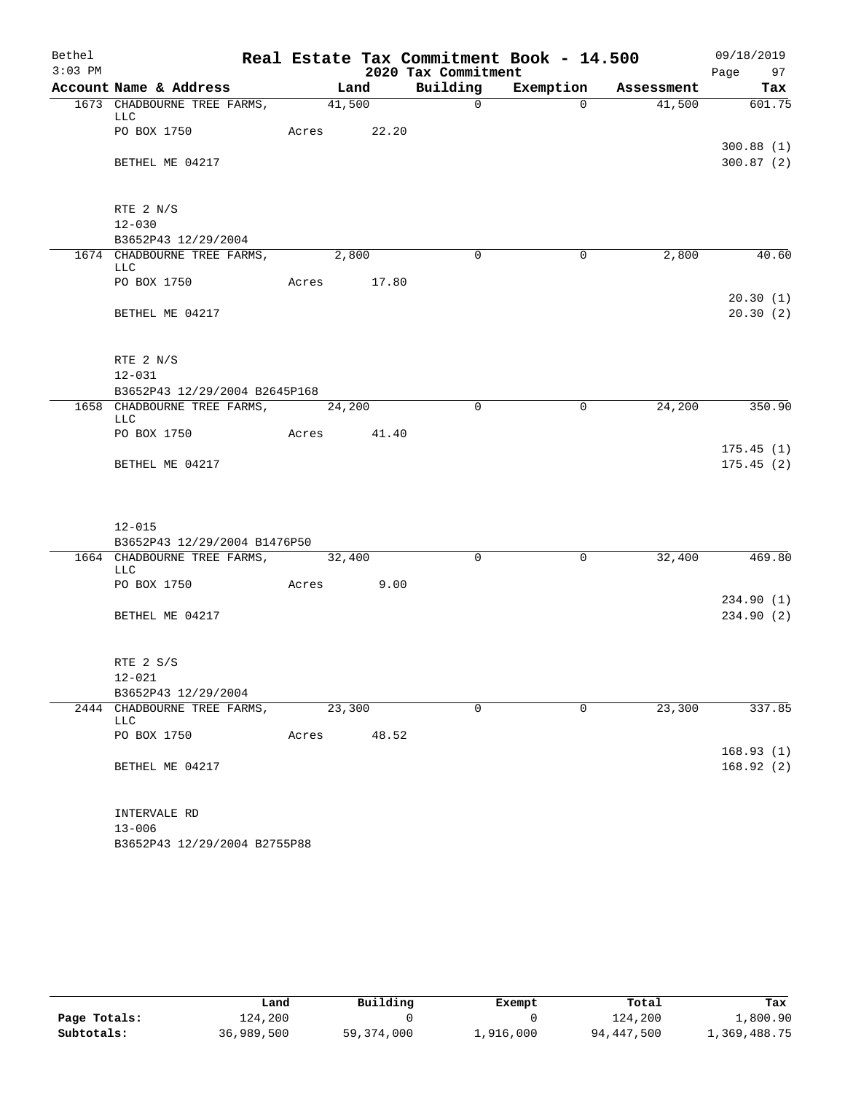| Bethel    |                                            |             |       |                     | Real Estate Tax Commitment Book - 14.500 |                                    | 09/18/2019         |
|-----------|--------------------------------------------|-------------|-------|---------------------|------------------------------------------|------------------------------------|--------------------|
| $3:03$ PM |                                            |             |       | 2020 Tax Commitment |                                          |                                    | Page 97            |
|           | Account Name & Address                     |             |       |                     |                                          | Land Building Exemption Assessment | Tax                |
|           | 1673 CHADBOURNE TREE FARMS, 41,500         |             |       | $\overline{0}$      | $\Omega$                                 |                                    | 41,500 601.75      |
|           | LLC<br>PO BOX 1750                         | Acres 22.20 |       |                     |                                          |                                    |                    |
|           |                                            |             |       |                     |                                          |                                    | 300.88(1)          |
|           | BETHEL ME 04217                            |             |       |                     |                                          |                                    | 300.87(2)          |
|           |                                            |             |       |                     |                                          |                                    |                    |
|           |                                            |             |       |                     |                                          |                                    |                    |
|           | RTE 2 N/S<br>$12 - 030$                    |             |       |                     |                                          |                                    |                    |
|           | B3652P43 12/29/2004                        |             |       |                     |                                          |                                    |                    |
|           | 1674 CHADBOURNE TREE FARMS, 2,800          |             |       | $\Omega$            | $\overline{0}$                           | 2,800                              | 40.60              |
|           | LLC                                        |             |       |                     |                                          |                                    |                    |
|           | PO BOX 1750                                | Acres 17.80 |       |                     |                                          |                                    | 20.30(1)           |
|           | BETHEL ME 04217                            |             |       |                     |                                          |                                    | 20.30(2)           |
|           |                                            |             |       |                     |                                          |                                    |                    |
|           |                                            |             |       |                     |                                          |                                    |                    |
|           | RTE 2 N/S                                  |             |       |                     |                                          |                                    |                    |
|           | $12 - 031$                                 |             |       |                     |                                          |                                    |                    |
|           | B3652P43 12/29/2004 B2645P168              |             |       |                     |                                          |                                    |                    |
|           | 1658 CHADBOURNE TREE FARMS, 24,200<br>LLC  |             |       | $\Omega$            | $\mathbf 0$                              | 24,200                             | $\frac{1}{350.90}$ |
|           | PO BOX 1750 Acres 41.40                    |             |       |                     |                                          |                                    |                    |
|           |                                            |             |       |                     |                                          |                                    | 175.45(1)          |
|           | BETHEL ME 04217                            |             |       |                     |                                          |                                    | 175.45(2)          |
|           |                                            |             |       |                     |                                          |                                    |                    |
|           |                                            |             |       |                     |                                          |                                    |                    |
|           | $12 - 015$                                 |             |       |                     |                                          |                                    |                    |
|           | B3652P43 12/29/2004 B1476P50               |             |       |                     |                                          |                                    |                    |
|           | 1664 CHADBOURNE TREE FARMS, 32,400         |             |       | $\Omega$            | $\overline{0}$                           | 32,400                             | 469.80             |
|           | LLC<br>PO BOX 1750 Acres 9.00              |             |       |                     |                                          |                                    |                    |
|           |                                            |             |       |                     |                                          |                                    | 234.90(1)          |
|           | BETHEL ME 04217                            |             |       |                     |                                          |                                    | 234.90(2)          |
|           |                                            |             |       |                     |                                          |                                    |                    |
|           |                                            |             |       |                     |                                          |                                    |                    |
|           | RTE 2 S/S                                  |             |       |                     |                                          |                                    |                    |
|           | $12 - 021$<br>B3652P43 12/29/2004          |             |       |                     |                                          |                                    |                    |
|           | 2444 CHADBOURNE TREE FARMS,                | 23,300      |       | $\Omega$            | $\Omega$                                 | 23,300                             | 337.85             |
|           | LLC                                        |             |       |                     |                                          |                                    |                    |
|           | PO BOX 1750                                | Acres       | 48.52 |                     |                                          |                                    |                    |
|           |                                            |             |       |                     |                                          |                                    | 168.93(1)          |
|           | BETHEL ME 04217                            |             |       |                     |                                          |                                    | 168.92(2)          |
|           |                                            |             |       |                     |                                          |                                    |                    |
|           | INTERVALE RD                               |             |       |                     |                                          |                                    |                    |
|           | $13 - 006$<br>B3652P43 12/29/2004 B2755P88 |             |       |                     |                                          |                                    |                    |
|           |                                            |             |       |                     |                                          |                                    |                    |

|              | Land       | Building     | Exempt    | Total      | Tax          |
|--------------|------------|--------------|-----------|------------|--------------|
| Page Totals: | 124,200    |              |           | 124,200    | 1,800.90     |
| Subtotals:   | 36,989,500 | 59, 374, 000 | 1,916,000 | 94,447,500 | 1,369,488.75 |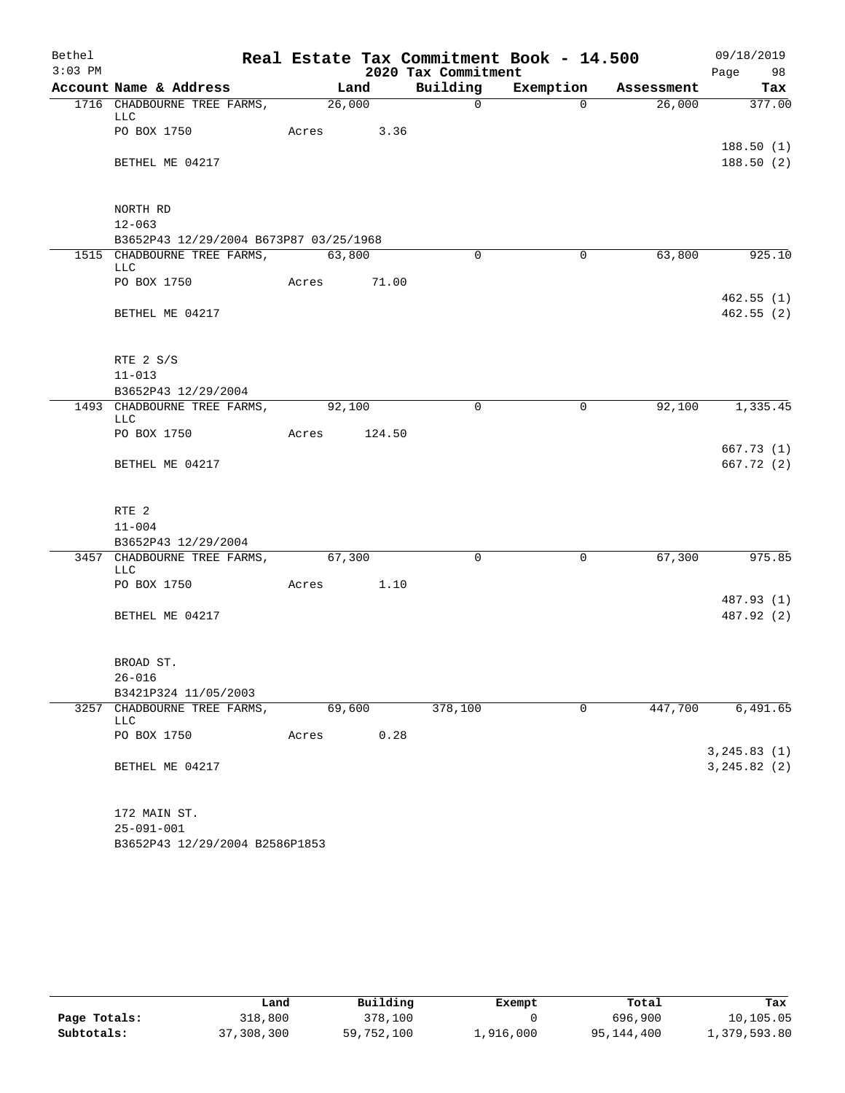| Bethel    |                                        |             |        |                     | Real Estate Tax Commitment Book - 14.500 |         | 09/18/2019             |
|-----------|----------------------------------------|-------------|--------|---------------------|------------------------------------------|---------|------------------------|
| $3:03$ PM |                                        |             |        | 2020 Tax Commitment |                                          |         | Page 98                |
|           | Account Name & Address                 | Land        |        |                     | Building Exemption Assessment            |         | Tax                    |
|           | 1716 CHADBOURNE TREE FARMS, 26,000     |             |        | $\Omega$            | $\Omega$                                 | 26,000  | 377.00                 |
|           | LLC<br>PO BOX 1750                     | Acres 3.36  |        |                     |                                          |         |                        |
|           |                                        |             |        |                     |                                          |         | 188.50(1)              |
|           | BETHEL ME 04217                        |             |        |                     |                                          |         | 188.50(2)              |
|           |                                        |             |        |                     |                                          |         |                        |
|           | NORTH RD                               |             |        |                     |                                          |         |                        |
|           | $12 - 063$                             |             |        |                     |                                          |         |                        |
|           | B3652P43 12/29/2004 B673P87 03/25/1968 |             |        |                     |                                          |         |                        |
|           | 1515 CHADBOURNE TREE FARMS, 63,800     |             |        | $\Omega$            | $\overline{0}$                           | 63,800  | 925.10                 |
|           | LLC                                    |             |        |                     |                                          |         |                        |
|           | PO BOX 1750                            | Acres 71.00 |        |                     |                                          |         |                        |
|           | BETHEL ME 04217                        |             |        |                     |                                          |         | 462.55(1)<br>462.55(2) |
|           |                                        |             |        |                     |                                          |         |                        |
|           |                                        |             |        |                     |                                          |         |                        |
|           | RTE 2 S/S                              |             |        |                     |                                          |         |                        |
|           | $11 - 013$                             |             |        |                     |                                          |         |                        |
|           | B3652P43 12/29/2004                    |             |        |                     |                                          |         |                        |
|           | 1493 CHADBOURNE TREE FARMS, 92,100     |             |        | $\Omega$            | $\mathbf 0$                              | 92,100  | 1,335.45               |
|           | LLC                                    |             |        |                     |                                          |         |                        |
|           | PO BOX 1750                            | Acres       | 124.50 |                     |                                          |         | 667.73(1)              |
|           | BETHEL ME 04217                        |             |        |                     |                                          |         | 667.72(2)              |
|           |                                        |             |        |                     |                                          |         |                        |
|           | RTE <sub>2</sub>                       |             |        |                     |                                          |         |                        |
|           | $11 - 004$                             |             |        |                     |                                          |         |                        |
|           | B3652P43 12/29/2004                    |             |        |                     |                                          |         |                        |
|           | 3457 CHADBOURNE TREE FARMS, 67,300     |             |        | $\Omega$            | $\overline{0}$                           | 67,300  | 975.85                 |
|           | LLC                                    |             |        |                     |                                          |         |                        |
|           | PO BOX 1750                            | Acres 1.10  |        |                     |                                          |         |                        |
|           |                                        |             |        |                     |                                          |         | 487.93 (1)             |
|           | BETHEL ME 04217                        |             |        |                     |                                          |         | 487.92 (2)             |
|           |                                        |             |        |                     |                                          |         |                        |
|           | BROAD ST.                              |             |        |                     |                                          |         |                        |
|           | $26 - 016$                             |             |        |                     |                                          |         |                        |
|           | B3421P324 11/05/2003                   |             |        |                     |                                          |         |                        |
|           | 3257 CHADBOURNE TREE FARMS,<br>LLC     | 69,600      |        | 378,100             | $\mathbf 0$                              | 447,700 | 6,491.65               |
|           | PO BOX 1750                            | Acres       | 0.28   |                     |                                          |         |                        |
|           |                                        |             |        |                     |                                          |         | 3, 245.83(1)           |
|           | BETHEL ME 04217                        |             |        |                     |                                          |         | 3, 245.82 (2)          |
|           |                                        |             |        |                     |                                          |         |                        |
|           | 172 MAIN ST.                           |             |        |                     |                                          |         |                        |
|           | $25 - 091 - 001$                       |             |        |                     |                                          |         |                        |
|           | B3652P43 12/29/2004 B2586P1853         |             |        |                     |                                          |         |                        |

|              | Land       | Building   | Exempt    | Total      | Tax          |
|--------------|------------|------------|-----------|------------|--------------|
| Page Totals: | 318,800    | 378,100    |           | 696,900    | 10,105.05    |
| Subtotals:   | 37,308,300 | 59,752,100 | 1,916,000 | 95,144,400 | 1,379,593.80 |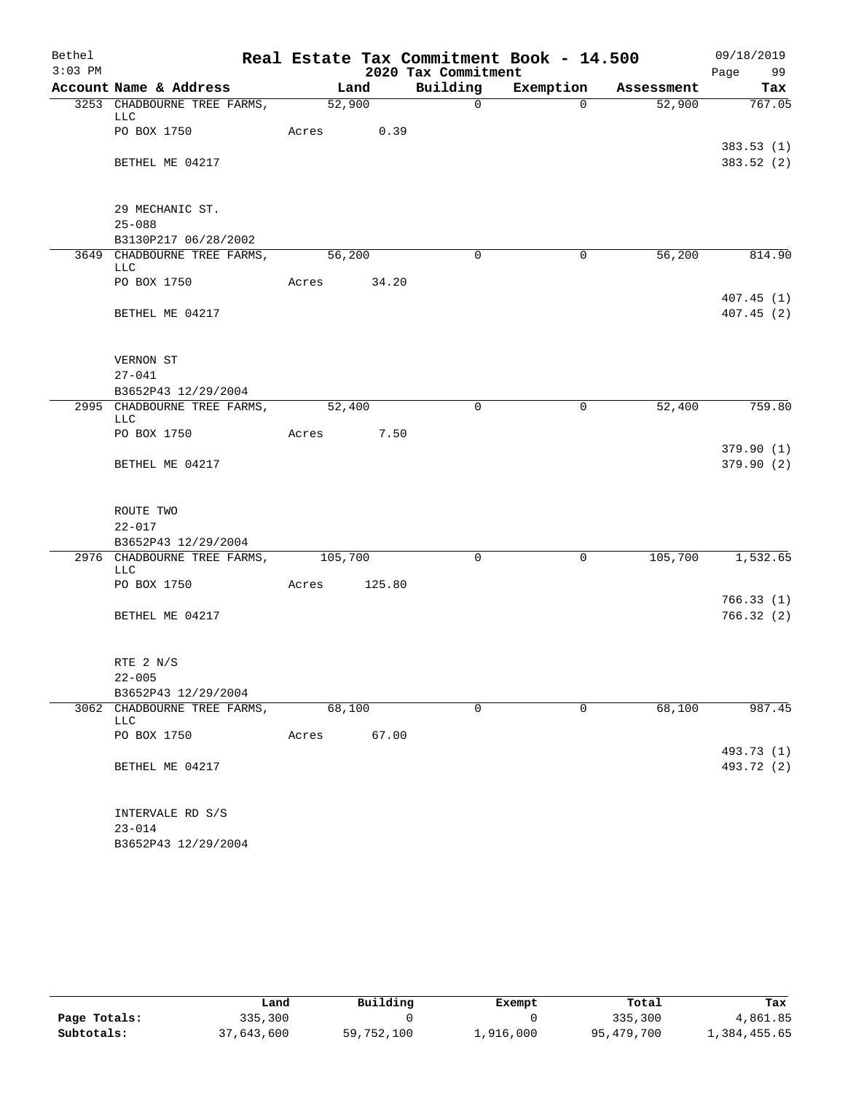| Bethel    |                                            |                    |        |                     | Real Estate Tax Commitment Book - 14.500 |            | 09/18/2019              |
|-----------|--------------------------------------------|--------------------|--------|---------------------|------------------------------------------|------------|-------------------------|
| $3:03$ PM |                                            |                    |        | 2020 Tax Commitment |                                          |            | Page 99                 |
|           | Account Name & Address                     | Land               |        | Building            | Exemption                                | Assessment | Tax                     |
|           | 3253 CHADBOURNE TREE FARMS,<br>LLC         | $\frac{1}{52,900}$ |        | $\mathsf{O}$        | $\Omega$                                 | 52,900     | 767.05                  |
|           | PO BOX 1750                                | Acres 0.39         |        |                     |                                          |            | 383.53(1)               |
|           | BETHEL ME 04217                            |                    |        |                     |                                          |            | 383.52 (2)              |
|           | 29 MECHANIC ST.                            |                    |        |                     |                                          |            |                         |
|           | $25 - 088$<br>B3130P217 06/28/2002         |                    |        |                     |                                          |            |                         |
|           | 3649 CHADBOURNE TREE FARMS, 56,200         |                    |        | $\Omega$            | $\Omega$                                 | 56,200     | 814.90                  |
|           | LLC<br>PO BOX 1750                         | Acres 34.20        |        |                     |                                          |            |                         |
|           | BETHEL ME 04217                            |                    |        |                     |                                          |            | 407.45(1)<br>407.45 (2) |
|           |                                            |                    |        |                     |                                          |            |                         |
|           | VERNON ST<br>$27 - 041$                    |                    |        |                     |                                          |            |                         |
|           | B3652P43 12/29/2004                        |                    |        |                     |                                          |            |                         |
|           | 2995 CHADBOURNE TREE FARMS,<br>LLC         | 52,400             |        | $\Omega$            | 0                                        | 52,400     | 759.80                  |
|           | PO BOX 1750                                | Acres 7.50         |        |                     |                                          |            |                         |
|           | BETHEL ME 04217                            |                    |        |                     |                                          |            | 379.90(1)<br>379.90 (2) |
|           | ROUTE TWO                                  |                    |        |                     |                                          |            |                         |
|           | $22 - 017$                                 |                    |        |                     |                                          |            |                         |
|           | B3652P43 12/29/2004                        |                    |        |                     |                                          |            |                         |
|           | 2976 CHADBOURNE TREE FARMS, 105,700<br>LLC |                    |        | $\Omega$            | $\mathbf 0$                              | 105,700    | 1,532.65                |
|           | PO BOX 1750                                | Acres              | 125.80 |                     |                                          |            | 766.33(1)               |
|           | BETHEL ME 04217                            |                    |        |                     |                                          |            | 766.32(2)               |
|           | RTE 2 N/S                                  |                    |        |                     |                                          |            |                         |
|           | $22 - 005$                                 |                    |        |                     |                                          |            |                         |
|           | B3652P43 12/29/2004                        |                    |        |                     |                                          |            |                         |
|           | 3062 CHADBOURNE TREE FARMS,<br>LLC         | 68,100             |        | $\mathbf 0$         | $\Omega$                                 | 68,100     | 987.45                  |
|           | PO BOX 1750                                | Acres              | 67.00  |                     |                                          |            | 493.73 (1)              |
|           | BETHEL ME 04217                            |                    |        |                     |                                          |            | 493.72 (2)              |
|           | INTERVALE RD S/S                           |                    |        |                     |                                          |            |                         |
|           | $23 - 014$                                 |                    |        |                     |                                          |            |                         |
|           | B3652P43 12/29/2004                        |                    |        |                     |                                          |            |                         |

|              | Land       | Building   | Exempt    | Total      | Tax          |
|--------------|------------|------------|-----------|------------|--------------|
| Page Totals: | 335,300    |            |           | 335,300    | 4,861.85     |
| Subtotals:   | 37,643,600 | 59,752,100 | 1,916,000 | 95,479,700 | 1,384,455.65 |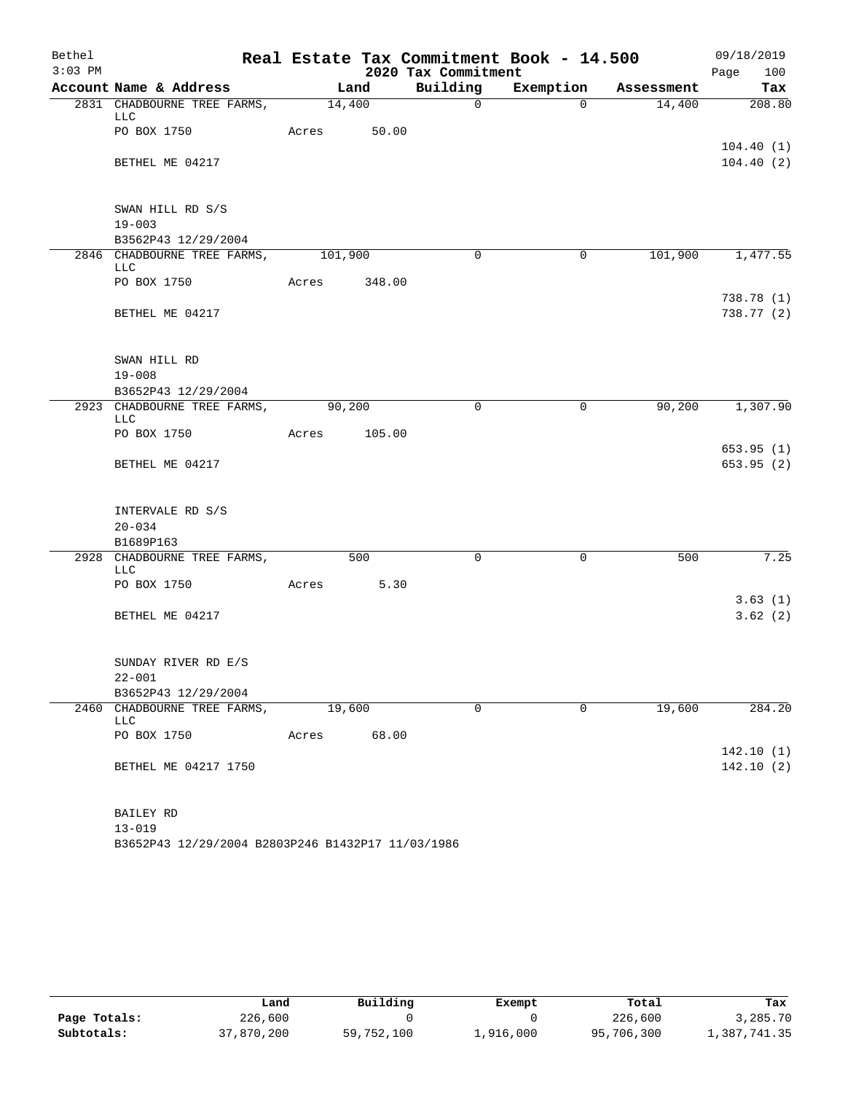| Bethel    |                                            |                    |        |                     | Real Estate Tax Commitment Book - 14.500 |            | 09/18/2019              |
|-----------|--------------------------------------------|--------------------|--------|---------------------|------------------------------------------|------------|-------------------------|
| $3:03$ PM |                                            |                    |        | 2020 Tax Commitment |                                          |            | 100<br>Page             |
|           | Account Name & Address                     | Land               |        | Building            | Exemption                                | Assessment | Tax                     |
|           | 2831 CHADBOURNE TREE FARMS,<br><b>LLC</b>  | $\frac{14,400}{ }$ |        | $\mathsf{O}$        | $\Omega$                                 | 14,400     | 208.80                  |
|           | PO BOX 1750                                | Acres 50.00        |        |                     |                                          |            | 104.40(1)               |
|           | BETHEL ME 04217                            |                    |        |                     |                                          |            | 104.40(2)               |
|           | SWAN HILL RD S/S                           |                    |        |                     |                                          |            |                         |
|           | $19 - 003$                                 |                    |        |                     |                                          |            |                         |
|           | B3562P43 12/29/2004                        |                    |        |                     |                                          |            |                         |
|           | 2846 CHADBOURNE TREE FARMS, 101,900<br>LLC |                    |        | $\Omega$            | 0                                        | 101,900    | 1,477.55                |
|           | PO BOX 1750                                | Acres 348.00       |        |                     |                                          |            |                         |
|           | BETHEL ME 04217                            |                    |        |                     |                                          |            | 738.78(1)<br>738.77 (2) |
|           | SWAN HILL RD                               |                    |        |                     |                                          |            |                         |
|           | $19 - 008$                                 |                    |        |                     |                                          |            |                         |
|           | B3652P43 12/29/2004                        |                    |        |                     |                                          |            |                         |
|           | 2923 CHADBOURNE TREE FARMS,<br><b>LLC</b>  | 90,200             |        | $\Omega$            | $\mathbf 0$                              | 90, 200    | 1,307.90                |
|           | PO BOX 1750                                | Acres              | 105.00 |                     |                                          |            |                         |
|           | BETHEL ME 04217                            |                    |        |                     |                                          |            | 653.95(1)<br>653.95(2)  |
|           | INTERVALE RD S/S<br>$20 - 034$             |                    |        |                     |                                          |            |                         |
|           | B1689P163                                  |                    |        |                     |                                          |            |                         |
|           | 2928 CHADBOURNE TREE FARMS,<br><b>LLC</b>  |                    | 500    | $\Omega$            | $\mathbf 0$                              | 500        | 7.25                    |
|           | PO BOX 1750                                | Acres              | 5.30   |                     |                                          |            |                         |
|           | BETHEL ME 04217                            |                    |        |                     |                                          |            | 3.63(1)<br>3.62(2)      |
|           | SUNDAY RIVER RD E/S<br>$22 - 001$          |                    |        |                     |                                          |            |                         |
|           | B3652P43 12/29/2004                        |                    |        |                     |                                          |            |                         |
|           | 2460 CHADBOURNE TREE FARMS,<br>LLC         | 19,600             |        | $\mathbf 0$         | 0                                        | 19,600     | 284.20                  |
|           | PO BOX 1750                                | Acres              | 68.00  |                     |                                          |            |                         |
|           | BETHEL ME 04217 1750                       |                    |        |                     |                                          |            | 142.10(1)<br>142.10(2)  |
|           | BAILEY RD                                  |                    |        |                     |                                          |            |                         |
|           | $13 - 019$                                 |                    |        |                     |                                          |            |                         |

|              | úand       | Building   | Exempt    | Total      | Tax          |
|--------------|------------|------------|-----------|------------|--------------|
| Page Totals: | 226,600    |            |           | 226,600    | 3,285.70     |
| Subtotals:   | 37,870,200 | 59,752,100 | 1,916,000 | 95,706,300 | 1,387,741.35 |

B3652P43 12/29/2004 B2803P246 B1432P17 11/03/1986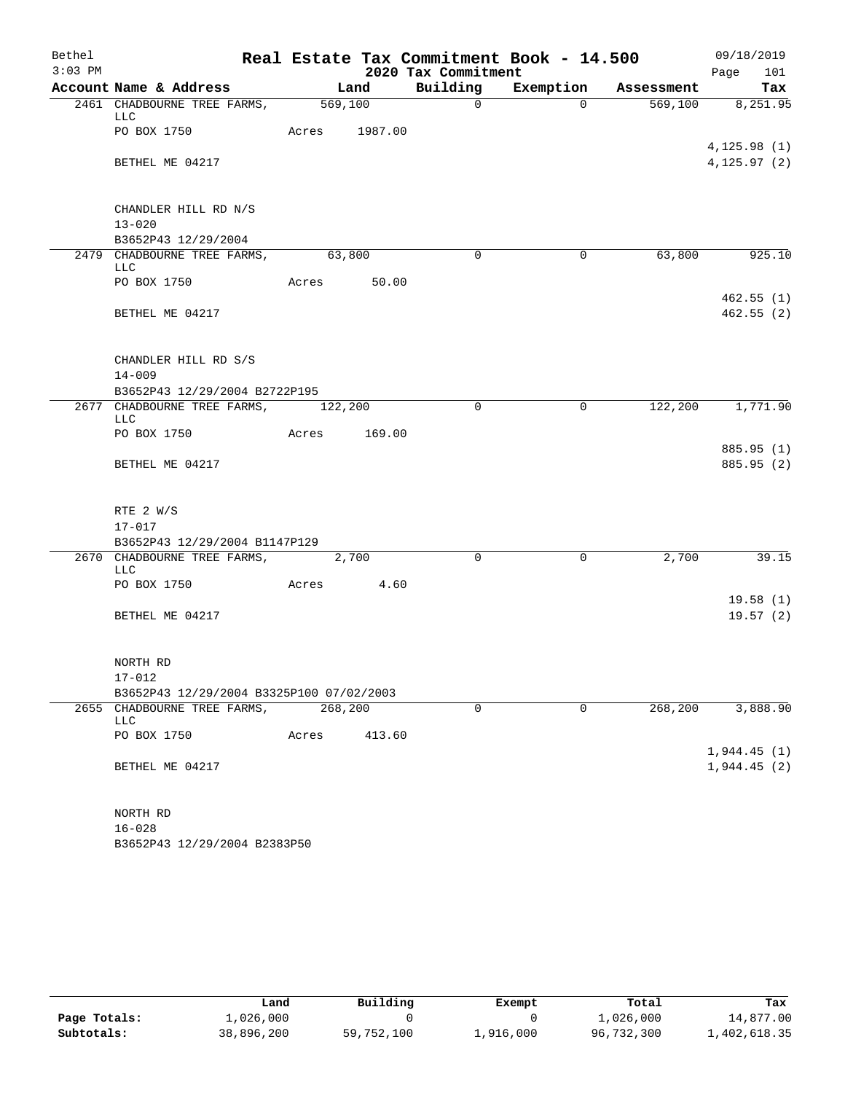| Bethel    |                                                   |               |        |                     | Real Estate Tax Commitment Book - 14.500 |         | 09/18/2019                 |
|-----------|---------------------------------------------------|---------------|--------|---------------------|------------------------------------------|---------|----------------------------|
| $3:03$ PM |                                                   |               |        | 2020 Tax Commitment |                                          |         | Page<br>101                |
|           | Account Name & Address                            |               | Land   |                     | Building Exemption Assessment            |         | Tax                        |
|           | 2461 CHADBOURNE TREE FARMS, 569,100<br>LLC        |               |        | $\overline{0}$      | $\Omega$                                 |         | 569,100 8,251.95           |
|           | PO BOX 1750                                       | Acres 1987.00 |        |                     |                                          |         | 4, 125.98(1)               |
|           | BETHEL ME 04217                                   |               |        |                     |                                          |         | 4, 125.97(2)               |
|           | CHANDLER HILL RD N/S                              |               |        |                     |                                          |         |                            |
|           | $13 - 020$                                        |               |        |                     |                                          |         |                            |
|           | B3652P43 12/29/2004                               |               |        |                     |                                          |         |                            |
|           | 2479 CHADBOURNE TREE FARMS, 63,800<br>LLC         |               |        | $\Omega$            | $\Omega$                                 | 63,800  | 925.10                     |
|           | PO BOX 1750                                       | Acres 50.00   |        |                     |                                          |         |                            |
|           | BETHEL ME 04217                                   |               |        |                     |                                          |         | 462.55(1)<br>462.55(2)     |
|           | CHANDLER HILL RD S/S<br>$14 - 009$                |               |        |                     |                                          |         |                            |
|           | B3652P43 12/29/2004 B2722P195                     |               |        |                     |                                          |         |                            |
|           | 2677 CHADBOURNE TREE FARMS, 122,200<br><b>LLC</b> |               |        | $\Omega$            | $\overline{0}$                           |         | 122,200 1,771.90           |
|           | PO BOX 1750                                       | Acres 169.00  |        |                     |                                          |         |                            |
|           |                                                   |               |        |                     |                                          |         | 885.95 (1)                 |
|           | BETHEL ME 04217                                   |               |        |                     |                                          |         | 885.95 (2)                 |
|           | RTE 2 W/S                                         |               |        |                     |                                          |         |                            |
|           | $17 - 017$                                        |               |        |                     |                                          |         |                            |
|           | B3652P43 12/29/2004 B1147P129                     |               |        |                     |                                          |         |                            |
|           | 2670 CHADBOURNE TREE FARMS, 2,700<br><b>LLC</b>   |               |        | $\Omega$            | $\mathbf 0$                              | 2,700   | 39.15                      |
|           | PO BOX 1750 Acres 4.60                            |               |        |                     |                                          |         |                            |
|           | BETHEL ME 04217                                   |               |        |                     |                                          |         | 19.58(1)<br>19.57(2)       |
|           | NORTH RD                                          |               |        |                     |                                          |         |                            |
|           | $17 - 012$                                        |               |        |                     |                                          |         |                            |
|           | B3652P43 12/29/2004 B3325P100 07/02/2003          |               |        |                     |                                          |         |                            |
|           | 2655 CHADBOURNE TREE FARMS,<br>LLC                | 268,200       |        | $\mathbf 0$         | $\mathbf 0$                              | 268,200 | 3,888.90                   |
|           | PO BOX 1750                                       | Acres         | 413.60 |                     |                                          |         |                            |
|           | BETHEL ME 04217                                   |               |        |                     |                                          |         | 1,944.45(1)<br>1,944.45(2) |
|           |                                                   |               |        |                     |                                          |         |                            |
|           | NORTH RD<br>$16 - 028$                            |               |        |                     |                                          |         |                            |

B3652P43 12/29/2004 B2383P50

|              | Land       | Building   | Exempt    | Total      | Tax          |
|--------------|------------|------------|-----------|------------|--------------|
| Page Totals: | 1,026,000  |            |           | 1,026,000  | 14,877.00    |
| Subtotals:   | 38,896,200 | 59,752,100 | 1,916,000 | 96,732,300 | 1,402,618.35 |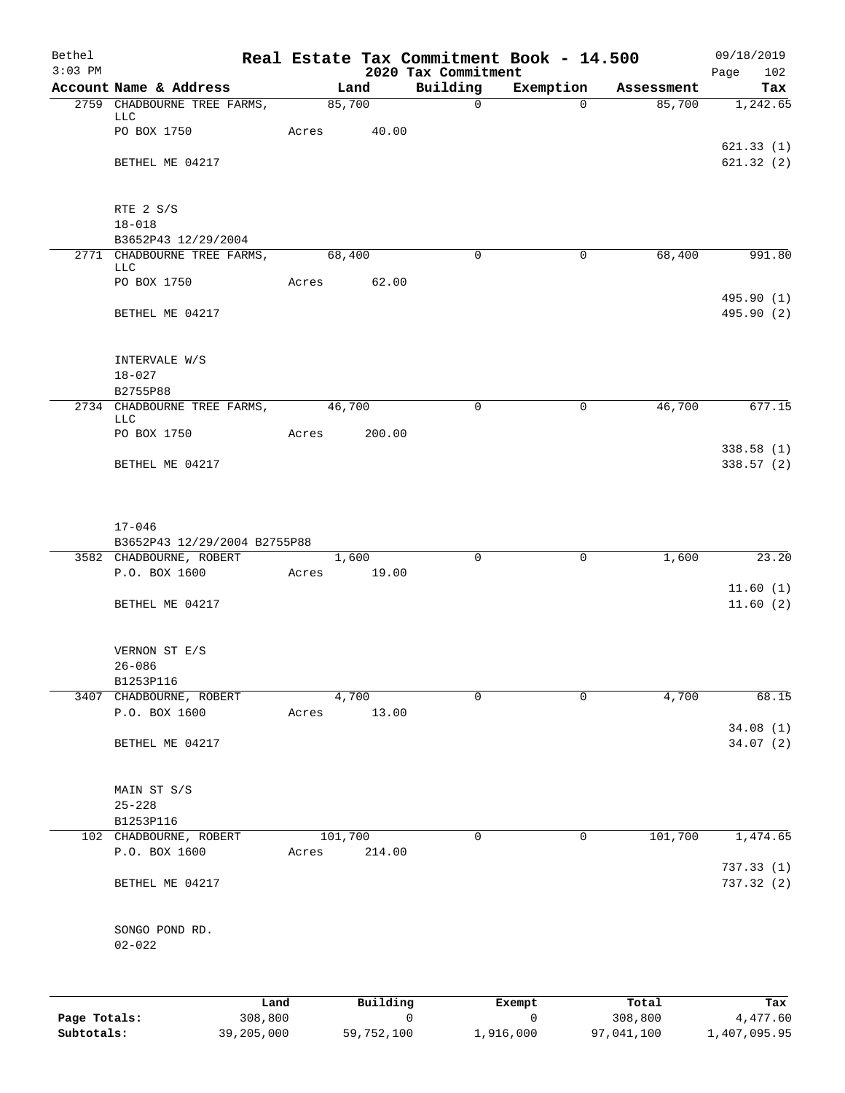| Bethel<br>$3:03$ PM |                                    |         |          | 2020 Tax Commitment | Real Estate Tax Commitment Book - 14.500 |            | 09/18/2019<br>Page<br>102 |
|---------------------|------------------------------------|---------|----------|---------------------|------------------------------------------|------------|---------------------------|
|                     | Account Name & Address             |         | Land     | Building            | Exemption                                | Assessment | Tax                       |
|                     | 2759 CHADBOURNE TREE FARMS,        | 85,700  |          | $\mathbf 0$         | $\Omega$                                 | 85,700     | 1,242.65                  |
|                     | LLC<br>PO BOX 1750                 | Acres   | 40.00    |                     |                                          |            |                           |
|                     |                                    |         |          |                     |                                          |            | 621.33(1)                 |
|                     | BETHEL ME 04217                    |         |          |                     |                                          |            | 621.32(2)                 |
|                     | RTE 2 S/S                          |         |          |                     |                                          |            |                           |
|                     | $18 - 018$                         |         |          |                     |                                          |            |                           |
|                     | B3652P43 12/29/2004                |         |          |                     |                                          |            |                           |
|                     | 2771 CHADBOURNE TREE FARMS,<br>LLC | 68,400  |          | $\mathbf 0$         | $\mathbf 0$                              | 68,400     | 991.80                    |
|                     | PO BOX 1750                        | Acres   | 62.00    |                     |                                          |            |                           |
|                     | BETHEL ME 04217                    |         |          |                     |                                          |            | 495.90 (1)<br>495.90 (2)  |
|                     | INTERVALE W/S                      |         |          |                     |                                          |            |                           |
|                     | $18 - 027$                         |         |          |                     |                                          |            |                           |
|                     | B2755P88                           |         |          |                     |                                          |            |                           |
|                     | 2734 CHADBOURNE TREE FARMS,        | 46,700  |          | $\Omega$            | 0                                        | 46,700     | 677.15                    |
|                     | <b>LLC</b><br>PO BOX 1750          | Acres   | 200.00   |                     |                                          |            |                           |
|                     |                                    |         |          |                     |                                          |            | 338.58 (1)                |
|                     | BETHEL ME 04217                    |         |          |                     |                                          |            | 338.57 (2)                |
|                     | $17 - 046$                         |         |          |                     |                                          |            |                           |
|                     | B3652P43 12/29/2004 B2755P88       |         |          |                     |                                          |            |                           |
|                     | 3582 CHADBOURNE, ROBERT            |         | 1,600    | $\Omega$            | $\mathbf 0$                              | 1,600      | 23.20                     |
|                     | P.O. BOX 1600                      | Acres   | 19.00    |                     |                                          |            |                           |
|                     |                                    |         |          |                     |                                          |            | 11.60(1)                  |
|                     | BETHEL ME 04217                    |         |          |                     |                                          |            | 11.60(2)                  |
|                     | VERNON ST E/S                      |         |          |                     |                                          |            |                           |
|                     | $26 - 086$<br>B1253P116            |         |          |                     |                                          |            |                           |
|                     | 3407 CHADBOURNE, ROBERT            |         | 4,700    | $\Omega$            | $\mathbf 0$                              | 4,700      | 68.15                     |
|                     | P.O. BOX 1600                      | Acres   | 13.00    |                     |                                          |            |                           |
|                     |                                    |         |          |                     |                                          |            | 34.08(1)                  |
|                     | BETHEL ME 04217                    |         |          |                     |                                          |            | 34.07(2)                  |
|                     | MAIN ST S/S                        |         |          |                     |                                          |            |                           |
|                     | $25 - 228$                         |         |          |                     |                                          |            |                           |
|                     | B1253P116                          |         |          |                     |                                          |            |                           |
|                     | 102 CHADBOURNE, ROBERT             | 101,700 |          | 0                   | $\mathbf 0$                              | 101,700    | 1,474.65                  |
|                     | P.O. BOX 1600                      | Acres   | 214.00   |                     |                                          |            | 737.33 (1)                |
|                     | BETHEL ME 04217                    |         |          |                     |                                          |            | 737.32 (2)                |
|                     | SONGO POND RD.<br>$02 - 022$       |         |          |                     |                                          |            |                           |
|                     |                                    |         |          |                     |                                          |            |                           |
|                     | Land                               |         | Building |                     | Exempt                                   | Total      | Tax                       |
| Page Totals:        | 308,800                            |         |          | $\mathsf{O}\xspace$ | $\mathsf{O}$                             | 308,800    | 4,477.60                  |

**Subtotals:** 39,205,000 59,752,100 1,916,000 97,041,100 1,407,095.95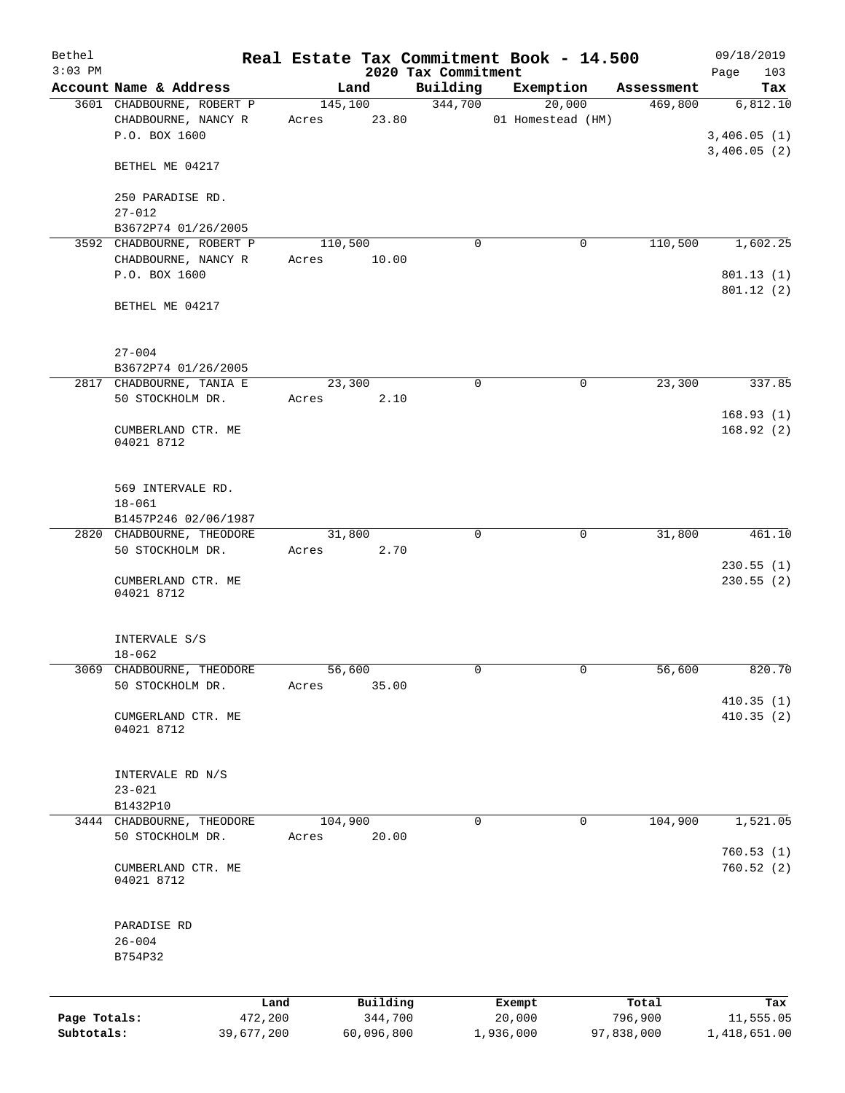| Bethel       |                                      |            |         |            |                                 | Real Estate Tax Commitment Book - 14.500 |   |            | 09/18/2019             |
|--------------|--------------------------------------|------------|---------|------------|---------------------------------|------------------------------------------|---|------------|------------------------|
| $3:03$ PM    | Account Name & Address               |            | Land    |            | 2020 Tax Commitment<br>Building | Exemption                                |   | Assessment | 103<br>Page<br>Tax     |
|              | 3601 CHADBOURNE, ROBERT P            |            | 145,100 |            | 344,700                         | $\overline{20,000}$                      |   | 469,800    | 6,812.10               |
|              | CHADBOURNE, NANCY R                  |            | Acres   | 23.80      |                                 | 01 Homestead (HM)                        |   |            |                        |
|              | P.O. BOX 1600                        |            |         |            |                                 |                                          |   |            | 3,406.05(1)            |
|              | BETHEL ME 04217                      |            |         |            |                                 |                                          |   |            | 3,406.05(2)            |
|              | 250 PARADISE RD.                     |            |         |            |                                 |                                          |   |            |                        |
|              | $27 - 012$                           |            |         |            |                                 |                                          |   |            |                        |
|              | B3672P74 01/26/2005                  |            |         |            |                                 |                                          |   |            |                        |
|              | 3592 CHADBOURNE, ROBERT P            |            | 110,500 |            | $\Omega$                        |                                          | 0 | 110,500    | 1,602.25               |
|              | CHADBOURNE, NANCY R<br>P.O. BOX 1600 |            | Acres   | 10.00      |                                 |                                          |   |            | 801.13 (1)             |
|              |                                      |            |         |            |                                 |                                          |   |            | 801.12 (2)             |
|              | BETHEL ME 04217                      |            |         |            |                                 |                                          |   |            |                        |
|              | $27 - 004$                           |            |         |            |                                 |                                          |   |            |                        |
|              | B3672P74 01/26/2005                  |            |         |            |                                 |                                          |   |            |                        |
|              | 2817 CHADBOURNE, TANIA E             |            | 23,300  |            | 0                               |                                          | 0 | 23,300     | 337.85                 |
|              | 50 STOCKHOLM DR.                     |            | Acres   | 2.10       |                                 |                                          |   |            |                        |
|              | CUMBERLAND CTR. ME<br>04021 8712     |            |         |            |                                 |                                          |   |            | 168.93(1)<br>168.92(2) |
|              | 569 INTERVALE RD.<br>$18 - 061$      |            |         |            |                                 |                                          |   |            |                        |
|              | B1457P246 02/06/1987                 |            |         |            |                                 |                                          |   |            |                        |
|              | 2820 CHADBOURNE, THEODORE            |            | 31,800  |            | $\Omega$                        |                                          | 0 | 31,800     | 461.10                 |
|              | 50 STOCKHOLM DR.                     |            | Acres   | 2.70       |                                 |                                          |   |            | 230.55(1)              |
|              | CUMBERLAND CTR. ME<br>04021 8712     |            |         |            |                                 |                                          |   |            | 230.55(2)              |
|              | INTERVALE S/S<br>$18 - 062$          |            |         |            |                                 |                                          |   |            |                        |
|              | 3069 CHADBOURNE, THEODORE            |            | 56,600  |            |                                 |                                          | 0 | 56,600     | 820.70                 |
|              | 50 STOCKHOLM DR.                     |            | Acres   | 35.00      |                                 |                                          |   |            | 410.35(1)              |
|              | CUMGERLAND CTR. ME<br>04021 8712     |            |         |            |                                 |                                          |   |            | 410.35 (2)             |
|              | INTERVALE RD N/S                     |            |         |            |                                 |                                          |   |            |                        |
|              | $23 - 021$                           |            |         |            |                                 |                                          |   |            |                        |
|              | B1432P10                             |            |         |            |                                 |                                          |   |            |                        |
|              | 3444 CHADBOURNE, THEODORE            |            | 104,900 |            | 0                               |                                          | 0 | 104,900    | 1,521.05               |
|              | 50 STOCKHOLM DR.                     |            | Acres   | 20.00      |                                 |                                          |   |            | 760.53(1)              |
|              | CUMBERLAND CTR. ME<br>04021 8712     |            |         |            |                                 |                                          |   |            | 760.52(2)              |
|              | PARADISE RD                          |            |         |            |                                 |                                          |   |            |                        |
|              | $26 - 004$                           |            |         |            |                                 |                                          |   |            |                        |
|              | B754P32                              |            |         |            |                                 |                                          |   |            |                        |
|              |                                      | Land       |         | Building   |                                 | Exempt                                   |   | Total      | Tax                    |
| Page Totals: |                                      | 472,200    |         | 344,700    |                                 | 20,000                                   |   | 796,900    | 11,555.05              |
| Subtotals:   |                                      | 39,677,200 |         | 60,096,800 |                                 | 1,936,000                                |   | 97,838,000 | 1,418,651.00           |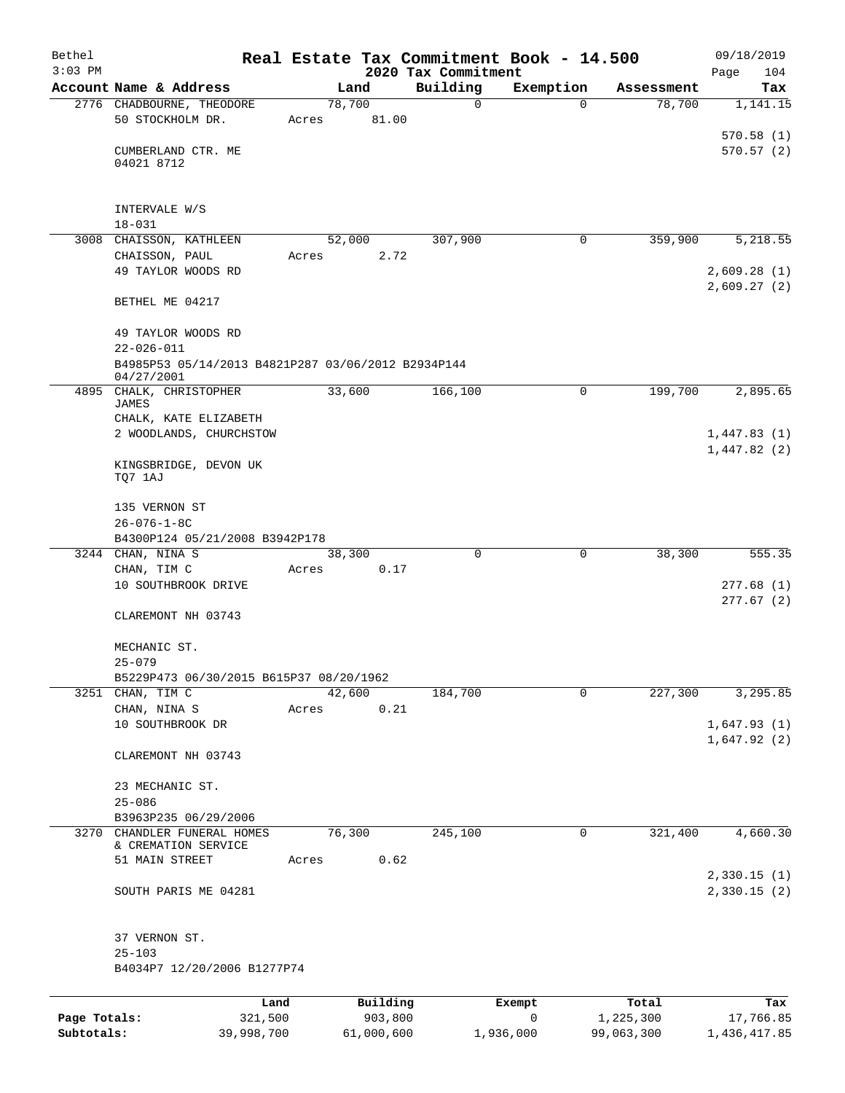| Bethel       |                                                                  |       |                |          |                     | Real Estate Tax Commitment Book - 14.500 |                      | 09/18/2019                 |
|--------------|------------------------------------------------------------------|-------|----------------|----------|---------------------|------------------------------------------|----------------------|----------------------------|
| $3:03$ PM    |                                                                  |       |                |          | 2020 Tax Commitment |                                          |                      | Page<br>104                |
|              | Account Name & Address<br>2776 CHADBOURNE, THEODORE              |       | Land<br>78,700 |          | Building<br>0       | Exemption<br>$\Omega$                    | Assessment<br>78,700 | Tax<br>1,141.15            |
|              | 50 STOCKHOLM DR.                                                 | Acres |                | 81.00    |                     |                                          |                      | 570.58(1)                  |
|              | CUMBERLAND CTR. ME<br>04021 8712                                 |       |                |          |                     |                                          |                      | 570.57(2)                  |
|              | INTERVALE W/S<br>$18 - 031$                                      |       |                |          |                     |                                          |                      |                            |
|              | 3008 CHAISSON, KATHLEEN                                          |       | 52,000         |          | 307,900             | 0                                        | 359,900              | 5,218.55                   |
|              | CHAISSON, PAUL<br>49 TAYLOR WOODS RD                             | Acres |                | 2.72     |                     |                                          |                      | 2,609.28(1)<br>2,609.27(2) |
|              | BETHEL ME 04217                                                  |       |                |          |                     |                                          |                      |                            |
|              | 49 TAYLOR WOODS RD<br>$22 - 026 - 011$                           |       |                |          |                     |                                          |                      |                            |
|              | B4985P53 05/14/2013 B4821P287 03/06/2012 B2934P144<br>04/27/2001 |       |                |          |                     |                                          |                      |                            |
|              | 4895 CHALK, CHRISTOPHER<br><b>JAMES</b><br>CHALK, KATE ELIZABETH |       | 33,600         |          | 166,100             | 0                                        | 199,700              | 2,895.65                   |
|              | 2 WOODLANDS, CHURCHSTOW                                          |       |                |          |                     |                                          |                      | 1,447.83(1)<br>1,447.82(2) |
|              | KINGSBRIDGE, DEVON UK<br>TQ7 1AJ                                 |       |                |          |                     |                                          |                      |                            |
|              | 135 VERNON ST<br>$26 - 076 - 1 - 8C$                             |       |                |          |                     |                                          |                      |                            |
|              | B4300P124 05/21/2008 B3942P178                                   |       |                |          |                     |                                          |                      |                            |
|              | 3244 CHAN, NINA S                                                |       | 38,300         |          | $\Omega$            | 0                                        | 38,300               | 555.35                     |
|              | CHAN, TIM C<br>10 SOUTHBROOK DRIVE                               | Acres |                | 0.17     |                     |                                          |                      | 277.68(1)<br>277.67(2)     |
|              | CLAREMONT NH 03743                                               |       |                |          |                     |                                          |                      |                            |
|              | MECHANIC ST.<br>$25 - 079$                                       |       |                |          |                     |                                          |                      |                            |
|              | B5229P473 06/30/2015 B615P37 08/20/1962                          |       |                |          |                     |                                          |                      |                            |
|              | 3251 CHAN, TIM C                                                 |       | 42,600         |          | 184,700             | $\mathbf 0$                              | 227,300              | 3,295.85                   |
|              | CHAN, NINA S                                                     | Acres |                | 0.21     |                     |                                          |                      |                            |
|              | 10 SOUTHBROOK DR                                                 |       |                |          |                     |                                          |                      | 1,647.93(1)<br>1,647.92(2) |
|              | CLAREMONT NH 03743                                               |       |                |          |                     |                                          |                      |                            |
|              | 23 MECHANIC ST.<br>$25 - 086$                                    |       |                |          |                     |                                          |                      |                            |
|              | B3963P235 06/29/2006                                             |       |                |          |                     |                                          |                      |                            |
| 3270         | CHANDLER FUNERAL HOMES<br>& CREMATION SERVICE                    |       | 76,300         |          | 245,100             | 0                                        | 321,400              | 4,660.30                   |
|              | 51 MAIN STREET                                                   | Acres |                | 0.62     |                     |                                          |                      | 2,330.15(1)                |
|              | SOUTH PARIS ME 04281                                             |       |                |          |                     |                                          |                      | 2,330.15(2)                |
|              | 37 VERNON ST.                                                    |       |                |          |                     |                                          |                      |                            |
|              | $25 - 103$<br>B4034P7 12/20/2006 B1277P74                        |       |                |          |                     |                                          |                      |                            |
|              |                                                                  | Land  |                | Building |                     | Exempt                                   | Total                | Tax                        |
| Page Totals: | 321,500                                                          |       |                | 903,800  |                     | 0                                        | 1,225,300            | 17,766.85                  |
| Subtotals:   | 39,998,700                                                       |       | 61,000,600     |          |                     | 1,936,000                                | 99,063,300           | 1,436,417.85               |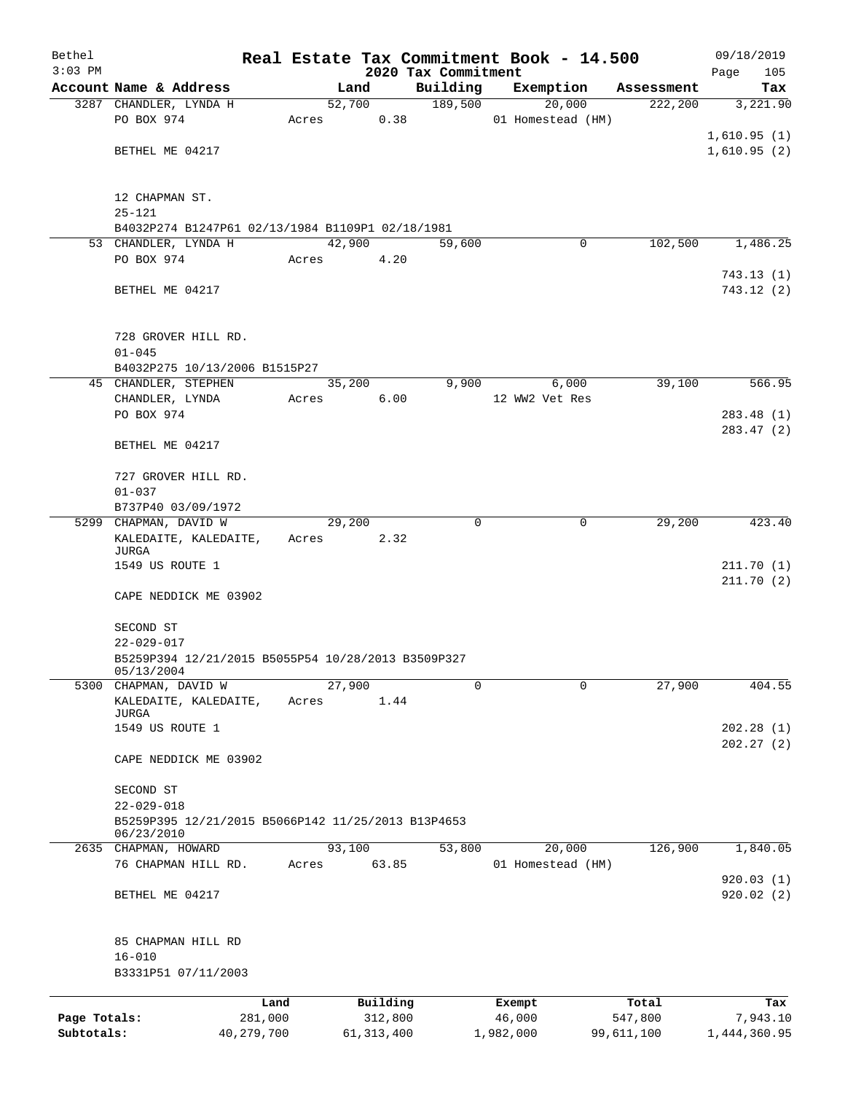| Bethel       |                                                    |            |       |                |              |                     | Real Estate Tax Commitment Book - 14.500 |                        | 09/18/2019             |
|--------------|----------------------------------------------------|------------|-------|----------------|--------------|---------------------|------------------------------------------|------------------------|------------------------|
| $3:03$ PM    |                                                    |            |       |                |              | 2020 Tax Commitment |                                          |                        | Page<br>105            |
|              | Account Name & Address<br>3287 CHANDLER, LYNDA H   |            |       | Land<br>52,700 |              | Building<br>189,500 | Exemption<br>20,000                      | Assessment<br>222, 200 | Tax<br>3,221.90        |
|              | PO BOX 974                                         |            | Acres |                | 0.38         |                     | 01 Homestead (HM)                        |                        |                        |
|              |                                                    |            |       |                |              |                     |                                          |                        | 1,610.95(1)            |
|              | BETHEL ME 04217                                    |            |       |                |              |                     |                                          |                        | 1,610.95(2)            |
|              |                                                    |            |       |                |              |                     |                                          |                        |                        |
|              | 12 CHAPMAN ST.                                     |            |       |                |              |                     |                                          |                        |                        |
|              | $25 - 121$                                         |            |       |                |              |                     |                                          |                        |                        |
|              | B4032P274 B1247P61 02/13/1984 B1109P1 02/18/1981   |            |       |                |              |                     |                                          |                        |                        |
|              | 53 CHANDLER, LYNDA H                               |            |       | 42,900         |              | 59,600              | 0                                        | 102,500                | 1,486.25               |
|              | PO BOX 974                                         |            | Acres |                | 4.20         |                     |                                          |                        |                        |
|              |                                                    |            |       |                |              |                     |                                          |                        | 743.13(1)              |
|              | BETHEL ME 04217                                    |            |       |                |              |                     |                                          |                        | 743.12 (2)             |
|              | 728 GROVER HILL RD.                                |            |       |                |              |                     |                                          |                        |                        |
|              | $01 - 045$                                         |            |       |                |              |                     |                                          |                        |                        |
|              | B4032P275 10/13/2006 B1515P27                      |            |       |                |              |                     |                                          |                        |                        |
|              | 45 CHANDLER, STEPHEN                               |            |       | 35,200         |              | 9,900               | 6,000                                    | 39,100                 | 566.95                 |
|              | CHANDLER, LYNDA                                    |            | Acres |                | 6.00         |                     | 12 WW2 Vet Res                           |                        |                        |
|              | PO BOX 974                                         |            |       |                |              |                     |                                          |                        | 283.48(1)              |
|              |                                                    |            |       |                |              |                     |                                          |                        | 283.47 (2)             |
|              | BETHEL ME 04217                                    |            |       |                |              |                     |                                          |                        |                        |
|              | 727 GROVER HILL RD.                                |            |       |                |              |                     |                                          |                        |                        |
|              | $01 - 037$                                         |            |       |                |              |                     |                                          |                        |                        |
|              | B737P40 03/09/1972                                 |            |       |                |              |                     |                                          |                        |                        |
|              | 5299 CHAPMAN, DAVID W                              |            |       | 29,200         |              | $\Omega$            | 0                                        | 29,200                 | 423.40                 |
|              | KALEDAITE, KALEDAITE,                              |            | Acres |                | 2.32         |                     |                                          |                        |                        |
|              | JURGA                                              |            |       |                |              |                     |                                          |                        |                        |
|              | 1549 US ROUTE 1                                    |            |       |                |              |                     |                                          |                        | 211.70(1)<br>211.70(2) |
|              | CAPE NEDDICK ME 03902                              |            |       |                |              |                     |                                          |                        |                        |
|              | SECOND ST                                          |            |       |                |              |                     |                                          |                        |                        |
|              | $22 - 029 - 017$                                   |            |       |                |              |                     |                                          |                        |                        |
|              | B5259P394 12/21/2015 B5055P54 10/28/2013 B3509P327 |            |       |                |              |                     |                                          |                        |                        |
|              | 05/13/2004                                         |            |       |                |              |                     |                                          |                        |                        |
| 5300         | CHAPMAN, DAVID W                                   |            |       | 27,900         |              | 0                   | $\mathbf 0$                              | 27,900                 | 404.55                 |
|              | KALEDAITE, KALEDAITE,                              |            | Acres |                | 1.44         |                     |                                          |                        |                        |
|              | JURGA<br>1549 US ROUTE 1                           |            |       |                |              |                     |                                          |                        | 202.28(1)              |
|              |                                                    |            |       |                |              |                     |                                          |                        | 202.27(2)              |
|              | CAPE NEDDICK ME 03902                              |            |       |                |              |                     |                                          |                        |                        |
|              | SECOND ST                                          |            |       |                |              |                     |                                          |                        |                        |
|              | $22 - 029 - 018$                                   |            |       |                |              |                     |                                          |                        |                        |
|              | B5259P395 12/21/2015 B5066P142 11/25/2013 B13P4653 |            |       |                |              |                     |                                          |                        |                        |
|              | 06/23/2010                                         |            |       |                |              |                     |                                          |                        |                        |
| 2635         | CHAPMAN, HOWARD                                    |            |       | 93,100         |              | 53,800              | 20,000                                   | 126,900                | 1,840.05               |
|              | 76 CHAPMAN HILL RD.                                |            | Acres |                | 63.85        |                     | 01 Homestead (HM)                        |                        |                        |
|              |                                                    |            |       |                |              |                     |                                          |                        | 920.03(1)              |
|              | BETHEL ME 04217                                    |            |       |                |              |                     |                                          |                        | 920.02(2)              |
|              | 85 CHAPMAN HILL RD                                 |            |       |                |              |                     |                                          |                        |                        |
|              | $16 - 010$                                         |            |       |                |              |                     |                                          |                        |                        |
|              | B3331P51 07/11/2003                                |            |       |                |              |                     |                                          |                        |                        |
|              |                                                    | Land       |       |                | Building     |                     | Exempt                                   | Total                  | Tax                    |
| Page Totals: |                                                    | 281,000    |       |                | 312,800      |                     | 46,000                                   | 547,800                | 7,943.10               |
| Subtotals:   |                                                    | 40,279,700 |       |                | 61, 313, 400 |                     | 1,982,000                                | 99,611,100             | 1,444,360.95           |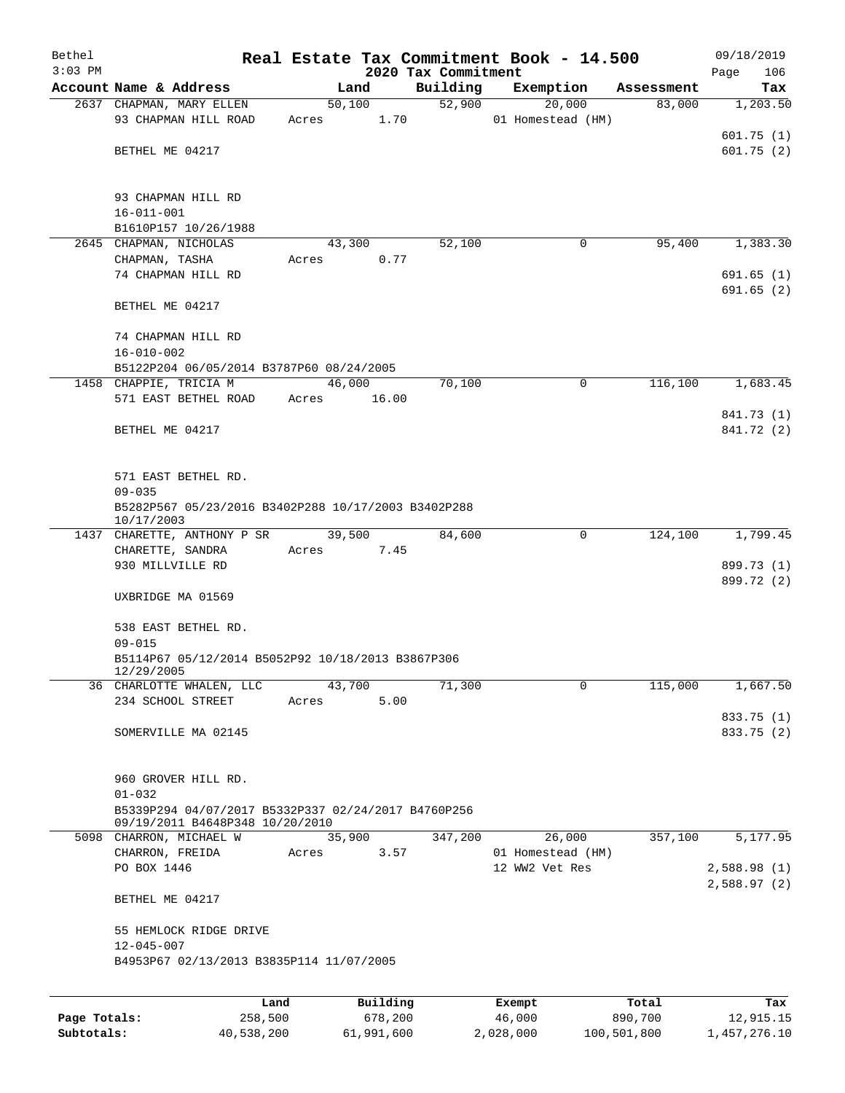| Bethel       |                                                                 |       |          |                                 | Real Estate Tax Commitment Book - 14.500 |            | 09/18/2019         |  |
|--------------|-----------------------------------------------------------------|-------|----------|---------------------------------|------------------------------------------|------------|--------------------|--|
| $3:03$ PM    | Account Name & Address                                          |       | Land     | 2020 Tax Commitment<br>Building | Exemption                                | Assessment | 106<br>Page<br>Tax |  |
|              | 2637 CHAPMAN, MARY ELLEN                                        |       | 50,100   | 52,900                          | 20,000                                   | 83,000     | 1,203.50           |  |
|              | 93 CHAPMAN HILL ROAD                                            | Acres | 1.70     |                                 | 01 Homestead (HM)                        |            |                    |  |
|              |                                                                 |       |          |                                 |                                          |            | 601.75(1)          |  |
|              | BETHEL ME 04217                                                 |       |          |                                 |                                          |            | 601.75(2)          |  |
|              |                                                                 |       |          |                                 |                                          |            |                    |  |
|              |                                                                 |       |          |                                 |                                          |            |                    |  |
|              | 93 CHAPMAN HILL RD<br>$16 - 011 - 001$                          |       |          |                                 |                                          |            |                    |  |
|              | B1610P157 10/26/1988                                            |       |          |                                 |                                          |            |                    |  |
|              | 2645 CHAPMAN, NICHOLAS                                          |       | 43,300   | 52,100                          | 0                                        | 95,400     | 1,383.30           |  |
|              | CHAPMAN, TASHA                                                  | Acres | 0.77     |                                 |                                          |            |                    |  |
|              | 74 CHAPMAN HILL RD                                              |       |          |                                 |                                          |            | 691.65(1)          |  |
|              |                                                                 |       |          |                                 |                                          |            | 691.65 (2)         |  |
|              | BETHEL ME 04217                                                 |       |          |                                 |                                          |            |                    |  |
|              |                                                                 |       |          |                                 |                                          |            |                    |  |
|              | 74 CHAPMAN HILL RD<br>$16 - 010 - 002$                          |       |          |                                 |                                          |            |                    |  |
|              | B5122P204 06/05/2014 B3787P60 08/24/2005                        |       |          |                                 |                                          |            |                    |  |
|              | 1458 CHAPPIE, TRICIA M                                          |       | 46,000   | 70,100                          | 0                                        | 116,100    | 1,683.45           |  |
|              | 571 EAST BETHEL ROAD                                            | Acres | 16.00    |                                 |                                          |            |                    |  |
|              |                                                                 |       |          |                                 |                                          |            | 841.73 (1)         |  |
|              | BETHEL ME 04217                                                 |       |          |                                 |                                          |            | 841.72 (2)         |  |
|              |                                                                 |       |          |                                 |                                          |            |                    |  |
|              | 571 EAST BETHEL RD.                                             |       |          |                                 |                                          |            |                    |  |
|              | $09 - 035$                                                      |       |          |                                 |                                          |            |                    |  |
|              | B5282P567 05/23/2016 B3402P288 10/17/2003 B3402P288             |       |          |                                 |                                          |            |                    |  |
|              | 10/17/2003                                                      |       |          |                                 |                                          |            |                    |  |
|              | 1437 CHARETTE, ANTHONY P SR                                     |       | 39,500   | 84,600                          | 0                                        | 124,100    | 1,799.45           |  |
|              | CHARETTE, SANDRA<br>930 MILLVILLE RD                            | Acres | 7.45     |                                 |                                          |            | 899.73 (1)         |  |
|              |                                                                 |       |          |                                 |                                          |            | 899.72 (2)         |  |
|              | UXBRIDGE MA 01569                                               |       |          |                                 |                                          |            |                    |  |
|              |                                                                 |       |          |                                 |                                          |            |                    |  |
|              | 538 EAST BETHEL RD.                                             |       |          |                                 |                                          |            |                    |  |
|              | $09 - 015$<br>B5114P67 05/12/2014 B5052P92 10/18/2013 B3867P306 |       |          |                                 |                                          |            |                    |  |
|              | 12/29/2005                                                      |       |          |                                 |                                          |            |                    |  |
|              | 36 CHARLOTTE WHALEN, LLC                                        |       | 43,700   | 71,300                          | 0                                        | 115,000    | 1,667.50           |  |
|              | 234 SCHOOL STREET                                               | Acres | 5.00     |                                 |                                          |            |                    |  |
|              |                                                                 |       |          |                                 |                                          |            | 833.75 (1)         |  |
|              | SOMERVILLE MA 02145                                             |       |          |                                 |                                          |            | 833.75 (2)         |  |
|              |                                                                 |       |          |                                 |                                          |            |                    |  |
|              | 960 GROVER HILL RD.                                             |       |          |                                 |                                          |            |                    |  |
|              | $01 - 032$                                                      |       |          |                                 |                                          |            |                    |  |
|              | B5339P294 04/07/2017 B5332P337 02/24/2017 B4760P256             |       |          |                                 |                                          |            |                    |  |
|              | 09/19/2011 B4648P348 10/20/2010                                 |       |          |                                 |                                          |            |                    |  |
|              | 5098 CHARRON, MICHAEL W                                         |       | 35,900   | 347,200                         | 26,000                                   | 357,100    | 5,177.95           |  |
|              | CHARRON, FREIDA<br>PO BOX 1446                                  | Acres | 3.57     |                                 | 01 Homestead (HM)<br>12 WW2 Vet Res      |            | 2,588.98(1)        |  |
|              |                                                                 |       |          |                                 |                                          |            | 2,588.97(2)        |  |
|              | BETHEL ME 04217                                                 |       |          |                                 |                                          |            |                    |  |
|              | 55 HEMLOCK RIDGE DRIVE                                          |       |          |                                 |                                          |            |                    |  |
|              | $12 - 045 - 007$                                                |       |          |                                 |                                          |            |                    |  |
|              | B4953P67 02/13/2013 B3835P114 11/07/2005                        |       |          |                                 |                                          |            |                    |  |
|              |                                                                 |       |          |                                 |                                          |            |                    |  |
|              |                                                                 | Land  | Building |                                 | Exempt                                   | Total      | Tax                |  |
| Page Totals: | 258,500                                                         |       | 678,200  |                                 | 46,000                                   | 890,700    | 12,915.15          |  |

**Subtotals:** 40,538,200 61,991,600 2,028,000 100,501,800 1,457,276.10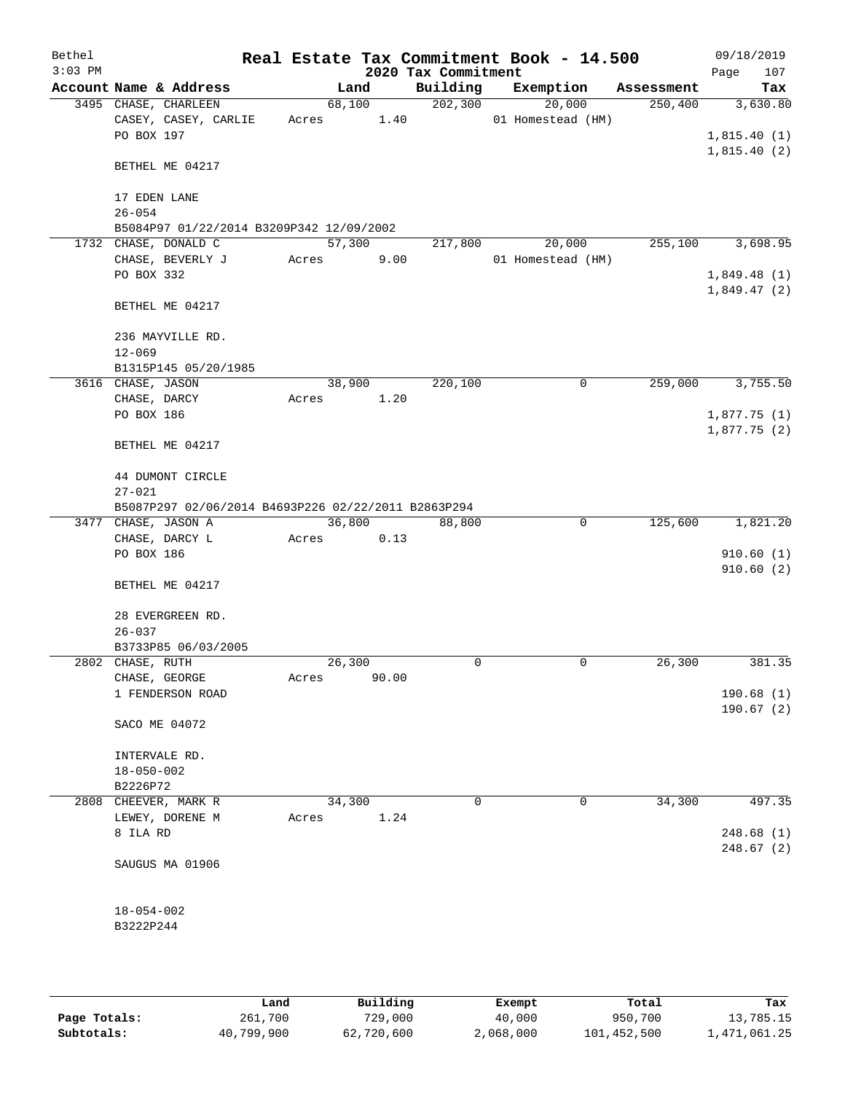| Bethel<br>$3:03$ PM |                                                     |        |        | 2020 Tax Commitment | Real Estate Tax Commitment Book - 14.500 |            | 09/18/2019<br>Page<br>107 |
|---------------------|-----------------------------------------------------|--------|--------|---------------------|------------------------------------------|------------|---------------------------|
|                     | Account Name & Address                              |        | Land   | Building            | Exemption                                | Assessment | Tax                       |
|                     | 3495 CHASE, CHARLEEN                                |        | 68,100 | 202, 300            | 20,000                                   | 250,400    | 3,630.80                  |
|                     | CASEY, CASEY, CARLIE                                | Acres  | 1.40   |                     | 01 Homestead (HM)                        |            |                           |
|                     | PO BOX 197                                          |        |        |                     |                                          |            | 1,815.40(1)               |
|                     |                                                     |        |        |                     |                                          |            | 1,815.40(2)               |
|                     | BETHEL ME 04217                                     |        |        |                     |                                          |            |                           |
|                     | 17 EDEN LANE                                        |        |        |                     |                                          |            |                           |
|                     | $26 - 054$                                          |        |        |                     |                                          |            |                           |
|                     | B5084P97 01/22/2014 B3209P342 12/09/2002            |        |        |                     |                                          |            |                           |
|                     | 1732 CHASE, DONALD C                                | 57,300 |        | 217,800             | 20,000                                   | 255,100    | 3,698.95                  |
|                     | CHASE, BEVERLY J                                    | Acres  | 9.00   |                     | 01 Homestead (HM)                        |            |                           |
|                     | PO BOX 332                                          |        |        |                     |                                          |            | 1,849.48(1)               |
|                     |                                                     |        |        |                     |                                          |            | 1,849.47(2)               |
|                     | BETHEL ME 04217                                     |        |        |                     |                                          |            |                           |
|                     | 236 MAYVILLE RD.                                    |        |        |                     |                                          |            |                           |
|                     | $12 - 069$                                          |        |        |                     |                                          |            |                           |
|                     | B1315P145 05/20/1985                                |        |        |                     |                                          |            |                           |
|                     | 3616 CHASE, JASON                                   |        | 38,900 | 220,100             | 0                                        | 259,000    | 3,755.50                  |
|                     | CHASE, DARCY                                        | Acres  | 1.20   |                     |                                          |            |                           |
|                     | PO BOX 186                                          |        |        |                     |                                          |            | 1,877.75(1)               |
|                     |                                                     |        |        |                     |                                          |            | 1,877.75(2)               |
|                     | BETHEL ME 04217                                     |        |        |                     |                                          |            |                           |
|                     | 44 DUMONT CIRCLE                                    |        |        |                     |                                          |            |                           |
|                     | $27 - 021$                                          |        |        |                     |                                          |            |                           |
|                     | B5087P297 02/06/2014 B4693P226 02/22/2011 B2863P294 |        |        |                     |                                          |            |                           |
|                     | 3477 CHASE, JASON A                                 |        | 36,800 | 88,800              | $\mathbf 0$                              | 125,600    | 1,821.20                  |
|                     | CHASE, DARCY L                                      | Acres  | 0.13   |                     |                                          |            |                           |
|                     | PO BOX 186                                          |        |        |                     |                                          |            | 910.60(1)                 |
|                     |                                                     |        |        |                     |                                          |            | 910.60(2)                 |
|                     | BETHEL ME 04217                                     |        |        |                     |                                          |            |                           |
|                     | 28 EVERGREEN RD.                                    |        |        |                     |                                          |            |                           |
|                     | $26 - 037$                                          |        |        |                     |                                          |            |                           |
|                     | B3733P85 06/03/2005                                 |        |        |                     |                                          |            |                           |
|                     | 2802 CHASE, RUTH                                    | 26,300 |        | 0                   | 0                                        | 26,300     | 381.35                    |
|                     | CHASE, GEORGE                                       | Acres  | 90.00  |                     |                                          |            |                           |
|                     | 1 FENDERSON ROAD                                    |        |        |                     |                                          |            | 190.68(1)                 |
|                     |                                                     |        |        |                     |                                          |            | 190.67(2)                 |
|                     | SACO ME 04072                                       |        |        |                     |                                          |            |                           |
|                     | INTERVALE RD.                                       |        |        |                     |                                          |            |                           |
|                     | $18 - 050 - 002$                                    |        |        |                     |                                          |            |                           |
|                     | B2226P72                                            |        |        |                     |                                          |            |                           |
|                     | 2808 CHEEVER, MARK R                                |        | 34,300 | 0                   | 0                                        | 34,300     | 497.35                    |
|                     | LEWEY, DORENE M                                     | Acres  | 1.24   |                     |                                          |            |                           |
|                     | 8 ILA RD                                            |        |        |                     |                                          |            | 248.68(1)                 |
|                     |                                                     |        |        |                     |                                          |            | 248.67(2)                 |
|                     | SAUGUS MA 01906                                     |        |        |                     |                                          |            |                           |
|                     |                                                     |        |        |                     |                                          |            |                           |
|                     | $18 - 054 - 002$                                    |        |        |                     |                                          |            |                           |
|                     | B3222P244                                           |        |        |                     |                                          |            |                           |
|                     |                                                     |        |        |                     |                                          |            |                           |
|                     |                                                     |        |        |                     |                                          |            |                           |
|                     |                                                     |        |        |                     |                                          |            |                           |

|              | Land       | Building   | Exempt    | Total       | Tax          |
|--------------|------------|------------|-----------|-------------|--------------|
| Page Totals: | 261,700    | 729,000    | 40,000    | 950,700     | 13,785.15    |
| Subtotals:   | 40,799,900 | 62,720,600 | 2,068,000 | 101,452,500 | 1,471,061.25 |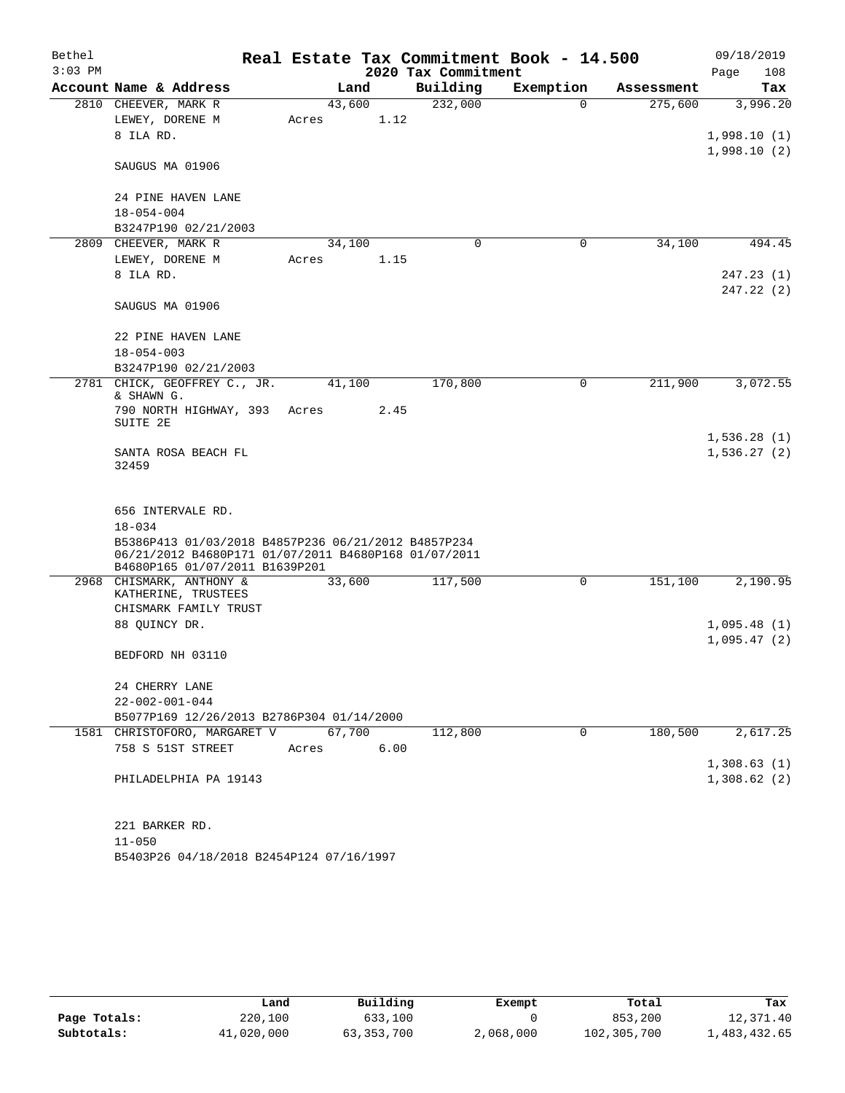| Bethel    |                                                                                        |        | Real Estate Tax Commitment Book - 14.500 |             |            | 09/18/2019  |  |  |  |
|-----------|----------------------------------------------------------------------------------------|--------|------------------------------------------|-------------|------------|-------------|--|--|--|
| $3:03$ PM |                                                                                        |        | 2020 Tax Commitment                      |             |            | Page<br>108 |  |  |  |
|           | Account Name & Address                                                                 | Land   | Building                                 | Exemption   | Assessment | Tax         |  |  |  |
|           | 2810 CHEEVER, MARK R                                                                   | 43,600 | 232,000                                  | $\mathbf 0$ | 275,600    | 3,996.20    |  |  |  |
|           | LEWEY, DORENE M                                                                        | Acres  | 1.12                                     |             |            |             |  |  |  |
|           | 8 ILA RD.                                                                              |        |                                          |             |            | 1,998.10(1) |  |  |  |
|           | SAUGUS MA 01906                                                                        |        |                                          |             |            | 1,998.10(2) |  |  |  |
|           | 24 PINE HAVEN LANE                                                                     |        |                                          |             |            |             |  |  |  |
|           | $18 - 054 - 004$                                                                       |        |                                          |             |            |             |  |  |  |
|           | B3247P190 02/21/2003                                                                   |        |                                          |             |            |             |  |  |  |
| 2809      | CHEEVER, MARK R                                                                        | 34,100 | 0                                        | 0           | 34,100     | 494.45      |  |  |  |
|           | LEWEY, DORENE M                                                                        | Acres  | 1.15                                     |             |            |             |  |  |  |
|           | 8 ILA RD.                                                                              |        |                                          |             |            | 247.23(1)   |  |  |  |
|           |                                                                                        |        |                                          |             |            | 247.22(2)   |  |  |  |
|           | SAUGUS MA 01906                                                                        |        |                                          |             |            |             |  |  |  |
|           | 22 PINE HAVEN LANE                                                                     |        |                                          |             |            |             |  |  |  |
|           | $18 - 054 - 003$                                                                       |        |                                          |             |            |             |  |  |  |
|           | B3247P190 02/21/2003                                                                   |        |                                          |             |            |             |  |  |  |
| 2781      | CHICK, GEOFFREY C., JR.<br>& SHAWN G.                                                  | 41,100 | 170,800                                  | 0           | 211,900    | 3,072.55    |  |  |  |
|           | 790 NORTH HIGHWAY, 393                                                                 | Acres  | 2.45                                     |             |            |             |  |  |  |
|           | SUITE 2E                                                                               |        |                                          |             |            |             |  |  |  |
|           |                                                                                        |        |                                          |             |            | 1,536.28(1) |  |  |  |
|           | SANTA ROSA BEACH FL<br>32459                                                           |        |                                          |             |            | 1,536.27(2) |  |  |  |
|           | 656 INTERVALE RD.                                                                      |        |                                          |             |            |             |  |  |  |
|           | $18 - 034$<br>B5386P413 01/03/2018 B4857P236 06/21/2012 B4857P234                      |        |                                          |             |            |             |  |  |  |
|           | 06/21/2012 B4680P171 01/07/2011 B4680P168 01/07/2011<br>B4680P165 01/07/2011 B1639P201 |        |                                          |             |            |             |  |  |  |
|           | 2968 CHISMARK, ANTHONY &                                                               | 33,600 | 117,500                                  | 0           | 151,100    | 2,190.95    |  |  |  |
|           | KATHERINE, TRUSTEES                                                                    |        |                                          |             |            |             |  |  |  |
|           | CHISMARK FAMILY TRUST                                                                  |        |                                          |             |            |             |  |  |  |
|           | 88 QUINCY DR.                                                                          |        |                                          |             |            | 1,095.48(1) |  |  |  |
|           |                                                                                        |        |                                          |             |            | 1,095.47(2) |  |  |  |
|           | BEDFORD NH 03110                                                                       |        |                                          |             |            |             |  |  |  |
|           | 24 CHERRY LANE                                                                         |        |                                          |             |            |             |  |  |  |
|           | $22 - 002 - 001 - 044$                                                                 |        |                                          |             |            |             |  |  |  |
|           | B5077P169 12/26/2013 B2786P304 01/14/2000                                              |        |                                          |             |            |             |  |  |  |
|           | 1581 CHRISTOFORO, MARGARET V                                                           | 67,700 | 112,800                                  | $\Omega$    | 180,500    | 2,617.25    |  |  |  |
|           | 758 S 51ST STREET                                                                      | Acres  | 6.00                                     |             |            |             |  |  |  |
|           |                                                                                        |        |                                          |             |            | 1,308.63(1) |  |  |  |
|           | PHILADELPHIA PA 19143                                                                  |        |                                          |             |            | 1,308.62(2) |  |  |  |
|           | 221 BARKER RD.                                                                         |        |                                          |             |            |             |  |  |  |
|           | $11 - 050$                                                                             |        |                                          |             |            |             |  |  |  |
|           | B5403P26 04/18/2018 B2454P124 07/16/1997                                               |        |                                          |             |            |             |  |  |  |

|              | Land       | Building   | Exempt    | Total       | Tax          |
|--------------|------------|------------|-----------|-------------|--------------|
| Page Totals: | 220,100    | 633,100    |           | 853,200     | 12,371.40    |
| Subtotals:   | 41,020,000 | 63,353,700 | 2,068,000 | 102,305,700 | 1,483,432.65 |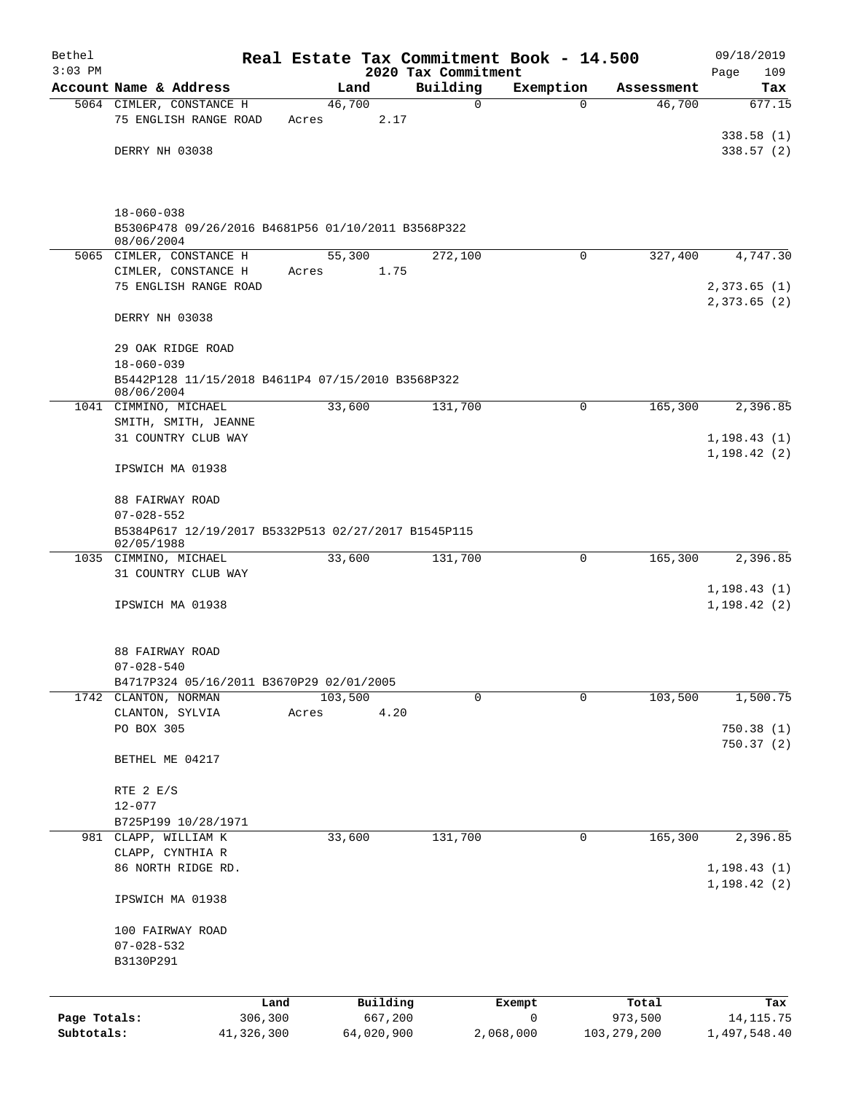| Bethel       |                                                                       |         |            |                                 | Real Estate Tax Commitment Book - 14.500 |               | 09/18/2019                 |  |  |  |  |  |
|--------------|-----------------------------------------------------------------------|---------|------------|---------------------------------|------------------------------------------|---------------|----------------------------|--|--|--|--|--|
| $3:03$ PM    | Account Name & Address                                                |         | Land       | 2020 Tax Commitment<br>Building | Exemption                                | Assessment    | 109<br>Page<br>Tax         |  |  |  |  |  |
|              | 5064 CIMLER, CONSTANCE H                                              |         | 46,700     | $\mathbf 0$                     | $\mathbf 0$                              | 46,700        | 677.15                     |  |  |  |  |  |
|              | 75 ENGLISH RANGE ROAD                                                 | Acres   | 2.17       |                                 |                                          |               |                            |  |  |  |  |  |
|              |                                                                       |         |            |                                 |                                          |               | 338.58(1)                  |  |  |  |  |  |
|              | DERRY NH 03038                                                        |         |            |                                 |                                          |               | 338.57(2)                  |  |  |  |  |  |
|              | $18 - 060 - 038$                                                      |         |            |                                 |                                          |               |                            |  |  |  |  |  |
|              | B5306P478 09/26/2016 B4681P56 01/10/2011 B3568P322<br>08/06/2004      |         |            |                                 |                                          |               |                            |  |  |  |  |  |
|              | 5065 CIMLER, CONSTANCE H                                              |         | 55,300     | 272,100                         | $\Omega$                                 | 327,400       | 4,747.30                   |  |  |  |  |  |
|              | CIMLER, CONSTANCE H                                                   | Acres   | 1.75       |                                 |                                          |               |                            |  |  |  |  |  |
|              | 75 ENGLISH RANGE ROAD                                                 |         |            |                                 |                                          |               | 2,373.65(1)<br>2,373.65(2) |  |  |  |  |  |
|              | DERRY NH 03038                                                        |         |            |                                 |                                          |               |                            |  |  |  |  |  |
|              | 29 OAK RIDGE ROAD                                                     |         |            |                                 |                                          |               |                            |  |  |  |  |  |
|              | $18 - 060 - 039$<br>B5442P128 11/15/2018 B4611P4 07/15/2010 B3568P322 |         |            |                                 |                                          |               |                            |  |  |  |  |  |
|              | 08/06/2004                                                            |         |            |                                 |                                          |               |                            |  |  |  |  |  |
|              | 1041 CIMMINO, MICHAEL                                                 |         | 33,600     | 131,700                         | 0                                        | 165,300       | 2,396.85                   |  |  |  |  |  |
|              | SMITH, SMITH, JEANNE<br>31 COUNTRY CLUB WAY                           |         |            |                                 |                                          |               | 1, 198.43(1)               |  |  |  |  |  |
|              |                                                                       |         |            |                                 |                                          |               | 1, 198.42(2)               |  |  |  |  |  |
|              | IPSWICH MA 01938                                                      |         |            |                                 |                                          |               |                            |  |  |  |  |  |
|              | 88 FAIRWAY ROAD<br>$07 - 028 - 552$                                   |         |            |                                 |                                          |               |                            |  |  |  |  |  |
|              | B5384P617 12/19/2017 B5332P513 02/27/2017 B1545P115                   |         |            |                                 |                                          |               |                            |  |  |  |  |  |
|              | 02/05/1988                                                            |         |            |                                 |                                          |               |                            |  |  |  |  |  |
|              | 1035 CIMMINO, MICHAEL<br>31 COUNTRY CLUB WAY                          |         | 33,600     | 131,700                         | 0                                        | 165,300       | 2,396.85                   |  |  |  |  |  |
|              |                                                                       |         |            |                                 |                                          |               | 1, 198.43(1)               |  |  |  |  |  |
|              | IPSWICH MA 01938                                                      |         |            |                                 |                                          |               | 1, 198.42(2)               |  |  |  |  |  |
|              | 88 FAIRWAY ROAD                                                       |         |            |                                 |                                          |               |                            |  |  |  |  |  |
|              | $07 - 028 - 540$                                                      |         |            |                                 |                                          |               |                            |  |  |  |  |  |
|              | B4717P324 05/16/2011 B3670P29 02/01/2005<br>1742 CLANTON, NORMAN      |         | 103,500    | $\mathbf 0$                     | $\mathbf 0$                              | 103,500       | 1,500.75                   |  |  |  |  |  |
|              | CLANTON, SYLVIA                                                       | Acres   | 4.20       |                                 |                                          |               |                            |  |  |  |  |  |
|              | PO BOX 305                                                            |         |            |                                 |                                          |               | 750.38(1)                  |  |  |  |  |  |
|              | BETHEL ME 04217                                                       |         |            |                                 |                                          |               | 750.37(2)                  |  |  |  |  |  |
|              |                                                                       |         |            |                                 |                                          |               |                            |  |  |  |  |  |
|              | RTE 2 E/S                                                             |         |            |                                 |                                          |               |                            |  |  |  |  |  |
|              | $12 - 077$<br>B725P199 10/28/1971                                     |         |            |                                 |                                          |               |                            |  |  |  |  |  |
|              | 981 CLAPP, WILLIAM K                                                  |         | 33,600     | 131,700                         | 0                                        | 165,300       | 2,396.85                   |  |  |  |  |  |
|              | CLAPP, CYNTHIA R                                                      |         |            |                                 |                                          |               |                            |  |  |  |  |  |
|              | 86 NORTH RIDGE RD.                                                    |         |            |                                 |                                          |               | 1, 198.43(1)               |  |  |  |  |  |
|              | IPSWICH MA 01938                                                      |         |            |                                 |                                          |               | 1, 198.42(2)               |  |  |  |  |  |
|              | 100 FAIRWAY ROAD                                                      |         |            |                                 |                                          |               |                            |  |  |  |  |  |
|              | $07 - 028 - 532$                                                      |         |            |                                 |                                          |               |                            |  |  |  |  |  |
|              | B3130P291                                                             |         |            |                                 |                                          |               |                            |  |  |  |  |  |
|              |                                                                       | Land    | Building   |                                 | Exempt                                   | Total         | Tax                        |  |  |  |  |  |
| Page Totals: |                                                                       | 306,300 | 667,200    |                                 | 0                                        | 973,500       | 14,115.75                  |  |  |  |  |  |
| Subtotals:   | 41,326,300                                                            |         | 64,020,900 |                                 | 2,068,000                                | 103, 279, 200 | 1,497,548.40               |  |  |  |  |  |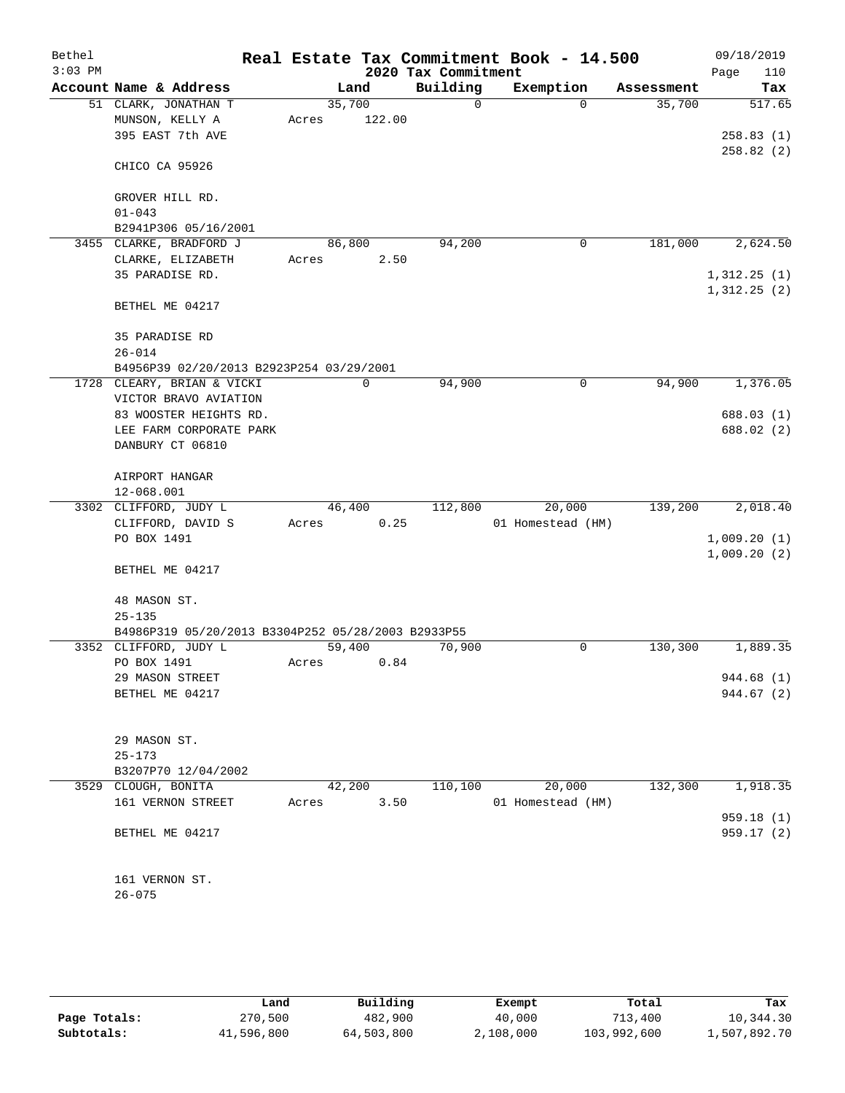| Bethel    |                                                     |       |        |        |                      | Real Estate Tax Commitment Book - 14.500 |          |            | 09/18/2019  |
|-----------|-----------------------------------------------------|-------|--------|--------|----------------------|------------------------------------------|----------|------------|-------------|
| $3:03$ PM |                                                     |       |        |        | 2020 Tax Commitment  |                                          |          |            | Page<br>110 |
|           | Account Name & Address                              |       | Land   |        | Building<br>$\Omega$ | Exemption                                |          | Assessment | Tax         |
|           | 51 CLARK, JONATHAN T<br>MUNSON, KELLY A             |       | 35,700 | 122.00 |                      |                                          | $\Omega$ | 35,700     | 517.65      |
|           | 395 EAST 7th AVE                                    | Acres |        |        |                      |                                          |          |            | 258.83(1)   |
|           |                                                     |       |        |        |                      |                                          |          |            | 258.82(2)   |
|           | CHICO CA 95926                                      |       |        |        |                      |                                          |          |            |             |
|           | GROVER HILL RD.                                     |       |        |        |                      |                                          |          |            |             |
|           | $01 - 043$                                          |       |        |        |                      |                                          |          |            |             |
|           | B2941P306 05/16/2001                                |       |        |        |                      |                                          |          |            |             |
|           | 3455 CLARKE, BRADFORD J                             |       | 86,800 |        | 94,200               |                                          | 0        | 181,000    | 2,624.50    |
|           | CLARKE, ELIZABETH                                   | Acres |        | 2.50   |                      |                                          |          |            |             |
|           | 35 PARADISE RD.                                     |       |        |        |                      |                                          |          |            | 1,312.25(1) |
|           | BETHEL ME 04217                                     |       |        |        |                      |                                          |          |            | 1,312.25(2) |
|           | <b>35 PARADISE RD</b>                               |       |        |        |                      |                                          |          |            |             |
|           | $26 - 014$                                          |       |        |        |                      |                                          |          |            |             |
|           | B4956P39 02/20/2013 B2923P254 03/29/2001            |       |        |        |                      |                                          |          |            |             |
|           | 1728 CLEARY, BRIAN & VICKI<br>VICTOR BRAVO AVIATION |       | 0      |        | 94,900               |                                          | 0        | 94,900     | 1,376.05    |
|           | 83 WOOSTER HEIGHTS RD.                              |       |        |        |                      |                                          |          |            | 688.03 (1)  |
|           | LEE FARM CORPORATE PARK                             |       |        |        |                      |                                          |          |            | 688.02 (2)  |
|           | DANBURY CT 06810                                    |       |        |        |                      |                                          |          |            |             |
|           | AIRPORT HANGAR                                      |       |        |        |                      |                                          |          |            |             |
|           | 12-068.001                                          |       |        |        |                      |                                          |          |            |             |
|           | 3302 CLIFFORD, JUDY L                               |       | 46,400 |        | 112,800              | 20,000                                   |          | 139,200    | 2,018.40    |
|           | CLIFFORD, DAVID S                                   | Acres |        | 0.25   |                      | 01 Homestead (HM)                        |          |            |             |
|           | PO BOX 1491                                         |       |        |        |                      |                                          |          |            | 1,009.20(1) |
|           | BETHEL ME 04217                                     |       |        |        |                      |                                          |          |            | 1,009.20(2) |
|           | 48 MASON ST.                                        |       |        |        |                      |                                          |          |            |             |
|           | $25 - 135$                                          |       |        |        |                      |                                          |          |            |             |
|           | B4986P319 05/20/2013 B3304P252 05/28/2003 B2933P55  |       |        |        |                      |                                          |          |            |             |
|           | 3352 CLIFFORD, JUDY L                               |       | 59,400 |        | 70,900               |                                          | 0        | 130,300    | 1,889.35    |
|           | PO BOX 1491                                         | Acres |        | 0.84   |                      |                                          |          |            |             |
|           | 29 MASON STREET                                     |       |        |        |                      |                                          |          |            | 944.68 (1)  |
|           | BETHEL ME 04217                                     |       |        |        |                      |                                          |          |            | 944.67 (2)  |
|           | 29 MASON ST.                                        |       |        |        |                      |                                          |          |            |             |
|           | $25 - 173$                                          |       |        |        |                      |                                          |          |            |             |
|           | B3207P70 12/04/2002                                 |       |        |        |                      |                                          |          |            |             |
|           | 3529 CLOUGH, BONITA                                 |       | 42,200 |        | 110,100              | 20,000                                   |          | 132,300    | 1,918.35    |
|           | 161 VERNON STREET                                   | Acres |        | 3.50   |                      | 01 Homestead (HM)                        |          |            |             |
|           |                                                     |       |        |        |                      |                                          |          |            | 959.18 (1)  |
|           | BETHEL ME 04217                                     |       |        |        |                      |                                          |          |            | 959.17 (2)  |
|           | 161 VERNON ST.                                      |       |        |        |                      |                                          |          |            |             |
|           | $26 - 075$                                          |       |        |        |                      |                                          |          |            |             |
|           |                                                     |       |        |        |                      |                                          |          |            |             |
|           |                                                     |       |        |        |                      |                                          |          |            |             |
|           |                                                     |       |        |        |                      |                                          |          |            |             |

|              | Land       | Building   | Exempt    | Total       | Tax          |
|--------------|------------|------------|-----------|-------------|--------------|
| Page Totals: | 270,500    | 482,900    | 40,000    | 713,400     | 10,344.30    |
| Subtotals:   | 41,596,800 | 64,503,800 | 2,108,000 | 103,992,600 | 1,507,892.70 |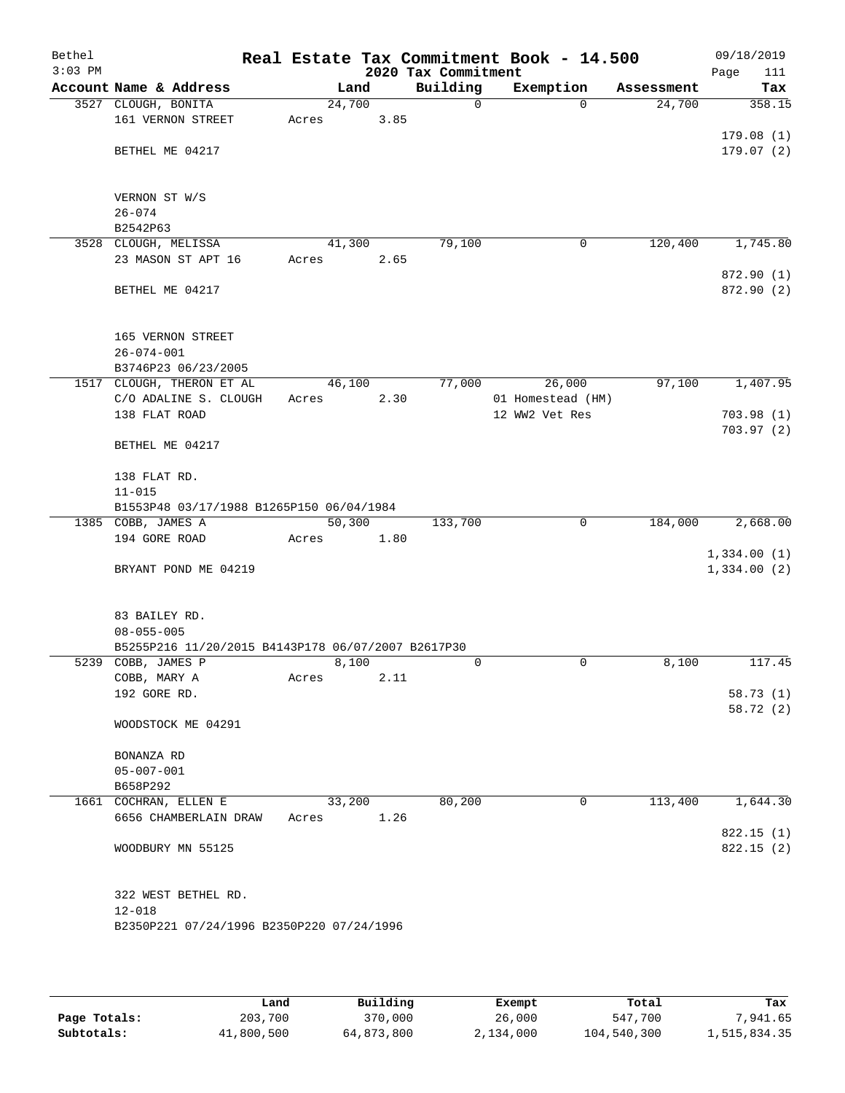| Bethel<br>$3:03$ PM |                                                                |        |      | 2020 Tax Commitment | Real Estate Tax Commitment Book - 14.500 |            | 09/18/2019<br>Page<br>111 |
|---------------------|----------------------------------------------------------------|--------|------|---------------------|------------------------------------------|------------|---------------------------|
|                     | Account Name & Address                                         |        | Land | Building            | Exemption                                | Assessment | Tax                       |
|                     | 3527 CLOUGH, BONITA                                            | 24,700 |      | $\Omega$            | $\Omega$                                 | 24,700     | 358.15                    |
|                     | 161 VERNON STREET                                              | Acres  | 3.85 |                     |                                          |            |                           |
|                     |                                                                |        |      |                     |                                          |            | 179.08(1)                 |
|                     | BETHEL ME 04217                                                |        |      |                     |                                          |            | 179.07(2)                 |
|                     |                                                                |        |      |                     |                                          |            |                           |
|                     |                                                                |        |      |                     |                                          |            |                           |
|                     | VERNON ST W/S<br>$26 - 074$                                    |        |      |                     |                                          |            |                           |
|                     | B2542P63                                                       |        |      |                     |                                          |            |                           |
|                     | 3528 CLOUGH, MELISSA                                           | 41,300 |      | 79,100              | 0                                        | 120,400    | 1,745.80                  |
|                     | 23 MASON ST APT 16                                             | Acres  | 2.65 |                     |                                          |            |                           |
|                     |                                                                |        |      |                     |                                          |            | 872.90 (1)                |
|                     | BETHEL ME 04217                                                |        |      |                     |                                          |            | 872.90 (2)                |
|                     |                                                                |        |      |                     |                                          |            |                           |
|                     |                                                                |        |      |                     |                                          |            |                           |
|                     | 165 VERNON STREET                                              |        |      |                     |                                          |            |                           |
|                     | $26 - 074 - 001$                                               |        |      |                     |                                          |            |                           |
|                     | B3746P23 06/23/2005<br>1517 CLOUGH, THERON ET AL               | 46,100 |      | 77,000              | 26,000                                   | 97,100     | 1,407.95                  |
|                     | C/O ADALINE S. CLOUGH                                          | Acres  | 2.30 |                     | 01 Homestead (HM)                        |            |                           |
|                     | 138 FLAT ROAD                                                  |        |      |                     | 12 WW2 Vet Res                           |            | 703.98(1)                 |
|                     |                                                                |        |      |                     |                                          |            | 703.97(2)                 |
|                     | BETHEL ME 04217                                                |        |      |                     |                                          |            |                           |
|                     |                                                                |        |      |                     |                                          |            |                           |
|                     | 138 FLAT RD.                                                   |        |      |                     |                                          |            |                           |
|                     | $11 - 015$                                                     |        |      |                     |                                          |            |                           |
|                     | B1553P48 03/17/1988 B1265P150 06/04/1984<br>1385 COBB, JAMES A | 50,300 |      | 133,700             | $\mathbf 0$                              | 184,000    | 2,668.00                  |
|                     | 194 GORE ROAD                                                  | Acres  | 1.80 |                     |                                          |            |                           |
|                     |                                                                |        |      |                     |                                          |            | 1,334.00(1)               |
|                     | BRYANT POND ME 04219                                           |        |      |                     |                                          |            | 1,334.00(2)               |
|                     |                                                                |        |      |                     |                                          |            |                           |
|                     |                                                                |        |      |                     |                                          |            |                           |
|                     | 83 BAILEY RD.                                                  |        |      |                     |                                          |            |                           |
|                     | $08 - 055 - 005$                                               |        |      |                     |                                          |            |                           |
|                     | B5255P216 11/20/2015 B4143P178 06/07/2007 B2617P30             |        |      |                     |                                          |            |                           |
| 5239                | COBB, JAMES P<br>COBB, MARY A                                  | 8,100  | 2.11 | 0                   | 0                                        | 8,100      | 117.45                    |
|                     | 192 GORE RD.                                                   | Acres  |      |                     |                                          |            | 58.73(1)                  |
|                     |                                                                |        |      |                     |                                          |            | 58.72 (2)                 |
|                     | WOODSTOCK ME 04291                                             |        |      |                     |                                          |            |                           |
|                     |                                                                |        |      |                     |                                          |            |                           |
|                     | BONANZA RD                                                     |        |      |                     |                                          |            |                           |
|                     | $05 - 007 - 001$                                               |        |      |                     |                                          |            |                           |
|                     | B658P292                                                       |        |      |                     |                                          |            |                           |
|                     | 1661 COCHRAN, ELLEN E                                          | 33,200 |      | 80,200              | 0                                        | 113,400    | 1,644.30                  |
|                     | 6656 CHAMBERLAIN DRAW                                          | Acres  | 1.26 |                     |                                          |            |                           |
|                     |                                                                |        |      |                     |                                          |            | 822.15(1)                 |
|                     | WOODBURY MN 55125                                              |        |      |                     |                                          |            | 822.15 (2)                |
|                     |                                                                |        |      |                     |                                          |            |                           |
|                     | 322 WEST BETHEL RD.                                            |        |      |                     |                                          |            |                           |
|                     | $12 - 018$                                                     |        |      |                     |                                          |            |                           |
|                     | B2350P221 07/24/1996 B2350P220 07/24/1996                      |        |      |                     |                                          |            |                           |
|                     |                                                                |        |      |                     |                                          |            |                           |
|                     |                                                                |        |      |                     |                                          |            |                           |

|              | Land       | Building   | Exempt    | Total       | Tax          |
|--------------|------------|------------|-----------|-------------|--------------|
| Page Totals: | 203,700    | 370,000    | 26,000    | 547,700     | .941.65      |
| Subtotals:   | 41,800,500 | 64,873,800 | 2,134,000 | 104,540,300 | 1,515,834.35 |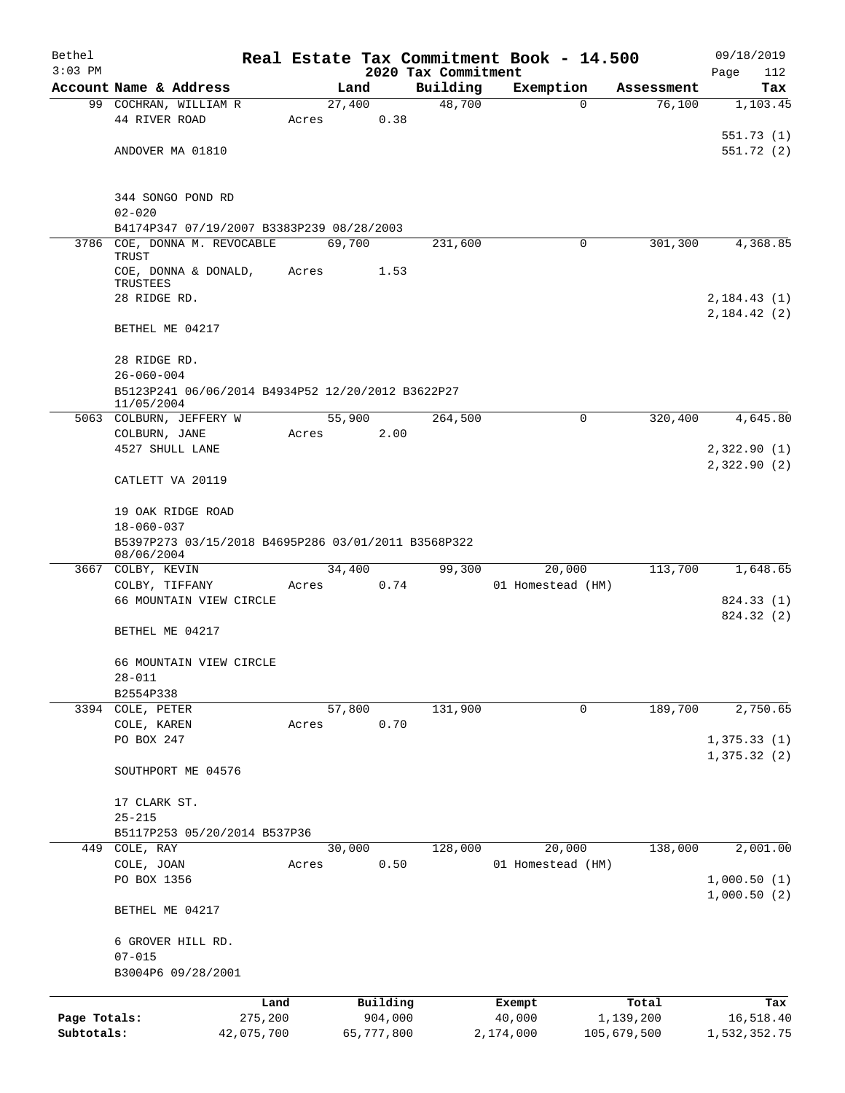| Bethel       |                                                     |         |                |            |                     | Real Estate Tax Commitment Book - 14.500 |                                  | 09/18/2019                 |
|--------------|-----------------------------------------------------|---------|----------------|------------|---------------------|------------------------------------------|----------------------------------|----------------------------|
| $3:03$ PM    |                                                     |         |                |            | 2020 Tax Commitment |                                          |                                  | Page<br>112                |
|              | Account Name & Address                              |         | Land<br>27,400 |            | Building<br>48,700  | Exemption                                | Assessment<br>76,100<br>$\Omega$ | Tax                        |
|              | 99 COCHRAN, WILLIAM R<br>44 RIVER ROAD              | Acres   |                | 0.38       |                     |                                          |                                  | 1,103.45                   |
|              |                                                     |         |                |            |                     |                                          |                                  | 551.73(1)                  |
|              | ANDOVER MA 01810                                    |         |                |            |                     |                                          |                                  | 551.72(2)                  |
|              |                                                     |         |                |            |                     |                                          |                                  |                            |
|              | 344 SONGO POND RD                                   |         |                |            |                     |                                          |                                  |                            |
|              | $02 - 020$                                          |         |                |            |                     |                                          |                                  |                            |
|              | B4174P347 07/19/2007 B3383P239 08/28/2003           |         |                |            |                     |                                          |                                  |                            |
| 3786         | COE, DONNA M. REVOCABLE<br><b>TRUST</b>             |         | 69,700         |            | 231,600             |                                          | 301,300<br>0                     | 4,368.85                   |
|              | COE, DONNA & DONALD,                                | Acres   |                | 1.53       |                     |                                          |                                  |                            |
|              | TRUSTEES                                            |         |                |            |                     |                                          |                                  |                            |
|              | 28 RIDGE RD.                                        |         |                |            |                     |                                          |                                  | 2,184.43(1)                |
|              |                                                     |         |                |            |                     |                                          |                                  | 2,184.42(2)                |
|              | BETHEL ME 04217                                     |         |                |            |                     |                                          |                                  |                            |
|              | 28 RIDGE RD.                                        |         |                |            |                     |                                          |                                  |                            |
|              | $26 - 060 - 004$                                    |         |                |            |                     |                                          |                                  |                            |
|              | B5123P241 06/06/2014 B4934P52 12/20/2012 B3622P27   |         |                |            |                     |                                          |                                  |                            |
|              | 11/05/2004                                          |         | 55,900         |            |                     |                                          | 320,400<br>0                     | 4,645.80                   |
|              | 5063 COLBURN, JEFFERY W<br>COLBURN, JANE            | Acres   |                | 2.00       | 264,500             |                                          |                                  |                            |
|              | 4527 SHULL LANE                                     |         |                |            |                     |                                          |                                  | 2,322.90(1)                |
|              |                                                     |         |                |            |                     |                                          |                                  | 2,322.90(2)                |
|              | CATLETT VA 20119                                    |         |                |            |                     |                                          |                                  |                            |
|              | 19 OAK RIDGE ROAD                                   |         |                |            |                     |                                          |                                  |                            |
|              | $18 - 060 - 037$                                    |         |                |            |                     |                                          |                                  |                            |
|              | B5397P273 03/15/2018 B4695P286 03/01/2011 B3568P322 |         |                |            |                     |                                          |                                  |                            |
|              | 08/06/2004                                          |         |                |            |                     |                                          | 113,700                          | 1,648.65                   |
| 3667         | COLBY, KEVIN<br>COLBY, TIFFANY                      | Acres   | 34,400         | 0.74       | 99,300              | 20,000<br>01 Homestead (HM)              |                                  |                            |
|              | 66 MOUNTAIN VIEW CIRCLE                             |         |                |            |                     |                                          |                                  | 824.33 (1)                 |
|              |                                                     |         |                |            |                     |                                          |                                  | 824.32 (2)                 |
|              | BETHEL ME 04217                                     |         |                |            |                     |                                          |                                  |                            |
|              | 66 MOUNTAIN VIEW CIRCLE                             |         |                |            |                     |                                          |                                  |                            |
|              | $28 - 011$                                          |         |                |            |                     |                                          |                                  |                            |
|              | B2554P338                                           |         |                |            |                     |                                          |                                  |                            |
|              | 3394 COLE, PETER                                    |         | 57,800         |            | 131,900             |                                          | 189,700<br>0                     | 2,750.65                   |
|              | COLE, KAREN                                         | Acres   |                | 0.70       |                     |                                          |                                  |                            |
|              | PO BOX 247                                          |         |                |            |                     |                                          |                                  | 1,375.33(1)                |
|              | SOUTHPORT ME 04576                                  |         |                |            |                     |                                          |                                  | 1,375.32(2)                |
|              |                                                     |         |                |            |                     |                                          |                                  |                            |
|              | 17 CLARK ST.                                        |         |                |            |                     |                                          |                                  |                            |
|              | $25 - 215$                                          |         |                |            |                     |                                          |                                  |                            |
|              | B5117P253 05/20/2014 B537P36                        |         |                |            |                     |                                          |                                  |                            |
| 449          | COLE, RAY                                           |         | 30,000         |            | 128,000             | 20,000                                   | 138,000                          | 2,001.00                   |
|              | COLE, JOAN                                          | Acres   |                | 0.50       |                     | 01 Homestead (HM)                        |                                  |                            |
|              | PO BOX 1356                                         |         |                |            |                     |                                          |                                  | 1,000.50(1)<br>1,000.50(2) |
|              | BETHEL ME 04217                                     |         |                |            |                     |                                          |                                  |                            |
|              | 6 GROVER HILL RD.                                   |         |                |            |                     |                                          |                                  |                            |
|              | $07 - 015$                                          |         |                |            |                     |                                          |                                  |                            |
|              | B3004P6 09/28/2001                                  |         |                |            |                     |                                          |                                  |                            |
|              |                                                     | Land    |                | Building   |                     | Exempt                                   | Total                            | Tax                        |
| Page Totals: |                                                     | 275,200 |                | 904,000    |                     | 40,000                                   | 1,139,200                        | 16,518.40                  |
| Subtotals:   | 42,075,700                                          |         |                | 65,777,800 |                     | 2,174,000                                | 105,679,500                      | 1,532,352.75               |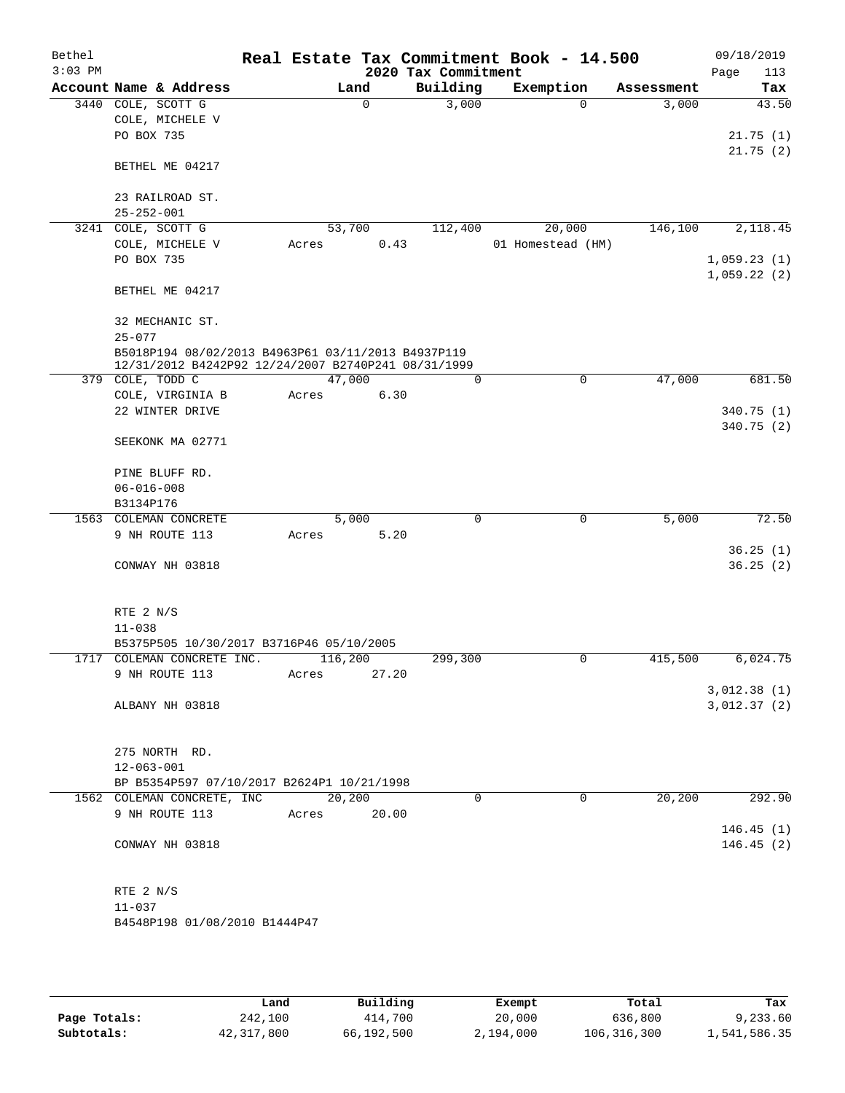| Bethel<br>$3:03$ PM |                  |                                                     |       |             |       | 2020 Tax Commitment | Real Estate Tax Commitment Book - 14.500 |             |            | 09/18/2019<br>113<br>Page |
|---------------------|------------------|-----------------------------------------------------|-------|-------------|-------|---------------------|------------------------------------------|-------------|------------|---------------------------|
|                     |                  | Account Name & Address                              |       | Land        |       | Building            | Exemption                                |             | Assessment | Tax                       |
| 3440                |                  | COLE, SCOTT G                                       |       | $\mathbf 0$ |       | 3,000               |                                          | $\Omega$    | 3,000      | 43.50                     |
|                     |                  | COLE, MICHELE V                                     |       |             |       |                     |                                          |             |            |                           |
|                     | PO BOX 735       |                                                     |       |             |       |                     |                                          |             |            | 21.75(1)                  |
|                     |                  |                                                     |       |             |       |                     |                                          |             |            | 21.75(2)                  |
|                     |                  | BETHEL ME 04217                                     |       |             |       |                     |                                          |             |            |                           |
|                     |                  |                                                     |       |             |       |                     |                                          |             |            |                           |
|                     |                  | 23 RAILROAD ST.                                     |       |             |       |                     |                                          |             |            |                           |
|                     | $25 - 252 - 001$ |                                                     |       |             |       |                     |                                          |             |            |                           |
| 3241                |                  | COLE, SCOTT G                                       |       | 53,700      |       | 112,400             | 20,000                                   |             | 146,100    | 2,118.45                  |
|                     |                  | COLE, MICHELE V                                     | Acres |             | 0.43  |                     | 01 Homestead (HM)                        |             |            |                           |
|                     | PO BOX 735       |                                                     |       |             |       |                     |                                          |             |            | 1,059.23(1)               |
|                     |                  |                                                     |       |             |       |                     |                                          |             |            | 1,059.22(2)               |
|                     |                  | BETHEL ME 04217                                     |       |             |       |                     |                                          |             |            |                           |
|                     |                  | 32 MECHANIC ST.                                     |       |             |       |                     |                                          |             |            |                           |
|                     | $25 - 077$       |                                                     |       |             |       |                     |                                          |             |            |                           |
|                     |                  | B5018P194 08/02/2013 B4963P61 03/11/2013 B4937P119  |       |             |       |                     |                                          |             |            |                           |
|                     |                  | 12/31/2012 B4242P92 12/24/2007 B2740P241 08/31/1999 |       |             |       |                     |                                          |             |            |                           |
|                     |                  | 379 COLE, TODD C                                    |       | 47,000      |       | 0                   |                                          | $\mathbf 0$ | 47,000     | 681.50                    |
|                     |                  | COLE, VIRGINIA B                                    | Acres |             | 6.30  |                     |                                          |             |            |                           |
|                     |                  | 22 WINTER DRIVE                                     |       |             |       |                     |                                          |             |            | 340.75(1)                 |
|                     |                  |                                                     |       |             |       |                     |                                          |             |            | 340.75 (2)                |
|                     |                  | SEEKONK MA 02771                                    |       |             |       |                     |                                          |             |            |                           |
|                     |                  |                                                     |       |             |       |                     |                                          |             |            |                           |
|                     | $06 - 016 - 008$ | PINE BLUFF RD.                                      |       |             |       |                     |                                          |             |            |                           |
|                     | B3134P176        |                                                     |       |             |       |                     |                                          |             |            |                           |
|                     |                  | 1563 COLEMAN CONCRETE                               |       | 5,000       |       | $\Omega$            |                                          | 0           | 5,000      | 72.50                     |
|                     |                  | 9 NH ROUTE 113                                      | Acres |             | 5.20  |                     |                                          |             |            |                           |
|                     |                  |                                                     |       |             |       |                     |                                          |             |            | 36.25(1)                  |
|                     |                  | CONWAY NH 03818                                     |       |             |       |                     |                                          |             |            | 36.25(2)                  |
|                     |                  |                                                     |       |             |       |                     |                                          |             |            |                           |
|                     |                  |                                                     |       |             |       |                     |                                          |             |            |                           |
|                     | RTE 2 N/S        |                                                     |       |             |       |                     |                                          |             |            |                           |
|                     | $11 - 038$       |                                                     |       |             |       |                     |                                          |             |            |                           |
|                     |                  | B5375P505 10/30/2017 B3716P46 05/10/2005            |       |             |       |                     |                                          |             |            |                           |
| 1717                |                  | COLEMAN CONCRETE INC.                               |       | 116,200     |       | 299,300             |                                          | 0           | 415,500    | 6,024.75                  |
|                     |                  | 9 NH ROUTE 113                                      | Acres |             | 27.20 |                     |                                          |             |            |                           |
|                     |                  |                                                     |       |             |       |                     |                                          |             |            | 3,012.38(1)               |
|                     |                  | ALBANY NH 03818                                     |       |             |       |                     |                                          |             |            | 3,012.37(2)               |
|                     |                  |                                                     |       |             |       |                     |                                          |             |            |                           |
|                     |                  | 275 NORTH RD.                                       |       |             |       |                     |                                          |             |            |                           |
|                     | $12 - 063 - 001$ |                                                     |       |             |       |                     |                                          |             |            |                           |
|                     |                  | BP B5354P597 07/10/2017 B2624P1 10/21/1998          |       |             |       |                     |                                          |             |            |                           |
|                     |                  | 1562 COLEMAN CONCRETE, INC                          |       | 20,200      |       | $\Omega$            |                                          | $\Omega$    | 20,200     | 292.90                    |
|                     |                  | 9 NH ROUTE 113                                      | Acres |             | 20.00 |                     |                                          |             |            |                           |
|                     |                  |                                                     |       |             |       |                     |                                          |             |            | 146.45(1)                 |
|                     |                  | CONWAY NH 03818                                     |       |             |       |                     |                                          |             |            | 146.45(2)                 |
|                     |                  |                                                     |       |             |       |                     |                                          |             |            |                           |
|                     |                  |                                                     |       |             |       |                     |                                          |             |            |                           |
|                     | RTE 2 N/S        |                                                     |       |             |       |                     |                                          |             |            |                           |
|                     | $11 - 037$       |                                                     |       |             |       |                     |                                          |             |            |                           |
|                     |                  | B4548P198 01/08/2010 B1444P47                       |       |             |       |                     |                                          |             |            |                           |
|                     |                  |                                                     |       |             |       |                     |                                          |             |            |                           |

|              | Land       | Building   | Exempt    | Total       | Tax          |
|--------------|------------|------------|-----------|-------------|--------------|
| Page Totals: | 242,100    | 414,700    | 20,000    | 636,800     | 9,233.60     |
| Subtotals:   | 42,317,800 | 66,192,500 | 2,194,000 | 106,316,300 | 1,541,586.35 |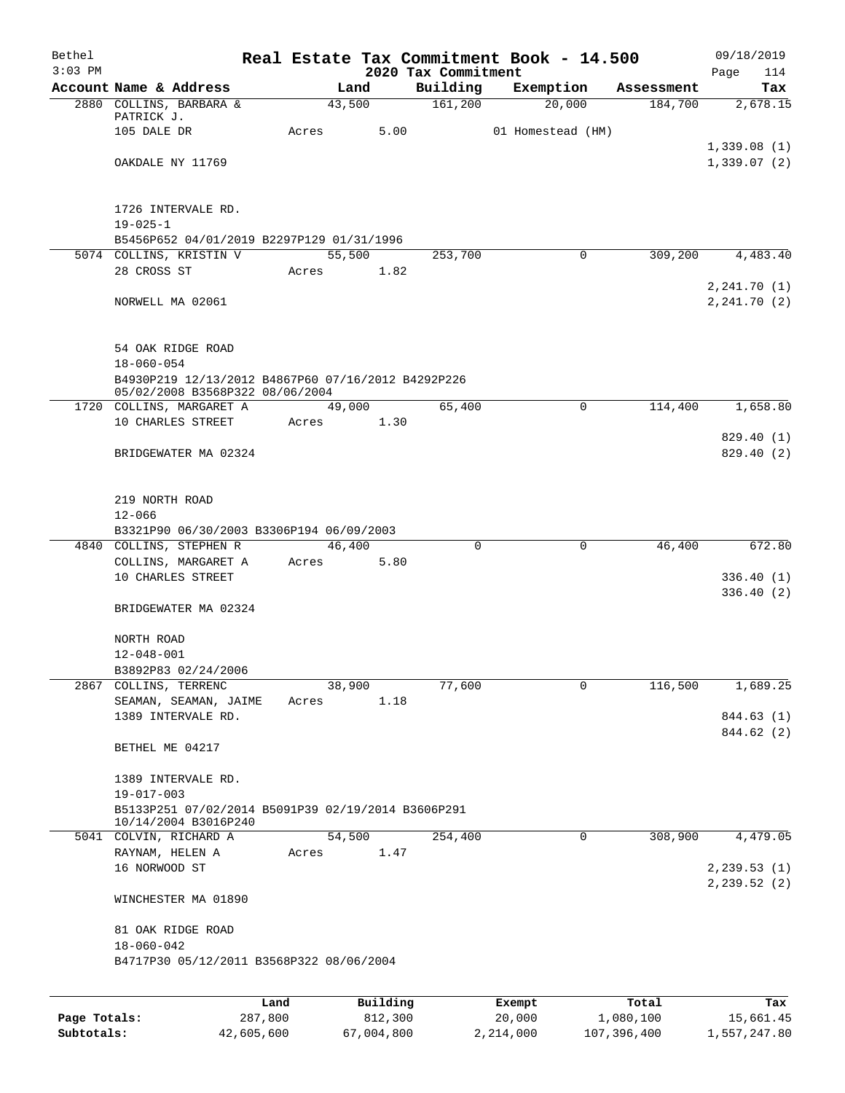| Bethel<br>$3:03$ PM |                                                                            |       |        |                     | 2020 Tax Commitment | Real Estate Tax Commitment Book - 14.500 |                        | 09/18/2019<br>Page<br>114  |
|---------------------|----------------------------------------------------------------------------|-------|--------|---------------------|---------------------|------------------------------------------|------------------------|----------------------------|
|                     | Account Name & Address                                                     |       | Land   |                     | Building            | Exemption                                | Assessment             | Tax                        |
|                     | 2880 COLLINS, BARBARA &                                                    |       | 43,500 |                     | 161,200             | 20,000                                   | 184,700                | 2,678.15                   |
|                     | PATRICK J.                                                                 |       |        |                     |                     |                                          |                        |                            |
|                     | 105 DALE DR                                                                | Acres |        | 5.00                |                     | 01 Homestead (HM)                        |                        |                            |
|                     | OAKDALE NY 11769                                                           |       |        |                     |                     |                                          |                        | 1,339.08(1)<br>1,339.07(2) |
|                     |                                                                            |       |        |                     |                     |                                          |                        |                            |
|                     |                                                                            |       |        |                     |                     |                                          |                        |                            |
|                     | 1726 INTERVALE RD.                                                         |       |        |                     |                     |                                          |                        |                            |
|                     | $19 - 025 - 1$                                                             |       |        |                     |                     |                                          |                        |                            |
|                     | B5456P652 04/01/2019 B2297P129 01/31/1996<br>5074 COLLINS, KRISTIN V       |       | 55,500 |                     | 253,700             |                                          | $\Omega$<br>309,200    | 4,483.40                   |
|                     | 28 CROSS ST                                                                | Acres |        | 1.82                |                     |                                          |                        |                            |
|                     |                                                                            |       |        |                     |                     |                                          |                        | 2,241.70 (1)               |
|                     | NORWELL MA 02061                                                           |       |        |                     |                     |                                          |                        | 2, 241.70 (2)              |
|                     |                                                                            |       |        |                     |                     |                                          |                        |                            |
|                     |                                                                            |       |        |                     |                     |                                          |                        |                            |
|                     | 54 OAK RIDGE ROAD                                                          |       |        |                     |                     |                                          |                        |                            |
|                     | $18 - 060 - 054$<br>B4930P219 12/13/2012 B4867P60 07/16/2012 B4292P226     |       |        |                     |                     |                                          |                        |                            |
|                     | 05/02/2008 B3568P322 08/06/2004                                            |       |        |                     |                     |                                          |                        |                            |
|                     | 1720 COLLINS, MARGARET A                                                   |       | 49,000 |                     | 65,400              |                                          | $\mathbf 0$<br>114,400 | 1,658.80                   |
|                     | 10 CHARLES STREET                                                          | Acres |        | 1.30                |                     |                                          |                        |                            |
|                     |                                                                            |       |        |                     |                     |                                          |                        | 829.40 (1)                 |
|                     | BRIDGEWATER MA 02324                                                       |       |        |                     |                     |                                          |                        | 829.40 (2)                 |
|                     |                                                                            |       |        |                     |                     |                                          |                        |                            |
|                     | 219 NORTH ROAD                                                             |       |        |                     |                     |                                          |                        |                            |
|                     | $12 - 066$                                                                 |       |        |                     |                     |                                          |                        |                            |
|                     | B3321P90 06/30/2003 B3306P194 06/09/2003                                   |       |        |                     |                     |                                          |                        |                            |
|                     | 4840 COLLINS, STEPHEN R                                                    |       | 46,400 |                     | $\Omega$            |                                          | 0<br>46,400            | 672.80                     |
|                     | COLLINS, MARGARET A<br>10 CHARLES STREET                                   | Acres |        | 5.80                |                     |                                          |                        |                            |
|                     |                                                                            |       |        |                     |                     |                                          |                        | 336.40(1)<br>336.40(2)     |
|                     | BRIDGEWATER MA 02324                                                       |       |        |                     |                     |                                          |                        |                            |
|                     |                                                                            |       |        |                     |                     |                                          |                        |                            |
|                     | NORTH ROAD                                                                 |       |        |                     |                     |                                          |                        |                            |
|                     | $12 - 048 - 001$                                                           |       |        |                     |                     |                                          |                        |                            |
|                     | B3892P83 02/24/2006                                                        |       |        |                     |                     |                                          |                        |                            |
|                     | 2867 COLLINS, TERRENC<br>SEAMAN, SEAMAN, JAIME                             | Acres | 38,900 | 1.18                | 77,600              |                                          | 116,500<br>0           | 1,689.25                   |
|                     | 1389 INTERVALE RD.                                                         |       |        |                     |                     |                                          |                        | 844.63 (1)                 |
|                     |                                                                            |       |        |                     |                     |                                          |                        | 844.62 (2)                 |
|                     | BETHEL ME 04217                                                            |       |        |                     |                     |                                          |                        |                            |
|                     |                                                                            |       |        |                     |                     |                                          |                        |                            |
|                     | 1389 INTERVALE RD.                                                         |       |        |                     |                     |                                          |                        |                            |
|                     | $19 - 017 - 003$                                                           |       |        |                     |                     |                                          |                        |                            |
|                     | B5133P251 07/02/2014 B5091P39 02/19/2014 B3606P291<br>10/14/2004 B3016P240 |       |        |                     |                     |                                          |                        |                            |
|                     | 5041 COLVIN, RICHARD A                                                     |       | 54,500 |                     | 254,400             |                                          | 308,900<br>0           | 4,479.05                   |
|                     | RAYNAM, HELEN A                                                            | Acres |        | 1.47                |                     |                                          |                        |                            |
|                     | 16 NORWOOD ST                                                              |       |        |                     |                     |                                          |                        | 2, 239.53(1)               |
|                     | WINCHESTER MA 01890                                                        |       |        |                     |                     |                                          |                        | 2, 239.52 (2)              |
|                     |                                                                            |       |        |                     |                     |                                          |                        |                            |
|                     | 81 OAK RIDGE ROAD<br>$18 - 060 - 042$                                      |       |        |                     |                     |                                          |                        |                            |
|                     | B4717P30 05/12/2011 B3568P322 08/06/2004                                   |       |        |                     |                     |                                          |                        |                            |
|                     |                                                                            |       |        |                     |                     |                                          |                        |                            |
|                     |                                                                            |       |        |                     |                     |                                          |                        |                            |
| Page Totals:        | 287,800                                                                    | Land  |        | Building<br>812,300 |                     | Exempt<br>20,000                         | Total<br>1,080,100     | Tax<br>15,661.45           |

**Subtotals:** 42,605,600 67,004,800 2,214,000 107,396,400 1,557,247.80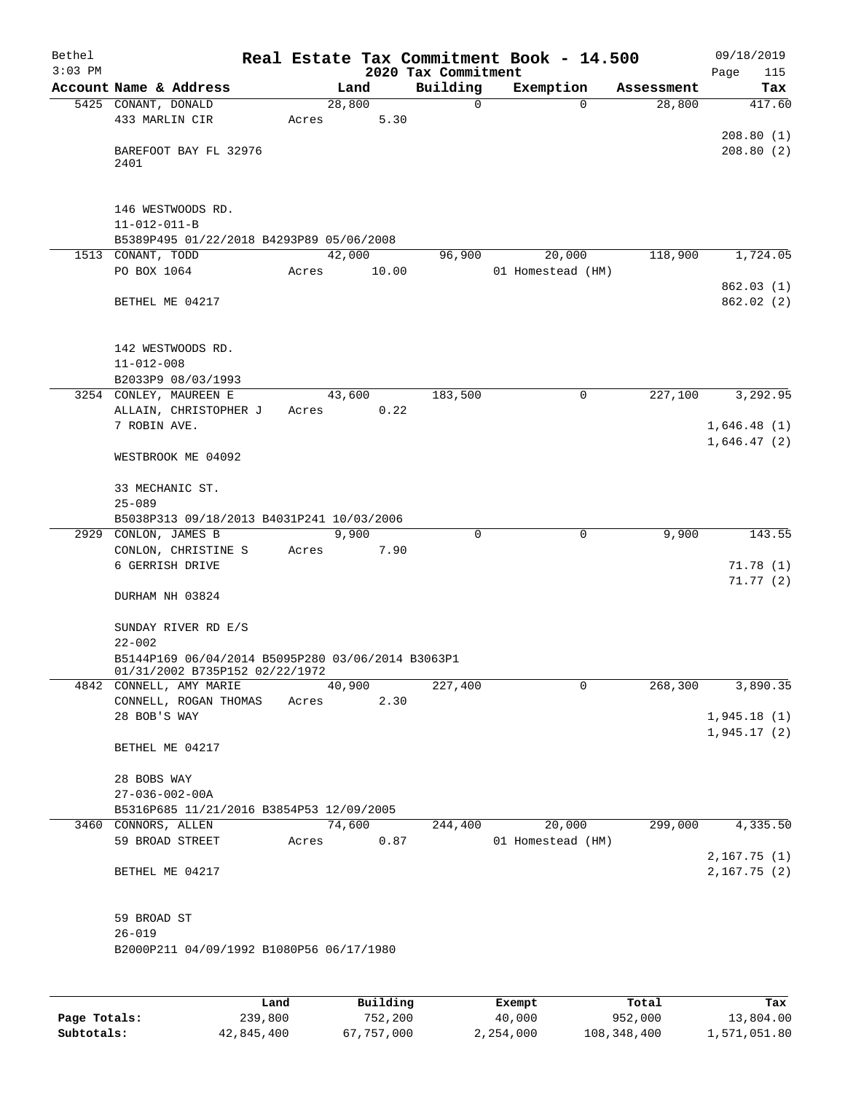| Bethel    |                                                                                     |       |        |        |                     | Real Estate Tax Commitment Book - 14.500 |            | 09/18/2019                 |
|-----------|-------------------------------------------------------------------------------------|-------|--------|--------|---------------------|------------------------------------------|------------|----------------------------|
| $3:03$ PM |                                                                                     |       |        |        | 2020 Tax Commitment |                                          |            | Page<br>115                |
|           | Account Name & Address                                                              |       |        | Land   | Building            | Exemption                                | Assessment | Tax                        |
|           | 5425 CONANT, DONALD                                                                 |       | 28,800 |        | 0                   | $\Omega$                                 | 28,800     | 417.60                     |
|           | 433 MARLIN CIR                                                                      | Acres |        | 5.30   |                     |                                          |            |                            |
|           | BAREFOOT BAY FL 32976<br>2401                                                       |       |        |        |                     |                                          |            | 208.80(1)<br>208.80(2)     |
|           |                                                                                     |       |        |        |                     |                                          |            |                            |
|           | 146 WESTWOODS RD.                                                                   |       |        |        |                     |                                          |            |                            |
|           | $11 - 012 - 011 - B$                                                                |       |        |        |                     |                                          |            |                            |
|           | B5389P495 01/22/2018 B4293P89 05/06/2008                                            |       |        |        |                     |                                          |            |                            |
|           | 1513 CONANT, TODD                                                                   |       | 42,000 |        | 96,900              | 20,000                                   | 118,900    | 1,724.05                   |
|           | PO BOX 1064                                                                         | Acres |        | 10.00  |                     | 01 Homestead (HM)                        |            |                            |
|           | BETHEL ME 04217                                                                     |       |        |        |                     |                                          |            | 862.03(1)<br>862.02(2)     |
|           | 142 WESTWOODS RD.<br>$11 - 012 - 008$                                               |       |        |        |                     |                                          |            |                            |
|           | B2033P9 08/03/1993                                                                  |       |        |        |                     |                                          |            |                            |
|           | 3254 CONLEY, MAUREEN E                                                              |       | 43,600 |        | 183,500             | 0                                        | 227,100    | 3,292.95                   |
|           | ALLAIN, CHRISTOPHER J                                                               | Acres |        | 0.22   |                     |                                          |            |                            |
|           | 7 ROBIN AVE.                                                                        |       |        |        |                     |                                          |            | 1,646.48(1)                |
|           |                                                                                     |       |        |        |                     |                                          |            | 1,646.47(2)                |
|           | WESTBROOK ME 04092                                                                  |       |        |        |                     |                                          |            |                            |
|           | 33 MECHANIC ST.<br>$25 - 089$                                                       |       |        |        |                     |                                          |            |                            |
|           | B5038P313 09/18/2013 B4031P241 10/03/2006                                           |       |        |        |                     |                                          |            |                            |
|           | 2929 CONLON, JAMES B                                                                |       |        | 9,900  | 0                   | 0                                        | 9,900      | 143.55                     |
|           | CONLON, CHRISTINE S                                                                 | Acres |        | 7.90   |                     |                                          |            |                            |
|           | 6 GERRISH DRIVE                                                                     |       |        |        |                     |                                          |            | 71.78(1)                   |
|           | DURHAM NH 03824                                                                     |       |        |        |                     |                                          |            | 71.77(2)                   |
|           | SUNDAY RIVER RD E/S<br>$22 - 002$                                                   |       |        |        |                     |                                          |            |                            |
|           | B5144P169 06/04/2014 B5095P280 03/06/2014 B3063P1<br>01/31/2002 B735P152 02/22/1972 |       |        |        |                     |                                          |            |                            |
|           | 4842 CONNELL, AMY MARIE                                                             |       | 40,900 |        | 227,400             | 0                                        | 268,300    | 3,890.35                   |
|           | CONNELL, ROGAN THOMAS                                                               | Acres |        | 2.30   |                     |                                          |            |                            |
|           | 28 BOB'S WAY                                                                        |       |        |        |                     |                                          |            | 1,945.18(1)                |
|           | BETHEL ME 04217                                                                     |       |        |        |                     |                                          |            | 1,945.17(2)                |
|           | 28 BOBS WAY                                                                         |       |        |        |                     |                                          |            |                            |
|           | $27 - 036 - 002 - 00A$                                                              |       |        |        |                     |                                          |            |                            |
|           | B5316P685 11/21/2016 B3854P53 12/09/2005                                            |       |        |        |                     |                                          |            |                            |
|           | 3460 CONNORS, ALLEN                                                                 |       |        | 74,600 | 244,400             | 20,000                                   | 299,000    | 4,335.50                   |
|           | 59 BROAD STREET                                                                     |       | Acres  | 0.87   |                     | 01 Homestead (HM)                        |            |                            |
|           | BETHEL ME 04217                                                                     |       |        |        |                     |                                          |            | 2,167.75(1)<br>2,167.75(2) |
|           | 59 BROAD ST                                                                         |       |        |        |                     |                                          |            |                            |
|           | $26 - 019$                                                                          |       |        |        |                     |                                          |            |                            |
|           | B2000P211 04/09/1992 B1080P56 06/17/1980                                            |       |        |        |                     |                                          |            |                            |
|           |                                                                                     |       |        |        |                     |                                          |            |                            |

|              | Land       | Building   | Exempt    | Total       | Tax          |
|--------------|------------|------------|-----------|-------------|--------------|
| Page Totals: | 239,800    | 752,200    | 40,000    | 952,000     | 13,804.00    |
| Subtotals:   | 42,845,400 | 67,757,000 | 2,254,000 | 108,348,400 | 1,571,051.80 |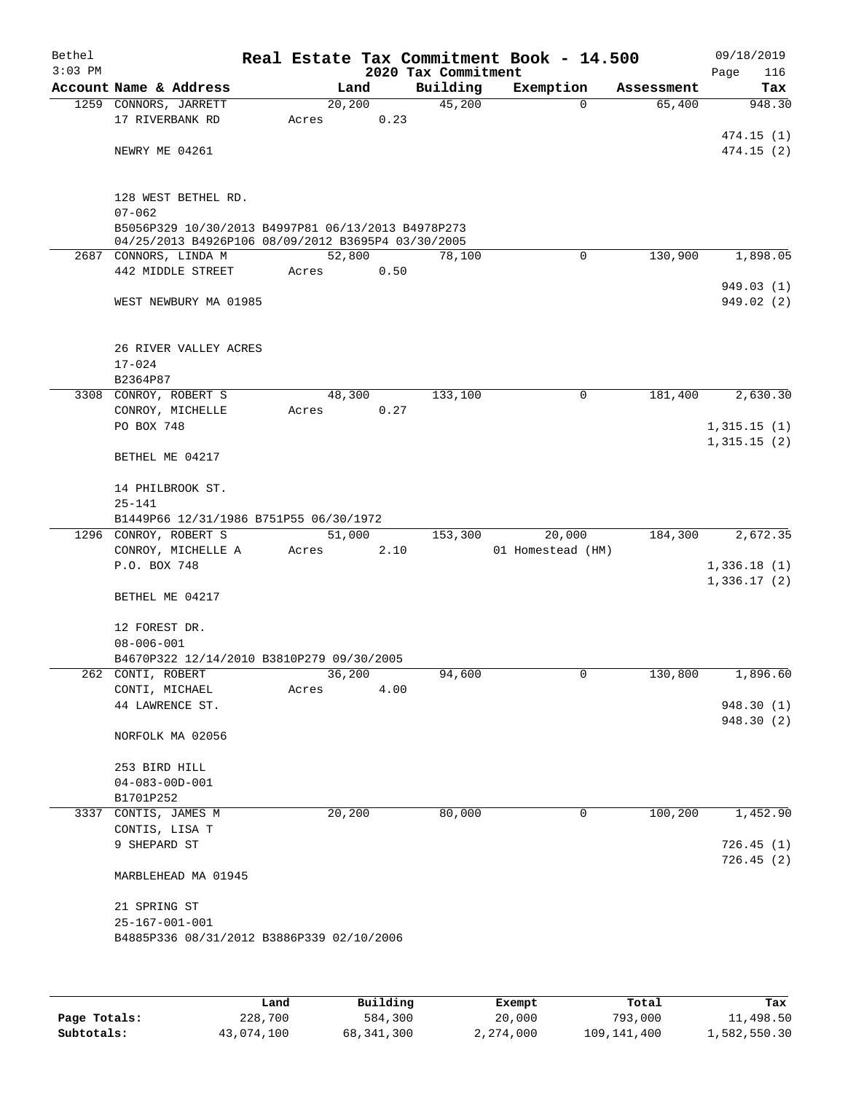| Bethel<br>$3:03$ PM |                                                                 |       |         |      | 2020 Tax Commitment | Real Estate Tax Commitment Book - 14.500 |   |            | 09/18/2019<br>Page<br>116 |
|---------------------|-----------------------------------------------------------------|-------|---------|------|---------------------|------------------------------------------|---|------------|---------------------------|
|                     | Account Name & Address                                          |       | Land    |      | Building            | Exemption                                |   | Assessment | Tax                       |
|                     | 1259 CONNORS, JARRETT                                           |       | 20, 200 |      | 45,200              |                                          | 0 | 65,400     | 948.30                    |
|                     | 17 RIVERBANK RD                                                 | Acres |         | 0.23 |                     |                                          |   |            |                           |
|                     |                                                                 |       |         |      |                     |                                          |   |            | 474.15(1)                 |
|                     | NEWRY ME 04261                                                  |       |         |      |                     |                                          |   |            | 474.15(2)                 |
|                     |                                                                 |       |         |      |                     |                                          |   |            |                           |
|                     | 128 WEST BETHEL RD.                                             |       |         |      |                     |                                          |   |            |                           |
|                     | $07 - 062$                                                      |       |         |      |                     |                                          |   |            |                           |
|                     | B5056P329 10/30/2013 B4997P81 06/13/2013 B4978P273              |       |         |      |                     |                                          |   |            |                           |
|                     | 04/25/2013 B4926P106 08/09/2012 B3695P4 03/30/2005              |       |         |      |                     |                                          |   |            |                           |
|                     | 2687 CONNORS, LINDA M                                           |       | 52,800  |      | 78,100              |                                          | 0 | 130,900    | 1,898.05                  |
|                     | 442 MIDDLE STREET                                               | Acres |         | 0.50 |                     |                                          |   |            | 949.03(1)                 |
|                     | WEST NEWBURY MA 01985                                           |       |         |      |                     |                                          |   |            | 949.02(2)                 |
|                     |                                                                 |       |         |      |                     |                                          |   |            |                           |
|                     |                                                                 |       |         |      |                     |                                          |   |            |                           |
|                     | 26 RIVER VALLEY ACRES                                           |       |         |      |                     |                                          |   |            |                           |
|                     | $17 - 024$                                                      |       |         |      |                     |                                          |   |            |                           |
|                     | B2364P87                                                        |       |         |      |                     |                                          |   |            |                           |
|                     | 3308 CONROY, ROBERT S                                           |       | 48,300  |      | 133,100             | 0                                        |   | 181,400    | 2,630.30                  |
|                     | CONROY, MICHELLE<br>PO BOX 748                                  | Acres |         | 0.27 |                     |                                          |   |            | 1,315.15(1)               |
|                     |                                                                 |       |         |      |                     |                                          |   |            | 1,315.15(2)               |
|                     | BETHEL ME 04217                                                 |       |         |      |                     |                                          |   |            |                           |
|                     |                                                                 |       |         |      |                     |                                          |   |            |                           |
|                     | 14 PHILBROOK ST.                                                |       |         |      |                     |                                          |   |            |                           |
|                     | $25 - 141$                                                      |       |         |      |                     |                                          |   |            |                           |
|                     | B1449P66 12/31/1986 B751P55 06/30/1972<br>1296 CONROY, ROBERT S |       | 51,000  |      | 153,300             | 20,000                                   |   | 184,300    | 2,672.35                  |
|                     | CONROY, MICHELLE A                                              | Acres |         | 2.10 |                     | 01 Homestead (HM)                        |   |            |                           |
|                     | P.O. BOX 748                                                    |       |         |      |                     |                                          |   |            | 1,336.18(1)               |
|                     |                                                                 |       |         |      |                     |                                          |   |            | 1,336.17(2)               |
|                     | BETHEL ME 04217                                                 |       |         |      |                     |                                          |   |            |                           |
|                     |                                                                 |       |         |      |                     |                                          |   |            |                           |
|                     | 12 FOREST DR.                                                   |       |         |      |                     |                                          |   |            |                           |
|                     | $08 - 006 - 001$<br>B4670P322 12/14/2010 B3810P279 09/30/2005   |       |         |      |                     |                                          |   |            |                           |
|                     | 262 CONTI, ROBERT                                               |       | 36,200  |      | 94,600              | 0                                        |   | 130,800    | 1,896.60                  |
|                     | CONTI, MICHAEL                                                  | Acres |         | 4.00 |                     |                                          |   |            |                           |
|                     | 44 LAWRENCE ST.                                                 |       |         |      |                     |                                          |   |            | 948.30 (1)                |
|                     |                                                                 |       |         |      |                     |                                          |   |            | 948.30 (2)                |
|                     | NORFOLK MA 02056                                                |       |         |      |                     |                                          |   |            |                           |
|                     | 253 BIRD HILL                                                   |       |         |      |                     |                                          |   |            |                           |
|                     | $04 - 083 - 00D - 001$                                          |       |         |      |                     |                                          |   |            |                           |
|                     | B1701P252                                                       |       |         |      |                     |                                          |   |            |                           |
|                     | 3337 CONTIS, JAMES M                                            |       | 20,200  |      | 80,000              | 0                                        |   | 100,200    | 1,452.90                  |
|                     | CONTIS, LISA T                                                  |       |         |      |                     |                                          |   |            |                           |
|                     | 9 SHEPARD ST                                                    |       |         |      |                     |                                          |   |            | 726.45(1)                 |
|                     |                                                                 |       |         |      |                     |                                          |   |            | 726.45(2)                 |
|                     | MARBLEHEAD MA 01945                                             |       |         |      |                     |                                          |   |            |                           |
|                     | 21 SPRING ST                                                    |       |         |      |                     |                                          |   |            |                           |
|                     | $25 - 167 - 001 - 001$                                          |       |         |      |                     |                                          |   |            |                           |
|                     | B4885P336 08/31/2012 B3886P339 02/10/2006                       |       |         |      |                     |                                          |   |            |                           |
|                     |                                                                 |       |         |      |                     |                                          |   |            |                           |
|                     |                                                                 |       |         |      |                     |                                          |   |            |                           |
|                     |                                                                 |       |         |      |                     |                                          |   |            |                           |

|              | Land       | Building   | Exempt    | Total       | Tax          |
|--------------|------------|------------|-----------|-------------|--------------|
| Page Totals: | 228,700    | 584,300    | 20,000    | 793,000     | 11,498.50    |
| Subtotals:   | 43,074,100 | 68,341,300 | 2,274,000 | 109,141,400 | 1,582,550.30 |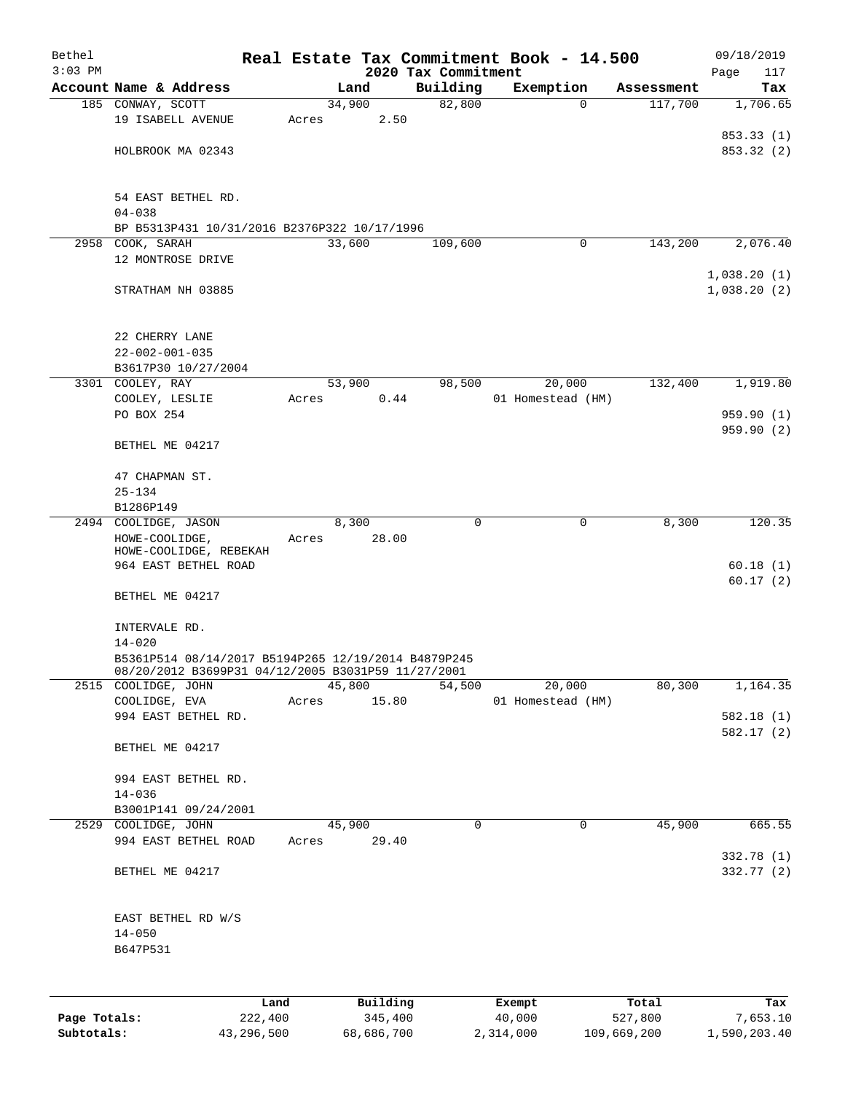| Bethel       |                                                                           |       |                     |       |                                 | Real Estate Tax Commitment Book - 14.500 |                  |                       | 09/18/2019             |
|--------------|---------------------------------------------------------------------------|-------|---------------------|-------|---------------------------------|------------------------------------------|------------------|-----------------------|------------------------|
| $3:03$ PM    | Account Name & Address                                                    |       | Land                |       | 2020 Tax Commitment<br>Building | Exemption                                |                  |                       | Page<br>117            |
|              | 185 CONWAY, SCOTT                                                         |       | 34,900              |       | 82,800                          | $\mathbf 0$                              |                  | Assessment<br>117,700 | Tax<br>1,706.65        |
|              | 19 ISABELL AVENUE                                                         | Acres |                     | 2.50  |                                 |                                          |                  |                       |                        |
|              |                                                                           |       |                     |       |                                 |                                          |                  |                       | 853.33 (1)             |
|              | HOLBROOK MA 02343                                                         |       |                     |       |                                 |                                          |                  |                       | 853.32 (2)             |
|              | 54 EAST BETHEL RD.<br>$04 - 038$                                          |       |                     |       |                                 |                                          |                  |                       |                        |
|              | BP B5313P431 10/31/2016 B2376P322 10/17/1996                              |       |                     |       |                                 |                                          |                  |                       |                        |
|              | 2958 COOK, SARAH                                                          |       | 33,600              |       | 109,600                         | 0                                        |                  | 143,200               | 2,076.40               |
|              | 12 MONTROSE DRIVE                                                         |       |                     |       |                                 |                                          |                  |                       | 1,038.20(1)            |
|              | STRATHAM NH 03885                                                         |       |                     |       |                                 |                                          |                  |                       | 1,038.20(2)            |
|              | 22 CHERRY LANE<br>$22 - 002 - 001 - 035$                                  |       |                     |       |                                 |                                          |                  |                       |                        |
|              | B3617P30 10/27/2004                                                       |       |                     |       |                                 |                                          |                  |                       |                        |
|              | 3301 COOLEY, RAY                                                          |       | 53,900              |       | 98,500                          | 20,000                                   |                  | 132,400               | 1,919.80               |
|              | COOLEY, LESLIE<br>PO BOX 254                                              | Acres |                     | 0.44  |                                 | 01 Homestead (HM)                        |                  |                       | 959.90(1)              |
|              |                                                                           |       |                     |       |                                 |                                          |                  |                       | 959.90 (2)             |
|              | BETHEL ME 04217                                                           |       |                     |       |                                 |                                          |                  |                       |                        |
|              | 47 CHAPMAN ST.                                                            |       |                     |       |                                 |                                          |                  |                       |                        |
|              | $25 - 134$                                                                |       |                     |       |                                 |                                          |                  |                       |                        |
|              | B1286P149                                                                 |       |                     |       |                                 |                                          |                  |                       |                        |
|              | 2494 COOLIDGE, JASON<br>HOWE-COOLIDGE,                                    | Acres | 8,300               | 28.00 | 0                               | 0                                        |                  | 8,300                 | 120.35                 |
|              | HOWE-COOLIDGE, REBEKAH<br>964 EAST BETHEL ROAD                            |       |                     |       |                                 |                                          |                  |                       | 60.18(1)               |
|              | BETHEL ME 04217                                                           |       |                     |       |                                 |                                          |                  |                       | 60.17(2)               |
|              | INTERVALE RD.                                                             |       |                     |       |                                 |                                          |                  |                       |                        |
|              | $14 - 020$                                                                |       |                     |       |                                 |                                          |                  |                       |                        |
|              | B5361P514 08/14/2017 B5194P265 12/19/2014 B4879P245                       |       |                     |       |                                 |                                          |                  |                       |                        |
|              | 08/20/2012 B3699P31 04/12/2005 B3031P59 11/27/2001<br>2515 COOLIDGE, JOHN |       | 45,800              |       | 54,500                          | 20,000                                   |                  | 80,300                | 1,164.35               |
|              | COOLIDGE, EVA                                                             | Acres | 15.80               |       |                                 | 01 Homestead (HM)                        |                  |                       |                        |
|              | 994 EAST BETHEL RD.                                                       |       |                     |       |                                 |                                          |                  |                       | 582.18(1)<br>582.17(2) |
|              | BETHEL ME 04217                                                           |       |                     |       |                                 |                                          |                  |                       |                        |
|              | 994 EAST BETHEL RD.<br>$14 - 036$                                         |       |                     |       |                                 |                                          |                  |                       |                        |
|              | B3001P141 09/24/2001                                                      |       |                     |       |                                 |                                          |                  |                       |                        |
|              | 2529 COOLIDGE, JOHN                                                       |       | 45,900              |       | 0                               | $\mathbf 0$                              |                  | 45,900                | 665.55                 |
|              | 994 EAST BETHEL ROAD                                                      | Acres | 29.40               |       |                                 |                                          |                  |                       | 332.78 (1)             |
|              | BETHEL ME 04217                                                           |       |                     |       |                                 |                                          |                  |                       | 332.77 (2)             |
|              | EAST BETHEL RD W/S                                                        |       |                     |       |                                 |                                          |                  |                       |                        |
|              | $14 - 050$                                                                |       |                     |       |                                 |                                          |                  |                       |                        |
|              | B647P531                                                                  |       |                     |       |                                 |                                          |                  |                       |                        |
|              |                                                                           |       |                     |       |                                 |                                          |                  |                       |                        |
|              |                                                                           |       |                     |       |                                 |                                          |                  |                       |                        |
| Page Totals: | Land<br>222,400                                                           |       | Building<br>345,400 |       |                                 | Exempt<br>40,000                         | Total<br>527,800 |                       | Tax<br>7,653.10        |
|              |                                                                           |       |                     |       |                                 |                                          |                  |                       |                        |

**Subtotals:** 43,296,500 68,686,700 2,314,000 109,669,200 1,590,203.40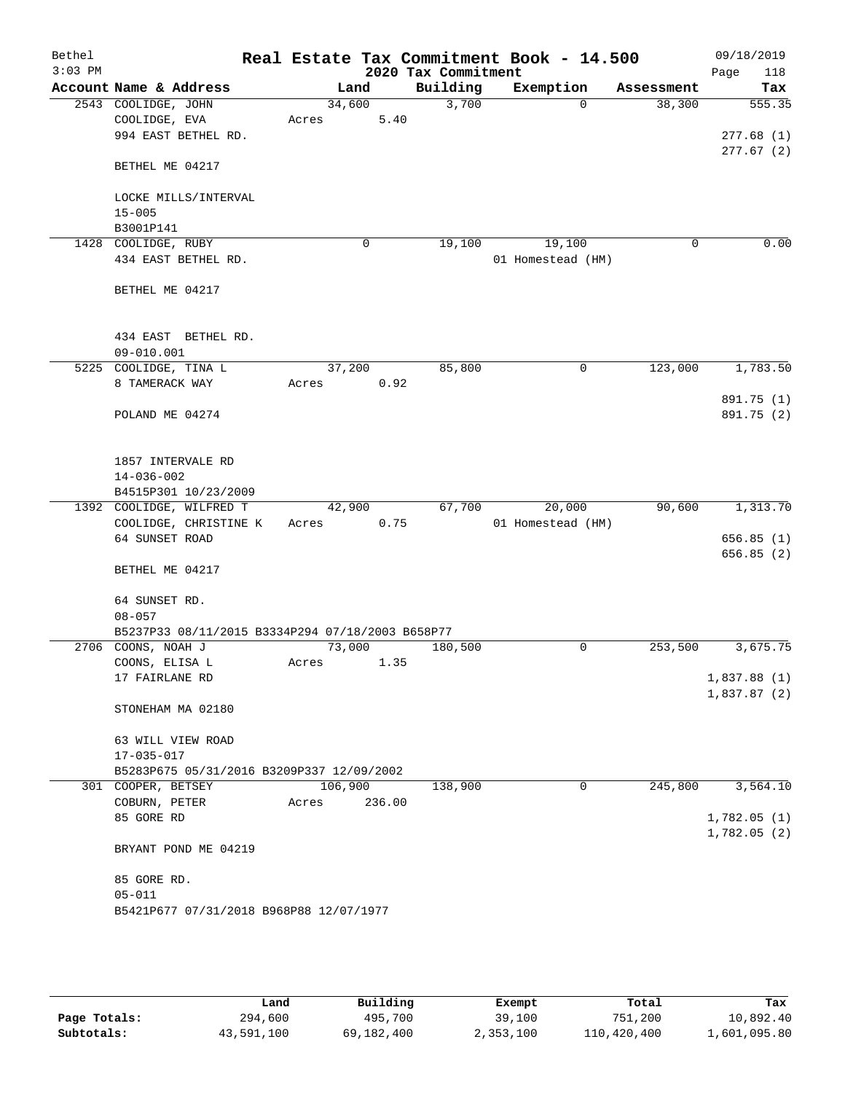| Bethel<br>$3:03$ PM |                                                                        |         |        | 2020 Tax Commitment | Real Estate Tax Commitment Book - 14.500 |            | 09/18/2019<br>118<br>Page |
|---------------------|------------------------------------------------------------------------|---------|--------|---------------------|------------------------------------------|------------|---------------------------|
|                     | Account Name & Address                                                 |         | Land   | Building            | Exemption                                | Assessment | Tax                       |
|                     | 2543 COOLIDGE, JOHN                                                    | 34,600  |        | 3,700               | $\Omega$                                 | 38,300     | 555.35                    |
|                     | COOLIDGE, EVA                                                          | Acres   | 5.40   |                     |                                          |            |                           |
|                     | 994 EAST BETHEL RD.                                                    |         |        |                     |                                          |            | 277.68(1)                 |
|                     |                                                                        |         |        |                     |                                          |            | 277.67(2)                 |
|                     | BETHEL ME 04217                                                        |         |        |                     |                                          |            |                           |
|                     |                                                                        |         |        |                     |                                          |            |                           |
|                     | LOCKE MILLS/INTERVAL                                                   |         |        |                     |                                          |            |                           |
|                     | $15 - 005$                                                             |         |        |                     |                                          |            |                           |
|                     | B3001P141                                                              |         |        |                     |                                          |            |                           |
|                     | 1428 COOLIDGE, RUBY                                                    |         | 0      | 19,100              | 19,100                                   | 0          | 0.00                      |
|                     | 434 EAST BETHEL RD.                                                    |         |        |                     | 01 Homestead (HM)                        |            |                           |
|                     |                                                                        |         |        |                     |                                          |            |                           |
|                     | BETHEL ME 04217                                                        |         |        |                     |                                          |            |                           |
|                     |                                                                        |         |        |                     |                                          |            |                           |
|                     |                                                                        |         |        |                     |                                          |            |                           |
|                     | 434 EAST BETHEL RD.                                                    |         |        |                     |                                          |            |                           |
|                     | $09 - 010.001$                                                         |         |        |                     |                                          |            |                           |
|                     | 5225 COOLIDGE, TINA L                                                  | 37,200  |        | 85,800              | 0                                        | 123,000    | 1,783.50                  |
|                     | 8 TAMERACK WAY                                                         | Acres   | 0.92   |                     |                                          |            |                           |
|                     |                                                                        |         |        |                     |                                          |            | 891.75 (1)                |
|                     | POLAND ME 04274                                                        |         |        |                     |                                          |            | 891.75 (2)                |
|                     |                                                                        |         |        |                     |                                          |            |                           |
|                     |                                                                        |         |        |                     |                                          |            |                           |
|                     | 1857 INTERVALE RD                                                      |         |        |                     |                                          |            |                           |
|                     | $14 - 036 - 002$                                                       |         |        |                     |                                          |            |                           |
|                     | B4515P301 10/23/2009                                                   |         |        |                     |                                          |            |                           |
|                     | 1392 COOLIDGE, WILFRED T                                               | 42,900  |        | 67,700              | 20,000                                   | 90,600     | 1,313.70                  |
|                     | COOLIDGE, CHRISTINE K                                                  | Acres   | 0.75   |                     | 01 Homestead (HM)                        |            |                           |
|                     | 64 SUNSET ROAD                                                         |         |        |                     |                                          |            | 656.85(1)                 |
|                     |                                                                        |         |        |                     |                                          |            | 656.85 (2)                |
|                     | BETHEL ME 04217                                                        |         |        |                     |                                          |            |                           |
|                     |                                                                        |         |        |                     |                                          |            |                           |
|                     | 64 SUNSET RD.                                                          |         |        |                     |                                          |            |                           |
|                     | $08 - 057$                                                             |         |        |                     |                                          |            |                           |
|                     | B5237P33 08/11/2015 B3334P294 07/18/2003 B658P77<br>2706 COONS, NOAH J |         |        | 180,500             |                                          |            | 3,675.75                  |
|                     | COONS, ELISA L                                                         | 73,000  |        |                     | 0                                        | 253,500    |                           |
|                     |                                                                        | Acres   | 1.35   |                     |                                          |            |                           |
|                     | 17 FAIRLANE RD                                                         |         |        |                     |                                          |            | 1,837.88(1)               |
|                     | STONEHAM MA 02180                                                      |         |        |                     |                                          |            | 1,837.87(2)               |
|                     |                                                                        |         |        |                     |                                          |            |                           |
|                     | 63 WILL VIEW ROAD                                                      |         |        |                     |                                          |            |                           |
|                     | $17 - 035 - 017$                                                       |         |        |                     |                                          |            |                           |
|                     | B5283P675 05/31/2016 B3209P337 12/09/2002                              |         |        |                     |                                          |            |                           |
|                     | 301 COOPER, BETSEY                                                     | 106,900 |        | 138,900             | 0                                        | 245,800    | 3,564.10                  |
|                     | COBURN, PETER                                                          | Acres   | 236.00 |                     |                                          |            |                           |
|                     | 85 GORE RD                                                             |         |        |                     |                                          |            | 1,782.05(1)               |
|                     |                                                                        |         |        |                     |                                          |            | 1,782.05(2)               |
|                     | BRYANT POND ME 04219                                                   |         |        |                     |                                          |            |                           |
|                     |                                                                        |         |        |                     |                                          |            |                           |
|                     | 85 GORE RD.                                                            |         |        |                     |                                          |            |                           |
|                     | $05 - 011$                                                             |         |        |                     |                                          |            |                           |
|                     | B5421P677 07/31/2018 B968P88 12/07/1977                                |         |        |                     |                                          |            |                           |
|                     |                                                                        |         |        |                     |                                          |            |                           |
|                     |                                                                        |         |        |                     |                                          |            |                           |

|              | Land       | Building   | Exempt    | Total       | Tax          |
|--------------|------------|------------|-----------|-------------|--------------|
| Page Totals: | 294,600    | 495,700    | 39,100    | 751,200     | 10,892.40    |
| Subtotals:   | 43,591,100 | 69,182,400 | 2,353,100 | 110,420,400 | 1,601,095.80 |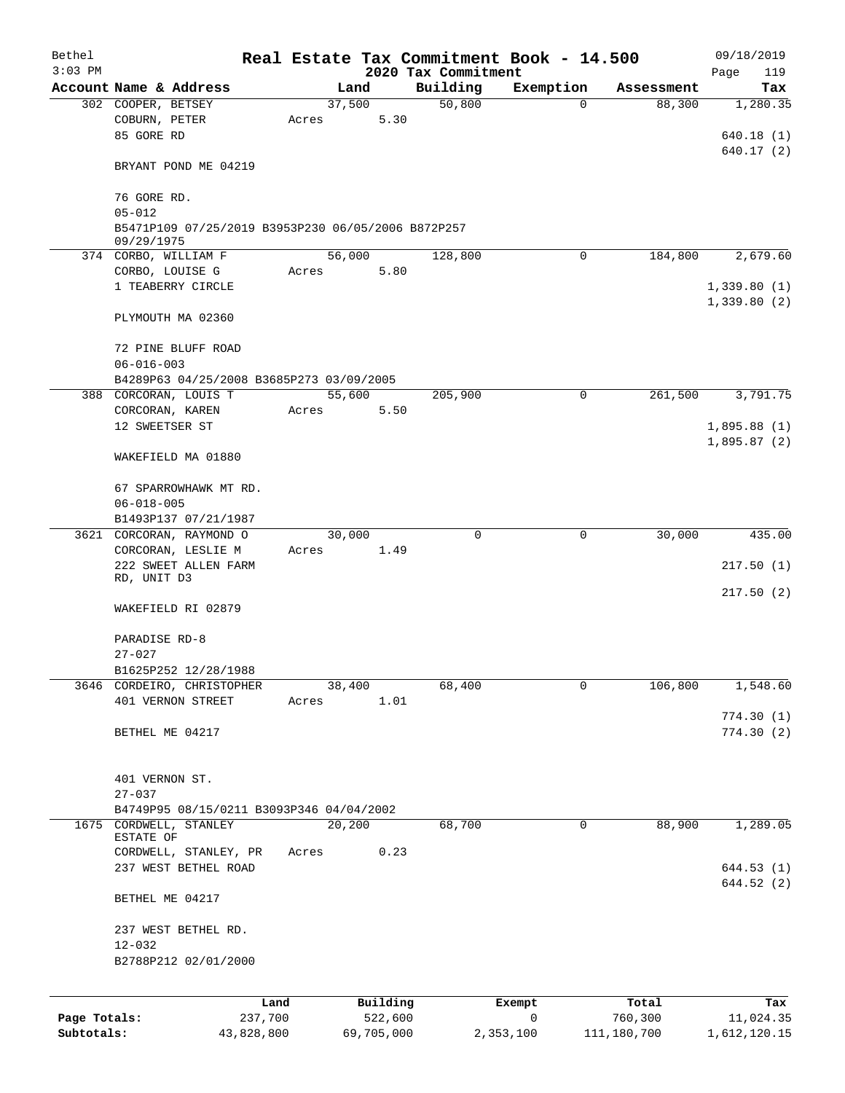| Bethel       |                                                                  |       |                |                     | Real Estate Tax Commitment Book - 14.500 |                      | 09/18/2019                 |
|--------------|------------------------------------------------------------------|-------|----------------|---------------------|------------------------------------------|----------------------|----------------------------|
| $3:03$ PM    |                                                                  |       |                | 2020 Tax Commitment |                                          |                      | Page<br>119                |
|              | Account Name & Address                                           |       | Land<br>37,500 | Building<br>50,800  | Exemption<br>$\Omega$                    | Assessment<br>88,300 | Tax<br>1,280.35            |
|              | 302 COOPER, BETSEY<br>COBURN, PETER<br>85 GORE RD                | Acres | 5.30           |                     |                                          |                      | 640.18(1)                  |
|              | BRYANT POND ME 04219                                             |       |                |                     |                                          |                      | 640.17(2)                  |
|              | 76 GORE RD.                                                      |       |                |                     |                                          |                      |                            |
|              | $05 - 012$<br>B5471P109 07/25/2019 B3953P230 06/05/2006 B872P257 |       |                |                     |                                          |                      |                            |
|              | 09/29/1975<br>374 CORBO, WILLIAM F                               |       | 56,000         | 128,800             | $\mathbf 0$                              | 184,800              | 2,679.60                   |
|              | CORBO, LOUISE G                                                  | Acres | 5.80           |                     |                                          |                      |                            |
|              | 1 TEABERRY CIRCLE                                                |       |                |                     |                                          |                      | 1,339.80(1)<br>1,339.80(2) |
|              | PLYMOUTH MA 02360                                                |       |                |                     |                                          |                      |                            |
|              | 72 PINE BLUFF ROAD<br>$06 - 016 - 003$                           |       |                |                     |                                          |                      |                            |
|              | B4289P63 04/25/2008 B3685P273 03/09/2005                         |       |                |                     |                                          |                      |                            |
|              | 388 CORCORAN, LOUIS T                                            |       | 55,600         | 205,900             | 0                                        | 261,500              | 3,791.75                   |
|              | CORCORAN, KAREN                                                  | Acres | 5.50           |                     |                                          |                      |                            |
|              | 12 SWEETSER ST                                                   |       |                |                     |                                          |                      | 1,895.88(1)                |
|              | WAKEFIELD MA 01880                                               |       |                |                     |                                          |                      | 1,895.87(2)                |
|              | 67 SPARROWHAWK MT RD.<br>$06 - 018 - 005$                        |       |                |                     |                                          |                      |                            |
|              | B1493P137 07/21/1987                                             |       |                |                     |                                          |                      |                            |
|              | 3621 CORCORAN, RAYMOND O                                         |       | 30,000         | $\Omega$            | $\mathbf 0$                              | 30,000               | 435.00                     |
|              | CORCORAN, LESLIE M                                               | Acres | 1.49           |                     |                                          |                      |                            |
|              | 222 SWEET ALLEN FARM<br>RD, UNIT D3                              |       |                |                     |                                          |                      | 217.50(1)                  |
|              | WAKEFIELD RI 02879                                               |       |                |                     |                                          |                      | 217.50(2)                  |
|              | PARADISE RD-8                                                    |       |                |                     |                                          |                      |                            |
|              | $27 - 027$                                                       |       |                |                     |                                          |                      |                            |
|              | B1625P252 12/28/1988                                             |       |                |                     |                                          |                      |                            |
|              | 3646 CORDEIRO, CHRISTOPHER                                       |       | 38,400         | 68,400              | 0                                        | 106,800              | 1,548.60                   |
|              | 401 VERNON STREET                                                | Acres | 1.01           |                     |                                          |                      | 774.30(1)                  |
|              | BETHEL ME 04217                                                  |       |                |                     |                                          |                      | 774.30(2)                  |
|              |                                                                  |       |                |                     |                                          |                      |                            |
|              | 401 VERNON ST.<br>$27 - 037$                                     |       |                |                     |                                          |                      |                            |
|              | B4749P95 08/15/0211 B3093P346 04/04/2002                         |       |                |                     |                                          |                      |                            |
| 1675         | CORDWELL, STANLEY                                                |       | 20,200         | 68,700              | 0                                        | 88,900               | 1,289.05                   |
|              | ESTATE OF                                                        |       |                |                     |                                          |                      |                            |
|              | CORDWELL, STANLEY, PR                                            | Acres | 0.23           |                     |                                          |                      |                            |
|              | 237 WEST BETHEL ROAD                                             |       |                |                     |                                          |                      | 644.53(1)<br>644.52(2)     |
|              | BETHEL ME 04217                                                  |       |                |                     |                                          |                      |                            |
|              | 237 WEST BETHEL RD.                                              |       |                |                     |                                          |                      |                            |
|              | $12 - 032$                                                       |       |                |                     |                                          |                      |                            |
|              | B2788P212 02/01/2000                                             |       |                |                     |                                          |                      |                            |
|              | Land                                                             |       | Building       |                     | Exempt                                   | Total                | Tax                        |
| Page Totals: | 237,700                                                          |       | 522,600        |                     | 0                                        | 760,300              | 11,024.35                  |
| Subtotals:   | 43,828,800                                                       |       | 69,705,000     |                     | 2,353,100                                | 111,180,700          | 1,612,120.15               |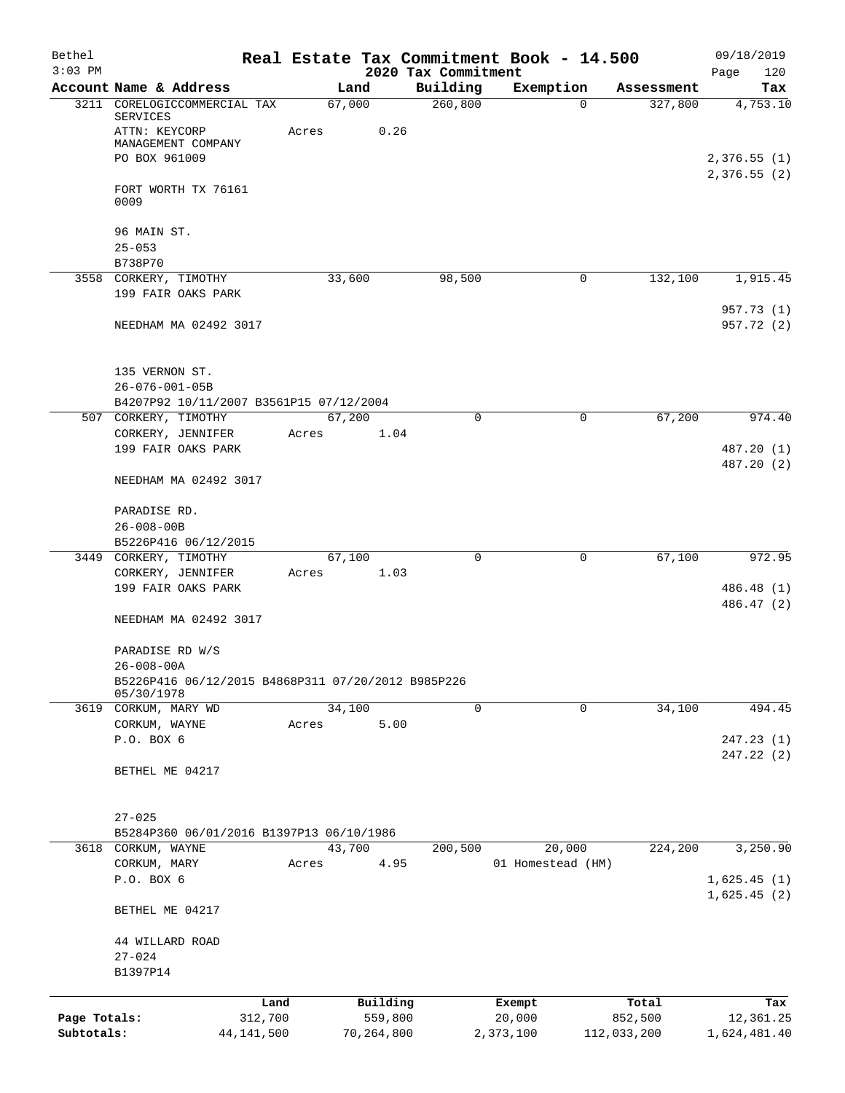| Bethel       |                                                      |              |        |              |                     | Real Estate Tax Commitment Book - 14.500 |                        | 09/18/2019                 |
|--------------|------------------------------------------------------|--------------|--------|--------------|---------------------|------------------------------------------|------------------------|----------------------------|
| $3:03$ PM    |                                                      |              |        |              | 2020 Tax Commitment |                                          |                        | 120<br>Page                |
|              | Account Name & Address                               |              | Land   |              | Building            | Exemption                                | Assessment<br>$\Omega$ | Tax                        |
| 3211         | CORELOGICCOMMERCIAL TAX<br>SERVICES<br>ATTN: KEYCORP | Acres        | 67,000 | 0.26         | 260, 800            |                                          | 327,800                | 4,753.10                   |
|              | MANAGEMENT COMPANY<br>PO BOX 961009                  |              |        |              |                     |                                          |                        | 2,376.55(1)<br>2,376.55(2) |
|              | FORT WORTH TX 76161<br>0009                          |              |        |              |                     |                                          |                        |                            |
|              | 96 MAIN ST.                                          |              |        |              |                     |                                          |                        |                            |
|              | $25 - 053$                                           |              |        |              |                     |                                          |                        |                            |
|              | B738P70                                              |              |        |              |                     |                                          |                        |                            |
|              | 3558 CORKERY, TIMOTHY<br>199 FAIR OAKS PARK          |              | 33,600 |              | 98,500              |                                          | 132,100<br>0           | 1,915.45<br>957.73 (1)     |
|              | NEEDHAM MA 02492 3017                                |              |        |              |                     |                                          |                        | 957.72 (2)                 |
|              | 135 VERNON ST.<br>$26 - 076 - 001 - 05B$             |              |        |              |                     |                                          |                        |                            |
|              | B4207P92 10/11/2007 B3561P15 07/12/2004              |              |        |              |                     |                                          |                        |                            |
|              | 507 CORKERY, TIMOTHY                                 |              | 67,200 |              | 0                   |                                          | 67,200<br>0            | 974.40                     |
|              | CORKERY, JENNIFER                                    | Acres        |        | 1.04         |                     |                                          |                        |                            |
|              | 199 FAIR OAKS PARK                                   |              |        |              |                     |                                          |                        | 487.20 (1)<br>487.20 (2)   |
|              | NEEDHAM MA 02492 3017                                |              |        |              |                     |                                          |                        |                            |
|              | PARADISE RD.                                         |              |        |              |                     |                                          |                        |                            |
|              | $26 - 008 - 00B$                                     |              |        |              |                     |                                          |                        |                            |
|              | B5226P416 06/12/2015                                 |              |        |              | $\mathbf 0$         |                                          | 67,100<br>0            | 972.95                     |
|              | 3449 CORKERY, TIMOTHY<br>CORKERY, JENNIFER           | Acres        | 67,100 | 1.03         |                     |                                          |                        |                            |
|              | 199 FAIR OAKS PARK                                   |              |        |              |                     |                                          |                        | 486.48 (1)                 |
|              |                                                      |              |        |              |                     |                                          |                        | 486.47 (2)                 |
|              | NEEDHAM MA 02492 3017                                |              |        |              |                     |                                          |                        |                            |
|              | PARADISE RD W/S<br>$26 - 008 - 00A$                  |              |        |              |                     |                                          |                        |                            |
|              | B5226P416 06/12/2015 B4868P311 07/20/2012 B985P226   |              |        |              |                     |                                          |                        |                            |
|              | 05/30/1978                                           |              |        |              |                     |                                          |                        |                            |
|              | 3619 CORKUM, MARY WD                                 |              | 34,100 |              | 0                   |                                          | $\mathbf 0$<br>34,100  | 494.45                     |
|              | CORKUM, WAYNE                                        | Acres        |        | 5.00         |                     |                                          |                        | 247.23(1)                  |
|              | P.O. BOX 6                                           |              |        |              |                     |                                          |                        | 247.22 (2)                 |
|              | BETHEL ME 04217                                      |              |        |              |                     |                                          |                        |                            |
|              | $27 - 025$                                           |              |        |              |                     |                                          |                        |                            |
|              | B5284P360 06/01/2016 B1397P13 06/10/1986             |              |        |              |                     |                                          |                        |                            |
| 3618         | CORKUM, WAYNE                                        |              | 43,700 |              | 200,500             | 20,000                                   | 224,200                | 3,250.90                   |
|              | CORKUM, MARY                                         | Acres        |        | 4.95         |                     | 01 Homestead (HM)                        |                        |                            |
|              | P.O. BOX 6                                           |              |        |              |                     |                                          |                        | 1,625.45(1)<br>1,625.45(2) |
|              | BETHEL ME 04217                                      |              |        |              |                     |                                          |                        |                            |
|              | 44 WILLARD ROAD                                      |              |        |              |                     |                                          |                        |                            |
|              | $27 - 024$<br>B1397P14                               |              |        |              |                     |                                          |                        |                            |
|              |                                                      | Land         |        | Building     |                     | Exempt                                   | Total                  | Tax                        |
| Page Totals: |                                                      | 312,700      |        | 559,800      |                     | 20,000                                   | 852,500                | 12,361.25                  |
| Subtotals:   |                                                      | 44, 141, 500 |        | 70, 264, 800 |                     | 2,373,100                                | 112,033,200            | 1,624,481.40               |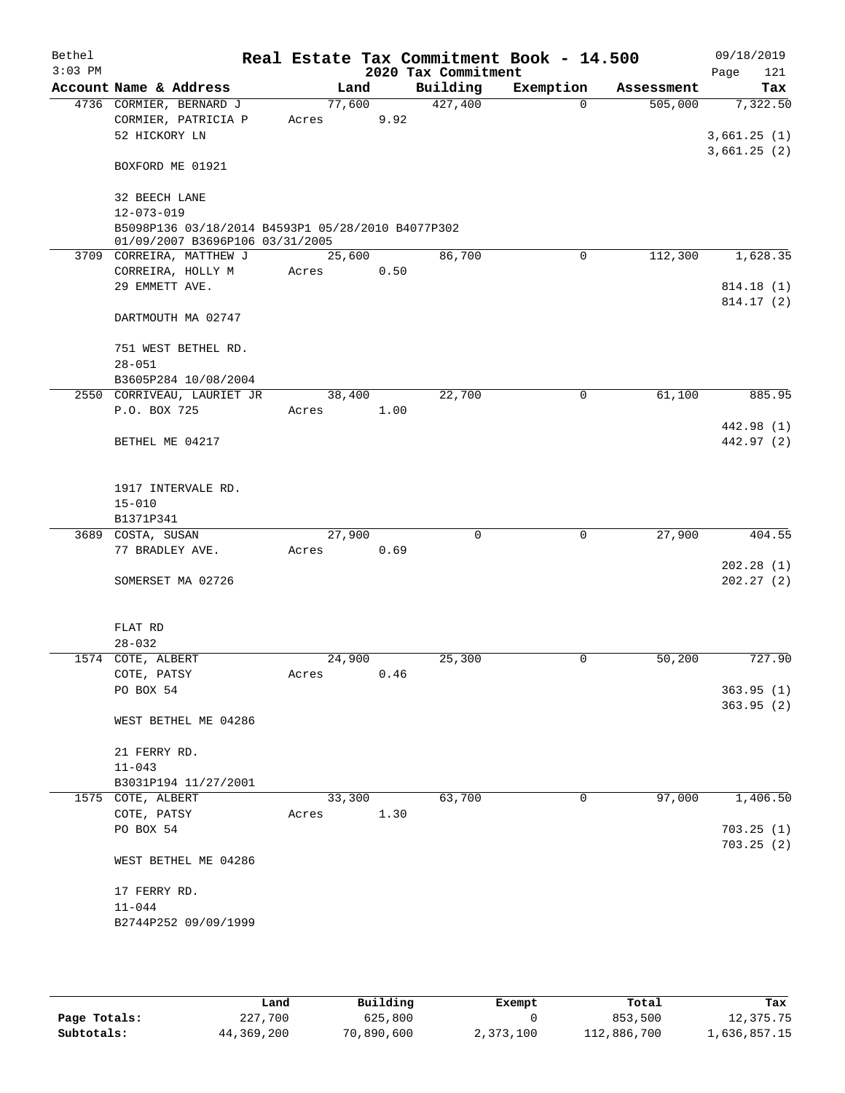| Bethel<br>$3:03$ PM |                                                                                      |        |      | 2020 Tax Commitment | Real Estate Tax Commitment Book - 14.500 |            | 09/18/2019<br>121<br>Page |
|---------------------|--------------------------------------------------------------------------------------|--------|------|---------------------|------------------------------------------|------------|---------------------------|
|                     | Account Name & Address                                                               | Land   |      | Building            | Exemption                                | Assessment | Tax                       |
|                     | 4736 CORMIER, BERNARD J                                                              | 77,600 |      | 427,400             | $\Omega$                                 | 505,000    | 7,322.50                  |
|                     | CORMIER, PATRICIA P                                                                  | Acres  | 9.92 |                     |                                          |            |                           |
|                     | 52 HICKORY LN                                                                        |        |      |                     |                                          |            | 3,661.25(1)               |
|                     | BOXFORD ME 01921                                                                     |        |      |                     |                                          |            | 3,661.25(2)               |
|                     | 32 BEECH LANE                                                                        |        |      |                     |                                          |            |                           |
|                     | $12 - 073 - 019$                                                                     |        |      |                     |                                          |            |                           |
|                     | B5098P136 03/18/2014 B4593P1 05/28/2010 B4077P302<br>01/09/2007 B3696P106 03/31/2005 |        |      |                     |                                          |            |                           |
|                     | 3709 CORREIRA, MATTHEW J                                                             | 25,600 |      | 86,700              | 0                                        | 112,300    | 1,628.35                  |
|                     | CORREIRA, HOLLY M                                                                    | Acres  | 0.50 |                     |                                          |            |                           |
|                     | 29 EMMETT AVE.                                                                       |        |      |                     |                                          |            | 814.18 (1)                |
|                     |                                                                                      |        |      |                     |                                          |            | 814.17(2)                 |
|                     | DARTMOUTH MA 02747                                                                   |        |      |                     |                                          |            |                           |
|                     | 751 WEST BETHEL RD.                                                                  |        |      |                     |                                          |            |                           |
|                     | $28 - 051$                                                                           |        |      |                     |                                          |            |                           |
|                     | B3605P284 10/08/2004<br>2550 CORRIVEAU, LAURIET JR                                   | 38,400 |      | 22,700              | $\mathbf 0$                              | 61,100     | 885.95                    |
|                     | P.O. BOX 725                                                                         | Acres  | 1.00 |                     |                                          |            |                           |
|                     |                                                                                      |        |      |                     |                                          |            | 442.98 (1)                |
|                     | BETHEL ME 04217                                                                      |        |      |                     |                                          |            | 442.97 (2)                |
|                     |                                                                                      |        |      |                     |                                          |            |                           |
|                     | 1917 INTERVALE RD.                                                                   |        |      |                     |                                          |            |                           |
|                     | $15 - 010$                                                                           |        |      |                     |                                          |            |                           |
|                     | B1371P341                                                                            |        |      |                     |                                          |            |                           |
|                     | 3689 COSTA, SUSAN                                                                    | 27,900 |      | $\Omega$            | $\mathbf 0$                              | 27,900     | 404.55                    |
|                     | 77 BRADLEY AVE.                                                                      | Acres  | 0.69 |                     |                                          |            |                           |
|                     | SOMERSET MA 02726                                                                    |        |      |                     |                                          |            | 202.28(1)<br>202.27(2)    |
|                     |                                                                                      |        |      |                     |                                          |            |                           |
|                     | FLAT RD                                                                              |        |      |                     |                                          |            |                           |
|                     | $28 - 032$                                                                           |        |      |                     |                                          |            |                           |
|                     | 1574 COTE, ALBERT                                                                    | 24,900 |      | 25,300              | 0                                        | 50,200     | 727.90                    |
|                     | COTE, PATSY                                                                          | Acres  | 0.46 |                     |                                          |            |                           |
|                     | PO BOX 54                                                                            |        |      |                     |                                          |            | 363.95(1)                 |
|                     | WEST BETHEL ME 04286                                                                 |        |      |                     |                                          |            | 363.95(2)                 |
|                     | 21 FERRY RD.                                                                         |        |      |                     |                                          |            |                           |
|                     | $11 - 043$                                                                           |        |      |                     |                                          |            |                           |
|                     | B3031P194 11/27/2001                                                                 |        |      |                     |                                          |            |                           |
|                     | 1575 COTE, ALBERT                                                                    | 33,300 |      | 63,700              | $\mathbf 0$                              | 97,000     | 1,406.50                  |
|                     | COTE, PATSY                                                                          | Acres  | 1.30 |                     |                                          |            |                           |
|                     | PO BOX 54                                                                            |        |      |                     |                                          |            | 703.25(1)                 |
|                     | WEST BETHEL ME 04286                                                                 |        |      |                     |                                          |            | 703.25(2)                 |
|                     | 17 FERRY RD.                                                                         |        |      |                     |                                          |            |                           |
|                     | $11 - 044$                                                                           |        |      |                     |                                          |            |                           |
|                     | B2744P252 09/09/1999                                                                 |        |      |                     |                                          |            |                           |
|                     |                                                                                      |        |      |                     |                                          |            |                           |

|              | Land       | Building   | Exempt    | Total       | Tax          |
|--------------|------------|------------|-----------|-------------|--------------|
| Page Totals: | 227,700    | 625,800    |           | 853,500     | 12,375.75    |
| Subtotals:   | 44,369,200 | 70,890,600 | 2,373,100 | 112,886,700 | 1,636,857.15 |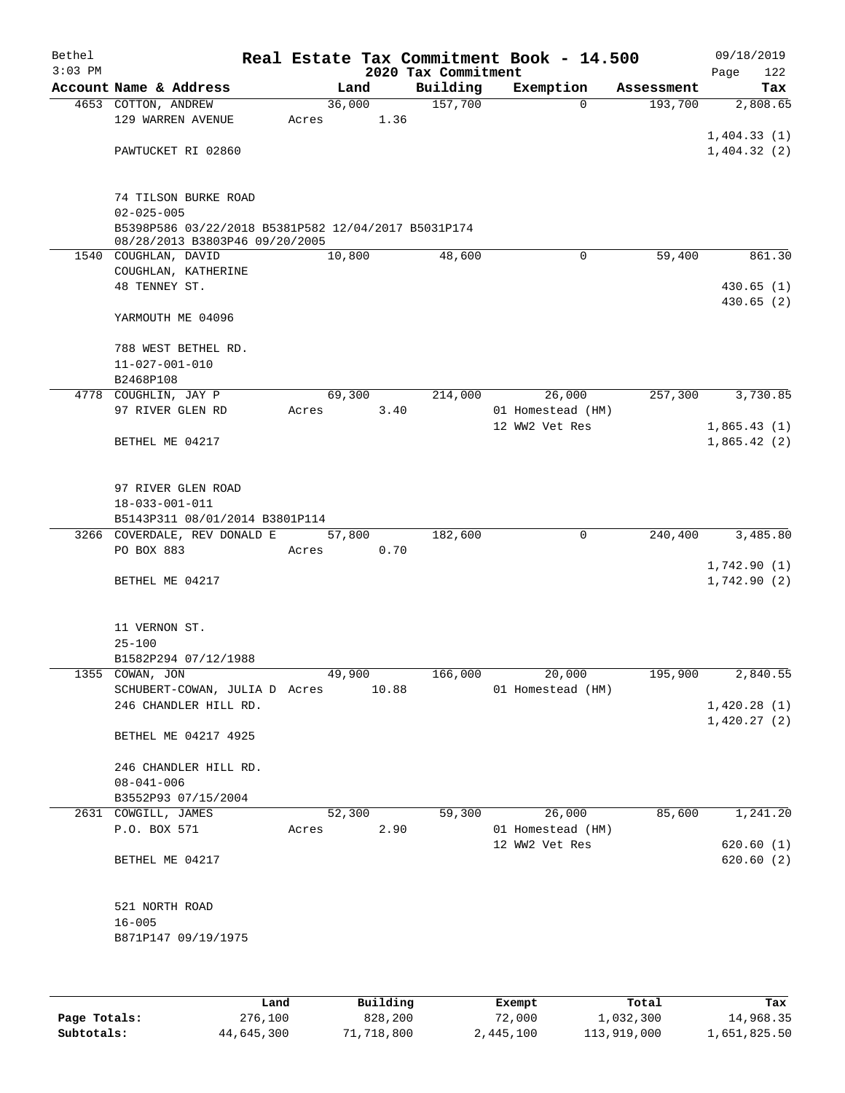| Bethel    |                                                        |       |        |       |                     | Real Estate Tax Commitment Book - 14.500 |            |      | 09/18/2019  |
|-----------|--------------------------------------------------------|-------|--------|-------|---------------------|------------------------------------------|------------|------|-------------|
| $3:03$ PM |                                                        |       |        |       | 2020 Tax Commitment |                                          |            | Page | 122         |
|           | Account Name & Address                                 |       | Land   |       | Building            | Exemption                                | Assessment |      | Tax         |
|           | 4653 COTTON, ANDREW                                    |       | 36,000 |       | 157,700             | $\Omega$                                 | 193,700    |      | 2,808.65    |
|           | 129 WARREN AVENUE                                      | Acres |        | 1.36  |                     |                                          |            |      |             |
|           |                                                        |       |        |       |                     |                                          |            |      | 1,404.33(1) |
|           | PAWTUCKET RI 02860                                     |       |        |       |                     |                                          |            |      | 1,404.32(2) |
|           |                                                        |       |        |       |                     |                                          |            |      |             |
|           | 74 TILSON BURKE ROAD                                   |       |        |       |                     |                                          |            |      |             |
|           | $02 - 025 - 005$                                       |       |        |       |                     |                                          |            |      |             |
|           | B5398P586 03/22/2018 B5381P582 12/04/2017 B5031P174    |       |        |       |                     |                                          |            |      |             |
|           | 08/28/2013 B3803P46 09/20/2005<br>1540 COUGHLAN, DAVID |       | 10,800 |       | 48,600              | $\mathbf 0$                              | 59,400     |      | 861.30      |
|           | COUGHLAN, KATHERINE                                    |       |        |       |                     |                                          |            |      |             |
|           | 48 TENNEY ST.                                          |       |        |       |                     |                                          |            |      | 430.65(1)   |
|           |                                                        |       |        |       |                     |                                          |            |      | 430.65(2)   |
|           | YARMOUTH ME 04096                                      |       |        |       |                     |                                          |            |      |             |
|           | 788 WEST BETHEL RD.                                    |       |        |       |                     |                                          |            |      |             |
|           | $11 - 027 - 001 - 010$                                 |       |        |       |                     |                                          |            |      |             |
|           | B2468P108                                              |       |        |       |                     |                                          |            |      |             |
|           | 4778 COUGHLIN, JAY P                                   |       | 69,300 |       | 214,000             | 26,000                                   | 257,300    |      | 3,730.85    |
|           | 97 RIVER GLEN RD                                       | Acres |        | 3.40  |                     | 01 Homestead (HM)                        |            |      |             |
|           |                                                        |       |        |       |                     | 12 WW2 Vet Res                           |            |      | 1,865.43(1) |
|           | BETHEL ME 04217                                        |       |        |       |                     |                                          |            |      | 1,865.42(2) |
|           |                                                        |       |        |       |                     |                                          |            |      |             |
|           | 97 RIVER GLEN ROAD                                     |       |        |       |                     |                                          |            |      |             |
|           | $18 - 033 - 001 - 011$                                 |       |        |       |                     |                                          |            |      |             |
|           | B5143P311 08/01/2014 B3801P114                         |       |        |       |                     |                                          |            |      |             |
|           | 3266 COVERDALE, REV DONALD E                           |       | 57,800 |       | 182,600             | $\mathbf 0$                              | 240,400    |      | 3,485.80    |
|           | PO BOX 883                                             | Acres |        | 0.70  |                     |                                          |            |      |             |
|           |                                                        |       |        |       |                     |                                          |            |      | 1,742.90(1) |
|           | BETHEL ME 04217                                        |       |        |       |                     |                                          |            |      | 1,742.90(2) |
|           |                                                        |       |        |       |                     |                                          |            |      |             |
|           | 11 VERNON ST.                                          |       |        |       |                     |                                          |            |      |             |
|           | $25 - 100$                                             |       |        |       |                     |                                          |            |      |             |
|           | B1582P294 07/12/1988                                   |       |        |       |                     |                                          |            |      |             |
|           | 1355 COWAN, JON                                        |       | 49,900 |       | 166,000             | 20,000                                   | 195,900    |      | 2,840.55    |
|           | SCHUBERT-COWAN, JULIA D Acres                          |       |        | 10.88 |                     | 01 Homestead (HM)                        |            |      |             |
|           | 246 CHANDLER HILL RD.                                  |       |        |       |                     |                                          |            |      | 1,420.28(1) |
|           |                                                        |       |        |       |                     |                                          |            |      | 1,420.27(2) |
|           | BETHEL ME 04217 4925                                   |       |        |       |                     |                                          |            |      |             |
|           |                                                        |       |        |       |                     |                                          |            |      |             |
|           | 246 CHANDLER HILL RD.<br>$08 - 041 - 006$              |       |        |       |                     |                                          |            |      |             |
|           | B3552P93 07/15/2004                                    |       |        |       |                     |                                          |            |      |             |
|           | 2631 COWGILL, JAMES                                    |       | 52,300 |       | 59,300              | 26,000                                   | 85,600     |      | 1,241.20    |
|           | P.O. BOX 571                                           | Acres |        | 2.90  |                     | 01 Homestead (HM)                        |            |      |             |
|           |                                                        |       |        |       |                     | 12 WW2 Vet Res                           |            |      | 620.60(1)   |
|           | BETHEL ME 04217                                        |       |        |       |                     |                                          |            |      | 620.60(2)   |
|           |                                                        |       |        |       |                     |                                          |            |      |             |
|           | 521 NORTH ROAD                                         |       |        |       |                     |                                          |            |      |             |
|           | $16 - 005$                                             |       |        |       |                     |                                          |            |      |             |
|           | B871P147 09/19/1975                                    |       |        |       |                     |                                          |            |      |             |
|           |                                                        |       |        |       |                     |                                          |            |      |             |
|           |                                                        |       |        |       |                     |                                          |            |      |             |
|           |                                                        |       |        |       |                     |                                          |            |      |             |
|           |                                                        |       |        |       |                     |                                          |            |      |             |

|              | Land       | Building   | Exempt    | Total       | Tax          |
|--------------|------------|------------|-----------|-------------|--------------|
| Page Totals: | 276,100    | 828,200    | 72,000    | 1,032,300   | 14,968.35    |
| Subtotals:   | 44,645,300 | 71,718,800 | 2,445,100 | 113,919,000 | 1,651,825.50 |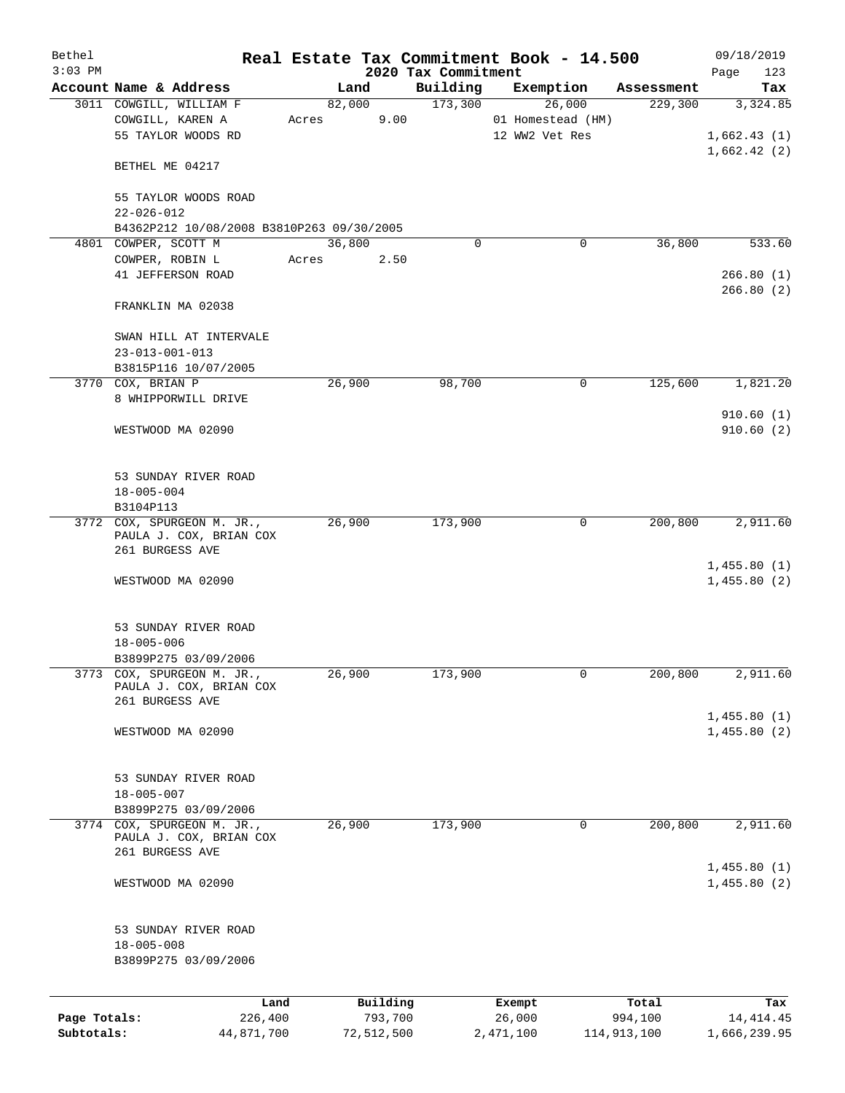| Bethel       |                                                                          |       |                     |                     | Real Estate Tax Commitment Book - 14.500 |                       | 09/18/2019                             |
|--------------|--------------------------------------------------------------------------|-------|---------------------|---------------------|------------------------------------------|-----------------------|----------------------------------------|
| $3:03$ PM    |                                                                          |       |                     | 2020 Tax Commitment |                                          |                       | Page<br>123                            |
|              | Account Name & Address<br>3011 COWGILL, WILLIAM F                        |       | Land                | Building<br>173,300 | Exemption<br>26,000                      | Assessment<br>229,300 | Tax                                    |
|              | COWGILL, KAREN A<br>55 TAYLOR WOODS RD                                   | Acres | 82,000              | 9.00                | 01 Homestead (HM)<br>12 WW2 Vet Res      |                       | 3,324.85<br>1,662.43(1)<br>1,662.42(2) |
|              | BETHEL ME 04217                                                          |       |                     |                     |                                          |                       |                                        |
|              | 55 TAYLOR WOODS ROAD<br>$22 - 026 - 012$                                 |       |                     |                     |                                          |                       |                                        |
|              | B4362P212 10/08/2008 B3810P263 09/30/2005                                |       |                     |                     |                                          |                       |                                        |
|              | 4801 COWPER, SCOTT M                                                     |       | 36,800              | $\mathbf 0$         | 0                                        | 36,800                | 533.60                                 |
|              | COWPER, ROBIN L<br>41 JEFFERSON ROAD                                     | Acres |                     | 2.50                |                                          |                       | 266.80(1)<br>266.80(2)                 |
|              | FRANKLIN MA 02038                                                        |       |                     |                     |                                          |                       |                                        |
|              | SWAN HILL AT INTERVALE<br>$23 - 013 - 001 - 013$                         |       |                     |                     |                                          |                       |                                        |
|              | B3815P116 10/07/2005                                                     |       |                     |                     |                                          |                       |                                        |
|              | 3770 COX, BRIAN P<br>8 WHIPPORWILL DRIVE                                 |       | 26,900              | 98,700              | 0                                        | 125,600               | 1,821.20                               |
|              | WESTWOOD MA 02090                                                        |       |                     |                     |                                          |                       | 910.60(1)<br>910.60(2)                 |
|              | 53 SUNDAY RIVER ROAD                                                     |       |                     |                     |                                          |                       |                                        |
|              | $18 - 005 - 004$<br>B3104P113                                            |       |                     |                     |                                          |                       |                                        |
|              | 3772 COX, SPURGEON M. JR.,                                               |       | 26,900              | 173,900             | 0                                        | 200,800               | 2,911.60                               |
|              | PAULA J. COX, BRIAN COX<br>261 BURGESS AVE                               |       |                     |                     |                                          |                       |                                        |
|              | WESTWOOD MA 02090                                                        |       |                     |                     |                                          |                       | 1,455.80(1)<br>1,455.80(2)             |
|              | 53 SUNDAY RIVER ROAD<br>$18 - 005 - 006$<br>B3899P275 03/09/2006         |       |                     |                     |                                          |                       |                                        |
|              | 3773 COX, SPURGEON M. JR.,<br>PAULA J. COX, BRIAN COX<br>261 BURGESS AVE |       | 26,900              | 173,900             | 0                                        | 200,800               | 2,911.60                               |
|              | WESTWOOD MA 02090                                                        |       |                     |                     |                                          |                       | 1,455.80(1)<br>1,455.80(2)             |
|              | 53 SUNDAY RIVER ROAD<br>$18 - 005 - 007$<br>B3899P275 03/09/2006         |       |                     |                     |                                          |                       |                                        |
|              | 3774 COX, SPURGEON M. JR.,                                               |       | 26,900              | 173,900             | $\mathbf 0$                              | 200,800               | 2,911.60                               |
|              | PAULA J. COX, BRIAN COX<br>261 BURGESS AVE                               |       |                     |                     |                                          |                       |                                        |
|              |                                                                          |       |                     |                     |                                          |                       | 1,455.80(1)                            |
|              | WESTWOOD MA 02090                                                        |       |                     |                     |                                          |                       | 1,455.80(2)                            |
|              | 53 SUNDAY RIVER ROAD<br>$18 - 005 - 008$<br>B3899P275 03/09/2006         |       |                     |                     |                                          |                       |                                        |
|              |                                                                          |       |                     |                     |                                          |                       |                                        |
| Page Totals: | Land<br>226,400                                                          |       | Building<br>793,700 |                     | Exempt<br>26,000                         | Total<br>994,100      | Tax<br>14, 414. 45                     |
| Subtotals:   | 44,871,700                                                               |       | 72,512,500          |                     | 2,471,100                                | 114,913,100           | 1,666,239.95                           |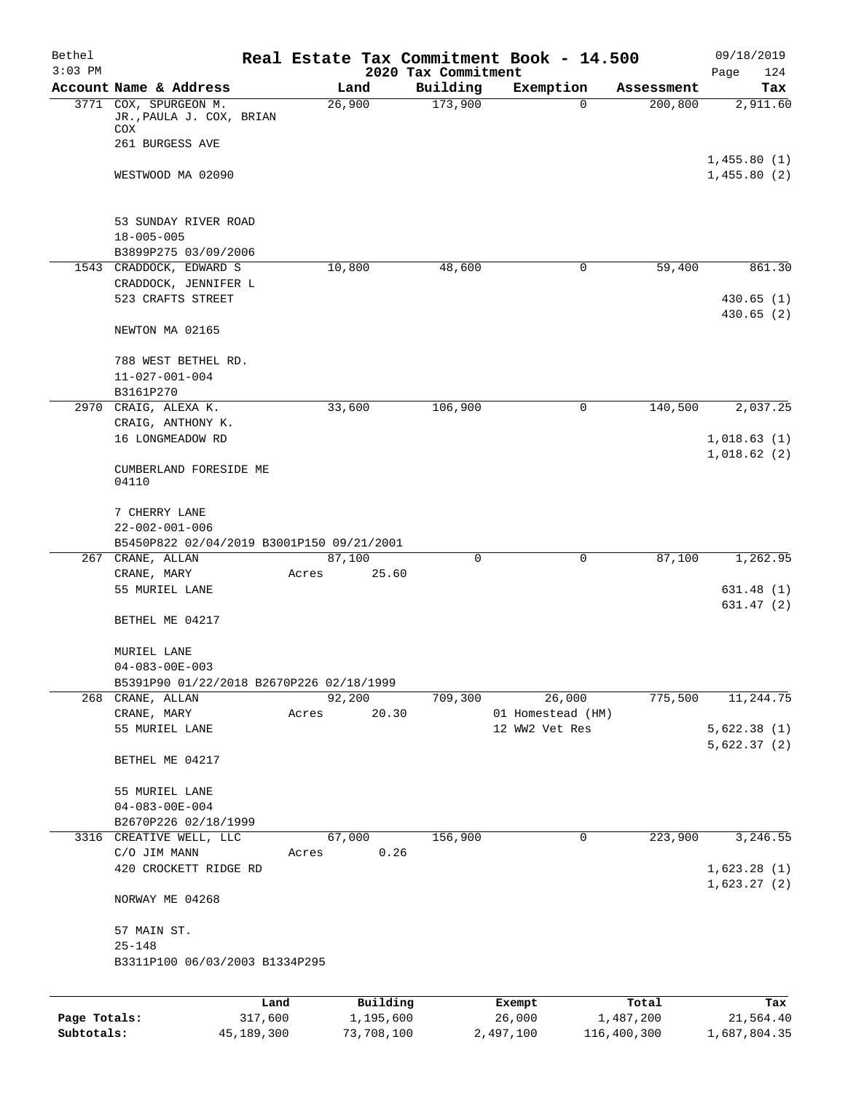| Bethel<br>$3:03$ PM |                                                                    | Real Estate Tax Commitment Book - 14.500 | 2020 Tax Commitment |                   |                    | 09/18/2019                 |
|---------------------|--------------------------------------------------------------------|------------------------------------------|---------------------|-------------------|--------------------|----------------------------|
|                     | Account Name & Address                                             | Land                                     | Building            | Exemption         | Assessment         | Page<br>124<br>Tax         |
|                     | 3771 COX, SPURGEON M.<br>JR., PAULA J. COX, BRIAN<br>COX           | 26,900                                   | 173,900             | $\Omega$          | 200,800            | 2,911.60                   |
|                     | 261 BURGESS AVE                                                    |                                          |                     |                   |                    |                            |
|                     | WESTWOOD MA 02090                                                  |                                          |                     |                   |                    | 1,455.80(1)<br>1,455.80(2) |
|                     | 53 SUNDAY RIVER ROAD<br>$18 - 005 - 005$                           |                                          |                     |                   |                    |                            |
|                     | B3899P275 03/09/2006                                               |                                          |                     |                   |                    |                            |
|                     | 1543 CRADDOCK, EDWARD S                                            | 10,800                                   | 48,600              | 0                 | 59,400             | 861.30                     |
|                     | CRADDOCK, JENNIFER L<br>523 CRAFTS STREET                          |                                          |                     |                   |                    | 430.65(1)<br>430.65(2)     |
|                     | NEWTON MA 02165                                                    |                                          |                     |                   |                    |                            |
|                     | 788 WEST BETHEL RD.<br>$11 - 027 - 001 - 004$                      |                                          |                     |                   |                    |                            |
|                     | B3161P270                                                          |                                          |                     |                   |                    |                            |
|                     | 2970 CRAIG, ALEXA K.<br>CRAIG, ANTHONY K.                          | 33,600                                   | 106,900             | $\mathbf 0$       | 140,500            | 2,037.25                   |
|                     | 16 LONGMEADOW RD                                                   |                                          |                     |                   |                    | 1,018.63(1)<br>1,018.62(2) |
|                     | CUMBERLAND FORESIDE ME<br>04110                                    |                                          |                     |                   |                    |                            |
|                     | 7 CHERRY LANE                                                      |                                          |                     |                   |                    |                            |
|                     | $22 - 002 - 001 - 006$                                             |                                          |                     |                   |                    |                            |
|                     | B5450P822 02/04/2019 B3001P150 09/21/2001<br>267 CRANE, ALLAN      | 87,100                                   | 0                   | 0                 | 87,100             | 1,262.95                   |
|                     | CRANE, MARY                                                        | Acres<br>25.60                           |                     |                   |                    |                            |
|                     | 55 MURIEL LANE                                                     |                                          |                     |                   |                    | 631.48(1)                  |
|                     | BETHEL ME 04217                                                    |                                          |                     |                   |                    | 631.47 (2)                 |
|                     | MURIEL LANE                                                        |                                          |                     |                   |                    |                            |
|                     | $04 - 083 - 00E - 003$<br>B5391P90 01/22/2018 B2670P226 02/18/1999 |                                          |                     |                   |                    |                            |
|                     | 268 CRANE, ALLAN                                                   | 92,200                                   | 709,300             | 26,000            | 775,500            | 11,244.75                  |
|                     | CRANE, MARY                                                        | 20.30<br>Acres                           |                     | 01 Homestead (HM) |                    |                            |
|                     | 55 MURIEL LANE                                                     |                                          |                     | 12 WW2 Vet Res    |                    | 5,622.38(1)                |
|                     | BETHEL ME 04217                                                    |                                          |                     |                   |                    | 5,622.37(2)                |
|                     | 55 MURIEL LANE                                                     |                                          |                     |                   |                    |                            |
|                     | $04 - 083 - 00E - 004$                                             |                                          |                     |                   |                    |                            |
|                     | B2670P226 02/18/1999                                               |                                          |                     |                   |                    |                            |
|                     | 3316 CREATIVE WELL, LLC<br>C/O JIM MANN                            | 67,000<br>0.26<br>Acres                  | 156,900             | 0                 | 223,900            | 3,246.55                   |
|                     | 420 CROCKETT RIDGE RD                                              |                                          |                     |                   |                    | 1,623.28(1)<br>1,623.27(2) |
|                     | NORWAY ME 04268                                                    |                                          |                     |                   |                    |                            |
|                     | 57 MAIN ST.<br>$25 - 148$                                          |                                          |                     |                   |                    |                            |
|                     | B3311P100 06/03/2003 B1334P295                                     |                                          |                     |                   |                    |                            |
|                     |                                                                    |                                          |                     |                   |                    |                            |
| Page Totals:        | 317,600                                                            | Building<br>Land<br>1,195,600            |                     | Exempt<br>26,000  | Total<br>1,487,200 | Tax<br>21,564.40           |

**Subtotals:** 45,189,300 73,708,100 2,497,100 116,400,300 1,687,804.35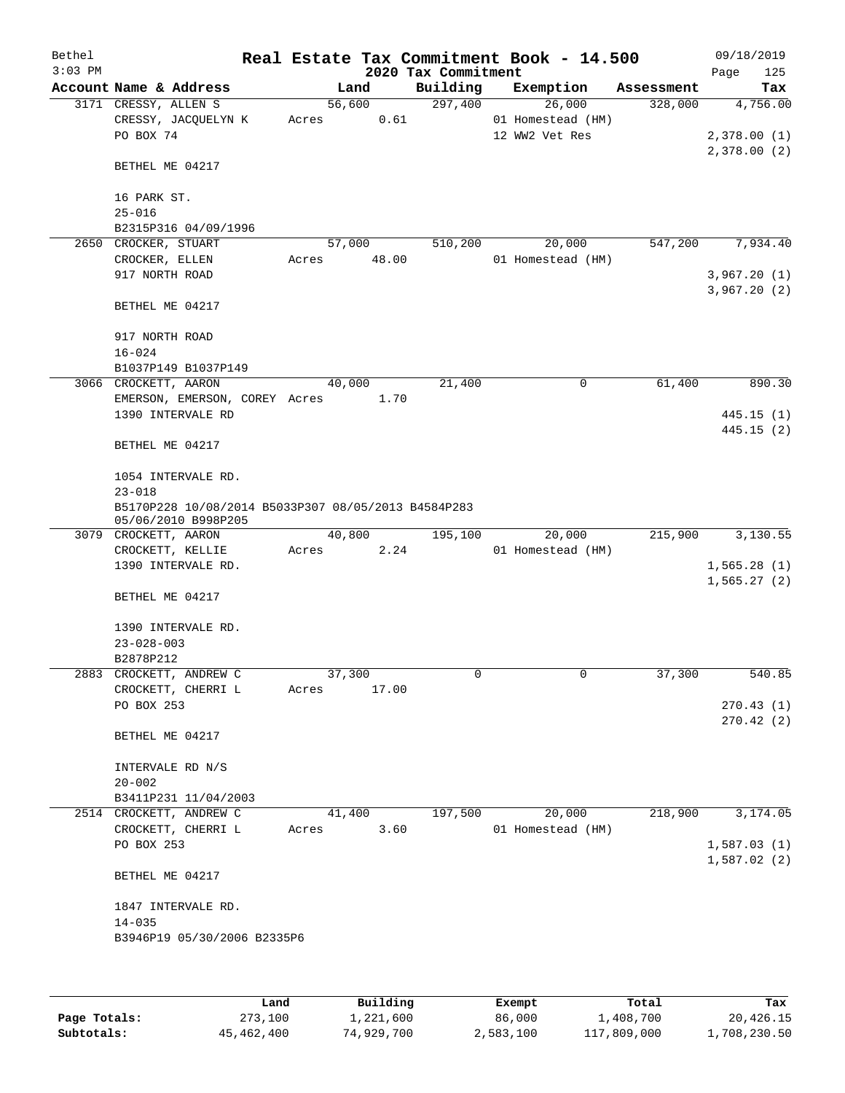| Bethel    |                                                     |       |                |                     | Real Estate Tax Commitment Book - 14.500 |            | 09/18/2019  |          |
|-----------|-----------------------------------------------------|-------|----------------|---------------------|------------------------------------------|------------|-------------|----------|
| $3:03$ PM |                                                     |       |                | 2020 Tax Commitment |                                          |            | Page        | 125      |
|           | Account Name & Address                              |       | Land           | Building            | Exemption                                | Assessment |             | Tax      |
|           | 3171 CRESSY, ALLEN S                                |       | 56,600         | 297,400             | 26,000                                   | 328,000    |             | 4,756.00 |
|           | CRESSY, JACQUELYN K<br>PO BOX 74                    | Acres | 0.61           |                     | 01 Homestead (HM)<br>12 WW2 Vet Res      |            | 2,378.00(1) |          |
|           |                                                     |       |                |                     |                                          |            | 2,378.00(2) |          |
|           | BETHEL ME 04217                                     |       |                |                     |                                          |            |             |          |
|           |                                                     |       |                |                     |                                          |            |             |          |
|           | 16 PARK ST.                                         |       |                |                     |                                          |            |             |          |
|           | $25 - 016$                                          |       |                |                     |                                          |            |             |          |
| 2650      | B2315P316 04/09/1996<br>CROCKER, STUART             |       | 57,000         | 510,200             | 20,000                                   | 547,200    |             | 7,934.40 |
|           | CROCKER, ELLEN                                      | Acres | 48.00          |                     | 01 Homestead (HM)                        |            |             |          |
|           | 917 NORTH ROAD                                      |       |                |                     |                                          |            | 3,967.20(1) |          |
|           |                                                     |       |                |                     |                                          |            | 3,967.20(2) |          |
|           | BETHEL ME 04217                                     |       |                |                     |                                          |            |             |          |
|           |                                                     |       |                |                     |                                          |            |             |          |
|           | 917 NORTH ROAD                                      |       |                |                     |                                          |            |             |          |
|           | $16 - 024$<br>B1037P149 B1037P149                   |       |                |                     |                                          |            |             |          |
|           | 3066 CROCKETT, AARON                                |       | 40,000         | 21,400              | 0                                        | 61,400     |             | 890.30   |
|           | EMERSON, EMERSON, COREY Acres 1.70                  |       |                |                     |                                          |            |             |          |
|           | 1390 INTERVALE RD                                   |       |                |                     |                                          |            | 445.15(1)   |          |
|           |                                                     |       |                |                     |                                          |            | 445.15(2)   |          |
|           | BETHEL ME 04217                                     |       |                |                     |                                          |            |             |          |
|           | 1054 INTERVALE RD.                                  |       |                |                     |                                          |            |             |          |
|           | $23 - 018$                                          |       |                |                     |                                          |            |             |          |
|           | B5170P228 10/08/2014 B5033P307 08/05/2013 B4584P283 |       |                |                     |                                          |            |             |          |
|           | 05/06/2010 B998P205                                 |       |                |                     |                                          |            |             |          |
|           | 3079 CROCKETT, AARON                                | Acres | 40,800<br>2.24 | 195,100             | 20,000<br>01 Homestead (HM)              | 215,900    |             | 3,130.55 |
|           | CROCKETT, KELLIE<br>1390 INTERVALE RD.              |       |                |                     |                                          |            | 1,565.28(1) |          |
|           |                                                     |       |                |                     |                                          |            | 1,565.27(2) |          |
|           | BETHEL ME 04217                                     |       |                |                     |                                          |            |             |          |
|           |                                                     |       |                |                     |                                          |            |             |          |
|           | 1390 INTERVALE RD.                                  |       |                |                     |                                          |            |             |          |
|           | $23 - 028 - 003$<br>B2878P212                       |       |                |                     |                                          |            |             |          |
|           | 2883 CROCKETT, ANDREW C                             |       | 37,300         | 0                   | 0                                        | 37,300     |             | 540.85   |
|           | CROCKETT, CHERRI L                                  | Acres | 17.00          |                     |                                          |            |             |          |
|           | PO BOX 253                                          |       |                |                     |                                          |            | 270.43(1)   |          |
|           |                                                     |       |                |                     |                                          |            | 270.42(2)   |          |
|           | BETHEL ME 04217                                     |       |                |                     |                                          |            |             |          |
|           | INTERVALE RD N/S                                    |       |                |                     |                                          |            |             |          |
|           | $20 - 002$                                          |       |                |                     |                                          |            |             |          |
|           | B3411P231 11/04/2003                                |       |                |                     |                                          |            |             |          |
|           | 2514 CROCKETT, ANDREW C                             |       | 41,400         | 197,500             | 20,000                                   | 218,900    |             | 3,174.05 |
|           | CROCKETT, CHERRI L                                  | Acres | 3.60           |                     | 01 Homestead (HM)                        |            |             |          |
|           | PO BOX 253                                          |       |                |                     |                                          |            | 1,587.03(1) |          |
|           |                                                     |       |                |                     |                                          |            | 1,587.02(2) |          |
|           | BETHEL ME 04217                                     |       |                |                     |                                          |            |             |          |
|           | 1847 INTERVALE RD.                                  |       |                |                     |                                          |            |             |          |
|           | $14 - 035$                                          |       |                |                     |                                          |            |             |          |
|           | B3946P19 05/30/2006 B2335P6                         |       |                |                     |                                          |            |             |          |
|           |                                                     |       |                |                     |                                          |            |             |          |
|           |                                                     |       |                |                     |                                          |            |             |          |

|              | Land       | Building   | Exempt    | Total       | Tax          |
|--------------|------------|------------|-----------|-------------|--------------|
| Page Totals: | 273,100    | 1,221,600  | 86,000    | 1,408,700   | 20,426.15    |
| Subtotals:   | 45,462,400 | 74,929,700 | 2,583,100 | 117,809,000 | 1,708,230.50 |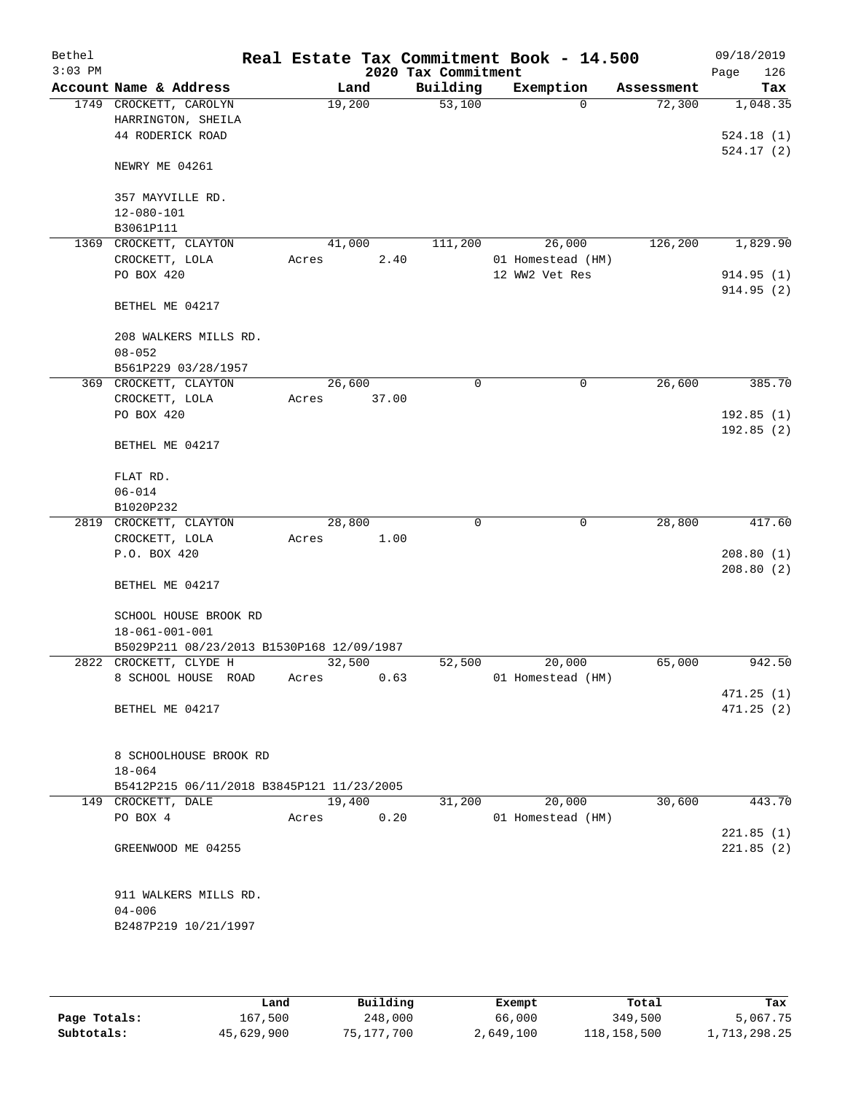| Bethel<br>$3:03$ PM |                                                 |        |        | 2020 Tax Commitment | Real Estate Tax Commitment Book - 14.500 |            | 09/18/2019             |
|---------------------|-------------------------------------------------|--------|--------|---------------------|------------------------------------------|------------|------------------------|
|                     | Account Name & Address                          |        | Land   | Building            | Exemption                                | Assessment | 126<br>Page<br>Tax     |
|                     | 1749 CROCKETT, CAROLYN                          | 19,200 |        | 53,100              | $\Omega$                                 | 72,300     | 1,048.35               |
|                     | HARRINGTON, SHEILA                              |        |        |                     |                                          |            |                        |
|                     | 44 RODERICK ROAD                                |        |        |                     |                                          |            | 524.18(1)              |
|                     | NEWRY ME 04261                                  |        |        |                     |                                          |            | 524.17(2)              |
|                     | 357 MAYVILLE RD.                                |        |        |                     |                                          |            |                        |
|                     | 12-080-101                                      |        |        |                     |                                          |            |                        |
|                     | B3061P111                                       |        |        |                     |                                          |            |                        |
| 1369                | CROCKETT, CLAYTON                               |        | 41,000 | 111,200             | 26,000                                   | 126,200    | 1,829.90               |
|                     | CROCKETT, LOLA                                  | Acres  | 2.40   |                     | 01 Homestead (HM)                        |            |                        |
|                     | PO BOX 420                                      |        |        |                     | 12 WW2 Vet Res                           |            | 914.95(1)<br>914.95(2) |
|                     | BETHEL ME 04217                                 |        |        |                     |                                          |            |                        |
|                     | 208 WALKERS MILLS RD.<br>$08 - 052$             |        |        |                     |                                          |            |                        |
|                     | B561P229 03/28/1957                             |        |        |                     |                                          |            |                        |
|                     | 369 CROCKETT, CLAYTON                           | 26,600 |        | 0                   | $\mathbf 0$                              | 26,600     | 385.70                 |
|                     | CROCKETT, LOLA                                  | Acres  | 37.00  |                     |                                          |            |                        |
|                     | PO BOX 420                                      |        |        |                     |                                          |            | 192.85(1)              |
|                     | BETHEL ME 04217                                 |        |        |                     |                                          |            | 192.85(2)              |
|                     | FLAT RD.                                        |        |        |                     |                                          |            |                        |
|                     | $06 - 014$                                      |        |        |                     |                                          |            |                        |
|                     | B1020P232                                       |        |        |                     |                                          |            |                        |
|                     | 2819 CROCKETT, CLAYTON                          | 28,800 |        | 0                   | $\mathbf 0$                              | 28,800     | 417.60                 |
|                     | CROCKETT, LOLA                                  | Acres  | 1.00   |                     |                                          |            |                        |
|                     | P.O. BOX 420                                    |        |        |                     |                                          |            | 208.80(1)              |
|                     | BETHEL ME 04217                                 |        |        |                     |                                          |            | 208.80(2)              |
|                     | SCHOOL HOUSE BROOK RD<br>$18 - 061 - 001 - 001$ |        |        |                     |                                          |            |                        |
|                     | B5029P211 08/23/2013 B1530P168 12/09/1987       |        |        |                     |                                          |            |                        |
|                     | 2822 CROCKETT, CLYDE H                          |        | 32,500 | 52,500              | 20,000                                   | 65,000     | 942.50                 |
|                     | 8 SCHOOL HOUSE ROAD                             | Acres  | 0.63   |                     | 01 Homestead (HM)                        |            |                        |
|                     |                                                 |        |        |                     |                                          |            | 471.25(1)              |
|                     | BETHEL ME 04217                                 |        |        |                     |                                          |            | 471.25 (2)             |
|                     | 8 SCHOOLHOUSE BROOK RD<br>$18 - 064$            |        |        |                     |                                          |            |                        |
|                     | B5412P215 06/11/2018 B3845P121 11/23/2005       |        |        |                     |                                          |            |                        |
|                     | 149 CROCKETT, DALE                              | 19,400 |        | 31,200              | 20,000                                   | 30,600     | 443.70                 |
|                     | PO BOX 4                                        | Acres  | 0.20   |                     | 01 Homestead (HM)                        |            |                        |
|                     |                                                 |        |        |                     |                                          |            | 221.85(1)              |
|                     | GREENWOOD ME 04255                              |        |        |                     |                                          |            | 221.85(2)              |
|                     | 911 WALKERS MILLS RD.                           |        |        |                     |                                          |            |                        |
|                     | $04 - 006$                                      |        |        |                     |                                          |            |                        |
|                     | B2487P219 10/21/1997                            |        |        |                     |                                          |            |                        |
|                     |                                                 |        |        |                     |                                          |            |                        |

|              | Land       | Building   | Exempt    | Total       | Tax          |
|--------------|------------|------------|-----------|-------------|--------------|
| Page Totals: | 167,500    | 248,000    | 66,000    | 349,500     | 5,067.75     |
| Subtotals:   | 45,629,900 | 75,177,700 | 2,649,100 | 118,158,500 | 1,713,298.25 |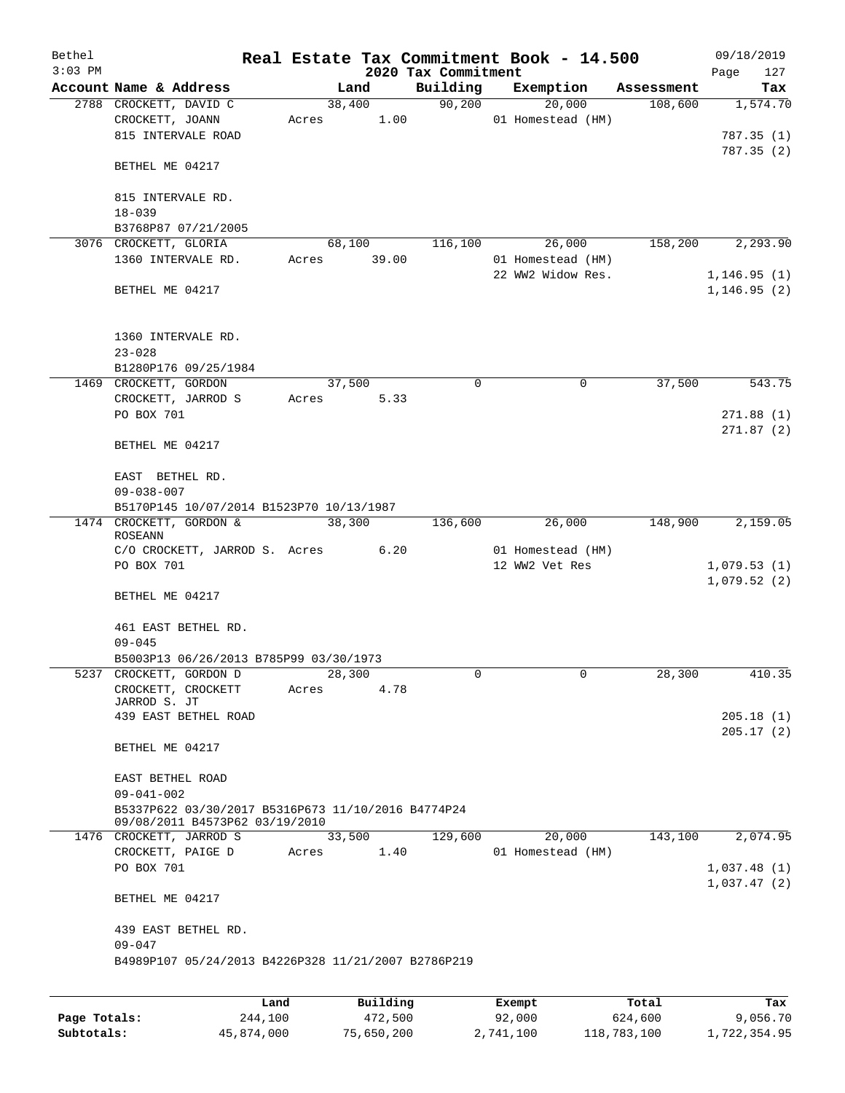| Bethel    |                                                           |       |          |                     |        | Real Estate Tax Commitment Book - 14.500 |            | 09/18/2019                  |
|-----------|-----------------------------------------------------------|-------|----------|---------------------|--------|------------------------------------------|------------|-----------------------------|
| $3:03$ PM |                                                           |       |          | 2020 Tax Commitment |        |                                          |            | Page<br>127                 |
|           | Account Name & Address                                    |       | Land     | Building            |        | Exemption                                | Assessment | Tax                         |
|           | 2788 CROCKETT, DAVID C                                    |       | 38,400   | 90,200              |        | 20,000                                   | 108,600    | 1,574.70                    |
|           | CROCKETT, JOANN                                           | Acres | 1.00     |                     |        | 01 Homestead (HM)                        |            |                             |
|           | 815 INTERVALE ROAD                                        |       |          |                     |        |                                          |            | 787.35(1)                   |
|           | BETHEL ME 04217                                           |       |          |                     |        |                                          |            | 787.35(2)                   |
|           | 815 INTERVALE RD.                                         |       |          |                     |        |                                          |            |                             |
|           | $18 - 039$                                                |       |          |                     |        |                                          |            |                             |
|           | B3768P87 07/21/2005                                       |       |          |                     |        |                                          |            |                             |
|           | 3076 CROCKETT, GLORIA                                     |       | 68,100   | 116,100             |        | 26,000                                   | 158,200    | 2,293.90                    |
|           | 1360 INTERVALE RD.                                        | Acres | 39.00    |                     |        | 01 Homestead (HM)                        |            |                             |
|           | BETHEL ME 04217                                           |       |          |                     |        | 22 WW2 Widow Res.                        |            | 1,146.95(1)<br>1, 146.95(2) |
|           | 1360 INTERVALE RD.                                        |       |          |                     |        |                                          |            |                             |
|           | $23 - 028$                                                |       |          |                     |        |                                          |            |                             |
|           | B1280P176 09/25/1984                                      |       |          |                     |        |                                          |            |                             |
|           | 1469 CROCKETT, GORDON                                     |       | 37,500   | 0                   |        | 0                                        | 37,500     | 543.75                      |
|           | CROCKETT, JARROD S                                        | Acres | 5.33     |                     |        |                                          |            |                             |
|           | PO BOX 701                                                |       |          |                     |        |                                          |            | 271.88(1)                   |
|           | BETHEL ME 04217                                           |       |          |                     |        |                                          |            | 271.87(2)                   |
|           | EAST BETHEL RD.                                           |       |          |                     |        |                                          |            |                             |
|           | $09 - 038 - 007$                                          |       |          |                     |        |                                          |            |                             |
|           | B5170P145 10/07/2014 B1523P70 10/13/1987                  |       |          |                     |        |                                          |            |                             |
|           | 1474 CROCKETT, GORDON &                                   |       | 38,300   | 136,600             |        | 26,000                                   | 148,900    | 2,159.05                    |
|           | <b>ROSEANN</b>                                            |       |          |                     |        |                                          |            |                             |
|           | C/O CROCKETT, JARROD S. Acres                             |       | 6.20     |                     |        | 01 Homestead (HM)                        |            |                             |
|           | PO BOX 701                                                |       |          |                     |        | 12 WW2 Vet Res                           |            | 1,079.53(1)                 |
|           | BETHEL ME 04217                                           |       |          |                     |        |                                          |            | 1,079.52(2)                 |
|           | 461 EAST BETHEL RD.                                       |       |          |                     |        |                                          |            |                             |
|           | $09 - 045$                                                |       |          |                     |        |                                          |            |                             |
|           | B5003P13 06/26/2013 B785P99 03/30/1973                    |       |          |                     |        |                                          |            |                             |
|           | 5237 CROCKETT, GORDON D                                   |       | 28,300   | 0                   |        | 0                                        | 28,300     | 410.35                      |
|           | CROCKETT, CROCKETT                                        | Acres | 4.78     |                     |        |                                          |            |                             |
|           | JARROD S. JT                                              |       |          |                     |        |                                          |            |                             |
|           | 439 EAST BETHEL ROAD                                      |       |          |                     |        |                                          |            | 205.18 (1)<br>205.17(2)     |
|           | BETHEL ME 04217                                           |       |          |                     |        |                                          |            |                             |
|           | EAST BETHEL ROAD                                          |       |          |                     |        |                                          |            |                             |
|           | $09 - 041 - 002$                                          |       |          |                     |        |                                          |            |                             |
|           | B5337P622 03/30/2017 B5316P673 11/10/2016 B4774P24        |       |          |                     |        |                                          |            |                             |
|           | 09/08/2011 B4573P62 03/19/2010<br>1476 CROCKETT, JARROD S |       | 33,500   | 129,600             |        | 20,000                                   | 143,100    | 2,074.95                    |
|           | CROCKETT, PAIGE D                                         | Acres | 1.40     |                     |        | 01 Homestead (HM)                        |            |                             |
|           | PO BOX 701                                                |       |          |                     |        |                                          |            | 1,037.48(1)                 |
|           |                                                           |       |          |                     |        |                                          |            | 1,037.47(2)                 |
|           | BETHEL ME 04217                                           |       |          |                     |        |                                          |            |                             |
|           | 439 EAST BETHEL RD.<br>$09 - 047$                         |       |          |                     |        |                                          |            |                             |
|           | B4989P107 05/24/2013 B4226P328 11/21/2007 B2786P219       |       |          |                     |        |                                          |            |                             |
|           |                                                           |       |          |                     |        |                                          |            |                             |
|           |                                                           | Land  | Building |                     | Exempt |                                          | Total      | Tax                         |

|              | -------    |            | _______   | ------      | ------       |
|--------------|------------|------------|-----------|-------------|--------------|
| Page Totals: | 244,100    | 472,500    | 92,000    | 624,600     | 9,056.70     |
| Subtotals:   | 45,874,000 | 75,650,200 | 2,741,100 | 118,783,100 | 1,722,354.95 |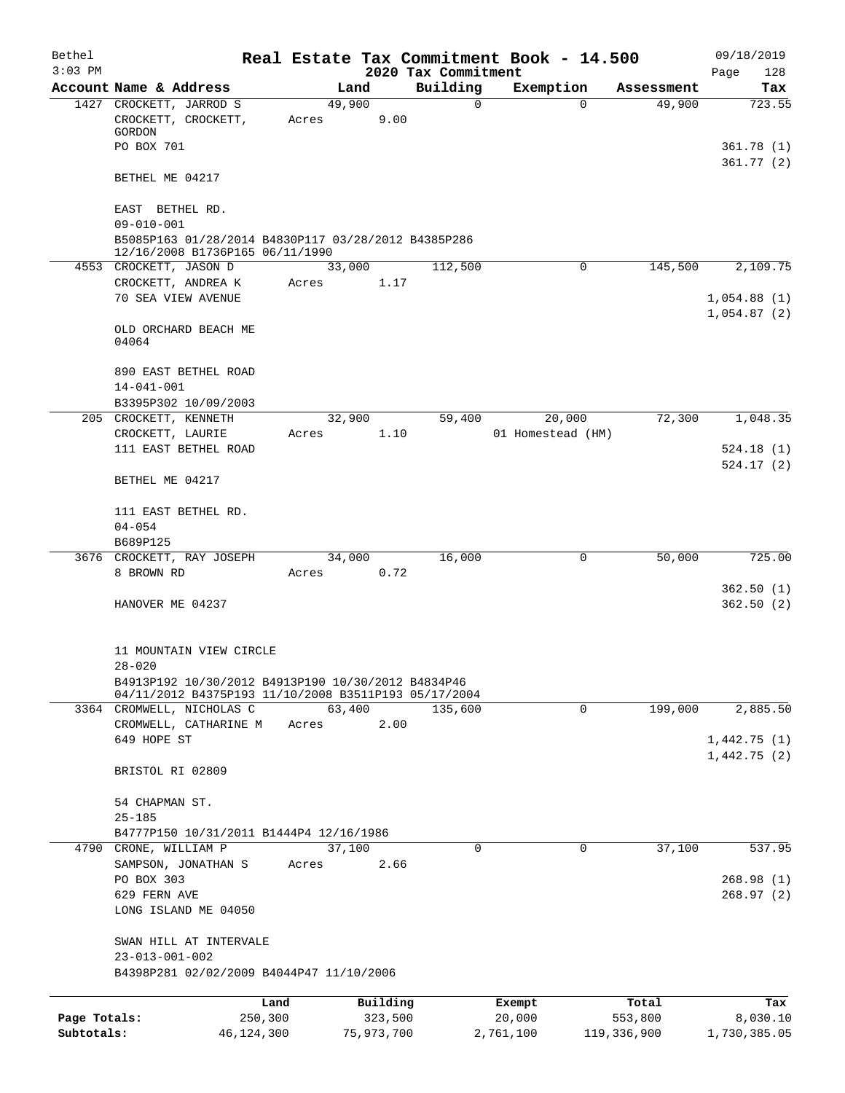| Bethel       |                                                                                                                          |                 |          |                     | Real Estate Tax Commitment Book - 14.500 |            | 09/18/2019  |
|--------------|--------------------------------------------------------------------------------------------------------------------------|-----------------|----------|---------------------|------------------------------------------|------------|-------------|
| $3:03$ PM    |                                                                                                                          |                 |          | 2020 Tax Commitment |                                          |            | Page<br>128 |
|              | Account Name & Address                                                                                                   |                 | Land     | Building            | Exemption                                | Assessment | Tax         |
|              | 1427 CROCKETT, JARROD S<br>CROCKETT, CROCKETT,<br>GORDON                                                                 | 49,900<br>Acres | 9.00     | $\mathbf 0$         | $\Omega$                                 | 49,900     | 723.55      |
|              | PO BOX 701                                                                                                               |                 |          |                     |                                          |            | 361.78(1)   |
|              | BETHEL ME 04217                                                                                                          |                 |          |                     |                                          |            | 361.77(2)   |
|              | EAST BETHEL RD.                                                                                                          |                 |          |                     |                                          |            |             |
|              | $09 - 010 - 001$<br>B5085P163 01/28/2014 B4830P117 03/28/2012 B4385P286                                                  |                 |          |                     |                                          |            |             |
|              | 12/16/2008 B1736P165 06/11/1990<br>4553 CROCKETT, JASON D                                                                | 33,000          |          | 112,500             | 0                                        | 145,500    | 2,109.75    |
|              | CROCKETT, ANDREA K                                                                                                       | Acres           | 1.17     |                     |                                          |            |             |
|              | 70 SEA VIEW AVENUE                                                                                                       |                 |          |                     |                                          |            | 1,054.88(1) |
|              |                                                                                                                          |                 |          |                     |                                          |            | 1,054.87(2) |
|              | OLD ORCHARD BEACH ME<br>04064                                                                                            |                 |          |                     |                                          |            |             |
|              | 890 EAST BETHEL ROAD                                                                                                     |                 |          |                     |                                          |            |             |
|              | $14 - 041 - 001$                                                                                                         |                 |          |                     |                                          |            |             |
|              | B3395P302 10/09/2003                                                                                                     |                 |          |                     |                                          |            |             |
|              | 205 CROCKETT, KENNETH                                                                                                    | 32,900          |          | 59,400              | 20,000                                   | 72,300     | 1,048.35    |
|              | CROCKETT, LAURIE                                                                                                         | Acres           | 1.10     |                     | 01 Homestead (HM)                        |            |             |
|              | 111 EAST BETHEL ROAD                                                                                                     |                 |          |                     |                                          |            | 524.18(1)   |
|              |                                                                                                                          |                 |          |                     |                                          |            | 524.17(2)   |
|              | BETHEL ME 04217                                                                                                          |                 |          |                     |                                          |            |             |
|              | 111 EAST BETHEL RD.                                                                                                      |                 |          |                     |                                          |            |             |
|              | $04 - 054$                                                                                                               |                 |          |                     |                                          |            |             |
|              | B689P125                                                                                                                 |                 |          |                     |                                          |            |             |
|              | 3676 CROCKETT, RAY JOSEPH                                                                                                | 34,000          |          | 16,000              | 0                                        | 50,000     | 725.00      |
|              | 8 BROWN RD                                                                                                               | Acres           | 0.72     |                     |                                          |            |             |
|              |                                                                                                                          |                 |          |                     |                                          |            | 362.50(1)   |
|              | HANOVER ME 04237                                                                                                         |                 |          |                     |                                          |            | 362.50(2)   |
|              |                                                                                                                          |                 |          |                     |                                          |            |             |
|              | 11 MOUNTAIN VIEW CIRCLE                                                                                                  |                 |          |                     |                                          |            |             |
|              | $28 - 020$<br>B4913P192 10/30/2012 B4913P190 10/30/2012 B4834P46<br>04/11/2012 B4375P193 11/10/2008 B3511P193 05/17/2004 |                 |          |                     |                                          |            |             |
|              | 3364 CROMWELL, NICHOLAS C                                                                                                | 63,400          |          | 135,600             | $\mathbf 0$                              | 199,000    | 2,885.50    |
|              | CROMWELL, CATHARINE M                                                                                                    | Acres           | 2.00     |                     |                                          |            |             |
|              | 649 HOPE ST                                                                                                              |                 |          |                     |                                          |            | 1,442.75(1) |
|              |                                                                                                                          |                 |          |                     |                                          |            | 1,442.75(2) |
|              | BRISTOL RI 02809                                                                                                         |                 |          |                     |                                          |            |             |
|              | 54 CHAPMAN ST.                                                                                                           |                 |          |                     |                                          |            |             |
|              | $25 - 185$                                                                                                               |                 |          |                     |                                          |            |             |
|              | B4777P150 10/31/2011 B1444P4 12/16/1986                                                                                  |                 |          |                     |                                          |            |             |
|              | 4790 CRONE, WILLIAM P                                                                                                    | 37,100          |          | 0                   | 0                                        | 37,100     | 537.95      |
|              | SAMPSON, JONATHAN S                                                                                                      | Acres           | 2.66     |                     |                                          |            |             |
|              | PO BOX 303                                                                                                               |                 |          |                     |                                          |            | 268.98(1)   |
|              | 629 FERN AVE                                                                                                             |                 |          |                     |                                          |            | 268.97(2)   |
|              | LONG ISLAND ME 04050                                                                                                     |                 |          |                     |                                          |            |             |
|              | SWAN HILL AT INTERVALE                                                                                                   |                 |          |                     |                                          |            |             |
|              | $23 - 013 - 001 - 002$                                                                                                   |                 |          |                     |                                          |            |             |
|              | B4398P281 02/02/2009 B4044P47 11/10/2006                                                                                 |                 |          |                     |                                          |            |             |
|              |                                                                                                                          |                 |          |                     |                                          |            |             |
|              |                                                                                                                          | Land            | Building |                     | Exempt                                   | Total      | Tax         |
| Page Totals: | 250,300                                                                                                                  |                 | 323,500  |                     | 20,000                                   | 553,800    | 8,030.10    |

**Subtotals:** 46,124,300 75,973,700 2,761,100 119,336,900 1,730,385.05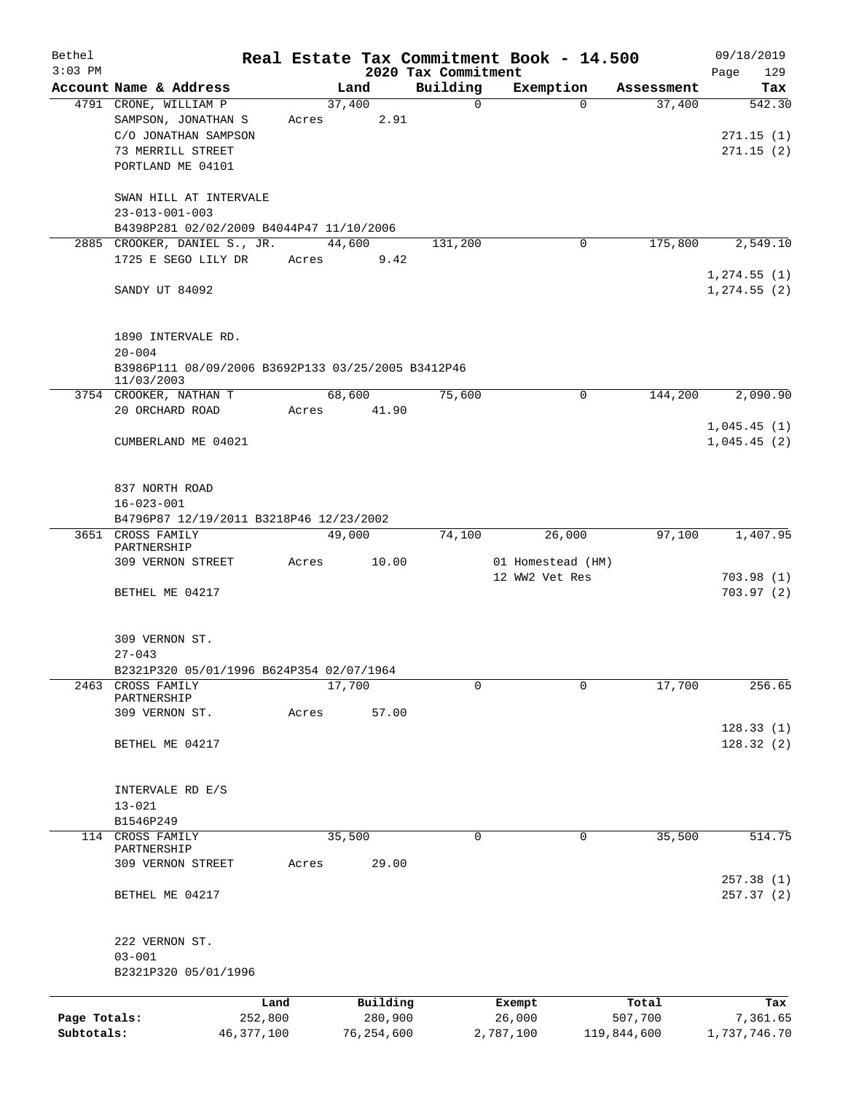| Bethel       |                                                    |       |        |              |                     | Real Estate Tax Commitment Book - 14.500 |             | 09/18/2019                 |  |
|--------------|----------------------------------------------------|-------|--------|--------------|---------------------|------------------------------------------|-------------|----------------------------|--|
| $3:03$ PM    |                                                    |       |        |              | 2020 Tax Commitment |                                          |             | 129<br>Page                |  |
|              | Account Name & Address                             |       | Land   |              | Building            | Exemption                                | Assessment  | Tax                        |  |
|              | 4791 CRONE, WILLIAM P<br>SAMPSON, JONATHAN S       | Acres | 37,400 | 2.91         | $\mathbf 0$         | $\Omega$                                 | 37,400      | 542.30                     |  |
|              | C/O JONATHAN SAMPSON                               |       |        |              |                     |                                          |             | 271.15(1)                  |  |
|              | 73 MERRILL STREET                                  |       |        |              |                     |                                          |             | 271.15(2)                  |  |
|              | PORTLAND ME 04101                                  |       |        |              |                     |                                          |             |                            |  |
|              |                                                    |       |        |              |                     |                                          |             |                            |  |
|              | SWAN HILL AT INTERVALE                             |       |        |              |                     |                                          |             |                            |  |
|              | $23 - 013 - 001 - 003$                             |       |        |              |                     |                                          |             |                            |  |
|              | B4398P281 02/02/2009 B4044P47 11/10/2006           |       |        |              |                     |                                          |             |                            |  |
|              | 2885 CROOKER, DANIEL S., JR.                       |       | 44,600 |              | 131,200             | 0                                        | 175,800     | 2,549.10                   |  |
|              | 1725 E SEGO LILY DR                                | Acres |        | 9.42         |                     |                                          |             |                            |  |
|              |                                                    |       |        |              |                     |                                          |             | 1, 274.55(1)               |  |
|              | SANDY UT 84092                                     |       |        |              |                     |                                          |             | $1, 274.55$ (2)            |  |
|              |                                                    |       |        |              |                     |                                          |             |                            |  |
|              | 1890 INTERVALE RD.                                 |       |        |              |                     |                                          |             |                            |  |
|              | $20 - 004$                                         |       |        |              |                     |                                          |             |                            |  |
|              | B3986P111 08/09/2006 B3692P133 03/25/2005 B3412P46 |       |        |              |                     |                                          |             |                            |  |
|              | 11/03/2003                                         |       |        |              |                     |                                          |             |                            |  |
|              | 3754 CROOKER, NATHAN T                             |       | 68,600 |              | 75,600              | 0                                        | 144,200     | 2,090.90                   |  |
|              | 20 ORCHARD ROAD                                    | Acres |        | 41.90        |                     |                                          |             |                            |  |
|              | CUMBERLAND ME 04021                                |       |        |              |                     |                                          |             | 1,045.45(1)<br>1,045.45(2) |  |
|              |                                                    |       |        |              |                     |                                          |             |                            |  |
|              |                                                    |       |        |              |                     |                                          |             |                            |  |
|              | 837 NORTH ROAD                                     |       |        |              |                     |                                          |             |                            |  |
|              | $16 - 023 - 001$                                   |       |        |              |                     |                                          |             |                            |  |
|              | B4796P87 12/19/2011 B3218P46 12/23/2002            |       |        |              |                     |                                          |             |                            |  |
|              | 3651 CROSS FAMILY                                  |       | 49,000 |              | 74,100              | 26,000                                   | 97,100      | 1,407.95                   |  |
|              | PARTNERSHIP<br>309 VERNON STREET                   | Acres |        | 10.00        |                     | 01 Homestead (HM)                        |             |                            |  |
|              |                                                    |       |        |              |                     | 12 WW2 Vet Res                           |             | 703.98(1)                  |  |
|              | BETHEL ME 04217                                    |       |        |              |                     |                                          |             | 703.97(2)                  |  |
|              |                                                    |       |        |              |                     |                                          |             |                            |  |
|              |                                                    |       |        |              |                     |                                          |             |                            |  |
|              | 309 VERNON ST.                                     |       |        |              |                     |                                          |             |                            |  |
|              | $27 - 043$                                         |       |        |              |                     |                                          |             |                            |  |
|              | B2321P320 05/01/1996 B624P354 02/07/1964           |       |        |              |                     |                                          |             |                            |  |
| 2463         | CROSS FAMILY<br>PARTNERSHIP                        |       | 17,700 |              | 0                   | 0                                        | 17,700      | 256.65                     |  |
|              | 309 VERNON ST.                                     | Acres |        | 57.00        |                     |                                          |             |                            |  |
|              |                                                    |       |        |              |                     |                                          |             | 128.33(1)                  |  |
|              | BETHEL ME 04217                                    |       |        |              |                     |                                          |             | 128.32(2)                  |  |
|              |                                                    |       |        |              |                     |                                          |             |                            |  |
|              |                                                    |       |        |              |                     |                                          |             |                            |  |
|              | INTERVALE RD E/S                                   |       |        |              |                     |                                          |             |                            |  |
|              | $13 - 021$<br>B1546P249                            |       |        |              |                     |                                          |             |                            |  |
|              | 114 CROSS FAMILY                                   |       | 35,500 |              | 0                   | 0                                        | 35,500      | 514.75                     |  |
|              | PARTNERSHIP                                        |       |        |              |                     |                                          |             |                            |  |
|              | 309 VERNON STREET                                  | Acres |        | 29.00        |                     |                                          |             |                            |  |
|              |                                                    |       |        |              |                     |                                          |             | 257.38(1)                  |  |
|              | BETHEL ME 04217                                    |       |        |              |                     |                                          |             | 257.37 (2)                 |  |
|              |                                                    |       |        |              |                     |                                          |             |                            |  |
|              | 222 VERNON ST.                                     |       |        |              |                     |                                          |             |                            |  |
|              | $03 - 001$                                         |       |        |              |                     |                                          |             |                            |  |
|              | B2321P320 05/01/1996                               |       |        |              |                     |                                          |             |                            |  |
|              |                                                    |       |        |              |                     |                                          |             |                            |  |
|              |                                                    | Land  |        | Building     |                     | Exempt                                   | Total       | Tax                        |  |
| Page Totals: | 252,800                                            |       |        | 280,900      |                     | 26,000                                   | 507,700     | 7,361.65                   |  |
| Subtotals:   | 46, 377, 100                                       |       |        | 76, 254, 600 |                     | 2,787,100                                | 119,844,600 | 1,737,746.70               |  |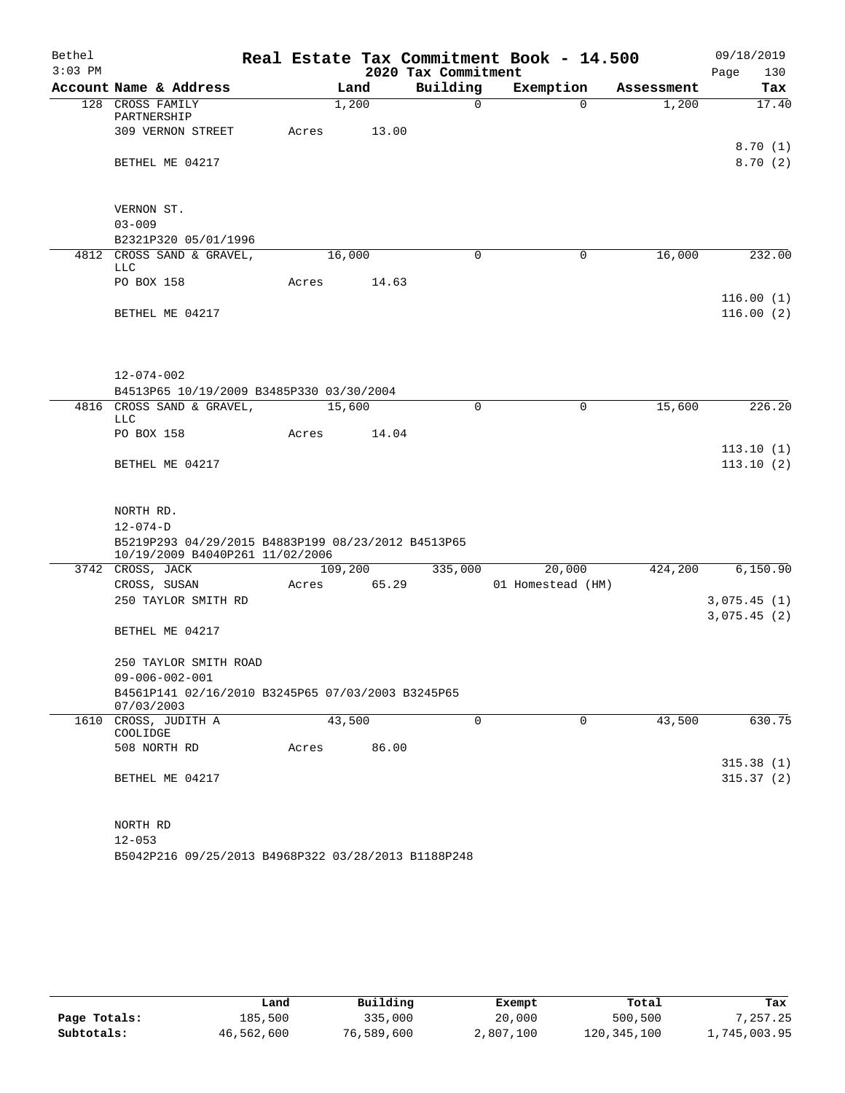| Bethel    |                                                                                       |       |         |       |                     | Real Estate Tax Commitment Book - 14.500 |             |            | 09/18/2019             |
|-----------|---------------------------------------------------------------------------------------|-------|---------|-------|---------------------|------------------------------------------|-------------|------------|------------------------|
| $3:03$ PM |                                                                                       |       |         |       | 2020 Tax Commitment |                                          |             |            | 130<br>Page            |
|           | Account Name & Address                                                                |       | Land    |       | Building            | Exemption                                |             | Assessment | Tax                    |
|           | 128 CROSS FAMILY<br>PARTNERSHIP                                                       |       | 1,200   |       | $\Omega$            |                                          | $\Omega$    | 1,200      | 17.40                  |
|           | 309 VERNON STREET                                                                     | Acres |         | 13.00 |                     |                                          |             |            | 8.70(1)                |
|           | BETHEL ME 04217                                                                       |       |         |       |                     |                                          |             |            | 8.70(2)                |
|           | VERNON ST.                                                                            |       |         |       |                     |                                          |             |            |                        |
|           | $03 - 009$                                                                            |       |         |       |                     |                                          |             |            |                        |
|           | B2321P320 05/01/1996                                                                  |       |         |       |                     |                                          |             |            |                        |
|           | 4812 CROSS SAND & GRAVEL,<br>LLC                                                      |       | 16,000  |       | $\Omega$            |                                          | 0           | 16,000     | 232.00                 |
|           | PO BOX 158                                                                            | Acres |         | 14.63 |                     |                                          |             |            | 116.00(1)              |
|           | BETHEL ME 04217                                                                       |       |         |       |                     |                                          |             |            | 116.00(2)              |
|           |                                                                                       |       |         |       |                     |                                          |             |            |                        |
|           | 12-074-002                                                                            |       |         |       |                     |                                          |             |            |                        |
|           | B4513P65 10/19/2009 B3485P330 03/30/2004<br>4816 CROSS SAND & GRAVEL,                 |       | 15,600  |       | $\Omega$            |                                          | 0           | 15,600     | 226.20                 |
|           | LLC                                                                                   |       |         |       |                     |                                          |             |            |                        |
|           | PO BOX 158                                                                            | Acres |         | 14.04 |                     |                                          |             |            |                        |
|           | BETHEL ME 04217                                                                       |       |         |       |                     |                                          |             |            | 113.10(1)<br>113.10(2) |
|           |                                                                                       |       |         |       |                     |                                          |             |            |                        |
|           | NORTH RD.<br>$12 - 074 - D$                                                           |       |         |       |                     |                                          |             |            |                        |
|           | B5219P293 04/29/2015 B4883P199 08/23/2012 B4513P65<br>10/19/2009 B4040P261 11/02/2006 |       |         |       |                     |                                          |             |            |                        |
|           | 3742 CROSS, JACK                                                                      |       | 109,200 |       | 335,000             | 20,000                                   |             | 424,200    | 6, 150.90              |
|           | CROSS, SUSAN                                                                          | Acres |         | 65.29 |                     | 01 Homestead (HM)                        |             |            |                        |
|           | 250 TAYLOR SMITH RD                                                                   |       |         |       |                     |                                          |             |            | 3,075.45(1)            |
|           | BETHEL ME 04217                                                                       |       |         |       |                     |                                          |             |            | 3,075.45(2)            |
|           |                                                                                       |       |         |       |                     |                                          |             |            |                        |
|           | 250 TAYLOR SMITH ROAD                                                                 |       |         |       |                     |                                          |             |            |                        |
|           | $09 - 006 - 002 - 001$                                                                |       |         |       |                     |                                          |             |            |                        |
|           | B4561P141 02/16/2010 B3245P65 07/03/2003 B3245P65<br>07/03/2003                       |       |         |       |                     |                                          |             |            |                        |
|           | 1610 CROSS, JUDITH A                                                                  |       | 43,500  |       | $\mathbf 0$         |                                          | $\mathbf 0$ | 43,500     | 630.75                 |
|           | COOLIDGE<br>508 NORTH RD                                                              | Acres |         | 86.00 |                     |                                          |             |            |                        |
|           |                                                                                       |       |         |       |                     |                                          |             |            | 315.38(1)              |
|           | BETHEL ME 04217                                                                       |       |         |       |                     |                                          |             |            | 315.37(2)              |
|           |                                                                                       |       |         |       |                     |                                          |             |            |                        |
|           | NORTH RD<br>$12 - 053$                                                                |       |         |       |                     |                                          |             |            |                        |
|           | B5042P216 09/25/2013 B4968P322 03/28/2013 B1188P248                                   |       |         |       |                     |                                          |             |            |                        |

|              | Land       | Building   | Exempt    | Total         | Tax          |
|--------------|------------|------------|-----------|---------------|--------------|
| Page Totals: | 185,500    | 335,000    | 20,000    | 500,500       | 7,257.25     |
| Subtotals:   | 46,562,600 | 76,589,600 | 2,807,100 | 120, 345, 100 | 1,745,003.95 |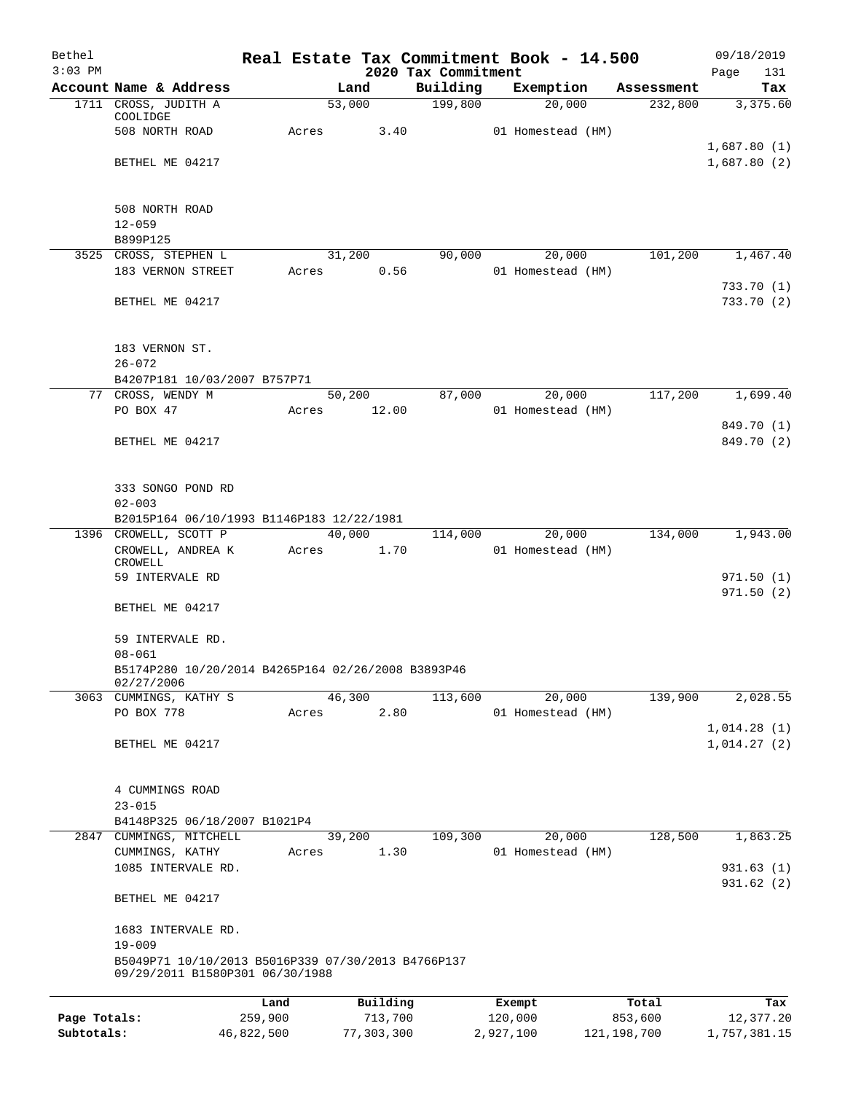| Bethel       |                                                                                       | Real Estate Tax Commitment Book - 14.500 |          |                                 |                   |            | 09/18/2019               |
|--------------|---------------------------------------------------------------------------------------|------------------------------------------|----------|---------------------------------|-------------------|------------|--------------------------|
| $3:03$ PM    | Account Name & Address                                                                |                                          | Land     | 2020 Tax Commitment<br>Building | Exemption         | Assessment | Page<br>131<br>Tax       |
|              | 1711 CROSS, JUDITH A                                                                  |                                          | 53,000   | 199,800                         |                   | 20,000     | 232,800<br>3,375.60      |
|              | COOLIDGE<br>508 NORTH ROAD                                                            |                                          |          |                                 |                   |            |                          |
|              |                                                                                       | Acres                                    | 3.40     |                                 | 01 Homestead (HM) |            | 1,687.80(1)              |
|              | BETHEL ME 04217                                                                       |                                          |          |                                 |                   |            | 1,687.80(2)              |
|              |                                                                                       |                                          |          |                                 |                   |            |                          |
|              | 508 NORTH ROAD                                                                        |                                          |          |                                 |                   |            |                          |
|              | $12 - 059$                                                                            |                                          |          |                                 |                   |            |                          |
|              | B899P125                                                                              |                                          |          |                                 |                   |            |                          |
|              | 3525 CROSS, STEPHEN L                                                                 |                                          | 31,200   | 90,000                          |                   | 20,000     | 101,200<br>1,467.40      |
|              | 183 VERNON STREET                                                                     | Acres                                    | 0.56     |                                 | 01 Homestead (HM) |            | 733.70(1)                |
|              | BETHEL ME 04217                                                                       |                                          |          |                                 |                   |            | 733.70(2)                |
|              |                                                                                       |                                          |          |                                 |                   |            |                          |
|              |                                                                                       |                                          |          |                                 |                   |            |                          |
|              | 183 VERNON ST.<br>$26 - 072$                                                          |                                          |          |                                 |                   |            |                          |
|              | B4207P181 10/03/2007 B757P71                                                          |                                          |          |                                 |                   |            |                          |
|              | 77 CROSS, WENDY M                                                                     |                                          | 50,200   | 87,000                          |                   | 20,000     | 117,200<br>1,699.40      |
|              | PO BOX 47                                                                             | Acres                                    | 12.00    |                                 | 01 Homestead (HM) |            |                          |
|              | BETHEL ME 04217                                                                       |                                          |          |                                 |                   |            | 849.70 (1)<br>849.70 (2) |
|              |                                                                                       |                                          |          |                                 |                   |            |                          |
|              |                                                                                       |                                          |          |                                 |                   |            |                          |
|              | 333 SONGO POND RD                                                                     |                                          |          |                                 |                   |            |                          |
|              | $02 - 003$<br>B2015P164 06/10/1993 B1146P183 12/22/1981                               |                                          |          |                                 |                   |            |                          |
|              | 1396 CROWELL, SCOTT P                                                                 |                                          | 40,000   | 114,000                         |                   | 20,000     | 134,000<br>1,943.00      |
|              | CROWELL, ANDREA K                                                                     | Acres                                    | 1.70     |                                 | 01 Homestead (HM) |            |                          |
|              | CROWELL<br>59 INTERVALE RD                                                            |                                          |          |                                 |                   |            | 971.50(1)                |
|              |                                                                                       |                                          |          |                                 |                   |            | 971.50(2)                |
|              | BETHEL ME 04217                                                                       |                                          |          |                                 |                   |            |                          |
|              | 59 INTERVALE RD.                                                                      |                                          |          |                                 |                   |            |                          |
|              | $08 - 061$                                                                            |                                          |          |                                 |                   |            |                          |
|              | B5174P280 10/20/2014 B4265P164 02/26/2008 B3893P46                                    |                                          |          |                                 |                   |            |                          |
|              | 02/27/2006<br>3063 CUMMINGS, KATHY S                                                  |                                          | 46,300   | 113,600                         |                   | 20,000     | 139,900<br>2,028.55      |
|              | PO BOX 778                                                                            | Acres                                    | 2.80     |                                 | 01 Homestead (HM) |            |                          |
|              |                                                                                       |                                          |          |                                 |                   |            | 1,014.28(1)              |
|              | BETHEL ME 04217                                                                       |                                          |          |                                 |                   |            | 1,014.27(2)              |
|              |                                                                                       |                                          |          |                                 |                   |            |                          |
|              | 4 CUMMINGS ROAD                                                                       |                                          |          |                                 |                   |            |                          |
|              | $23 - 015$                                                                            |                                          |          |                                 |                   |            |                          |
|              | B4148P325 06/18/2007 B1021P4<br>2847 CUMMINGS, MITCHELL                               |                                          | 39,200   | 109,300                         |                   | 20,000     | 128,500<br>1,863.25      |
|              | CUMMINGS, KATHY                                                                       | Acres                                    | 1.30     |                                 | 01 Homestead (HM) |            |                          |
|              | 1085 INTERVALE RD.                                                                    |                                          |          |                                 |                   |            | 931.63(1)                |
|              | BETHEL ME 04217                                                                       |                                          |          |                                 |                   |            | 931.62 (2)               |
|              | 1683 INTERVALE RD.                                                                    |                                          |          |                                 |                   |            |                          |
|              | $19 - 009$                                                                            |                                          |          |                                 |                   |            |                          |
|              | B5049P71 10/10/2013 B5016P339 07/30/2013 B4766P137<br>09/29/2011 B1580P301 06/30/1988 |                                          |          |                                 |                   |            |                          |
|              |                                                                                       | Land                                     | Building |                                 | Exempt            | Total      | Tax                      |
| Page Totals: |                                                                                       | 259,900                                  | 713,700  |                                 | 120,000           | 853,600    | 12,377.20                |

**Subtotals:** 46,822,500 77,303,300 2,927,100 121,198,700 1,757,381.15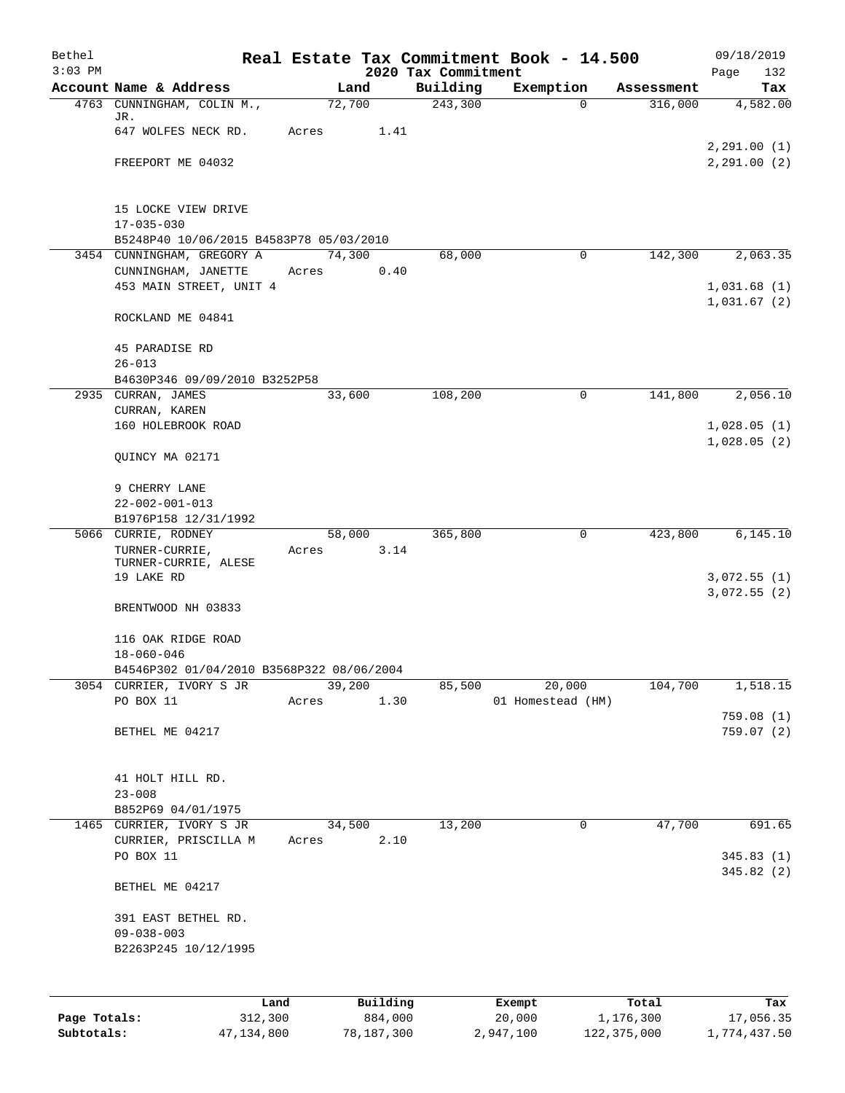| Bethel<br>$3:03$ PM |                                                     |       |        |          | 2020 Tax Commitment | Real Estate Tax Commitment Book - 14.500 |            | 09/18/2019                 |
|---------------------|-----------------------------------------------------|-------|--------|----------|---------------------|------------------------------------------|------------|----------------------------|
|                     | Account Name & Address                              |       | Land   |          | Building            | Exemption                                | Assessment | Page<br>132<br>Tax         |
|                     | 4763 CUNNINGHAM, COLIN M.,                          |       | 72,700 |          | 243,300             | $\Omega$                                 | 316,000    | 4,582.00                   |
|                     | JR.                                                 |       |        |          |                     |                                          |            |                            |
|                     | 647 WOLFES NECK RD.                                 | Acres |        | 1.41     |                     |                                          |            | 2, 291.00(1)               |
|                     | FREEPORT ME 04032                                   |       |        |          |                     |                                          |            | 2, 291.00 (2)              |
|                     |                                                     |       |        |          |                     |                                          |            |                            |
|                     |                                                     |       |        |          |                     |                                          |            |                            |
|                     | 15 LOCKE VIEW DRIVE<br>$17 - 035 - 030$             |       |        |          |                     |                                          |            |                            |
|                     | B5248P40 10/06/2015 B4583P78 05/03/2010             |       |        |          |                     |                                          |            |                            |
|                     | 3454 CUNNINGHAM, GREGORY A                          |       | 74,300 |          | 68,000              | $\mathbf 0$                              | 142,300    | 2,063.35                   |
|                     | CUNNINGHAM, JANETTE                                 | Acres |        | 0.40     |                     |                                          |            |                            |
|                     | 453 MAIN STREET, UNIT 4                             |       |        |          |                     |                                          |            | 1,031.68(1)<br>1,031.67(2) |
|                     | ROCKLAND ME 04841                                   |       |        |          |                     |                                          |            |                            |
|                     |                                                     |       |        |          |                     |                                          |            |                            |
|                     | 45 PARADISE RD                                      |       |        |          |                     |                                          |            |                            |
|                     | $26 - 013$                                          |       |        |          |                     |                                          |            |                            |
|                     | B4630P346 09/09/2010 B3252P58<br>2935 CURRAN, JAMES |       | 33,600 |          | 108,200             | 0                                        | 141,800    | 2,056.10                   |
|                     | CURRAN, KAREN                                       |       |        |          |                     |                                          |            |                            |
|                     | 160 HOLEBROOK ROAD                                  |       |        |          |                     |                                          |            | 1,028.05(1)                |
|                     |                                                     |       |        |          |                     |                                          |            | 1,028.05(2)                |
|                     | QUINCY MA 02171                                     |       |        |          |                     |                                          |            |                            |
|                     | 9 CHERRY LANE                                       |       |        |          |                     |                                          |            |                            |
|                     | $22 - 002 - 001 - 013$                              |       |        |          |                     |                                          |            |                            |
|                     | B1976P158 12/31/1992                                |       |        |          |                     |                                          |            |                            |
|                     | 5066 CURRIE, RODNEY                                 |       | 58,000 |          | 365,800             | 0                                        | 423,800    | 6, 145.10                  |
|                     | TURNER-CURRIE,<br>TURNER-CURRIE, ALESE              | Acres |        | 3.14     |                     |                                          |            |                            |
|                     | 19 LAKE RD                                          |       |        |          |                     |                                          |            | 3,072.55(1)                |
|                     |                                                     |       |        |          |                     |                                          |            | 3,072.55(2)                |
|                     | BRENTWOOD NH 03833                                  |       |        |          |                     |                                          |            |                            |
|                     | 116 OAK RIDGE ROAD                                  |       |        |          |                     |                                          |            |                            |
|                     | $18 - 060 - 046$                                    |       |        |          |                     |                                          |            |                            |
|                     | B4546P302 01/04/2010 B3568P322 08/06/2004           |       |        |          |                     |                                          |            |                            |
| 3054                | CURRIER, IVORY S JR<br>PO BOX 11                    | Acres | 39,200 | 1.30     | 85,500              | 20,000<br>01 Homestead (HM)              | 104,700    | 1,518.15                   |
|                     |                                                     |       |        |          |                     |                                          |            | 759.08(1)                  |
|                     | BETHEL ME 04217                                     |       |        |          |                     |                                          |            | 759.07(2)                  |
|                     |                                                     |       |        |          |                     |                                          |            |                            |
|                     | 41 HOLT HILL RD.                                    |       |        |          |                     |                                          |            |                            |
|                     | $23 - 008$                                          |       |        |          |                     |                                          |            |                            |
|                     | B852P69 04/01/1975                                  |       |        |          |                     |                                          |            |                            |
|                     | 1465 CURRIER, IVORY S JR                            |       | 34,500 |          | 13,200              | 0                                        | 47,700     | 691.65                     |
|                     | CURRIER, PRISCILLA M                                | Acres |        | 2.10     |                     |                                          |            |                            |
|                     | PO BOX 11                                           |       |        |          |                     |                                          |            | 345.83(1)<br>345.82(2)     |
|                     | BETHEL ME 04217                                     |       |        |          |                     |                                          |            |                            |
|                     |                                                     |       |        |          |                     |                                          |            |                            |
|                     | 391 EAST BETHEL RD.                                 |       |        |          |                     |                                          |            |                            |
|                     | $09 - 038 - 003$                                    |       |        |          |                     |                                          |            |                            |
|                     | B2263P245 10/12/1995                                |       |        |          |                     |                                          |            |                            |
|                     |                                                     |       |        |          |                     |                                          |            |                            |
|                     | Land                                                |       |        | Building |                     | Exempt                                   | Total      | Tax                        |
| Page Totals:        | 312,300                                             |       |        | 884,000  |                     | 20,000                                   | 1,176,300  | 17,056.35                  |

**Subtotals:** 47,134,800 78,187,300 2,947,100 122,375,000 1,774,437.50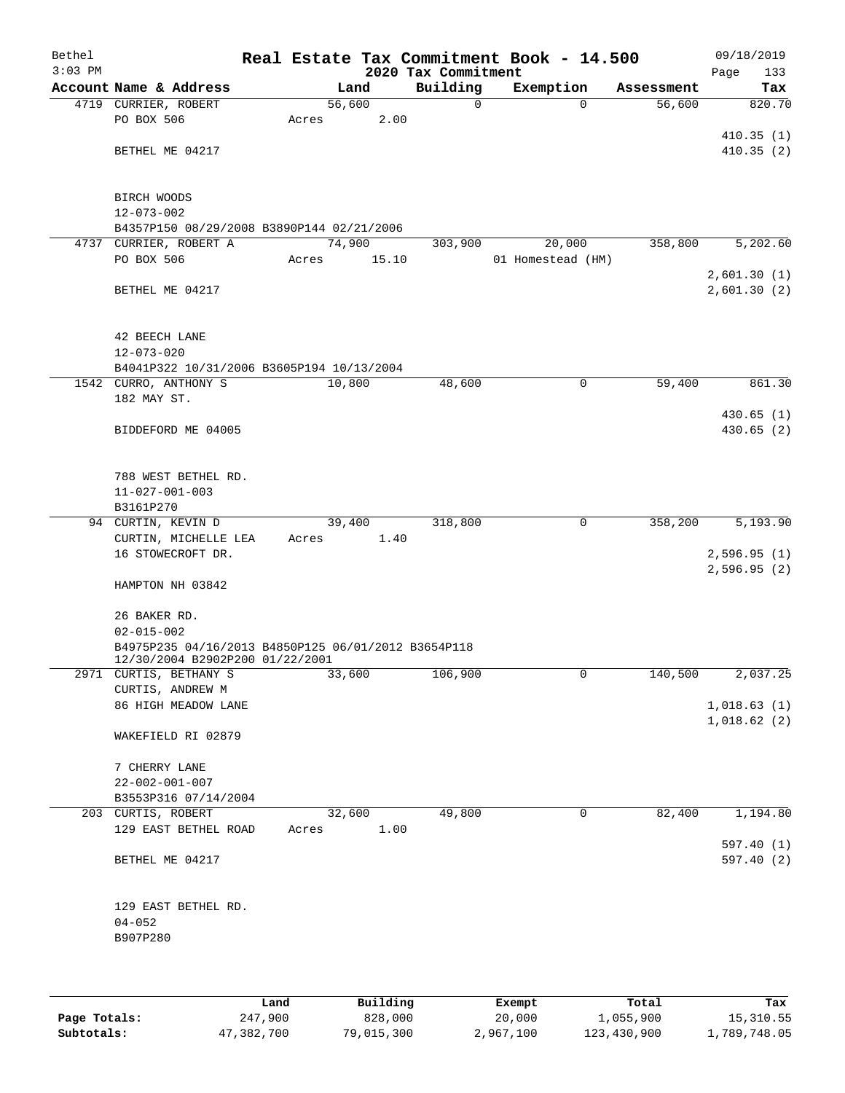| Bethel<br>$3:03$ PM |                                                                                        |       |        |       | Real Estate Tax Commitment Book - 14.500<br>2020 Tax Commitment |                   |              |            | 09/18/2019<br>Page<br>133  |
|---------------------|----------------------------------------------------------------------------------------|-------|--------|-------|-----------------------------------------------------------------|-------------------|--------------|------------|----------------------------|
|                     | Account Name & Address                                                                 |       | Land   |       | Building                                                        | Exemption         |              | Assessment | Tax                        |
|                     | 4719 CURRIER, ROBERT                                                                   |       | 56,600 |       | 0                                                               |                   | $\Omega$     | 56,600     | 820.70                     |
|                     | PO BOX 506                                                                             | Acres |        | 2.00  |                                                                 |                   |              |            |                            |
|                     |                                                                                        |       |        |       |                                                                 |                   |              |            | 410.35(1)                  |
|                     | BETHEL ME 04217                                                                        |       |        |       |                                                                 |                   |              |            | 410.35(2)                  |
|                     | BIRCH WOODS                                                                            |       |        |       |                                                                 |                   |              |            |                            |
|                     | $12 - 073 - 002$                                                                       |       |        |       |                                                                 |                   |              |            |                            |
|                     | B4357P150 08/29/2008 B3890P144 02/21/2006                                              |       |        |       |                                                                 |                   |              |            |                            |
|                     | 4737 CURRIER, ROBERT A                                                                 |       | 74,900 |       | 303,900                                                         |                   | 20,000       | 358,800    | 5,202.60                   |
|                     | PO BOX 506                                                                             | Acres |        | 15.10 |                                                                 | 01 Homestead (HM) |              |            |                            |
|                     | BETHEL ME 04217                                                                        |       |        |       |                                                                 |                   |              |            | 2,601.30(1)<br>2,601.30(2) |
|                     |                                                                                        |       |        |       |                                                                 |                   |              |            |                            |
|                     | 42 BEECH LANE                                                                          |       |        |       |                                                                 |                   |              |            |                            |
|                     | $12 - 073 - 020$                                                                       |       |        |       |                                                                 |                   |              |            |                            |
|                     | B4041P322 10/31/2006 B3605P194 10/13/2004                                              |       |        |       |                                                                 |                   |              |            |                            |
|                     | 1542 CURRO, ANTHONY S<br>182 MAY ST.                                                   |       | 10,800 |       | 48,600                                                          |                   | 0            | 59,400     | 861.30                     |
|                     |                                                                                        |       |        |       |                                                                 |                   |              |            | 430.65(1)                  |
|                     | BIDDEFORD ME 04005                                                                     |       |        |       |                                                                 |                   |              |            | 430.65(2)                  |
|                     |                                                                                        |       |        |       |                                                                 |                   |              |            |                            |
|                     | 788 WEST BETHEL RD.                                                                    |       |        |       |                                                                 |                   |              |            |                            |
|                     | $11 - 027 - 001 - 003$                                                                 |       |        |       |                                                                 |                   |              |            |                            |
|                     | B3161P270                                                                              |       |        |       |                                                                 |                   |              |            |                            |
|                     | 94 CURTIN, KEVIN D                                                                     |       | 39,400 |       | 318,800                                                         |                   | $\mathsf{O}$ | 358,200    | 5,193.90                   |
|                     | CURTIN, MICHELLE LEA                                                                   | Acres |        | 1.40  |                                                                 |                   |              |            |                            |
|                     | 16 STOWECROFT DR.                                                                      |       |        |       |                                                                 |                   |              |            | 2,596.95(1)<br>2,596.95(2) |
|                     | HAMPTON NH 03842                                                                       |       |        |       |                                                                 |                   |              |            |                            |
|                     |                                                                                        |       |        |       |                                                                 |                   |              |            |                            |
|                     | 26 BAKER RD.                                                                           |       |        |       |                                                                 |                   |              |            |                            |
|                     | $02 - 015 - 002$                                                                       |       |        |       |                                                                 |                   |              |            |                            |
|                     | B4975P235 04/16/2013 B4850P125 06/01/2012 B3654P118<br>12/30/2004 B2902P200 01/22/2001 |       |        |       |                                                                 |                   |              |            |                            |
|                     | 2971 CURTIS, BETHANY S                                                                 |       | 33,600 |       | 106,900                                                         |                   | 0            | 140,500    | 2,037.25                   |
|                     | CURTIS, ANDREW M                                                                       |       |        |       |                                                                 |                   |              |            |                            |
|                     | 86 HIGH MEADOW LANE                                                                    |       |        |       |                                                                 |                   |              |            | 1,018.63(1)<br>1,018.62(2) |
|                     | WAKEFIELD RI 02879                                                                     |       |        |       |                                                                 |                   |              |            |                            |
|                     | 7 CHERRY LANE                                                                          |       |        |       |                                                                 |                   |              |            |                            |
|                     | $22 - 002 - 001 - 007$                                                                 |       |        |       |                                                                 |                   |              |            |                            |
|                     | B3553P316 07/14/2004                                                                   |       |        |       |                                                                 |                   |              |            |                            |
|                     | 203 CURTIS, ROBERT                                                                     |       | 32,600 |       | 49,800                                                          |                   | $\mathbf 0$  | 82,400     | 1,194.80                   |
|                     | 129 EAST BETHEL ROAD                                                                   | Acres |        | 1.00  |                                                                 |                   |              |            |                            |
|                     | BETHEL ME 04217                                                                        |       |        |       |                                                                 |                   |              |            | 597.40(1)<br>597.40(2)     |
|                     |                                                                                        |       |        |       |                                                                 |                   |              |            |                            |
|                     | 129 EAST BETHEL RD.                                                                    |       |        |       |                                                                 |                   |              |            |                            |
|                     | $04 - 052$                                                                             |       |        |       |                                                                 |                   |              |            |                            |
|                     | B907P280                                                                               |       |        |       |                                                                 |                   |              |            |                            |
|                     |                                                                                        |       |        |       |                                                                 |                   |              |            |                            |
|                     |                                                                                        |       |        |       |                                                                 |                   |              |            |                            |
|                     |                                                                                        |       |        |       |                                                                 |                   |              |            |                            |

|              | Land       | Building   | Exempt    | Total       | Tax          |
|--------------|------------|------------|-----------|-------------|--------------|
| Page Totals: | 247,900    | 828,000    | 20,000    | 1,055,900   | 15,310.55    |
| Subtotals:   | 47,382,700 | 79,015,300 | 2,967,100 | 123,430,900 | 1,789,748.05 |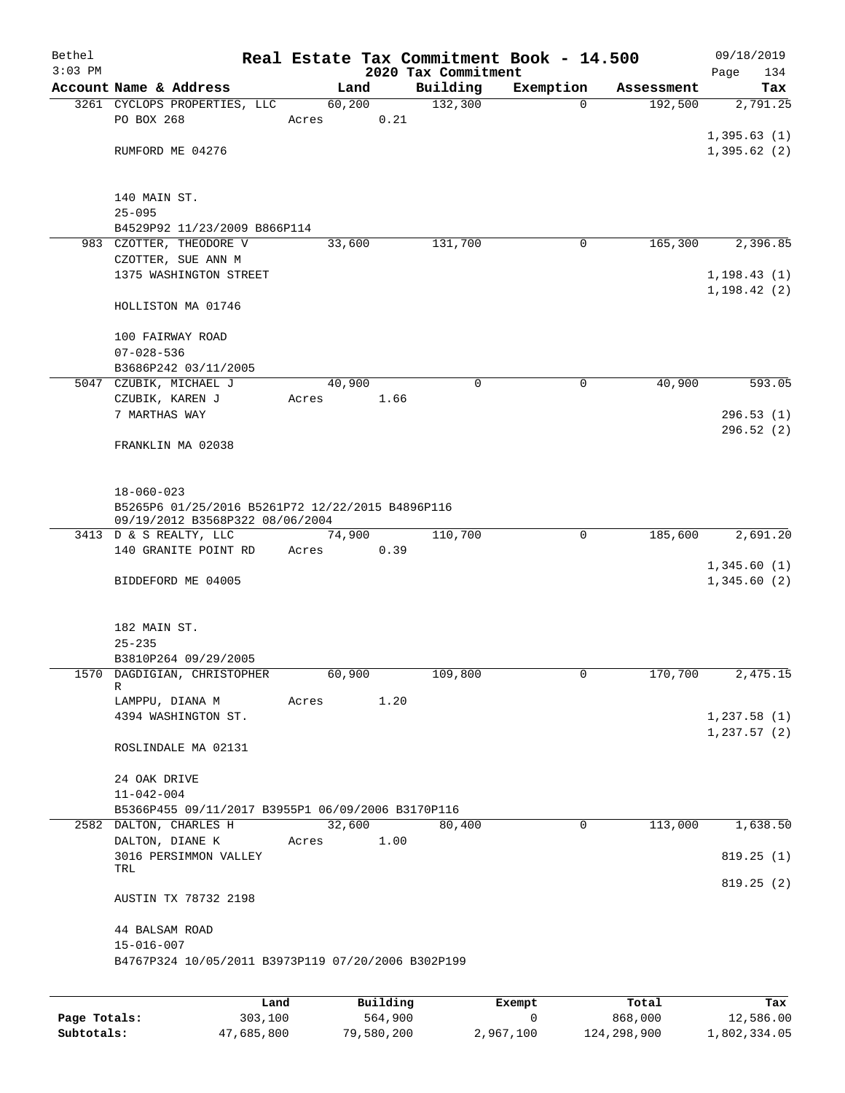| Bethel    |                                                                                     |      |       |          |      | Real Estate Tax Commitment Book - 14.500 |           |             |            | 09/18/2019                 |          |
|-----------|-------------------------------------------------------------------------------------|------|-------|----------|------|------------------------------------------|-----------|-------------|------------|----------------------------|----------|
| $3:03$ PM |                                                                                     |      |       |          |      | 2020 Tax Commitment                      |           |             |            | Page                       | 134      |
|           | Account Name & Address                                                              |      |       | Land     |      | Building                                 | Exemption |             | Assessment |                            | Tax      |
|           | 3261 CYCLOPS PROPERTIES, LLC                                                        |      |       | 60,200   |      | 132,300                                  |           | 0           | 192,500    |                            | 2,791.25 |
|           | PO BOX 268                                                                          |      | Acres |          | 0.21 |                                          |           |             |            |                            |          |
|           | RUMFORD ME 04276                                                                    |      |       |          |      |                                          |           |             |            | 1,395.63(1)<br>1,395.62(2) |          |
|           |                                                                                     |      |       |          |      |                                          |           |             |            |                            |          |
|           | 140 MAIN ST.                                                                        |      |       |          |      |                                          |           |             |            |                            |          |
|           | $25 - 095$                                                                          |      |       |          |      |                                          |           |             |            |                            |          |
|           | B4529P92 11/23/2009 B866P114                                                        |      |       |          |      |                                          |           |             |            |                            |          |
|           | 983 CZOTTER, THEODORE V                                                             |      |       | 33,600   |      | 131,700                                  |           | 0           | 165,300    |                            | 2,396.85 |
|           | CZOTTER, SUE ANN M                                                                  |      |       |          |      |                                          |           |             |            |                            |          |
|           | 1375 WASHINGTON STREET                                                              |      |       |          |      |                                          |           |             |            | 1, 198.43(1)               |          |
|           | HOLLISTON MA 01746                                                                  |      |       |          |      |                                          |           |             |            | 1, 198.42(2)               |          |
|           |                                                                                     |      |       |          |      |                                          |           |             |            |                            |          |
|           | 100 FAIRWAY ROAD                                                                    |      |       |          |      |                                          |           |             |            |                            |          |
|           | $07 - 028 - 536$                                                                    |      |       |          |      |                                          |           |             |            |                            |          |
|           | B3686P242 03/11/2005                                                                |      |       |          |      |                                          |           |             |            |                            |          |
|           | 5047 CZUBIK, MICHAEL J                                                              |      |       | 40,900   |      | 0                                        |           | 0           | 40,900     |                            | 593.05   |
|           | CZUBIK, KAREN J                                                                     |      | Acres |          | 1.66 |                                          |           |             |            |                            |          |
|           | 7 MARTHAS WAY                                                                       |      |       |          |      |                                          |           |             |            | 296.53(1)<br>296.52(2)     |          |
|           | FRANKLIN MA 02038                                                                   |      |       |          |      |                                          |           |             |            |                            |          |
|           |                                                                                     |      |       |          |      |                                          |           |             |            |                            |          |
|           | $18 - 060 - 023$                                                                    |      |       |          |      |                                          |           |             |            |                            |          |
|           | B5265P6 01/25/2016 B5261P72 12/22/2015 B4896P116<br>09/19/2012 B3568P322 08/06/2004 |      |       |          |      |                                          |           |             |            |                            |          |
|           | 3413 D & S REALTY, LLC                                                              |      |       | 74,900   |      | 110,700                                  |           | $\mathbf 0$ | 185,600    |                            | 2,691.20 |
|           | 140 GRANITE POINT RD                                                                |      | Acres |          | 0.39 |                                          |           |             |            |                            |          |
|           |                                                                                     |      |       |          |      |                                          |           |             |            | 1,345.60(1)                |          |
|           | BIDDEFORD ME 04005                                                                  |      |       |          |      |                                          |           |             |            | 1,345.60(2)                |          |
|           | 182 MAIN ST.                                                                        |      |       |          |      |                                          |           |             |            |                            |          |
|           | $25 - 235$                                                                          |      |       |          |      |                                          |           |             |            |                            |          |
|           | B3810P264 09/29/2005                                                                |      |       |          |      |                                          |           |             |            |                            |          |
|           | 1570 DAGDIGIAN, CHRISTOPHER<br>R                                                    |      |       | 60,900   |      | 109,800                                  |           | 0           | 170,700    |                            | 2,475.15 |
|           | LAMPPU, DIANA M                                                                     |      | Acres |          | 1.20 |                                          |           |             |            |                            |          |
|           | 4394 WASHINGTON ST.                                                                 |      |       |          |      |                                          |           |             |            | 1,237.58(1)                |          |
|           |                                                                                     |      |       |          |      |                                          |           |             |            | 1, 237.57(2)               |          |
|           | ROSLINDALE MA 02131                                                                 |      |       |          |      |                                          |           |             |            |                            |          |
|           | 24 OAK DRIVE                                                                        |      |       |          |      |                                          |           |             |            |                            |          |
|           | $11 - 042 - 004$                                                                    |      |       |          |      |                                          |           |             |            |                            |          |
|           | B5366P455 09/11/2017 B3955P1 06/09/2006 B3170P116                                   |      |       |          |      |                                          |           |             |            |                            |          |
|           | 2582 DALTON, CHARLES H                                                              |      |       | 32,600   |      | 80,400                                   |           | 0           | 113,000    |                            | 1,638.50 |
|           | DALTON, DIANE K                                                                     |      | Acres |          | 1.00 |                                          |           |             |            |                            |          |
|           | 3016 PERSIMMON VALLEY                                                               |      |       |          |      |                                          |           |             |            | 819.25(1)                  |          |
|           | TRL                                                                                 |      |       |          |      |                                          |           |             |            | 819.25(2)                  |          |
|           | AUSTIN TX 78732 2198                                                                |      |       |          |      |                                          |           |             |            |                            |          |
|           | 44 BALSAM ROAD<br>$15 - 016 - 007$                                                  |      |       |          |      |                                          |           |             |            |                            |          |
|           | B4767P324 10/05/2011 B3973P119 07/20/2006 B302P199                                  |      |       |          |      |                                          |           |             |            |                            |          |
|           |                                                                                     |      |       |          |      |                                          |           |             |            |                            |          |
|           |                                                                                     | Land |       | Building |      |                                          | Exempt    |             | Total      |                            | Tax      |

|              | Land       | Building   | Exempt    | Total       | Tax          |
|--------------|------------|------------|-----------|-------------|--------------|
| Page Totals: | 303,100    | 564,900    |           | 868,000     | 12,586.00    |
| Subtotals:   | 47,685,800 | 79,580,200 | 2,967,100 | 124,298,900 | 1,802,334.05 |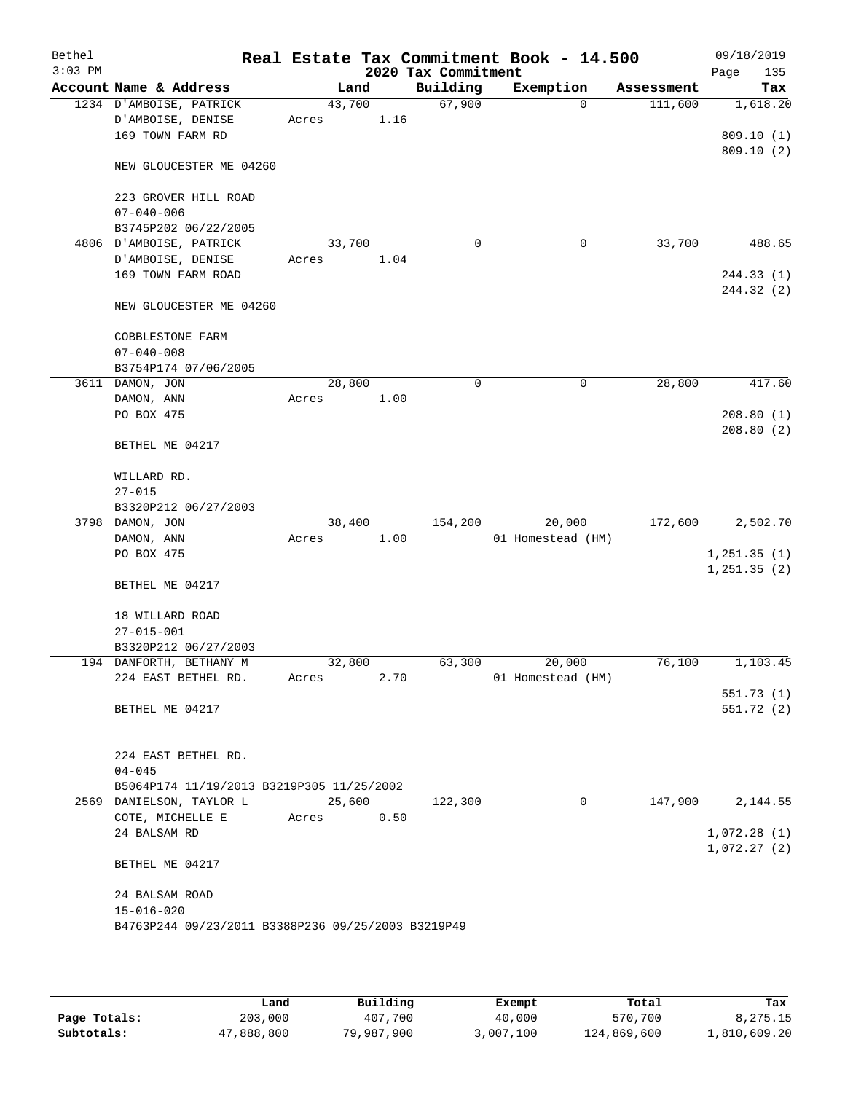| Bethel<br>$3:03$ PM |                                                    |        |      | 2020 Tax Commitment | Real Estate Tax Commitment Book - 14.500 |            | 09/18/2019<br>Page<br>135 |
|---------------------|----------------------------------------------------|--------|------|---------------------|------------------------------------------|------------|---------------------------|
|                     | Account Name & Address                             |        | Land | Building            | Exemption                                | Assessment | Tax                       |
|                     | 1234 D'AMBOISE, PATRICK                            | 43,700 |      | 67,900              | $\Omega$                                 | 111,600    | 1,618.20                  |
|                     | D'AMBOISE, DENISE                                  | Acres  | 1.16 |                     |                                          |            |                           |
|                     | 169 TOWN FARM RD                                   |        |      |                     |                                          |            | 809.10(1)                 |
|                     | NEW GLOUCESTER ME 04260                            |        |      |                     |                                          |            | 809.10(2)                 |
|                     | 223 GROVER HILL ROAD                               |        |      |                     |                                          |            |                           |
|                     | $07 - 040 - 006$                                   |        |      |                     |                                          |            |                           |
|                     | B3745P202 06/22/2005                               |        |      |                     |                                          |            |                           |
|                     | 4806 D'AMBOISE, PATRICK                            | 33,700 |      | $\mathbf 0$         | 0                                        | 33,700     | 488.65                    |
|                     | D'AMBOISE, DENISE                                  | Acres  | 1.04 |                     |                                          |            |                           |
|                     | 169 TOWN FARM ROAD                                 |        |      |                     |                                          |            | 244.33 (1)                |
|                     |                                                    |        |      |                     |                                          |            | 244.32 (2)                |
|                     | NEW GLOUCESTER ME 04260                            |        |      |                     |                                          |            |                           |
|                     | COBBLESTONE FARM                                   |        |      |                     |                                          |            |                           |
|                     | $07 - 040 - 008$                                   |        |      |                     |                                          |            |                           |
|                     | B3754P174 07/06/2005                               |        |      |                     |                                          |            |                           |
|                     | 3611 DAMON, JON                                    | 28,800 |      | 0                   | 0                                        | 28,800     | 417.60                    |
|                     | DAMON, ANN                                         | Acres  | 1.00 |                     |                                          |            |                           |
|                     | PO BOX 475                                         |        |      |                     |                                          |            | 208.80(1)                 |
|                     | BETHEL ME 04217                                    |        |      |                     |                                          |            | 208.80(2)                 |
|                     | WILLARD RD.                                        |        |      |                     |                                          |            |                           |
|                     | $27 - 015$                                         |        |      |                     |                                          |            |                           |
|                     | B3320P212 06/27/2003                               |        |      |                     |                                          |            |                           |
|                     | 3798 DAMON, JON                                    | 38,400 |      | 154,200             | 20,000                                   | 172,600    | 2,502.70                  |
|                     | DAMON, ANN                                         | Acres  | 1.00 |                     | 01 Homestead (HM)                        |            |                           |
|                     | PO BOX 475                                         |        |      |                     |                                          |            | 1, 251.35(1)              |
|                     | BETHEL ME 04217                                    |        |      |                     |                                          |            | 1, 251.35(2)              |
|                     | 18 WILLARD ROAD                                    |        |      |                     |                                          |            |                           |
|                     | $27 - 015 - 001$                                   |        |      |                     |                                          |            |                           |
|                     | B3320P212 06/27/2003                               |        |      |                     |                                          |            |                           |
|                     | 194 DANFORTH, BETHANY M                            | 32,800 |      | 63,300              | 20,000                                   | 76,100     | 1,103.45                  |
|                     | 224 EAST BETHEL RD.                                | Acres  | 2.70 |                     | 01 Homestead (HM)                        |            |                           |
|                     |                                                    |        |      |                     |                                          |            | 551.73(1)                 |
|                     | BETHEL ME 04217                                    |        |      |                     |                                          |            | 551.72(2)                 |
|                     | 224 EAST BETHEL RD.                                |        |      |                     |                                          |            |                           |
|                     | $04 - 045$                                         |        |      |                     |                                          |            |                           |
|                     | B5064P174 11/19/2013 B3219P305 11/25/2002          |        |      |                     |                                          |            |                           |
|                     | 2569 DANIELSON, TAYLOR L                           | 25,600 |      | 122,300             | 0                                        | 147,900    | 2,144.55                  |
|                     | COTE, MICHELLE E                                   | Acres  | 0.50 |                     |                                          |            |                           |
|                     | 24 BALSAM RD                                       |        |      |                     |                                          |            | 1,072.28(1)               |
|                     | BETHEL ME 04217                                    |        |      |                     |                                          |            | 1,072.27(2)               |
|                     | 24 BALSAM ROAD                                     |        |      |                     |                                          |            |                           |
|                     | $15 - 016 - 020$                                   |        |      |                     |                                          |            |                           |
|                     | B4763P244 09/23/2011 B3388P236 09/25/2003 B3219P49 |        |      |                     |                                          |            |                           |
|                     |                                                    |        |      |                     |                                          |            |                           |

|              | Land       | Building   | Exempt    | Total       | Tax          |
|--------------|------------|------------|-----------|-------------|--------------|
| Page Totals: | 203,000    | 407,700    | 40,000    | 570,700     | 8,275.15     |
| Subtotals:   | 47,888,800 | 79,987,900 | 3,007,100 | 124,869,600 | 1,810,609.20 |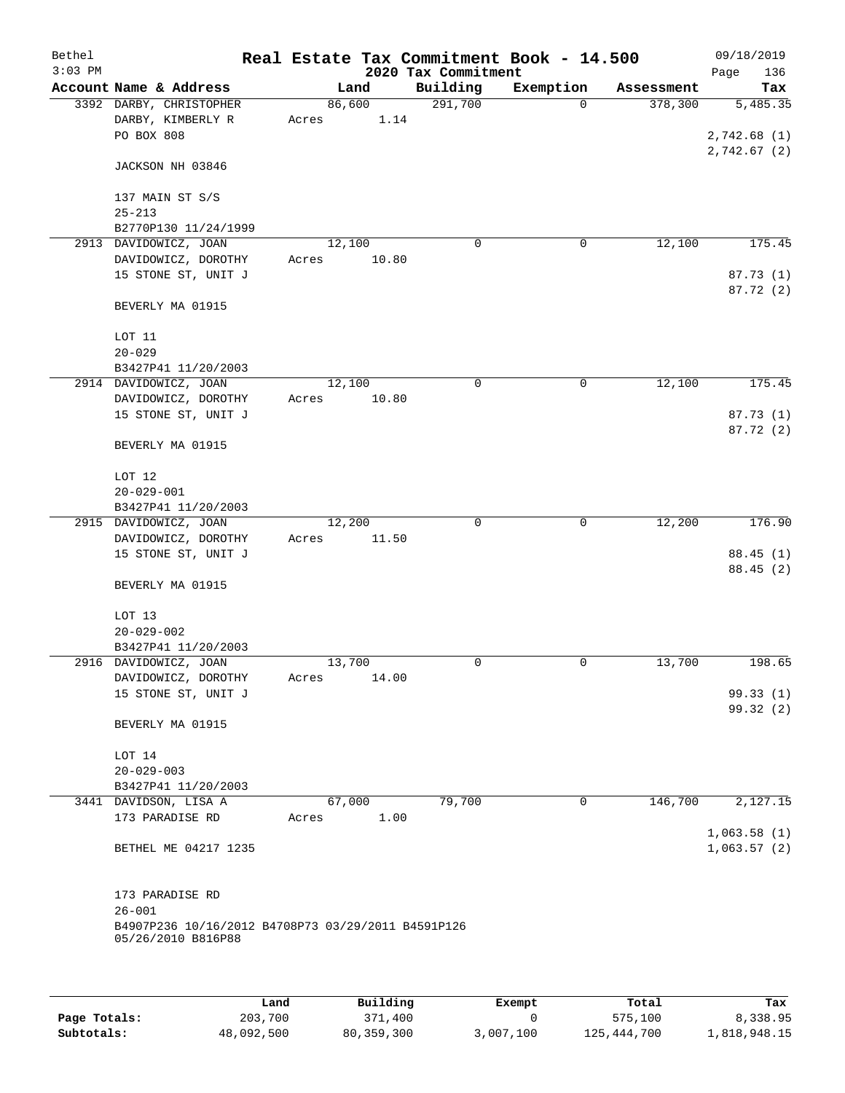| Bethel<br>$3:03$ PM |                                                                          |                 |       | 2020 Tax Commitment | Real Estate Tax Commitment Book - 14.500 |            | 09/18/2019<br>Page<br>136  |
|---------------------|--------------------------------------------------------------------------|-----------------|-------|---------------------|------------------------------------------|------------|----------------------------|
|                     | Account Name & Address                                                   | Land            |       | Building            | Exemption                                | Assessment | Tax                        |
|                     | 3392 DARBY, CHRISTOPHER<br>DARBY, KIMBERLY R<br>PO BOX 808               | 86,600<br>Acres | 1.14  | 291,700             | $\mathbf 0$                              | 378,300    | 5,485.35<br>2,742.68(1)    |
|                     | JACKSON NH 03846                                                         |                 |       |                     |                                          |            | 2,742.67(2)                |
|                     | 137 MAIN ST S/S<br>$25 - 213$                                            |                 |       |                     |                                          |            |                            |
|                     | B2770P130 11/24/1999                                                     |                 |       |                     |                                          |            |                            |
|                     | 2913 DAVIDOWICZ, JOAN                                                    | 12,100          |       | 0                   | 0                                        | 12,100     | 175.45                     |
|                     | DAVIDOWICZ, DOROTHY<br>15 STONE ST, UNIT J                               | Acres           | 10.80 |                     |                                          |            | 87.73 (1)<br>87.72 (2)     |
|                     | BEVERLY MA 01915                                                         |                 |       |                     |                                          |            |                            |
|                     | LOT 11                                                                   |                 |       |                     |                                          |            |                            |
|                     | $20 - 029$                                                               |                 |       |                     |                                          |            |                            |
|                     | B3427P41 11/20/2003                                                      |                 |       |                     |                                          |            |                            |
|                     | 2914 DAVIDOWICZ, JOAN<br>DAVIDOWICZ, DOROTHY                             | 12,100<br>Acres | 10.80 | 0                   | 0                                        | 12,100     | 175.45                     |
|                     | 15 STONE ST, UNIT J                                                      |                 |       |                     |                                          |            | 87.73 (1)<br>87.72 (2)     |
|                     | BEVERLY MA 01915                                                         |                 |       |                     |                                          |            |                            |
|                     | LOT 12                                                                   |                 |       |                     |                                          |            |                            |
|                     | $20 - 029 - 001$<br>B3427P41 11/20/2003                                  |                 |       |                     |                                          |            |                            |
|                     | 2915 DAVIDOWICZ, JOAN                                                    | 12,200          |       | $\mathbf 0$         | $\mathbf 0$                              | 12,200     | 176.90                     |
|                     | DAVIDOWICZ, DOROTHY<br>15 STONE ST, UNIT J                               | Acres           | 11.50 |                     |                                          |            | 88.45 (1)<br>88.45 (2)     |
|                     | BEVERLY MA 01915                                                         |                 |       |                     |                                          |            |                            |
|                     | LOT 13<br>$20 - 029 - 002$                                               |                 |       |                     |                                          |            |                            |
|                     | B3427P41 11/20/2003                                                      |                 |       |                     |                                          |            |                            |
|                     | 2916 DAVIDOWICZ, JOAN                                                    | 13,700          |       | 0                   | 0                                        | 13,700     | 198.65                     |
|                     | DAVIDOWICZ, DOROTHY                                                      | Acres           | 14.00 |                     |                                          |            |                            |
|                     | 15 STONE ST, UNIT J                                                      |                 |       |                     |                                          |            | 99.33 (1)                  |
|                     | BEVERLY MA 01915                                                         |                 |       |                     |                                          |            | 99.32(2)                   |
|                     | LOT 14                                                                   |                 |       |                     |                                          |            |                            |
|                     | $20 - 029 - 003$                                                         |                 |       |                     |                                          |            |                            |
|                     | B3427P41 11/20/2003                                                      |                 |       |                     |                                          |            |                            |
|                     | 3441 DAVIDSON, LISA A                                                    | 67,000          |       | 79,700              | 0                                        | 146,700    | 2,127.15                   |
|                     | 173 PARADISE RD                                                          | Acres           | 1.00  |                     |                                          |            |                            |
|                     | BETHEL ME 04217 1235                                                     |                 |       |                     |                                          |            | 1,063.58(1)<br>1,063.57(2) |
|                     | 173 PARADISE RD<br>$26 - 001$                                            |                 |       |                     |                                          |            |                            |
|                     | B4907P236 10/16/2012 B4708P73 03/29/2011 B4591P126<br>05/26/2010 B816P88 |                 |       |                     |                                          |            |                            |
|                     |                                                                          |                 |       |                     |                                          |            |                            |

|              | Land       | Building   | Exempt    | Total       | Tax          |
|--------------|------------|------------|-----------|-------------|--------------|
| Page Totals: | 203,700    | 371,400    |           | 575,100     | 8,338.95     |
| Subtotals:   | 48,092,500 | 80,359,300 | 3,007,100 | 125,444,700 | 1,818,948.15 |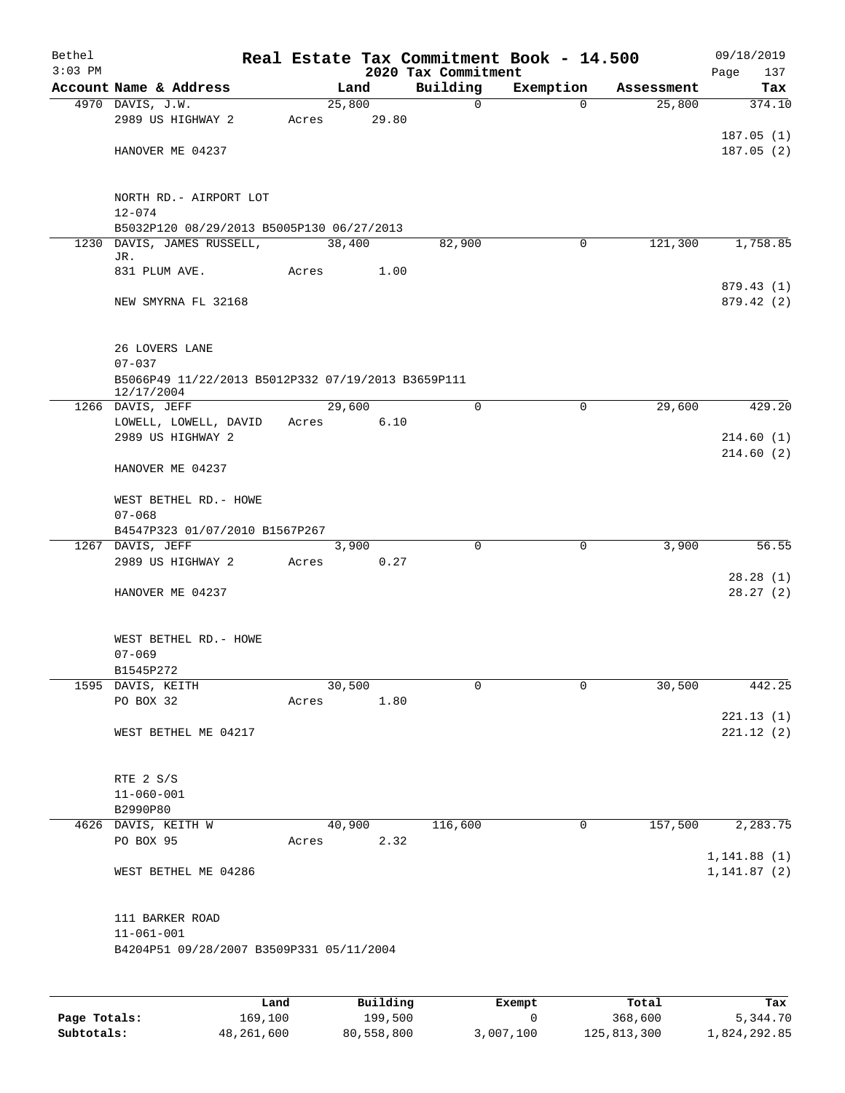| Bethel    |                                                                  |       |                |                         | Real Estate Tax Commitment Book - 14.500 |                      | 09/18/2019             |
|-----------|------------------------------------------------------------------|-------|----------------|-------------------------|------------------------------------------|----------------------|------------------------|
| $3:03$ PM |                                                                  |       |                | 2020 Tax Commitment     |                                          |                      | 137<br>Page            |
|           | Account Name & Address<br>4970 DAVIS, J.W.                       |       | Land<br>25,800 | Building<br>$\mathbf 0$ | Exemption<br>$\Omega$                    | Assessment<br>25,800 | Tax<br>374.10          |
|           | 2989 US HIGHWAY 2                                                | Acres | 29.80          |                         |                                          |                      |                        |
|           |                                                                  |       |                |                         |                                          |                      | 187.05(1)              |
|           | HANOVER ME 04237                                                 |       |                |                         |                                          |                      | 187.05(2)              |
|           |                                                                  |       |                |                         |                                          |                      |                        |
|           |                                                                  |       |                |                         |                                          |                      |                        |
|           | NORTH RD. - AIRPORT LOT<br>$12 - 074$                            |       |                |                         |                                          |                      |                        |
|           | B5032P120 08/29/2013 B5005P130 06/27/2013                        |       |                |                         |                                          |                      |                        |
| 1230      | DAVIS, JAMES RUSSELL,                                            |       | 38,400         | 82,900                  | $\mathbf 0$                              | 121,300              | 1,758.85               |
|           | JR.                                                              |       |                |                         |                                          |                      |                        |
|           | 831 PLUM AVE.                                                    | Acres | 1.00           |                         |                                          |                      |                        |
|           | NEW SMYRNA FL 32168                                              |       |                |                         |                                          |                      | 879.43(1)<br>879.42(2) |
|           |                                                                  |       |                |                         |                                          |                      |                        |
|           |                                                                  |       |                |                         |                                          |                      |                        |
|           | 26 LOVERS LANE                                                   |       |                |                         |                                          |                      |                        |
|           | $07 - 037$                                                       |       |                |                         |                                          |                      |                        |
|           | B5066P49 11/22/2013 B5012P332 07/19/2013 B3659P111<br>12/17/2004 |       |                |                         |                                          |                      |                        |
|           | 1266 DAVIS, JEFF                                                 |       | 29,600         | $\Omega$                | $\mathbf 0$                              | 29,600               | 429.20                 |
|           | LOWELL, LOWELL, DAVID                                            | Acres | 6.10           |                         |                                          |                      |                        |
|           | 2989 US HIGHWAY 2                                                |       |                |                         |                                          |                      | 214.60(1)              |
|           |                                                                  |       |                |                         |                                          |                      | 214.60(2)              |
|           | HANOVER ME 04237                                                 |       |                |                         |                                          |                      |                        |
|           | WEST BETHEL RD. - HOWE                                           |       |                |                         |                                          |                      |                        |
|           | $07 - 068$                                                       |       |                |                         |                                          |                      |                        |
|           | B4547P323 01/07/2010 B1567P267                                   |       |                |                         |                                          |                      |                        |
|           | 1267 DAVIS, JEFF                                                 |       | 3,900          | $\mathbf 0$             | 0                                        | 3,900                | 56.55                  |
|           | 2989 US HIGHWAY 2                                                | Acres | 0.27           |                         |                                          |                      | 28.28(1)               |
|           | HANOVER ME 04237                                                 |       |                |                         |                                          |                      | 28.27(2)               |
|           |                                                                  |       |                |                         |                                          |                      |                        |
|           |                                                                  |       |                |                         |                                          |                      |                        |
|           | WEST BETHEL RD. - HOWE                                           |       |                |                         |                                          |                      |                        |
|           | $07 - 069$                                                       |       |                |                         |                                          |                      |                        |
|           | B1545P272<br>1595 DAVIS, KEITH                                   |       | 30,500         | 0                       | 0                                        | 30,500               | 442.25                 |
|           | PO BOX 32                                                        | Acres | 1.80           |                         |                                          |                      |                        |
|           |                                                                  |       |                |                         |                                          |                      | 221.13(1)              |
|           | WEST BETHEL ME 04217                                             |       |                |                         |                                          |                      | 221.12(2)              |
|           |                                                                  |       |                |                         |                                          |                      |                        |
|           | RTE 2 S/S                                                        |       |                |                         |                                          |                      |                        |
|           | $11 - 060 - 001$                                                 |       |                |                         |                                          |                      |                        |
|           | B2990P80                                                         |       |                |                         |                                          |                      |                        |
|           | 4626 DAVIS, KEITH W                                              |       | 40,900         | 116,600                 | 0                                        | 157,500              | 2,283.75               |
|           | PO BOX 95                                                        | Acres | 2.32           |                         |                                          |                      |                        |
|           |                                                                  |       |                |                         |                                          |                      | 1, 141.88(1)           |
|           | WEST BETHEL ME 04286                                             |       |                |                         |                                          |                      | 1, 141.87(2)           |
|           |                                                                  |       |                |                         |                                          |                      |                        |
|           | 111 BARKER ROAD                                                  |       |                |                         |                                          |                      |                        |
|           | $11 - 061 - 001$                                                 |       |                |                         |                                          |                      |                        |
|           | B4204P51 09/28/2007 B3509P331 05/11/2004                         |       |                |                         |                                          |                      |                        |
|           |                                                                  |       |                |                         |                                          |                      |                        |
|           |                                                                  |       |                |                         |                                          |                      |                        |
|           | Land,                                                            |       | Building       |                         | Exempt                                   | Total                | Tax                    |

|              | Land       | Building   | Exempt    | Total       | Tax          |
|--------------|------------|------------|-----------|-------------|--------------|
| Page Totals: | 169,100    | 199,500    |           | 368,600     | 5,344.70     |
| Subtotals:   | 48,261,600 | 80,558,800 | 3,007,100 | 125,813,300 | 1,824,292.85 |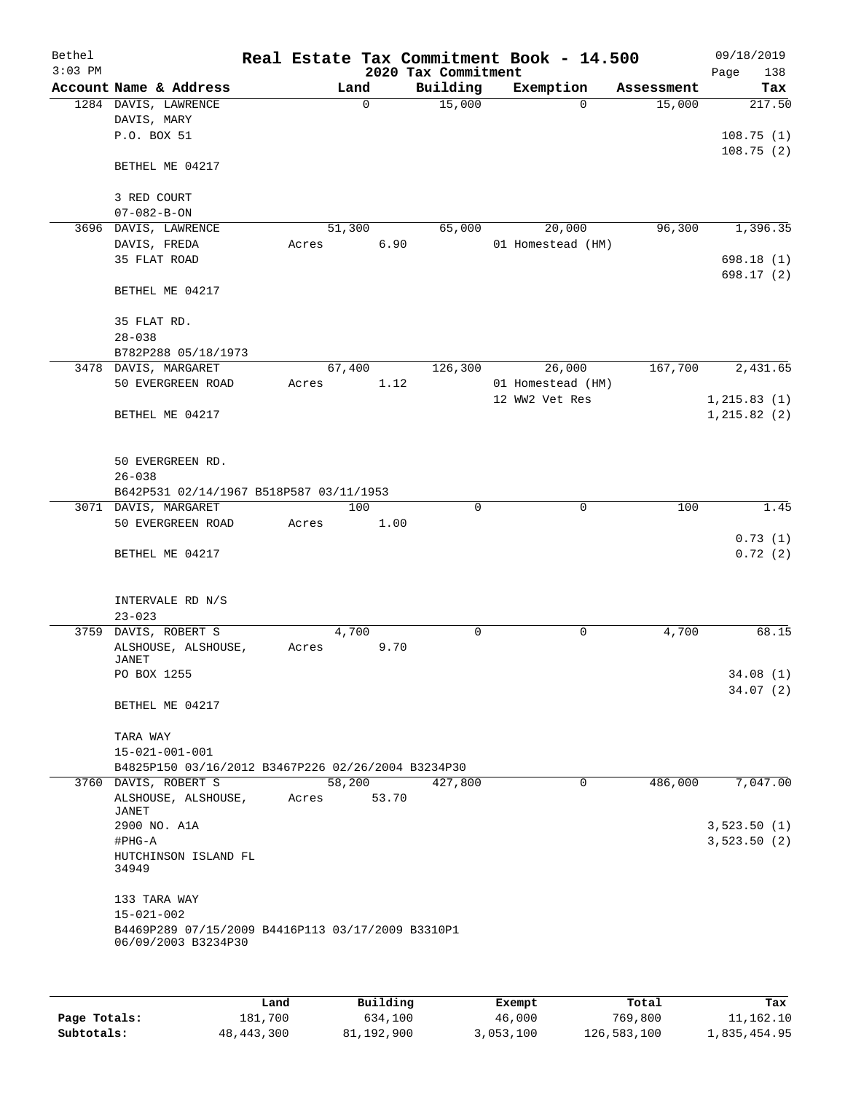| Bethel<br>$3:03$ PM |                                                                          |       |          |       | 2020 Tax Commitment | Real Estate Tax Commitment Book - 14.500 |            | 09/18/2019<br>138<br>Page |
|---------------------|--------------------------------------------------------------------------|-------|----------|-------|---------------------|------------------------------------------|------------|---------------------------|
|                     | Account Name & Address                                                   |       | Land     |       | Building            | Exemption                                | Assessment | Tax                       |
|                     | 1284 DAVIS, LAWRENCE                                                     |       | $\Omega$ |       | 15,000              | $\Omega$                                 | 15,000     | 217.50                    |
|                     | DAVIS, MARY                                                              |       |          |       |                     |                                          |            |                           |
|                     | P.O. BOX 51                                                              |       |          |       |                     |                                          |            | 108.75(1)                 |
|                     | BETHEL ME 04217                                                          |       |          |       |                     |                                          |            | 108.75(2)                 |
|                     | 3 RED COURT<br>$07 - 082 - B - ON$                                       |       |          |       |                     |                                          |            |                           |
|                     | 3696 DAVIS, LAWRENCE                                                     |       | 51,300   |       | 65,000              | 20,000                                   | 96,300     | 1,396.35                  |
|                     | DAVIS, FREDA                                                             | Acres |          | 6.90  |                     | 01 Homestead (HM)                        |            |                           |
|                     | 35 FLAT ROAD                                                             |       |          |       |                     |                                          |            | 698.18(1)                 |
|                     | BETHEL ME 04217                                                          |       |          |       |                     |                                          |            | 698.17 (2)                |
|                     | 35 FLAT RD.                                                              |       |          |       |                     |                                          |            |                           |
|                     | $28 - 038$<br>B782P288 05/18/1973                                        |       |          |       |                     |                                          |            |                           |
|                     | 3478 DAVIS, MARGARET                                                     |       | 67,400   |       | 126,300             | 26,000                                   | 167,700    | 2,431.65                  |
|                     | 50 EVERGREEN ROAD                                                        | Acres |          | 1.12  |                     | 01 Homestead (HM)                        |            |                           |
|                     |                                                                          |       |          |       |                     | 12 WW2 Vet Res                           |            | 1, 215.83(1)              |
|                     | BETHEL ME 04217                                                          |       |          |       |                     |                                          |            | 1, 215.82(2)              |
|                     | 50 EVERGREEN RD.                                                         |       |          |       |                     |                                          |            |                           |
|                     | $26 - 038$                                                               |       |          |       |                     |                                          |            |                           |
|                     | B642P531 02/14/1967 B518P587 03/11/1953                                  |       |          |       |                     |                                          |            |                           |
|                     | 3071 DAVIS, MARGARET                                                     |       | 100      |       | 0                   | $\mathbf 0$                              | 100        | 1.45                      |
|                     | 50 EVERGREEN ROAD                                                        | Acres |          | 1.00  |                     |                                          |            |                           |
|                     |                                                                          |       |          |       |                     |                                          |            | 0.73(1)                   |
|                     | BETHEL ME 04217                                                          |       |          |       |                     |                                          |            | 0.72(2)                   |
|                     |                                                                          |       |          |       |                     |                                          |            |                           |
|                     | INTERVALE RD N/S<br>$23 - 023$                                           |       |          |       |                     |                                          |            |                           |
| 3759                | DAVIS, ROBERT S                                                          |       | 4,700    |       | 0                   | 0                                        | 4,700      | 68.15                     |
|                     | ALSHOUSE, ALSHOUSE,                                                      | Acres |          | 9.70  |                     |                                          |            |                           |
|                     | JANET                                                                    |       |          |       |                     |                                          |            |                           |
|                     | PO BOX 1255                                                              |       |          |       |                     |                                          |            | 34.08(1)<br>34.07(2)      |
|                     | BETHEL ME 04217                                                          |       |          |       |                     |                                          |            |                           |
|                     | TARA WAY                                                                 |       |          |       |                     |                                          |            |                           |
|                     | $15 - 021 - 001 - 001$                                                   |       |          |       |                     |                                          |            |                           |
|                     | B4825P150 03/16/2012 B3467P226 02/26/2004 B3234P30                       |       |          |       |                     |                                          |            |                           |
|                     | 3760 DAVIS, ROBERT S                                                     |       | 58,200   |       | 427,800             | $\Omega$                                 | 486,000    | 7,047.00                  |
|                     | ALSHOUSE, ALSHOUSE,<br>JANET                                             | Acres |          | 53.70 |                     |                                          |            |                           |
|                     | 2900 NO. A1A                                                             |       |          |       |                     |                                          |            | 3,523.50(1)               |
|                     | #PHG-A                                                                   |       |          |       |                     |                                          |            | 3,523.50(2)               |
|                     | HUTCHINSON ISLAND FL<br>34949                                            |       |          |       |                     |                                          |            |                           |
|                     | 133 TARA WAY                                                             |       |          |       |                     |                                          |            |                           |
|                     | $15 - 021 - 002$                                                         |       |          |       |                     |                                          |            |                           |
|                     | B4469P289 07/15/2009 B4416P113 03/17/2009 B3310P1<br>06/09/2003 B3234P30 |       |          |       |                     |                                          |            |                           |
|                     |                                                                          |       |          |       |                     |                                          |            |                           |

|              | Land       | Building   | Exempt    | Total       | Tax          |
|--------------|------------|------------|-----------|-------------|--------------|
| Page Totals: | 181,700    | 634,100    | 46,000    | 769,800     | 11,162.10    |
| Subtotals:   | 48,443,300 | 81,192,900 | 3,053,100 | 126,583,100 | 1,835,454.95 |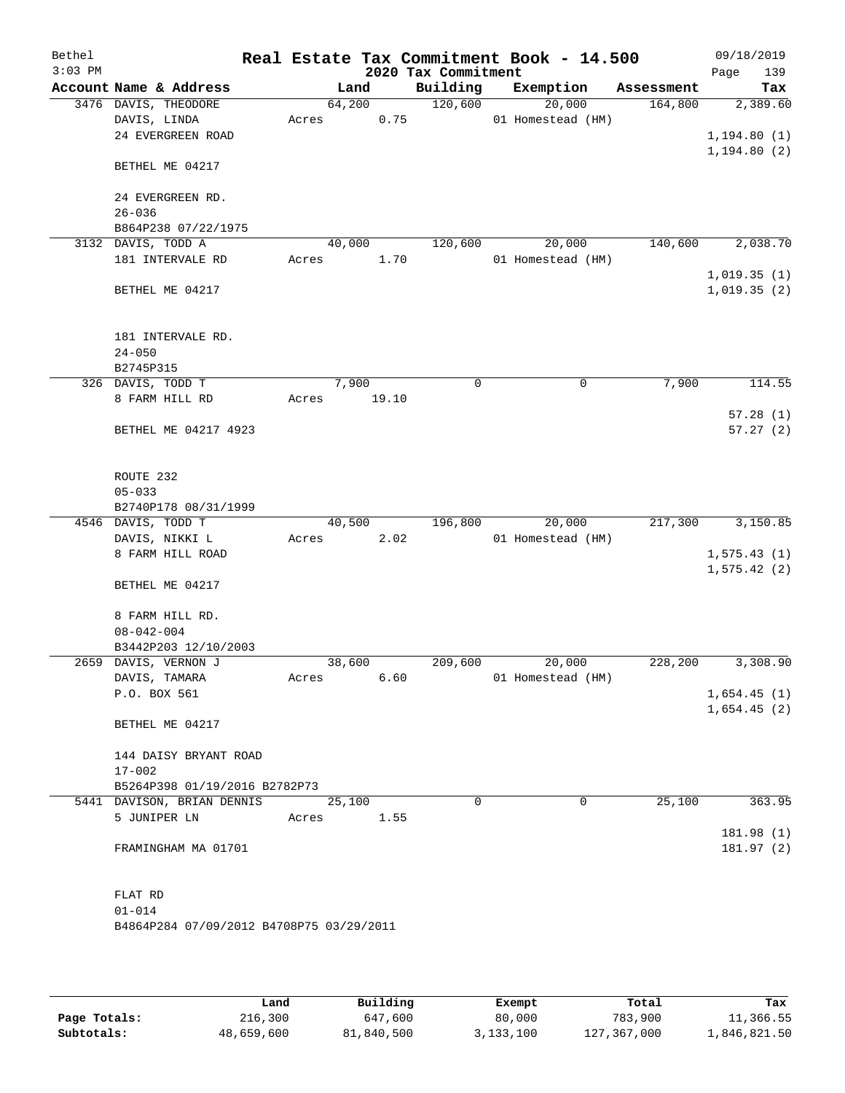| Bethel<br>$3:03$ PM |                                          |        |        | 2020 Tax Commitment | Real Estate Tax Commitment Book - 14.500 |            | 09/18/2019         |
|---------------------|------------------------------------------|--------|--------|---------------------|------------------------------------------|------------|--------------------|
|                     | Account Name & Address                   |        | Land   | Building            | Exemption                                | Assessment | 139<br>Page<br>Tax |
|                     | 3476 DAVIS, THEODORE                     | 64,200 |        | 120,600             | 20,000                                   | 164,800    | 2,389.60           |
|                     | DAVIS, LINDA                             | Acres  | 0.75   |                     | 01 Homestead (HM)                        |            |                    |
|                     | 24 EVERGREEN ROAD                        |        |        |                     |                                          |            | 1, 194.80(1)       |
|                     |                                          |        |        |                     |                                          |            | 1, 194.80(2)       |
|                     | BETHEL ME 04217                          |        |        |                     |                                          |            |                    |
|                     |                                          |        |        |                     |                                          |            |                    |
|                     | 24 EVERGREEN RD.                         |        |        |                     |                                          |            |                    |
|                     | $26 - 036$                               |        |        |                     |                                          |            |                    |
|                     | B864P238 07/22/1975                      |        |        |                     |                                          |            |                    |
|                     | 3132 DAVIS, TODD A                       |        | 40,000 | 120,600             | 20,000                                   | 140,600    | 2,038.70           |
|                     | 181 INTERVALE RD                         | Acres  | 1.70   |                     | 01 Homestead (HM)                        |            | 1,019.35(1)        |
|                     | BETHEL ME 04217                          |        |        |                     |                                          |            | 1,019.35(2)        |
|                     |                                          |        |        |                     |                                          |            |                    |
|                     |                                          |        |        |                     |                                          |            |                    |
|                     | 181 INTERVALE RD.<br>$24 - 050$          |        |        |                     |                                          |            |                    |
|                     | B2745P315                                |        |        |                     |                                          |            |                    |
|                     | 326 DAVIS, TODD T                        |        | 7,900  | 0                   | $\mathbf 0$                              | 7,900      | 114.55             |
|                     | 8 FARM HILL RD                           | Acres  | 19.10  |                     |                                          |            |                    |
|                     |                                          |        |        |                     |                                          |            | 57.28(1)           |
|                     | BETHEL ME 04217 4923                     |        |        |                     |                                          |            | 57.27(2)           |
|                     |                                          |        |        |                     |                                          |            |                    |
|                     | ROUTE 232                                |        |        |                     |                                          |            |                    |
|                     | $05 - 033$                               |        |        |                     |                                          |            |                    |
|                     | B2740P178 08/31/1999                     |        |        |                     |                                          |            |                    |
|                     | 4546 DAVIS, TODD T                       |        | 40,500 | 196,800             | 20,000                                   | 217,300    | 3,150.85           |
|                     | DAVIS, NIKKI L                           | Acres  | 2.02   |                     | 01 Homestead (HM)                        |            |                    |
|                     | 8 FARM HILL ROAD                         |        |        |                     |                                          |            | 1, 575.43(1)       |
|                     |                                          |        |        |                     |                                          |            | 1, 575.42(2)       |
|                     | BETHEL ME 04217                          |        |        |                     |                                          |            |                    |
|                     | 8 FARM HILL RD.                          |        |        |                     |                                          |            |                    |
|                     | $08 - 042 - 004$                         |        |        |                     |                                          |            |                    |
|                     | B3442P203 12/10/2003                     |        |        |                     |                                          |            |                    |
|                     | 2659 DAVIS, VERNON J                     | 38,600 |        | 209,600             | 20,000                                   | 228,200    | 3,308.90           |
|                     | DAVIS, TAMARA                            | Acres  | 6.60   |                     | 01 Homestead (HM)                        |            |                    |
|                     | P.O. BOX 561                             |        |        |                     |                                          |            | 1,654.45(1)        |
|                     |                                          |        |        |                     |                                          |            | 1,654.45(2)        |
|                     | BETHEL ME 04217                          |        |        |                     |                                          |            |                    |
|                     | 144 DAISY BRYANT ROAD                    |        |        |                     |                                          |            |                    |
|                     | $17 - 002$                               |        |        |                     |                                          |            |                    |
|                     | B5264P398 01/19/2016 B2782P73            |        |        |                     |                                          |            |                    |
|                     | 5441 DAVISON, BRIAN DENNIS               | 25,100 |        | $\Omega$            | $\mathbf 0$                              | 25,100     | 363.95             |
|                     | 5 JUNIPER LN                             | Acres  | 1.55   |                     |                                          |            |                    |
|                     |                                          |        |        |                     |                                          |            | 181.98 (1)         |
|                     | FRAMINGHAM MA 01701                      |        |        |                     |                                          |            | 181.97 (2)         |
|                     |                                          |        |        |                     |                                          |            |                    |
|                     | FLAT RD                                  |        |        |                     |                                          |            |                    |
|                     | $01 - 014$                               |        |        |                     |                                          |            |                    |
|                     | B4864P284 07/09/2012 B4708P75 03/29/2011 |        |        |                     |                                          |            |                    |
|                     |                                          |        |        |                     |                                          |            |                    |

|              | Land       | Building   | Exempt    | Total       | Tax          |
|--------------|------------|------------|-----------|-------------|--------------|
| Page Totals: | 216,300    | 647,600    | 80,000    | 783,900     | 11,366.55    |
| Subtotals:   | 48,659,600 | 81,840,500 | 3,133,100 | 127,367,000 | 1,846,821.50 |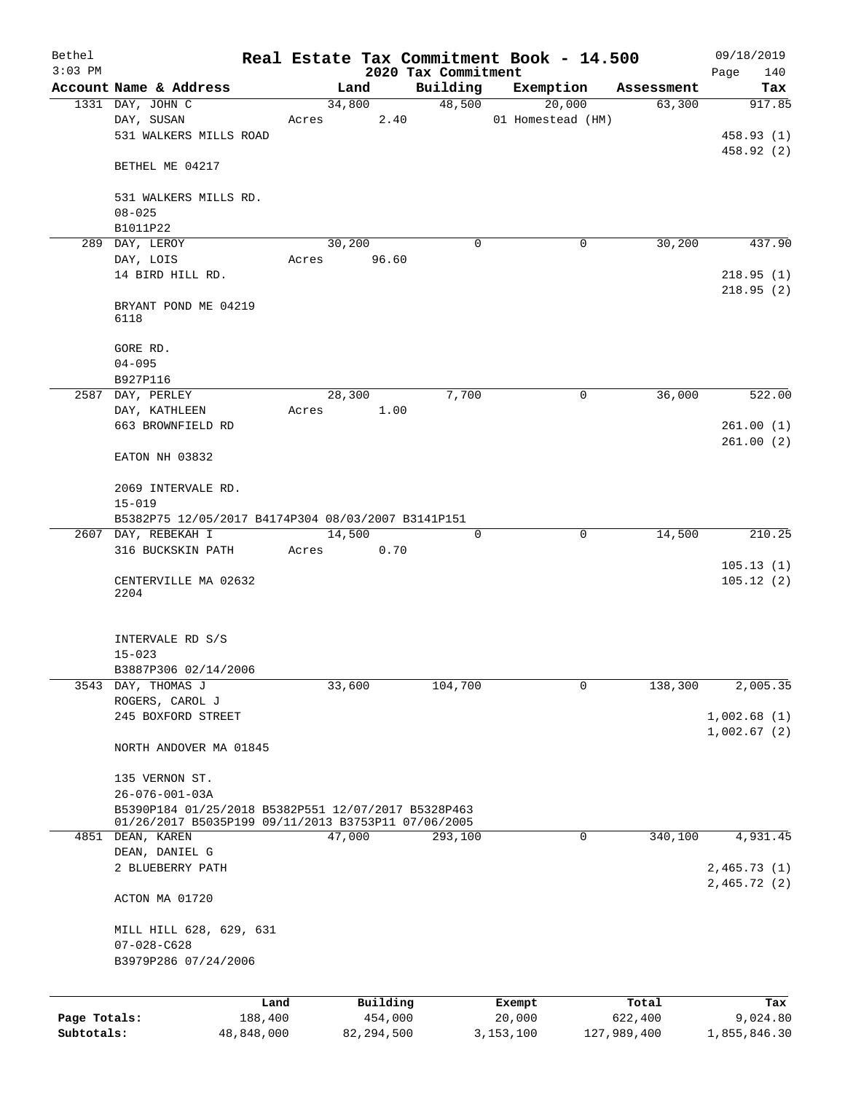| Bethel<br>$3:03$ PM |                                                                                                            |                 |        |              |                                 | Real Estate Tax Commitment Book - 14.500 |                  | 09/18/2019             |  |
|---------------------|------------------------------------------------------------------------------------------------------------|-----------------|--------|--------------|---------------------------------|------------------------------------------|------------------|------------------------|--|
|                     | Account Name & Address                                                                                     |                 | Land   |              | 2020 Tax Commitment<br>Building | Exemption                                | Assessment       | Page<br>140<br>Tax     |  |
|                     | 1331 DAY, JOHN C                                                                                           |                 | 34,800 |              | 48,500                          | 20,000                                   | 63,300           | 917.85                 |  |
|                     | DAY, SUSAN                                                                                                 | Acres           |        | 2.40         |                                 | 01 Homestead (HM)                        |                  |                        |  |
|                     | 531 WALKERS MILLS ROAD                                                                                     |                 |        |              |                                 |                                          |                  | 458.93 (1)             |  |
|                     | BETHEL ME 04217                                                                                            |                 |        |              |                                 |                                          |                  | 458.92 (2)             |  |
|                     |                                                                                                            |                 |        |              |                                 |                                          |                  |                        |  |
|                     | 531 WALKERS MILLS RD.<br>$08 - 025$                                                                        |                 |        |              |                                 |                                          |                  |                        |  |
|                     | B1011P22                                                                                                   |                 |        |              |                                 |                                          |                  |                        |  |
|                     | 289 DAY, LEROY                                                                                             |                 | 30,200 |              | $\Omega$                        | 0                                        | 30,200           | 437.90                 |  |
|                     | DAY, LOIS                                                                                                  | Acres           |        | 96.60        |                                 |                                          |                  |                        |  |
|                     | 14 BIRD HILL RD.                                                                                           |                 |        |              |                                 |                                          |                  | 218.95(1)<br>218.95(2) |  |
|                     | BRYANT POND ME 04219<br>6118                                                                               |                 |        |              |                                 |                                          |                  |                        |  |
|                     | GORE RD.                                                                                                   |                 |        |              |                                 |                                          |                  |                        |  |
|                     | $04 - 095$                                                                                                 |                 |        |              |                                 |                                          |                  |                        |  |
|                     | B927P116                                                                                                   |                 |        |              |                                 |                                          |                  |                        |  |
| 2587                | DAY, PERLEY                                                                                                |                 | 28,300 |              | 7,700                           | 0                                        | 36,000           | 522.00                 |  |
|                     | DAY, KATHLEEN                                                                                              | Acres           |        | 1.00         |                                 |                                          |                  |                        |  |
|                     | 663 BROWNFIELD RD                                                                                          |                 |        |              |                                 |                                          |                  | 261.00(1)              |  |
|                     | EATON NH 03832                                                                                             |                 |        |              |                                 |                                          |                  | 261.00(2)              |  |
|                     | 2069 INTERVALE RD.                                                                                         |                 |        |              |                                 |                                          |                  |                        |  |
|                     | $15 - 019$<br>B5382P75 12/05/2017 B4174P304 08/03/2007 B3141P151                                           |                 |        |              |                                 |                                          |                  |                        |  |
|                     | 2607 DAY, REBEKAH I                                                                                        |                 | 14,500 |              | 0                               | 0                                        | 14,500           | 210.25                 |  |
|                     | 316 BUCKSKIN PATH                                                                                          | Acres           |        | 0.70         |                                 |                                          |                  |                        |  |
|                     | CENTERVILLE MA 02632                                                                                       |                 |        |              |                                 |                                          |                  | 105.13(1)<br>105.12(2) |  |
|                     | 2204                                                                                                       |                 |        |              |                                 |                                          |                  |                        |  |
|                     | INTERVALE RD S/S                                                                                           |                 |        |              |                                 |                                          |                  |                        |  |
|                     | $15 - 023$                                                                                                 |                 |        |              |                                 |                                          |                  |                        |  |
|                     | B3887P306 02/14/2006                                                                                       |                 |        |              |                                 |                                          |                  |                        |  |
| 3543                | DAY, THOMAS J<br>ROGERS, CAROL J                                                                           |                 | 33,600 |              | 104,700                         | 0                                        | 138,300          | 2,005.35               |  |
|                     | 245 BOXFORD STREET                                                                                         |                 |        |              |                                 |                                          |                  | 1,002.68(1)            |  |
|                     |                                                                                                            |                 |        |              |                                 |                                          |                  | 1,002.67(2)            |  |
|                     | NORTH ANDOVER MA 01845                                                                                     |                 |        |              |                                 |                                          |                  |                        |  |
|                     | 135 VERNON ST.                                                                                             |                 |        |              |                                 |                                          |                  |                        |  |
|                     | $26 - 076 - 001 - 03A$                                                                                     |                 |        |              |                                 |                                          |                  |                        |  |
|                     | B5390P184 01/25/2018 B5382P551 12/07/2017 B5328P463<br>01/26/2017 B5035P199 09/11/2013 B3753P11 07/06/2005 |                 |        |              |                                 |                                          |                  |                        |  |
|                     | 4851 DEAN, KAREN                                                                                           |                 | 47,000 |              | 293,100                         | 0                                        | 340,100          | 4,931.45               |  |
|                     | DEAN, DANIEL G                                                                                             |                 |        |              |                                 |                                          |                  |                        |  |
|                     | 2 BLUEBERRY PATH                                                                                           |                 |        |              |                                 |                                          |                  | 2,465.73(1)            |  |
|                     |                                                                                                            |                 |        |              |                                 |                                          |                  | 2,465.72(2)            |  |
|                     | ACTON MA 01720                                                                                             |                 |        |              |                                 |                                          |                  |                        |  |
|                     | MILL HILL 628, 629, 631                                                                                    |                 |        |              |                                 |                                          |                  |                        |  |
|                     | $07 - 028 - C628$                                                                                          |                 |        |              |                                 |                                          |                  |                        |  |
|                     | B3979P286 07/24/2006                                                                                       |                 |        |              |                                 |                                          |                  |                        |  |
|                     |                                                                                                            |                 |        | Building     |                                 |                                          |                  |                        |  |
| Page Totals:        |                                                                                                            | Land<br>188,400 |        | 454,000      |                                 | Exempt<br>20,000                         | Total<br>622,400 | Tax<br>9,024.80        |  |
| Subtotals:          | 48,848,000                                                                                                 |                 |        | 82, 294, 500 |                                 | 3,153,100                                | 127,989,400      | 1,855,846.30           |  |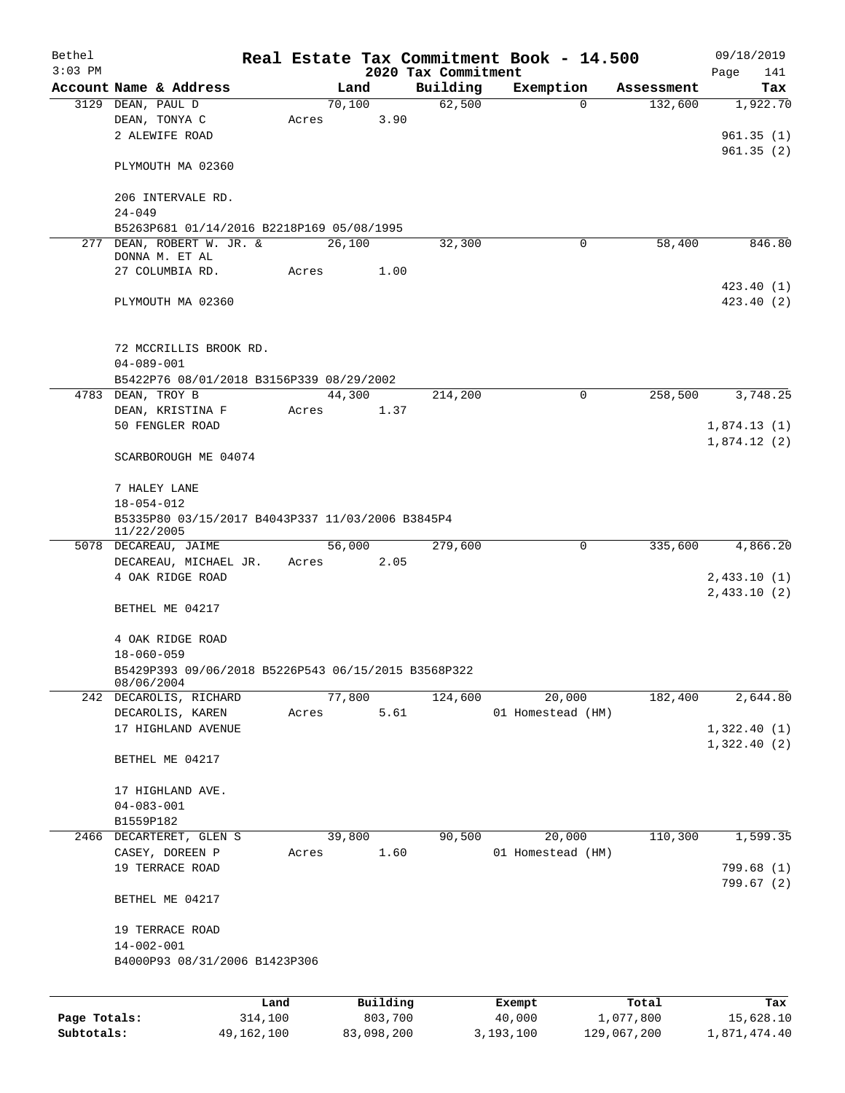| Bethel       |                                                  |                                                     |         |       |                |      |                     | Real Estate Tax Commitment Book - 14.500 |  |                       |      | 09/18/2019      |
|--------------|--------------------------------------------------|-----------------------------------------------------|---------|-------|----------------|------|---------------------|------------------------------------------|--|-----------------------|------|-----------------|
| $3:03$ PM    |                                                  |                                                     |         |       |                |      | 2020 Tax Commitment |                                          |  |                       | Page | 141             |
|              | 3129 DEAN, PAUL D                                | Account Name & Address                              |         |       | Land<br>70,100 |      | Building<br>62,500  | Exemption<br>0                           |  | Assessment<br>132,600 |      | Tax<br>1,922.70 |
|              |                                                  | DEAN, TONYA C                                       |         | Acres |                | 3.90 |                     |                                          |  |                       |      |                 |
|              |                                                  | 2 ALEWIFE ROAD                                      |         |       |                |      |                     |                                          |  |                       |      | 961.35(1)       |
|              |                                                  |                                                     |         |       |                |      |                     |                                          |  |                       |      | 961.35(2)       |
|              |                                                  | PLYMOUTH MA 02360                                   |         |       |                |      |                     |                                          |  |                       |      |                 |
|              |                                                  |                                                     |         |       |                |      |                     |                                          |  |                       |      |                 |
|              |                                                  | 206 INTERVALE RD.                                   |         |       |                |      |                     |                                          |  |                       |      |                 |
|              | $24 - 049$                                       |                                                     |         |       |                |      |                     |                                          |  |                       |      |                 |
|              |                                                  | B5263P681 01/14/2016 B2218P169 05/08/1995           |         |       |                |      |                     |                                          |  |                       |      |                 |
|              |                                                  | 277 DEAN, ROBERT W. JR. &                           |         |       | 26,100         |      | 32,300              | 0                                        |  | 58,400                |      | 846.80          |
|              |                                                  | DONNA M. ET AL                                      |         |       |                |      |                     |                                          |  |                       |      |                 |
|              |                                                  | 27 COLUMBIA RD.                                     |         | Acres |                | 1.00 |                     |                                          |  |                       |      |                 |
|              |                                                  |                                                     |         |       |                |      |                     |                                          |  |                       |      | 423.40(1)       |
|              |                                                  | PLYMOUTH MA 02360                                   |         |       |                |      |                     |                                          |  |                       |      | 423.40(2)       |
|              |                                                  |                                                     |         |       |                |      |                     |                                          |  |                       |      |                 |
|              |                                                  |                                                     |         |       |                |      |                     |                                          |  |                       |      |                 |
|              |                                                  | 72 MCCRILLIS BROOK RD.                              |         |       |                |      |                     |                                          |  |                       |      |                 |
|              | $04 - 089 - 001$                                 |                                                     |         |       |                |      |                     |                                          |  |                       |      |                 |
|              |                                                  | B5422P76 08/01/2018 B3156P339 08/29/2002            |         |       |                |      |                     |                                          |  |                       |      |                 |
|              | 4783 DEAN, TROY B                                |                                                     |         |       | 44,300         |      | 214,200             | $\mathbf 0$                              |  | 258,500               |      | 3,748.25        |
|              |                                                  | DEAN, KRISTINA F                                    |         | Acres |                | 1.37 |                     |                                          |  |                       |      |                 |
|              |                                                  | 50 FENGLER ROAD                                     |         |       |                |      |                     |                                          |  |                       |      | 1,874.13(1)     |
|              |                                                  |                                                     |         |       |                |      |                     |                                          |  |                       |      | 1,874.12(2)     |
|              |                                                  | SCARBOROUGH ME 04074                                |         |       |                |      |                     |                                          |  |                       |      |                 |
|              |                                                  |                                                     |         |       |                |      |                     |                                          |  |                       |      |                 |
|              |                                                  | 7 HALEY LANE                                        |         |       |                |      |                     |                                          |  |                       |      |                 |
|              | $18 - 054 - 012$                                 |                                                     |         |       |                |      |                     |                                          |  |                       |      |                 |
|              | B5335P80 03/15/2017 B4043P337 11/03/2006 B3845P4 |                                                     |         |       |                |      |                     |                                          |  |                       |      |                 |
|              | 11/22/2005                                       |                                                     |         |       |                |      |                     |                                          |  |                       |      |                 |
|              |                                                  | 5078 DECAREAU, JAIME                                |         |       | 56,000         |      | 279,600             | $\mathbf 0$                              |  | 335,600               |      | 4,866.20        |
|              |                                                  | DECAREAU, MICHAEL JR.                               |         | Acres |                | 2.05 |                     |                                          |  |                       |      |                 |
|              |                                                  | 4 OAK RIDGE ROAD                                    |         |       |                |      |                     |                                          |  |                       |      | 2,433.10(1)     |
|              |                                                  |                                                     |         |       |                |      |                     |                                          |  |                       |      | 2,433.10(2)     |
|              |                                                  | BETHEL ME 04217                                     |         |       |                |      |                     |                                          |  |                       |      |                 |
|              |                                                  |                                                     |         |       |                |      |                     |                                          |  |                       |      |                 |
|              |                                                  | 4 OAK RIDGE ROAD                                    |         |       |                |      |                     |                                          |  |                       |      |                 |
|              | $18 - 060 - 059$                                 |                                                     |         |       |                |      |                     |                                          |  |                       |      |                 |
|              | 08/06/2004                                       | B5429P393 09/06/2018 B5226P543 06/15/2015 B3568P322 |         |       |                |      |                     |                                          |  |                       |      |                 |
|              |                                                  | 242 DECAROLIS, RICHARD                              |         |       | 77,800         |      | 124,600             | 20,000                                   |  | 182,400               |      | 2,644.80        |
|              |                                                  | DECAROLIS, KAREN                                    |         | Acres |                | 5.61 |                     | 01 Homestead (HM)                        |  |                       |      |                 |
|              |                                                  | 17 HIGHLAND AVENUE                                  |         |       |                |      |                     |                                          |  |                       |      | 1,322.40(1)     |
|              |                                                  |                                                     |         |       |                |      |                     |                                          |  |                       |      | 1,322.40(2)     |
|              |                                                  | BETHEL ME 04217                                     |         |       |                |      |                     |                                          |  |                       |      |                 |
|              |                                                  |                                                     |         |       |                |      |                     |                                          |  |                       |      |                 |
|              |                                                  | 17 HIGHLAND AVE.                                    |         |       |                |      |                     |                                          |  |                       |      |                 |
|              | $04 - 083 - 001$                                 |                                                     |         |       |                |      |                     |                                          |  |                       |      |                 |
|              | B1559P182                                        |                                                     |         |       |                |      |                     |                                          |  |                       |      |                 |
|              |                                                  | 2466 DECARTERET, GLEN S                             |         |       | 39,800         |      | 90,500              | 20,000                                   |  | 110,300               |      | 1,599.35        |
|              |                                                  | CASEY, DOREEN P                                     |         | Acres |                | 1.60 |                     | 01 Homestead (HM)                        |  |                       |      |                 |
|              |                                                  | 19 TERRACE ROAD                                     |         |       |                |      |                     |                                          |  |                       |      | 799.68(1)       |
|              |                                                  |                                                     |         |       |                |      |                     |                                          |  |                       |      | 799.67 (2)      |
|              |                                                  | BETHEL ME 04217                                     |         |       |                |      |                     |                                          |  |                       |      |                 |
|              |                                                  |                                                     |         |       |                |      |                     |                                          |  |                       |      |                 |
|              |                                                  | 19 TERRACE ROAD                                     |         |       |                |      |                     |                                          |  |                       |      |                 |
|              | $14 - 002 - 001$                                 |                                                     |         |       |                |      |                     |                                          |  |                       |      |                 |
|              |                                                  | B4000P93 08/31/2006 B1423P306                       |         |       |                |      |                     |                                          |  |                       |      |                 |
|              |                                                  |                                                     |         |       |                |      |                     |                                          |  |                       |      |                 |
|              |                                                  |                                                     |         |       |                |      |                     |                                          |  |                       |      |                 |
|              |                                                  |                                                     | Land    |       | Building       |      |                     | Exempt                                   |  | Total                 |      | Tax             |
| Page Totals: |                                                  |                                                     | 314,100 |       | 803,700        |      |                     | 40,000                                   |  | 1,077,800             |      | 15,628.10       |

**Subtotals:** 49,162,100 83,098,200 3,193,100 129,067,200 1,871,474.40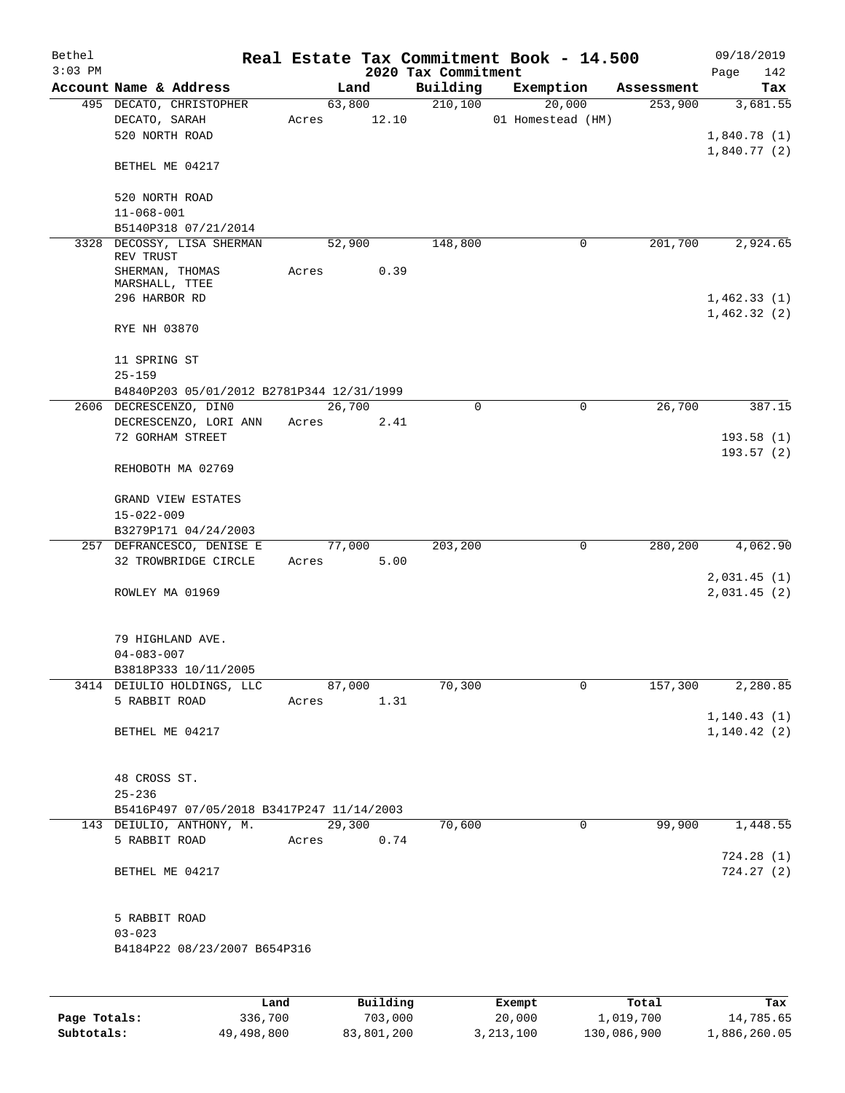| Bethel<br>$3:03$ PM |                                                   |                 |        |       | 2020 Tax Commitment | Real Estate Tax Commitment Book - 14.500 |            | 09/18/2019<br>Page           | 142 |
|---------------------|---------------------------------------------------|-----------------|--------|-------|---------------------|------------------------------------------|------------|------------------------------|-----|
|                     | Account Name & Address                            |                 | Land   |       | Building            | Exemption                                | Assessment |                              | Tax |
|                     | 495 DECATO, CHRISTOPHER                           |                 | 63,800 |       | 210,100             | 20,000                                   | 253,900    | 3,681.55                     |     |
|                     | DECATO, SARAH                                     | Acres           |        | 12.10 |                     | 01 Homestead (HM)                        |            |                              |     |
|                     | 520 NORTH ROAD                                    |                 |        |       |                     |                                          |            | 1,840.78(1)                  |     |
|                     | BETHEL ME 04217                                   |                 |        |       |                     |                                          |            | 1,840.77(2)                  |     |
|                     |                                                   |                 |        |       |                     |                                          |            |                              |     |
|                     | 520 NORTH ROAD                                    |                 |        |       |                     |                                          |            |                              |     |
|                     | $11 - 068 - 001$                                  |                 |        |       |                     |                                          |            |                              |     |
|                     | B5140P318 07/21/2014                              |                 |        |       |                     |                                          |            |                              |     |
|                     | 3328 DECOSSY, LISA SHERMAN<br>REV TRUST           |                 | 52,900 |       | 148,800             | $\mathbf 0$                              | 201,700    | 2,924.65                     |     |
|                     | SHERMAN, THOMAS                                   | Acres           |        | 0.39  |                     |                                          |            |                              |     |
|                     | MARSHALL, TTEE                                    |                 |        |       |                     |                                          |            |                              |     |
|                     | 296 HARBOR RD                                     |                 |        |       |                     |                                          |            | 1,462.33(1)                  |     |
|                     | RYE NH 03870                                      |                 |        |       |                     |                                          |            | 1,462.32(2)                  |     |
|                     | 11 SPRING ST                                      |                 |        |       |                     |                                          |            |                              |     |
|                     | $25 - 159$                                        |                 |        |       |                     |                                          |            |                              |     |
|                     | B4840P203 05/01/2012 B2781P344 12/31/1999         |                 |        |       |                     |                                          |            |                              |     |
|                     | 2606 DECRESCENZO, DINO                            |                 | 26,700 |       | $\Omega$            | $\mathbf 0$                              | 26,700     | 387.15                       |     |
|                     | DECRESCENZO, LORI ANN<br>72 GORHAM STREET         | Acres           |        | 2.41  |                     |                                          |            | 193.58(1)                    |     |
|                     |                                                   |                 |        |       |                     |                                          |            | 193.57(2)                    |     |
|                     | REHOBOTH MA 02769                                 |                 |        |       |                     |                                          |            |                              |     |
|                     | GRAND VIEW ESTATES                                |                 |        |       |                     |                                          |            |                              |     |
|                     | $15 - 022 - 009$                                  |                 |        |       |                     |                                          |            |                              |     |
|                     | B3279P171 04/24/2003                              |                 |        |       |                     |                                          |            |                              |     |
|                     | 257 DEFRANCESCO, DENISE E<br>32 TROWBRIDGE CIRCLE | 77,000<br>Acres |        | 5.00  | 203,200             | 0                                        | 280,200    | 4,062.90                     |     |
|                     |                                                   |                 |        |       |                     |                                          |            | 2,031.45(1)                  |     |
|                     | ROWLEY MA 01969                                   |                 |        |       |                     |                                          |            | 2,031.45(2)                  |     |
|                     | 79 HIGHLAND AVE.                                  |                 |        |       |                     |                                          |            |                              |     |
|                     | $04 - 083 - 007$                                  |                 |        |       |                     |                                          |            |                              |     |
|                     | B3818P333 10/11/2005                              |                 |        |       |                     |                                          |            |                              |     |
|                     | 3414 DEIULIO HOLDINGS, LLC                        |                 | 87,000 |       | 70,300              | 0                                        | 157,300    | 2,280.85                     |     |
|                     | 5 RABBIT ROAD                                     | Acres           |        | 1.31  |                     |                                          |            |                              |     |
|                     | BETHEL ME 04217                                   |                 |        |       |                     |                                          |            | 1, 140.43(1)<br>1, 140.42(2) |     |
|                     |                                                   |                 |        |       |                     |                                          |            |                              |     |
|                     | 48 CROSS ST.                                      |                 |        |       |                     |                                          |            |                              |     |
|                     | $25 - 236$                                        |                 |        |       |                     |                                          |            |                              |     |
|                     | B5416P497 07/05/2018 B3417P247 11/14/2003         |                 |        |       |                     |                                          |            |                              |     |
|                     | 143 DEIULIO, ANTHONY, M.                          |                 | 29,300 |       | 70,600              | $\mathbf 0$                              | 99,900     | 1,448.55                     |     |
|                     | 5 RABBIT ROAD                                     | Acres           |        | 0.74  |                     |                                          |            |                              |     |
|                     | BETHEL ME 04217                                   |                 |        |       |                     |                                          |            | 724.28(1)<br>724.27(2)       |     |
|                     |                                                   |                 |        |       |                     |                                          |            |                              |     |
|                     | 5 RABBIT ROAD                                     |                 |        |       |                     |                                          |            |                              |     |
|                     | $03 - 023$                                        |                 |        |       |                     |                                          |            |                              |     |
|                     | B4184P22 08/23/2007 B654P316                      |                 |        |       |                     |                                          |            |                              |     |
|                     |                                                   |                 |        |       |                     |                                          |            |                              |     |
|                     |                                                   |                 |        | P114  |                     | <b>Pucamod</b>                           |            |                              |     |

|              | Land       | Building   | Exempt      | Total       | Tax          |
|--------------|------------|------------|-------------|-------------|--------------|
| Page Totals: | 336,700    | 703,000    | 20,000      | 1,019,700   | 14,785.65    |
| Subtotals:   | 49,498,800 | 83,801,200 | 3, 213, 100 | 130,086,900 | 1,886,260.05 |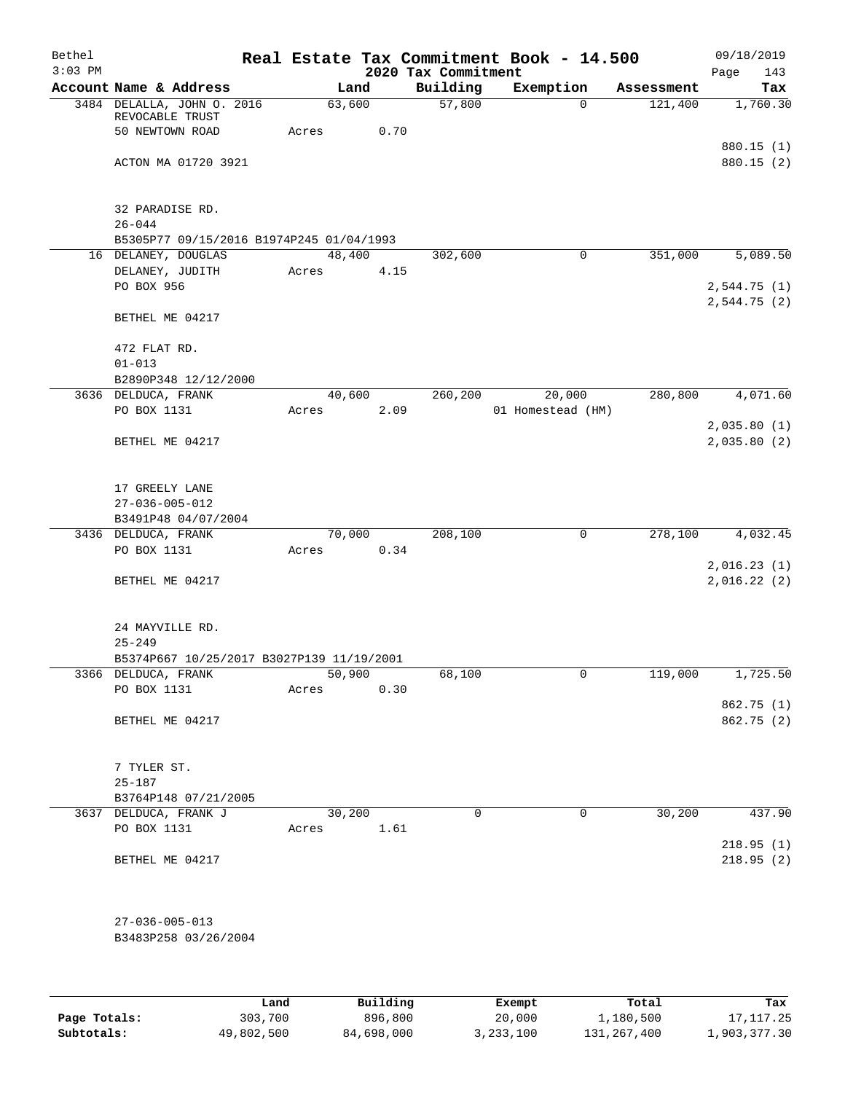| Bethel    |                                                                  |       |        |      |                     | Real Estate Tax Commitment Book - 14.500 |            | 09/18/2019  |
|-----------|------------------------------------------------------------------|-------|--------|------|---------------------|------------------------------------------|------------|-------------|
| $3:03$ PM |                                                                  |       |        |      | 2020 Tax Commitment |                                          |            | 143<br>Page |
|           | Account Name & Address                                           |       | Land   |      | Building            | Exemption                                | Assessment | Tax         |
|           | 3484 DELALLA, JOHN 0. 2016<br>REVOCABLE TRUST                    |       | 63,600 |      | 57,800              | $\Omega$                                 | 121,400    | 1,760.30    |
|           | 50 NEWTOWN ROAD                                                  | Acres |        | 0.70 |                     |                                          |            |             |
|           |                                                                  |       |        |      |                     |                                          |            | 880.15(1)   |
|           | ACTON MA 01720 3921                                              |       |        |      |                     |                                          |            | 880.15 (2)  |
|           |                                                                  |       |        |      |                     |                                          |            |             |
|           | 32 PARADISE RD.                                                  |       |        |      |                     |                                          |            |             |
|           | $26 - 044$<br>B5305P77 09/15/2016 B1974P245 01/04/1993           |       |        |      |                     |                                          |            |             |
|           | 16 DELANEY, DOUGLAS                                              |       | 48,400 |      | 302,600             | $\mathbf 0$                              | 351,000    | 5,089.50    |
|           | DELANEY, JUDITH                                                  | Acres |        | 4.15 |                     |                                          |            |             |
|           | PO BOX 956                                                       |       |        |      |                     |                                          |            | 2,544.75(1) |
|           |                                                                  |       |        |      |                     |                                          |            | 2,544.75(2) |
|           | BETHEL ME 04217                                                  |       |        |      |                     |                                          |            |             |
|           | 472 FLAT RD.                                                     |       |        |      |                     |                                          |            |             |
|           | $01 - 013$                                                       |       |        |      |                     |                                          |            |             |
|           | B2890P348 12/12/2000                                             |       |        |      |                     |                                          |            |             |
|           | 3636 DELDUCA, FRANK                                              |       | 40,600 |      | 260,200             | 20,000                                   | 280,800    | 4,071.60    |
|           | PO BOX 1131                                                      | Acres |        | 2.09 |                     | 01 Homestead (HM)                        |            |             |
|           |                                                                  |       |        |      |                     |                                          |            | 2,035.80(1) |
|           | BETHEL ME 04217                                                  |       |        |      |                     |                                          |            | 2,035.80(2) |
|           | 17 GREELY LANE                                                   |       |        |      |                     |                                          |            |             |
|           | $27 - 036 - 005 - 012$                                           |       |        |      |                     |                                          |            |             |
|           | B3491P48 04/07/2004                                              |       |        |      |                     |                                          |            |             |
|           | 3436 DELDUCA, FRANK                                              |       | 70,000 |      | 208,100             | $\mathbf 0$                              | 278,100    | 4,032.45    |
|           | PO BOX 1131                                                      | Acres |        | 0.34 |                     |                                          |            |             |
|           |                                                                  |       |        |      |                     |                                          |            | 2,016.23(1) |
|           | BETHEL ME 04217                                                  |       |        |      |                     |                                          |            | 2,016.22(2) |
|           |                                                                  |       |        |      |                     |                                          |            |             |
|           | 24 MAYVILLE RD.                                                  |       |        |      |                     |                                          |            |             |
|           | $25 - 249$                                                       |       |        |      |                     |                                          |            |             |
|           | B5374P667 10/25/2017 B3027P139 11/19/2001<br>3366 DELDUCA, FRANK |       | 50,900 |      | 68,100              | 0                                        | 119,000    | 1,725.50    |
|           | PO BOX 1131                                                      | Acres |        | 0.30 |                     |                                          |            |             |
|           |                                                                  |       |        |      |                     |                                          |            | 862.75(1)   |
|           | BETHEL ME 04217                                                  |       |        |      |                     |                                          |            | 862.75 (2)  |
|           |                                                                  |       |        |      |                     |                                          |            |             |
|           | 7 TYLER ST.                                                      |       |        |      |                     |                                          |            |             |
|           | $25 - 187$                                                       |       |        |      |                     |                                          |            |             |
|           | B3764P148 07/21/2005                                             |       |        |      |                     |                                          |            |             |
|           | 3637 DELDUCA, FRANK J                                            |       | 30,200 |      | $\Omega$            | $\mathbf 0$                              | 30,200     | 437.90      |
|           | PO BOX 1131                                                      | Acres |        | 1.61 |                     |                                          |            |             |
|           |                                                                  |       |        |      |                     |                                          |            | 218.95(1)   |
|           | BETHEL ME 04217                                                  |       |        |      |                     |                                          |            | 218.95(2)   |
|           |                                                                  |       |        |      |                     |                                          |            |             |
|           | $27 - 036 - 005 - 013$                                           |       |        |      |                     |                                          |            |             |
|           | B3483P258 03/26/2004                                             |       |        |      |                     |                                          |            |             |
|           |                                                                  |       |        |      |                     |                                          |            |             |
|           |                                                                  |       |        |      |                     |                                          |            |             |
|           |                                                                  |       |        |      |                     |                                          |            |             |

|              | Land       | Building   | Exempt      | Total       | Tax          |
|--------------|------------|------------|-------------|-------------|--------------|
| Page Totals: | 303,700    | 896,800    | 20,000      | 1,180,500   | 17,117.25    |
| Subtotals:   | 49,802,500 | 84,698,000 | 3, 233, 100 | 131,267,400 | 1,903,377.30 |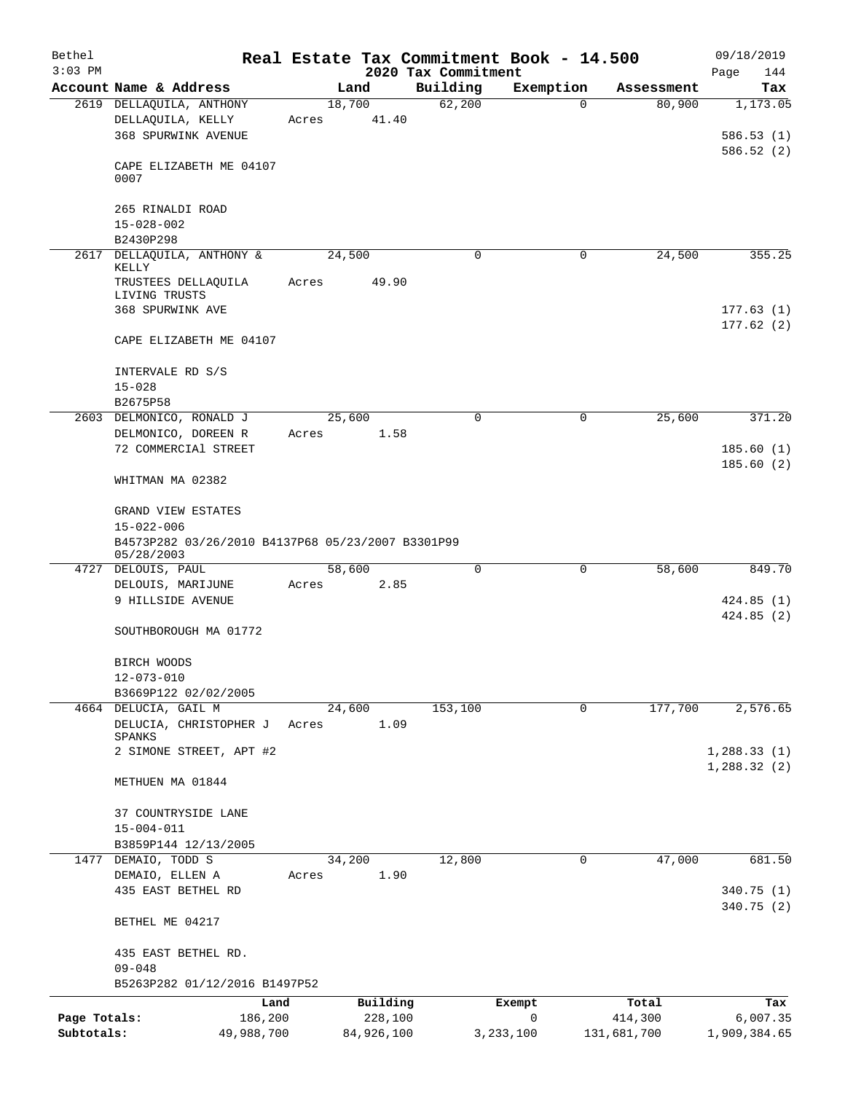| Bethel       |                                                                 |                 |            | Real Estate Tax Commitment Book - 14.500 |             |             | 09/18/2019             |
|--------------|-----------------------------------------------------------------|-----------------|------------|------------------------------------------|-------------|-------------|------------------------|
| $3:03$ PM    | Account Name & Address                                          |                 | Land       | 2020 Tax Commitment<br>Building          | Exemption   | Assessment  | Page<br>144            |
|              | 2619 DELLAQUILA, ANTHONY                                        | 18,700          |            | 62,200                                   | 0           | 80,900      | Tax<br>1,173.05        |
|              | DELLAQUILA, KELLY                                               | Acres           | 41.40      |                                          |             |             |                        |
|              | <b>368 SPURWINK AVENUE</b>                                      |                 |            |                                          |             |             | 586.53(1)              |
|              | CAPE ELIZABETH ME 04107<br>0007                                 |                 |            |                                          |             |             | 586.52(2)              |
|              | 265 RINALDI ROAD                                                |                 |            |                                          |             |             |                        |
|              | $15 - 028 - 002$                                                |                 |            |                                          |             |             |                        |
|              | B2430P298                                                       |                 |            |                                          |             |             |                        |
|              | 2617 DELLAQUILA, ANTHONY &<br>KELLY                             | 24,500          |            | 0                                        | 0           | 24,500      | 355.25                 |
|              | TRUSTEES DELLAQUILA<br>LIVING TRUSTS                            | Acres           | 49.90      |                                          |             |             |                        |
|              | 368 SPURWINK AVE                                                |                 |            |                                          |             |             | 177.63(1)<br>177.62(2) |
|              | CAPE ELIZABETH ME 04107                                         |                 |            |                                          |             |             |                        |
|              | INTERVALE RD S/S                                                |                 |            |                                          |             |             |                        |
|              | $15 - 028$<br>B2675P58                                          |                 |            |                                          |             |             |                        |
|              | 2603 DELMONICO, RONALD J                                        | 25,600          |            | 0                                        | $\mathbf 0$ | 25,600      | 371.20                 |
|              | DELMONICO, DOREEN R                                             | Acres           | 1.58       |                                          |             |             |                        |
|              | 72 COMMERCIAl STREET                                            |                 |            |                                          |             |             | 185.60(1)              |
|              | WHITMAN MA 02382                                                |                 |            |                                          |             |             | 185.60(2)              |
|              | <b>GRAND VIEW ESTATES</b><br>$15 - 022 - 006$                   |                 |            |                                          |             |             |                        |
|              | B4573P282 03/26/2010 B4137P68 05/23/2007 B3301P99<br>05/28/2003 |                 |            |                                          |             |             |                        |
|              | 4727 DELOUIS, PAUL                                              | 58,600          |            | 0                                        | $\mathbf 0$ | 58,600      | 849.70                 |
|              | DELOUIS, MARIJUNE                                               | Acres           | 2.85       |                                          |             |             |                        |
|              | 9 HILLSIDE AVENUE                                               |                 |            |                                          |             |             | 424.85(1)<br>424.85(2) |
|              | SOUTHBOROUGH MA 01772                                           |                 |            |                                          |             |             |                        |
|              | BIRCH WOODS                                                     |                 |            |                                          |             |             |                        |
|              | $12 - 073 - 010$                                                |                 |            |                                          |             |             |                        |
|              | B3669P122 02/02/2005<br>4664 DELUCIA, GAIL M                    | 24,600          |            | 153,100                                  | 0           | 177,700     | 2,576.65               |
|              | DELUCIA, CHRISTOPHER J                                          | Acres           | 1.09       |                                          |             |             |                        |
|              | SPANKS<br>2 SIMONE STREET, APT #2                               |                 |            |                                          |             |             | 1,288.33(1)            |
|              |                                                                 |                 |            |                                          |             |             | 1,288.32(2)            |
|              | METHUEN MA 01844                                                |                 |            |                                          |             |             |                        |
|              | 37 COUNTRYSIDE LANE                                             |                 |            |                                          |             |             |                        |
|              | $15 - 004 - 011$                                                |                 |            |                                          |             |             |                        |
|              | B3859P144 12/13/2005                                            |                 |            |                                          |             |             |                        |
|              | 1477 DEMAIO, TODD S<br>DEMAIO, ELLEN A                          | 34,200<br>Acres | 1.90       | 12,800                                   | 0           | 47,000      | 681.50                 |
|              | 435 EAST BETHEL RD                                              |                 |            |                                          |             |             | 340.75(1)              |
|              | BETHEL ME 04217                                                 |                 |            |                                          |             |             | 340.75(2)              |
|              | 435 EAST BETHEL RD.                                             |                 |            |                                          |             |             |                        |
|              | $09 - 048$                                                      |                 |            |                                          |             |             |                        |
|              | B5263P282 01/12/2016 B1497P52                                   |                 |            |                                          |             |             |                        |
|              | Land                                                            |                 | Building   |                                          | Exempt      | Total       | Tax                    |
| Page Totals: | 186,200                                                         |                 | 228,100    |                                          | 0           | 414,300     | 6,007.35               |
| Subtotals:   | 49,988,700                                                      |                 | 84,926,100 |                                          | 3, 233, 100 | 131,681,700 | 1,909,384.65           |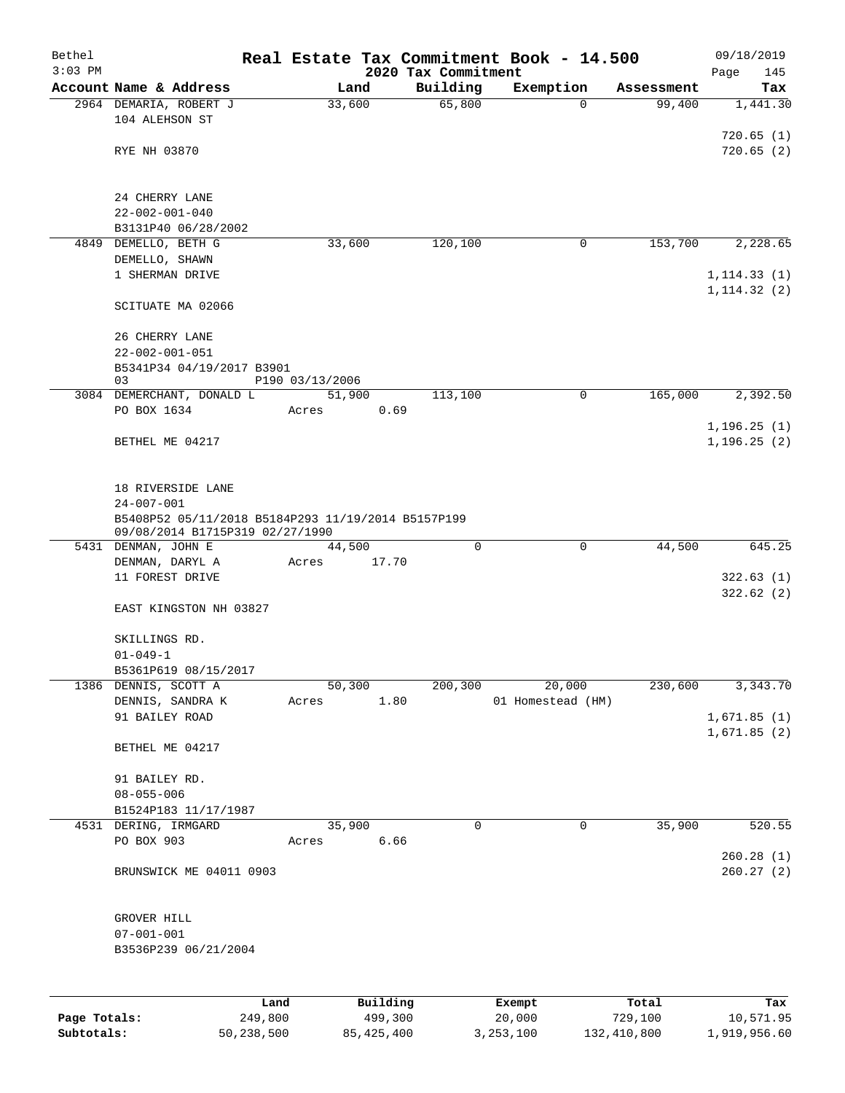| Bethel       |                                                        | Real Estate Tax Commitment Book - 14.500 |                                 |                   |            | 09/18/2019                   |
|--------------|--------------------------------------------------------|------------------------------------------|---------------------------------|-------------------|------------|------------------------------|
| $3:03$ PM    | Account Name & Address                                 | Land                                     | 2020 Tax Commitment<br>Building | Exemption         | Assessment | Page<br>145<br>Tax           |
|              | 2964 DEMARIA, ROBERT J                                 | 33,600                                   | 65,800                          | $\Omega$          | 99,400     | 1,441.30                     |
|              | 104 ALEHSON ST                                         |                                          |                                 |                   |            |                              |
|              |                                                        |                                          |                                 |                   |            | 720.65(1)                    |
|              | RYE NH 03870                                           |                                          |                                 |                   |            | 720.65(2)                    |
|              | 24 CHERRY LANE                                         |                                          |                                 |                   |            |                              |
|              | $22 - 002 - 001 - 040$                                 |                                          |                                 |                   |            |                              |
|              | B3131P40 06/28/2002                                    |                                          |                                 |                   |            |                              |
| 4849         | DEMELLO, BETH G                                        | 33,600                                   | 120,100                         | 0                 | 153,700    | 2,228.65                     |
|              | DEMELLO, SHAWN                                         |                                          |                                 |                   |            |                              |
|              | 1 SHERMAN DRIVE                                        |                                          |                                 |                   |            | 1, 114.33(1)<br>1, 114.32(2) |
|              | SCITUATE MA 02066                                      |                                          |                                 |                   |            |                              |
|              | 26 CHERRY LANE                                         |                                          |                                 |                   |            |                              |
|              | $22 - 002 - 001 - 051$                                 |                                          |                                 |                   |            |                              |
|              | B5341P34 04/19/2017 B3901                              |                                          |                                 |                   |            |                              |
|              | 03<br>3084 DEMERCHANT, DONALD L                        | P190 03/13/2006<br>51,900                | 113,100                         | 0                 | 165,000    | 2,392.50                     |
|              | PO BOX 1634                                            | 0.69<br>Acres                            |                                 |                   |            |                              |
|              |                                                        |                                          |                                 |                   |            | 1,196.25(1)                  |
|              | BETHEL ME 04217                                        |                                          |                                 |                   |            | 1, 196.25(2)                 |
|              |                                                        |                                          |                                 |                   |            |                              |
|              | 18 RIVERSIDE LANE<br>$24 - 007 - 001$                  |                                          |                                 |                   |            |                              |
|              | B5408P52 05/11/2018 B5184P293 11/19/2014 B5157P199     |                                          |                                 |                   |            |                              |
|              | 09/08/2014 B1715P319 02/27/1990<br>5431 DENMAN, JOHN E | 44,500                                   | 0                               | $\mathsf{O}$      | 44,500     | 645.25                       |
|              | DENMAN, DARYL A                                        | 17.70<br>Acres                           |                                 |                   |            |                              |
|              | 11 FOREST DRIVE                                        |                                          |                                 |                   |            | 322.63(1)                    |
|              | EAST KINGSTON NH 03827                                 |                                          |                                 |                   |            | 322.62(2)                    |
|              |                                                        |                                          |                                 |                   |            |                              |
|              | SKILLINGS RD.<br>$01 - 049 - 1$                        |                                          |                                 |                   |            |                              |
|              | B5361P619 08/15/2017                                   |                                          |                                 |                   |            |                              |
|              | 1386 DENNIS, SCOTT A                                   | 50,300                                   | 200,300                         | 20,000            | 230,600    | 3,343.70                     |
|              | DENNIS, SANDRA K                                       | 1.80<br>Acres                            |                                 | 01 Homestead (HM) |            |                              |
|              | 91 BAILEY ROAD                                         |                                          |                                 |                   |            | 1,671.85(1)                  |
|              | BETHEL ME 04217                                        |                                          |                                 |                   |            | 1,671.85(2)                  |
|              | 91 BAILEY RD.                                          |                                          |                                 |                   |            |                              |
|              | $08 - 055 - 006$                                       |                                          |                                 |                   |            |                              |
|              | B1524P183 11/17/1987                                   |                                          |                                 |                   |            |                              |
|              | 4531 DERING, IRMGARD                                   | 35,900                                   | $\mathbf 0$                     | $\mathbf 0$       | 35,900     | 520.55                       |
|              | PO BOX 903                                             | 6.66<br>Acres                            |                                 |                   |            | 260.28(1)                    |
|              | BRUNSWICK ME 04011 0903                                |                                          |                                 |                   |            | 260.27(2)                    |
|              |                                                        |                                          |                                 |                   |            |                              |
|              | GROVER HILL                                            |                                          |                                 |                   |            |                              |
|              | $07 - 001 - 001$<br>B3536P239 06/21/2004               |                                          |                                 |                   |            |                              |
|              |                                                        |                                          |                                 |                   |            |                              |
|              |                                                        |                                          |                                 |                   |            |                              |
|              | Land                                                   | Building                                 |                                 | Exempt            | Total      | Tax                          |
| Page Totals: | 249,800                                                | 499,300                                  |                                 | 20,000            | 729,100    | 10,571.95                    |

**Subtotals:** 50,238,500 85,425,400 3,253,100 132,410,800 1,919,956.60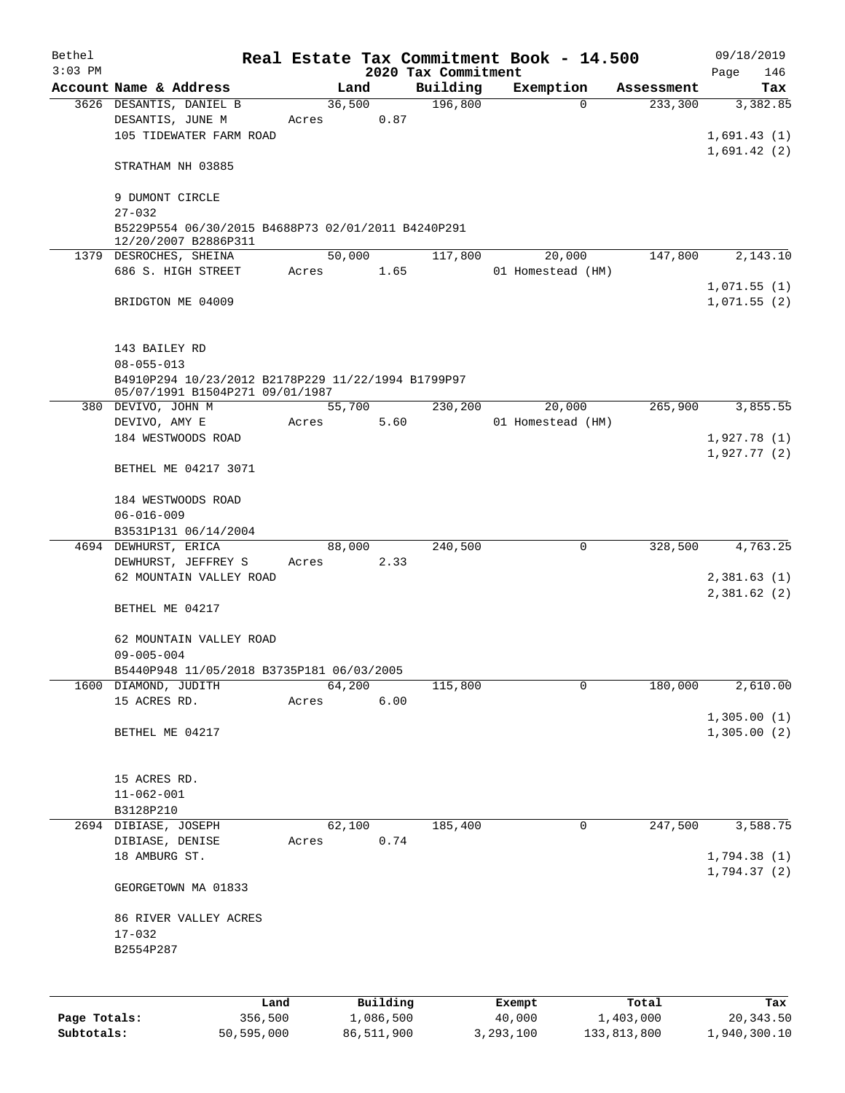| Bethel       |                                                                        |       |        |           |                                 | Real Estate Tax Commitment Book - 14.500 |            | 09/18/2019                 |
|--------------|------------------------------------------------------------------------|-------|--------|-----------|---------------------------------|------------------------------------------|------------|----------------------------|
| $3:03$ PM    | Account Name & Address                                                 |       | Land   |           | 2020 Tax Commitment<br>Building | Exemption                                | Assessment | Page<br>146<br>Tax         |
|              | 3626 DESANTIS, DANIEL B                                                |       | 36,500 |           | 196,800                         | $\Omega$                                 | 233,300    | 3,382.85                   |
|              | DESANTIS, JUNE M                                                       | Acres |        | 0.87      |                                 |                                          |            |                            |
|              | 105 TIDEWATER FARM ROAD                                                |       |        |           |                                 |                                          |            | 1,691.43(1)                |
|              |                                                                        |       |        |           |                                 |                                          |            | 1,691.42(2)                |
|              | STRATHAM NH 03885                                                      |       |        |           |                                 |                                          |            |                            |
|              | 9 DUMONT CIRCLE                                                        |       |        |           |                                 |                                          |            |                            |
|              | $27 - 032$                                                             |       |        |           |                                 |                                          |            |                            |
|              | B5229P554 06/30/2015 B4688P73 02/01/2011 B4240P291                     |       |        |           |                                 |                                          |            |                            |
|              | 12/20/2007 B2886P311                                                   |       |        |           |                                 |                                          |            |                            |
|              | 1379 DESROCHES, SHEINA                                                 |       | 50,000 |           | 117,800                         | 20,000                                   | 147,800    | 2,143.10                   |
|              | 686 S. HIGH STREET                                                     | Acres |        | 1.65      |                                 | 01 Homestead (HM)                        |            |                            |
|              |                                                                        |       |        |           |                                 |                                          |            | 1,071.55(1)                |
|              | BRIDGTON ME 04009                                                      |       |        |           |                                 |                                          |            | 1,071.55(2)                |
|              |                                                                        |       |        |           |                                 |                                          |            |                            |
|              |                                                                        |       |        |           |                                 |                                          |            |                            |
|              | 143 BAILEY RD                                                          |       |        |           |                                 |                                          |            |                            |
|              | $08 - 055 - 013$<br>B4910P294 10/23/2012 B2178P229 11/22/1994 B1799P97 |       |        |           |                                 |                                          |            |                            |
|              | 05/07/1991 B1504P271 09/01/1987                                        |       |        |           |                                 |                                          |            |                            |
|              | 380 DEVIVO, JOHN M                                                     |       | 55,700 |           | 230,200                         | 20,000                                   | 265,900    | 3,855.55                   |
|              | DEVIVO, AMY E                                                          | Acres |        | 5.60      |                                 | 01 Homestead (HM)                        |            |                            |
|              | 184 WESTWOODS ROAD                                                     |       |        |           |                                 |                                          |            | 1,927.78(1)                |
|              |                                                                        |       |        |           |                                 |                                          |            | 1,927.77(2)                |
|              | BETHEL ME 04217 3071                                                   |       |        |           |                                 |                                          |            |                            |
|              |                                                                        |       |        |           |                                 |                                          |            |                            |
|              | 184 WESTWOODS ROAD                                                     |       |        |           |                                 |                                          |            |                            |
|              | $06 - 016 - 009$<br>B3531P131 06/14/2004                               |       |        |           |                                 |                                          |            |                            |
|              | 4694 DEWHURST, ERICA                                                   |       | 88,000 |           | 240,500                         | 0                                        | 328,500    | 4,763.25                   |
|              | DEWHURST, JEFFREY S                                                    | Acres |        | 2.33      |                                 |                                          |            |                            |
|              | 62 MOUNTAIN VALLEY ROAD                                                |       |        |           |                                 |                                          |            | 2,381.63(1)                |
|              |                                                                        |       |        |           |                                 |                                          |            | 2,381.62(2)                |
|              | BETHEL ME 04217                                                        |       |        |           |                                 |                                          |            |                            |
|              |                                                                        |       |        |           |                                 |                                          |            |                            |
|              | 62 MOUNTAIN VALLEY ROAD                                                |       |        |           |                                 |                                          |            |                            |
|              | $09 - 005 - 004$                                                       |       |        |           |                                 |                                          |            |                            |
|              | B5440P948 11/05/2018 B3735P181 06/03/2005                              |       |        |           |                                 |                                          |            |                            |
|              | 1600 DIAMOND, JUDITH                                                   |       | 64,200 |           | 115,800                         | 0                                        | 180,000    | 2,610.00                   |
|              | 15 ACRES RD.                                                           | Acres |        | 6.00      |                                 |                                          |            |                            |
|              | BETHEL ME 04217                                                        |       |        |           |                                 |                                          |            | 1,305.00(1)<br>1,305.00(2) |
|              |                                                                        |       |        |           |                                 |                                          |            |                            |
|              |                                                                        |       |        |           |                                 |                                          |            |                            |
|              | 15 ACRES RD.                                                           |       |        |           |                                 |                                          |            |                            |
|              | $11 - 062 - 001$                                                       |       |        |           |                                 |                                          |            |                            |
|              | B3128P210                                                              |       |        |           |                                 |                                          |            |                            |
|              | 2694 DIBIASE, JOSEPH                                                   |       | 62,100 |           | 185,400                         | $\mathbf 0$                              | 247,500    | 3,588.75                   |
|              | DIBIASE, DENISE                                                        | Acres |        | 0.74      |                                 |                                          |            |                            |
|              | 18 AMBURG ST.                                                          |       |        |           |                                 |                                          |            | 1,794.38(1)                |
|              |                                                                        |       |        |           |                                 |                                          |            | 1,794.37(2)                |
|              | GEORGETOWN MA 01833                                                    |       |        |           |                                 |                                          |            |                            |
|              | 86 RIVER VALLEY ACRES                                                  |       |        |           |                                 |                                          |            |                            |
|              | $17 - 032$                                                             |       |        |           |                                 |                                          |            |                            |
|              | B2554P287                                                              |       |        |           |                                 |                                          |            |                            |
|              |                                                                        |       |        |           |                                 |                                          |            |                            |
|              |                                                                        |       |        |           |                                 |                                          |            |                            |
|              | Land                                                                   |       |        | Building  |                                 | Exempt                                   | Total      | Tax                        |
| Page Totals: | 356,500                                                                |       |        | 1,086,500 |                                 | 40,000                                   | 1,403,000  | 20, 343.50                 |

**Subtotals:** 50,595,000 86,511,900 3,293,100 133,813,800 1,940,300.10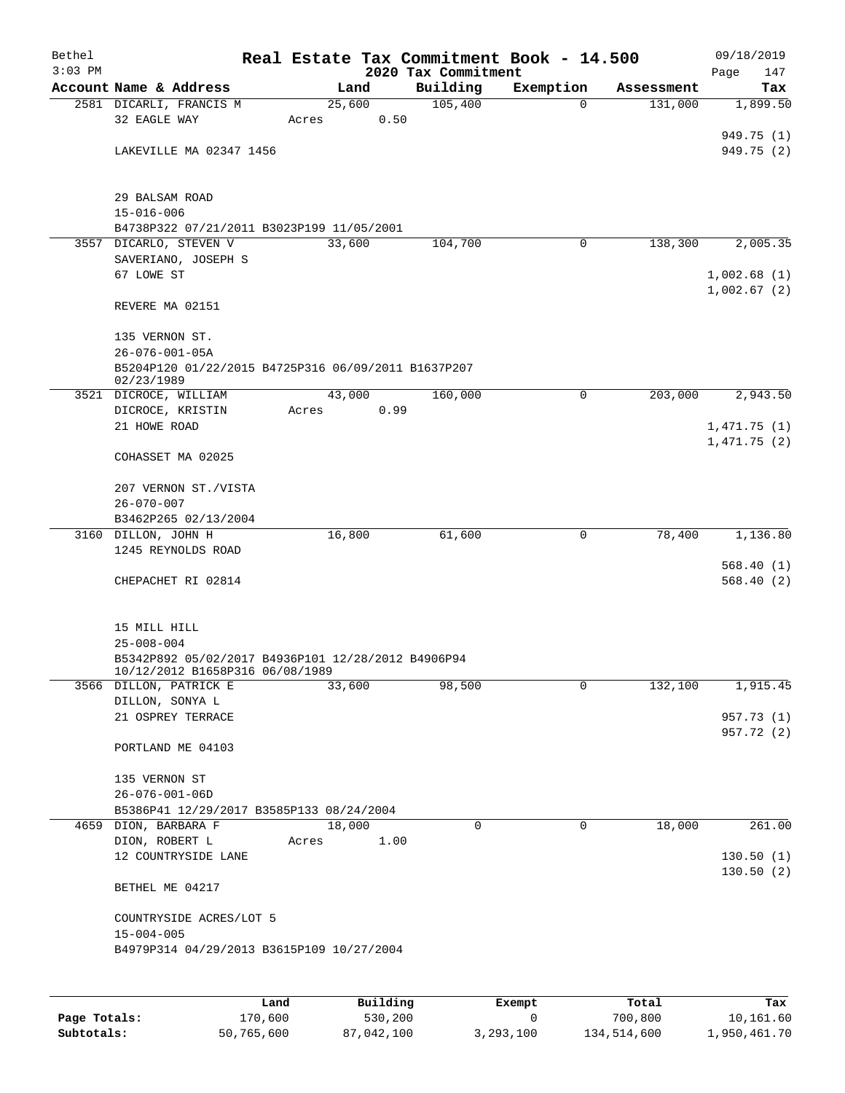| Bethel<br>$3:03$ PM |                                                                                       |       |        |      | 2020 Tax Commitment | Real Estate Tax Commitment Book - 14.500 |            | 09/18/2019<br>Page<br>147 |
|---------------------|---------------------------------------------------------------------------------------|-------|--------|------|---------------------|------------------------------------------|------------|---------------------------|
|                     | Account Name & Address                                                                |       | Land   |      | Building            | Exemption                                | Assessment | Tax                       |
|                     | 2581 DICARLI, FRANCIS M                                                               |       | 25,600 |      | 105,400             | 0                                        | 131,000    | 1,899.50                  |
|                     | 32 EAGLE WAY                                                                          | Acres |        | 0.50 |                     |                                          |            |                           |
|                     | LAKEVILLE MA 02347 1456                                                               |       |        |      |                     |                                          |            | 949.75 (1)<br>949.75 (2)  |
|                     |                                                                                       |       |        |      |                     |                                          |            |                           |
|                     | 29 BALSAM ROAD                                                                        |       |        |      |                     |                                          |            |                           |
|                     | $15 - 016 - 006$                                                                      |       |        |      |                     |                                          |            |                           |
|                     | B4738P322 07/21/2011 B3023P199 11/05/2001                                             |       |        |      |                     |                                          |            |                           |
|                     | 3557 DICARLO, STEVEN V                                                                |       | 33,600 |      | 104,700             | 0                                        | 138,300    | 2,005.35                  |
|                     | SAVERIANO, JOSEPH S<br>67 LOWE ST                                                     |       |        |      |                     |                                          |            | 1,002.68(1)               |
|                     |                                                                                       |       |        |      |                     |                                          |            | 1,002.67(2)               |
|                     | REVERE MA 02151                                                                       |       |        |      |                     |                                          |            |                           |
|                     | 135 VERNON ST.                                                                        |       |        |      |                     |                                          |            |                           |
|                     | $26 - 076 - 001 - 05A$                                                                |       |        |      |                     |                                          |            |                           |
|                     | B5204P120 01/22/2015 B4725P316 06/09/2011 B1637P207<br>02/23/1989                     |       |        |      |                     |                                          |            |                           |
|                     | 3521 DICROCE, WILLIAM                                                                 |       | 43,000 |      | 160,000             | $\mathbf 0$                              | 203,000    | 2,943.50                  |
|                     | DICROCE, KRISTIN                                                                      | Acres |        | 0.99 |                     |                                          |            |                           |
|                     | 21 HOWE ROAD                                                                          |       |        |      |                     |                                          |            | 1,471.75(1)               |
|                     | COHASSET MA 02025                                                                     |       |        |      |                     |                                          |            | 1,471.75(2)               |
|                     |                                                                                       |       |        |      |                     |                                          |            |                           |
|                     | 207 VERNON ST./VISTA                                                                  |       |        |      |                     |                                          |            |                           |
|                     | $26 - 070 - 007$<br>B3462P265 02/13/2004                                              |       |        |      |                     |                                          |            |                           |
|                     | 3160 DILLON, JOHN H                                                                   |       | 16,800 |      | 61,600              | 0                                        | 78,400     | 1,136.80                  |
|                     | 1245 REYNOLDS ROAD                                                                    |       |        |      |                     |                                          |            |                           |
|                     |                                                                                       |       |        |      |                     |                                          |            | 568.40(1)                 |
|                     | CHEPACHET RI 02814                                                                    |       |        |      |                     |                                          |            | 568.40(2)                 |
|                     | 15 MILL HILL                                                                          |       |        |      |                     |                                          |            |                           |
|                     | $25 - 008 - 004$                                                                      |       |        |      |                     |                                          |            |                           |
|                     | B5342P892 05/02/2017 B4936P101 12/28/2012 B4906P94<br>10/12/2012 B1658P316 06/08/1989 |       |        |      |                     |                                          |            |                           |
|                     | 3566 DILLON, PATRICK E                                                                |       | 33,600 |      | 98,500              | $\mathbf 0$                              | 132,100    | 1,915.45                  |
|                     | DILLON, SONYA L                                                                       |       |        |      |                     |                                          |            | 957.73 (1)                |
|                     | 21 OSPREY TERRACE                                                                     |       |        |      |                     |                                          |            | 957.72 (2)                |
|                     | PORTLAND ME 04103                                                                     |       |        |      |                     |                                          |            |                           |
|                     | 135 VERNON ST                                                                         |       |        |      |                     |                                          |            |                           |
|                     | $26 - 076 - 001 - 06D$                                                                |       |        |      |                     |                                          |            |                           |
|                     | B5386P41 12/29/2017 B3585P133 08/24/2004                                              |       |        |      |                     |                                          |            |                           |
|                     | 4659 DION, BARBARA F                                                                  |       | 18,000 |      | 0                   | 0                                        | 18,000     | 261.00                    |
|                     | DION, ROBERT L                                                                        | Acres |        | 1.00 |                     |                                          |            |                           |
|                     | 12 COUNTRYSIDE LANE                                                                   |       |        |      |                     |                                          |            | 130.50(1)                 |
|                     | BETHEL ME 04217                                                                       |       |        |      |                     |                                          |            | 130.50(2)                 |
|                     | COUNTRYSIDE ACRES/LOT 5                                                               |       |        |      |                     |                                          |            |                           |
|                     | $15 - 004 - 005$                                                                      |       |        |      |                     |                                          |            |                           |
|                     | B4979P314 04/29/2013 B3615P109 10/27/2004                                             |       |        |      |                     |                                          |            |                           |
|                     |                                                                                       |       |        |      |                     |                                          |            |                           |
|                     |                                                                                       |       |        |      |                     |                                          |            |                           |

|              | Land       | Building   | Exempt    | Total       | Tax          |
|--------------|------------|------------|-----------|-------------|--------------|
| Page Totals: | 170,600    | 530,200    |           | 700,800     | 10,161.60    |
| Subtotals:   | 50,765,600 | 87,042,100 | 3,293,100 | 134,514,600 | 1,950,461.70 |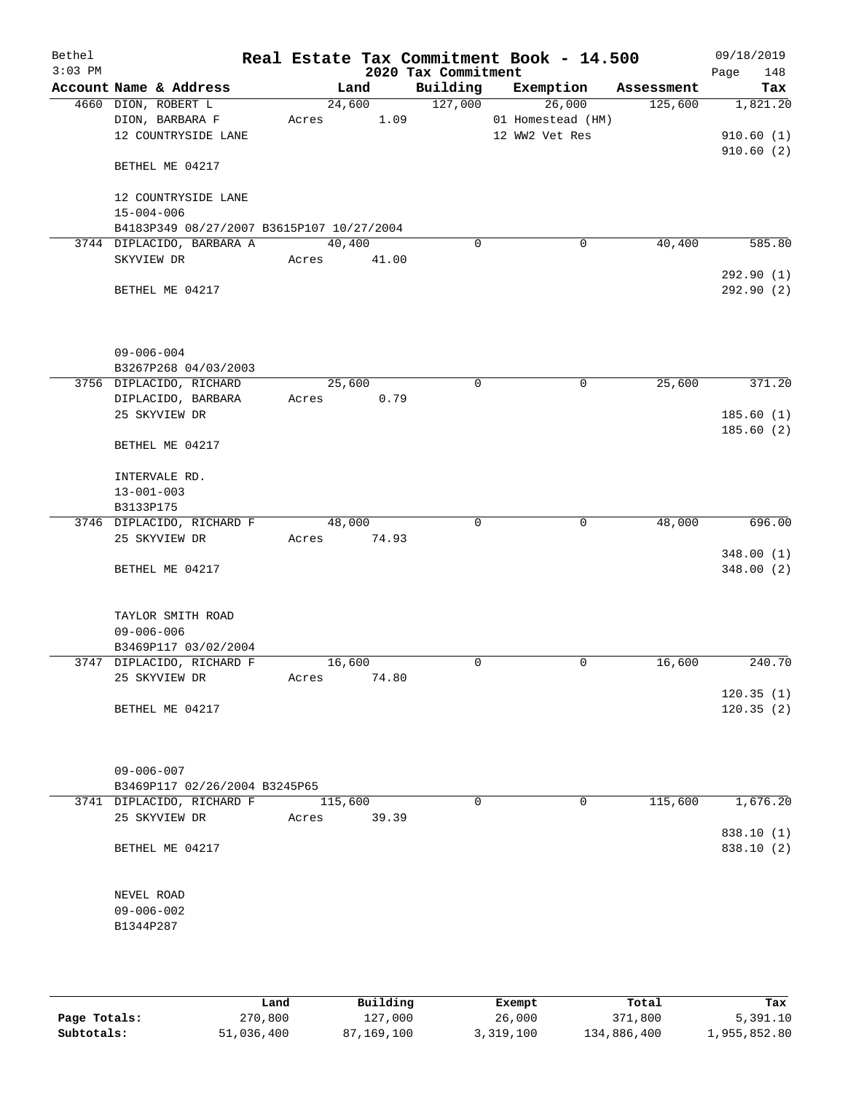| Bethel<br>$3:03$ PM |                                           |                | 2020 Tax Commitment | Real Estate Tax Commitment Book - 14.500 |            | 09/18/2019<br>148<br>Page |
|---------------------|-------------------------------------------|----------------|---------------------|------------------------------------------|------------|---------------------------|
|                     | Account Name & Address                    | Land           | Building            | Exemption                                | Assessment | Tax                       |
|                     | 4660 DION, ROBERT L                       | 24,600         | 127,000             | 26,000                                   | 125,600    | 1,821.20                  |
|                     | DION, BARBARA F                           | 1.09<br>Acres  |                     | 01 Homestead (HM)                        |            |                           |
|                     | 12 COUNTRYSIDE LANE                       |                |                     | 12 WW2 Vet Res                           |            | 910.60(1)                 |
|                     | BETHEL ME 04217                           |                |                     |                                          |            | 910.60(2)                 |
|                     | 12 COUNTRYSIDE LANE                       |                |                     |                                          |            |                           |
|                     | $15 - 004 - 006$                          |                |                     |                                          |            |                           |
|                     | B4183P349 08/27/2007 B3615P107 10/27/2004 |                |                     |                                          |            |                           |
|                     | 3744 DIPLACIDO, BARBARA A                 | 40,400         | $\mathbf 0$         | $\mathbf 0$                              | 40,400     | 585.80                    |
|                     | SKYVIEW DR                                | Acres 41.00    |                     |                                          |            |                           |
|                     | BETHEL ME 04217                           |                |                     |                                          |            | 292.90(1)<br>292.90 (2)   |
|                     | $09 - 006 - 004$                          |                |                     |                                          |            |                           |
|                     | B3267P268 04/03/2003                      |                |                     |                                          |            |                           |
|                     | 3756 DIPLACIDO, RICHARD                   | 25,600         | 0                   | 0                                        | 25,600     | 371.20                    |
|                     | DIPLACIDO, BARBARA<br>25 SKYVIEW DR       | 0.79<br>Acres  |                     |                                          |            |                           |
|                     |                                           |                |                     |                                          |            | 185.60(1)<br>185.60 (2)   |
|                     | BETHEL ME 04217                           |                |                     |                                          |            |                           |
|                     | INTERVALE RD.                             |                |                     |                                          |            |                           |
|                     | $13 - 001 - 003$                          |                |                     |                                          |            |                           |
|                     | B3133P175                                 |                |                     |                                          |            |                           |
|                     | 3746 DIPLACIDO, RICHARD F                 | 48,000         | $\mathbf 0$         | $\mathbf 0$                              | 48,000     | 696.00                    |
|                     | 25 SKYVIEW DR                             | 74.93<br>Acres |                     |                                          |            |                           |
|                     |                                           |                |                     |                                          |            | 348.00(1)                 |
|                     | BETHEL ME 04217                           |                |                     |                                          |            | 348.00(2)                 |
|                     | TAYLOR SMITH ROAD                         |                |                     |                                          |            |                           |
|                     | $09 - 006 - 006$                          |                |                     |                                          |            |                           |
|                     | B3469P117 03/02/2004                      |                |                     |                                          |            |                           |
|                     | 3747 DIPLACIDO, RICHARD F                 | 16,600         | $\mathbf 0$         | 0                                        | 16,600     | 240.70                    |
|                     | 25 SKYVIEW DR                             | 74.80<br>Acres |                     |                                          |            |                           |
|                     | BETHEL ME 04217                           |                |                     |                                          |            | 120.35(1)<br>120.35(2)    |
|                     |                                           |                |                     |                                          |            |                           |
|                     | $09 - 006 - 007$                          |                |                     |                                          |            |                           |
|                     | B3469P117 02/26/2004 B3245P65             |                |                     |                                          |            |                           |
|                     | 3741 DIPLACIDO, RICHARD F                 | 115,600        | $\Omega$            | 0                                        | 115,600    | 1,676.20                  |
|                     | 25 SKYVIEW DR                             | Acres<br>39.39 |                     |                                          |            | 838.10 (1)                |
|                     | BETHEL ME 04217                           |                |                     |                                          |            | 838.10 (2)                |
|                     | NEVEL ROAD                                |                |                     |                                          |            |                           |
|                     | $09 - 006 - 002$                          |                |                     |                                          |            |                           |
|                     | B1344P287                                 |                |                     |                                          |            |                           |
|                     |                                           |                |                     |                                          |            |                           |
|                     |                                           |                |                     |                                          |            |                           |
|                     |                                           |                |                     |                                          |            |                           |

|              | Land       | Building   | Exempt    | Total       | Tax          |
|--------------|------------|------------|-----------|-------------|--------------|
| Page Totals: | 270,800    | 127,000    | 26,000    | 371,800     | 5,391.10     |
| Subtotals:   | 51,036,400 | 87,169,100 | 3,319,100 | 134,886,400 | 1,955,852.80 |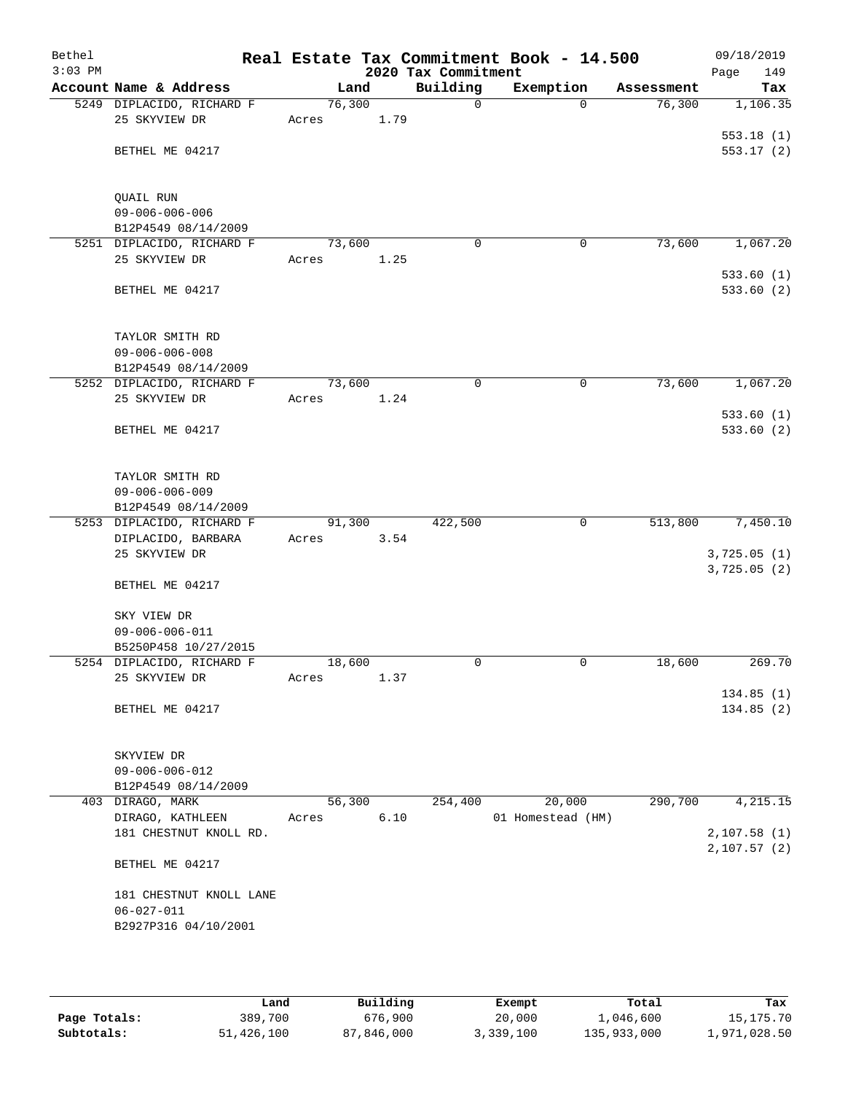| Bethel    |                                                  |       |        |      |                                 | Real Estate Tax Commitment Book - 14.500 |                      | 09/18/2019             |
|-----------|--------------------------------------------------|-------|--------|------|---------------------------------|------------------------------------------|----------------------|------------------------|
| $3:03$ PM | Account Name & Address                           |       | Land   |      | 2020 Tax Commitment<br>Building | Exemption                                |                      | Page<br>149            |
|           | 5249 DIPLACIDO, RICHARD F                        |       | 76,300 |      | 0                               | $\Omega$                                 | Assessment<br>76,300 | Tax<br>1,106.35        |
|           | 25 SKYVIEW DR                                    | Acres |        | 1.79 |                                 |                                          |                      | 553.18(1)              |
|           | BETHEL ME 04217                                  |       |        |      |                                 |                                          |                      | 553.17(2)              |
|           | QUAIL RUN                                        |       |        |      |                                 |                                          |                      |                        |
|           | $09 - 006 - 006 - 006$<br>B12P4549 08/14/2009    |       |        |      |                                 |                                          |                      |                        |
|           | 5251 DIPLACIDO, RICHARD F                        |       | 73,600 |      | $\Omega$                        | 0                                        | 73,600               | 1,067.20               |
|           | 25 SKYVIEW DR                                    | Acres |        | 1.25 |                                 |                                          |                      | 533.60(1)              |
|           | BETHEL ME 04217                                  |       |        |      |                                 |                                          |                      | 533.60(2)              |
|           | TAYLOR SMITH RD                                  |       |        |      |                                 |                                          |                      |                        |
|           | $09 - 006 - 006 - 008$                           |       |        |      |                                 |                                          |                      |                        |
|           | B12P4549 08/14/2009<br>5252 DIPLACIDO, RICHARD F |       | 73,600 |      | $\mathbf 0$                     | $\mathbf 0$                              | 73,600               | 1,067.20               |
|           | 25 SKYVIEW DR                                    | Acres |        | 1.24 |                                 |                                          |                      |                        |
|           |                                                  |       |        |      |                                 |                                          |                      | 533.60(1)              |
|           | BETHEL ME 04217                                  |       |        |      |                                 |                                          |                      | 533.60(2)              |
|           | TAYLOR SMITH RD                                  |       |        |      |                                 |                                          |                      |                        |
|           | $09 - 006 - 006 - 009$                           |       |        |      |                                 |                                          |                      |                        |
|           | B12P4549 08/14/2009<br>5253 DIPLACIDO, RICHARD F |       | 91,300 |      | 422,500                         | 0                                        | 513,800              | 7,450.10               |
|           | DIPLACIDO, BARBARA                               | Acres |        | 3.54 |                                 |                                          |                      |                        |
|           | 25 SKYVIEW DR                                    |       |        |      |                                 |                                          |                      | 3,725.05(1)            |
|           | BETHEL ME 04217                                  |       |        |      |                                 |                                          |                      | 3,725.05(2)            |
|           | SKY VIEW DR<br>$09 - 006 - 006 - 011$            |       |        |      |                                 |                                          |                      |                        |
|           | B5250P458 10/27/2015                             |       |        |      |                                 |                                          |                      |                        |
|           | 5254 DIPLACIDO, RICHARD F                        |       | 18,600 |      | 0                               | 0                                        | 18,600               | 269.70                 |
|           | 25 SKYVIEW DR                                    | Acres |        | 1.37 |                                 |                                          |                      |                        |
|           | BETHEL ME 04217                                  |       |        |      |                                 |                                          |                      | 134.85(1)<br>134.85(2) |
|           | SKYVIEW DR                                       |       |        |      |                                 |                                          |                      |                        |
|           | $09 - 006 - 006 - 012$                           |       |        |      |                                 |                                          |                      |                        |
|           | B12P4549 08/14/2009                              |       |        |      |                                 |                                          |                      |                        |
|           | 403 DIRAGO, MARK                                 |       | 56,300 |      | 254,400                         | 20,000                                   | 290,700              | 4,215.15               |
|           | DIRAGO, KATHLEEN<br>181 CHESTNUT KNOLL RD.       | Acres |        | 6.10 |                                 | 01 Homestead (HM)                        |                      | 2,107.58(1)            |
|           |                                                  |       |        |      |                                 |                                          |                      | 2,107.57 (2)           |
|           | BETHEL ME 04217                                  |       |        |      |                                 |                                          |                      |                        |
|           | 181 CHESTNUT KNOLL LANE                          |       |        |      |                                 |                                          |                      |                        |
|           | $06 - 027 - 011$                                 |       |        |      |                                 |                                          |                      |                        |
|           | B2927P316 04/10/2001                             |       |        |      |                                 |                                          |                      |                        |
|           |                                                  |       |        |      |                                 |                                          |                      |                        |

|              | Land       | Building   | Exempt    | Total       | Tax          |
|--------------|------------|------------|-----------|-------------|--------------|
| Page Totals: | 389,700    | 676,900    | 20,000    | 1,046,600   | 15, 175. 70  |
| Subtotals:   | 51,426,100 | 87,846,000 | 3,339,100 | 135,933,000 | 1,971,028.50 |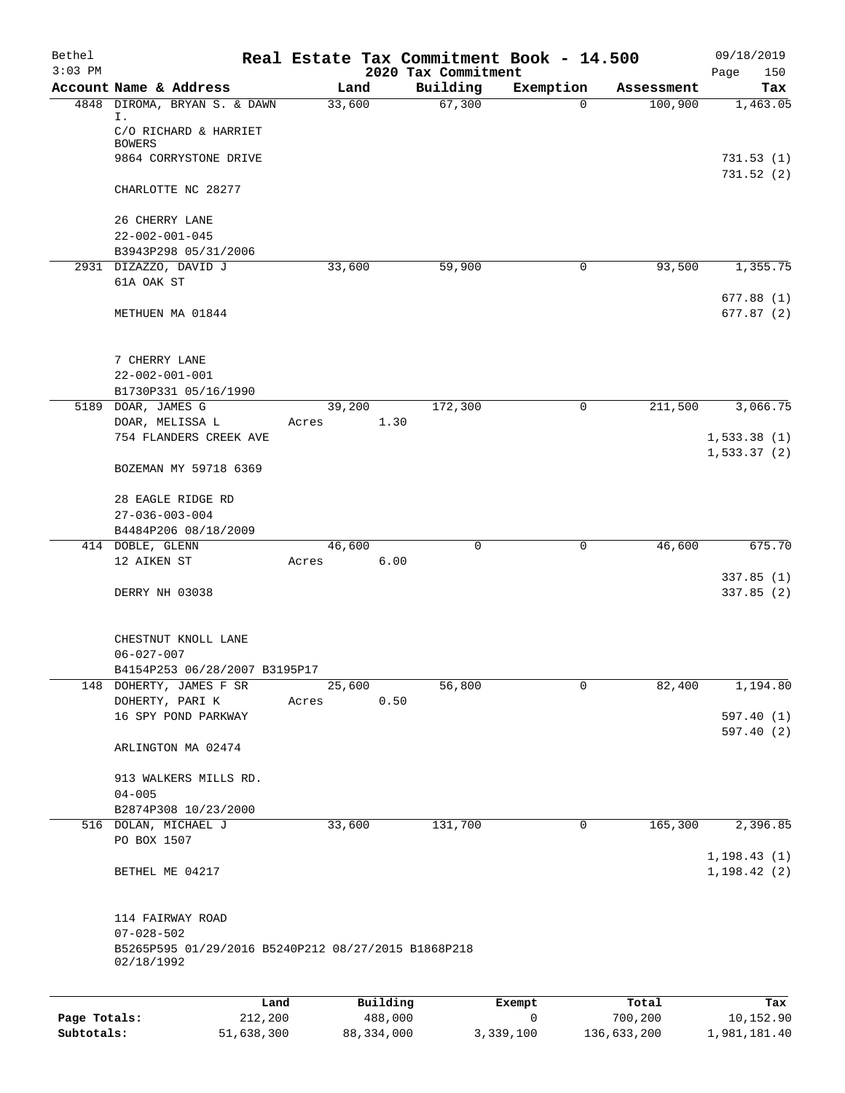| Bethel       |                                                                   |                 | Real Estate Tax Commitment Book - 14.500 |                          |                       | 09/18/2019                   |
|--------------|-------------------------------------------------------------------|-----------------|------------------------------------------|--------------------------|-----------------------|------------------------------|
| $3:03$ PM    | Account Name & Address                                            |                 | 2020 Tax Commitment                      |                          |                       | Page<br>150                  |
|              | 4848 DIROMA, BRYAN S. & DAWN                                      | Land<br>33,600  | Building<br>67,300                       | Exemption<br>$\mathbf 0$ | Assessment<br>100,900 | Tax<br>1,463.05              |
|              | Ι.<br>C/O RICHARD & HARRIET                                       |                 |                                          |                          |                       |                              |
|              | <b>BOWERS</b>                                                     |                 |                                          |                          |                       |                              |
|              | 9864 CORRYSTONE DRIVE                                             |                 |                                          |                          |                       | 731.53(1)<br>731.52(2)       |
|              | CHARLOTTE NC 28277                                                |                 |                                          |                          |                       |                              |
|              | 26 CHERRY LANE                                                    |                 |                                          |                          |                       |                              |
|              | $22 - 002 - 001 - 045$<br>B3943P298 05/31/2006                    |                 |                                          |                          |                       |                              |
|              | 2931 DIZAZZO, DAVID J                                             | 33,600          | 59,900                                   | 0                        | 93,500                | 1,355.75                     |
|              | 61A OAK ST                                                        |                 |                                          |                          |                       |                              |
|              | METHUEN MA 01844                                                  |                 |                                          |                          |                       | 677.88(1)<br>677.87(2)       |
|              | 7 CHERRY LANE                                                     |                 |                                          |                          |                       |                              |
|              | $22 - 002 - 001 - 001$                                            |                 |                                          |                          |                       |                              |
|              | B1730P331 05/16/1990                                              |                 |                                          |                          |                       |                              |
|              | 5189 DOAR, JAMES G                                                | 39,200          | 172,300                                  | 0                        | 211,500               | 3,066.75                     |
|              | DOAR, MELISSA L                                                   | Acres           | 1.30                                     |                          |                       |                              |
|              | 754 FLANDERS CREEK AVE                                            |                 |                                          |                          |                       | 1,533.38(1)                  |
|              | BOZEMAN MY 59718 6369                                             |                 |                                          |                          |                       | 1, 533.37(2)                 |
|              |                                                                   |                 |                                          |                          |                       |                              |
|              | 28 EAGLE RIDGE RD                                                 |                 |                                          |                          |                       |                              |
|              | $27 - 036 - 003 - 004$<br>B4484P206 08/18/2009                    |                 |                                          |                          |                       |                              |
|              | 414 DOBLE, GLENN                                                  | 46,600          | $\mathbf 0$                              | $\mathbf 0$              | 46,600                | 675.70                       |
|              | 12 AIKEN ST                                                       | Acres           | 6.00                                     |                          |                       |                              |
|              |                                                                   |                 |                                          |                          |                       | 337.85(1)                    |
|              | DERRY NH 03038                                                    |                 |                                          |                          |                       | 337.85(2)                    |
|              | CHESTNUT KNOLL LANE                                               |                 |                                          |                          |                       |                              |
|              | $06 - 027 - 007$                                                  |                 |                                          |                          |                       |                              |
|              | B4154P253 06/28/2007 B3195P17                                     |                 |                                          |                          |                       |                              |
|              | 148 DOHERTY, JAMES F SR<br>DOHERTY, PARI K                        | 25,600<br>Acres | 56,800<br>0.50                           | 0                        | 82,400                | 1,194.80                     |
|              | 16 SPY POND PARKWAY                                               |                 |                                          |                          |                       | 597.40(1)                    |
|              | ARLINGTON MA 02474                                                |                 |                                          |                          |                       | 597.40(2)                    |
|              | 913 WALKERS MILLS RD.                                             |                 |                                          |                          |                       |                              |
|              | $04 - 005$                                                        |                 |                                          |                          |                       |                              |
|              | B2874P308 10/23/2000                                              |                 |                                          |                          |                       |                              |
|              | 516 DOLAN, MICHAEL J<br>PO BOX 1507                               | 33,600          | 131,700                                  | $\mathbf 0$              | 165,300               | 2,396.85                     |
|              | BETHEL ME 04217                                                   |                 |                                          |                          |                       | 1, 198.43(1)<br>1, 198.42(2) |
|              |                                                                   |                 |                                          |                          |                       |                              |
|              | 114 FAIRWAY ROAD                                                  |                 |                                          |                          |                       |                              |
|              | $07 - 028 - 502$                                                  |                 |                                          |                          |                       |                              |
|              | B5265P595 01/29/2016 B5240P212 08/27/2015 B1868P218<br>02/18/1992 |                 |                                          |                          |                       |                              |
|              |                                                                   |                 |                                          |                          |                       |                              |
|              | Land                                                              |                 | Building                                 | Exempt                   | Total                 | Tax                          |
| Page Totals: | 212,200                                                           |                 | 488,000                                  | 0                        | 700,200               | 10,152.90                    |

**Subtotals:** 51,638,300 88,334,000 3,339,100 136,633,200 1,981,181.40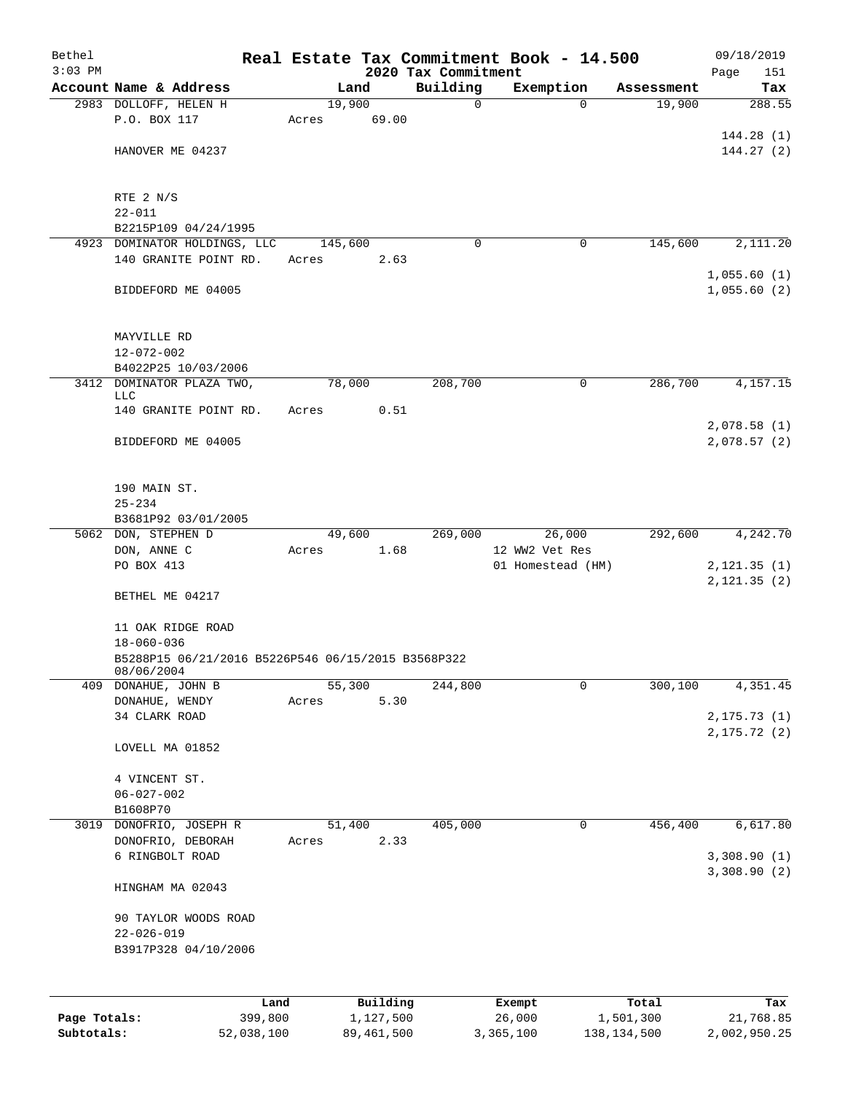| Bethel       |                                                    |       |         |            | Real Estate Tax Commitment Book - 14.500 |                |                   |               | 09/18/2019                  |
|--------------|----------------------------------------------------|-------|---------|------------|------------------------------------------|----------------|-------------------|---------------|-----------------------------|
| $3:03$ PM    | Account Name & Address                             |       | Land    |            | 2020 Tax Commitment<br>Building          |                | Exemption         | Assessment    | Page<br>151<br>Tax          |
|              | 2983 DOLLOFF, HELEN H                              |       | 19,900  |            | $\mathbf 0$                              |                | $\Omega$          | 19,900        | 288.55                      |
|              | P.O. BOX 117                                       | Acres |         | 69.00      |                                          |                |                   |               |                             |
|              |                                                    |       |         |            |                                          |                |                   |               | 144.28(1)                   |
|              | HANOVER ME 04237                                   |       |         |            |                                          |                |                   |               | 144.27(2)                   |
|              |                                                    |       |         |            |                                          |                |                   |               |                             |
|              |                                                    |       |         |            |                                          |                |                   |               |                             |
|              | RTE 2 N/S                                          |       |         |            |                                          |                |                   |               |                             |
|              | $22 - 011$                                         |       |         |            |                                          |                |                   |               |                             |
|              | B2215P109 04/24/1995                               |       |         |            |                                          |                |                   |               |                             |
|              | 4923 DOMINATOR HOLDINGS, LLC                       |       | 145,600 |            | 0                                        |                | 0                 | 145,600       | 2,111.20                    |
|              | 140 GRANITE POINT RD.                              | Acres |         | 2.63       |                                          |                |                   |               | 1,055.60(1)                 |
|              | BIDDEFORD ME 04005                                 |       |         |            |                                          |                |                   |               | 1,055.60(2)                 |
|              |                                                    |       |         |            |                                          |                |                   |               |                             |
|              |                                                    |       |         |            |                                          |                |                   |               |                             |
|              | MAYVILLE RD                                        |       |         |            |                                          |                |                   |               |                             |
|              | $12 - 072 - 002$                                   |       |         |            |                                          |                |                   |               |                             |
|              | B4022P25 10/03/2006                                |       |         |            |                                          |                |                   |               |                             |
|              | 3412 DOMINATOR PLAZA TWO,                          |       | 78,000  |            | 208,700                                  |                | $\mathbf 0$       | 286,700       | 4,157.15                    |
|              | LLC                                                |       |         |            |                                          |                |                   |               |                             |
|              | 140 GRANITE POINT RD.                              | Acres |         | 0.51       |                                          |                |                   |               | 2,078.58(1)                 |
|              | BIDDEFORD ME 04005                                 |       |         |            |                                          |                |                   |               | 2,078.57(2)                 |
|              |                                                    |       |         |            |                                          |                |                   |               |                             |
|              |                                                    |       |         |            |                                          |                |                   |               |                             |
|              | 190 MAIN ST.                                       |       |         |            |                                          |                |                   |               |                             |
|              | $25 - 234$                                         |       |         |            |                                          |                |                   |               |                             |
|              | B3681P92 03/01/2005                                |       |         |            |                                          |                |                   |               |                             |
|              | 5062 DON, STEPHEN D                                |       | 49,600  |            | 269,000                                  |                | 26,000            | 292,600       | 4,242.70                    |
|              | DON, ANNE C                                        | Acres |         | 1.68       |                                          | 12 WW2 Vet Res |                   |               |                             |
|              | PO BOX 413                                         |       |         |            |                                          |                | 01 Homestead (HM) |               | 2, 121.35(1)                |
|              |                                                    |       |         |            |                                          |                |                   |               | 2, 121.35(2)                |
|              | BETHEL ME 04217                                    |       |         |            |                                          |                |                   |               |                             |
|              | 11 OAK RIDGE ROAD                                  |       |         |            |                                          |                |                   |               |                             |
|              | $18 - 060 - 036$                                   |       |         |            |                                          |                |                   |               |                             |
|              | B5288P15 06/21/2016 B5226P546 06/15/2015 B3568P322 |       |         |            |                                          |                |                   |               |                             |
|              | 08/06/2004                                         |       |         |            |                                          |                |                   |               |                             |
| 409          | DONAHUE, JOHN B                                    |       | 55,300  |            | 244,800                                  |                | 0                 | 300, 100      | 4,351.45                    |
|              | DONAHUE, WENDY                                     | Acres |         | 5.30       |                                          |                |                   |               |                             |
|              | 34 CLARK ROAD                                      |       |         |            |                                          |                |                   |               | 2, 175.73(1)<br>2,175.72(2) |
|              | LOVELL MA 01852                                    |       |         |            |                                          |                |                   |               |                             |
|              |                                                    |       |         |            |                                          |                |                   |               |                             |
|              | 4 VINCENT ST.                                      |       |         |            |                                          |                |                   |               |                             |
|              | $06 - 027 - 002$                                   |       |         |            |                                          |                |                   |               |                             |
|              | B1608P70                                           |       |         |            |                                          |                |                   |               |                             |
| 3019         | DONOFRIO, JOSEPH R                                 |       | 51,400  |            | 405,000                                  |                | 0                 | 456,400       | 6,617.80                    |
|              | DONOFRIO, DEBORAH                                  | Acres |         | 2.33       |                                          |                |                   |               |                             |
|              | 6 RINGBOLT ROAD                                    |       |         |            |                                          |                |                   |               | 3,308.90(1)                 |
|              |                                                    |       |         |            |                                          |                |                   |               | 3,308.90(2)                 |
|              | HINGHAM MA 02043                                   |       |         |            |                                          |                |                   |               |                             |
|              | 90 TAYLOR WOODS ROAD                               |       |         |            |                                          |                |                   |               |                             |
|              | $22 - 026 - 019$                                   |       |         |            |                                          |                |                   |               |                             |
|              | B3917P328 04/10/2006                               |       |         |            |                                          |                |                   |               |                             |
|              |                                                    |       |         |            |                                          |                |                   |               |                             |
|              |                                                    |       |         |            |                                          |                |                   |               |                             |
|              |                                                    | Land  |         | Building   |                                          | Exempt         |                   | Total         | Tax                         |
| Page Totals: | 399,800                                            |       |         | 1,127,500  |                                          | 26,000         |                   | 1,501,300     | 21,768.85                   |
| Subtotals:   | 52,038,100                                         |       |         | 89,461,500 |                                          | 3,365,100      |                   | 138, 134, 500 | 2,002,950.25                |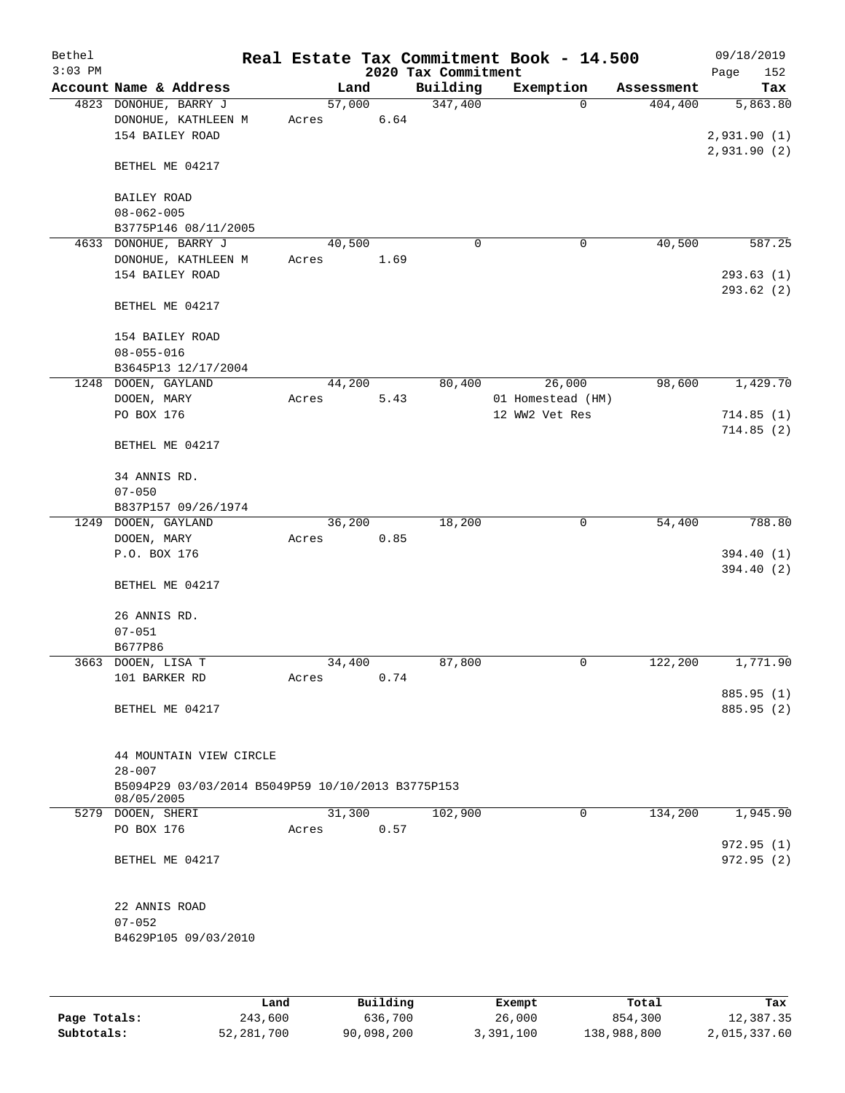| Bethel<br>$3:03$ PM |                                                                               |                 |                | 2020 Tax Commitment | Real Estate Tax Commitment Book - 14.500 |            | 09/18/2019<br>Page<br>152 |
|---------------------|-------------------------------------------------------------------------------|-----------------|----------------|---------------------|------------------------------------------|------------|---------------------------|
|                     | Account Name & Address                                                        |                 | Land           | Building            | Exemption                                | Assessment | Tax                       |
|                     | 4823 DONOHUE, BARRY J<br>DONOHUE, KATHLEEN M<br>154 BAILEY ROAD               | 57,000<br>Acres | 6.64           | 347,400             | $\Omega$                                 | 404,400    | 5,863.80<br>2,931.90(1)   |
|                     | BETHEL ME 04217                                                               |                 |                |                     |                                          |            | 2,931.90(2)               |
|                     | BAILEY ROAD<br>$08 - 062 - 005$                                               |                 |                |                     |                                          |            |                           |
|                     | B3775P146 08/11/2005<br>4633 DONOHUE, BARRY J                                 | 40,500          |                | $\mathbf 0$         | 0                                        | 40,500     | 587.25                    |
|                     | DONOHUE, KATHLEEN M<br>154 BAILEY ROAD                                        | Acres           | 1.69           |                     |                                          |            | 293.63(1)                 |
|                     | BETHEL ME 04217                                                               |                 |                |                     |                                          |            | 293.62 (2)                |
|                     | 154 BAILEY ROAD<br>$08 - 055 - 016$<br>B3645P13 12/17/2004                    |                 |                |                     |                                          |            |                           |
|                     | 1248 DOOEN, GAYLAND                                                           | 44,200          |                | 80,400              | 26,000                                   | 98,600     | 1,429.70                  |
|                     | DOOEN, MARY                                                                   | Acres           | 5.43           |                     | 01 Homestead (HM)                        |            |                           |
|                     | PO BOX 176                                                                    |                 |                |                     | 12 WW2 Vet Res                           |            | 714.85(1)                 |
|                     | BETHEL ME 04217                                                               |                 |                |                     |                                          |            | 714.85(2)                 |
|                     | 34 ANNIS RD.                                                                  |                 |                |                     |                                          |            |                           |
|                     | $07 - 050$                                                                    |                 |                |                     |                                          |            |                           |
|                     | B837P157 09/26/1974                                                           |                 |                |                     |                                          |            |                           |
|                     | 1249 DOOEN, GAYLAND                                                           |                 | 36,200         | 18,200              | 0                                        | 54,400     | 788.80                    |
|                     | DOOEN, MARY<br>P.O. BOX 176                                                   | Acres           | 0.85           |                     |                                          |            | 394.40 (1)                |
|                     |                                                                               |                 |                |                     |                                          |            | 394.40 (2)                |
|                     | BETHEL ME 04217                                                               |                 |                |                     |                                          |            |                           |
|                     | 26 ANNIS RD.                                                                  |                 |                |                     |                                          |            |                           |
|                     | $07 - 051$                                                                    |                 |                |                     |                                          |            |                           |
|                     | B677P86                                                                       |                 |                | 87,800              | 0                                        |            | 1,771.90                  |
|                     | 3663 DOOEN, LISA T<br>101 BARKER RD                                           | Acres           | 34,400<br>0.74 |                     |                                          | 122,200    |                           |
|                     | BETHEL ME 04217                                                               |                 |                |                     |                                          |            | 885.95 (1)<br>885.95 (2)  |
|                     | 44 MOUNTAIN VIEW CIRCLE                                                       |                 |                |                     |                                          |            |                           |
|                     | $28 - 007$<br>B5094P29 03/03/2014 B5049P59 10/10/2013 B3775P153<br>08/05/2005 |                 |                |                     |                                          |            |                           |
|                     | 5279 DOOEN, SHERI                                                             |                 | 31,300         | 102,900             | $\mathbf 0$                              | 134,200    | 1,945.90                  |
|                     | PO BOX 176                                                                    | Acres           | 0.57           |                     |                                          |            |                           |
|                     |                                                                               |                 |                |                     |                                          |            | 972.95(1)                 |
|                     | BETHEL ME 04217                                                               |                 |                |                     |                                          |            | 972.95 (2)                |
|                     | 22 ANNIS ROAD                                                                 |                 |                |                     |                                          |            |                           |
|                     | $07 - 052$                                                                    |                 |                |                     |                                          |            |                           |
|                     | B4629P105 09/03/2010                                                          |                 |                |                     |                                          |            |                           |
|                     |                                                                               |                 |                |                     |                                          |            |                           |
|                     |                                                                               |                 |                |                     |                                          |            |                           |

|              | Land       | Building   | Exempt    | Total       | Tax          |
|--------------|------------|------------|-----------|-------------|--------------|
| Page Totals: | 243,600    | 636,700    | 26,000    | 854,300     | 12,387.35    |
| Subtotals:   | 52,281,700 | 90,098,200 | 3,391,100 | 138,988,800 | 2,015,337.60 |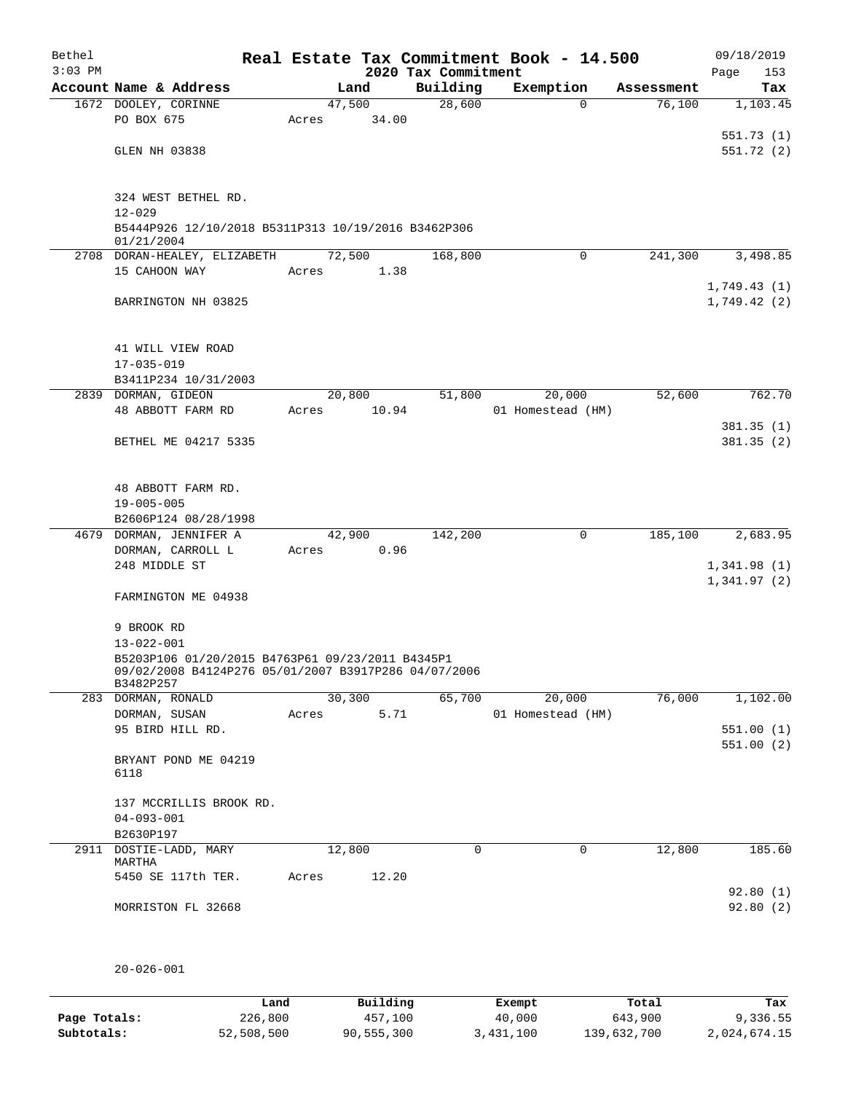| Bethel<br>$3:03$ PM |                                                                                                          |         |       | 2020 Tax Commitment | Real Estate Tax Commitment Book - 14.500 |            | 09/18/2019<br>Page<br>153  |
|---------------------|----------------------------------------------------------------------------------------------------------|---------|-------|---------------------|------------------------------------------|------------|----------------------------|
|                     | Account Name & Address                                                                                   |         | Land  | Building            | Exemption                                | Assessment | Tax                        |
|                     | 1672 DOOLEY, CORINNE                                                                                     | 47,500  |       | 28,600              | $\Omega$                                 | 76,100     | 1,103.45                   |
|                     | PO BOX 675                                                                                               | Acres   | 34.00 |                     |                                          |            |                            |
|                     |                                                                                                          |         |       |                     |                                          |            | 551.73(1)                  |
|                     | <b>GLEN NH 03838</b>                                                                                     |         |       |                     |                                          |            | 551.72(2)                  |
|                     |                                                                                                          |         |       |                     |                                          |            |                            |
|                     | 324 WEST BETHEL RD.                                                                                      |         |       |                     |                                          |            |                            |
|                     | $12 - 029$                                                                                               |         |       |                     |                                          |            |                            |
|                     | B5444P926 12/10/2018 B5311P313 10/19/2016 B3462P306                                                      |         |       |                     |                                          |            |                            |
|                     | 01/21/2004                                                                                               |         |       |                     |                                          |            |                            |
|                     | 2708 DORAN-HEALEY, ELIZABETH                                                                             | 72,500  |       | 168,800             | 0                                        | 241,300    | 3,498.85                   |
|                     | 15 CAHOON WAY                                                                                            | Acres   | 1.38  |                     |                                          |            |                            |
|                     | BARRINGTON NH 03825                                                                                      |         |       |                     |                                          |            | 1,749.43(1)<br>1,749.42(2) |
|                     |                                                                                                          |         |       |                     |                                          |            |                            |
|                     |                                                                                                          |         |       |                     |                                          |            |                            |
|                     | 41 WILL VIEW ROAD                                                                                        |         |       |                     |                                          |            |                            |
|                     | $17 - 035 - 019$                                                                                         |         |       |                     |                                          |            |                            |
|                     | B3411P234 10/31/2003                                                                                     |         |       |                     |                                          |            |                            |
|                     | 2839 DORMAN, GIDEON                                                                                      | 20,800  |       | 51,800              | 20,000                                   | 52,600     | 762.70                     |
|                     | 48 ABBOTT FARM RD                                                                                        | Acres   | 10.94 |                     | 01 Homestead (HM)                        |            |                            |
|                     | BETHEL ME 04217 5335                                                                                     |         |       |                     |                                          |            | 381.35(1)<br>381.35(2)     |
|                     |                                                                                                          |         |       |                     |                                          |            |                            |
|                     |                                                                                                          |         |       |                     |                                          |            |                            |
|                     | 48 ABBOTT FARM RD.                                                                                       |         |       |                     |                                          |            |                            |
|                     | $19 - 005 - 005$                                                                                         |         |       |                     |                                          |            |                            |
|                     | B2606P124 08/28/1998                                                                                     |         |       |                     |                                          |            |                            |
|                     | 4679 DORMAN, JENNIFER A                                                                                  | 42,900  |       | 142,200             | 0                                        | 185,100    | 2,683.95                   |
|                     | DORMAN, CARROLL L<br>248 MIDDLE ST                                                                       | Acres   | 0.96  |                     |                                          |            | 1,341.98(1)                |
|                     |                                                                                                          |         |       |                     |                                          |            | 1,341.97(2)                |
|                     | FARMINGTON ME 04938                                                                                      |         |       |                     |                                          |            |                            |
|                     |                                                                                                          |         |       |                     |                                          |            |                            |
|                     | 9 BROOK RD                                                                                               |         |       |                     |                                          |            |                            |
|                     | $13 - 022 - 001$                                                                                         |         |       |                     |                                          |            |                            |
|                     | B5203P106 01/20/2015 B4763P61 09/23/2011 B4345P1<br>09/02/2008 B4124P276 05/01/2007 B3917P286 04/07/2006 |         |       |                     |                                          |            |                            |
|                     | B3482P257                                                                                                |         |       |                     |                                          |            |                            |
|                     | 283 DORMAN, RONALD                                                                                       | 30, 300 |       | 65,700              | 20,000                                   | 76,000     | 1,102.00                   |
|                     | DORMAN, SUSAN                                                                                            | Acres   | 5.71  |                     | 01 Homestead (HM)                        |            |                            |
|                     | 95 BIRD HILL RD.                                                                                         |         |       |                     |                                          |            | 551.00(1)                  |
|                     | BRYANT POND ME 04219                                                                                     |         |       |                     |                                          |            | 551.00(2)                  |
|                     | 6118                                                                                                     |         |       |                     |                                          |            |                            |
|                     |                                                                                                          |         |       |                     |                                          |            |                            |
|                     | 137 MCCRILLIS BROOK RD.                                                                                  |         |       |                     |                                          |            |                            |
|                     | $04 - 093 - 001$                                                                                         |         |       |                     |                                          |            |                            |
|                     | B2630P197                                                                                                |         |       |                     |                                          |            |                            |
|                     | 2911 DOSTIE-LADD, MARY<br>MARTHA                                                                         | 12,800  |       | 0                   | 0                                        | 12,800     | 185.60                     |
|                     | 5450 SE 117th TER.                                                                                       | Acres   | 12.20 |                     |                                          |            |                            |
|                     |                                                                                                          |         |       |                     |                                          |            | 92.80(1)                   |
|                     | MORRISTON FL 32668                                                                                       |         |       |                     |                                          |            | 92.80(2)                   |
|                     |                                                                                                          |         |       |                     |                                          |            |                            |
|                     |                                                                                                          |         |       |                     |                                          |            |                            |

20-026-001

|              | Land       | Building   | Exempt    | Total       | Tax          |
|--------------|------------|------------|-----------|-------------|--------------|
| Page Totals: | 226,800    | 457,100    | 40,000    | 643,900     | 9,336.55     |
| Subtotals:   | 52,508,500 | 90,555,300 | 3,431,100 | 139,632,700 | 2,024,674.15 |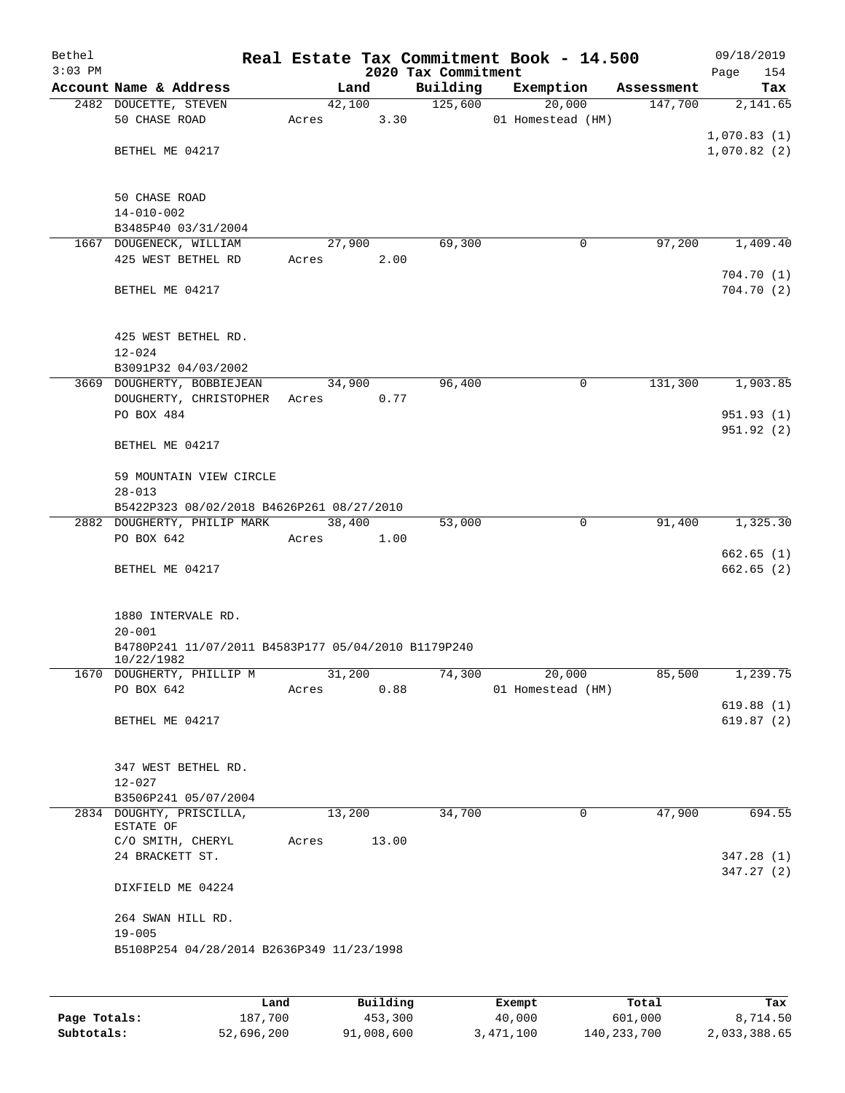| Bethel<br>$3:03$ PM |                                                                                         |                 |       | 2020 Tax Commitment | Real Estate Tax Commitment Book - 14.500 |            | 09/18/2019<br>Page         | 154    |
|---------------------|-----------------------------------------------------------------------------------------|-----------------|-------|---------------------|------------------------------------------|------------|----------------------------|--------|
|                     | Account Name & Address                                                                  |                 | Land  | Building            | Exemption                                | Assessment |                            | Tax    |
|                     | 2482 DOUCETTE, STEVEN<br>50 CHASE ROAD                                                  | 42,100<br>Acres | 3.30  | 125,600             | 20,000<br>01 Homestead (HM)              | 147,700    | 2,141.65                   |        |
|                     | BETHEL ME 04217                                                                         |                 |       |                     |                                          |            | 1,070.83(1)<br>1,070.82(2) |        |
|                     | <b>50 CHASE ROAD</b><br>$14 - 010 - 002$                                                |                 |       |                     |                                          |            |                            |        |
|                     | B3485P40 03/31/2004                                                                     |                 |       |                     |                                          |            |                            |        |
|                     | 1667 DOUGENECK, WILLIAM                                                                 | 27,900          |       | 69,300              | $\mathbf 0$                              | 97,200     | 1,409.40                   |        |
|                     | 425 WEST BETHEL RD                                                                      | Acres           | 2.00  |                     |                                          |            | 704.70(1)                  |        |
|                     | BETHEL ME 04217                                                                         |                 |       |                     |                                          |            | 704.70 (2)                 |        |
|                     | 425 WEST BETHEL RD.<br>$12 - 024$                                                       |                 |       |                     |                                          |            |                            |        |
|                     | B3091P32 04/03/2002                                                                     |                 |       |                     |                                          |            |                            |        |
|                     | 3669 DOUGHERTY, BOBBIEJEAN                                                              | 34,900          |       | 96,400              | 0                                        | 131,300    | 1,903.85                   |        |
|                     | DOUGHERTY, CHRISTOPHER<br>PO BOX 484                                                    | Acres           | 0.77  |                     |                                          |            | 951.93(1)                  |        |
|                     |                                                                                         |                 |       |                     |                                          |            | 951.92(2)                  |        |
|                     | BETHEL ME 04217                                                                         |                 |       |                     |                                          |            |                            |        |
|                     | 59 MOUNTAIN VIEW CIRCLE<br>$28 - 013$                                                   |                 |       |                     |                                          |            |                            |        |
|                     | B5422P323 08/02/2018 B4626P261 08/27/2010                                               |                 |       |                     |                                          |            |                            |        |
|                     | 2882 DOUGHERTY, PHILIP MARK                                                             | 38,400          |       | 53,000              | $\mathbf 0$                              | 91,400     | 1,325.30                   |        |
|                     | PO BOX 642                                                                              | Acres           | 1.00  |                     |                                          |            |                            |        |
|                     | BETHEL ME 04217                                                                         |                 |       |                     |                                          |            | 662.65(1)<br>662.65(2)     |        |
|                     | 1880 INTERVALE RD.<br>$20 - 001$<br>B4780P241 11/07/2011 B4583P177 05/04/2010 B1179P240 |                 |       |                     |                                          |            |                            |        |
|                     | 10/22/1982<br>1670 DOUGHERTY, PHILLIP M                                                 | 31,200          |       | 74,300              | 20,000                                   | 85,500     | 1,239.75                   |        |
|                     | PO BOX 642                                                                              | Acres           | 0.88  |                     | 01 Homestead (HM)                        |            |                            |        |
|                     |                                                                                         |                 |       |                     |                                          |            | 619.88(1)                  |        |
|                     | BETHEL ME 04217                                                                         |                 |       |                     |                                          |            | 619.87(2)                  |        |
|                     | 347 WEST BETHEL RD.<br>$12 - 027$                                                       |                 |       |                     |                                          |            |                            |        |
|                     | B3506P241 05/07/2004                                                                    |                 |       |                     |                                          |            |                            |        |
|                     | 2834 DOUGHTY, PRISCILLA,                                                                | 13,200          |       | 34,700              | 0                                        | 47,900     |                            | 694.55 |
|                     | ESTATE OF<br>C/O SMITH, CHERYL                                                          | Acres           | 13.00 |                     |                                          |            |                            |        |
|                     | 24 BRACKETT ST.                                                                         |                 |       |                     |                                          |            | 347.28(1)                  |        |
|                     |                                                                                         |                 |       |                     |                                          |            | 347.27(2)                  |        |
|                     | DIXFIELD ME 04224                                                                       |                 |       |                     |                                          |            |                            |        |
|                     | 264 SWAN HILL RD.<br>$19 - 005$                                                         |                 |       |                     |                                          |            |                            |        |
|                     | B5108P254 04/28/2014 B2636P349 11/23/1998                                               |                 |       |                     |                                          |            |                            |        |
|                     |                                                                                         |                 |       |                     |                                          |            |                            |        |

|              | Land       | Building   | Exempt    | Total       | Tax          |
|--------------|------------|------------|-----------|-------------|--------------|
| Page Totals: | 187,700    | 453,300    | 40,000    | 601,000     | 8,714.50     |
| Subtotals:   | 52,696,200 | 91,008,600 | 3,471,100 | 140,233,700 | 2,033,388.65 |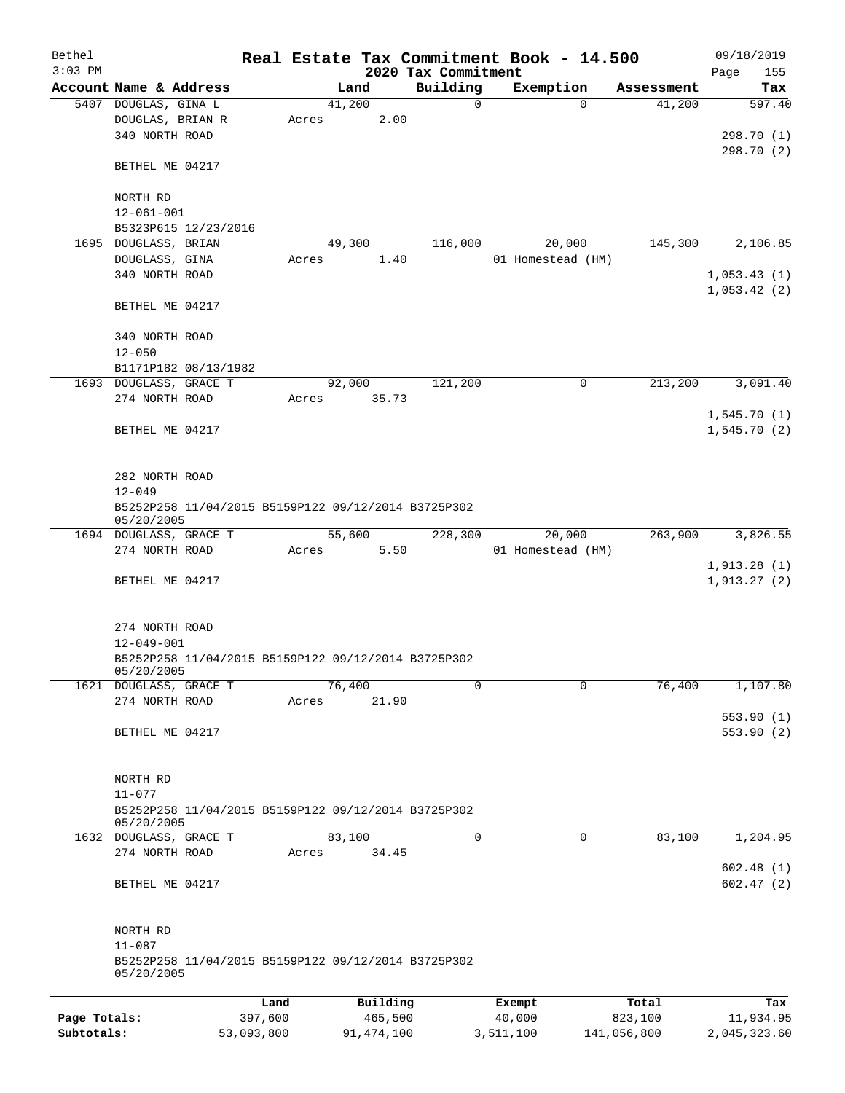| Bethel       |                                                                   |         |       |                |          |                         | Real Estate Tax Commitment Book - 14.500 |          |                      | 09/18/2019                 |
|--------------|-------------------------------------------------------------------|---------|-------|----------------|----------|-------------------------|------------------------------------------|----------|----------------------|----------------------------|
| $3:03$ PM    | Account Name & Address                                            |         |       |                |          | 2020 Tax Commitment     |                                          |          |                      | 155<br>Page<br>Tax         |
|              | 5407 DOUGLAS, GINA L                                              |         |       | Land<br>41,200 |          | Building<br>$\mathbf 0$ | Exemption                                | $\Omega$ | Assessment<br>41,200 | 597.40                     |
|              | DOUGLAS, BRIAN R<br>340 NORTH ROAD                                |         | Acres |                | 2.00     |                         |                                          |          |                      | 298.70 (1)                 |
|              | BETHEL ME 04217                                                   |         |       |                |          |                         |                                          |          |                      | 298.70 (2)                 |
|              | NORTH RD<br>$12 - 061 - 001$                                      |         |       |                |          |                         |                                          |          |                      |                            |
|              | B5323P615 12/23/2016                                              |         |       |                |          |                         |                                          |          |                      |                            |
|              | 1695 DOUGLASS, BRIAN                                              |         |       | 49,300         |          | 116,000                 | 20,000                                   |          | 145,300              | 2,106.85                   |
|              | DOUGLASS, GINA                                                    |         | Acres |                | 1.40     |                         | 01 Homestead (HM)                        |          |                      |                            |
|              | 340 NORTH ROAD                                                    |         |       |                |          |                         |                                          |          |                      | 1,053.43(1)                |
|              | BETHEL ME 04217                                                   |         |       |                |          |                         |                                          |          |                      | 1,053.42(2)                |
|              | 340 NORTH ROAD<br>$12 - 050$                                      |         |       |                |          |                         |                                          |          |                      |                            |
|              | B1171P182 08/13/1982                                              |         |       |                |          |                         |                                          |          |                      |                            |
|              | 1693 DOUGLASS, GRACE T                                            |         |       | 92,000         |          | 121,200                 |                                          | 0        | 213,200              | 3,091.40                   |
|              | 274 NORTH ROAD                                                    |         | Acres |                | 35.73    |                         |                                          |          |                      |                            |
|              | BETHEL ME 04217                                                   |         |       |                |          |                         |                                          |          |                      | 1,545.70(1)<br>1,545.70(2) |
|              |                                                                   |         |       |                |          |                         |                                          |          |                      |                            |
|              | 282 NORTH ROAD                                                    |         |       |                |          |                         |                                          |          |                      |                            |
|              | $12 - 049$                                                        |         |       |                |          |                         |                                          |          |                      |                            |
|              | B5252P258 11/04/2015 B5159P122 09/12/2014 B3725P302<br>05/20/2005 |         |       |                |          |                         |                                          |          |                      |                            |
|              | 1694 DOUGLASS, GRACE T                                            |         |       | 55,600         |          | 228,300                 | 20,000                                   |          | 263,900              | 3,826.55                   |
|              | 274 NORTH ROAD                                                    |         | Acres |                | 5.50     |                         | 01 Homestead (HM)                        |          |                      | 1,913.28(1)                |
|              | BETHEL ME 04217                                                   |         |       |                |          |                         |                                          |          |                      | 1,913.27(2)                |
|              | 274 NORTH ROAD                                                    |         |       |                |          |                         |                                          |          |                      |                            |
|              | $12 - 049 - 001$                                                  |         |       |                |          |                         |                                          |          |                      |                            |
|              | B5252P258 11/04/2015 B5159P122 09/12/2014 B3725P302<br>05/20/2005 |         |       |                |          |                         |                                          |          |                      |                            |
|              | 1621 DOUGLASS, GRACE T                                            |         |       | 76,400         |          | 0                       |                                          | 0        | 76,400               | 1,107.80                   |
|              | 274 NORTH ROAD                                                    |         | Acres |                | 21.90    |                         |                                          |          |                      | 553.90(1)                  |
|              | BETHEL ME 04217                                                   |         |       |                |          |                         |                                          |          |                      | 553.90(2)                  |
|              | NORTH RD                                                          |         |       |                |          |                         |                                          |          |                      |                            |
|              | $11 - 077$<br>B5252P258 11/04/2015 B5159P122 09/12/2014 B3725P302 |         |       |                |          |                         |                                          |          |                      |                            |
|              | 05/20/2005<br>1632 DOUGLASS, GRACE T                              |         |       | 83,100         |          | 0                       |                                          | 0        | 83,100               | 1,204.95                   |
|              | 274 NORTH ROAD                                                    |         | Acres |                | 34.45    |                         |                                          |          |                      |                            |
|              |                                                                   |         |       |                |          |                         |                                          |          |                      | 602.48(1)                  |
|              | BETHEL ME 04217                                                   |         |       |                |          |                         |                                          |          |                      | 602.47(2)                  |
|              | NORTH RD                                                          |         |       |                |          |                         |                                          |          |                      |                            |
|              | $11 - 087$<br>B5252P258 11/04/2015 B5159P122 09/12/2014 B3725P302 |         |       |                |          |                         |                                          |          |                      |                            |
|              | 05/20/2005                                                        |         |       |                |          |                         |                                          |          |                      |                            |
|              |                                                                   | Land    |       |                | Building |                         | Exempt                                   |          | Total                | Tax                        |
| Page Totals: |                                                                   | 397,600 |       |                | 465,500  |                         | 40,000                                   |          | 823,100              | 11,934.95                  |

**Subtotals:** 53,093,800 91,474,100 3,511,100 141,056,800 2,045,323.60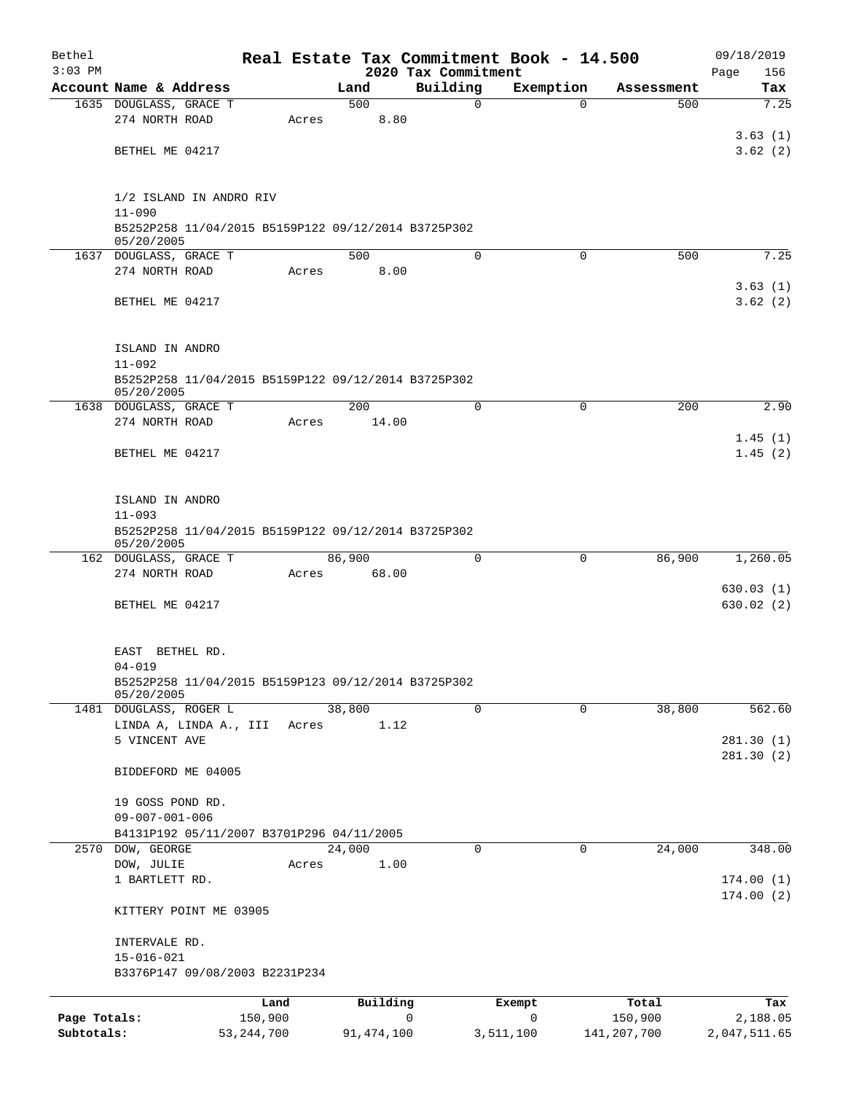| Bethel       |                                                                   |         |                |                                 | Real Estate Tax Commitment Book - 14.500 |                   | 09/18/2019         |
|--------------|-------------------------------------------------------------------|---------|----------------|---------------------------------|------------------------------------------|-------------------|--------------------|
| $3:03$ PM    | Account Name & Address                                            |         | Land           | 2020 Tax Commitment<br>Building | Exemption                                |                   | 156<br>Page<br>Tax |
|              | 1635 DOUGLASS, GRACE T                                            |         | 500            | $\mathbf 0$                     | $\Omega$                                 | Assessment<br>500 | 7.25               |
|              | 274 NORTH ROAD                                                    | Acres   | 8.80           |                                 |                                          |                   |                    |
|              |                                                                   |         |                |                                 |                                          |                   | 3.63(1)            |
|              | BETHEL ME 04217                                                   |         |                |                                 |                                          |                   | 3.62(2)            |
|              |                                                                   |         |                |                                 |                                          |                   |                    |
|              |                                                                   |         |                |                                 |                                          |                   |                    |
|              | 1/2 ISLAND IN ANDRO RIV                                           |         |                |                                 |                                          |                   |                    |
|              | $11 - 090$<br>B5252P258 11/04/2015 B5159P122 09/12/2014 B3725P302 |         |                |                                 |                                          |                   |                    |
|              | 05/20/2005                                                        |         |                |                                 |                                          |                   |                    |
|              | 1637 DOUGLASS, GRACE T                                            |         | 500            | $\mathbf 0$                     | $\mathbf 0$                              | 500               | 7.25               |
|              | 274 NORTH ROAD                                                    | Acres   | 8.00           |                                 |                                          |                   |                    |
|              | BETHEL ME 04217                                                   |         |                |                                 |                                          |                   | 3.63(1)<br>3.62(2) |
|              |                                                                   |         |                |                                 |                                          |                   |                    |
|              |                                                                   |         |                |                                 |                                          |                   |                    |
|              | ISLAND IN ANDRO                                                   |         |                |                                 |                                          |                   |                    |
|              | $11 - 092$                                                        |         |                |                                 |                                          |                   |                    |
|              | B5252P258 11/04/2015 B5159P122 09/12/2014 B3725P302               |         |                |                                 |                                          |                   |                    |
|              | 05/20/2005<br>1638 DOUGLASS, GRACE T                              |         | 200            | $\Omega$                        | $\Omega$                                 | 200               | 2.90               |
|              | 274 NORTH ROAD                                                    | Acres   | 14.00          |                                 |                                          |                   |                    |
|              |                                                                   |         |                |                                 |                                          |                   | 1.45(1)            |
|              | BETHEL ME 04217                                                   |         |                |                                 |                                          |                   | 1.45(2)            |
|              |                                                                   |         |                |                                 |                                          |                   |                    |
|              |                                                                   |         |                |                                 |                                          |                   |                    |
|              | ISLAND IN ANDRO<br>$11 - 093$                                     |         |                |                                 |                                          |                   |                    |
|              | B5252P258 11/04/2015 B5159P122 09/12/2014 B3725P302               |         |                |                                 |                                          |                   |                    |
|              | 05/20/2005                                                        |         |                |                                 |                                          |                   |                    |
|              | 162 DOUGLASS, GRACE T                                             |         | 86,900         | $\Omega$                        | 0                                        | 86,900            | 1,260.05           |
|              | 274 NORTH ROAD                                                    | Acres   | 68.00          |                                 |                                          |                   | 630.03(1)          |
|              | BETHEL ME 04217                                                   |         |                |                                 |                                          |                   | 630.02(2)          |
|              |                                                                   |         |                |                                 |                                          |                   |                    |
|              |                                                                   |         |                |                                 |                                          |                   |                    |
|              | EAST BETHEL RD.                                                   |         |                |                                 |                                          |                   |                    |
|              | $04 - 019$<br>B5252P258 11/04/2015 B5159P123 09/12/2014 B3725P302 |         |                |                                 |                                          |                   |                    |
|              | 05/20/2005                                                        |         |                |                                 |                                          |                   |                    |
|              | 1481 DOUGLASS, ROGER L                                            |         | 38,800         | 0                               | $\mathbf 0$                              | 38,800            | 562.60             |
|              | LINDA A, LINDA A., III                                            | Acres   | 1.12           |                                 |                                          |                   |                    |
|              | 5 VINCENT AVE                                                     |         |                |                                 |                                          |                   | 281.30(1)          |
|              | BIDDEFORD ME 04005                                                |         |                |                                 |                                          |                   | 281.30(2)          |
|              |                                                                   |         |                |                                 |                                          |                   |                    |
|              | 19 GOSS POND RD.                                                  |         |                |                                 |                                          |                   |                    |
|              | $09 - 007 - 001 - 006$                                            |         |                |                                 |                                          |                   |                    |
|              | B4131P192 05/11/2007 B3701P296 04/11/2005                         |         |                |                                 |                                          |                   |                    |
| 2570         | DOW, GEORGE<br>DOW, JULIE                                         | Acres   | 24,000<br>1.00 | 0                               | 0                                        | 24,000            | 348.00             |
|              | 1 BARTLETT RD.                                                    |         |                |                                 |                                          |                   | 174.00(1)          |
|              |                                                                   |         |                |                                 |                                          |                   | 174.00(2)          |
|              | KITTERY POINT ME 03905                                            |         |                |                                 |                                          |                   |                    |
|              |                                                                   |         |                |                                 |                                          |                   |                    |
|              | INTERVALE RD.<br>$15 - 016 - 021$                                 |         |                |                                 |                                          |                   |                    |
|              | B3376P147 09/08/2003 B2231P234                                    |         |                |                                 |                                          |                   |                    |
|              |                                                                   |         |                |                                 |                                          |                   |                    |
|              |                                                                   | Land    | Building       |                                 | Exempt                                   | Total             | Tax                |
| Page Totals: |                                                                   | 150,900 |                | 0                               | 0                                        | 150,900           | 2,188.05           |

**Subtotals:** 53,244,700 91,474,100 3,511,100 141,207,700 2,047,511.65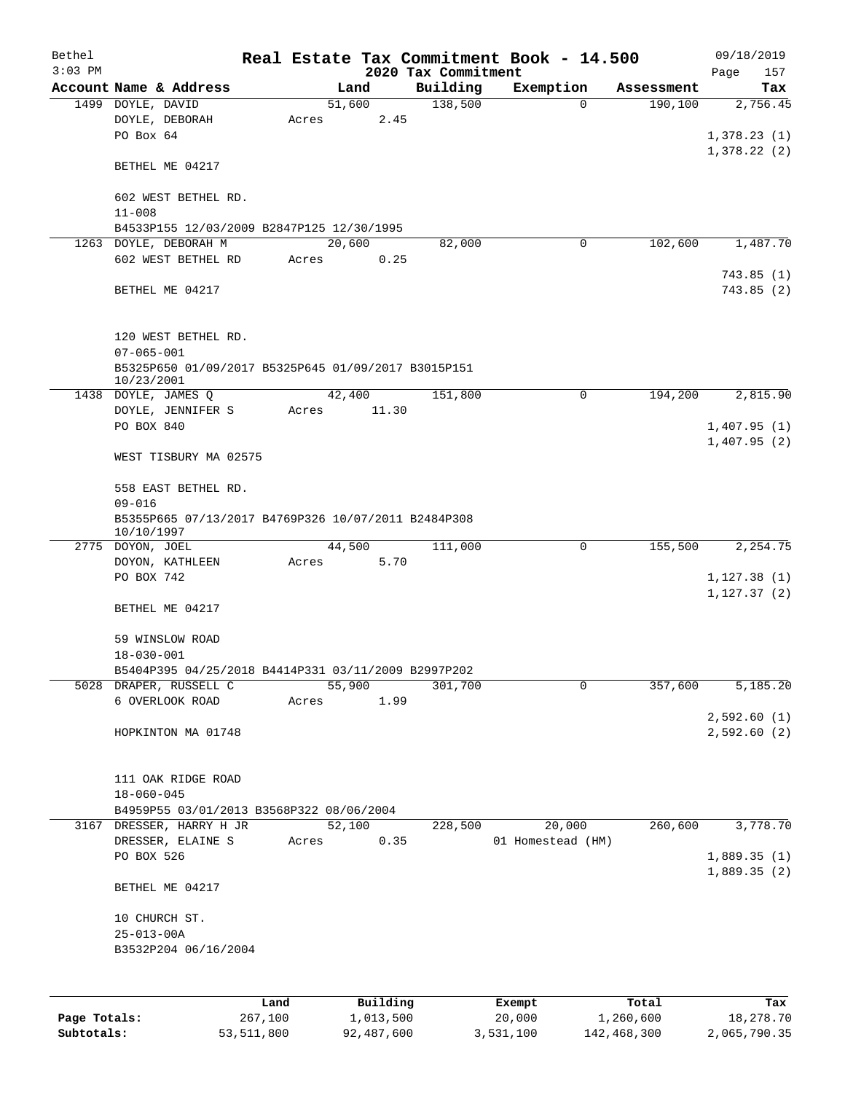| Bethel       |                                                                   |         |           |      |                     | Real Estate Tax Commitment Book - 14.500 |           |            | 09/18/2019              |     |
|--------------|-------------------------------------------------------------------|---------|-----------|------|---------------------|------------------------------------------|-----------|------------|-------------------------|-----|
| $3:03$ PM    |                                                                   |         |           |      | 2020 Tax Commitment |                                          |           |            | Page                    | 157 |
|              | Account Name & Address                                            |         | Land      |      | Building            | Exemption<br>$\Omega$                    |           | Assessment |                         | Tax |
|              | 1499 DOYLE, DAVID<br>DOYLE, DEBORAH                               |         | 51,600    | 2.45 | 138,500             |                                          |           | 190,100    | 2,756.45                |     |
|              | PO Box 64                                                         | Acres   |           |      |                     |                                          |           |            | 1,378.23(1)             |     |
|              |                                                                   |         |           |      |                     |                                          |           |            |                         |     |
|              |                                                                   |         |           |      |                     |                                          |           |            | 1,378.22(2)             |     |
|              | BETHEL ME 04217                                                   |         |           |      |                     |                                          |           |            |                         |     |
|              |                                                                   |         |           |      |                     |                                          |           |            |                         |     |
|              | 602 WEST BETHEL RD.                                               |         |           |      |                     |                                          |           |            |                         |     |
|              | $11 - 008$                                                        |         |           |      |                     |                                          |           |            |                         |     |
|              | B4533P155 12/03/2009 B2847P125 12/30/1995                         |         | 20,600    |      |                     | 0                                        |           | 102,600    | 1,487.70                |     |
|              | 1263 DOYLE, DEBORAH M<br>602 WEST BETHEL RD                       |         |           |      | 82,000              |                                          |           |            |                         |     |
|              |                                                                   | Acres   |           | 0.25 |                     |                                          |           |            |                         |     |
|              |                                                                   |         |           |      |                     |                                          |           |            | 743.85 (1)<br>743.85(2) |     |
|              | BETHEL ME 04217                                                   |         |           |      |                     |                                          |           |            |                         |     |
|              |                                                                   |         |           |      |                     |                                          |           |            |                         |     |
|              |                                                                   |         |           |      |                     |                                          |           |            |                         |     |
|              | 120 WEST BETHEL RD.                                               |         |           |      |                     |                                          |           |            |                         |     |
|              | $07 - 065 - 001$                                                  |         |           |      |                     |                                          |           |            |                         |     |
|              | B5325P650 01/09/2017 B5325P645 01/09/2017 B3015P151<br>10/23/2001 |         |           |      |                     |                                          |           |            |                         |     |
|              | 1438 DOYLE, JAMES Q                                               |         | 42,400    |      | 151,800             | 0                                        |           | 194,200    | 2,815.90                |     |
|              | DOYLE, JENNIFER S                                                 | Acres   | 11.30     |      |                     |                                          |           |            |                         |     |
|              | PO BOX 840                                                        |         |           |      |                     |                                          |           |            | 1,407.95(1)             |     |
|              |                                                                   |         |           |      |                     |                                          |           |            | 1,407.95(2)             |     |
|              | WEST TISBURY MA 02575                                             |         |           |      |                     |                                          |           |            |                         |     |
|              |                                                                   |         |           |      |                     |                                          |           |            |                         |     |
|              | 558 EAST BETHEL RD.                                               |         |           |      |                     |                                          |           |            |                         |     |
|              | $09 - 016$                                                        |         |           |      |                     |                                          |           |            |                         |     |
|              | B5355P665 07/13/2017 B4769P326 10/07/2011 B2484P308               |         |           |      |                     |                                          |           |            |                         |     |
|              | 10/10/1997                                                        |         |           |      |                     |                                          |           |            |                         |     |
|              | 2775 DOYON, JOEL                                                  |         | 44,500    |      | 111,000             | 0                                        |           | 155,500    | 2,254.75                |     |
|              | DOYON, KATHLEEN                                                   | Acres   |           | 5.70 |                     |                                          |           |            |                         |     |
|              | PO BOX 742                                                        |         |           |      |                     |                                          |           |            | 1, 127.38(1)            |     |
|              |                                                                   |         |           |      |                     |                                          |           |            | 1, 127.37(2)            |     |
|              | BETHEL ME 04217                                                   |         |           |      |                     |                                          |           |            |                         |     |
|              |                                                                   |         |           |      |                     |                                          |           |            |                         |     |
|              | 59 WINSLOW ROAD                                                   |         |           |      |                     |                                          |           |            |                         |     |
|              | $18 - 030 - 001$                                                  |         |           |      |                     |                                          |           |            |                         |     |
|              | B5404P395 04/25/2018 B4414P331 03/11/2009 B2997P202               |         |           |      |                     |                                          |           |            |                         |     |
|              | 5028 DRAPER, RUSSELL C                                            |         | 55,900    |      | 301,700             | 0                                        |           | 357,600    | 5,185.20                |     |
|              | 6 OVERLOOK ROAD                                                   | Acres   |           | 1.99 |                     |                                          |           |            |                         |     |
|              |                                                                   |         |           |      |                     |                                          |           |            | 2,592.60(1)             |     |
|              | HOPKINTON MA 01748                                                |         |           |      |                     |                                          |           |            | 2,592.60(2)             |     |
|              |                                                                   |         |           |      |                     |                                          |           |            |                         |     |
|              |                                                                   |         |           |      |                     |                                          |           |            |                         |     |
|              | 111 OAK RIDGE ROAD                                                |         |           |      |                     |                                          |           |            |                         |     |
|              | $18 - 060 - 045$                                                  |         |           |      |                     |                                          |           |            |                         |     |
|              | B4959P55 03/01/2013 B3568P322 08/06/2004                          |         |           |      |                     |                                          |           |            |                         |     |
|              | 3167 DRESSER, HARRY H JR                                          |         | 52,100    |      | 228,500             | 20,000                                   |           | 260,600    | 3,778.70                |     |
|              | DRESSER, ELAINE S                                                 | Acres   |           | 0.35 |                     | 01 Homestead (HM)                        |           |            |                         |     |
|              | PO BOX 526                                                        |         |           |      |                     |                                          |           |            | 1,889.35(1)             |     |
|              |                                                                   |         |           |      |                     |                                          |           |            | 1,889.35(2)             |     |
|              | BETHEL ME 04217                                                   |         |           |      |                     |                                          |           |            |                         |     |
|              |                                                                   |         |           |      |                     |                                          |           |            |                         |     |
|              | 10 CHURCH ST.                                                     |         |           |      |                     |                                          |           |            |                         |     |
|              | $25 - 013 - 00A$                                                  |         |           |      |                     |                                          |           |            |                         |     |
|              | B3532P204 06/16/2004                                              |         |           |      |                     |                                          |           |            |                         |     |
|              |                                                                   |         |           |      |                     |                                          |           |            |                         |     |
|              |                                                                   |         |           |      |                     |                                          |           |            |                         |     |
|              |                                                                   | Land    | Building  |      |                     | Exempt                                   |           | Total      |                         | Tax |
| Page Totals: |                                                                   | 267,100 | 1,013,500 |      |                     | 20,000                                   | 1,260,600 |            | 18,278.70               |     |

**Subtotals:** 53,511,800 92,487,600 3,531,100 142,468,300 2,065,790.35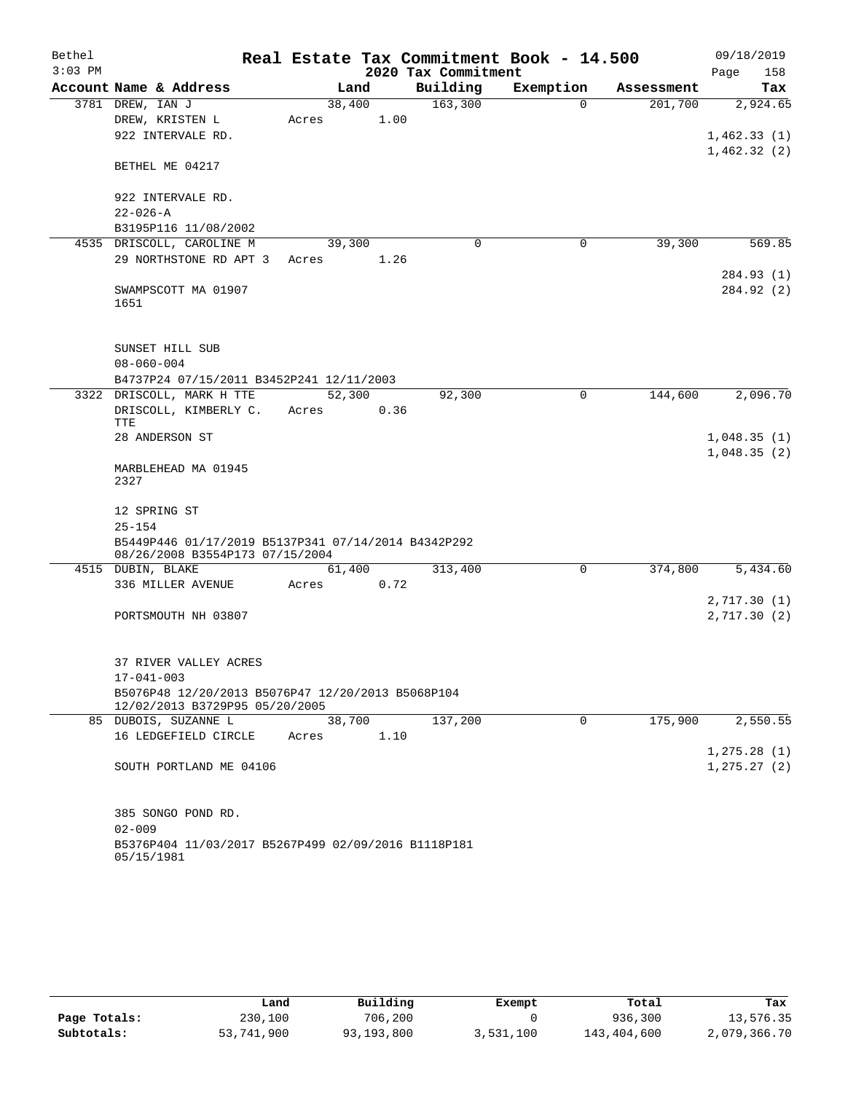| Bethel    |                                                                                        |        |      |                     | Real Estate Tax Commitment Book - 14.500 |            | 09/18/2019   |
|-----------|----------------------------------------------------------------------------------------|--------|------|---------------------|------------------------------------------|------------|--------------|
| $3:03$ PM |                                                                                        |        |      | 2020 Tax Commitment |                                          |            | Page<br>158  |
|           | Account Name & Address                                                                 |        | Land | Building            | Exemption                                | Assessment | Tax          |
|           | 3781 DREW, IAN J                                                                       | 38,400 |      | 163,300             | $\Omega$                                 | 201,700    | 2,924.65     |
|           | DREW, KRISTEN L                                                                        | Acres  | 1.00 |                     |                                          |            |              |
|           | 922 INTERVALE RD.                                                                      |        |      |                     |                                          |            | 1,462.33(1)  |
|           | BETHEL ME 04217                                                                        |        |      |                     |                                          |            | 1,462.32(2)  |
|           | 922 INTERVALE RD.                                                                      |        |      |                     |                                          |            |              |
|           | $22 - 026 - A$                                                                         |        |      |                     |                                          |            |              |
|           | B3195P116 11/08/2002                                                                   |        |      |                     |                                          |            |              |
|           | 4535 DRISCOLL, CAROLINE M                                                              | 39,300 |      | $\mathbf 0$         | 0                                        | 39,300     | 569.85       |
|           | 29 NORTHSTONE RD APT 3                                                                 | Acres  | 1.26 |                     |                                          |            |              |
|           |                                                                                        |        |      |                     |                                          |            | 284.93 (1)   |
|           | SWAMPSCOTT MA 01907                                                                    |        |      |                     |                                          |            | 284.92 (2)   |
|           | 1651                                                                                   |        |      |                     |                                          |            |              |
|           |                                                                                        |        |      |                     |                                          |            |              |
|           |                                                                                        |        |      |                     |                                          |            |              |
|           | SUNSET HILL SUB                                                                        |        |      |                     |                                          |            |              |
|           | $08 - 060 - 004$                                                                       |        |      |                     |                                          |            |              |
|           | B4737P24 07/15/2011 B3452P241 12/11/2003<br>3322 DRISCOLL, MARK H TTE                  | 52,300 |      | 92,300              | 0                                        | 144,600    | 2,096.70     |
|           | DRISCOLL, KIMBERLY C.                                                                  | Acres  | 0.36 |                     |                                          |            |              |
|           | TTE                                                                                    |        |      |                     |                                          |            |              |
|           | 28 ANDERSON ST                                                                         |        |      |                     |                                          |            | 1,048.35(1)  |
|           |                                                                                        |        |      |                     |                                          |            | 1,048.35(2)  |
|           | MARBLEHEAD MA 01945<br>2327                                                            |        |      |                     |                                          |            |              |
|           | 12 SPRING ST                                                                           |        |      |                     |                                          |            |              |
|           | $25 - 154$                                                                             |        |      |                     |                                          |            |              |
|           | B5449P446 01/17/2019 B5137P341 07/14/2014 B4342P292<br>08/26/2008 B3554P173 07/15/2004 |        |      |                     |                                          |            |              |
|           | 4515 DUBIN, BLAKE                                                                      | 61,400 |      | 313,400             | 0                                        | 374,800    | 5,434.60     |
|           | 336 MILLER AVENUE                                                                      | Acres  | 0.72 |                     |                                          |            |              |
|           |                                                                                        |        |      |                     |                                          |            | 2,717.30(1)  |
|           | PORTSMOUTH NH 03807                                                                    |        |      |                     |                                          |            | 2,717.30(2)  |
|           | 37 RIVER VALLEY ACRES                                                                  |        |      |                     |                                          |            |              |
|           | $17 - 041 - 003$                                                                       |        |      |                     |                                          |            |              |
|           | B5076P48 12/20/2013 B5076P47 12/20/2013 B5068P104<br>12/02/2013 B3729P95 05/20/2005    |        |      |                     |                                          |            |              |
|           | 85 DUBOIS, SUZANNE L                                                                   | 38,700 |      | 137,200             | 0                                        | 175,900    | 2,550.55     |
|           | 16 LEDGEFIELD CIRCLE                                                                   | Acres  | 1.10 |                     |                                          |            |              |
|           |                                                                                        |        |      |                     |                                          |            | 1, 275.28(1) |
|           | SOUTH PORTLAND ME 04106                                                                |        |      |                     |                                          |            | 1, 275.27(2) |
|           | 385 SONGO POND RD.                                                                     |        |      |                     |                                          |            |              |
|           | $02 - 009$                                                                             |        |      |                     |                                          |            |              |
|           | B5376P404 11/03/2017 B5267P499 02/09/2016 B1118P181<br>05/15/1981                      |        |      |                     |                                          |            |              |

|              | Land       | Building   | Exempt    | Total       | Tax          |
|--------------|------------|------------|-----------|-------------|--------------|
| Page Totals: | 230,100    | 706,200    |           | 936,300     | 13,576.35    |
| Subtotals:   | 53,741,900 | 93,193,800 | 3,531,100 | 143,404,600 | 2,079,366.70 |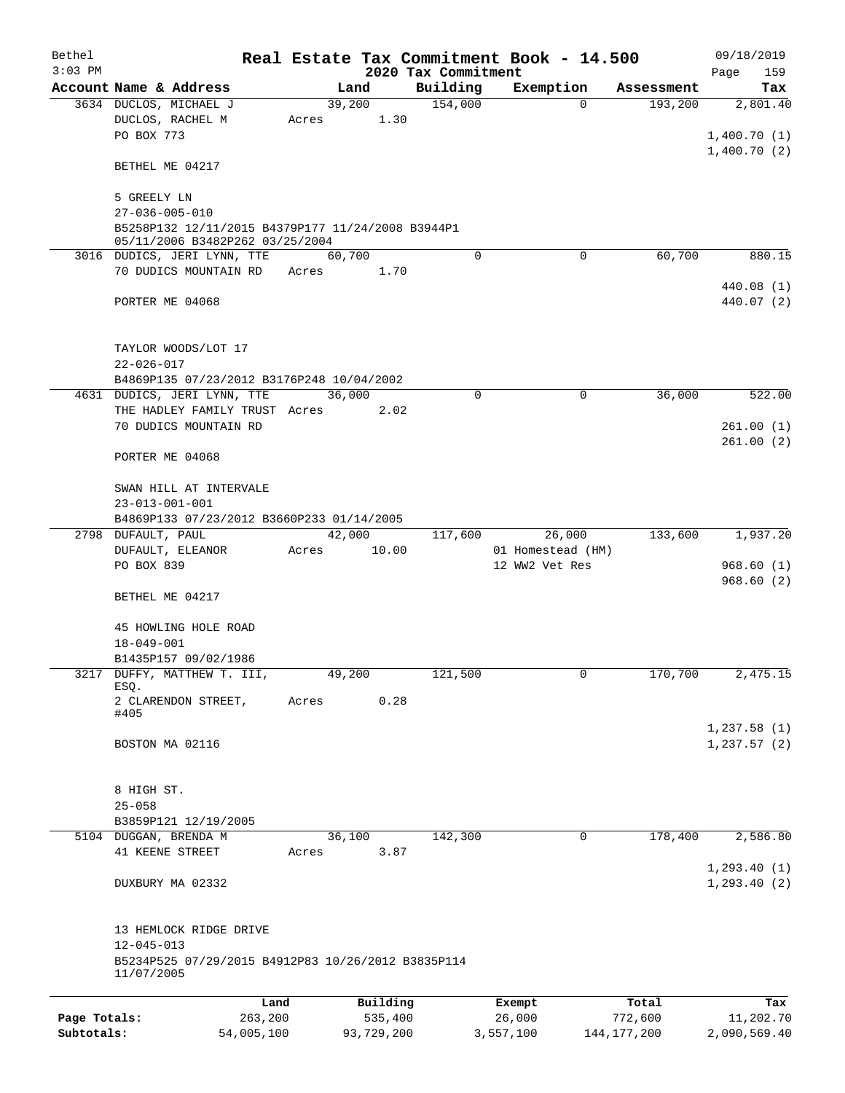| Bethel       |                                                                                                                |       |                |                     | Real Estate Tax Commitment Book - 14.500 |                       | 09/18/2019                  |
|--------------|----------------------------------------------------------------------------------------------------------------|-------|----------------|---------------------|------------------------------------------|-----------------------|-----------------------------|
| $3:03$ PM    |                                                                                                                |       |                | 2020 Tax Commitment |                                          |                       | Page<br>159                 |
|              | Account Name & Address                                                                                         |       | Land<br>39,200 | Building<br>154,000 | Exemption<br>$\Omega$                    | Assessment<br>193,200 | Tax<br>2,801.40             |
|              | 3634 DUCLOS, MICHAEL J<br>DUCLOS, RACHEL M<br>PO BOX 773                                                       | Acres | 1.30           |                     |                                          |                       | 1,400.70(1)                 |
|              | BETHEL ME 04217                                                                                                |       |                |                     |                                          |                       | 1,400.70(2)                 |
|              | 5 GREELY LN                                                                                                    |       |                |                     |                                          |                       |                             |
|              | $27 - 036 - 005 - 010$                                                                                         |       |                |                     |                                          |                       |                             |
|              | B5258P132 12/11/2015 B4379P177 11/24/2008 B3944P1<br>05/11/2006 B3482P262 03/25/2004                           |       |                |                     |                                          |                       |                             |
|              | 3016 DUDICS, JERI LYNN, TTE                                                                                    |       | 60,700         | $\Omega$            | $\mathbf 0$                              | 60,700                | 880.15                      |
|              | 70 DUDICS MOUNTAIN RD                                                                                          | Acres | 1.70           |                     |                                          |                       | 440.08(1)                   |
|              | PORTER ME 04068                                                                                                |       |                |                     |                                          |                       | 440.07 (2)                  |
|              | TAYLOR WOODS/LOT 17<br>$22 - 026 - 017$                                                                        |       |                |                     |                                          |                       |                             |
|              | B4869P135 07/23/2012 B3176P248 10/04/2002                                                                      |       |                |                     |                                          |                       |                             |
|              | 4631 DUDICS, JERI LYNN, TTE                                                                                    |       | 36,000         | $\mathbf 0$         | $\mathbf 0$                              | 36,000                | 522.00                      |
|              | THE HADLEY FAMILY TRUST Acres                                                                                  |       | 2.02           |                     |                                          |                       |                             |
|              | 70 DUDICS MOUNTAIN RD                                                                                          |       |                |                     |                                          |                       | 261.00(1)                   |
|              | PORTER ME 04068                                                                                                |       |                |                     |                                          |                       | 261.00(2)                   |
|              | SWAN HILL AT INTERVALE<br>$23 - 013 - 001 - 001$                                                               |       |                |                     |                                          |                       |                             |
|              | B4869P133 07/23/2012 B3660P233 01/14/2005                                                                      |       |                |                     |                                          |                       |                             |
|              | 2798 DUFAULT, PAUL                                                                                             |       | 42,000         | 117,600             | 26,000                                   | 133,600               | 1,937.20                    |
|              | DUFAULT, ELEANOR<br>PO BOX 839                                                                                 | Acres | 10.00          |                     | 01 Homestead (HM)<br>12 WW2 Vet Res      |                       | 968.60(1)                   |
|              | BETHEL ME 04217                                                                                                |       |                |                     |                                          |                       | 968.60(2)                   |
|              | 45 HOWLING HOLE ROAD<br>$18 - 049 - 001$                                                                       |       |                |                     |                                          |                       |                             |
| 3217         | B1435P157 09/02/1986<br>DUFFY, MATTHEW T. III,                                                                 |       | 49,200         | 121,500             | 0                                        | 170,700               | 2,475.15                    |
|              | ESQ.                                                                                                           |       |                |                     |                                          |                       |                             |
|              | 2 CLARENDON STREET,<br>#405                                                                                    | Acres | 0.28           |                     |                                          |                       |                             |
|              | BOSTON MA 02116                                                                                                |       |                |                     |                                          |                       | 1,237.58(1)<br>1, 237.57(2) |
|              | 8 HIGH ST.<br>$25 - 058$                                                                                       |       |                |                     |                                          |                       |                             |
|              | B3859P121 12/19/2005                                                                                           |       |                |                     |                                          |                       |                             |
|              | 5104 DUGGAN, BRENDA M                                                                                          |       | 36,100         | 142,300             | 0                                        | 178,400               | 2,586.80                    |
|              | 41 KEENE STREET                                                                                                | Acres | 3.87           |                     |                                          |                       | 1, 293.40(1)                |
|              | DUXBURY MA 02332                                                                                               |       |                |                     |                                          |                       | 1, 293.40(2)                |
|              | 13 HEMLOCK RIDGE DRIVE<br>$12 - 045 - 013$<br>B5234P525 07/29/2015 B4912P83 10/26/2012 B3835P114<br>11/07/2005 |       |                |                     |                                          |                       |                             |
|              | Land                                                                                                           |       | Building       |                     | Exempt                                   | Total                 | Tax                         |
| Page Totals: | 263,200                                                                                                        |       | 535,400        |                     | 26,000                                   | 772,600               | 11,202.70                   |
| Subtotals:   | 54,005,100                                                                                                     |       | 93,729,200     |                     | 3,557,100                                | 144, 177, 200         | 2,090,569.40                |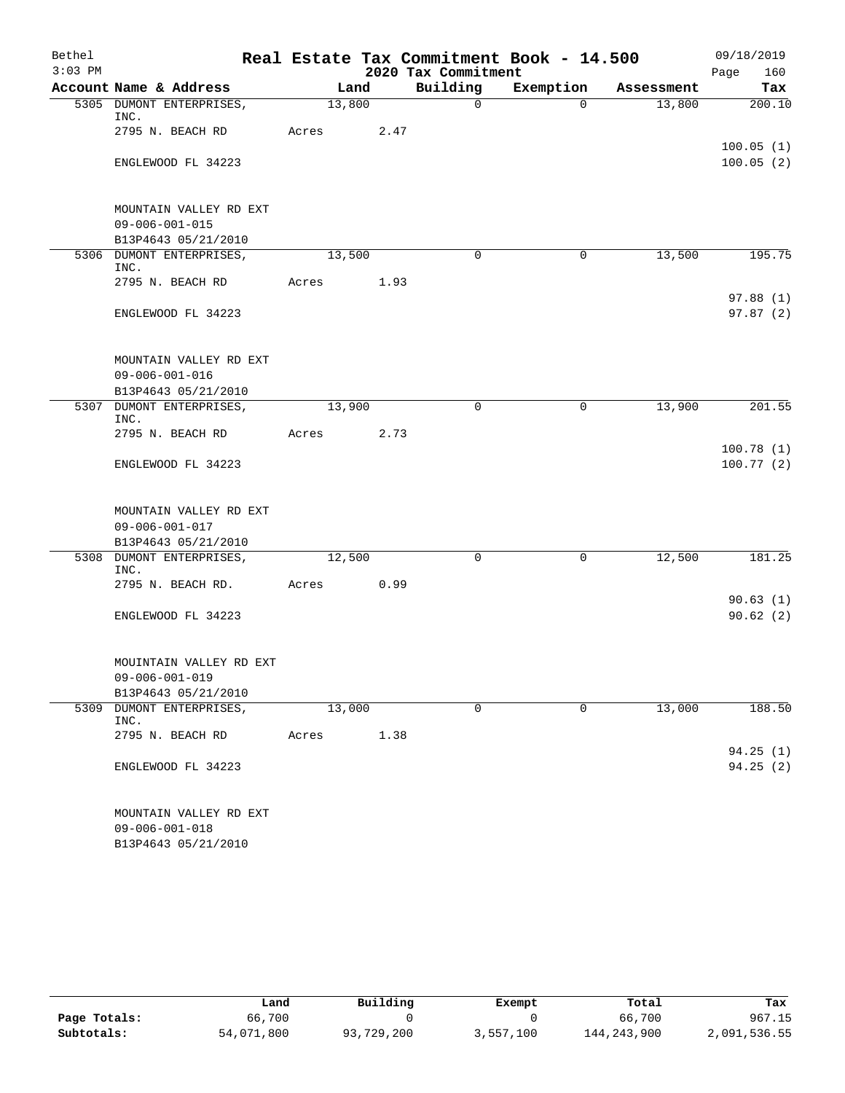| Bethel    |                                               |        |                     |              | Real Estate Tax Commitment Book - 14.500 |            | 09/18/2019             |  |
|-----------|-----------------------------------------------|--------|---------------------|--------------|------------------------------------------|------------|------------------------|--|
| $3:03$ PM |                                               |        | 2020 Tax Commitment |              |                                          |            |                        |  |
|           | Account Name & Address                        | Land   |                     | Building     | Exemption                                | Assessment | Tax                    |  |
|           | 5305 DUMONT ENTERPRISES,<br>INC.              | 13,800 |                     | $\mathsf{O}$ | $\Omega$                                 | 13,800     | 200.10                 |  |
|           | 2795 N. BEACH RD                              | Acres  | 2.47                |              |                                          |            |                        |  |
|           | ENGLEWOOD FL 34223                            |        |                     |              |                                          |            | 100.05(1)<br>100.05(2) |  |
|           | MOUNTAIN VALLEY RD EXT                        |        |                     |              |                                          |            |                        |  |
|           | $09 - 006 - 001 - 015$                        |        |                     |              |                                          |            |                        |  |
|           | B13P4643 05/21/2010                           |        |                     |              |                                          |            |                        |  |
|           | 5306 DUMONT ENTERPRISES,<br>INC.              | 13,500 |                     | $\Omega$     | 0                                        | 13,500     | 195.75                 |  |
|           | 2795 N. BEACH RD                              | Acres  | 1.93                |              |                                          |            |                        |  |
|           | ENGLEWOOD FL 34223                            |        |                     |              |                                          |            | 97.88(1)<br>97.87 (2)  |  |
|           | MOUNTAIN VALLEY RD EXT                        |        |                     |              |                                          |            |                        |  |
|           | $09 - 006 - 001 - 016$                        |        |                     |              |                                          |            |                        |  |
|           | B13P4643 05/21/2010                           |        |                     |              |                                          |            |                        |  |
|           | 5307 DUMONT ENTERPRISES,<br>INC.              | 13,900 |                     | $\Omega$     | $\mathbf 0$                              | 13,900     | 201.55                 |  |
|           | 2795 N. BEACH RD                              | Acres  | 2.73                |              |                                          |            |                        |  |
|           | ENGLEWOOD FL 34223                            |        |                     |              |                                          |            | 100.78(1)<br>100.77(2) |  |
|           | MOUNTAIN VALLEY RD EXT                        |        |                     |              |                                          |            |                        |  |
|           | $09 - 006 - 001 - 017$                        |        |                     |              |                                          |            |                        |  |
|           | B13P4643 05/21/2010                           |        |                     |              |                                          |            |                        |  |
|           | 5308 DUMONT ENTERPRISES,<br>INC.              | 12,500 |                     | $\mathbf 0$  | $\mathbf 0$                              | 12,500     | 181.25                 |  |
|           | 2795 N. BEACH RD.                             | Acres  | 0.99                |              |                                          |            |                        |  |
|           | ENGLEWOOD FL 34223                            |        |                     |              |                                          |            | 90.63(1)<br>90.62(2)   |  |
|           | MOUINTAIN VALLEY RD EXT                       |        |                     |              |                                          |            |                        |  |
|           | $09 - 006 - 001 - 019$                        |        |                     |              |                                          |            |                        |  |
|           | B13P4643 05/21/2010                           |        |                     |              |                                          |            |                        |  |
| 5309      | DUMONT ENTERPRISES,<br>INC.                   | 13,000 |                     | $\mathbf 0$  | $\mathbf 0$                              | 13,000     | 188.50                 |  |
|           | 2795 N. BEACH RD                              | Acres  | 1.38                |              |                                          |            | 94.25(1)               |  |
|           | ENGLEWOOD FL 34223                            |        |                     |              |                                          |            | 94.25(2)               |  |
|           | MOUNTAIN VALLEY RD EXT                        |        |                     |              |                                          |            |                        |  |
|           | $09 - 006 - 001 - 018$<br>B13P4643 05/21/2010 |        |                     |              |                                          |            |                        |  |
|           |                                               |        |                     |              |                                          |            |                        |  |

|              | Land       | Building   | Exempt    | Total       | Tax          |
|--------------|------------|------------|-----------|-------------|--------------|
| Page Totals: | 66,700     |            |           | 66,700      | 967.15       |
| Subtotals:   | 54,071,800 | 93,729,200 | 3,557,100 | 144,243,900 | 2,091,536.55 |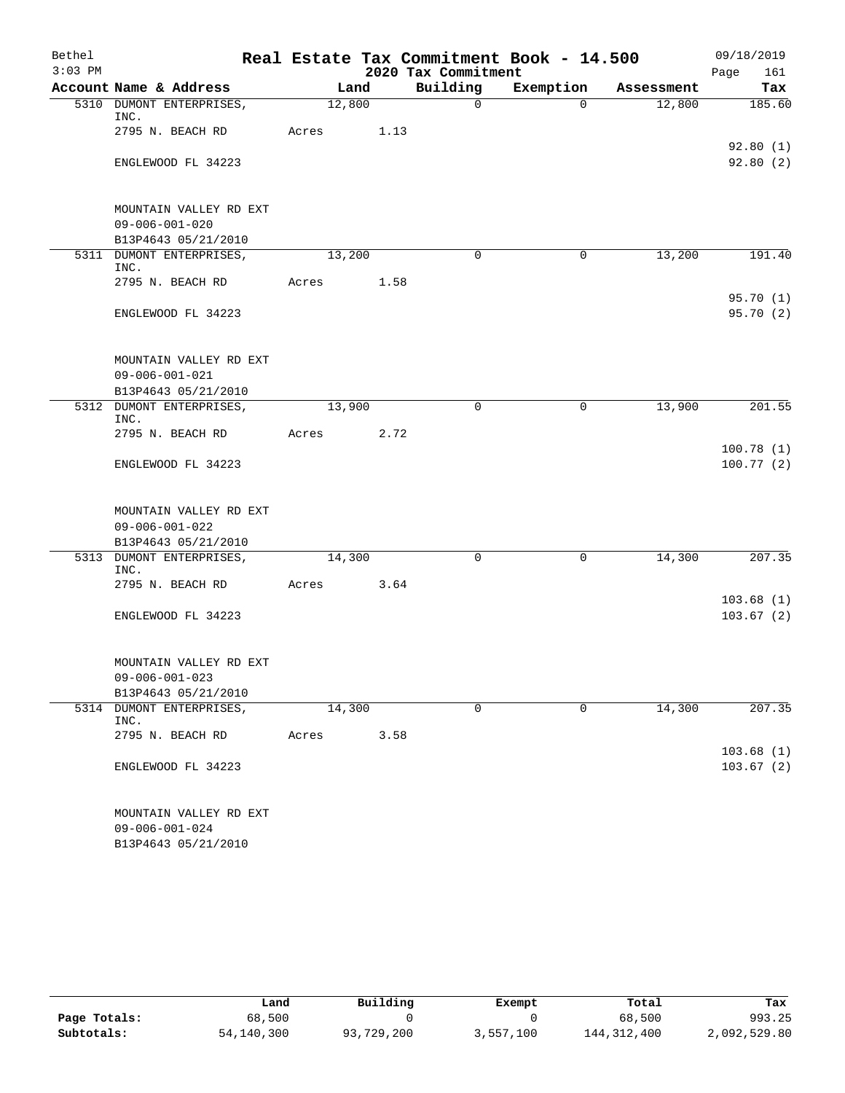| Bethel    |                                               |        |      |                     | Real Estate Tax Commitment Book - 14.500 |            | 09/18/2019             |
|-----------|-----------------------------------------------|--------|------|---------------------|------------------------------------------|------------|------------------------|
| $3:03$ PM |                                               |        |      | 2020 Tax Commitment |                                          |            | Page<br>161            |
|           | Account Name & Address                        | Land   |      | Building            | Exemption                                | Assessment | Tax                    |
|           | 5310 DUMONT ENTERPRISES,<br>INC.              | 12,800 |      | $\mathsf{O}$        | $\Omega$                                 | 12,800     | 185.60                 |
|           | 2795 N. BEACH RD                              | Acres  | 1.13 |                     |                                          |            | 92.80(1)               |
|           | ENGLEWOOD FL 34223                            |        |      |                     |                                          |            | 92.80(2)               |
|           | MOUNTAIN VALLEY RD EXT                        |        |      |                     |                                          |            |                        |
|           | $09 - 006 - 001 - 020$<br>B13P4643 05/21/2010 |        |      |                     |                                          |            |                        |
|           | 5311 DUMONT ENTERPRISES,<br>INC.              | 13,200 |      | $\Omega$            | 0                                        | 13,200     | 191.40                 |
|           | 2795 N. BEACH RD                              | Acres  | 1.58 |                     |                                          |            |                        |
|           | ENGLEWOOD FL 34223                            |        |      |                     |                                          |            | 95.70(1)<br>95.70(2)   |
|           | MOUNTAIN VALLEY RD EXT                        |        |      |                     |                                          |            |                        |
|           | $09 - 006 - 001 - 021$                        |        |      |                     |                                          |            |                        |
|           | B13P4643 05/21/2010                           |        |      |                     |                                          |            |                        |
|           | 5312 DUMONT ENTERPRISES,<br>INC.              | 13,900 |      | 0                   | $\mathbf 0$                              | 13,900     | 201.55                 |
|           | 2795 N. BEACH RD                              | Acres  | 2.72 |                     |                                          |            |                        |
|           | ENGLEWOOD FL 34223                            |        |      |                     |                                          |            | 100.78(1)<br>100.77(2) |
|           | MOUNTAIN VALLEY RD EXT                        |        |      |                     |                                          |            |                        |
|           | $09 - 006 - 001 - 022$                        |        |      |                     |                                          |            |                        |
|           | B13P4643 05/21/2010                           |        |      |                     |                                          |            |                        |
|           | 5313 DUMONT ENTERPRISES,<br>INC.              | 14,300 |      | $\mathbf 0$         | $\mathbf 0$                              | 14,300     | 207.35                 |
|           | 2795 N. BEACH RD                              | Acres  | 3.64 |                     |                                          |            |                        |
|           | ENGLEWOOD FL 34223                            |        |      |                     |                                          |            | 103.68(1)<br>103.67(2) |
|           | MOUNTAIN VALLEY RD EXT                        |        |      |                     |                                          |            |                        |
|           | $09 - 006 - 001 - 023$                        |        |      |                     |                                          |            |                        |
|           | B13P4643 05/21/2010                           |        |      |                     |                                          |            |                        |
|           | 5314 DUMONT ENTERPRISES,<br>INC.              | 14,300 |      | $\mathbf 0$         | $\mathbf 0$                              | 14,300     | 207.35                 |
|           | 2795 N. BEACH RD                              | Acres  | 3.58 |                     |                                          |            | 103.68(1)              |
|           | ENGLEWOOD FL 34223                            |        |      |                     |                                          |            | 103.67(2)              |
|           | MOUNTAIN VALLEY RD EXT                        |        |      |                     |                                          |            |                        |
|           | $09 - 006 - 001 - 024$<br>B13P4643 05/21/2010 |        |      |                     |                                          |            |                        |
|           |                                               |        |      |                     |                                          |            |                        |

|              | Land         | Building   | Exempt    | Total         | Tax          |
|--------------|--------------|------------|-----------|---------------|--------------|
| Page Totals: | 68,500       |            |           | 68,500        | 993.25       |
| Subtotals:   | 54, 140, 300 | 93,729,200 | 3,557,100 | 144, 312, 400 | 2,092,529.80 |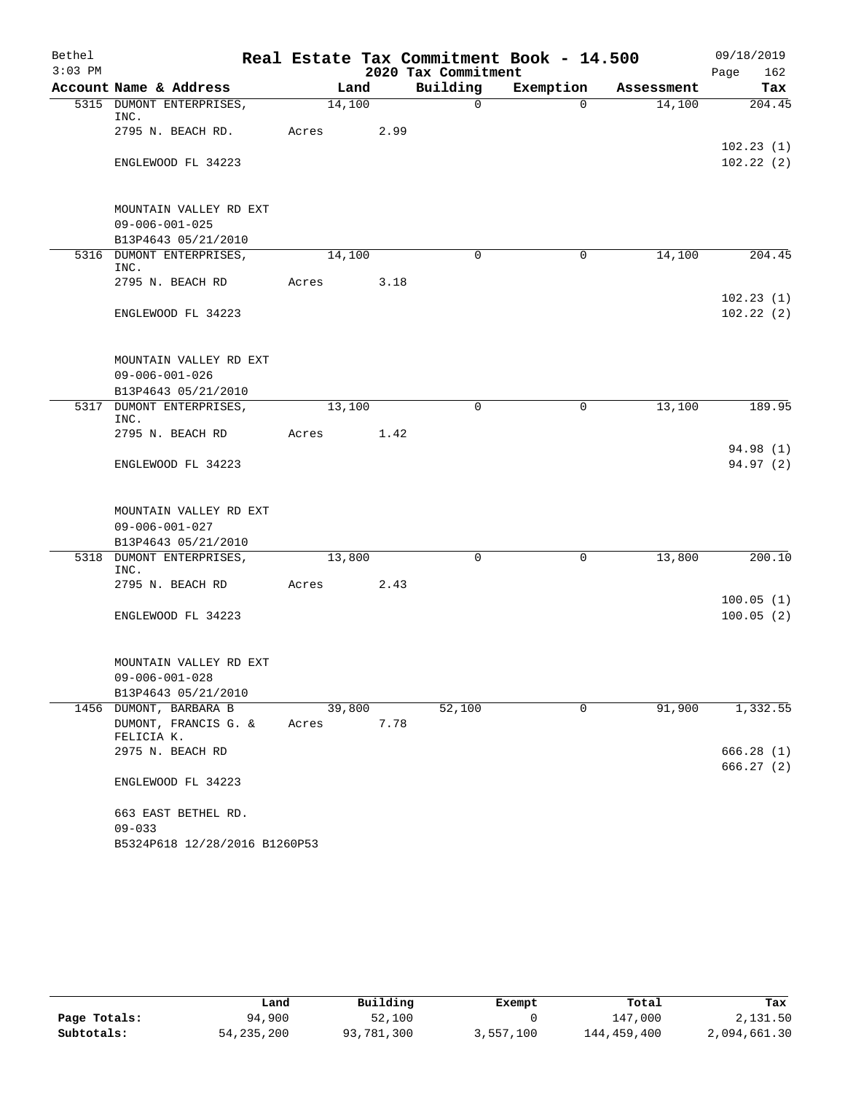| Bethel    |                                               |        |      |                     | Real Estate Tax Commitment Book - 14.500 |            | 09/18/2019             |
|-----------|-----------------------------------------------|--------|------|---------------------|------------------------------------------|------------|------------------------|
| $3:03$ PM |                                               |        |      | 2020 Tax Commitment |                                          |            | Page<br>162            |
|           | Account Name & Address                        |        | Land | Building            | Exemption                                | Assessment | Tax                    |
|           | 5315 DUMONT ENTERPRISES,<br>INC.              | 14,100 |      | $\mathsf{O}$        | $\Omega$                                 | 14,100     | 204.45                 |
|           | 2795 N. BEACH RD.                             | Acres  | 2.99 |                     |                                          |            |                        |
|           | ENGLEWOOD FL 34223                            |        |      |                     |                                          |            | 102.23(1)<br>102.22(2) |
|           | MOUNTAIN VALLEY RD EXT                        |        |      |                     |                                          |            |                        |
|           | $09 - 006 - 001 - 025$<br>B13P4643 05/21/2010 |        |      |                     |                                          |            |                        |
|           | 5316 DUMONT ENTERPRISES,                      | 14,100 |      | $\Omega$            | 0                                        | 14,100     | 204.45                 |
|           | INC.<br>2795 N. BEACH RD                      | Acres  | 3.18 |                     |                                          |            |                        |
|           | ENGLEWOOD FL 34223                            |        |      |                     |                                          |            | 102.23(1)<br>102.22(2) |
|           | MOUNTAIN VALLEY RD EXT                        |        |      |                     |                                          |            |                        |
|           | $09 - 006 - 001 - 026$                        |        |      |                     |                                          |            |                        |
|           | B13P4643 05/21/2010                           |        |      |                     |                                          |            |                        |
|           | 5317 DUMONT ENTERPRISES,<br>INC.              | 13,100 |      | 0                   | $\mathbf 0$                              | 13,100     | 189.95                 |
|           | 2795 N. BEACH RD                              | Acres  | 1.42 |                     |                                          |            | 94.98 (1)              |
|           | ENGLEWOOD FL 34223                            |        |      |                     |                                          |            | 94.97(2)               |
|           | MOUNTAIN VALLEY RD EXT                        |        |      |                     |                                          |            |                        |
|           | $09 - 006 - 001 - 027$                        |        |      |                     |                                          |            |                        |
|           | B13P4643 05/21/2010                           |        |      |                     |                                          |            |                        |
|           | 5318 DUMONT ENTERPRISES,<br>INC.              | 13,800 |      | $\Omega$            | 0                                        | 13,800     | 200.10                 |
|           | 2795 N. BEACH RD                              | Acres  | 2.43 |                     |                                          |            | 100.05(1)              |
|           | ENGLEWOOD FL 34223                            |        |      |                     |                                          |            | 100.05(2)              |
|           | MOUNTAIN VALLEY RD EXT                        |        |      |                     |                                          |            |                        |
|           | $09 - 006 - 001 - 028$                        |        |      |                     |                                          |            |                        |
|           | B13P4643 05/21/2010                           |        |      |                     |                                          |            |                        |
|           | 1456 DUMONT, BARBARA B                        | 39,800 |      | 52,100              | 0                                        | 91,900     | 1,332.55               |
|           | DUMONT, FRANCIS G. &<br>FELICIA K.            | Acres  | 7.78 |                     |                                          |            |                        |
|           | 2975 N. BEACH RD                              |        |      |                     |                                          |            | 666.28(1)<br>666.27(2) |
|           | ENGLEWOOD FL 34223                            |        |      |                     |                                          |            |                        |
|           | 663 EAST BETHEL RD.                           |        |      |                     |                                          |            |                        |
|           | $09 - 033$<br>B5324P618 12/28/2016 B1260P53   |        |      |                     |                                          |            |                        |
|           |                                               |        |      |                     |                                          |            |                        |

|              | Land         | Building   | Exempt    | Total       | Tax          |
|--------------|--------------|------------|-----------|-------------|--------------|
| Page Totals: | 94,900       | 52,100     |           | 147.000     | 2,131.50     |
| Subtotals:   | 54, 235, 200 | 93,781,300 | 3,557,100 | 144,459,400 | 2,094,661.30 |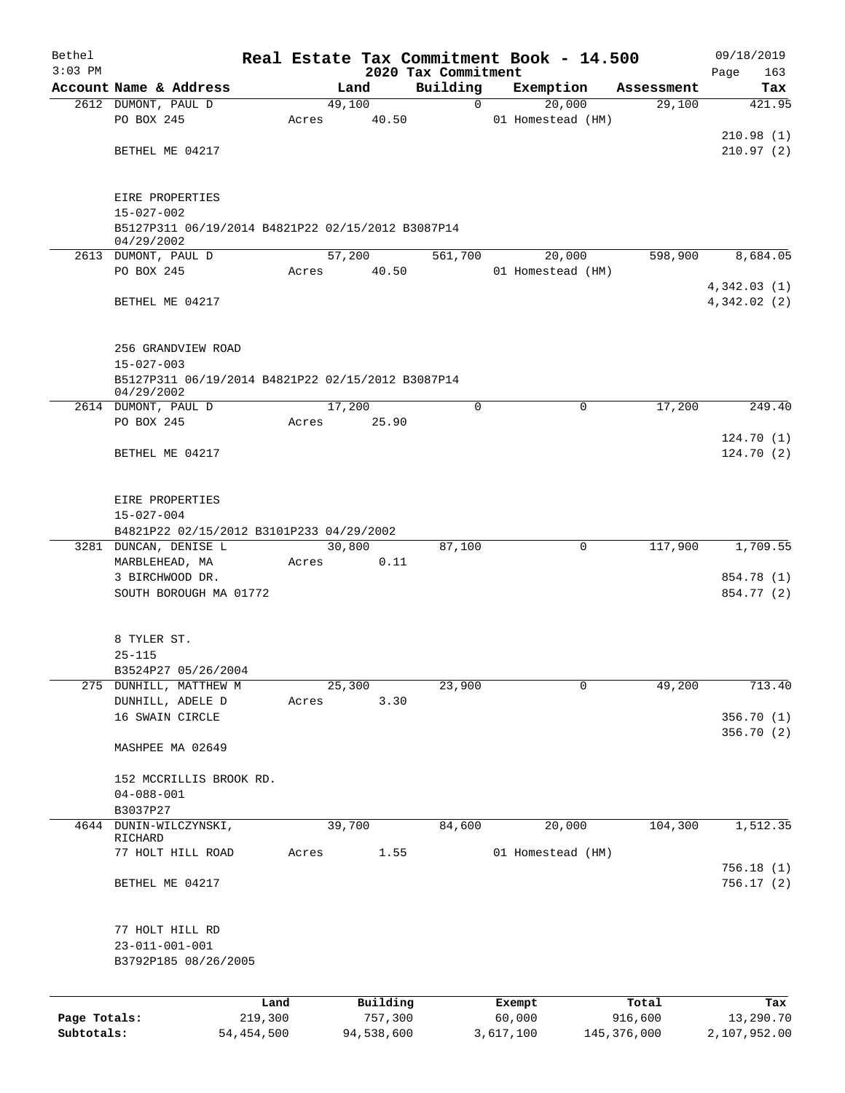| 2020 Tax Commitment<br>Building<br>Account Name & Address<br>Exemption<br>Land<br>Assessment<br>Tax<br>2612 DUMONT, PAUL D<br>49,100<br>$\Omega$<br>20,000<br>29,100<br>PO BOX 245<br>40.50<br>01 Homestead (HM)<br>Acres<br>BETHEL ME 04217<br>EIRE PROPERTIES<br>$15 - 027 - 002$<br>B5127P311 06/19/2014 B4821P22 02/15/2012 B3087P14<br>04/29/2002<br>57,200<br>561,700<br>20,000<br>598,900<br>2613 DUMONT, PAUL D<br>PO BOX 245<br>40.50<br>01 Homestead (HM)<br>Acres<br>BETHEL ME 04217<br>256 GRANDVIEW ROAD<br>$15 - 027 - 003$<br>B5127P311 06/19/2014 B4821P22 02/15/2012 B3087P14<br>04/29/2002<br>$\Omega$<br>$\Omega$<br>2614 DUMONT, PAUL D<br>17,200<br>17,200<br>PO BOX 245<br>25.90<br>Acres<br>BETHEL ME 04217<br>EIRE PROPERTIES<br>$15 - 027 - 004$<br>B4821P22 02/15/2012 B3101P233 04/29/2002<br>87,100<br>117,900<br>3281 DUNCAN, DENISE L<br>30,800<br>0<br>0.11<br>MARBLEHEAD, MA<br>Acres<br>3 BIRCHWOOD DR.<br>SOUTH BOROUGH MA 01772<br>8 TYLER ST.<br>$25 - 115$<br>B3524P27 05/26/2004<br>49,200<br>25,300<br>23,900<br>0<br>275<br>DUNHILL, MATTHEW M<br>3.30<br>DUNHILL, ADELE D<br>Acres<br>16 SWAIN CIRCLE<br>MASHPEE MA 02649<br>152 MCCRILLIS BROOK RD.<br>$04 - 088 - 001$<br>B3037P27<br>DUNIN-WILCZYNSKI,<br>39,700<br>84,600<br>20,000<br>104,300<br>4644<br>RICHARD<br>1.55<br>01 Homestead (HM)<br>77 HOLT HILL ROAD<br>Acres<br>BETHEL ME 04217<br>77 HOLT HILL RD<br>$23 - 011 - 001 - 001$<br>B3792P185 08/26/2005<br>Building<br>Total<br>Land<br>Exempt<br>Page Totals:<br>219,300<br>757,300<br>60,000<br>916,600<br>Subtotals:<br>54, 454, 500<br>94,538,600<br>3,617,100<br>145, 376, 000 | Bethel    |  |  |  |  |  | Real Estate Tax Commitment Book - 14.500 |  |  |  |  | 09/18/2019 |     |
|-----------------------------------------------------------------------------------------------------------------------------------------------------------------------------------------------------------------------------------------------------------------------------------------------------------------------------------------------------------------------------------------------------------------------------------------------------------------------------------------------------------------------------------------------------------------------------------------------------------------------------------------------------------------------------------------------------------------------------------------------------------------------------------------------------------------------------------------------------------------------------------------------------------------------------------------------------------------------------------------------------------------------------------------------------------------------------------------------------------------------------------------------------------------------------------------------------------------------------------------------------------------------------------------------------------------------------------------------------------------------------------------------------------------------------------------------------------------------------------------------------------------------------------------------------------------------------------------------------------------------------------------------|-----------|--|--|--|--|--|------------------------------------------|--|--|--|--|------------|-----|
| 421.95<br>210.98(1)<br>Tax                                                                                                                                                                                                                                                                                                                                                                                                                                                                                                                                                                                                                                                                                                                                                                                                                                                                                                                                                                                                                                                                                                                                                                                                                                                                                                                                                                                                                                                                                                                                                                                                                    | $3:03$ PM |  |  |  |  |  |                                          |  |  |  |  | Page       | 163 |
|                                                                                                                                                                                                                                                                                                                                                                                                                                                                                                                                                                                                                                                                                                                                                                                                                                                                                                                                                                                                                                                                                                                                                                                                                                                                                                                                                                                                                                                                                                                                                                                                                                               |           |  |  |  |  |  |                                          |  |  |  |  |            |     |
|                                                                                                                                                                                                                                                                                                                                                                                                                                                                                                                                                                                                                                                                                                                                                                                                                                                                                                                                                                                                                                                                                                                                                                                                                                                                                                                                                                                                                                                                                                                                                                                                                                               |           |  |  |  |  |  |                                          |  |  |  |  |            |     |
| 210.97(2)                                                                                                                                                                                                                                                                                                                                                                                                                                                                                                                                                                                                                                                                                                                                                                                                                                                                                                                                                                                                                                                                                                                                                                                                                                                                                                                                                                                                                                                                                                                                                                                                                                     |           |  |  |  |  |  |                                          |  |  |  |  |            |     |
|                                                                                                                                                                                                                                                                                                                                                                                                                                                                                                                                                                                                                                                                                                                                                                                                                                                                                                                                                                                                                                                                                                                                                                                                                                                                                                                                                                                                                                                                                                                                                                                                                                               |           |  |  |  |  |  |                                          |  |  |  |  |            |     |
|                                                                                                                                                                                                                                                                                                                                                                                                                                                                                                                                                                                                                                                                                                                                                                                                                                                                                                                                                                                                                                                                                                                                                                                                                                                                                                                                                                                                                                                                                                                                                                                                                                               |           |  |  |  |  |  |                                          |  |  |  |  |            |     |
|                                                                                                                                                                                                                                                                                                                                                                                                                                                                                                                                                                                                                                                                                                                                                                                                                                                                                                                                                                                                                                                                                                                                                                                                                                                                                                                                                                                                                                                                                                                                                                                                                                               |           |  |  |  |  |  |                                          |  |  |  |  |            |     |
|                                                                                                                                                                                                                                                                                                                                                                                                                                                                                                                                                                                                                                                                                                                                                                                                                                                                                                                                                                                                                                                                                                                                                                                                                                                                                                                                                                                                                                                                                                                                                                                                                                               |           |  |  |  |  |  |                                          |  |  |  |  |            |     |
| 8,684.05                                                                                                                                                                                                                                                                                                                                                                                                                                                                                                                                                                                                                                                                                                                                                                                                                                                                                                                                                                                                                                                                                                                                                                                                                                                                                                                                                                                                                                                                                                                                                                                                                                      |           |  |  |  |  |  |                                          |  |  |  |  |            |     |
|                                                                                                                                                                                                                                                                                                                                                                                                                                                                                                                                                                                                                                                                                                                                                                                                                                                                                                                                                                                                                                                                                                                                                                                                                                                                                                                                                                                                                                                                                                                                                                                                                                               |           |  |  |  |  |  |                                          |  |  |  |  |            |     |
| 4,342.03(1)<br>4,342.02(2)                                                                                                                                                                                                                                                                                                                                                                                                                                                                                                                                                                                                                                                                                                                                                                                                                                                                                                                                                                                                                                                                                                                                                                                                                                                                                                                                                                                                                                                                                                                                                                                                                    |           |  |  |  |  |  |                                          |  |  |  |  |            |     |
|                                                                                                                                                                                                                                                                                                                                                                                                                                                                                                                                                                                                                                                                                                                                                                                                                                                                                                                                                                                                                                                                                                                                                                                                                                                                                                                                                                                                                                                                                                                                                                                                                                               |           |  |  |  |  |  |                                          |  |  |  |  |            |     |
|                                                                                                                                                                                                                                                                                                                                                                                                                                                                                                                                                                                                                                                                                                                                                                                                                                                                                                                                                                                                                                                                                                                                                                                                                                                                                                                                                                                                                                                                                                                                                                                                                                               |           |  |  |  |  |  |                                          |  |  |  |  |            |     |
|                                                                                                                                                                                                                                                                                                                                                                                                                                                                                                                                                                                                                                                                                                                                                                                                                                                                                                                                                                                                                                                                                                                                                                                                                                                                                                                                                                                                                                                                                                                                                                                                                                               |           |  |  |  |  |  |                                          |  |  |  |  |            |     |
| 249.40<br>124.70(1)                                                                                                                                                                                                                                                                                                                                                                                                                                                                                                                                                                                                                                                                                                                                                                                                                                                                                                                                                                                                                                                                                                                                                                                                                                                                                                                                                                                                                                                                                                                                                                                                                           |           |  |  |  |  |  |                                          |  |  |  |  |            |     |
|                                                                                                                                                                                                                                                                                                                                                                                                                                                                                                                                                                                                                                                                                                                                                                                                                                                                                                                                                                                                                                                                                                                                                                                                                                                                                                                                                                                                                                                                                                                                                                                                                                               |           |  |  |  |  |  |                                          |  |  |  |  |            |     |
|                                                                                                                                                                                                                                                                                                                                                                                                                                                                                                                                                                                                                                                                                                                                                                                                                                                                                                                                                                                                                                                                                                                                                                                                                                                                                                                                                                                                                                                                                                                                                                                                                                               |           |  |  |  |  |  |                                          |  |  |  |  |            |     |
|                                                                                                                                                                                                                                                                                                                                                                                                                                                                                                                                                                                                                                                                                                                                                                                                                                                                                                                                                                                                                                                                                                                                                                                                                                                                                                                                                                                                                                                                                                                                                                                                                                               |           |  |  |  |  |  |                                          |  |  |  |  |            |     |
| 124.70(2)<br>1,709.55<br>854.78 (1)<br>854.77 (2)                                                                                                                                                                                                                                                                                                                                                                                                                                                                                                                                                                                                                                                                                                                                                                                                                                                                                                                                                                                                                                                                                                                                                                                                                                                                                                                                                                                                                                                                                                                                                                                             |           |  |  |  |  |  |                                          |  |  |  |  |            |     |
|                                                                                                                                                                                                                                                                                                                                                                                                                                                                                                                                                                                                                                                                                                                                                                                                                                                                                                                                                                                                                                                                                                                                                                                                                                                                                                                                                                                                                                                                                                                                                                                                                                               |           |  |  |  |  |  |                                          |  |  |  |  |            |     |
|                                                                                                                                                                                                                                                                                                                                                                                                                                                                                                                                                                                                                                                                                                                                                                                                                                                                                                                                                                                                                                                                                                                                                                                                                                                                                                                                                                                                                                                                                                                                                                                                                                               |           |  |  |  |  |  |                                          |  |  |  |  |            |     |
|                                                                                                                                                                                                                                                                                                                                                                                                                                                                                                                                                                                                                                                                                                                                                                                                                                                                                                                                                                                                                                                                                                                                                                                                                                                                                                                                                                                                                                                                                                                                                                                                                                               |           |  |  |  |  |  |                                          |  |  |  |  |            |     |
|                                                                                                                                                                                                                                                                                                                                                                                                                                                                                                                                                                                                                                                                                                                                                                                                                                                                                                                                                                                                                                                                                                                                                                                                                                                                                                                                                                                                                                                                                                                                                                                                                                               |           |  |  |  |  |  |                                          |  |  |  |  |            |     |
|                                                                                                                                                                                                                                                                                                                                                                                                                                                                                                                                                                                                                                                                                                                                                                                                                                                                                                                                                                                                                                                                                                                                                                                                                                                                                                                                                                                                                                                                                                                                                                                                                                               |           |  |  |  |  |  |                                          |  |  |  |  |            |     |
|                                                                                                                                                                                                                                                                                                                                                                                                                                                                                                                                                                                                                                                                                                                                                                                                                                                                                                                                                                                                                                                                                                                                                                                                                                                                                                                                                                                                                                                                                                                                                                                                                                               |           |  |  |  |  |  |                                          |  |  |  |  |            |     |
|                                                                                                                                                                                                                                                                                                                                                                                                                                                                                                                                                                                                                                                                                                                                                                                                                                                                                                                                                                                                                                                                                                                                                                                                                                                                                                                                                                                                                                                                                                                                                                                                                                               |           |  |  |  |  |  |                                          |  |  |  |  |            |     |
|                                                                                                                                                                                                                                                                                                                                                                                                                                                                                                                                                                                                                                                                                                                                                                                                                                                                                                                                                                                                                                                                                                                                                                                                                                                                                                                                                                                                                                                                                                                                                                                                                                               |           |  |  |  |  |  |                                          |  |  |  |  |            |     |
| 713.40<br>356.70 (1)<br>356.70(2)<br>1,512.35<br>756.18 (1)<br>756.17(2)<br>13,290.70                                                                                                                                                                                                                                                                                                                                                                                                                                                                                                                                                                                                                                                                                                                                                                                                                                                                                                                                                                                                                                                                                                                                                                                                                                                                                                                                                                                                                                                                                                                                                         |           |  |  |  |  |  |                                          |  |  |  |  |            |     |
|                                                                                                                                                                                                                                                                                                                                                                                                                                                                                                                                                                                                                                                                                                                                                                                                                                                                                                                                                                                                                                                                                                                                                                                                                                                                                                                                                                                                                                                                                                                                                                                                                                               |           |  |  |  |  |  |                                          |  |  |  |  |            |     |
|                                                                                                                                                                                                                                                                                                                                                                                                                                                                                                                                                                                                                                                                                                                                                                                                                                                                                                                                                                                                                                                                                                                                                                                                                                                                                                                                                                                                                                                                                                                                                                                                                                               |           |  |  |  |  |  |                                          |  |  |  |  |            |     |
|                                                                                                                                                                                                                                                                                                                                                                                                                                                                                                                                                                                                                                                                                                                                                                                                                                                                                                                                                                                                                                                                                                                                                                                                                                                                                                                                                                                                                                                                                                                                                                                                                                               |           |  |  |  |  |  |                                          |  |  |  |  |            |     |
|                                                                                                                                                                                                                                                                                                                                                                                                                                                                                                                                                                                                                                                                                                                                                                                                                                                                                                                                                                                                                                                                                                                                                                                                                                                                                                                                                                                                                                                                                                                                                                                                                                               |           |  |  |  |  |  |                                          |  |  |  |  |            |     |
|                                                                                                                                                                                                                                                                                                                                                                                                                                                                                                                                                                                                                                                                                                                                                                                                                                                                                                                                                                                                                                                                                                                                                                                                                                                                                                                                                                                                                                                                                                                                                                                                                                               |           |  |  |  |  |  |                                          |  |  |  |  |            |     |
|                                                                                                                                                                                                                                                                                                                                                                                                                                                                                                                                                                                                                                                                                                                                                                                                                                                                                                                                                                                                                                                                                                                                                                                                                                                                                                                                                                                                                                                                                                                                                                                                                                               |           |  |  |  |  |  |                                          |  |  |  |  |            |     |
|                                                                                                                                                                                                                                                                                                                                                                                                                                                                                                                                                                                                                                                                                                                                                                                                                                                                                                                                                                                                                                                                                                                                                                                                                                                                                                                                                                                                                                                                                                                                                                                                                                               |           |  |  |  |  |  |                                          |  |  |  |  |            |     |
|                                                                                                                                                                                                                                                                                                                                                                                                                                                                                                                                                                                                                                                                                                                                                                                                                                                                                                                                                                                                                                                                                                                                                                                                                                                                                                                                                                                                                                                                                                                                                                                                                                               |           |  |  |  |  |  |                                          |  |  |  |  |            |     |
|                                                                                                                                                                                                                                                                                                                                                                                                                                                                                                                                                                                                                                                                                                                                                                                                                                                                                                                                                                                                                                                                                                                                                                                                                                                                                                                                                                                                                                                                                                                                                                                                                                               |           |  |  |  |  |  |                                          |  |  |  |  |            |     |
|                                                                                                                                                                                                                                                                                                                                                                                                                                                                                                                                                                                                                                                                                                                                                                                                                                                                                                                                                                                                                                                                                                                                                                                                                                                                                                                                                                                                                                                                                                                                                                                                                                               |           |  |  |  |  |  |                                          |  |  |  |  |            |     |
|                                                                                                                                                                                                                                                                                                                                                                                                                                                                                                                                                                                                                                                                                                                                                                                                                                                                                                                                                                                                                                                                                                                                                                                                                                                                                                                                                                                                                                                                                                                                                                                                                                               |           |  |  |  |  |  |                                          |  |  |  |  |            |     |
|                                                                                                                                                                                                                                                                                                                                                                                                                                                                                                                                                                                                                                                                                                                                                                                                                                                                                                                                                                                                                                                                                                                                                                                                                                                                                                                                                                                                                                                                                                                                                                                                                                               |           |  |  |  |  |  |                                          |  |  |  |  |            |     |
|                                                                                                                                                                                                                                                                                                                                                                                                                                                                                                                                                                                                                                                                                                                                                                                                                                                                                                                                                                                                                                                                                                                                                                                                                                                                                                                                                                                                                                                                                                                                                                                                                                               |           |  |  |  |  |  |                                          |  |  |  |  |            |     |
|                                                                                                                                                                                                                                                                                                                                                                                                                                                                                                                                                                                                                                                                                                                                                                                                                                                                                                                                                                                                                                                                                                                                                                                                                                                                                                                                                                                                                                                                                                                                                                                                                                               |           |  |  |  |  |  |                                          |  |  |  |  |            |     |
|                                                                                                                                                                                                                                                                                                                                                                                                                                                                                                                                                                                                                                                                                                                                                                                                                                                                                                                                                                                                                                                                                                                                                                                                                                                                                                                                                                                                                                                                                                                                                                                                                                               |           |  |  |  |  |  |                                          |  |  |  |  |            |     |
|                                                                                                                                                                                                                                                                                                                                                                                                                                                                                                                                                                                                                                                                                                                                                                                                                                                                                                                                                                                                                                                                                                                                                                                                                                                                                                                                                                                                                                                                                                                                                                                                                                               |           |  |  |  |  |  |                                          |  |  |  |  |            |     |
|                                                                                                                                                                                                                                                                                                                                                                                                                                                                                                                                                                                                                                                                                                                                                                                                                                                                                                                                                                                                                                                                                                                                                                                                                                                                                                                                                                                                                                                                                                                                                                                                                                               |           |  |  |  |  |  |                                          |  |  |  |  |            |     |
|                                                                                                                                                                                                                                                                                                                                                                                                                                                                                                                                                                                                                                                                                                                                                                                                                                                                                                                                                                                                                                                                                                                                                                                                                                                                                                                                                                                                                                                                                                                                                                                                                                               |           |  |  |  |  |  |                                          |  |  |  |  |            |     |
|                                                                                                                                                                                                                                                                                                                                                                                                                                                                                                                                                                                                                                                                                                                                                                                                                                                                                                                                                                                                                                                                                                                                                                                                                                                                                                                                                                                                                                                                                                                                                                                                                                               |           |  |  |  |  |  |                                          |  |  |  |  |            |     |
|                                                                                                                                                                                                                                                                                                                                                                                                                                                                                                                                                                                                                                                                                                                                                                                                                                                                                                                                                                                                                                                                                                                                                                                                                                                                                                                                                                                                                                                                                                                                                                                                                                               |           |  |  |  |  |  |                                          |  |  |  |  |            |     |
|                                                                                                                                                                                                                                                                                                                                                                                                                                                                                                                                                                                                                                                                                                                                                                                                                                                                                                                                                                                                                                                                                                                                                                                                                                                                                                                                                                                                                                                                                                                                                                                                                                               |           |  |  |  |  |  |                                          |  |  |  |  |            |     |
| 2,107,952.00                                                                                                                                                                                                                                                                                                                                                                                                                                                                                                                                                                                                                                                                                                                                                                                                                                                                                                                                                                                                                                                                                                                                                                                                                                                                                                                                                                                                                                                                                                                                                                                                                                  |           |  |  |  |  |  |                                          |  |  |  |  |            |     |
|                                                                                                                                                                                                                                                                                                                                                                                                                                                                                                                                                                                                                                                                                                                                                                                                                                                                                                                                                                                                                                                                                                                                                                                                                                                                                                                                                                                                                                                                                                                                                                                                                                               |           |  |  |  |  |  |                                          |  |  |  |  |            |     |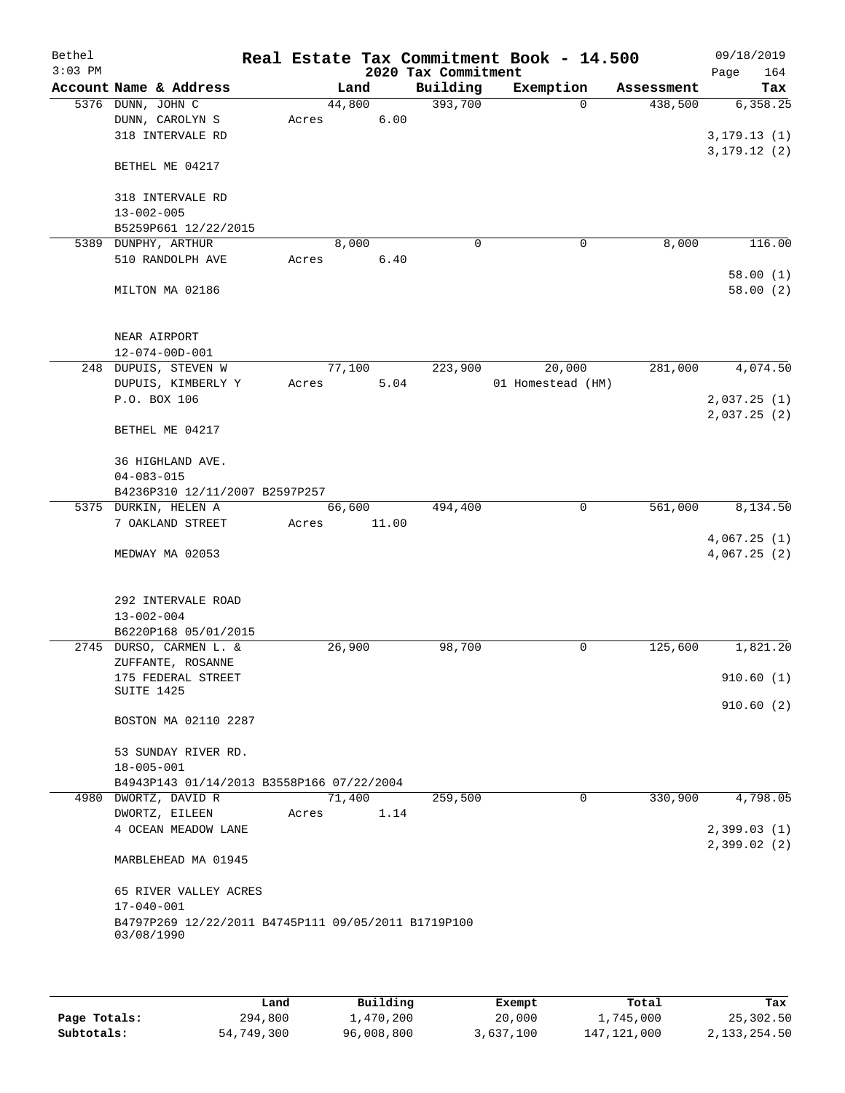| Bethel<br>$3:03$ PM |                                                                   |       |        |       | 2020 Tax Commitment | Real Estate Tax Commitment Book - 14.500 |            | 09/18/2019<br>164<br>Page |
|---------------------|-------------------------------------------------------------------|-------|--------|-------|---------------------|------------------------------------------|------------|---------------------------|
|                     | Account Name & Address                                            |       | Land   |       | Building            | Exemption                                | Assessment | Tax                       |
|                     | 5376 DUNN, JOHN C                                                 |       | 44,800 |       | 393,700             | $\Omega$                                 | 438,500    | 6,358.25                  |
|                     | DUNN, CAROLYN S                                                   | Acres |        | 6.00  |                     |                                          |            |                           |
|                     | 318 INTERVALE RD                                                  |       |        |       |                     |                                          |            | 3, 179.13(1)              |
|                     |                                                                   |       |        |       |                     |                                          |            | 3, 179.12(2)              |
|                     | BETHEL ME 04217                                                   |       |        |       |                     |                                          |            |                           |
|                     |                                                                   |       |        |       |                     |                                          |            |                           |
|                     | 318 INTERVALE RD                                                  |       |        |       |                     |                                          |            |                           |
|                     | $13 - 002 - 005$                                                  |       |        |       |                     |                                          |            |                           |
|                     | B5259P661 12/22/2015                                              |       |        |       |                     |                                          |            |                           |
|                     | 5389 DUNPHY, ARTHUR                                               |       | 8,000  |       | $\mathbf 0$         | 0                                        | 8,000      | 116.00                    |
|                     | 510 RANDOLPH AVE                                                  | Acres |        | 6.40  |                     |                                          |            |                           |
|                     |                                                                   |       |        |       |                     |                                          |            | 58.00(1)                  |
|                     | MILTON MA 02186                                                   |       |        |       |                     |                                          |            | 58.00(2)                  |
|                     |                                                                   |       |        |       |                     |                                          |            |                           |
|                     |                                                                   |       |        |       |                     |                                          |            |                           |
|                     | NEAR AIRPORT                                                      |       |        |       |                     |                                          |            |                           |
|                     | $12 - 074 - 00D - 001$                                            |       |        |       |                     |                                          |            |                           |
|                     | 248 DUPUIS, STEVEN W                                              |       | 77,100 |       | 223,900             | 20,000                                   | 281,000    | 4,074.50                  |
|                     | DUPUIS, KIMBERLY Y                                                | Acres |        | 5.04  |                     | 01 Homestead (HM)                        |            |                           |
|                     | P.O. BOX 106                                                      |       |        |       |                     |                                          |            | 2,037.25(1)               |
|                     |                                                                   |       |        |       |                     |                                          |            | 2,037.25(2)               |
|                     | BETHEL ME 04217                                                   |       |        |       |                     |                                          |            |                           |
|                     |                                                                   |       |        |       |                     |                                          |            |                           |
|                     | 36 HIGHLAND AVE.                                                  |       |        |       |                     |                                          |            |                           |
|                     | $04 - 083 - 015$                                                  |       |        |       |                     |                                          |            |                           |
|                     | B4236P310 12/11/2007 B2597P257                                    |       |        |       |                     |                                          |            |                           |
|                     | 5375 DURKIN, HELEN A                                              |       | 66,600 |       | 494,400             | 0                                        | 561,000    | 8,134.50                  |
|                     | 7 OAKLAND STREET                                                  | Acres |        | 11.00 |                     |                                          |            |                           |
|                     |                                                                   |       |        |       |                     |                                          |            | 4,067.25(1)               |
|                     | MEDWAY MA 02053                                                   |       |        |       |                     |                                          |            | 4,067.25(2)               |
|                     |                                                                   |       |        |       |                     |                                          |            |                           |
|                     | 292 INTERVALE ROAD                                                |       |        |       |                     |                                          |            |                           |
|                     | $13 - 002 - 004$                                                  |       |        |       |                     |                                          |            |                           |
|                     | B6220P168 05/01/2015                                              |       |        |       |                     |                                          |            |                           |
|                     | 2745 DURSO, CARMEN L. &                                           |       | 26,900 |       | 98,700              | 0                                        | 125,600    | 1,821.20                  |
|                     | ZUFFANTE, ROSANNE                                                 |       |        |       |                     |                                          |            |                           |
|                     | 175 FEDERAL STREET                                                |       |        |       |                     |                                          |            | 910.60(1)                 |
|                     | SUITE 1425                                                        |       |        |       |                     |                                          |            |                           |
|                     |                                                                   |       |        |       |                     |                                          |            | 910.60(2)                 |
|                     | BOSTON MA 02110 2287                                              |       |        |       |                     |                                          |            |                           |
|                     |                                                                   |       |        |       |                     |                                          |            |                           |
|                     | 53 SUNDAY RIVER RD.                                               |       |        |       |                     |                                          |            |                           |
|                     | $18 - 005 - 001$                                                  |       |        |       |                     |                                          |            |                           |
|                     | B4943P143 01/14/2013 B3558P166 07/22/2004                         |       |        |       |                     |                                          |            |                           |
|                     | 4980 DWORTZ, DAVID R                                              |       | 71,400 |       | 259,500             | $\overline{0}$                           | 330,900    | 4,798.05                  |
|                     | DWORTZ, EILEEN                                                    | Acres |        | 1.14  |                     |                                          |            |                           |
|                     | 4 OCEAN MEADOW LANE                                               |       |        |       |                     |                                          |            | 2,399.03(1)               |
|                     |                                                                   |       |        |       |                     |                                          |            | 2,399.02(2)               |
|                     | MARBLEHEAD MA 01945                                               |       |        |       |                     |                                          |            |                           |
|                     |                                                                   |       |        |       |                     |                                          |            |                           |
|                     | 65 RIVER VALLEY ACRES                                             |       |        |       |                     |                                          |            |                           |
|                     | $17 - 040 - 001$                                                  |       |        |       |                     |                                          |            |                           |
|                     | B4797P269 12/22/2011 B4745P111 09/05/2011 B1719P100<br>03/08/1990 |       |        |       |                     |                                          |            |                           |
|                     |                                                                   |       |        |       |                     |                                          |            |                           |
|                     |                                                                   |       |        |       |                     |                                          |            |                           |

|              | Land       | Building   | Exempt    | Total         | Tax          |
|--------------|------------|------------|-----------|---------------|--------------|
| Page Totals: | 294,800    | 1,470,200  | 20,000    | 1,745,000     | 25,302.50    |
| Subtotals:   | 54,749,300 | 96,008,800 | 3,637,100 | 147, 121, 000 | 2,133,254.50 |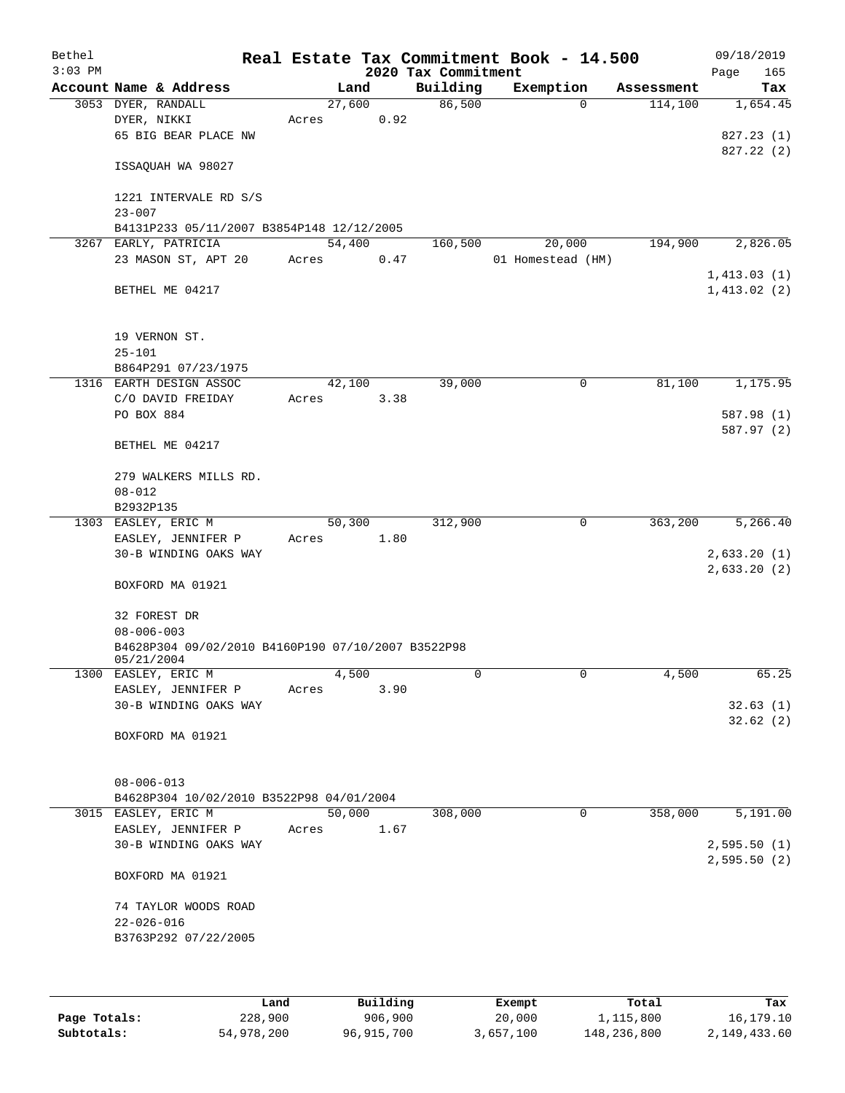| Bethel    |                                                                   |       |                |                     | Real Estate Tax Commitment Book - 14.500 |            | 09/18/2019  |
|-----------|-------------------------------------------------------------------|-------|----------------|---------------------|------------------------------------------|------------|-------------|
| $3:03$ PM |                                                                   |       |                | 2020 Tax Commitment |                                          |            | Page<br>165 |
|           | Account Name & Address                                            |       | Land           | Building            | Exemption                                | Assessment | Tax         |
|           | 3053 DYER, RANDALL<br>DYER, NIKKI                                 | Acres | 27,600<br>0.92 | 86,500              | $\mathbf 0$                              | 114,100    | 1,654.45    |
|           | 65 BIG BEAR PLACE NW                                              |       |                |                     |                                          |            | 827.23 (1)  |
|           |                                                                   |       |                |                     |                                          |            | 827.22(2)   |
|           | ISSAQUAH WA 98027                                                 |       |                |                     |                                          |            |             |
|           | 1221 INTERVALE RD S/S                                             |       |                |                     |                                          |            |             |
|           | $23 - 007$                                                        |       |                |                     |                                          |            |             |
|           | B4131P233 05/11/2007 B3854P148 12/12/2005<br>3267 EARLY, PATRICIA |       | 54,400         | 160,500             | 20,000                                   | 194,900    | 2,826.05    |
|           | 23 MASON ST, APT 20                                               | Acres | 0.47           |                     | 01 Homestead (HM)                        |            |             |
|           |                                                                   |       |                |                     |                                          |            | 1,413.03(1) |
|           | BETHEL ME 04217                                                   |       |                |                     |                                          |            | 1,413.02(2) |
|           | 19 VERNON ST.                                                     |       |                |                     |                                          |            |             |
|           | $25 - 101$                                                        |       |                |                     |                                          |            |             |
|           | B864P291 07/23/1975                                               |       |                |                     |                                          |            |             |
|           | 1316 EARTH DESIGN ASSOC                                           |       | 42,100         | 39,000              | $\mathbf 0$                              | 81,100     | 1,175.95    |
|           | C/O DAVID FREIDAY                                                 | Acres | 3.38           |                     |                                          |            |             |
|           | PO BOX 884                                                        |       |                |                     |                                          |            | 587.98 (1)  |
|           | BETHEL ME 04217                                                   |       |                |                     |                                          |            | 587.97 (2)  |
|           | 279 WALKERS MILLS RD.                                             |       |                |                     |                                          |            |             |
|           | $08 - 012$                                                        |       |                |                     |                                          |            |             |
|           | B2932P135                                                         |       |                |                     |                                          |            |             |
|           | 1303 EASLEY, ERIC M                                               |       | 50,300         | 312,900             | $\mathbf 0$                              | 363,200    | 5,266.40    |
|           | EASLEY, JENNIFER P                                                | Acres | 1.80           |                     |                                          |            |             |
|           | 30-B WINDING OAKS WAY                                             |       |                |                     |                                          |            | 2,633.20(1) |
|           | BOXFORD MA 01921                                                  |       |                |                     |                                          |            | 2,633.20(2) |
|           | 32 FOREST DR                                                      |       |                |                     |                                          |            |             |
|           | $08 - 006 - 003$                                                  |       |                |                     |                                          |            |             |
|           | B4628P304 09/02/2010 B4160P190 07/10/2007 B3522P98                |       |                |                     |                                          |            |             |
|           | 05/21/2004                                                        |       |                |                     |                                          |            |             |
|           | 1300 EASLEY, ERIC M                                               |       | 4,500          | 0                   | 0                                        | 4,500      | 65.25       |
|           | EASLEY, JENNIFER P                                                | Acres | 3.90           |                     |                                          |            |             |
|           | 30-B WINDING OAKS WAY                                             |       |                |                     |                                          |            | 32.63(1)    |
|           |                                                                   |       |                |                     |                                          |            | 32.62(2)    |
|           | BOXFORD MA 01921                                                  |       |                |                     |                                          |            |             |
|           |                                                                   |       |                |                     |                                          |            |             |
|           | $08 - 006 - 013$<br>B4628P304 10/02/2010 B3522P98 04/01/2004      |       |                |                     |                                          |            |             |
|           | 3015 EASLEY, ERIC M                                               |       | 50,000         | 308,000             | 0                                        | 358,000    | 5,191.00    |
|           | EASLEY, JENNIFER P                                                | Acres | 1.67           |                     |                                          |            |             |
|           | 30-B WINDING OAKS WAY                                             |       |                |                     |                                          |            | 2,595.50(1) |
|           |                                                                   |       |                |                     |                                          |            | 2,595.50(2) |
|           | BOXFORD MA 01921                                                  |       |                |                     |                                          |            |             |
|           | 74 TAYLOR WOODS ROAD                                              |       |                |                     |                                          |            |             |
|           | $22 - 026 - 016$                                                  |       |                |                     |                                          |            |             |
|           | B3763P292 07/22/2005                                              |       |                |                     |                                          |            |             |
|           |                                                                   |       |                |                     |                                          |            |             |
|           |                                                                   |       |                |                     |                                          |            |             |
|           |                                                                   |       |                |                     |                                          |            |             |

|              | Land       | Building   | Exempt    | Total       | Tax          |
|--------------|------------|------------|-----------|-------------|--------------|
| Page Totals: | 228,900    | 906,900    | 20,000    | 1,115,800   | 16,179.10    |
| Subtotals:   | 54,978,200 | 96,915,700 | 3,657,100 | 148,236,800 | 2,149,433.60 |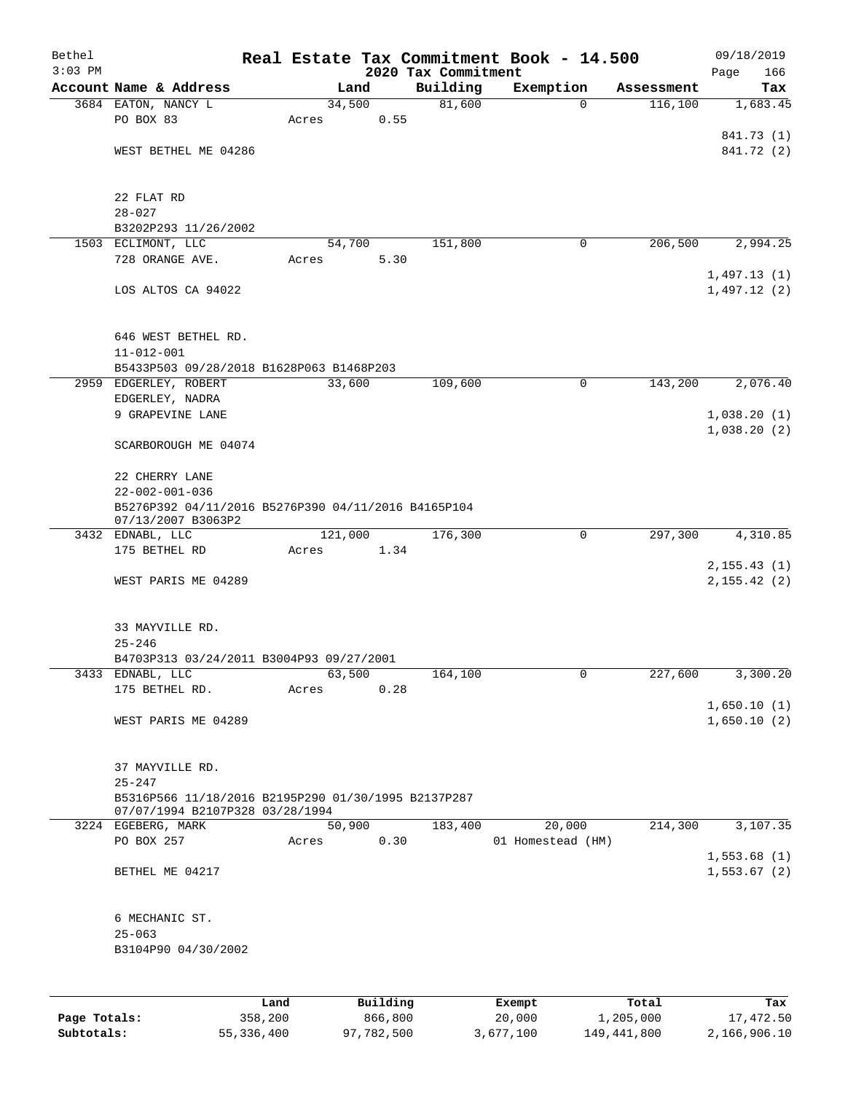| Bethel    |                                                                               |       |                 |                     | Real Estate Tax Commitment Book - 14.500 |            | 09/18/2019   |
|-----------|-------------------------------------------------------------------------------|-------|-----------------|---------------------|------------------------------------------|------------|--------------|
| $3:03$ PM |                                                                               |       |                 | 2020 Tax Commitment |                                          |            | 166<br>Page  |
|           | Account Name & Address                                                        |       | Land            | Building            | Exemption                                | Assessment | Tax          |
|           | 3684 EATON, NANCY L<br>PO BOX 83                                              | Acres | 34,500<br>0.55  | 81,600              | $\mathbf 0$                              | 116, 100   | 1,683.45     |
|           |                                                                               |       |                 |                     |                                          |            | 841.73 (1)   |
|           | WEST BETHEL ME 04286                                                          |       |                 |                     |                                          |            | 841.72 (2)   |
|           |                                                                               |       |                 |                     |                                          |            |              |
|           |                                                                               |       |                 |                     |                                          |            |              |
|           | 22 FLAT RD                                                                    |       |                 |                     |                                          |            |              |
|           | $28 - 027$                                                                    |       |                 |                     |                                          |            |              |
|           | B3202P293 11/26/2002                                                          |       |                 | 151,800             | 0                                        | 206,500    |              |
|           | 1503 ECLIMONT, LLC<br>728 ORANGE AVE.                                         | Acres | 54,700<br>5.30  |                     |                                          |            | 2,994.25     |
|           |                                                                               |       |                 |                     |                                          |            | 1,497.13(1)  |
|           | LOS ALTOS CA 94022                                                            |       |                 |                     |                                          |            | 1,497.12(2)  |
|           |                                                                               |       |                 |                     |                                          |            |              |
|           |                                                                               |       |                 |                     |                                          |            |              |
|           | 646 WEST BETHEL RD.                                                           |       |                 |                     |                                          |            |              |
|           | $11 - 012 - 001$                                                              |       |                 |                     |                                          |            |              |
|           | B5433P503 09/28/2018 B1628P063 B1468P203<br>2959 EDGERLEY, ROBERT             |       | 33,600          | 109,600             | $\mathbf 0$                              | 143,200    | 2,076.40     |
|           | EDGERLEY, NADRA                                                               |       |                 |                     |                                          |            |              |
|           | 9 GRAPEVINE LANE                                                              |       |                 |                     |                                          |            | 1,038.20(1)  |
|           |                                                                               |       |                 |                     |                                          |            | 1,038.20(2)  |
|           | SCARBOROUGH ME 04074                                                          |       |                 |                     |                                          |            |              |
|           |                                                                               |       |                 |                     |                                          |            |              |
|           | 22 CHERRY LANE                                                                |       |                 |                     |                                          |            |              |
|           | $22 - 002 - 001 - 036$<br>B5276P392 04/11/2016 B5276P390 04/11/2016 B4165P104 |       |                 |                     |                                          |            |              |
|           | 07/13/2007 B3063P2                                                            |       |                 |                     |                                          |            |              |
|           | 3432 EDNABL, LLC                                                              |       | 121,000         | 176,300             | $\mathbf 0$                              | 297,300    | 4,310.85     |
|           | 175 BETHEL RD                                                                 | Acres | 1.34            |                     |                                          |            |              |
|           |                                                                               |       |                 |                     |                                          |            | 2, 155.43(1) |
|           | WEST PARIS ME 04289                                                           |       |                 |                     |                                          |            | 2, 155.42(2) |
|           |                                                                               |       |                 |                     |                                          |            |              |
|           | 33 MAYVILLE RD.                                                               |       |                 |                     |                                          |            |              |
|           | $25 - 246$                                                                    |       |                 |                     |                                          |            |              |
|           | B4703P313 03/24/2011 B3004P93 09/27/2001                                      |       |                 |                     |                                          |            |              |
|           | 3433 EDNABL, LLC                                                              |       | 63,500          | 164,100             | 0                                        | 227,600    | 3,300.20     |
|           | 175 BETHEL RD.                                                                | Acres | 0.28            |                     |                                          |            |              |
|           |                                                                               |       |                 |                     |                                          |            | 1,650.10(1)  |
|           | WEST PARIS ME 04289                                                           |       |                 |                     |                                          |            | 1,650.10(2)  |
|           |                                                                               |       |                 |                     |                                          |            |              |
|           | 37 MAYVILLE RD.                                                               |       |                 |                     |                                          |            |              |
|           | $25 - 247$                                                                    |       |                 |                     |                                          |            |              |
|           | B5316P566 11/18/2016 B2195P290 01/30/1995 B2137P287                           |       |                 |                     |                                          |            |              |
|           | 07/07/1994 B2107P328 03/28/1994<br>3224 EGEBERG, MARK                         |       | 50,900          | 183,400             | 20,000                                   | 214,300    | 3,107.35     |
|           | PO BOX 257                                                                    | Acres | 0.30            |                     | 01 Homestead (HM)                        |            |              |
|           |                                                                               |       |                 |                     |                                          |            | 1,553.68(1)  |
|           | BETHEL ME 04217                                                               |       |                 |                     |                                          |            | 1,553.67(2)  |
|           |                                                                               |       |                 |                     |                                          |            |              |
|           |                                                                               |       |                 |                     |                                          |            |              |
|           | 6 MECHANIC ST.                                                                |       |                 |                     |                                          |            |              |
|           | $25 - 063$                                                                    |       |                 |                     |                                          |            |              |
|           | B3104P90 04/30/2002                                                           |       |                 |                     |                                          |            |              |
|           |                                                                               |       |                 |                     |                                          |            |              |
|           |                                                                               | Land. | <b>Building</b> |                     | <b>Fromnt</b>                            | $T$ ctal   | Tav          |

|              | Land       | Building   | Exempt    | Total       | Tax          |
|--------------|------------|------------|-----------|-------------|--------------|
| Page Totals: | 358,200    | 866,800    | 20,000    | 1,205,000   | 17,472.50    |
| Subtotals:   | 55,336,400 | 97,782,500 | 3,677,100 | 149,441,800 | 2,166,906.10 |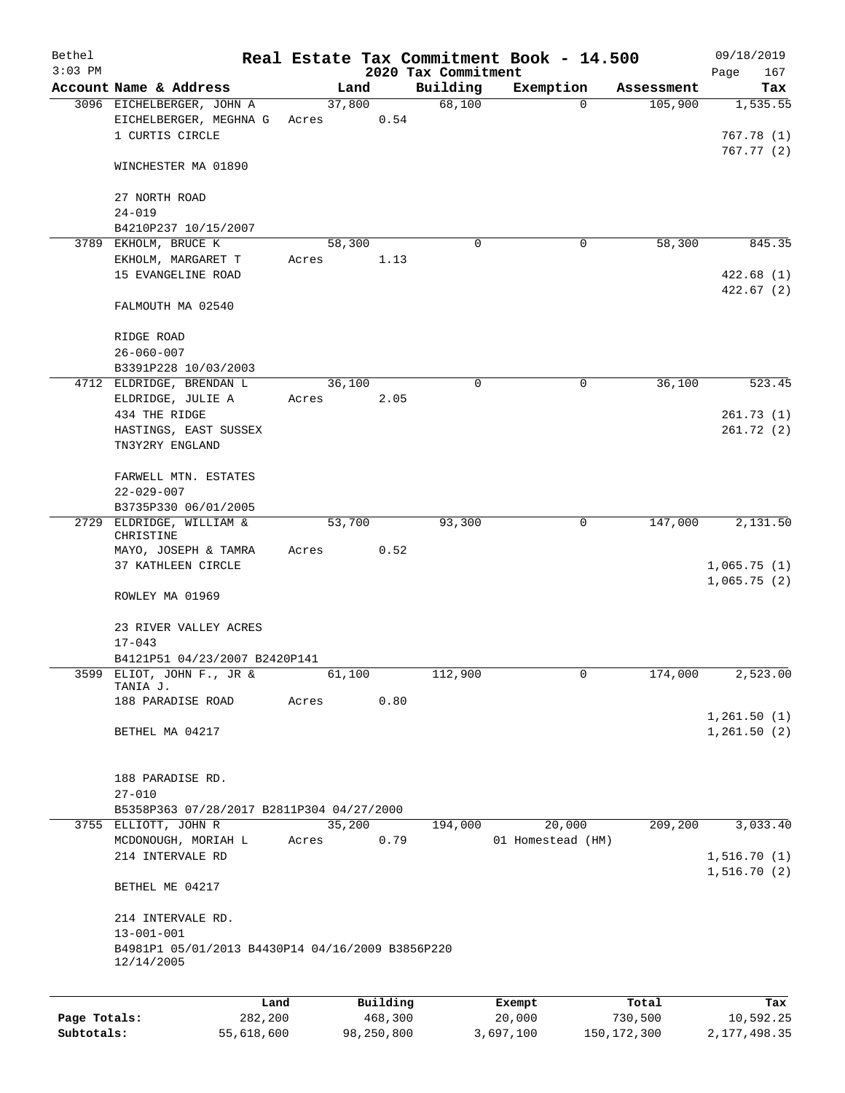| Bethel       |                                                                        |       |                     |                     | Real Estate Tax Commitment Book - 14.500 |                  | 09/18/2019                 |
|--------------|------------------------------------------------------------------------|-------|---------------------|---------------------|------------------------------------------|------------------|----------------------------|
| $3:03$ PM    |                                                                        |       |                     | 2020 Tax Commitment |                                          |                  | Page<br>167                |
|              | Account Name & Address                                                 |       | Land                | Building            | Exemption                                | Assessment       | Tax                        |
|              | 3096 EICHELBERGER, JOHN A<br>EICHELBERGER, MEGHNA G<br>1 CURTIS CIRCLE | Acres | 37,800<br>0.54      | 68,100              | 0                                        | 105,900          | 1,535.55<br>767.78(1)      |
|              | WINCHESTER MA 01890                                                    |       |                     |                     |                                          |                  | 767.77(2)                  |
|              | 27 NORTH ROAD<br>$24 - 019$                                            |       |                     |                     |                                          |                  |                            |
|              | B4210P237 10/15/2007                                                   |       |                     |                     |                                          |                  |                            |
|              | 3789 EKHOLM, BRUCE K                                                   |       | 58,300              | $\Omega$            | 0                                        | 58,300           | 845.35                     |
|              | EKHOLM, MARGARET T                                                     | Acres | 1.13                |                     |                                          |                  |                            |
|              | 15 EVANGELINE ROAD                                                     |       |                     |                     |                                          |                  | 422.68(1)                  |
|              | FALMOUTH MA 02540                                                      |       |                     |                     |                                          |                  | 422.67(2)                  |
|              | RIDGE ROAD                                                             |       |                     |                     |                                          |                  |                            |
|              | $26 - 060 - 007$                                                       |       |                     |                     |                                          |                  |                            |
|              | B3391P228 10/03/2003                                                   |       |                     |                     |                                          |                  |                            |
|              | 4712 ELDRIDGE, BRENDAN L                                               |       | 36,100              | 0                   | 0                                        | 36,100           | 523.45                     |
|              | ELDRIDGE, JULIE A                                                      | Acres | 2.05                |                     |                                          |                  |                            |
|              | 434 THE RIDGE                                                          |       |                     |                     |                                          |                  | 261.73(1)                  |
|              | HASTINGS, EAST SUSSEX<br>TN3Y2RY ENGLAND                               |       |                     |                     |                                          |                  | 261.72(2)                  |
|              | FARWELL MTN. ESTATES<br>$22 - 029 - 007$                               |       |                     |                     |                                          |                  |                            |
|              | B3735P330 06/01/2005                                                   |       |                     |                     |                                          |                  |                            |
| 2729         | ELDRIDGE, WILLIAM &<br>CHRISTINE                                       |       | 53,700              | 93,300              | 0                                        | 147,000          | 2,131.50                   |
|              | MAYO, JOSEPH & TAMRA                                                   | Acres | 0.52                |                     |                                          |                  |                            |
|              | 37 KATHLEEN CIRCLE                                                     |       |                     |                     |                                          |                  | 1,065.75(1)<br>1,065.75(2) |
|              | ROWLEY MA 01969                                                        |       |                     |                     |                                          |                  |                            |
|              | 23 RIVER VALLEY ACRES<br>$17 - 043$                                    |       |                     |                     |                                          |                  |                            |
|              | B4121P51 04/23/2007 B2420P141                                          |       |                     |                     |                                          |                  |                            |
|              | 3599 ELIOT, JOHN F., JR &                                              |       | 61,100              | 112,900             | 0                                        | 174,000          | 2,523.00                   |
|              | TANIA J.                                                               |       |                     |                     |                                          |                  |                            |
|              | 188 PARADISE ROAD                                                      | Acres | 0.80                |                     |                                          |                  | 1,261.50(1)                |
|              | BETHEL MA 04217                                                        |       |                     |                     |                                          |                  | 1,261.50(2)                |
|              | 188 PARADISE RD.                                                       |       |                     |                     |                                          |                  |                            |
|              | $27 - 010$                                                             |       |                     |                     |                                          |                  |                            |
|              | B5358P363 07/28/2017 B2811P304 04/27/2000                              |       |                     |                     |                                          |                  |                            |
|              | 3755 ELLIOTT, JOHN R                                                   |       | 35,200              | 194,000             | 20,000                                   | 209,200          | 3,033.40                   |
|              | MCDONOUGH, MORIAH L<br>214 INTERVALE RD                                | Acres | 0.79                |                     | 01 Homestead (HM)                        |                  | 1,516.70(1)                |
|              | BETHEL ME 04217                                                        |       |                     |                     |                                          |                  | 1,516.70(2)                |
|              | 214 INTERVALE RD.                                                      |       |                     |                     |                                          |                  |                            |
|              | $13 - 001 - 001$<br>B4981P1 05/01/2013 B4430P14 04/16/2009 B3856P220   |       |                     |                     |                                          |                  |                            |
|              | 12/14/2005                                                             |       |                     |                     |                                          |                  |                            |
|              |                                                                        |       |                     |                     |                                          |                  |                            |
| Page Totals: | Land<br>282,200                                                        |       | Building<br>468,300 |                     | Exempt<br>20,000                         | Total<br>730,500 | Tax<br>10,592.25           |

**Subtotals:** 55,618,600 98,250,800 3,697,100 150,172,300 2,177,498.35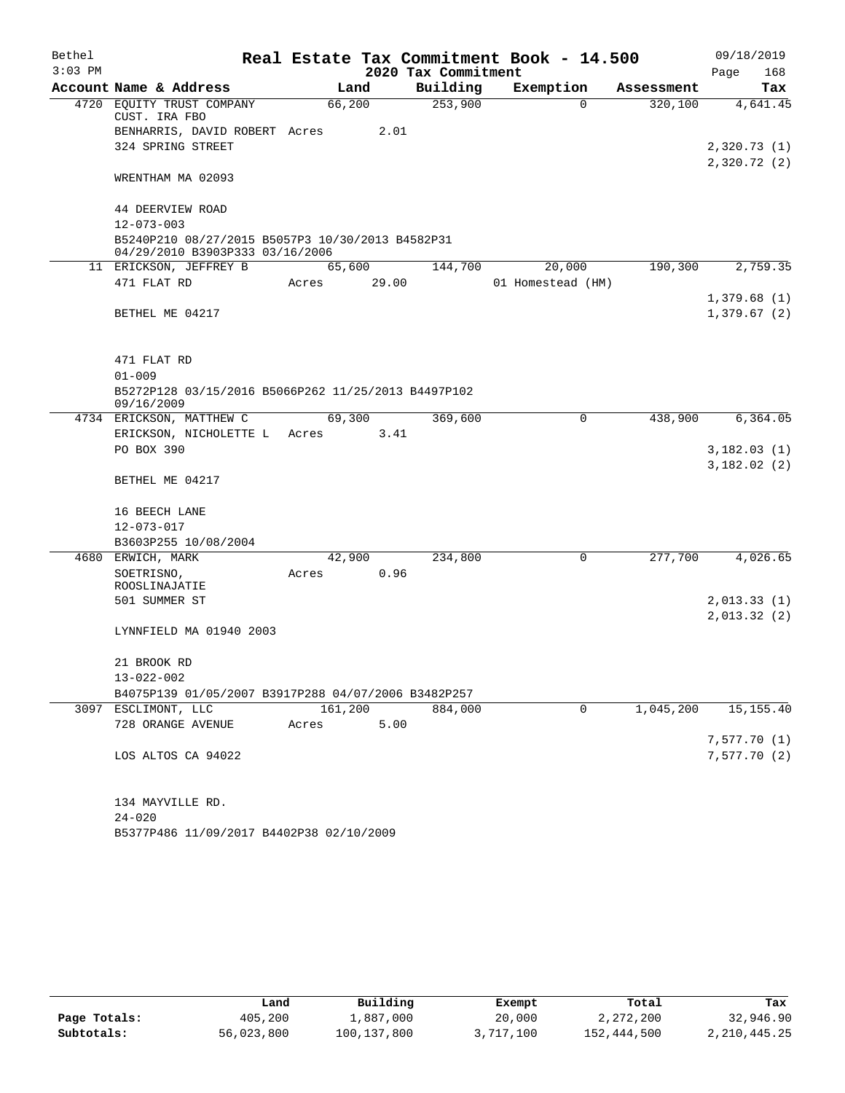| Bethel    |                                                                                     |         |       |                     | Real Estate Tax Commitment Book - 14.500 |            | 09/18/2019  |  |  |
|-----------|-------------------------------------------------------------------------------------|---------|-------|---------------------|------------------------------------------|------------|-------------|--|--|
| $3:03$ PM |                                                                                     |         |       | 2020 Tax Commitment |                                          |            | 168<br>Page |  |  |
|           | Account Name & Address                                                              |         | Land  | Building            | Exemption                                | Assessment | Tax         |  |  |
|           | 4720 EQUITY TRUST COMPANY                                                           | 66,200  |       | 253,900             | $\Omega$                                 | 320, 100   | 4,641.45    |  |  |
|           | CUST. IRA FBO<br>BENHARRIS, DAVID ROBERT Acres                                      |         | 2.01  |                     |                                          |            |             |  |  |
|           | 324 SPRING STREET                                                                   |         |       |                     |                                          |            | 2,320.73(1) |  |  |
|           |                                                                                     |         |       |                     |                                          |            | 2,320.72(2) |  |  |
|           | WRENTHAM MA 02093                                                                   |         |       |                     |                                          |            |             |  |  |
|           | 44 DEERVIEW ROAD                                                                    |         |       |                     |                                          |            |             |  |  |
|           | $12 - 073 - 003$                                                                    |         |       |                     |                                          |            |             |  |  |
|           | B5240P210 08/27/2015 B5057P3 10/30/2013 B4582P31<br>04/29/2010 B3903P333 03/16/2006 |         |       |                     |                                          |            |             |  |  |
|           | 11 ERICKSON, JEFFREY B                                                              | 65,600  |       | 144,700             | 20,000                                   | 190, 300   | 2,759.35    |  |  |
|           | 471 FLAT RD                                                                         | Acres   | 29.00 |                     | 01 Homestead (HM)                        |            |             |  |  |
|           |                                                                                     |         |       |                     |                                          |            | 1,379.68(1) |  |  |
|           | BETHEL ME 04217                                                                     |         |       |                     |                                          |            | 1,379.67(2) |  |  |
|           |                                                                                     |         |       |                     |                                          |            |             |  |  |
|           |                                                                                     |         |       |                     |                                          |            |             |  |  |
|           | 471 FLAT RD                                                                         |         |       |                     |                                          |            |             |  |  |
|           | $01 - 009$<br>B5272P128 03/15/2016 B5066P262 11/25/2013 B4497P102                   |         |       |                     |                                          |            |             |  |  |
|           | 09/16/2009                                                                          |         |       |                     |                                          |            |             |  |  |
|           | 4734 ERICKSON, MATTHEW C                                                            | 69,300  |       | 369,600             | 0                                        | 438,900    | 6, 364.05   |  |  |
|           | ERICKSON, NICHOLETTE L                                                              | Acres   | 3.41  |                     |                                          |            |             |  |  |
|           | PO BOX 390                                                                          |         |       |                     |                                          |            | 3,182.03(1) |  |  |
|           | BETHEL ME 04217                                                                     |         |       |                     |                                          |            | 3,182.02(2) |  |  |
|           |                                                                                     |         |       |                     |                                          |            |             |  |  |
|           | 16 BEECH LANE                                                                       |         |       |                     |                                          |            |             |  |  |
|           | 12-073-017                                                                          |         |       |                     |                                          |            |             |  |  |
|           | B3603P255 10/08/2004                                                                |         |       |                     |                                          |            |             |  |  |
|           | 4680 ERWICH, MARK                                                                   | 42,900  |       | 234,800             | $\mathbf 0$                              | 277,700    | 4,026.65    |  |  |
|           | SOETRISNO,                                                                          | Acres   | 0.96  |                     |                                          |            |             |  |  |
|           | ROOSLINAJATIE                                                                       |         |       |                     |                                          |            |             |  |  |
|           | 501 SUMMER ST                                                                       |         |       |                     |                                          |            | 2,013.33(1) |  |  |
|           |                                                                                     |         |       |                     |                                          |            | 2,013.32(2) |  |  |
|           | LYNNFIELD MA 01940 2003                                                             |         |       |                     |                                          |            |             |  |  |
|           |                                                                                     |         |       |                     |                                          |            |             |  |  |
|           | 21 BROOK RD                                                                         |         |       |                     |                                          |            |             |  |  |
|           | $13 - 022 - 002$                                                                    |         |       |                     |                                          |            |             |  |  |
|           | B4075P139 01/05/2007 B3917P288 04/07/2006 B3482P257                                 |         |       |                     |                                          |            |             |  |  |
|           | 3097 ESCLIMONT, LLC                                                                 | 161,200 |       | 884,000             | $\mathbf 0$                              | 1,045,200  | 15, 155.40  |  |  |
|           | 728 ORANGE AVENUE                                                                   | Acres   | 5.00  |                     |                                          |            |             |  |  |
|           |                                                                                     |         |       |                     |                                          |            | 7,577.70(1) |  |  |
|           | LOS ALTOS CA 94022                                                                  |         |       |                     |                                          |            | 7,577.70(2) |  |  |
|           |                                                                                     |         |       |                     |                                          |            |             |  |  |
|           | 134 MAYVILLE RD.                                                                    |         |       |                     |                                          |            |             |  |  |
|           | $24 - 020$                                                                          |         |       |                     |                                          |            |             |  |  |
|           | B5377P486 11/09/2017 B4402P38 02/10/2009                                            |         |       |                     |                                          |            |             |  |  |

|              | Land       | Building    | Exempt    | Total       | Tax          |
|--------------|------------|-------------|-----------|-------------|--------------|
| Page Totals: | 405,200    | 1,887,000   | 20,000    | 2,272,200   | 32,946.90    |
| Subtotals:   | 56,023,800 | 100,137,800 | 3,717,100 | 152,444,500 | 2,210,445.25 |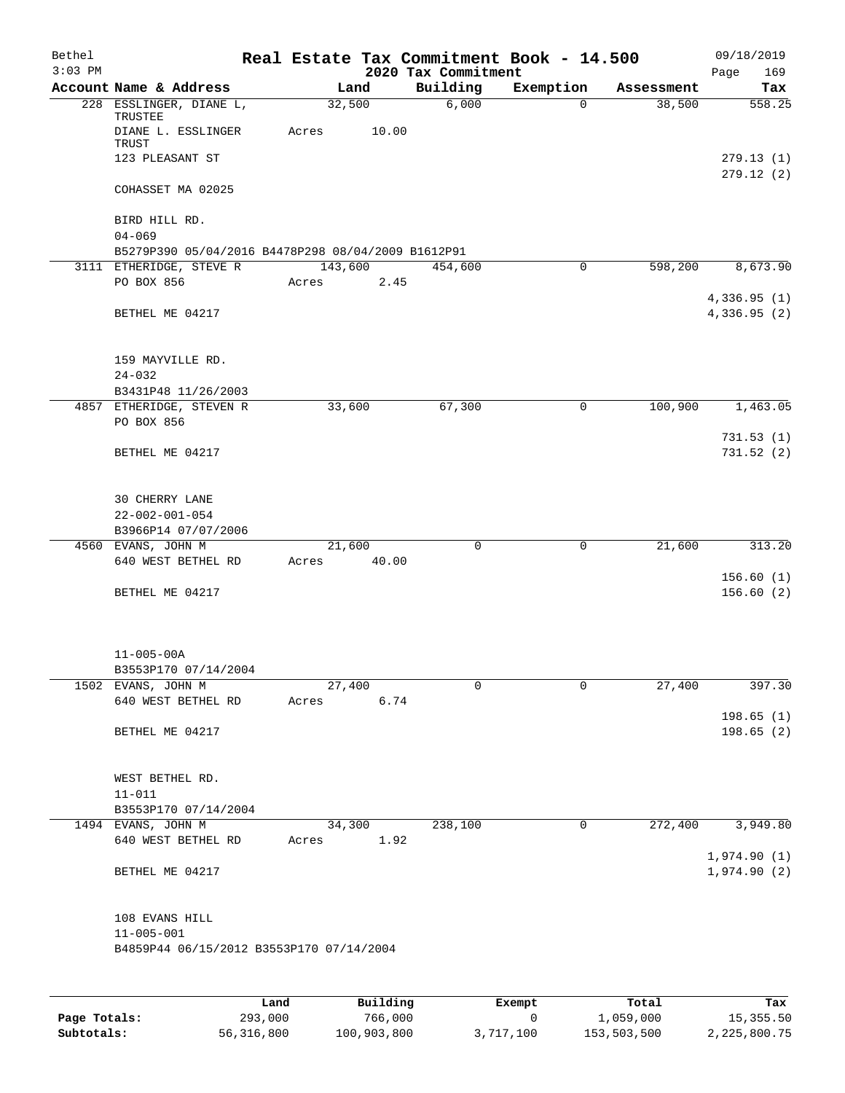| Bethel<br>$3:03$ PM |                                                              |                 |                 | 2020 Tax Commitment | Real Estate Tax Commitment Book - 14.500 |            | 09/18/2019<br>Page<br>169  |
|---------------------|--------------------------------------------------------------|-----------------|-----------------|---------------------|------------------------------------------|------------|----------------------------|
|                     | Account Name & Address                                       |                 | Land            | Building            | Exemption                                | Assessment | Tax                        |
|                     | 228 ESSLINGER, DIANE L,                                      | 32,500          |                 | 6,000               | $\Omega$                                 | 38,500     | 558.25                     |
|                     | TRUSTEE<br>DIANE L. ESSLINGER                                | Acres           | 10.00           |                     |                                          |            |                            |
|                     | TRUST<br>123 PLEASANT ST                                     |                 |                 |                     |                                          |            | 279.13(1)                  |
|                     | COHASSET MA 02025                                            |                 |                 |                     |                                          |            | 279.12 (2)                 |
|                     | BIRD HILL RD.<br>$04 - 069$                                  |                 |                 |                     |                                          |            |                            |
|                     | B5279P390 05/04/2016 B4478P298 08/04/2009 B1612P91           |                 |                 |                     |                                          |            |                            |
|                     | 3111 ETHERIDGE, STEVE R                                      | 143,600         |                 | 454,600             | 0                                        | 598,200    | 8,673.90                   |
|                     | PO BOX 856                                                   | Acres           | 2.45            |                     |                                          |            |                            |
|                     |                                                              |                 |                 |                     |                                          |            | 4,336.95(1)                |
|                     | BETHEL ME 04217                                              |                 |                 |                     |                                          |            | 4,336.95 (2)               |
|                     | 159 MAYVILLE RD.                                             |                 |                 |                     |                                          |            |                            |
|                     | $24 - 032$                                                   |                 |                 |                     |                                          |            |                            |
|                     | B3431P48 11/26/2003                                          |                 |                 |                     |                                          |            |                            |
|                     | 4857 ETHERIDGE, STEVEN R<br>PO BOX 856                       | 33,600          |                 | 67,300              | $\mathbf 0$                              | 100,900    | 1,463.05                   |
|                     | BETHEL ME 04217                                              |                 |                 |                     |                                          |            | 731.53(1)<br>731.52(2)     |
|                     |                                                              |                 |                 |                     |                                          |            |                            |
|                     | 30 CHERRY LANE                                               |                 |                 |                     |                                          |            |                            |
|                     | $22 - 002 - 001 - 054$<br>B3966P14 07/07/2006                |                 |                 |                     |                                          |            |                            |
|                     | 4560 EVANS, JOHN M                                           | 21,600          |                 | 0                   | $\mathbf 0$                              | 21,600     | 313.20                     |
|                     | 640 WEST BETHEL RD                                           | Acres 40.00     |                 |                     |                                          |            |                            |
|                     |                                                              |                 |                 |                     |                                          |            | 156.60(1)                  |
|                     | BETHEL ME 04217                                              |                 |                 |                     |                                          |            | 156.60(2)                  |
|                     |                                                              |                 |                 |                     |                                          |            |                            |
|                     | $11 - 005 - 00A$                                             |                 |                 |                     |                                          |            |                            |
|                     | B3553P170 07/14/2004<br>1502 EVANS, JOHN M                   | 27,400          |                 | 0                   | 0                                        | 27,400     | 397.30                     |
|                     | 640 WEST BETHEL RD                                           | Acres           | 6.74            |                     |                                          |            |                            |
|                     |                                                              |                 |                 |                     |                                          |            | 198.65(1)                  |
|                     | BETHEL ME 04217                                              |                 |                 |                     |                                          |            | 198.65(2)                  |
|                     | WEST BETHEL RD.                                              |                 |                 |                     |                                          |            |                            |
|                     | $11 - 011$                                                   |                 |                 |                     |                                          |            |                            |
|                     | B3553P170 07/14/2004                                         |                 |                 |                     |                                          |            |                            |
|                     | 1494 EVANS, JOHN M<br>640 WEST BETHEL RD                     | 34,300<br>Acres | 1.92            | 238,100             | $\mathbf 0$                              | 272,400    | 3,949.80                   |
|                     | BETHEL ME 04217                                              |                 |                 |                     |                                          |            | 1,974.90(1)<br>1,974.90(2) |
|                     | 108 EVANS HILL                                               |                 |                 |                     |                                          |            |                            |
|                     | $11 - 005 - 001$<br>B4859P44 06/15/2012 B3553P170 07/14/2004 |                 |                 |                     |                                          |            |                            |
|                     |                                                              |                 |                 |                     |                                          |            |                            |
|                     | Land.                                                        |                 | <b>Building</b> |                     | $F$ vomnt                                | $T$ ctal   | To y                       |

|              | Land         | Building    | Exempt    | Total       | Tax          |
|--------------|--------------|-------------|-----------|-------------|--------------|
| Page Totals: | 293,000      | 766,000     |           | 1,059,000   | 15,355.50    |
| Subtotals:   | 56, 316, 800 | 100,903,800 | 3,717,100 | 153,503,500 | 2,225,800.75 |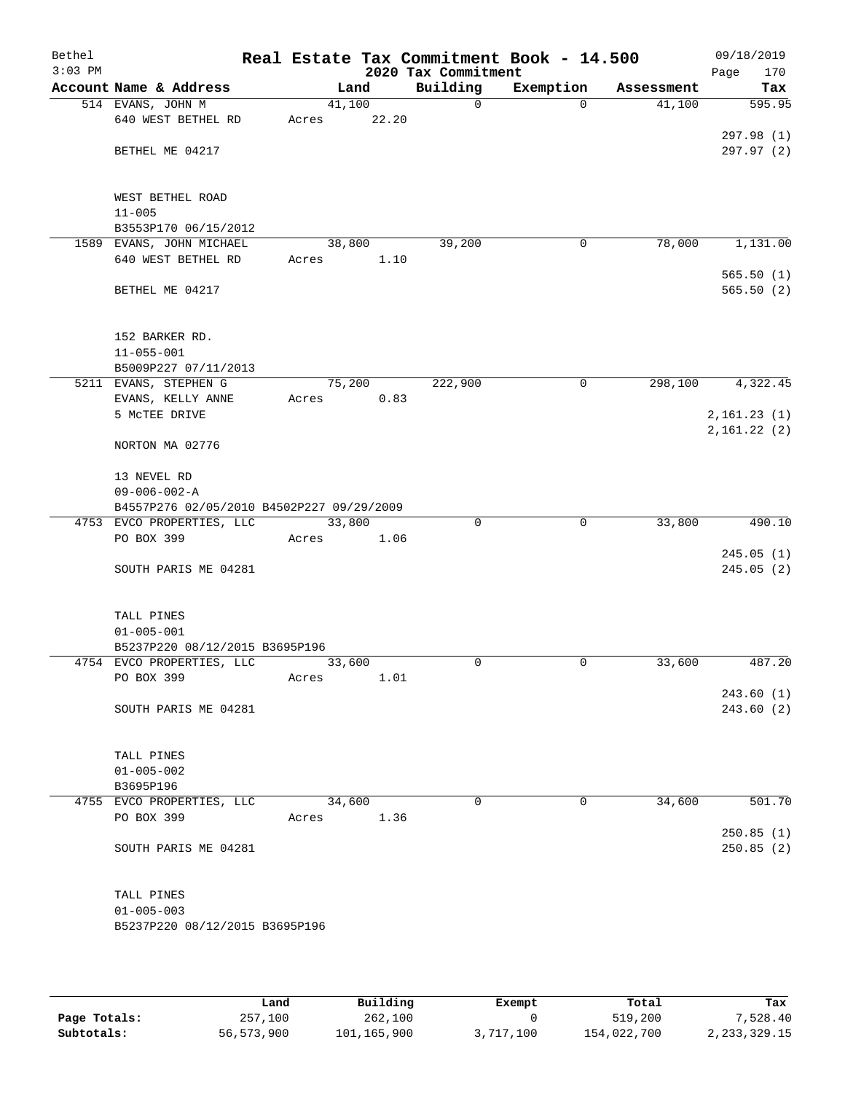| Bethel<br>$3:03$ PM |                                                                        |        |       | 2020 Tax Commitment | Real Estate Tax Commitment Book - 14.500 |            | 09/18/2019<br>Page<br>170   |
|---------------------|------------------------------------------------------------------------|--------|-------|---------------------|------------------------------------------|------------|-----------------------------|
|                     | Account Name & Address                                                 |        | Land  | Building            | Exemption                                | Assessment | Tax                         |
|                     | 514 EVANS, JOHN M                                                      | 41,100 |       | 0                   | $\Omega$                                 | 41,100     | 595.95                      |
|                     | 640 WEST BETHEL RD                                                     | Acres  | 22.20 |                     |                                          |            | 297.98 (1)                  |
|                     | BETHEL ME 04217                                                        |        |       |                     |                                          |            | 297.97 (2)                  |
|                     | WEST BETHEL ROAD                                                       |        |       |                     |                                          |            |                             |
|                     | $11 - 005$                                                             |        |       |                     |                                          |            |                             |
|                     | B3553P170 06/15/2012                                                   |        |       |                     |                                          |            |                             |
|                     | 1589 EVANS, JOHN MICHAEL                                               | 38,800 |       | 39,200              | 0                                        | 78,000     | 1,131.00                    |
|                     | 640 WEST BETHEL RD                                                     | Acres  | 1.10  |                     |                                          |            | 565.50(1)                   |
|                     | BETHEL ME 04217                                                        |        |       |                     |                                          |            | 565.50(2)                   |
|                     | 152 BARKER RD.                                                         |        |       |                     |                                          |            |                             |
|                     | $11 - 055 - 001$                                                       |        |       |                     |                                          |            |                             |
|                     | B5009P227 07/11/2013                                                   |        |       |                     |                                          |            |                             |
|                     | 5211 EVANS, STEPHEN G                                                  | 75,200 |       | 222,900             | $\mathbf 0$                              | 298,100    | 4,322.45                    |
|                     | EVANS, KELLY ANNE                                                      | Acres  | 0.83  |                     |                                          |            |                             |
|                     | 5 MCTEE DRIVE                                                          |        |       |                     |                                          |            | 2, 161.23(1)<br>2,161.22(2) |
|                     | NORTON MA 02776                                                        |        |       |                     |                                          |            |                             |
|                     | 13 NEVEL RD                                                            |        |       |                     |                                          |            |                             |
|                     | $09 - 006 - 002 - A$                                                   |        |       |                     |                                          |            |                             |
|                     | B4557P276 02/05/2010 B4502P227 09/29/2009<br>4753 EVCO PROPERTIES, LLC | 33,800 |       | $\mathbf 0$         | $\mathbf 0$                              | 33,800     | 490.10                      |
|                     | PO BOX 399                                                             | Acres  | 1.06  |                     |                                          |            |                             |
|                     |                                                                        |        |       |                     |                                          |            | 245.05(1)                   |
|                     | SOUTH PARIS ME 04281                                                   |        |       |                     |                                          |            | 245.05(2)                   |
|                     | TALL PINES                                                             |        |       |                     |                                          |            |                             |
|                     | $01 - 005 - 001$                                                       |        |       |                     |                                          |            |                             |
|                     | B5237P220 08/12/2015 B3695P196                                         |        |       |                     |                                          |            |                             |
|                     | 4754 EVCO PROPERTIES, LLC                                              | 33,600 |       | 0                   | $\mathbf 0$                              | 33,600     | 487.20                      |
|                     | PO BOX 399                                                             | Acres  | 1.01  |                     |                                          |            |                             |
|                     | SOUTH PARIS ME 04281                                                   |        |       |                     |                                          |            | 243.60(1)<br>243.60(2)      |
|                     |                                                                        |        |       |                     |                                          |            |                             |
|                     | TALL PINES                                                             |        |       |                     |                                          |            |                             |
|                     | $01 - 005 - 002$                                                       |        |       |                     |                                          |            |                             |
|                     | B3695P196<br>4755 EVCO PROPERTIES, LLC                                 | 34,600 |       | 0                   | 0                                        | 34,600     | 501.70                      |
|                     | PO BOX 399                                                             | Acres  | 1.36  |                     |                                          |            |                             |
|                     |                                                                        |        |       |                     |                                          |            | 250.85(1)                   |
|                     | SOUTH PARIS ME 04281                                                   |        |       |                     |                                          |            | 250.85(2)                   |
|                     | TALL PINES                                                             |        |       |                     |                                          |            |                             |
|                     | $01 - 005 - 003$                                                       |        |       |                     |                                          |            |                             |
|                     | B5237P220 08/12/2015 B3695P196                                         |        |       |                     |                                          |            |                             |
|                     |                                                                        |        |       |                     |                                          |            |                             |
|                     |                                                                        |        |       |                     |                                          |            |                             |

|              | Land       | Building    | Exempt    | Total       | Tax             |
|--------------|------------|-------------|-----------|-------------|-----------------|
| Page Totals: | 257,100    | 262,100     |           | 519,200     | 7,528.40        |
| Subtotals:   | 56,573,900 | 101,165,900 | 3,717,100 | 154,022,700 | 2, 233, 329. 15 |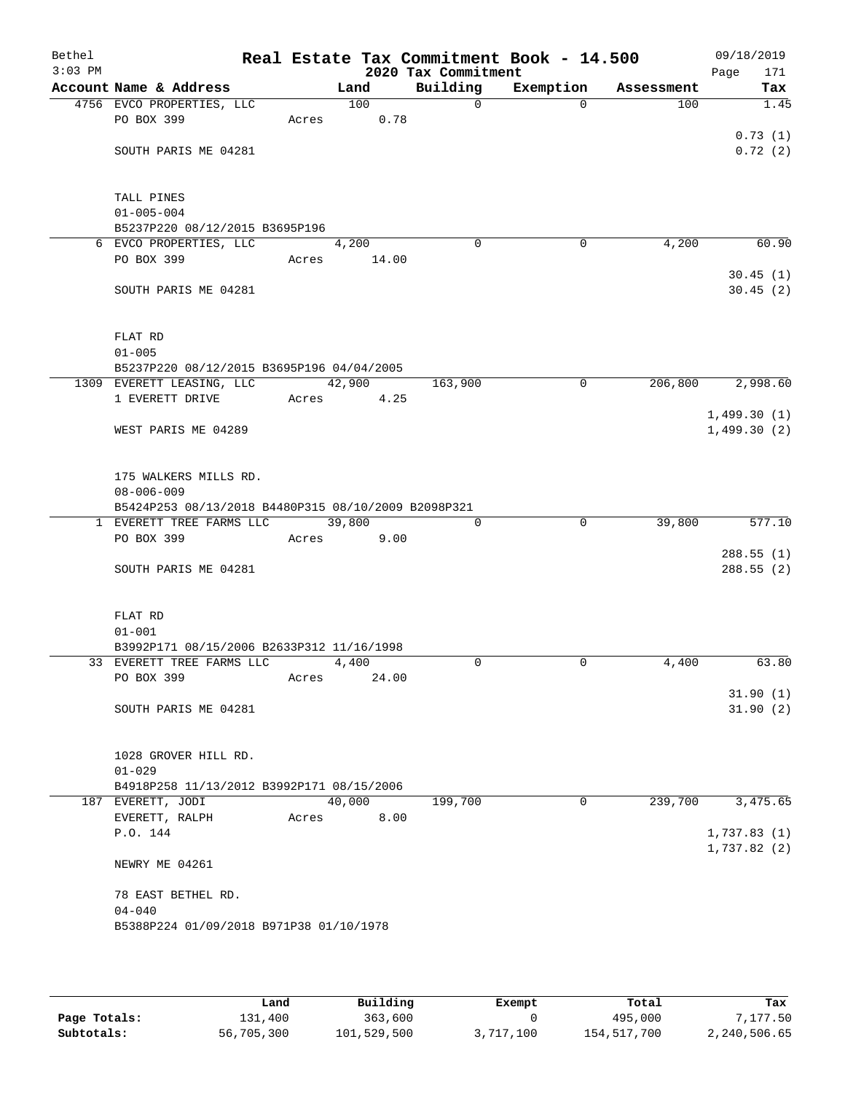| Bethel<br>$3:03$ PM |                                                     |       |        | 2020 Tax Commitment | Real Estate Tax Commitment Book - 14.500 |            | 09/18/2019<br>171<br>Page |
|---------------------|-----------------------------------------------------|-------|--------|---------------------|------------------------------------------|------------|---------------------------|
|                     | Account Name & Address                              |       | Land   | Building            | Exemption                                | Assessment | Tax                       |
|                     | 4756 EVCO PROPERTIES, LLC                           |       | 100    | $\overline{0}$      | $\Omega$                                 | 100        | 1.45                      |
|                     | PO BOX 399                                          | Acres | 0.78   |                     |                                          |            |                           |
|                     |                                                     |       |        |                     |                                          |            | 0.73(1)                   |
|                     | SOUTH PARIS ME 04281                                |       |        |                     |                                          |            | 0.72(2)                   |
|                     |                                                     |       |        |                     |                                          |            |                           |
|                     |                                                     |       |        |                     |                                          |            |                           |
|                     | TALL PINES                                          |       |        |                     |                                          |            |                           |
|                     | $01 - 005 - 004$                                    |       |        |                     |                                          |            |                           |
|                     | B5237P220 08/12/2015 B3695P196                      |       | 4,200  | $\Omega$            | 0                                        | 4,200      | 60.90                     |
|                     | 6 EVCO PROPERTIES, LLC<br>PO BOX 399                | Acres | 14.00  |                     |                                          |            |                           |
|                     |                                                     |       |        |                     |                                          |            | 30.45(1)                  |
|                     | SOUTH PARIS ME 04281                                |       |        |                     |                                          |            | 30.45(2)                  |
|                     |                                                     |       |        |                     |                                          |            |                           |
|                     |                                                     |       |        |                     |                                          |            |                           |
|                     | FLAT RD                                             |       |        |                     |                                          |            |                           |
|                     | $01 - 005$                                          |       |        |                     |                                          |            |                           |
|                     | B5237P220 08/12/2015 B3695P196 04/04/2005           |       |        |                     |                                          |            |                           |
|                     | 1309 EVERETT LEASING, LLC                           |       | 42,900 | 163,900             | $\mathbf 0$                              | 206,800    | 2,998.60                  |
|                     | 1 EVERETT DRIVE                                     | Acres | 4.25   |                     |                                          |            |                           |
|                     |                                                     |       |        |                     |                                          |            | 1,499.30(1)               |
|                     | WEST PARIS ME 04289                                 |       |        |                     |                                          |            | 1,499.30(2)               |
|                     |                                                     |       |        |                     |                                          |            |                           |
|                     | 175 WALKERS MILLS RD.                               |       |        |                     |                                          |            |                           |
|                     | $08 - 006 - 009$                                    |       |        |                     |                                          |            |                           |
|                     | B5424P253 08/13/2018 B4480P315 08/10/2009 B2098P321 |       |        |                     |                                          |            |                           |
|                     | 1 EVERETT TREE FARMS LLC                            |       | 39,800 | $\mathbf 0$         | $\overline{0}$                           | 39,800     | 577.10                    |
|                     | PO BOX 399                                          | Acres | 9.00   |                     |                                          |            |                           |
|                     |                                                     |       |        |                     |                                          |            | 288.55(1)                 |
|                     | SOUTH PARIS ME 04281                                |       |        |                     |                                          |            | 288.55(2)                 |
|                     |                                                     |       |        |                     |                                          |            |                           |
|                     |                                                     |       |        |                     |                                          |            |                           |
|                     | FLAT RD                                             |       |        |                     |                                          |            |                           |
|                     | $01 - 001$                                          |       |        |                     |                                          |            |                           |
|                     | B3992P171 08/15/2006 B2633P312 11/16/1998           |       |        |                     |                                          |            |                           |
|                     | 33 EVERETT TREE FARMS LLC                           |       | 4,400  | $\Omega$            | $\mathbf 0$                              | 4,400      | 63.80                     |
|                     | PO BOX 399                                          | Acres | 24.00  |                     |                                          |            | 31.90(1)                  |
|                     | SOUTH PARIS ME 04281                                |       |        |                     |                                          |            | 31.90(2)                  |
|                     |                                                     |       |        |                     |                                          |            |                           |
|                     |                                                     |       |        |                     |                                          |            |                           |
|                     | 1028 GROVER HILL RD.                                |       |        |                     |                                          |            |                           |
|                     | $01 - 029$                                          |       |        |                     |                                          |            |                           |
|                     | B4918P258 11/13/2012 B3992P171 08/15/2006           |       |        |                     |                                          |            |                           |
|                     | 187 EVERETT, JODI                                   |       | 40,000 | 199,700             | 0                                        | 239,700    | 3,475.65                  |
|                     | EVERETT, RALPH                                      | Acres | 8.00   |                     |                                          |            |                           |
|                     | P.O. 144                                            |       |        |                     |                                          |            | 1,737.83(1)               |
|                     |                                                     |       |        |                     |                                          |            | 1,737.82(2)               |
|                     | NEWRY ME 04261                                      |       |        |                     |                                          |            |                           |
|                     | 78 EAST BETHEL RD.                                  |       |        |                     |                                          |            |                           |
|                     | $04 - 040$                                          |       |        |                     |                                          |            |                           |
|                     | B5388P224 01/09/2018 B971P38 01/10/1978             |       |        |                     |                                          |            |                           |
|                     |                                                     |       |        |                     |                                          |            |                           |
|                     |                                                     |       |        |                     |                                          |            |                           |

|              | Land       | Building    | Exempt    | Total       | Tax          |
|--------------|------------|-------------|-----------|-------------|--------------|
| Page Totals: | 131,400    | 363,600     |           | 495,000     | 7,177.50     |
| Subtotals:   | 56,705,300 | 101,529,500 | 3,717,100 | 154,517,700 | 2,240,506.65 |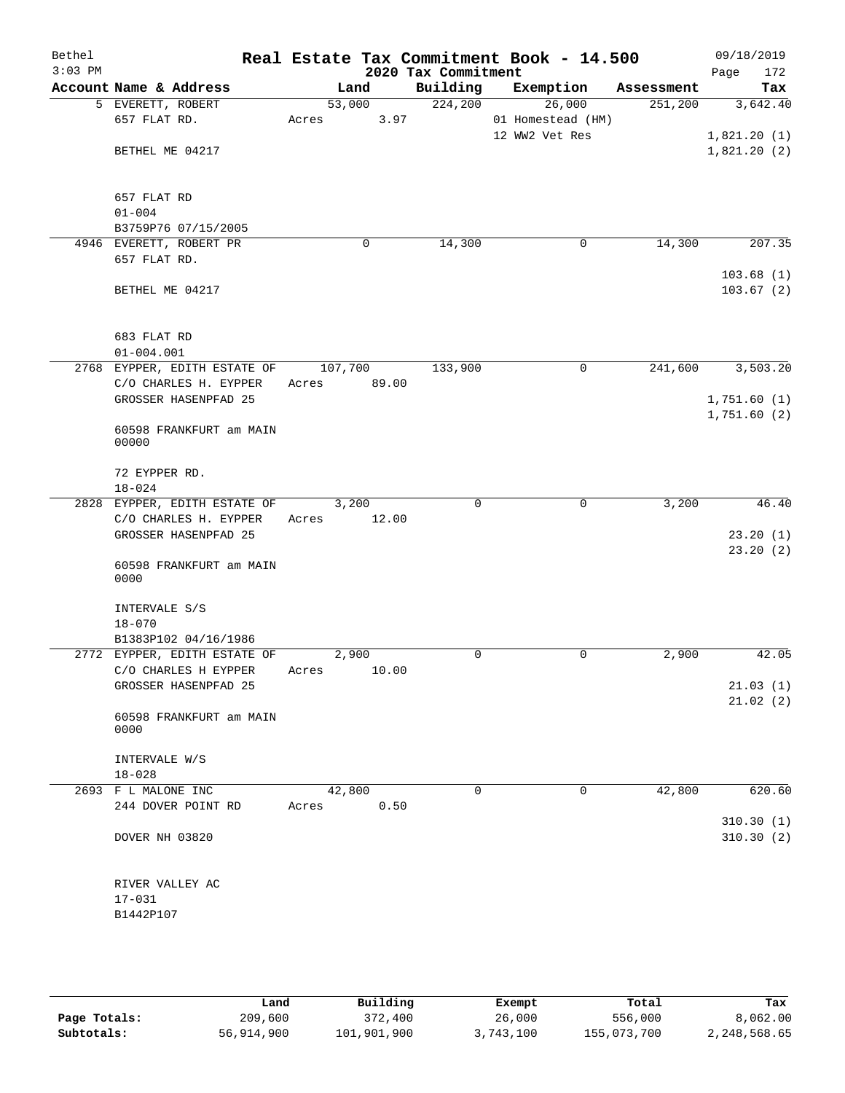| Bethel<br>$3:03$ PM |                                               | Real Estate Tax Commitment Book - 14.500 | 2020 Tax Commitment |                             |            | 09/18/2019<br>172<br>Page  |
|---------------------|-----------------------------------------------|------------------------------------------|---------------------|-----------------------------|------------|----------------------------|
|                     | Account Name & Address                        | Land                                     | Building            | Exemption                   | Assessment | Tax                        |
|                     | 5 EVERETT, ROBERT<br>657 FLAT RD.             | 53,000<br>3.97<br>Acres                  | 224,200             | 26,000<br>01 Homestead (HM) | 251,200    | 3,642.40                   |
|                     | BETHEL ME 04217                               |                                          |                     | 12 WW2 Vet Res              |            | 1,821.20(1)<br>1,821.20(2) |
|                     | 657 FLAT RD<br>$01 - 004$                     |                                          |                     |                             |            |                            |
|                     | B3759P76 07/15/2005                           |                                          |                     |                             |            |                            |
|                     | 4946 EVERETT, ROBERT PR<br>657 FLAT RD.       | $\mathbf 0$                              | 14,300              | $\mathbf 0$                 | 14,300     | 207.35<br>103.68(1)        |
|                     | BETHEL ME 04217                               |                                          |                     |                             |            | 103.67(2)                  |
|                     | 683 FLAT RD<br>$01 - 004.001$                 |                                          |                     |                             |            |                            |
|                     | 2768 EYPPER, EDITH ESTATE OF                  | 107,700                                  | 133,900             | 0                           | 241,600    | 3,503.20                   |
|                     | C/O CHARLES H. EYPPER                         | 89.00<br>Acres                           |                     |                             |            |                            |
|                     | GROSSER HASENPFAD 25                          |                                          |                     |                             |            | 1,751.60(1)                |
|                     | 60598 FRANKFURT am MAIN<br>00000              |                                          |                     |                             |            | 1,751.60(2)                |
|                     | 72 EYPPER RD.<br>$18 - 024$                   |                                          |                     |                             |            |                            |
|                     | 2828 EYPPER, EDITH ESTATE OF                  | 3,200                                    | $\Omega$            | $\mathbf 0$                 | 3,200      | 46.40                      |
|                     | C/O CHARLES H. EYPPER<br>GROSSER HASENPFAD 25 | 12.00<br>Acres                           |                     |                             |            | 23.20(1)                   |
|                     | 60598 FRANKFURT am MAIN<br>0000               |                                          |                     |                             |            | 23.20(2)                   |
|                     | INTERVALE S/S<br>$18 - 070$                   |                                          |                     |                             |            |                            |
|                     | B1383P102 04/16/1986                          |                                          |                     |                             |            |                            |
|                     | 2772 EYPPER, EDITH ESTATE OF                  | 2,900                                    | $\Omega$            | 0                           | 2,900      | 42.05                      |
|                     | C/O CHARLES H EYPPER Acres 10.00              |                                          |                     |                             |            |                            |
|                     | GROSSER HASENPFAD 25                          |                                          |                     |                             |            | 21.03(1)<br>21.02(2)       |
|                     | 60598 FRANKFURT am MAIN<br>0000               |                                          |                     |                             |            |                            |
|                     | INTERVALE W/S<br>$18 - 028$                   |                                          |                     |                             |            |                            |
|                     | 2693 F L MALONE INC                           | 42,800                                   | 0                   | 0                           | 42,800     | 620.60                     |
|                     | 244 DOVER POINT RD                            | 0.50<br>Acres                            |                     |                             |            |                            |
|                     | DOVER NH 03820                                |                                          |                     |                             |            | 310.30(1)<br>310.30(2)     |
|                     | RIVER VALLEY AC<br>$17 - 031$                 |                                          |                     |                             |            |                            |
|                     | B1442P107                                     |                                          |                     |                             |            |                            |

|              | Land       | Building    | Exempt    | Total       | Tax          |
|--------------|------------|-------------|-----------|-------------|--------------|
| Page Totals: | 209,600    | 372,400     | 26,000    | 556,000     | 8,062.00     |
| Subtotals:   | 56,914,900 | 101,901,900 | 3,743,100 | 155,073,700 | 2,248,568.65 |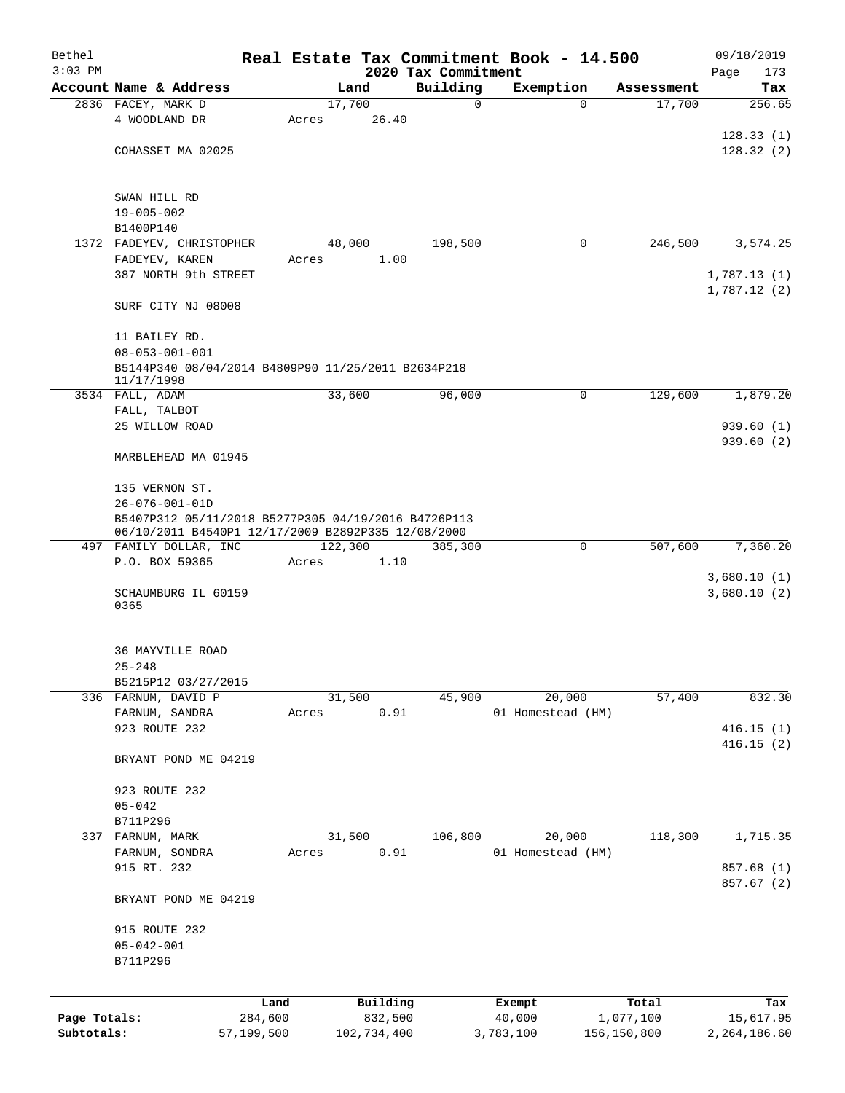| Bethel       |                                                     |            |                  |                |                                 |           | Real Estate Tax Commitment Book - 14.500 |             |            |      | 09/18/2019    |
|--------------|-----------------------------------------------------|------------|------------------|----------------|---------------------------------|-----------|------------------------------------------|-------------|------------|------|---------------|
| $3:03$ PM    | Account Name & Address                              |            |                  | Land           | 2020 Tax Commitment<br>Building |           | Exemption                                |             | Assessment | Page | 173           |
|              | 2836 FACEY, MARK D                                  |            |                  | 17,700         |                                 | 0         |                                          | 0           | 17,700     |      | Tax<br>256.65 |
|              | 4 WOODLAND DR                                       |            | Acres            | 26.40          |                                 |           |                                          |             |            |      |               |
|              |                                                     |            |                  |                |                                 |           |                                          |             |            |      | 128.33(1)     |
|              | COHASSET MA 02025                                   |            |                  |                |                                 |           |                                          |             |            |      | 128.32(2)     |
|              |                                                     |            |                  |                |                                 |           |                                          |             |            |      |               |
|              |                                                     |            |                  |                |                                 |           |                                          |             |            |      |               |
|              | SWAN HILL RD<br>$19 - 005 - 002$                    |            |                  |                |                                 |           |                                          |             |            |      |               |
|              | B1400P140                                           |            |                  |                |                                 |           |                                          |             |            |      |               |
|              | 1372 FADEYEV, CHRISTOPHER                           |            |                  | 48,000         | 198,500                         |           |                                          | $\mathbf 0$ | 246,500    |      | 3,574.25      |
|              | FADEYEV, KAREN                                      |            | Acres            | 1.00           |                                 |           |                                          |             |            |      |               |
|              | 387 NORTH 9th STREET                                |            |                  |                |                                 |           |                                          |             |            |      | 1,787.13(1)   |
|              |                                                     |            |                  |                |                                 |           |                                          |             |            |      | 1,787.12(2)   |
|              | SURF CITY NJ 08008                                  |            |                  |                |                                 |           |                                          |             |            |      |               |
|              | 11 BAILEY RD.                                       |            |                  |                |                                 |           |                                          |             |            |      |               |
|              | $08 - 053 - 001 - 001$                              |            |                  |                |                                 |           |                                          |             |            |      |               |
|              | B5144P340 08/04/2014 B4809P90 11/25/2011 B2634P218  |            |                  |                |                                 |           |                                          |             |            |      |               |
|              | 11/17/1998<br>3534 FALL, ADAM                       |            |                  | 33,600         | 96,000                          |           |                                          | 0           | 129,600    |      | 1,879.20      |
|              | FALL, TALBOT                                        |            |                  |                |                                 |           |                                          |             |            |      |               |
|              | 25 WILLOW ROAD                                      |            |                  |                |                                 |           |                                          |             |            |      | 939.60(1)     |
|              |                                                     |            |                  |                |                                 |           |                                          |             |            |      | 939.60(2)     |
|              | MARBLEHEAD MA 01945                                 |            |                  |                |                                 |           |                                          |             |            |      |               |
|              | 135 VERNON ST.                                      |            |                  |                |                                 |           |                                          |             |            |      |               |
|              | $26 - 076 - 001 - 01D$                              |            |                  |                |                                 |           |                                          |             |            |      |               |
|              | B5407P312 05/11/2018 B5277P305 04/19/2016 B4726P113 |            |                  |                |                                 |           |                                          |             |            |      |               |
|              | 06/10/2011 B4540P1 12/17/2009 B2892P335 12/08/2000  |            |                  |                |                                 |           |                                          |             |            |      |               |
|              | 497 FAMILY DOLLAR, INC<br>P.O. BOX 59365            |            | 122,300<br>Acres | 1.10           | 385,300                         |           |                                          | $\mathbf 0$ | 507,600    |      | 7,360.20      |
|              |                                                     |            |                  |                |                                 |           |                                          |             |            |      | 3,680.10(1)   |
|              | SCHAUMBURG IL 60159                                 |            |                  |                |                                 |           |                                          |             |            |      | 3,680.10(2)   |
|              | 0365                                                |            |                  |                |                                 |           |                                          |             |            |      |               |
|              |                                                     |            |                  |                |                                 |           |                                          |             |            |      |               |
|              | <b>36 MAYVILLE ROAD</b>                             |            |                  |                |                                 |           |                                          |             |            |      |               |
|              | $25 - 248$                                          |            |                  |                |                                 |           |                                          |             |            |      |               |
|              | B5215P12 03/27/2015                                 |            |                  |                |                                 |           |                                          |             |            |      |               |
|              | 336 FARNUM, DAVID P<br>FARNUM, SANDRA               |            |                  | 31,500<br>0.91 | 45,900                          |           | 20,000<br>01 Homestead (HM)              |             | 57,400     |      | 832.30        |
|              | 923 ROUTE 232                                       |            | Acres            |                |                                 |           |                                          |             |            |      | 416.15(1)     |
|              |                                                     |            |                  |                |                                 |           |                                          |             |            |      | 416.15(2)     |
|              | BRYANT POND ME 04219                                |            |                  |                |                                 |           |                                          |             |            |      |               |
|              |                                                     |            |                  |                |                                 |           |                                          |             |            |      |               |
|              | 923 ROUTE 232<br>$05 - 042$                         |            |                  |                |                                 |           |                                          |             |            |      |               |
|              | B711P296                                            |            |                  |                |                                 |           |                                          |             |            |      |               |
|              | 337 FARNUM, MARK                                    |            |                  | 31,500         | 106,800                         |           | 20,000                                   |             | 118,300    |      | 1,715.35      |
|              | FARNUM, SONDRA                                      |            | Acres            | 0.91           |                                 |           | 01 Homestead (HM)                        |             |            |      |               |
|              | 915 RT. 232                                         |            |                  |                |                                 |           |                                          |             |            |      | 857.68 (1)    |
|              |                                                     |            |                  |                |                                 |           |                                          |             |            |      | 857.67 (2)    |
|              | BRYANT POND ME 04219                                |            |                  |                |                                 |           |                                          |             |            |      |               |
|              | 915 ROUTE 232                                       |            |                  |                |                                 |           |                                          |             |            |      |               |
|              | $05 - 042 - 001$                                    |            |                  |                |                                 |           |                                          |             |            |      |               |
|              | B711P296                                            |            |                  |                |                                 |           |                                          |             |            |      |               |
|              |                                                     |            |                  |                |                                 |           |                                          |             |            |      |               |
|              |                                                     | Land       |                  | Building       |                                 |           | Exempt                                   |             | Total      |      | Tax           |
| Page Totals: |                                                     | 284,600    |                  | 832,500        |                                 |           | 40,000                                   |             | 1,077,100  |      | 15,617.95     |
| Subtotals:   |                                                     | 57,199,500 |                  | 102,734,400    |                                 | 3,783,100 |                                          | 156,150,800 |            |      | 2,264,186.60  |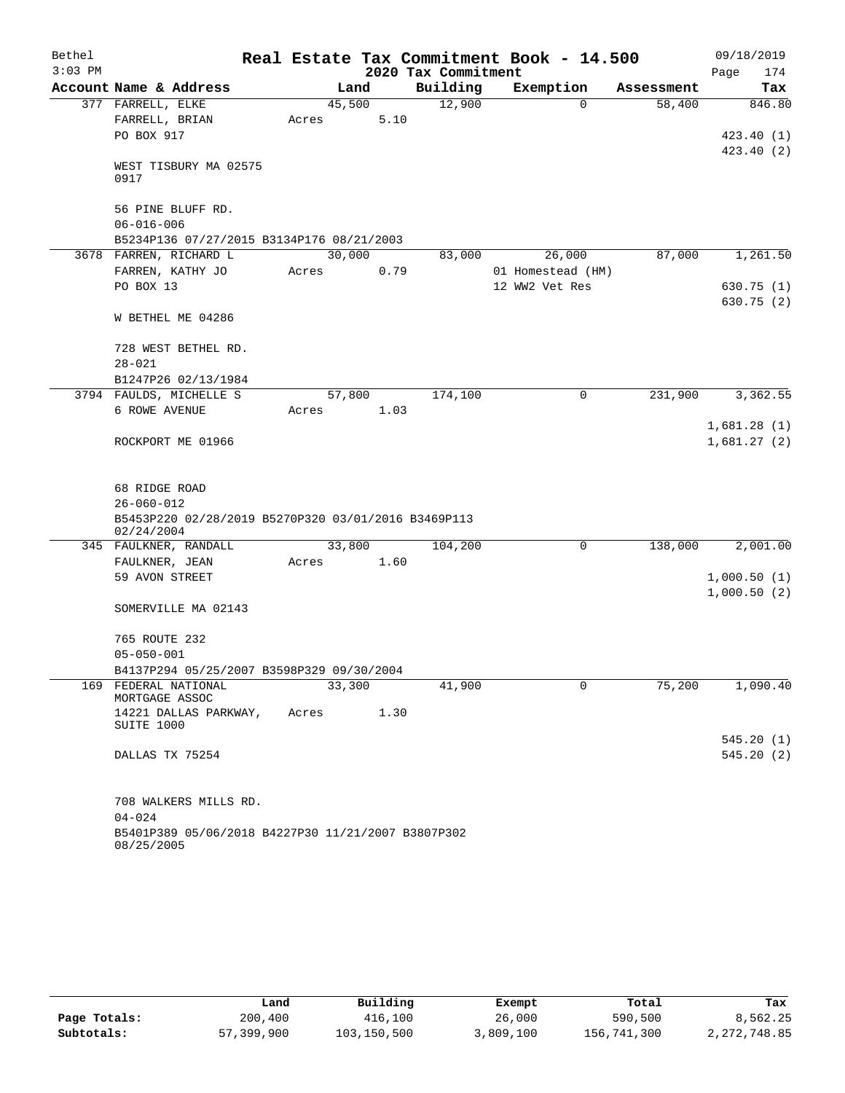| Bethel    |                                                                   |       |        |      |                     | Real Estate Tax Commitment Book - 14.500 |            | 09/18/2019             |
|-----------|-------------------------------------------------------------------|-------|--------|------|---------------------|------------------------------------------|------------|------------------------|
| $3:03$ PM |                                                                   |       |        |      | 2020 Tax Commitment |                                          |            | 174<br>Page            |
|           | Account Name & Address                                            |       | Land   |      | Building            | Exemption                                | Assessment | Tax                    |
|           | 377 FARRELL, ELKE                                                 |       | 45,500 |      | 12,900              | $\Omega$                                 | 58,400     | 846.80                 |
|           | FARRELL, BRIAN                                                    | Acres |        | 5.10 |                     |                                          |            |                        |
|           | PO BOX 917                                                        |       |        |      |                     |                                          |            | 423.40(1)              |
|           | WEST TISBURY MA 02575<br>0917                                     |       |        |      |                     |                                          |            | 423.40 (2)             |
|           | 56 PINE BLUFF RD.<br>$06 - 016 - 006$                             |       |        |      |                     |                                          |            |                        |
|           | B5234P136 07/27/2015 B3134P176 08/21/2003                         |       |        |      |                     |                                          |            |                        |
|           | 3678 FARREN, RICHARD L                                            |       | 30,000 |      | 83,000              | 26,000                                   | 87,000     | 1,261.50               |
|           | FARREN, KATHY JO                                                  | Acres |        | 0.79 |                     | 01 Homestead (HM)                        |            |                        |
|           | PO BOX 13                                                         |       |        |      |                     | 12 WW2 Vet Res                           |            | 630.75 (1)             |
|           | W BETHEL ME 04286                                                 |       |        |      |                     |                                          |            | 630.75 (2)             |
|           | 728 WEST BETHEL RD.                                               |       |        |      |                     |                                          |            |                        |
|           | $28 - 021$                                                        |       |        |      |                     |                                          |            |                        |
|           | B1247P26 02/13/1984                                               |       |        |      |                     |                                          |            |                        |
|           | 3794 FAULDS, MICHELLE S                                           |       | 57,800 |      | 174,100             | 0                                        | 231,900    | 3,362.55               |
|           | 6 ROWE AVENUE                                                     | Acres |        | 1.03 |                     |                                          |            | 1,681.28(1)            |
|           | ROCKPORT ME 01966                                                 |       |        |      |                     |                                          |            | 1,681.27(2)            |
|           | 68 RIDGE ROAD                                                     |       |        |      |                     |                                          |            |                        |
|           | $26 - 060 - 012$                                                  |       |        |      |                     |                                          |            |                        |
|           | B5453P220 02/28/2019 B5270P320 03/01/2016 B3469P113<br>02/24/2004 |       |        |      |                     |                                          |            |                        |
|           | 345 FAULKNER, RANDALL                                             |       | 33,800 |      | 104,200             | 0                                        | 138,000    | 2,001.00               |
|           | FAULKNER, JEAN                                                    | Acres |        | 1.60 |                     |                                          |            |                        |
|           | 59 AVON STREET                                                    |       |        |      |                     |                                          |            | 1,000.50(1)            |
|           | SOMERVILLE MA 02143                                               |       |        |      |                     |                                          |            | 1,000.50(2)            |
|           | 765 ROUTE 232                                                     |       |        |      |                     |                                          |            |                        |
|           | $05 - 050 - 001$                                                  |       |        |      |                     |                                          |            |                        |
|           | B4137P294 05/25/2007 B3598P329 09/30/2004                         |       |        |      |                     |                                          |            |                        |
|           | 169 FEDERAL NATIONAL<br>MORTGAGE ASSOC                            |       | 33,300 |      | 41,900              | 0                                        | 75,200     | 1,090.40               |
|           | 14221 DALLAS PARKWAY,<br>SUITE 1000                               | Acres |        | 1.30 |                     |                                          |            |                        |
|           | DALLAS TX 75254                                                   |       |        |      |                     |                                          |            | 545.20(1)<br>545.20(2) |
|           |                                                                   |       |        |      |                     |                                          |            |                        |
|           | 708 WALKERS MILLS RD.                                             |       |        |      |                     |                                          |            |                        |
|           | $04 - 024$                                                        |       |        |      |                     |                                          |            |                        |
|           | B5401P389 05/06/2018 B4227P30 11/21/2007 B3807P302<br>08/25/2005  |       |        |      |                     |                                          |            |                        |

|              | Land       | Building    | Exempt    | Total       | Tax            |
|--------------|------------|-------------|-----------|-------------|----------------|
| Page Totals: | 200,400    | 416,100     | 26,000    | 590,500     | 8,562.25       |
| Subtotals:   | 57,399,900 | 103,150,500 | 3,809,100 | 156,741,300 | 2, 272, 748.85 |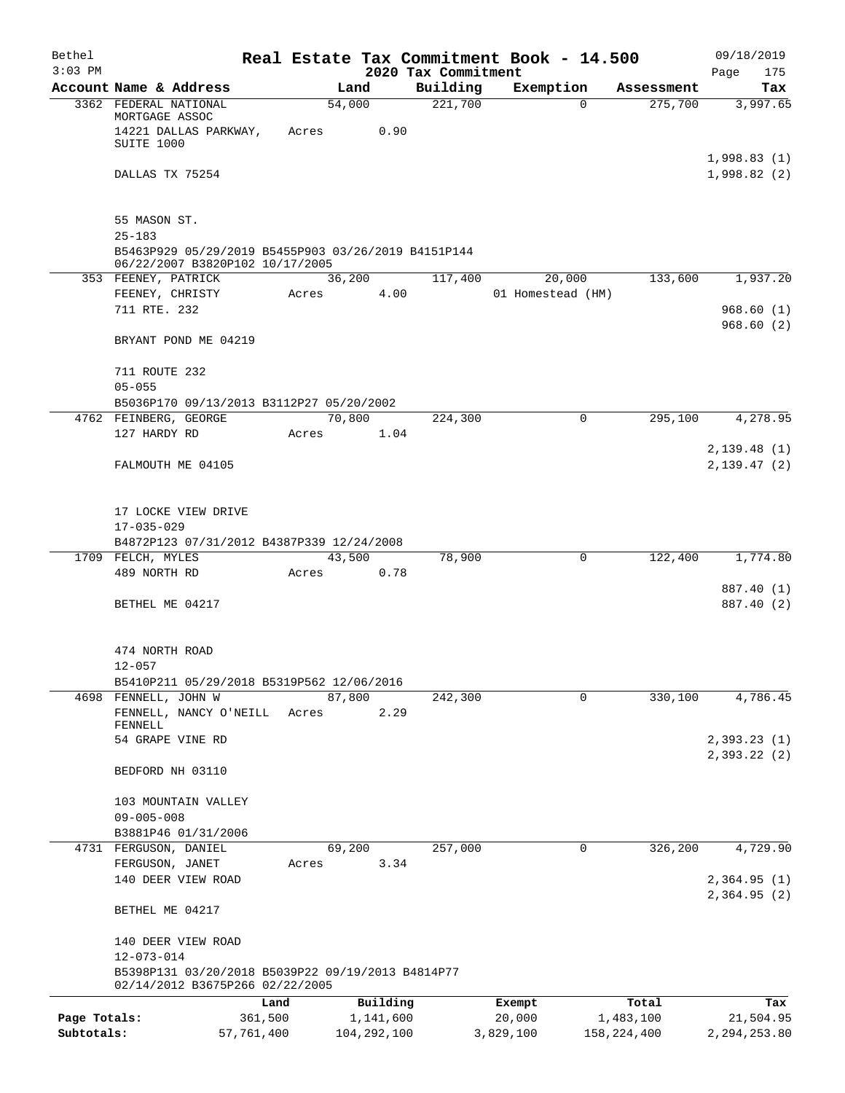| Bethel       |                                                                                        |            |                            |          |                                 | Real Estate Tax Commitment Book - 14.500 |             |                       | 09/18/2019      |
|--------------|----------------------------------------------------------------------------------------|------------|----------------------------|----------|---------------------------------|------------------------------------------|-------------|-----------------------|-----------------|
| $3:03$ PM    | Account Name & Address                                                                 |            | Land                       |          | 2020 Tax Commitment<br>Building | Exemption                                |             |                       | Page<br>175     |
|              | 3362 FEDERAL NATIONAL                                                                  |            | 54,000                     |          | 221,700                         |                                          | $\Omega$    | Assessment<br>275,700 | Tax<br>3,997.65 |
|              | MORTGAGE ASSOC                                                                         |            |                            |          |                                 |                                          |             |                       |                 |
|              | 14221 DALLAS PARKWAY,                                                                  | Acres      |                            | 0.90     |                                 |                                          |             |                       |                 |
|              | SUITE 1000                                                                             |            |                            |          |                                 |                                          |             |                       | 1,998.83(1)     |
|              | DALLAS TX 75254                                                                        |            |                            |          |                                 |                                          |             |                       | 1,998.82(2)     |
|              |                                                                                        |            |                            |          |                                 |                                          |             |                       |                 |
|              |                                                                                        |            |                            |          |                                 |                                          |             |                       |                 |
|              | 55 MASON ST.                                                                           |            |                            |          |                                 |                                          |             |                       |                 |
|              | $25 - 183$                                                                             |            |                            |          |                                 |                                          |             |                       |                 |
|              | B5463P929 05/29/2019 B5455P903 03/26/2019 B4151P144<br>06/22/2007 B3820P102 10/17/2005 |            |                            |          |                                 |                                          |             |                       |                 |
|              | 353 FEENEY, PATRICK                                                                    |            | 36,200                     |          | 117,400                         | 20,000                                   |             | 133,600               | 1,937.20        |
|              | FEENEY, CHRISTY                                                                        | Acres      |                            | 4.00     |                                 | 01 Homestead (HM)                        |             |                       |                 |
|              | 711 RTE. 232                                                                           |            |                            |          |                                 |                                          |             |                       | 968.60(1)       |
|              |                                                                                        |            |                            |          |                                 |                                          |             |                       | 968.60(2)       |
|              | BRYANT POND ME 04219                                                                   |            |                            |          |                                 |                                          |             |                       |                 |
|              | 711 ROUTE 232                                                                          |            |                            |          |                                 |                                          |             |                       |                 |
|              | $05 - 055$                                                                             |            |                            |          |                                 |                                          |             |                       |                 |
|              | B5036P170 09/13/2013 B3112P27 05/20/2002                                               |            |                            |          |                                 |                                          |             |                       |                 |
|              | 4762 FEINBERG, GEORGE                                                                  |            | 70,800                     |          | 224,300                         |                                          | 0           | 295,100               | 4,278.95        |
|              | 127 HARDY RD                                                                           | Acres      |                            | 1.04     |                                 |                                          |             |                       |                 |
|              |                                                                                        |            |                            |          |                                 |                                          |             |                       | 2,139.48(1)     |
|              | FALMOUTH ME 04105                                                                      |            |                            |          |                                 |                                          |             |                       | 2,139.47(2)     |
|              |                                                                                        |            |                            |          |                                 |                                          |             |                       |                 |
|              | 17 LOCKE VIEW DRIVE                                                                    |            |                            |          |                                 |                                          |             |                       |                 |
|              | $17 - 035 - 029$                                                                       |            |                            |          |                                 |                                          |             |                       |                 |
|              | B4872P123 07/31/2012 B4387P339 12/24/2008                                              |            |                            |          |                                 |                                          |             |                       |                 |
|              | 1709 FELCH, MYLES                                                                      |            | 43,500                     |          | 78,900                          |                                          | $\mathbf 0$ | 122,400               | 1,774.80        |
|              | 489 NORTH RD                                                                           | Acres      |                            | 0.78     |                                 |                                          |             |                       |                 |
|              |                                                                                        |            |                            |          |                                 |                                          |             |                       | 887.40 (1)      |
|              | BETHEL ME 04217                                                                        |            |                            |          |                                 |                                          |             |                       | 887.40 (2)      |
|              |                                                                                        |            |                            |          |                                 |                                          |             |                       |                 |
|              | 474 NORTH ROAD                                                                         |            |                            |          |                                 |                                          |             |                       |                 |
|              | $12 - 057$                                                                             |            |                            |          |                                 |                                          |             |                       |                 |
|              | B5410P211 05/29/2018 B5319P562 12/06/2016                                              |            |                            |          |                                 |                                          |             |                       |                 |
|              | 4698 FENNELL, JOHN W                                                                   |            | 87,800                     |          | 242,300                         |                                          | 0           | 330,100               | 4,786.45        |
|              | FENNELL, NANCY O'NEILL<br>FENNELL                                                      | Acres      |                            | 2.29     |                                 |                                          |             |                       |                 |
|              | 54 GRAPE VINE RD                                                                       |            |                            |          |                                 |                                          |             |                       | 2,393.23(1)     |
|              |                                                                                        |            |                            |          |                                 |                                          |             |                       | 2,393.22 (2)    |
|              | BEDFORD NH 03110                                                                       |            |                            |          |                                 |                                          |             |                       |                 |
|              |                                                                                        |            |                            |          |                                 |                                          |             |                       |                 |
|              | 103 MOUNTAIN VALLEY<br>$09 - 005 - 008$                                                |            |                            |          |                                 |                                          |             |                       |                 |
|              | B3881P46 01/31/2006                                                                    |            |                            |          |                                 |                                          |             |                       |                 |
|              | 4731 FERGUSON, DANIEL                                                                  |            | 69,200                     |          | 257,000                         |                                          | 0           | 326, 200              | 4,729.90        |
|              | FERGUSON, JANET                                                                        | Acres      |                            | 3.34     |                                 |                                          |             |                       |                 |
|              | 140 DEER VIEW ROAD                                                                     |            |                            |          |                                 |                                          |             |                       | 2,364.95(1)     |
|              |                                                                                        |            |                            |          |                                 |                                          |             |                       | 2,364.95(2)     |
|              | BETHEL ME 04217                                                                        |            |                            |          |                                 |                                          |             |                       |                 |
|              | 140 DEER VIEW ROAD                                                                     |            |                            |          |                                 |                                          |             |                       |                 |
|              | $12 - 073 - 014$                                                                       |            |                            |          |                                 |                                          |             |                       |                 |
|              | B5398P131 03/20/2018 B5039P22 09/19/2013 B4814P77                                      |            |                            |          |                                 |                                          |             |                       |                 |
|              | 02/14/2012 B3675P266 02/22/2005                                                        |            |                            |          |                                 |                                          |             |                       |                 |
|              |                                                                                        | Land       |                            | Building |                                 | Exempt                                   |             | Total                 | Tax             |
| Page Totals: |                                                                                        | 361,500    | 1,141,600<br>104, 292, 100 |          |                                 | 20,000                                   |             | 1,483,100             | 21,504.95       |
| Subtotals:   |                                                                                        | 57,761,400 |                            |          |                                 | 3,829,100                                |             | 158, 224, 400         | 2, 294, 253.80  |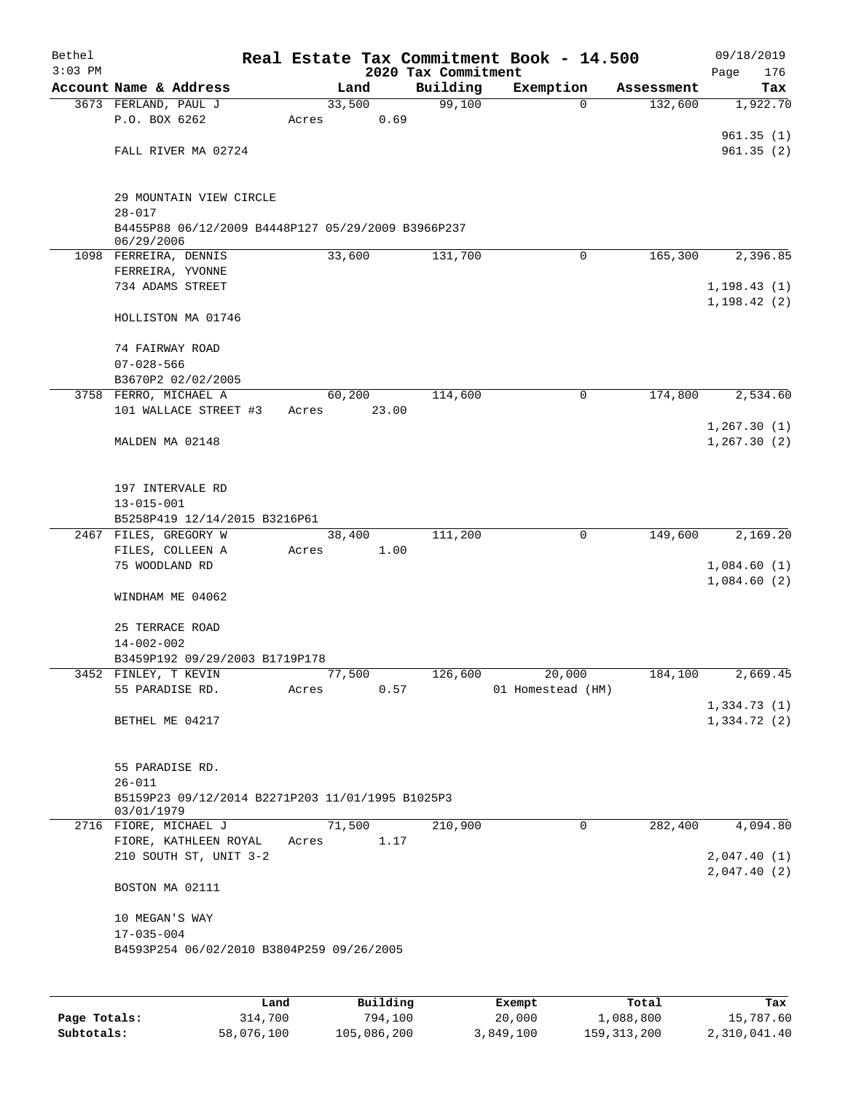| Bethel    |                                                                  |       |        |          |                                 | Real Estate Tax Commitment Book - 14.500 |                       | 09/18/2019                 |
|-----------|------------------------------------------------------------------|-------|--------|----------|---------------------------------|------------------------------------------|-----------------------|----------------------------|
| $3:03$ PM | Account Name & Address                                           |       | Land   |          | 2020 Tax Commitment<br>Building |                                          |                       | 176<br>Page                |
|           | 3673 FERLAND, PAUL J                                             |       | 33,500 |          | 99,100                          | Exemption<br>0                           | Assessment<br>132,600 | Tax<br>1,922.70            |
|           | P.O. BOX 6262                                                    | Acres |        | 0.69     |                                 |                                          |                       |                            |
|           |                                                                  |       |        |          |                                 |                                          |                       | 961.35(1)                  |
|           | FALL RIVER MA 02724                                              |       |        |          |                                 |                                          |                       | 961.35(2)                  |
|           |                                                                  |       |        |          |                                 |                                          |                       |                            |
|           | 29 MOUNTAIN VIEW CIRCLE<br>$28 - 017$                            |       |        |          |                                 |                                          |                       |                            |
|           | B4455P88 06/12/2009 B4448P127 05/29/2009 B3966P237<br>06/29/2006 |       |        |          |                                 |                                          |                       |                            |
|           | 1098 FERREIRA, DENNIS                                            |       | 33,600 |          | 131,700                         | $\mathbf 0$                              | 165,300               | 2,396.85                   |
|           | FERREIRA, YVONNE                                                 |       |        |          |                                 |                                          |                       |                            |
|           | 734 ADAMS STREET                                                 |       |        |          |                                 |                                          |                       | 1, 198.43(1)               |
|           |                                                                  |       |        |          |                                 |                                          |                       | 1, 198.42(2)               |
|           | HOLLISTON MA 01746                                               |       |        |          |                                 |                                          |                       |                            |
|           | 74 FAIRWAY ROAD                                                  |       |        |          |                                 |                                          |                       |                            |
|           | $07 - 028 - 566$                                                 |       |        |          |                                 |                                          |                       |                            |
|           | B3670P2 02/02/2005                                               |       |        |          |                                 |                                          |                       |                            |
|           | 3758 FERRO, MICHAEL A<br>101 WALLACE STREET #3                   |       | 60,200 | 23.00    | 114,600                         | 0                                        | 174,800               | 2,534.60                   |
|           |                                                                  | Acres |        |          |                                 |                                          |                       | 1, 267.30(1)               |
|           | MALDEN MA 02148                                                  |       |        |          |                                 |                                          |                       | 1, 267.30(2)               |
|           |                                                                  |       |        |          |                                 |                                          |                       |                            |
|           | 197 INTERVALE RD                                                 |       |        |          |                                 |                                          |                       |                            |
|           | $13 - 015 - 001$                                                 |       |        |          |                                 |                                          |                       |                            |
|           | B5258P419 12/14/2015 B3216P61                                    |       |        |          |                                 |                                          |                       |                            |
|           | 2467 FILES, GREGORY W                                            |       | 38,400 |          | 111,200                         | 0                                        | 149,600               | 2,169.20                   |
|           | FILES, COLLEEN A                                                 | Acres |        | 1.00     |                                 |                                          |                       |                            |
|           | 75 WOODLAND RD                                                   |       |        |          |                                 |                                          |                       | 1,084.60(1)<br>1,084.60(2) |
|           | WINDHAM ME 04062                                                 |       |        |          |                                 |                                          |                       |                            |
|           | 25 TERRACE ROAD                                                  |       |        |          |                                 |                                          |                       |                            |
|           | $14 - 002 - 002$                                                 |       |        |          |                                 |                                          |                       |                            |
|           | B3459P192 09/29/2003 B1719P178                                   |       |        |          |                                 |                                          |                       |                            |
|           | 3452 FINLEY, T KEVIN                                             |       | 77,500 |          | 126,600                         | 20,000                                   | 184,100               | 2,669.45                   |
|           | 55 PARADISE RD.                                                  | Acres |        | 0.57     |                                 | 01 Homestead (HM)                        |                       |                            |
|           |                                                                  |       |        |          |                                 |                                          |                       | 1,334.73(1)                |
|           | BETHEL ME 04217                                                  |       |        |          |                                 |                                          |                       | 1,334.72(2)                |
|           |                                                                  |       |        |          |                                 |                                          |                       |                            |
|           | 55 PARADISE RD.<br>$26 - 011$                                    |       |        |          |                                 |                                          |                       |                            |
|           | B5159P23 09/12/2014 B2271P203 11/01/1995 B1025P3                 |       |        |          |                                 |                                          |                       |                            |
|           | 03/01/1979                                                       |       |        |          |                                 |                                          |                       |                            |
|           | 2716 FIORE, MICHAEL J                                            |       | 71,500 |          | 210,900                         | 0                                        | 282,400               | 4,094.80                   |
|           | FIORE, KATHLEEN ROYAL                                            | Acres |        | 1.17     |                                 |                                          |                       |                            |
|           | 210 SOUTH ST, UNIT 3-2                                           |       |        |          |                                 |                                          |                       | 2,047.40(1)                |
|           | BOSTON MA 02111                                                  |       |        |          |                                 |                                          |                       | 2,047.40(2)                |
|           | 10 MEGAN'S WAY                                                   |       |        |          |                                 |                                          |                       |                            |
|           | $17 - 035 - 004$                                                 |       |        |          |                                 |                                          |                       |                            |
|           | B4593P254 06/02/2010 B3804P259 09/26/2005                        |       |        |          |                                 |                                          |                       |                            |
|           |                                                                  |       |        |          |                                 |                                          |                       |                            |
|           |                                                                  | Land  |        | Building |                                 | Exempt                                   | Total                 | Tax                        |

**Page Totals:** 314,700 794,100 20,000 1,088,800 15,787.60 **Subtotals:** 58,076,100 105,086,200 3,849,100 159,313,200 2,310,041.40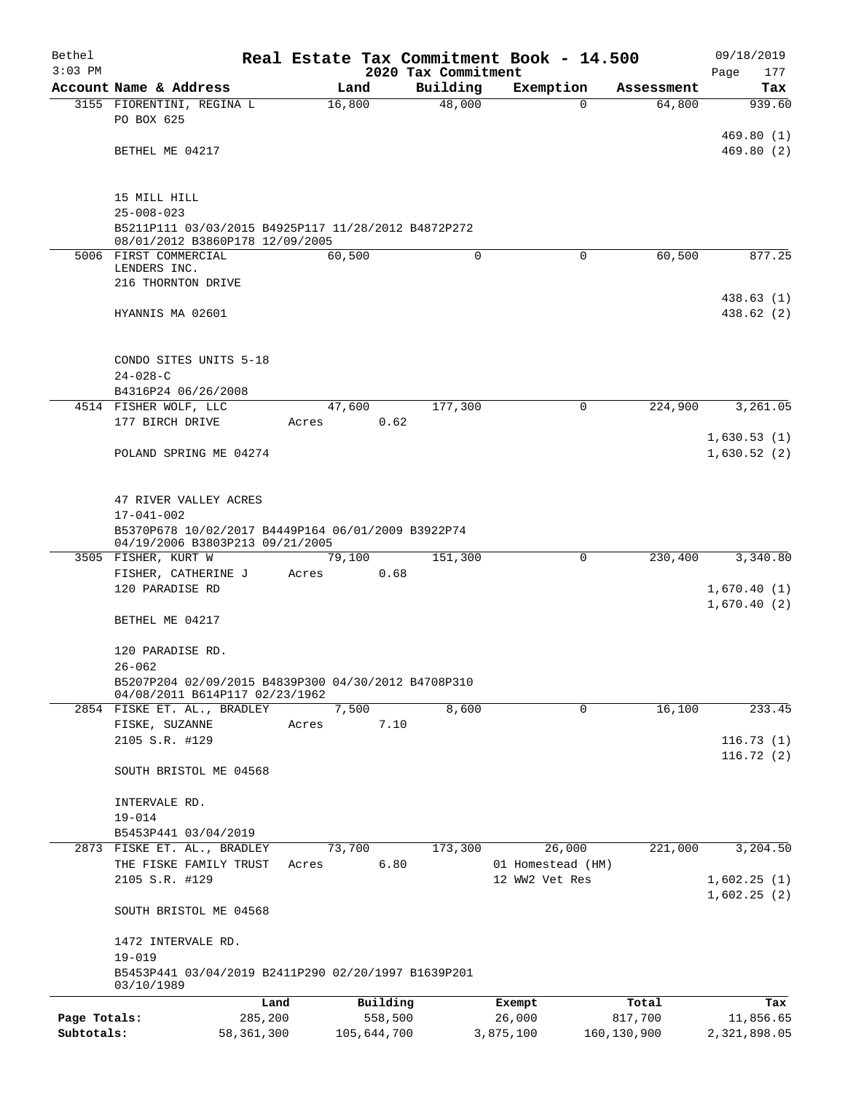| Bethel       |                                                                                       |               |                                 | Real Estate Tax Commitment Book - 14.500 |             | 09/18/2019         |
|--------------|---------------------------------------------------------------------------------------|---------------|---------------------------------|------------------------------------------|-------------|--------------------|
| $3:03$ PM    | Account Name & Address                                                                | Land          | 2020 Tax Commitment<br>Building | Exemption                                | Assessment  | Page<br>177<br>Tax |
|              | 3155 FIORENTINI, REGINA L                                                             | 16,800        | 48,000                          | $\Omega$                                 | 64,800      | 939.60             |
|              | PO BOX 625                                                                            |               |                                 |                                          |             |                    |
|              |                                                                                       |               |                                 |                                          |             | 469.80(1)          |
|              | BETHEL ME 04217                                                                       |               |                                 |                                          |             | 469.80(2)          |
|              |                                                                                       |               |                                 |                                          |             |                    |
|              | 15 MILL HILL                                                                          |               |                                 |                                          |             |                    |
|              | $25 - 008 - 023$<br>B5211P111 03/03/2015 B4925P117 11/28/2012 B4872P272               |               |                                 |                                          |             |                    |
|              | 08/01/2012 B3860P178 12/09/2005                                                       |               |                                 |                                          |             |                    |
|              | 5006 FIRST COMMERCIAL<br>LENDERS INC.                                                 | 60,500        | 0                               | $\mathbf 0$                              | 60,500      | 877.25             |
|              | 216 THORNTON DRIVE                                                                    |               |                                 |                                          |             |                    |
|              |                                                                                       |               |                                 |                                          |             | 438.63 (1)         |
|              | HYANNIS MA 02601                                                                      |               |                                 |                                          |             | 438.62(2)          |
|              |                                                                                       |               |                                 |                                          |             |                    |
|              | CONDO SITES UNITS 5-18                                                                |               |                                 |                                          |             |                    |
|              | $24 - 028 - C$                                                                        |               |                                 |                                          |             |                    |
|              | B4316P24 06/26/2008<br>4514 FISHER WOLF, LLC                                          | 47,600        | 177,300                         | 0                                        | 224,900     | 3,261.05           |
|              | 177 BIRCH DRIVE                                                                       | 0.62<br>Acres |                                 |                                          |             |                    |
|              |                                                                                       |               |                                 |                                          |             | 1,630.53(1)        |
|              | POLAND SPRING ME 04274                                                                |               |                                 |                                          |             | 1,630.52(2)        |
|              |                                                                                       |               |                                 |                                          |             |                    |
|              | 47 RIVER VALLEY ACRES                                                                 |               |                                 |                                          |             |                    |
|              | $17 - 041 - 002$                                                                      |               |                                 |                                          |             |                    |
|              | B5370P678 10/02/2017 B4449P164 06/01/2009 B3922P74<br>04/19/2006 B3803P213 09/21/2005 |               |                                 |                                          |             |                    |
|              | 3505 FISHER, KURT W                                                                   | 79,100        | 151,300                         | 0                                        | 230,400     | 3,340.80           |
|              | FISHER, CATHERINE J<br>120 PARADISE RD                                                | 0.68<br>Acres |                                 |                                          |             | 1,670.40(1)        |
|              |                                                                                       |               |                                 |                                          |             | 1,670.40(2)        |
|              | BETHEL ME 04217                                                                       |               |                                 |                                          |             |                    |
|              | 120 PARADISE RD.                                                                      |               |                                 |                                          |             |                    |
|              | $26 - 062$                                                                            |               |                                 |                                          |             |                    |
|              | B5207P204 02/09/2015 B4839P300 04/30/2012 B4708P310                                   |               |                                 |                                          |             |                    |
|              | 04/08/2011 B614P117 02/23/1962<br>2854 FISKE ET. AL., BRADLEY                         | 7,500         | 8,600                           | 0                                        | 16,100      | 233.45             |
|              | FISKE, SUZANNE                                                                        | 7.10<br>Acres |                                 |                                          |             |                    |
|              | 2105 S.R. #129                                                                        |               |                                 |                                          |             | 116.73(1)          |
|              | SOUTH BRISTOL ME 04568                                                                |               |                                 |                                          |             | 116.72(2)          |
|              |                                                                                       |               |                                 |                                          |             |                    |
|              | INTERVALE RD.                                                                         |               |                                 |                                          |             |                    |
|              | $19 - 014$                                                                            |               |                                 |                                          |             |                    |
|              | B5453P441 03/04/2019<br>2873 FISKE ET. AL., BRADLEY                                   | 73,700        | 173,300                         | 26,000                                   | 221,000     | 3,204.50           |
|              | THE FISKE FAMILY TRUST                                                                | 6.80<br>Acres |                                 | 01 Homestead (HM)                        |             |                    |
|              | 2105 S.R. #129                                                                        |               |                                 | 12 WW2 Vet Res                           |             | 1,602.25(1)        |
|              | SOUTH BRISTOL ME 04568                                                                |               |                                 |                                          |             | 1,602.25(2)        |
|              |                                                                                       |               |                                 |                                          |             |                    |
|              | 1472 INTERVALE RD.<br>$19 - 019$                                                      |               |                                 |                                          |             |                    |
|              | B5453P441 03/04/2019 B2411P290 02/20/1997 B1639P201<br>03/10/1989                     |               |                                 |                                          |             |                    |
|              | Land                                                                                  | Building      |                                 | Exempt                                   | Total       | Tax                |
| Page Totals: | 285,200                                                                               | 558,500       |                                 | 26,000                                   | 817,700     | 11,856.65          |
| Subtotals:   | 58, 361, 300                                                                          | 105,644,700   |                                 | 3,875,100                                | 160,130,900 | 2,321,898.05       |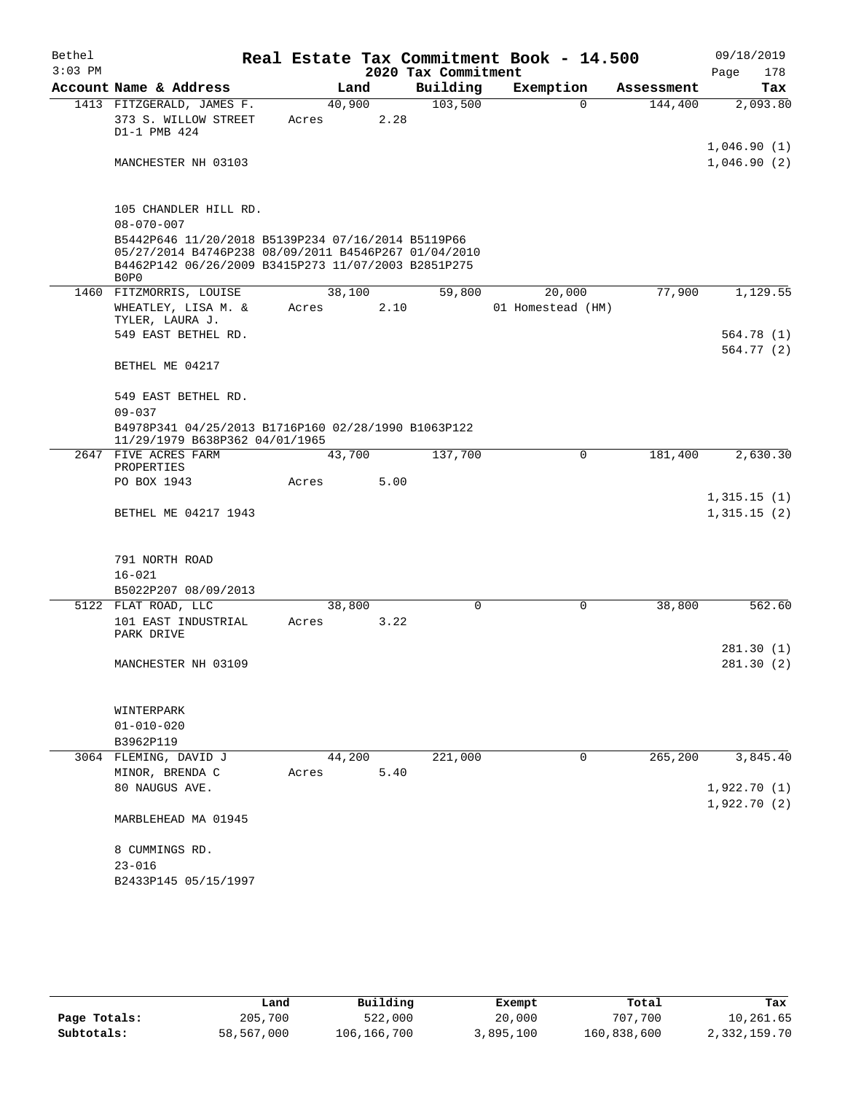| Bethel    |                                                                                                                                                                           |                 |      |                     | Real Estate Tax Commitment Book - 14.500 |            | 09/18/2019                 |
|-----------|---------------------------------------------------------------------------------------------------------------------------------------------------------------------------|-----------------|------|---------------------|------------------------------------------|------------|----------------------------|
| $3:03$ PM |                                                                                                                                                                           |                 |      | 2020 Tax Commitment |                                          |            | Page<br>178                |
|           | Account Name & Address                                                                                                                                                    |                 | Land | Building            | Exemption                                | Assessment | Tax                        |
|           | 1413 FITZGERALD, JAMES F.<br>373 S. WILLOW STREET<br>D1-1 PMB 424                                                                                                         | 40,900<br>Acres | 2.28 | 103,500             | $\Omega$                                 | 144,400    | 2,093.80                   |
|           | MANCHESTER NH 03103                                                                                                                                                       |                 |      |                     |                                          |            | 1,046.90(1)<br>1,046.90(2) |
|           | 105 CHANDLER HILL RD.                                                                                                                                                     |                 |      |                     |                                          |            |                            |
|           | $08 - 070 - 007$                                                                                                                                                          |                 |      |                     |                                          |            |                            |
|           | B5442P646 11/20/2018 B5139P234 07/16/2014 B5119P66<br>05/27/2014 B4746P238 08/09/2011 B4546P267 01/04/2010<br>B4462P142 06/26/2009 B3415P273 11/07/2003 B2851P275<br>B0P0 |                 |      |                     |                                          |            |                            |
|           | 1460 FITZMORRIS, LOUISE                                                                                                                                                   | 38,100          |      | 59,800              | 20,000                                   | 77,900     | 1,129.55                   |
|           | WHEATLEY, LISA M. &<br>TYLER, LAURA J.                                                                                                                                    | Acres           | 2.10 |                     | 01 Homestead (HM)                        |            |                            |
|           | 549 EAST BETHEL RD.                                                                                                                                                       |                 |      |                     |                                          |            | 564.78(1)<br>564.77(2)     |
|           | BETHEL ME 04217                                                                                                                                                           |                 |      |                     |                                          |            |                            |
|           | 549 EAST BETHEL RD.<br>$09 - 037$                                                                                                                                         |                 |      |                     |                                          |            |                            |
|           | B4978P341 04/25/2013 B1716P160 02/28/1990 B1063P122<br>11/29/1979 B638P362 04/01/1965                                                                                     |                 |      |                     |                                          |            |                            |
|           | 2647 FIVE ACRES FARM<br>PROPERTIES                                                                                                                                        | 43,700          |      | 137,700             | $\Omega$                                 | 181,400    | 2,630.30                   |
|           | PO BOX 1943                                                                                                                                                               | Acres           | 5.00 |                     |                                          |            | 1,315.15(1)                |
|           | BETHEL ME 04217 1943                                                                                                                                                      |                 |      |                     |                                          |            | 1,315.15(2)                |
|           | 791 NORTH ROAD                                                                                                                                                            |                 |      |                     |                                          |            |                            |
|           | $16 - 021$                                                                                                                                                                |                 |      |                     |                                          |            |                            |
|           | B5022P207 08/09/2013                                                                                                                                                      |                 |      |                     |                                          |            |                            |
|           | 5122 FLAT ROAD, LLC                                                                                                                                                       | 38,800          |      | $\Omega$            | $\Omega$                                 | 38,800     | 562.60                     |
|           | 101 EAST INDUSTRIAL<br>PARK DRIVE                                                                                                                                         | Acres           | 3.22 |                     |                                          |            |                            |
|           | MANCHESTER NH 03109                                                                                                                                                       |                 |      |                     |                                          |            | 281.30(1)<br>281.30(2)     |
|           |                                                                                                                                                                           |                 |      |                     |                                          |            |                            |
|           | WINTERPARK                                                                                                                                                                |                 |      |                     |                                          |            |                            |
|           | $01 - 010 - 020$                                                                                                                                                          |                 |      |                     |                                          |            |                            |
|           | B3962P119                                                                                                                                                                 |                 |      |                     |                                          |            |                            |
|           | 3064 FLEMING, DAVID J                                                                                                                                                     | 44,200          |      | 221,000             | 0                                        | 265,200    | 3,845.40                   |
|           | MINOR, BRENDA C                                                                                                                                                           | Acres           | 5.40 |                     |                                          |            |                            |
|           | 80 NAUGUS AVE.                                                                                                                                                            |                 |      |                     |                                          |            | 1,922.70(1)                |
|           | MARBLEHEAD MA 01945                                                                                                                                                       |                 |      |                     |                                          |            | 1,922.70(2)                |
|           | 8 CUMMINGS RD.                                                                                                                                                            |                 |      |                     |                                          |            |                            |
|           | $23 - 016$                                                                                                                                                                |                 |      |                     |                                          |            |                            |
|           | B2433P145 05/15/1997                                                                                                                                                      |                 |      |                     |                                          |            |                            |
|           |                                                                                                                                                                           |                 |      |                     |                                          |            |                            |

|              | Land       | Building    | Exempt    | Total       | Tax          |
|--------------|------------|-------------|-----------|-------------|--------------|
| Page Totals: | 205,700    | 522,000     | 20,000    | 707,700     | 10,261.65    |
| Subtotals:   | 58,567,000 | 106,166,700 | 3,895,100 | 160,838,600 | 2,332,159.70 |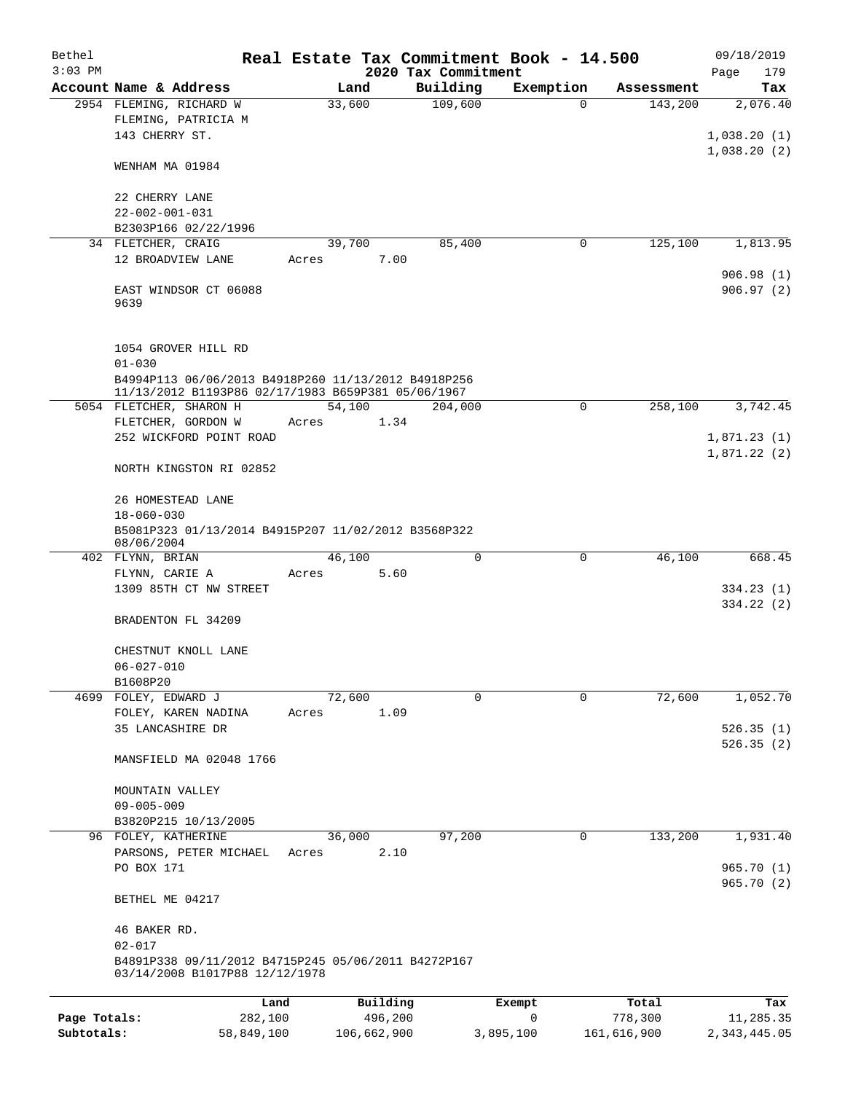| Bethel<br>$3:03$ PM |                                                                                                           |        |             |                                 | Real Estate Tax Commitment Book - 14.500 |             | 09/18/2019             |
|---------------------|-----------------------------------------------------------------------------------------------------------|--------|-------------|---------------------------------|------------------------------------------|-------------|------------------------|
|                     | Account Name & Address                                                                                    |        | Land        | 2020 Tax Commitment<br>Building | Exemption                                | Assessment  | Page<br>179<br>Tax     |
|                     | 2954 FLEMING, RICHARD W                                                                                   | 33,600 |             | 109,600                         | $\Omega$                                 | 143,200     | 2,076.40               |
|                     | FLEMING, PATRICIA M                                                                                       |        |             |                                 |                                          |             |                        |
|                     | 143 CHERRY ST.                                                                                            |        |             |                                 |                                          |             | 1,038.20(1)            |
|                     |                                                                                                           |        |             |                                 |                                          |             | 1,038.20(2)            |
|                     | WENHAM MA 01984                                                                                           |        |             |                                 |                                          |             |                        |
|                     | 22 CHERRY LANE                                                                                            |        |             |                                 |                                          |             |                        |
|                     | $22 - 002 - 001 - 031$                                                                                    |        |             |                                 |                                          |             |                        |
|                     | B2303P166 02/22/1996                                                                                      |        |             |                                 |                                          |             |                        |
|                     | 34 FLETCHER, CRAIG                                                                                        | 39,700 |             | 85,400                          | 0                                        | 125,100     | 1,813.95               |
|                     | 12 BROADVIEW LANE                                                                                         | Acres  | 7.00        |                                 |                                          |             |                        |
|                     | EAST WINDSOR CT 06088<br>9639                                                                             |        |             |                                 |                                          |             | 906.98(1)<br>906.97(2) |
|                     |                                                                                                           |        |             |                                 |                                          |             |                        |
|                     | 1054 GROVER HILL RD                                                                                       |        |             |                                 |                                          |             |                        |
|                     | $01 - 030$                                                                                                |        |             |                                 |                                          |             |                        |
|                     | B4994P113 06/06/2013 B4918P260 11/13/2012 B4918P256<br>11/13/2012 B1193P86 02/17/1983 B659P381 05/06/1967 |        |             |                                 |                                          |             |                        |
|                     | 5054 FLETCHER, SHARON H                                                                                   | 54,100 |             | 204,000                         | 0                                        | 258,100     | 3,742.45               |
|                     | FLETCHER, GORDON W                                                                                        | Acres  | 1.34        |                                 |                                          |             |                        |
|                     | 252 WICKFORD POINT ROAD                                                                                   |        |             |                                 |                                          |             | 1,871.23(1)            |
|                     |                                                                                                           |        |             |                                 |                                          |             | 1,871.22(2)            |
|                     | NORTH KINGSTON RI 02852                                                                                   |        |             |                                 |                                          |             |                        |
|                     | 26 HOMESTEAD LANE                                                                                         |        |             |                                 |                                          |             |                        |
|                     | $18 - 060 - 030$                                                                                          |        |             |                                 |                                          |             |                        |
|                     | B5081P323 01/13/2014 B4915P207 11/02/2012 B3568P322<br>08/06/2004                                         |        |             |                                 |                                          |             |                        |
|                     | 402 FLYNN, BRIAN                                                                                          | 46,100 |             | 0                               | 0                                        | 46,100      | 668.45                 |
|                     | FLYNN, CARIE A                                                                                            | Acres  | 5.60        |                                 |                                          |             |                        |
|                     | 1309 85TH CT NW STREET                                                                                    |        |             |                                 |                                          |             | 334.23(1)              |
|                     |                                                                                                           |        |             |                                 |                                          |             | 334.22 (2)             |
|                     | BRADENTON FL 34209                                                                                        |        |             |                                 |                                          |             |                        |
|                     | CHESTNUT KNOLL LANE                                                                                       |        |             |                                 |                                          |             |                        |
|                     | $06 - 027 - 010$                                                                                          |        |             |                                 |                                          |             |                        |
|                     | B1608P20                                                                                                  |        |             |                                 |                                          |             |                        |
|                     | 4699 FOLEY, EDWARD J                                                                                      | 72,600 |             | $\Omega$                        | $\Omega$                                 | 72,600      | 1,052.70               |
|                     | FOLEY, KAREN NADINA                                                                                       | Acres  | 1.09        |                                 |                                          |             |                        |
|                     | 35 LANCASHIRE DR                                                                                          |        |             |                                 |                                          |             | 526.35(1)              |
|                     | MANSFIELD MA 02048 1766                                                                                   |        |             |                                 |                                          |             | 526.35(2)              |
|                     |                                                                                                           |        |             |                                 |                                          |             |                        |
|                     | MOUNTAIN VALLEY                                                                                           |        |             |                                 |                                          |             |                        |
|                     | $09 - 005 - 009$                                                                                          |        |             |                                 |                                          |             |                        |
|                     | B3820P215 10/13/2005                                                                                      |        |             |                                 |                                          |             |                        |
|                     | 96 FOLEY, KATHERINE                                                                                       | 36,000 |             | 97,200                          | 0                                        | 133,200     | 1,931.40               |
|                     | PARSONS, PETER MICHAEL<br>PO BOX 171                                                                      | Acres  | 2.10        |                                 |                                          |             | 965.70(1)              |
|                     | BETHEL ME 04217                                                                                           |        |             |                                 |                                          |             | 965.70(2)              |
|                     |                                                                                                           |        |             |                                 |                                          |             |                        |
|                     | 46 BAKER RD.                                                                                              |        |             |                                 |                                          |             |                        |
|                     | $02 - 017$                                                                                                |        |             |                                 |                                          |             |                        |
|                     | B4891P338 09/11/2012 B4715P245 05/06/2011 B4272P167<br>03/14/2008 B1017P88 12/12/1978                     |        |             |                                 |                                          |             |                        |
|                     | Land                                                                                                      |        | Building    |                                 | Exempt                                   | Total       | Tax                    |
| Page Totals:        | 282,100                                                                                                   |        | 496,200     |                                 | 0                                        | 778,300     | 11,285.35              |
| Subtotals:          | 58,849,100                                                                                                |        | 106,662,900 |                                 | 3,895,100                                | 161,616,900 | 2, 343, 445.05         |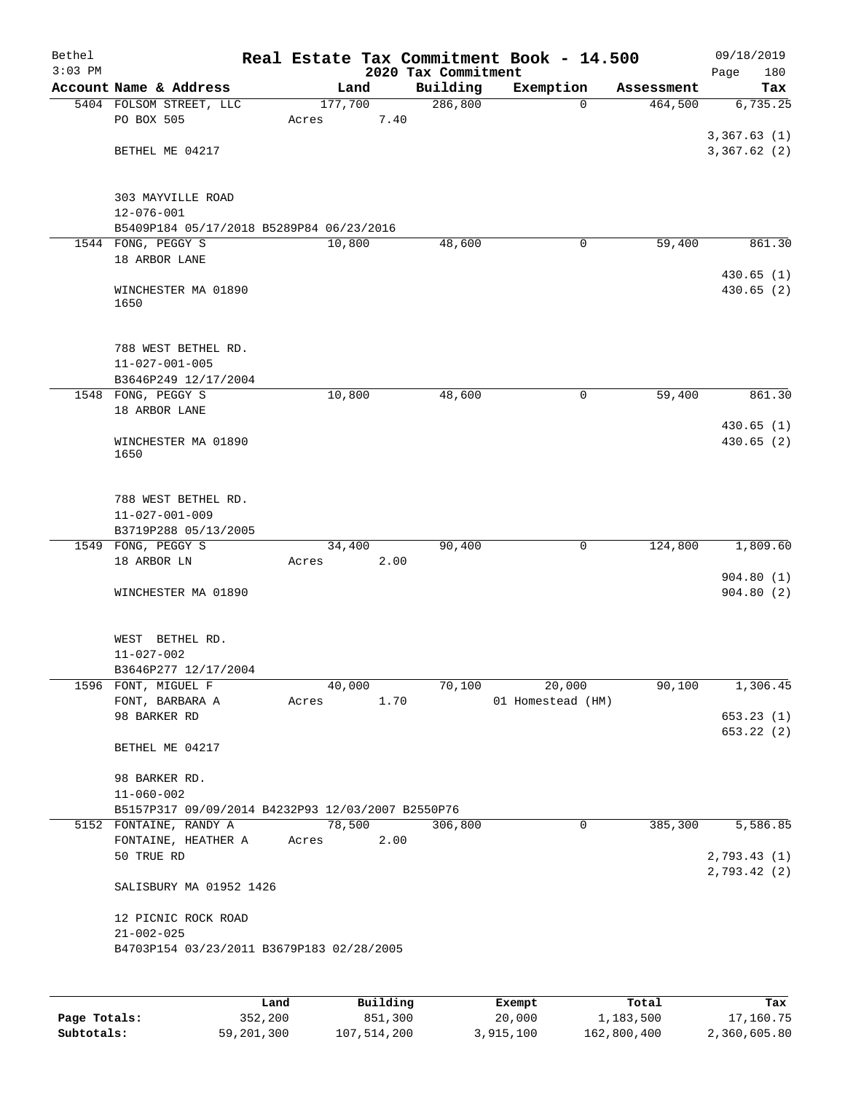| Bethel    |                                                                       |                  |                                 | Real Estate Tax Commitment Book - 14.500 |            | 09/18/2019              |
|-----------|-----------------------------------------------------------------------|------------------|---------------------------------|------------------------------------------|------------|-------------------------|
| $3:03$ PM | Account Name & Address                                                | Land             | 2020 Tax Commitment<br>Building | Exemption                                | Assessment | 180<br>Page<br>Tax      |
|           | 5404 FOLSOM STREET, LLC                                               | 177,700          | 286, 800                        | $\Omega$                                 | 464,500    | 6,735.25                |
|           | PO BOX 505                                                            | Acres            | 7.40                            |                                          |            |                         |
|           |                                                                       |                  |                                 |                                          |            | 3,367.63(1)             |
|           | BETHEL ME 04217                                                       |                  |                                 |                                          |            | 3,367.62(2)             |
|           | 303 MAYVILLE ROAD<br>$12 - 076 - 001$                                 |                  |                                 |                                          |            |                         |
|           | B5409P184 05/17/2018 B5289P84 06/23/2016                              |                  |                                 |                                          |            |                         |
|           | 1544 FONG, PEGGY S<br>18 ARBOR LANE                                   | 10,800           | 48,600                          | 0                                        | 59,400     | 861.30                  |
|           |                                                                       |                  |                                 |                                          |            | 430.65(1)               |
|           | WINCHESTER MA 01890<br>1650                                           |                  |                                 |                                          |            | 430.65 (2)              |
|           | 788 WEST BETHEL RD.                                                   |                  |                                 |                                          |            |                         |
|           | $11 - 027 - 001 - 005$                                                |                  |                                 |                                          |            |                         |
|           | B3646P249 12/17/2004                                                  | 10,800           | 48,600                          | 0                                        | 59,400     | 861.30                  |
|           | 1548 FONG, PEGGY S<br>18 ARBOR LANE                                   |                  |                                 |                                          |            |                         |
|           | WINCHESTER MA 01890<br>1650                                           |                  |                                 |                                          |            | 430.65(1)<br>430.65(2)  |
|           | 788 WEST BETHEL RD.<br>$11 - 027 - 001 - 009$<br>B3719P288 05/13/2005 |                  |                                 |                                          |            |                         |
|           | 1549 FONG, PEGGY S                                                    | 34,400           | 90,400                          | 0                                        | 124,800    | 1,809.60                |
|           | 18 ARBOR LN                                                           | Acres            | 2.00                            |                                          |            |                         |
|           | WINCHESTER MA 01890                                                   |                  |                                 |                                          |            | 904.80(1)<br>904.80(2)  |
|           | WEST BETHEL RD.<br>$11 - 027 - 002$<br>B3646P277 12/17/2004           |                  |                                 |                                          |            |                         |
|           | 1596 FONT, MIGUEL F                                                   | 40,000           | 70,100                          | 20,000                                   | 90,100     | 1,306.45                |
|           | FONT, BARBARA A                                                       | Acres            | 1.70                            | 01 Homestead (HM)                        |            |                         |
|           | 98 BARKER RD                                                          |                  |                                 |                                          |            | 653.23(1)<br>653.22 (2) |
|           | BETHEL ME 04217                                                       |                  |                                 |                                          |            |                         |
|           | 98 BARKER RD.<br>$11 - 060 - 002$                                     |                  |                                 |                                          |            |                         |
|           | B5157P317 09/09/2014 B4232P93 12/03/2007 B2550P76                     |                  |                                 |                                          |            |                         |
|           | 5152 FONTAINE, RANDY A                                                | 78,500           | 306,800                         | $\mathbf{0}$                             | 385,300    | 5,586.85                |
|           | FONTAINE, HEATHER A<br>50 TRUE RD                                     | Acres            | 2.00                            |                                          |            | 2,793.43 (1)            |
|           | SALISBURY MA 01952 1426                                               |                  |                                 |                                          |            | 2,793.42(2)             |
|           | 12 PICNIC ROCK ROAD                                                   |                  |                                 |                                          |            |                         |
|           | $21 - 002 - 025$                                                      |                  |                                 |                                          |            |                         |
|           | B4703P154 03/23/2011 B3679P183 02/28/2005                             |                  |                                 |                                          |            |                         |
|           |                                                                       |                  |                                 |                                          |            |                         |
|           |                                                                       | Building<br>Land |                                 | <b>Exempt</b>                            | Total      | Tax                     |

|              | Land       | Building    | Exempt    | Total       | Tax          |
|--------------|------------|-------------|-----------|-------------|--------------|
| Page Totals: | 352,200    | 851,300     | 20,000    | 1,183,500   | 17,160.75    |
| Subtotals:   | 59,201,300 | 107,514,200 | 3,915,100 | 162,800,400 | 2,360,605.80 |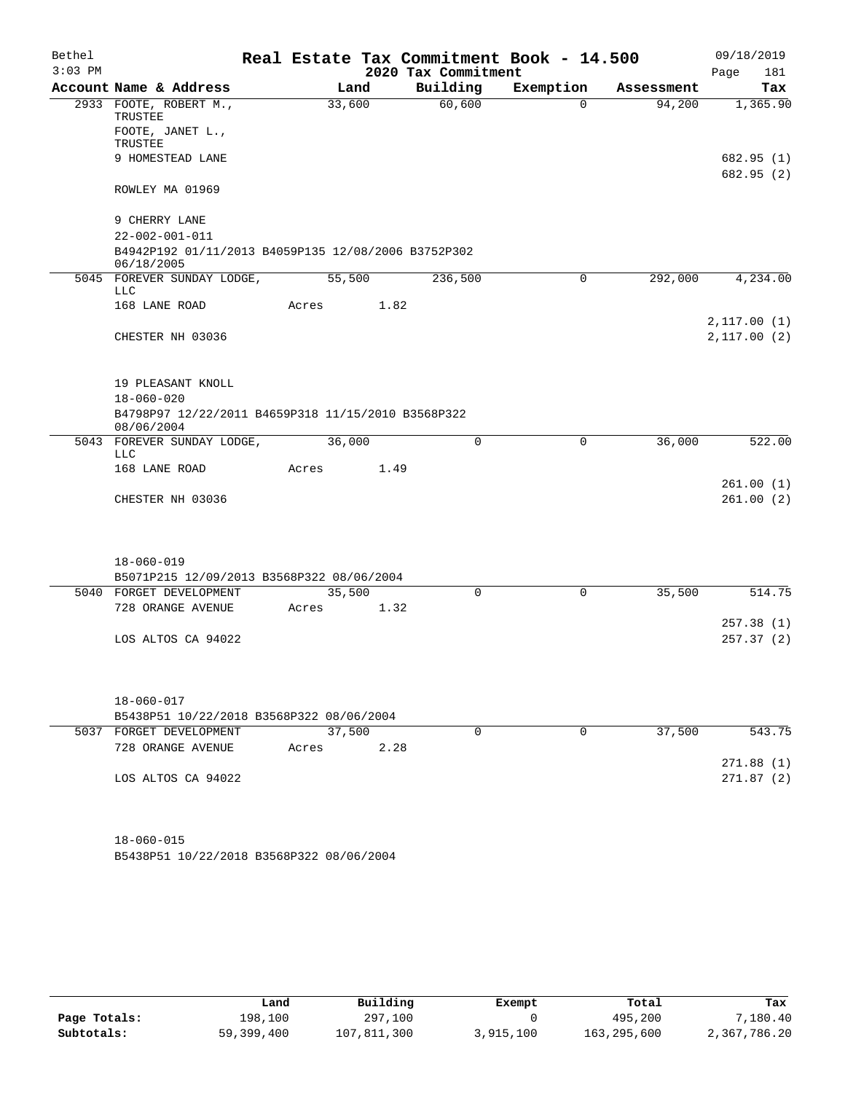| Bethel    |                                                                               |        | Real Estate Tax Commitment Book - 14.500 |             |            | 09/18/2019              |  |  |  |  |  |  |  |
|-----------|-------------------------------------------------------------------------------|--------|------------------------------------------|-------------|------------|-------------------------|--|--|--|--|--|--|--|
| $3:03$ PM |                                                                               |        | 2020 Tax Commitment                      |             |            | 181<br>Page             |  |  |  |  |  |  |  |
|           | Account Name & Address                                                        | Land   | Building                                 | Exemption   | Assessment | Tax                     |  |  |  |  |  |  |  |
|           | 2933 FOOTE, ROBERT M.,<br>TRUSTEE                                             | 33,600 | 60,600                                   | $\Omega$    | 94,200     | 1,365.90                |  |  |  |  |  |  |  |
|           | FOOTE, JANET L.,<br>TRUSTEE                                                   |        |                                          |             |            |                         |  |  |  |  |  |  |  |
|           | 9 HOMESTEAD LANE                                                              |        |                                          |             |            | 682.95(1)<br>682.95 (2) |  |  |  |  |  |  |  |
|           | ROWLEY MA 01969                                                               |        |                                          |             |            |                         |  |  |  |  |  |  |  |
|           | 9 CHERRY LANE                                                                 |        |                                          |             |            |                         |  |  |  |  |  |  |  |
|           | $22 - 002 - 001 - 011$<br>B4942P192 01/11/2013 B4059P135 12/08/2006 B3752P302 |        |                                          |             |            |                         |  |  |  |  |  |  |  |
|           | 06/18/2005                                                                    |        |                                          |             |            |                         |  |  |  |  |  |  |  |
|           | 5045 FOREVER SUNDAY LODGE,<br>LLC                                             | 55,500 | 236,500                                  | 0           | 292,000    | 4,234.00                |  |  |  |  |  |  |  |
|           | 168 LANE ROAD                                                                 | Acres  | 1.82                                     |             |            |                         |  |  |  |  |  |  |  |
|           |                                                                               |        |                                          |             |            | 2,117.00(1)             |  |  |  |  |  |  |  |
|           | CHESTER NH 03036                                                              |        |                                          |             |            | 2,117.00(2)             |  |  |  |  |  |  |  |
|           | 19 PLEASANT KNOLL                                                             |        |                                          |             |            |                         |  |  |  |  |  |  |  |
|           | $18 - 060 - 020$                                                              |        |                                          |             |            |                         |  |  |  |  |  |  |  |
|           | B4798P97 12/22/2011 B4659P318 11/15/2010 B3568P322<br>08/06/2004              |        |                                          |             |            |                         |  |  |  |  |  |  |  |
|           | 5043 FOREVER SUNDAY LODGE,<br>LLC                                             | 36,000 | $\Omega$                                 | $\mathbf 0$ | 36,000     | 522.00                  |  |  |  |  |  |  |  |
|           | 168 LANE ROAD                                                                 | Acres  | 1.49                                     |             |            |                         |  |  |  |  |  |  |  |
|           |                                                                               |        |                                          |             |            | 261.00(1)               |  |  |  |  |  |  |  |
|           | CHESTER NH 03036                                                              |        |                                          |             |            | 261.00(2)               |  |  |  |  |  |  |  |
|           | $18 - 060 - 019$                                                              |        |                                          |             |            |                         |  |  |  |  |  |  |  |
|           | B5071P215 12/09/2013 B3568P322 08/06/2004                                     |        |                                          |             |            |                         |  |  |  |  |  |  |  |
|           | 5040 FORGET DEVELOPMENT                                                       | 35,500 | 0                                        | 0           | 35,500     | 514.75                  |  |  |  |  |  |  |  |
|           | 728 ORANGE AVENUE                                                             | Acres  | 1.32                                     |             |            |                         |  |  |  |  |  |  |  |
|           |                                                                               |        |                                          |             |            | 257.38(1)               |  |  |  |  |  |  |  |
|           | LOS ALTOS CA 94022                                                            |        |                                          |             |            | 257.37(2)               |  |  |  |  |  |  |  |
|           |                                                                               |        |                                          |             |            |                         |  |  |  |  |  |  |  |
|           | $18 - 060 - 017$                                                              |        |                                          |             |            |                         |  |  |  |  |  |  |  |
|           | B5438P51 10/22/2018 B3568P322 08/06/2004                                      |        |                                          |             |            |                         |  |  |  |  |  |  |  |
|           | 5037 FORGET DEVELOPMENT                                                       | 37,500 | 0                                        | 0           | 37,500     | 543.75                  |  |  |  |  |  |  |  |
|           | 728 ORANGE AVENUE                                                             | Acres  | 2.28                                     |             |            |                         |  |  |  |  |  |  |  |
|           | LOS ALTOS CA 94022                                                            |        |                                          |             |            | 271.88(1)<br>271.87(2)  |  |  |  |  |  |  |  |
|           |                                                                               |        |                                          |             |            |                         |  |  |  |  |  |  |  |

B5438P51 10/22/2018 B3568P322 08/06/2004 18-060-015

|              | Land       | Building    | Exempt    | Total       | Tax          |
|--------------|------------|-------------|-----------|-------------|--------------|
| Page Totals: | 198,100    | 297,100     |           | 495,200     | 7,180.40     |
| Subtotals:   | 59,399,400 | 107,811,300 | 3,915,100 | 163,295,600 | 2,367,786.20 |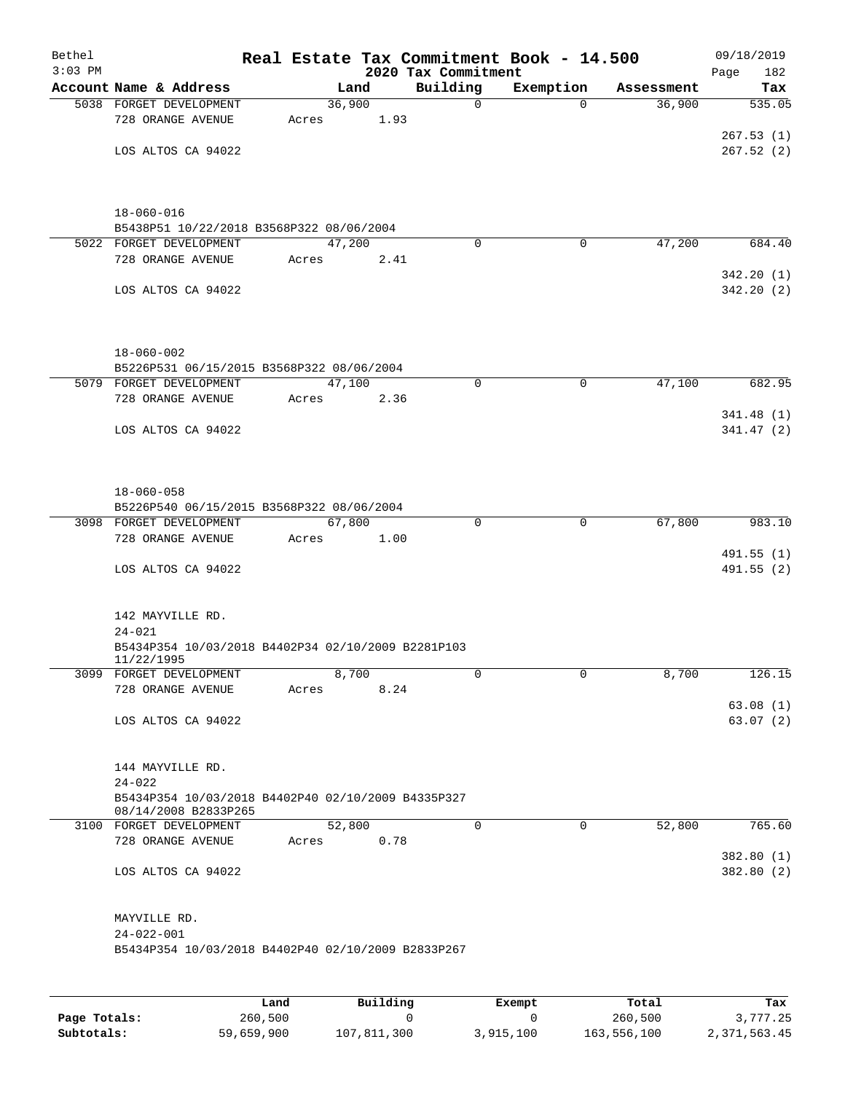| Bethel<br>$3:03$ PM |                                                                            |        |       | 2020 Tax Commitment | Real Estate Tax Commitment Book - 14.500 |            | 09/18/2019<br>182<br>Page |
|---------------------|----------------------------------------------------------------------------|--------|-------|---------------------|------------------------------------------|------------|---------------------------|
|                     | Account Name & Address                                                     |        | Land  | Building            | Exemption                                | Assessment | Tax                       |
|                     | 5038 FORGET DEVELOPMENT                                                    | 36,900 |       | $\mathbf 0$         | $\Omega$                                 | 36,900     | 535.05                    |
|                     | 728 ORANGE AVENUE                                                          | Acres  | 1.93  |                     |                                          |            |                           |
|                     |                                                                            |        |       |                     |                                          |            | 267.53(1)                 |
|                     | LOS ALTOS CA 94022                                                         |        |       |                     |                                          |            | 267.52(2)                 |
|                     |                                                                            |        |       |                     |                                          |            |                           |
|                     | $18 - 060 - 016$<br>B5438P51 10/22/2018 B3568P322 08/06/2004               |        |       |                     |                                          |            |                           |
|                     | 5022 FORGET DEVELOPMENT                                                    | 47,200 |       | $\Omega$            | 0                                        | 47,200     | 684.40                    |
|                     | 728 ORANGE AVENUE                                                          | Acres  | 2.41  |                     |                                          |            |                           |
|                     |                                                                            |        |       |                     |                                          |            | 342.20(1)                 |
|                     | LOS ALTOS CA 94022                                                         |        |       |                     |                                          |            | 342.20(2)                 |
|                     |                                                                            |        |       |                     |                                          |            |                           |
|                     | $18 - 060 - 002$                                                           |        |       |                     |                                          |            |                           |
|                     | B5226P531 06/15/2015 B3568P322 08/06/2004<br>5079 FORGET DEVELOPMENT       | 47,100 |       | 0                   | $\mathbf 0$                              | 47,100     | 682.95                    |
|                     | 728 ORANGE AVENUE                                                          | Acres  | 2.36  |                     |                                          |            |                           |
|                     |                                                                            |        |       |                     |                                          |            | 341.48(1)                 |
|                     | LOS ALTOS CA 94022                                                         |        |       |                     |                                          |            | 341.47(2)                 |
|                     |                                                                            |        |       |                     |                                          |            |                           |
|                     | $18 - 060 - 058$                                                           |        |       |                     |                                          |            |                           |
|                     | B5226P540 06/15/2015 B3568P322 08/06/2004                                  |        |       |                     |                                          |            |                           |
|                     | 3098 FORGET DEVELOPMENT                                                    | 67,800 |       | 0                   | $\mathbf 0$                              | 67,800     | 983.10                    |
|                     | 728 ORANGE AVENUE                                                          | Acres  | 1.00  |                     |                                          |            |                           |
|                     | LOS ALTOS CA 94022                                                         |        |       |                     |                                          |            | 491.55(1)<br>491.55(2)    |
|                     | 142 MAYVILLE RD.                                                           |        |       |                     |                                          |            |                           |
|                     | $24 - 021$                                                                 |        |       |                     |                                          |            |                           |
|                     | B5434P354 10/03/2018 B4402P34 02/10/2009 B2281P103<br>11/22/1995           |        |       |                     |                                          |            |                           |
|                     | 3099 FORGET DEVELOPMENT                                                    |        | 8,700 | 0                   | 0                                        | 8,700      | 126.15                    |
|                     | 728 ORANGE AVENUE                                                          | Acres  | 8.24  |                     |                                          |            |                           |
|                     | LOS ALTOS CA 94022                                                         |        |       |                     |                                          |            | 63.08(1)<br>63.07(2)      |
|                     |                                                                            |        |       |                     |                                          |            |                           |
|                     | 144 MAYVILLE RD.                                                           |        |       |                     |                                          |            |                           |
|                     | $24 - 022$                                                                 |        |       |                     |                                          |            |                           |
|                     | B5434P354 10/03/2018 B4402P40 02/10/2009 B4335P327<br>08/14/2008 B2833P265 |        |       |                     |                                          |            |                           |
|                     | 3100 FORGET DEVELOPMENT                                                    | 52,800 |       | $\mathbf 0$         | $\mathbf 0$                              | 52,800     | 765.60                    |
|                     | 728 ORANGE AVENUE                                                          | Acres  | 0.78  |                     |                                          |            | 382.80(1)                 |
|                     | LOS ALTOS CA 94022                                                         |        |       |                     |                                          |            | 382.80(2)                 |
|                     | MAYVILLE RD.                                                               |        |       |                     |                                          |            |                           |
|                     | $24 - 022 - 001$                                                           |        |       |                     |                                          |            |                           |
|                     | B5434P354 10/03/2018 B4402P40 02/10/2009 B2833P267                         |        |       |                     |                                          |            |                           |
|                     |                                                                            |        |       |                     |                                          |            |                           |

|              | Land       | Building    | Exempt    | Total       | Tax          |
|--------------|------------|-------------|-----------|-------------|--------------|
| Page Totals: | 260,500    |             |           | 260,500     | 3,777.25     |
| Subtotals:   | 59,659,900 | 107,811,300 | 3,915,100 | 163,556,100 | 2,371,563.45 |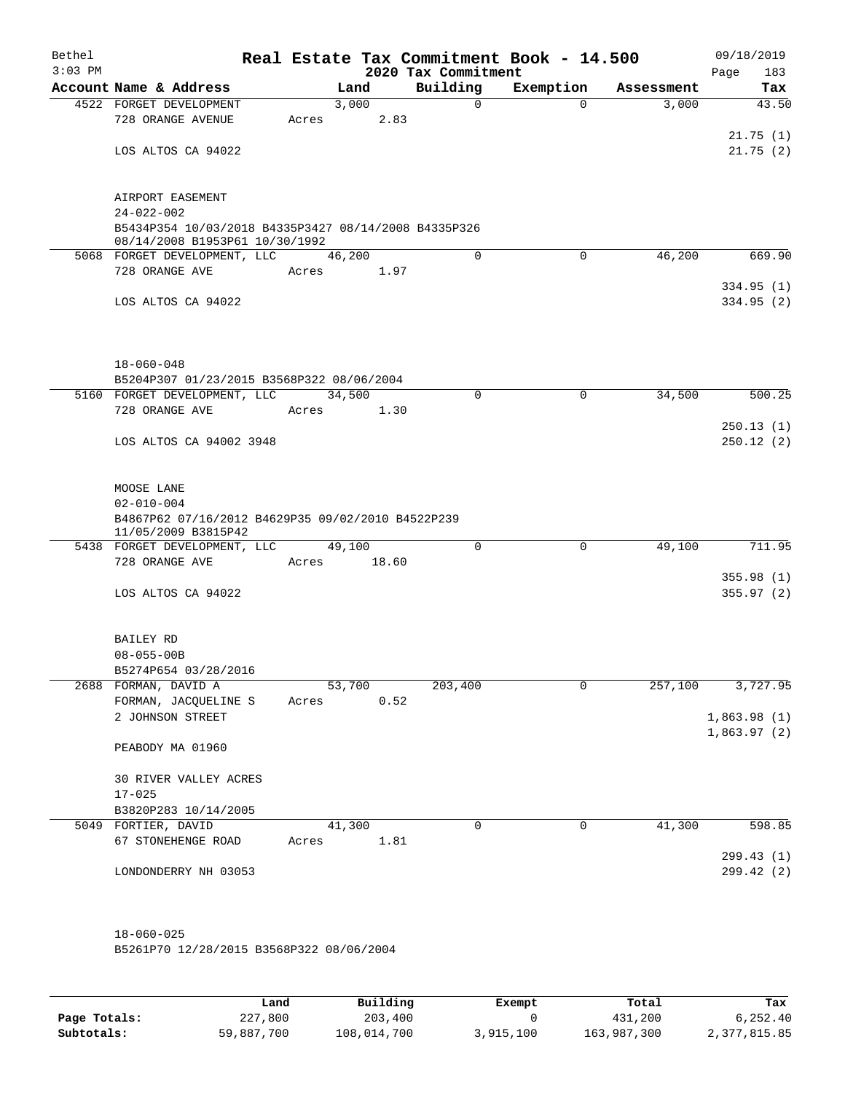| Bethel<br>$3:03$ PM |                                                                          | Real Estate Tax Commitment Book - 14.500 | 2020 Tax Commitment |             |            | 09/18/2019<br>183<br>Page |
|---------------------|--------------------------------------------------------------------------|------------------------------------------|---------------------|-------------|------------|---------------------------|
|                     | Account Name & Address                                                   | Land                                     | Building            | Exemption   | Assessment | Tax                       |
|                     | 4522 FORGET DEVELOPMENT                                                  | 3,000                                    | $\mathsf{O}$        | $\Omega$    | 3,000      | 43.50                     |
|                     | 728 ORANGE AVENUE                                                        | 2.83<br>Acres                            |                     |             |            |                           |
|                     |                                                                          |                                          |                     |             |            | 21.75(1)                  |
|                     | LOS ALTOS CA 94022                                                       |                                          |                     |             |            | 21.75(2)                  |
|                     |                                                                          |                                          |                     |             |            |                           |
|                     | AIRPORT EASEMENT                                                         |                                          |                     |             |            |                           |
|                     | $24 - 022 - 002$                                                         |                                          |                     |             |            |                           |
|                     | B5434P354 10/03/2018 B4335P3427 08/14/2008 B4335P326                     |                                          |                     |             |            |                           |
|                     | 08/14/2008 B1953P61 10/30/1992<br>5068 FORGET DEVELOPMENT, LLC           | 46,200                                   | $\Omega$            | $\Omega$    | 46,200     | 669.90                    |
|                     | 728 ORANGE AVE                                                           | Acres 1.97                               |                     |             |            |                           |
|                     |                                                                          |                                          |                     |             |            | 334.95(1)                 |
|                     | LOS ALTOS CA 94022                                                       |                                          |                     |             |            | 334.95(2)                 |
|                     |                                                                          |                                          |                     |             |            |                           |
|                     | $18 - 060 - 048$                                                         |                                          |                     |             |            |                           |
|                     | B5204P307 01/23/2015 B3568P322 08/06/2004                                |                                          |                     |             |            |                           |
|                     | 5160 FORGET DEVELOPMENT, LLC                                             | 34,500                                   | $\Omega$            | $\mathbf 0$ | 34,500     | 500.25                    |
|                     | 728 ORANGE AVE                                                           | 1.30<br>Acres                            |                     |             |            |                           |
|                     |                                                                          |                                          |                     |             |            | 250.13(1)                 |
|                     | LOS ALTOS CA 94002 3948                                                  |                                          |                     |             |            | 250.12(2)                 |
|                     | MOOSE LANE                                                               |                                          |                     |             |            |                           |
|                     | $02 - 010 - 004$                                                         |                                          |                     |             |            |                           |
|                     | B4867P62 07/16/2012 B4629P35 09/02/2010 B4522P239<br>11/05/2009 B3815P42 |                                          |                     |             |            |                           |
|                     | 5438 FORGET DEVELOPMENT, LLC                                             | 49,100                                   | $\mathbf 0$         | $\mathbf 0$ | 49,100     | 711.95                    |
|                     | 728 ORANGE AVE                                                           | Acres 18.60                              |                     |             |            |                           |
|                     |                                                                          |                                          |                     |             |            | 355.98(1)                 |
|                     | LOS ALTOS CA 94022                                                       |                                          |                     |             |            | 355.97(2)                 |
|                     | BAILEY RD                                                                |                                          |                     |             |            |                           |
|                     | $08 - 055 - 00B$                                                         |                                          |                     |             |            |                           |
|                     | B5274P654 03/28/2016                                                     |                                          |                     |             |            |                           |
|                     | 2688 FORMAN, DAVID A                                                     | 53,700                                   | 203,400             | 0           | 257,100    | 3,727.95                  |
|                     | FORMAN, JACQUELINE S                                                     | 0.52<br>Acres                            |                     |             |            |                           |
|                     | 2 JOHNSON STREET                                                         |                                          |                     |             |            | 1,863.98(1)               |
|                     | PEABODY MA 01960                                                         |                                          |                     |             |            | 1,863.97(2)               |
|                     | 30 RIVER VALLEY ACRES                                                    |                                          |                     |             |            |                           |
|                     | $17 - 025$                                                               |                                          |                     |             |            |                           |
|                     | B3820P283 10/14/2005                                                     |                                          |                     |             |            |                           |
|                     | 5049 FORTIER, DAVID                                                      | 41,300                                   | 0                   | $\mathbf 0$ | 41,300     | 598.85                    |
|                     | 67 STONEHENGE ROAD                                                       | 1.81<br>Acres                            |                     |             |            |                           |
|                     |                                                                          |                                          |                     |             |            | 299.43(1)                 |
|                     | LONDONDERRY NH 03053                                                     |                                          |                     |             |            | 299.42 (2)                |
|                     |                                                                          |                                          |                     |             |            |                           |
|                     | $18 - 060 - 025$                                                         |                                          |                     |             |            |                           |
|                     | B5261P70 12/28/2015 B3568P322 08/06/2004                                 |                                          |                     |             |            |                           |

|              | Land       | Building    | Exempt    | Total       | Tax          |
|--------------|------------|-------------|-----------|-------------|--------------|
| Page Totals: | 227,800    | 203,400     |           | 431,200     | 6.252.40     |
| Subtotals:   | 59,887,700 | 108,014,700 | 3,915,100 | 163,987,300 | 2,377,815.85 |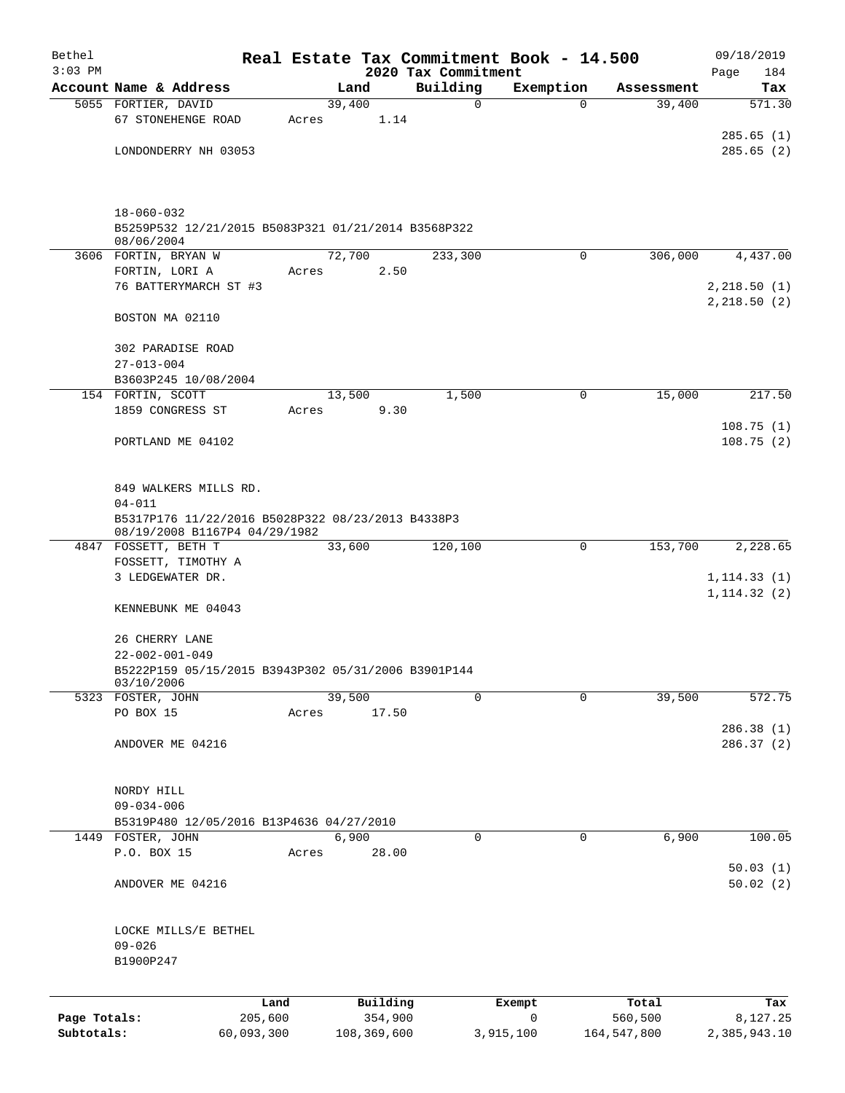| Bethel       |                                                                   |                 |                     |                     | Real Estate Tax Commitment Book - 14.500 |                  | 09/18/2019                 |  |  |  |  |  |  |
|--------------|-------------------------------------------------------------------|-----------------|---------------------|---------------------|------------------------------------------|------------------|----------------------------|--|--|--|--|--|--|
| $3:03$ PM    |                                                                   |                 |                     | 2020 Tax Commitment |                                          |                  | Page<br>184                |  |  |  |  |  |  |
|              | Account Name & Address                                            |                 | Land                | Building            | Exemption                                | Assessment       | Tax                        |  |  |  |  |  |  |
|              | 5055 FORTIER, DAVID<br>67 STONEHENGE ROAD                         | Acres           | 39,400<br>1.14      | 0                   | $\Omega$                                 | 39,400           | 571.30                     |  |  |  |  |  |  |
|              |                                                                   |                 |                     |                     |                                          |                  | 285.65(1)                  |  |  |  |  |  |  |
|              | LONDONDERRY NH 03053                                              |                 |                     |                     |                                          |                  | 285.65(2)                  |  |  |  |  |  |  |
|              |                                                                   |                 |                     |                     |                                          |                  |                            |  |  |  |  |  |  |
|              | $18 - 060 - 032$                                                  |                 |                     |                     |                                          |                  |                            |  |  |  |  |  |  |
|              | B5259P532 12/21/2015 B5083P321 01/21/2014 B3568P322<br>08/06/2004 |                 |                     |                     |                                          |                  |                            |  |  |  |  |  |  |
|              | 3606 FORTIN, BRYAN W                                              |                 | 72,700              | 233,300             | $\mathbf 0$                              | 306,000          | 4,437.00                   |  |  |  |  |  |  |
|              | FORTIN, LORI A                                                    | Acres           | 2.50                |                     |                                          |                  |                            |  |  |  |  |  |  |
|              | 76 BATTERYMARCH ST #3                                             |                 |                     |                     |                                          |                  | 2,218.50(1)<br>2,218.50(2) |  |  |  |  |  |  |
|              | BOSTON MA 02110                                                   |                 |                     |                     |                                          |                  |                            |  |  |  |  |  |  |
|              | 302 PARADISE ROAD                                                 |                 |                     |                     |                                          |                  |                            |  |  |  |  |  |  |
|              | $27 - 013 - 004$                                                  |                 |                     |                     |                                          |                  |                            |  |  |  |  |  |  |
|              | B3603P245 10/08/2004                                              |                 |                     |                     |                                          |                  |                            |  |  |  |  |  |  |
|              | 154 FORTIN, SCOTT                                                 |                 | 13,500              | 1,500               | 0                                        | 15,000           | 217.50                     |  |  |  |  |  |  |
|              | 1859 CONGRESS ST                                                  | Acres           | 9.30                |                     |                                          |                  | 108.75(1)                  |  |  |  |  |  |  |
|              | PORTLAND ME 04102                                                 |                 |                     |                     |                                          |                  | 108.75(2)                  |  |  |  |  |  |  |
|              |                                                                   |                 |                     |                     |                                          |                  |                            |  |  |  |  |  |  |
|              | 849 WALKERS MILLS RD.                                             |                 |                     |                     |                                          |                  |                            |  |  |  |  |  |  |
|              | $04 - 011$<br>B5317P176 11/22/2016 B5028P322 08/23/2013 B4338P3   |                 |                     |                     |                                          |                  |                            |  |  |  |  |  |  |
|              | 08/19/2008 B1167P4 04/29/1982                                     |                 |                     |                     |                                          |                  |                            |  |  |  |  |  |  |
|              | 4847 FOSSETT, BETH T                                              |                 | 33,600              | 120,100             | 0                                        | 153,700          | 2,228.65                   |  |  |  |  |  |  |
|              | FOSSETT, TIMOTHY A<br>3 LEDGEWATER DR.                            |                 |                     |                     |                                          |                  | 1, 114.33(1)               |  |  |  |  |  |  |
|              |                                                                   |                 |                     |                     |                                          |                  | 1, 114.32(2)               |  |  |  |  |  |  |
|              | KENNEBUNK ME 04043                                                |                 |                     |                     |                                          |                  |                            |  |  |  |  |  |  |
|              | 26 CHERRY LANE                                                    |                 |                     |                     |                                          |                  |                            |  |  |  |  |  |  |
|              | $22 - 002 - 001 - 049$                                            |                 |                     |                     |                                          |                  |                            |  |  |  |  |  |  |
|              | B5222P159 05/15/2015 B3943P302 05/31/2006 B3901P144               |                 |                     |                     |                                          |                  |                            |  |  |  |  |  |  |
|              | 03/10/2006<br>5323 FOSTER, JOHN                                   |                 | 39,500              | $\Omega$            | $\mathbf 0$                              | 39,500           | 572.75                     |  |  |  |  |  |  |
|              | PO BOX 15                                                         | Acres           | 17.50               |                     |                                          |                  |                            |  |  |  |  |  |  |
|              |                                                                   |                 |                     |                     |                                          |                  | 286.38(1)                  |  |  |  |  |  |  |
|              | ANDOVER ME 04216                                                  |                 |                     |                     |                                          |                  | 286.37(2)                  |  |  |  |  |  |  |
|              |                                                                   |                 |                     |                     |                                          |                  |                            |  |  |  |  |  |  |
|              | NORDY HILL                                                        |                 |                     |                     |                                          |                  |                            |  |  |  |  |  |  |
|              | $09 - 034 - 006$                                                  |                 |                     |                     |                                          |                  |                            |  |  |  |  |  |  |
|              | B5319P480 12/05/2016 B13P4636 04/27/2010                          |                 | 6,900               | 0                   | 0                                        | 6,900            | 100.05                     |  |  |  |  |  |  |
|              | 1449 FOSTER, JOHN<br>P.O. BOX 15                                  | Acres           | 28.00               |                     |                                          |                  |                            |  |  |  |  |  |  |
|              |                                                                   |                 |                     |                     |                                          |                  | 50.03(1)                   |  |  |  |  |  |  |
|              | ANDOVER ME 04216                                                  |                 |                     |                     |                                          |                  | 50.02(2)                   |  |  |  |  |  |  |
|              | LOCKE MILLS/E BETHEL                                              |                 |                     |                     |                                          |                  |                            |  |  |  |  |  |  |
|              | $09 - 026$                                                        |                 |                     |                     |                                          |                  |                            |  |  |  |  |  |  |
|              | B1900P247                                                         |                 |                     |                     |                                          |                  |                            |  |  |  |  |  |  |
|              |                                                                   |                 |                     |                     |                                          |                  |                            |  |  |  |  |  |  |
| Page Totals: |                                                                   | Land<br>205,600 | Building<br>354,900 |                     | Exempt<br>0                              | Total<br>560,500 | Tax<br>8,127.25            |  |  |  |  |  |  |
| Subtotals:   |                                                                   | 60,093,300      | 108,369,600         |                     | 3,915,100                                | 164,547,800      | 2,385,943.10               |  |  |  |  |  |  |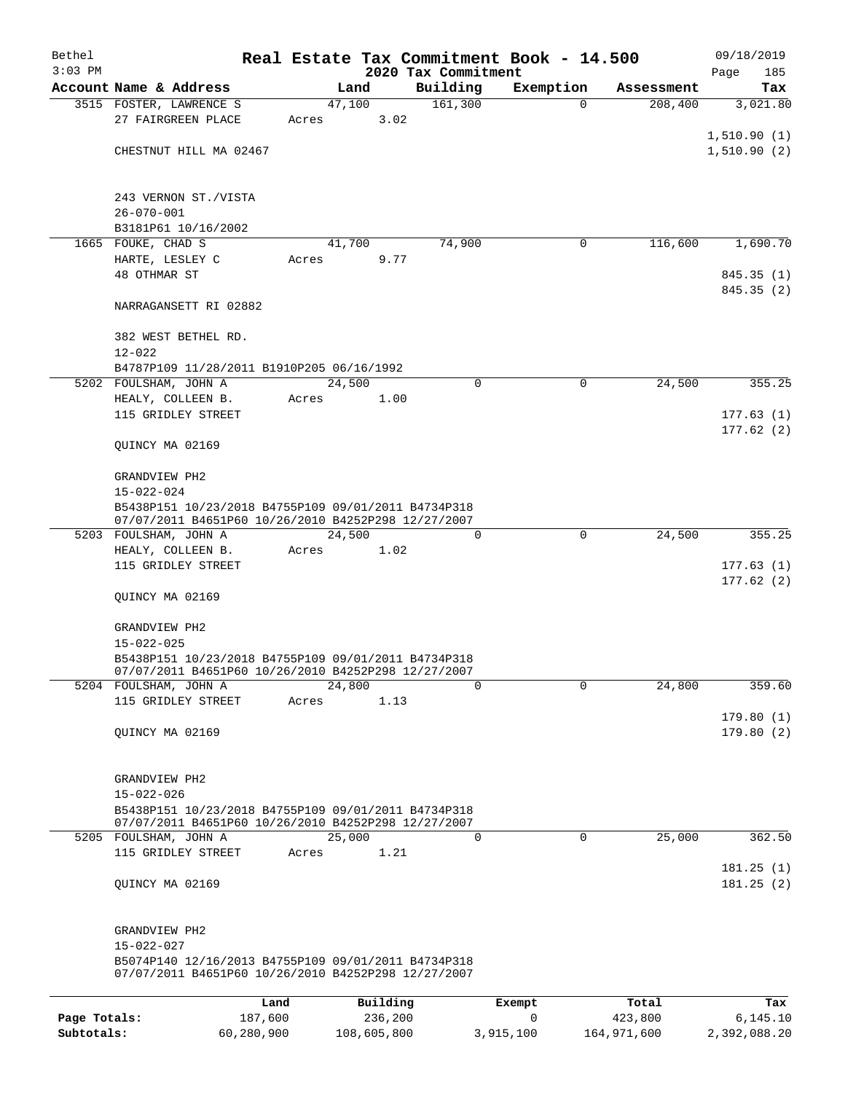| Bethel       |                                                                                                            |       |                |                                 | Real Estate Tax Commitment Book - 14.500 |            | 09/18/2019         |
|--------------|------------------------------------------------------------------------------------------------------------|-------|----------------|---------------------------------|------------------------------------------|------------|--------------------|
| $3:03$ PM    | Account Name & Address                                                                                     |       | Land           | 2020 Tax Commitment<br>Building | Exemption                                | Assessment | Page<br>185<br>Tax |
|              | 3515 FOSTER, LAWRENCE S                                                                                    |       | 47,100         | 161,300                         | $\Omega$                                 | 208,400    | 3,021.80           |
|              | 27 FAIRGREEN PLACE                                                                                         | Acres | 3.02           |                                 |                                          |            |                    |
|              |                                                                                                            |       |                |                                 |                                          |            | 1,510.90(1)        |
|              | CHESTNUT HILL MA 02467                                                                                     |       |                |                                 |                                          |            | 1,510.90(2)        |
|              | 243 VERNON ST./VISTA                                                                                       |       |                |                                 |                                          |            |                    |
|              | $26 - 070 - 001$                                                                                           |       |                |                                 |                                          |            |                    |
|              | B3181P61 10/16/2002<br>1665 FOUKE, CHAD S                                                                  |       |                | 74,900                          | 0                                        | 116,600    | 1,690.70           |
|              | HARTE, LESLEY C                                                                                            | Acres | 41,700<br>9.77 |                                 |                                          |            |                    |
|              | 48 OTHMAR ST                                                                                               |       |                |                                 |                                          |            | 845.35(1)          |
|              |                                                                                                            |       |                |                                 |                                          |            | 845.35 (2)         |
|              | NARRAGANSETT RI 02882                                                                                      |       |                |                                 |                                          |            |                    |
|              | 382 WEST BETHEL RD.                                                                                        |       |                |                                 |                                          |            |                    |
|              | $12 - 022$<br>B4787P109 11/28/2011 B1910P205 06/16/1992                                                    |       |                |                                 |                                          |            |                    |
|              | 5202 FOULSHAM, JOHN A                                                                                      |       | 24,500         | 0                               | $\mathbf 0$                              | 24,500     | 355.25             |
|              | HEALY, COLLEEN B.                                                                                          | Acres | 1.00           |                                 |                                          |            |                    |
|              | 115 GRIDLEY STREET                                                                                         |       |                |                                 |                                          |            | 177.63(1)          |
|              |                                                                                                            |       |                |                                 |                                          |            | 177.62(2)          |
|              | QUINCY MA 02169                                                                                            |       |                |                                 |                                          |            |                    |
|              | GRANDVIEW PH2                                                                                              |       |                |                                 |                                          |            |                    |
|              | $15 - 022 - 024$                                                                                           |       |                |                                 |                                          |            |                    |
|              | B5438P151 10/23/2018 B4755P109 09/01/2011 B4734P318<br>07/07/2011 B4651P60 10/26/2010 B4252P298 12/27/2007 |       |                |                                 |                                          |            |                    |
|              | 5203 FOULSHAM, JOHN A                                                                                      |       | 24,500         | $\Omega$                        | $\mathbf 0$                              | 24,500     | 355.25             |
|              | HEALY, COLLEEN B.<br>115 GRIDLEY STREET                                                                    | Acres | 1.02           |                                 |                                          |            | 177.63(1)          |
|              |                                                                                                            |       |                |                                 |                                          |            | 177.62(2)          |
|              | QUINCY MA 02169                                                                                            |       |                |                                 |                                          |            |                    |
|              | GRANDVIEW PH2                                                                                              |       |                |                                 |                                          |            |                    |
|              | $15 - 022 - 025$                                                                                           |       |                |                                 |                                          |            |                    |
|              | B5438P151 10/23/2018 B4755P109 09/01/2011 B4734P318<br>07/07/2011 B4651P60 10/26/2010 B4252P298 12/27/2007 |       |                |                                 |                                          |            |                    |
|              | 5204 FOULSHAM, JOHN A                                                                                      |       | 24,800         | $\Omega$                        | $\Omega$                                 | 24,800     | 359.60             |
|              | 115 GRIDLEY STREET                                                                                         | Acres | 1.13           |                                 |                                          |            |                    |
|              |                                                                                                            |       |                |                                 |                                          |            | 179.80(1)          |
|              | OUINCY MA 02169                                                                                            |       |                |                                 |                                          |            | 179.80(2)          |
|              | GRANDVIEW PH2                                                                                              |       |                |                                 |                                          |            |                    |
|              | $15 - 022 - 026$                                                                                           |       |                |                                 |                                          |            |                    |
|              | B5438P151 10/23/2018 B4755P109 09/01/2011 B4734P318<br>07/07/2011 B4651P60 10/26/2010 B4252P298 12/27/2007 |       |                |                                 |                                          |            |                    |
|              | 5205 FOULSHAM, JOHN A                                                                                      |       | 25,000         | 0                               | $\Omega$                                 | 25,000     | 362.50             |
|              | 115 GRIDLEY STREET                                                                                         | Acres | 1.21           |                                 |                                          |            | 181.25(1)          |
|              | QUINCY MA 02169                                                                                            |       |                |                                 |                                          |            | 181.25(2)          |
|              | GRANDVIEW PH2                                                                                              |       |                |                                 |                                          |            |                    |
|              | $15 - 022 - 027$                                                                                           |       |                |                                 |                                          |            |                    |
|              | B5074P140 12/16/2013 B4755P109 09/01/2011 B4734P318<br>07/07/2011 B4651P60 10/26/2010 B4252P298 12/27/2007 |       |                |                                 |                                          |            |                    |
|              |                                                                                                            | Land  | Building       |                                 | Exempt                                   | Total      | Tax                |
| Page Totals: | 187,600                                                                                                    |       | 236,200        |                                 | 0                                        | 423,800    | 6,145.10           |

**Subtotals:** 60,280,900 108,605,800 3,915,100 164,971,600 2,392,088.20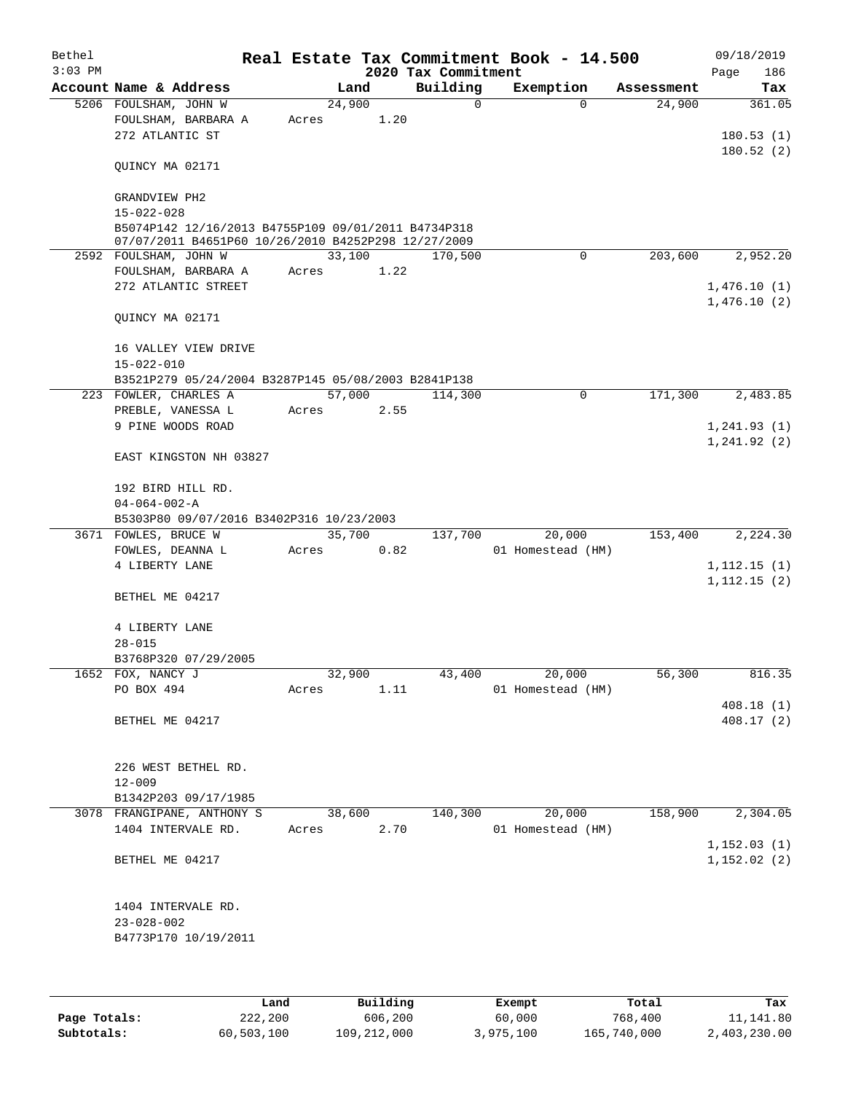| Bethel    |                                                                                                            |       |       |        |      | Real Estate Tax Commitment Book - 14.500 |                   |            | 09/18/2019   |
|-----------|------------------------------------------------------------------------------------------------------------|-------|-------|--------|------|------------------------------------------|-------------------|------------|--------------|
| $3:03$ PM |                                                                                                            |       |       |        |      | 2020 Tax Commitment                      |                   |            | Page<br>186  |
|           | Account Name & Address                                                                                     |       |       | Land   |      | Building                                 | Exemption         | Assessment | Tax          |
|           | 5206 FOULSHAM, JOHN W                                                                                      |       |       | 24,900 | 1.20 | 0                                        | $\Omega$          | 24,900     | 361.05       |
|           | FOULSHAM, BARBARA A<br>272 ATLANTIC ST                                                                     | Acres |       |        |      |                                          |                   |            | 180.53(1)    |
|           |                                                                                                            |       |       |        |      |                                          |                   |            | 180.52(2)    |
|           | QUINCY MA 02171                                                                                            |       |       |        |      |                                          |                   |            |              |
|           | GRANDVIEW PH2                                                                                              |       |       |        |      |                                          |                   |            |              |
|           | $15 - 022 - 028$                                                                                           |       |       |        |      |                                          |                   |            |              |
|           | B5074P142 12/16/2013 B4755P109 09/01/2011 B4734P318<br>07/07/2011 B4651P60 10/26/2010 B4252P298 12/27/2009 |       |       |        |      |                                          |                   |            |              |
|           | 2592 FOULSHAM, JOHN W                                                                                      |       |       | 33,100 |      | 170,500                                  | 0                 | 203,600    | 2,952.20     |
|           | FOULSHAM, BARBARA A                                                                                        | Acres |       |        | 1.22 |                                          |                   |            |              |
|           | 272 ATLANTIC STREET                                                                                        |       |       |        |      |                                          |                   |            | 1,476.10(1)  |
|           | QUINCY MA 02171                                                                                            |       |       |        |      |                                          |                   |            | 1,476.10(2)  |
|           | 16 VALLEY VIEW DRIVE<br>$15 - 022 - 010$                                                                   |       |       |        |      |                                          |                   |            |              |
|           | B3521P279 05/24/2004 B3287P145 05/08/2003 B2841P138                                                        |       |       |        |      |                                          |                   |            |              |
|           | 223 FOWLER, CHARLES A                                                                                      |       |       | 57,000 |      | 114,300                                  | $\mathbf 0$       | 171,300    | 2,483.85     |
|           | PREBLE, VANESSA L                                                                                          | Acres |       |        | 2.55 |                                          |                   |            |              |
|           | 9 PINE WOODS ROAD                                                                                          |       |       |        |      |                                          |                   |            | 1,241.93(1)  |
|           |                                                                                                            |       |       |        |      |                                          |                   |            | 1,241.92(2)  |
|           | EAST KINGSTON NH 03827                                                                                     |       |       |        |      |                                          |                   |            |              |
|           | 192 BIRD HILL RD.                                                                                          |       |       |        |      |                                          |                   |            |              |
|           | $04 - 064 - 002 - A$                                                                                       |       |       |        |      |                                          |                   |            |              |
|           | B5303P80 09/07/2016 B3402P316 10/23/2003                                                                   |       |       |        |      |                                          |                   |            |              |
|           | 3671 FOWLES, BRUCE W                                                                                       |       |       | 35,700 |      | 137,700                                  | 20,000            | 153,400    | 2,224.30     |
|           | FOWLES, DEANNA L                                                                                           | Acres |       |        | 0.82 |                                          | 01 Homestead (HM) |            |              |
|           | 4 LIBERTY LANE                                                                                             |       |       |        |      |                                          |                   |            | 1, 112.15(1) |
|           | BETHEL ME 04217                                                                                            |       |       |        |      |                                          |                   |            | 1, 112.15(2) |
|           | 4 LIBERTY LANE                                                                                             |       |       |        |      |                                          |                   |            |              |
|           | $28 - 015$                                                                                                 |       |       |        |      |                                          |                   |            |              |
|           | B3768P320 07/29/2005                                                                                       |       |       |        |      |                                          |                   |            |              |
|           | 1652 FOX, NANCY J                                                                                          |       |       | 32,900 |      | 43,400                                   | 20,000            | 56,300     | 816.35       |
|           | PO BOX 494                                                                                                 |       | Acres |        | 1.11 |                                          | 01 Homestead (HM) |            |              |
|           |                                                                                                            |       |       |        |      |                                          |                   |            | 408.18 (1)   |
|           | BETHEL ME 04217                                                                                            |       |       |        |      |                                          |                   |            | 408.17(2)    |
|           | 226 WEST BETHEL RD.                                                                                        |       |       |        |      |                                          |                   |            |              |
|           | $12 - 009$                                                                                                 |       |       |        |      |                                          |                   |            |              |
|           | B1342P203 09/17/1985                                                                                       |       |       |        |      |                                          |                   |            |              |
|           | 3078 FRANGIPANE, ANTHONY S                                                                                 |       |       | 38,600 |      | 140,300                                  | 20,000            | 158,900    | 2,304.05     |
|           | 1404 INTERVALE RD.                                                                                         |       | Acres |        | 2.70 |                                          | 01 Homestead (HM) |            |              |
|           |                                                                                                            |       |       |        |      |                                          |                   |            | 1,152.03(1)  |
|           | BETHEL ME 04217                                                                                            |       |       |        |      |                                          |                   |            | 1,152.02(2)  |
|           | 1404 INTERVALE RD.                                                                                         |       |       |        |      |                                          |                   |            |              |
|           | $23 - 028 - 002$                                                                                           |       |       |        |      |                                          |                   |            |              |
|           | B4773P170 10/19/2011                                                                                       |       |       |        |      |                                          |                   |            |              |
|           |                                                                                                            |       |       |        |      |                                          |                   |            |              |
|           |                                                                                                            |       |       |        |      |                                          |                   |            |              |

|              | Land       | Building    | Exempt    | Total       | Tax          |
|--------------|------------|-------------|-----------|-------------|--------------|
| Page Totals: | 222,200    | 606,200     | 60,000    | 768,400     | 11,141.80    |
| Subtotals:   | 60,503,100 | 109,212,000 | 3,975,100 | 165,740,000 | 2,403,230.00 |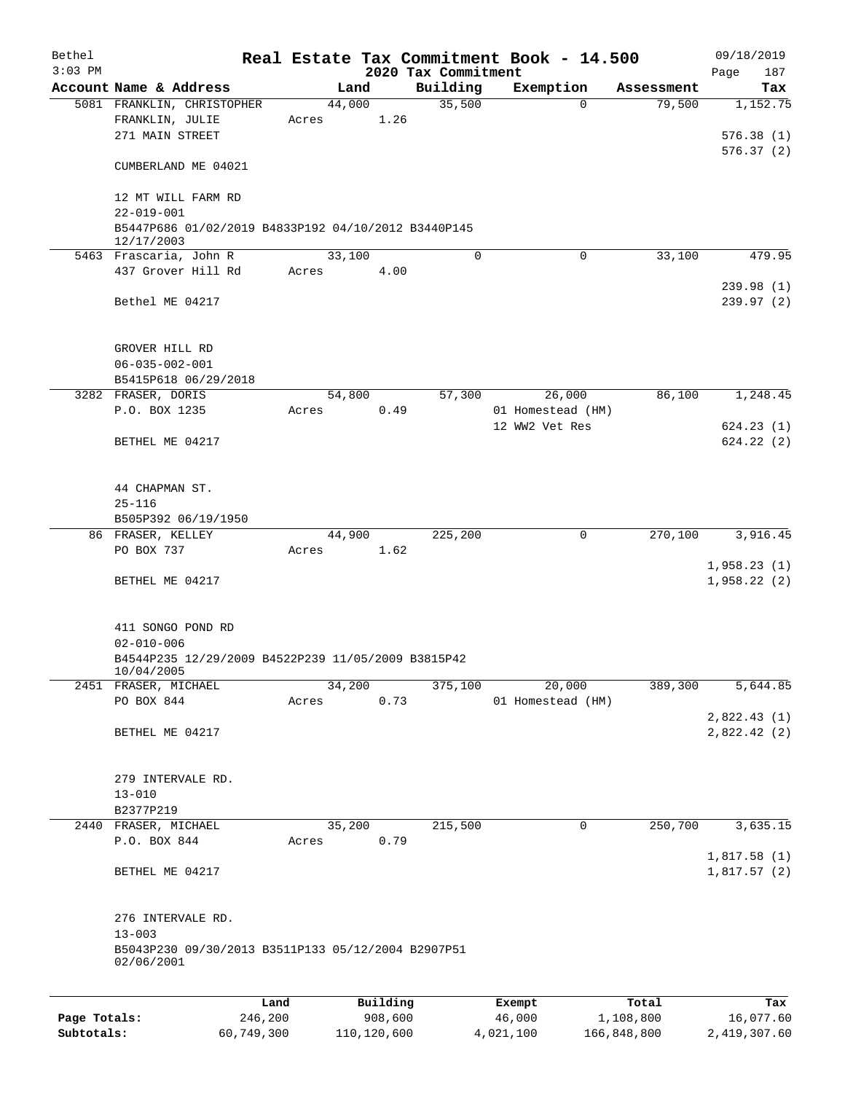| Bethel       |                                                                                                     |                 |       |                     |                     | Real Estate Tax Commitment Book - 14.500 |                      | 09/18/2019                  |
|--------------|-----------------------------------------------------------------------------------------------------|-----------------|-------|---------------------|---------------------|------------------------------------------|----------------------|-----------------------------|
| $3:03$ PM    |                                                                                                     |                 |       |                     | 2020 Tax Commitment |                                          |                      | 187<br>Page                 |
|              | Account Name & Address<br>5081 FRANKLIN, CHRISTOPHER                                                |                 |       | Land<br>44,000      | Building<br>35,500  | Exemption<br>$\Omega$                    | Assessment<br>79,500 | Tax<br>1,152.75             |
|              | FRANKLIN, JULIE<br>271 MAIN STREET                                                                  |                 | Acres | 1.26                |                     |                                          |                      | 576.38(1)                   |
|              | CUMBERLAND ME 04021                                                                                 |                 |       |                     |                     |                                          |                      | 576.37(2)                   |
|              | 12 MT WILL FARM RD<br>$22 - 019 - 001$                                                              |                 |       |                     |                     |                                          |                      |                             |
|              | B5447P686 01/02/2019 B4833P192 04/10/2012 B3440P145<br>12/17/2003                                   |                 |       |                     |                     |                                          |                      |                             |
|              | 5463 Frascaria, John R                                                                              |                 |       | 33,100              | 0                   | $\mathbf 0$                              | 33,100               | 479.95                      |
|              | 437 Grover Hill Rd                                                                                  |                 | Acres | 4.00                |                     |                                          |                      | 239.98(1)                   |
|              | Bethel ME 04217                                                                                     |                 |       |                     |                     |                                          |                      | 239.97(2)                   |
|              | GROVER HILL RD                                                                                      |                 |       |                     |                     |                                          |                      |                             |
|              | $06 - 035 - 002 - 001$                                                                              |                 |       |                     |                     |                                          |                      |                             |
|              | B5415P618 06/29/2018                                                                                |                 |       |                     |                     |                                          |                      |                             |
|              | 3282 FRASER, DORIS<br>P.O. BOX 1235                                                                 |                 | Acres | 54,800<br>0.49      | 57,300              | 26,000<br>01 Homestead (HM)              | 86,100               | 1,248.45                    |
|              |                                                                                                     |                 |       |                     |                     | 12 WW2 Vet Res                           |                      | 624.23(1)                   |
|              | BETHEL ME 04217                                                                                     |                 |       |                     |                     |                                          |                      | 624.22(2)                   |
|              | 44 CHAPMAN ST.                                                                                      |                 |       |                     |                     |                                          |                      |                             |
|              | $25 - 116$                                                                                          |                 |       |                     |                     |                                          |                      |                             |
|              | B505P392 06/19/1950                                                                                 |                 |       |                     |                     |                                          |                      |                             |
|              | 86 FRASER, KELLEY                                                                                   |                 |       | 44,900              | 225,200             | $\mathbf 0$                              | 270,100              | 3,916.45                    |
|              | PO BOX 737                                                                                          |                 | Acres | 1.62                |                     |                                          |                      |                             |
|              | BETHEL ME 04217                                                                                     |                 |       |                     |                     |                                          |                      | 1,958.23(1)<br>1,958.22(2)  |
|              |                                                                                                     |                 |       |                     |                     |                                          |                      |                             |
|              | 411 SONGO POND RD<br>$02 - 010 - 006$                                                               |                 |       |                     |                     |                                          |                      |                             |
|              | B4544P235 12/29/2009 B4522P239 11/05/2009 B3815P42<br>10/04/2005                                    |                 |       |                     |                     |                                          |                      |                             |
|              | 2451 FRASER, MICHAEL                                                                                |                 |       | 34,200              | 375,100             | 20,000                                   | 389,300              | 5,644.85                    |
|              | PO BOX 844                                                                                          |                 | Acres | 0.73                |                     | 01 Homestead (HM)                        |                      |                             |
|              | BETHEL ME 04217                                                                                     |                 |       |                     |                     |                                          |                      | 2,822.43(1)<br>2,822.42 (2) |
|              | 279 INTERVALE RD.                                                                                   |                 |       |                     |                     |                                          |                      |                             |
|              | $13 - 010$                                                                                          |                 |       |                     |                     |                                          |                      |                             |
|              | B2377P219<br>2440 FRASER, MICHAEL                                                                   |                 |       | 35,200              | 215,500             | $\mathbf 0$                              | 250,700              | 3,635.15                    |
|              | P.O. BOX 844                                                                                        |                 | Acres | 0.79                |                     |                                          |                      | 1,817.58(1)                 |
|              | BETHEL ME 04217                                                                                     |                 |       |                     |                     |                                          |                      | 1,817.57(2)                 |
|              | 276 INTERVALE RD.<br>$13 - 003$<br>B5043P230 09/30/2013 B3511P133 05/12/2004 B2907P51<br>02/06/2001 |                 |       |                     |                     |                                          |                      |                             |
|              |                                                                                                     |                 |       |                     |                     |                                          |                      |                             |
| Page Totals: |                                                                                                     | Land<br>246,200 |       | Building<br>908,600 |                     | Exempt<br>46,000                         | Total<br>1,108,800   | Tax<br>16,077.60            |

**Subtotals:** 60,749,300 110,120,600 4,021,100 166,848,800 2,419,307.60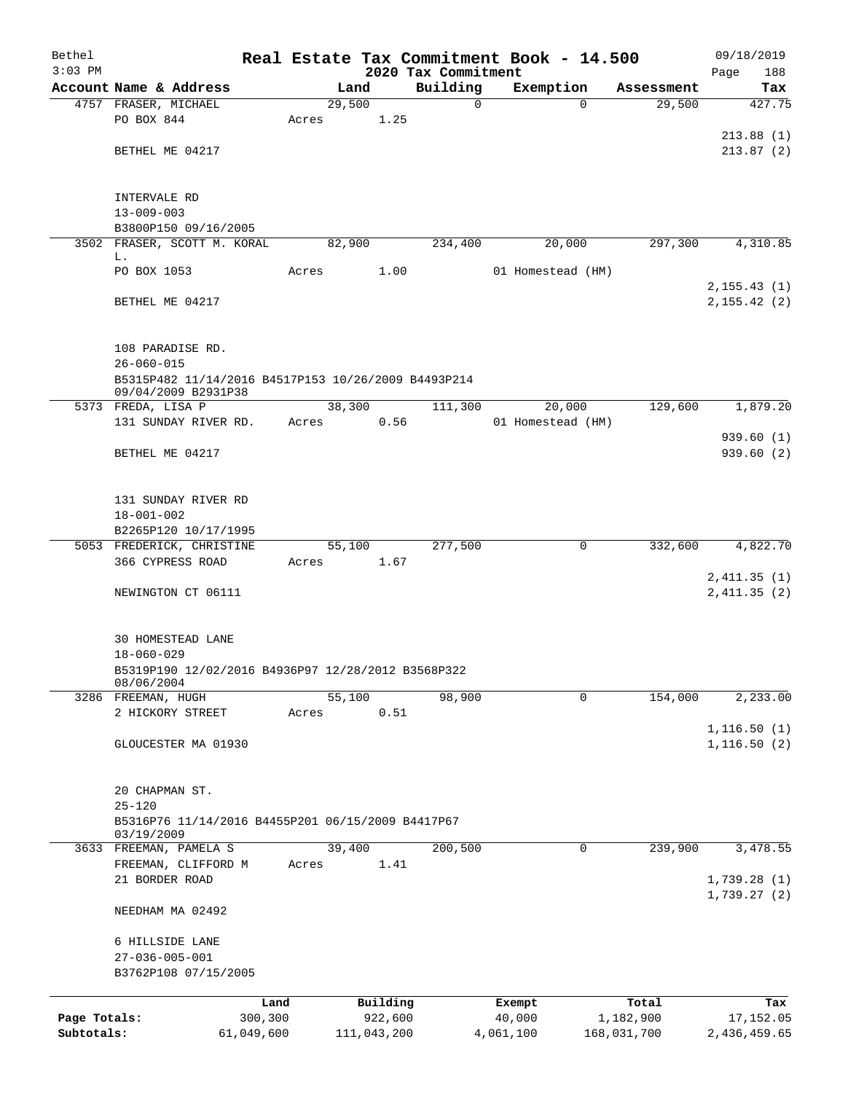| Bethel<br>$3:03$ PM        |                                                                 |                       |        |                        |                                 | Real Estate Tax Commitment Book - 14.500 |                          |            | 09/18/2019                   |
|----------------------------|-----------------------------------------------------------------|-----------------------|--------|------------------------|---------------------------------|------------------------------------------|--------------------------|------------|------------------------------|
|                            | Account Name & Address                                          |                       | Land   |                        | 2020 Tax Commitment<br>Building | Exemption                                |                          | Assessment | 188<br>Page<br>Tax           |
|                            | 4757 FRASER, MICHAEL                                            |                       | 29,500 |                        | 0                               |                                          | $\Omega$                 | 29,500     | 427.75                       |
|                            | PO BOX 844                                                      | Acres                 |        | 1.25                   |                                 |                                          |                          |            |                              |
|                            |                                                                 |                       |        |                        |                                 |                                          |                          |            | 213.88(1)                    |
|                            | BETHEL ME 04217                                                 |                       |        |                        |                                 |                                          |                          |            | 213.87(2)                    |
|                            |                                                                 |                       |        |                        |                                 |                                          |                          |            |                              |
|                            |                                                                 |                       |        |                        |                                 |                                          |                          |            |                              |
|                            | INTERVALE RD<br>$13 - 009 - 003$                                |                       |        |                        |                                 |                                          |                          |            |                              |
|                            | B3800P150 09/16/2005                                            |                       |        |                        |                                 |                                          |                          |            |                              |
|                            | 3502 FRASER, SCOTT M. KORAL                                     |                       | 82,900 |                        | 234,400                         | 20,000                                   |                          | 297,300    | 4,310.85                     |
|                            | L.                                                              |                       |        |                        |                                 |                                          |                          |            |                              |
|                            | PO BOX 1053                                                     | Acres                 |        | 1.00                   |                                 | 01 Homestead (HM)                        |                          |            |                              |
|                            | BETHEL ME 04217                                                 |                       |        |                        |                                 |                                          |                          |            | 2, 155.43(1)<br>2, 155.42(2) |
|                            |                                                                 |                       |        |                        |                                 |                                          |                          |            |                              |
|                            |                                                                 |                       |        |                        |                                 |                                          |                          |            |                              |
|                            | 108 PARADISE RD.                                                |                       |        |                        |                                 |                                          |                          |            |                              |
|                            | $26 - 060 - 015$                                                |                       |        |                        |                                 |                                          |                          |            |                              |
|                            | B5315P482 11/14/2016 B4517P153 10/26/2009 B4493P214             |                       |        |                        |                                 |                                          |                          |            |                              |
|                            | 09/04/2009 B2931P38<br>5373 FREDA, LISA P                       |                       | 38,300 |                        | 111,300                         | 20,000                                   |                          | 129,600    | 1,879.20                     |
|                            | 131 SUNDAY RIVER RD.                                            | Acres                 |        | 0.56                   |                                 | 01 Homestead (HM)                        |                          |            |                              |
|                            |                                                                 |                       |        |                        |                                 |                                          |                          |            | 939.60(1)                    |
|                            | BETHEL ME 04217                                                 |                       |        |                        |                                 |                                          |                          |            | 939.60(2)                    |
|                            |                                                                 |                       |        |                        |                                 |                                          |                          |            |                              |
|                            |                                                                 |                       |        |                        |                                 |                                          |                          |            |                              |
|                            | 131 SUNDAY RIVER RD                                             |                       |        |                        |                                 |                                          |                          |            |                              |
|                            | $18 - 001 - 002$<br>B2265P120 10/17/1995                        |                       |        |                        |                                 |                                          |                          |            |                              |
|                            | 5053 FREDERICK, CHRISTINE                                       |                       | 55,100 |                        | 277,500                         |                                          | 0                        | 332,600    | 4,822.70                     |
|                            | 366 CYPRESS ROAD                                                | Acres                 |        | 1.67                   |                                 |                                          |                          |            |                              |
|                            |                                                                 |                       |        |                        |                                 |                                          |                          |            | 2,411.35(1)                  |
|                            | NEWINGTON CT 06111                                              |                       |        |                        |                                 |                                          |                          |            | 2,411.35(2)                  |
|                            |                                                                 |                       |        |                        |                                 |                                          |                          |            |                              |
|                            | 30 HOMESTEAD LANE                                               |                       |        |                        |                                 |                                          |                          |            |                              |
|                            | $18 - 060 - 029$                                                |                       |        |                        |                                 |                                          |                          |            |                              |
|                            | B5319P190 12/02/2016 B4936P97 12/28/2012 B3568P322              |                       |        |                        |                                 |                                          |                          |            |                              |
|                            | 08/06/2004                                                      |                       |        |                        |                                 |                                          |                          |            |                              |
|                            | 3286 FREEMAN, HUGH                                              |                       | 55,100 |                        | 98,900                          |                                          | 0                        | 154,000    | 2,233.00                     |
|                            | 2 HICKORY STREET                                                | Acres                 |        | 0.51                   |                                 |                                          |                          |            | 1, 116.50(1)                 |
|                            | GLOUCESTER MA 01930                                             |                       |        |                        |                                 |                                          |                          |            | 1, 116.50(2)                 |
|                            |                                                                 |                       |        |                        |                                 |                                          |                          |            |                              |
|                            |                                                                 |                       |        |                        |                                 |                                          |                          |            |                              |
|                            | 20 CHAPMAN ST.                                                  |                       |        |                        |                                 |                                          |                          |            |                              |
|                            | $25 - 120$                                                      |                       |        |                        |                                 |                                          |                          |            |                              |
|                            | B5316P76 11/14/2016 B4455P201 06/15/2009 B4417P67<br>03/19/2009 |                       |        |                        |                                 |                                          |                          |            |                              |
|                            | 3633 FREEMAN, PAMELA S                                          |                       | 39,400 |                        | 200,500                         |                                          | 0                        | 239,900    | 3,478.55                     |
|                            | FREEMAN, CLIFFORD M                                             | Acres                 |        | 1.41                   |                                 |                                          |                          |            |                              |
|                            | 21 BORDER ROAD                                                  |                       |        |                        |                                 |                                          |                          |            | 1,739.28(1)                  |
|                            |                                                                 |                       |        |                        |                                 |                                          |                          |            | 1,739.27(2)                  |
|                            | NEEDHAM MA 02492                                                |                       |        |                        |                                 |                                          |                          |            |                              |
|                            | 6 HILLSIDE LANE                                                 |                       |        |                        |                                 |                                          |                          |            |                              |
|                            | $27 - 036 - 005 - 001$                                          |                       |        |                        |                                 |                                          |                          |            |                              |
|                            | B3762P108 07/15/2005                                            |                       |        |                        |                                 |                                          |                          |            |                              |
|                            |                                                                 |                       |        |                        |                                 |                                          |                          |            |                              |
|                            |                                                                 | Land                  |        | Building               |                                 | Exempt                                   |                          | Total      | Tax                          |
| Page Totals:<br>Subtotals: |                                                                 | 300,300<br>61,049,600 |        | 922,600<br>111,043,200 |                                 | 40,000<br>4,061,100                      | 1,182,900<br>168,031,700 |            | 17,152.05<br>2,436,459.65    |
|                            |                                                                 |                       |        |                        |                                 |                                          |                          |            |                              |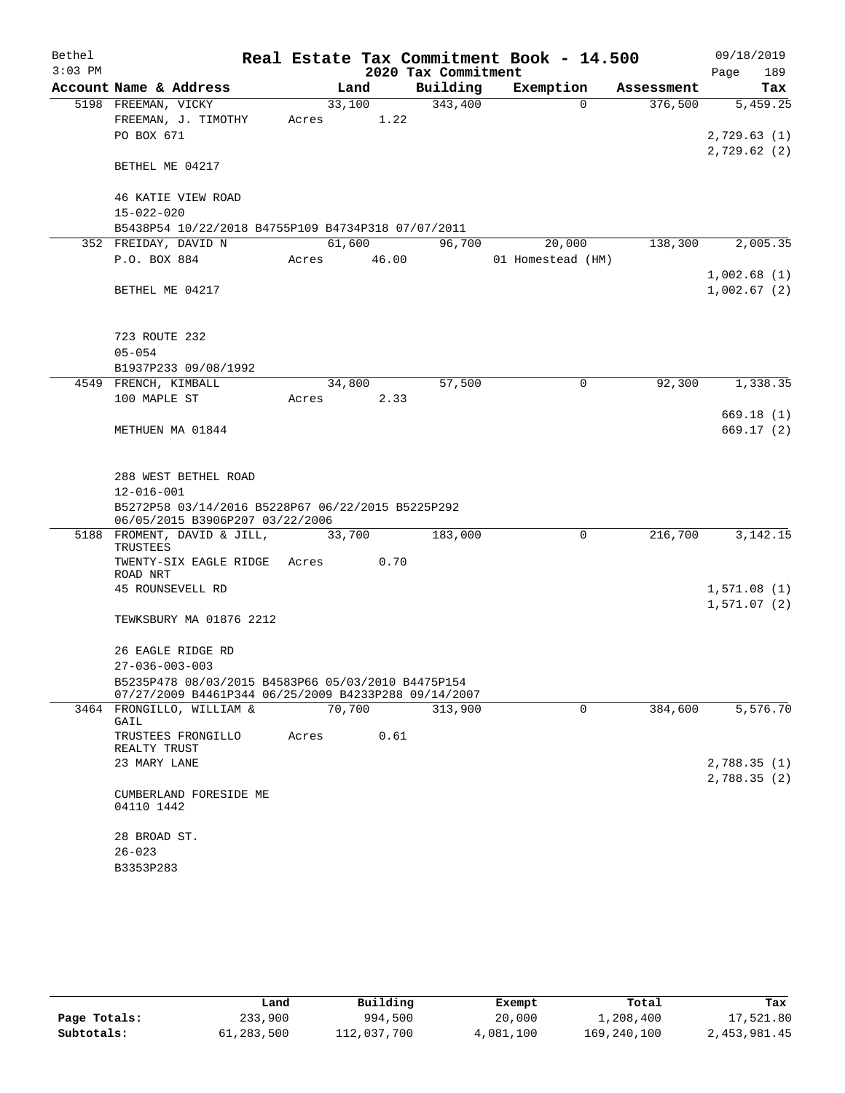| Bethel    |                                                                                      |       |        |                     | Real Estate Tax Commitment Book - 14.500 |            | 09/18/2019  |
|-----------|--------------------------------------------------------------------------------------|-------|--------|---------------------|------------------------------------------|------------|-------------|
| $3:03$ PM |                                                                                      |       |        | 2020 Tax Commitment |                                          |            | Page<br>189 |
|           | Account Name & Address                                                               |       | Land   | Building            | Exemption                                | Assessment | Tax         |
|           | 5198 FREEMAN, VICKY                                                                  |       | 33,100 | 343,400             | $\Omega$                                 | 376,500    | 5,459.25    |
|           | FREEMAN, J. TIMOTHY                                                                  | Acres | 1.22   |                     |                                          |            |             |
|           | PO BOX 671                                                                           |       |        |                     |                                          |            | 2,729.63(1) |
|           |                                                                                      |       |        |                     |                                          |            | 2,729.62(2) |
|           | BETHEL ME 04217                                                                      |       |        |                     |                                          |            |             |
|           | 46 KATIE VIEW ROAD                                                                   |       |        |                     |                                          |            |             |
|           | $15 - 022 - 020$                                                                     |       |        |                     |                                          |            |             |
|           | B5438P54 10/22/2018 B4755P109 B4734P318 07/07/2011                                   |       |        |                     |                                          |            |             |
|           | 352 FREIDAY, DAVID N                                                                 |       | 61,600 | 96,700              | 20,000                                   | 138,300    | 2,005.35    |
|           | P.O. BOX 884                                                                         | Acres | 46.00  |                     | 01 Homestead (HM)                        |            |             |
|           |                                                                                      |       |        |                     |                                          |            | 1,002.68(1) |
|           | BETHEL ME 04217                                                                      |       |        |                     |                                          |            | 1,002.67(2) |
|           |                                                                                      |       |        |                     |                                          |            |             |
|           |                                                                                      |       |        |                     |                                          |            |             |
|           | 723 ROUTE 232                                                                        |       |        |                     |                                          |            |             |
|           | $05 - 054$                                                                           |       |        |                     |                                          |            |             |
|           | B1937P233 09/08/1992                                                                 |       |        |                     |                                          |            |             |
|           | 4549 FRENCH, KIMBALL                                                                 |       | 34,800 | 57,500              | 0                                        | 92,300     | 1,338.35    |
|           | 100 MAPLE ST                                                                         | Acres | 2.33   |                     |                                          |            |             |
|           |                                                                                      |       |        |                     |                                          |            | 669.18(1)   |
|           | METHUEN MA 01844                                                                     |       |        |                     |                                          |            | 669.17(2)   |
|           |                                                                                      |       |        |                     |                                          |            |             |
|           |                                                                                      |       |        |                     |                                          |            |             |
|           | 288 WEST BETHEL ROAD                                                                 |       |        |                     |                                          |            |             |
|           | $12 - 016 - 001$                                                                     |       |        |                     |                                          |            |             |
|           | B5272P58 03/14/2016 B5228P67 06/22/2015 B5225P292<br>06/05/2015 B3906P207 03/22/2006 |       |        |                     |                                          |            |             |
|           | 5188 FROMENT, DAVID & JILL,                                                          |       | 33,700 | 183,000             | 0                                        | 216,700    | 3, 142. 15  |
|           | TRUSTEES                                                                             |       |        |                     |                                          |            |             |
|           | TWENTY-SIX EAGLE RIDGE                                                               | Acres | 0.70   |                     |                                          |            |             |
|           | ROAD NRT                                                                             |       |        |                     |                                          |            |             |
|           | 45 ROUNSEVELL RD                                                                     |       |        |                     |                                          |            | 1,571.08(1) |
|           | TEWKSBURY MA 01876 2212                                                              |       |        |                     |                                          |            | 1,571.07(2) |
|           |                                                                                      |       |        |                     |                                          |            |             |
|           | 26 EAGLE RIDGE RD                                                                    |       |        |                     |                                          |            |             |
|           | $27 - 036 - 003 - 003$                                                               |       |        |                     |                                          |            |             |
|           | B5235P478 08/03/2015 B4583P66 05/03/2010 B4475P154                                   |       |        |                     |                                          |            |             |
|           | 07/27/2009 B4461P344 06/25/2009 B4233P288 09/14/2007                                 |       |        |                     |                                          |            |             |
|           | 3464 FRONGILLO, WILLIAM &                                                            |       | 70,700 | 313,900             | $\mathbf 0$                              | 384,600    | 5,576.70    |
|           | GAIL                                                                                 |       |        |                     |                                          |            |             |
|           | TRUSTEES FRONGILLO<br>REALTY TRUST                                                   | Acres | 0.61   |                     |                                          |            |             |
|           | 23 MARY LANE                                                                         |       |        |                     |                                          |            | 2,788.35(1) |
|           |                                                                                      |       |        |                     |                                          |            | 2,788.35(2) |
|           | CUMBERLAND FORESIDE ME                                                               |       |        |                     |                                          |            |             |
|           | 04110 1442                                                                           |       |        |                     |                                          |            |             |
|           |                                                                                      |       |        |                     |                                          |            |             |
|           | 28 BROAD ST.                                                                         |       |        |                     |                                          |            |             |
|           | $26 - 023$                                                                           |       |        |                     |                                          |            |             |
|           | B3353P283                                                                            |       |        |                     |                                          |            |             |
|           |                                                                                      |       |        |                     |                                          |            |             |

|              | Land       | Building    | Exempt    | Total       | Tax          |
|--------------|------------|-------------|-----------|-------------|--------------|
| Page Totals: | 233,900    | 994,500     | 20,000    | 1,208,400   | 17,521.80    |
| Subtotals:   | 61,283,500 | 112,037,700 | 4,081,100 | 169,240,100 | 2,453,981.45 |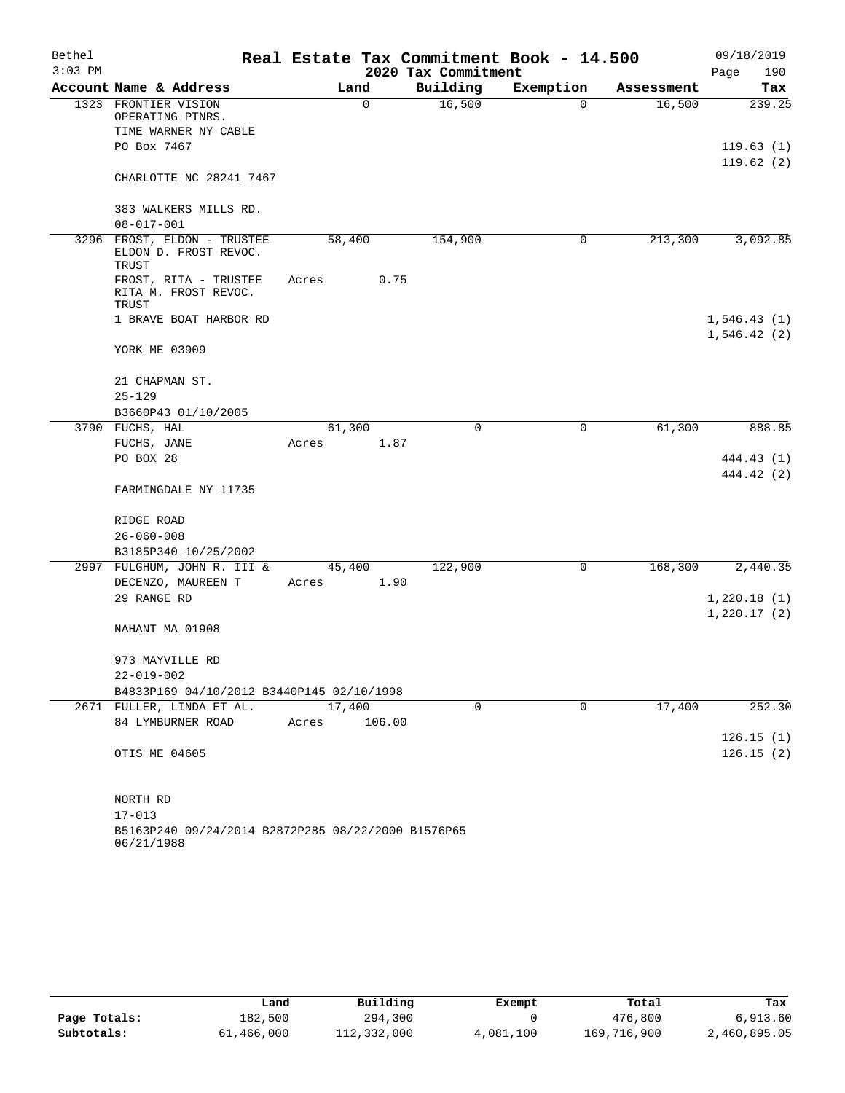| Bethel<br>$3:03$ PM |                                                               | Real Estate Tax Commitment Book - 14.500 | 2020 Tax Commitment |             |            | 09/18/2019<br>Page<br>190 |
|---------------------|---------------------------------------------------------------|------------------------------------------|---------------------|-------------|------------|---------------------------|
|                     | Account Name & Address                                        | Land                                     | Building            | Exemption   | Assessment | Tax                       |
|                     | 1323 FRONTIER VISION                                          | $\mathbf 0$                              | 16,500              | 0           | 16,500     | 239.25                    |
|                     | OPERATING PTNRS.                                              |                                          |                     |             |            |                           |
|                     | TIME WARNER NY CABLE                                          |                                          |                     |             |            |                           |
|                     | PO Box 7467                                                   |                                          |                     |             |            | 119.63(1)                 |
|                     | CHARLOTTE NC 28241 7467                                       |                                          |                     |             |            | 119.62(2)                 |
|                     | 383 WALKERS MILLS RD.                                         |                                          |                     |             |            |                           |
|                     | $08 - 017 - 001$                                              |                                          |                     |             |            |                           |
|                     | 3296 FROST, ELDON - TRUSTEE<br>ELDON D. FROST REVOC.<br>TRUST | 58,400                                   | 154,900             | 0           | 213,300    | 3,092.85                  |
|                     | FROST, RITA - TRUSTEE<br>RITA M. FROST REVOC.<br>TRUST        | 0.75<br>Acres                            |                     |             |            |                           |
|                     | 1 BRAVE BOAT HARBOR RD                                        |                                          |                     |             |            | 1,546.43(1)               |
|                     |                                                               |                                          |                     |             |            | 1,546.42(2)               |
|                     | YORK ME 03909                                                 |                                          |                     |             |            |                           |
|                     | 21 CHAPMAN ST.                                                |                                          |                     |             |            |                           |
|                     | $25 - 129$                                                    |                                          |                     |             |            |                           |
|                     | B3660P43 01/10/2005                                           |                                          |                     |             |            |                           |
|                     | 3790 FUCHS, HAL                                               | 61,300                                   | $\mathbf 0$         | 0           | 61,300     | 888.85                    |
|                     | FUCHS, JANE                                                   | 1.87<br>Acres                            |                     |             |            |                           |
|                     | PO BOX 28                                                     |                                          |                     |             |            | 444.43 (1)                |
|                     | FARMINGDALE NY 11735                                          |                                          |                     |             |            | 444.42 (2)                |
|                     |                                                               |                                          |                     |             |            |                           |
|                     | RIDGE ROAD                                                    |                                          |                     |             |            |                           |
|                     | $26 - 060 - 008$                                              |                                          |                     |             |            |                           |
|                     | B3185P340 10/25/2002                                          |                                          |                     |             |            |                           |
|                     | 2997 FULGHUM, JOHN R. III &                                   | 45,400                                   | 122,900             | 0           | 168,300    | 2,440.35                  |
|                     | DECENZO, MAUREEN T                                            | 1.90<br>Acres                            |                     |             |            |                           |
|                     | 29 RANGE RD                                                   |                                          |                     |             |            | 1,220.18(1)               |
|                     |                                                               |                                          |                     |             |            | 1,220.17(2)               |
|                     | NAHANT MA 01908                                               |                                          |                     |             |            |                           |
|                     | 973 MAYVILLE RD                                               |                                          |                     |             |            |                           |
|                     | 22-019-002                                                    |                                          |                     |             |            |                           |
|                     | B4833P169 04/10/2012 B3440P145 02/10/1998                     |                                          |                     |             |            |                           |
|                     | 2671 FULLER, LINDA ET AL.                                     | 17,400                                   | 0                   | $\mathbf 0$ | 17,400     | 252.30                    |
|                     | 84 LYMBURNER ROAD                                             | 106.00<br>Acres                          |                     |             |            |                           |
|                     |                                                               |                                          |                     |             |            | 126.15(1)                 |
|                     | OTIS ME 04605                                                 |                                          |                     |             |            | 126.15(2)                 |
|                     |                                                               |                                          |                     |             |            |                           |
|                     | NORTH RD                                                      |                                          |                     |             |            |                           |
|                     | $17 - 013$                                                    |                                          |                     |             |            |                           |
|                     | B5163P240 09/24/2014 B2872P285 08/22/2000 B1576P65            |                                          |                     |             |            |                           |

|              | Land       | Building    | Exempt    | Total       | Tax          |
|--------------|------------|-------------|-----------|-------------|--------------|
| Page Totals: | 182,500    | 294,300     |           | 476,800     | 6.913.60     |
| Subtotals:   | 61,466,000 | 112,332,000 | 4,081,100 | 169,716,900 | 2,460,895.05 |

06/21/1988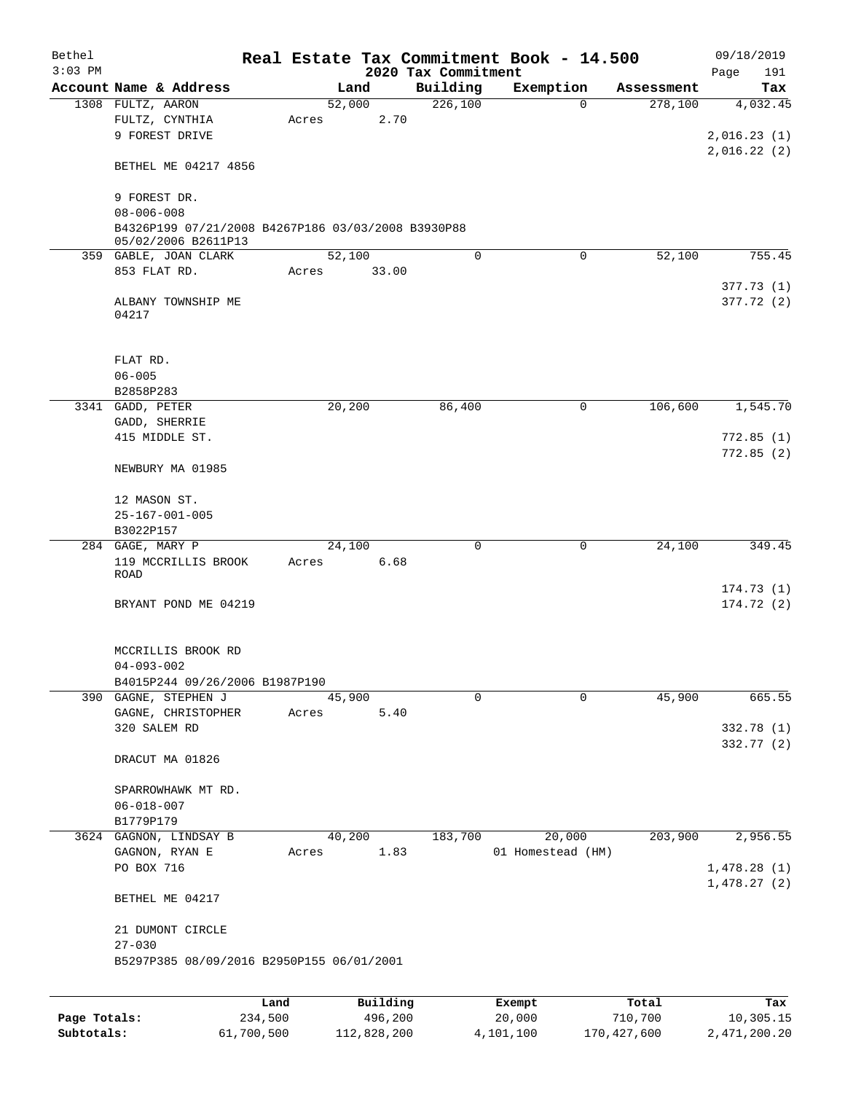| Bethel       |                                                    |         |       |                |                     | Real Estate Tax Commitment Book - 14.500 |                       | 09/18/2019      |
|--------------|----------------------------------------------------|---------|-------|----------------|---------------------|------------------------------------------|-----------------------|-----------------|
| $3:03$ PM    | Account Name & Address                             |         |       |                | 2020 Tax Commitment |                                          |                       | Page<br>191     |
|              | 1308 FULTZ, AARON                                  |         |       | Land<br>52,000 | Building<br>226,100 | Exemption<br>$\Omega$                    | Assessment<br>278,100 | Tax<br>4,032.45 |
|              | FULTZ, CYNTHIA                                     |         | Acres | 2.70           |                     |                                          |                       |                 |
|              | 9 FOREST DRIVE                                     |         |       |                |                     |                                          |                       | 2,016.23(1)     |
|              |                                                    |         |       |                |                     |                                          |                       | 2,016.22(2)     |
|              | BETHEL ME 04217 4856                               |         |       |                |                     |                                          |                       |                 |
|              | 9 FOREST DR.                                       |         |       |                |                     |                                          |                       |                 |
|              | $08 - 006 - 008$                                   |         |       |                |                     |                                          |                       |                 |
|              | B4326P199 07/21/2008 B4267P186 03/03/2008 B3930P88 |         |       |                |                     |                                          |                       |                 |
|              | 05/02/2006 B2611P13                                |         |       | 52,100         | 0                   | $\Omega$                                 | 52,100                | 755.45          |
|              | 359 GABLE, JOAN CLARK<br>853 FLAT RD.              |         | Acres | 33.00          |                     |                                          |                       |                 |
|              |                                                    |         |       |                |                     |                                          |                       | 377.73(1)       |
|              | ALBANY TOWNSHIP ME                                 |         |       |                |                     |                                          |                       | 377.72 (2)      |
|              | 04217                                              |         |       |                |                     |                                          |                       |                 |
|              |                                                    |         |       |                |                     |                                          |                       |                 |
|              | FLAT RD.                                           |         |       |                |                     |                                          |                       |                 |
|              | $06 - 005$                                         |         |       |                |                     |                                          |                       |                 |
|              | B2858P283                                          |         |       |                |                     |                                          |                       |                 |
|              | 3341 GADD, PETER<br>GADD, SHERRIE                  |         |       | 20,200         | 86,400              | $\mathbf 0$                              | 106,600               | 1,545.70        |
|              | 415 MIDDLE ST.                                     |         |       |                |                     |                                          |                       | 772.85(1)       |
|              |                                                    |         |       |                |                     |                                          |                       | 772.85(2)       |
|              | NEWBURY MA 01985                                   |         |       |                |                     |                                          |                       |                 |
|              | 12 MASON ST.                                       |         |       |                |                     |                                          |                       |                 |
|              | $25 - 167 - 001 - 005$                             |         |       |                |                     |                                          |                       |                 |
|              | B3022P157                                          |         |       |                |                     |                                          |                       |                 |
|              | 284 GAGE, MARY P                                   |         |       | 24,100         | $\mathbf 0$         | 0                                        | 24,100                | 349.45          |
|              | 119 MCCRILLIS BROOK                                |         | Acres | 6.68           |                     |                                          |                       |                 |
|              | ROAD                                               |         |       |                |                     |                                          |                       | 174.73(1)       |
|              | BRYANT POND ME 04219                               |         |       |                |                     |                                          |                       | 174.72(2)       |
|              |                                                    |         |       |                |                     |                                          |                       |                 |
|              | MCCRILLIS BROOK RD                                 |         |       |                |                     |                                          |                       |                 |
|              | $04 - 093 - 002$                                   |         |       |                |                     |                                          |                       |                 |
|              | B4015P244 09/26/2006 B1987P190                     |         |       |                |                     |                                          |                       |                 |
|              | 390 GAGNE, STEPHEN J                               |         |       | 45,900         | $\mathbf 0$         | 0                                        | 45,900                | 665.55          |
|              | GAGNE, CHRISTOPHER                                 |         | Acres | 5.40           |                     |                                          |                       |                 |
|              | 320 SALEM RD                                       |         |       |                |                     |                                          |                       | 332.78 (1)      |
|              | DRACUT MA 01826                                    |         |       |                |                     |                                          |                       | 332.77 (2)      |
|              |                                                    |         |       |                |                     |                                          |                       |                 |
|              | SPARROWHAWK MT RD.                                 |         |       |                |                     |                                          |                       |                 |
|              | $06 - 018 - 007$                                   |         |       |                |                     |                                          |                       |                 |
|              | B1779P179                                          |         |       |                |                     |                                          |                       |                 |
|              | 3624 GAGNON, LINDSAY B                             |         |       | 40,200         | 183,700             | 20,000                                   | 203,900               | 2,956.55        |
|              | GAGNON, RYAN E<br>PO BOX 716                       |         | Acres | 1.83           |                     | 01 Homestead (HM)                        |                       | 1,478.28(1)     |
|              |                                                    |         |       |                |                     |                                          |                       | 1,478.27(2)     |
|              | BETHEL ME 04217                                    |         |       |                |                     |                                          |                       |                 |
|              | 21 DUMONT CIRCLE                                   |         |       |                |                     |                                          |                       |                 |
|              | $27 - 030$                                         |         |       |                |                     |                                          |                       |                 |
|              | B5297P385 08/09/2016 B2950P155 06/01/2001          |         |       |                |                     |                                          |                       |                 |
|              |                                                    |         |       |                |                     |                                          |                       |                 |
|              |                                                    | Land    |       | Building       |                     | Exempt                                   | Total                 | Tax             |
| Page Totals: |                                                    | 234,500 |       | 496,200        |                     | 20,000                                   | 710,700               | 10,305.15       |

**Subtotals:** 61,700,500 112,828,200 4,101,100 170,427,600 2,471,200.20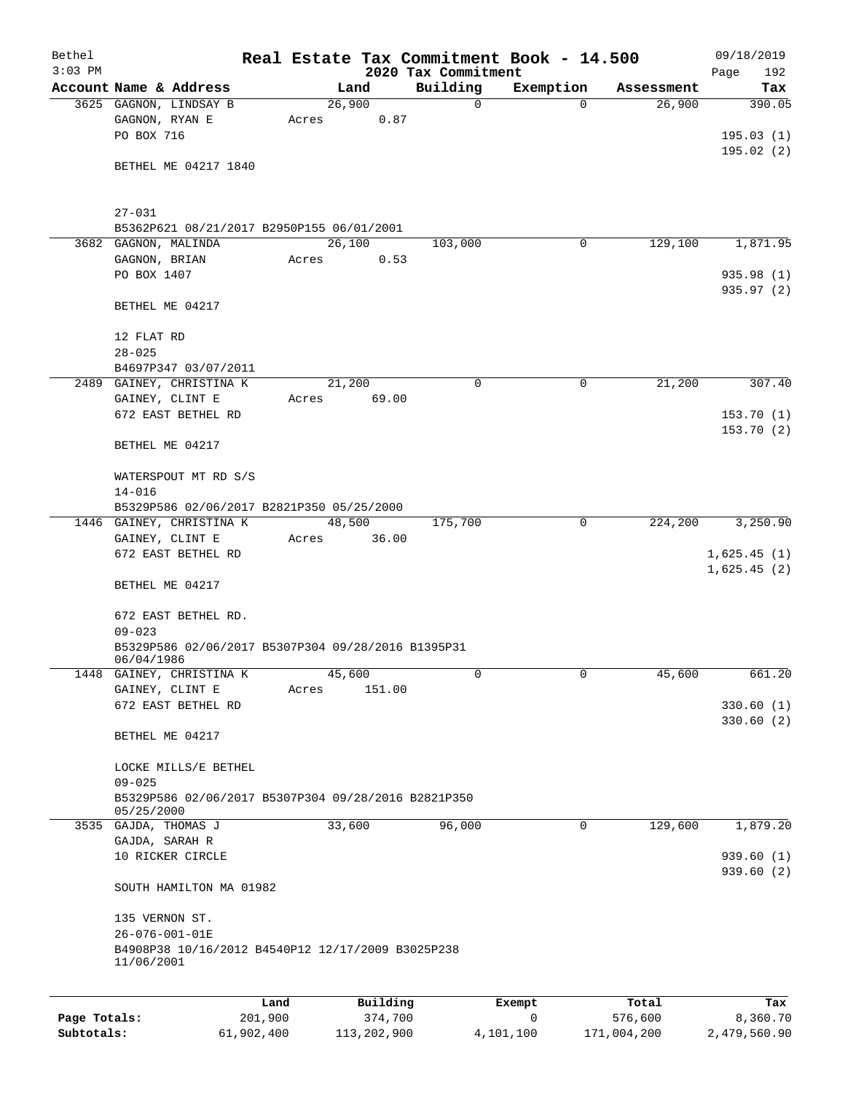| Bethel       |                                                                  |       |                     |                     | Real Estate Tax Commitment Book - 14.500 |                  | 09/18/2019             |
|--------------|------------------------------------------------------------------|-------|---------------------|---------------------|------------------------------------------|------------------|------------------------|
| $3:03$ PM    |                                                                  |       |                     | 2020 Tax Commitment |                                          |                  | 192<br>Page            |
|              | Account Name & Address                                           |       | Land                | Building            | Exemption                                | Assessment       | Tax                    |
|              | 3625 GAGNON, LINDSAY B<br>GAGNON, RYAN E                         | Acres | 26,900<br>0.87      | 0                   | $\Omega$                                 | 26,900           | 390.05                 |
|              | PO BOX 716                                                       |       |                     |                     |                                          |                  | 195.03(1)              |
|              |                                                                  |       |                     |                     |                                          |                  | 195.02(2)              |
|              | BETHEL ME 04217 1840                                             |       |                     |                     |                                          |                  |                        |
|              |                                                                  |       |                     |                     |                                          |                  |                        |
|              | $27 - 031$<br>B5362P621 08/21/2017 B2950P155 06/01/2001          |       |                     |                     |                                          |                  |                        |
|              | 3682 GAGNON, MALINDA                                             |       | 26,100              | 103,000             | 0                                        | 129,100          | 1,871.95               |
|              | GAGNON, BRIAN                                                    | Acres | 0.53                |                     |                                          |                  |                        |
|              | PO BOX 1407                                                      |       |                     |                     |                                          |                  | 935.98 (1)             |
|              |                                                                  |       |                     |                     |                                          |                  | 935.97 (2)             |
|              | BETHEL ME 04217                                                  |       |                     |                     |                                          |                  |                        |
|              | 12 FLAT RD                                                       |       |                     |                     |                                          |                  |                        |
|              | $28 - 025$                                                       |       |                     |                     |                                          |                  |                        |
|              | B4697P347 03/07/2011<br>2489 GAINEY, CHRISTINA K                 |       | 21,200              | 0                   | $\mathbf 0$                              | 21,200           | 307.40                 |
|              | GAINEY, CLINT E                                                  | Acres | 69.00               |                     |                                          |                  |                        |
|              | 672 EAST BETHEL RD                                               |       |                     |                     |                                          |                  | 153.70(1)              |
|              |                                                                  |       |                     |                     |                                          |                  | 153.70(2)              |
|              | BETHEL ME 04217                                                  |       |                     |                     |                                          |                  |                        |
|              | WATERSPOUT MT RD S/S                                             |       |                     |                     |                                          |                  |                        |
|              | $14 - 016$                                                       |       |                     |                     |                                          |                  |                        |
|              | B5329P586 02/06/2017 B2821P350 05/25/2000                        |       |                     |                     |                                          |                  |                        |
|              | 1446 GAINEY, CHRISTINA K                                         |       | 48,500              | 175,700             | $\mathbf 0$                              | 224,200          | 3,250.90               |
|              | GAINEY, CLINT E                                                  | Acres | 36.00               |                     |                                          |                  |                        |
|              | 672 EAST BETHEL RD                                               |       |                     |                     |                                          |                  | 1,625.45(1)            |
|              | BETHEL ME 04217                                                  |       |                     |                     |                                          |                  | 1,625.45(2)            |
|              | 672 EAST BETHEL RD.                                              |       |                     |                     |                                          |                  |                        |
|              | $09 - 023$                                                       |       |                     |                     |                                          |                  |                        |
|              | B5329P586 02/06/2017 B5307P304 09/28/2016 B1395P31<br>06/04/1986 |       |                     |                     |                                          |                  |                        |
|              | 1448 GAINEY, CHRISTINA K                                         |       | 45,600              | 0                   | 0                                        | 45,600           | 661.20                 |
|              | GAINEY, CLINT E                                                  | Acres | 151.00              |                     |                                          |                  |                        |
|              | 672 EAST BETHEL RD                                               |       |                     |                     |                                          |                  | 330.60(1)              |
|              |                                                                  |       |                     |                     |                                          |                  | 330.60(2)              |
|              | BETHEL ME 04217                                                  |       |                     |                     |                                          |                  |                        |
|              | LOCKE MILLS/E BETHEL                                             |       |                     |                     |                                          |                  |                        |
|              | $09 - 025$                                                       |       |                     |                     |                                          |                  |                        |
|              | B5329P586 02/06/2017 B5307P304 09/28/2016 B2821P350              |       |                     |                     |                                          |                  |                        |
|              | 05/25/2000                                                       |       |                     |                     |                                          |                  |                        |
|              | 3535 GAJDA, THOMAS J                                             |       | 33,600              | 96,000              | 0                                        | 129,600          | 1,879.20               |
|              | GAJDA, SARAH R                                                   |       |                     |                     |                                          |                  |                        |
|              | 10 RICKER CIRCLE                                                 |       |                     |                     |                                          |                  | 939.60(1)<br>939.60(2) |
|              | SOUTH HAMILTON MA 01982                                          |       |                     |                     |                                          |                  |                        |
|              | 135 VERNON ST.                                                   |       |                     |                     |                                          |                  |                        |
|              | 26-076-001-01E                                                   |       |                     |                     |                                          |                  |                        |
|              | B4908P38 10/16/2012 B4540P12 12/17/2009 B3025P238<br>11/06/2001  |       |                     |                     |                                          |                  |                        |
|              |                                                                  |       |                     |                     |                                          |                  |                        |
| Page Totals: | Land<br>201,900                                                  |       | Building<br>374,700 |                     | Exempt<br>0                              | Total<br>576,600 | Tax<br>8,360.70        |
| Subtotals:   | 61,902,400                                                       |       | 113,202,900         |                     | 4,101,100                                | 171,004,200      | 2,479,560.90           |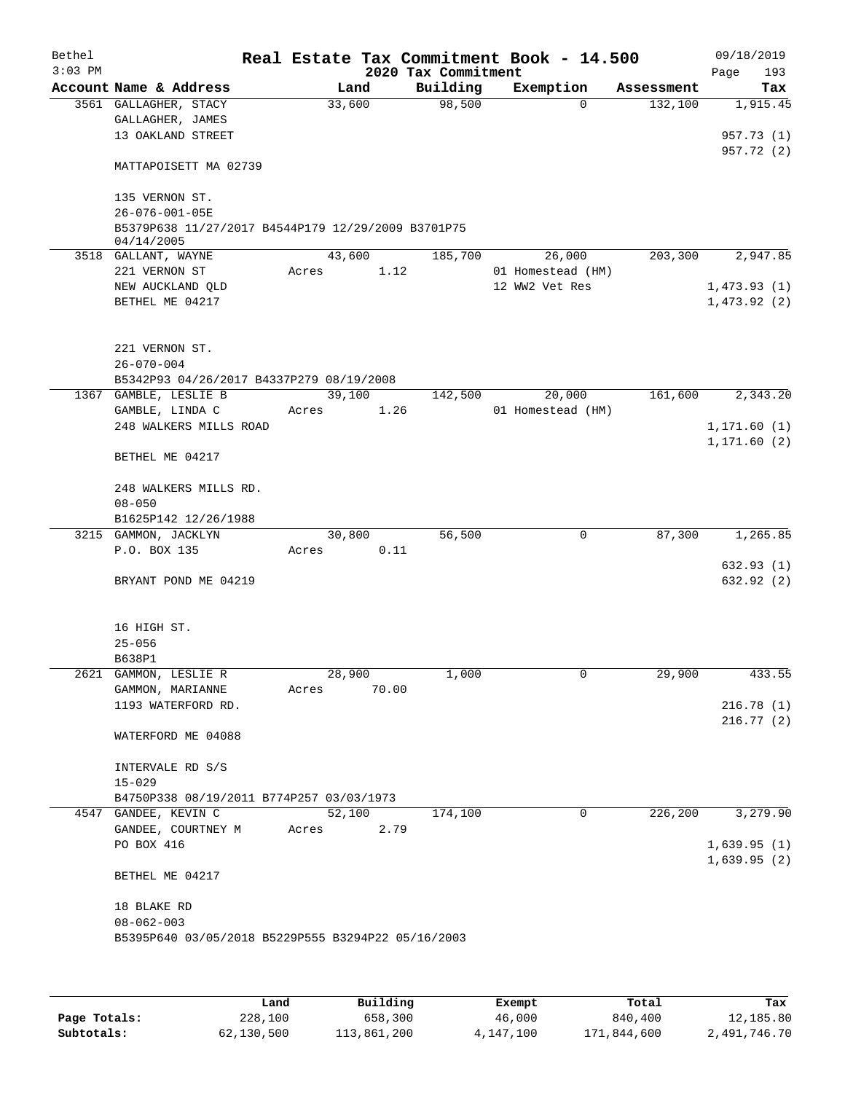| Bethel    |                                                    |       |                 |      |                     | Real Estate Tax Commitment Book - 14.500 |            | 09/18/2019              |
|-----------|----------------------------------------------------|-------|-----------------|------|---------------------|------------------------------------------|------------|-------------------------|
| $3:03$ PM |                                                    |       |                 |      | 2020 Tax Commitment |                                          |            | 193<br>Page             |
|           | Account Name & Address                             |       | Land            |      | Building            | Exemption                                | Assessment | Tax                     |
|           | 3561 GALLAGHER, STACY                              |       | 33,600          |      | 98,500              | $\Omega$                                 | 132,100    | 1,915.45                |
|           | GALLAGHER, JAMES                                   |       |                 |      |                     |                                          |            |                         |
|           | 13 OAKLAND STREET                                  |       |                 |      |                     |                                          |            | 957.73 (1)              |
|           | MATTAPOISETT MA 02739                              |       |                 |      |                     |                                          |            | 957.72 (2)              |
|           | 135 VERNON ST.                                     |       |                 |      |                     |                                          |            |                         |
|           | 26-076-001-05E                                     |       |                 |      |                     |                                          |            |                         |
|           | B5379P638 11/27/2017 B4544P179 12/29/2009 B3701P75 |       |                 |      |                     |                                          |            |                         |
|           | 04/14/2005                                         |       |                 |      |                     |                                          |            |                         |
|           | 3518 GALLANT, WAYNE                                |       | 43,600          |      | 185,700             | 26,000                                   | 203,300    | 2,947.85                |
|           | 221 VERNON ST                                      | Acres |                 | 1.12 |                     | 01 Homestead (HM)                        |            |                         |
|           | NEW AUCKLAND QLD                                   |       |                 |      |                     | 12 WW2 Vet Res                           |            | 1,473.93(1)             |
|           | BETHEL ME 04217                                    |       |                 |      |                     |                                          |            | 1,473.92(2)             |
|           | 221 VERNON ST.                                     |       |                 |      |                     |                                          |            |                         |
|           | $26 - 070 - 004$                                   |       |                 |      |                     |                                          |            |                         |
|           | B5342P93 04/26/2017 B4337P279 08/19/2008           |       |                 |      |                     |                                          |            |                         |
|           | 1367 GAMBLE, LESLIE B                              |       | 39,100          |      | 142,500             | 20,000                                   | 161,600    | 2,343.20                |
|           | GAMBLE, LINDA C                                    | Acres |                 | 1.26 |                     | 01 Homestead (HM)                        |            |                         |
|           | 248 WALKERS MILLS ROAD                             |       |                 |      |                     |                                          |            | 1, 171.60(1)            |
|           |                                                    |       |                 |      |                     |                                          |            | 1, 171.60(2)            |
|           | BETHEL ME 04217                                    |       |                 |      |                     |                                          |            |                         |
|           | 248 WALKERS MILLS RD.                              |       |                 |      |                     |                                          |            |                         |
|           | $08 - 050$                                         |       |                 |      |                     |                                          |            |                         |
|           | B1625P142 12/26/1988                               |       |                 |      |                     |                                          |            |                         |
|           | 3215 GAMMON, JACKLYN                               |       | 30,800          |      | 56,500              | $\mathbf 0$                              | 87,300     | 1,265.85                |
|           | P.O. BOX 135                                       | Acres |                 | 0.11 |                     |                                          |            |                         |
|           | BRYANT POND ME 04219                               |       |                 |      |                     |                                          |            | 632.93(1)<br>632.92 (2) |
|           |                                                    |       |                 |      |                     |                                          |            |                         |
|           | 16 HIGH ST.                                        |       |                 |      |                     |                                          |            |                         |
|           | $25 - 056$                                         |       |                 |      |                     |                                          |            |                         |
|           | B638P1                                             |       |                 |      | 1,000               |                                          |            |                         |
|           | 2621 GAMMON, LESLIE R<br>GAMMON, MARIANNE          | Acres | 28,900<br>70.00 |      |                     | 0                                        | 29,900     | 433.55                  |
|           | 1193 WATERFORD RD.                                 |       |                 |      |                     |                                          |            | 216.78(1)               |
|           |                                                    |       |                 |      |                     |                                          |            | 216.77(2)               |
|           | WATERFORD ME 04088                                 |       |                 |      |                     |                                          |            |                         |
|           | INTERVALE RD S/S                                   |       |                 |      |                     |                                          |            |                         |
|           | $15 - 029$                                         |       |                 |      |                     |                                          |            |                         |
|           | B4750P338 08/19/2011 B774P257 03/03/1973           |       |                 |      |                     |                                          |            |                         |
|           | 4547 GANDEE, KEVIN C                               |       | 52,100          |      | 174,100             | $\mathbf 0$                              | 226,200    | 3,279.90                |
|           | GANDEE, COURTNEY M                                 | Acres |                 | 2.79 |                     |                                          |            |                         |
|           | PO BOX 416                                         |       |                 |      |                     |                                          |            | 1,639.95(1)             |
|           | BETHEL ME 04217                                    |       |                 |      |                     |                                          |            | 1,639.95(2)             |
|           |                                                    |       |                 |      |                     |                                          |            |                         |
|           | 18 BLAKE RD                                        |       |                 |      |                     |                                          |            |                         |
|           | $08 - 062 - 003$                                   |       |                 |      |                     |                                          |            |                         |
|           | B5395P640 03/05/2018 B5229P555 B3294P22 05/16/2003 |       |                 |      |                     |                                          |            |                         |
|           |                                                    |       |                 |      |                     |                                          |            |                         |

|              | Land       | Building    | Exempt    | Total       | Tax          |
|--------------|------------|-------------|-----------|-------------|--------------|
| Page Totals: | 228,100    | 658,300     | 46,000    | 840,400     | 12,185.80    |
| Subtotals:   | 62,130,500 | 113,861,200 | 4,147,100 | 171,844,600 | 2,491,746.70 |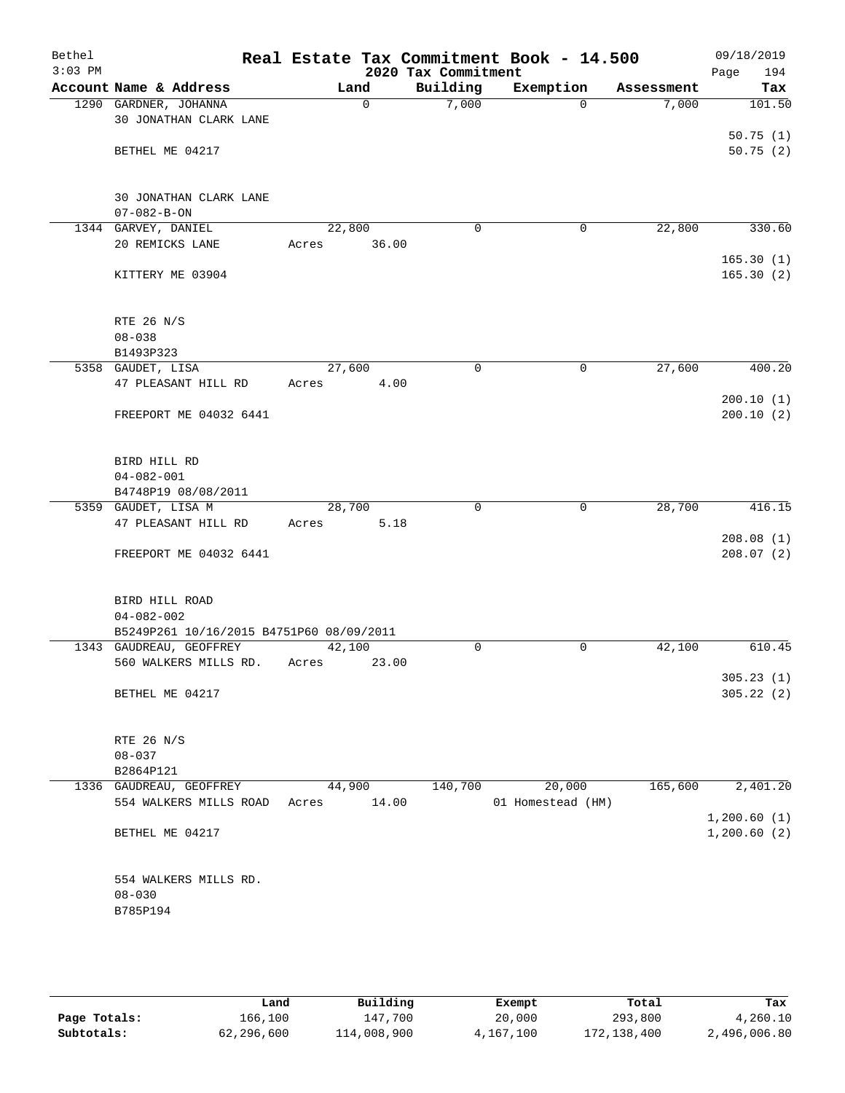| Bethel<br>$3:03$ PM |                                          |             |        | 2020 Tax Commitment | Real Estate Tax Commitment Book - 14.500 |            | 09/18/2019<br>Page<br>194 |
|---------------------|------------------------------------------|-------------|--------|---------------------|------------------------------------------|------------|---------------------------|
|                     | Account Name & Address                   |             | Land   | Building            | Exemption                                | Assessment | Tax                       |
|                     | 1290 GARDNER, JOHANNA                    |             | 0      | 7,000               | $\Omega$                                 | 7,000      | 101.50                    |
|                     | 30 JONATHAN CLARK LANE                   |             |        |                     |                                          |            |                           |
|                     |                                          |             |        |                     |                                          |            | 50.75(1)                  |
|                     | BETHEL ME 04217                          |             |        |                     |                                          |            | 50.75(2)                  |
|                     |                                          |             |        |                     |                                          |            |                           |
|                     |                                          |             |        |                     |                                          |            |                           |
|                     | 30 JONATHAN CLARK LANE                   |             |        |                     |                                          |            |                           |
|                     | $07 - 082 - B - ON$                      |             |        |                     |                                          |            |                           |
|                     | 1344 GARVEY, DANIEL                      | 22,800      |        | $\mathbf 0$         | 0                                        | 22,800     | 330.60                    |
|                     | 20 REMICKS LANE                          | Acres       | 36.00  |                     |                                          |            |                           |
|                     |                                          |             |        |                     |                                          |            | 165.30(1)                 |
|                     | KITTERY ME 03904                         |             |        |                     |                                          |            | 165.30(2)                 |
|                     |                                          |             |        |                     |                                          |            |                           |
|                     |                                          |             |        |                     |                                          |            |                           |
|                     | RTE 26 N/S                               |             |        |                     |                                          |            |                           |
|                     | $08 - 038$                               |             |        |                     |                                          |            |                           |
|                     | B1493P323                                |             |        |                     |                                          |            |                           |
|                     | 5358 GAUDET, LISA                        | 27,600      |        | $\mathbf 0$         | $\mathbf 0$                              | 27,600     | 400.20                    |
|                     | 47 PLEASANT HILL RD                      | Acres       | 4.00   |                     |                                          |            |                           |
|                     |                                          |             |        |                     |                                          |            | 200.10(1)                 |
|                     | FREEPORT ME 04032 6441                   |             |        |                     |                                          |            | 200.10(2)                 |
|                     |                                          |             |        |                     |                                          |            |                           |
|                     |                                          |             |        |                     |                                          |            |                           |
|                     | BIRD HILL RD                             |             |        |                     |                                          |            |                           |
|                     | $04 - 082 - 001$                         |             |        |                     |                                          |            |                           |
|                     | B4748P19 08/08/2011                      |             |        |                     |                                          |            |                           |
|                     | 5359 GAUDET, LISA M                      | 28,700      |        | 0                   | 0                                        | 28,700     | 416.15                    |
|                     | 47 PLEASANT HILL RD                      | Acres       | 5.18   |                     |                                          |            |                           |
|                     |                                          |             |        |                     |                                          |            | 208.08(1)                 |
|                     | FREEPORT ME 04032 6441                   |             |        |                     |                                          |            | 208.07(2)                 |
|                     |                                          |             |        |                     |                                          |            |                           |
|                     |                                          |             |        |                     |                                          |            |                           |
|                     | BIRD HILL ROAD                           |             |        |                     |                                          |            |                           |
|                     | $04 - 082 - 002$                         |             |        |                     |                                          |            |                           |
|                     | B5249P261 10/16/2015 B4751P60 08/09/2011 |             |        |                     |                                          |            |                           |
|                     | 1343 GAUDREAU, GEOFFREY                  | 42,100      |        | $\mathbf 0$         | 0                                        | 42,100     | 610.45                    |
|                     | 560 WALKERS MILLS RD.                    | Acres       | 23.00  |                     |                                          |            |                           |
|                     |                                          |             |        |                     |                                          |            | 305.23(1)                 |
|                     | BETHEL ME 04217                          |             |        |                     |                                          |            | 305.22(2)                 |
|                     |                                          |             |        |                     |                                          |            |                           |
|                     |                                          |             |        |                     |                                          |            |                           |
|                     | RTE 26 N/S                               |             |        |                     |                                          |            |                           |
|                     | $08 - 037$                               |             |        |                     |                                          |            |                           |
|                     | B2864P121                                |             |        |                     |                                          |            |                           |
|                     | 1336 GAUDREAU, GEOFFREY                  |             | 44,900 | 140,700             | 20,000                                   | 165,600    | 2,401.20                  |
|                     | 554 WALKERS MILLS ROAD                   | Acres 14.00 |        |                     | 01 Homestead (HM)                        |            |                           |
|                     |                                          |             |        |                     |                                          |            | 1,200.60(1)               |
|                     | BETHEL ME 04217                          |             |        |                     |                                          |            | 1,200.60(2)               |
|                     |                                          |             |        |                     |                                          |            |                           |
|                     |                                          |             |        |                     |                                          |            |                           |
|                     | 554 WALKERS MILLS RD.                    |             |        |                     |                                          |            |                           |
|                     | $08 - 030$                               |             |        |                     |                                          |            |                           |
|                     | B785P194                                 |             |        |                     |                                          |            |                           |
|                     |                                          |             |        |                     |                                          |            |                           |
|                     |                                          |             |        |                     |                                          |            |                           |
|                     |                                          |             |        |                     |                                          |            |                           |
|                     |                                          |             |        |                     |                                          |            |                           |

|              | Land       | Building    | Exempt    | Total       | Tax          |
|--------------|------------|-------------|-----------|-------------|--------------|
| Page Totals: | 166,100    | 147,700     | 20,000    | 293,800     | 4,260.10     |
| Subtotals:   | 62,296,600 | 114,008,900 | 4,167,100 | 172,138,400 | 2,496,006.80 |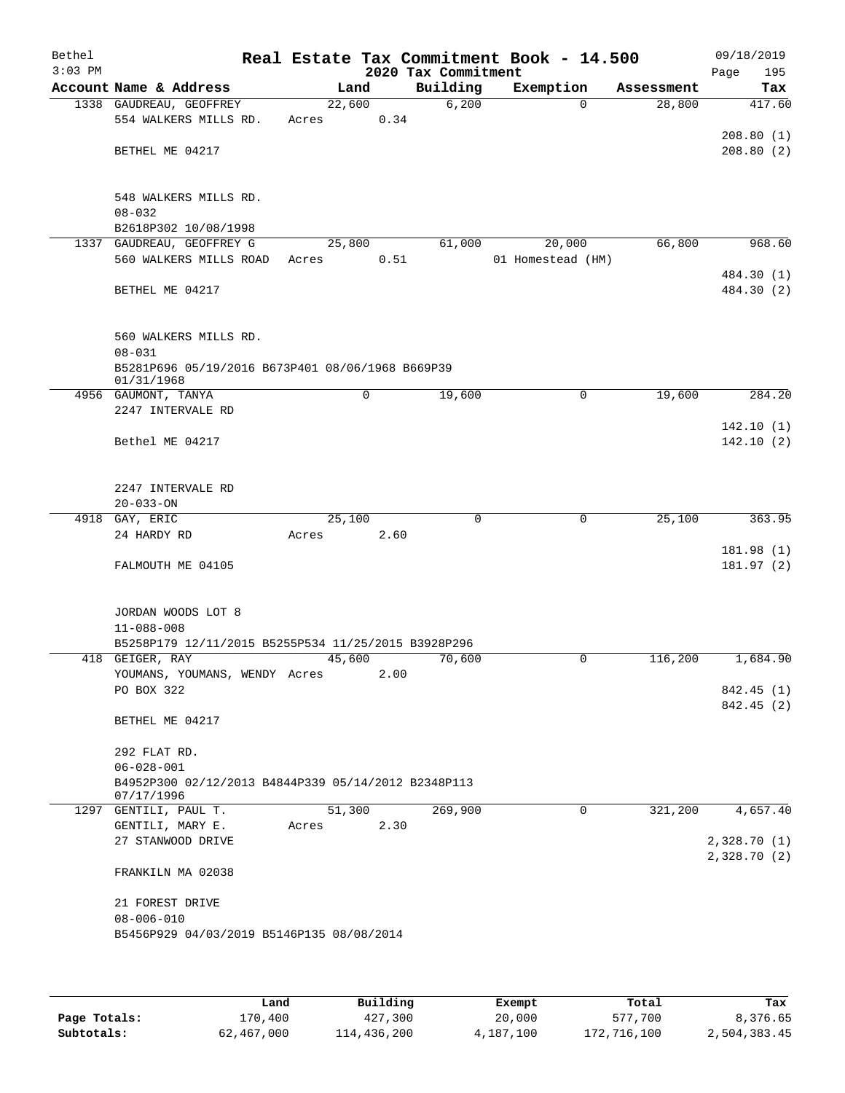| Bethel<br>$3:03$ PM |                                                     |        |             |      | 2020 Tax Commitment | Real Estate Tax Commitment Book - 14.500 |            | 09/18/2019<br>Page<br>195 |
|---------------------|-----------------------------------------------------|--------|-------------|------|---------------------|------------------------------------------|------------|---------------------------|
|                     | Account Name & Address                              | Land   |             |      | Building            | Exemption                                | Assessment | Tax                       |
|                     | 1338 GAUDREAU, GEOFFREY                             | 22,600 |             |      | 6,200               | $\Omega$                                 | 28,800     | 417.60                    |
|                     | 554 WALKERS MILLS RD.                               | Acres  | 0.34        |      |                     |                                          |            |                           |
|                     |                                                     |        |             |      |                     |                                          |            | 208.80(1)                 |
|                     | BETHEL ME 04217                                     |        |             |      |                     |                                          |            | 208.80(2)                 |
|                     |                                                     |        |             |      |                     |                                          |            |                           |
|                     |                                                     |        |             |      |                     |                                          |            |                           |
|                     | 548 WALKERS MILLS RD.                               |        |             |      |                     |                                          |            |                           |
|                     | $08 - 032$                                          |        |             |      |                     |                                          |            |                           |
|                     | B2618P302 10/08/1998                                |        |             |      |                     |                                          |            |                           |
|                     | 1337 GAUDREAU, GEOFFREY G                           | 25,800 |             |      | 61,000              | 20,000                                   | 66,800     | 968.60                    |
|                     | 560 WALKERS MILLS ROAD                              | Acres  |             | 0.51 |                     | 01 Homestead (HM)                        |            |                           |
|                     |                                                     |        |             |      |                     |                                          |            | 484.30 (1)                |
|                     | BETHEL ME 04217                                     |        |             |      |                     |                                          |            | 484.30 (2)                |
|                     |                                                     |        |             |      |                     |                                          |            |                           |
|                     |                                                     |        |             |      |                     |                                          |            |                           |
|                     | 560 WALKERS MILLS RD.                               |        |             |      |                     |                                          |            |                           |
|                     | $08 - 031$                                          |        |             |      |                     |                                          |            |                           |
|                     | B5281P696 05/19/2016 B673P401 08/06/1968 B669P39    |        |             |      |                     |                                          |            |                           |
|                     | 01/31/1968<br>4956 GAUMONT, TANYA                   |        | $\mathbf 0$ |      | 19,600              | 0                                        | 19,600     | 284.20                    |
|                     | 2247 INTERVALE RD                                   |        |             |      |                     |                                          |            |                           |
|                     |                                                     |        |             |      |                     |                                          |            | 142.10(1)                 |
|                     | Bethel ME 04217                                     |        |             |      |                     |                                          |            | 142.10(2)                 |
|                     |                                                     |        |             |      |                     |                                          |            |                           |
|                     |                                                     |        |             |      |                     |                                          |            |                           |
|                     | 2247 INTERVALE RD                                   |        |             |      |                     |                                          |            |                           |
|                     | $20 - 033 - ON$                                     |        |             |      |                     |                                          |            |                           |
|                     | 4918 GAY, ERIC                                      | 25,100 |             |      | $\Omega$            | 0                                        | 25,100     | 363.95                    |
|                     | 24 HARDY RD                                         | Acres  | 2.60        |      |                     |                                          |            |                           |
|                     |                                                     |        |             |      |                     |                                          |            | 181.98(1)                 |
|                     | FALMOUTH ME 04105                                   |        |             |      |                     |                                          |            | 181.97(2)                 |
|                     |                                                     |        |             |      |                     |                                          |            |                           |
|                     |                                                     |        |             |      |                     |                                          |            |                           |
|                     | JORDAN WOODS LOT 8                                  |        |             |      |                     |                                          |            |                           |
|                     | $11 - 088 - 008$                                    |        |             |      |                     |                                          |            |                           |
|                     | B5258P179 12/11/2015 B5255P534 11/25/2015 B3928P296 |        |             |      |                     |                                          |            |                           |
|                     | 418 GEIGER, RAY                                     | 45,600 |             |      | 70,600              | 0                                        | 116,200    | 1,684.90                  |
|                     | YOUMANS, YOUMANS, WENDY Acres                       |        | 2.00        |      |                     |                                          |            |                           |
|                     | PO BOX 322                                          |        |             |      |                     |                                          |            | 842.45 (1)                |
|                     |                                                     |        |             |      |                     |                                          |            | 842.45 (2)                |
|                     | BETHEL ME 04217                                     |        |             |      |                     |                                          |            |                           |
|                     | 292 FLAT RD.                                        |        |             |      |                     |                                          |            |                           |
|                     | $06 - 028 - 001$                                    |        |             |      |                     |                                          |            |                           |
|                     | B4952P300 02/12/2013 B4844P339 05/14/2012 B2348P113 |        |             |      |                     |                                          |            |                           |
|                     | 07/17/1996                                          |        |             |      |                     |                                          |            |                           |
|                     | 1297 GENTILI, PAUL T.                               | 51,300 |             |      | 269,900             | $\Omega$                                 | 321,200    | 4,657.40                  |
|                     | GENTILI, MARY E.                                    | Acres  | 2.30        |      |                     |                                          |            |                           |
|                     | 27 STANWOOD DRIVE                                   |        |             |      |                     |                                          |            | 2,328.70 (1)              |
|                     |                                                     |        |             |      |                     |                                          |            | 2,328.70(2)               |
|                     | FRANKILN MA 02038                                   |        |             |      |                     |                                          |            |                           |
|                     |                                                     |        |             |      |                     |                                          |            |                           |
|                     | 21 FOREST DRIVE                                     |        |             |      |                     |                                          |            |                           |
|                     | $08 - 006 - 010$                                    |        |             |      |                     |                                          |            |                           |
|                     | B5456P929 04/03/2019 B5146P135 08/08/2014           |        |             |      |                     |                                          |            |                           |
|                     |                                                     |        |             |      |                     |                                          |            |                           |
|                     |                                                     |        |             |      |                     |                                          |            |                           |
|                     |                                                     |        |             |      |                     |                                          |            |                           |

|              | Land       | Building    | Exempt    | Total       | Tax          |
|--------------|------------|-------------|-----------|-------------|--------------|
| Page Totals: | 170.400    | 427,300     | 20,000    | 577,700     | 8,376.65     |
| Subtotals:   | 62,467,000 | 114,436,200 | 4,187,100 | 172,716,100 | 2,504,383.45 |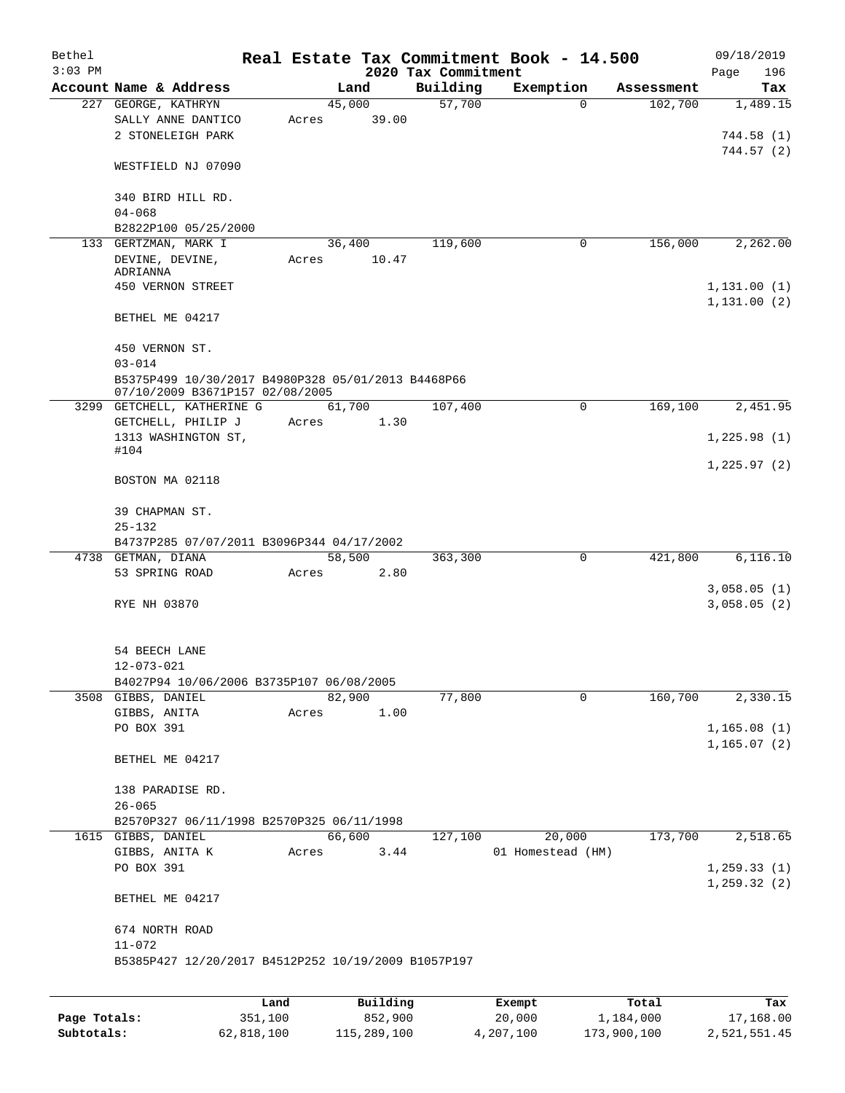| Bethel    |                                                                                       |       |                |                     | Real Estate Tax Commitment Book - 14.500 |                       | 09/18/2019                  |
|-----------|---------------------------------------------------------------------------------------|-------|----------------|---------------------|------------------------------------------|-----------------------|-----------------------------|
| $3:03$ PM | Account Name & Address                                                                |       |                | 2020 Tax Commitment |                                          |                       | 196<br>Page                 |
|           | 227 GEORGE, KATHRYN                                                                   |       | Land<br>45,000 | Building<br>57,700  | Exemption<br>$\Omega$                    | Assessment<br>102,700 | Tax<br>1,489.15             |
|           | SALLY ANNE DANTICO<br>2 STONELEIGH PARK                                               | Acres | 39.00          |                     |                                          |                       | 744.58(1)                   |
|           | WESTFIELD NJ 07090                                                                    |       |                |                     |                                          |                       | 744.57(2)                   |
|           | 340 BIRD HILL RD.<br>$04 - 068$                                                       |       |                |                     |                                          |                       |                             |
|           | B2822P100 05/25/2000                                                                  |       |                |                     |                                          |                       |                             |
|           | 133 GERTZMAN, MARK I                                                                  |       | 36,400         | 119,600             | 0                                        | 156,000               | 2,262.00                    |
|           | DEVINE, DEVINE,                                                                       | Acres | 10.47          |                     |                                          |                       |                             |
|           | ADRIANNA<br>450 VERNON STREET                                                         |       |                |                     |                                          |                       | 1, 131.00(1)                |
|           | BETHEL ME 04217                                                                       |       |                |                     |                                          |                       | 1, 131.00(2)                |
|           | 450 VERNON ST.                                                                        |       |                |                     |                                          |                       |                             |
|           | $03 - 014$                                                                            |       |                |                     |                                          |                       |                             |
|           | B5375P499 10/30/2017 B4980P328 05/01/2013 B4468P66<br>07/10/2009 B3671P157 02/08/2005 |       |                |                     |                                          |                       |                             |
|           | 3299 GETCHELL, KATHERINE G                                                            |       | 61,700         | 107,400             | 0                                        | 169,100               | 2,451.95                    |
|           | GETCHELL, PHILIP J                                                                    | Acres | 1.30           |                     |                                          |                       |                             |
|           | 1313 WASHINGTON ST,                                                                   |       |                |                     |                                          |                       | 1,225.98(1)                 |
|           | #104                                                                                  |       |                |                     |                                          |                       | 1,225.97(2)                 |
|           | BOSTON MA 02118                                                                       |       |                |                     |                                          |                       |                             |
|           | 39 CHAPMAN ST.                                                                        |       |                |                     |                                          |                       |                             |
|           | $25 - 132$                                                                            |       |                |                     |                                          |                       |                             |
|           | B4737P285 07/07/2011 B3096P344 04/17/2002                                             |       |                |                     |                                          |                       |                             |
| 4738      | GETMAN, DIANA                                                                         |       | 58,500         | 363,300             | 0                                        | 421,800               | 6,116.10                    |
|           | 53 SPRING ROAD                                                                        | Acres | 2.80           |                     |                                          |                       |                             |
|           | RYE NH 03870                                                                          |       |                |                     |                                          |                       | 3,058.05(1)<br>3,058.05(2)  |
|           | 54 BEECH LANE<br>$12 - 073 - 021$                                                     |       |                |                     |                                          |                       |                             |
|           | B4027P94 10/06/2006 B3735P107 06/08/2005                                              |       |                |                     |                                          |                       |                             |
|           | 3508 GIBBS, DANIEL                                                                    |       | 82,900         | 77,800              | 0                                        | 160,700               | 2,330.15                    |
|           | GIBBS, ANITA                                                                          | Acres | 1.00           |                     |                                          |                       |                             |
|           | PO BOX 391                                                                            |       |                |                     |                                          |                       | 1,165.08(1)<br>1, 165.07(2) |
|           | BETHEL ME 04217                                                                       |       |                |                     |                                          |                       |                             |
|           | 138 PARADISE RD.                                                                      |       |                |                     |                                          |                       |                             |
|           | $26 - 065$                                                                            |       |                |                     |                                          |                       |                             |
|           | B2570P327 06/11/1998 B2570P325 06/11/1998<br>1615 GIBBS, DANIEL                       |       | 66,600         | 127,100             | 20,000                                   | 173,700               | 2,518.65                    |
|           | GIBBS, ANITA K                                                                        | Acres | 3.44           |                     | 01 Homestead (HM)                        |                       |                             |
|           | PO BOX 391                                                                            |       |                |                     |                                          |                       | 1, 259.33(1)                |
|           | BETHEL ME 04217                                                                       |       |                |                     |                                          |                       | 1, 259.32(2)                |
|           | 674 NORTH ROAD<br>$11 - 072$                                                          |       |                |                     |                                          |                       |                             |
|           | B5385P427 12/20/2017 B4512P252 10/19/2009 B1057P197                                   |       |                |                     |                                          |                       |                             |
|           |                                                                                       |       |                |                     |                                          |                       |                             |
|           |                                                                                       | Land  | Building       |                     | Exempt                                   | Total                 | Tax                         |

**Page Totals:** 351,100 852,900 20,000 1,184,000 17,168.00 **Subtotals:** 62,818,100 115,289,100 4,207,100 173,900,100 2,521,551.45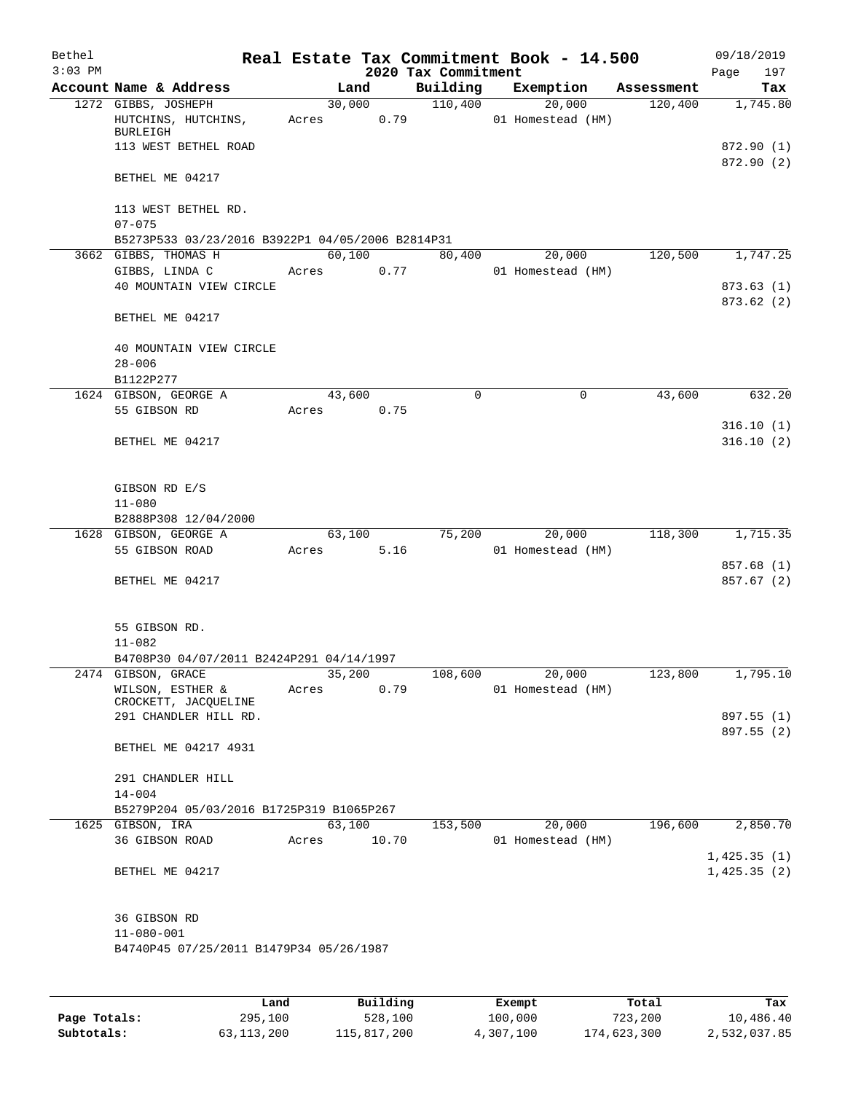| Bethel    |                                                               |       |        |       |                     | Real Estate Tax Commitment Book - 14.500 |            | 09/18/2019               |
|-----------|---------------------------------------------------------------|-------|--------|-------|---------------------|------------------------------------------|------------|--------------------------|
| $3:03$ PM |                                                               |       |        |       | 2020 Tax Commitment |                                          |            | Page<br>197              |
|           | Account Name & Address                                        |       | Land   |       | Building            | Exemption                                | Assessment | Tax                      |
|           | 1272 GIBBS, JOSHEPH<br>HUTCHINS, HUTCHINS,<br><b>BURLEIGH</b> | Acres | 30,000 | 0.79  | 110,400             | 20,000<br>01 Homestead (HM)              | 120,400    | 1,745.80                 |
|           | 113 WEST BETHEL ROAD                                          |       |        |       |                     |                                          |            | 872.90 (1)<br>872.90 (2) |
|           | BETHEL ME 04217                                               |       |        |       |                     |                                          |            |                          |
|           | 113 WEST BETHEL RD.<br>$07 - 075$                             |       |        |       |                     |                                          |            |                          |
|           | B5273P533 03/23/2016 B3922P1 04/05/2006 B2814P31              |       |        |       |                     |                                          |            |                          |
|           | 3662 GIBBS, THOMAS H                                          |       | 60,100 |       | 80,400              | 20,000                                   | 120,500    | 1,747.25                 |
|           | GIBBS, LINDA C                                                | Acres |        | 0.77  |                     | 01 Homestead (HM)                        |            |                          |
|           | 40 MOUNTAIN VIEW CIRCLE                                       |       |        |       |                     |                                          |            | 873.63 (1)<br>873.62(2)  |
|           | BETHEL ME 04217                                               |       |        |       |                     |                                          |            |                          |
|           | 40 MOUNTAIN VIEW CIRCLE<br>$28 - 006$                         |       |        |       |                     |                                          |            |                          |
|           | B1122P277                                                     |       |        |       |                     |                                          |            |                          |
|           | 1624 GIBSON, GEORGE A                                         |       | 43,600 |       | $\mathbf 0$         | $\mathsf{O}$                             | 43,600     | 632.20                   |
|           | 55 GIBSON RD                                                  | Acres |        | 0.75  |                     |                                          |            |                          |
|           | BETHEL ME 04217                                               |       |        |       |                     |                                          |            | 316.10(1)<br>316.10(2)   |
|           |                                                               |       |        |       |                     |                                          |            |                          |
|           | GIBSON RD E/S<br>$11 - 080$                                   |       |        |       |                     |                                          |            |                          |
|           | B2888P308 12/04/2000                                          |       |        |       |                     |                                          |            |                          |
|           | 1628 GIBSON, GEORGE A                                         |       | 63,100 |       | 75,200              | 20,000                                   | 118,300    | 1,715.35                 |
|           | 55 GIBSON ROAD                                                | Acres |        | 5.16  |                     | 01 Homestead (HM)                        |            |                          |
|           |                                                               |       |        |       |                     |                                          |            | 857.68 (1)               |
|           | BETHEL ME 04217                                               |       |        |       |                     |                                          |            | 857.67 (2)               |
|           | 55 GIBSON RD.                                                 |       |        |       |                     |                                          |            |                          |
|           | $11 - 082$                                                    |       |        |       |                     |                                          |            |                          |
|           | B4708P30 04/07/2011 B2424P291 04/14/1997                      |       |        |       |                     |                                          |            |                          |
|           | 2474 GIBSON, GRACE<br>WILSON, ESTHER &                        | Acres | 35,200 | 0.79  | 108,600             | 20,000<br>01 Homestead (HM)              | 123,800    | 1,795.10                 |
|           | CROCKETT, JACQUELINE                                          |       |        |       |                     |                                          |            |                          |
|           | 291 CHANDLER HILL RD.                                         |       |        |       |                     |                                          |            | 897.55 (1)               |
|           | BETHEL ME 04217 4931                                          |       |        |       |                     |                                          |            | 897.55 (2)               |
|           |                                                               |       |        |       |                     |                                          |            |                          |
|           | 291 CHANDLER HILL                                             |       |        |       |                     |                                          |            |                          |
|           | $14 - 004$                                                    |       |        |       |                     |                                          |            |                          |
|           | B5279P204 05/03/2016 B1725P319 B1065P267                      |       |        |       |                     |                                          |            |                          |
|           | 1625 GIBSON, IRA                                              |       | 63,100 |       | 153,500             | 20,000                                   | 196,600    | 2,850.70                 |
|           | 36 GIBSON ROAD                                                | Acres |        | 10.70 |                     | 01 Homestead (HM)                        |            | 1,425.35(1)              |
|           | BETHEL ME 04217                                               |       |        |       |                     |                                          |            | 1,425.35(2)              |
|           | 36 GIBSON RD                                                  |       |        |       |                     |                                          |            |                          |
|           | $11 - 080 - 001$                                              |       |        |       |                     |                                          |            |                          |
|           | B4740P45 07/25/2011 B1479P34 05/26/1987                       |       |        |       |                     |                                          |            |                          |
|           |                                                               |       |        |       |                     |                                          |            |                          |
|           |                                                               |       |        |       |                     |                                          |            |                          |

|              | Land         | Building    | Exempt    | Total       | Tax          |
|--------------|--------------|-------------|-----------|-------------|--------------|
| Page Totals: | 295,100      | 528,100     | 100,000   | 723,200     | 10,486.40    |
| Subtotals:   | 63, 113, 200 | 115,817,200 | 4,307,100 | 174,623,300 | 2,532,037.85 |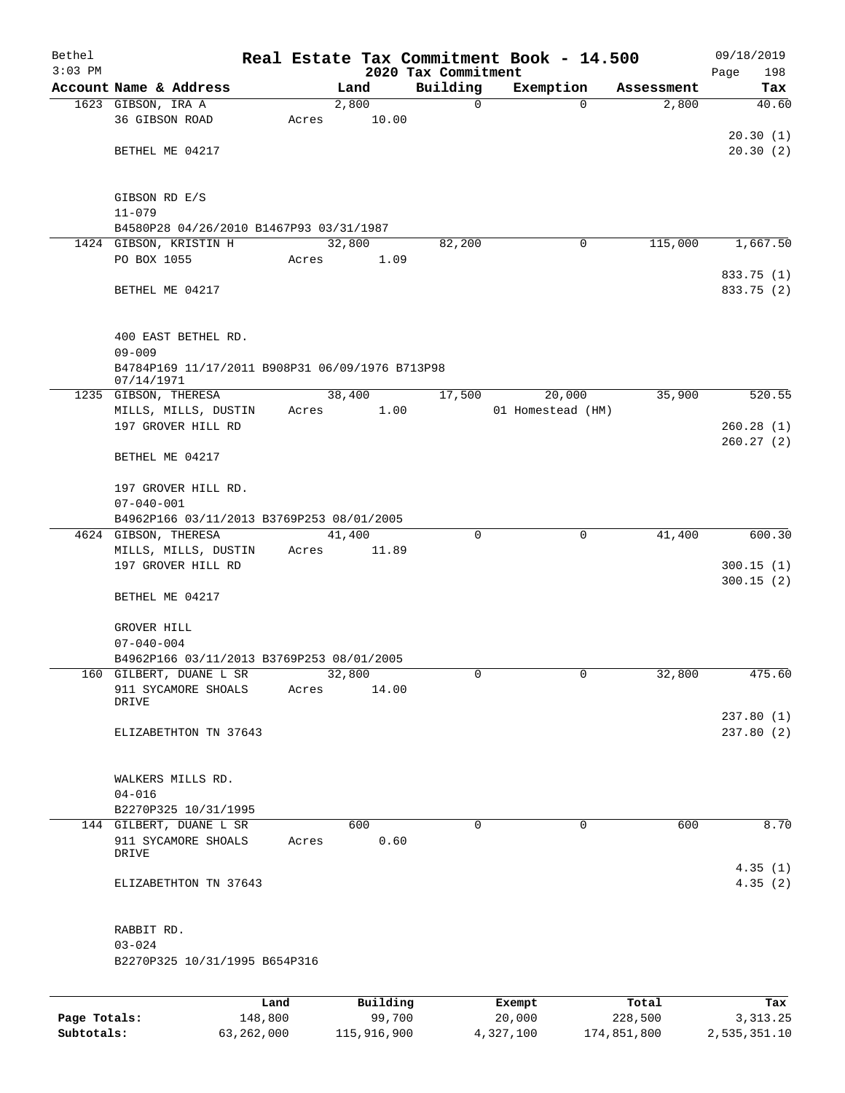| Bethel    |                                                               |       |                 |                     | Real Estate Tax Commitment Book - 14.500 |            | 09/18/2019         |
|-----------|---------------------------------------------------------------|-------|-----------------|---------------------|------------------------------------------|------------|--------------------|
| $3:03$ PM |                                                               |       |                 | 2020 Tax Commitment |                                          |            | Page<br>198        |
|           | Account Name & Address                                        |       | Land            | Building            | Exemption                                | Assessment | Tax                |
|           | 1623 GIBSON, IRA A                                            |       | 2,800           | 0                   | 0                                        | 2,800      | 40.60              |
|           | 36 GIBSON ROAD                                                | Acres | 10.00           |                     |                                          |            |                    |
|           |                                                               |       |                 |                     |                                          |            | 20.30(1)           |
|           | BETHEL ME 04217                                               |       |                 |                     |                                          |            | 20.30(2)           |
|           | GIBSON RD E/S                                                 |       |                 |                     |                                          |            |                    |
|           | $11 - 079$                                                    |       |                 |                     |                                          |            |                    |
|           | B4580P28 04/26/2010 B1467P93 03/31/1987                       |       |                 |                     |                                          |            |                    |
|           | 1424 GIBSON, KRISTIN H                                        |       | 32,800          | 82,200              | 0                                        | 115,000    | 1,667.50           |
|           | PO BOX 1055                                                   | Acres | 1.09            |                     |                                          |            |                    |
|           |                                                               |       |                 |                     |                                          |            | 833.75 (1)         |
|           | BETHEL ME 04217                                               |       |                 |                     |                                          |            | 833.75 (2)         |
|           | 400 EAST BETHEL RD.                                           |       |                 |                     |                                          |            |                    |
|           | $09 - 009$                                                    |       |                 |                     |                                          |            |                    |
|           | B4784P169 11/17/2011 B908P31 06/09/1976 B713P98<br>07/14/1971 |       |                 |                     |                                          |            |                    |
|           | 1235 GIBSON, THERESA                                          |       | 38,400          | 17,500              | 20,000                                   | 35,900     | 520.55             |
|           | MILLS, MILLS, DUSTIN                                          | Acres | 1.00            |                     | 01 Homestead (HM)                        |            |                    |
|           | 197 GROVER HILL RD                                            |       |                 |                     |                                          |            | 260.28(1)          |
|           |                                                               |       |                 |                     |                                          |            | 260.27(2)          |
|           | BETHEL ME 04217                                               |       |                 |                     |                                          |            |                    |
|           | 197 GROVER HILL RD.                                           |       |                 |                     |                                          |            |                    |
|           | $07 - 040 - 001$                                              |       |                 |                     |                                          |            |                    |
|           | B4962P166 03/11/2013 B3769P253 08/01/2005                     |       |                 |                     |                                          |            |                    |
|           | 4624 GIBSON, THERESA                                          |       | 41,400          | 0                   | 0                                        | 41,400     | 600.30             |
|           | MILLS, MILLS, DUSTIN                                          | Acres | 11.89           |                     |                                          |            |                    |
|           | 197 GROVER HILL RD                                            |       |                 |                     |                                          |            | 300.15(1)          |
|           |                                                               |       |                 |                     |                                          |            | 300.15(2)          |
|           | BETHEL ME 04217                                               |       |                 |                     |                                          |            |                    |
|           |                                                               |       |                 |                     |                                          |            |                    |
|           | GROVER HILL                                                   |       |                 |                     |                                          |            |                    |
|           | $07 - 040 - 004$                                              |       |                 |                     |                                          |            |                    |
|           | B4962P166 03/11/2013 B3769P253 08/01/2005                     |       |                 |                     |                                          |            |                    |
|           | 160 GILBERT, DUANE L SR<br>911 SYCAMORE SHOALS                | Acres | 32,800<br>14.00 | 0                   | 0                                        | 32,800     | 475.60             |
|           | DRIVE                                                         |       |                 |                     |                                          |            |                    |
|           |                                                               |       |                 |                     |                                          |            | 237.80(1)          |
|           | ELIZABETHTON TN 37643                                         |       |                 |                     |                                          |            | 237.80(2)          |
|           |                                                               |       |                 |                     |                                          |            |                    |
|           |                                                               |       |                 |                     |                                          |            |                    |
|           | WALKERS MILLS RD.                                             |       |                 |                     |                                          |            |                    |
|           | $04 - 016$                                                    |       |                 |                     |                                          |            |                    |
|           | B2270P325 10/31/1995                                          |       |                 |                     |                                          |            |                    |
|           | 144 GILBERT, DUANE L SR                                       |       | 600             | $\Omega$            | $\mathbf 0$                              | 600        | 8.70               |
|           | 911 SYCAMORE SHOALS<br>DRIVE                                  | Acres | 0.60            |                     |                                          |            |                    |
|           | ELIZABETHTON TN 37643                                         |       |                 |                     |                                          |            | 4.35(1)<br>4.35(2) |
|           | RABBIT RD.                                                    |       |                 |                     |                                          |            |                    |
|           | $03 - 024$                                                    |       |                 |                     |                                          |            |                    |
|           | B2270P325 10/31/1995 B654P316                                 |       |                 |                     |                                          |            |                    |
|           |                                                               |       |                 |                     |                                          |            |                    |
|           |                                                               | Land  | Building        |                     | Exempt                                   | Total      | Tax                |

|              | Land       | Building    | Exempt    | Total       | Tax          |
|--------------|------------|-------------|-----------|-------------|--------------|
| Page Totals: | 148,800    | 99,700      | 20,000    | 228,500     | 3, 313, 25   |
| Subtotals:   | 63,262,000 | 115,916,900 | 4,327,100 | 174,851,800 | 2,535,351.10 |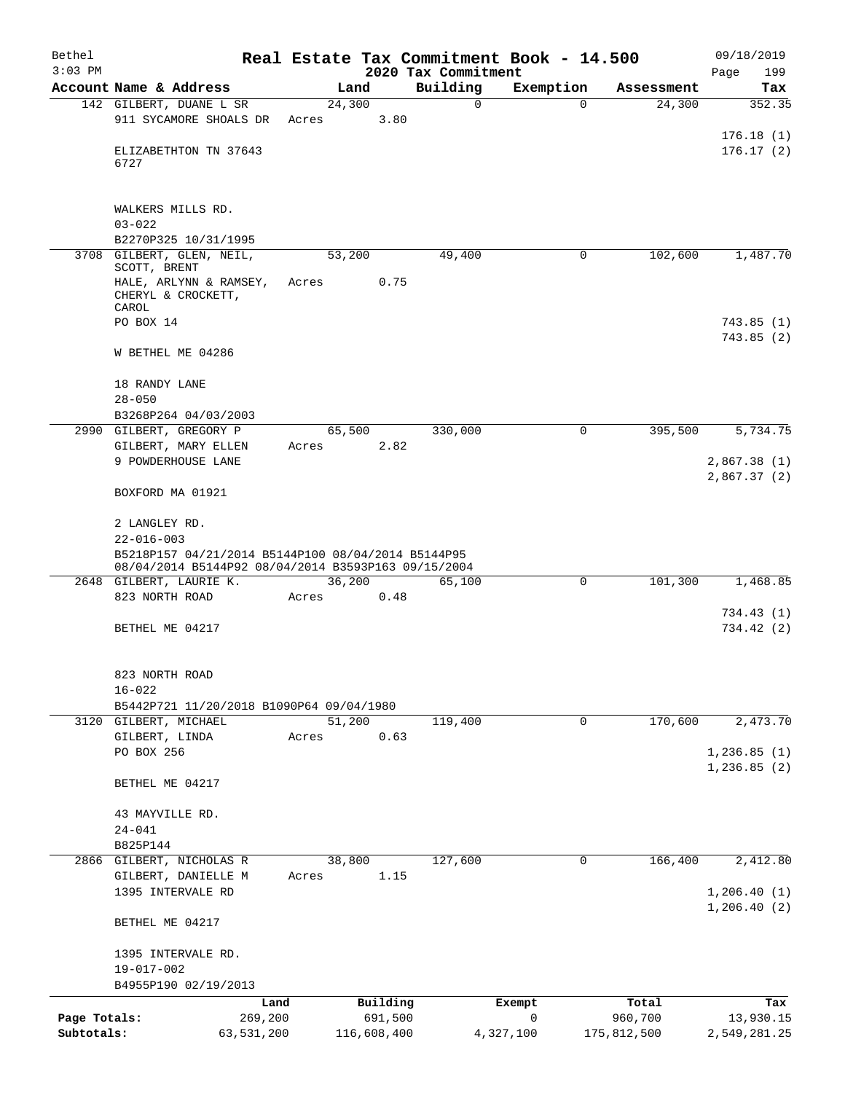| Bethel<br>$3:03$ PM |                                                                                                           |       |             | 2020 Tax Commitment | Real Estate Tax Commitment Book - 14.500 |             | 09/18/2019<br>199<br>Page   |
|---------------------|-----------------------------------------------------------------------------------------------------------|-------|-------------|---------------------|------------------------------------------|-------------|-----------------------------|
|                     | Account Name & Address                                                                                    |       | Land        | Building            | Exemption                                | Assessment  | Tax                         |
|                     | 142 GILBERT, DUANE L SR                                                                                   |       | 24,300      | 0                   | $\Omega$                                 | 24,300      | 352.35                      |
|                     | 911 SYCAMORE SHOALS DR                                                                                    | Acres | 3.80        |                     |                                          |             |                             |
|                     | ELIZABETHTON TN 37643<br>6727                                                                             |       |             |                     |                                          |             | 176.18(1)<br>176.17(2)      |
|                     | WALKERS MILLS RD.<br>$03 - 022$                                                                           |       |             |                     |                                          |             |                             |
|                     | B2270P325 10/31/1995                                                                                      |       |             |                     |                                          |             |                             |
|                     | 3708 GILBERT, GLEN, NEIL,<br>SCOTT, BRENT                                                                 |       | 53,200      | 49,400              | 0                                        | 102,600     | 1,487.70                    |
|                     | HALE, ARLYNN & RAMSEY,<br>CHERYL & CROCKETT,<br>CAROL                                                     | Acres | 0.75        |                     |                                          |             |                             |
|                     | PO BOX 14                                                                                                 |       |             |                     |                                          |             | 743.85(1)                   |
|                     | W BETHEL ME 04286                                                                                         |       |             |                     |                                          |             | 743.85(2)                   |
|                     | 18 RANDY LANE<br>$28 - 050$                                                                               |       |             |                     |                                          |             |                             |
|                     | B3268P264 04/03/2003                                                                                      |       |             |                     |                                          |             |                             |
|                     | 2990 GILBERT, GREGORY P                                                                                   |       | 65,500      | 330,000             | $\mathbf 0$                              | 395,500     | 5,734.75                    |
|                     | GILBERT, MARY ELLEN<br>9 POWDERHOUSE LANE                                                                 | Acres | 2.82        |                     |                                          |             | 2,867.38(1)                 |
|                     | BOXFORD MA 01921                                                                                          |       |             |                     |                                          |             | 2,867.37(2)                 |
|                     | 2 LANGLEY RD.<br>$22 - 016 - 003$                                                                         |       |             |                     |                                          |             |                             |
|                     | B5218P157 04/21/2014 B5144P100 08/04/2014 B5144P95<br>08/04/2014 B5144P92 08/04/2014 B3593P163 09/15/2004 |       |             |                     |                                          |             |                             |
|                     | 2648 GILBERT, LAURIE K.                                                                                   |       | 36,200      | 65,100              | $\mathbf 0$                              | 101,300     | 1,468.85                    |
|                     | 823 NORTH ROAD                                                                                            | Acres | 0.48        |                     |                                          |             | 734.43(1)                   |
|                     | BETHEL ME 04217                                                                                           |       |             |                     |                                          |             | 734.42(2)                   |
|                     | 823 NORTH ROAD                                                                                            |       |             |                     |                                          |             |                             |
|                     | $16 - 022$<br>B5442P721 11/20/2018 B1090P64 09/04/1980                                                    |       |             |                     |                                          |             |                             |
|                     | 3120 GILBERT, MICHAEL                                                                                     |       | 51,200      | 119,400             | 0                                        | 170,600     | 2,473.70                    |
|                     | GILBERT, LINDA                                                                                            | Acres | 0.63        |                     |                                          |             |                             |
|                     | PO BOX 256                                                                                                |       |             |                     |                                          |             | 1,236.85(1)<br>1, 236.85(2) |
|                     | BETHEL ME 04217                                                                                           |       |             |                     |                                          |             |                             |
|                     | 43 MAYVILLE RD.                                                                                           |       |             |                     |                                          |             |                             |
|                     | $24 - 041$                                                                                                |       |             |                     |                                          |             |                             |
|                     | B825P144<br>2866 GILBERT, NICHOLAS R                                                                      |       | 38,800      | 127,600             | 0                                        | 166,400     | 2,412.80                    |
|                     | GILBERT, DANIELLE M                                                                                       | Acres | 1.15        |                     |                                          |             |                             |
|                     | 1395 INTERVALE RD                                                                                         |       |             |                     |                                          |             | 1,206.40(1)<br>1,206.40(2)  |
|                     | BETHEL ME 04217                                                                                           |       |             |                     |                                          |             |                             |
|                     | 1395 INTERVALE RD.                                                                                        |       |             |                     |                                          |             |                             |
|                     | 19-017-002<br>B4955P190 02/19/2013                                                                        |       |             |                     |                                          |             |                             |
|                     | Land                                                                                                      |       | Building    |                     | Exempt                                   | Total       | Tax                         |
| Page Totals:        | 269,200                                                                                                   |       | 691,500     |                     | $\mathbf 0$                              | 960,700     | 13,930.15                   |
| Subtotals:          | 63,531,200                                                                                                |       | 116,608,400 |                     | 4,327,100                                | 175,812,500 | 2,549,281.25                |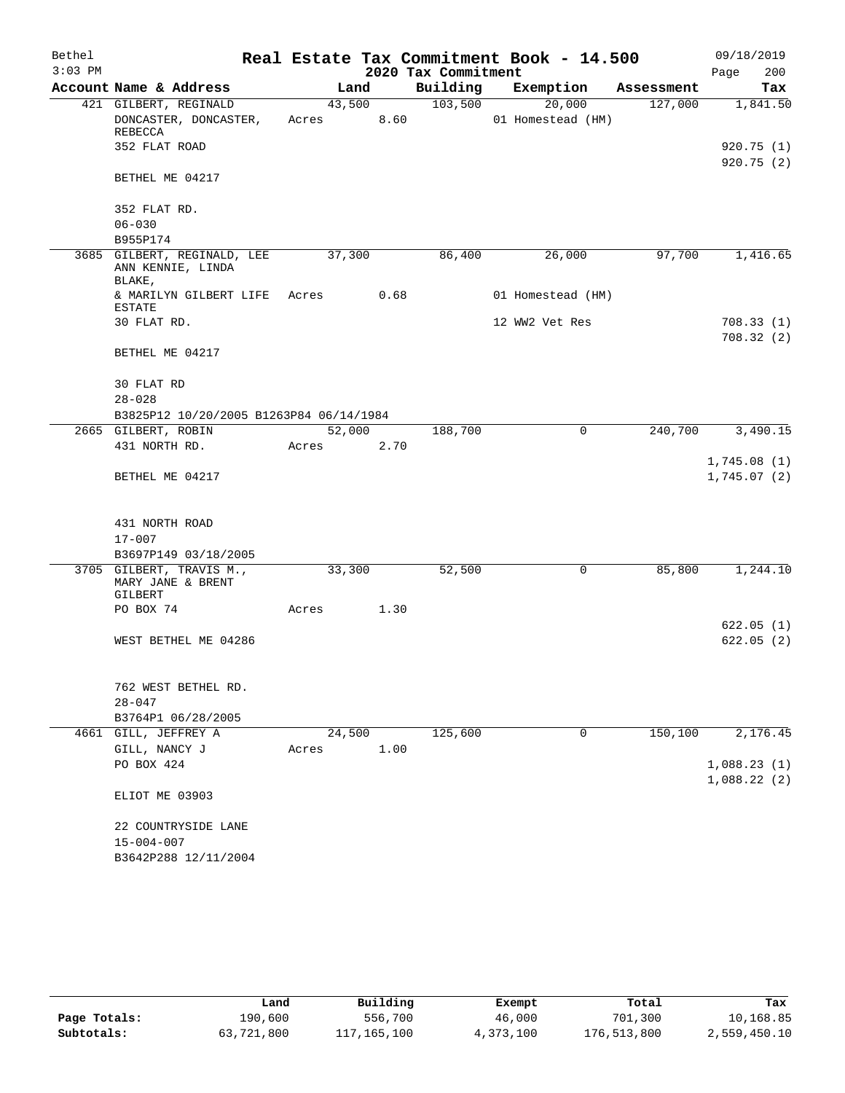| Bethel    |                                                            |        |        |                     | Real Estate Tax Commitment Book - 14.500 |            | 09/18/2019                 |
|-----------|------------------------------------------------------------|--------|--------|---------------------|------------------------------------------|------------|----------------------------|
| $3:03$ PM |                                                            |        |        | 2020 Tax Commitment |                                          |            | 200<br>Page                |
|           | Account Name & Address                                     |        | Land   | Building            | Exemption                                | Assessment | Tax                        |
|           | 421 GILBERT, REGINALD                                      | 43,500 |        | 103,500             | 20,000                                   | 127,000    | 1,841.50                   |
|           | DONCASTER, DONCASTER,<br>REBECCA                           | Acres  | 8.60   |                     | 01 Homestead (HM)                        |            |                            |
|           | 352 FLAT ROAD                                              |        |        |                     |                                          |            | 920.75(1)<br>920.75(2)     |
|           | BETHEL ME 04217                                            |        |        |                     |                                          |            |                            |
|           | 352 FLAT RD.                                               |        |        |                     |                                          |            |                            |
|           | $06 - 030$                                                 |        |        |                     |                                          |            |                            |
|           | B955P174                                                   |        |        |                     |                                          |            |                            |
|           | 3685 GILBERT, REGINALD, LEE<br>ANN KENNIE, LINDA<br>BLAKE, | 37,300 |        | 86,400              | 26,000                                   | 97,700     | 1,416.65                   |
|           | & MARILYN GILBERT LIFE<br>ESTATE                           | Acres  | 0.68   |                     | 01 Homestead (HM)                        |            |                            |
|           | 30 FLAT RD.                                                |        |        |                     | 12 WW2 Vet Res                           |            | 708.33(1)                  |
|           |                                                            |        |        |                     |                                          |            | 708.32(2)                  |
|           | BETHEL ME 04217                                            |        |        |                     |                                          |            |                            |
|           | 30 FLAT RD                                                 |        |        |                     |                                          |            |                            |
|           | $28 - 028$                                                 |        |        |                     |                                          |            |                            |
|           | B3825P12 10/20/2005 B1263P84 06/14/1984                    |        |        |                     |                                          |            |                            |
|           | 2665 GILBERT, ROBIN                                        |        | 52,000 | 188,700             | $\mathsf{O}$                             | 240,700    | 3,490.15                   |
|           | 431 NORTH RD.                                              | Acres  | 2.70   |                     |                                          |            |                            |
|           | BETHEL ME 04217                                            |        |        |                     |                                          |            | 1,745.08(1)<br>1,745.07(2) |
|           |                                                            |        |        |                     |                                          |            |                            |
|           | 431 NORTH ROAD                                             |        |        |                     |                                          |            |                            |
|           | $17 - 007$                                                 |        |        |                     |                                          |            |                            |
|           | B3697P149 03/18/2005                                       |        |        |                     |                                          |            |                            |
|           | 3705 GILBERT, TRAVIS M.,<br>MARY JANE & BRENT<br>GILBERT   | 33,300 |        | 52,500              | 0                                        | 85,800     | 1,244.10                   |
|           | PO BOX 74                                                  | Acres  | 1.30   |                     |                                          |            |                            |
|           |                                                            |        |        |                     |                                          |            | 622.05(1)                  |
|           | WEST BETHEL ME 04286                                       |        |        |                     |                                          |            | 622.05(2)                  |
|           | 762 WEST BETHEL RD.                                        |        |        |                     |                                          |            |                            |
|           | $28 - 047$                                                 |        |        |                     |                                          |            |                            |
|           | B3764P1 06/28/2005                                         |        |        |                     |                                          |            |                            |
|           | 4661 GILL, JEFFREY A                                       | 24,500 |        | 125,600             | 0                                        | 150,100    | 2,176.45                   |
|           | GILL, NANCY J                                              | Acres  | 1.00   |                     |                                          |            |                            |
|           | PO BOX 424                                                 |        |        |                     |                                          |            | 1,088.23(1)                |
|           | ELIOT ME 03903                                             |        |        |                     |                                          |            | 1,088.22(2)                |
|           | 22 COUNTRYSIDE LANE                                        |        |        |                     |                                          |            |                            |
|           | $15 - 004 - 007$                                           |        |        |                     |                                          |            |                            |
|           | B3642P288 12/11/2004                                       |        |        |                     |                                          |            |                            |

|              | Land       | Building    | Exempt    | Total       | Tax          |
|--------------|------------|-------------|-----------|-------------|--------------|
| Page Totals: | 190,600    | 556,700     | 46,000    | 701,300     | 10,168.85    |
| Subtotals:   | 63,721,800 | 117,165,100 | 4,373,100 | 176,513,800 | 2,559,450.10 |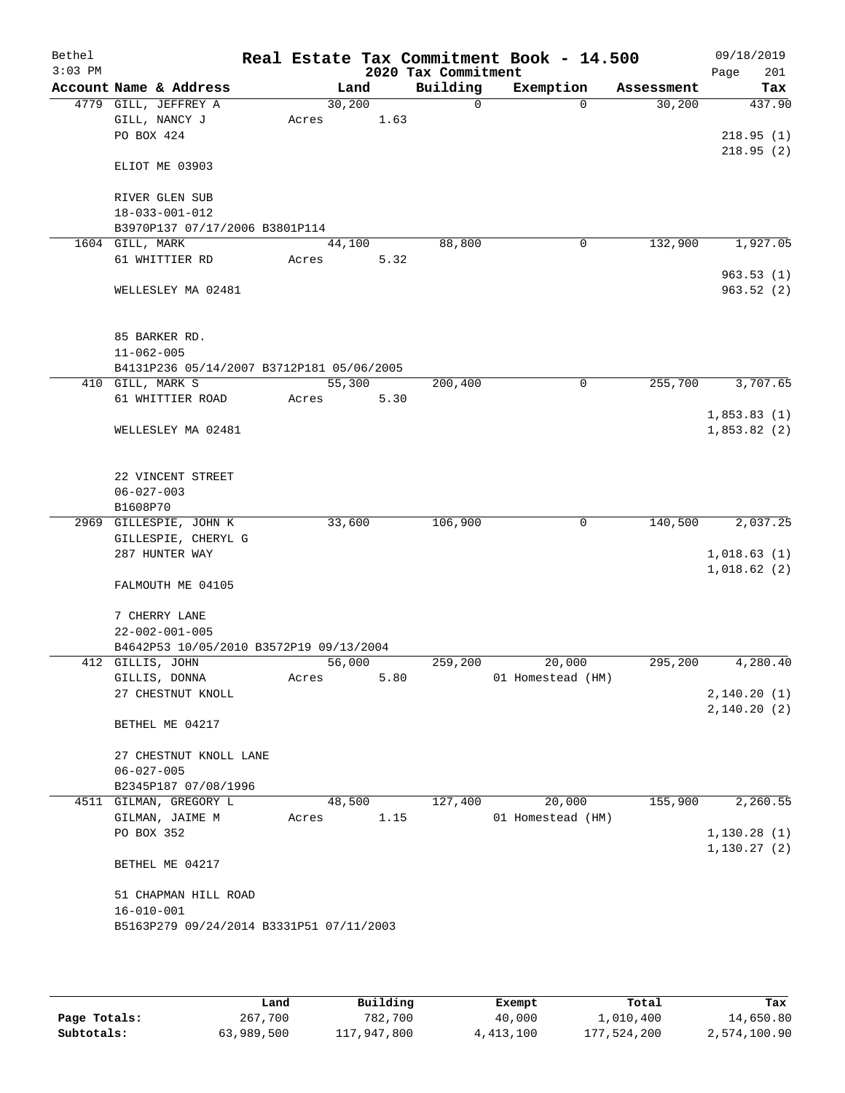| Bethel<br>$3:03$ PM |                                           |       |        | 2020 Tax Commitment | Real Estate Tax Commitment Book - 14.500 |            | 09/18/2019<br>201<br>Page |
|---------------------|-------------------------------------------|-------|--------|---------------------|------------------------------------------|------------|---------------------------|
|                     | Account Name & Address                    |       | Land   | Building            | Exemption                                | Assessment | Tax                       |
|                     | 4779 GILL, JEFFREY A                      |       | 30,200 | $\Omega$            | $\Omega$                                 | 30,200     | 437.90                    |
|                     | GILL, NANCY J                             | Acres | 1.63   |                     |                                          |            |                           |
|                     | PO BOX 424                                |       |        |                     |                                          |            | 218.95(1)                 |
|                     |                                           |       |        |                     |                                          |            | 218.95(2)                 |
|                     | ELIOT ME 03903                            |       |        |                     |                                          |            |                           |
|                     |                                           |       |        |                     |                                          |            |                           |
|                     | RIVER GLEN SUB<br>$18 - 033 - 001 - 012$  |       |        |                     |                                          |            |                           |
|                     | B3970P137 07/17/2006 B3801P114            |       |        |                     |                                          |            |                           |
|                     | 1604 GILL, MARK                           |       | 44,100 | 88,800              | 0                                        | 132,900    | 1,927.05                  |
|                     | 61 WHITTIER RD                            | Acres | 5.32   |                     |                                          |            |                           |
|                     |                                           |       |        |                     |                                          |            | 963.53(1)                 |
|                     | WELLESLEY MA 02481                        |       |        |                     |                                          |            | 963.52(2)                 |
|                     |                                           |       |        |                     |                                          |            |                           |
|                     |                                           |       |        |                     |                                          |            |                           |
|                     | 85 BARKER RD.                             |       |        |                     |                                          |            |                           |
|                     | $11 - 062 - 005$                          |       |        |                     |                                          |            |                           |
|                     | B4131P236 05/14/2007 B3712P181 05/06/2005 |       |        |                     |                                          |            |                           |
|                     | 410 GILL, MARK S                          |       | 55,300 | 200,400             | $\mathbf 0$                              | 255,700    | 3,707.65                  |
|                     | 61 WHITTIER ROAD                          | Acres | 5.30   |                     |                                          |            |                           |
|                     |                                           |       |        |                     |                                          |            | 1,853.83(1)               |
|                     | WELLESLEY MA 02481                        |       |        |                     |                                          |            | 1,853.82(2)               |
|                     |                                           |       |        |                     |                                          |            |                           |
|                     | 22 VINCENT STREET                         |       |        |                     |                                          |            |                           |
|                     | $06 - 027 - 003$                          |       |        |                     |                                          |            |                           |
|                     | B1608P70                                  |       |        |                     |                                          |            |                           |
|                     | 2969 GILLESPIE, JOHN K                    |       | 33,600 | 106,900             | 0                                        | 140,500    | 2,037.25                  |
|                     | GILLESPIE, CHERYL G                       |       |        |                     |                                          |            |                           |
|                     | 287 HUNTER WAY                            |       |        |                     |                                          |            | 1,018.63(1)               |
|                     |                                           |       |        |                     |                                          |            | 1,018.62(2)               |
|                     | FALMOUTH ME 04105                         |       |        |                     |                                          |            |                           |
|                     |                                           |       |        |                     |                                          |            |                           |
|                     | 7 CHERRY LANE                             |       |        |                     |                                          |            |                           |
|                     | $22 - 002 - 001 - 005$                    |       |        |                     |                                          |            |                           |
|                     | B4642P53 10/05/2010 B3572P19 09/13/2004   |       |        |                     |                                          |            |                           |
|                     | 412 GILLIS, JOHN                          |       | 56,000 | 259,200             | 20,000                                   | 295,200    | 4,280.40                  |
|                     | GILLIS, DONNA<br>27 CHESTNUT KNOLL        | Acres | 5.80   |                     | 01 Homestead (HM)                        |            | 2,140.20(1)               |
|                     |                                           |       |        |                     |                                          |            | 2,140.20(2)               |
|                     | BETHEL ME 04217                           |       |        |                     |                                          |            |                           |
|                     |                                           |       |        |                     |                                          |            |                           |
|                     | 27 CHESTNUT KNOLL LANE                    |       |        |                     |                                          |            |                           |
|                     | $06 - 027 - 005$                          |       |        |                     |                                          |            |                           |
|                     | B2345P187 07/08/1996                      |       |        |                     |                                          |            |                           |
|                     | 4511 GILMAN, GREGORY L                    |       | 48,500 | 127,400             | 20,000                                   | 155,900    | 2,260.55                  |
|                     | GILMAN, JAIME M                           | Acres | 1.15   |                     | 01 Homestead (HM)                        |            |                           |
|                     | PO BOX 352                                |       |        |                     |                                          |            | 1,130.28(1)               |
|                     |                                           |       |        |                     |                                          |            | 1, 130.27(2)              |
|                     | BETHEL ME 04217                           |       |        |                     |                                          |            |                           |
|                     |                                           |       |        |                     |                                          |            |                           |
|                     | 51 CHAPMAN HILL ROAD                      |       |        |                     |                                          |            |                           |
|                     | $16 - 010 - 001$                          |       |        |                     |                                          |            |                           |
|                     | B5163P279 09/24/2014 B3331P51 07/11/2003  |       |        |                     |                                          |            |                           |
|                     |                                           |       |        |                     |                                          |            |                           |

|              | Land       | Building    | Exempt    | Total       | Tax          |
|--------------|------------|-------------|-----------|-------------|--------------|
| Page Totals: | 267,700    | 782,700     | 40,000    | 1,010,400   | 14,650.80    |
| Subtotals:   | 63,989,500 | 117,947,800 | 4,413,100 | 177,524,200 | 2,574,100.90 |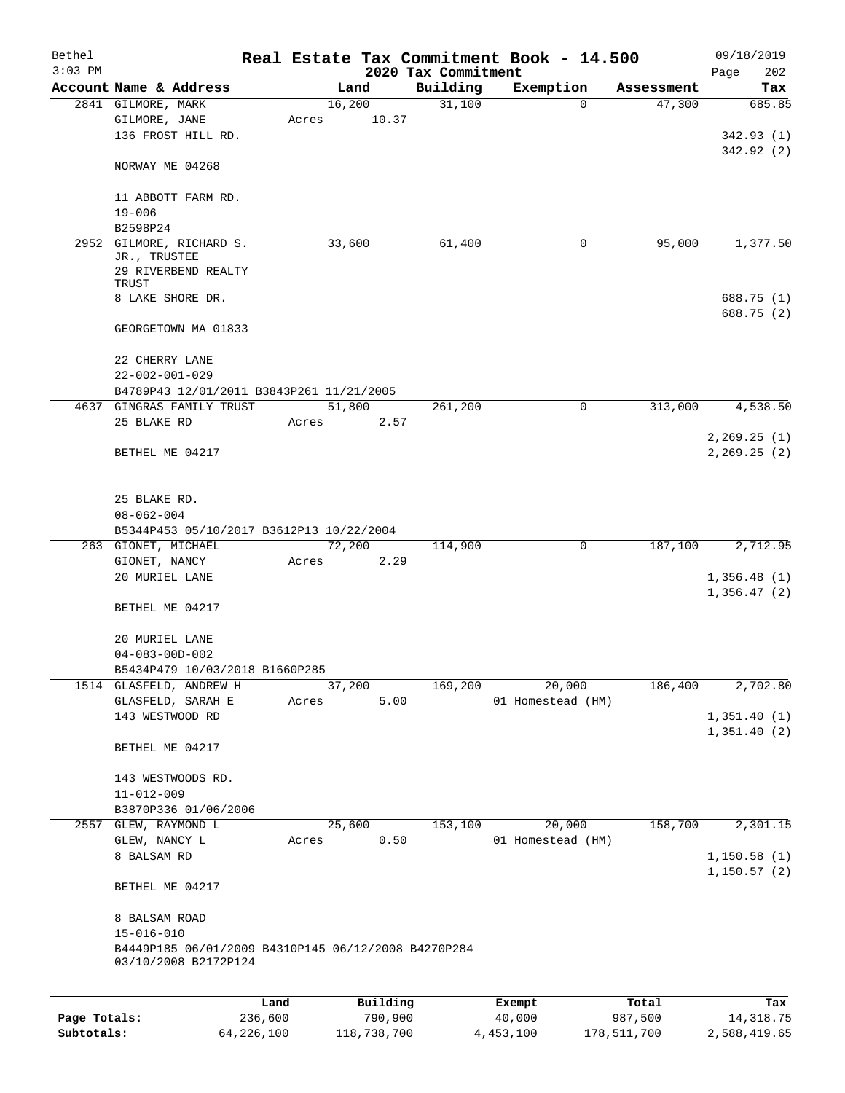| Bethel       |                                                                             |              |       |             |          |                                 | Real Estate Tax Commitment Book - 14.500 |          |             | 09/18/2019                 |
|--------------|-----------------------------------------------------------------------------|--------------|-------|-------------|----------|---------------------------------|------------------------------------------|----------|-------------|----------------------------|
| $3:03$ PM    | Account Name & Address                                                      |              |       | Land        |          | 2020 Tax Commitment<br>Building | Exemption                                |          | Assessment  | 202<br>Page                |
|              | 2841 GILMORE, MARK                                                          |              |       | 16,200      |          | 31,100                          |                                          | $\Omega$ | 47,300      | Tax<br>685.85              |
|              | GILMORE, JANE                                                               |              | Acres |             | 10.37    |                                 |                                          |          |             |                            |
|              | 136 FROST HILL RD.                                                          |              |       |             |          |                                 |                                          |          |             | 342.93(1)                  |
|              |                                                                             |              |       |             |          |                                 |                                          |          |             | 342.92 (2)                 |
|              | NORWAY ME 04268                                                             |              |       |             |          |                                 |                                          |          |             |                            |
|              | 11 ABBOTT FARM RD.                                                          |              |       |             |          |                                 |                                          |          |             |                            |
|              | $19 - 006$                                                                  |              |       |             |          |                                 |                                          |          |             |                            |
|              | B2598P24                                                                    |              |       |             |          |                                 |                                          |          |             |                            |
| 2952         | GILMORE, RICHARD S.                                                         |              |       | 33,600      |          | 61,400                          |                                          | 0        | 95,000      | 1,377.50                   |
|              | JR., TRUSTEE<br>29 RIVERBEND REALTY                                         |              |       |             |          |                                 |                                          |          |             |                            |
|              | TRUST                                                                       |              |       |             |          |                                 |                                          |          |             |                            |
|              | 8 LAKE SHORE DR.                                                            |              |       |             |          |                                 |                                          |          |             | 688.75 (1)                 |
|              |                                                                             |              |       |             |          |                                 |                                          |          |             | 688.75 (2)                 |
|              | GEORGETOWN MA 01833                                                         |              |       |             |          |                                 |                                          |          |             |                            |
|              | 22 CHERRY LANE                                                              |              |       |             |          |                                 |                                          |          |             |                            |
|              | $22 - 002 - 001 - 029$                                                      |              |       |             |          |                                 |                                          |          |             |                            |
|              | B4789P43 12/01/2011 B3843P261 11/21/2005                                    |              |       |             |          |                                 |                                          |          |             |                            |
|              | 4637 GINGRAS FAMILY TRUST                                                   |              |       | 51,800      |          | 261,200                         |                                          | 0        | 313,000     | 4,538.50                   |
|              | 25 BLAKE RD                                                                 |              | Acres |             | 2.57     |                                 |                                          |          |             |                            |
|              |                                                                             |              |       |             |          |                                 |                                          |          |             | 2,269.25(1)                |
|              | BETHEL ME 04217                                                             |              |       |             |          |                                 |                                          |          |             | 2, 269.25 (2)              |
|              |                                                                             |              |       |             |          |                                 |                                          |          |             |                            |
|              | 25 BLAKE RD.                                                                |              |       |             |          |                                 |                                          |          |             |                            |
|              | $08 - 062 - 004$                                                            |              |       |             |          |                                 |                                          |          |             |                            |
|              | B5344P453 05/10/2017 B3612P13 10/22/2004                                    |              |       |             |          |                                 |                                          |          |             |                            |
|              | 263 GIONET, MICHAEL                                                         |              |       | 72,200      |          | 114,900                         |                                          | 0        | 187,100     | 2,712.95                   |
|              | GIONET, NANCY<br>20 MURIEL LANE                                             |              | Acres |             | 2.29     |                                 |                                          |          |             |                            |
|              |                                                                             |              |       |             |          |                                 |                                          |          |             | 1,356.48(1)<br>1,356.47(2) |
|              | BETHEL ME 04217                                                             |              |       |             |          |                                 |                                          |          |             |                            |
|              | 20 MURIEL LANE                                                              |              |       |             |          |                                 |                                          |          |             |                            |
|              | $04 - 083 - 00D - 002$                                                      |              |       |             |          |                                 |                                          |          |             |                            |
|              | B5434P479 10/03/2018 B1660P285                                              |              |       |             |          |                                 |                                          |          |             |                            |
|              | 1514 GLASFELD, ANDREW H                                                     |              |       | 37,200      |          | 169,200                         | 20,000                                   |          | 186,400     | 2,702.80                   |
|              | GLASFELD, SARAH E                                                           |              | Acres |             | 5.00     |                                 | 01 Homestead (HM)                        |          |             |                            |
|              | 143 WESTWOOD RD                                                             |              |       |             |          |                                 |                                          |          |             | 1,351.40(1)                |
|              |                                                                             |              |       |             |          |                                 |                                          |          |             | 1,351.40(2)                |
|              | BETHEL ME 04217                                                             |              |       |             |          |                                 |                                          |          |             |                            |
|              | 143 WESTWOODS RD.                                                           |              |       |             |          |                                 |                                          |          |             |                            |
|              | $11 - 012 - 009$                                                            |              |       |             |          |                                 |                                          |          |             |                            |
|              | B3870P336 01/06/2006                                                        |              |       |             |          |                                 |                                          |          |             |                            |
|              | 2557 GLEW, RAYMOND L                                                        |              |       | 25,600      |          | 153,100                         | 20,000                                   |          | 158,700     | 2,301.15                   |
|              | GLEW, NANCY L                                                               |              | Acres |             | 0.50     |                                 | 01 Homestead (HM)                        |          |             |                            |
|              | 8 BALSAM RD                                                                 |              |       |             |          |                                 |                                          |          |             | 1,150.58(1)                |
|              | BETHEL ME 04217                                                             |              |       |             |          |                                 |                                          |          |             | 1,150.57(2)                |
|              | 8 BALSAM ROAD                                                               |              |       |             |          |                                 |                                          |          |             |                            |
|              | $15 - 016 - 010$                                                            |              |       |             |          |                                 |                                          |          |             |                            |
|              | B4449P185 06/01/2009 B4310P145 06/12/2008 B4270P284<br>03/10/2008 B2172P124 |              |       |             |          |                                 |                                          |          |             |                            |
|              |                                                                             |              |       |             |          |                                 |                                          |          |             |                            |
|              |                                                                             | Land         |       |             | Building |                                 | Exempt                                   |          | Total       | Tax                        |
| Page Totals: |                                                                             | 236,600      |       |             | 790,900  |                                 | 40,000                                   |          | 987,500     | 14, 318.75                 |
| Subtotals:   |                                                                             | 64, 226, 100 |       | 118,738,700 |          |                                 | 4,453,100                                |          | 178,511,700 | 2,588,419.65               |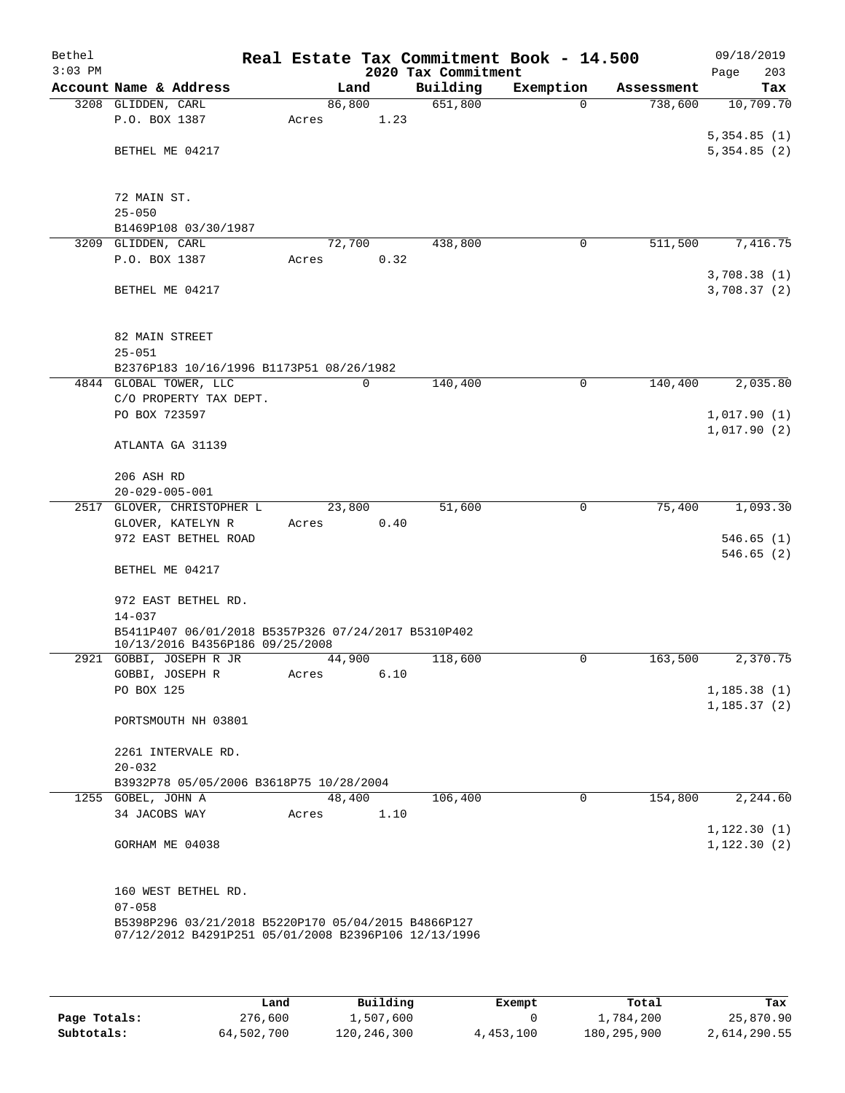| Bethel<br>$3:03$ PM |                                                                    |                 |      | 2020 Tax Commitment | Real Estate Tax Commitment Book - 14.500 |            | 09/18/2019<br>203<br>Page |
|---------------------|--------------------------------------------------------------------|-----------------|------|---------------------|------------------------------------------|------------|---------------------------|
|                     | Account Name & Address                                             |                 | Land | Building            | Exemption                                | Assessment | Tax                       |
|                     | 3208 GLIDDEN, CARL                                                 | 86,800          |      | 651,800             | $\Omega$                                 | 738,600    | 10,709.70                 |
|                     | P.O. BOX 1387                                                      | Acres           | 1.23 |                     |                                          |            |                           |
|                     |                                                                    |                 |      |                     |                                          |            | 5,354.85(1)               |
|                     | BETHEL ME 04217                                                    |                 |      |                     |                                          |            | 5,354.85(2)               |
|                     |                                                                    |                 |      |                     |                                          |            |                           |
|                     | 72 MAIN ST.                                                        |                 |      |                     |                                          |            |                           |
|                     | $25 - 050$                                                         |                 |      |                     |                                          |            |                           |
|                     | B1469P108 03/30/1987                                               |                 |      |                     |                                          |            |                           |
| 3209                | GLIDDEN, CARL<br>P.O. BOX 1387                                     | 72,700          |      | 438,800             | 0                                        | 511,500    | 7,416.75                  |
|                     |                                                                    | Acres           | 0.32 |                     |                                          |            | 3,708.38(1)               |
|                     | BETHEL ME 04217                                                    |                 |      |                     |                                          |            | 3,708.37(2)               |
|                     |                                                                    |                 |      |                     |                                          |            |                           |
|                     |                                                                    |                 |      |                     |                                          |            |                           |
|                     | 82 MAIN STREET                                                     |                 |      |                     |                                          |            |                           |
|                     | $25 - 051$                                                         |                 |      |                     |                                          |            |                           |
|                     | B2376P183 10/16/1996 B1173P51 08/26/1982<br>4844 GLOBAL TOWER, LLC |                 | 0    | 140,400             | 0                                        | 140,400    | 2,035.80                  |
|                     | C/O PROPERTY TAX DEPT.                                             |                 |      |                     |                                          |            |                           |
|                     | PO BOX 723597                                                      |                 |      |                     |                                          |            | 1,017.90(1)               |
|                     |                                                                    |                 |      |                     |                                          |            | 1,017.90(2)               |
|                     | ATLANTA GA 31139                                                   |                 |      |                     |                                          |            |                           |
|                     |                                                                    |                 |      |                     |                                          |            |                           |
|                     | 206 ASH RD<br>$20 - 029 - 005 - 001$                               |                 |      |                     |                                          |            |                           |
| 2517                | GLOVER, CHRISTOPHER L                                              | 23,800          |      | 51,600              | 0                                        | 75,400     | 1,093.30                  |
|                     | GLOVER, KATELYN R                                                  | Acres           | 0.40 |                     |                                          |            |                           |
|                     | 972 EAST BETHEL ROAD                                               |                 |      |                     |                                          |            | 546.65(1)                 |
|                     |                                                                    |                 |      |                     |                                          |            | 546.65(2)                 |
|                     | BETHEL ME 04217                                                    |                 |      |                     |                                          |            |                           |
|                     | 972 EAST BETHEL RD.                                                |                 |      |                     |                                          |            |                           |
|                     | $14 - 037$                                                         |                 |      |                     |                                          |            |                           |
|                     | B5411P407 06/01/2018 B5357P326 07/24/2017 B5310P402                |                 |      |                     |                                          |            |                           |
|                     | 10/13/2016 B4356P186 09/25/2008                                    |                 |      |                     |                                          |            |                           |
|                     | 2921 GOBBI, JOSEPH R JR<br>GOBBI, JOSEPH R                         | 44,900<br>Acres | 6.10 | 118,600             | 0                                        | 163,500    | 2,370.75                  |
|                     | PO BOX 125                                                         |                 |      |                     |                                          |            | 1,185.38(1)               |
|                     |                                                                    |                 |      |                     |                                          |            | 1, 185.37(2)              |
|                     | PORTSMOUTH NH 03801                                                |                 |      |                     |                                          |            |                           |
|                     |                                                                    |                 |      |                     |                                          |            |                           |
|                     | 2261 INTERVALE RD.                                                 |                 |      |                     |                                          |            |                           |
|                     | $20 - 032$<br>B3932P78 05/05/2006 B3618P75 10/28/2004              |                 |      |                     |                                          |            |                           |
|                     | 1255 GOBEL, JOHN A                                                 | 48,400          |      | 106,400             | 0                                        | 154,800    | 2,244.60                  |
|                     | 34 JACOBS WAY                                                      | Acres           | 1.10 |                     |                                          |            |                           |
|                     |                                                                    |                 |      |                     |                                          |            | 1, 122.30(1)              |
|                     | GORHAM ME 04038                                                    |                 |      |                     |                                          |            | 1, 122.30(2)              |
|                     |                                                                    |                 |      |                     |                                          |            |                           |
|                     | 160 WEST BETHEL RD.                                                |                 |      |                     |                                          |            |                           |
|                     | $07 - 058$                                                         |                 |      |                     |                                          |            |                           |
|                     | B5398P296 03/21/2018 B5220P170 05/04/2015 B4866P127                |                 |      |                     |                                          |            |                           |
|                     | 07/12/2012 B4291P251 05/01/2008 B2396P106 12/13/1996               |                 |      |                     |                                          |            |                           |
|                     |                                                                    |                 |      |                     |                                          |            |                           |

|              | Land       | Building    | Exempt    | Total         | Tax          |
|--------------|------------|-------------|-----------|---------------|--------------|
| Page Totals: | 276,600    | 1,507,600   |           | 1,784,200     | 25,870.90    |
| Subtotals:   | 64,502,700 | 120,246,300 | 4,453,100 | 180, 295, 900 | 2,614,290.55 |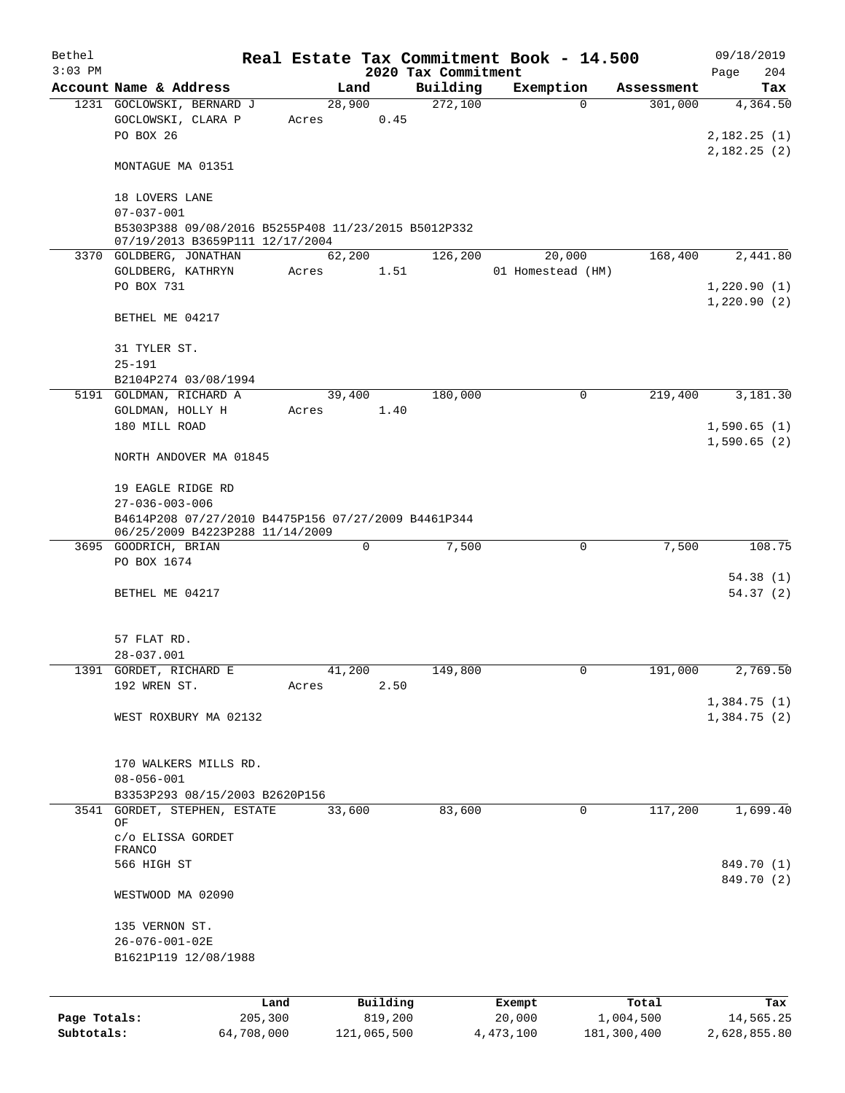| Bethel<br>$3:03$ PM        |                                                                                        |                       |                 |                        | 2020 Tax Commitment | Real Estate Tax Commitment Book - 14.500 |              |                          | 09/18/2019<br>204<br>Page  |
|----------------------------|----------------------------------------------------------------------------------------|-----------------------|-----------------|------------------------|---------------------|------------------------------------------|--------------|--------------------------|----------------------------|
|                            | Account Name & Address                                                                 |                       | Land            |                        | Building            | Exemption                                |              | Assessment               | Tax                        |
|                            | 1231 GOCLOWSKI, BERNARD J<br>GOCLOWSKI, CLARA P<br>PO BOX 26                           |                       | 28,900<br>Acres | 0.45                   | 272,100             |                                          | $\Omega$     | 301,000                  | 4,364.50<br>2,182.25(1)    |
|                            | MONTAGUE MA 01351                                                                      |                       |                 |                        |                     |                                          |              |                          | 2,182.25(2)                |
|                            | 18 LOVERS LANE<br>$07 - 037 - 001$                                                     |                       |                 |                        |                     |                                          |              |                          |                            |
|                            | B5303P388 09/08/2016 B5255P408 11/23/2015 B5012P332<br>07/19/2013 B3659P111 12/17/2004 |                       |                 |                        |                     |                                          |              |                          |                            |
|                            | 3370 GOLDBERG, JONATHAN<br>GOLDBERG, KATHRYN                                           |                       | 62,200<br>Acres | 1.51                   | 126,200             | 20,000<br>01 Homestead (HM)              |              | 168,400                  | 2,441.80                   |
|                            | PO BOX 731                                                                             |                       |                 |                        |                     |                                          |              |                          | 1,220.90(1)<br>1,220.90(2) |
|                            | BETHEL ME 04217                                                                        |                       |                 |                        |                     |                                          |              |                          |                            |
|                            | 31 TYLER ST.<br>$25 - 191$                                                             |                       |                 |                        |                     |                                          |              |                          |                            |
|                            | B2104P274 03/08/1994                                                                   |                       |                 |                        |                     |                                          |              |                          |                            |
|                            | 5191 GOLDMAN, RICHARD A                                                                |                       | 39,400          |                        | 180,000             |                                          | 0            | 219,400                  | 3,181.30                   |
|                            | GOLDMAN, HOLLY H<br>180 MILL ROAD                                                      |                       | Acres           | 1.40                   |                     |                                          |              |                          | 1,590.65(1)                |
|                            | NORTH ANDOVER MA 01845                                                                 |                       |                 |                        |                     |                                          |              |                          | 1,590.65(2)                |
|                            | 19 EAGLE RIDGE RD                                                                      |                       |                 |                        |                     |                                          |              |                          |                            |
|                            | $27 - 036 - 003 - 006$<br>B4614P208 07/27/2010 B4475P156 07/27/2009 B4461P344          |                       |                 |                        |                     |                                          |              |                          |                            |
|                            | 06/25/2009 B4223P288 11/14/2009<br>3695 GOODRICH, BRIAN                                |                       |                 | 0                      | 7,500               |                                          | $\mathsf{O}$ | 7,500                    | 108.75                     |
|                            | PO BOX 1674                                                                            |                       |                 |                        |                     |                                          |              |                          |                            |
|                            | BETHEL ME 04217                                                                        |                       |                 |                        |                     |                                          |              |                          | 54.38(1)<br>54.37(2)       |
|                            | 57 FLAT RD.                                                                            |                       |                 |                        |                     |                                          |              |                          |                            |
|                            | 28-037.001                                                                             |                       |                 |                        |                     |                                          |              |                          |                            |
|                            | 1391 GORDET, RICHARD E<br>192 WREN ST.                                                 |                       | 41,200<br>Acres | 2.50                   | 149,800             |                                          | U            | 191,000                  | 2,769.50                   |
|                            | WEST ROXBURY MA 02132                                                                  |                       |                 |                        |                     |                                          |              |                          | 1,384.75(1)<br>1,384.75(2) |
|                            |                                                                                        |                       |                 |                        |                     |                                          |              |                          |                            |
|                            | 170 WALKERS MILLS RD.                                                                  |                       |                 |                        |                     |                                          |              |                          |                            |
|                            | $08 - 056 - 001$<br>B3353P293 08/15/2003 B2620P156                                     |                       |                 |                        |                     |                                          |              |                          |                            |
|                            | 3541 GORDET, STEPHEN, ESTATE                                                           |                       | 33,600          |                        | 83,600              |                                          | 0            | 117,200                  | 1,699.40                   |
|                            | OF<br>c/o ELISSA GORDET                                                                |                       |                 |                        |                     |                                          |              |                          |                            |
|                            | FRANCO<br>566 HIGH ST                                                                  |                       |                 |                        |                     |                                          |              |                          | 849.70 (1)                 |
|                            | WESTWOOD MA 02090                                                                      |                       |                 |                        |                     |                                          |              |                          | 849.70 (2)                 |
|                            | 135 VERNON ST.                                                                         |                       |                 |                        |                     |                                          |              |                          |                            |
|                            | 26-076-001-02E<br>B1621P119 12/08/1988                                                 |                       |                 |                        |                     |                                          |              |                          |                            |
|                            |                                                                                        |                       |                 |                        |                     |                                          |              |                          |                            |
|                            |                                                                                        | Land                  |                 | Building               |                     | Exempt                                   |              | Total                    | Tax                        |
| Page Totals:<br>Subtotals: |                                                                                        | 205,300<br>64,708,000 |                 | 819,200<br>121,065,500 |                     | 20,000<br>4, 473, 100                    |              | 1,004,500<br>181,300,400 | 14,565.25<br>2,628,855.80  |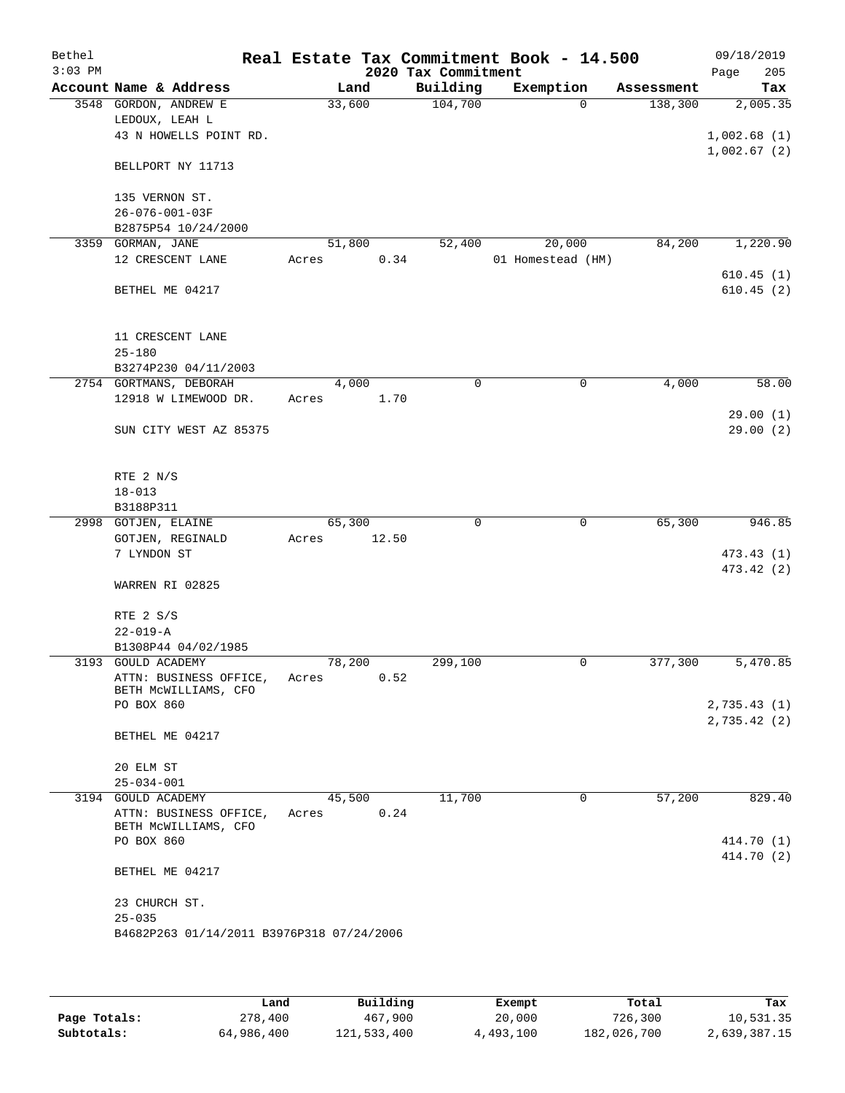| Bethel    |                                           |        |       | Real Estate Tax Commitment Book - 14.500 |                   |            | 09/18/2019  |
|-----------|-------------------------------------------|--------|-------|------------------------------------------|-------------------|------------|-------------|
| $3:03$ PM |                                           |        |       | 2020 Tax Commitment                      |                   |            | 205<br>Page |
|           | Account Name & Address                    |        | Land  | Building                                 | Exemption         | Assessment | Tax         |
|           | 3548 GORDON, ANDREW E<br>LEDOUX, LEAH L   | 33,600 |       | 104,700                                  | $\Omega$          | 138,300    | 2,005.35    |
|           | 43 N HOWELLS POINT RD.                    |        |       |                                          |                   |            | 1,002.68(1) |
|           |                                           |        |       |                                          |                   |            | 1,002.67(2) |
|           | BELLPORT NY 11713                         |        |       |                                          |                   |            |             |
|           | 135 VERNON ST.                            |        |       |                                          |                   |            |             |
|           | $26 - 076 - 001 - 03F$                    |        |       |                                          |                   |            |             |
|           | B2875P54 10/24/2000                       |        |       |                                          |                   |            |             |
| 3359      | GORMAN, JANE                              | 51,800 |       | 52,400                                   | 20,000            | 84,200     | 1,220.90    |
|           | 12 CRESCENT LANE                          | Acres  | 0.34  |                                          | 01 Homestead (HM) |            | 610.45(1)   |
|           | BETHEL ME 04217                           |        |       |                                          |                   |            | 610.45(2)   |
|           |                                           |        |       |                                          |                   |            |             |
|           | 11 CRESCENT LANE                          |        |       |                                          |                   |            |             |
|           | $25 - 180$                                |        |       |                                          |                   |            |             |
|           | B3274P230 04/11/2003                      |        |       |                                          |                   |            |             |
|           | 2754 GORTMANS, DEBORAH                    |        | 4,000 | $\mathbf 0$                              | 0                 | 4,000      | 58.00       |
|           | 12918 W LIMEWOOD DR.                      | Acres  | 1.70  |                                          |                   |            |             |
|           |                                           |        |       |                                          |                   |            | 29.00(1)    |
|           | SUN CITY WEST AZ 85375                    |        |       |                                          |                   |            | 29.00(2)    |
|           | RTE 2 N/S                                 |        |       |                                          |                   |            |             |
|           | $18 - 013$                                |        |       |                                          |                   |            |             |
|           | B3188P311                                 |        |       |                                          |                   |            |             |
|           | 2998 GOTJEN, ELAINE                       | 65,300 |       | 0                                        | 0                 | 65,300     | 946.85      |
|           | GOTJEN, REGINALD                          | Acres  | 12.50 |                                          |                   |            |             |
|           | 7 LYNDON ST                               |        |       |                                          |                   |            | 473.43 (1)  |
|           | WARREN RI 02825                           |        |       |                                          |                   |            | 473.42 (2)  |
|           | RTE 2 S/S                                 |        |       |                                          |                   |            |             |
|           | $22 - 019 - A$                            |        |       |                                          |                   |            |             |
|           | B1308P44 04/02/1985                       |        |       |                                          |                   |            |             |
|           | 3193 GOULD ACADEMY                        | 78,200 |       | 299,100                                  | 0                 | 377,300    | 5,470.85    |
|           | ATTN: BUSINESS OFFICE,                    | Acres  | 0.52  |                                          |                   |            |             |
|           | BETH MCWILLIAMS, CFO                      |        |       |                                          |                   |            |             |
|           | PO BOX 860                                |        |       |                                          |                   |            | 2,735.43(1) |
|           | BETHEL ME 04217                           |        |       |                                          |                   |            | 2,735.42(2) |
|           | 20 ELM ST                                 |        |       |                                          |                   |            |             |
|           | $25 - 034 - 001$                          |        |       |                                          |                   |            |             |
|           | 3194 GOULD ACADEMY                        | 45,500 |       | 11,700                                   | $\mathbf 0$       | 57,200     | 829.40      |
|           | ATTN: BUSINESS OFFICE,                    | Acres  | 0.24  |                                          |                   |            |             |
|           | BETH MCWILLIAMS, CFO<br>PO BOX 860        |        |       |                                          |                   |            | 414.70 (1)  |
|           |                                           |        |       |                                          |                   |            | 414.70 (2)  |
|           | BETHEL ME 04217                           |        |       |                                          |                   |            |             |
|           | 23 CHURCH ST.                             |        |       |                                          |                   |            |             |
|           | $25 - 035$                                |        |       |                                          |                   |            |             |
|           | B4682P263 01/14/2011 B3976P318 07/24/2006 |        |       |                                          |                   |            |             |
|           |                                           |        |       |                                          |                   |            |             |
|           |                                           |        |       |                                          |                   |            |             |

|              | Land       | Building    | Exempt    | Total       | Tax          |
|--------------|------------|-------------|-----------|-------------|--------------|
| Page Totals: | 278,400    | 467,900     | 20,000    | 726,300     | 10,531.35    |
| Subtotals:   | 64,986,400 | 121,533,400 | 4,493,100 | 182,026,700 | 2,639,387.15 |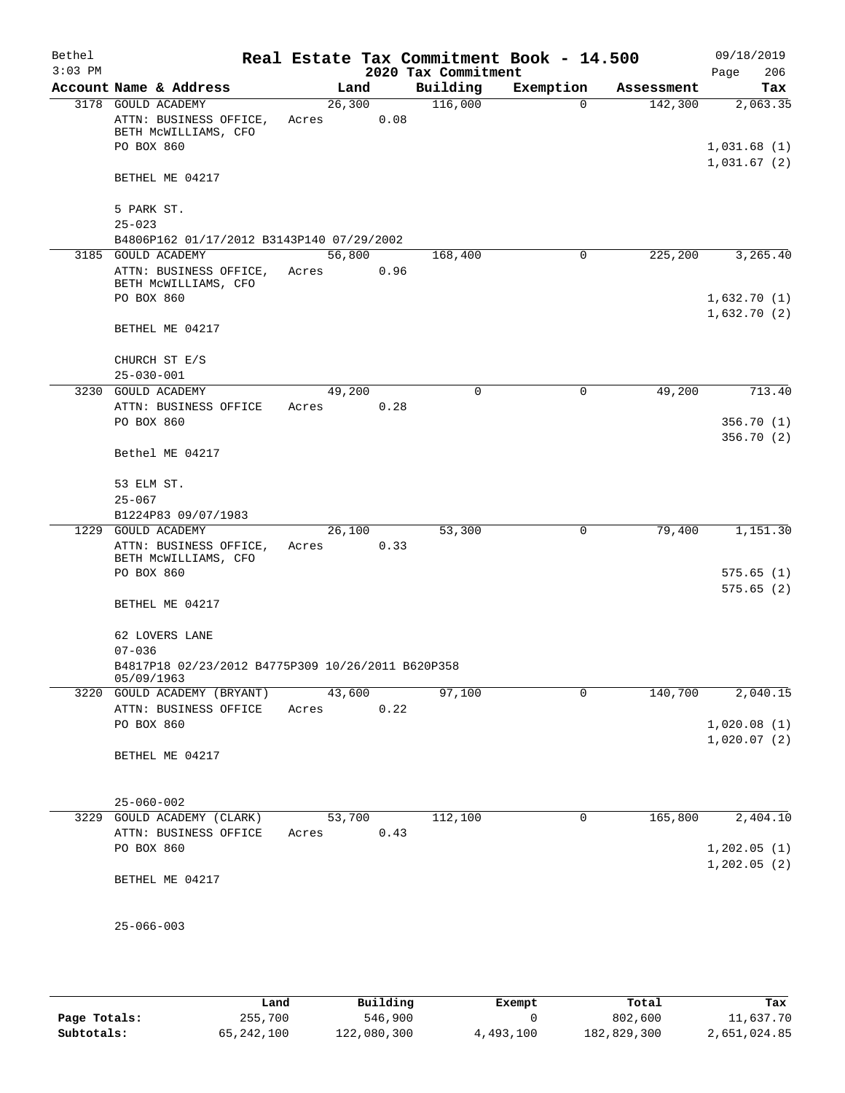| Bethel<br>$3:03$ PM |                                                                                    |                 |      | 2020 Tax Commitment | Real Estate Tax Commitment Book - 14.500 |            | 09/18/2019<br>Page<br>206  |
|---------------------|------------------------------------------------------------------------------------|-----------------|------|---------------------|------------------------------------------|------------|----------------------------|
|                     | Account Name & Address                                                             | Land            |      | Building            | Exemption                                | Assessment | Tax                        |
|                     | 3178 GOULD ACADEMY<br>ATTN: BUSINESS OFFICE,<br>BETH MCWILLIAMS, CFO<br>PO BOX 860 | 26,300<br>Acres | 0.08 | 116,000             | 0                                        | 142,300    | 2,063.35<br>1,031.68(1)    |
|                     | BETHEL ME 04217                                                                    |                 |      |                     |                                          |            | 1,031.67(2)                |
|                     | 5 PARK ST.<br>$25 - 023$                                                           |                 |      |                     |                                          |            |                            |
|                     | B4806P162 01/17/2012 B3143P140 07/29/2002                                          |                 |      |                     |                                          |            |                            |
|                     | 3185 GOULD ACADEMY<br>ATTN: BUSINESS OFFICE,<br>BETH MCWILLIAMS, CFO<br>PO BOX 860 | 56,800<br>Acres | 0.96 | 168,400             | 0                                        | 225,200    | 3,265.40<br>1,632.70(1)    |
|                     | BETHEL ME 04217                                                                    |                 |      |                     |                                          |            | 1,632.70(2)                |
|                     | CHURCH ST E/S<br>$25 - 030 - 001$                                                  |                 |      |                     |                                          |            |                            |
|                     | 3230 GOULD ACADEMY                                                                 | 49,200          |      | 0                   | 0                                        | 49,200     | 713.40                     |
|                     | ATTN: BUSINESS OFFICE<br>PO BOX 860                                                | Acres           | 0.28 |                     |                                          |            | 356.70(1)<br>356.70(2)     |
|                     | Bethel ME 04217                                                                    |                 |      |                     |                                          |            |                            |
|                     | 53 ELM ST.                                                                         |                 |      |                     |                                          |            |                            |
|                     | $25 - 067$                                                                         |                 |      |                     |                                          |            |                            |
|                     | B1224P83 09/07/1983                                                                |                 |      |                     |                                          |            |                            |
|                     | 1229 GOULD ACADEMY<br>ATTN: BUSINESS OFFICE,<br>BETH MCWILLIAMS, CFO               | 26,100<br>Acres | 0.33 | 53,300              | 0                                        | 79,400     | 1,151.30                   |
|                     | PO BOX 860                                                                         |                 |      |                     |                                          |            | 575.65(1)<br>575.65(2)     |
|                     | BETHEL ME 04217                                                                    |                 |      |                     |                                          |            |                            |
|                     | 62 LOVERS LANE<br>$07 - 036$                                                       |                 |      |                     |                                          |            |                            |
|                     | B4817P18 02/23/2012 B4775P309 10/26/2011 B620P358<br>05/09/1963                    |                 |      |                     |                                          |            |                            |
|                     | 3220 GOULD ACADEMY (BRYANT)                                                        | 43,600          |      | 97,100              | $\mathbf 0$                              | 140,700    | 2,040.15                   |
|                     | ATTN: BUSINESS OFFICE<br>PO BOX 860                                                | Acres           | 0.22 |                     |                                          |            | 1,020.08(1)<br>1,020.07(2) |
|                     | BETHEL ME 04217                                                                    |                 |      |                     |                                          |            |                            |
|                     | $25 - 060 - 002$                                                                   |                 |      |                     |                                          |            |                            |
|                     | 3229 GOULD ACADEMY (CLARK)                                                         | 53,700          |      | 112,100             | 0                                        | 165,800    | 2,404.10                   |
|                     | ATTN: BUSINESS OFFICE                                                              | Acres           | 0.43 |                     |                                          |            |                            |
|                     | PO BOX 860                                                                         |                 |      |                     |                                          |            | 1,202.05(1)<br>1,202.05(2) |
|                     | BETHEL ME 04217                                                                    |                 |      |                     |                                          |            |                            |
|                     | $25 - 066 - 003$                                                                   |                 |      |                     |                                          |            |                            |

|              | Land       | Building    | Exempt    | Total       | Tax          |
|--------------|------------|-------------|-----------|-------------|--------------|
| Page Totals: | 255,700    | 546,900     |           | 802,600     | 11,637.70    |
| Subtotals:   | 65,242,100 | 122,080,300 | 4,493,100 | 182,829,300 | 2,651,024.85 |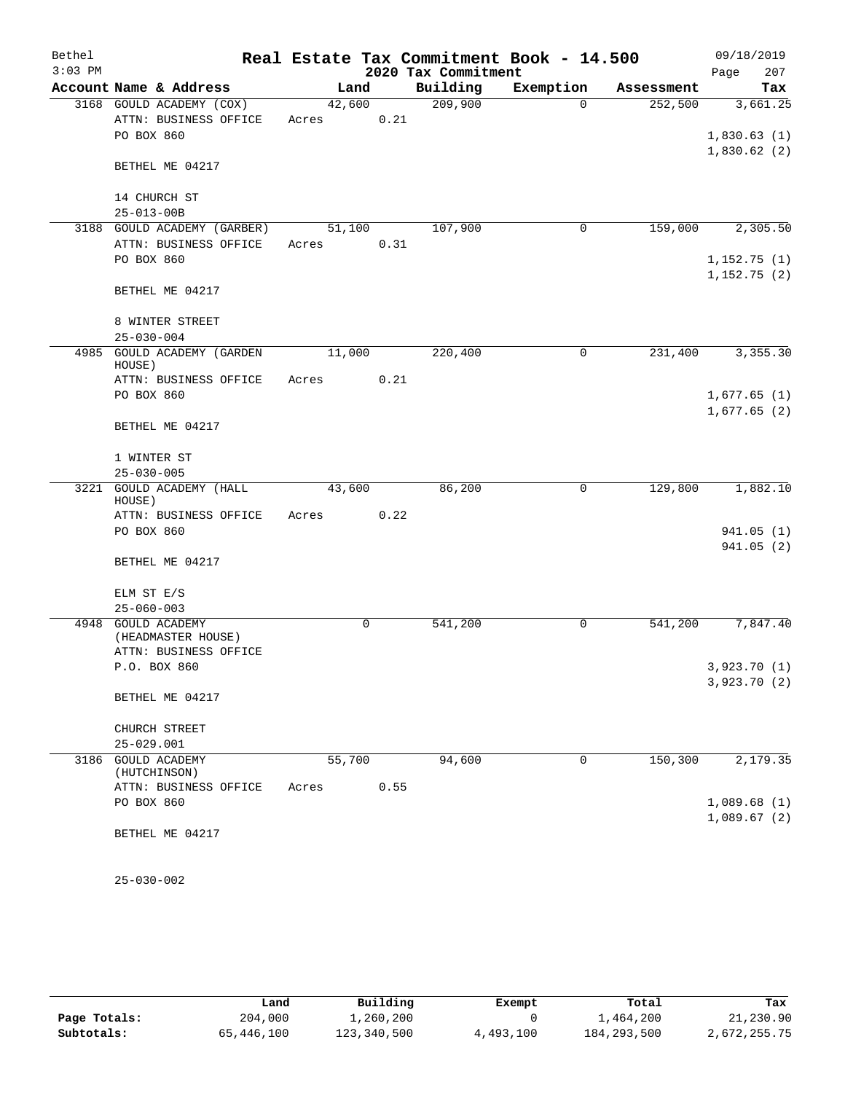| Bethel    |                                      |        |             |                     | Real Estate Tax Commitment Book - 14.500 |            | 09/18/2019                   |
|-----------|--------------------------------------|--------|-------------|---------------------|------------------------------------------|------------|------------------------------|
| $3:03$ PM |                                      |        |             | 2020 Tax Commitment |                                          |            | 207<br>Page                  |
|           | Account Name & Address               |        | Land        | Building            | Exemption                                | Assessment | Tax                          |
|           | 3168 GOULD ACADEMY (COX)             | 42,600 |             | 209,900             | $\Omega$                                 | 252,500    | 3,661.25                     |
|           | ATTN: BUSINESS OFFICE                | Acres  | 0.21        |                     |                                          |            |                              |
|           | PO BOX 860                           |        |             |                     |                                          |            | 1,830.63(1)                  |
|           | BETHEL ME 04217                      |        |             |                     |                                          |            | 1,830.62(2)                  |
|           | 14 CHURCH ST                         |        |             |                     |                                          |            |                              |
|           | $25 - 013 - 00B$                     |        |             |                     |                                          |            |                              |
|           | 3188 GOULD ACADEMY (GARBER)          | 51,100 |             | 107,900             | 0                                        | 159,000    | 2,305.50                     |
|           | ATTN: BUSINESS OFFICE                | Acres  | 0.31        |                     |                                          |            |                              |
|           | PO BOX 860                           |        |             |                     |                                          |            | 1,152.75(1)                  |
|           |                                      |        |             |                     |                                          |            | 1,152.75(2)                  |
|           | BETHEL ME 04217                      |        |             |                     |                                          |            |                              |
|           | 8 WINTER STREET                      |        |             |                     |                                          |            |                              |
|           | $25 - 030 - 004$                     |        |             |                     |                                          |            |                              |
|           | 4985 GOULD ACADEMY (GARDEN<br>HOUSE) | 11,000 |             | 220,400             | $\Omega$                                 | 231,400    | 3,355.30                     |
|           | ATTN: BUSINESS OFFICE                | Acres  | 0.21        |                     |                                          |            |                              |
|           | PO BOX 860                           |        |             |                     |                                          |            | 1,677.65(1)                  |
|           |                                      |        |             |                     |                                          |            | 1,677.65(2)                  |
|           | BETHEL ME 04217                      |        |             |                     |                                          |            |                              |
|           | 1 WINTER ST                          |        |             |                     |                                          |            |                              |
|           | $25 - 030 - 005$                     |        |             |                     |                                          |            |                              |
|           | 3221 GOULD ACADEMY (HALL             | 43,600 |             | 86,200              | 0                                        | 129,800    | 1,882.10                     |
|           | HOUSE)                               |        |             |                     |                                          |            |                              |
|           | ATTN: BUSINESS OFFICE                | Acres  | 0.22        |                     |                                          |            |                              |
|           | PO BOX 860                           |        |             |                     |                                          |            | 941.05(1)                    |
|           | BETHEL ME 04217                      |        |             |                     |                                          |            | 941.05(2)                    |
|           |                                      |        |             |                     |                                          |            |                              |
|           | ELM ST E/S                           |        |             |                     |                                          |            |                              |
|           | $25 - 060 - 003$                     |        |             |                     |                                          |            |                              |
|           | 4948 GOULD ACADEMY                   |        | $\mathbf 0$ | 541,200             | 0                                        | 541,200    | 7,847.40                     |
|           | (HEADMASTER HOUSE)                   |        |             |                     |                                          |            |                              |
|           | ATTN: BUSINESS OFFICE                |        |             |                     |                                          |            |                              |
|           | P.O. BOX 860                         |        |             |                     |                                          |            | 3,923.70 (1)<br>3,923.70 (2) |
|           | BETHEL ME 04217                      |        |             |                     |                                          |            |                              |
|           |                                      |        |             |                     |                                          |            |                              |
|           | CHURCH STREET                        |        |             |                     |                                          |            |                              |
|           | $25 - 029.001$                       |        |             |                     |                                          |            |                              |
|           | 3186 GOULD ACADEMY<br>(HUTCHINSON)   | 55,700 |             | 94,600              | $\Omega$                                 | 150,300    | 2,179.35                     |
|           | ATTN: BUSINESS OFFICE                | Acres  | 0.55        |                     |                                          |            |                              |
|           | PO BOX 860                           |        |             |                     |                                          |            | 1,089.68(1)                  |
|           |                                      |        |             |                     |                                          |            | 1,089.67(2)                  |
|           | BETHEL ME 04217                      |        |             |                     |                                          |            |                              |
|           |                                      |        |             |                     |                                          |            |                              |

25-030-002

|              | Land       | Building    | Exempt    | Total       | Tax          |
|--------------|------------|-------------|-----------|-------------|--------------|
| Page Totals: | 204,000    | 1,260,200   |           | 1,464,200   | 21,230.90    |
| Subtotals:   | 65,446,100 | 123,340,500 | 4,493,100 | 184,293,500 | 2,672,255.75 |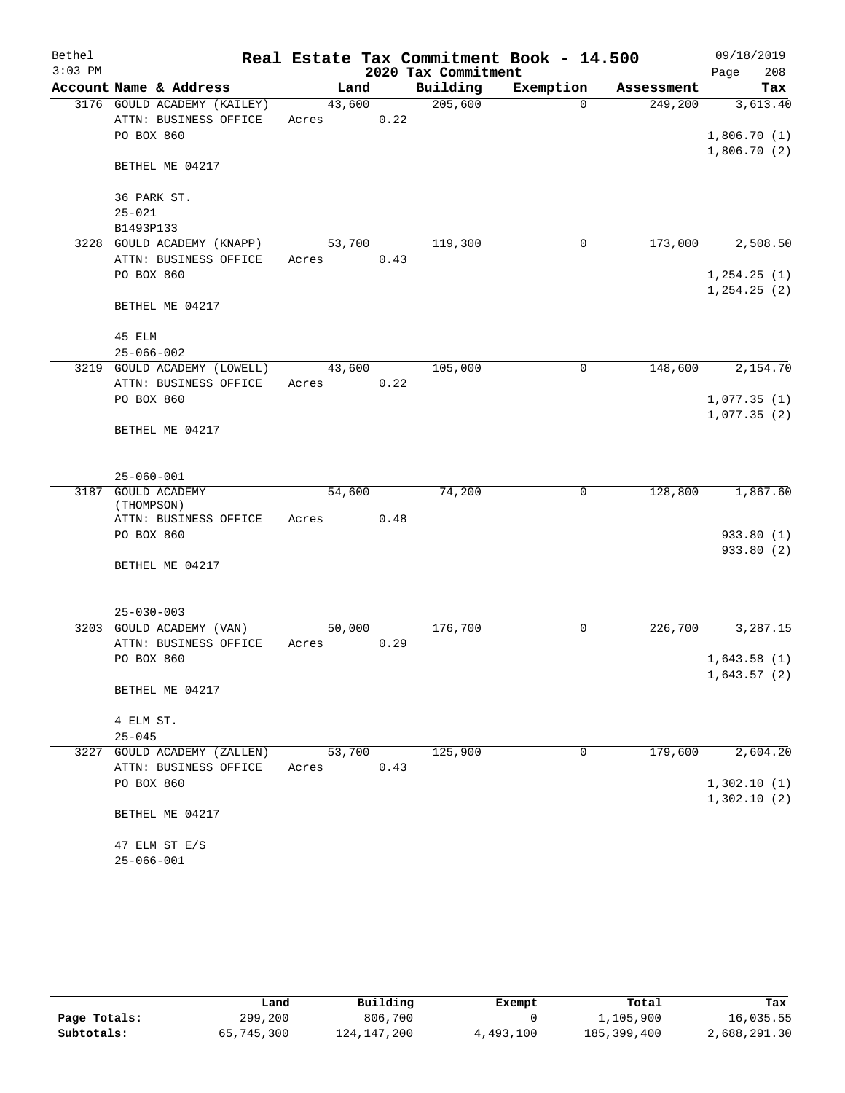| $3:03$ PM<br>2020 Tax Commitment<br>208<br>Page<br>Account Name & Address<br>Building<br>Exemption<br>Land<br>Tax<br>Assessment<br>205,600<br>3176 GOULD ACADEMY (KAILEY)<br>43,600<br>249,200<br>3,613.40<br>$\Omega$<br>ATTN: BUSINESS OFFICE<br>0.22<br>Acres<br>PO BOX 860<br>1,806.70(1)<br>1,806.70(2)<br>BETHEL ME 04217<br>36 PARK ST.<br>$25 - 021$<br>B1493P133<br>119,300<br>173,000<br>2,508.50<br>3228<br>GOULD ACADEMY (KNAPP)<br>53,700<br>0<br>ATTN: BUSINESS OFFICE<br>Acres<br>0.43<br>PO BOX 860<br>1, 254.25(1)<br>1, 254.25(2)<br>BETHEL ME 04217<br>45 ELM<br>$25 - 066 - 002$<br>3219 GOULD ACADEMY (LOWELL)<br>105,000<br>148,600<br>2,154.70<br>43,600<br>0<br>ATTN: BUSINESS OFFICE<br>0.22<br>Acres<br>PO BOX 860<br>1,077.35(1)<br>1,077.35(2)<br>BETHEL ME 04217<br>$25 - 060 - 001$<br>74,200<br>128,800<br>1,867.60<br><b>GOULD ACADEMY</b><br>54,600<br>0<br>3187<br>(THOMPSON)<br>ATTN: BUSINESS OFFICE<br>0.48<br>Acres<br>PO BOX 860<br>933.80 (1)<br>933.80 (2)<br>BETHEL ME 04217<br>$25 - 030 - 003$<br>3203 GOULD ACADEMY (VAN)<br>50,000<br>176,700<br>0<br>226,700<br>3,287.15<br>ATTN: BUSINESS OFFICE<br>0.29<br>Acres<br>PO BOX 860<br>1,643.58(1)<br>1,643.57(2)<br>BETHEL ME 04217<br>4 ELM ST.<br>$25 - 045$<br>53,700<br>125,900<br>$\mathbf 0$<br>179,600<br>2,604.20<br>3227 GOULD ACADEMY (ZALLEN)<br>ATTN: BUSINESS OFFICE<br>0.43<br>Acres<br>1,302.10(1)<br>PO BOX 860<br>1,302.10(2)<br>BETHEL ME 04217<br>47 ELM ST E/S<br>$25 - 066 - 001$ | Bethel |  |  | Real Estate Tax Commitment Book - 14.500 | 09/18/2019 |
|-----------------------------------------------------------------------------------------------------------------------------------------------------------------------------------------------------------------------------------------------------------------------------------------------------------------------------------------------------------------------------------------------------------------------------------------------------------------------------------------------------------------------------------------------------------------------------------------------------------------------------------------------------------------------------------------------------------------------------------------------------------------------------------------------------------------------------------------------------------------------------------------------------------------------------------------------------------------------------------------------------------------------------------------------------------------------------------------------------------------------------------------------------------------------------------------------------------------------------------------------------------------------------------------------------------------------------------------------------------------------------------------------------------------------------------------------------------------------------------------------------|--------|--|--|------------------------------------------|------------|
|                                                                                                                                                                                                                                                                                                                                                                                                                                                                                                                                                                                                                                                                                                                                                                                                                                                                                                                                                                                                                                                                                                                                                                                                                                                                                                                                                                                                                                                                                                     |        |  |  |                                          |            |
|                                                                                                                                                                                                                                                                                                                                                                                                                                                                                                                                                                                                                                                                                                                                                                                                                                                                                                                                                                                                                                                                                                                                                                                                                                                                                                                                                                                                                                                                                                     |        |  |  |                                          |            |
|                                                                                                                                                                                                                                                                                                                                                                                                                                                                                                                                                                                                                                                                                                                                                                                                                                                                                                                                                                                                                                                                                                                                                                                                                                                                                                                                                                                                                                                                                                     |        |  |  |                                          |            |
|                                                                                                                                                                                                                                                                                                                                                                                                                                                                                                                                                                                                                                                                                                                                                                                                                                                                                                                                                                                                                                                                                                                                                                                                                                                                                                                                                                                                                                                                                                     |        |  |  |                                          |            |
|                                                                                                                                                                                                                                                                                                                                                                                                                                                                                                                                                                                                                                                                                                                                                                                                                                                                                                                                                                                                                                                                                                                                                                                                                                                                                                                                                                                                                                                                                                     |        |  |  |                                          |            |
|                                                                                                                                                                                                                                                                                                                                                                                                                                                                                                                                                                                                                                                                                                                                                                                                                                                                                                                                                                                                                                                                                                                                                                                                                                                                                                                                                                                                                                                                                                     |        |  |  |                                          |            |
|                                                                                                                                                                                                                                                                                                                                                                                                                                                                                                                                                                                                                                                                                                                                                                                                                                                                                                                                                                                                                                                                                                                                                                                                                                                                                                                                                                                                                                                                                                     |        |  |  |                                          |            |
|                                                                                                                                                                                                                                                                                                                                                                                                                                                                                                                                                                                                                                                                                                                                                                                                                                                                                                                                                                                                                                                                                                                                                                                                                                                                                                                                                                                                                                                                                                     |        |  |  |                                          |            |
|                                                                                                                                                                                                                                                                                                                                                                                                                                                                                                                                                                                                                                                                                                                                                                                                                                                                                                                                                                                                                                                                                                                                                                                                                                                                                                                                                                                                                                                                                                     |        |  |  |                                          |            |
|                                                                                                                                                                                                                                                                                                                                                                                                                                                                                                                                                                                                                                                                                                                                                                                                                                                                                                                                                                                                                                                                                                                                                                                                                                                                                                                                                                                                                                                                                                     |        |  |  |                                          |            |
|                                                                                                                                                                                                                                                                                                                                                                                                                                                                                                                                                                                                                                                                                                                                                                                                                                                                                                                                                                                                                                                                                                                                                                                                                                                                                                                                                                                                                                                                                                     |        |  |  |                                          |            |
|                                                                                                                                                                                                                                                                                                                                                                                                                                                                                                                                                                                                                                                                                                                                                                                                                                                                                                                                                                                                                                                                                                                                                                                                                                                                                                                                                                                                                                                                                                     |        |  |  |                                          |            |
|                                                                                                                                                                                                                                                                                                                                                                                                                                                                                                                                                                                                                                                                                                                                                                                                                                                                                                                                                                                                                                                                                                                                                                                                                                                                                                                                                                                                                                                                                                     |        |  |  |                                          |            |
|                                                                                                                                                                                                                                                                                                                                                                                                                                                                                                                                                                                                                                                                                                                                                                                                                                                                                                                                                                                                                                                                                                                                                                                                                                                                                                                                                                                                                                                                                                     |        |  |  |                                          |            |
|                                                                                                                                                                                                                                                                                                                                                                                                                                                                                                                                                                                                                                                                                                                                                                                                                                                                                                                                                                                                                                                                                                                                                                                                                                                                                                                                                                                                                                                                                                     |        |  |  |                                          |            |
|                                                                                                                                                                                                                                                                                                                                                                                                                                                                                                                                                                                                                                                                                                                                                                                                                                                                                                                                                                                                                                                                                                                                                                                                                                                                                                                                                                                                                                                                                                     |        |  |  |                                          |            |
|                                                                                                                                                                                                                                                                                                                                                                                                                                                                                                                                                                                                                                                                                                                                                                                                                                                                                                                                                                                                                                                                                                                                                                                                                                                                                                                                                                                                                                                                                                     |        |  |  |                                          |            |
|                                                                                                                                                                                                                                                                                                                                                                                                                                                                                                                                                                                                                                                                                                                                                                                                                                                                                                                                                                                                                                                                                                                                                                                                                                                                                                                                                                                                                                                                                                     |        |  |  |                                          |            |
|                                                                                                                                                                                                                                                                                                                                                                                                                                                                                                                                                                                                                                                                                                                                                                                                                                                                                                                                                                                                                                                                                                                                                                                                                                                                                                                                                                                                                                                                                                     |        |  |  |                                          |            |
|                                                                                                                                                                                                                                                                                                                                                                                                                                                                                                                                                                                                                                                                                                                                                                                                                                                                                                                                                                                                                                                                                                                                                                                                                                                                                                                                                                                                                                                                                                     |        |  |  |                                          |            |
|                                                                                                                                                                                                                                                                                                                                                                                                                                                                                                                                                                                                                                                                                                                                                                                                                                                                                                                                                                                                                                                                                                                                                                                                                                                                                                                                                                                                                                                                                                     |        |  |  |                                          |            |
|                                                                                                                                                                                                                                                                                                                                                                                                                                                                                                                                                                                                                                                                                                                                                                                                                                                                                                                                                                                                                                                                                                                                                                                                                                                                                                                                                                                                                                                                                                     |        |  |  |                                          |            |
|                                                                                                                                                                                                                                                                                                                                                                                                                                                                                                                                                                                                                                                                                                                                                                                                                                                                                                                                                                                                                                                                                                                                                                                                                                                                                                                                                                                                                                                                                                     |        |  |  |                                          |            |
|                                                                                                                                                                                                                                                                                                                                                                                                                                                                                                                                                                                                                                                                                                                                                                                                                                                                                                                                                                                                                                                                                                                                                                                                                                                                                                                                                                                                                                                                                                     |        |  |  |                                          |            |
|                                                                                                                                                                                                                                                                                                                                                                                                                                                                                                                                                                                                                                                                                                                                                                                                                                                                                                                                                                                                                                                                                                                                                                                                                                                                                                                                                                                                                                                                                                     |        |  |  |                                          |            |
|                                                                                                                                                                                                                                                                                                                                                                                                                                                                                                                                                                                                                                                                                                                                                                                                                                                                                                                                                                                                                                                                                                                                                                                                                                                                                                                                                                                                                                                                                                     |        |  |  |                                          |            |
|                                                                                                                                                                                                                                                                                                                                                                                                                                                                                                                                                                                                                                                                                                                                                                                                                                                                                                                                                                                                                                                                                                                                                                                                                                                                                                                                                                                                                                                                                                     |        |  |  |                                          |            |
|                                                                                                                                                                                                                                                                                                                                                                                                                                                                                                                                                                                                                                                                                                                                                                                                                                                                                                                                                                                                                                                                                                                                                                                                                                                                                                                                                                                                                                                                                                     |        |  |  |                                          |            |
|                                                                                                                                                                                                                                                                                                                                                                                                                                                                                                                                                                                                                                                                                                                                                                                                                                                                                                                                                                                                                                                                                                                                                                                                                                                                                                                                                                                                                                                                                                     |        |  |  |                                          |            |
|                                                                                                                                                                                                                                                                                                                                                                                                                                                                                                                                                                                                                                                                                                                                                                                                                                                                                                                                                                                                                                                                                                                                                                                                                                                                                                                                                                                                                                                                                                     |        |  |  |                                          |            |
|                                                                                                                                                                                                                                                                                                                                                                                                                                                                                                                                                                                                                                                                                                                                                                                                                                                                                                                                                                                                                                                                                                                                                                                                                                                                                                                                                                                                                                                                                                     |        |  |  |                                          |            |
|                                                                                                                                                                                                                                                                                                                                                                                                                                                                                                                                                                                                                                                                                                                                                                                                                                                                                                                                                                                                                                                                                                                                                                                                                                                                                                                                                                                                                                                                                                     |        |  |  |                                          |            |
|                                                                                                                                                                                                                                                                                                                                                                                                                                                                                                                                                                                                                                                                                                                                                                                                                                                                                                                                                                                                                                                                                                                                                                                                                                                                                                                                                                                                                                                                                                     |        |  |  |                                          |            |
|                                                                                                                                                                                                                                                                                                                                                                                                                                                                                                                                                                                                                                                                                                                                                                                                                                                                                                                                                                                                                                                                                                                                                                                                                                                                                                                                                                                                                                                                                                     |        |  |  |                                          |            |
|                                                                                                                                                                                                                                                                                                                                                                                                                                                                                                                                                                                                                                                                                                                                                                                                                                                                                                                                                                                                                                                                                                                                                                                                                                                                                                                                                                                                                                                                                                     |        |  |  |                                          |            |
|                                                                                                                                                                                                                                                                                                                                                                                                                                                                                                                                                                                                                                                                                                                                                                                                                                                                                                                                                                                                                                                                                                                                                                                                                                                                                                                                                                                                                                                                                                     |        |  |  |                                          |            |
|                                                                                                                                                                                                                                                                                                                                                                                                                                                                                                                                                                                                                                                                                                                                                                                                                                                                                                                                                                                                                                                                                                                                                                                                                                                                                                                                                                                                                                                                                                     |        |  |  |                                          |            |
|                                                                                                                                                                                                                                                                                                                                                                                                                                                                                                                                                                                                                                                                                                                                                                                                                                                                                                                                                                                                                                                                                                                                                                                                                                                                                                                                                                                                                                                                                                     |        |  |  |                                          |            |
|                                                                                                                                                                                                                                                                                                                                                                                                                                                                                                                                                                                                                                                                                                                                                                                                                                                                                                                                                                                                                                                                                                                                                                                                                                                                                                                                                                                                                                                                                                     |        |  |  |                                          |            |
|                                                                                                                                                                                                                                                                                                                                                                                                                                                                                                                                                                                                                                                                                                                                                                                                                                                                                                                                                                                                                                                                                                                                                                                                                                                                                                                                                                                                                                                                                                     |        |  |  |                                          |            |
|                                                                                                                                                                                                                                                                                                                                                                                                                                                                                                                                                                                                                                                                                                                                                                                                                                                                                                                                                                                                                                                                                                                                                                                                                                                                                                                                                                                                                                                                                                     |        |  |  |                                          |            |
|                                                                                                                                                                                                                                                                                                                                                                                                                                                                                                                                                                                                                                                                                                                                                                                                                                                                                                                                                                                                                                                                                                                                                                                                                                                                                                                                                                                                                                                                                                     |        |  |  |                                          |            |
|                                                                                                                                                                                                                                                                                                                                                                                                                                                                                                                                                                                                                                                                                                                                                                                                                                                                                                                                                                                                                                                                                                                                                                                                                                                                                                                                                                                                                                                                                                     |        |  |  |                                          |            |

|              | Land       | Building    | Exempt    | Total       | Tax          |
|--------------|------------|-------------|-----------|-------------|--------------|
| Page Totals: | 299,200    | 806,700     |           | 1,105,900   | 16,035.55    |
| Subtotals:   | 65,745,300 | 124,147,200 | 4,493,100 | 185,399,400 | 2,688,291.30 |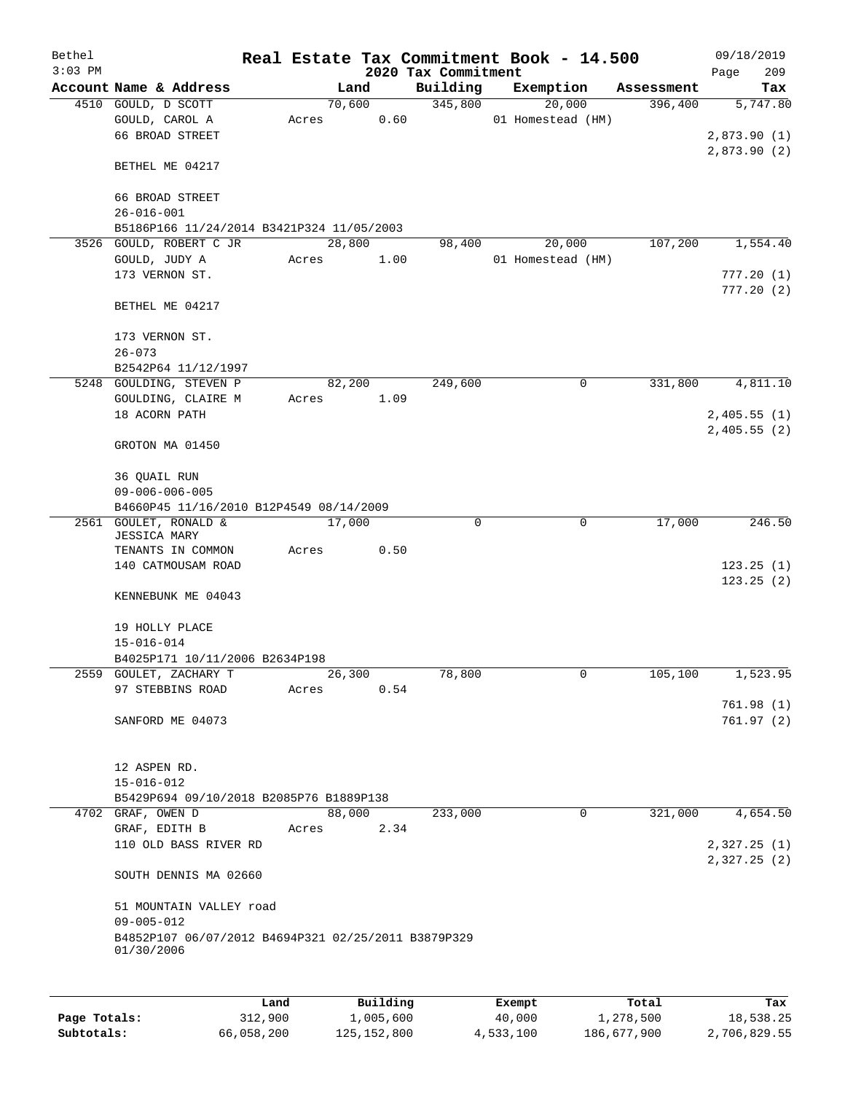| Bethel    |                                                                   |       |        |      |                                 | Real Estate Tax Commitment Book - 14.500 |            |                            | 09/18/2019 |
|-----------|-------------------------------------------------------------------|-------|--------|------|---------------------------------|------------------------------------------|------------|----------------------------|------------|
| $3:03$ PM | Account Name & Address                                            |       | Land   |      | 2020 Tax Commitment<br>Building | Exemption                                | Assessment | Page                       | 209<br>Tax |
|           | 4510 GOULD, D SCOTT                                               |       | 70,600 |      | 345,800                         | 20,000                                   | 396,400    |                            | 5,747.80   |
|           | GOULD, CAROL A                                                    | Acres |        | 0.60 |                                 | 01 Homestead (HM)                        |            |                            |            |
|           | 66 BROAD STREET                                                   |       |        |      |                                 |                                          |            | 2,873.90(1)                |            |
|           |                                                                   |       |        |      |                                 |                                          |            | 2,873.90(2)                |            |
|           | BETHEL ME 04217                                                   |       |        |      |                                 |                                          |            |                            |            |
|           | 66 BROAD STREET                                                   |       |        |      |                                 |                                          |            |                            |            |
|           | $26 - 016 - 001$                                                  |       |        |      |                                 |                                          |            |                            |            |
|           | B5186P166 11/24/2014 B3421P324 11/05/2003                         |       |        |      |                                 |                                          |            |                            |            |
| 3526      | GOULD, ROBERT C JR                                                |       | 28,800 |      | 98,400                          | 20,000                                   | 107,200    |                            | 1,554.40   |
|           | GOULD, JUDY A                                                     | Acres |        | 1.00 |                                 | 01 Homestead (HM)                        |            |                            |            |
|           | 173 VERNON ST.                                                    |       |        |      |                                 |                                          |            |                            | 777.20(1)  |
|           |                                                                   |       |        |      |                                 |                                          |            |                            | 777.20(2)  |
|           | BETHEL ME 04217                                                   |       |        |      |                                 |                                          |            |                            |            |
|           |                                                                   |       |        |      |                                 |                                          |            |                            |            |
|           | 173 VERNON ST.                                                    |       |        |      |                                 |                                          |            |                            |            |
|           | $26 - 073$                                                        |       |        |      |                                 |                                          |            |                            |            |
|           | B2542P64 11/12/1997<br>5248 GOULDING, STEVEN P                    |       | 82,200 |      | 249,600                         | 0                                        | 331,800    |                            | 4,811.10   |
|           | GOULDING, CLAIRE M                                                | Acres |        | 1.09 |                                 |                                          |            |                            |            |
|           | 18 ACORN PATH                                                     |       |        |      |                                 |                                          |            | 2,405.55(1)                |            |
|           |                                                                   |       |        |      |                                 |                                          |            | 2,405.55(2)                |            |
|           | GROTON MA 01450                                                   |       |        |      |                                 |                                          |            |                            |            |
|           |                                                                   |       |        |      |                                 |                                          |            |                            |            |
|           | 36 QUAIL RUN                                                      |       |        |      |                                 |                                          |            |                            |            |
|           | $09 - 006 - 006 - 005$<br>B4660P45 11/16/2010 B12P4549 08/14/2009 |       |        |      |                                 |                                          |            |                            |            |
| 2561      | GOULET, RONALD &                                                  |       | 17,000 |      | 0                               | 0                                        | 17,000     |                            | 246.50     |
|           | <b>JESSICA MARY</b>                                               |       |        |      |                                 |                                          |            |                            |            |
|           | TENANTS IN COMMON                                                 | Acres |        | 0.50 |                                 |                                          |            |                            |            |
|           | 140 CATMOUSAM ROAD                                                |       |        |      |                                 |                                          |            |                            | 123.25(1)  |
|           |                                                                   |       |        |      |                                 |                                          |            |                            | 123.25(2)  |
|           | KENNEBUNK ME 04043                                                |       |        |      |                                 |                                          |            |                            |            |
|           | 19 HOLLY PLACE                                                    |       |        |      |                                 |                                          |            |                            |            |
|           | $15 - 016 - 014$                                                  |       |        |      |                                 |                                          |            |                            |            |
|           | B4025P171 10/11/2006 B2634P198                                    |       |        |      |                                 |                                          |            |                            |            |
|           | 2559 GOULET, ZACHARY T                                            |       | 26,300 |      | 78,800                          | 0                                        | 105,100    |                            | 1,523.95   |
|           | 97 STEBBINS ROAD                                                  | Acres |        | 0.54 |                                 |                                          |            |                            |            |
|           |                                                                   |       |        |      |                                 |                                          |            |                            | 761.98(1)  |
|           | SANFORD ME 04073                                                  |       |        |      |                                 |                                          |            |                            | 761.97(2)  |
|           |                                                                   |       |        |      |                                 |                                          |            |                            |            |
|           | 12 ASPEN RD.                                                      |       |        |      |                                 |                                          |            |                            |            |
|           | $15 - 016 - 012$                                                  |       |        |      |                                 |                                          |            |                            |            |
|           | B5429P694 09/10/2018 B2085P76 B1889P138                           |       |        |      |                                 |                                          |            |                            |            |
|           | 4702 GRAF, OWEN D                                                 |       | 88,000 |      | 233,000                         | $\mathbf 0$                              | 321,000    |                            | 4,654.50   |
|           | GRAF, EDITH B                                                     | Acres |        | 2.34 |                                 |                                          |            |                            |            |
|           | 110 OLD BASS RIVER RD                                             |       |        |      |                                 |                                          |            | 2,327.25(1)<br>2,327.25(2) |            |
|           | SOUTH DENNIS MA 02660                                             |       |        |      |                                 |                                          |            |                            |            |
|           |                                                                   |       |        |      |                                 |                                          |            |                            |            |
|           | 51 MOUNTAIN VALLEY road<br>$09 - 005 - 012$                       |       |        |      |                                 |                                          |            |                            |            |
|           | B4852P107 06/07/2012 B4694P321 02/25/2011 B3879P329               |       |        |      |                                 |                                          |            |                            |            |
|           | 01/30/2006                                                        |       |        |      |                                 |                                          |            |                            |            |
|           |                                                                   |       |        |      |                                 |                                          |            |                            |            |
|           |                                                                   |       |        |      |                                 |                                          |            |                            |            |

|              | Land       | Building      | Exempt    | Total       | Tax          |
|--------------|------------|---------------|-----------|-------------|--------------|
| Page Totals: | 312,900    | 1,005,600     | 40,000    | 1,278,500   | 18,538.25    |
| Subtotals:   | 66,058,200 | 125, 152, 800 | 4,533,100 | 186,677,900 | 2,706,829.55 |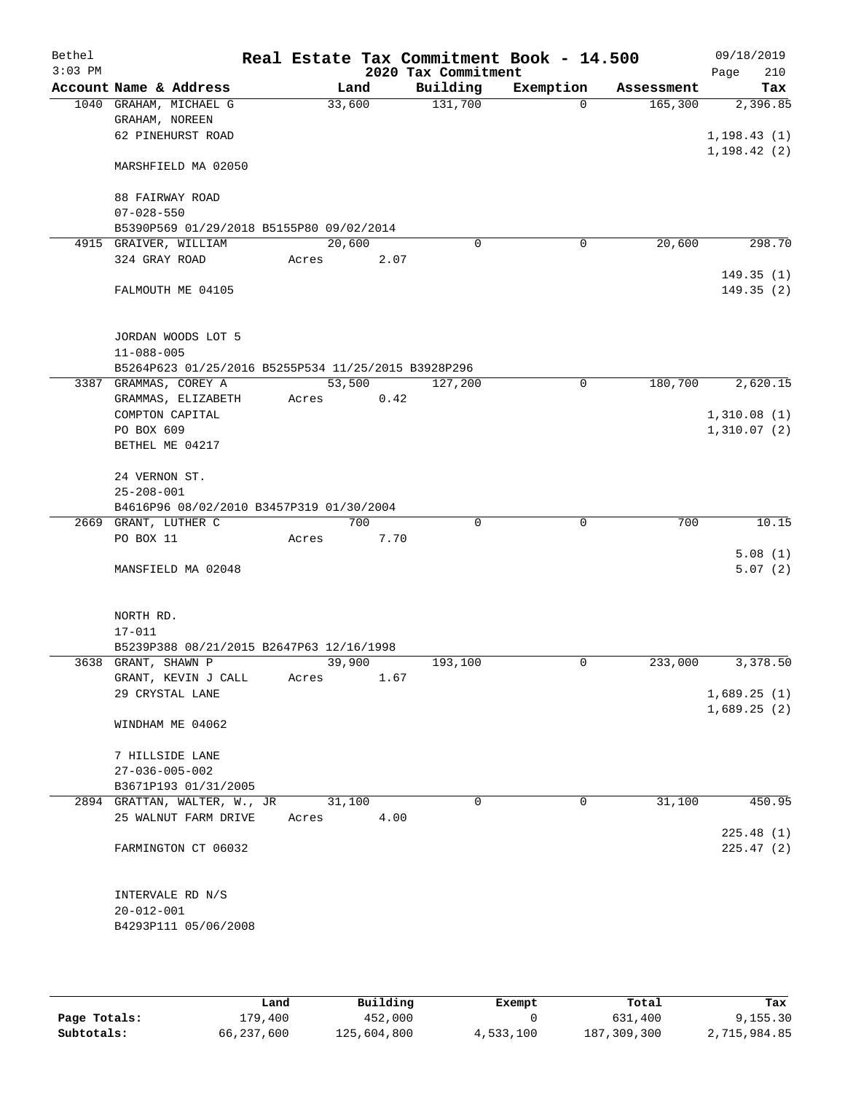| Bethel    |                                                                 |                 |      |                     | Real Estate Tax Commitment Book - 14.500 |            | 09/18/2019   |
|-----------|-----------------------------------------------------------------|-----------------|------|---------------------|------------------------------------------|------------|--------------|
| $3:03$ PM |                                                                 |                 |      | 2020 Tax Commitment |                                          |            | 210<br>Page  |
|           | Account Name & Address                                          |                 | Land | Building            | Exemption                                | Assessment | Tax          |
|           | 1040 GRAHAM, MICHAEL G<br>GRAHAM, NOREEN                        | 33,600          |      | 131,700             | $\Omega$                                 | 165,300    | 2,396.85     |
|           | 62 PINEHURST ROAD                                               |                 |      |                     |                                          |            | 1, 198.43(1) |
|           |                                                                 |                 |      |                     |                                          |            | 1, 198.42(2) |
|           | MARSHFIELD MA 02050                                             |                 |      |                     |                                          |            |              |
|           |                                                                 |                 |      |                     |                                          |            |              |
|           | 88 FAIRWAY ROAD                                                 |                 |      |                     |                                          |            |              |
|           | $07 - 028 - 550$                                                |                 |      |                     |                                          |            |              |
|           | B5390P569 01/29/2018 B5155P80 09/02/2014                        |                 |      |                     |                                          |            |              |
|           | 4915 GRAIVER, WILLIAM<br>324 GRAY ROAD                          | 20,600<br>Acres | 2.07 | $\mathbf 0$         | 0                                        | 20,600     | 298.70       |
|           |                                                                 |                 |      |                     |                                          |            | 149.35(1)    |
|           | FALMOUTH ME 04105                                               |                 |      |                     |                                          |            | 149.35 (2)   |
|           |                                                                 |                 |      |                     |                                          |            |              |
|           |                                                                 |                 |      |                     |                                          |            |              |
|           | JORDAN WOODS LOT 5                                              |                 |      |                     |                                          |            |              |
|           | $11 - 088 - 005$                                                |                 |      |                     |                                          |            |              |
|           | B5264P623 01/25/2016 B5255P534 11/25/2015 B3928P296             |                 |      |                     |                                          |            |              |
|           | 3387 GRAMMAS, COREY A<br>GRAMMAS, ELIZABETH                     | 53,500<br>Acres | 0.42 | 127,200             | 0                                        | 180,700    | 2,620.15     |
|           | COMPTON CAPITAL                                                 |                 |      |                     |                                          |            | 1,310.08(1)  |
|           | PO BOX 609                                                      |                 |      |                     |                                          |            | 1,310.07(2)  |
|           | BETHEL ME 04217                                                 |                 |      |                     |                                          |            |              |
|           |                                                                 |                 |      |                     |                                          |            |              |
|           | 24 VERNON ST.                                                   |                 |      |                     |                                          |            |              |
|           | $25 - 208 - 001$                                                |                 |      |                     |                                          |            |              |
|           | B4616P96 08/02/2010 B3457P319 01/30/2004                        |                 | 700  | $\Omega$            | $\mathbf 0$                              |            |              |
|           | 2669 GRANT, LUTHER C<br>PO BOX 11                               | Acres           | 7.70 |                     |                                          | 700        | 10.15        |
|           |                                                                 |                 |      |                     |                                          |            | 5.08(1)      |
|           | MANSFIELD MA 02048                                              |                 |      |                     |                                          |            | 5.07(2)      |
|           |                                                                 |                 |      |                     |                                          |            |              |
|           |                                                                 |                 |      |                     |                                          |            |              |
|           | NORTH RD.                                                       |                 |      |                     |                                          |            |              |
|           | $17 - 011$                                                      |                 |      |                     |                                          |            |              |
|           | B5239P388 08/21/2015 B2647P63 12/16/1998<br>3638 GRANT, SHAWN P | 39,900          |      | 193,100             | 0                                        | 233,000    | 3,378.50     |
|           | GRANT, KEVIN J CALL                                             | Acres           | 1.67 |                     |                                          |            |              |
|           | 29 CRYSTAL LANE                                                 |                 |      |                     |                                          |            | 1,689.25(1)  |
|           |                                                                 |                 |      |                     |                                          |            | 1,689.25(2)  |
|           | WINDHAM ME 04062                                                |                 |      |                     |                                          |            |              |
|           |                                                                 |                 |      |                     |                                          |            |              |
|           | 7 HILLSIDE LANE                                                 |                 |      |                     |                                          |            |              |
|           | $27 - 036 - 005 - 002$<br>B3671P193 01/31/2005                  |                 |      |                     |                                          |            |              |
|           | 2894 GRATTAN, WALTER, W., JR                                    | 31,100          |      | $\Omega$            | $\mathbf 0$                              | 31,100     | 450.95       |
|           | 25 WALNUT FARM DRIVE                                            | Acres           | 4.00 |                     |                                          |            |              |
|           |                                                                 |                 |      |                     |                                          |            | 225.48(1)    |
|           | FARMINGTON CT 06032                                             |                 |      |                     |                                          |            | 225.47(2)    |
|           |                                                                 |                 |      |                     |                                          |            |              |
|           |                                                                 |                 |      |                     |                                          |            |              |
|           | INTERVALE RD N/S                                                |                 |      |                     |                                          |            |              |
|           | $20 - 012 - 001$<br>B4293P111 05/06/2008                        |                 |      |                     |                                          |            |              |
|           |                                                                 |                 |      |                     |                                          |            |              |
|           |                                                                 |                 |      |                     |                                          |            |              |

|              | Land       | Building    | Exempt    | Total       | Tax          |
|--------------|------------|-------------|-----------|-------------|--------------|
| Page Totals: | 179,400    | 452,000     |           | 631,400     | 9,155.30     |
| Subtotals:   | 66,237,600 | 125,604,800 | 4,533,100 | 187,309,300 | 2,715,984.85 |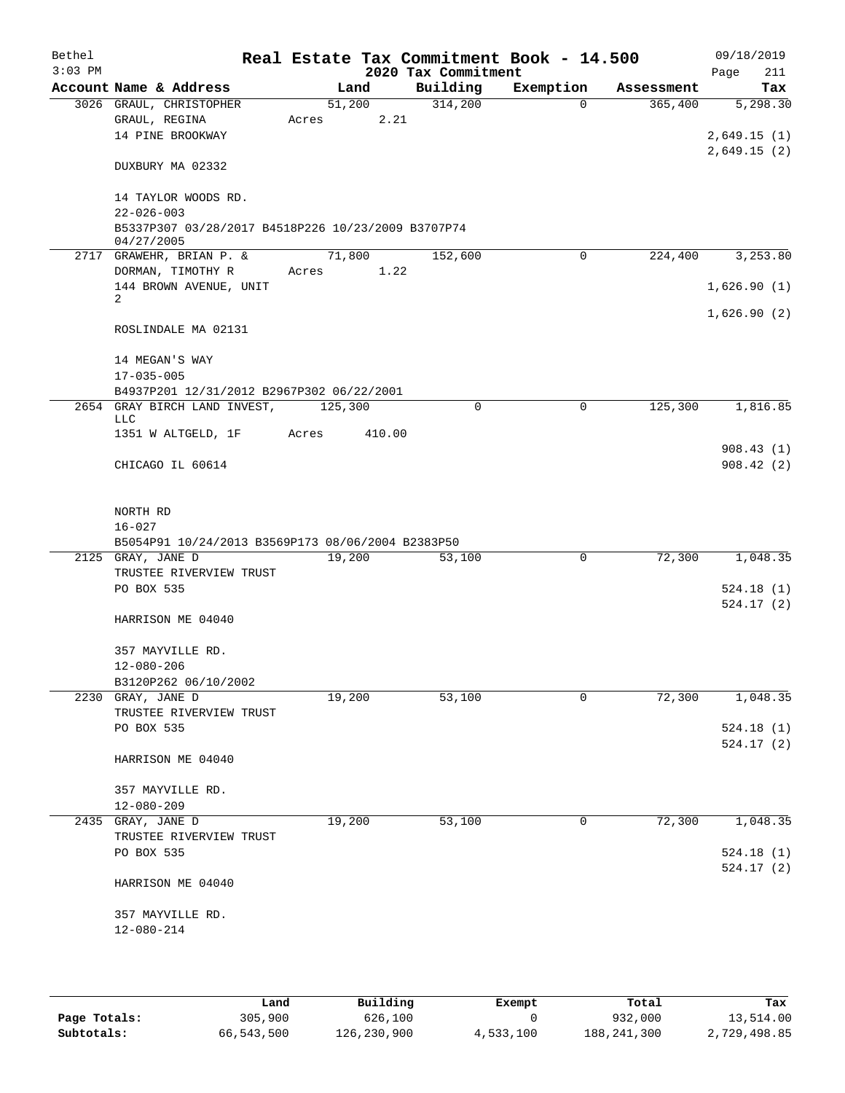| Bethel    |                                                                                   |        |        |                     | Real Estate Tax Commitment Book - 14.500 |            | 09/18/2019  |
|-----------|-----------------------------------------------------------------------------------|--------|--------|---------------------|------------------------------------------|------------|-------------|
| $3:03$ PM |                                                                                   |        |        | 2020 Tax Commitment |                                          |            | 211<br>Page |
|           | Account Name & Address                                                            |        | Land   | Building            | Exemption                                | Assessment | Tax         |
|           | 3026 GRAUL, CHRISTOPHER                                                           |        | 51,200 | 314,200             | $\Omega$                                 | 365,400    | 5,298.30    |
|           | GRAUL, REGINA                                                                     | Acres  | 2.21   |                     |                                          |            |             |
|           | 14 PINE BROOKWAY                                                                  |        |        |                     |                                          |            | 2,649.15(1) |
|           | DUXBURY MA 02332                                                                  |        |        |                     |                                          |            | 2,649.15(2) |
|           |                                                                                   |        |        |                     |                                          |            |             |
|           | 14 TAYLOR WOODS RD.<br>$22 - 026 - 003$                                           |        |        |                     |                                          |            |             |
|           | B5337P307 03/28/2017 B4518P226 10/23/2009 B3707P74                                |        |        |                     |                                          |            |             |
|           | 04/27/2005                                                                        |        |        |                     |                                          |            |             |
|           | 2717 GRAWEHR, BRIAN P. &                                                          | 71,800 |        | 152,600             | $\Omega$                                 | 224,400    | 3,253.80    |
|           | DORMAN, TIMOTHY R                                                                 | Acres  | 1.22   |                     |                                          |            |             |
|           | 144 BROWN AVENUE, UNIT                                                            |        |        |                     |                                          |            | 1,626.90(1) |
|           | 2                                                                                 |        |        |                     |                                          |            |             |
|           | ROSLINDALE MA 02131                                                               |        |        |                     |                                          |            | 1,626.90(2) |
|           |                                                                                   |        |        |                     |                                          |            |             |
|           | 14 MEGAN'S WAY                                                                    |        |        |                     |                                          |            |             |
|           | $17 - 035 - 005$                                                                  |        |        |                     |                                          |            |             |
|           | B4937P201 12/31/2012 B2967P302 06/22/2001<br>2654 GRAY BIRCH LAND INVEST, 125,300 |        |        | $\Omega$            | 0                                        | 125,300    | 1,816.85    |
|           | LLC                                                                               |        |        |                     |                                          |            |             |
|           | 1351 W ALTGELD, 1F                                                                | Acres  | 410.00 |                     |                                          |            |             |
|           |                                                                                   |        |        |                     |                                          |            | 908.43(1)   |
|           | CHICAGO IL 60614                                                                  |        |        |                     |                                          |            | 908.42(2)   |
|           |                                                                                   |        |        |                     |                                          |            |             |
|           | NORTH RD                                                                          |        |        |                     |                                          |            |             |
|           | $16 - 027$                                                                        |        |        |                     |                                          |            |             |
|           | B5054P91 10/24/2013 B3569P173 08/06/2004 B2383P50                                 |        |        |                     |                                          |            |             |
|           | 2125 GRAY, JANE D                                                                 | 19,200 |        | 53,100              | 0                                        | 72,300     | 1,048.35    |
|           | TRUSTEE RIVERVIEW TRUST                                                           |        |        |                     |                                          |            |             |
|           | PO BOX 535                                                                        |        |        |                     |                                          |            | 524.18(1)   |
|           |                                                                                   |        |        |                     |                                          |            | 524.17(2)   |
|           | HARRISON ME 04040                                                                 |        |        |                     |                                          |            |             |
|           | 357 MAYVILLE RD.                                                                  |        |        |                     |                                          |            |             |
|           | $12 - 080 - 206$                                                                  |        |        |                     |                                          |            |             |
|           | B3120P262 06/10/2002                                                              |        |        |                     |                                          |            |             |
|           | 2230 GRAY, JANE D                                                                 | 19,200 |        | 53,100              | 0                                        | 72,300     | 1,048.35    |
|           | TRUSTEE RIVERVIEW TRUST                                                           |        |        |                     |                                          |            |             |
|           | PO BOX 535                                                                        |        |        |                     |                                          |            | 524.18(1)   |
|           |                                                                                   |        |        |                     |                                          |            | 524.17(2)   |
|           | HARRISON ME 04040                                                                 |        |        |                     |                                          |            |             |
|           | 357 MAYVILLE RD.                                                                  |        |        |                     |                                          |            |             |
|           | $12 - 080 - 209$                                                                  |        |        |                     |                                          |            |             |
|           | 2435 GRAY, JANE D                                                                 | 19,200 |        | 53,100              | 0                                        | 72,300     | 1,048.35    |
|           | TRUSTEE RIVERVIEW TRUST                                                           |        |        |                     |                                          |            |             |
|           | PO BOX 535                                                                        |        |        |                     |                                          |            | 524.18(1)   |
|           |                                                                                   |        |        |                     |                                          |            | 524.17(2)   |
|           | HARRISON ME 04040                                                                 |        |        |                     |                                          |            |             |
|           | 357 MAYVILLE RD.                                                                  |        |        |                     |                                          |            |             |
|           | $12 - 080 - 214$                                                                  |        |        |                     |                                          |            |             |
|           |                                                                                   |        |        |                     |                                          |            |             |
|           |                                                                                   |        |        |                     |                                          |            |             |

|              | Land       | Building    | Exempt    | Total       | Tax          |
|--------------|------------|-------------|-----------|-------------|--------------|
| Page Totals: | 305,900    | 626,100     |           | 932,000     | 13,514.00    |
| Subtotals:   | 66,543,500 | 126,230,900 | 4,533,100 | 188,241,300 | 2,729,498.85 |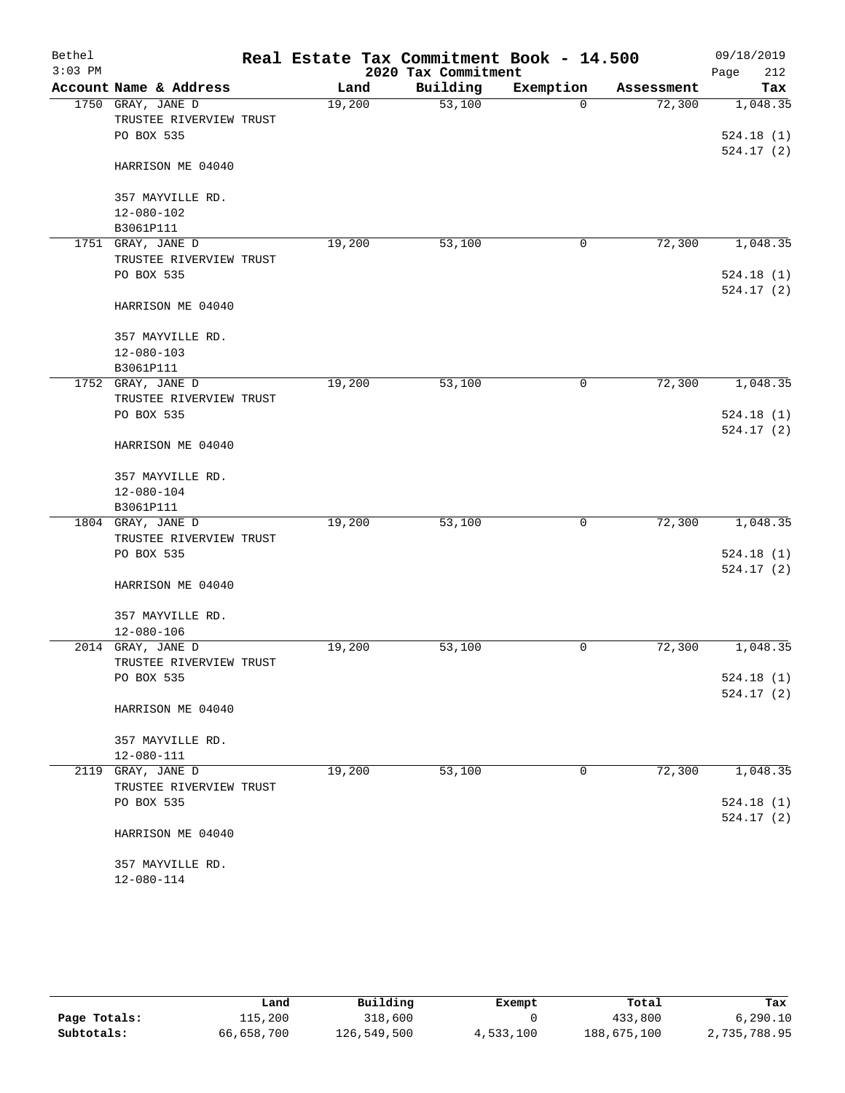| Bethel<br>$3:03$ PM |                                              |        | Real Estate Tax Commitment Book - 14.500<br>2020 Tax Commitment |           |            | 09/18/2019<br>212<br>Page |
|---------------------|----------------------------------------------|--------|-----------------------------------------------------------------|-----------|------------|---------------------------|
|                     | Account Name & Address                       | Land   | Building                                                        | Exemption | Assessment | Tax                       |
|                     | 1750 GRAY, JANE D                            | 19,200 | 53,100                                                          | $\Omega$  | 72,300     | 1,048.35                  |
|                     | TRUSTEE RIVERVIEW TRUST                      |        |                                                                 |           |            |                           |
|                     | PO BOX 535                                   |        |                                                                 |           |            | 524.18(1)                 |
|                     | HARRISON ME 04040                            |        |                                                                 |           |            | 524.17(2)                 |
|                     | 357 MAYVILLE RD.                             |        |                                                                 |           |            |                           |
|                     | 12-080-102                                   |        |                                                                 |           |            |                           |
|                     | B3061P111                                    |        |                                                                 |           |            |                           |
|                     | 1751 GRAY, JANE D                            | 19,200 | 53,100                                                          | 0         | 72,300     | 1,048.35                  |
|                     | TRUSTEE RIVERVIEW TRUST<br>PO BOX 535        |        |                                                                 |           |            | 524.18(1)                 |
|                     |                                              |        |                                                                 |           |            | 524.17(2)                 |
|                     | HARRISON ME 04040                            |        |                                                                 |           |            |                           |
|                     | 357 MAYVILLE RD.                             |        |                                                                 |           |            |                           |
|                     | $12 - 080 - 103$                             |        |                                                                 |           |            |                           |
|                     | B3061P111                                    |        |                                                                 |           |            |                           |
|                     | 1752 GRAY, JANE D                            | 19,200 | 53,100                                                          | 0         | 72,300     | 1,048.35                  |
|                     | TRUSTEE RIVERVIEW TRUST                      |        |                                                                 |           |            |                           |
|                     | PO BOX 535                                   |        |                                                                 |           |            | 524.18(1)<br>524.17(2)    |
|                     | HARRISON ME 04040                            |        |                                                                 |           |            |                           |
|                     | 357 MAYVILLE RD.                             |        |                                                                 |           |            |                           |
|                     | $12 - 080 - 104$                             |        |                                                                 |           |            |                           |
|                     | B3061P111                                    |        |                                                                 |           |            |                           |
|                     | 1804 GRAY, JANE D                            | 19,200 | 53,100                                                          | 0         | 72,300     | 1,048.35                  |
|                     | TRUSTEE RIVERVIEW TRUST                      |        |                                                                 |           |            |                           |
|                     | PO BOX 535                                   |        |                                                                 |           |            | 524.18(1)                 |
|                     | HARRISON ME 04040                            |        |                                                                 |           |            | 524.17(2)                 |
|                     | 357 MAYVILLE RD.                             |        |                                                                 |           |            |                           |
|                     | $12 - 080 - 106$                             |        |                                                                 |           |            |                           |
| 2014                | GRAY, JANE D                                 | 19,200 | 53,100                                                          | 0         | 72,300     | 1,048.35                  |
|                     | TRUSTEE RIVERVIEW TRUST                      |        |                                                                 |           |            |                           |
|                     | PO BOX 535                                   |        |                                                                 |           |            | 524.18(1)                 |
|                     | HARRISON ME 04040                            |        |                                                                 |           |            | 524.17(2)                 |
|                     |                                              |        |                                                                 |           |            |                           |
|                     | 357 MAYVILLE RD.                             |        |                                                                 |           |            |                           |
|                     | $12 - 080 - 111$                             |        |                                                                 | 0         | 72,300     |                           |
|                     | 2119 GRAY, JANE D<br>TRUSTEE RIVERVIEW TRUST | 19,200 | 53,100                                                          |           |            | 1,048.35                  |
|                     | PO BOX 535                                   |        |                                                                 |           |            | 524.18(1)                 |
|                     |                                              |        |                                                                 |           |            | 524.17(2)                 |
|                     | HARRISON ME 04040                            |        |                                                                 |           |            |                           |
|                     | 357 MAYVILLE RD.                             |        |                                                                 |           |            |                           |
|                     | 12-080-114                                   |        |                                                                 |           |            |                           |
|                     |                                              |        |                                                                 |           |            |                           |

|              | Land       | Building    | Exempt    | Total       | Tax          |
|--------------|------------|-------------|-----------|-------------|--------------|
| Page Totals: | 115,200    | 318,600     |           | 433,800     | 6.290.10     |
| Subtotals:   | 66,658,700 | 126,549,500 | 4,533,100 | 188,675,100 | 2,735,788.95 |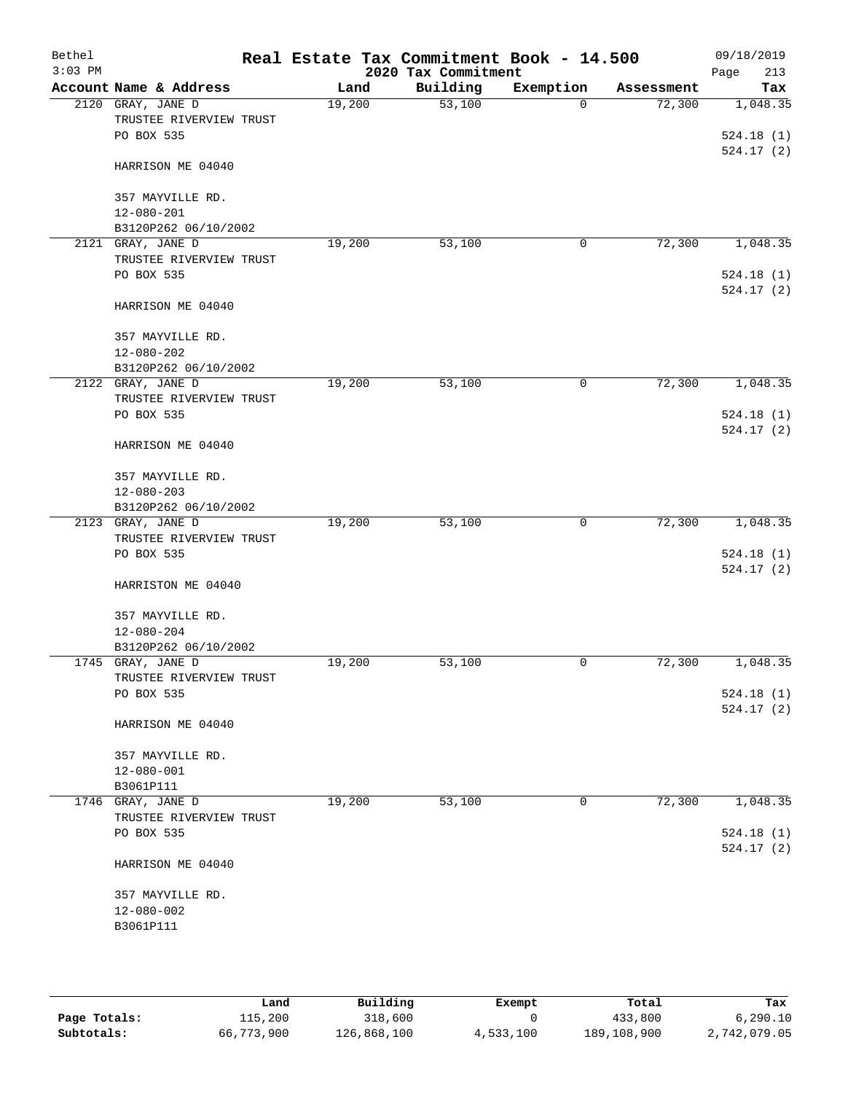| Bethel<br>$3:03$ PM |                                              |        | Real Estate Tax Commitment Book - 14.500<br>2020 Tax Commitment |           |            | 09/18/2019<br>213<br>Page |
|---------------------|----------------------------------------------|--------|-----------------------------------------------------------------|-----------|------------|---------------------------|
|                     | Account Name & Address                       | Land   | Building                                                        | Exemption | Assessment | Tax                       |
|                     | 2120 GRAY, JANE D                            | 19,200 | 53,100                                                          | $\Omega$  | 72,300     | 1,048.35                  |
|                     | TRUSTEE RIVERVIEW TRUST<br>PO BOX 535        |        |                                                                 |           |            | 524.18(1)                 |
|                     | HARRISON ME 04040                            |        |                                                                 |           |            | 524.17(2)                 |
|                     | 357 MAYVILLE RD.                             |        |                                                                 |           |            |                           |
|                     | $12 - 080 - 201$<br>B3120P262 06/10/2002     |        |                                                                 |           |            |                           |
|                     | 2121 GRAY, JANE D                            | 19,200 | 53,100                                                          | 0         | 72,300     | 1,048.35                  |
|                     | TRUSTEE RIVERVIEW TRUST                      |        |                                                                 |           |            |                           |
|                     | PO BOX 535                                   |        |                                                                 |           |            | 524.18(1)<br>524.17(2)    |
|                     | HARRISON ME 04040                            |        |                                                                 |           |            |                           |
|                     | 357 MAYVILLE RD.                             |        |                                                                 |           |            |                           |
|                     | $12 - 080 - 202$                             |        |                                                                 |           |            |                           |
|                     | B3120P262 06/10/2002                         |        |                                                                 |           |            |                           |
|                     | 2122 GRAY, JANE D<br>TRUSTEE RIVERVIEW TRUST | 19,200 | 53,100                                                          | 0         | 72,300     | 1,048.35                  |
|                     | PO BOX 535                                   |        |                                                                 |           |            | 524.18(1)                 |
|                     | HARRISON ME 04040                            |        |                                                                 |           |            | 524.17(2)                 |
|                     | 357 MAYVILLE RD.                             |        |                                                                 |           |            |                           |
|                     | $12 - 080 - 203$                             |        |                                                                 |           |            |                           |
|                     | B3120P262 06/10/2002                         |        |                                                                 |           |            |                           |
|                     | 2123 GRAY, JANE D                            | 19,200 | 53,100                                                          | 0         | 72,300     | 1,048.35                  |
|                     | TRUSTEE RIVERVIEW TRUST                      |        |                                                                 |           |            |                           |
|                     | PO BOX 535                                   |        |                                                                 |           |            | 524.18(1)<br>524.17(2)    |
|                     | HARRISTON ME 04040                           |        |                                                                 |           |            |                           |
|                     | 357 MAYVILLE RD.                             |        |                                                                 |           |            |                           |
|                     | $12 - 080 - 204$                             |        |                                                                 |           |            |                           |
|                     | B3120P262 06/10/2002                         |        |                                                                 |           |            |                           |
|                     | 1745 GRAY, JANE D                            | 19,200 | 53,100                                                          | 0         | 72,300     | 1,048.35                  |
|                     | TRUSTEE RIVERVIEW TRUST<br>PO BOX 535        |        |                                                                 |           |            | 524.18(1)                 |
|                     |                                              |        |                                                                 |           |            | 524.17(2)                 |
|                     | HARRISON ME 04040                            |        |                                                                 |           |            |                           |
|                     | 357 MAYVILLE RD.                             |        |                                                                 |           |            |                           |
|                     | 12-080-001                                   |        |                                                                 |           |            |                           |
|                     | B3061P111                                    |        |                                                                 |           |            |                           |
|                     | 1746 GRAY, JANE D                            | 19,200 | 53,100                                                          | 0         | 72,300     | 1,048.35                  |
|                     | TRUSTEE RIVERVIEW TRUST<br>PO BOX 535        |        |                                                                 |           |            | 524.18(1)                 |
|                     |                                              |        |                                                                 |           |            | 524.17(2)                 |
|                     | HARRISON ME 04040                            |        |                                                                 |           |            |                           |
|                     | 357 MAYVILLE RD.                             |        |                                                                 |           |            |                           |
|                     | 12-080-002                                   |        |                                                                 |           |            |                           |
|                     | B3061P111                                    |        |                                                                 |           |            |                           |
|                     |                                              |        |                                                                 |           |            |                           |
|                     |                                              |        |                                                                 |           |            |                           |

|              | Land       | Building    | Exempt    | Total       | Tax          |
|--------------|------------|-------------|-----------|-------------|--------------|
| Page Totals: | 115,200    | 318,600     |           | 433,800     | 6.290.10     |
| Subtotals:   | 66,773,900 | 126,868,100 | 4,533,100 | 189,108,900 | 2,742,079.05 |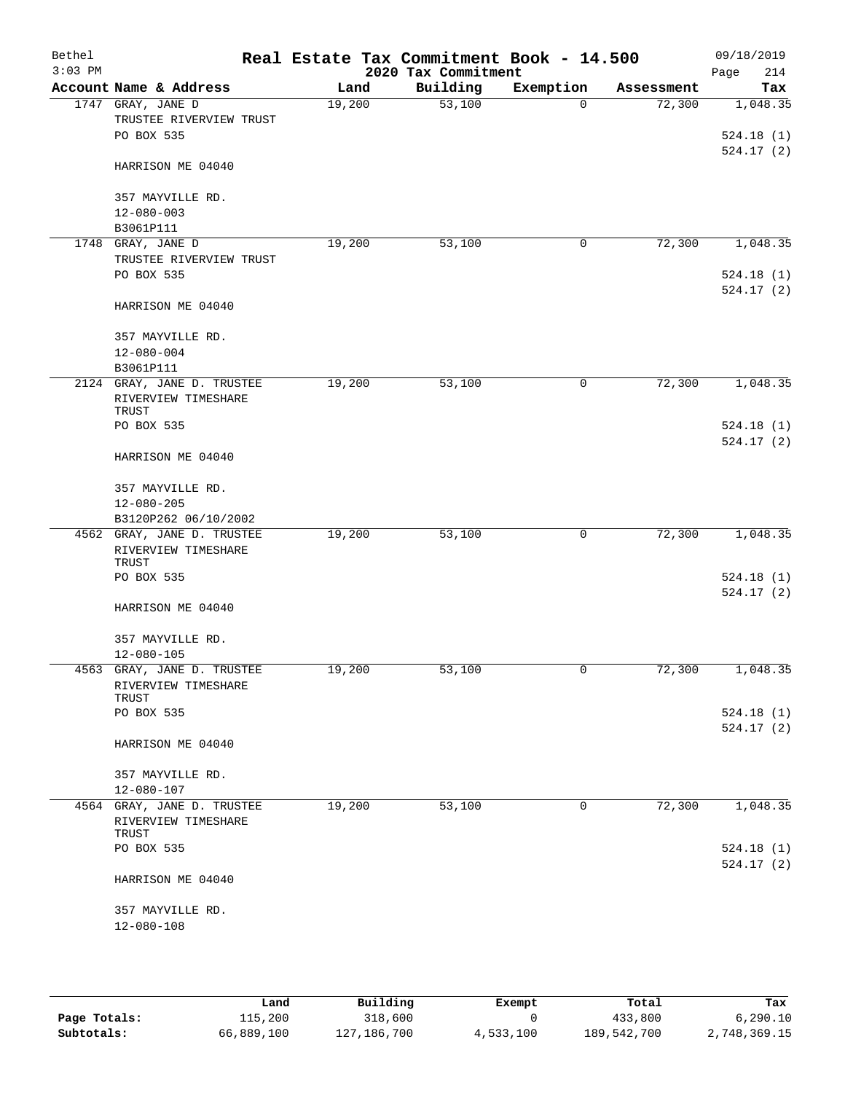| Bethel<br>$3:03$ PM |                                                            | Real Estate Tax Commitment Book - 14.500 | 2020 Tax Commitment |           |            | 09/18/2019<br>214<br>Page |
|---------------------|------------------------------------------------------------|------------------------------------------|---------------------|-----------|------------|---------------------------|
|                     | Account Name & Address                                     | Land                                     | Building            | Exemption | Assessment | Tax                       |
|                     | 1747 GRAY, JANE D                                          | 19,200                                   | 53,100              | $\Omega$  | 72,300     | 1,048.35                  |
|                     | TRUSTEE RIVERVIEW TRUST                                    |                                          |                     |           |            |                           |
|                     | PO BOX 535                                                 |                                          |                     |           |            | 524.18(1)                 |
|                     | HARRISON ME 04040                                          |                                          |                     |           |            | 524.17(2)                 |
|                     | 357 MAYVILLE RD.                                           |                                          |                     |           |            |                           |
|                     | $12 - 080 - 003$                                           |                                          |                     |           |            |                           |
|                     | B3061P111                                                  |                                          |                     |           |            |                           |
| 1748                | GRAY, JANE D                                               | 19,200                                   | 53,100              | 0         | 72,300     | 1,048.35                  |
|                     | TRUSTEE RIVERVIEW TRUST                                    |                                          |                     |           |            |                           |
|                     | PO BOX 535                                                 |                                          |                     |           |            | 524.18(1)                 |
|                     | HARRISON ME 04040                                          |                                          |                     |           |            | 524.17(2)                 |
|                     | 357 MAYVILLE RD.                                           |                                          |                     |           |            |                           |
|                     | $12 - 080 - 004$                                           |                                          |                     |           |            |                           |
|                     | B3061P111                                                  |                                          |                     |           |            |                           |
|                     | 2124 GRAY, JANE D. TRUSTEE<br>RIVERVIEW TIMESHARE<br>TRUST | 19,200                                   | 53,100              | 0         | 72,300     | 1,048.35                  |
|                     | PO BOX 535                                                 |                                          |                     |           |            | 524.18(1)                 |
|                     |                                                            |                                          |                     |           |            | 524.17(2)                 |
|                     | HARRISON ME 04040                                          |                                          |                     |           |            |                           |
|                     | 357 MAYVILLE RD.                                           |                                          |                     |           |            |                           |
|                     | $12 - 080 - 205$                                           |                                          |                     |           |            |                           |
|                     | B3120P262 06/10/2002                                       |                                          |                     |           |            |                           |
|                     | 4562 GRAY, JANE D. TRUSTEE                                 | 19,200                                   | 53,100              | 0         | 72,300     | 1,048.35                  |
|                     | RIVERVIEW TIMESHARE                                        |                                          |                     |           |            |                           |
|                     | TRUST<br>PO BOX 535                                        |                                          |                     |           |            | 524.18(1)                 |
|                     |                                                            |                                          |                     |           |            | 524.17(2)                 |
|                     | HARRISON ME 04040                                          |                                          |                     |           |            |                           |
|                     | 357 MAYVILLE RD.                                           |                                          |                     |           |            |                           |
|                     | $12 - 080 - 105$                                           |                                          |                     |           |            |                           |
|                     | 4563 GRAY, JANE D. TRUSTEE                                 | 19,200                                   | 53,100              | U         | 72,300     | 1,048.35                  |
|                     | RIVERVIEW TIMESHARE                                        |                                          |                     |           |            |                           |
|                     | TRUST                                                      |                                          |                     |           |            |                           |
|                     | PO BOX 535                                                 |                                          |                     |           |            | 524.18(1)                 |
|                     | HARRISON ME 04040                                          |                                          |                     |           |            | 524.17(2)                 |
|                     |                                                            |                                          |                     |           |            |                           |
|                     | 357 MAYVILLE RD.                                           |                                          |                     |           |            |                           |
|                     | 12-080-107<br>4564 GRAY, JANE D. TRUSTEE                   | 19,200                                   | 53,100              | 0         | 72,300     | 1,048.35                  |
|                     | RIVERVIEW TIMESHARE                                        |                                          |                     |           |            |                           |
|                     | TRUST                                                      |                                          |                     |           |            |                           |
|                     | PO BOX 535                                                 |                                          |                     |           |            | 524.18(1)                 |
|                     | HARRISON ME 04040                                          |                                          |                     |           |            | 524.17(2)                 |
|                     |                                                            |                                          |                     |           |            |                           |
|                     | 357 MAYVILLE RD.                                           |                                          |                     |           |            |                           |
|                     | $12 - 080 - 108$                                           |                                          |                     |           |            |                           |
|                     |                                                            |                                          |                     |           |            |                           |

|              | Land       | Building      | Exempt    | Total       | Tax          |
|--------------|------------|---------------|-----------|-------------|--------------|
| Page Totals: | 115,200    | 318,600       |           | 433,800     | 6.290.10     |
| Subtotals:   | 66,889,100 | 127, 186, 700 | 4,533,100 | 189,542,700 | 2,748,369.15 |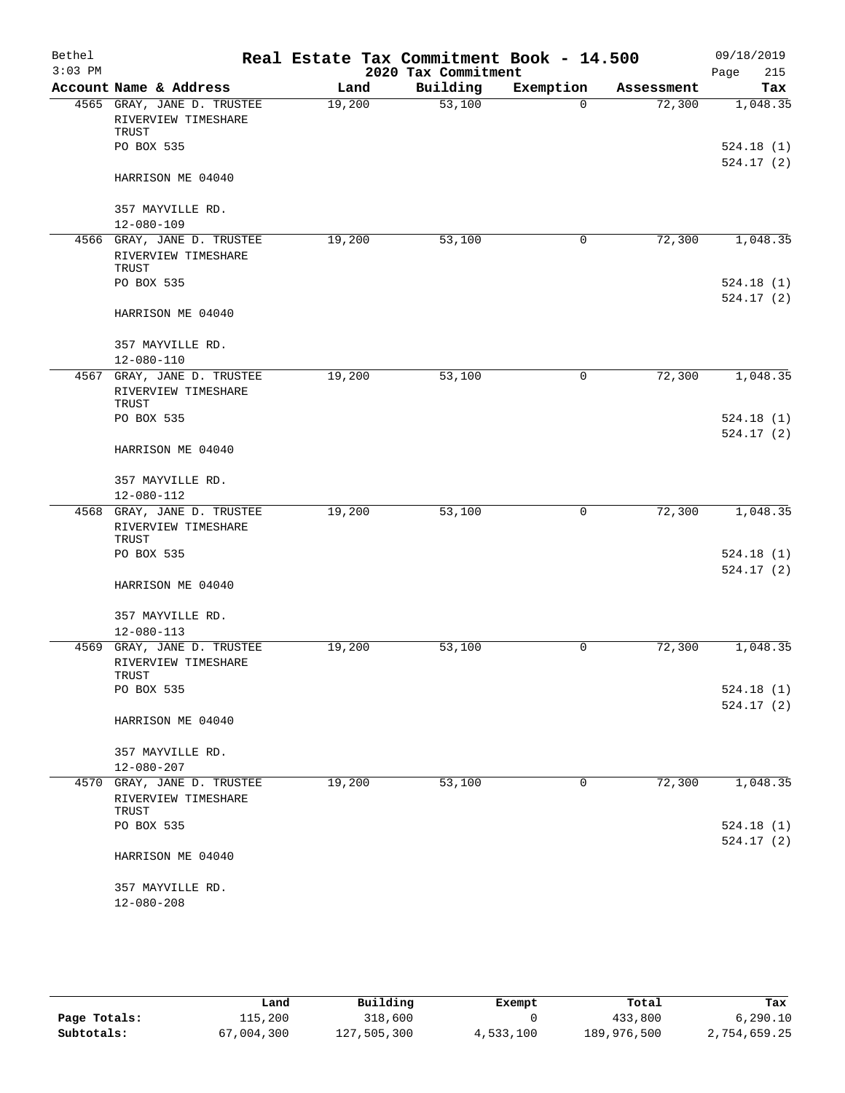| Bethel    |                                                            |        | Real Estate Tax Commitment Book - 14.500 |             |            | 09/18/2019             |
|-----------|------------------------------------------------------------|--------|------------------------------------------|-------------|------------|------------------------|
| $3:03$ PM |                                                            |        | 2020 Tax Commitment                      |             |            | Page<br>215            |
|           | Account Name & Address                                     | Land   | Building                                 | Exemption   | Assessment | Tax                    |
|           | 4565 GRAY, JANE D. TRUSTEE<br>RIVERVIEW TIMESHARE<br>TRUST | 19,200 | 53,100                                   | $\Omega$    | 72,300     | 1,048.35               |
|           | PO BOX 535                                                 |        |                                          |             |            | 524.18(1)<br>524.17(2) |
|           | HARRISON ME 04040                                          |        |                                          |             |            |                        |
|           | 357 MAYVILLE RD.                                           |        |                                          |             |            |                        |
|           | $12 - 080 - 109$                                           |        |                                          |             |            |                        |
|           | 4566 GRAY, JANE D. TRUSTEE<br>RIVERVIEW TIMESHARE<br>TRUST | 19,200 | 53,100                                   | 0           | 72,300     | 1,048.35               |
|           | PO BOX 535                                                 |        |                                          |             |            | 524.18(1)<br>524.17(2) |
|           | HARRISON ME 04040                                          |        |                                          |             |            |                        |
|           | 357 MAYVILLE RD.<br>$12 - 080 - 110$                       |        |                                          |             |            |                        |
|           | 4567 GRAY, JANE D. TRUSTEE<br>RIVERVIEW TIMESHARE<br>TRUST | 19,200 | 53,100                                   | 0           | 72,300     | 1,048.35               |
|           | PO BOX 535                                                 |        |                                          |             |            | 524.18(1)<br>524.17(2) |
|           | HARRISON ME 04040                                          |        |                                          |             |            |                        |
|           | 357 MAYVILLE RD.<br>12-080-112                             |        |                                          |             |            |                        |
|           | 4568 GRAY, JANE D. TRUSTEE                                 | 19,200 | 53,100                                   | 0           | 72,300     | 1,048.35               |
|           | RIVERVIEW TIMESHARE<br>TRUST                               |        |                                          |             |            |                        |
|           | PO BOX 535                                                 |        |                                          |             |            | 524.18(1)<br>524.17(2) |
|           | HARRISON ME 04040                                          |        |                                          |             |            |                        |
|           | 357 MAYVILLE RD.                                           |        |                                          |             |            |                        |
|           | $12 - 080 - 113$                                           |        |                                          |             |            |                        |
| 4569      | GRAY, JANE D. TRUSTEE<br>RIVERVIEW TIMESHARE<br>TRUST      | 19,200 | 53,100                                   | 0           | 72,300     | 1,048.35               |
|           | PO BOX 535                                                 |        |                                          |             |            | 524.18(1)<br>524.17(2) |
|           | HARRISON ME 04040                                          |        |                                          |             |            |                        |
|           | 357 MAYVILLE RD.<br>$12 - 080 - 207$                       |        |                                          |             |            |                        |
|           | 4570 GRAY, JANE D. TRUSTEE                                 | 19,200 | 53,100                                   | $\mathbf 0$ | 72,300     | 1,048.35               |
|           | RIVERVIEW TIMESHARE<br>TRUST                               |        |                                          |             |            |                        |
|           | PO BOX 535                                                 |        |                                          |             |            | 524.18(1)<br>524.17(2) |
|           | HARRISON ME 04040                                          |        |                                          |             |            |                        |
|           | 357 MAYVILLE RD.<br>$12 - 080 - 208$                       |        |                                          |             |            |                        |
|           |                                                            |        |                                          |             |            |                        |

|              | Land       | Building    | Exempt    | Total       | Tax          |
|--------------|------------|-------------|-----------|-------------|--------------|
| Page Totals: | 115,200    | 318,600     |           | 433,800     | 6.290.10     |
| Subtotals:   | 67,004,300 | 127,505,300 | 4,533,100 | 189,976,500 | 2,754,659.25 |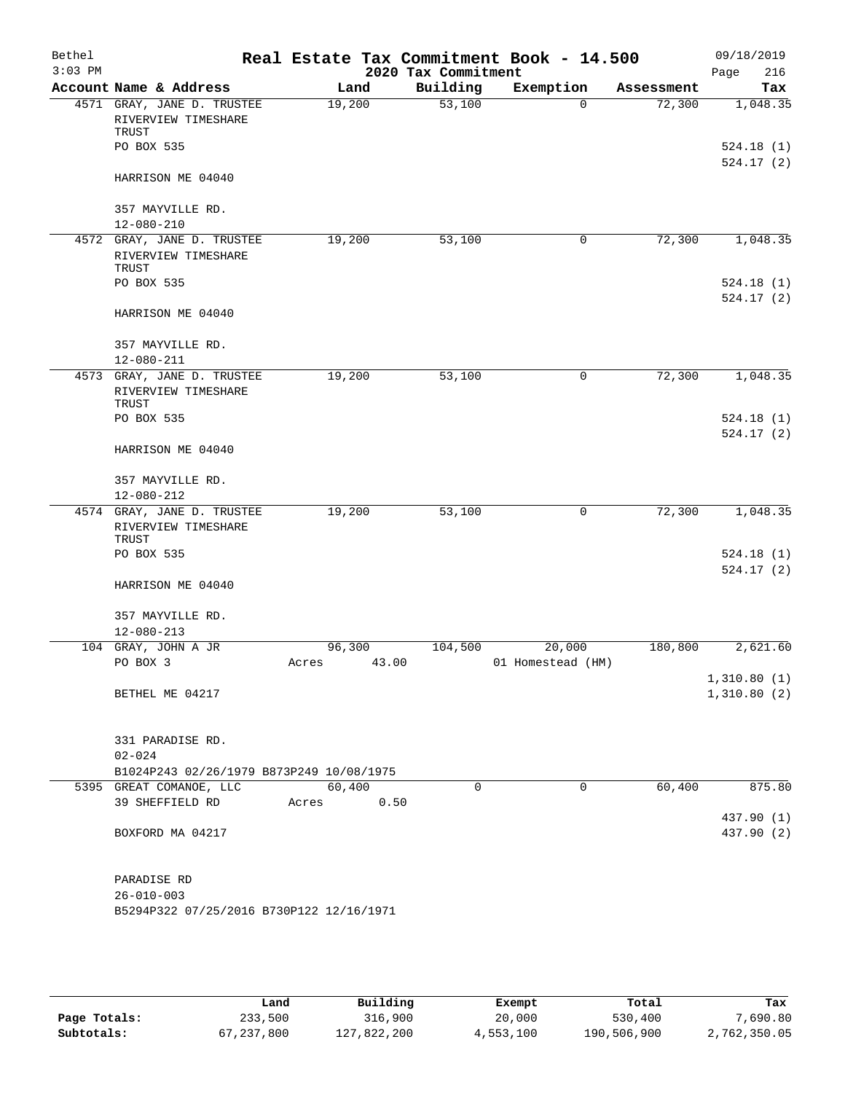| Bethel<br>$3:03$ PM |                                                                             | Real Estate Tax Commitment Book - 14.500 | 2020 Tax Commitment |                   |            | 09/18/2019<br>216<br>Page |
|---------------------|-----------------------------------------------------------------------------|------------------------------------------|---------------------|-------------------|------------|---------------------------|
|                     | Account Name & Address                                                      | Land                                     | Building            | Exemption         | Assessment | Tax                       |
|                     | 4571 GRAY, JANE D. TRUSTEE<br>RIVERVIEW TIMESHARE<br>TRUST<br>PO BOX 535    | 19,200                                   | 53,100              | $\Omega$          | 72,300     | 1,048.35<br>524.18(1)     |
|                     | HARRISON ME 04040                                                           |                                          |                     |                   |            | 524.17(2)                 |
|                     | 357 MAYVILLE RD.                                                            |                                          |                     |                   |            |                           |
|                     | $12 - 080 - 210$                                                            |                                          |                     |                   |            |                           |
|                     | 4572 GRAY, JANE D. TRUSTEE<br>RIVERVIEW TIMESHARE<br>TRUST<br>PO BOX 535    | 19,200                                   | 53,100              | 0                 | 72,300     | 1,048.35<br>524.18(1)     |
|                     | HARRISON ME 04040                                                           |                                          |                     |                   |            | 524.17(2)                 |
|                     | 357 MAYVILLE RD.<br>$12 - 080 - 211$                                        |                                          |                     |                   |            |                           |
|                     | 4573 GRAY, JANE D. TRUSTEE                                                  | 19,200                                   | 53,100              | 0                 | 72,300     | 1,048.35                  |
|                     | RIVERVIEW TIMESHARE<br>TRUST                                                |                                          |                     |                   |            |                           |
|                     | PO BOX 535                                                                  |                                          |                     |                   |            | 524.18(1)<br>524.17(2)    |
|                     | HARRISON ME 04040                                                           |                                          |                     |                   |            |                           |
|                     | 357 MAYVILLE RD.                                                            |                                          |                     |                   |            |                           |
|                     | $12 - 080 - 212$                                                            |                                          |                     |                   |            |                           |
|                     | 4574 GRAY, JANE D. TRUSTEE<br>RIVERVIEW TIMESHARE<br>TRUST                  | 19,200                                   | 53,100              | 0                 | 72,300     | 1,048.35                  |
|                     | PO BOX 535                                                                  |                                          |                     |                   |            | 524.18(1)<br>524.17(2)    |
|                     | HARRISON ME 04040                                                           |                                          |                     |                   |            |                           |
|                     | 357 MAYVILLE RD.<br>$12 - 080 - 213$                                        |                                          |                     |                   |            |                           |
|                     | 104 GRAY, JOHN A JR                                                         | 96,300                                   | 104,500             | 20,000            | 180,800    | 2,621.60                  |
|                     | PO BOX 3                                                                    | 43.00<br>Acres                           |                     | 01 Homestead (HM) |            | 1,310.80(1)               |
|                     | BETHEL ME 04217                                                             |                                          |                     |                   |            | 1,310.80(2)               |
|                     | 331 PARADISE RD.<br>$02 - 024$                                              |                                          |                     |                   |            |                           |
|                     | B1024P243 02/26/1979 B873P249 10/08/1975                                    |                                          |                     |                   |            |                           |
|                     | 5395 GREAT COMANOE, LLC<br>39 SHEFFIELD RD                                  | 60,400<br>0.50<br>Acres                  | 0                   | 0                 | 60,400     | 875.80                    |
|                     | BOXFORD MA 04217                                                            |                                          |                     |                   |            | 437.90 (1)<br>437.90 (2)  |
|                     | PARADISE RD<br>$26 - 010 - 003$<br>B5294P322 07/25/2016 B730P122 12/16/1971 |                                          |                     |                   |            |                           |
|                     |                                                                             |                                          |                     |                   |            |                           |

|              | Land       | Building    | Exempt    | Total       | Tax          |
|--------------|------------|-------------|-----------|-------------|--------------|
| Page Totals: | 233,500    | 316,900     | 20,000    | 530,400     | 7,690.80     |
| Subtotals:   | 67,237,800 | 127,822,200 | 4,553,100 | 190,506,900 | 2,762,350.05 |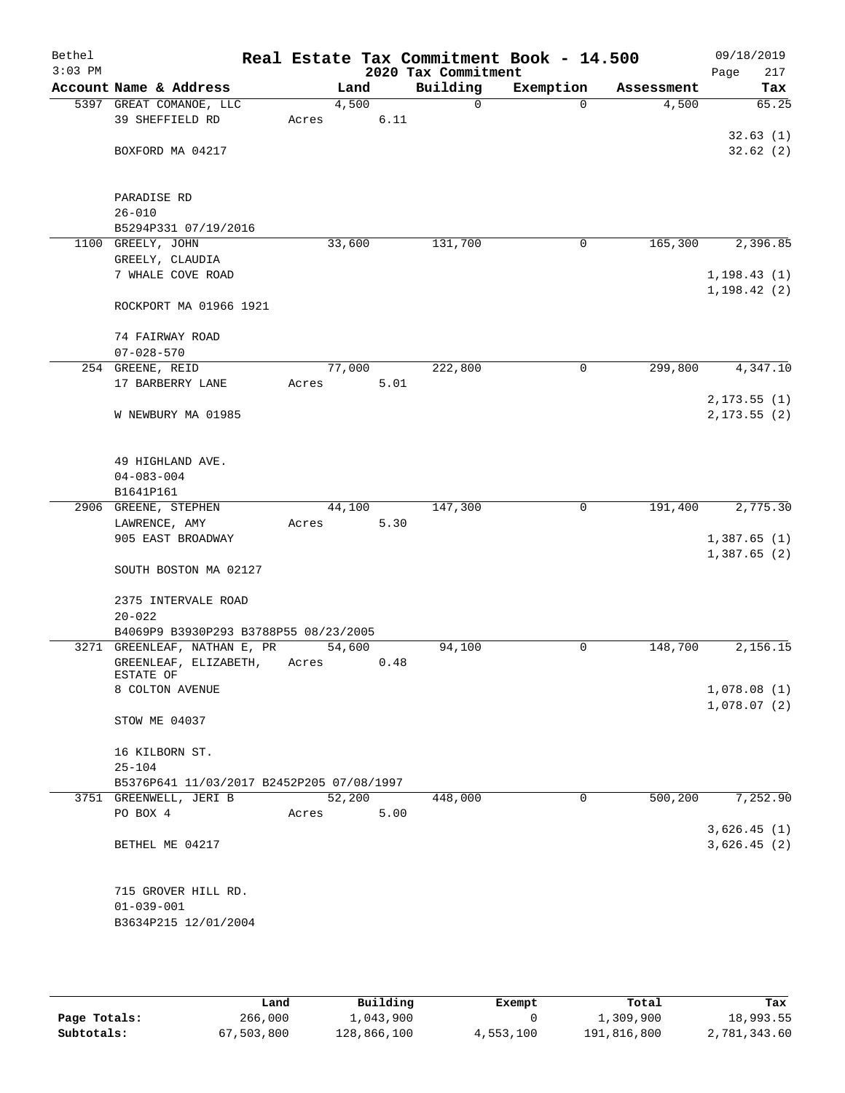| Bethel<br>$3:03$ PM |                                           |                 |      | 2020 Tax Commitment | Real Estate Tax Commitment Book - 14.500 |            | 09/18/2019<br>217<br>Page |
|---------------------|-------------------------------------------|-----------------|------|---------------------|------------------------------------------|------------|---------------------------|
|                     | Account Name & Address                    | Land            |      | Building            | Exemption                                | Assessment | Tax                       |
|                     | 5397 GREAT COMANOE, LLC                   | 4,500           |      | 0                   | $\Omega$                                 | 4,500      | 65.25                     |
|                     | 39 SHEFFIELD RD                           | Acres           | 6.11 |                     |                                          |            |                           |
|                     |                                           |                 |      |                     |                                          |            | 32.63(1)                  |
|                     | BOXFORD MA 04217                          |                 |      |                     |                                          |            | 32.62(2)                  |
|                     |                                           |                 |      |                     |                                          |            |                           |
|                     |                                           |                 |      |                     |                                          |            |                           |
|                     | PARADISE RD                               |                 |      |                     |                                          |            |                           |
|                     | $26 - 010$                                |                 |      |                     |                                          |            |                           |
|                     | B5294P331 07/19/2016                      |                 |      |                     |                                          |            |                           |
|                     | 1100 GREELY, JOHN                         | 33,600          |      | 131,700             | 0                                        | 165,300    | 2,396.85                  |
|                     | GREELY, CLAUDIA                           |                 |      |                     |                                          |            |                           |
|                     | 7 WHALE COVE ROAD                         |                 |      |                     |                                          |            | 1, 198.43(1)              |
|                     |                                           |                 |      |                     |                                          |            | 1, 198.42(2)              |
|                     | ROCKPORT MA 01966 1921                    |                 |      |                     |                                          |            |                           |
|                     |                                           |                 |      |                     |                                          |            |                           |
|                     | 74 FAIRWAY ROAD                           |                 |      |                     |                                          |            |                           |
|                     | $07 - 028 - 570$<br>254 GREENE, REID      |                 |      | 222,800             | $\mathbf 0$                              | 299,800    |                           |
|                     | 17 BARBERRY LANE                          | 77,000<br>Acres | 5.01 |                     |                                          |            | 4,347.10                  |
|                     |                                           |                 |      |                     |                                          |            | 2, 173.55(1)              |
|                     | W NEWBURY MA 01985                        |                 |      |                     |                                          |            | 2, 173.55(2)              |
|                     |                                           |                 |      |                     |                                          |            |                           |
|                     |                                           |                 |      |                     |                                          |            |                           |
|                     | 49 HIGHLAND AVE.                          |                 |      |                     |                                          |            |                           |
|                     | $04 - 083 - 004$                          |                 |      |                     |                                          |            |                           |
|                     | B1641P161                                 |                 |      |                     |                                          |            |                           |
|                     | 2906 GREENE, STEPHEN                      | 44,100          |      | 147,300             | 0                                        | 191,400    | 2,775.30                  |
|                     | LAWRENCE, AMY                             | Acres           | 5.30 |                     |                                          |            |                           |
|                     | 905 EAST BROADWAY                         |                 |      |                     |                                          |            | 1,387.65(1)               |
|                     |                                           |                 |      |                     |                                          |            | 1,387.65 (2)              |
|                     | SOUTH BOSTON MA 02127                     |                 |      |                     |                                          |            |                           |
|                     |                                           |                 |      |                     |                                          |            |                           |
|                     | 2375 INTERVALE ROAD                       |                 |      |                     |                                          |            |                           |
|                     | $20 - 022$                                |                 |      |                     |                                          |            |                           |
|                     | B4069P9 B3930P293 B3788P55 08/23/2005     |                 |      |                     |                                          |            |                           |
|                     | 3271 GREENLEAF, NATHAN E, PR              | 54,600          |      | 94,100              | 0                                        | 148,700    | 2,156.15                  |
|                     | GREENLEAF, ELIZABETH,                     | Acres           | 0.48 |                     |                                          |            |                           |
|                     | ESTATE OF<br>8 COLTON AVENUE              |                 |      |                     |                                          |            | 1,078.08(1)               |
|                     |                                           |                 |      |                     |                                          |            | 1,078.07(2)               |
|                     | STOW ME 04037                             |                 |      |                     |                                          |            |                           |
|                     |                                           |                 |      |                     |                                          |            |                           |
|                     | 16 KILBORN ST.                            |                 |      |                     |                                          |            |                           |
|                     | $25 - 104$                                |                 |      |                     |                                          |            |                           |
|                     | B5376P641 11/03/2017 B2452P205 07/08/1997 |                 |      |                     |                                          |            |                           |
|                     | 3751 GREENWELL, JERI B                    | 52,200          |      | 448,000             | $\mathbf 0$                              | 500,200    | 7,252.90                  |
|                     | PO BOX 4                                  | Acres           | 5.00 |                     |                                          |            |                           |
|                     |                                           |                 |      |                     |                                          |            | 3,626.45(1)               |
|                     | BETHEL ME 04217                           |                 |      |                     |                                          |            | 3,626.45(2)               |
|                     |                                           |                 |      |                     |                                          |            |                           |
|                     |                                           |                 |      |                     |                                          |            |                           |
|                     | 715 GROVER HILL RD.                       |                 |      |                     |                                          |            |                           |
|                     | $01 - 039 - 001$                          |                 |      |                     |                                          |            |                           |
|                     | B3634P215 12/01/2004                      |                 |      |                     |                                          |            |                           |
|                     |                                           |                 |      |                     |                                          |            |                           |

|              | Land       | Building    | Exempt    | Total       | Tax          |
|--------------|------------|-------------|-----------|-------------|--------------|
| Page Totals: | 266,000    | 1,043,900   |           | 1,309,900   | 18,993.55    |
| Subtotals:   | 67,503,800 | 128,866,100 | 4,553,100 | 191,816,800 | 2,781,343.60 |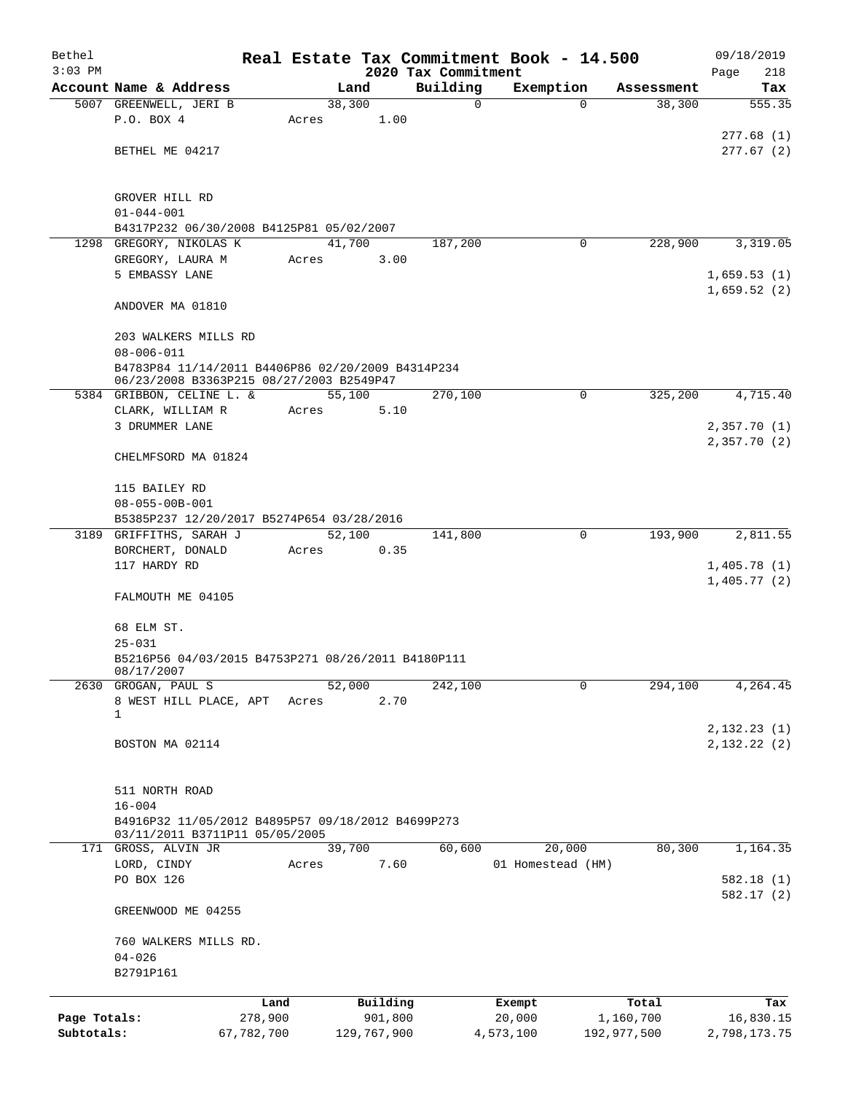| Bethel       |                                                       |            |       |                |             |                     | Real Estate Tax Commitment Book - 14.500 |                                  | 09/18/2019                 |
|--------------|-------------------------------------------------------|------------|-------|----------------|-------------|---------------------|------------------------------------------|----------------------------------|----------------------------|
| $3:03$ PM    |                                                       |            |       |                |             | 2020 Tax Commitment |                                          |                                  | Page<br>218                |
|              | Account Name & Address<br>5007 GREENWELL, JERI B      |            |       | Land<br>38,300 |             | Building<br>0       | Exemption                                | Assessment<br>38,300<br>$\Omega$ | Tax<br>555.35              |
|              | P.O. BOX 4                                            |            | Acres |                | 1.00        |                     |                                          |                                  |                            |
|              |                                                       |            |       |                |             |                     |                                          |                                  | 277.68(1)                  |
|              | BETHEL ME 04217                                       |            |       |                |             |                     |                                          |                                  | 277.67(2)                  |
|              |                                                       |            |       |                |             |                     |                                          |                                  |                            |
|              |                                                       |            |       |                |             |                     |                                          |                                  |                            |
|              | GROVER HILL RD<br>$01 - 044 - 001$                    |            |       |                |             |                     |                                          |                                  |                            |
|              | B4317P232 06/30/2008 B4125P81 05/02/2007              |            |       |                |             |                     |                                          |                                  |                            |
|              | 1298 GREGORY, NIKOLAS K                               |            |       | 41,700         |             | 187,200             |                                          | 228,900<br>0                     | 3,319.05                   |
|              | GREGORY, LAURA M                                      |            | Acres |                | 3.00        |                     |                                          |                                  |                            |
|              | 5 EMBASSY LANE                                        |            |       |                |             |                     |                                          |                                  | 1,659.53(1)                |
|              |                                                       |            |       |                |             |                     |                                          |                                  | 1,659.52(2)                |
|              | ANDOVER MA 01810                                      |            |       |                |             |                     |                                          |                                  |                            |
|              | 203 WALKERS MILLS RD                                  |            |       |                |             |                     |                                          |                                  |                            |
|              | $08 - 006 - 011$                                      |            |       |                |             |                     |                                          |                                  |                            |
|              | B4783P84 11/14/2011 B4406P86 02/20/2009 B4314P234     |            |       |                |             |                     |                                          |                                  |                            |
|              | 06/23/2008 B3363P215 08/27/2003 B2549P47              |            |       |                |             |                     |                                          |                                  |                            |
|              | 5384 GRIBBON, CELINE L. &                             |            |       | 55,100         |             | 270,100             |                                          | 325,200<br>0                     | 4,715.40                   |
|              | CLARK, WILLIAM R                                      |            | Acres |                | 5.10        |                     |                                          |                                  |                            |
|              | 3 DRUMMER LANE                                        |            |       |                |             |                     |                                          |                                  | 2,357.70(1)                |
|              |                                                       |            |       |                |             |                     |                                          |                                  | 2,357.70(2)                |
|              | CHELMFSORD MA 01824                                   |            |       |                |             |                     |                                          |                                  |                            |
|              | 115 BAILEY RD                                         |            |       |                |             |                     |                                          |                                  |                            |
|              | $08 - 055 - 00B - 001$                                |            |       |                |             |                     |                                          |                                  |                            |
|              | B5385P237 12/20/2017 B5274P654 03/28/2016             |            |       |                |             |                     |                                          |                                  |                            |
|              | 3189 GRIFFITHS, SARAH J                               |            |       | 52,100         |             | 141,800             |                                          | 0<br>193,900                     | 2,811.55                   |
|              | BORCHERT, DONALD                                      |            | Acres |                | 0.35        |                     |                                          |                                  |                            |
|              | 117 HARDY RD                                          |            |       |                |             |                     |                                          |                                  | 1,405.78(1)                |
|              |                                                       |            |       |                |             |                     |                                          |                                  | 1,405.77(2)                |
|              | FALMOUTH ME 04105                                     |            |       |                |             |                     |                                          |                                  |                            |
|              |                                                       |            |       |                |             |                     |                                          |                                  |                            |
|              | 68 ELM ST.<br>$25 - 031$                              |            |       |                |             |                     |                                          |                                  |                            |
|              | B5216P56 04/03/2015 B4753P271 08/26/2011 B4180P111    |            |       |                |             |                     |                                          |                                  |                            |
|              | 08/17/2007                                            |            |       |                |             |                     |                                          |                                  |                            |
| 2630         | GROGAN, PAUL S                                        |            |       | 52,000         |             | 242,100             |                                          | $\mathbf 0$<br>294,100           | 4,264.45                   |
|              | 8 WEST HILL PLACE, APT                                |            | Acres |                | 2.70        |                     |                                          |                                  |                            |
|              | 1                                                     |            |       |                |             |                     |                                          |                                  |                            |
|              | BOSTON MA 02114                                       |            |       |                |             |                     |                                          |                                  | 2,132.23(1)<br>2,132.22(2) |
|              |                                                       |            |       |                |             |                     |                                          |                                  |                            |
|              |                                                       |            |       |                |             |                     |                                          |                                  |                            |
|              | 511 NORTH ROAD                                        |            |       |                |             |                     |                                          |                                  |                            |
|              | $16 - 004$                                            |            |       |                |             |                     |                                          |                                  |                            |
|              | B4916P32 11/05/2012 B4895P57 09/18/2012 B4699P273     |            |       |                |             |                     |                                          |                                  |                            |
|              | 03/11/2011 B3711P11 05/05/2005<br>171 GROSS, ALVIN JR |            |       | 39,700         |             | 60,600              | 20,000                                   | 80,300                           | 1,164.35                   |
|              | LORD, CINDY                                           |            | Acres |                | 7.60        |                     | 01 Homestead (HM)                        |                                  |                            |
|              | PO BOX 126                                            |            |       |                |             |                     |                                          |                                  | 582.18(1)                  |
|              |                                                       |            |       |                |             |                     |                                          |                                  | 582.17 (2)                 |
|              | GREENWOOD ME 04255                                    |            |       |                |             |                     |                                          |                                  |                            |
|              |                                                       |            |       |                |             |                     |                                          |                                  |                            |
|              | 760 WALKERS MILLS RD.<br>$04 - 026$                   |            |       |                |             |                     |                                          |                                  |                            |
|              | B2791P161                                             |            |       |                |             |                     |                                          |                                  |                            |
|              |                                                       |            |       |                |             |                     |                                          |                                  |                            |
|              |                                                       | Land       |       |                | Building    |                     | Exempt                                   | Total                            | Tax                        |
| Page Totals: |                                                       | 278,900    |       |                | 901,800     |                     | 20,000                                   | 1,160,700                        | 16,830.15                  |
| Subtotals:   |                                                       | 67,782,700 |       |                | 129,767,900 |                     | 4,573,100                                | 192,977,500                      | 2,798,173.75               |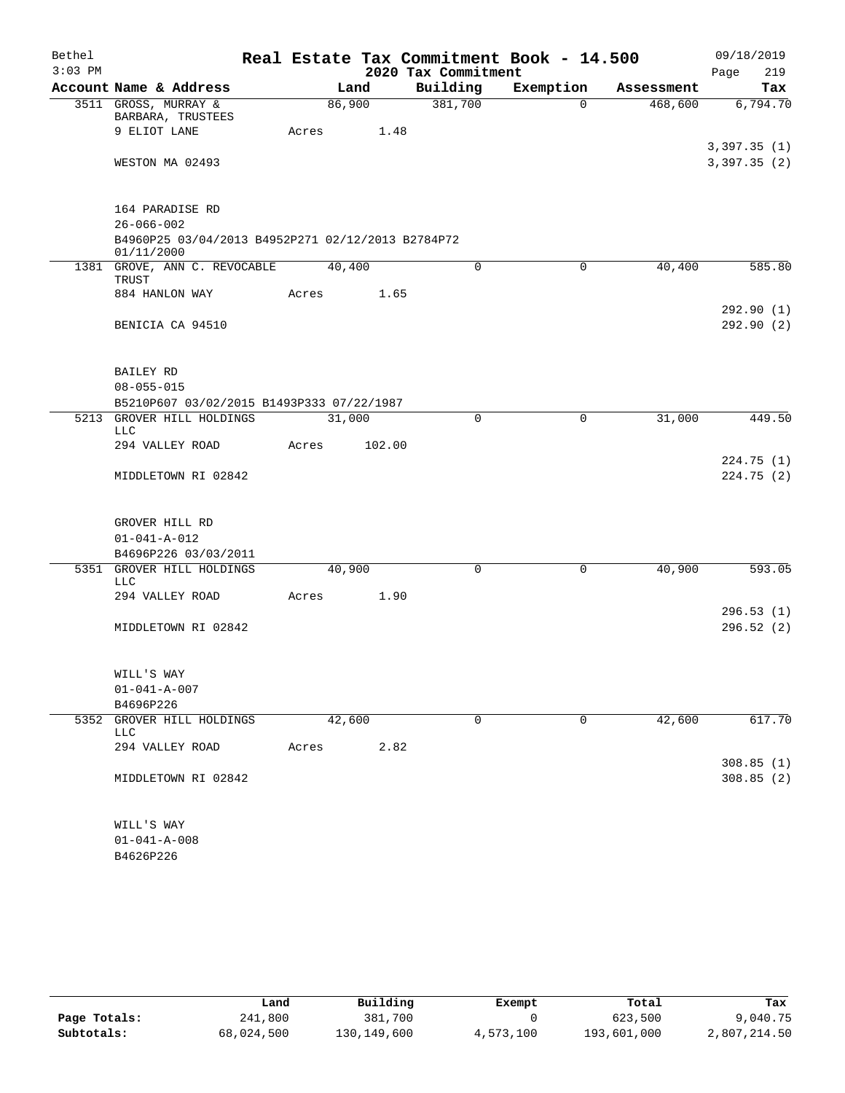| Bethel    |                                                                 |       |        |                     | Real Estate Tax Commitment Book - 14.500 |            | 09/18/2019  |
|-----------|-----------------------------------------------------------------|-------|--------|---------------------|------------------------------------------|------------|-------------|
| $3:03$ PM |                                                                 |       |        | 2020 Tax Commitment |                                          |            | 219<br>Page |
|           | Account Name & Address                                          |       | Land   | Building            | Exemption                                | Assessment | Tax         |
|           | 3511 GROSS, MURRAY &<br>BARBARA, TRUSTEES                       |       | 86,900 | 381,700             | $\Omega$                                 | 468,600    | 6,794.70    |
|           | 9 ELIOT LANE                                                    | Acres | 1.48   |                     |                                          |            |             |
|           | WESTON MA 02493                                                 |       |        |                     |                                          |            | 3,397.35(1) |
|           |                                                                 |       |        |                     |                                          |            | 3,397.35(2) |
|           | 164 PARADISE RD                                                 |       |        |                     |                                          |            |             |
|           | $26 - 066 - 002$                                                |       |        |                     |                                          |            |             |
|           | B4960P25 03/04/2013 B4952P271 02/12/2013 B2784P72<br>01/11/2000 |       |        |                     |                                          |            |             |
|           | 1381 GROVE, ANN C. REVOCABLE<br>TRUST                           |       | 40,400 | $\mathbf 0$         | 0                                        | 40,400     | 585.80      |
|           | 884 HANLON WAY                                                  | Acres | 1.65   |                     |                                          |            |             |
|           |                                                                 |       |        |                     |                                          |            | 292.90 (1)  |
|           | BENICIA CA 94510                                                |       |        |                     |                                          |            | 292.90(2)   |
|           | BAILEY RD                                                       |       |        |                     |                                          |            |             |
|           | $08 - 055 - 015$                                                |       |        |                     |                                          |            |             |
|           | B5210P607 03/02/2015 B1493P333 07/22/1987                       |       |        |                     |                                          |            |             |
| 5213      | GROVER HILL HOLDINGS<br><b>LLC</b>                              |       | 31,000 | $\mathbf 0$         | 0                                        | 31,000     | 449.50      |
|           | 294 VALLEY ROAD                                                 | Acres | 102.00 |                     |                                          |            |             |
|           |                                                                 |       |        |                     |                                          |            | 224.75(1)   |
|           | MIDDLETOWN RI 02842                                             |       |        |                     |                                          |            | 224.75 (2)  |
|           | GROVER HILL RD                                                  |       |        |                     |                                          |            |             |
|           | $01 - 041 - A - 012$                                            |       |        |                     |                                          |            |             |
|           | B4696P226 03/03/2011                                            |       |        |                     |                                          |            |             |
|           | 5351 GROVER HILL HOLDINGS<br><b>LLC</b>                         |       | 40,900 | $\Omega$            | 0                                        | 40,900     | 593.05      |
|           | 294 VALLEY ROAD                                                 | Acres | 1.90   |                     |                                          |            | 296.53(1)   |
|           | MIDDLETOWN RI 02842                                             |       |        |                     |                                          |            | 296.52 (2)  |
|           |                                                                 |       |        |                     |                                          |            |             |
|           | WILL'S WAY<br>$01 - 041 - A - 007$                              |       |        |                     |                                          |            |             |
|           | B4696P226                                                       |       |        |                     |                                          |            |             |
| 5352      | GROVER HILL HOLDINGS                                            |       | 42,600 | 0                   | 0                                        | 42,600     | 617.70      |
|           | <b>LLC</b>                                                      |       |        |                     |                                          |            |             |
|           | 294 VALLEY ROAD                                                 | Acres | 2.82   |                     |                                          |            | 308.85(1)   |
|           | MIDDLETOWN RI 02842                                             |       |        |                     |                                          |            | 308.85(2)   |
|           |                                                                 |       |        |                     |                                          |            |             |
|           | WILL'S WAY                                                      |       |        |                     |                                          |            |             |
|           | $01 - 041 - A - 008$                                            |       |        |                     |                                          |            |             |
|           | B4626P226                                                       |       |        |                     |                                          |            |             |

|              | Land       | Building    | Exempt    | Total       | Tax          |
|--------------|------------|-------------|-----------|-------------|--------------|
| Page Totals: | 241,800    | 381,700     |           | 623,500     | 9,040.75     |
| Subtotals:   | 68,024,500 | 130,149,600 | 4,573,100 | 193,601,000 | 2,807,214.50 |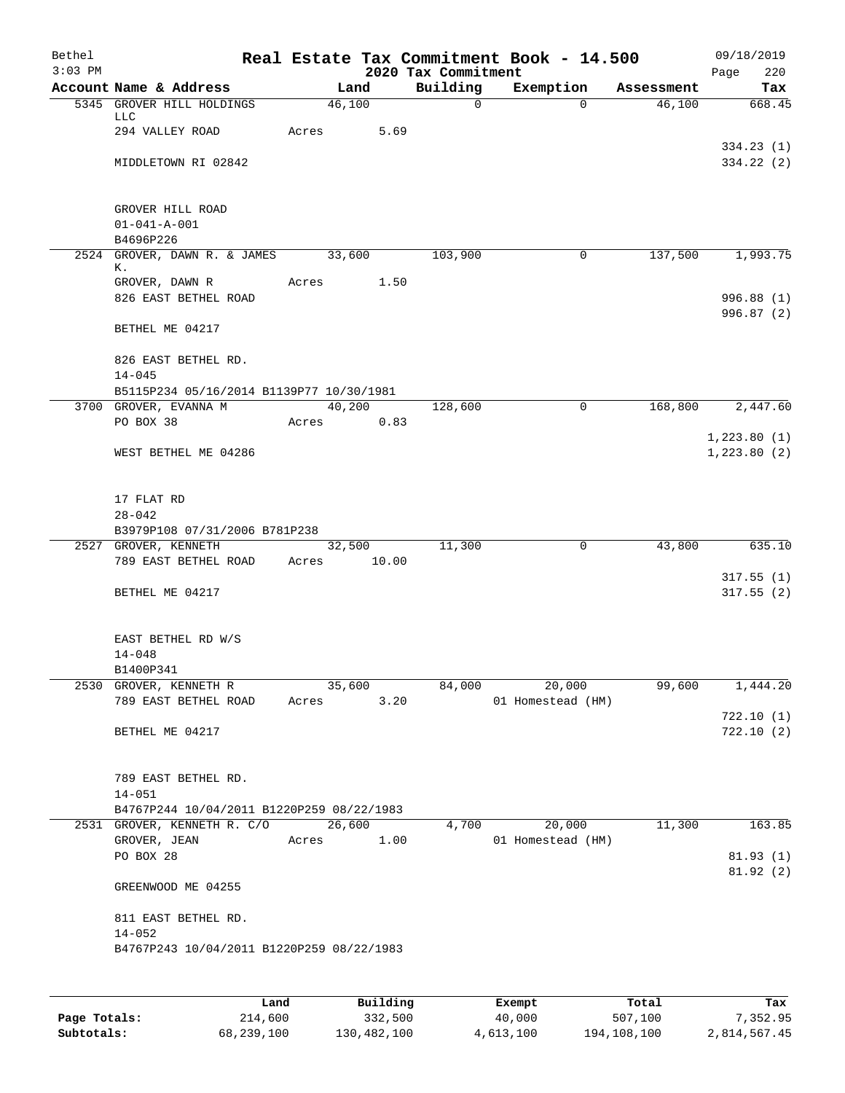| Bethel<br>$3:03$ PM |                                                |             |                | 2020 Tax Commitment | Real Estate Tax Commitment Book - 14.500 |            | 09/18/2019<br>Page<br>220 |
|---------------------|------------------------------------------------|-------------|----------------|---------------------|------------------------------------------|------------|---------------------------|
|                     | Account Name & Address                         |             | Land           | Building            | Exemption                                | Assessment | Tax                       |
|                     | 5345 GROVER HILL HOLDINGS                      |             | 46,100         | $\mathbf 0$         | $\Omega$                                 | 46,100     | 668.45                    |
|                     | LLC<br>294 VALLEY ROAD                         | Acres       | 5.69           |                     |                                          |            |                           |
|                     |                                                |             |                |                     |                                          |            | 334.23(1)                 |
|                     | MIDDLETOWN RI 02842                            |             |                |                     |                                          |            | 334.22(2)                 |
|                     |                                                |             |                |                     |                                          |            |                           |
|                     |                                                |             |                |                     |                                          |            |                           |
|                     | GROVER HILL ROAD<br>$01 - 041 - A - 001$       |             |                |                     |                                          |            |                           |
|                     | B4696P226                                      |             |                |                     |                                          |            |                           |
|                     | 2524 GROVER, DAWN R. & JAMES 33,600            |             |                | 103,900             | 0                                        | 137,500    | 1,993.75                  |
|                     | К.                                             |             |                |                     |                                          |            |                           |
|                     | GROVER, DAWN R                                 | Acres       | 1.50           |                     |                                          |            |                           |
|                     | 826 EAST BETHEL ROAD                           |             |                |                     |                                          |            | 996.88(1)<br>996.87(2)    |
|                     | BETHEL ME 04217                                |             |                |                     |                                          |            |                           |
|                     | 826 EAST BETHEL RD.                            |             |                |                     |                                          |            |                           |
|                     | $14 - 045$                                     |             |                |                     |                                          |            |                           |
|                     | B5115P234 05/16/2014 B1139P77 10/30/1981       |             |                |                     |                                          |            |                           |
|                     | 3700 GROVER, EVANNA M                          |             | 40,200         | 128,600             | $\mathbf 0$                              | 168,800    | 2,447.60                  |
|                     | PO BOX 38                                      | Acres       | 0.83           |                     |                                          |            | 1,223.80(1)               |
|                     | WEST BETHEL ME 04286                           |             |                |                     |                                          |            | 1,223.80(2)               |
|                     |                                                |             |                |                     |                                          |            |                           |
|                     |                                                |             |                |                     |                                          |            |                           |
|                     | 17 FLAT RD                                     |             |                |                     |                                          |            |                           |
|                     | $28 - 042$<br>B3979P108 07/31/2006 B781P238    |             |                |                     |                                          |            |                           |
|                     | 2527 GROVER, KENNETH                           |             | 32,500         | 11,300              | $\mathbf 0$                              | 43,800     | 635.10                    |
|                     | 789 EAST BETHEL ROAD                           | Acres 10.00 |                |                     |                                          |            |                           |
|                     |                                                |             |                |                     |                                          |            | 317.55(1)                 |
|                     | BETHEL ME 04217                                |             |                |                     |                                          |            | 317.55(2)                 |
|                     |                                                |             |                |                     |                                          |            |                           |
|                     | EAST BETHEL RD W/S                             |             |                |                     |                                          |            |                           |
|                     | $14 - 048$                                     |             |                |                     |                                          |            |                           |
|                     | B1400P341                                      |             |                |                     |                                          |            |                           |
|                     | 2530 GROVER, KENNETH R<br>789 EAST BETHEL ROAD | Acres       | 35,600<br>3.20 | 84,000              | 20,000<br>01 Homestead (HM)              | 99,600     | 1, 444.20                 |
|                     |                                                |             |                |                     |                                          |            | 722.10(1)                 |
|                     | BETHEL ME 04217                                |             |                |                     |                                          |            | 722.10(2)                 |
|                     |                                                |             |                |                     |                                          |            |                           |
|                     |                                                |             |                |                     |                                          |            |                           |
|                     | 789 EAST BETHEL RD.<br>$14 - 051$              |             |                |                     |                                          |            |                           |
|                     | B4767P244 10/04/2011 B1220P259 08/22/1983      |             |                |                     |                                          |            |                           |
|                     | 2531 GROVER, KENNETH R. C/O 26,600             |             |                | 4,700               | 20,000                                   | 11,300     | 163.85                    |
|                     | GROVER, JEAN                                   | Acres       | 1.00           |                     | 01 Homestead (HM)                        |            |                           |
|                     | PO BOX 28                                      |             |                |                     |                                          |            | 81.93(1)                  |
|                     | GREENWOOD ME 04255                             |             |                |                     |                                          |            | 81.92(2)                  |
|                     | 811 EAST BETHEL RD.                            |             |                |                     |                                          |            |                           |
|                     | $14 - 052$                                     |             |                |                     |                                          |            |                           |
|                     | B4767P243 10/04/2011 B1220P259 08/22/1983      |             |                |                     |                                          |            |                           |
|                     |                                                |             |                |                     |                                          |            |                           |
|                     |                                                |             |                |                     |                                          |            |                           |

|              | Land       | Building    | Exempt    | Total       | Tax          |
|--------------|------------|-------------|-----------|-------------|--------------|
| Page Totals: | 214,600    | 332,500     | 40,000    | 507,100     | 7,352.95     |
| Subtotals:   | 68,239,100 | 130,482,100 | 4,613,100 | 194,108,100 | 2,814,567.45 |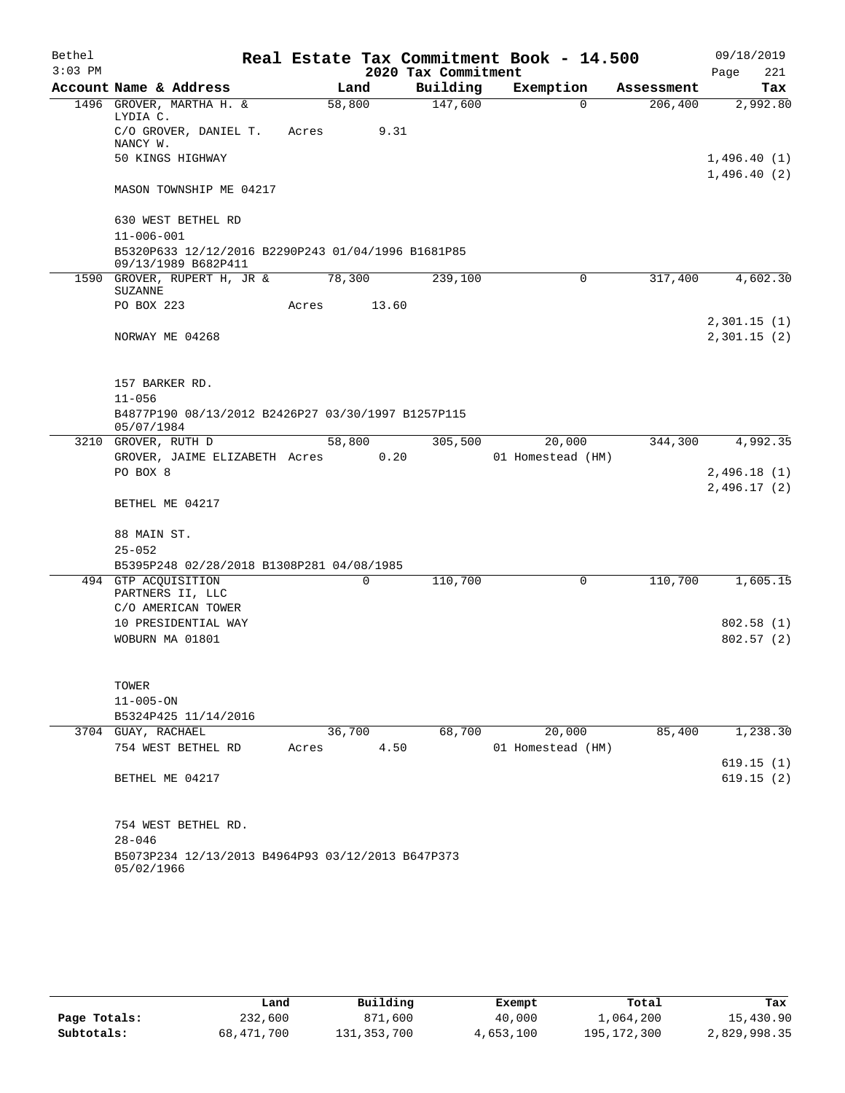| Bethel    |                                                                           |        |       |                     | Real Estate Tax Commitment Book - 14.500 |            | 09/18/2019             |
|-----------|---------------------------------------------------------------------------|--------|-------|---------------------|------------------------------------------|------------|------------------------|
| $3:03$ PM |                                                                           |        |       | 2020 Tax Commitment |                                          |            | Page<br>221            |
|           | Account Name & Address                                                    |        | Land  | Building            | Exemption                                | Assessment | Tax                    |
|           | 1496 GROVER, MARTHA H. &<br>LYDIA C.                                      | 58,800 |       | 147,600             | $\Omega$                                 | 206,400    | 2,992.80               |
|           | C/O GROVER, DANIEL T.<br>NANCY W.                                         | Acres  | 9.31  |                     |                                          |            |                        |
|           | 50 KINGS HIGHWAY                                                          |        |       |                     |                                          |            | 1,496.40(1)            |
|           | MASON TOWNSHIP ME 04217                                                   |        |       |                     |                                          |            | 1,496.40(2)            |
|           | 630 WEST BETHEL RD                                                        |        |       |                     |                                          |            |                        |
|           | $11 - 006 - 001$                                                          |        |       |                     |                                          |            |                        |
|           | B5320P633 12/12/2016 B2290P243 01/04/1996 B1681P85<br>09/13/1989 B682P411 |        |       |                     |                                          |            |                        |
|           | 1590 GROVER, RUPERT H, JR &<br><b>SUZANNE</b>                             | 78,300 |       | 239,100             | 0                                        | 317,400    | 4,602.30               |
|           | PO BOX 223                                                                | Acres  | 13.60 |                     |                                          |            | 2,301.15(1)            |
|           | NORWAY ME 04268                                                           |        |       |                     |                                          |            | 2,301.15(2)            |
|           | 157 BARKER RD.                                                            |        |       |                     |                                          |            |                        |
|           | $11 - 056$                                                                |        |       |                     |                                          |            |                        |
|           | B4877P190 08/13/2012 B2426P27 03/30/1997 B1257P115                        |        |       |                     |                                          |            |                        |
|           | 05/07/1984                                                                |        |       |                     |                                          |            |                        |
|           | 3210 GROVER, RUTH D                                                       | 58,800 |       | 305,500             | 20,000                                   | 344,300    | 4,992.35               |
|           | GROVER, JAIME ELIZABETH Acres                                             |        | 0.20  |                     | 01 Homestead (HM)                        |            |                        |
|           | PO BOX 8                                                                  |        |       |                     |                                          |            | 2,496.18 (1)           |
|           | BETHEL ME 04217                                                           |        |       |                     |                                          |            | 2,496.17(2)            |
|           | 88 MAIN ST.                                                               |        |       |                     |                                          |            |                        |
|           | $25 - 052$                                                                |        |       |                     |                                          |            |                        |
|           | B5395P248 02/28/2018 B1308P281 04/08/1985                                 |        |       |                     |                                          |            |                        |
|           | 494 GTP ACQUISITION                                                       |        | 0     | 110,700             | 0                                        | 110,700    | 1,605.15               |
|           | PARTNERS II, LLC                                                          |        |       |                     |                                          |            |                        |
|           | C/O AMERICAN TOWER                                                        |        |       |                     |                                          |            |                        |
|           | 10 PRESIDENTIAL WAY                                                       |        |       |                     |                                          |            | 802.58 (1)             |
|           | WOBURN MA 01801                                                           |        |       |                     |                                          |            | 802.57(2)              |
|           | TOWER                                                                     |        |       |                     |                                          |            |                        |
|           | $11 - 005 - ON$                                                           |        |       |                     |                                          |            |                        |
|           | B5324P425 11/14/2016                                                      |        |       |                     |                                          |            |                        |
|           | 3704 GUAY, RACHAEL                                                        | 36,700 |       | 68,700              | 20,000                                   | 85,400     | 1,238.30               |
|           | 754 WEST BETHEL RD                                                        | Acres  | 4.50  |                     | 01 Homestead (HM)                        |            |                        |
|           | BETHEL ME 04217                                                           |        |       |                     |                                          |            | 619.15(1)<br>619.15(2) |
|           |                                                                           |        |       |                     |                                          |            |                        |
|           | 754 WEST BETHEL RD.                                                       |        |       |                     |                                          |            |                        |
|           | $28 - 046$<br>B5073P234 12/13/2013 B4964P93 03/12/2013 B647P373           |        |       |                     |                                          |            |                        |
|           | 05/02/1966                                                                |        |       |                     |                                          |            |                        |

|              | Land       | Building    | Exempt    | Total         | Tax          |
|--------------|------------|-------------|-----------|---------------|--------------|
| Page Totals: | 232,600    | 871,600     | 40,000    | 1,064,200     | 15,430.90    |
| Subtotals:   | 68,471,700 | 131,353,700 | 4,653,100 | 195, 172, 300 | 2,829,998.35 |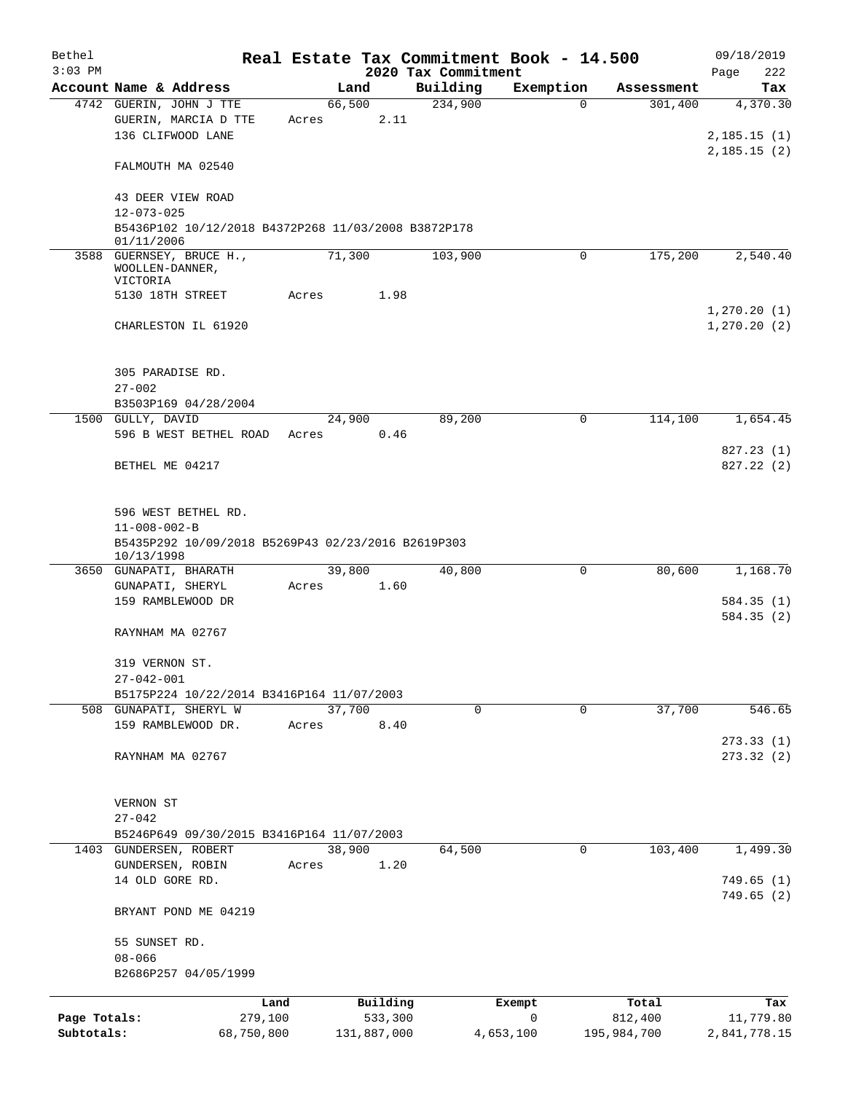| Bethel                     |                                                                                                   |       |                        |                     | Real Estate Tax Commitment Book - 14.500 |                        | 09/18/2019                |
|----------------------------|---------------------------------------------------------------------------------------------------|-------|------------------------|---------------------|------------------------------------------|------------------------|---------------------------|
| $3:03$ PM                  |                                                                                                   |       |                        | 2020 Tax Commitment |                                          |                        | Page<br>222               |
|                            | Account Name & Address                                                                            |       | Land                   | Building            | Exemption                                | Assessment             | Tax                       |
|                            | 4742 GUERIN, JOHN J TTE<br>GUERIN, MARCIA D TTE<br>136 CLIFWOOD LANE                              | Acres | 66,500<br>2.11         | 234,900             | $\Omega$                                 | 301,400                | 4,370.30<br>2, 185.15(1)  |
|                            | FALMOUTH MA 02540                                                                                 |       |                        |                     |                                          |                        | 2,185.15(2)               |
|                            | 43 DEER VIEW ROAD<br>$12 - 073 - 025$                                                             |       |                        |                     |                                          |                        |                           |
|                            | B5436P102 10/12/2018 B4372P268 11/03/2008 B3872P178<br>01/11/2006                                 |       |                        |                     |                                          |                        |                           |
|                            | 3588 GUERNSEY, BRUCE H.,<br>WOOLLEN-DANNER,<br>VICTORIA                                           |       | 71,300                 | 103,900             | 0                                        | 175,200                | 2,540.40                  |
|                            | 5130 18TH STREET                                                                                  | Acres | 1.98                   |                     |                                          |                        | 1, 270.20(1)              |
|                            | CHARLESTON IL 61920                                                                               |       |                        |                     |                                          |                        | 1, 270.20(2)              |
|                            | 305 PARADISE RD.<br>$27 - 002$                                                                    |       |                        |                     |                                          |                        |                           |
|                            | B3503P169 04/28/2004                                                                              |       |                        |                     |                                          |                        |                           |
|                            | 1500 GULLY, DAVID<br>596 B WEST BETHEL ROAD                                                       | Acres | 24,900<br>0.46         | 89,200              | 0                                        | 114,100                | 1,654.45                  |
|                            | BETHEL ME 04217                                                                                   |       |                        |                     |                                          |                        | 827.23(1)<br>827.22(2)    |
|                            | 596 WEST BETHEL RD.<br>$11 - 008 - 002 - B$<br>B5435P292 10/09/2018 B5269P43 02/23/2016 B2619P303 |       |                        |                     |                                          |                        |                           |
|                            | 10/13/1998<br>3650 GUNAPATI, BHARATH                                                              |       | 39,800                 | 40,800              | 0                                        | 80,600                 | 1,168.70                  |
|                            | GUNAPATI, SHERYL                                                                                  | Acres | 1.60                   |                     |                                          |                        |                           |
|                            | 159 RAMBLEWOOD DR                                                                                 |       |                        |                     |                                          |                        | 584.35(1)<br>584.35(2)    |
|                            | RAYNHAM MA 02767                                                                                  |       |                        |                     |                                          |                        |                           |
|                            | 319 VERNON ST.<br>$27 - 042 - 001$                                                                |       |                        |                     |                                          |                        |                           |
|                            | B5175P224 10/22/2014 B3416P164 11/07/2003                                                         |       |                        |                     |                                          |                        |                           |
|                            | 508 GUNAPATI, SHERYL W<br>159 RAMBLEWOOD DR.                                                      | Acres | 37,700<br>8.40         | 0                   | $\Omega$                                 | 37,700                 | 546.65                    |
|                            | RAYNHAM MA 02767                                                                                  |       |                        |                     |                                          |                        | 273.33(1)<br>273.32(2)    |
|                            | VERNON ST                                                                                         |       |                        |                     |                                          |                        |                           |
|                            | $27 - 042$<br>B5246P649 09/30/2015 B3416P164 11/07/2003                                           |       |                        |                     |                                          |                        |                           |
| 1403                       | GUNDERSEN, ROBERT                                                                                 |       | 38,900                 | 64,500              | 0                                        | 103,400                | 1,499.30                  |
|                            | GUNDERSEN, ROBIN<br>14 OLD GORE RD.                                                               | Acres | 1.20                   |                     |                                          |                        | 749.65(1)                 |
|                            | BRYANT POND ME 04219                                                                              |       |                        |                     |                                          |                        | 749.65(2)                 |
|                            | 55 SUNSET RD.<br>$08 - 066$                                                                       |       |                        |                     |                                          |                        |                           |
|                            | B2686P257 04/05/1999                                                                              |       |                        |                     |                                          |                        |                           |
|                            | Land                                                                                              |       | Building               |                     | Exempt                                   | Total                  | Tax                       |
| Page Totals:<br>Subtotals: | 279,100<br>68,750,800                                                                             |       | 533,300<br>131,887,000 |                     | 0<br>4,653,100                           | 812,400<br>195,984,700 | 11,779.80<br>2,841,778.15 |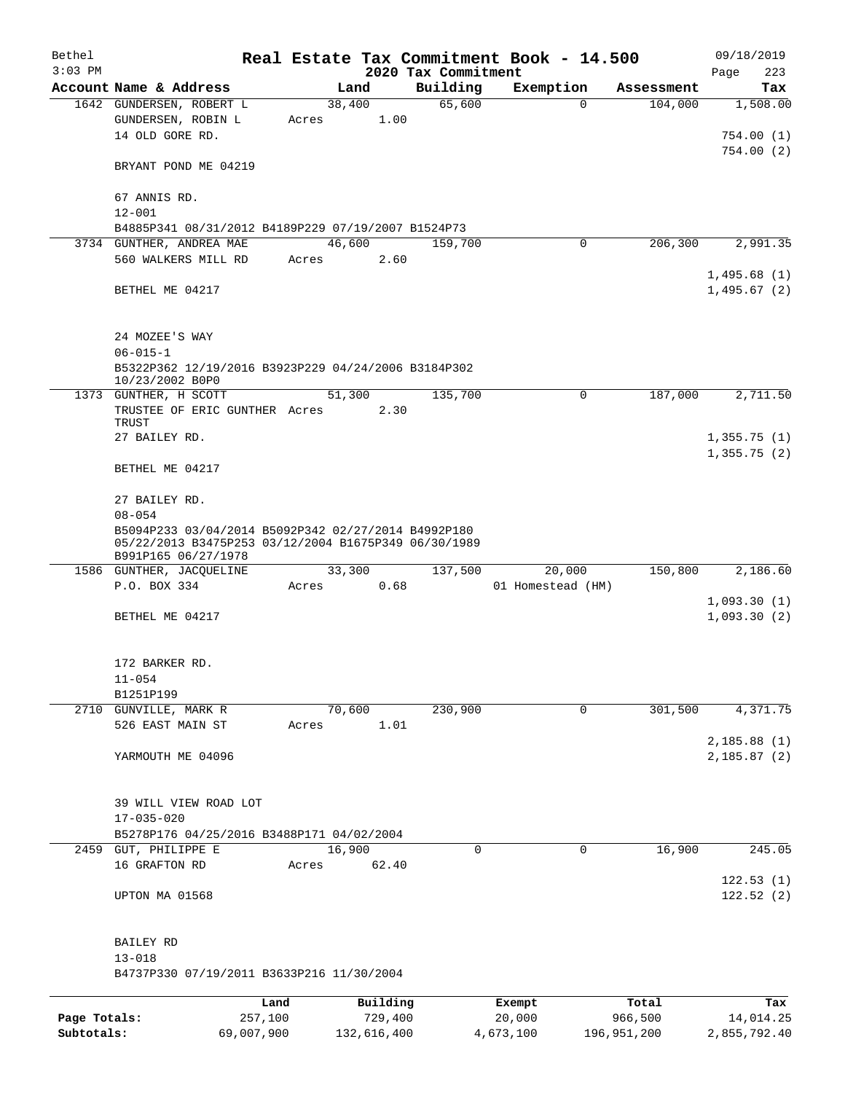| Bethel       |                                                                                                                                    |       |                |                                 | Real Estate Tax Commitment Book - 14.500 |            | 09/18/2019                 |
|--------------|------------------------------------------------------------------------------------------------------------------------------------|-------|----------------|---------------------------------|------------------------------------------|------------|----------------------------|
| $3:03$ PM    | Account Name & Address                                                                                                             |       | Land           | 2020 Tax Commitment<br>Building | Exemption                                | Assessment | Page<br>223                |
|              | 1642 GUNDERSEN, ROBERT L                                                                                                           |       | 38,400         | 65,600                          | $\Omega$                                 | 104,000    | Tax<br>1,508.00            |
|              | GUNDERSEN, ROBIN L<br>14 OLD GORE RD.                                                                                              | Acres | 1.00           |                                 |                                          |            | 754.00(1)<br>754.00(2)     |
|              | BRYANT POND ME 04219                                                                                                               |       |                |                                 |                                          |            |                            |
|              | 67 ANNIS RD.<br>$12 - 001$                                                                                                         |       |                |                                 |                                          |            |                            |
|              | B4885P341 08/31/2012 B4189P229 07/19/2007 B1524P73                                                                                 |       |                |                                 |                                          |            |                            |
|              | 3734 GUNTHER, ANDREA MAE                                                                                                           |       | 46,600         | 159,700                         | $\mathbf 0$                              | 206,300    | 2,991.35                   |
|              | 560 WALKERS MILL RD                                                                                                                | Acres | 2.60           |                                 |                                          |            |                            |
|              | BETHEL ME 04217                                                                                                                    |       |                |                                 |                                          |            | 1,495.68(1)<br>1,495.67(2) |
|              | 24 MOZEE'S WAY<br>$06 - 015 - 1$                                                                                                   |       |                |                                 |                                          |            |                            |
|              | B5322P362 12/19/2016 B3923P229 04/24/2006 B3184P302<br>10/23/2002 B0P0                                                             |       |                |                                 |                                          |            |                            |
|              | 1373 GUNTHER, H SCOTT<br>TRUSTEE OF ERIC GUNTHER Acres                                                                             |       | 51,300<br>2.30 | 135,700                         | $\mathbf 0$                              | 187,000    | 2,711.50                   |
|              | TRUST                                                                                                                              |       |                |                                 |                                          |            |                            |
|              | 27 BAILEY RD.                                                                                                                      |       |                |                                 |                                          |            | 1,355.75(1)                |
|              | BETHEL ME 04217                                                                                                                    |       |                |                                 |                                          |            | 1,355.75(2)                |
|              | 27 BAILEY RD.<br>$08 - 054$                                                                                                        |       |                |                                 |                                          |            |                            |
|              | B5094P233 03/04/2014 B5092P342 02/27/2014 B4992P180<br>05/22/2013 B3475P253 03/12/2004 B1675P349 06/30/1989<br>B991P165 06/27/1978 |       |                |                                 |                                          |            |                            |
|              | 1586 GUNTHER, JACQUELINE                                                                                                           |       | 33,300         | 137,500                         | 20,000                                   | 150,800    | 2,186.60                   |
|              | P.O. BOX 334                                                                                                                       | Acres | 0.68           |                                 | 01 Homestead (HM)                        |            |                            |
|              | BETHEL ME 04217                                                                                                                    |       |                |                                 |                                          |            | 1,093.30(1)<br>1,093.30(2) |
|              | 172 BARKER RD.<br>$11 - 054$                                                                                                       |       |                |                                 |                                          |            |                            |
|              | B1251P199                                                                                                                          |       |                |                                 |                                          |            |                            |
|              | 2710 GUNVILLE, MARK R                                                                                                              |       | 70,600         | 230,900                         | 0                                        | 301,500    | 4,371.75                   |
|              | 526 EAST MAIN ST                                                                                                                   | Acres | 1.01           |                                 |                                          |            |                            |
|              |                                                                                                                                    |       |                |                                 |                                          |            | 2,185.88(1)                |
|              | YARMOUTH ME 04096                                                                                                                  |       |                |                                 |                                          |            | 2,185.87(2)                |
|              | 39 WILL VIEW ROAD LOT                                                                                                              |       |                |                                 |                                          |            |                            |
|              | $17 - 035 - 020$                                                                                                                   |       |                |                                 |                                          |            |                            |
| 2459         | B5278P176 04/25/2016 B3488P171 04/02/2004<br>GUT, PHILIPPE E                                                                       |       | 16,900         | $\mathbf 0$                     | $\mathbf 0$                              | 16,900     | 245.05                     |
|              | 16 GRAFTON RD                                                                                                                      | Acres | 62.40          |                                 |                                          |            |                            |
|              | UPTON MA 01568                                                                                                                     |       |                |                                 |                                          |            | 122.53(1)<br>122.52(2)     |
|              | BAILEY RD<br>$13 - 018$                                                                                                            |       |                |                                 |                                          |            |                            |
|              | B4737P330 07/19/2011 B3633P216 11/30/2004                                                                                          |       |                |                                 |                                          |            |                            |
|              | Land                                                                                                                               |       | Building       |                                 | Exempt                                   | Total      | Tax                        |
| Page Totals: | 257,100                                                                                                                            |       | 729,400        |                                 | 20,000                                   | 966,500    | 14,014.25                  |

**Subtotals:** 69,007,900 132,616,400 4,673,100 196,951,200 2,855,792.40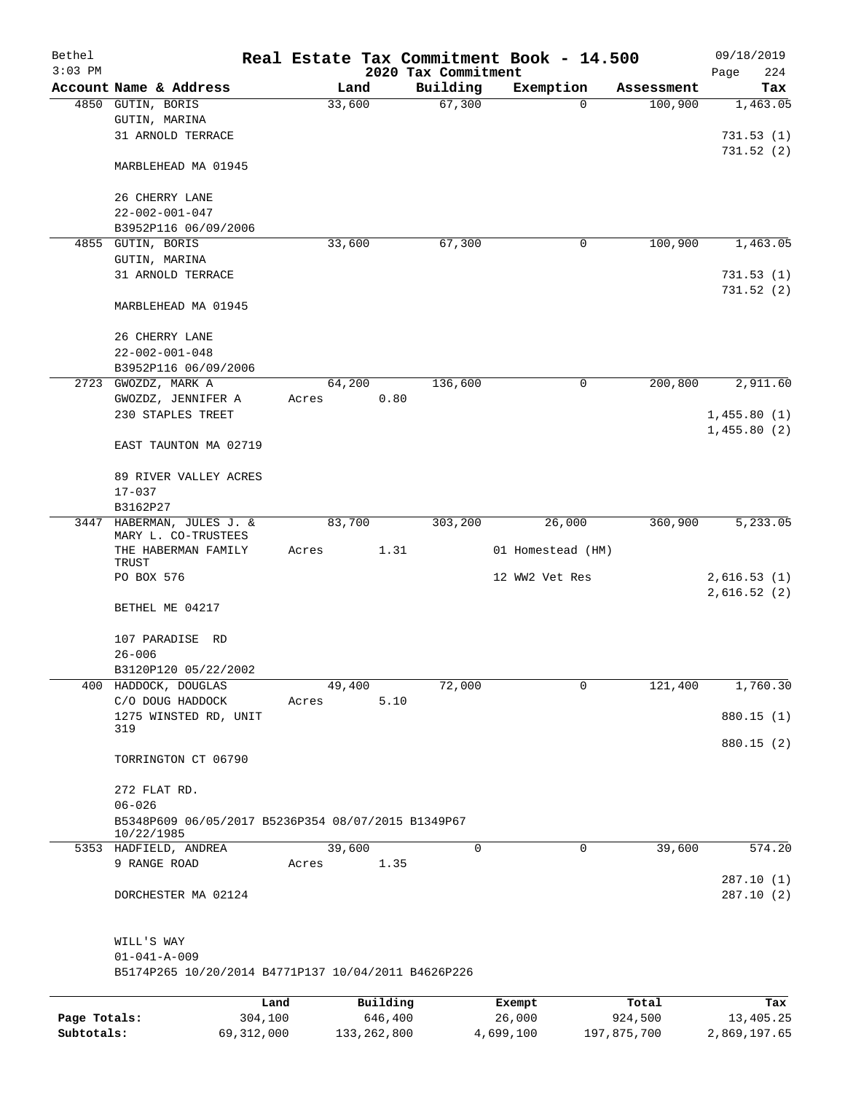| Bethel       |                                                                  |       |                     |                     | Real Estate Tax Commitment Book - 14.500 |                       | 09/18/2019              |
|--------------|------------------------------------------------------------------|-------|---------------------|---------------------|------------------------------------------|-----------------------|-------------------------|
| $3:03$ PM    |                                                                  |       |                     | 2020 Tax Commitment |                                          |                       | Page<br>224             |
|              | Account Name & Address                                           |       | Land<br>33,600      | Building<br>67,300  | Exemption<br>0                           | Assessment<br>100,900 | Tax<br>1,463.05         |
|              | 4850 GUTIN, BORIS<br>GUTIN, MARINA                               |       |                     |                     |                                          |                       |                         |
|              | 31 ARNOLD TERRACE                                                |       |                     |                     |                                          |                       | 731.53(1)               |
|              |                                                                  |       |                     |                     |                                          |                       | 731.52(2)               |
|              | MARBLEHEAD MA 01945                                              |       |                     |                     |                                          |                       |                         |
|              | 26 CHERRY LANE                                                   |       |                     |                     |                                          |                       |                         |
|              | $22 - 002 - 001 - 047$                                           |       |                     |                     |                                          |                       |                         |
|              | B3952P116 06/09/2006                                             |       |                     |                     |                                          |                       |                         |
|              | 4855 GUTIN, BORIS                                                |       | 33,600              | 67,300              | 0                                        | 100,900               | 1,463.05                |
|              | GUTIN, MARINA                                                    |       |                     |                     |                                          |                       |                         |
|              | 31 ARNOLD TERRACE                                                |       |                     |                     |                                          |                       | 731.53(1)<br>731.52 (2) |
|              | MARBLEHEAD MA 01945                                              |       |                     |                     |                                          |                       |                         |
|              | 26 CHERRY LANE                                                   |       |                     |                     |                                          |                       |                         |
|              | $22 - 002 - 001 - 048$                                           |       |                     |                     |                                          |                       |                         |
|              | B3952P116 06/09/2006                                             |       |                     |                     |                                          |                       |                         |
|              | 2723 GWOZDZ, MARK A                                              |       | 64,200              | 136,600             | 0                                        | 200,800               | 2,911.60                |
|              | GWOZDZ, JENNIFER A                                               | Acres | 0.80                |                     |                                          |                       |                         |
|              | 230 STAPLES TREET                                                |       |                     |                     |                                          |                       | 1,455.80(1)             |
|              | EAST TAUNTON MA 02719                                            |       |                     |                     |                                          |                       | 1,455.80(2)             |
|              | 89 RIVER VALLEY ACRES                                            |       |                     |                     |                                          |                       |                         |
|              | $17 - 037$                                                       |       |                     |                     |                                          |                       |                         |
|              | B3162P27                                                         |       |                     |                     |                                          |                       |                         |
|              | 3447 HABERMAN, JULES J. &<br>MARY L. CO-TRUSTEES                 |       | 83,700              | 303,200             | 26,000                                   | 360,900               | 5,233.05                |
|              | THE HABERMAN FAMILY<br>TRUST                                     | Acres | 1.31                |                     | 01 Homestead (HM)                        |                       |                         |
|              | PO BOX 576                                                       |       |                     |                     | 12 WW2 Vet Res                           |                       | 2,616.53(1)             |
|              | BETHEL ME 04217                                                  |       |                     |                     |                                          |                       | 2,616.52(2)             |
|              | 107 PARADISE RD                                                  |       |                     |                     |                                          |                       |                         |
|              | $26 - 006$                                                       |       |                     |                     |                                          |                       |                         |
|              | B3120P120 05/22/2002                                             |       |                     |                     |                                          |                       |                         |
| 400          | HADDOCK, DOUGLAS                                                 |       | 49,400              | 72,000              | 0                                        | 121,400               | 1,760.30                |
|              | C/O DOUG HADDOCK                                                 | Acres | 5.10                |                     |                                          |                       |                         |
|              | 1275 WINSTED RD, UNIT<br>319                                     |       |                     |                     |                                          |                       | 880.15 (1)              |
|              | TORRINGTON CT 06790                                              |       |                     |                     |                                          |                       | 880.15 (2)              |
|              | 272 FLAT RD.                                                     |       |                     |                     |                                          |                       |                         |
|              | $06 - 026$                                                       |       |                     |                     |                                          |                       |                         |
|              | B5348P609 06/05/2017 B5236P354 08/07/2015 B1349P67<br>10/22/1985 |       |                     |                     |                                          |                       |                         |
|              | 5353 HADFIELD, ANDREA                                            |       | 39,600              | 0                   | 0                                        | 39,600                | 574.20                  |
|              | 9 RANGE ROAD                                                     | Acres | 1.35                |                     |                                          |                       |                         |
|              | DORCHESTER MA 02124                                              |       |                     |                     |                                          |                       | 287.10 (1)<br>287.10(2) |
|              | WILL'S WAY                                                       |       |                     |                     |                                          |                       |                         |
|              | $01 - 041 - A - 009$                                             |       |                     |                     |                                          |                       |                         |
|              | B5174P265 10/20/2014 B4771P137 10/04/2011 B4626P226              |       |                     |                     |                                          |                       |                         |
|              |                                                                  |       |                     |                     |                                          |                       |                         |
| Page Totals: | Land<br>304,100                                                  |       | Building<br>646,400 |                     | Exempt<br>26,000                         | Total<br>924,500      | Tax<br>13,405.25        |
|              |                                                                  |       |                     |                     |                                          |                       |                         |

**Subtotals:** 69,312,000 133,262,800 4,699,100 197,875,700 2,869,197.65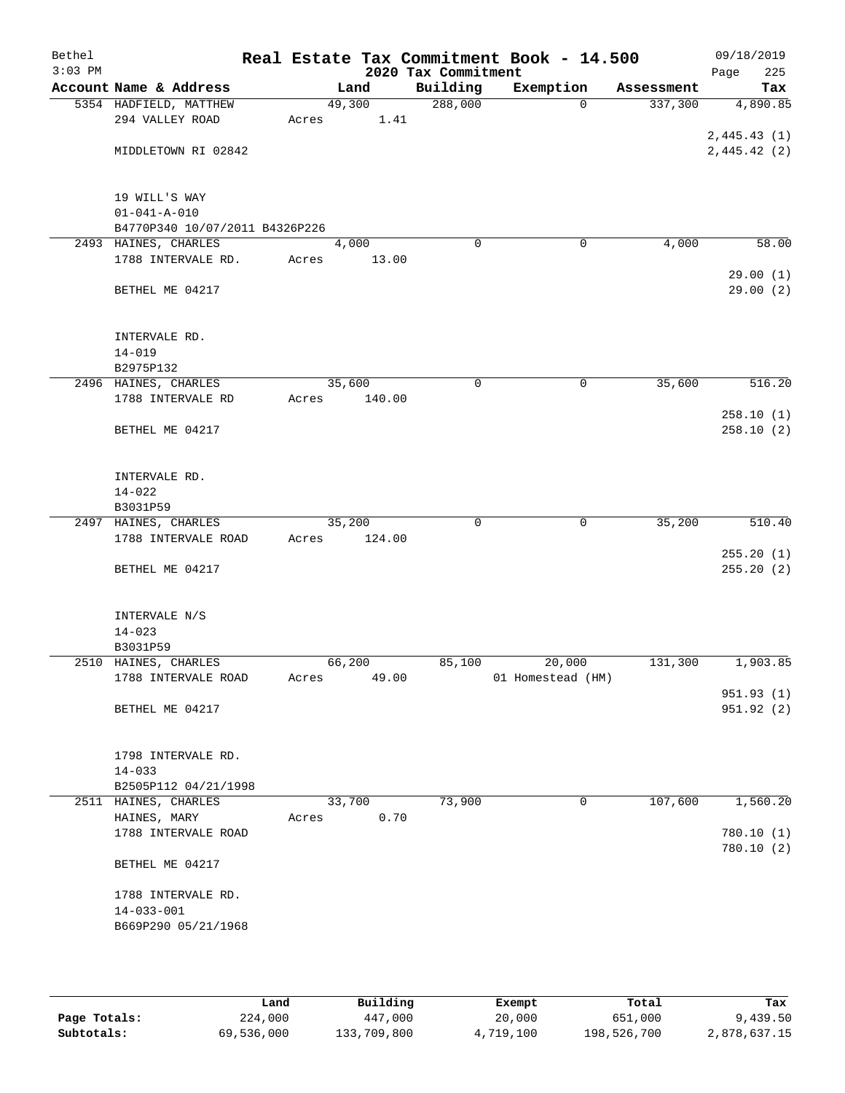| Bethel<br>$3:03$ PM |                                       |       |        | 2020 Tax Commitment | Real Estate Tax Commitment Book - 14.500 |            | 09/18/2019<br>Page<br>225 |
|---------------------|---------------------------------------|-------|--------|---------------------|------------------------------------------|------------|---------------------------|
|                     | Account Name & Address                |       | Land   | Building            | Exemption                                | Assessment | Tax                       |
|                     | 5354 HADFIELD, MATTHEW                |       | 49,300 | 288,000             | $\Omega$                                 | 337,300    | 4,890.85                  |
|                     | 294 VALLEY ROAD                       | Acres | 1.41   |                     |                                          |            |                           |
|                     |                                       |       |        |                     |                                          |            | 2,445.43(1)               |
|                     | MIDDLETOWN RI 02842                   |       |        |                     |                                          |            | 2,445.42 (2)              |
|                     |                                       |       |        |                     |                                          |            |                           |
|                     |                                       |       |        |                     |                                          |            |                           |
|                     | 19 WILL'S WAY<br>$01 - 041 - A - 010$ |       |        |                     |                                          |            |                           |
|                     | B4770P340 10/07/2011 B4326P226        |       |        |                     |                                          |            |                           |
|                     | 2493 HAINES, CHARLES                  |       | 4,000  | $\Omega$            | 0                                        | 4,000      | 58.00                     |
|                     | 1788 INTERVALE RD.                    | Acres | 13.00  |                     |                                          |            |                           |
|                     |                                       |       |        |                     |                                          |            | 29.00(1)                  |
|                     | BETHEL ME 04217                       |       |        |                     |                                          |            | 29.00(2)                  |
|                     |                                       |       |        |                     |                                          |            |                           |
|                     |                                       |       |        |                     |                                          |            |                           |
|                     | INTERVALE RD.                         |       |        |                     |                                          |            |                           |
|                     | $14 - 019$                            |       |        |                     |                                          |            |                           |
|                     | B2975P132                             |       |        |                     |                                          |            |                           |
|                     | 2496 HAINES, CHARLES                  |       | 35,600 | 0                   | 0                                        | 35,600     | 516.20                    |
|                     | 1788 INTERVALE RD                     | Acres | 140.00 |                     |                                          |            |                           |
|                     |                                       |       |        |                     |                                          |            | 258.10(1)                 |
|                     | BETHEL ME 04217                       |       |        |                     |                                          |            | 258.10(2)                 |
|                     |                                       |       |        |                     |                                          |            |                           |
|                     | INTERVALE RD.                         |       |        |                     |                                          |            |                           |
|                     | $14 - 022$                            |       |        |                     |                                          |            |                           |
|                     | B3031P59                              |       |        |                     |                                          |            |                           |
|                     | 2497 HAINES, CHARLES                  |       | 35,200 | $\mathbf 0$         | $\mathbf 0$                              | 35,200     | 510.40                    |
|                     | 1788 INTERVALE ROAD                   | Acres | 124.00 |                     |                                          |            |                           |
|                     |                                       |       |        |                     |                                          |            | 255.20(1)                 |
|                     | BETHEL ME 04217                       |       |        |                     |                                          |            | 255.20(2)                 |
|                     |                                       |       |        |                     |                                          |            |                           |
|                     |                                       |       |        |                     |                                          |            |                           |
|                     | INTERVALE N/S                         |       |        |                     |                                          |            |                           |
|                     | $14 - 023$                            |       |        |                     |                                          |            |                           |
|                     | B3031P59<br>2510 HAINES, CHARLES      |       | 66,200 | 85,100              | 20,000                                   | 131,300    | 1,903.85                  |
|                     | 1788 INTERVALE ROAD                   | Acres | 49.00  |                     | 01 Homestead (HM)                        |            |                           |
|                     |                                       |       |        |                     |                                          |            | 951.93(1)                 |
|                     | BETHEL ME 04217                       |       |        |                     |                                          |            | 951.92(2)                 |
|                     |                                       |       |        |                     |                                          |            |                           |
|                     |                                       |       |        |                     |                                          |            |                           |
|                     | 1798 INTERVALE RD.                    |       |        |                     |                                          |            |                           |
|                     | $14 - 033$                            |       |        |                     |                                          |            |                           |
|                     | B2505P112 04/21/1998                  |       |        |                     |                                          |            |                           |
|                     | 2511 HAINES, CHARLES                  |       | 33,700 | 73,900              | 0                                        | 107,600    | 1,560.20                  |
|                     | HAINES, MARY                          | Acres | 0.70   |                     |                                          |            |                           |
|                     | 1788 INTERVALE ROAD                   |       |        |                     |                                          |            | 780.10(1)                 |
|                     |                                       |       |        |                     |                                          |            | 780.10(2)                 |
|                     | BETHEL ME 04217                       |       |        |                     |                                          |            |                           |
|                     | 1788 INTERVALE RD.                    |       |        |                     |                                          |            |                           |
|                     | $14 - 033 - 001$                      |       |        |                     |                                          |            |                           |
|                     | B669P290 05/21/1968                   |       |        |                     |                                          |            |                           |
|                     |                                       |       |        |                     |                                          |            |                           |
|                     |                                       |       |        |                     |                                          |            |                           |

|              | Land       | Building    | Exempt    | Total       | Tax          |
|--------------|------------|-------------|-----------|-------------|--------------|
| Page Totals: | 224,000    | 447,000     | 20,000    | 651,000     | 9,439.50     |
| Subtotals:   | 69,536,000 | 133,709,800 | 4,719,100 | 198,526,700 | 2,878,637.15 |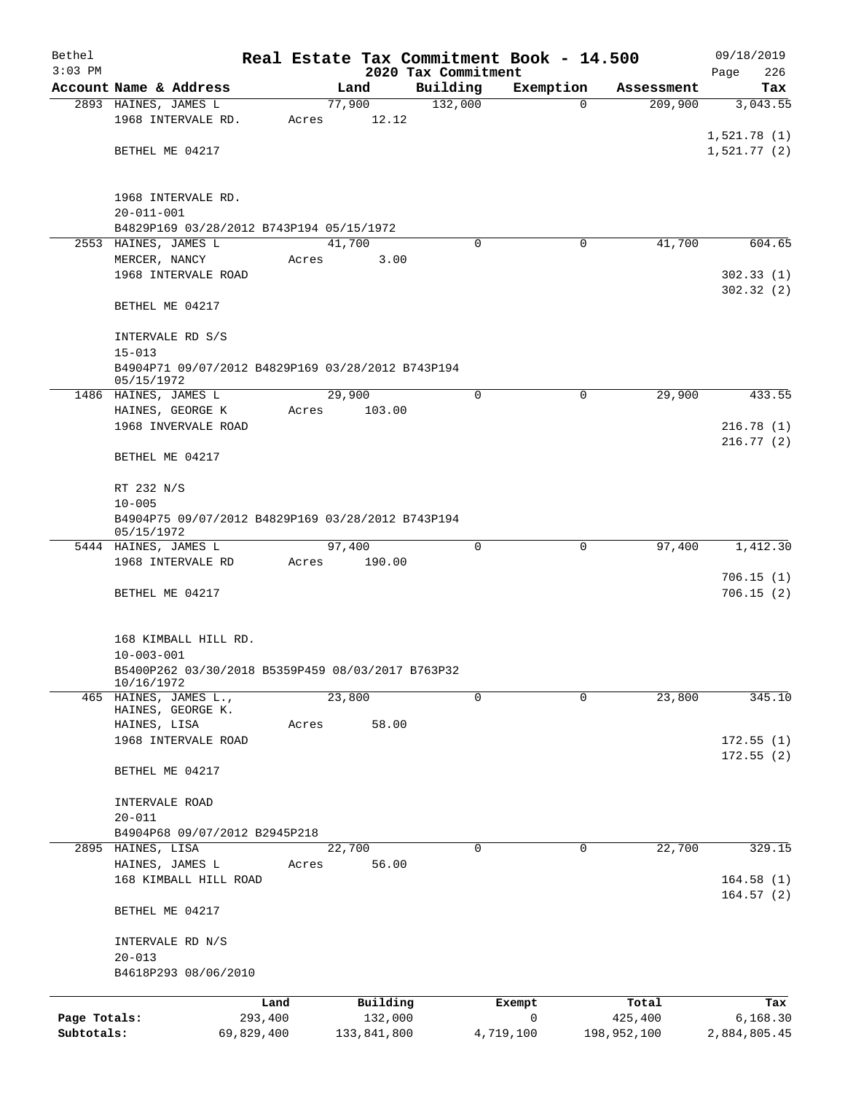| Bethel       |                                                    |         |        |             | Real Estate Tax Commitment Book - 14.500 |                |                       | 09/18/2019      |  |  |
|--------------|----------------------------------------------------|---------|--------|-------------|------------------------------------------|----------------|-----------------------|-----------------|--|--|
| $3:03$ PM    |                                                    |         |        |             | 2020 Tax Commitment                      |                |                       | 226<br>Page     |  |  |
|              | Account Name & Address<br>2893 HAINES, JAMES L     |         | 77,900 | Land        | Building<br>132,000                      | Exemption<br>0 | Assessment<br>209,900 | Tax<br>3,043.55 |  |  |
|              | 1968 INTERVALE RD.                                 | Acres   |        | 12.12       |                                          |                |                       |                 |  |  |
|              |                                                    |         |        |             |                                          |                |                       | 1,521.78(1)     |  |  |
|              | BETHEL ME 04217                                    |         |        |             |                                          |                |                       | 1,521.77(2)     |  |  |
|              |                                                    |         |        |             |                                          |                |                       |                 |  |  |
|              |                                                    |         |        |             |                                          |                |                       |                 |  |  |
|              | 1968 INTERVALE RD.<br>$20 - 011 - 001$             |         |        |             |                                          |                |                       |                 |  |  |
|              | B4829P169 03/28/2012 B743P194 05/15/1972           |         |        |             |                                          |                |                       |                 |  |  |
|              | 2553 HAINES, JAMES L                               |         | 41,700 |             | $\Omega$                                 | 0              | 41,700                | 604.65          |  |  |
|              | MERCER, NANCY                                      | Acres   |        | 3.00        |                                          |                |                       |                 |  |  |
|              | 1968 INTERVALE ROAD                                |         |        |             |                                          |                |                       | 302.33(1)       |  |  |
|              |                                                    |         |        |             |                                          |                |                       | 302.32 (2)      |  |  |
|              | BETHEL ME 04217                                    |         |        |             |                                          |                |                       |                 |  |  |
|              |                                                    |         |        |             |                                          |                |                       |                 |  |  |
|              | INTERVALE RD S/S<br>$15 - 013$                     |         |        |             |                                          |                |                       |                 |  |  |
|              | B4904P71 09/07/2012 B4829P169 03/28/2012 B743P194  |         |        |             |                                          |                |                       |                 |  |  |
|              | 05/15/1972                                         |         |        |             |                                          |                |                       |                 |  |  |
|              | 1486 HAINES, JAMES L                               |         | 29,900 |             | $\mathbf 0$                              | 0              | 29,900                | 433.55          |  |  |
|              | HAINES, GEORGE K                                   | Acres   |        | 103.00      |                                          |                |                       |                 |  |  |
|              | 1968 INVERVALE ROAD                                |         |        |             |                                          |                |                       | 216.78(1)       |  |  |
|              | BETHEL ME 04217                                    |         |        |             |                                          |                |                       | 216.77(2)       |  |  |
|              |                                                    |         |        |             |                                          |                |                       |                 |  |  |
|              | RT 232 N/S                                         |         |        |             |                                          |                |                       |                 |  |  |
|              | $10 - 005$                                         |         |        |             |                                          |                |                       |                 |  |  |
|              | B4904P75 09/07/2012 B4829P169 03/28/2012 B743P194  |         |        |             |                                          |                |                       |                 |  |  |
|              | 05/15/1972<br>5444 HAINES, JAMES L                 |         | 97,400 |             | 0                                        | 0              | 97,400                | 1,412.30        |  |  |
|              | 1968 INTERVALE RD                                  | Acres   |        | 190.00      |                                          |                |                       |                 |  |  |
|              |                                                    |         |        |             |                                          |                |                       | 706.15(1)       |  |  |
|              | BETHEL ME 04217                                    |         |        |             |                                          |                |                       | 706.15(2)       |  |  |
|              |                                                    |         |        |             |                                          |                |                       |                 |  |  |
|              |                                                    |         |        |             |                                          |                |                       |                 |  |  |
|              | 168 KIMBALL HILL RD.<br>$10 - 003 - 001$           |         |        |             |                                          |                |                       |                 |  |  |
|              | B5400P262 03/30/2018 B5359P459 08/03/2017 B763P32  |         |        |             |                                          |                |                       |                 |  |  |
|              | 10/16/1972                                         |         |        |             |                                          |                |                       |                 |  |  |
|              | 465 HAINES, JAMES L.,                              |         | 23,800 |             | $\Omega$                                 | 0              | 23,800                | 345.10          |  |  |
|              | HAINES, GEORGE K.<br>HAINES, LISA                  | Acres   |        | 58.00       |                                          |                |                       |                 |  |  |
|              | 1968 INTERVALE ROAD                                |         |        |             |                                          |                |                       | 172.55(1)       |  |  |
|              |                                                    |         |        |             |                                          |                |                       | 172.55(2)       |  |  |
|              | BETHEL ME 04217                                    |         |        |             |                                          |                |                       |                 |  |  |
|              |                                                    |         |        |             |                                          |                |                       |                 |  |  |
|              | INTERVALE ROAD                                     |         |        |             |                                          |                |                       |                 |  |  |
|              | $20 - 011$                                         |         |        |             |                                          |                |                       |                 |  |  |
|              | B4904P68 09/07/2012 B2945P218<br>2895 HAINES, LISA |         | 22,700 |             | $\Omega$                                 | 0              | 22,700                | 329.15          |  |  |
|              | HAINES, JAMES L                                    | Acres   |        | 56.00       |                                          |                |                       |                 |  |  |
|              | 168 KIMBALL HILL ROAD                              |         |        |             |                                          |                |                       | 164.58(1)       |  |  |
|              |                                                    |         |        |             |                                          |                |                       | 164.57(2)       |  |  |
|              | BETHEL ME 04217                                    |         |        |             |                                          |                |                       |                 |  |  |
|              |                                                    |         |        |             |                                          |                |                       |                 |  |  |
|              | INTERVALE RD N/S<br>$20 - 013$                     |         |        |             |                                          |                |                       |                 |  |  |
|              | B4618P293 08/06/2010                               |         |        |             |                                          |                |                       |                 |  |  |
|              |                                                    |         |        |             |                                          |                |                       |                 |  |  |
|              |                                                    | Land    |        | Building    |                                          | Exempt         | Total                 | Tax             |  |  |
| Page Totals: |                                                    | 293,400 |        | 132,000     |                                          | 0              | 425,400               | 6,168.30        |  |  |
| Subtotals:   | 69,829,400                                         |         |        | 133,841,800 |                                          | 4,719,100      | 198,952,100           | 2,884,805.45    |  |  |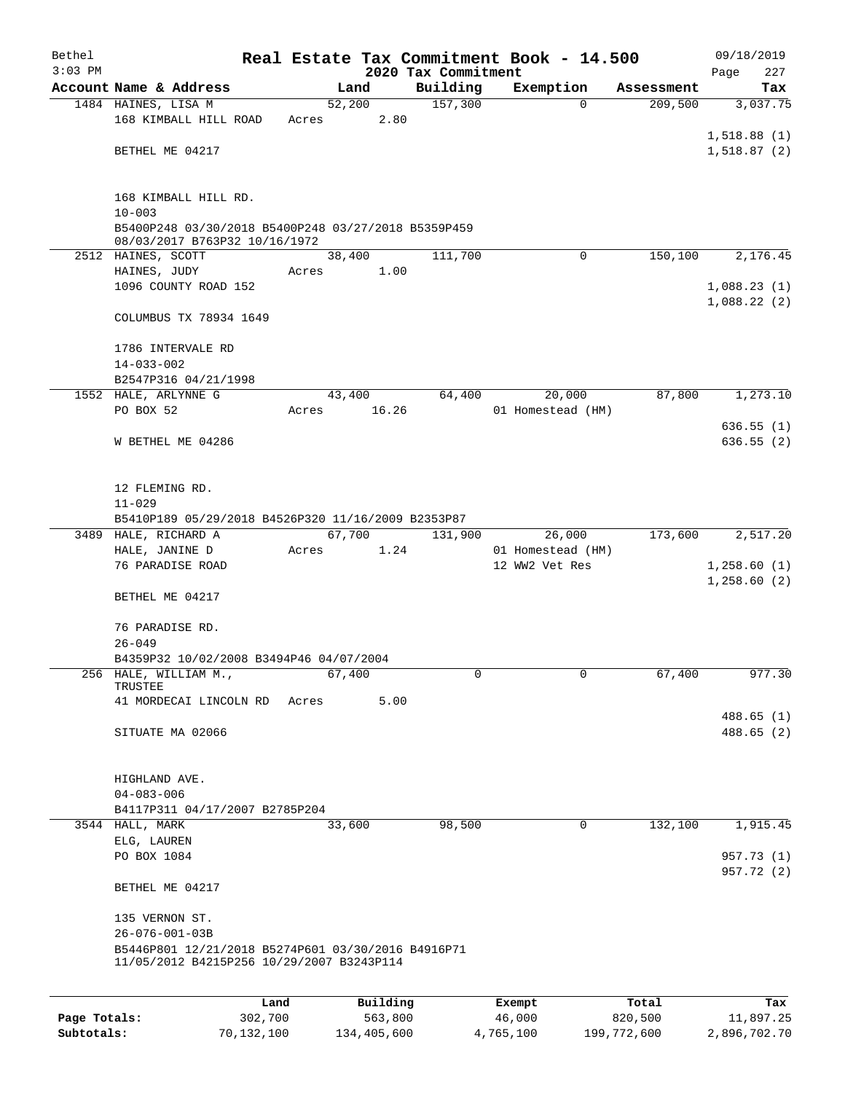| Bethel       |                                                                                                 |            |       |        |             |                     |   | Real Estate Tax Commitment Book - 14.500 |             | 09/18/2019                 |
|--------------|-------------------------------------------------------------------------------------------------|------------|-------|--------|-------------|---------------------|---|------------------------------------------|-------------|----------------------------|
| $3:03$ PM    |                                                                                                 |            |       |        |             | 2020 Tax Commitment |   |                                          |             | Page<br>227                |
|              | Account Name & Address                                                                          |            |       | Land   |             | Building            |   | Exemption                                | Assessment  | Tax                        |
|              | 1484 HAINES, LISA M<br>168 KIMBALL HILL ROAD                                                    |            | Acres | 52,200 | 2.80        | 157,300             |   | $\Omega$                                 | 209,500     | 3,037.75                   |
|              |                                                                                                 |            |       |        |             |                     |   |                                          |             | 1,518.88(1)                |
|              | BETHEL ME 04217                                                                                 |            |       |        |             |                     |   |                                          |             | 1,518.87(2)                |
|              |                                                                                                 |            |       |        |             |                     |   |                                          |             |                            |
|              |                                                                                                 |            |       |        |             |                     |   |                                          |             |                            |
|              | 168 KIMBALL HILL RD.<br>$10 - 003$                                                              |            |       |        |             |                     |   |                                          |             |                            |
|              | B5400P248 03/30/2018 B5400P248 03/27/2018 B5359P459                                             |            |       |        |             |                     |   |                                          |             |                            |
|              | 08/03/2017 B763P32 10/16/1972                                                                   |            |       |        |             |                     |   |                                          |             |                            |
|              | 2512 HAINES, SCOTT                                                                              |            |       | 38,400 |             | 111,700             |   | $\Omega$                                 | 150,100     | 2,176.45                   |
|              | HAINES, JUDY<br>1096 COUNTY ROAD 152                                                            |            | Acres |        | 1.00        |                     |   |                                          |             |                            |
|              |                                                                                                 |            |       |        |             |                     |   |                                          |             | 1,088.23(1)<br>1,088.22(2) |
|              | COLUMBUS TX 78934 1649                                                                          |            |       |        |             |                     |   |                                          |             |                            |
|              | 1786 INTERVALE RD                                                                               |            |       |        |             |                     |   |                                          |             |                            |
|              | $14 - 033 - 002$                                                                                |            |       |        |             |                     |   |                                          |             |                            |
|              | B2547P316 04/21/1998                                                                            |            |       |        |             |                     |   |                                          |             |                            |
|              | 1552 HALE, ARLYNNE G                                                                            |            |       | 43,400 |             | 64,400              |   | 20,000                                   | 87,800      | 1,273.10                   |
|              | PO BOX 52                                                                                       |            | Acres |        | 16.26       |                     |   | 01 Homestead (HM)                        |             |                            |
|              |                                                                                                 |            |       |        |             |                     |   |                                          |             | 636.55(1)                  |
|              | W BETHEL ME 04286                                                                               |            |       |        |             |                     |   |                                          |             | 636.55(2)                  |
|              |                                                                                                 |            |       |        |             |                     |   |                                          |             |                            |
|              | 12 FLEMING RD.                                                                                  |            |       |        |             |                     |   |                                          |             |                            |
|              | $11 - 029$                                                                                      |            |       |        |             |                     |   |                                          |             |                            |
|              | B5410P189 05/29/2018 B4526P320 11/16/2009 B2353P87                                              |            |       |        |             |                     |   |                                          |             |                            |
|              | 3489 HALE, RICHARD A                                                                            |            |       | 67,700 |             | 131,900             |   | 26,000                                   | 173,600     | 2,517.20                   |
|              | HALE, JANINE D                                                                                  |            | Acres |        | 1.24        |                     |   | 01 Homestead (HM)                        |             |                            |
|              | 76 PARADISE ROAD                                                                                |            |       |        |             |                     |   | 12 WW2 Vet Res                           |             | 1,258.60(1)                |
|              |                                                                                                 |            |       |        |             |                     |   |                                          |             | 1,258.60(2)                |
|              | BETHEL ME 04217                                                                                 |            |       |        |             |                     |   |                                          |             |                            |
|              | 76 PARADISE RD.                                                                                 |            |       |        |             |                     |   |                                          |             |                            |
|              | $26 - 049$                                                                                      |            |       |        |             |                     |   |                                          |             |                            |
|              | B4359P32 10/02/2008 B3494P46 04/07/2004                                                         |            |       |        |             |                     |   |                                          |             |                            |
| 256          | HALE, WILLIAM M.,                                                                               |            |       | 67,400 |             |                     | 0 | 0                                        | 67,400      | 977.30                     |
|              | TRUSTEE<br>41 MORDECAI LINCOLN RD                                                               |            | Acres |        | 5.00        |                     |   |                                          |             |                            |
|              |                                                                                                 |            |       |        |             |                     |   |                                          |             | 488.65(1)                  |
|              | SITUATE MA 02066                                                                                |            |       |        |             |                     |   |                                          |             | 488.65 (2)                 |
|              |                                                                                                 |            |       |        |             |                     |   |                                          |             |                            |
|              |                                                                                                 |            |       |        |             |                     |   |                                          |             |                            |
|              | HIGHLAND AVE.                                                                                   |            |       |        |             |                     |   |                                          |             |                            |
|              | $04 - 083 - 006$<br>B4117P311 04/17/2007 B2785P204                                              |            |       |        |             |                     |   |                                          |             |                            |
|              | 3544 HALL, MARK                                                                                 |            |       | 33,600 |             | 98,500              |   | $\mathsf{O}$                             | 132,100     | 1,915.45                   |
|              | ELG, LAUREN                                                                                     |            |       |        |             |                     |   |                                          |             |                            |
|              | PO BOX 1084                                                                                     |            |       |        |             |                     |   |                                          |             | 957.73 (1)                 |
|              |                                                                                                 |            |       |        |             |                     |   |                                          |             | 957.72 (2)                 |
|              | BETHEL ME 04217                                                                                 |            |       |        |             |                     |   |                                          |             |                            |
|              | 135 VERNON ST.                                                                                  |            |       |        |             |                     |   |                                          |             |                            |
|              | $26 - 076 - 001 - 03B$                                                                          |            |       |        |             |                     |   |                                          |             |                            |
|              | B5446P801 12/21/2018 B5274P601 03/30/2016 B4916P71<br>11/05/2012 B4215P256 10/29/2007 B3243P114 |            |       |        |             |                     |   |                                          |             |                            |
|              |                                                                                                 |            |       |        |             |                     |   |                                          |             |                            |
|              |                                                                                                 | Land       |       |        | Building    |                     |   | Exempt                                   | Total       | Tax                        |
| Page Totals: |                                                                                                 | 302,700    |       |        | 563,800     |                     |   | 46,000                                   | 820,500     | 11,897.25                  |
| Subtotals:   |                                                                                                 | 70,132,100 |       |        | 134,405,600 |                     |   | 4,765,100                                | 199,772,600 | 2,896,702.70               |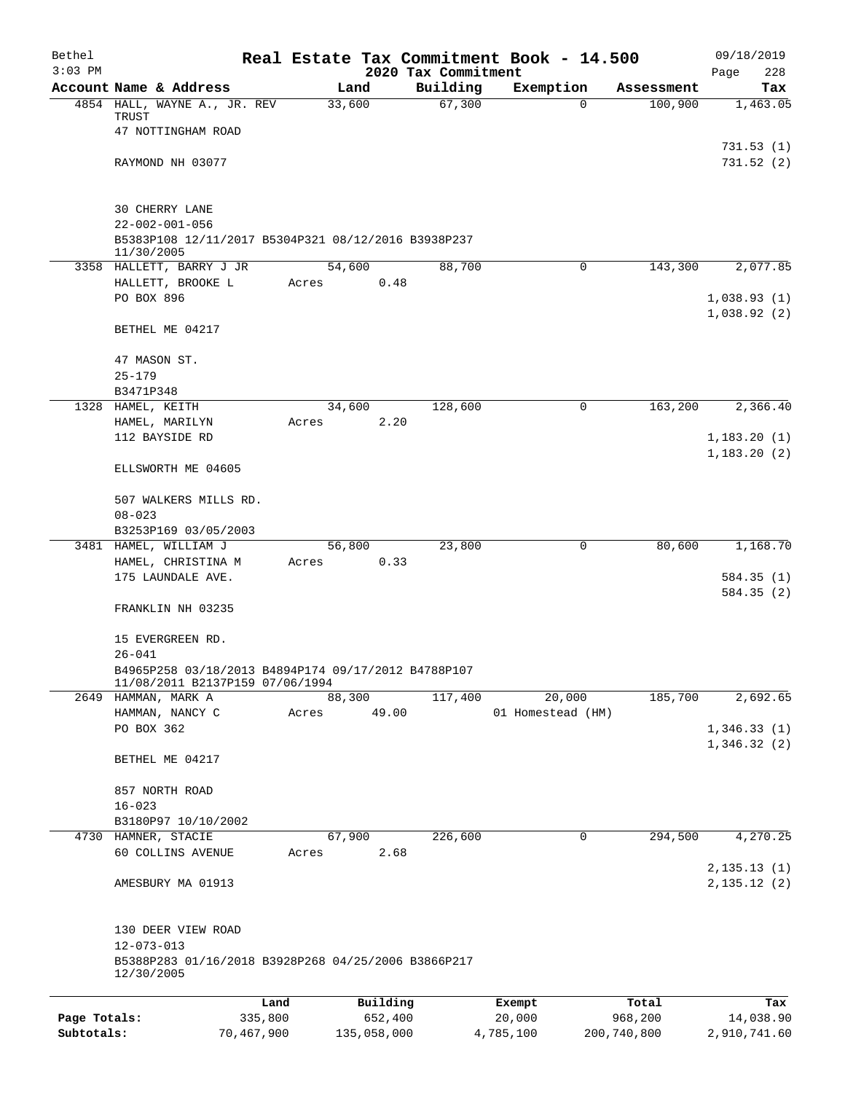| Bethel       |                                                                                        |                 |                                 | Real Estate Tax Commitment Book - 14.500 |                       | 09/18/2019                  |
|--------------|----------------------------------------------------------------------------------------|-----------------|---------------------------------|------------------------------------------|-----------------------|-----------------------------|
| $3:03$ PM    | Account Name & Address                                                                 |                 | 2020 Tax Commitment<br>Building |                                          |                       | 228<br>Page                 |
|              | 4854 HALL, WAYNE A., JR. REV                                                           | Land<br>33,600  | 67,300                          | Exemption<br>$\Omega$                    | Assessment<br>100,900 | Tax<br>1,463.05             |
|              | TRUST<br>47 NOTTINGHAM ROAD                                                            |                 |                                 |                                          |                       |                             |
|              |                                                                                        |                 |                                 |                                          |                       | 731.53 (1)                  |
|              | RAYMOND NH 03077                                                                       |                 |                                 |                                          |                       | 731.52(2)                   |
|              | <b>30 CHERRY LANE</b>                                                                  |                 |                                 |                                          |                       |                             |
|              | $22 - 002 - 001 - 056$<br>B5383P108 12/11/2017 B5304P321 08/12/2016 B3938P237          |                 |                                 |                                          |                       |                             |
|              | 11/30/2005                                                                             |                 |                                 |                                          |                       |                             |
|              | 3358 HALLETT, BARRY J JR<br>HALLETT, BROOKE L                                          | 54,600<br>Acres | 88,700<br>0.48                  | 0                                        | 143,300               | 2,077.85                    |
|              | PO BOX 896                                                                             |                 |                                 |                                          |                       | 1,038.93(1)<br>1,038.92(2)  |
|              | BETHEL ME 04217                                                                        |                 |                                 |                                          |                       |                             |
|              | 47 MASON ST.                                                                           |                 |                                 |                                          |                       |                             |
|              | $25 - 179$<br>B3471P348                                                                |                 |                                 |                                          |                       |                             |
|              | 1328 HAMEL, KEITH                                                                      | 34,600          | 128,600                         | 0                                        | 163,200               | 2,366.40                    |
|              | HAMEL, MARILYN                                                                         | Acres           | 2.20                            |                                          |                       |                             |
|              | 112 BAYSIDE RD                                                                         |                 |                                 |                                          |                       | 1,183.20(1)<br>1,183.20(2)  |
|              | ELLSWORTH ME 04605                                                                     |                 |                                 |                                          |                       |                             |
|              | 507 WALKERS MILLS RD.<br>$08 - 023$                                                    |                 |                                 |                                          |                       |                             |
|              | B3253P169 03/05/2003                                                                   |                 |                                 |                                          |                       |                             |
|              | 3481 HAMEL, WILLIAM J                                                                  | 56,800          | 23,800                          | 0                                        | 80,600                | 1,168.70                    |
|              | HAMEL, CHRISTINA M                                                                     | Acres           | 0.33                            |                                          |                       |                             |
|              | 175 LAUNDALE AVE.                                                                      |                 |                                 |                                          |                       | 584.35 (1)<br>584.35 (2)    |
|              | FRANKLIN NH 03235                                                                      |                 |                                 |                                          |                       |                             |
|              | 15 EVERGREEN RD.<br>$26 - 041$                                                         |                 |                                 |                                          |                       |                             |
|              | B4965P258 03/18/2013 B4894P174 09/17/2012 B4788P107<br>11/08/2011 B2137P159 07/06/1994 |                 |                                 |                                          |                       |                             |
|              | 2649 HAMMAN, MARK A                                                                    | 88,300          | 117,400                         | 20,000                                   | 185,700               | 2,692.65                    |
|              | HAMMAN, NANCY C                                                                        | Acres           | 49.00                           | 01 Homestead (HM)                        |                       |                             |
|              | PO BOX 362                                                                             |                 |                                 |                                          |                       | 1,346.33(1)<br>1,346.32(2)  |
|              | BETHEL ME 04217                                                                        |                 |                                 |                                          |                       |                             |
|              | 857 NORTH ROAD                                                                         |                 |                                 |                                          |                       |                             |
|              | $16 - 023$<br>B3180P97 10/10/2002                                                      |                 |                                 |                                          |                       |                             |
|              | 4730 HAMNER, STACIE                                                                    | 67,900          | 226,600                         | 0                                        | 294,500               | 4,270.25                    |
|              | 60 COLLINS AVENUE                                                                      | Acres           | 2.68                            |                                          |                       |                             |
|              | AMESBURY MA 01913                                                                      |                 |                                 |                                          |                       | 2,135.13(1)<br>2, 135.12(2) |
|              | 130 DEER VIEW ROAD                                                                     |                 |                                 |                                          |                       |                             |
|              | $12 - 073 - 013$                                                                       |                 |                                 |                                          |                       |                             |
|              | B5388P283 01/16/2018 B3928P268 04/25/2006 B3866P217<br>12/30/2005                      |                 |                                 |                                          |                       |                             |
|              | Land                                                                                   |                 | Building                        | Exempt                                   | Total                 | Tax                         |
| Page Totals: | 335,800                                                                                |                 | 652,400                         | 20,000                                   | 968,200               | 14,038.90                   |
| Subtotals:   | 70,467,900                                                                             | 135,058,000     |                                 | 4,785,100                                | 200,740,800           | 2,910,741.60                |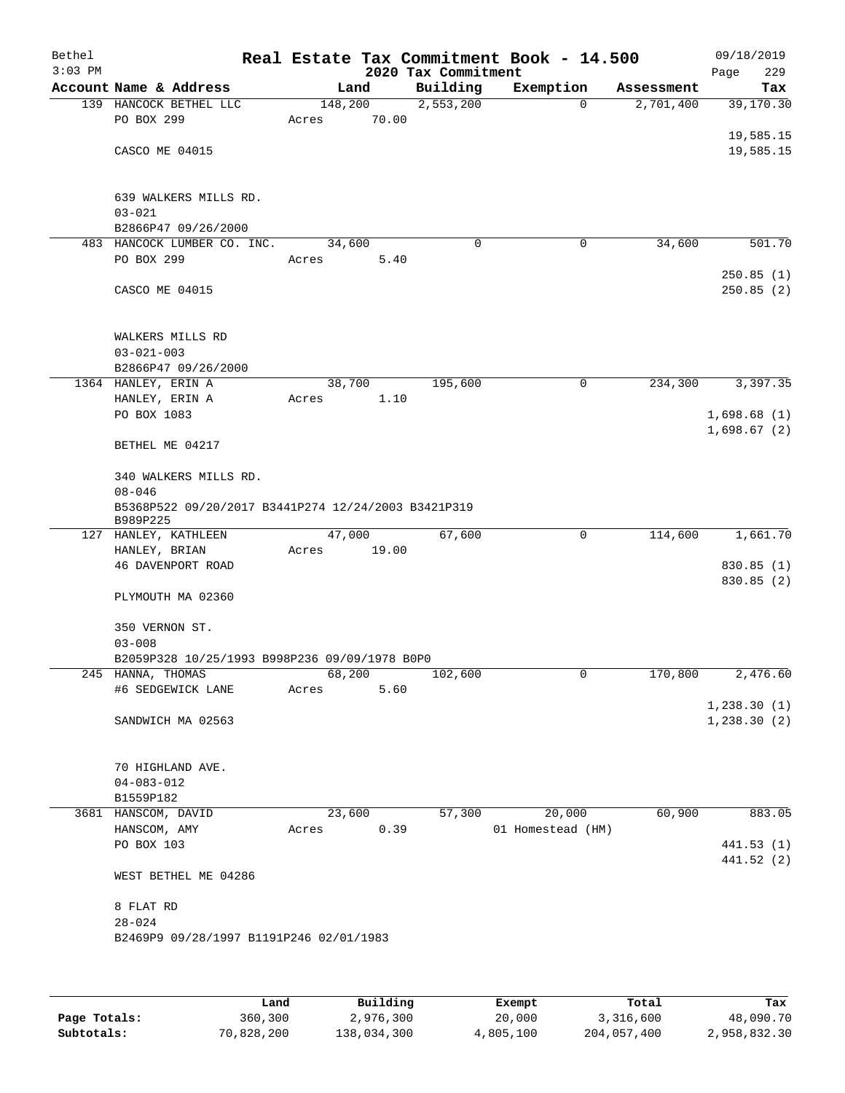| Bethel<br>$3:03$ PM |                                                                 |         |       | 2020 Tax Commitment | Real Estate Tax Commitment Book - 14.500 |            | 09/18/2019<br>229<br>Page |
|---------------------|-----------------------------------------------------------------|---------|-------|---------------------|------------------------------------------|------------|---------------------------|
|                     | Account Name & Address                                          |         | Land  | Building            | Exemption                                | Assessment | Tax                       |
|                     | 139 HANCOCK BETHEL LLC                                          | 148,200 |       | 2,553,200           | $\mathbf 0$                              | 2,701,400  | 39,170.30                 |
|                     | PO BOX 299                                                      | Acres   | 70.00 |                     |                                          |            |                           |
|                     |                                                                 |         |       |                     |                                          |            | 19,585.15                 |
|                     | CASCO ME 04015                                                  |         |       |                     |                                          |            | 19,585.15                 |
|                     |                                                                 |         |       |                     |                                          |            |                           |
|                     | 639 WALKERS MILLS RD.                                           |         |       |                     |                                          |            |                           |
|                     | $03 - 021$<br>B2866P47 09/26/2000                               |         |       |                     |                                          |            |                           |
|                     | 483 HANCOCK LUMBER CO. INC.                                     | 34,600  |       | $\mathbf 0$         | 0                                        | 34,600     | 501.70                    |
|                     | PO BOX 299                                                      | Acres   | 5.40  |                     |                                          |            |                           |
|                     |                                                                 |         |       |                     |                                          |            | 250.85(1)                 |
|                     | CASCO ME 04015                                                  |         |       |                     |                                          |            | 250.85(2)                 |
|                     |                                                                 |         |       |                     |                                          |            |                           |
|                     | WALKERS MILLS RD                                                |         |       |                     |                                          |            |                           |
|                     | $03 - 021 - 003$                                                |         |       |                     |                                          |            |                           |
|                     | B2866P47 09/26/2000                                             |         |       |                     |                                          |            |                           |
|                     | 1364 HANLEY, ERIN A                                             | 38,700  |       | 195,600             | 0                                        | 234,300    | 3,397.35                  |
|                     | HANLEY, ERIN A<br>PO BOX 1083                                   | Acres   | 1.10  |                     |                                          |            | 1,698.68(1)               |
|                     |                                                                 |         |       |                     |                                          |            | 1,698.67(2)               |
|                     | BETHEL ME 04217                                                 |         |       |                     |                                          |            |                           |
|                     | 340 WALKERS MILLS RD.                                           |         |       |                     |                                          |            |                           |
|                     | $08 - 046$                                                      |         |       |                     |                                          |            |                           |
|                     | B5368P522 09/20/2017 B3441P274 12/24/2003 B3421P319<br>B989P225 |         |       |                     |                                          |            |                           |
|                     | 127 HANLEY, KATHLEEN                                            | 47,000  |       | 67,600              | 0                                        | 114,600    | 1,661.70                  |
|                     | HANLEY, BRIAN                                                   | Acres   | 19.00 |                     |                                          |            |                           |
|                     | 46 DAVENPORT ROAD                                               |         |       |                     |                                          |            | 830.85 (1)                |
|                     | PLYMOUTH MA 02360                                               |         |       |                     |                                          |            | 830.85 (2)                |
|                     |                                                                 |         |       |                     |                                          |            |                           |
|                     | 350 VERNON ST.                                                  |         |       |                     |                                          |            |                           |
|                     | $03 - 008$<br>B2059P328 10/25/1993 B998P236 09/09/1978 B0P0     |         |       |                     |                                          |            |                           |
|                     | 245 HANNA, THOMAS                                               | 68,200  |       | 102,600             | 0                                        | 170,800    | 2,476.60                  |
|                     | #6 SEDGEWICK LANE                                               | Acres   | 5.60  |                     |                                          |            |                           |
|                     |                                                                 |         |       |                     |                                          |            | 1,238.30(1)               |
|                     | SANDWICH MA 02563                                               |         |       |                     |                                          |            | 1,238.30(2)               |
|                     |                                                                 |         |       |                     |                                          |            |                           |
|                     | 70 HIGHLAND AVE.                                                |         |       |                     |                                          |            |                           |
|                     | $04 - 083 - 012$                                                |         |       |                     |                                          |            |                           |
|                     | B1559P182<br>3681 HANSCOM, DAVID                                | 23,600  |       | 57,300              | 20,000                                   | 60,900     | 883.05                    |
|                     | HANSCOM, AMY                                                    | Acres   | 0.39  |                     | 01 Homestead (HM)                        |            |                           |
|                     | PO BOX 103                                                      |         |       |                     |                                          |            | 441.53(1)                 |
|                     |                                                                 |         |       |                     |                                          |            | 441.52 (2)                |
|                     | WEST BETHEL ME 04286                                            |         |       |                     |                                          |            |                           |
|                     | 8 FLAT RD                                                       |         |       |                     |                                          |            |                           |
|                     | $28 - 024$                                                      |         |       |                     |                                          |            |                           |
|                     | B2469P9 09/28/1997 B1191P246 02/01/1983                         |         |       |                     |                                          |            |                           |
|                     |                                                                 |         |       |                     |                                          |            |                           |
|                     |                                                                 |         |       |                     |                                          |            |                           |

|              | Land       | Building    | Exempt    | Total       | Tax          |
|--------------|------------|-------------|-----------|-------------|--------------|
| Page Totals: | 360,300    | 2,976,300   | 20,000    | 3,316,600   | 48,090.70    |
| Subtotals:   | 70,828,200 | 138,034,300 | 4,805,100 | 204,057,400 | 2,958,832.30 |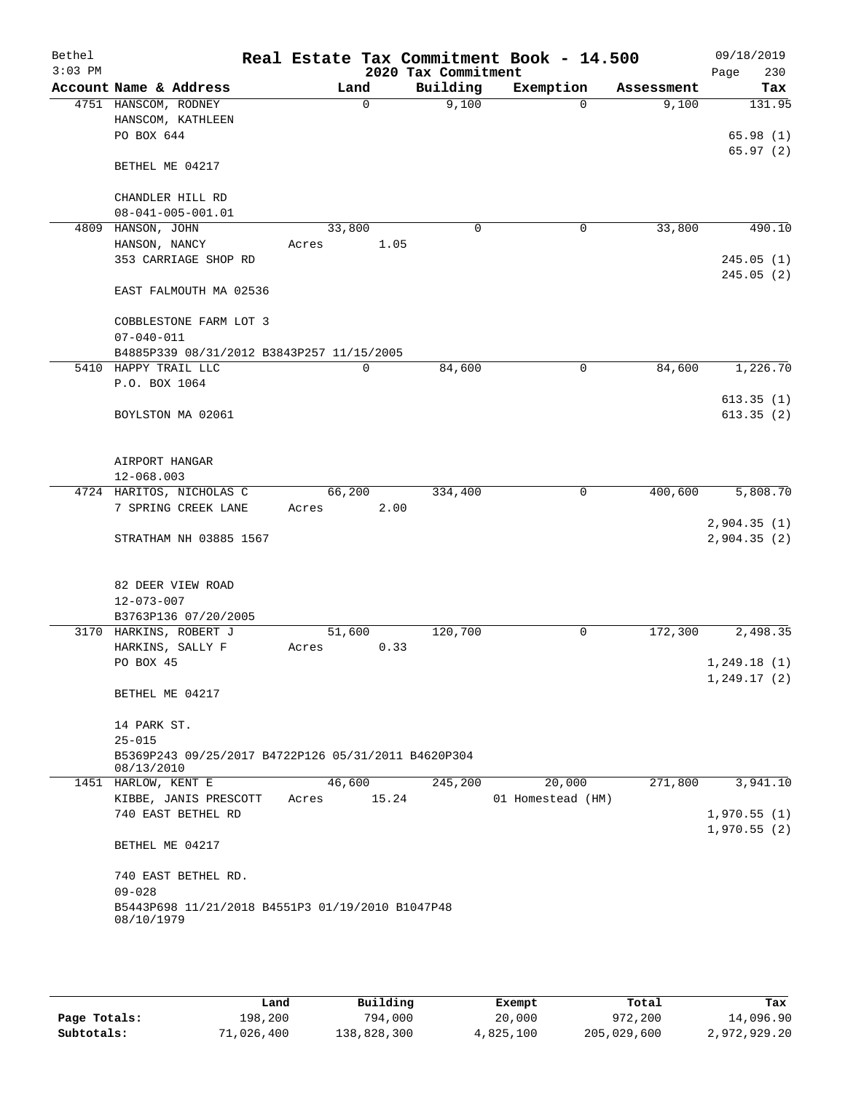| Bethel<br>$3:03$ PM |                                   |                                                     |       |             | 2020 Tax Commitment |             | Real Estate Tax Commitment Book - 14.500 |            |         | 09/18/2019<br>230<br>Page |
|---------------------|-----------------------------------|-----------------------------------------------------|-------|-------------|---------------------|-------------|------------------------------------------|------------|---------|---------------------------|
|                     |                                   | Account Name & Address                              |       | Land        | Building            |             | Exemption                                | Assessment |         | Tax                       |
|                     | 4751 HANSCOM, RODNEY              |                                                     |       | $\mathbf 0$ |                     | 9,100       | $\Omega$                                 |            | 9,100   | 131.95                    |
|                     |                                   | HANSCOM, KATHLEEN                                   |       |             |                     |             |                                          |            |         |                           |
|                     | PO BOX 644                        |                                                     |       |             |                     |             |                                          |            |         | 65.98(1)                  |
|                     |                                   |                                                     |       |             |                     |             |                                          |            |         | 65.97(2)                  |
|                     | BETHEL ME 04217                   |                                                     |       |             |                     |             |                                          |            |         |                           |
|                     |                                   |                                                     |       |             |                     |             |                                          |            |         |                           |
|                     |                                   | CHANDLER HILL RD                                    |       |             |                     |             |                                          |            |         |                           |
|                     |                                   | $08 - 041 - 005 - 001.01$                           |       |             |                     |             |                                          |            |         |                           |
| 4809                | HANSON, JOHN                      |                                                     |       | 33,800      |                     | $\mathbf 0$ | 0                                        |            | 33,800  | 490.10                    |
|                     | HANSON, NANCY                     |                                                     | Acres |             | 1.05                |             |                                          |            |         |                           |
|                     |                                   | 353 CARRIAGE SHOP RD                                |       |             |                     |             |                                          |            |         | 245.05(1)                 |
|                     |                                   |                                                     |       |             |                     |             |                                          |            |         | 245.05(2)                 |
|                     |                                   | EAST FALMOUTH MA 02536                              |       |             |                     |             |                                          |            |         |                           |
|                     |                                   |                                                     |       |             |                     |             |                                          |            |         |                           |
|                     | $07 - 040 - 011$                  | COBBLESTONE FARM LOT 3                              |       |             |                     |             |                                          |            |         |                           |
|                     |                                   | B4885P339 08/31/2012 B3843P257 11/15/2005           |       |             |                     |             |                                          |            |         |                           |
|                     | 5410 HAPPY TRAIL LLC              |                                                     |       | 0           |                     | 84,600      | $\mathbf 0$                              |            | 84,600  | 1,226.70                  |
|                     | P.O. BOX 1064                     |                                                     |       |             |                     |             |                                          |            |         |                           |
|                     |                                   |                                                     |       |             |                     |             |                                          |            |         | 613.35(1)                 |
|                     |                                   | BOYLSTON MA 02061                                   |       |             |                     |             |                                          |            |         | 613.35(2)                 |
|                     |                                   |                                                     |       |             |                     |             |                                          |            |         |                           |
|                     |                                   |                                                     |       |             |                     |             |                                          |            |         |                           |
|                     | AIRPORT HANGAR                    |                                                     |       |             |                     |             |                                          |            |         |                           |
|                     | 12-068.003                        |                                                     |       |             |                     |             |                                          |            |         |                           |
|                     |                                   | 4724 HARITOS, NICHOLAS C                            |       | 66,200      | 334,400             |             | $\mathbf 0$                              |            | 400,600 | 5,808.70                  |
|                     |                                   | 7 SPRING CREEK LANE                                 | Acres |             | 2.00                |             |                                          |            |         |                           |
|                     |                                   |                                                     |       |             |                     |             |                                          |            |         | 2,904.35(1)               |
|                     |                                   | STRATHAM NH 03885 1567                              |       |             |                     |             |                                          |            |         | 2,904.35(2)               |
|                     |                                   |                                                     |       |             |                     |             |                                          |            |         |                           |
|                     |                                   | 82 DEER VIEW ROAD                                   |       |             |                     |             |                                          |            |         |                           |
|                     | $12 - 073 - 007$                  |                                                     |       |             |                     |             |                                          |            |         |                           |
|                     |                                   | B3763P136 07/20/2005                                |       |             |                     |             |                                          |            |         |                           |
|                     |                                   | 3170 HARKINS, ROBERT J                              |       | 51,600      | 120,700             |             | 0                                        |            | 172,300 | 2,498.35                  |
|                     |                                   | HARKINS, SALLY F                                    | Acres |             | 0.33                |             |                                          |            |         |                           |
|                     | PO BOX 45                         |                                                     |       |             |                     |             |                                          |            |         | 1, 249.18(1)              |
|                     |                                   |                                                     |       |             |                     |             |                                          |            |         | 1, 249.17(2)              |
|                     | BETHEL ME 04217                   |                                                     |       |             |                     |             |                                          |            |         |                           |
|                     |                                   |                                                     |       |             |                     |             |                                          |            |         |                           |
|                     | 14 PARK ST.                       |                                                     |       |             |                     |             |                                          |            |         |                           |
|                     | $25 - 015$                        |                                                     |       |             |                     |             |                                          |            |         |                           |
|                     |                                   | B5369P243 09/25/2017 B4722P126 05/31/2011 B4620P304 |       |             |                     |             |                                          |            |         |                           |
|                     | 08/13/2010<br>1451 HARLOW, KENT E |                                                     |       | 46,600      | 245,200             |             | 20,000                                   |            | 271,800 | 3,941.10                  |
|                     |                                   | KIBBE, JANIS PRESCOTT                               | Acres | 15.24       |                     |             | 01 Homestead (HM)                        |            |         |                           |
|                     |                                   | 740 EAST BETHEL RD                                  |       |             |                     |             |                                          |            |         | 1,970.55(1)               |
|                     |                                   |                                                     |       |             |                     |             |                                          |            |         | 1,970.55(2)               |
|                     | BETHEL ME 04217                   |                                                     |       |             |                     |             |                                          |            |         |                           |
|                     |                                   |                                                     |       |             |                     |             |                                          |            |         |                           |
|                     |                                   | 740 EAST BETHEL RD.                                 |       |             |                     |             |                                          |            |         |                           |
|                     | $09 - 028$                        |                                                     |       |             |                     |             |                                          |            |         |                           |
|                     |                                   | B5443P698 11/21/2018 B4551P3 01/19/2010 B1047P48    |       |             |                     |             |                                          |            |         |                           |
|                     | 08/10/1979                        |                                                     |       |             |                     |             |                                          |            |         |                           |
|                     |                                   |                                                     |       |             |                     |             |                                          |            |         |                           |
|                     |                                   |                                                     |       |             |                     |             |                                          |            |         |                           |

|              | Land       | Building    | Exempt    | Total       | Tax          |
|--------------|------------|-------------|-----------|-------------|--------------|
| Page Totals: | 198,200    | 794,000     | 20,000    | 972,200     | 14,096.90    |
| Subtotals:   | 71,026,400 | 138,828,300 | 4,825,100 | 205,029,600 | 2,972,929.20 |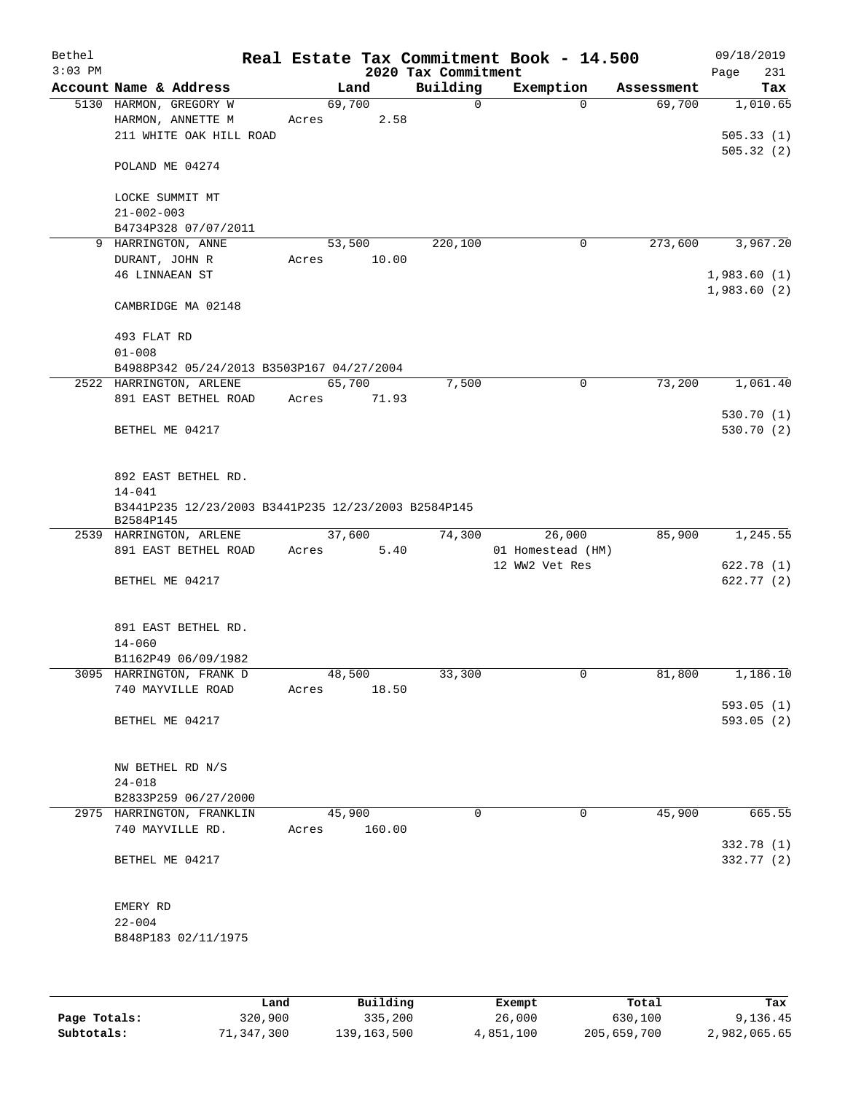| Bethel<br>$3:03$ PM |                                                                                                       |                 |        | 2020 Tax Commitment | Real Estate Tax Commitment Book - 14.500 |            | 09/18/2019<br>231<br>Page          |
|---------------------|-------------------------------------------------------------------------------------------------------|-----------------|--------|---------------------|------------------------------------------|------------|------------------------------------|
|                     | Account Name & Address                                                                                |                 | Land   | Building            | Exemption                                | Assessment | Tax                                |
|                     | 5130 HARMON, GREGORY W<br>HARMON, ANNETTE M<br>211 WHITE OAK HILL ROAD                                | 69,700<br>Acres | 2.58   | 0                   | $\Omega$                                 | 69,700     | 1,010.65<br>505.33(1)<br>505.32(2) |
|                     | POLAND ME 04274                                                                                       |                 |        |                     |                                          |            |                                    |
|                     | LOCKE SUMMIT MT<br>$21 - 002 - 003$                                                                   |                 |        |                     |                                          |            |                                    |
|                     | B4734P328 07/07/2011                                                                                  |                 |        |                     |                                          |            |                                    |
|                     | 9 HARRINGTON, ANNE                                                                                    | 53,500          |        | 220,100             | 0                                        | 273,600    | 3,967.20                           |
|                     | DURANT, JOHN R<br><b>46 LINNAEAN ST</b>                                                               | Acres           | 10.00  |                     |                                          |            | 1,983.60(1)<br>1,983.60(2)         |
|                     | CAMBRIDGE MA 02148                                                                                    |                 |        |                     |                                          |            |                                    |
|                     | 493 FLAT RD<br>$01 - 008$                                                                             |                 |        |                     |                                          |            |                                    |
|                     | B4988P342 05/24/2013 B3503P167 04/27/2004                                                             |                 |        |                     |                                          |            |                                    |
|                     | 2522 HARRINGTON, ARLENE                                                                               | 65,700          |        | 7,500               | $\mathbf 0$                              | 73,200     | 1,061.40                           |
|                     | 891 EAST BETHEL ROAD                                                                                  | Acres           | 71.93  |                     |                                          |            |                                    |
|                     | BETHEL ME 04217                                                                                       |                 |        |                     |                                          |            | 530.70(1)<br>530.70 (2)            |
|                     | 892 EAST BETHEL RD.<br>$14 - 041$<br>B3441P235 12/23/2003 B3441P235 12/23/2003 B2584P145<br>B2584P145 |                 |        |                     |                                          |            |                                    |
|                     | 2539 HARRINGTON, ARLENE                                                                               | 37,600          |        | 74,300              | 26,000                                   | 85,900     | 1,245.55                           |
|                     | 891 EAST BETHEL ROAD                                                                                  | Acres           | 5.40   |                     | 01 Homestead (HM)<br>12 WW2 Vet Res      |            | 622.78 (1)                         |
|                     | BETHEL ME 04217                                                                                       |                 |        |                     |                                          |            | 622.77 (2)                         |
|                     | 891 EAST BETHEL RD.<br>$14 - 060$                                                                     |                 |        |                     |                                          |            |                                    |
|                     | B1162P49 06/09/1982<br>3095 HARRINGTON, FRANK D                                                       | 48,500          |        | 33,300              | 0                                        | 81,800     | 1,186.10                           |
|                     | 740 MAYVILLE ROAD                                                                                     | Acres           | 18.50  |                     |                                          |            |                                    |
|                     | BETHEL ME 04217                                                                                       |                 |        |                     |                                          |            | 593.05(1)<br>593.05(2)             |
|                     | NW BETHEL RD N/S<br>$24 - 018$                                                                        |                 |        |                     |                                          |            |                                    |
|                     | B2833P259 06/27/2000                                                                                  |                 |        |                     |                                          |            |                                    |
|                     | 2975 HARRINGTON, FRANKLIN                                                                             | 45,900          |        | $\Omega$            | 0                                        | 45,900     | 665.55                             |
|                     | 740 MAYVILLE RD.                                                                                      | Acres           | 160.00 |                     |                                          |            | 332.78 (1)                         |
|                     | BETHEL ME 04217                                                                                       |                 |        |                     |                                          |            | 332.77 (2)                         |
|                     | EMERY RD<br>$22 - 004$                                                                                |                 |        |                     |                                          |            |                                    |
|                     | B848P183 02/11/1975                                                                                   |                 |        |                     |                                          |            |                                    |
|                     |                                                                                                       |                 |        |                     |                                          |            |                                    |

|              | Land       | Building      | Exempt    | Total       | Tax          |
|--------------|------------|---------------|-----------|-------------|--------------|
| Page Totals: | 320,900    | 335,200       | 26,000    | 630,100     | 9,136.45     |
| Subtotals:   | 71,347,300 | 139, 163, 500 | 4,851,100 | 205,659,700 | 2,982,065.65 |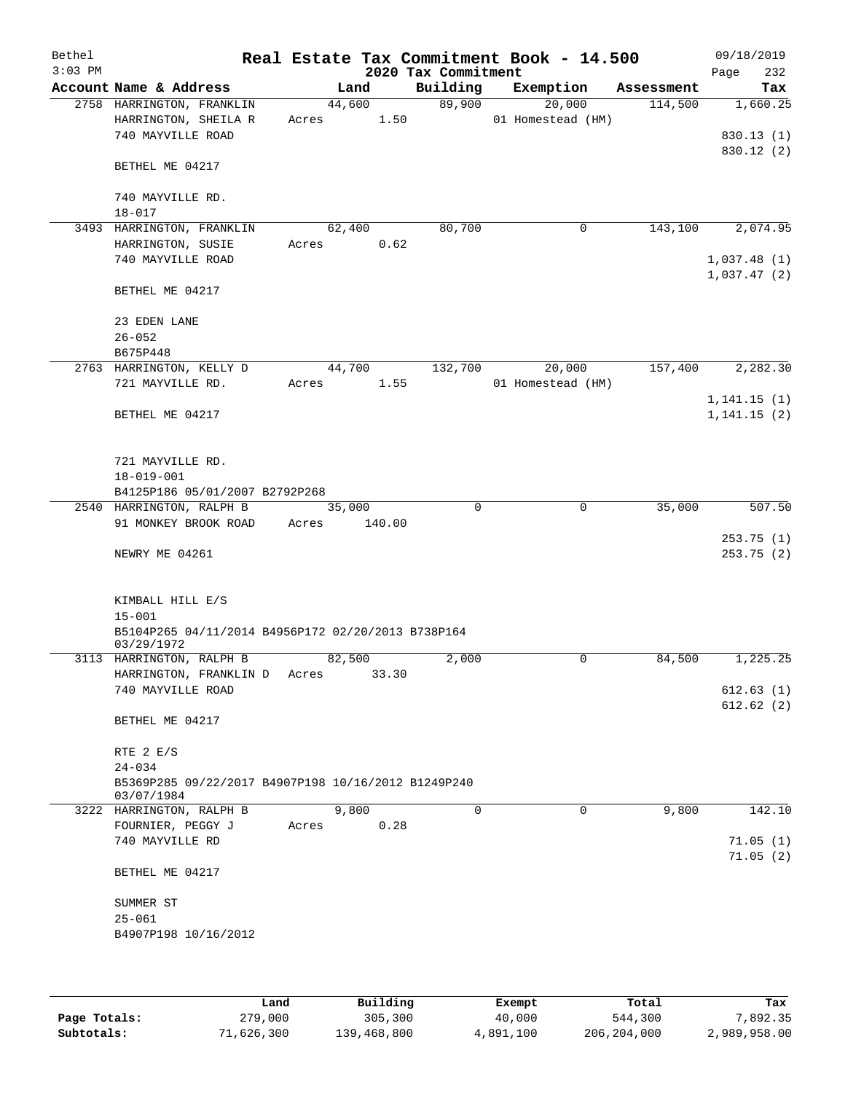| Bethel<br>$3:03$ PM |                                                     |       |        |        | 2020 Tax Commitment | Real Estate Tax Commitment Book - 14.500 |            | 09/18/2019<br>232<br>Page  |
|---------------------|-----------------------------------------------------|-------|--------|--------|---------------------|------------------------------------------|------------|----------------------------|
|                     | Account Name & Address                              |       | Land   |        | Building            | Exemption                                | Assessment | Tax                        |
|                     | 2758 HARRINGTON, FRANKLIN                           |       | 44,600 |        | 89,900              | 20,000                                   | 114,500    | 1,660.25                   |
|                     | HARRINGTON, SHEILA R                                | Acres |        | 1.50   |                     | 01 Homestead (HM)                        |            |                            |
|                     | 740 MAYVILLE ROAD                                   |       |        |        |                     |                                          |            | 830.13(1)                  |
|                     |                                                     |       |        |        |                     |                                          |            | 830.12 (2)                 |
|                     | BETHEL ME 04217                                     |       |        |        |                     |                                          |            |                            |
|                     |                                                     |       |        |        |                     |                                          |            |                            |
|                     | 740 MAYVILLE RD.                                    |       |        |        |                     |                                          |            |                            |
|                     | $18 - 017$                                          |       |        |        |                     |                                          |            |                            |
|                     | 3493 HARRINGTON, FRANKLIN                           |       | 62,400 |        | 80,700              | 0                                        | 143,100    | 2,074.95                   |
|                     | HARRINGTON, SUSIE                                   | Acres |        | 0.62   |                     |                                          |            |                            |
|                     | 740 MAYVILLE ROAD                                   |       |        |        |                     |                                          |            | 1,037.48(1)<br>1,037.47(2) |
|                     | BETHEL ME 04217                                     |       |        |        |                     |                                          |            |                            |
|                     |                                                     |       |        |        |                     |                                          |            |                            |
|                     | 23 EDEN LANE                                        |       |        |        |                     |                                          |            |                            |
|                     | $26 - 052$                                          |       |        |        |                     |                                          |            |                            |
|                     | B675P448                                            |       |        |        |                     |                                          |            |                            |
|                     | 2763 HARRINGTON, KELLY D                            |       | 44,700 |        | 132,700             | 20,000                                   | 157,400    | 2,282.30                   |
|                     | 721 MAYVILLE RD.                                    | Acres |        | 1.55   |                     | 01 Homestead (HM)                        |            |                            |
|                     |                                                     |       |        |        |                     |                                          |            | 1, 141.15(1)               |
|                     | BETHEL ME 04217                                     |       |        |        |                     |                                          |            | 1, 141.15(2)               |
|                     |                                                     |       |        |        |                     |                                          |            |                            |
|                     |                                                     |       |        |        |                     |                                          |            |                            |
|                     | 721 MAYVILLE RD.                                    |       |        |        |                     |                                          |            |                            |
|                     | $18 - 019 - 001$                                    |       |        |        |                     |                                          |            |                            |
|                     | B4125P186 05/01/2007 B2792P268                      |       |        |        |                     |                                          |            |                            |
|                     | 2540 HARRINGTON, RALPH B<br>91 MONKEY BROOK ROAD    | Acres | 35,000 |        | $\mathbf 0$         | $\mathbf 0$                              | 35,000     | $\overline{507}$ .50       |
|                     |                                                     |       |        | 140.00 |                     |                                          |            | 253.75(1)                  |
|                     | NEWRY ME 04261                                      |       |        |        |                     |                                          |            | 253.75 (2)                 |
|                     |                                                     |       |        |        |                     |                                          |            |                            |
|                     |                                                     |       |        |        |                     |                                          |            |                            |
|                     | KIMBALL HILL E/S                                    |       |        |        |                     |                                          |            |                            |
|                     | $15 - 001$                                          |       |        |        |                     |                                          |            |                            |
|                     | B5104P265 04/11/2014 B4956P172 02/20/2013 B738P164  |       |        |        |                     |                                          |            |                            |
|                     | 03/29/1972                                          |       |        |        |                     |                                          |            |                            |
|                     | 3113 HARRINGTON, RALPH B                            |       | 82,500 |        | 2,000               | 0                                        | 84,500     | 1,225.25                   |
|                     | HARRINGTON, FRANKLIN D                              | Acres |        | 33.30  |                     |                                          |            |                            |
|                     | 740 MAYVILLE ROAD                                   |       |        |        |                     |                                          |            | 612.63(1)<br>612.62(2)     |
|                     | BETHEL ME 04217                                     |       |        |        |                     |                                          |            |                            |
|                     |                                                     |       |        |        |                     |                                          |            |                            |
|                     | RTE $2 E/S$                                         |       |        |        |                     |                                          |            |                            |
|                     | $24 - 034$                                          |       |        |        |                     |                                          |            |                            |
|                     | B5369P285 09/22/2017 B4907P198 10/16/2012 B1249P240 |       |        |        |                     |                                          |            |                            |
|                     | 03/07/1984                                          |       |        |        |                     |                                          |            |                            |
|                     | 3222 HARRINGTON, RALPH B                            |       | 9,800  |        | 0                   | $\mathbf 0$                              | 9,800      | 142.10                     |
|                     | FOURNIER, PEGGY J                                   | Acres |        | 0.28   |                     |                                          |            |                            |
|                     | 740 MAYVILLE RD                                     |       |        |        |                     |                                          |            | 71.05(1)                   |
|                     |                                                     |       |        |        |                     |                                          |            | 71.05(2)                   |
|                     | BETHEL ME 04217                                     |       |        |        |                     |                                          |            |                            |
|                     | SUMMER ST                                           |       |        |        |                     |                                          |            |                            |
|                     | $25 - 061$                                          |       |        |        |                     |                                          |            |                            |
|                     | B4907P198 10/16/2012                                |       |        |        |                     |                                          |            |                            |
|                     |                                                     |       |        |        |                     |                                          |            |                            |
|                     |                                                     |       |        |        |                     |                                          |            |                            |
|                     |                                                     |       |        |        |                     |                                          |            |                            |

|              | Land       | Building    | Exempt    | Total         | Tax          |
|--------------|------------|-------------|-----------|---------------|--------------|
| Page Totals: | 279,000    | 305,300     | 40,000    | 544,300       | 7.892.35     |
| Subtotals:   | 71,626,300 | 139,468,800 | 4,891,100 | 206, 204, 000 | 2,989,958.00 |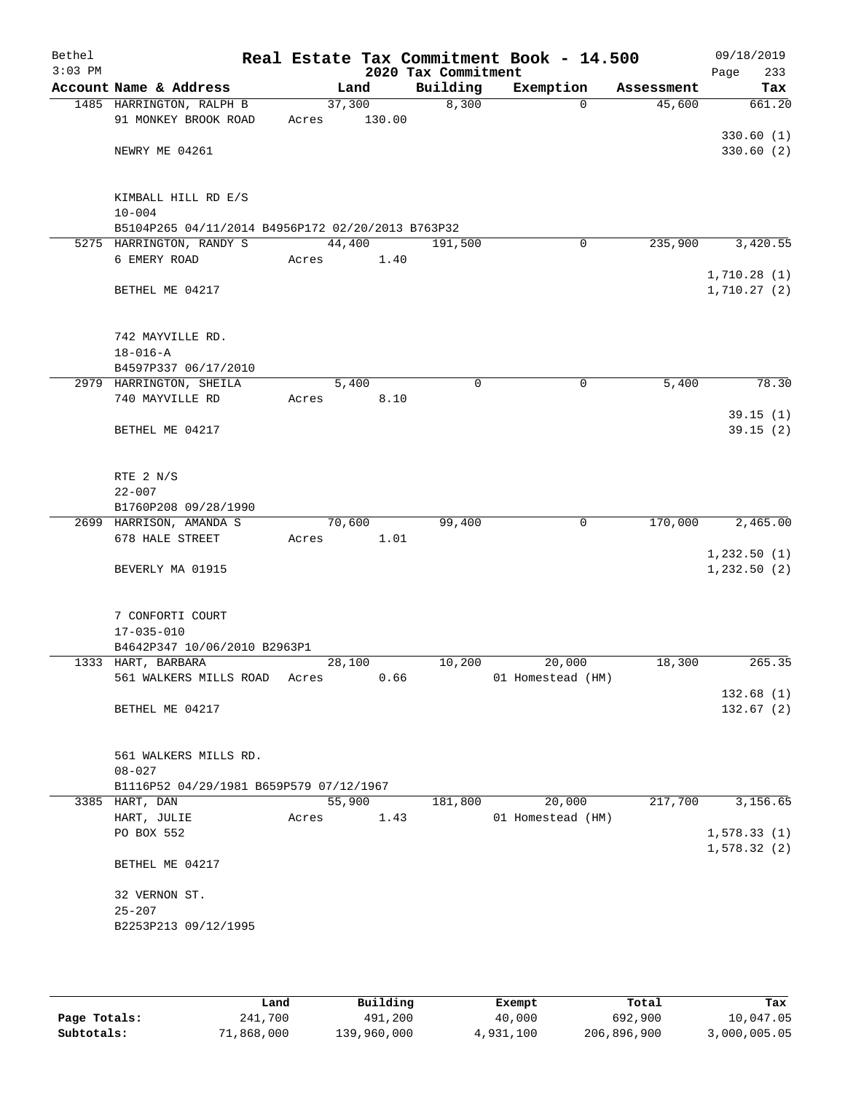| Bethel<br>$3:03$ PM |                                                   |        |        | 2020 Tax Commitment | Real Estate Tax Commitment Book - 14.500 |            | 09/18/2019<br>Page<br>233  |
|---------------------|---------------------------------------------------|--------|--------|---------------------|------------------------------------------|------------|----------------------------|
|                     | Account Name & Address                            |        | Land   | Building            | Exemption                                | Assessment | Tax                        |
|                     | 1485 HARRINGTON, RALPH B                          | 37,300 |        | 8,300               | $\Omega$                                 | 45,600     | 661.20                     |
|                     | 91 MONKEY BROOK ROAD                              | Acres  | 130.00 |                     |                                          |            |                            |
|                     |                                                   |        |        |                     |                                          |            | 330.60(1)                  |
|                     | NEWRY ME 04261                                    |        |        |                     |                                          |            | 330.60 (2)                 |
|                     | KIMBALL HILL RD E/S                               |        |        |                     |                                          |            |                            |
|                     | $10 - 004$                                        |        |        |                     |                                          |            |                            |
|                     | B5104P265 04/11/2014 B4956P172 02/20/2013 B763P32 |        |        |                     |                                          |            |                            |
|                     | 5275 HARRINGTON, RANDY S                          | 44,400 |        | 191,500             | 0                                        | 235,900    | 3,420.55                   |
|                     | 6 EMERY ROAD                                      | Acres  | 1.40   |                     |                                          |            | 1,710.28(1)                |
|                     | BETHEL ME 04217                                   |        |        |                     |                                          |            | 1,710.27(2)                |
|                     | 742 MAYVILLE RD.                                  |        |        |                     |                                          |            |                            |
|                     | $18 - 016 - A$                                    |        |        |                     |                                          |            |                            |
|                     | B4597P337 06/17/2010                              |        |        |                     |                                          |            |                            |
|                     | 2979 HARRINGTON, SHEILA                           | 5,400  |        | 0                   | 0                                        | 5,400      | 78.30                      |
|                     | 740 MAYVILLE RD                                   | Acres  | 8.10   |                     |                                          |            |                            |
|                     | BETHEL ME 04217                                   |        |        |                     |                                          |            | 39.15(1)<br>39.15(2)       |
|                     | RTE 2 N/S                                         |        |        |                     |                                          |            |                            |
|                     | $22 - 007$                                        |        |        |                     |                                          |            |                            |
|                     | B1760P208 09/28/1990                              |        |        |                     |                                          |            |                            |
|                     | 2699 HARRISON, AMANDA S                           | 70,600 |        | 99,400              | $\mathbf 0$                              | 170,000    | 2,465.00                   |
|                     | 678 HALE STREET                                   | Acres  | 1.01   |                     |                                          |            |                            |
|                     |                                                   |        |        |                     |                                          |            | 1,232.50(1)                |
|                     | BEVERLY MA 01915                                  |        |        |                     |                                          |            | 1, 232.50 (2)              |
|                     | 7 CONFORTI COURT                                  |        |        |                     |                                          |            |                            |
|                     | $17 - 035 - 010$<br>B4642P347 10/06/2010 B2963P1  |        |        |                     |                                          |            |                            |
|                     | 1333 HART, BARBARA                                | 28,100 |        | 10,200              | 20,000                                   | 18,300     | 265.35                     |
|                     | 561 WALKERS MILLS ROAD                            | Acres  | 0.66   |                     | 01 Homestead (HM)                        |            |                            |
|                     |                                                   |        |        |                     |                                          |            | 132.68(1)                  |
|                     | BETHEL ME 04217                                   |        |        |                     |                                          |            | 132.67(2)                  |
|                     | 561 WALKERS MILLS RD.                             |        |        |                     |                                          |            |                            |
|                     | $08 - 027$                                        |        |        |                     |                                          |            |                            |
|                     | B1116P52 04/29/1981 B659P579 07/12/1967           |        |        |                     |                                          |            |                            |
|                     | 3385 HART, DAN                                    | 55,900 |        | 181,800             | 20,000                                   | 217,700    | 3,156.65                   |
|                     | HART, JULIE                                       | Acres  | 1.43   |                     | 01 Homestead (HM)                        |            |                            |
|                     | PO BOX 552                                        |        |        |                     |                                          |            | 1,578.33(1)<br>1,578.32(2) |
|                     | BETHEL ME 04217                                   |        |        |                     |                                          |            |                            |
|                     | 32 VERNON ST.                                     |        |        |                     |                                          |            |                            |
|                     | $25 - 207$                                        |        |        |                     |                                          |            |                            |
|                     | B2253P213 09/12/1995                              |        |        |                     |                                          |            |                            |
|                     |                                                   |        |        |                     |                                          |            |                            |
|                     |                                                   |        |        |                     |                                          |            |                            |

|              | Land       | Building    | Exempt    | Total       | Tax          |
|--------------|------------|-------------|-----------|-------------|--------------|
| Page Totals: | 241,700    | 491,200     | 40,000    | 692,900     | 10,047.05    |
| Subtotals:   | 71,868,000 | 139,960,000 | 4,931,100 | 206,896,900 | 3,000,005.05 |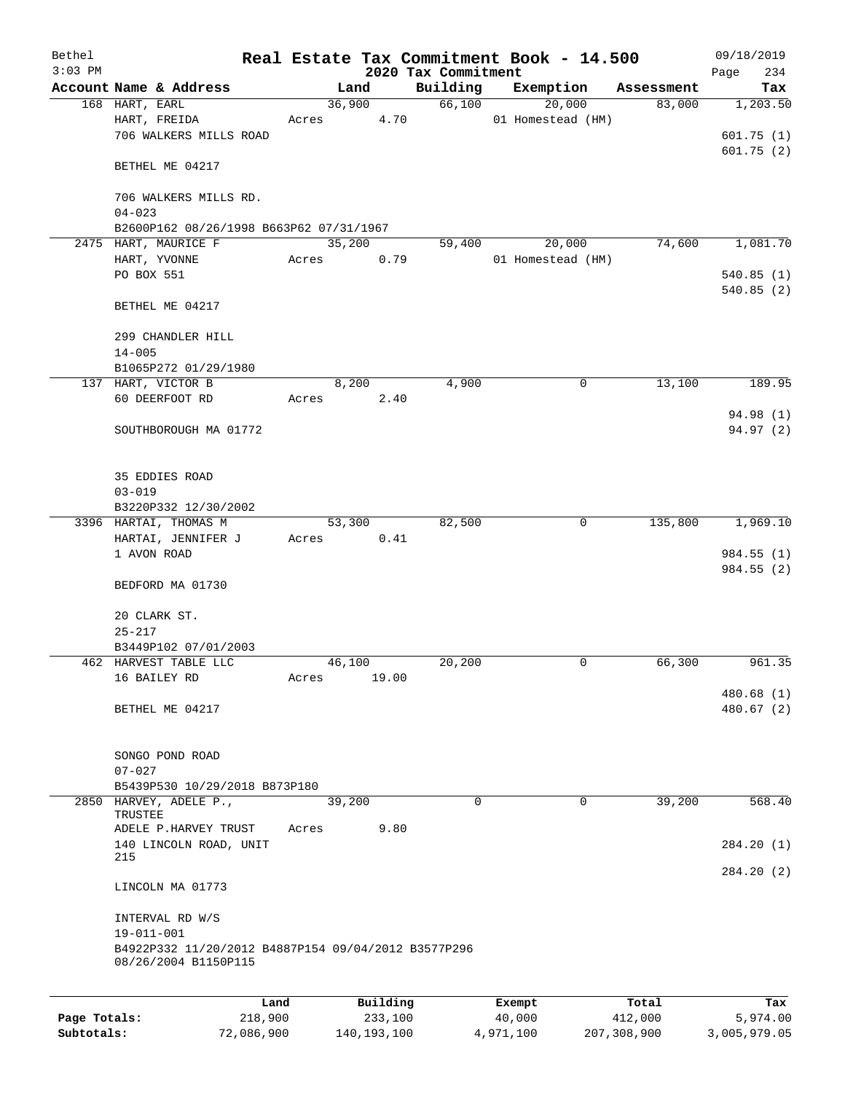| Bethel       |                                                     |            |       |                |               |                     | Real Estate Tax Commitment Book - 14.500 |                      | 09/18/2019      |
|--------------|-----------------------------------------------------|------------|-------|----------------|---------------|---------------------|------------------------------------------|----------------------|-----------------|
| $3:03$ PM    |                                                     |            |       |                |               | 2020 Tax Commitment |                                          |                      | 234<br>Page     |
|              | Account Name & Address<br>168 HART, EARL            |            |       | Land<br>36,900 |               | Building<br>66,100  | Exemption<br>20,000                      | Assessment<br>83,000 | Tax<br>1,203.50 |
|              | HART, FREIDA                                        |            | Acres |                | 4.70          |                     | 01 Homestead (HM)                        |                      |                 |
|              | 706 WALKERS MILLS ROAD                              |            |       |                |               |                     |                                          |                      | 601.75(1)       |
|              |                                                     |            |       |                |               |                     |                                          |                      | 601.75(2)       |
|              | BETHEL ME 04217                                     |            |       |                |               |                     |                                          |                      |                 |
|              |                                                     |            |       |                |               |                     |                                          |                      |                 |
|              | 706 WALKERS MILLS RD.                               |            |       |                |               |                     |                                          |                      |                 |
|              | $04 - 023$                                          |            |       |                |               |                     |                                          |                      |                 |
|              | B2600P162 08/26/1998 B663P62 07/31/1967             |            |       |                |               |                     |                                          |                      |                 |
|              | 2475 HART, MAURICE F                                |            |       | 35,200         |               | 59,400              | 20,000                                   | 74,600               | 1,081.70        |
|              | HART, YVONNE                                        |            | Acres |                | 0.79          |                     | 01 Homestead (HM)                        |                      |                 |
|              | PO BOX 551                                          |            |       |                |               |                     |                                          |                      | 540.85(1)       |
|              | BETHEL ME 04217                                     |            |       |                |               |                     |                                          |                      | 540.85 (2)      |
|              |                                                     |            |       |                |               |                     |                                          |                      |                 |
|              | 299 CHANDLER HILL                                   |            |       |                |               |                     |                                          |                      |                 |
|              | $14 - 005$                                          |            |       |                |               |                     |                                          |                      |                 |
|              | B1065P272 01/29/1980                                |            |       |                |               |                     |                                          |                      |                 |
|              | 137 HART, VICTOR B                                  |            |       | 8,200          |               | 4,900               | 0                                        | 13,100               | 189.95          |
|              | 60 DEERFOOT RD                                      |            | Acres |                | 2.40          |                     |                                          |                      |                 |
|              |                                                     |            |       |                |               |                     |                                          |                      | 94.98 (1)       |
|              | SOUTHBOROUGH MA 01772                               |            |       |                |               |                     |                                          |                      | 94.97 (2)       |
|              |                                                     |            |       |                |               |                     |                                          |                      |                 |
|              |                                                     |            |       |                |               |                     |                                          |                      |                 |
|              | 35 EDDIES ROAD                                      |            |       |                |               |                     |                                          |                      |                 |
|              | $03 - 019$                                          |            |       |                |               |                     |                                          |                      |                 |
|              | B3220P332 12/30/2002                                |            |       |                |               |                     |                                          |                      |                 |
|              | 3396 HARTAI, THOMAS M<br>HARTAI, JENNIFER J         |            | Acres | 53,300         | 0.41          | 82,500              | 0                                        | 135,800              | 1,969.10        |
|              | 1 AVON ROAD                                         |            |       |                |               |                     |                                          |                      | 984.55 (1)      |
|              |                                                     |            |       |                |               |                     |                                          |                      | 984.55(2)       |
|              | BEDFORD MA 01730                                    |            |       |                |               |                     |                                          |                      |                 |
|              |                                                     |            |       |                |               |                     |                                          |                      |                 |
|              | 20 CLARK ST.                                        |            |       |                |               |                     |                                          |                      |                 |
|              | $25 - 217$                                          |            |       |                |               |                     |                                          |                      |                 |
|              | B3449P102 07/01/2003                                |            |       |                |               |                     |                                          |                      |                 |
|              | 462 HARVEST TABLE LLC                               |            |       | 46,100         |               | 20,200              | 0                                        | 66,300               | 961.35          |
|              | 16 BAILEY RD                                        |            | Acres |                | 19.00         |                     |                                          |                      |                 |
|              |                                                     |            |       |                |               |                     |                                          |                      | 480.68(1)       |
|              | BETHEL ME 04217                                     |            |       |                |               |                     |                                          |                      | 480.67(2)       |
|              |                                                     |            |       |                |               |                     |                                          |                      |                 |
|              | SONGO POND ROAD                                     |            |       |                |               |                     |                                          |                      |                 |
|              | $07 - 027$                                          |            |       |                |               |                     |                                          |                      |                 |
|              | B5439P530 10/29/2018 B873P180                       |            |       |                |               |                     |                                          |                      |                 |
|              | 2850 HARVEY, ADELE P.,                              |            |       | 39,200         |               | 0                   | 0                                        | 39,200               | 568.40          |
|              | TRUSTEE                                             |            |       |                |               |                     |                                          |                      |                 |
|              | ADELE P.HARVEY TRUST                                |            | Acres |                | 9.80          |                     |                                          |                      |                 |
|              | 140 LINCOLN ROAD, UNIT<br>215                       |            |       |                |               |                     |                                          |                      | 284.20 (1)      |
|              |                                                     |            |       |                |               |                     |                                          |                      | 284.20(2)       |
|              | LINCOLN MA 01773                                    |            |       |                |               |                     |                                          |                      |                 |
|              |                                                     |            |       |                |               |                     |                                          |                      |                 |
|              | INTERVAL RD W/S                                     |            |       |                |               |                     |                                          |                      |                 |
|              | 19-011-001                                          |            |       |                |               |                     |                                          |                      |                 |
|              | B4922P332 11/20/2012 B4887P154 09/04/2012 B3577P296 |            |       |                |               |                     |                                          |                      |                 |
|              | 08/26/2004 B1150P115                                |            |       |                |               |                     |                                          |                      |                 |
|              |                                                     |            |       |                |               |                     |                                          |                      |                 |
|              |                                                     | Land       |       |                | Building      |                     | Exempt                                   | Total                | Tax             |
| Page Totals: |                                                     | 218,900    |       |                | 233,100       |                     | 40,000                                   | 412,000              | 5,974.00        |
| Subtotals:   |                                                     | 72,086,900 |       |                | 140, 193, 100 |                     | 4,971,100                                | 207,308,900          | 3,005,979.05    |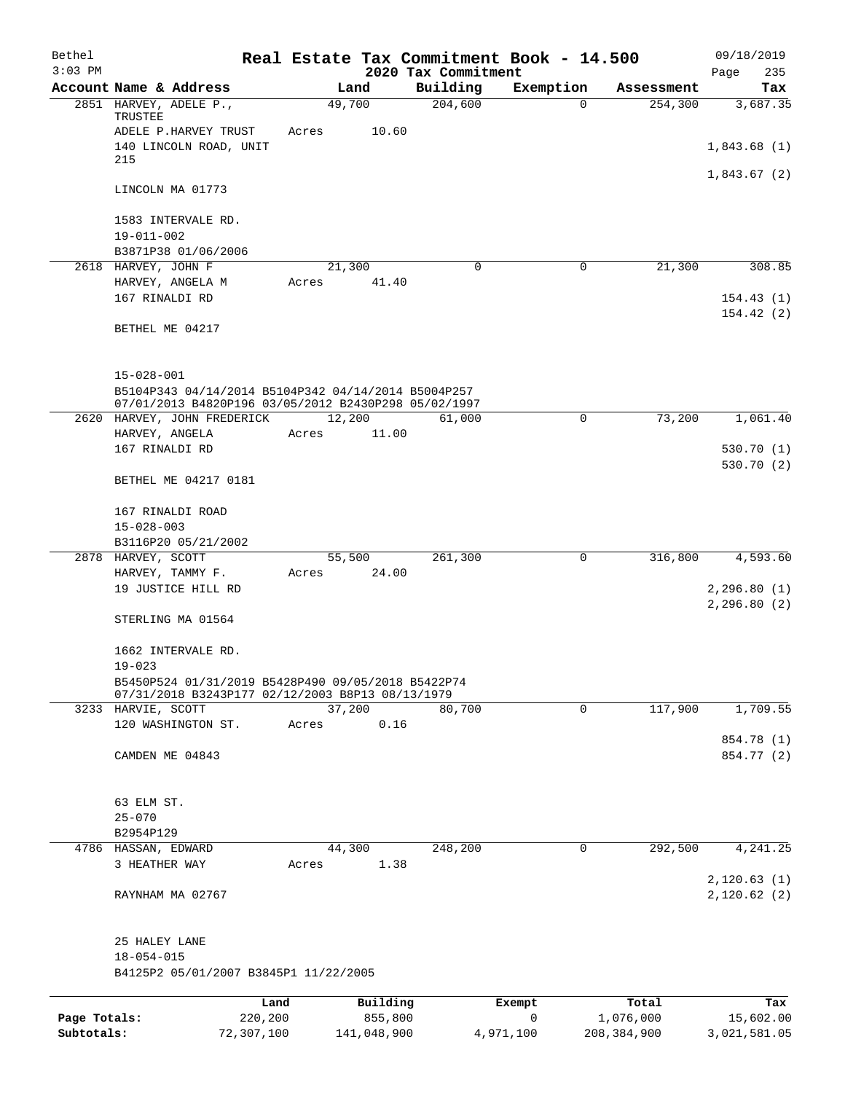| Bethel       |                                                                        |            |       |                |                     | Real Estate Tax Commitment Book - 14.500 |                       | 09/18/2019                   |
|--------------|------------------------------------------------------------------------|------------|-------|----------------|---------------------|------------------------------------------|-----------------------|------------------------------|
| $3:03$ PM    |                                                                        |            |       |                | 2020 Tax Commitment |                                          |                       | Page<br>235                  |
|              | Account Name & Address<br>2851 HARVEY, ADELE P.,                       |            |       | Land<br>49,700 | Building<br>204,600 | Exemption<br>$\Omega$                    | Assessment<br>254,300 | Tax<br>3,687.35              |
|              | TRUSTEE                                                                |            |       |                |                     |                                          |                       |                              |
|              | ADELE P.HARVEY TRUST                                                   |            | Acres | 10.60          |                     |                                          |                       |                              |
|              | 140 LINCOLN ROAD, UNIT                                                 |            |       |                |                     |                                          |                       | 1,843.68(1)                  |
|              | 215                                                                    |            |       |                |                     |                                          |                       | 1,843.67(2)                  |
|              | LINCOLN MA 01773                                                       |            |       |                |                     |                                          |                       |                              |
|              | 1583 INTERVALE RD.                                                     |            |       |                |                     |                                          |                       |                              |
|              | $19 - 011 - 002$                                                       |            |       |                |                     |                                          |                       |                              |
|              | B3871P38 01/06/2006<br>2618 HARVEY, JOHN F                             |            |       | 21,300         | 0                   | 0                                        | 21,300                | 308.85                       |
|              | HARVEY, ANGELA M                                                       |            | Acres | 41.40          |                     |                                          |                       |                              |
|              | 167 RINALDI RD                                                         |            |       |                |                     |                                          |                       | 154.43(1)                    |
|              |                                                                        |            |       |                |                     |                                          |                       | 154.42(2)                    |
|              | BETHEL ME 04217                                                        |            |       |                |                     |                                          |                       |                              |
|              | $15 - 028 - 001$                                                       |            |       |                |                     |                                          |                       |                              |
|              | B5104P343 04/14/2014 B5104P342 04/14/2014 B5004P257                    |            |       |                |                     |                                          |                       |                              |
|              | 07/01/2013 B4820P196 03/05/2012 B2430P298 05/02/1997                   |            |       |                |                     |                                          |                       |                              |
|              | 2620 HARVEY, JOHN FREDERICK                                            |            |       | 12,200         | 61,000              | 0                                        | 73,200                | 1,061.40                     |
|              | HARVEY, ANGELA<br>167 RINALDI RD                                       |            | Acres | 11.00          |                     |                                          |                       | 530.70(1)                    |
|              |                                                                        |            |       |                |                     |                                          |                       | 530.70(2)                    |
|              | BETHEL ME 04217 0181                                                   |            |       |                |                     |                                          |                       |                              |
|              | 167 RINALDI ROAD                                                       |            |       |                |                     |                                          |                       |                              |
|              | $15 - 028 - 003$                                                       |            |       |                |                     |                                          |                       |                              |
|              | B3116P20 05/21/2002                                                    |            |       |                |                     |                                          |                       |                              |
|              | 2878 HARVEY, SCOTT                                                     |            |       | 55,500         | 261,300             | $\mathbf 0$                              | 316,800               | 4,593.60                     |
|              | HARVEY, TAMMY F.                                                       |            | Acres | 24.00          |                     |                                          |                       |                              |
|              | 19 JUSTICE HILL RD                                                     |            |       |                |                     |                                          |                       | 2, 296.80(1)<br>2, 296.80(2) |
|              | STERLING MA 01564                                                      |            |       |                |                     |                                          |                       |                              |
|              | 1662 INTERVALE RD.                                                     |            |       |                |                     |                                          |                       |                              |
|              | $19 - 023$                                                             |            |       |                |                     |                                          |                       |                              |
|              | B5450P524 01/31/2019 B5428P490 09/05/2018 B5422P74                     |            |       |                |                     |                                          |                       |                              |
|              | 07/31/2018 B3243P177 02/12/2003 B8P13 08/13/1979<br>3233 HARVIE, SCOTT |            |       | 37,200         | 80,700              | 0                                        | 117,900               | 1,709.55                     |
|              | 120 WASHINGTON ST.                                                     |            | Acres | 0.16           |                     |                                          |                       |                              |
|              |                                                                        |            |       |                |                     |                                          |                       | 854.78 (1)                   |
|              | CAMDEN ME 04843                                                        |            |       |                |                     |                                          |                       | 854.77 (2)                   |
|              |                                                                        |            |       |                |                     |                                          |                       |                              |
|              | 63 ELM ST.                                                             |            |       |                |                     |                                          |                       |                              |
|              | $25 - 070$<br>B2954P129                                                |            |       |                |                     |                                          |                       |                              |
|              | 4786 HASSAN, EDWARD                                                    |            |       | 44,300         | 248,200             | 0                                        | 292,500               | 4,241.25                     |
|              | 3 HEATHER WAY                                                          |            | Acres | 1.38           |                     |                                          |                       |                              |
|              |                                                                        |            |       |                |                     |                                          |                       | 2,120.63(1)                  |
|              | RAYNHAM MA 02767                                                       |            |       |                |                     |                                          |                       | 2,120.62(2)                  |
|              | 25 HALEY LANE                                                          |            |       |                |                     |                                          |                       |                              |
|              | $18 - 054 - 015$                                                       |            |       |                |                     |                                          |                       |                              |
|              | B4125P2 05/01/2007 B3845P1 11/22/2005                                  |            |       |                |                     |                                          |                       |                              |
|              |                                                                        | Land       |       | Building       |                     | Exempt                                   | Total                 | Tax                          |
| Page Totals: |                                                                        | 220,200    |       | 855,800        |                     | 0                                        | 1,076,000             | 15,602.00                    |
| Subtotals:   |                                                                        | 72,307,100 |       | 141,048,900    |                     | 4,971,100                                | 208, 384, 900         | 3,021,581.05                 |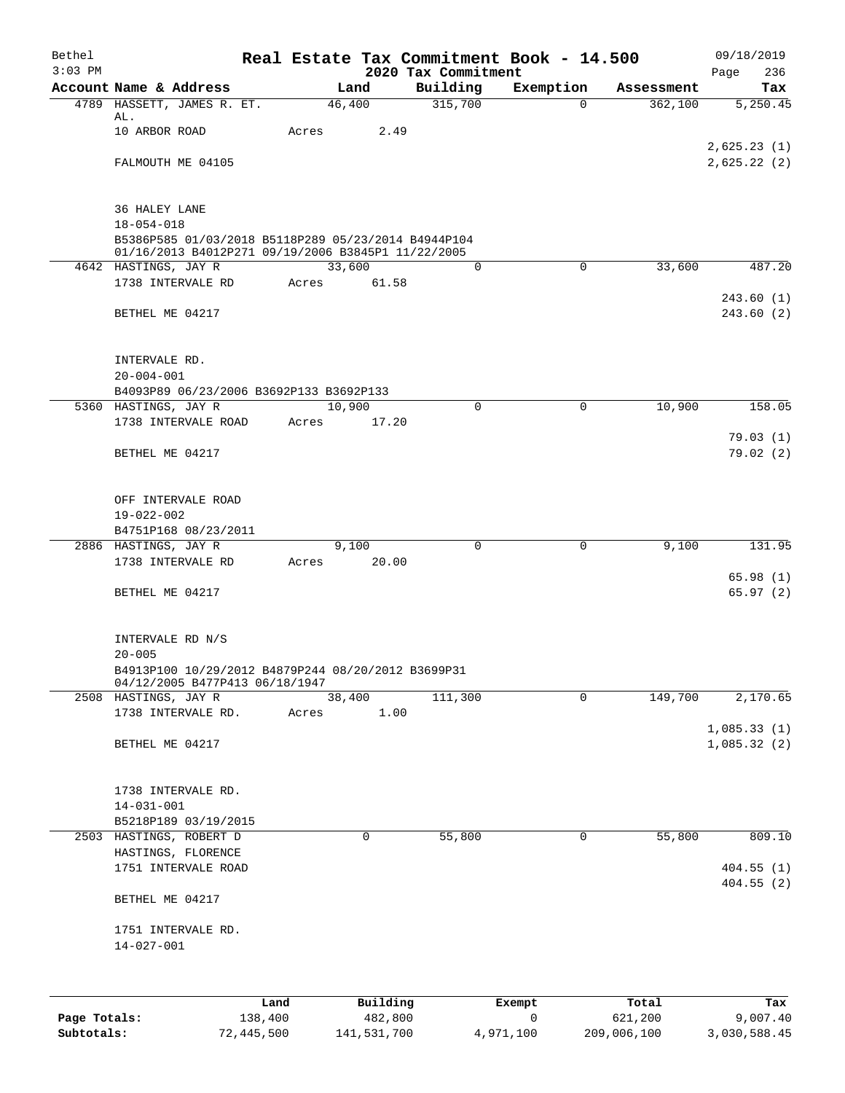| Bethel    |                                                                         |       |             |                                 | Real Estate Tax Commitment Book - 14.500 |            | 09/18/2019           |
|-----------|-------------------------------------------------------------------------|-------|-------------|---------------------------------|------------------------------------------|------------|----------------------|
| $3:03$ PM | Account Name & Address                                                  |       | Land        | 2020 Tax Commitment<br>Building | Exemption                                | Assessment | 236<br>Page<br>Tax   |
|           | 4789 HASSETT, JAMES R. ET.                                              |       | 46,400      | 315,700                         | $\Omega$                                 | 362,100    | 5,250.45             |
|           | AL.                                                                     |       |             |                                 |                                          |            |                      |
|           | 10 ARBOR ROAD                                                           | Acres | 2.49        |                                 |                                          |            | 2,625.23(1)          |
|           | FALMOUTH ME 04105                                                       |       |             |                                 |                                          |            | 2,625.22(2)          |
|           |                                                                         |       |             |                                 |                                          |            |                      |
|           |                                                                         |       |             |                                 |                                          |            |                      |
|           | 36 HALEY LANE                                                           |       |             |                                 |                                          |            |                      |
|           | $18 - 054 - 018$<br>B5386P585 01/03/2018 B5118P289 05/23/2014 B4944P104 |       |             |                                 |                                          |            |                      |
|           | 01/16/2013 B4012P271 09/19/2006 B3845P1 11/22/2005                      |       |             |                                 |                                          |            |                      |
|           | 4642 HASTINGS, JAY R                                                    |       | 33,600      | 0                               | $\mathbf 0$                              | 33,600     | 487.20               |
|           | 1738 INTERVALE RD                                                       | Acres | 61.58       |                                 |                                          |            | 243.60(1)            |
|           | BETHEL ME 04217                                                         |       |             |                                 |                                          |            | 243.60(2)            |
|           |                                                                         |       |             |                                 |                                          |            |                      |
|           |                                                                         |       |             |                                 |                                          |            |                      |
|           | INTERVALE RD.<br>$20 - 004 - 001$                                       |       |             |                                 |                                          |            |                      |
|           | B4093P89 06/23/2006 B3692P133 B3692P133                                 |       |             |                                 |                                          |            |                      |
|           | 5360 HASTINGS, JAY R                                                    |       | 10,900      | $\Omega$                        | 0                                        | 10,900     | 158.05               |
|           | 1738 INTERVALE ROAD                                                     | Acres | 17.20       |                                 |                                          |            |                      |
|           | BETHEL ME 04217                                                         |       |             |                                 |                                          |            | 79.03(1)<br>79.02(2) |
|           |                                                                         |       |             |                                 |                                          |            |                      |
|           |                                                                         |       |             |                                 |                                          |            |                      |
|           | OFF INTERVALE ROAD                                                      |       |             |                                 |                                          |            |                      |
|           | 19-022-002                                                              |       |             |                                 |                                          |            |                      |
|           | B4751P168 08/23/2011<br>2886 HASTINGS, JAY R                            |       | 9,100       | $\mathbf 0$                     | $\mathbf 0$                              | 9,100      | 131.95               |
|           | 1738 INTERVALE RD                                                       |       | Acres 20.00 |                                 |                                          |            |                      |
|           |                                                                         |       |             |                                 |                                          |            | 65.98(1)             |
|           | BETHEL ME 04217                                                         |       |             |                                 |                                          |            | 65.97(2)             |
|           |                                                                         |       |             |                                 |                                          |            |                      |
|           | INTERVALE RD N/S                                                        |       |             |                                 |                                          |            |                      |
|           | $20 - 005$                                                              |       |             |                                 |                                          |            |                      |
|           | B4913P100 10/29/2012 B4879P244 08/20/2012 B3699P31                      |       |             |                                 |                                          |            |                      |
|           | 04/12/2005 B477P413 06/18/1947<br>2508 HASTINGS, JAY R                  |       | 38,400      | 111,300                         | $\mathbf 0$                              | 149,700    | 2,170.65             |
|           | 1738 INTERVALE RD.                                                      | Acres | 1.00        |                                 |                                          |            |                      |
|           |                                                                         |       |             |                                 |                                          |            | 1,085.33(1)          |
|           | BETHEL ME 04217                                                         |       |             |                                 |                                          |            | 1,085.32(2)          |
|           |                                                                         |       |             |                                 |                                          |            |                      |
|           | 1738 INTERVALE RD.                                                      |       |             |                                 |                                          |            |                      |
|           | $14 - 031 - 001$                                                        |       |             |                                 |                                          |            |                      |
|           | B5218P189 03/19/2015                                                    |       |             |                                 |                                          |            |                      |
|           | 2503 HASTINGS, ROBERT D                                                 |       | 0           | 55,800                          | 0                                        | 55,800     | 809.10               |
|           | HASTINGS, FLORENCE<br>1751 INTERVALE ROAD                               |       |             |                                 |                                          |            | 404.55(1)            |
|           |                                                                         |       |             |                                 |                                          |            | 404.55(2)            |
|           | BETHEL ME 04217                                                         |       |             |                                 |                                          |            |                      |
|           |                                                                         |       |             |                                 |                                          |            |                      |
|           | 1751 INTERVALE RD.<br>$14 - 027 - 001$                                  |       |             |                                 |                                          |            |                      |
|           |                                                                         |       |             |                                 |                                          |            |                      |
|           |                                                                         |       |             |                                 |                                          |            |                      |
|           |                                                                         | Land  | Building    |                                 | Exempt                                   | Total      | Tax                  |
|           |                                                                         |       |             |                                 |                                          |            |                      |

| Page Totals: | 138,400    | 482,800     |           | 621,200     | 9,007.40     |
|--------------|------------|-------------|-----------|-------------|--------------|
| Subtotals:   | 72,445,500 | 141,531,700 | 4,971,100 | 209,006,100 | 3,030,588.45 |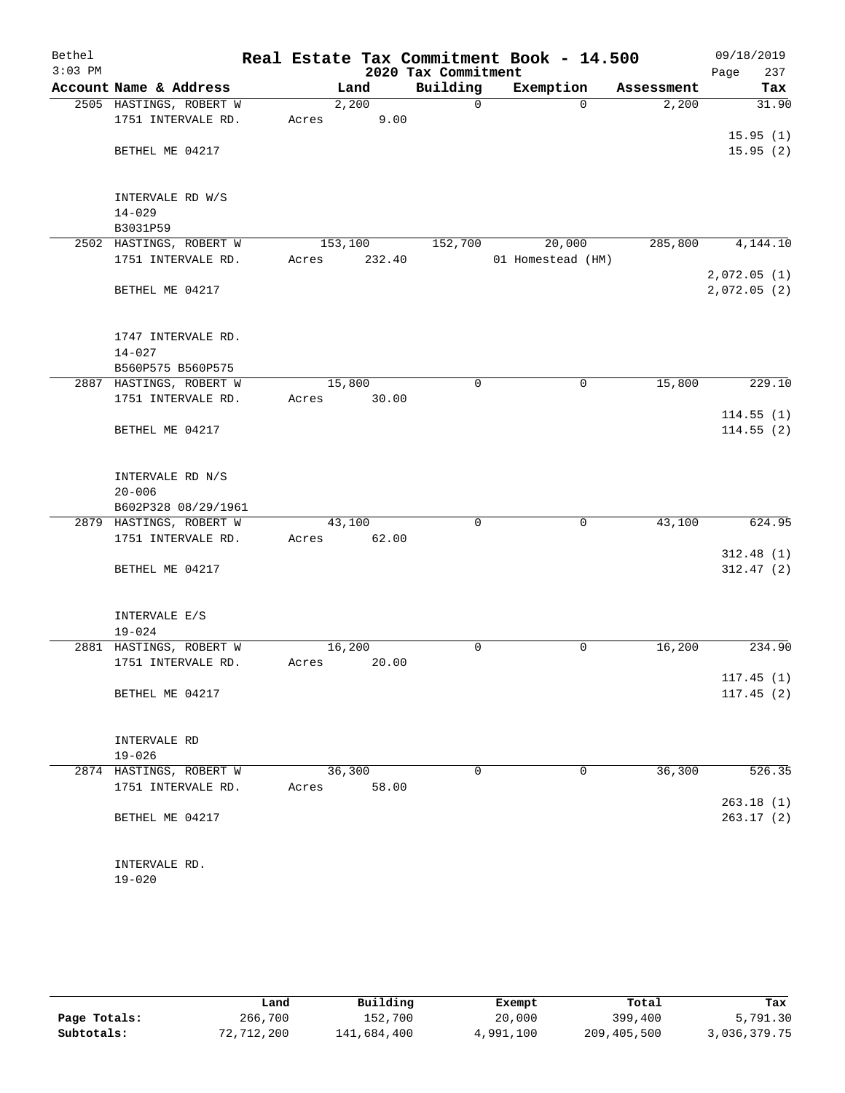| $3:03$ PM |                             |         |        | 2020 Tax Commitment | Real Estate Tax Commitment Book - 14.500 |            | 09/18/2019<br>Page<br>237 |
|-----------|-----------------------------|---------|--------|---------------------|------------------------------------------|------------|---------------------------|
|           | Account Name & Address      |         | Land   | Building            | Exemption                                | Assessment | Tax                       |
|           | 2505 HASTINGS, ROBERT W     |         | 2,200  | 0                   | $\Omega$                                 | 2,200      | 31.90                     |
|           | 1751 INTERVALE RD.          | Acres   | 9.00   |                     |                                          |            |                           |
|           |                             |         |        |                     |                                          |            | 15.95(1)                  |
|           | BETHEL ME 04217             |         |        |                     |                                          |            | 15.95(2)                  |
|           |                             |         |        |                     |                                          |            |                           |
|           |                             |         |        |                     |                                          |            |                           |
|           | INTERVALE RD W/S            |         |        |                     |                                          |            |                           |
|           | $14 - 029$                  |         |        |                     |                                          |            |                           |
|           | B3031P59                    |         |        |                     |                                          |            |                           |
|           | 2502 HASTINGS, ROBERT W     | 153,100 |        | 152,700             | 20,000                                   | 285,800    | 4,144.10                  |
|           | 1751 INTERVALE RD.          | Acres   | 232.40 |                     | 01 Homestead (HM)                        |            |                           |
|           |                             |         |        |                     |                                          |            | 2,072.05(1)               |
|           | BETHEL ME 04217             |         |        |                     |                                          |            | 2,072.05(2)               |
|           |                             |         |        |                     |                                          |            |                           |
|           | 1747 INTERVALE RD.          |         |        |                     |                                          |            |                           |
|           | $14 - 027$                  |         |        |                     |                                          |            |                           |
|           | B560P575 B560P575           |         |        |                     |                                          |            |                           |
|           | 2887 HASTINGS, ROBERT W     | 15,800  |        | $\mathbf 0$         | 0                                        | 15,800     | 229.10                    |
|           | 1751 INTERVALE RD.          | Acres   | 30.00  |                     |                                          |            |                           |
|           |                             |         |        |                     |                                          |            | 114.55(1)                 |
|           | BETHEL ME 04217             |         |        |                     |                                          |            | 114.55(2)                 |
|           |                             |         |        |                     |                                          |            |                           |
|           |                             |         |        |                     |                                          |            |                           |
|           | INTERVALE RD N/S            |         |        |                     |                                          |            |                           |
|           | $20 - 006$                  |         |        |                     |                                          |            |                           |
|           | B602P328 08/29/1961         |         |        |                     |                                          |            |                           |
|           | 2879 HASTINGS, ROBERT W     |         | 43,100 | $\mathbf 0$         | $\mathbf 0$                              | 43,100     | 624.95                    |
|           | 1751 INTERVALE RD.          | Acres   | 62.00  |                     |                                          |            |                           |
|           |                             |         |        |                     |                                          |            | 312.48(1)                 |
|           | BETHEL ME 04217             |         |        |                     |                                          |            | 312.47(2)                 |
|           |                             |         |        |                     |                                          |            |                           |
|           | INTERVALE E/S               |         |        |                     |                                          |            |                           |
|           | $19 - 024$                  |         |        |                     |                                          |            |                           |
|           | 2881 HASTINGS, ROBERT W     | 16,200  |        | 0                   | 0                                        | 16,200     | 234.90                    |
|           | 1751 INTERVALE RD.          | Acres   | 20.00  |                     |                                          |            |                           |
|           |                             |         |        |                     |                                          |            | 117.45(1)                 |
|           | BETHEL ME 04217             |         |        |                     |                                          |            | 117.45(2)                 |
|           |                             |         |        |                     |                                          |            |                           |
|           |                             |         |        |                     |                                          |            |                           |
|           | INTERVALE RD                |         |        |                     |                                          |            |                           |
|           | $19 - 026$                  |         |        |                     |                                          |            |                           |
|           | 2874 HASTINGS, ROBERT W     |         | 36,300 | 0                   | 0                                        | 36,300     | 526.35                    |
|           | 1751 INTERVALE RD.          | Acres   | 58.00  |                     |                                          |            |                           |
|           |                             |         |        |                     |                                          |            | 263.18(1)                 |
|           | BETHEL ME 04217             |         |        |                     |                                          |            | 263.17(2)                 |
|           |                             |         |        |                     |                                          |            |                           |
|           |                             |         |        |                     |                                          |            |                           |
|           | INTERVALE RD.<br>$19 - 020$ |         |        |                     |                                          |            |                           |
|           |                             |         |        |                     |                                          |            |                           |

|              | Land       | Building    | Exempt    | Total       | Tax          |
|--------------|------------|-------------|-----------|-------------|--------------|
| Page Totals: | 266,700    | 152,700     | 20,000    | 399,400     | 5,791.30     |
| Subtotals:   | 72,712,200 | 141,684,400 | 4,991,100 | 209,405,500 | 3,036,379.75 |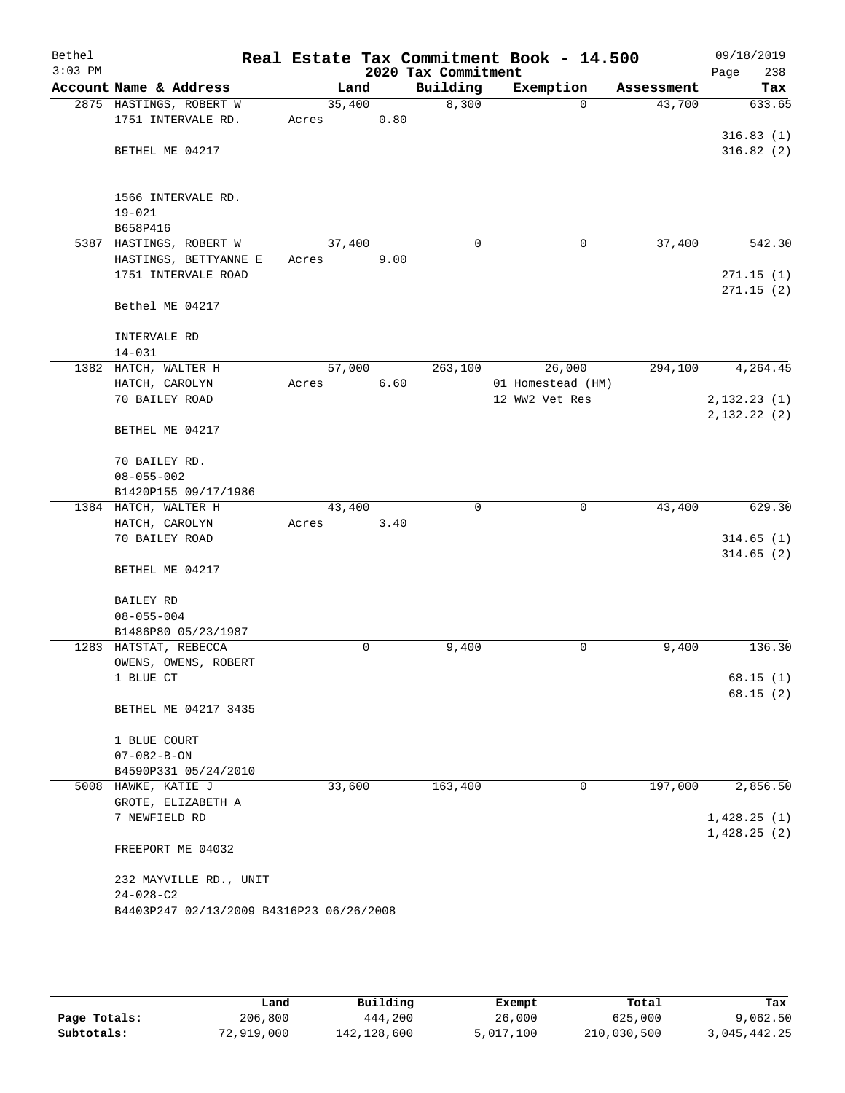| Bethel    |                                          |       |        |      |                     | Real Estate Tax Commitment Book - 14.500 |            | 09/18/2019  |
|-----------|------------------------------------------|-------|--------|------|---------------------|------------------------------------------|------------|-------------|
| $3:03$ PM |                                          |       |        |      | 2020 Tax Commitment |                                          |            | 238<br>Page |
|           | Account Name & Address                   |       | Land   |      | Building            | Exemption                                | Assessment | Tax         |
|           | 2875 HASTINGS, ROBERT W                  |       | 35,400 |      | 8,300               | $\Omega$                                 | 43,700     | 633.65      |
|           | 1751 INTERVALE RD.                       | Acres |        | 0.80 |                     |                                          |            |             |
|           |                                          |       |        |      |                     |                                          |            | 316.83(1)   |
|           | BETHEL ME 04217                          |       |        |      |                     |                                          |            | 316.82(2)   |
|           |                                          |       |        |      |                     |                                          |            |             |
|           | 1566 INTERVALE RD.                       |       |        |      |                     |                                          |            |             |
|           | $19 - 021$                               |       |        |      |                     |                                          |            |             |
|           | B658P416                                 |       |        |      |                     |                                          |            |             |
|           | 5387 HASTINGS, ROBERT W                  |       | 37,400 |      | $\mathbf 0$         | 0                                        | 37,400     | 542.30      |
|           | HASTINGS, BETTYANNE E                    | Acres |        | 9.00 |                     |                                          |            |             |
|           | 1751 INTERVALE ROAD                      |       |        |      |                     |                                          |            | 271.15(1)   |
|           |                                          |       |        |      |                     |                                          |            | 271.15(2)   |
|           | Bethel ME 04217                          |       |        |      |                     |                                          |            |             |
|           | INTERVALE RD                             |       |        |      |                     |                                          |            |             |
|           | $14 - 031$                               |       |        |      |                     |                                          |            |             |
|           | 1382 HATCH, WALTER H                     |       | 57,000 |      | 263,100             | 26,000                                   | 294,100    | 4,264.45    |
|           | HATCH, CAROLYN                           | Acres |        | 6.60 |                     | 01 Homestead (HM)                        |            |             |
|           | 70 BAILEY ROAD                           |       |        |      |                     | 12 WW2 Vet Res                           |            | 2,132.23(1) |
|           |                                          |       |        |      |                     |                                          |            | 2,132.22(2) |
|           | BETHEL ME 04217                          |       |        |      |                     |                                          |            |             |
|           | 70 BAILEY RD.                            |       |        |      |                     |                                          |            |             |
|           | $08 - 055 - 002$                         |       |        |      |                     |                                          |            |             |
|           | B1420P155 09/17/1986                     |       |        |      |                     |                                          |            |             |
|           | 1384 HATCH, WALTER H                     |       | 43,400 |      | $\Omega$            | 0                                        | 43,400     | 629.30      |
|           | HATCH, CAROLYN                           | Acres |        | 3.40 |                     |                                          |            |             |
|           | 70 BAILEY ROAD                           |       |        |      |                     |                                          |            | 314.65(1)   |
|           |                                          |       |        |      |                     |                                          |            | 314.65(2)   |
|           | BETHEL ME 04217                          |       |        |      |                     |                                          |            |             |
|           | <b>BAILEY RD</b>                         |       |        |      |                     |                                          |            |             |
|           | $08 - 055 - 004$                         |       |        |      |                     |                                          |            |             |
|           | B1486P80 05/23/1987                      |       |        |      |                     |                                          |            |             |
|           | 1283 HATSTAT, REBECCA                    |       | 0      |      | 9,400               | 0                                        | 9,400      | 136.30      |
|           | OWENS, OWENS, ROBERT                     |       |        |      |                     |                                          |            |             |
|           | 1 BLUE CT                                |       |        |      |                     |                                          |            | 68.15(1)    |
|           |                                          |       |        |      |                     |                                          |            | 68.15(2)    |
|           | BETHEL ME 04217 3435                     |       |        |      |                     |                                          |            |             |
|           | 1 BLUE COURT                             |       |        |      |                     |                                          |            |             |
|           | $07 - 082 - B - ON$                      |       |        |      |                     |                                          |            |             |
|           | B4590P331 05/24/2010                     |       |        |      |                     |                                          |            |             |
|           | 5008 HAWKE, KATIE J                      |       | 33,600 |      | 163,400             | 0                                        | 197,000    | 2,856.50    |
|           | GROTE, ELIZABETH A                       |       |        |      |                     |                                          |            |             |
|           | 7 NEWFIELD RD                            |       |        |      |                     |                                          |            | 1,428.25(1) |
|           | FREEPORT ME 04032                        |       |        |      |                     |                                          |            | 1,428.25(2) |
|           |                                          |       |        |      |                     |                                          |            |             |
|           | 232 MAYVILLE RD., UNIT                   |       |        |      |                     |                                          |            |             |
|           | $24 - 028 - C2$                          |       |        |      |                     |                                          |            |             |
|           | B4403P247 02/13/2009 B4316P23 06/26/2008 |       |        |      |                     |                                          |            |             |
|           |                                          |       |        |      |                     |                                          |            |             |

|              | Land       | Building    | Exempt    | Total       | Tax          |
|--------------|------------|-------------|-----------|-------------|--------------|
| Page Totals: | 206,800    | 444,200     | 26,000    | 625,000     | 9,062.50     |
| Subtotals:   | 72,919,000 | 142,128,600 | 5,017,100 | 210,030,500 | 3,045,442.25 |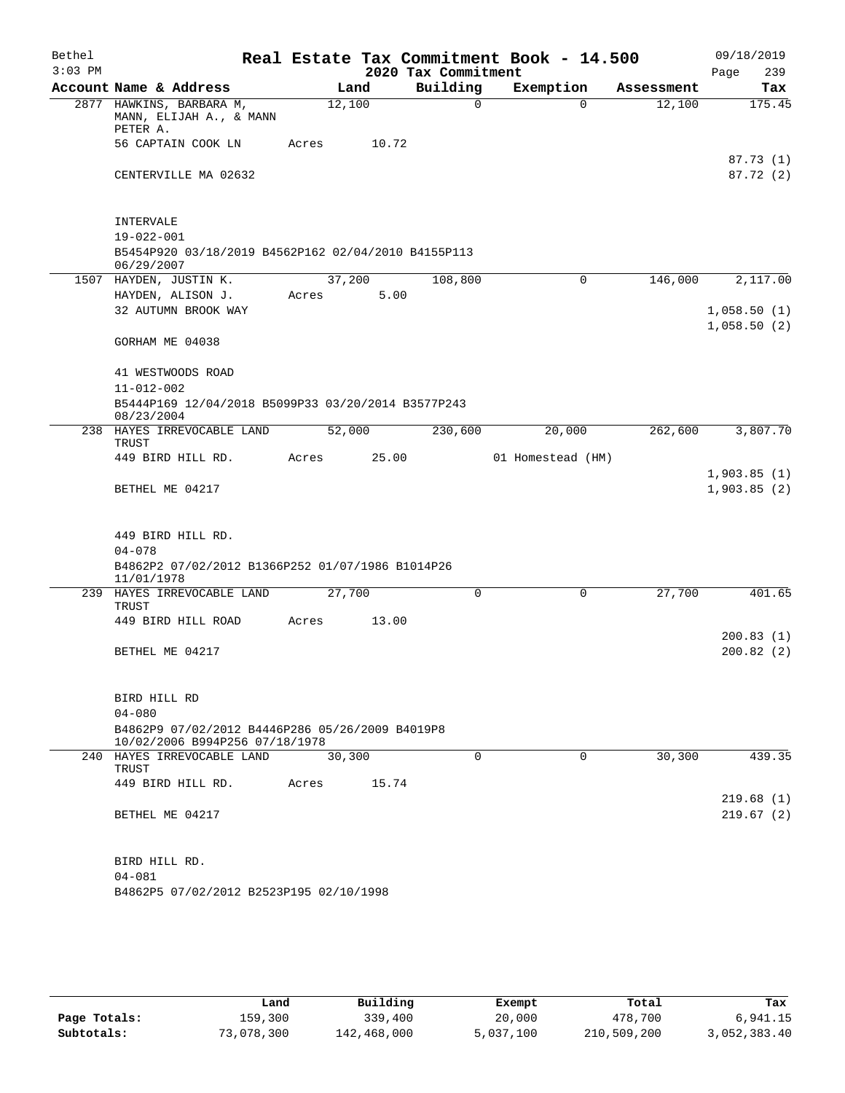| Bethel    |                                                                                       |        |       | Real Estate Tax Commitment Book - 14.500 |                   |            | 09/18/2019                 |
|-----------|---------------------------------------------------------------------------------------|--------|-------|------------------------------------------|-------------------|------------|----------------------------|
| $3:03$ PM |                                                                                       |        |       | 2020 Tax Commitment                      |                   |            | 239<br>Page                |
|           | Account Name & Address                                                                |        | Land  | Building                                 | Exemption         | Assessment | Tax                        |
|           | 2877 HAWKINS, BARBARA M,<br>MANN, ELIJAH A., & MANN<br>PETER A.                       | 12,100 |       | $\mathbf 0$                              | $\Omega$          | 12,100     | 175.45                     |
|           | 56 CAPTAIN COOK LN                                                                    | Acres  | 10.72 |                                          |                   |            | 87.73(1)                   |
|           | CENTERVILLE MA 02632                                                                  |        |       |                                          |                   |            | 87.72 (2)                  |
|           | INTERVALE                                                                             |        |       |                                          |                   |            |                            |
|           | $19 - 022 - 001$<br>B5454P920 03/18/2019 B4562P162 02/04/2010 B4155P113<br>06/29/2007 |        |       |                                          |                   |            |                            |
|           | 1507 HAYDEN, JUSTIN K.                                                                | 37,200 |       | 108,800                                  | 0                 | 146,000    | 2,117.00                   |
|           | HAYDEN, ALISON J.                                                                     | Acres  | 5.00  |                                          |                   |            |                            |
|           | 32 AUTUMN BROOK WAY                                                                   |        |       |                                          |                   |            | 1,058.50(1)<br>1,058.50(2) |
|           | GORHAM ME 04038                                                                       |        |       |                                          |                   |            |                            |
|           | 41 WESTWOODS ROAD                                                                     |        |       |                                          |                   |            |                            |
|           | $11 - 012 - 002$                                                                      |        |       |                                          |                   |            |                            |
|           | B5444P169 12/04/2018 B5099P33 03/20/2014 B3577P243<br>08/23/2004                      |        |       |                                          |                   |            |                            |
|           | 238 HAYES IRREVOCABLE LAND<br>TRUST                                                   | 52,000 |       | 230,600                                  | 20,000            | 262,600    | 3,807.70                   |
|           | 449 BIRD HILL RD.                                                                     | Acres  | 25.00 |                                          | 01 Homestead (HM) |            | 1,903.85(1)                |
|           | BETHEL ME 04217                                                                       |        |       |                                          |                   |            | 1,903.85(2)                |
|           | 449 BIRD HILL RD.                                                                     |        |       |                                          |                   |            |                            |
|           | $04 - 078$                                                                            |        |       |                                          |                   |            |                            |
|           | B4862P2 07/02/2012 B1366P252 01/07/1986 B1014P26<br>11/01/1978                        |        |       |                                          |                   |            |                            |
|           | 239 HAYES IRREVOCABLE LAND<br>TRUST                                                   | 27,700 |       | 0                                        | $\mathbf 0$       | 27,700     | 401.65                     |
|           | 449 BIRD HILL ROAD                                                                    | Acres  | 13.00 |                                          |                   |            |                            |
|           |                                                                                       |        |       |                                          |                   |            | 200.83(1)                  |
|           | BETHEL ME 04217                                                                       |        |       |                                          |                   |            | 200.82(2)                  |
|           | BIRD HILL RD                                                                          |        |       |                                          |                   |            |                            |
|           | $04 - 080$                                                                            |        |       |                                          |                   |            |                            |
|           | B4862P9 07/02/2012 B4446P286 05/26/2009 B4019P8<br>10/02/2006 B994P256 07/18/1978     |        |       |                                          |                   |            |                            |
|           | 240 HAYES IRREVOCABLE LAND<br>TRUST                                                   | 30,300 |       | $\Omega$                                 | $\mathbf 0$       | 30,300     | 439.35                     |
|           | 449 BIRD HILL RD.                                                                     | Acres  | 15.74 |                                          |                   |            |                            |
|           | BETHEL ME 04217                                                                       |        |       |                                          |                   |            | 219.68 (1)<br>219.67(2)    |
|           |                                                                                       |        |       |                                          |                   |            |                            |
|           | BIRD HILL RD.                                                                         |        |       |                                          |                   |            |                            |
|           | $04 - 081$                                                                            |        |       |                                          |                   |            |                            |
|           | B4862P5 07/02/2012 B2523P195 02/10/1998                                               |        |       |                                          |                   |            |                            |
|           |                                                                                       |        |       |                                          |                   |            |                            |

|              | Land       | Building    | Exempt    | Total       | Tax          |
|--------------|------------|-------------|-----------|-------------|--------------|
| Page Totals: | 159,300    | 339,400     | 20,000    | 478,700     | 6,941.15     |
| Subtotals:   | 73,078,300 | 142,468,000 | 5,037,100 | 210,509,200 | 3,052,383.40 |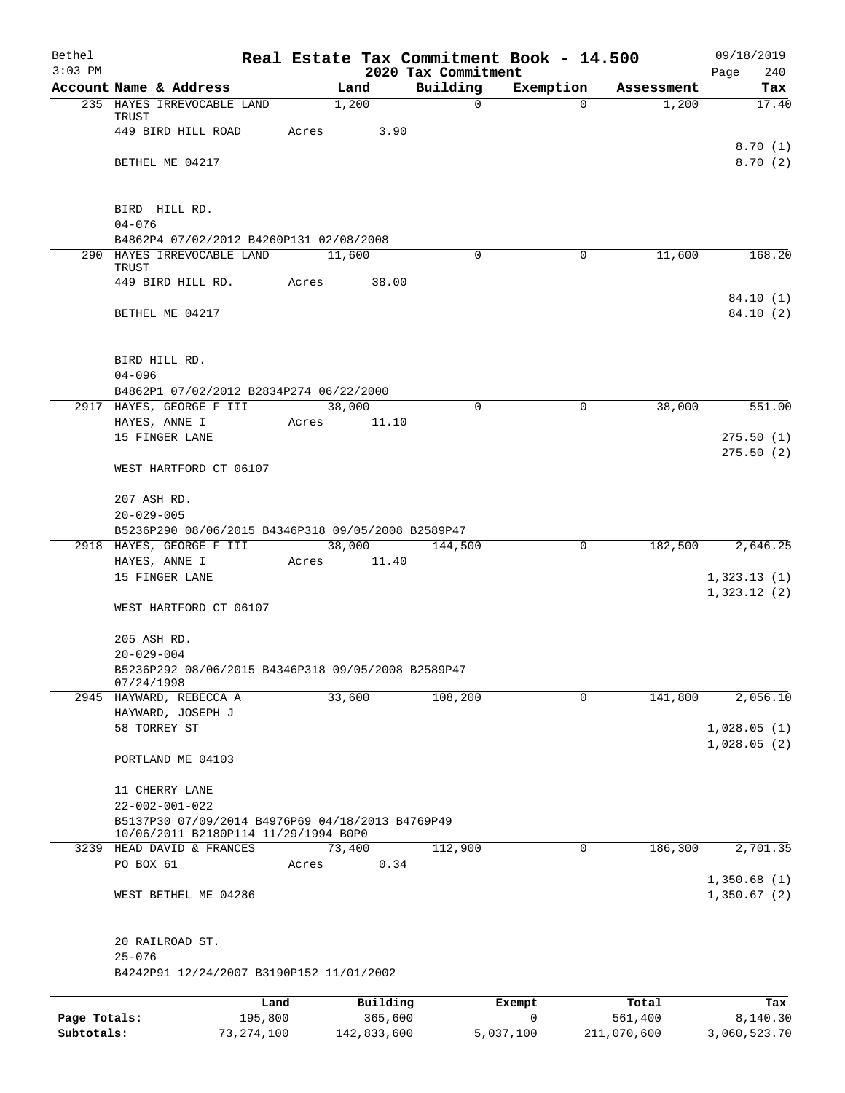| Bethel<br>$3:03$ PM |                                                                                          |              |       |                 | 2020 Tax Commitment | Real Estate Tax Commitment Book - 14.500 |             | 09/18/2019<br>240<br>Page  |
|---------------------|------------------------------------------------------------------------------------------|--------------|-------|-----------------|---------------------|------------------------------------------|-------------|----------------------------|
|                     | Account Name & Address                                                                   |              |       | Land            | Building            | Exemption                                | Assessment  | Tax                        |
|                     | 235 HAYES IRREVOCABLE LAND<br>TRUST                                                      |              |       | 1,200           | $\mathbf 0$         | $\Omega$                                 | 1,200       | 17.40                      |
|                     | 449 BIRD HILL ROAD                                                                       |              | Acres | 3.90            |                     |                                          |             |                            |
|                     | BETHEL ME 04217                                                                          |              |       |                 |                     |                                          |             | 8.70(1)<br>8.70(2)         |
|                     | BIRD HILL RD.                                                                            |              |       |                 |                     |                                          |             |                            |
|                     | $04 - 076$                                                                               |              |       |                 |                     |                                          |             |                            |
|                     | B4862P4 07/02/2012 B4260P131 02/08/2008                                                  |              |       |                 |                     |                                          |             |                            |
|                     | 290 HAYES IRREVOCABLE LAND<br>TRUST                                                      |              |       | 11,600          | 0                   | $\mathbf 0$                              | 11,600      | 168.20                     |
|                     | 449 BIRD HILL RD.                                                                        |              | Acres | 38.00           |                     |                                          |             |                            |
|                     | BETHEL ME 04217                                                                          |              |       |                 |                     |                                          |             | 84.10 (1)<br>84.10 (2)     |
|                     | BIRD HILL RD.                                                                            |              |       |                 |                     |                                          |             |                            |
|                     | $04 - 096$                                                                               |              |       |                 |                     |                                          |             |                            |
|                     | B4862P1 07/02/2012 B2834P274 06/22/2000                                                  |              |       |                 |                     |                                          |             |                            |
|                     | 2917 HAYES, GEORGE F III<br>HAYES, ANNE I                                                |              | Acres | 38,000<br>11.10 | $\Omega$            | $\Omega$                                 | 38,000      | 551.00                     |
|                     | 15 FINGER LANE                                                                           |              |       |                 |                     |                                          |             | 275.50(1)                  |
|                     | WEST HARTFORD CT 06107                                                                   |              |       |                 |                     |                                          |             | 275.50(2)                  |
|                     | 207 ASH RD.                                                                              |              |       |                 |                     |                                          |             |                            |
|                     | $20 - 029 - 005$<br>B5236P290 08/06/2015 B4346P318 09/05/2008 B2589P47                   |              |       |                 |                     |                                          |             |                            |
|                     | 2918 HAYES, GEORGE F III                                                                 |              |       | 38,000          | 144,500             | $\mathbf 0$                              | 182,500     | 2,646.25                   |
|                     | HAYES, ANNE I                                                                            |              | Acres | 11.40           |                     |                                          |             |                            |
|                     | 15 FINGER LANE                                                                           |              |       |                 |                     |                                          |             | 1,323.13(1)<br>1,323.12(2) |
|                     | WEST HARTFORD CT 06107                                                                   |              |       |                 |                     |                                          |             |                            |
|                     | 205 ASH RD.                                                                              |              |       |                 |                     |                                          |             |                            |
|                     | $20 - 029 - 004$                                                                         |              |       |                 |                     |                                          |             |                            |
|                     | B5236P292 08/06/2015 B4346P318 09/05/2008 B2589P47<br>07/24/1998                         |              |       |                 |                     |                                          |             |                            |
|                     | 2945 HAYWARD, REBECCA A                                                                  |              |       | 33,600          | 108,200             | 0                                        | 141,800     | 2,056.10                   |
|                     | HAYWARD, JOSEPH J<br>58 TORREY ST                                                        |              |       |                 |                     |                                          |             | 1,028.05(1)                |
|                     |                                                                                          |              |       |                 |                     |                                          |             | 1,028.05(2)                |
|                     | PORTLAND ME 04103                                                                        |              |       |                 |                     |                                          |             |                            |
|                     | 11 CHERRY LANE                                                                           |              |       |                 |                     |                                          |             |                            |
|                     | $22 - 002 - 001 - 022$                                                                   |              |       |                 |                     |                                          |             |                            |
|                     | B5137P30 07/09/2014 B4976P69 04/18/2013 B4769P49<br>10/06/2011 B2180P114 11/29/1994 B0P0 |              |       |                 |                     |                                          |             |                            |
|                     | 3239 HEAD DAVID & FRANCES                                                                |              |       | 73,400          | 112,900             | 0                                        | 186,300     | 2,701.35                   |
|                     | PO BOX 61                                                                                |              | Acres | 0.34            |                     |                                          |             |                            |
|                     | WEST BETHEL ME 04286                                                                     |              |       |                 |                     |                                          |             | 1,350.68(1)<br>1,350.67(2) |
|                     | 20 RAILROAD ST.                                                                          |              |       |                 |                     |                                          |             |                            |
|                     | $25 - 076$<br>B4242P91 12/24/2007 B3190P152 11/01/2002                                   |              |       |                 |                     |                                          |             |                            |
|                     |                                                                                          | Land         |       | Building        |                     | Exempt                                   | Total       | Tax                        |
| Page Totals:        |                                                                                          | 195,800      |       | 365,600         |                     | 0                                        | 561,400     | 8,140.30                   |
| Subtotals:          |                                                                                          | 73, 274, 100 |       | 142,833,600     |                     | 5,037,100                                | 211,070,600 | 3,060,523.70               |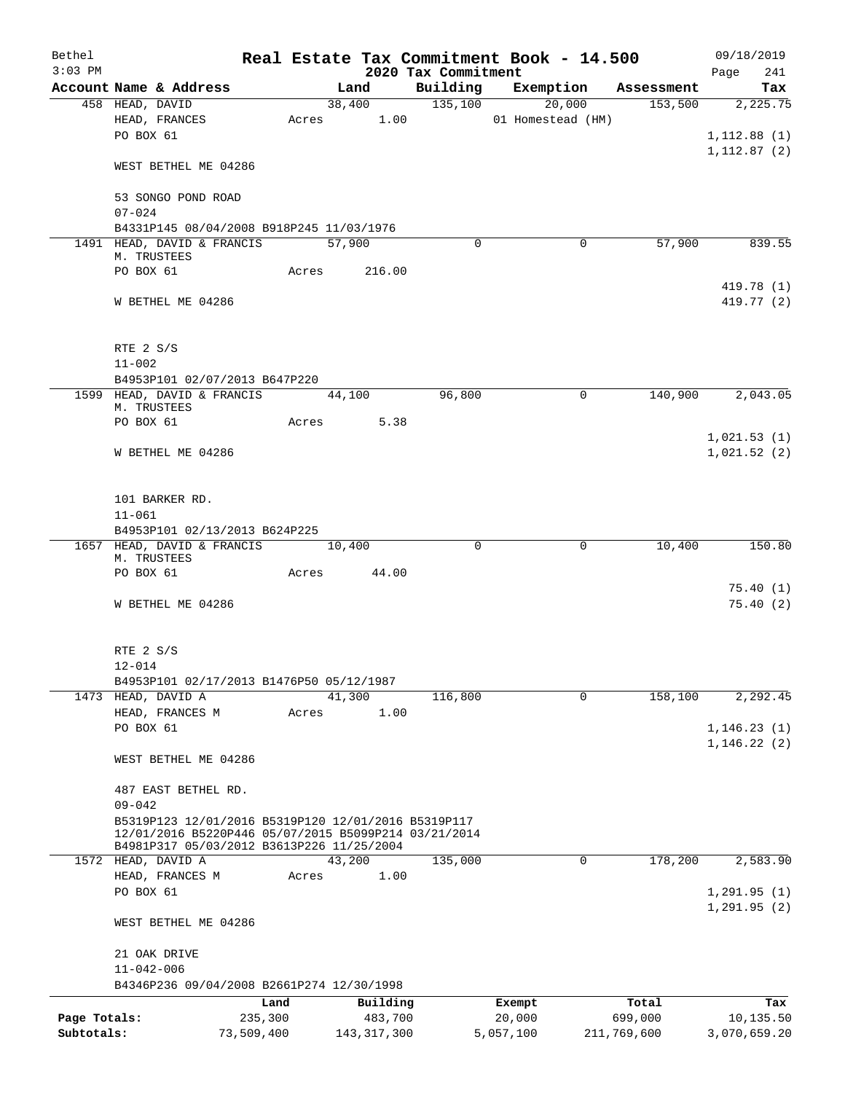| Bethel       |                                                                                                   |            |                 |                                 | Real Estate Tax Commitment Book - 14.500 |             | 09/18/2019                  |
|--------------|---------------------------------------------------------------------------------------------------|------------|-----------------|---------------------------------|------------------------------------------|-------------|-----------------------------|
| $3:03$ PM    | Account Name & Address                                                                            |            | Land            | 2020 Tax Commitment<br>Building | Exemption                                | Assessment  | 241<br>Page<br>Tax          |
|              | 458 HEAD, DAVID                                                                                   |            | 38,400          | 135,100                         | 20,000                                   | 153,500     | 2,225.75                    |
|              | HEAD, FRANCES                                                                                     |            | Acres 1.00      |                                 | 01 Homestead (HM)                        |             |                             |
|              | PO BOX 61                                                                                         |            |                 |                                 |                                          |             | 1, 112.88(1)                |
|              | WEST BETHEL ME 04286                                                                              |            |                 |                                 |                                          |             | 1, 112.87(2)                |
|              | 53 SONGO POND ROAD                                                                                |            |                 |                                 |                                          |             |                             |
|              | $07 - 024$                                                                                        |            |                 |                                 |                                          |             |                             |
|              | B4331P145 08/04/2008 B918P245 11/03/1976<br>1491 HEAD, DAVID & FRANCIS                            |            | 57,900          | $\Omega$                        | 0                                        | 57,900      | 839.55                      |
|              | M. TRUSTEES                                                                                       |            |                 |                                 |                                          |             |                             |
|              | PO BOX 61                                                                                         |            | 216.00<br>Acres |                                 |                                          |             |                             |
|              |                                                                                                   |            |                 |                                 |                                          |             | 419.78 (1)                  |
|              | W BETHEL ME 04286                                                                                 |            |                 |                                 |                                          |             | 419.77 (2)                  |
|              | RTE 2 S/S                                                                                         |            |                 |                                 |                                          |             |                             |
|              | $11 - 002$                                                                                        |            |                 |                                 |                                          |             |                             |
|              | B4953P101 02/07/2013 B647P220                                                                     |            |                 |                                 |                                          |             |                             |
|              | 1599 HEAD, DAVID & FRANCIS                                                                        |            | 44,100          | 96,800                          | $\mathbf 0$                              | 140,900     | 2,043.05                    |
|              | M. TRUSTEES                                                                                       |            |                 |                                 |                                          |             |                             |
|              | PO BOX 61                                                                                         | Acres      | 5.38            |                                 |                                          |             |                             |
|              |                                                                                                   |            |                 |                                 |                                          |             | 1,021.53(1)                 |
|              | W BETHEL ME 04286                                                                                 |            |                 |                                 |                                          |             | 1,021.52(2)                 |
|              | 101 BARKER RD.                                                                                    |            |                 |                                 |                                          |             |                             |
|              | $11 - 061$                                                                                        |            |                 |                                 |                                          |             |                             |
|              | B4953P101 02/13/2013 B624P225                                                                     |            |                 |                                 |                                          |             |                             |
|              | 1657 HEAD, DAVID & FRANCIS<br>M. TRUSTEES                                                         |            | 10,400          | 0                               | 0                                        | 10,400      | 150.80                      |
|              | PO BOX 61                                                                                         | Acres      | 44.00           |                                 |                                          |             |                             |
|              |                                                                                                   |            |                 |                                 |                                          |             | 75.40(1)                    |
|              | W BETHEL ME 04286                                                                                 |            |                 |                                 |                                          |             | 75.40(2)                    |
|              | RTE 2 S/S                                                                                         |            |                 |                                 |                                          |             |                             |
|              | $12 - 014$                                                                                        |            |                 |                                 |                                          |             |                             |
|              | B4953P101 02/17/2013 B1476P50 05/12/1987                                                          |            |                 |                                 |                                          |             |                             |
|              | 1473 HEAD, DAVID A                                                                                |            | 41,300          | 116,800                         | $\mathbf 0$                              | 158,100     | 2,292.45                    |
|              | HEAD, FRANCES M                                                                                   | Acres      | 1.00            |                                 |                                          |             |                             |
|              | PO BOX 61                                                                                         |            |                 |                                 |                                          |             | 1, 146.23(1)<br>1,146.22(2) |
|              | WEST BETHEL ME 04286                                                                              |            |                 |                                 |                                          |             |                             |
|              | 487 EAST BETHEL RD.                                                                               |            |                 |                                 |                                          |             |                             |
|              | $09 - 042$<br>B5319P123 12/01/2016 B5319P120 12/01/2016 B5319P117                                 |            |                 |                                 |                                          |             |                             |
|              | 12/01/2016 B5220P446 05/07/2015 B5099P214 03/21/2014<br>B4981P317 05/03/2012 B3613P226 11/25/2004 |            |                 |                                 |                                          |             |                             |
|              | 1572 HEAD, DAVID A                                                                                |            | 43,200          | 135,000                         | 0                                        | 178,200     | 2,583.90                    |
|              | HEAD, FRANCES M                                                                                   | Acres      | 1.00            |                                 |                                          |             |                             |
|              | PO BOX 61                                                                                         |            |                 |                                 |                                          |             | 1, 291.95(1)                |
|              | WEST BETHEL ME 04286                                                                              |            |                 |                                 |                                          |             | 1, 291.95(2)                |
|              | 21 OAK DRIVE                                                                                      |            |                 |                                 |                                          |             |                             |
|              | $11 - 042 - 006$                                                                                  |            |                 |                                 |                                          |             |                             |
|              | B4346P236 09/04/2008 B2661P274 12/30/1998                                                         |            |                 |                                 |                                          |             |                             |
|              |                                                                                                   | Land       | Building        |                                 | Exempt                                   | Total       | Tax                         |
| Page Totals: |                                                                                                   | 235,300    | 483,700         |                                 | 20,000                                   | 699,000     | 10,135.50                   |
| Subtotals:   |                                                                                                   | 73,509,400 | 143, 317, 300   |                                 | 5,057,100                                | 211,769,600 | 3,070,659.20                |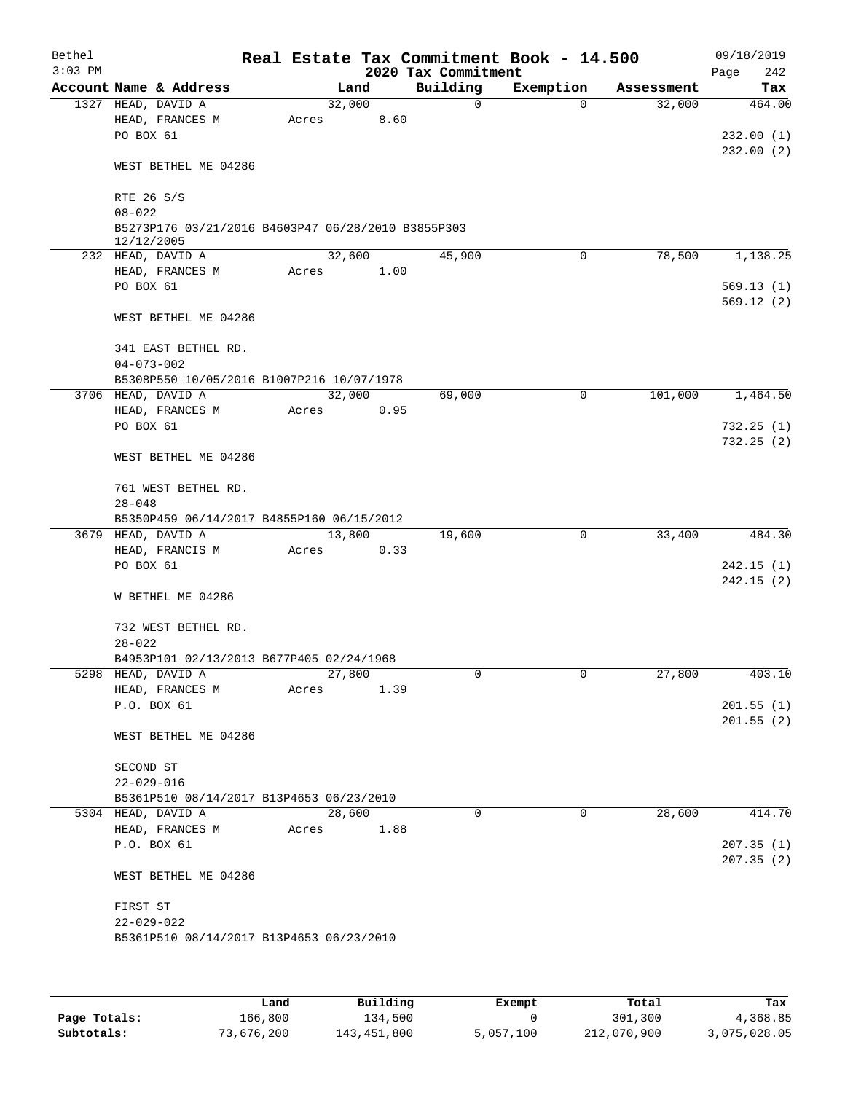| Bethel<br>$3:03$ PM |                                                                                |       |        |      | 2020 Tax Commitment | Real Estate Tax Commitment Book - 14.500 |            | 09/18/2019<br>Page<br>242 |
|---------------------|--------------------------------------------------------------------------------|-------|--------|------|---------------------|------------------------------------------|------------|---------------------------|
|                     | Account Name & Address                                                         |       | Land   |      | Building            | Exemption                                | Assessment | Tax                       |
|                     | 1327 HEAD, DAVID A<br>HEAD, FRANCES M                                          | Acres | 32,000 | 8.60 | $\mathbf 0$         | $\Omega$                                 | 32,000     | 464.00                    |
|                     | PO BOX 61                                                                      |       |        |      |                     |                                          |            | 232.00(1)<br>232.00(2)    |
|                     | WEST BETHEL ME 04286                                                           |       |        |      |                     |                                          |            |                           |
|                     | RTE 26 S/S<br>$08 - 022$<br>B5273P176 03/21/2016 B4603P47 06/28/2010 B3855P303 |       |        |      |                     |                                          |            |                           |
|                     | 12/12/2005                                                                     |       |        |      |                     |                                          |            |                           |
|                     | 232 HEAD, DAVID A                                                              |       | 32,600 |      | 45,900              | 0                                        | 78,500     | 1,138.25                  |
|                     | HEAD, FRANCES M                                                                | Acres |        | 1.00 |                     |                                          |            |                           |
|                     | PO BOX 61                                                                      |       |        |      |                     |                                          |            | 569.13(1)<br>569.12(2)    |
|                     | WEST BETHEL ME 04286                                                           |       |        |      |                     |                                          |            |                           |
|                     | 341 EAST BETHEL RD.<br>$04 - 073 - 002$                                        |       |        |      |                     |                                          |            |                           |
|                     | B5308P550 10/05/2016 B1007P216 10/07/1978                                      |       |        |      |                     |                                          |            |                           |
|                     | 3706 HEAD, DAVID A                                                             |       | 32,000 |      | 69,000              | $\mathsf{O}$                             | 101,000    | 1,464.50                  |
|                     | HEAD, FRANCES M                                                                | Acres |        | 0.95 |                     |                                          |            |                           |
|                     | PO BOX 61                                                                      |       |        |      |                     |                                          |            | 732.25(1)                 |
|                     | WEST BETHEL ME 04286                                                           |       |        |      |                     |                                          |            | 732.25(2)                 |
|                     |                                                                                |       |        |      |                     |                                          |            |                           |
|                     | 761 WEST BETHEL RD.<br>$28 - 048$                                              |       |        |      |                     |                                          |            |                           |
|                     | B5350P459 06/14/2017 B4855P160 06/15/2012                                      |       |        |      |                     |                                          |            |                           |
|                     | 3679 HEAD, DAVID A                                                             |       | 13,800 |      | 19,600              | $\mathbf 0$                              | 33,400     | 484.30                    |
|                     | HEAD, FRANCIS M                                                                | Acres |        | 0.33 |                     |                                          |            |                           |
|                     | PO BOX 61                                                                      |       |        |      |                     |                                          |            | 242.15(1)                 |
|                     |                                                                                |       |        |      |                     |                                          |            | 242.15(2)                 |
|                     | W BETHEL ME 04286                                                              |       |        |      |                     |                                          |            |                           |
|                     | 732 WEST BETHEL RD.                                                            |       |        |      |                     |                                          |            |                           |
|                     | $28 - 022$                                                                     |       |        |      |                     |                                          |            |                           |
|                     | B4953P101 02/13/2013 B677P405 02/24/1968                                       |       |        |      |                     |                                          |            |                           |
|                     | 5298 HEAD, DAVID A                                                             |       | 27,800 |      | 0                   | $\overline{0}$                           | 27,800     | 403.10                    |
|                     | HEAD, FRANCES M<br>P.O. BOX 61                                                 | Acres |        | 1.39 |                     |                                          |            | 201.55(1)                 |
|                     |                                                                                |       |        |      |                     |                                          |            | 201.55(2)                 |
|                     | WEST BETHEL ME 04286                                                           |       |        |      |                     |                                          |            |                           |
|                     | SECOND ST                                                                      |       |        |      |                     |                                          |            |                           |
|                     | $22 - 029 - 016$                                                               |       |        |      |                     |                                          |            |                           |
|                     | B5361P510 08/14/2017 B13P4653 06/23/2010                                       |       |        |      |                     |                                          |            |                           |
|                     | 5304 HEAD, DAVID A                                                             |       | 28,600 |      | $\Omega$            | 0                                        | 28,600     | 414.70                    |
|                     | HEAD, FRANCES M<br>P.O. BOX 61                                                 | Acres |        | 1.88 |                     |                                          |            |                           |
|                     |                                                                                |       |        |      |                     |                                          |            | 207.35(1)                 |
|                     | WEST BETHEL ME 04286                                                           |       |        |      |                     |                                          |            | 207.35(2)                 |
|                     | FIRST ST                                                                       |       |        |      |                     |                                          |            |                           |
|                     | $22 - 029 - 022$                                                               |       |        |      |                     |                                          |            |                           |
|                     | B5361P510 08/14/2017 B13P4653 06/23/2010                                       |       |        |      |                     |                                          |            |                           |
|                     |                                                                                |       |        |      |                     |                                          |            |                           |

|              | Land       | Building    | Exempt    | Total       | Tax          |
|--------------|------------|-------------|-----------|-------------|--------------|
| Page Totals: | 166,800    | 134,500     |           | 301,300     | 4,368.85     |
| Subtotals:   | 73,676,200 | 143,451,800 | 5,057,100 | 212,070,900 | 3,075,028.05 |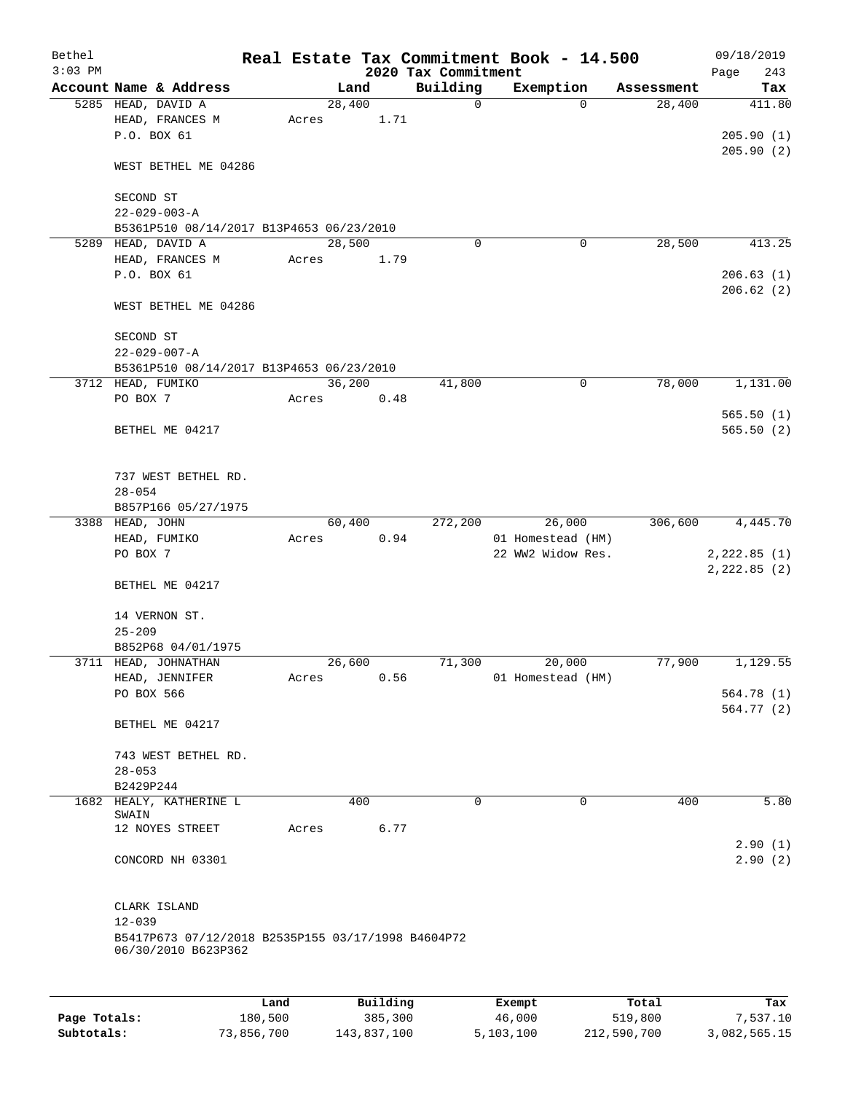| Bethel       |                                                                           |         |       |        |          |                     | Real Estate Tax Commitment Book - 14.500 |            | 09/18/2019   |
|--------------|---------------------------------------------------------------------------|---------|-------|--------|----------|---------------------|------------------------------------------|------------|--------------|
| $3:03$ PM    |                                                                           |         |       |        |          | 2020 Tax Commitment |                                          |            | 243<br>Page  |
|              | Account Name & Address                                                    |         |       | Land   |          | Building            | Exemption                                | Assessment | Tax          |
|              | 5285 HEAD, DAVID A                                                        |         |       | 28,400 |          | $\mathbf 0$         | $\Omega$                                 | 28,400     | 411.80       |
|              | HEAD, FRANCES M                                                           |         | Acres |        | 1.71     |                     |                                          |            |              |
|              | P.O. BOX 61                                                               |         |       |        |          |                     |                                          |            | 205.90(1)    |
|              | WEST BETHEL ME 04286                                                      |         |       |        |          |                     |                                          |            | 205.90(2)    |
|              | SECOND ST                                                                 |         |       |        |          |                     |                                          |            |              |
|              | $22 - 029 - 003 - A$                                                      |         |       |        |          |                     |                                          |            |              |
|              | B5361P510 08/14/2017 B13P4653 06/23/2010                                  |         |       |        |          |                     |                                          |            |              |
|              | 5289 HEAD, DAVID A                                                        |         |       | 28,500 |          | $\Omega$            | 0                                        | 28,500     | 413.25       |
|              | HEAD, FRANCES M                                                           |         | Acres |        | 1.79     |                     |                                          |            |              |
|              | P.O. BOX 61                                                               |         |       |        |          |                     |                                          |            | 206.63(1)    |
|              |                                                                           |         |       |        |          |                     |                                          |            | 206.62(2)    |
|              | WEST BETHEL ME 04286                                                      |         |       |        |          |                     |                                          |            |              |
|              | SECOND ST                                                                 |         |       |        |          |                     |                                          |            |              |
|              | $22 - 029 - 007 - A$                                                      |         |       |        |          |                     |                                          |            |              |
|              | B5361P510 08/14/2017 B13P4653 06/23/2010                                  |         |       |        |          |                     |                                          |            |              |
|              | 3712 HEAD, FUMIKO                                                         |         |       | 36,200 |          | 41,800              | $\mathbf 0$                              | 78,000     | 1,131.00     |
|              | PO BOX 7                                                                  |         | Acres |        | 0.48     |                     |                                          |            |              |
|              |                                                                           |         |       |        |          |                     |                                          |            | 565.50(1)    |
|              | BETHEL ME 04217                                                           |         |       |        |          |                     |                                          |            | 565.50(2)    |
|              |                                                                           |         |       |        |          |                     |                                          |            |              |
|              |                                                                           |         |       |        |          |                     |                                          |            |              |
|              | 737 WEST BETHEL RD.                                                       |         |       |        |          |                     |                                          |            |              |
|              | $28 - 054$                                                                |         |       |        |          |                     |                                          |            |              |
|              | B857P166 05/27/1975                                                       |         |       |        |          |                     |                                          |            |              |
|              | 3388 HEAD, JOHN                                                           |         |       | 60,400 |          | 272,200             | 26,000                                   | 306,600    | 4,445.70     |
|              | HEAD, FUMIKO                                                              |         | Acres |        | 0.94     |                     | 01 Homestead (HM)                        |            |              |
|              | PO BOX 7                                                                  |         |       |        |          |                     | 22 WW2 Widow Res.                        |            | 2,222.85(1)  |
|              |                                                                           |         |       |        |          |                     |                                          |            | 2,222.85 (2) |
|              | BETHEL ME 04217                                                           |         |       |        |          |                     |                                          |            |              |
|              |                                                                           |         |       |        |          |                     |                                          |            |              |
|              | 14 VERNON ST.                                                             |         |       |        |          |                     |                                          |            |              |
|              | $25 - 209$<br>B852P68 04/01/1975                                          |         |       |        |          |                     |                                          |            |              |
|              | 3711 HEAD, JOHNATHAN                                                      |         |       | 26,600 |          | 71,300              | 20,000                                   | 77,900     | 1,129.55     |
|              | HEAD, JENNIFER                                                            |         | Acres |        | 0.56     |                     | 01 Homestead (HM)                        |            |              |
|              | PO BOX 566                                                                |         |       |        |          |                     |                                          |            | 564.78(1)    |
|              |                                                                           |         |       |        |          |                     |                                          |            | 564.77(2)    |
|              | BETHEL ME 04217                                                           |         |       |        |          |                     |                                          |            |              |
|              |                                                                           |         |       |        |          |                     |                                          |            |              |
|              | 743 WEST BETHEL RD.                                                       |         |       |        |          |                     |                                          |            |              |
|              | $28 - 053$                                                                |         |       |        |          |                     |                                          |            |              |
|              | B2429P244                                                                 |         |       |        |          |                     |                                          |            |              |
|              | 1682 HEALY, KATHERINE L                                                   |         |       | 400    |          | $\mathbf 0$         | $\mathbf 0$                              | 400        | 5.80         |
|              | SWAIN                                                                     |         |       |        |          |                     |                                          |            |              |
|              | 12 NOYES STREET                                                           |         | Acres |        | 6.77     |                     |                                          |            |              |
|              |                                                                           |         |       |        |          |                     |                                          |            | 2.90(1)      |
|              | CONCORD NH 03301                                                          |         |       |        |          |                     |                                          |            | 2.90(2)      |
|              |                                                                           |         |       |        |          |                     |                                          |            |              |
|              | CLARK ISLAND                                                              |         |       |        |          |                     |                                          |            |              |
|              | $12 - 039$                                                                |         |       |        |          |                     |                                          |            |              |
|              | B5417P673 07/12/2018 B2535P155 03/17/1998 B4604P72<br>06/30/2010 B623P362 |         |       |        |          |                     |                                          |            |              |
|              |                                                                           |         |       |        |          |                     |                                          |            |              |
|              |                                                                           | Land    |       |        | Building |                     | Exempt                                   | Total      | Tax          |
| Page Totals: |                                                                           | 180,500 |       |        | 385,300  |                     | 46,000                                   | 519,800    | 7,537.10     |

**Subtotals:** 73,856,700 143,837,100 5,103,100 212,590,700 3,082,565.15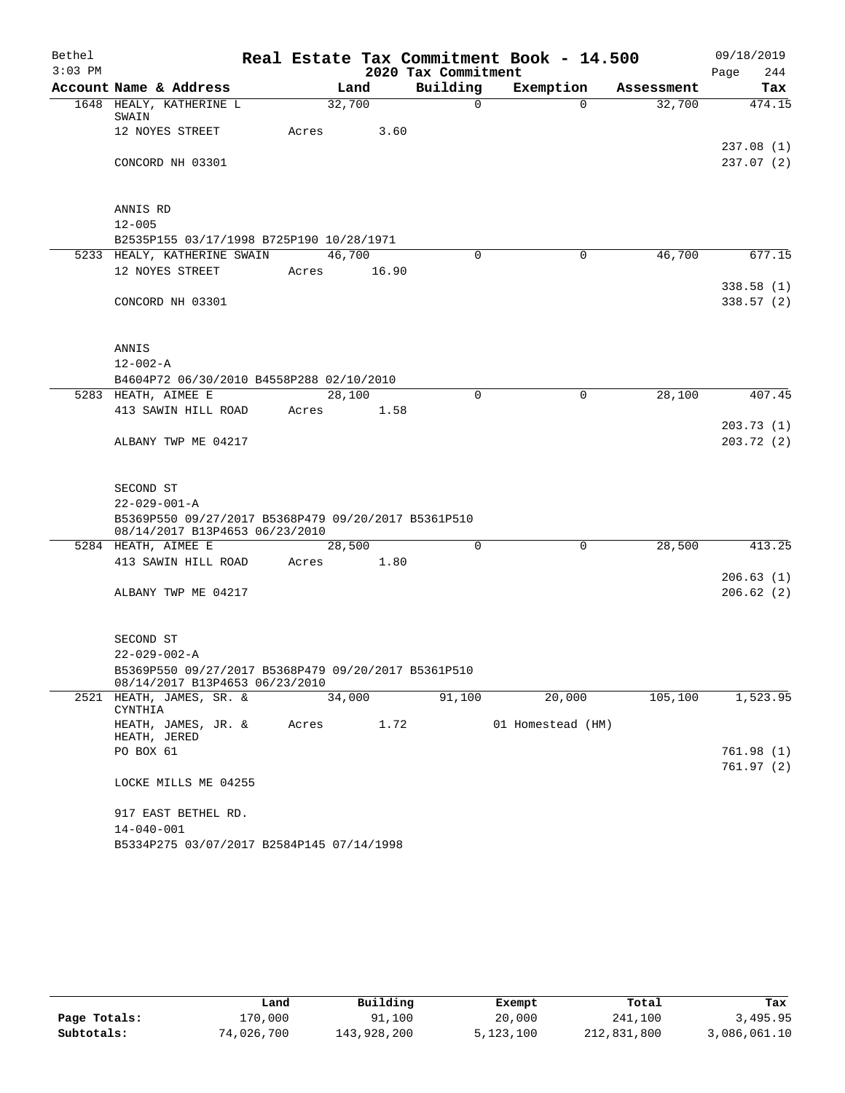| Bethel    |                                                     |       |             |                     | Real Estate Tax Commitment Book - 14.500 |            | 09/18/2019  |
|-----------|-----------------------------------------------------|-------|-------------|---------------------|------------------------------------------|------------|-------------|
| $3:03$ PM |                                                     |       |             | 2020 Tax Commitment |                                          |            | 244<br>Page |
|           | Account Name & Address                              |       | Land        | Building            | Exemption                                | Assessment | Tax         |
|           | 1648 HEALY, KATHERINE L                             |       | 32,700      | $\Omega$            | $\Omega$                                 | 32,700     | 474.15      |
|           | SWAIN<br>12 NOYES STREET                            | Acres | 3.60        |                     |                                          |            |             |
|           |                                                     |       |             |                     |                                          |            | 237.08(1)   |
|           | CONCORD NH 03301                                    |       |             |                     |                                          |            | 237.07(2)   |
|           |                                                     |       |             |                     |                                          |            |             |
|           |                                                     |       |             |                     |                                          |            |             |
|           | ANNIS RD                                            |       |             |                     |                                          |            |             |
|           | $12 - 005$                                          |       |             |                     |                                          |            |             |
|           | B2535P155 03/17/1998 B725P190 10/28/1971            |       |             |                     |                                          |            |             |
|           | 5233 HEALY, KATHERINE SWAIN                         |       | 46,700      | $\Omega$            | $\Omega$                                 | 46,700     | 677.15      |
|           | 12 NOYES STREET                                     |       | Acres 16.90 |                     |                                          |            |             |
|           |                                                     |       |             |                     |                                          |            | 338.58(1)   |
|           | CONCORD NH 03301                                    |       |             |                     |                                          |            | 338.57(2)   |
|           |                                                     |       |             |                     |                                          |            |             |
|           | ANNIS                                               |       |             |                     |                                          |            |             |
|           | $12 - 002 - A$                                      |       |             |                     |                                          |            |             |
|           | B4604P72 06/30/2010 B4558P288 02/10/2010            |       |             |                     |                                          |            |             |
|           | 5283 HEATH, AIMEE E                                 |       | 28,100      | $\Omega$            | $\Omega$                                 | 28,100     | 407.45      |
|           | 413 SAWIN HILL ROAD                                 | Acres | 1.58        |                     |                                          |            |             |
|           |                                                     |       |             |                     |                                          |            | 203.73(1)   |
|           | ALBANY TWP ME 04217                                 |       |             |                     |                                          |            | 203.72(2)   |
|           |                                                     |       |             |                     |                                          |            |             |
|           |                                                     |       |             |                     |                                          |            |             |
|           | SECOND ST<br>$22 - 029 - 001 - A$                   |       |             |                     |                                          |            |             |
|           | B5369P550 09/27/2017 B5368P479 09/20/2017 B5361P510 |       |             |                     |                                          |            |             |
|           | 08/14/2017 B13P4653 06/23/2010                      |       |             |                     |                                          |            |             |
|           | 5284 HEATH, AIMEE E                                 |       | 28,500      | $\mathbf 0$         | $\mathbf 0$                              | 28,500     | 413.25      |
|           | 413 SAWIN HILL ROAD                                 | Acres | 1.80        |                     |                                          |            |             |
|           |                                                     |       |             |                     |                                          |            | 206.63(1)   |
|           | ALBANY TWP ME 04217                                 |       |             |                     |                                          |            | 206.62(2)   |
|           |                                                     |       |             |                     |                                          |            |             |
|           | SECOND ST                                           |       |             |                     |                                          |            |             |
|           | $22 - 029 - 002 - A$                                |       |             |                     |                                          |            |             |
|           | B5369P550 09/27/2017 B5368P479 09/20/2017 B5361P510 |       |             |                     |                                          |            |             |
|           | 08/14/2017 B13P4653 06/23/2010                      |       |             |                     |                                          |            |             |
| 2521      | HEATH, JAMES, SR. &<br>CYNTHIA                      |       | 34,000      | 91,100              | 20,000                                   | 105,100    | 1,523.95    |
|           | HEATH, JAMES, JR. &<br>HEATH, JERED                 | Acres |             | 1.72                | 01 Homestead (HM)                        |            |             |
|           | PO BOX 61                                           |       |             |                     |                                          |            | 761.98 (1)  |
|           |                                                     |       |             |                     |                                          |            | 761.97(2)   |
|           | LOCKE MILLS ME 04255                                |       |             |                     |                                          |            |             |
|           | 917 EAST BETHEL RD.                                 |       |             |                     |                                          |            |             |
|           | $14 - 040 - 001$                                    |       |             |                     |                                          |            |             |
|           | B5334P275 03/07/2017 B2584P145 07/14/1998           |       |             |                     |                                          |            |             |

|              | Land       | Building    | Exempt    | Total       | Tax          |
|--------------|------------|-------------|-----------|-------------|--------------|
| Page Totals: | L70,000    | 91,100      | 20,000    | 241,100     | 3,495.95     |
| Subtotals:   | 74,026,700 | 143,928,200 | 5,123,100 | 212,831,800 | 3,086,061.10 |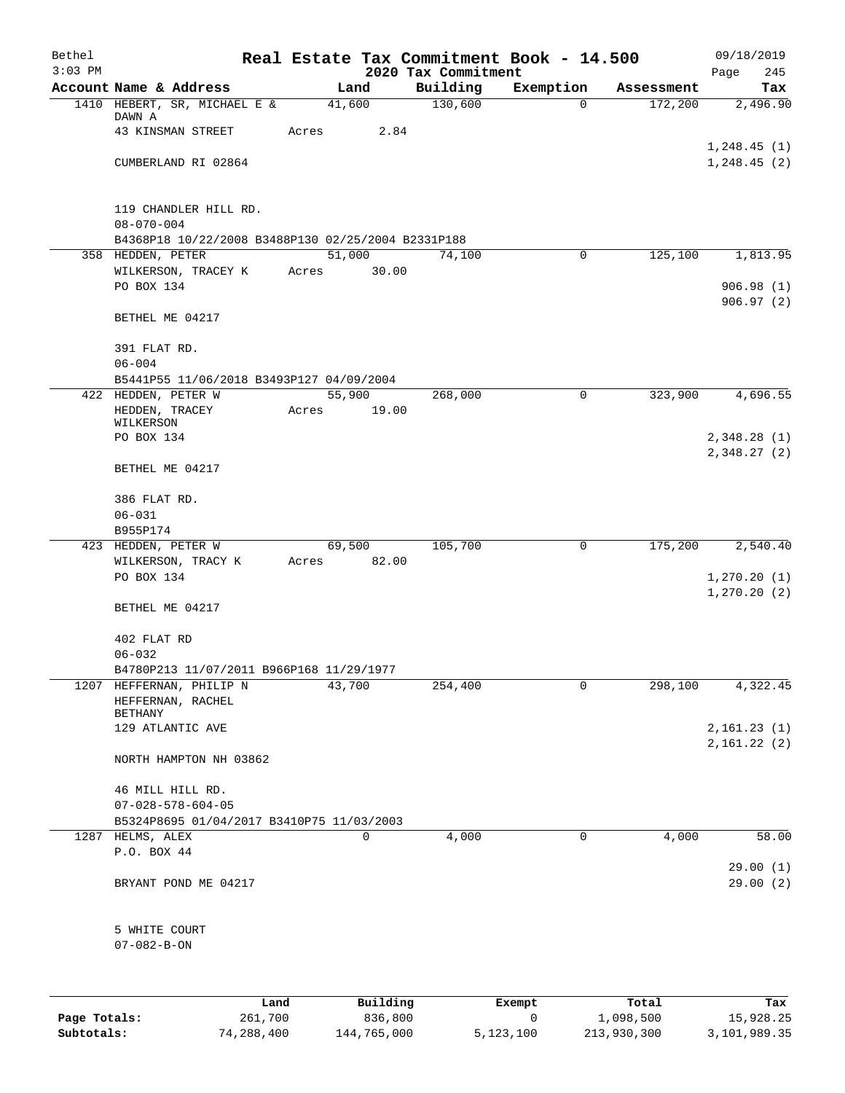| Bethel<br>$3:03$ PM |                                                                 |       |                 |                                 | Real Estate Tax Commitment Book - 14.500 |            | 09/18/2019         |
|---------------------|-----------------------------------------------------------------|-------|-----------------|---------------------------------|------------------------------------------|------------|--------------------|
|                     | Account Name & Address                                          |       | Land            | 2020 Tax Commitment<br>Building | Exemption                                | Assessment | 245<br>Page<br>Tax |
|                     | 1410 HEBERT, SR, MICHAEL E &                                    |       | 41,600          | 130,600                         | $\Omega$                                 | 172,200    | 2,496.90           |
|                     | DAWN A<br>43 KINSMAN STREET                                     | Acres | 2.84            |                                 |                                          |            |                    |
|                     |                                                                 |       |                 |                                 |                                          |            | 1,248.45(1)        |
|                     | CUMBERLAND RI 02864                                             |       |                 |                                 |                                          |            | 1, 248.45(2)       |
|                     | 119 CHANDLER HILL RD.                                           |       |                 |                                 |                                          |            |                    |
|                     | $08 - 070 - 004$                                                |       |                 |                                 |                                          |            |                    |
|                     | B4368P18 10/22/2008 B3488P130 02/25/2004 B2331P188              |       |                 |                                 |                                          |            |                    |
|                     | 358 HEDDEN, PETER<br>WILKERSON, TRACEY K                        | Acres | 51,000<br>30.00 | 74,100                          | $\mathbf 0$                              | 125,100    | 1,813.95           |
|                     | PO BOX 134                                                      |       |                 |                                 |                                          |            | 906.98(1)          |
|                     |                                                                 |       |                 |                                 |                                          |            | 906.97(2)          |
|                     | BETHEL ME 04217                                                 |       |                 |                                 |                                          |            |                    |
|                     | 391 FLAT RD.                                                    |       |                 |                                 |                                          |            |                    |
|                     | $06 - 004$                                                      |       |                 |                                 |                                          |            |                    |
|                     | B5441P55 11/06/2018 B3493P127 04/09/2004                        |       |                 |                                 |                                          |            |                    |
|                     | 422 HEDDEN, PETER W<br>HEDDEN, TRACEY                           | Acres | 55,900<br>19.00 | 268,000                         | 0                                        | 323,900    | 4,696.55           |
|                     | WILKERSON                                                       |       |                 |                                 |                                          |            |                    |
|                     | PO BOX 134                                                      |       |                 |                                 |                                          |            | 2,348.28(1)        |
|                     | BETHEL ME 04217                                                 |       |                 |                                 |                                          |            | 2,348.27 (2)       |
|                     |                                                                 |       |                 |                                 |                                          |            |                    |
|                     | 386 FLAT RD.<br>$06 - 031$                                      |       |                 |                                 |                                          |            |                    |
|                     | B955P174                                                        |       |                 |                                 |                                          |            |                    |
|                     | 423 HEDDEN, PETER W                                             |       | 69,500          | 105,700                         | 0                                        | 175,200    | 2,540.40           |
|                     | WILKERSON, TRACY K                                              | Acres | 82.00           |                                 |                                          |            |                    |
|                     | PO BOX 134                                                      |       |                 |                                 |                                          |            | 1, 270.20(1)       |
|                     | BETHEL ME 04217                                                 |       |                 |                                 |                                          |            | 1, 270.20(2)       |
|                     |                                                                 |       |                 |                                 |                                          |            |                    |
|                     | 402 FLAT RD                                                     |       |                 |                                 |                                          |            |                    |
|                     | $06 - 032$                                                      |       |                 |                                 |                                          |            |                    |
| 1207                | B4780P213 11/07/2011 B966P168 11/29/1977<br>HEFFERNAN, PHILIP N |       | 43,700          | 254,400                         | 0                                        | 298,100    | 4,322.45           |
|                     | HEFFERNAN, RACHEL                                               |       |                 |                                 |                                          |            |                    |
|                     | <b>BETHANY</b>                                                  |       |                 |                                 |                                          |            |                    |
|                     | 129 ATLANTIC AVE                                                |       |                 |                                 |                                          |            | 2,161.23(1)        |
|                     | NORTH HAMPTON NH 03862                                          |       |                 |                                 |                                          |            | 2,161.22(2)        |
|                     | 46 MILL HILL RD.                                                |       |                 |                                 |                                          |            |                    |
|                     | $07 - 028 - 578 - 604 - 05$                                     |       |                 |                                 |                                          |            |                    |
|                     | B5324P8695 01/04/2017 B3410P75 11/03/2003                       |       |                 |                                 |                                          |            |                    |
|                     | 1287 HELMS, ALEX                                                |       | 0               | 4,000                           | 0                                        | 4,000      | 58.00              |
|                     | P.O. BOX 44                                                     |       |                 |                                 |                                          |            |                    |
|                     |                                                                 |       |                 |                                 |                                          |            | 29.00(1)           |
|                     | BRYANT POND ME 04217                                            |       |                 |                                 |                                          |            | 29.00(2)           |
|                     | 5 WHITE COURT                                                   |       |                 |                                 |                                          |            |                    |
|                     | $07 - 082 - B - ON$                                             |       |                 |                                 |                                          |            |                    |
|                     |                                                                 |       |                 |                                 |                                          |            |                    |
|                     |                                                                 |       |                 |                                 |                                          |            |                    |
|                     | Land                                                            |       | Building        |                                 | Exempt                                   | Total      | Tax                |
| Page Totals:        | 261,700                                                         |       | 836,800         |                                 | 0                                        | 1,098,500  | 15,928.25          |

**Subtotals:** 74,288,400 144,765,000 5,123,100 213,930,300 3,101,989.35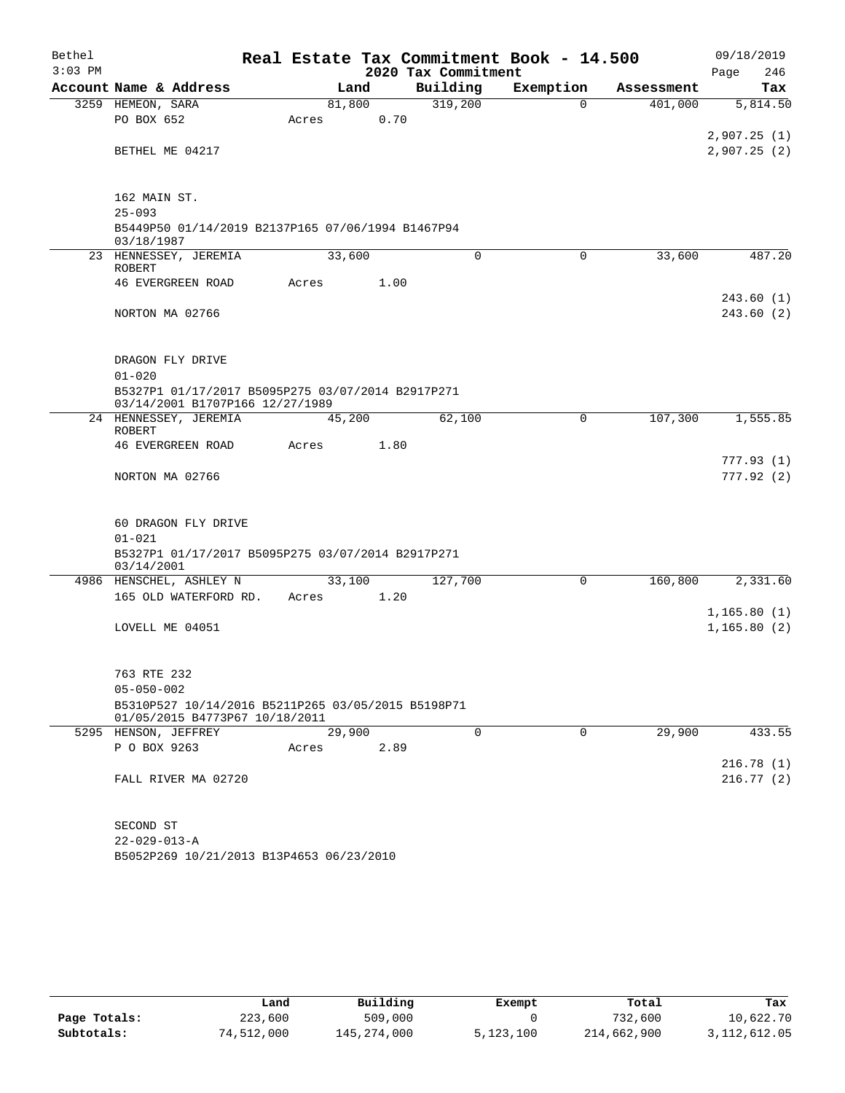| Bethel<br>$3:03$ PM |                                                                                      |        |      | 2020 Tax Commitment | Real Estate Tax Commitment Book - 14.500 |            | 09/18/2019<br>246<br>Page |
|---------------------|--------------------------------------------------------------------------------------|--------|------|---------------------|------------------------------------------|------------|---------------------------|
|                     | Account Name & Address                                                               |        | Land | Building            | Exemption                                | Assessment | Tax                       |
|                     | 3259 HEMEON, SARA                                                                    | 81,800 |      | 319,200             | $\Omega$                                 | 401,000    | 5,814.50                  |
|                     | PO BOX 652                                                                           | Acres  | 0.70 |                     |                                          |            |                           |
|                     |                                                                                      |        |      |                     |                                          |            | 2,907.25(1)               |
|                     | BETHEL ME 04217                                                                      |        |      |                     |                                          |            | 2,907.25(2)               |
|                     | 162 MAIN ST.                                                                         |        |      |                     |                                          |            |                           |
|                     | $25 - 093$                                                                           |        |      |                     |                                          |            |                           |
|                     | B5449P50 01/14/2019 B2137P165 07/06/1994 B1467P94<br>03/18/1987                      |        |      |                     |                                          |            |                           |
|                     | 23 HENNESSEY, JEREMIA<br>ROBERT                                                      | 33,600 |      | $\mathbf 0$         | $\Omega$                                 | 33,600     | 487.20                    |
|                     | <b>46 EVERGREEN ROAD</b>                                                             | Acres  | 1.00 |                     |                                          |            |                           |
|                     |                                                                                      |        |      |                     |                                          |            | 243.60(1)                 |
|                     | NORTON MA 02766                                                                      |        |      |                     |                                          |            | 243.60 (2)                |
|                     | DRAGON FLY DRIVE                                                                     |        |      |                     |                                          |            |                           |
|                     | $01 - 020$                                                                           |        |      |                     |                                          |            |                           |
|                     | B5327P1 01/17/2017 B5095P275 03/07/2014 B2917P271<br>03/14/2001 B1707P166 12/27/1989 |        |      |                     |                                          |            |                           |
|                     | 24 HENNESSEY, JEREMIA<br>ROBERT                                                      | 45,200 |      | 62,100              | $\mathbf 0$                              | 107,300    | 1,555.85                  |
|                     | <b>46 EVERGREEN ROAD</b>                                                             | Acres  | 1.80 |                     |                                          |            |                           |
|                     | NORTON MA 02766                                                                      |        |      |                     |                                          |            | 777.93 (1)<br>777.92 (2)  |
|                     | 60 DRAGON FLY DRIVE                                                                  |        |      |                     |                                          |            |                           |
|                     | $01 - 021$                                                                           |        |      |                     |                                          |            |                           |
|                     | B5327P1 01/17/2017 B5095P275 03/07/2014 B2917P271<br>03/14/2001                      |        |      |                     |                                          |            |                           |
|                     | 4986 HENSCHEL, ASHLEY N                                                              | 33,100 |      | 127,700             | $\mathsf{O}$                             | 160,800    | 2,331.60                  |
|                     | 165 OLD WATERFORD RD.                                                                | Acres  | 1.20 |                     |                                          |            |                           |
|                     |                                                                                      |        |      |                     |                                          |            | 1,165.80(1)               |
|                     | LOVELL ME 04051                                                                      |        |      |                     |                                          |            | 1, 165.80(2)              |
|                     | 763 RTE 232                                                                          |        |      |                     |                                          |            |                           |
|                     | $05 - 050 - 002$                                                                     |        |      |                     |                                          |            |                           |
|                     | B5310P527 10/14/2016 B5211P265 03/05/2015 B5198P71<br>01/05/2015 B4773P67 10/18/2011 |        |      |                     |                                          |            |                           |
|                     | 5295 HENSON, JEFFREY                                                                 | 29,900 |      | $\Omega$            | 0                                        | 29,900     | 433.55                    |
|                     | P O BOX 9263                                                                         | Acres  | 2.89 |                     |                                          |            |                           |
|                     | FALL RIVER MA 02720                                                                  |        |      |                     |                                          |            | 216.78(1)<br>216.77(2)    |
|                     |                                                                                      |        |      |                     |                                          |            |                           |
|                     |                                                                                      |        |      |                     |                                          |            |                           |
|                     | SECOND ST                                                                            |        |      |                     |                                          |            |                           |
|                     | $22 - 029 - 013 - A$                                                                 |        |      |                     |                                          |            |                           |

B5052P269 10/21/2013 B13P4653 06/23/2010

|              | Land       | Building    | Exempt    | Total       | Tax          |
|--------------|------------|-------------|-----------|-------------|--------------|
| Page Totals: | 223,600    | 509,000     |           | 732,600     | 10,622.70    |
| Subtotals:   | 74,512,000 | 145,274,000 | 5,123,100 | 214,662,900 | 3,112,612.05 |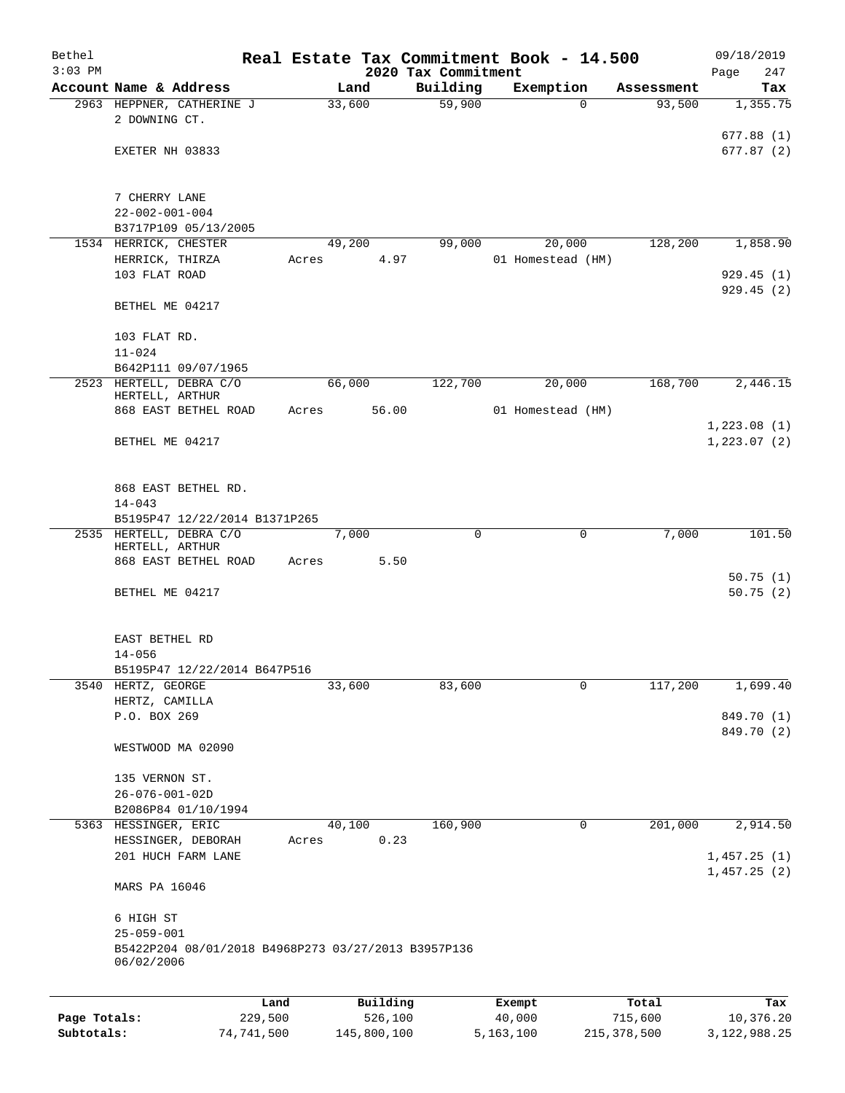| Bethel       |                                                     | Real Estate Tax Commitment Book - 14.500 |        |          |                                 |        |                   |            | 09/18/2019           |
|--------------|-----------------------------------------------------|------------------------------------------|--------|----------|---------------------------------|--------|-------------------|------------|----------------------|
| $3:03$ PM    | Account Name & Address                              |                                          | Land   |          | 2020 Tax Commitment<br>Building |        | Exemption         | Assessment | Page<br>247<br>Tax   |
|              | 2963 HEPPNER, CATHERINE J                           |                                          | 33,600 |          | 59,900                          |        | 0                 | 93,500     | 1,355.75             |
|              | 2 DOWNING CT.                                       |                                          |        |          |                                 |        |                   |            |                      |
|              |                                                     |                                          |        |          |                                 |        |                   |            | 677.88(1)            |
|              | EXETER NH 03833                                     |                                          |        |          |                                 |        |                   |            | 677.87(2)            |
|              |                                                     |                                          |        |          |                                 |        |                   |            |                      |
|              | 7 CHERRY LANE                                       |                                          |        |          |                                 |        |                   |            |                      |
|              | $22 - 002 - 001 - 004$                              |                                          |        |          |                                 |        |                   |            |                      |
|              | B3717P109 05/13/2005                                |                                          |        |          |                                 |        |                   |            |                      |
|              | 1534 HERRICK, CHESTER                               |                                          | 49,200 |          | 99,000                          |        | 20,000            | 128,200    | 1,858.90             |
|              | HERRICK, THIRZA                                     | Acres                                    |        | 4.97     |                                 |        | 01 Homestead (HM) |            |                      |
|              | 103 FLAT ROAD                                       |                                          |        |          |                                 |        |                   |            | 929.45(1)            |
|              | BETHEL ME 04217                                     |                                          |        |          |                                 |        |                   |            | 929.45(2)            |
|              |                                                     |                                          |        |          |                                 |        |                   |            |                      |
|              | 103 FLAT RD.                                        |                                          |        |          |                                 |        |                   |            |                      |
|              | $11 - 024$                                          |                                          |        |          |                                 |        |                   |            |                      |
|              | B642P111 09/07/1965                                 |                                          |        |          |                                 |        |                   |            |                      |
|              | 2523 HERTELL, DEBRA C/O<br>HERTELL, ARTHUR          |                                          | 66,000 |          | 122,700                         |        | 20,000            | 168,700    | 2,446.15             |
|              | 868 EAST BETHEL ROAD                                | Acres                                    |        | 56.00    |                                 |        | 01 Homestead (HM) |            |                      |
|              |                                                     |                                          |        |          |                                 |        |                   |            | 1,223.08(1)          |
|              | BETHEL ME 04217                                     |                                          |        |          |                                 |        |                   |            | 1, 223.07(2)         |
|              |                                                     |                                          |        |          |                                 |        |                   |            |                      |
|              |                                                     |                                          |        |          |                                 |        |                   |            |                      |
|              | 868 EAST BETHEL RD.                                 |                                          |        |          |                                 |        |                   |            |                      |
|              | $14 - 043$<br>B5195P47 12/22/2014 B1371P265         |                                          |        |          |                                 |        |                   |            |                      |
|              | 2535 HERTELL, DEBRA C/O                             |                                          | 7,000  |          | 0                               |        | 0                 | 7,000      | 101.50               |
|              | HERTELL, ARTHUR                                     |                                          |        |          |                                 |        |                   |            |                      |
|              | 868 EAST BETHEL ROAD                                | Acres                                    |        | 5.50     |                                 |        |                   |            |                      |
|              | BETHEL ME 04217                                     |                                          |        |          |                                 |        |                   |            | 50.75(1)<br>50.75(2) |
|              |                                                     |                                          |        |          |                                 |        |                   |            |                      |
|              |                                                     |                                          |        |          |                                 |        |                   |            |                      |
|              | EAST BETHEL RD                                      |                                          |        |          |                                 |        |                   |            |                      |
|              | $14 - 056$                                          |                                          |        |          |                                 |        |                   |            |                      |
|              | B5195P47 12/22/2014 B647P516<br>HERTZ, GEORGE       |                                          |        |          | 83,600                          |        | 0                 |            |                      |
| 3540         | HERTZ, CAMILLA                                      |                                          | 33,600 |          |                                 |        |                   | 117,200    | 1,699.40             |
|              | P.O. BOX 269                                        |                                          |        |          |                                 |        |                   |            | 849.70 (1)           |
|              |                                                     |                                          |        |          |                                 |        |                   |            | 849.70 (2)           |
|              | WESTWOOD MA 02090                                   |                                          |        |          |                                 |        |                   |            |                      |
|              |                                                     |                                          |        |          |                                 |        |                   |            |                      |
|              | 135 VERNON ST.                                      |                                          |        |          |                                 |        |                   |            |                      |
|              | $26 - 076 - 001 - 02D$<br>B2086P84 01/10/1994       |                                          |        |          |                                 |        |                   |            |                      |
|              | 5363 HESSINGER, ERIC                                |                                          | 40,100 |          | 160,900                         |        | 0                 | 201,000    | 2,914.50             |
|              | HESSINGER, DEBORAH                                  | Acres                                    |        | 0.23     |                                 |        |                   |            |                      |
|              | 201 HUCH FARM LANE                                  |                                          |        |          |                                 |        |                   |            | 1,457.25(1)          |
|              |                                                     |                                          |        |          |                                 |        |                   |            | 1,457.25(2)          |
|              | MARS PA 16046                                       |                                          |        |          |                                 |        |                   |            |                      |
|              | 6 HIGH ST                                           |                                          |        |          |                                 |        |                   |            |                      |
|              | $25 - 059 - 001$                                    |                                          |        |          |                                 |        |                   |            |                      |
|              | B5422P204 08/01/2018 B4968P273 03/27/2013 B3957P136 |                                          |        |          |                                 |        |                   |            |                      |
|              | 06/02/2006                                          |                                          |        |          |                                 |        |                   |            |                      |
|              |                                                     |                                          |        |          |                                 |        |                   |            |                      |
|              |                                                     | Land                                     |        | Building |                                 | Exempt |                   | Total      | Tax                  |
| Page Totals: |                                                     | 229,500                                  |        | 526,100  |                                 | 40,000 |                   | 715,600    | 10,376.20            |

**Subtotals:** 74,741,500 145,800,100 5,163,100 215,378,500 3,122,988.25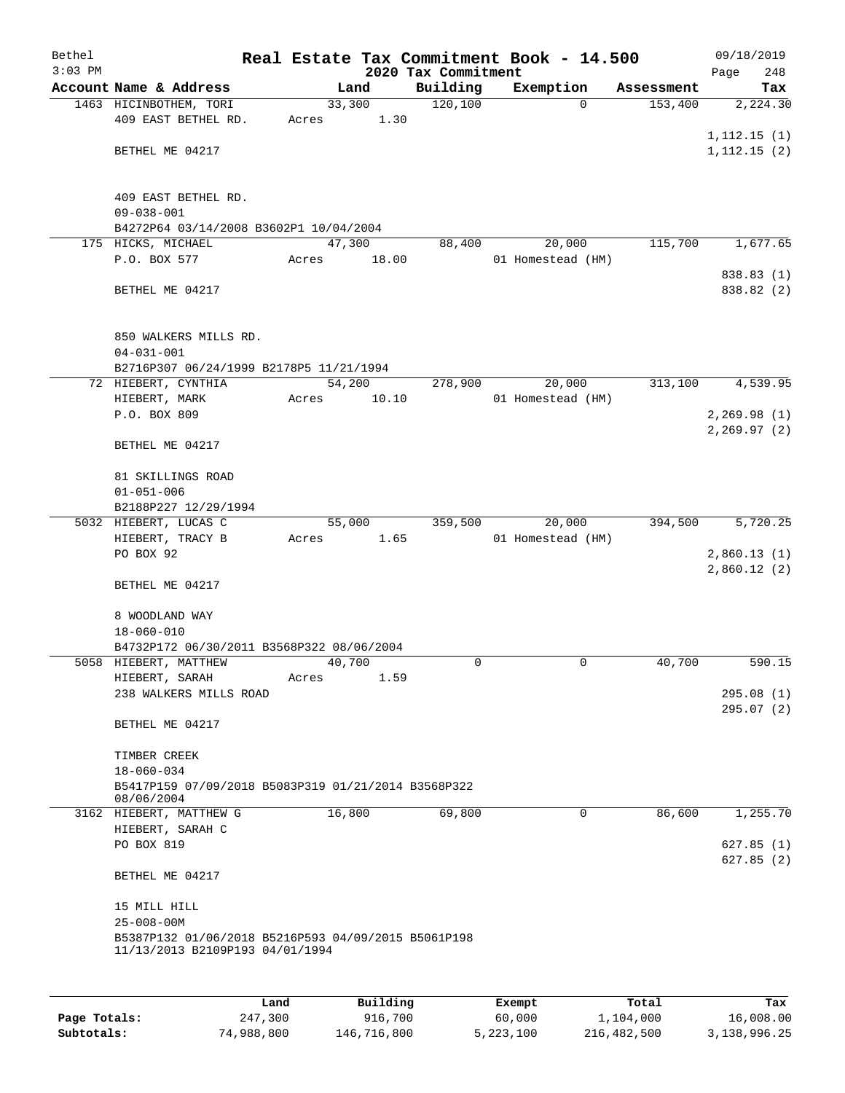| Bethel    |                                                     |       |        |          |                     | Real Estate Tax Commitment Book - 14.500 |            | 09/18/2019                   |     |
|-----------|-----------------------------------------------------|-------|--------|----------|---------------------|------------------------------------------|------------|------------------------------|-----|
| $3:03$ PM |                                                     |       |        |          | 2020 Tax Commitment |                                          |            | Page                         | 248 |
|           | Account Name & Address                              |       |        | Land     | Building            | Exemption                                | Assessment |                              | Tax |
|           | 1463 HICINBOTHEM, TORI                              |       | 33,300 |          | 120,100             | $\Omega$                                 | 153,400    | 2,224.30                     |     |
|           | 409 EAST BETHEL RD.                                 | Acres |        | 1.30     |                     |                                          |            |                              |     |
|           | BETHEL ME 04217                                     |       |        |          |                     |                                          |            | 1, 112.15(1)<br>1, 112.15(2) |     |
|           |                                                     |       |        |          |                     |                                          |            |                              |     |
|           |                                                     |       |        |          |                     |                                          |            |                              |     |
|           | 409 EAST BETHEL RD.                                 |       |        |          |                     |                                          |            |                              |     |
|           | $09 - 038 - 001$                                    |       |        |          |                     |                                          |            |                              |     |
|           | B4272P64 03/14/2008 B3602P1 10/04/2004              |       |        |          |                     |                                          |            |                              |     |
|           | 175 HICKS, MICHAEL                                  |       | 47,300 |          | 88,400              | 20,000                                   | 115,700    | 1,677.65                     |     |
|           | P.O. BOX 577                                        | Acres |        | 18.00    |                     | 01 Homestead (HM)                        |            |                              |     |
|           | BETHEL ME 04217                                     |       |        |          |                     |                                          |            | 838.83 (1)<br>838.82 (2)     |     |
|           |                                                     |       |        |          |                     |                                          |            |                              |     |
|           |                                                     |       |        |          |                     |                                          |            |                              |     |
|           | 850 WALKERS MILLS RD.                               |       |        |          |                     |                                          |            |                              |     |
|           | $04 - 031 - 001$                                    |       |        |          |                     |                                          |            |                              |     |
|           | B2716P307 06/24/1999 B2178P5 11/21/1994             |       |        |          |                     |                                          |            |                              |     |
|           | 72 HIEBERT, CYNTHIA                                 |       | 54,200 |          | 278,900             | 20,000                                   | 313,100    | 4,539.95                     |     |
|           | HIEBERT, MARK                                       | Acres |        | 10.10    |                     | 01 Homestead (HM)                        |            |                              |     |
|           | P.O. BOX 809                                        |       |        |          |                     |                                          |            | 2, 269.98(1)                 |     |
|           |                                                     |       |        |          |                     |                                          |            | 2, 269.97(2)                 |     |
|           | BETHEL ME 04217                                     |       |        |          |                     |                                          |            |                              |     |
|           | 81 SKILLINGS ROAD                                   |       |        |          |                     |                                          |            |                              |     |
|           | $01 - 051 - 006$                                    |       |        |          |                     |                                          |            |                              |     |
|           | B2188P227 12/29/1994                                |       |        |          |                     |                                          |            |                              |     |
|           | 5032 HIEBERT, LUCAS C                               |       |        | 55,000   | 359,500             | 20,000                                   | 394,500    | 5,720.25                     |     |
|           | HIEBERT, TRACY B                                    | Acres |        | 1.65     |                     | 01 Homestead (HM)                        |            |                              |     |
|           | PO BOX 92                                           |       |        |          |                     |                                          |            | 2,860.13(1)                  |     |
|           |                                                     |       |        |          |                     |                                          |            | 2,860.12(2)                  |     |
|           | BETHEL ME 04217                                     |       |        |          |                     |                                          |            |                              |     |
|           | 8 WOODLAND WAY                                      |       |        |          |                     |                                          |            |                              |     |
|           | $18 - 060 - 010$                                    |       |        |          |                     |                                          |            |                              |     |
|           | B4732P172 06/30/2011 B3568P322 08/06/2004           |       |        |          |                     |                                          |            |                              |     |
|           | 5058 HIEBERT, MATTHEW                               |       | 40,700 |          | $\Omega$            | 0                                        | 40,700     | 590.15                       |     |
|           | HIEBERT, SARAH                                      | Acres |        | 1.59     |                     |                                          |            |                              |     |
|           | 238 WALKERS MILLS ROAD                              |       |        |          |                     |                                          |            | 295.08(1)                    |     |
|           |                                                     |       |        |          |                     |                                          |            | 295.07(2)                    |     |
|           | BETHEL ME 04217                                     |       |        |          |                     |                                          |            |                              |     |
|           |                                                     |       |        |          |                     |                                          |            |                              |     |
|           | TIMBER CREEK<br>$18 - 060 - 034$                    |       |        |          |                     |                                          |            |                              |     |
|           | B5417P159 07/09/2018 B5083P319 01/21/2014 B3568P322 |       |        |          |                     |                                          |            |                              |     |
|           | 08/06/2004                                          |       |        |          |                     |                                          |            |                              |     |
|           | 3162 HIEBERT, MATTHEW G                             |       | 16,800 |          | 69,800              | 0                                        | 86,600     | 1,255.70                     |     |
|           | HIEBERT, SARAH C                                    |       |        |          |                     |                                          |            |                              |     |
|           | PO BOX 819                                          |       |        |          |                     |                                          |            | 627.85(1)                    |     |
|           |                                                     |       |        |          |                     |                                          |            | 627.85(2)                    |     |
|           | BETHEL ME 04217                                     |       |        |          |                     |                                          |            |                              |     |
|           | 15 MILL HILL                                        |       |        |          |                     |                                          |            |                              |     |
|           | $25 - 008 - 00M$                                    |       |        |          |                     |                                          |            |                              |     |
|           | B5387P132 01/06/2018 B5216P593 04/09/2015 B5061P198 |       |        |          |                     |                                          |            |                              |     |
|           | 11/13/2013 B2109P193 04/01/1994                     |       |        |          |                     |                                          |            |                              |     |
|           |                                                     |       |        |          |                     |                                          |            |                              |     |
|           |                                                     |       |        |          |                     |                                          |            |                              |     |
|           |                                                     | Land  |        | Building |                     | Exempt                                   | Total      |                              | Tax |

|              | Land       | Building    | Exempt    | Total       | Tax          |
|--------------|------------|-------------|-----------|-------------|--------------|
| Page Totals: | 247,300    | 916,700     | 60,000    | 1,104,000   | 16,008.00    |
| Subtotals:   | 74,988,800 | 146,716,800 | 5,223,100 | 216,482,500 | 3,138,996.25 |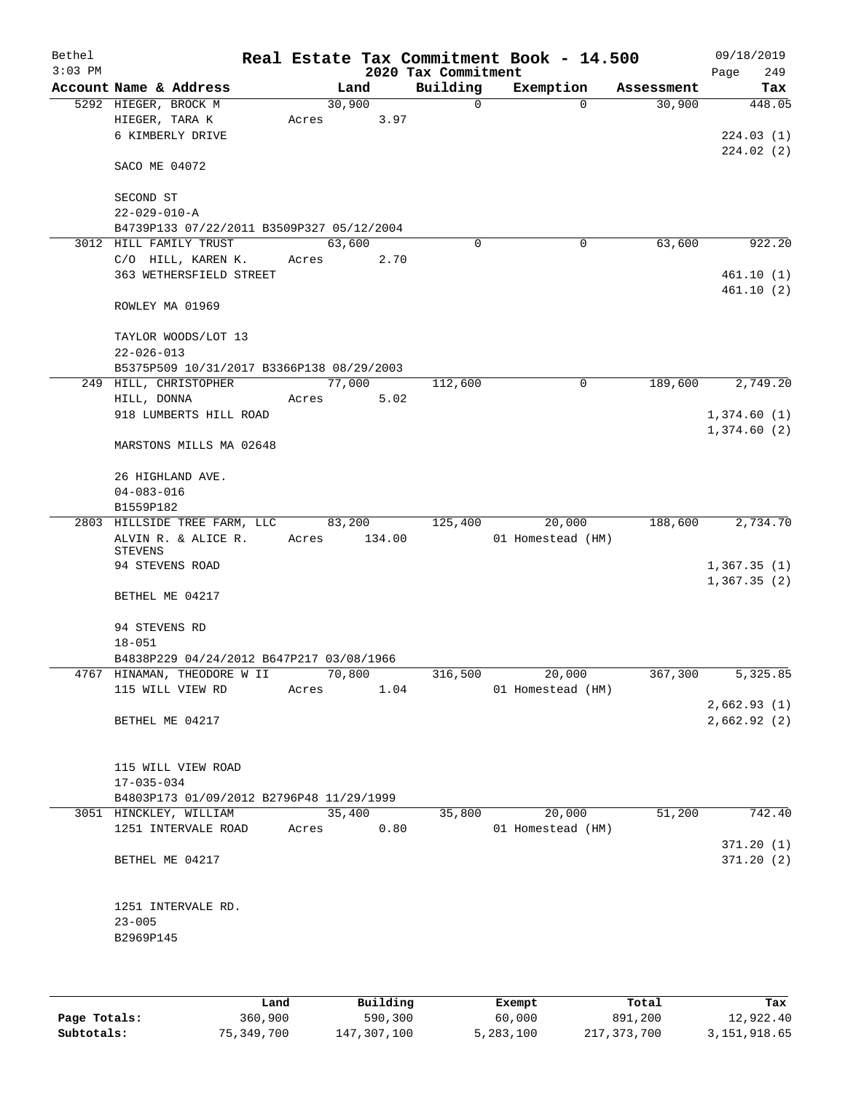| Bethel<br>$3:03$ PM |                                                                     |        |        | 2020 Tax Commitment | Real Estate Tax Commitment Book - 14.500 |            | 09/18/2019<br>249<br>Page  |
|---------------------|---------------------------------------------------------------------|--------|--------|---------------------|------------------------------------------|------------|----------------------------|
|                     | Account Name & Address                                              |        | Land   | Building            | Exemption                                | Assessment | Tax                        |
|                     | 5292 HIEGER, BROCK M                                                | 30,900 |        | $\mathbf 0$         | $\Omega$                                 | 30,900     | 448.05                     |
|                     | HIEGER, TARA K                                                      | Acres  | 3.97   |                     |                                          |            |                            |
|                     | 6 KIMBERLY DRIVE                                                    |        |        |                     |                                          |            | 224.03(1)                  |
|                     |                                                                     |        |        |                     |                                          |            | 224.02(2)                  |
|                     | SACO ME 04072                                                       |        |        |                     |                                          |            |                            |
|                     |                                                                     |        |        |                     |                                          |            |                            |
|                     | SECOND ST                                                           |        |        |                     |                                          |            |                            |
|                     | $22 - 029 - 010 - A$                                                |        |        |                     |                                          |            |                            |
|                     | B4739P133 07/22/2011 B3509P327 05/12/2004<br>3012 HILL FAMILY TRUST | 63,600 |        | $\Omega$            | 0                                        | 63,600     | 922.20                     |
|                     | C/O HILL, KAREN K.                                                  | Acres  | 2.70   |                     |                                          |            |                            |
|                     | 363 WETHERSFIELD STREET                                             |        |        |                     |                                          |            | 461.10(1)                  |
|                     |                                                                     |        |        |                     |                                          |            | 461.10(2)                  |
|                     | ROWLEY MA 01969                                                     |        |        |                     |                                          |            |                            |
|                     | TAYLOR WOODS/LOT 13                                                 |        |        |                     |                                          |            |                            |
|                     | $22 - 026 - 013$                                                    |        |        |                     |                                          |            |                            |
|                     | B5375P509 10/31/2017 B3366P138 08/29/2003                           |        |        |                     |                                          |            |                            |
|                     | 249 HILL, CHRISTOPHER                                               | 77,000 |        | 112,600             | 0                                        | 189,600    | 2,749.20                   |
|                     | HILL, DONNA                                                         | Acres  | 5.02   |                     |                                          |            |                            |
|                     | 918 LUMBERTS HILL ROAD                                              |        |        |                     |                                          |            | 1,374.60(1)                |
|                     |                                                                     |        |        |                     |                                          |            | 1,374.60(2)                |
|                     | MARSTONS MILLS MA 02648                                             |        |        |                     |                                          |            |                            |
|                     | 26 HIGHLAND AVE.                                                    |        |        |                     |                                          |            |                            |
|                     | $04 - 083 - 016$                                                    |        |        |                     |                                          |            |                            |
|                     | B1559P182                                                           |        |        |                     |                                          |            |                            |
|                     | 2803 HILLSIDE TREE FARM, LLC                                        | 83,200 |        | 125,400             | 20,000                                   | 188,600    | 2,734.70                   |
|                     | ALVIN R. & ALICE R.                                                 | Acres  | 134.00 |                     | 01 Homestead (HM)                        |            |                            |
|                     | <b>STEVENS</b><br>94 STEVENS ROAD                                   |        |        |                     |                                          |            |                            |
|                     |                                                                     |        |        |                     |                                          |            | 1,367.35(1)<br>1,367.35(2) |
|                     | BETHEL ME 04217                                                     |        |        |                     |                                          |            |                            |
|                     |                                                                     |        |        |                     |                                          |            |                            |
|                     | 94 STEVENS RD<br>$18 - 051$                                         |        |        |                     |                                          |            |                            |
|                     | B4838P229 04/24/2012 B647P217 03/08/1966                            |        |        |                     |                                          |            |                            |
|                     | 4767 HINAMAN, THEODORE W II                                         | 70,800 |        | 316,500             | 20,000                                   | 367,300    | 5,325.85                   |
|                     | 115 WILL VIEW RD                                                    | Acres  | 1.04   |                     | 01 Homestead (HM)                        |            |                            |
|                     |                                                                     |        |        |                     |                                          |            | 2,662.93(1)                |
|                     | BETHEL ME 04217                                                     |        |        |                     |                                          |            | 2,662.92(2)                |
|                     |                                                                     |        |        |                     |                                          |            |                            |
|                     |                                                                     |        |        |                     |                                          |            |                            |
|                     | 115 WILL VIEW ROAD                                                  |        |        |                     |                                          |            |                            |
|                     | $17 - 035 - 034$                                                    |        |        |                     |                                          |            |                            |
|                     | B4803P173 01/09/2012 B2796P48 11/29/1999                            |        |        |                     |                                          |            |                            |
|                     | 3051 HINCKLEY, WILLIAM                                              | 35,400 |        | 35,800              | 20,000                                   | 51,200     | 742.40                     |
|                     | 1251 INTERVALE ROAD                                                 | Acres  | 0.80   |                     | 01 Homestead (HM)                        |            | 371.20(1)                  |
|                     | BETHEL ME 04217                                                     |        |        |                     |                                          |            | 371.20(2)                  |
|                     |                                                                     |        |        |                     |                                          |            |                            |
|                     |                                                                     |        |        |                     |                                          |            |                            |
|                     | 1251 INTERVALE RD.                                                  |        |        |                     |                                          |            |                            |
|                     | $23 - 005$                                                          |        |        |                     |                                          |            |                            |
|                     | B2969P145                                                           |        |        |                     |                                          |            |                            |
|                     |                                                                     |        |        |                     |                                          |            |                            |
|                     |                                                                     |        |        |                     |                                          |            |                            |

|              | Land       | Building    | Exempt    | Total       | Tax          |
|--------------|------------|-------------|-----------|-------------|--------------|
| Page Totals: | 360,900    | 590,300     | 60,000    | 891,200     | 12,922.40    |
| Subtotals:   | 75,349,700 | 147,307,100 | 5,283,100 | 217,373,700 | 3,151,918.65 |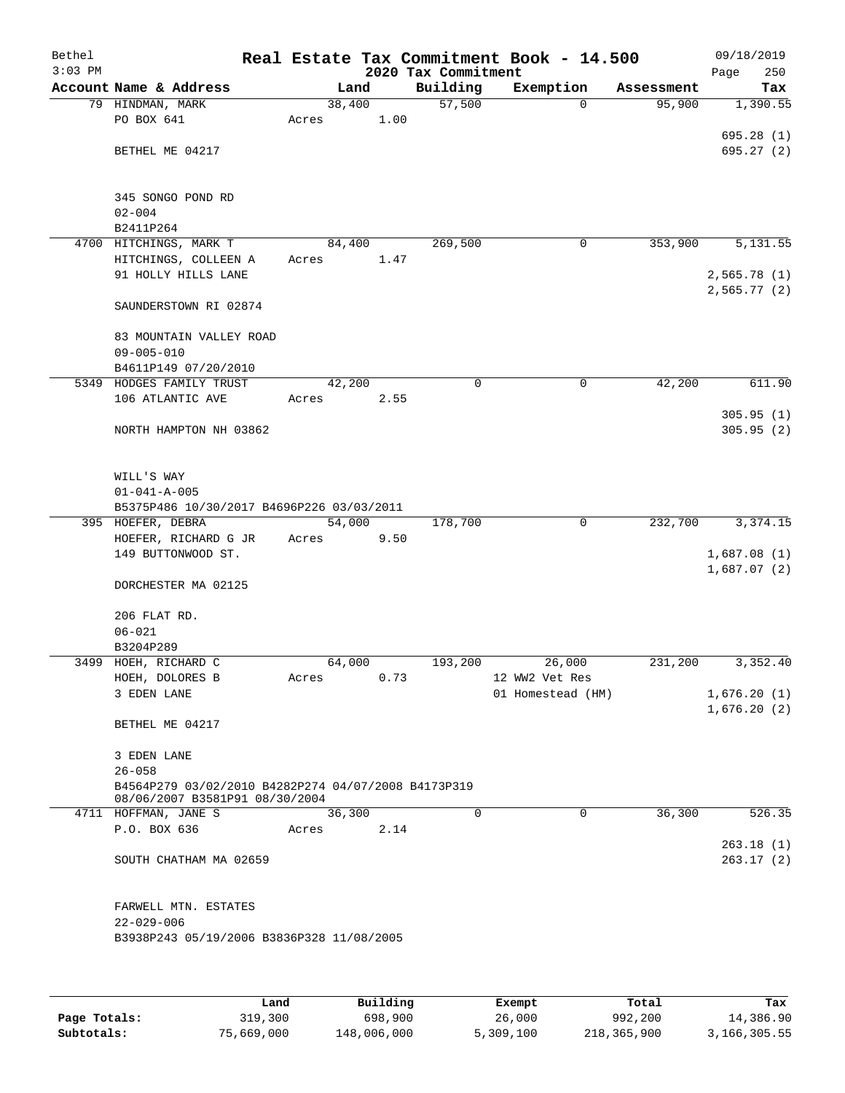| 2020 Tax Commitment<br>Account Name & Address<br>Building<br>Exemption<br>Land<br>Assessment<br>Tax<br>57,500<br>38,400<br>79 HINDMAN, MARK<br>95,900<br>1,390.55<br>0<br>PO BOX 641<br>1.00<br>Acres<br>695.28(1)<br>BETHEL ME 04217<br>345 SONGO POND RD<br>$02 - 004$<br>B2411P264<br>4700 HITCHINGS, MARK T<br>269,500<br>353,900<br>5,131.55<br>84,400<br>0<br>HITCHINGS, COLLEEN A<br>Acres<br>1.47<br>91 HOLLY HILLS LANE<br>2,565.78(1)<br>2,565.77(2)<br>SAUNDERSTOWN RI 02874<br>83 MOUNTAIN VALLEY ROAD<br>$09 - 005 - 010$<br>B4611P149 07/20/2010<br>5349 HODGES FAMILY TRUST<br>0<br>0<br>42,200<br>611.90<br>42,200<br>106 ATLANTIC AVE<br>2.55<br>Acres<br>305.95(1)<br>305.95(2)<br>NORTH HAMPTON NH 03862<br>WILL'S WAY<br>$01 - 041 - A - 005$<br>B5375P486 10/30/2017 B4696P226 03/03/2011<br>395 HOEFER, DEBRA<br>54,000<br>178,700<br>$\mathbf 0$<br>232,700<br>HOEFER, RICHARD G JR<br>Acres<br>9.50<br>149 BUTTONWOOD ST.<br>1,687.08(1)<br>1,687.07(2)<br>DORCHESTER MA 02125<br>206 FLAT RD.<br>$06 - 021$<br>B3204P289<br>3499 HOEH, RICHARD C<br>64,000<br>193,200<br>26,000<br>231,200<br>12 WW2 Vet Res<br>HOEH, DOLORES B<br>0.73<br>Acres<br>01 Homestead (HM)<br>3 EDEN LANE<br>1,676.20(2)<br>BETHEL ME 04217<br>3 EDEN LANE<br>$26 - 058$<br>B4564P279 03/02/2010 B4282P274 04/07/2008 B4173P319<br>08/06/2007 B3581P91 08/30/2004<br>$\Omega$<br>$\mathbf 0$<br>36,300<br>4711 HOFFMAN, JANE S<br>36,300<br>P.O. BOX 636<br>2.14<br>Acres<br>263.18(1)<br>263.17(2)<br>SOUTH CHATHAM MA 02659<br>FARWELL MTN. ESTATES<br>$22 - 029 - 006$<br>B3938P243 05/19/2006 B3836P328 11/08/2005 | Bethel    |  |  | Real Estate Tax Commitment Book - 14.500 | 09/18/2019  |
|----------------------------------------------------------------------------------------------------------------------------------------------------------------------------------------------------------------------------------------------------------------------------------------------------------------------------------------------------------------------------------------------------------------------------------------------------------------------------------------------------------------------------------------------------------------------------------------------------------------------------------------------------------------------------------------------------------------------------------------------------------------------------------------------------------------------------------------------------------------------------------------------------------------------------------------------------------------------------------------------------------------------------------------------------------------------------------------------------------------------------------------------------------------------------------------------------------------------------------------------------------------------------------------------------------------------------------------------------------------------------------------------------------------------------------------------------------------------------------------------------------------------------------------------------------------------------------------------------------------------------|-----------|--|--|------------------------------------------|-------------|
|                                                                                                                                                                                                                                                                                                                                                                                                                                                                                                                                                                                                                                                                                                                                                                                                                                                                                                                                                                                                                                                                                                                                                                                                                                                                                                                                                                                                                                                                                                                                                                                                                            | $3:03$ PM |  |  |                                          | 250<br>Page |
|                                                                                                                                                                                                                                                                                                                                                                                                                                                                                                                                                                                                                                                                                                                                                                                                                                                                                                                                                                                                                                                                                                                                                                                                                                                                                                                                                                                                                                                                                                                                                                                                                            |           |  |  |                                          |             |
|                                                                                                                                                                                                                                                                                                                                                                                                                                                                                                                                                                                                                                                                                                                                                                                                                                                                                                                                                                                                                                                                                                                                                                                                                                                                                                                                                                                                                                                                                                                                                                                                                            |           |  |  |                                          |             |
|                                                                                                                                                                                                                                                                                                                                                                                                                                                                                                                                                                                                                                                                                                                                                                                                                                                                                                                                                                                                                                                                                                                                                                                                                                                                                                                                                                                                                                                                                                                                                                                                                            |           |  |  |                                          |             |
|                                                                                                                                                                                                                                                                                                                                                                                                                                                                                                                                                                                                                                                                                                                                                                                                                                                                                                                                                                                                                                                                                                                                                                                                                                                                                                                                                                                                                                                                                                                                                                                                                            |           |  |  |                                          | 695.27(2)   |
|                                                                                                                                                                                                                                                                                                                                                                                                                                                                                                                                                                                                                                                                                                                                                                                                                                                                                                                                                                                                                                                                                                                                                                                                                                                                                                                                                                                                                                                                                                                                                                                                                            |           |  |  |                                          |             |
|                                                                                                                                                                                                                                                                                                                                                                                                                                                                                                                                                                                                                                                                                                                                                                                                                                                                                                                                                                                                                                                                                                                                                                                                                                                                                                                                                                                                                                                                                                                                                                                                                            |           |  |  |                                          |             |
|                                                                                                                                                                                                                                                                                                                                                                                                                                                                                                                                                                                                                                                                                                                                                                                                                                                                                                                                                                                                                                                                                                                                                                                                                                                                                                                                                                                                                                                                                                                                                                                                                            |           |  |  |                                          |             |
|                                                                                                                                                                                                                                                                                                                                                                                                                                                                                                                                                                                                                                                                                                                                                                                                                                                                                                                                                                                                                                                                                                                                                                                                                                                                                                                                                                                                                                                                                                                                                                                                                            |           |  |  |                                          |             |
|                                                                                                                                                                                                                                                                                                                                                                                                                                                                                                                                                                                                                                                                                                                                                                                                                                                                                                                                                                                                                                                                                                                                                                                                                                                                                                                                                                                                                                                                                                                                                                                                                            |           |  |  |                                          |             |
|                                                                                                                                                                                                                                                                                                                                                                                                                                                                                                                                                                                                                                                                                                                                                                                                                                                                                                                                                                                                                                                                                                                                                                                                                                                                                                                                                                                                                                                                                                                                                                                                                            |           |  |  |                                          |             |
|                                                                                                                                                                                                                                                                                                                                                                                                                                                                                                                                                                                                                                                                                                                                                                                                                                                                                                                                                                                                                                                                                                                                                                                                                                                                                                                                                                                                                                                                                                                                                                                                                            |           |  |  |                                          |             |
|                                                                                                                                                                                                                                                                                                                                                                                                                                                                                                                                                                                                                                                                                                                                                                                                                                                                                                                                                                                                                                                                                                                                                                                                                                                                                                                                                                                                                                                                                                                                                                                                                            |           |  |  |                                          |             |
|                                                                                                                                                                                                                                                                                                                                                                                                                                                                                                                                                                                                                                                                                                                                                                                                                                                                                                                                                                                                                                                                                                                                                                                                                                                                                                                                                                                                                                                                                                                                                                                                                            |           |  |  |                                          |             |
|                                                                                                                                                                                                                                                                                                                                                                                                                                                                                                                                                                                                                                                                                                                                                                                                                                                                                                                                                                                                                                                                                                                                                                                                                                                                                                                                                                                                                                                                                                                                                                                                                            |           |  |  |                                          |             |
|                                                                                                                                                                                                                                                                                                                                                                                                                                                                                                                                                                                                                                                                                                                                                                                                                                                                                                                                                                                                                                                                                                                                                                                                                                                                                                                                                                                                                                                                                                                                                                                                                            |           |  |  |                                          |             |
|                                                                                                                                                                                                                                                                                                                                                                                                                                                                                                                                                                                                                                                                                                                                                                                                                                                                                                                                                                                                                                                                                                                                                                                                                                                                                                                                                                                                                                                                                                                                                                                                                            |           |  |  |                                          |             |
|                                                                                                                                                                                                                                                                                                                                                                                                                                                                                                                                                                                                                                                                                                                                                                                                                                                                                                                                                                                                                                                                                                                                                                                                                                                                                                                                                                                                                                                                                                                                                                                                                            |           |  |  |                                          |             |
|                                                                                                                                                                                                                                                                                                                                                                                                                                                                                                                                                                                                                                                                                                                                                                                                                                                                                                                                                                                                                                                                                                                                                                                                                                                                                                                                                                                                                                                                                                                                                                                                                            |           |  |  |                                          |             |
|                                                                                                                                                                                                                                                                                                                                                                                                                                                                                                                                                                                                                                                                                                                                                                                                                                                                                                                                                                                                                                                                                                                                                                                                                                                                                                                                                                                                                                                                                                                                                                                                                            |           |  |  |                                          |             |
|                                                                                                                                                                                                                                                                                                                                                                                                                                                                                                                                                                                                                                                                                                                                                                                                                                                                                                                                                                                                                                                                                                                                                                                                                                                                                                                                                                                                                                                                                                                                                                                                                            |           |  |  |                                          |             |
|                                                                                                                                                                                                                                                                                                                                                                                                                                                                                                                                                                                                                                                                                                                                                                                                                                                                                                                                                                                                                                                                                                                                                                                                                                                                                                                                                                                                                                                                                                                                                                                                                            |           |  |  |                                          |             |
|                                                                                                                                                                                                                                                                                                                                                                                                                                                                                                                                                                                                                                                                                                                                                                                                                                                                                                                                                                                                                                                                                                                                                                                                                                                                                                                                                                                                                                                                                                                                                                                                                            |           |  |  |                                          |             |
|                                                                                                                                                                                                                                                                                                                                                                                                                                                                                                                                                                                                                                                                                                                                                                                                                                                                                                                                                                                                                                                                                                                                                                                                                                                                                                                                                                                                                                                                                                                                                                                                                            |           |  |  |                                          |             |
|                                                                                                                                                                                                                                                                                                                                                                                                                                                                                                                                                                                                                                                                                                                                                                                                                                                                                                                                                                                                                                                                                                                                                                                                                                                                                                                                                                                                                                                                                                                                                                                                                            |           |  |  |                                          |             |
|                                                                                                                                                                                                                                                                                                                                                                                                                                                                                                                                                                                                                                                                                                                                                                                                                                                                                                                                                                                                                                                                                                                                                                                                                                                                                                                                                                                                                                                                                                                                                                                                                            |           |  |  |                                          |             |
|                                                                                                                                                                                                                                                                                                                                                                                                                                                                                                                                                                                                                                                                                                                                                                                                                                                                                                                                                                                                                                                                                                                                                                                                                                                                                                                                                                                                                                                                                                                                                                                                                            |           |  |  |                                          | 3, 374. 15  |
|                                                                                                                                                                                                                                                                                                                                                                                                                                                                                                                                                                                                                                                                                                                                                                                                                                                                                                                                                                                                                                                                                                                                                                                                                                                                                                                                                                                                                                                                                                                                                                                                                            |           |  |  |                                          |             |
|                                                                                                                                                                                                                                                                                                                                                                                                                                                                                                                                                                                                                                                                                                                                                                                                                                                                                                                                                                                                                                                                                                                                                                                                                                                                                                                                                                                                                                                                                                                                                                                                                            |           |  |  |                                          |             |
|                                                                                                                                                                                                                                                                                                                                                                                                                                                                                                                                                                                                                                                                                                                                                                                                                                                                                                                                                                                                                                                                                                                                                                                                                                                                                                                                                                                                                                                                                                                                                                                                                            |           |  |  |                                          |             |
|                                                                                                                                                                                                                                                                                                                                                                                                                                                                                                                                                                                                                                                                                                                                                                                                                                                                                                                                                                                                                                                                                                                                                                                                                                                                                                                                                                                                                                                                                                                                                                                                                            |           |  |  |                                          |             |
|                                                                                                                                                                                                                                                                                                                                                                                                                                                                                                                                                                                                                                                                                                                                                                                                                                                                                                                                                                                                                                                                                                                                                                                                                                                                                                                                                                                                                                                                                                                                                                                                                            |           |  |  |                                          |             |
|                                                                                                                                                                                                                                                                                                                                                                                                                                                                                                                                                                                                                                                                                                                                                                                                                                                                                                                                                                                                                                                                                                                                                                                                                                                                                                                                                                                                                                                                                                                                                                                                                            |           |  |  |                                          |             |
|                                                                                                                                                                                                                                                                                                                                                                                                                                                                                                                                                                                                                                                                                                                                                                                                                                                                                                                                                                                                                                                                                                                                                                                                                                                                                                                                                                                                                                                                                                                                                                                                                            |           |  |  |                                          |             |
|                                                                                                                                                                                                                                                                                                                                                                                                                                                                                                                                                                                                                                                                                                                                                                                                                                                                                                                                                                                                                                                                                                                                                                                                                                                                                                                                                                                                                                                                                                                                                                                                                            |           |  |  |                                          | 3,352.40    |
|                                                                                                                                                                                                                                                                                                                                                                                                                                                                                                                                                                                                                                                                                                                                                                                                                                                                                                                                                                                                                                                                                                                                                                                                                                                                                                                                                                                                                                                                                                                                                                                                                            |           |  |  |                                          |             |
|                                                                                                                                                                                                                                                                                                                                                                                                                                                                                                                                                                                                                                                                                                                                                                                                                                                                                                                                                                                                                                                                                                                                                                                                                                                                                                                                                                                                                                                                                                                                                                                                                            |           |  |  |                                          | 1,676.20(1) |
|                                                                                                                                                                                                                                                                                                                                                                                                                                                                                                                                                                                                                                                                                                                                                                                                                                                                                                                                                                                                                                                                                                                                                                                                                                                                                                                                                                                                                                                                                                                                                                                                                            |           |  |  |                                          |             |
|                                                                                                                                                                                                                                                                                                                                                                                                                                                                                                                                                                                                                                                                                                                                                                                                                                                                                                                                                                                                                                                                                                                                                                                                                                                                                                                                                                                                                                                                                                                                                                                                                            |           |  |  |                                          |             |
|                                                                                                                                                                                                                                                                                                                                                                                                                                                                                                                                                                                                                                                                                                                                                                                                                                                                                                                                                                                                                                                                                                                                                                                                                                                                                                                                                                                                                                                                                                                                                                                                                            |           |  |  |                                          |             |
|                                                                                                                                                                                                                                                                                                                                                                                                                                                                                                                                                                                                                                                                                                                                                                                                                                                                                                                                                                                                                                                                                                                                                                                                                                                                                                                                                                                                                                                                                                                                                                                                                            |           |  |  |                                          |             |
|                                                                                                                                                                                                                                                                                                                                                                                                                                                                                                                                                                                                                                                                                                                                                                                                                                                                                                                                                                                                                                                                                                                                                                                                                                                                                                                                                                                                                                                                                                                                                                                                                            |           |  |  |                                          |             |
|                                                                                                                                                                                                                                                                                                                                                                                                                                                                                                                                                                                                                                                                                                                                                                                                                                                                                                                                                                                                                                                                                                                                                                                                                                                                                                                                                                                                                                                                                                                                                                                                                            |           |  |  |                                          |             |
|                                                                                                                                                                                                                                                                                                                                                                                                                                                                                                                                                                                                                                                                                                                                                                                                                                                                                                                                                                                                                                                                                                                                                                                                                                                                                                                                                                                                                                                                                                                                                                                                                            |           |  |  |                                          | 526.35      |
|                                                                                                                                                                                                                                                                                                                                                                                                                                                                                                                                                                                                                                                                                                                                                                                                                                                                                                                                                                                                                                                                                                                                                                                                                                                                                                                                                                                                                                                                                                                                                                                                                            |           |  |  |                                          |             |
|                                                                                                                                                                                                                                                                                                                                                                                                                                                                                                                                                                                                                                                                                                                                                                                                                                                                                                                                                                                                                                                                                                                                                                                                                                                                                                                                                                                                                                                                                                                                                                                                                            |           |  |  |                                          |             |
|                                                                                                                                                                                                                                                                                                                                                                                                                                                                                                                                                                                                                                                                                                                                                                                                                                                                                                                                                                                                                                                                                                                                                                                                                                                                                                                                                                                                                                                                                                                                                                                                                            |           |  |  |                                          |             |
|                                                                                                                                                                                                                                                                                                                                                                                                                                                                                                                                                                                                                                                                                                                                                                                                                                                                                                                                                                                                                                                                                                                                                                                                                                                                                                                                                                                                                                                                                                                                                                                                                            |           |  |  |                                          |             |
|                                                                                                                                                                                                                                                                                                                                                                                                                                                                                                                                                                                                                                                                                                                                                                                                                                                                                                                                                                                                                                                                                                                                                                                                                                                                                                                                                                                                                                                                                                                                                                                                                            |           |  |  |                                          |             |
|                                                                                                                                                                                                                                                                                                                                                                                                                                                                                                                                                                                                                                                                                                                                                                                                                                                                                                                                                                                                                                                                                                                                                                                                                                                                                                                                                                                                                                                                                                                                                                                                                            |           |  |  |                                          |             |
|                                                                                                                                                                                                                                                                                                                                                                                                                                                                                                                                                                                                                                                                                                                                                                                                                                                                                                                                                                                                                                                                                                                                                                                                                                                                                                                                                                                                                                                                                                                                                                                                                            |           |  |  |                                          |             |
|                                                                                                                                                                                                                                                                                                                                                                                                                                                                                                                                                                                                                                                                                                                                                                                                                                                                                                                                                                                                                                                                                                                                                                                                                                                                                                                                                                                                                                                                                                                                                                                                                            |           |  |  |                                          |             |
|                                                                                                                                                                                                                                                                                                                                                                                                                                                                                                                                                                                                                                                                                                                                                                                                                                                                                                                                                                                                                                                                                                                                                                                                                                                                                                                                                                                                                                                                                                                                                                                                                            |           |  |  |                                          |             |
|                                                                                                                                                                                                                                                                                                                                                                                                                                                                                                                                                                                                                                                                                                                                                                                                                                                                                                                                                                                                                                                                                                                                                                                                                                                                                                                                                                                                                                                                                                                                                                                                                            |           |  |  |                                          |             |

|              | Land       | Building    | Exempt    | Total       | Tax          |
|--------------|------------|-------------|-----------|-------------|--------------|
| Page Totals: | 319,300    | 698,900     | 26,000    | 992,200     | 14,386.90    |
| Subtotals:   | 75,669,000 | 148,006,000 | 5,309,100 | 218,365,900 | 3,166,305.55 |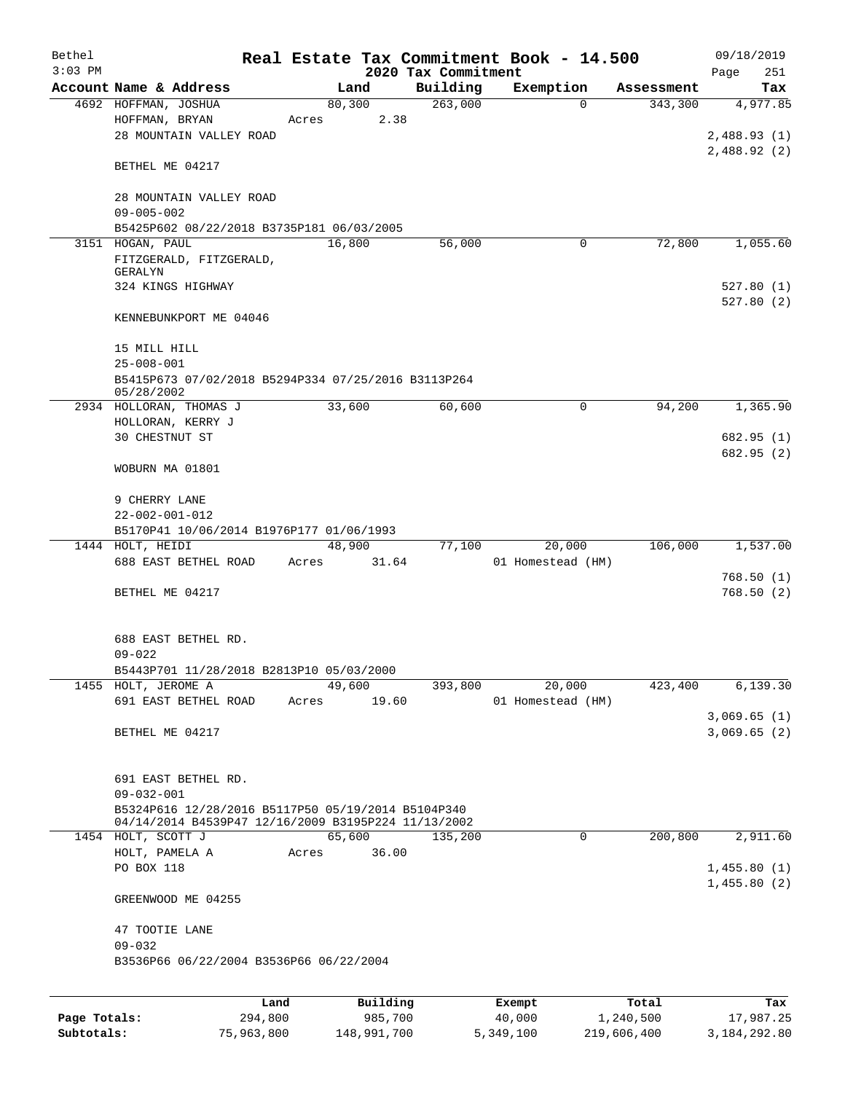| Bethel    |                                                                                                           |       |                 |                     | Real Estate Tax Commitment Book - 14.500 |            | 09/18/2019              |
|-----------|-----------------------------------------------------------------------------------------------------------|-------|-----------------|---------------------|------------------------------------------|------------|-------------------------|
| $3:03$ PM |                                                                                                           |       |                 | 2020 Tax Commitment |                                          |            | Page<br>251             |
|           | Account Name & Address                                                                                    |       | Land            | Building            | Exemption                                | Assessment | Tax                     |
|           | 4692 HOFFMAN, JOSHUA<br>HOFFMAN, BRYAN<br>28 MOUNTAIN VALLEY ROAD                                         | Acres | 80, 300<br>2.38 | 263,000             | $\Omega$                                 | 343,300    | 4,977.85<br>2,488.93(1) |
|           | BETHEL ME 04217                                                                                           |       |                 |                     |                                          |            | 2,488.92(2)             |
|           | 28 MOUNTAIN VALLEY ROAD<br>$09 - 005 - 002$                                                               |       |                 |                     |                                          |            |                         |
|           | B5425P602 08/22/2018 B3735P181 06/03/2005                                                                 |       |                 |                     |                                          |            |                         |
|           | 3151 HOGAN, PAUL                                                                                          |       | 16,800          | 56,000              | 0                                        | 72,800     | 1,055.60                |
|           | FITZGERALD, FITZGERALD,                                                                                   |       |                 |                     |                                          |            |                         |
|           | GERALYN<br>324 KINGS HIGHWAY                                                                              |       |                 |                     |                                          |            | 527.80(1)<br>527.80(2)  |
|           | KENNEBUNKPORT ME 04046                                                                                    |       |                 |                     |                                          |            |                         |
|           | 15 MILL HILL                                                                                              |       |                 |                     |                                          |            |                         |
|           | $25 - 008 - 001$                                                                                          |       |                 |                     |                                          |            |                         |
|           | B5415P673 07/02/2018 B5294P334 07/25/2016 B3113P264<br>05/28/2002                                         |       |                 |                     |                                          |            |                         |
|           | 2934 HOLLORAN, THOMAS J<br>HOLLORAN, KERRY J                                                              |       | 33,600          | 60,600              | 0                                        | 94,200     | 1,365.90                |
|           | 30 CHESTNUT ST                                                                                            |       |                 |                     |                                          |            | 682.95 (1)              |
|           |                                                                                                           |       |                 |                     |                                          |            | 682.95 (2)              |
|           | WOBURN MA 01801                                                                                           |       |                 |                     |                                          |            |                         |
|           | 9 CHERRY LANE                                                                                             |       |                 |                     |                                          |            |                         |
|           | $22 - 002 - 001 - 012$                                                                                    |       |                 |                     |                                          |            |                         |
|           | B5170P41 10/06/2014 B1976P177 01/06/1993                                                                  |       |                 |                     |                                          |            |                         |
|           | 1444 HOLT, HEIDI                                                                                          |       | 48,900          | 77,100              | 20,000                                   | 106,000    | 1,537.00                |
|           | 688 EAST BETHEL ROAD                                                                                      | Acres | 31.64           |                     | 01 Homestead (HM)                        |            | 768.50(1)               |
|           | BETHEL ME 04217                                                                                           |       |                 |                     |                                          |            | 768.50(2)               |
|           | 688 EAST BETHEL RD.<br>$09 - 022$                                                                         |       |                 |                     |                                          |            |                         |
|           | B5443P701 11/28/2018 B2813P10 05/03/2000                                                                  |       |                 |                     |                                          |            |                         |
|           | 1455 HOLT, JEROME A                                                                                       |       | 49,600          | 393,800             | 20,000                                   | 423,400    | 6, 139.30               |
|           | 691 EAST BETHEL ROAD                                                                                      |       | Acres 19.60     |                     | 01 Homestead (HM)                        |            | 3,069.65(1)             |
|           | BETHEL ME 04217                                                                                           |       |                 |                     |                                          |            | 3,069.65(2)             |
|           | 691 EAST BETHEL RD.                                                                                       |       |                 |                     |                                          |            |                         |
|           | $09 - 032 - 001$                                                                                          |       |                 |                     |                                          |            |                         |
|           | B5324P616 12/28/2016 B5117P50 05/19/2014 B5104P340<br>04/14/2014 B4539P47 12/16/2009 B3195P224 11/13/2002 |       |                 |                     |                                          |            |                         |
|           | 1454 HOLT, SCOTT J                                                                                        |       | 65,600          | 135,200             | 0                                        | 200,800    | 2,911.60                |
|           | HOLT, PAMELA A                                                                                            | Acres | 36.00           |                     |                                          |            |                         |
|           | PO BOX 118                                                                                                |       |                 |                     |                                          |            | 1,455.80(1)             |
|           | GREENWOOD ME 04255                                                                                        |       |                 |                     |                                          |            | 1,455.80(2)             |
|           | 47 TOOTIE LANE<br>$09 - 032$                                                                              |       |                 |                     |                                          |            |                         |
|           | B3536P66 06/22/2004 B3536P66 06/22/2004                                                                   |       |                 |                     |                                          |            |                         |
|           |                                                                                                           |       |                 |                     |                                          |            |                         |

|              | Land       | Building    | Exempt    | Total       | Tax          |
|--------------|------------|-------------|-----------|-------------|--------------|
| Page Totals: | 294,800    | 985,700     | 40,000    | 1,240,500   | 17,987.25    |
| Subtotals:   | 75,963,800 | 148,991,700 | 5,349,100 | 219,606,400 | 3,184,292.80 |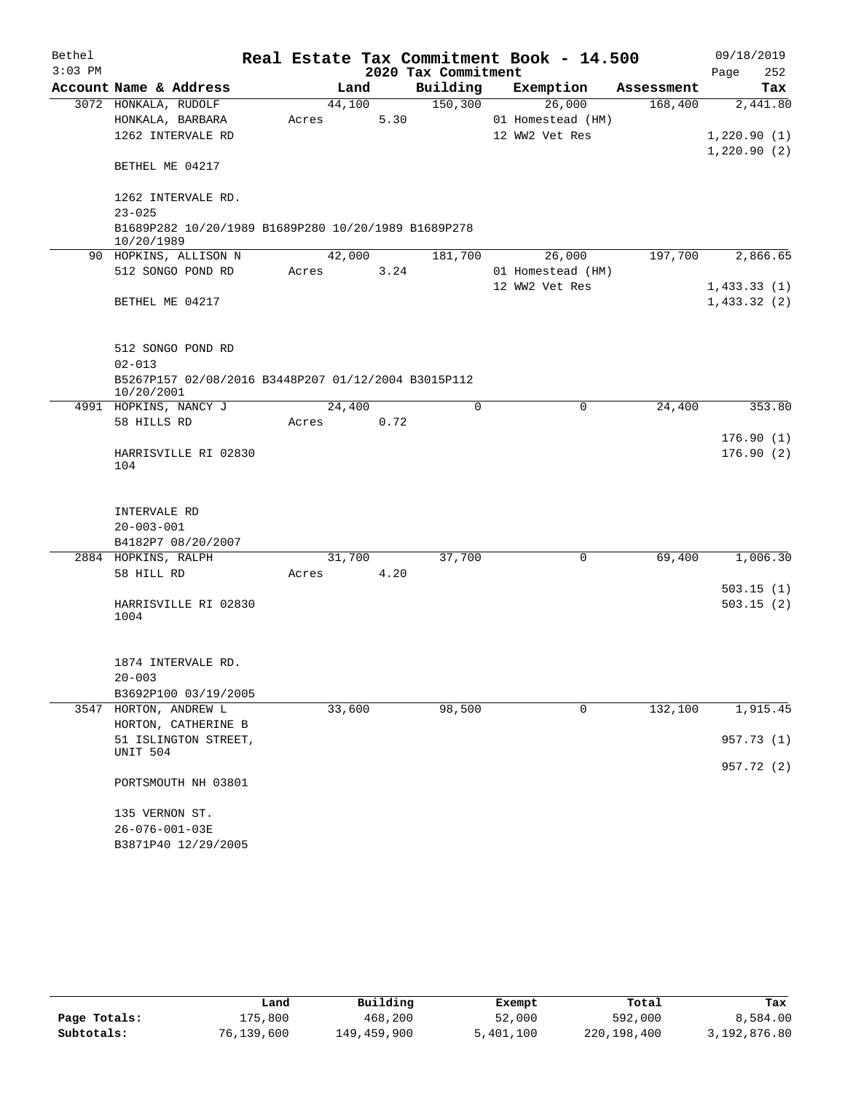| Bethel    |                                                                   |       |        |      |                     | Real Estate Tax Commitment Book - 14.500 |            | 09/18/2019             |
|-----------|-------------------------------------------------------------------|-------|--------|------|---------------------|------------------------------------------|------------|------------------------|
| $3:03$ PM |                                                                   |       |        |      | 2020 Tax Commitment |                                          |            | Page<br>252            |
|           | Account Name & Address                                            |       | Land   |      | Building            | Exemption                                | Assessment | Tax                    |
|           | 3072 HONKALA, RUDOLF                                              |       | 44,100 |      | 150, 300            | 26,000                                   | 168,400    | 2,441.80               |
|           | HONKALA, BARBARA                                                  | Acres |        | 5.30 |                     | 01 Homestead (HM)                        |            |                        |
|           | 1262 INTERVALE RD                                                 |       |        |      |                     | 12 WW2 Vet Res                           |            | 1,220.90(1)            |
|           | BETHEL ME 04217                                                   |       |        |      |                     |                                          |            | 1,220.90(2)            |
|           | 1262 INTERVALE RD.<br>$23 - 025$                                  |       |        |      |                     |                                          |            |                        |
|           | B1689P282 10/20/1989 B1689P280 10/20/1989 B1689P278<br>10/20/1989 |       |        |      |                     |                                          |            |                        |
|           | 90 HOPKINS, ALLISON N                                             |       | 42,000 |      | 181,700             | 26,000                                   | 197,700    | 2,866.65               |
|           | 512 SONGO POND RD                                                 | Acres |        | 3.24 |                     | 01 Homestead (HM)                        |            |                        |
|           |                                                                   |       |        |      |                     | 12 WW2 Vet Res                           |            | 1,433.33(1)            |
|           | BETHEL ME 04217                                                   |       |        |      |                     |                                          |            | 1,433.32(2)            |
|           | 512 SONGO POND RD                                                 |       |        |      |                     |                                          |            |                        |
|           | $02 - 013$                                                        |       |        |      |                     |                                          |            |                        |
|           | B5267P157 02/08/2016 B3448P207 01/12/2004 B3015P112<br>10/20/2001 |       |        |      |                     |                                          |            |                        |
|           | 4991 HOPKINS, NANCY J                                             |       | 24,400 |      | $\Omega$            | 0                                        | 24,400     | 353.80                 |
|           | 58 HILLS RD                                                       | Acres |        | 0.72 |                     |                                          |            |                        |
|           | HARRISVILLE RI 02830                                              |       |        |      |                     |                                          |            | 176.90(1)<br>176.90(2) |
|           | 104                                                               |       |        |      |                     |                                          |            |                        |
|           | INTERVALE RD                                                      |       |        |      |                     |                                          |            |                        |
|           | $20 - 003 - 001$                                                  |       |        |      |                     |                                          |            |                        |
|           | B4182P7 08/20/2007                                                |       |        |      |                     |                                          |            |                        |
|           | 2884 HOPKINS, RALPH                                               |       | 31,700 |      | 37,700              | 0                                        | 69,400     | 1,006.30               |
|           | 58 HILL RD                                                        | Acres |        | 4.20 |                     |                                          |            |                        |
|           |                                                                   |       |        |      |                     |                                          |            | 503.15(1)              |
|           | HARRISVILLE RI 02830<br>1004                                      |       |        |      |                     |                                          |            | 503.15(2)              |
|           | 1874 INTERVALE RD.                                                |       |        |      |                     |                                          |            |                        |
|           | $20 - 003$                                                        |       |        |      |                     |                                          |            |                        |
|           | B3692P100 03/19/2005                                              |       |        |      |                     |                                          |            |                        |
|           | 3547 HORTON, ANDREW L                                             |       | 33,600 |      | 98,500              | 0                                        | 132,100    | 1,915.45               |
|           | HORTON, CATHERINE B                                               |       |        |      |                     |                                          |            |                        |
|           | 51 ISLINGTON STREET,<br>UNIT 504                                  |       |        |      |                     |                                          |            | 957.73 (1)             |
|           | PORTSMOUTH NH 03801                                               |       |        |      |                     |                                          |            | 957.72 (2)             |
|           | 135 VERNON ST.                                                    |       |        |      |                     |                                          |            |                        |
|           | 26-076-001-03E                                                    |       |        |      |                     |                                          |            |                        |
|           | B3871P40 12/29/2005                                               |       |        |      |                     |                                          |            |                        |

|              | Land       | Building    | Exempt    | Total       | Tax          |
|--------------|------------|-------------|-----------|-------------|--------------|
| Page Totals: | 175,800    | 468,200     | 52,000    | 592,000     | 8,584.00     |
| Subtotals:   | 76,139,600 | 149,459,900 | 5,401,100 | 220,198,400 | 3,192,876.80 |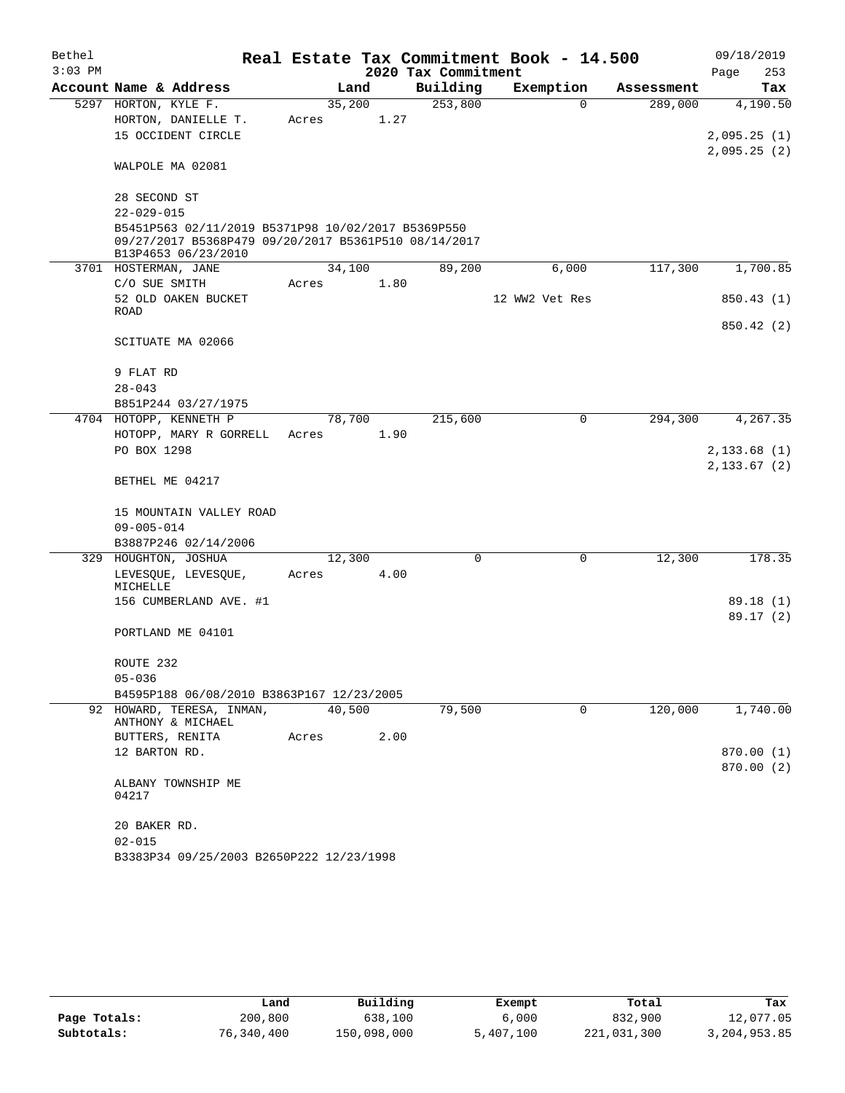| Bethel    |                                                                                                                                   |        |      |                     | Real Estate Tax Commitment Book - 14.500 |            | 09/18/2019    |
|-----------|-----------------------------------------------------------------------------------------------------------------------------------|--------|------|---------------------|------------------------------------------|------------|---------------|
| $3:03$ PM |                                                                                                                                   |        |      | 2020 Tax Commitment |                                          |            | Page<br>253   |
|           | Account Name & Address                                                                                                            | Land   |      | Building            | Exemption                                | Assessment | Tax           |
|           | 5297 HORTON, KYLE F.                                                                                                              | 35,200 |      | 253,800             | $\mathbf 0$                              | 289,000    | 4,190.50      |
|           | HORTON, DANIELLE T.                                                                                                               | Acres  | 1.27 |                     |                                          |            |               |
|           | 15 OCCIDENT CIRCLE                                                                                                                |        |      |                     |                                          |            | 2,095.25(1)   |
|           | WALPOLE MA 02081                                                                                                                  |        |      |                     |                                          |            | 2,095.25(2)   |
|           | 28 SECOND ST                                                                                                                      |        |      |                     |                                          |            |               |
|           | $22 - 029 - 015$                                                                                                                  |        |      |                     |                                          |            |               |
|           | B5451P563 02/11/2019 B5371P98 10/02/2017 B5369P550<br>09/27/2017 B5368P479 09/20/2017 B5361P510 08/14/2017<br>B13P4653 06/23/2010 |        |      |                     |                                          |            |               |
|           | 3701 HOSTERMAN, JANE                                                                                                              | 34,100 |      | 89,200              | 6,000                                    | 117,300    | 1,700.85      |
|           | C/O SUE SMITH                                                                                                                     | Acres  | 1.80 |                     |                                          |            |               |
|           | 52 OLD OAKEN BUCKET                                                                                                               |        |      |                     | 12 WW2 Vet Res                           |            | 850.43 (1)    |
|           | ROAD                                                                                                                              |        |      |                     |                                          |            |               |
|           | SCITUATE MA 02066                                                                                                                 |        |      |                     |                                          |            | 850.42 (2)    |
|           | 9 FLAT RD                                                                                                                         |        |      |                     |                                          |            |               |
|           | $28 - 043$                                                                                                                        |        |      |                     |                                          |            |               |
|           | B851P244 03/27/1975                                                                                                               |        |      |                     |                                          |            |               |
|           | 4704 HOTOPP, KENNETH P                                                                                                            | 78,700 |      | 215,600             | 0                                        | 294,300    | 4, 267.35     |
|           | HOTOPP, MARY R GORRELL<br>PO BOX 1298                                                                                             | Acres  | 1.90 |                     |                                          |            | 2,133.68(1)   |
|           |                                                                                                                                   |        |      |                     |                                          |            | 2, 133.67 (2) |
|           | BETHEL ME 04217                                                                                                                   |        |      |                     |                                          |            |               |
|           | 15 MOUNTAIN VALLEY ROAD                                                                                                           |        |      |                     |                                          |            |               |
|           | $09 - 005 - 014$                                                                                                                  |        |      |                     |                                          |            |               |
|           | B3887P246 02/14/2006                                                                                                              |        |      |                     |                                          |            |               |
|           | 329 HOUGHTON, JOSHUA<br>LEVESQUE, LEVESQUE,                                                                                       | 12,300 | 4.00 | 0                   | 0                                        | 12,300     | 178.35        |
|           | MICHELLE                                                                                                                          | Acres  |      |                     |                                          |            |               |
|           | 156 CUMBERLAND AVE. #1                                                                                                            |        |      |                     |                                          |            | 89.18 (1)     |
|           |                                                                                                                                   |        |      |                     |                                          |            | 89.17 (2)     |
|           | PORTLAND ME 04101                                                                                                                 |        |      |                     |                                          |            |               |
|           | ROUTE 232                                                                                                                         |        |      |                     |                                          |            |               |
|           | $05 - 036$                                                                                                                        |        |      |                     |                                          |            |               |
|           | B4595P188 06/08/2010 B3863P167 12/23/2005                                                                                         |        |      |                     |                                          |            |               |
|           | 92 HOWARD, TERESA, INMAN,<br>ANTHONY & MICHAEL                                                                                    | 40,500 |      | 79,500              | $\mathbf 0$                              | 120,000    | 1,740.00      |
|           | BUTTERS, RENITA                                                                                                                   | Acres  | 2.00 |                     |                                          |            |               |
|           | 12 BARTON RD.                                                                                                                     |        |      |                     |                                          |            | 870.00 (1)    |
|           | ALBANY TOWNSHIP ME<br>04217                                                                                                       |        |      |                     |                                          |            | 870.00 (2)    |
|           | 20 BAKER RD.                                                                                                                      |        |      |                     |                                          |            |               |
|           | $02 - 015$                                                                                                                        |        |      |                     |                                          |            |               |
|           | B3383P34 09/25/2003 B2650P222 12/23/1998                                                                                          |        |      |                     |                                          |            |               |

|              | Land       | Building    | Exempt    | Total       | Tax          |
|--------------|------------|-------------|-----------|-------------|--------------|
| Page Totals: | 200,800    | 638,100     | 6,000     | 832,900     | 12,077.05    |
| Subtotals:   | 76,340,400 | 150,098,000 | 5,407,100 | 221,031,300 | 3,204,953.85 |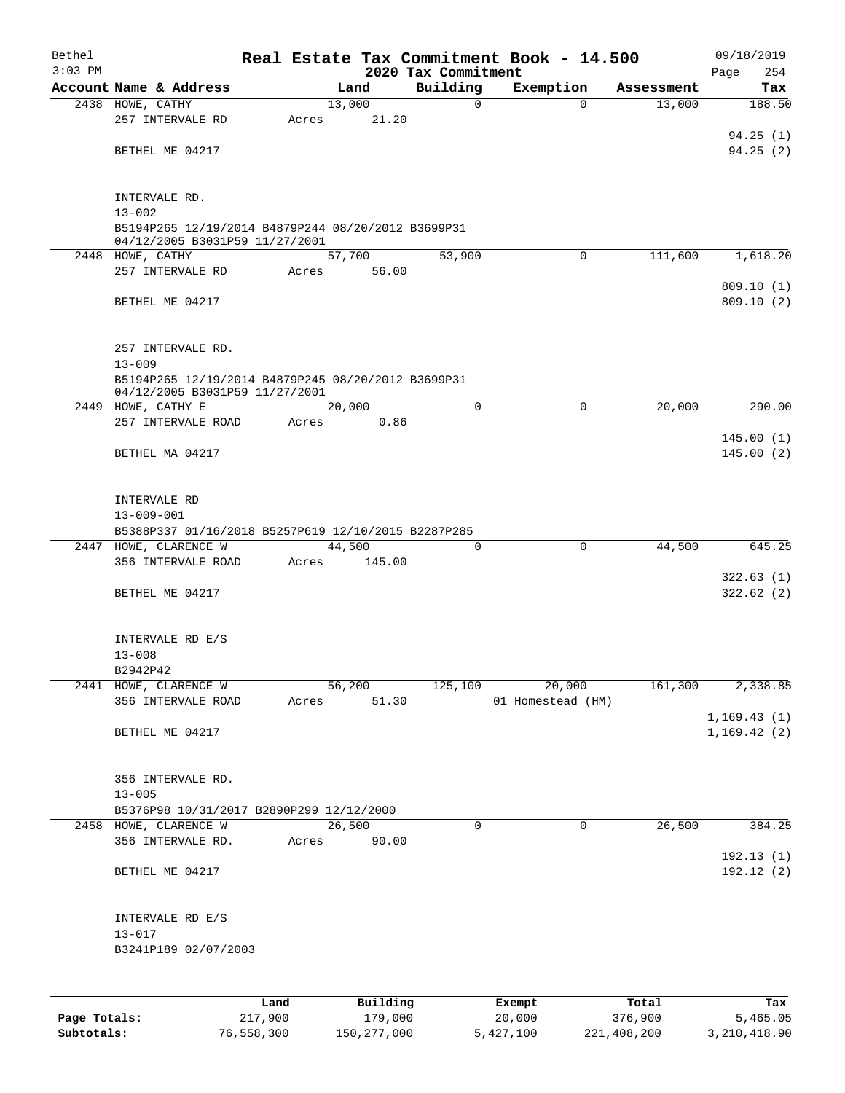| Bethel<br>$3:03$ PM |                                                     |         |       |        |          | 2020 Tax Commitment | Real Estate Tax Commitment Book - 14.500 |             |            | 09/18/2019<br>254<br>Page |
|---------------------|-----------------------------------------------------|---------|-------|--------|----------|---------------------|------------------------------------------|-------------|------------|---------------------------|
|                     | Account Name & Address                              |         |       |        | Land     | Building            | Exemption                                |             | Assessment | Tax                       |
|                     | 2438 HOWE, CATHY                                    |         |       | 13,000 |          | $\mathbf 0$         |                                          | $\Omega$    | 13,000     | 188.50                    |
|                     | 257 INTERVALE RD                                    |         | Acres |        | 21.20    |                     |                                          |             |            |                           |
|                     |                                                     |         |       |        |          |                     |                                          |             |            | 94.25(1)                  |
|                     | BETHEL ME 04217                                     |         |       |        |          |                     |                                          |             |            | 94.25(2)                  |
|                     |                                                     |         |       |        |          |                     |                                          |             |            |                           |
|                     |                                                     |         |       |        |          |                     |                                          |             |            |                           |
|                     | INTERVALE RD.                                       |         |       |        |          |                     |                                          |             |            |                           |
|                     | $13 - 002$                                          |         |       |        |          |                     |                                          |             |            |                           |
|                     | B5194P265 12/19/2014 B4879P244 08/20/2012 B3699P31  |         |       |        |          |                     |                                          |             |            |                           |
|                     | 04/12/2005 B3031P59 11/27/2001<br>2448 HOWE, CATHY  |         |       | 57,700 |          | 53,900              |                                          | $\Omega$    | 111,600    | 1,618.20                  |
|                     | 257 INTERVALE RD                                    |         | Acres |        | 56.00    |                     |                                          |             |            |                           |
|                     |                                                     |         |       |        |          |                     |                                          |             |            | 809.10(1)                 |
|                     | BETHEL ME 04217                                     |         |       |        |          |                     |                                          |             |            | 809.10(2)                 |
|                     |                                                     |         |       |        |          |                     |                                          |             |            |                           |
|                     |                                                     |         |       |        |          |                     |                                          |             |            |                           |
|                     | 257 INTERVALE RD.                                   |         |       |        |          |                     |                                          |             |            |                           |
|                     | $13 - 009$                                          |         |       |        |          |                     |                                          |             |            |                           |
|                     | B5194P265 12/19/2014 B4879P245 08/20/2012 B3699P31  |         |       |        |          |                     |                                          |             |            |                           |
|                     | 04/12/2005 B3031P59 11/27/2001                      |         |       |        |          |                     |                                          |             |            |                           |
|                     | 2449 HOWE, CATHY E                                  |         |       | 20,000 |          | $\Omega$            |                                          | $\mathbf 0$ | 20,000     | 290.00                    |
|                     | 257 INTERVALE ROAD                                  |         | Acres |        | 0.86     |                     |                                          |             |            |                           |
|                     | BETHEL MA 04217                                     |         |       |        |          |                     |                                          |             |            | 145.00(1)<br>145.00(2)    |
|                     |                                                     |         |       |        |          |                     |                                          |             |            |                           |
|                     |                                                     |         |       |        |          |                     |                                          |             |            |                           |
|                     | INTERVALE RD                                        |         |       |        |          |                     |                                          |             |            |                           |
|                     | $13 - 009 - 001$                                    |         |       |        |          |                     |                                          |             |            |                           |
|                     | B5388P337 01/16/2018 B5257P619 12/10/2015 B2287P285 |         |       |        |          |                     |                                          |             |            |                           |
|                     | 2447 HOWE, CLARENCE W                               |         |       | 44,500 |          | 0                   |                                          | 0           | 44,500     | 645.25                    |
|                     | 356 INTERVALE ROAD                                  |         | Acres |        | 145.00   |                     |                                          |             |            |                           |
|                     |                                                     |         |       |        |          |                     |                                          |             |            | 322.63(1)                 |
|                     | BETHEL ME 04217                                     |         |       |        |          |                     |                                          |             |            | 322.62(2)                 |
|                     |                                                     |         |       |        |          |                     |                                          |             |            |                           |
|                     |                                                     |         |       |        |          |                     |                                          |             |            |                           |
|                     | INTERVALE RD E/S                                    |         |       |        |          |                     |                                          |             |            |                           |
|                     | $13 - 008$                                          |         |       |        |          |                     |                                          |             |            |                           |
|                     | B2942P42                                            |         |       |        |          |                     |                                          |             |            |                           |
|                     | 2441 HOWE, CLARENCE W<br>356 INTERVALE ROAD         |         | Acres | 56,200 | 51.30    | 125,100             | 01 Homestead (HM)                        | 20,000      | 161,300    | 2,338.85                  |
|                     |                                                     |         |       |        |          |                     |                                          |             |            | 1, 169.43(1)              |
|                     | BETHEL ME 04217                                     |         |       |        |          |                     |                                          |             |            | 1, 169.42(2)              |
|                     |                                                     |         |       |        |          |                     |                                          |             |            |                           |
|                     |                                                     |         |       |        |          |                     |                                          |             |            |                           |
|                     | 356 INTERVALE RD.                                   |         |       |        |          |                     |                                          |             |            |                           |
|                     | $13 - 005$                                          |         |       |        |          |                     |                                          |             |            |                           |
|                     | B5376P98 10/31/2017 B2890P299 12/12/2000            |         |       |        |          |                     |                                          |             |            |                           |
|                     | 2458 HOWE, CLARENCE W                               |         |       | 26,500 |          | $\mathbf 0$         |                                          | $\mathbf 0$ | 26,500     | 384.25                    |
|                     | 356 INTERVALE RD.                                   |         | Acres |        | 90.00    |                     |                                          |             |            |                           |
|                     |                                                     |         |       |        |          |                     |                                          |             |            | 192.13(1)                 |
|                     | BETHEL ME 04217                                     |         |       |        |          |                     |                                          |             |            | 192.12(2)                 |
|                     |                                                     |         |       |        |          |                     |                                          |             |            |                           |
|                     |                                                     |         |       |        |          |                     |                                          |             |            |                           |
|                     | INTERVALE RD E/S                                    |         |       |        |          |                     |                                          |             |            |                           |
|                     | $13 - 017$                                          |         |       |        |          |                     |                                          |             |            |                           |
|                     | B3241P189 02/07/2003                                |         |       |        |          |                     |                                          |             |            |                           |
|                     |                                                     |         |       |        |          |                     |                                          |             |            |                           |
|                     |                                                     |         |       |        |          |                     |                                          |             |            |                           |
|                     |                                                     | Land    |       |        | Building |                     | Exempt                                   |             | Total      | Tax                       |
| Page Totals:        |                                                     | 217,900 |       |        | 179,000  |                     | 20,000                                   |             | 376,900    | 5,465.05                  |

**Subtotals:** 76,558,300 150,277,000 5,427,100 221,408,200 3,210,418.90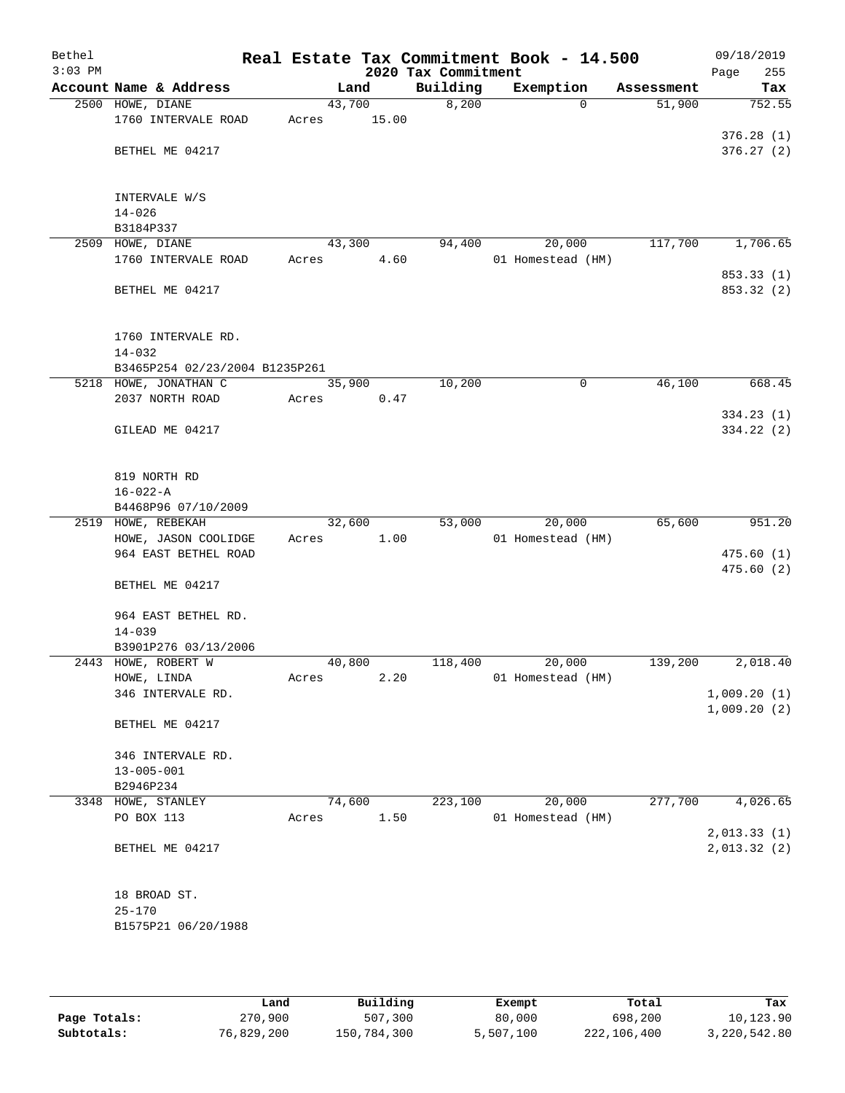| Bethel<br>$3:03$ PM |                                |       |        | 2020 Tax Commitment | Real Estate Tax Commitment Book - 14.500 |            | 09/18/2019<br>255<br>Page |
|---------------------|--------------------------------|-------|--------|---------------------|------------------------------------------|------------|---------------------------|
|                     | Account Name & Address         |       | Land   | Building            | Exemption                                | Assessment | Tax                       |
|                     | 2500 HOWE, DIANE               |       | 43,700 | 8,200               | $\Omega$                                 | 51,900     | 752.55                    |
|                     | 1760 INTERVALE ROAD            | Acres | 15.00  |                     |                                          |            |                           |
|                     |                                |       |        |                     |                                          |            | 376.28(1)                 |
|                     | BETHEL ME 04217                |       |        |                     |                                          |            | 376.27(2)                 |
|                     |                                |       |        |                     |                                          |            |                           |
|                     |                                |       |        |                     |                                          |            |                           |
|                     | INTERVALE W/S                  |       |        |                     |                                          |            |                           |
|                     | $14 - 026$                     |       |        |                     |                                          |            |                           |
|                     | B3184P337                      |       |        |                     |                                          |            |                           |
| 2509                | HOWE, DIANE                    |       | 43,300 | 94,400              | 20,000                                   | 117,700    | 1,706.65                  |
|                     | 1760 INTERVALE ROAD            | Acres | 4.60   |                     | 01 Homestead (HM)                        |            |                           |
|                     |                                |       |        |                     |                                          |            | 853.33 (1)                |
|                     | BETHEL ME 04217                |       |        |                     |                                          |            | 853.32 (2)                |
|                     |                                |       |        |                     |                                          |            |                           |
|                     | 1760 INTERVALE RD.             |       |        |                     |                                          |            |                           |
|                     | $14 - 032$                     |       |        |                     |                                          |            |                           |
|                     | B3465P254 02/23/2004 B1235P261 |       |        |                     |                                          |            |                           |
|                     | 5218 HOWE, JONATHAN C          |       | 35,900 | 10,200              | 0                                        | 46,100     | 668.45                    |
|                     | 2037 NORTH ROAD                | Acres | 0.47   |                     |                                          |            |                           |
|                     |                                |       |        |                     |                                          |            | 334.23(1)                 |
|                     | GILEAD ME 04217                |       |        |                     |                                          |            | 334.22 (2)                |
|                     |                                |       |        |                     |                                          |            |                           |
|                     |                                |       |        |                     |                                          |            |                           |
|                     | 819 NORTH RD                   |       |        |                     |                                          |            |                           |
|                     | $16 - 022 - A$                 |       |        |                     |                                          |            |                           |
|                     | B4468P96 07/10/2009            |       |        |                     |                                          |            |                           |
|                     | 2519 HOWE, REBEKAH             |       | 32,600 | 53,000              | 20,000                                   | 65,600     | 951.20                    |
|                     | HOWE, JASON COOLIDGE           | Acres | 1.00   |                     | 01 Homestead (HM)                        |            |                           |
|                     | 964 EAST BETHEL ROAD           |       |        |                     |                                          |            | 475.60(1)                 |
|                     |                                |       |        |                     |                                          |            | 475.60(2)                 |
|                     | BETHEL ME 04217                |       |        |                     |                                          |            |                           |
|                     | 964 EAST BETHEL RD.            |       |        |                     |                                          |            |                           |
|                     | $14 - 039$                     |       |        |                     |                                          |            |                           |
|                     | B3901P276 03/13/2006           |       |        |                     |                                          |            |                           |
|                     | 2443 HOWE, ROBERT W            |       | 40,800 | 118,400             | 20,000                                   | 139,200    | 2,018.40                  |
|                     | HOWE, LINDA                    | Acres | 2.20   |                     | 01 Homestead (HM)                        |            |                           |
|                     | 346 INTERVALE RD.              |       |        |                     |                                          |            | 1,009.20(1)               |
|                     |                                |       |        |                     |                                          |            | 1,009.20(2)               |
|                     | BETHEL ME 04217                |       |        |                     |                                          |            |                           |
|                     |                                |       |        |                     |                                          |            |                           |
|                     | 346 INTERVALE RD.              |       |        |                     |                                          |            |                           |
|                     | $13 - 005 - 001$               |       |        |                     |                                          |            |                           |
|                     | B2946P234                      |       |        |                     |                                          |            |                           |
|                     | 3348 HOWE, STANLEY             |       | 74,600 | 223,100             | 20,000                                   | 277,700    | 4,026.65                  |
|                     | PO BOX 113                     | Acres | 1.50   |                     | 01 Homestead (HM)                        |            |                           |
|                     |                                |       |        |                     |                                          |            | 2,013.33(1)               |
|                     | BETHEL ME 04217                |       |        |                     |                                          |            | 2,013.32(2)               |
|                     |                                |       |        |                     |                                          |            |                           |
|                     |                                |       |        |                     |                                          |            |                           |
|                     | 18 BROAD ST.<br>$25 - 170$     |       |        |                     |                                          |            |                           |
|                     |                                |       |        |                     |                                          |            |                           |
|                     | B1575P21 06/20/1988            |       |        |                     |                                          |            |                           |
|                     |                                |       |        |                     |                                          |            |                           |
|                     |                                |       |        |                     |                                          |            |                           |

|              | Land       | Building    | Exempt    | Total       | Tax          |
|--------------|------------|-------------|-----------|-------------|--------------|
| Page Totals: | 270,900    | 507,300     | 80,000    | 698,200     | 10,123.90    |
| Subtotals:   | 76,829,200 | 150,784,300 | 5,507,100 | 222,106,400 | 3,220,542.80 |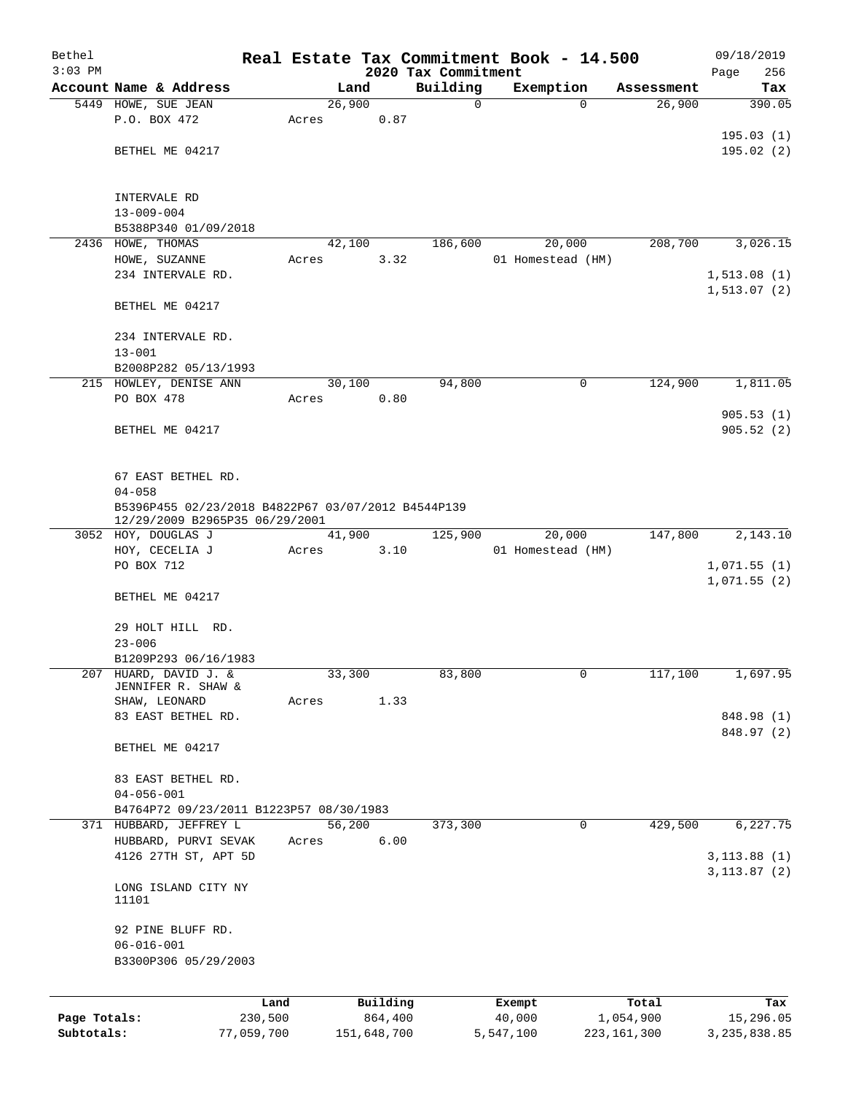| Bethel       |                                                       |            |       |                |             |                         | Real Estate Tax Commitment Book - 14.500 |              |                      |      | 09/18/2019    |
|--------------|-------------------------------------------------------|------------|-------|----------------|-------------|-------------------------|------------------------------------------|--------------|----------------------|------|---------------|
| $3:03$ PM    |                                                       |            |       |                |             | 2020 Tax Commitment     |                                          |              |                      | Page | 256           |
|              | Account Name & Address                                |            |       | Land<br>26,900 |             | Building<br>$\mathbf 0$ | Exemption                                | $\Omega$     | Assessment<br>26,900 |      | Tax<br>390.05 |
|              | 5449 HOWE, SUE JEAN<br>P.O. BOX 472                   |            | Acres |                | 0.87        |                         |                                          |              |                      |      |               |
|              |                                                       |            |       |                |             |                         |                                          |              |                      |      | 195.03(1)     |
|              | BETHEL ME 04217                                       |            |       |                |             |                         |                                          |              |                      |      | 195.02(2)     |
|              |                                                       |            |       |                |             |                         |                                          |              |                      |      |               |
|              |                                                       |            |       |                |             |                         |                                          |              |                      |      |               |
|              | INTERVALE RD                                          |            |       |                |             |                         |                                          |              |                      |      |               |
|              | $13 - 009 - 004$                                      |            |       |                |             |                         |                                          |              |                      |      |               |
|              | B5388P340 01/09/2018<br>2436 HOWE, THOMAS             |            |       |                |             |                         | 20,000                                   |              |                      |      | 3,026.15      |
|              | HOWE, SUZANNE                                         |            | Acres | 42,100         | 3.32        | 186,600                 | 01 Homestead (HM)                        |              | 208,700              |      |               |
|              | 234 INTERVALE RD.                                     |            |       |                |             |                         |                                          |              |                      |      | 1, 513.08(1)  |
|              |                                                       |            |       |                |             |                         |                                          |              |                      |      | 1, 513.07(2)  |
|              | BETHEL ME 04217                                       |            |       |                |             |                         |                                          |              |                      |      |               |
|              |                                                       |            |       |                |             |                         |                                          |              |                      |      |               |
|              | 234 INTERVALE RD.                                     |            |       |                |             |                         |                                          |              |                      |      |               |
|              | $13 - 001$                                            |            |       |                |             |                         |                                          |              |                      |      |               |
|              | B2008P282 05/13/1993                                  |            |       |                |             |                         |                                          |              |                      |      |               |
|              | 215 HOWLEY, DENISE ANN                                |            |       | 30,100         |             | 94,800                  |                                          | $\mathsf{O}$ | 124,900              |      | 1,811.05      |
|              | PO BOX 478                                            |            | Acres |                | 0.80        |                         |                                          |              |                      |      | 905.53(1)     |
|              | BETHEL ME 04217                                       |            |       |                |             |                         |                                          |              |                      |      | 905.52(2)     |
|              |                                                       |            |       |                |             |                         |                                          |              |                      |      |               |
|              |                                                       |            |       |                |             |                         |                                          |              |                      |      |               |
|              | 67 EAST BETHEL RD.                                    |            |       |                |             |                         |                                          |              |                      |      |               |
|              | $04 - 058$                                            |            |       |                |             |                         |                                          |              |                      |      |               |
|              | B5396P455 02/23/2018 B4822P67 03/07/2012 B4544P139    |            |       |                |             |                         |                                          |              |                      |      |               |
|              | 12/29/2009 B2965P35 06/29/2001<br>3052 HOY, DOUGLAS J |            |       | 41,900         |             | 125,900                 | 20,000                                   |              | 147,800              |      | 2,143.10      |
|              | HOY, CECELIA J                                        |            | Acres |                | 3.10        |                         | 01 Homestead (HM)                        |              |                      |      |               |
|              | PO BOX 712                                            |            |       |                |             |                         |                                          |              |                      |      | 1,071.55(1)   |
|              |                                                       |            |       |                |             |                         |                                          |              |                      |      | 1,071.55(2)   |
|              | BETHEL ME 04217                                       |            |       |                |             |                         |                                          |              |                      |      |               |
|              |                                                       |            |       |                |             |                         |                                          |              |                      |      |               |
|              | 29 HOLT HILL RD.                                      |            |       |                |             |                         |                                          |              |                      |      |               |
|              | $23 - 006$                                            |            |       |                |             |                         |                                          |              |                      |      |               |
|              | B1209P293 06/16/1983                                  |            |       |                |             |                         |                                          |              |                      |      |               |
| 207          | HUARD, DAVID J. &<br>JENNIFER R. SHAW &               |            |       | 33,300         |             | 83,800                  |                                          | 0            | 117,100              |      | 1,697.95      |
|              | SHAW, LEONARD                                         |            | Acres |                | 1.33        |                         |                                          |              |                      |      |               |
|              | 83 EAST BETHEL RD.                                    |            |       |                |             |                         |                                          |              |                      |      | 848.98 (1)    |
|              |                                                       |            |       |                |             |                         |                                          |              |                      |      | 848.97 (2)    |
|              | BETHEL ME 04217                                       |            |       |                |             |                         |                                          |              |                      |      |               |
|              |                                                       |            |       |                |             |                         |                                          |              |                      |      |               |
|              | 83 EAST BETHEL RD.<br>$04 - 056 - 001$                |            |       |                |             |                         |                                          |              |                      |      |               |
|              | B4764P72 09/23/2011 B1223P57 08/30/1983               |            |       |                |             |                         |                                          |              |                      |      |               |
|              | 371 HUBBARD, JEFFREY L                                |            |       | 56,200         |             | 373,300                 |                                          | 0            | 429,500              |      | 6,227.75      |
|              | HUBBARD, PURVI SEVAK                                  |            | Acres |                | 6.00        |                         |                                          |              |                      |      |               |
|              | 4126 27TH ST, APT 5D                                  |            |       |                |             |                         |                                          |              |                      |      | 3, 113.88(1)  |
|              |                                                       |            |       |                |             |                         |                                          |              |                      |      | 3, 113.87 (2) |
|              | LONG ISLAND CITY NY                                   |            |       |                |             |                         |                                          |              |                      |      |               |
|              | 11101                                                 |            |       |                |             |                         |                                          |              |                      |      |               |
|              | 92 PINE BLUFF RD.                                     |            |       |                |             |                         |                                          |              |                      |      |               |
|              | $06 - 016 - 001$                                      |            |       |                |             |                         |                                          |              |                      |      |               |
|              | B3300P306 05/29/2003                                  |            |       |                |             |                         |                                          |              |                      |      |               |
|              |                                                       |            |       |                |             |                         |                                          |              |                      |      |               |
|              |                                                       | Land       |       |                | Building    |                         |                                          |              | Total                |      | Tax           |
| Page Totals: |                                                       | 230,500    |       |                | 864,400     |                         | Exempt<br>40,000                         |              | 1,054,900            |      | 15,296.05     |
| Subtotals:   |                                                       | 77,059,700 |       |                | 151,648,700 |                         | 5,547,100                                |              | 223, 161, 300        |      | 3,235,838.85  |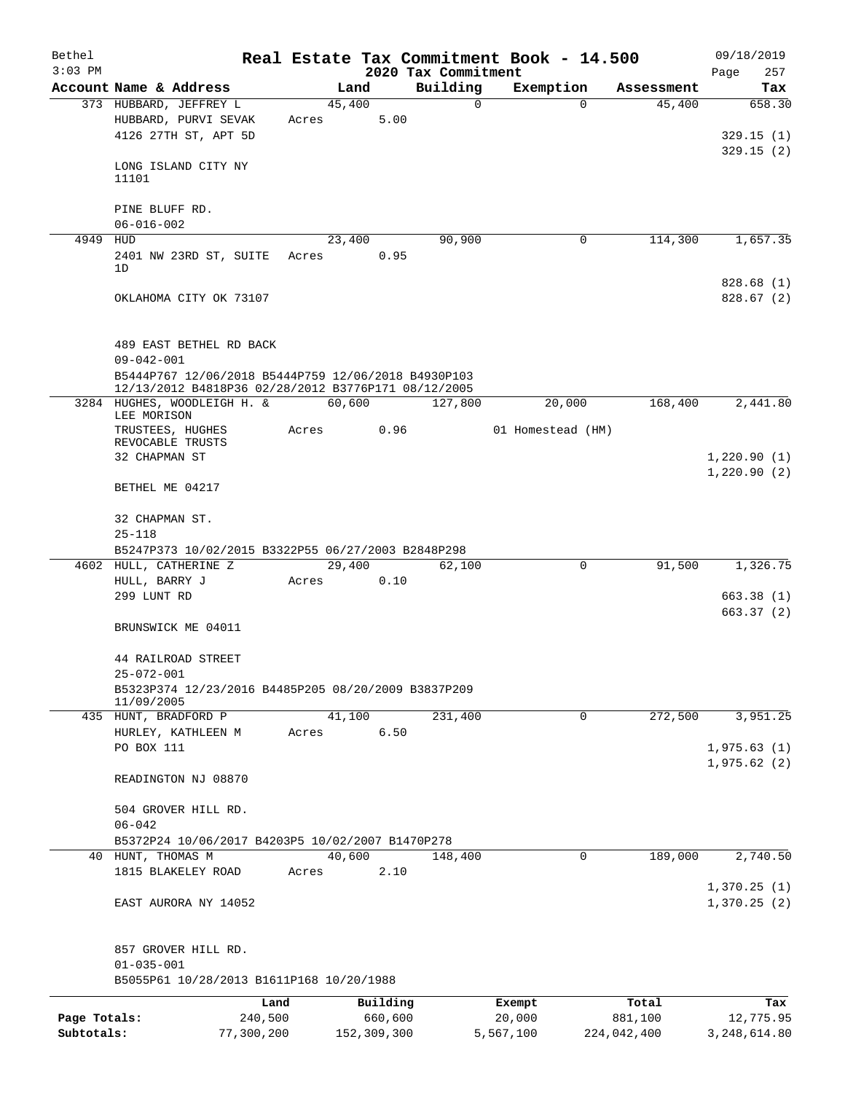| Bethel       |                                                                                    |       |        |             |                     | Real Estate Tax Commitment Book - 14.500 |             | 09/18/2019   |
|--------------|------------------------------------------------------------------------------------|-------|--------|-------------|---------------------|------------------------------------------|-------------|--------------|
| $3:03$ PM    |                                                                                    |       |        |             | 2020 Tax Commitment |                                          |             | Page<br>257  |
|              | Account Name & Address                                                             |       | Land   |             | Building            | Exemption                                | Assessment  | Tax          |
|              | 373 HUBBARD, JEFFREY L                                                             |       | 45,400 |             | 0                   | $\Omega$                                 | 45,400      | 658.30       |
|              | HUBBARD, PURVI SEVAK<br>4126 27TH ST, APT 5D                                       | Acres |        | 5.00        |                     |                                          |             | 329.15(1)    |
|              |                                                                                    |       |        |             |                     |                                          |             | 329.15(2)    |
|              | LONG ISLAND CITY NY                                                                |       |        |             |                     |                                          |             |              |
|              | 11101                                                                              |       |        |             |                     |                                          |             |              |
|              |                                                                                    |       |        |             |                     |                                          |             |              |
|              | PINE BLUFF RD.                                                                     |       |        |             |                     |                                          |             |              |
|              | $06 - 016 - 002$                                                                   |       |        |             |                     |                                          |             |              |
| 4949 HUD     |                                                                                    |       | 23,400 |             | 90,900              | 0                                        | 114,300     | 1,657.35     |
|              | 2401 NW 23RD ST, SUITE<br>1D                                                       | Acres |        | 0.95        |                     |                                          |             |              |
|              |                                                                                    |       |        |             |                     |                                          |             | 828.68(1)    |
|              | OKLAHOMA CITY OK 73107                                                             |       |        |             |                     |                                          |             | 828.67(2)    |
|              |                                                                                    |       |        |             |                     |                                          |             |              |
|              |                                                                                    |       |        |             |                     |                                          |             |              |
|              | 489 EAST BETHEL RD BACK                                                            |       |        |             |                     |                                          |             |              |
|              | $09 - 042 - 001$                                                                   |       |        |             |                     |                                          |             |              |
|              | B5444P767 12/06/2018 B5444P759 12/06/2018 B4930P103                                |       |        |             |                     |                                          |             |              |
|              | 12/13/2012 B4818P36 02/28/2012 B3776P171 08/12/2005<br>3284 HUGHES, WOODLEIGH H. & |       | 60,600 |             | 127,800             | 20,000                                   | 168,400     | 2,441.80     |
|              | LEE MORISON                                                                        |       |        |             |                     |                                          |             |              |
|              | TRUSTEES, HUGHES                                                                   | Acres |        | 0.96        |                     | 01 Homestead (HM)                        |             |              |
|              | REVOCABLE TRUSTS                                                                   |       |        |             |                     |                                          |             |              |
|              | 32 CHAPMAN ST                                                                      |       |        |             |                     |                                          |             | 1,220.90(1)  |
|              | BETHEL ME 04217                                                                    |       |        |             |                     |                                          |             | 1,220.90(2)  |
|              |                                                                                    |       |        |             |                     |                                          |             |              |
|              | 32 CHAPMAN ST.                                                                     |       |        |             |                     |                                          |             |              |
|              | $25 - 118$                                                                         |       |        |             |                     |                                          |             |              |
|              | B5247P373 10/02/2015 B3322P55 06/27/2003 B2848P298                                 |       |        |             |                     |                                          |             |              |
|              | 4602 HULL, CATHERINE Z                                                             |       | 29,400 |             | 62,100              | 0                                        | 91,500      | 1,326.75     |
|              | HULL, BARRY J                                                                      | Acres |        | 0.10        |                     |                                          |             |              |
|              | 299 LUNT RD                                                                        |       |        |             |                     |                                          |             | 663.38(1)    |
|              |                                                                                    |       |        |             |                     |                                          |             | 663.37 (2)   |
|              | BRUNSWICK ME 04011                                                                 |       |        |             |                     |                                          |             |              |
|              |                                                                                    |       |        |             |                     |                                          |             |              |
|              | 44 RAILROAD STREET<br>$25 - 072 - 001$                                             |       |        |             |                     |                                          |             |              |
|              | B5323P374 12/23/2016 B4485P205 08/20/2009 B3837P209                                |       |        |             |                     |                                          |             |              |
|              | 11/09/2005                                                                         |       |        |             |                     |                                          |             |              |
|              | 435 HUNT, BRADFORD P                                                               |       | 41,100 |             | 231,400             | 0                                        | 272,500     | 3,951.25     |
|              | HURLEY, KATHLEEN M                                                                 | Acres |        | 6.50        |                     |                                          |             |              |
|              | PO BOX 111                                                                         |       |        |             |                     |                                          |             | 1,975.63(1)  |
|              |                                                                                    |       |        |             |                     |                                          |             | 1,975.62(2)  |
|              | READINGTON NJ 08870                                                                |       |        |             |                     |                                          |             |              |
|              | 504 GROVER HILL RD.                                                                |       |        |             |                     |                                          |             |              |
|              | $06 - 042$                                                                         |       |        |             |                     |                                          |             |              |
|              | B5372P24 10/06/2017 B4203P5 10/02/2007 B1470P278                                   |       |        |             |                     |                                          |             |              |
|              | 40 HUNT, THOMAS M                                                                  |       | 40,600 |             | 148,400             | 0                                        | 189,000     | 2,740.50     |
|              | 1815 BLAKELEY ROAD                                                                 | Acres |        | 2.10        |                     |                                          |             |              |
|              |                                                                                    |       |        |             |                     |                                          |             | 1,370.25(1)  |
|              | EAST AURORA NY 14052                                                               |       |        |             |                     |                                          |             | 1,370.25(2)  |
|              |                                                                                    |       |        |             |                     |                                          |             |              |
|              |                                                                                    |       |        |             |                     |                                          |             |              |
|              | 857 GROVER HILL RD.                                                                |       |        |             |                     |                                          |             |              |
|              | $01 - 035 - 001$                                                                   |       |        |             |                     |                                          |             |              |
|              | B5055P61 10/28/2013 B1611P168 10/20/1988                                           |       |        |             |                     |                                          |             |              |
|              | Land                                                                               |       |        | Building    |                     | Exempt                                   | Total       | Tax          |
| Page Totals: | 240,500                                                                            |       |        | 660,600     |                     | 20,000                                   | 881,100     | 12,775.95    |
| Subtotals:   | 77,300,200                                                                         |       |        | 152,309,300 |                     | 5,567,100                                | 224,042,400 | 3,248,614.80 |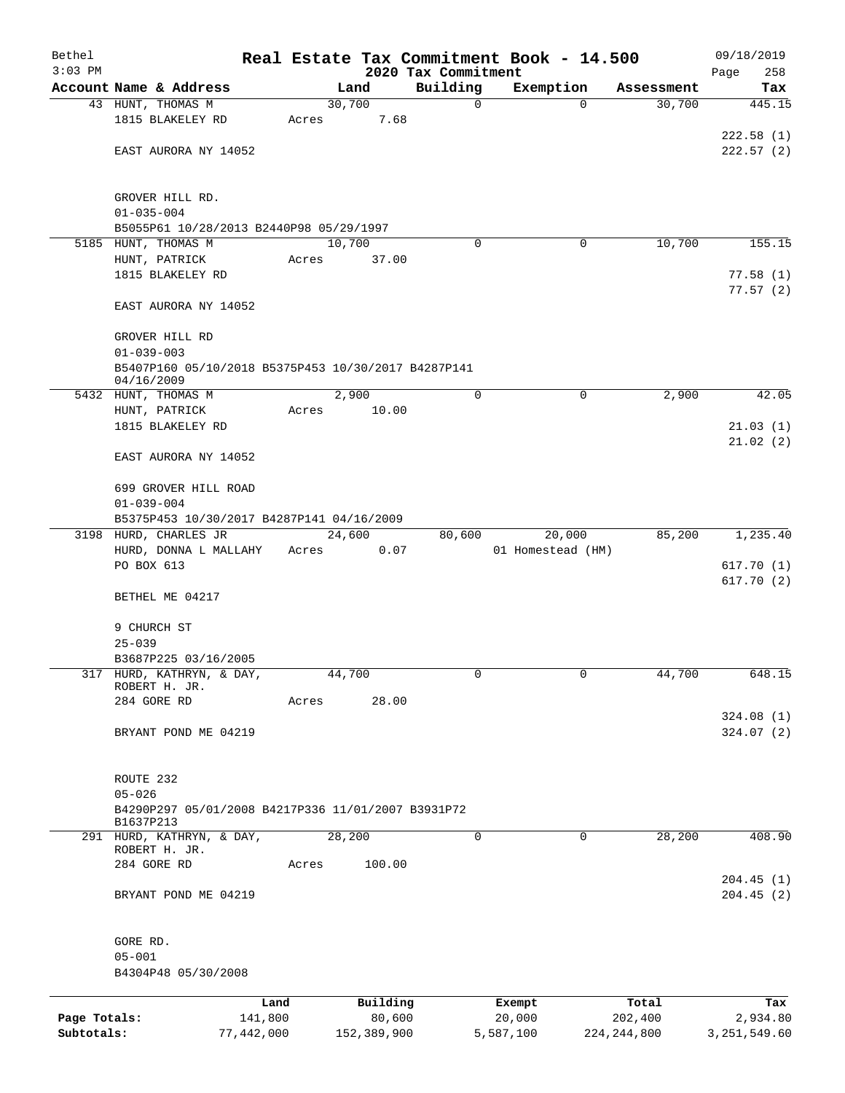| Bethel       |                                                                   |            |       |                |          |                         | Real Estate Tax Commitment Book - 14.500 |                      | 09/18/2019             |
|--------------|-------------------------------------------------------------------|------------|-------|----------------|----------|-------------------------|------------------------------------------|----------------------|------------------------|
| $3:03$ PM    |                                                                   |            |       |                |          | 2020 Tax Commitment     |                                          |                      | Page<br>258            |
|              | Account Name & Address                                            |            |       | Land<br>30,700 |          | Building<br>$\mathbf 0$ | Exemption<br>$\mathbf 0$                 | Assessment<br>30,700 | Tax<br>445.15          |
|              | 43 HUNT, THOMAS M<br>1815 BLAKELEY RD                             |            | Acres |                | 7.68     |                         |                                          |                      |                        |
|              |                                                                   |            |       |                |          |                         |                                          |                      | 222.58(1)              |
|              | EAST AURORA NY 14052                                              |            |       |                |          |                         |                                          |                      | 222.57(2)              |
|              |                                                                   |            |       |                |          |                         |                                          |                      |                        |
|              | GROVER HILL RD.                                                   |            |       |                |          |                         |                                          |                      |                        |
|              | $01 - 035 - 004$                                                  |            |       |                |          |                         |                                          |                      |                        |
|              | B5055P61 10/28/2013 B2440P98 05/29/1997                           |            |       |                |          |                         |                                          |                      |                        |
| 5185         | HUNT, THOMAS M                                                    |            |       | 10,700         |          | $\Omega$                | 0                                        | 10,700               | 155.15                 |
|              | HUNT, PATRICK<br>1815 BLAKELEY RD                                 |            | Acres |                | 37.00    |                         |                                          |                      | 77.58(1)               |
|              |                                                                   |            |       |                |          |                         |                                          |                      | 77.57(2)               |
|              | EAST AURORA NY 14052                                              |            |       |                |          |                         |                                          |                      |                        |
|              | GROVER HILL RD                                                    |            |       |                |          |                         |                                          |                      |                        |
|              | $01 - 039 - 003$                                                  |            |       |                |          |                         |                                          |                      |                        |
|              | B5407P160 05/10/2018 B5375P453 10/30/2017 B4287P141<br>04/16/2009 |            |       |                |          |                         |                                          |                      |                        |
|              | 5432 HUNT, THOMAS M                                               |            |       | 2,900          |          | $\mathbf 0$             | $\mathbf 0$                              | 2,900                | 42.05                  |
|              | HUNT, PATRICK                                                     |            | Acres |                | 10.00    |                         |                                          |                      |                        |
|              | 1815 BLAKELEY RD                                                  |            |       |                |          |                         |                                          |                      | 21.03(1)               |
|              | EAST AURORA NY 14052                                              |            |       |                |          |                         |                                          |                      | 21.02(2)               |
|              | 699 GROVER HILL ROAD                                              |            |       |                |          |                         |                                          |                      |                        |
|              | $01 - 039 - 004$                                                  |            |       |                |          |                         |                                          |                      |                        |
|              | B5375P453 10/30/2017 B4287P141 04/16/2009                         |            |       |                |          |                         |                                          |                      |                        |
|              | 3198 HURD, CHARLES JR                                             |            |       | 24,600         |          | 80,600                  | 20,000                                   | 85,200               | 1,235.40               |
|              | HURD, DONNA L MALLAHY                                             |            | Acres |                | 0.07     |                         | 01 Homestead (HM)                        |                      |                        |
|              | PO BOX 613                                                        |            |       |                |          |                         |                                          |                      | 617.70(1)<br>617.70(2) |
|              | BETHEL ME 04217                                                   |            |       |                |          |                         |                                          |                      |                        |
|              | 9 CHURCH ST                                                       |            |       |                |          |                         |                                          |                      |                        |
|              | $25 - 039$                                                        |            |       |                |          |                         |                                          |                      |                        |
|              | B3687P225 03/16/2005                                              |            |       |                |          |                         |                                          |                      |                        |
|              | 317 HURD, KATHRYN, & DAY,                                         |            |       | 44,700         |          | 0                       | 0                                        | 44,700               | 648.15                 |
|              | ROBERT H. JR.                                                     |            |       |                |          |                         |                                          |                      |                        |
|              | 284 GORE RD                                                       |            | Acres |                | 28.00    |                         |                                          |                      | 324.08(1)              |
|              | BRYANT POND ME 04219                                              |            |       |                |          |                         |                                          |                      | 324.07(2)              |
|              |                                                                   |            |       |                |          |                         |                                          |                      |                        |
|              | ROUTE 232                                                         |            |       |                |          |                         |                                          |                      |                        |
|              | $05 - 026$                                                        |            |       |                |          |                         |                                          |                      |                        |
|              | B4290P297 05/01/2008 B4217P336 11/01/2007 B3931P72                |            |       |                |          |                         |                                          |                      |                        |
|              | B1637P213<br>291 HURD, KATHRYN, & DAY,                            |            |       | 28,200         |          | 0                       | 0                                        | 28,200               | 408.90                 |
|              | ROBERT H. JR.<br>284 GORE RD                                      |            | Acres |                | 100.00   |                         |                                          |                      |                        |
|              |                                                                   |            |       |                |          |                         |                                          |                      | 204.45(1)              |
|              | BRYANT POND ME 04219                                              |            |       |                |          |                         |                                          |                      | 204.45(2)              |
|              |                                                                   |            |       |                |          |                         |                                          |                      |                        |
|              | GORE RD.<br>$05 - 001$                                            |            |       |                |          |                         |                                          |                      |                        |
|              | B4304P48 05/30/2008                                               |            |       |                |          |                         |                                          |                      |                        |
|              |                                                                   | Land       |       |                | Building |                         | Exempt                                   | Total                | Tax                    |
| Page Totals: |                                                                   | 141,800    |       |                | 80,600   |                         | 20,000                                   | 202,400              | 2,934.80               |
| Subtotals:   |                                                                   | 77,442,000 |       | 152,389,900    |          |                         | 5,587,100                                | 224, 244, 800        | 3, 251, 549.60         |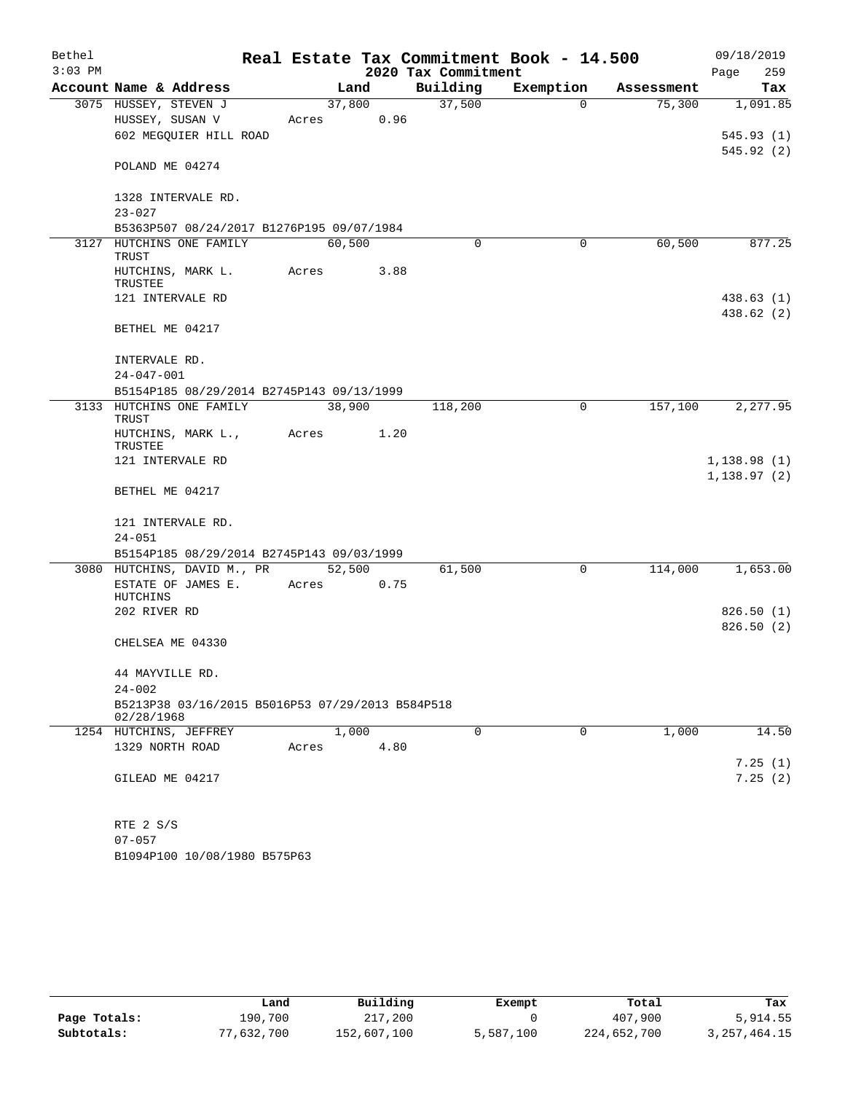| Bethel    |                                                                |        |       |                     | Real Estate Tax Commitment Book - 14.500 |            | 09/18/2019  |
|-----------|----------------------------------------------------------------|--------|-------|---------------------|------------------------------------------|------------|-------------|
| $3:03$ PM |                                                                |        |       | 2020 Tax Commitment |                                          |            | 259<br>Page |
|           | Account Name & Address                                         |        | Land  | Building            | Exemption                                | Assessment | Tax         |
|           | 3075 HUSSEY, STEVEN J                                          | 37,800 |       | 37,500              | $\Omega$                                 | 75,300     | 1,091.85    |
|           | HUSSEY, SUSAN V                                                | Acres  | 0.96  |                     |                                          |            |             |
|           | 602 MEGOUIER HILL ROAD                                         |        |       |                     |                                          |            | 545.93(1)   |
|           | POLAND ME 04274                                                |        |       |                     |                                          |            | 545.92 (2)  |
|           | 1328 INTERVALE RD.                                             |        |       |                     |                                          |            |             |
|           | $23 - 027$                                                     |        |       |                     |                                          |            |             |
|           | B5363P507 08/24/2017 B1276P195 09/07/1984                      |        |       |                     |                                          |            |             |
|           | 3127 HUTCHINS ONE FAMILY<br>TRUST                              | 60,500 |       | $\Omega$            | 0                                        | 60,500     | 877.25      |
|           | HUTCHINS, MARK L.<br>TRUSTEE                                   | Acres  | 3.88  |                     |                                          |            |             |
|           | 121 INTERVALE RD                                               |        |       |                     |                                          |            | 438.63 (1)  |
|           |                                                                |        |       |                     |                                          |            | 438.62 (2)  |
|           | BETHEL ME 04217                                                |        |       |                     |                                          |            |             |
|           | INTERVALE RD.                                                  |        |       |                     |                                          |            |             |
|           | $24 - 047 - 001$                                               |        |       |                     |                                          |            |             |
|           | B5154P185 08/29/2014 B2745P143 09/13/1999                      |        |       |                     |                                          |            |             |
|           | 3133 HUTCHINS ONE FAMILY                                       | 38,900 |       | 118,200             | 0                                        | 157,100    | 2,277.95    |
|           | <b>TRUST</b>                                                   |        |       |                     |                                          |            |             |
|           | HUTCHINS, MARK L.,<br>TRUSTEE                                  | Acres  | 1.20  |                     |                                          |            |             |
|           | 121 INTERVALE RD                                               |        |       |                     |                                          |            | 1,138.98(1) |
|           |                                                                |        |       |                     |                                          |            | 1,138.97(2) |
|           | BETHEL ME 04217                                                |        |       |                     |                                          |            |             |
|           | 121 INTERVALE RD.                                              |        |       |                     |                                          |            |             |
|           | $24 - 051$                                                     |        |       |                     |                                          |            |             |
|           | B5154P185 08/29/2014 B2745P143 09/03/1999                      |        |       |                     |                                          |            |             |
|           | 3080 HUTCHINS, DAVID M., PR                                    | 52,500 |       | 61,500              | 0                                        | 114,000    | 1,653.00    |
|           | ESTATE OF JAMES E.<br>HUTCHINS                                 | Acres  | 0.75  |                     |                                          |            |             |
|           | 202 RIVER RD                                                   |        |       |                     |                                          |            | 826.50(1)   |
|           |                                                                |        |       |                     |                                          |            | 826.50(2)   |
|           | CHELSEA ME 04330                                               |        |       |                     |                                          |            |             |
|           | 44 MAYVILLE RD.                                                |        |       |                     |                                          |            |             |
|           | $24 - 002$                                                     |        |       |                     |                                          |            |             |
|           | B5213P38 03/16/2015 B5016P53 07/29/2013 B584P518<br>02/28/1968 |        |       |                     |                                          |            |             |
|           | 1254 HUTCHINS, JEFFREY                                         |        | 1,000 | $\Omega$            | $\Omega$                                 | 1,000      | 14.50       |
|           | 1329 NORTH ROAD                                                | Acres  | 4.80  |                     |                                          |            |             |
|           |                                                                |        |       |                     |                                          |            | 7.25(1)     |
|           | GILEAD ME 04217                                                |        |       |                     |                                          |            | 7.25(2)     |
|           |                                                                |        |       |                     |                                          |            |             |
|           | RTE 2 S/S                                                      |        |       |                     |                                          |            |             |
|           | $07 - 057$                                                     |        |       |                     |                                          |            |             |

B1094P100 10/08/1980 B575P63

|              | Land       | Building    | Exempt    | Total       | Tax             |
|--------------|------------|-------------|-----------|-------------|-----------------|
| Page Totals: | 190,700    | 217,200     |           | 407,900     | 5,914.55        |
| Subtotals:   | 77,632,700 | 152,607,100 | 5,587,100 | 224,652,700 | 3, 257, 464. 15 |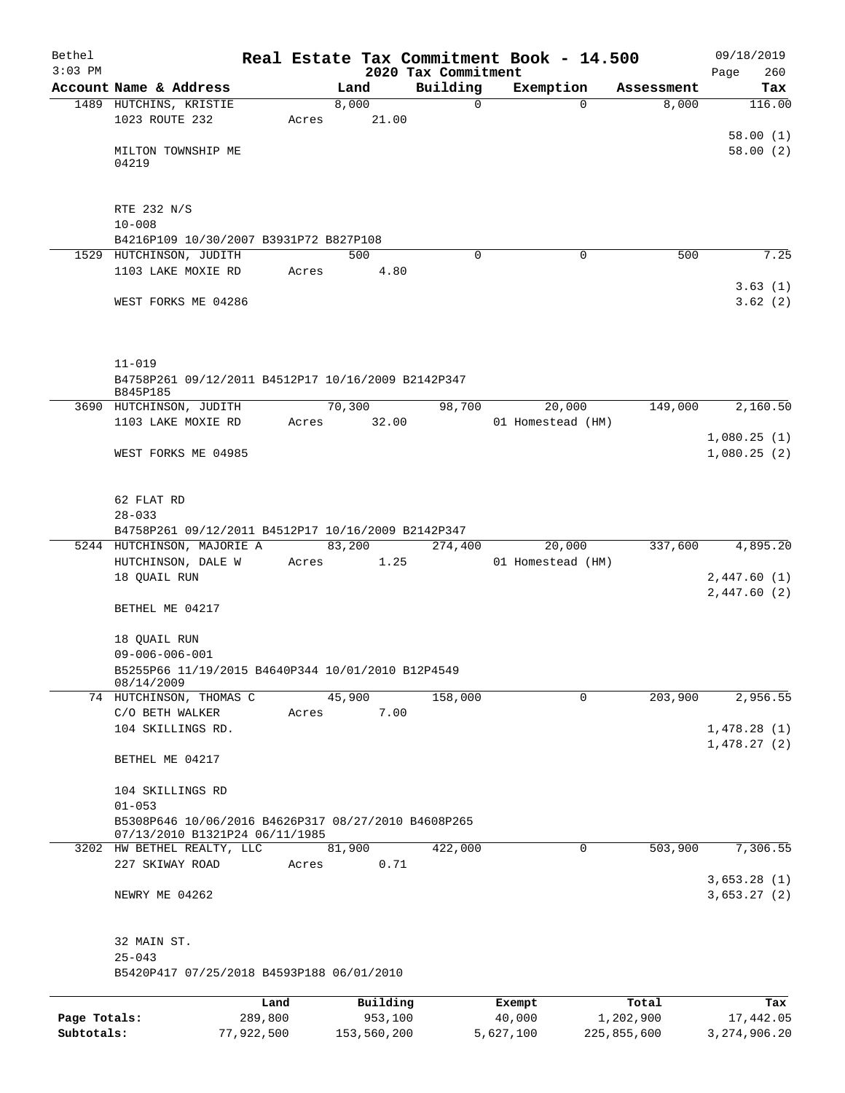| Bethel<br>$3:03$ PM        |                                                                                             |                       |       |                        |                                 | Real Estate Tax Commitment Book - 14.500 |                          | 09/18/2019                   |
|----------------------------|---------------------------------------------------------------------------------------------|-----------------------|-------|------------------------|---------------------------------|------------------------------------------|--------------------------|------------------------------|
|                            | Account Name & Address                                                                      |                       |       | Land                   | 2020 Tax Commitment<br>Building | Exemption                                | Assessment               | 260<br>Page<br>Tax           |
|                            | 1489 HUTCHINS, KRISTIE                                                                      |                       |       | 8,000                  | 0                               |                                          | 8,000<br>$\Omega$        | 116.00                       |
|                            | 1023 ROUTE 232                                                                              |                       | Acres | 21.00                  |                                 |                                          |                          | 58.00(1)                     |
|                            | MILTON TOWNSHIP ME<br>04219                                                                 |                       |       |                        |                                 |                                          |                          | 58.00(2)                     |
|                            | RTE 232 N/S<br>$10 - 008$                                                                   |                       |       |                        |                                 |                                          |                          |                              |
|                            | B4216P109 10/30/2007 B3931P72 B827P108                                                      |                       |       |                        |                                 |                                          |                          |                              |
|                            | 1529 HUTCHINSON, JUDITH                                                                     |                       |       | 500                    | $\Omega$                        |                                          | $\Omega$<br>500          | 7.25                         |
|                            | 1103 LAKE MOXIE RD                                                                          |                       | Acres | 4.80                   |                                 |                                          |                          |                              |
|                            | WEST FORKS ME 04286                                                                         |                       |       |                        |                                 |                                          |                          | 3.63(1)<br>3.62(2)           |
|                            | $11 - 019$<br>B4758P261 09/12/2011 B4512P17 10/16/2009 B2142P347                            |                       |       |                        |                                 |                                          |                          |                              |
|                            | B845P185<br>3690 HUTCHINSON, JUDITH                                                         |                       |       | 70,300                 | 98,700                          | 20,000                                   | 149,000                  | 2,160.50                     |
|                            | 1103 LAKE MOXIE RD                                                                          |                       |       | Acres 32.00            |                                 | 01 Homestead (HM)                        |                          |                              |
|                            | WEST FORKS ME 04985                                                                         |                       |       |                        |                                 |                                          |                          | 1,080.25(1)<br>1,080.25(2)   |
|                            | 62 FLAT RD<br>$28 - 033$                                                                    |                       |       |                        |                                 |                                          |                          |                              |
|                            | B4758P261 09/12/2011 B4512P17 10/16/2009 B2142P347                                          |                       |       |                        |                                 |                                          |                          |                              |
|                            | 5244 HUTCHINSON, MAJORIE A<br>HUTCHINSON, DALE W                                            |                       | Acres | 83,200<br>1.25         | 274,400                         | 20,000<br>01 Homestead (HM)              | 337,600                  | 4,895.20                     |
|                            | 18 QUAIL RUN                                                                                |                       |       |                        |                                 |                                          |                          | 2,447.60(1)<br>2,447.60(2)   |
|                            | BETHEL ME 04217                                                                             |                       |       |                        |                                 |                                          |                          |                              |
|                            | 18 QUAIL RUN<br>$09 - 006 - 006 - 001$<br>B5255P66 11/19/2015 B4640P344 10/01/2010 B12P4549 |                       |       |                        |                                 |                                          |                          |                              |
|                            | 08/14/2009<br>74 HUTCHINSON, THOMAS C                                                       |                       |       | 45,900                 | 158,000                         |                                          | 203,900<br>0             | 2,956.55                     |
|                            | C/O BETH WALKER                                                                             |                       | Acres | 7.00                   |                                 |                                          |                          |                              |
|                            | 104 SKILLINGS RD.                                                                           |                       |       |                        |                                 |                                          |                          | 1,478.28(1)<br>1,478.27(2)   |
|                            | BETHEL ME 04217                                                                             |                       |       |                        |                                 |                                          |                          |                              |
|                            | 104 SKILLINGS RD<br>$01 - 053$                                                              |                       |       |                        |                                 |                                          |                          |                              |
|                            | B5308P646 10/06/2016 B4626P317 08/27/2010 B4608P265<br>07/13/2010 B1321P24 06/11/1985       |                       |       |                        |                                 |                                          |                          |                              |
|                            | 3202 HW BETHEL REALTY, LLC                                                                  |                       |       | 81,900                 | 422,000                         |                                          | 503,900<br>0             | 7,306.55                     |
|                            | 227 SKIWAY ROAD                                                                             |                       | Acres | 0.71                   |                                 |                                          |                          |                              |
|                            | NEWRY ME 04262                                                                              |                       |       |                        |                                 |                                          |                          | 3,653.28(1)<br>3,653.27(2)   |
|                            | 32 MAIN ST.<br>$25 - 043$                                                                   |                       |       |                        |                                 |                                          |                          |                              |
|                            | B5420P417 07/25/2018 B4593P188 06/01/2010                                                   |                       |       |                        |                                 |                                          |                          |                              |
|                            |                                                                                             | Land                  |       | Building               |                                 | Exempt                                   | Total                    | Tax                          |
| Page Totals:<br>Subtotals: |                                                                                             | 289,800<br>77,922,500 |       | 953,100<br>153,560,200 |                                 | 40,000<br>5,627,100                      | 1,202,900<br>225,855,600 | 17,442.05<br>3, 274, 906. 20 |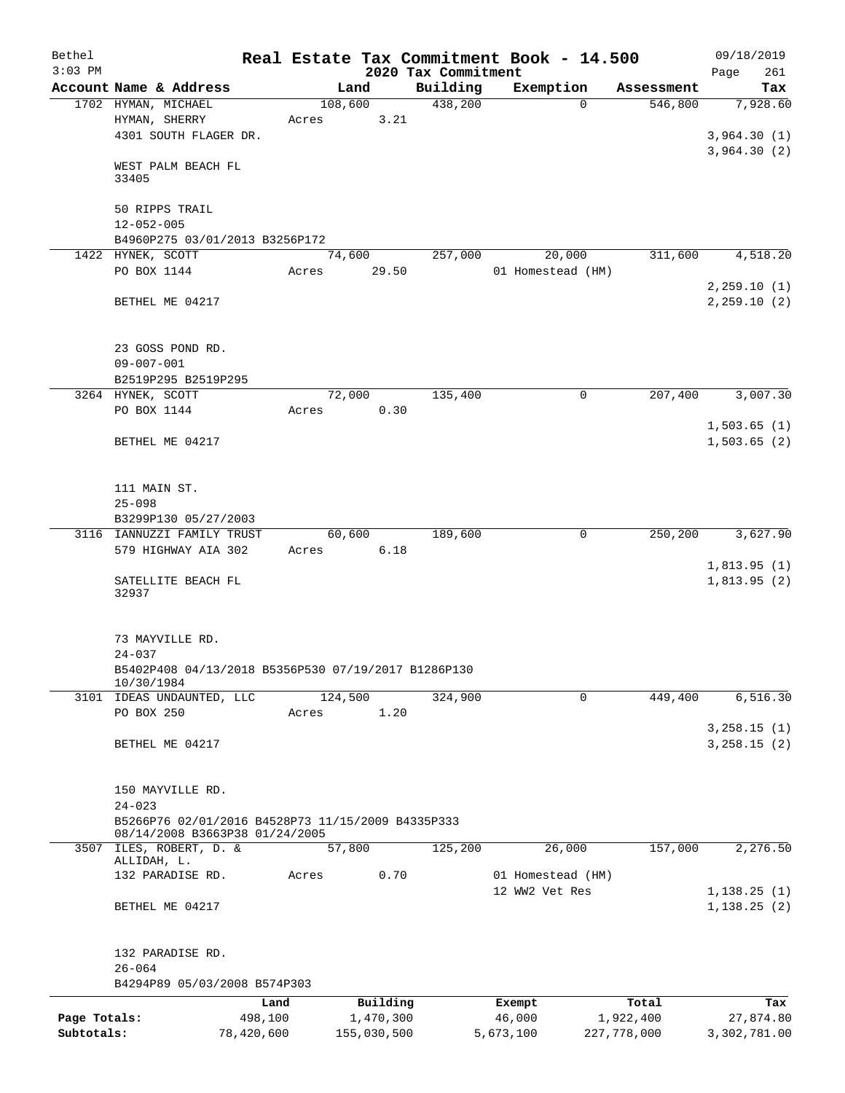| Bethel       |                                                                                     |         |             |                     | Real Estate Tax Commitment Book - 14.500 |             | 09/18/2019    |
|--------------|-------------------------------------------------------------------------------------|---------|-------------|---------------------|------------------------------------------|-------------|---------------|
| $3:03$ PM    |                                                                                     |         |             | 2020 Tax Commitment |                                          |             | 261<br>Page   |
|              | Account Name & Address                                                              |         | Land        | Building            | Exemption                                | Assessment  | Tax           |
|              | 1702 HYMAN, MICHAEL                                                                 |         | 108,600     | 438,200             | $\Omega$                                 | 546,800     | 7,928.60      |
|              | HYMAN, SHERRY                                                                       | Acres   | 3.21        |                     |                                          |             |               |
|              | 4301 SOUTH FLAGER DR.                                                               |         |             |                     |                                          |             | 3,964.30(1)   |
|              |                                                                                     |         |             |                     |                                          |             | 3,964.30(2)   |
|              | WEST PALM BEACH FL<br>33405                                                         |         |             |                     |                                          |             |               |
|              |                                                                                     |         |             |                     |                                          |             |               |
|              | 50 RIPPS TRAIL                                                                      |         |             |                     |                                          |             |               |
|              | $12 - 052 - 005$                                                                    |         |             |                     |                                          |             |               |
|              | B4960P275 03/01/2013 B3256P172                                                      |         |             |                     |                                          |             |               |
|              | 1422 HYNEK, SCOTT                                                                   |         | 74,600      | 257,000             | 20,000                                   | 311,600     | 4,518.20      |
|              | PO BOX 1144                                                                         | Acres   | 29.50       |                     | 01 Homestead (HM)                        |             |               |
|              |                                                                                     |         |             |                     |                                          |             | 2, 259.10(1)  |
|              | BETHEL ME 04217                                                                     |         |             |                     |                                          |             | 2, 259.10 (2) |
|              |                                                                                     |         |             |                     |                                          |             |               |
|              |                                                                                     |         |             |                     |                                          |             |               |
|              | 23 GOSS POND RD.                                                                    |         |             |                     |                                          |             |               |
|              | $09 - 007 - 001$                                                                    |         |             |                     |                                          |             |               |
|              | B2519P295 B2519P295                                                                 |         |             |                     |                                          |             |               |
|              | 3264 HYNEK, SCOTT                                                                   |         | 72,000      | 135,400             | 0                                        | 207,400     | 3,007.30      |
|              | PO BOX 1144                                                                         | Acres   | 0.30        |                     |                                          |             |               |
|              |                                                                                     |         |             |                     |                                          |             | 1,503.65(1)   |
|              | BETHEL ME 04217                                                                     |         |             |                     |                                          |             | 1,503.65(2)   |
|              |                                                                                     |         |             |                     |                                          |             |               |
|              |                                                                                     |         |             |                     |                                          |             |               |
|              | 111 MAIN ST.                                                                        |         |             |                     |                                          |             |               |
|              | $25 - 098$                                                                          |         |             |                     |                                          |             |               |
|              | B3299P130 05/27/2003                                                                |         |             |                     |                                          |             |               |
|              | 3116 IANNUZZI FAMILY TRUST                                                          |         | 60,600      | 189,600             | 0                                        | 250,200     | 3,627.90      |
|              | 579 HIGHWAY AIA 302                                                                 | Acres   | 6.18        |                     |                                          |             |               |
|              |                                                                                     |         |             |                     |                                          |             | 1,813.95(1)   |
|              | SATELLITE BEACH FL                                                                  |         |             |                     |                                          |             | 1,813.95(2)   |
|              | 32937                                                                               |         |             |                     |                                          |             |               |
|              |                                                                                     |         |             |                     |                                          |             |               |
|              |                                                                                     |         |             |                     |                                          |             |               |
|              | 73 MAYVILLE RD.                                                                     |         |             |                     |                                          |             |               |
|              | $24 - 037$                                                                          |         |             |                     |                                          |             |               |
|              | B5402P408 04/13/2018 B5356P530 07/19/2017 B1286P130                                 |         |             |                     |                                          |             |               |
|              | 10/30/1984                                                                          |         |             |                     |                                          |             |               |
|              | 3101 IDEAS UNDAUNTED, LLC                                                           |         | 124,500     | 324,900             | $\Omega$                                 | 449,400     | 6, 516.30     |
|              | PO BOX 250                                                                          | Acres   | 1.20        |                     |                                          |             |               |
|              |                                                                                     |         |             |                     |                                          |             | 3, 258.15 (1) |
|              | BETHEL ME 04217                                                                     |         |             |                     |                                          |             | 3, 258.15 (2) |
|              |                                                                                     |         |             |                     |                                          |             |               |
|              |                                                                                     |         |             |                     |                                          |             |               |
|              | 150 MAYVILLE RD.                                                                    |         |             |                     |                                          |             |               |
|              | $24 - 023$                                                                          |         |             |                     |                                          |             |               |
|              | B5266P76 02/01/2016 B4528P73 11/15/2009 B4335P333<br>08/14/2008 B3663P38 01/24/2005 |         |             |                     |                                          |             |               |
|              | 3507 ILES, ROBERT, D. &                                                             |         | 57,800      | 125,200             | 26,000                                   | 157,000     | 2,276.50      |
|              | ALLIDAH, L.                                                                         |         |             |                     |                                          |             |               |
|              | 132 PARADISE RD.                                                                    | Acres   | 0.70        |                     | 01 Homestead (HM)                        |             |               |
|              |                                                                                     |         |             |                     | 12 WW2 Vet Res                           |             | 1, 138.25(1)  |
|              | BETHEL ME 04217                                                                     |         |             |                     |                                          |             | 1, 138.25(2)  |
|              |                                                                                     |         |             |                     |                                          |             |               |
|              |                                                                                     |         |             |                     |                                          |             |               |
|              | 132 PARADISE RD.                                                                    |         |             |                     |                                          |             |               |
|              | $26 - 064$                                                                          |         |             |                     |                                          |             |               |
|              | B4294P89 05/03/2008 B574P303                                                        |         |             |                     |                                          |             |               |
|              |                                                                                     | Land    | Building    |                     | Exempt                                   | Total       | Tax           |
| Page Totals: |                                                                                     | 498,100 | 1,470,300   |                     | 46,000                                   | 1,922,400   | 27,874.80     |
| Subtotals:   | 78,420,600                                                                          |         | 155,030,500 |                     | 5,673,100                                | 227,778,000 | 3,302,781.00  |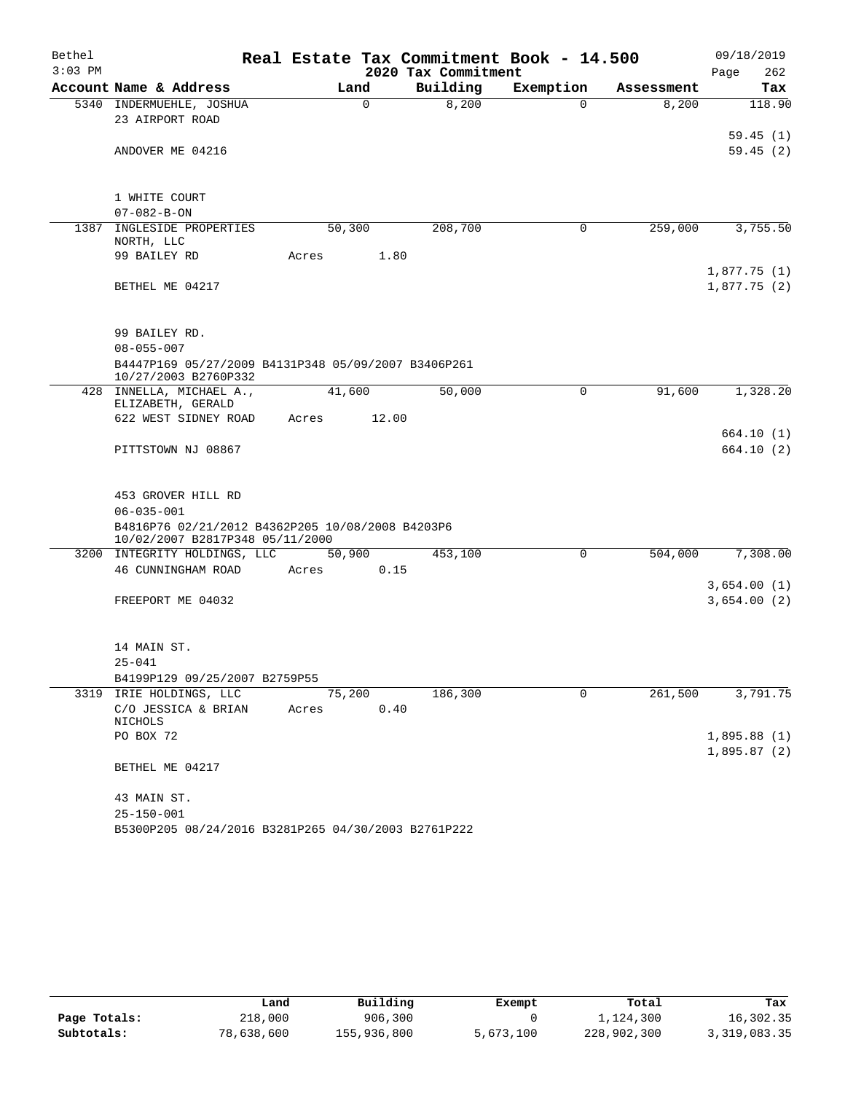| Bethel    |                                                                                     |        |          |                     | Real Estate Tax Commitment Book - 14.500 |            | 09/18/2019  |
|-----------|-------------------------------------------------------------------------------------|--------|----------|---------------------|------------------------------------------|------------|-------------|
| $3:03$ PM |                                                                                     |        |          | 2020 Tax Commitment |                                          |            | 262<br>Page |
|           | Account Name & Address                                                              |        | Land     | Building            | Exemption                                | Assessment | Tax         |
|           | 5340 INDERMUEHLE, JOSHUA                                                            |        | $\Omega$ | 8,200               | $\Omega$                                 | 8,200      | 118.90      |
|           | 23 AIRPORT ROAD                                                                     |        |          |                     |                                          |            |             |
|           |                                                                                     |        |          |                     |                                          |            | 59.45(1)    |
|           | ANDOVER ME 04216                                                                    |        |          |                     |                                          |            | 59.45(2)    |
|           |                                                                                     |        |          |                     |                                          |            |             |
|           | 1 WHITE COURT                                                                       |        |          |                     |                                          |            |             |
|           | $07 - 082 - B - ON$                                                                 |        |          |                     |                                          |            |             |
| 1387      | INGLESIDE PROPERTIES<br>NORTH, LLC                                                  | 50,300 |          | 208,700             | 0                                        | 259,000    | 3,755.50    |
|           | 99 BAILEY RD                                                                        | Acres  | 1.80     |                     |                                          |            |             |
|           |                                                                                     |        |          |                     |                                          |            | 1,877.75(1) |
|           | BETHEL ME 04217                                                                     |        |          |                     |                                          |            | 1,877.75(2) |
|           |                                                                                     |        |          |                     |                                          |            |             |
|           | 99 BAILEY RD.                                                                       |        |          |                     |                                          |            |             |
|           | $08 - 055 - 007$                                                                    |        |          |                     |                                          |            |             |
|           | B4447P169 05/27/2009 B4131P348 05/09/2007 B3406P261<br>10/27/2003 B2760P332         |        |          |                     |                                          |            |             |
|           | 428 INNELLA, MICHAEL A.,<br>ELIZABETH, GERALD                                       | 41,600 |          | 50,000              | 0                                        | 91,600     | 1,328.20    |
|           | 622 WEST SIDNEY ROAD                                                                | Acres  | 12.00    |                     |                                          |            |             |
|           |                                                                                     |        |          |                     |                                          |            | 664.10(1)   |
|           | PITTSTOWN NJ 08867                                                                  |        |          |                     |                                          |            | 664.10 (2)  |
|           |                                                                                     |        |          |                     |                                          |            |             |
|           | 453 GROVER HILL RD                                                                  |        |          |                     |                                          |            |             |
|           | $06 - 035 - 001$                                                                    |        |          |                     |                                          |            |             |
|           | B4816P76 02/21/2012 B4362P205 10/08/2008 B4203P6<br>10/02/2007 B2817P348 05/11/2000 |        |          |                     |                                          |            |             |
|           | 3200 INTEGRITY HOLDINGS, LLC                                                        | 50,900 |          | 453,100             | 0                                        | 504,000    | 7,308.00    |
|           | 46 CUNNINGHAM ROAD                                                                  | Acres  | 0.15     |                     |                                          |            |             |
|           |                                                                                     |        |          |                     |                                          |            | 3,654.00(1) |
|           | FREEPORT ME 04032                                                                   |        |          |                     |                                          |            | 3,654.00(2) |
|           |                                                                                     |        |          |                     |                                          |            |             |
|           | 14 MAIN ST.                                                                         |        |          |                     |                                          |            |             |
|           | $25 - 041$                                                                          |        |          |                     |                                          |            |             |
|           | B4199P129 09/25/2007 B2759P55                                                       |        |          |                     |                                          |            |             |
|           | 3319 IRIE HOLDINGS, LLC                                                             | 75,200 |          | 186,300             | $\Omega$                                 | 261,500    | 3,791.75    |
|           | C/O JESSICA & BRIAN<br>NICHOLS                                                      | Acres  | 0.40     |                     |                                          |            |             |
|           | PO BOX 72                                                                           |        |          |                     |                                          |            | 1,895.88(1) |
|           |                                                                                     |        |          |                     |                                          |            | 1,895.87(2) |
|           | BETHEL ME 04217                                                                     |        |          |                     |                                          |            |             |
|           | 43 MAIN ST.                                                                         |        |          |                     |                                          |            |             |
|           | $25 - 150 - 001$                                                                    |        |          |                     |                                          |            |             |
|           | B5300P205 08/24/2016 B3281P265 04/30/2003 B2761P222                                 |        |          |                     |                                          |            |             |

|              | Land       | Building    | Exempt    | Total       | Tax          |
|--------------|------------|-------------|-----------|-------------|--------------|
| Page Totals: | 218,000    | 906,300     |           | 1,124,300   | 16,302.35    |
| Subtotals:   | 78,638,600 | 155,936,800 | 5,673,100 | 228,902,300 | 3,319,083.35 |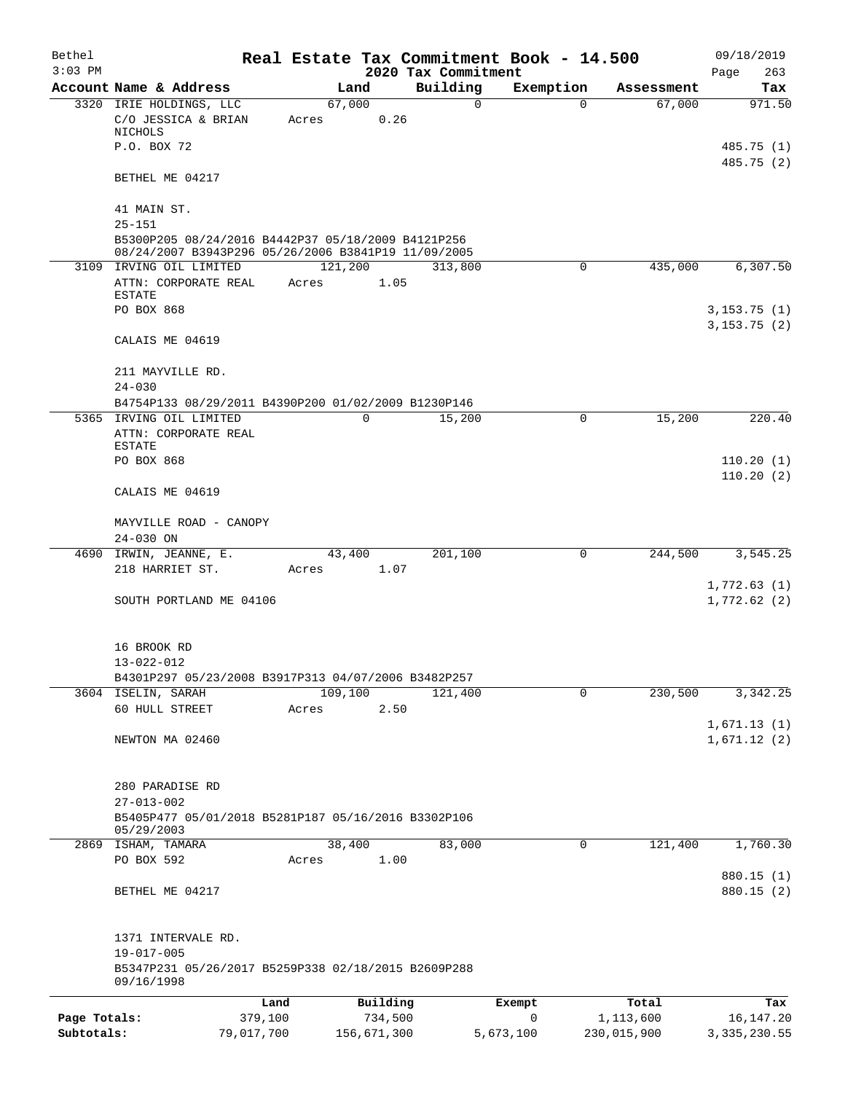| Bethel       |                                                                                                                         |            |                 |                |                     | Real Estate Tax Commitment Book - 14.500 |             | 09/18/2019                  |
|--------------|-------------------------------------------------------------------------------------------------------------------------|------------|-----------------|----------------|---------------------|------------------------------------------|-------------|-----------------------------|
| $3:03$ PM    |                                                                                                                         |            |                 |                | 2020 Tax Commitment |                                          |             | Page<br>263                 |
|              | Account Name & Address                                                                                                  |            |                 | Land           | Building            | Exemption                                | Assessment  | Tax                         |
|              | 3320 IRIE HOLDINGS, LLC<br>C/O JESSICA & BRIAN<br>NICHOLS                                                               |            | 67,000<br>Acres | 0.26           | 0                   | 0                                        | 67,000      | 971.50                      |
|              | P.O. BOX 72                                                                                                             |            |                 |                |                     |                                          |             | 485.75 (1)<br>485.75 (2)    |
|              | BETHEL ME 04217                                                                                                         |            |                 |                |                     |                                          |             |                             |
|              | 41 MAIN ST.                                                                                                             |            |                 |                |                     |                                          |             |                             |
|              | $25 - 151$<br>B5300P205 08/24/2016 B4442P37 05/18/2009 B4121P256<br>08/24/2007 B3943P296 05/26/2006 B3841P19 11/09/2005 |            |                 |                |                     |                                          |             |                             |
|              | 3109 IRVING OIL LIMITED                                                                                                 |            | 121,200         |                | 313,800             | $\mathbf 0$                              | 435,000     | 6,307.50                    |
|              | ATTN: CORPORATE REAL<br>ESTATE                                                                                          |            | Acres           | 1.05           |                     |                                          |             |                             |
|              | PO BOX 868                                                                                                              |            |                 |                |                     |                                          |             | 3,153.75(1)<br>3, 153.75(2) |
|              | CALAIS ME 04619                                                                                                         |            |                 |                |                     |                                          |             |                             |
|              | 211 MAYVILLE RD.<br>$24 - 030$                                                                                          |            |                 |                |                     |                                          |             |                             |
|              | B4754P133 08/29/2011 B4390P200 01/02/2009 B1230P146                                                                     |            |                 |                |                     |                                          |             |                             |
|              | 5365 IRVING OIL LIMITED                                                                                                 |            |                 | 0              | 15,200              | 0                                        | 15,200      | 220.40                      |
|              | ATTN: CORPORATE REAL                                                                                                    |            |                 |                |                     |                                          |             |                             |
|              | ESTATE                                                                                                                  |            |                 |                |                     |                                          |             |                             |
|              | PO BOX 868                                                                                                              |            |                 |                |                     |                                          |             | 110.20(1)<br>110.20(2)      |
|              | CALAIS ME 04619                                                                                                         |            |                 |                |                     |                                          |             |                             |
|              | MAYVILLE ROAD - CANOPY                                                                                                  |            |                 |                |                     |                                          |             |                             |
|              | 24-030 ON                                                                                                               |            |                 |                |                     | $\mathbf 0$                              |             |                             |
|              | 4690 IRWIN, JEANNE, E.<br>218 HARRIET ST.                                                                               |            | Acres           | 43,400<br>1.07 | 201,100             |                                          | 244,500     | 3,545.25                    |
|              | SOUTH PORTLAND ME 04106                                                                                                 |            |                 |                |                     |                                          |             | 1,772.63(1)<br>1,772.62(2)  |
|              |                                                                                                                         |            |                 |                |                     |                                          |             |                             |
|              | 16 BROOK RD                                                                                                             |            |                 |                |                     |                                          |             |                             |
|              | 13-022-012                                                                                                              |            |                 |                |                     |                                          |             |                             |
|              | B4301P297 05/23/2008 B3917P313 04/07/2006 B3482P257<br>3604 ISELIN, SARAH                                               |            | 109,100         |                | 121,400             | $\mathbf 0$                              | 230,500     | 3, 342.25                   |
|              | 60 HULL STREET                                                                                                          |            | Acres           | 2.50           |                     |                                          |             |                             |
|              |                                                                                                                         |            |                 |                |                     |                                          |             | 1,671.13(1)                 |
|              | NEWTON MA 02460                                                                                                         |            |                 |                |                     |                                          |             | 1,671.12(2)                 |
|              | 280 PARADISE RD                                                                                                         |            |                 |                |                     |                                          |             |                             |
|              | $27 - 013 - 002$<br>B5405P477 05/01/2018 B5281P187 05/16/2016 B3302P106                                                 |            |                 |                |                     |                                          |             |                             |
|              | 05/29/2003                                                                                                              |            |                 |                |                     |                                          |             |                             |
|              | 2869 ISHAM, TAMARA                                                                                                      |            |                 | 38,400         | 83,000              | 0                                        | 121,400     | 1,760.30                    |
|              | PO BOX 592                                                                                                              |            | Acres           | 1.00           |                     |                                          |             | 880.15 (1)                  |
|              | BETHEL ME 04217                                                                                                         |            |                 |                |                     |                                          |             | 880.15(2)                   |
|              | 1371 INTERVALE RD.                                                                                                      |            |                 |                |                     |                                          |             |                             |
|              | 19-017-005                                                                                                              |            |                 |                |                     |                                          |             |                             |
|              | B5347P231 05/26/2017 B5259P338 02/18/2015 B2609P288<br>09/16/1998                                                       |            |                 |                |                     |                                          |             |                             |
|              |                                                                                                                         | Land       |                 | Building       |                     | Exempt                                   | Total       | Tax                         |
| Page Totals: |                                                                                                                         | 379,100    |                 | 734,500        |                     | $\mathbf 0$                              | 1,113,600   | 16, 147. 20                 |
| Subtotals:   |                                                                                                                         | 79,017,700 |                 | 156,671,300    |                     | 5,673,100                                | 230,015,900 | 3, 335, 230.55              |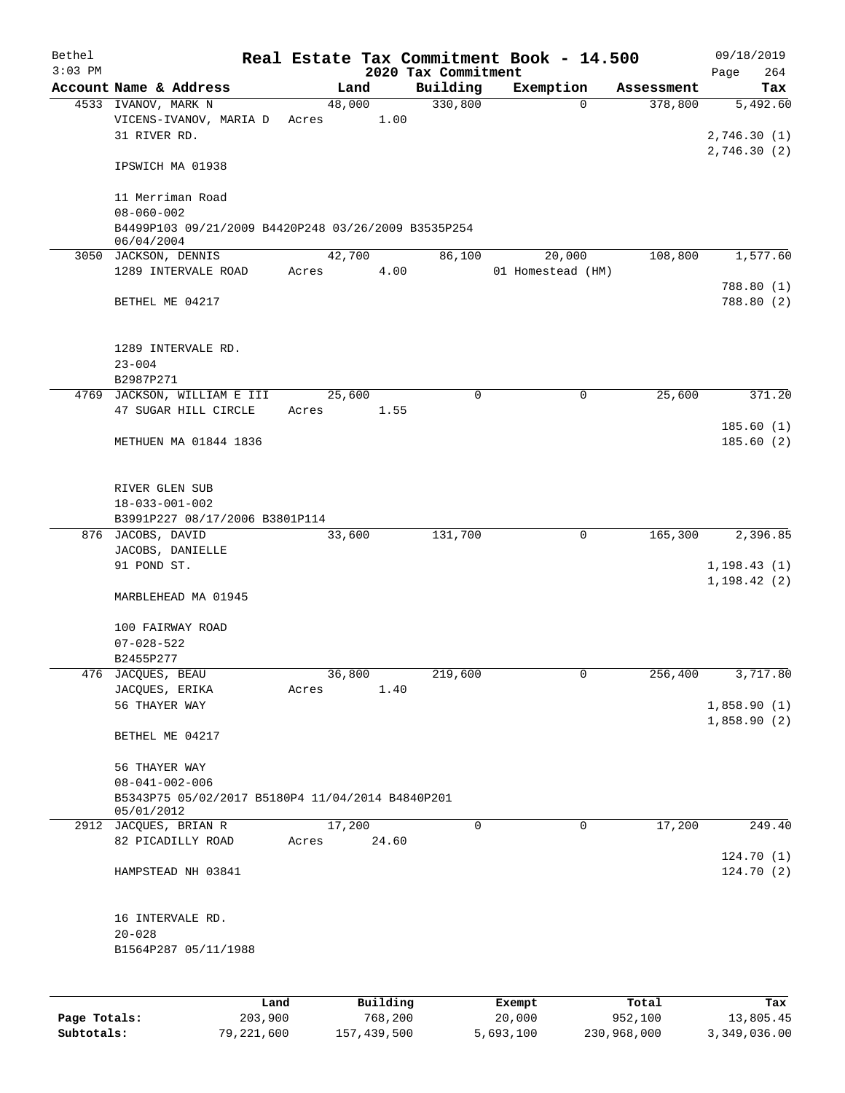| Bethel       |                                                                   |                 |          |                                 | Real Estate Tax Commitment Book - 14.500 |                       | 09/18/2019                 |
|--------------|-------------------------------------------------------------------|-----------------|----------|---------------------------------|------------------------------------------|-----------------------|----------------------------|
| $3:03$ PM    | Account Name & Address                                            |                 |          | 2020 Tax Commitment<br>Building |                                          |                       | 264<br>Page                |
|              | 4533 IVANOV, MARK N                                               | 48,000          | Land     | 330,800                         | Exemption<br>$\Omega$                    | Assessment<br>378,800 | Tax<br>5,492.60            |
|              | VICENS-IVANOV, MARIA D<br>31 RIVER RD.                            | Acres           | 1.00     |                                 |                                          |                       | 2,746.30(1)                |
|              | IPSWICH MA 01938                                                  |                 |          |                                 |                                          |                       | 2,746.30 (2)               |
|              | 11 Merriman Road<br>$08 - 060 - 002$                              |                 |          |                                 |                                          |                       |                            |
|              | B4499P103 09/21/2009 B4420P248 03/26/2009 B3535P254<br>06/04/2004 |                 |          |                                 |                                          |                       |                            |
|              | 3050 JACKSON, DENNIS                                              |                 | 42,700   | 86,100                          | 20,000                                   | 108,800               | 1,577.60                   |
|              | 1289 INTERVALE ROAD                                               | Acres           | 4.00     |                                 | 01 Homestead (HM)                        |                       | 788.80 (1)                 |
|              | BETHEL ME 04217                                                   |                 |          |                                 |                                          |                       | 788.80 (2)                 |
|              | 1289 INTERVALE RD.<br>$23 - 004$                                  |                 |          |                                 |                                          |                       |                            |
|              | B2987P271<br>4769 JACKSON, WILLIAM E III                          | 25,600          |          | $\mathbf 0$                     | 0                                        | 25,600                | 371.20                     |
|              | 47 SUGAR HILL CIRCLE                                              | Acres           | 1.55     |                                 |                                          |                       |                            |
|              |                                                                   |                 |          |                                 |                                          |                       | 185.60(1)                  |
|              | METHUEN MA 01844 1836                                             |                 |          |                                 |                                          |                       | 185.60(2)                  |
|              | RIVER GLEN SUB                                                    |                 |          |                                 |                                          |                       |                            |
|              | $18 - 033 - 001 - 002$<br>B3991P227 08/17/2006 B3801P114          |                 |          |                                 |                                          |                       |                            |
|              | 876 JACOBS, DAVID                                                 |                 | 33,600   | 131,700                         | 0                                        | 165,300               | 2,396.85                   |
|              | JACOBS, DANIELLE                                                  |                 |          |                                 |                                          |                       |                            |
|              | 91 POND ST.                                                       |                 |          |                                 |                                          |                       | 1, 198.43(1)               |
|              | MARBLEHEAD MA 01945                                               |                 |          |                                 |                                          |                       | 1, 198.42(2)               |
|              | 100 FAIRWAY ROAD                                                  |                 |          |                                 |                                          |                       |                            |
|              | $07 - 028 - 522$                                                  |                 |          |                                 |                                          |                       |                            |
|              | B2455P277                                                         |                 |          |                                 |                                          |                       |                            |
|              | 476 JACQUES, BEAU                                                 | 36,800<br>Acres | 1.40     | 219,600                         | 0                                        | 256,400               | 3,717.80                   |
|              | JACQUES, ERIKA<br>56 THAYER WAY                                   |                 |          |                                 |                                          |                       | 1,858.90(1)<br>1,858.90(2) |
|              | BETHEL ME 04217                                                   |                 |          |                                 |                                          |                       |                            |
|              | 56 THAYER WAY                                                     |                 |          |                                 |                                          |                       |                            |
|              | $08 - 041 - 002 - 006$                                            |                 |          |                                 |                                          |                       |                            |
|              | B5343P75 05/02/2017 B5180P4 11/04/2014 B4840P201<br>05/01/2012    |                 |          |                                 |                                          |                       |                            |
|              | 2912 JACQUES, BRIAN R<br>82 PICADILLY ROAD                        | 17,200<br>Acres | 24.60    | $\mathbf 0$                     | $\mathbf 0$                              | 17,200                | 249.40                     |
|              | HAMPSTEAD NH 03841                                                |                 |          |                                 |                                          |                       | 124.70(1)<br>124.70(2)     |
|              | 16 INTERVALE RD.                                                  |                 |          |                                 |                                          |                       |                            |
|              | $20 - 028$                                                        |                 |          |                                 |                                          |                       |                            |
|              | B1564P287 05/11/1988                                              |                 |          |                                 |                                          |                       |                            |
|              |                                                                   |                 |          |                                 |                                          |                       |                            |
|              | Land                                                              |                 | Building |                                 | Exempt                                   | Total                 | Tax                        |
| Page Totals: | 203,900                                                           |                 | 768,200  |                                 | 20,000                                   | 952,100               | 13,805.45                  |

**Subtotals:** 79,221,600 157,439,500 5,693,100 230,968,000 3,349,036.00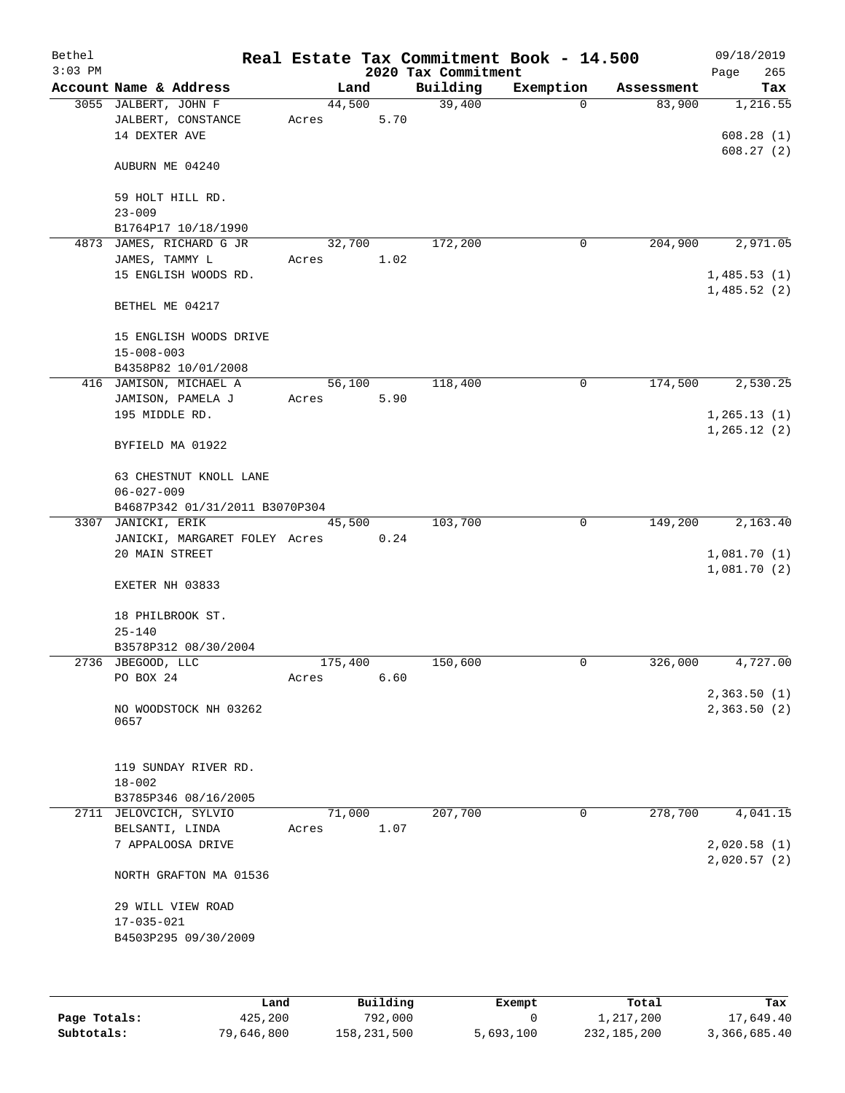| Bethel<br>$3:03$ PM |                                                             |                 |      | 2020 Tax Commitment | Real Estate Tax Commitment Book - 14.500 |            | 09/18/2019<br>265<br>Page  |
|---------------------|-------------------------------------------------------------|-----------------|------|---------------------|------------------------------------------|------------|----------------------------|
|                     | Account Name & Address                                      | Land            |      | Building            | Exemption                                | Assessment | Tax                        |
|                     | 3055 JALBERT, JOHN F<br>JALBERT, CONSTANCE<br>14 DEXTER AVE | 44,500<br>Acres | 5.70 | 39,400              | $\Omega$                                 | 83,900     | 1,216.55<br>608.28(1)      |
|                     | AUBURN ME 04240                                             |                 |      |                     |                                          |            | 608.27(2)                  |
|                     | 59 HOLT HILL RD.<br>$23 - 009$                              |                 |      |                     |                                          |            |                            |
|                     | B1764P17 10/18/1990                                         |                 |      |                     |                                          |            |                            |
|                     | 4873 JAMES, RICHARD G JR                                    | 32,700          |      | 172,200             | 0                                        | 204,900    | 2,971.05                   |
|                     | JAMES, TAMMY L                                              | Acres           | 1.02 |                     |                                          |            |                            |
|                     | 15 ENGLISH WOODS RD.                                        |                 |      |                     |                                          |            | 1,485.53(1)<br>1,485.52(2) |
|                     | BETHEL ME 04217                                             |                 |      |                     |                                          |            |                            |
|                     | 15 ENGLISH WOODS DRIVE                                      |                 |      |                     |                                          |            |                            |
|                     | $15 - 008 - 003$                                            |                 |      |                     |                                          |            |                            |
|                     | B4358P82 10/01/2008                                         |                 |      |                     |                                          |            |                            |
|                     | 416 JAMISON, MICHAEL A                                      | 56,100          |      | 118,400             | 0                                        | 174,500    | 2,530.25                   |
|                     | JAMISON, PAMELA J                                           | Acres           | 5.90 |                     |                                          |            |                            |
|                     | 195 MIDDLE RD.                                              |                 |      |                     |                                          |            | 1, 265.13(1)               |
|                     | BYFIELD MA 01922                                            |                 |      |                     |                                          |            | 1, 265.12(2)               |
|                     | 63 CHESTNUT KNOLL LANE                                      |                 |      |                     |                                          |            |                            |
|                     | $06 - 027 - 009$                                            |                 |      |                     |                                          |            |                            |
|                     | B4687P342 01/31/2011 B3070P304                              | 45,500          |      | 103,700             | $\mathbf 0$                              | 149,200    | 2,163.40                   |
|                     | 3307 JANICKI, ERIK<br>JANICKI, MARGARET FOLEY Acres         |                 | 0.24 |                     |                                          |            |                            |
|                     | 20 MAIN STREET                                              |                 |      |                     |                                          |            | 1,081.70(1)                |
|                     | EXETER NH 03833                                             |                 |      |                     |                                          |            | 1,081.70(2)                |
|                     | 18 PHILBROOK ST.                                            |                 |      |                     |                                          |            |                            |
|                     | $25 - 140$                                                  |                 |      |                     |                                          |            |                            |
|                     | B3578P312 08/30/2004<br>2736 JBEGOOD, LLC                   | 175,400         |      | 150,600             | 0                                        | 326,000    | 4,727.00                   |
|                     | PO BOX 24                                                   | Acres           | 6.60 |                     |                                          |            |                            |
|                     |                                                             |                 |      |                     |                                          |            | 2,363.50(1)                |
|                     | NO WOODSTOCK NH 03262<br>0657                               |                 |      |                     |                                          |            | 2,363.50(2)                |
|                     | 119 SUNDAY RIVER RD.                                        |                 |      |                     |                                          |            |                            |
|                     | $18 - 002$                                                  |                 |      |                     |                                          |            |                            |
|                     | B3785P346 08/16/2005                                        |                 |      |                     |                                          |            |                            |
|                     | 2711 JELOVCICH, SYLVIO<br>BELSANTI, LINDA                   | 71,000<br>Acres | 1.07 | 207,700             | 0                                        | 278,700    | 4,041.15                   |
|                     | 7 APPALOOSA DRIVE                                           |                 |      |                     |                                          |            | 2,020.58(1)                |
|                     | NORTH GRAFTON MA 01536                                      |                 |      |                     |                                          |            | 2,020.57(2)                |
|                     | 29 WILL VIEW ROAD                                           |                 |      |                     |                                          |            |                            |
|                     | $17 - 035 - 021$<br>B4503P295 09/30/2009                    |                 |      |                     |                                          |            |                            |
|                     |                                                             |                 |      |                     |                                          |            |                            |

|              | Land       | Building    | Exempt    | Total       | Tax          |
|--------------|------------|-------------|-----------|-------------|--------------|
| Page Totals: | 425,200    | 792,000     |           | 1,217,200   | 17,649.40    |
| Subtotals:   | 79,646,800 | 158,231,500 | 5,693,100 | 232,185,200 | 3,366,685.40 |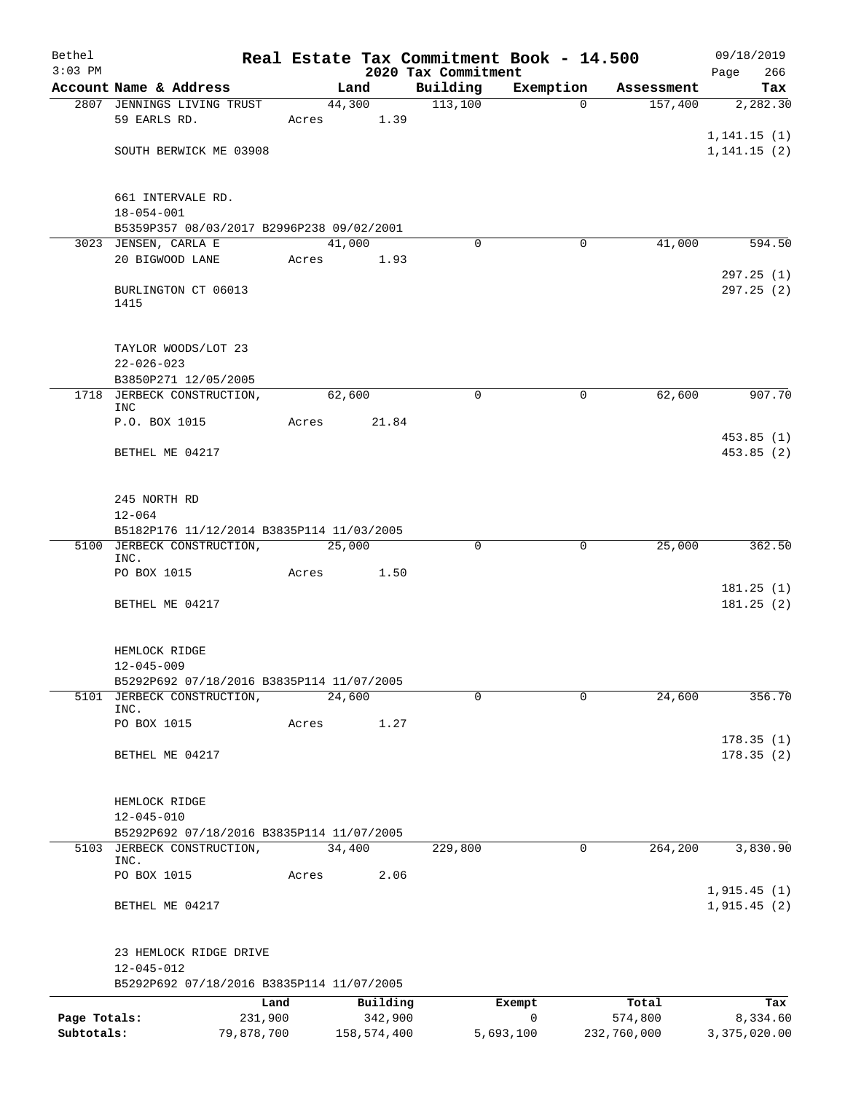| Bethel                     |                                                                         |                       |       |                |                        | Real Estate Tax Commitment Book - 14.500 |                       |                        | 09/18/2019                 |
|----------------------------|-------------------------------------------------------------------------|-----------------------|-------|----------------|------------------------|------------------------------------------|-----------------------|------------------------|----------------------------|
| $3:03$ PM                  |                                                                         |                       |       |                |                        | 2020 Tax Commitment                      |                       |                        | 266<br>Page                |
|                            | Account Name & Address<br>2807 JENNINGS LIVING TRUST                    |                       |       | Land<br>44,300 |                        | Building<br>113,100                      | Exemption<br>$\Omega$ | Assessment<br>157,400  | Tax<br>2,282.30            |
|                            | 59 EARLS RD.                                                            |                       | Acres |                | 1.39                   |                                          |                       |                        | 1, 141.15(1)               |
|                            | SOUTH BERWICK ME 03908                                                  |                       |       |                |                        |                                          |                       |                        | 1, 141.15(2)               |
|                            | 661 INTERVALE RD.<br>$18 - 054 - 001$                                   |                       |       |                |                        |                                          |                       |                        |                            |
|                            | B5359P357 08/03/2017 B2996P238 09/02/2001                               |                       |       |                |                        |                                          |                       |                        |                            |
|                            | 3023 JENSEN, CARLA E                                                    |                       |       | 41,000         |                        | $\Omega$                                 | 0                     | 41,000                 | 594.50                     |
|                            | 20 BIGWOOD LANE                                                         |                       | Acres |                | 1.93                   |                                          |                       |                        | 297.25(1)                  |
|                            | BURLINGTON CT 06013<br>1415                                             |                       |       |                |                        |                                          |                       |                        | 297.25 (2)                 |
|                            | TAYLOR WOODS/LOT 23<br>$22 - 026 - 023$                                 |                       |       |                |                        |                                          |                       |                        |                            |
|                            | B3850P271 12/05/2005                                                    |                       |       |                |                        |                                          |                       |                        |                            |
| 1718                       | JERBECK CONSTRUCTION,<br><b>INC</b>                                     |                       |       | 62,600         |                        | $\mathbf 0$                              | 0                     | 62,600                 | 907.70                     |
|                            | P.O. BOX 1015                                                           |                       | Acres |                | 21.84                  |                                          |                       |                        |                            |
|                            | BETHEL ME 04217                                                         |                       |       |                |                        |                                          |                       |                        | 453.85(1)<br>453.85(2)     |
|                            | 245 NORTH RD                                                            |                       |       |                |                        |                                          |                       |                        |                            |
|                            | $12 - 064$                                                              |                       |       |                |                        |                                          |                       |                        |                            |
|                            | B5182P176 11/12/2014 B3835P114 11/03/2005<br>5100 JERBECK CONSTRUCTION, |                       |       | 25,000         |                        | $\mathbf 0$                              | $\mathbf 0$           | 25,000                 | 362.50                     |
|                            | INC.                                                                    |                       |       |                |                        |                                          |                       |                        |                            |
|                            | PO BOX 1015                                                             |                       | Acres |                | 1.50                   |                                          |                       |                        | 181.25(1)                  |
|                            | BETHEL ME 04217                                                         |                       |       |                |                        |                                          |                       |                        | 181.25(2)                  |
|                            | HEMLOCK RIDGE<br>$12 - 045 - 009$                                       |                       |       |                |                        |                                          |                       |                        |                            |
|                            | B5292P692 07/18/2016 B3835P114 11/07/2005                               |                       |       |                |                        |                                          |                       |                        |                            |
|                            | 5101 JERBECK CONSTRUCTION,                                              |                       |       | 24,600         |                        | 0                                        | $\Omega$              | 24,600                 | 356.70                     |
|                            | INC.<br>PO BOX 1015                                                     |                       | Acres |                | 1.27                   |                                          |                       |                        |                            |
|                            | BETHEL ME 04217                                                         |                       |       |                |                        |                                          |                       |                        | 178.35(1)<br>178.35(2)     |
|                            |                                                                         |                       |       |                |                        |                                          |                       |                        |                            |
|                            | HEMLOCK RIDGE<br>$12 - 045 - 010$                                       |                       |       |                |                        |                                          |                       |                        |                            |
|                            | B5292P692 07/18/2016 B3835P114 11/07/2005                               |                       |       |                |                        |                                          |                       |                        |                            |
|                            | 5103 JERBECK CONSTRUCTION,<br>INC.                                      |                       |       | 34,400         |                        | 229,800                                  | 0                     | 264,200                | 3,830.90                   |
|                            | PO BOX 1015                                                             |                       | Acres |                | 2.06                   |                                          |                       |                        |                            |
|                            | BETHEL ME 04217                                                         |                       |       |                |                        |                                          |                       |                        | 1,915.45(1)<br>1,915.45(2) |
|                            | 23 HEMLOCK RIDGE DRIVE<br>12-045-012                                    |                       |       |                |                        |                                          |                       |                        |                            |
|                            | B5292P692 07/18/2016 B3835P114 11/07/2005                               |                       |       |                |                        |                                          |                       |                        |                            |
|                            |                                                                         | Land                  |       |                | Building               |                                          | Exempt                | Total                  | Tax                        |
| Page Totals:<br>Subtotals: |                                                                         | 231,900<br>79,878,700 |       |                | 342,900<br>158,574,400 |                                          | 0<br>5,693,100        | 574,800<br>232,760,000 | 8,334.60<br>3,375,020.00   |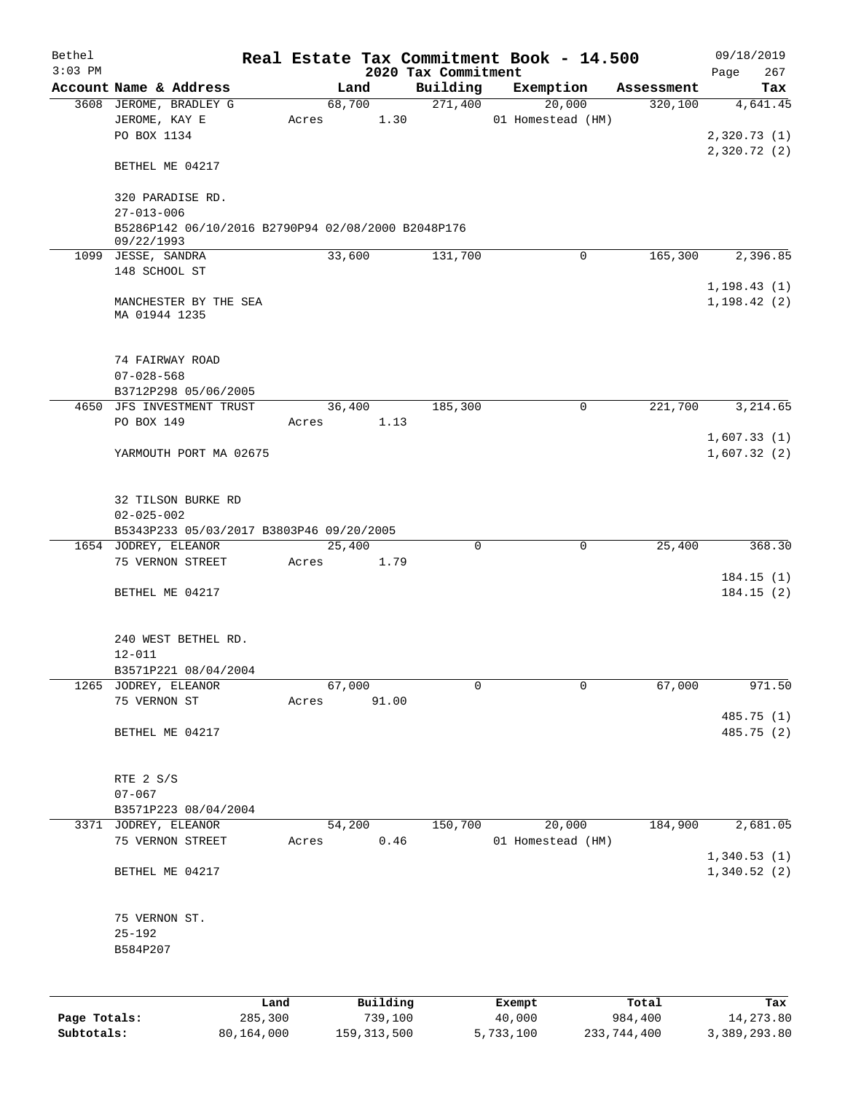| Bethel<br>$3:03$ PM |                                                                  |       |                |                                 | Real Estate Tax Commitment Book - 14.500 |            | 09/18/2019                 |
|---------------------|------------------------------------------------------------------|-------|----------------|---------------------------------|------------------------------------------|------------|----------------------------|
|                     | Account Name & Address                                           |       | Land           | 2020 Tax Commitment<br>Building | Exemption                                | Assessment | 267<br>Page<br>Tax         |
|                     | 3608 JEROME, BRADLEY G                                           |       | 68,700         | 271,400                         | 20,000                                   | 320,100    | 4,641.45                   |
|                     | JEROME, KAY E<br>PO BOX 1134                                     | Acres | 1.30           |                                 | 01 Homestead (HM)                        |            | 2,320.73 (1)               |
|                     | BETHEL ME 04217                                                  |       |                |                                 |                                          |            | 2,320.72(2)                |
|                     | 320 PARADISE RD.<br>$27 - 013 - 006$                             |       |                |                                 |                                          |            |                            |
|                     | B5286P142 06/10/2016 B2790P94 02/08/2000 B2048P176<br>09/22/1993 |       |                |                                 |                                          |            |                            |
|                     | 1099 JESSE, SANDRA                                               |       | 33,600         | 131,700                         | 0                                        | 165,300    | 2,396.85                   |
|                     | 148 SCHOOL ST                                                    |       |                |                                 |                                          |            | 1, 198.43(1)               |
|                     | MANCHESTER BY THE SEA<br>MA 01944 1235                           |       |                |                                 |                                          |            | 1, 198.42(2)               |
|                     | 74 FAIRWAY ROAD<br>$07 - 028 - 568$                              |       |                |                                 |                                          |            |                            |
|                     | B3712P298 05/06/2005                                             |       |                |                                 |                                          |            |                            |
|                     | 4650 JFS INVESTMENT TRUST                                        |       | 36,400         | 185,300                         | 0                                        | 221,700    | 3,214.65                   |
|                     | PO BOX 149                                                       |       | Acres 1.13     |                                 |                                          |            | 1,607.33(1)                |
|                     | YARMOUTH PORT MA 02675                                           |       |                |                                 |                                          |            | 1,607.32(2)                |
|                     | 32 TILSON BURKE RD<br>$02 - 025 - 002$                           |       |                |                                 |                                          |            |                            |
|                     | B5343P233 05/03/2017 B3803P46 09/20/2005                         |       |                |                                 |                                          |            |                            |
|                     | 1654 JODREY, ELEANOR                                             |       | 25,400         | $\mathbf 0$                     | 0                                        | 25,400     | 368.30                     |
|                     | 75 VERNON STREET                                                 | Acres | 1.79           |                                 |                                          |            | 184.15(1)                  |
|                     | BETHEL ME 04217                                                  |       |                |                                 |                                          |            | 184.15(2)                  |
|                     | 240 WEST BETHEL RD.                                              |       |                |                                 |                                          |            |                            |
|                     | $12 - 011$                                                       |       |                |                                 |                                          |            |                            |
|                     | B3571P221 08/04/2004<br>1265 JODREY, ELEANOR                     |       | 67,000         | $\mathbf 0$                     | 0                                        | 67,000     | 971.50                     |
|                     | 75 VERNON ST                                                     | Acres | 91.00          |                                 |                                          |            |                            |
|                     | BETHEL ME 04217                                                  |       |                |                                 |                                          |            | 485.75 (1)<br>485.75 (2)   |
|                     | RTE 2 S/S                                                        |       |                |                                 |                                          |            |                            |
|                     | $07 - 067$                                                       |       |                |                                 |                                          |            |                            |
|                     | B3571P223 08/04/2004                                             |       |                |                                 |                                          |            |                            |
|                     | 3371 JODREY, ELEANOR<br>75 VERNON STREET                         | Acres | 54,200<br>0.46 | 150,700                         | 20,000<br>01 Homestead (HM)              | 184,900    | 2,681.05                   |
|                     | BETHEL ME 04217                                                  |       |                |                                 |                                          |            | 1,340.53(1)<br>1,340.52(2) |
|                     | 75 VERNON ST.<br>$25 - 192$<br>B584P207                          |       |                |                                 |                                          |            |                            |
|                     |                                                                  |       |                |                                 |                                          |            |                            |
|                     |                                                                  | Land  | Building       |                                 | Exempt                                   | Total      | Tax                        |
| Page Totals:        | 285,300                                                          |       | 739,100        |                                 | 40,000                                   | 984,400    | 14,273.80                  |

**Subtotals:** 80,164,000 159,313,500 5,733,100 233,744,400 3,389,293.80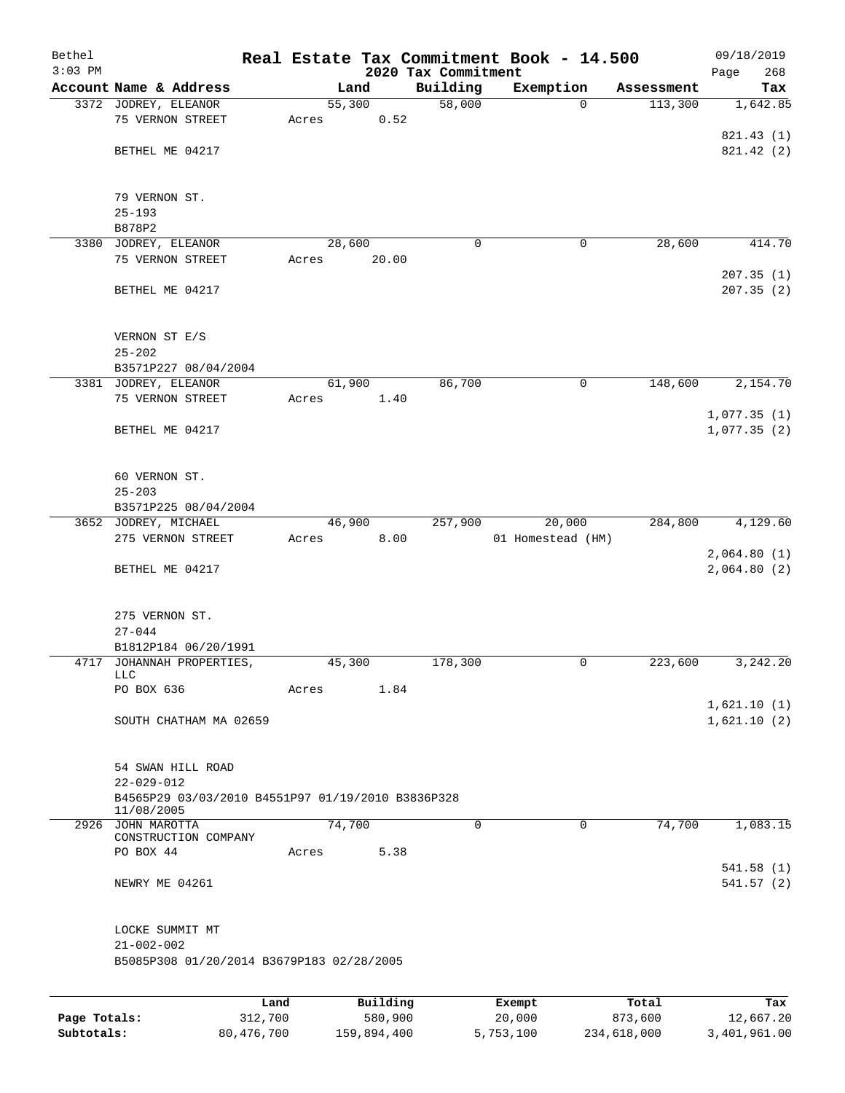| Bethel<br>$3:03$ PM |                                                                       |       |          | 2020 Tax Commitment | Real Estate Tax Commitment Book - 14.500 |            | 09/18/2019<br>Page<br>268 |
|---------------------|-----------------------------------------------------------------------|-------|----------|---------------------|------------------------------------------|------------|---------------------------|
|                     | Account Name & Address                                                |       | Land     | Building            | Exemption                                | Assessment | Tax                       |
|                     | 3372 JODREY, ELEANOR                                                  |       | 55,300   | 58,000              | $\Omega$                                 | 113,300    | 1,642.85                  |
|                     | 75 VERNON STREET                                                      | Acres | 0.52     |                     |                                          |            |                           |
|                     |                                                                       |       |          |                     |                                          |            | 821.43 (1)                |
|                     | BETHEL ME 04217                                                       |       |          |                     |                                          |            | 821.42(2)                 |
|                     |                                                                       |       |          |                     |                                          |            |                           |
|                     |                                                                       |       |          |                     |                                          |            |                           |
|                     | 79 VERNON ST.                                                         |       |          |                     |                                          |            |                           |
|                     | $25 - 193$<br>B878P2                                                  |       |          |                     |                                          |            |                           |
|                     | 3380 JODREY, ELEANOR                                                  |       | 28,600   | 0                   | 0                                        | 28,600     | 414.70                    |
|                     | 75 VERNON STREET                                                      | Acres | 20.00    |                     |                                          |            |                           |
|                     |                                                                       |       |          |                     |                                          |            | 207.35(1)                 |
|                     | BETHEL ME 04217                                                       |       |          |                     |                                          |            | 207.35(2)                 |
|                     |                                                                       |       |          |                     |                                          |            |                           |
|                     |                                                                       |       |          |                     |                                          |            |                           |
|                     | VERNON ST E/S                                                         |       |          |                     |                                          |            |                           |
|                     | $25 - 202$                                                            |       |          |                     |                                          |            |                           |
|                     | B3571P227 08/04/2004                                                  |       | 61,900   | 86,700              | $\mathsf{O}$                             | 148,600    | 2,154.70                  |
|                     | 3381 JODREY, ELEANOR<br>75 VERNON STREET                              | Acres | 1.40     |                     |                                          |            |                           |
|                     |                                                                       |       |          |                     |                                          |            | 1,077.35(1)               |
|                     | BETHEL ME 04217                                                       |       |          |                     |                                          |            | 1,077.35(2)               |
|                     |                                                                       |       |          |                     |                                          |            |                           |
|                     |                                                                       |       |          |                     |                                          |            |                           |
|                     | 60 VERNON ST.                                                         |       |          |                     |                                          |            |                           |
|                     | $25 - 203$                                                            |       |          |                     |                                          |            |                           |
|                     | B3571P225 08/04/2004                                                  |       |          |                     |                                          |            |                           |
|                     | 3652 JODREY, MICHAEL                                                  |       | 46,900   | 257,900             | 20,000                                   | 284,800    | 4,129.60                  |
|                     | 275 VERNON STREET                                                     | Acres | 8.00     |                     | 01 Homestead (HM)                        |            | 2,064.80(1)               |
|                     | BETHEL ME 04217                                                       |       |          |                     |                                          |            | 2,064.80(2)               |
|                     |                                                                       |       |          |                     |                                          |            |                           |
|                     |                                                                       |       |          |                     |                                          |            |                           |
|                     | 275 VERNON ST.                                                        |       |          |                     |                                          |            |                           |
|                     | $27 - 044$                                                            |       |          |                     |                                          |            |                           |
|                     | B1812P184 06/20/1991                                                  |       |          |                     |                                          |            |                           |
|                     | 4717 JOHANNAH PROPERTIES,<br>LLC                                      |       | 45,300   | 178,300             | 0                                        | 223,600    | 3,242.20                  |
|                     | PO BOX 636                                                            | Acres | 1.84     |                     |                                          |            |                           |
|                     |                                                                       |       |          |                     |                                          |            | 1,621.10(1)               |
|                     | SOUTH CHATHAM MA 02659                                                |       |          |                     |                                          |            | 1,621.10(2)               |
|                     |                                                                       |       |          |                     |                                          |            |                           |
|                     |                                                                       |       |          |                     |                                          |            |                           |
|                     | 54 SWAN HILL ROAD                                                     |       |          |                     |                                          |            |                           |
|                     | $22 - 029 - 012$<br>B4565P29 03/03/2010 B4551P97 01/19/2010 B3836P328 |       |          |                     |                                          |            |                           |
|                     | 11/08/2005                                                            |       |          |                     |                                          |            |                           |
|                     | 2926 JOHN MAROTTA                                                     |       | 74,700   | $\mathbf 0$         | $\mathbf 0$                              | 74,700     | 1,083.15                  |
|                     | CONSTRUCTION COMPANY                                                  |       |          |                     |                                          |            |                           |
|                     | PO BOX 44                                                             | Acres | 5.38     |                     |                                          |            |                           |
|                     | NEWRY ME 04261                                                        |       |          |                     |                                          |            | 541.58(1)<br>541.57(2)    |
|                     |                                                                       |       |          |                     |                                          |            |                           |
|                     |                                                                       |       |          |                     |                                          |            |                           |
|                     | LOCKE SUMMIT MT                                                       |       |          |                     |                                          |            |                           |
|                     | $21 - 002 - 002$                                                      |       |          |                     |                                          |            |                           |
|                     | B5085P308 01/20/2014 B3679P183 02/28/2005                             |       |          |                     |                                          |            |                           |
|                     |                                                                       |       |          |                     |                                          |            |                           |
|                     | Land                                                                  |       | Building |                     | Exempt                                   | Total      | Tax                       |
| Page Totals:        | 312,700                                                               |       | 580,900  |                     | 20,000                                   | 873,600    | 12,667.20                 |

**Subtotals:** 80,476,700 159,894,400 5,753,100 234,618,000 3,401,961.00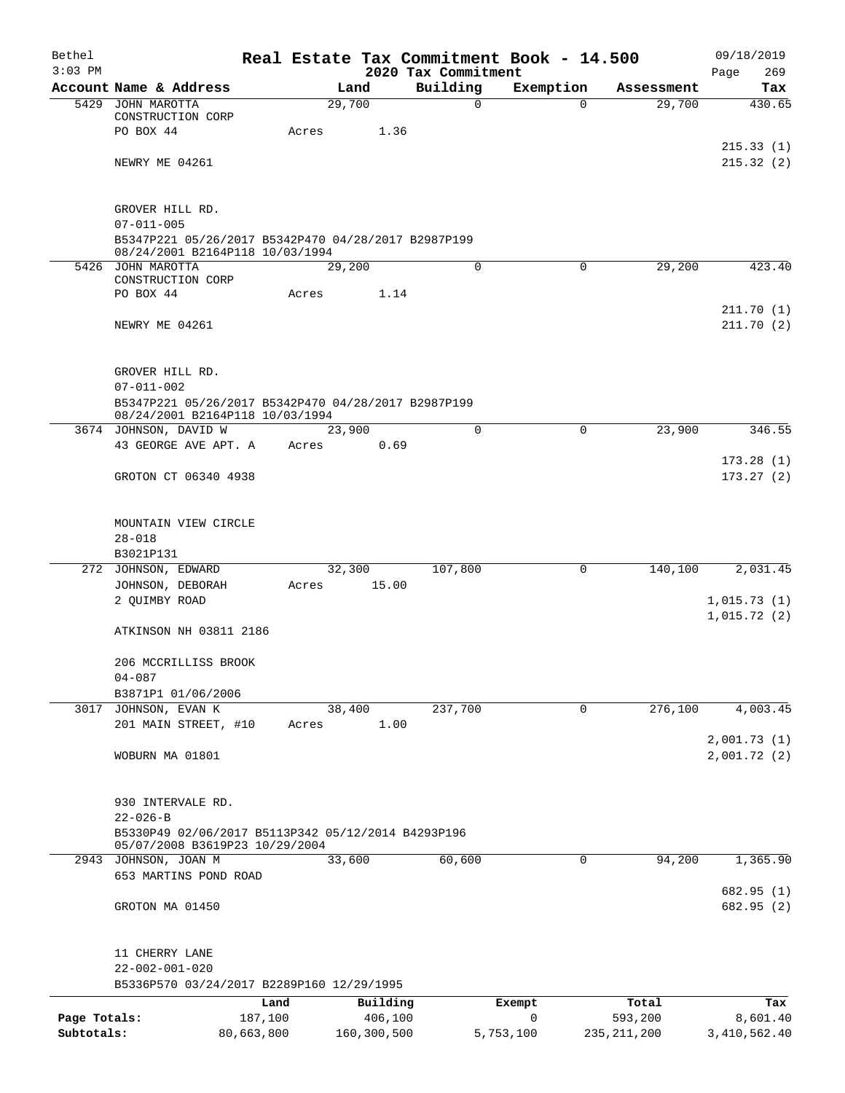| Bethel                     |                                                                                        | Real Estate Tax Commitment Book - 14.500 |                                 |                |                          | 09/18/2019               |
|----------------------------|----------------------------------------------------------------------------------------|------------------------------------------|---------------------------------|----------------|--------------------------|--------------------------|
| $3:03$ PM                  | Account Name & Address                                                                 | Land                                     | 2020 Tax Commitment<br>Building | Exemption      | Assessment               | 269<br>Page<br>Tax       |
| 5429                       | JOHN MAROTTA                                                                           | 29,700                                   | 0                               | $\Omega$       | 29,700                   | 430.65                   |
|                            | CONSTRUCTION CORP                                                                      |                                          |                                 |                |                          |                          |
|                            | PO BOX 44                                                                              | 1.36<br>Acres                            |                                 |                |                          | 215.33(1)                |
|                            | NEWRY ME 04261                                                                         |                                          |                                 |                |                          | 215.32(2)                |
|                            | GROVER HILL RD.                                                                        |                                          |                                 |                |                          |                          |
|                            | $07 - 011 - 005$                                                                       |                                          |                                 |                |                          |                          |
|                            | B5347P221 05/26/2017 B5342P470 04/28/2017 B2987P199<br>08/24/2001 B2164P118 10/03/1994 |                                          |                                 |                |                          |                          |
|                            | 5426 JOHN MAROTTA                                                                      | 29,200                                   | 0                               | 0              | 29,200                   | 423.40                   |
|                            | CONSTRUCTION CORP<br>PO BOX 44                                                         | 1.14<br>Acres                            |                                 |                |                          |                          |
|                            |                                                                                        |                                          |                                 |                |                          | 211.70(1)                |
|                            | NEWRY ME 04261                                                                         |                                          |                                 |                |                          | 211.70(2)                |
|                            | GROVER HILL RD.                                                                        |                                          |                                 |                |                          |                          |
|                            | $07 - 011 - 002$                                                                       |                                          |                                 |                |                          |                          |
|                            | B5347P221 05/26/2017 B5342P470 04/28/2017 B2987P199<br>08/24/2001 B2164P118 10/03/1994 |                                          |                                 |                |                          |                          |
|                            | 3674 JOHNSON, DAVID W<br>43 GEORGE AVE APT. A                                          | 23,900<br>0.69<br>Acres                  | $\mathbf 0$                     | 0              | 23,900                   | 346.55                   |
|                            |                                                                                        |                                          |                                 |                |                          | 173.28(1)                |
|                            | GROTON CT 06340 4938                                                                   |                                          |                                 |                |                          | 173.27(2)                |
|                            | MOUNTAIN VIEW CIRCLE                                                                   |                                          |                                 |                |                          |                          |
|                            | $28 - 018$                                                                             |                                          |                                 |                |                          |                          |
|                            | B3021P131                                                                              |                                          |                                 |                |                          |                          |
|                            | 272 JOHNSON, EDWARD<br>JOHNSON, DEBORAH                                                | 32,300<br>15.00<br>Acres                 | 107,800                         | 0              | 140,100                  | 2,031.45                 |
|                            | 2 OUIMBY ROAD                                                                          |                                          |                                 |                |                          | 1,015.73(1)              |
|                            |                                                                                        |                                          |                                 |                |                          | 1,015.72(2)              |
|                            | ATKINSON NH 03811 2186                                                                 |                                          |                                 |                |                          |                          |
|                            | 206 MCCRILLISS BROOK                                                                   |                                          |                                 |                |                          |                          |
|                            | $04 - 087$<br>B3871P1 01/06/2006                                                       |                                          |                                 |                |                          |                          |
| 3017                       | JOHNSON, EVAN K                                                                        | 38,400                                   | 237,700                         | 0              | 276,100                  | 4,003.45                 |
|                            | 201 MAIN STREET, #10                                                                   | 1.00<br>Acres                            |                                 |                |                          |                          |
|                            |                                                                                        |                                          |                                 |                |                          | 2,001.73(1)              |
|                            | WOBURN MA 01801                                                                        |                                          |                                 |                |                          | 2,001.72(2)              |
|                            | 930 INTERVALE RD.                                                                      |                                          |                                 |                |                          |                          |
|                            | $22 - 026 - B$<br>B5330P49 02/06/2017 B5113P342 05/12/2014 B4293P196                   |                                          |                                 |                |                          |                          |
|                            | 05/07/2008 B3619P23 10/29/2004<br>2943 JOHNSON, JOAN M                                 | 33,600                                   | 60,600                          | 0              | 94,200                   | 1,365.90                 |
|                            | 653 MARTINS POND ROAD                                                                  |                                          |                                 |                |                          |                          |
|                            |                                                                                        |                                          |                                 |                |                          | 682.95 (1)               |
|                            | GROTON MA 01450                                                                        |                                          |                                 |                |                          | 682.95 (2)               |
|                            | 11 CHERRY LANE                                                                         |                                          |                                 |                |                          |                          |
|                            | $22 - 002 - 001 - 020$                                                                 |                                          |                                 |                |                          |                          |
|                            | B5336P570 03/24/2017 B2289P160 12/29/1995                                              |                                          |                                 |                |                          |                          |
|                            | Land                                                                                   | Building                                 |                                 | Exempt         | Total                    | Tax                      |
| Page Totals:<br>Subtotals: | 187,100<br>80,663,800                                                                  | 406,100<br>160,300,500                   |                                 | 0<br>5,753,100 | 593,200<br>235, 211, 200 | 8,601.40<br>3,410,562.40 |
|                            |                                                                                        |                                          |                                 |                |                          |                          |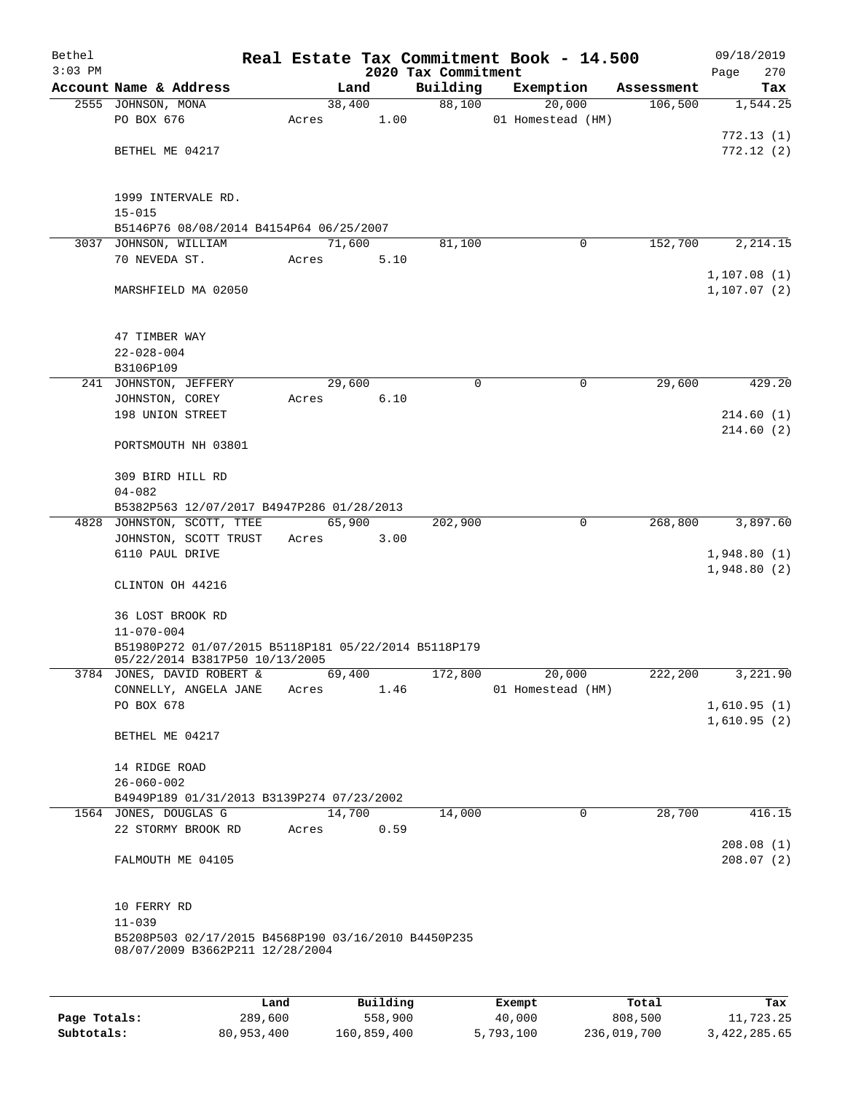| Bethel    |                                                                                        |       |       |        |                                 | Real Estate Tax Commitment Book - 14.500 |            | 09/18/2019                 |
|-----------|----------------------------------------------------------------------------------------|-------|-------|--------|---------------------------------|------------------------------------------|------------|----------------------------|
| $3:03$ PM | Account Name & Address                                                                 |       |       | Land   | 2020 Tax Commitment<br>Building | Exemption                                | Assessment | 270<br>Page<br>Tax         |
|           | 2555 JOHNSON, MONA                                                                     |       |       | 38,400 | 88,100                          | 20,000                                   | 106,500    | 1,544.25                   |
|           | PO BOX 676                                                                             | Acres |       | 1.00   |                                 | 01 Homestead (HM)                        |            |                            |
|           |                                                                                        |       |       |        |                                 |                                          |            | 772.13(1)                  |
|           | BETHEL ME 04217                                                                        |       |       |        |                                 |                                          |            | 772.12(2)                  |
|           |                                                                                        |       |       |        |                                 |                                          |            |                            |
|           |                                                                                        |       |       |        |                                 |                                          |            |                            |
|           | 1999 INTERVALE RD.                                                                     |       |       |        |                                 |                                          |            |                            |
|           | $15 - 015$                                                                             |       |       |        |                                 |                                          |            |                            |
|           | B5146P76 08/08/2014 B4154P64 06/25/2007<br>3037 JOHNSON, WILLIAM                       |       |       | 71,600 | 81,100                          | 0                                        | 152,700    | 2, 214.15                  |
|           | 70 NEVEDA ST.                                                                          | Acres |       | 5.10   |                                 |                                          |            |                            |
|           |                                                                                        |       |       |        |                                 |                                          |            | 1,107.08(1)                |
|           | MARSHFIELD MA 02050                                                                    |       |       |        |                                 |                                          |            | 1, 107.07(2)               |
|           |                                                                                        |       |       |        |                                 |                                          |            |                            |
|           |                                                                                        |       |       |        |                                 |                                          |            |                            |
|           | 47 TIMBER WAY                                                                          |       |       |        |                                 |                                          |            |                            |
|           | $22 - 028 - 004$                                                                       |       |       |        |                                 |                                          |            |                            |
|           | B3106P109<br>241 JOHNSTON, JEFFERY                                                     |       |       | 29,600 | $\mathbf 0$                     | $\mathbf 0$                              | 29,600     | 429.20                     |
|           | JOHNSTON, COREY                                                                        | Acres |       | 6.10   |                                 |                                          |            |                            |
|           | 198 UNION STREET                                                                       |       |       |        |                                 |                                          |            | 214.60(1)                  |
|           |                                                                                        |       |       |        |                                 |                                          |            | 214.60(2)                  |
|           | PORTSMOUTH NH 03801                                                                    |       |       |        |                                 |                                          |            |                            |
|           |                                                                                        |       |       |        |                                 |                                          |            |                            |
|           | 309 BIRD HILL RD                                                                       |       |       |        |                                 |                                          |            |                            |
|           | $04 - 082$<br>B5382P563 12/07/2017 B4947P286 01/28/2013                                |       |       |        |                                 |                                          |            |                            |
|           | 4828 JOHNSTON, SCOTT, TTEE                                                             |       |       | 65,900 | 202,900                         | $\mathbf 0$                              | 268,800    | 3,897.60                   |
|           | JOHNSTON, SCOTT TRUST                                                                  | Acres |       | 3.00   |                                 |                                          |            |                            |
|           | 6110 PAUL DRIVE                                                                        |       |       |        |                                 |                                          |            | 1,948.80(1)                |
|           |                                                                                        |       |       |        |                                 |                                          |            | 1,948.80(2)                |
|           | CLINTON OH 44216                                                                       |       |       |        |                                 |                                          |            |                            |
|           |                                                                                        |       |       |        |                                 |                                          |            |                            |
|           | 36 LOST BROOK RD<br>$11 - 070 - 004$                                                   |       |       |        |                                 |                                          |            |                            |
|           | B51980P272 01/07/2015 B5118P181 05/22/2014 B5118P179                                   |       |       |        |                                 |                                          |            |                            |
|           | 05/22/2014 B3817P50 10/13/2005                                                         |       |       |        |                                 |                                          |            |                            |
|           | 3784 JONES, DAVID ROBERT &                                                             |       |       | 69,400 | 172,800                         | 20,000                                   | 222,200    | 3,221.90                   |
|           | CONNELLY, ANGELA JANE                                                                  |       | Acres | 1.46   |                                 | 01 Homestead (HM)                        |            |                            |
|           | PO BOX 678                                                                             |       |       |        |                                 |                                          |            | 1,610.95(1)<br>1,610.95(2) |
|           | BETHEL ME 04217                                                                        |       |       |        |                                 |                                          |            |                            |
|           |                                                                                        |       |       |        |                                 |                                          |            |                            |
|           | 14 RIDGE ROAD                                                                          |       |       |        |                                 |                                          |            |                            |
|           | $26 - 060 - 002$                                                                       |       |       |        |                                 |                                          |            |                            |
|           | B4949P189 01/31/2013 B3139P274 07/23/2002                                              |       |       |        |                                 |                                          |            |                            |
|           | 1564 JONES, DOUGLAS G                                                                  |       |       | 14,700 | 14,000                          | $\mathbf 0$                              | 28,700     | 416.15                     |
|           | 22 STORMY BROOK RD                                                                     |       | Acres | 0.59   |                                 |                                          |            | 208.08(1)                  |
|           | FALMOUTH ME 04105                                                                      |       |       |        |                                 |                                          |            | 208.07(2)                  |
|           |                                                                                        |       |       |        |                                 |                                          |            |                            |
|           |                                                                                        |       |       |        |                                 |                                          |            |                            |
|           | 10 FERRY RD                                                                            |       |       |        |                                 |                                          |            |                            |
|           | $11 - 039$                                                                             |       |       |        |                                 |                                          |            |                            |
|           | B5208P503 02/17/2015 B4568P190 03/16/2010 B4450P235<br>08/07/2009 B3662P211 12/28/2004 |       |       |        |                                 |                                          |            |                            |
|           |                                                                                        |       |       |        |                                 |                                          |            |                            |
|           |                                                                                        |       |       |        |                                 |                                          |            |                            |
|           |                                                                                        |       |       |        |                                 |                                          |            |                            |

|              | Land       | Building    | Exempt    | Total       | Tax          |
|--------------|------------|-------------|-----------|-------------|--------------|
| Page Totals: | 289,600    | 558,900     | 40,000    | 808,500     | 11,723.25    |
| Subtotals:   | 80,953,400 | 160,859,400 | 5,793,100 | 236,019,700 | 3,422,285.65 |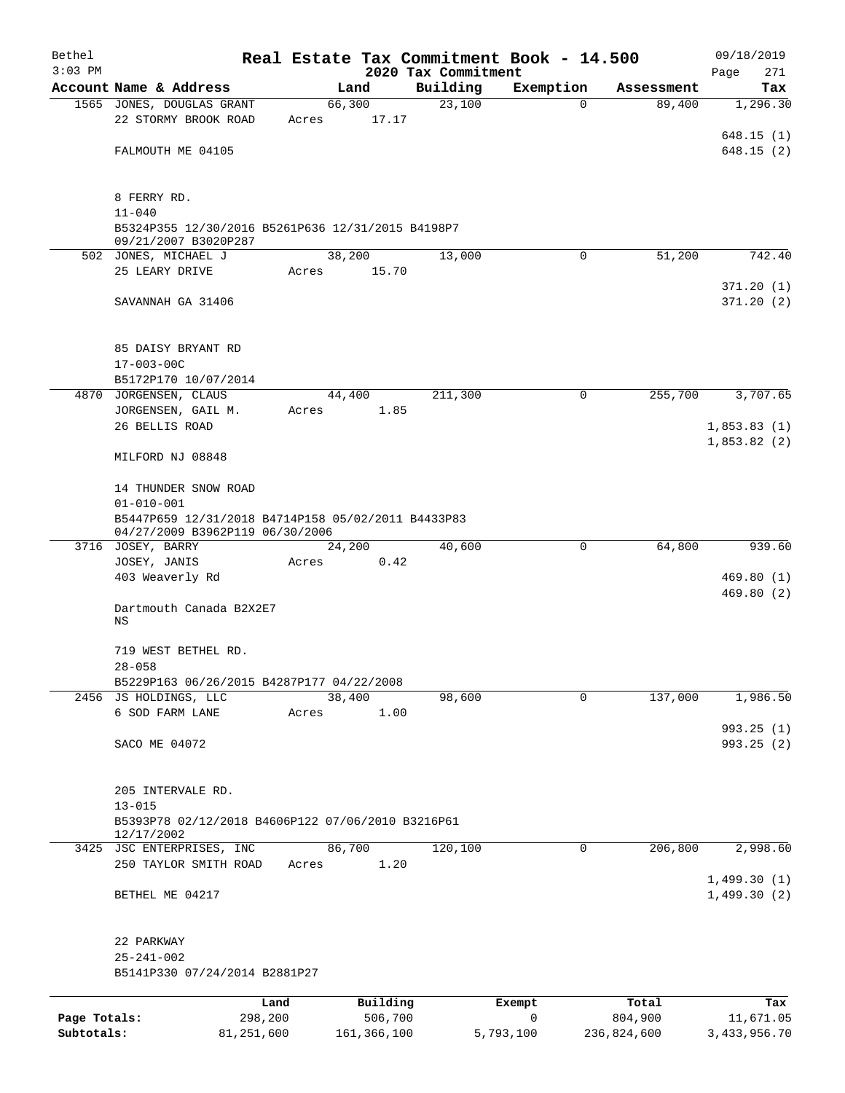| Bethel       |                                                                                       |       |                     |                     | Real Estate Tax Commitment Book - 14.500 |                  | 09/18/2019              |  |  |
|--------------|---------------------------------------------------------------------------------------|-------|---------------------|---------------------|------------------------------------------|------------------|-------------------------|--|--|
| $3:03$ PM    |                                                                                       |       |                     | 2020 Tax Commitment |                                          |                  | Page<br>271             |  |  |
|              | Account Name & Address                                                                |       | Land                | Building            | Exemption                                | Assessment       | Tax                     |  |  |
|              | 1565 JONES, DOUGLAS GRANT                                                             |       | 66,300              | 23,100              | 0                                        | 89,400           | 1,296.30                |  |  |
|              | 22 STORMY BROOK ROAD                                                                  | Acres | 17.17               |                     |                                          |                  |                         |  |  |
|              | FALMOUTH ME 04105                                                                     |       |                     |                     |                                          |                  | 648.15 (1)<br>648.15(2) |  |  |
|              |                                                                                       |       |                     |                     |                                          |                  |                         |  |  |
|              |                                                                                       |       |                     |                     |                                          |                  |                         |  |  |
|              | 8 FERRY RD.                                                                           |       |                     |                     |                                          |                  |                         |  |  |
|              | $11 - 040$                                                                            |       |                     |                     |                                          |                  |                         |  |  |
|              | B5324P355 12/30/2016 B5261P636 12/31/2015 B4198P7<br>09/21/2007 B3020P287             |       |                     |                     |                                          |                  |                         |  |  |
|              | 502 JONES, MICHAEL J                                                                  |       | 38,200              | 13,000              | 0                                        | 51,200           | 742.40                  |  |  |
|              | 25 LEARY DRIVE                                                                        | Acres | 15.70               |                     |                                          |                  |                         |  |  |
|              |                                                                                       |       |                     |                     |                                          |                  | 371.20(1)               |  |  |
|              | SAVANNAH GA 31406                                                                     |       |                     |                     |                                          |                  | 371.20(2)               |  |  |
|              |                                                                                       |       |                     |                     |                                          |                  |                         |  |  |
|              |                                                                                       |       |                     |                     |                                          |                  |                         |  |  |
|              | 85 DAISY BRYANT RD                                                                    |       |                     |                     |                                          |                  |                         |  |  |
|              | $17 - 003 - 00C$                                                                      |       |                     |                     |                                          |                  |                         |  |  |
|              | B5172P170 10/07/2014                                                                  |       |                     | 211,300             |                                          | 255,700          | 3,707.65                |  |  |
| 4870         | JORGENSEN, CLAUS<br>JORGENSEN, GAIL M.                                                | Acres | 44,400<br>1.85      |                     | 0                                        |                  |                         |  |  |
|              | 26 BELLIS ROAD                                                                        |       |                     |                     |                                          |                  | 1,853.83(1)             |  |  |
|              |                                                                                       |       |                     |                     |                                          |                  | 1,853.82(2)             |  |  |
|              | MILFORD NJ 08848                                                                      |       |                     |                     |                                          |                  |                         |  |  |
|              |                                                                                       |       |                     |                     |                                          |                  |                         |  |  |
|              | 14 THUNDER SNOW ROAD                                                                  |       |                     |                     |                                          |                  |                         |  |  |
|              | $01 - 010 - 001$                                                                      |       |                     |                     |                                          |                  |                         |  |  |
|              | B5447P659 12/31/2018 B4714P158 05/02/2011 B4433P83<br>04/27/2009 B3962P119 06/30/2006 |       |                     |                     |                                          |                  |                         |  |  |
|              | 3716 JOSEY, BARRY                                                                     |       | 24,200              | 40,600              | 0                                        | 64,800           | 939.60                  |  |  |
|              | JOSEY, JANIS                                                                          | Acres | 0.42                |                     |                                          |                  |                         |  |  |
|              | 403 Weaverly Rd                                                                       |       |                     |                     |                                          |                  | 469.80(1)               |  |  |
|              |                                                                                       |       |                     |                     |                                          |                  | 469.80 (2)              |  |  |
|              | Dartmouth Canada B2X2E7                                                               |       |                     |                     |                                          |                  |                         |  |  |
|              | ΝS                                                                                    |       |                     |                     |                                          |                  |                         |  |  |
|              | 719 WEST BETHEL RD.                                                                   |       |                     |                     |                                          |                  |                         |  |  |
|              | $28 - 058$                                                                            |       |                     |                     |                                          |                  |                         |  |  |
|              | B5229P163 06/26/2015 B4287P177 04/22/2008                                             |       |                     |                     |                                          |                  |                         |  |  |
|              | 2456 JS HOLDINGS, LLC                                                                 |       | 38,400              | 98,600              | 0                                        | 137,000          | 1,986.50                |  |  |
|              | 6 SOD FARM LANE                                                                       | Acres | 1.00                |                     |                                          |                  |                         |  |  |
|              |                                                                                       |       |                     |                     |                                          |                  | 993.25(1)               |  |  |
|              | SACO ME 04072                                                                         |       |                     |                     |                                          |                  | 993.25(2)               |  |  |
|              |                                                                                       |       |                     |                     |                                          |                  |                         |  |  |
|              | 205 INTERVALE RD.                                                                     |       |                     |                     |                                          |                  |                         |  |  |
|              | $13 - 015$                                                                            |       |                     |                     |                                          |                  |                         |  |  |
|              | B5393P78 02/12/2018 B4606P122 07/06/2010 B3216P61                                     |       |                     |                     |                                          |                  |                         |  |  |
|              | 12/17/2002                                                                            |       |                     |                     |                                          |                  |                         |  |  |
|              | 3425 JSC ENTERPRISES, INC                                                             |       | 86,700              | 120,100             | 0                                        | 206,800          | 2,998.60                |  |  |
|              | 250 TAYLOR SMITH ROAD                                                                 | Acres | 1.20                |                     |                                          |                  |                         |  |  |
|              |                                                                                       |       |                     |                     |                                          |                  | 1,499.30(1)             |  |  |
|              | BETHEL ME 04217                                                                       |       |                     |                     |                                          |                  | 1,499.30(2)             |  |  |
|              |                                                                                       |       |                     |                     |                                          |                  |                         |  |  |
|              | 22 PARKWAY                                                                            |       |                     |                     |                                          |                  |                         |  |  |
|              | $25 - 241 - 002$                                                                      |       |                     |                     |                                          |                  |                         |  |  |
|              | B5141P330 07/24/2014 B2881P27                                                         |       |                     |                     |                                          |                  |                         |  |  |
|              |                                                                                       |       |                     |                     |                                          |                  |                         |  |  |
| Page Totals: | Land<br>298,200                                                                       |       | Building<br>506,700 |                     | Exempt<br>0                              | Total<br>804,900 | Tax<br>11,671.05        |  |  |
| Subtotals:   | 81,251,600                                                                            |       | 161, 366, 100       |                     | 5,793,100                                | 236,824,600      | 3,433,956.70            |  |  |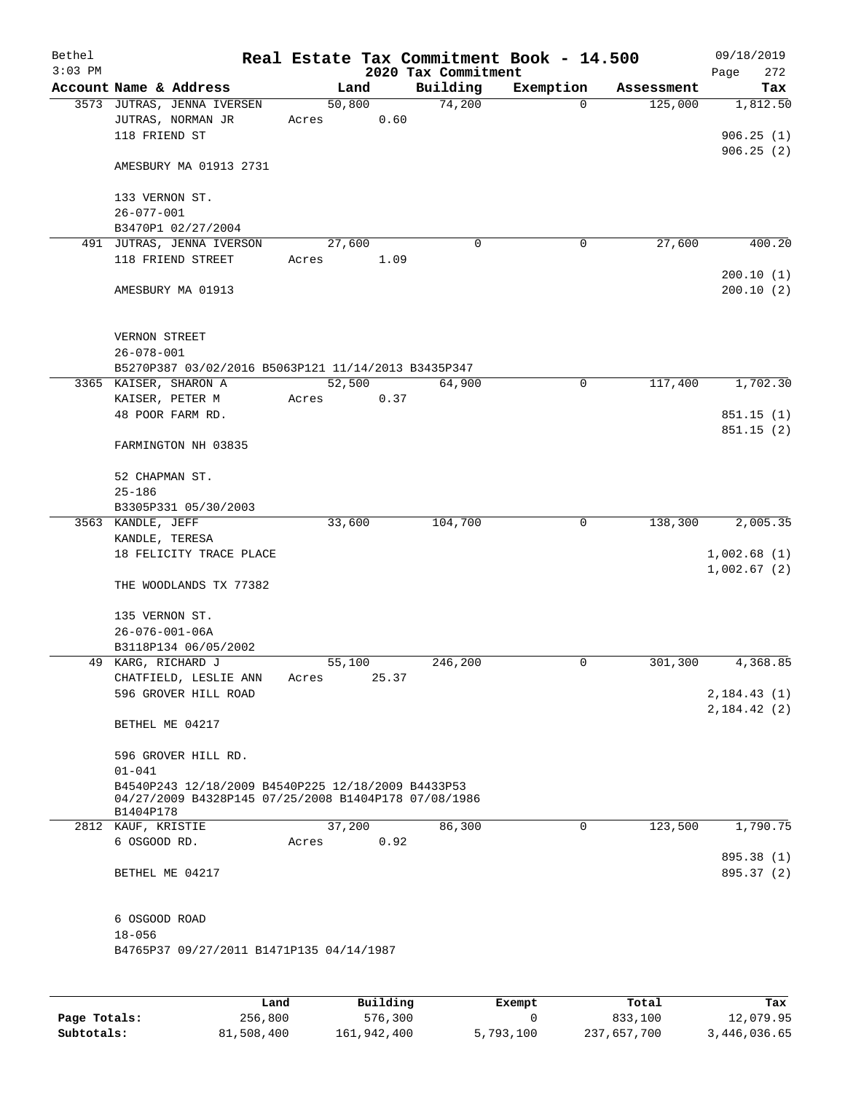| Bethel<br>$3:03$ PM |                                                                                                                         |                 | Real Estate Tax Commitment Book - 14.500<br>2020 Tax Commitment |           |            | 09/18/2019<br>272<br>Page     |
|---------------------|-------------------------------------------------------------------------------------------------------------------------|-----------------|-----------------------------------------------------------------|-----------|------------|-------------------------------|
|                     | Account Name & Address                                                                                                  | Land            | Building                                                        | Exemption | Assessment | Tax                           |
|                     | 3573 JUTRAS, JENNA IVERSEN<br>JUTRAS, NORMAN JR<br>118 FRIEND ST                                                        | 50,800<br>Acres | 74,200<br>0.60                                                  | $\Omega$  | 125,000    | 1,812.50<br>906.25(1)         |
|                     | AMESBURY MA 01913 2731                                                                                                  |                 |                                                                 |           |            | 906.25(2)                     |
|                     | 133 VERNON ST.<br>$26 - 077 - 001$                                                                                      |                 |                                                                 |           |            |                               |
|                     | B3470P1 02/27/2004                                                                                                      |                 |                                                                 |           |            |                               |
|                     | 491 JUTRAS, JENNA IVERSON                                                                                               | 27,600          | $\mathbf 0$                                                     | 0         | 27,600     | 400.20                        |
|                     | 118 FRIEND STREET                                                                                                       | Acres           | 1.09                                                            |           |            |                               |
|                     | AMESBURY MA 01913                                                                                                       |                 |                                                                 |           |            | 200.10(1)<br>200.10(2)        |
|                     | VERNON STREET<br>$26 - 078 - 001$                                                                                       |                 |                                                                 |           |            |                               |
|                     | B5270P387 03/02/2016 B5063P121 11/14/2013 B3435P347                                                                     |                 |                                                                 |           |            |                               |
|                     | 3365 KAISER, SHARON A                                                                                                   | 52,500          | 64,900                                                          | 0         | 117,400    | 1,702.30                      |
|                     | KAISER, PETER M                                                                                                         | Acres           | 0.37                                                            |           |            |                               |
|                     | 48 POOR FARM RD.                                                                                                        |                 |                                                                 |           |            | 851.15(1)                     |
|                     | FARMINGTON NH 03835                                                                                                     |                 |                                                                 |           |            | 851.15(2)                     |
|                     | 52 CHAPMAN ST.<br>$25 - 186$                                                                                            |                 |                                                                 |           |            |                               |
|                     | B3305P331 05/30/2003                                                                                                    |                 |                                                                 |           |            |                               |
|                     | 3563 KANDLE, JEFF                                                                                                       | 33,600          | 104,700                                                         | 0         | 138,300    | 2,005.35                      |
|                     | KANDLE, TERESA                                                                                                          |                 |                                                                 |           |            |                               |
|                     | 18 FELICITY TRACE PLACE                                                                                                 |                 |                                                                 |           |            | 1,002.68(1)<br>1,002.67(2)    |
|                     | THE WOODLANDS TX 77382                                                                                                  |                 |                                                                 |           |            |                               |
|                     | 135 VERNON ST.                                                                                                          |                 |                                                                 |           |            |                               |
|                     | $26 - 076 - 001 - 06A$                                                                                                  |                 |                                                                 |           |            |                               |
|                     | B3118P134 06/05/2002<br>49 KARG, RICHARD J                                                                              |                 |                                                                 |           |            |                               |
|                     | CHATFIELD, LESLIE ANN                                                                                                   | 55,100<br>Acres | 246,200<br>25.37                                                | 0         | 301,300    | 4,368.85                      |
|                     | 596 GROVER HILL ROAD                                                                                                    |                 |                                                                 |           |            | 2,184.43(1)<br>2, 184. 42 (2) |
|                     | BETHEL ME 04217                                                                                                         |                 |                                                                 |           |            |                               |
|                     | 596 GROVER HILL RD.<br>$01 - 041$                                                                                       |                 |                                                                 |           |            |                               |
|                     | B4540P243 12/18/2009 B4540P225 12/18/2009 B4433P53<br>04/27/2009 B4328P145 07/25/2008 B1404P178 07/08/1986<br>B1404P178 |                 |                                                                 |           |            |                               |
|                     | 2812 KAUF, KRISTIE                                                                                                      | 37,200          | 86,300                                                          | 0         | 123,500    | 1,790.75                      |
|                     | 6 OSGOOD RD.                                                                                                            | Acres           | 0.92                                                            |           |            |                               |
|                     | BETHEL ME 04217                                                                                                         |                 |                                                                 |           |            | 895.38 (1)<br>895.37 (2)      |
|                     | 6 OSGOOD ROAD                                                                                                           |                 |                                                                 |           |            |                               |
|                     | $18 - 056$<br>B4765P37 09/27/2011 B1471P135 04/14/1987                                                                  |                 |                                                                 |           |            |                               |
|                     |                                                                                                                         |                 |                                                                 |           |            |                               |

|              | Land       | Building    | Exempt    | Total       | Tax          |
|--------------|------------|-------------|-----------|-------------|--------------|
| Page Totals: | 256,800    | 576,300     |           | 833,100     | 12,079.95    |
| Subtotals:   | 81,508,400 | 161,942,400 | 5,793,100 | 237,657,700 | 3,446,036.65 |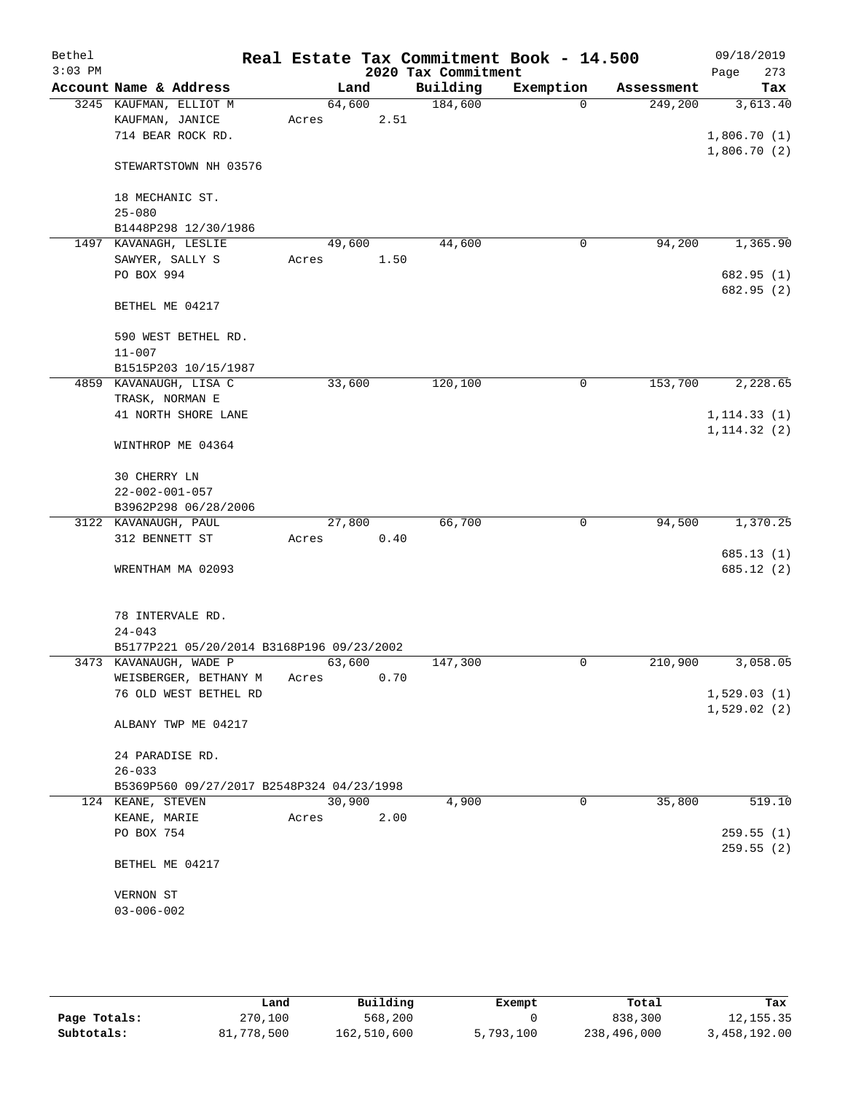| Bethel    |                                           |        |      |                     | Real Estate Tax Commitment Book - 14.500 |            | 09/18/2019   |
|-----------|-------------------------------------------|--------|------|---------------------|------------------------------------------|------------|--------------|
| $3:03$ PM |                                           |        |      | 2020 Tax Commitment |                                          |            | 273<br>Page  |
|           | Account Name & Address                    | Land   |      | Building            | Exemption                                | Assessment | Tax          |
|           | 3245 KAUFMAN, ELLIOT M                    | 64,600 |      | 184,600             | $\Omega$                                 | 249,200    | 3,613.40     |
|           | KAUFMAN, JANICE                           | Acres  | 2.51 |                     |                                          |            |              |
|           | 714 BEAR ROCK RD.                         |        |      |                     |                                          |            | 1,806.70(1)  |
|           |                                           |        |      |                     |                                          |            | 1,806.70(2)  |
|           | STEWARTSTOWN NH 03576                     |        |      |                     |                                          |            |              |
|           |                                           |        |      |                     |                                          |            |              |
|           | 18 MECHANIC ST.                           |        |      |                     |                                          |            |              |
|           | $25 - 080$                                |        |      |                     |                                          |            |              |
|           | B1448P298 12/30/1986                      |        |      |                     |                                          |            |              |
|           | 1497 KAVANAGH, LESLIE                     | 49,600 |      | 44,600              | 0                                        | 94,200     | 1,365.90     |
|           | SAWYER, SALLY S                           | Acres  | 1.50 |                     |                                          |            |              |
|           | PO BOX 994                                |        |      |                     |                                          |            | 682.95 (1)   |
|           |                                           |        |      |                     |                                          |            | 682.95 (2)   |
|           | BETHEL ME 04217                           |        |      |                     |                                          |            |              |
|           |                                           |        |      |                     |                                          |            |              |
|           | 590 WEST BETHEL RD.                       |        |      |                     |                                          |            |              |
|           | $11 - 007$                                |        |      |                     |                                          |            |              |
|           | B1515P203 10/15/1987                      |        |      | 120,100             | 0                                        |            | 2,228.65     |
|           | 4859 KAVANAUGH, LISA C                    | 33,600 |      |                     |                                          | 153,700    |              |
|           | TRASK, NORMAN E                           |        |      |                     |                                          |            |              |
|           | 41 NORTH SHORE LANE                       |        |      |                     |                                          |            | 1, 114.33(1) |
|           |                                           |        |      |                     |                                          |            | 1, 114.32(2) |
|           | WINTHROP ME 04364                         |        |      |                     |                                          |            |              |
|           | 30 CHERRY LN                              |        |      |                     |                                          |            |              |
|           | $22 - 002 - 001 - 057$                    |        |      |                     |                                          |            |              |
|           | B3962P298 06/28/2006                      |        |      |                     |                                          |            |              |
|           | 3122 KAVANAUGH, PAUL                      | 27,800 |      | 66,700              | 0                                        | 94,500     | 1,370.25     |
|           | 312 BENNETT ST                            | Acres  | 0.40 |                     |                                          |            |              |
|           |                                           |        |      |                     |                                          |            | 685.13(1)    |
|           | WRENTHAM MA 02093                         |        |      |                     |                                          |            | 685.12 (2)   |
|           |                                           |        |      |                     |                                          |            |              |
|           |                                           |        |      |                     |                                          |            |              |
|           | 78 INTERVALE RD.                          |        |      |                     |                                          |            |              |
|           | $24 - 043$                                |        |      |                     |                                          |            |              |
|           | B5177P221 05/20/2014 B3168P196 09/23/2002 |        |      |                     |                                          |            |              |
|           | 3473 KAVANAUGH, WADE P                    | 63,600 |      | 147,300             | 0                                        | 210,900    | 3,058.05     |
|           | WEISBERGER, BETHANY M                     | Acres  | 0.70 |                     |                                          |            |              |
|           | 76 OLD WEST BETHEL RD                     |        |      |                     |                                          |            | 1,529.03(1)  |
|           |                                           |        |      |                     |                                          |            | 1,529.02(2)  |
|           | ALBANY TWP ME 04217                       |        |      |                     |                                          |            |              |
|           |                                           |        |      |                     |                                          |            |              |
|           | 24 PARADISE RD.                           |        |      |                     |                                          |            |              |
|           | $26 - 033$                                |        |      |                     |                                          |            |              |
|           | B5369P560 09/27/2017 B2548P324 04/23/1998 |        |      |                     |                                          |            |              |
|           | 124 KEANE, STEVEN                         | 30,900 |      | 4,900               | $\mathbf 0$                              | 35,800     | 519.10       |
|           | KEANE, MARIE                              | Acres  | 2.00 |                     |                                          |            |              |
|           | PO BOX 754                                |        |      |                     |                                          |            | 259.55(1)    |
|           |                                           |        |      |                     |                                          |            | 259.55 (2)   |
|           | BETHEL ME 04217                           |        |      |                     |                                          |            |              |
|           |                                           |        |      |                     |                                          |            |              |
|           | VERNON ST                                 |        |      |                     |                                          |            |              |
|           | $03 - 006 - 002$                          |        |      |                     |                                          |            |              |
|           |                                           |        |      |                     |                                          |            |              |

|              | Land       | Building    | Exempt    | Total       | Tax          |
|--------------|------------|-------------|-----------|-------------|--------------|
| Page Totals: | 270,100    | 568,200     |           | 838,300     | 12, 155.35   |
| Subtotals:   | 81,778,500 | 162,510,600 | 5,793,100 | 238,496,000 | 3,458,192.00 |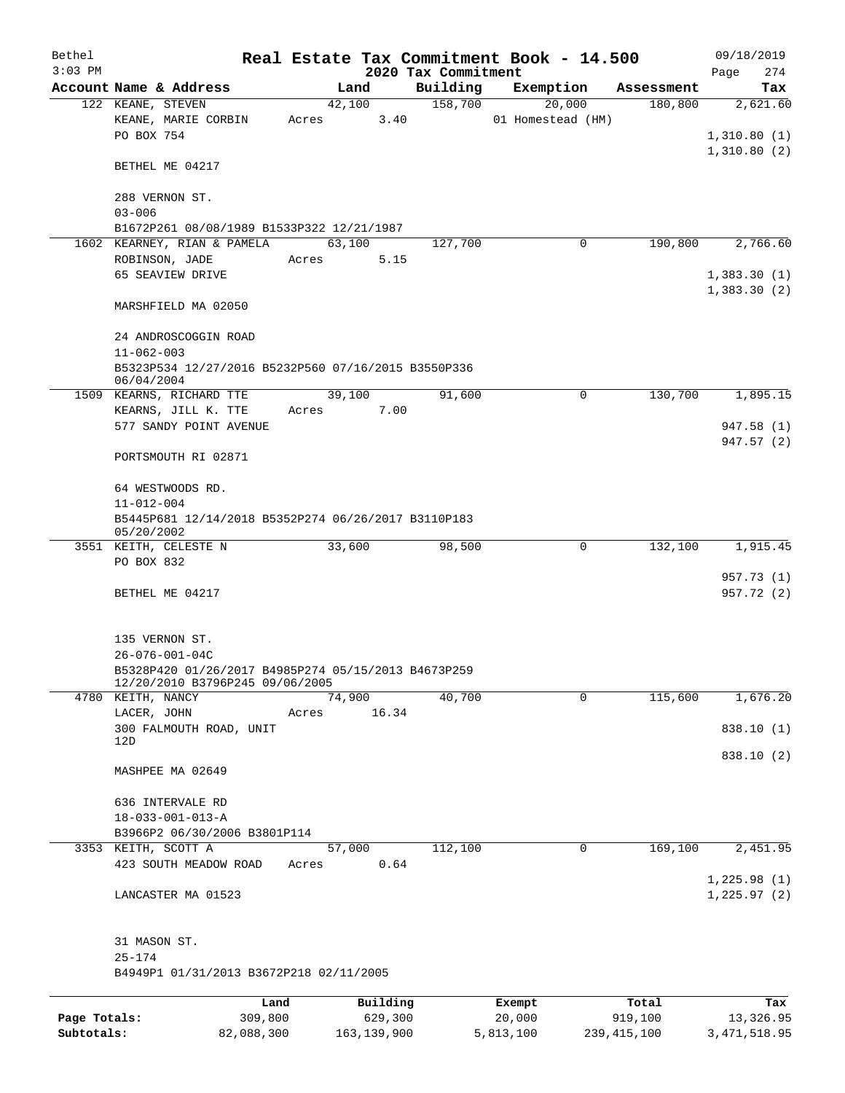| Bethel       |                                                                   |       |          |       |                     | Real Estate Tax Commitment Book - 14.500 |            | 09/18/2019                 |     |
|--------------|-------------------------------------------------------------------|-------|----------|-------|---------------------|------------------------------------------|------------|----------------------------|-----|
| $3:03$ PM    |                                                                   |       |          |       | 2020 Tax Commitment |                                          |            | Page                       | 274 |
|              | Account Name & Address                                            |       | Land     |       | Building            | Exemption                                | Assessment | Tax                        |     |
|              | 122 KEANE, STEVEN<br>KEANE, MARIE CORBIN                          | Acres | 42,100   | 3.40  | 158,700             | 20,000<br>01 Homestead (HM)              | 180,800    | 2,621.60                   |     |
|              | PO BOX 754                                                        |       |          |       |                     |                                          |            | 1,310.80(1)<br>1,310.80(2) |     |
|              | BETHEL ME 04217                                                   |       |          |       |                     |                                          |            |                            |     |
|              | 288 VERNON ST.<br>$03 - 006$                                      |       |          |       |                     |                                          |            |                            |     |
|              | B1672P261 08/08/1989 B1533P322 12/21/1987                         |       |          |       |                     |                                          |            |                            |     |
|              | 1602 KEARNEY, RIAN & PAMELA                                       |       | 63,100   |       | 127,700             | 0                                        | 190,800    | 2,766.60                   |     |
|              | ROBINSON, JADE                                                    | Acres |          | 5.15  |                     |                                          |            |                            |     |
|              | 65 SEAVIEW DRIVE                                                  |       |          |       |                     |                                          |            | 1,383.30(1)                |     |
|              |                                                                   |       |          |       |                     |                                          |            | 1,383.30(2)                |     |
|              | MARSHFIELD MA 02050                                               |       |          |       |                     |                                          |            |                            |     |
|              | 24 ANDROSCOGGIN ROAD<br>$11 - 062 - 003$                          |       |          |       |                     |                                          |            |                            |     |
|              | B5323P534 12/27/2016 B5232P560 07/16/2015 B3550P336<br>06/04/2004 |       |          |       |                     |                                          |            |                            |     |
|              | 1509 KEARNS, RICHARD TTE                                          |       | 39,100   |       | 91,600              | $\mathbf 0$                              | 130,700    | 1,895.15                   |     |
|              | KEARNS, JILL K. TTE                                               | Acres |          | 7.00  |                     |                                          |            |                            |     |
|              | 577 SANDY POINT AVENUE                                            |       |          |       |                     |                                          |            | 947.58 (1)<br>947.57 (2)   |     |
|              | PORTSMOUTH RI 02871                                               |       |          |       |                     |                                          |            |                            |     |
|              | 64 WESTWOODS RD.<br>$11 - 012 - 004$                              |       |          |       |                     |                                          |            |                            |     |
|              | B5445P681 12/14/2018 B5352P274 06/26/2017 B3110P183<br>05/20/2002 |       |          |       |                     |                                          |            |                            |     |
|              | 3551 KEITH, CELESTE N                                             |       | 33,600   |       | 98,500              | $\mathbf 0$                              | 132,100    | 1,915.45                   |     |
|              | PO BOX 832                                                        |       |          |       |                     |                                          |            |                            |     |
|              |                                                                   |       |          |       |                     |                                          |            | 957.73(1)                  |     |
|              | BETHEL ME 04217                                                   |       |          |       |                     |                                          |            | 957.72 (2)                 |     |
|              | 135 VERNON ST.                                                    |       |          |       |                     |                                          |            |                            |     |
|              | $26 - 076 - 001 - 04C$                                            |       |          |       |                     |                                          |            |                            |     |
|              | B5328P420 01/26/2017 B4985P274 05/15/2013 B4673P259               |       |          |       |                     |                                          |            |                            |     |
|              | 12/20/2010 B3796P245 09/06/2005                                   |       |          |       |                     |                                          |            |                            |     |
|              | 4780 KEITH, NANCY                                                 |       | 74,900   |       | 40,700              | $\Omega$                                 | 115,600    | 1,676.20                   |     |
|              | LACER, JOHN                                                       | Acres |          | 16.34 |                     |                                          |            |                            |     |
|              | 300 FALMOUTH ROAD, UNIT<br>12D                                    |       |          |       |                     |                                          |            | 838.10 (1)                 |     |
|              |                                                                   |       |          |       |                     |                                          |            | 838.10 (2)                 |     |
|              | MASHPEE MA 02649                                                  |       |          |       |                     |                                          |            |                            |     |
|              | 636 INTERVALE RD                                                  |       |          |       |                     |                                          |            |                            |     |
|              | $18 - 033 - 001 - 013 - A$                                        |       |          |       |                     |                                          |            |                            |     |
|              | B3966P2 06/30/2006 B3801P114                                      |       |          |       |                     |                                          |            |                            |     |
|              | 3353 KEITH, SCOTT A                                               |       | 57,000   |       | 112,100             | 0                                        | 169,100    | 2,451.95                   |     |
|              | 423 SOUTH MEADOW ROAD                                             | Acres |          | 0.64  |                     |                                          |            |                            |     |
|              |                                                                   |       |          |       |                     |                                          |            | 1,225.98(1)                |     |
|              | LANCASTER MA 01523                                                |       |          |       |                     |                                          |            | 1, 225.97(2)               |     |
|              | 31 MASON ST.                                                      |       |          |       |                     |                                          |            |                            |     |
|              | $25 - 174$                                                        |       |          |       |                     |                                          |            |                            |     |
|              | B4949P1 01/31/2013 B3672P218 02/11/2005                           |       |          |       |                     |                                          |            |                            |     |
|              |                                                                   | Land  | Building |       |                     | Exempt                                   | Total      |                            | Tax |
| Page Totals: | 309,800                                                           |       | 629,300  |       |                     | 20,000                                   | 919,100    | 13,326.95                  |     |

**Subtotals:** 82,088,300 163,139,900 5,813,100 239,415,100 3,471,518.95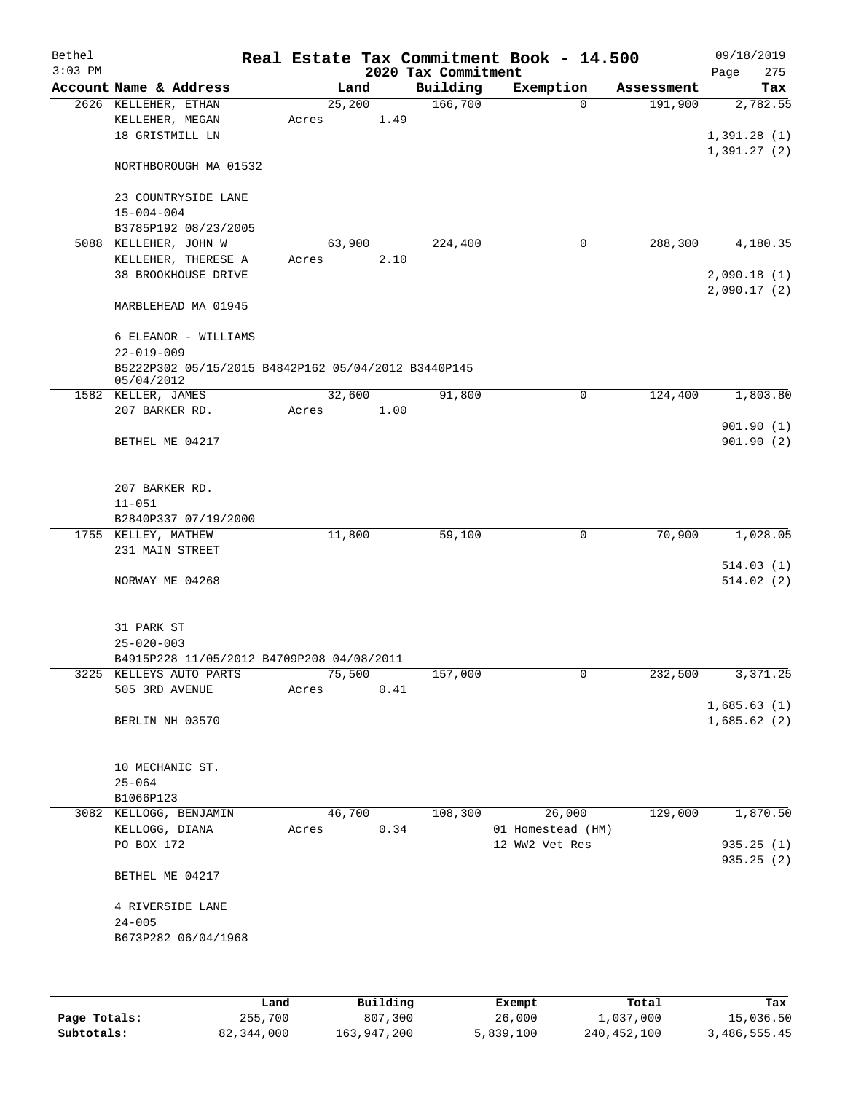| Bethel    |                                                     |        |      |                     | Real Estate Tax Commitment Book - 14.500 |                      | 09/18/2019  |
|-----------|-----------------------------------------------------|--------|------|---------------------|------------------------------------------|----------------------|-------------|
| $3:03$ PM |                                                     |        |      | 2020 Tax Commitment |                                          |                      | 275<br>Page |
|           | Account Name & Address                              |        | Land | Building            | Exemption                                | Assessment           | Tax         |
|           | 2626 KELLEHER, ETHAN                                | 25,200 |      | 166,700             | $\Omega$                                 | 191,900              | 2,782.55    |
|           | KELLEHER, MEGAN                                     | Acres  | 1.49 |                     |                                          |                      |             |
|           | 18 GRISTMILL LN                                     |        |      |                     |                                          |                      | 1,391.28(1) |
|           |                                                     |        |      |                     |                                          |                      | 1,391.27(2) |
|           | NORTHBOROUGH MA 01532                               |        |      |                     |                                          |                      |             |
|           |                                                     |        |      |                     |                                          |                      |             |
|           | 23 COUNTRYSIDE LANE                                 |        |      |                     |                                          |                      |             |
|           | $15 - 004 - 004$                                    |        |      |                     |                                          |                      |             |
|           | B3785P192 08/23/2005                                |        |      |                     |                                          |                      |             |
|           | 5088 KELLEHER, JOHN W                               | 63,900 |      | 224,400             | 0                                        | 288,300              | 4,180.35    |
|           | KELLEHER, THERESE A                                 | Acres  | 2.10 |                     |                                          |                      |             |
|           | <b>38 BROOKHOUSE DRIVE</b>                          |        |      |                     |                                          |                      | 2,090.18(1) |
|           |                                                     |        |      |                     |                                          |                      | 2,090.17(2) |
|           | MARBLEHEAD MA 01945                                 |        |      |                     |                                          |                      |             |
|           |                                                     |        |      |                     |                                          |                      |             |
|           | 6 ELEANOR - WILLIAMS                                |        |      |                     |                                          |                      |             |
|           | $22 - 019 - 009$                                    |        |      |                     |                                          |                      |             |
|           | B5222P302 05/15/2015 B4842P162 05/04/2012 B3440P145 |        |      |                     |                                          |                      |             |
|           | 05/04/2012                                          |        |      |                     |                                          |                      |             |
|           | 1582 KELLER, JAMES                                  | 32,600 |      | 91,800              | $\mathbf 0$                              | 124,400              | 1,803.80    |
|           | 207 BARKER RD.                                      | Acres  | 1.00 |                     |                                          |                      |             |
|           |                                                     |        |      |                     |                                          |                      | 901.90(1)   |
|           | BETHEL ME 04217                                     |        |      |                     |                                          |                      | 901.90(2)   |
|           |                                                     |        |      |                     |                                          |                      |             |
|           |                                                     |        |      |                     |                                          |                      |             |
|           | 207 BARKER RD.                                      |        |      |                     |                                          |                      |             |
|           | $11 - 051$                                          |        |      |                     |                                          |                      |             |
|           | B2840P337 07/19/2000                                |        |      |                     |                                          |                      |             |
|           | 1755 KELLEY, MATHEW                                 | 11,800 |      | 59,100              | 0                                        | 70,900               | 1,028.05    |
|           | 231 MAIN STREET                                     |        |      |                     |                                          |                      |             |
|           |                                                     |        |      |                     |                                          |                      | 514.03(1)   |
|           | NORWAY ME 04268                                     |        |      |                     |                                          |                      | 514.02(2)   |
|           |                                                     |        |      |                     |                                          |                      |             |
|           |                                                     |        |      |                     |                                          |                      |             |
|           | 31 PARK ST                                          |        |      |                     |                                          |                      |             |
|           | $25 - 020 - 003$                                    |        |      |                     |                                          |                      |             |
|           | B4915P228 11/05/2012 B4709P208 04/08/2011           |        |      |                     |                                          |                      |             |
|           | 3225 KELLEYS AUTO PARTS                             | 75,500 |      | 157,000             | 0                                        | $2\overline{32,500}$ | 3,371.25    |
|           | 505 3RD AVENUE                                      | Acres  | 0.41 |                     |                                          |                      |             |
|           |                                                     |        |      |                     |                                          |                      | 1,685.63(1) |
|           | BERLIN NH 03570                                     |        |      |                     |                                          |                      | 1,685.62(2) |
|           |                                                     |        |      |                     |                                          |                      |             |
|           |                                                     |        |      |                     |                                          |                      |             |
|           | 10 MECHANIC ST.                                     |        |      |                     |                                          |                      |             |
|           | $25 - 064$                                          |        |      |                     |                                          |                      |             |
|           | B1066P123                                           |        |      |                     |                                          |                      |             |
|           | 3082 KELLOGG, BENJAMIN                              | 46,700 |      | 108,300             | 26,000                                   | 129,000              | 1,870.50    |
|           | KELLOGG, DIANA                                      | Acres  | 0.34 |                     | 01 Homestead (HM)                        |                      |             |
|           | PO BOX 172                                          |        |      |                     | 12 WW2 Vet Res                           |                      | 935.25 (1)  |
|           |                                                     |        |      |                     |                                          |                      | 935.25(2)   |
|           | BETHEL ME 04217                                     |        |      |                     |                                          |                      |             |
|           |                                                     |        |      |                     |                                          |                      |             |
|           | 4 RIVERSIDE LANE                                    |        |      |                     |                                          |                      |             |
|           | $24 - 005$                                          |        |      |                     |                                          |                      |             |
|           | B673P282 06/04/1968                                 |        |      |                     |                                          |                      |             |
|           |                                                     |        |      |                     |                                          |                      |             |
|           |                                                     |        |      |                     |                                          |                      |             |
|           |                                                     |        |      |                     |                                          |                      |             |

|              | Land       | Building    | Exempt    | Total       | Tax          |
|--------------|------------|-------------|-----------|-------------|--------------|
| Page Totals: | 255,700    | 807,300     | 26,000    | 1,037,000   | 15,036.50    |
| Subtotals:   | 82,344,000 | 163,947,200 | 5,839,100 | 240,452,100 | 3,486,555.45 |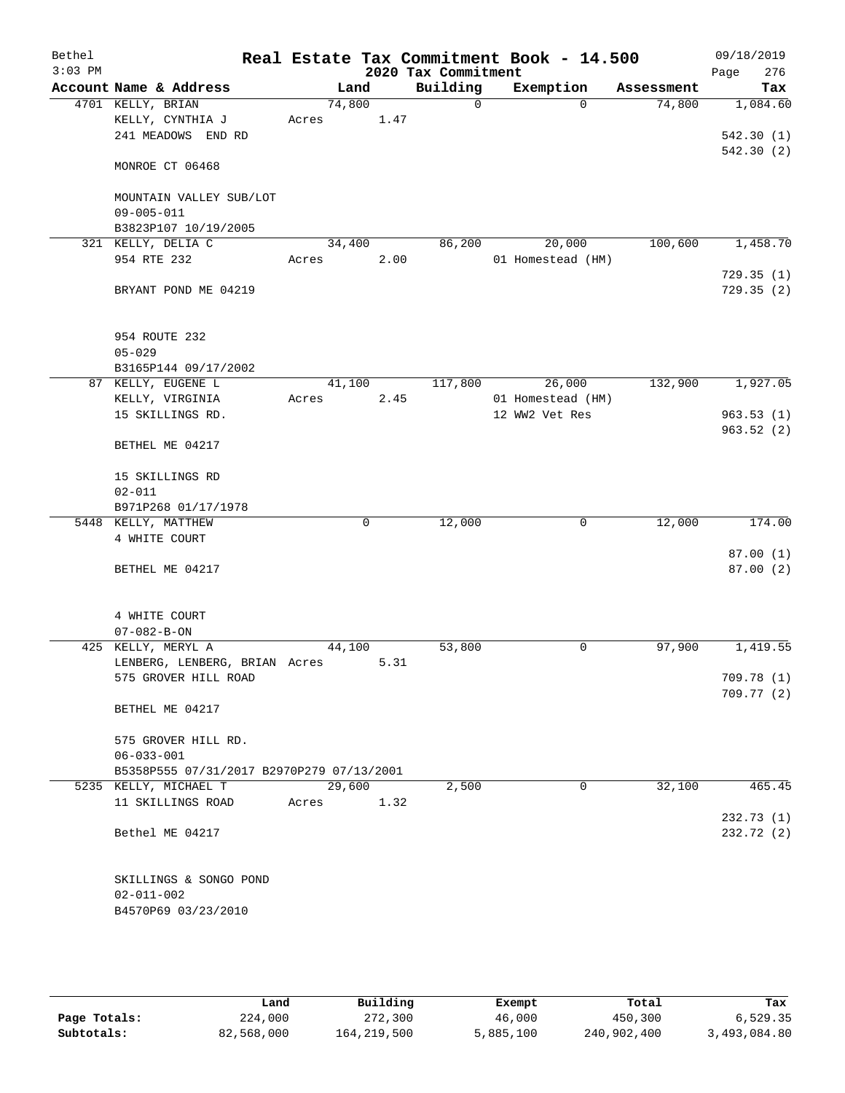| Bethel    |                                                       |                 |      |                     | Real Estate Tax Commitment Book - 14.500 |            | 09/18/2019              |
|-----------|-------------------------------------------------------|-----------------|------|---------------------|------------------------------------------|------------|-------------------------|
| $3:03$ PM |                                                       |                 |      | 2020 Tax Commitment |                                          |            | 276<br>Page             |
|           | Account Name & Address                                |                 | Land | Building            | Exemption                                | Assessment | Tax                     |
|           | 4701 KELLY, BRIAN<br>KELLY, CYNTHIA J                 | 74,800<br>Acres | 1.47 | 0                   | $\Omega$                                 | 74,800     | 1,084.60                |
|           | 241 MEADOWS END RD                                    |                 |      |                     |                                          |            | 542.30(1)               |
|           |                                                       |                 |      |                     |                                          |            | 542.30 (2)              |
|           | MONROE CT 06468                                       |                 |      |                     |                                          |            |                         |
|           |                                                       |                 |      |                     |                                          |            |                         |
|           | MOUNTAIN VALLEY SUB/LOT                               |                 |      |                     |                                          |            |                         |
|           | $09 - 005 - 011$<br>B3823P107 10/19/2005              |                 |      |                     |                                          |            |                         |
|           | 321 KELLY, DELIA C                                    | 34,400          |      | 86,200              | 20,000                                   | 100,600    | 1,458.70                |
|           | 954 RTE 232                                           | Acres           | 2.00 |                     | 01 Homestead (HM)                        |            |                         |
|           |                                                       |                 |      |                     |                                          |            | 729.35(1)               |
|           | BRYANT POND ME 04219                                  |                 |      |                     |                                          |            | 729.35(2)               |
|           | 954 ROUTE 232                                         |                 |      |                     |                                          |            |                         |
|           | $05 - 029$                                            |                 |      |                     |                                          |            |                         |
|           | B3165P144 09/17/2002                                  |                 |      |                     |                                          |            |                         |
|           | 87 KELLY, EUGENE L                                    | 41,100          |      | 117,800             | 26,000                                   | 132,900    | 1,927.05                |
|           | KELLY, VIRGINIA<br>15 SKILLINGS RD.                   | Acres           | 2.45 |                     | 01 Homestead (HM)<br>12 WW2 Vet Res      |            | 963.53(1)               |
|           |                                                       |                 |      |                     |                                          |            | 963.52(2)               |
|           | BETHEL ME 04217                                       |                 |      |                     |                                          |            |                         |
|           | 15 SKILLINGS RD                                       |                 |      |                     |                                          |            |                         |
|           | $02 - 011$                                            |                 |      |                     |                                          |            |                         |
|           | B971P268 01/17/1978                                   |                 |      |                     |                                          |            |                         |
|           | 5448 KELLY, MATTHEW                                   |                 | 0    | 12,000              | 0                                        | 12,000     | 174.00                  |
|           | 4 WHITE COURT                                         |                 |      |                     |                                          |            |                         |
|           | BETHEL ME 04217                                       |                 |      |                     |                                          |            | 87.00(1)<br>87.00(2)    |
|           |                                                       |                 |      |                     |                                          |            |                         |
|           |                                                       |                 |      |                     |                                          |            |                         |
|           | 4 WHITE COURT                                         |                 |      |                     |                                          |            |                         |
|           | $07 - 082 - B - ON$                                   |                 |      |                     |                                          |            |                         |
|           | 425 KELLY, MERYL A                                    | 44,100          | 5.31 | 53,800              | 0                                        | 97,900     | 1,419.55                |
|           | LENBERG, LENBERG, BRIAN Acres<br>575 GROVER HILL ROAD |                 |      |                     |                                          |            | 709.78 (1)              |
|           |                                                       |                 |      |                     |                                          |            | 709.77 (2)              |
|           | BETHEL ME 04217                                       |                 |      |                     |                                          |            |                         |
|           | 575 GROVER HILL RD.                                   |                 |      |                     |                                          |            |                         |
|           | $06 - 033 - 001$                                      |                 |      |                     |                                          |            |                         |
|           | B5358P555 07/31/2017 B2970P279 07/13/2001             |                 |      |                     |                                          |            |                         |
|           | 5235 KELLY, MICHAEL T                                 | 29,600          |      | 2,500               | 0                                        | 32,100     | 465.45                  |
|           | 11 SKILLINGS ROAD                                     | Acres           | 1.32 |                     |                                          |            |                         |
|           | Bethel ME 04217                                       |                 |      |                     |                                          |            | 232.73(1)<br>232.72 (2) |
|           |                                                       |                 |      |                     |                                          |            |                         |
|           | SKILLINGS & SONGO POND                                |                 |      |                     |                                          |            |                         |
|           | $02 - 011 - 002$                                      |                 |      |                     |                                          |            |                         |
|           | B4570P69 03/23/2010                                   |                 |      |                     |                                          |            |                         |
|           |                                                       |                 |      |                     |                                          |            |                         |

|              | Land       | Building    | Exempt    | Total       | Tax          |
|--------------|------------|-------------|-----------|-------------|--------------|
| Page Totals: | 224,000    | 272,300     | 46,000    | 450,300     | 6.529.35     |
| Subtotals:   | 82,568,000 | 164,219,500 | 5,885,100 | 240,902,400 | 3,493,084.80 |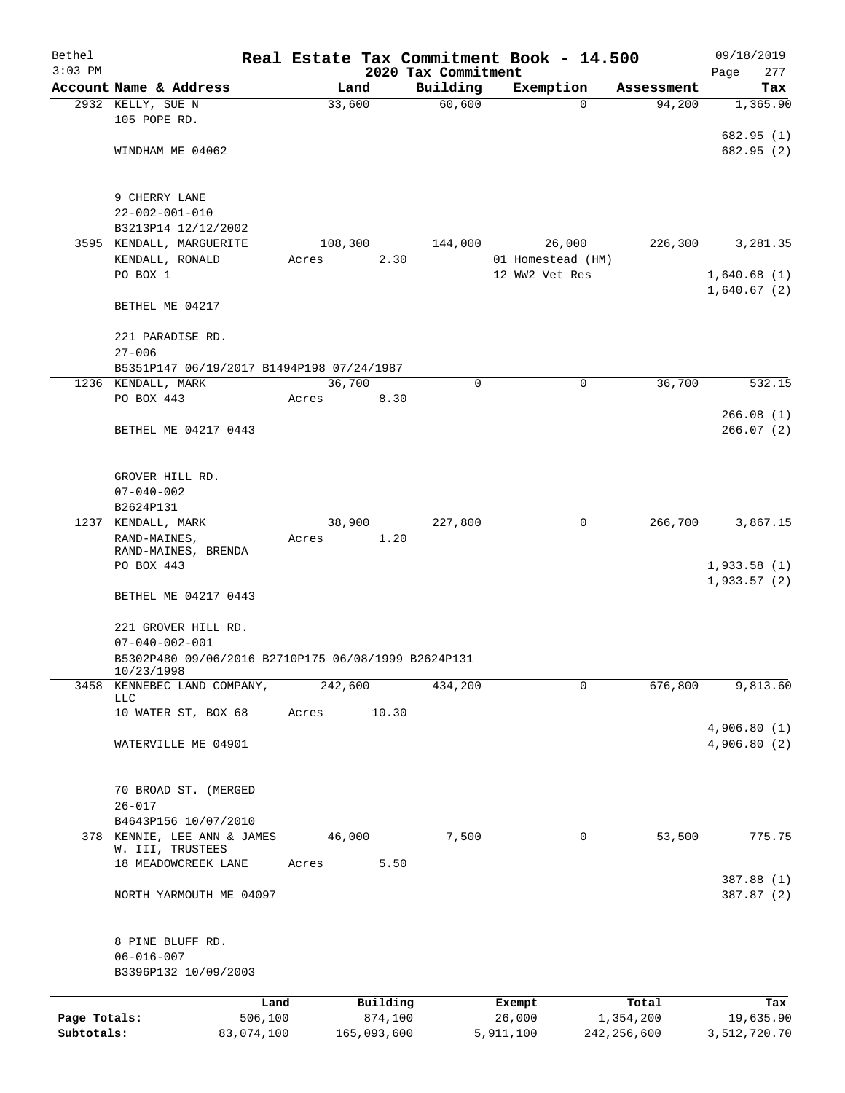| Bethel       |                                                     |       |                     |                                 | Real Estate Tax Commitment Book - 14.500 |                    | 09/18/2019         |
|--------------|-----------------------------------------------------|-------|---------------------|---------------------------------|------------------------------------------|--------------------|--------------------|
| $3:03$ PM    | Account Name & Address                              |       | Land                | 2020 Tax Commitment<br>Building | Exemption                                | Assessment         | 277<br>Page<br>Tax |
|              | 2932 KELLY, SUE N                                   |       | 33,600              | 60,600                          | 0                                        | 94,200             | 1,365.90           |
|              | 105 POPE RD.                                        |       |                     |                                 |                                          |                    |                    |
|              |                                                     |       |                     |                                 |                                          |                    | 682.95 (1)         |
|              | WINDHAM ME 04062                                    |       |                     |                                 |                                          |                    | 682.95 (2)         |
|              |                                                     |       |                     |                                 |                                          |                    |                    |
|              |                                                     |       |                     |                                 |                                          |                    |                    |
|              | 9 CHERRY LANE<br>$22 - 002 - 001 - 010$             |       |                     |                                 |                                          |                    |                    |
|              | B3213P14 12/12/2002                                 |       |                     |                                 |                                          |                    |                    |
|              | 3595 KENDALL, MARGUERITE                            |       | 108,300             | 144,000                         | 26,000                                   | 226,300            | 3,281.35           |
|              | KENDALL, RONALD                                     | Acres | 2.30                |                                 | 01 Homestead (HM)                        |                    |                    |
|              | PO BOX 1                                            |       |                     |                                 | 12 WW2 Vet Res                           |                    | 1,640.68(1)        |
|              |                                                     |       |                     |                                 |                                          |                    | 1,640.67(2)        |
|              | BETHEL ME 04217                                     |       |                     |                                 |                                          |                    |                    |
|              |                                                     |       |                     |                                 |                                          |                    |                    |
|              | 221 PARADISE RD.<br>$27 - 006$                      |       |                     |                                 |                                          |                    |                    |
|              | B5351P147 06/19/2017 B1494P198 07/24/1987           |       |                     |                                 |                                          |                    |                    |
|              | 1236 KENDALL, MARK                                  |       | 36,700              | 0                               | 0                                        | 36,700             | 532.15             |
|              | PO BOX 443                                          | Acres | 8.30                |                                 |                                          |                    |                    |
|              |                                                     |       |                     |                                 |                                          |                    | 266.08(1)          |
|              | BETHEL ME 04217 0443                                |       |                     |                                 |                                          |                    | 266.07(2)          |
|              |                                                     |       |                     |                                 |                                          |                    |                    |
|              |                                                     |       |                     |                                 |                                          |                    |                    |
|              | GROVER HILL RD.                                     |       |                     |                                 |                                          |                    |                    |
|              | $07 - 040 - 002$<br>B2624P131                       |       |                     |                                 |                                          |                    |                    |
|              | 1237 KENDALL, MARK                                  |       | 38,900              | 227,800                         | 0                                        | 266,700            | 3,867.15           |
|              | RAND-MAINES,                                        | Acres | 1.20                |                                 |                                          |                    |                    |
|              | RAND-MAINES, BRENDA                                 |       |                     |                                 |                                          |                    |                    |
|              | PO BOX 443                                          |       |                     |                                 |                                          |                    | 1,933.58(1)        |
|              |                                                     |       |                     |                                 |                                          |                    | 1,933.57(2)        |
|              | BETHEL ME 04217 0443                                |       |                     |                                 |                                          |                    |                    |
|              | 221 GROVER HILL RD.                                 |       |                     |                                 |                                          |                    |                    |
|              | $07 - 040 - 002 - 001$                              |       |                     |                                 |                                          |                    |                    |
|              | B5302P480 09/06/2016 B2710P175 06/08/1999 B2624P131 |       |                     |                                 |                                          |                    |                    |
|              | 10/23/1998                                          |       |                     |                                 |                                          |                    |                    |
| 3458         | KENNEBEC LAND COMPANY,<br><b>LLC</b>                |       | 242,600             | 434,200                         | 0                                        | 676,800            | 9,813.60           |
|              | 10 WATER ST, BOX 68                                 | Acres | 10.30               |                                 |                                          |                    |                    |
|              |                                                     |       |                     |                                 |                                          |                    | 4,906.80(1)        |
|              | WATERVILLE ME 04901                                 |       |                     |                                 |                                          |                    | 4,906.80(2)        |
|              |                                                     |       |                     |                                 |                                          |                    |                    |
|              |                                                     |       |                     |                                 |                                          |                    |                    |
|              | 70 BROAD ST. (MERGED                                |       |                     |                                 |                                          |                    |                    |
|              | $26 - 017$<br>B4643P156 10/07/2010                  |       |                     |                                 |                                          |                    |                    |
|              | 378 KENNIE, LEE ANN & JAMES                         |       | 46,000              | 7,500                           | 0                                        | 53,500             | 775.75             |
|              | W. III, TRUSTEES                                    |       |                     |                                 |                                          |                    |                    |
|              | 18 MEADOWCREEK LANE                                 | Acres | 5.50                |                                 |                                          |                    |                    |
|              |                                                     |       |                     |                                 |                                          |                    | 387.88 (1)         |
|              | NORTH YARMOUTH ME 04097                             |       |                     |                                 |                                          |                    | 387.87 (2)         |
|              |                                                     |       |                     |                                 |                                          |                    |                    |
|              | 8 PINE BLUFF RD.                                    |       |                     |                                 |                                          |                    |                    |
|              | $06 - 016 - 007$                                    |       |                     |                                 |                                          |                    |                    |
|              | B3396P132 10/09/2003                                |       |                     |                                 |                                          |                    |                    |
|              |                                                     |       |                     |                                 |                                          |                    |                    |
| Page Totals: | 506,100                                             | Land  | Building<br>874,100 |                                 | Exempt<br>26,000                         | Total<br>1,354,200 | Tax<br>19,635.90   |
| Subtotals:   | 83,074,100                                          |       | 165,093,600         |                                 | 5,911,100                                | 242, 256, 600      | 3,512,720.70       |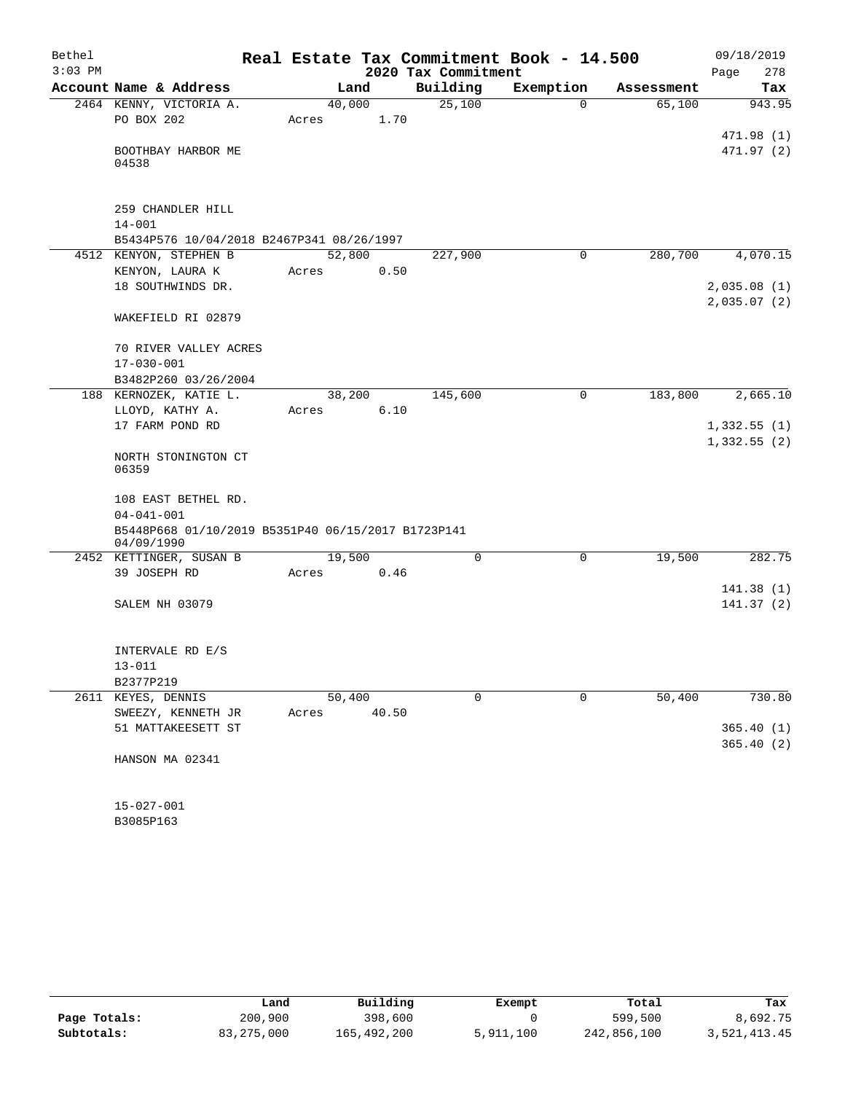| Bethel    |                                                    |        |       |                     | Real Estate Tax Commitment Book - 14.500 |            | 09/18/2019  |
|-----------|----------------------------------------------------|--------|-------|---------------------|------------------------------------------|------------|-------------|
| $3:03$ PM |                                                    |        |       | 2020 Tax Commitment |                                          |            | 278<br>Page |
|           | Account Name & Address                             | Land   |       | Building            | Exemption                                | Assessment | Tax         |
|           | 2464 KENNY, VICTORIA A.                            | 40,000 |       | 25,100              | $\mathbf 0$                              | 65,100     | 943.95      |
|           | PO BOX 202                                         | Acres  | 1.70  |                     |                                          |            |             |
|           |                                                    |        |       |                     |                                          |            | 471.98 (1)  |
|           | BOOTHBAY HARBOR ME<br>04538                        |        |       |                     |                                          |            | 471.97 (2)  |
|           |                                                    |        |       |                     |                                          |            |             |
|           | 259 CHANDLER HILL                                  |        |       |                     |                                          |            |             |
|           | $14 - 001$                                         |        |       |                     |                                          |            |             |
|           | B5434P576 10/04/2018 B2467P341 08/26/1997          |        |       |                     |                                          |            |             |
|           | 4512 KENYON, STEPHEN B                             | 52,800 |       | 227,900             | 0                                        | 280,700    | 4,070.15    |
|           | KENYON, LAURA K                                    | Acres  | 0.50  |                     |                                          |            |             |
|           | 18 SOUTHWINDS DR.                                  |        |       |                     |                                          |            | 2,035.08(1) |
|           |                                                    |        |       |                     |                                          |            | 2,035.07(2) |
|           | WAKEFIELD RI 02879                                 |        |       |                     |                                          |            |             |
|           | 70 RIVER VALLEY ACRES                              |        |       |                     |                                          |            |             |
|           | $17 - 030 - 001$                                   |        |       |                     |                                          |            |             |
|           | B3482P260 03/26/2004                               |        |       |                     |                                          |            |             |
|           | 188 KERNOZEK, KATIE L.                             | 38,200 |       | 145,600             | $\mathbf 0$                              | 183,800    | 2,665.10    |
|           | LLOYD, KATHY A.                                    | Acres  | 6.10  |                     |                                          |            |             |
|           | 17 FARM POND RD                                    |        |       |                     |                                          |            | 1,332.55(1) |
|           | NORTH STONINGTON CT<br>06359                       |        |       |                     |                                          |            | 1,332.55(2) |
|           | 108 EAST BETHEL RD.                                |        |       |                     |                                          |            |             |
|           | $04 - 041 - 001$                                   |        |       |                     |                                          |            |             |
|           | B5448P668 01/10/2019 B5351P40 06/15/2017 B1723P141 |        |       |                     |                                          |            |             |
|           | 04/09/1990                                         |        |       |                     |                                          |            |             |
|           | 2452 KETTINGER, SUSAN B                            | 19,500 |       | $\Omega$            | 0                                        | 19,500     | 282.75      |
|           | 39 JOSEPH RD                                       | Acres  | 0.46  |                     |                                          |            |             |
|           |                                                    |        |       |                     |                                          |            | 141.38(1)   |
|           | SALEM NH 03079                                     |        |       |                     |                                          |            | 141.37(2)   |
|           | INTERVALE RD E/S                                   |        |       |                     |                                          |            |             |
|           | $13 - 011$                                         |        |       |                     |                                          |            |             |
|           | B2377P219                                          |        |       |                     |                                          |            |             |
| 2611      | KEYES, DENNIS                                      | 50,400 |       | 0                   | 0                                        | 50,400     | 730.80      |
|           | SWEEZY, KENNETH JR                                 | Acres  | 40.50 |                     |                                          |            |             |
|           | 51 MATTAKEESETT ST                                 |        |       |                     |                                          |            | 365.40(1)   |
|           |                                                    |        |       |                     |                                          |            | 365.40(2)   |
|           | HANSON MA 02341                                    |        |       |                     |                                          |            |             |
|           |                                                    |        |       |                     |                                          |            |             |
|           | $15 - 027 - 001$                                   |        |       |                     |                                          |            |             |
|           | B3085P163                                          |        |       |                     |                                          |            |             |

|              | Land         | Building    | Exempt    | Total       | Tax          |
|--------------|--------------|-------------|-----------|-------------|--------------|
| Page Totals: | 200,900      | 398,600     |           | 599,500     | 8,692.75     |
| Subtotals:   | 83, 275, 000 | 165,492,200 | 5,911,100 | 242,856,100 | 3,521,413.45 |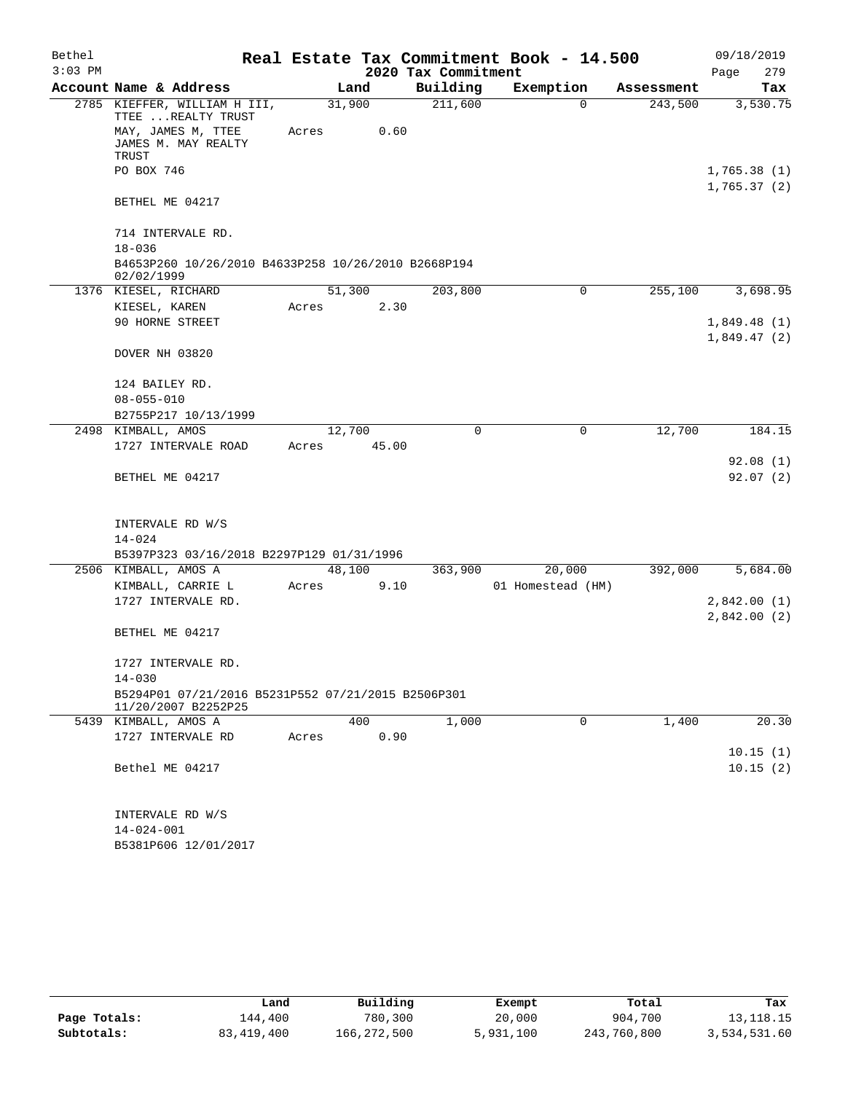| Bethel    |                                                                                 |        |        |                     | Real Estate Tax Commitment Book - 14.500 |            | 09/18/2019  |
|-----------|---------------------------------------------------------------------------------|--------|--------|---------------------|------------------------------------------|------------|-------------|
| $3:03$ PM |                                                                                 |        |        | 2020 Tax Commitment |                                          |            | 279<br>Page |
|           | Account Name & Address                                                          |        | Land   | Building            | Exemption                                | Assessment | Tax         |
|           | 2785 KIEFFER, WILLIAM H III,<br>TTEE  REALTY TRUST                              | 31,900 |        | 211,600             | $\Omega$                                 | 243,500    | 3,530.75    |
|           | MAY, JAMES M, TTEE<br>JAMES M. MAY REALTY<br>TRUST                              | Acres  | 0.60   |                     |                                          |            |             |
|           | PO BOX 746                                                                      |        |        |                     |                                          |            | 1,765.38(1) |
|           | BETHEL ME 04217                                                                 |        |        |                     |                                          |            | 1,765.37(2) |
|           | 714 INTERVALE RD.                                                               |        |        |                     |                                          |            |             |
|           | $18 - 036$<br>B4653P260 10/26/2010 B4633P258 10/26/2010 B2668P194<br>02/02/1999 |        |        |                     |                                          |            |             |
|           | 1376 KIESEL, RICHARD                                                            |        | 51,300 | 203,800             | 0                                        | 255,100    | 3,698.95    |
|           | KIESEL, KAREN                                                                   | Acres  | 2.30   |                     |                                          |            |             |
|           | 90 HORNE STREET                                                                 |        |        |                     |                                          |            | 1,849.48(1) |
|           |                                                                                 |        |        |                     |                                          |            | 1,849.47(2) |
|           | DOVER NH 03820                                                                  |        |        |                     |                                          |            |             |
|           | 124 BAILEY RD.                                                                  |        |        |                     |                                          |            |             |
|           | $08 - 055 - 010$                                                                |        |        |                     |                                          |            |             |
|           | B2755P217 10/13/1999                                                            |        |        |                     |                                          |            |             |
|           | 2498 KIMBALL, AMOS                                                              | 12,700 |        | $\mathbf 0$         | $\mathbf 0$                              | 12,700     | 184.15      |
|           | 1727 INTERVALE ROAD                                                             | Acres  | 45.00  |                     |                                          |            |             |
|           |                                                                                 |        |        |                     |                                          |            | 92.08(1)    |
|           | BETHEL ME 04217                                                                 |        |        |                     |                                          |            | 92.07(2)    |
|           | INTERVALE RD W/S                                                                |        |        |                     |                                          |            |             |
|           | $14 - 024$                                                                      |        |        |                     |                                          |            |             |
|           | B5397P323 03/16/2018 B2297P129 01/31/1996                                       |        |        |                     |                                          |            |             |
|           | 2506 KIMBALL, AMOS A                                                            |        | 48,100 | 363,900             | 20,000                                   | 392,000    | 5,684.00    |
|           | KIMBALL, CARRIE L                                                               | Acres  | 9.10   |                     | 01 Homestead (HM)                        |            |             |
|           | 1727 INTERVALE RD.                                                              |        |        |                     |                                          |            | 2,842.00(1) |
|           | BETHEL ME 04217                                                                 |        |        |                     |                                          |            | 2,842.00(2) |
|           |                                                                                 |        |        |                     |                                          |            |             |
|           | 1727 INTERVALE RD.                                                              |        |        |                     |                                          |            |             |
|           | $14 - 030$                                                                      |        |        |                     |                                          |            |             |
|           | B5294P01 07/21/2016 B5231P552 07/21/2015 B2506P301<br>11/20/2007 B2252P25       |        |        |                     |                                          |            |             |
|           | 5439 KIMBALL, AMOS A                                                            |        | 400    | 1,000               | 0                                        | 1,400      | 20.30       |
|           | 1727 INTERVALE RD                                                               | Acres  | 0.90   |                     |                                          |            |             |
|           |                                                                                 |        |        |                     |                                          |            | 10.15(1)    |
|           | Bethel ME 04217                                                                 |        |        |                     |                                          |            | 10.15(2)    |
|           |                                                                                 |        |        |                     |                                          |            |             |
|           | INTERVALE RD W/S                                                                |        |        |                     |                                          |            |             |
|           | $14 - 024 - 001$                                                                |        |        |                     |                                          |            |             |
|           | B5381P606 12/01/2017                                                            |        |        |                     |                                          |            |             |

|              | Land         | Building    | Exempt    | Total       | Tax          |
|--------------|--------------|-------------|-----------|-------------|--------------|
| Page Totals: | 144,400      | 780,300     | 20,000    | 904,700     | 13, 118. 15  |
| Subtotals:   | 83, 419, 400 | 166,272,500 | 5,931,100 | 243,760,800 | 3,534,531.60 |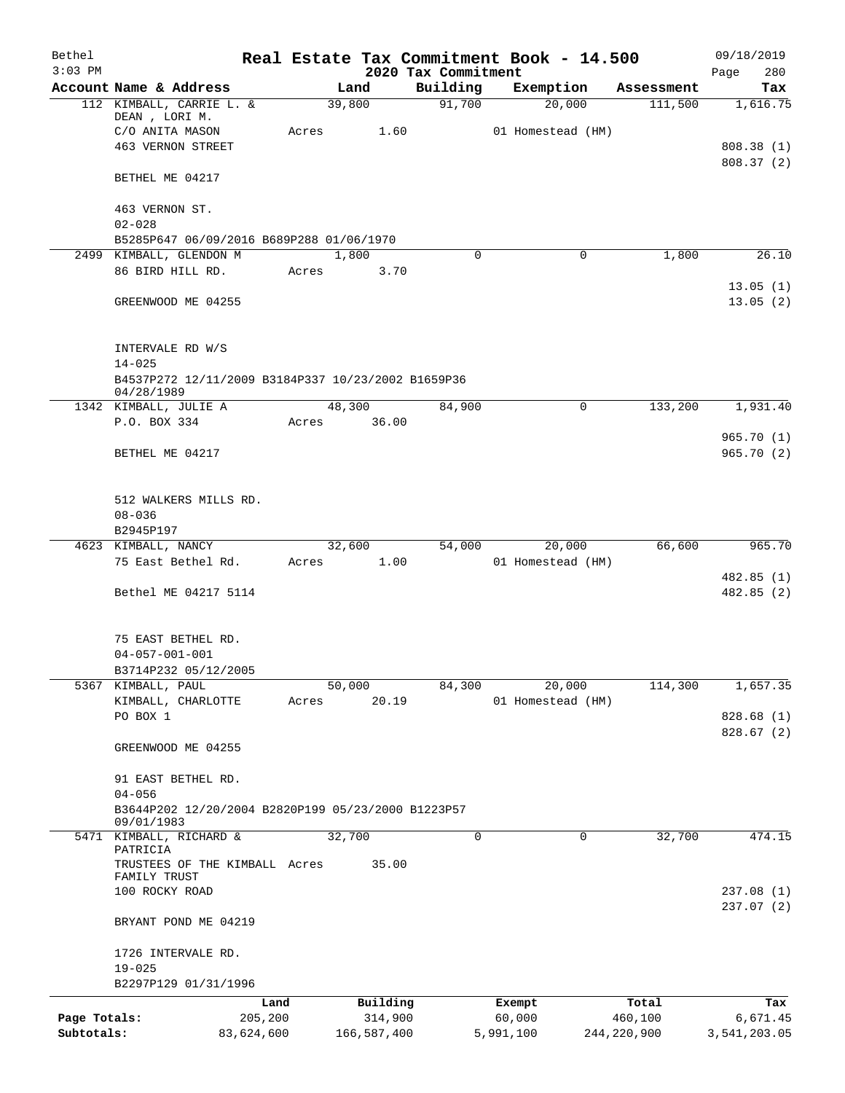| Bethel<br>$3:03$ PM |                                                                  |                 |             |                     | 2020 Tax Commitment | Real Estate Tax Commitment Book - 14.500 |          |                  | 09/18/2019<br>280<br>Page |
|---------------------|------------------------------------------------------------------|-----------------|-------------|---------------------|---------------------|------------------------------------------|----------|------------------|---------------------------|
|                     | Account Name & Address                                           |                 | Land        |                     | Building            | Exemption                                |          | Assessment       | Tax                       |
|                     | 112 KIMBALL, CARRIE L. &                                         |                 | 39,800      |                     | 91,700              | 20,000                                   |          | 111,500          | 1,616.75                  |
|                     | DEAN, LORI M.<br>C/O ANITA MASON                                 |                 | Acres       | 1.60                |                     | 01 Homestead (HM)                        |          |                  |                           |
|                     | <b>463 VERNON STREET</b>                                         |                 |             |                     |                     |                                          |          |                  | 808.38(1)                 |
|                     |                                                                  |                 |             |                     |                     |                                          |          |                  | 808.37(2)                 |
|                     | BETHEL ME 04217                                                  |                 |             |                     |                     |                                          |          |                  |                           |
|                     | 463 VERNON ST.                                                   |                 |             |                     |                     |                                          |          |                  |                           |
|                     | $02 - 028$                                                       |                 |             |                     |                     |                                          |          |                  |                           |
|                     | B5285P647 06/09/2016 B689P288 01/06/1970                         |                 |             |                     |                     |                                          |          |                  |                           |
|                     | 2499 KIMBALL, GLENDON M                                          |                 | 1,800       |                     | $\Omega$            |                                          | $\Omega$ | 1,800            | 26.10                     |
|                     | 86 BIRD HILL RD.                                                 |                 | Acres       | 3.70                |                     |                                          |          |                  | 13.05(1)                  |
|                     | GREENWOOD ME 04255                                               |                 |             |                     |                     |                                          |          |                  | 13.05(2)                  |
|                     |                                                                  |                 |             |                     |                     |                                          |          |                  |                           |
|                     | INTERVALE RD W/S                                                 |                 |             |                     |                     |                                          |          |                  |                           |
|                     | $14 - 025$<br>B4537P272 12/11/2009 B3184P337 10/23/2002 B1659P36 |                 |             |                     |                     |                                          |          |                  |                           |
|                     | 04/28/1989                                                       |                 |             |                     |                     |                                          |          |                  |                           |
|                     | 1342 KIMBALL, JULIE A                                            |                 | 48,300      |                     | 84,900              |                                          | 0        | 133,200          | 1,931.40                  |
|                     | P.O. BOX 334                                                     |                 | Acres 36.00 |                     |                     |                                          |          |                  |                           |
|                     |                                                                  |                 |             |                     |                     |                                          |          |                  | 965.70(1)                 |
|                     | BETHEL ME 04217                                                  |                 |             |                     |                     |                                          |          |                  | 965.70(2)                 |
|                     | 512 WALKERS MILLS RD.                                            |                 |             |                     |                     |                                          |          |                  |                           |
|                     | $08 - 036$                                                       |                 |             |                     |                     |                                          |          |                  |                           |
|                     | B2945P197                                                        |                 |             |                     |                     |                                          |          |                  |                           |
|                     | 4623 KIMBALL, NANCY                                              |                 | 32,600      |                     | 54,000              | 20,000                                   |          | 66,600           | 965.70                    |
|                     | 75 East Bethel Rd.                                               |                 | Acres 1.00  |                     |                     | 01 Homestead (HM)                        |          |                  |                           |
|                     | Bethel ME 04217 5114                                             |                 |             |                     |                     |                                          |          |                  | 482.85 (1)<br>482.85(2)   |
|                     |                                                                  |                 |             |                     |                     |                                          |          |                  |                           |
|                     | 75 EAST BETHEL RD.                                               |                 |             |                     |                     |                                          |          |                  |                           |
|                     | $04 - 057 - 001 - 001$                                           |                 |             |                     |                     |                                          |          |                  |                           |
|                     | B3714P232 05/12/2005                                             |                 |             |                     |                     |                                          |          |                  |                           |
|                     | 5367 KIMBALL, PAUL                                               |                 | 50,000      |                     | 84,300              | 20,000                                   |          | 114,300          | 1,657.35                  |
|                     | KIMBALL, CHARLOTTE<br>PO BOX 1                                   |                 | Acres       | 20.19               |                     | 01 Homestead (HM)                        |          |                  |                           |
|                     |                                                                  |                 |             |                     |                     |                                          |          |                  | 828.68 (1)<br>828.67(2)   |
|                     | GREENWOOD ME 04255                                               |                 |             |                     |                     |                                          |          |                  |                           |
|                     | 91 EAST BETHEL RD.                                               |                 |             |                     |                     |                                          |          |                  |                           |
|                     | $04 - 056$                                                       |                 |             |                     |                     |                                          |          |                  |                           |
|                     | B3644P202 12/20/2004 B2820P199 05/23/2000 B1223P57<br>09/01/1983 |                 |             |                     |                     |                                          |          |                  |                           |
|                     | 5471 KIMBALL, RICHARD &<br>PATRICIA                              |                 | 32,700      |                     | 0                   |                                          | 0        | 32,700           | 474.15                    |
|                     | TRUSTEES OF THE KIMBALL Acres<br>FAMILY TRUST                    |                 |             | 35.00               |                     |                                          |          |                  |                           |
|                     | 100 ROCKY ROAD                                                   |                 |             |                     |                     |                                          |          |                  | 237.08(1)                 |
|                     |                                                                  |                 |             |                     |                     |                                          |          |                  | 237.07(2)                 |
|                     | BRYANT POND ME 04219                                             |                 |             |                     |                     |                                          |          |                  |                           |
|                     | 1726 INTERVALE RD.                                               |                 |             |                     |                     |                                          |          |                  |                           |
|                     | $19 - 025$                                                       |                 |             |                     |                     |                                          |          |                  |                           |
|                     | B2297P129 01/31/1996                                             |                 |             |                     |                     |                                          |          |                  |                           |
| Page Totals:        |                                                                  | Land<br>205,200 |             | Building<br>314,900 |                     | Exempt<br>60,000                         |          | Total<br>460,100 | Tax<br>6,671.45           |
| Subtotals:          |                                                                  | 83,624,600      | 166,587,400 |                     |                     | 5,991,100                                |          | 244,220,900      | 3,541,203.05              |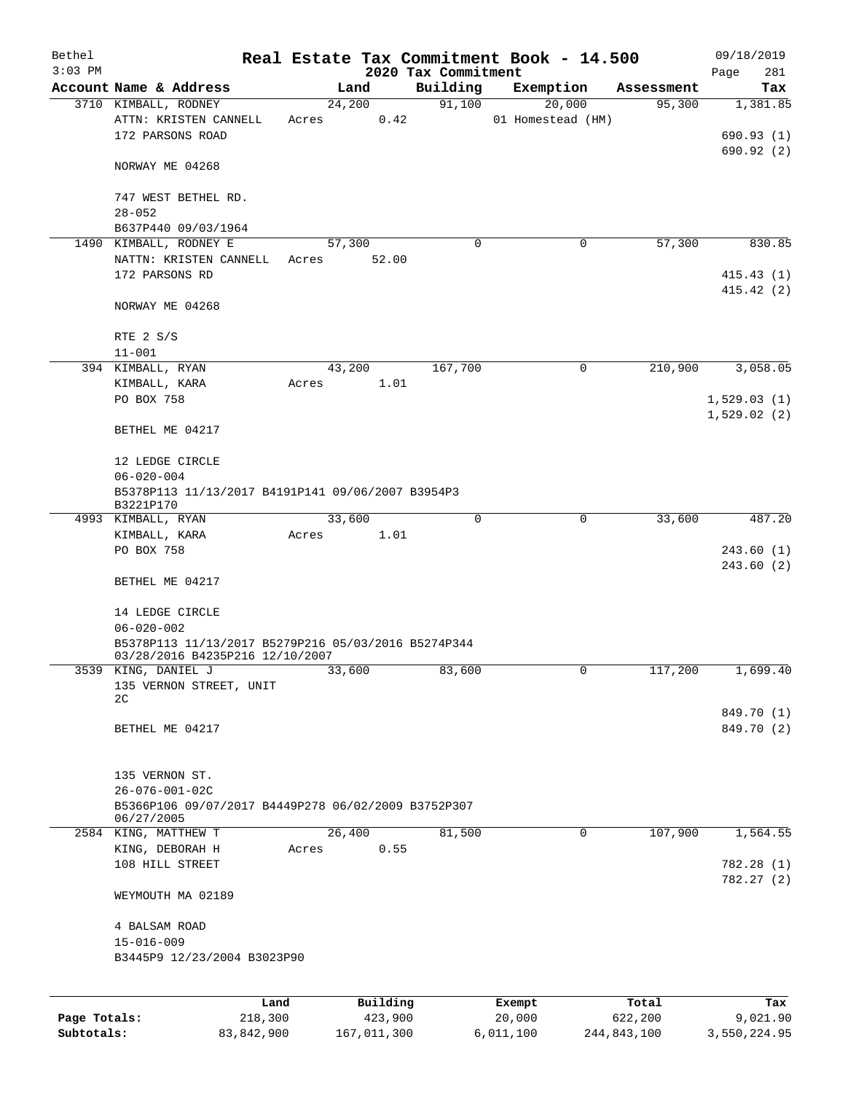| Bethel<br>$3:03$ PM |                                                                                        |       |        |                     | 2020 Tax Commitment |          | Real Estate Tax Commitment Book - 14.500 |                  | 09/18/2019<br>281<br>Page |
|---------------------|----------------------------------------------------------------------------------------|-------|--------|---------------------|---------------------|----------|------------------------------------------|------------------|---------------------------|
|                     | Account Name & Address                                                                 |       | Land   |                     | Building            |          | Exemption                                | Assessment       | Tax                       |
|                     | 3710 KIMBALL, RODNEY                                                                   |       | 24,200 |                     | 91,100              |          | 20,000                                   | 95,300           | 1,381.85                  |
|                     | ATTN: KRISTEN CANNELL<br>172 PARSONS ROAD                                              | Acres |        | 0.42                |                     |          | 01 Homestead (HM)                        |                  | 690.93 (1)                |
|                     |                                                                                        |       |        |                     |                     |          |                                          |                  | 690.92 (2)                |
|                     | NORWAY ME 04268                                                                        |       |        |                     |                     |          |                                          |                  |                           |
|                     | 747 WEST BETHEL RD.                                                                    |       |        |                     |                     |          |                                          |                  |                           |
|                     | $28 - 052$                                                                             |       |        |                     |                     |          |                                          |                  |                           |
|                     | B637P440 09/03/1964                                                                    |       |        |                     |                     |          |                                          |                  |                           |
|                     | 1490 KIMBALL, RODNEY E                                                                 |       | 57,300 |                     |                     | $\Omega$ | 0                                        | 57,300           | 830.85                    |
|                     | NATTN: KRISTEN CANNELL<br>172 PARSONS RD                                               | Acres |        | 52.00               |                     |          |                                          |                  | 415.43(1)                 |
|                     |                                                                                        |       |        |                     |                     |          |                                          |                  | 415.42(2)                 |
|                     | NORWAY ME 04268                                                                        |       |        |                     |                     |          |                                          |                  |                           |
|                     | RTE 2 S/S                                                                              |       |        |                     |                     |          |                                          |                  |                           |
|                     | $11 - 001$                                                                             |       |        |                     |                     |          |                                          |                  |                           |
|                     | 394 KIMBALL, RYAN                                                                      |       | 43,200 |                     | 167,700             |          | 0                                        | 210,900          | 3,058.05                  |
|                     | KIMBALL, KARA                                                                          | Acres |        | 1.01                |                     |          |                                          |                  |                           |
|                     | PO BOX 758                                                                             |       |        |                     |                     |          |                                          |                  | 1,529.03(1)               |
|                     | BETHEL ME 04217                                                                        |       |        |                     |                     |          |                                          |                  | 1,529.02(2)               |
|                     |                                                                                        |       |        |                     |                     |          |                                          |                  |                           |
|                     | 12 LEDGE CIRCLE                                                                        |       |        |                     |                     |          |                                          |                  |                           |
|                     | $06 - 020 - 004$<br>B5378P113 11/13/2017 B4191P141 09/06/2007 B3954P3                  |       |        |                     |                     |          |                                          |                  |                           |
|                     | B3221P170                                                                              |       |        |                     |                     |          |                                          |                  |                           |
|                     | 4993 KIMBALL, RYAN                                                                     |       | 33,600 |                     |                     | 0        | $\mathbf 0$                              | 33,600           | 487.20                    |
|                     | KIMBALL, KARA                                                                          | Acres |        | 1.01                |                     |          |                                          |                  |                           |
|                     | PO BOX 758                                                                             |       |        |                     |                     |          |                                          |                  | 243.60(1)<br>243.60 (2)   |
|                     | BETHEL ME 04217                                                                        |       |        |                     |                     |          |                                          |                  |                           |
|                     | 14 LEDGE CIRCLE                                                                        |       |        |                     |                     |          |                                          |                  |                           |
|                     | $06 - 020 - 002$                                                                       |       |        |                     |                     |          |                                          |                  |                           |
|                     | B5378P113 11/13/2017 B5279P216 05/03/2016 B5274P344<br>03/28/2016 B4235P216 12/10/2007 |       |        |                     |                     |          |                                          |                  |                           |
|                     | 3539 KING, DANIEL J                                                                    |       | 33,600 |                     | 83,600              |          |                                          | 117,200          | 1,699.40                  |
|                     | 135 VERNON STREET, UNIT                                                                |       |        |                     |                     |          |                                          |                  |                           |
|                     | 2C                                                                                     |       |        |                     |                     |          |                                          |                  | 849.70 (1)                |
|                     | BETHEL ME 04217                                                                        |       |        |                     |                     |          |                                          |                  | 849.70 (2)                |
|                     |                                                                                        |       |        |                     |                     |          |                                          |                  |                           |
|                     | 135 VERNON ST.                                                                         |       |        |                     |                     |          |                                          |                  |                           |
|                     | $26 - 076 - 001 - 02C$                                                                 |       |        |                     |                     |          |                                          |                  |                           |
|                     | B5366P106 09/07/2017 B4449P278 06/02/2009 B3752P307<br>06/27/2005                      |       |        |                     |                     |          |                                          |                  |                           |
|                     | 2584 KING, MATTHEW T                                                                   |       | 26,400 |                     | 81,500              |          | 0                                        | 107,900          | 1,564.55                  |
|                     | KING, DEBORAH H                                                                        | Acres |        | 0.55                |                     |          |                                          |                  |                           |
|                     | 108 HILL STREET                                                                        |       |        |                     |                     |          |                                          |                  | 782.28 (1)<br>782.27 (2)  |
|                     | WEYMOUTH MA 02189                                                                      |       |        |                     |                     |          |                                          |                  |                           |
|                     | 4 BALSAM ROAD                                                                          |       |        |                     |                     |          |                                          |                  |                           |
|                     | $15 - 016 - 009$                                                                       |       |        |                     |                     |          |                                          |                  |                           |
|                     | B3445P9 12/23/2004 B3023P90                                                            |       |        |                     |                     |          |                                          |                  |                           |
|                     |                                                                                        |       |        |                     |                     |          |                                          |                  |                           |
| Page Totals:        | Land<br>218,300                                                                        |       |        | Building<br>423,900 |                     |          | Exempt<br>20,000                         | Total<br>622,200 | Tax<br>9,021.90           |
|                     |                                                                                        |       |        |                     |                     |          |                                          |                  |                           |

**Subtotals:** 83,842,900 167,011,300 6,011,100 244,843,100 3,550,224.95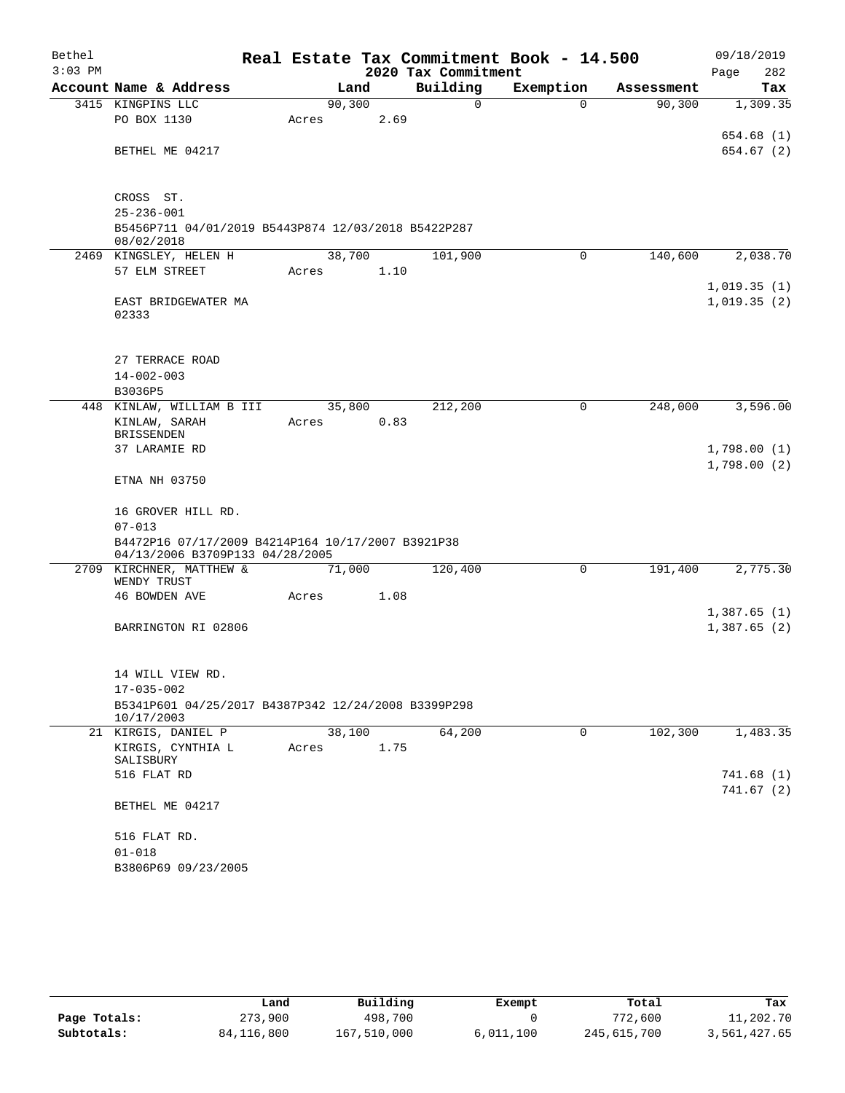| $3:03$ PM<br>2020 Tax Commitment<br>282<br>Page<br>Building<br>Account Name & Address<br>Exemption<br>Land<br>Tax<br>Assessment<br>90, 300<br>3415 KINGPINS LLC<br>0<br>90, 300<br>1,309.35<br>$\Omega$<br>PO BOX 1130<br>2.69<br>Acres<br>654.68(1)<br>654.67(2)<br>BETHEL ME 04217<br>CROSS ST.<br>$25 - 236 - 001$<br>B5456P711 04/01/2019 B5443P874 12/03/2018 B5422P287<br>08/02/2018<br>38,700<br>101,900<br>140,600<br>2,038.70<br>2469 KINGSLEY, HELEN H<br>$\Omega$<br>57 ELM STREET<br>1.10<br>Acres<br>1,019.35(1)<br>1,019.35(2)<br>EAST BRIDGEWATER MA<br>02333<br>27 TERRACE ROAD<br>$14 - 002 - 003$<br>B3036P5<br>448 KINLAW, WILLIAM B III<br>35,800<br>212,200<br>248,000<br>3,596.00<br>0<br>0.83<br>KINLAW, SARAH<br>Acres<br><b>BRISSENDEN</b><br>37 LARAMIE RD<br>1,798.00(1)<br>1,798.00(2)<br>ETNA NH 03750<br>16 GROVER HILL RD.<br>$07 - 013$<br>B4472P16 07/17/2009 B4214P164 10/17/2007 B3921P38<br>04/13/2006 B3709P133 04/28/2005<br>2709 KIRCHNER, MATTHEW &<br>71,000<br>120,400<br>$\mathbf 0$<br>2,775.30<br>191,400<br>WENDY TRUST<br>46 BOWDEN AVE<br>1.08<br>Acres<br>1,387.65(1)<br>1,387.65(2)<br>BARRINGTON RI 02806<br>14 WILL VIEW RD.<br>$17 - 035 - 002$<br>B5341P601 04/25/2017 B4387P342 12/24/2008 B3399P298<br>10/17/2003<br>102,300<br>21 KIRGIS, DANIEL P<br>38,100<br>64,200<br>0<br>1,483.35<br>KIRGIS, CYNTHIA L<br>1.75<br>Acres<br>SALISBURY<br>516 FLAT RD<br>741.68(1)<br>741.67(2)<br>BETHEL ME 04217<br>516 FLAT RD.<br>$01 - 018$<br>B3806P69 09/23/2005 | Bethel |  |  |  | Real Estate Tax Commitment Book - 14.500 | 09/18/2019 |
|----------------------------------------------------------------------------------------------------------------------------------------------------------------------------------------------------------------------------------------------------------------------------------------------------------------------------------------------------------------------------------------------------------------------------------------------------------------------------------------------------------------------------------------------------------------------------------------------------------------------------------------------------------------------------------------------------------------------------------------------------------------------------------------------------------------------------------------------------------------------------------------------------------------------------------------------------------------------------------------------------------------------------------------------------------------------------------------------------------------------------------------------------------------------------------------------------------------------------------------------------------------------------------------------------------------------------------------------------------------------------------------------------------------------------------------------------------------------------------------------------------------------|--------|--|--|--|------------------------------------------|------------|
|                                                                                                                                                                                                                                                                                                                                                                                                                                                                                                                                                                                                                                                                                                                                                                                                                                                                                                                                                                                                                                                                                                                                                                                                                                                                                                                                                                                                                                                                                                                      |        |  |  |  |                                          |            |
|                                                                                                                                                                                                                                                                                                                                                                                                                                                                                                                                                                                                                                                                                                                                                                                                                                                                                                                                                                                                                                                                                                                                                                                                                                                                                                                                                                                                                                                                                                                      |        |  |  |  |                                          |            |
|                                                                                                                                                                                                                                                                                                                                                                                                                                                                                                                                                                                                                                                                                                                                                                                                                                                                                                                                                                                                                                                                                                                                                                                                                                                                                                                                                                                                                                                                                                                      |        |  |  |  |                                          |            |
|                                                                                                                                                                                                                                                                                                                                                                                                                                                                                                                                                                                                                                                                                                                                                                                                                                                                                                                                                                                                                                                                                                                                                                                                                                                                                                                                                                                                                                                                                                                      |        |  |  |  |                                          |            |
|                                                                                                                                                                                                                                                                                                                                                                                                                                                                                                                                                                                                                                                                                                                                                                                                                                                                                                                                                                                                                                                                                                                                                                                                                                                                                                                                                                                                                                                                                                                      |        |  |  |  |                                          |            |
|                                                                                                                                                                                                                                                                                                                                                                                                                                                                                                                                                                                                                                                                                                                                                                                                                                                                                                                                                                                                                                                                                                                                                                                                                                                                                                                                                                                                                                                                                                                      |        |  |  |  |                                          |            |
|                                                                                                                                                                                                                                                                                                                                                                                                                                                                                                                                                                                                                                                                                                                                                                                                                                                                                                                                                                                                                                                                                                                                                                                                                                                                                                                                                                                                                                                                                                                      |        |  |  |  |                                          |            |
|                                                                                                                                                                                                                                                                                                                                                                                                                                                                                                                                                                                                                                                                                                                                                                                                                                                                                                                                                                                                                                                                                                                                                                                                                                                                                                                                                                                                                                                                                                                      |        |  |  |  |                                          |            |
|                                                                                                                                                                                                                                                                                                                                                                                                                                                                                                                                                                                                                                                                                                                                                                                                                                                                                                                                                                                                                                                                                                                                                                                                                                                                                                                                                                                                                                                                                                                      |        |  |  |  |                                          |            |
|                                                                                                                                                                                                                                                                                                                                                                                                                                                                                                                                                                                                                                                                                                                                                                                                                                                                                                                                                                                                                                                                                                                                                                                                                                                                                                                                                                                                                                                                                                                      |        |  |  |  |                                          |            |
|                                                                                                                                                                                                                                                                                                                                                                                                                                                                                                                                                                                                                                                                                                                                                                                                                                                                                                                                                                                                                                                                                                                                                                                                                                                                                                                                                                                                                                                                                                                      |        |  |  |  |                                          |            |
|                                                                                                                                                                                                                                                                                                                                                                                                                                                                                                                                                                                                                                                                                                                                                                                                                                                                                                                                                                                                                                                                                                                                                                                                                                                                                                                                                                                                                                                                                                                      |        |  |  |  |                                          |            |
|                                                                                                                                                                                                                                                                                                                                                                                                                                                                                                                                                                                                                                                                                                                                                                                                                                                                                                                                                                                                                                                                                                                                                                                                                                                                                                                                                                                                                                                                                                                      |        |  |  |  |                                          |            |
|                                                                                                                                                                                                                                                                                                                                                                                                                                                                                                                                                                                                                                                                                                                                                                                                                                                                                                                                                                                                                                                                                                                                                                                                                                                                                                                                                                                                                                                                                                                      |        |  |  |  |                                          |            |
|                                                                                                                                                                                                                                                                                                                                                                                                                                                                                                                                                                                                                                                                                                                                                                                                                                                                                                                                                                                                                                                                                                                                                                                                                                                                                                                                                                                                                                                                                                                      |        |  |  |  |                                          |            |
|                                                                                                                                                                                                                                                                                                                                                                                                                                                                                                                                                                                                                                                                                                                                                                                                                                                                                                                                                                                                                                                                                                                                                                                                                                                                                                                                                                                                                                                                                                                      |        |  |  |  |                                          |            |
|                                                                                                                                                                                                                                                                                                                                                                                                                                                                                                                                                                                                                                                                                                                                                                                                                                                                                                                                                                                                                                                                                                                                                                                                                                                                                                                                                                                                                                                                                                                      |        |  |  |  |                                          |            |
|                                                                                                                                                                                                                                                                                                                                                                                                                                                                                                                                                                                                                                                                                                                                                                                                                                                                                                                                                                                                                                                                                                                                                                                                                                                                                                                                                                                                                                                                                                                      |        |  |  |  |                                          |            |
|                                                                                                                                                                                                                                                                                                                                                                                                                                                                                                                                                                                                                                                                                                                                                                                                                                                                                                                                                                                                                                                                                                                                                                                                                                                                                                                                                                                                                                                                                                                      |        |  |  |  |                                          |            |
|                                                                                                                                                                                                                                                                                                                                                                                                                                                                                                                                                                                                                                                                                                                                                                                                                                                                                                                                                                                                                                                                                                                                                                                                                                                                                                                                                                                                                                                                                                                      |        |  |  |  |                                          |            |
|                                                                                                                                                                                                                                                                                                                                                                                                                                                                                                                                                                                                                                                                                                                                                                                                                                                                                                                                                                                                                                                                                                                                                                                                                                                                                                                                                                                                                                                                                                                      |        |  |  |  |                                          |            |
|                                                                                                                                                                                                                                                                                                                                                                                                                                                                                                                                                                                                                                                                                                                                                                                                                                                                                                                                                                                                                                                                                                                                                                                                                                                                                                                                                                                                                                                                                                                      |        |  |  |  |                                          |            |
|                                                                                                                                                                                                                                                                                                                                                                                                                                                                                                                                                                                                                                                                                                                                                                                                                                                                                                                                                                                                                                                                                                                                                                                                                                                                                                                                                                                                                                                                                                                      |        |  |  |  |                                          |            |
|                                                                                                                                                                                                                                                                                                                                                                                                                                                                                                                                                                                                                                                                                                                                                                                                                                                                                                                                                                                                                                                                                                                                                                                                                                                                                                                                                                                                                                                                                                                      |        |  |  |  |                                          |            |
|                                                                                                                                                                                                                                                                                                                                                                                                                                                                                                                                                                                                                                                                                                                                                                                                                                                                                                                                                                                                                                                                                                                                                                                                                                                                                                                                                                                                                                                                                                                      |        |  |  |  |                                          |            |
|                                                                                                                                                                                                                                                                                                                                                                                                                                                                                                                                                                                                                                                                                                                                                                                                                                                                                                                                                                                                                                                                                                                                                                                                                                                                                                                                                                                                                                                                                                                      |        |  |  |  |                                          |            |
|                                                                                                                                                                                                                                                                                                                                                                                                                                                                                                                                                                                                                                                                                                                                                                                                                                                                                                                                                                                                                                                                                                                                                                                                                                                                                                                                                                                                                                                                                                                      |        |  |  |  |                                          |            |
|                                                                                                                                                                                                                                                                                                                                                                                                                                                                                                                                                                                                                                                                                                                                                                                                                                                                                                                                                                                                                                                                                                                                                                                                                                                                                                                                                                                                                                                                                                                      |        |  |  |  |                                          |            |
|                                                                                                                                                                                                                                                                                                                                                                                                                                                                                                                                                                                                                                                                                                                                                                                                                                                                                                                                                                                                                                                                                                                                                                                                                                                                                                                                                                                                                                                                                                                      |        |  |  |  |                                          |            |
|                                                                                                                                                                                                                                                                                                                                                                                                                                                                                                                                                                                                                                                                                                                                                                                                                                                                                                                                                                                                                                                                                                                                                                                                                                                                                                                                                                                                                                                                                                                      |        |  |  |  |                                          |            |
|                                                                                                                                                                                                                                                                                                                                                                                                                                                                                                                                                                                                                                                                                                                                                                                                                                                                                                                                                                                                                                                                                                                                                                                                                                                                                                                                                                                                                                                                                                                      |        |  |  |  |                                          |            |
|                                                                                                                                                                                                                                                                                                                                                                                                                                                                                                                                                                                                                                                                                                                                                                                                                                                                                                                                                                                                                                                                                                                                                                                                                                                                                                                                                                                                                                                                                                                      |        |  |  |  |                                          |            |
|                                                                                                                                                                                                                                                                                                                                                                                                                                                                                                                                                                                                                                                                                                                                                                                                                                                                                                                                                                                                                                                                                                                                                                                                                                                                                                                                                                                                                                                                                                                      |        |  |  |  |                                          |            |
|                                                                                                                                                                                                                                                                                                                                                                                                                                                                                                                                                                                                                                                                                                                                                                                                                                                                                                                                                                                                                                                                                                                                                                                                                                                                                                                                                                                                                                                                                                                      |        |  |  |  |                                          |            |
|                                                                                                                                                                                                                                                                                                                                                                                                                                                                                                                                                                                                                                                                                                                                                                                                                                                                                                                                                                                                                                                                                                                                                                                                                                                                                                                                                                                                                                                                                                                      |        |  |  |  |                                          |            |
|                                                                                                                                                                                                                                                                                                                                                                                                                                                                                                                                                                                                                                                                                                                                                                                                                                                                                                                                                                                                                                                                                                                                                                                                                                                                                                                                                                                                                                                                                                                      |        |  |  |  |                                          |            |
|                                                                                                                                                                                                                                                                                                                                                                                                                                                                                                                                                                                                                                                                                                                                                                                                                                                                                                                                                                                                                                                                                                                                                                                                                                                                                                                                                                                                                                                                                                                      |        |  |  |  |                                          |            |
|                                                                                                                                                                                                                                                                                                                                                                                                                                                                                                                                                                                                                                                                                                                                                                                                                                                                                                                                                                                                                                                                                                                                                                                                                                                                                                                                                                                                                                                                                                                      |        |  |  |  |                                          |            |
|                                                                                                                                                                                                                                                                                                                                                                                                                                                                                                                                                                                                                                                                                                                                                                                                                                                                                                                                                                                                                                                                                                                                                                                                                                                                                                                                                                                                                                                                                                                      |        |  |  |  |                                          |            |
|                                                                                                                                                                                                                                                                                                                                                                                                                                                                                                                                                                                                                                                                                                                                                                                                                                                                                                                                                                                                                                                                                                                                                                                                                                                                                                                                                                                                                                                                                                                      |        |  |  |  |                                          |            |
|                                                                                                                                                                                                                                                                                                                                                                                                                                                                                                                                                                                                                                                                                                                                                                                                                                                                                                                                                                                                                                                                                                                                                                                                                                                                                                                                                                                                                                                                                                                      |        |  |  |  |                                          |            |
|                                                                                                                                                                                                                                                                                                                                                                                                                                                                                                                                                                                                                                                                                                                                                                                                                                                                                                                                                                                                                                                                                                                                                                                                                                                                                                                                                                                                                                                                                                                      |        |  |  |  |                                          |            |
|                                                                                                                                                                                                                                                                                                                                                                                                                                                                                                                                                                                                                                                                                                                                                                                                                                                                                                                                                                                                                                                                                                                                                                                                                                                                                                                                                                                                                                                                                                                      |        |  |  |  |                                          |            |
|                                                                                                                                                                                                                                                                                                                                                                                                                                                                                                                                                                                                                                                                                                                                                                                                                                                                                                                                                                                                                                                                                                                                                                                                                                                                                                                                                                                                                                                                                                                      |        |  |  |  |                                          |            |
|                                                                                                                                                                                                                                                                                                                                                                                                                                                                                                                                                                                                                                                                                                                                                                                                                                                                                                                                                                                                                                                                                                                                                                                                                                                                                                                                                                                                                                                                                                                      |        |  |  |  |                                          |            |

|              | Land         | Building    | Exempt    | Total       | Tax          |
|--------------|--------------|-------------|-----------|-------------|--------------|
| Page Totals: | 273,900      | 498,700     |           | 772,600     | 11,202.70    |
| Subtotals:   | 84, 116, 800 | 167,510,000 | 6,011,100 | 245,615,700 | 3,561,427.65 |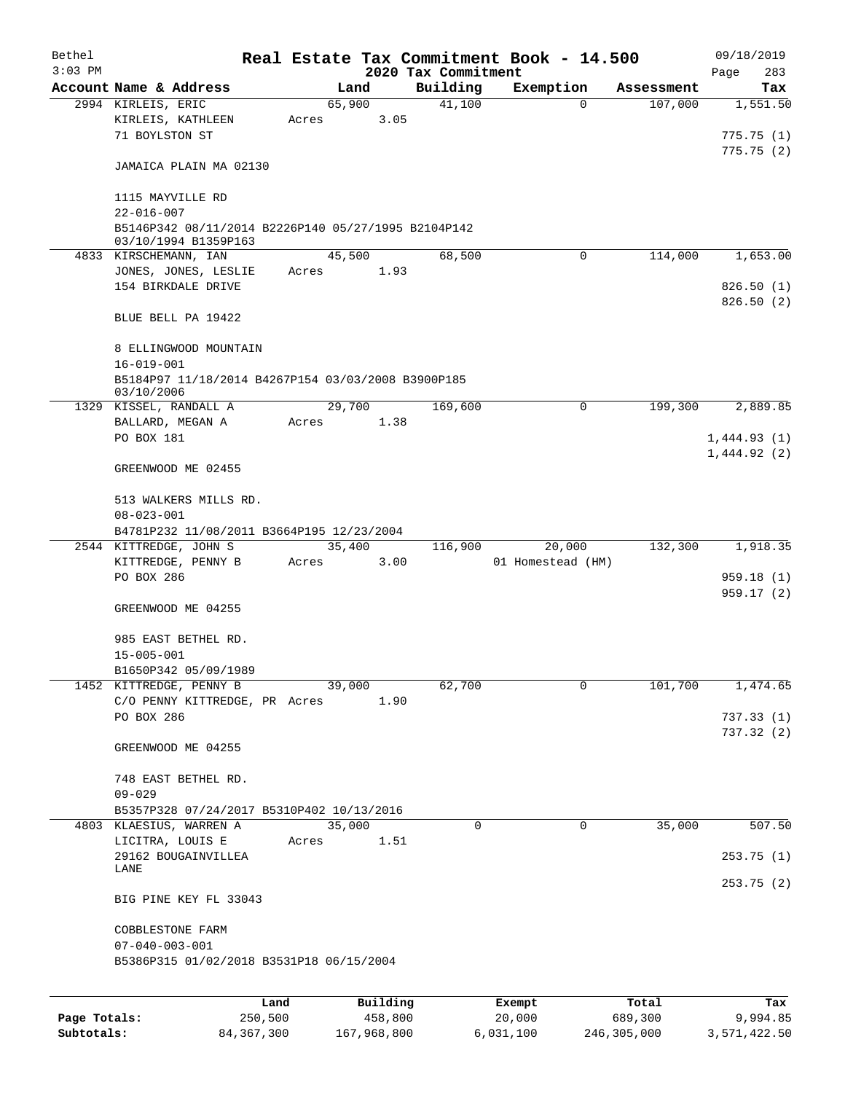| Bethel    |                                                                             |       |        |          |                     | Real Estate Tax Commitment Book - 14.500 |            | 09/18/2019             |
|-----------|-----------------------------------------------------------------------------|-------|--------|----------|---------------------|------------------------------------------|------------|------------------------|
| $3:03$ PM |                                                                             |       |        |          | 2020 Tax Commitment |                                          |            | Page<br>283            |
|           | Account Name & Address                                                      |       | Land   |          | Building            | Exemption                                | Assessment | Tax                    |
|           | 2994 KIRLEIS, ERIC<br>KIRLEIS, KATHLEEN<br>71 BOYLSTON ST                   | Acres | 65,900 | 3.05     | 41,100              | 0                                        | 107,000    | 1,551.50<br>775.75(1)  |
|           | JAMAICA PLAIN MA 02130                                                      |       |        |          |                     |                                          |            | 775.75(2)              |
|           | 1115 MAYVILLE RD<br>$22 - 016 - 007$                                        |       |        |          |                     |                                          |            |                        |
|           | B5146P342 08/11/2014 B2226P140 05/27/1995 B2104P142<br>03/10/1994 B1359P163 |       |        |          |                     |                                          |            |                        |
|           | 4833 KIRSCHEMANN, IAN                                                       |       | 45,500 |          | 68,500              | 0                                        | 114,000    | 1,653.00               |
|           | JONES, JONES, LESLIE<br>154 BIRKDALE DRIVE                                  | Acres |        | 1.93     |                     |                                          |            | 826.50(1)<br>826.50(2) |
|           | BLUE BELL PA 19422                                                          |       |        |          |                     |                                          |            |                        |
|           | 8 ELLINGWOOD MOUNTAIN<br>$16 - 019 - 001$                                   |       |        |          |                     |                                          |            |                        |
|           | B5184P97 11/18/2014 B4267P154 03/03/2008 B3900P185<br>03/10/2006            |       |        |          |                     |                                          |            |                        |
|           | 1329 KISSEL, RANDALL A                                                      |       | 29,700 |          | 169,600             | 0                                        | 199,300    | 2,889.85               |
|           | BALLARD, MEGAN A                                                            | Acres |        | 1.38     |                     |                                          |            |                        |
|           | PO BOX 181                                                                  |       |        |          |                     |                                          |            | 1,444.93(1)            |
|           | GREENWOOD ME 02455                                                          |       |        |          |                     |                                          |            | 1,444.92(2)            |
|           | 513 WALKERS MILLS RD.<br>$08 - 023 - 001$                                   |       |        |          |                     |                                          |            |                        |
|           | B4781P232 11/08/2011 B3664P195 12/23/2004                                   |       |        |          |                     |                                          |            |                        |
|           | 2544 KITTREDGE, JOHN S                                                      |       | 35,400 |          | 116,900             | 20,000                                   | 132,300    | 1,918.35               |
|           | KITTREDGE, PENNY B                                                          | Acres |        | 3.00     |                     | 01 Homestead (HM)                        |            |                        |
|           | PO BOX 286                                                                  |       |        |          |                     |                                          |            | 959.18(1)<br>959.17(2) |
|           | GREENWOOD ME 04255                                                          |       |        |          |                     |                                          |            |                        |
|           | 985 EAST BETHEL RD.<br>$15 - 005 - 001$                                     |       |        |          |                     |                                          |            |                        |
|           | B1650P342 05/09/1989                                                        |       |        |          |                     |                                          |            |                        |
|           | 1452 KITTREDGE, PENNY B                                                     |       | 39,000 |          | 62,700              | 0                                        | 101,700    | 1,474.65               |
|           | C/O PENNY KITTREDGE, PR Acres<br>PO BOX 286                                 |       |        | 1.90     |                     |                                          |            | 737.33(1)              |
|           |                                                                             |       |        |          |                     |                                          |            | 737.32(2)              |
|           | GREENWOOD ME 04255                                                          |       |        |          |                     |                                          |            |                        |
|           | 748 EAST BETHEL RD.<br>$09 - 029$                                           |       |        |          |                     |                                          |            |                        |
|           | B5357P328 07/24/2017 B5310P402 10/13/2016                                   |       |        |          |                     |                                          |            |                        |
|           | 4803 KLAESIUS, WARREN A                                                     |       | 35,000 |          | 0                   | 0                                        | 35,000     | 507.50                 |
|           | LICITRA, LOUIS E                                                            | Acres |        | 1.51     |                     |                                          |            |                        |
|           | 29162 BOUGAINVILLEA<br>LANE                                                 |       |        |          |                     |                                          |            | 253.75(1)              |
|           | BIG PINE KEY FL 33043                                                       |       |        |          |                     |                                          |            | 253.75(2)              |
|           | COBBLESTONE FARM                                                            |       |        |          |                     |                                          |            |                        |
|           | $07 - 040 - 003 - 001$                                                      |       |        |          |                     |                                          |            |                        |
|           | B5386P315 01/02/2018 B3531P18 06/15/2004                                    |       |        |          |                     |                                          |            |                        |
|           |                                                                             |       |        |          |                     |                                          |            |                        |
|           |                                                                             | Land  |        | Building |                     | Exempt                                   | Total      | Tax                    |

|              | -----      | --------    | -------   | -----       | .            |
|--------------|------------|-------------|-----------|-------------|--------------|
| Page Totals: | 250,500    | 458,800     | 20,000    | 689,300     | 9,994.85     |
| Subtotals:   | 84,367,300 | 167,968,800 | 6,031,100 | 246,305,000 | 3,571,422.50 |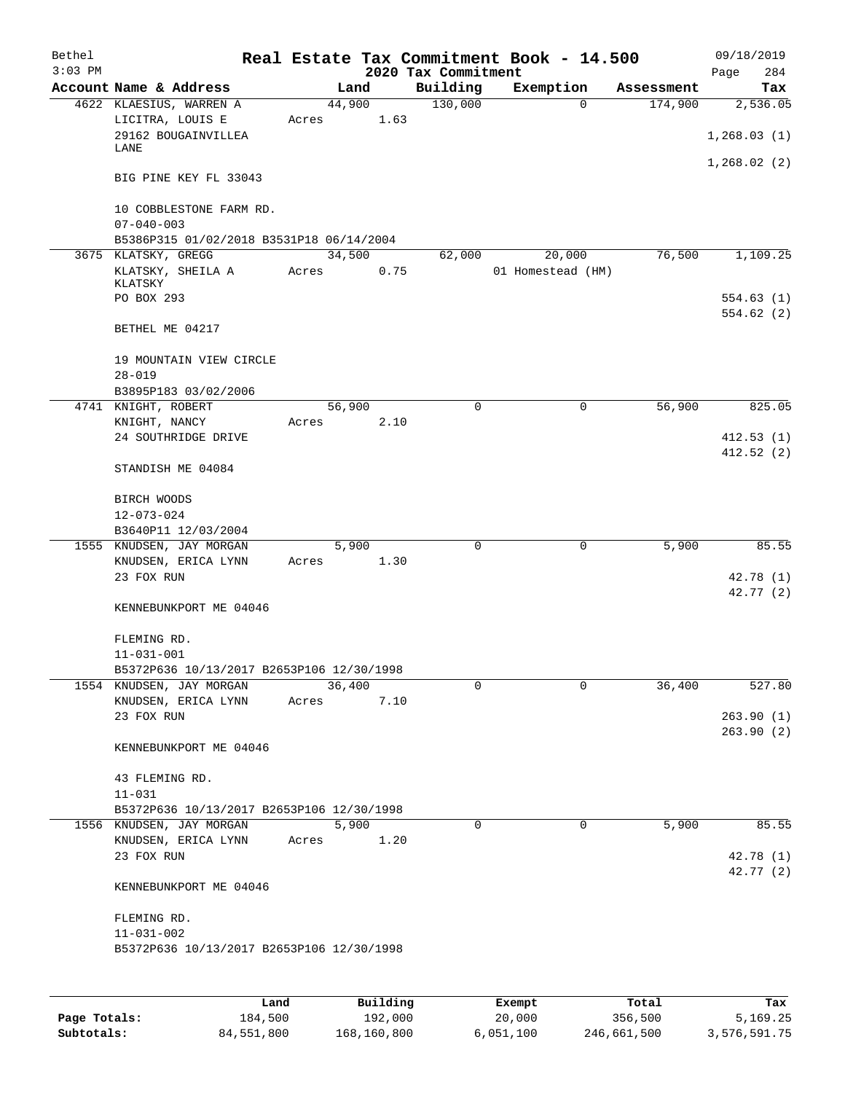| Bethel<br>$3:03$ PM |                                                                            |                 |       | 2020 Tax Commitment | Real Estate Tax Commitment Book - 14.500 |            | 09/18/2019<br>284<br>Page |
|---------------------|----------------------------------------------------------------------------|-----------------|-------|---------------------|------------------------------------------|------------|---------------------------|
|                     | Account Name & Address                                                     |                 | Land  | Building            | Exemption                                | Assessment | Tax                       |
|                     | 4622 KLAESIUS, WARREN A<br>LICITRA, LOUIS E<br>29162 BOUGAINVILLEA<br>LANE | 44,900<br>Acres | 1.63  | 130,000             | $\Omega$                                 | 174,900    | 2,536.05<br>1, 268.03(1)  |
|                     | BIG PINE KEY FL 33043                                                      |                 |       |                     |                                          |            | 1,268.02(2)               |
|                     | 10 COBBLESTONE FARM RD.<br>$07 - 040 - 003$                                |                 |       |                     |                                          |            |                           |
|                     | B5386P315 01/02/2018 B3531P18 06/14/2004                                   |                 |       |                     |                                          |            |                           |
|                     | 3675 KLATSKY, GREGG<br>KLATSKY, SHEILA A<br>KLATSKY                        | 34,500<br>Acres | 0.75  | 62,000              | 20,000<br>01 Homestead (HM)              | 76,500     | 1,109.25                  |
|                     | PO BOX 293                                                                 |                 |       |                     |                                          |            | 554.63(1)<br>554.62 (2)   |
|                     | BETHEL ME 04217                                                            |                 |       |                     |                                          |            |                           |
|                     | 19 MOUNTAIN VIEW CIRCLE<br>$28 - 019$                                      |                 |       |                     |                                          |            |                           |
|                     | B3895P183 03/02/2006                                                       |                 |       |                     |                                          |            |                           |
|                     | 4741 KNIGHT, ROBERT                                                        | 56,900          |       | $\Omega$            | 0                                        | 56,900     | 825.05                    |
|                     | KNIGHT, NANCY<br>24 SOUTHRIDGE DRIVE                                       | Acres           | 2.10  |                     |                                          |            | 412.53(1)                 |
|                     | STANDISH ME 04084                                                          |                 |       |                     |                                          |            | 412.52(2)                 |
|                     | BIRCH WOODS<br>$12 - 073 - 024$                                            |                 |       |                     |                                          |            |                           |
|                     | B3640P11 12/03/2004                                                        |                 |       |                     |                                          |            |                           |
|                     | 1555 KNUDSEN, JAY MORGAN                                                   |                 | 5,900 | $\mathbf 0$         | 0                                        | 5,900      | 85.55                     |
|                     | KNUDSEN, ERICA LYNN                                                        | Acres           | 1.30  |                     |                                          |            |                           |
|                     | 23 FOX RUN                                                                 |                 |       |                     |                                          |            | 42.78(1)                  |
|                     | KENNEBUNKPORT ME 04046                                                     |                 |       |                     |                                          |            | 42.77(2)                  |
|                     | FLEMING RD.<br>$11 - 031 - 001$                                            |                 |       |                     |                                          |            |                           |
|                     | B5372P636 10/13/2017 B2653P106 12/30/1998                                  |                 |       |                     |                                          |            |                           |
|                     | 1554 KNUDSEN, JAY MORGAN                                                   | 36,400          |       | 0                   | 0                                        | 36,400     | 527.80                    |
|                     | KNUDSEN, ERICA LYNN                                                        | Acres           | 7.10  |                     |                                          |            |                           |
|                     | 23 FOX RUN                                                                 |                 |       |                     |                                          |            | 263.90(1)<br>263.90(2)    |
|                     | KENNEBUNKPORT ME 04046                                                     |                 |       |                     |                                          |            |                           |
|                     | 43 FLEMING RD.                                                             |                 |       |                     |                                          |            |                           |
|                     | $11 - 031$<br>B5372P636 10/13/2017 B2653P106 12/30/1998                    |                 |       |                     |                                          |            |                           |
|                     | 1556 KNUDSEN, JAY MORGAN                                                   |                 | 5,900 | $\mathbf 0$         | $\mathbf 0$                              | 5,900      | 85.55                     |
|                     | KNUDSEN, ERICA LYNN                                                        | Acres           | 1.20  |                     |                                          |            |                           |
|                     | 23 FOX RUN                                                                 |                 |       |                     |                                          |            | 42.78 (1)<br>42.77 (2)    |
|                     | KENNEBUNKPORT ME 04046                                                     |                 |       |                     |                                          |            |                           |
|                     | FLEMING RD.                                                                |                 |       |                     |                                          |            |                           |
|                     | $11 - 031 - 002$<br>B5372P636 10/13/2017 B2653P106 12/30/1998              |                 |       |                     |                                          |            |                           |
|                     |                                                                            |                 |       |                     |                                          |            |                           |

|              | Land       | Building    | Exempt    | Total       | Tax          |
|--------------|------------|-------------|-----------|-------------|--------------|
| Page Totals: | 184,500    | 192,000     | 20,000    | 356,500     | 5,169.25     |
| Subtotals:   | 84,551,800 | 168,160,800 | 6.051.100 | 246,661,500 | 3,576,591.75 |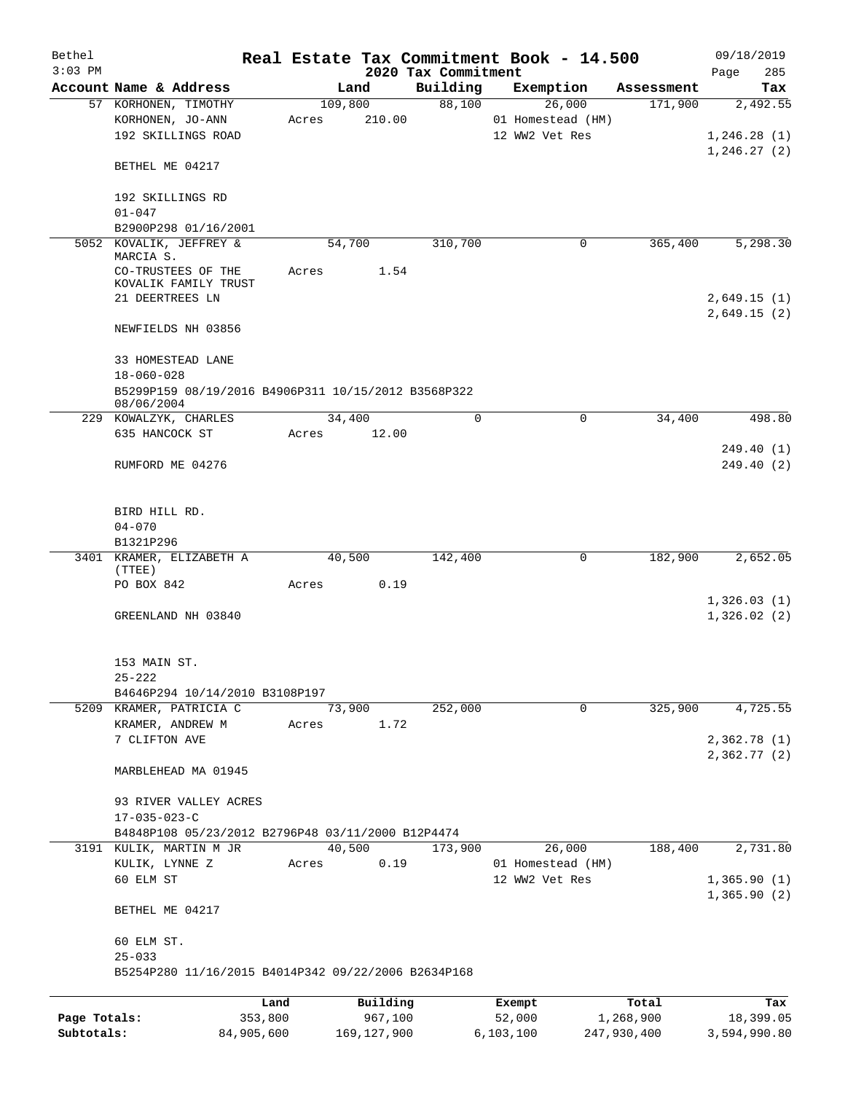| Bethel       |                                                     |            |         |               |                     | Real Estate Tax Commitment Book - 14.500 |             | 09/18/2019      |
|--------------|-----------------------------------------------------|------------|---------|---------------|---------------------|------------------------------------------|-------------|-----------------|
| $3:03$ PM    | Account Name & Address                              |            |         |               | 2020 Tax Commitment |                                          |             | 285<br>Page     |
|              |                                                     |            |         | Land          | Building<br>88,100  | Exemption<br>26,000                      | Assessment  | Tax<br>2,492.55 |
|              | 57 KORHONEN, TIMOTHY                                |            | 109,800 |               |                     |                                          | 171,900     |                 |
|              | KORHONEN, JO-ANN                                    |            | Acres   | 210.00        |                     | 01 Homestead (HM)                        |             |                 |
|              | 192 SKILLINGS ROAD                                  |            |         |               |                     | 12 WW2 Vet Res                           |             | 1,246.28(1)     |
|              |                                                     |            |         |               |                     |                                          |             | 1,246.27(2)     |
|              | BETHEL ME 04217                                     |            |         |               |                     |                                          |             |                 |
|              |                                                     |            |         |               |                     |                                          |             |                 |
|              | 192 SKILLINGS RD                                    |            |         |               |                     |                                          |             |                 |
|              | $01 - 047$                                          |            |         |               |                     |                                          |             |                 |
|              | B2900P298 01/16/2001                                |            |         |               |                     |                                          |             |                 |
|              | 5052 KOVALIK, JEFFREY &                             |            |         | 54,700        | 310,700             | 0                                        | 365,400     | 5,298.30        |
|              | MARCIA S.                                           |            |         |               |                     |                                          |             |                 |
|              | CO-TRUSTEES OF THE                                  |            | Acres   | 1.54          |                     |                                          |             |                 |
|              | KOVALIK FAMILY TRUST<br>21 DEERTREES LN             |            |         |               |                     |                                          |             |                 |
|              |                                                     |            |         |               |                     |                                          |             | 2,649.15(1)     |
|              |                                                     |            |         |               |                     |                                          |             | 2,649.15(2)     |
|              | NEWFIELDS NH 03856                                  |            |         |               |                     |                                          |             |                 |
|              |                                                     |            |         |               |                     |                                          |             |                 |
|              | 33 HOMESTEAD LANE                                   |            |         |               |                     |                                          |             |                 |
|              | $18 - 060 - 028$                                    |            |         |               |                     |                                          |             |                 |
|              | B5299P159 08/19/2016 B4906P311 10/15/2012 B3568P322 |            |         |               |                     |                                          |             |                 |
|              | 08/06/2004<br>229 KOWALZYK, CHARLES                 |            |         | 34,400        | 0                   | $\mathbf 0$                              | 34,400      | 498.80          |
|              | 635 HANCOCK ST                                      |            |         | 12.00         |                     |                                          |             |                 |
|              |                                                     |            | Acres   |               |                     |                                          |             |                 |
|              |                                                     |            |         |               |                     |                                          |             | 249.40 (1)      |
|              | RUMFORD ME 04276                                    |            |         |               |                     |                                          |             | 249.40 (2)      |
|              |                                                     |            |         |               |                     |                                          |             |                 |
|              |                                                     |            |         |               |                     |                                          |             |                 |
|              | BIRD HILL RD.                                       |            |         |               |                     |                                          |             |                 |
|              | $04 - 070$                                          |            |         |               |                     |                                          |             |                 |
|              | B1321P296                                           |            |         |               |                     |                                          |             |                 |
|              | 3401 KRAMER, ELIZABETH A                            |            |         | 40,500        | 142,400             | 0                                        | 182,900     | 2,652.05        |
|              | (TTEE)                                              |            |         |               |                     |                                          |             |                 |
|              | PO BOX 842                                          |            | Acres   | 0.19          |                     |                                          |             |                 |
|              |                                                     |            |         |               |                     |                                          |             | 1,326.03(1)     |
|              | GREENLAND NH 03840                                  |            |         |               |                     |                                          |             | 1,326.02(2)     |
|              |                                                     |            |         |               |                     |                                          |             |                 |
|              |                                                     |            |         |               |                     |                                          |             |                 |
|              | 153 MAIN ST.                                        |            |         |               |                     |                                          |             |                 |
|              | $25 - 222$                                          |            |         |               |                     |                                          |             |                 |
|              | B4646P294 10/14/2010 B3108P197                      |            |         |               |                     |                                          |             |                 |
|              | 5209 KRAMER, PATRICIA C                             |            |         | 73,900        | 252,000             | $\mathbf 0$                              | 325,900     | 4,725.55        |
|              | KRAMER, ANDREW M                                    |            | Acres   | 1.72          |                     |                                          |             |                 |
|              | 7 CLIFTON AVE                                       |            |         |               |                     |                                          |             | 2,362.78(1)     |
|              |                                                     |            |         |               |                     |                                          |             | 2,362.77(2)     |
|              | MARBLEHEAD MA 01945                                 |            |         |               |                     |                                          |             |                 |
|              |                                                     |            |         |               |                     |                                          |             |                 |
|              | 93 RIVER VALLEY ACRES                               |            |         |               |                     |                                          |             |                 |
|              | $17 - 035 - 023 - C$                                |            |         |               |                     |                                          |             |                 |
|              | B4848P108 05/23/2012 B2796P48 03/11/2000 B12P4474   |            |         |               |                     |                                          |             |                 |
|              | 3191 KULIK, MARTIN M JR                             |            |         | 40,500        | 173,900             | 26,000                                   | 188,400     | 2,731.80        |
|              | KULIK, LYNNE Z                                      |            | Acres   | 0.19          |                     | 01 Homestead (HM)                        |             |                 |
|              | 60 ELM ST                                           |            |         |               |                     | 12 WW2 Vet Res                           |             | 1,365.90(1)     |
|              |                                                     |            |         |               |                     |                                          |             | 1,365.90(2)     |
|              | BETHEL ME 04217                                     |            |         |               |                     |                                          |             |                 |
|              |                                                     |            |         |               |                     |                                          |             |                 |
|              | 60 ELM ST.                                          |            |         |               |                     |                                          |             |                 |
|              | $25 - 033$                                          |            |         |               |                     |                                          |             |                 |
|              | B5254P280 11/16/2015 B4014P342 09/22/2006 B2634P168 |            |         |               |                     |                                          |             |                 |
|              |                                                     |            |         |               |                     |                                          |             |                 |
|              |                                                     | Land       |         | Building      |                     | Exempt                                   | Total       | Tax             |
| Page Totals: |                                                     | 353,800    |         | 967,100       |                     | 52,000                                   | 1,268,900   | 18,399.05       |
| Subtotals:   |                                                     | 84,905,600 |         | 169, 127, 900 |                     | 6, 103, 100                              | 247,930,400 | 3,594,990.80    |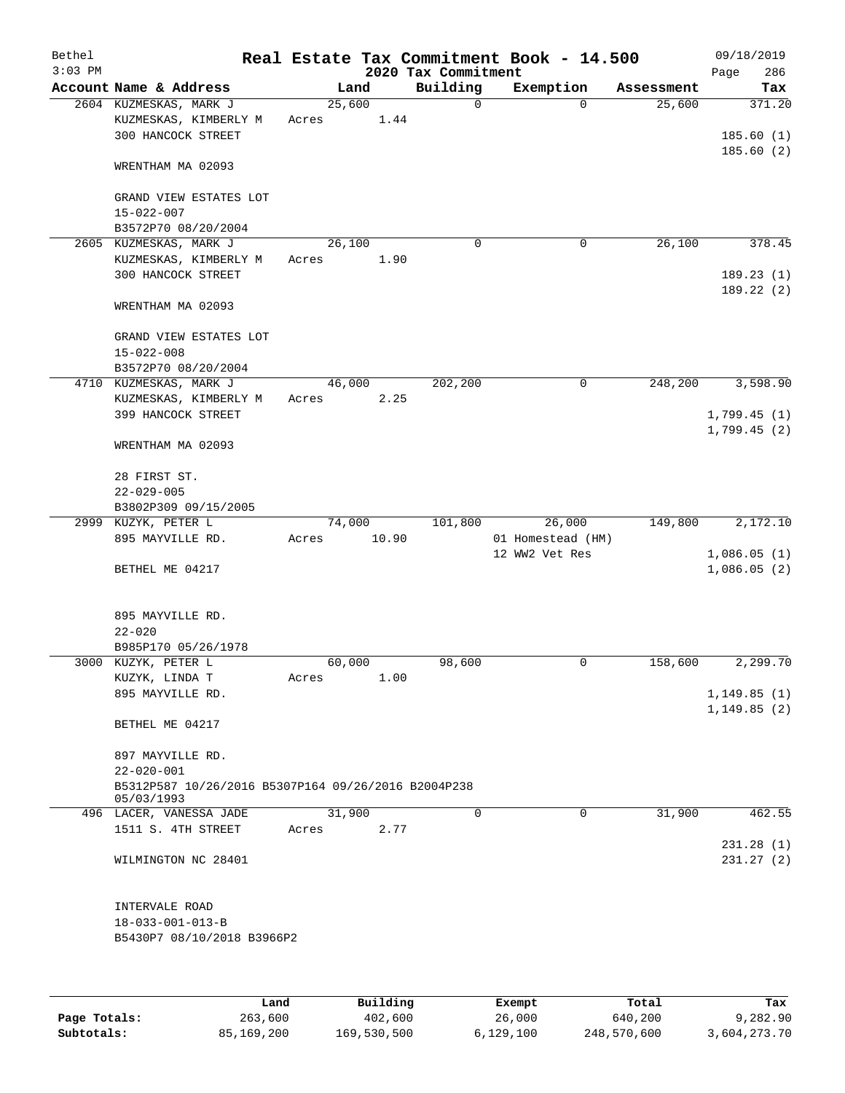| Bethel<br>$3:03$ PM |                                                          |       |        |          | 2020 Tax Commitment | Real Estate Tax Commitment Book - 14.500 |            | 09/18/2019<br>286 |  |
|---------------------|----------------------------------------------------------|-------|--------|----------|---------------------|------------------------------------------|------------|-------------------|--|
|                     | Account Name & Address                                   |       | Land   |          | Building            | Exemption                                | Assessment | Page<br>Tax       |  |
|                     | 2604 KUZMESKAS, MARK J                                   |       | 25,600 |          | 0                   | $\Omega$                                 | 25,600     | 371.20            |  |
|                     | KUZMESKAS, KIMBERLY M                                    | Acres |        | 1.44     |                     |                                          |            |                   |  |
|                     | 300 HANCOCK STREET                                       |       |        |          |                     |                                          |            | 185.60(1)         |  |
|                     |                                                          |       |        |          |                     |                                          |            | 185.60(2)         |  |
|                     | WRENTHAM MA 02093                                        |       |        |          |                     |                                          |            |                   |  |
|                     |                                                          |       |        |          |                     |                                          |            |                   |  |
|                     | GRAND VIEW ESTATES LOT<br>$15 - 022 - 007$               |       |        |          |                     |                                          |            |                   |  |
|                     | B3572P70 08/20/2004                                      |       |        |          |                     |                                          |            |                   |  |
|                     | 2605 KUZMESKAS, MARK J                                   |       | 26,100 |          | $\mathbf 0$         | 0                                        | 26,100     | 378.45            |  |
|                     | KUZMESKAS, KIMBERLY M                                    | Acres |        | 1.90     |                     |                                          |            |                   |  |
|                     | 300 HANCOCK STREET                                       |       |        |          |                     |                                          |            | 189.23(1)         |  |
|                     |                                                          |       |        |          |                     |                                          |            | 189.22(2)         |  |
|                     | WRENTHAM MA 02093                                        |       |        |          |                     |                                          |            |                   |  |
|                     |                                                          |       |        |          |                     |                                          |            |                   |  |
|                     | GRAND VIEW ESTATES LOT<br>$15 - 022 - 008$               |       |        |          |                     |                                          |            |                   |  |
|                     | B3572P70 08/20/2004                                      |       |        |          |                     |                                          |            |                   |  |
|                     | 4710 KUZMESKAS, MARK J                                   |       | 46,000 |          | 202,200             | $\mathsf{O}$                             | 248,200    | 3,598.90          |  |
|                     | KUZMESKAS, KIMBERLY M                                    | Acres |        | 2.25     |                     |                                          |            |                   |  |
|                     | 399 HANCOCK STREET                                       |       |        |          |                     |                                          |            | 1,799.45(1)       |  |
|                     |                                                          |       |        |          |                     |                                          |            | 1,799.45(2)       |  |
|                     | WRENTHAM MA 02093                                        |       |        |          |                     |                                          |            |                   |  |
|                     | 28 FIRST ST.                                             |       |        |          |                     |                                          |            |                   |  |
|                     | $22 - 029 - 005$                                         |       |        |          |                     |                                          |            |                   |  |
|                     | B3802P309 09/15/2005                                     |       |        |          |                     |                                          |            |                   |  |
|                     | 2999 KUZYK, PETER L                                      |       | 74,000 |          | 101,800             | 26,000                                   | 149,800    | 2,172.10          |  |
|                     | 895 MAYVILLE RD.                                         | Acres |        | 10.90    |                     | 01 Homestead (HM)                        |            |                   |  |
|                     |                                                          |       |        |          |                     | 12 WW2 Vet Res                           |            | 1,086.05(1)       |  |
|                     | BETHEL ME 04217                                          |       |        |          |                     |                                          |            | 1,086.05(2)       |  |
|                     |                                                          |       |        |          |                     |                                          |            |                   |  |
|                     | 895 MAYVILLE RD.                                         |       |        |          |                     |                                          |            |                   |  |
|                     | $22 - 020$                                               |       |        |          |                     |                                          |            |                   |  |
|                     | B985P170 05/26/1978                                      |       |        |          |                     |                                          |            |                   |  |
|                     | 3000 KUZYK, PETER L                                      |       | 60,000 |          | 98,600              | 0                                        | 158,600    | 2,299.70          |  |
|                     | KUZYK, LINDA T                                           | Acres |        | 1.00     |                     |                                          |            |                   |  |
|                     | 895 MAYVILLE RD.                                         |       |        |          |                     |                                          |            | 1,149.85(1)       |  |
|                     | BETHEL ME 04217                                          |       |        |          |                     |                                          |            | 1, 149.85(2)      |  |
|                     |                                                          |       |        |          |                     |                                          |            |                   |  |
|                     | 897 MAYVILLE RD.                                         |       |        |          |                     |                                          |            |                   |  |
|                     | $22 - 020 - 001$                                         |       |        |          |                     |                                          |            |                   |  |
|                     | B5312P587 10/26/2016 B5307P164 09/26/2016 B2004P238      |       |        |          |                     |                                          |            |                   |  |
|                     | 05/03/1993<br>496 LACER, VANESSA JADE                    |       | 31,900 |          | $\Omega$            | 0                                        | 31,900     | 462.55            |  |
|                     | 1511 S. 4TH STREET                                       | Acres |        | 2.77     |                     |                                          |            |                   |  |
|                     |                                                          |       |        |          |                     |                                          |            | 231.28(1)         |  |
|                     | WILMINGTON NC 28401                                      |       |        |          |                     |                                          |            | 231.27(2)         |  |
|                     |                                                          |       |        |          |                     |                                          |            |                   |  |
|                     |                                                          |       |        |          |                     |                                          |            |                   |  |
|                     | INTERVALE ROAD                                           |       |        |          |                     |                                          |            |                   |  |
|                     | $18 - 033 - 001 - 013 - B$<br>B5430P7 08/10/2018 B3966P2 |       |        |          |                     |                                          |            |                   |  |
|                     |                                                          |       |        |          |                     |                                          |            |                   |  |
|                     |                                                          |       |        |          |                     |                                          |            |                   |  |
|                     |                                                          |       |        |          |                     |                                          |            |                   |  |
|                     | Land                                                     |       |        | Building |                     | Exempt                                   | Total      | Tax               |  |

**Page Totals:** 263,600 402,600 26,000 640,200 9,282.90 **Subtotals:** 85,169,200 169,530,500 6,129,100 248,570,600 3,604,273.70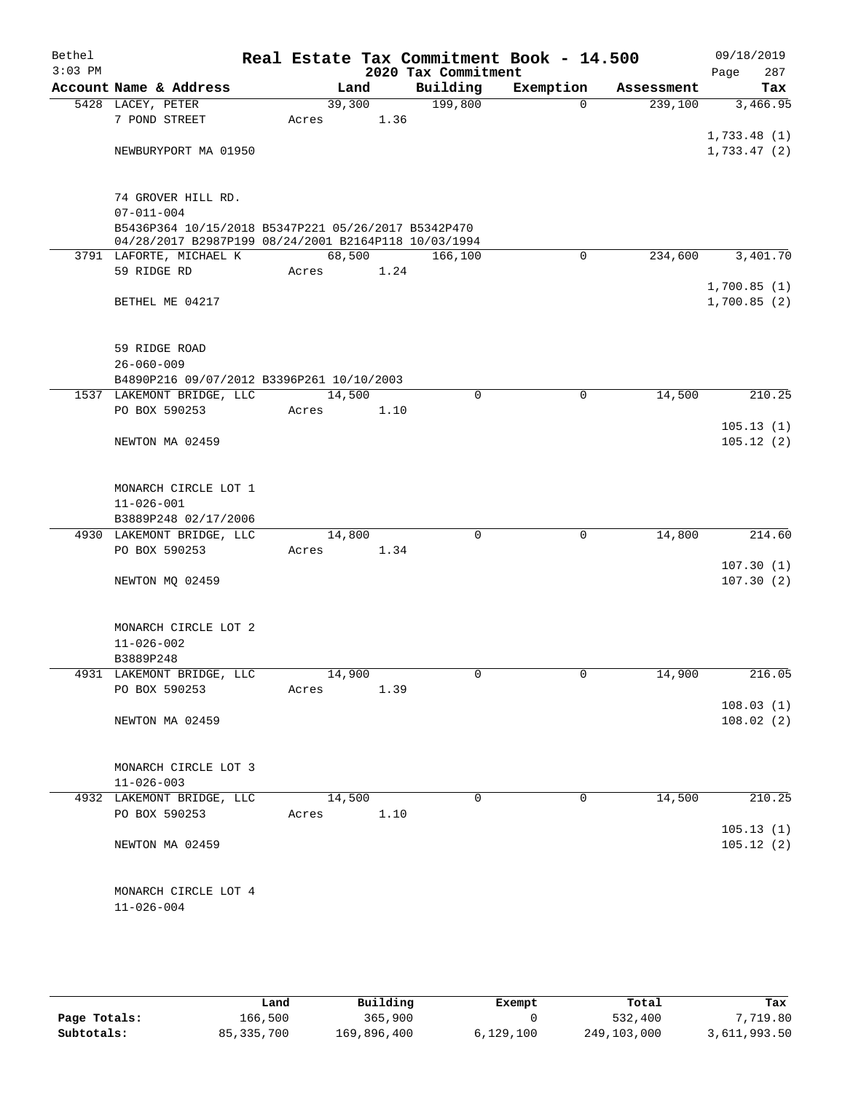| Bethel<br>$3:03$ PM |                                                                                                             |        |      | 2020 Tax Commitment | Real Estate Tax Commitment Book - 14.500 |            | 09/18/2019<br>287<br>Page |  |  |  |
|---------------------|-------------------------------------------------------------------------------------------------------------|--------|------|---------------------|------------------------------------------|------------|---------------------------|--|--|--|
|                     | Account Name & Address                                                                                      | Land   |      | Building            | Exemption                                | Assessment | Tax                       |  |  |  |
|                     | 5428 LACEY, PETER                                                                                           | 39,300 |      | 199,800             | $\Omega$                                 | 239,100    | 3,466.95                  |  |  |  |
|                     | 7 POND STREET                                                                                               | Acres  | 1.36 |                     |                                          |            |                           |  |  |  |
|                     |                                                                                                             |        |      |                     |                                          |            | 1,733.48(1)               |  |  |  |
|                     | NEWBURYPORT MA 01950                                                                                        |        |      |                     |                                          |            | 1,733.47(2)               |  |  |  |
|                     | 74 GROVER HILL RD.                                                                                          |        |      |                     |                                          |            |                           |  |  |  |
|                     | $07 - 011 - 004$                                                                                            |        |      |                     |                                          |            |                           |  |  |  |
|                     | B5436P364 10/15/2018 B5347P221 05/26/2017 B5342P470<br>04/28/2017 B2987P199 08/24/2001 B2164P118 10/03/1994 |        |      |                     |                                          |            |                           |  |  |  |
|                     | 3791 LAFORTE, MICHAEL K                                                                                     | 68,500 |      | 166,100             | $\mathbf 0$                              | 234,600    | 3,401.70                  |  |  |  |
|                     | 59 RIDGE RD                                                                                                 | Acres  | 1.24 |                     |                                          |            |                           |  |  |  |
|                     |                                                                                                             |        |      |                     |                                          |            | 1,700.85(1)               |  |  |  |
|                     | BETHEL ME 04217                                                                                             |        |      |                     |                                          |            | 1,700.85(2)               |  |  |  |
|                     | 59 RIDGE ROAD                                                                                               |        |      |                     |                                          |            |                           |  |  |  |
|                     | $26 - 060 - 009$                                                                                            |        |      |                     |                                          |            |                           |  |  |  |
|                     | B4890P216 09/07/2012 B3396P261 10/10/2003                                                                   |        |      |                     |                                          |            |                           |  |  |  |
|                     | 1537 LAKEMONT BRIDGE, LLC                                                                                   | 14,500 |      | $\mathbf 0$         | $\mathbf 0$                              | 14,500     | 210.25                    |  |  |  |
|                     | PO BOX 590253                                                                                               | Acres  | 1.10 |                     |                                          |            |                           |  |  |  |
|                     |                                                                                                             |        |      |                     |                                          |            | 105.13(1)                 |  |  |  |
|                     | NEWTON MA 02459                                                                                             |        |      |                     |                                          |            | 105.12(2)                 |  |  |  |
|                     | MONARCH CIRCLE LOT 1                                                                                        |        |      |                     |                                          |            |                           |  |  |  |
|                     | $11 - 026 - 001$                                                                                            |        |      |                     |                                          |            |                           |  |  |  |
|                     | B3889P248 02/17/2006                                                                                        |        |      |                     |                                          |            |                           |  |  |  |
|                     | 4930 LAKEMONT BRIDGE, LLC                                                                                   | 14,800 |      | $\Omega$            | $\mathbf 0$                              | 14,800     | 214.60                    |  |  |  |
|                     | PO BOX 590253                                                                                               | Acres  | 1.34 |                     |                                          |            |                           |  |  |  |
|                     |                                                                                                             |        |      |                     |                                          |            | 107.30(1)                 |  |  |  |
|                     | NEWTON MQ 02459                                                                                             |        |      |                     |                                          |            | 107.30(2)                 |  |  |  |
|                     | MONARCH CIRCLE LOT 2                                                                                        |        |      |                     |                                          |            |                           |  |  |  |
|                     | $11 - 026 - 002$                                                                                            |        |      |                     |                                          |            |                           |  |  |  |
|                     | B3889P248                                                                                                   |        |      |                     |                                          |            |                           |  |  |  |
|                     | 4931 LAKEMONT BRIDGE, LLC                                                                                   | 14,900 |      | 0                   | $\overline{0}$                           | 14,900     | 216.05                    |  |  |  |
|                     | PO BOX 590253                                                                                               | Acres  | 1.39 |                     |                                          |            | 108.03(1)                 |  |  |  |
|                     | NEWTON MA 02459                                                                                             |        |      |                     |                                          |            | 108.02(2)                 |  |  |  |
|                     |                                                                                                             |        |      |                     |                                          |            |                           |  |  |  |
|                     | MONARCH CIRCLE LOT 3                                                                                        |        |      |                     |                                          |            |                           |  |  |  |
|                     | $11 - 026 - 003$                                                                                            |        |      |                     |                                          |            |                           |  |  |  |
|                     | 4932 LAKEMONT BRIDGE, LLC                                                                                   | 14,500 |      | $\Omega$            | $\Omega$                                 | 14,500     | 210.25                    |  |  |  |
|                     | PO BOX 590253                                                                                               | Acres  | 1.10 |                     |                                          |            |                           |  |  |  |
|                     | NEWTON MA 02459                                                                                             |        |      |                     |                                          |            | 105.13(1)<br>105.12(2)    |  |  |  |
|                     |                                                                                                             |        |      |                     |                                          |            |                           |  |  |  |
|                     | MONARCH CIRCLE LOT 4                                                                                        |        |      |                     |                                          |            |                           |  |  |  |
|                     | $11 - 026 - 004$                                                                                            |        |      |                     |                                          |            |                           |  |  |  |

|              | Land         | Building    | Exempt    | Total       | Tax          |
|--------------|--------------|-------------|-----------|-------------|--------------|
| Page Totals: | 166,500      | 365,900     |           | 532,400     | 7,719.80     |
| Subtotals:   | 85, 335, 700 | 169,896,400 | 6.129.100 | 249,103,000 | 3,611,993.50 |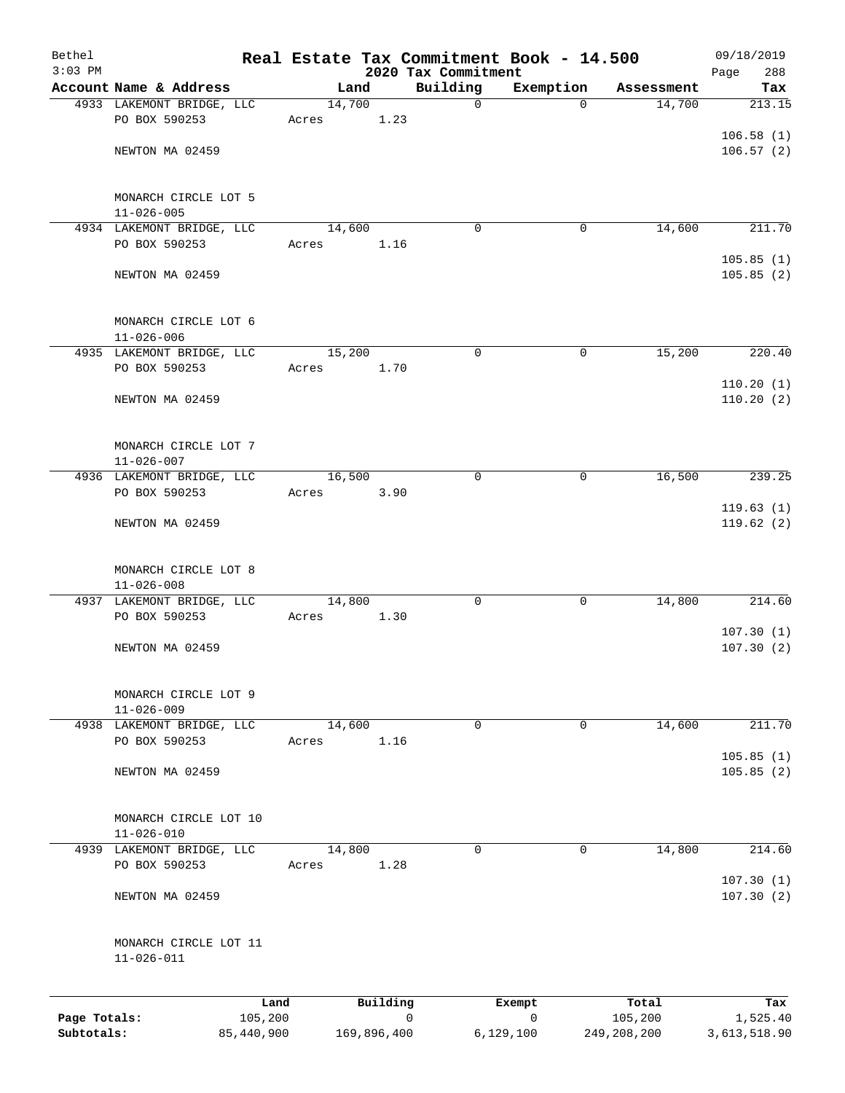| Bethel                     |                                               |                       |       |        |             | Real Estate Tax Commitment Book - 14.500 |                            |                        | 09/18/2019               |
|----------------------------|-----------------------------------------------|-----------------------|-------|--------|-------------|------------------------------------------|----------------------------|------------------------|--------------------------|
| $3:03$ PM                  | Account Name & Address                        |                       |       | Land   |             | 2020 Tax Commitment<br>Building          | Exemption                  | Assessment             | Page<br>288<br>Tax       |
|                            | 4933 LAKEMONT BRIDGE, LLC                     |                       |       | 14,700 |             | $\mathbf 0$                              | $\mathbf 0$                | 14,700                 | 213.15                   |
|                            | PO BOX 590253                                 |                       | Acres |        | 1.23        |                                          |                            |                        |                          |
|                            |                                               |                       |       |        |             |                                          |                            |                        | 106.58(1)                |
|                            | NEWTON MA 02459                               |                       |       |        |             |                                          |                            |                        | 106.57(2)                |
|                            | MONARCH CIRCLE LOT 5<br>$11 - 026 - 005$      |                       |       |        |             |                                          |                            |                        |                          |
|                            | 4934 LAKEMONT BRIDGE, LLC                     |                       |       | 14,600 |             | $\Omega$                                 | 0                          | 14,600                 | 211.70                   |
|                            | PO BOX 590253                                 |                       | Acres |        | 1.16        |                                          |                            |                        |                          |
|                            | NEWTON MA 02459                               |                       |       |        |             |                                          |                            |                        | 105.85(1)<br>105.85(2)   |
|                            | MONARCH CIRCLE LOT 6<br>$11 - 026 - 006$      |                       |       |        |             |                                          |                            |                        |                          |
|                            | 4935 LAKEMONT BRIDGE, LLC                     |                       |       | 15,200 |             | $\mathbf 0$                              | $\mathbf 0$                | 15,200                 | 220.40                   |
|                            | PO BOX 590253                                 |                       | Acres |        | 1.70        |                                          |                            |                        |                          |
|                            |                                               |                       |       |        |             |                                          |                            |                        | 110.20(1)                |
|                            | NEWTON MA 02459                               |                       |       |        |             |                                          |                            |                        | 110.20(2)                |
|                            | MONARCH CIRCLE LOT 7<br>$11 - 026 - 007$      |                       |       |        |             |                                          |                            |                        |                          |
|                            | 4936 LAKEMONT BRIDGE, LLC                     |                       |       | 16,500 |             | $\mathbf 0$                              | 0                          | 16,500                 | 239.25                   |
|                            | PO BOX 590253                                 |                       | Acres |        | 3.90        |                                          |                            |                        |                          |
|                            | NEWTON MA 02459                               |                       |       |        |             |                                          |                            |                        | 119.63(1)<br>119.62(2)   |
|                            | MONARCH CIRCLE LOT 8<br>$11 - 026 - 008$      |                       |       |        |             |                                          |                            |                        |                          |
|                            | 4937 LAKEMONT BRIDGE, LLC                     |                       |       | 14,800 |             | $\mathbf 0$                              | $\mathbf 0$                | 14,800                 | 214.60                   |
|                            | PO BOX 590253                                 |                       | Acres |        | 1.30        |                                          |                            |                        | 107.30(1)                |
|                            | NEWTON MA 02459                               |                       |       |        |             |                                          |                            |                        | 107.30(2)                |
|                            | MONARCH CIRCLE LOT 9<br>$11 - 026 - 009$      |                       |       |        |             |                                          |                            |                        |                          |
|                            | 4938 LAKEMONT BRIDGE, LLC                     |                       |       | 14,600 |             | $\mathbf 0$                              | $\mathbf 0$                | 14,600                 | 211.70                   |
|                            | PO BOX 590253                                 |                       | Acres |        | 1.16        |                                          |                            |                        |                          |
|                            | NEWTON MA 02459                               |                       |       |        |             |                                          |                            |                        | 105.85(1)<br>105.85(2)   |
|                            | MONARCH CIRCLE LOT 10                         |                       |       |        |             |                                          |                            |                        |                          |
|                            | $11 - 026 - 010$<br>4939 LAKEMONT BRIDGE, LLC |                       |       | 14,800 |             | $\mathbf 0$                              | 0                          | 14,800                 | 214.60                   |
|                            | PO BOX 590253                                 |                       | Acres |        | 1.28        |                                          |                            |                        | 107.30(1)                |
|                            | NEWTON MA 02459                               |                       |       |        |             |                                          |                            |                        | 107.30(2)                |
|                            | MONARCH CIRCLE LOT 11<br>$11 - 026 - 011$     |                       |       |        |             |                                          |                            |                        |                          |
|                            |                                               | Land                  |       |        | Building    |                                          | Exempt                     | Total                  | Tax                      |
| Page Totals:<br>Subtotals: |                                               | 105,200<br>85,440,900 |       |        | 169,896,400 | $\Omega$                                 | $\mathbf 0$<br>6, 129, 100 | 105,200<br>249,208,200 | 1,525.40<br>3,613,518.90 |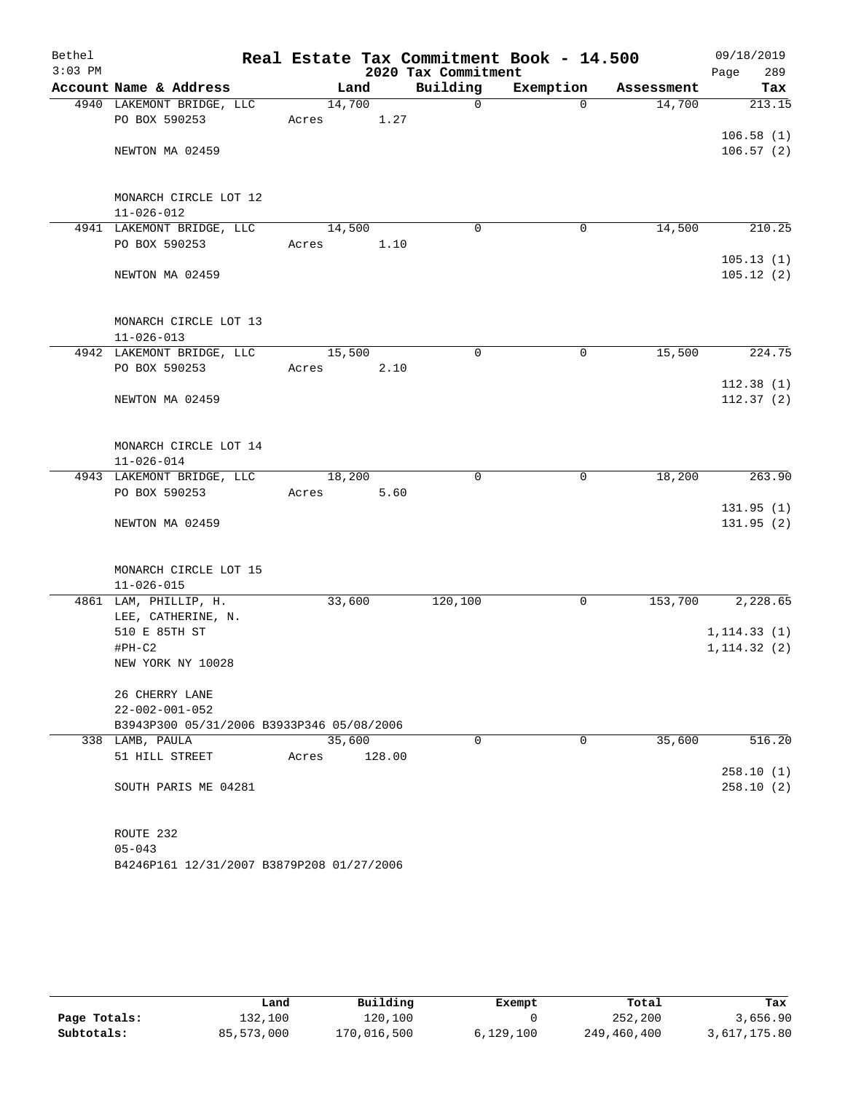| Bethel    |                                            |        |        |                     | Real Estate Tax Commitment Book - 14.500 |            | 09/18/2019   |
|-----------|--------------------------------------------|--------|--------|---------------------|------------------------------------------|------------|--------------|
| $3:03$ PM |                                            |        |        | 2020 Tax Commitment |                                          |            | Page<br>289  |
|           | Account Name & Address                     |        | Land   | Building            | Exemption                                | Assessment | Tax          |
|           | 4940 LAKEMONT BRIDGE, LLC                  | 14,700 |        | $\mathbf 0$         | $\Omega$                                 | 14,700     | 213.15       |
|           | PO BOX 590253                              | Acres  | 1.27   |                     |                                          |            |              |
|           |                                            |        |        |                     |                                          |            | 106.58(1)    |
|           | NEWTON MA 02459                            |        |        |                     |                                          |            | 106.57(2)    |
|           |                                            |        |        |                     |                                          |            |              |
|           |                                            |        |        |                     |                                          |            |              |
|           | MONARCH CIRCLE LOT 12                      |        |        |                     |                                          |            |              |
|           | $11 - 026 - 012$                           | 14,500 |        | 0                   |                                          | 14,500     | 210.25       |
|           | 4941 LAKEMONT BRIDGE, LLC<br>PO BOX 590253 | Acres  | 1.10   |                     | 0                                        |            |              |
|           |                                            |        |        |                     |                                          |            | 105.13(1)    |
|           | NEWTON MA 02459                            |        |        |                     |                                          |            | 105.12(2)    |
|           |                                            |        |        |                     |                                          |            |              |
|           |                                            |        |        |                     |                                          |            |              |
|           | MONARCH CIRCLE LOT 13                      |        |        |                     |                                          |            |              |
|           | $11 - 026 - 013$                           |        |        |                     |                                          |            |              |
|           | 4942 LAKEMONT BRIDGE, LLC                  | 15,500 |        | 0                   | 0                                        | 15,500     | 224.75       |
|           | PO BOX 590253                              | Acres  | 2.10   |                     |                                          |            |              |
|           |                                            |        |        |                     |                                          |            | 112.38(1)    |
|           | NEWTON MA 02459                            |        |        |                     |                                          |            | 112.37(2)    |
|           |                                            |        |        |                     |                                          |            |              |
|           |                                            |        |        |                     |                                          |            |              |
|           | MONARCH CIRCLE LOT 14                      |        |        |                     |                                          |            |              |
|           | $11 - 026 - 014$                           |        |        |                     |                                          |            |              |
|           | 4943 LAKEMONT BRIDGE, LLC                  | 18,200 |        | $\mathbf 0$         | 0                                        | 18,200     | 263.90       |
|           | PO BOX 590253                              | Acres  | 5.60   |                     |                                          |            |              |
|           |                                            |        |        |                     |                                          |            | 131.95(1)    |
|           | NEWTON MA 02459                            |        |        |                     |                                          |            | 131.95(2)    |
|           |                                            |        |        |                     |                                          |            |              |
|           |                                            |        |        |                     |                                          |            |              |
|           | MONARCH CIRCLE LOT 15                      |        |        |                     |                                          |            |              |
|           | $11 - 026 - 015$                           |        |        |                     |                                          |            |              |
|           | 4861 LAM, PHILLIP, H.                      | 33,600 |        | 120,100             | 0                                        | 153,700    | 2,228.65     |
|           | LEE, CATHERINE, N.                         |        |        |                     |                                          |            |              |
|           | 510 E 85TH ST                              |        |        |                     |                                          |            | 1, 114.33(1) |
|           | $#PH-C2$<br>NEW YORK NY 10028              |        |        |                     |                                          |            | 1, 114.32(2) |
|           |                                            |        |        |                     |                                          |            |              |
|           | 26 CHERRY LANE                             |        |        |                     |                                          |            |              |
|           | $22 - 002 - 001 - 052$                     |        |        |                     |                                          |            |              |
|           | B3943P300 05/31/2006 B3933P346 05/08/2006  |        |        |                     |                                          |            |              |
|           | 338 LAMB, PAULA                            | 35,600 |        | $\Omega$            | 0                                        | 35,600     | 516.20       |
|           | 51 HILL STREET                             | Acres  | 128.00 |                     |                                          |            |              |
|           |                                            |        |        |                     |                                          |            | 258.10(1)    |
|           | SOUTH PARIS ME 04281                       |        |        |                     |                                          |            | 258.10(2)    |
|           |                                            |        |        |                     |                                          |            |              |
|           |                                            |        |        |                     |                                          |            |              |
|           | ROUTE 232                                  |        |        |                     |                                          |            |              |
|           | $05 - 043$                                 |        |        |                     |                                          |            |              |

B4246P161 12/31/2007 B3879P208 01/27/2006

|              | Land       | Building    | Exempt    | Total       | Tax          |
|--------------|------------|-------------|-----------|-------------|--------------|
| Page Totals: | 132,100    | 120,100     |           | 252,200     | 3,656.90     |
| Subtotals:   | 85,573,000 | 170,016,500 | 6,129,100 | 249,460,400 | 3,617,175.80 |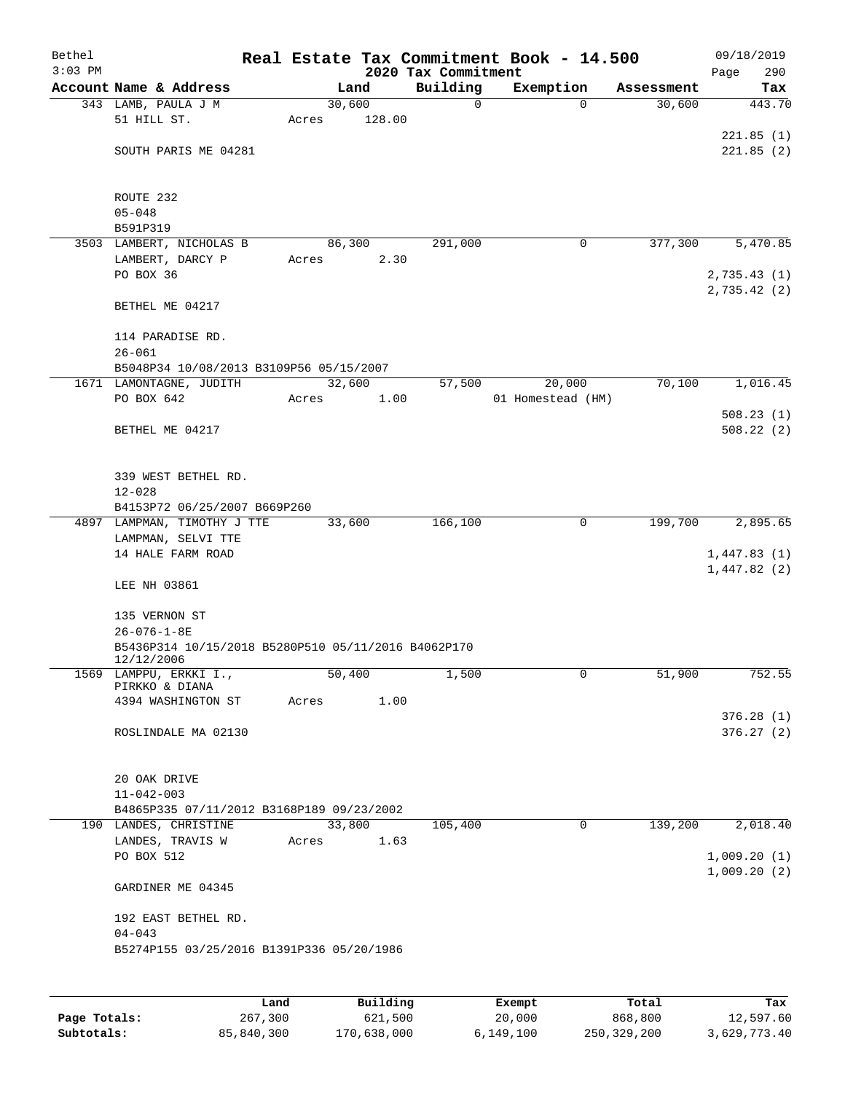| Bethel<br>$3:03$ PM |                                                             |         |        | 2020 Tax Commitment | Real Estate Tax Commitment Book - 14.500 |            | 09/18/2019<br>290<br>Page  |
|---------------------|-------------------------------------------------------------|---------|--------|---------------------|------------------------------------------|------------|----------------------------|
|                     | Account Name & Address                                      |         | Land   | Building            | Exemption                                | Assessment | Tax                        |
|                     | 343 LAMB, PAULA J M                                         | 30,600  |        | $\mathbf 0$         | $\Omega$                                 | 30,600     | 443.70                     |
|                     | 51 HILL ST.                                                 | Acres   | 128.00 |                     |                                          |            |                            |
|                     |                                                             |         |        |                     |                                          |            | 221.85(1)                  |
|                     | SOUTH PARIS ME 04281                                        |         |        |                     |                                          |            | 221.85(2)                  |
|                     | ROUTE 232                                                   |         |        |                     |                                          |            |                            |
|                     | $05 - 048$                                                  |         |        |                     |                                          |            |                            |
|                     | B591P319                                                    |         |        |                     |                                          |            |                            |
|                     | 3503 LAMBERT, NICHOLAS B                                    | 86, 300 |        | 291,000             | 0                                        | 377,300    | 5,470.85                   |
|                     | LAMBERT, DARCY P                                            | Acres   | 2.30   |                     |                                          |            |                            |
|                     | PO BOX 36                                                   |         |        |                     |                                          |            | 2,735.43(1)<br>2,735.42(2) |
|                     | BETHEL ME 04217                                             |         |        |                     |                                          |            |                            |
|                     | 114 PARADISE RD.                                            |         |        |                     |                                          |            |                            |
|                     | $26 - 061$<br>B5048P34 10/08/2013 B3109P56 05/15/2007       |         |        |                     |                                          |            |                            |
|                     | 1671 LAMONTAGNE, JUDITH                                     | 32,600  |        | 57,500              | 20,000                                   | 70,100     | 1,016.45                   |
|                     | PO BOX 642                                                  | Acres   | 1.00   |                     | 01 Homestead (HM)                        |            |                            |
|                     |                                                             |         |        |                     |                                          |            | 508.23(1)                  |
|                     | BETHEL ME 04217                                             |         |        |                     |                                          |            | 508.22(2)                  |
|                     |                                                             |         |        |                     |                                          |            |                            |
|                     |                                                             |         |        |                     |                                          |            |                            |
|                     | 339 WEST BETHEL RD.                                         |         |        |                     |                                          |            |                            |
|                     | $12 - 028$                                                  |         |        |                     |                                          |            |                            |
|                     | B4153P72 06/25/2007 B669P260<br>4897 LAMPMAN, TIMOTHY J TTE | 33,600  |        | 166,100             | 0                                        | 199,700    | 2,895.65                   |
|                     | LAMPMAN, SELVI TTE                                          |         |        |                     |                                          |            |                            |
|                     | 14 HALE FARM ROAD                                           |         |        |                     |                                          |            | 1,447.83(1)                |
|                     |                                                             |         |        |                     |                                          |            | 1,447.82(2)                |
|                     | LEE NH 03861                                                |         |        |                     |                                          |            |                            |
|                     | 135 VERNON ST                                               |         |        |                     |                                          |            |                            |
|                     | $26 - 076 - 1 - 8E$                                         |         |        |                     |                                          |            |                            |
|                     | B5436P314 10/15/2018 B5280P510 05/11/2016 B4062P170         |         |        |                     |                                          |            |                            |
|                     | 12/12/2006<br>1569 LAMPPU, ERKKI I.,                        | 50,400  |        | 1,500               | 0                                        | 51,900     | 752.55                     |
|                     | PIRKKO & DIANA                                              |         |        |                     |                                          |            |                            |
|                     | 4394 WASHINGTON ST                                          | Acres   | 1.00   |                     |                                          |            |                            |
|                     |                                                             |         |        |                     |                                          |            | 376.28(1)                  |
|                     | ROSLINDALE MA 02130                                         |         |        |                     |                                          |            | 376.27(2)                  |
|                     |                                                             |         |        |                     |                                          |            |                            |
|                     | 20 OAK DRIVE                                                |         |        |                     |                                          |            |                            |
|                     | $11 - 042 - 003$                                            |         |        |                     |                                          |            |                            |
|                     | B4865P335 07/11/2012 B3168P189 09/23/2002                   |         |        |                     |                                          |            |                            |
|                     | 190 LANDES, CHRISTINE                                       |         | 33,800 | 105,400             | $\mathbf 0$                              | 139,200    | 2,018.40                   |
|                     | LANDES, TRAVIS W                                            | Acres   | 1.63   |                     |                                          |            |                            |
|                     | PO BOX 512                                                  |         |        |                     |                                          |            | 1,009.20(1)                |
|                     | GARDINER ME 04345                                           |         |        |                     |                                          |            | 1,009.20(2)                |
|                     |                                                             |         |        |                     |                                          |            |                            |
|                     | 192 EAST BETHEL RD.<br>$04 - 043$                           |         |        |                     |                                          |            |                            |
|                     | B5274P155 03/25/2016 B1391P336 05/20/1986                   |         |        |                     |                                          |            |                            |
|                     |                                                             |         |        |                     |                                          |            |                            |
|                     |                                                             |         |        |                     |                                          |            |                            |
|                     |                                                             |         |        |                     |                                          |            |                            |

|              | Land       | Building    | Exempt    | Total       | Tax          |
|--------------|------------|-------------|-----------|-------------|--------------|
| Page Totals: | 267,300    | 621,500     | 20,000    | 868,800     | 12,597.60    |
| Subtotals:   | 85,840,300 | 170,638,000 | 6,149,100 | 250,329,200 | 3,629,773.40 |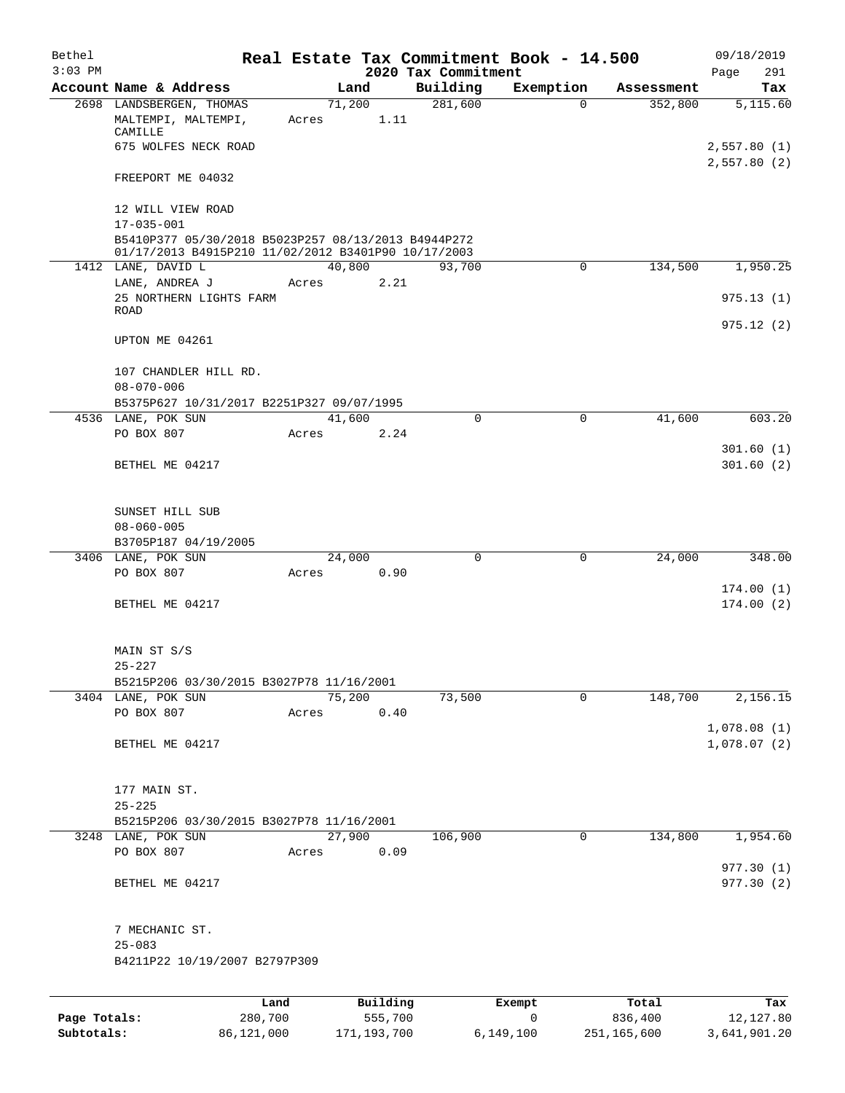| Bethel       |                                                                                                            |       |                |                     | Real Estate Tax Commitment Book - 14.500 |                       | 09/18/2019              |
|--------------|------------------------------------------------------------------------------------------------------------|-------|----------------|---------------------|------------------------------------------|-----------------------|-------------------------|
| $3:03$ PM    | Account Name & Address                                                                                     |       |                | 2020 Tax Commitment |                                          |                       | 291<br>Page             |
|              | 2698 LANDSBERGEN, THOMAS                                                                                   |       | Land<br>71,200 | Building<br>281,600 | Exemption<br>$\Omega$                    | Assessment<br>352,800 | Tax<br>5,115.60         |
|              | MALTEMPI, MALTEMPI,<br>CAMILLE                                                                             | Acres | 1.11           |                     |                                          |                       |                         |
|              | 675 WOLFES NECK ROAD                                                                                       |       |                |                     |                                          |                       | 2,557.80(1)             |
|              | FREEPORT ME 04032                                                                                          |       |                |                     |                                          |                       | 2,557.80(2)             |
|              | 12 WILL VIEW ROAD                                                                                          |       |                |                     |                                          |                       |                         |
|              | $17 - 035 - 001$                                                                                           |       |                |                     |                                          |                       |                         |
|              | B5410P377 05/30/2018 B5023P257 08/13/2013 B4944P272<br>01/17/2013 B4915P210 11/02/2012 B3401P90 10/17/2003 |       |                |                     |                                          |                       |                         |
|              | 1412 LANE, DAVID L                                                                                         |       | 40,800         | 93,700              | $\mathbf 0$                              | 134,500               | 1,950.25                |
|              | LANE, ANDREA J                                                                                             | Acres | 2.21           |                     |                                          |                       |                         |
|              | 25 NORTHERN LIGHTS FARM                                                                                    |       |                |                     |                                          |                       | 975.13(1)               |
|              | ROAD                                                                                                       |       |                |                     |                                          |                       |                         |
|              | UPTON ME 04261                                                                                             |       |                |                     |                                          |                       | 975.12(2)               |
|              | 107 CHANDLER HILL RD.                                                                                      |       |                |                     |                                          |                       |                         |
|              | $08 - 070 - 006$                                                                                           |       |                |                     |                                          |                       |                         |
|              | B5375P627 10/31/2017 B2251P327 09/07/1995                                                                  |       |                |                     |                                          |                       |                         |
|              | 4536 LANE, POK SUN                                                                                         |       | 41,600         | 0                   | 0                                        | 41,600                | 603.20                  |
|              | PO BOX 807                                                                                                 | Acres | 2.24           |                     |                                          |                       |                         |
|              | BETHEL ME 04217                                                                                            |       |                |                     |                                          |                       | 301.60(1)<br>301.60(2)  |
|              | SUNSET HILL SUB                                                                                            |       |                |                     |                                          |                       |                         |
|              | $08 - 060 - 005$                                                                                           |       |                |                     |                                          |                       |                         |
|              | B3705P187 04/19/2005                                                                                       |       |                |                     |                                          |                       |                         |
|              | 3406 LANE, POK SUN                                                                                         |       | 24,000         | $\Omega$            | 0                                        | 24,000                | 348.00                  |
|              | PO BOX 807                                                                                                 | Acres | 0.90           |                     |                                          |                       |                         |
|              |                                                                                                            |       |                |                     |                                          |                       | 174.00(1)               |
|              | BETHEL ME 04217                                                                                            |       |                |                     |                                          |                       | 174.00(2)               |
|              | MAIN ST S/S                                                                                                |       |                |                     |                                          |                       |                         |
|              | $25 - 227$                                                                                                 |       |                |                     |                                          |                       |                         |
|              | B5215P206 03/30/2015 B3027P78 11/16/2001                                                                   |       | 75,200         |                     |                                          |                       |                         |
|              | 3404 LANE, POK SUN<br>PO BOX 807                                                                           | Acres | 0.40           | 73,500              | $\mathbf 0$                              | 148,700               | 2,156.15                |
|              |                                                                                                            |       |                |                     |                                          |                       | 1,078.08(1)             |
|              | BETHEL ME 04217                                                                                            |       |                |                     |                                          |                       | 1,078.07(2)             |
|              | 177 MAIN ST.                                                                                               |       |                |                     |                                          |                       |                         |
|              | $25 - 225$                                                                                                 |       |                |                     |                                          |                       |                         |
|              | B5215P206 03/30/2015 B3027P78 11/16/2001                                                                   |       |                |                     |                                          |                       |                         |
|              | 3248 LANE, POK SUN                                                                                         |       | 27,900         | 106,900             | 0                                        | 134,800               | 1,954.60                |
|              | PO BOX 807                                                                                                 | Acres | 0.09           |                     |                                          |                       |                         |
|              | BETHEL ME 04217                                                                                            |       |                |                     |                                          |                       | 977.30(1)<br>977.30 (2) |
|              | 7 MECHANIC ST.                                                                                             |       |                |                     |                                          |                       |                         |
|              | $25 - 083$                                                                                                 |       |                |                     |                                          |                       |                         |
|              | B4211P22 10/19/2007 B2797P309                                                                              |       |                |                     |                                          |                       |                         |
|              |                                                                                                            |       |                |                     |                                          |                       |                         |
|              | Land                                                                                                       |       | Building       |                     | Exempt                                   | Total                 | Tax                     |
| Page Totals: | 280,700                                                                                                    |       | 555,700        |                     | 0                                        | 836,400               | 12,127.80               |

**Subtotals:** 86,121,000 171,193,700 6,149,100 251,165,600 3,641,901.20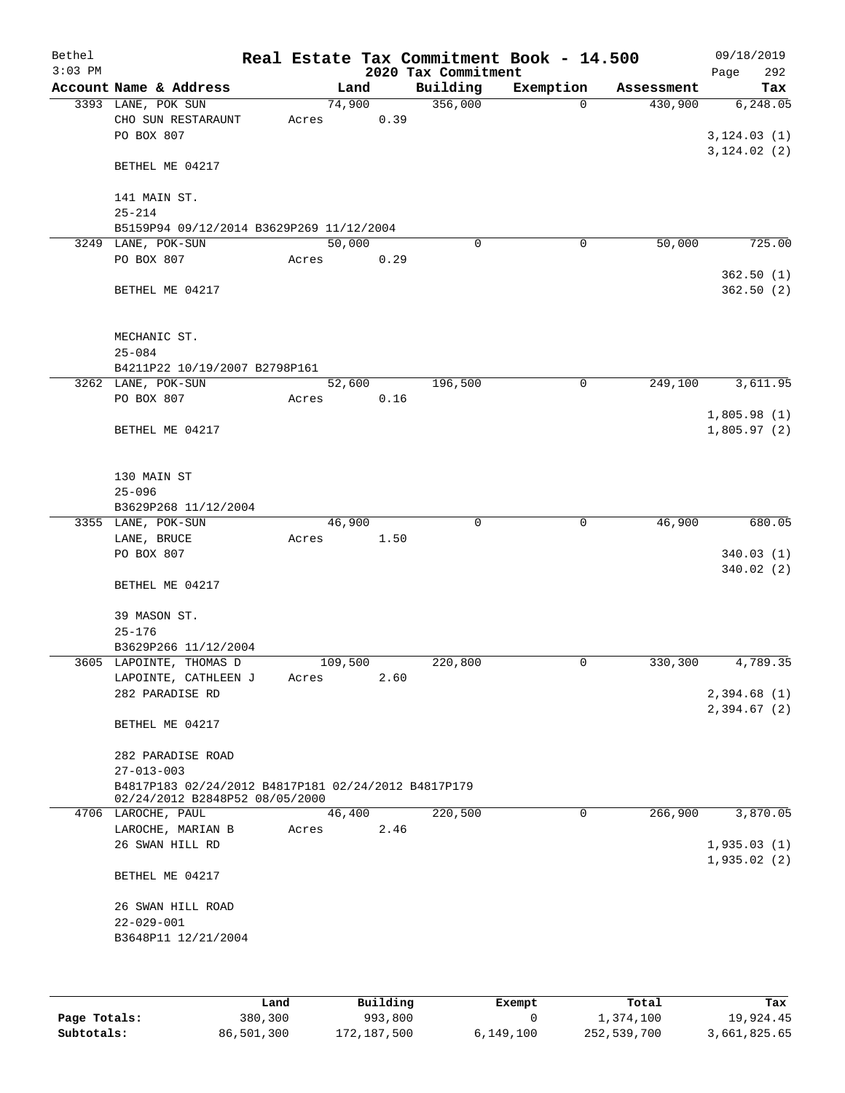| Bethel<br>$3:03$ PM |                                                                                       |       |         | 2020 Tax Commitment | Real Estate Tax Commitment Book - 14.500 |            | 09/18/2019         |
|---------------------|---------------------------------------------------------------------------------------|-------|---------|---------------------|------------------------------------------|------------|--------------------|
|                     | Account Name & Address                                                                |       | Land    | Building            | Exemption                                | Assessment | 292<br>Page<br>Tax |
|                     | 3393 LANE, POK SUN                                                                    |       | 74,900  | 356,000             | $\mathbf 0$                              | 430,900    | 6, 248.05          |
|                     | CHO SUN RESTARAUNT                                                                    | Acres | 0.39    |                     |                                          |            |                    |
|                     | PO BOX 807                                                                            |       |         |                     |                                          |            | 3, 124.03(1)       |
|                     |                                                                                       |       |         |                     |                                          |            | 3, 124.02(2)       |
|                     | BETHEL ME 04217                                                                       |       |         |                     |                                          |            |                    |
|                     |                                                                                       |       |         |                     |                                          |            |                    |
|                     | 141 MAIN ST.                                                                          |       |         |                     |                                          |            |                    |
|                     | $25 - 214$                                                                            |       |         |                     |                                          |            |                    |
|                     | B5159P94 09/12/2014 B3629P269 11/12/2004<br>3249 LANE, POK-SUN                        |       | 50,000  | 0                   | 0                                        | 50,000     | 725.00             |
|                     | PO BOX 807                                                                            | Acres | 0.29    |                     |                                          |            |                    |
|                     |                                                                                       |       |         |                     |                                          |            | 362.50(1)          |
|                     | BETHEL ME 04217                                                                       |       |         |                     |                                          |            | 362.50(2)          |
|                     |                                                                                       |       |         |                     |                                          |            |                    |
|                     |                                                                                       |       |         |                     |                                          |            |                    |
|                     | MECHANIC ST.                                                                          |       |         |                     |                                          |            |                    |
|                     | $25 - 084$                                                                            |       |         |                     |                                          |            |                    |
|                     | B4211P22 10/19/2007 B2798P161                                                         |       |         |                     |                                          |            |                    |
|                     | 3262 LANE, POK-SUN                                                                    |       | 52,600  | 196,500             | 0                                        | 249,100    | 3,611.95           |
|                     | PO BOX 807                                                                            | Acres | 0.16    |                     |                                          |            |                    |
|                     |                                                                                       |       |         |                     |                                          |            | 1,805.98(1)        |
|                     | BETHEL ME 04217                                                                       |       |         |                     |                                          |            | 1,805.97(2)        |
|                     |                                                                                       |       |         |                     |                                          |            |                    |
|                     | 130 MAIN ST                                                                           |       |         |                     |                                          |            |                    |
|                     | $25 - 096$                                                                            |       |         |                     |                                          |            |                    |
|                     | B3629P268 11/12/2004                                                                  |       |         |                     |                                          |            |                    |
|                     | 3355 LANE, POK-SUN                                                                    |       | 46,900  | $\Omega$            | $\mathbf 0$                              | 46,900     | 680.05             |
|                     | LANE, BRUCE                                                                           | Acres | 1.50    |                     |                                          |            |                    |
|                     | PO BOX 807                                                                            |       |         |                     |                                          |            | 340.03(1)          |
|                     |                                                                                       |       |         |                     |                                          |            | 340.02(2)          |
|                     | BETHEL ME 04217                                                                       |       |         |                     |                                          |            |                    |
|                     |                                                                                       |       |         |                     |                                          |            |                    |
|                     | 39 MASON ST.                                                                          |       |         |                     |                                          |            |                    |
|                     | $25 - 176$<br>B3629P266 11/12/2004                                                    |       |         |                     |                                          |            |                    |
|                     | 3605 LAPOINTE, THOMAS D                                                               |       | 109,500 | 220,800             | 0                                        | 330,300    | 4,789.35           |
|                     | LAPOINTE, CATHLEEN J                                                                  | Acres | 2.60    |                     |                                          |            |                    |
|                     | 282 PARADISE RD                                                                       |       |         |                     |                                          |            | 2,394.68 (1)       |
|                     |                                                                                       |       |         |                     |                                          |            | 2,394.67(2)        |
|                     | BETHEL ME 04217                                                                       |       |         |                     |                                          |            |                    |
|                     |                                                                                       |       |         |                     |                                          |            |                    |
|                     | 282 PARADISE ROAD                                                                     |       |         |                     |                                          |            |                    |
|                     | $27 - 013 - 003$                                                                      |       |         |                     |                                          |            |                    |
|                     | B4817P183 02/24/2012 B4817P181 02/24/2012 B4817P179<br>02/24/2012 B2848P52 08/05/2000 |       |         |                     |                                          |            |                    |
|                     | 4706 LAROCHE, PAUL                                                                    |       | 46,400  | 220,500             | $\mathbf 0$                              | 266,900    | 3,870.05           |
|                     | LAROCHE, MARIAN B                                                                     | Acres | 2.46    |                     |                                          |            |                    |
|                     | 26 SWAN HILL RD                                                                       |       |         |                     |                                          |            | 1,935.03(1)        |
|                     |                                                                                       |       |         |                     |                                          |            | 1,935.02(2)        |
|                     | BETHEL ME 04217                                                                       |       |         |                     |                                          |            |                    |
|                     |                                                                                       |       |         |                     |                                          |            |                    |
|                     | 26 SWAN HILL ROAD                                                                     |       |         |                     |                                          |            |                    |
|                     | $22 - 029 - 001$                                                                      |       |         |                     |                                          |            |                    |
|                     | B3648P11 12/21/2004                                                                   |       |         |                     |                                          |            |                    |
|                     |                                                                                       |       |         |                     |                                          |            |                    |
|                     |                                                                                       |       |         |                     |                                          |            |                    |
|                     |                                                                                       |       |         |                     |                                          |            |                    |

|              | Land       | Building    | Exempt    | Total       | Tax          |
|--------------|------------|-------------|-----------|-------------|--------------|
| Page Totals: | 380,300    | 993,800     |           | 1,374,100   | 19,924.45    |
| Subtotals:   | 86,501,300 | 172,187,500 | 6.149.100 | 252,539,700 | 3,661,825.65 |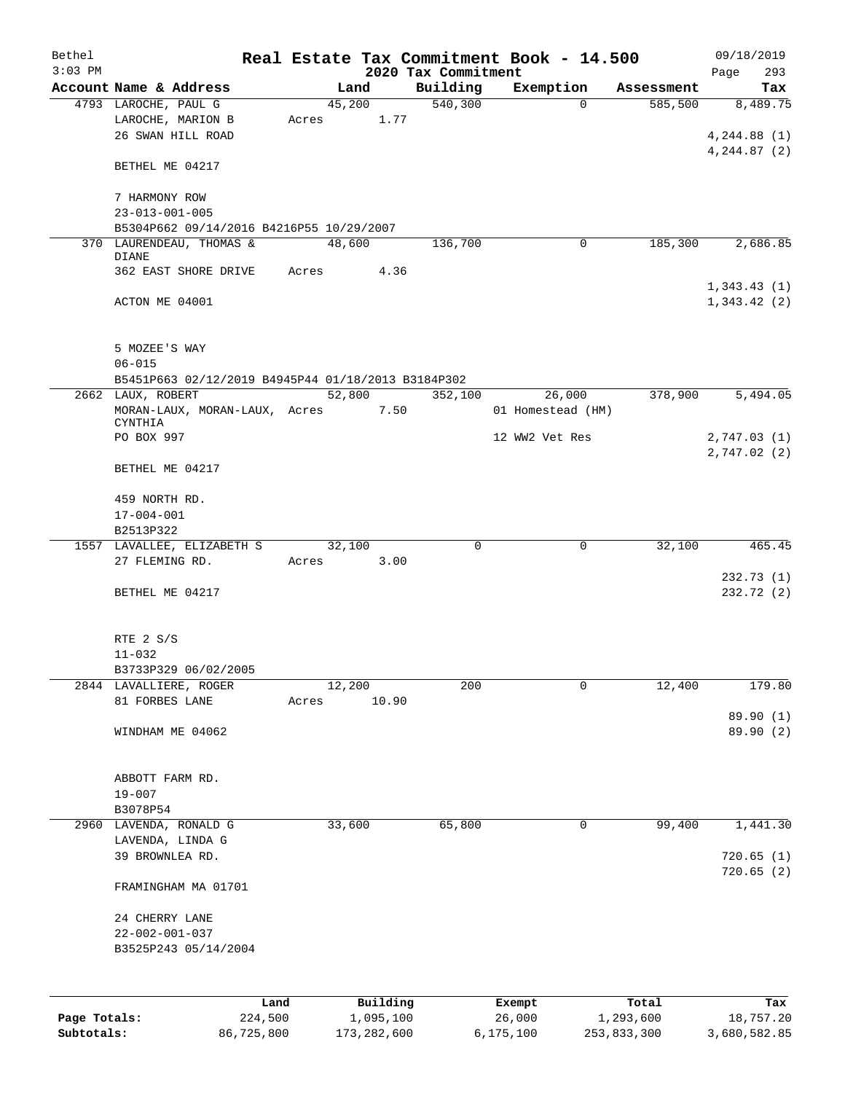| Bethel       |                                                                      |       |                |                     | Real Estate Tax Commitment Book - 14.500 |                       | 09/18/2019                 |
|--------------|----------------------------------------------------------------------|-------|----------------|---------------------|------------------------------------------|-----------------------|----------------------------|
| $3:03$ PM    |                                                                      |       |                | 2020 Tax Commitment |                                          |                       | 293<br>Page                |
|              | Account Name & Address<br>4793 LAROCHE, PAUL G                       |       | Land<br>45,200 | Building<br>540,300 | Exemption<br>$\Omega$                    | Assessment<br>585,500 | Tax<br>8,489.75            |
|              | LAROCHE, MARION B<br>26 SWAN HILL ROAD                               | Acres | 1.77           |                     |                                          |                       | 4, 244.88(1)               |
|              | BETHEL ME 04217                                                      |       |                |                     |                                          |                       | 4, 244.87 (2)              |
|              | 7 HARMONY ROW<br>$23 - 013 - 001 - 005$                              |       |                |                     |                                          |                       |                            |
|              | B5304P662 09/14/2016 B4216P55 10/29/2007                             |       |                |                     |                                          |                       |                            |
|              | 370 LAURENDEAU, THOMAS &<br><b>DIANE</b>                             |       | 48,600         | 136,700             | 0                                        | 185,300               | 2,686.85                   |
|              | 362 EAST SHORE DRIVE                                                 | Acres | 4.36           |                     |                                          |                       |                            |
|              | ACTON ME 04001                                                       |       |                |                     |                                          |                       | 1,343.43(1)<br>1,343.42(2) |
|              | 5 MOZEE'S WAY<br>$06 - 015$                                          |       |                |                     |                                          |                       |                            |
|              | B5451P663 02/12/2019 B4945P44 01/18/2013 B3184P302                   |       |                |                     |                                          |                       |                            |
|              | 2662 LAUX, ROBERT<br>MORAN-LAUX, MORAN-LAUX, Acres<br><b>CYNTHIA</b> |       | 52,800<br>7.50 | 352,100             | 26,000<br>01 Homestead (HM)              | 378,900               | 5,494.05                   |
|              | PO BOX 997                                                           |       |                |                     | 12 WW2 Vet Res                           |                       | 2,747.03(1)<br>2,747.02(2) |
|              | BETHEL ME 04217                                                      |       |                |                     |                                          |                       |                            |
|              | 459 NORTH RD.                                                        |       |                |                     |                                          |                       |                            |
|              | $17 - 004 - 001$                                                     |       |                |                     |                                          |                       |                            |
|              | B2513P322                                                            |       |                |                     |                                          |                       |                            |
|              | 1557 LAVALLEE, ELIZABETH S<br>27 FLEMING RD.                         | Acres | 32,100<br>3.00 | $\mathbf 0$         | $\mathbf 0$                              | 32,100                | 465.45                     |
|              | BETHEL ME 04217                                                      |       |                |                     |                                          |                       | 232.73(1)<br>232.72 (2)    |
|              | RTE 2 S/S<br>$11 - 032$                                              |       |                |                     |                                          |                       |                            |
|              | B3733P329 06/02/2005                                                 |       |                |                     |                                          |                       |                            |
|              | 2844 LAVALLIERE, ROGER                                               |       | 12,200         | 200                 | 0                                        | 12,400                | 179.80                     |
|              | 81 FORBES LANE                                                       | Acres | 10.90          |                     |                                          |                       |                            |
|              |                                                                      |       |                |                     |                                          |                       | 89.90 (1)                  |
|              | WINDHAM ME 04062                                                     |       |                |                     |                                          |                       | 89.90 (2)                  |
|              | ABBOTT FARM RD.                                                      |       |                |                     |                                          |                       |                            |
|              | $19 - 007$<br>B3078P54                                               |       |                |                     |                                          |                       |                            |
| 2960         | LAVENDA, RONALD G                                                    |       | 33,600         | 65,800              | 0                                        | 99,400                | 1,441.30                   |
|              | LAVENDA, LINDA G                                                     |       |                |                     |                                          |                       |                            |
|              | 39 BROWNLEA RD.                                                      |       |                |                     |                                          |                       | 720.65(1)<br>720.65(2)     |
|              | FRAMINGHAM MA 01701                                                  |       |                |                     |                                          |                       |                            |
|              | 24 CHERRY LANE                                                       |       |                |                     |                                          |                       |                            |
|              | $22 - 002 - 001 - 037$                                               |       |                |                     |                                          |                       |                            |
|              | B3525P243 05/14/2004                                                 |       |                |                     |                                          |                       |                            |
|              |                                                                      | Land  | Building       |                     | Exempt                                   | Total                 | Tax                        |
| Page Totals: | 224,500                                                              |       | 1,095,100      |                     | 26,000                                   | 1,293,600             | 18,757.20                  |
| Subtotals:   | 86,725,800                                                           |       | 173, 282, 600  |                     | 6,175,100                                | 253,833,300           | 3,680,582.85               |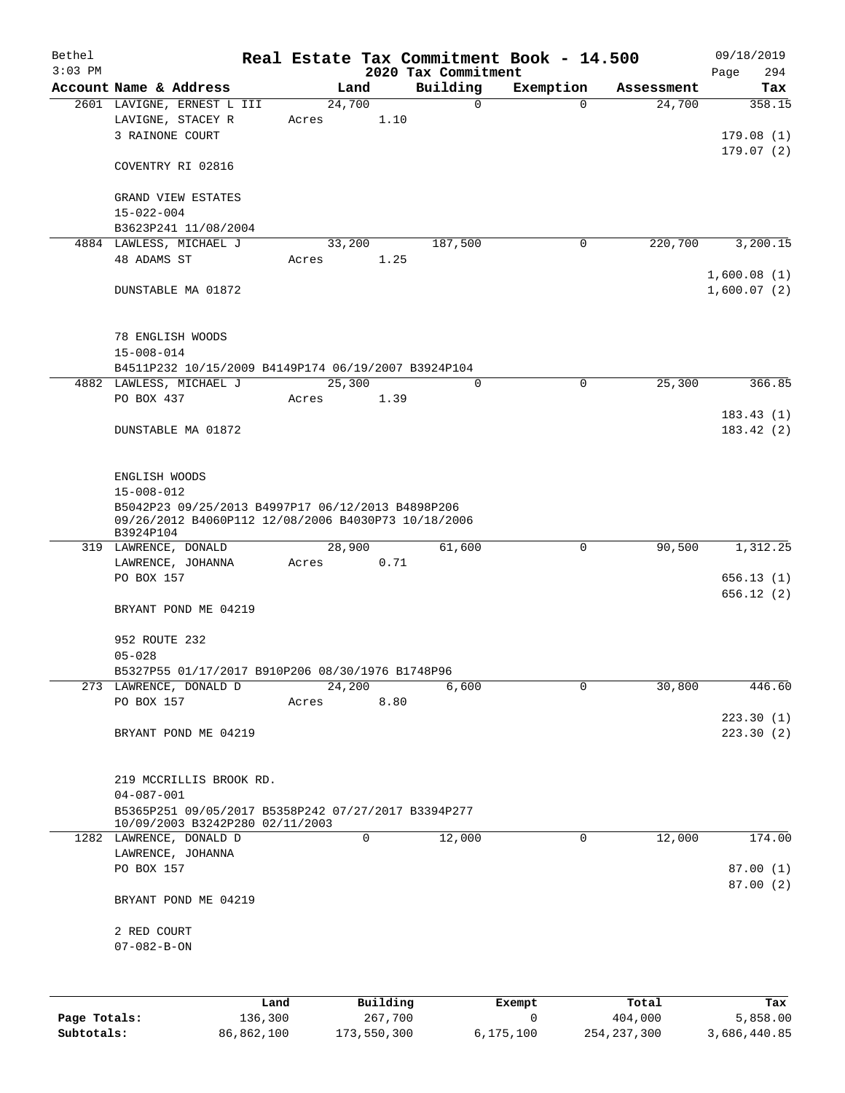| Bethel<br>$3:03$ PM |                                                                                                                       |                 |        | 2020 Tax Commitment | Real Estate Tax Commitment Book - 14.500 |            | 09/18/2019<br>294<br>Page        |
|---------------------|-----------------------------------------------------------------------------------------------------------------------|-----------------|--------|---------------------|------------------------------------------|------------|----------------------------------|
|                     | Account Name & Address                                                                                                |                 | Land   | Building            | Exemption                                | Assessment | Tax                              |
|                     | 2601 LAVIGNE, ERNEST L III<br>LAVIGNE, STACEY R<br>3 RAINONE COURT                                                    | 24,700<br>Acres | 1.10   | $\mathsf{O}$        | $\Omega$                                 | 24,700     | 358.15<br>179.08(1)<br>179.07(2) |
|                     | COVENTRY RI 02816                                                                                                     |                 |        |                     |                                          |            |                                  |
|                     | <b>GRAND VIEW ESTATES</b><br>$15 - 022 - 004$<br>B3623P241 11/08/2004                                                 |                 |        |                     |                                          |            |                                  |
|                     | 4884 LAWLESS, MICHAEL J                                                                                               | 33,200          |        | 187,500             | $\mathbf 0$                              | 220,700    | 3,200.15                         |
|                     | 48 ADAMS ST                                                                                                           | Acres           | 1.25   |                     |                                          |            | 1,600.08(1)                      |
|                     | DUNSTABLE MA 01872                                                                                                    |                 |        |                     |                                          |            | 1,600.07(2)                      |
|                     | 78 ENGLISH WOODS<br>$15 - 008 - 014$                                                                                  |                 |        |                     |                                          |            |                                  |
|                     | B4511P232 10/15/2009 B4149P174 06/19/2007 B3924P104                                                                   |                 |        | $\Omega$            |                                          |            |                                  |
|                     | 4882 LAWLESS, MICHAEL J<br>PO BOX 437                                                                                 | 25,300<br>Acres | 1.39   |                     | 0                                        | 25,300     | 366.85                           |
|                     | DUNSTABLE MA 01872                                                                                                    |                 |        |                     |                                          |            | 183.43(1)<br>183.42(2)           |
|                     | ENGLISH WOODS<br>$15 - 008 - 012$                                                                                     |                 |        |                     |                                          |            |                                  |
|                     | B5042P23 09/25/2013 B4997P17 06/12/2013 B4898P206<br>09/26/2012 B4060P112 12/08/2006 B4030P73 10/18/2006<br>B3924P104 |                 |        |                     |                                          |            |                                  |
|                     | 319 LAWRENCE, DONALD                                                                                                  |                 | 28,900 | 61,600              | 0                                        | 90,500     | 1,312.25                         |
|                     | LAWRENCE, JOHANNA<br>PO BOX 157                                                                                       | Acres           | 0.71   |                     |                                          |            | 656.13(1)<br>656.12(2)           |
|                     | BRYANT POND ME 04219                                                                                                  |                 |        |                     |                                          |            |                                  |
|                     | 952 ROUTE 232<br>$05 - 028$                                                                                           |                 |        |                     |                                          |            |                                  |
|                     | B5327P55 01/17/2017 B910P206 08/30/1976 B1748P96                                                                      |                 |        |                     |                                          |            |                                  |
|                     | 273 LAWRENCE, DONALD D                                                                                                | 24,200          |        | 6,600               | $\mathbf 0$                              | 30,800     | 446.60                           |
|                     | PO BOX 157<br>BRYANT POND ME 04219                                                                                    | Acres           | 8.80   |                     |                                          |            | 223.30(1)<br>223.30(2)           |
|                     |                                                                                                                       |                 |        |                     |                                          |            |                                  |
|                     | 219 MCCRILLIS BROOK RD.<br>$04 - 087 - 001$                                                                           |                 |        |                     |                                          |            |                                  |
|                     | B5365P251 09/05/2017 B5358P242 07/27/2017 B3394P277                                                                   |                 |        |                     |                                          |            |                                  |
|                     | 10/09/2003 B3242P280 02/11/2003<br>1282 LAWRENCE, DONALD D                                                            |                 | 0      | 12,000              | 0                                        | 12,000     | 174.00                           |
|                     | LAWRENCE, JOHANNA<br>PO BOX 157                                                                                       |                 |        |                     |                                          |            | 87.00(1)                         |
|                     | BRYANT POND ME 04219                                                                                                  |                 |        |                     |                                          |            | 87.00(2)                         |
|                     | 2 RED COURT                                                                                                           |                 |        |                     |                                          |            |                                  |
|                     | $07 - 082 - B - ON$                                                                                                   |                 |        |                     |                                          |            |                                  |
|                     |                                                                                                                       |                 |        |                     |                                          |            |                                  |

|              | ∟and       | Building    | Exempt    | Total         | Tax          |
|--------------|------------|-------------|-----------|---------------|--------------|
| Page Totals: | 136,300    | 267,700     |           | 404,000       | 5,858.00     |
| Subtotals:   | 86,862,100 | 173,550,300 | 6,175,100 | 254, 237, 300 | 3,686,440.85 |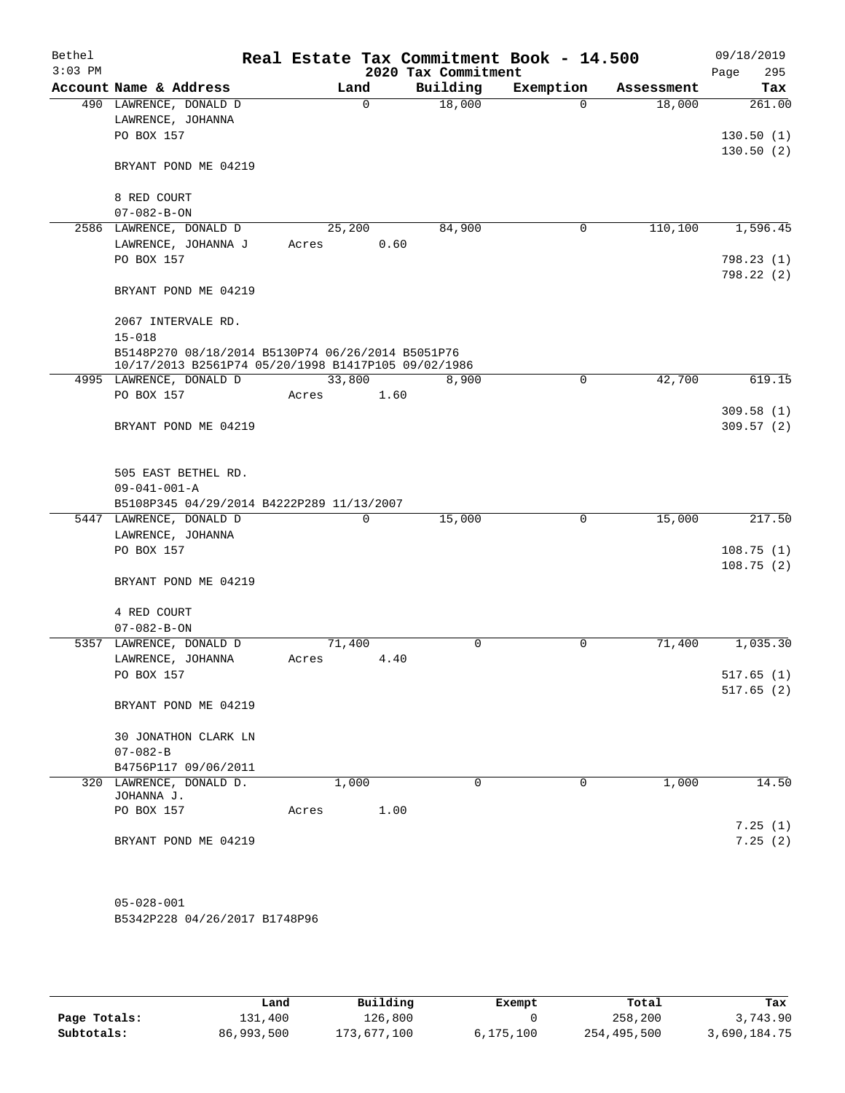| Bethel<br>$3:03$ PM |                                                                                | Real Estate Tax Commitment Book - 14.500 | 2020 Tax Commitment |           |            | 09/18/2019<br>295<br>Page |
|---------------------|--------------------------------------------------------------------------------|------------------------------------------|---------------------|-----------|------------|---------------------------|
|                     | Account Name & Address                                                         | Land                                     | Building            | Exemption | Assessment | Tax                       |
|                     | 490 LAWRENCE, DONALD D                                                         | $\Omega$                                 | 18,000              | $\Omega$  | 18,000     | 261.00                    |
|                     | LAWRENCE, JOHANNA                                                              |                                          |                     |           |            |                           |
|                     | PO BOX 157                                                                     |                                          |                     |           |            | 130.50(1)                 |
|                     | BRYANT POND ME 04219                                                           |                                          |                     |           |            | 130.50(2)                 |
|                     |                                                                                |                                          |                     |           |            |                           |
|                     | 8 RED COURT                                                                    |                                          |                     |           |            |                           |
|                     | $07 - 082 - B - ON$                                                            |                                          | 84,900              |           |            |                           |
|                     | 2586 LAWRENCE, DONALD D<br>LAWRENCE, JOHANNA J                                 | 25,200<br>Acres                          | 0.60                | 0         | 110, 100   | 1,596.45                  |
|                     | PO BOX 157                                                                     |                                          |                     |           |            | 798.23 (1)                |
|                     |                                                                                |                                          |                     |           |            | 798.22 (2)                |
|                     | BRYANT POND ME 04219                                                           |                                          |                     |           |            |                           |
|                     | 2067 INTERVALE RD.                                                             |                                          |                     |           |            |                           |
|                     | $15 - 018$                                                                     |                                          |                     |           |            |                           |
|                     | B5148P270 08/18/2014 B5130P74 06/26/2014 B5051P76                              |                                          |                     |           |            |                           |
|                     | 10/17/2013 B2561P74 05/20/1998 B1417P105 09/02/1986<br>4995 LAWRENCE, DONALD D | 33,800                                   | 8,900               | 0         | 42,700     | 619.15                    |
|                     | PO BOX 157                                                                     | Acres                                    | 1.60                |           |            |                           |
|                     |                                                                                |                                          |                     |           |            | 309.58(1)                 |
|                     | BRYANT POND ME 04219                                                           |                                          |                     |           |            | 309.57(2)                 |
|                     |                                                                                |                                          |                     |           |            |                           |
|                     | 505 EAST BETHEL RD.                                                            |                                          |                     |           |            |                           |
|                     | $09 - 041 - 001 - A$                                                           |                                          |                     |           |            |                           |
|                     | B5108P345 04/29/2014 B4222P289 11/13/2007                                      |                                          |                     |           |            |                           |
|                     | 5447 LAWRENCE, DONALD D                                                        | 0                                        | 15,000              | 0         | 15,000     | 217.50                    |
|                     | LAWRENCE, JOHANNA                                                              |                                          |                     |           |            |                           |
|                     | PO BOX 157                                                                     |                                          |                     |           |            | 108.75(1)                 |
|                     |                                                                                |                                          |                     |           |            | 108.75(2)                 |
|                     | BRYANT POND ME 04219                                                           |                                          |                     |           |            |                           |
|                     | 4 RED COURT                                                                    |                                          |                     |           |            |                           |
|                     | $07 - 082 - B - ON$                                                            |                                          |                     |           |            |                           |
|                     | 5357 LAWRENCE, DONALD D                                                        | 71,400                                   | 0                   | 0         | 71,400     | 1,035.30                  |
|                     | LAWRENCE, JOHANNA                                                              | Acres                                    | 4.40                |           |            |                           |
|                     | PO BOX 157                                                                     |                                          |                     |           |            | 517.65(1)                 |
|                     | BRYANT POND ME 04219                                                           |                                          |                     |           |            | 517.65(2)                 |
|                     |                                                                                |                                          |                     |           |            |                           |
|                     | 30 JONATHON CLARK LN<br>$07 - 082 - B$                                         |                                          |                     |           |            |                           |
|                     | B4756P117 09/06/2011                                                           |                                          |                     |           |            |                           |
|                     | 320 LAWRENCE, DONALD D.                                                        | 1,000                                    | 0                   | $\Omega$  | 1,000      | 14.50                     |
|                     | JOHANNA J.                                                                     |                                          |                     |           |            |                           |
|                     | PO BOX 157                                                                     | Acres                                    | 1.00                |           |            |                           |
|                     |                                                                                |                                          |                     |           |            | 7.25(1)                   |
|                     | BRYANT POND ME 04219                                                           |                                          |                     |           |            | 7.25(2)                   |
|                     |                                                                                |                                          |                     |           |            |                           |
|                     |                                                                                |                                          |                     |           |            |                           |
|                     |                                                                                |                                          |                     |           |            |                           |
|                     | $05 - 028 - 001$                                                               |                                          |                     |           |            |                           |

B5342P228 04/26/2017 B1748P96

|              | Land       | Building    | Exempt    | Total       | Tax          |
|--------------|------------|-------------|-----------|-------------|--------------|
| Page Totals: | 131,400    | 126,800     |           | 258,200     | 3,743.90     |
| Subtotals:   | 86,993,500 | 173,677,100 | 6,175,100 | 254,495,500 | 3,690,184.75 |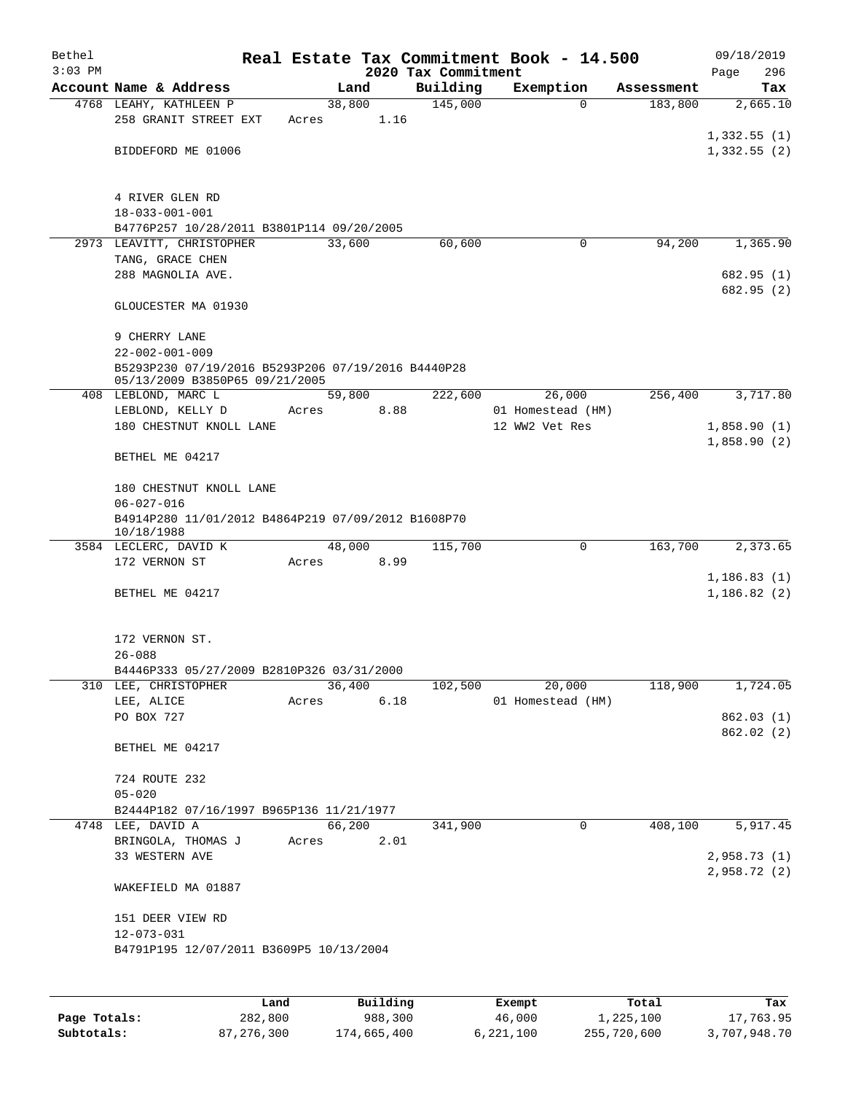| Bethel<br>$3:03$ PM |                                                                                      |        |      |                                 | Real Estate Tax Commitment Book - 14.500 |            | 09/18/2019         |
|---------------------|--------------------------------------------------------------------------------------|--------|------|---------------------------------|------------------------------------------|------------|--------------------|
|                     | Account Name & Address                                                               | Land   |      | 2020 Tax Commitment<br>Building | Exemption                                | Assessment | 296<br>Page<br>Tax |
|                     | 4768 LEAHY, KATHLEEN P                                                               | 38,800 |      | 145,000                         | $\Omega$                                 | 183,800    | 2,665.10           |
|                     | 258 GRANIT STREET EXT<br>Acres                                                       |        | 1.16 |                                 |                                          |            |                    |
|                     |                                                                                      |        |      |                                 |                                          |            | 1,332.55(1)        |
|                     | BIDDEFORD ME 01006                                                                   |        |      |                                 |                                          |            | 1,332.55(2)        |
|                     |                                                                                      |        |      |                                 |                                          |            |                    |
|                     |                                                                                      |        |      |                                 |                                          |            |                    |
|                     | 4 RIVER GLEN RD                                                                      |        |      |                                 |                                          |            |                    |
|                     | $18 - 033 - 001 - 001$                                                               |        |      |                                 |                                          |            |                    |
|                     | B4776P257 10/28/2011 B3801P114 09/20/2005<br>2973 LEAVITT, CHRISTOPHER               | 33,600 |      | 60,600                          | 0                                        | 94,200     | 1,365.90           |
|                     | TANG, GRACE CHEN                                                                     |        |      |                                 |                                          |            |                    |
|                     | 288 MAGNOLIA AVE.                                                                    |        |      |                                 |                                          |            | 682.95(1)          |
|                     |                                                                                      |        |      |                                 |                                          |            | 682.95 (2)         |
|                     | GLOUCESTER MA 01930                                                                  |        |      |                                 |                                          |            |                    |
|                     |                                                                                      |        |      |                                 |                                          |            |                    |
|                     | 9 CHERRY LANE                                                                        |        |      |                                 |                                          |            |                    |
|                     | $22 - 002 - 001 - 009$                                                               |        |      |                                 |                                          |            |                    |
|                     | B5293P230 07/19/2016 B5293P206 07/19/2016 B4440P28<br>05/13/2009 B3850P65 09/21/2005 |        |      |                                 |                                          |            |                    |
|                     | 408 LEBLOND, MARC L                                                                  | 59,800 |      | 222,600                         | 26,000                                   | 256,400    | 3,717.80           |
|                     | LEBLOND, KELLY D<br>Acres                                                            |        | 8.88 |                                 | 01 Homestead (HM)                        |            |                    |
|                     | 180 CHESTNUT KNOLL LANE                                                              |        |      |                                 | 12 WW2 Vet Res                           |            | 1,858.90(1)        |
|                     |                                                                                      |        |      |                                 |                                          |            | 1,858.90(2)        |
|                     | BETHEL ME 04217                                                                      |        |      |                                 |                                          |            |                    |
|                     |                                                                                      |        |      |                                 |                                          |            |                    |
|                     | 180 CHESTNUT KNOLL LANE                                                              |        |      |                                 |                                          |            |                    |
|                     | $06 - 027 - 016$<br>B4914P280 11/01/2012 B4864P219 07/09/2012 B1608P70               |        |      |                                 |                                          |            |                    |
|                     | 10/18/1988                                                                           |        |      |                                 |                                          |            |                    |
|                     | 3584 LECLERC, DAVID K                                                                | 48,000 |      | 115,700                         | $\mathbf 0$                              | 163,700    | 2,373.65           |
|                     | 172 VERNON ST<br>Acres                                                               |        | 8.99 |                                 |                                          |            |                    |
|                     |                                                                                      |        |      |                                 |                                          |            | 1, 186.83(1)       |
|                     | BETHEL ME 04217                                                                      |        |      |                                 |                                          |            | 1,186.82(2)        |
|                     |                                                                                      |        |      |                                 |                                          |            |                    |
|                     | 172 VERNON ST.                                                                       |        |      |                                 |                                          |            |                    |
|                     | $26 - 088$                                                                           |        |      |                                 |                                          |            |                    |
|                     | B4446P333 05/27/2009 B2810P326 03/31/2000                                            |        |      |                                 |                                          |            |                    |
|                     | 310 LEE, CHRISTOPHER                                                                 | 36,400 |      | 102,500                         | 20,000                                   | 118,900    | 1,724.05           |
|                     | LEE, ALICE<br>Acres                                                                  |        | 6.18 |                                 | 01 Homestead (HM)                        |            |                    |
|                     | PO BOX 727                                                                           |        |      |                                 |                                          |            | 862.03(1)          |
|                     |                                                                                      |        |      |                                 |                                          |            | 862.02 (2)         |
|                     | BETHEL ME 04217                                                                      |        |      |                                 |                                          |            |                    |
|                     | 724 ROUTE 232                                                                        |        |      |                                 |                                          |            |                    |
|                     | $05 - 020$                                                                           |        |      |                                 |                                          |            |                    |
|                     | B2444P182 07/16/1997 B965P136 11/21/1977                                             |        |      |                                 |                                          |            |                    |
|                     | 4748 LEE, DAVID A                                                                    | 66,200 |      | 341,900                         | $\mathbf 0$                              | 408,100    | 5,917.45           |
|                     | BRINGOLA, THOMAS J<br>Acres                                                          |        | 2.01 |                                 |                                          |            |                    |
|                     | 33 WESTERN AVE                                                                       |        |      |                                 |                                          |            | 2,958.73 (1)       |
|                     |                                                                                      |        |      |                                 |                                          |            | 2,958.72(2)        |
|                     | WAKEFIELD MA 01887                                                                   |        |      |                                 |                                          |            |                    |
|                     | 151 DEER VIEW RD                                                                     |        |      |                                 |                                          |            |                    |
|                     | $12 - 073 - 031$                                                                     |        |      |                                 |                                          |            |                    |
|                     | B4791P195 12/07/2011 B3609P5 10/13/2004                                              |        |      |                                 |                                          |            |                    |
|                     |                                                                                      |        |      |                                 |                                          |            |                    |
|                     |                                                                                      |        |      |                                 |                                          |            |                    |
|                     |                                                                                      |        |      |                                 |                                          |            |                    |

|              | Land         | Building    | Exempt    | Total       | Tax          |
|--------------|--------------|-------------|-----------|-------------|--------------|
| Page Totals: | 282,800      | 988,300     | 46,000    | 1,225,100   | 17,763.95    |
| Subtotals:   | 87, 276, 300 | 174,665,400 | 6,221,100 | 255,720,600 | 3,707,948.70 |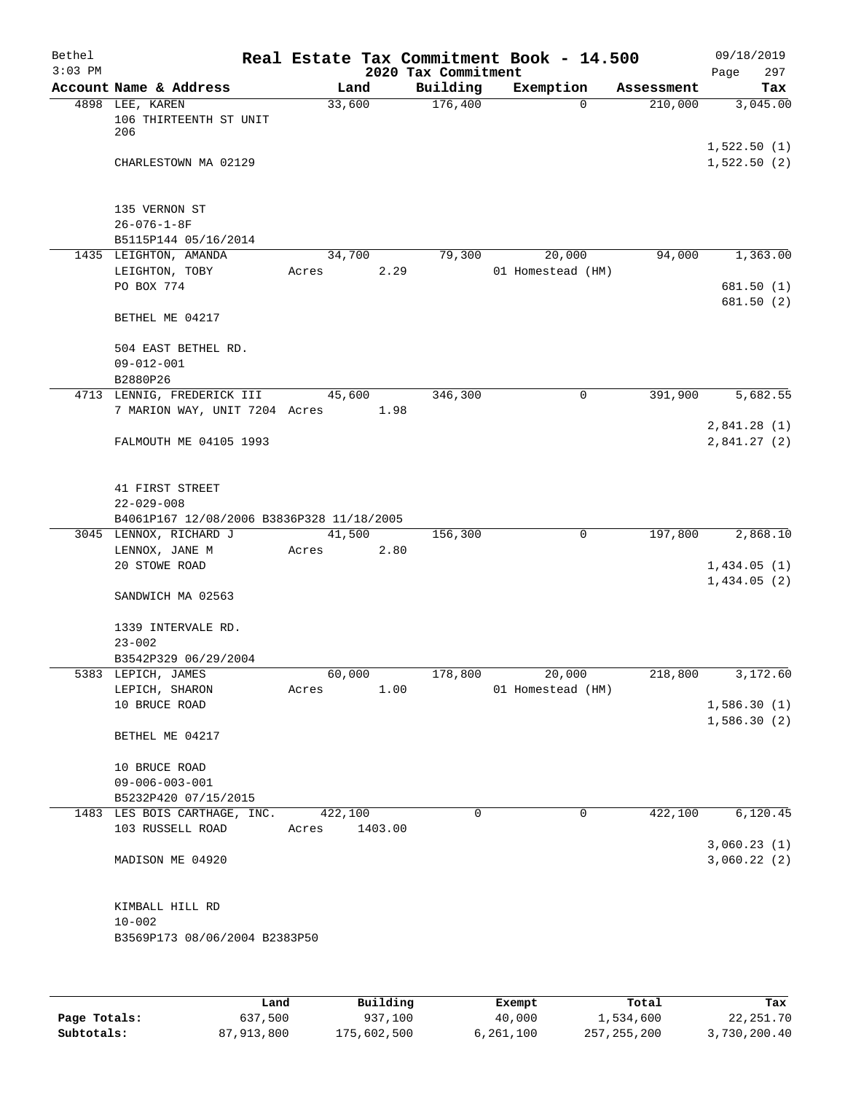| Bethel    |                                                      |         |                |                     | Real Estate Tax Commitment Book - 14.500 |                       | 09/18/2019                 |
|-----------|------------------------------------------------------|---------|----------------|---------------------|------------------------------------------|-----------------------|----------------------------|
| $3:03$ PM |                                                      |         |                | 2020 Tax Commitment |                                          |                       | 297<br>Page                |
|           | Account Name & Address<br>4898 LEE, KAREN            |         | Land<br>33,600 | Building<br>176,400 | Exemption<br>$\Omega$                    | Assessment<br>210,000 | Tax<br>3,045.00            |
|           | 106 THIRTEENTH ST UNIT<br>206                        |         |                |                     |                                          |                       |                            |
|           | CHARLESTOWN MA 02129                                 |         |                |                     |                                          |                       | 1,522.50(1)<br>1,522.50(2) |
|           | 135 VERNON ST                                        |         |                |                     |                                          |                       |                            |
|           | $26 - 076 - 1 - 8F$                                  |         |                |                     |                                          |                       |                            |
|           | B5115P144 05/16/2014                                 |         |                |                     |                                          |                       |                            |
|           | 1435 LEIGHTON, AMANDA                                |         | 34,700         | 79,300              | 20,000                                   | 94,000                | 1,363.00                   |
|           | LEIGHTON, TOBY                                       | Acres   | 2.29           |                     | 01 Homestead (HM)                        |                       |                            |
|           | PO BOX 774                                           |         |                |                     |                                          |                       | 681.50(1)<br>681.50 (2)    |
|           | BETHEL ME 04217                                      |         |                |                     |                                          |                       |                            |
|           | 504 EAST BETHEL RD.                                  |         |                |                     |                                          |                       |                            |
|           | $09 - 012 - 001$                                     |         |                |                     |                                          |                       |                            |
|           | B2880P26                                             |         |                |                     |                                          |                       |                            |
|           | 4713 LENNIG, FREDERICK III                           |         | 45,600         | 346,300             | 0                                        | 391,900               | 5,682.55                   |
|           | 7 MARION WAY, UNIT 7204 Acres                        |         | 1.98           |                     |                                          |                       |                            |
|           | FALMOUTH ME 04105 1993                               |         |                |                     |                                          |                       | 2,841.28(1)<br>2,841.27(2) |
|           | 41 FIRST STREET<br>$22 - 029 - 008$                  |         |                |                     |                                          |                       |                            |
|           | B4061P167 12/08/2006 B3836P328 11/18/2005            |         |                |                     |                                          |                       |                            |
|           | 3045 LENNOX, RICHARD J                               |         | 41,500         | 156,300             | 0                                        | 197,800               | 2,868.10                   |
|           | LENNOX, JANE M                                       | Acres   | 2.80           |                     |                                          |                       |                            |
|           | 20 STOWE ROAD                                        |         |                |                     |                                          |                       | 1,434.05(1)                |
|           | SANDWICH MA 02563                                    |         |                |                     |                                          |                       | 1,434.05(2)                |
|           | 1339 INTERVALE RD.<br>$23 - 002$                     |         |                |                     |                                          |                       |                            |
|           | B3542P329 06/29/2004                                 |         |                |                     |                                          |                       |                            |
|           | 5383 LEPICH, JAMES                                   | 60,000  |                | 178,800             | 20,000                                   | 218,800               | 3,172.60                   |
|           | LEPICH, SHARON                                       | Acres   | 1.00           |                     | 01 Homestead (HM)                        |                       |                            |
|           | 10 BRUCE ROAD                                        |         |                |                     |                                          |                       | 1,586.30(1)                |
|           | BETHEL ME 04217                                      |         |                |                     |                                          |                       | 1,586.30(2)                |
|           | 10 BRUCE ROAD                                        |         |                |                     |                                          |                       |                            |
|           | $09 - 006 - 003 - 001$                               |         |                |                     |                                          |                       |                            |
|           | B5232P420 07/15/2015<br>1483 LES BOIS CARTHAGE, INC. | 422,100 |                | 0                   | $\mathbf 0$                              | 422,100               | 6, 120.45                  |
|           | 103 RUSSELL ROAD                                     | Acres   | 1403.00        |                     |                                          |                       | 3,060.23(1)                |
|           | MADISON ME 04920                                     |         |                |                     |                                          |                       | 3,060.22(2)                |
|           | KIMBALL HILL RD                                      |         |                |                     |                                          |                       |                            |
|           | $10 - 002$<br>B3569P173 08/06/2004 B2383P50          |         |                |                     |                                          |                       |                            |
|           |                                                      |         |                |                     |                                          |                       |                            |
|           |                                                      |         |                |                     |                                          |                       |                            |
|           |                                                      |         |                |                     |                                          |                       |                            |

|              | Land       | Building    | Exempt    | Total         | Tax          |
|--------------|------------|-------------|-----------|---------------|--------------|
| Page Totals: | 637,500    | 937,100     | 40,000    | 1,534,600     | 22,251.70    |
| Subtotals:   | 87,913,800 | 175,602,500 | 6,261,100 | 257, 255, 200 | 3,730,200.40 |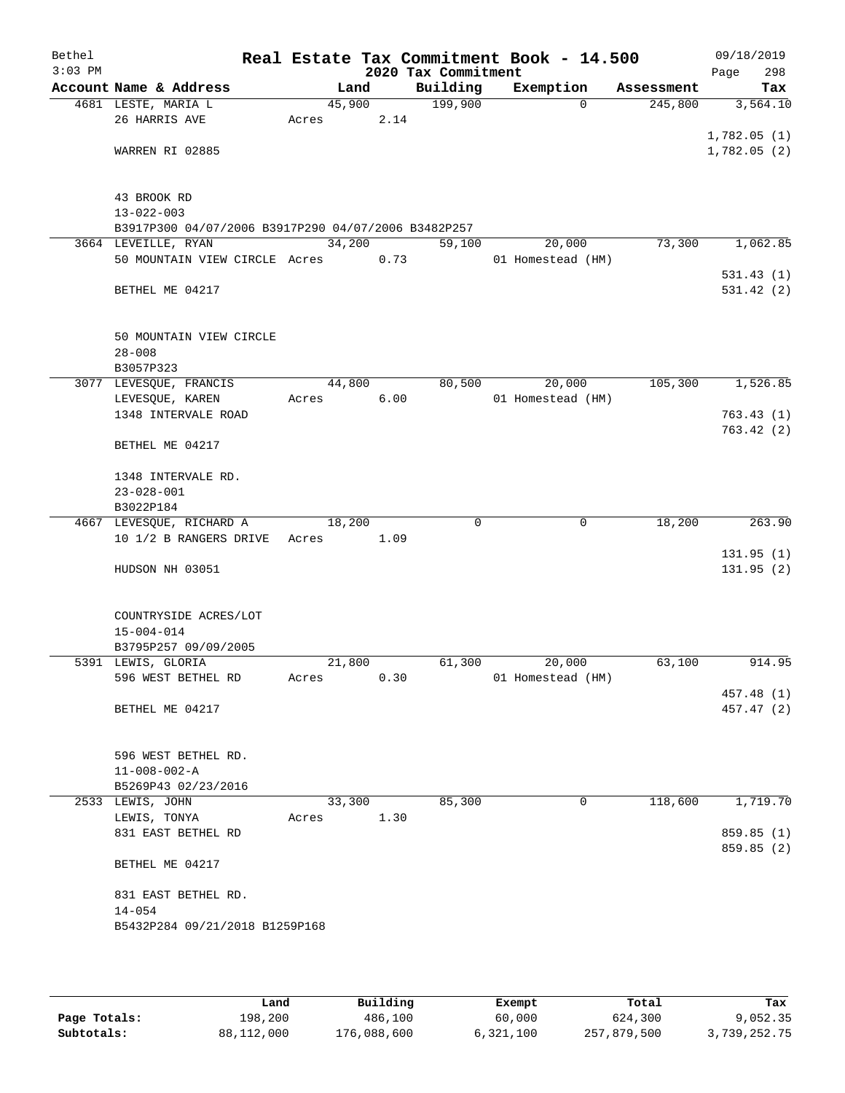| Bethel<br>$3:03$ PM |                                                     |        |      | 2020 Tax Commitment | Real Estate Tax Commitment Book - 14.500 |            | 09/18/2019<br>298<br>Page |
|---------------------|-----------------------------------------------------|--------|------|---------------------|------------------------------------------|------------|---------------------------|
|                     | Account Name & Address                              |        | Land | Building            | Exemption                                | Assessment | Tax                       |
|                     | 4681 LESTE, MARIA L                                 | 45,900 |      | 199,900             | $\Omega$                                 | 245,800    | 3,564.10                  |
|                     | 26 HARRIS AVE                                       | Acres  | 2.14 |                     |                                          |            |                           |
|                     |                                                     |        |      |                     |                                          |            | 1,782.05(1)               |
|                     | WARREN RI 02885                                     |        |      |                     |                                          |            | 1,782.05(2)               |
|                     |                                                     |        |      |                     |                                          |            |                           |
|                     |                                                     |        |      |                     |                                          |            |                           |
|                     | 43 BROOK RD<br>$13 - 022 - 003$                     |        |      |                     |                                          |            |                           |
|                     | B3917P300 04/07/2006 B3917P290 04/07/2006 B3482P257 |        |      |                     |                                          |            |                           |
|                     | 3664 LEVEILLE, RYAN                                 | 34,200 |      | 59,100              | 20,000                                   | 73,300     | 1,062.85                  |
|                     | 50 MOUNTAIN VIEW CIRCLE Acres                       |        | 0.73 |                     | 01 Homestead (HM)                        |            |                           |
|                     |                                                     |        |      |                     |                                          |            | 531.43(1)                 |
|                     | BETHEL ME 04217                                     |        |      |                     |                                          |            | 531.42 (2)                |
|                     |                                                     |        |      |                     |                                          |            |                           |
|                     |                                                     |        |      |                     |                                          |            |                           |
|                     | 50 MOUNTAIN VIEW CIRCLE                             |        |      |                     |                                          |            |                           |
|                     | $28 - 008$                                          |        |      |                     |                                          |            |                           |
|                     | B3057P323                                           | 44,800 |      | 80,500              |                                          |            | 1,526.85                  |
|                     | 3077 LEVESQUE, FRANCIS<br>LEVESQUE, KAREN           | Acres  | 6.00 |                     | 20,000<br>01 Homestead (HM)              | 105,300    |                           |
|                     | 1348 INTERVALE ROAD                                 |        |      |                     |                                          |            | 763.43(1)                 |
|                     |                                                     |        |      |                     |                                          |            | 763.42(2)                 |
|                     | BETHEL ME 04217                                     |        |      |                     |                                          |            |                           |
|                     |                                                     |        |      |                     |                                          |            |                           |
|                     | 1348 INTERVALE RD.                                  |        |      |                     |                                          |            |                           |
|                     | $23 - 028 - 001$                                    |        |      |                     |                                          |            |                           |
|                     | B3022P184                                           |        |      |                     |                                          |            |                           |
|                     | 4667 LEVESQUE, RICHARD A                            | 18,200 |      | $\Omega$            | $\mathbf 0$                              | 18,200     | 263.90                    |
|                     | 10 1/2 B RANGERS DRIVE Acres                        |        | 1.09 |                     |                                          |            |                           |
|                     | HUDSON NH 03051                                     |        |      |                     |                                          |            | 131.95(1)<br>131.95 (2)   |
|                     |                                                     |        |      |                     |                                          |            |                           |
|                     |                                                     |        |      |                     |                                          |            |                           |
|                     | COUNTRYSIDE ACRES/LOT                               |        |      |                     |                                          |            |                           |
|                     | $15 - 004 - 014$                                    |        |      |                     |                                          |            |                           |
|                     | B3795P257 09/09/2005                                |        |      |                     |                                          |            |                           |
|                     | 5391 LEWIS, GLORIA                                  | 21,800 |      | 61,300              | 20,000                                   | 63,100     | 914.95                    |
|                     | 596 WEST BETHEL RD                                  | Acres  | 0.30 |                     | 01 Homestead (HM)                        |            |                           |
|                     | BETHEL ME 04217                                     |        |      |                     |                                          |            | 457.48 (1)<br>457.47 (2)  |
|                     |                                                     |        |      |                     |                                          |            |                           |
|                     |                                                     |        |      |                     |                                          |            |                           |
|                     | 596 WEST BETHEL RD.                                 |        |      |                     |                                          |            |                           |
|                     | $11 - 008 - 002 - A$                                |        |      |                     |                                          |            |                           |
|                     | B5269P43 02/23/2016                                 |        |      |                     |                                          |            |                           |
|                     | 2533 LEWIS, JOHN                                    | 33,300 |      | 85,300              | $\mathbf 0$                              | 118,600    | 1,719.70                  |
|                     | LEWIS, TONYA                                        | Acres  | 1.30 |                     |                                          |            |                           |
|                     | 831 EAST BETHEL RD                                  |        |      |                     |                                          |            | 859.85 (1)                |
|                     |                                                     |        |      |                     |                                          |            | 859.85 (2)                |
|                     | BETHEL ME 04217                                     |        |      |                     |                                          |            |                           |
|                     | 831 EAST BETHEL RD.                                 |        |      |                     |                                          |            |                           |
|                     | $14 - 054$                                          |        |      |                     |                                          |            |                           |
|                     | B5432P284 09/21/2018 B1259P168                      |        |      |                     |                                          |            |                           |
|                     |                                                     |        |      |                     |                                          |            |                           |
|                     |                                                     |        |      |                     |                                          |            |                           |

|              | Land       | Building    | Exempt    | Total       | Tax          |
|--------------|------------|-------------|-----------|-------------|--------------|
| Page Totals: | 198,200    | 486,100     | 60,000    | 624,300     | 9,052.35     |
| Subtotals:   | 88,112,000 | 176,088,600 | 6,321,100 | 257,879,500 | 3,739,252.75 |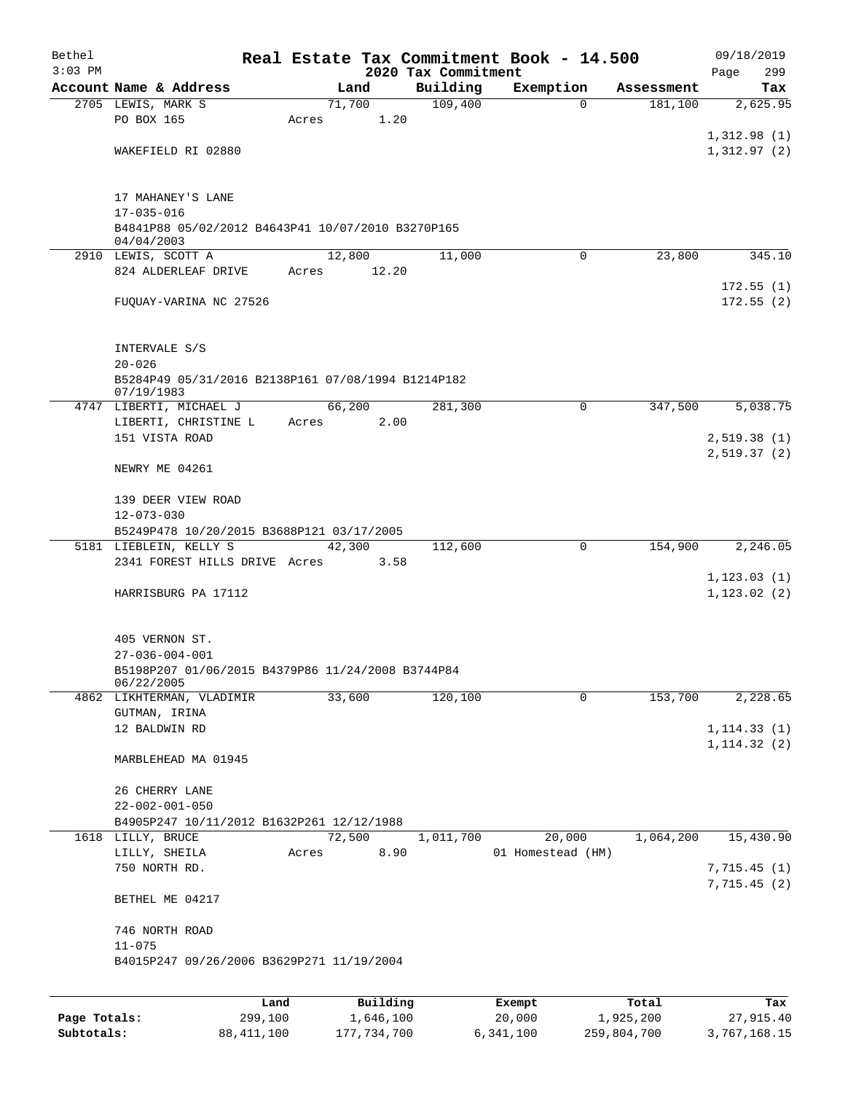| Bethel       |                                                                       |         |        |               |                     | Real Estate Tax Commitment Book - 14.500 |                     | 09/18/2019                 |
|--------------|-----------------------------------------------------------------------|---------|--------|---------------|---------------------|------------------------------------------|---------------------|----------------------------|
| $3:03$ PM    |                                                                       |         |        |               | 2020 Tax Commitment |                                          |                     | 299<br>Page                |
|              | Account Name & Address                                                |         |        | Land          | Building            | Exemption                                | Assessment          | Tax                        |
|              | 2705 LEWIS, MARK S<br>PO BOX 165                                      | Acres   | 71,700 | 1.20          | 109,400             |                                          | $\Omega$<br>181,100 | 2,625.95                   |
|              |                                                                       |         |        |               |                     |                                          |                     | 1,312.98(1)                |
|              | WAKEFIELD RI 02880                                                    |         |        |               |                     |                                          |                     | 1,312.97(2)                |
|              |                                                                       |         |        |               |                     |                                          |                     |                            |
|              |                                                                       |         |        |               |                     |                                          |                     |                            |
|              | 17 MAHANEY'S LANE                                                     |         |        |               |                     |                                          |                     |                            |
|              | $17 - 035 - 016$<br>B4841P88 05/02/2012 B4643P41 10/07/2010 B3270P165 |         |        |               |                     |                                          |                     |                            |
|              | 04/04/2003                                                            |         |        |               |                     |                                          |                     |                            |
|              | 2910 LEWIS, SCOTT A                                                   |         | 12,800 |               | 11,000              |                                          | 23,800<br>$\Omega$  | 345.10                     |
|              | 824 ALDERLEAF DRIVE                                                   | Acres   |        | 12.20         |                     |                                          |                     |                            |
|              |                                                                       |         |        |               |                     |                                          |                     | 172.55(1)                  |
|              | FUQUAY-VARINA NC 27526                                                |         |        |               |                     |                                          |                     | 172.55(2)                  |
|              |                                                                       |         |        |               |                     |                                          |                     |                            |
|              | INTERVALE S/S                                                         |         |        |               |                     |                                          |                     |                            |
|              | $20 - 026$                                                            |         |        |               |                     |                                          |                     |                            |
|              | B5284P49 05/31/2016 B2138P161 07/08/1994 B1214P182<br>07/19/1983      |         |        |               |                     |                                          |                     |                            |
|              | 4747 LIBERTI, MICHAEL J                                               |         | 66,200 |               | 281,300             |                                          | $\Omega$<br>347,500 | 5,038.75                   |
|              | LIBERTI, CHRISTINE L                                                  | Acres   |        | 2.00          |                     |                                          |                     |                            |
|              | 151 VISTA ROAD                                                        |         |        |               |                     |                                          |                     | 2,519.38(1)                |
|              | NEWRY ME 04261                                                        |         |        |               |                     |                                          |                     | 2,519.37(2)                |
|              |                                                                       |         |        |               |                     |                                          |                     |                            |
|              | 139 DEER VIEW ROAD                                                    |         |        |               |                     |                                          |                     |                            |
|              | $12 - 073 - 030$                                                      |         |        |               |                     |                                          |                     |                            |
|              | B5249P478 10/20/2015 B3688P121 03/17/2005                             |         |        |               |                     |                                          |                     |                            |
|              | 5181 LIEBLEIN, KELLY S                                                |         |        | 42,300        | 112,600             | $\mathbf 0$                              | 154,900             | 2,246.05                   |
|              | 2341 FOREST HILLS DRIVE Acres                                         |         |        | 3.58          |                     |                                          |                     | 1, 123.03(1)               |
|              | HARRISBURG PA 17112                                                   |         |        |               |                     |                                          |                     | 1, 123.02(2)               |
|              |                                                                       |         |        |               |                     |                                          |                     |                            |
|              |                                                                       |         |        |               |                     |                                          |                     |                            |
|              | 405 VERNON ST.                                                        |         |        |               |                     |                                          |                     |                            |
|              | $27 - 036 - 004 - 001$                                                |         |        |               |                     |                                          |                     |                            |
|              | B5198P207 01/06/2015 B4379P86 11/24/2008 B3744P84<br>06/22/2005       |         |        |               |                     |                                          |                     |                            |
|              | 4862 LIKHTERMAN, VLADIMIR                                             |         | 33,600 |               | 120,100             |                                          | 153,700<br>0        | 2,228.65                   |
|              | GUTMAN, IRINA                                                         |         |        |               |                     |                                          |                     |                            |
|              | 12 BALDWIN RD                                                         |         |        |               |                     |                                          |                     | 1, 114.33(1)               |
|              |                                                                       |         |        |               |                     |                                          |                     | 1, 114.32(2)               |
|              | MARBLEHEAD MA 01945                                                   |         |        |               |                     |                                          |                     |                            |
|              | 26 CHERRY LANE                                                        |         |        |               |                     |                                          |                     |                            |
|              | $22 - 002 - 001 - 050$                                                |         |        |               |                     |                                          |                     |                            |
|              | B4905P247 10/11/2012 B1632P261 12/12/1988                             |         |        |               |                     |                                          |                     |                            |
|              | 1618 LILLY, BRUCE                                                     |         | 72,500 |               | 1,011,700           | 20,000                                   | 1,064,200           | 15,430.90                  |
|              | LILLY, SHEILA                                                         | Acres   |        | 8.90          |                     | 01 Homestead (HM)                        |                     |                            |
|              | 750 NORTH RD.                                                         |         |        |               |                     |                                          |                     | 7,715.45(1)<br>7,715.45(2) |
|              | BETHEL ME 04217                                                       |         |        |               |                     |                                          |                     |                            |
|              |                                                                       |         |        |               |                     |                                          |                     |                            |
|              | 746 NORTH ROAD                                                        |         |        |               |                     |                                          |                     |                            |
|              | $11 - 075$                                                            |         |        |               |                     |                                          |                     |                            |
|              | B4015P247 09/26/2006 B3629P271 11/19/2004                             |         |        |               |                     |                                          |                     |                            |
|              |                                                                       |         |        |               |                     |                                          |                     |                            |
|              |                                                                       | Land    |        | Building      |                     | Exempt                                   | Total               | Tax                        |
| Page Totals: |                                                                       | 299,100 |        | 1,646,100     |                     | 20,000                                   | 1,925,200           | 27,915.40                  |
| Subtotals:   | 88, 411, 100                                                          |         |        | 177, 734, 700 |                     | 6,341,100                                | 259,804,700         | 3,767,168.15               |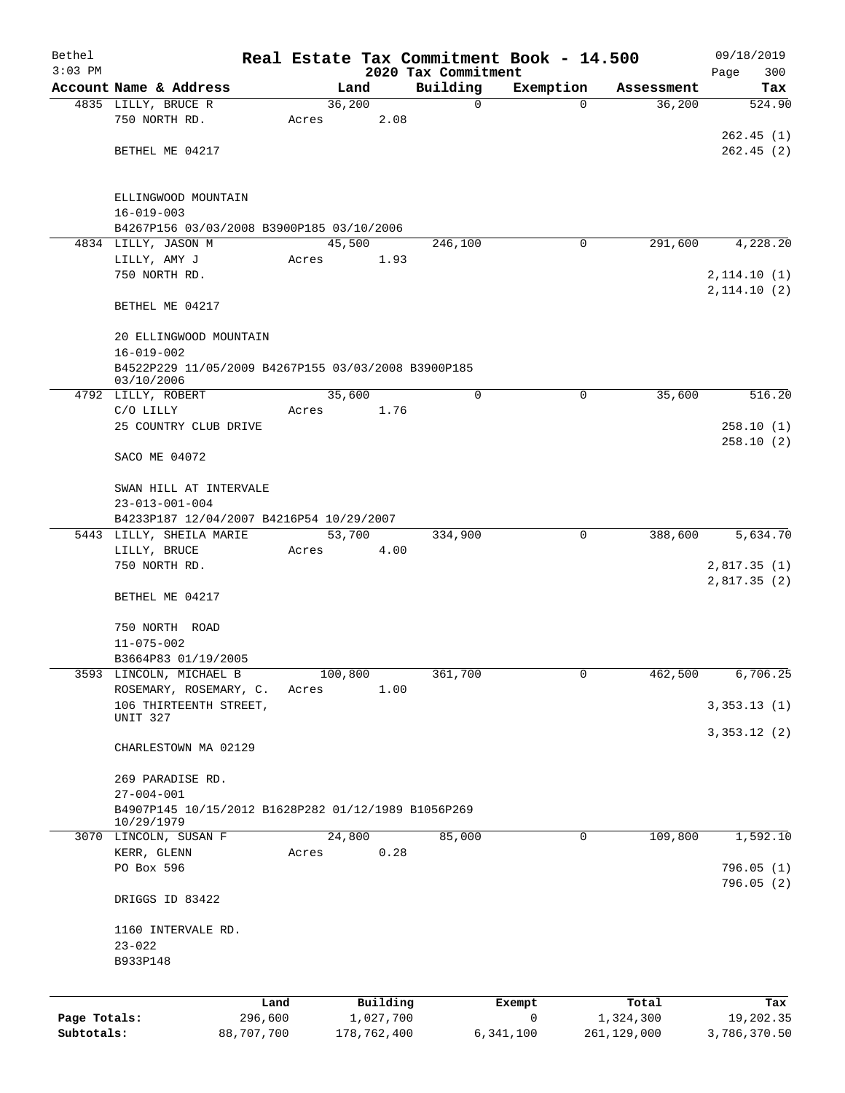| Bethel                     |                                                                   |                       |       |         |                          |                     | Real Estate Tax Commitment Book - 14.500 |                          | 09/18/2019                |
|----------------------------|-------------------------------------------------------------------|-----------------------|-------|---------|--------------------------|---------------------|------------------------------------------|--------------------------|---------------------------|
| $3:03$ PM                  |                                                                   |                       |       |         |                          | 2020 Tax Commitment |                                          |                          | 300<br>Page               |
|                            | Account Name & Address                                            |                       |       | Land    |                          | Building<br>0       | Exemption<br>$\Omega$                    | Assessment               | Tax                       |
|                            | 4835 LILLY, BRUCE R<br>750 NORTH RD.                              |                       | Acres | 36,200  | 2.08                     |                     |                                          | 36,200                   | 524.90                    |
|                            |                                                                   |                       |       |         |                          |                     |                                          |                          | 262.45(1)                 |
|                            | BETHEL ME 04217                                                   |                       |       |         |                          |                     |                                          |                          | 262.45(2)                 |
|                            |                                                                   |                       |       |         |                          |                     |                                          |                          |                           |
|                            | ELLINGWOOD MOUNTAIN                                               |                       |       |         |                          |                     |                                          |                          |                           |
|                            | $16 - 019 - 003$                                                  |                       |       |         |                          |                     |                                          |                          |                           |
|                            | B4267P156 03/03/2008 B3900P185 03/10/2006                         |                       |       |         |                          |                     |                                          |                          |                           |
|                            | 4834 LILLY, JASON M                                               |                       |       | 45,500  |                          | 246,100             | 0                                        | 291,600                  | 4,228.20                  |
|                            | LILLY, AMY J                                                      |                       | Acres |         | 1.93                     |                     |                                          |                          |                           |
|                            | 750 NORTH RD.                                                     |                       |       |         |                          |                     |                                          |                          | 2,114.10(1)               |
|                            | BETHEL ME 04217                                                   |                       |       |         |                          |                     |                                          |                          | 2,114.10(2)               |
|                            | 20 ELLINGWOOD MOUNTAIN                                            |                       |       |         |                          |                     |                                          |                          |                           |
|                            | $16 - 019 - 002$                                                  |                       |       |         |                          |                     |                                          |                          |                           |
|                            | B4522P229 11/05/2009 B4267P155 03/03/2008 B3900P185               |                       |       |         |                          |                     |                                          |                          |                           |
|                            | 03/10/2006                                                        |                       |       |         |                          |                     |                                          |                          |                           |
|                            | 4792 LILLY, ROBERT<br>C/O LILLY                                   |                       | Acres | 35,600  | 1.76                     | $\mathbf 0$         | 0                                        | 35,600                   | 516.20                    |
|                            | 25 COUNTRY CLUB DRIVE                                             |                       |       |         |                          |                     |                                          |                          | 258.10 (1)                |
|                            |                                                                   |                       |       |         |                          |                     |                                          |                          | 258.10 (2)                |
|                            | SACO ME 04072                                                     |                       |       |         |                          |                     |                                          |                          |                           |
|                            | SWAN HILL AT INTERVALE                                            |                       |       |         |                          |                     |                                          |                          |                           |
|                            | $23 - 013 - 001 - 004$                                            |                       |       |         |                          |                     |                                          |                          |                           |
|                            | B4233P187 12/04/2007 B4216P54 10/29/2007                          |                       |       |         |                          |                     |                                          |                          |                           |
|                            | 5443 LILLY, SHEILA MARIE                                          |                       |       | 53,700  |                          | 334,900             | 0                                        | 388,600                  | 5,634.70                  |
|                            | LILLY, BRUCE<br>750 NORTH RD.                                     |                       | Acres |         | 4.00                     |                     |                                          |                          | 2,817.35(1)               |
|                            |                                                                   |                       |       |         |                          |                     |                                          |                          | 2,817.35(2)               |
|                            | BETHEL ME 04217                                                   |                       |       |         |                          |                     |                                          |                          |                           |
|                            | 750 NORTH ROAD                                                    |                       |       |         |                          |                     |                                          |                          |                           |
|                            | $11 - 075 - 002$                                                  |                       |       |         |                          |                     |                                          |                          |                           |
|                            | B3664P83 01/19/2005                                               |                       |       |         |                          |                     |                                          |                          |                           |
|                            | 3593 LINCOLN, MICHAEL B                                           |                       |       | 100,800 |                          | 361,700             | 0                                        | 462,500                  | 6,706.25                  |
|                            | ROSEMARY, ROSEMARY, C.                                            |                       | Acres |         | 1.00                     |                     |                                          |                          |                           |
|                            | 106 THIRTEENTH STREET,<br>UNIT 327                                |                       |       |         |                          |                     |                                          |                          | 3,353.13(1)               |
|                            |                                                                   |                       |       |         |                          |                     |                                          |                          | 3,353.12(2)               |
|                            | CHARLESTOWN MA 02129                                              |                       |       |         |                          |                     |                                          |                          |                           |
|                            | 269 PARADISE RD.                                                  |                       |       |         |                          |                     |                                          |                          |                           |
|                            | $27 - 004 - 001$                                                  |                       |       |         |                          |                     |                                          |                          |                           |
|                            | B4907P145 10/15/2012 B1628P282 01/12/1989 B1056P269<br>10/29/1979 |                       |       |         |                          |                     |                                          |                          |                           |
|                            | 3070 LINCOLN, SUSAN F                                             |                       |       | 24,800  |                          | 85,000              | $\mathbf 0$                              | 109,800                  | 1,592.10                  |
|                            | KERR, GLENN                                                       |                       | Acres |         | 0.28                     |                     |                                          |                          |                           |
|                            | PO Box 596                                                        |                       |       |         |                          |                     |                                          |                          | 796.05 (1)                |
|                            | DRIGGS ID 83422                                                   |                       |       |         |                          |                     |                                          |                          | 796.05(2)                 |
|                            |                                                                   |                       |       |         |                          |                     |                                          |                          |                           |
|                            | 1160 INTERVALE RD.                                                |                       |       |         |                          |                     |                                          |                          |                           |
|                            | $23 - 022$                                                        |                       |       |         |                          |                     |                                          |                          |                           |
|                            | B933P148                                                          |                       |       |         |                          |                     |                                          |                          |                           |
|                            |                                                                   |                       |       |         |                          |                     |                                          |                          |                           |
|                            |                                                                   | Land                  |       |         | Building                 |                     | Exempt                                   | Total                    | Tax                       |
| Page Totals:<br>Subtotals: |                                                                   | 296,600<br>88,707,700 |       |         | 1,027,700<br>178,762,400 |                     | 0<br>6,341,100                           | 1,324,300<br>261,129,000 | 19,202.35<br>3,786,370.50 |
|                            |                                                                   |                       |       |         |                          |                     |                                          |                          |                           |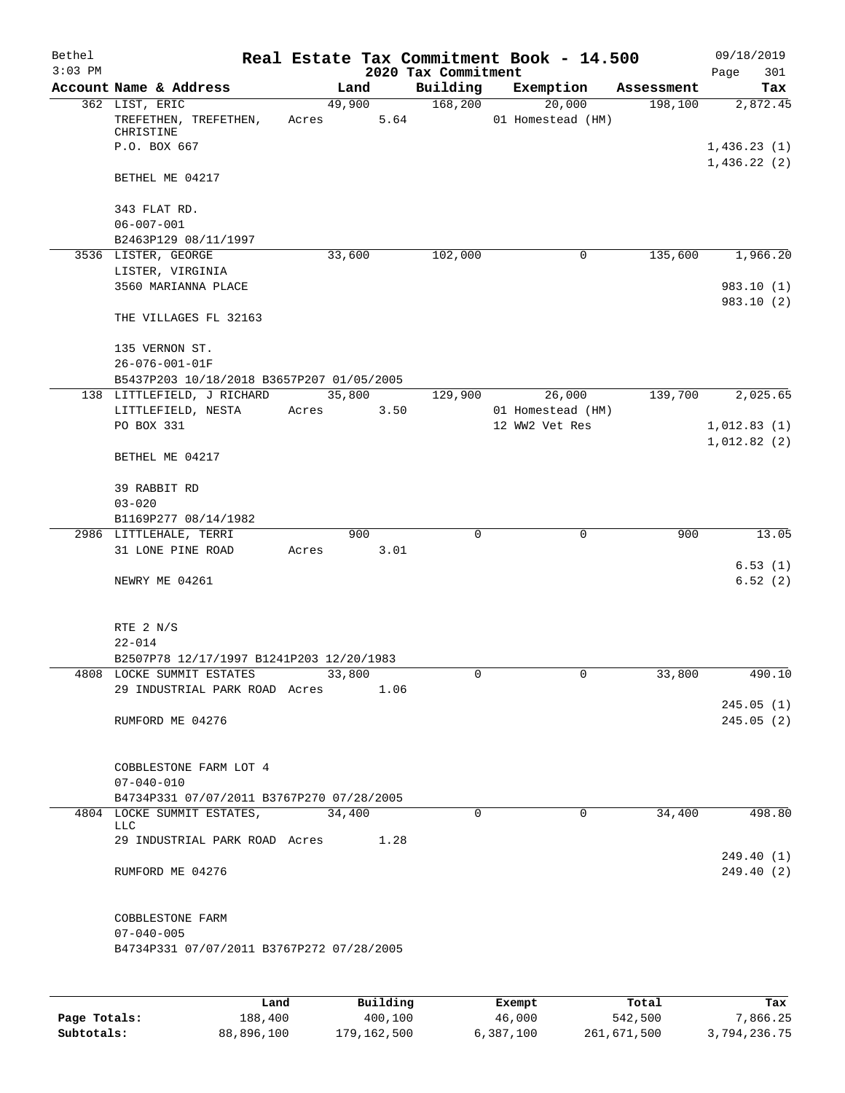| Bethel    |                                                                         |       |        |                 |                                 | Real Estate Tax Commitment Book - 14.500 |            | 09/18/2019                 |
|-----------|-------------------------------------------------------------------------|-------|--------|-----------------|---------------------------------|------------------------------------------|------------|----------------------------|
| $3:03$ PM | Account Name & Address                                                  |       | Land   |                 | 2020 Tax Commitment<br>Building | Exemption                                | Assessment | Page<br>301<br>Tax         |
|           | 362 LIST, ERIC                                                          |       | 49,900 |                 | 168,200                         | 20,000                                   | 198,100    | 2,872.45                   |
|           | TREFETHEN, TREFETHEN,<br>CHRISTINE                                      | Acres |        | 5.64            |                                 | 01 Homestead (HM)                        |            |                            |
|           | P.O. BOX 667                                                            |       |        |                 |                                 |                                          |            | 1,436.23(1)<br>1,436.22(2) |
|           | BETHEL ME 04217                                                         |       |        |                 |                                 |                                          |            |                            |
|           | 343 FLAT RD.<br>$06 - 007 - 001$                                        |       |        |                 |                                 |                                          |            |                            |
|           | B2463P129 08/11/1997                                                    |       |        |                 |                                 |                                          |            |                            |
|           | 3536 LISTER, GEORGE                                                     |       | 33,600 |                 | 102,000                         | 0                                        | 135,600    | 1,966.20                   |
|           | LISTER, VIRGINIA                                                        |       |        |                 |                                 |                                          |            |                            |
|           | 3560 MARIANNA PLACE                                                     |       |        |                 |                                 |                                          |            | 983.10 (1)<br>983.10 (2)   |
|           | THE VILLAGES FL 32163                                                   |       |        |                 |                                 |                                          |            |                            |
|           | 135 VERNON ST.<br>26-076-001-01F                                        |       |        |                 |                                 |                                          |            |                            |
|           | B5437P203 10/18/2018 B3657P207 01/05/2005                               |       |        |                 |                                 |                                          |            |                            |
|           | 138 LITTLEFIELD, J RICHARD                                              |       | 35,800 |                 | 129,900                         | 26,000                                   | 139,700    | 2,025.65                   |
|           | LITTLEFIELD, NESTA                                                      | Acres |        | 3.50            |                                 | 01 Homestead (HM)                        |            |                            |
|           | PO BOX 331                                                              |       |        |                 |                                 | 12 WW2 Vet Res                           |            | 1,012.83(1)                |
|           |                                                                         |       |        |                 |                                 |                                          |            | 1,012.82(2)                |
|           | BETHEL ME 04217                                                         |       |        |                 |                                 |                                          |            |                            |
|           | 39 RABBIT RD                                                            |       |        |                 |                                 |                                          |            |                            |
|           | $03 - 020$                                                              |       |        |                 |                                 |                                          |            |                            |
|           | B1169P277 08/14/1982<br>2986 LITTLEHALE, TERRI                          |       | 900    |                 | 0                               | $\mathbf 0$                              | 900        | 13.05                      |
|           | 31 LONE PINE ROAD                                                       | Acres |        | 3.01            |                                 |                                          |            |                            |
|           |                                                                         |       |        |                 |                                 |                                          |            | 6.53(1)                    |
|           | NEWRY ME 04261                                                          |       |        |                 |                                 |                                          |            | 6.52(2)                    |
|           |                                                                         |       |        |                 |                                 |                                          |            |                            |
|           | RTE 2 N/S                                                               |       |        |                 |                                 |                                          |            |                            |
|           | $22 - 014$                                                              |       |        |                 |                                 |                                          |            |                            |
|           | B2507P78 12/17/1997 B1241P203 12/20/1983                                |       |        |                 |                                 |                                          |            |                            |
|           | 4808 LOCKE SUMMIT ESTATES<br>29 INDUSTRIAL PARK ROAD Acres              |       | 33,800 | 1.06            | 0                               | 0                                        | 33,800     | 490.10                     |
|           |                                                                         |       |        |                 |                                 |                                          |            | 245.05(1)                  |
|           | RUMFORD ME 04276                                                        |       |        |                 |                                 |                                          |            | 245.05(2)                  |
|           |                                                                         |       |        |                 |                                 |                                          |            |                            |
|           | COBBLESTONE FARM LOT 4                                                  |       |        |                 |                                 |                                          |            |                            |
|           | $07 - 040 - 010$                                                        |       |        |                 |                                 |                                          |            |                            |
|           | B4734P331 07/07/2011 B3767P270 07/28/2005<br>4804 LOCKE SUMMIT ESTATES, |       | 34,400 |                 | $\Omega$                        | $\Omega$                                 | 34,400     | 498.80                     |
|           | <b>LLC</b>                                                              |       |        |                 |                                 |                                          |            |                            |
|           | 29 INDUSTRIAL PARK ROAD Acres                                           |       |        | 1.28            |                                 |                                          |            | 249.40(1)                  |
|           | RUMFORD ME 04276                                                        |       |        |                 |                                 |                                          |            | 249.40(2)                  |
|           | COBBLESTONE FARM                                                        |       |        |                 |                                 |                                          |            |                            |
|           | $07 - 040 - 005$                                                        |       |        |                 |                                 |                                          |            |                            |
|           | B4734P331 07/07/2011 B3767P272 07/28/2005                               |       |        |                 |                                 |                                          |            |                            |
|           |                                                                         |       |        |                 |                                 |                                          |            |                            |
|           | Land,                                                                   |       |        | <b>Building</b> |                                 | <b>Fromnt</b>                            | $T$ ctal   | Tav                        |

|              | Land       | Building    | Exempt    | Total       | Tax          |
|--------------|------------|-------------|-----------|-------------|--------------|
| Page Totals: | 188,400    | 400,100     | 46,000    | 542,500     | 7.866.25     |
| Subtotals:   | 88,896,100 | 179,162,500 | 6,387,100 | 261,671,500 | 3,794,236.75 |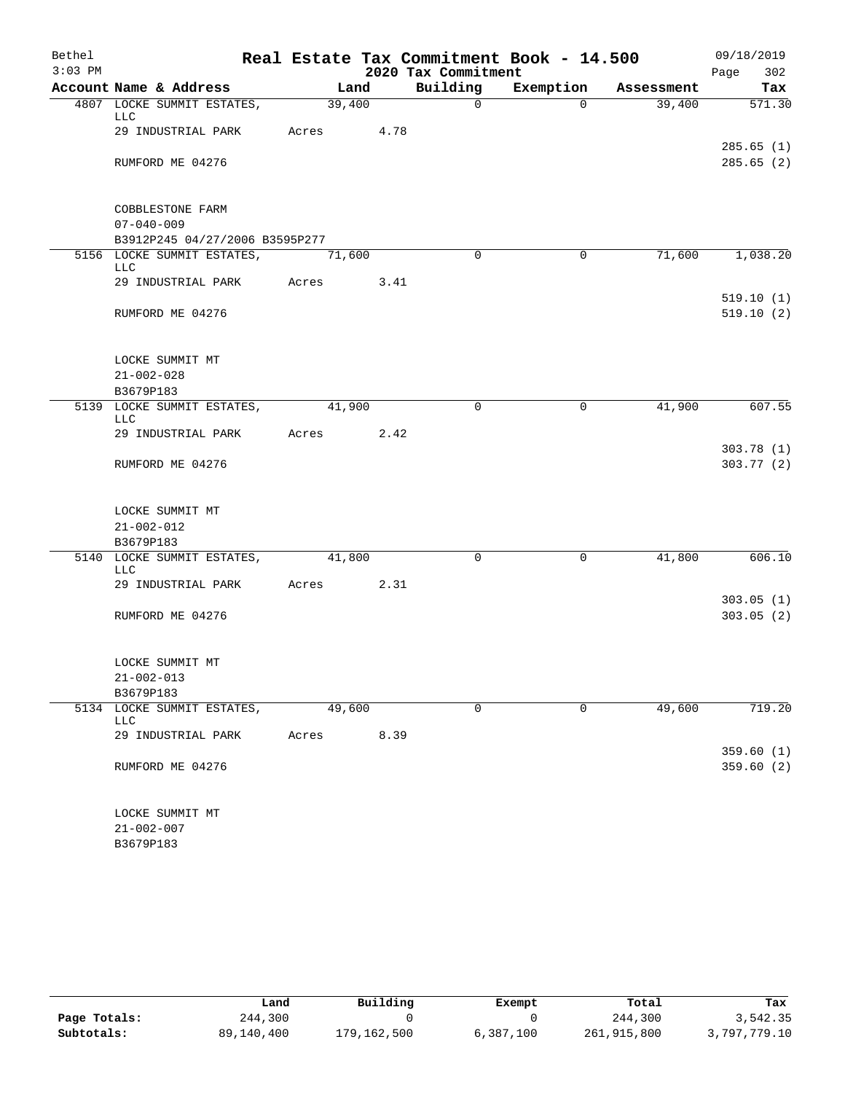| Bethel    |                                          |        |      |                     | Real Estate Tax Commitment Book - 14.500 |            | 09/18/2019             |
|-----------|------------------------------------------|--------|------|---------------------|------------------------------------------|------------|------------------------|
| $3:03$ PM |                                          |        |      | 2020 Tax Commitment |                                          |            | Page<br>302            |
|           | Account Name & Address                   | Land   |      | Building            | Exemption                                | Assessment | Tax                    |
|           | 4807 LOCKE SUMMIT ESTATES,<br>LLC        | 39,400 |      | $\mathsf{O}$        | $\Omega$                                 | 39,400     | 571.30                 |
|           | 29 INDUSTRIAL PARK                       | Acres  | 4.78 |                     |                                          |            |                        |
|           |                                          |        |      |                     |                                          |            | 285.65(1)              |
|           | RUMFORD ME 04276                         |        |      |                     |                                          |            | 285.65(2)              |
|           | COBBLESTONE FARM                         |        |      |                     |                                          |            |                        |
|           | $07 - 040 - 009$                         |        |      |                     |                                          |            |                        |
|           | B3912P245 04/27/2006 B3595P277           |        |      |                     |                                          |            |                        |
|           | 5156 LOCKE SUMMIT ESTATES,<br>LLC        | 71,600 |      | $\Omega$            | $\mathbf 0$                              | 71,600     | 1,038.20               |
|           | 29 INDUSTRIAL PARK                       | Acres  | 3.41 |                     |                                          |            |                        |
|           | RUMFORD ME 04276                         |        |      |                     |                                          |            | 519.10(1)<br>519.10(2) |
|           | LOCKE SUMMIT MT                          |        |      |                     |                                          |            |                        |
|           | $21 - 002 - 028$                         |        |      |                     |                                          |            |                        |
|           | B3679P183                                |        |      |                     |                                          |            |                        |
|           | 5139 LOCKE SUMMIT ESTATES,               | 41,900 |      | $\mathbf 0$         | $\mathbf 0$                              | 41,900     | 607.55                 |
|           | <b>LLC</b>                               |        |      |                     |                                          |            |                        |
|           | 29 INDUSTRIAL PARK                       | Acres  | 2.42 |                     |                                          |            | 303.78(1)              |
|           | RUMFORD ME 04276                         |        |      |                     |                                          |            | 303.77(2)              |
|           | LOCKE SUMMIT MT                          |        |      |                     |                                          |            |                        |
|           | $21 - 002 - 012$                         |        |      |                     |                                          |            |                        |
|           | B3679P183                                |        |      |                     |                                          |            |                        |
|           | 5140 LOCKE SUMMIT ESTATES,<br><b>LLC</b> | 41,800 |      | $\mathbf 0$         | $\mathbf 0$                              | 41,800     | 606.10                 |
|           | 29 INDUSTRIAL PARK                       | Acres  | 2.31 |                     |                                          |            |                        |
|           |                                          |        |      |                     |                                          |            | 303.05(1)              |
|           | RUMFORD ME 04276                         |        |      |                     |                                          |            | 303.05(2)              |
|           | LOCKE SUMMIT MT                          |        |      |                     |                                          |            |                        |
|           | $21 - 002 - 013$                         |        |      |                     |                                          |            |                        |
|           | B3679P183                                |        |      |                     |                                          |            |                        |
|           | 5134 LOCKE SUMMIT ESTATES,<br>LLC        | 49,600 |      | $\mathbf 0$         | $\mathbf 0$                              | 49,600     | 719.20                 |
|           | 29 INDUSTRIAL PARK                       | Acres  | 8.39 |                     |                                          |            |                        |
|           | RUMFORD ME 04276                         |        |      |                     |                                          |            | 359.60(1)<br>359.60(2) |
|           | LOCKE SUMMIT MT                          |        |      |                     |                                          |            |                        |
|           | $21 - 002 - 007$                         |        |      |                     |                                          |            |                        |
|           | B3679P183                                |        |      |                     |                                          |            |                        |

|              | Land       | Building    | Exempt    | Total       | Tax          |
|--------------|------------|-------------|-----------|-------------|--------------|
| Page Totals: | 244,300    |             |           | 244,300     | 3,542.35     |
| Subtotals:   | 89,140,400 | 179,162,500 | 6,387,100 | 261,915,800 | 3,797,779.10 |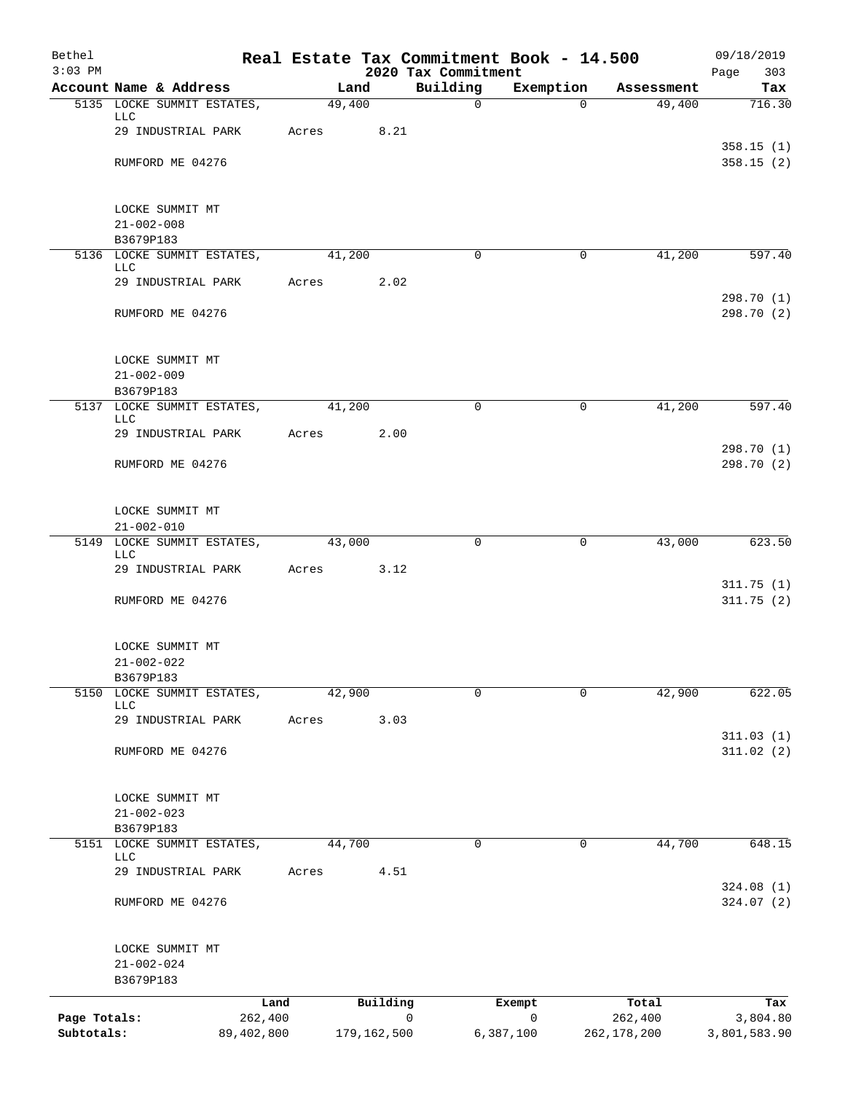| Bethel<br>$3:03$ PM        |                                                |       |        |                  |                                 | Real Estate Tax Commitment Book - 14.500 |                        | 09/18/2019               |
|----------------------------|------------------------------------------------|-------|--------|------------------|---------------------------------|------------------------------------------|------------------------|--------------------------|
|                            | Account Name & Address                         |       | Land   |                  | 2020 Tax Commitment<br>Building | Exemption                                | Assessment             | Page<br>303<br>Tax       |
|                            | 5135 LOCKE SUMMIT ESTATES,                     |       | 49,400 |                  | $\mathbf 0$                     | $\Omega$                                 | 49,400                 | 716.30                   |
|                            | <b>LLC</b><br>29 INDUSTRIAL PARK               | Acres |        | 8.21             |                                 |                                          |                        |                          |
|                            | RUMFORD ME 04276                               |       |        |                  |                                 |                                          |                        | 358.15(1)<br>358.15(2)   |
|                            | LOCKE SUMMIT MT                                |       |        |                  |                                 |                                          |                        |                          |
|                            | $21 - 002 - 008$                               |       |        |                  |                                 |                                          |                        |                          |
|                            | B3679P183                                      |       |        |                  |                                 |                                          |                        |                          |
|                            | 5136 LOCKE SUMMIT ESTATES,<br>LLC              |       | 41,200 |                  | 0                               | 0                                        | 41,200                 | 597.40                   |
|                            | 29 INDUSTRIAL PARK                             | Acres |        | 2.02             |                                 |                                          |                        | 298.70 (1)               |
|                            | RUMFORD ME 04276                               |       |        |                  |                                 |                                          |                        | 298.70 (2)               |
|                            | LOCKE SUMMIT MT                                |       |        |                  |                                 |                                          |                        |                          |
|                            | $21 - 002 - 009$<br>B3679P183                  |       |        |                  |                                 |                                          |                        |                          |
|                            | 5137 LOCKE SUMMIT ESTATES,                     |       | 41,200 |                  | $\Omega$                        | 0                                        | 41,200                 | 597.40                   |
|                            | <b>LLC</b><br>29 INDUSTRIAL PARK               | Acres |        | 2.00             |                                 |                                          |                        |                          |
|                            | RUMFORD ME 04276                               |       |        |                  |                                 |                                          |                        | 298.70 (1)<br>298.70 (2) |
|                            | LOCKE SUMMIT MT                                |       |        |                  |                                 |                                          |                        |                          |
|                            | $21 - 002 - 010$<br>5149 LOCKE SUMMIT ESTATES, |       | 43,000 |                  | $\mathbf 0$                     | $\mathbf 0$                              | 43,000                 | 623.50                   |
|                            | <b>LLC</b><br>29 INDUSTRIAL PARK               | Acres |        | 3.12             |                                 |                                          |                        |                          |
|                            | RUMFORD ME 04276                               |       |        |                  |                                 |                                          |                        | 311.75(1)<br>311.75(2)   |
|                            |                                                |       |        |                  |                                 |                                          |                        |                          |
|                            | LOCKE SUMMIT MT                                |       |        |                  |                                 |                                          |                        |                          |
|                            | $21 - 002 - 022$<br>B3679P183                  |       |        |                  |                                 |                                          |                        |                          |
| 5150                       | LOCKE SUMMIT ESTATES,<br><b>LLC</b>            |       | 42,900 |                  | $\mathbf 0$                     | $\Omega$                                 | 42,900                 | 622.05                   |
|                            | 29 INDUSTRIAL PARK                             | Acres |        | 3.03             |                                 |                                          |                        |                          |
|                            | RUMFORD ME 04276                               |       |        |                  |                                 |                                          |                        | 311.03(1)<br>311.02(2)   |
|                            |                                                |       |        |                  |                                 |                                          |                        |                          |
|                            | LOCKE SUMMIT MT                                |       |        |                  |                                 |                                          |                        |                          |
|                            | $21 - 002 - 023$                               |       |        |                  |                                 |                                          |                        |                          |
|                            | B3679P183<br>5151 LOCKE SUMMIT ESTATES,        |       | 44,700 |                  | $\Omega$                        | 0                                        | 44,700                 | 648.15                   |
|                            | LLC<br>29 INDUSTRIAL PARK                      | Acres |        | 4.51             |                                 |                                          |                        |                          |
|                            |                                                |       |        |                  |                                 |                                          |                        | 324.08(1)                |
|                            | RUMFORD ME 04276                               |       |        |                  |                                 |                                          |                        | 324.07 (2)               |
|                            | LOCKE SUMMIT MT                                |       |        |                  |                                 |                                          |                        |                          |
|                            | $21 - 002 - 024$<br>B3679P183                  |       |        |                  |                                 |                                          |                        |                          |
|                            |                                                | Land  |        | Building         |                                 | Exempt                                   | Total                  | Tax                      |
| Page Totals:<br>Subtotals: | 262,400<br>89,402,800                          |       |        | 0<br>179,162,500 |                                 | $\mathsf{O}$<br>6,387,100                | 262,400<br>262,178,200 | 3,804.80<br>3,801,583.90 |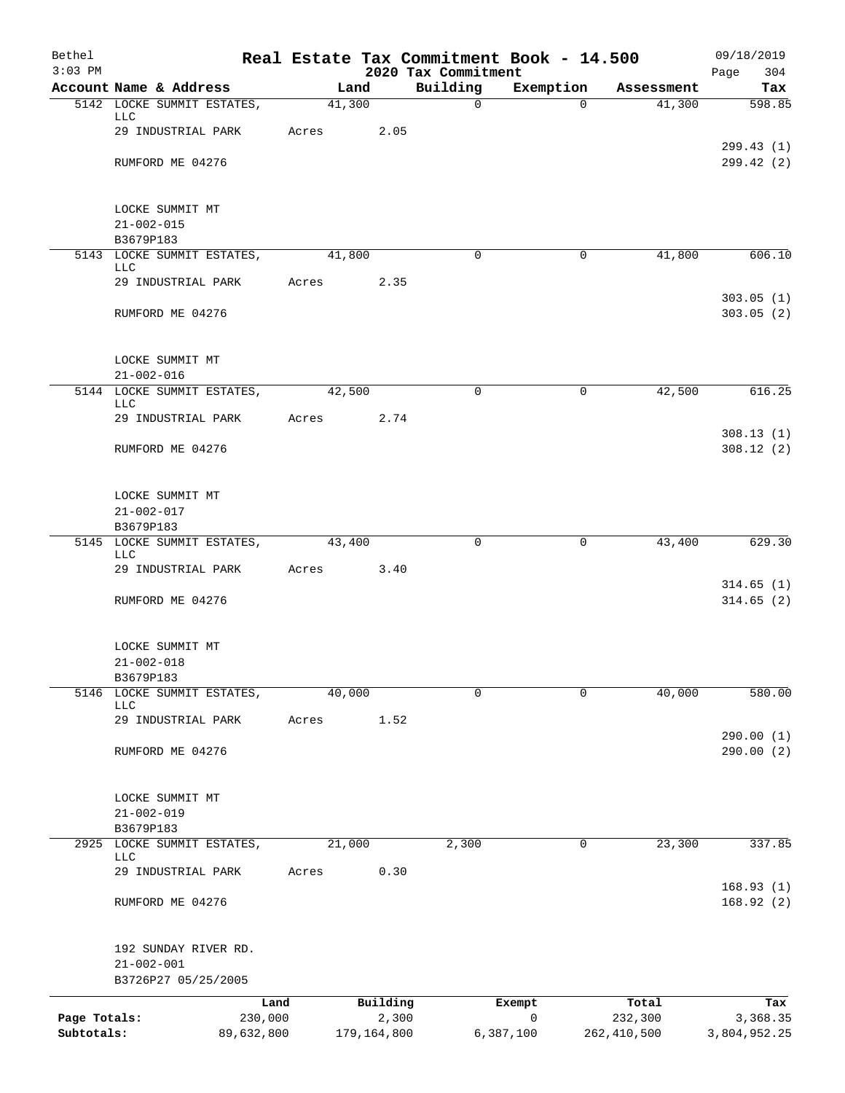| Bethel<br>$3:03$ PM |                                         |       |             |                                 | Real Estate Tax Commitment Book - 14.500 |             | 09/18/2019              |
|---------------------|-----------------------------------------|-------|-------------|---------------------------------|------------------------------------------|-------------|-------------------------|
|                     | Account Name & Address                  |       | Land        | 2020 Tax Commitment<br>Building | Exemption                                | Assessment  | Page<br>304<br>Tax      |
|                     | 5142 LOCKE SUMMIT ESTATES,              |       | 41,300      | $\mathbf 0$                     | $\Omega$                                 | 41,300      | 598.85                  |
|                     | LLC<br>29 INDUSTRIAL PARK               | Acres | 2.05        |                                 |                                          |             |                         |
|                     | RUMFORD ME 04276                        |       |             |                                 |                                          |             | 299.43(1)<br>299.42 (2) |
|                     | LOCKE SUMMIT MT                         |       |             |                                 |                                          |             |                         |
|                     | $21 - 002 - 015$                        |       |             |                                 |                                          |             |                         |
|                     | B3679P183<br>5143 LOCKE SUMMIT ESTATES, |       | 41,800      | $\mathbf 0$                     | $\mathbf 0$                              | 41,800      | 606.10                  |
|                     | LLC                                     |       |             |                                 |                                          |             |                         |
|                     | 29 INDUSTRIAL PARK                      | Acres | 2.35        |                                 |                                          |             | 303.05(1)               |
|                     | RUMFORD ME 04276                        |       |             |                                 |                                          |             | 303.05(2)               |
|                     | LOCKE SUMMIT MT                         |       |             |                                 |                                          |             |                         |
|                     | $21 - 002 - 016$                        |       |             |                                 |                                          |             |                         |
|                     | 5144 LOCKE SUMMIT ESTATES,<br>LLC       |       | 42,500      | 0                               | 0                                        | 42,500      | 616.25                  |
|                     | 29 INDUSTRIAL PARK                      | Acres | 2.74        |                                 |                                          |             |                         |
|                     | RUMFORD ME 04276                        |       |             |                                 |                                          |             | 308.13(1)<br>308.12(2)  |
|                     | LOCKE SUMMIT MT                         |       |             |                                 |                                          |             |                         |
|                     | $21 - 002 - 017$                        |       |             |                                 |                                          |             |                         |
|                     | B3679P183<br>5145 LOCKE SUMMIT ESTATES, |       | 43,400      | 0                               | 0                                        | 43,400      | 629.30                  |
|                     | <b>LLC</b>                              |       |             |                                 |                                          |             |                         |
|                     | 29 INDUSTRIAL PARK                      | Acres | 3.40        |                                 |                                          |             | 314.65(1)               |
|                     | RUMFORD ME 04276                        |       |             |                                 |                                          |             | 314.65(2)               |
|                     | LOCKE SUMMIT MT                         |       |             |                                 |                                          |             |                         |
|                     | $21 - 002 - 018$<br>B3679P183           |       |             |                                 |                                          |             |                         |
| 5146                | LOCKE SUMMIT ESTATES,                   |       | 40,000      | $\mathbf 0$                     | $\mathbf 0$                              | 40,000      | 580.00                  |
|                     | <b>LLC</b><br>29 INDUSTRIAL PARK        | Acres | 1.52        |                                 |                                          |             |                         |
|                     |                                         |       |             |                                 |                                          |             | 290.00 (1)              |
|                     | RUMFORD ME 04276                        |       |             |                                 |                                          |             | 290.00 (2)              |
|                     | LOCKE SUMMIT MT<br>$21 - 002 - 019$     |       |             |                                 |                                          |             |                         |
|                     | B3679P183                               |       |             |                                 |                                          |             |                         |
|                     | 2925 LOCKE SUMMIT ESTATES,              |       | 21,000      | 2,300                           | 0                                        | 23,300      | 337.85                  |
|                     | LLC<br>29 INDUSTRIAL PARK               | Acres | 0.30        |                                 |                                          |             |                         |
|                     |                                         |       |             |                                 |                                          |             | 168.93(1)               |
|                     | RUMFORD ME 04276                        |       |             |                                 |                                          |             | 168.92(2)               |
|                     | 192 SUNDAY RIVER RD.                    |       |             |                                 |                                          |             |                         |
|                     | $21 - 002 - 001$<br>B3726P27 05/25/2005 |       |             |                                 |                                          |             |                         |
|                     | Land                                    |       | Building    |                                 | Exempt                                   | Total       | Tax                     |
| Page Totals:        | 230,000                                 |       | 2,300       |                                 | $\mathbf 0$                              | 232,300     | 3,368.35                |
| Subtotals:          | 89,632,800                              |       | 179,164,800 |                                 | 6,387,100                                | 262,410,500 | 3,804,952.25            |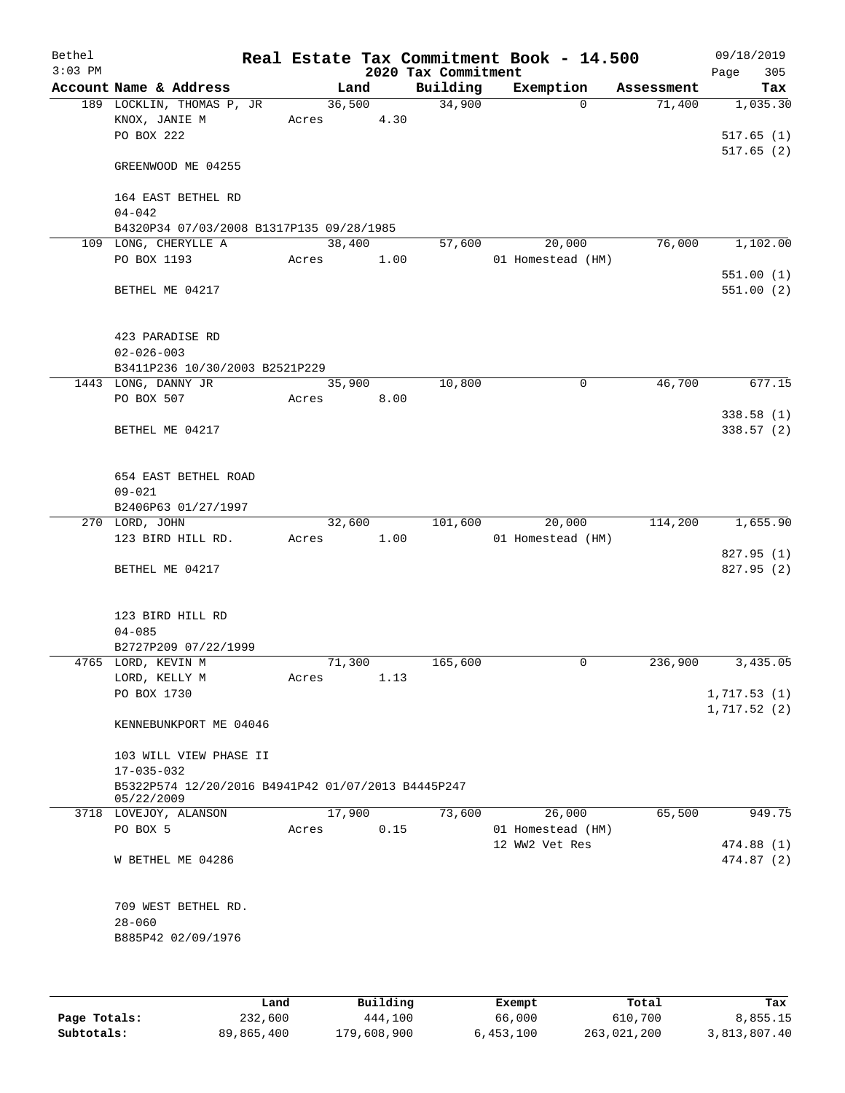| Bethel<br>$3:03$ PM |                                                    |       |        |      | Real Estate Tax Commitment Book - 14.500<br>2020 Tax Commitment |                |                   |            | 09/18/2019<br>Page<br>305 |
|---------------------|----------------------------------------------------|-------|--------|------|-----------------------------------------------------------------|----------------|-------------------|------------|---------------------------|
|                     | Account Name & Address                             |       | Land   |      | Building                                                        |                | Exemption         | Assessment | Tax                       |
|                     | 189 LOCKLIN, THOMAS P, JR                          |       | 36,500 |      | 34,900                                                          |                | $\mathbf 0$       | 71,400     | 1,035.30                  |
|                     | KNOX, JANIE M                                      | Acres |        | 4.30 |                                                                 |                |                   |            |                           |
|                     | PO BOX 222                                         |       |        |      |                                                                 |                |                   |            | 517.65(1)                 |
|                     |                                                    |       |        |      |                                                                 |                |                   |            | 517.65(2)                 |
|                     | GREENWOOD ME 04255                                 |       |        |      |                                                                 |                |                   |            |                           |
|                     |                                                    |       |        |      |                                                                 |                |                   |            |                           |
|                     | 164 EAST BETHEL RD                                 |       |        |      |                                                                 |                |                   |            |                           |
|                     | $04 - 042$                                         |       |        |      |                                                                 |                |                   |            |                           |
|                     | B4320P34 07/03/2008 B1317P135 09/28/1985           |       |        |      |                                                                 |                |                   |            |                           |
|                     | 109 LONG, CHERYLLE A<br>PO BOX 1193                | Acres | 38,400 |      | 57,600                                                          |                | 20,000            | 76,000     | 1,102.00                  |
|                     |                                                    |       |        | 1.00 |                                                                 |                | 01 Homestead (HM) |            | 551.00(1)                 |
|                     | BETHEL ME 04217                                    |       |        |      |                                                                 |                |                   |            | 551.00(2)                 |
|                     |                                                    |       |        |      |                                                                 |                |                   |            |                           |
|                     |                                                    |       |        |      |                                                                 |                |                   |            |                           |
|                     | 423 PARADISE RD                                    |       |        |      |                                                                 |                |                   |            |                           |
|                     | $02 - 026 - 003$                                   |       |        |      |                                                                 |                |                   |            |                           |
|                     | B3411P236 10/30/2003 B2521P229                     |       |        |      |                                                                 |                |                   |            |                           |
|                     | 1443 LONG, DANNY JR                                |       | 35,900 |      | 10,800                                                          |                | 0                 | 46,700     | 677.15                    |
|                     | PO BOX 507                                         | Acres |        | 8.00 |                                                                 |                |                   |            |                           |
|                     |                                                    |       |        |      |                                                                 |                |                   |            | 338.58(1)                 |
|                     | BETHEL ME 04217                                    |       |        |      |                                                                 |                |                   |            | 338.57(2)                 |
|                     |                                                    |       |        |      |                                                                 |                |                   |            |                           |
|                     |                                                    |       |        |      |                                                                 |                |                   |            |                           |
|                     | 654 EAST BETHEL ROAD                               |       |        |      |                                                                 |                |                   |            |                           |
|                     | $09 - 021$                                         |       |        |      |                                                                 |                |                   |            |                           |
|                     | B2406P63 01/27/1997<br>270 LORD, JOHN              |       | 32,600 |      | 101,600                                                         |                | 20,000            | 114,200    | 1,655.90                  |
|                     | 123 BIRD HILL RD.                                  | Acres |        | 1.00 |                                                                 |                | 01 Homestead (HM) |            |                           |
|                     |                                                    |       |        |      |                                                                 |                |                   |            | 827.95 (1)                |
|                     | BETHEL ME 04217                                    |       |        |      |                                                                 |                |                   |            | 827.95 (2)                |
|                     |                                                    |       |        |      |                                                                 |                |                   |            |                           |
|                     |                                                    |       |        |      |                                                                 |                |                   |            |                           |
|                     | 123 BIRD HILL RD                                   |       |        |      |                                                                 |                |                   |            |                           |
|                     | $04 - 085$                                         |       |        |      |                                                                 |                |                   |            |                           |
|                     | B2727P209 07/22/1999                               |       |        |      |                                                                 |                |                   |            |                           |
|                     | 4765 LORD, KEVIN M                                 |       | 71,300 |      | 165,600                                                         |                | 0                 | 236,900    | 3,435.05                  |
|                     | LORD, KELLY M                                      | Acres |        | 1.13 |                                                                 |                |                   |            |                           |
|                     | PO BOX 1730                                        |       |        |      |                                                                 |                |                   |            | 1,717.53(1)               |
|                     |                                                    |       |        |      |                                                                 |                |                   |            | 1,717.52(2)               |
|                     | KENNEBUNKPORT ME 04046                             |       |        |      |                                                                 |                |                   |            |                           |
|                     | 103 WILL VIEW PHASE II                             |       |        |      |                                                                 |                |                   |            |                           |
|                     | $17 - 035 - 032$                                   |       |        |      |                                                                 |                |                   |            |                           |
|                     | B5322P574 12/20/2016 B4941P42 01/07/2013 B4445P247 |       |        |      |                                                                 |                |                   |            |                           |
|                     | 05/22/2009                                         |       |        |      |                                                                 |                |                   |            |                           |
|                     | 3718 LOVEJOY, ALANSON                              |       | 17,900 |      | 73,600                                                          |                | 26,000            | 65,500     | 949.75                    |
|                     | PO BOX 5                                           | Acres |        | 0.15 |                                                                 |                | 01 Homestead (HM) |            |                           |
|                     |                                                    |       |        |      |                                                                 | 12 WW2 Vet Res |                   |            | 474.88 (1)                |
|                     | W BETHEL ME 04286                                  |       |        |      |                                                                 |                |                   |            | 474.87 (2)                |
|                     |                                                    |       |        |      |                                                                 |                |                   |            |                           |
|                     | 709 WEST BETHEL RD.                                |       |        |      |                                                                 |                |                   |            |                           |
|                     | $28 - 060$                                         |       |        |      |                                                                 |                |                   |            |                           |
|                     | B885P42 02/09/1976                                 |       |        |      |                                                                 |                |                   |            |                           |
|                     |                                                    |       |        |      |                                                                 |                |                   |            |                           |
|                     |                                                    |       |        |      |                                                                 |                |                   |            |                           |
|                     |                                                    |       |        |      |                                                                 |                |                   |            |                           |
|                     |                                                    |       |        |      |                                                                 |                |                   |            |                           |

|              | Land       | Building    | Exempt    | Total       | Tax          |
|--------------|------------|-------------|-----------|-------------|--------------|
| Page Totals: | 232,600    | 444,100     | 66,000    | 610,700     | 8,855.15     |
| Subtotals:   | 89,865,400 | 179,608,900 | 6,453,100 | 263,021,200 | 3,813,807.40 |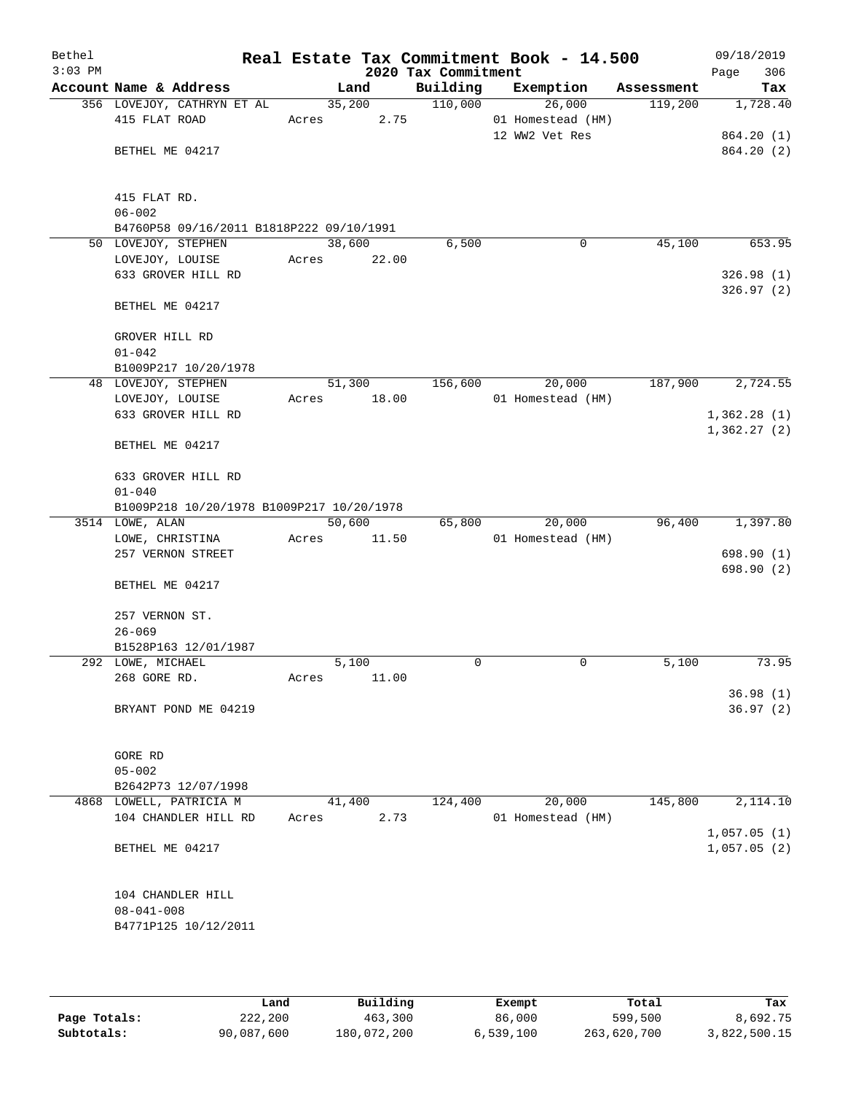| Bethel    |                                             |        |                |                     | Real Estate Tax Commitment Book - 14.500 |                       | 09/18/2019  |
|-----------|---------------------------------------------|--------|----------------|---------------------|------------------------------------------|-----------------------|-------------|
| $3:03$ PM |                                             |        |                | 2020 Tax Commitment |                                          |                       | 306<br>Page |
|           | Account Name & Address                      |        | Land           | Building            | Exemption                                | Assessment<br>119,200 | Tax         |
|           | 356 LOVEJOY, CATHRYN ET AL<br>415 FLAT ROAD | Acres  | 35,200<br>2.75 | 110,000             | 26,000<br>01 Homestead (HM)              |                       | 1,728.40    |
|           |                                             |        |                |                     | 12 WW2 Vet Res                           |                       | 864.20 (1)  |
|           | BETHEL ME 04217                             |        |                |                     |                                          |                       | 864.20 (2)  |
|           |                                             |        |                |                     |                                          |                       |             |
|           |                                             |        |                |                     |                                          |                       |             |
|           | 415 FLAT RD.                                |        |                |                     |                                          |                       |             |
|           | $06 - 002$                                  |        |                |                     |                                          |                       |             |
|           | B4760P58 09/16/2011 B1818P222 09/10/1991    |        |                |                     |                                          |                       |             |
|           | 50 LOVEJOY, STEPHEN                         | 38,600 |                | 6,500               | 0                                        | 45,100                | 653.95      |
|           | LOVEJOY, LOUISE                             | Acres  | 22.00          |                     |                                          |                       |             |
|           | 633 GROVER HILL RD                          |        |                |                     |                                          |                       | 326.98(1)   |
|           | BETHEL ME 04217                             |        |                |                     |                                          |                       | 326.97(2)   |
|           |                                             |        |                |                     |                                          |                       |             |
|           | GROVER HILL RD                              |        |                |                     |                                          |                       |             |
|           | $01 - 042$                                  |        |                |                     |                                          |                       |             |
|           | B1009P217 10/20/1978                        |        |                |                     |                                          |                       |             |
|           | 48 LOVEJOY, STEPHEN                         |        | 51,300         | 156,600             | 20,000                                   | 187,900               | 2,724.55    |
|           | LOVEJOY, LOUISE                             | Acres  | 18.00          |                     | 01 Homestead (HM)                        |                       |             |
|           | 633 GROVER HILL RD                          |        |                |                     |                                          |                       | 1,362.28(1) |
|           |                                             |        |                |                     |                                          |                       | 1,362.27(2) |
|           | BETHEL ME 04217                             |        |                |                     |                                          |                       |             |
|           | 633 GROVER HILL RD                          |        |                |                     |                                          |                       |             |
|           | $01 - 040$                                  |        |                |                     |                                          |                       |             |
|           | B1009P218 10/20/1978 B1009P217 10/20/1978   |        |                |                     |                                          |                       |             |
|           | 3514 LOWE, ALAN                             |        | 50,600         | 65,800              | 20,000                                   | 96,400                | 1,397.80    |
|           | LOWE, CHRISTINA                             | Acres  | 11.50          |                     | 01 Homestead (HM)                        |                       |             |
|           | 257 VERNON STREET                           |        |                |                     |                                          |                       | 698.90 (1)  |
|           |                                             |        |                |                     |                                          |                       | 698.90 (2)  |
|           | BETHEL ME 04217                             |        |                |                     |                                          |                       |             |
|           | 257 VERNON ST.                              |        |                |                     |                                          |                       |             |
|           | $26 - 069$                                  |        |                |                     |                                          |                       |             |
|           | B1528P163 12/01/1987                        |        |                |                     |                                          |                       |             |
|           | 292 LOWE, MICHAEL                           |        | 5,100          | 0                   | 0                                        | 5,100                 | 73.95       |
|           | 268 GORE RD.                                | Acres  | 11.00          |                     |                                          |                       |             |
|           |                                             |        |                |                     |                                          |                       | 36.98(1)    |
|           | BRYANT POND ME 04219                        |        |                |                     |                                          |                       | 36.97(2)    |
|           |                                             |        |                |                     |                                          |                       |             |
|           |                                             |        |                |                     |                                          |                       |             |
|           | GORE RD<br>$05 - 002$                       |        |                |                     |                                          |                       |             |
|           | B2642P73 12/07/1998                         |        |                |                     |                                          |                       |             |
|           | 4868 LOWELL, PATRICIA M                     |        | 41,400         | 124,400             | 20,000                                   | 145,800               | 2,114.10    |
|           | 104 CHANDLER HILL RD                        | Acres  | 2.73           |                     | 01 Homestead (HM)                        |                       |             |
|           |                                             |        |                |                     |                                          |                       | 1,057.05(1) |
|           | BETHEL ME 04217                             |        |                |                     |                                          |                       | 1,057.05(2) |
|           |                                             |        |                |                     |                                          |                       |             |
|           |                                             |        |                |                     |                                          |                       |             |
|           | 104 CHANDLER HILL                           |        |                |                     |                                          |                       |             |
|           | $08 - 041 - 008$                            |        |                |                     |                                          |                       |             |
|           | B4771P125 10/12/2011                        |        |                |                     |                                          |                       |             |
|           |                                             |        |                |                     |                                          |                       |             |

|              | Land       | Building    | Exempt    | Total       | Tax          |
|--------------|------------|-------------|-----------|-------------|--------------|
| Page Totals: | 222,200    | 463,300     | 86,000    | 599,500     | 8,692.75     |
| Subtotals:   | 90,087,600 | 180,072,200 | 6,539,100 | 263,620,700 | 3,822,500.15 |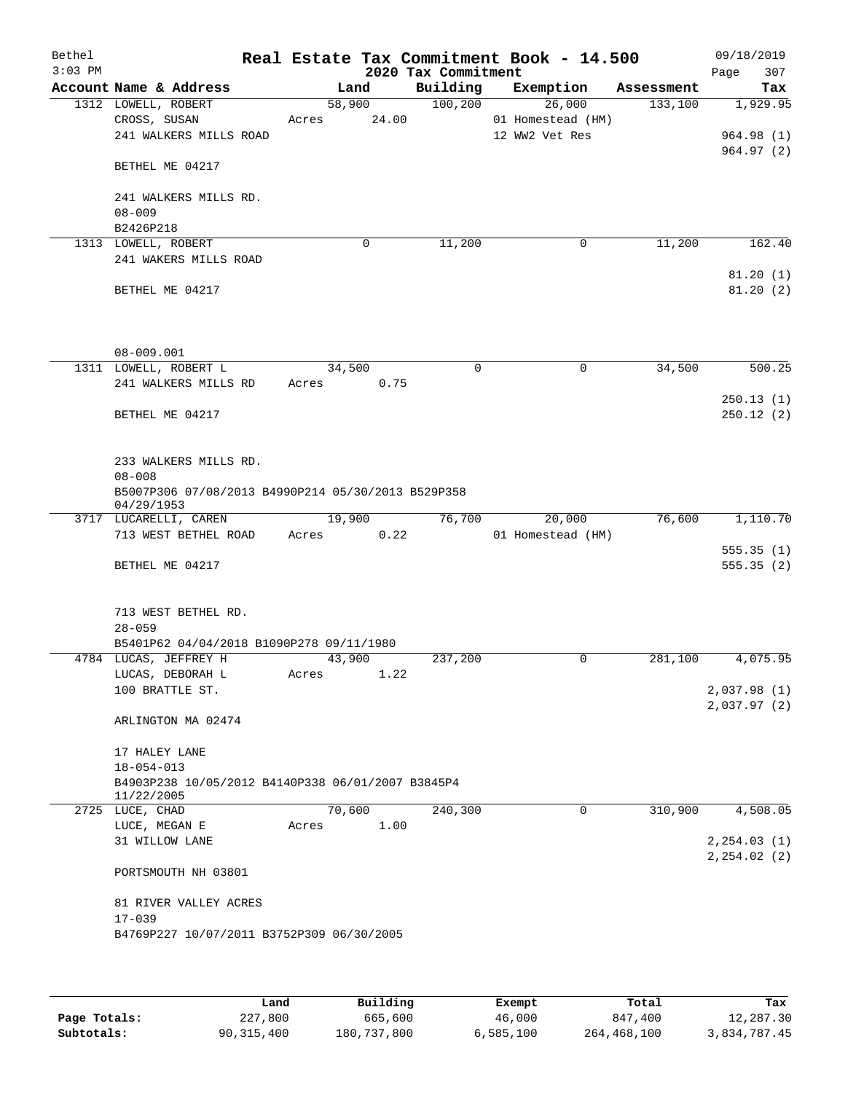| Bethel<br>$3:03$ PM |                                                                  |                 |        | 2020 Tax Commitment | Real Estate Tax Commitment Book - 14.500 |            | 09/18/2019<br>307<br>Page |
|---------------------|------------------------------------------------------------------|-----------------|--------|---------------------|------------------------------------------|------------|---------------------------|
|                     | Account Name & Address                                           |                 | Land   | Building            | Exemption                                | Assessment | Tax                       |
|                     | 1312 LOWELL, ROBERT                                              |                 | 58,900 | 100, 200            | 26,000                                   | 133,100    | 1,929.95                  |
|                     | CROSS, SUSAN                                                     | Acres           | 24.00  |                     | 01 Homestead (HM)                        |            |                           |
|                     | 241 WALKERS MILLS ROAD                                           |                 |        |                     | 12 WW2 Vet Res                           |            | 964.98(1)                 |
|                     | BETHEL ME 04217                                                  |                 |        |                     |                                          |            | 964.97(2)                 |
|                     | 241 WALKERS MILLS RD.                                            |                 |        |                     |                                          |            |                           |
|                     | $08 - 009$                                                       |                 |        |                     |                                          |            |                           |
|                     | B2426P218                                                        |                 |        |                     |                                          |            |                           |
|                     | 1313 LOWELL, ROBERT                                              |                 | 0      | 11,200              | $\mathbf 0$                              | 11,200     | 162.40                    |
|                     | 241 WAKERS MILLS ROAD                                            |                 |        |                     |                                          |            |                           |
|                     |                                                                  |                 |        |                     |                                          |            | 81.20(1)                  |
|                     | BETHEL ME 04217                                                  |                 |        |                     |                                          |            | 81.20(2)                  |
|                     |                                                                  |                 |        |                     |                                          |            |                           |
|                     | $08 - 009.001$<br>1311 LOWELL, ROBERT L                          |                 |        |                     |                                          |            |                           |
|                     | 241 WALKERS MILLS RD                                             | 34,500<br>Acres | 0.75   | $\mathbf 0$         | $\mathbf 0$                              | 34,500     | 500.25                    |
|                     |                                                                  |                 |        |                     |                                          |            | 250.13(1)                 |
|                     | BETHEL ME 04217                                                  |                 |        |                     |                                          |            | 250.12(2)                 |
|                     |                                                                  |                 |        |                     |                                          |            |                           |
|                     | 233 WALKERS MILLS RD.                                            |                 |        |                     |                                          |            |                           |
|                     | $08 - 008$                                                       |                 |        |                     |                                          |            |                           |
|                     | B5007P306 07/08/2013 B4990P214 05/30/2013 B529P358<br>04/29/1953 |                 |        |                     |                                          |            |                           |
|                     | 3717 LUCARELLI, CAREN                                            | 19,900          |        | 76,700              | 20,000                                   | 76,600     | 1,110.70                  |
|                     | 713 WEST BETHEL ROAD                                             | Acres           | 0.22   |                     | 01 Homestead (HM)                        |            |                           |
|                     |                                                                  |                 |        |                     |                                          |            | 555.35(1)                 |
|                     | BETHEL ME 04217                                                  |                 |        |                     |                                          |            | 555.35(2)                 |
|                     | 713 WEST BETHEL RD.                                              |                 |        |                     |                                          |            |                           |
|                     | $28 - 059$                                                       |                 |        |                     |                                          |            |                           |
|                     | B5401P62 04/04/2018 B1090P278 09/11/1980                         |                 |        |                     |                                          |            |                           |
|                     | 4784 LUCAS, JEFFREY H                                            | 43,900          |        | 237,200             | 0                                        | 281,100    | 4,075.95                  |
|                     | LUCAS, DEBORAH L                                                 | Acres           | 1.22   |                     |                                          |            |                           |
|                     | 100 BRATTLE ST.                                                  |                 |        |                     |                                          |            | 2,037.98(1)               |
|                     | ARLINGTON MA 02474                                               |                 |        |                     |                                          |            | 2,037.97(2)               |
|                     |                                                                  |                 |        |                     |                                          |            |                           |
|                     | 17 HALEY LANE<br>$18 - 054 - 013$                                |                 |        |                     |                                          |            |                           |
|                     | B4903P238 10/05/2012 B4140P338 06/01/2007 B3845P4                |                 |        |                     |                                          |            |                           |
|                     | 11/22/2005                                                       |                 |        |                     |                                          |            |                           |
|                     | 2725 LUCE, CHAD                                                  |                 | 70,600 | 240,300             | 0                                        | 310,900    | 4,508.05                  |
|                     | LUCE, MEGAN E                                                    | Acres           | 1.00   |                     |                                          |            |                           |
|                     | 31 WILLOW LANE                                                   |                 |        |                     |                                          |            | 2, 254.03(1)              |
|                     | PORTSMOUTH NH 03801                                              |                 |        |                     |                                          |            | 2, 254.02(2)              |
|                     |                                                                  |                 |        |                     |                                          |            |                           |
|                     | 81 RIVER VALLEY ACRES<br>$17 - 039$                              |                 |        |                     |                                          |            |                           |
|                     | B4769P227 10/07/2011 B3752P309 06/30/2005                        |                 |        |                     |                                          |            |                           |
|                     |                                                                  |                 |        |                     |                                          |            |                           |
|                     |                                                                  |                 |        |                     |                                          |            |                           |
|                     |                                                                  |                 |        |                     |                                          |            |                           |

|              | Land       | Building    | Exempt    | Total       | Tax          |
|--------------|------------|-------------|-----------|-------------|--------------|
| Page Totals: | 227,800    | 665,600     | 46,000    | 847,400     | 12,287.30    |
| Subtotals:   | 90,315,400 | 180,737,800 | 6,585,100 | 264,468,100 | 3,834,787.45 |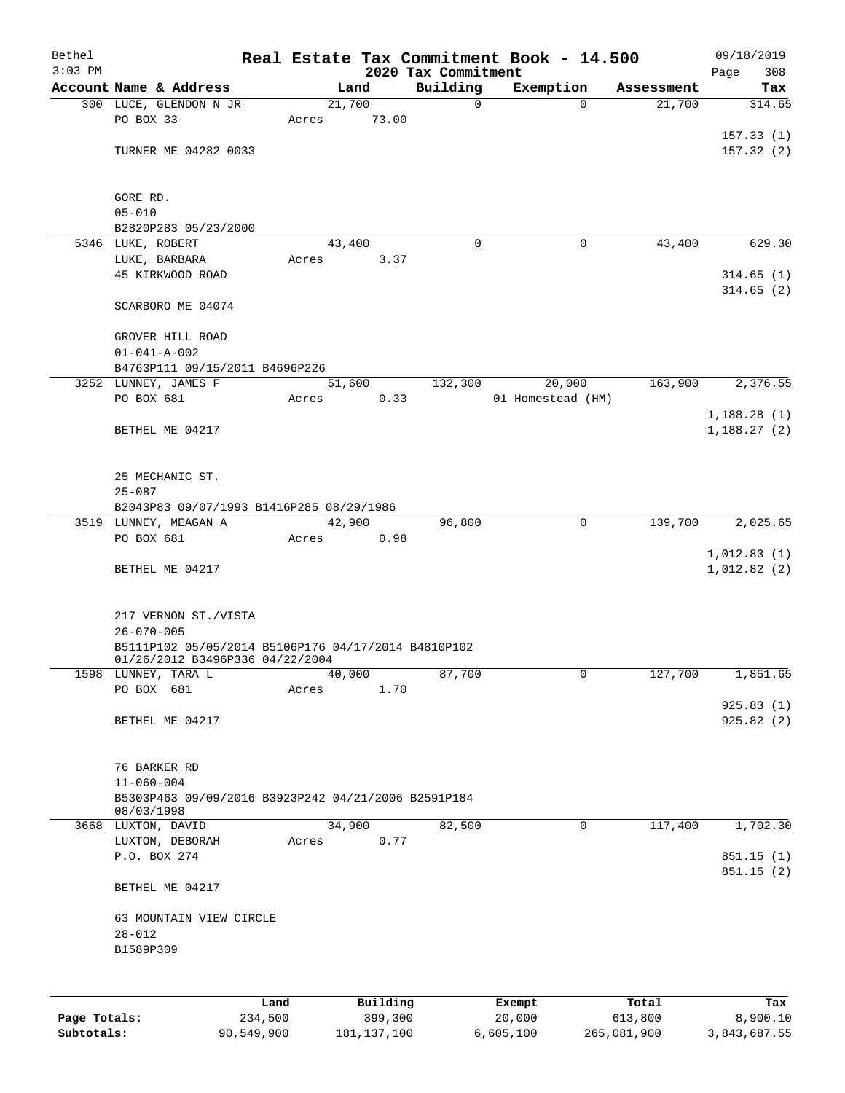| Bethel       |                                                     |       |                |                     | Real Estate Tax Commitment Book - 14.500 |                      | 09/18/2019             |
|--------------|-----------------------------------------------------|-------|----------------|---------------------|------------------------------------------|----------------------|------------------------|
| $3:03$ PM    | Account Name & Address                              |       |                | 2020 Tax Commitment |                                          |                      | 308<br>Page            |
|              | 300 LUCE, GLENDON N JR                              |       | Land<br>21,700 | Building<br>0       | Exemption<br>$\Omega$                    | Assessment<br>21,700 | Tax<br>314.65          |
|              | PO BOX 33                                           | Acres | 73.00          |                     |                                          |                      |                        |
|              |                                                     |       |                |                     |                                          |                      | 157.33(1)              |
|              | TURNER ME 04282 0033                                |       |                |                     |                                          |                      | 157.32(2)              |
|              |                                                     |       |                |                     |                                          |                      |                        |
|              | GORE RD.                                            |       |                |                     |                                          |                      |                        |
|              | $05 - 010$                                          |       |                |                     |                                          |                      |                        |
|              | B2820P283 05/23/2000                                |       |                |                     |                                          |                      |                        |
|              | 5346 LUKE, ROBERT                                   |       | 43,400         | 0                   | 0                                        | 43,400               | 629.30                 |
|              | LUKE, BARBARA                                       | Acres | 3.37           |                     |                                          |                      |                        |
|              | 45 KIRKWOOD ROAD                                    |       |                |                     |                                          |                      | 314.65(1)              |
|              |                                                     |       |                |                     |                                          |                      | 314.65(2)              |
|              | SCARBORO ME 04074                                   |       |                |                     |                                          |                      |                        |
|              | GROVER HILL ROAD                                    |       |                |                     |                                          |                      |                        |
|              | $01 - 041 - A - 002$                                |       |                |                     |                                          |                      |                        |
|              | B4763P111 09/15/2011 B4696P226                      |       |                |                     |                                          |                      |                        |
|              | 3252 LUNNEY, JAMES F                                |       | 51,600         | 132,300             | 20,000                                   | 163,900              | 2,376.55               |
|              | PO BOX 681                                          | Acres | 0.33           |                     | 01 Homestead (HM)                        |                      |                        |
|              |                                                     |       |                |                     |                                          |                      | 1,188.28(1)            |
|              | BETHEL ME 04217                                     |       |                |                     |                                          |                      | 1,188.27(2)            |
|              |                                                     |       |                |                     |                                          |                      |                        |
|              |                                                     |       |                |                     |                                          |                      |                        |
|              | 25 MECHANIC ST.                                     |       |                |                     |                                          |                      |                        |
|              | $25 - 087$                                          |       |                |                     |                                          |                      |                        |
|              | B2043P83 09/07/1993 B1416P285 08/29/1986            |       |                |                     |                                          |                      |                        |
|              | 3519 LUNNEY, MEAGAN A                               |       | 42,900         | 96,800              | 0                                        | 139,700              | 2,025.65               |
|              | PO BOX 681                                          | Acres | 0.98           |                     |                                          |                      |                        |
|              |                                                     |       |                |                     |                                          |                      | 1,012.83(1)            |
|              | BETHEL ME 04217                                     |       |                |                     |                                          |                      | 1,012.82(2)            |
|              |                                                     |       |                |                     |                                          |                      |                        |
|              | 217 VERNON ST./VISTA                                |       |                |                     |                                          |                      |                        |
|              | $26 - 070 - 005$                                    |       |                |                     |                                          |                      |                        |
|              | B5111P102 05/05/2014 B5106P176 04/17/2014 B4810P102 |       |                |                     |                                          |                      |                        |
|              | 01/26/2012 B3496P336 04/22/2004                     |       |                |                     |                                          |                      |                        |
|              | 1598 LUNNEY, TARA L                                 |       | 40,000         | 87,700              | 0                                        | 127,700              | 1,851.65               |
|              | PO BOX 681                                          | Acres | 1.70           |                     |                                          |                      |                        |
|              |                                                     |       |                |                     |                                          |                      | 925.83(1)              |
|              | BETHEL ME 04217                                     |       |                |                     |                                          |                      | 925.82 (2)             |
|              |                                                     |       |                |                     |                                          |                      |                        |
|              | 76 BARKER RD                                        |       |                |                     |                                          |                      |                        |
|              | $11 - 060 - 004$                                    |       |                |                     |                                          |                      |                        |
|              | B5303P463 09/09/2016 B3923P242 04/21/2006 B2591P184 |       |                |                     |                                          |                      |                        |
|              | 08/03/1998                                          |       |                |                     |                                          |                      |                        |
|              | 3668 LUXTON, DAVID                                  |       | 34,900         | 82,500              | 0                                        | 117,400              | 1,702.30               |
|              | LUXTON, DEBORAH                                     | Acres | 0.77           |                     |                                          |                      |                        |
|              | P.O. BOX 274                                        |       |                |                     |                                          |                      | 851.15(1)<br>851.15(2) |
|              | BETHEL ME 04217                                     |       |                |                     |                                          |                      |                        |
|              |                                                     |       |                |                     |                                          |                      |                        |
|              | 63 MOUNTAIN VIEW CIRCLE                             |       |                |                     |                                          |                      |                        |
|              | $28 - 012$                                          |       |                |                     |                                          |                      |                        |
|              | B1589P309                                           |       |                |                     |                                          |                      |                        |
|              |                                                     |       |                |                     |                                          |                      |                        |
|              |                                                     |       |                |                     |                                          |                      |                        |
|              | Land                                                |       | Building       |                     | Exempt                                   | Total                | Tax                    |
| Page Totals: | 234,500                                             |       | 399,300        |                     | 20,000                                   | 613,800              | 8,900.10               |

**Subtotals:** 90,549,900 181,137,100 6,605,100 265,081,900 3,843,687.55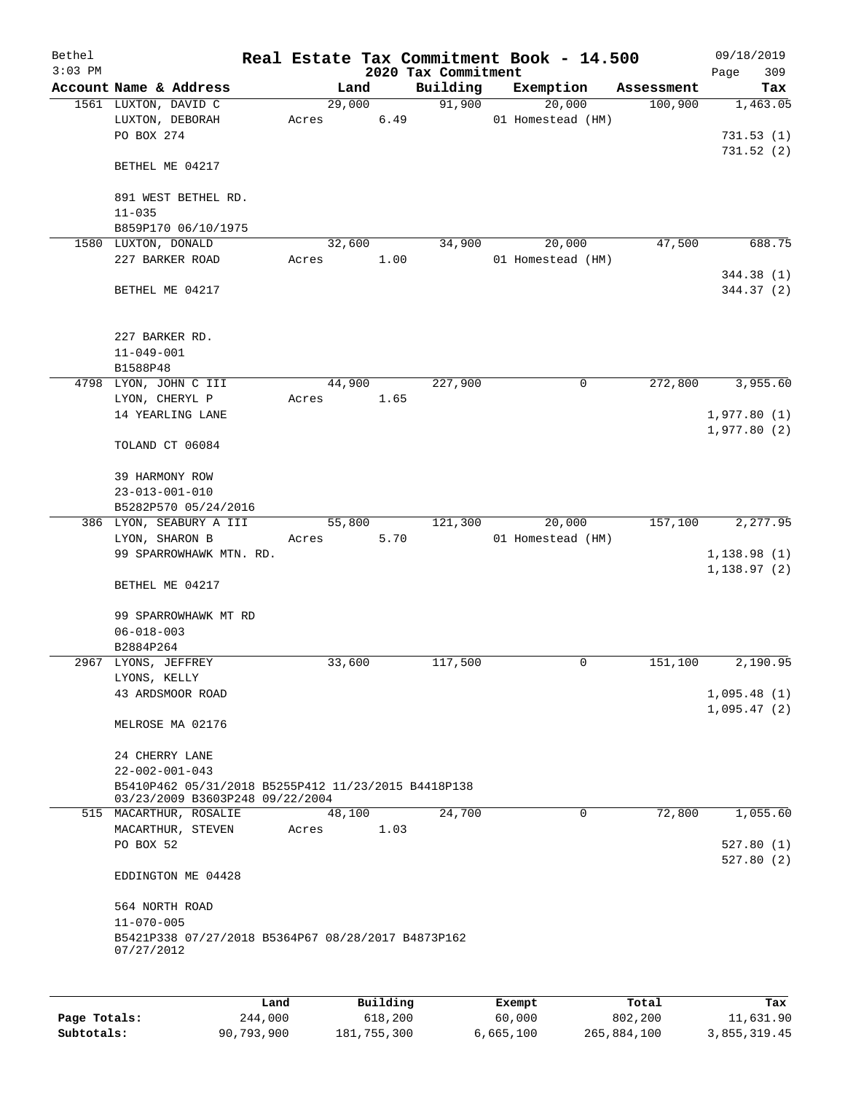| Bethel<br>$3:03$ PM |                                                                                        |       |                | 2020 Tax Commitment | Real Estate Tax Commitment Book - 14.500 |            | 09/18/2019<br>309<br>Page |
|---------------------|----------------------------------------------------------------------------------------|-------|----------------|---------------------|------------------------------------------|------------|---------------------------|
|                     | Account Name & Address                                                                 |       | Land           | Building            | Exemption                                | Assessment | Tax                       |
|                     | 1561 LUXTON, DAVID C<br>LUXTON, DEBORAH                                                | Acres | 29,000<br>6.49 | 91,900              | 20,000<br>01 Homestead (HM)              | 100,900    | 1,463.05                  |
|                     | PO BOX 274                                                                             |       |                |                     |                                          |            | 731.53(1)<br>731.52(2)    |
|                     | BETHEL ME 04217                                                                        |       |                |                     |                                          |            |                           |
|                     | 891 WEST BETHEL RD.<br>$11 - 035$                                                      |       |                |                     |                                          |            |                           |
|                     | B859P170 06/10/1975                                                                    |       |                |                     |                                          |            |                           |
|                     | 1580 LUXTON, DONALD                                                                    |       | 32,600         | 34,900              | 20,000                                   | 47,500     | 688.75                    |
|                     | 227 BARKER ROAD                                                                        | Acres | 1.00           |                     | 01 Homestead (HM)                        |            |                           |
|                     | BETHEL ME 04217                                                                        |       |                |                     |                                          |            | 344.38 (1)<br>344.37 (2)  |
|                     | 227 BARKER RD.<br>$11 - 049 - 001$                                                     |       |                |                     |                                          |            |                           |
|                     | B1588P48                                                                               |       |                |                     |                                          |            |                           |
|                     | 4798 LYON, JOHN C III                                                                  |       | 44,900         | 227,900             | 0                                        | 272,800    | 3,955.60                  |
|                     | LYON, CHERYL P                                                                         | Acres | 1.65           |                     |                                          |            |                           |
|                     | 14 YEARLING LANE                                                                       |       |                |                     |                                          |            | 1,977.80(1)               |
|                     | TOLAND CT 06084                                                                        |       |                |                     |                                          |            | 1,977.80(2)               |
|                     | 39 HARMONY ROW                                                                         |       |                |                     |                                          |            |                           |
|                     | $23 - 013 - 001 - 010$                                                                 |       |                |                     |                                          |            |                           |
|                     | B5282P570 05/24/2016                                                                   |       |                |                     |                                          |            |                           |
|                     | 386 LYON, SEABURY A III                                                                |       | 55,800         | 121,300             | 20,000                                   | 157,100    | 2,277.95                  |
|                     | LYON, SHARON B<br>99 SPARROWHAWK MTN. RD.                                              | Acres | 5.70           |                     | 01 Homestead (HM)                        |            | 1,138.98(1)               |
|                     |                                                                                        |       |                |                     |                                          |            | 1, 138.97(2)              |
|                     | BETHEL ME 04217                                                                        |       |                |                     |                                          |            |                           |
|                     | 99 SPARROWHAWK MT RD                                                                   |       |                |                     |                                          |            |                           |
|                     | $06 - 018 - 003$                                                                       |       |                |                     |                                          |            |                           |
|                     | B2884P264<br>2967 LYONS, JEFFREY                                                       |       | 33,600         | 117,500             | 0                                        | 151,100    | 2,190.95                  |
|                     | LYONS, KELLY                                                                           |       |                |                     |                                          |            |                           |
|                     | 43 ARDSMOOR ROAD                                                                       |       |                |                     |                                          |            | 1,095.48(1)               |
|                     |                                                                                        |       |                |                     |                                          |            | 1,095.47(2)               |
|                     | MELROSE MA 02176                                                                       |       |                |                     |                                          |            |                           |
|                     | 24 CHERRY LANE                                                                         |       |                |                     |                                          |            |                           |
|                     | $22 - 002 - 001 - 043$                                                                 |       |                |                     |                                          |            |                           |
|                     | B5410P462 05/31/2018 B5255P412 11/23/2015 B4418P138<br>03/23/2009 B3603P248 09/22/2004 |       |                |                     |                                          |            |                           |
|                     | 515 MACARTHUR, ROSALIE                                                                 |       | 48,100         | 24,700              | 0                                        | 72,800     | 1,055.60                  |
|                     | MACARTHUR, STEVEN<br>PO BOX 52                                                         | Acres | 1.03           |                     |                                          |            | 527.80(1)                 |
|                     |                                                                                        |       |                |                     |                                          |            | 527.80(2)                 |
|                     | EDDINGTON ME 04428                                                                     |       |                |                     |                                          |            |                           |
|                     | 564 NORTH ROAD                                                                         |       |                |                     |                                          |            |                           |
|                     | $11 - 070 - 005$                                                                       |       |                |                     |                                          |            |                           |
|                     | B5421P338 07/27/2018 B5364P67 08/28/2017 B4873P162<br>07/27/2012                       |       |                |                     |                                          |            |                           |
|                     |                                                                                        |       |                |                     |                                          |            |                           |
|                     |                                                                                        |       |                |                     |                                          |            |                           |

|              | Land       | Building    | Exempt    | Total       | Tax          |
|--------------|------------|-------------|-----------|-------------|--------------|
| Page Totals: | 244,000    | 618,200     | 60,000    | 802,200     | 11,631.90    |
| Subtotals:   | 90,793,900 | 181,755,300 | 6.665.100 | 265,884,100 | 3,855,319.45 |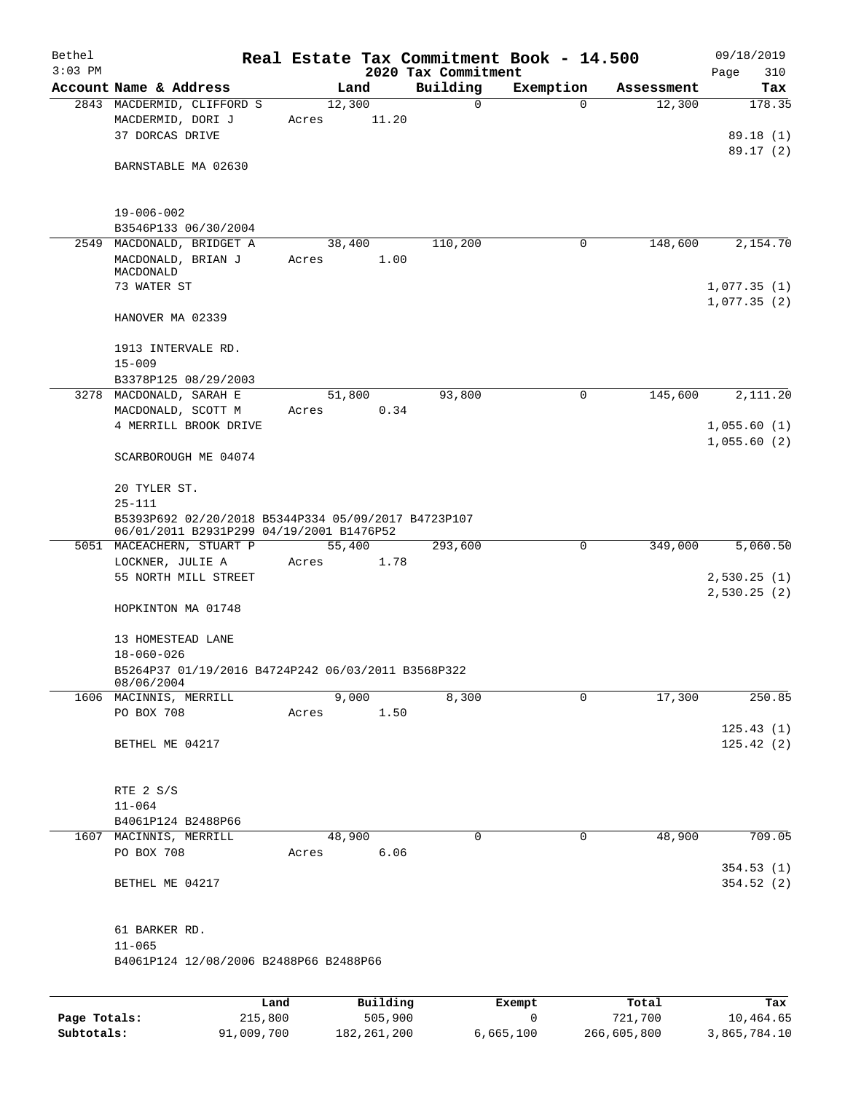| Bethel<br>$3:03$ PM |                                                                                                 |                 |          | 2020 Tax Commitment | Real Estate Tax Commitment Book - 14.500 |            | 09/18/2019<br>Page<br>310  |
|---------------------|-------------------------------------------------------------------------------------------------|-----------------|----------|---------------------|------------------------------------------|------------|----------------------------|
|                     | Account Name & Address                                                                          |                 | Land     | Building            | Exemption                                | Assessment | Tax                        |
|                     | 2843 MACDERMID, CLIFFORD S<br>MACDERMID, DORI J<br>37 DORCAS DRIVE                              | 12,300<br>Acres | 11.20    | 0                   | $\Omega$                                 | 12,300     | 178.35<br>89.18 (1)        |
|                     | BARNSTABLE MA 02630                                                                             |                 |          |                     |                                          |            | 89.17 (2)                  |
|                     | $19 - 006 - 002$<br>B3546P133 06/30/2004                                                        |                 |          |                     |                                          |            |                            |
|                     | 2549 MACDONALD, BRIDGET A                                                                       | 38, 400         |          | 110,200             | 0                                        | 148,600    | 2,154.70                   |
|                     | MACDONALD, BRIAN J<br>MACDONALD                                                                 | Acres           | 1.00     |                     |                                          |            |                            |
|                     | 73 WATER ST                                                                                     |                 |          |                     |                                          |            | 1,077.35(1)                |
|                     | HANOVER MA 02339                                                                                |                 |          |                     |                                          |            | 1,077.35(2)                |
|                     | 1913 INTERVALE RD.<br>$15 - 009$                                                                |                 |          |                     |                                          |            |                            |
|                     | B3378P125 08/29/2003                                                                            |                 |          |                     |                                          |            |                            |
|                     | 3278 MACDONALD, SARAH E                                                                         | 51,800          |          | 93,800              | 0                                        | 145,600    | 2,111.20                   |
|                     | MACDONALD, SCOTT M<br>4 MERRILL BROOK DRIVE                                                     | Acres           | 0.34     |                     |                                          |            | 1,055.60(1)<br>1,055.60(2) |
|                     | SCARBOROUGH ME 04074                                                                            |                 |          |                     |                                          |            |                            |
|                     | 20 TYLER ST.<br>$25 - 111$                                                                      |                 |          |                     |                                          |            |                            |
|                     | B5393P692 02/20/2018 B5344P334 05/09/2017 B4723P107<br>06/01/2011 B2931P299 04/19/2001 B1476P52 |                 |          |                     |                                          |            |                            |
|                     | 5051 MACEACHERN, STUART P                                                                       | 55,400          |          | 293,600             | $\mathbf 0$                              | 349,000    | 5,060.50                   |
|                     | LOCKNER, JULIE A<br>55 NORTH MILL STREET                                                        | Acres           | 1.78     |                     |                                          |            | 2,530.25(1)                |
|                     |                                                                                                 |                 |          |                     |                                          |            | 2,530.25(2)                |
|                     | HOPKINTON MA 01748                                                                              |                 |          |                     |                                          |            |                            |
|                     | 13 HOMESTEAD LANE                                                                               |                 |          |                     |                                          |            |                            |
|                     | $18 - 060 - 026$                                                                                |                 |          |                     |                                          |            |                            |
|                     | B5264P37 01/19/2016 B4724P242 06/03/2011 B3568P322<br>08/06/2004                                |                 |          |                     |                                          |            |                            |
|                     | 1606 MACINNIS, MERRILL                                                                          |                 | 9,000    | 8,300               | 0                                        | 17,300     | 250.85                     |
|                     | PO BOX 708                                                                                      | Acres           | 1.50     |                     |                                          |            | 125.43(1)                  |
|                     | BETHEL ME 04217                                                                                 |                 |          |                     |                                          |            | 125.42(2)                  |
|                     | RTE 2 S/S                                                                                       |                 |          |                     |                                          |            |                            |
|                     | $11 - 064$                                                                                      |                 |          |                     |                                          |            |                            |
|                     | B4061P124 B2488P66<br>1607 MACINNIS, MERRILL                                                    | 48,900          |          | $\mathbf 0$         | 0                                        | 48,900     | 709.05                     |
|                     | PO BOX 708                                                                                      | Acres           | 6.06     |                     |                                          |            | 354.53 (1)                 |
|                     | BETHEL ME 04217                                                                                 |                 |          |                     |                                          |            | 354.52(2)                  |
|                     | 61 BARKER RD.                                                                                   |                 |          |                     |                                          |            |                            |
|                     | $11 - 065$<br>B4061P124 12/08/2006 B2488P66 B2488P66                                            |                 |          |                     |                                          |            |                            |
|                     |                                                                                                 |                 |          |                     |                                          |            |                            |
|                     | Land                                                                                            |                 | Building |                     | Exempt                                   | Total      | Tax                        |
| Page Totals:        | 215,800                                                                                         |                 | 505,900  |                     | $\mathbf 0$                              | 721,700    | 10,464.65                  |

**Subtotals:** 91,009,700 182,261,200 6,665,100 266,605,800 3,865,784.10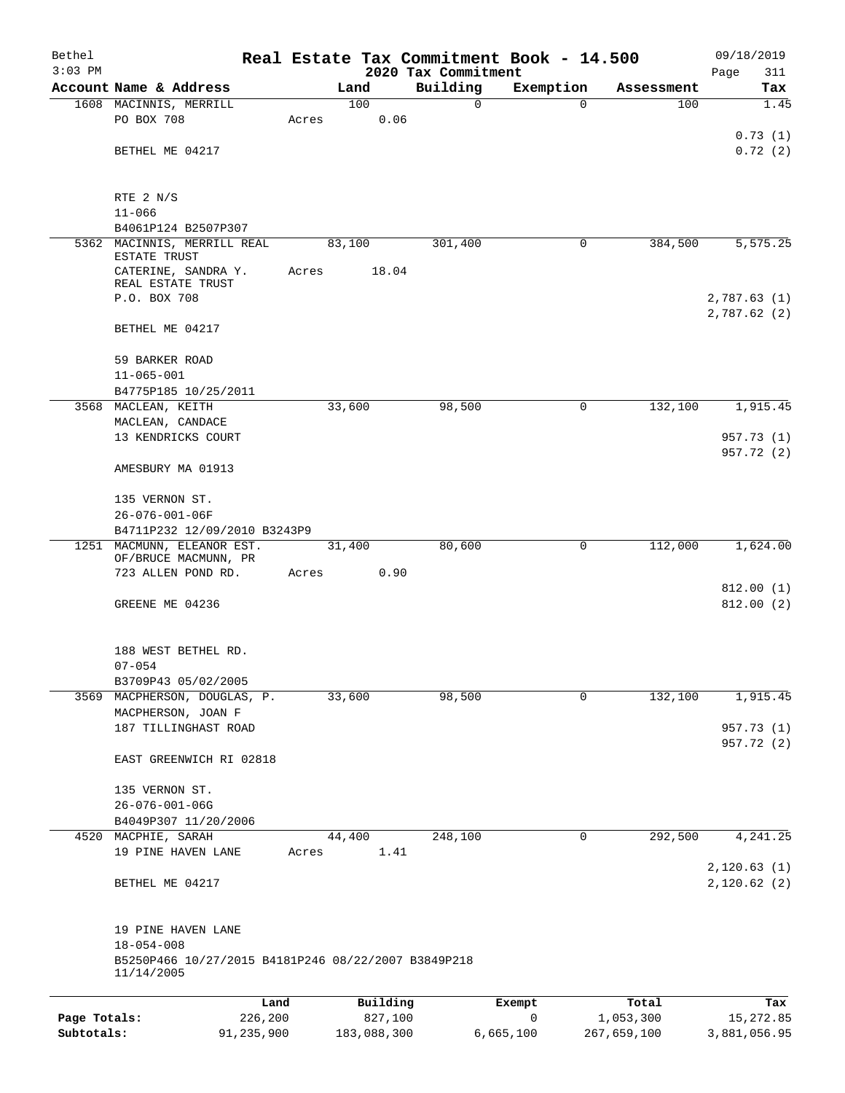| Bethel       |                                                                                       |       |             |          | Real Estate Tax Commitment Book - 14.500 |             |             | 09/18/2019                 |
|--------------|---------------------------------------------------------------------------------------|-------|-------------|----------|------------------------------------------|-------------|-------------|----------------------------|
| $3:03$ PM    | Account Name & Address                                                                |       | Land        |          | 2020 Tax Commitment<br>Building          | Exemption   | Assessment  | Page<br>311                |
|              | 1608 MACINNIS, MERRILL                                                                |       | 100         |          | $\mathbf 0$                              | 0           | 100         | Tax<br>1.45                |
|              | PO BOX 708                                                                            | Acres |             | 0.06     |                                          |             |             |                            |
|              |                                                                                       |       |             |          |                                          |             |             | 0.73(1)                    |
|              | BETHEL ME 04217                                                                       |       |             |          |                                          |             |             | 0.72(2)                    |
|              | RTE 2 N/S                                                                             |       |             |          |                                          |             |             |                            |
|              | $11 - 066$                                                                            |       |             |          |                                          |             |             |                            |
|              | B4061P124 B2507P307                                                                   |       |             |          |                                          |             |             |                            |
|              | 5362 MACINNIS, MERRILL REAL<br><b>ESTATE TRUST</b><br>CATERINE, SANDRA Y.             | Acres | 83,100      | 18.04    | 301,400                                  | $\mathbf 0$ | 384,500     | 5,575.25                   |
|              | REAL ESTATE TRUST<br>P.O. BOX 708                                                     |       |             |          |                                          |             |             | 2,787.63(1)<br>2,787.62(2) |
|              | BETHEL ME 04217                                                                       |       |             |          |                                          |             |             |                            |
|              | 59 BARKER ROAD                                                                        |       |             |          |                                          |             |             |                            |
|              | $11 - 065 - 001$<br>B4775P185 10/25/2011                                              |       |             |          |                                          |             |             |                            |
|              | 3568 MACLEAN, KEITH                                                                   |       | 33,600      |          | 98,500                                   | 0           | 132,100     | 1,915.45                   |
|              | MACLEAN, CANDACE                                                                      |       |             |          |                                          |             |             |                            |
|              | 13 KENDRICKS COURT                                                                    |       |             |          |                                          |             |             | 957.73 (1)                 |
|              | AMESBURY MA 01913                                                                     |       |             |          |                                          |             |             | 957.72 (2)                 |
|              | 135 VERNON ST.                                                                        |       |             |          |                                          |             |             |                            |
|              | 26-076-001-06F                                                                        |       |             |          |                                          |             |             |                            |
|              | B4711P232 12/09/2010 B3243P9<br>1251 MACMUNN, ELEANOR EST.                            |       | 31,400      |          | 80,600                                   | 0           | 112,000     | 1,624.00                   |
|              | OF/BRUCE MACMUNN, PR                                                                  |       |             |          |                                          |             |             |                            |
|              | 723 ALLEN POND RD.                                                                    | Acres |             | 0.90     |                                          |             |             |                            |
|              | GREENE ME 04236                                                                       |       |             |          |                                          |             |             | 812.00(1)<br>812.00(2)     |
|              | 188 WEST BETHEL RD.                                                                   |       |             |          |                                          |             |             |                            |
|              | $07 - 054$                                                                            |       |             |          |                                          |             |             |                            |
|              | B3709P43 05/02/2005                                                                   |       |             |          |                                          |             |             |                            |
|              | 3569 MACPHERSON, DOUGLAS, P.                                                          |       | 33,600      |          | 98,500                                   | 0           | 132,100     | 1,915.45                   |
|              | MACPHERSON, JOAN F<br>187 TILLINGHAST ROAD                                            |       |             |          |                                          |             |             | 957.73 (1)                 |
|              |                                                                                       |       |             |          |                                          |             |             | 957.72 (2)                 |
|              | EAST GREENWICH RI 02818                                                               |       |             |          |                                          |             |             |                            |
|              | 135 VERNON ST.                                                                        |       |             |          |                                          |             |             |                            |
|              | 26-076-001-06G                                                                        |       |             |          |                                          |             |             |                            |
|              | B4049P307 11/20/2006                                                                  |       |             |          |                                          |             |             |                            |
|              | 4520 MACPHIE, SARAH<br>19 PINE HAVEN LANE                                             | Acres | 44,400      | 1.41     | 248,100                                  | 0           | 292,500     | 4,241.25                   |
|              | BETHEL ME 04217                                                                       |       |             |          |                                          |             |             | 2,120.63(1)<br>2,120.62(2) |
|              | 19 PINE HAVEN LANE                                                                    |       |             |          |                                          |             |             |                            |
|              | $18 - 054 - 008$<br>B5250P466 10/27/2015 B4181P246 08/22/2007 B3849P218<br>11/14/2005 |       |             |          |                                          |             |             |                            |
|              |                                                                                       | Land  |             | Building |                                          | Exempt      | Total       | Tax                        |
| Page Totals: | 226,200                                                                               |       |             | 827,100  |                                          | 0           | 1,053,300   | 15, 272.85                 |
| Subtotals:   | 91,235,900                                                                            |       | 183,088,300 |          |                                          | 6,665,100   | 267,659,100 | 3,881,056.95               |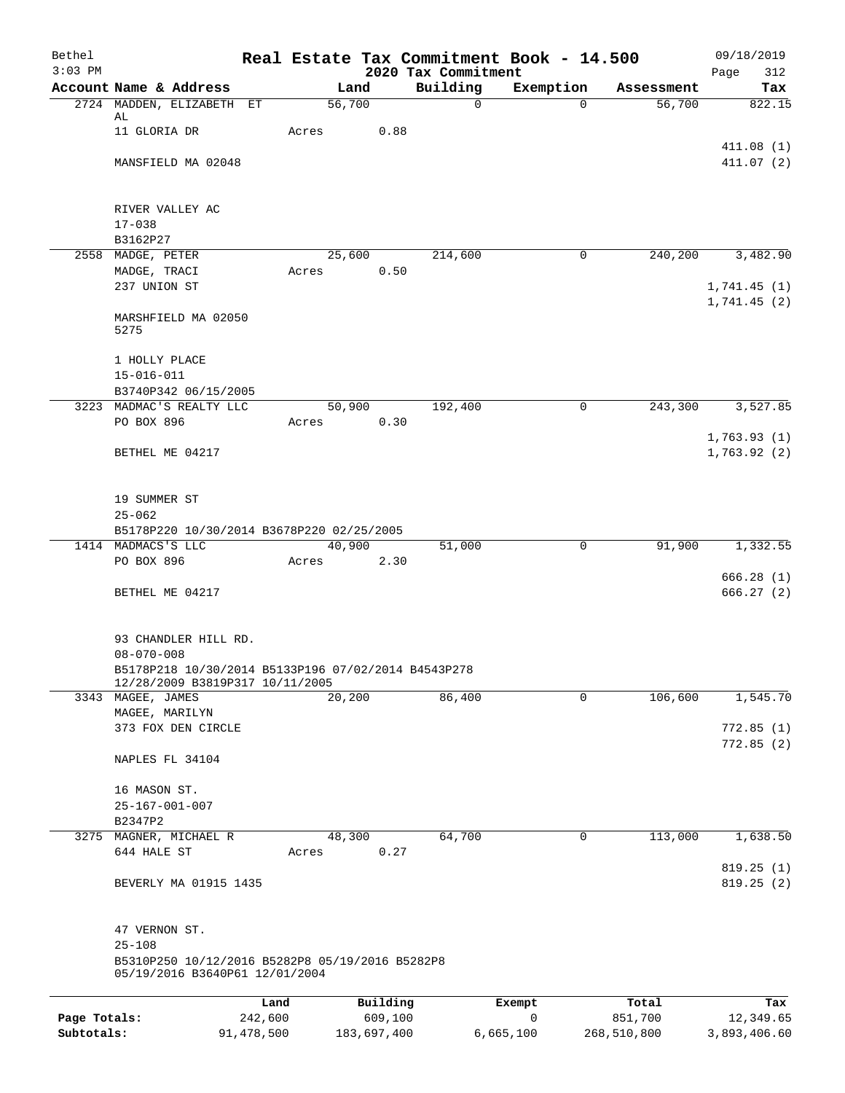| Bethel                     |                                                                                        |                       |                 |          |                                 | Real Estate Tax Commitment Book - 14.500 |                        | 09/18/2019                 |
|----------------------------|----------------------------------------------------------------------------------------|-----------------------|-----------------|----------|---------------------------------|------------------------------------------|------------------------|----------------------------|
| $3:03$ PM                  | Account Name & Address                                                                 |                       | Land            |          | 2020 Tax Commitment<br>Building | Exemption                                | Assessment             | 312<br>Page<br>Tax         |
|                            | 2724 MADDEN, ELIZABETH ET                                                              |                       | 56,700          |          | $\mathbf 0$                     | $\Omega$                                 | 56,700                 | 822.15                     |
|                            | AL<br>11 GLORIA DR                                                                     |                       | Acres           | 0.88     |                                 |                                          |                        |                            |
|                            | MANSFIELD MA 02048                                                                     |                       |                 |          |                                 |                                          |                        | 411.08(1)<br>411.07(2)     |
|                            |                                                                                        |                       |                 |          |                                 |                                          |                        |                            |
|                            | RIVER VALLEY AC                                                                        |                       |                 |          |                                 |                                          |                        |                            |
|                            | $17 - 038$<br>B3162P27                                                                 |                       |                 |          |                                 |                                          |                        |                            |
|                            | 2558 MADGE, PETER                                                                      |                       | 25,600          |          | 214,600                         | $\mathbf 0$                              | 240,200                | 3,482.90                   |
|                            | MADGE, TRACI                                                                           |                       | Acres           | 0.50     |                                 |                                          |                        |                            |
|                            | 237 UNION ST                                                                           |                       |                 |          |                                 |                                          |                        | 1,741.45(1)<br>1,741.45(2) |
|                            | MARSHFIELD MA 02050<br>5275                                                            |                       |                 |          |                                 |                                          |                        |                            |
|                            | 1 HOLLY PLACE                                                                          |                       |                 |          |                                 |                                          |                        |                            |
|                            | $15 - 016 - 011$                                                                       |                       |                 |          |                                 |                                          |                        |                            |
|                            | B3740P342 06/15/2005<br>3223 MADMAC'S REALTY LLC                                       |                       |                 |          | 192,400                         | 0                                        |                        |                            |
|                            | PO BOX 896                                                                             |                       | 50,900<br>Acres | 0.30     |                                 |                                          | 243,300                | 3,527.85                   |
|                            | BETHEL ME 04217                                                                        |                       |                 |          |                                 |                                          |                        | 1,763.93(1)<br>1,763.92(2) |
|                            | 19 SUMMER ST                                                                           |                       |                 |          |                                 |                                          |                        |                            |
|                            | $25 - 062$                                                                             |                       |                 |          |                                 |                                          |                        |                            |
|                            | B5178P220 10/30/2014 B3678P220 02/25/2005<br>1414 MADMACS'S LLC                        |                       | 40,900          |          | 51,000                          | $\mathsf{O}$                             | 91,900                 | 1,332.55                   |
|                            | PO BOX 896                                                                             |                       | Acres           | 2.30     |                                 |                                          |                        |                            |
|                            | BETHEL ME 04217                                                                        |                       |                 |          |                                 |                                          |                        | 666.28(1)<br>666.27(2)     |
|                            |                                                                                        |                       |                 |          |                                 |                                          |                        |                            |
|                            | 93 CHANDLER HILL RD.<br>$08 - 070 - 008$                                               |                       |                 |          |                                 |                                          |                        |                            |
|                            | B5178P218 10/30/2014 B5133P196 07/02/2014 B4543P278<br>12/28/2009 B3819P317 10/11/2005 |                       |                 |          |                                 |                                          |                        |                            |
|                            | 3343 MAGEE, JAMES                                                                      |                       | 20,200          |          | 86,400                          | 0                                        | 106,600                | 1,545.70                   |
|                            | MAGEE, MARILYN<br>373 FOX DEN CIRCLE                                                   |                       |                 |          |                                 |                                          |                        | 772.85(1)                  |
|                            |                                                                                        |                       |                 |          |                                 |                                          |                        | 772.85(2)                  |
|                            | NAPLES FL 34104                                                                        |                       |                 |          |                                 |                                          |                        |                            |
|                            | 16 MASON ST.                                                                           |                       |                 |          |                                 |                                          |                        |                            |
|                            | $25 - 167 - 001 - 007$                                                                 |                       |                 |          |                                 |                                          |                        |                            |
|                            | B2347P2<br>3275 MAGNER, MICHAEL R                                                      |                       | 48,300          |          | 64,700                          | 0                                        | 113,000                | 1,638.50                   |
|                            | 644 HALE ST                                                                            |                       | Acres           | 0.27     |                                 |                                          |                        |                            |
|                            | BEVERLY MA 01915 1435                                                                  |                       |                 |          |                                 |                                          |                        | 819.25(1)<br>819.25(2)     |
|                            | 47 VERNON ST.                                                                          |                       |                 |          |                                 |                                          |                        |                            |
|                            | $25 - 108$<br>B5310P250 10/12/2016 B5282P8 05/19/2016 B5282P8                          |                       |                 |          |                                 |                                          |                        |                            |
|                            | 05/19/2016 B3640P61 12/01/2004                                                         |                       |                 |          |                                 |                                          |                        |                            |
|                            |                                                                                        | Land                  |                 | Building |                                 | Exempt                                   | Total                  | Tax                        |
| Page Totals:<br>Subtotals: |                                                                                        | 242,600<br>91,478,500 | 183,697,400     | 609,100  |                                 | 0<br>6,665,100                           | 851,700<br>268,510,800 | 12,349.65<br>3,893,406.60  |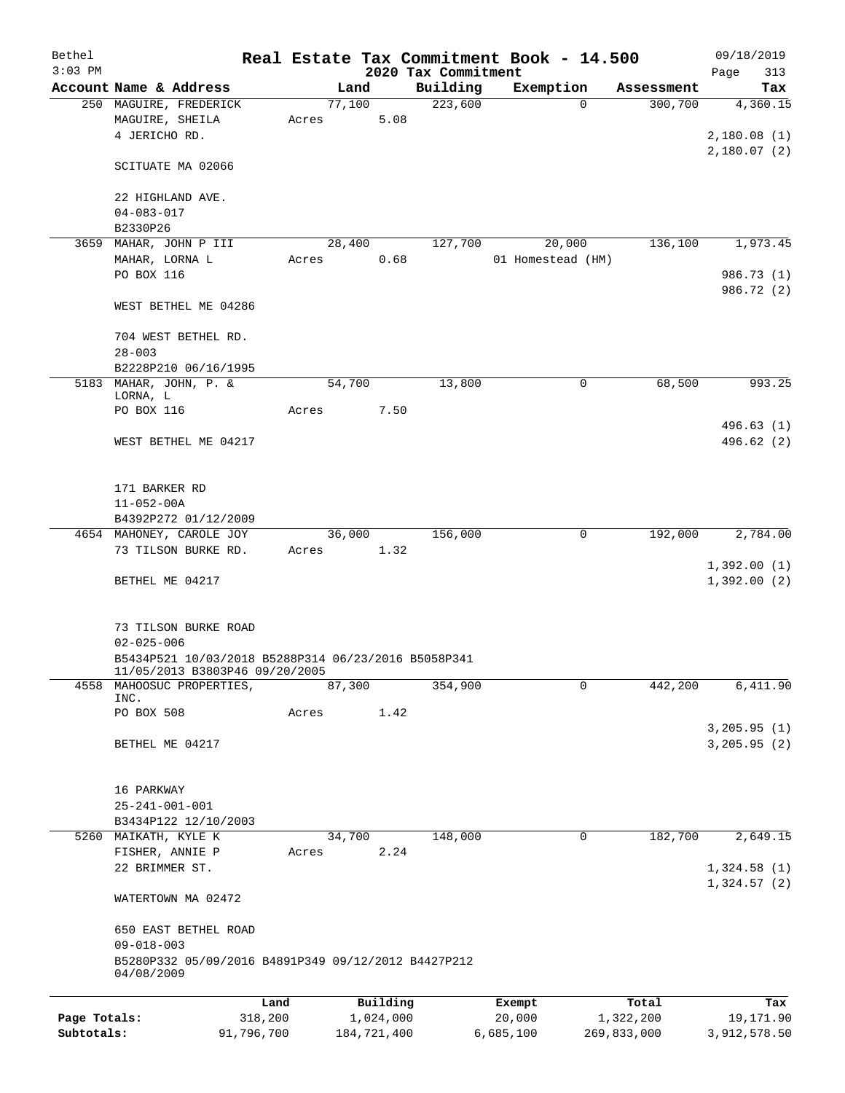| Bethel       |                                                                                       |         |             |           |                     | Real Estate Tax Commitment Book - 14.500 |          |             | 09/18/2019                 |        |
|--------------|---------------------------------------------------------------------------------------|---------|-------------|-----------|---------------------|------------------------------------------|----------|-------------|----------------------------|--------|
| $3:03$ PM    |                                                                                       |         |             |           | 2020 Tax Commitment |                                          |          |             | Page                       | 313    |
|              | Account Name & Address                                                                |         | Land        |           | Building            | Exemption                                |          | Assessment  |                            | Tax    |
|              | 250 MAGUIRE, FREDERICK<br>MAGUIRE, SHEILA<br>4 JERICHO RD.                            | Acres   | 77,100      | 5.08      | 223,600             |                                          | $\Omega$ | 300,700     | 4,360.15<br>2,180.08(1)    |        |
|              | SCITUATE MA 02066                                                                     |         |             |           |                     |                                          |          |             | 2,180.07(2)                |        |
|              | 22 HIGHLAND AVE.<br>$04 - 083 - 017$                                                  |         |             |           |                     |                                          |          |             |                            |        |
|              | B2330P26                                                                              |         |             |           |                     |                                          |          |             |                            |        |
| 3659         | MAHAR, JOHN P III                                                                     |         | 28,400      |           | 127,700             | 20,000                                   |          | 136,100     | 1,973.45                   |        |
|              | MAHAR, LORNA L                                                                        | Acres   |             | 0.68      |                     | 01 Homestead (HM)                        |          |             |                            |        |
|              | PO BOX 116                                                                            |         |             |           |                     |                                          |          |             | 986.73 (1)                 |        |
|              | WEST BETHEL ME 04286                                                                  |         |             |           |                     |                                          |          |             | 986.72 (2)                 |        |
|              | 704 WEST BETHEL RD.                                                                   |         |             |           |                     |                                          |          |             |                            |        |
|              | $28 - 003$<br>B2228P210 06/16/1995                                                    |         |             |           |                     |                                          |          |             |                            |        |
|              | 5183 MAHAR, JOHN, P. &<br>LORNA, L                                                    |         | 54,700      |           | 13,800              |                                          | 0        | 68,500      |                            | 993.25 |
|              | PO BOX 116                                                                            | Acres   |             | 7.50      |                     |                                          |          |             |                            |        |
|              |                                                                                       |         |             |           |                     |                                          |          |             | 496.63(1)                  |        |
|              | WEST BETHEL ME 04217                                                                  |         |             |           |                     |                                          |          |             | 496.62 (2)                 |        |
|              | 171 BARKER RD                                                                         |         |             |           |                     |                                          |          |             |                            |        |
|              | $11 - 052 - 00A$                                                                      |         |             |           |                     |                                          |          |             |                            |        |
|              | B4392P272 01/12/2009                                                                  |         |             |           |                     |                                          |          |             |                            |        |
|              | 4654 MAHONEY, CAROLE JOY                                                              |         | 36,000      |           | 156,000             |                                          | 0        | 192,000     | 2,784.00                   |        |
|              | 73 TILSON BURKE RD.                                                                   | Acres   |             | 1.32      |                     |                                          |          |             | 1,392.00(1)                |        |
|              | BETHEL ME 04217                                                                       |         |             |           |                     |                                          |          |             | 1,392.00(2)                |        |
|              | 73 TILSON BURKE ROAD<br>$02 - 025 - 006$                                              |         |             |           |                     |                                          |          |             |                            |        |
|              | B5434P521 10/03/2018 B5288P314 06/23/2016 B5058P341<br>II/05/2013 B3803P46 09/20/2005 |         |             |           |                     |                                          |          |             |                            |        |
| 4558         | MAHOOSUC PROPERTIES,<br>INC.                                                          |         | 87,300      |           | 354,900             |                                          | 0        | 442,200     | 6,411.90                   |        |
|              | PO BOX 508                                                                            | Acres   |             | 1.42      |                     |                                          |          |             | 3, 205.95 (1)              |        |
|              | BETHEL ME 04217                                                                       |         |             |           |                     |                                          |          |             | 3, 205.95 (2)              |        |
|              | 16 PARKWAY                                                                            |         |             |           |                     |                                          |          |             |                            |        |
|              | $25 - 241 - 001 - 001$                                                                |         |             |           |                     |                                          |          |             |                            |        |
|              | B3434P122 12/10/2003                                                                  |         |             |           |                     |                                          |          |             |                            |        |
|              | 5260 MAIKATH, KYLE K                                                                  |         | 34,700      |           | 148,000             |                                          | 0        | 182,700     | 2,649.15                   |        |
|              | FISHER, ANNIE P                                                                       | Acres   |             | 2.24      |                     |                                          |          |             |                            |        |
|              | 22 BRIMMER ST.                                                                        |         |             |           |                     |                                          |          |             | 1,324.58(1)<br>1,324.57(2) |        |
|              | WATERTOWN MA 02472                                                                    |         |             |           |                     |                                          |          |             |                            |        |
|              | 650 EAST BETHEL ROAD<br>$09 - 018 - 003$                                              |         |             |           |                     |                                          |          |             |                            |        |
|              | B5280P332 05/09/2016 B4891P349 09/12/2012 B4427P212<br>04/08/2009                     |         |             |           |                     |                                          |          |             |                            |        |
|              |                                                                                       | Land    |             | Building  |                     | Exempt                                   |          | Total       |                            | Tax    |
| Page Totals: |                                                                                       | 318,200 |             | 1,024,000 |                     | 20,000                                   |          | 1,322,200   | 19,171.90                  |        |
| Subtotals:   | 91,796,700                                                                            |         | 184,721,400 |           |                     | 6,685,100                                |          | 269,833,000 | 3,912,578.50               |        |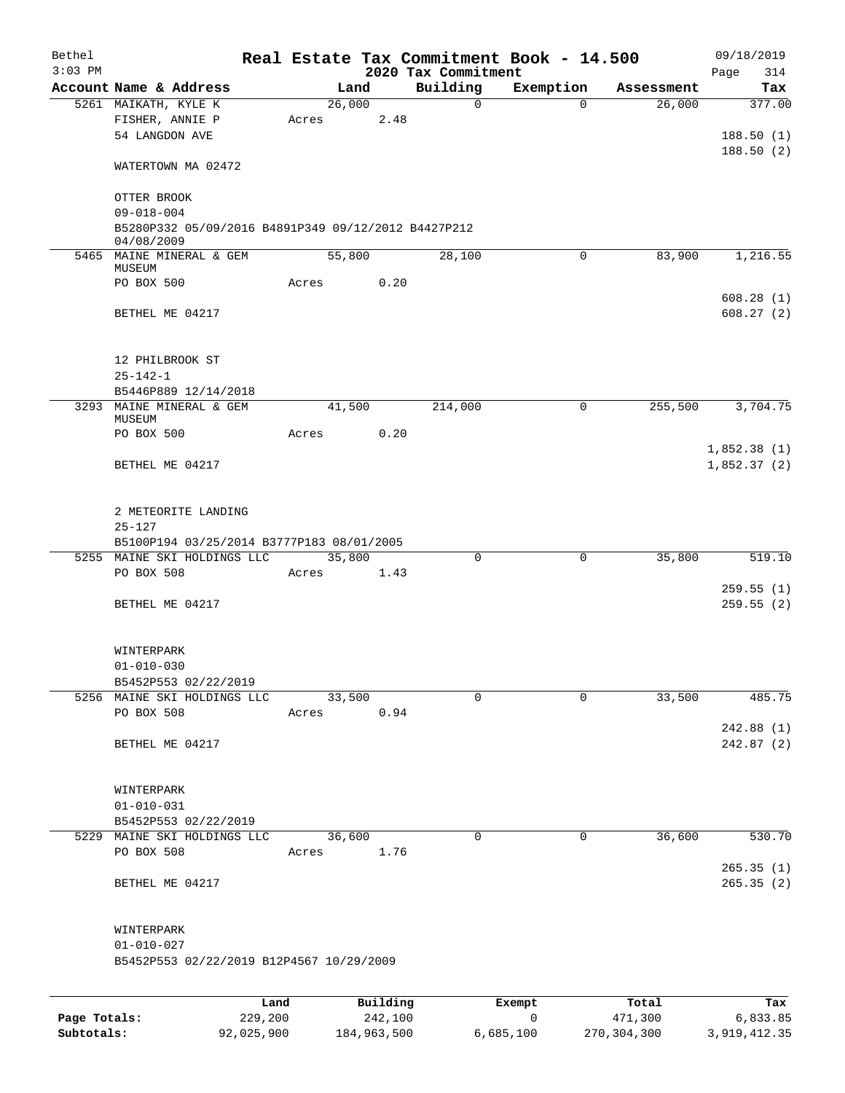| Bethel    |                                                                                       |       |        |          |                          | Real Estate Tax Commitment Book - 14.500 |                      | 09/18/2019                 |
|-----------|---------------------------------------------------------------------------------------|-------|--------|----------|--------------------------|------------------------------------------|----------------------|----------------------------|
| $3:03$ PM |                                                                                       |       |        |          | 2020 Tax Commitment      |                                          |                      | 314<br>Page                |
|           | Account Name & Address                                                                |       | Land   |          | Building<br>$\mathsf{O}$ | Exemption<br>$\Omega$                    | Assessment<br>26,000 | Tax<br>377.00              |
|           | 5261 MAIKATH, KYLE K<br>FISHER, ANNIE P<br>54 LANGDON AVE                             | Acres | 26,000 | 2.48     |                          |                                          |                      | 188.50(1)                  |
|           | WATERTOWN MA 02472                                                                    |       |        |          |                          |                                          |                      | 188.50(2)                  |
|           | OTTER BROOK                                                                           |       |        |          |                          |                                          |                      |                            |
|           | $09 - 018 - 004$<br>B5280P332 05/09/2016 B4891P349 09/12/2012 B4427P212<br>04/08/2009 |       |        |          |                          |                                          |                      |                            |
|           | 5465 MAINE MINERAL & GEM                                                              |       | 55,800 |          | 28,100                   | 0                                        | 83,900               | 1,216.55                   |
|           | MUSEUM<br>PO BOX 500                                                                  | Acres |        | 0.20     |                          |                                          |                      |                            |
|           |                                                                                       |       |        |          |                          |                                          |                      | 608.28(1)                  |
|           | BETHEL ME 04217                                                                       |       |        |          |                          |                                          |                      | 608.27(2)                  |
|           | 12 PHILBROOK ST                                                                       |       |        |          |                          |                                          |                      |                            |
|           | $25 - 142 - 1$                                                                        |       |        |          |                          |                                          |                      |                            |
|           | B5446P889 12/14/2018<br>3293 MAINE MINERAL & GEM                                      |       | 41,500 |          | 214,000                  | $\mathbf 0$                              | 255,500              | 3,704.75                   |
|           | MUSEUM                                                                                |       |        |          |                          |                                          |                      |                            |
|           | PO BOX 500                                                                            | Acres |        | 0.20     |                          |                                          |                      |                            |
|           | BETHEL ME 04217                                                                       |       |        |          |                          |                                          |                      | 1,852.38(1)<br>1,852.37(2) |
|           | 2 METEORITE LANDING                                                                   |       |        |          |                          |                                          |                      |                            |
|           | $25 - 127$                                                                            |       |        |          |                          |                                          |                      |                            |
|           | B5100P194 03/25/2014 B3777P183 08/01/2005<br>5255 MAINE SKI HOLDINGS LLC              |       | 35,800 |          | $\Omega$                 | $\mathbf 0$                              | 35,800               | 519.10                     |
|           | PO BOX 508                                                                            | Acres |        | 1.43     |                          |                                          |                      |                            |
|           |                                                                                       |       |        |          |                          |                                          |                      | 259.55(1)                  |
|           | BETHEL ME 04217                                                                       |       |        |          |                          |                                          |                      | 259.55(2)                  |
|           | WINTERPARK                                                                            |       |        |          |                          |                                          |                      |                            |
|           | $01 - 010 - 030$<br>B5452P553 02/22/2019                                              |       |        |          |                          |                                          |                      |                            |
|           | 5256 MAINE SKI HOLDINGS LLC                                                           |       | 33,500 |          | $\Omega$                 | $\Omega$                                 | 33,500               | 485.75                     |
|           | PO BOX 508                                                                            | Acres |        | 0.94     |                          |                                          |                      |                            |
|           |                                                                                       |       |        |          |                          |                                          |                      | 242.88(1)                  |
|           | BETHEL ME 04217                                                                       |       |        |          |                          |                                          |                      | 242.87 (2)                 |
|           | WINTERPARK                                                                            |       |        |          |                          |                                          |                      |                            |
|           | $01 - 010 - 031$                                                                      |       |        |          |                          |                                          |                      |                            |
|           | B5452P553 02/22/2019                                                                  |       |        |          |                          |                                          |                      |                            |
|           | 5229 MAINE SKI HOLDINGS LLC<br>PO BOX 508                                             | Acres | 36,600 | 1.76     | 0                        | 0                                        | 36,600               | 530.70                     |
|           |                                                                                       |       |        |          |                          |                                          |                      | 265.35(1)                  |
|           | BETHEL ME 04217                                                                       |       |        |          |                          |                                          |                      | 265.35(2)                  |
|           | WINTERPARK                                                                            |       |        |          |                          |                                          |                      |                            |
|           | $01 - 010 - 027$                                                                      |       |        |          |                          |                                          |                      |                            |
|           | B5452P553 02/22/2019 B12P4567 10/29/2009                                              |       |        |          |                          |                                          |                      |                            |
|           |                                                                                       | Land  |        | Building |                          | Exempt                                   | Total                | Tax                        |
|           |                                                                                       |       |        |          |                          |                                          |                      |                            |

|              | nana       | <b>DULLULIN</b> | <b>BACILDL</b> | TOCAT       | ⊥a∧          |
|--------------|------------|-----------------|----------------|-------------|--------------|
| Page Totals: | 229,200    | 242,100         |                | 471,300     | 6,833.85     |
| Subtotals:   | 92,025,900 | 184,963,500     | 6.685.100      | 270,304,300 | 3,919,412.35 |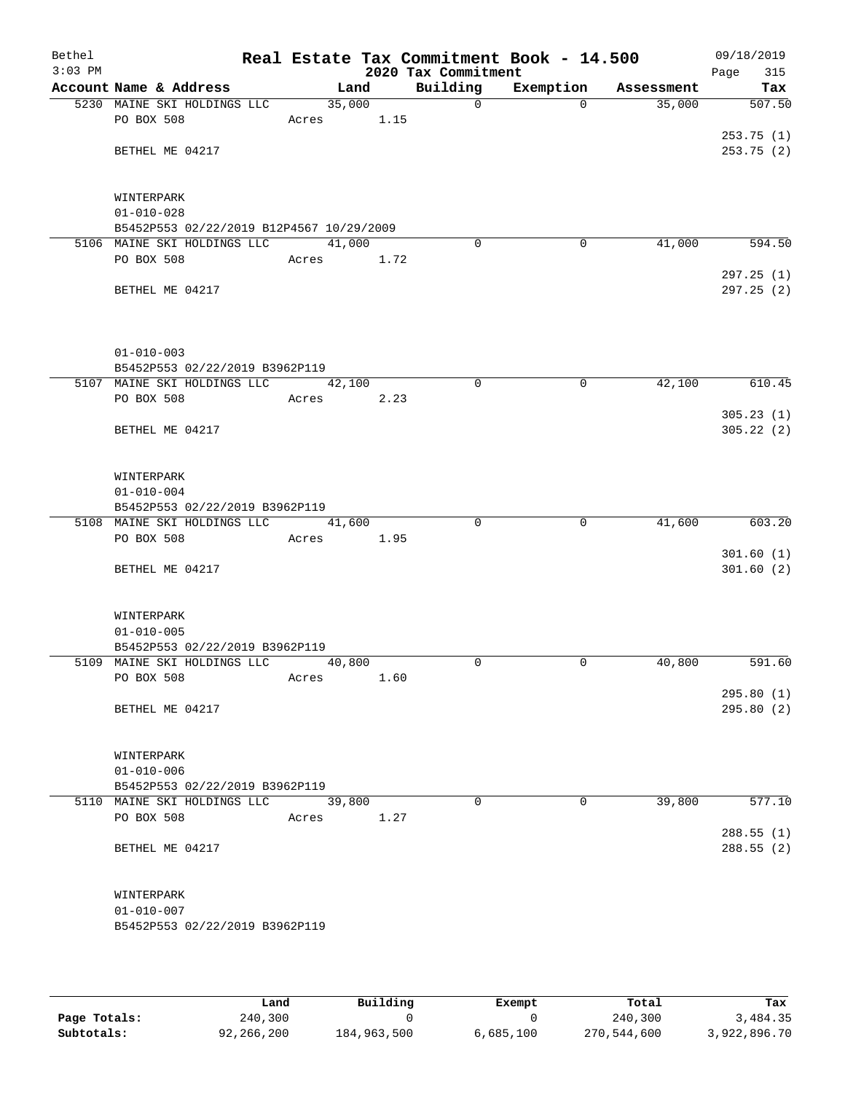| Bethel<br>$3:03$ PM |                                                    |        |      | 2020 Tax Commitment | Real Estate Tax Commitment Book - 14.500 |            | 09/18/2019<br>Page<br>315 |
|---------------------|----------------------------------------------------|--------|------|---------------------|------------------------------------------|------------|---------------------------|
|                     | Account Name & Address                             | Land   |      | Building            | Exemption                                | Assessment | Tax                       |
|                     | 5230 MAINE SKI HOLDINGS LLC                        | 35,000 |      | $\mathbf 0$         | $\Omega$                                 | 35,000     | 507.50                    |
|                     | PO BOX 508                                         | Acres  | 1.15 |                     |                                          |            |                           |
|                     |                                                    |        |      |                     |                                          |            | 253.75(1)                 |
|                     | BETHEL ME 04217                                    |        |      |                     |                                          |            | 253.75(2)                 |
|                     | WINTERPARK                                         |        |      |                     |                                          |            |                           |
|                     | $01 - 010 - 028$                                   |        |      |                     |                                          |            |                           |
|                     | B5452P553 02/22/2019 B12P4567 10/29/2009           |        |      |                     |                                          |            |                           |
|                     | 5106 MAINE SKI HOLDINGS LLC                        | 41,000 |      | $\Omega$            | 0                                        | 41,000     | 594.50                    |
|                     | PO BOX 508                                         | Acres  | 1.72 |                     |                                          |            |                           |
|                     | BETHEL ME 04217                                    |        |      |                     |                                          |            | 297.25(1)<br>297.25 (2)   |
|                     | $01 - 010 - 003$                                   |        |      |                     |                                          |            |                           |
|                     | B5452P553 02/22/2019 B3962P119                     |        |      |                     |                                          |            |                           |
|                     | 5107 MAINE SKI HOLDINGS LLC                        | 42,100 |      | $\mathbf 0$         | $\mathbf 0$                              | 42,100     | 610.45                    |
|                     | PO BOX 508                                         | Acres  | 2.23 |                     |                                          |            |                           |
|                     | BETHEL ME 04217                                    |        |      |                     |                                          |            | 305.23(1)<br>305.22(2)    |
|                     | WINTERPARK                                         |        |      |                     |                                          |            |                           |
|                     | $01 - 010 - 004$                                   |        |      |                     |                                          |            |                           |
|                     | B5452P553 02/22/2019 B3962P119                     |        |      |                     |                                          |            |                           |
|                     | 5108 MAINE SKI HOLDINGS LLC                        | 41,600 |      | $\Omega$            | 0                                        | 41,600     | 603.20                    |
|                     | PO BOX 508                                         | Acres  | 1.95 |                     |                                          |            |                           |
|                     | BETHEL ME 04217                                    |        |      |                     |                                          |            | 301.60(1)<br>301.60(2)    |
|                     | WINTERPARK                                         |        |      |                     |                                          |            |                           |
|                     | $01 - 010 - 005$                                   |        |      |                     |                                          |            |                           |
|                     | B5452P553 02/22/2019 B3962P119                     |        |      |                     |                                          |            |                           |
|                     | 5109 MAINE SKI HOLDINGS LLC                        | 40,800 |      | $\Omega$            | 0                                        | 40,800     | 591.60                    |
|                     | PO BOX 508                                         | Acres  | 1.60 |                     |                                          |            |                           |
|                     |                                                    |        |      |                     |                                          |            | 295.80(1)                 |
|                     | BETHEL ME 04217                                    |        |      |                     |                                          |            | 295.80(2)                 |
|                     | WINTERPARK                                         |        |      |                     |                                          |            |                           |
|                     | $01 - 010 - 006$<br>B5452P553 02/22/2019 B3962P119 |        |      |                     |                                          |            |                           |
|                     | 5110 MAINE SKI HOLDINGS LLC                        | 39,800 |      | $\Omega$            | $\Omega$                                 | 39,800     | 577.10                    |
|                     | PO BOX 508                                         | Acres  | 1.27 |                     |                                          |            |                           |
|                     |                                                    |        |      |                     |                                          |            | 288.55(1)                 |
|                     | BETHEL ME 04217                                    |        |      |                     |                                          |            | 288.55(2)                 |
|                     | WINTERPARK                                         |        |      |                     |                                          |            |                           |
|                     | $01 - 010 - 007$                                   |        |      |                     |                                          |            |                           |
|                     | B5452P553 02/22/2019 B3962P119                     |        |      |                     |                                          |            |                           |
|                     |                                                    |        |      |                     |                                          |            |                           |

|              | Land       | Building    | Exempt    | Total       | Tax          |
|--------------|------------|-------------|-----------|-------------|--------------|
| Page Totals: | 240,300    |             |           | 240,300     | 3,484.35     |
| Subtotals:   | 92,266,200 | 184,963,500 | 6,685,100 | 270,544,600 | 3,922,896.70 |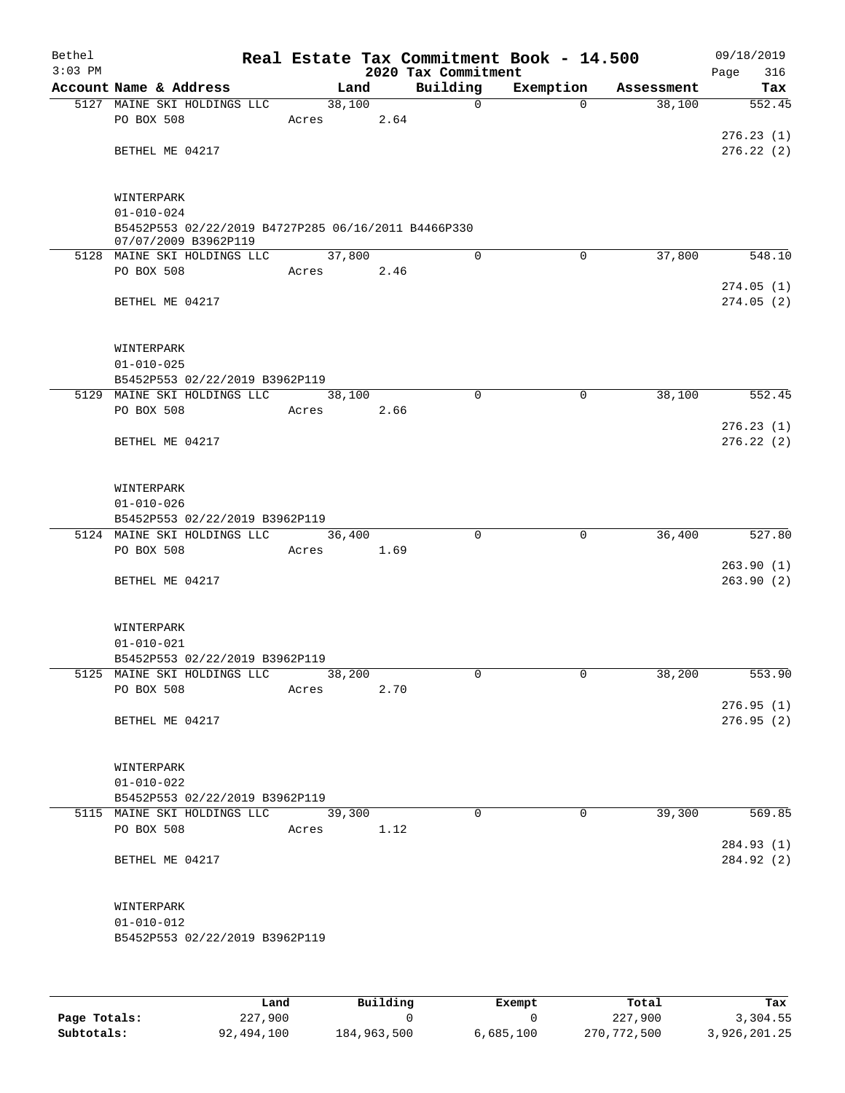| Bethel<br>$3:03$ PM |                                                                             |       |            |      | Real Estate Tax Commitment Book - 14.500<br>2020 Tax Commitment |                |            | 09/18/2019<br>Page     | 316    |
|---------------------|-----------------------------------------------------------------------------|-------|------------|------|-----------------------------------------------------------------|----------------|------------|------------------------|--------|
|                     | Account Name & Address                                                      |       | Land       |      | Building                                                        | Exemption      | Assessment |                        | Tax    |
|                     | 5127 MAINE SKI HOLDINGS LLC                                                 |       | 38,100     |      | 0                                                               | $\Omega$       | 38,100     |                        | 552.45 |
|                     | PO BOX 508                                                                  | Acres |            | 2.64 |                                                                 |                |            |                        |        |
|                     |                                                                             |       |            |      |                                                                 |                |            | 276.23(1)              |        |
|                     | BETHEL ME 04217                                                             |       |            |      |                                                                 |                |            | 276.22(2)              |        |
|                     | WINTERPARK                                                                  |       |            |      |                                                                 |                |            |                        |        |
|                     | $01 - 010 - 024$                                                            |       |            |      |                                                                 |                |            |                        |        |
|                     | B5452P553 02/22/2019 B4727P285 06/16/2011 B4466P330<br>07/07/2009 B3962P119 |       |            |      |                                                                 |                |            |                        |        |
|                     | 5128 MAINE SKI HOLDINGS LLC                                                 |       | 37,800     |      | 0                                                               | $\mathbf 0$    | 37,800     |                        | 548.10 |
|                     | PO BOX 508                                                                  | Acres |            | 2.46 |                                                                 |                |            |                        |        |
|                     | BETHEL ME 04217                                                             |       |            |      |                                                                 |                |            | 274.05(1)<br>274.05(2) |        |
|                     |                                                                             |       |            |      |                                                                 |                |            |                        |        |
|                     | WINTERPARK                                                                  |       |            |      |                                                                 |                |            |                        |        |
|                     | $01 - 010 - 025$                                                            |       |            |      |                                                                 |                |            |                        |        |
|                     | B5452P553 02/22/2019 B3962P119<br>5129 MAINE SKI HOLDINGS LLC               |       | 38,100     |      | $\mathbf 0$                                                     | $\mathbf 0$    | 38,100     |                        | 552.45 |
|                     | PO BOX 508                                                                  | Acres |            | 2.66 |                                                                 |                |            |                        |        |
|                     |                                                                             |       |            |      |                                                                 |                |            | 276.23(1)              |        |
|                     | BETHEL ME 04217                                                             |       |            |      |                                                                 |                |            | 276.22(2)              |        |
|                     | WINTERPARK                                                                  |       |            |      |                                                                 |                |            |                        |        |
|                     | $01 - 010 - 026$                                                            |       |            |      |                                                                 |                |            |                        |        |
|                     | B5452P553 02/22/2019 B3962P119                                              |       |            |      |                                                                 |                |            |                        |        |
|                     | 5124 MAINE SKI HOLDINGS LLC                                                 |       | 36,400     |      | $\Omega$                                                        | 0              | 36,400     |                        | 527.80 |
|                     | PO BOX 508                                                                  | Acres |            | 1.69 |                                                                 |                |            |                        |        |
|                     | BETHEL ME 04217                                                             |       |            |      |                                                                 |                |            | 263.90(1)<br>263.90(2) |        |
|                     |                                                                             |       |            |      |                                                                 |                |            |                        |        |
|                     | WINTERPARK                                                                  |       |            |      |                                                                 |                |            |                        |        |
|                     | $01 - 010 - 021$                                                            |       |            |      |                                                                 |                |            |                        |        |
|                     | B5452P553 02/22/2019 B3962P119<br>5125 MAINE SKI HOLDINGS LLC               |       | 38,200     |      | $\overline{0}$                                                  | $\overline{0}$ | 38,200     |                        | 553.90 |
|                     | PO BOX 508                                                                  | Acres |            | 2.70 |                                                                 |                |            |                        |        |
|                     |                                                                             |       |            |      |                                                                 |                |            | 276.95(1)              |        |
|                     | BETHEL ME 04217                                                             |       |            |      |                                                                 |                |            | 276.95(2)              |        |
|                     | WINTERPARK                                                                  |       |            |      |                                                                 |                |            |                        |        |
|                     | $01 - 010 - 022$                                                            |       |            |      |                                                                 |                |            |                        |        |
|                     | B5452P553 02/22/2019 B3962P119                                              |       |            |      |                                                                 |                |            |                        |        |
|                     | 5115 MAINE SKI HOLDINGS LLC 39,300                                          |       |            |      | $\Omega$                                                        | $\Omega$       | 39,300     |                        | 569.85 |
|                     | PO BOX 508                                                                  |       | Acres 1.12 |      |                                                                 |                |            |                        |        |
|                     |                                                                             |       |            |      |                                                                 |                |            | 284.93 (1)             |        |
|                     | BETHEL ME 04217                                                             |       |            |      |                                                                 |                |            | 284.92 (2)             |        |
|                     | WINTERPARK                                                                  |       |            |      |                                                                 |                |            |                        |        |
|                     | $01 - 010 - 012$                                                            |       |            |      |                                                                 |                |            |                        |        |
|                     | B5452P553 02/22/2019 B3962P119                                              |       |            |      |                                                                 |                |            |                        |        |
|                     |                                                                             |       |            |      |                                                                 |                |            |                        |        |
|                     |                                                                             |       |            |      |                                                                 |                |            |                        |        |

|              | Land       | Building    | Exempt    | Total       | Tax          |
|--------------|------------|-------------|-----------|-------------|--------------|
| Page Totals: | 227,900    |             |           | 227,900     | 3,304.55     |
| Subtotals:   | 92,494,100 | 184,963,500 | 6.685.100 | 270,772,500 | 3,926,201.25 |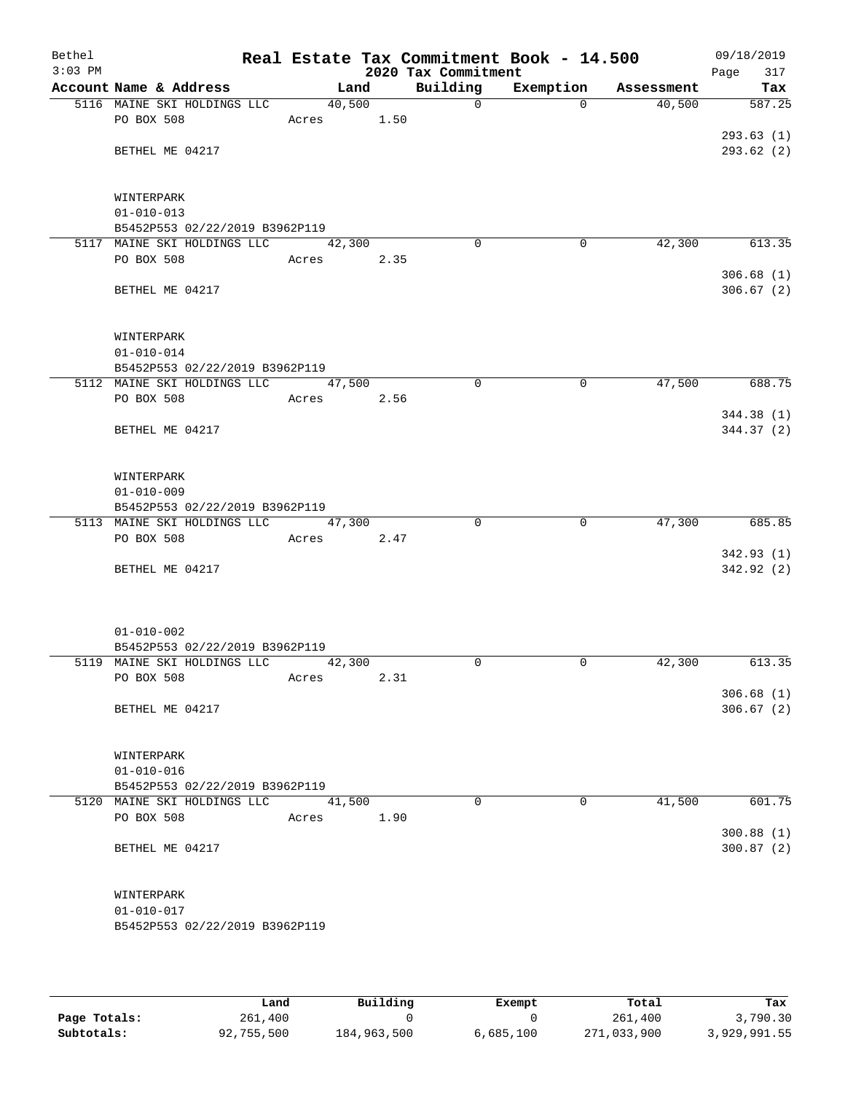| Bethel<br>$3:03$ PM |                                                               |                 |      | 2020 Tax Commitment | Real Estate Tax Commitment Book - 14.500 |            | 09/18/2019<br>Page<br>317 |
|---------------------|---------------------------------------------------------------|-----------------|------|---------------------|------------------------------------------|------------|---------------------------|
|                     | Account Name & Address                                        | Land            |      | Building            | Exemption                                | Assessment | Tax                       |
|                     | 5116 MAINE SKI HOLDINGS LLC                                   | 40,500          |      | $\mathsf{O}$        | $\Omega$                                 | 40,500     | 587.25                    |
|                     | PO BOX 508                                                    | Acres           | 1.50 |                     |                                          |            |                           |
|                     |                                                               |                 |      |                     |                                          |            | 293.63(1)                 |
|                     | BETHEL ME 04217                                               |                 |      |                     |                                          |            | 293.62(2)                 |
|                     |                                                               |                 |      |                     |                                          |            |                           |
|                     |                                                               |                 |      |                     |                                          |            |                           |
|                     | WINTERPARK                                                    |                 |      |                     |                                          |            |                           |
|                     | $01 - 010 - 013$                                              |                 |      |                     |                                          |            |                           |
|                     | B5452P553 02/22/2019 B3962P119<br>5117 MAINE SKI HOLDINGS LLC |                 |      | $\Omega$            |                                          | 42,300     |                           |
|                     | PO BOX 508                                                    | 42,300<br>Acres |      |                     | 0                                        |            | 613.35                    |
|                     |                                                               |                 | 2.35 |                     |                                          |            | 306.68(1)                 |
|                     | BETHEL ME 04217                                               |                 |      |                     |                                          |            | 306.67(2)                 |
|                     |                                                               |                 |      |                     |                                          |            |                           |
|                     |                                                               |                 |      |                     |                                          |            |                           |
|                     | WINTERPARK                                                    |                 |      |                     |                                          |            |                           |
|                     | $01 - 010 - 014$                                              |                 |      |                     |                                          |            |                           |
|                     | B5452P553 02/22/2019 B3962P119                                |                 |      |                     |                                          |            |                           |
|                     | 5112 MAINE SKI HOLDINGS LLC                                   | 47,500          |      | 0                   | 0                                        | 47,500     | 688.75                    |
|                     | PO BOX 508                                                    | Acres           | 2.56 |                     |                                          |            |                           |
|                     |                                                               |                 |      |                     |                                          |            | 344.38 (1)                |
|                     | BETHEL ME 04217                                               |                 |      |                     |                                          |            | 344.37 (2)                |
|                     |                                                               |                 |      |                     |                                          |            |                           |
|                     |                                                               |                 |      |                     |                                          |            |                           |
|                     | WINTERPARK                                                    |                 |      |                     |                                          |            |                           |
|                     | $01 - 010 - 009$                                              |                 |      |                     |                                          |            |                           |
|                     | B5452P553 02/22/2019 B3962P119                                |                 |      | $\Omega$            | $\mathbf 0$                              |            | 685.85                    |
|                     | 5113 MAINE SKI HOLDINGS LLC<br>PO BOX 508                     | 47,300<br>Acres | 2.47 |                     |                                          | 47,300     |                           |
|                     |                                                               |                 |      |                     |                                          |            | 342.93 (1)                |
|                     | BETHEL ME 04217                                               |                 |      |                     |                                          |            | 342.92(2)                 |
|                     |                                                               |                 |      |                     |                                          |            |                           |
|                     |                                                               |                 |      |                     |                                          |            |                           |
|                     |                                                               |                 |      |                     |                                          |            |                           |
|                     | $01 - 010 - 002$                                              |                 |      |                     |                                          |            |                           |
|                     | B5452P553 02/22/2019 B3962P119                                |                 |      |                     |                                          |            |                           |
|                     | 5119 MAINE SKI HOLDINGS LLC                                   | 42,300          |      | $\Omega$            | $\mathbf 0$                              | 42,300     | 613.35                    |
|                     | PO BOX 508                                                    | Acres           | 2.31 |                     |                                          |            |                           |
|                     |                                                               |                 |      |                     |                                          |            | 306.68(1)                 |
|                     | BETHEL ME 04217                                               |                 |      |                     |                                          |            | 306.67(2)                 |
|                     |                                                               |                 |      |                     |                                          |            |                           |
|                     |                                                               |                 |      |                     |                                          |            |                           |
|                     | WINTERPARK<br>$01 - 010 - 016$                                |                 |      |                     |                                          |            |                           |
|                     | B5452P553 02/22/2019 B3962P119                                |                 |      |                     |                                          |            |                           |
|                     | 5120 MAINE SKI HOLDINGS LLC                                   | 41,500          |      | $\Omega$            | $\Omega$                                 | 41,500     | 601.75                    |
|                     | PO BOX 508                                                    | Acres           | 1.90 |                     |                                          |            |                           |
|                     |                                                               |                 |      |                     |                                          |            | 300.88(1)                 |
|                     | BETHEL ME 04217                                               |                 |      |                     |                                          |            | 300.87(2)                 |
|                     |                                                               |                 |      |                     |                                          |            |                           |
|                     |                                                               |                 |      |                     |                                          |            |                           |
|                     | WINTERPARK                                                    |                 |      |                     |                                          |            |                           |
|                     | $01 - 010 - 017$                                              |                 |      |                     |                                          |            |                           |
|                     | B5452P553 02/22/2019 B3962P119                                |                 |      |                     |                                          |            |                           |
|                     |                                                               |                 |      |                     |                                          |            |                           |

|              | Land       | Building    | Exempt    | Total       | Tax          |
|--------------|------------|-------------|-----------|-------------|--------------|
| Page Totals: | 261,400    |             |           | 261,400     | 3,790.30     |
| Subtotals:   | 92,755,500 | 184,963,500 | 6,685,100 | 271,033,900 | 3,929,991.55 |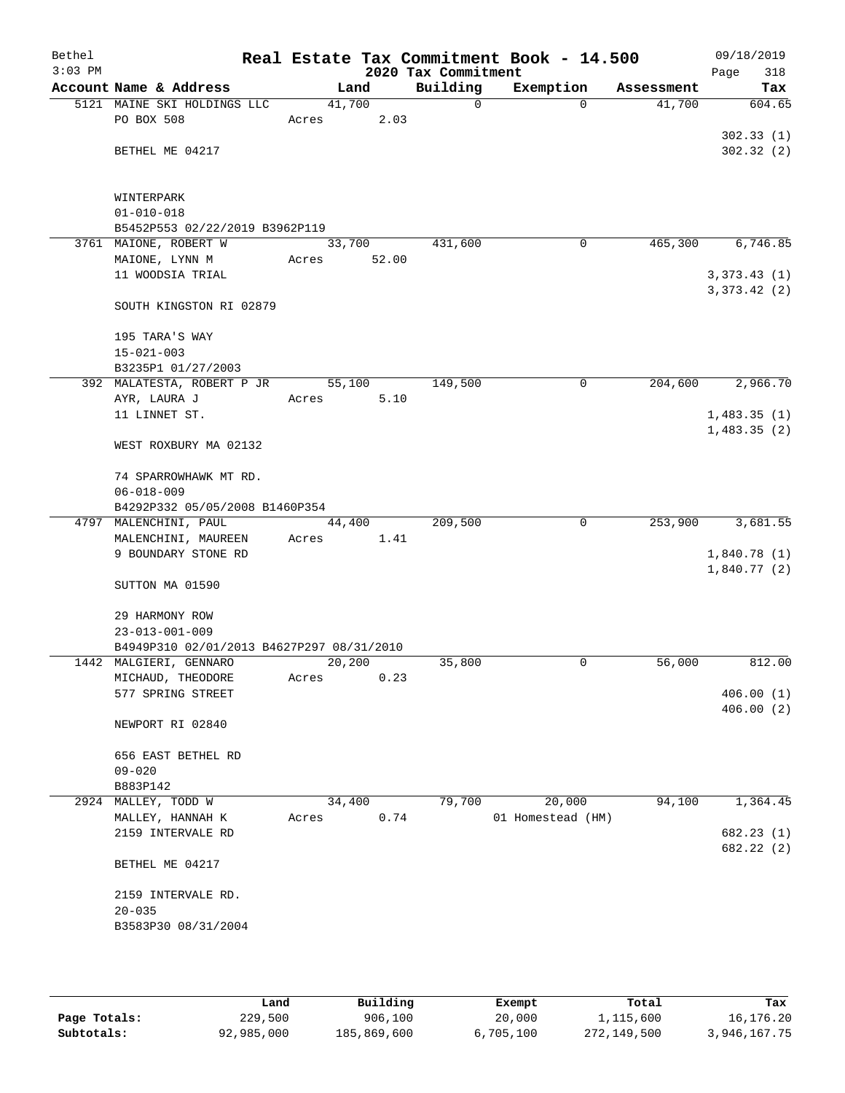| Bethel<br>$3:03$ PM |                                           |       |        | 2020 Tax Commitment | Real Estate Tax Commitment Book - 14.500 |            | 09/18/2019<br>Page<br>318 |
|---------------------|-------------------------------------------|-------|--------|---------------------|------------------------------------------|------------|---------------------------|
|                     | Account Name & Address                    |       | Land   | Building            | Exemption                                | Assessment | Tax                       |
|                     | 5121 MAINE SKI HOLDINGS LLC               |       | 41,700 | $\mathsf{O}$        | $\Omega$                                 | 41,700     | 604.65                    |
|                     | PO BOX 508                                | Acres | 2.03   |                     |                                          |            |                           |
|                     |                                           |       |        |                     |                                          |            | 302.33(1)                 |
|                     | BETHEL ME 04217                           |       |        |                     |                                          |            | 302.32(2)                 |
|                     |                                           |       |        |                     |                                          |            |                           |
|                     | WINTERPARK                                |       |        |                     |                                          |            |                           |
|                     | $01 - 010 - 018$                          |       |        |                     |                                          |            |                           |
|                     | B5452P553 02/22/2019 B3962P119            |       |        |                     |                                          |            |                           |
|                     | 3761 MAIONE, ROBERT W                     |       | 33,700 | 431,600             | $\mathbf 0$                              | 465,300    | 6,746.85                  |
|                     | MAIONE, LYNN M                            | Acres | 52.00  |                     |                                          |            |                           |
|                     | 11 WOODSIA TRIAL                          |       |        |                     |                                          |            | 3,373.43(1)               |
|                     |                                           |       |        |                     |                                          |            | 3,373.42(2)               |
|                     | SOUTH KINGSTON RI 02879                   |       |        |                     |                                          |            |                           |
|                     |                                           |       |        |                     |                                          |            |                           |
|                     | 195 TARA'S WAY<br>$15 - 021 - 003$        |       |        |                     |                                          |            |                           |
|                     | B3235P1 01/27/2003                        |       |        |                     |                                          |            |                           |
|                     | 392 MALATESTA, ROBERT P JR                |       | 55,100 | 149,500             | 0                                        | 204,600    | 2,966.70                  |
|                     | AYR, LAURA J                              | Acres | 5.10   |                     |                                          |            |                           |
|                     | 11 LINNET ST.                             |       |        |                     |                                          |            | 1,483.35(1)               |
|                     |                                           |       |        |                     |                                          |            | 1,483.35(2)               |
|                     | WEST ROXBURY MA 02132                     |       |        |                     |                                          |            |                           |
|                     |                                           |       |        |                     |                                          |            |                           |
|                     | 74 SPARROWHAWK MT RD.                     |       |        |                     |                                          |            |                           |
|                     | $06 - 018 - 009$                          |       |        |                     |                                          |            |                           |
|                     | B4292P332 05/05/2008 B1460P354            |       |        |                     |                                          |            |                           |
|                     | 4797 MALENCHINI, PAUL                     |       | 44,400 | 209,500             | $\mathbf 0$                              | 253,900    | 3,681.55                  |
|                     | MALENCHINI, MAUREEN                       | Acres | 1.41   |                     |                                          |            |                           |
|                     | 9 BOUNDARY STONE RD                       |       |        |                     |                                          |            | 1,840.78(1)               |
|                     |                                           |       |        |                     |                                          |            | 1,840.77(2)               |
|                     | SUTTON MA 01590                           |       |        |                     |                                          |            |                           |
|                     | 29 HARMONY ROW                            |       |        |                     |                                          |            |                           |
|                     | $23 - 013 - 001 - 009$                    |       |        |                     |                                          |            |                           |
|                     | B4949P310 02/01/2013 B4627P297 08/31/2010 |       |        |                     |                                          |            |                           |
|                     | 1442 MALGIERI, GENNARO                    |       | 20,200 | 35,800              | $\mathbf 0$                              | 56,000     | 812.00                    |
|                     | MICHAUD, THEODORE                         | Acres | 0.23   |                     |                                          |            |                           |
|                     | 577 SPRING STREET                         |       |        |                     |                                          |            | 406.00(1)                 |
|                     |                                           |       |        |                     |                                          |            | 406.00(2)                 |
|                     | NEWPORT RI 02840                          |       |        |                     |                                          |            |                           |
|                     |                                           |       |        |                     |                                          |            |                           |
|                     | 656 EAST BETHEL RD                        |       |        |                     |                                          |            |                           |
|                     | $09 - 020$                                |       |        |                     |                                          |            |                           |
|                     | B883P142                                  |       |        |                     |                                          |            |                           |
|                     | 2924 MALLEY, TODD W                       |       | 34,400 | 79,700              | 20,000                                   | 94,100     | 1,364.45                  |
|                     | MALLEY, HANNAH K                          | Acres | 0.74   |                     | 01 Homestead (HM)                        |            |                           |
|                     | 2159 INTERVALE RD                         |       |        |                     |                                          |            | 682.23 (1)                |
|                     |                                           |       |        |                     |                                          |            | 682.22 (2)                |
|                     | BETHEL ME 04217                           |       |        |                     |                                          |            |                           |
|                     | 2159 INTERVALE RD.                        |       |        |                     |                                          |            |                           |
|                     | $20 - 035$                                |       |        |                     |                                          |            |                           |
|                     | B3583P30 08/31/2004                       |       |        |                     |                                          |            |                           |
|                     |                                           |       |        |                     |                                          |            |                           |
|                     |                                           |       |        |                     |                                          |            |                           |
|                     |                                           |       |        |                     |                                          |            |                           |

|              | Land       | Building    | Exempt    | Total       | Tax          |
|--------------|------------|-------------|-----------|-------------|--------------|
| Page Totals: | 229,500    | 906,100     | 20,000    | 1,115,600   | 16,176.20    |
| Subtotals:   | 92,985,000 | 185,869,600 | 6.705.100 | 272,149,500 | 3,946,167.75 |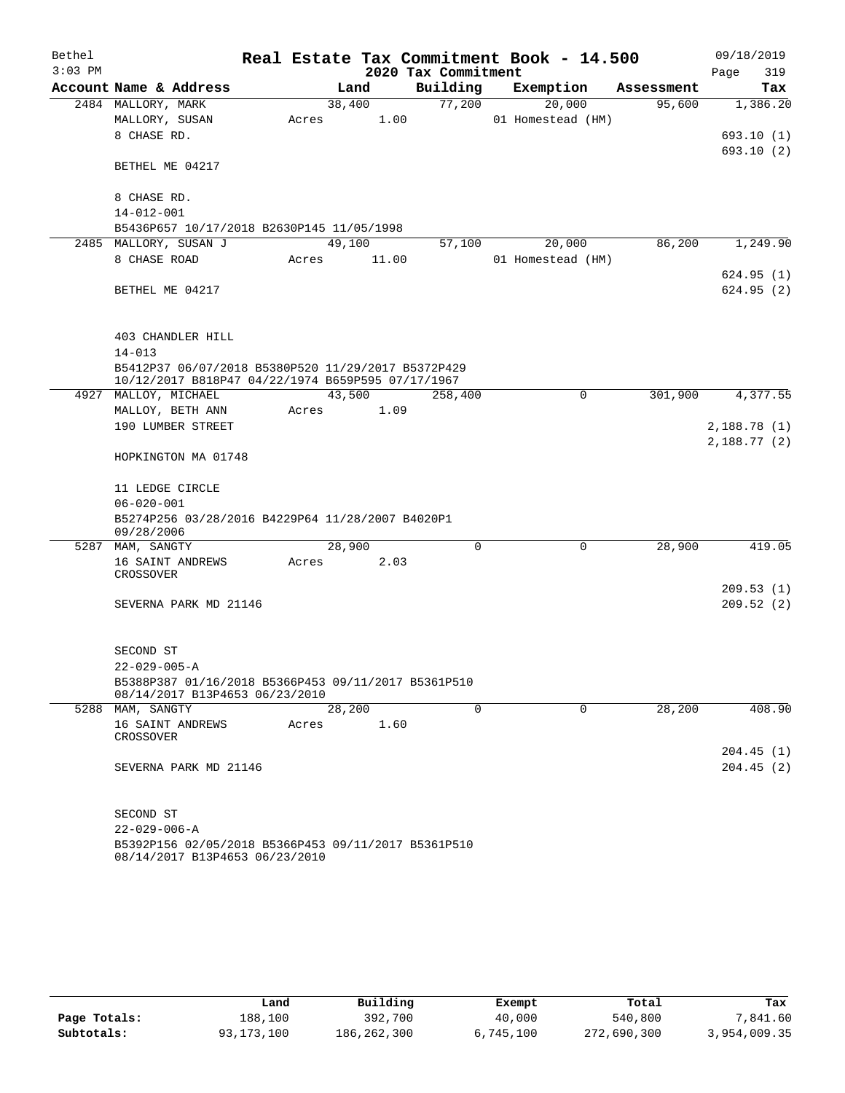| Bethel    |                                                                                       |       |        |       |                     | Real Estate Tax Commitment Book - 14.500 |            |             | 09/18/2019 |
|-----------|---------------------------------------------------------------------------------------|-------|--------|-------|---------------------|------------------------------------------|------------|-------------|------------|
| $3:03$ PM |                                                                                       |       |        |       | 2020 Tax Commitment |                                          |            | Page        | 319        |
|           | Account Name & Address                                                                |       | Land   |       | Building            | Exemption                                | Assessment |             | Tax        |
|           | 2484 MALLORY, MARK                                                                    |       | 38,400 |       | 77,200              | 20,000                                   | 95,600     |             | 1,386.20   |
|           | MALLORY, SUSAN                                                                        | Acres |        | 1.00  |                     | 01 Homestead (HM)                        |            |             |            |
|           | 8 CHASE RD.                                                                           |       |        |       |                     |                                          |            |             | 693.10(1)  |
|           |                                                                                       |       |        |       |                     |                                          |            |             | 693.10 (2) |
|           | BETHEL ME 04217                                                                       |       |        |       |                     |                                          |            |             |            |
|           | 8 CHASE RD.                                                                           |       |        |       |                     |                                          |            |             |            |
|           | $14 - 012 - 001$                                                                      |       |        |       |                     |                                          |            |             |            |
|           | B5436P657 10/17/2018 B2630P145 11/05/1998                                             |       |        |       |                     |                                          |            |             |            |
|           | 2485 MALLORY, SUSAN J                                                                 |       | 49,100 |       | 57,100              | 20,000                                   | 86,200     |             | 1,249.90   |
|           | 8 CHASE ROAD                                                                          | Acres |        | 11.00 |                     | 01 Homestead (HM)                        |            |             |            |
|           |                                                                                       |       |        |       |                     |                                          |            |             | 624.95(1)  |
|           | BETHEL ME 04217                                                                       |       |        |       |                     |                                          |            |             | 624.95(2)  |
|           |                                                                                       |       |        |       |                     |                                          |            |             |            |
|           |                                                                                       |       |        |       |                     |                                          |            |             |            |
|           | 403 CHANDLER HILL                                                                     |       |        |       |                     |                                          |            |             |            |
|           | $14 - 013$                                                                            |       |        |       |                     |                                          |            |             |            |
|           | B5412P37 06/07/2018 B5380P520 11/29/2017 B5372P429                                    |       |        |       |                     |                                          |            |             |            |
|           | 10/12/2017 B818P47 04/22/1974 B659P595 07/17/1967                                     |       |        |       |                     |                                          |            |             |            |
|           | 4927 MALLOY, MICHAEL                                                                  |       | 43,500 |       | 258,400             | $\mathbf 0$                              | 301,900    |             | 4,377.55   |
|           | MALLOY, BETH ANN                                                                      | Acres |        | 1.09  |                     |                                          |            |             |            |
|           | 190 LUMBER STREET                                                                     |       |        |       |                     |                                          |            | 2,188.78(1) |            |
|           |                                                                                       |       |        |       |                     |                                          |            | 2,188.77(2) |            |
|           | HOPKINGTON MA 01748                                                                   |       |        |       |                     |                                          |            |             |            |
|           | 11 LEDGE CIRCLE                                                                       |       |        |       |                     |                                          |            |             |            |
|           | $06 - 020 - 001$                                                                      |       |        |       |                     |                                          |            |             |            |
|           | B5274P256 03/28/2016 B4229P64 11/28/2007 B4020P1                                      |       |        |       |                     |                                          |            |             |            |
|           | 09/28/2006                                                                            |       |        |       |                     |                                          |            |             |            |
|           | 5287 MAM, SANGTY                                                                      |       | 28,900 |       | 0                   | 0                                        | 28,900     |             | 419.05     |
|           | 16 SAINT ANDREWS                                                                      | Acres |        | 2.03  |                     |                                          |            |             |            |
|           | CROSSOVER                                                                             |       |        |       |                     |                                          |            |             |            |
|           |                                                                                       |       |        |       |                     |                                          |            |             | 209.53(1)  |
|           | SEVERNA PARK MD 21146                                                                 |       |        |       |                     |                                          |            |             | 209.52(2)  |
|           |                                                                                       |       |        |       |                     |                                          |            |             |            |
|           | SECOND ST                                                                             |       |        |       |                     |                                          |            |             |            |
|           | $22 - 029 - 005 - A$                                                                  |       |        |       |                     |                                          |            |             |            |
|           | B5388P387 01/16/2018 B5366P453 09/11/2017 B5361P510                                   |       |        |       |                     |                                          |            |             |            |
|           | 08/14/2017 B13P4653 06/23/2010                                                        |       |        |       |                     |                                          |            |             |            |
|           | 5288 MAM, SANGTY                                                                      |       | 28,200 |       | $\mathbf 0$         | $\mathbf 0$                              | 28,200     |             | 408.90     |
|           | 16 SAINT ANDREWS                                                                      | Acres |        | 1.60  |                     |                                          |            |             |            |
|           | CROSSOVER                                                                             |       |        |       |                     |                                          |            |             |            |
|           |                                                                                       |       |        |       |                     |                                          |            |             | 204.45 (1) |
|           | SEVERNA PARK MD 21146                                                                 |       |        |       |                     |                                          |            |             | 204.45(2)  |
|           |                                                                                       |       |        |       |                     |                                          |            |             |            |
|           |                                                                                       |       |        |       |                     |                                          |            |             |            |
|           | SECOND ST                                                                             |       |        |       |                     |                                          |            |             |            |
|           | $22 - 029 - 006 - A$                                                                  |       |        |       |                     |                                          |            |             |            |
|           | B5392P156 02/05/2018 B5366P453 09/11/2017 B5361P510<br>08/14/2017 B13P4653 06/23/2010 |       |        |       |                     |                                          |            |             |            |

|              | Land         | Building    | Exempt    | Total       | Tax          |
|--------------|--------------|-------------|-----------|-------------|--------------|
| Page Totals: | 188,100      | 392,700     | 40,000    | 540,800     | 7,841.60     |
| Subtotals:   | 93, 173, 100 | 186,262,300 | 6,745,100 | 272,690,300 | 3,954,009.35 |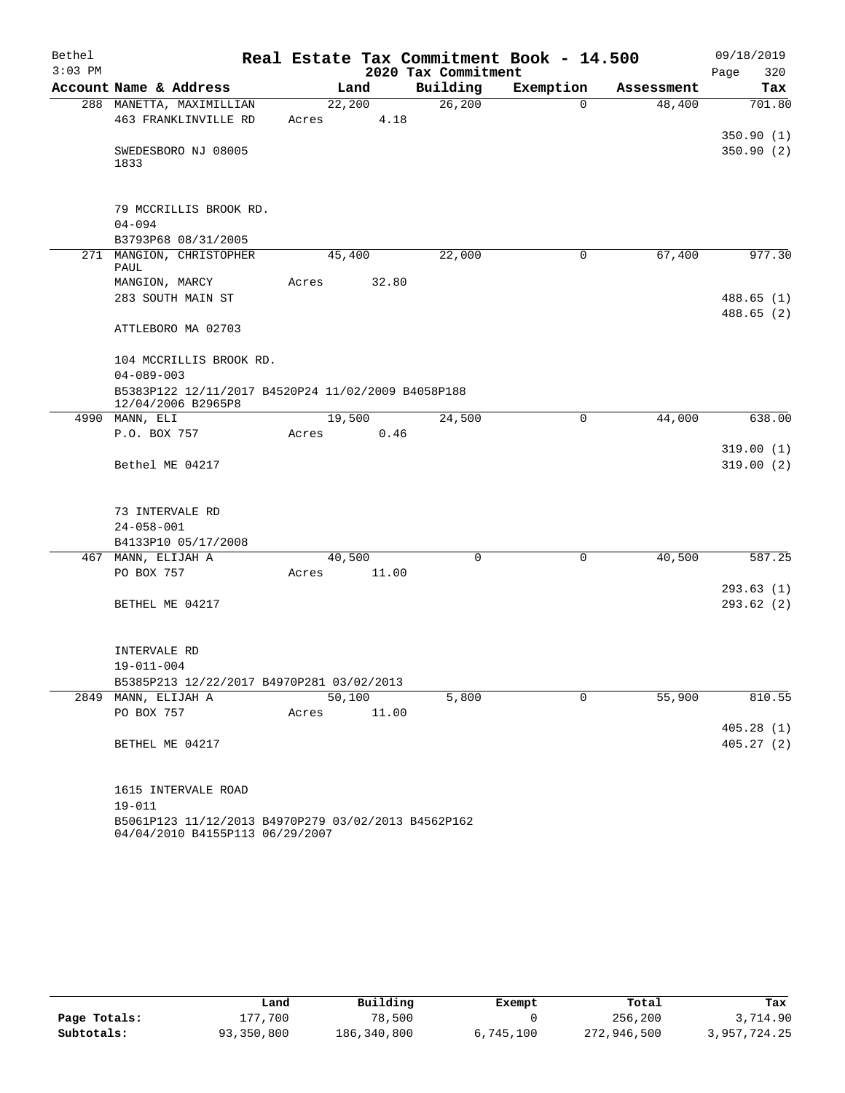| Bethel    |                                                                          |        |       |                     | Real Estate Tax Commitment Book - 14.500 |            | 09/18/2019             |
|-----------|--------------------------------------------------------------------------|--------|-------|---------------------|------------------------------------------|------------|------------------------|
| $3:03$ PM |                                                                          |        |       | 2020 Tax Commitment |                                          |            | Page<br>320            |
|           | Account Name & Address                                                   |        | Land  | Building            | Exemption                                | Assessment | Tax                    |
|           | 288 MANETTA, MAXIMILLIAN                                                 | 22,200 |       | 26, 200             | $\Omega$                                 | 48,400     | 701.80                 |
|           | 463 FRANKLINVILLE RD                                                     | Acres  | 4.18  |                     |                                          |            |                        |
|           |                                                                          |        |       |                     |                                          |            | 350.90(1)              |
|           | SWEDESBORO NJ 08005<br>1833                                              |        |       |                     |                                          |            | 350.90 (2)             |
|           |                                                                          |        |       |                     |                                          |            |                        |
|           | 79 MCCRILLIS BROOK RD.                                                   |        |       |                     |                                          |            |                        |
|           | $04 - 094$                                                               |        |       |                     |                                          |            |                        |
|           | B3793P68 08/31/2005                                                      |        |       |                     |                                          |            |                        |
|           | 271 MANGION, CHRISTOPHER<br><b>PAUL</b>                                  | 45,400 |       | 22,000              | 0                                        | 67,400     | 977.30                 |
|           | MANGION, MARCY                                                           | Acres  | 32.80 |                     |                                          |            |                        |
|           | 283 SOUTH MAIN ST                                                        |        |       |                     |                                          |            | 488.65(1)              |
|           |                                                                          |        |       |                     |                                          |            | 488.65(2)              |
|           | ATTLEBORO MA 02703                                                       |        |       |                     |                                          |            |                        |
|           | 104 MCCRILLIS BROOK RD.                                                  |        |       |                     |                                          |            |                        |
|           | $04 - 089 - 003$                                                         |        |       |                     |                                          |            |                        |
|           | B5383P122 12/11/2017 B4520P24 11/02/2009 B4058P188<br>12/04/2006 B2965P8 |        |       |                     |                                          |            |                        |
|           | 4990 MANN, ELI                                                           | 19,500 |       | 24,500              | $\mathbf 0$                              | 44,000     | 638.00                 |
|           | P.O. BOX 757                                                             | Acres  | 0.46  |                     |                                          |            |                        |
|           |                                                                          |        |       |                     |                                          |            | 319.00(1)              |
|           | Bethel ME 04217                                                          |        |       |                     |                                          |            | 319.00(2)              |
|           |                                                                          |        |       |                     |                                          |            |                        |
|           | 73 INTERVALE RD                                                          |        |       |                     |                                          |            |                        |
|           | $24 - 058 - 001$                                                         |        |       |                     |                                          |            |                        |
|           | B4133P10 05/17/2008                                                      |        |       |                     |                                          |            |                        |
|           | 467 MANN, ELIJAH A                                                       | 40,500 |       | $\Omega$            | $\mathbf 0$                              | 40,500     | 587.25                 |
|           | PO BOX 757                                                               | Acres  | 11.00 |                     |                                          |            |                        |
|           | BETHEL ME 04217                                                          |        |       |                     |                                          |            | 293.63(1)<br>293.62(2) |
|           |                                                                          |        |       |                     |                                          |            |                        |
|           | INTERVALE RD                                                             |        |       |                     |                                          |            |                        |
|           | $19 - 011 - 004$                                                         |        |       |                     |                                          |            |                        |
|           | B5385P213 12/22/2017 B4970P281 03/02/2013                                |        |       |                     |                                          |            |                        |
|           | 2849 MANN, ELIJAH A                                                      | 50,100 |       | 5,800               | 0                                        | 55,900     | 810.55                 |
|           | PO BOX 757                                                               | Acres  | 11.00 |                     |                                          |            |                        |
|           |                                                                          |        |       |                     |                                          |            | 405.28(1)              |
|           | BETHEL ME 04217                                                          |        |       |                     |                                          |            | 405.27(2)              |
|           | 1615 INTERVALE ROAD                                                      |        |       |                     |                                          |            |                        |
|           | $19 - 011$                                                               |        |       |                     |                                          |            |                        |
|           | B5061P123 11/12/2013 B4970P279 03/02/2013 B4562P162                      |        |       |                     |                                          |            |                        |
|           | 04/04/2010 B4155P113 06/29/2007                                          |        |       |                     |                                          |            |                        |

|              | Land       | Building    | Exempt    | Total       | Tax          |
|--------------|------------|-------------|-----------|-------------|--------------|
| Page Totals: | 177,700    | 78,500      |           | 256,200     | 3,714.90     |
| Subtotals:   | 93,350,800 | 186,340,800 | 6,745,100 | 272,946,500 | 3,957,724.25 |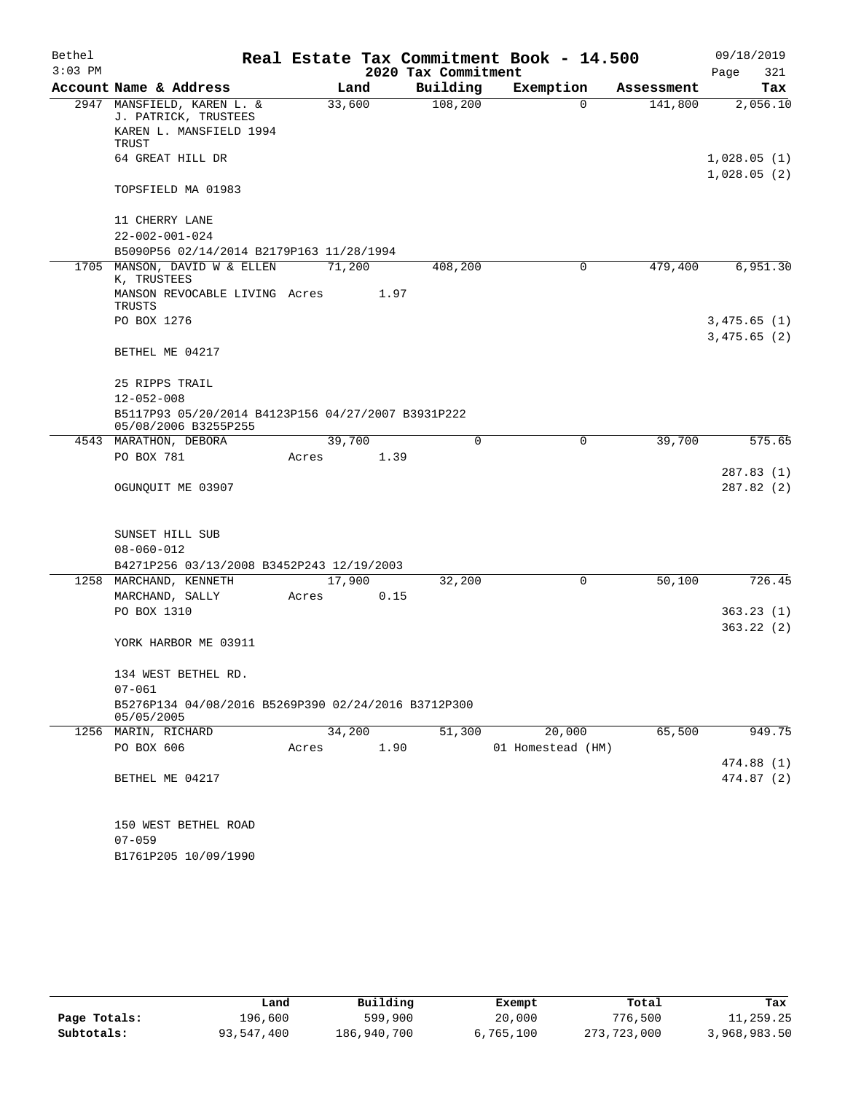| Bethel    |                                                    |                                                     |        |        |                     | Real Estate Tax Commitment Book - 14.500 |            | 09/18/2019                 |
|-----------|----------------------------------------------------|-----------------------------------------------------|--------|--------|---------------------|------------------------------------------|------------|----------------------------|
| $3:03$ PM |                                                    |                                                     |        |        | 2020 Tax Commitment |                                          |            | Page<br>321                |
|           | Account Name & Address                             |                                                     |        | Land   | Building            | Exemption                                | Assessment | Tax                        |
|           | 2947 MANSFIELD, KAREN L. &<br>J. PATRICK, TRUSTEES |                                                     | 33,600 |        | 108,200             | 0                                        | 141,800    | 2,056.10                   |
|           | <b>TRUST</b>                                       | KAREN L. MANSFIELD 1994                             |        |        |                     |                                          |            |                            |
|           | 64 GREAT HILL DR                                   |                                                     |        |        |                     |                                          |            | 1,028.05(1)<br>1,028.05(2) |
|           | TOPSFIELD MA 01983                                 |                                                     |        |        |                     |                                          |            |                            |
|           | 11 CHERRY LANE                                     |                                                     |        |        |                     |                                          |            |                            |
|           | $22 - 002 - 001 - 024$                             |                                                     |        |        |                     |                                          |            |                            |
|           |                                                    | B5090P56 02/14/2014 B2179P163 11/28/1994            |        |        |                     |                                          |            |                            |
|           | K, TRUSTEES                                        | 1705 MANSON, DAVID W & ELLEN                        | 71,200 |        | 408,200             | 0                                        | 479,400    | 6,951.30                   |
|           | TRUSTS                                             | MANSON REVOCABLE LIVING Acres                       |        | 1.97   |                     |                                          |            |                            |
|           | PO BOX 1276                                        |                                                     |        |        |                     |                                          |            | 3,475.65(1)<br>3,475.65(2) |
|           | BETHEL ME 04217                                    |                                                     |        |        |                     |                                          |            |                            |
|           | 25 RIPPS TRAIL                                     |                                                     |        |        |                     |                                          |            |                            |
|           | $12 - 052 - 008$                                   |                                                     |        |        |                     |                                          |            |                            |
|           | 05/08/2006 B3255P255                               | B5117P93 05/20/2014 B4123P156 04/27/2007 B3931P222  |        |        |                     |                                          |            |                            |
|           | 4543 MARATHON, DEBORA                              |                                                     |        | 39,700 | $\Omega$            | 0                                        | 39,700     | 575.65                     |
|           | PO BOX 781                                         |                                                     | Acres  | 1.39   |                     |                                          |            |                            |
|           | OGUNQUIT ME 03907                                  |                                                     |        |        |                     |                                          |            | 287.83 (1)<br>287.82 (2)   |
|           | SUNSET HILL SUB                                    |                                                     |        |        |                     |                                          |            |                            |
|           | $08 - 060 - 012$                                   |                                                     |        |        |                     |                                          |            |                            |
|           |                                                    | B4271P256 03/13/2008 B3452P243 12/19/2003           |        |        |                     |                                          |            |                            |
|           | 1258 MARCHAND, KENNETH                             |                                                     | 17,900 |        | 32,200              | $\mathbf 0$                              | 50,100     | 726.45                     |
|           | MARCHAND, SALLY                                    |                                                     | Acres  | 0.15   |                     |                                          |            |                            |
|           | PO BOX 1310                                        |                                                     |        |        |                     |                                          |            | 363.23(1)                  |
|           |                                                    |                                                     |        |        |                     |                                          |            | 363.22(2)                  |
|           | YORK HARBOR ME 03911                               |                                                     |        |        |                     |                                          |            |                            |
|           | 134 WEST BETHEL RD.                                |                                                     |        |        |                     |                                          |            |                            |
|           | $07 - 061$                                         |                                                     |        |        |                     |                                          |            |                            |
|           | 05/05/2005                                         | B5276P134 04/08/2016 B5269P390 02/24/2016 B3712P300 |        |        |                     |                                          |            |                            |
|           | 1256 MARIN, RICHARD                                |                                                     |        | 34,200 | 51,300              | 20,000                                   | 65,500     | 949.75                     |
|           | PO BOX 606                                         |                                                     | Acres  | 1.90   |                     | 01 Homestead (HM)                        |            |                            |
|           |                                                    |                                                     |        |        |                     |                                          |            | 474.88 (1)                 |
|           | BETHEL ME 04217                                    |                                                     |        |        |                     |                                          |            | 474.87 (2)                 |
|           | 150 WEST BETHEL ROAD                               |                                                     |        |        |                     |                                          |            |                            |
|           | $07 - 059$                                         |                                                     |        |        |                     |                                          |            |                            |
|           | B1761P205 10/09/1990                               |                                                     |        |        |                     |                                          |            |                            |

|              | Land       | Building    | Exempt    | Total       | Tax          |
|--------------|------------|-------------|-----------|-------------|--------------|
| Page Totals: | 196,600    | 599,900     | 20,000    | 776,500     | 11,259.25    |
| Subtotals:   | 93,547,400 | 186,940,700 | 6,765,100 | 273,723,000 | 3,968,983.50 |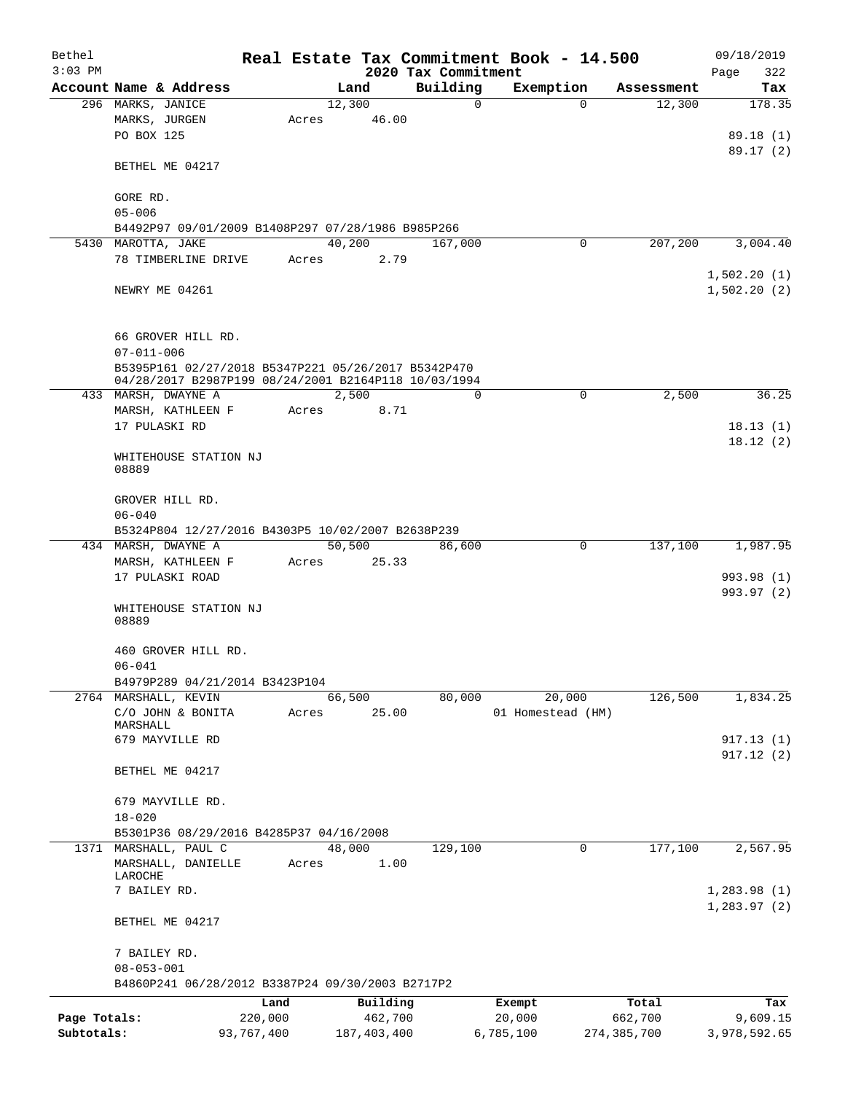| Bethel<br>$3:03$ PM |                                                      |       |               |                                 | Real Estate Tax Commitment Book - 14.500 |               | 09/18/2019                 |
|---------------------|------------------------------------------------------|-------|---------------|---------------------------------|------------------------------------------|---------------|----------------------------|
|                     | Account Name & Address                               |       | Land          | 2020 Tax Commitment<br>Building | Exemption                                | Assessment    | 322<br>Page<br>Tax         |
|                     | 296 MARKS, JANICE                                    |       | 12,300        | $\Omega$                        | $\Omega$                                 | 12,300        | 178.35                     |
|                     | MARKS, JURGEN                                        | Acres | 46.00         |                                 |                                          |               |                            |
|                     | PO BOX 125                                           |       |               |                                 |                                          |               | 89.18(1)                   |
|                     |                                                      |       |               |                                 |                                          |               | 89.17(2)                   |
|                     | BETHEL ME 04217                                      |       |               |                                 |                                          |               |                            |
|                     |                                                      |       |               |                                 |                                          |               |                            |
|                     | GORE RD.<br>$05 - 006$                               |       |               |                                 |                                          |               |                            |
|                     |                                                      |       |               |                                 |                                          |               |                            |
|                     | B4492P97 09/01/2009 B1408P297 07/28/1986 B985P266    |       | 40,200        |                                 | 0                                        | 207,200       |                            |
| 5430                | MAROTTA, JAKE                                        |       |               | 167,000                         |                                          |               | 3,004.40                   |
|                     | 78 TIMBERLINE DRIVE                                  | Acres | 2.79          |                                 |                                          |               |                            |
|                     | NEWRY ME 04261                                       |       |               |                                 |                                          |               | 1,502.20(1)<br>1,502.20(2) |
|                     | 66 GROVER HILL RD.<br>$07 - 011 - 006$               |       |               |                                 |                                          |               |                            |
|                     | B5395P161 02/27/2018 B5347P221 05/26/2017 B5342P470  |       |               |                                 |                                          |               |                            |
|                     | 04/28/2017 B2987P199 08/24/2001 B2164P118 10/03/1994 |       |               |                                 |                                          |               |                            |
|                     | 433 MARSH, DWAYNE A                                  |       | 2,500         | 0                               | $\mathbf 0$                              | 2,500         | 36.25                      |
|                     | MARSH, KATHLEEN F                                    | Acres | 8.71          |                                 |                                          |               |                            |
|                     | 17 PULASKI RD                                        |       |               |                                 |                                          |               | 18.13(1)                   |
|                     |                                                      |       |               |                                 |                                          |               | 18.12(2)                   |
|                     | WHITEHOUSE STATION NJ<br>08889                       |       |               |                                 |                                          |               |                            |
|                     |                                                      |       |               |                                 |                                          |               |                            |
|                     | GROVER HILL RD.                                      |       |               |                                 |                                          |               |                            |
|                     | $06 - 040$                                           |       |               |                                 |                                          |               |                            |
|                     | B5324P804 12/27/2016 B4303P5 10/02/2007 B2638P239    |       |               |                                 |                                          |               |                            |
|                     | 434 MARSH, DWAYNE A                                  |       | 50,500        | 86,600                          | 0                                        | 137,100       | 1,987.95                   |
|                     | MARSH, KATHLEEN F                                    | Acres | 25.33         |                                 |                                          |               |                            |
|                     | 17 PULASKI ROAD                                      |       |               |                                 |                                          |               | 993.98 (1)                 |
|                     | WHITEHOUSE STATION NJ<br>08889                       |       |               |                                 |                                          |               | 993.97 (2)                 |
|                     | 460 GROVER HILL RD.                                  |       |               |                                 |                                          |               |                            |
|                     | $06 - 041$                                           |       |               |                                 |                                          |               |                            |
|                     | B4979P289 04/21/2014 B3423P104                       |       |               |                                 |                                          |               |                            |
|                     | 2764 MARSHALL, KEVIN                                 |       | 66,500        | 80,000                          | 20,000                                   | 126,500       | 1,834.25                   |
|                     | C/O JOHN & BONITA<br>MARSHALL                        | Acres | 25.00         |                                 | 01 Homestead (HM)                        |               |                            |
|                     | 679 MAYVILLE RD                                      |       |               |                                 |                                          |               | 917.13 (1)                 |
|                     |                                                      |       |               |                                 |                                          |               | 917.12(2)                  |
|                     | BETHEL ME 04217                                      |       |               |                                 |                                          |               |                            |
|                     | 679 MAYVILLE RD.                                     |       |               |                                 |                                          |               |                            |
|                     | $18 - 020$                                           |       |               |                                 |                                          |               |                            |
|                     | B5301P36 08/29/2016 B4285P37 04/16/2008              |       |               |                                 |                                          |               |                            |
|                     | 1371 MARSHALL, PAUL C                                |       | 48,000        | 129,100                         | 0                                        | 177,100       | 2,567.95                   |
|                     | MARSHALL, DANIELLE                                   | Acres | 1.00          |                                 |                                          |               |                            |
|                     | LAROCHE                                              |       |               |                                 |                                          |               |                            |
|                     | 7 BAILEY RD.                                         |       |               |                                 |                                          |               | 1,283.98(1)                |
|                     |                                                      |       |               |                                 |                                          |               | 1, 283.97(2)               |
|                     | BETHEL ME 04217                                      |       |               |                                 |                                          |               |                            |
|                     | 7 BAILEY RD.                                         |       |               |                                 |                                          |               |                            |
|                     | $08 - 053 - 001$                                     |       |               |                                 |                                          |               |                            |
|                     | B4860P241 06/28/2012 B3387P24 09/30/2003 B2717P2     |       |               |                                 |                                          |               |                            |
|                     | Land                                                 |       | Building      |                                 | Exempt                                   | Total         | Tax                        |
| Page Totals:        | 220,000                                              |       | 462,700       |                                 | 20,000                                   | 662,700       | 9,609.15                   |
| Subtotals:          | 93,767,400                                           |       | 187, 403, 400 |                                 | 6,785,100                                | 274, 385, 700 | 3,978,592.65               |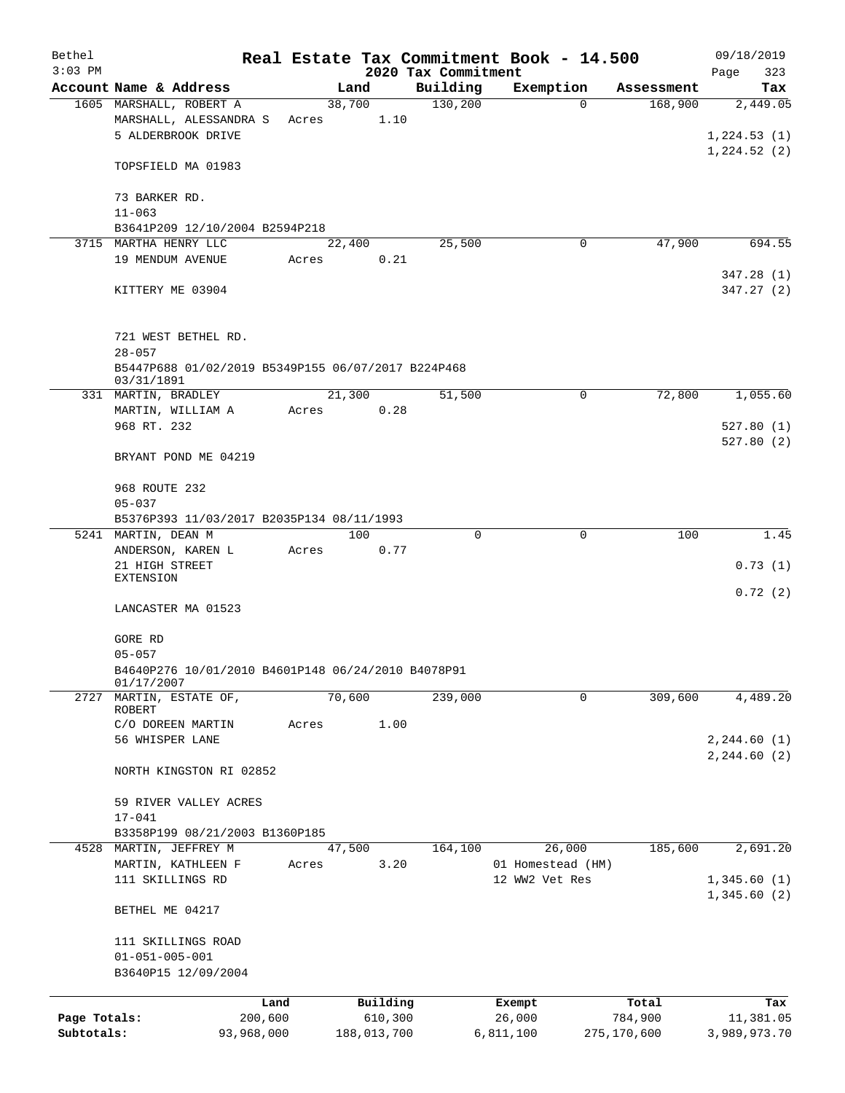| Bethel<br>$3:03$ PM |                                                                  |                                                    |             |          | 2020 Tax Commitment | Real Estate Tax Commitment Book - 14.500 |             | 09/18/2019<br>323<br>Page |
|---------------------|------------------------------------------------------------------|----------------------------------------------------|-------------|----------|---------------------|------------------------------------------|-------------|---------------------------|
|                     | Account Name & Address                                           |                                                    | Land        |          | Building            | Exemption                                | Assessment  | Tax                       |
|                     | 1605 MARSHALL, ROBERT A                                          |                                                    | 38,700      |          | 130, 200            | $\Omega$                                 | 168,900     | 2,449.05                  |
|                     | MARSHALL, ALESSANDRA S                                           | Acres                                              |             | 1.10     |                     |                                          |             |                           |
|                     | 5 ALDERBROOK DRIVE                                               |                                                    |             |          |                     |                                          |             | 1,224.53(1)               |
|                     |                                                                  |                                                    |             |          |                     |                                          |             | 1,224.52(2)               |
|                     | TOPSFIELD MA 01983                                               |                                                    |             |          |                     |                                          |             |                           |
|                     |                                                                  |                                                    |             |          |                     |                                          |             |                           |
|                     | 73 BARKER RD.                                                    |                                                    |             |          |                     |                                          |             |                           |
|                     | $11 - 063$                                                       |                                                    |             |          |                     |                                          |             |                           |
|                     | B3641P209 12/10/2004 B2594P218                                   |                                                    |             |          |                     |                                          |             |                           |
|                     | 3715 MARTHA HENRY LLC                                            |                                                    | 22,400      |          | 25,500              | 0                                        | 47,900      | 694.55                    |
|                     | 19 MENDUM AVENUE                                                 | Acres                                              |             | 0.21     |                     |                                          |             |                           |
|                     |                                                                  |                                                    |             |          |                     |                                          |             | 347.28(1)                 |
|                     |                                                                  |                                                    |             |          |                     |                                          |             | 347.27(2)                 |
|                     | KITTERY ME 03904                                                 |                                                    |             |          |                     |                                          |             |                           |
|                     |                                                                  |                                                    |             |          |                     |                                          |             |                           |
|                     |                                                                  |                                                    |             |          |                     |                                          |             |                           |
|                     | 721 WEST BETHEL RD.                                              |                                                    |             |          |                     |                                          |             |                           |
|                     | $28 - 057$                                                       |                                                    |             |          |                     |                                          |             |                           |
|                     | B5447P688 01/02/2019 B5349P155 06/07/2017 B224P468<br>03/31/1891 |                                                    |             |          |                     |                                          |             |                           |
|                     | 331 MARTIN, BRADLEY                                              |                                                    | 21,300      |          | 51,500              | 0                                        | 72,800      | 1,055.60                  |
|                     | MARTIN, WILLIAM A                                                | Acres                                              |             | 0.28     |                     |                                          |             |                           |
|                     | 968 RT. 232                                                      |                                                    |             |          |                     |                                          |             | 527.80(1)                 |
|                     |                                                                  |                                                    |             |          |                     |                                          |             | 527.80(2)                 |
|                     |                                                                  |                                                    |             |          |                     |                                          |             |                           |
|                     | BRYANT POND ME 04219                                             |                                                    |             |          |                     |                                          |             |                           |
|                     |                                                                  |                                                    |             |          |                     |                                          |             |                           |
|                     | 968 ROUTE 232                                                    |                                                    |             |          |                     |                                          |             |                           |
|                     | $05 - 037$                                                       |                                                    |             |          |                     |                                          |             |                           |
|                     | B5376P393 11/03/2017 B2035P134 08/11/1993                        |                                                    |             |          |                     |                                          |             |                           |
|                     | 5241 MARTIN, DEAN M                                              |                                                    | 100         |          | $\Omega$            | $\mathbf 0$                              | 100         | 1.45                      |
|                     | ANDERSON, KAREN L                                                | Acres                                              |             | 0.77     |                     |                                          |             |                           |
|                     | 21 HIGH STREET<br><b>EXTENSION</b>                               |                                                    |             |          |                     |                                          |             | 0.73(1)                   |
|                     |                                                                  |                                                    |             |          |                     |                                          |             | 0.72(2)                   |
|                     | LANCASTER MA 01523                                               |                                                    |             |          |                     |                                          |             |                           |
|                     |                                                                  |                                                    |             |          |                     |                                          |             |                           |
|                     | GORE RD                                                          |                                                    |             |          |                     |                                          |             |                           |
|                     | $05 - 057$                                                       |                                                    |             |          |                     |                                          |             |                           |
|                     |                                                                  | B4640P276 10/01/2010 B4601P148 06/24/2010 B4078P91 |             |          |                     |                                          |             |                           |
|                     | 01/17/2007                                                       |                                                    |             |          |                     |                                          |             |                           |
| 2727                | MARTIN, ESTATE OF,                                               |                                                    | 70,600      |          | 239,000             | 0                                        | 309,600     | 4,489.20                  |
|                     | ROBERT                                                           |                                                    |             |          |                     |                                          |             |                           |
|                     | C/O DOREEN MARTIN                                                | Acres                                              |             | 1.00     |                     |                                          |             |                           |
|                     | 56 WHISPER LANE                                                  |                                                    |             |          |                     |                                          |             | 2, 244.60(1)              |
|                     |                                                                  |                                                    |             |          |                     |                                          |             | 2, 244.60 (2)             |
|                     | NORTH KINGSTON RI 02852                                          |                                                    |             |          |                     |                                          |             |                           |
|                     |                                                                  |                                                    |             |          |                     |                                          |             |                           |
|                     | 59 RIVER VALLEY ACRES                                            |                                                    |             |          |                     |                                          |             |                           |
|                     | $17 - 041$                                                       |                                                    |             |          |                     |                                          |             |                           |
|                     | B3358P199 08/21/2003 B1360P185                                   |                                                    |             |          |                     |                                          |             |                           |
| 4528                | MARTIN, JEFFREY M                                                |                                                    | 47,500      |          | 164,100             | 26,000                                   | 185,600     | 2,691.20                  |
|                     | MARTIN, KATHLEEN F                                               | Acres                                              |             | 3.20     |                     | 01 Homestead (HM)                        |             |                           |
|                     | 111 SKILLINGS RD                                                 |                                                    |             |          |                     | 12 WW2 Vet Res                           |             | 1,345.60(1)               |
|                     |                                                                  |                                                    |             |          |                     |                                          |             | 1,345.60(2)               |
|                     | BETHEL ME 04217                                                  |                                                    |             |          |                     |                                          |             |                           |
|                     |                                                                  |                                                    |             |          |                     |                                          |             |                           |
|                     | 111 SKILLINGS ROAD                                               |                                                    |             |          |                     |                                          |             |                           |
|                     | $01 - 051 - 005 - 001$                                           |                                                    |             |          |                     |                                          |             |                           |
|                     | B3640P15 12/09/2004                                              |                                                    |             |          |                     |                                          |             |                           |
|                     |                                                                  |                                                    |             |          |                     |                                          |             |                           |
|                     |                                                                  | Land                                               |             | Building |                     | Exempt                                   | Total       | Tax                       |
| Page Totals:        |                                                                  | 200,600                                            |             | 610,300  |                     | 26,000                                   | 784,900     | 11,381.05                 |
| Subtotals:          |                                                                  | 93,968,000                                         | 188,013,700 |          |                     | 6,811,100                                | 275,170,600 | 3,989,973.70              |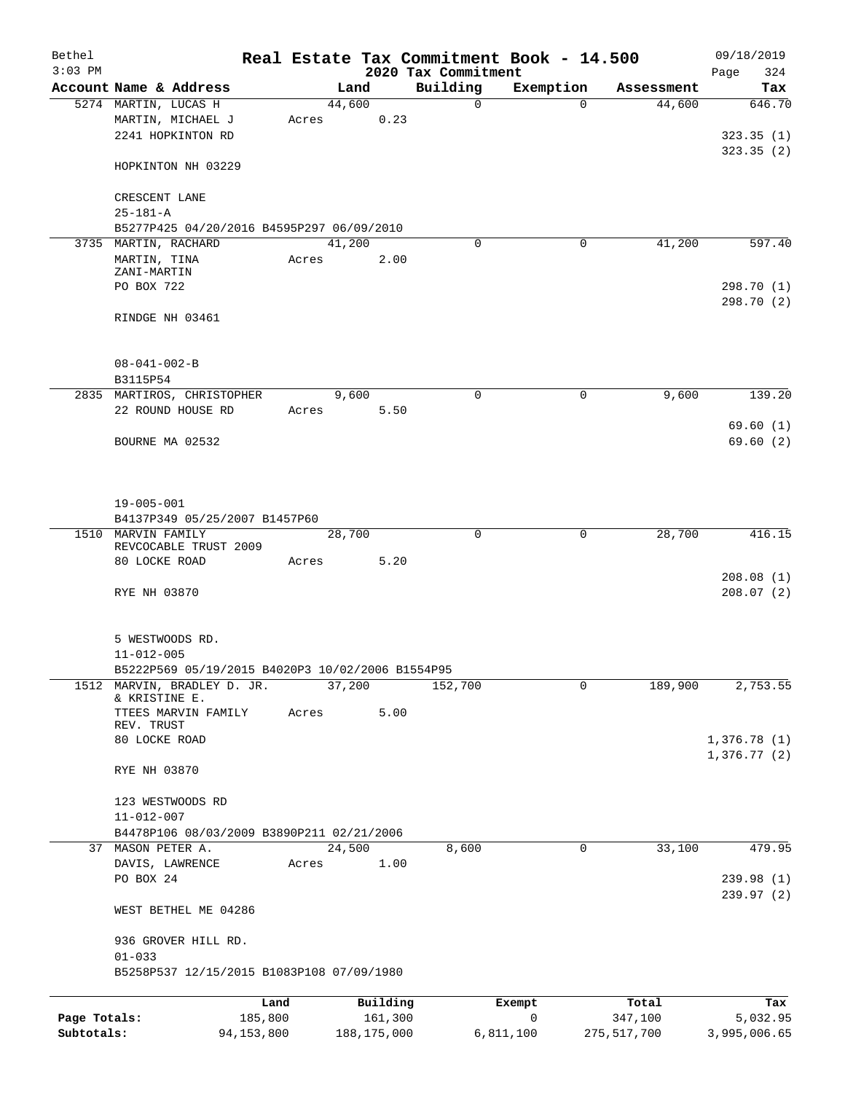| Bethel       |                                                  |       |                |          |                         | Real Estate Tax Commitment Book - 14.500 |                      | 09/18/2019    |
|--------------|--------------------------------------------------|-------|----------------|----------|-------------------------|------------------------------------------|----------------------|---------------|
| $3:03$ PM    |                                                  |       |                |          | 2020 Tax Commitment     |                                          |                      | 324<br>Page   |
|              | Account Name & Address<br>5274 MARTIN, LUCAS H   |       | Land<br>44,600 |          | Building<br>$\mathbf 0$ | Exemption<br>$\Omega$                    | Assessment<br>44,600 | Tax<br>646.70 |
|              | MARTIN, MICHAEL J                                | Acres |                | 0.23     |                         |                                          |                      |               |
|              | 2241 HOPKINTON RD                                |       |                |          |                         |                                          |                      | 323.35(1)     |
|              |                                                  |       |                |          |                         |                                          |                      | 323.35(2)     |
|              | HOPKINTON NH 03229                               |       |                |          |                         |                                          |                      |               |
|              | CRESCENT LANE                                    |       |                |          |                         |                                          |                      |               |
|              | $25 - 181 - A$                                   |       |                |          |                         |                                          |                      |               |
|              | B5277P425 04/20/2016 B4595P297 06/09/2010        |       |                |          |                         |                                          |                      |               |
|              | 3735 MARTIN, RACHARD                             |       | 41,200         |          | $\Omega$                | 0                                        | 41,200               | 597.40        |
|              | MARTIN, TINA<br>ZANI-MARTIN                      | Acres |                | 2.00     |                         |                                          |                      |               |
|              | PO BOX 722                                       |       |                |          |                         |                                          |                      | 298.70 (1)    |
|              |                                                  |       |                |          |                         |                                          |                      | 298.70 (2)    |
|              | RINDGE NH 03461                                  |       |                |          |                         |                                          |                      |               |
|              |                                                  |       |                |          |                         |                                          |                      |               |
|              |                                                  |       |                |          |                         |                                          |                      |               |
|              | $08 - 041 - 002 - B$                             |       |                |          |                         |                                          |                      |               |
|              | B3115P54                                         |       |                |          |                         |                                          |                      |               |
|              | 2835 MARTIROS, CHRISTOPHER                       |       | 9,600          |          | 0                       | 0                                        | 9,600                | 139.20        |
|              | 22 ROUND HOUSE RD                                | Acres |                | 5.50     |                         |                                          |                      |               |
|              |                                                  |       |                |          |                         |                                          |                      | 69.60(1)      |
|              | BOURNE MA 02532                                  |       |                |          |                         |                                          |                      | 69.60(2)      |
|              |                                                  |       |                |          |                         |                                          |                      |               |
|              |                                                  |       |                |          |                         |                                          |                      |               |
|              |                                                  |       |                |          |                         |                                          |                      |               |
|              | $19 - 005 - 001$                                 |       |                |          |                         |                                          |                      |               |
|              | B4137P349 05/25/2007 B1457P60                    |       |                |          |                         |                                          |                      |               |
| 1510         | MARVIN FAMILY<br>REVCOCABLE TRUST 2009           |       | 28,700         |          | 0                       | 0                                        | 28,700               | 416.15        |
|              | 80 LOCKE ROAD                                    | Acres |                | 5.20     |                         |                                          |                      |               |
|              |                                                  |       |                |          |                         |                                          |                      | 208.08(1)     |
|              | RYE NH 03870                                     |       |                |          |                         |                                          |                      | 208.07(2)     |
|              |                                                  |       |                |          |                         |                                          |                      |               |
|              |                                                  |       |                |          |                         |                                          |                      |               |
|              | 5 WESTWOODS RD.                                  |       |                |          |                         |                                          |                      |               |
|              | $11 - 012 - 005$                                 |       |                |          |                         |                                          |                      |               |
|              | B5222P569 05/19/2015 B4020P3 10/02/2006 B1554P95 |       |                |          |                         |                                          |                      |               |
| 1512         | MARVIN, BRADLEY D. JR.                           |       | 37,200         |          | 152,700                 | 0                                        | 189,900              | 2,753.55      |
|              | & KRISTINE E.<br>TTEES MARVIN FAMILY             |       |                |          |                         |                                          |                      |               |
|              | REV. TRUST                                       | Acres |                | 5.00     |                         |                                          |                      |               |
|              | 80 LOCKE ROAD                                    |       |                |          |                         |                                          |                      | 1,376.78(1)   |
|              |                                                  |       |                |          |                         |                                          |                      | 1,376.77(2)   |
|              | RYE NH 03870                                     |       |                |          |                         |                                          |                      |               |
|              |                                                  |       |                |          |                         |                                          |                      |               |
|              | 123 WESTWOODS RD                                 |       |                |          |                         |                                          |                      |               |
|              | $11 - 012 - 007$                                 |       |                |          |                         |                                          |                      |               |
|              | B4478P106 08/03/2009 B3890P211 02/21/2006        |       |                |          |                         |                                          |                      |               |
|              | 37 MASON PETER A.                                |       | 24,500         |          | 8,600                   | 0                                        | 33,100               | 479.95        |
|              | DAVIS, LAWRENCE                                  | Acres |                | 1.00     |                         |                                          |                      |               |
|              | PO BOX 24                                        |       |                |          |                         |                                          |                      | 239.98 (1)    |
|              |                                                  |       |                |          |                         |                                          |                      | 239.97(2)     |
|              | WEST BETHEL ME 04286                             |       |                |          |                         |                                          |                      |               |
|              | 936 GROVER HILL RD.                              |       |                |          |                         |                                          |                      |               |
|              | $01 - 033$                                       |       |                |          |                         |                                          |                      |               |
|              | B5258P537 12/15/2015 B1083P108 07/09/1980        |       |                |          |                         |                                          |                      |               |
|              |                                                  |       |                |          |                         |                                          |                      |               |
|              | Land                                             |       |                | Building |                         | Exempt                                   | Total                | Tax           |
| Page Totals: | 185,800                                          |       |                | 161,300  |                         | 0                                        | 347,100              | 5,032.95      |

**Subtotals:** 94,153,800 188,175,000 6,811,100 275,517,700 3,995,006.65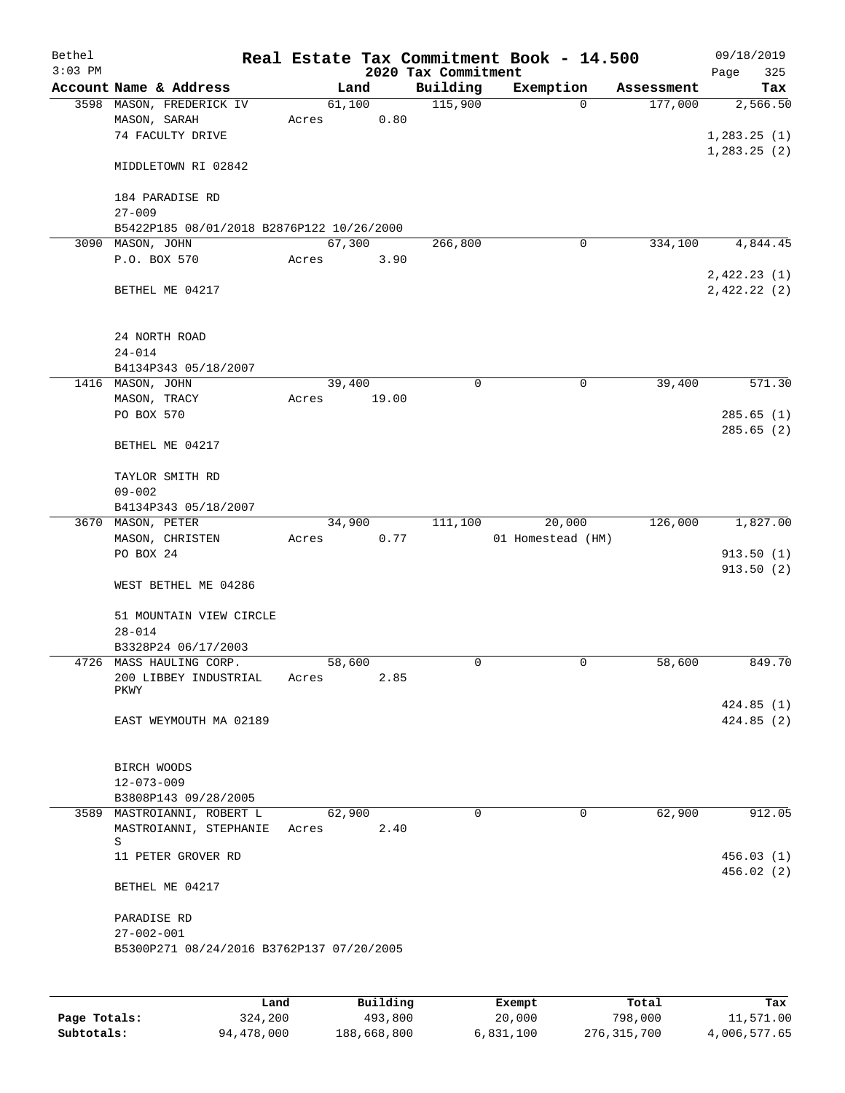| Bethel    |                                                    |       |                |                     | Real Estate Tax Commitment Book - 14.500 |                       | 09/18/2019             |
|-----------|----------------------------------------------------|-------|----------------|---------------------|------------------------------------------|-----------------------|------------------------|
| $3:03$ PM |                                                    |       |                | 2020 Tax Commitment |                                          |                       | Page<br>325            |
|           | Account Name & Address<br>3598 MASON, FREDERICK IV |       | Land<br>61,100 | Building<br>115,900 | Exemption<br>0                           | Assessment<br>177,000 | Tax<br>2,566.50        |
|           | MASON, SARAH                                       | Acres |                | 0.80                |                                          |                       |                        |
|           | 74 FACULTY DRIVE                                   |       |                |                     |                                          |                       | 1, 283.25(1)           |
|           |                                                    |       |                |                     |                                          |                       | 1, 283.25(2)           |
|           | MIDDLETOWN RI 02842                                |       |                |                     |                                          |                       |                        |
|           | 184 PARADISE RD                                    |       |                |                     |                                          |                       |                        |
|           | $27 - 009$                                         |       |                |                     |                                          |                       |                        |
|           | B5422P185 08/01/2018 B2876P122 10/26/2000          |       |                |                     |                                          |                       |                        |
|           | 3090 MASON, JOHN                                   |       | 67,300         | 266,800             | 0                                        | 334,100               | 4,844.45               |
|           | P.O. BOX 570                                       | Acres |                | 3.90                |                                          |                       |                        |
|           |                                                    |       |                |                     |                                          |                       | 2,422.23(1)            |
|           | BETHEL ME 04217                                    |       |                |                     |                                          |                       | 2,422.22(2)            |
|           |                                                    |       |                |                     |                                          |                       |                        |
|           | 24 NORTH ROAD                                      |       |                |                     |                                          |                       |                        |
|           | $24 - 014$                                         |       |                |                     |                                          |                       |                        |
|           | B4134P343 05/18/2007                               |       |                |                     |                                          |                       |                        |
|           | 1416 MASON, JOHN                                   |       | 39,400         | 0                   | 0                                        | 39,400                | 571.30                 |
|           | MASON, TRACY                                       | Acres | 19.00          |                     |                                          |                       |                        |
|           | PO BOX 570                                         |       |                |                     |                                          |                       | 285.65(1)              |
|           |                                                    |       |                |                     |                                          |                       | 285.65(2)              |
|           | BETHEL ME 04217                                    |       |                |                     |                                          |                       |                        |
|           |                                                    |       |                |                     |                                          |                       |                        |
|           | TAYLOR SMITH RD<br>$09 - 002$                      |       |                |                     |                                          |                       |                        |
|           | B4134P343 05/18/2007                               |       |                |                     |                                          |                       |                        |
|           | 3670 MASON, PETER                                  |       | 34,900         | 111,100             | 20,000                                   | 126,000               | 1,827.00               |
|           | MASON, CHRISTEN                                    | Acres |                | 0.77                | 01 Homestead (HM)                        |                       |                        |
|           | PO BOX 24                                          |       |                |                     |                                          |                       | 913.50(1)              |
|           |                                                    |       |                |                     |                                          |                       | 913.50(2)              |
|           | WEST BETHEL ME 04286                               |       |                |                     |                                          |                       |                        |
|           |                                                    |       |                |                     |                                          |                       |                        |
|           | 51 MOUNTAIN VIEW CIRCLE                            |       |                |                     |                                          |                       |                        |
|           | $28 - 014$                                         |       |                |                     |                                          |                       |                        |
|           | B3328P24 06/17/2003<br>4726 MASS HAULING CORP.     |       | 58,600         | 0                   | 0                                        | 58,600                | 849.70                 |
|           | 200 LIBBEY INDUSTRIAL                              | Acres |                | 2.85                |                                          |                       |                        |
|           | PKWY                                               |       |                |                     |                                          |                       |                        |
|           |                                                    |       |                |                     |                                          |                       | 424.85(1)              |
|           | EAST WEYMOUTH MA 02189                             |       |                |                     |                                          |                       | 424.85(2)              |
|           |                                                    |       |                |                     |                                          |                       |                        |
|           | BIRCH WOODS                                        |       |                |                     |                                          |                       |                        |
|           | $12 - 073 - 009$                                   |       |                |                     |                                          |                       |                        |
|           | B3808P143 09/28/2005                               |       |                |                     |                                          |                       |                        |
|           | 3589 MASTROIANNI, ROBERT L                         |       | 62,900         | $\Omega$            | 0                                        | 62,900                | 912.05                 |
|           | MASTROIANNI, STEPHANIE                             | Acres | 2.40           |                     |                                          |                       |                        |
|           | S                                                  |       |                |                     |                                          |                       |                        |
|           | 11 PETER GROVER RD                                 |       |                |                     |                                          |                       | 456.03(1)<br>456.02(2) |
|           | BETHEL ME 04217                                    |       |                |                     |                                          |                       |                        |
|           |                                                    |       |                |                     |                                          |                       |                        |
|           | PARADISE RD<br>$27 - 002 - 001$                    |       |                |                     |                                          |                       |                        |
|           | B5300P271 08/24/2016 B3762P137 07/20/2005          |       |                |                     |                                          |                       |                        |
|           |                                                    |       |                |                     |                                          |                       |                        |
|           |                                                    |       |                |                     |                                          |                       |                        |
|           |                                                    | Land  | Building       |                     | Exempt                                   | Total                 | Tax                    |

|              | Land       | Building    | Exempt    | Total       | Tax          |
|--------------|------------|-------------|-----------|-------------|--------------|
| Page Totals: | 324,200    | 493,800     | 20,000    | 798,000     | 11,571.00    |
| Subtotals:   | 94,478,000 | 188,668,800 | 6,831,100 | 276,315,700 | 4,006,577.65 |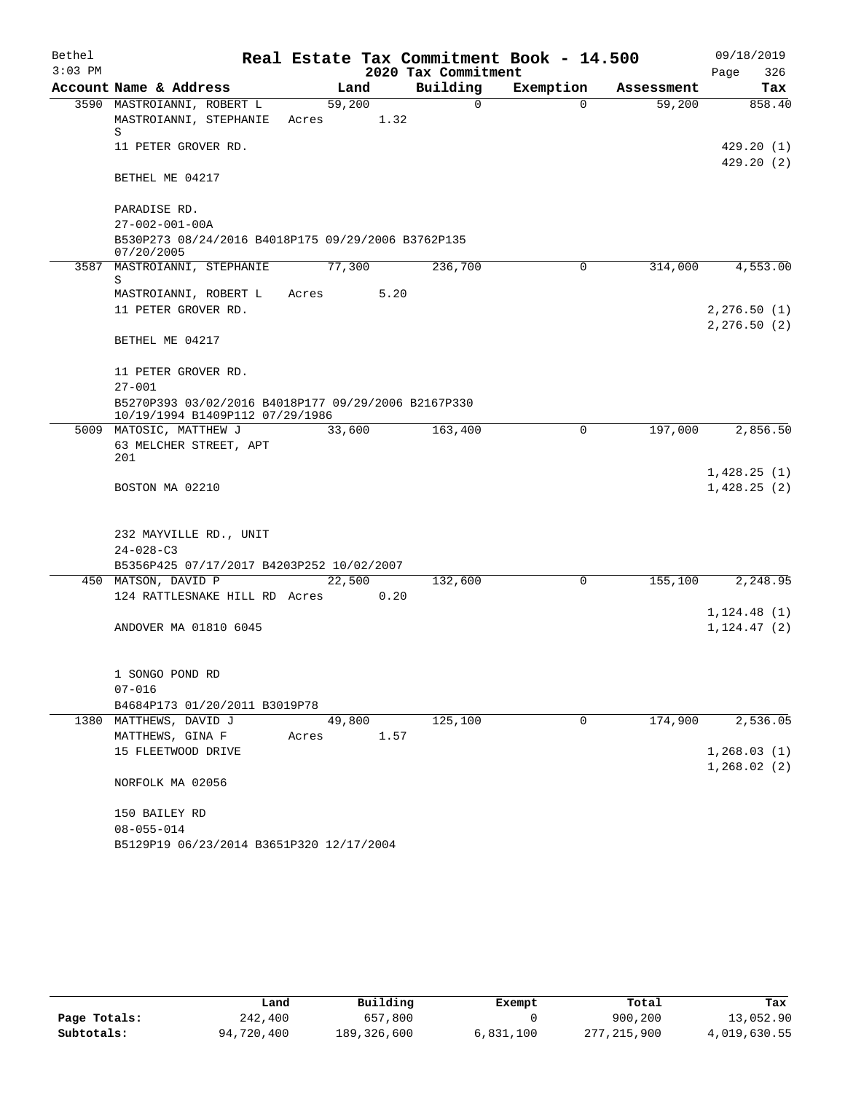| Bethel    |                                                                                        | Real Estate Tax Commitment Book - 14.500 |                     |             |            | 09/18/2019                 |
|-----------|----------------------------------------------------------------------------------------|------------------------------------------|---------------------|-------------|------------|----------------------------|
| $3:03$ PM |                                                                                        |                                          | 2020 Tax Commitment |             |            | 326<br>Page                |
|           | Account Name & Address                                                                 | Land                                     | Building            | Exemption   | Assessment | Tax                        |
|           | 3590 MASTROIANNI, ROBERT L<br>MASTROIANNI, STEPHANIE<br>S                              | 59,200<br>1.32<br>Acres                  | $\Omega$            | $\Omega$    | 59,200     | 858.40                     |
|           | 11 PETER GROVER RD.                                                                    |                                          |                     |             |            | 429.20(1)<br>429.20(2)     |
|           | BETHEL ME 04217                                                                        |                                          |                     |             |            |                            |
|           | PARADISE RD.                                                                           |                                          |                     |             |            |                            |
|           | $27 - 002 - 001 - 00A$                                                                 |                                          |                     |             |            |                            |
|           | B530P273 08/24/2016 B4018P175 09/29/2006 B3762P135<br>07/20/2005                       |                                          |                     |             |            |                            |
|           | 3587 MASTROIANNI, STEPHANIE<br>S                                                       | 77,300                                   | 236,700             | $\mathbf 0$ | 314,000    | 4,553.00                   |
|           | MASTROIANNI, ROBERT L                                                                  | 5.20<br>Acres                            |                     |             |            |                            |
|           | 11 PETER GROVER RD.                                                                    |                                          |                     |             |            | 2, 276.50(1)               |
|           |                                                                                        |                                          |                     |             |            | 2, 276.50(2)               |
|           | BETHEL ME 04217                                                                        |                                          |                     |             |            |                            |
|           | 11 PETER GROVER RD.                                                                    |                                          |                     |             |            |                            |
|           | $27 - 001$                                                                             |                                          |                     |             |            |                            |
|           | B5270P393 03/02/2016 B4018P177 09/29/2006 B2167P330<br>10/19/1994 B1409P112 07/29/1986 |                                          |                     |             |            |                            |
|           | 5009 MATOSIC, MATTHEW J                                                                | 33,600                                   | 163,400             | $\mathbf 0$ | 197,000    | 2,856.50                   |
|           | 63 MELCHER STREET, APT<br>201                                                          |                                          |                     |             |            |                            |
|           | BOSTON MA 02210                                                                        |                                          |                     |             |            | 1,428.25(1)<br>1,428.25(2) |
|           |                                                                                        |                                          |                     |             |            |                            |
|           | 232 MAYVILLE RD., UNIT                                                                 |                                          |                     |             |            |                            |
|           | $24 - 028 - C3$                                                                        |                                          |                     |             |            |                            |
|           | B5356P425 07/17/2017 B4203P252 10/02/2007                                              |                                          |                     |             |            |                            |
|           | 450 MATSON, DAVID P<br>124 RATTLESNAKE HILL RD Acres                                   | 22,500<br>0.20                           | 132,600             | $\mathbf 0$ | 155,100    | 2,248.95                   |
|           |                                                                                        |                                          |                     |             |            | 1, 124.48(1)               |
|           | ANDOVER MA 01810 6045                                                                  |                                          |                     |             |            | 1, 124.47(2)               |
|           |                                                                                        |                                          |                     |             |            |                            |
|           | 1 SONGO POND RD                                                                        |                                          |                     |             |            |                            |
|           | $07 - 016$                                                                             |                                          |                     |             |            |                            |
|           | B4684P173 01/20/2011 B3019P78                                                          |                                          |                     |             |            |                            |
|           | 1380 MATTHEWS, DAVID J                                                                 | 49,800                                   | 125,100             | 0           | 174,900    | 2,536.05                   |
|           | MATTHEWS, GINA F<br>15 FLEETWOOD DRIVE                                                 | 1.57<br>Acres                            |                     |             |            | 1, 268.03(1)               |
|           |                                                                                        |                                          |                     |             |            | 1,268.02(2)                |
|           | NORFOLK MA 02056                                                                       |                                          |                     |             |            |                            |
|           | 150 BAILEY RD                                                                          |                                          |                     |             |            |                            |
|           | $08 - 055 - 014$                                                                       |                                          |                     |             |            |                            |
|           | B5129P19 06/23/2014 B3651P320 12/17/2004                                               |                                          |                     |             |            |                            |

|              | Land       | Building    | Exempt    | Total       | Tax          |
|--------------|------------|-------------|-----------|-------------|--------------|
| Page Totals: | 242,400    | 657,800     |           | 900,200     | 13,052.90    |
| Subtotals:   | 94,720,400 | 189,326,600 | 6,831,100 | 277,215,900 | 4,019,630.55 |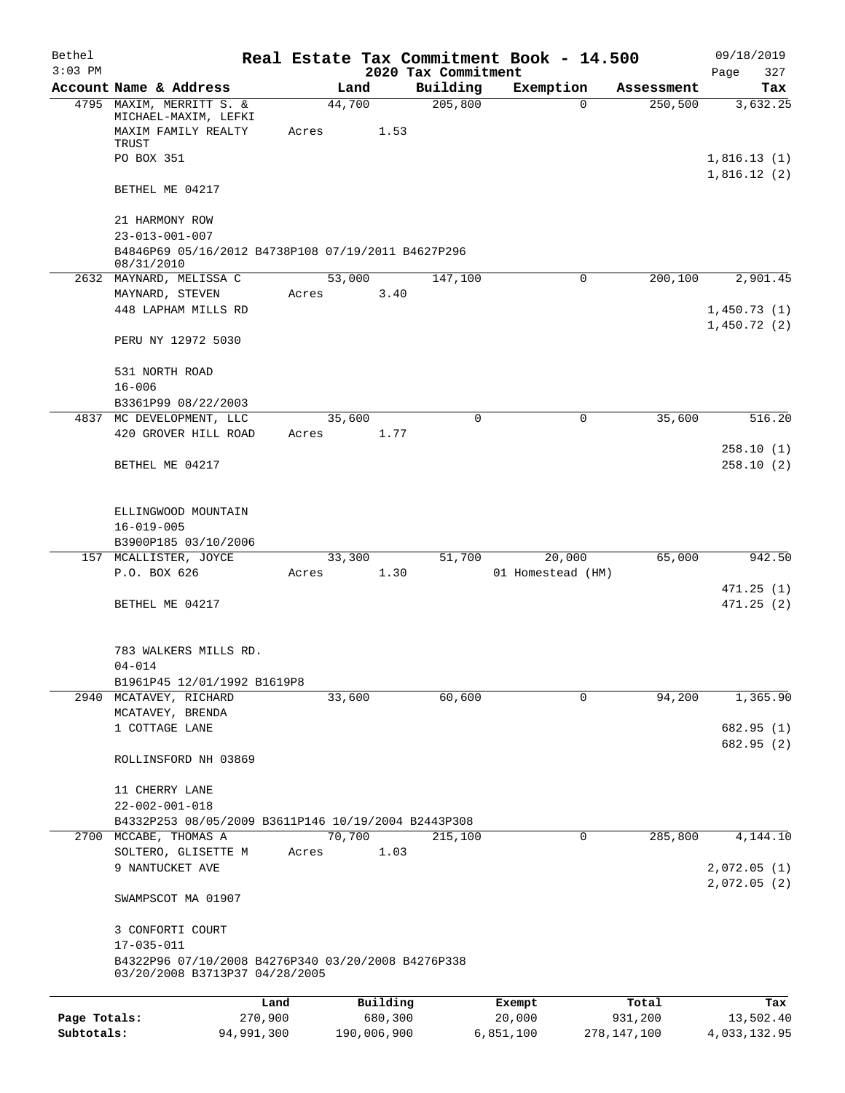| Bethel       |                                                                                      |            |                |          |                     | Real Estate Tax Commitment Book - 14.500 |                        | 09/18/2019                 |
|--------------|--------------------------------------------------------------------------------------|------------|----------------|----------|---------------------|------------------------------------------|------------------------|----------------------------|
| $3:03$ PM    |                                                                                      |            |                |          | 2020 Tax Commitment |                                          |                        | Page<br>327                |
|              | Account Name & Address<br>4795 MAXIM, MERRITT S. &                                   |            | Land<br>44,700 |          | Building<br>205,800 | Exemption<br>$\Omega$                    | Assessment<br>250, 500 | Tax<br>3,632.25            |
|              | MICHAEL-MAXIM, LEFKI<br>MAXIM FAMILY REALTY<br>TRUST                                 | Acres      |                | 1.53     |                     |                                          |                        |                            |
|              | PO BOX 351                                                                           |            |                |          |                     |                                          |                        | 1,816.13(1)<br>1,816.12(2) |
|              | BETHEL ME 04217                                                                      |            |                |          |                     |                                          |                        |                            |
|              | 21 HARMONY ROW<br>$23 - 013 - 001 - 007$                                             |            |                |          |                     |                                          |                        |                            |
|              | B4846P69 05/16/2012 B4738P108 07/19/2011 B4627P296<br>08/31/2010                     |            |                |          |                     |                                          |                        |                            |
|              | 2632 MAYNARD, MELISSA C                                                              |            | 53,000         |          | 147,100             | 0                                        | 200,100                | 2,901.45                   |
|              | MAYNARD, STEVEN                                                                      | Acres      |                | 3.40     |                     |                                          |                        |                            |
|              | 448 LAPHAM MILLS RD                                                                  |            |                |          |                     |                                          |                        | 1,450.73(1)                |
|              | PERU NY 12972 5030                                                                   |            |                |          |                     |                                          |                        | 1,450.72(2)                |
|              | 531 NORTH ROAD                                                                       |            |                |          |                     |                                          |                        |                            |
|              | $16 - 006$<br>B3361P99 08/22/2003                                                    |            |                |          |                     |                                          |                        |                            |
|              | 4837 MC DEVELOPMENT, LLC                                                             |            | 35,600         |          | 0                   | 0                                        | 35,600                 | 516.20                     |
|              | 420 GROVER HILL ROAD                                                                 | Acres      |                | 1.77     |                     |                                          |                        |                            |
|              |                                                                                      |            |                |          |                     |                                          |                        | 258.10(1)                  |
|              | BETHEL ME 04217                                                                      |            |                |          |                     |                                          |                        | 258.10(2)                  |
|              | ELLINGWOOD MOUNTAIN                                                                  |            |                |          |                     |                                          |                        |                            |
|              | $16 - 019 - 005$                                                                     |            |                |          |                     |                                          |                        |                            |
|              | B3900P185 03/10/2006                                                                 |            |                |          |                     |                                          |                        |                            |
|              | 157 MCALLISTER, JOYCE<br>P.O. BOX 626                                                | Acres      | 33,300         | 1.30     | 51,700              | 20,000<br>01 Homestead (HM)              | 65,000                 | 942.50                     |
|              |                                                                                      |            |                |          |                     |                                          |                        | 471.25 (1)                 |
|              | BETHEL ME 04217                                                                      |            |                |          |                     |                                          |                        | 471.25(2)                  |
|              | 783 WALKERS MILLS RD.                                                                |            |                |          |                     |                                          |                        |                            |
|              | $04 - 014$<br>B1961P45 12/01/1992 B1619P8                                            |            |                |          |                     |                                          |                        |                            |
|              | 2940 MCATAVEY, RICHARD                                                               |            | 33,600         |          | 60,600              | 0                                        | 94,200                 | 1,365.90                   |
|              | MCATAVEY, BRENDA                                                                     |            |                |          |                     |                                          |                        |                            |
|              | 1 COTTAGE LANE                                                                       |            |                |          |                     |                                          |                        | 682.95 (1)                 |
|              | ROLLINSFORD NH 03869                                                                 |            |                |          |                     |                                          |                        | 682.95 (2)                 |
|              | 11 CHERRY LANE                                                                       |            |                |          |                     |                                          |                        |                            |
|              | $22 - 002 - 001 - 018$                                                               |            |                |          |                     |                                          |                        |                            |
|              | B4332P253 08/05/2009 B3611P146 10/19/2004 B2443P308                                  |            |                |          |                     |                                          |                        |                            |
|              | 2700 MCCABE, THOMAS A                                                                |            | 70,700         |          | 215,100             | 0                                        | 285,800                | 4,144.10                   |
|              | SOLTERO, GLISETTE M<br>9 NANTUCKET AVE                                               | Acres      |                | 1.03     |                     |                                          |                        | 2,072.05(1)                |
|              |                                                                                      |            |                |          |                     |                                          |                        | 2,072.05(2)                |
|              | SWAMPSCOT MA 01907                                                                   |            |                |          |                     |                                          |                        |                            |
|              | 3 CONFORTI COURT                                                                     |            |                |          |                     |                                          |                        |                            |
|              | 17-035-011                                                                           |            |                |          |                     |                                          |                        |                            |
|              | B4322P96 07/10/2008 B4276P340 03/20/2008 B4276P338<br>03/20/2008 B3713P37 04/28/2005 |            |                |          |                     |                                          |                        |                            |
|              |                                                                                      | Land       |                | Building |                     | Exempt                                   | Total                  | Tax                        |
| Page Totals: |                                                                                      | 270,900    |                | 680,300  |                     | 20,000                                   | 931,200                | 13,502.40                  |
| Subtotals:   |                                                                                      | 94,991,300 | 190,006,900    |          |                     | 6,851,100                                | 278, 147, 100          | 4,033,132.95               |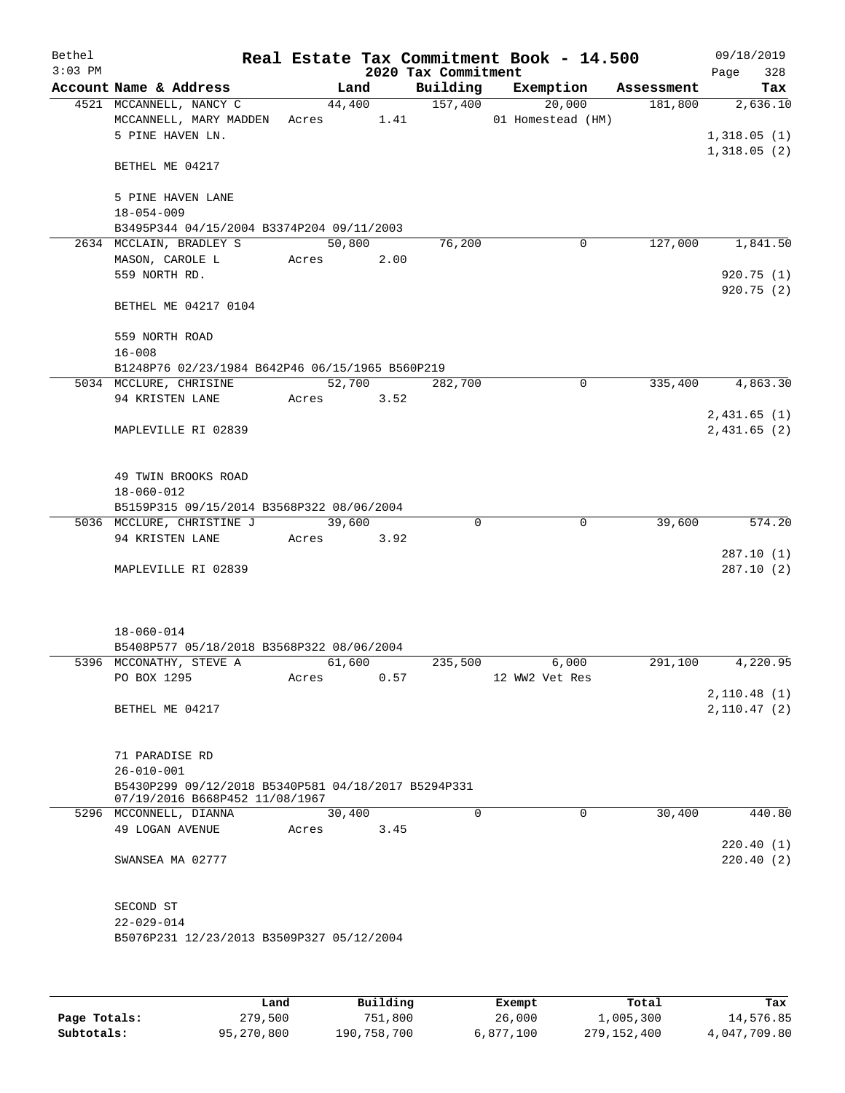| Bethel    |                                                                                                                             |               |                     | Real Estate Tax Commitment Book - 14.500 |         | 09/18/2019                             |
|-----------|-----------------------------------------------------------------------------------------------------------------------------|---------------|---------------------|------------------------------------------|---------|----------------------------------------|
| $3:03$ PM |                                                                                                                             |               | 2020 Tax Commitment |                                          |         | 328<br>Page                            |
|           | Account Name & Address                                                                                                      | Land          |                     | Building Exemption Assessment            |         | Tax                                    |
|           | 4521 MCCANNELL, NANCY C<br>MCCANNELL, MARY MADDEN Acres 1.41<br>5 PINE HAVEN LN.                                            | 44,400        | 157,400             | 20,000<br>01 Homestead (HM)              | 181,800 | 2,636.10<br>1,318.05(1)<br>1,318.05(2) |
|           | BETHEL ME 04217                                                                                                             |               |                     |                                          |         |                                        |
|           | 5 PINE HAVEN LANE<br>$18 - 054 - 009$                                                                                       |               |                     |                                          |         |                                        |
|           | B3495P344 04/15/2004 B3374P204 09/11/2003                                                                                   |               |                     |                                          |         |                                        |
|           | 2634 MCCLAIN, BRADLEY S                                                                                                     | 50,800        | 76,200              | $\mathbf 0$                              | 127,000 | 1,841.50                               |
|           | MASON, CAROLE L<br>559 NORTH RD.                                                                                            | Acres 2.00    |                     |                                          |         | 920.75(1)<br>920.75(2)                 |
|           | BETHEL ME 04217 0104                                                                                                        |               |                     |                                          |         |                                        |
|           | 559 NORTH ROAD                                                                                                              |               |                     |                                          |         |                                        |
|           | $16 - 008$                                                                                                                  |               |                     |                                          |         |                                        |
|           | B1248P76 02/23/1984 B642P46 06/15/1965 B560P219                                                                             |               |                     |                                          |         |                                        |
|           | 5034 MCCLURE, CHRISINE                                                                                                      | 52,700        | 282,700             | $\mathbf 0$                              | 335,400 | 4,863.30                               |
|           | 94 KRISTEN LANE                                                                                                             | Acres 3.52    |                     |                                          |         |                                        |
|           | MAPLEVILLE RI 02839                                                                                                         |               |                     |                                          |         | 2,431.65(1)<br>2,431.65(2)             |
|           | 49 TWIN BROOKS ROAD<br>18-060-012                                                                                           |               |                     |                                          |         |                                        |
|           | B5159P315 09/15/2014 B3568P322 08/06/2004                                                                                   |               |                     |                                          |         |                                        |
|           | 5036 MCCLURE, CHRISTINE J                                                                                                   | 39,600        | $\Omega$            | $\mathbf 0$                              | 39,600  | 574.20                                 |
|           | 94 KRISTEN LANE                                                                                                             | Acres<br>3.92 |                     |                                          |         |                                        |
|           | MAPLEVILLE RI 02839                                                                                                         |               |                     |                                          |         | 287.10(1)<br>287.10(2)                 |
|           | $18 - 060 - 014$<br>B5408P577 05/18/2018 B3568P322 08/06/2004                                                               |               |                     |                                          |         |                                        |
|           | 5396 MCCONATHY, STEVE A                                                                                                     | 61,600        | 235,500             | 6,000                                    | 291,100 | 4,220.95                               |
|           | PO BOX 1295                                                                                                                 | Acres<br>0.57 |                     | 12 WW2 Vet Res                           |         |                                        |
|           | BETHEL ME 04217                                                                                                             |               |                     |                                          |         | 2,110.48(1)<br>2,110.47(2)             |
|           | 71 PARADISE RD<br>$26 - 010 - 001$<br>B5430P299 09/12/2018 B5340P581 04/18/2017 B5294P331<br>07/19/2016 B668P452 11/08/1967 |               |                     |                                          |         |                                        |
|           | 5296 MCCONNELL, DIANNA                                                                                                      | 30,400        | $\Omega$            | $\Omega$                                 | 30,400  | 440.80                                 |
|           | 49 LOGAN AVENUE                                                                                                             | 3.45<br>Acres |                     |                                          |         | 220.40(1)                              |
|           | SWANSEA MA 02777                                                                                                            |               |                     |                                          |         | 220.40(2)                              |
|           | SECOND ST                                                                                                                   |               |                     |                                          |         |                                        |
|           | $22 - 029 - 014$<br>B5076P231 12/23/2013 B3509P327 05/12/2004                                                               |               |                     |                                          |         |                                        |
|           |                                                                                                                             |               |                     |                                          |         |                                        |

|              | Land       | Building    | Exempt    | Total       | Tax          |
|--------------|------------|-------------|-----------|-------------|--------------|
| Page Totals: | 279,500    | 751,800     | 26,000    | 1,005,300   | 14,576.85    |
| Subtotals:   | 95,270,800 | 190,758,700 | 6,877,100 | 279,152,400 | 4,047,709.80 |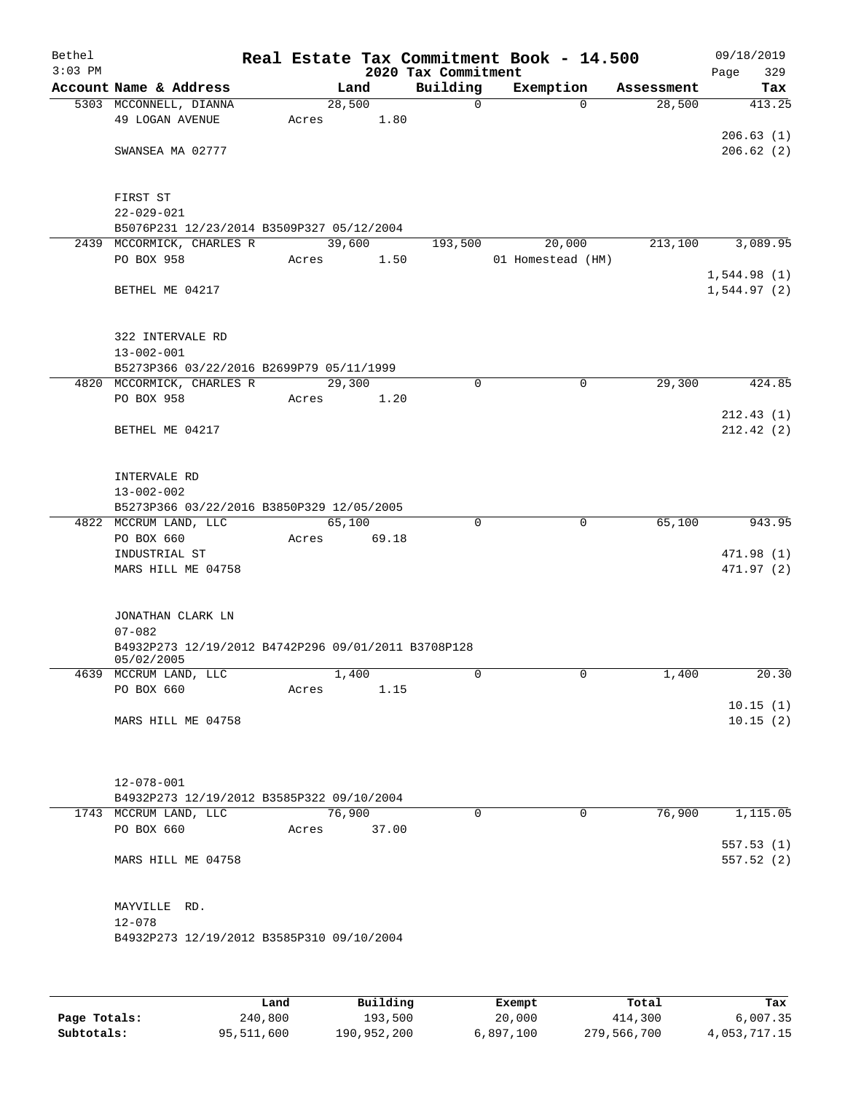| Bethel    |                                                                        |       |                |       |                         | Real Estate Tax Commitment Book - 14.500 |                      | 09/18/2019    |
|-----------|------------------------------------------------------------------------|-------|----------------|-------|-------------------------|------------------------------------------|----------------------|---------------|
| $3:03$ PM |                                                                        |       |                |       | 2020 Tax Commitment     |                                          |                      | Page<br>329   |
|           | Account Name & Address<br>5303 MCCONNELL, DIANNA                       |       | Land<br>28,500 |       | Building<br>$\mathbf 0$ | Exemption<br>$\Omega$                    | Assessment<br>28,500 | Tax<br>413.25 |
|           | 49 LOGAN AVENUE                                                        | Acres |                | 1.80  |                         |                                          |                      |               |
|           |                                                                        |       |                |       |                         |                                          |                      | 206.63(1)     |
|           | SWANSEA MA 02777                                                       |       |                |       |                         |                                          |                      | 206.62(2)     |
|           |                                                                        |       |                |       |                         |                                          |                      |               |
|           |                                                                        |       |                |       |                         |                                          |                      |               |
|           | FIRST ST                                                               |       |                |       |                         |                                          |                      |               |
|           | $22 - 029 - 021$                                                       |       |                |       |                         |                                          |                      |               |
|           | B5076P231 12/23/2014 B3509P327 05/12/2004<br>2439 MCCORMICK, CHARLES R |       | 39,600         |       | 193,500                 | 20,000                                   | 213,100              | 3,089.95      |
|           | PO BOX 958                                                             | Acres |                | 1.50  |                         | 01 Homestead (HM)                        |                      |               |
|           |                                                                        |       |                |       |                         |                                          |                      | 1,544.98(1)   |
|           | BETHEL ME 04217                                                        |       |                |       |                         |                                          |                      | 1,544.97(2)   |
|           |                                                                        |       |                |       |                         |                                          |                      |               |
|           |                                                                        |       |                |       |                         |                                          |                      |               |
|           | 322 INTERVALE RD                                                       |       |                |       |                         |                                          |                      |               |
|           | $13 - 002 - 001$                                                       |       |                |       |                         |                                          |                      |               |
|           | B5273P366 03/22/2016 B2699P79 05/11/1999<br>4820 MCCORMICK, CHARLES R  |       | 29,300         |       | 0                       | $\mathbf 0$                              | 29,300               | 424.85        |
|           | PO BOX 958                                                             | Acres |                | 1.20  |                         |                                          |                      |               |
|           |                                                                        |       |                |       |                         |                                          |                      | 212.43(1)     |
|           | BETHEL ME 04217                                                        |       |                |       |                         |                                          |                      | 212.42(2)     |
|           |                                                                        |       |                |       |                         |                                          |                      |               |
|           |                                                                        |       |                |       |                         |                                          |                      |               |
|           | INTERVALE RD                                                           |       |                |       |                         |                                          |                      |               |
|           | $13 - 002 - 002$<br>B5273P366 03/22/2016 B3850P329 12/05/2005          |       |                |       |                         |                                          |                      |               |
|           | 4822 MCCRUM LAND, LLC                                                  |       | 65,100         |       | $\mathbf 0$             | 0                                        | 65,100               | 943.95        |
|           | PO BOX 660                                                             | Acres |                | 69.18 |                         |                                          |                      |               |
|           | INDUSTRIAL ST                                                          |       |                |       |                         |                                          |                      | 471.98 (1)    |
|           | MARS HILL ME 04758                                                     |       |                |       |                         |                                          |                      | 471.97 (2)    |
|           |                                                                        |       |                |       |                         |                                          |                      |               |
|           |                                                                        |       |                |       |                         |                                          |                      |               |
|           | JONATHAN CLARK LN<br>$07 - 082$                                        |       |                |       |                         |                                          |                      |               |
|           | B4932P273 12/19/2012 B4742P296 09/01/2011 B3708P128                    |       |                |       |                         |                                          |                      |               |
|           | 05/02/2005                                                             |       |                |       |                         |                                          |                      |               |
|           | 4639 MCCRUM LAND, LLC                                                  |       | 1,400          |       | 0                       | 0                                        | 1,400                | 20.30         |
|           | PO BOX 660                                                             | Acres |                | 1.15  |                         |                                          |                      | 10.15(1)      |
|           | MARS HILL ME 04758                                                     |       |                |       |                         |                                          |                      | 10.15(2)      |
|           |                                                                        |       |                |       |                         |                                          |                      |               |
|           |                                                                        |       |                |       |                         |                                          |                      |               |
|           |                                                                        |       |                |       |                         |                                          |                      |               |
|           | $12 - 078 - 001$                                                       |       |                |       |                         |                                          |                      |               |
|           | B4932P273 12/19/2012 B3585P322 09/10/2004<br>1743 MCCRUM LAND, LLC     |       |                |       |                         |                                          |                      |               |
|           | PO BOX 660                                                             | Acres | 76,900         | 37.00 | $\Omega$                | $\Omega$                                 | 76,900               | 1,115.05      |
|           |                                                                        |       |                |       |                         |                                          |                      | 557.53(1)     |
|           | MARS HILL ME 04758                                                     |       |                |       |                         |                                          |                      | 557.52(2)     |
|           |                                                                        |       |                |       |                         |                                          |                      |               |
|           |                                                                        |       |                |       |                         |                                          |                      |               |
|           | MAYVILLE RD.                                                           |       |                |       |                         |                                          |                      |               |
|           | $12 - 078$                                                             |       |                |       |                         |                                          |                      |               |
|           | B4932P273 12/19/2012 B3585P310 09/10/2004                              |       |                |       |                         |                                          |                      |               |
|           |                                                                        |       |                |       |                         |                                          |                      |               |
|           |                                                                        |       |                |       |                         |                                          |                      |               |
|           |                                                                        |       |                |       |                         |                                          |                      |               |

|              | Land       | Building    | Exempt    | Total       | Tax          |
|--------------|------------|-------------|-----------|-------------|--------------|
| Page Totals: | 240,800    | 193,500     | 20,000    | 414,300     | 6,007.35     |
| Subtotals:   | 95,511,600 | 190,952,200 | 6,897,100 | 279,566,700 | 4,053,717.15 |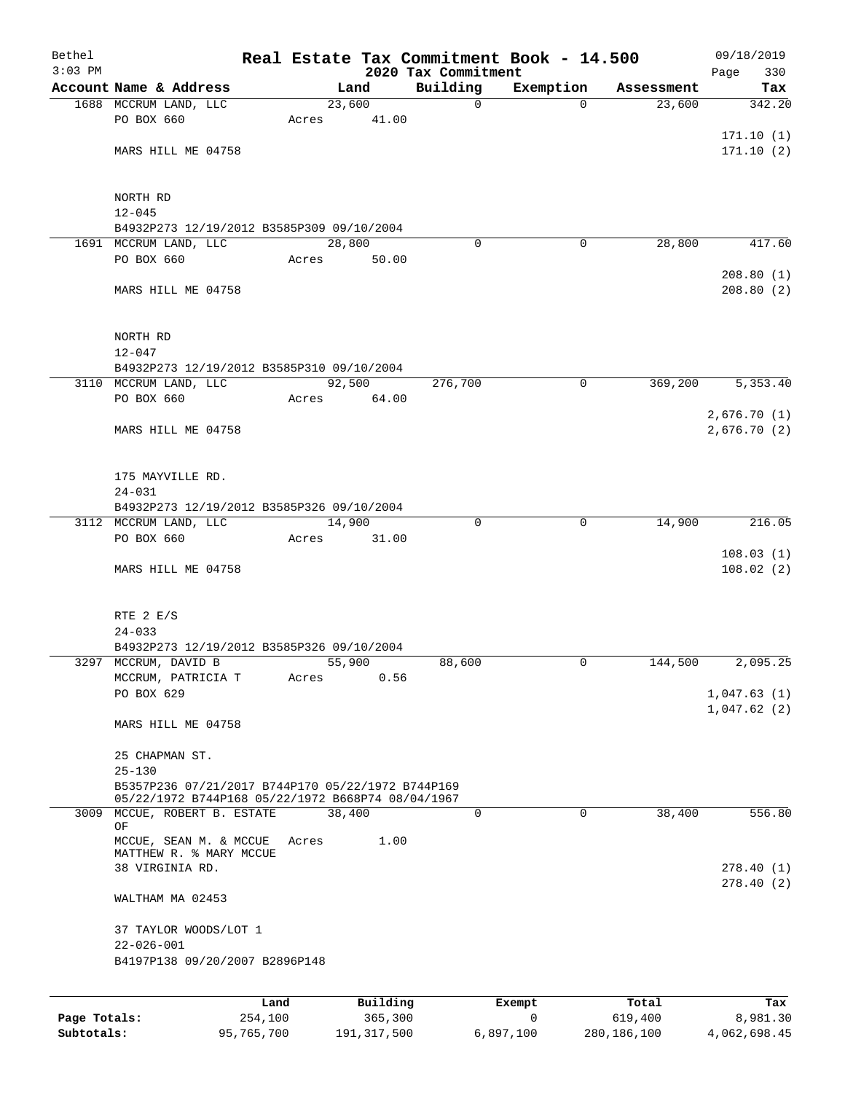| Bethel<br>$3:03$ PM |                                                                                                        |       |          | 2020 Tax Commitment | Real Estate Tax Commitment Book - 14.500 |            | 09/18/2019<br>330<br>Page  |
|---------------------|--------------------------------------------------------------------------------------------------------|-------|----------|---------------------|------------------------------------------|------------|----------------------------|
|                     | Account Name & Address                                                                                 |       | Land     | Building            | Exemption                                | Assessment | Tax                        |
|                     | 1688 MCCRUM LAND, LLC                                                                                  |       | 23,600   | $\mathbf 0$         | $\Omega$                                 | 23,600     | 342.20                     |
|                     | PO BOX 660                                                                                             | Acres | 41.00    |                     |                                          |            |                            |
|                     |                                                                                                        |       |          |                     |                                          |            | 171.10(1)                  |
|                     | MARS HILL ME 04758                                                                                     |       |          |                     |                                          |            | 171.10(2)                  |
|                     | NORTH RD                                                                                               |       |          |                     |                                          |            |                            |
|                     | $12 - 045$                                                                                             |       |          |                     |                                          |            |                            |
|                     | B4932P273 12/19/2012 B3585P309 09/10/2004                                                              |       |          |                     |                                          |            |                            |
|                     | 1691 MCCRUM LAND, LLC                                                                                  |       | 28,800   | $\Omega$            | 0                                        | 28,800     | 417.60                     |
|                     | PO BOX 660                                                                                             | Acres | 50.00    |                     |                                          |            |                            |
|                     | MARS HILL ME 04758                                                                                     |       |          |                     |                                          |            | 208.80(1)<br>208.80(2)     |
|                     | NORTH RD<br>$12 - 047$                                                                                 |       |          |                     |                                          |            |                            |
|                     | B4932P273 12/19/2012 B3585P310 09/10/2004                                                              |       |          |                     |                                          |            |                            |
|                     | 3110 MCCRUM LAND, LLC                                                                                  |       | 92,500   | 276,700             | $\mathbf 0$                              | 369,200    | 5,353.40                   |
|                     | PO BOX 660                                                                                             | Acres | 64.00    |                     |                                          |            |                            |
|                     | MARS HILL ME 04758                                                                                     |       |          |                     |                                          |            | 2,676.70(1)<br>2,676.70(2) |
|                     | 175 MAYVILLE RD.                                                                                       |       |          |                     |                                          |            |                            |
|                     | $24 - 031$<br>B4932P273 12/19/2012 B3585P326 09/10/2004                                                |       |          |                     |                                          |            |                            |
|                     | 3112 MCCRUM LAND, LLC                                                                                  |       | 14,900   | 0                   | 0                                        | 14,900     | 216.05                     |
|                     | PO BOX 660                                                                                             | Acres | 31.00    |                     |                                          |            | 108.03(1)                  |
|                     | MARS HILL ME 04758                                                                                     |       |          |                     |                                          |            | 108.02(2)                  |
|                     | RTE 2 E/S                                                                                              |       |          |                     |                                          |            |                            |
|                     | $24 - 033$                                                                                             |       |          |                     |                                          |            |                            |
|                     | B4932P273 12/19/2012 B3585P326 09/10/2004                                                              |       |          |                     |                                          |            |                            |
|                     | 3297 MCCRUM, DAVID B                                                                                   |       | 55,900   | 88,600              | 0                                        | 144,500    | 2,095.25                   |
|                     | MCCRUM, PATRICIA T<br>PO BOX 629                                                                       | Acres | 0.56     |                     |                                          |            |                            |
|                     |                                                                                                        |       |          |                     |                                          |            | 1,047.63(1)<br>1,047.62(2) |
|                     | MARS HILL ME 04758                                                                                     |       |          |                     |                                          |            |                            |
|                     | 25 CHAPMAN ST.<br>$25 - 130$                                                                           |       |          |                     |                                          |            |                            |
|                     | B5357P236 07/21/2017 B744P170 05/22/1972 B744P169<br>05/22/1972 B744P168 05/22/1972 B668P74 08/04/1967 |       |          |                     |                                          |            |                            |
| 3009                | MCCUE, ROBERT B. ESTATE                                                                                |       | 38,400   | $\Omega$            | $\Omega$                                 | 38,400     | 556.80                     |
|                     | OF<br>MCCUE, SEAN M. & MCCUE<br>MATTHEW R. % MARY MCCUE                                                | Acres | 1.00     |                     |                                          |            |                            |
|                     | 38 VIRGINIA RD.                                                                                        |       |          |                     |                                          |            | 278.40(1)<br>278.40(2)     |
|                     | WALTHAM MA 02453                                                                                       |       |          |                     |                                          |            |                            |
|                     | 37 TAYLOR WOODS/LOT 1<br>$22 - 026 - 001$                                                              |       |          |                     |                                          |            |                            |
|                     | B4197P138 09/20/2007 B2896P148                                                                         |       |          |                     |                                          |            |                            |
|                     | Land                                                                                                   |       | Building |                     | Exempt                                   | Total      | Tax                        |
| Page Totals:        | 254,100                                                                                                |       | 365,300  |                     | 0                                        | 619,400    | 8,981.30                   |

**Subtotals:** 95,765,700 191,317,500 6,897,100 280,186,100 4,062,698.45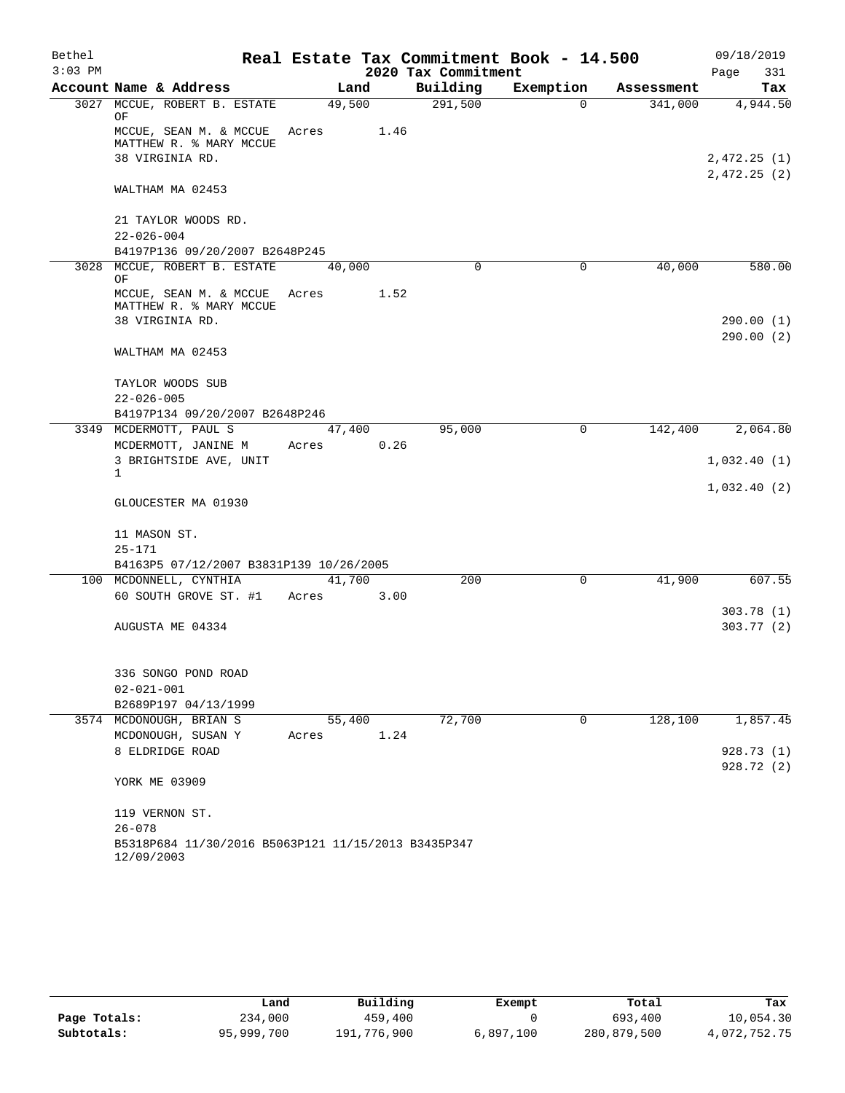| Bethel<br>$3:03$ PM |                                                                            |        |      | 2020 Tax Commitment | Real Estate Tax Commitment Book - 14.500 |            | 09/18/2019<br>Page<br>331 |
|---------------------|----------------------------------------------------------------------------|--------|------|---------------------|------------------------------------------|------------|---------------------------|
|                     | Account Name & Address                                                     | Land   |      | Building            | Exemption                                | Assessment | Tax                       |
|                     | 3027 MCCUE, ROBERT B. ESTATE                                               | 49,500 |      | 291,500             | $\Omega$                                 | 341,000    | 4,944.50                  |
|                     | ΟF<br>MCCUE, SEAN M. & MCCUE<br>MATTHEW R. % MARY MCCUE<br>38 VIRGINIA RD. | Acres  | 1.46 |                     |                                          |            | 2,472.25(1)               |
|                     | WALTHAM MA 02453                                                           |        |      |                     |                                          |            | 2,472.25(2)               |
|                     | 21 TAYLOR WOODS RD.<br>$22 - 026 - 004$                                    |        |      |                     |                                          |            |                           |
|                     | B4197P136 09/20/2007 B2648P245                                             |        |      |                     |                                          |            |                           |
|                     | 3028 MCCUE, ROBERT B. ESTATE<br>OF                                         | 40,000 |      | $\mathbf 0$         | $\mathbf 0$                              | 40,000     | 580.00                    |
|                     | MCCUE, SEAN M. & MCCUE<br>MATTHEW R. % MARY MCCUE                          | Acres  | 1.52 |                     |                                          |            |                           |
|                     | 38 VIRGINIA RD.                                                            |        |      |                     |                                          |            | 290.00(1)<br>290.00(2)    |
|                     | WALTHAM MA 02453                                                           |        |      |                     |                                          |            |                           |
|                     | TAYLOR WOODS SUB                                                           |        |      |                     |                                          |            |                           |
|                     | $22 - 026 - 005$<br>B4197P134 09/20/2007 B2648P246                         |        |      |                     |                                          |            |                           |
|                     | 3349 MCDERMOTT, PAUL S                                                     | 47,400 |      | 95,000              | $\mathbf 0$                              | 142,400    | 2,064.80                  |
|                     | MCDERMOTT, JANINE M                                                        | Acres  | 0.26 |                     |                                          |            |                           |
|                     | 3 BRIGHTSIDE AVE, UNIT<br>$\mathbf{1}$                                     |        |      |                     |                                          |            | 1,032.40(1)               |
|                     | GLOUCESTER MA 01930                                                        |        |      |                     |                                          |            | 1,032.40(2)               |
|                     | 11 MASON ST.                                                               |        |      |                     |                                          |            |                           |
|                     | $25 - 171$                                                                 |        |      |                     |                                          |            |                           |
|                     | B4163P5 07/12/2007 B3831P139 10/26/2005                                    |        |      |                     |                                          |            |                           |
|                     | 100 MCDONNELL, CYNTHIA                                                     | 41,700 |      | 200                 | 0                                        | 41,900     | 607.55                    |
|                     | 60 SOUTH GROVE ST. #1                                                      | Acres  | 3.00 |                     |                                          |            |                           |
|                     |                                                                            |        |      |                     |                                          |            | 303.78(1)                 |
|                     | AUGUSTA ME 04334                                                           |        |      |                     |                                          |            | 303.77(2)                 |
|                     | 336 SONGO POND ROAD                                                        |        |      |                     |                                          |            |                           |
|                     | $02 - 021 - 001$                                                           |        |      |                     |                                          |            |                           |
|                     | B2689P197 04/13/1999                                                       |        |      |                     |                                          |            |                           |
|                     | 3574 MCDONOUGH, BRIAN S                                                    | 55,400 |      | 72,700              | 0                                        | 128,100    | 1,857.45                  |
|                     | MCDONOUGH, SUSAN Y                                                         | Acres  | 1.24 |                     |                                          |            |                           |
|                     | 8 ELDRIDGE ROAD                                                            |        |      |                     |                                          |            | 928.73 (1)                |
|                     | YORK ME 03909                                                              |        |      |                     |                                          |            | 928.72 (2)                |
|                     | 119 VERNON ST.                                                             |        |      |                     |                                          |            |                           |
|                     | $26 - 078$                                                                 |        |      |                     |                                          |            |                           |
|                     | B5318P684 11/30/2016 B5063P121 11/15/2013 B3435P347<br>12/09/2003          |        |      |                     |                                          |            |                           |

|              | Land       | Building    | Exempt    | Total       | Tax          |
|--------------|------------|-------------|-----------|-------------|--------------|
| Page Totals: | 234,000    | 459,400     |           | 693,400     | 10,054.30    |
| Subtotals:   | 95,999,700 | 191,776,900 | 6,897,100 | 280,879,500 | 4,072,752.75 |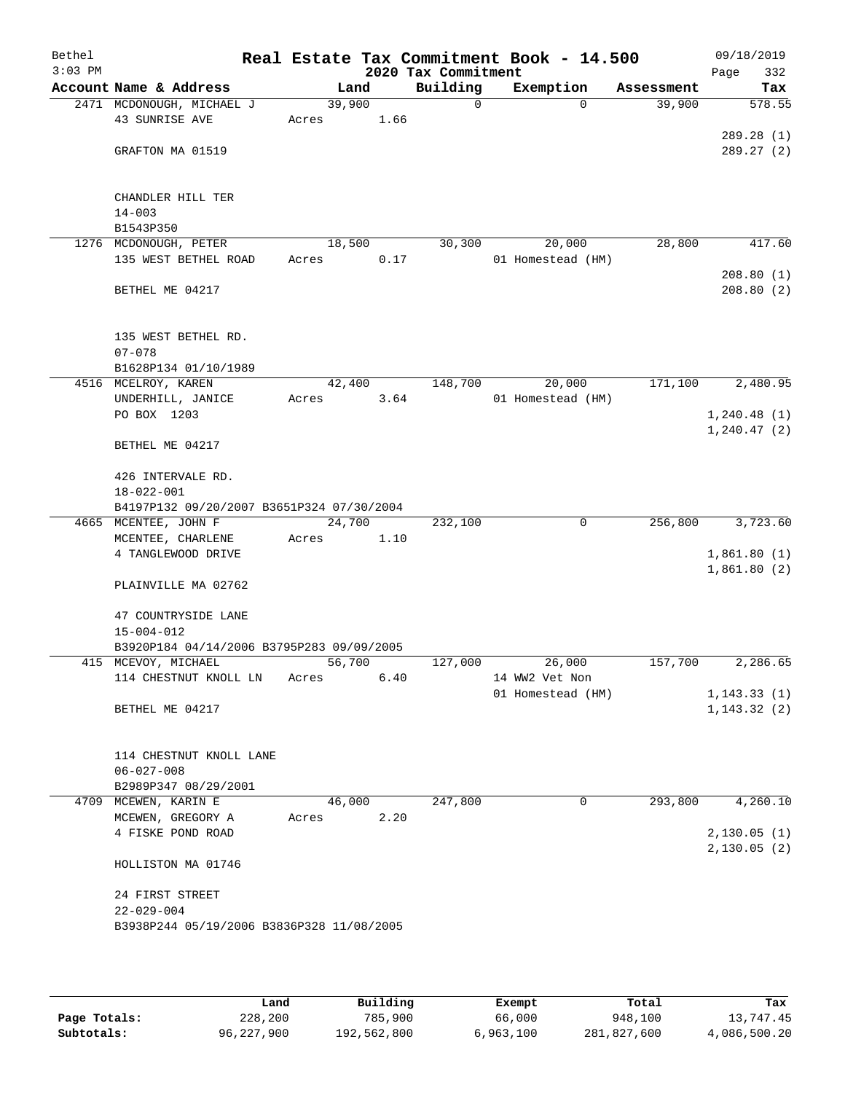| Bethel    |                                                                  |       |        |      |                                 | Real Estate Tax Commitment Book - 14.500 |            | 09/18/2019         |
|-----------|------------------------------------------------------------------|-------|--------|------|---------------------------------|------------------------------------------|------------|--------------------|
| $3:03$ PM | Account Name & Address                                           |       | Land   |      | 2020 Tax Commitment<br>Building | Exemption                                | Assessment | 332<br>Page<br>Tax |
|           | 2471 MCDONOUGH, MICHAEL J                                        |       | 39,900 |      | 0                               | $\Omega$                                 | 39,900     | 578.55             |
|           | 43 SUNRISE AVE                                                   | Acres |        | 1.66 |                                 |                                          |            |                    |
|           |                                                                  |       |        |      |                                 |                                          |            | 289.28 (1)         |
|           | GRAFTON MA 01519                                                 |       |        |      |                                 |                                          |            | 289.27(2)          |
|           |                                                                  |       |        |      |                                 |                                          |            |                    |
|           | CHANDLER HILL TER                                                |       |        |      |                                 |                                          |            |                    |
|           | $14 - 003$                                                       |       |        |      |                                 |                                          |            |                    |
|           | B1543P350                                                        |       |        |      |                                 |                                          |            |                    |
|           | 1276 MCDONOUGH, PETER                                            |       | 18,500 |      | 30,300                          | 20,000                                   | 28,800     | 417.60             |
|           | 135 WEST BETHEL ROAD                                             | Acres |        | 0.17 |                                 | 01 Homestead (HM)                        |            |                    |
|           |                                                                  |       |        |      |                                 |                                          |            | 208.80(1)          |
|           | BETHEL ME 04217                                                  |       |        |      |                                 |                                          |            | 208.80(2)          |
|           |                                                                  |       |        |      |                                 |                                          |            |                    |
|           | 135 WEST BETHEL RD.                                              |       |        |      |                                 |                                          |            |                    |
|           | $07 - 078$                                                       |       |        |      |                                 |                                          |            |                    |
|           | B1628P134 01/10/1989                                             |       |        |      |                                 |                                          |            |                    |
|           | 4516 MCELROY, KAREN                                              |       | 42,400 |      | 148,700                         | 20,000                                   | 171,100    | 2,480.95           |
|           | UNDERHILL, JANICE                                                | Acres |        | 3.64 |                                 | 01 Homestead (HM)                        |            |                    |
|           | PO BOX 1203                                                      |       |        |      |                                 |                                          |            | 1, 240.48(1)       |
|           | BETHEL ME 04217                                                  |       |        |      |                                 |                                          |            | 1,240.47(2)        |
|           |                                                                  |       |        |      |                                 |                                          |            |                    |
|           | 426 INTERVALE RD.                                                |       |        |      |                                 |                                          |            |                    |
|           | $18 - 022 - 001$                                                 |       |        |      |                                 |                                          |            |                    |
|           | B4197P132 09/20/2007 B3651P324 07/30/2004                        |       |        |      |                                 |                                          |            |                    |
|           | 4665 MCENTEE, JOHN F                                             |       | 24,700 |      | 232,100                         | 0                                        | 256,800    | 3,723.60           |
|           | MCENTEE, CHARLENE<br>4 TANGLEWOOD DRIVE                          | Acres |        | 1.10 |                                 |                                          |            | 1,861.80(1)        |
|           |                                                                  |       |        |      |                                 |                                          |            | 1,861.80(2)        |
|           | PLAINVILLE MA 02762                                              |       |        |      |                                 |                                          |            |                    |
|           |                                                                  |       |        |      |                                 |                                          |            |                    |
|           | 47 COUNTRYSIDE LANE                                              |       |        |      |                                 |                                          |            |                    |
|           | $15 - 004 - 012$                                                 |       |        |      |                                 |                                          |            |                    |
|           | B3920P184 04/14/2006 B3795P283 09/09/2005<br>415 MCEVOY, MICHAEL |       | 56,700 |      | 127,000                         | 26,000                                   | 157,700    | 2,286.65           |
|           | 114 CHESTNUT KNOLL LN                                            | Acres |        | 6.40 |                                 | 14 WW2 Vet Non                           |            |                    |
|           |                                                                  |       |        |      |                                 | 01 Homestead (HM)                        |            | 1, 143.33(1)       |
|           | BETHEL ME 04217                                                  |       |        |      |                                 |                                          |            | 1, 143.32(2)       |
|           |                                                                  |       |        |      |                                 |                                          |            |                    |
|           |                                                                  |       |        |      |                                 |                                          |            |                    |
|           | 114 CHESTNUT KNOLL LANE<br>$06 - 027 - 008$                      |       |        |      |                                 |                                          |            |                    |
|           | B2989P347 08/29/2001                                             |       |        |      |                                 |                                          |            |                    |
|           | 4709 MCEWEN, KARIN E                                             |       | 46,000 |      | 247,800                         | $\mathbf 0$                              | 293,800    | 4,260.10           |
|           | MCEWEN, GREGORY A                                                | Acres |        | 2.20 |                                 |                                          |            |                    |
|           | 4 FISKE POND ROAD                                                |       |        |      |                                 |                                          |            | 2,130.05(1)        |
|           |                                                                  |       |        |      |                                 |                                          |            | 2,130.05(2)        |
|           | HOLLISTON MA 01746                                               |       |        |      |                                 |                                          |            |                    |
|           | 24 FIRST STREET                                                  |       |        |      |                                 |                                          |            |                    |
|           | $22 - 029 - 004$                                                 |       |        |      |                                 |                                          |            |                    |
|           | B3938P244 05/19/2006 B3836P328 11/08/2005                        |       |        |      |                                 |                                          |            |                    |
|           |                                                                  |       |        |      |                                 |                                          |            |                    |
|           |                                                                  |       |        |      |                                 |                                          |            |                    |

|              | Land         | Building    | Exempt    | Total       | Tax          |
|--------------|--------------|-------------|-----------|-------------|--------------|
| Page Totals: | 228,200      | 785,900     | 66,000    | 948,100     | 13,747.45    |
| Subtotals:   | 96, 227, 900 | 192,562,800 | 6,963,100 | 281,827,600 | 4,086,500.20 |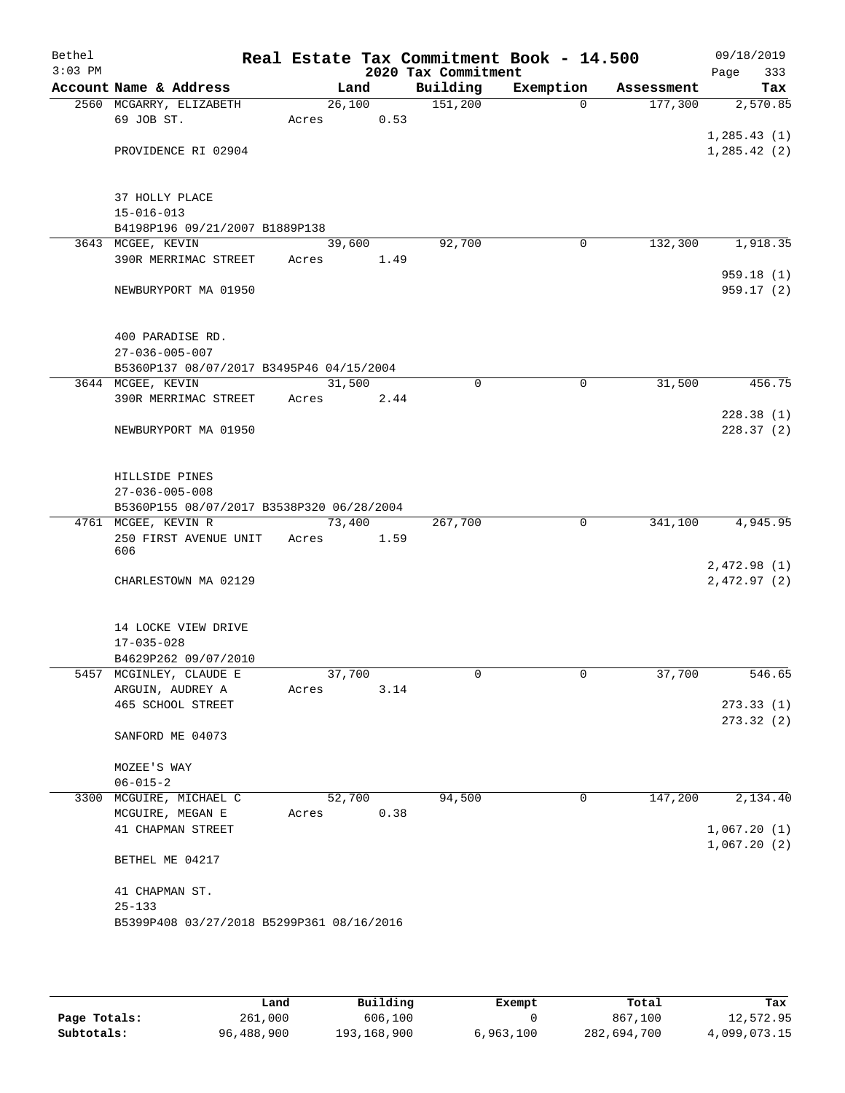| Bethel<br>$3:03$ PM |                                                                  |        |      | 2020 Tax Commitment | Real Estate Tax Commitment Book - 14.500 |            | 09/18/2019<br>333<br>Page |
|---------------------|------------------------------------------------------------------|--------|------|---------------------|------------------------------------------|------------|---------------------------|
|                     | Account Name & Address                                           | Land   |      | Building            | Exemption                                | Assessment | Tax                       |
|                     | 2560 MCGARRY, ELIZABETH                                          | 26,100 |      | 151,200             | $\Omega$                                 | 177,300    | 2,570.85                  |
|                     | 69 JOB ST.                                                       | Acres  | 0.53 |                     |                                          |            |                           |
|                     |                                                                  |        |      |                     |                                          |            | 1, 285.43(1)              |
|                     | PROVIDENCE RI 02904                                              |        |      |                     |                                          |            | 1, 285.42(2)              |
|                     |                                                                  |        |      |                     |                                          |            |                           |
|                     | 37 HOLLY PLACE<br>$15 - 016 - 013$                               |        |      |                     |                                          |            |                           |
|                     | B4198P196 09/21/2007 B1889P138                                   |        |      |                     |                                          |            |                           |
|                     | 3643 MCGEE, KEVIN                                                | 39,600 |      | 92,700              | 0                                        | 132,300    | 1,918.35                  |
|                     | 390R MERRIMAC STREET                                             | Acres  | 1.49 |                     |                                          |            |                           |
|                     |                                                                  |        |      |                     |                                          |            | 959.18(1)                 |
|                     | NEWBURYPORT MA 01950                                             |        |      |                     |                                          |            | 959.17(2)                 |
|                     | 400 PARADISE RD.                                                 |        |      |                     |                                          |            |                           |
|                     | $27 - 036 - 005 - 007$                                           |        |      |                     |                                          |            |                           |
|                     | B5360P137 08/07/2017 B3495P46 04/15/2004                         |        |      |                     |                                          |            |                           |
|                     | 3644 MCGEE, KEVIN                                                | 31,500 |      | 0                   | $\mathbf 0$                              | 31,500     | 456.75                    |
|                     | 390R MERRIMAC STREET                                             | Acres  | 2.44 |                     |                                          |            |                           |
|                     | NEWBURYPORT MA 01950                                             |        |      |                     |                                          |            | 228.38(1)<br>228.37(2)    |
|                     |                                                                  |        |      |                     |                                          |            |                           |
|                     | HILLSIDE PINES                                                   |        |      |                     |                                          |            |                           |
|                     | $27 - 036 - 005 - 008$                                           |        |      |                     |                                          |            |                           |
|                     | B5360P155 08/07/2017 B3538P320 06/28/2004<br>4761 MCGEE, KEVIN R | 73,400 |      | 267,700             | $\mathbf 0$                              | 341,100    | 4,945.95                  |
|                     | 250 FIRST AVENUE UNIT                                            | Acres  | 1.59 |                     |                                          |            |                           |
|                     | 606                                                              |        |      |                     |                                          |            |                           |
|                     |                                                                  |        |      |                     |                                          |            | 2,472.98(1)               |
|                     | CHARLESTOWN MA 02129                                             |        |      |                     |                                          |            | 2,472.97(2)               |
|                     | 14 LOCKE VIEW DRIVE                                              |        |      |                     |                                          |            |                           |
|                     | $17 - 035 - 028$                                                 |        |      |                     |                                          |            |                           |
|                     | B4629P262 09/07/2010                                             |        |      |                     |                                          |            |                           |
|                     | 5457 MCGINLEY, CLAUDE E                                          | 37,700 |      | 0                   | 0                                        | 37,700     | 546.65                    |
|                     | ARGUIN, AUDREY A<br>465 SCHOOL STREET                            | Acres  | 3.14 |                     |                                          |            | 273.33(1)                 |
|                     |                                                                  |        |      |                     |                                          |            | 273.32(2)                 |
|                     | SANFORD ME 04073                                                 |        |      |                     |                                          |            |                           |
|                     | MOZEE'S WAY                                                      |        |      |                     |                                          |            |                           |
|                     | $06 - 015 - 2$                                                   |        |      |                     |                                          |            |                           |
| 3300                | MCGUIRE, MICHAEL C                                               | 52,700 |      | 94,500              | 0                                        | 147,200    | 2,134.40                  |
|                     | MCGUIRE, MEGAN E                                                 | Acres  | 0.38 |                     |                                          |            |                           |
|                     | 41 CHAPMAN STREET                                                |        |      |                     |                                          |            | 1,067.20(1)               |
|                     | BETHEL ME 04217                                                  |        |      |                     |                                          |            | 1,067.20(2)               |
|                     |                                                                  |        |      |                     |                                          |            |                           |
|                     | 41 CHAPMAN ST.                                                   |        |      |                     |                                          |            |                           |
|                     | $25 - 133$                                                       |        |      |                     |                                          |            |                           |
|                     | B5399P408 03/27/2018 B5299P361 08/16/2016                        |        |      |                     |                                          |            |                           |
|                     |                                                                  |        |      |                     |                                          |            |                           |

|              | Land       | Building    | Exempt    | Total       | Tax          |
|--------------|------------|-------------|-----------|-------------|--------------|
| Page Totals: | 261,000    | 606,100     |           | 867,100     | 12,572.95    |
| Subtotals:   | 96,488,900 | 193,168,900 | 6,963,100 | 282,694,700 | 4,099,073.15 |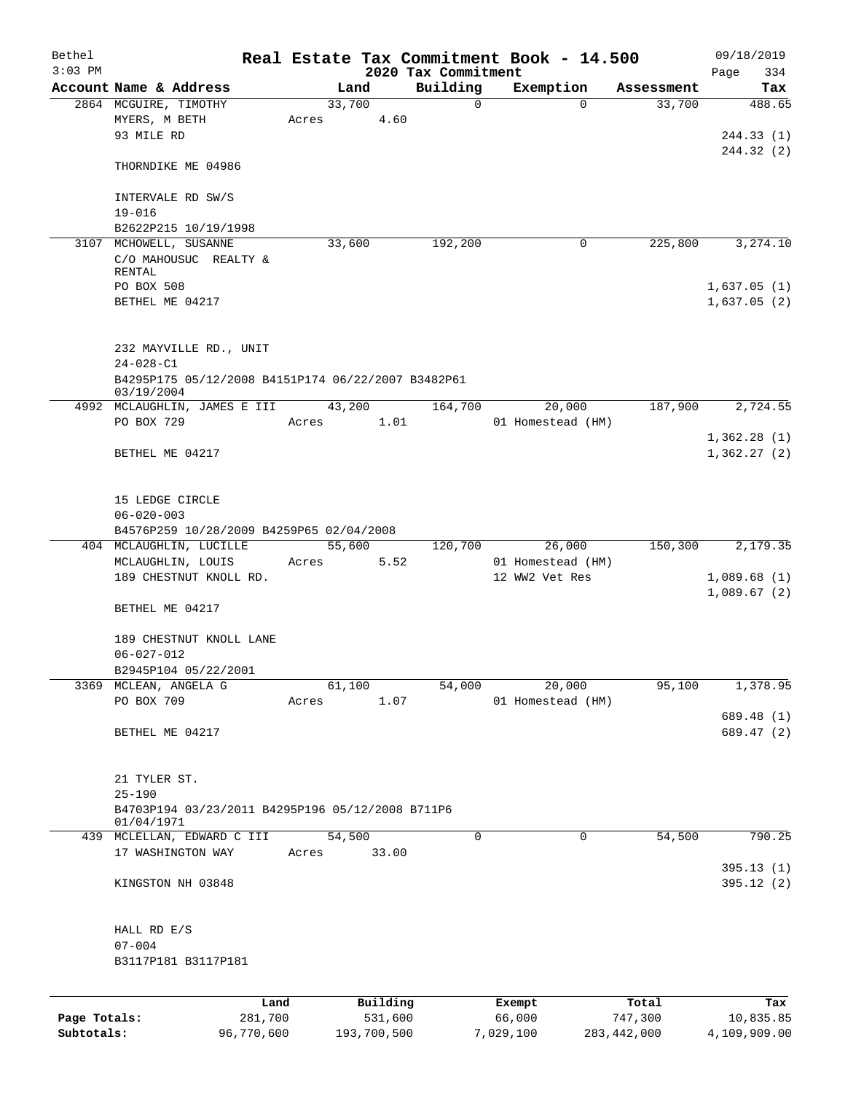| Bethel       |                                                                                                 |       |                     |                     | Real Estate Tax Commitment Book - 14.500 |                  | 09/18/2019                 |
|--------------|-------------------------------------------------------------------------------------------------|-------|---------------------|---------------------|------------------------------------------|------------------|----------------------------|
| $3:03$ PM    |                                                                                                 |       |                     | 2020 Tax Commitment |                                          |                  | Page<br>334                |
|              | Account Name & Address                                                                          |       | Land                | Building            | Exemption                                | Assessment       | Tax                        |
|              | 2864 MCGUIRE, TIMOTHY<br>MYERS, M BETH<br>93 MILE RD                                            | Acres | 33,700<br>4.60      | 0                   | $\Omega$                                 | 33,700           | 488.65<br>244.33(1)        |
|              | THORNDIKE ME 04986                                                                              |       |                     |                     |                                          |                  | 244.32 (2)                 |
|              | INTERVALE RD SW/S<br>$19 - 016$                                                                 |       |                     |                     |                                          |                  |                            |
|              | B2622P215 10/19/1998                                                                            |       |                     |                     |                                          |                  |                            |
|              | 3107 MCHOWELL, SUSANNE<br>C/O MAHOUSUC REALTY &<br>RENTAL                                       |       | 33,600              | 192,200             | 0                                        | 225,800          | 3,274.10                   |
|              | PO BOX 508<br>BETHEL ME 04217                                                                   |       |                     |                     |                                          |                  | 1,637.05(1)<br>1,637.05(2) |
|              | 232 MAYVILLE RD., UNIT<br>$24 - 028 - C1$<br>B4295P175 05/12/2008 B4151P174 06/22/2007 B3482P61 |       |                     |                     |                                          |                  |                            |
|              | 03/19/2004                                                                                      |       |                     |                     |                                          |                  |                            |
|              | 4992 MCLAUGHLIN, JAMES E III<br>PO BOX 729                                                      | Acres | 43,200<br>1.01      | 164,700             | 20,000<br>01 Homestead (HM)              | 187,900          | 2,724.55                   |
|              | BETHEL ME 04217                                                                                 |       |                     |                     |                                          |                  | 1,362.28(1)<br>1,362.27(2) |
|              | 15 LEDGE CIRCLE<br>$06 - 020 - 003$                                                             |       |                     |                     |                                          |                  |                            |
|              | B4576P259 10/28/2009 B4259P65 02/04/2008                                                        |       |                     |                     |                                          |                  |                            |
|              | 404 MCLAUGHLIN, LUCILLE                                                                         |       | 55,600              | 120,700             | 26,000                                   | 150,300          | 2,179.35                   |
|              | MCLAUGHLIN, LOUIS<br>189 CHESTNUT KNOLL RD.                                                     | Acres | 5.52                |                     | 01 Homestead (HM)<br>12 WW2 Vet Res      |                  | 1,089.68(1)<br>1,089.67(2) |
|              | BETHEL ME 04217                                                                                 |       |                     |                     |                                          |                  |                            |
|              | 189 CHESTNUT KNOLL LANE<br>$06 - 027 - 012$                                                     |       |                     |                     |                                          |                  |                            |
|              | B2945P104 05/22/2001                                                                            |       |                     |                     |                                          |                  |                            |
|              | 3369 MCLEAN, ANGELA G<br>PO BOX 709                                                             | Acres | 61,100<br>1.07      | 54,000              | 20,000<br>01 Homestead (HM)              | 95,100           | 1,378.95                   |
|              | BETHEL ME 04217                                                                                 |       |                     |                     |                                          |                  | 689.48 (1)<br>689.47 (2)   |
|              | 21 TYLER ST.<br>$25 - 190$<br>B4703P194 03/23/2011 B4295P196 05/12/2008 B711P6                  |       |                     |                     |                                          |                  |                            |
|              | 01/04/1971<br>439 MCLELLAN, EDWARD C III                                                        |       | 54,500              | 0                   | 0                                        | 54,500           | 790.25                     |
|              | 17 WASHINGTON WAY                                                                               | Acres | 33.00               |                     |                                          |                  | 395.13(1)                  |
|              | KINGSTON NH 03848                                                                               |       |                     |                     |                                          |                  | 395.12 (2)                 |
|              | HALL RD E/S<br>$07 - 004$                                                                       |       |                     |                     |                                          |                  |                            |
|              | B3117P181 B3117P181                                                                             |       |                     |                     |                                          |                  |                            |
| Page Totals: | Land<br>281,700                                                                                 |       | Building<br>531,600 |                     | Exempt<br>66,000                         | Total<br>747,300 | Tax<br>10,835.85           |

**Subtotals:** 96,770,600 193,700,500 7,029,100 283,442,000 4,109,909.00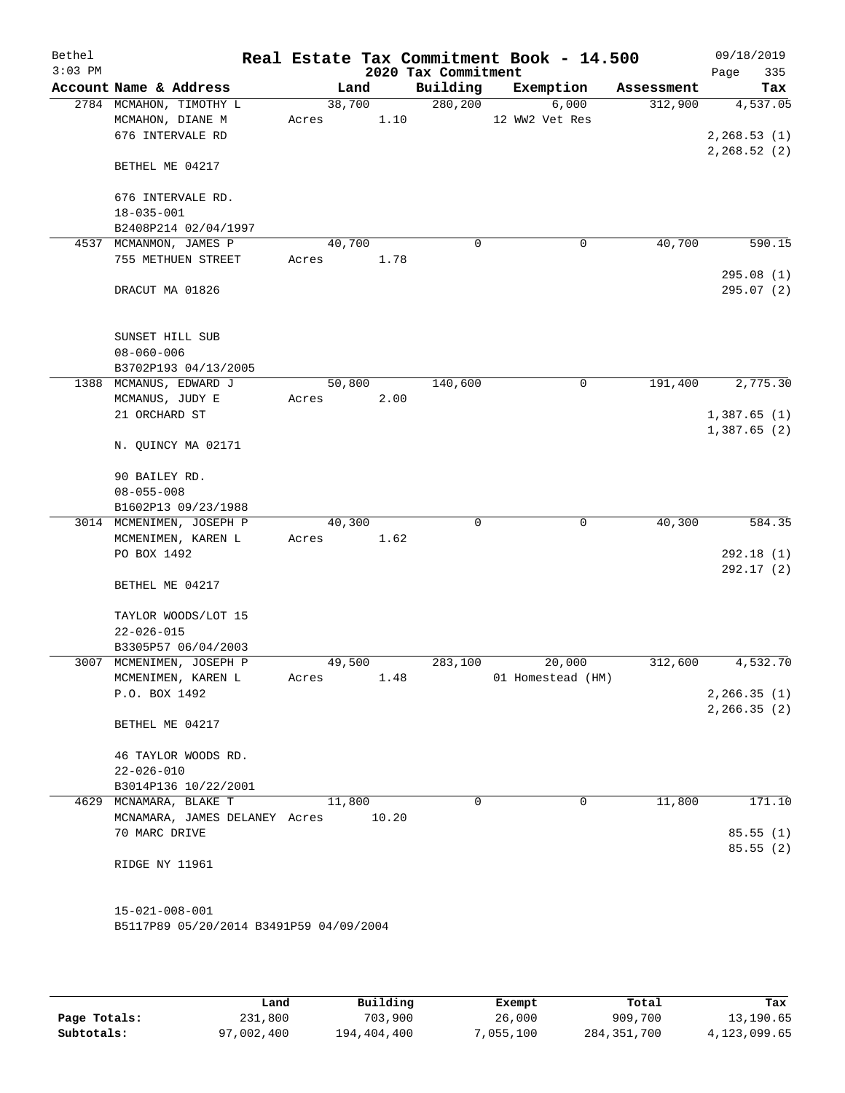| Bethel<br>$3:03$ PM |                                                |        |       | 2020 Tax Commitment | Real Estate Tax Commitment Book - 14.500 |            | 09/18/2019<br>Page<br>335  |
|---------------------|------------------------------------------------|--------|-------|---------------------|------------------------------------------|------------|----------------------------|
|                     | Account Name & Address                         |        | Land  | Building            | Exemption                                | Assessment | Tax                        |
|                     | 2784 MCMAHON, TIMOTHY L                        | 38,700 |       | 280, 200            | 6,000                                    | 312,900    | 4,537.05                   |
|                     | MCMAHON, DIANE M                               | Acres  | 1.10  |                     | 12 WW2 Vet Res                           |            |                            |
|                     | 676 INTERVALE RD                               |        |       |                     |                                          |            | 2, 268.53(1)               |
|                     |                                                |        |       |                     |                                          |            | 2, 268.52(2)               |
|                     | BETHEL ME 04217                                |        |       |                     |                                          |            |                            |
|                     |                                                |        |       |                     |                                          |            |                            |
|                     | 676 INTERVALE RD.<br>$18 - 035 - 001$          |        |       |                     |                                          |            |                            |
|                     | B2408P214 02/04/1997                           |        |       |                     |                                          |            |                            |
|                     | 4537 MCMANMON, JAMES P                         | 40,700 |       | $\mathbf 0$         | 0                                        | 40,700     | 590.15                     |
|                     | 755 METHUEN STREET                             | Acres  | 1.78  |                     |                                          |            |                            |
|                     |                                                |        |       |                     |                                          |            | 295.08(1)                  |
|                     | DRACUT MA 01826                                |        |       |                     |                                          |            | 295.07(2)                  |
|                     |                                                |        |       |                     |                                          |            |                            |
|                     |                                                |        |       |                     |                                          |            |                            |
|                     | SUNSET HILL SUB                                |        |       |                     |                                          |            |                            |
|                     | $08 - 060 - 006$                               |        |       |                     |                                          |            |                            |
|                     | B3702P193 04/13/2005                           |        |       |                     |                                          |            |                            |
|                     | 1388 MCMANUS, EDWARD J                         | 50,800 |       | 140,600             | 0                                        | 191,400    | 2,775.30                   |
|                     | MCMANUS, JUDY E                                | Acres  | 2.00  |                     |                                          |            |                            |
|                     | 21 ORCHARD ST                                  |        |       |                     |                                          |            | 1,387.65(1)<br>1,387.65(2) |
|                     | N. QUINCY MA 02171                             |        |       |                     |                                          |            |                            |
|                     |                                                |        |       |                     |                                          |            |                            |
|                     | 90 BAILEY RD.                                  |        |       |                     |                                          |            |                            |
|                     | $08 - 055 - 008$                               |        |       |                     |                                          |            |                            |
|                     | B1602P13 09/23/1988                            |        |       |                     |                                          |            |                            |
|                     | 3014 MCMENIMEN, JOSEPH P                       | 40,300 |       | $\mathbf 0$         | $\mathbf 0$                              | 40,300     | 584.35                     |
|                     | MCMENIMEN, KAREN L                             | Acres  | 1.62  |                     |                                          |            |                            |
|                     | PO BOX 1492                                    |        |       |                     |                                          |            | 292.18(1)                  |
|                     |                                                |        |       |                     |                                          |            | 292.17(2)                  |
|                     | BETHEL ME 04217                                |        |       |                     |                                          |            |                            |
|                     |                                                |        |       |                     |                                          |            |                            |
|                     | TAYLOR WOODS/LOT 15<br>$22 - 026 - 015$        |        |       |                     |                                          |            |                            |
|                     | B3305P57 06/04/2003                            |        |       |                     |                                          |            |                            |
|                     | 3007 MCMENIMEN, JOSEPH P                       | 49,500 |       | 283,100             | 20,000                                   | 312,600    | 4,532.70                   |
|                     | MCMENIMEN, KAREN L                             | Acres  | 1.48  |                     | 01 Homestead (HM)                        |            |                            |
|                     | P.O. BOX 1492                                  |        |       |                     |                                          |            | 2, 266.35(1)               |
|                     |                                                |        |       |                     |                                          |            | 2, 266.35(2)               |
|                     | BETHEL ME 04217                                |        |       |                     |                                          |            |                            |
|                     |                                                |        |       |                     |                                          |            |                            |
|                     | 46 TAYLOR WOODS RD.                            |        |       |                     |                                          |            |                            |
|                     | $22 - 026 - 010$                               |        |       |                     |                                          |            |                            |
|                     | B3014P136 10/22/2001<br>4629 MCNAMARA, BLAKE T | 11,800 |       | $\Omega$            | 0                                        |            | 171.10                     |
|                     |                                                |        |       |                     |                                          | 11,800     |                            |
|                     | MCNAMARA, JAMES DELANEY Acres<br>70 MARC DRIVE |        | 10.20 |                     |                                          |            | 85.55(1)                   |
|                     |                                                |        |       |                     |                                          |            | 85.55(2)                   |
|                     | RIDGE NY 11961                                 |        |       |                     |                                          |            |                            |
|                     |                                                |        |       |                     |                                          |            |                            |
|                     |                                                |        |       |                     |                                          |            |                            |
|                     | $15 - 021 - 008 - 001$                         |        |       |                     |                                          |            |                            |
|                     | B5117P89 05/20/2014 B3491P59 04/09/2004        |        |       |                     |                                          |            |                            |
|                     |                                                |        |       |                     |                                          |            |                            |

|              | Land       | Building    | Exempt   | Total       | Tax          |
|--------------|------------|-------------|----------|-------------|--------------|
| Page Totals: | 231,800    | 703,900     | 26,000   | 909,700     | 13,190.65    |
| Subtotals:   | 97,002,400 | 194,404,400 | .055.100 | 284,351,700 | 4,123,099.65 |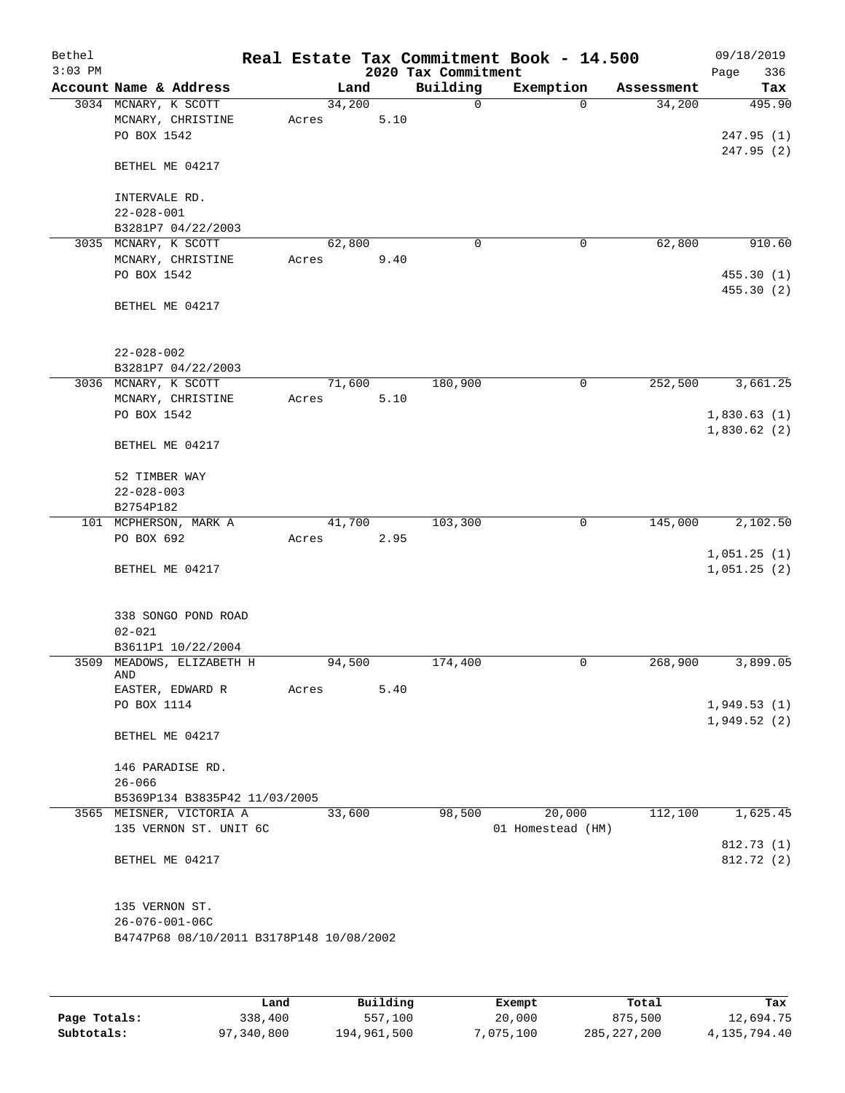| Bethel<br>$3:03$ PM |                                                          |       |        |      | 2020 Tax Commitment | Real Estate Tax Commitment Book - 14.500 |            | 09/18/2019<br>336<br>Page  |
|---------------------|----------------------------------------------------------|-------|--------|------|---------------------|------------------------------------------|------------|----------------------------|
|                     | Account Name & Address                                   |       | Land   |      | Building            | Exemption                                | Assessment | Tax                        |
|                     | 3034 MCNARY, K SCOTT<br>MCNARY, CHRISTINE<br>PO BOX 1542 | Acres | 34,200 | 5.10 | 0                   | $\Omega$                                 | 34,200     | 495.90<br>247.95(1)        |
|                     | BETHEL ME 04217                                          |       |        |      |                     |                                          |            | 247.95(2)                  |
|                     | INTERVALE RD.<br>$22 - 028 - 001$                        |       |        |      |                     |                                          |            |                            |
|                     | B3281P7 04/22/2003                                       |       |        |      |                     |                                          |            |                            |
|                     | 3035 MCNARY, K SCOTT                                     |       | 62,800 |      | 0                   | 0                                        | 62,800     | 910.60                     |
|                     | MCNARY, CHRISTINE<br>PO BOX 1542                         | Acres |        | 9.40 |                     |                                          |            | 455.30 (1)<br>455.30 (2)   |
|                     | BETHEL ME 04217                                          |       |        |      |                     |                                          |            |                            |
|                     | $22 - 028 - 002$<br>B3281P7 04/22/2003                   |       |        |      |                     |                                          |            |                            |
|                     | 3036 MCNARY, K SCOTT                                     |       | 71,600 |      | 180,900             | 0                                        | 252,500    | 3,661.25                   |
|                     | MCNARY, CHRISTINE                                        | Acres |        | 5.10 |                     |                                          |            |                            |
|                     | PO BOX 1542                                              |       |        |      |                     |                                          |            | 1,830.63(1)<br>1,830.62(2) |
|                     | BETHEL ME 04217                                          |       |        |      |                     |                                          |            |                            |
|                     | 52 TIMBER WAY                                            |       |        |      |                     |                                          |            |                            |
|                     | $22 - 028 - 003$                                         |       |        |      |                     |                                          |            |                            |
|                     | B2754P182<br>101 MCPHERSON, MARK A                       |       | 41,700 |      | 103,300             | 0                                        | 145,000    | 2,102.50                   |
|                     | PO BOX 692                                               | Acres |        | 2.95 |                     |                                          |            | 1,051.25(1)                |
|                     | BETHEL ME 04217                                          |       |        |      |                     |                                          |            | 1,051.25(2)                |
|                     | 338 SONGO POND ROAD<br>$02 - 021$                        |       |        |      |                     |                                          |            |                            |
|                     | B3611P1 10/22/2004                                       |       |        |      |                     |                                          |            |                            |
|                     | 3509 MEADOWS, ELIZABETH H<br>AND                         |       | 94,500 |      | 174,400             | 0                                        | 268,900    | 3,899.05                   |
|                     | EASTER, EDWARD R                                         | Acres |        | 5.40 |                     |                                          |            |                            |
|                     | PO BOX 1114                                              |       |        |      |                     |                                          |            | 1,949.53(1)                |
|                     | BETHEL ME 04217                                          |       |        |      |                     |                                          |            | 1,949.52(2)                |
|                     | 146 PARADISE RD.                                         |       |        |      |                     |                                          |            |                            |
|                     | $26 - 066$                                               |       |        |      |                     |                                          |            |                            |
|                     | B5369P134 B3835P42 11/03/2005                            |       |        |      |                     |                                          |            |                            |
|                     | 3565 MEISNER, VICTORIA A<br>135 VERNON ST. UNIT 6C       |       | 33,600 |      | 98,500              | 20,000<br>01 Homestead (HM)              | 112,100    | 1,625.45                   |
|                     | BETHEL ME 04217                                          |       |        |      |                     |                                          |            | 812.73 (1)<br>812.72 (2)   |
|                     | 135 VERNON ST.<br>$26 - 076 - 001 - 06C$                 |       |        |      |                     |                                          |            |                            |
|                     | B4747P68 08/10/2011 B3178P148 10/08/2002                 |       |        |      |                     |                                          |            |                            |
|                     |                                                          |       |        |      |                     |                                          |            |                            |

|              | Land       | Building    | Exempt    | Total         | Tax          |
|--------------|------------|-------------|-----------|---------------|--------------|
| Page Totals: | 338,400    | 557,100     | 20,000    | 875,500       | 12,694.75    |
| Subtotals:   | 97,340,800 | 194,961,500 | 7,075,100 | 285, 227, 200 | 4,135,794.40 |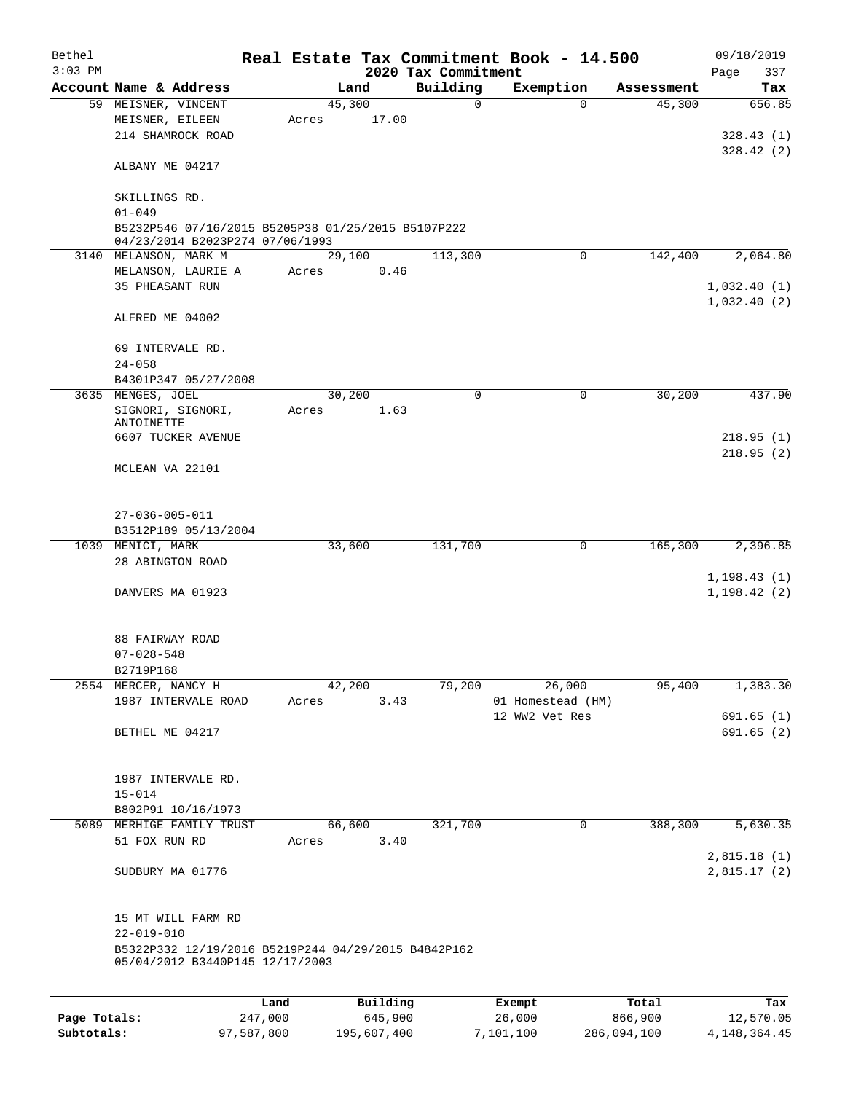| Bethel<br>$3:03$ PM |                                                                                        |         |        |          | 2020 Tax Commitment | Real Estate Tax Commitment Book - 14.500 |                        | 09/18/2019<br>Page<br>337 |
|---------------------|----------------------------------------------------------------------------------------|---------|--------|----------|---------------------|------------------------------------------|------------------------|---------------------------|
|                     | Account Name & Address                                                                 |         |        | Land     | Building            | Exemption                                | Assessment             | Tax                       |
|                     | 59 MEISNER, VINCENT                                                                    |         | 45,300 |          | $\mathbf 0$         |                                          | 45,300<br>$\Omega$     | 656.85                    |
|                     | MEISNER, EILEEN                                                                        |         | Acres  | 17.00    |                     |                                          |                        |                           |
|                     | 214 SHAMROCK ROAD                                                                      |         |        |          |                     |                                          |                        | 328.43(1)                 |
|                     |                                                                                        |         |        |          |                     |                                          |                        | 328.42(2)                 |
|                     | ALBANY ME 04217                                                                        |         |        |          |                     |                                          |                        |                           |
|                     | SKILLINGS RD.                                                                          |         |        |          |                     |                                          |                        |                           |
|                     | $01 - 049$                                                                             |         |        |          |                     |                                          |                        |                           |
|                     | B5232P546 07/16/2015 B5205P38 01/25/2015 B5107P222                                     |         |        |          |                     |                                          |                        |                           |
|                     | 04/23/2014 B2023P274 07/06/1993                                                        |         |        |          |                     |                                          |                        |                           |
|                     | 3140 MELANSON, MARK M                                                                  |         | 29,100 |          | 113,300             |                                          | 142,400<br>$\Omega$    | 2,064.80                  |
|                     | MELANSON, LAURIE A                                                                     |         | Acres  | 0.46     |                     |                                          |                        |                           |
|                     | 35 PHEASANT RUN                                                                        |         |        |          |                     |                                          |                        | 1,032.40(1)               |
|                     |                                                                                        |         |        |          |                     |                                          |                        | 1,032.40(2)               |
|                     | ALFRED ME 04002                                                                        |         |        |          |                     |                                          |                        |                           |
|                     | 69 INTERVALE RD.                                                                       |         |        |          |                     |                                          |                        |                           |
|                     | $24 - 058$                                                                             |         |        |          |                     |                                          |                        |                           |
|                     | B4301P347 05/27/2008                                                                   |         |        |          |                     |                                          |                        |                           |
|                     | 3635 MENGES, JOEL                                                                      |         | 30,200 |          | $\mathbf 0$         |                                          | 0<br>30,200            | 437.90                    |
|                     | SIGNORI, SIGNORI,                                                                      |         | Acres  | 1.63     |                     |                                          |                        |                           |
|                     | ANTOINETTE                                                                             |         |        |          |                     |                                          |                        |                           |
|                     | 6607 TUCKER AVENUE                                                                     |         |        |          |                     |                                          |                        | 218.95(1)                 |
|                     |                                                                                        |         |        |          |                     |                                          |                        | 218.95(2)                 |
|                     | MCLEAN VA 22101                                                                        |         |        |          |                     |                                          |                        |                           |
|                     |                                                                                        |         |        |          |                     |                                          |                        |                           |
|                     |                                                                                        |         |        |          |                     |                                          |                        |                           |
|                     | $27 - 036 - 005 - 011$                                                                 |         |        |          |                     |                                          |                        |                           |
|                     | B3512P189 05/13/2004                                                                   |         |        |          |                     |                                          |                        |                           |
|                     | 1039 MENICI, MARK                                                                      |         | 33,600 |          | 131,700             |                                          | 0<br>165,300           | 2,396.85                  |
|                     | 28 ABINGTON ROAD                                                                       |         |        |          |                     |                                          |                        |                           |
|                     |                                                                                        |         |        |          |                     |                                          |                        | 1, 198.43(1)              |
|                     | DANVERS MA 01923                                                                       |         |        |          |                     |                                          |                        | 1, 198.42(2)              |
|                     |                                                                                        |         |        |          |                     |                                          |                        |                           |
|                     |                                                                                        |         |        |          |                     |                                          |                        |                           |
|                     | 88 FAIRWAY ROAD                                                                        |         |        |          |                     |                                          |                        |                           |
|                     | $07 - 028 - 548$                                                                       |         |        |          |                     |                                          |                        |                           |
|                     | B2719P168                                                                              |         |        |          |                     |                                          |                        |                           |
|                     | 2554 MERCER, NANCY H                                                                   |         | 42,200 |          | 79,200              | 26,000                                   | 95,400                 | 1,383.30                  |
|                     | 1987 INTERVALE ROAD                                                                    |         | Acres  | 3.43     |                     | 01 Homestead (HM)                        |                        |                           |
|                     |                                                                                        |         |        |          |                     | 12 WW2 Vet Res                           |                        | 691.65(1)                 |
|                     | BETHEL ME 04217                                                                        |         |        |          |                     |                                          |                        | 691.65(2)                 |
|                     |                                                                                        |         |        |          |                     |                                          |                        |                           |
|                     |                                                                                        |         |        |          |                     |                                          |                        |                           |
|                     | 1987 INTERVALE RD.                                                                     |         |        |          |                     |                                          |                        |                           |
|                     | $15 - 014$                                                                             |         |        |          |                     |                                          |                        |                           |
|                     | B802P91 10/16/1973                                                                     |         |        |          |                     |                                          |                        |                           |
| 5089                | MERHIGE FAMILY TRUST                                                                   |         | 66,600 |          | 321,700             |                                          | $\mathbf 0$<br>388,300 | 5,630.35                  |
|                     | 51 FOX RUN RD                                                                          |         | Acres  | 3.40     |                     |                                          |                        |                           |
|                     |                                                                                        |         |        |          |                     |                                          |                        | 2,815.18(1)               |
|                     | SUDBURY MA 01776                                                                       |         |        |          |                     |                                          |                        | 2,815.17(2)               |
|                     |                                                                                        |         |        |          |                     |                                          |                        |                           |
|                     |                                                                                        |         |        |          |                     |                                          |                        |                           |
|                     | 15 MT WILL FARM RD                                                                     |         |        |          |                     |                                          |                        |                           |
|                     | $22 - 019 - 010$                                                                       |         |        |          |                     |                                          |                        |                           |
|                     | B5322P332 12/19/2016 B5219P244 04/29/2015 B4842P162<br>05/04/2012 B3440P145 12/17/2003 |         |        |          |                     |                                          |                        |                           |
|                     |                                                                                        |         |        |          |                     |                                          |                        |                           |
|                     |                                                                                        |         |        |          |                     |                                          |                        |                           |
|                     |                                                                                        | Land    |        | Building |                     | Exempt                                   | Total                  | Tax                       |
| Page Totals:        |                                                                                        | 247,000 |        | 645,900  |                     | 26,000                                   | 866,900                | 12,570.05                 |

**Subtotals:** 97,587,800 195,607,400 7,101,100 286,094,100 4,148,364.45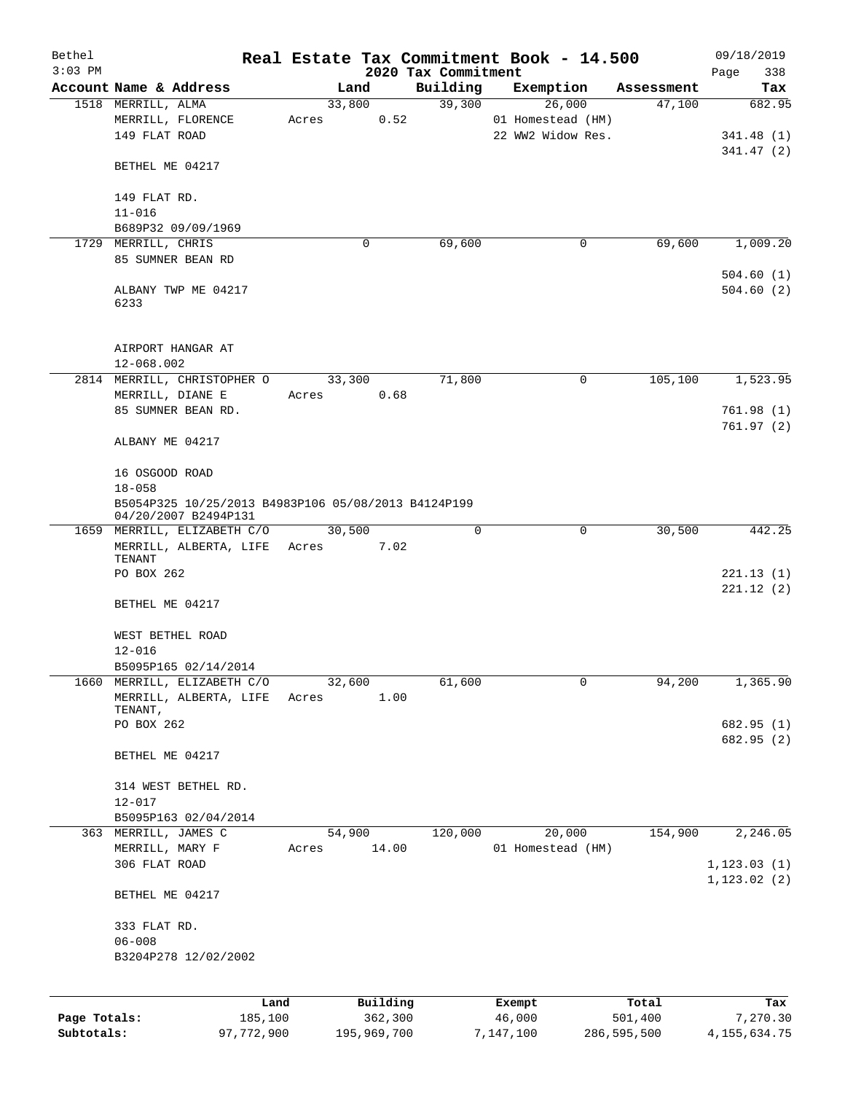| Bethel       |                                                     |         |                |          | Real Estate Tax Commitment Book - 14.500 |                   |             |                      | 09/18/2019             |
|--------------|-----------------------------------------------------|---------|----------------|----------|------------------------------------------|-------------------|-------------|----------------------|------------------------|
| $3:03$ PM    |                                                     |         |                |          | 2020 Tax Commitment                      |                   |             |                      | Page<br>338            |
|              | Account Name & Address<br>1518 MERRILL, ALMA        |         | Land<br>33,800 |          | Building<br>39,300                       | Exemption         | 26,000      | Assessment<br>47,100 | Tax<br>682.95          |
|              | MERRILL, FLORENCE                                   | Acres   |                | 0.52     |                                          | 01 Homestead (HM) |             |                      |                        |
|              | 149 FLAT ROAD                                       |         |                |          |                                          | 22 WW2 Widow Res. |             |                      | 341.48(1)              |
|              |                                                     |         |                |          |                                          |                   |             |                      | 341.47(2)              |
|              | BETHEL ME 04217                                     |         |                |          |                                          |                   |             |                      |                        |
|              | 149 FLAT RD.                                        |         |                |          |                                          |                   |             |                      |                        |
|              | $11 - 016$                                          |         |                |          |                                          |                   |             |                      |                        |
|              | B689P32 09/09/1969                                  |         |                |          |                                          |                   |             |                      |                        |
|              | 1729 MERRILL, CHRIS                                 |         | 0              |          | 69,600                                   |                   | 0           | 69,600               | 1,009.20               |
|              | 85 SUMNER BEAN RD                                   |         |                |          |                                          |                   |             |                      |                        |
|              | ALBANY TWP ME 04217                                 |         |                |          |                                          |                   |             |                      | 504.60(1)<br>504.60(2) |
|              | 6233                                                |         |                |          |                                          |                   |             |                      |                        |
|              |                                                     |         |                |          |                                          |                   |             |                      |                        |
|              | AIRPORT HANGAR AT                                   |         |                |          |                                          |                   |             |                      |                        |
|              | 12-068.002<br>2814 MERRILL, CHRISTOPHER O           |         | 33,300         |          | 71,800                                   |                   | 0           | 105,100              |                        |
|              | MERRILL, DIANE E                                    | Acres   |                | 0.68     |                                          |                   |             |                      | 1,523.95               |
|              | 85 SUMNER BEAN RD.                                  |         |                |          |                                          |                   |             |                      | 761.98(1)              |
|              |                                                     |         |                |          |                                          |                   |             |                      | 761.97(2)              |
|              | ALBANY ME 04217                                     |         |                |          |                                          |                   |             |                      |                        |
|              | 16 OSGOOD ROAD                                      |         |                |          |                                          |                   |             |                      |                        |
|              | $18 - 058$                                          |         |                |          |                                          |                   |             |                      |                        |
|              | B5054P325 10/25/2013 B4983P106 05/08/2013 B4124P199 |         |                |          |                                          |                   |             |                      |                        |
|              | 04/20/2007 B2494P131                                |         |                |          |                                          |                   |             |                      |                        |
|              | 1659 MERRILL, ELIZABETH C/O                         |         | 30,500         |          | 0                                        |                   | $\mathbf 0$ | 30,500               | 442.25                 |
|              | MERRILL, ALBERTA, LIFE Acres<br>TENANT              |         |                | 7.02     |                                          |                   |             |                      |                        |
|              | PO BOX 262                                          |         |                |          |                                          |                   |             |                      | 221.13(1)              |
|              |                                                     |         |                |          |                                          |                   |             |                      | 221.12(2)              |
|              | BETHEL ME 04217                                     |         |                |          |                                          |                   |             |                      |                        |
|              | WEST BETHEL ROAD                                    |         |                |          |                                          |                   |             |                      |                        |
|              | $12 - 016$                                          |         |                |          |                                          |                   |             |                      |                        |
|              | B5095P165 02/14/2014                                |         |                |          |                                          |                   |             |                      |                        |
| 1660         | MERRILL, ELIZABETH C/O                              |         | 32,600         |          | 61,600                                   |                   | 0           | 94,200               | 1,365.90               |
|              | MERRILL, ALBERTA, LIFE                              | Acres   |                | 1.00     |                                          |                   |             |                      |                        |
|              | TENANT,<br>PO BOX 262                               |         |                |          |                                          |                   |             |                      | 682.95 (1)             |
|              |                                                     |         |                |          |                                          |                   |             |                      | 682.95 (2)             |
|              | BETHEL ME 04217                                     |         |                |          |                                          |                   |             |                      |                        |
|              | 314 WEST BETHEL RD.                                 |         |                |          |                                          |                   |             |                      |                        |
|              | $12 - 017$                                          |         |                |          |                                          |                   |             |                      |                        |
|              | B5095P163 02/04/2014                                |         |                |          |                                          |                   |             |                      |                        |
| 363          | MERRILL, JAMES C                                    |         | 54,900         |          | 120,000                                  |                   | 20,000      | 154,900              | 2, 246.05              |
|              | MERRILL, MARY F                                     | Acres   |                | 14.00    |                                          | 01 Homestead (HM) |             |                      |                        |
|              | 306 FLAT ROAD                                       |         |                |          |                                          |                   |             |                      | 1, 123.03(1)           |
|              | BETHEL ME 04217                                     |         |                |          |                                          |                   |             |                      | 1, 123.02(2)           |
|              |                                                     |         |                |          |                                          |                   |             |                      |                        |
|              | 333 FLAT RD.                                        |         |                |          |                                          |                   |             |                      |                        |
|              | $06 - 008$                                          |         |                |          |                                          |                   |             |                      |                        |
|              | B3204P278 12/02/2002                                |         |                |          |                                          |                   |             |                      |                        |
|              |                                                     | Land    |                | Building |                                          | Exempt            |             | Total                | Tax                    |
| Page Totals: |                                                     | 185,100 |                | 362,300  |                                          | 46,000            |             | 501,400              | 7,270.30               |
| Subtotals:   | 97,772,900                                          |         | 195,969,700    |          |                                          | 7,147,100         |             | 286,595,500          | 4, 155, 634. 75        |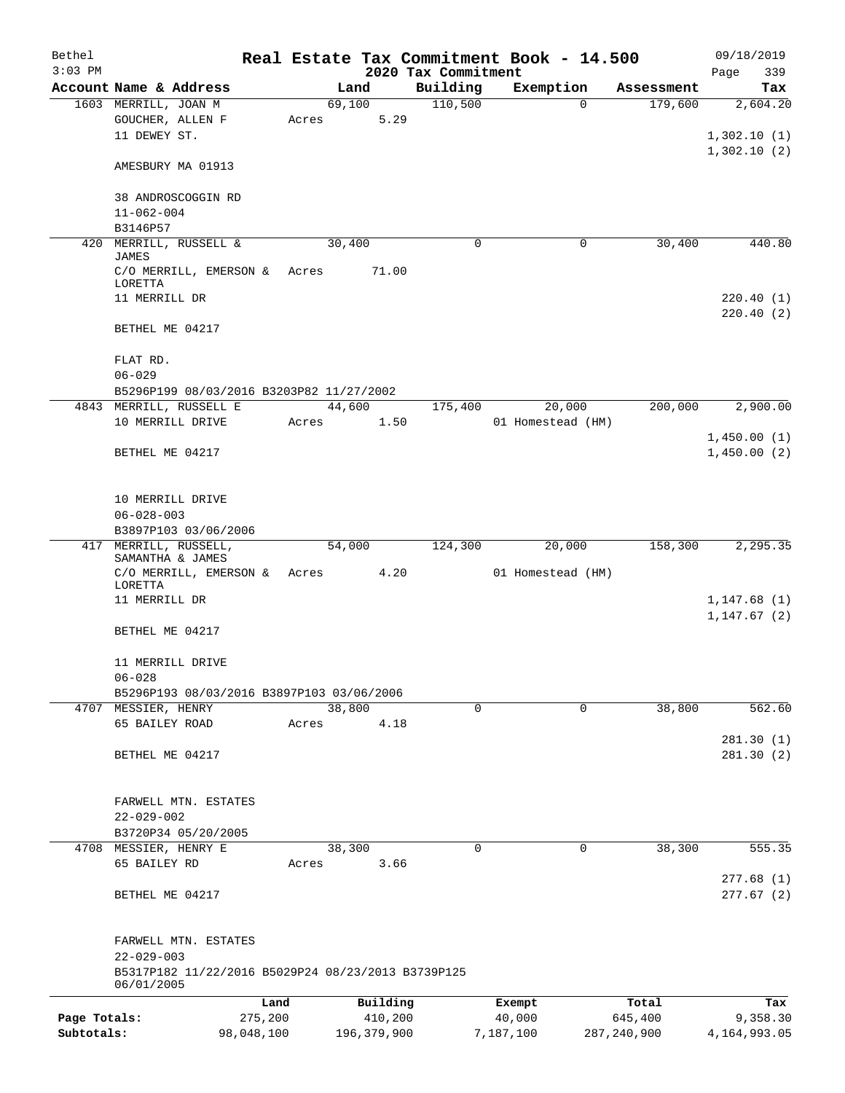| Bethel       |                                                                        |            |       |        |               |                                 |             | Real Estate Tax Commitment Book - 14.500 |               | 09/18/2019   |            |
|--------------|------------------------------------------------------------------------|------------|-------|--------|---------------|---------------------------------|-------------|------------------------------------------|---------------|--------------|------------|
| $3:03$ PM    | Account Name & Address                                                 |            |       | Land   |               | 2020 Tax Commitment<br>Building |             | Exemption                                | Assessment    | Page         | 339<br>Tax |
|              | 1603 MERRILL, JOAN M                                                   |            |       | 69,100 |               | 110,500                         |             | $\Omega$                                 | 179,600       |              | 2,604.20   |
|              | GOUCHER, ALLEN F                                                       |            | Acres |        | 5.29          |                                 |             |                                          |               |              |            |
|              | 11 DEWEY ST.                                                           |            |       |        |               |                                 |             |                                          |               | 1,302.10(1)  |            |
|              |                                                                        |            |       |        |               |                                 |             |                                          |               | 1,302.10(2)  |            |
|              | AMESBURY MA 01913                                                      |            |       |        |               |                                 |             |                                          |               |              |            |
|              |                                                                        |            |       |        |               |                                 |             |                                          |               |              |            |
|              | 38 ANDROSCOGGIN RD                                                     |            |       |        |               |                                 |             |                                          |               |              |            |
|              | $11 - 062 - 004$                                                       |            |       |        |               |                                 |             |                                          |               |              |            |
|              | B3146P57                                                               |            |       |        |               |                                 |             |                                          |               |              |            |
| 420          | MERRILL, RUSSELL &<br><b>JAMES</b>                                     |            |       | 30,400 |               |                                 | 0           | 0                                        | 30,400        |              | 440.80     |
|              | C/O MERRILL, EMERSON &                                                 |            | Acres |        | 71.00         |                                 |             |                                          |               |              |            |
|              | LORETTA                                                                |            |       |        |               |                                 |             |                                          |               |              |            |
|              | 11 MERRILL DR                                                          |            |       |        |               |                                 |             |                                          |               |              | 220.40(1)  |
|              |                                                                        |            |       |        |               |                                 |             |                                          |               |              | 220.40(2)  |
|              | BETHEL ME 04217                                                        |            |       |        |               |                                 |             |                                          |               |              |            |
|              | FLAT RD.                                                               |            |       |        |               |                                 |             |                                          |               |              |            |
|              | $06 - 029$                                                             |            |       |        |               |                                 |             |                                          |               |              |            |
|              | B5296P199 08/03/2016 B3203P82 11/27/2002                               |            |       |        |               |                                 |             |                                          |               |              |            |
|              | 4843 MERRILL, RUSSELL E                                                |            |       | 44,600 |               | 175,400                         |             | 20,000                                   | 200,000       |              | 2,900.00   |
|              | 10 MERRILL DRIVE                                                       |            | Acres |        | 1.50          |                                 |             | 01 Homestead (HM)                        |               |              |            |
|              |                                                                        |            |       |        |               |                                 |             |                                          |               | 1,450.00(1)  |            |
|              | BETHEL ME 04217                                                        |            |       |        |               |                                 |             |                                          |               | 1,450.00(2)  |            |
|              |                                                                        |            |       |        |               |                                 |             |                                          |               |              |            |
|              |                                                                        |            |       |        |               |                                 |             |                                          |               |              |            |
|              | 10 MERRILL DRIVE                                                       |            |       |        |               |                                 |             |                                          |               |              |            |
|              | $06 - 028 - 003$                                                       |            |       |        |               |                                 |             |                                          |               |              |            |
|              | B3897P103 03/06/2006                                                   |            |       |        |               |                                 |             |                                          |               |              |            |
|              | 417 MERRILL, RUSSELL,                                                  |            |       | 54,000 |               | 124,300                         |             | 20,000                                   | 158,300       |              | 2,295.35   |
|              | SAMANTHA & JAMES                                                       |            |       |        |               |                                 |             |                                          |               |              |            |
|              | C/O MERRILL, EMERSON &                                                 |            | Acres |        | 4.20          |                                 |             | 01 Homestead (HM)                        |               |              |            |
|              | LORETTA                                                                |            |       |        |               |                                 |             |                                          |               |              |            |
|              | 11 MERRILL DR                                                          |            |       |        |               |                                 |             |                                          |               | 1,147.68(1)  |            |
|              |                                                                        |            |       |        |               |                                 |             |                                          |               | 1, 147.67(2) |            |
|              | BETHEL ME 04217                                                        |            |       |        |               |                                 |             |                                          |               |              |            |
|              |                                                                        |            |       |        |               |                                 |             |                                          |               |              |            |
|              | 11 MERRILL DRIVE                                                       |            |       |        |               |                                 |             |                                          |               |              |            |
|              | $06 - 028$                                                             |            |       |        |               |                                 |             |                                          |               |              |            |
|              | B5296P193 08/03/2016 B3897P103 03/06/2006<br>4707 MESSIER, HENRY       |            |       | 38,800 |               |                                 | $\mathbf 0$ | $\mathbf 0$                              | 38,800        |              | 562.60     |
|              | 65 BAILEY ROAD                                                         |            | Acres |        | 4.18          |                                 |             |                                          |               |              |            |
|              |                                                                        |            |       |        |               |                                 |             |                                          |               |              | 281.30(1)  |
|              | BETHEL ME 04217                                                        |            |       |        |               |                                 |             |                                          |               |              | 281.30(2)  |
|              |                                                                        |            |       |        |               |                                 |             |                                          |               |              |            |
|              |                                                                        |            |       |        |               |                                 |             |                                          |               |              |            |
|              | FARWELL MTN. ESTATES                                                   |            |       |        |               |                                 |             |                                          |               |              |            |
|              | $22 - 029 - 002$                                                       |            |       |        |               |                                 |             |                                          |               |              |            |
|              | B3720P34 05/20/2005                                                    |            |       |        |               |                                 |             |                                          |               |              |            |
|              | 4708 MESSIER, HENRY E                                                  |            |       | 38,300 |               |                                 | $\mathbf 0$ | $\mathbf 0$                              | 38,300        |              | 555.35     |
|              | 65 BAILEY RD                                                           |            | Acres |        | 3.66          |                                 |             |                                          |               |              |            |
|              |                                                                        |            |       |        |               |                                 |             |                                          |               |              | 277.68(1)  |
|              | BETHEL ME 04217                                                        |            |       |        |               |                                 |             |                                          |               |              | 277.67(2)  |
|              |                                                                        |            |       |        |               |                                 |             |                                          |               |              |            |
|              |                                                                        |            |       |        |               |                                 |             |                                          |               |              |            |
|              | FARWELL MTN. ESTATES                                                   |            |       |        |               |                                 |             |                                          |               |              |            |
|              | $22 - 029 - 003$<br>B5317P182 11/22/2016 B5029P24 08/23/2013 B3739P125 |            |       |        |               |                                 |             |                                          |               |              |            |
|              | 06/01/2005                                                             |            |       |        |               |                                 |             |                                          |               |              |            |
|              |                                                                        | Land       |       |        | Building      |                                 |             | Exempt                                   | Total         |              | Tax        |
| Page Totals: |                                                                        | 275,200    |       |        | 410,200       |                                 |             | 40,000                                   | 645,400       |              | 9,358.30   |
| Subtotals:   |                                                                        | 98,048,100 |       |        | 196, 379, 900 |                                 |             | 7,187,100                                | 287, 240, 900 | 4,164,993.05 |            |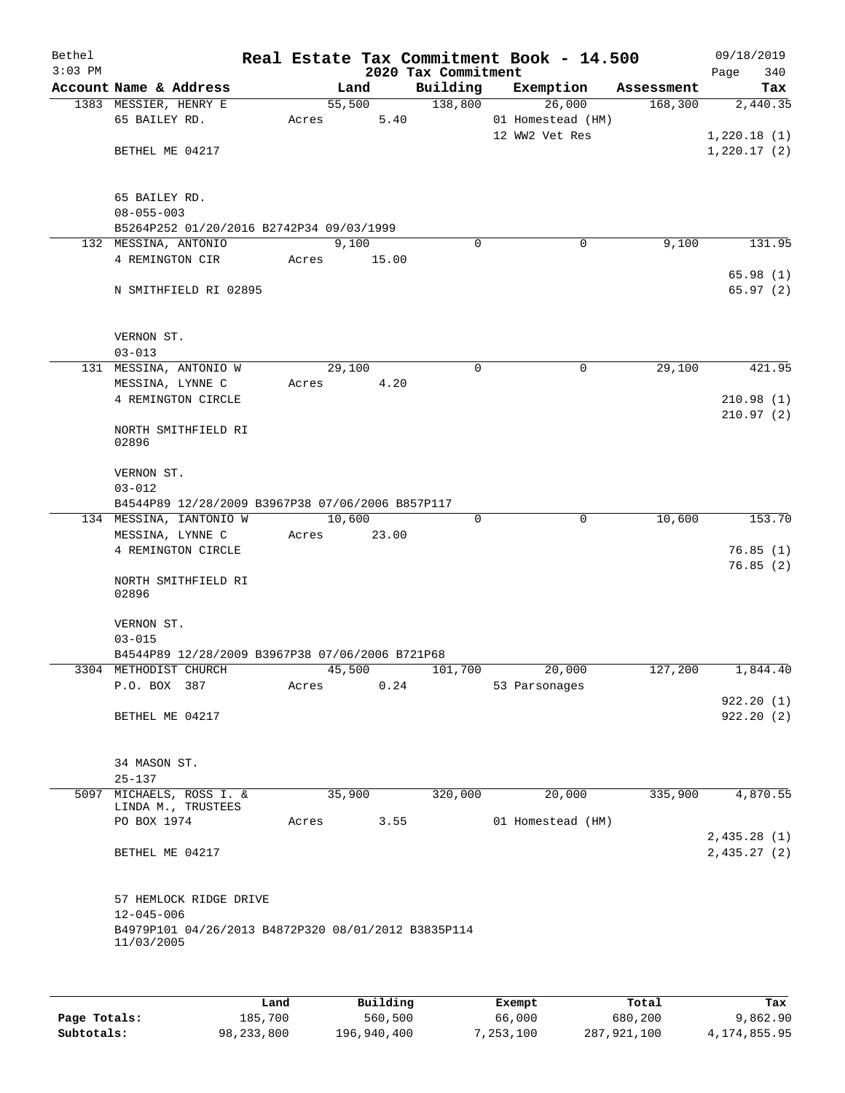| Bethel<br>$3:03$ PM |                                                                                       |       |                | 2020 Tax Commitment | Real Estate Tax Commitment Book - 14.500      |            | 09/18/2019<br>340<br>Page |
|---------------------|---------------------------------------------------------------------------------------|-------|----------------|---------------------|-----------------------------------------------|------------|---------------------------|
|                     | Account Name & Address                                                                |       | Land           | Building            | Exemption                                     | Assessment | Tax                       |
|                     | 1383 MESSIER, HENRY E<br>65 BAILEY RD.                                                | Acres | 55,500<br>5.40 | 138,800             | 26,000<br>01 Homestead (HM)<br>12 WW2 Vet Res | 168,300    | 2,440.35<br>1,220.18(1)   |
|                     | BETHEL ME 04217                                                                       |       |                |                     |                                               |            | 1,220.17(2)               |
|                     | 65 BAILEY RD.<br>$08 - 055 - 003$                                                     |       |                |                     |                                               |            |                           |
|                     | B5264P252 01/20/2016 B2742P34 09/03/1999<br>132 MESSINA, ANTONIO                      |       | 9,100          | $\Omega$            | $\mathbf 0$                                   | 9,100      | 131.95                    |
|                     | 4 REMINGTON CIR                                                                       | Acres | 15.00          |                     |                                               |            | 65.98(1)                  |
|                     | N SMITHFIELD RI 02895                                                                 |       |                |                     |                                               |            | 65.97(2)                  |
|                     | VERNON ST.                                                                            |       |                |                     |                                               |            |                           |
|                     | $03 - 013$<br>131 MESSINA, ANTONIO W                                                  |       | 29,100         | $\Omega$            | $\mathbf 0$                                   | 29,100     | 421.95                    |
|                     | MESSINA, LYNNE C                                                                      | Acres | 4.20           |                     |                                               |            |                           |
|                     | 4 REMINGTON CIRCLE                                                                    |       |                |                     |                                               |            | 210.98(1)<br>210.97(2)    |
|                     | NORTH SMITHFIELD RI<br>02896                                                          |       |                |                     |                                               |            |                           |
|                     | VERNON ST.                                                                            |       |                |                     |                                               |            |                           |
|                     | $03 - 012$                                                                            |       |                |                     |                                               |            |                           |
|                     | B4544P89 12/28/2009 B3967P38 07/06/2006 B857P117                                      |       | 10,600         | $\Omega$            | $\mathbf 0$                                   | 10,600     | 153.70                    |
|                     | 134 MESSINA, IANTONIO W<br>MESSINA, LYNNE C                                           | Acres | 23.00          |                     |                                               |            |                           |
|                     | 4 REMINGTON CIRCLE                                                                    |       |                |                     |                                               |            | 76.85(1)<br>76.85(2)      |
|                     | NORTH SMITHFIELD RI<br>02896                                                          |       |                |                     |                                               |            |                           |
|                     | VERNON ST.<br>$03 - 015$                                                              |       |                |                     |                                               |            |                           |
|                     | B4544P89 12/28/2009 B3967P38 07/06/2006 B721P68                                       |       |                |                     |                                               |            |                           |
|                     | 3304 METHODIST CHURCH<br>P.O. BOX 387                                                 | Acres | 45,500<br>0.24 | 101,700             | 20,000<br>53 Parsonages                       | 127,200    | 1,844.40                  |
|                     | BETHEL ME 04217                                                                       |       |                |                     |                                               |            | 922.20(1)<br>922.20(2)    |
|                     | 34 MASON ST.<br>$25 - 137$                                                            |       |                |                     |                                               |            |                           |
|                     | 5097 MICHAELS, ROSS I. &<br>LINDA M., TRUSTEES                                        |       | 35,900         | 320,000             | 20,000                                        | 335,900    | 4,870.55                  |
|                     | PO BOX 1974                                                                           | Acres | 3.55           |                     | 01 Homestead (HM)                             |            | 2,435.28(1)               |
|                     | BETHEL ME 04217                                                                       |       |                |                     |                                               |            | 2,435.27(2)               |
|                     | 57 HEMLOCK RIDGE DRIVE                                                                |       |                |                     |                                               |            |                           |
|                     | $12 - 045 - 006$<br>B4979P101 04/26/2013 B4872P320 08/01/2012 B3835P114<br>11/03/2005 |       |                |                     |                                               |            |                           |
|                     |                                                                                       |       |                |                     |                                               |            |                           |

|              | Land         | Building    | Exempt    | Total       | Tax          |
|--------------|--------------|-------------|-----------|-------------|--------------|
| Page Totals: | 185,700      | 560,500     | 66,000    | 680,200     | 9,862.90     |
| Subtotals:   | 98, 233, 800 | 196,940,400 | 7,253,100 | 287,921,100 | 4,174,855.95 |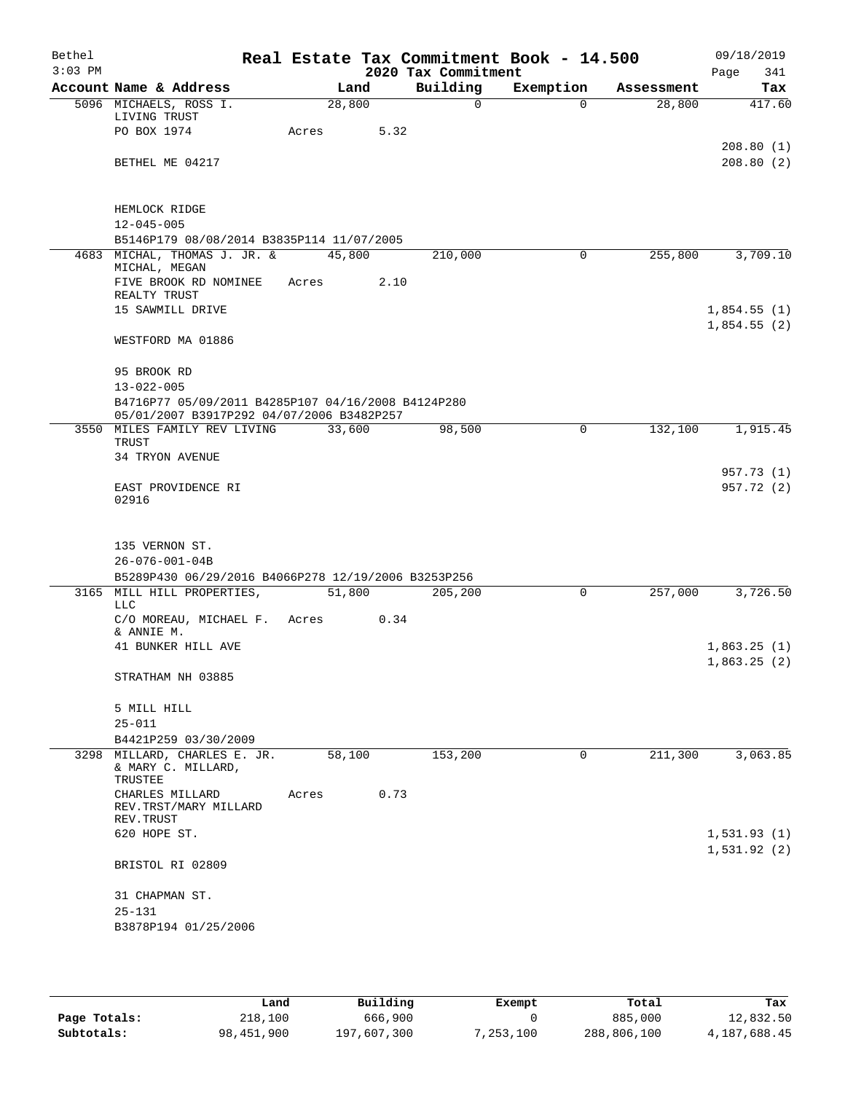| Bethel    |                                                                                                 |        |      |                      | Real Estate Tax Commitment Book - 14.500 |            | 09/18/2019  |
|-----------|-------------------------------------------------------------------------------------------------|--------|------|----------------------|------------------------------------------|------------|-------------|
| $3:03$ PM |                                                                                                 |        |      | 2020 Tax Commitment  |                                          |            | Page<br>341 |
|           | Account Name & Address                                                                          | Land   |      | Building<br>$\Omega$ | Exemption                                | Assessment | Tax         |
|           | 5096 MICHAELS, ROSS I.<br>LIVING TRUST                                                          | 28,800 |      |                      | $\Omega$                                 | 28,800     | 417.60      |
|           | PO BOX 1974                                                                                     | Acres  | 5.32 |                      |                                          |            |             |
|           |                                                                                                 |        |      |                      |                                          |            | 208.80(1)   |
|           | BETHEL ME 04217                                                                                 |        |      |                      |                                          |            | 208.80(2)   |
|           |                                                                                                 |        |      |                      |                                          |            |             |
|           | HEMLOCK RIDGE                                                                                   |        |      |                      |                                          |            |             |
|           | $12 - 045 - 005$                                                                                |        |      |                      |                                          |            |             |
|           | B5146P179 08/08/2014 B3835P114 11/07/2005                                                       |        |      |                      |                                          |            |             |
|           | 4683 MICHAL, THOMAS J. JR. &<br>MICHAL, MEGAN                                                   | 45,800 |      | 210,000              | 0                                        | 255,800    | 3,709.10    |
|           | FIVE BROOK RD NOMINEE<br>REALTY TRUST                                                           | Acres  | 2.10 |                      |                                          |            |             |
|           | 15 SAWMILL DRIVE                                                                                |        |      |                      |                                          |            | 1,854.55(1) |
|           |                                                                                                 |        |      |                      |                                          |            | 1,854.55(2) |
|           | WESTFORD MA 01886                                                                               |        |      |                      |                                          |            |             |
|           | 95 BROOK RD                                                                                     |        |      |                      |                                          |            |             |
|           | $13 - 022 - 005$                                                                                |        |      |                      |                                          |            |             |
|           | B4716P77 05/09/2011 B4285P107 04/16/2008 B4124P280<br>05/01/2007 B3917P292 04/07/2006 B3482P257 |        |      |                      |                                          |            |             |
|           | 3550 MILES FAMILY REV LIVING                                                                    | 33,600 |      | 98,500               | 0                                        | 132,100    | 1,915.45    |
|           | TRUST<br>34 TRYON AVENUE                                                                        |        |      |                      |                                          |            |             |
|           |                                                                                                 |        |      |                      |                                          |            | 957.73 (1)  |
|           | EAST PROVIDENCE RI                                                                              |        |      |                      |                                          |            | 957.72 (2)  |
|           | 02916                                                                                           |        |      |                      |                                          |            |             |
|           |                                                                                                 |        |      |                      |                                          |            |             |
|           | 135 VERNON ST.                                                                                  |        |      |                      |                                          |            |             |
|           | $26 - 076 - 001 - 04B$                                                                          |        |      |                      |                                          |            |             |
|           | B5289P430 06/29/2016 B4066P278 12/19/2006 B3253P256                                             |        |      |                      |                                          |            |             |
|           | 3165 MILL HILL PROPERTIES,<br><b>LLC</b>                                                        | 51,800 |      | 205,200              | 0                                        | 257,000    | 3,726.50    |
|           | C/O MOREAU, MICHAEL F.                                                                          | Acres  | 0.34 |                      |                                          |            |             |
|           | & ANNIE M.                                                                                      |        |      |                      |                                          |            |             |
|           | 41 BUNKER HILL AVE                                                                              |        |      |                      |                                          |            | 1,863.25(1) |
|           | STRATHAM NH 03885                                                                               |        |      |                      |                                          |            | 1,863.25(2) |
|           |                                                                                                 |        |      |                      |                                          |            |             |
|           | 5 MILL HILL                                                                                     |        |      |                      |                                          |            |             |
|           | $25 - 011$                                                                                      |        |      |                      |                                          |            |             |
|           | B4421P259 03/30/2009                                                                            |        |      |                      |                                          |            |             |
|           | 3298 MILLARD, CHARLES E. JR.<br>& MARY C. MILLARD,                                              | 58,100 |      | 153,200              | 0                                        | 211,300    | 3,063.85    |
|           | TRUSTEE<br>CHARLES MILLARD                                                                      | Acres  | 0.73 |                      |                                          |            |             |
|           | REV.TRST/MARY MILLARD<br>REV. TRUST                                                             |        |      |                      |                                          |            |             |
|           | 620 HOPE ST.                                                                                    |        |      |                      |                                          |            | 1,531.93(1) |
|           |                                                                                                 |        |      |                      |                                          |            | 1,531.92(2) |
|           | BRISTOL RI 02809                                                                                |        |      |                      |                                          |            |             |
|           | 31 CHAPMAN ST.                                                                                  |        |      |                      |                                          |            |             |
|           | $25 - 131$                                                                                      |        |      |                      |                                          |            |             |
|           | B3878P194 01/25/2006                                                                            |        |      |                      |                                          |            |             |
|           |                                                                                                 |        |      |                      |                                          |            |             |

|              | Land       | Building    | Exempt    | Total       | Tax          |
|--------------|------------|-------------|-----------|-------------|--------------|
| Page Totals: | 218,100    | 666,900     |           | 885,000     | 12,832.50    |
| Subtotals:   | 98,451,900 | 197,607,300 | 7,253,100 | 288,806,100 | 4,187,688.45 |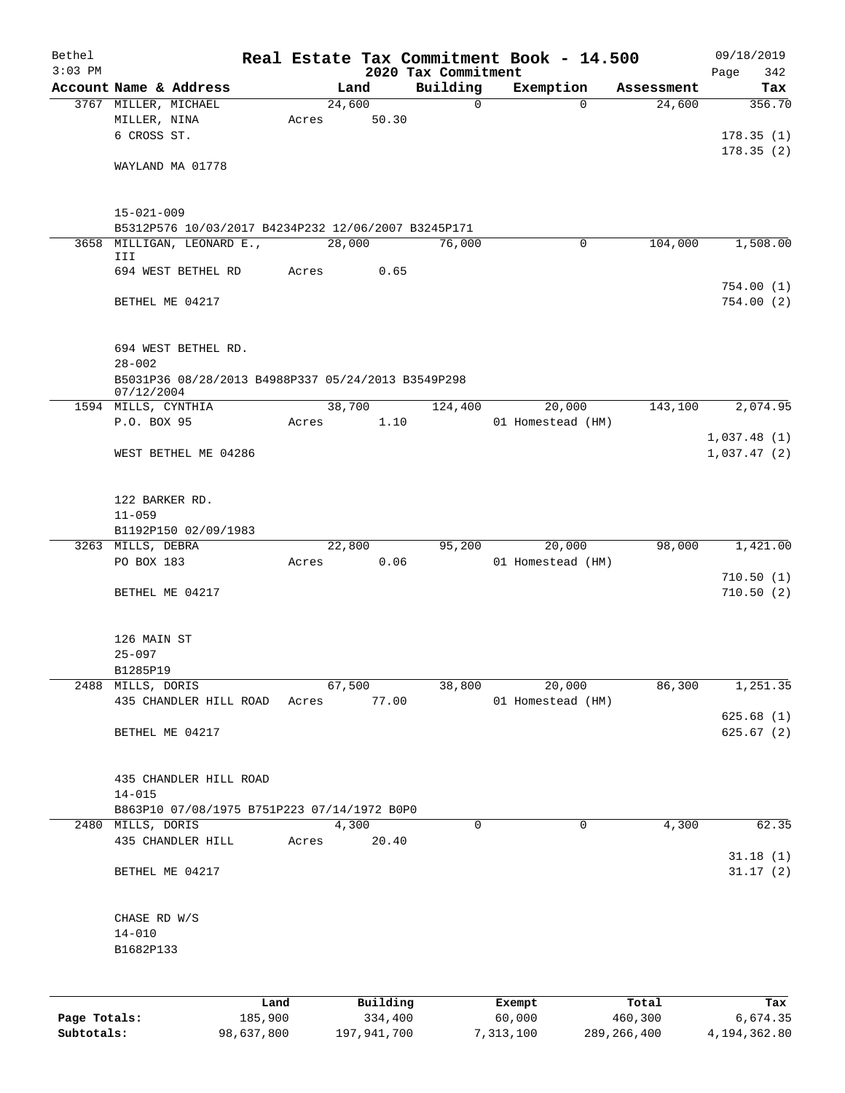| Bethel<br>$3:03$ PM |                                                                         |         |       |                | 2020 Tax Commitment | Real Estate Tax Commitment Book - 14.500 |            | 09/18/2019<br>Page<br>342 |
|---------------------|-------------------------------------------------------------------------|---------|-------|----------------|---------------------|------------------------------------------|------------|---------------------------|
|                     | Account Name & Address                                                  |         |       | Land           | Building            | Exemption                                | Assessment | Tax                       |
|                     | 3767 MILLER, MICHAEL                                                    |         |       | 24,600         | $\mathbf 0$         | $\Omega$                                 | 24,600     | 356.70                    |
|                     | MILLER, NINA                                                            |         | Acres | 50.30          |                     |                                          |            |                           |
|                     | 6 CROSS ST.                                                             |         |       |                |                     |                                          |            | 178.35(1)                 |
|                     |                                                                         |         |       |                |                     |                                          |            | 178.35(2)                 |
|                     | WAYLAND MA 01778                                                        |         |       |                |                     |                                          |            |                           |
|                     |                                                                         |         |       |                |                     |                                          |            |                           |
|                     | $15 - 021 - 009$<br>B5312P576 10/03/2017 B4234P232 12/06/2007 B3245P171 |         |       |                |                     |                                          |            |                           |
|                     | 3658 MILLIGAN, LEONARD E.,                                              |         |       | 28,000         | 76,000              | 0                                        | 104,000    | 1,508.00                  |
|                     | III                                                                     |         |       |                |                     |                                          |            |                           |
|                     | 694 WEST BETHEL RD                                                      |         | Acres | 0.65           |                     |                                          |            |                           |
|                     |                                                                         |         |       |                |                     |                                          |            | 754.00(1)                 |
|                     | BETHEL ME 04217                                                         |         |       |                |                     |                                          |            | 754.00(2)                 |
|                     |                                                                         |         |       |                |                     |                                          |            |                           |
|                     | 694 WEST BETHEL RD.                                                     |         |       |                |                     |                                          |            |                           |
|                     | $28 - 002$<br>B5031P36 08/28/2013 B4988P337 05/24/2013 B3549P298        |         |       |                |                     |                                          |            |                           |
|                     | 07/12/2004                                                              |         |       |                |                     |                                          |            |                           |
|                     | 1594 MILLS, CYNTHIA                                                     |         |       | 38,700         | 124,400             | 20,000                                   | 143,100    | 2,074.95                  |
|                     | P.O. BOX 95                                                             |         | Acres | 1.10           |                     | 01 Homestead (HM)                        |            |                           |
|                     |                                                                         |         |       |                |                     |                                          |            | 1,037.48(1)               |
|                     | WEST BETHEL ME 04286                                                    |         |       |                |                     |                                          |            | 1,037.47(2)               |
|                     |                                                                         |         |       |                |                     |                                          |            |                           |
|                     | 122 BARKER RD.                                                          |         |       |                |                     |                                          |            |                           |
|                     | $11 - 059$                                                              |         |       |                |                     |                                          |            |                           |
|                     | B1192P150 02/09/1983                                                    |         |       |                | 95,200              | 20,000                                   | 98,000     | 1,421.00                  |
|                     | 3263 MILLS, DEBRA<br>PO BOX 183                                         |         | Acres | 22,800<br>0.06 |                     | 01 Homestead (HM)                        |            |                           |
|                     |                                                                         |         |       |                |                     |                                          |            | 710.50(1)                 |
|                     | BETHEL ME 04217                                                         |         |       |                |                     |                                          |            | 710.50(2)                 |
|                     |                                                                         |         |       |                |                     |                                          |            |                           |
|                     | 126 MAIN ST                                                             |         |       |                |                     |                                          |            |                           |
|                     | $25 - 097$                                                              |         |       |                |                     |                                          |            |                           |
|                     | B1285P19                                                                |         |       |                |                     |                                          |            |                           |
|                     | 2488 MILLS, DORIS                                                       |         |       | 67,500         | 38,800              | 20,000                                   | 86,300     | 1,251.35                  |
|                     | 435 CHANDLER HILL ROAD                                                  |         | Acres | 77.00          |                     | 01 Homestead (HM)                        |            | 625.68(1)                 |
|                     | BETHEL ME 04217                                                         |         |       |                |                     |                                          |            | 625.67(2)                 |
|                     |                                                                         |         |       |                |                     |                                          |            |                           |
|                     | 435 CHANDLER HILL ROAD                                                  |         |       |                |                     |                                          |            |                           |
|                     | $14 - 015$                                                              |         |       |                |                     |                                          |            |                           |
|                     | B863P10 07/08/1975 B751P223 07/14/1972 B0P0                             |         |       |                |                     |                                          |            |                           |
|                     | 2480 MILLS, DORIS                                                       |         |       | 4,300          | $\mathbf 0$         | $\Omega$                                 | 4,300      | 62.35                     |
|                     | 435 CHANDLER HILL                                                       |         | Acres | 20.40          |                     |                                          |            | 31.18(1)                  |
|                     | BETHEL ME 04217                                                         |         |       |                |                     |                                          |            | 31.17(2)                  |
|                     |                                                                         |         |       |                |                     |                                          |            |                           |
|                     | CHASE RD W/S                                                            |         |       |                |                     |                                          |            |                           |
|                     | $14 - 010$                                                              |         |       |                |                     |                                          |            |                           |
|                     | B1682P133                                                               |         |       |                |                     |                                          |            |                           |
|                     |                                                                         |         |       |                |                     |                                          |            |                           |
|                     |                                                                         | Land    |       | Building       |                     | Exempt                                   | Total      | Tax                       |
| Page Totals:        |                                                                         | 185,900 |       | 334,400        |                     | 60,000                                   | 460,300    | 6,674.35                  |

**Subtotals:** 98,637,800 197,941,700 7,313,100 289,266,400 4,194,362.80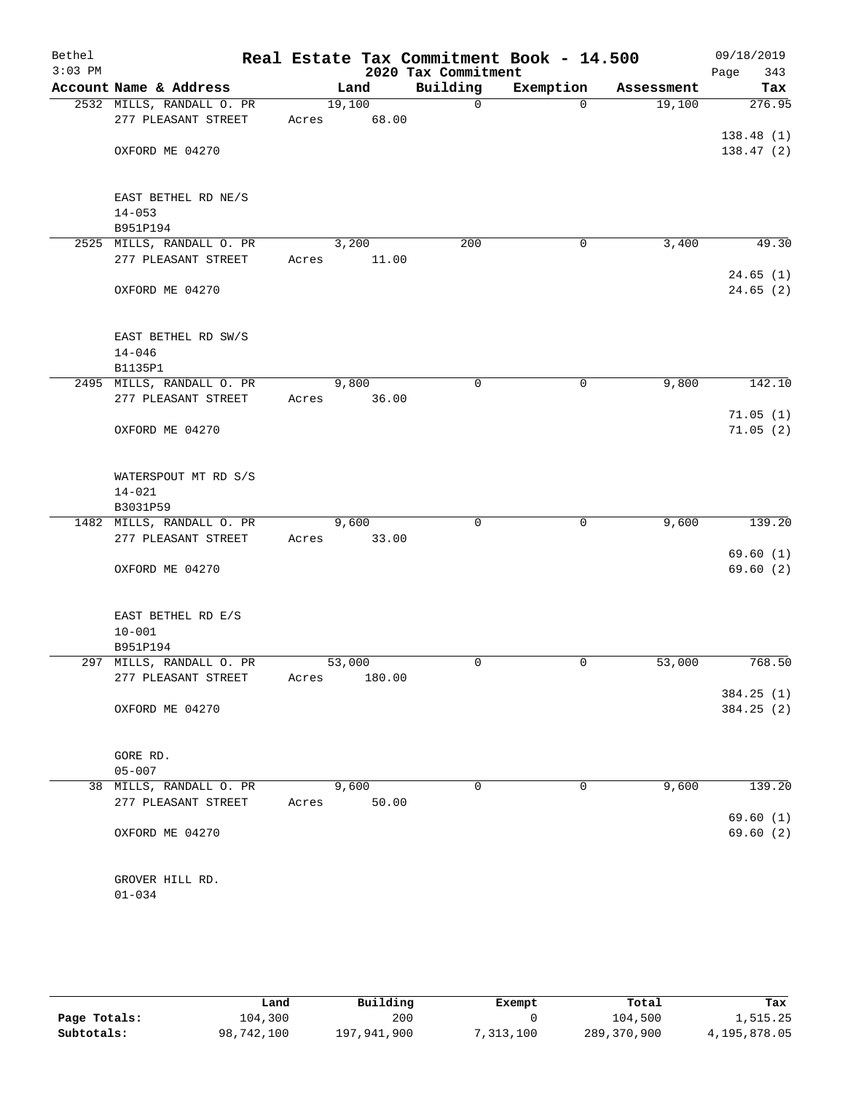| Bethel<br>$3:03$ PM |                                                  |       |                 | 2020 Tax Commitment | Real Estate Tax Commitment Book - 14.500 |            | 09/18/2019<br>Page<br>343 |
|---------------------|--------------------------------------------------|-------|-----------------|---------------------|------------------------------------------|------------|---------------------------|
|                     | Account Name & Address                           |       | Land            | Building            | Exemption                                | Assessment | Tax                       |
|                     | 2532 MILLS, RANDALL O. PR<br>277 PLEASANT STREET | Acres | 19,100<br>68.00 | $\mathbf 0$         | $\Omega$                                 | 19,100     | 276.95                    |
|                     | OXFORD ME 04270                                  |       |                 |                     |                                          |            | 138.48(1)<br>138.47(2)    |
|                     | EAST BETHEL RD NE/S<br>$14 - 053$<br>B951P194    |       |                 |                     |                                          |            |                           |
|                     | 2525 MILLS, RANDALL O. PR<br>277 PLEASANT STREET | Acres | 3,200<br>11.00  | 200                 | 0                                        | 3,400      | 49.30                     |
|                     | OXFORD ME 04270                                  |       |                 |                     |                                          |            | 24.65(1)<br>24.65(2)      |
|                     | EAST BETHEL RD SW/S<br>$14 - 046$                |       |                 |                     |                                          |            |                           |
|                     | B1135P1<br>2495 MILLS, RANDALL O. PR             |       | 9,800           | 0                   | 0                                        | 9,800      | 142.10                    |
|                     | 277 PLEASANT STREET                              | Acres | 36.00           |                     |                                          |            | 71.05(1)                  |
|                     | OXFORD ME 04270                                  |       |                 |                     |                                          |            | 71.05(2)                  |
|                     | WATERSPOUT MT RD S/S<br>$14 - 021$<br>B3031P59   |       |                 |                     |                                          |            |                           |
|                     | 1482 MILLS, RANDALL O. PR                        |       | 9,600           | 0                   | $\mathbf 0$                              | 9,600      | 139.20                    |
|                     | 277 PLEASANT STREET                              | Acres | 33.00           |                     |                                          |            | 69.60(1)                  |
|                     | OXFORD ME 04270                                  |       |                 |                     |                                          |            | 69.60(2)                  |
|                     | EAST BETHEL RD E/S<br>$10 - 001$                 |       |                 |                     |                                          |            |                           |
|                     | B951P194<br>297 MILLS, RANDALL O. PR             |       | 53,000          | 0                   | 0                                        | 53,000     | 768.50                    |
|                     | 277 PLEASANT STREET                              | Acres | 180.00          |                     |                                          |            |                           |
|                     | OXFORD ME 04270                                  |       |                 |                     |                                          |            | 384.25(1)<br>384.25 (2)   |
|                     | GORE RD.<br>$05 - 007$                           |       |                 |                     |                                          |            |                           |
|                     | 38 MILLS, RANDALL O. PR                          |       | 9,600           | 0                   | 0                                        | 9,600      | 139.20                    |
|                     | 277 PLEASANT STREET                              | Acres | 50.00           |                     |                                          |            | 69.60(1)                  |
|                     | OXFORD ME 04270                                  |       |                 |                     |                                          |            | 69.60(2)                  |
|                     | GROVER HILL RD.<br>$01 - 034$                    |       |                 |                     |                                          |            |                           |

|              | Land       | Building    | Exempt     | Total       | Tax          |
|--------------|------------|-------------|------------|-------------|--------------|
| Page Totals: | 104,300    | 200         |            | 104,500     | 1,515.25     |
| Subtotals:   | 98,742,100 | 197,941,900 | , 313, 100 | 289,370,900 | 4,195,878.05 |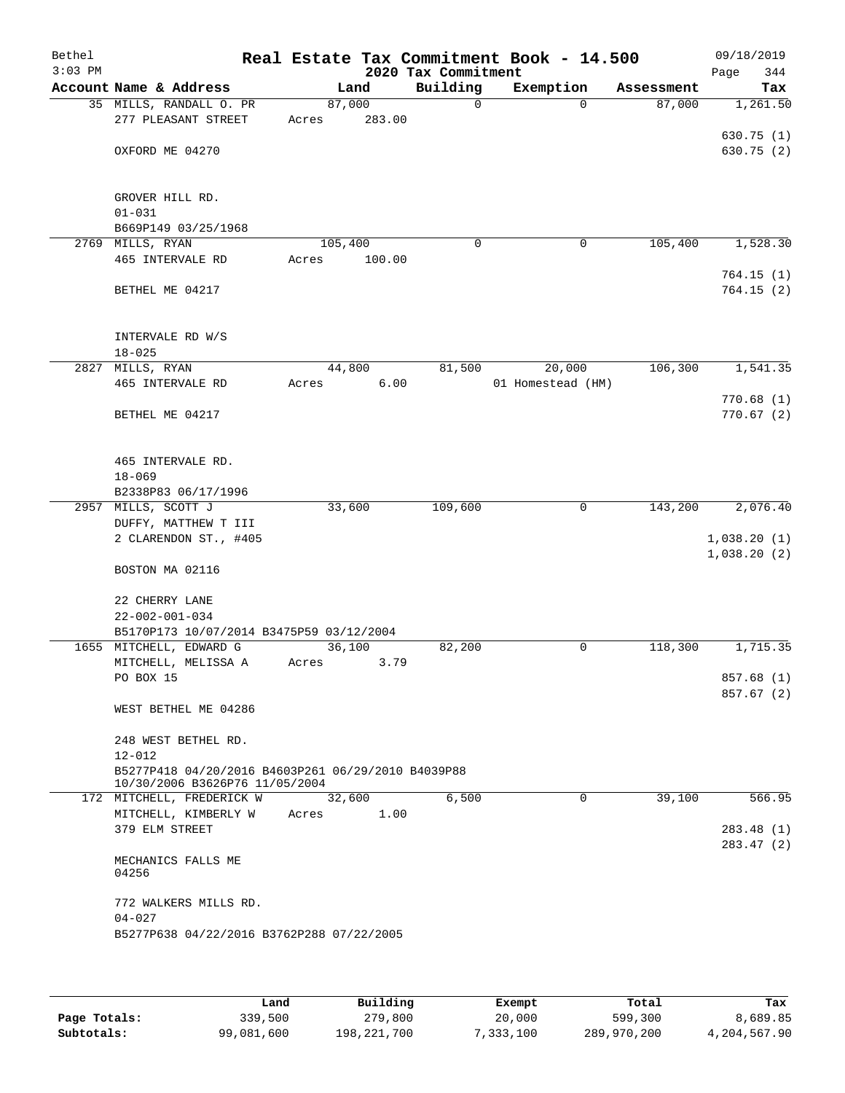| Bethel<br>$3:03$ PM |                                                    |       |         |        | Real Estate Tax Commitment Book - 14.500<br>2020 Tax Commitment |                   |             |            | 09/18/2019<br>344<br>Page |
|---------------------|----------------------------------------------------|-------|---------|--------|-----------------------------------------------------------------|-------------------|-------------|------------|---------------------------|
|                     | Account Name & Address                             |       | Land    |        | Building                                                        | Exemption         |             | Assessment | Tax                       |
|                     | 35 MILLS, RANDALL O. PR                            |       | 87,000  |        | $\Omega$                                                        |                   | $\Omega$    | 87,000     | 1,261.50                  |
|                     | 277 PLEASANT STREET                                | Acres |         | 283.00 |                                                                 |                   |             |            |                           |
|                     |                                                    |       |         |        |                                                                 |                   |             |            | 630.75(1)                 |
|                     | OXFORD ME 04270                                    |       |         |        |                                                                 |                   |             |            | 630.75 (2)                |
|                     |                                                    |       |         |        |                                                                 |                   |             |            |                           |
|                     |                                                    |       |         |        |                                                                 |                   |             |            |                           |
|                     | GROVER HILL RD.<br>$01 - 031$                      |       |         |        |                                                                 |                   |             |            |                           |
|                     | B669P149 03/25/1968                                |       |         |        |                                                                 |                   |             |            |                           |
|                     | 2769 MILLS, RYAN                                   |       | 105,400 |        | $\mathbf 0$                                                     |                   | $\mathbf 0$ | 105,400    | 1,528.30                  |
|                     | 465 INTERVALE RD                                   | Acres |         | 100.00 |                                                                 |                   |             |            |                           |
|                     |                                                    |       |         |        |                                                                 |                   |             |            | 764.15(1)                 |
|                     | BETHEL ME 04217                                    |       |         |        |                                                                 |                   |             |            | 764.15(2)                 |
|                     |                                                    |       |         |        |                                                                 |                   |             |            |                           |
|                     |                                                    |       |         |        |                                                                 |                   |             |            |                           |
|                     | INTERVALE RD W/S                                   |       |         |        |                                                                 |                   |             |            |                           |
|                     | $18 - 025$                                         |       |         |        |                                                                 |                   |             |            |                           |
|                     | 2827 MILLS, RYAN                                   |       | 44,800  |        | 81,500                                                          |                   | 20,000      | 106,300    | 1,541.35                  |
|                     | 465 INTERVALE RD                                   | Acres |         | 6.00   |                                                                 | 01 Homestead (HM) |             |            |                           |
|                     |                                                    |       |         |        |                                                                 |                   |             |            | 770.68(1)                 |
|                     | BETHEL ME 04217                                    |       |         |        |                                                                 |                   |             |            | 770.67(2)                 |
|                     |                                                    |       |         |        |                                                                 |                   |             |            |                           |
|                     |                                                    |       |         |        |                                                                 |                   |             |            |                           |
|                     | 465 INTERVALE RD.                                  |       |         |        |                                                                 |                   |             |            |                           |
|                     | $18 - 069$<br>B2338P83 06/17/1996                  |       |         |        |                                                                 |                   |             |            |                           |
|                     | 2957 MILLS, SCOTT J                                |       | 33,600  |        | 109,600                                                         |                   | $\mathbf 0$ | 143,200    | 2,076.40                  |
|                     | DUFFY, MATTHEW T III                               |       |         |        |                                                                 |                   |             |            |                           |
|                     | 2 CLARENDON ST., #405                              |       |         |        |                                                                 |                   |             |            | 1,038.20(1)               |
|                     |                                                    |       |         |        |                                                                 |                   |             |            | 1,038.20(2)               |
|                     | BOSTON MA 02116                                    |       |         |        |                                                                 |                   |             |            |                           |
|                     |                                                    |       |         |        |                                                                 |                   |             |            |                           |
|                     | 22 CHERRY LANE                                     |       |         |        |                                                                 |                   |             |            |                           |
|                     | $22 - 002 - 001 - 034$                             |       |         |        |                                                                 |                   |             |            |                           |
|                     | B5170P173 10/07/2014 B3475P59 03/12/2004           |       |         |        |                                                                 |                   |             |            |                           |
|                     | 1655 MITCHELL, EDWARD G                            |       | 36,100  |        | 82,200                                                          |                   | 0           | 118,300    | 1,715.35                  |
|                     | MITCHELL, MELISSA A                                | Acres |         | 3.79   |                                                                 |                   |             |            |                           |
|                     | PO BOX 15                                          |       |         |        |                                                                 |                   |             |            | 857.68 (1)                |
|                     | WEST BETHEL ME 04286                               |       |         |        |                                                                 |                   |             |            | 857.67 (2)                |
|                     |                                                    |       |         |        |                                                                 |                   |             |            |                           |
|                     | 248 WEST BETHEL RD.                                |       |         |        |                                                                 |                   |             |            |                           |
|                     | $12 - 012$                                         |       |         |        |                                                                 |                   |             |            |                           |
|                     | B5277P418 04/20/2016 B4603P261 06/29/2010 B4039P88 |       |         |        |                                                                 |                   |             |            |                           |
|                     | 10/30/2006 B3626P76 11/05/2004                     |       |         |        |                                                                 |                   |             |            |                           |
|                     | 172 MITCHELL, FREDERICK W                          |       | 32,600  |        | 6,500                                                           |                   | $\mathbf 0$ | 39,100     | 566.95                    |
|                     | MITCHELL, KIMBERLY W                               | Acres |         | 1.00   |                                                                 |                   |             |            |                           |
|                     | 379 ELM STREET                                     |       |         |        |                                                                 |                   |             |            | 283.48 (1)                |
|                     |                                                    |       |         |        |                                                                 |                   |             |            | 283.47 (2)                |
|                     | MECHANICS FALLS ME<br>04256                        |       |         |        |                                                                 |                   |             |            |                           |
|                     |                                                    |       |         |        |                                                                 |                   |             |            |                           |
|                     | 772 WALKERS MILLS RD.                              |       |         |        |                                                                 |                   |             |            |                           |
|                     | $04 - 027$                                         |       |         |        |                                                                 |                   |             |            |                           |
|                     | B5277P638 04/22/2016 B3762P288 07/22/2005          |       |         |        |                                                                 |                   |             |            |                           |
|                     |                                                    |       |         |        |                                                                 |                   |             |            |                           |
|                     |                                                    |       |         |        |                                                                 |                   |             |            |                           |

|              | Land       | Building    | Exempt    | Total       | Tax          |
|--------------|------------|-------------|-----------|-------------|--------------|
| Page Totals: | 339,500    | 279,800     | 20,000    | 599,300     | 8,689.85     |
| Subtotals:   | 99,081,600 | 198,221,700 | 7,333,100 | 289,970,200 | 4,204,567.90 |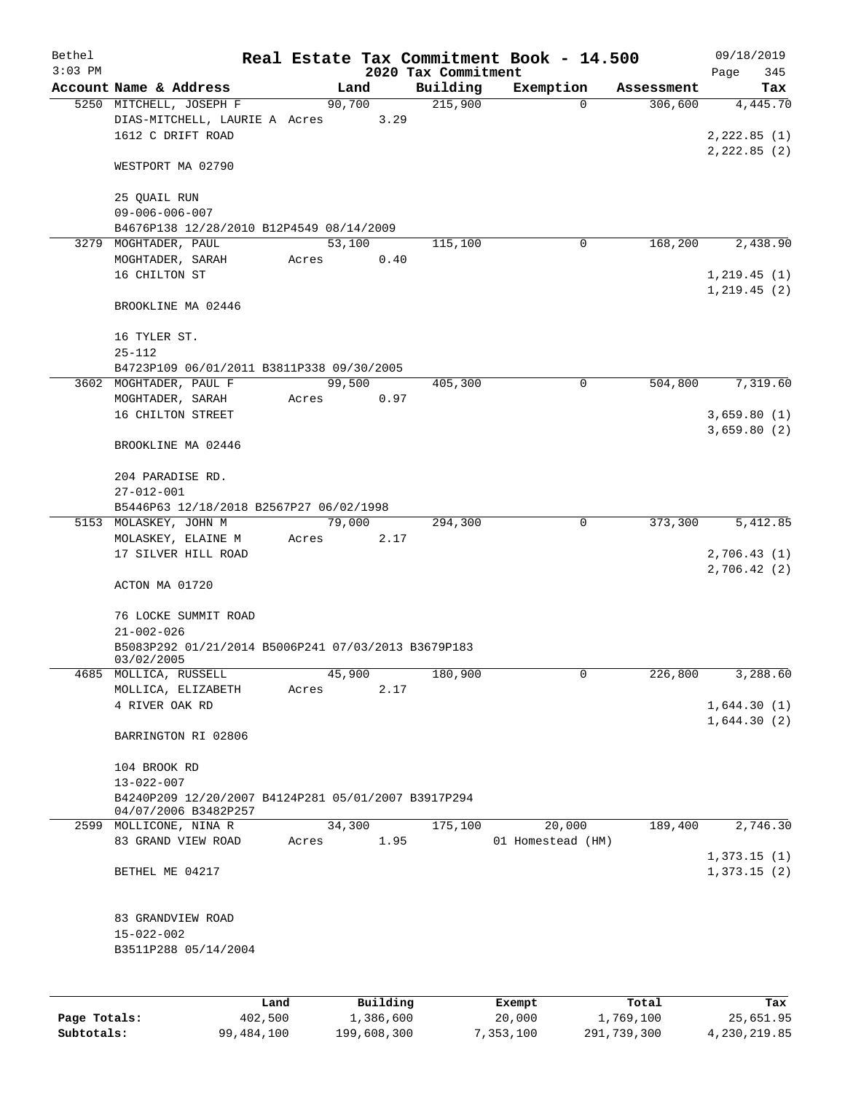| Bethel<br>$3:03$ PM |                                                                                                 |       |        |           | 2020 Tax Commitment | Real Estate Tax Commitment Book - 14.500 |            | 09/18/2019<br>Page<br>345    |
|---------------------|-------------------------------------------------------------------------------------------------|-------|--------|-----------|---------------------|------------------------------------------|------------|------------------------------|
|                     | Account Name & Address                                                                          |       | Land   |           | Building            | Exemption                                | Assessment | Tax                          |
|                     | 5250 MITCHELL, JOSEPH F                                                                         |       | 90,700 |           | 215,900             | $\Omega$                                 | 306,600    | 4,445.70                     |
|                     | DIAS-MITCHELL, LAURIE A Acres<br>1612 C DRIFT ROAD                                              |       |        | 3.29      |                     |                                          |            | 2,222.85(1)<br>2, 222.85 (2) |
|                     | WESTPORT MA 02790                                                                               |       |        |           |                     |                                          |            |                              |
|                     | 25 QUAIL RUN<br>$09 - 006 - 006 - 007$                                                          |       |        |           |                     |                                          |            |                              |
|                     | B4676P138 12/28/2010 B12P4549 08/14/2009                                                        |       |        |           |                     |                                          |            |                              |
|                     | 3279 MOGHTADER, PAUL                                                                            |       | 53,100 |           | 115,100             | 0                                        | 168,200    | 2,438.90                     |
|                     | MOGHTADER, SARAH<br>16 CHILTON ST                                                               | Acres |        | 0.40      |                     |                                          |            | 1, 219.45(1)<br>1, 219.45(2) |
|                     | BROOKLINE MA 02446                                                                              |       |        |           |                     |                                          |            |                              |
|                     | 16 TYLER ST.<br>$25 - 112$                                                                      |       |        |           |                     |                                          |            |                              |
|                     | B4723P109 06/01/2011 B3811P338 09/30/2005                                                       |       |        |           |                     |                                          |            |                              |
|                     | 3602 MOGHTADER, PAUL F                                                                          |       | 99,500 |           | 405,300             | $\mathbf 0$                              | 504,800    | 7,319.60                     |
|                     | MOGHTADER, SARAH<br>16 CHILTON STREET                                                           | Acres |        | 0.97      |                     |                                          |            | 3,659.80(1)<br>3,659.80(2)   |
|                     | BROOKLINE MA 02446                                                                              |       |        |           |                     |                                          |            |                              |
|                     | 204 PARADISE RD.<br>$27 - 012 - 001$                                                            |       |        |           |                     |                                          |            |                              |
|                     | B5446P63 12/18/2018 B2567P27 06/02/1998                                                         |       |        |           |                     |                                          |            |                              |
|                     | 5153 MOLASKEY, JOHN M                                                                           |       | 79,000 |           | 294,300             | 0                                        | 373,300    | 5,412.85                     |
|                     | MOLASKEY, ELAINE M                                                                              | Acres |        | 2.17      |                     |                                          |            |                              |
|                     | 17 SILVER HILL ROAD                                                                             |       |        |           |                     |                                          |            | 2,706.43(1)<br>2,706.42(2)   |
|                     | ACTON MA 01720                                                                                  |       |        |           |                     |                                          |            |                              |
|                     | 76 LOCKE SUMMIT ROAD<br>$21 - 002 - 026$<br>B5083P292 01/21/2014 B5006P241 07/03/2013 B3679P183 |       |        |           |                     |                                          |            |                              |
|                     | 03/02/2005                                                                                      |       |        |           |                     |                                          |            |                              |
|                     | 4685 MOLLICA, RUSSELL                                                                           |       | 45,900 |           | 180,900             | 0                                        | 226,800    | 3,288.60                     |
|                     | MOLLICA, ELIZABETH                                                                              | Acres |        | 2.17      |                     |                                          |            |                              |
|                     | 4 RIVER OAK RD                                                                                  |       |        |           |                     |                                          |            | 1,644.30(1)<br>1,644.30(2)   |
|                     | BARRINGTON RI 02806                                                                             |       |        |           |                     |                                          |            |                              |
|                     | 104 BROOK RD                                                                                    |       |        |           |                     |                                          |            |                              |
|                     | $13 - 022 - 007$<br>B4240P209 12/20/2007 B4124P281 05/01/2007 B3917P294<br>04/07/2006 B3482P257 |       |        |           |                     |                                          |            |                              |
|                     | 2599 MOLLICONE, NINA R<br>83 GRAND VIEW ROAD                                                    | Acres | 34,300 | 1.95      | 175,100             | 20,000<br>01 Homestead (HM)              | 189,400    | 2,746.30                     |
|                     |                                                                                                 |       |        |           |                     |                                          |            | 1,373.15(1)                  |
|                     | BETHEL ME 04217                                                                                 |       |        |           |                     |                                          |            | 1,373.15(2)                  |
|                     | 83 GRANDVIEW ROAD                                                                               |       |        |           |                     |                                          |            |                              |
|                     | $15 - 022 - 002$<br>B3511P288 05/14/2004                                                        |       |        |           |                     |                                          |            |                              |
|                     |                                                                                                 |       |        |           |                     |                                          |            |                              |
|                     | Land                                                                                            |       |        | Building  |                     | Exempt                                   | Total      | Tax                          |
| Page Totals:        | 402,500                                                                                         |       |        | 1,386,600 |                     | 20,000                                   | 1,769,100  | 25,651.95                    |

**Subtotals:** 99,484,100 199,608,300 7,353,100 291,739,300 4,230,219.85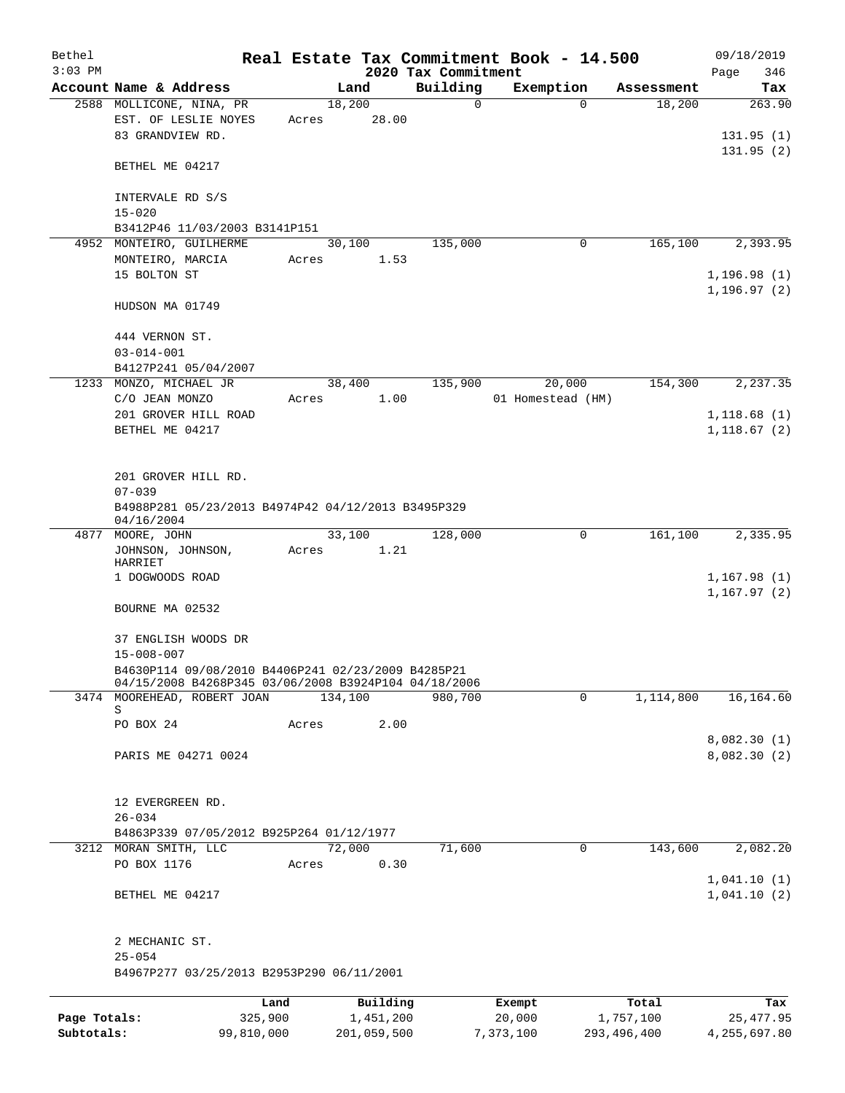| Bethel       |                                                                      |            |       |                |       | Real Estate Tax Commitment Book - 14.500 |                   |          |                      | 09/18/2019                   |               |
|--------------|----------------------------------------------------------------------|------------|-------|----------------|-------|------------------------------------------|-------------------|----------|----------------------|------------------------------|---------------|
| $3:03$ PM    |                                                                      |            |       |                |       | 2020 Tax Commitment                      |                   |          |                      | Page                         | 346           |
|              | Account Name & Address                                               |            |       | Land<br>18,200 |       | Building<br>0                            | Exemption         | $\Omega$ | Assessment<br>18,200 |                              | Tax<br>263.90 |
|              | 2588 MOLLICONE, NINA, PR<br>EST. OF LESLIE NOYES<br>83 GRANDVIEW RD. |            | Acres |                | 28.00 |                                          |                   |          |                      | 131.95(1)                    |               |
|              | BETHEL ME 04217                                                      |            |       |                |       |                                          |                   |          |                      | 131.95(2)                    |               |
|              | INTERVALE RD S/S<br>$15 - 020$                                       |            |       |                |       |                                          |                   |          |                      |                              |               |
|              | B3412P46 11/03/2003 B3141P151                                        |            |       |                |       |                                          |                   |          |                      |                              |               |
|              | 4952 MONTEIRO, GUILHERME                                             |            |       | 30,100         |       | 135,000                                  |                   | 0        | 165, 100             |                              | 2,393.95      |
|              | MONTEIRO, MARCIA                                                     |            | Acres |                | 1.53  |                                          |                   |          |                      |                              |               |
|              | 15 BOLTON ST                                                         |            |       |                |       |                                          |                   |          |                      | 1, 196.98(1)<br>1, 196.97(2) |               |
|              | HUDSON MA 01749                                                      |            |       |                |       |                                          |                   |          |                      |                              |               |
|              | 444 VERNON ST.                                                       |            |       |                |       |                                          |                   |          |                      |                              |               |
|              | $03 - 014 - 001$<br>B4127P241 05/04/2007                             |            |       |                |       |                                          |                   |          |                      |                              |               |
|              | 1233 MONZO, MICHAEL JR                                               |            |       | 38,400         |       | 135,900                                  |                   | 20,000   | 154,300              |                              | 2,237.35      |
|              | C/O JEAN MONZO                                                       |            | Acres |                | 1.00  |                                          | 01 Homestead (HM) |          |                      |                              |               |
|              | 201 GROVER HILL ROAD                                                 |            |       |                |       |                                          |                   |          |                      | 1,118.68(1)                  |               |
|              | BETHEL ME 04217                                                      |            |       |                |       |                                          |                   |          |                      | 1, 118.67(2)                 |               |
|              | 201 GROVER HILL RD.<br>$07 - 039$                                    |            |       |                |       |                                          |                   |          |                      |                              |               |
|              | B4988P281 05/23/2013 B4974P42 04/12/2013 B3495P329<br>04/16/2004     |            |       |                |       |                                          |                   |          |                      |                              |               |
|              | 4877 MOORE, JOHN                                                     |            |       | 33,100         |       | 128,000                                  |                   | 0        | 161,100              |                              | 2,335.95      |
|              | JOHNSON, JOHNSON,<br>HARRIET                                         |            | Acres |                | 1.21  |                                          |                   |          |                      |                              |               |
|              | 1 DOGWOODS ROAD                                                      |            |       |                |       |                                          |                   |          |                      | 1,167.98(1)<br>1, 167.97(2)  |               |
|              | BOURNE MA 02532                                                      |            |       |                |       |                                          |                   |          |                      |                              |               |
|              | 37 ENGLISH WOODS DR                                                  |            |       |                |       |                                          |                   |          |                      |                              |               |
|              | $15 - 008 - 007$                                                     |            |       |                |       |                                          |                   |          |                      |                              |               |
|              | B4630P114 09/08/2010 B4406P241 02/23/2009 B4285P21                   |            |       |                |       |                                          |                   |          |                      |                              |               |
|              | 04/15/2008 B4268P345 03/06/2008 B3924P104 04/18/2006                 |            |       |                |       |                                          |                   |          |                      |                              |               |
|              | 3474 MOOREHEAD, ROBERT JOAN<br>S                                     |            |       | 134,100        |       | 980,700                                  |                   | 0        | 1,114,800            |                              | 16,164.60     |
|              | PO BOX 24                                                            |            | Acres |                | 2.00  |                                          |                   |          |                      |                              |               |
|              |                                                                      |            |       |                |       |                                          |                   |          |                      | 8,082.30(1)                  |               |
|              | PARIS ME 04271 0024                                                  |            |       |                |       |                                          |                   |          |                      | 8,082.30(2)                  |               |
|              | 12 EVERGREEN RD.                                                     |            |       |                |       |                                          |                   |          |                      |                              |               |
|              | $26 - 034$                                                           |            |       |                |       |                                          |                   |          |                      |                              |               |
|              | B4863P339 07/05/2012 B925P264 01/12/1977                             |            |       |                |       |                                          |                   |          |                      |                              |               |
|              | 3212 MORAN SMITH, LLC                                                |            |       | 72,000         |       | 71,600                                   |                   | 0        | 143,600              |                              | 2,082.20      |
|              | PO BOX 1176                                                          |            | Acres |                | 0.30  |                                          |                   |          |                      | 1,041.10(1)                  |               |
|              | BETHEL ME 04217                                                      |            |       |                |       |                                          |                   |          |                      | 1,041.10(2)                  |               |
|              | 2 MECHANIC ST.<br>$25 - 054$                                         |            |       |                |       |                                          |                   |          |                      |                              |               |
|              | B4967P277 03/25/2013 B2953P290 06/11/2001                            |            |       |                |       |                                          |                   |          |                      |                              |               |
|              |                                                                      | Land       |       | Building       |       |                                          | Exempt            |          | Total                |                              | Tax           |
| Page Totals: |                                                                      | 325,900    |       | 1,451,200      |       |                                          | 20,000            |          | 1,757,100            |                              | 25, 477.95    |
| Subtotals:   |                                                                      | 99,810,000 |       | 201,059,500    |       |                                          | 7,373,100         |          | 293, 496, 400        | 4,255,697.80                 |               |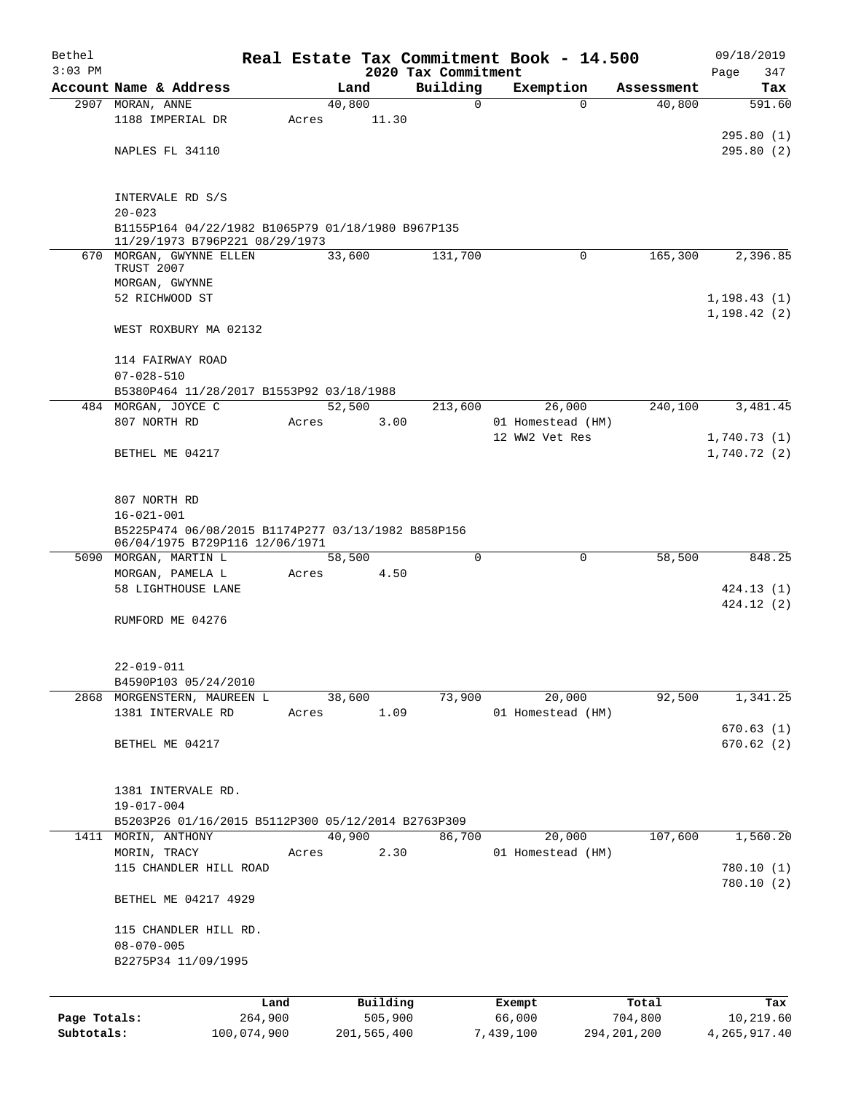| Bethel       |                                                                                      |             |       |                |          |                     | Real Estate Tax Commitment Book - 14.500 |                      | 09/18/2019     |
|--------------|--------------------------------------------------------------------------------------|-------------|-------|----------------|----------|---------------------|------------------------------------------|----------------------|----------------|
| $3:03$ PM    |                                                                                      |             |       |                |          | 2020 Tax Commitment |                                          |                      | 347<br>Page    |
|              | Account Name & Address                                                               |             |       | Land<br>40,800 |          | Building<br>0       | Exemption<br>$\Omega$                    | Assessment<br>40,800 | Tax<br>591.60  |
|              | 2907 MORAN, ANNE<br>1188 IMPERIAL DR                                                 |             | Acres |                | 11.30    |                     |                                          |                      |                |
|              |                                                                                      |             |       |                |          |                     |                                          |                      | 295.80(1)      |
|              | NAPLES FL 34110                                                                      |             |       |                |          |                     |                                          |                      | 295.80(2)      |
|              |                                                                                      |             |       |                |          |                     |                                          |                      |                |
|              |                                                                                      |             |       |                |          |                     |                                          |                      |                |
|              | INTERVALE RD S/S                                                                     |             |       |                |          |                     |                                          |                      |                |
|              | $20 - 023$                                                                           |             |       |                |          |                     |                                          |                      |                |
|              | B1155P164 04/22/1982 B1065P79 01/18/1980 B967P135<br>11/29/1973 B796P221 08/29/1973  |             |       |                |          |                     |                                          |                      |                |
|              | 670 MORGAN, GWYNNE ELLEN                                                             |             |       | 33,600         |          | 131,700             | $\Omega$                                 | 165,300              | 2,396.85       |
|              | TRUST 2007                                                                           |             |       |                |          |                     |                                          |                      |                |
|              | MORGAN, GWYNNE                                                                       |             |       |                |          |                     |                                          |                      |                |
|              | 52 RICHWOOD ST                                                                       |             |       |                |          |                     |                                          |                      | 1, 198.43(1)   |
|              |                                                                                      |             |       |                |          |                     |                                          |                      | 1,198.42(2)    |
|              | WEST ROXBURY MA 02132                                                                |             |       |                |          |                     |                                          |                      |                |
|              | 114 FAIRWAY ROAD                                                                     |             |       |                |          |                     |                                          |                      |                |
|              | $07 - 028 - 510$                                                                     |             |       |                |          |                     |                                          |                      |                |
|              | B5380P464 11/28/2017 B1553P92 03/18/1988                                             |             |       |                |          |                     |                                          |                      |                |
|              | 484 MORGAN, JOYCE C                                                                  |             |       | 52,500         |          | 213,600             | 26,000                                   | 240,100              | 3,481.45       |
|              | 807 NORTH RD                                                                         |             | Acres |                | 3.00     |                     | 01 Homestead (HM)                        |                      |                |
|              |                                                                                      |             |       |                |          |                     | 12 WW2 Vet Res                           |                      | 1,740.73(1)    |
|              | BETHEL ME 04217                                                                      |             |       |                |          |                     |                                          |                      | 1,740.72(2)    |
|              |                                                                                      |             |       |                |          |                     |                                          |                      |                |
|              |                                                                                      |             |       |                |          |                     |                                          |                      |                |
|              | 807 NORTH RD                                                                         |             |       |                |          |                     |                                          |                      |                |
|              | $16 - 021 - 001$                                                                     |             |       |                |          |                     |                                          |                      |                |
|              | B5225P474 06/08/2015 B1174P277 03/13/1982 B858P156<br>06/04/1975 B729P116 12/06/1971 |             |       |                |          |                     |                                          |                      |                |
|              | 5090 MORGAN, MARTIN L                                                                |             |       | 58,500         |          | $\Omega$            | $\Omega$                                 | 58,500               | 848.25         |
|              | MORGAN, PAMELA L                                                                     |             | Acres |                | 4.50     |                     |                                          |                      |                |
|              | 58 LIGHTHOUSE LANE                                                                   |             |       |                |          |                     |                                          |                      | 424.13(1)      |
|              |                                                                                      |             |       |                |          |                     |                                          |                      | 424.12 (2)     |
|              | RUMFORD ME 04276                                                                     |             |       |                |          |                     |                                          |                      |                |
|              |                                                                                      |             |       |                |          |                     |                                          |                      |                |
|              |                                                                                      |             |       |                |          |                     |                                          |                      |                |
|              | $22 - 019 - 011$<br>B4590P103 05/24/2010                                             |             |       |                |          |                     |                                          |                      |                |
|              | 2868 MORGENSTERN, MAUREEN L                                                          |             |       | 38,600         |          | 73,900              | 20,000                                   | 92,500               | 1,341.25       |
|              | 1381 INTERVALE RD                                                                    |             | Acres |                | 1.09     |                     | 01 Homestead (HM)                        |                      |                |
|              |                                                                                      |             |       |                |          |                     |                                          |                      | 670.63(1)      |
|              | BETHEL ME 04217                                                                      |             |       |                |          |                     |                                          |                      | 670.62(2)      |
|              |                                                                                      |             |       |                |          |                     |                                          |                      |                |
|              |                                                                                      |             |       |                |          |                     |                                          |                      |                |
|              | 1381 INTERVALE RD.                                                                   |             |       |                |          |                     |                                          |                      |                |
|              | $19 - 017 - 004$                                                                     |             |       |                |          |                     |                                          |                      |                |
|              | B5203P26 01/16/2015 B5112P300 05/12/2014 B2763P309                                   |             |       |                |          |                     |                                          |                      |                |
|              | 1411 MORIN, ANTHONY                                                                  |             |       | 40,900         |          | 86,700              | 20,000                                   | 107,600              | 1,560.20       |
|              | MORIN, TRACY<br>115 CHANDLER HILL ROAD                                               |             | Acres |                | 2.30     |                     | 01 Homestead (HM)                        |                      | 780.10 (1)     |
|              |                                                                                      |             |       |                |          |                     |                                          |                      | 780.10 (2)     |
|              | BETHEL ME 04217 4929                                                                 |             |       |                |          |                     |                                          |                      |                |
|              |                                                                                      |             |       |                |          |                     |                                          |                      |                |
|              | 115 CHANDLER HILL RD.                                                                |             |       |                |          |                     |                                          |                      |                |
|              | $08 - 070 - 005$                                                                     |             |       |                |          |                     |                                          |                      |                |
|              | B2275P34 11/09/1995                                                                  |             |       |                |          |                     |                                          |                      |                |
|              |                                                                                      |             |       |                |          |                     |                                          |                      |                |
|              |                                                                                      | Land        |       |                | Building |                     | Exempt                                   | Total                | Tax            |
| Page Totals: |                                                                                      | 264,900     |       |                | 505,900  |                     | 66,000                                   | 704,800              | 10,219.60      |
| Subtotals:   |                                                                                      | 100,074,900 |       | 201,565,400    |          |                     | 7,439,100                                | 294, 201, 200        | 4, 265, 917.40 |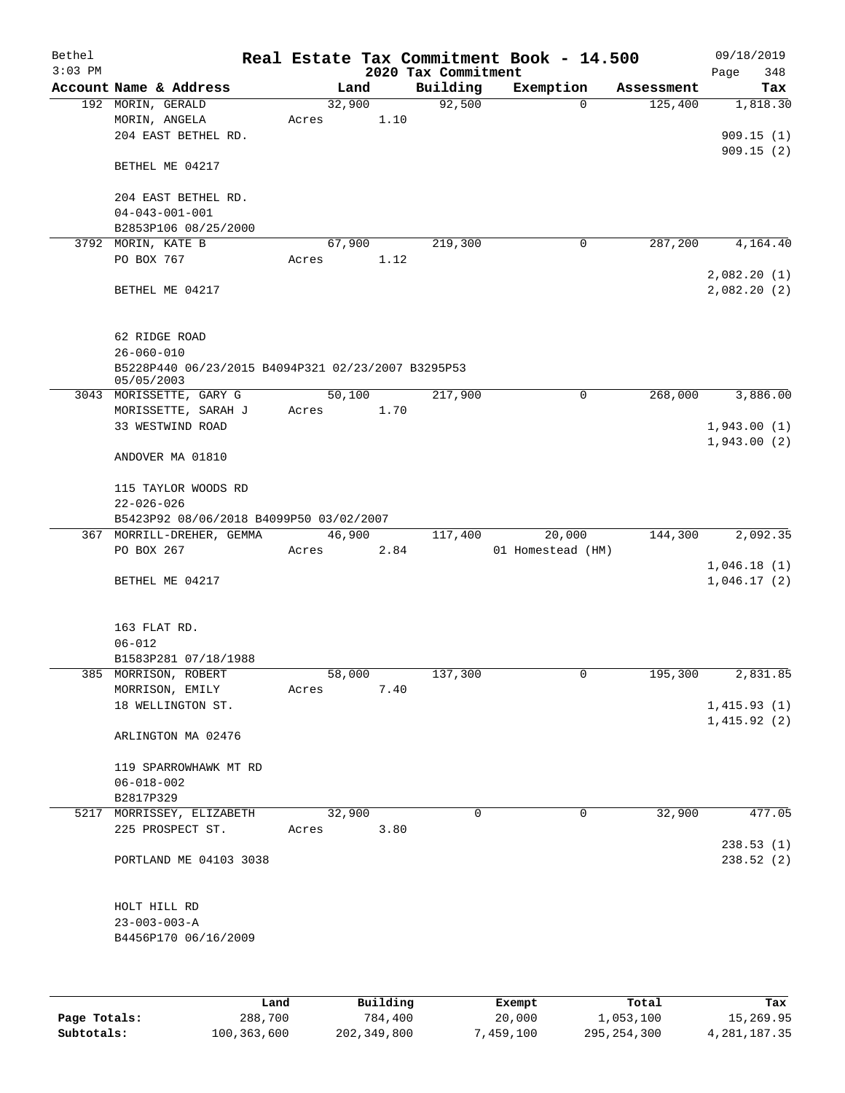| Bethel    |                                                                  |       |        |          |                     | Real Estate Tax Commitment Book - 14.500 |            | 09/18/2019                 |
|-----------|------------------------------------------------------------------|-------|--------|----------|---------------------|------------------------------------------|------------|----------------------------|
| $3:03$ PM |                                                                  |       |        |          | 2020 Tax Commitment |                                          |            | Page<br>348                |
|           | Account Name & Address                                           |       | Land   |          | Building<br>92,500  | Exemption<br>$\mathbf 0$                 | Assessment | Tax                        |
|           | 192 MORIN, GERALD<br>MORIN, ANGELA                               |       | 32,900 | 1.10     |                     |                                          | 125,400    | 1,818.30                   |
|           | 204 EAST BETHEL RD.                                              | Acres |        |          |                     |                                          |            | 909.15(1)                  |
|           |                                                                  |       |        |          |                     |                                          |            | 909.15(2)                  |
|           | BETHEL ME 04217                                                  |       |        |          |                     |                                          |            |                            |
|           | 204 EAST BETHEL RD.                                              |       |        |          |                     |                                          |            |                            |
|           | $04 - 043 - 001 - 001$                                           |       |        |          |                     |                                          |            |                            |
|           | B2853P106 08/25/2000                                             |       |        |          |                     |                                          |            |                            |
|           | 3792 MORIN, KATE B                                               |       | 67,900 |          | 219,300             | 0                                        | 287,200    | 4,164.40                   |
|           | PO BOX 767                                                       | Acres |        | 1.12     |                     |                                          |            |                            |
|           | BETHEL ME 04217                                                  |       |        |          |                     |                                          |            | 2,082.20(1)<br>2,082.20(2) |
|           | 62 RIDGE ROAD                                                    |       |        |          |                     |                                          |            |                            |
|           | $26 - 060 - 010$                                                 |       |        |          |                     |                                          |            |                            |
|           | B5228P440 06/23/2015 B4094P321 02/23/2007 B3295P53<br>05/05/2003 |       |        |          |                     |                                          |            |                            |
|           | 3043 MORISSETTE, GARY G                                          |       | 50,100 |          | 217,900             | 0                                        | 268,000    | 3,886.00                   |
|           | MORISSETTE, SARAH J                                              | Acres |        | 1.70     |                     |                                          |            |                            |
|           | 33 WESTWIND ROAD                                                 |       |        |          |                     |                                          |            | 1,943.00(1)                |
|           | ANDOVER MA 01810                                                 |       |        |          |                     |                                          |            | 1,943.00(2)                |
|           | 115 TAYLOR WOODS RD                                              |       |        |          |                     |                                          |            |                            |
|           | $22 - 026 - 026$                                                 |       |        |          |                     |                                          |            |                            |
|           | B5423P92 08/06/2018 B4099P50 03/02/2007                          |       |        |          |                     |                                          |            |                            |
|           | 367 MORRILL-DREHER, GEMMA                                        |       | 46,900 |          | 117,400             | 20,000                                   | 144,300    | 2,092.35                   |
|           | PO BOX 267                                                       | Acres |        | 2.84     |                     | 01 Homestead (HM)                        |            |                            |
|           | BETHEL ME 04217                                                  |       |        |          |                     |                                          |            | 1,046.18(1)<br>1,046.17(2) |
|           | 163 FLAT RD.                                                     |       |        |          |                     |                                          |            |                            |
|           | $06 - 012$                                                       |       |        |          |                     |                                          |            |                            |
|           | B1583P281 07/18/1988                                             |       |        |          |                     |                                          |            |                            |
|           | 385 MORRISON, ROBERT                                             |       | 58,000 |          | 137,300             | 0                                        | 195,300    | 2,831.85                   |
|           | MORRISON, EMILY                                                  | Acres |        | 7.40     |                     |                                          |            |                            |
|           | 18 WELLINGTON ST.                                                |       |        |          |                     |                                          |            | 1,415.93(1)                |
|           | ARLINGTON MA 02476                                               |       |        |          |                     |                                          |            | 1,415.92(2)                |
|           | 119 SPARROWHAWK MT RD                                            |       |        |          |                     |                                          |            |                            |
|           | $06 - 018 - 002$                                                 |       |        |          |                     |                                          |            |                            |
|           | B2817P329                                                        |       |        |          |                     |                                          |            |                            |
|           | 5217 MORRISSEY, ELIZABETH                                        |       | 32,900 |          | $\Omega$            | 0                                        | 32,900     | 477.05                     |
|           | 225 PROSPECT ST.                                                 | Acres |        | 3.80     |                     |                                          |            | 238.53(1)                  |
|           | PORTLAND ME 04103 3038                                           |       |        |          |                     |                                          |            | 238.52(2)                  |
|           |                                                                  |       |        |          |                     |                                          |            |                            |
|           | HOLT HILL RD                                                     |       |        |          |                     |                                          |            |                            |
|           | $23 - 003 - 003 - A$                                             |       |        |          |                     |                                          |            |                            |
|           | B4456P170 06/16/2009                                             |       |        |          |                     |                                          |            |                            |
|           |                                                                  |       |        |          |                     |                                          |            |                            |
|           |                                                                  | Land  |        | Building |                     | Exempt                                   | Total      | Tax                        |

|              | úand        | Building    | Exempt    | Total         | Tax          |
|--------------|-------------|-------------|-----------|---------------|--------------|
| Page Totals: | 288,700     | 784,400     | 20,000    | 1,053,100     | 15,269.95    |
| Subtotals:   | 100,363,600 | 202,349,800 | 7,459,100 | 295, 254, 300 | 4,281,187.35 |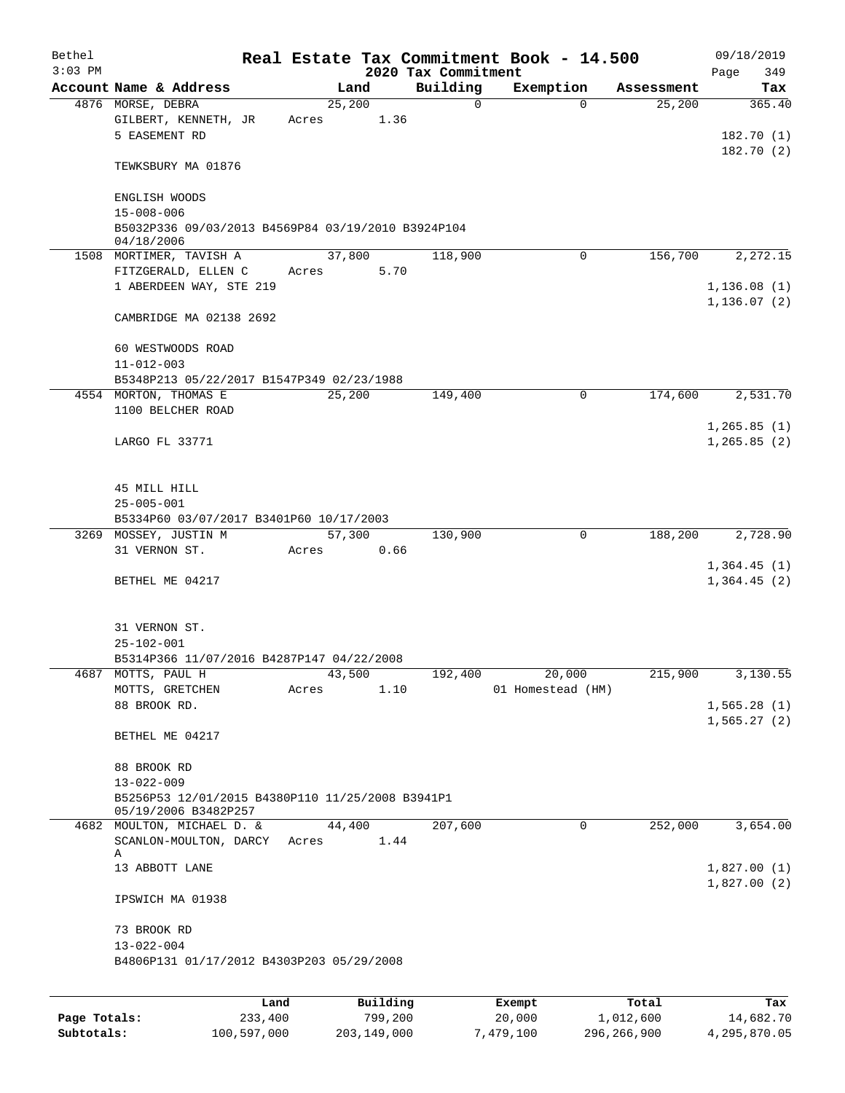| Bethel<br>$3:03$ PM |                                                                          |                 |       |        |                     | 2020 Tax Commitment | Real Estate Tax Commitment Book - 14.500 |             |                    | 09/18/2019<br>Page<br>349   |
|---------------------|--------------------------------------------------------------------------|-----------------|-------|--------|---------------------|---------------------|------------------------------------------|-------------|--------------------|-----------------------------|
|                     | Account Name & Address                                                   |                 |       | Land   |                     | Building            | Exemption                                |             | Assessment         | Tax                         |
|                     | 4876 MORSE, DEBRA                                                        |                 |       | 25,200 |                     | 0                   |                                          | $\Omega$    | 25,200             | 365.40                      |
|                     | GILBERT, KENNETH, JR<br>5 EASEMENT RD                                    |                 | Acres |        | 1.36                |                     |                                          |             |                    | 182.70(1)<br>182.70(2)      |
|                     | TEWKSBURY MA 01876                                                       |                 |       |        |                     |                     |                                          |             |                    |                             |
|                     | ENGLISH WOODS<br>$15 - 008 - 006$                                        |                 |       |        |                     |                     |                                          |             |                    |                             |
|                     | B5032P336 09/03/2013 B4569P84 03/19/2010 B3924P104<br>04/18/2006         |                 |       |        |                     |                     |                                          |             |                    |                             |
|                     | 1508 MORTIMER, TAVISH A                                                  |                 |       | 37,800 |                     | 118,900             |                                          | 0           | 156,700            | 2,272.15                    |
|                     | FITZGERALD, ELLEN C<br>1 ABERDEEN WAY, STE 219                           |                 | Acres |        | 5.70                |                     |                                          |             |                    | 1,136.08(1)<br>1, 136.07(2) |
|                     | CAMBRIDGE MA 02138 2692                                                  |                 |       |        |                     |                     |                                          |             |                    |                             |
|                     | 60 WESTWOODS ROAD<br>$11 - 012 - 003$                                    |                 |       |        |                     |                     |                                          |             |                    |                             |
|                     | B5348P213 05/22/2017 B1547P349 02/23/1988                                |                 |       |        |                     |                     |                                          |             |                    |                             |
|                     | 4554 MORTON, THOMAS E                                                    |                 |       | 25,200 |                     | 149,400             |                                          | $\mathbf 0$ | 174,600            | 2,531.70                    |
|                     | 1100 BELCHER ROAD                                                        |                 |       |        |                     |                     |                                          |             |                    |                             |
|                     | LARGO FL 33771                                                           |                 |       |        |                     |                     |                                          |             |                    | 1,265.85(1)<br>1,265.85(2)  |
|                     | 45 MILL HILL<br>$25 - 005 - 001$                                         |                 |       |        |                     |                     |                                          |             |                    |                             |
|                     | B5334P60 03/07/2017 B3401P60 10/17/2003                                  |                 |       |        |                     |                     |                                          |             |                    |                             |
|                     | 3269 MOSSEY, JUSTIN M                                                    |                 |       | 57,300 |                     | 130,900             |                                          | 0           | 188,200            | 2,728.90                    |
|                     | 31 VERNON ST.                                                            |                 | Acres |        | 0.66                |                     |                                          |             |                    |                             |
|                     | BETHEL ME 04217                                                          |                 |       |        |                     |                     |                                          |             |                    | 1,364.45(1)<br>1,364.45(2)  |
|                     | 31 VERNON ST.                                                            |                 |       |        |                     |                     |                                          |             |                    |                             |
|                     | $25 - 102 - 001$                                                         |                 |       |        |                     |                     |                                          |             |                    |                             |
|                     | B5314P366 11/07/2016 B4287P147 04/22/2008                                |                 |       |        |                     |                     |                                          |             |                    |                             |
|                     | 4687 MOTTS, PAUL H                                                       |                 |       | 43,500 | 1.10                | 192,400             |                                          | 20,000      | 215,900            | 3,130.55                    |
|                     | MOTTS, GRETCHEN<br>88 BROOK RD.                                          |                 | Acres |        |                     |                     | 01 Homestead (HM)                        |             |                    | 1,565.28(1)<br>1,565.27(2)  |
|                     | BETHEL ME 04217                                                          |                 |       |        |                     |                     |                                          |             |                    |                             |
|                     | 88 BROOK RD                                                              |                 |       |        |                     |                     |                                          |             |                    |                             |
|                     | $13 - 022 - 009$                                                         |                 |       |        |                     |                     |                                          |             |                    |                             |
|                     | B5256P53 12/01/2015 B4380P110 11/25/2008 B3941P1<br>05/19/2006 B3482P257 |                 |       |        |                     |                     |                                          |             |                    |                             |
|                     | 4682 MOULTON, MICHAEL D. &<br>SCANLON-MOULTON, DARCY<br>Α                |                 | Acres | 44,400 | 1.44                | 207,600             |                                          | $\mathbf 0$ | 252,000            | 3,654.00                    |
|                     | 13 ABBOTT LANE                                                           |                 |       |        |                     |                     |                                          |             |                    | 1,827.00(1)<br>1,827.00(2)  |
|                     | IPSWICH MA 01938                                                         |                 |       |        |                     |                     |                                          |             |                    |                             |
|                     | 73 BROOK RD<br>$13 - 022 - 004$                                          |                 |       |        |                     |                     |                                          |             |                    |                             |
|                     | B4806P131 01/17/2012 B4303P203 05/29/2008                                |                 |       |        |                     |                     |                                          |             |                    |                             |
|                     |                                                                          |                 |       |        |                     |                     |                                          |             |                    |                             |
| Page Totals:        |                                                                          | Land<br>233,400 |       |        | Building<br>799,200 |                     | Exempt<br>20,000                         |             | Total<br>1,012,600 | Tax<br>14,682.70            |

**Subtotals:** 100,597,000 203,149,000 7,479,100 296,266,900 4,295,870.05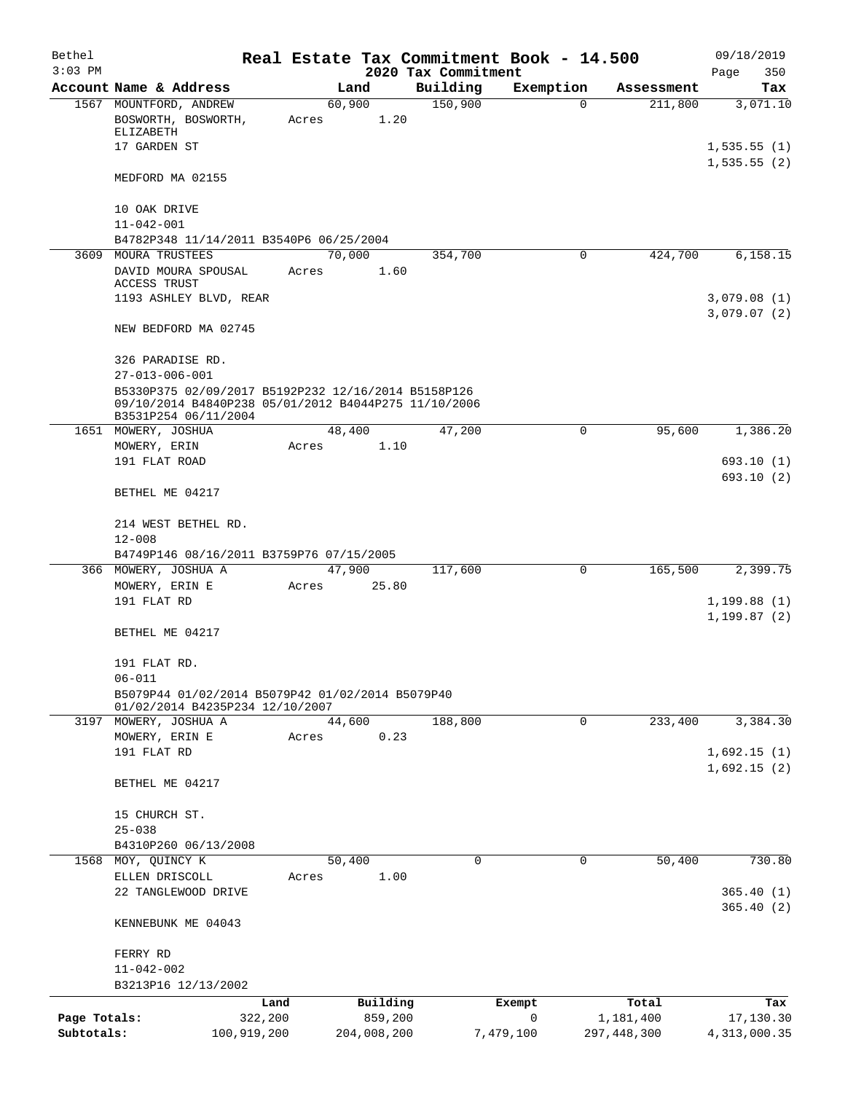| Bethel       |                                                                                                                                     |       |                     |                     | Real Estate Tax Commitment Book - 14.500 |                    | 09/18/2019                  |
|--------------|-------------------------------------------------------------------------------------------------------------------------------------|-------|---------------------|---------------------|------------------------------------------|--------------------|-----------------------------|
| $3:03$ PM    |                                                                                                                                     |       |                     | 2020 Tax Commitment |                                          |                    | Page<br>350                 |
|              | Account Name & Address                                                                                                              |       | Land                | Building            | Exemption                                | Assessment         | Tax                         |
|              | 1567 MOUNTFORD, ANDREW<br>BOSWORTH, BOSWORTH,<br>ELIZABETH                                                                          | Acres | 60,900<br>1.20      | 150,900             | $\Omega$                                 | 211,800            | 3,071.10                    |
|              | 17 GARDEN ST                                                                                                                        |       |                     |                     |                                          |                    | 1,535.55(1)<br>1,535.55(2)  |
|              | MEDFORD MA 02155                                                                                                                    |       |                     |                     |                                          |                    |                             |
|              | 10 OAK DRIVE                                                                                                                        |       |                     |                     |                                          |                    |                             |
|              | $11 - 042 - 001$<br>B4782P348 11/14/2011 B3540P6 06/25/2004                                                                         |       |                     |                     |                                          |                    |                             |
|              | 3609 MOURA TRUSTEES                                                                                                                 |       | 70,000              | 354,700             | 0                                        | 424,700            | 6,158.15                    |
|              | DAVID MOURA SPOUSAL<br>ACCESS TRUST                                                                                                 | Acres | 1.60                |                     |                                          |                    |                             |
|              | 1193 ASHLEY BLVD, REAR                                                                                                              |       |                     |                     |                                          |                    | 3,079.08(1)<br>3,079.07(2)  |
|              | NEW BEDFORD MA 02745                                                                                                                |       |                     |                     |                                          |                    |                             |
|              | 326 PARADISE RD.<br>$27 - 013 - 006 - 001$                                                                                          |       |                     |                     |                                          |                    |                             |
|              | B5330P375 02/09/2017 B5192P232 12/16/2014 B5158P126<br>09/10/2014 B4840P238 05/01/2012 B4044P275 11/10/2006<br>B3531P254 06/11/2004 |       |                     |                     |                                          |                    |                             |
|              | 1651 MOWERY, JOSHUA                                                                                                                 |       | 48,400              | 47,200              | $\mathsf{O}$                             | 95,600             | 1,386.20                    |
|              | MOWERY, ERIN                                                                                                                        | Acres | 1.10                |                     |                                          |                    |                             |
|              | 191 FLAT ROAD                                                                                                                       |       |                     |                     |                                          |                    | 693.10 (1)                  |
|              | BETHEL ME 04217                                                                                                                     |       |                     |                     |                                          |                    | 693.10(2)                   |
|              | 214 WEST BETHEL RD.<br>$12 - 008$                                                                                                   |       |                     |                     |                                          |                    |                             |
|              | B4749P146 08/16/2011 B3759P76 07/15/2005                                                                                            |       |                     |                     |                                          |                    |                             |
|              | 366 MOWERY, JOSHUA A                                                                                                                |       | 47,900              | 117,600             | 0                                        | 165,500            | 2,399.75                    |
|              | MOWERY, ERIN E                                                                                                                      | Acres | 25.80               |                     |                                          |                    |                             |
|              | 191 FLAT RD                                                                                                                         |       |                     |                     |                                          |                    | 1,199.88(1)<br>1, 199.87(2) |
|              | BETHEL ME 04217                                                                                                                     |       |                     |                     |                                          |                    |                             |
|              | 191 FLAT RD.<br>$06 - 011$                                                                                                          |       |                     |                     |                                          |                    |                             |
|              | B5079P44 01/02/2014 B5079P42 01/02/2014 B5079P40<br>01/02/2014 B4235P234 12/10/2007                                                 |       |                     |                     |                                          |                    |                             |
|              | 3197 MOWERY, JOSHUA A                                                                                                               |       | 44,600              | 188,800             | 0                                        | 233,400            | 3,384.30                    |
|              | MOWERY, ERIN E<br>191 FLAT RD                                                                                                       | Acres | 0.23                |                     |                                          |                    | 1,692.15(1)                 |
|              | BETHEL ME 04217                                                                                                                     |       |                     |                     |                                          |                    | 1,692.15(2)                 |
|              | 15 CHURCH ST.                                                                                                                       |       |                     |                     |                                          |                    |                             |
|              | $25 - 038$                                                                                                                          |       |                     |                     |                                          |                    |                             |
|              | B4310P260 06/13/2008<br>1568 MOY, QUINCY K                                                                                          |       | 50,400              | $\Omega$            | $\mathbf 0$                              | 50,400             | 730.80                      |
|              | ELLEN DRISCOLL                                                                                                                      | Acres | 1.00                |                     |                                          |                    |                             |
|              | 22 TANGLEWOOD DRIVE                                                                                                                 |       |                     |                     |                                          |                    | 365.40(1)<br>365.40(2)      |
|              | KENNEBUNK ME 04043                                                                                                                  |       |                     |                     |                                          |                    |                             |
|              | FERRY RD                                                                                                                            |       |                     |                     |                                          |                    |                             |
|              | $11 - 042 - 002$                                                                                                                    |       |                     |                     |                                          |                    |                             |
|              | B3213P16 12/13/2002                                                                                                                 |       |                     |                     |                                          |                    |                             |
| Page Totals: | Land<br>322,200                                                                                                                     |       | Building<br>859,200 |                     | Exempt<br>0                              | Total<br>1,181,400 | Tax<br>17,130.30            |
| Subtotals:   | 100,919,200                                                                                                                         |       | 204,008,200         |                     | 7,479,100                                | 297, 448, 300      | 4, 313, 000.35              |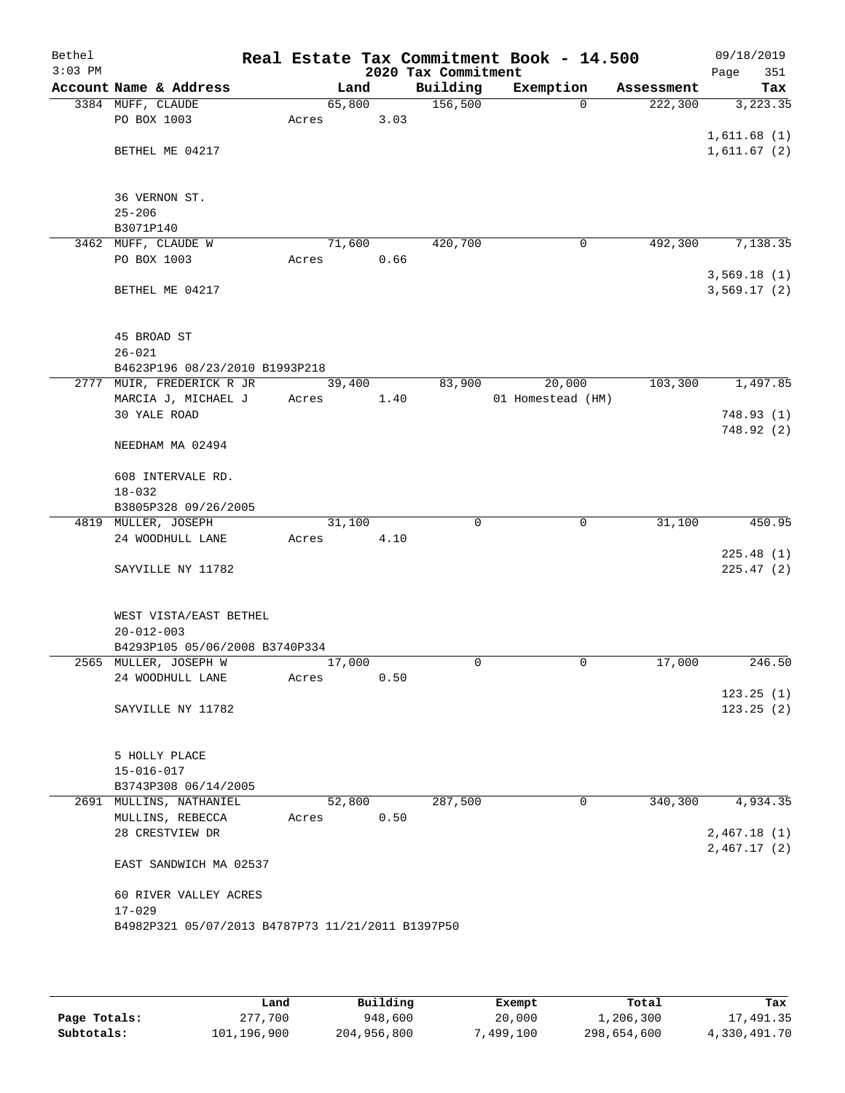| Bethel<br>$3:03$ PM |                                                   |        |      | 2020 Tax Commitment | Real Estate Tax Commitment Book - 14.500 |            | 09/18/2019<br>351<br>Page |
|---------------------|---------------------------------------------------|--------|------|---------------------|------------------------------------------|------------|---------------------------|
|                     | Account Name & Address                            | Land   |      | Building            | Exemption                                | Assessment | Tax                       |
|                     | 3384 MUFF, CLAUDE                                 | 65,800 |      | 156,500             | $\Omega$                                 | 222,300    | 3, 223.35                 |
|                     | PO BOX 1003                                       | Acres  | 3.03 |                     |                                          |            |                           |
|                     |                                                   |        |      |                     |                                          |            | 1,611.68(1)               |
|                     | BETHEL ME 04217                                   |        |      |                     |                                          |            | 1,611.67(2)               |
|                     |                                                   |        |      |                     |                                          |            |                           |
|                     | 36 VERNON ST.                                     |        |      |                     |                                          |            |                           |
|                     | $25 - 206$                                        |        |      |                     |                                          |            |                           |
|                     | B3071P140                                         |        |      |                     |                                          |            |                           |
|                     | 3462 MUFF, CLAUDE W                               | 71,600 |      | 420,700             | $\mathbf 0$                              | 492,300    | 7,138.35                  |
|                     | PO BOX 1003                                       | Acres  | 0.66 |                     |                                          |            |                           |
|                     |                                                   |        |      |                     |                                          |            | 3,569.18(1)               |
|                     | BETHEL ME 04217                                   |        |      |                     |                                          |            | 3,569.17(2)               |
|                     |                                                   |        |      |                     |                                          |            |                           |
|                     |                                                   |        |      |                     |                                          |            |                           |
|                     | 45 BROAD ST                                       |        |      |                     |                                          |            |                           |
|                     | $26 - 021$                                        |        |      |                     |                                          |            |                           |
|                     | B4623P196 08/23/2010 B1993P218                    |        |      |                     |                                          |            |                           |
|                     | 2777 MUIR, FREDERICK R JR                         | 39,400 |      | 83,900              | 20,000                                   | 103,300    | 1,497.85                  |
|                     | MARCIA J, MICHAEL J<br><b>30 YALE ROAD</b>        | Acres  | 1.40 |                     | 01 Homestead (HM)                        |            |                           |
|                     |                                                   |        |      |                     |                                          |            | 748.93(1)<br>748.92 (2)   |
|                     | NEEDHAM MA 02494                                  |        |      |                     |                                          |            |                           |
|                     |                                                   |        |      |                     |                                          |            |                           |
|                     | 608 INTERVALE RD.                                 |        |      |                     |                                          |            |                           |
|                     | $18 - 032$                                        |        |      |                     |                                          |            |                           |
|                     | B3805P328 09/26/2005                              |        |      |                     |                                          |            |                           |
|                     | 4819 MULLER, JOSEPH                               | 31,100 |      | 0                   | 0                                        | 31,100     | 450.95                    |
|                     | 24 WOODHULL LANE                                  | Acres  | 4.10 |                     |                                          |            |                           |
|                     |                                                   |        |      |                     |                                          |            | 225.48(1)                 |
|                     | SAYVILLE NY 11782                                 |        |      |                     |                                          |            | 225.47(2)                 |
|                     |                                                   |        |      |                     |                                          |            |                           |
|                     | WEST VISTA/EAST BETHEL                            |        |      |                     |                                          |            |                           |
|                     | $20 - 012 - 003$                                  |        |      |                     |                                          |            |                           |
|                     | B4293P105 05/06/2008 B3740P334                    |        |      |                     |                                          |            |                           |
|                     | 2565 MULLER, JOSEPH W                             | 17,000 |      | 0                   | 0                                        | 17,000     | 246.50                    |
|                     | 24 WOODHULL LANE                                  | Acres  | 0.50 |                     |                                          |            |                           |
|                     |                                                   |        |      |                     |                                          |            | 123.25(1)                 |
|                     | SAYVILLE NY 11782                                 |        |      |                     |                                          |            | 123.25(2)                 |
|                     |                                                   |        |      |                     |                                          |            |                           |
|                     |                                                   |        |      |                     |                                          |            |                           |
|                     | 5 HOLLY PLACE                                     |        |      |                     |                                          |            |                           |
|                     | $15 - 016 - 017$                                  |        |      |                     |                                          |            |                           |
|                     | B3743P308 06/14/2005<br>2691 MULLINS, NATHANIEL   | 52,800 |      | 287,500             | 0                                        | 340,300    | 4,934.35                  |
|                     | MULLINS, REBECCA                                  | Acres  | 0.50 |                     |                                          |            |                           |
|                     | 28 CRESTVIEW DR                                   |        |      |                     |                                          |            | 2,467.18(1)               |
|                     |                                                   |        |      |                     |                                          |            | 2,467.17(2)               |
|                     | EAST SANDWICH MA 02537                            |        |      |                     |                                          |            |                           |
|                     |                                                   |        |      |                     |                                          |            |                           |
|                     | 60 RIVER VALLEY ACRES                             |        |      |                     |                                          |            |                           |
|                     | $17 - 029$                                        |        |      |                     |                                          |            |                           |
|                     | B4982P321 05/07/2013 B4787P73 11/21/2011 B1397P50 |        |      |                     |                                          |            |                           |
|                     |                                                   |        |      |                     |                                          |            |                           |
|                     |                                                   |        |      |                     |                                          |            |                           |

|              | Land        | Building    | Exempt   | Total       | Tax          |
|--------------|-------------|-------------|----------|-------------|--------------|
| Page Totals: | 277,700     | 948,600     | 20,000   | 1,206,300   | 17,491.35    |
| Subtotals:   | 101,196,900 | 204,956,800 | 499,100" | 298,654,600 | 4,330,491.70 |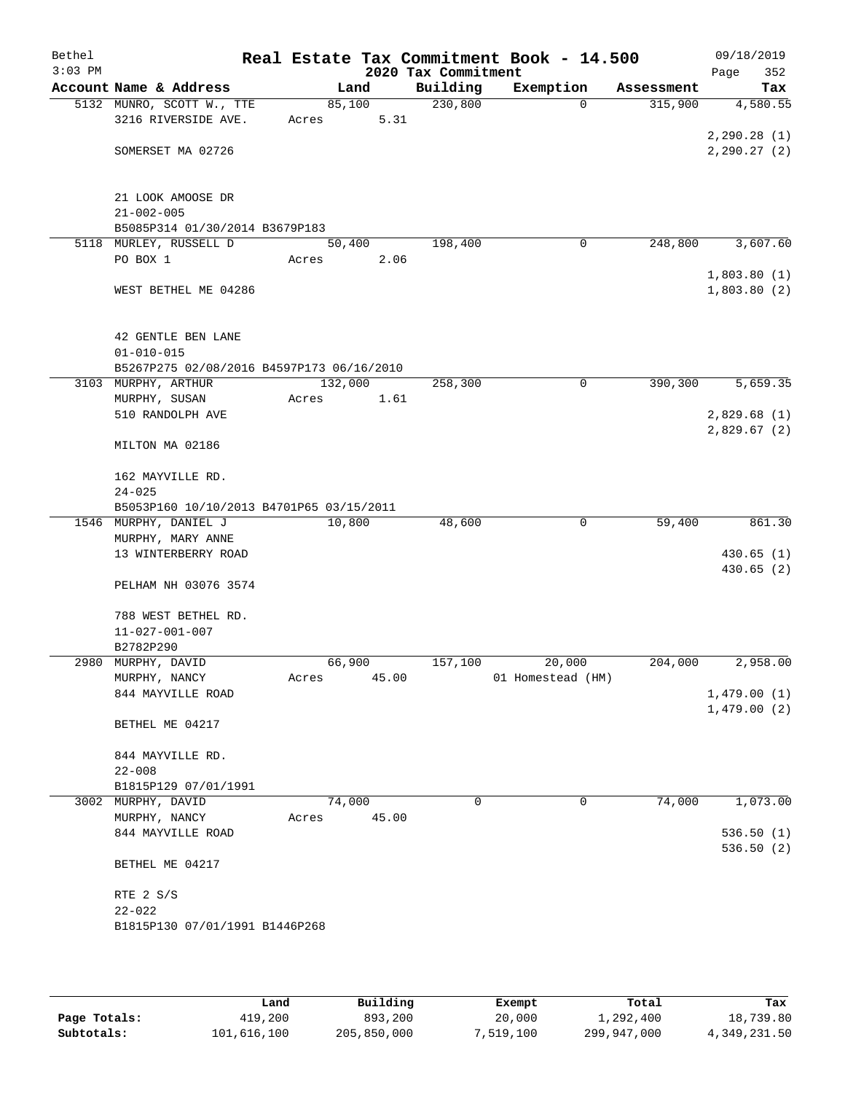| Bethel<br>$3:03$ PM |                                           |         |       | 2020 Tax Commitment | Real Estate Tax Commitment Book - 14.500 |            | 09/18/2019         |
|---------------------|-------------------------------------------|---------|-------|---------------------|------------------------------------------|------------|--------------------|
|                     | Account Name & Address                    |         | Land  | Building            | Exemption                                | Assessment | 352<br>Page<br>Tax |
|                     | 5132 MUNRO, SCOTT W., TTE                 | 85,100  |       | 230,800             | $\Omega$                                 | 315,900    | 4,580.55           |
|                     | 3216 RIVERSIDE AVE.                       | Acres   | 5.31  |                     |                                          |            |                    |
|                     |                                           |         |       |                     |                                          |            | 2,290.28(1)        |
|                     | SOMERSET MA 02726                         |         |       |                     |                                          |            | 2, 290.27(2)       |
|                     |                                           |         |       |                     |                                          |            |                    |
|                     |                                           |         |       |                     |                                          |            |                    |
|                     | 21 LOOK AMOOSE DR                         |         |       |                     |                                          |            |                    |
|                     | $21 - 002 - 005$                          |         |       |                     |                                          |            |                    |
|                     | B5085P314 01/30/2014 B3679P183            |         |       |                     |                                          |            |                    |
|                     | 5118 MURLEY, RUSSELL D                    | 50,400  |       | 198,400             | 0                                        | 248,800    | 3,607.60           |
|                     | PO BOX 1                                  | Acres   | 2.06  |                     |                                          |            | 1,803.80(1)        |
|                     | WEST BETHEL ME 04286                      |         |       |                     |                                          |            | 1,803.80(2)        |
|                     |                                           |         |       |                     |                                          |            |                    |
|                     |                                           |         |       |                     |                                          |            |                    |
|                     | 42 GENTLE BEN LANE                        |         |       |                     |                                          |            |                    |
|                     | $01 - 010 - 015$                          |         |       |                     |                                          |            |                    |
|                     | B5267P275 02/08/2016 B4597P173 06/16/2010 |         |       |                     |                                          |            |                    |
|                     | 3103 MURPHY, ARTHUR                       | 132,000 |       | 258,300             | $\mathbf 0$                              | 390,300    | 5,659.35           |
|                     | MURPHY, SUSAN                             | Acres   | 1.61  |                     |                                          |            |                    |
|                     | 510 RANDOLPH AVE                          |         |       |                     |                                          |            | 2,829.68(1)        |
|                     |                                           |         |       |                     |                                          |            | 2,829.67(2)        |
|                     | MILTON MA 02186                           |         |       |                     |                                          |            |                    |
|                     | 162 MAYVILLE RD.                          |         |       |                     |                                          |            |                    |
|                     | $24 - 025$                                |         |       |                     |                                          |            |                    |
|                     | B5053P160 10/10/2013 B4701P65 03/15/2011  |         |       |                     |                                          |            |                    |
|                     | 1546 MURPHY, DANIEL J                     | 10,800  |       | 48,600              | $\mathbf{0}$                             | 59,400     | 861.30             |
|                     | MURPHY, MARY ANNE                         |         |       |                     |                                          |            |                    |
|                     | 13 WINTERBERRY ROAD                       |         |       |                     |                                          |            | 430.65(1)          |
|                     |                                           |         |       |                     |                                          |            | 430.65(2)          |
|                     | PELHAM NH 03076 3574                      |         |       |                     |                                          |            |                    |
|                     | 788 WEST BETHEL RD.                       |         |       |                     |                                          |            |                    |
|                     | $11 - 027 - 001 - 007$                    |         |       |                     |                                          |            |                    |
|                     | B2782P290                                 |         |       |                     |                                          |            |                    |
|                     | 2980 MURPHY, DAVID                        | 66,900  |       | 157,100             | 20,000                                   | 204,000    | 2,958.00           |
|                     | MURPHY, NANCY                             | Acres   | 45.00 |                     | 01 Homestead (HM)                        |            |                    |
|                     | 844 MAYVILLE ROAD                         |         |       |                     |                                          |            | 1,479.00(1)        |
|                     |                                           |         |       |                     |                                          |            | 1,479.00(2)        |
|                     | BETHEL ME 04217                           |         |       |                     |                                          |            |                    |
|                     |                                           |         |       |                     |                                          |            |                    |
|                     | 844 MAYVILLE RD.                          |         |       |                     |                                          |            |                    |
|                     | $22 - 008$<br>B1815P129 07/01/1991        |         |       |                     |                                          |            |                    |
|                     | 3002 MURPHY, DAVID                        | 74,000  |       | $\mathbf 0$         | 0                                        | 74,000     | 1,073.00           |
|                     | MURPHY, NANCY                             | Acres   | 45.00 |                     |                                          |            |                    |
|                     | 844 MAYVILLE ROAD                         |         |       |                     |                                          |            | 536.50(1)          |
|                     |                                           |         |       |                     |                                          |            | 536.50(2)          |
|                     | BETHEL ME 04217                           |         |       |                     |                                          |            |                    |
|                     |                                           |         |       |                     |                                          |            |                    |
|                     | RTE 2 S/S                                 |         |       |                     |                                          |            |                    |
|                     | $22 - 022$                                |         |       |                     |                                          |            |                    |
|                     | B1815P130 07/01/1991 B1446P268            |         |       |                     |                                          |            |                    |
|                     |                                           |         |       |                     |                                          |            |                    |
|                     |                                           |         |       |                     |                                          |            |                    |

|              | Land        | Building    | Exempt    | Total       | Tax          |
|--------------|-------------|-------------|-----------|-------------|--------------|
| Page Totals: | 419,200     | 893,200     | 20,000    | 1,292,400   | 18,739.80    |
| Subtotals:   | 101,616,100 | 205,850,000 | 7,519,100 | 299,947,000 | 4,349,231.50 |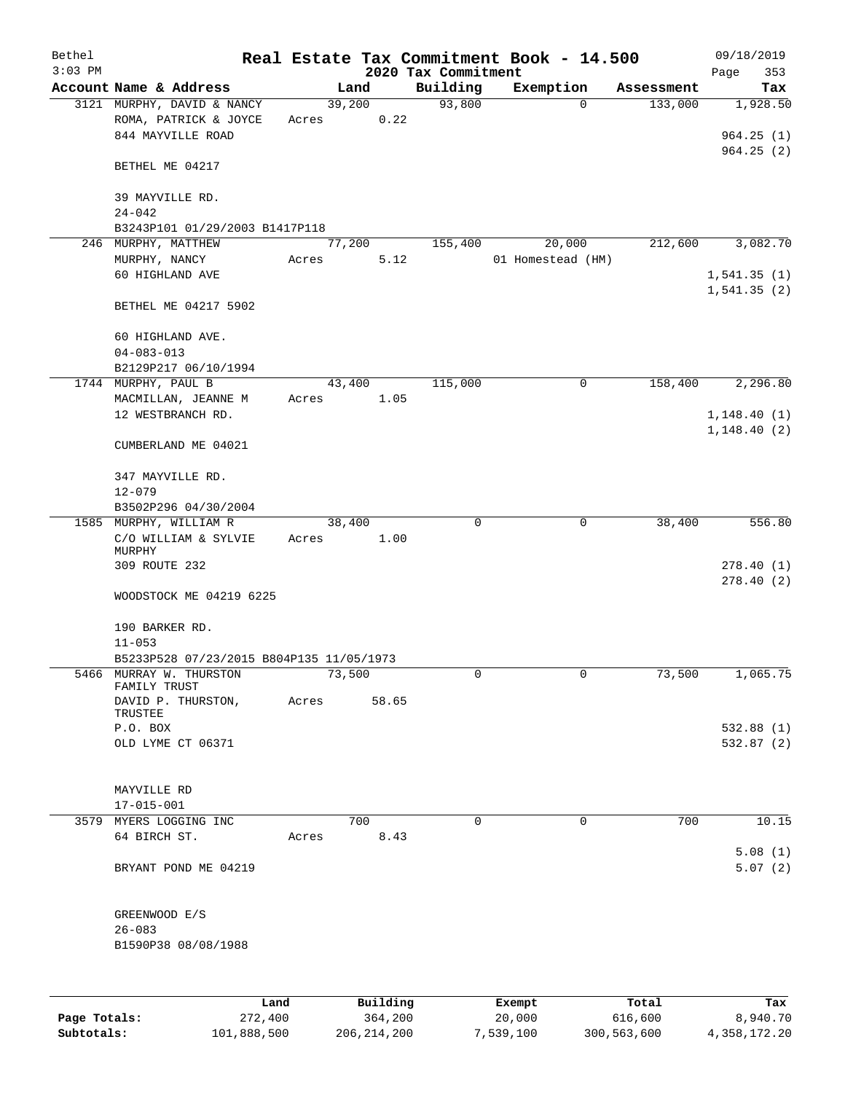| Bethel       |                                          |       |        |          |                     | Real Estate Tax Commitment Book - 14.500 |                        | 09/18/2019  |
|--------------|------------------------------------------|-------|--------|----------|---------------------|------------------------------------------|------------------------|-------------|
| $3:03$ PM    |                                          |       |        |          | 2020 Tax Commitment |                                          |                        | Page<br>353 |
|              | Account Name & Address                   |       | Land   |          | Building            | Exemption                                | Assessment             | Tax         |
|              | 3121 MURPHY, DAVID & NANCY               |       | 39,200 |          | 93,800              |                                          | $\mathbf 0$<br>133,000 | 1,928.50    |
|              | ROMA, PATRICK & JOYCE                    | Acres |        | 0.22     |                     |                                          |                        |             |
|              | 844 MAYVILLE ROAD                        |       |        |          |                     |                                          |                        | 964.25(1)   |
|              |                                          |       |        |          |                     |                                          |                        | 964.25(2)   |
|              | BETHEL ME 04217                          |       |        |          |                     |                                          |                        |             |
|              |                                          |       |        |          |                     |                                          |                        |             |
|              | 39 MAYVILLE RD.                          |       |        |          |                     |                                          |                        |             |
|              | $24 - 042$                               |       |        |          |                     |                                          |                        |             |
|              | B3243P101 01/29/2003 B1417P118           |       |        |          |                     |                                          |                        |             |
|              | 246 MURPHY, MATTHEW                      |       | 77,200 |          | 155,400             | 20,000                                   | 212,600                | 3,082.70    |
|              | MURPHY, NANCY                            | Acres |        | 5.12     |                     | 01 Homestead (HM)                        |                        |             |
|              | 60 HIGHLAND AVE                          |       |        |          |                     |                                          |                        | 1,541.35(1) |
|              |                                          |       |        |          |                     |                                          |                        | 1,541.35(2) |
|              | BETHEL ME 04217 5902                     |       |        |          |                     |                                          |                        |             |
|              |                                          |       |        |          |                     |                                          |                        |             |
|              | 60 HIGHLAND AVE.                         |       |        |          |                     |                                          |                        |             |
|              | $04 - 083 - 013$                         |       |        |          |                     |                                          |                        |             |
|              | B2129P217 06/10/1994                     |       |        |          |                     |                                          |                        |             |
|              | 1744 MURPHY, PAUL B                      |       | 43,400 |          | 115,000             |                                          | $\mathbf 0$<br>158,400 | 2,296.80    |
|              | MACMILLAN, JEANNE M                      | Acres |        | 1.05     |                     |                                          |                        |             |
|              | 12 WESTBRANCH RD.                        |       |        |          |                     |                                          |                        | 1,148.40(1) |
|              |                                          |       |        |          |                     |                                          |                        | 1,148.40(2) |
|              | CUMBERLAND ME 04021                      |       |        |          |                     |                                          |                        |             |
|              |                                          |       |        |          |                     |                                          |                        |             |
|              | 347 MAYVILLE RD.                         |       |        |          |                     |                                          |                        |             |
|              | $12 - 079$                               |       |        |          |                     |                                          |                        |             |
|              | B3502P296 04/30/2004                     |       |        |          |                     |                                          |                        |             |
|              | 1585 MURPHY, WILLIAM R                   |       | 38,400 |          | $\mathbf 0$         |                                          | $\mathbf 0$<br>38,400  | 556.80      |
|              | C/O WILLIAM & SYLVIE                     | Acres |        | 1.00     |                     |                                          |                        |             |
|              | MURPHY                                   |       |        |          |                     |                                          |                        |             |
|              | 309 ROUTE 232                            |       |        |          |                     |                                          |                        | 278.40(1)   |
|              |                                          |       |        |          |                     |                                          |                        | 278.40(2)   |
|              | WOODSTOCK ME 04219 6225                  |       |        |          |                     |                                          |                        |             |
|              |                                          |       |        |          |                     |                                          |                        |             |
|              | 190 BARKER RD.                           |       |        |          |                     |                                          |                        |             |
|              | $11 - 053$                               |       |        |          |                     |                                          |                        |             |
|              | B5233P528 07/23/2015 B804P135 11/05/1973 |       |        |          |                     |                                          |                        |             |
|              | 5466 MURRAY W. THURSTON<br>FAMILY TRUST  |       | 73,500 |          | 0                   |                                          | 0<br>73,500            | 1,065.75    |
|              | DAVID P. THURSTON,                       | Acres |        | 58.65    |                     |                                          |                        |             |
|              | TRUSTEE                                  |       |        |          |                     |                                          |                        |             |
|              | P.O. BOX                                 |       |        |          |                     |                                          |                        | 532.88(1)   |
|              | OLD LYME CT 06371                        |       |        |          |                     |                                          |                        | 532.87(2)   |
|              |                                          |       |        |          |                     |                                          |                        |             |
|              |                                          |       |        |          |                     |                                          |                        |             |
|              | MAYVILLE RD                              |       |        |          |                     |                                          |                        |             |
|              | $17 - 015 - 001$                         |       |        |          |                     |                                          |                        |             |
|              | 3579 MYERS LOGGING INC                   |       |        | 700      | $\mathbf 0$         |                                          | $\mathbf 0$<br>700     | 10.15       |
|              | 64 BIRCH ST.                             | Acres |        | 8.43     |                     |                                          |                        |             |
|              |                                          |       |        |          |                     |                                          |                        | 5.08(1)     |
|              | BRYANT POND ME 04219                     |       |        |          |                     |                                          |                        | 5.07(2)     |
|              |                                          |       |        |          |                     |                                          |                        |             |
|              |                                          |       |        |          |                     |                                          |                        |             |
|              | GREENWOOD E/S                            |       |        |          |                     |                                          |                        |             |
|              | $26 - 083$                               |       |        |          |                     |                                          |                        |             |
|              | B1590P38 08/08/1988                      |       |        |          |                     |                                          |                        |             |
|              |                                          |       |        |          |                     |                                          |                        |             |
|              |                                          |       |        |          |                     |                                          |                        |             |
|              |                                          |       |        |          |                     |                                          |                        |             |
|              | Land                                     |       |        | Building |                     | Exempt                                   | Total                  | Tax         |
| Page Totals: | 272,400                                  |       |        | 364,200  |                     | 20,000                                   | 616,600                | 8,940.70    |

**Subtotals:** 101,888,500 206,214,200 7,539,100 300,563,600 4,358,172.20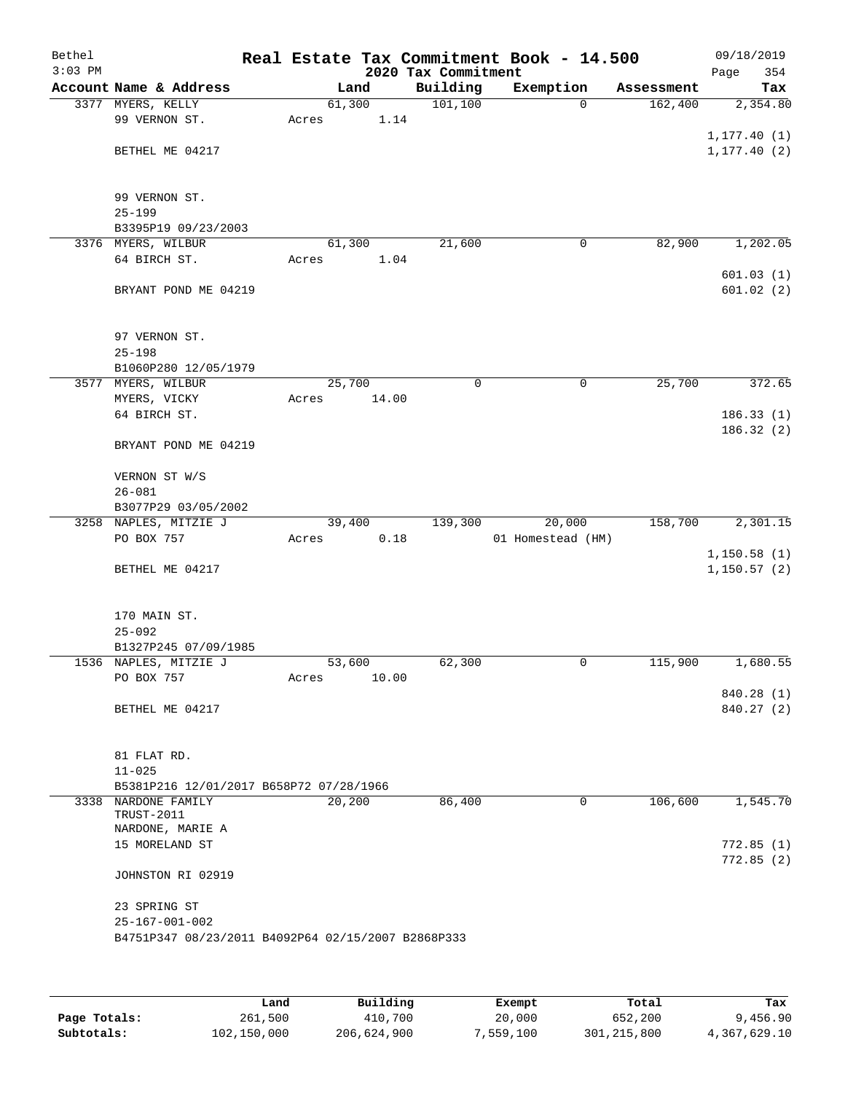| Bethel<br>$3:03$ PM |                                                    |                 |       | 2020 Tax Commitment | Real Estate Tax Commitment Book - 14.500 |            | 09/18/2019<br>Page<br>354 |
|---------------------|----------------------------------------------------|-----------------|-------|---------------------|------------------------------------------|------------|---------------------------|
|                     | Account Name & Address                             |                 | Land  | Building            | Exemption                                | Assessment | Tax                       |
|                     | 3377 MYERS, KELLY                                  | 61,300          |       | 101, 100            | $\mathbf 0$                              | 162,400    | 2,354.80                  |
|                     | 99 VERNON ST.                                      | Acres           | 1.14  |                     |                                          |            |                           |
|                     |                                                    |                 |       |                     |                                          |            | 1, 177.40(1)              |
|                     | BETHEL ME 04217                                    |                 |       |                     |                                          |            | 1, 177.40(2)              |
|                     |                                                    |                 |       |                     |                                          |            |                           |
|                     | 99 VERNON ST.                                      |                 |       |                     |                                          |            |                           |
|                     | $25 - 199$                                         |                 |       |                     |                                          |            |                           |
|                     | B3395P19 09/23/2003                                |                 |       |                     |                                          |            |                           |
|                     | 3376 MYERS, WILBUR<br>64 BIRCH ST.                 | 61,300<br>Acres | 1.04  | 21,600              | 0                                        | 82,900     | 1,202.05                  |
|                     |                                                    |                 |       |                     |                                          |            | 601.03(1)                 |
|                     | BRYANT POND ME 04219                               |                 |       |                     |                                          |            | 601.02(2)                 |
|                     |                                                    |                 |       |                     |                                          |            |                           |
|                     |                                                    |                 |       |                     |                                          |            |                           |
|                     | 97 VERNON ST.                                      |                 |       |                     |                                          |            |                           |
|                     | $25 - 198$                                         |                 |       |                     |                                          |            |                           |
|                     | B1060P280 12/05/1979<br>3577 MYERS, WILBUR         | 25,700          |       | $\mathbf 0$         | 0                                        | 25,700     | 372.65                    |
|                     | MYERS, VICKY                                       | Acres           | 14.00 |                     |                                          |            |                           |
|                     | 64 BIRCH ST.                                       |                 |       |                     |                                          |            | 186.33(1)                 |
|                     |                                                    |                 |       |                     |                                          |            | 186.32 (2)                |
|                     | BRYANT POND ME 04219                               |                 |       |                     |                                          |            |                           |
|                     | VERNON ST W/S                                      |                 |       |                     |                                          |            |                           |
|                     | $26 - 081$                                         |                 |       |                     |                                          |            |                           |
|                     | B3077P29 03/05/2002                                |                 |       |                     |                                          |            |                           |
|                     | 3258 NAPLES, MITZIE J                              | 39,400          |       | 139,300             | 20,000                                   | 158,700    | 2,301.15                  |
|                     | PO BOX 757                                         | Acres           | 0.18  |                     | 01 Homestead (HM)                        |            |                           |
|                     |                                                    |                 |       |                     |                                          |            | 1,150.58(1)               |
|                     | BETHEL ME 04217                                    |                 |       |                     |                                          |            | 1,150.57(2)               |
|                     |                                                    |                 |       |                     |                                          |            |                           |
|                     | 170 MAIN ST.                                       |                 |       |                     |                                          |            |                           |
|                     | $25 - 092$                                         |                 |       |                     |                                          |            |                           |
|                     | B1327P245 07/09/1985                               |                 |       |                     |                                          |            |                           |
|                     | 1536 NAPLES, MITZIE J                              | 53,600          |       | 62,300              | 0                                        | 115,900    | 1,680.55                  |
|                     | PO BOX 757                                         | Acres           | 10.00 |                     |                                          |            |                           |
|                     | BETHEL ME 04217                                    |                 |       |                     |                                          |            | 840.28 (1)<br>840.27 (2)  |
|                     |                                                    |                 |       |                     |                                          |            |                           |
|                     |                                                    |                 |       |                     |                                          |            |                           |
|                     | 81 FLAT RD.                                        |                 |       |                     |                                          |            |                           |
|                     | $11 - 025$                                         |                 |       |                     |                                          |            |                           |
|                     | B5381P216 12/01/2017 B658P72 07/28/1966            |                 |       |                     |                                          |            |                           |
|                     | 3338 NARDONE FAMILY<br>TRUST-2011                  | 20,200          |       | 86,400              | 0                                        | 106,600    | 1,545.70                  |
|                     | NARDONE, MARIE A                                   |                 |       |                     |                                          |            |                           |
|                     | 15 MORELAND ST                                     |                 |       |                     |                                          |            | 772.85(1)                 |
|                     | JOHNSTON RI 02919                                  |                 |       |                     |                                          |            | 772.85(2)                 |
|                     |                                                    |                 |       |                     |                                          |            |                           |
|                     | 23 SPRING ST                                       |                 |       |                     |                                          |            |                           |
|                     | $25 - 167 - 001 - 002$                             |                 |       |                     |                                          |            |                           |
|                     | B4751P347 08/23/2011 B4092P64 02/15/2007 B2868P333 |                 |       |                     |                                          |            |                           |
|                     |                                                    |                 |       |                     |                                          |            |                           |

|              | Land        | Building    | Exempt    | Total       | Tax          |
|--------------|-------------|-------------|-----------|-------------|--------------|
| Page Totals: | 261,500     | 410,700     | 20,000    | 652,200     | 9,456.90     |
| Subtotals:   | 102,150,000 | 206,624,900 | 7,559,100 | 301,215,800 | 4,367,629.10 |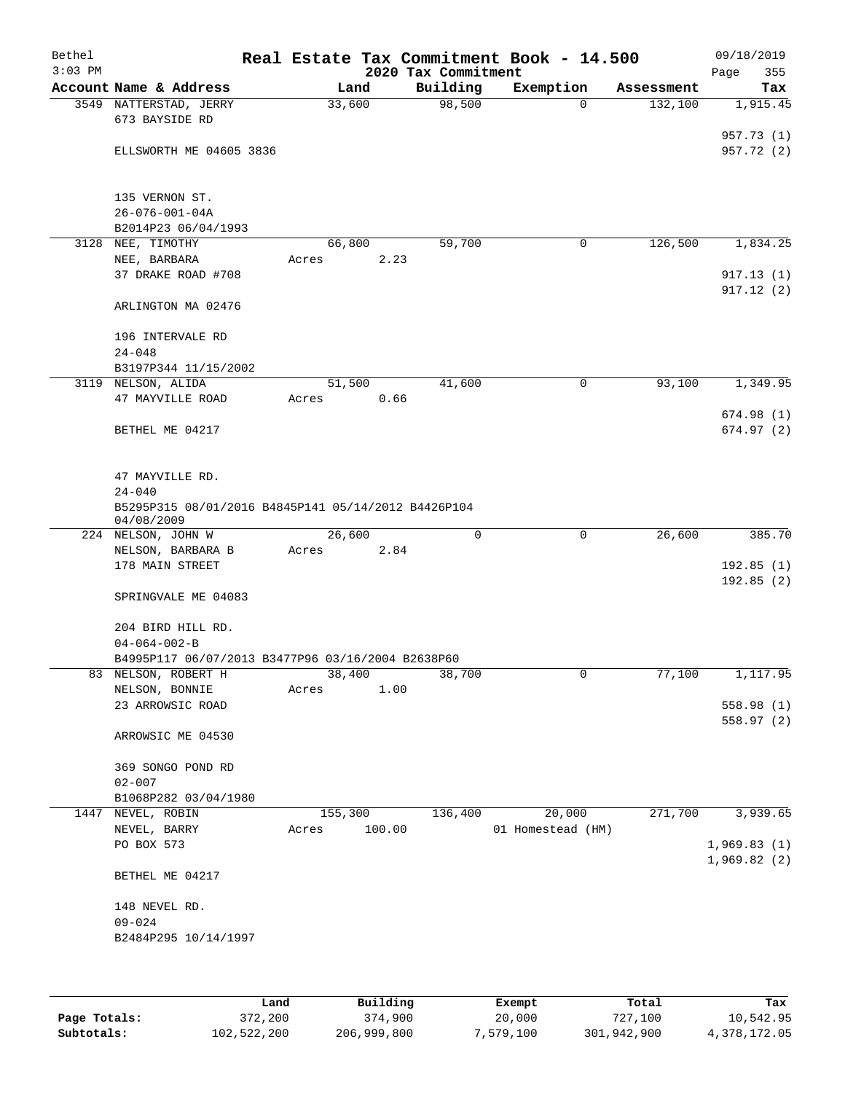| Bethel<br>$3:03$ PM |                                                                   | Real Estate Tax Commitment Book - 14.500 | 2020 Tax Commitment |                   |            | 09/18/2019<br>Page<br>355 |
|---------------------|-------------------------------------------------------------------|------------------------------------------|---------------------|-------------------|------------|---------------------------|
|                     | Account Name & Address                                            | Land                                     | Building            | Exemption         | Assessment | Tax                       |
|                     | 3549 NATTERSTAD, JERRY                                            | 33,600                                   | 98,500              | $\mathbf 0$       | 132,100    | 1,915.45                  |
|                     | 673 BAYSIDE RD                                                    |                                          |                     |                   |            |                           |
|                     |                                                                   |                                          |                     |                   |            | 957.73 (1)                |
|                     | ELLSWORTH ME 04605 3836                                           |                                          |                     |                   |            | 957.72 (2)                |
|                     | 135 VERNON ST.                                                    |                                          |                     |                   |            |                           |
|                     | $26 - 076 - 001 - 04A$                                            |                                          |                     |                   |            |                           |
|                     | B2014P23 06/04/1993                                               |                                          |                     |                   |            |                           |
| 3128                | NEE, TIMOTHY                                                      | 66,800                                   | 59,700              | 0                 | 126,500    | 1,834.25                  |
|                     | NEE, BARBARA                                                      | 2.23<br>Acres                            |                     |                   |            |                           |
|                     | 37 DRAKE ROAD #708                                                |                                          |                     |                   |            | 917.13(1)                 |
|                     | ARLINGTON MA 02476                                                |                                          |                     |                   |            | 917.12(2)                 |
|                     | 196 INTERVALE RD                                                  |                                          |                     |                   |            |                           |
|                     | $24 - 048$                                                        |                                          |                     |                   |            |                           |
|                     | B3197P344 11/15/2002                                              |                                          |                     |                   |            |                           |
|                     | 3119 NELSON, ALIDA                                                | 51,500                                   | 41,600              | $\mathbf 0$       | 93,100     | 1,349.95                  |
|                     | 47 MAYVILLE ROAD                                                  | 0.66<br>Acres                            |                     |                   |            |                           |
|                     | BETHEL ME 04217                                                   |                                          |                     |                   |            | 674.98(1)<br>674.97(2)    |
|                     |                                                                   |                                          |                     |                   |            |                           |
|                     | 47 MAYVILLE RD.                                                   |                                          |                     |                   |            |                           |
|                     | $24 - 040$                                                        |                                          |                     |                   |            |                           |
|                     | B5295P315 08/01/2016 B4845P141 05/14/2012 B4426P104<br>04/08/2009 |                                          |                     |                   |            |                           |
|                     | 224 NELSON, JOHN W                                                | 26,600                                   | 0                   | $\mathbf 0$       | 26,600     | 385.70                    |
|                     | NELSON, BARBARA B                                                 | 2.84<br>Acres                            |                     |                   |            |                           |
|                     | 178 MAIN STREET                                                   |                                          |                     |                   |            | 192.85(1)                 |
|                     |                                                                   |                                          |                     |                   |            | 192.85(2)                 |
|                     | SPRINGVALE ME 04083                                               |                                          |                     |                   |            |                           |
|                     | 204 BIRD HILL RD.                                                 |                                          |                     |                   |            |                           |
|                     | $04 - 064 - 002 - B$                                              |                                          |                     |                   |            |                           |
|                     | B4995P117 06/07/2013 B3477P96 03/16/2004 B2638P60                 |                                          |                     |                   |            |                           |
|                     | 83 NELSON, ROBERT H                                               | 38,400                                   | 38,700              | 0                 | 77,100     | 1,117.95                  |
|                     | NELSON, BONNIE                                                    | 1.00<br>Acres                            |                     |                   |            |                           |
|                     | 23 ARROWSIC ROAD                                                  |                                          |                     |                   |            | 558.98(1)<br>558.97(2)    |
|                     | ARROWSIC ME 04530                                                 |                                          |                     |                   |            |                           |
|                     | 369 SONGO POND RD                                                 |                                          |                     |                   |            |                           |
|                     | $02 - 007$                                                        |                                          |                     |                   |            |                           |
|                     | B1068P282 03/04/1980                                              |                                          |                     |                   |            |                           |
| 1447                | NEVEL, ROBIN                                                      | 155,300                                  | 136,400             | 20,000            | 271,700    | 3,939.65                  |
|                     | NEVEL, BARRY                                                      | 100.00<br>Acres                          |                     | 01 Homestead (HM) |            |                           |
|                     | PO BOX 573                                                        |                                          |                     |                   |            | 1,969.83(1)               |
|                     | BETHEL ME 04217                                                   |                                          |                     |                   |            | 1,969.82(2)               |
|                     | 148 NEVEL RD.                                                     |                                          |                     |                   |            |                           |
|                     | $09 - 024$                                                        |                                          |                     |                   |            |                           |
|                     | B2484P295 10/14/1997                                              |                                          |                     |                   |            |                           |
|                     |                                                                   |                                          |                     |                   |            |                           |
|                     |                                                                   |                                          |                     |                   |            |                           |

|              | ⊥and        | Building    | Exempt    | Total       | Tax          |
|--------------|-------------|-------------|-----------|-------------|--------------|
| Page Totals: | 372,200     | 374,900     | 20,000    | 727,100     | 10,542.95    |
| Subtotals:   | 102,522,200 | 206,999,800 | 7,579,100 | 301,942,900 | 4,378,172.05 |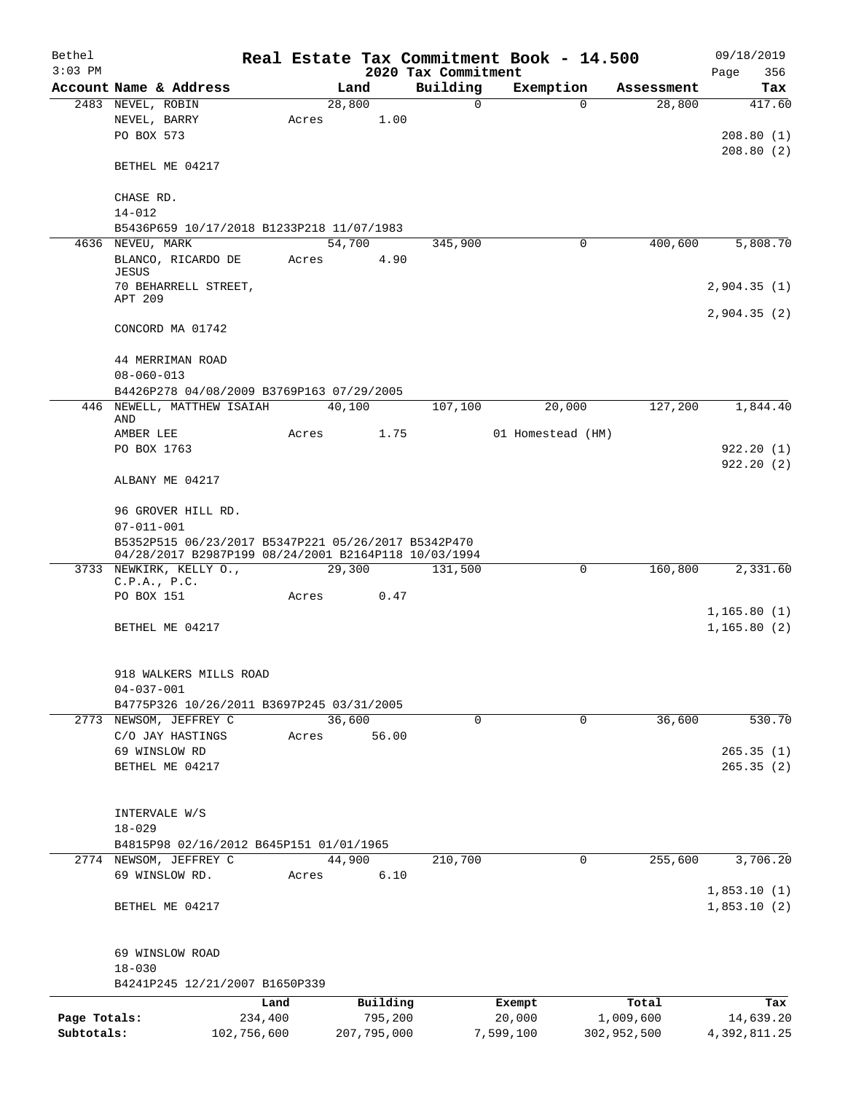| Bethel       |                                                      |       |        |             |                     | Real Estate Tax Commitment Book - 14.500 |             | 09/18/2019                 |
|--------------|------------------------------------------------------|-------|--------|-------------|---------------------|------------------------------------------|-------------|----------------------------|
| $3:03$ PM    |                                                      |       |        |             | 2020 Tax Commitment |                                          |             | 356<br>Page                |
|              | Account Name & Address                               |       | Land   |             | Building            | Exemption                                | Assessment  | Tax                        |
|              | 2483 NEVEL, ROBIN                                    |       | 28,800 |             | $\Omega$            | $\Omega$                                 | 28,800      | 417.60                     |
|              | NEVEL, BARRY<br>PO BOX 573                           | Acres |        | 1.00        |                     |                                          |             | 208.80(1)                  |
|              |                                                      |       |        |             |                     |                                          |             | 208.80(2)                  |
|              | BETHEL ME 04217                                      |       |        |             |                     |                                          |             |                            |
|              | CHASE RD.                                            |       |        |             |                     |                                          |             |                            |
|              | $14 - 012$                                           |       |        |             |                     |                                          |             |                            |
|              | B5436P659 10/17/2018 B1233P218 11/07/1983            |       |        |             |                     |                                          |             |                            |
|              | 4636 NEVEU, MARK                                     |       | 54,700 |             | 345,900             | 0                                        | 400,600     | 5,808.70                   |
|              | BLANCO, RICARDO DE<br><b>JESUS</b>                   | Acres |        | 4.90        |                     |                                          |             |                            |
|              | 70 BEHARRELL STREET,                                 |       |        |             |                     |                                          |             | 2,904.35(1)                |
|              | APT 209                                              |       |        |             |                     |                                          |             | 2,904.35(2)                |
|              | CONCORD MA 01742                                     |       |        |             |                     |                                          |             |                            |
|              | 44 MERRIMAN ROAD                                     |       |        |             |                     |                                          |             |                            |
|              | $08 - 060 - 013$                                     |       |        |             |                     |                                          |             |                            |
|              | B4426P278 04/08/2009 B3769P163 07/29/2005            |       |        |             |                     |                                          |             |                            |
|              | 446 NEWELL, MATTHEW ISAIAH<br>AND                    |       | 40,100 |             | 107,100             | 20,000                                   | 127,200     | 1,844.40                   |
|              | AMBER LEE                                            | Acres |        | 1.75        |                     | 01 Homestead (HM)                        |             |                            |
|              | PO BOX 1763                                          |       |        |             |                     |                                          |             | 922.20(1)                  |
|              | ALBANY ME 04217                                      |       |        |             |                     |                                          |             | 922.20(2)                  |
|              |                                                      |       |        |             |                     |                                          |             |                            |
|              | 96 GROVER HILL RD.<br>$07 - 011 - 001$               |       |        |             |                     |                                          |             |                            |
|              | B5352P515 06/23/2017 B5347P221 05/26/2017 B5342P470  |       |        |             |                     |                                          |             |                            |
|              | 04/28/2017 B2987P199 08/24/2001 B2164P118 10/03/1994 |       |        |             |                     |                                          |             |                            |
|              | 3733 NEWKIRK, KELLY O.,<br>C.P.A., P.C.              |       | 29,300 |             | 131,500             | 0                                        | 160,800     | 2,331.60                   |
|              | PO BOX 151                                           | Acres |        | 0.47        |                     |                                          |             |                            |
|              |                                                      |       |        |             |                     |                                          |             | 1,165.80(1)                |
|              | BETHEL ME 04217                                      |       |        |             |                     |                                          |             | 1, 165.80(2)               |
|              | 918 WALKERS MILLS ROAD                               |       |        |             |                     |                                          |             |                            |
|              | $04 - 037 - 001$                                     |       |        |             |                     |                                          |             |                            |
|              | B4775P326 10/26/2011 B3697P245 03/31/2005            |       |        |             |                     |                                          |             |                            |
|              | 2773 NEWSOM, JEFFREY C                               |       | 36,600 |             | 0                   | 0                                        | 36,600      | 530.70                     |
|              | C/O JAY HASTINGS                                     | Acres |        | 56.00       |                     |                                          |             |                            |
|              | 69 WINSLOW RD                                        |       |        |             |                     |                                          |             | 265.35(1)                  |
|              | BETHEL ME 04217                                      |       |        |             |                     |                                          |             | 265.35(2)                  |
|              | INTERVALE W/S                                        |       |        |             |                     |                                          |             |                            |
|              | $18 - 029$                                           |       |        |             |                     |                                          |             |                            |
|              | B4815P98 02/16/2012 B645P151 01/01/1965              |       |        |             |                     |                                          |             |                            |
|              | 2774 NEWSOM, JEFFREY C                               |       | 44,900 |             | 210,700             | 0                                        | 255,600     | 3,706.20                   |
|              | 69 WINSLOW RD.                                       | Acres |        | 6.10        |                     |                                          |             |                            |
|              | BETHEL ME 04217                                      |       |        |             |                     |                                          |             | 1,853.10(1)<br>1,853.10(2) |
|              |                                                      |       |        |             |                     |                                          |             |                            |
|              | 69 WINSLOW ROAD                                      |       |        |             |                     |                                          |             |                            |
|              | $18 - 030$<br>B4241P245 12/21/2007 B1650P339         |       |        |             |                     |                                          |             |                            |
|              |                                                      | Land  |        | Building    |                     | Exempt                                   | Total       | Tax                        |
| Page Totals: | 234,400                                              |       |        | 795,200     |                     | 20,000                                   | 1,009,600   | 14,639.20                  |
| Subtotals:   | 102,756,600                                          |       |        | 207,795,000 |                     | 7,599,100                                | 302,952,500 | 4,392,811.25               |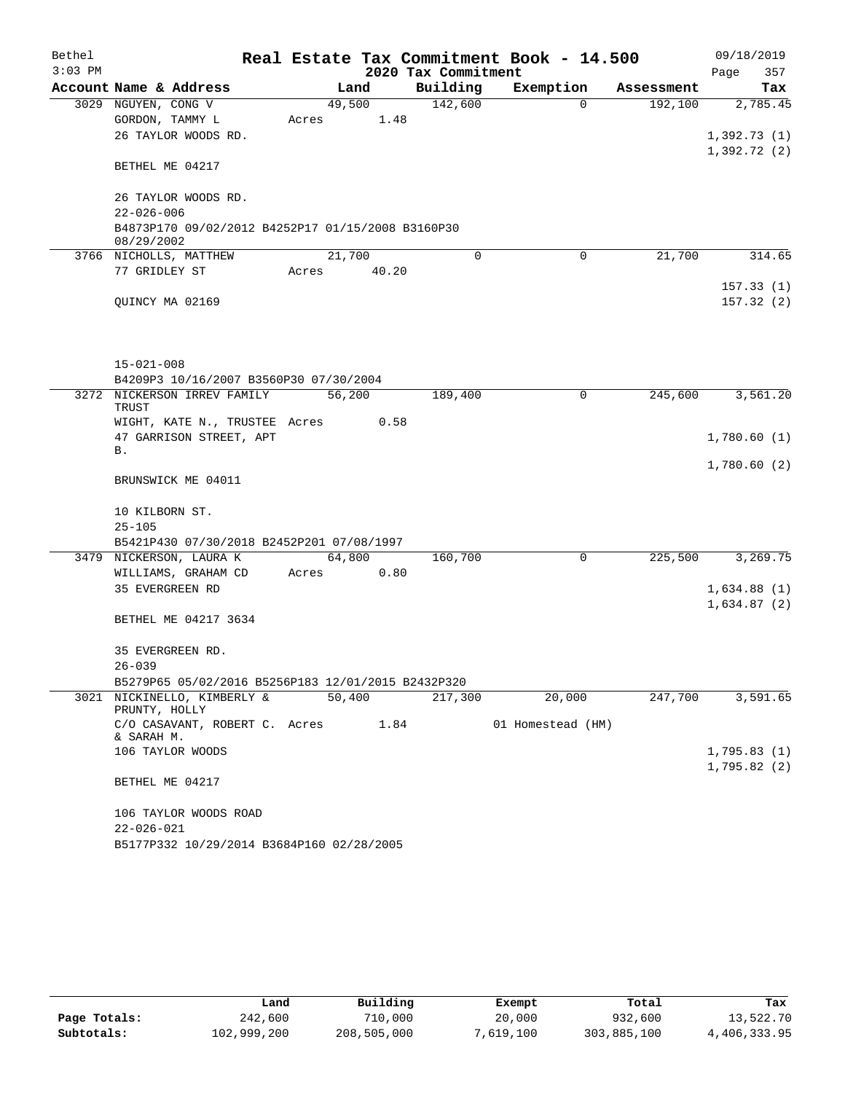| Bethel    |                                                                       |        |       |                     | Real Estate Tax Commitment Book - 14.500 |            | 09/18/2019   |
|-----------|-----------------------------------------------------------------------|--------|-------|---------------------|------------------------------------------|------------|--------------|
| $3:03$ PM |                                                                       |        |       | 2020 Tax Commitment |                                          |            | Page<br>357  |
|           | Account Name & Address                                                | Land   |       | Building            | Exemption                                | Assessment | Tax          |
|           | 3029 NGUYEN, CONG V                                                   | 49,500 |       | 142,600             | $\Omega$                                 | 192,100    | 2,785.45     |
|           | GORDON, TAMMY L                                                       | Acres  | 1.48  |                     |                                          |            |              |
|           | 26 TAYLOR WOODS RD.                                                   |        |       |                     |                                          |            | 1,392.73(1)  |
|           | BETHEL ME 04217                                                       |        |       |                     |                                          |            | 1,392.72 (2) |
|           | 26 TAYLOR WOODS RD.<br>$22 - 026 - 006$                               |        |       |                     |                                          |            |              |
|           | B4873P170 09/02/2012 B4252P17 01/15/2008 B3160P30<br>08/29/2002       |        |       |                     |                                          |            |              |
|           | 3766 NICHOLLS, MATTHEW                                                | 21,700 |       | 0                   | 0                                        | 21,700     | 314.65       |
|           | 77 GRIDLEY ST                                                         | Acres  | 40.20 |                     |                                          |            |              |
|           |                                                                       |        |       |                     |                                          |            | 157.33(1)    |
|           | QUINCY MA 02169                                                       |        |       |                     |                                          |            | 157.32(2)    |
|           |                                                                       |        |       |                     |                                          |            |              |
|           |                                                                       |        |       |                     |                                          |            |              |
|           |                                                                       |        |       |                     |                                          |            |              |
|           | $15 - 021 - 008$                                                      |        |       |                     |                                          |            |              |
|           | B4209P3 10/16/2007 B3560P30 07/30/2004<br>3272 NICKERSON IRREV FAMILY | 56,200 |       | 189,400             | 0                                        | 245,600    | 3,561.20     |
|           | <b>TRUST</b>                                                          |        |       |                     |                                          |            |              |
|           | WIGHT, KATE N., TRUSTEE Acres                                         |        | 0.58  |                     |                                          |            |              |
|           | 47 GARRISON STREET, APT                                               |        |       |                     |                                          |            | 1,780.60(1)  |
|           | Β.                                                                    |        |       |                     |                                          |            |              |
|           |                                                                       |        |       |                     |                                          |            | 1,780.60(2)  |
|           | BRUNSWICK ME 04011                                                    |        |       |                     |                                          |            |              |
|           | 10 KILBORN ST.                                                        |        |       |                     |                                          |            |              |
|           | $25 - 105$                                                            |        |       |                     |                                          |            |              |
|           | B5421P430 07/30/2018 B2452P201 07/08/1997                             |        |       |                     |                                          |            |              |
|           | 3479 NICKERSON, LAURA K                                               | 64,800 |       | 160,700             | 0                                        | 225,500    | 3,269.75     |
|           | WILLIAMS, GRAHAM CD                                                   | Acres  | 0.80  |                     |                                          |            |              |
|           | 35 EVERGREEN RD                                                       |        |       |                     |                                          |            | 1,634.88(1)  |
|           |                                                                       |        |       |                     |                                          |            | 1,634.87(2)  |
|           | BETHEL ME 04217 3634                                                  |        |       |                     |                                          |            |              |
|           |                                                                       |        |       |                     |                                          |            |              |
|           | 35 EVERGREEN RD.                                                      |        |       |                     |                                          |            |              |
|           | $26 - 039$                                                            |        |       |                     |                                          |            |              |
|           | B5279P65 05/02/2016 B5256P183 12/01/2015 B2432P320                    |        |       |                     |                                          |            |              |
|           | 3021 NICKINELLO, KIMBERLY &<br>PRUNTY, HOLLY                          | 50,400 |       | 217,300             | 20,000                                   | 247,700    | 3,591.65     |
|           | C/O CASAVANT, ROBERT C. Acres                                         |        | 1.84  |                     | 01 Homestead (HM)                        |            |              |
|           | & SARAH M.                                                            |        |       |                     |                                          |            |              |
|           | 106 TAYLOR WOODS                                                      |        |       |                     |                                          |            | 1,795.83(1)  |
|           | BETHEL ME 04217                                                       |        |       |                     |                                          |            | 1,795.82(2)  |
|           | 106 TAYLOR WOODS ROAD                                                 |        |       |                     |                                          |            |              |
|           | $22 - 026 - 021$                                                      |        |       |                     |                                          |            |              |
|           | B5177P332 10/29/2014 B3684P160 02/28/2005                             |        |       |                     |                                          |            |              |

|              | Land        | Building    | Exempt    | Total       | Tax          |
|--------------|-------------|-------------|-----------|-------------|--------------|
| Page Totals: | 242,600     | 710,000     | 20,000    | 932,600     | 13,522.70    |
| Subtotals:   | 102,999,200 | 208,505,000 | 7,619,100 | 303,885,100 | 4,406,333.95 |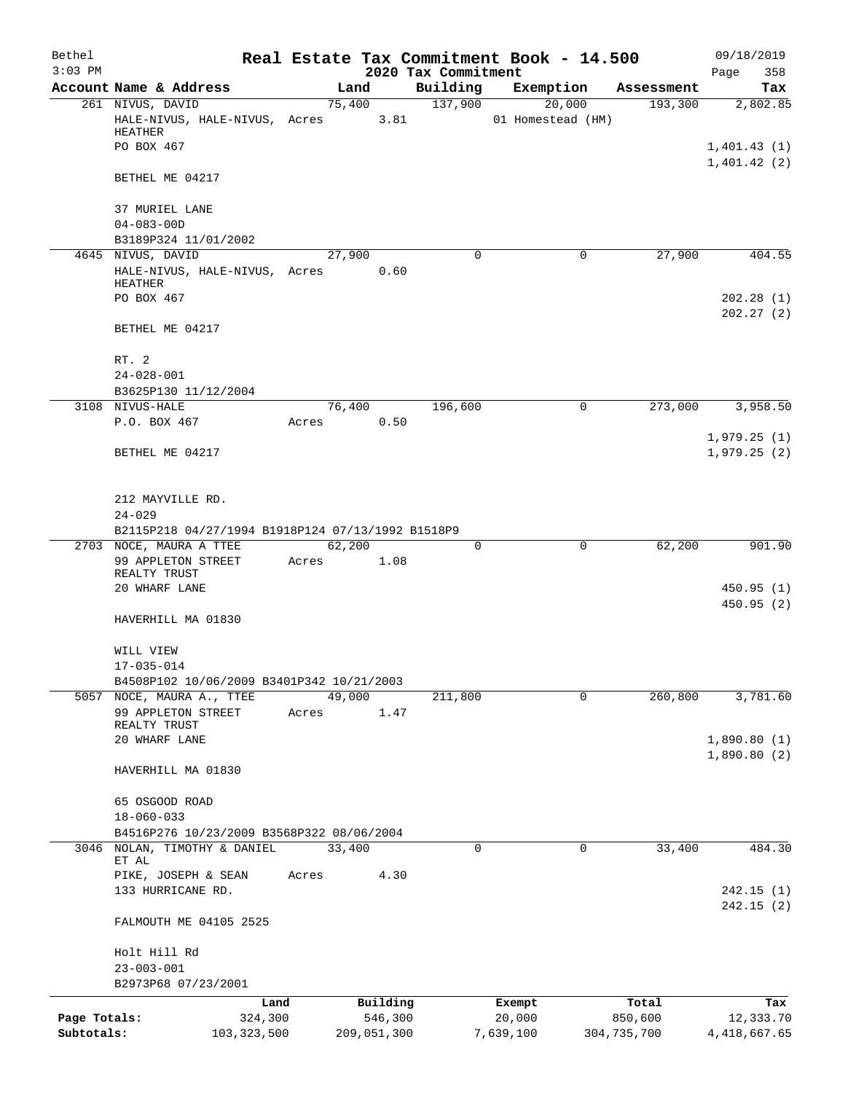| Bethel                     |                                                                        |       |                |                                 |             | Real Estate Tax Commitment Book - 14.500 |             | 09/18/2019                 |
|----------------------------|------------------------------------------------------------------------|-------|----------------|---------------------------------|-------------|------------------------------------------|-------------|----------------------------|
| $3:03$ PM                  | Account Name & Address                                                 |       | Land           | 2020 Tax Commitment<br>Building |             | Exemption                                | Assessment  | 358<br>Page<br>Tax         |
|                            | 261 NIVUS, DAVID                                                       |       | 75,400         |                                 | 137,900     | 20,000                                   | 193,300     | 2,802.85                   |
|                            | HALE-NIVUS, HALE-NIVUS, Acres<br>HEATHER                               |       | 3.81           |                                 |             | 01 Homestead (HM)                        |             |                            |
|                            | PO BOX 467                                                             |       |                |                                 |             |                                          |             | 1,401.43(1)<br>1,401.42(2) |
|                            | BETHEL ME 04217                                                        |       |                |                                 |             |                                          |             |                            |
|                            | 37 MURIEL LANE<br>$04 - 083 - 00D$                                     |       |                |                                 |             |                                          |             |                            |
|                            | B3189P324 11/01/2002                                                   |       |                |                                 |             |                                          |             |                            |
|                            | 4645 NIVUS, DAVID                                                      |       | 27,900         |                                 | 0           | 0                                        | 27,900      | 404.55                     |
|                            | HALE-NIVUS, HALE-NIVUS, Acres                                          |       | 0.60           |                                 |             |                                          |             |                            |
|                            | HEATHER<br>PO BOX 467                                                  |       |                |                                 |             |                                          |             | 202.28(1)                  |
|                            |                                                                        |       |                |                                 |             |                                          |             | 202.27(2)                  |
|                            | BETHEL ME 04217                                                        |       |                |                                 |             |                                          |             |                            |
|                            | RT. 2                                                                  |       |                |                                 |             |                                          |             |                            |
|                            | $24 - 028 - 001$                                                       |       |                |                                 |             |                                          |             |                            |
|                            | B3625P130 11/12/2004                                                   |       |                |                                 |             |                                          |             |                            |
|                            | 3108 NIVUS-HALE<br>P.O. BOX 467                                        | Acres | 76,400<br>0.50 |                                 | 196,600     | $\Omega$                                 | 273,000     | 3,958.50                   |
|                            |                                                                        |       |                |                                 |             |                                          |             | 1,979.25(1)                |
|                            | BETHEL ME 04217                                                        |       |                |                                 |             |                                          |             | 1,979.25(2)                |
|                            | 212 MAYVILLE RD.                                                       |       |                |                                 |             |                                          |             |                            |
|                            | $24 - 029$                                                             |       |                |                                 |             |                                          |             |                            |
|                            | B2115P218 04/27/1994 B1918P124 07/13/1992 B1518P9                      |       |                |                                 |             |                                          |             |                            |
|                            | 2703 NOCE, MAURA A TTEE                                                |       | 62,200         |                                 | $\mathbf 0$ | $\mathbf 0$                              | 62,200      | 901.90                     |
|                            | 99 APPLETON STREET                                                     | Acres | 1.08           |                                 |             |                                          |             |                            |
|                            | REALTY TRUST<br>20 WHARF LANE                                          |       |                |                                 |             |                                          |             | 450.95(1)                  |
|                            |                                                                        |       |                |                                 |             |                                          |             | 450.95(2)                  |
|                            | HAVERHILL MA 01830                                                     |       |                |                                 |             |                                          |             |                            |
|                            | WILL VIEW                                                              |       |                |                                 |             |                                          |             |                            |
|                            | $17 - 035 - 014$                                                       |       |                |                                 |             |                                          |             |                            |
|                            | B4508P102 10/06/2009 B3401P342 10/21/2003<br>5057 NOCE, MAURA A., TTEE |       | 49,000         |                                 | 211,800     | $\Omega$                                 | 260,800     | 3,781.60                   |
|                            | 99 APPLETON STREET                                                     | Acres | 1.47           |                                 |             |                                          |             |                            |
|                            | REALTY TRUST                                                           |       |                |                                 |             |                                          |             |                            |
|                            | 20 WHARF LANE                                                          |       |                |                                 |             |                                          |             | 1,890.80(1)                |
|                            | HAVERHILL MA 01830                                                     |       |                |                                 |             |                                          |             | 1,890.80(2)                |
|                            | 65 OSGOOD ROAD                                                         |       |                |                                 |             |                                          |             |                            |
|                            | $18 - 060 - 033$                                                       |       |                |                                 |             |                                          |             |                            |
|                            | B4516P276 10/23/2009 B3568P322 08/06/2004                              |       |                |                                 |             |                                          |             |                            |
| 3046                       | NOLAN, TIMOTHY & DANIEL                                                |       | 33,400         |                                 | $\Omega$    | $\Omega$                                 | 33,400      | 484.30                     |
|                            | ET AL                                                                  |       |                |                                 |             |                                          |             |                            |
|                            | PIKE, JOSEPH & SEAN<br>133 HURRICANE RD.                               | Acres | 4.30           |                                 |             |                                          |             | 242.15(1)                  |
|                            |                                                                        |       |                |                                 |             |                                          |             | 242.15(2)                  |
|                            | FALMOUTH ME 04105 2525                                                 |       |                |                                 |             |                                          |             |                            |
|                            | Holt Hill Rd                                                           |       |                |                                 |             |                                          |             |                            |
|                            | $23 - 003 - 001$                                                       |       |                |                                 |             |                                          |             |                            |
|                            | B2973P68 07/23/2001                                                    |       |                |                                 |             |                                          |             |                            |
|                            | Land                                                                   |       | Building       |                                 |             | Exempt                                   | Total       | Tax                        |
| Page Totals:<br>Subtotals: | 324,300                                                                |       | 546,300        |                                 |             | 20,000                                   | 850,600     | 12,333.70                  |
|                            | 103, 323, 500                                                          |       | 209,051,300    |                                 |             | 7,639,100                                | 304,735,700 | 4, 418, 667.65             |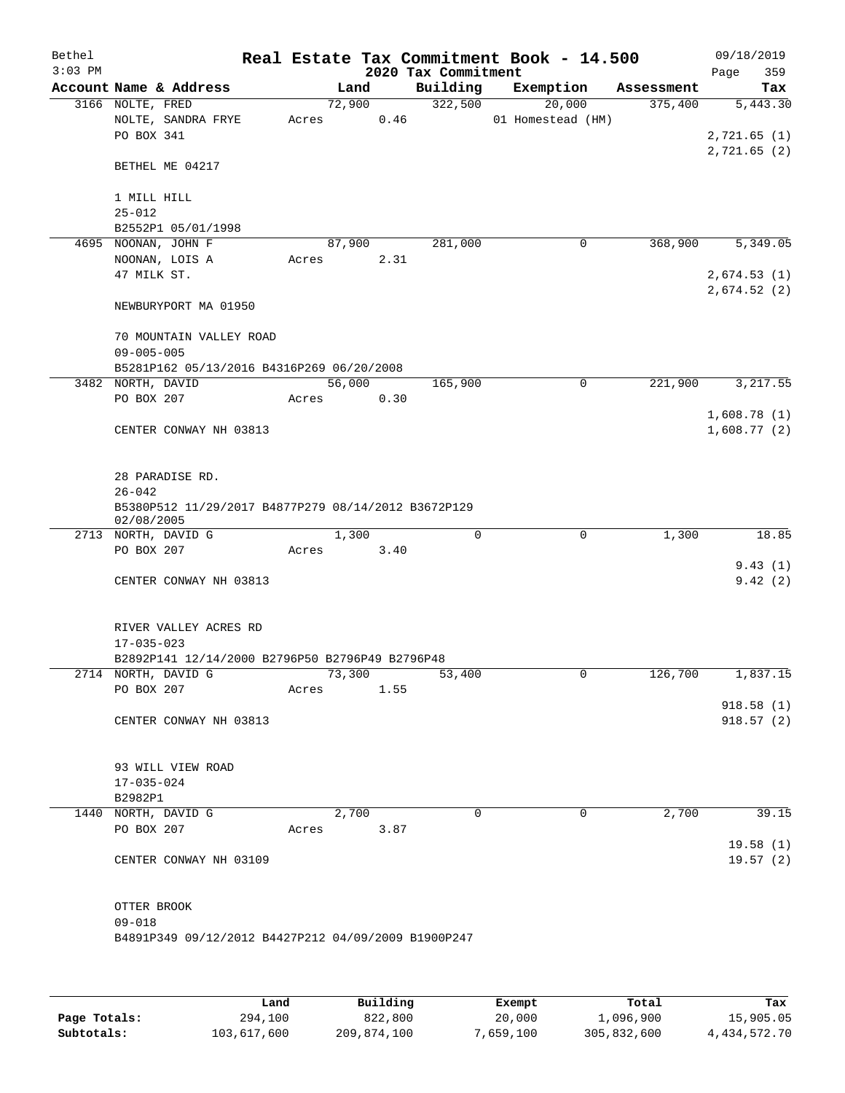| Bethel<br>$3:03$ PM |                                                     |       |        | 2020 Tax Commitment | Real Estate Tax Commitment Book - 14.500 |            | 09/18/2019<br>Page<br>359  |
|---------------------|-----------------------------------------------------|-------|--------|---------------------|------------------------------------------|------------|----------------------------|
|                     | Account Name & Address                              |       | Land   | Building            | Exemption                                | Assessment | Tax                        |
|                     | 3166 NOLTE, FRED                                    |       | 72,900 | 322,500             | 20,000                                   | 375,400    | 5,443.30                   |
|                     | NOLTE, SANDRA FRYE                                  | Acres | 0.46   |                     | 01 Homestead (HM)                        |            |                            |
|                     | PO BOX 341                                          |       |        |                     |                                          |            | 2,721.65(1)                |
|                     |                                                     |       |        |                     |                                          |            | 2,721.65(2)                |
|                     | BETHEL ME 04217                                     |       |        |                     |                                          |            |                            |
|                     |                                                     |       |        |                     |                                          |            |                            |
|                     | 1 MILL HILL                                         |       |        |                     |                                          |            |                            |
|                     | $25 - 012$                                          |       |        |                     |                                          |            |                            |
|                     | B2552P1 05/01/1998<br>4695 NOONAN, JOHN F           |       | 87,900 | 281,000             | 0                                        | 368,900    | 5,349.05                   |
|                     | NOONAN, LOIS A                                      | Acres | 2.31   |                     |                                          |            |                            |
|                     | 47 MILK ST.                                         |       |        |                     |                                          |            | 2,674.53(1)                |
|                     |                                                     |       |        |                     |                                          |            | 2,674.52(2)                |
|                     | NEWBURYPORT MA 01950                                |       |        |                     |                                          |            |                            |
|                     |                                                     |       |        |                     |                                          |            |                            |
|                     | 70 MOUNTAIN VALLEY ROAD                             |       |        |                     |                                          |            |                            |
|                     | $09 - 005 - 005$                                    |       |        |                     |                                          |            |                            |
|                     | B5281P162 05/13/2016 B4316P269 06/20/2008           |       |        |                     |                                          |            |                            |
|                     | 3482 NORTH, DAVID                                   |       | 56,000 | 165,900             | $\mathbf 0$                              | 221,900    | 3,217.55                   |
|                     | PO BOX 207                                          | Acres | 0.30   |                     |                                          |            |                            |
|                     | CENTER CONWAY NH 03813                              |       |        |                     |                                          |            | 1,608.78(1)<br>1,608.77(2) |
|                     |                                                     |       |        |                     |                                          |            |                            |
|                     |                                                     |       |        |                     |                                          |            |                            |
|                     | 28 PARADISE RD.                                     |       |        |                     |                                          |            |                            |
|                     | $26 - 042$                                          |       |        |                     |                                          |            |                            |
|                     | B5380P512 11/29/2017 B4877P279 08/14/2012 B3672P129 |       |        |                     |                                          |            |                            |
|                     | 02/08/2005                                          |       |        |                     |                                          |            |                            |
|                     | 2713 NORTH, DAVID G                                 |       | 1,300  | 0                   | 0                                        | 1,300      | 18.85                      |
|                     | PO BOX 207                                          | Acres | 3.40   |                     |                                          |            |                            |
|                     | CENTER CONWAY NH 03813                              |       |        |                     |                                          |            | 9.43(1)<br>9.42(2)         |
|                     |                                                     |       |        |                     |                                          |            |                            |
|                     |                                                     |       |        |                     |                                          |            |                            |
|                     | RIVER VALLEY ACRES RD                               |       |        |                     |                                          |            |                            |
|                     | $17 - 035 - 023$                                    |       |        |                     |                                          |            |                            |
|                     | B2892P141 12/14/2000 B2796P50 B2796P49 B2796P48     |       |        |                     |                                          |            |                            |
|                     | 2714 NORTH, DAVID G                                 |       | 73,300 | 53,400              | 0                                        | 126,700    | 1,837.15                   |
|                     | PO BOX 207                                          | Acres | 1.55   |                     |                                          |            |                            |
|                     |                                                     |       |        |                     |                                          |            | 918.58(1)                  |
|                     | CENTER CONWAY NH 03813                              |       |        |                     |                                          |            | 918.57(2)                  |
|                     |                                                     |       |        |                     |                                          |            |                            |
|                     | 93 WILL VIEW ROAD                                   |       |        |                     |                                          |            |                            |
|                     | $17 - 035 - 024$                                    |       |        |                     |                                          |            |                            |
|                     | B2982P1                                             |       |        |                     |                                          |            |                            |
|                     | 1440 NORTH, DAVID G                                 |       | 2,700  | $\Omega$            | $\mathbf 0$                              | 2,700      | 39.15                      |
|                     | PO BOX 207                                          | Acres | 3.87   |                     |                                          |            |                            |
|                     |                                                     |       |        |                     |                                          |            | 19.58(1)                   |
|                     | CENTER CONWAY NH 03109                              |       |        |                     |                                          |            | 19.57(2)                   |
|                     |                                                     |       |        |                     |                                          |            |                            |
|                     |                                                     |       |        |                     |                                          |            |                            |
|                     | OTTER BROOK<br>$09 - 018$                           |       |        |                     |                                          |            |                            |
|                     | B4891P349 09/12/2012 B4427P212 04/09/2009 B1900P247 |       |        |                     |                                          |            |                            |
|                     |                                                     |       |        |                     |                                          |            |                            |
|                     |                                                     |       |        |                     |                                          |            |                            |
|                     |                                                     |       |        |                     |                                          |            |                            |

|              | Land        | Building    | Exempt    | Total       | Tax          |
|--------------|-------------|-------------|-----------|-------------|--------------|
| Page Totals: | 294,100     | 822,800     | 20,000    | 1,096,900   | 15,905.05    |
| Subtotals:   | 103,617,600 | 209,874,100 | 7,659,100 | 305,832,600 | 4,434,572.70 |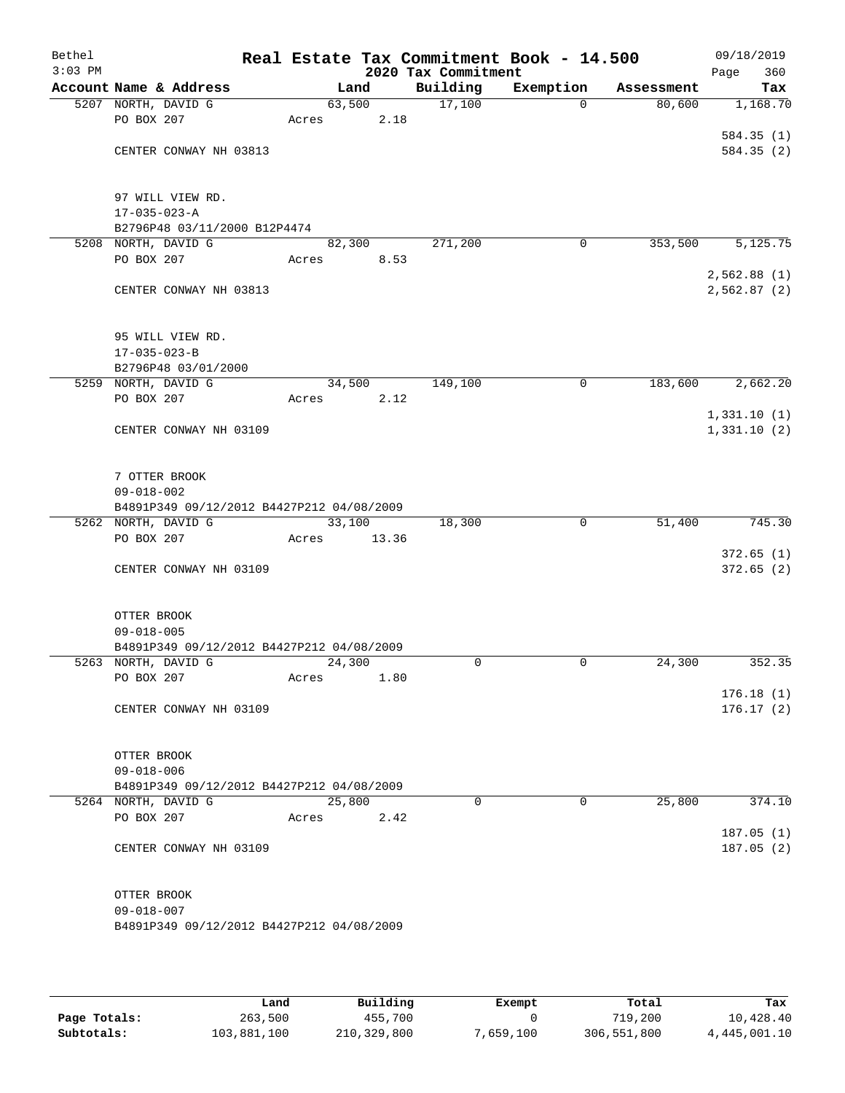| Bethel<br>$3:03$ PM |                                           |       |        | 2020 Tax Commitment | Real Estate Tax Commitment Book - 14.500 |            | 09/18/2019<br>360<br>Page |
|---------------------|-------------------------------------------|-------|--------|---------------------|------------------------------------------|------------|---------------------------|
|                     | Account Name & Address                    |       | Land   | Building            | Exemption                                | Assessment | Tax                       |
|                     | 5207 NORTH, DAVID G                       |       | 63,500 | 17,100              | 0                                        | 80,600     | 1,168.70                  |
|                     | PO BOX 207                                | Acres | 2.18   |                     |                                          |            |                           |
|                     |                                           |       |        |                     |                                          |            | 584.35(1)                 |
|                     | CENTER CONWAY NH 03813                    |       |        |                     |                                          |            | 584.35(2)                 |
|                     |                                           |       |        |                     |                                          |            |                           |
|                     | 97 WILL VIEW RD.                          |       |        |                     |                                          |            |                           |
|                     | $17 - 035 - 023 - A$                      |       |        |                     |                                          |            |                           |
|                     | B2796P48 03/11/2000 B12P4474              |       |        |                     |                                          |            |                           |
|                     | 5208 NORTH, DAVID G                       |       | 82,300 | 271,200             | 0                                        | 353,500    | 5,125.75                  |
|                     | PO BOX 207                                | Acres | 8.53   |                     |                                          |            |                           |
|                     |                                           |       |        |                     |                                          |            | 2,562.88(1)               |
|                     | CENTER CONWAY NH 03813                    |       |        |                     |                                          |            | 2,562.87 (2)              |
|                     |                                           |       |        |                     |                                          |            |                           |
|                     | 95 WILL VIEW RD.                          |       |        |                     |                                          |            |                           |
|                     | $17 - 035 - 023 - B$                      |       |        |                     |                                          |            |                           |
|                     | B2796P48 03/01/2000                       |       |        |                     |                                          |            |                           |
|                     | 5259 NORTH, DAVID G                       |       | 34,500 | 149,100             | $\mathbf 0$                              | 183,600    | 2,662.20                  |
|                     | PO BOX 207                                | Acres | 2.12   |                     |                                          |            |                           |
|                     |                                           |       |        |                     |                                          |            | 1,331.10(1)               |
|                     | CENTER CONWAY NH 03109                    |       |        |                     |                                          |            | 1,331.10(2)               |
|                     |                                           |       |        |                     |                                          |            |                           |
|                     | 7 OTTER BROOK                             |       |        |                     |                                          |            |                           |
|                     | $09 - 018 - 002$                          |       |        |                     |                                          |            |                           |
|                     | B4891P349 09/12/2012 B4427P212 04/08/2009 |       |        |                     |                                          |            |                           |
|                     | 5262 NORTH, DAVID G                       |       | 33,100 | 18,300              | $\mathbf 0$                              | 51,400     | 745.30                    |
|                     | PO BOX 207                                | Acres | 13.36  |                     |                                          |            |                           |
|                     |                                           |       |        |                     |                                          |            | 372.65(1)                 |
|                     | CENTER CONWAY NH 03109                    |       |        |                     |                                          |            | 372.65(2)                 |
|                     |                                           |       |        |                     |                                          |            |                           |
|                     | OTTER BROOK                               |       |        |                     |                                          |            |                           |
|                     | $09 - 018 - 005$                          |       |        |                     |                                          |            |                           |
|                     | B4891P349 09/12/2012 B4427P212 04/08/2009 |       |        |                     |                                          |            |                           |
|                     | 5263 NORTH, DAVID G                       |       | 24,300 | $\Omega$            | $\mathbf 0$                              | 24,300     | 352.35                    |
|                     | PO BOX 207                                | Acres | 1.80   |                     |                                          |            |                           |
|                     |                                           |       |        |                     |                                          |            | 176.18(1)                 |
|                     | CENTER CONWAY NH 03109                    |       |        |                     |                                          |            | 176.17(2)                 |
|                     |                                           |       |        |                     |                                          |            |                           |
|                     | OTTER BROOK                               |       |        |                     |                                          |            |                           |
|                     | $09 - 018 - 006$                          |       |        |                     |                                          |            |                           |
|                     | B4891P349 09/12/2012 B4427P212 04/08/2009 |       |        |                     |                                          |            |                           |
|                     | 5264 NORTH, DAVID G                       |       | 25,800 | $\Omega$            | 0                                        | 25,800     | 374.10                    |
|                     | PO BOX 207                                | Acres | 2.42   |                     |                                          |            |                           |
|                     |                                           |       |        |                     |                                          |            | 187.05(1)                 |
|                     | CENTER CONWAY NH 03109                    |       |        |                     |                                          |            | 187.05(2)                 |
|                     |                                           |       |        |                     |                                          |            |                           |
|                     | OTTER BROOK                               |       |        |                     |                                          |            |                           |
|                     | $09 - 018 - 007$                          |       |        |                     |                                          |            |                           |
|                     | B4891P349 09/12/2012 B4427P212 04/08/2009 |       |        |                     |                                          |            |                           |
|                     |                                           |       |        |                     |                                          |            |                           |
|                     |                                           |       |        |                     |                                          |            |                           |

|              | Land        | Building    | Exempt    | Total       | Tax          |
|--------------|-------------|-------------|-----------|-------------|--------------|
| Page Totals: | 263,500     | 455,700     |           | 719,200     | 10,428.40    |
| Subtotals:   | 103,881,100 | 210,329,800 | 7,659,100 | 306,551,800 | 4,445,001.10 |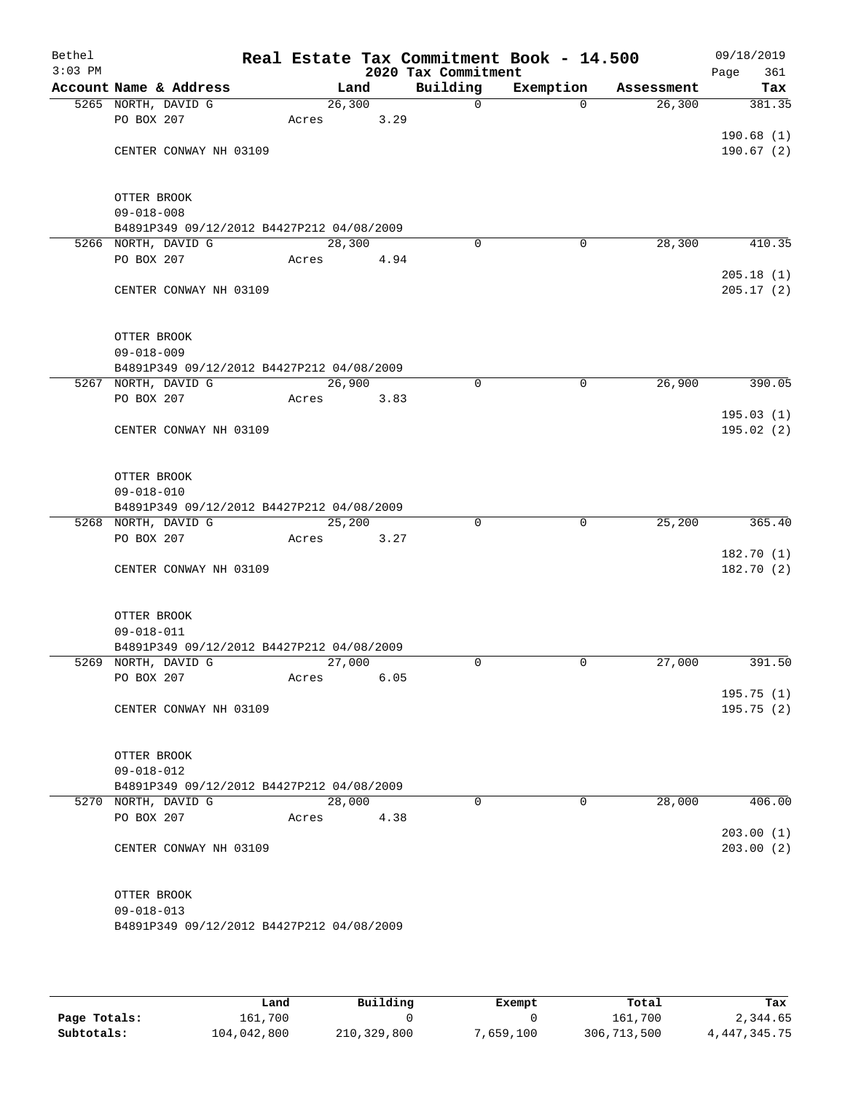| Bethel<br>$3:03$ PM |                                                               |         |      | 2020 Tax Commitment | Real Estate Tax Commitment Book - 14.500 |            | 09/18/2019<br>361<br>Page |
|---------------------|---------------------------------------------------------------|---------|------|---------------------|------------------------------------------|------------|---------------------------|
|                     | Account Name & Address                                        | Land    |      | Building            | Exemption                                | Assessment | Tax                       |
|                     | 5265 NORTH, DAVID G                                           | 26, 300 |      | $\mathsf{O}$        | $\Omega$                                 | 26, 300    | 381.35                    |
|                     | PO BOX 207                                                    | Acres   | 3.29 |                     |                                          |            |                           |
|                     |                                                               |         |      |                     |                                          |            | 190.68(1)                 |
|                     | CENTER CONWAY NH 03109                                        |         |      |                     |                                          |            | 190.67(2)                 |
|                     |                                                               |         |      |                     |                                          |            |                           |
|                     |                                                               |         |      |                     |                                          |            |                           |
|                     | OTTER BROOK<br>$09 - 018 - 008$                               |         |      |                     |                                          |            |                           |
|                     | B4891P349 09/12/2012 B4427P212 04/08/2009                     |         |      |                     |                                          |            |                           |
|                     | 5266 NORTH, DAVID G                                           | 28,300  |      | $\Omega$            | 0                                        | 28,300     | 410.35                    |
|                     | PO BOX 207                                                    | Acres   | 4.94 |                     |                                          |            |                           |
|                     |                                                               |         |      |                     |                                          |            | 205.18(1)                 |
|                     | CENTER CONWAY NH 03109                                        |         |      |                     |                                          |            | 205.17(2)                 |
|                     |                                                               |         |      |                     |                                          |            |                           |
|                     |                                                               |         |      |                     |                                          |            |                           |
|                     | OTTER BROOK<br>$09 - 018 - 009$                               |         |      |                     |                                          |            |                           |
|                     | B4891P349 09/12/2012 B4427P212 04/08/2009                     |         |      |                     |                                          |            |                           |
|                     | 5267 NORTH, DAVID G                                           | 26,900  |      | 0                   | $\mathbf 0$                              | 26,900     | 390.05                    |
|                     | PO BOX 207                                                    | Acres   | 3.83 |                     |                                          |            |                           |
|                     |                                                               |         |      |                     |                                          |            | 195.03(1)                 |
|                     | CENTER CONWAY NH 03109                                        |         |      |                     |                                          |            | 195.02 (2)                |
|                     |                                                               |         |      |                     |                                          |            |                           |
|                     |                                                               |         |      |                     |                                          |            |                           |
|                     | OTTER BROOK                                                   |         |      |                     |                                          |            |                           |
|                     | $09 - 018 - 010$<br>B4891P349 09/12/2012 B4427P212 04/08/2009 |         |      |                     |                                          |            |                           |
|                     | 5268 NORTH, DAVID G                                           | 25,200  |      | $\Omega$            | $\mathbf 0$                              | 25,200     | 365.40                    |
|                     | PO BOX 207                                                    | Acres   | 3.27 |                     |                                          |            |                           |
|                     |                                                               |         |      |                     |                                          |            | 182.70(1)                 |
|                     | CENTER CONWAY NH 03109                                        |         |      |                     |                                          |            | 182.70 (2)                |
|                     |                                                               |         |      |                     |                                          |            |                           |
|                     |                                                               |         |      |                     |                                          |            |                           |
|                     | OTTER BROOK                                                   |         |      |                     |                                          |            |                           |
|                     | $09 - 018 - 011$<br>B4891P349 09/12/2012 B4427P212 04/08/2009 |         |      |                     |                                          |            |                           |
|                     | 5269 NORTH, DAVID G                                           | 27,000  |      | $\Omega$            | 0                                        | 27,000     | 391.50                    |
|                     | PO BOX 207                                                    | Acres   | 6.05 |                     |                                          |            |                           |
|                     |                                                               |         |      |                     |                                          |            | 195.75(1)                 |
|                     | CENTER CONWAY NH 03109                                        |         |      |                     |                                          |            | 195.75(2)                 |
|                     |                                                               |         |      |                     |                                          |            |                           |
|                     |                                                               |         |      |                     |                                          |            |                           |
|                     | OTTER BROOK<br>$09 - 018 - 012$                               |         |      |                     |                                          |            |                           |
|                     | B4891P349 09/12/2012 B4427P212 04/08/2009                     |         |      |                     |                                          |            |                           |
|                     | 5270 NORTH, DAVID G                                           | 28,000  |      | $\Omega$            | $\Omega$                                 | 28,000     | 406.00                    |
|                     | PO BOX 207                                                    | Acres   | 4.38 |                     |                                          |            |                           |
|                     |                                                               |         |      |                     |                                          |            | 203.00(1)                 |
|                     | CENTER CONWAY NH 03109                                        |         |      |                     |                                          |            | 203.00(2)                 |
|                     |                                                               |         |      |                     |                                          |            |                           |
|                     |                                                               |         |      |                     |                                          |            |                           |
|                     | OTTER BROOK                                                   |         |      |                     |                                          |            |                           |
|                     | $09 - 018 - 013$<br>B4891P349 09/12/2012 B4427P212 04/08/2009 |         |      |                     |                                          |            |                           |
|                     |                                                               |         |      |                     |                                          |            |                           |
|                     |                                                               |         |      |                     |                                          |            |                           |

|              | Land        | Building    | Exempt   | Total       | Tax             |
|--------------|-------------|-------------|----------|-------------|-----------------|
| Page Totals: | 161.700     |             |          | 161,700     | 2,344.65        |
| Subtotals:   | 104,042,800 | 210,329,800 | ,659,100 | 306,713,500 | 4, 447, 345. 75 |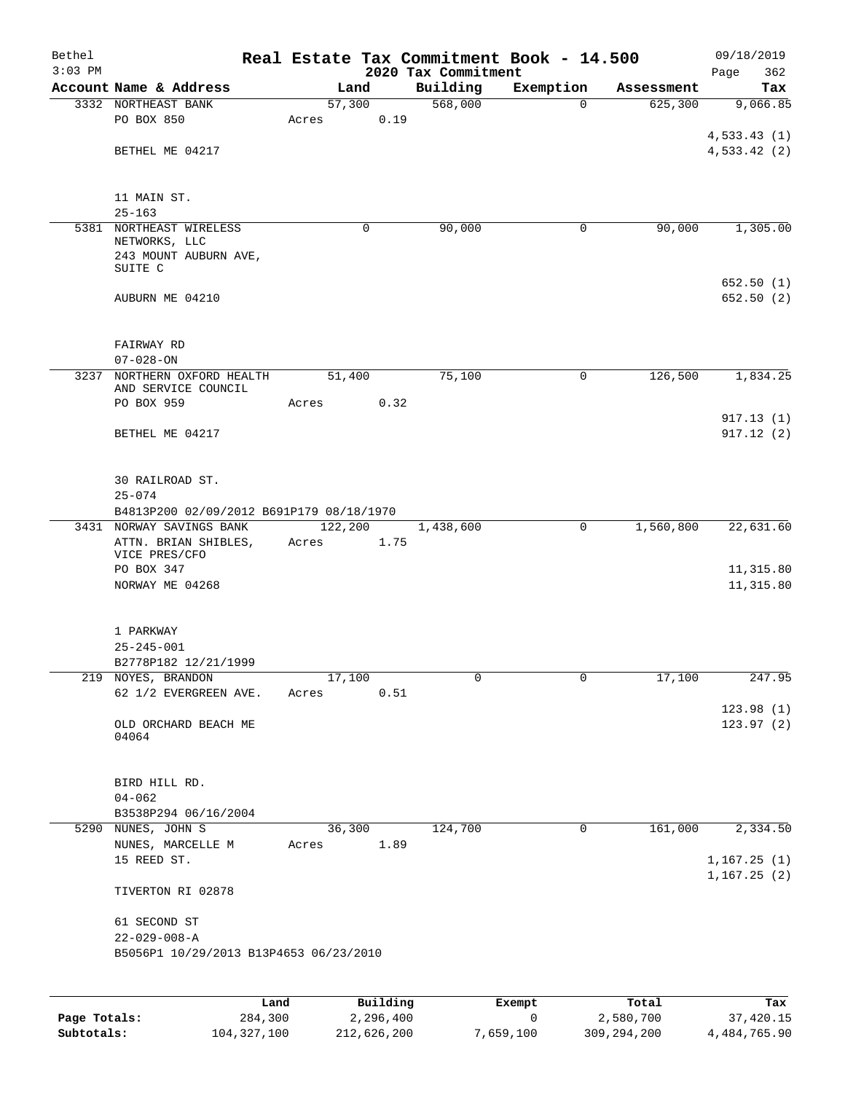| Bethel    |                                                    |      |                  |          |                     | Real Estate Tax Commitment Book - 14.500 |                       | 09/18/2019      |
|-----------|----------------------------------------------------|------|------------------|----------|---------------------|------------------------------------------|-----------------------|-----------------|
| $3:03$ PM | Account Name & Address                             |      |                  |          | 2020 Tax Commitment |                                          |                       | 362<br>Page     |
|           | 3332 NORTHEAST BANK                                |      | 57,300           | Land     | Building<br>568,000 | Exemption<br>0                           | Assessment<br>625,300 | Tax<br>9,066.85 |
|           | PO BOX 850                                         |      | Acres            | 0.19     |                     |                                          |                       |                 |
|           |                                                    |      |                  |          |                     |                                          |                       | 4,533.43(1)     |
|           | BETHEL ME 04217                                    |      |                  |          |                     |                                          |                       | 4,533.42(2)     |
|           | 11 MAIN ST.                                        |      |                  |          |                     |                                          |                       |                 |
|           | $25 - 163$                                         |      |                  |          |                     |                                          |                       |                 |
|           | 5381 NORTHEAST WIRELESS                            |      |                  | 0        | 90,000              | 0                                        | 90,000                | 1,305.00        |
|           | NETWORKS, LLC<br>243 MOUNT AUBURN AVE,             |      |                  |          |                     |                                          |                       |                 |
|           | SUITE C                                            |      |                  |          |                     |                                          |                       |                 |
|           |                                                    |      |                  |          |                     |                                          |                       | 652.50 (1)      |
|           | AUBURN ME 04210                                    |      |                  |          |                     |                                          |                       | 652.50(2)       |
|           | FAIRWAY RD                                         |      |                  |          |                     |                                          |                       |                 |
|           | $07 - 028 - ON$                                    |      |                  |          |                     |                                          |                       |                 |
|           | 3237 NORTHERN OXFORD HEALTH<br>AND SERVICE COUNCIL |      | 51,400           |          | 75,100              | 0                                        | 126,500               | 1,834.25        |
|           | PO BOX 959                                         |      | Acres            | 0.32     |                     |                                          |                       |                 |
|           |                                                    |      |                  |          |                     |                                          |                       | 917.13(1)       |
|           | BETHEL ME 04217                                    |      |                  |          |                     |                                          |                       | 917.12(2)       |
|           | 30 RAILROAD ST.                                    |      |                  |          |                     |                                          |                       |                 |
|           | $25 - 074$                                         |      |                  |          |                     |                                          |                       |                 |
|           | B4813P200 02/09/2012 B691P179 08/18/1970           |      |                  |          |                     |                                          |                       |                 |
|           | 3431 NORWAY SAVINGS BANK<br>ATTN. BRIAN SHIBLES,   |      | 122,200<br>Acres | 1.75     | 1,438,600           | 0                                        | 1,560,800             | 22,631.60       |
|           | VICE PRES/CFO                                      |      |                  |          |                     |                                          |                       |                 |
|           | PO BOX 347                                         |      |                  |          |                     |                                          |                       | 11,315.80       |
|           | NORWAY ME 04268                                    |      |                  |          |                     |                                          |                       | 11,315.80       |
|           | 1 PARKWAY                                          |      |                  |          |                     |                                          |                       |                 |
|           | $25 - 245 - 001$                                   |      |                  |          |                     |                                          |                       |                 |
|           | B2778P182 12/21/1999                               |      |                  |          |                     | 0                                        |                       |                 |
|           | 219 NOYES, BRANDON<br>62 1/2 EVERGREEN AVE.        |      | 17,100<br>Acres  | 0.51     | 0                   |                                          | 17,100                | 247.95          |
|           |                                                    |      |                  |          |                     |                                          |                       | 123.98(1)       |
|           | OLD ORCHARD BEACH ME<br>04064                      |      |                  |          |                     |                                          |                       | 123.97(2)       |
|           |                                                    |      |                  |          |                     |                                          |                       |                 |
|           | BIRD HILL RD.<br>$04 - 062$                        |      |                  |          |                     |                                          |                       |                 |
|           | B3538P294 06/16/2004                               |      |                  |          |                     |                                          |                       |                 |
|           | 5290 NUNES, JOHN S                                 |      | 36,300           |          | 124,700             | $\mathbf 0$                              | 161,000               | 2,334.50        |
|           | NUNES, MARCELLE M                                  |      | Acres            | 1.89     |                     |                                          |                       |                 |
|           | 15 REED ST.                                        |      |                  |          |                     |                                          |                       | 1,167.25(1)     |
|           | TIVERTON RI 02878                                  |      |                  |          |                     |                                          |                       | 1, 167.25(2)    |
|           | 61 SECOND ST                                       |      |                  |          |                     |                                          |                       |                 |
|           | $22 - 029 - 008 - A$                               |      |                  |          |                     |                                          |                       |                 |
|           | B5056P1 10/29/2013 B13P4653 06/23/2010             |      |                  |          |                     |                                          |                       |                 |
|           |                                                    |      |                  |          |                     |                                          |                       |                 |
|           |                                                    | Land |                  | Building |                     | Exempt                                   | Total                 | Tax             |
|           |                                                    |      |                  |          |                     |                                          |                       |                 |

|              | nand L      | Building    | Exempt    | Total       | тах          |
|--------------|-------------|-------------|-----------|-------------|--------------|
| Page Totals: | 284,300     | 2,296,400   |           | 2,580,700   | 37,420.15    |
| Subtotals:   | 104,327,100 | 212,626,200 | 7,659,100 | 309,294,200 | 4,484,765.90 |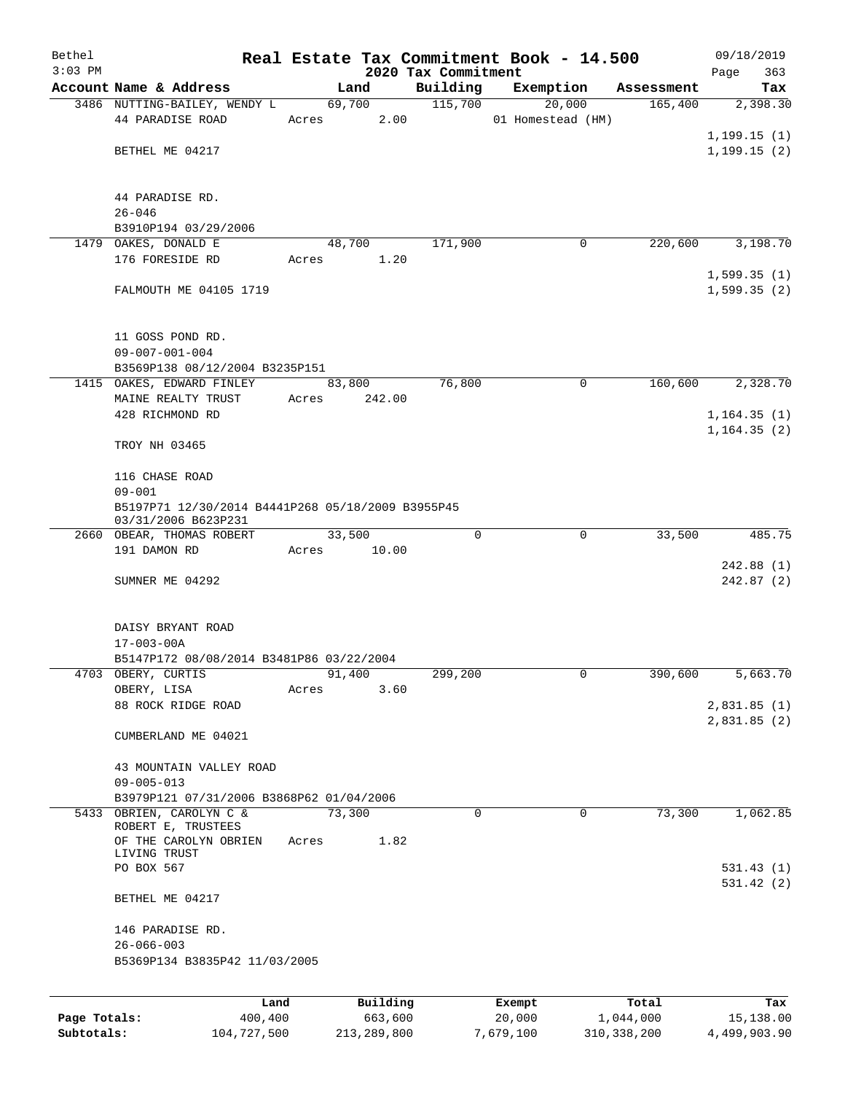| Bethel       |                                                                      |       |                |                     | Real Estate Tax Commitment Book - 14.500 |                       | 09/18/2019                 |
|--------------|----------------------------------------------------------------------|-------|----------------|---------------------|------------------------------------------|-----------------------|----------------------------|
| $3:03$ PM    |                                                                      |       |                | 2020 Tax Commitment |                                          |                       | Page<br>363                |
|              | Account Name & Address<br>3486 NUTTING-BAILEY, WENDY L               |       | Land<br>69,700 | Building<br>115,700 | Exemption<br>20,000                      | Assessment<br>165,400 | Tax<br>2,398.30            |
|              | 44 PARADISE ROAD                                                     | Acres | 2.00           |                     | 01 Homestead (HM)                        |                       |                            |
|              |                                                                      |       |                |                     |                                          |                       | 1, 199.15(1)               |
|              | BETHEL ME 04217                                                      |       |                |                     |                                          |                       | 1, 199.15(2)               |
|              |                                                                      |       |                |                     |                                          |                       |                            |
|              |                                                                      |       |                |                     |                                          |                       |                            |
|              | 44 PARADISE RD.<br>$26 - 046$                                        |       |                |                     |                                          |                       |                            |
|              | B3910P194 03/29/2006                                                 |       |                |                     |                                          |                       |                            |
|              | 1479 OAKES, DONALD E                                                 |       | 48,700         | 171,900             | 0                                        | 220,600               | 3,198.70                   |
|              | 176 FORESIDE RD                                                      | Acres | 1.20           |                     |                                          |                       |                            |
|              |                                                                      |       |                |                     |                                          |                       | 1,599.35(1)                |
|              | FALMOUTH ME 04105 1719                                               |       |                |                     |                                          |                       | 1,599.35(2)                |
|              |                                                                      |       |                |                     |                                          |                       |                            |
|              | 11 GOSS POND RD.                                                     |       |                |                     |                                          |                       |                            |
|              | $09 - 007 - 001 - 004$                                               |       |                |                     |                                          |                       |                            |
|              | B3569P138 08/12/2004 B3235P151                                       |       |                |                     |                                          |                       |                            |
|              | 1415 OAKES, EDWARD FINLEY                                            |       | 83,800         | 76,800              | $\mathsf{O}$                             | 160,600               | 2,328.70                   |
|              | MAINE REALTY TRUST                                                   | Acres | 242.00         |                     |                                          |                       |                            |
|              | 428 RICHMOND RD                                                      |       |                |                     |                                          |                       | 1, 164.35(1)               |
|              | TROY NH 03465                                                        |       |                |                     |                                          |                       | 1, 164.35(2)               |
|              |                                                                      |       |                |                     |                                          |                       |                            |
|              | 116 CHASE ROAD                                                       |       |                |                     |                                          |                       |                            |
|              | $09 - 001$                                                           |       |                |                     |                                          |                       |                            |
|              | B5197P71 12/30/2014 B4441P268 05/18/2009 B3955P45                    |       |                |                     |                                          |                       |                            |
|              | 03/31/2006 B623P231<br>2660 OBEAR, THOMAS ROBERT                     |       | 33,500         | 0                   | 0                                        | 33,500                | 485.75                     |
|              | 191 DAMON RD                                                         | Acres | 10.00          |                     |                                          |                       |                            |
|              |                                                                      |       |                |                     |                                          |                       | 242.88(1)                  |
|              | SUMNER ME 04292                                                      |       |                |                     |                                          |                       | 242.87(2)                  |
|              |                                                                      |       |                |                     |                                          |                       |                            |
|              | DAISY BRYANT ROAD                                                    |       |                |                     |                                          |                       |                            |
|              | $17 - 003 - 00A$                                                     |       |                |                     |                                          |                       |                            |
|              | B5147P172 08/08/2014 B3481P86 03/22/2004                             |       |                |                     |                                          |                       |                            |
|              | 4703 OBERY, CURTIS                                                   |       | 91,400         | 299,200             | 0                                        | 390,600               | 5,663.70                   |
|              | OBERY, LISA                                                          | Acres | 3.60           |                     |                                          |                       |                            |
|              | 88 ROCK RIDGE ROAD                                                   |       |                |                     |                                          |                       | 2,831.85(1)<br>2,831.85(2) |
|              | CUMBERLAND ME 04021                                                  |       |                |                     |                                          |                       |                            |
|              |                                                                      |       |                |                     |                                          |                       |                            |
|              | 43 MOUNTAIN VALLEY ROAD                                              |       |                |                     |                                          |                       |                            |
|              | $09 - 005 - 013$                                                     |       |                |                     |                                          |                       |                            |
|              | B3979P121 07/31/2006 B3868P62 01/04/2006<br>5433 OBRIEN, CAROLYN C & |       | 73,300         | $\Omega$            | 0                                        | 73,300                | 1,062.85                   |
|              | ROBERT E, TRUSTEES                                                   |       |                |                     |                                          |                       |                            |
|              | OF THE CAROLYN OBRIEN                                                | Acres | 1.82           |                     |                                          |                       |                            |
|              | LIVING TRUST<br>PO BOX 567                                           |       |                |                     |                                          |                       | 531.43(1)                  |
|              |                                                                      |       |                |                     |                                          |                       | 531.42(2)                  |
|              | BETHEL ME 04217                                                      |       |                |                     |                                          |                       |                            |
|              | 146 PARADISE RD.                                                     |       |                |                     |                                          |                       |                            |
|              | $26 - 066 - 003$                                                     |       |                |                     |                                          |                       |                            |
|              | B5369P134 B3835P42 11/03/2005                                        |       |                |                     |                                          |                       |                            |
|              |                                                                      |       |                |                     |                                          |                       |                            |
|              | Land                                                                 |       | Building       |                     | Exempt                                   | Total                 | Tax                        |
| Page Totals: | 400,400                                                              |       | 663,600        |                     | 20,000                                   | 1,044,000             | 15,138.00                  |

**Subtotals:** 104,727,500 213,289,800 7,679,100 310,338,200 4,499,903.90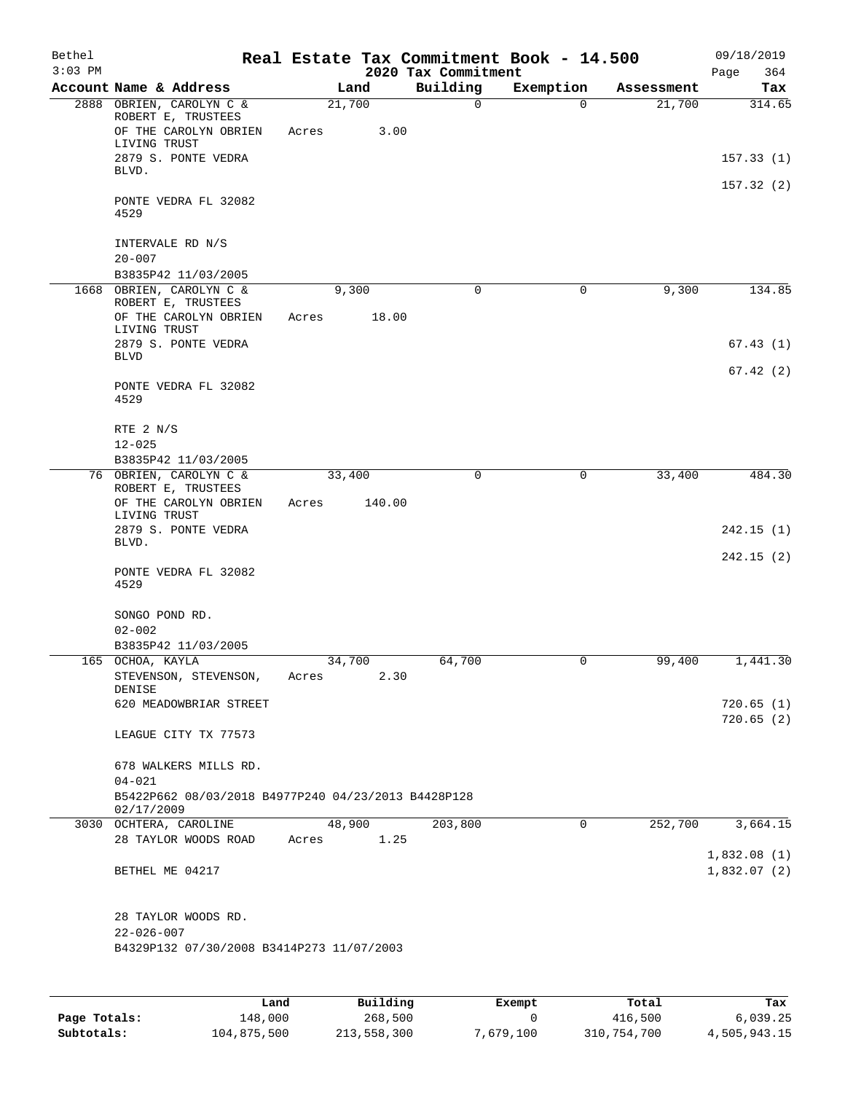| Bethel<br>$3:03$ PM |                                                                                         |                 |        | Real Estate Tax Commitment Book - 14.500<br>2020 Tax Commitment |             |            | 09/18/2019<br>364<br>Page |
|---------------------|-----------------------------------------------------------------------------------------|-----------------|--------|-----------------------------------------------------------------|-------------|------------|---------------------------|
|                     | Account Name & Address                                                                  | Land            |        | Building                                                        | Exemption   | Assessment | Tax                       |
|                     | 2888 OBRIEN, CAROLYN C &<br>ROBERT E, TRUSTEES<br>OF THE CAROLYN OBRIEN<br>LIVING TRUST | 21,700<br>Acres | 3.00   | $\mathbf 0$                                                     | $\Omega$    | 21,700     | 314.65                    |
|                     | 2879 S. PONTE VEDRA<br>BLVD.                                                            |                 |        |                                                                 |             |            | 157.33(1)                 |
|                     | PONTE VEDRA FL 32082<br>4529                                                            |                 |        |                                                                 |             |            | 157.32(2)                 |
|                     | INTERVALE RD N/S<br>$20 - 007$                                                          |                 |        |                                                                 |             |            |                           |
|                     | B3835P42 11/03/2005                                                                     |                 |        |                                                                 |             |            |                           |
|                     | 1668 OBRIEN, CAROLYN C &<br>ROBERT E, TRUSTEES                                          | 9,300           |        | 0                                                               | 0           | 9,300      | 134.85                    |
|                     | OF THE CAROLYN OBRIEN<br>LIVING TRUST                                                   | Acres           | 18.00  |                                                                 |             |            |                           |
|                     | 2879 S. PONTE VEDRA<br><b>BLVD</b>                                                      |                 |        |                                                                 |             |            | 67.43(1)                  |
|                     | PONTE VEDRA FL 32082<br>4529                                                            |                 |        |                                                                 |             |            | 67.42(2)                  |
|                     | RTE 2 N/S<br>$12 - 025$                                                                 |                 |        |                                                                 |             |            |                           |
|                     | B3835P42 11/03/2005                                                                     |                 |        |                                                                 |             |            |                           |
|                     | 76 OBRIEN, CAROLYN C &<br>ROBERT E, TRUSTEES<br>OF THE CAROLYN OBRIEN                   | 33,400<br>Acres | 140.00 | 0                                                               | $\mathbf 0$ | 33,400     | 484.30                    |
|                     | LIVING TRUST<br>2879 S. PONTE VEDRA                                                     |                 |        |                                                                 |             |            | 242.15(1)                 |
|                     | BLVD.                                                                                   |                 |        |                                                                 |             |            | 242.15(2)                 |
|                     | PONTE VEDRA FL 32082<br>4529                                                            |                 |        |                                                                 |             |            |                           |
|                     | SONGO POND RD.<br>$02 - 002$                                                            |                 |        |                                                                 |             |            |                           |
|                     | B3835P42 11/03/2005                                                                     |                 |        |                                                                 |             |            |                           |
|                     | 165 OCHOA, KAYLA<br>STEVENSON, STEVENSON,<br>DENISE                                     | 34,700<br>Acres | 2.30   | 64,700                                                          | 0           | 99,400     | 1,441.30                  |
|                     | 620 MEADOWBRIAR STREET                                                                  |                 |        |                                                                 |             |            | 720.65(1)<br>720.65(2)    |
|                     | LEAGUE CITY TX 77573                                                                    |                 |        |                                                                 |             |            |                           |
|                     | 678 WALKERS MILLS RD.<br>$04 - 021$                                                     |                 |        |                                                                 |             |            |                           |
|                     | B5422P662 08/03/2018 B4977P240 04/23/2013 B4428P128<br>02/17/2009                       |                 |        |                                                                 |             |            |                           |
|                     | 3030 OCHTERA, CAROLINE<br>28 TAYLOR WOODS ROAD                                          | 48,900<br>Acres | 1.25   | 203,800                                                         | 0           | 252,700    | 3,664.15                  |
|                     |                                                                                         |                 |        |                                                                 |             |            | 1,832.08(1)               |
|                     | BETHEL ME 04217                                                                         |                 |        |                                                                 |             |            | 1,832.07(2)               |
|                     | 28 TAYLOR WOODS RD.                                                                     |                 |        |                                                                 |             |            |                           |
|                     | $22 - 026 - 007$<br>B4329P132 07/30/2008 B3414P273 11/07/2003                           |                 |        |                                                                 |             |            |                           |
|                     |                                                                                         |                 |        |                                                                 |             |            |                           |
|                     |                                                                                         |                 |        |                                                                 |             |            |                           |

|              | Land        | Building    | Exempt    | Total       | Tax          |
|--------------|-------------|-------------|-----------|-------------|--------------|
| Page Totals: | 148,000     | 268,500     |           | 416,500     | 6.039.25     |
| Subtotals:   | 104,875,500 | 213,558,300 | 7,679,100 | 310,754,700 | 4,505,943.15 |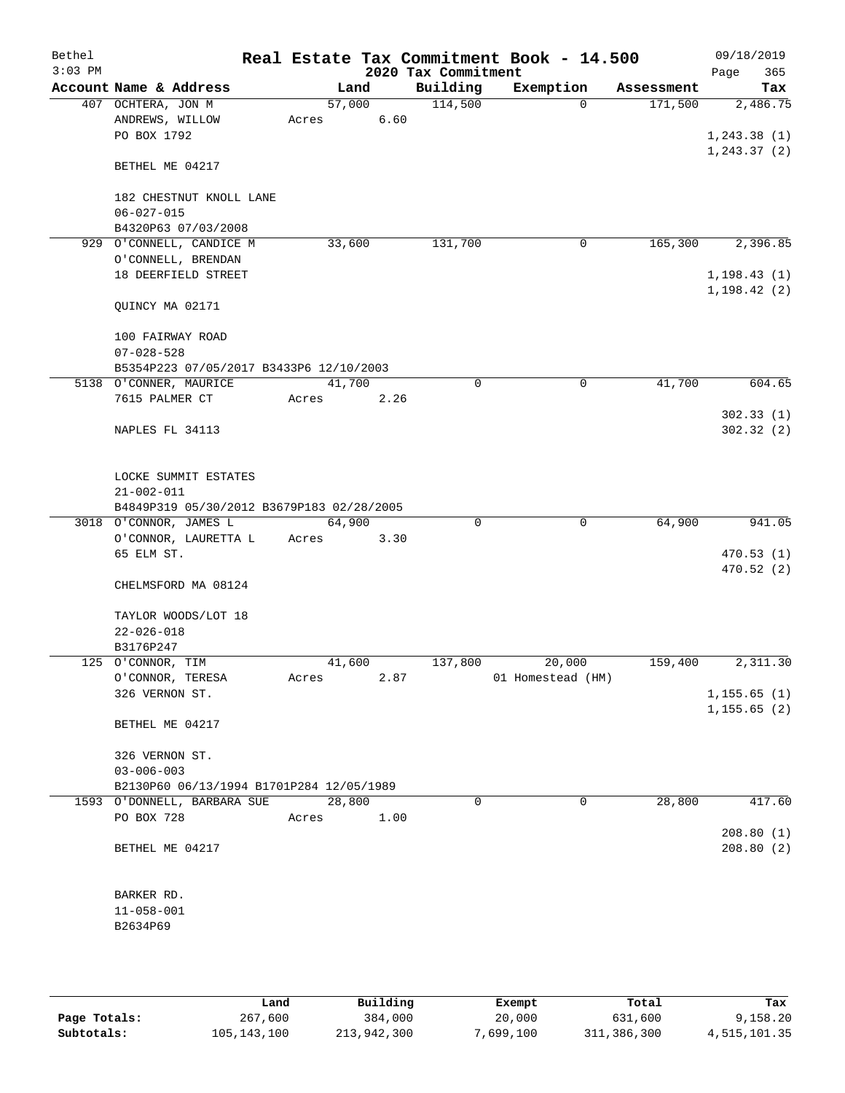| Bethel<br>$3:03$ PM |                                           |        |        | 2020 Tax Commitment | Real Estate Tax Commitment Book - 14.500 |            | 09/18/2019<br>365<br>Page |
|---------------------|-------------------------------------------|--------|--------|---------------------|------------------------------------------|------------|---------------------------|
|                     | Account Name & Address                    |        | Land   | Building            | Exemption                                | Assessment | Tax                       |
|                     | 407 OCHTERA, JON M                        |        | 57,000 | 114,500             | $\mathbf{0}$                             | 171,500    | 2,486.75                  |
|                     | ANDREWS, WILLOW                           | Acres  | 6.60   |                     |                                          |            |                           |
|                     | PO BOX 1792                               |        |        |                     |                                          |            | 1, 243.38(1)              |
|                     | BETHEL ME 04217                           |        |        |                     |                                          |            | 1, 243.37(2)              |
|                     | 182 CHESTNUT KNOLL LANE                   |        |        |                     |                                          |            |                           |
|                     | $06 - 027 - 015$                          |        |        |                     |                                          |            |                           |
|                     | B4320P63 07/03/2008                       |        |        |                     |                                          |            |                           |
|                     | 929 O'CONNELL, CANDICE M                  |        | 33,600 | 131,700             | 0                                        | 165,300    | 2,396.85                  |
|                     | O'CONNELL, BRENDAN                        |        |        |                     |                                          |            |                           |
|                     | 18 DEERFIELD STREET                       |        |        |                     |                                          |            | 1, 198.43(1)              |
|                     | QUINCY MA 02171                           |        |        |                     |                                          |            | 1, 198.42(2)              |
|                     | 100 FAIRWAY ROAD                          |        |        |                     |                                          |            |                           |
|                     | $07 - 028 - 528$                          |        |        |                     |                                          |            |                           |
|                     | B5354P223 07/05/2017 B3433P6 12/10/2003   |        |        |                     |                                          |            |                           |
|                     | 5138 O'CONNER, MAURICE                    |        | 41,700 | 0                   | 0                                        | 41,700     | 604.65                    |
|                     | 7615 PALMER CT                            | Acres  | 2.26   |                     |                                          |            |                           |
|                     |                                           |        |        |                     |                                          |            | 302.33(1)                 |
|                     | NAPLES FL 34113                           |        |        |                     |                                          |            | 302.32(2)                 |
|                     |                                           |        |        |                     |                                          |            |                           |
|                     | LOCKE SUMMIT ESTATES                      |        |        |                     |                                          |            |                           |
|                     | $21 - 002 - 011$                          |        |        |                     |                                          |            |                           |
|                     | B4849P319 05/30/2012 B3679P183 02/28/2005 |        |        |                     |                                          |            |                           |
|                     | 3018 O'CONNOR, JAMES L                    | 64,900 |        | $\Omega$            | $\mathbf 0$                              | 64,900     | 941.05                    |
|                     | O'CONNOR, LAURETTA L                      | Acres  | 3.30   |                     |                                          |            |                           |
|                     | 65 ELM ST.                                |        |        |                     |                                          |            | 470.53(1)                 |
|                     | CHELMSFORD MA 08124                       |        |        |                     |                                          |            | 470.52(2)                 |
|                     | TAYLOR WOODS/LOT 18                       |        |        |                     |                                          |            |                           |
|                     | $22 - 026 - 018$                          |        |        |                     |                                          |            |                           |
|                     | B3176P247                                 |        |        |                     |                                          |            |                           |
|                     | 125 O'CONNOR, TIM                         |        | 41,600 | 137,800             | 20,000                                   | 159,400    | 2,311.30                  |
|                     | O'CONNOR, TERESA                          | Acres  | 2.87   |                     | 01 Homestead (HM)                        |            |                           |
|                     | 326 VERNON ST.                            |        |        |                     |                                          |            | 1, 155.65(1)              |
|                     |                                           |        |        |                     |                                          |            | 1, 155.65(2)              |
|                     | BETHEL ME 04217                           |        |        |                     |                                          |            |                           |
|                     | 326 VERNON ST.                            |        |        |                     |                                          |            |                           |
|                     | $03 - 006 - 003$                          |        |        |                     |                                          |            |                           |
|                     | B2130P60 06/13/1994 B1701P284 12/05/1989  |        |        |                     |                                          |            |                           |
|                     | 1593 O'DONNELL, BARBARA SUE               | 28,800 |        | 0                   | 0                                        | 28,800     | 417.60                    |
|                     | PO BOX 728                                | Acres  | 1.00   |                     |                                          |            |                           |
|                     |                                           |        |        |                     |                                          |            | 208.80(1)                 |
|                     | BETHEL ME 04217                           |        |        |                     |                                          |            | 208.80(2)                 |
|                     |                                           |        |        |                     |                                          |            |                           |
|                     |                                           |        |        |                     |                                          |            |                           |
|                     | BARKER RD.                                |        |        |                     |                                          |            |                           |
|                     | $11 - 058 - 001$                          |        |        |                     |                                          |            |                           |
|                     | B2634P69                                  |        |        |                     |                                          |            |                           |
|                     |                                           |        |        |                     |                                          |            |                           |
|                     |                                           |        |        |                     |                                          |            |                           |

|              | Land        | Building    | Exempt    | Total       | Tax          |
|--------------|-------------|-------------|-----------|-------------|--------------|
| Page Totals: | 267,600     | 384,000     | 20,000    | 631,600     | 9,158.20     |
| Subtotals:   | 105,143,100 | 213,942,300 | 7,699,100 | 311,386,300 | 4,515,101.35 |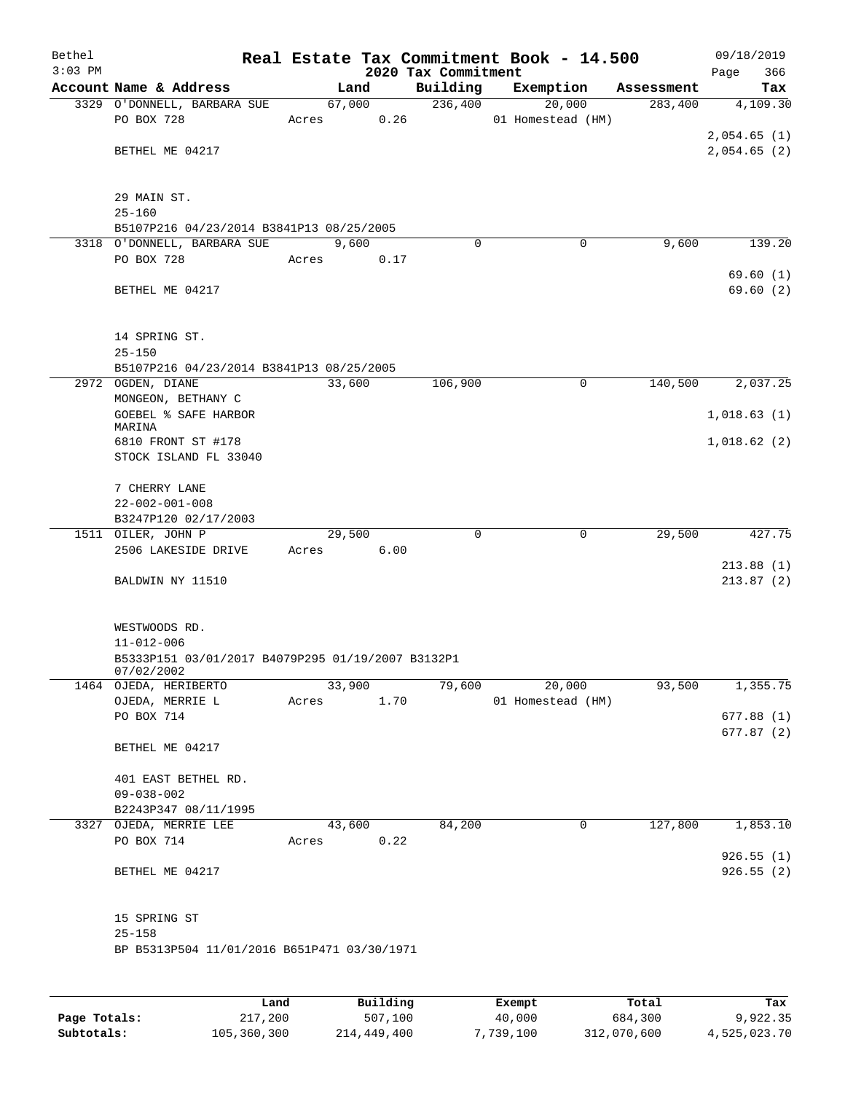| Bethel<br>$3:03$ PM |                                                                 |       |        |            | 2020 Tax Commitment | Real Estate Tax Commitment Book - 14.500 |            | 09/18/2019<br>366<br>Page |
|---------------------|-----------------------------------------------------------------|-------|--------|------------|---------------------|------------------------------------------|------------|---------------------------|
|                     | Account Name & Address                                          |       | Land   |            | Building            | Exemption                                | Assessment | Tax                       |
|                     | 3329 O'DONNELL, BARBARA SUE                                     |       | 67,000 |            | 236,400             | 20,000                                   | 283,400    | 4,109.30                  |
|                     | PO BOX 728                                                      | Acres |        | 0.26       |                     | 01 Homestead (HM)                        |            |                           |
|                     |                                                                 |       |        |            |                     |                                          |            | 2,054.65(1)               |
|                     | BETHEL ME 04217                                                 |       |        |            |                     |                                          |            | 2,054.65(2)               |
|                     |                                                                 |       |        |            |                     |                                          |            |                           |
|                     |                                                                 |       |        |            |                     |                                          |            |                           |
|                     | 29 MAIN ST.<br>$25 - 160$                                       |       |        |            |                     |                                          |            |                           |
|                     | B5107P216 04/23/2014 B3841P13 08/25/2005                        |       |        |            |                     |                                          |            |                           |
|                     | 3318 O'DONNELL, BARBARA SUE                                     |       | 9,600  |            | 0                   | 0                                        | 9,600      | 139.20                    |
|                     | PO BOX 728                                                      | Acres |        | 0.17       |                     |                                          |            |                           |
|                     |                                                                 |       |        |            |                     |                                          |            | 69.60(1)                  |
|                     | BETHEL ME 04217                                                 |       |        |            |                     |                                          |            | 69.60(2)                  |
|                     |                                                                 |       |        |            |                     |                                          |            |                           |
|                     |                                                                 |       |        |            |                     |                                          |            |                           |
|                     | 14 SPRING ST.<br>$25 - 150$                                     |       |        |            |                     |                                          |            |                           |
|                     | B5107P216 04/23/2014 B3841P13 08/25/2005                        |       |        |            |                     |                                          |            |                           |
|                     | 2972 OGDEN, DIANE                                               |       | 33,600 |            | 106,900             | $\mathbf 0$                              | 140,500    | 2,037.25                  |
|                     | MONGEON, BETHANY C                                              |       |        |            |                     |                                          |            |                           |
|                     | <b>GOEBEL % SAFE HARBOR</b>                                     |       |        |            |                     |                                          |            | 1,018.63(1)               |
|                     | MARINA                                                          |       |        |            |                     |                                          |            |                           |
|                     | 6810 FRONT ST #178                                              |       |        |            |                     |                                          |            | 1,018.62(2)               |
|                     | STOCK ISLAND FL 33040                                           |       |        |            |                     |                                          |            |                           |
|                     | 7 CHERRY LANE                                                   |       |        |            |                     |                                          |            |                           |
|                     | $22 - 002 - 001 - 008$                                          |       |        |            |                     |                                          |            |                           |
|                     | B3247P120 02/17/2003                                            |       |        |            |                     |                                          |            |                           |
|                     | 1511 OILER, JOHN P                                              |       | 29,500 |            | 0                   | 0                                        | 29,500     | 427.75                    |
|                     | 2506 LAKESIDE DRIVE                                             | Acres |        | 6.00       |                     |                                          |            |                           |
|                     | BALDWIN NY 11510                                                |       |        |            |                     |                                          |            | 213.88(1)<br>213.87(2)    |
|                     |                                                                 |       |        |            |                     |                                          |            |                           |
|                     |                                                                 |       |        |            |                     |                                          |            |                           |
|                     | WESTWOODS RD.                                                   |       |        |            |                     |                                          |            |                           |
|                     | $11 - 012 - 006$                                                |       |        |            |                     |                                          |            |                           |
|                     | B5333P151 03/01/2017 B4079P295 01/19/2007 B3132P1<br>07/02/2002 |       |        |            |                     |                                          |            |                           |
|                     | 1464 OJEDA, HERIBERTO                                           |       | 33,900 |            | 79,600              | 20,000                                   | 93,500     | 1,355.75                  |
|                     | OJEDA, MERRIE L                                                 |       | Acres  | 1.70       |                     | 01 Homestead (HM)                        |            |                           |
|                     | PO BOX 714                                                      |       |        |            |                     |                                          |            | 677.88(1)                 |
|                     |                                                                 |       |        |            |                     |                                          |            | 677.87(2)                 |
|                     | BETHEL ME 04217                                                 |       |        |            |                     |                                          |            |                           |
|                     |                                                                 |       |        |            |                     |                                          |            |                           |
|                     | 401 EAST BETHEL RD.<br>$09 - 038 - 002$                         |       |        |            |                     |                                          |            |                           |
|                     | B2243P347 08/11/1995                                            |       |        |            |                     |                                          |            |                           |
|                     | 3327 OJEDA, MERRIE LEE                                          |       | 43,600 |            | 84,200              | 0                                        | 127,800    | 1,853.10                  |
|                     | PO BOX 714                                                      |       |        | Acres 0.22 |                     |                                          |            |                           |
|                     |                                                                 |       |        |            |                     |                                          |            | 926.55(1)                 |
|                     | BETHEL ME 04217                                                 |       |        |            |                     |                                          |            | 926.55(2)                 |
|                     |                                                                 |       |        |            |                     |                                          |            |                           |
|                     | 15 SPRING ST                                                    |       |        |            |                     |                                          |            |                           |
|                     | $25 - 158$                                                      |       |        |            |                     |                                          |            |                           |
|                     | BP B5313P504 11/01/2016 B651P471 03/30/1971                     |       |        |            |                     |                                          |            |                           |
|                     |                                                                 |       |        |            |                     |                                          |            |                           |
|                     |                                                                 |       |        |            |                     |                                          |            |                           |

|              | Land        | Building    | Exempt    | Total       | Tax          |
|--------------|-------------|-------------|-----------|-------------|--------------|
| Page Totals: | 217,200     | 507,100     | 40,000    | 684,300     | 9,922.35     |
| Subtotals:   | 105,360,300 | 214,449,400 | 7,739,100 | 312,070,600 | 4,525,023.70 |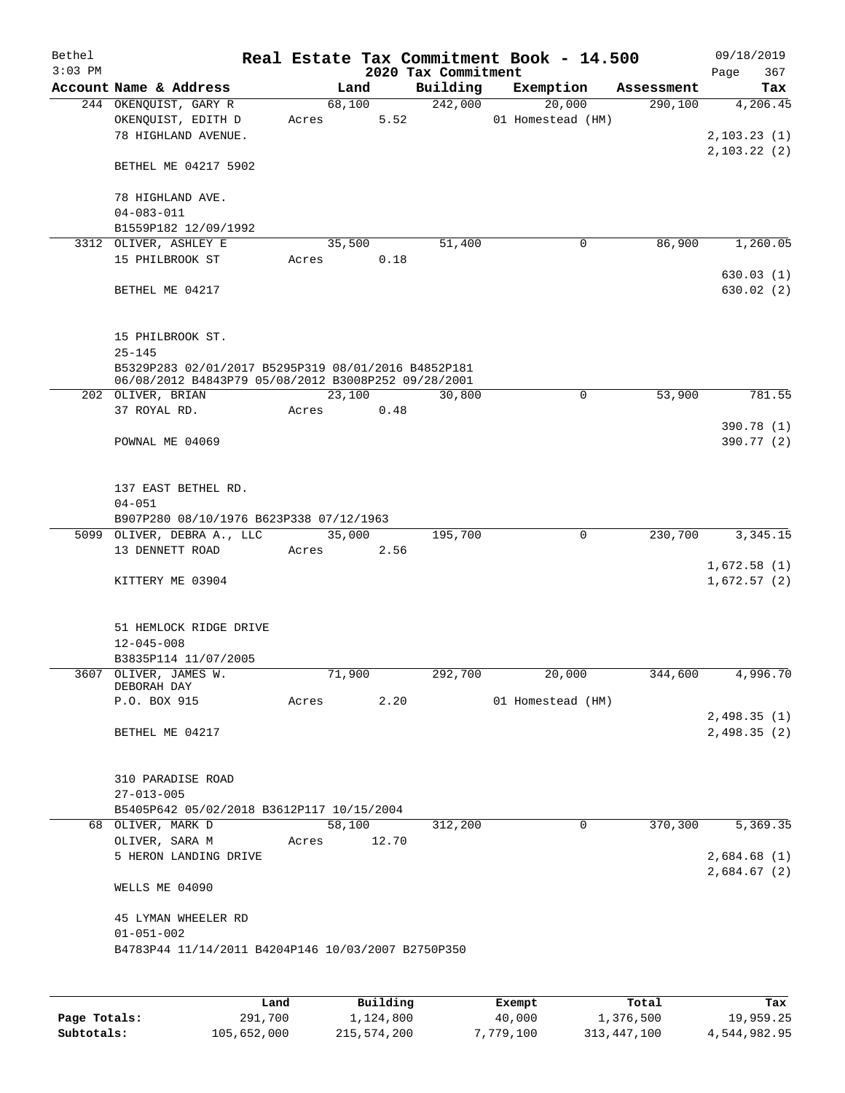| Bethel<br>$3:03$ PM |                                                                                               |       |        |       | 2020 Tax Commitment | Real Estate Tax Commitment Book - 14.500 |            | 09/18/2019<br>Page<br>367  |
|---------------------|-----------------------------------------------------------------------------------------------|-------|--------|-------|---------------------|------------------------------------------|------------|----------------------------|
|                     | Account Name & Address                                                                        |       | Land   |       | Building            | Exemption                                | Assessment | Tax                        |
|                     | 244 OKENQUIST, GARY R<br>OKENQUIST, EDITH D<br>78 HIGHLAND AVENUE.                            | Acres | 68,100 | 5.52  | 242,000             | 20,000<br>01 Homestead (HM)              | 290,100    | 4,206.45<br>2, 103.23(1)   |
|                     | BETHEL ME 04217 5902                                                                          |       |        |       |                     |                                          |            | 2,103.22(2)                |
|                     | 78 HIGHLAND AVE.<br>$04 - 083 - 011$<br>B1559P182 12/09/1992                                  |       |        |       |                     |                                          |            |                            |
|                     | 3312 OLIVER, ASHLEY E                                                                         |       | 35,500 |       | 51,400              | 0                                        | 86,900     | 1,260.05                   |
|                     | 15 PHILBROOK ST                                                                               | Acres |        | 0.18  |                     |                                          |            | 630.03(1)                  |
|                     | BETHEL ME 04217                                                                               |       |        |       |                     |                                          |            | 630.02(2)                  |
|                     | 15 PHILBROOK ST.<br>$25 - 145$<br>B5329P283 02/01/2017 B5295P319 08/01/2016 B4852P181         |       |        |       |                     |                                          |            |                            |
|                     | 06/08/2012 B4843P79 05/08/2012 B3008P252 09/28/2001                                           |       |        |       |                     |                                          |            |                            |
|                     | 202 OLIVER, BRIAN                                                                             |       | 23,100 |       | 30,800              | 0                                        | 53,900     | 781.55                     |
|                     | 37 ROYAL RD.                                                                                  | Acres |        | 0.48  |                     |                                          |            |                            |
|                     | POWNAL ME 04069                                                                               |       |        |       |                     |                                          |            | 390.78 (1)<br>390.77 (2)   |
|                     | 137 EAST BETHEL RD.<br>$04 - 051$<br>B907P280 08/10/1976 B623P338 07/12/1963                  |       |        |       |                     |                                          |            |                            |
|                     | 5099 OLIVER, DEBRA A., LLC                                                                    |       | 35,000 |       | 195,700             | $\mathbf 0$                              | 230,700    | 3, 345. 15                 |
|                     | 13 DENNETT ROAD                                                                               | Acres |        | 2.56  |                     |                                          |            |                            |
|                     | KITTERY ME 03904                                                                              |       |        |       |                     |                                          |            | 1,672.58(1)<br>1,672.57(2) |
|                     | 51 HEMLOCK RIDGE DRIVE<br>$12 - 045 - 008$                                                    |       |        |       |                     |                                          |            |                            |
|                     | B3835P114 11/07/2005<br>3607 OLIVER, JAMES W.                                                 |       |        |       |                     |                                          |            |                            |
|                     | DEBORAH DAY                                                                                   |       | 71,900 |       | 292,700             | 20,000                                   | 344,600    | 4,996.70                   |
|                     | P.O. BOX 915                                                                                  | Acres |        | 2.20  |                     | 01 Homestead (HM)                        |            |                            |
|                     | BETHEL ME 04217                                                                               |       |        |       |                     |                                          |            | 2,498.35(1)<br>2,498.35(2) |
|                     | 310 PARADISE ROAD<br>$27 - 013 - 005$                                                         |       |        |       |                     |                                          |            |                            |
|                     | B5405P642 05/02/2018 B3612P117 10/15/2004                                                     |       |        |       |                     |                                          |            |                            |
|                     | 68 OLIVER, MARK D                                                                             |       | 58,100 |       | 312,200             | 0                                        | 370,300    | 5,369.35                   |
|                     | OLIVER, SARA M<br>5 HERON LANDING DRIVE                                                       | Acres |        | 12.70 |                     |                                          |            | 2,684.68(1)                |
|                     | WELLS ME 04090                                                                                |       |        |       |                     |                                          |            | 2,684.67(2)                |
|                     | 45 LYMAN WHEELER RD<br>$01 - 051 - 002$<br>B4783P44 11/14/2011 B4204P146 10/03/2007 B2750P350 |       |        |       |                     |                                          |            |                            |
|                     |                                                                                               |       |        |       |                     |                                          |            |                            |

|              | Land        | Building    | Exempt    | Total       | Tax          |
|--------------|-------------|-------------|-----------|-------------|--------------|
| Page Totals: | 291,700     | 1,124,800   | 40,000    | 1,376,500   | 19,959.25    |
| Subtotals:   | 105,652,000 | 215,574,200 | 7,779,100 | 313,447,100 | 4,544,982.95 |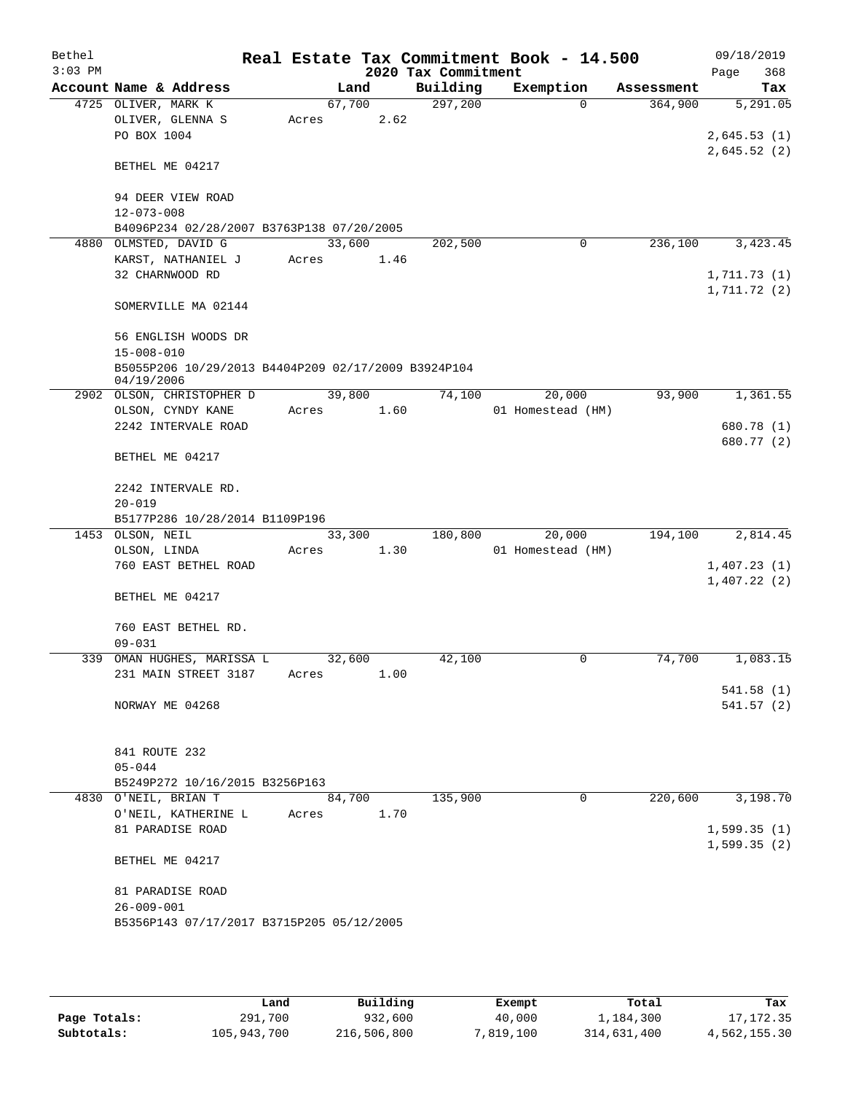| Bethel    |                                                     |        |      |                     | Real Estate Tax Commitment Book - 14.500 |            | 09/18/2019  |
|-----------|-----------------------------------------------------|--------|------|---------------------|------------------------------------------|------------|-------------|
| $3:03$ PM |                                                     |        |      | 2020 Tax Commitment |                                          |            | 368<br>Page |
|           | Account Name & Address                              |        | Land | Building            | Exemption                                | Assessment | Tax         |
|           | 4725 OLIVER, MARK K                                 | 67,700 |      | 297,200             | $\Omega$                                 | 364,900    | 5,291.05    |
|           | OLIVER, GLENNA S                                    | Acres  | 2.62 |                     |                                          |            |             |
|           | PO BOX 1004                                         |        |      |                     |                                          |            | 2,645.53(1) |
|           |                                                     |        |      |                     |                                          |            | 2,645.52(2) |
|           | BETHEL ME 04217                                     |        |      |                     |                                          |            |             |
|           |                                                     |        |      |                     |                                          |            |             |
|           | 94 DEER VIEW ROAD                                   |        |      |                     |                                          |            |             |
|           | $12 - 073 - 008$                                    |        |      |                     |                                          |            |             |
|           | B4096P234 02/28/2007 B3763P138 07/20/2005           |        |      |                     |                                          |            |             |
| 4880      | OLMSTED, DAVID G                                    | 33,600 |      | 202,500             | 0                                        | 236,100    | 3,423.45    |
|           | KARST, NATHANIEL J                                  | Acres  | 1.46 |                     |                                          |            |             |
|           | 32 CHARNWOOD RD                                     |        |      |                     |                                          |            | 1,711.73(1) |
|           |                                                     |        |      |                     |                                          |            | 1,711.72(2) |
|           | SOMERVILLE MA 02144                                 |        |      |                     |                                          |            |             |
|           | 56 ENGLISH WOODS DR                                 |        |      |                     |                                          |            |             |
|           | $15 - 008 - 010$                                    |        |      |                     |                                          |            |             |
|           | B5055P206 10/29/2013 B4404P209 02/17/2009 B3924P104 |        |      |                     |                                          |            |             |
|           | 04/19/2006                                          |        |      |                     |                                          |            |             |
|           | 2902 OLSON, CHRISTOPHER D                           | 39,800 |      | 74,100              | 20,000                                   | 93,900     | 1,361.55    |
|           | OLSON, CYNDY KANE                                   | Acres  | 1.60 |                     | 01 Homestead (HM)                        |            |             |
|           | 2242 INTERVALE ROAD                                 |        |      |                     |                                          |            | 680.78 (1)  |
|           |                                                     |        |      |                     |                                          |            | 680.77 (2)  |
|           | BETHEL ME 04217                                     |        |      |                     |                                          |            |             |
|           |                                                     |        |      |                     |                                          |            |             |
|           | 2242 INTERVALE RD.                                  |        |      |                     |                                          |            |             |
|           | $20 - 019$                                          |        |      |                     |                                          |            |             |
|           | B5177P286 10/28/2014 B1109P196                      |        |      |                     |                                          |            |             |
|           | 1453 OLSON, NEIL                                    | 33,300 |      | 180,800             | 20,000                                   | 194,100    | 2,814.45    |
|           | OLSON, LINDA                                        | Acres  | 1.30 |                     | 01 Homestead (HM)                        |            |             |
|           | 760 EAST BETHEL ROAD                                |        |      |                     |                                          |            | 1,407.23(1) |
|           |                                                     |        |      |                     |                                          |            | 1,407.22(2) |
|           | BETHEL ME 04217                                     |        |      |                     |                                          |            |             |
|           |                                                     |        |      |                     |                                          |            |             |
|           | 760 EAST BETHEL RD.                                 |        |      |                     |                                          |            |             |
|           | $09 - 031$<br>339 OMAN HUGHES, MARISSA L            | 32,600 |      | 42,100              | 0                                        | 74,700     | 1,083.15    |
|           | 231 MAIN STREET 3187                                | Acres  | 1.00 |                     |                                          |            |             |
|           |                                                     |        |      |                     |                                          |            | 541.58(1)   |
|           | NORWAY ME 04268                                     |        |      |                     |                                          |            | 541.57(2)   |
|           |                                                     |        |      |                     |                                          |            |             |
|           |                                                     |        |      |                     |                                          |            |             |
|           | 841 ROUTE 232                                       |        |      |                     |                                          |            |             |
|           | $05 - 044$                                          |        |      |                     |                                          |            |             |
|           | B5249P272 10/16/2015 B3256P163                      |        |      |                     |                                          |            |             |
|           | 4830 O'NEIL, BRIAN T                                | 84,700 |      | 135,900             | $\Omega$                                 | 220,600    | 3,198.70    |
|           | O'NEIL, KATHERINE L                                 | Acres  | 1.70 |                     |                                          |            |             |
|           | 81 PARADISE ROAD                                    |        |      |                     |                                          |            | 1,599.35(1) |
|           |                                                     |        |      |                     |                                          |            | 1,599.35(2) |
|           | BETHEL ME 04217                                     |        |      |                     |                                          |            |             |
|           |                                                     |        |      |                     |                                          |            |             |
|           | 81 PARADISE ROAD                                    |        |      |                     |                                          |            |             |
|           | $26 - 009 - 001$                                    |        |      |                     |                                          |            |             |
|           | B5356P143 07/17/2017 B3715P205 05/12/2005           |        |      |                     |                                          |            |             |
|           |                                                     |        |      |                     |                                          |            |             |

|              | Land        | Building    | Exempt    | Total       | Tax          |
|--------------|-------------|-------------|-----------|-------------|--------------|
| Page Totals: | 291,700     | 932,600     | 40,000    | 1,184,300   | 17, 172.35   |
| Subtotals:   | 105,943,700 | 216,506,800 | 7,819,100 | 314,631,400 | 4,562,155.30 |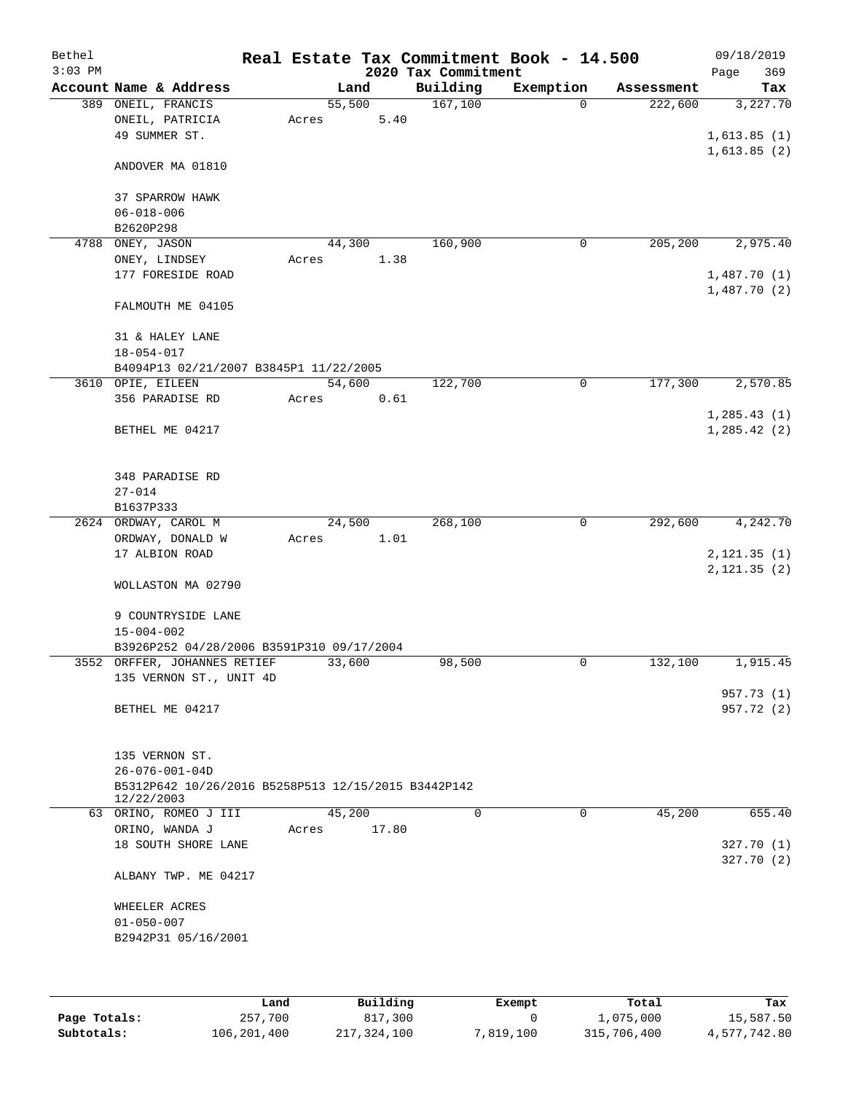| Bethel<br>$3:03$ PM |                                                                   |        |       | 2020 Tax Commitment | Real Estate Tax Commitment Book - 14.500 |            | 09/18/2019<br>369 |
|---------------------|-------------------------------------------------------------------|--------|-------|---------------------|------------------------------------------|------------|-------------------|
|                     | Account Name & Address                                            |        | Land  | Building            | Exemption                                | Assessment | Page<br>Tax       |
|                     | 389 ONEIL, FRANCIS                                                | 55,500 |       | 167,100             | $\Omega$                                 | 222,600    | 3,227.70          |
|                     | ONEIL, PATRICIA                                                   | Acres  | 5.40  |                     |                                          |            |                   |
|                     | 49 SUMMER ST.                                                     |        |       |                     |                                          |            | 1,613.85(1)       |
|                     |                                                                   |        |       |                     |                                          |            | 1,613.85(2)       |
|                     | ANDOVER MA 01810                                                  |        |       |                     |                                          |            |                   |
|                     | 37 SPARROW HAWK                                                   |        |       |                     |                                          |            |                   |
|                     | $06 - 018 - 006$                                                  |        |       |                     |                                          |            |                   |
|                     | B2620P298                                                         |        |       |                     |                                          |            |                   |
| 4788                | ONEY, JASON                                                       | 44,300 |       | 160,900             | 0                                        | 205,200    | 2,975.40          |
|                     | ONEY, LINDSEY                                                     | Acres  | 1.38  |                     |                                          |            |                   |
|                     | 177 FORESIDE ROAD                                                 |        |       |                     |                                          |            | 1,487.70(1)       |
|                     |                                                                   |        |       |                     |                                          |            | 1,487.70(2)       |
|                     | FALMOUTH ME 04105                                                 |        |       |                     |                                          |            |                   |
|                     | 31 & HALEY LANE                                                   |        |       |                     |                                          |            |                   |
|                     | $18 - 054 - 017$                                                  |        |       |                     |                                          |            |                   |
|                     | B4094P13 02/21/2007 B3845P1 11/22/2005                            |        |       |                     |                                          |            |                   |
|                     | 3610 OPIE, EILEEN                                                 | 54,600 |       | 122,700             | 0                                        | 177,300    | 2,570.85          |
|                     | 356 PARADISE RD                                                   | Acres  | 0.61  |                     |                                          |            |                   |
|                     |                                                                   |        |       |                     |                                          |            | 1, 285.43(1)      |
|                     | BETHEL ME 04217                                                   |        |       |                     |                                          |            | 1, 285.42(2)      |
|                     |                                                                   |        |       |                     |                                          |            |                   |
|                     |                                                                   |        |       |                     |                                          |            |                   |
|                     | 348 PARADISE RD                                                   |        |       |                     |                                          |            |                   |
|                     | $27 - 014$                                                        |        |       |                     |                                          |            |                   |
|                     | B1637P333                                                         |        |       |                     |                                          |            |                   |
|                     | 2624 ORDWAY, CAROL M                                              | 24,500 |       | 268,100             | $\mathsf{O}$                             | 292,600    | 4,242.70          |
|                     | ORDWAY, DONALD W                                                  | Acres  | 1.01  |                     |                                          |            |                   |
|                     | 17 ALBION ROAD                                                    |        |       |                     |                                          |            | 2, 121.35(1)      |
|                     |                                                                   |        |       |                     |                                          |            | 2, 121.35 (2)     |
|                     | WOLLASTON MA 02790                                                |        |       |                     |                                          |            |                   |
|                     |                                                                   |        |       |                     |                                          |            |                   |
|                     | 9 COUNTRYSIDE LANE                                                |        |       |                     |                                          |            |                   |
|                     | $15 - 004 - 002$                                                  |        |       |                     |                                          |            |                   |
|                     | B3926P252 04/28/2006 B3591P310 09/17/2004                         |        |       |                     |                                          |            |                   |
|                     | 3552 ORFFER, JOHANNES RETIEF                                      | 33,600 |       | 98,500              | $\mathbf 0$                              | 132,100    | 1,915.45          |
|                     | 135 VERNON ST., UNIT 4D                                           |        |       |                     |                                          |            |                   |
|                     |                                                                   |        |       |                     |                                          |            | 957.73 (1)        |
|                     | BETHEL ME 04217                                                   |        |       |                     |                                          |            | 957.72 (2)        |
|                     |                                                                   |        |       |                     |                                          |            |                   |
|                     |                                                                   |        |       |                     |                                          |            |                   |
|                     | 135 VERNON ST.                                                    |        |       |                     |                                          |            |                   |
|                     | $26 - 076 - 001 - 04D$                                            |        |       |                     |                                          |            |                   |
|                     | B5312P642 10/26/2016 B5258P513 12/15/2015 B3442P142<br>12/22/2003 |        |       |                     |                                          |            |                   |
|                     | 63 ORINO, ROMEO J III                                             | 45,200 |       | $\Omega$            | 0                                        | 45,200     | 655.40            |
|                     | ORINO, WANDA J                                                    | Acres  | 17.80 |                     |                                          |            |                   |
|                     | 18 SOUTH SHORE LANE                                               |        |       |                     |                                          |            | 327.70(1)         |
|                     |                                                                   |        |       |                     |                                          |            | 327.70(2)         |
|                     | ALBANY TWP. ME 04217                                              |        |       |                     |                                          |            |                   |
|                     |                                                                   |        |       |                     |                                          |            |                   |
|                     | WHEELER ACRES                                                     |        |       |                     |                                          |            |                   |
|                     | $01 - 050 - 007$<br>B2942P31 05/16/2001                           |        |       |                     |                                          |            |                   |
|                     |                                                                   |        |       |                     |                                          |            |                   |
|                     |                                                                   |        |       |                     |                                          |            |                   |
|                     |                                                                   |        |       |                     |                                          |            |                   |
|                     |                                                                   |        |       |                     |                                          |            |                   |

|              | Land        | Building    | Exempt    | Total       | Tax          |
|--------------|-------------|-------------|-----------|-------------|--------------|
| Page Totals: | 257,700     | 817,300     |           | 1,075,000   | 15,587.50    |
| Subtotals:   | 106,201,400 | 217,324,100 | 7,819,100 | 315,706,400 | 4,577,742.80 |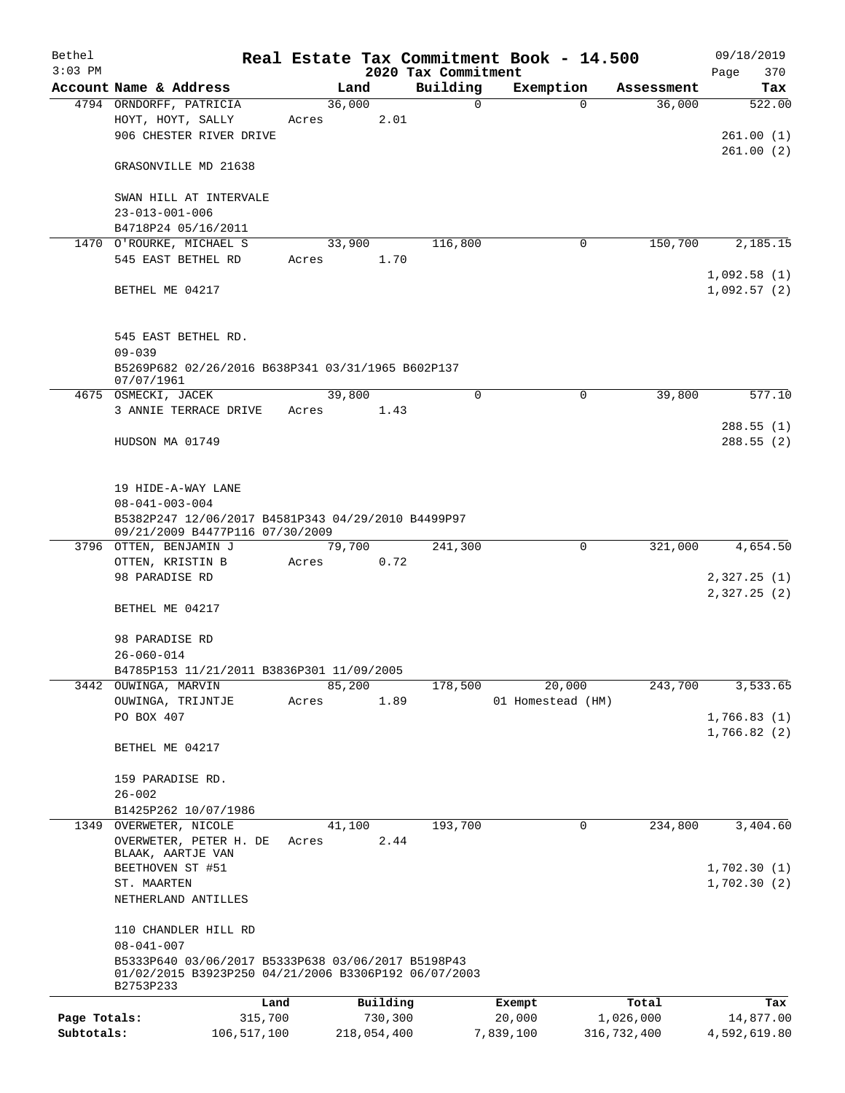| Bethel       |                                                                                       |       |             |                     | Real Estate Tax Commitment Book - 14.500 |             | 09/18/2019             |
|--------------|---------------------------------------------------------------------------------------|-------|-------------|---------------------|------------------------------------------|-------------|------------------------|
| $3:03$ PM    |                                                                                       |       |             | 2020 Tax Commitment |                                          |             | 370<br>Page            |
|              | Account Name & Address                                                                |       | Land        | Building            | Exemption                                | Assessment  | Tax                    |
|              | 4794 ORNDORFF, PATRICIA                                                               |       | 36,000      | $\mathbf 0$         |                                          | $\Omega$    | 36,000<br>522.00       |
|              | HOYT, HOYT, SALLY<br>906 CHESTER RIVER DRIVE                                          | Acres | 2.01        |                     |                                          |             |                        |
|              |                                                                                       |       |             |                     |                                          |             | 261.00(1)<br>261.00(2) |
|              | GRASONVILLE MD 21638                                                                  |       |             |                     |                                          |             |                        |
|              | SWAN HILL AT INTERVALE                                                                |       |             |                     |                                          |             |                        |
|              | $23 - 013 - 001 - 006$                                                                |       |             |                     |                                          |             |                        |
|              | B4718P24 05/16/2011                                                                   |       |             |                     |                                          |             |                        |
|              | 1470 O'ROURKE, MICHAEL S                                                              |       | 33,900      | 116,800             |                                          | 0           | 150,700<br>2,185.15    |
|              | 545 EAST BETHEL RD                                                                    | Acres | 1.70        |                     |                                          |             |                        |
|              |                                                                                       |       |             |                     |                                          |             | 1,092.58(1)            |
|              | BETHEL ME 04217                                                                       |       |             |                     |                                          |             | 1,092.57(2)            |
|              | 545 EAST BETHEL RD.                                                                   |       |             |                     |                                          |             |                        |
|              | $09 - 039$                                                                            |       |             |                     |                                          |             |                        |
|              | B5269P682 02/26/2016 B638P341 03/31/1965 B602P137<br>07/07/1961                       |       |             |                     |                                          |             |                        |
|              | 4675 OSMECKI, JACEK                                                                   |       | 39,800      | $\mathbf 0$         |                                          | $\mathbf 0$ | 39,800<br>577.10       |
|              | 3 ANNIE TERRACE DRIVE                                                                 | Acres | 1.43        |                     |                                          |             |                        |
|              |                                                                                       |       |             |                     |                                          |             | 288.55(1)              |
|              | HUDSON MA 01749                                                                       |       |             |                     |                                          |             | 288.55(2)              |
|              | 19 HIDE-A-WAY LANE                                                                    |       |             |                     |                                          |             |                        |
|              | $08 - 041 - 003 - 004$                                                                |       |             |                     |                                          |             |                        |
|              | B5382P247 12/06/2017 B4581P343 04/29/2010 B4499P97<br>09/21/2009 B4477P116 07/30/2009 |       |             |                     |                                          |             |                        |
|              | 3796 OTTEN, BENJAMIN J                                                                |       | 79,700      | 241,300             |                                          | $\mathbf 0$ | 321,000<br>4,654.50    |
|              | OTTEN, KRISTIN B                                                                      | Acres | 0.72        |                     |                                          |             |                        |
|              | 98 PARADISE RD                                                                        |       |             |                     |                                          |             | 2,327.25(1)            |
|              | BETHEL ME 04217                                                                       |       |             |                     |                                          |             | 2,327.25(2)            |
|              |                                                                                       |       |             |                     |                                          |             |                        |
|              | 98 PARADISE RD<br>$26 - 060 - 014$                                                    |       |             |                     |                                          |             |                        |
|              | B4785P153 11/21/2011 B3836P301 11/09/2005                                             |       |             |                     |                                          |             |                        |
|              | 3442 OUWINGA, MARVIN                                                                  |       | 85,200      | 178,500             | 20,000                                   |             | 243,700<br>3,533.65    |
|              | OUWINGA, TRIJNTJE                                                                     | Acres | 1.89        |                     | 01 Homestead (HM)                        |             |                        |
|              | PO BOX 407                                                                            |       |             |                     |                                          |             | 1,766.83(1)            |
|              |                                                                                       |       |             |                     |                                          |             | 1,766.82(2)            |
|              | BETHEL ME 04217                                                                       |       |             |                     |                                          |             |                        |
|              | 159 PARADISE RD.                                                                      |       |             |                     |                                          |             |                        |
|              | $26 - 002$                                                                            |       |             |                     |                                          |             |                        |
|              | B1425P262 10/07/1986                                                                  |       |             |                     |                                          |             |                        |
|              | 1349 OVERWETER, NICOLE                                                                |       | 41,100      | 193,700             |                                          | 0           | 234,800<br>3,404.60    |
|              | OVERWETER, PETER H. DE<br>BLAAK, AARTJE VAN                                           | Acres | 2.44        |                     |                                          |             |                        |
|              | BEETHOVEN ST #51                                                                      |       |             |                     |                                          |             | 1,702.30(1)            |
|              | ST. MAARTEN                                                                           |       |             |                     |                                          |             | 1,702.30(2)            |
|              | NETHERLAND ANTILLES                                                                   |       |             |                     |                                          |             |                        |
|              | 110 CHANDLER HILL RD<br>$08 - 041 - 007$                                              |       |             |                     |                                          |             |                        |
|              | B5333P640 03/06/2017 B5333P638 03/06/2017 B5198P43                                    |       |             |                     |                                          |             |                        |
|              | 01/02/2015 B3923P250 04/21/2006 B3306P192 06/07/2003<br>B2753P233                     |       |             |                     |                                          |             |                        |
|              |                                                                                       | Land  | Building    |                     | Exempt                                   | Total       | Tax                    |
| Page Totals: | 315,700                                                                               |       | 730,300     |                     | 20,000                                   | 1,026,000   | 14,877.00              |
| Subtotals:   | 106,517,100                                                                           |       | 218,054,400 |                     | 7,839,100                                | 316,732,400 | 4,592,619.80           |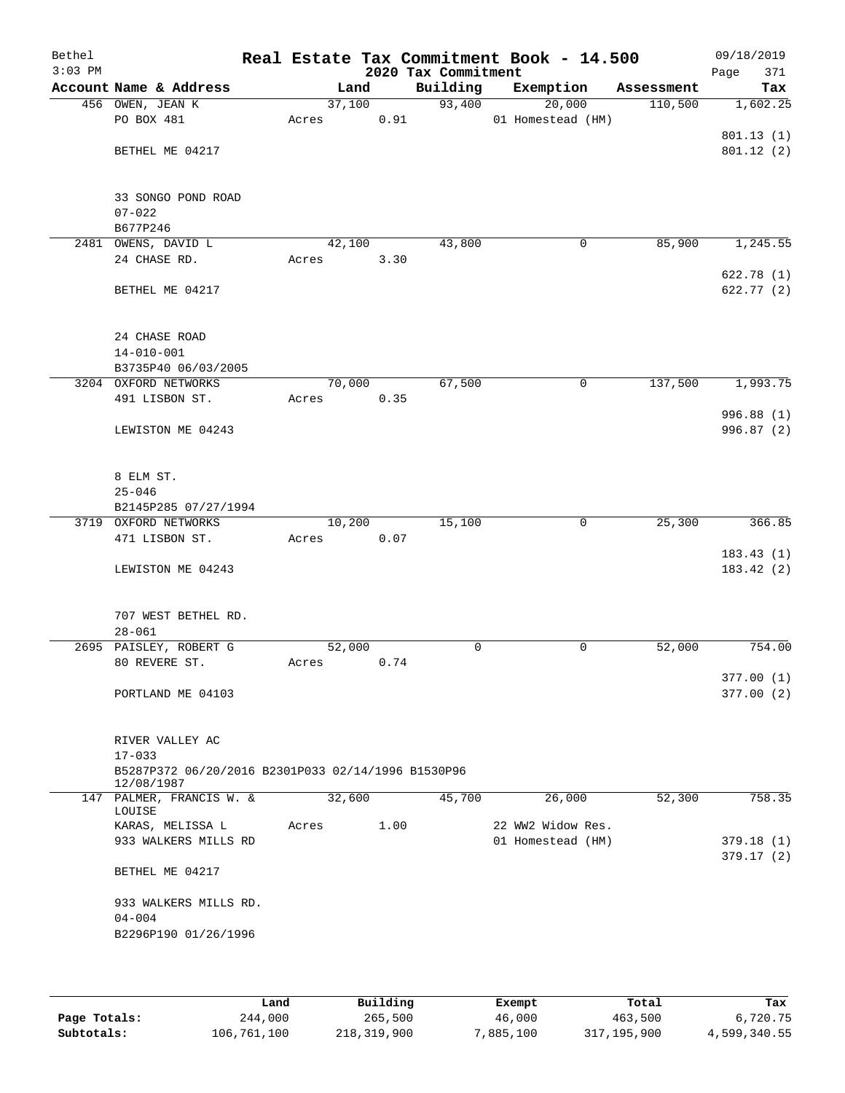| Bethel<br>$3:03$ PM |                                                                  |        |      | 2020 Tax Commitment | Real Estate Tax Commitment Book - 14.500 |            | 09/18/2019<br>Page<br>371 |
|---------------------|------------------------------------------------------------------|--------|------|---------------------|------------------------------------------|------------|---------------------------|
|                     | Account Name & Address                                           | Land   |      | Building            | Exemption                                | Assessment | Tax                       |
|                     | 456 OWEN, JEAN K                                                 | 37,100 |      | 93,400              | 20,000                                   | 110,500    | 1,602.25                  |
|                     | PO BOX 481                                                       | Acres  | 0.91 |                     | 01 Homestead (HM)                        |            |                           |
|                     |                                                                  |        |      |                     |                                          |            | 801.13 (1)                |
|                     | BETHEL ME 04217                                                  |        |      |                     |                                          |            | 801.12(2)                 |
|                     | 33 SONGO POND ROAD                                               |        |      |                     |                                          |            |                           |
|                     | $07 - 022$                                                       |        |      |                     |                                          |            |                           |
|                     | B677P246                                                         |        |      |                     |                                          |            |                           |
|                     | 2481 OWENS, DAVID L                                              | 42,100 |      | 43,800              | $\mathbf 0$                              | 85,900     | 1,245.55                  |
|                     | 24 CHASE RD.                                                     | Acres  | 3.30 |                     |                                          |            |                           |
|                     |                                                                  |        |      |                     |                                          |            | 622.78(1)                 |
|                     | BETHEL ME 04217                                                  |        |      |                     |                                          |            | 622.77(2)                 |
|                     | 24 CHASE ROAD                                                    |        |      |                     |                                          |            |                           |
|                     | $14 - 010 - 001$                                                 |        |      |                     |                                          |            |                           |
|                     | B3735P40 06/03/2005                                              |        |      |                     |                                          |            |                           |
|                     | 3204 OXFORD NETWORKS                                             | 70,000 |      | 67,500              | 0                                        | 137,500    | 1,993.75                  |
|                     | 491 LISBON ST.                                                   | Acres  | 0.35 |                     |                                          |            |                           |
|                     | LEWISTON ME 04243                                                |        |      |                     |                                          |            | 996.88 (1)<br>996.87 (2)  |
|                     |                                                                  |        |      |                     |                                          |            |                           |
|                     | 8 ELM ST.                                                        |        |      |                     |                                          |            |                           |
|                     | $25 - 046$                                                       |        |      |                     |                                          |            |                           |
|                     | B2145P285 07/27/1994                                             |        |      |                     |                                          |            |                           |
|                     | 3719 OXFORD NETWORKS                                             | 10,200 |      | 15,100              | $\mathbf 0$                              | 25,300     | 366.85                    |
|                     | 471 LISBON ST.                                                   | Acres  | 0.07 |                     |                                          |            |                           |
|                     |                                                                  |        |      |                     |                                          |            | 183.43(1)                 |
|                     | LEWISTON ME 04243                                                |        |      |                     |                                          |            | 183.42(2)                 |
|                     | 707 WEST BETHEL RD.                                              |        |      |                     |                                          |            |                           |
|                     | $28 - 061$                                                       |        |      |                     |                                          |            |                           |
|                     | 2695 PAISLEY, ROBERT G                                           | 52,000 |      | $\mathbf 0$         | $\mathsf{O}$                             | 52,000     | 754.00                    |
|                     | 80 REVERE ST.                                                    | Acres  | 0.74 |                     |                                          |            |                           |
|                     |                                                                  |        |      |                     |                                          |            | 377.00(1)                 |
|                     | PORTLAND ME 04103                                                |        |      |                     |                                          |            | 377.00(2)                 |
|                     | RIVER VALLEY AC                                                  |        |      |                     |                                          |            |                           |
|                     | $17 - 033$                                                       |        |      |                     |                                          |            |                           |
|                     | B5287P372 06/20/2016 B2301P033 02/14/1996 B1530P96<br>12/08/1987 |        |      |                     |                                          |            |                           |
|                     | 147 PALMER, FRANCIS W. &<br>LOUISE                               | 32,600 |      | 45,700              | 26,000                                   | 52,300     | 758.35                    |
|                     | KARAS, MELISSA L                                                 | Acres  | 1.00 |                     | 22 WW2 Widow Res.                        |            |                           |
|                     | 933 WALKERS MILLS RD                                             |        |      |                     | 01 Homestead (HM)                        |            | 379.18 (1)                |
|                     |                                                                  |        |      |                     |                                          |            | 379.17(2)                 |
|                     | BETHEL ME 04217                                                  |        |      |                     |                                          |            |                           |
|                     | 933 WALKERS MILLS RD.<br>$04 - 004$                              |        |      |                     |                                          |            |                           |
|                     | B2296P190 01/26/1996                                             |        |      |                     |                                          |            |                           |
|                     |                                                                  |        |      |                     |                                          |            |                           |
|                     |                                                                  |        |      |                     |                                          |            |                           |

|              | Land        | Building    | Exempt    | Total       | Tax          |  |  |
|--------------|-------------|-------------|-----------|-------------|--------------|--|--|
| Page Totals: | 244,000     | 265,500     | 46,000    | 463,500     | 6,720.75     |  |  |
| Subtotals:   | 106,761,100 | 218,319,900 | 7,885,100 | 317,195,900 | 4,599,340.55 |  |  |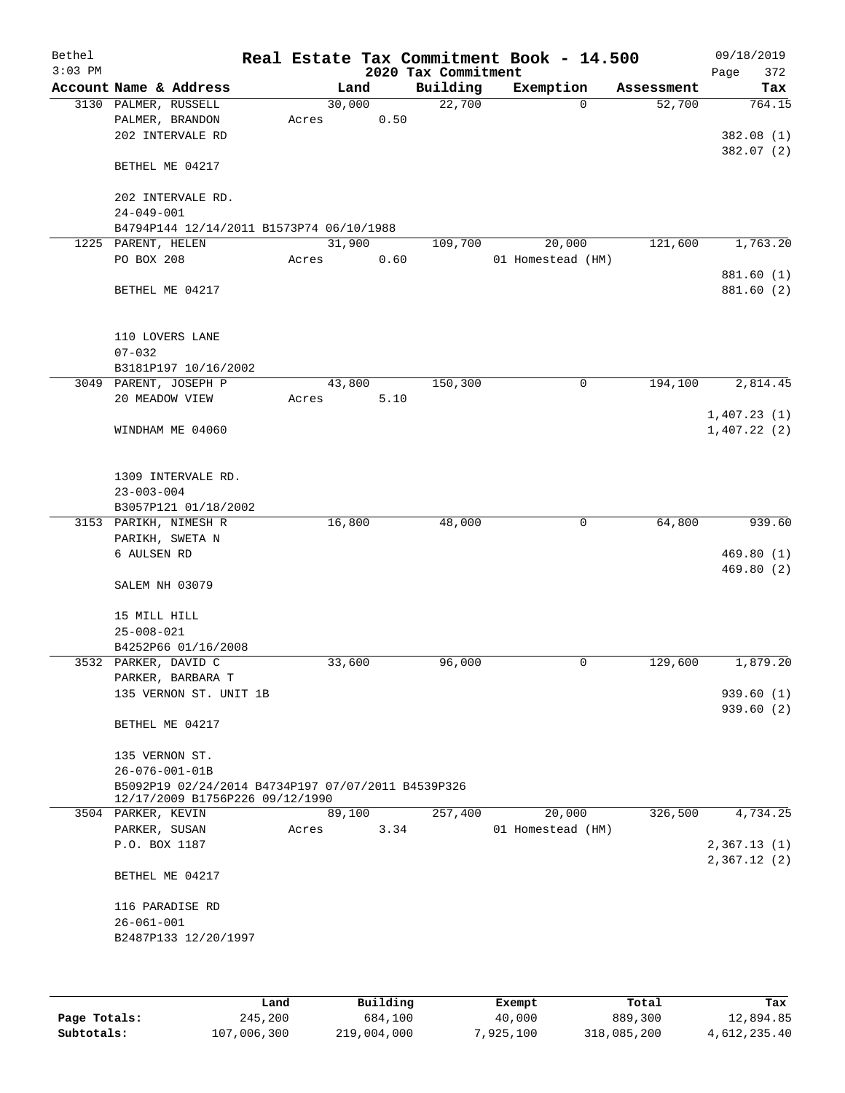| Bethel<br>$3:03$ PM |                                                                |       |                | 2020 Tax Commitment | Real Estate Tax Commitment Book - 14.500 |            | 09/18/2019<br>372<br>Page  |
|---------------------|----------------------------------------------------------------|-------|----------------|---------------------|------------------------------------------|------------|----------------------------|
|                     | Account Name & Address                                         |       | Land           | Building            | Exemption                                | Assessment | Tax                        |
|                     | 3130 PALMER, RUSSELL<br>PALMER, BRANDON                        | Acres | 30,000<br>0.50 | 22,700              | $\mathbf 0$                              | 52,700     | 764.15                     |
|                     | 202 INTERVALE RD                                               |       |                |                     |                                          |            | 382.08 (1)<br>382.07 (2)   |
|                     | BETHEL ME 04217                                                |       |                |                     |                                          |            |                            |
|                     | 202 INTERVALE RD.<br>$24 - 049 - 001$                          |       |                |                     |                                          |            |                            |
|                     | B4794P144 12/14/2011 B1573P74 06/10/1988                       |       |                |                     |                                          |            |                            |
|                     | 1225 PARENT, HELEN<br>PO BOX 208                               | Acres | 31,900<br>0.60 | 109,700             | 20,000<br>01 Homestead (HM)              | 121,600    | 1,763.20                   |
|                     | BETHEL ME 04217                                                |       |                |                     |                                          |            | 881.60 (1)<br>881.60 (2)   |
|                     | 110 LOVERS LANE                                                |       |                |                     |                                          |            |                            |
|                     | $07 - 032$                                                     |       |                |                     |                                          |            |                            |
|                     | B3181P197 10/16/2002<br>3049 PARENT, JOSEPH P                  |       | 43,800         | 150,300             | 0                                        | 194,100    | 2,814.45                   |
|                     | 20 MEADOW VIEW                                                 | Acres | 5.10           |                     |                                          |            |                            |
|                     | WINDHAM ME 04060                                               |       |                |                     |                                          |            | 1,407.23(1)<br>1,407.22(2) |
|                     | 1309 INTERVALE RD.<br>$23 - 003 - 004$<br>B3057P121 01/18/2002 |       |                |                     |                                          |            |                            |
|                     | 3153 PARIKH, NIMESH R                                          |       | 16,800         | 48,000              | 0                                        | 64,800     | 939.60                     |
|                     | PARIKH, SWETA N                                                |       |                |                     |                                          |            |                            |
|                     | 6 AULSEN RD                                                    |       |                |                     |                                          |            | 469.80(1)                  |
|                     |                                                                |       |                |                     |                                          |            | 469.80 (2)                 |
|                     | SALEM NH 03079                                                 |       |                |                     |                                          |            |                            |
|                     | 15 MILL HILL                                                   |       |                |                     |                                          |            |                            |
|                     | $25 - 008 - 021$                                               |       |                |                     |                                          |            |                            |
|                     | B4252P66 01/16/2008                                            |       |                |                     |                                          |            |                            |
|                     | 3532 PARKER, DAVID C                                           |       | 33,600         | 96,000              | 0                                        | 129,600    | 1,879.20                   |
|                     | PARKER, BARBARA T                                              |       |                |                     |                                          |            |                            |
|                     | 135 VERNON ST. UNIT 1B                                         |       |                |                     |                                          |            | 939.60 (1)<br>939.60(2)    |
|                     | BETHEL ME 04217                                                |       |                |                     |                                          |            |                            |
|                     | 135 VERNON ST.                                                 |       |                |                     |                                          |            |                            |
|                     | $26 - 076 - 001 - 01B$                                         |       |                |                     |                                          |            |                            |
|                     | B5092P19 02/24/2014 B4734P197 07/07/2011 B4539P326             |       |                |                     |                                          |            |                            |
|                     | 12/17/2009 B1756P226 09/12/1990<br>3504 PARKER, KEVIN          |       | 89,100         | 257,400             | 20,000                                   | 326,500    | 4,734.25                   |
|                     | PARKER, SUSAN                                                  | Acres | 3.34           |                     | 01 Homestead (HM)                        |            |                            |
|                     | P.O. BOX 1187                                                  |       |                |                     |                                          |            | 2,367.13(1)                |
|                     | BETHEL ME 04217                                                |       |                |                     |                                          |            | 2,367.12(2)                |
|                     | 116 PARADISE RD                                                |       |                |                     |                                          |            |                            |
|                     | $26 - 061 - 001$                                               |       |                |                     |                                          |            |                            |
|                     | B2487P133 12/20/1997                                           |       |                |                     |                                          |            |                            |
|                     |                                                                |       |                |                     |                                          |            |                            |
|                     |                                                                |       |                |                     |                                          |            |                            |
|                     |                                                                |       |                |                     |                                          |            |                            |

|              | Land        | Building    | Exempt    | Total       | Tax          |
|--------------|-------------|-------------|-----------|-------------|--------------|
| Page Totals: | 245,200     | 684,100     | 40,000    | 889,300     | 12,894.85    |
| Subtotals:   | 107,006,300 | 219,004,000 | 7,925,100 | 318,085,200 | 4,612,235.40 |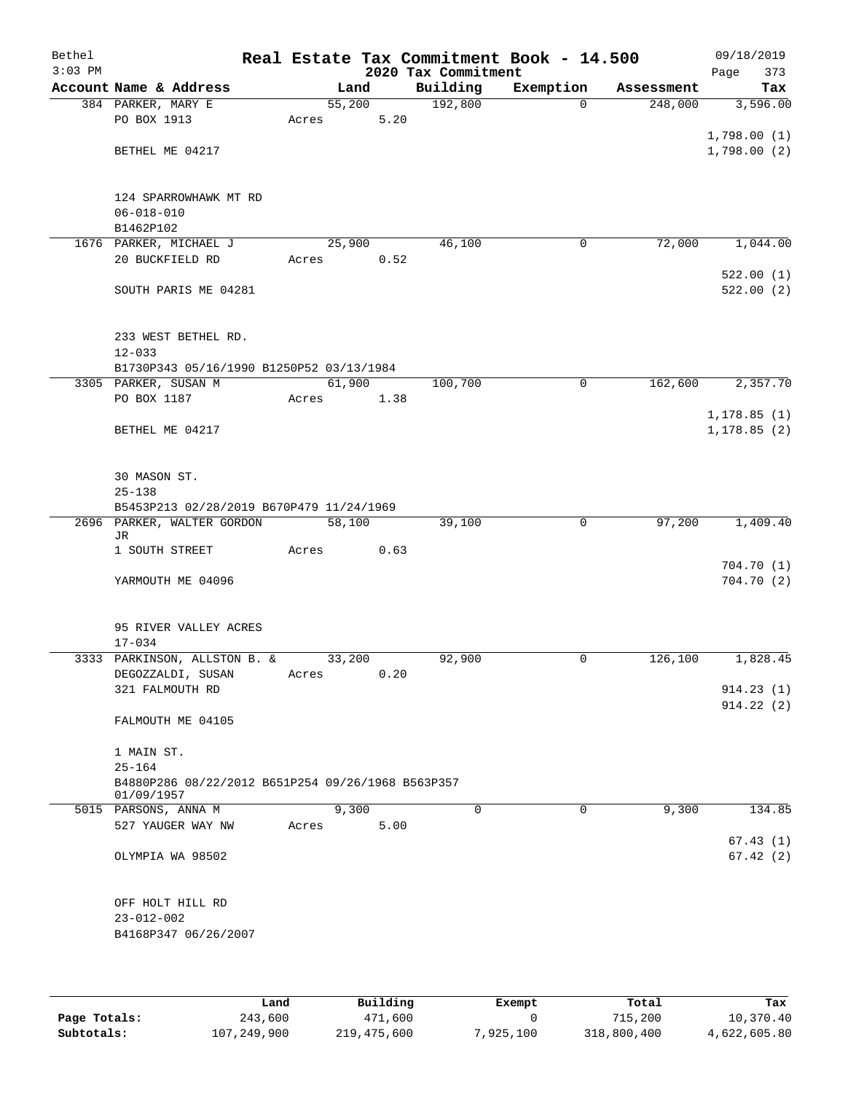| Bethel<br>$3:03$ PM |                                                   |        |      | 2020 Tax Commitment | Real Estate Tax Commitment Book - 14.500 |            | 09/18/2019<br>373<br>Page |
|---------------------|---------------------------------------------------|--------|------|---------------------|------------------------------------------|------------|---------------------------|
|                     | Account Name & Address                            |        | Land | Building            | Exemption                                | Assessment | Tax                       |
|                     | 384 PARKER, MARY E                                | 55,200 |      | 192,800             | $\Omega$                                 | 248,000    | 3,596.00                  |
|                     | PO BOX 1913                                       | Acres  | 5.20 |                     |                                          |            |                           |
|                     |                                                   |        |      |                     |                                          |            | 1,798.00(1)               |
|                     | BETHEL ME 04217                                   |        |      |                     |                                          |            | 1,798.00(2)               |
|                     |                                                   |        |      |                     |                                          |            |                           |
|                     |                                                   |        |      |                     |                                          |            |                           |
|                     | 124 SPARROWHAWK MT RD                             |        |      |                     |                                          |            |                           |
|                     | $06 - 018 - 010$                                  |        |      |                     |                                          |            |                           |
|                     | B1462P102<br>1676 PARKER, MICHAEL J               | 25,900 |      | 46,100              | 0                                        | 72,000     | 1,044.00                  |
|                     | 20 BUCKFIELD RD                                   | Acres  | 0.52 |                     |                                          |            |                           |
|                     |                                                   |        |      |                     |                                          |            | 522.00(1)                 |
|                     | SOUTH PARIS ME 04281                              |        |      |                     |                                          |            | 522.00(2)                 |
|                     |                                                   |        |      |                     |                                          |            |                           |
|                     |                                                   |        |      |                     |                                          |            |                           |
|                     | 233 WEST BETHEL RD.                               |        |      |                     |                                          |            |                           |
|                     | $12 - 033$                                        |        |      |                     |                                          |            |                           |
|                     | B1730P343 05/16/1990 B1250P52 03/13/1984          |        |      |                     |                                          |            |                           |
|                     | 3305 PARKER, SUSAN M                              | 61,900 |      | 100,700             | 0                                        | 162,600    | 2,357.70                  |
|                     | PO BOX 1187                                       | Acres  | 1.38 |                     |                                          |            |                           |
|                     |                                                   |        |      |                     |                                          |            | 1, 178.85(1)              |
|                     | BETHEL ME 04217                                   |        |      |                     |                                          |            | 1, 178.85(2)              |
|                     |                                                   |        |      |                     |                                          |            |                           |
|                     |                                                   |        |      |                     |                                          |            |                           |
|                     | 30 MASON ST.<br>$25 - 138$                        |        |      |                     |                                          |            |                           |
|                     | B5453P213 02/28/2019 B670P479 11/24/1969          |        |      |                     |                                          |            |                           |
|                     | 2696 PARKER, WALTER GORDON                        | 58,100 |      | 39,100              | $\mathbf 0$                              | 97,200     | 1,409.40                  |
|                     | JR                                                |        |      |                     |                                          |            |                           |
|                     | 1 SOUTH STREET                                    | Acres  | 0.63 |                     |                                          |            |                           |
|                     |                                                   |        |      |                     |                                          |            | 704.70(1)                 |
|                     | YARMOUTH ME 04096                                 |        |      |                     |                                          |            | 704.70(2)                 |
|                     |                                                   |        |      |                     |                                          |            |                           |
|                     |                                                   |        |      |                     |                                          |            |                           |
|                     | 95 RIVER VALLEY ACRES<br>$17 - 034$               |        |      |                     |                                          |            |                           |
|                     | 3333 PARKINSON, ALLSTON B. &                      | 33,200 |      | 92,900              | 0                                        | 126,100    | 1,828.45                  |
|                     | DEGOZZALDI, SUSAN                                 | Acres  | 0.20 |                     |                                          |            |                           |
|                     | 321 FALMOUTH RD                                   |        |      |                     |                                          |            | 914.23(1)                 |
|                     |                                                   |        |      |                     |                                          |            | 914.22(2)                 |
|                     | FALMOUTH ME 04105                                 |        |      |                     |                                          |            |                           |
|                     |                                                   |        |      |                     |                                          |            |                           |
|                     | 1 MAIN ST.                                        |        |      |                     |                                          |            |                           |
|                     | $25 - 164$                                        |        |      |                     |                                          |            |                           |
|                     | B4880P286 08/22/2012 B651P254 09/26/1968 B563P357 |        |      |                     |                                          |            |                           |
|                     | 01/09/1957<br>5015 PARSONS, ANNA M                | 9,300  |      | $\Omega$            | 0                                        | 9,300      | 134.85                    |
|                     | 527 YAUGER WAY NW                                 | Acres  | 5.00 |                     |                                          |            |                           |
|                     |                                                   |        |      |                     |                                          |            | 67.43(1)                  |
|                     | OLYMPIA WA 98502                                  |        |      |                     |                                          |            | 67.42(2)                  |
|                     |                                                   |        |      |                     |                                          |            |                           |
|                     |                                                   |        |      |                     |                                          |            |                           |
|                     | OFF HOLT HILL RD                                  |        |      |                     |                                          |            |                           |
|                     | $23 - 012 - 002$                                  |        |      |                     |                                          |            |                           |
|                     | B4168P347 06/26/2007                              |        |      |                     |                                          |            |                           |
|                     |                                                   |        |      |                     |                                          |            |                           |
|                     |                                                   |        |      |                     |                                          |            |                           |

|              | Land        | Building    | Exempt    | Total       | Tax          |
|--------------|-------------|-------------|-----------|-------------|--------------|
| Page Totals: | 243,600     | 471,600     |           | 715,200     | 10,370.40    |
| Subtotals:   | 107,249,900 | 219,475,600 | 7,925,100 | 318,800,400 | 4,622,605.80 |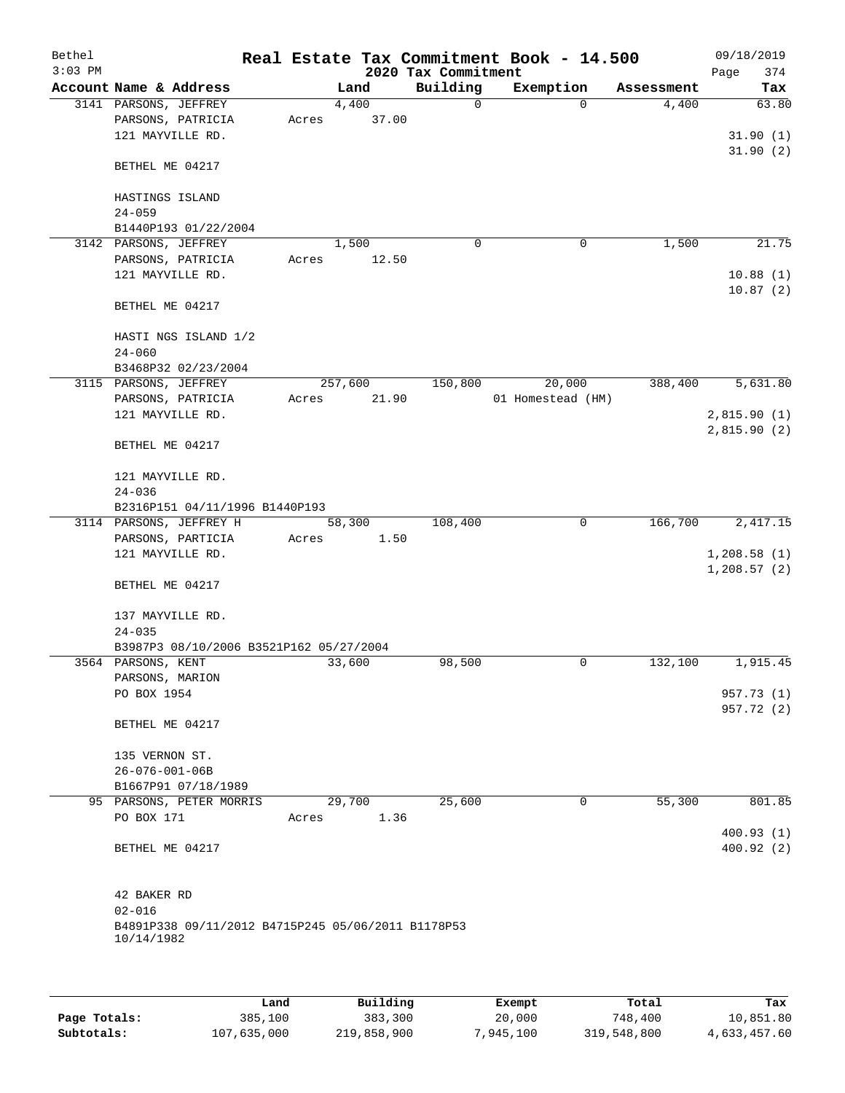| Bethel<br>$3:03$ PM |                                                                  |         |       | 2020 Tax Commitment | Real Estate Tax Commitment Book - 14.500 |            | 09/18/2019<br>Page<br>374 |
|---------------------|------------------------------------------------------------------|---------|-------|---------------------|------------------------------------------|------------|---------------------------|
|                     | Account Name & Address                                           | Land    |       | Building            | Exemption                                | Assessment | Tax                       |
|                     | 3141 PARSONS, JEFFREY                                            | 4,400   |       | 0                   | $\Omega$                                 | 4,400      | 63.80                     |
|                     | PARSONS, PATRICIA                                                | Acres   | 37.00 |                     |                                          |            |                           |
|                     | 121 MAYVILLE RD.                                                 |         |       |                     |                                          |            | 31.90(1)                  |
|                     |                                                                  |         |       |                     |                                          |            | 31.90(2)                  |
|                     | BETHEL ME 04217                                                  |         |       |                     |                                          |            |                           |
|                     |                                                                  |         |       |                     |                                          |            |                           |
|                     | HASTINGS ISLAND                                                  |         |       |                     |                                          |            |                           |
|                     | $24 - 059$                                                       |         |       |                     |                                          |            |                           |
|                     | B1440P193 01/22/2004                                             |         |       |                     |                                          |            |                           |
|                     | 3142 PARSONS, JEFFREY                                            | 1,500   |       | $\mathbf 0$         | $\mathbf 0$                              | 1,500      | 21.75                     |
|                     | PARSONS, PATRICIA                                                | Acres   | 12.50 |                     |                                          |            |                           |
|                     | 121 MAYVILLE RD.                                                 |         |       |                     |                                          |            | 10.88(1)                  |
|                     |                                                                  |         |       |                     |                                          |            | 10.87(2)                  |
|                     | BETHEL ME 04217                                                  |         |       |                     |                                          |            |                           |
|                     |                                                                  |         |       |                     |                                          |            |                           |
|                     | HASTI NGS ISLAND 1/2                                             |         |       |                     |                                          |            |                           |
|                     | $24 - 060$                                                       |         |       |                     |                                          |            |                           |
|                     | B3468P32 02/23/2004                                              |         |       |                     |                                          |            |                           |
|                     | 3115 PARSONS, JEFFREY                                            | 257,600 |       | 150,800             | 20,000                                   | 388,400    | 5,631.80                  |
|                     | PARSONS, PATRICIA                                                | Acres   | 21.90 |                     | 01 Homestead (HM)                        |            |                           |
|                     | 121 MAYVILLE RD.                                                 |         |       |                     |                                          |            | 2,815.90(1)               |
|                     | BETHEL ME 04217                                                  |         |       |                     |                                          |            | 2,815.90(2)               |
|                     |                                                                  |         |       |                     |                                          |            |                           |
|                     | 121 MAYVILLE RD.                                                 |         |       |                     |                                          |            |                           |
|                     | $24 - 036$                                                       |         |       |                     |                                          |            |                           |
|                     | B2316P151 04/11/1996 B1440P193                                   |         |       |                     |                                          |            |                           |
|                     | 3114 PARSONS, JEFFREY H                                          | 58,300  |       | 108,400             | $\mathbf 0$                              | 166,700    | 2,417.15                  |
|                     | PARSONS, PARTICIA                                                | Acres   | 1.50  |                     |                                          |            |                           |
|                     | 121 MAYVILLE RD.                                                 |         |       |                     |                                          |            | 1,208.58(1)               |
|                     |                                                                  |         |       |                     |                                          |            | 1,208.57(2)               |
|                     | BETHEL ME 04217                                                  |         |       |                     |                                          |            |                           |
|                     |                                                                  |         |       |                     |                                          |            |                           |
|                     | 137 MAYVILLE RD.                                                 |         |       |                     |                                          |            |                           |
|                     | $24 - 035$                                                       |         |       |                     |                                          |            |                           |
|                     | B3987P3 08/10/2006 B3521P162 05/27/2004                          |         |       |                     |                                          |            |                           |
|                     | 3564 PARSONS, KENT                                               | 33,600  |       | 98,500              | 0                                        | 132,100    | 1,915.45                  |
|                     | PARSONS, MARION                                                  |         |       |                     |                                          |            |                           |
|                     | PO BOX 1954                                                      |         |       |                     |                                          |            | 957.73 (1)                |
|                     |                                                                  |         |       |                     |                                          |            | 957.72 (2)                |
|                     | BETHEL ME 04217                                                  |         |       |                     |                                          |            |                           |
|                     |                                                                  |         |       |                     |                                          |            |                           |
|                     | 135 VERNON ST.                                                   |         |       |                     |                                          |            |                           |
|                     | $26 - 076 - 001 - 06B$                                           |         |       |                     |                                          |            |                           |
|                     | B1667P91 07/18/1989                                              |         |       |                     |                                          |            |                           |
|                     | 95 PARSONS, PETER MORRIS                                         | 29,700  |       | 25,600              | 0                                        | 55,300     | 801.85                    |
|                     | PO BOX 171                                                       | Acres   | 1.36  |                     |                                          |            |                           |
|                     |                                                                  |         |       |                     |                                          |            | 400.93(1)                 |
|                     | BETHEL ME 04217                                                  |         |       |                     |                                          |            | 400.92(2)                 |
|                     |                                                                  |         |       |                     |                                          |            |                           |
|                     |                                                                  |         |       |                     |                                          |            |                           |
|                     | 42 BAKER RD                                                      |         |       |                     |                                          |            |                           |
|                     | $02 - 016$                                                       |         |       |                     |                                          |            |                           |
|                     | B4891P338 09/11/2012 B4715P245 05/06/2011 B1178P53<br>10/14/1982 |         |       |                     |                                          |            |                           |
|                     |                                                                  |         |       |                     |                                          |            |                           |
|                     |                                                                  |         |       |                     |                                          |            |                           |
|                     |                                                                  |         |       |                     |                                          |            |                           |

|              | Land        | Building    | Exempt    | Total       | Tax          |
|--------------|-------------|-------------|-----------|-------------|--------------|
| Page Totals: | 385,100     | 383,300     | 20,000    | 748,400     | 10,851.80    |
| Subtotals:   | 107,635,000 | 219,858,900 | 7,945,100 | 319,548,800 | 4,633,457.60 |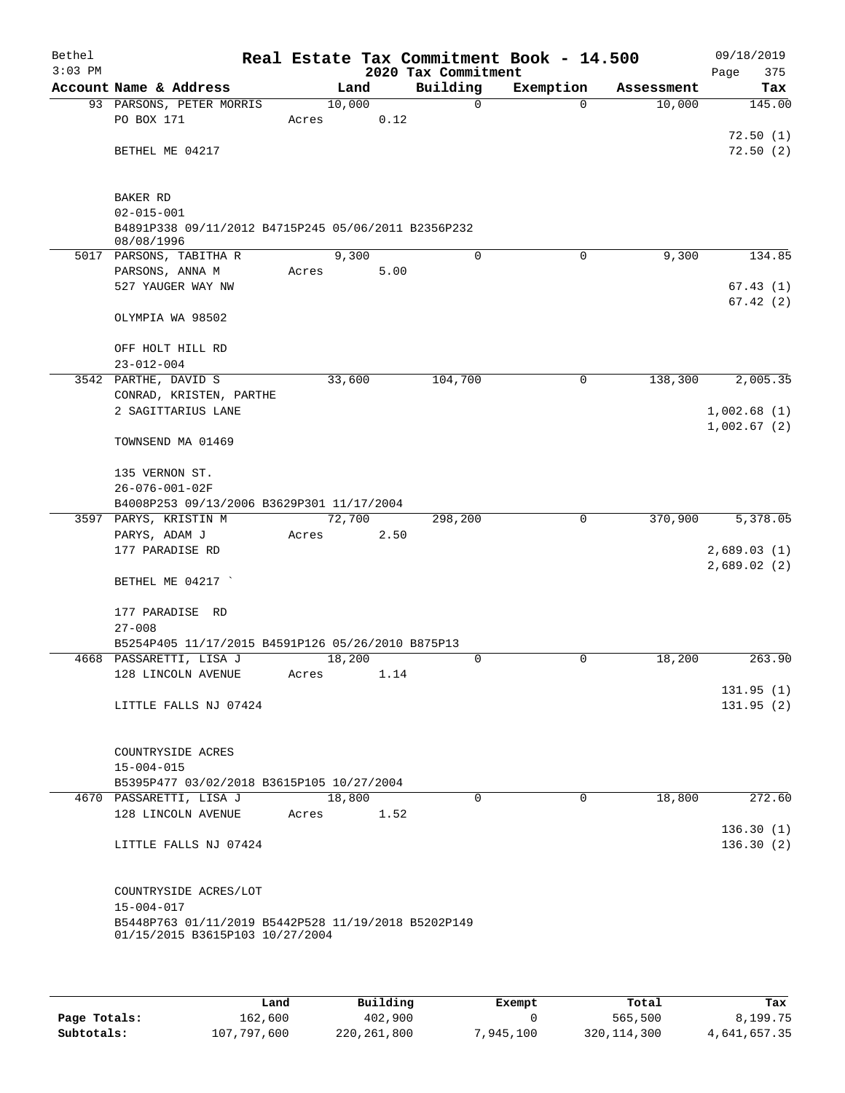| Bethel<br>$3:03$ PM |                                                                                        |       |        |      | 2020 Tax Commitment | Real Estate Tax Commitment Book - 14.500 |            | 09/18/2019<br>375<br>Page |
|---------------------|----------------------------------------------------------------------------------------|-------|--------|------|---------------------|------------------------------------------|------------|---------------------------|
|                     | Account Name & Address                                                                 |       | Land   |      | Building            | Exemption                                | Assessment | Tax                       |
|                     | 93 PARSONS, PETER MORRIS                                                               |       | 10,000 |      | $\mathbf 0$         | $\Omega$                                 | 10,000     | 145.00                    |
|                     | PO BOX 171                                                                             | Acres |        | 0.12 |                     |                                          |            |                           |
|                     |                                                                                        |       |        |      |                     |                                          |            | 72.50(1)                  |
|                     | BETHEL ME 04217                                                                        |       |        |      |                     |                                          |            | 72.50(2)                  |
|                     |                                                                                        |       |        |      |                     |                                          |            |                           |
|                     | BAKER RD                                                                               |       |        |      |                     |                                          |            |                           |
|                     | $02 - 015 - 001$                                                                       |       |        |      |                     |                                          |            |                           |
|                     | B4891P338 09/11/2012 B4715P245 05/06/2011 B2356P232                                    |       |        |      |                     |                                          |            |                           |
|                     | 08/08/1996<br>5017 PARSONS, TABITHA R                                                  |       | 9,300  |      | 0                   | 0                                        | 9,300      | 134.85                    |
|                     | PARSONS, ANNA M                                                                        | Acres |        | 5.00 |                     |                                          |            |                           |
|                     | 527 YAUGER WAY NW                                                                      |       |        |      |                     |                                          |            | 67.43(1)                  |
|                     |                                                                                        |       |        |      |                     |                                          |            | 67.42(2)                  |
|                     | OLYMPIA WA 98502                                                                       |       |        |      |                     |                                          |            |                           |
|                     |                                                                                        |       |        |      |                     |                                          |            |                           |
|                     | OFF HOLT HILL RD                                                                       |       |        |      |                     |                                          |            |                           |
|                     | $23 - 012 - 004$<br>3542 PARTHE, DAVID S                                               |       | 33,600 |      | 104,700             | $\mathbf 0$                              | 138,300    | 2,005.35                  |
|                     | CONRAD, KRISTEN, PARTHE                                                                |       |        |      |                     |                                          |            |                           |
|                     | 2 SAGITTARIUS LANE                                                                     |       |        |      |                     |                                          |            | 1,002.68(1)               |
|                     |                                                                                        |       |        |      |                     |                                          |            | 1,002.67(2)               |
|                     | TOWNSEND MA 01469                                                                      |       |        |      |                     |                                          |            |                           |
|                     |                                                                                        |       |        |      |                     |                                          |            |                           |
|                     | 135 VERNON ST.                                                                         |       |        |      |                     |                                          |            |                           |
|                     | 26-076-001-02F                                                                         |       |        |      |                     |                                          |            |                           |
|                     | B4008P253 09/13/2006 B3629P301 11/17/2004<br>3597 PARYS, KRISTIN M                     |       | 72,700 |      | 298,200             | 0                                        | 370,900    | 5,378.05                  |
|                     | PARYS, ADAM J                                                                          | Acres |        | 2.50 |                     |                                          |            |                           |
|                     | 177 PARADISE RD                                                                        |       |        |      |                     |                                          |            | 2,689.03(1)               |
|                     |                                                                                        |       |        |      |                     |                                          |            | 2,689.02(2)               |
|                     | BETHEL ME 04217                                                                        |       |        |      |                     |                                          |            |                           |
|                     |                                                                                        |       |        |      |                     |                                          |            |                           |
|                     | 177 PARADISE RD                                                                        |       |        |      |                     |                                          |            |                           |
|                     | $27 - 008$                                                                             |       |        |      |                     |                                          |            |                           |
|                     | B5254P405 11/17/2015 B4591P126 05/26/2010 B875P13                                      |       |        |      |                     |                                          |            |                           |
|                     | 4668 PASSARETTI, LISA J                                                                |       | 18,200 |      | 0                   | 0                                        | 18,200     | 263.90                    |
|                     | 128 LINCOLN AVENUE                                                                     | Acres |        | 1.14 |                     |                                          |            | 131.95(1)                 |
|                     | LITTLE FALLS NJ 07424                                                                  |       |        |      |                     |                                          |            | 131.95(2)                 |
|                     |                                                                                        |       |        |      |                     |                                          |            |                           |
|                     |                                                                                        |       |        |      |                     |                                          |            |                           |
|                     | COUNTRYSIDE ACRES                                                                      |       |        |      |                     |                                          |            |                           |
|                     | $15 - 004 - 015$                                                                       |       |        |      |                     |                                          |            |                           |
|                     | B5395P477 03/02/2018 B3615P105 10/27/2004                                              |       |        |      |                     |                                          |            |                           |
|                     | 4670 PASSARETTI, LISA J                                                                |       | 18,800 |      | $\Omega$            | $\Omega$                                 | 18,800     | 272.60                    |
|                     | 128 LINCOLN AVENUE                                                                     | Acres |        | 1.52 |                     |                                          |            |                           |
|                     | LITTLE FALLS NJ 07424                                                                  |       |        |      |                     |                                          |            | 136.30(1)<br>136.30(2)    |
|                     |                                                                                        |       |        |      |                     |                                          |            |                           |
|                     |                                                                                        |       |        |      |                     |                                          |            |                           |
|                     | COUNTRYSIDE ACRES/LOT                                                                  |       |        |      |                     |                                          |            |                           |
|                     | $15 - 004 - 017$                                                                       |       |        |      |                     |                                          |            |                           |
|                     | B5448P763 01/11/2019 B5442P528 11/19/2018 B5202P149<br>01/15/2015 B3615P103 10/27/2004 |       |        |      |                     |                                          |            |                           |
|                     |                                                                                        |       |        |      |                     |                                          |            |                           |
|                     |                                                                                        |       |        |      |                     |                                          |            |                           |

|              | Land        | Building    | Exempt    | Total         | Tax          |
|--------------|-------------|-------------|-----------|---------------|--------------|
| Page Totals: | 162,600     | 402,900     |           | 565,500       | 8,199.75     |
| Subtotals:   | 107,797,600 | 220,261,800 | 7,945,100 | 320, 114, 300 | 4,641,657.35 |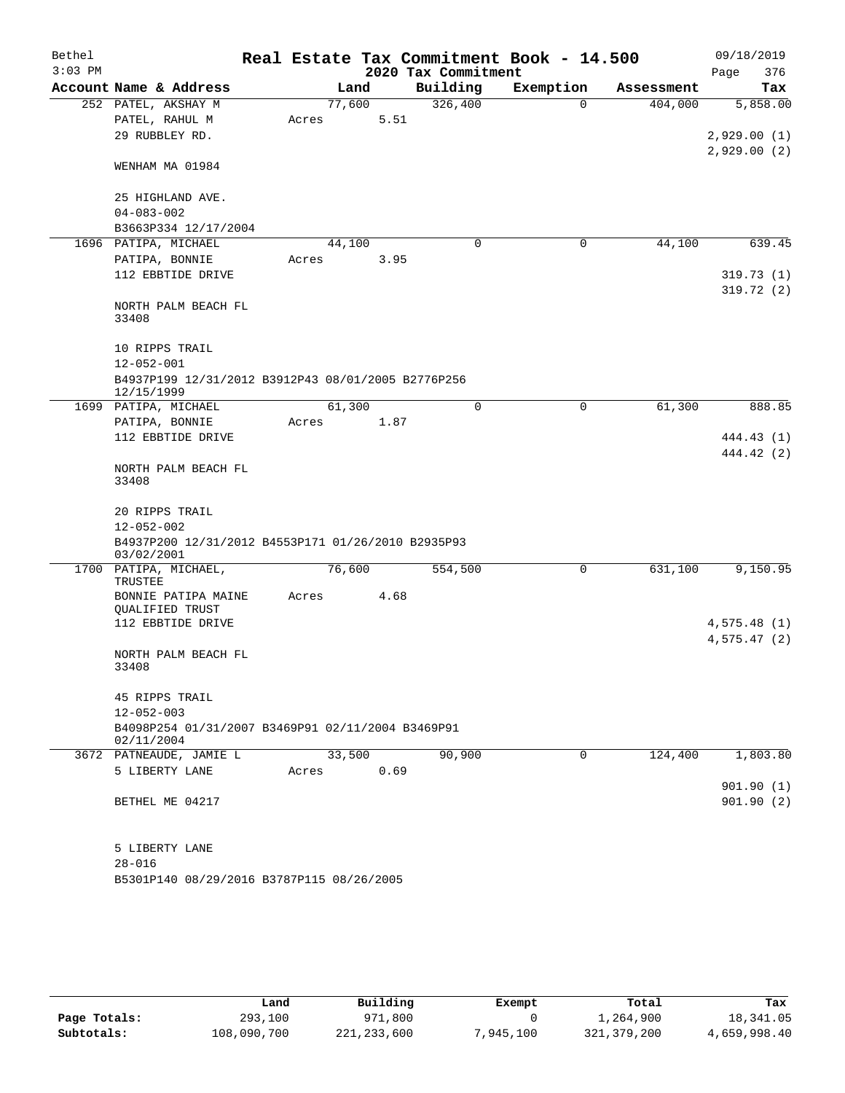| Bethel    |                                                                  |       |        |      |                                 | Real Estate Tax Commitment Book - 14.500 |            | 09/18/2019             |
|-----------|------------------------------------------------------------------|-------|--------|------|---------------------------------|------------------------------------------|------------|------------------------|
| $3:03$ PM | Account Name & Address                                           |       | Land   |      | 2020 Tax Commitment<br>Building | Exemption                                | Assessment | Page<br>376<br>Tax     |
|           | 252 PATEL, AKSHAY M                                              |       | 77,600 |      | 326,400                         | $\Omega$                                 | 404,000    | 5,858.00               |
|           | PATEL, RAHUL M                                                   | Acres |        | 5.51 |                                 |                                          |            |                        |
|           | 29 RUBBLEY RD.                                                   |       |        |      |                                 |                                          |            | 2,929.00(1)            |
|           |                                                                  |       |        |      |                                 |                                          |            | 2,929.00(2)            |
|           | WENHAM MA 01984                                                  |       |        |      |                                 |                                          |            |                        |
|           |                                                                  |       |        |      |                                 |                                          |            |                        |
|           | 25 HIGHLAND AVE.                                                 |       |        |      |                                 |                                          |            |                        |
|           | $04 - 083 - 002$                                                 |       |        |      |                                 |                                          |            |                        |
|           | B3663P334 12/17/2004                                             |       |        |      |                                 |                                          |            |                        |
|           | 1696 PATIPA, MICHAEL                                             |       | 44,100 |      | 0                               | 0                                        | 44,100     | 639.45                 |
|           | PATIPA, BONNIE<br>112 EBBTIDE DRIVE                              | Acres |        | 3.95 |                                 |                                          |            |                        |
|           |                                                                  |       |        |      |                                 |                                          |            | 319.73(1)<br>319.72(2) |
|           | NORTH PALM BEACH FL                                              |       |        |      |                                 |                                          |            |                        |
|           | 33408                                                            |       |        |      |                                 |                                          |            |                        |
|           |                                                                  |       |        |      |                                 |                                          |            |                        |
|           | 10 RIPPS TRAIL                                                   |       |        |      |                                 |                                          |            |                        |
|           | $12 - 052 - 001$                                                 |       |        |      |                                 |                                          |            |                        |
|           | B4937P199 12/31/2012 B3912P43 08/01/2005 B2776P256<br>12/15/1999 |       |        |      |                                 |                                          |            |                        |
|           | 1699 PATIPA, MICHAEL                                             |       | 61,300 |      | $\Omega$                        | 0                                        | 61,300     | 888.85                 |
|           | PATIPA, BONNIE                                                   | Acres |        | 1.87 |                                 |                                          |            |                        |
|           | 112 EBBTIDE DRIVE                                                |       |        |      |                                 |                                          |            | 444.43 (1)             |
|           |                                                                  |       |        |      |                                 |                                          |            | 444.42 (2)             |
|           | NORTH PALM BEACH FL                                              |       |        |      |                                 |                                          |            |                        |
|           | 33408                                                            |       |        |      |                                 |                                          |            |                        |
|           | 20 RIPPS TRAIL                                                   |       |        |      |                                 |                                          |            |                        |
|           | $12 - 052 - 002$                                                 |       |        |      |                                 |                                          |            |                        |
|           | B4937P200 12/31/2012 B4553P171 01/26/2010 B2935P93               |       |        |      |                                 |                                          |            |                        |
|           | 03/02/2001                                                       |       |        |      |                                 |                                          |            |                        |
|           | 1700 PATIPA, MICHAEL,                                            |       | 76,600 |      | 554,500                         | 0                                        | 631,100    | 9,150.95               |
|           | TRUSTEE<br>BONNIE PATIPA MAINE                                   | Acres |        | 4.68 |                                 |                                          |            |                        |
|           | QUALIFIED TRUST                                                  |       |        |      |                                 |                                          |            |                        |
|           | 112 EBBTIDE DRIVE                                                |       |        |      |                                 |                                          |            | 4,575.48(1)            |
|           |                                                                  |       |        |      |                                 |                                          |            | 4,575.47(2)            |
|           | NORTH PALM BEACH FL                                              |       |        |      |                                 |                                          |            |                        |
|           | 33408                                                            |       |        |      |                                 |                                          |            |                        |
|           | 45 RIPPS TRAIL                                                   |       |        |      |                                 |                                          |            |                        |
|           | $12 - 052 - 003$                                                 |       |        |      |                                 |                                          |            |                        |
|           | B4098P254 01/31/2007 B3469P91 02/11/2004 B3469P91                |       |        |      |                                 |                                          |            |                        |
|           | 02/11/2004                                                       |       |        |      |                                 |                                          |            |                        |
|           | 3672 PATNEAUDE, JAMIE L                                          |       | 33,500 |      | 90,900                          | 0                                        | 124,400    | 1,803.80               |
|           | 5 LIBERTY LANE                                                   | Acres |        | 0.69 |                                 |                                          |            |                        |
|           |                                                                  |       |        |      |                                 |                                          |            | 901.90(1)              |
|           | BETHEL ME 04217                                                  |       |        |      |                                 |                                          |            | 901.90(2)              |
|           | 5 LIBERTY LANE                                                   |       |        |      |                                 |                                          |            |                        |
|           | $28 - 016$                                                       |       |        |      |                                 |                                          |            |                        |
|           | B5301P140 08/29/2016 B3787P115 08/26/2005                        |       |        |      |                                 |                                          |            |                        |
|           |                                                                  |       |        |      |                                 |                                          |            |                        |

|              | Land        | Building      | Exempt    | Total       | Tax          |
|--------------|-------------|---------------|-----------|-------------|--------------|
| Page Totals: | 293,100     | 971,800       |           | ⊥,264,900   | 18,341.05    |
| Subtotals:   | 108,090,700 | 221, 233, 600 | 7,945,100 | 321,379,200 | 4,659,998.40 |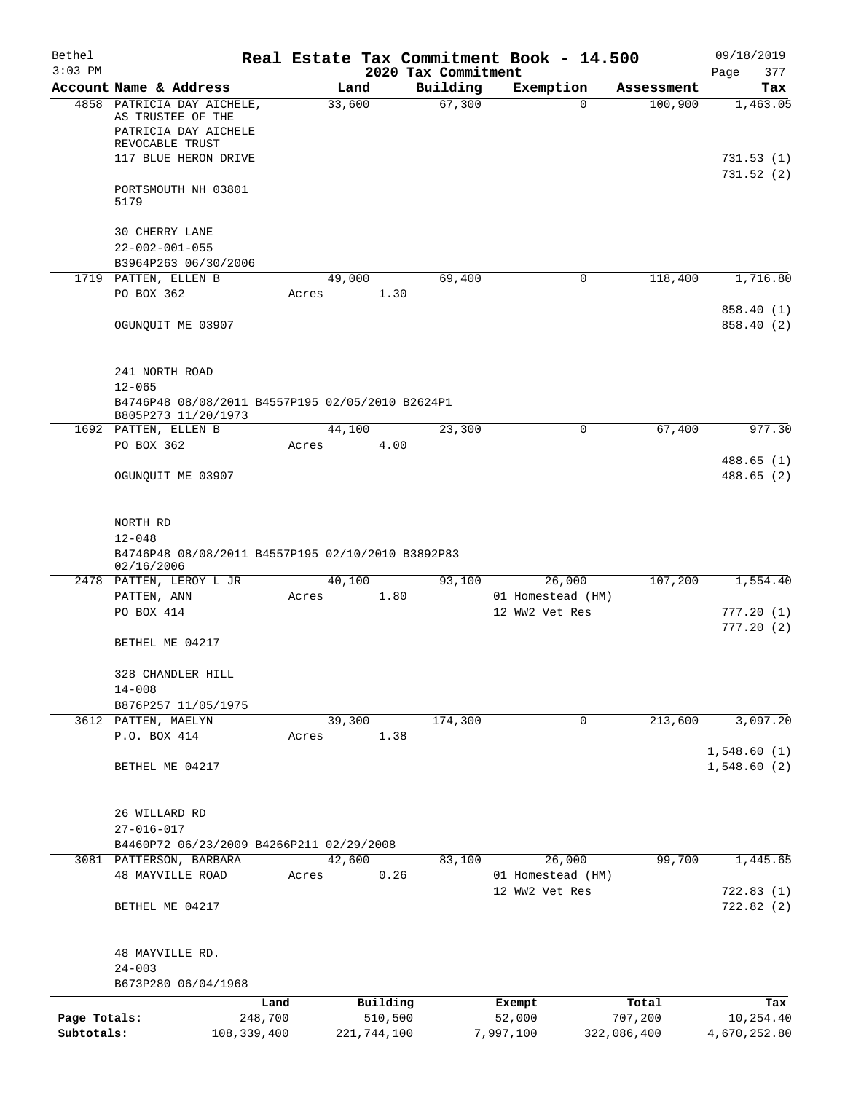| Bethel       |                                                                               |       |                |                     | Real Estate Tax Commitment Book - 14.500 |                       | 09/18/2019                 |
|--------------|-------------------------------------------------------------------------------|-------|----------------|---------------------|------------------------------------------|-----------------------|----------------------------|
| $3:03$ PM    |                                                                               |       |                | 2020 Tax Commitment |                                          |                       | Page<br>377                |
|              | Account Name & Address<br>4858 PATRICIA DAY AICHELE,                          |       | Land<br>33,600 | Building<br>67,300  | Exemption<br>$\Omega$                    | Assessment<br>100,900 | Tax<br>1,463.05            |
|              | AS TRUSTEE OF THE<br>PATRICIA DAY AICHELE<br>REVOCABLE TRUST                  |       |                |                     |                                          |                       |                            |
|              | 117 BLUE HERON DRIVE                                                          |       |                |                     |                                          |                       | 731.53(1)<br>731.52(2)     |
|              | PORTSMOUTH NH 03801<br>5179                                                   |       |                |                     |                                          |                       |                            |
|              | <b>30 CHERRY LANE</b><br>$22 - 002 - 001 - 055$                               |       |                |                     |                                          |                       |                            |
|              | B3964P263 06/30/2006<br>1719 PATTEN, ELLEN B                                  |       | 49,000         | 69,400              | 0                                        | 118,400               | 1,716.80                   |
|              | PO BOX 362                                                                    | Acres | 1.30           |                     |                                          |                       |                            |
|              |                                                                               |       |                |                     |                                          |                       | 858.40 (1)                 |
|              | OGUNQUIT ME 03907                                                             |       |                |                     |                                          |                       | 858.40 (2)                 |
|              | 241 NORTH ROAD<br>$12 - 065$                                                  |       |                |                     |                                          |                       |                            |
|              | B4746P48 08/08/2011 B4557P195 02/05/2010 B2624P1<br>B805P273 11/20/1973       |       |                |                     |                                          |                       |                            |
|              | 1692 PATTEN, ELLEN B                                                          |       | 44,100         | 23,300              | 0                                        | 67,400                | 977.30                     |
|              | PO BOX 362                                                                    | Acres | 4.00           |                     |                                          |                       |                            |
|              |                                                                               |       |                |                     |                                          |                       | 488.65(1)                  |
|              | OGUNQUIT ME 03907                                                             |       |                |                     |                                          |                       | 488.65(2)                  |
|              | NORTH RD                                                                      |       |                |                     |                                          |                       |                            |
|              | $12 - 048$<br>B4746P48 08/08/2011 B4557P195 02/10/2010 B3892P83<br>02/16/2006 |       |                |                     |                                          |                       |                            |
|              | 2478 PATTEN, LEROY L JR                                                       |       | 40,100         | 93,100              | 26,000                                   | 107,200               | 1,554.40                   |
|              | PATTEN, ANN                                                                   | Acres | 1.80           |                     | 01 Homestead (HM)                        |                       |                            |
|              | PO BOX 414                                                                    |       |                |                     | 12 WW2 Vet Res                           |                       | 777.20(1)<br>777.20(2)     |
|              | BETHEL ME 04217                                                               |       |                |                     |                                          |                       |                            |
|              | 328 CHANDLER HILL<br>$14 - 008$                                               |       |                |                     |                                          |                       |                            |
|              | B876P257 11/05/1975                                                           |       |                |                     |                                          |                       |                            |
|              | 3612 PATTEN, MAELYN                                                           |       | 39,300         | 174,300             | 0                                        | 213,600               | 3,097.20                   |
|              | P.O. BOX 414                                                                  | Acres | 1.38           |                     |                                          |                       |                            |
|              | BETHEL ME 04217                                                               |       |                |                     |                                          |                       | 1,548.60(1)<br>1,548.60(2) |
|              | 26 WILLARD RD                                                                 |       |                |                     |                                          |                       |                            |
|              | $27 - 016 - 017$                                                              |       |                |                     |                                          |                       |                            |
|              | B4460P72 06/23/2009 B4266P211 02/29/2008                                      |       |                |                     |                                          |                       |                            |
|              | 3081 PATTERSON, BARBARA<br><b>48 MAYVILLE ROAD</b>                            | Acres | 42,600<br>0.26 | 83,100              | 26,000<br>01 Homestead (HM)              | 99,700                | 1,445.65                   |
|              |                                                                               |       |                |                     | 12 WW2 Vet Res                           |                       | 722.83(1)                  |
|              | BETHEL ME 04217                                                               |       |                |                     |                                          |                       | 722.82(2)                  |
|              | 48 MAYVILLE RD.                                                               |       |                |                     |                                          |                       |                            |
|              | $24 - 003$                                                                    |       |                |                     |                                          |                       |                            |
|              | B673P280 06/04/1968                                                           |       |                |                     |                                          |                       |                            |
|              |                                                                               | Land  | Building       |                     | Exempt                                   | Total                 | Tax                        |
| Page Totals: | 248,700                                                                       |       | 510,500        |                     | 52,000                                   | 707,200               | 10,254.40                  |
| Subtotals:   | 108, 339, 400                                                                 |       | 221,744,100    |                     | 7,997,100                                | 322,086,400           | 4,670,252.80               |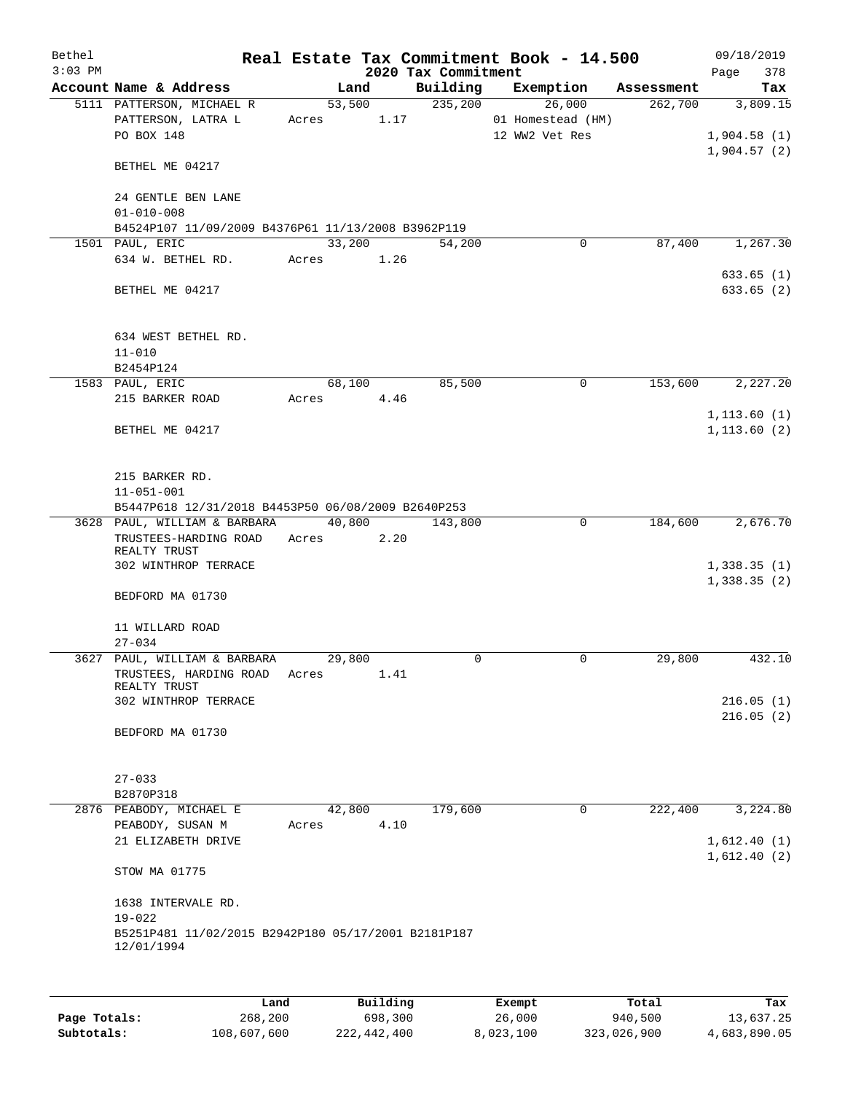| Bethel<br>$3:03$ PM |                                                                                              |       |        |      | 2020 Tax Commitment | Real Estate Tax Commitment Book - 14.500      |            | 09/18/2019<br>378<br>Page              |
|---------------------|----------------------------------------------------------------------------------------------|-------|--------|------|---------------------|-----------------------------------------------|------------|----------------------------------------|
|                     | Account Name & Address                                                                       |       | Land   |      | Building            | Exemption                                     | Assessment | Tax                                    |
|                     | 5111 PATTERSON, MICHAEL R<br>PATTERSON, LATRA L<br>PO BOX 148                                | Acres | 53,500 | 1.17 | 235,200             | 26,000<br>01 Homestead (HM)<br>12 WW2 Vet Res | 262,700    | 3,809.15<br>1,904.58(1)<br>1,904.57(2) |
|                     | BETHEL ME 04217                                                                              |       |        |      |                     |                                               |            |                                        |
|                     | 24 GENTLE BEN LANE<br>$01 - 010 - 008$<br>B4524P107 11/09/2009 B4376P61 11/13/2008 B3962P119 |       |        |      |                     |                                               |            |                                        |
|                     | 1501 PAUL, ERIC                                                                              |       | 33,200 |      | 54,200              | 0                                             | 87,400     | 1,267.30                               |
|                     | 634 W. BETHEL RD.                                                                            |       | Acres  | 1.26 |                     |                                               |            | 633.65(1)                              |
|                     | BETHEL ME 04217                                                                              |       |        |      |                     |                                               |            | 633.65(2)                              |
|                     | 634 WEST BETHEL RD.<br>$11 - 010$<br>B2454P124                                               |       |        |      |                     |                                               |            |                                        |
|                     | 1583 PAUL, ERIC                                                                              |       | 68,100 |      | 85,500              | 0                                             | 153,600    | 2,227.20                               |
|                     | 215 BARKER ROAD                                                                              |       | Acres  | 4.46 |                     |                                               |            |                                        |
|                     | BETHEL ME 04217                                                                              |       |        |      |                     |                                               |            | 1, 113.60(1)<br>1, 113.60(2)           |
|                     | 215 BARKER RD.<br>$11 - 051 - 001$<br>B5447P618 12/31/2018 B4453P50 06/08/2009 B2640P253     |       |        |      |                     |                                               |            |                                        |
|                     | 3628 PAUL, WILLIAM & BARBARA                                                                 |       | 40,800 |      | 143,800             | $\mathbf 0$                                   | 184,600    | 2,676.70                               |
|                     | TRUSTEES-HARDING ROAD<br>REALTY TRUST<br>302 WINTHROP TERRACE                                | Acres |        | 2.20 |                     |                                               |            | 1,338.35(1)                            |
|                     | BEDFORD MA 01730                                                                             |       |        |      |                     |                                               |            | 1,338.35(2)                            |
|                     | 11 WILLARD ROAD<br>$27 - 034$                                                                |       |        |      |                     |                                               |            |                                        |
|                     | 3627 PAUL, WILLIAM & BARBARA                                                                 |       | 29,800 |      | $\mathbf 0$         | $\mathbf 0$                                   | 29,800     | 432.10                                 |
|                     | TRUSTEES, HARDING ROAD<br>REALTY TRUST                                                       | Acres |        | 1.41 |                     |                                               |            |                                        |
|                     | 302 WINTHROP TERRACE                                                                         |       |        |      |                     |                                               |            | 216.05(1)                              |
|                     | BEDFORD MA 01730                                                                             |       |        |      |                     |                                               |            | 216.05(2)                              |
|                     | $27 - 033$                                                                                   |       |        |      |                     |                                               |            |                                        |
|                     | B2870P318<br>2876 PEABODY, MICHAEL E                                                         |       |        |      | 179,600             | 0                                             |            | 3,224.80                               |
|                     | PEABODY, SUSAN M                                                                             | Acres | 42,800 | 4.10 |                     |                                               | 222,400    |                                        |
|                     | 21 ELIZABETH DRIVE                                                                           |       |        |      |                     |                                               |            | 1,612.40(1)<br>1,612.40(2)             |
|                     | STOW MA 01775                                                                                |       |        |      |                     |                                               |            |                                        |
|                     | 1638 INTERVALE RD.                                                                           |       |        |      |                     |                                               |            |                                        |
|                     | $19 - 022$<br>B5251P481 11/02/2015 B2942P180 05/17/2001 B2181P187<br>12/01/1994              |       |        |      |                     |                                               |            |                                        |
|                     |                                                                                              |       |        |      |                     |                                               |            |                                        |

|              | Land        | Building    | Exempt    | Total       | Tax          |
|--------------|-------------|-------------|-----------|-------------|--------------|
| Page Totals: | 268,200     | 698,300     | 26,000    | 940,500     | 13,637.25    |
| Subtotals:   | 108,607,600 | 222,442,400 | 8,023,100 | 323,026,900 | 4,683,890.05 |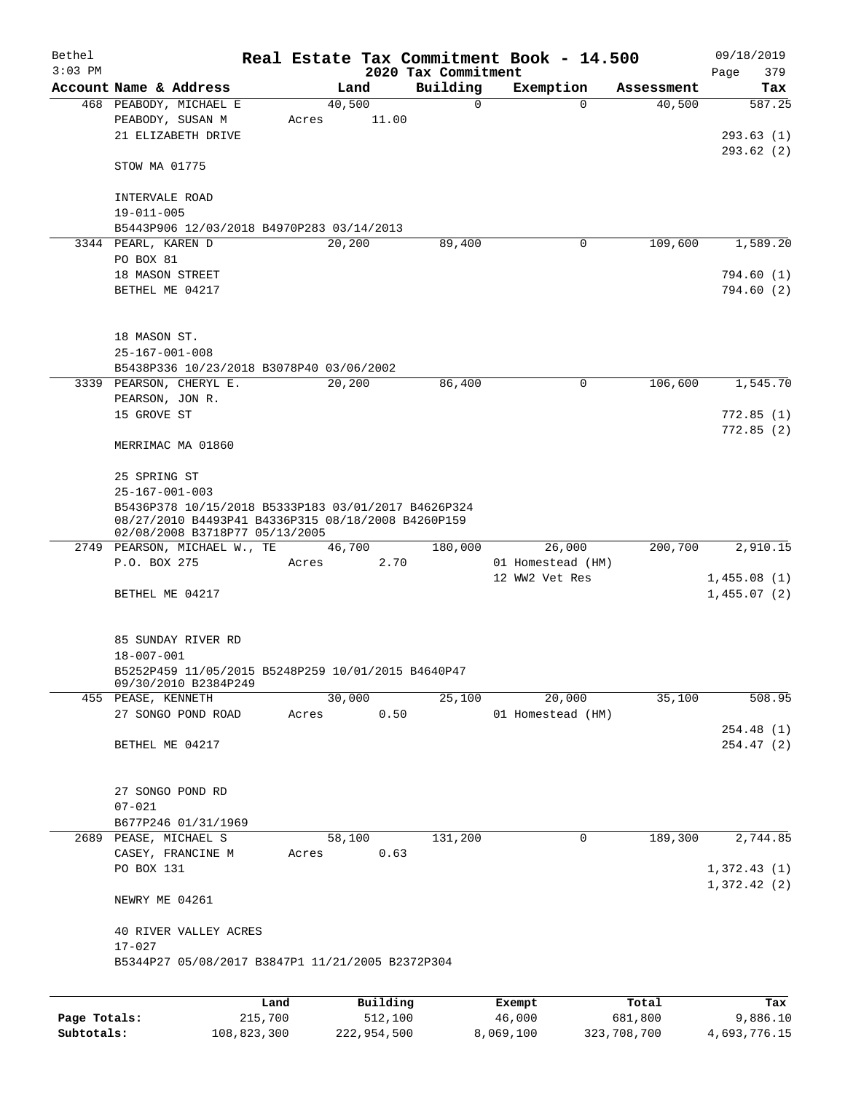| Bethel    |                                                                  |       |                |                         | Real Estate Tax Commitment Book - 14.500 |                      | 09/18/2019    |  |  |  |
|-----------|------------------------------------------------------------------|-------|----------------|-------------------------|------------------------------------------|----------------------|---------------|--|--|--|
| $3:03$ PM |                                                                  |       |                | 2020 Tax Commitment     |                                          |                      | 379<br>Page   |  |  |  |
|           | Account Name & Address<br>468 PEABODY, MICHAEL E                 |       | Land<br>40,500 | Building<br>$\mathbf 0$ | Exemption<br>0                           | Assessment<br>40,500 | Tax<br>587.25 |  |  |  |
|           | PEABODY, SUSAN M                                                 | Acres | 11.00          |                         |                                          |                      |               |  |  |  |
|           | 21 ELIZABETH DRIVE                                               |       |                |                         |                                          |                      | 293.63(1)     |  |  |  |
|           |                                                                  |       |                |                         |                                          |                      |               |  |  |  |
|           | STOW MA 01775                                                    |       |                |                         |                                          |                      | 293.62(2)     |  |  |  |
|           |                                                                  |       |                |                         |                                          |                      |               |  |  |  |
|           | INTERVALE ROAD                                                   |       |                |                         |                                          |                      |               |  |  |  |
|           | $19 - 011 - 005$                                                 |       |                |                         |                                          |                      |               |  |  |  |
|           | B5443P906 12/03/2018 B4970P283 03/14/2013                        |       |                |                         |                                          |                      |               |  |  |  |
|           | 3344 PEARL, KAREN D                                              |       | 20,200         | 89,400                  | 0                                        | 109,600              | 1,589.20      |  |  |  |
|           | PO BOX 81                                                        |       |                |                         |                                          |                      |               |  |  |  |
|           | 18 MASON STREET                                                  |       |                |                         |                                          |                      | 794.60 (1)    |  |  |  |
|           | BETHEL ME 04217                                                  |       |                |                         |                                          |                      | 794.60(2)     |  |  |  |
|           |                                                                  |       |                |                         |                                          |                      |               |  |  |  |
|           |                                                                  |       |                |                         |                                          |                      |               |  |  |  |
|           | 18 MASON ST.                                                     |       |                |                         |                                          |                      |               |  |  |  |
|           | $25 - 167 - 001 - 008$                                           |       |                |                         |                                          |                      |               |  |  |  |
|           | B5438P336 10/23/2018 B3078P40 03/06/2002                         |       |                |                         |                                          |                      |               |  |  |  |
|           | 3339 PEARSON, CHERYL E.                                          |       | 20,200         | 86,400                  | 0                                        | 106,600              | 1,545.70      |  |  |  |
|           | PEARSON, JON R.                                                  |       |                |                         |                                          |                      |               |  |  |  |
|           | 15 GROVE ST                                                      |       |                |                         |                                          |                      | 772.85(1)     |  |  |  |
|           | MERRIMAC MA 01860                                                |       |                |                         |                                          |                      | 772.85(2)     |  |  |  |
|           |                                                                  |       |                |                         |                                          |                      |               |  |  |  |
|           | 25 SPRING ST                                                     |       |                |                         |                                          |                      |               |  |  |  |
|           | $25 - 167 - 001 - 003$                                           |       |                |                         |                                          |                      |               |  |  |  |
|           | B5436P378 10/15/2018 B5333P183 03/01/2017 B4626P324              |       |                |                         |                                          |                      |               |  |  |  |
|           | 08/27/2010 B4493P41 B4336P315 08/18/2008 B4260P159               |       |                |                         |                                          |                      |               |  |  |  |
|           | 02/08/2008 B3718P77 05/13/2005                                   |       |                |                         |                                          |                      |               |  |  |  |
|           | 2749 PEARSON, MICHAEL W., TE 46,700                              |       |                | 180,000                 | 26,000                                   | 200,700              | 2,910.15      |  |  |  |
|           | P.O. BOX 275                                                     | Acres |                | 2.70                    | 01 Homestead (HM)                        |                      |               |  |  |  |
|           |                                                                  |       |                |                         | 12 WW2 Vet Res                           |                      | 1,455.08(1)   |  |  |  |
|           | BETHEL ME 04217                                                  |       |                |                         |                                          |                      | 1,455.07(2)   |  |  |  |
|           |                                                                  |       |                |                         |                                          |                      |               |  |  |  |
|           |                                                                  |       |                |                         |                                          |                      |               |  |  |  |
|           | 85 SUNDAY RIVER RD                                               |       |                |                         |                                          |                      |               |  |  |  |
|           | 18-007-001<br>B5252P459 11/05/2015 B5248P259 10/01/2015 B4640P47 |       |                |                         |                                          |                      |               |  |  |  |
|           | 09/30/2010 B2384P249                                             |       |                |                         |                                          |                      |               |  |  |  |
|           | 455 PEASE, KENNETH                                               |       | 30,000         | 25,100                  | 20,000                                   | 35,100               | 508.95        |  |  |  |
|           | 27 SONGO POND ROAD                                               | Acres |                | 0.50                    | 01 Homestead (HM)                        |                      |               |  |  |  |
|           |                                                                  |       |                |                         |                                          |                      | 254.48 (1)    |  |  |  |
|           | BETHEL ME 04217                                                  |       |                |                         |                                          |                      | 254.47 (2)    |  |  |  |
|           |                                                                  |       |                |                         |                                          |                      |               |  |  |  |
|           |                                                                  |       |                |                         |                                          |                      |               |  |  |  |
|           | 27 SONGO POND RD                                                 |       |                |                         |                                          |                      |               |  |  |  |
|           | $07 - 021$                                                       |       |                |                         |                                          |                      |               |  |  |  |
|           | B677P246 01/31/1969                                              |       |                |                         |                                          |                      |               |  |  |  |
|           | 2689 PEASE, MICHAEL S                                            |       | 58,100         | 131,200                 | 0                                        | 189,300              | 2,744.85      |  |  |  |
|           | CASEY, FRANCINE M                                                | Acres |                | 0.63                    |                                          |                      |               |  |  |  |
|           | PO BOX 131                                                       |       |                |                         |                                          |                      | 1,372.43(1)   |  |  |  |
|           |                                                                  |       |                |                         |                                          |                      | 1,372.42(2)   |  |  |  |
|           | NEWRY ME 04261                                                   |       |                |                         |                                          |                      |               |  |  |  |
|           |                                                                  |       |                |                         |                                          |                      |               |  |  |  |
|           | 40 RIVER VALLEY ACRES                                            |       |                |                         |                                          |                      |               |  |  |  |
|           | $17 - 027$<br>B5344P27 05/08/2017 B3847P1 11/21/2005 B2372P304   |       |                |                         |                                          |                      |               |  |  |  |
|           |                                                                  |       |                |                         |                                          |                      |               |  |  |  |
|           |                                                                  |       |                |                         |                                          |                      |               |  |  |  |
|           |                                                                  | Land  | Building       |                         | Exempt                                   | Total                | Tax           |  |  |  |

|              | nana        | <b>DULLULLY</b> | <b>DACINUL</b> | TOLAT       | ⊥a∧          |
|--------------|-------------|-----------------|----------------|-------------|--------------|
| Page Totals: | 215,700     | 512,100         | 46,000         | 681,800     | 9,886.10     |
| Subtotals:   | 108,823,300 | 222,954,500     | 8,069,100      | 323,708,700 | 4,693,776.15 |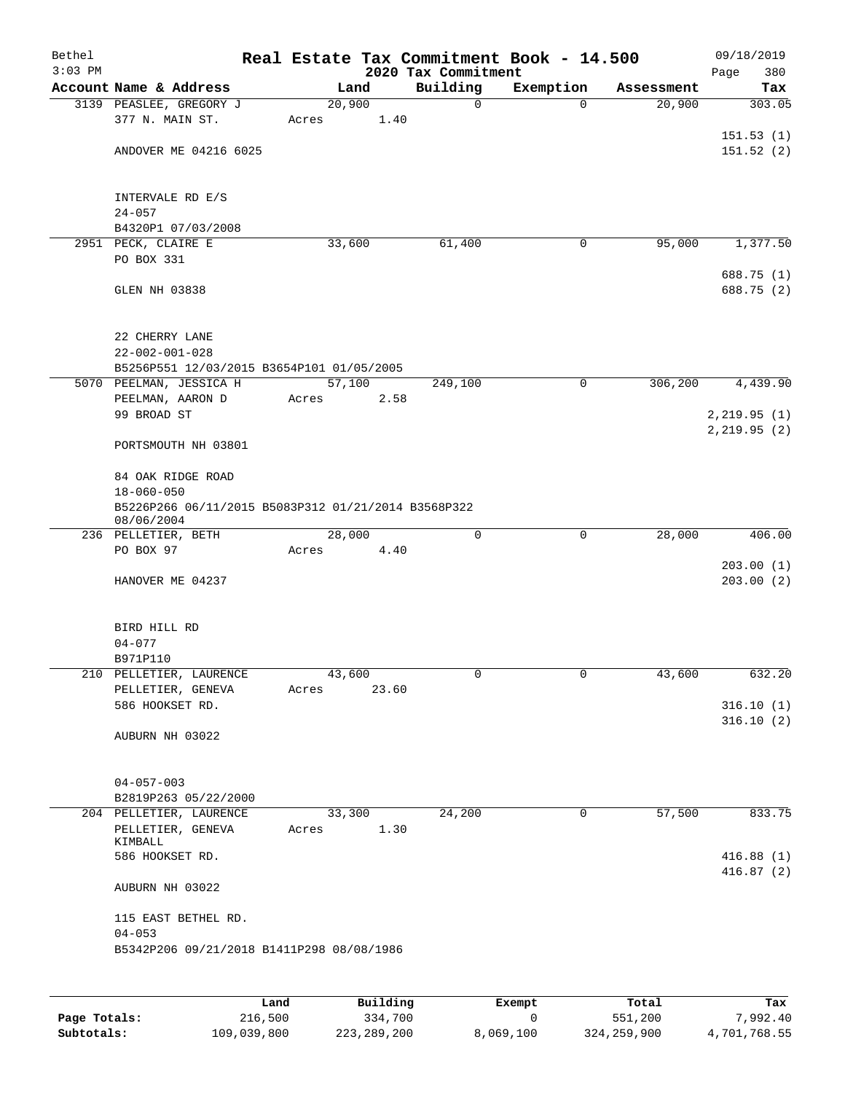| Bethel<br>$3:03$ PM |                                                                   |       |        | 2020 Tax Commitment | Real Estate Tax Commitment Book - 14.500 |            | 09/18/2019<br>Page<br>380    |
|---------------------|-------------------------------------------------------------------|-------|--------|---------------------|------------------------------------------|------------|------------------------------|
|                     | Account Name & Address                                            |       | Land   | Building            | Exemption                                | Assessment | Tax                          |
|                     | 3139 PEASLEE, GREGORY J                                           |       | 20,900 | 0                   | $\mathbf 0$                              | 20,900     | 303.05                       |
|                     | 377 N. MAIN ST.                                                   | Acres | 1.40   |                     |                                          |            |                              |
|                     |                                                                   |       |        |                     |                                          |            | 151.53(1)                    |
|                     | ANDOVER ME 04216 6025                                             |       |        |                     |                                          |            | 151.52(2)                    |
|                     |                                                                   |       |        |                     |                                          |            |                              |
|                     | INTERVALE RD E/S                                                  |       |        |                     |                                          |            |                              |
|                     | $24 - 057$                                                        |       |        |                     |                                          |            |                              |
|                     | B4320P1 07/03/2008                                                |       |        |                     |                                          |            |                              |
|                     | 2951 PECK, CLAIRE E                                               |       | 33,600 | 61,400              | 0                                        | 95,000     | 1,377.50                     |
|                     | PO BOX 331                                                        |       |        |                     |                                          |            |                              |
|                     |                                                                   |       |        |                     |                                          |            | 688.75 (1)                   |
|                     | GLEN NH 03838                                                     |       |        |                     |                                          |            | 688.75 (2)                   |
|                     |                                                                   |       |        |                     |                                          |            |                              |
|                     | 22 CHERRY LANE                                                    |       |        |                     |                                          |            |                              |
|                     | $22 - 002 - 001 - 028$                                            |       |        |                     |                                          |            |                              |
|                     | B5256P551 12/03/2015 B3654P101 01/05/2005                         |       |        |                     |                                          |            |                              |
|                     | 5070 PEELMAN, JESSICA H                                           |       | 57,100 | 249,100             | $\mathbf 0$                              | 306,200    | 4,439.90                     |
|                     | PEELMAN, AARON D                                                  | Acres | 2.58   |                     |                                          |            |                              |
|                     | 99 BROAD ST                                                       |       |        |                     |                                          |            | 2, 219.95(1)<br>2, 219.95(2) |
|                     | PORTSMOUTH NH 03801                                               |       |        |                     |                                          |            |                              |
|                     |                                                                   |       |        |                     |                                          |            |                              |
|                     | 84 OAK RIDGE ROAD                                                 |       |        |                     |                                          |            |                              |
|                     | $18 - 060 - 050$                                                  |       |        |                     |                                          |            |                              |
|                     | B5226P266 06/11/2015 B5083P312 01/21/2014 B3568P322<br>08/06/2004 |       |        |                     |                                          |            |                              |
|                     | 236 PELLETIER, BETH                                               |       | 28,000 | 0                   | 0                                        | 28,000     | 406.00                       |
|                     | PO BOX 97                                                         | Acres | 4.40   |                     |                                          |            |                              |
|                     |                                                                   |       |        |                     |                                          |            | 203.00(1)                    |
|                     | HANOVER ME 04237                                                  |       |        |                     |                                          |            | 203.00(2)                    |
|                     |                                                                   |       |        |                     |                                          |            |                              |
|                     | BIRD HILL RD                                                      |       |        |                     |                                          |            |                              |
|                     | $04 - 077$                                                        |       |        |                     |                                          |            |                              |
|                     | B971P110                                                          |       |        |                     |                                          |            |                              |
|                     | 210 PELLETIER, LAURENCE                                           |       | 43,600 | 0                   | 0                                        | 43,600     | 632.20                       |
|                     | PELLETIER, GENEVA                                                 | Acres | 23.60  |                     |                                          |            |                              |
|                     | 586 HOOKSET RD.                                                   |       |        |                     |                                          |            | 316.10(1)                    |
|                     | AUBURN NH 03022                                                   |       |        |                     |                                          |            | 316.10(2)                    |
|                     |                                                                   |       |        |                     |                                          |            |                              |
|                     |                                                                   |       |        |                     |                                          |            |                              |
|                     | $04 - 057 - 003$                                                  |       |        |                     |                                          |            |                              |
|                     | B2819P263 05/22/2000                                              |       |        |                     |                                          |            |                              |
|                     | 204 PELLETIER, LAURENCE                                           |       | 33,300 | 24,200              | 0                                        | 57,500     | 833.75                       |
|                     | PELLETIER, GENEVA<br>KIMBALL                                      | Acres | 1.30   |                     |                                          |            |                              |
|                     | 586 HOOKSET RD.                                                   |       |        |                     |                                          |            | 416.88(1)                    |
|                     |                                                                   |       |        |                     |                                          |            | 416.87(2)                    |
|                     | AUBURN NH 03022                                                   |       |        |                     |                                          |            |                              |
|                     |                                                                   |       |        |                     |                                          |            |                              |
|                     | 115 EAST BETHEL RD.<br>$04 - 053$                                 |       |        |                     |                                          |            |                              |
|                     | B5342P206 09/21/2018 B1411P298 08/08/1986                         |       |        |                     |                                          |            |                              |
|                     |                                                                   |       |        |                     |                                          |            |                              |
|                     |                                                                   |       |        |                     |                                          |            |                              |
|                     |                                                                   |       |        |                     |                                          |            |                              |

|              | Land        | Building    | Exempt    | Total       | Tax          |
|--------------|-------------|-------------|-----------|-------------|--------------|
| Page Totals: | 216,500     | 334,700     |           | 551,200     | 7,992.40     |
| Subtotals:   | 109,039,800 | 223,289,200 | 8,069,100 | 324,259,900 | 4,701,768.55 |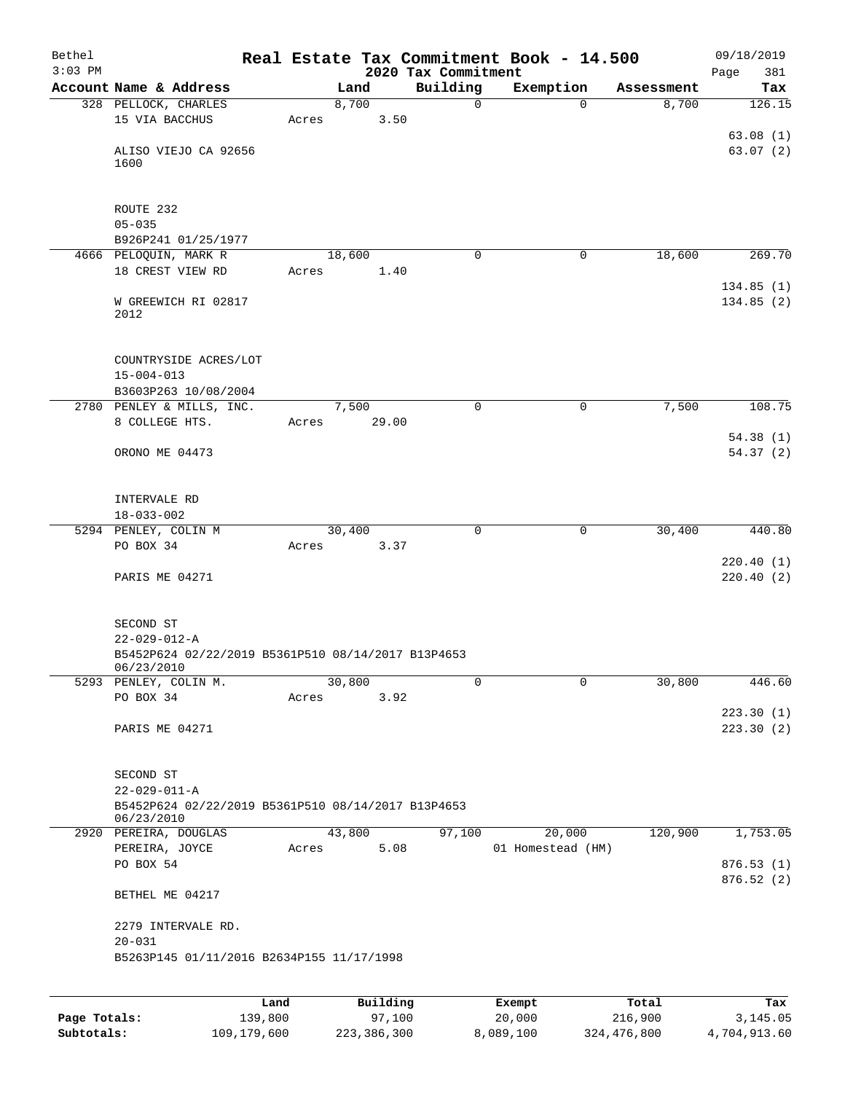| Bethel    |                                                                            |       |                |                                 | Real Estate Tax Commitment Book - 14.500 |            | 09/18/2019             |
|-----------|----------------------------------------------------------------------------|-------|----------------|---------------------------------|------------------------------------------|------------|------------------------|
| $3:03$ PM | Account Name & Address                                                     |       | Land           | 2020 Tax Commitment<br>Building | Exemption                                | Assessment | Page<br>381<br>Tax     |
|           | 328 PELLOCK, CHARLES                                                       |       | 8,700          | $\mathsf{O}$                    | $\Omega$                                 | 8,700      | 126.15                 |
|           | 15 VIA BACCHUS                                                             | Acres | 3.50           |                                 |                                          |            |                        |
|           |                                                                            |       |                |                                 |                                          |            | 63.08(1)               |
|           | ALISO VIEJO CA 92656                                                       |       |                |                                 |                                          |            | 63.07(2)               |
|           | 1600                                                                       |       |                |                                 |                                          |            |                        |
|           |                                                                            |       |                |                                 |                                          |            |                        |
|           | ROUTE 232                                                                  |       |                |                                 |                                          |            |                        |
|           | $05 - 035$                                                                 |       |                |                                 |                                          |            |                        |
|           | B926P241 01/25/1977                                                        |       |                |                                 |                                          |            |                        |
|           | 4666 PELOQUIN, MARK R<br>18 CREST VIEW RD                                  | Acres | 18,600<br>1.40 | $\Omega$                        | 0                                        | 18,600     | 269.70                 |
|           |                                                                            |       |                |                                 |                                          |            | 134.85(1)              |
|           | W GREEWICH RI 02817                                                        |       |                |                                 |                                          |            | 134.85(2)              |
|           | 2012                                                                       |       |                |                                 |                                          |            |                        |
|           |                                                                            |       |                |                                 |                                          |            |                        |
|           | COUNTRYSIDE ACRES/LOT                                                      |       |                |                                 |                                          |            |                        |
|           | $15 - 004 - 013$                                                           |       |                |                                 |                                          |            |                        |
|           | B3603P263 10/08/2004                                                       |       |                |                                 |                                          |            |                        |
|           | 2780 PENLEY & MILLS, INC.                                                  |       | 7,500          | $\mathbf 0$                     | 0                                        | 7,500      | 108.75                 |
|           | 8 COLLEGE HTS.                                                             | Acres | 29.00          |                                 |                                          |            |                        |
|           | ORONO ME 04473                                                             |       |                |                                 |                                          |            | 54.38(1)<br>54.37 (2)  |
|           |                                                                            |       |                |                                 |                                          |            |                        |
|           |                                                                            |       |                |                                 |                                          |            |                        |
|           | INTERVALE RD                                                               |       |                |                                 |                                          |            |                        |
|           | $18 - 033 - 002$                                                           |       |                |                                 |                                          |            |                        |
|           | 5294 PENLEY, COLIN M                                                       |       | 30,400         | $\mathbf 0$                     | $\mathbf 0$                              | 30,400     | 440.80                 |
|           | PO BOX 34                                                                  | Acres | 3.37           |                                 |                                          |            | 220.40(1)              |
|           | PARIS ME 04271                                                             |       |                |                                 |                                          |            | 220.40(2)              |
|           |                                                                            |       |                |                                 |                                          |            |                        |
|           |                                                                            |       |                |                                 |                                          |            |                        |
|           | SECOND ST                                                                  |       |                |                                 |                                          |            |                        |
|           | $22 - 029 - 012 - A$<br>B5452P624 02/22/2019 B5361P510 08/14/2017 B13P4653 |       |                |                                 |                                          |            |                        |
|           | 06/23/2010                                                                 |       |                |                                 |                                          |            |                        |
|           | 5293 PENLEY, COLIN M.                                                      |       | 30,800         | 0                               | 0                                        | 30,800     | 446.60                 |
|           | PO BOX 34                                                                  | Acres | 3.92           |                                 |                                          |            | 223.30(1)              |
|           | PARIS ME 04271                                                             |       |                |                                 |                                          |            | 223.30(2)              |
|           |                                                                            |       |                |                                 |                                          |            |                        |
|           |                                                                            |       |                |                                 |                                          |            |                        |
|           | SECOND ST                                                                  |       |                |                                 |                                          |            |                        |
|           | $22 - 029 - 011 - A$<br>B5452P624 02/22/2019 B5361P510 08/14/2017 B13P4653 |       |                |                                 |                                          |            |                        |
|           | 06/23/2010                                                                 |       |                |                                 |                                          |            |                        |
|           | 2920 PEREIRA, DOUGLAS                                                      |       | 43,800         | 97,100                          | 20,000                                   | 120,900    | 1,753.05               |
|           | PEREIRA, JOYCE                                                             | Acres | 5.08           |                                 | 01 Homestead (HM)                        |            |                        |
|           | PO BOX 54                                                                  |       |                |                                 |                                          |            | 876.53(1)<br>876.52(2) |
|           | BETHEL ME 04217                                                            |       |                |                                 |                                          |            |                        |
|           |                                                                            |       |                |                                 |                                          |            |                        |
|           | 2279 INTERVALE RD.                                                         |       |                |                                 |                                          |            |                        |
|           | $20 - 031$                                                                 |       |                |                                 |                                          |            |                        |
|           | B5263P145 01/11/2016 B2634P155 11/17/1998                                  |       |                |                                 |                                          |            |                        |
|           |                                                                            |       |                |                                 |                                          |            |                        |
|           |                                                                            |       |                |                                 |                                          |            |                        |

|              | Land        | Building    | Exempt    | Total       | Tax          |
|--------------|-------------|-------------|-----------|-------------|--------------|
| Page Totals: | 139,800     | 97,100      | 20,000    | 216,900     | 3,145.05     |
| Subtotals:   | 109,179,600 | 223,386,300 | 8,089,100 | 324,476,800 | 4,704,913.60 |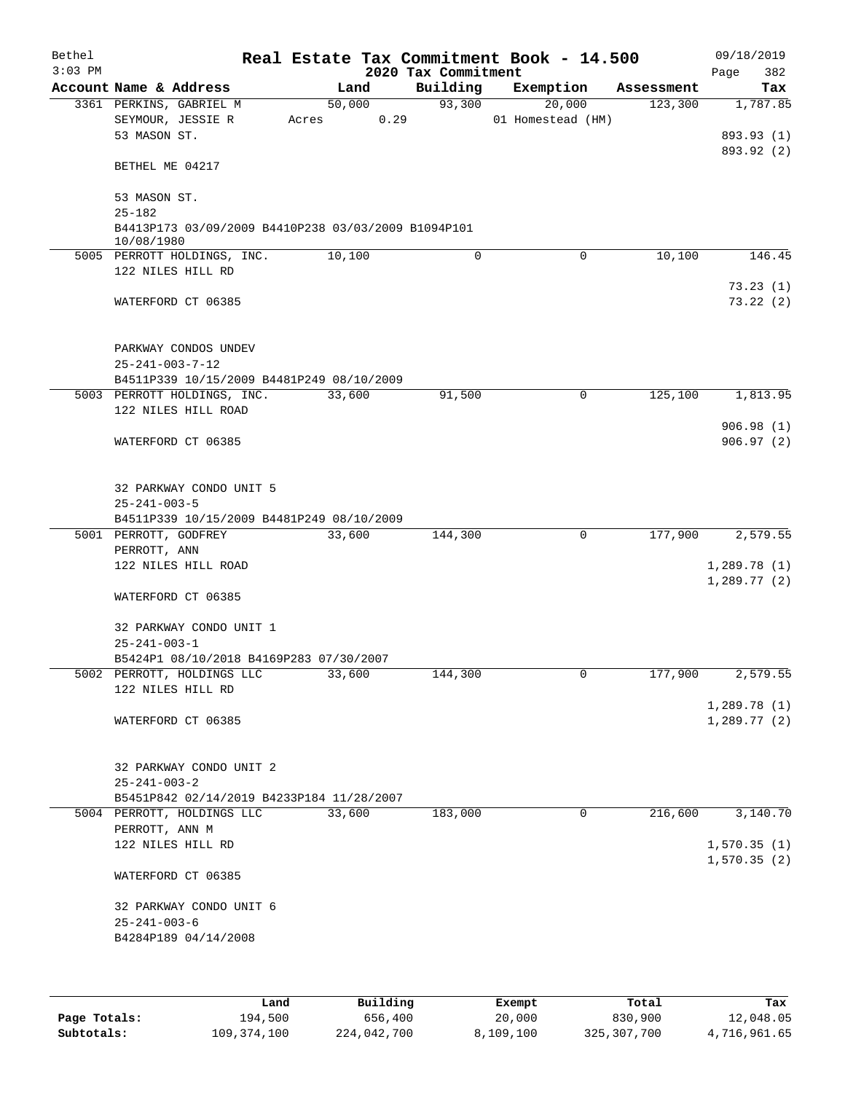| Bethel    |                                                                   |       |        |                     | Real Estate Tax Commitment Book - 14.500 |            | 09/18/2019  |
|-----------|-------------------------------------------------------------------|-------|--------|---------------------|------------------------------------------|------------|-------------|
| $3:03$ PM |                                                                   |       |        | 2020 Tax Commitment |                                          |            | 382<br>Page |
|           | Account Name & Address                                            |       | Land   | Building            | Exemption                                | Assessment | Tax         |
|           | 3361 PERKINS, GABRIEL M                                           |       | 50,000 | 93,300              | 20,000                                   | 123,300    | 1,787.85    |
|           | SEYMOUR, JESSIE R<br>53 MASON ST.                                 | Acres | 0.29   |                     | 01 Homestead (HM)                        |            | 893.93 (1)  |
|           |                                                                   |       |        |                     |                                          |            | 893.92 (2)  |
|           | BETHEL ME 04217                                                   |       |        |                     |                                          |            |             |
|           | 53 MASON ST.                                                      |       |        |                     |                                          |            |             |
|           | $25 - 182$                                                        |       |        |                     |                                          |            |             |
|           | B4413P173 03/09/2009 B4410P238 03/03/2009 B1094P101<br>10/08/1980 |       |        |                     |                                          |            |             |
|           | 5005 PERROTT HOLDINGS, INC.                                       |       | 10,100 | 0                   | $\mathbf 0$                              | 10,100     | 146.45      |
|           | 122 NILES HILL RD                                                 |       |        |                     |                                          |            |             |
|           |                                                                   |       |        |                     |                                          |            | 73.23(1)    |
|           | WATERFORD CT 06385                                                |       |        |                     |                                          |            | 73.22(2)    |
|           | PARKWAY CONDOS UNDEV                                              |       |        |                     |                                          |            |             |
|           | $25 - 241 - 003 - 7 - 12$                                         |       |        |                     |                                          |            |             |
|           | B4511P339 10/15/2009 B4481P249 08/10/2009                         |       |        |                     |                                          |            |             |
|           | 5003 PERROTT HOLDINGS, INC.                                       |       | 33,600 | 91,500              | $\mathbf 0$                              | 125,100    | 1,813.95    |
|           | 122 NILES HILL ROAD                                               |       |        |                     |                                          |            |             |
|           |                                                                   |       |        |                     |                                          |            | 906.98(1)   |
|           | WATERFORD CT 06385                                                |       |        |                     |                                          |            | 906.97(2)   |
|           | 32 PARKWAY CONDO UNIT 5                                           |       |        |                     |                                          |            |             |
|           | $25 - 241 - 003 - 5$                                              |       |        |                     |                                          |            |             |
|           | B4511P339 10/15/2009 B4481P249 08/10/2009                         |       |        |                     |                                          |            |             |
|           | 5001 PERROTT, GODFREY                                             |       | 33,600 | 144,300             | $\mathbf 0$                              | 177,900    | 2,579.55    |
|           | PERROTT, ANN                                                      |       |        |                     |                                          |            |             |
|           | 122 NILES HILL ROAD                                               |       |        |                     |                                          |            | 1,289.78(1) |
|           | WATERFORD CT 06385                                                |       |        |                     |                                          |            | 1,289.77(2) |
|           | 32 PARKWAY CONDO UNIT 1                                           |       |        |                     |                                          |            |             |
|           | $25 - 241 - 003 - 1$                                              |       |        |                     |                                          |            |             |
|           | B5424P1 08/10/2018 B4169P283 07/30/2007                           |       |        |                     |                                          |            |             |
|           | 5002 PERROTT, HOLDINGS LLC                                        |       | 33,600 | 144,300             | 0                                        | 177,900    | 2,579.55    |
|           | 122 NILES HILL RD                                                 |       |        |                     |                                          |            |             |
|           |                                                                   |       |        |                     |                                          |            | 1,289.78(1) |
|           | WATERFORD CT 06385                                                |       |        |                     |                                          |            | 1,289.77(2) |
|           |                                                                   |       |        |                     |                                          |            |             |
|           | 32 PARKWAY CONDO UNIT 2                                           |       |        |                     |                                          |            |             |
|           | $25 - 241 - 003 - 2$                                              |       |        |                     |                                          |            |             |
|           | B5451P842 02/14/2019 B4233P184 11/28/2007                         |       |        |                     |                                          |            |             |
|           | 5004 PERROTT, HOLDINGS LLC                                        |       | 33,600 | 183,000             | 0                                        | 216,600    | 3,140.70    |
|           | PERROTT, ANN M                                                    |       |        |                     |                                          |            |             |
|           | 122 NILES HILL RD                                                 |       |        |                     |                                          |            | 1,570.35(1) |
|           | WATERFORD CT 06385                                                |       |        |                     |                                          |            | 1,570.35(2) |
|           |                                                                   |       |        |                     |                                          |            |             |
|           | 32 PARKWAY CONDO UNIT 6                                           |       |        |                     |                                          |            |             |
|           | $25 - 241 - 003 - 6$<br>B4284P189 04/14/2008                      |       |        |                     |                                          |            |             |
|           |                                                                   |       |        |                     |                                          |            |             |
|           |                                                                   |       |        |                     |                                          |            |             |
|           |                                                                   |       |        |                     |                                          |            |             |

|              | Land        | Building    | Exempt    | Total         | Tax          |
|--------------|-------------|-------------|-----------|---------------|--------------|
| Page Totals: | 194,500     | 656,400     | 20,000    | 830,900       | 12,048.05    |
| Subtotals:   | 109,374,100 | 224,042,700 | 8,109,100 | 325, 307, 700 | 4,716,961.65 |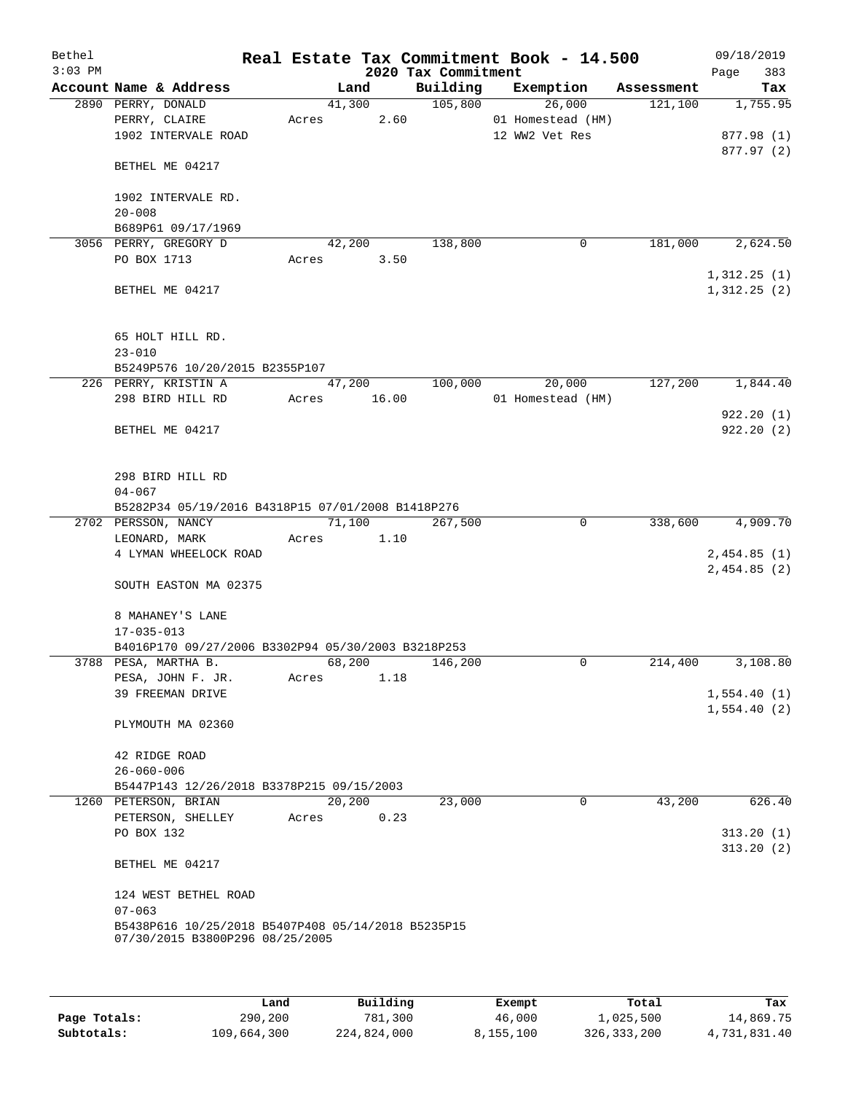| Bethel<br>$3:03$ PM |                                                                                       |       |             | 2020 Tax Commitment | Real Estate Tax Commitment Book - 14.500 |            | 09/18/2019<br>383<br>Page |
|---------------------|---------------------------------------------------------------------------------------|-------|-------------|---------------------|------------------------------------------|------------|---------------------------|
|                     | Account Name & Address                                                                |       | Land        | Building            | Exemption                                | Assessment | Tax                       |
|                     | 2890 PERRY, DONALD                                                                    |       | 41,300      | 105,800             | 26,000                                   | 121,100    | 1,755.95                  |
|                     | PERRY, CLAIRE                                                                         | Acres | 2.60        |                     | 01 Homestead (HM)                        |            |                           |
|                     | 1902 INTERVALE ROAD                                                                   |       |             |                     | 12 WW2 Vet Res                           |            | 877.98 (1)<br>877.97 (2)  |
|                     | BETHEL ME 04217                                                                       |       |             |                     |                                          |            |                           |
|                     | 1902 INTERVALE RD.                                                                    |       |             |                     |                                          |            |                           |
|                     | $20 - 008$                                                                            |       |             |                     |                                          |            |                           |
|                     | B689P61 09/17/1969                                                                    |       |             |                     |                                          |            |                           |
|                     | 3056 PERRY, GREGORY D                                                                 |       | 42,200      | 138,800             | $\mathbf 0$                              | 181,000    | 2,624.50                  |
|                     | PO BOX 1713                                                                           | Acres | 3.50        |                     |                                          |            | 1,312.25(1)               |
|                     | BETHEL ME 04217                                                                       |       |             |                     |                                          |            | 1,312.25(2)               |
|                     | 65 HOLT HILL RD.                                                                      |       |             |                     |                                          |            |                           |
|                     | $23 - 010$                                                                            |       |             |                     |                                          |            |                           |
|                     | B5249P576 10/20/2015 B2355P107                                                        |       |             |                     |                                          |            |                           |
|                     | 226 PERRY, KRISTIN A                                                                  |       | 47,200      | 100,000             | 20,000                                   | 127,200    | 1,844.40                  |
|                     | 298 BIRD HILL RD                                                                      |       | Acres 16.00 |                     | 01 Homestead (HM)                        |            |                           |
|                     | BETHEL ME 04217                                                                       |       |             |                     |                                          |            | 922.20(1)<br>922.20(2)    |
|                     | 298 BIRD HILL RD                                                                      |       |             |                     |                                          |            |                           |
|                     | $04 - 067$                                                                            |       |             |                     |                                          |            |                           |
|                     | B5282P34 05/19/2016 B4318P15 07/01/2008 B1418P276                                     |       |             |                     |                                          |            |                           |
|                     | 2702 PERSSON, NANCY                                                                   |       | 71,100      | 267,500             | 0                                        | 338,600    | 4,909.70                  |
|                     | LEONARD, MARK                                                                         | Acres | 1.10        |                     |                                          |            |                           |
|                     | 4 LYMAN WHEELOCK ROAD                                                                 |       |             |                     |                                          |            | 2,454.85(1)               |
|                     |                                                                                       |       |             |                     |                                          |            | 2,454.85(2)               |
|                     | SOUTH EASTON MA 02375                                                                 |       |             |                     |                                          |            |                           |
|                     | 8 MAHANEY'S LANE                                                                      |       |             |                     |                                          |            |                           |
|                     | $17 - 035 - 013$<br>B4016P170 09/27/2006 B3302P94 05/30/2003 B3218P253                |       |             |                     |                                          |            |                           |
|                     | 3788 PESA, MARTHA B.                                                                  |       | 68,200      | 146,200             | $\mathbf 0$                              | 214,400    | 3,108.80                  |
|                     | PESA, JOHN F. JR.                                                                     | Acres | 1.18        |                     |                                          |            |                           |
|                     | 39 FREEMAN DRIVE                                                                      |       |             |                     |                                          |            | 1,554.40(1)               |
|                     |                                                                                       |       |             |                     |                                          |            | 1,554.40(2)               |
|                     | PLYMOUTH MA 02360                                                                     |       |             |                     |                                          |            |                           |
|                     | 42 RIDGE ROAD<br>$26 - 060 - 006$                                                     |       |             |                     |                                          |            |                           |
|                     | B5447P143 12/26/2018 B3378P215 09/15/2003                                             |       |             |                     |                                          |            |                           |
|                     | 1260 PETERSON, BRIAN                                                                  |       | 20,200      | 23,000              | $\mathbf{0}$                             | 43,200     | 626.40                    |
|                     | PETERSON, SHELLEY                                                                     | Acres | 0.23        |                     |                                          |            |                           |
|                     | PO BOX 132                                                                            |       |             |                     |                                          |            | 313.20(1)                 |
|                     | BETHEL ME 04217                                                                       |       |             |                     |                                          |            | 313.20(2)                 |
|                     |                                                                                       |       |             |                     |                                          |            |                           |
|                     | 124 WEST BETHEL ROAD<br>$07 - 063$                                                    |       |             |                     |                                          |            |                           |
|                     | B5438P616 10/25/2018 B5407P408 05/14/2018 B5235P15<br>07/30/2015 B3800P296 08/25/2005 |       |             |                     |                                          |            |                           |
|                     |                                                                                       |       |             |                     |                                          |            |                           |

|              | Land        | Building    | Exempt    | Total       | Tax          |
|--------------|-------------|-------------|-----------|-------------|--------------|
| Page Totals: | 290,200     | 781,300     | 46,000    | 1,025,500   | 14,869.75    |
| Subtotals:   | 109,664,300 | 224,824,000 | 8,155,100 | 326,333,200 | 4,731,831.40 |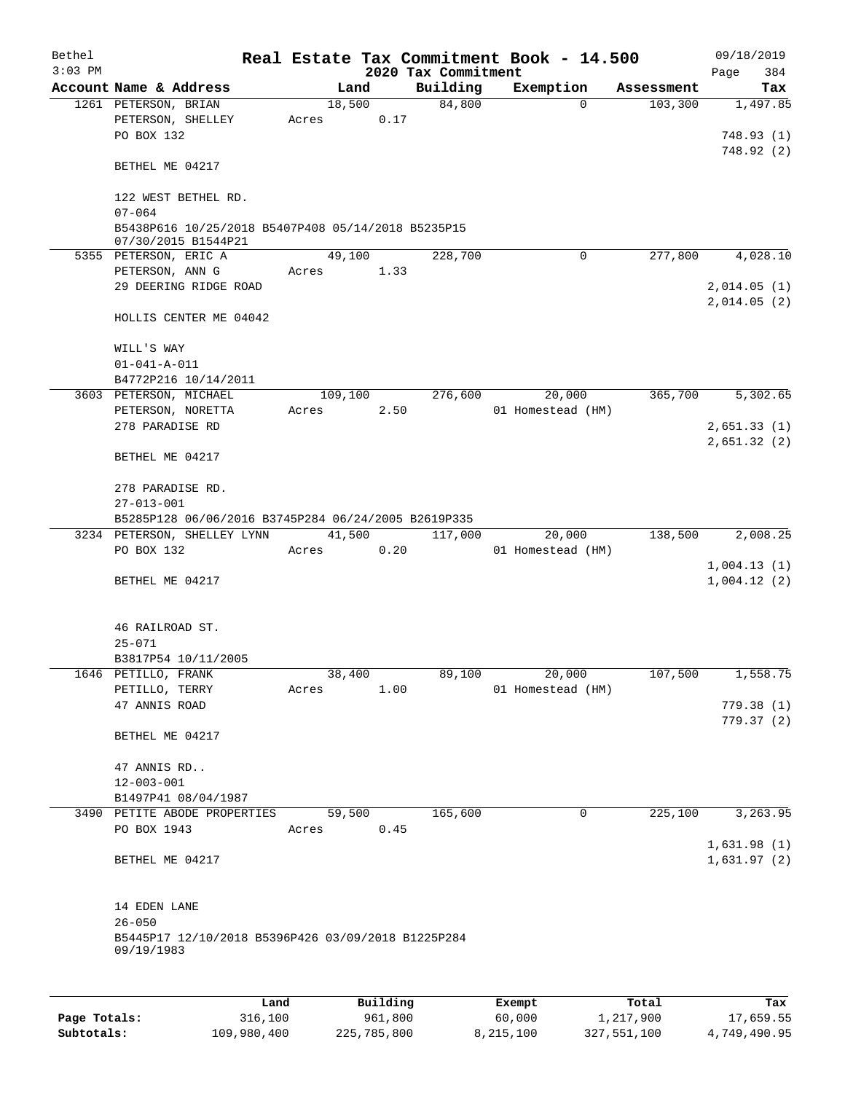| Bethel    |                                                                           |       |         |          |                                 | Real Estate Tax Commitment Book - 14.500 |          |                       | 09/18/2019                 |
|-----------|---------------------------------------------------------------------------|-------|---------|----------|---------------------------------|------------------------------------------|----------|-----------------------|----------------------------|
| $3:03$ PM | Account Name & Address                                                    |       | Land    |          | 2020 Tax Commitment<br>Building | Exemption                                |          |                       | Page<br>384                |
|           | 1261 PETERSON, BRIAN                                                      |       | 18,500  |          | 84,800                          |                                          | $\Omega$ | Assessment<br>103,300 | Tax<br>1,497.85            |
|           | PETERSON, SHELLEY<br>PO BOX 132                                           | Acres |         | 0.17     |                                 |                                          |          |                       | 748.93(1)                  |
|           | BETHEL ME 04217                                                           |       |         |          |                                 |                                          |          |                       | 748.92(2)                  |
|           | 122 WEST BETHEL RD.<br>$07 - 064$                                         |       |         |          |                                 |                                          |          |                       |                            |
|           | B5438P616 10/25/2018 B5407P408 05/14/2018 B5235P15<br>07/30/2015 B1544P21 |       |         |          |                                 |                                          |          |                       |                            |
|           | 5355 PETERSON, ERIC A                                                     |       | 49,100  |          | 228,700                         |                                          | 0        | 277,800               | 4,028.10                   |
|           | PETERSON, ANN G<br>29 DEERING RIDGE ROAD                                  | Acres |         | 1.33     |                                 |                                          |          |                       | 2,014.05(1)<br>2,014.05(2) |
|           | HOLLIS CENTER ME 04042                                                    |       |         |          |                                 |                                          |          |                       |                            |
|           | WILL'S WAY<br>$01 - 041 - A - 011$                                        |       |         |          |                                 |                                          |          |                       |                            |
|           | B4772P216 10/14/2011                                                      |       |         |          |                                 |                                          |          |                       |                            |
|           | 3603 PETERSON, MICHAEL                                                    |       | 109,100 |          | 276,600                         | 20,000                                   |          | 365,700               | 5,302.65                   |
|           | PETERSON, NORETTA                                                         | Acres |         | 2.50     |                                 | 01 Homestead (HM)                        |          |                       |                            |
|           | 278 PARADISE RD                                                           |       |         |          |                                 |                                          |          |                       | 2,651.33(1)                |
|           | BETHEL ME 04217                                                           |       |         |          |                                 |                                          |          |                       | 2,651.32(2)                |
|           | 278 PARADISE RD.                                                          |       |         |          |                                 |                                          |          |                       |                            |
|           | $27 - 013 - 001$<br>B5285P128 06/06/2016 B3745P284 06/24/2005 B2619P335   |       |         |          |                                 |                                          |          |                       |                            |
|           | 3234 PETERSON, SHELLEY LYNN                                               |       | 41,500  |          | 117,000                         | 20,000                                   |          | 138,500               | 2,008.25                   |
|           | PO BOX 132                                                                | Acres |         | 0.20     |                                 | 01 Homestead (HM)                        |          |                       |                            |
|           | BETHEL ME 04217                                                           |       |         |          |                                 |                                          |          |                       | 1,004.13(1)<br>1,004.12(2) |
|           |                                                                           |       |         |          |                                 |                                          |          |                       |                            |
|           | 46 RAILROAD ST.<br>$25 - 071$                                             |       |         |          |                                 |                                          |          |                       |                            |
|           | B3817P54 10/11/2005                                                       |       |         |          |                                 |                                          |          |                       |                            |
|           | 1646 PETILLO, FRANK                                                       |       | 38,400  |          | 89,100                          | 20,000                                   |          | 107,500               | 1,558.75                   |
|           | PETILLO, TERRY                                                            | Acres |         | 1.00     |                                 | 01 Homestead (HM)                        |          |                       |                            |
|           | 47 ANNIS ROAD                                                             |       |         |          |                                 |                                          |          |                       | 779.38(1)<br>779.37(2)     |
|           | BETHEL ME 04217                                                           |       |         |          |                                 |                                          |          |                       |                            |
|           | 47 ANNIS RD                                                               |       |         |          |                                 |                                          |          |                       |                            |
|           | $12 - 003 - 001$                                                          |       |         |          |                                 |                                          |          |                       |                            |
|           | B1497P41 08/04/1987                                                       |       |         |          |                                 |                                          |          |                       |                            |
|           | 3490 PETITE ABODE PROPERTIES                                              |       | 59,500  |          | 165,600                         |                                          | 0        | 225,100               | 3,263.95                   |
|           | PO BOX 1943                                                               | Acres |         | 0.45     |                                 |                                          |          |                       | 1,631.98(1)                |
|           | BETHEL ME 04217                                                           |       |         |          |                                 |                                          |          |                       | 1,631.97(2)                |
|           | 14 EDEN LANE                                                              |       |         |          |                                 |                                          |          |                       |                            |
|           | $26 - 050$                                                                |       |         |          |                                 |                                          |          |                       |                            |
|           | B5445P17 12/10/2018 B5396P426 03/09/2018 B1225P284<br>09/19/1983          |       |         |          |                                 |                                          |          |                       |                            |
|           |                                                                           |       |         |          |                                 |                                          |          |                       |                            |
|           | Land                                                                      |       |         | Building |                                 | Exempt                                   |          | Total                 | Tax                        |

|              | Land        | Building    | Exempt    | Total       | Tax          |
|--------------|-------------|-------------|-----------|-------------|--------------|
| Page Totals: | 316,100     | 961,800     | 60,000    | 1,217,900   | 17,659.55    |
| Subtotals:   | 109,980,400 | 225,785,800 | 8,215,100 | 327,551,100 | 4,749,490.95 |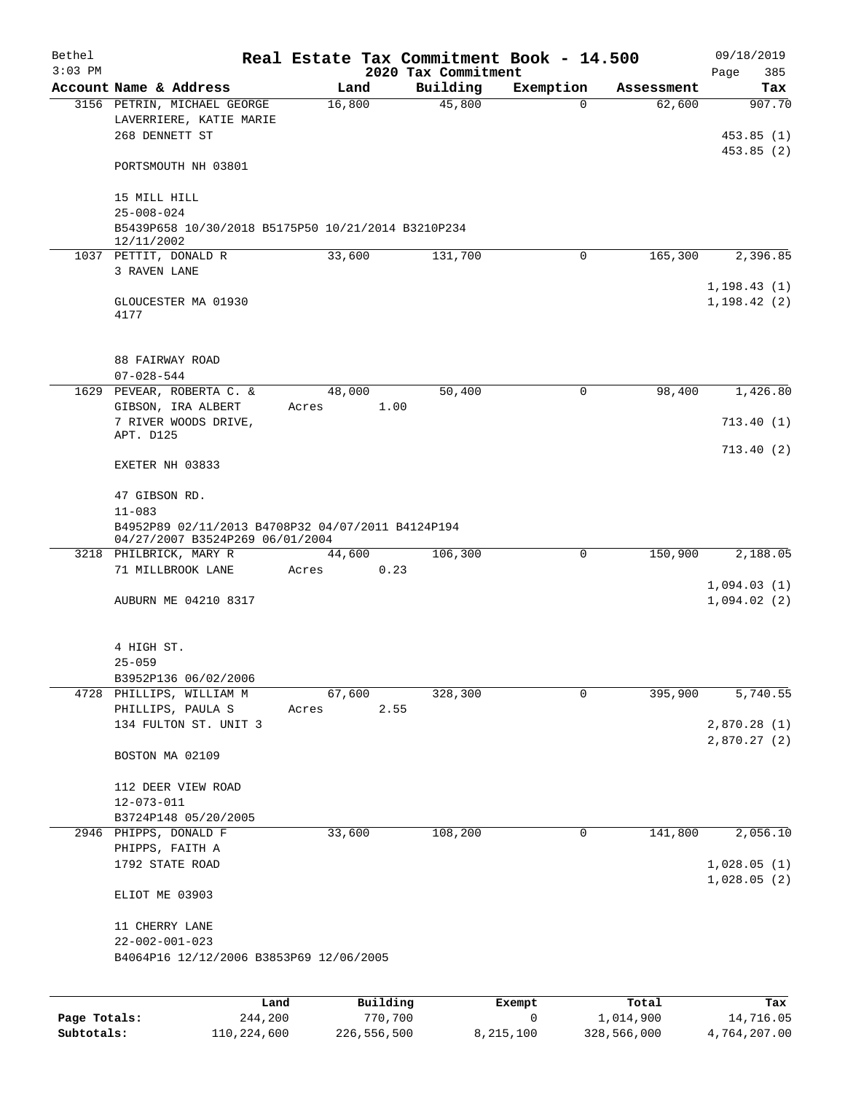| Bethel    |                                                           | Real Estate Tax Commitment Book - 14.500 |                                 |             |            | 09/18/2019         |
|-----------|-----------------------------------------------------------|------------------------------------------|---------------------------------|-------------|------------|--------------------|
| $3:03$ PM | Account Name & Address                                    | Land                                     | 2020 Tax Commitment<br>Building | Exemption   | Assessment | 385<br>Page<br>Tax |
|           | 3156 PETRIN, MICHAEL GEORGE                               | 16,800                                   | 45,800                          | $\Omega$    | 62,600     | 907.70             |
|           | LAVERRIERE, KATIE MARIE                                   |                                          |                                 |             |            |                    |
|           | 268 DENNETT ST                                            |                                          |                                 |             |            | 453.85(1)          |
|           |                                                           |                                          |                                 |             |            | 453.85(2)          |
|           | PORTSMOUTH NH 03801                                       |                                          |                                 |             |            |                    |
|           | 15 MILL HILL                                              |                                          |                                 |             |            |                    |
|           | $25 - 008 - 024$                                          |                                          |                                 |             |            |                    |
|           | B5439P658 10/30/2018 B5175P50 10/21/2014 B3210P234        |                                          |                                 |             |            |                    |
|           | 12/11/2002                                                |                                          |                                 |             |            |                    |
|           | 1037 PETTIT, DONALD R<br>3 RAVEN LANE                     | 33,600                                   | 131,700                         | $\mathbf 0$ | 165,300    | 2,396.85           |
|           |                                                           |                                          |                                 |             |            | 1, 198.43(1)       |
|           | GLOUCESTER MA 01930                                       |                                          |                                 |             |            | 1, 198.42(2)       |
|           | 4177                                                      |                                          |                                 |             |            |                    |
|           | 88 FAIRWAY ROAD                                           |                                          |                                 |             |            |                    |
|           | $07 - 028 - 544$                                          |                                          |                                 |             |            |                    |
|           | 1629 PEVEAR, ROBERTA C. &                                 | 48,000                                   | 50,400                          | 0           | 98,400     | 1,426.80           |
|           | GIBSON, IRA ALBERT                                        | Acres                                    | 1.00                            |             |            |                    |
|           | 7 RIVER WOODS DRIVE,<br>APT. D125                         |                                          |                                 |             |            | 713.40(1)          |
|           |                                                           |                                          |                                 |             |            | 713.40(2)          |
|           | EXETER NH 03833                                           |                                          |                                 |             |            |                    |
|           | 47 GIBSON RD.                                             |                                          |                                 |             |            |                    |
|           | $11 - 083$                                                |                                          |                                 |             |            |                    |
|           | B4952P89 02/11/2013 B4708P32 04/07/2011 B4124P194         |                                          |                                 |             |            |                    |
|           | 04/27/2007 B3524P269 06/01/2004<br>3218 PHILBRICK, MARY R | 44,600                                   | 106,300                         | $\mathbf 0$ | 150,900    | 2,188.05           |
|           | 71 MILLBROOK LANE                                         | Acres                                    | 0.23                            |             |            |                    |
|           |                                                           |                                          |                                 |             |            | 1,094.03(1)        |
|           | AUBURN ME 04210 8317                                      |                                          |                                 |             |            | 1,094.02(2)        |
|           |                                                           |                                          |                                 |             |            |                    |
|           | 4 HIGH ST.<br>$25 - 059$                                  |                                          |                                 |             |            |                    |
|           | B3952P136 06/02/2006                                      |                                          |                                 |             |            |                    |
|           | 4728 PHILLIPS, WILLIAM M                                  | 67,600                                   | 328,300                         | 0           | 395,900    | 5,740.55           |
|           | PHILLIPS, PAULA S                                         | Acres                                    | 2.55                            |             |            |                    |
|           | 134 FULTON ST. UNIT 3                                     |                                          |                                 |             |            | 2,870.28(1)        |
|           |                                                           |                                          |                                 |             |            | 2,870.27(2)        |
|           | BOSTON MA 02109                                           |                                          |                                 |             |            |                    |
|           | 112 DEER VIEW ROAD                                        |                                          |                                 |             |            |                    |
|           | $12 - 073 - 011$                                          |                                          |                                 |             |            |                    |
|           | B3724P148 05/20/2005                                      |                                          |                                 |             |            |                    |
|           | 2946 PHIPPS, DONALD F                                     | 33,600                                   | 108,200                         | $\mathbf 0$ | 141,800    | 2,056.10           |
|           | PHIPPS, FAITH A<br>1792 STATE ROAD                        |                                          |                                 |             |            | 1,028.05(1)        |
|           |                                                           |                                          |                                 |             |            | 1,028.05(2)        |
|           | ELIOT ME 03903                                            |                                          |                                 |             |            |                    |
|           | 11 CHERRY LANE                                            |                                          |                                 |             |            |                    |
|           | $22 - 002 - 001 - 023$                                    |                                          |                                 |             |            |                    |
|           | B4064P16 12/12/2006 B3853P69 12/06/2005                   |                                          |                                 |             |            |                    |
|           |                                                           |                                          |                                 |             |            |                    |
|           |                                                           |                                          |                                 |             |            |                    |

|              | Land        | Building    | Exempt    | Total       | Tax          |
|--------------|-------------|-------------|-----------|-------------|--------------|
| Page Totals: | 244,200     | 770,700     |           | 1,014,900   | 14,716.05    |
| Subtotals:   | 110,224,600 | 226,556,500 | 8,215,100 | 328,566,000 | 4,764,207.00 |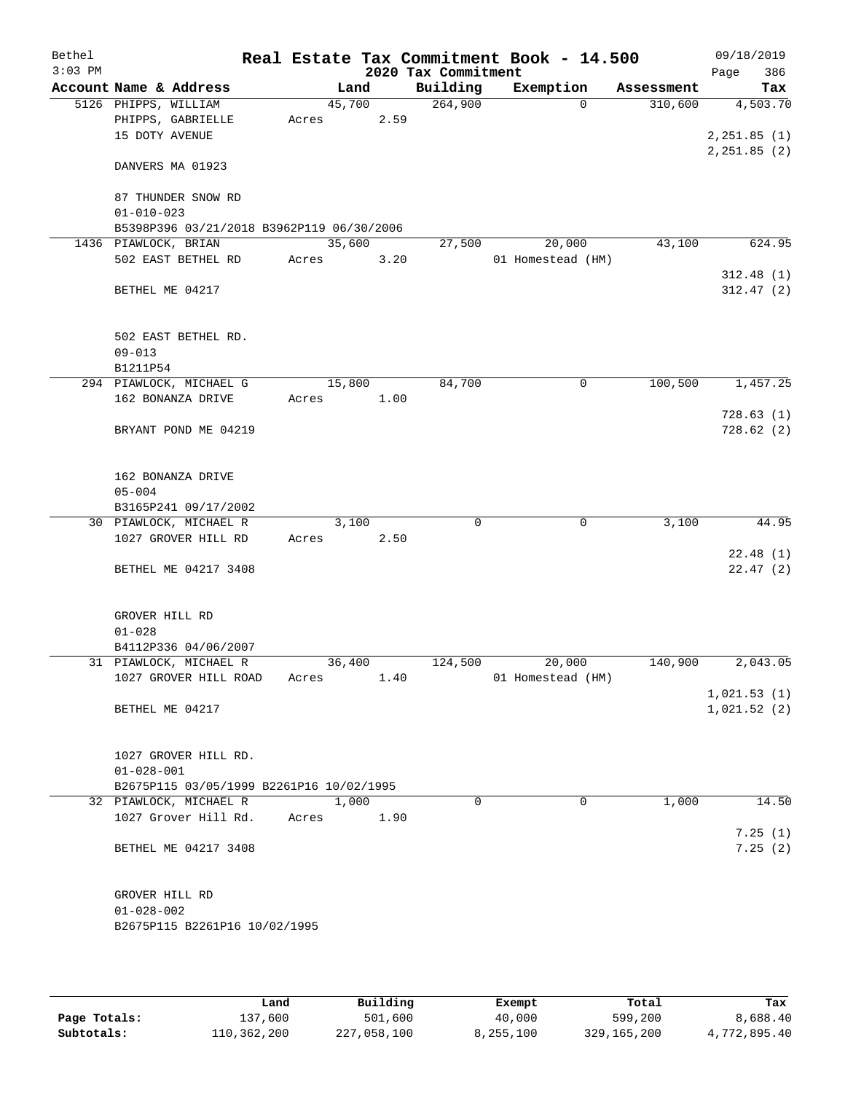| Bethel<br>$3:03$ PM |                        |                                           |       |        |      | 2020 Tax Commitment | Real Estate Tax Commitment Book - 14.500 |            | 09/18/2019<br>386<br>Page |
|---------------------|------------------------|-------------------------------------------|-------|--------|------|---------------------|------------------------------------------|------------|---------------------------|
|                     | Account Name & Address |                                           |       | Land   |      | Building            | Exemption                                | Assessment | Tax                       |
|                     | 5126 PHIPPS, WILLIAM   |                                           |       | 45,700 |      | 264,900             | $\Omega$                                 | 310,600    | 4,503.70                  |
|                     |                        | PHIPPS, GABRIELLE                         | Acres |        | 2.59 |                     |                                          |            |                           |
|                     | 15 DOTY AVENUE         |                                           |       |        |      |                     |                                          |            | 2, 251.85 (1)             |
|                     | DANVERS MA 01923       |                                           |       |        |      |                     |                                          |            | 2, 251.85 (2)             |
|                     |                        | 87 THUNDER SNOW RD                        |       |        |      |                     |                                          |            |                           |
|                     | $01 - 010 - 023$       |                                           |       |        |      |                     |                                          |            |                           |
|                     |                        | B5398P396 03/21/2018 B3962P119 06/30/2006 |       |        |      |                     |                                          |            |                           |
|                     | 1436 PIAWLOCK, BRIAN   |                                           |       | 35,600 |      | 27,500              | 20,000                                   | 43,100     | 624.95                    |
|                     |                        | 502 EAST BETHEL RD                        | Acres |        | 3.20 |                     | 01 Homestead (HM)                        |            |                           |
|                     | BETHEL ME 04217        |                                           |       |        |      |                     |                                          |            | 312.48(1)<br>312.47(2)    |
|                     | $09 - 013$             | 502 EAST BETHEL RD.                       |       |        |      |                     |                                          |            |                           |
|                     | B1211P54               |                                           |       |        |      |                     |                                          |            |                           |
|                     |                        | 294 PIAWLOCK, MICHAEL G                   |       | 15,800 |      | 84,700              | 0                                        | 100,500    | 1,457.25                  |
|                     |                        | 162 BONANZA DRIVE                         | Acres |        | 1.00 |                     |                                          |            |                           |
|                     |                        | BRYANT POND ME 04219                      |       |        |      |                     |                                          |            | 728.63(1)<br>728.62(2)    |
|                     | $05 - 004$             | 162 BONANZA DRIVE                         |       |        |      |                     |                                          |            |                           |
|                     |                        | B3165P241 09/17/2002                      |       |        |      |                     |                                          |            |                           |
|                     |                        | 30 PIAWLOCK, MICHAEL R                    |       | 3,100  |      | 0                   | 0                                        | 3,100      | 44.95                     |
|                     |                        | 1027 GROVER HILL RD                       | Acres |        | 2.50 |                     |                                          |            |                           |
|                     |                        |                                           |       |        |      |                     |                                          |            | 22.48(1)                  |
|                     |                        | BETHEL ME 04217 3408                      |       |        |      |                     |                                          |            | 22.47(2)                  |
|                     | GROVER HILL RD         |                                           |       |        |      |                     |                                          |            |                           |
|                     | $01 - 028$             |                                           |       |        |      |                     |                                          |            |                           |
|                     |                        | B4112P336 04/06/2007                      |       |        |      |                     |                                          |            |                           |
|                     |                        | 31 PIAWLOCK, MICHAEL R                    |       | 36,400 |      | 124,500             | 20,000                                   | 140,900    | 2,043.05                  |
|                     |                        | 1027 GROVER HILL ROAD                     | Acres |        | 1.40 |                     | 01 Homestead (HM)                        |            | 1,021.53(1)               |
|                     | BETHEL ME 04217        |                                           |       |        |      |                     |                                          |            | 1,021.52(2)               |
|                     | $01 - 028 - 001$       | 1027 GROVER HILL RD.                      |       |        |      |                     |                                          |            |                           |
|                     |                        | B2675P115 03/05/1999 B2261P16 10/02/1995  |       |        |      |                     |                                          |            |                           |
|                     |                        | 32 PIAWLOCK, MICHAEL R                    |       | 1,000  |      | $\Omega$            | $\Omega$                                 | 1,000      | 14.50                     |
|                     |                        | 1027 Grover Hill Rd.                      | Acres |        | 1.90 |                     |                                          |            |                           |
|                     |                        | BETHEL ME 04217 3408                      |       |        |      |                     |                                          |            | 7.25(1)<br>7.25(2)        |
|                     | GROVER HILL RD         |                                           |       |        |      |                     |                                          |            |                           |
|                     | $01 - 028 - 002$       |                                           |       |        |      |                     |                                          |            |                           |
|                     |                        | B2675P115 B2261P16 10/02/1995             |       |        |      |                     |                                          |            |                           |
|                     |                        |                                           |       |        |      |                     |                                          |            |                           |

|              | Land        | Building    | Exempt    | Total         | Tax          |
|--------------|-------------|-------------|-----------|---------------|--------------|
| Page Totals: | 137,600     | 501,600     | 40,000    | 599,200       | 8,688.40     |
| Subtotals:   | 110,362,200 | 227,058,100 | 8,255,100 | 329, 165, 200 | 4,772,895.40 |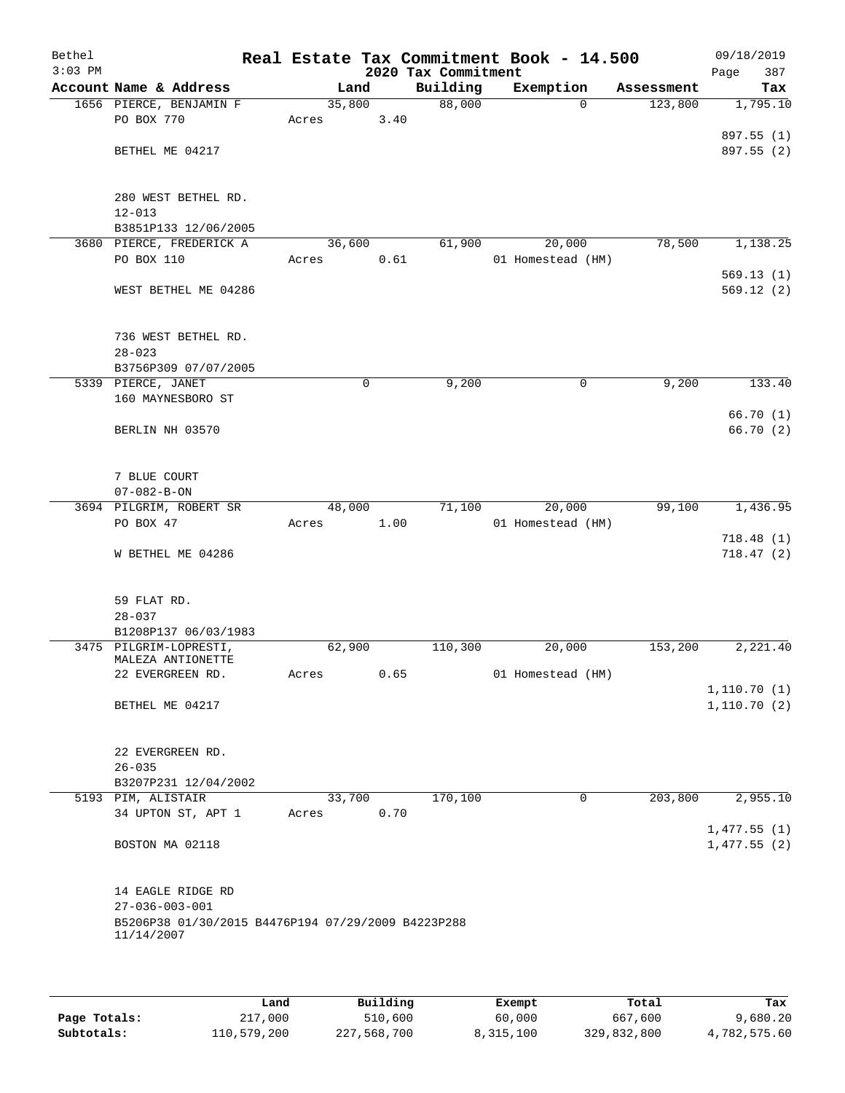| Bethel<br>$3:03$ PM |                                                    |        |        | 2020 Tax Commitment | Real Estate Tax Commitment Book - 14.500 |            | 09/18/2019<br>387<br>Page |
|---------------------|----------------------------------------------------|--------|--------|---------------------|------------------------------------------|------------|---------------------------|
|                     | Account Name & Address                             |        | Land   | Building            | Exemption                                | Assessment | Tax                       |
|                     | 1656 PIERCE, BENJAMIN F                            |        | 35,800 | 88,000              | $\Omega$                                 | 123,800    | 1,795.10                  |
|                     | PO BOX 770                                         | Acres  | 3.40   |                     |                                          |            |                           |
|                     |                                                    |        |        |                     |                                          |            | 897.55 (1)                |
|                     | BETHEL ME 04217                                    |        |        |                     |                                          |            | 897.55 (2)                |
|                     |                                                    |        |        |                     |                                          |            |                           |
|                     |                                                    |        |        |                     |                                          |            |                           |
|                     | 280 WEST BETHEL RD.                                |        |        |                     |                                          |            |                           |
|                     | $12 - 013$                                         |        |        |                     |                                          |            |                           |
|                     | B3851P133 12/06/2005                               |        |        |                     |                                          |            |                           |
|                     | 3680 PIERCE, FREDERICK A                           |        | 36,600 | 61,900              | 20,000                                   | 78,500     | 1,138.25                  |
|                     | PO BOX 110                                         | Acres  | 0.61   |                     | 01 Homestead (HM)                        |            |                           |
|                     |                                                    |        |        |                     |                                          |            | 569.13(1)                 |
|                     | WEST BETHEL ME 04286                               |        |        |                     |                                          |            | 569.12(2)                 |
|                     |                                                    |        |        |                     |                                          |            |                           |
|                     | 736 WEST BETHEL RD.                                |        |        |                     |                                          |            |                           |
|                     | $28 - 023$                                         |        |        |                     |                                          |            |                           |
|                     | B3756P309 07/07/2005                               |        |        |                     |                                          |            |                           |
|                     | 5339 PIERCE, JANET                                 |        | 0      | 9,200               | 0                                        | 9,200      | 133.40                    |
|                     | 160 MAYNESBORO ST                                  |        |        |                     |                                          |            |                           |
|                     |                                                    |        |        |                     |                                          |            | 66.70(1)                  |
|                     | BERLIN NH 03570                                    |        |        |                     |                                          |            | 66.70 (2)                 |
|                     |                                                    |        |        |                     |                                          |            |                           |
|                     |                                                    |        |        |                     |                                          |            |                           |
|                     | 7 BLUE COURT                                       |        |        |                     |                                          |            |                           |
|                     | $07 - 082 - B - ON$                                |        |        |                     |                                          |            |                           |
|                     | 3694 PILGRIM, ROBERT SR                            |        | 48,000 | 71,100              | 20,000                                   | 99,100     | 1,436.95                  |
|                     | PO BOX 47                                          | Acres  | 1.00   |                     | 01 Homestead (HM)                        |            |                           |
|                     |                                                    |        |        |                     |                                          |            | 718.48(1)                 |
|                     | W BETHEL ME 04286                                  |        |        |                     |                                          |            | 718.47(2)                 |
|                     |                                                    |        |        |                     |                                          |            |                           |
|                     | 59 FLAT RD.                                        |        |        |                     |                                          |            |                           |
|                     | $28 - 037$                                         |        |        |                     |                                          |            |                           |
|                     | B1208P137 06/03/1983                               |        |        |                     |                                          |            |                           |
|                     | 3475 PILGRIM-LOPRESTI,                             | 62,900 |        | 110,300             | 20,000                                   | 153,200    | 2,221.40                  |
|                     | MALEZA ANTIONETTE                                  |        |        |                     |                                          |            |                           |
|                     | 22 EVERGREEN RD.                                   | Acres  | 0.65   |                     | 01 Homestead (HM)                        |            |                           |
|                     |                                                    |        |        |                     |                                          |            | 1,110.70(1)               |
|                     | BETHEL ME 04217                                    |        |        |                     |                                          |            | 1,110.70(2)               |
|                     |                                                    |        |        |                     |                                          |            |                           |
|                     |                                                    |        |        |                     |                                          |            |                           |
|                     | 22 EVERGREEN RD.                                   |        |        |                     |                                          |            |                           |
|                     | $26 - 035$                                         |        |        |                     |                                          |            |                           |
|                     | B3207P231 12/04/2002                               |        |        |                     |                                          |            |                           |
|                     | 5193 PIM, ALISTAIR                                 |        | 33,700 | 170,100             | 0                                        | 203,800    | 2,955.10                  |
|                     | 34 UPTON ST, APT 1                                 | Acres  | 0.70   |                     |                                          |            |                           |
|                     |                                                    |        |        |                     |                                          |            | 1,477.55(1)               |
|                     | BOSTON MA 02118                                    |        |        |                     |                                          |            | 1,477.55(2)               |
|                     |                                                    |        |        |                     |                                          |            |                           |
|                     | 14 EAGLE RIDGE RD                                  |        |        |                     |                                          |            |                           |
|                     | $27 - 036 - 003 - 001$                             |        |        |                     |                                          |            |                           |
|                     | B5206P38 01/30/2015 B4476P194 07/29/2009 B4223P288 |        |        |                     |                                          |            |                           |
|                     | 11/14/2007                                         |        |        |                     |                                          |            |                           |
|                     |                                                    |        |        |                     |                                          |            |                           |
|                     |                                                    |        |        |                     |                                          |            |                           |
|                     |                                                    |        |        |                     |                                          |            |                           |

|              | Land        | Building    | Exempt    | Total       | Tax          |
|--------------|-------------|-------------|-----------|-------------|--------------|
| Page Totals: | 217,000     | 510,600     | 60,000    | 667,600     | 9,680.20     |
| Subtotals:   | 110,579,200 | 227,568,700 | 8,315,100 | 329,832,800 | 4,782,575.60 |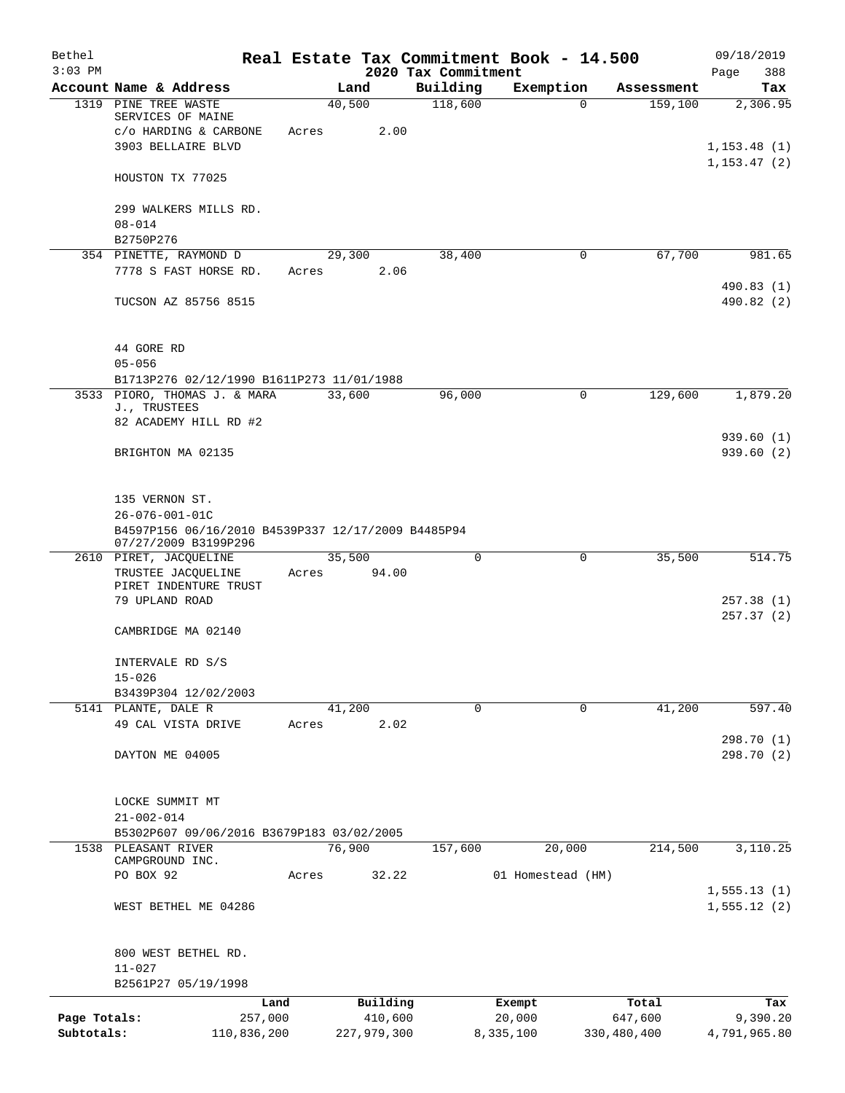| Bethel<br>$3:03$ PM |                                                                            |       |                | 2020 Tax Commitment | Real Estate Tax Commitment Book - 14.500 |             | 09/18/2019<br>388            |
|---------------------|----------------------------------------------------------------------------|-------|----------------|---------------------|------------------------------------------|-------------|------------------------------|
|                     | Account Name & Address                                                     |       | Land           | Building            | Exemption                                | Assessment  | Page<br>Tax                  |
|                     | 1319 PINE TREE WASTE                                                       |       | 40,500         | 118,600             | $\Omega$                                 | 159,100     | 2,306.95                     |
|                     | SERVICES OF MAINE                                                          |       |                |                     |                                          |             |                              |
|                     | c/o HARDING & CARBONE                                                      | Acres | 2.00           |                     |                                          |             |                              |
|                     | 3903 BELLAIRE BLVD                                                         |       |                |                     |                                          |             | 1, 153.48(1)<br>1, 153.47(2) |
|                     | HOUSTON TX 77025                                                           |       |                |                     |                                          |             |                              |
|                     | 299 WALKERS MILLS RD.                                                      |       |                |                     |                                          |             |                              |
|                     | $08 - 014$                                                                 |       |                |                     |                                          |             |                              |
|                     | B2750P276                                                                  |       |                |                     |                                          |             |                              |
|                     | 354 PINETTE, RAYMOND D<br>7778 S FAST HORSE RD.                            | Acres | 29,300<br>2.06 | 38,400              | 0                                        | 67,700      | 981.65                       |
|                     |                                                                            |       |                |                     |                                          |             | 490.83(1)                    |
|                     | TUCSON AZ 85756 8515                                                       |       |                |                     |                                          |             | 490.82 (2)                   |
|                     | 44 GORE RD                                                                 |       |                |                     |                                          |             |                              |
|                     | $05 - 056$                                                                 |       |                |                     |                                          |             |                              |
|                     | B1713P276 02/12/1990 B1611P273 11/01/1988                                  |       |                |                     |                                          |             |                              |
|                     | 3533 PIORO, THOMAS J. & MARA<br>J., TRUSTEES                               |       | 33,600         | 96,000              | $\mathsf{O}$                             | 129,600     | 1,879.20                     |
|                     | 82 ACADEMY HILL RD #2                                                      |       |                |                     |                                          |             | 939.60(1)                    |
|                     | BRIGHTON MA 02135                                                          |       |                |                     |                                          |             | 939.60(2)                    |
|                     | 135 VERNON ST.                                                             |       |                |                     |                                          |             |                              |
|                     | $26 - 076 - 001 - 01C$                                                     |       |                |                     |                                          |             |                              |
|                     | B4597P156 06/16/2010 B4539P337 12/17/2009 B4485P94<br>07/27/2009 B3199P296 |       |                |                     |                                          |             |                              |
|                     | 2610 PIRET, JACQUELINE                                                     |       | 35,500         | 0                   | 0                                        | 35,500      | 514.75                       |
|                     | TRUSTEE JACQUELINE<br>PIRET INDENTURE TRUST                                | Acres | 94.00          |                     |                                          |             |                              |
|                     | 79 UPLAND ROAD                                                             |       |                |                     |                                          |             | 257.38(1)                    |
|                     |                                                                            |       |                |                     |                                          |             | 257.37(2)                    |
|                     | CAMBRIDGE MA 02140                                                         |       |                |                     |                                          |             |                              |
|                     | INTERVALE RD S/S                                                           |       |                |                     |                                          |             |                              |
|                     | $15 - 026$                                                                 |       |                |                     |                                          |             |                              |
|                     | B3439P304 12/02/2003                                                       |       |                |                     |                                          |             |                              |
|                     | 5141 PLANTE, DALE R                                                        |       | 41,200         | 0                   | 0                                        | 41,200      | 597.40                       |
|                     | 49 CAL VISTA DRIVE                                                         | Acres | 2.02           |                     |                                          |             |                              |
|                     | DAYTON ME 04005                                                            |       |                |                     |                                          |             | 298.70 (1)<br>298.70 (2)     |
|                     |                                                                            |       |                |                     |                                          |             |                              |
|                     | LOCKE SUMMIT MT                                                            |       |                |                     |                                          |             |                              |
|                     | $21 - 002 - 014$                                                           |       |                |                     |                                          |             |                              |
|                     | B5302P607 09/06/2016 B3679P183 03/02/2005                                  |       |                |                     |                                          |             |                              |
| 1538                | PLEASANT RIVER<br>CAMPGROUND INC.                                          |       | 76,900         | 157,600             | 20,000                                   | 214,500     | 3,110.25                     |
|                     | PO BOX 92                                                                  | Acres | 32.22          |                     | 01 Homestead (HM)                        |             |                              |
|                     |                                                                            |       |                |                     |                                          |             | 1,555.13(1)                  |
|                     | WEST BETHEL ME 04286                                                       |       |                |                     |                                          |             | 1, 555.12(2)                 |
|                     | 800 WEST BETHEL RD.                                                        |       |                |                     |                                          |             |                              |
|                     | $11 - 027$                                                                 |       |                |                     |                                          |             |                              |
|                     | B2561P27 05/19/1998                                                        |       |                |                     |                                          |             |                              |
|                     | Land                                                                       |       | Building       |                     | Exempt                                   | Total       | Tax                          |
| Page Totals:        | 257,000                                                                    |       | 410,600        |                     | 20,000                                   | 647,600     | 9,390.20                     |
| Subtotals:          | 110,836,200                                                                |       | 227,979,300    |                     | 8,335,100                                | 330,480,400 | 4,791,965.80                 |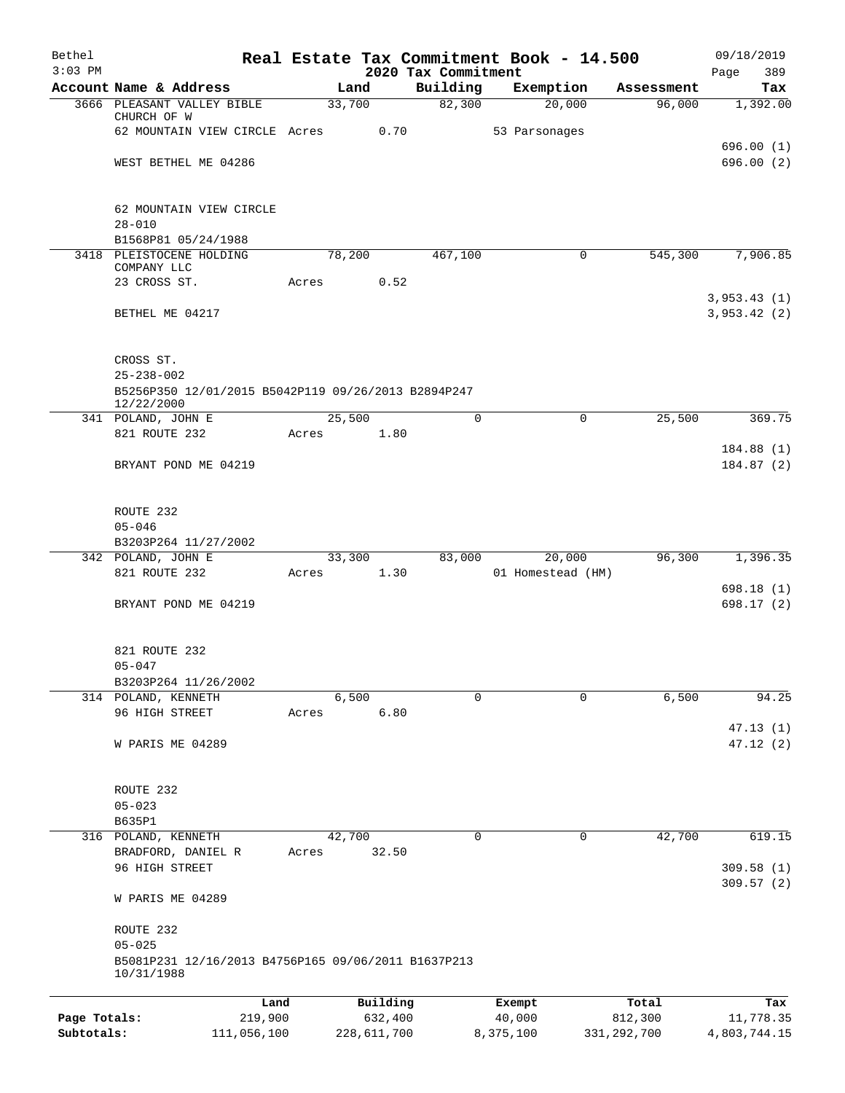| Bethel       |                                                                   |       |                |          |                     | Real Estate Tax Commitment Book - 14.500 |                      | 09/18/2019      |
|--------------|-------------------------------------------------------------------|-------|----------------|----------|---------------------|------------------------------------------|----------------------|-----------------|
| $3:03$ PM    |                                                                   |       |                |          | 2020 Tax Commitment |                                          |                      | 389<br>Page     |
|              | Account Name & Address<br>3666 PLEASANT VALLEY BIBLE              |       | Land<br>33,700 |          | Building<br>82,300  | Exemption<br>20,000                      | Assessment<br>96,000 | Tax<br>1,392.00 |
|              | CHURCH OF W                                                       |       |                |          |                     |                                          |                      |                 |
|              | 62 MOUNTAIN VIEW CIRCLE Acres                                     |       |                | 0.70     |                     | 53 Parsonages                            |                      |                 |
|              |                                                                   |       |                |          |                     |                                          |                      | 696.00(1)       |
|              | WEST BETHEL ME 04286                                              |       |                |          |                     |                                          |                      | 696.00 (2)      |
|              | 62 MOUNTAIN VIEW CIRCLE                                           |       |                |          |                     |                                          |                      |                 |
|              | $28 - 010$                                                        |       |                |          |                     |                                          |                      |                 |
|              | B1568P81 05/24/1988                                               |       |                |          |                     |                                          |                      |                 |
| 3418         | PLEISTOCENE HOLDING<br>COMPANY LLC                                |       | 78,200         |          | 467,100             | $\mathbf 0$                              | 545,300              | 7,906.85        |
|              | 23 CROSS ST.                                                      | Acres |                | 0.52     |                     |                                          |                      |                 |
|              |                                                                   |       |                |          |                     |                                          |                      | 3,953.43(1)     |
|              | BETHEL ME 04217                                                   |       |                |          |                     |                                          |                      | 3,953.42(2)     |
|              | CROSS ST.                                                         |       |                |          |                     |                                          |                      |                 |
|              | $25 - 238 - 002$                                                  |       |                |          |                     |                                          |                      |                 |
|              | B5256P350 12/01/2015 B5042P119 09/26/2013 B2894P247               |       |                |          |                     |                                          |                      |                 |
|              | 12/22/2000                                                        |       |                |          |                     |                                          |                      |                 |
|              | 341 POLAND, JOHN E<br>821 ROUTE 232                               |       | 25,500         | 1.80     | 0                   | 0                                        | 25,500               | 369.75          |
|              |                                                                   | Acres |                |          |                     |                                          |                      | 184.88(1)       |
|              | BRYANT POND ME 04219                                              |       |                |          |                     |                                          |                      | 184.87(2)       |
|              |                                                                   |       |                |          |                     |                                          |                      |                 |
|              | ROUTE 232                                                         |       |                |          |                     |                                          |                      |                 |
|              | $05 - 046$                                                        |       |                |          |                     |                                          |                      |                 |
|              | B3203P264 11/27/2002                                              |       |                |          |                     |                                          |                      |                 |
|              | 342 POLAND, JOHN E                                                |       | 33,300         |          | 83,000              | 20,000                                   | 96,300               | 1,396.35        |
|              | 821 ROUTE 232                                                     | Acres |                | 1.30     |                     | 01 Homestead (HM)                        |                      | 698.18 (1)      |
|              | BRYANT POND ME 04219                                              |       |                |          |                     |                                          |                      | 698.17 (2)      |
|              |                                                                   |       |                |          |                     |                                          |                      |                 |
|              | 821 ROUTE 232                                                     |       |                |          |                     |                                          |                      |                 |
|              | $05 - 047$                                                        |       |                |          |                     |                                          |                      |                 |
|              | B3203P264 11/26/2002                                              |       | 6,500          |          |                     |                                          |                      |                 |
|              | 314 POLAND, KENNETH<br>96 HIGH STREET                             | Acres |                | 6.80     | 0                   | 0                                        | 6,500                | 94.25           |
|              |                                                                   |       |                |          |                     |                                          |                      | 47.13(1)        |
|              | W PARIS ME 04289                                                  |       |                |          |                     |                                          |                      | 47.12(2)        |
|              |                                                                   |       |                |          |                     |                                          |                      |                 |
|              | ROUTE 232                                                         |       |                |          |                     |                                          |                      |                 |
|              | $05 - 023$<br>B635P1                                              |       |                |          |                     |                                          |                      |                 |
|              | 316 POLAND, KENNETH                                               |       | 42,700         |          | 0                   | 0                                        | 42,700               | 619.15          |
|              | BRADFORD, DANIEL R                                                | Acres |                | 32.50    |                     |                                          |                      |                 |
|              | 96 HIGH STREET                                                    |       |                |          |                     |                                          |                      | 309.58(1)       |
|              |                                                                   |       |                |          |                     |                                          |                      | 309.57(2)       |
|              | W PARIS ME 04289                                                  |       |                |          |                     |                                          |                      |                 |
|              | ROUTE 232                                                         |       |                |          |                     |                                          |                      |                 |
|              | $05 - 025$                                                        |       |                |          |                     |                                          |                      |                 |
|              | B5081P231 12/16/2013 B4756P165 09/06/2011 B1637P213<br>10/31/1988 |       |                |          |                     |                                          |                      |                 |
|              | Land                                                              |       |                | Building |                     | Exempt                                   | Total                | Tax             |
| Page Totals: | 219,900                                                           |       |                | 632,400  |                     | 40,000                                   | 812,300              | 11,778.35       |
| Subtotals:   | 111,056,100                                                       |       | 228,611,700    |          |                     | 8,375,100                                | 331, 292, 700        | 4,803,744.15    |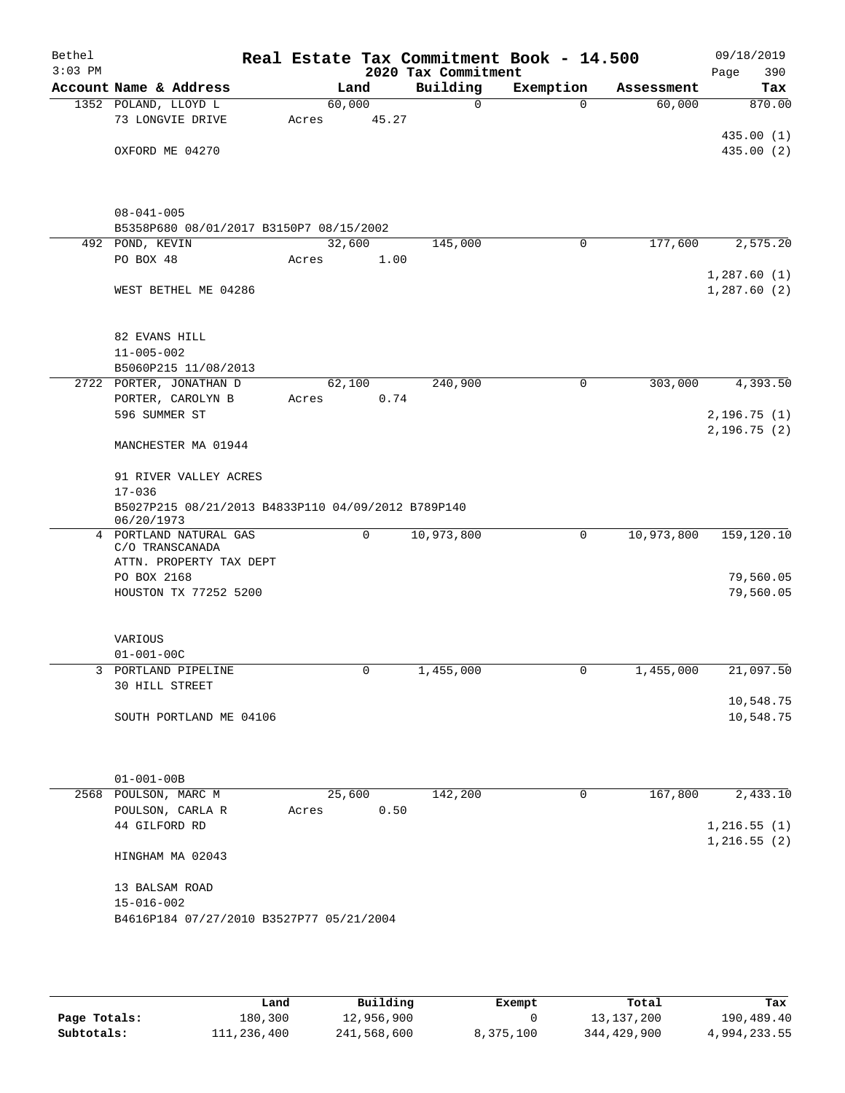| Bethel<br>$3:03$ PM |                                                             |        |       | 2020 Tax Commitment | Real Estate Tax Commitment Book - 14.500 |            | 09/18/2019<br>390<br>Page |
|---------------------|-------------------------------------------------------------|--------|-------|---------------------|------------------------------------------|------------|---------------------------|
|                     | Account Name & Address                                      |        | Land  | Building            | Exemption                                | Assessment | Tax                       |
|                     | 1352 POLAND, LLOYD L                                        | 60,000 |       | $\mathbf 0$         | $\Omega$                                 | 60,000     | 870.00                    |
|                     | 73 LONGVIE DRIVE                                            | Acres  | 45.27 |                     |                                          |            |                           |
|                     |                                                             |        |       |                     |                                          |            | 435.00 (1)                |
|                     | OXFORD ME 04270                                             |        |       |                     |                                          |            | 435.00 (2)                |
|                     |                                                             |        |       |                     |                                          |            |                           |
|                     |                                                             |        |       |                     |                                          |            |                           |
|                     |                                                             |        |       |                     |                                          |            |                           |
|                     | $08 - 041 - 005$<br>B5358P680 08/01/2017 B3150P7 08/15/2002 |        |       |                     |                                          |            |                           |
|                     | 492 POND, KEVIN                                             | 32,600 |       | 145,000             | 0                                        | 177,600    | 2,575.20                  |
|                     | PO BOX 48                                                   | Acres  | 1.00  |                     |                                          |            |                           |
|                     |                                                             |        |       |                     |                                          |            | 1,287.60(1)               |
|                     | WEST BETHEL ME 04286                                        |        |       |                     |                                          |            | 1,287.60(2)               |
|                     |                                                             |        |       |                     |                                          |            |                           |
|                     |                                                             |        |       |                     |                                          |            |                           |
|                     | 82 EVANS HILL                                               |        |       |                     |                                          |            |                           |
|                     | $11 - 005 - 002$                                            |        |       |                     |                                          |            |                           |
|                     | B5060P215 11/08/2013                                        |        |       |                     |                                          |            |                           |
|                     | 2722 PORTER, JONATHAN D                                     | 62,100 |       | 240,900             | 0                                        | 303,000    | 4,393.50                  |
|                     | PORTER, CAROLYN B                                           | Acres  | 0.74  |                     |                                          |            |                           |
|                     | 596 SUMMER ST                                               |        |       |                     |                                          |            | 2, 196.75(1)              |
|                     |                                                             |        |       |                     |                                          |            | 2,196.75(2)               |
|                     | MANCHESTER MA 01944                                         |        |       |                     |                                          |            |                           |
|                     | 91 RIVER VALLEY ACRES                                       |        |       |                     |                                          |            |                           |
|                     | $17 - 036$                                                  |        |       |                     |                                          |            |                           |
|                     | B5027P215 08/21/2013 B4833P110 04/09/2012 B789P140          |        |       |                     |                                          |            |                           |
|                     | 06/20/1973                                                  |        |       |                     |                                          |            |                           |
| 4                   | PORTLAND NATURAL GAS                                        |        | 0     | 10,973,800          | 0                                        | 10,973,800 | 159,120.10                |
|                     | C/O TRANSCANADA                                             |        |       |                     |                                          |            |                           |
|                     | ATTN. PROPERTY TAX DEPT                                     |        |       |                     |                                          |            |                           |
|                     | PO BOX 2168                                                 |        |       |                     |                                          |            | 79,560.05                 |
|                     | HOUSTON TX 77252 5200                                       |        |       |                     |                                          |            | 79,560.05                 |
|                     |                                                             |        |       |                     |                                          |            |                           |
|                     | VARIOUS                                                     |        |       |                     |                                          |            |                           |
|                     | $01 - 001 - 00C$                                            |        |       |                     |                                          |            |                           |
|                     | 3 PORTLAND PIPELINE                                         |        | 0     | 1,455,000           | U                                        | 1,455,000  | 21,097.50                 |
|                     | 30 HILL STREET                                              |        |       |                     |                                          |            |                           |
|                     |                                                             |        |       |                     |                                          |            | 10,548.75                 |
|                     | SOUTH PORTLAND ME 04106                                     |        |       |                     |                                          |            | 10,548.75                 |
|                     |                                                             |        |       |                     |                                          |            |                           |
|                     |                                                             |        |       |                     |                                          |            |                           |
|                     | $01 - 001 - 00B$                                            |        |       |                     |                                          |            |                           |
|                     | 2568 POULSON, MARC M                                        | 25,600 |       | 142,200             | 0                                        | 167,800    | 2,433.10                  |
|                     | POULSON, CARLA R                                            | Acres  | 0.50  |                     |                                          |            |                           |
|                     | 44 GILFORD RD                                               |        |       |                     |                                          |            | 1,216.55(1)               |
|                     |                                                             |        |       |                     |                                          |            | 1,216.55(2)               |
|                     | HINGHAM MA 02043                                            |        |       |                     |                                          |            |                           |
|                     |                                                             |        |       |                     |                                          |            |                           |
|                     | 13 BALSAM ROAD                                              |        |       |                     |                                          |            |                           |
|                     | $15 - 016 - 002$                                            |        |       |                     |                                          |            |                           |
|                     | B4616P184 07/27/2010 B3527P77 05/21/2004                    |        |       |                     |                                          |            |                           |
|                     |                                                             |        |       |                     |                                          |            |                           |

|              | Land        | Building    | Exempt    | Total       | Tax          |
|--------------|-------------|-------------|-----------|-------------|--------------|
| Page Totals: | 180,300     | 12,956,900  |           | 13,137,200  | 190,489.40   |
| Subtotals:   | 111,236,400 | 241,568,600 | 8,375,100 | 344,429,900 | 4,994,233.55 |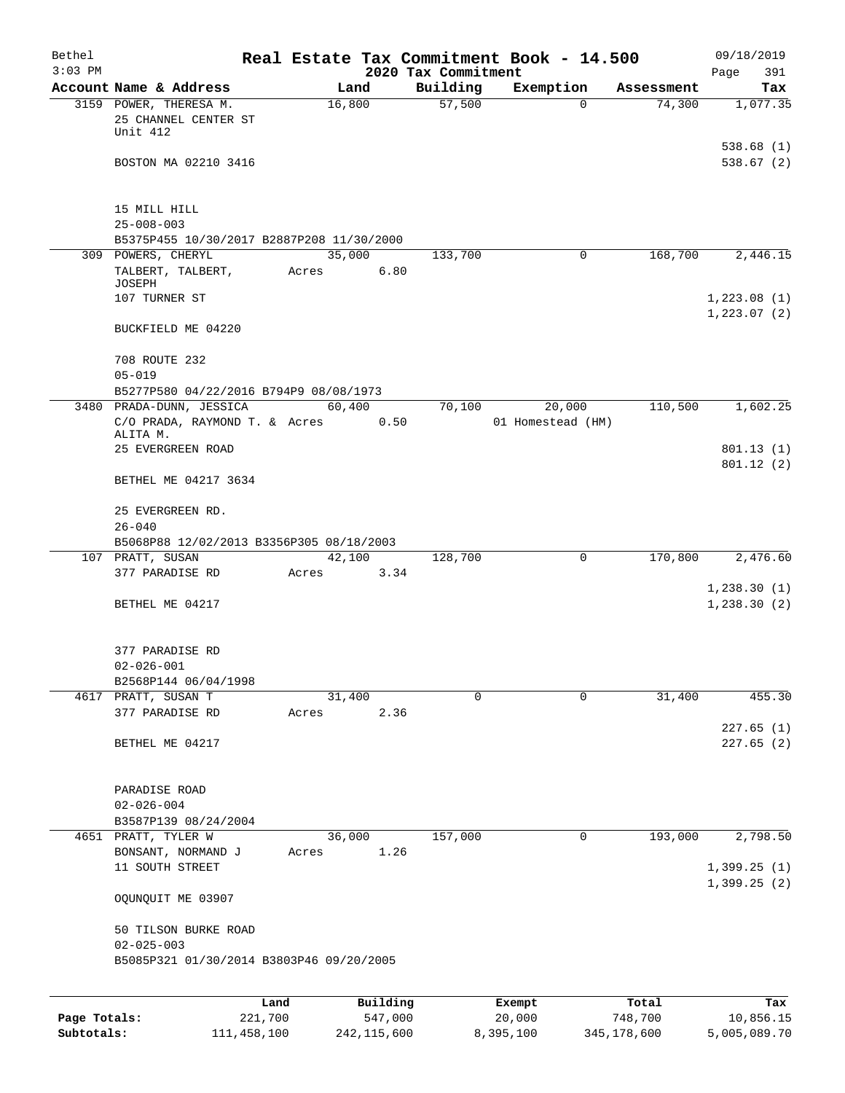| Bethel<br>$3:03$ PM |                                                                    |                 |          | 2020 Tax Commitment | Real Estate Tax Commitment Book - 14.500 |          |            | 09/18/2019<br>391<br>Page |
|---------------------|--------------------------------------------------------------------|-----------------|----------|---------------------|------------------------------------------|----------|------------|---------------------------|
|                     | Account Name & Address                                             | Land            |          | Building            | Exemption                                |          | Assessment | Tax                       |
|                     | 3159 POWER, THERESA M.<br>25 CHANNEL CENTER ST<br>Unit 412         | 16,800          |          | 57,500              |                                          | $\Omega$ | 74,300     | 1,077.35                  |
|                     | BOSTON MA 02210 3416                                               |                 |          |                     |                                          |          |            | 538.68(1)<br>538.67(2)    |
|                     | 15 MILL HILL                                                       |                 |          |                     |                                          |          |            |                           |
|                     | $25 - 008 - 003$<br>B5375P455 10/30/2017 B2887P208 11/30/2000      |                 |          |                     |                                          |          |            |                           |
|                     | 309 POWERS, CHERYL                                                 | 35,000          |          | 133,700             |                                          | 0        | 168,700    | 2,446.15                  |
|                     | TALBERT, TALBERT,                                                  | Acres           | 6.80     |                     |                                          |          |            |                           |
|                     | JOSEPH<br>107 TURNER ST                                            |                 |          |                     |                                          |          |            | 1,223.08(1)               |
|                     | BUCKFIELD ME 04220                                                 |                 |          |                     |                                          |          |            | 1, 223.07(2)              |
|                     | 708 ROUTE 232                                                      |                 |          |                     |                                          |          |            |                           |
|                     | $05 - 019$                                                         |                 |          |                     |                                          |          |            |                           |
|                     | B5277P580 04/22/2016 B794P9 08/08/1973<br>3480 PRADA-DUNN, JESSICA | 60,400          |          |                     |                                          |          |            |                           |
|                     | C/O PRADA, RAYMOND T. & Acres<br>ALITA M.                          |                 | 0.50     | 70,100              | 20,000<br>01 Homestead (HM)              |          | 110,500    | 1,602.25                  |
|                     | 25 EVERGREEN ROAD                                                  |                 |          |                     |                                          |          |            | 801.13(1)                 |
|                     | BETHEL ME 04217 3634                                               |                 |          |                     |                                          |          |            | 801.12(2)                 |
|                     | 25 EVERGREEN RD.<br>$26 - 040$                                     |                 |          |                     |                                          |          |            |                           |
|                     | B5068P88 12/02/2013 B3356P305 08/18/2003                           |                 |          |                     |                                          |          |            |                           |
|                     | 107 PRATT, SUSAN<br>377 PARADISE RD                                | 42,100<br>Acres | 3.34     | 128,700             |                                          | 0        | 170,800    | 2,476.60                  |
|                     |                                                                    |                 |          |                     |                                          |          |            | 1,238.30(1)               |
|                     | BETHEL ME 04217                                                    |                 |          |                     |                                          |          |            | 1, 238.30(2)              |
|                     | 377 PARADISE RD                                                    |                 |          |                     |                                          |          |            |                           |
|                     | $02 - 026 - 001$                                                   |                 |          |                     |                                          |          |            |                           |
|                     | B2568P144 06/04/1998<br>4617 PRATT, SUSAN T                        | 31,400          |          | $\Omega$            |                                          | 0        | 31,400     | 455.30                    |
|                     | 377 PARADISE RD                                                    | Acres           | 2.36     |                     |                                          |          |            |                           |
|                     | BETHEL ME 04217                                                    |                 |          |                     |                                          |          |            | 227.65(1)                 |
|                     |                                                                    |                 |          |                     |                                          |          |            | 227.65(2)                 |
|                     | PARADISE ROAD                                                      |                 |          |                     |                                          |          |            |                           |
|                     | $02 - 026 - 004$                                                   |                 |          |                     |                                          |          |            |                           |
|                     | B3587P139 08/24/2004<br>4651 PRATT, TYLER W                        |                 |          |                     |                                          | 0        | 193,000    | 2,798.50                  |
|                     | BONSANT, NORMAND J                                                 | 36,000<br>Acres | 1.26     | 157,000             |                                          |          |            |                           |
|                     | 11 SOUTH STREET                                                    |                 |          |                     |                                          |          |            | 1,399.25(1)               |
|                     | OQUNQUIT ME 03907                                                  |                 |          |                     |                                          |          |            | 1,399.25(2)               |
|                     | 50 TILSON BURKE ROAD<br>$02 - 025 - 003$                           |                 |          |                     |                                          |          |            |                           |
|                     | B5085P321 01/30/2014 B3803P46 09/20/2005                           |                 |          |                     |                                          |          |            |                           |
|                     |                                                                    | Land            | Building |                     | Exempt                                   |          | Total      | Tax                       |
| Page Totals:        | 221,700                                                            |                 | 547,000  |                     | 20,000                                   |          | 748,700    | 10,856.15                 |

**Subtotals:** 111,458,100 242,115,600 8,395,100 345,178,600 5,005,089.70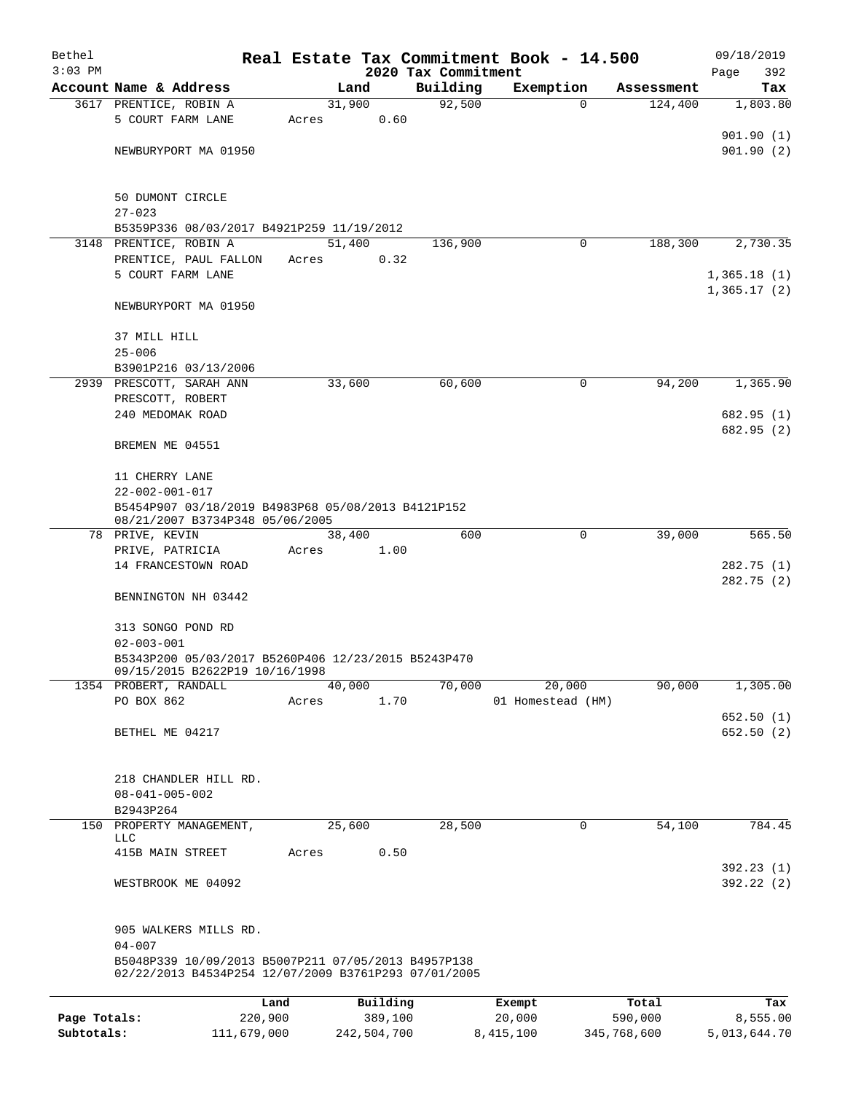| Bethel       |                                                                                                             |       |        |          |                     | Real Estate Tax Commitment Book - 14.500 |            | 09/18/2019                 |
|--------------|-------------------------------------------------------------------------------------------------------------|-------|--------|----------|---------------------|------------------------------------------|------------|----------------------------|
| $3:03$ PM    |                                                                                                             |       |        |          | 2020 Tax Commitment |                                          |            | Page<br>392                |
|              | Account Name & Address                                                                                      |       | Land   |          | Building            | Exemption                                | Assessment | Tax                        |
|              | 3617 PRENTICE, ROBIN A<br>5 COURT FARM LANE                                                                 |       | 31,900 |          | 92,500              | $\Omega$                                 | 124,400    | 1,803.80                   |
|              |                                                                                                             | Acres |        | 0.60     |                     |                                          |            | 901.90(1)                  |
|              | NEWBURYPORT MA 01950                                                                                        |       |        |          |                     |                                          |            | 901.90(2)                  |
|              |                                                                                                             |       |        |          |                     |                                          |            |                            |
|              |                                                                                                             |       |        |          |                     |                                          |            |                            |
|              | 50 DUMONT CIRCLE                                                                                            |       |        |          |                     |                                          |            |                            |
|              | $27 - 023$                                                                                                  |       |        |          |                     |                                          |            |                            |
|              | B5359P336 08/03/2017 B4921P259 11/19/2012                                                                   |       |        |          |                     |                                          |            |                            |
|              | 3148 PRENTICE, ROBIN A                                                                                      |       | 51,400 |          | 136,900             | 0                                        | 188,300    | 2,730.35                   |
|              | PRENTICE, PAUL FALLON                                                                                       | Acres |        | 0.32     |                     |                                          |            |                            |
|              | 5 COURT FARM LANE                                                                                           |       |        |          |                     |                                          |            | 1,365.18(1)<br>1,365.17(2) |
|              | NEWBURYPORT MA 01950                                                                                        |       |        |          |                     |                                          |            |                            |
|              |                                                                                                             |       |        |          |                     |                                          |            |                            |
|              | 37 MILL HILL                                                                                                |       |        |          |                     |                                          |            |                            |
|              | $25 - 006$                                                                                                  |       |        |          |                     |                                          |            |                            |
|              | B3901P216 03/13/2006                                                                                        |       |        |          |                     |                                          |            |                            |
|              | 2939 PRESCOTT, SARAH ANN                                                                                    |       | 33,600 |          | 60,600              | 0                                        | 94,200     | 1,365.90                   |
|              | PRESCOTT, ROBERT                                                                                            |       |        |          |                     |                                          |            |                            |
|              | 240 MEDOMAK ROAD                                                                                            |       |        |          |                     |                                          |            | 682.95 (1)                 |
|              |                                                                                                             |       |        |          |                     |                                          |            | 682.95 (2)                 |
|              | BREMEN ME 04551                                                                                             |       |        |          |                     |                                          |            |                            |
|              | 11 CHERRY LANE                                                                                              |       |        |          |                     |                                          |            |                            |
|              | $22 - 002 - 001 - 017$                                                                                      |       |        |          |                     |                                          |            |                            |
|              | B5454P907 03/18/2019 B4983P68 05/08/2013 B4121P152                                                          |       |        |          |                     |                                          |            |                            |
|              | 08/21/2007 B3734P348 05/06/2005                                                                             |       |        |          |                     |                                          |            |                            |
|              | 78 PRIVE, KEVIN                                                                                             |       | 38,400 |          | 600                 | 0                                        | 39,000     | 565.50                     |
|              | PRIVE, PATRICIA                                                                                             | Acres |        | 1.00     |                     |                                          |            |                            |
|              | 14 FRANCESTOWN ROAD                                                                                         |       |        |          |                     |                                          |            | 282.75(1)                  |
|              |                                                                                                             |       |        |          |                     |                                          |            | 282.75(2)                  |
|              | BENNINGTON NH 03442                                                                                         |       |        |          |                     |                                          |            |                            |
|              | 313 SONGO POND RD                                                                                           |       |        |          |                     |                                          |            |                            |
|              | $02 - 003 - 001$                                                                                            |       |        |          |                     |                                          |            |                            |
|              | B5343P200 05/03/2017 B5260P406 12/23/2015 B5243P470                                                         |       |        |          |                     |                                          |            |                            |
|              | 09/15/2015 B2622P19 10/16/1998                                                                              |       |        |          |                     |                                          |            |                            |
|              | 1354 PROBERT, RANDALL                                                                                       |       | 40,000 |          | 70,000              | 20,000                                   | 90,000     | 1,305.00                   |
|              | PO BOX 862                                                                                                  | Acres |        | 1.70     |                     | 01 Homestead (HM)                        |            |                            |
|              |                                                                                                             |       |        |          |                     |                                          |            | 652.50(1)                  |
|              | BETHEL ME 04217                                                                                             |       |        |          |                     |                                          |            | 652.50 (2)                 |
|              |                                                                                                             |       |        |          |                     |                                          |            |                            |
|              | 218 CHANDLER HILL RD.                                                                                       |       |        |          |                     |                                          |            |                            |
|              | $08 - 041 - 005 - 002$                                                                                      |       |        |          |                     |                                          |            |                            |
|              | B2943P264                                                                                                   |       |        |          |                     |                                          |            |                            |
|              | 150 PROPERTY MANAGEMENT,                                                                                    |       | 25,600 |          | 28,500              | 0                                        | 54,100     | 784.45                     |
|              | <b>LLC</b>                                                                                                  |       |        |          |                     |                                          |            |                            |
|              | 415B MAIN STREET                                                                                            | Acres |        | 0.50     |                     |                                          |            |                            |
|              |                                                                                                             |       |        |          |                     |                                          |            | 392.23(1)                  |
|              | WESTBROOK ME 04092                                                                                          |       |        |          |                     |                                          |            | 392.22(2)                  |
|              |                                                                                                             |       |        |          |                     |                                          |            |                            |
|              | 905 WALKERS MILLS RD.                                                                                       |       |        |          |                     |                                          |            |                            |
|              | $04 - 007$                                                                                                  |       |        |          |                     |                                          |            |                            |
|              | B5048P339 10/09/2013 B5007P211 07/05/2013 B4957P138<br>02/22/2013 B4534P254 12/07/2009 B3761P293 07/01/2005 |       |        |          |                     |                                          |            |                            |
|              |                                                                                                             |       |        |          |                     |                                          |            |                            |
|              | Land                                                                                                        |       |        | Building |                     | Exempt                                   | Total      | Tax                        |
| Page Totals: | 220,900                                                                                                     |       |        | 389,100  |                     | 20,000                                   | 590,000    | 8,555.00                   |

**Subtotals:** 111,679,000 242,504,700 8,415,100 345,768,600 5,013,644.70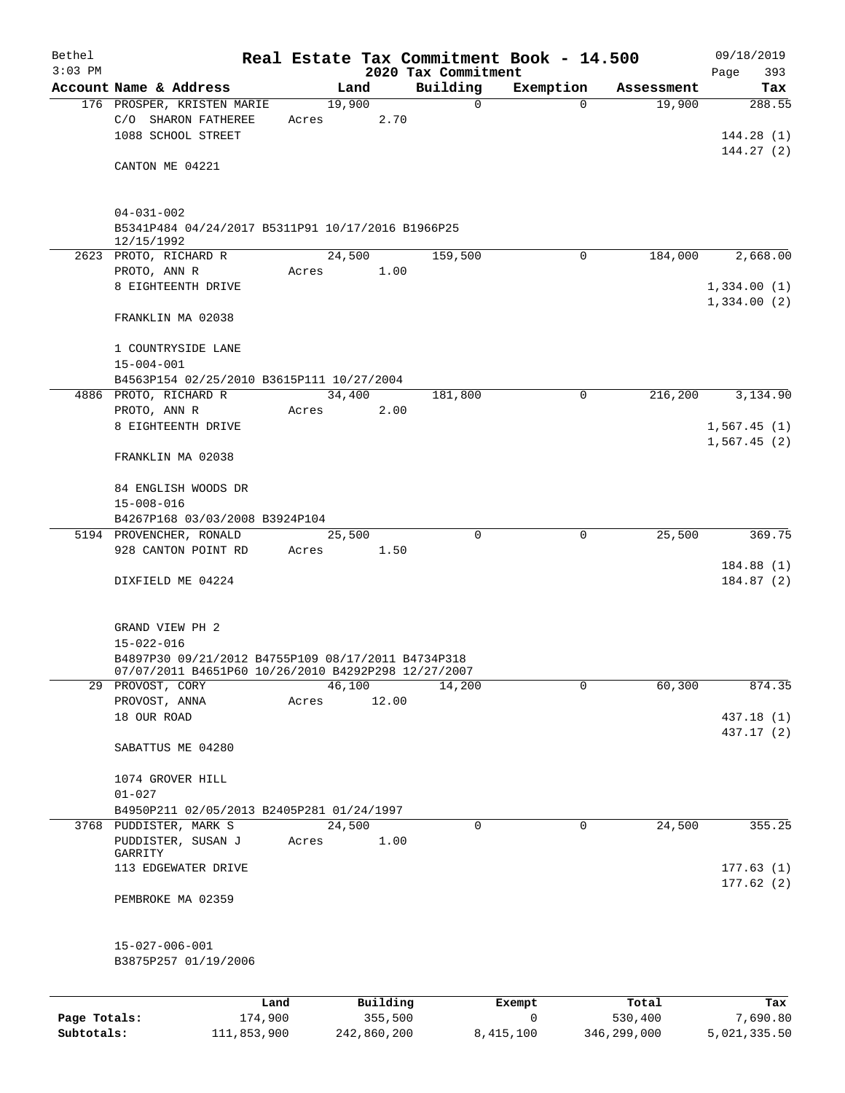| Bethel<br>$3:03$ PM |                                                                                     |       |        |          | 2020 Tax Commitment | Real Estate Tax Commitment Book - 14.500 |            | 09/18/2019<br>393<br>Page  |
|---------------------|-------------------------------------------------------------------------------------|-------|--------|----------|---------------------|------------------------------------------|------------|----------------------------|
|                     | Account Name & Address                                                              |       | Land   |          | Building            | Exemption                                | Assessment | Tax                        |
|                     | 176 PROSPER, KRISTEN MARIE<br>C/O SHARON FATHEREE<br>1088 SCHOOL STREET             | Acres | 19,900 | 2.70     | $\mathsf{O}$        | $\Omega$                                 | 19,900     | 288.55<br>144.28(1)        |
|                     | CANTON ME 04221                                                                     |       |        |          |                     |                                          |            | 144.27(2)                  |
|                     | $04 - 031 - 002$<br>B5341P484 04/24/2017 B5311P91 10/17/2016 B1966P25<br>12/15/1992 |       |        |          |                     |                                          |            |                            |
|                     | 2623 PROTO, RICHARD R<br>PROTO, ANN R                                               |       | 24,500 | 1.00     | 159,500             | $\Omega$                                 | 184,000    | 2,668.00                   |
|                     | 8 EIGHTEENTH DRIVE                                                                  | Acres |        |          |                     |                                          |            | 1,334.00(1)<br>1,334.00(2) |
|                     | FRANKLIN MA 02038                                                                   |       |        |          |                     |                                          |            |                            |
|                     | 1 COUNTRYSIDE LANE<br>$15 - 004 - 001$                                              |       |        |          |                     |                                          |            |                            |
|                     | B4563P154 02/25/2010 B3615P111 10/27/2004<br>4886 PROTO, RICHARD R                  |       | 34,400 |          | 181,800             | $\mathbf 0$                              | 216,200    | 3,134.90                   |
|                     | PROTO, ANN R                                                                        | Acres |        | 2.00     |                     |                                          |            |                            |
|                     | 8 EIGHTEENTH DRIVE                                                                  |       |        |          |                     |                                          |            | 1,567.45(1)<br>1,567.45(2) |
|                     | FRANKLIN MA 02038                                                                   |       |        |          |                     |                                          |            |                            |
|                     | 84 ENGLISH WOODS DR                                                                 |       |        |          |                     |                                          |            |                            |
|                     | $15 - 008 - 016$<br>B4267P168 03/03/2008 B3924P104                                  |       |        |          |                     |                                          |            |                            |
|                     | 5194 PROVENCHER, RONALD                                                             |       | 25,500 |          | 0                   | 0                                        | 25,500     | 369.75                     |
|                     | 928 CANTON POINT RD                                                                 | Acres |        | 1.50     |                     |                                          |            |                            |
|                     | DIXFIELD ME 04224                                                                   |       |        |          |                     |                                          |            | 184.88(1)<br>184.87(2)     |
|                     | GRAND VIEW PH 2                                                                     |       |        |          |                     |                                          |            |                            |
|                     | $15 - 022 - 016$<br>B4897P30 09/21/2012 B4755P109 08/17/2011 B4734P318              |       |        |          |                     |                                          |            |                            |
|                     | 07/07/2011 B4651P60 10/26/2010 B4292P298 12/27/2007                                 |       |        |          |                     |                                          |            |                            |
|                     | 29 PROVOST, CORY                                                                    |       | 46,100 |          | 14,200              | 0                                        | 60,300     | 874.35                     |
|                     | PROVOST, ANNA                                                                       | Acres |        | 12.00    |                     |                                          |            |                            |
|                     | 18 OUR ROAD                                                                         |       |        |          |                     |                                          |            | 437.18 (1)<br>437.17 (2)   |
|                     | SABATTUS ME 04280                                                                   |       |        |          |                     |                                          |            |                            |
|                     | 1074 GROVER HILL<br>$01 - 027$                                                      |       |        |          |                     |                                          |            |                            |
|                     | B4950P211 02/05/2013 B2405P281 01/24/1997                                           |       |        |          |                     |                                          |            |                            |
|                     | 3768 PUDDISTER, MARK S<br>PUDDISTER, SUSAN J                                        | Acres | 24,500 | 1.00     | $\mathbf 0$         | $\mathbf 0$                              | 24,500     | 355.25                     |
|                     | GARRITY<br>113 EDGEWATER DRIVE                                                      |       |        |          |                     |                                          |            | 177.63(1)                  |
|                     | PEMBROKE MA 02359                                                                   |       |        |          |                     |                                          |            | 177.62(2)                  |
|                     | $15 - 027 - 006 - 001$                                                              |       |        |          |                     |                                          |            |                            |
|                     | B3875P257 01/19/2006                                                                |       |        |          |                     |                                          |            |                            |
|                     |                                                                                     |       |        |          |                     |                                          |            |                            |
|                     |                                                                                     | Land  |        | Building |                     | Exempt                                   | Total      | Tax                        |

|              | --------    | ____________ | ______    | --------    | --------     |
|--------------|-------------|--------------|-----------|-------------|--------------|
| Page Totals: | 174,900     | 355,500      |           | 530,400     | 7,690.80     |
| Subtotals:   | 111,853,900 | 242,860,200  | 8,415,100 | 346,299,000 | 5,021,335.50 |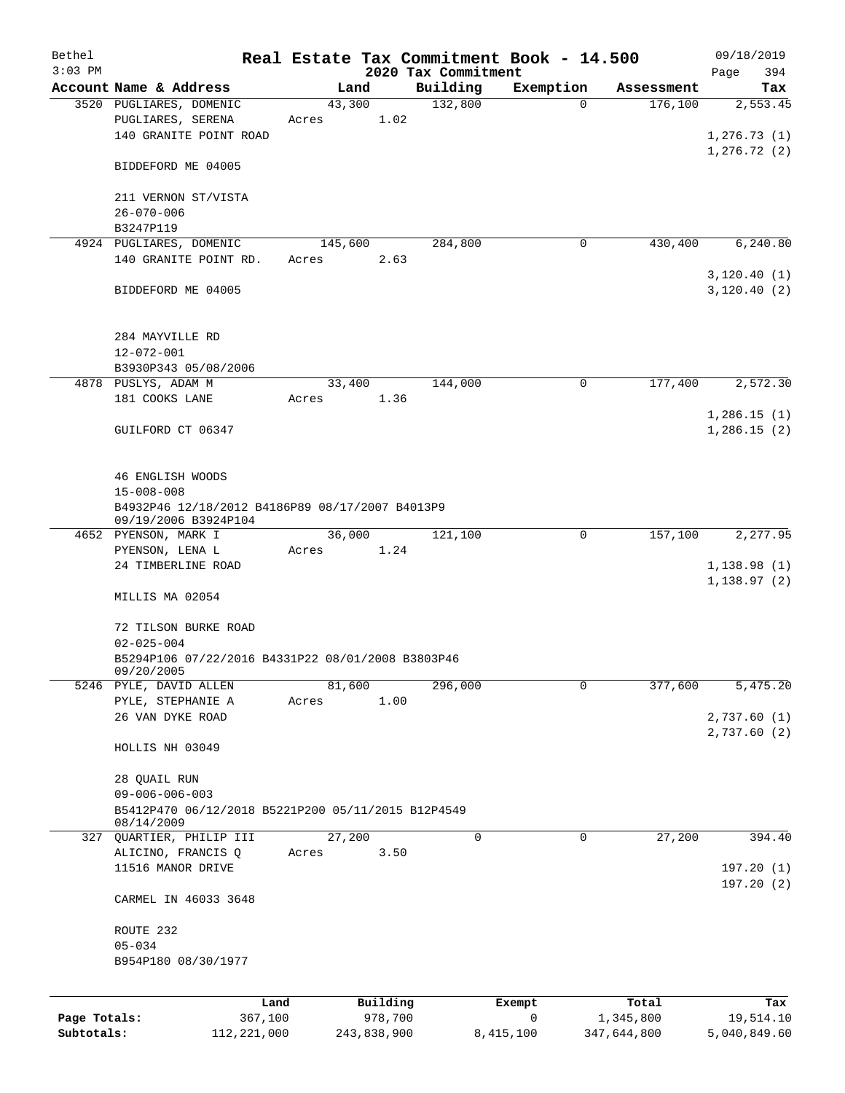| Bethel       |                                                                         |                |             |                     | Real Estate Tax Commitment Book - 14.500 |                       | 09/18/2019                  |
|--------------|-------------------------------------------------------------------------|----------------|-------------|---------------------|------------------------------------------|-----------------------|-----------------------------|
| $3:03$ PM    |                                                                         |                |             | 2020 Tax Commitment |                                          |                       | 394<br>Page                 |
|              | Account Name & Address<br>3520 PUGLIARES, DOMENIC                       | Land<br>43,300 |             | Building<br>132,800 | Exemption<br>$\Omega$                    | Assessment<br>176,100 | Tax<br>2,553.45             |
|              | PUGLIARES, SERENA<br>140 GRANITE POINT ROAD                             | Acres          | 1.02        |                     |                                          |                       | 1, 276.73(1)                |
|              | BIDDEFORD ME 04005                                                      |                |             |                     |                                          |                       | 1, 276.72(2)                |
|              | 211 VERNON ST/VISTA<br>$26 - 070 - 006$                                 |                |             |                     |                                          |                       |                             |
|              | B3247P119                                                               |                |             |                     |                                          |                       |                             |
|              | 4924 PUGLIARES, DOMENIC                                                 | 145,600        |             | 284,800             | 0                                        | 430,400               | 6, 240.80                   |
|              | 140 GRANITE POINT RD.                                                   | Acres          | 2.63        |                     |                                          |                       |                             |
|              | BIDDEFORD ME 04005                                                      |                |             |                     |                                          |                       | 3,120.40(1)<br>3,120.40(2)  |
|              | 284 MAYVILLE RD<br>$12 - 072 - 001$                                     |                |             |                     |                                          |                       |                             |
|              | B3930P343 05/08/2006                                                    |                |             |                     |                                          |                       |                             |
|              | 4878 PUSLYS, ADAM M                                                     | 33,400         |             | 144,000             | 0                                        | 177,400               | 2,572.30                    |
|              | 181 COOKS LANE                                                          | Acres          | 1.36        |                     |                                          |                       |                             |
|              | GUILFORD CT 06347                                                       |                |             |                     |                                          |                       | 1,286.15(1)<br>1,286.15(2)  |
|              | 46 ENGLISH WOODS<br>$15 - 008 - 008$                                    |                |             |                     |                                          |                       |                             |
|              | B4932P46 12/18/2012 B4186P89 08/17/2007 B4013P9<br>09/19/2006 B3924P104 |                |             |                     |                                          |                       |                             |
|              | 4652 PYENSON, MARK I                                                    | 36,000         |             | 121,100             | $\mathbf 0$                              | 157,100               | 2,277.95                    |
|              | PYENSON, LENA L<br>24 TIMBERLINE ROAD                                   | Acres          | 1.24        |                     |                                          |                       | 1,138.98(1)<br>1,138.97(2)  |
|              | MILLIS MA 02054                                                         |                |             |                     |                                          |                       |                             |
|              | 72 TILSON BURKE ROAD<br>$02 - 025 - 004$                                |                |             |                     |                                          |                       |                             |
|              | B5294P106 07/22/2016 B4331P22 08/01/2008 B3803P46<br>09/20/2005         |                |             |                     |                                          |                       |                             |
|              | 5246 PYLE, DAVID ALLEN                                                  | 81,600         |             | 296,000             | 0                                        | 377,600               | 5,475.20                    |
|              | PYLE, STEPHANIE A                                                       | Acres          | 1.00        |                     |                                          |                       |                             |
|              | 26 VAN DYKE ROAD                                                        |                |             |                     |                                          |                       | 2,737.60 (1)<br>2,737.60(2) |
|              | HOLLIS NH 03049                                                         |                |             |                     |                                          |                       |                             |
|              | 28 QUAIL RUN<br>$09 - 006 - 006 - 003$                                  |                |             |                     |                                          |                       |                             |
|              | B5412P470 06/12/2018 B5221P200 05/11/2015 B12P4549<br>08/14/2009        |                |             |                     |                                          |                       |                             |
|              | 327 QUARTIER, PHILIP III                                                | 27,200         |             | 0                   | 0                                        | 27,200                | 394.40                      |
|              | ALICINO, FRANCIS Q<br>11516 MANOR DRIVE                                 | Acres          | 3.50        |                     |                                          |                       | 197.20(1)                   |
|              | CARMEL IN 46033 3648                                                    |                |             |                     |                                          |                       | 197.20(2)                   |
|              | ROUTE 232                                                               |                |             |                     |                                          |                       |                             |
|              | $05 - 034$                                                              |                |             |                     |                                          |                       |                             |
|              | B954P180 08/30/1977                                                     |                |             |                     |                                          |                       |                             |
|              |                                                                         | Land           | Building    |                     | Exempt                                   | Total                 | Tax                         |
| Page Totals: | 367,100                                                                 |                | 978,700     |                     | 0                                        | 1,345,800             | 19,514.10                   |
| Subtotals:   | 112, 221, 000                                                           |                | 243,838,900 |                     | 8,415,100                                | 347,644,800           | 5,040,849.60                |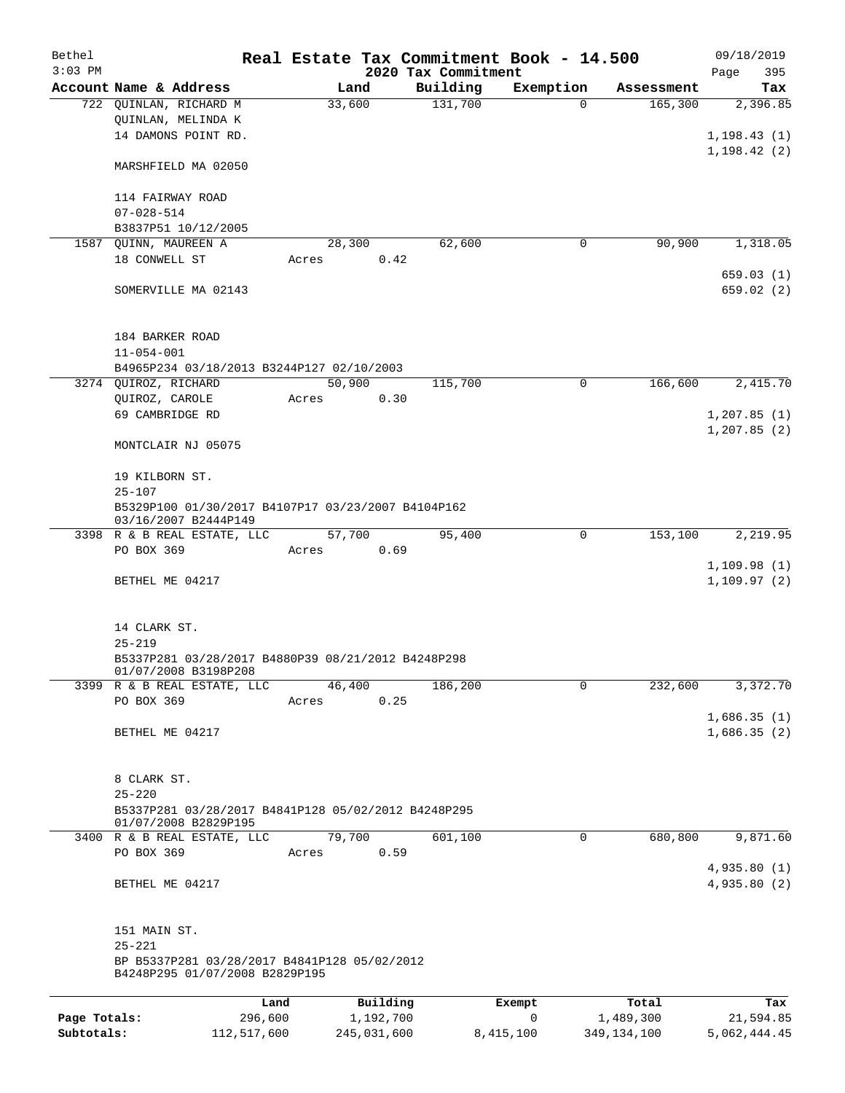| Bethel       |                                                                            |             |                |                     | Real Estate Tax Commitment Book - 14.500 |                       | 09/18/2019             |  |  |  |
|--------------|----------------------------------------------------------------------------|-------------|----------------|---------------------|------------------------------------------|-----------------------|------------------------|--|--|--|
| $3:03$ PM    |                                                                            |             |                | 2020 Tax Commitment |                                          |                       | 395<br>Page            |  |  |  |
|              | Account Name & Address<br>722 QUINLAN, RICHARD M                           |             | Land<br>33,600 | Building<br>131,700 | Exemption<br>$\Omega$                    | Assessment<br>165,300 | Tax<br>2,396.85        |  |  |  |
|              | QUINLAN, MELINDA K                                                         |             |                |                     |                                          |                       |                        |  |  |  |
|              | 14 DAMONS POINT RD.                                                        |             |                |                     |                                          |                       | 1, 198.43(1)           |  |  |  |
|              |                                                                            |             |                |                     |                                          |                       | 1, 198.42(2)           |  |  |  |
|              | MARSHFIELD MA 02050                                                        |             |                |                     |                                          |                       |                        |  |  |  |
|              | 114 FAIRWAY ROAD                                                           |             |                |                     |                                          |                       |                        |  |  |  |
|              | $07 - 028 - 514$                                                           |             |                |                     |                                          |                       |                        |  |  |  |
|              | B3837P51 10/12/2005                                                        |             |                |                     |                                          |                       |                        |  |  |  |
|              | 1587 OUINN, MAUREEN A                                                      |             | 28,300         | 62,600              | $\mathbf 0$                              | 90,900                | 1,318.05               |  |  |  |
|              | 18 CONWELL ST                                                              | Acres       | 0.42           |                     |                                          |                       |                        |  |  |  |
|              | SOMERVILLE MA 02143                                                        |             |                |                     |                                          |                       | 659.03(1)<br>659.02(2) |  |  |  |
|              |                                                                            |             |                |                     |                                          |                       |                        |  |  |  |
|              | 184 BARKER ROAD                                                            |             |                |                     |                                          |                       |                        |  |  |  |
|              | $11 - 054 - 001$                                                           |             |                |                     |                                          |                       |                        |  |  |  |
|              | B4965P234 03/18/2013 B3244P127 02/10/2003                                  |             |                |                     |                                          |                       |                        |  |  |  |
|              | 3274 QUIROZ, RICHARD                                                       |             | 50,900         | 115,700             | $\mathbf 0$                              | 166,600               | 2,415.70               |  |  |  |
|              | QUIROZ, CAROLE                                                             | Acres       | 0.30           |                     |                                          |                       |                        |  |  |  |
|              | 69 CAMBRIDGE RD                                                            |             |                |                     |                                          |                       | 1, 207.85(1)           |  |  |  |
|              |                                                                            |             |                |                     |                                          |                       | 1, 207.85(2)           |  |  |  |
|              | MONTCLAIR NJ 05075                                                         |             |                |                     |                                          |                       |                        |  |  |  |
|              | 19 KILBORN ST.                                                             |             |                |                     |                                          |                       |                        |  |  |  |
|              | $25 - 107$                                                                 |             |                |                     |                                          |                       |                        |  |  |  |
|              | B5329P100 01/30/2017 B4107P17 03/23/2007 B4104P162<br>03/16/2007 B2444P149 |             |                |                     |                                          |                       |                        |  |  |  |
|              | 3398 R & B REAL ESTATE, LLC                                                |             | 57,700         | 95,400              | $\mathbf 0$                              | 153,100               | 2,219.95               |  |  |  |
|              | PO BOX 369                                                                 | Acres       | 0.69           |                     |                                          |                       |                        |  |  |  |
|              |                                                                            |             |                |                     |                                          |                       | 1,109.98(1)            |  |  |  |
|              | BETHEL ME 04217                                                            |             |                |                     |                                          |                       | 1, 109.97(2)           |  |  |  |
|              |                                                                            |             |                |                     |                                          |                       |                        |  |  |  |
|              | 14 CLARK ST.                                                               |             |                |                     |                                          |                       |                        |  |  |  |
|              | $25 - 219$                                                                 |             |                |                     |                                          |                       |                        |  |  |  |
|              | B5337P281 03/28/2017 B4880P39 08/21/2012 B4248P298<br>01/07/2008 B3198P208 |             |                |                     |                                          |                       |                        |  |  |  |
|              | 3399 R & B REAL ESTATE, LLC                                                |             | 46,400         | 186,200             | 0                                        | 232,600               | 3,372.70               |  |  |  |
|              | PO BOX 369                                                                 | Acres       | 0.25           |                     |                                          |                       |                        |  |  |  |
|              |                                                                            |             |                |                     |                                          |                       | 1,686.35(1)            |  |  |  |
|              | BETHEL ME 04217                                                            |             |                |                     |                                          |                       | 1,686.35(2)            |  |  |  |
|              | 8 CLARK ST.                                                                |             |                |                     |                                          |                       |                        |  |  |  |
|              | $25 - 220$                                                                 |             |                |                     |                                          |                       |                        |  |  |  |
|              | B5337P281 03/28/2017 B4841P128 05/02/2012 B4248P295                        |             |                |                     |                                          |                       |                        |  |  |  |
|              | 01/07/2008 B2829P195                                                       |             |                |                     |                                          |                       |                        |  |  |  |
|              | 3400 R & B REAL ESTATE, LLC                                                |             | 79,700         | 601,100             | 0                                        | 680,800               | 9,871.60               |  |  |  |
|              | PO BOX 369                                                                 | Acres       | 0.59           |                     |                                          |                       |                        |  |  |  |
|              |                                                                            |             |                |                     |                                          |                       | 4,935.80(1)            |  |  |  |
|              | BETHEL ME 04217                                                            |             |                |                     |                                          |                       | 4,935.80(2)            |  |  |  |
|              |                                                                            |             |                |                     |                                          |                       |                        |  |  |  |
|              | 151 MAIN ST.<br>$25 - 221$                                                 |             |                |                     |                                          |                       |                        |  |  |  |
|              | BP B5337P281 03/28/2017 B4841P128 05/02/2012                               |             |                |                     |                                          |                       |                        |  |  |  |
|              | B4248P295 01/07/2008 B2829P195                                             |             |                |                     |                                          |                       |                        |  |  |  |
|              |                                                                            | Land        | Building       |                     | Exempt                                   | Total                 | Tax                    |  |  |  |
| Page Totals: |                                                                            | 296,600     | 1,192,700      |                     | $\mathbf 0$                              | 1,489,300             | 21,594.85              |  |  |  |
| Subtotals:   |                                                                            | 112,517,600 | 245,031,600    |                     | 8,415,100                                | 349,134,100           | 5,062,444.45           |  |  |  |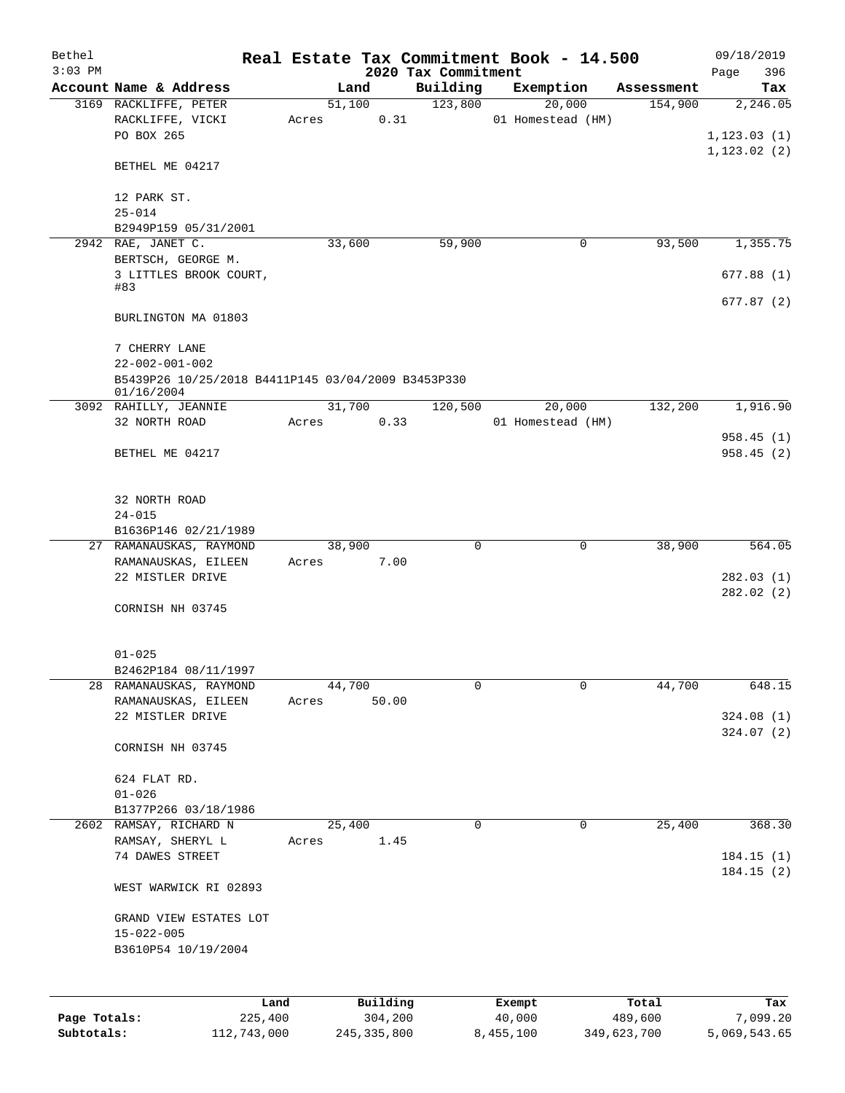| Bethel       |                                                         |                 |       |        |                     | Real Estate Tax Commitment Book - 14.500 |                             |                  |            |              | 09/18/2019             |
|--------------|---------------------------------------------------------|-----------------|-------|--------|---------------------|------------------------------------------|-----------------------------|------------------|------------|--------------|------------------------|
| $3:03$ PM    |                                                         |                 |       |        |                     | 2020 Tax Commitment                      |                             |                  |            | Page         | 396                    |
|              | Account Name & Address                                  |                 |       | Land   |                     | Building                                 | Exemption                   |                  | Assessment |              | Tax                    |
|              | 3169 RACKLIFFE, PETER<br>RACKLIFFE, VICKI<br>PO BOX 265 |                 | Acres | 51,100 | 0.31                | 123,800                                  | 20,000<br>01 Homestead (HM) |                  | 154,900    | 1, 123.03(1) | 2,246.05               |
|              | BETHEL ME 04217                                         |                 |       |        |                     |                                          |                             |                  |            | 1, 123.02(2) |                        |
|              | 12 PARK ST.<br>$25 - 014$                               |                 |       |        |                     |                                          |                             |                  |            |              |                        |
|              | B2949P159 05/31/2001                                    |                 |       |        |                     |                                          |                             |                  |            |              |                        |
|              | 2942 RAE, JANET C.                                      |                 |       | 33,600 |                     | 59,900                                   | $\mathbf 0$                 |                  | 93,500     |              | 1,355.75               |
|              | BERTSCH, GEORGE M.                                      |                 |       |        |                     |                                          |                             |                  |            |              |                        |
|              | 3 LITTLES BROOK COURT,<br>#83                           |                 |       |        |                     |                                          |                             |                  |            |              | 677.88(1)              |
|              | BURLINGTON MA 01803                                     |                 |       |        |                     |                                          |                             |                  |            |              | 677.87(2)              |
|              | 7 CHERRY LANE<br>$22 - 002 - 001 - 002$                 |                 |       |        |                     |                                          |                             |                  |            |              |                        |
|              | B5439P26 10/25/2018 B4411P145 03/04/2009 B3453P330      |                 |       |        |                     |                                          |                             |                  |            |              |                        |
|              | 01/16/2004<br>3092 RAHILLY, JEANNIE                     |                 |       | 31,700 |                     | 120,500                                  | 20,000                      |                  | 132,200    |              | 1,916.90               |
|              | 32 NORTH ROAD                                           |                 | Acres |        | 0.33                |                                          | 01 Homestead (HM)           |                  |            |              |                        |
|              |                                                         |                 |       |        |                     |                                          |                             |                  |            |              | 958.45(1)              |
|              | BETHEL ME 04217                                         |                 |       |        |                     |                                          |                             |                  |            |              | 958.45(2)              |
|              | 32 NORTH ROAD<br>$24 - 015$                             |                 |       |        |                     |                                          |                             |                  |            |              |                        |
|              | B1636P146 02/21/1989                                    |                 |       |        |                     |                                          |                             |                  |            |              |                        |
|              | 27 RAMANAUSKAS, RAYMOND                                 |                 |       | 38,900 |                     | 0                                        | $\mathbf 0$                 |                  | 38,900     |              | 564.05                 |
|              | RAMANAUSKAS, EILEEN<br>22 MISTLER DRIVE                 |                 | Acres |        | 7.00                |                                          |                             |                  |            |              | 282.03(1)<br>282.02(2) |
|              | CORNISH NH 03745                                        |                 |       |        |                     |                                          |                             |                  |            |              |                        |
|              | $01 - 025$                                              |                 |       |        |                     |                                          |                             |                  |            |              |                        |
|              | B2462P184 08/11/1997                                    |                 |       |        |                     |                                          |                             |                  |            |              |                        |
|              | 28 RAMANAUSKAS, RAYMOND<br>RAMANAUSKAS, EILEEN          |                 | Acres | 44,700 | 50.00               | 0                                        | $\mathbf 0$                 |                  | 44,700     |              | 648.15                 |
|              | 22 MISTLER DRIVE                                        |                 |       |        |                     |                                          |                             |                  |            |              | 324.08(1)<br>324.07(2) |
|              | CORNISH NH 03745                                        |                 |       |        |                     |                                          |                             |                  |            |              |                        |
|              | 624 FLAT RD.                                            |                 |       |        |                     |                                          |                             |                  |            |              |                        |
|              | $01 - 026$                                              |                 |       |        |                     |                                          |                             |                  |            |              |                        |
|              | B1377P266 03/18/1986                                    |                 |       |        |                     |                                          |                             |                  |            |              |                        |
|              | 2602 RAMSAY, RICHARD N                                  |                 |       | 25,400 |                     | $\mathbf 0$                              | 0                           |                  | 25,400     |              | 368.30                 |
|              | RAMSAY, SHERYL L<br>74 DAWES STREET                     |                 | Acres |        | 1.45                |                                          |                             |                  |            |              | 184.15(1)              |
|              | WEST WARWICK RI 02893                                   |                 |       |        |                     |                                          |                             |                  |            |              | 184.15(2)              |
|              | GRAND VIEW ESTATES LOT                                  |                 |       |        |                     |                                          |                             |                  |            |              |                        |
|              | $15 - 022 - 005$                                        |                 |       |        |                     |                                          |                             |                  |            |              |                        |
|              | B3610P54 10/19/2004                                     |                 |       |        |                     |                                          |                             |                  |            |              |                        |
|              |                                                         |                 |       |        |                     |                                          |                             |                  |            |              |                        |
| Page Totals: |                                                         | Land<br>225,400 |       |        | Building<br>304,200 |                                          | Exempt<br>40,000            | Total<br>489,600 |            |              | Tax<br>7,099.20        |
|              |                                                         |                 |       |        |                     |                                          |                             |                  |            |              |                        |

**Subtotals:** 112,743,000 245,335,800 8,455,100 349,623,700 5,069,543.65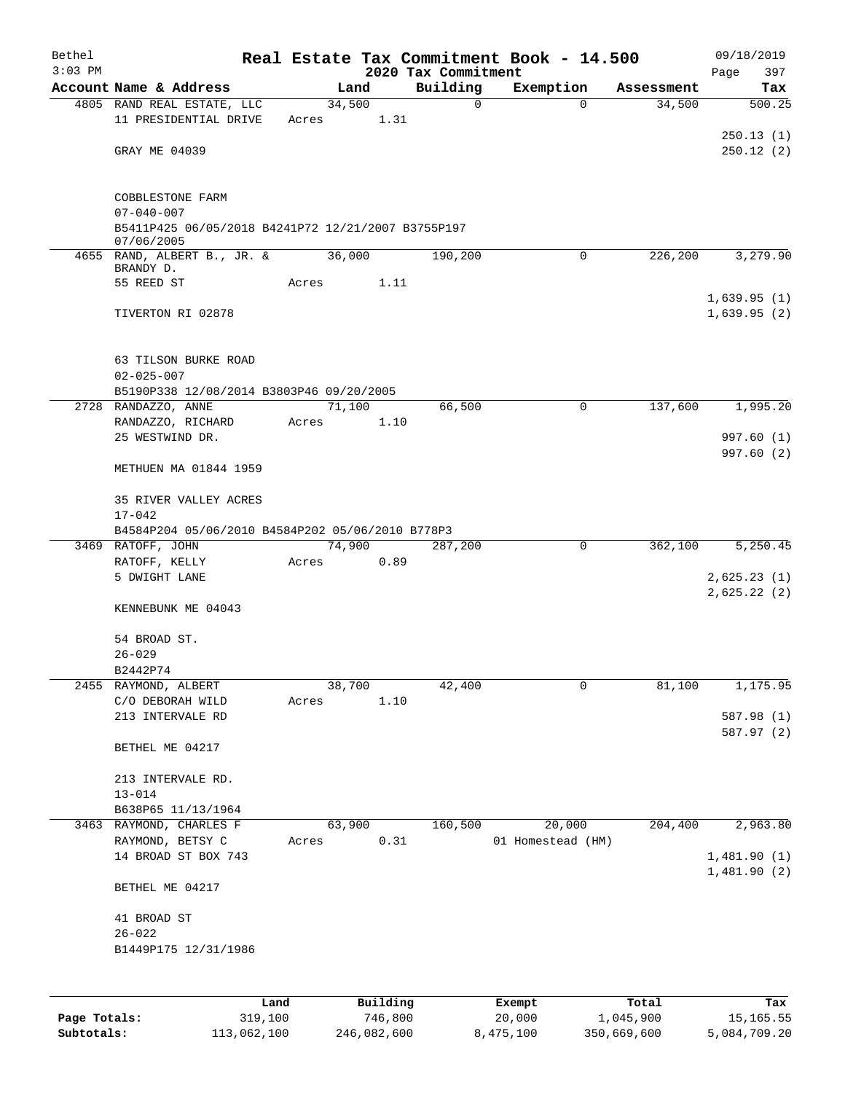| Bethel<br>$3:03$ PM |                                                                        |      |       |        |          | 2020 Tax Commitment | Real Estate Tax Commitment Book - 14.500 |            | 09/18/2019         |
|---------------------|------------------------------------------------------------------------|------|-------|--------|----------|---------------------|------------------------------------------|------------|--------------------|
|                     | Account Name & Address                                                 |      |       | Land   |          | Building            | Exemption                                | Assessment | 397<br>Page<br>Tax |
|                     | 4805 RAND REAL ESTATE, LLC                                             |      |       | 34,500 |          | 0                   | $\Omega$                                 | 34,500     | 500.25             |
|                     | 11 PRESIDENTIAL DRIVE                                                  |      | Acres |        | 1.31     |                     |                                          |            |                    |
|                     |                                                                        |      |       |        |          |                     |                                          |            | 250.13(1)          |
|                     | GRAY ME 04039                                                          |      |       |        |          |                     |                                          |            | 250.12(2)          |
|                     | COBBLESTONE FARM                                                       |      |       |        |          |                     |                                          |            |                    |
|                     | $07 - 040 - 007$<br>B5411P425 06/05/2018 B4241P72 12/21/2007 B3755P197 |      |       |        |          |                     |                                          |            |                    |
|                     | 07/06/2005<br>4655 RAND, ALBERT B., JR. &<br>BRANDY D.                 |      |       | 36,000 |          | 190,200             | $\mathbf 0$                              | 226,200    | 3,279.90           |
|                     | 55 REED ST                                                             |      | Acres |        | 1.11     |                     |                                          |            |                    |
|                     |                                                                        |      |       |        |          |                     |                                          |            | 1,639.95(1)        |
|                     | TIVERTON RI 02878                                                      |      |       |        |          |                     |                                          |            | 1,639.95(2)        |
|                     | 63 TILSON BURKE ROAD                                                   |      |       |        |          |                     |                                          |            |                    |
|                     | $02 - 025 - 007$                                                       |      |       |        |          |                     |                                          |            |                    |
|                     | B5190P338 12/08/2014 B3803P46 09/20/2005                               |      |       |        |          |                     | $\mathbf 0$                              |            |                    |
|                     | 2728 RANDAZZO, ANNE<br>RANDAZZO, RICHARD                               |      | Acres | 71,100 | 1.10     | 66,500              |                                          | 137,600    | 1,995.20           |
|                     | 25 WESTWIND DR.                                                        |      |       |        |          |                     |                                          |            | 997.60 (1)         |
|                     |                                                                        |      |       |        |          |                     |                                          |            | 997.60 (2)         |
|                     | METHUEN MA 01844 1959                                                  |      |       |        |          |                     |                                          |            |                    |
|                     | 35 RIVER VALLEY ACRES<br>$17 - 042$                                    |      |       |        |          |                     |                                          |            |                    |
|                     | B4584P204 05/06/2010 B4584P202 05/06/2010 B778P3                       |      |       |        |          |                     |                                          |            |                    |
|                     | 3469 RATOFF, JOHN                                                      |      |       | 74,900 |          | 287,200             | $\mathbf 0$                              | 362,100    | 5,250.45           |
|                     | RATOFF, KELLY                                                          |      | Acres |        | 0.89     |                     |                                          |            |                    |
|                     | 5 DWIGHT LANE                                                          |      |       |        |          |                     |                                          |            | 2,625.23(1)        |
|                     | KENNEBUNK ME 04043                                                     |      |       |        |          |                     |                                          |            | 2,625.22(2)        |
|                     | 54 BROAD ST.                                                           |      |       |        |          |                     |                                          |            |                    |
|                     | $26 - 029$                                                             |      |       |        |          |                     |                                          |            |                    |
|                     | B2442P74                                                               |      |       |        |          |                     |                                          |            |                    |
|                     | 2455 RAYMOND, ALBERT<br>C/O DEBORAH WILD                               |      | Acres | 38,700 | 1.10     | 42,400              | 0                                        | 81,100     | 1,175.95           |
|                     | 213 INTERVALE RD                                                       |      |       |        |          |                     |                                          |            | 587.98 (1)         |
|                     |                                                                        |      |       |        |          |                     |                                          |            | 587.97 (2)         |
|                     | BETHEL ME 04217                                                        |      |       |        |          |                     |                                          |            |                    |
|                     | 213 INTERVALE RD.                                                      |      |       |        |          |                     |                                          |            |                    |
|                     | $13 - 014$                                                             |      |       |        |          |                     |                                          |            |                    |
|                     | B638P65 11/13/1964                                                     |      |       |        |          |                     |                                          |            |                    |
|                     | 3463 RAYMOND, CHARLES F                                                |      |       | 63,900 |          | 160,500             | 20,000                                   | 204,400    | 2,963.80           |
|                     | RAYMOND, BETSY C                                                       |      | Acres |        | 0.31     |                     | 01 Homestead (HM)                        |            |                    |
|                     | 14 BROAD ST BOX 743                                                    |      |       |        |          |                     |                                          |            | 1,481.90(1)        |
|                     | BETHEL ME 04217                                                        |      |       |        |          |                     |                                          |            | 1,481.90(2)        |
|                     | 41 BROAD ST                                                            |      |       |        |          |                     |                                          |            |                    |
|                     | $26 - 022$                                                             |      |       |        |          |                     |                                          |            |                    |
|                     | B1449P175 12/31/1986                                                   |      |       |        |          |                     |                                          |            |                    |
|                     |                                                                        | Land |       |        | Building |                     | Exempt                                   | Total      | Tax                |

**Page Totals:** 319,100 746,800 20,000 1,045,900 15,165.55 **Subtotals:** 113,062,100 246,082,600 8,475,100 350,669,600 5,084,709.20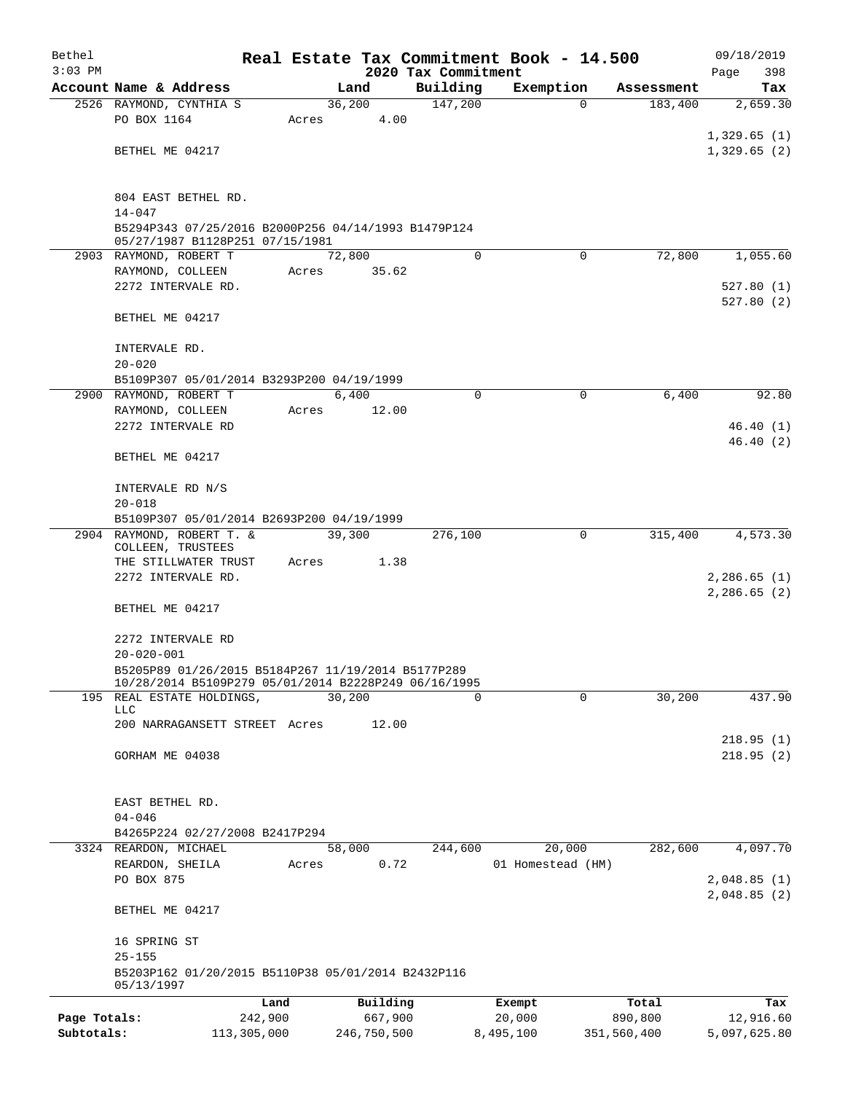| Bethel       |                                                                  |             |       |                |                     | Real Estate Tax Commitment Book - 14.500 |                       | 09/18/2019                 |
|--------------|------------------------------------------------------------------|-------------|-------|----------------|---------------------|------------------------------------------|-----------------------|----------------------------|
| $3:03$ PM    |                                                                  |             |       |                | 2020 Tax Commitment |                                          |                       | 398<br>Page                |
|              | Account Name & Address                                           |             |       | Land<br>36,200 | Building<br>147,200 | Exemption<br>$\Omega$                    | Assessment<br>183,400 | Tax<br>2,659.30            |
|              | 2526 RAYMOND, CYNTHIA S<br>PO BOX 1164                           |             | Acres | 4.00           |                     |                                          |                       |                            |
|              |                                                                  |             |       |                |                     |                                          |                       | 1,329.65(1)                |
|              | BETHEL ME 04217                                                  |             |       |                |                     |                                          |                       | 1,329.65(2)                |
|              |                                                                  |             |       |                |                     |                                          |                       |                            |
|              | 804 EAST BETHEL RD.                                              |             |       |                |                     |                                          |                       |                            |
|              | $14 - 047$                                                       |             |       |                |                     |                                          |                       |                            |
|              | B5294P343 07/25/2016 B2000P256 04/14/1993 B1479P124              |             |       |                |                     |                                          |                       |                            |
|              | 05/27/1987 B1128P251 07/15/1981<br>2903 RAYMOND, ROBERT T        |             |       | 72,800         | $\Omega$            | $\Omega$                                 | 72,800                | 1,055.60                   |
|              | RAYMOND, COLLEEN                                                 |             | Acres | 35.62          |                     |                                          |                       |                            |
|              | 2272 INTERVALE RD.                                               |             |       |                |                     |                                          |                       | 527.80(1)                  |
|              |                                                                  |             |       |                |                     |                                          |                       | 527.80(2)                  |
|              | BETHEL ME 04217                                                  |             |       |                |                     |                                          |                       |                            |
|              | INTERVALE RD.                                                    |             |       |                |                     |                                          |                       |                            |
|              | $20 - 020$                                                       |             |       |                |                     |                                          |                       |                            |
|              | B5109P307 05/01/2014 B3293P200 04/19/1999                        |             |       |                |                     |                                          |                       |                            |
|              | 2900 RAYMOND, ROBERT T                                           |             |       | 6,400          | 0                   | 0                                        | 6,400                 | 92.80                      |
|              | RAYMOND, COLLEEN                                                 |             | Acres | 12.00          |                     |                                          |                       |                            |
|              | 2272 INTERVALE RD                                                |             |       |                |                     |                                          |                       | 46.40(1)                   |
|              |                                                                  |             |       |                |                     |                                          |                       | 46.40(2)                   |
|              | BETHEL ME 04217                                                  |             |       |                |                     |                                          |                       |                            |
|              | INTERVALE RD N/S                                                 |             |       |                |                     |                                          |                       |                            |
|              | $20 - 018$                                                       |             |       |                |                     |                                          |                       |                            |
|              | B5109P307 05/01/2014 B2693P200 04/19/1999                        |             |       |                |                     |                                          |                       |                            |
|              | 2904 RAYMOND, ROBERT T. &                                        |             |       | 39,300         | 276,100             | $\Omega$                                 | 315,400               | 4,573.30                   |
|              | COLLEEN, TRUSTEES                                                |             |       |                |                     |                                          |                       |                            |
|              | THE STILLWATER TRUST                                             |             | Acres | 1.38           |                     |                                          |                       |                            |
|              | 2272 INTERVALE RD.                                               |             |       |                |                     |                                          |                       | 2,286.65(1)<br>2,286.65(2) |
|              | BETHEL ME 04217                                                  |             |       |                |                     |                                          |                       |                            |
|              |                                                                  |             |       |                |                     |                                          |                       |                            |
|              | 2272 INTERVALE RD                                                |             |       |                |                     |                                          |                       |                            |
|              | $20 - 020 - 001$                                                 |             |       |                |                     |                                          |                       |                            |
|              | B5205P89 01/26/2015 B5184P267 11/19/2014 B5177P289               |             |       |                |                     |                                          |                       |                            |
|              | 10/28/2014 B5109P279 05/01/2014 B2228P249 06/16/1995             |             |       |                |                     |                                          |                       |                            |
|              | 195 REAL ESTATE HOLDINGS,<br>LLC                                 |             |       | 30,200         | $\Omega$            | $\Omega$                                 | 30, 200               | 437.90                     |
|              | 200 NARRAGANSETT STREET Acres                                    |             |       | 12.00          |                     |                                          |                       |                            |
|              |                                                                  |             |       |                |                     |                                          |                       | 218.95(1)                  |
|              | GORHAM ME 04038                                                  |             |       |                |                     |                                          |                       | 218.95(2)                  |
|              |                                                                  |             |       |                |                     |                                          |                       |                            |
|              | EAST BETHEL RD.                                                  |             |       |                |                     |                                          |                       |                            |
|              | $04 - 046$                                                       |             |       |                |                     |                                          |                       |                            |
|              | B4265P224 02/27/2008 B2417P294                                   |             |       |                |                     |                                          |                       |                            |
|              | 3324 REARDON, MICHAEL                                            |             |       | 58,000         | 244,600             | 20,000                                   | 282,600               | 4,097.70                   |
|              | REARDON, SHEILA                                                  |             | Acres | 0.72           |                     | 01 Homestead (HM)                        |                       |                            |
|              | PO BOX 875                                                       |             |       |                |                     |                                          |                       | 2,048.85(1)                |
|              |                                                                  |             |       |                |                     |                                          |                       | 2,048.85(2)                |
|              | BETHEL ME 04217                                                  |             |       |                |                     |                                          |                       |                            |
|              | 16 SPRING ST                                                     |             |       |                |                     |                                          |                       |                            |
|              | $25 - 155$                                                       |             |       |                |                     |                                          |                       |                            |
|              | B5203P162 01/20/2015 B5110P38 05/01/2014 B2432P116<br>05/13/1997 |             |       |                |                     |                                          |                       |                            |
|              |                                                                  | Land        |       | Building       |                     | Exempt                                   | Total                 | Tax                        |
| Page Totals: |                                                                  | 242,900     |       | 667,900        |                     | 20,000                                   | 890,800               | 12,916.60                  |
| Subtotals:   |                                                                  | 113,305,000 |       | 246,750,500    |                     | 8,495,100                                | 351,560,400           | 5,097,625.80               |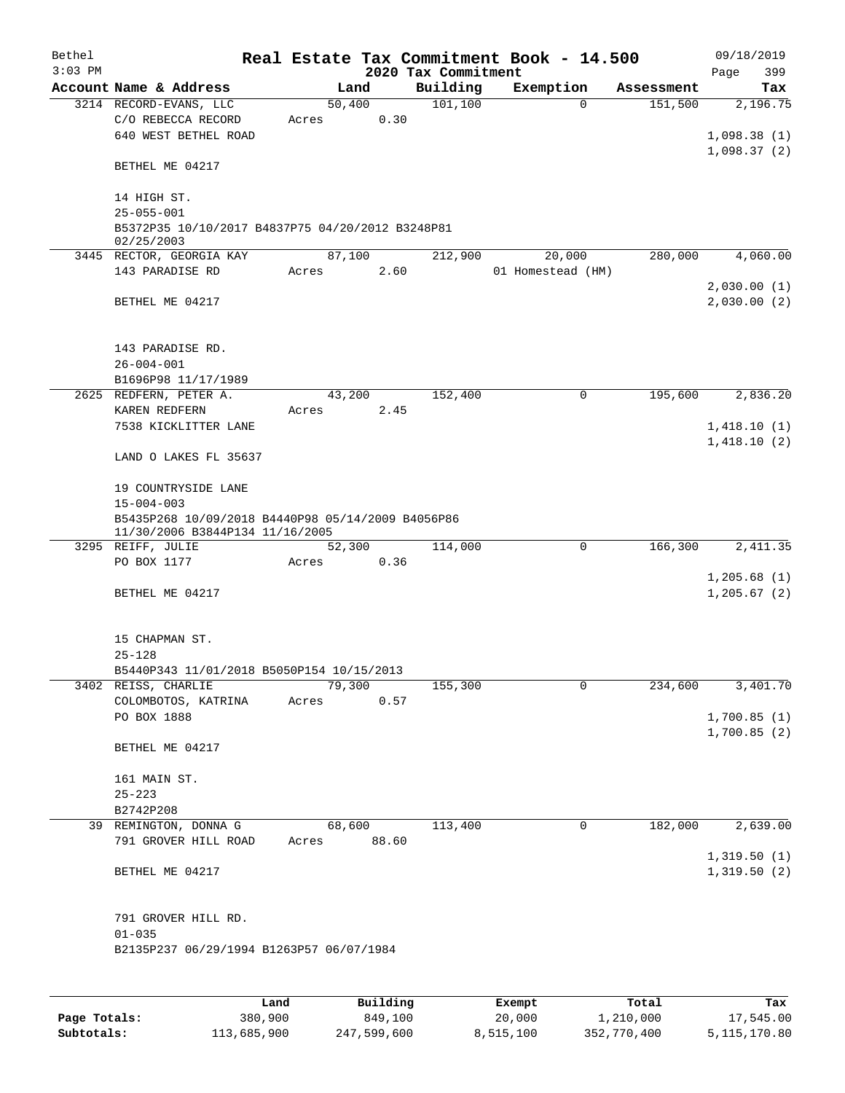| Bethel    |                                                                |        |                         |                      | Real Estate Tax Commitment Book - 14.500 |                       | 09/18/2019                  |
|-----------|----------------------------------------------------------------|--------|-------------------------|----------------------|------------------------------------------|-----------------------|-----------------------------|
| $3:03$ PM |                                                                |        |                         | 2020 Tax Commitment  |                                          |                       | 399<br>Page                 |
|           | Account Name & Address<br>3214 RECORD-EVANS, LLC               |        | Land<br>50,400          | Building<br>101, 100 | Exemption<br>$\Omega$                    | Assessment<br>151,500 | Tax<br>2,196.75             |
|           | C/O REBECCA RECORD                                             | Acres  | 0.30                    |                      |                                          |                       |                             |
|           | 640 WEST BETHEL ROAD                                           |        |                         |                      |                                          |                       | 1,098.38(1)                 |
|           |                                                                |        |                         |                      |                                          |                       | 1,098.37(2)                 |
|           | BETHEL ME 04217                                                |        |                         |                      |                                          |                       |                             |
|           |                                                                |        |                         |                      |                                          |                       |                             |
|           | 14 HIGH ST.                                                    |        |                         |                      |                                          |                       |                             |
|           | $25 - 055 - 001$                                               |        |                         |                      |                                          |                       |                             |
|           | B5372P35 10/10/2017 B4837P75 04/20/2012 B3248P81<br>02/25/2003 |        |                         |                      |                                          |                       |                             |
|           | 3445 RECTOR, GEORGIA KAY                                       |        | 87,100                  | 212,900              | 20,000                                   | 280,000               | 4,060.00                    |
|           | 143 PARADISE RD                                                | Acres  | 2.60                    |                      | 01 Homestead (HM)                        |                       |                             |
|           |                                                                |        |                         |                      |                                          |                       | 2,030.00(1)                 |
|           | BETHEL ME 04217                                                |        |                         |                      |                                          |                       | 2,030.00(2)                 |
|           |                                                                |        |                         |                      |                                          |                       |                             |
|           |                                                                |        |                         |                      |                                          |                       |                             |
|           | 143 PARADISE RD.                                               |        |                         |                      |                                          |                       |                             |
|           | $26 - 004 - 001$                                               |        |                         |                      |                                          |                       |                             |
|           | B1696P98 11/17/1989                                            |        |                         |                      |                                          |                       |                             |
|           | 2625 REDFERN, PETER A.                                         |        | 43,200                  | 152,400              | 0                                        | 195,600               | 2,836.20                    |
|           | KAREN REDFERN                                                  | Acres  | 2.45                    |                      |                                          |                       |                             |
|           | 7538 KICKLITTER LANE                                           |        |                         |                      |                                          |                       | 1,418.10(1)<br>1,418.10(2)  |
|           | LAND O LAKES FL 35637                                          |        |                         |                      |                                          |                       |                             |
|           |                                                                |        |                         |                      |                                          |                       |                             |
|           | 19 COUNTRYSIDE LANE                                            |        |                         |                      |                                          |                       |                             |
|           | $15 - 004 - 003$                                               |        |                         |                      |                                          |                       |                             |
|           | B5435P268 10/09/2018 B4440P98 05/14/2009 B4056P86              |        |                         |                      |                                          |                       |                             |
|           | 11/30/2006 B3844P134 11/16/2005                                |        |                         |                      |                                          |                       |                             |
|           | 3295 REIFF, JULIE                                              |        | 52,300                  | 114,000              | 0                                        | 166,300               | 2,411.35                    |
|           | PO BOX 1177                                                    | Acres  | 0.36                    |                      |                                          |                       |                             |
|           | BETHEL ME 04217                                                |        |                         |                      |                                          |                       | 1,205.68(1)<br>1, 205.67(2) |
|           |                                                                |        |                         |                      |                                          |                       |                             |
|           |                                                                |        |                         |                      |                                          |                       |                             |
|           | 15 CHAPMAN ST.                                                 |        |                         |                      |                                          |                       |                             |
|           | $25 - 128$                                                     |        |                         |                      |                                          |                       |                             |
|           | B5440P343 11/01/2018 B5050P154 10/15/2013                      |        |                         |                      |                                          |                       |                             |
|           | 3402 REISS, CHARLIE                                            | 79,300 |                         | 155,300              | 0                                        | 234,600               | 3,401.70                    |
|           | COLOMBOTOS, KATRINA                                            | Acres  | 0.57                    |                      |                                          |                       |                             |
|           | PO BOX 1888                                                    |        |                         |                      |                                          |                       | 1,700.85(1)                 |
|           |                                                                |        |                         |                      |                                          |                       | 1,700.85(2)                 |
|           | BETHEL ME 04217                                                |        |                         |                      |                                          |                       |                             |
|           |                                                                |        |                         |                      |                                          |                       |                             |
|           | 161 MAIN ST.                                                   |        |                         |                      |                                          |                       |                             |
|           | $25 - 223$<br>B2742P208                                        |        |                         |                      |                                          |                       |                             |
|           | 39 REMINGTON, DONNA G                                          |        | 68,600                  | 113,400              | $\mathbf 0$                              | 182,000               | 2,639.00                    |
|           | 791 GROVER HILL ROAD                                           | Acres  | 88.60                   |                      |                                          |                       |                             |
|           |                                                                |        |                         |                      |                                          |                       | 1,319.50(1)                 |
|           | BETHEL ME 04217                                                |        |                         |                      |                                          |                       | 1,319.50(2)                 |
|           |                                                                |        |                         |                      |                                          |                       |                             |
|           |                                                                |        |                         |                      |                                          |                       |                             |
|           | 791 GROVER HILL RD.                                            |        |                         |                      |                                          |                       |                             |
|           | $01 - 035$                                                     |        |                         |                      |                                          |                       |                             |
|           | B2135P237 06/29/1994 B1263P57 06/07/1984                       |        |                         |                      |                                          |                       |                             |
|           |                                                                |        |                         |                      |                                          |                       |                             |
|           |                                                                |        |                         |                      |                                          |                       |                             |
|           |                                                                |        | $P_{11}$ + 1.4 + $\sim$ |                      |                                          |                       |                             |

|              | Land        | Building    | Exempt    | Total       | Tax          |
|--------------|-------------|-------------|-----------|-------------|--------------|
| Page Totals: | 380,900     | 849,100     | 20,000    | 1,210,000   | 17,545.00    |
| Subtotals:   | 113,685,900 | 247,599,600 | 8,515,100 | 352,770,400 | 5,115,170.80 |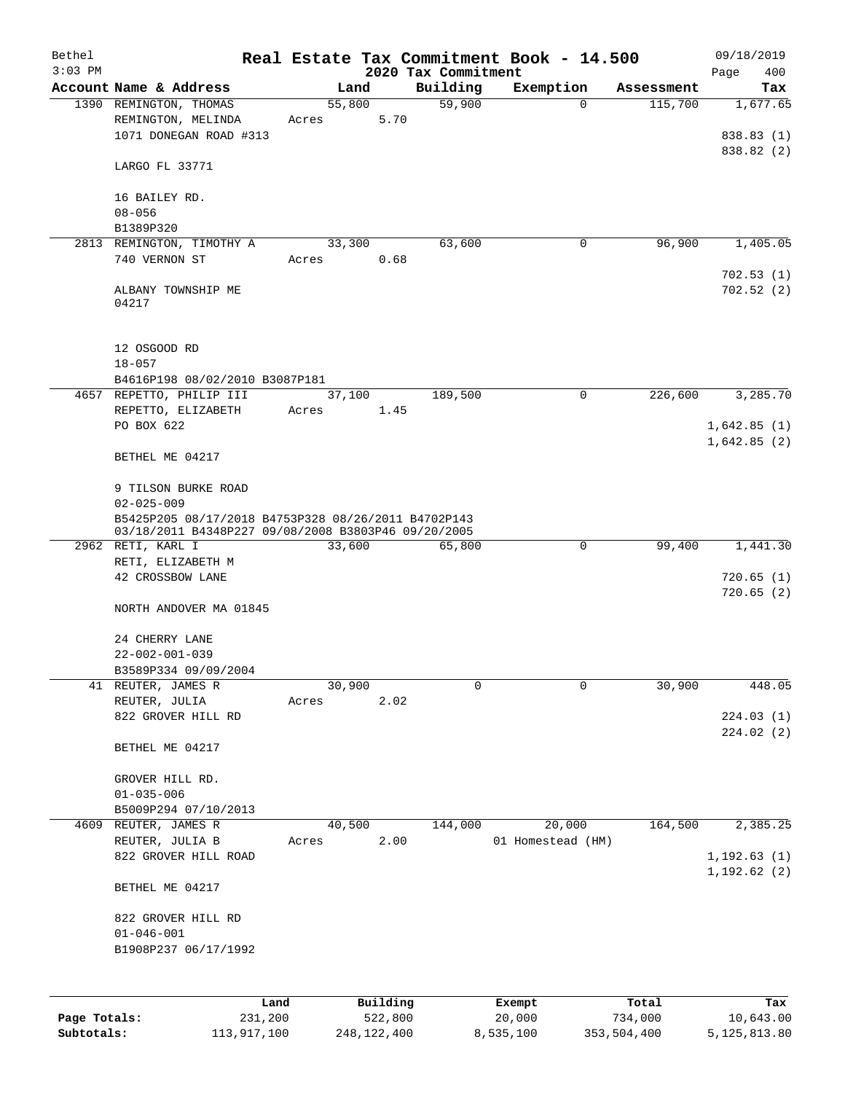| Bethel       |                                                                                                            |       |                |                     | Real Estate Tax Commitment Book - 14.500 |                       | 09/18/2019               |
|--------------|------------------------------------------------------------------------------------------------------------|-------|----------------|---------------------|------------------------------------------|-----------------------|--------------------------|
| $3:03$ PM    |                                                                                                            |       |                | 2020 Tax Commitment |                                          |                       | 400<br>Page              |
|              | Account Name & Address<br>1390 REMINGTON, THOMAS                                                           |       | Land<br>55,800 | Building<br>59,900  | Exemption<br>$\mathbf 0$                 | Assessment<br>115,700 | Tax<br>1,677.65          |
|              | REMINGTON, MELINDA                                                                                         | Acres |                | 5.70                |                                          |                       |                          |
|              | 1071 DONEGAN ROAD #313                                                                                     |       |                |                     |                                          |                       | 838.83 (1)<br>838.82 (2) |
|              | LARGO FL 33771                                                                                             |       |                |                     |                                          |                       |                          |
|              | 16 BAILEY RD.<br>$08 - 056$                                                                                |       |                |                     |                                          |                       |                          |
|              | B1389P320                                                                                                  |       |                |                     |                                          |                       |                          |
|              | 2813 REMINGTON, TIMOTHY A                                                                                  |       | 33,300         | 63,600              | 0                                        | 96,900                | 1,405.05                 |
|              | 740 VERNON ST                                                                                              | Acres |                | 0.68                |                                          |                       |                          |
|              | ALBANY TOWNSHIP ME<br>04217                                                                                |       |                |                     |                                          |                       | 702.53(1)<br>702.52(2)   |
|              | 12 OSGOOD RD<br>$18 - 057$                                                                                 |       |                |                     |                                          |                       |                          |
|              | B4616P198 08/02/2010 B3087P181                                                                             |       |                |                     |                                          |                       |                          |
|              | 4657 REPETTO, PHILIP III                                                                                   |       | 37,100         | 189,500             | $\mathbf 0$                              | 226,600               | 3,285.70                 |
|              | REPETTO, ELIZABETH                                                                                         | Acres |                | 1.45                |                                          |                       |                          |
|              | PO BOX 622                                                                                                 |       |                |                     |                                          |                       | 1,642.85(1)              |
|              | BETHEL ME 04217                                                                                            |       |                |                     |                                          |                       | 1,642.85(2)              |
|              | 9 TILSON BURKE ROAD                                                                                        |       |                |                     |                                          |                       |                          |
|              | $02 - 025 - 009$                                                                                           |       |                |                     |                                          |                       |                          |
|              | B5425P205 08/17/2018 B4753P328 08/26/2011 B4702P143<br>03/18/2011 B4348P227 09/08/2008 B3803P46 09/20/2005 |       |                |                     |                                          |                       |                          |
|              | 2962 RETI, KARL I                                                                                          |       | 33,600         | 65,800              | $\mathbf 0$                              | 99,400                | 1,441.30                 |
|              | RETI, ELIZABETH M                                                                                          |       |                |                     |                                          |                       |                          |
|              | 42 CROSSBOW LANE                                                                                           |       |                |                     |                                          |                       | 720.65(1)                |
|              | NORTH ANDOVER MA 01845                                                                                     |       |                |                     |                                          |                       | 720.65(2)                |
|              | 24 CHERRY LANE                                                                                             |       |                |                     |                                          |                       |                          |
|              | $22 - 002 - 001 - 039$                                                                                     |       |                |                     |                                          |                       |                          |
|              | B3589P334 09/09/2004                                                                                       |       |                |                     |                                          |                       |                          |
|              | 41 REUTER, JAMES R                                                                                         |       | 30,900         | 0                   | $\mathbf 0$                              | 30,900                | 448.05                   |
|              | REUTER, JULIA                                                                                              | Acres |                | 2.02                |                                          |                       |                          |
|              | 822 GROVER HILL RD                                                                                         |       |                |                     |                                          |                       | 224.03(1)<br>224.02(2)   |
|              | BETHEL ME 04217                                                                                            |       |                |                     |                                          |                       |                          |
|              | GROVER HILL RD.                                                                                            |       |                |                     |                                          |                       |                          |
|              | $01 - 035 - 006$                                                                                           |       |                |                     |                                          |                       |                          |
|              | B5009P294 07/10/2013                                                                                       |       |                |                     |                                          |                       |                          |
| 4609         | REUTER, JAMES R                                                                                            |       | 40,500         | 144,000             | 20,000                                   | 164,500               | 2,385.25                 |
|              | REUTER, JULIA B                                                                                            | Acres |                | 2.00                | 01 Homestead (HM)                        |                       |                          |
|              | 822 GROVER HILL ROAD                                                                                       |       |                |                     |                                          |                       | 1, 192.63(1)             |
|              | BETHEL ME 04217                                                                                            |       |                |                     |                                          |                       | 1,192.62 (2)             |
|              | 822 GROVER HILL RD                                                                                         |       |                |                     |                                          |                       |                          |
|              | $01 - 046 - 001$                                                                                           |       |                |                     |                                          |                       |                          |
|              | B1908P237 06/17/1992                                                                                       |       |                |                     |                                          |                       |                          |
|              |                                                                                                            |       |                |                     |                                          |                       |                          |
|              |                                                                                                            |       |                |                     |                                          |                       |                          |
|              | Land                                                                                                       |       | Building       |                     | Exempt                                   | Total                 | Tax                      |
| Page Totals: | 231,200                                                                                                    |       | 522,800        |                     | 20,000                                   | 734,000               | 10,643.00                |

**Subtotals:** 113,917,100 248,122,400 8,535,100 353,504,400 5,125,813.80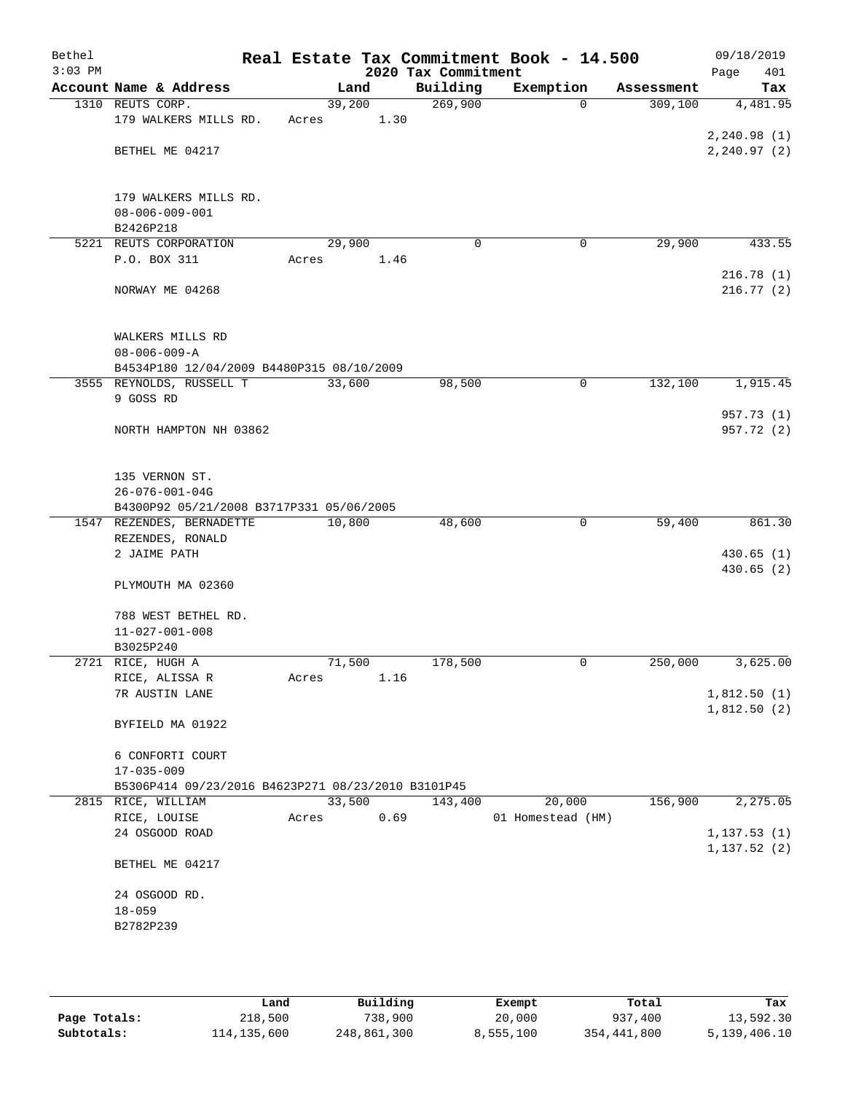| Bethel<br>$3:03$ PM |                                                    |        |      | 2020 Tax Commitment | Real Estate Tax Commitment Book - 14.500 |            | 09/18/2019<br>401<br>Page |
|---------------------|----------------------------------------------------|--------|------|---------------------|------------------------------------------|------------|---------------------------|
|                     | Account Name & Address                             | Land   |      | Building            | Exemption                                | Assessment | Tax                       |
|                     | 1310 REUTS CORP.                                   | 39,200 |      | 269,900             | $\Omega$                                 | 309,100    | 4,481.95                  |
|                     | 179 WALKERS MILLS RD.                              | Acres  | 1.30 |                     |                                          |            |                           |
|                     |                                                    |        |      |                     |                                          |            | 2, 240.98(1)              |
|                     | BETHEL ME 04217                                    |        |      |                     |                                          |            | 2, 240.97(2)              |
|                     | 179 WALKERS MILLS RD.                              |        |      |                     |                                          |            |                           |
|                     | $08 - 006 - 009 - 001$                             |        |      |                     |                                          |            |                           |
|                     | B2426P218                                          |        |      |                     |                                          |            |                           |
|                     | 5221 REUTS CORPORATION                             | 29,900 |      | 0                   | 0                                        | 29,900     | 433.55                    |
|                     | P.O. BOX 311                                       | Acres  | 1.46 |                     |                                          |            |                           |
|                     |                                                    |        |      |                     |                                          |            | 216.78(1)                 |
|                     | NORWAY ME 04268                                    |        |      |                     |                                          |            | 216.77(2)                 |
|                     | WALKERS MILLS RD                                   |        |      |                     |                                          |            |                           |
|                     | $08 - 006 - 009 - A$                               |        |      |                     |                                          |            |                           |
|                     | B4534P180 12/04/2009 B4480P315 08/10/2009          |        |      |                     |                                          |            |                           |
|                     | 3555 REYNOLDS, RUSSELL T                           | 33,600 |      | 98,500              | $\mathsf{O}$                             | 132,100    | 1,915.45                  |
|                     | 9 GOSS RD                                          |        |      |                     |                                          |            |                           |
|                     |                                                    |        |      |                     |                                          |            | 957.73 (1)                |
|                     | NORTH HAMPTON NH 03862                             |        |      |                     |                                          |            | 957.72 (2)                |
|                     |                                                    |        |      |                     |                                          |            |                           |
|                     | 135 VERNON ST.                                     |        |      |                     |                                          |            |                           |
|                     | 26-076-001-04G                                     |        |      |                     |                                          |            |                           |
|                     | B4300P92 05/21/2008 B3717P331 05/06/2005           |        |      |                     |                                          |            |                           |
|                     | 1547 REZENDES, BERNADETTE                          | 10,800 |      | 48,600              | $\mathbf 0$                              | 59,400     | 861.30                    |
|                     | REZENDES, RONALD                                   |        |      |                     |                                          |            |                           |
|                     | 2 JAIME PATH                                       |        |      |                     |                                          |            | 430.65(1)                 |
|                     | PLYMOUTH MA 02360                                  |        |      |                     |                                          |            | 430.65(2)                 |
|                     |                                                    |        |      |                     |                                          |            |                           |
|                     | 788 WEST BETHEL RD.                                |        |      |                     |                                          |            |                           |
|                     | $11 - 027 - 001 - 008$                             |        |      |                     |                                          |            |                           |
|                     | B3025P240<br>2721 RICE, HUGH A                     | 71,500 |      | 178,500             | 0                                        | 250,000    | 3,625.00                  |
|                     | RICE, ALISSA R                                     | Acres  | 1.16 |                     |                                          |            |                           |
|                     | 7R AUSTIN LANE                                     |        |      |                     |                                          |            | 1,812.50(1)               |
|                     |                                                    |        |      |                     |                                          |            | 1,812.50(2)               |
|                     | BYFIELD MA 01922                                   |        |      |                     |                                          |            |                           |
|                     | 6 CONFORTI COURT                                   |        |      |                     |                                          |            |                           |
|                     | $17 - 035 - 009$                                   |        |      |                     |                                          |            |                           |
|                     | B5306P414 09/23/2016 B4623P271 08/23/2010 B3101P45 |        |      |                     |                                          |            |                           |
|                     | 2815 RICE, WILLIAM                                 | 33,500 |      | 143,400             | 20,000                                   | 156,900    | 2,275.05                  |
|                     | RICE, LOUISE                                       | Acres  | 0.69 |                     | 01 Homestead (HM)                        |            |                           |
|                     | 24 OSGOOD ROAD                                     |        |      |                     |                                          |            | 1, 137.53(1)              |
|                     | BETHEL ME 04217                                    |        |      |                     |                                          |            | 1, 137.52(2)              |
|                     |                                                    |        |      |                     |                                          |            |                           |
|                     | 24 OSGOOD RD.                                      |        |      |                     |                                          |            |                           |
|                     | $18 - 059$                                         |        |      |                     |                                          |            |                           |
|                     | B2782P239                                          |        |      |                     |                                          |            |                           |
|                     |                                                    |        |      |                     |                                          |            |                           |
|                     |                                                    |        |      |                     |                                          |            |                           |

|              | Land        | Building    | Exempt    | Total       | Tax          |
|--------------|-------------|-------------|-----------|-------------|--------------|
| Page Totals: | 218,500     | 738,900     | 20,000    | 937,400     | 13,592.30    |
| Subtotals:   | 114,135,600 | 248,861,300 | 8,555,100 | 354,441,800 | 5,139,406.10 |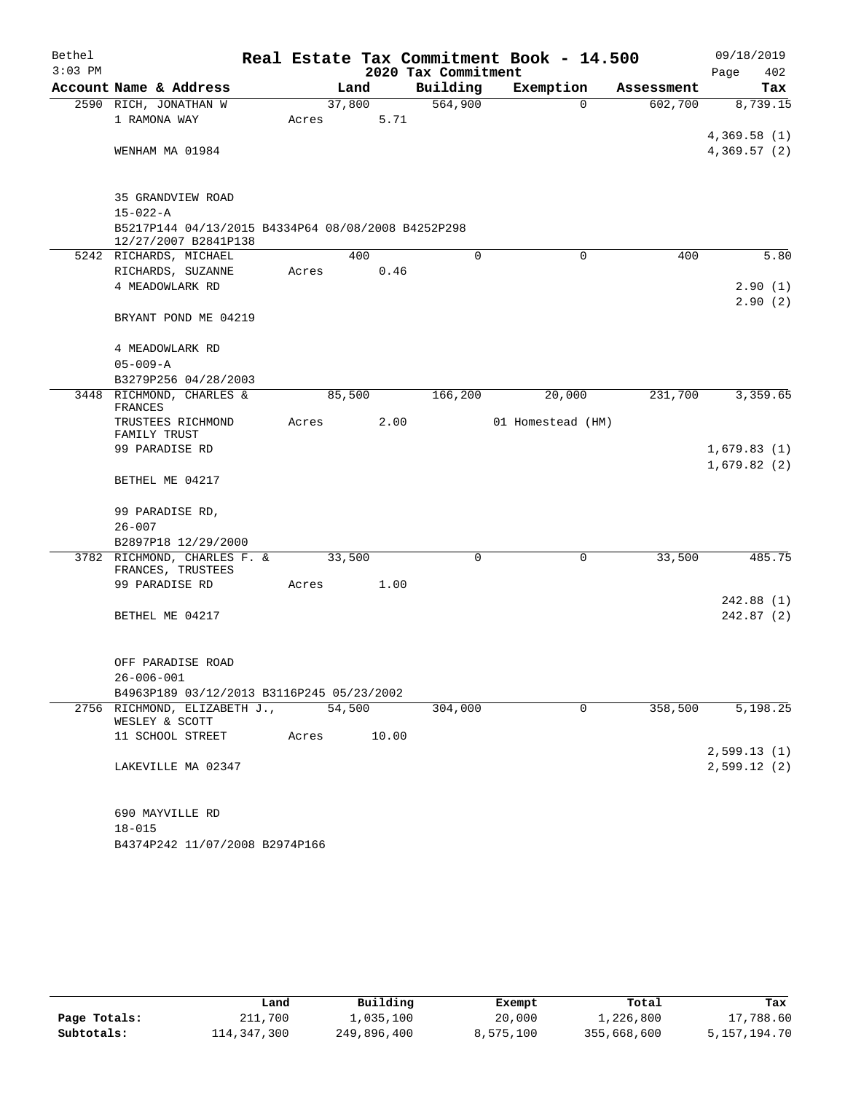| Bethel<br>$3:03$ PM |                                                                            |       |        |       | 2020 Tax Commitment | Real Estate Tax Commitment Book - 14.500 |            | 09/18/2019<br>Page<br>402  |
|---------------------|----------------------------------------------------------------------------|-------|--------|-------|---------------------|------------------------------------------|------------|----------------------------|
|                     | Account Name & Address                                                     |       | Land   |       | Building            | Exemption                                | Assessment | Tax                        |
|                     | 2590 RICH, JONATHAN W<br>1 RAMONA WAY                                      | Acres | 37,800 | 5.71  | 564,900             | $\Omega$                                 | 602,700    | 8,739.15                   |
|                     | WENHAM MA 01984                                                            |       |        |       |                     |                                          |            | 4,369.58(1)<br>4,369.57(2) |
|                     | 35 GRANDVIEW ROAD<br>$15 - 022 - A$                                        |       |        |       |                     |                                          |            |                            |
|                     | B5217P144 04/13/2015 B4334P64 08/08/2008 B4252P298<br>12/27/2007 B2841P138 |       |        |       |                     |                                          |            |                            |
|                     | 5242 RICHARDS, MICHAEL                                                     |       | 400    |       | $\Omega$            | $\Omega$                                 | 400        | 5.80                       |
|                     | RICHARDS, SUZANNE                                                          | Acres |        | 0.46  |                     |                                          |            |                            |
|                     | 4 MEADOWLARK RD                                                            |       |        |       |                     |                                          |            | 2.90(1)<br>2.90(2)         |
|                     | BRYANT POND ME 04219                                                       |       |        |       |                     |                                          |            |                            |
|                     | 4 MEADOWLARK RD<br>$05 - 009 - A$                                          |       |        |       |                     |                                          |            |                            |
|                     | B3279P256 04/28/2003                                                       |       |        |       |                     |                                          |            |                            |
|                     | 3448 RICHMOND, CHARLES &<br>FRANCES                                        |       | 85,500 |       | 166,200             | 20,000                                   | 231,700    | 3,359.65                   |
|                     | TRUSTEES RICHMOND<br>FAMILY TRUST                                          | Acres |        | 2.00  |                     | 01 Homestead (HM)                        |            |                            |
|                     | 99 PARADISE RD                                                             |       |        |       |                     |                                          |            | 1,679.83(1)<br>1,679.82(2) |
|                     | BETHEL ME 04217                                                            |       |        |       |                     |                                          |            |                            |
|                     | 99 PARADISE RD,                                                            |       |        |       |                     |                                          |            |                            |
|                     | $26 - 007$                                                                 |       |        |       |                     |                                          |            |                            |
|                     | B2897P18 12/29/2000                                                        |       |        |       |                     |                                          |            |                            |
|                     | 3782 RICHMOND, CHARLES F. &<br>FRANCES, TRUSTEES                           |       | 33,500 |       | 0                   | 0                                        | 33,500     | 485.75                     |
|                     | 99 PARADISE RD                                                             | Acres |        | 1.00  |                     |                                          |            |                            |
|                     | BETHEL ME 04217                                                            |       |        |       |                     |                                          |            | 242.88(1)<br>242.87(2)     |
|                     |                                                                            |       |        |       |                     |                                          |            |                            |
|                     | OFF PARADISE ROAD                                                          |       |        |       |                     |                                          |            |                            |
|                     | $26 - 006 - 001$<br>B4963P189 03/12/2013 B3116P245 05/23/2002              |       |        |       |                     |                                          |            |                            |
|                     | 2756 RICHMOND, ELIZABETH J.,                                               |       | 54,500 |       | 304,000             | $\mathbf 0$                              | 358,500    | 5,198.25                   |
|                     | WESLEY & SCOTT<br>11 SCHOOL STREET                                         | Acres |        | 10.00 |                     |                                          |            |                            |
|                     |                                                                            |       |        |       |                     |                                          |            | 2,599.13(1)                |
|                     | LAKEVILLE MA 02347                                                         |       |        |       |                     |                                          |            | 2,599.12(2)                |
|                     | 690 MAYVILLE RD                                                            |       |        |       |                     |                                          |            |                            |
|                     | $18 - 015$                                                                 |       |        |       |                     |                                          |            |                            |
|                     | B4374P242 11/07/2008 B2974P166                                             |       |        |       |                     |                                          |            |                            |

|              | Land        | Building    | Exempt    | Total       | Tax          |
|--------------|-------------|-------------|-----------|-------------|--------------|
| Page Totals: | 211,700     | 1,035,100   | 20,000    | 1,226,800   | 17,788.60    |
| Subtotals:   | 114,347,300 | 249,896,400 | 8,575,100 | 355,668,600 | 5,157,194.70 |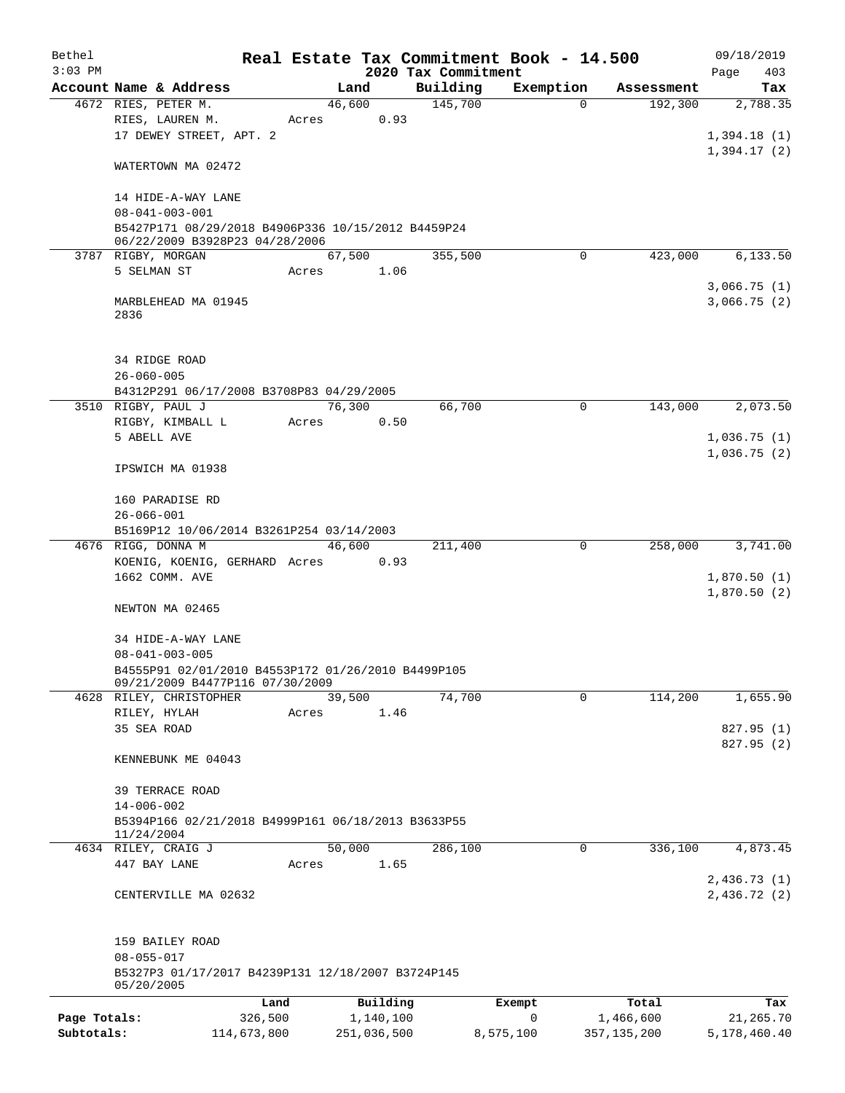| Bethel       |                                                                       |             |       |             |      | Real Estate Tax Commitment Book - 14.500 |                       |                       | 09/18/2019   |
|--------------|-----------------------------------------------------------------------|-------------|-------|-------------|------|------------------------------------------|-----------------------|-----------------------|--------------|
| $3:03$ PM    |                                                                       |             |       |             |      | 2020 Tax Commitment                      |                       |                       | Page<br>403  |
|              | Account Name & Address                                                |             |       | Land        |      | Building                                 | Exemption<br>$\Omega$ | Assessment<br>192,300 | Tax          |
|              | 4672 RIES, PETER M.<br>RIES, LAUREN M.                                |             | Acres | 46,600      | 0.93 | 145,700                                  |                       |                       | 2,788.35     |
|              | 17 DEWEY STREET, APT. 2                                               |             |       |             |      |                                          |                       |                       | 1,394.18(1)  |
|              |                                                                       |             |       |             |      |                                          |                       |                       | 1,394.17(2)  |
|              | WATERTOWN MA 02472                                                    |             |       |             |      |                                          |                       |                       |              |
|              |                                                                       |             |       |             |      |                                          |                       |                       |              |
|              | 14 HIDE-A-WAY LANE<br>$08 - 041 - 003 - 001$                          |             |       |             |      |                                          |                       |                       |              |
|              | B5427P171 08/29/2018 B4906P336 10/15/2012 B4459P24                    |             |       |             |      |                                          |                       |                       |              |
|              | 06/22/2009 B3928P23 04/28/2006                                        |             |       |             |      |                                          |                       |                       |              |
|              | 3787 RIGBY, MORGAN                                                    |             |       | 67,500      |      | 355,500                                  | $\mathbf 0$           | 423,000               | 6,133.50     |
|              | 5 SELMAN ST                                                           |             | Acres |             | 1.06 |                                          |                       |                       |              |
|              |                                                                       |             |       |             |      |                                          |                       |                       | 3,066.75(1)  |
|              | MARBLEHEAD MA 01945                                                   |             |       |             |      |                                          |                       |                       | 3,066.75(2)  |
|              | 2836                                                                  |             |       |             |      |                                          |                       |                       |              |
|              |                                                                       |             |       |             |      |                                          |                       |                       |              |
|              | 34 RIDGE ROAD                                                         |             |       |             |      |                                          |                       |                       |              |
|              | $26 - 060 - 005$                                                      |             |       |             |      |                                          |                       |                       |              |
|              | B4312P291 06/17/2008 B3708P83 04/29/2005                              |             |       |             |      |                                          |                       |                       |              |
|              | 3510 RIGBY, PAUL J                                                    |             |       | 76,300      |      | 66,700                                   | $\mathbf 0$           | 143,000               | 2,073.50     |
|              | RIGBY, KIMBALL L                                                      |             | Acres |             | 0.50 |                                          |                       |                       |              |
|              | 5 ABELL AVE                                                           |             |       |             |      |                                          |                       |                       | 1,036.75(1)  |
|              |                                                                       |             |       |             |      |                                          |                       |                       | 1,036.75(2)  |
|              | IPSWICH MA 01938                                                      |             |       |             |      |                                          |                       |                       |              |
|              |                                                                       |             |       |             |      |                                          |                       |                       |              |
|              | 160 PARADISE RD                                                       |             |       |             |      |                                          |                       |                       |              |
|              | $26 - 066 - 001$                                                      |             |       |             |      |                                          |                       |                       |              |
|              | B5169P12 10/06/2014 B3261P254 03/14/2003                              |             |       |             |      |                                          |                       |                       |              |
|              | 4676 RIGG, DONNA M                                                    |             |       | 46,600      |      | 211,400                                  | 0                     | 258,000               | 3,741.00     |
|              | KOENIG, KOENIG, GERHARD Acres                                         |             |       |             | 0.93 |                                          |                       |                       |              |
|              | 1662 COMM. AVE                                                        |             |       |             |      |                                          |                       |                       | 1,870.50(1)  |
|              |                                                                       |             |       |             |      |                                          |                       |                       | 1,870.50(2)  |
|              | NEWTON MA 02465                                                       |             |       |             |      |                                          |                       |                       |              |
|              | 34 HIDE-A-WAY LANE                                                    |             |       |             |      |                                          |                       |                       |              |
|              | $08 - 041 - 003 - 005$                                                |             |       |             |      |                                          |                       |                       |              |
|              | B4555P91 02/01/2010 B4553P172 01/26/2010 B4499P105                    |             |       |             |      |                                          |                       |                       |              |
|              | 09/21/2009 B4477P116 07/30/2009                                       |             |       |             |      |                                          |                       |                       |              |
|              | 4628 RILEY, CHRISTOPHER                                               |             |       | 39,500      |      | 74,700                                   | 0                     | 114,200               | 1,655.90     |
|              | RILEY, HYLAH                                                          |             | Acres |             | 1.46 |                                          |                       |                       |              |
|              | 35 SEA ROAD                                                           |             |       |             |      |                                          |                       |                       | 827.95 (1)   |
|              |                                                                       |             |       |             |      |                                          |                       |                       | 827.95 (2)   |
|              | KENNEBUNK ME 04043                                                    |             |       |             |      |                                          |                       |                       |              |
|              |                                                                       |             |       |             |      |                                          |                       |                       |              |
|              | <b>39 TERRACE ROAD</b>                                                |             |       |             |      |                                          |                       |                       |              |
|              | $14 - 006 - 002$                                                      |             |       |             |      |                                          |                       |                       |              |
|              | B5394P166 02/21/2018 B4999P161 06/18/2013 B3633P55<br>11/24/2004      |             |       |             |      |                                          |                       |                       |              |
|              | 4634 RILEY, CRAIG J                                                   |             |       | 50,000      |      | 286,100                                  | 0                     | 336,100               | 4,873.45     |
|              | 447 BAY LANE                                                          |             | Acres |             | 1.65 |                                          |                       |                       |              |
|              |                                                                       |             |       |             |      |                                          |                       |                       | 2,436.73(1)  |
|              | CENTERVILLE MA 02632                                                  |             |       |             |      |                                          |                       |                       | 2,436.72(2)  |
|              |                                                                       |             |       |             |      |                                          |                       |                       |              |
|              |                                                                       |             |       |             |      |                                          |                       |                       |              |
|              | 159 BAILEY ROAD                                                       |             |       |             |      |                                          |                       |                       |              |
|              | $08 - 055 - 017$<br>B5327P3 01/17/2017 B4239P131 12/18/2007 B3724P145 |             |       |             |      |                                          |                       |                       |              |
|              | 05/20/2005                                                            |             |       |             |      |                                          |                       |                       |              |
|              |                                                                       | Land        |       | Building    |      |                                          | Exempt                | Total                 | Tax          |
| Page Totals: |                                                                       | 326,500     |       | 1,140,100   |      |                                          | 0                     | 1,466,600             | 21,265.70    |
| Subtotals:   |                                                                       | 114,673,800 |       | 251,036,500 |      |                                          | 8,575,100             | 357, 135, 200         | 5,178,460.40 |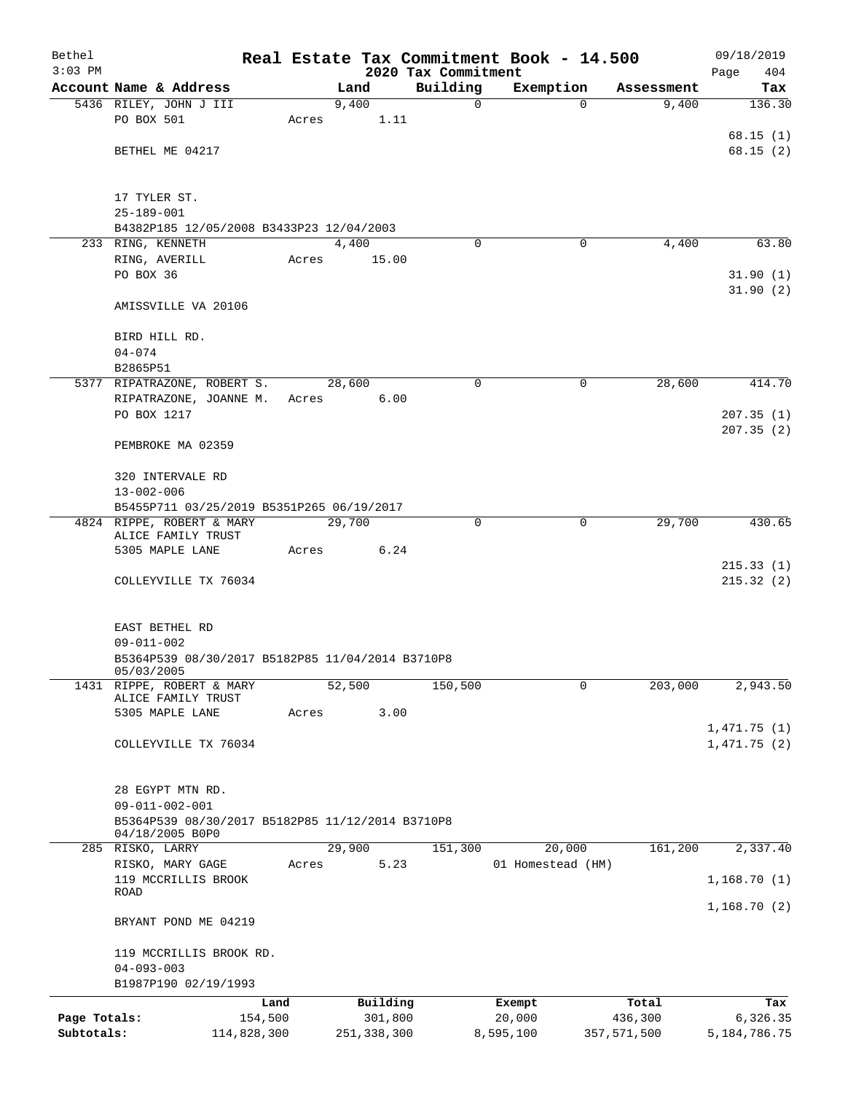| Bethel<br>$3:03$ PM |                                                                      |         |       |        |               |                                 |           | Real Estate Tax Commitment Book - 14.500 |             | 09/18/2019         |
|---------------------|----------------------------------------------------------------------|---------|-------|--------|---------------|---------------------------------|-----------|------------------------------------------|-------------|--------------------|
|                     | Account Name & Address                                               |         |       | Land   |               | 2020 Tax Commitment<br>Building |           | Exemption                                | Assessment  | Page<br>404<br>Tax |
|                     | 5436 RILEY, JOHN J III                                               |         |       | 9,400  |               |                                 | 0         | $\Omega$                                 | 9,400       | 136.30             |
|                     | PO BOX 501                                                           |         | Acres |        | 1.11          |                                 |           |                                          |             |                    |
|                     |                                                                      |         |       |        |               |                                 |           |                                          |             | 68.15(1)           |
|                     | BETHEL ME 04217                                                      |         |       |        |               |                                 |           |                                          |             | 68.15(2)           |
|                     |                                                                      |         |       |        |               |                                 |           |                                          |             |                    |
|                     | 17 TYLER ST.                                                         |         |       |        |               |                                 |           |                                          |             |                    |
|                     | $25 - 189 - 001$                                                     |         |       |        |               |                                 |           |                                          |             |                    |
|                     | B4382P185 12/05/2008 B3433P23 12/04/2003                             |         |       |        |               |                                 |           |                                          |             |                    |
|                     | 233 RING, KENNETH                                                    |         |       | 4,400  |               |                                 | $\Omega$  | 0                                        | 4,400       | 63.80              |
|                     | RING, AVERILL<br>PO BOX 36                                           |         | Acres |        | 15.00         |                                 |           |                                          |             | 31.90(1)           |
|                     |                                                                      |         |       |        |               |                                 |           |                                          |             | 31.90(2)           |
|                     | AMISSVILLE VA 20106                                                  |         |       |        |               |                                 |           |                                          |             |                    |
|                     |                                                                      |         |       |        |               |                                 |           |                                          |             |                    |
|                     | BIRD HILL RD.                                                        |         |       |        |               |                                 |           |                                          |             |                    |
|                     | $04 - 074$<br>B2865P51                                               |         |       |        |               |                                 |           |                                          |             |                    |
|                     | 5377 RIPATRAZONE, ROBERT S.                                          |         |       | 28,600 |               |                                 | 0         | $\mathbf 0$                              | 28,600      | 414.70             |
|                     | RIPATRAZONE, JOANNE M.                                               |         | Acres |        | 6.00          |                                 |           |                                          |             |                    |
|                     | PO BOX 1217                                                          |         |       |        |               |                                 |           |                                          |             | 207.35(1)          |
|                     |                                                                      |         |       |        |               |                                 |           |                                          |             | 207.35(2)          |
|                     | PEMBROKE MA 02359                                                    |         |       |        |               |                                 |           |                                          |             |                    |
|                     | 320 INTERVALE RD                                                     |         |       |        |               |                                 |           |                                          |             |                    |
|                     | $13 - 002 - 006$                                                     |         |       |        |               |                                 |           |                                          |             |                    |
|                     | B5455P711 03/25/2019 B5351P265 06/19/2017                            |         |       |        |               |                                 |           |                                          |             |                    |
|                     | 4824 RIPPE, ROBERT & MARY                                            |         |       | 29,700 |               |                                 | $\Omega$  | $\mathbf 0$                              | 29,700      | 430.65             |
|                     | ALICE FAMILY TRUST<br>5305 MAPLE LANE                                |         | Acres |        | 6.24          |                                 |           |                                          |             |                    |
|                     |                                                                      |         |       |        |               |                                 |           |                                          |             | 215.33(1)          |
|                     | COLLEYVILLE TX 76034                                                 |         |       |        |               |                                 |           |                                          |             | 215.32(2)          |
|                     |                                                                      |         |       |        |               |                                 |           |                                          |             |                    |
|                     |                                                                      |         |       |        |               |                                 |           |                                          |             |                    |
|                     | EAST BETHEL RD                                                       |         |       |        |               |                                 |           |                                          |             |                    |
|                     | $09 - 011 - 002$<br>B5364P539 08/30/2017 B5182P85 11/04/2014 B3710P8 |         |       |        |               |                                 |           |                                          |             |                    |
|                     | 05/03/2005                                                           |         |       |        |               |                                 |           |                                          |             |                    |
| 1431                | RIPPE, ROBERT & MARY                                                 |         |       | 52,500 |               | 150,500                         |           | 0                                        | 203,000     | 2,943.50           |
|                     | ALICE FAMILY TRUST<br>5305 MAPLE LANE                                |         | Acres |        | 3.00          |                                 |           |                                          |             |                    |
|                     |                                                                      |         |       |        |               |                                 |           |                                          |             | 1,471.75(1)        |
|                     | COLLEYVILLE TX 76034                                                 |         |       |        |               |                                 |           |                                          |             | 1,471.75(2)        |
|                     |                                                                      |         |       |        |               |                                 |           |                                          |             |                    |
|                     |                                                                      |         |       |        |               |                                 |           |                                          |             |                    |
|                     | 28 EGYPT MTN RD.<br>$09 - 011 - 002 - 001$                           |         |       |        |               |                                 |           |                                          |             |                    |
|                     | B5364P539 08/30/2017 B5182P85 11/12/2014 B3710P8                     |         |       |        |               |                                 |           |                                          |             |                    |
|                     | 04/18/2005 B0P0                                                      |         |       |        |               |                                 |           |                                          |             |                    |
|                     | 285 RISKO, LARRY                                                     |         |       | 29,900 |               | 151,300                         |           | 20,000                                   | 161,200     | 2,337.40           |
|                     | RISKO, MARY GAGE                                                     |         | Acres |        | 5.23          |                                 |           | 01 Homestead (HM)                        |             |                    |
|                     | 119 MCCRILLIS BROOK<br>ROAD                                          |         |       |        |               |                                 |           |                                          |             | 1,168.70(1)        |
|                     |                                                                      |         |       |        |               |                                 |           |                                          |             | 1,168.70(2)        |
|                     | BRYANT POND ME 04219                                                 |         |       |        |               |                                 |           |                                          |             |                    |
|                     | 119 MCCRILLIS BROOK RD.                                              |         |       |        |               |                                 |           |                                          |             |                    |
|                     | $04 - 093 - 003$                                                     |         |       |        |               |                                 |           |                                          |             |                    |
|                     | B1987P190 02/19/1993                                                 |         |       |        |               |                                 |           |                                          |             |                    |
|                     |                                                                      | Land    |       |        | Building      |                                 | Exempt    |                                          | Total       | Tax                |
| Page Totals:        |                                                                      | 154,500 |       |        | 301,800       |                                 | 20,000    |                                          | 436,300     | 6,326.35           |
| Subtotals:          | 114,828,300                                                          |         |       |        | 251, 338, 300 |                                 | 8,595,100 |                                          | 357,571,500 | 5, 184, 786. 75    |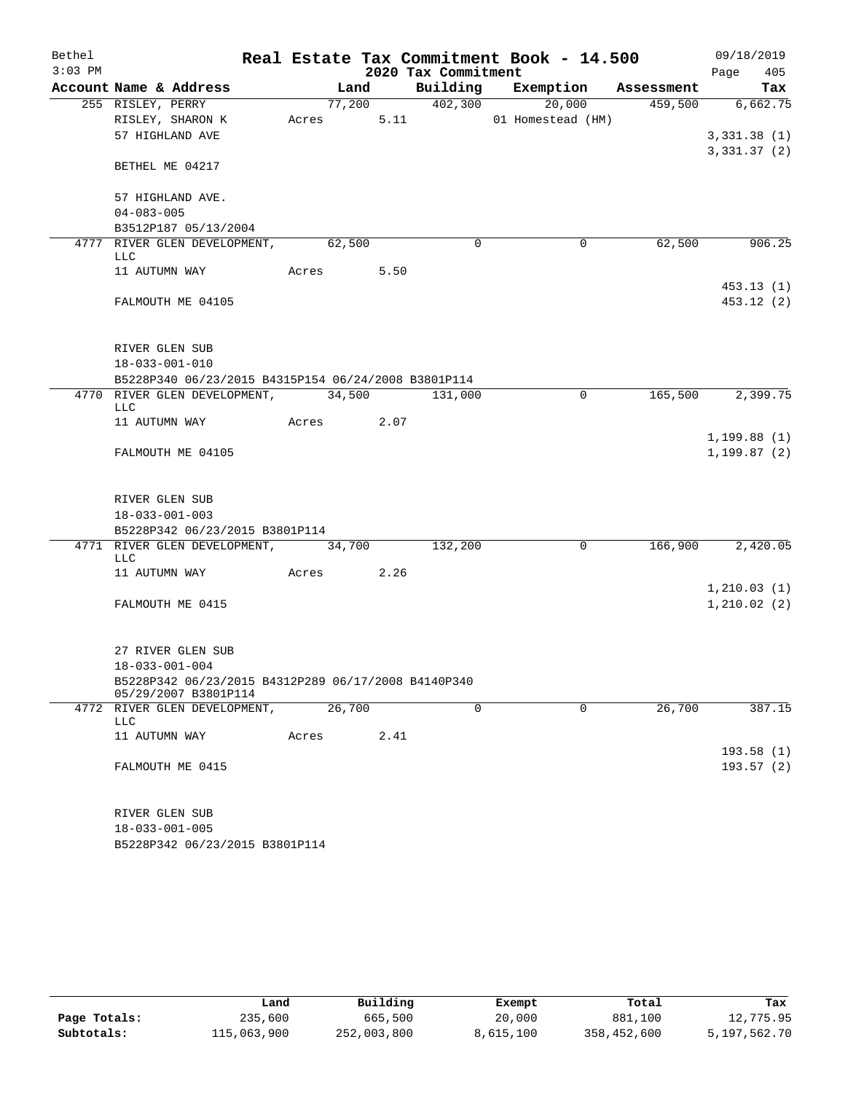| Bethel    |                                                                             |            |        |      |                     | Real Estate Tax Commitment Book - 14.500 |            | 09/18/2019   |     |
|-----------|-----------------------------------------------------------------------------|------------|--------|------|---------------------|------------------------------------------|------------|--------------|-----|
| $3:03$ PM |                                                                             |            |        |      | 2020 Tax Commitment |                                          |            | Page         | 405 |
|           | Account Name & Address                                                      |            | Land   |      |                     | Building Exemption                       | Assessment |              | Tax |
|           | 255 RISLEY, PERRY                                                           |            | 77,200 |      | 402,300             | 20,000                                   | 459,500    | 6,662.75     |     |
|           | RISLEY, SHARON K                                                            | Acres      |        | 5.11 |                     | 01 Homestead (HM)                        |            |              |     |
|           | 57 HIGHLAND AVE                                                             |            |        |      |                     |                                          |            | 3,331.38(1)  |     |
|           | BETHEL ME 04217                                                             |            |        |      |                     |                                          |            | 3,331.37(2)  |     |
|           | 57 HIGHLAND AVE.                                                            |            |        |      |                     |                                          |            |              |     |
|           | $04 - 083 - 005$                                                            |            |        |      |                     |                                          |            |              |     |
|           | B3512P187 05/13/2004                                                        |            |        |      |                     |                                          |            |              |     |
|           | 4777 RIVER GLEN DEVELOPMENT,<br>LLC                                         |            | 62,500 |      | $\Omega$            | 0                                        | 62,500     | 906.25       |     |
|           | 11 AUTUMN WAY                                                               | Acres      |        | 5.50 |                     |                                          |            |              |     |
|           |                                                                             |            |        |      |                     |                                          |            | 453.13(1)    |     |
|           | FALMOUTH ME 04105                                                           |            |        |      |                     |                                          |            | 453.12 (2)   |     |
|           | RIVER GLEN SUB                                                              |            |        |      |                     |                                          |            |              |     |
|           | $18 - 033 - 001 - 010$                                                      |            |        |      |                     |                                          |            |              |     |
|           | B5228P340 06/23/2015 B4315P154 06/24/2008 B3801P114                         |            |        |      |                     |                                          |            |              |     |
|           | 4770 RIVER GLEN DEVELOPMENT, 34,500 131,000<br>LLC                          |            |        |      |                     | $\mathbf 0$                              | 165,500    | 2,399.75     |     |
|           | 11 AUTUMN WAY Acres 2.07                                                    |            |        |      |                     |                                          |            |              |     |
|           |                                                                             |            |        |      |                     |                                          |            | 1, 199.88(1) |     |
|           | FALMOUTH ME 04105                                                           |            |        |      |                     |                                          |            | 1, 199.87(2) |     |
|           | RIVER GLEN SUB                                                              |            |        |      |                     |                                          |            |              |     |
|           | $18 - 033 - 001 - 003$                                                      |            |        |      |                     |                                          |            |              |     |
|           | B5228P342 06/23/2015 B3801P114                                              |            |        |      |                     |                                          |            |              |     |
|           | 4771 RIVER GLEN DEVELOPMENT, 34,700<br>LLC                                  |            |        |      | 132,200             | $\mathbf{0}$                             | 166,900    | 2,420.05     |     |
|           | 11 AUTUMN WAY                                                               | Acres 2.26 |        |      |                     |                                          |            |              |     |
|           |                                                                             |            |        |      |                     |                                          |            | 1, 210.03(1) |     |
|           | FALMOUTH ME 0415                                                            |            |        |      |                     |                                          |            | 1, 210.02(2) |     |
|           | 27 RIVER GLEN SUB                                                           |            |        |      |                     |                                          |            |              |     |
|           | $18 - 033 - 001 - 004$                                                      |            |        |      |                     |                                          |            |              |     |
|           | B5228P342 06/23/2015 B4312P289 06/17/2008 B4140P340<br>05/29/2007 B3801P114 |            |        |      |                     |                                          |            |              |     |
|           | 4772 RIVER GLEN DEVELOPMENT,<br>LLC                                         |            | 26,700 |      | $\mathbf 0$         | $\mathbf 0$                              | 26,700     | 387.15       |     |
|           | 11 AUTUMN WAY                                                               | Acres      |        | 2.41 |                     |                                          |            |              |     |
|           |                                                                             |            |        |      |                     |                                          |            | 193.58(1)    |     |
|           | FALMOUTH ME 0415                                                            |            |        |      |                     |                                          |            | 193.57(2)    |     |
|           | RIVER GLEN SUB                                                              |            |        |      |                     |                                          |            |              |     |
|           | $18 - 033 - 001 - 005$                                                      |            |        |      |                     |                                          |            |              |     |
|           | B5228P342 06/23/2015 B3801P114                                              |            |        |      |                     |                                          |            |              |     |

|              | Land        | Building    | Exempt    | Total       | Tax          |
|--------------|-------------|-------------|-----------|-------------|--------------|
| Page Totals: | 235,600     | 665,500     | 20,000    | 881,100     | 12,775.95    |
| Subtotals:   | 115,063,900 | 252,003,800 | 8,615,100 | 358,452,600 | 5,197,562.70 |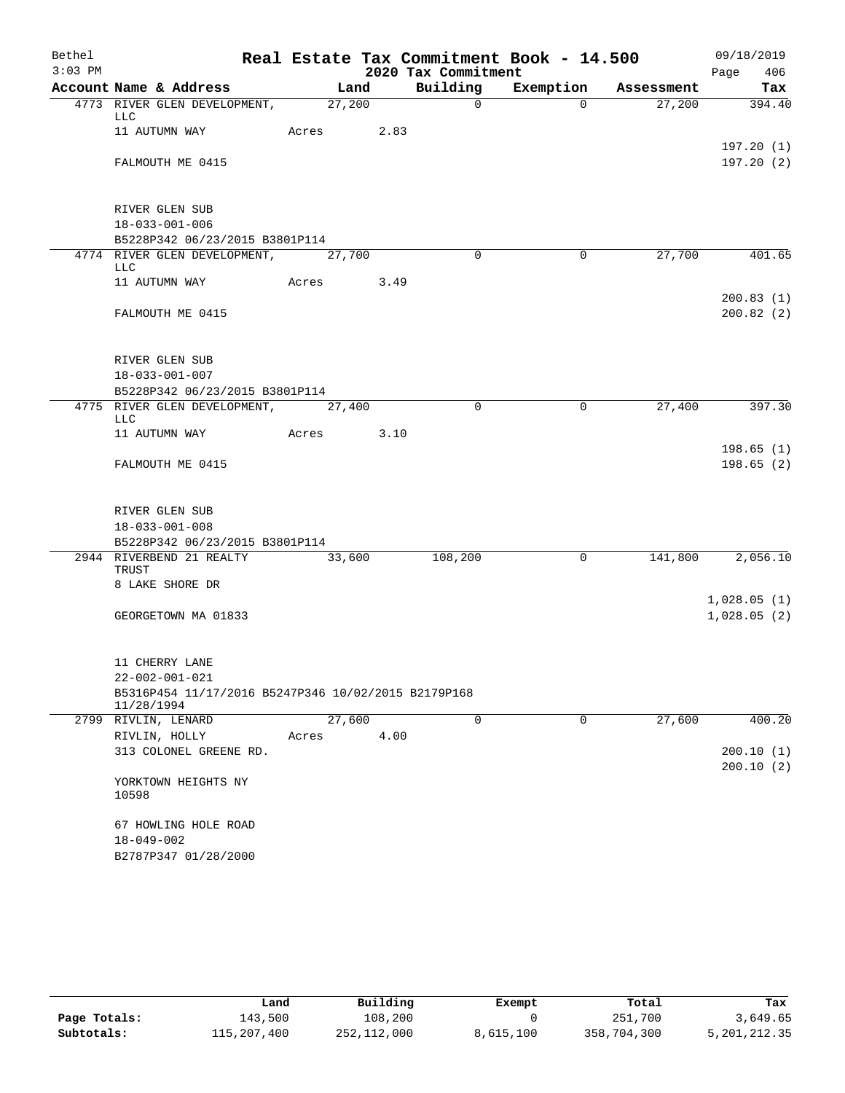| Bethel    |                                                                   |            |        |                     | Real Estate Tax Commitment Book - 14.500 |            | 09/18/2019  |
|-----------|-------------------------------------------------------------------|------------|--------|---------------------|------------------------------------------|------------|-------------|
| $3:03$ PM |                                                                   |            |        | 2020 Tax Commitment |                                          |            | Page<br>406 |
|           | Account Name & Address                                            |            | Land   | Building            | Exemption                                | Assessment | Tax         |
|           | 4773 RIVER GLEN DEVELOPMENT, 27,200<br>LLC                        |            |        | $\mathbf 0$         | $\Omega$                                 | 27,200     | 394.40      |
|           | 11 AUTUMN WAY                                                     | Acres 2.83 |        |                     |                                          |            |             |
|           |                                                                   |            |        |                     |                                          |            | 197.20(1)   |
|           | FALMOUTH ME 0415                                                  |            |        |                     |                                          |            | 197.20(2)   |
|           |                                                                   |            |        |                     |                                          |            |             |
|           |                                                                   |            |        |                     |                                          |            |             |
|           | RIVER GLEN SUB<br>$18 - 033 - 001 - 006$                          |            |        |                     |                                          |            |             |
|           | B5228P342 06/23/2015 B3801P114                                    |            |        |                     |                                          |            |             |
|           | 4774 RIVER GLEN DEVELOPMENT, 27,700                               |            |        | $\Omega$            | $\Omega$                                 | 27,700     | 401.65      |
|           | LLC                                                               |            |        |                     |                                          |            |             |
|           | 11 AUTUMN WAY                                                     | Acres 3.49 |        |                     |                                          |            | 200.83(1)   |
|           | FALMOUTH ME 0415                                                  |            |        |                     |                                          |            | 200.82(2)   |
|           |                                                                   |            |        |                     |                                          |            |             |
|           |                                                                   |            |        |                     |                                          |            |             |
|           | RIVER GLEN SUB                                                    |            |        |                     |                                          |            |             |
|           | $18 - 033 - 001 - 007$                                            |            |        |                     |                                          |            |             |
|           | B5228P342 06/23/2015 B3801P114                                    |            |        |                     |                                          |            |             |
|           | 4775 RIVER GLEN DEVELOPMENT, 27,400<br>LLC                        |            |        | $\Omega$            | $\mathbf 0$                              | 27,400     | 397.30      |
|           | 11 AUTUMN WAY                                                     | Acres      | 3.10   |                     |                                          |            |             |
|           |                                                                   |            |        |                     |                                          |            | 198.65(1)   |
|           | FALMOUTH ME 0415                                                  |            |        |                     |                                          |            | 198.65(2)   |
|           |                                                                   |            |        |                     |                                          |            |             |
|           | RIVER GLEN SUB                                                    |            |        |                     |                                          |            |             |
|           | $18 - 033 - 001 - 008$                                            |            |        |                     |                                          |            |             |
|           | B5228P342 06/23/2015 B3801P114                                    |            |        |                     |                                          |            |             |
|           | 2944 RIVERBEND 21 REALTY                                          |            | 33,600 | 108,200             | $\mathbf 0$                              | 141,800    | 2,056.10    |
|           | TRUST<br>8 LAKE SHORE DR                                          |            |        |                     |                                          |            |             |
|           |                                                                   |            |        |                     |                                          |            | 1,028.05(1) |
|           | GEORGETOWN MA 01833                                               |            |        |                     |                                          |            | 1,028.05(2) |
|           |                                                                   |            |        |                     |                                          |            |             |
|           |                                                                   |            |        |                     |                                          |            |             |
|           | 11 CHERRY LANE                                                    |            |        |                     |                                          |            |             |
|           | 22-002-001-021                                                    |            |        |                     |                                          |            |             |
|           | B5316P454 11/17/2016 B5247P346 10/02/2015 B2179P168<br>11/28/1994 |            |        |                     |                                          |            |             |
|           | 2799 RIVLIN, LENARD                                               |            | 27,600 | 0                   | 0                                        | 27,600     | 400.20      |
|           | RIVLIN, HOLLY                                                     | Acres      | 4.00   |                     |                                          |            |             |
|           | 313 COLONEL GREENE RD.                                            |            |        |                     |                                          |            | 200.10 (1)  |
|           |                                                                   |            |        |                     |                                          |            | 200.10(2)   |
|           | YORKTOWN HEIGHTS NY<br>10598                                      |            |        |                     |                                          |            |             |
|           | 67 HOWLING HOLE ROAD                                              |            |        |                     |                                          |            |             |
|           | 18-049-002                                                        |            |        |                     |                                          |            |             |
|           | B2787P347 01/28/2000                                              |            |        |                     |                                          |            |             |

|              | Land        | Building    | Exempt    | Total       | Tax          |
|--------------|-------------|-------------|-----------|-------------|--------------|
| Page Totals: | 143,500     | 108,200     |           | 251,700     | 3,649.65     |
| Subtotals:   | 115,207,400 | 252,112,000 | 8,615,100 | 358,704,300 | 5,201,212.35 |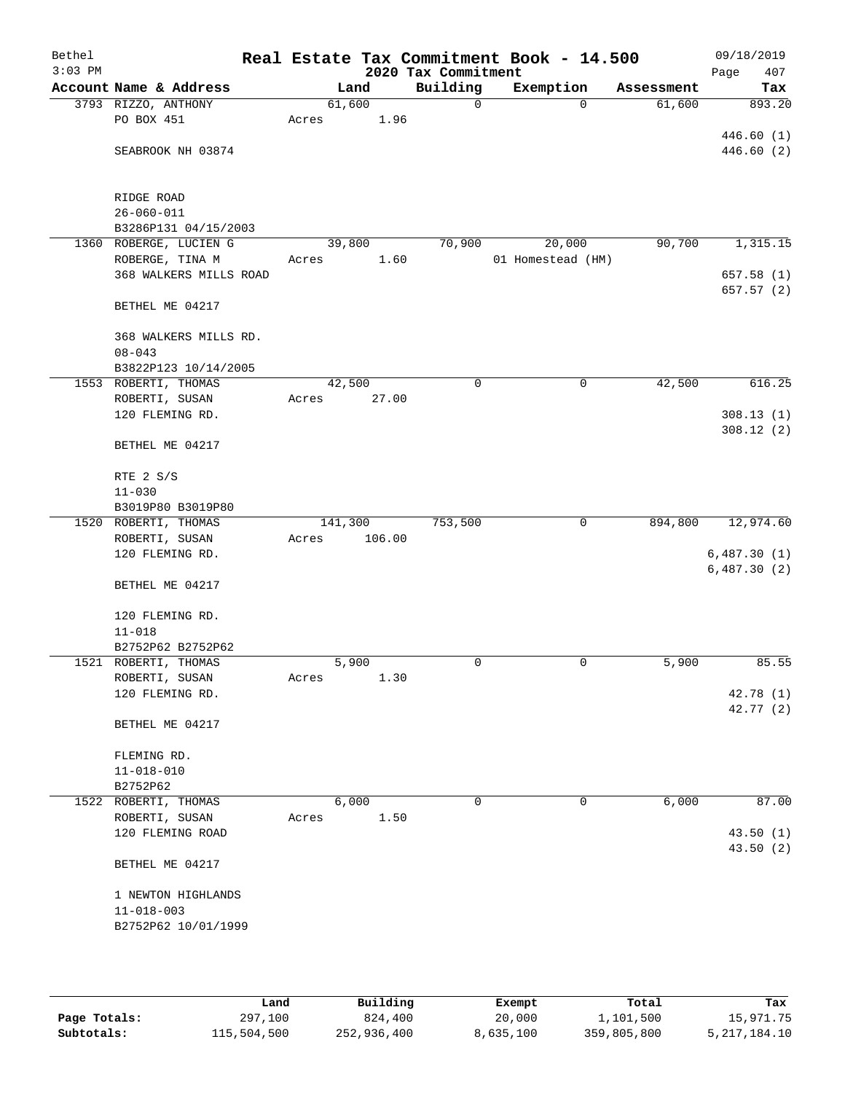| Bethel<br>$3:03$ PM |                                           |                 |        | 2020 Tax Commitment | Real Estate Tax Commitment Book - 14.500 |                        | 09/18/2019<br>407<br>Page |
|---------------------|-------------------------------------------|-----------------|--------|---------------------|------------------------------------------|------------------------|---------------------------|
|                     | Account Name & Address                    |                 | Land   | Building            | Exemption                                | Assessment             | Tax                       |
|                     | 3793 RIZZO, ANTHONY                       | 61,600          |        | 0                   |                                          | 61,600<br>$\mathbf 0$  | 893.20                    |
|                     | PO BOX 451                                | Acres           | 1.96   |                     |                                          |                        |                           |
|                     |                                           |                 |        |                     |                                          |                        | 446.60(1)                 |
|                     | SEABROOK NH 03874                         |                 |        |                     |                                          |                        | 446.60 (2)                |
|                     |                                           |                 |        |                     |                                          |                        |                           |
|                     |                                           |                 |        |                     |                                          |                        |                           |
|                     | RIDGE ROAD                                |                 |        |                     |                                          |                        |                           |
|                     | $26 - 060 - 011$                          |                 |        |                     |                                          |                        |                           |
|                     | B3286P131 04/15/2003                      |                 |        |                     |                                          |                        | 1,315.15                  |
|                     | 1360 ROBERGE, LUCIEN G<br>ROBERGE, TINA M | 39,800<br>Acres | 1.60   | 70,900              | 20,000<br>01 Homestead (HM)              | 90,700                 |                           |
|                     | 368 WALKERS MILLS ROAD                    |                 |        |                     |                                          |                        | 657.58(1)                 |
|                     |                                           |                 |        |                     |                                          |                        | 657.57 (2)                |
|                     | BETHEL ME 04217                           |                 |        |                     |                                          |                        |                           |
|                     |                                           |                 |        |                     |                                          |                        |                           |
|                     | 368 WALKERS MILLS RD.                     |                 |        |                     |                                          |                        |                           |
|                     | $08 - 043$                                |                 |        |                     |                                          |                        |                           |
|                     | B3822P123 10/14/2005                      |                 |        |                     |                                          |                        |                           |
|                     | 1553 ROBERTI, THOMAS                      | 42,500          |        | $\mathbf 0$         |                                          | 0<br>42,500            | 616.25                    |
|                     | ROBERTI, SUSAN                            | Acres           | 27.00  |                     |                                          |                        |                           |
|                     | 120 FLEMING RD.                           |                 |        |                     |                                          |                        | 308.13(1)                 |
|                     |                                           |                 |        |                     |                                          |                        | 308.12(2)                 |
|                     | BETHEL ME 04217                           |                 |        |                     |                                          |                        |                           |
|                     | RTE 2 S/S                                 |                 |        |                     |                                          |                        |                           |
|                     | $11 - 030$                                |                 |        |                     |                                          |                        |                           |
|                     | B3019P80 B3019P80                         |                 |        |                     |                                          |                        |                           |
|                     | 1520 ROBERTI, THOMAS                      | 141,300         |        | 753,500             |                                          | $\mathbf 0$<br>894,800 | 12,974.60                 |
|                     | ROBERTI, SUSAN                            | Acres           | 106.00 |                     |                                          |                        |                           |
|                     | 120 FLEMING RD.                           |                 |        |                     |                                          |                        | 6,487.30(1)               |
|                     |                                           |                 |        |                     |                                          |                        | 6,487.30(2)               |
|                     | BETHEL ME 04217                           |                 |        |                     |                                          |                        |                           |
|                     |                                           |                 |        |                     |                                          |                        |                           |
|                     | 120 FLEMING RD.                           |                 |        |                     |                                          |                        |                           |
|                     | $11 - 018$                                |                 |        |                     |                                          |                        |                           |
|                     | B2752P62 B2752P62                         |                 |        |                     |                                          |                        |                           |
|                     | 1521 ROBERTI, THOMAS                      |                 | 5,900  | 0                   | 0                                        | 5,900                  | 85.55                     |
|                     | ROBERTI, SUSAN                            | Acres           | 1.30   |                     |                                          |                        |                           |
|                     | 120 FLEMING RD.                           |                 |        |                     |                                          |                        | 42.78 (1)                 |
|                     | BETHEL ME 04217                           |                 |        |                     |                                          |                        | 42.77 (2)                 |
|                     |                                           |                 |        |                     |                                          |                        |                           |
|                     | FLEMING RD.                               |                 |        |                     |                                          |                        |                           |
|                     | $11 - 018 - 010$                          |                 |        |                     |                                          |                        |                           |
|                     | B2752P62                                  |                 |        |                     |                                          |                        |                           |
|                     | 1522 ROBERTI, THOMAS                      |                 | 6,000  | 0                   |                                          | 6,000<br>$\mathbf 0$   | 87.00                     |
|                     | ROBERTI, SUSAN                            | Acres           | 1.50   |                     |                                          |                        |                           |
|                     | 120 FLEMING ROAD                          |                 |        |                     |                                          |                        | 43.50(1)                  |
|                     |                                           |                 |        |                     |                                          |                        | 43.50 (2)                 |
|                     | BETHEL ME 04217                           |                 |        |                     |                                          |                        |                           |
|                     |                                           |                 |        |                     |                                          |                        |                           |
|                     | 1 NEWTON HIGHLANDS                        |                 |        |                     |                                          |                        |                           |
|                     | $11 - 018 - 003$                          |                 |        |                     |                                          |                        |                           |
|                     | B2752P62 10/01/1999                       |                 |        |                     |                                          |                        |                           |
|                     |                                           |                 |        |                     |                                          |                        |                           |
|                     |                                           |                 |        |                     |                                          |                        |                           |
|                     |                                           |                 |        |                     |                                          |                        |                           |

|              | Land        | Building    | Exempt    | Total       | Tax             |
|--------------|-------------|-------------|-----------|-------------|-----------------|
| Page Totals: | 297,100     | 824,400     | 20,000    | 1,101,500   | 15,971.75       |
| Subtotals:   | 115,504,500 | 252,936,400 | 8,635,100 | 359,805,800 | 5, 217, 184. 10 |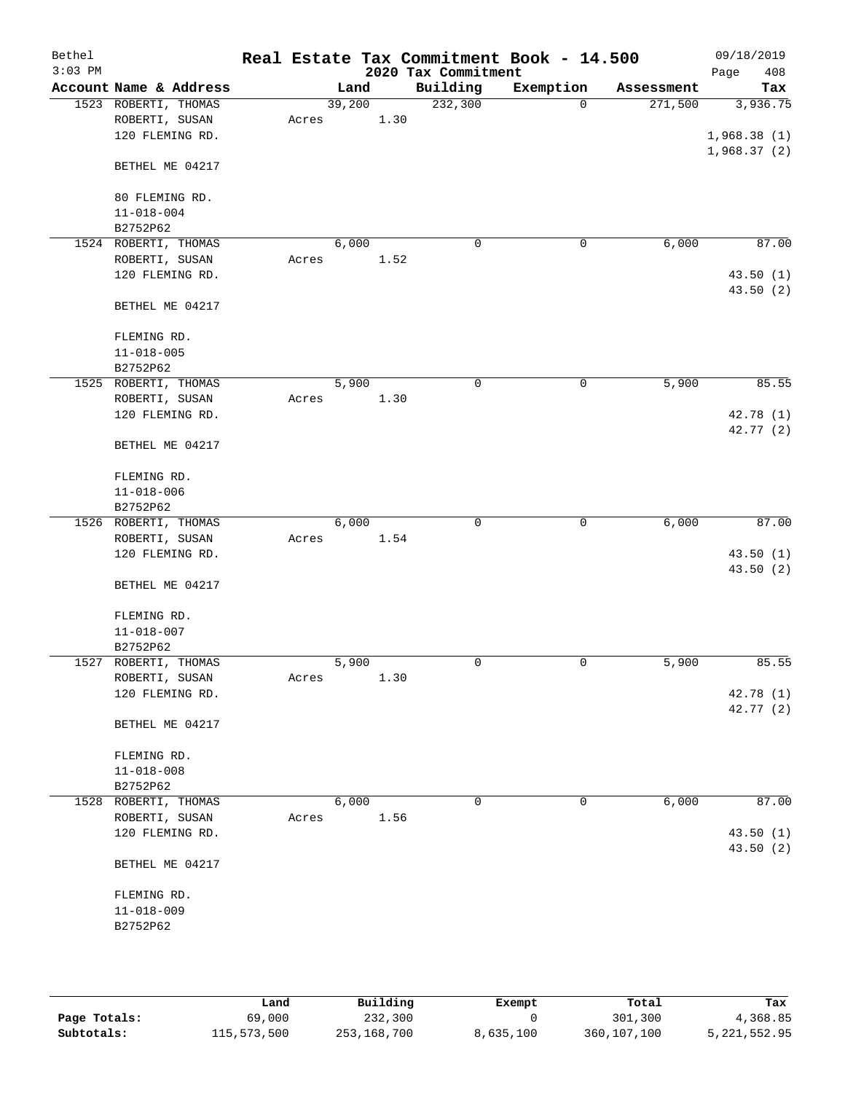| Bethel    |                        |       |        |      |                     | Real Estate Tax Commitment Book - 14.500 |            | 09/18/2019  |
|-----------|------------------------|-------|--------|------|---------------------|------------------------------------------|------------|-------------|
| $3:03$ PM |                        |       |        |      | 2020 Tax Commitment |                                          |            | 408<br>Page |
|           | Account Name & Address |       | Land   |      | Building            | Exemption                                | Assessment | Tax         |
|           | 1523 ROBERTI, THOMAS   |       | 39,200 |      | 232,300             | $\mathbf 0$                              | 271,500    | 3,936.75    |
|           | ROBERTI, SUSAN         | Acres |        | 1.30 |                     |                                          |            |             |
|           | 120 FLEMING RD.        |       |        |      |                     |                                          |            | 1,968.38(1) |
|           |                        |       |        |      |                     |                                          |            | 1,968.37(2) |
|           | BETHEL ME 04217        |       |        |      |                     |                                          |            |             |
|           |                        |       |        |      |                     |                                          |            |             |
|           | 80 FLEMING RD.         |       |        |      |                     |                                          |            |             |
|           | $11 - 018 - 004$       |       |        |      |                     |                                          |            |             |
|           | B2752P62               |       |        |      |                     |                                          |            |             |
|           | 1524 ROBERTI, THOMAS   |       | 6,000  |      | $\mathbf 0$         | 0                                        | 6,000      | 87.00       |
|           | ROBERTI, SUSAN         | Acres |        | 1.52 |                     |                                          |            |             |
|           | 120 FLEMING RD.        |       |        |      |                     |                                          |            | 43.50(1)    |
|           |                        |       |        |      |                     |                                          |            | 43.50(2)    |
|           | BETHEL ME 04217        |       |        |      |                     |                                          |            |             |
|           |                        |       |        |      |                     |                                          |            |             |
|           | FLEMING RD.            |       |        |      |                     |                                          |            |             |
|           | $11 - 018 - 005$       |       |        |      |                     |                                          |            |             |
|           | B2752P62               |       |        |      |                     |                                          |            |             |
|           | 1525 ROBERTI, THOMAS   |       | 5,900  |      | 0                   | 0                                        | 5,900      | 85.55       |
|           | ROBERTI, SUSAN         | Acres |        | 1.30 |                     |                                          |            |             |
|           | 120 FLEMING RD.        |       |        |      |                     |                                          |            | 42.78 (1)   |
|           |                        |       |        |      |                     |                                          |            | 42.77 (2)   |
|           | BETHEL ME 04217        |       |        |      |                     |                                          |            |             |
|           |                        |       |        |      |                     |                                          |            |             |
|           | FLEMING RD.            |       |        |      |                     |                                          |            |             |
|           | $11 - 018 - 006$       |       |        |      |                     |                                          |            |             |
|           | B2752P62               |       |        |      |                     |                                          |            |             |
|           | 1526 ROBERTI, THOMAS   |       | 6,000  |      | $\mathbf 0$         | $\mathbf 0$                              | 6,000      | 87.00       |
|           | ROBERTI, SUSAN         | Acres |        | 1.54 |                     |                                          |            |             |
|           | 120 FLEMING RD.        |       |        |      |                     |                                          |            | 43.50 (1)   |
|           |                        |       |        |      |                     |                                          |            | 43.50 (2)   |
|           | BETHEL ME 04217        |       |        |      |                     |                                          |            |             |
|           |                        |       |        |      |                     |                                          |            |             |
|           | FLEMING RD.            |       |        |      |                     |                                          |            |             |
|           | $11 - 018 - 007$       |       |        |      |                     |                                          |            |             |
|           | B2752P62               |       |        |      |                     |                                          |            |             |
|           | 1527 ROBERTI, THOMAS   |       | 5,900  |      | 0                   | 0                                        | 5,900      | 85.55       |
|           | ROBERTI, SUSAN         | Acres |        | 1.30 |                     |                                          |            |             |
|           | 120 FLEMING RD.        |       |        |      |                     |                                          |            | 42.78 (1)   |
|           |                        |       |        |      |                     |                                          |            | 42.77(2)    |
|           | BETHEL ME 04217        |       |        |      |                     |                                          |            |             |
|           |                        |       |        |      |                     |                                          |            |             |
|           | FLEMING RD.            |       |        |      |                     |                                          |            |             |
|           | $11 - 018 - 008$       |       |        |      |                     |                                          |            |             |
|           | B2752P62               |       |        |      |                     |                                          |            |             |
|           | 1528 ROBERTI, THOMAS   |       | 6,000  |      | $\mathbf 0$         | 0                                        | 6,000      | 87.00       |
|           | ROBERTI, SUSAN         | Acres |        | 1.56 |                     |                                          |            |             |
|           | 120 FLEMING RD.        |       |        |      |                     |                                          |            | 43.50(1)    |
|           |                        |       |        |      |                     |                                          |            | 43.50 (2)   |
|           | BETHEL ME 04217        |       |        |      |                     |                                          |            |             |
|           | FLEMING RD.            |       |        |      |                     |                                          |            |             |
|           | $11 - 018 - 009$       |       |        |      |                     |                                          |            |             |
|           | B2752P62               |       |        |      |                     |                                          |            |             |
|           |                        |       |        |      |                     |                                          |            |             |
|           |                        |       |        |      |                     |                                          |            |             |
|           |                        |       |        |      |                     |                                          |            |             |
|           |                        |       |        |      |                     |                                          |            |             |

|              | Land        | Building    | Exempt    | Total         | Tax          |
|--------------|-------------|-------------|-----------|---------------|--------------|
| Page Totals: | 69,000      | 232,300     |           | 301,300       | 4,368.85     |
| Subtotals:   | 115,573,500 | 253,168,700 | 8,635,100 | 360, 107, 100 | 5,221,552.95 |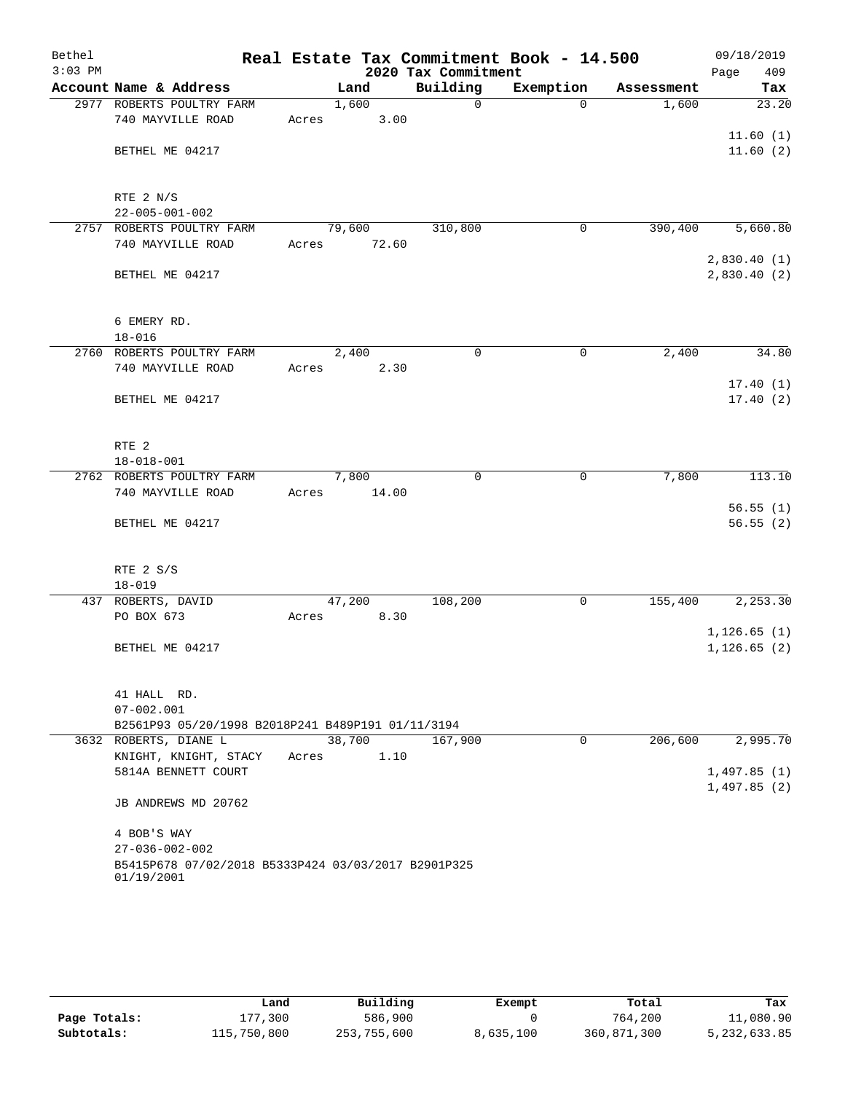| Bethel<br>$3:03$ PM |                                                                   | Real Estate Tax Commitment Book - 14.500 | 2020 Tax Commitment |             |            | 09/18/2019<br>409<br>Page |
|---------------------|-------------------------------------------------------------------|------------------------------------------|---------------------|-------------|------------|---------------------------|
|                     | Account Name & Address                                            | Land                                     | Building            | Exemption   | Assessment | Tax                       |
|                     | 2977 ROBERTS POULTRY FARM                                         | 1,600                                    | $\Omega$            | $\Omega$    | 1,600      | 23.20                     |
|                     | 740 MAYVILLE ROAD                                                 | 3.00<br>Acres                            |                     |             |            |                           |
|                     |                                                                   |                                          |                     |             |            | 11.60(1)                  |
|                     | BETHEL ME 04217                                                   |                                          |                     |             |            | 11.60(2)                  |
|                     |                                                                   |                                          |                     |             |            |                           |
|                     |                                                                   |                                          |                     |             |            |                           |
|                     | RTE 2 N/S                                                         |                                          |                     |             |            |                           |
|                     | $22 - 005 - 001 - 002$                                            |                                          |                     |             |            |                           |
|                     | 2757 ROBERTS POULTRY FARM                                         | 79,600                                   | 310,800             | $\mathbf 0$ | 390,400    | 5,660.80                  |
|                     | 740 MAYVILLE ROAD                                                 | 72.60<br>Acres                           |                     |             |            |                           |
|                     |                                                                   |                                          |                     |             |            | 2,830.40(1)               |
|                     | BETHEL ME 04217                                                   |                                          |                     |             |            | 2,830.40(2)               |
|                     |                                                                   |                                          |                     |             |            |                           |
|                     |                                                                   |                                          |                     |             |            |                           |
|                     | 6 EMERY RD.                                                       |                                          |                     |             |            |                           |
|                     | $18 - 016$                                                        |                                          |                     |             |            |                           |
|                     | 2760 ROBERTS POULTRY FARM                                         | 2,400                                    | $\Omega$            | $\mathbf 0$ | 2,400      | 34.80                     |
|                     | 740 MAYVILLE ROAD                                                 | 2.30<br>Acres                            |                     |             |            |                           |
|                     |                                                                   |                                          |                     |             |            | 17.40(1)                  |
|                     | BETHEL ME 04217                                                   |                                          |                     |             |            | 17.40(2)                  |
|                     |                                                                   |                                          |                     |             |            |                           |
|                     | RTE <sub>2</sub>                                                  |                                          |                     |             |            |                           |
|                     | $18 - 018 - 001$                                                  |                                          |                     |             |            |                           |
|                     | 2762 ROBERTS POULTRY FARM                                         | 7,800                                    | $\mathbf 0$         | $\mathbf 0$ | 7,800      | 113.10                    |
|                     | 740 MAYVILLE ROAD                                                 | Acres<br>14.00                           |                     |             |            |                           |
|                     |                                                                   |                                          |                     |             |            | 56.55(1)                  |
|                     | BETHEL ME 04217                                                   |                                          |                     |             |            | 56.55(2)                  |
|                     |                                                                   |                                          |                     |             |            |                           |
|                     |                                                                   |                                          |                     |             |            |                           |
|                     | RTE 2 S/S                                                         |                                          |                     |             |            |                           |
|                     | $18 - 019$                                                        |                                          |                     |             |            |                           |
|                     | 437 ROBERTS, DAVID                                                | 47,200                                   | 108,200             | $\mathbf 0$ | 155,400    | 2,253.30                  |
|                     | PO BOX 673                                                        | 8.30<br>Acres                            |                     |             |            |                           |
|                     |                                                                   |                                          |                     |             |            | 1, 126.65(1)              |
|                     | BETHEL ME 04217                                                   |                                          |                     |             |            | 1, 126.65(2)              |
|                     |                                                                   |                                          |                     |             |            |                           |
|                     |                                                                   |                                          |                     |             |            |                           |
|                     | 41 HALL RD.                                                       |                                          |                     |             |            |                           |
|                     | $07 - 002.001$                                                    |                                          |                     |             |            |                           |
|                     | B2561P93 05/20/1998 B2018P241 B489P191 01/11/3194                 |                                          |                     |             |            |                           |
|                     | 3632 ROBERTS, DIANE L                                             | 38,700                                   | 167,900             | $\mathbf 0$ | 206,600    | 2,995.70                  |
|                     | KNIGHT, KNIGHT, STACY                                             | 1.10<br>Acres                            |                     |             |            |                           |
|                     | 5814A BENNETT COURT                                               |                                          |                     |             |            | 1,497.85(1)               |
|                     |                                                                   |                                          |                     |             |            | 1,497.85(2)               |
|                     | JB ANDREWS MD 20762                                               |                                          |                     |             |            |                           |
|                     |                                                                   |                                          |                     |             |            |                           |
|                     | 4 BOB'S WAY                                                       |                                          |                     |             |            |                           |
|                     | $27 - 036 - 002 - 002$                                            |                                          |                     |             |            |                           |
|                     | B5415P678 07/02/2018 B5333P424 03/03/2017 B2901P325<br>01/19/2001 |                                          |                     |             |            |                           |
|                     |                                                                   |                                          |                     |             |            |                           |

|              | Land        | Building    | Exempt    | Total       | Tax          |
|--------------|-------------|-------------|-----------|-------------|--------------|
| Page Totals: | 177,300     | 586,900     |           | 764,200     | 11,080.90    |
| Subtotals:   | 115,750,800 | 253,755,600 | 8,635,100 | 360,871,300 | 5,232,633.85 |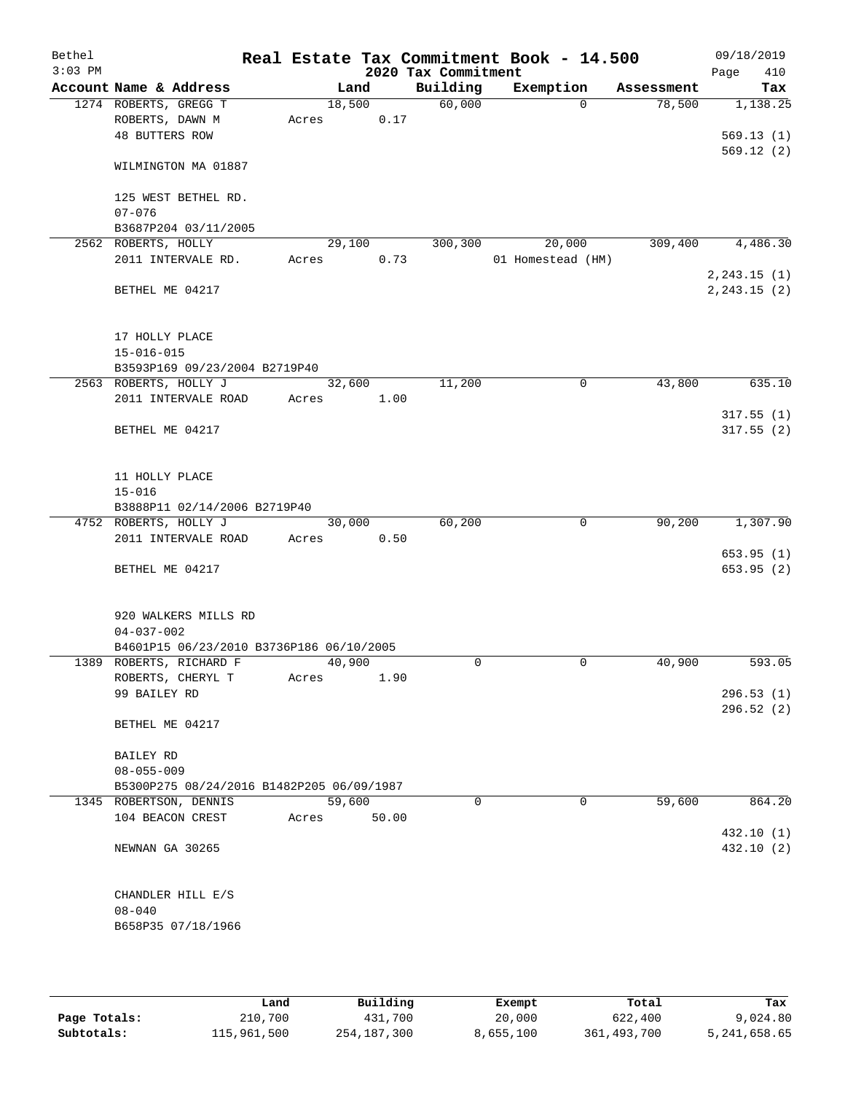| Bethel<br>$3:03$ PM |                       |                                              |       |                | 2020 Tax Commitment | Real Estate Tax Commitment Book - 14.500 |             |            | 09/18/2019<br>410<br>Page      |
|---------------------|-----------------------|----------------------------------------------|-------|----------------|---------------------|------------------------------------------|-------------|------------|--------------------------------|
|                     |                       | Account Name & Address                       |       | Land           | Building            | Exemption                                |             | Assessment | Tax                            |
|                     |                       | 1274 ROBERTS, GREGG T                        |       | 18,500         | 60,000              |                                          | $\Omega$    | 78,500     | 1,138.25                       |
|                     | ROBERTS, DAWN M       |                                              | Acres | 0.17           |                     |                                          |             |            |                                |
|                     | <b>48 BUTTERS ROW</b> |                                              |       |                |                     |                                          |             |            | 569.13(1)                      |
|                     |                       | WILMINGTON MA 01887                          |       |                |                     |                                          |             |            | 569.12(2)                      |
|                     |                       | 125 WEST BETHEL RD.                          |       |                |                     |                                          |             |            |                                |
|                     | $07 - 076$            |                                              |       |                |                     |                                          |             |            |                                |
|                     |                       | B3687P204 03/11/2005                         |       |                |                     |                                          |             |            |                                |
| 2562                | ROBERTS, HOLLY        |                                              |       | 29,100         | 300,300             |                                          | 20,000      | 309,400    | 4,486.30                       |
|                     |                       | 2011 INTERVALE RD.                           | Acres | 0.73           |                     | 01 Homestead (HM)                        |             |            |                                |
|                     | BETHEL ME 04217       |                                              |       |                |                     |                                          |             |            | 2, 243.15 (1)<br>2, 243.15 (2) |
|                     | 17 HOLLY PLACE        |                                              |       |                |                     |                                          |             |            |                                |
|                     | $15 - 016 - 015$      |                                              |       |                |                     |                                          |             |            |                                |
|                     |                       | B3593P169 09/23/2004 B2719P40                |       |                |                     |                                          |             |            |                                |
|                     |                       | 2563 ROBERTS, HOLLY J                        |       | 32,600         | 11,200              |                                          | 0           | 43,800     | 635.10                         |
|                     |                       | 2011 INTERVALE ROAD                          | Acres | 1.00           |                     |                                          |             |            |                                |
|                     | BETHEL ME 04217       |                                              |       |                |                     |                                          |             |            | 317.55(1)<br>317.55(2)         |
|                     |                       |                                              |       |                |                     |                                          |             |            |                                |
|                     | 11 HOLLY PLACE        |                                              |       |                |                     |                                          |             |            |                                |
|                     | $15 - 016$            |                                              |       |                |                     |                                          |             |            |                                |
|                     |                       | B3888P11 02/14/2006 B2719P40                 |       |                |                     |                                          |             |            |                                |
|                     |                       | 4752 ROBERTS, HOLLY J                        |       | 30,000         | 60,200              |                                          | $\mathbf 0$ | 90,200     | 1,307.90                       |
|                     |                       | 2011 INTERVALE ROAD                          | Acres | 0.50           |                     |                                          |             |            |                                |
|                     |                       |                                              |       |                |                     |                                          |             |            | 653.95(1)                      |
|                     | BETHEL ME 04217       |                                              |       |                |                     |                                          |             |            | 653.95(2)                      |
|                     |                       | 920 WALKERS MILLS RD                         |       |                |                     |                                          |             |            |                                |
|                     | $04 - 037 - 002$      |                                              |       |                |                     |                                          |             |            |                                |
|                     |                       | B4601P15 06/23/2010 B3736P186 06/10/2005     |       |                |                     |                                          |             |            |                                |
|                     |                       | 1389 ROBERTS, RICHARD F<br>ROBERTS, CHERYL T | Acres | 40,900<br>1.90 |                     | 0                                        | 0           | 40,900     | 593.05                         |
|                     | 99 BAILEY RD          |                                              |       |                |                     |                                          |             |            | 296.53(1)                      |
|                     |                       |                                              |       |                |                     |                                          |             |            | 296.52 (2)                     |
|                     |                       | BETHEL ME 04217                              |       |                |                     |                                          |             |            |                                |
|                     | <b>BAILEY RD</b>      |                                              |       |                |                     |                                          |             |            |                                |
|                     | $08 - 055 - 009$      |                                              |       |                |                     |                                          |             |            |                                |
|                     |                       | B5300P275 08/24/2016 B1482P205 06/09/1987    |       |                |                     |                                          |             |            |                                |
|                     |                       | 1345 ROBERTSON, DENNIS                       |       | 59,600         |                     | $\Omega$                                 | $\Omega$    | 59,600     | 864.20                         |
|                     |                       | 104 BEACON CREST                             | Acres | 50.00          |                     |                                          |             |            |                                |
|                     |                       |                                              |       |                |                     |                                          |             |            | 432.10(1)                      |
|                     |                       | NEWNAN GA 30265                              |       |                |                     |                                          |             |            | 432.10 (2)                     |
|                     |                       | CHANDLER HILL E/S                            |       |                |                     |                                          |             |            |                                |
|                     | $08 - 040$            |                                              |       |                |                     |                                          |             |            |                                |
|                     |                       | B658P35 07/18/1966                           |       |                |                     |                                          |             |            |                                |
|                     |                       |                                              |       |                |                     |                                          |             |            |                                |
|                     |                       |                                              |       |                |                     |                                          |             |            |                                |

|              | Land        | Building    | Exempt    | Total       | Tax             |
|--------------|-------------|-------------|-----------|-------------|-----------------|
| Page Totals: | 210,700     | 431,700     | 20,000    | 622,400     | 9,024.80        |
| Subtotals:   | 115,961,500 | 254,187,300 | 8,655,100 | 361,493,700 | 5, 241, 658. 65 |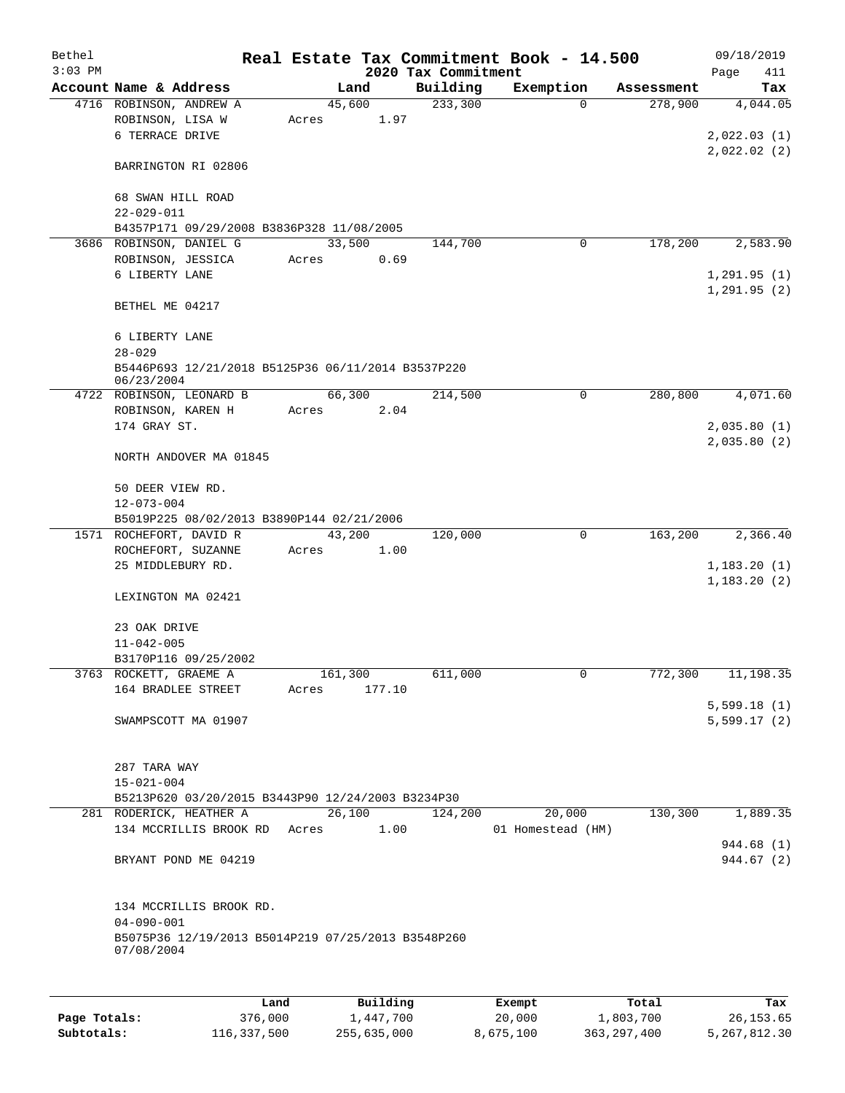| Bethel    |                                                                  |       |          |                     | Real Estate Tax Commitment Book - 14.500 |            | 09/18/2019  |  |  |  |
|-----------|------------------------------------------------------------------|-------|----------|---------------------|------------------------------------------|------------|-------------|--|--|--|
| $3:03$ PM |                                                                  |       |          | 2020 Tax Commitment |                                          |            | Page<br>411 |  |  |  |
|           | Account Name & Address                                           |       | Land     | Building            | Exemption                                | Assessment | Tax         |  |  |  |
|           | 4716 ROBINSON, ANDREW A                                          |       | 45,600   | 233,300             | $\Omega$                                 | 278,900    | 4,044.05    |  |  |  |
|           | ROBINSON, LISA W<br>6 TERRACE DRIVE                              | Acres |          | 1.97                |                                          |            | 2,022.03(1) |  |  |  |
|           |                                                                  |       |          |                     |                                          |            |             |  |  |  |
|           | BARRINGTON RI 02806                                              |       |          |                     |                                          |            | 2,022.02(2) |  |  |  |
|           | 68 SWAN HILL ROAD                                                |       |          |                     |                                          |            |             |  |  |  |
|           | $22 - 029 - 011$                                                 |       |          |                     |                                          |            |             |  |  |  |
|           | B4357P171 09/29/2008 B3836P328 11/08/2005                        |       |          |                     |                                          |            |             |  |  |  |
|           | 3686 ROBINSON, DANIEL G                                          |       | 33,500   | 144,700             | $\mathbf 0$                              | 178,200    | 2,583.90    |  |  |  |
|           | ROBINSON, JESSICA                                                | Acres |          | 0.69                |                                          |            |             |  |  |  |
|           | 6 LIBERTY LANE                                                   |       |          |                     |                                          |            | 1,291.95(1) |  |  |  |
|           |                                                                  |       |          |                     |                                          |            | 1,291.95(2) |  |  |  |
|           | BETHEL ME 04217                                                  |       |          |                     |                                          |            |             |  |  |  |
|           | 6 LIBERTY LANE                                                   |       |          |                     |                                          |            |             |  |  |  |
|           | $28 - 029$                                                       |       |          |                     |                                          |            |             |  |  |  |
|           | B5446P693 12/21/2018 B5125P36 06/11/2014 B3537P220<br>06/23/2004 |       |          |                     |                                          |            |             |  |  |  |
|           | 4722 ROBINSON, LEONARD B                                         |       | 66,300   | 214,500             | 0                                        | 280,800    | 4,071.60    |  |  |  |
|           | ROBINSON, KAREN H                                                | Acres |          | 2.04                |                                          |            |             |  |  |  |
|           | 174 GRAY ST.                                                     |       |          |                     |                                          |            | 2,035.80(1) |  |  |  |
|           |                                                                  |       |          |                     |                                          |            | 2,035.80(2) |  |  |  |
|           | NORTH ANDOVER MA 01845                                           |       |          |                     |                                          |            |             |  |  |  |
|           | 50 DEER VIEW RD.                                                 |       |          |                     |                                          |            |             |  |  |  |
|           | $12 - 073 - 004$                                                 |       |          |                     |                                          |            |             |  |  |  |
|           | B5019P225 08/02/2013 B3890P144 02/21/2006                        |       |          |                     |                                          |            |             |  |  |  |
|           | 1571 ROCHEFORT, DAVID R                                          |       | 43,200   | 120,000             | 0                                        | 163,200    | 2,366.40    |  |  |  |
|           | ROCHEFORT, SUZANNE                                               | Acres |          | 1.00                |                                          |            |             |  |  |  |
|           | 25 MIDDLEBURY RD.                                                |       |          |                     |                                          |            | 1,183.20(1) |  |  |  |
|           |                                                                  |       |          |                     |                                          |            | 1,183.20(2) |  |  |  |
|           | LEXINGTON MA 02421                                               |       |          |                     |                                          |            |             |  |  |  |
|           | 23 OAK DRIVE                                                     |       |          |                     |                                          |            |             |  |  |  |
|           | $11 - 042 - 005$                                                 |       |          |                     |                                          |            |             |  |  |  |
|           | B3170P116 09/25/2002                                             |       |          |                     |                                          |            |             |  |  |  |
|           | 3763 ROCKETT, GRAEME A                                           |       | 161,300  | 611,000             | 0                                        | 772,300    | 11,198.35   |  |  |  |
|           | 164 BRADLEE STREET                                               | Acres | 177.10   |                     |                                          |            |             |  |  |  |
|           |                                                                  |       |          |                     |                                          |            | 5,599.18(1) |  |  |  |
|           | SWAMPSCOTT MA 01907                                              |       |          |                     |                                          |            | 5,599.17(2) |  |  |  |
|           |                                                                  |       |          |                     |                                          |            |             |  |  |  |
|           | 287 TARA WAY                                                     |       |          |                     |                                          |            |             |  |  |  |
|           | $15 - 021 - 004$                                                 |       |          |                     |                                          |            |             |  |  |  |
|           | B5213P620 03/20/2015 B3443P90 12/24/2003 B3234P30                |       |          |                     |                                          |            |             |  |  |  |
|           | 281 RODERICK, HEATHER A                                          |       | 26,100   | 124,200             | 20,000                                   | 130,300    | 1,889.35    |  |  |  |
|           | 134 MCCRILLIS BROOK RD Acres                                     |       |          | 1.00                | 01 Homestead (HM)                        |            |             |  |  |  |
|           |                                                                  |       |          |                     |                                          |            | 944.68 (1)  |  |  |  |
|           | BRYANT POND ME 04219                                             |       |          |                     |                                          |            | 944.67 (2)  |  |  |  |
|           |                                                                  |       |          |                     |                                          |            |             |  |  |  |
|           | 134 MCCRILLIS BROOK RD.                                          |       |          |                     |                                          |            |             |  |  |  |
|           | $04 - 090 - 001$                                                 |       |          |                     |                                          |            |             |  |  |  |
|           | B5075P36 12/19/2013 B5014P219 07/25/2013 B3548P260<br>07/08/2004 |       |          |                     |                                          |            |             |  |  |  |
|           |                                                                  |       |          |                     |                                          |            |             |  |  |  |
|           | Land <sub>.</sub>                                                |       | Building |                     | <b>Fromnt</b>                            | $T$ otal   |             |  |  |  |

|              | Land        | Building    | Exempt    | Total         | Tax          |
|--------------|-------------|-------------|-----------|---------------|--------------|
| Page Totals: | 376,000     | 1,447,700   | 20,000    | 1,803,700     | 26,153.65    |
| Subtotals:   | 116,337,500 | 255,635,000 | 8,675,100 | 363, 297, 400 | 5,267,812.30 |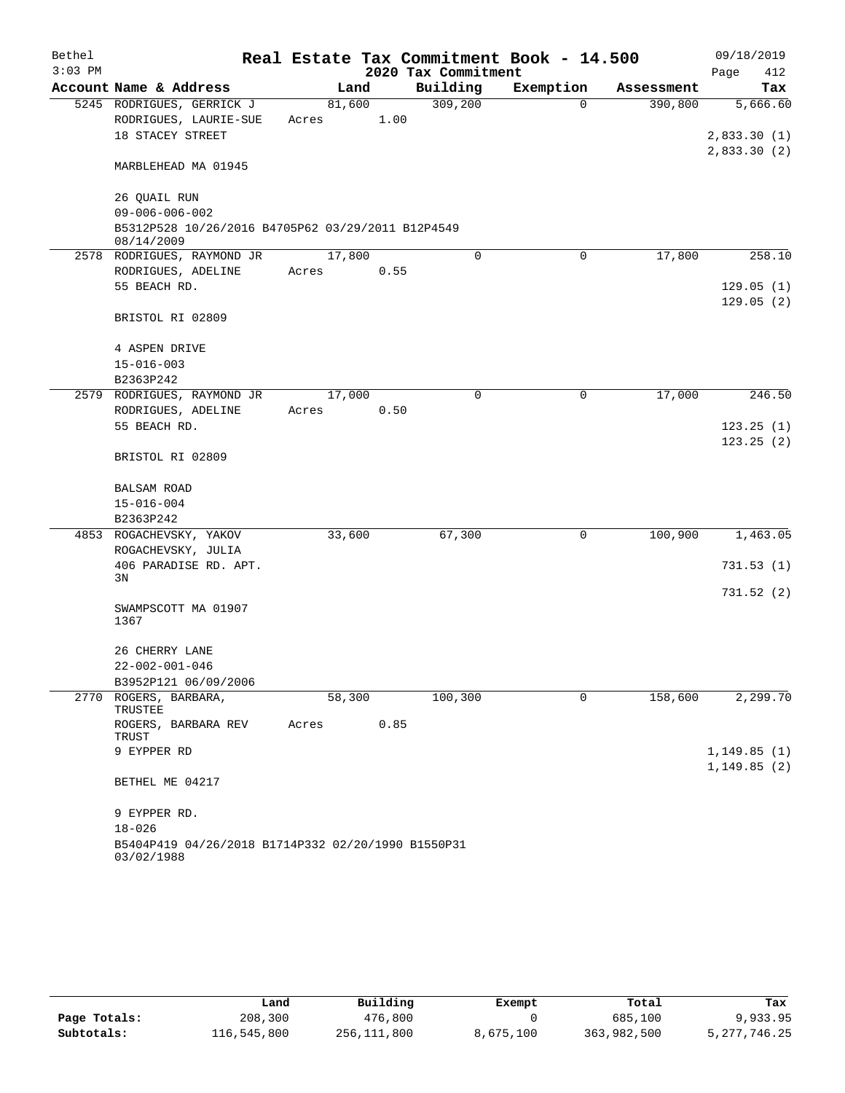| Bethel    |                                                                  |        |      |                     | Real Estate Tax Commitment Book - 14.500 |            | 09/18/2019                   |
|-----------|------------------------------------------------------------------|--------|------|---------------------|------------------------------------------|------------|------------------------------|
| $3:03$ PM |                                                                  |        |      | 2020 Tax Commitment |                                          |            | Page<br>412                  |
|           | Account Name & Address                                           |        | Land | Building            | Exemption                                | Assessment | Tax                          |
|           | 5245 RODRIGUES, GERRICK J                                        | 81,600 |      | 309,200             | $\Omega$                                 | 390,800    | 5,666.60                     |
|           | RODRIGUES, LAURIE-SUE                                            | Acres  | 1.00 |                     |                                          |            |                              |
|           | 18 STACEY STREET                                                 |        |      |                     |                                          |            | 2,833.30(1)                  |
|           | MARBLEHEAD MA 01945                                              |        |      |                     |                                          |            | 2,833.30(2)                  |
|           | 26 QUAIL RUN<br>$09 - 006 - 006 - 002$                           |        |      |                     |                                          |            |                              |
|           | B5312P528 10/26/2016 B4705P62 03/29/2011 B12P4549<br>08/14/2009  |        |      |                     |                                          |            |                              |
|           | 2578 RODRIGUES, RAYMOND JR                                       | 17,800 |      | $\Omega$            | 0                                        | 17,800     | 258.10                       |
|           | RODRIGUES, ADELINE                                               | Acres  | 0.55 |                     |                                          |            |                              |
|           | 55 BEACH RD.                                                     |        |      |                     |                                          |            | 129.05(1)<br>129.05(2)       |
|           | BRISTOL RI 02809                                                 |        |      |                     |                                          |            |                              |
|           | 4 ASPEN DRIVE                                                    |        |      |                     |                                          |            |                              |
|           | $15 - 016 - 003$                                                 |        |      |                     |                                          |            |                              |
|           | B2363P242                                                        |        |      |                     |                                          |            |                              |
|           | 2579 RODRIGUES, RAYMOND JR                                       | 17,000 |      | 0                   | 0                                        | 17,000     | 246.50                       |
|           | RODRIGUES, ADELINE                                               | Acres  | 0.50 |                     |                                          |            |                              |
|           | 55 BEACH RD.                                                     |        |      |                     |                                          |            | 123.25(1)                    |
|           | BRISTOL RI 02809                                                 |        |      |                     |                                          |            | 123.25(2)                    |
|           | <b>BALSAM ROAD</b>                                               |        |      |                     |                                          |            |                              |
|           | $15 - 016 - 004$                                                 |        |      |                     |                                          |            |                              |
|           | B2363P242                                                        |        |      |                     |                                          |            |                              |
|           | 4853 ROGACHEVSKY, YAKOV                                          | 33,600 |      | 67,300              | 0                                        | 100,900    | 1,463.05                     |
|           | ROGACHEVSKY, JULIA                                               |        |      |                     |                                          |            |                              |
|           | 406 PARADISE RD. APT.                                            |        |      |                     |                                          |            | 731.53(1)                    |
|           | 3N                                                               |        |      |                     |                                          |            |                              |
|           | SWAMPSCOTT MA 01907                                              |        |      |                     |                                          |            | 731.52(2)                    |
|           | 1367                                                             |        |      |                     |                                          |            |                              |
|           | 26 CHERRY LANE                                                   |        |      |                     |                                          |            |                              |
|           | $22 - 002 - 001 - 046$                                           |        |      |                     |                                          |            |                              |
|           | B3952P121 06/09/2006                                             |        |      |                     |                                          |            |                              |
|           | 2770 ROGERS, BARBARA,<br>TRUSTEE                                 | 58,300 |      | 100,300             | 0                                        | 158,600    | 2,299.70                     |
|           | ROGERS, BARBARA REV<br>TRUST                                     | Acres  | 0.85 |                     |                                          |            |                              |
|           | 9 EYPPER RD                                                      |        |      |                     |                                          |            | 1, 149.85(1)<br>1, 149.85(2) |
|           | BETHEL ME 04217                                                  |        |      |                     |                                          |            |                              |
|           | 9 EYPPER RD.                                                     |        |      |                     |                                          |            |                              |
|           | $18 - 026$                                                       |        |      |                     |                                          |            |                              |
|           | B5404P419 04/26/2018 B1714P332 02/20/1990 B1550P31<br>03/02/1988 |        |      |                     |                                          |            |                              |

|              | Land        | Building    | Exempt    | Total       | Tax            |
|--------------|-------------|-------------|-----------|-------------|----------------|
| Page Totals: | 208,300     | 476,800     |           | 685,100     | 9,933.95       |
| Subtotals:   | 116,545,800 | 256,111,800 | 8,675,100 | 363,982,500 | 5, 277, 746.25 |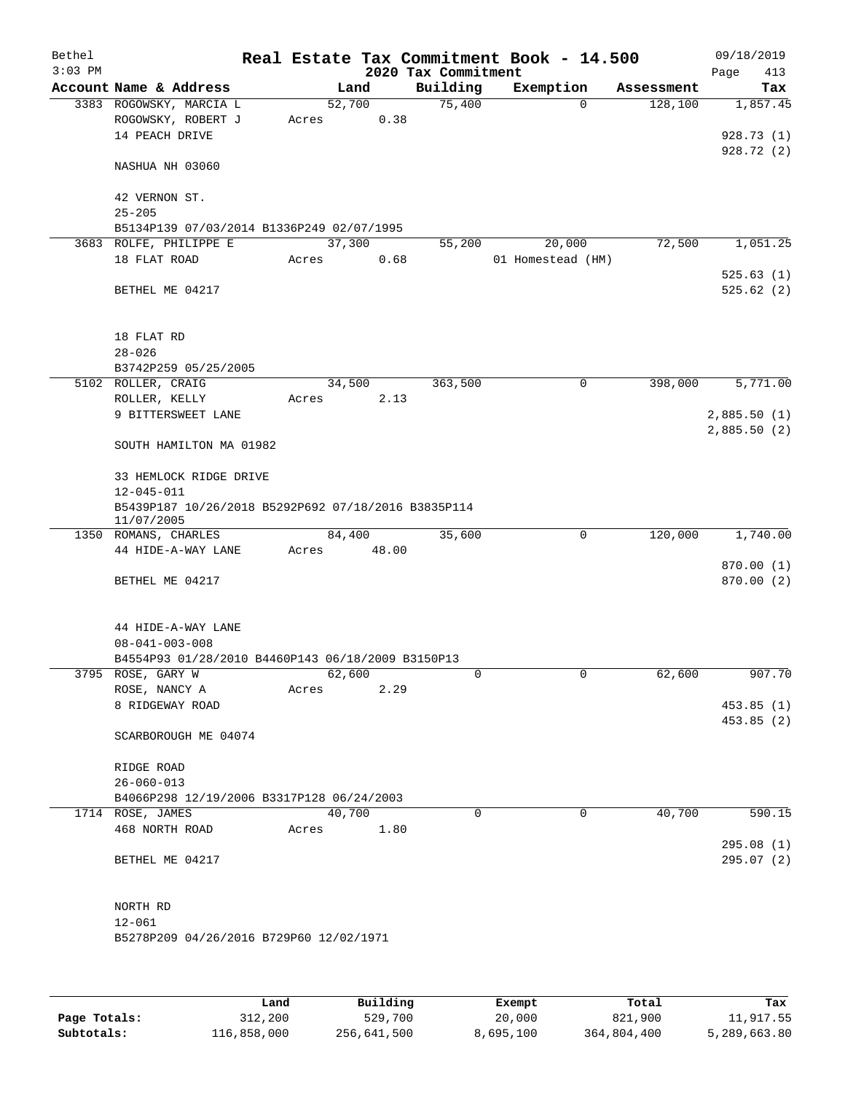| Bethel<br>$3:03$ PM |                                                                                       |       |                | 2020 Tax Commitment | Real Estate Tax Commitment Book - 14.500 |            | 09/18/2019<br>Page<br>413 |
|---------------------|---------------------------------------------------------------------------------------|-------|----------------|---------------------|------------------------------------------|------------|---------------------------|
|                     | Account Name & Address                                                                |       | Land           | Building            | Exemption                                | Assessment | Tax                       |
|                     | 3383 ROGOWSKY, MARCIA L<br>ROGOWSKY, ROBERT J<br>14 PEACH DRIVE                       | Acres | 52,700<br>0.38 | 75,400              | $\Omega$                                 | 128,100    | 1,857.45<br>928.73(1)     |
|                     | NASHUA NH 03060                                                                       |       |                |                     |                                          |            | 928.72(2)                 |
|                     | 42 VERNON ST.<br>$25 - 205$                                                           |       |                |                     |                                          |            |                           |
|                     | B5134P139 07/03/2014 B1336P249 02/07/1995                                             |       |                |                     |                                          |            |                           |
|                     | 3683 ROLFE, PHILIPPE E                                                                |       | 37,300         | 55,200              | 20,000                                   | 72,500     | 1,051.25                  |
|                     | 18 FLAT ROAD                                                                          | Acres | 0.68           |                     | 01 Homestead (HM)                        |            |                           |
|                     | BETHEL ME 04217                                                                       |       |                |                     |                                          |            | 525.63(1)<br>525.62(2)    |
|                     | 18 FLAT RD<br>$28 - 026$                                                              |       |                |                     |                                          |            |                           |
|                     | B3742P259 05/25/2005                                                                  |       |                |                     |                                          |            |                           |
|                     | 5102 ROLLER, CRAIG                                                                    |       | 34,500         | 363,500             | 0                                        | 398,000    | 5,771.00                  |
|                     | ROLLER, KELLY                                                                         | Acres | 2.13           |                     |                                          |            |                           |
|                     | 9 BITTERSWEET LANE                                                                    |       |                |                     |                                          |            | 2,885.50(1)               |
|                     | SOUTH HAMILTON MA 01982                                                               |       |                |                     |                                          |            | 2,885.50(2)               |
|                     | 33 HEMLOCK RIDGE DRIVE                                                                |       |                |                     |                                          |            |                           |
|                     | $12 - 045 - 011$<br>B5439P187 10/26/2018 B5292P692 07/18/2016 B3835P114<br>11/07/2005 |       |                |                     |                                          |            |                           |
|                     | 1350 ROMANS, CHARLES                                                                  |       | 84,400         | 35,600              | $\mathbf 0$                              | 120,000    | 1,740.00                  |
|                     | 44 HIDE-A-WAY LANE                                                                    | Acres | 48.00          |                     |                                          |            |                           |
|                     |                                                                                       |       |                |                     |                                          |            | 870.00 (1)                |
|                     | BETHEL ME 04217                                                                       |       |                |                     |                                          |            | 870.00 (2)                |
|                     | 44 HIDE-A-WAY LANE<br>$08 - 041 - 003 - 008$                                          |       |                |                     |                                          |            |                           |
|                     | B4554P93 01/28/2010 B4460P143 06/18/2009 B3150P13                                     |       |                |                     |                                          |            |                           |
|                     | 3795 ROSE, GARY W                                                                     |       | 62,600         | 0                   | $\mathbf 0$                              | 62,600     | 907.70                    |
|                     | ROSE, NANCY A<br>8 RIDGEWAY ROAD                                                      | Acres | 2.29           |                     |                                          |            | 453.85(1)                 |
|                     |                                                                                       |       |                |                     |                                          |            | 453.85 (2)                |
|                     | SCARBOROUGH ME 04074                                                                  |       |                |                     |                                          |            |                           |
|                     | RIDGE ROAD                                                                            |       |                |                     |                                          |            |                           |
|                     | $26 - 060 - 013$                                                                      |       |                |                     |                                          |            |                           |
|                     | B4066P298 12/19/2006 B3317P128 06/24/2003                                             |       |                |                     |                                          |            |                           |
|                     | 1714 ROSE, JAMES                                                                      |       | 40,700         | 0                   | 0                                        | 40,700     | 590.15                    |
|                     | 468 NORTH ROAD                                                                        | Acres | 1.80           |                     |                                          |            |                           |
|                     | BETHEL ME 04217                                                                       |       |                |                     |                                          |            | 295.08 (1)<br>295.07(2)   |
|                     | NORTH RD                                                                              |       |                |                     |                                          |            |                           |
|                     | $12 - 061$                                                                            |       |                |                     |                                          |            |                           |
|                     | B5278P209 04/26/2016 B729P60 12/02/1971                                               |       |                |                     |                                          |            |                           |
|                     |                                                                                       |       |                |                     |                                          |            |                           |

|              | Land        | Building    | Exempt    | Total       | Tax          |
|--------------|-------------|-------------|-----------|-------------|--------------|
| Page Totals: | 312,200     | 529,700     | 20,000    | 821,900     | 11,917.55    |
| Subtotals:   | 116,858,000 | 256,641,500 | 8,695,100 | 364,804,400 | 5,289,663.80 |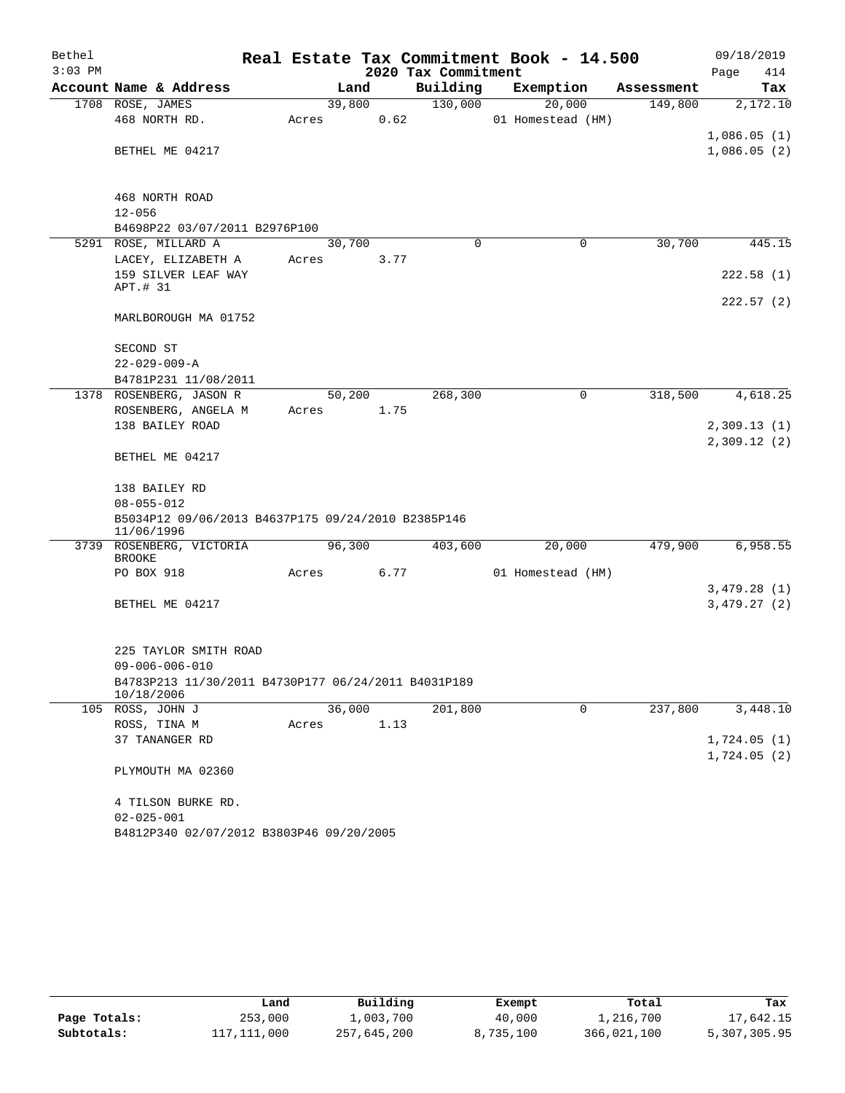| Bethel<br>$3:03$ PM |                                                                   |        |        | 2020 Tax Commitment | Real Estate Tax Commitment Book - 14.500 |            | 09/18/2019<br>Page<br>414 |
|---------------------|-------------------------------------------------------------------|--------|--------|---------------------|------------------------------------------|------------|---------------------------|
|                     | Account Name & Address                                            |        | Land   | Building            | Exemption                                | Assessment | Tax                       |
|                     | 1708 ROSE, JAMES                                                  |        | 39,800 | 130,000             | 20,000                                   | 149,800    | 2,172.10                  |
|                     | 468 NORTH RD.                                                     | Acres  | 0.62   |                     | 01 Homestead (HM)                        |            |                           |
|                     |                                                                   |        |        |                     |                                          |            | 1,086.05(1)               |
|                     | BETHEL ME 04217                                                   |        |        |                     |                                          |            | 1,086.05(2)               |
|                     | 468 NORTH ROAD                                                    |        |        |                     |                                          |            |                           |
|                     | $12 - 056$                                                        |        |        |                     |                                          |            |                           |
|                     | B4698P22 03/07/2011 B2976P100                                     |        |        |                     |                                          |            |                           |
|                     | 5291 ROSE, MILLARD A                                              |        | 30,700 | $\Omega$            | 0                                        | 30,700     | 445.15                    |
|                     | LACEY, ELIZABETH A                                                | Acres  | 3.77   |                     |                                          |            |                           |
|                     | 159 SILVER LEAF WAY<br>APT.# 31                                   |        |        |                     |                                          |            | 222.58(1)                 |
|                     | MARLBOROUGH MA 01752                                              |        |        |                     |                                          |            | 222.57(2)                 |
|                     | SECOND ST                                                         |        |        |                     |                                          |            |                           |
|                     | $22 - 029 - 009 - A$                                              |        |        |                     |                                          |            |                           |
|                     | B4781P231 11/08/2011                                              |        |        |                     |                                          |            |                           |
|                     | 1378 ROSENBERG, JASON R                                           |        | 50,200 | 268,300             | 0                                        | 318,500    | 4,618.25                  |
|                     | ROSENBERG, ANGELA M                                               | Acres  | 1.75   |                     |                                          |            |                           |
|                     | 138 BAILEY ROAD                                                   |        |        |                     |                                          |            | 2,309.13(1)               |
|                     | BETHEL ME 04217                                                   |        |        |                     |                                          |            | 2,309.12(2)               |
|                     | 138 BAILEY RD                                                     |        |        |                     |                                          |            |                           |
|                     | $08 - 055 - 012$                                                  |        |        |                     |                                          |            |                           |
|                     | B5034P12 09/06/2013 B4637P175 09/24/2010 B2385P146<br>11/06/1996  |        |        |                     |                                          |            |                           |
|                     | 3739 ROSENBERG, VICTORIA<br><b>BROOKE</b>                         | 96,300 |        | 403,600             | 20,000                                   | 479,900    | 6,958.55                  |
|                     | PO BOX 918                                                        | Acres  | 6.77   |                     | 01 Homestead (HM)                        |            |                           |
|                     |                                                                   |        |        |                     |                                          |            | 3,479.28(1)               |
|                     | BETHEL ME 04217                                                   |        |        |                     |                                          |            | 3,479.27(2)               |
|                     | 225 TAYLOR SMITH ROAD                                             |        |        |                     |                                          |            |                           |
|                     | $09 - 006 - 006 - 010$                                            |        |        |                     |                                          |            |                           |
|                     | B4783P213 11/30/2011 B4730P177 06/24/2011 B4031P189<br>10/18/2006 |        |        |                     |                                          |            |                           |
|                     | 105 ROSS, JOHN J                                                  |        | 36,000 | 201,800             | 0                                        | 237,800    | 3,448.10                  |
|                     | ROSS, TINA M                                                      | Acres  | 1.13   |                     |                                          |            |                           |
|                     | 37 TANANGER RD                                                    |        |        |                     |                                          |            | 1,724.05(1)               |
|                     |                                                                   |        |        |                     |                                          |            | 1,724.05(2)               |
|                     | PLYMOUTH MA 02360                                                 |        |        |                     |                                          |            |                           |
|                     | 4 TILSON BURKE RD.                                                |        |        |                     |                                          |            |                           |
|                     | $02 - 025 - 001$                                                  |        |        |                     |                                          |            |                           |
|                     | B4812P340 02/07/2012 B3803P46 09/20/2005                          |        |        |                     |                                          |            |                           |

|              | Land        | Building    | Exempt    | Total       | Tax          |
|--------------|-------------|-------------|-----------|-------------|--------------|
| Page Totals: | 253,000     | l,003,700   | 40,000    | l,216,700   | 17,642.15    |
| Subtotals:   | 117,111,000 | 257,645,200 | 8,735,100 | 366,021,100 | 5,307,305.95 |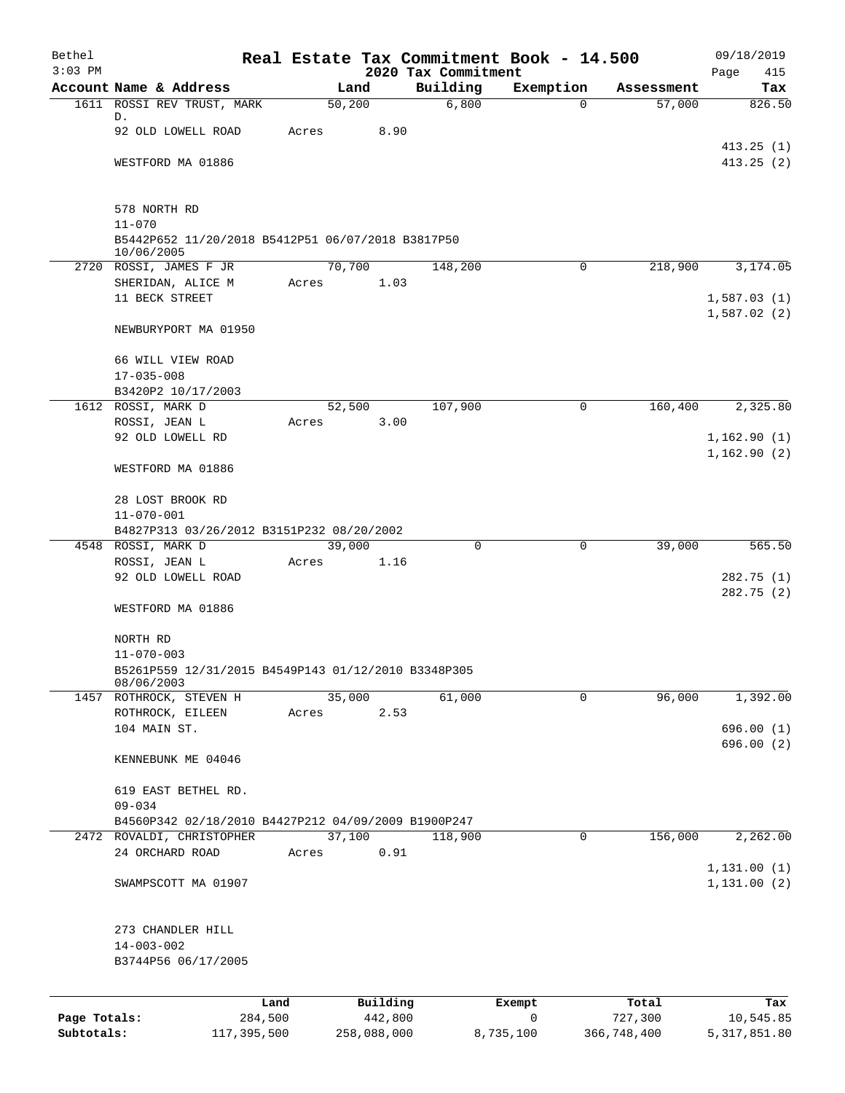| Bethel       |                                                                   |        |             |                                 | Real Estate Tax Commitment Book - 14.500 |             | 09/18/2019                 |
|--------------|-------------------------------------------------------------------|--------|-------------|---------------------------------|------------------------------------------|-------------|----------------------------|
| $3:03$ PM    | Account Name & Address                                            |        | Land        | 2020 Tax Commitment<br>Building | Exemption                                | Assessment  | Page<br>415<br>Tax         |
|              | 1611 ROSSI REV TRUST, MARK                                        | 50,200 |             | 6,800                           | 0                                        | 57,000      | 826.50                     |
|              | D.<br>92 OLD LOWELL ROAD                                          | Acres  | 8.90        |                                 |                                          |             |                            |
|              | WESTFORD MA 01886                                                 |        |             |                                 |                                          |             | 413.25(1)<br>413.25(2)     |
|              |                                                                   |        |             |                                 |                                          |             |                            |
|              | 578 NORTH RD<br>$11 - 070$                                        |        |             |                                 |                                          |             |                            |
|              | B5442P652 11/20/2018 B5412P51 06/07/2018 B3817P50<br>10/06/2005   |        |             |                                 |                                          |             |                            |
|              | 2720 ROSSI, JAMES F JR                                            | 70,700 |             | 148,200                         | 0                                        | 218,900     | 3,174.05                   |
|              | SHERIDAN, ALICE M<br>11 BECK STREET                               | Acres  | 1.03        |                                 |                                          |             | 1,587.03(1)<br>1,587.02(2) |
|              | NEWBURYPORT MA 01950                                              |        |             |                                 |                                          |             |                            |
|              | 66 WILL VIEW ROAD<br>$17 - 035 - 008$                             |        |             |                                 |                                          |             |                            |
|              | B3420P2 10/17/2003                                                |        |             |                                 |                                          |             |                            |
|              | 1612 ROSSI, MARK D                                                |        | 52,500      | 107,900                         | 0                                        | 160,400     | 2,325.80                   |
|              | ROSSI, JEAN L                                                     | Acres  | 3.00        |                                 |                                          |             |                            |
|              | 92 OLD LOWELL RD                                                  |        |             |                                 |                                          |             | 1,162.90(1)<br>1,162.90(2) |
|              | WESTFORD MA 01886                                                 |        |             |                                 |                                          |             |                            |
|              | 28 LOST BROOK RD                                                  |        |             |                                 |                                          |             |                            |
|              | $11 - 070 - 001$<br>B4827P313 03/26/2012 B3151P232 08/20/2002     |        |             |                                 |                                          |             |                            |
|              | 4548 ROSSI, MARK D                                                | 39,000 |             | $\mathbf 0$                     | 0                                        | 39,000      | 565.50                     |
|              | ROSSI, JEAN L                                                     | Acres  | 1.16        |                                 |                                          |             |                            |
|              | 92 OLD LOWELL ROAD                                                |        |             |                                 |                                          |             | 282.75(1)<br>282.75 (2)    |
|              | WESTFORD MA 01886                                                 |        |             |                                 |                                          |             |                            |
|              | NORTH RD                                                          |        |             |                                 |                                          |             |                            |
|              | $11 - 070 - 003$                                                  |        |             |                                 |                                          |             |                            |
|              | B5261P559 12/31/2015 B4549P143 01/12/2010 B3348P305<br>08/06/2003 |        |             |                                 |                                          |             |                            |
|              | 1457 ROTHROCK, STEVEN H                                           | 35,000 |             | 61,000                          | 0                                        | 96,000      | 1,392.00                   |
|              | ROTHROCK, EILEEN                                                  | Acres  | 2.53        |                                 |                                          |             |                            |
|              | 104 MAIN ST.                                                      |        |             |                                 |                                          |             | 696.00(1)<br>696.00(2)     |
|              | KENNEBUNK ME 04046                                                |        |             |                                 |                                          |             |                            |
|              | 619 EAST BETHEL RD.<br>$09 - 034$                                 |        |             |                                 |                                          |             |                            |
|              | B4560P342 02/18/2010 B4427P212 04/09/2009 B1900P247               |        |             |                                 |                                          |             |                            |
|              | 2472 ROVALDI, CHRISTOPHER                                         | 37,100 |             | 118,900                         | 0                                        | 156,000     | 2,262.00                   |
|              | 24 ORCHARD ROAD                                                   | Acres  | 0.91        |                                 |                                          |             | 1, 131.00(1)               |
|              | SWAMPSCOTT MA 01907                                               |        |             |                                 |                                          |             | 1, 131.00(2)               |
|              | 273 CHANDLER HILL                                                 |        |             |                                 |                                          |             |                            |
|              | $14 - 003 - 002$                                                  |        |             |                                 |                                          |             |                            |
|              | B3744P56 06/17/2005                                               |        |             |                                 |                                          |             |                            |
|              | Land                                                              |        | Building    |                                 | Exempt                                   | Total       | Tax                        |
| Page Totals: | 284,500                                                           |        | 442,800     |                                 | $\mathbf 0$                              | 727,300     | 10,545.85                  |
| Subtotals:   | 117,395,500                                                       |        | 258,088,000 |                                 | 8,735,100                                | 366,748,400 | 5, 317, 851.80             |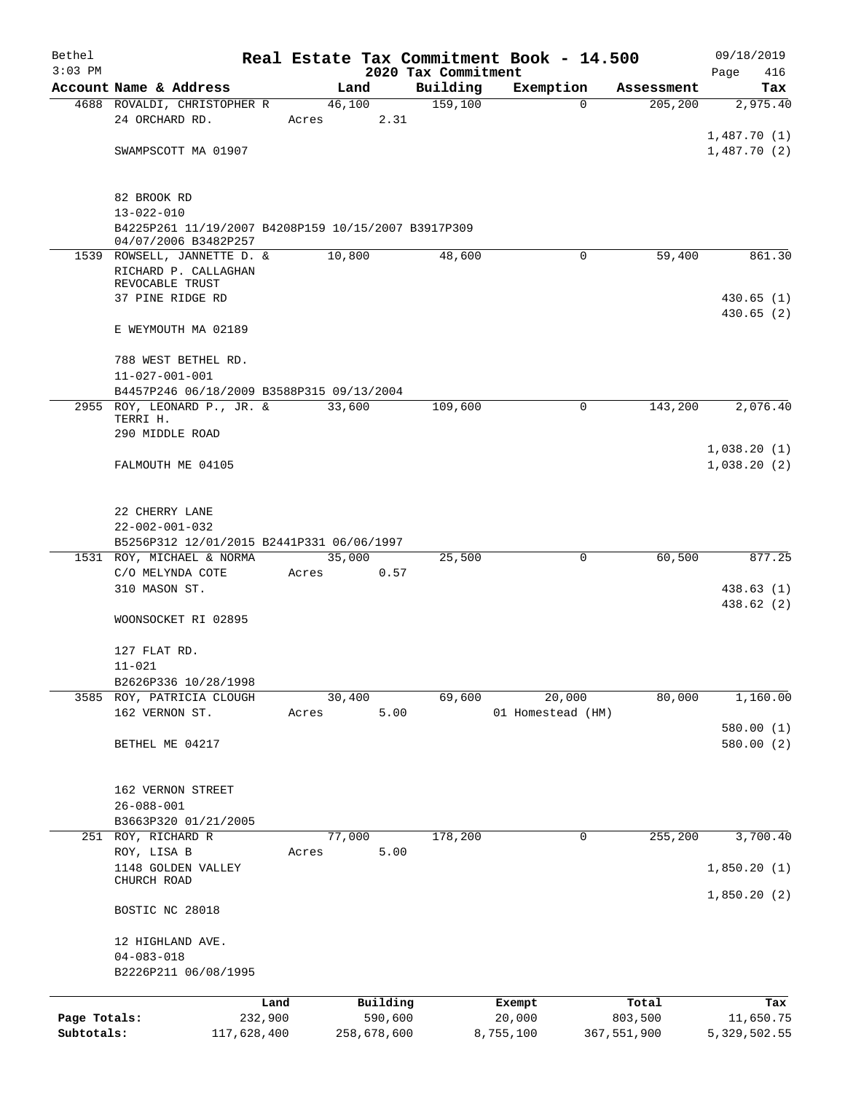| Bethel       |                                                                             |       |                     |                                 | Real Estate Tax Commitment Book - 14.500 |                  | 09/18/2019             |
|--------------|-----------------------------------------------------------------------------|-------|---------------------|---------------------------------|------------------------------------------|------------------|------------------------|
| $3:03$ PM    | Account Name & Address                                                      |       | Land                | 2020 Tax Commitment<br>Building | Exemption                                | Assessment       | Page<br>416<br>Tax     |
|              | 4688 ROVALDI, CHRISTOPHER R                                                 |       | 46,100              | 159,100                         | $\Omega$                                 | 205, 200         | 2,975.40               |
|              | 24 ORCHARD RD.                                                              | Acres |                     | 2.31                            |                                          |                  |                        |
|              |                                                                             |       |                     |                                 |                                          |                  | 1,487.70(1)            |
|              | SWAMPSCOTT MA 01907                                                         |       |                     |                                 |                                          |                  | 1,487.70(2)            |
|              |                                                                             |       |                     |                                 |                                          |                  |                        |
|              | 82 BROOK RD                                                                 |       |                     |                                 |                                          |                  |                        |
|              | $13 - 022 - 010$                                                            |       |                     |                                 |                                          |                  |                        |
|              | B4225P261 11/19/2007 B4208P159 10/15/2007 B3917P309<br>04/07/2006 B3482P257 |       |                     |                                 |                                          |                  |                        |
|              | 1539 ROWSELL, JANNETTE D. &                                                 |       | 10,800              | 48,600                          | 0                                        | 59,400           | 861.30                 |
|              | RICHARD P. CALLAGHAN<br>REVOCABLE TRUST                                     |       |                     |                                 |                                          |                  |                        |
|              | 37 PINE RIDGE RD                                                            |       |                     |                                 |                                          |                  | 430.65(1)              |
|              |                                                                             |       |                     |                                 |                                          |                  | 430.65(2)              |
|              | E WEYMOUTH MA 02189                                                         |       |                     |                                 |                                          |                  |                        |
|              | 788 WEST BETHEL RD.                                                         |       |                     |                                 |                                          |                  |                        |
|              | $11 - 027 - 001 - 001$                                                      |       |                     |                                 |                                          |                  |                        |
|              | B4457P246 06/18/2009 B3588P315 09/13/2004                                   |       |                     |                                 |                                          |                  |                        |
|              | 2955 ROY, LEONARD P., JR. &                                                 |       | 33,600              | 109,600                         | $\Omega$                                 | 143,200          | 2,076.40               |
|              | TERRI H.<br>290 MIDDLE ROAD                                                 |       |                     |                                 |                                          |                  |                        |
|              |                                                                             |       |                     |                                 |                                          |                  | 1,038.20(1)            |
|              | FALMOUTH ME 04105                                                           |       |                     |                                 |                                          |                  | 1,038.20(2)            |
|              |                                                                             |       |                     |                                 |                                          |                  |                        |
|              | 22 CHERRY LANE                                                              |       |                     |                                 |                                          |                  |                        |
|              | $22 - 002 - 001 - 032$                                                      |       |                     |                                 |                                          |                  |                        |
|              | B5256P312 12/01/2015 B2441P331 06/06/1997                                   |       |                     |                                 |                                          |                  |                        |
|              | 1531 ROY, MICHAEL & NORMA                                                   |       | 35,000              | 25,500                          | $\mathbf 0$                              | 60,500           | 877.25                 |
|              | C/O MELYNDA COTE<br>310 MASON ST.                                           | Acres |                     | 0.57                            |                                          |                  | 438.63 (1)             |
|              |                                                                             |       |                     |                                 |                                          |                  | 438.62 (2)             |
|              | WOONSOCKET RI 02895                                                         |       |                     |                                 |                                          |                  |                        |
|              |                                                                             |       |                     |                                 |                                          |                  |                        |
|              | 127 FLAT RD.<br>$11 - 021$                                                  |       |                     |                                 |                                          |                  |                        |
|              | B2626P336 10/28/1998                                                        |       |                     |                                 |                                          |                  |                        |
|              | 3585 ROY, PATRICIA CLOUGH                                                   |       | 30,400              | 69,600                          | 20,000                                   | 80,000           | 1,160.00               |
|              | 162 VERNON ST.                                                              | Acres |                     | 5.00                            | 01 Homestead (HM)                        |                  |                        |
|              | BETHEL ME 04217                                                             |       |                     |                                 |                                          |                  | 580.00(1)<br>580.00(2) |
|              |                                                                             |       |                     |                                 |                                          |                  |                        |
|              |                                                                             |       |                     |                                 |                                          |                  |                        |
|              | 162 VERNON STREET                                                           |       |                     |                                 |                                          |                  |                        |
|              | $26 - 088 - 001$<br>B3663P320 01/21/2005                                    |       |                     |                                 |                                          |                  |                        |
|              | 251 ROY, RICHARD R                                                          |       | 77,000              | 178,200                         | 0                                        | 255,200          | 3,700.40               |
|              | ROY, LISA B                                                                 | Acres |                     | 5.00                            |                                          |                  |                        |
|              | 1148 GOLDEN VALLEY<br>CHURCH ROAD                                           |       |                     |                                 |                                          |                  | 1,850.20(1)            |
|              |                                                                             |       |                     |                                 |                                          |                  | 1,850.20(2)            |
|              | BOSTIC NC 28018                                                             |       |                     |                                 |                                          |                  |                        |
|              |                                                                             |       |                     |                                 |                                          |                  |                        |
|              | 12 HIGHLAND AVE.<br>$04 - 083 - 018$                                        |       |                     |                                 |                                          |                  |                        |
|              | B2226P211 06/08/1995                                                        |       |                     |                                 |                                          |                  |                        |
|              |                                                                             |       |                     |                                 |                                          |                  |                        |
| Page Totals: | 232,900                                                                     | Land  | Building<br>590,600 |                                 | Exempt<br>20,000                         | Total<br>803,500 | Tax<br>11,650.75       |
| Subtotals:   | 117,628,400                                                                 |       | 258,678,600         |                                 | 8,755,100                                | 367,551,900      | 5,329,502.55           |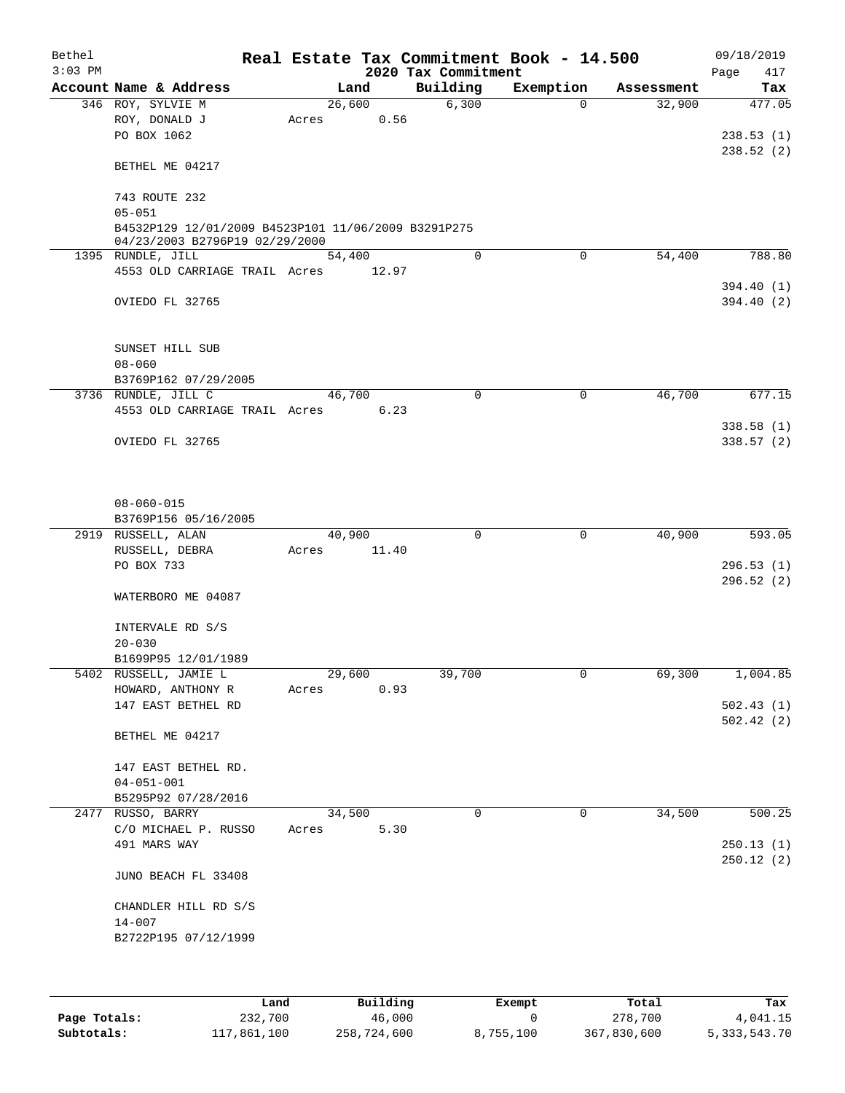| Bethel<br>$3:03$ PM |                                                     |       |       |        |             | 2020 Tax Commitment | Real Estate Tax Commitment Book - 14.500 |            | 09/18/2019<br>417<br>Page |
|---------------------|-----------------------------------------------------|-------|-------|--------|-------------|---------------------|------------------------------------------|------------|---------------------------|
|                     | Account Name & Address                              |       |       | Land   |             | Building            | Exemption                                | Assessment | Tax                       |
|                     | 346 ROY, SYLVIE M                                   |       |       | 26,600 |             | 6,300               | $\Omega$                                 | 32,900     | 477.05                    |
|                     | ROY, DONALD J                                       |       | Acres |        | 0.56        |                     |                                          |            |                           |
|                     | PO BOX 1062                                         |       |       |        |             |                     |                                          |            | 238.53(1)                 |
|                     |                                                     |       |       |        |             |                     |                                          |            | 238.52(2)                 |
|                     | BETHEL ME 04217                                     |       |       |        |             |                     |                                          |            |                           |
|                     |                                                     |       |       |        |             |                     |                                          |            |                           |
|                     | 743 ROUTE 232                                       |       |       |        |             |                     |                                          |            |                           |
|                     | $05 - 051$                                          |       |       |        |             |                     |                                          |            |                           |
|                     | B4532P129 12/01/2009 B4523P101 11/06/2009 B3291P275 |       |       |        |             |                     |                                          |            |                           |
|                     | 04/23/2003 B2796P19 02/29/2000<br>1395 RUNDLE, JILL |       |       | 54,400 |             | $\Omega$            | $\mathbf 0$                              | 54,400     | 788.80                    |
|                     | 4553 OLD CARRIAGE TRAIL Acres 12.97                 |       |       |        |             |                     |                                          |            |                           |
|                     |                                                     |       |       |        |             |                     |                                          |            | 394.40 (1)                |
|                     | OVIEDO FL 32765                                     |       |       |        |             |                     |                                          |            | 394.40 (2)                |
|                     |                                                     |       |       |        |             |                     |                                          |            |                           |
|                     |                                                     |       |       |        |             |                     |                                          |            |                           |
|                     | SUNSET HILL SUB                                     |       |       |        |             |                     |                                          |            |                           |
|                     | $08 - 060$                                          |       |       |        |             |                     |                                          |            |                           |
|                     | B3769P162 07/29/2005                                |       |       |        |             |                     |                                          |            |                           |
|                     | 3736 RUNDLE, JILL C                                 |       |       | 46,700 |             | $\mathbf 0$         | 0                                        | 46,700     | 677.15                    |
|                     | 4553 OLD CARRIAGE TRAIL Acres                       |       |       |        | 6.23        |                     |                                          |            |                           |
|                     |                                                     |       |       |        |             |                     |                                          |            | 338.58(1)                 |
|                     | OVIEDO FL 32765                                     |       |       |        |             |                     |                                          |            | 338.57 (2)                |
|                     |                                                     |       |       |        |             |                     |                                          |            |                           |
|                     |                                                     |       |       |        |             |                     |                                          |            |                           |
|                     |                                                     |       |       |        |             |                     |                                          |            |                           |
|                     | $08 - 060 - 015$                                    |       |       |        |             |                     |                                          |            |                           |
|                     | B3769P156 05/16/2005                                |       |       |        |             |                     |                                          |            |                           |
|                     | 2919 RUSSELL, ALAN                                  |       |       | 40,900 |             | $\Omega$            | $\mathbf 0$                              | 40,900     | 593.05                    |
|                     | RUSSELL, DEBRA                                      |       | Acres |        | 11.40       |                     |                                          |            |                           |
|                     | PO BOX 733                                          |       |       |        |             |                     |                                          |            | 296.53(1)                 |
|                     |                                                     |       |       |        |             |                     |                                          |            | 296.52(2)                 |
|                     | WATERBORO ME 04087                                  |       |       |        |             |                     |                                          |            |                           |
|                     |                                                     |       |       |        |             |                     |                                          |            |                           |
|                     | INTERVALE RD S/S                                    |       |       |        |             |                     |                                          |            |                           |
|                     | $20 - 030$<br>B1699P95 12/01/1989                   |       |       |        |             |                     |                                          |            |                           |
|                     | 5402 RUSSELL, JAMIE L                               |       |       | 29,600 |             | 39,700              | 0                                        | 69,300     | 1,004.85                  |
|                     | HOWARD, ANTHONY R                                   |       | Acres |        | 0.93        |                     |                                          |            |                           |
|                     | 147 EAST BETHEL RD                                  |       |       |        |             |                     |                                          |            | 502.43(1)                 |
|                     |                                                     |       |       |        |             |                     |                                          |            | 502.42(2)                 |
|                     | BETHEL ME 04217                                     |       |       |        |             |                     |                                          |            |                           |
|                     |                                                     |       |       |        |             |                     |                                          |            |                           |
|                     | 147 EAST BETHEL RD.                                 |       |       |        |             |                     |                                          |            |                           |
|                     | $04 - 051 - 001$                                    |       |       |        |             |                     |                                          |            |                           |
|                     | B5295P92 07/28/2016                                 |       |       |        |             |                     |                                          |            |                           |
|                     | 2477 RUSSO, BARRY                                   |       |       | 34,500 |             | 0                   | 0                                        | 34,500     | 500.25                    |
|                     | C/O MICHAEL P. RUSSO                                |       | Acres |        | 5.30        |                     |                                          |            |                           |
|                     | 491 MARS WAY                                        |       |       |        |             |                     |                                          |            | 250.13(1)                 |
|                     |                                                     |       |       |        |             |                     |                                          |            | 250.12(2)                 |
|                     | JUNO BEACH FL 33408                                 |       |       |        |             |                     |                                          |            |                           |
|                     |                                                     |       |       |        |             |                     |                                          |            |                           |
|                     | CHANDLER HILL RD S/S                                |       |       |        |             |                     |                                          |            |                           |
|                     | $14 - 007$                                          |       |       |        |             |                     |                                          |            |                           |
|                     | B2722P195 07/12/1999                                |       |       |        |             |                     |                                          |            |                           |
|                     |                                                     |       |       |        |             |                     |                                          |            |                           |
|                     |                                                     |       |       |        |             |                     |                                          |            |                           |
|                     |                                                     |       |       |        |             |                     |                                          |            |                           |
|                     |                                                     | Land. |       |        | $P1$ ilding |                     | $F$ vemnt                                | $T$ ctal   | The s                     |

|              | Land        | Building    | Exempt    | Total       | Tax          |
|--------------|-------------|-------------|-----------|-------------|--------------|
| Page Totals: | 232,700     | 46,000      |           | 278,700     | 4,041.15     |
| Subtotals:   | 117,861,100 | 258,724,600 | 8,755,100 | 367,830,600 | 5,333,543.70 |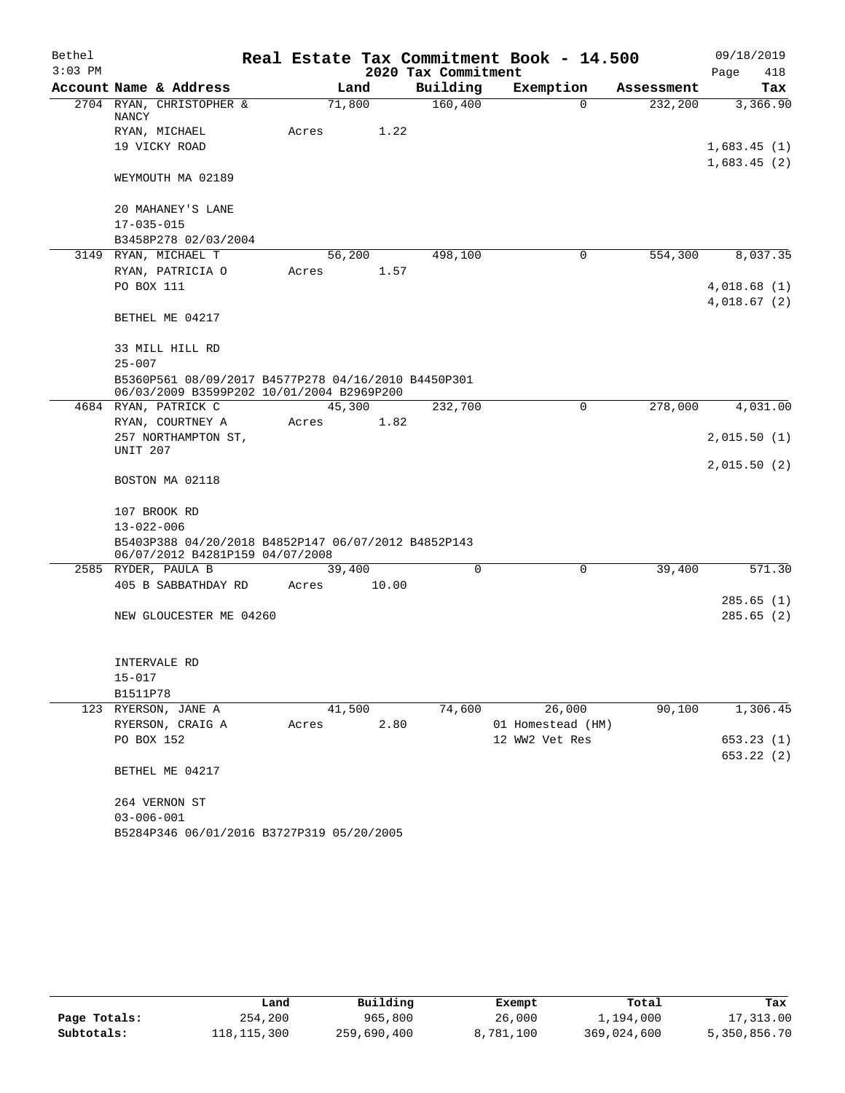| Bethel    |                                                                                                  |       |        |                     | Real Estate Tax Commitment Book - 14.500 |            | 09/18/2019  |
|-----------|--------------------------------------------------------------------------------------------------|-------|--------|---------------------|------------------------------------------|------------|-------------|
| $3:03$ PM |                                                                                                  |       |        | 2020 Tax Commitment |                                          |            | Page<br>418 |
|           | Account Name & Address                                                                           |       | Land   | Building            | Exemption                                | Assessment | Tax         |
|           | 2704 RYAN, CHRISTOPHER &<br>NANCY                                                                |       | 71,800 | 160,400             | $\Omega$                                 | 232,200    | 3,366.90    |
|           | RYAN, MICHAEL                                                                                    | Acres | 1.22   |                     |                                          |            |             |
|           | 19 VICKY ROAD                                                                                    |       |        |                     |                                          |            | 1,683.45(1) |
|           |                                                                                                  |       |        |                     |                                          |            | 1,683.45(2) |
|           | WEYMOUTH MA 02189                                                                                |       |        |                     |                                          |            |             |
|           | 20 MAHANEY'S LANE                                                                                |       |        |                     |                                          |            |             |
|           | $17 - 035 - 015$                                                                                 |       |        |                     |                                          |            |             |
|           | B3458P278 02/03/2004                                                                             |       |        |                     |                                          |            |             |
|           | 3149 RYAN, MICHAEL T                                                                             |       | 56,200 | 498,100             | 0                                        | 554,300    | 8,037.35    |
|           | RYAN, PATRICIA O                                                                                 | Acres | 1.57   |                     |                                          |            |             |
|           | PO BOX 111                                                                                       |       |        |                     |                                          |            | 4,018.68(1) |
|           | BETHEL ME 04217                                                                                  |       |        |                     |                                          |            | 4,018.67(2) |
|           |                                                                                                  |       |        |                     |                                          |            |             |
|           | 33 MILL HILL RD                                                                                  |       |        |                     |                                          |            |             |
|           | $25 - 007$                                                                                       |       |        |                     |                                          |            |             |
|           | B5360P561 08/09/2017 B4577P278 04/16/2010 B4450P301<br>06/03/2009 B3599P202 10/01/2004 B2969P200 |       |        |                     |                                          |            |             |
|           | 4684 RYAN, PATRICK C                                                                             |       | 45,300 | 232,700             | $\mathbf 0$                              | 278,000    | 4,031.00    |
|           | RYAN, COURTNEY A                                                                                 | Acres | 1.82   |                     |                                          |            |             |
|           | 257 NORTHAMPTON ST,                                                                              |       |        |                     |                                          |            | 2,015.50(1) |
|           | <b>UNIT 207</b>                                                                                  |       |        |                     |                                          |            |             |
|           | BOSTON MA 02118                                                                                  |       |        |                     |                                          |            | 2,015.50(2) |
|           | 107 BROOK RD                                                                                     |       |        |                     |                                          |            |             |
|           | $13 - 022 - 006$                                                                                 |       |        |                     |                                          |            |             |
|           | B5403P388 04/20/2018 B4852P147 06/07/2012 B4852P143<br>06/07/2012 B4281P159 04/07/2008           |       |        |                     |                                          |            |             |
|           | 2585 RYDER, PAULA B                                                                              |       | 39,400 | $\mathbf 0$         | $\mathbf 0$                              | 39,400     | 571.30      |
|           | 405 B SABBATHDAY RD                                                                              | Acres | 10.00  |                     |                                          |            |             |
|           |                                                                                                  |       |        |                     |                                          |            | 285.65(1)   |
|           | NEW GLOUCESTER ME 04260                                                                          |       |        |                     |                                          |            | 285.65(2)   |
|           | INTERVALE RD                                                                                     |       |        |                     |                                          |            |             |
|           | $15 - 017$                                                                                       |       |        |                     |                                          |            |             |
|           | B1511P78                                                                                         |       |        |                     |                                          |            |             |
|           | 123 RYERSON, JANE A                                                                              |       | 41,500 | 74,600              | 26,000                                   | 90,100     | 1,306.45    |
|           | RYERSON, CRAIG A                                                                                 | Acres | 2.80   |                     | 01 Homestead (HM)                        |            |             |
|           | PO BOX 152                                                                                       |       |        |                     | 12 WW2 Vet Res                           |            | 653.23 (1)  |
|           |                                                                                                  |       |        |                     |                                          |            | 653.22 (2)  |
|           | BETHEL ME 04217                                                                                  |       |        |                     |                                          |            |             |
|           | 264 VERNON ST                                                                                    |       |        |                     |                                          |            |             |
|           | $03 - 006 - 001$                                                                                 |       |        |                     |                                          |            |             |
|           | B5284P346 06/01/2016 B3727P319 05/20/2005                                                        |       |        |                     |                                          |            |             |

|              | Land        | Building    | Exempt    | Total       | Tax          |
|--------------|-------------|-------------|-----------|-------------|--------------|
| Page Totals: | 254,200     | 965,800     | 26,000    | 1,194,000   | 17,313.00    |
| Subtotals:   | 118,115,300 | 259,690,400 | 8,781,100 | 369,024,600 | 5,350,856.70 |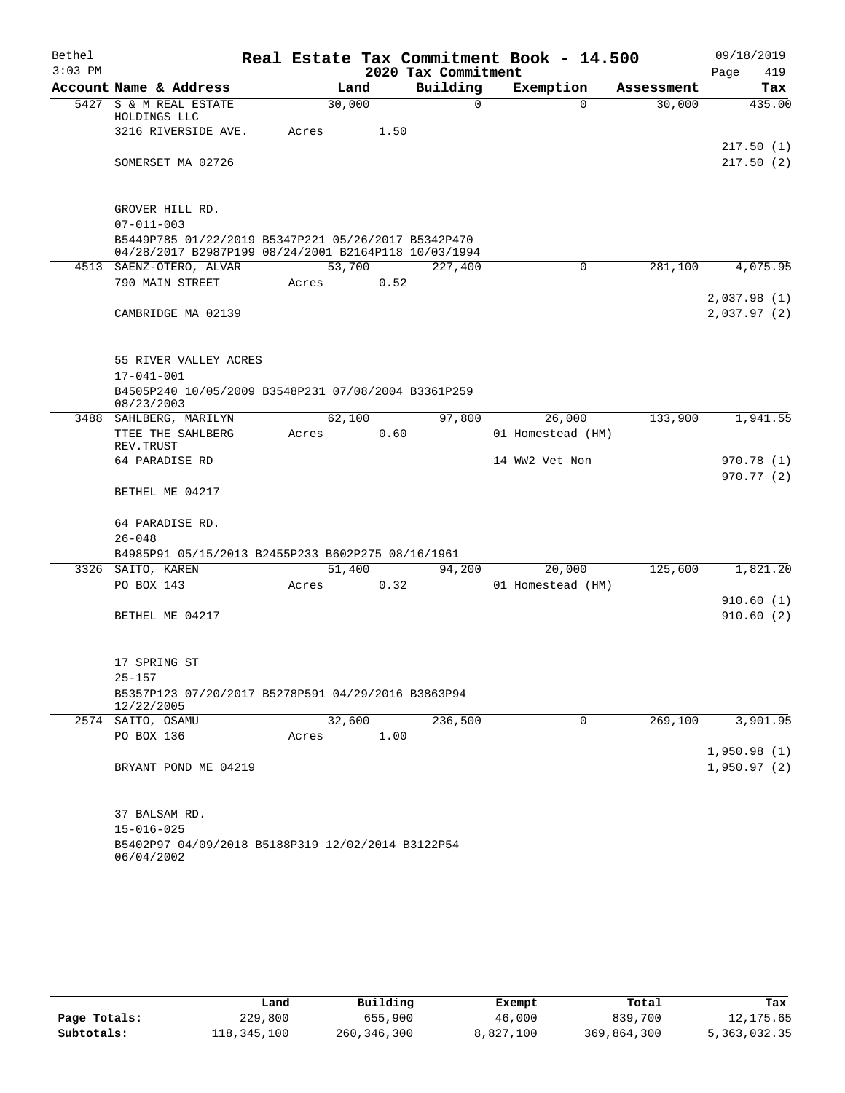| Bethel    |                                                                                                             |       |        |      |                     | Real Estate Tax Commitment Book - 14.500 |            | 09/18/2019                 |
|-----------|-------------------------------------------------------------------------------------------------------------|-------|--------|------|---------------------|------------------------------------------|------------|----------------------------|
| $3:03$ PM |                                                                                                             |       |        |      | 2020 Tax Commitment |                                          |            | 419<br>Page                |
|           | Account Name & Address                                                                                      |       | Land   |      | Building            | Exemption                                | Assessment | Tax                        |
|           | 5427 S & M REAL ESTATE<br>HOLDINGS LLC                                                                      |       | 30,000 |      | 0                   | $\Omega$                                 | 30,000     | 435.00                     |
|           | 3216 RIVERSIDE AVE.                                                                                         | Acres |        | 1.50 |                     |                                          |            | 217.50(1)                  |
|           | SOMERSET MA 02726                                                                                           |       |        |      |                     |                                          |            | 217.50(2)                  |
|           | GROVER HILL RD.                                                                                             |       |        |      |                     |                                          |            |                            |
|           | $07 - 011 - 003$                                                                                            |       |        |      |                     |                                          |            |                            |
|           | B5449P785 01/22/2019 B5347P221 05/26/2017 B5342P470<br>04/28/2017 B2987P199 08/24/2001 B2164P118 10/03/1994 |       |        |      |                     |                                          |            |                            |
|           | 4513 SAENZ-OTERO, ALVAR                                                                                     |       | 53,700 |      | 227,400             | 0                                        | 281,100    | 4,075.95                   |
|           | 790 MAIN STREET                                                                                             | Acres |        | 0.52 |                     |                                          |            |                            |
|           | CAMBRIDGE MA 02139                                                                                          |       |        |      |                     |                                          |            | 2,037.98(1)<br>2,037.97(2) |
|           | 55 RIVER VALLEY ACRES                                                                                       |       |        |      |                     |                                          |            |                            |
|           | $17 - 041 - 001$                                                                                            |       |        |      |                     |                                          |            |                            |
|           | B4505P240 10/05/2009 B3548P231 07/08/2004 B3361P259<br>08/23/2003                                           |       |        |      |                     |                                          |            |                            |
|           | 3488 SAHLBERG, MARILYN                                                                                      |       | 62,100 |      | 97,800              | 26,000                                   | 133,900    | 1,941.55                   |
|           | TTEE THE SAHLBERG<br>REV. TRUST                                                                             | Acres |        | 0.60 |                     | 01 Homestead (HM)                        |            |                            |
|           | 64 PARADISE RD                                                                                              |       |        |      |                     | 14 WW2 Vet Non                           |            | 970.78(1)                  |
|           | BETHEL ME 04217                                                                                             |       |        |      |                     |                                          |            | 970.77(2)                  |
|           | 64 PARADISE RD.                                                                                             |       |        |      |                     |                                          |            |                            |
|           | $26 - 048$                                                                                                  |       |        |      |                     |                                          |            |                            |
|           | B4985P91 05/15/2013 B2455P233 B602P275 08/16/1961<br>3326 SAITO, KAREN                                      |       | 51,400 |      | 94,200              | 20,000                                   | 125,600    | 1,821.20                   |
|           | PO BOX 143                                                                                                  | Acres |        | 0.32 |                     | 01 Homestead (HM)                        |            |                            |
|           |                                                                                                             |       |        |      |                     |                                          |            | 910.60(1)                  |
|           | BETHEL ME 04217                                                                                             |       |        |      |                     |                                          |            | 910.60(2)                  |
|           | 17 SPRING ST                                                                                                |       |        |      |                     |                                          |            |                            |
|           | $25 - 157$<br>B5357P123 07/20/2017 B5278P591 04/29/2016 B3863P94<br>12/22/2005                              |       |        |      |                     |                                          |            |                            |
|           | 2574 SAITO, OSAMU                                                                                           |       | 32,600 |      | 236,500             | 0                                        | 269,100    | 3,901.95                   |
|           | PO BOX 136                                                                                                  | Acres |        | 1.00 |                     |                                          |            |                            |
|           | BRYANT POND ME 04219                                                                                        |       |        |      |                     |                                          |            | 1,950.98(1)<br>1,950.97(2) |
|           | 37 BALSAM RD.                                                                                               |       |        |      |                     |                                          |            |                            |
|           | $15 - 016 - 025$                                                                                            |       |        |      |                     |                                          |            |                            |
|           | B5402P97 04/09/2018 B5188P319 12/02/2014 B3122P54<br>06/04/2002                                             |       |        |      |                     |                                          |            |                            |

|              | Land        | Building    | Exempt    | Total       | Tax          |
|--------------|-------------|-------------|-----------|-------------|--------------|
| Page Totals: | 229,800     | 655,900     | 46,000    | 839,700     | 12,175.65    |
| Subtotals:   | 118,345,100 | 260,346,300 | 8,827,100 | 369,864,300 | 5,363,032.35 |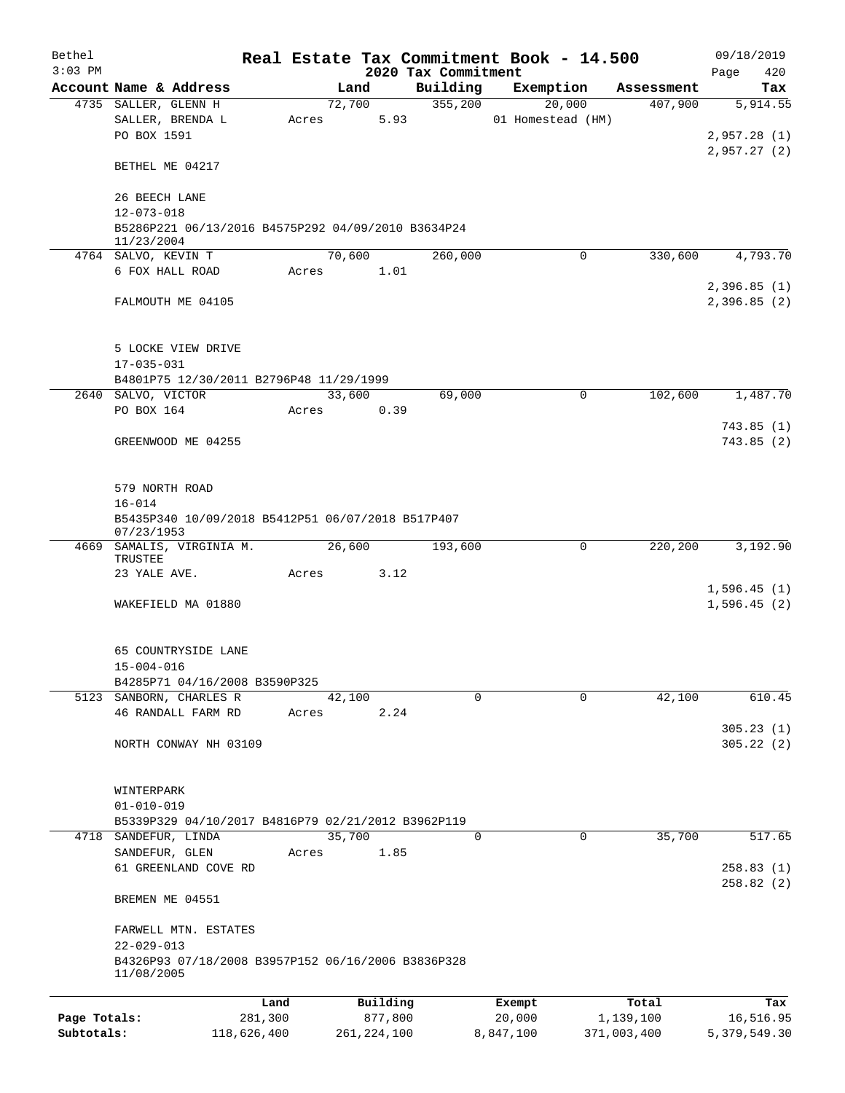| Bethel       |                                                                                      |         |                |                     | Real Estate Tax Commitment Book - 14.500 |                       | 09/18/2019                 |
|--------------|--------------------------------------------------------------------------------------|---------|----------------|---------------------|------------------------------------------|-----------------------|----------------------------|
| $3:03$ PM    |                                                                                      |         |                | 2020 Tax Commitment |                                          |                       | 420<br>Page                |
|              | Account Name & Address<br>4735 SALLER, GLENN H                                       |         | Land<br>72,700 | Building<br>355,200 | Exemption<br>20,000                      | Assessment<br>407,900 | Tax<br>5,914.55            |
|              | SALLER, BRENDA L<br>PO BOX 1591                                                      | Acres   | 5.93           |                     | 01 Homestead (HM)                        |                       | 2,957.28(1)                |
|              | BETHEL ME 04217                                                                      |         |                |                     |                                          |                       | 2,957.27(2)                |
|              | 26 BEECH LANE                                                                        |         |                |                     |                                          |                       |                            |
|              | $12 - 073 - 018$<br>B5286P221 06/13/2016 B4575P292 04/09/2010 B3634P24<br>11/23/2004 |         |                |                     |                                          |                       |                            |
|              | 4764 SALVO, KEVIN T                                                                  |         | 70,600         | 260,000             | 0                                        | 330,600               | 4,793.70                   |
|              | 6 FOX HALL ROAD                                                                      | Acres   | 1.01           |                     |                                          |                       |                            |
|              | FALMOUTH ME 04105                                                                    |         |                |                     |                                          |                       | 2,396.85(1)<br>2,396.85(2) |
|              | 5 LOCKE VIEW DRIVE                                                                   |         |                |                     |                                          |                       |                            |
|              | $17 - 035 - 031$                                                                     |         |                |                     |                                          |                       |                            |
|              | B4801P75 12/30/2011 B2796P48 11/29/1999<br>2640 SALVO, VICTOR                        |         | 33,600         | 69,000              | $\mathbf 0$                              | 102,600               | 1,487.70                   |
|              | PO BOX 164                                                                           | Acres   | 0.39           |                     |                                          |                       |                            |
|              |                                                                                      |         |                |                     |                                          |                       | 743.85(1)                  |
|              | GREENWOOD ME 04255                                                                   |         |                |                     |                                          |                       | 743.85(2)                  |
|              | 579 NORTH ROAD                                                                       |         |                |                     |                                          |                       |                            |
|              | $16 - 014$<br>B5435P340 10/09/2018 B5412P51 06/07/2018 B517P407<br>07/23/1953        |         |                |                     |                                          |                       |                            |
|              | 4669 SAMALIS, VIRGINIA M.                                                            |         | 26,600         | 193,600             | $\mathbf 0$                              | 220,200               | 3,192.90                   |
|              | TRUSTEE                                                                              |         |                |                     |                                          |                       |                            |
|              | 23 YALE AVE.                                                                         | Acres   | 3.12           |                     |                                          |                       |                            |
|              | WAKEFIELD MA 01880                                                                   |         |                |                     |                                          |                       | 1,596.45(1)<br>1,596.45(2) |
|              | 65 COUNTRYSIDE LANE                                                                  |         |                |                     |                                          |                       |                            |
|              | $15 - 004 - 016$<br>B4285P71 04/16/2008 B3590P325                                    |         |                |                     |                                          |                       |                            |
|              | 5123 SANBORN, CHARLES R                                                              |         | 42,100         | 0                   | $\Omega$                                 | 42,100                | 610.45                     |
|              | 46 RANDALL FARM RD                                                                   | Acres   | 2.24           |                     |                                          |                       |                            |
|              |                                                                                      |         |                |                     |                                          |                       | 305.23(1)                  |
|              | NORTH CONWAY NH 03109                                                                |         |                |                     |                                          |                       | 305.22(2)                  |
|              | WINTERPARK                                                                           |         |                |                     |                                          |                       |                            |
|              | $01 - 010 - 019$                                                                     |         |                |                     |                                          |                       |                            |
|              | B5339P329 04/10/2017 B4816P79 02/21/2012 B3962P119                                   |         |                |                     |                                          |                       |                            |
|              | 4718 SANDEFUR, LINDA<br>SANDEFUR, GLEN                                               | Acres   | 35,700<br>1.85 | 0                   | 0                                        | 35,700                | 517.65                     |
|              | 61 GREENLAND COVE RD                                                                 |         |                |                     |                                          |                       | 258.83(1)                  |
|              | BREMEN ME 04551                                                                      |         |                |                     |                                          |                       | 258.82 (2)                 |
|              | FARWELL MTN. ESTATES<br>$22 - 029 - 013$                                             |         |                |                     |                                          |                       |                            |
|              | B4326P93 07/18/2008 B3957P152 06/16/2006 B3836P328<br>11/08/2005                     |         |                |                     |                                          |                       |                            |
|              |                                                                                      | Land    | Building       |                     | Exempt                                   | Total                 | Tax                        |
| Page Totals: |                                                                                      | 281,300 | 877,800        |                     | 20,000                                   | 1,139,100             | 16,516.95                  |

**Subtotals:** 118,626,400 261,224,100 8,847,100 371,003,400 5,379,549.30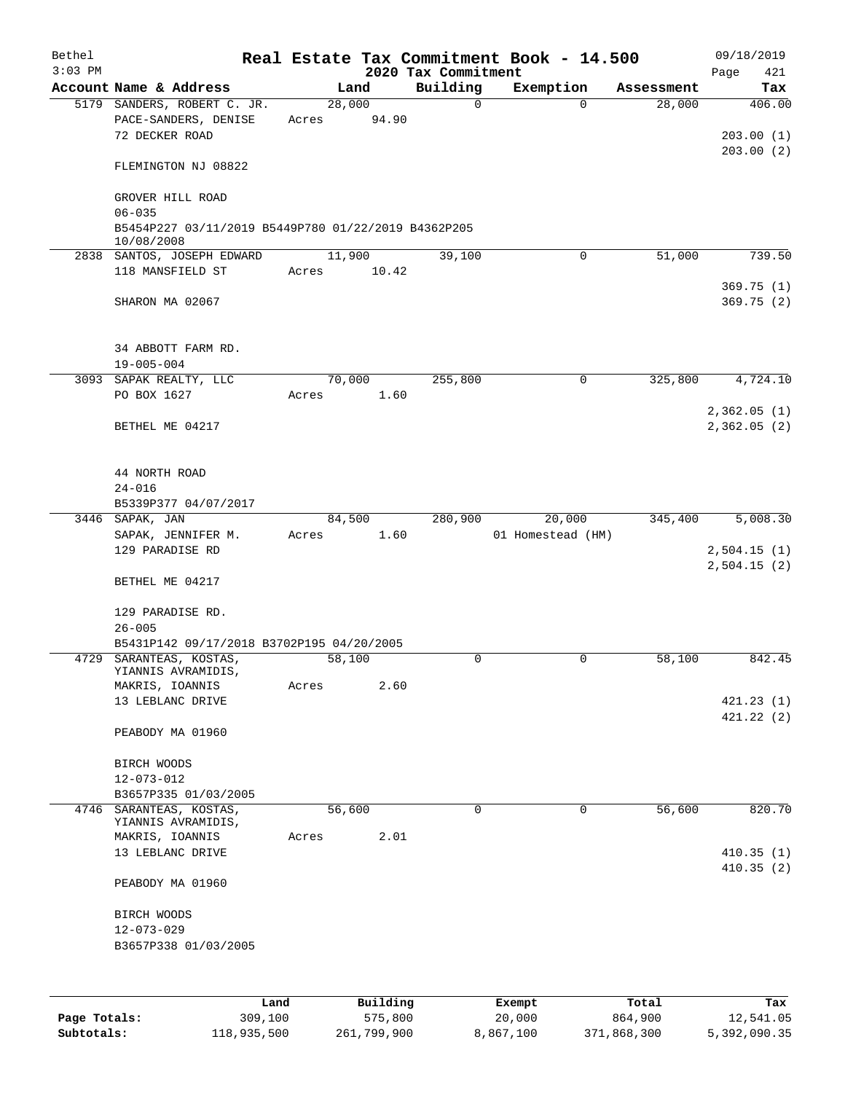| Bethel       |                                                                       |       |                 |                     | Real Estate Tax Commitment Book - 14.500 |            | 09/18/2019             |
|--------------|-----------------------------------------------------------------------|-------|-----------------|---------------------|------------------------------------------|------------|------------------------|
| $3:03$ PM    |                                                                       |       |                 | 2020 Tax Commitment |                                          |            | 421<br>Page            |
|              | Account Name & Address                                                |       | Land            | Building            | Exemption                                | Assessment | Tax                    |
|              | 5179 SANDERS, ROBERT C. JR.<br>PACE-SANDERS, DENISE<br>72 DECKER ROAD | Acres | 28,000<br>94.90 | $\mathbf 0$         | $\Omega$                                 | 28,000     | 406.00<br>203.00(1)    |
|              | FLEMINGTON NJ 08822                                                   |       |                 |                     |                                          |            | 203.00(2)              |
|              | GROVER HILL ROAD<br>$06 - 035$                                        |       |                 |                     |                                          |            |                        |
|              | B5454P227 03/11/2019 B5449P780 01/22/2019 B4362P205<br>10/08/2008     |       |                 |                     |                                          |            |                        |
|              | 2838 SANTOS, JOSEPH EDWARD                                            |       | 11,900          | 39,100              | 0                                        | 51,000     | 739.50                 |
|              | 118 MANSFIELD ST                                                      | Acres | 10.42           |                     |                                          |            |                        |
|              | SHARON MA 02067                                                       |       |                 |                     |                                          |            | 369.75(1)<br>369.75(2) |
|              | 34 ABBOTT FARM RD.<br>$19 - 005 - 004$                                |       |                 |                     |                                          |            |                        |
|              | 3093 SAPAK REALTY, LLC                                                |       | 70,000          | 255,800             | 0                                        | 325,800    | 4,724.10               |
|              | PO BOX 1627                                                           | Acres | 1.60            |                     |                                          |            | 2,362.05(1)            |
|              | BETHEL ME 04217                                                       |       |                 |                     |                                          |            | 2,362.05(2)            |
|              | 44 NORTH ROAD                                                         |       |                 |                     |                                          |            |                        |
|              | $24 - 016$                                                            |       |                 |                     |                                          |            |                        |
|              | B5339P377 04/07/2017                                                  |       |                 |                     |                                          |            |                        |
|              | 3446 SAPAK, JAN<br>SAPAK, JENNIFER M.                                 | Acres | 84,500<br>1.60  | 280,900             | 20,000<br>01 Homestead (HM)              | 345,400    | 5,008.30               |
|              | 129 PARADISE RD                                                       |       |                 |                     |                                          |            | 2,504.15(1)            |
|              | BETHEL ME 04217                                                       |       |                 |                     |                                          |            | 2,504.15(2)            |
|              | 129 PARADISE RD.                                                      |       |                 |                     |                                          |            |                        |
|              | $26 - 005$                                                            |       |                 |                     |                                          |            |                        |
|              | B5431P142 09/17/2018 B3702P195 04/20/2005                             |       |                 |                     |                                          |            |                        |
|              | 4729 SARANTEAS, KOSTAS,<br>YIANNIS AVRAMIDIS,                         |       | 58,100          | 0                   | 0                                        | 58,100     | 842.45                 |
|              | MAKRIS, IOANNIS                                                       | Acres | 2.60            |                     |                                          |            |                        |
|              | 13 LEBLANC DRIVE                                                      |       |                 |                     |                                          |            | 421.23(1)              |
|              | PEABODY MA 01960                                                      |       |                 |                     |                                          |            | 421.22(2)              |
|              | BIRCH WOODS                                                           |       |                 |                     |                                          |            |                        |
|              | $12 - 073 - 012$                                                      |       |                 |                     |                                          |            |                        |
|              | B3657P335 01/03/2005                                                  |       |                 |                     |                                          |            |                        |
|              | 4746 SARANTEAS, KOSTAS,                                               |       | 56,600          | $\mathbf 0$         | $\Omega$                                 | 56,600     | 820.70                 |
|              | YIANNIS AVRAMIDIS,<br>MAKRIS, IOANNIS                                 | Acres | 2.01            |                     |                                          |            |                        |
|              | 13 LEBLANC DRIVE                                                      |       |                 |                     |                                          |            | 410.35(1)              |
|              |                                                                       |       |                 |                     |                                          |            | 410.35(2)              |
|              | PEABODY MA 01960                                                      |       |                 |                     |                                          |            |                        |
|              | BIRCH WOODS                                                           |       |                 |                     |                                          |            |                        |
|              | $12 - 073 - 029$                                                      |       |                 |                     |                                          |            |                        |
|              | B3657P338 01/03/2005                                                  |       |                 |                     |                                          |            |                        |
|              |                                                                       |       |                 |                     |                                          |            |                        |
|              | Land                                                                  |       | Building        |                     | Exempt                                   | Total      | Tax                    |
| Page Totals: | 309,100                                                               |       | 575,800         |                     | 20,000                                   | 864,900    | 12,541.05              |

**Subtotals:** 118,935,500 261,799,900 8,867,100 371,868,300 5,392,090.35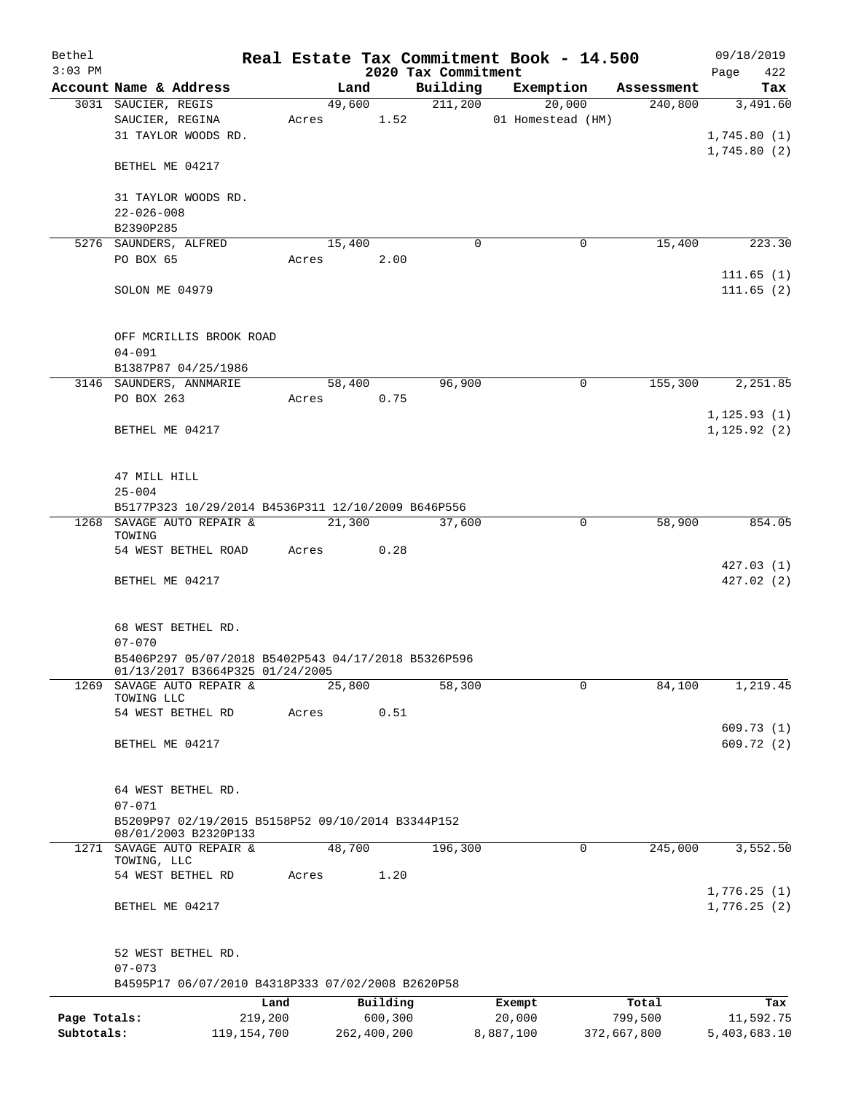| Bethel       |                                                     |            |                |                                 | Real Estate Tax Commitment Book - 14.500 |                       | 09/18/2019      |
|--------------|-----------------------------------------------------|------------|----------------|---------------------------------|------------------------------------------|-----------------------|-----------------|
| $3:03$ PM    |                                                     |            |                | 2020 Tax Commitment<br>Building |                                          |                       | 422<br>Page     |
|              | Account Name & Address<br>3031 SAUCIER, REGIS       |            | Land<br>49,600 | 211,200                         | Exemption<br>20,000                      | Assessment<br>240,800 | Tax<br>3,491.60 |
|              | SAUCIER, REGINA                                     | Acres 1.52 |                |                                 | 01 Homestead (HM)                        |                       |                 |
|              | 31 TAYLOR WOODS RD.                                 |            |                |                                 |                                          |                       | 1,745.80(1)     |
|              |                                                     |            |                |                                 |                                          |                       | 1,745.80(2)     |
|              | BETHEL ME 04217                                     |            |                |                                 |                                          |                       |                 |
|              | 31 TAYLOR WOODS RD.                                 |            |                |                                 |                                          |                       |                 |
|              | $22 - 026 - 008$                                    |            |                |                                 |                                          |                       |                 |
|              | B2390P285                                           |            |                |                                 |                                          |                       |                 |
|              | 5276 SAUNDERS, ALFRED                               |            | 15,400         | $\Omega$                        | 0                                        | 15,400                | 223.30          |
|              | PO BOX 65                                           | Acres      | 2.00           |                                 |                                          |                       |                 |
|              |                                                     |            |                |                                 |                                          |                       | 111.65(1)       |
|              | SOLON ME 04979                                      |            |                |                                 |                                          |                       | 111.65(2)       |
|              | OFF MCRILLIS BROOK ROAD                             |            |                |                                 |                                          |                       |                 |
|              | $04 - 091$                                          |            |                |                                 |                                          |                       |                 |
|              | B1387P87 04/25/1986                                 |            |                |                                 |                                          |                       |                 |
|              | 3146 SAUNDERS, ANNMARIE                             |            | 58,400         | 96,900                          | 0                                        | 155,300               | 2,251.85        |
|              | PO BOX 263                                          | Acres      | 0.75           |                                 |                                          |                       |                 |
|              |                                                     |            |                |                                 |                                          |                       | 1, 125.93(1)    |
|              | BETHEL ME 04217                                     |            |                |                                 |                                          |                       | 1, 125.92(2)    |
|              |                                                     |            |                |                                 |                                          |                       |                 |
|              |                                                     |            |                |                                 |                                          |                       |                 |
|              | 47 MILL HILL                                        |            |                |                                 |                                          |                       |                 |
|              | $25 - 004$                                          |            |                |                                 |                                          |                       |                 |
|              | B5177P323 10/29/2014 B4536P311 12/10/2009 B646P556  |            |                |                                 |                                          |                       |                 |
|              | 1268 SAVAGE AUTO REPAIR &                           |            | 21,300         | 37,600                          | $\mathbf 0$                              | 58,900                | 854.05          |
|              | TOWING<br>54 WEST BETHEL ROAD                       |            | 0.28           |                                 |                                          |                       |                 |
|              |                                                     | Acres      |                |                                 |                                          |                       | 427.03 (1)      |
|              | BETHEL ME 04217                                     |            |                |                                 |                                          |                       | 427.02(2)       |
|              |                                                     |            |                |                                 |                                          |                       |                 |
|              |                                                     |            |                |                                 |                                          |                       |                 |
|              | 68 WEST BETHEL RD.                                  |            |                |                                 |                                          |                       |                 |
|              | $07 - 070$                                          |            |                |                                 |                                          |                       |                 |
|              | B5406P297 05/07/2018 B5402P543 04/17/2018 B5326P596 |            |                |                                 |                                          |                       |                 |
|              | 01/13/2017 B3664P325 01/24/2005                     |            |                |                                 |                                          |                       |                 |
| 1269         | SAVAGE AUTO REPAIR &                                |            | 25,800         | 58,300                          | 0                                        | 84,100                | 1,219.45        |
|              | TOWING LLC<br>54 WEST BETHEL RD                     |            | 0.51           |                                 |                                          |                       |                 |
|              |                                                     | Acres      |                |                                 |                                          |                       | 609.73 (1)      |
|              | BETHEL ME 04217                                     |            |                |                                 |                                          |                       | 609.72(2)       |
|              |                                                     |            |                |                                 |                                          |                       |                 |
|              |                                                     |            |                |                                 |                                          |                       |                 |
|              | 64 WEST BETHEL RD.                                  |            |                |                                 |                                          |                       |                 |
|              | $07 - 071$                                          |            |                |                                 |                                          |                       |                 |
|              | B5209P97 02/19/2015 B5158P52 09/10/2014 B3344P152   |            |                |                                 |                                          |                       |                 |
|              | 08/01/2003 B2320P133                                |            |                |                                 |                                          |                       |                 |
|              | 1271 SAVAGE AUTO REPAIR &                           | 48,700     |                | 196,300                         | 0                                        | 245,000               | 3,552.50        |
|              | TOWING, LLC<br>54 WEST BETHEL RD                    | Acres      | 1.20           |                                 |                                          |                       |                 |
|              |                                                     |            |                |                                 |                                          |                       | 1,776.25(1)     |
|              | BETHEL ME 04217                                     |            |                |                                 |                                          |                       | 1,776.25(2)     |
|              |                                                     |            |                |                                 |                                          |                       |                 |
|              |                                                     |            |                |                                 |                                          |                       |                 |
|              | 52 WEST BETHEL RD.                                  |            |                |                                 |                                          |                       |                 |
|              | $07 - 073$                                          |            |                |                                 |                                          |                       |                 |
|              | B4595P17 06/07/2010 B4318P333 07/02/2008 B2620P58   |            |                |                                 |                                          |                       |                 |
|              | Land                                                |            | Building       |                                 | Exempt                                   | Total                 | Tax             |
| Page Totals: | 219,200                                             |            | 600,300        |                                 | 20,000                                   | 799,500               | 11,592.75       |
| Subtotals:   | 119, 154, 700                                       |            | 262,400,200    |                                 | 8,887,100                                | 372,667,800           | 5,403,683.10    |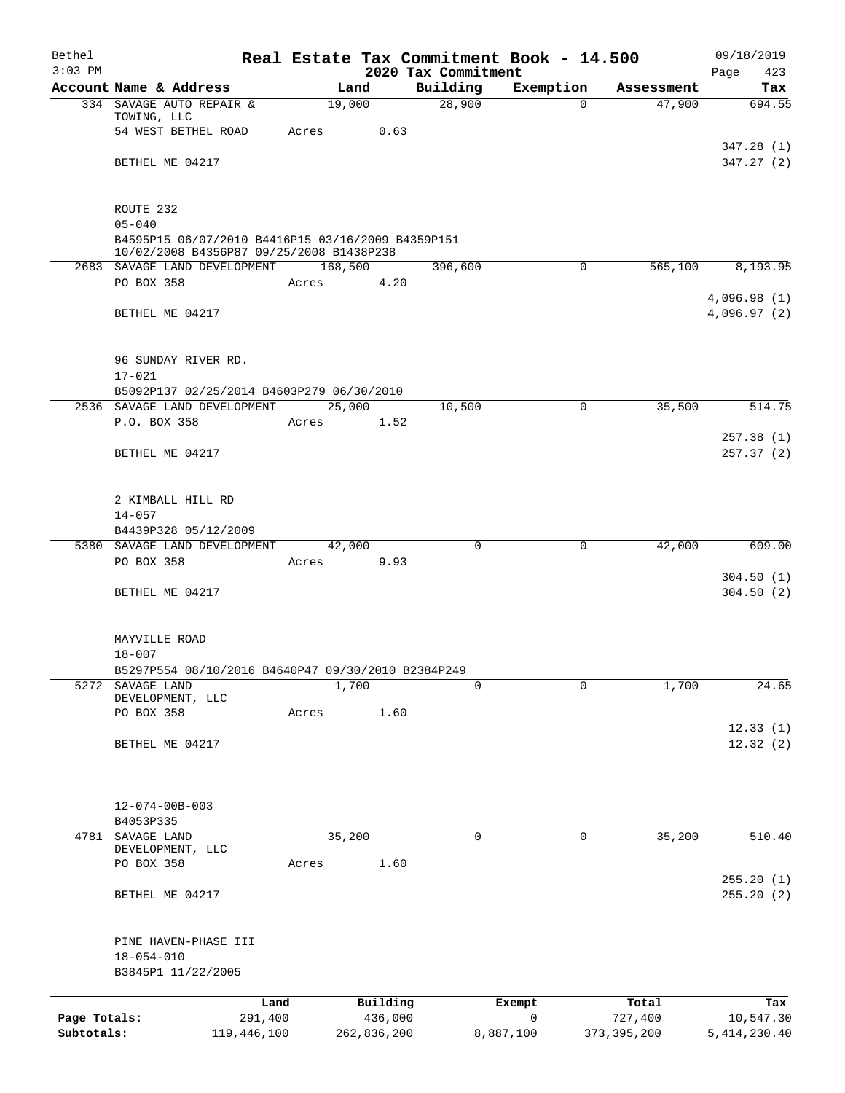| Bethel<br>$3:03$ PM |                                                                                               |         |             |          | 2020 Tax Commitment | Real Estate Tax Commitment Book - 14.500 |               | 09/18/2019<br>Page<br>423 |
|---------------------|-----------------------------------------------------------------------------------------------|---------|-------------|----------|---------------------|------------------------------------------|---------------|---------------------------|
|                     | Account Name & Address                                                                        |         | Land        |          | Building            | Exemption                                | Assessment    | Tax                       |
|                     | 334 SAVAGE AUTO REPAIR &                                                                      |         | 19,000      |          | 28,900              | $\Omega$                                 | 47,900        | 694.55                    |
|                     | TOWING, LLC                                                                                   |         |             |          |                     |                                          |               |                           |
|                     | 54 WEST BETHEL ROAD                                                                           | Acres   |             | 0.63     |                     |                                          |               |                           |
|                     | BETHEL ME 04217                                                                               |         |             |          |                     |                                          |               | 347.28(1)<br>347.27 (2)   |
|                     |                                                                                               |         |             |          |                     |                                          |               |                           |
|                     | ROUTE 232                                                                                     |         |             |          |                     |                                          |               |                           |
|                     | $05 - 040$                                                                                    |         |             |          |                     |                                          |               |                           |
|                     | B4595P15 06/07/2010 B4416P15 03/16/2009 B4359P151<br>10/02/2008 B4356P87 09/25/2008 B1438P238 |         |             |          |                     |                                          |               |                           |
|                     | 2683 SAVAGE LAND DEVELOPMENT                                                                  |         | 168,500     |          | 396,600             | 0                                        | 565,100       | 8,193.95                  |
|                     | PO BOX 358                                                                                    | Acres   |             | 4.20     |                     |                                          |               |                           |
|                     |                                                                                               |         |             |          |                     |                                          |               | 4,096.98(1)               |
|                     | BETHEL ME 04217                                                                               |         |             |          |                     |                                          |               | 4,096.97 (2)              |
|                     | 96 SUNDAY RIVER RD.                                                                           |         |             |          |                     |                                          |               |                           |
|                     | $17 - 021$                                                                                    |         |             |          |                     |                                          |               |                           |
|                     | B5092P137 02/25/2014 B4603P279 06/30/2010                                                     |         |             |          |                     |                                          |               |                           |
|                     | 2536 SAVAGE LAND DEVELOPMENT                                                                  |         | 25,000      |          | 10,500              | $\mathbf 0$                              | 35,500        | 514.75                    |
|                     | P.O. BOX 358                                                                                  | Acres   |             | 1.52     |                     |                                          |               |                           |
|                     |                                                                                               |         |             |          |                     |                                          |               | 257.38 (1)                |
|                     | BETHEL ME 04217                                                                               |         |             |          |                     |                                          |               | 257.37(2)                 |
|                     |                                                                                               |         |             |          |                     |                                          |               |                           |
|                     | 2 KIMBALL HILL RD                                                                             |         |             |          |                     |                                          |               |                           |
|                     | $14 - 057$<br>B4439P328 05/12/2009                                                            |         |             |          |                     |                                          |               |                           |
|                     | 5380 SAVAGE LAND DEVELOPMENT                                                                  |         | 42,000      |          | $\mathbf 0$         | 0                                        | 42,000        | 609.00                    |
|                     | PO BOX 358                                                                                    |         | Acres       | 9.93     |                     |                                          |               |                           |
|                     |                                                                                               |         |             |          |                     |                                          |               | 304.50(1)                 |
|                     | BETHEL ME 04217                                                                               |         |             |          |                     |                                          |               | 304.50(2)                 |
|                     |                                                                                               |         |             |          |                     |                                          |               |                           |
|                     | MAYVILLE ROAD                                                                                 |         |             |          |                     |                                          |               |                           |
|                     | $18 - 007$                                                                                    |         |             |          |                     |                                          |               |                           |
|                     | B5297P554 08/10/2016 B4640P47 09/30/2010 B2384P249                                            |         |             |          |                     |                                          |               |                           |
| 5272                | SAVAGE LAND<br>DEVELOPMENT, LLC                                                               |         | 1,700       |          | 0                   | 0                                        | 1,700         | 24.65                     |
|                     | PO BOX 358                                                                                    | Acres   |             | 1.60     |                     |                                          |               |                           |
|                     |                                                                                               |         |             |          |                     |                                          |               | 12.33(1)                  |
|                     | BETHEL ME 04217                                                                               |         |             |          |                     |                                          |               | 12.32(2)                  |
|                     |                                                                                               |         |             |          |                     |                                          |               |                           |
|                     | $12 - 074 - 00B - 003$                                                                        |         |             |          |                     |                                          |               |                           |
|                     | B4053P335                                                                                     |         |             |          |                     |                                          |               |                           |
| 4781                | SAVAGE LAND                                                                                   |         | 35,200      |          | 0                   | 0                                        | 35,200        | 510.40                    |
|                     | DEVELOPMENT, LLC                                                                              |         |             |          |                     |                                          |               |                           |
|                     | PO BOX 358                                                                                    | Acres   |             | 1.60     |                     |                                          |               |                           |
|                     | BETHEL ME 04217                                                                               |         |             |          |                     |                                          |               | 255.20(1)<br>255.20 (2)   |
|                     |                                                                                               |         |             |          |                     |                                          |               |                           |
|                     | PINE HAVEN-PHASE III                                                                          |         |             |          |                     |                                          |               |                           |
|                     | $18 - 054 - 010$                                                                              |         |             |          |                     |                                          |               |                           |
|                     | B3845P1 11/22/2005                                                                            |         |             |          |                     |                                          |               |                           |
|                     |                                                                                               | Land    |             | Building |                     | Exempt                                   | Total         | Tax                       |
| Page Totals:        |                                                                                               | 291,400 |             | 436,000  |                     | $\mathbf 0$                              | 727,400       | 10,547.30                 |
| Subtotals:          | 119,446,100                                                                                   |         | 262,836,200 |          |                     | 8,887,100                                | 373, 395, 200 | 5, 414, 230.40            |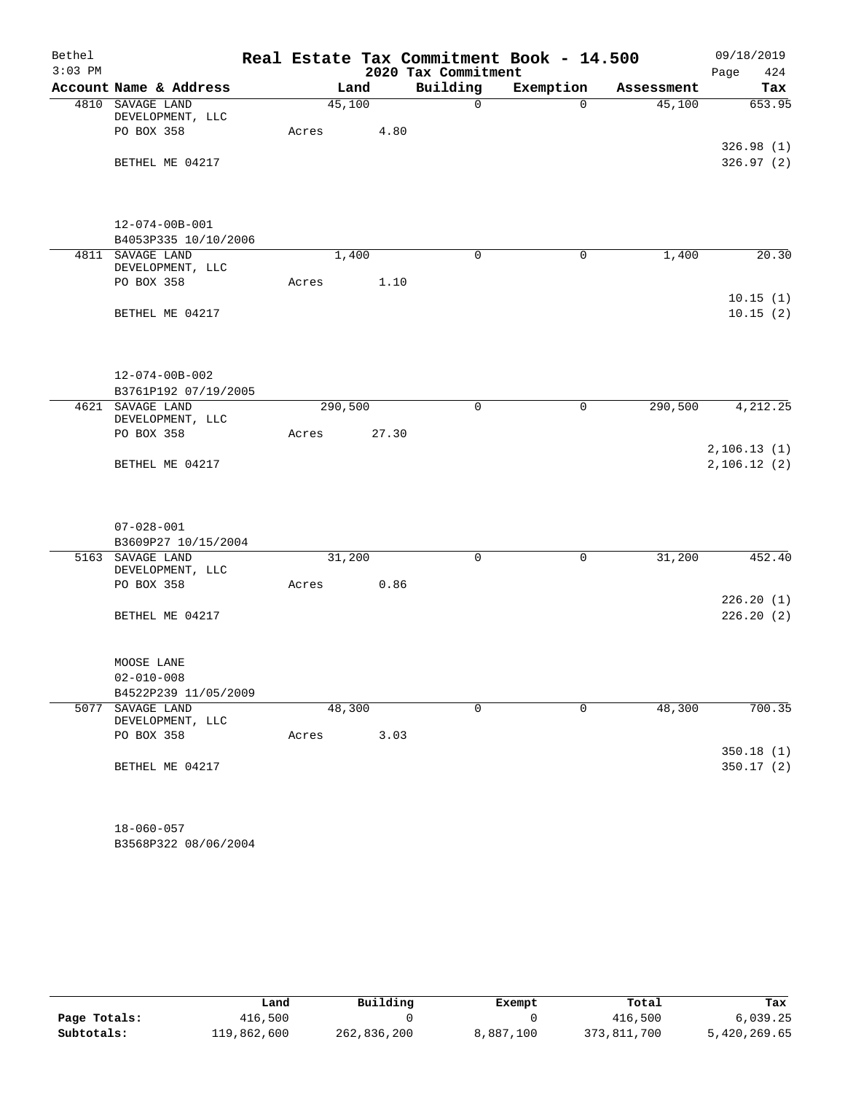| Bethel    |                                                        |         |        | Real Estate Tax Commitment Book - 14.500 |             |            | 09/18/2019                 |
|-----------|--------------------------------------------------------|---------|--------|------------------------------------------|-------------|------------|----------------------------|
| $3:03$ PM |                                                        |         |        | 2020 Tax Commitment                      |             |            | Page<br>424                |
|           | Account Name & Address                                 |         | Land   | Building                                 | Exemption   | Assessment | Tax                        |
|           | 4810 SAVAGE LAND<br>DEVELOPMENT, LLC                   |         | 45,100 | 0                                        | $\Omega$    | 45,100     | 653.95                     |
|           | PO BOX 358                                             | Acres   | 4.80   |                                          |             |            | 326.98(1)                  |
|           | BETHEL ME 04217                                        |         |        |                                          |             |            | 326.97 (2)                 |
|           | $12 - 074 - 00B - 001$<br>B4053P335 10/10/2006         |         |        |                                          |             |            |                            |
|           | 4811 SAVAGE LAND                                       |         | 1,400  | $\Omega$                                 | $\mathbf 0$ | 1,400      | 20.30                      |
|           | DEVELOPMENT, LLC                                       |         |        |                                          |             |            |                            |
|           | PO BOX 358                                             | Acres   | 1.10   |                                          |             |            |                            |
|           | BETHEL ME 04217                                        |         |        |                                          |             |            | 10.15(1)<br>10.15(2)       |
|           | $12 - 074 - 00B - 002$<br>B3761P192 07/19/2005         |         |        |                                          |             |            |                            |
|           | 4621 SAVAGE LAND                                       | 290,500 |        | $\Omega$                                 | $\mathbf 0$ | 290,500    | 4,212.25                   |
|           | DEVELOPMENT, LLC                                       |         |        |                                          |             |            |                            |
|           | PO BOX 358                                             | Acres   | 27.30  |                                          |             |            |                            |
|           | BETHEL ME 04217                                        |         |        |                                          |             |            | 2,106.13(1)<br>2,106.12(2) |
|           | $07 - 028 - 001$                                       |         |        |                                          |             |            |                            |
|           | B3609P27 10/15/2004                                    |         |        |                                          |             |            |                            |
|           | 5163 SAVAGE LAND<br>DEVELOPMENT, LLC                   |         | 31,200 | 0                                        | $\mathbf 0$ | 31,200     | 452.40                     |
|           | PO BOX 358                                             | Acres   | 0.86   |                                          |             |            |                            |
|           | BETHEL ME 04217                                        |         |        |                                          |             |            | 226.20(1)<br>226.20(2)     |
|           | MOOSE LANE<br>$02 - 010 - 008$<br>B4522P239 11/05/2009 |         |        |                                          |             |            |                            |
|           | 5077 SAVAGE LAND                                       |         | 48,300 | 0                                        | $\mathbf 0$ | 48,300     | 700.35                     |
|           | DEVELOPMENT, LLC                                       |         |        |                                          |             |            |                            |
|           | PO BOX 358                                             | Acres   | 3.03   |                                          |             |            |                            |
|           | BETHEL ME 04217                                        |         |        |                                          |             |            | 350.18 (1)<br>350.17(2)    |
|           | $18 - 060 - 057$                                       |         |        |                                          |             |            |                            |

B3568P322 08/06/2004

|              | Land        | Building    | Exempt    | Total       | Tax          |
|--------------|-------------|-------------|-----------|-------------|--------------|
| Page Totals: | 416,500     |             |           | 416,500     | 6.039.25     |
| Subtotals:   | 119,862,600 | 262,836,200 | 8,887,100 | 373,811,700 | 5,420,269.65 |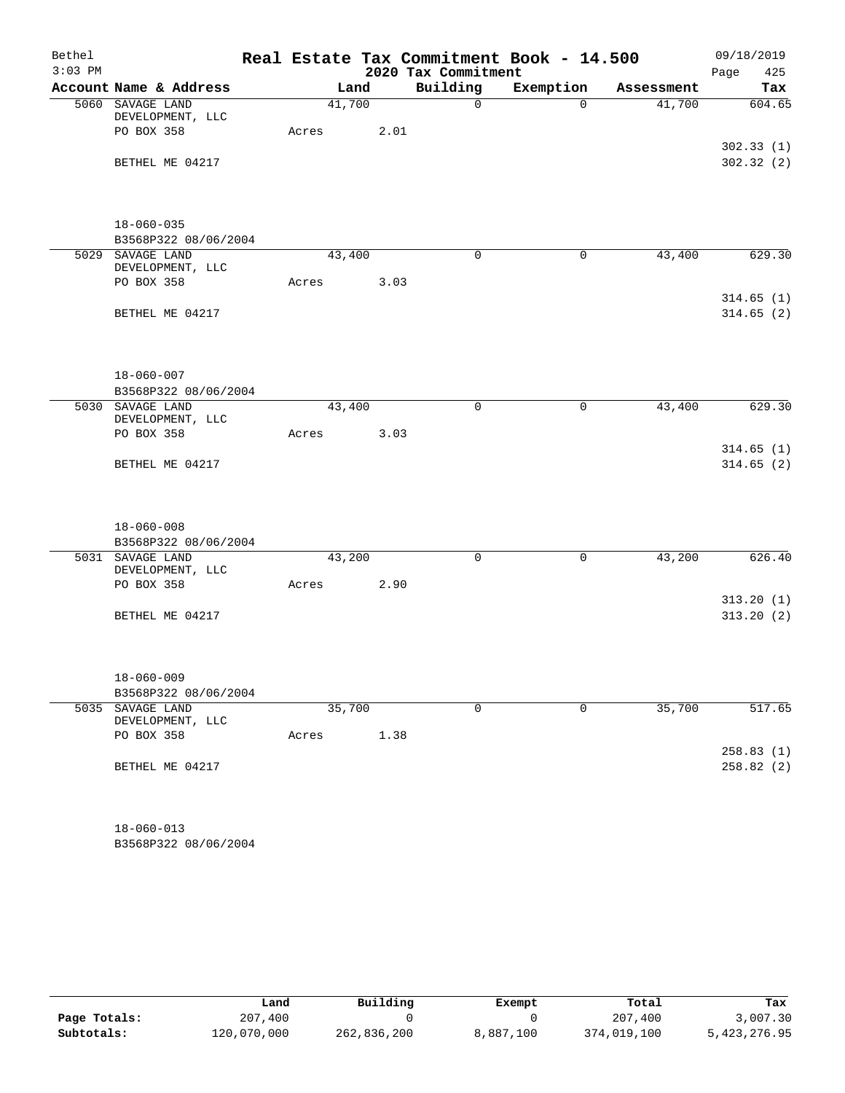| Bethel    |                                      |       |        |      | Real Estate Tax Commitment Book - 14.500 |              |            | 09/18/2019             |
|-----------|--------------------------------------|-------|--------|------|------------------------------------------|--------------|------------|------------------------|
| $3:03$ PM |                                      |       |        |      | 2020 Tax Commitment                      |              |            | Page<br>425            |
|           | Account Name & Address               |       | Land   |      | Building                                 | Exemption    | Assessment | Tax                    |
|           | 5060 SAVAGE LAND<br>DEVELOPMENT, LLC |       | 41,700 |      | $\mathbf 0$                              | $\Omega$     | 41,700     | 604.65                 |
|           | PO BOX 358                           | Acres |        | 2.01 |                                          |              |            |                        |
|           |                                      |       |        |      |                                          |              |            | 302.33(1)              |
|           | BETHEL ME 04217                      |       |        |      |                                          |              |            | 302.32(2)              |
|           | $18 - 060 - 035$                     |       |        |      |                                          |              |            |                        |
|           | B3568P322 08/06/2004                 |       |        |      |                                          |              |            |                        |
|           | 5029 SAVAGE LAND                     |       | 43,400 |      | $\mathbf 0$                              | $\mathbf 0$  | 43,400     | 629.30                 |
|           | DEVELOPMENT, LLC<br>PO BOX 358       | Acres |        | 3.03 |                                          |              |            |                        |
|           |                                      |       |        |      |                                          |              |            | 314.65(1)              |
|           | BETHEL ME 04217                      |       |        |      |                                          |              |            | 314.65(2)              |
|           |                                      |       |        |      |                                          |              |            |                        |
|           | $18 - 060 - 007$                     |       |        |      |                                          |              |            |                        |
|           | B3568P322 08/06/2004                 |       |        |      |                                          |              |            |                        |
|           | 5030 SAVAGE LAND<br>DEVELOPMENT, LLC |       | 43,400 |      | $\mathbf 0$                              | 0            | 43,400     | 629.30                 |
|           | PO BOX 358                           | Acres |        | 3.03 |                                          |              |            |                        |
|           |                                      |       |        |      |                                          |              |            | 314.65(1)              |
|           | BETHEL ME 04217                      |       |        |      |                                          |              |            | 314.65(2)              |
|           | $18 - 060 - 008$                     |       |        |      |                                          |              |            |                        |
|           | B3568P322 08/06/2004                 |       |        |      |                                          |              |            |                        |
|           | 5031 SAVAGE LAND<br>DEVELOPMENT, LLC |       | 43,200 |      | $\mathbf 0$                              | $\mathsf{O}$ | 43,200     | 626.40                 |
|           | PO BOX 358                           | Acres |        | 2.90 |                                          |              |            |                        |
|           |                                      |       |        |      |                                          |              |            | 313.20(1)              |
|           | BETHEL ME 04217                      |       |        |      |                                          |              |            | 313.20(2)              |
|           | $18 - 060 - 009$                     |       |        |      |                                          |              |            |                        |
|           | B3568P322 08/06/2004                 |       |        |      |                                          |              |            |                        |
|           | 5035 SAVAGE LAND<br>DEVELOPMENT, LLC |       | 35,700 |      | $\mathbf 0$                              | $\mathbf 0$  | 35,700     | 517.65                 |
|           | PO BOX 358                           | Acres |        | 1.38 |                                          |              |            |                        |
|           | BETHEL ME 04217                      |       |        |      |                                          |              |            | 258.83(1)<br>258.82(2) |
|           | $18 - 060 - 013$                     |       |        |      |                                          |              |            |                        |

B3568P322 08/06/2004

|              | Land        | Building    | Exempt    | Total       | Tax          |
|--------------|-------------|-------------|-----------|-------------|--------------|
| Page Totals: | 207,400     |             |           | 207,400     | 3,007.30     |
| Subtotals:   | 120,070,000 | 262,836,200 | 8,887,100 | 374,019,100 | 5,423,276.95 |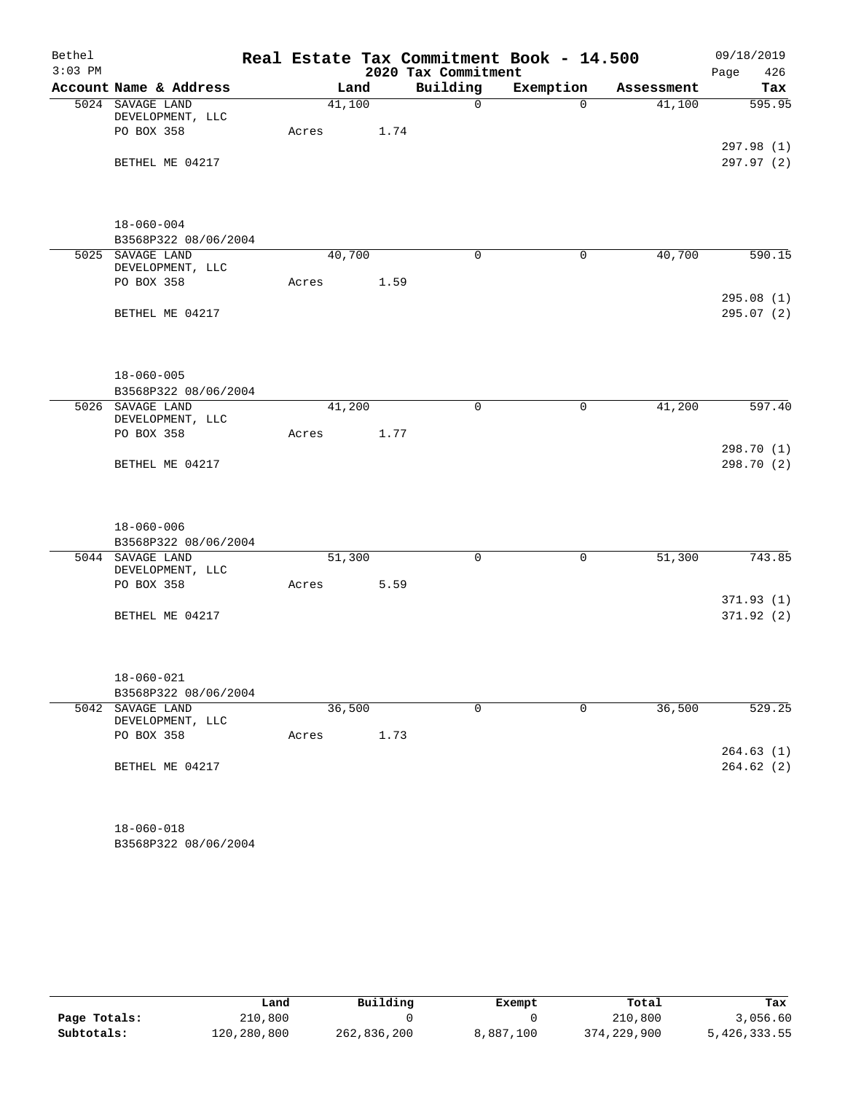| Bethel    |                                      |       |        |      |                     | Real Estate Tax Commitment Book - 14.500 |            | 09/18/2019  |
|-----------|--------------------------------------|-------|--------|------|---------------------|------------------------------------------|------------|-------------|
| $3:03$ PM |                                      |       |        |      | 2020 Tax Commitment |                                          |            | Page<br>426 |
|           | Account Name & Address               |       | Land   |      | Building            | Exemption                                | Assessment | Tax         |
|           | 5024 SAVAGE LAND<br>DEVELOPMENT, LLC |       | 41,100 |      | $\mathbf 0$         | $\Omega$                                 | 41,100     | 595.95      |
|           | PO BOX 358                           | Acres |        | 1.74 |                     |                                          |            |             |
|           |                                      |       |        |      |                     |                                          |            | 297.98 (1)  |
|           | BETHEL ME 04217                      |       |        |      |                     |                                          |            | 297.97 (2)  |
|           |                                      |       |        |      |                     |                                          |            |             |
|           | $18 - 060 - 004$                     |       |        |      |                     |                                          |            |             |
|           | B3568P322 08/06/2004                 |       |        |      |                     |                                          |            |             |
|           | 5025 SAVAGE LAND                     |       | 40,700 |      | $\Omega$            | $\mathbf 0$                              | 40,700     | 590.15      |
|           | DEVELOPMENT, LLC                     |       |        |      |                     |                                          |            |             |
|           | PO BOX 358                           | Acres |        | 1.59 |                     |                                          |            |             |
|           |                                      |       |        |      |                     |                                          |            | 295.08(1)   |
|           | BETHEL ME 04217                      |       |        |      |                     |                                          |            | 295.07 (2)  |
|           |                                      |       |        |      |                     |                                          |            |             |
|           | $18 - 060 - 005$                     |       |        |      |                     |                                          |            |             |
|           | B3568P322 08/06/2004                 |       |        |      |                     |                                          |            |             |
|           | 5026 SAVAGE LAND<br>DEVELOPMENT, LLC |       | 41,200 |      | $\mathbf 0$         | $\mathbf 0$                              | 41,200     | 597.40      |
|           | PO BOX 358                           | Acres |        | 1.77 |                     |                                          |            |             |
|           |                                      |       |        |      |                     |                                          |            | 298.70 (1)  |
|           | BETHEL ME 04217                      |       |        |      |                     |                                          |            | 298.70 (2)  |
|           |                                      |       |        |      |                     |                                          |            |             |
|           | $18 - 060 - 006$                     |       |        |      |                     |                                          |            |             |
|           | B3568P322 08/06/2004                 |       |        |      |                     |                                          |            |             |
|           | 5044 SAVAGE LAND<br>DEVELOPMENT, LLC |       | 51,300 |      | 0                   | $\mathbf 0$                              | 51,300     | 743.85      |
|           | PO BOX 358                           | Acres |        | 5.59 |                     |                                          |            |             |
|           |                                      |       |        |      |                     |                                          |            | 371.93(1)   |
|           | BETHEL ME 04217                      |       |        |      |                     |                                          |            | 371.92(2)   |
|           |                                      |       |        |      |                     |                                          |            |             |
|           | $18 - 060 - 021$                     |       |        |      |                     |                                          |            |             |
|           | B3568P322 08/06/2004                 |       |        |      |                     |                                          |            |             |
|           | 5042 SAVAGE LAND<br>DEVELOPMENT, LLC |       | 36,500 |      | 0                   | $\mathbf 0$                              | 36,500     | 529.25      |
|           | PO BOX 358                           | Acres |        | 1.73 |                     |                                          |            |             |
|           |                                      |       |        |      |                     |                                          |            | 264.63(1)   |
|           | BETHEL ME 04217                      |       |        |      |                     |                                          |            | 264.62(2)   |
|           |                                      |       |        |      |                     |                                          |            |             |
|           | $18 - 060 - 018$                     |       |        |      |                     |                                          |            |             |

B3568P322 08/06/2004

|              | Land        | Building    | Exempt    | Total       | Tax          |
|--------------|-------------|-------------|-----------|-------------|--------------|
| Page Totals: | 210,800     |             |           | 210,800     | 3,056.60     |
| Subtotals:   | 120,280,800 | 262,836,200 | 8,887,100 | 374,229,900 | 5,426,333.55 |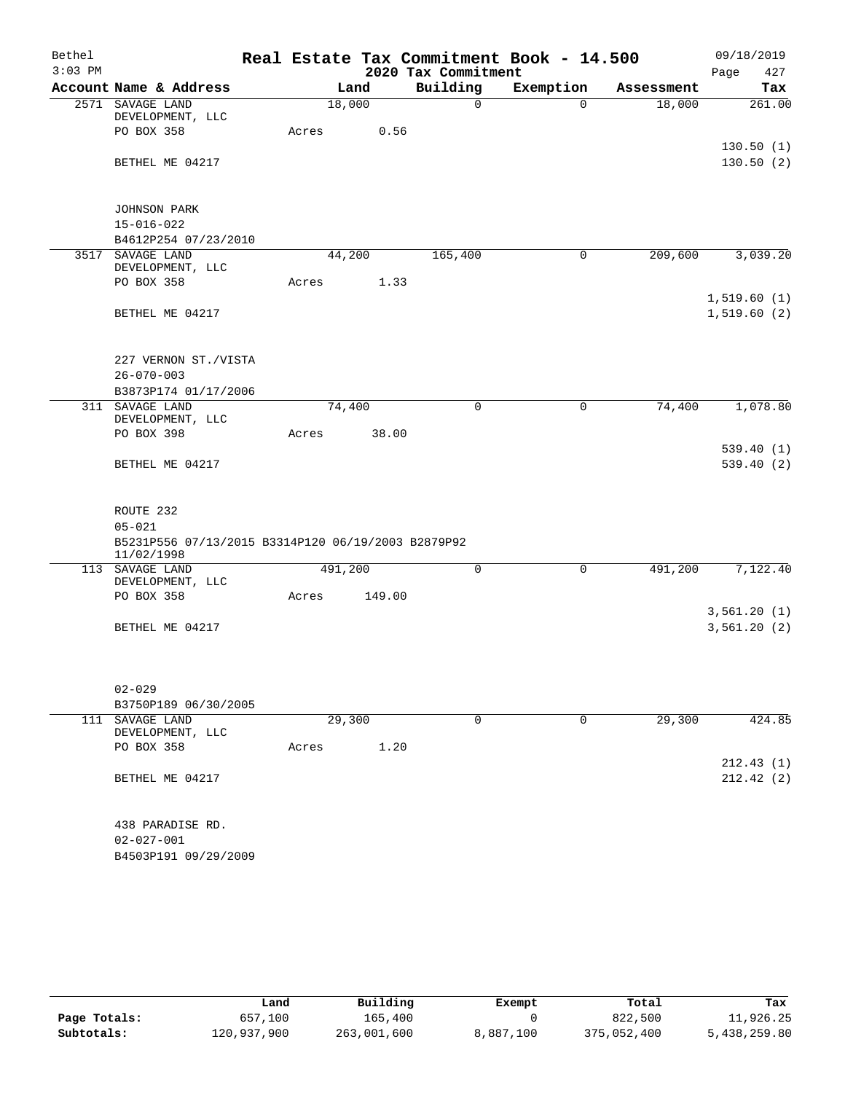| Bethel    |                                                    |       |         |                     | Real Estate Tax Commitment Book - 14.500 |            | 09/18/2019  |
|-----------|----------------------------------------------------|-------|---------|---------------------|------------------------------------------|------------|-------------|
| $3:03$ PM |                                                    |       |         | 2020 Tax Commitment |                                          |            | Page<br>427 |
|           | Account Name & Address                             |       | Land    | Building            | Exemption                                | Assessment | Tax         |
|           | 2571 SAVAGE LAND                                   |       | 18,000  | 0                   | $\Omega$                                 | 18,000     | 261.00      |
|           | DEVELOPMENT, LLC<br>PO BOX 358                     |       |         |                     |                                          |            |             |
|           |                                                    | Acres | 0.56    |                     |                                          |            | 130.50(1)   |
|           | BETHEL ME 04217                                    |       |         |                     |                                          |            | 130.50(2)   |
|           |                                                    |       |         |                     |                                          |            |             |
|           |                                                    |       |         |                     |                                          |            |             |
|           | <b>JOHNSON PARK</b>                                |       |         |                     |                                          |            |             |
|           | $15 - 016 - 022$                                   |       |         |                     |                                          |            |             |
|           | B4612P254 07/23/2010                               |       |         |                     |                                          |            |             |
|           | 3517 SAVAGE LAND                                   |       | 44,200  | 165,400             | $\mathbf 0$                              | 209,600    | 3,039.20    |
|           | DEVELOPMENT, LLC<br>PO BOX 358                     |       |         |                     |                                          |            |             |
|           |                                                    | Acres | 1.33    |                     |                                          |            | 1,519.60(1) |
|           | BETHEL ME 04217                                    |       |         |                     |                                          |            | 1,519.60(2) |
|           |                                                    |       |         |                     |                                          |            |             |
|           |                                                    |       |         |                     |                                          |            |             |
|           | 227 VERNON ST./VISTA                               |       |         |                     |                                          |            |             |
|           | $26 - 070 - 003$                                   |       |         |                     |                                          |            |             |
|           | B3873P174 01/17/2006                               |       |         |                     |                                          |            |             |
|           | 311 SAVAGE LAND<br>DEVELOPMENT, LLC                |       | 74,400  | $\mathbf 0$         | $\mathbf 0$                              | 74,400     | 1,078.80    |
|           | PO BOX 398                                         | Acres | 38.00   |                     |                                          |            |             |
|           |                                                    |       |         |                     |                                          |            | 539.40(1)   |
|           | BETHEL ME 04217                                    |       |         |                     |                                          |            | 539.40(2)   |
|           |                                                    |       |         |                     |                                          |            |             |
|           | ROUTE 232                                          |       |         |                     |                                          |            |             |
|           | $05 - 021$                                         |       |         |                     |                                          |            |             |
|           | B5231P556 07/13/2015 B3314P120 06/19/2003 B2879P92 |       |         |                     |                                          |            |             |
|           | 11/02/1998                                         |       |         |                     |                                          |            |             |
|           | 113 SAVAGE LAND                                    |       | 491,200 | 0                   | 0                                        | 491,200    | 7,122.40    |
|           | DEVELOPMENT, LLC<br>PO BOX 358                     | Acres | 149.00  |                     |                                          |            |             |
|           |                                                    |       |         |                     |                                          |            | 3,561.20(1) |
|           | BETHEL ME 04217                                    |       |         |                     |                                          |            | 3,561.20(2) |
|           |                                                    |       |         |                     |                                          |            |             |
|           |                                                    |       |         |                     |                                          |            |             |
|           |                                                    |       |         |                     |                                          |            |             |
|           | $02 - 029$                                         |       |         |                     |                                          |            |             |
|           | B3750P189 06/30/2005                               |       |         |                     |                                          |            |             |
| 111       | SAVAGE LAND<br>DEVELOPMENT, LLC                    |       | 29,300  | 0                   | 0                                        | 29,300     | 424.85      |
|           | PO BOX 358                                         | Acres | 1.20    |                     |                                          |            |             |
|           |                                                    |       |         |                     |                                          |            | 212.43(1)   |
|           | BETHEL ME 04217                                    |       |         |                     |                                          |            | 212.42(2)   |
|           |                                                    |       |         |                     |                                          |            |             |
|           | 438 PARADISE RD.                                   |       |         |                     |                                          |            |             |
|           | $02 - 027 - 001$                                   |       |         |                     |                                          |            |             |
|           | B4503P191 09/29/2009                               |       |         |                     |                                          |            |             |
|           |                                                    |       |         |                     |                                          |            |             |

|              | Land        | Building    | Exempt    | Total       | Tax          |
|--------------|-------------|-------------|-----------|-------------|--------------|
| Page Totals: | 657,100     | 165,400     |           | 822,500     | 11,926.25    |
| Subtotals:   | 120,937,900 | 263,001,600 | 8,887,100 | 375,052,400 | 5,438,259.80 |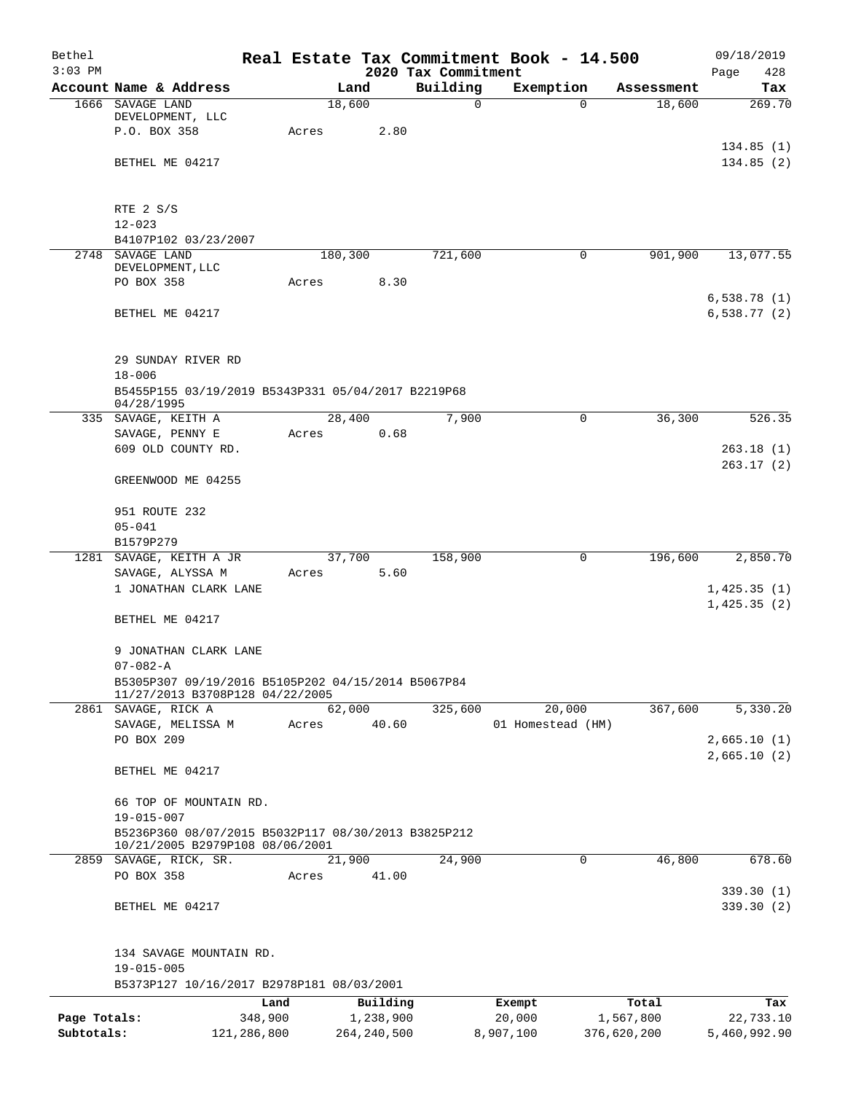| Bethel<br>$3:03$ PM |                                                     |       |               | 2020 Tax Commitment | Real Estate Tax Commitment Book - 14.500 |             | 09/18/2019<br>Page<br>428 |
|---------------------|-----------------------------------------------------|-------|---------------|---------------------|------------------------------------------|-------------|---------------------------|
|                     | Account Name & Address                              |       | Land          | Building            | Exemption                                | Assessment  | Tax                       |
|                     | 1666 SAVAGE LAND                                    |       | 18,600        | $\mathbf 0$         | $\Omega$                                 | 18,600      | 269.70                    |
|                     | DEVELOPMENT, LLC                                    |       |               |                     |                                          |             |                           |
|                     | P.O. BOX 358                                        | Acres | 2.80          |                     |                                          |             |                           |
|                     |                                                     |       |               |                     |                                          |             | 134.85(1)                 |
|                     | BETHEL ME 04217                                     |       |               |                     |                                          |             | 134.85(2)                 |
|                     |                                                     |       |               |                     |                                          |             |                           |
|                     | RTE 2 S/S                                           |       |               |                     |                                          |             |                           |
|                     | $12 - 023$                                          |       |               |                     |                                          |             |                           |
|                     | B4107P102 03/23/2007                                |       |               |                     |                                          |             |                           |
|                     | 2748 SAVAGE LAND                                    |       | 180,300       | 721,600             | 0                                        | 901,900     | 13,077.55                 |
|                     | DEVELOPMENT, LLC                                    |       |               |                     |                                          |             |                           |
|                     | PO BOX 358                                          | Acres | 8.30          |                     |                                          |             |                           |
|                     |                                                     |       |               |                     |                                          |             | 6,538.78(1)               |
|                     | BETHEL ME 04217                                     |       |               |                     |                                          |             | 6,538.77(2)               |
|                     |                                                     |       |               |                     |                                          |             |                           |
|                     | 29 SUNDAY RIVER RD                                  |       |               |                     |                                          |             |                           |
|                     | $18 - 006$                                          |       |               |                     |                                          |             |                           |
|                     | B5455P155 03/19/2019 B5343P331 05/04/2017 B2219P68  |       |               |                     |                                          |             |                           |
|                     | 04/28/1995                                          |       |               |                     |                                          |             |                           |
|                     | 335 SAVAGE, KEITH A                                 |       | 28,400        | 7,900               | $\mathbf 0$                              | 36,300      | 526.35                    |
|                     | SAVAGE, PENNY E                                     | Acres | 0.68          |                     |                                          |             |                           |
|                     | 609 OLD COUNTY RD.                                  |       |               |                     |                                          |             | 263.18(1)                 |
|                     | GREENWOOD ME 04255                                  |       |               |                     |                                          |             | 263.17(2)                 |
|                     |                                                     |       |               |                     |                                          |             |                           |
|                     | 951 ROUTE 232                                       |       |               |                     |                                          |             |                           |
|                     | $05 - 041$                                          |       |               |                     |                                          |             |                           |
|                     | B1579P279                                           |       |               |                     |                                          |             |                           |
|                     | 1281 SAVAGE, KEITH A JR                             |       | 37,700        | 158,900             | 0                                        | 196,600     | 2,850.70                  |
|                     | SAVAGE, ALYSSA M                                    | Acres | 5.60          |                     |                                          |             |                           |
|                     | 1 JONATHAN CLARK LANE                               |       |               |                     |                                          |             | 1,425.35(1)               |
|                     |                                                     |       |               |                     |                                          |             | 1,425.35(2)               |
|                     | BETHEL ME 04217                                     |       |               |                     |                                          |             |                           |
|                     | 9 JONATHAN CLARK LANE                               |       |               |                     |                                          |             |                           |
|                     | $07 - 082 - A$                                      |       |               |                     |                                          |             |                           |
|                     | B5305P307 09/19/2016 B5105P202 04/15/2014 B5067P84  |       |               |                     |                                          |             |                           |
|                     | 11/27/2013 B3708P128 04/22/2005                     |       |               |                     |                                          |             |                           |
|                     | 2861 SAVAGE, RICK A                                 |       | 62,000        | 325,600             | 20,000                                   | 367,600     | 5,330.20                  |
|                     | SAVAGE, MELISSA M                                   | Acres | 40.60         |                     | 01 Homestead (HM)                        |             |                           |
|                     | PO BOX 209                                          |       |               |                     |                                          |             | 2,665.10(1)               |
|                     | BETHEL ME 04217                                     |       |               |                     |                                          |             | 2,665.10(2)               |
|                     |                                                     |       |               |                     |                                          |             |                           |
|                     | 66 TOP OF MOUNTAIN RD.                              |       |               |                     |                                          |             |                           |
|                     | 19-015-007                                          |       |               |                     |                                          |             |                           |
|                     | B5236P360 08/07/2015 B5032P117 08/30/2013 B3825P212 |       |               |                     |                                          |             |                           |
|                     | 10/21/2005 B2979P108 08/06/2001                     |       |               |                     |                                          |             |                           |
|                     | 2859 SAVAGE, RICK, SR.                              |       | 21,900        | 24,900              | 0                                        | 46,800      | 678.60                    |
|                     | PO BOX 358                                          | Acres | 41.00         |                     |                                          |             |                           |
|                     |                                                     |       |               |                     |                                          |             | 339.30(1)                 |
|                     | BETHEL ME 04217                                     |       |               |                     |                                          |             | 339.30(2)                 |
|                     |                                                     |       |               |                     |                                          |             |                           |
|                     | 134 SAVAGE MOUNTAIN RD.                             |       |               |                     |                                          |             |                           |
|                     | $19 - 015 - 005$                                    |       |               |                     |                                          |             |                           |
|                     | B5373P127 10/16/2017 B2978P181 08/03/2001           |       |               |                     |                                          |             |                           |
|                     | Land                                                |       | Building      |                     | Exempt                                   | Total       | Tax                       |
| Page Totals:        | 348,900                                             |       | 1,238,900     |                     | 20,000                                   | 1,567,800   | 22,733.10                 |
| Subtotals:          | 121,286,800                                         |       | 264, 240, 500 |                     | 8,907,100                                | 376,620,200 | 5,460,992.90              |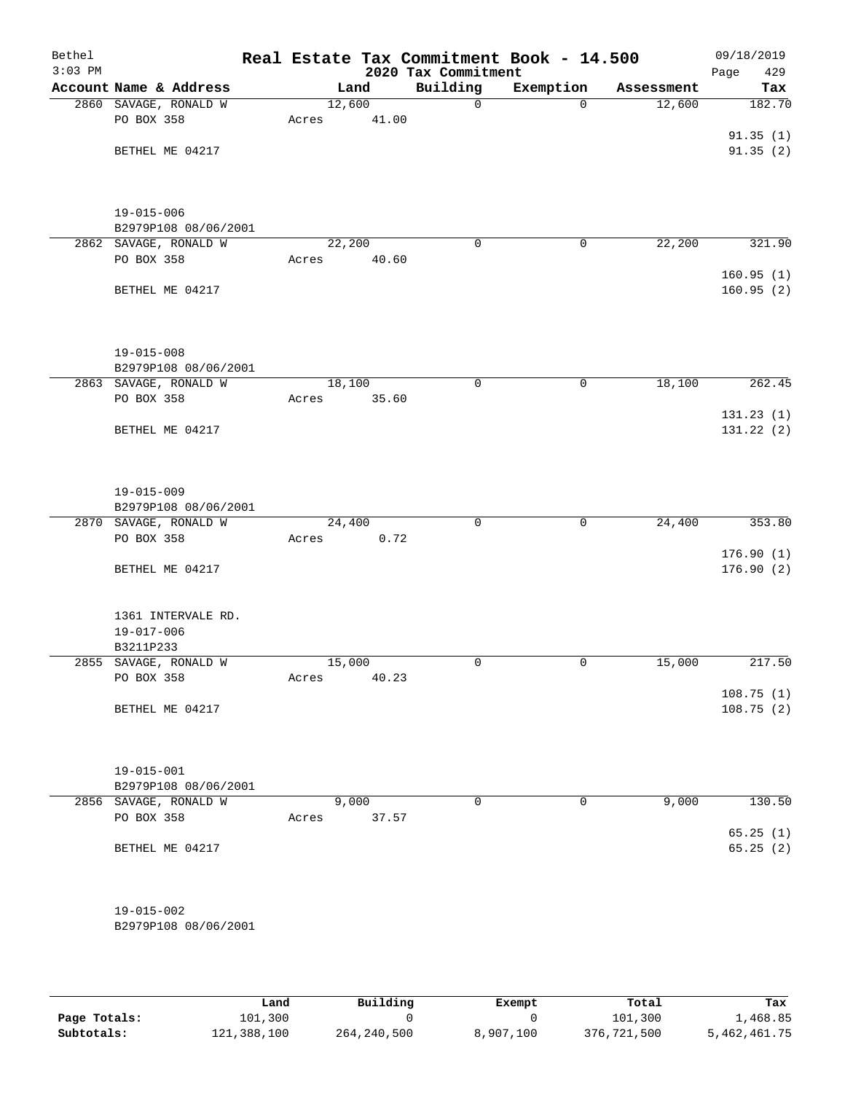| Bethel<br>$3:03$ PM |                        |        |       | 2020 Tax Commitment | Real Estate Tax Commitment Book - 14.500 |            | 09/18/2019<br>Page<br>429 |
|---------------------|------------------------|--------|-------|---------------------|------------------------------------------|------------|---------------------------|
|                     | Account Name & Address |        | Land  | Building            | Exemption                                | Assessment | Tax                       |
|                     | 2860 SAVAGE, RONALD W  | 12,600 |       | 0                   | $\Omega$                                 | 12,600     | 182.70                    |
|                     | PO BOX 358             | Acres  | 41.00 |                     |                                          |            |                           |
|                     |                        |        |       |                     |                                          |            | 91.35(1)                  |
|                     | BETHEL ME 04217        |        |       |                     |                                          |            | 91.35(2)                  |
|                     |                        |        |       |                     |                                          |            |                           |
|                     |                        |        |       |                     |                                          |            |                           |
|                     | $19 - 015 - 006$       |        |       |                     |                                          |            |                           |
|                     | B2979P108 08/06/2001   |        |       |                     |                                          |            |                           |
|                     | 2862 SAVAGE, RONALD W  | 22,200 |       | $\mathbf 0$         | $\mathsf{O}$                             | 22,200     | 321.90                    |
|                     | PO BOX 358             | Acres  | 40.60 |                     |                                          |            |                           |
|                     |                        |        |       |                     |                                          |            | 160.95(1)                 |
|                     | BETHEL ME 04217        |        |       |                     |                                          |            | 160.95(2)                 |
|                     |                        |        |       |                     |                                          |            |                           |
|                     |                        |        |       |                     |                                          |            |                           |
|                     | $19 - 015 - 008$       |        |       |                     |                                          |            |                           |
|                     | B2979P108 08/06/2001   |        |       |                     |                                          |            |                           |
|                     | 2863 SAVAGE, RONALD W  | 18,100 |       | 0                   | 0                                        | 18,100     | 262.45                    |
|                     | PO BOX 358             | Acres  | 35.60 |                     |                                          |            |                           |
|                     |                        |        |       |                     |                                          |            | 131.23(1)                 |
|                     | BETHEL ME 04217        |        |       |                     |                                          |            | 131.22 (2)                |
|                     |                        |        |       |                     |                                          |            |                           |
|                     |                        |        |       |                     |                                          |            |                           |
|                     | $19 - 015 - 009$       |        |       |                     |                                          |            |                           |
|                     | B2979P108 08/06/2001   |        |       |                     |                                          |            |                           |
|                     | 2870 SAVAGE, RONALD W  | 24,400 |       | $\mathbf 0$         | 0                                        | 24,400     | 353.80                    |
|                     | PO BOX 358             | Acres  | 0.72  |                     |                                          |            |                           |
|                     |                        |        |       |                     |                                          |            | 176.90(1)                 |
|                     | BETHEL ME 04217        |        |       |                     |                                          |            | 176.90(2)                 |
|                     |                        |        |       |                     |                                          |            |                           |
|                     | 1361 INTERVALE RD.     |        |       |                     |                                          |            |                           |
|                     | $19 - 017 - 006$       |        |       |                     |                                          |            |                           |
|                     | B3211P233              |        |       |                     |                                          |            |                           |
| 2855                | SAVAGE, RONALD W       | 15,000 |       | 0                   | $\mathbf 0$                              | 15,000     | 217.50                    |
|                     | PO BOX 358             | Acres  | 40.23 |                     |                                          |            |                           |
|                     |                        |        |       |                     |                                          |            | 108.75(1)                 |
|                     | BETHEL ME 04217        |        |       |                     |                                          |            | 108.75(2)                 |
|                     |                        |        |       |                     |                                          |            |                           |
|                     |                        |        |       |                     |                                          |            |                           |
|                     | $19 - 015 - 001$       |        |       |                     |                                          |            |                           |
|                     | B2979P108 08/06/2001   |        |       |                     |                                          |            |                           |
|                     | 2856 SAVAGE, RONALD W  |        | 9,000 | 0                   | $\mathsf{O}$                             | 9,000      | 130.50                    |
|                     | PO BOX 358             | Acres  | 37.57 |                     |                                          |            |                           |
|                     |                        |        |       |                     |                                          |            | 65.25(1)                  |
|                     | BETHEL ME 04217        |        |       |                     |                                          |            | 65.25(2)                  |
|                     |                        |        |       |                     |                                          |            |                           |
|                     |                        |        |       |                     |                                          |            |                           |
|                     | $19 - 015 - 002$       |        |       |                     |                                          |            |                           |
|                     | B2979P108 08/06/2001   |        |       |                     |                                          |            |                           |
|                     |                        |        |       |                     |                                          |            |                           |
|                     |                        |        |       |                     |                                          |            |                           |

**Page Totals:** 101,300 0 0 101,300 1,468.85<br>**Subtotals:** 121,388,100 264,240,500 8,907,100 376,721,500 5,462,461.75 **Subtotals:** 121,388,100 264,240,500 8,907,100 376,721,500 5,462,461.75 **Land Building Exempt Total Tax**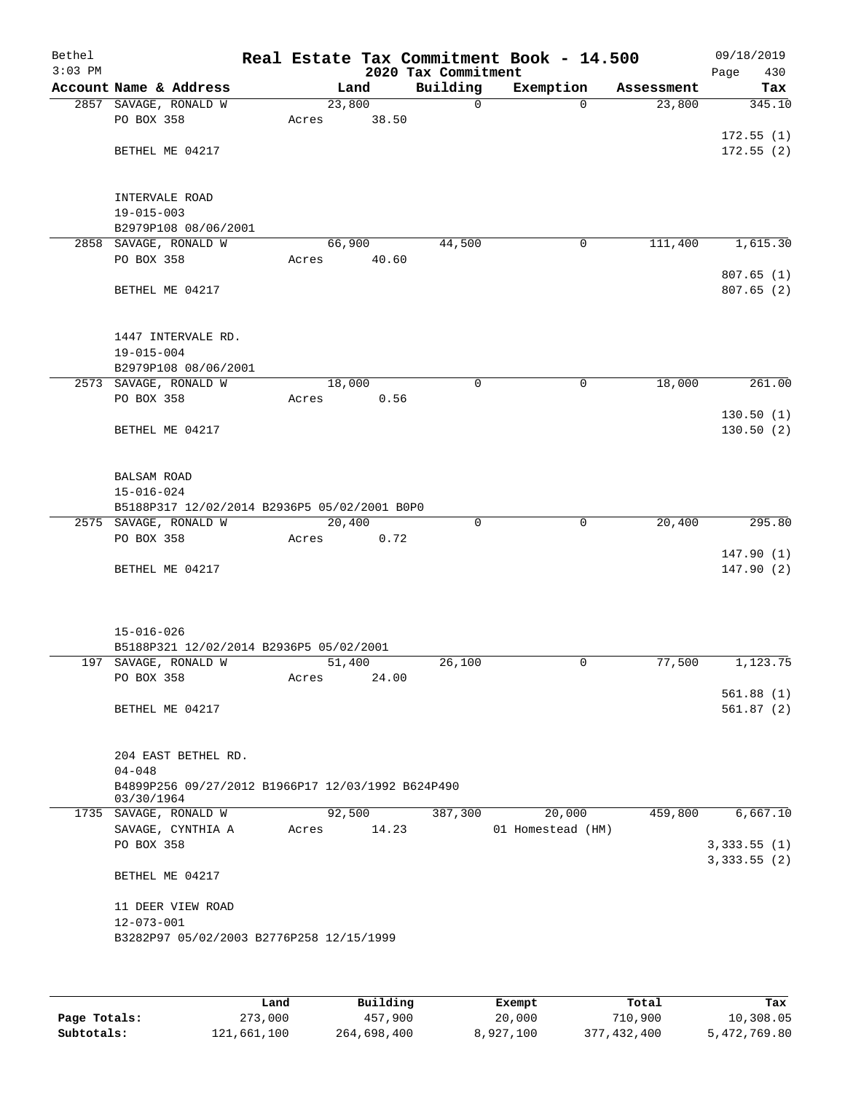| Bethel    |                                                                 |                 |       |                     | Real Estate Tax Commitment Book - 14.500 |            | 09/18/2019  |
|-----------|-----------------------------------------------------------------|-----------------|-------|---------------------|------------------------------------------|------------|-------------|
| $3:03$ PM |                                                                 |                 |       | 2020 Tax Commitment |                                          |            | Page<br>430 |
|           | Account Name & Address                                          |                 | Land  | Building            | Exemption                                | Assessment | Tax         |
|           | 2857 SAVAGE, RONALD W                                           | 23,800          |       | $\mathbf 0$         | $\Omega$                                 | 23,800     | 345.10      |
|           | PO BOX 358                                                      | Acres           | 38.50 |                     |                                          |            |             |
|           |                                                                 |                 |       |                     |                                          |            | 172.55(1)   |
|           | BETHEL ME 04217                                                 |                 |       |                     |                                          |            | 172.55(2)   |
|           |                                                                 |                 |       |                     |                                          |            |             |
|           | INTERVALE ROAD                                                  |                 |       |                     |                                          |            |             |
|           | $19 - 015 - 003$                                                |                 |       |                     |                                          |            |             |
|           | B2979P108 08/06/2001                                            |                 |       |                     |                                          |            |             |
| 2858      | SAVAGE, RONALD W                                                | 66,900          |       | 44,500              | 0                                        | 111,400    | 1,615.30    |
|           | PO BOX 358                                                      | Acres           | 40.60 |                     |                                          |            |             |
|           |                                                                 |                 |       |                     |                                          |            | 807.65(1)   |
|           | BETHEL ME 04217                                                 |                 |       |                     |                                          |            | 807.65 (2)  |
|           |                                                                 |                 |       |                     |                                          |            |             |
|           |                                                                 |                 |       |                     |                                          |            |             |
|           | 1447 INTERVALE RD.                                              |                 |       |                     |                                          |            |             |
|           | $19 - 015 - 004$                                                |                 |       |                     |                                          |            |             |
|           | B2979P108 08/06/2001                                            |                 |       |                     |                                          |            |             |
|           | 2573 SAVAGE, RONALD W                                           | 18,000          |       | $\mathbf 0$         | $\mathbf 0$                              | 18,000     | 261.00      |
|           | PO BOX 358                                                      | Acres           | 0.56  |                     |                                          |            |             |
|           |                                                                 |                 |       |                     |                                          |            | 130.50(1)   |
|           | BETHEL ME 04217                                                 |                 |       |                     |                                          |            | 130.50(2)   |
|           |                                                                 |                 |       |                     |                                          |            |             |
|           |                                                                 |                 |       |                     |                                          |            |             |
|           | <b>BALSAM ROAD</b>                                              |                 |       |                     |                                          |            |             |
|           | $15 - 016 - 024$                                                |                 |       |                     |                                          |            |             |
|           | B5188P317 12/02/2014 B2936P5 05/02/2001 B0P0                    |                 |       |                     |                                          |            |             |
|           | 2575 SAVAGE, RONALD W                                           | 20,400          |       | $\mathbf 0$         | $\mathbf 0$                              | 20,400     | 295.80      |
|           | PO BOX 358                                                      | Acres           | 0.72  |                     |                                          |            |             |
|           |                                                                 |                 |       |                     |                                          |            | 147.90(1)   |
|           | BETHEL ME 04217                                                 |                 |       |                     |                                          |            | 147.90(2)   |
|           |                                                                 |                 |       |                     |                                          |            |             |
|           |                                                                 |                 |       |                     |                                          |            |             |
|           |                                                                 |                 |       |                     |                                          |            |             |
|           | $15 - 016 - 026$                                                |                 |       |                     |                                          |            |             |
|           | B5188P321 12/02/2014 B2936P5 05/02/2001<br>197 SAVAGE, RONALD W |                 |       | 26,100              | $\mathbf 0$                              | 77,500     | 1,123.75    |
|           | PO BOX 358                                                      | 51,400<br>Acres | 24.00 |                     |                                          |            |             |
|           |                                                                 |                 |       |                     |                                          |            | 561.88(1)   |
|           | BETHEL ME 04217                                                 |                 |       |                     |                                          |            | 561.87(2)   |
|           |                                                                 |                 |       |                     |                                          |            |             |
|           |                                                                 |                 |       |                     |                                          |            |             |
|           | 204 EAST BETHEL RD.                                             |                 |       |                     |                                          |            |             |
|           | $04 - 048$                                                      |                 |       |                     |                                          |            |             |
|           | B4899P256 09/27/2012 B1966P17 12/03/1992 B624P490               |                 |       |                     |                                          |            |             |
|           | 03/30/1964                                                      |                 |       |                     |                                          |            |             |
|           | 1735 SAVAGE, RONALD W                                           | 92,500          |       | 387,300             | 20,000                                   | 459,800    | 6,667.10    |
|           | SAVAGE, CYNTHIA A                                               | Acres           | 14.23 |                     | 01 Homestead (HM)                        |            |             |
|           | PO BOX 358                                                      |                 |       |                     |                                          |            | 3,333.55(1) |
|           |                                                                 |                 |       |                     |                                          |            | 3,333.55(2) |
|           | BETHEL ME 04217                                                 |                 |       |                     |                                          |            |             |
|           |                                                                 |                 |       |                     |                                          |            |             |
|           | 11 DEER VIEW ROAD                                               |                 |       |                     |                                          |            |             |
|           | $12 - 073 - 001$                                                |                 |       |                     |                                          |            |             |
|           | B3282P97 05/02/2003 B2776P258 12/15/1999                        |                 |       |                     |                                          |            |             |
|           |                                                                 |                 |       |                     |                                          |            |             |
|           |                                                                 |                 |       |                     |                                          |            |             |

|              | Land        | Building    | Exempt    | Total       | Tax          |
|--------------|-------------|-------------|-----------|-------------|--------------|
| Page Totals: | 273,000     | 457,900     | 20,000    | 710,900     | 10,308.05    |
| Subtotals:   | 121,661,100 | 264,698,400 | 8,927,100 | 377,432,400 | 5,472,769.80 |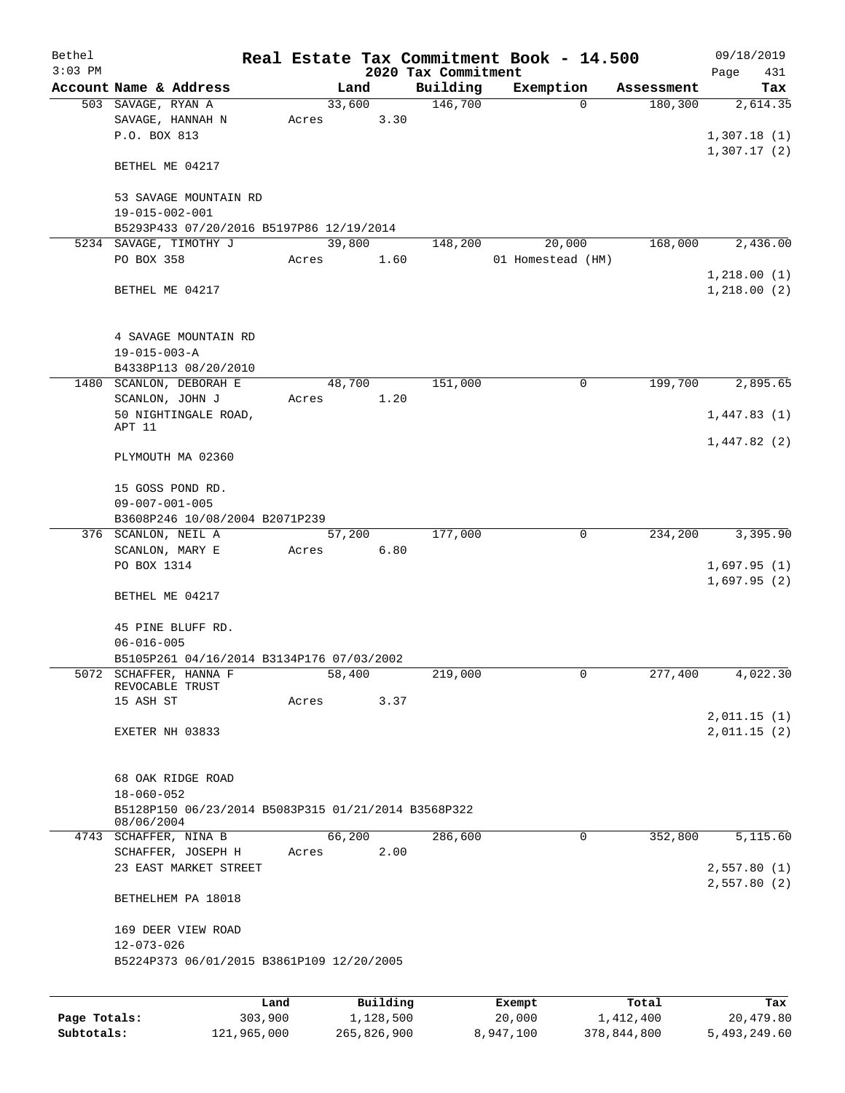| Bethel<br>$3:03$ PM |                                                                                              |       |                | 2020 Tax Commitment | Real Estate Tax Commitment Book - 14.500 |            | 09/18/2019                 |
|---------------------|----------------------------------------------------------------------------------------------|-------|----------------|---------------------|------------------------------------------|------------|----------------------------|
|                     | Account Name & Address                                                                       |       | Land           | Building            | Exemption                                | Assessment | Page<br>431<br>Tax         |
|                     | 503 SAVAGE, RYAN A                                                                           |       | 33,600         | 146,700             | $\Omega$                                 | 180,300    | 2,614.35                   |
|                     | SAVAGE, HANNAH N<br>P.O. BOX 813                                                             | Acres | 3.30           |                     |                                          |            | 1,307.18(1)                |
|                     | BETHEL ME 04217                                                                              |       |                |                     |                                          |            | 1,307.17(2)                |
|                     | 53 SAVAGE MOUNTAIN RD<br>19-015-002-001                                                      |       |                |                     |                                          |            |                            |
|                     | B5293P433 07/20/2016 B5197P86 12/19/2014                                                     |       |                |                     |                                          |            |                            |
|                     | 5234 SAVAGE, TIMOTHY J                                                                       |       | 39,800         | 148,200             | 20,000                                   | 168,000    | 2,436.00                   |
|                     | PO BOX 358                                                                                   | Acres | 1.60           |                     | 01 Homestead (HM)                        |            |                            |
|                     | BETHEL ME 04217                                                                              |       |                |                     |                                          |            | 1,218.00(1)<br>1,218.00(2) |
|                     | 4 SAVAGE MOUNTAIN RD<br>$19 - 015 - 003 - A$                                                 |       |                |                     |                                          |            |                            |
|                     | B4338P113 08/20/2010                                                                         |       |                |                     |                                          |            |                            |
|                     | 1480 SCANLON, DEBORAH E                                                                      |       | 48,700         | 151,000             | 0                                        | 199,700    | 2,895.65                   |
|                     | SCANLON, JOHN J<br>50 NIGHTINGALE ROAD,                                                      | Acres | 1.20           |                     |                                          |            | 1,447.83(1)                |
|                     | APT 11                                                                                       |       |                |                     |                                          |            |                            |
|                     | PLYMOUTH MA 02360                                                                            |       |                |                     |                                          |            | 1,447.82(2)                |
|                     | 15 GOSS POND RD.<br>$09 - 007 - 001 - 005$                                                   |       |                |                     |                                          |            |                            |
|                     | B3608P246 10/08/2004 B2071P239                                                               |       |                |                     |                                          |            |                            |
|                     | 376 SCANLON, NEIL A                                                                          |       | 57,200<br>6.80 | 177,000             | 0                                        | 234,200    | 3,395.90                   |
|                     | SCANLON, MARY E<br>PO BOX 1314                                                               | Acres |                |                     |                                          |            | 1,697.95(1)                |
|                     |                                                                                              |       |                |                     |                                          |            | 1,697.95(2)                |
|                     | BETHEL ME 04217                                                                              |       |                |                     |                                          |            |                            |
|                     | 45 PINE BLUFF RD.                                                                            |       |                |                     |                                          |            |                            |
|                     | $06 - 016 - 005$                                                                             |       |                |                     |                                          |            |                            |
|                     | B5105P261 04/16/2014 B3134P176 07/03/2002                                                    |       |                |                     |                                          |            |                            |
|                     | 5072 SCHAFFER, HANNA F<br>REVOCABLE TRUST<br>15 ASH ST                                       |       | 58,400<br>3.37 | 219,000             | $\mathsf{O}$                             | 277,400    | 4,022.30                   |
|                     |                                                                                              | Acres |                |                     |                                          |            | 2,011.15(1)                |
|                     | EXETER NH 03833                                                                              |       |                |                     |                                          |            | 2,011.15(2)                |
|                     | 68 OAK RIDGE ROAD<br>$18 - 060 - 052$<br>B5128P150 06/23/2014 B5083P315 01/21/2014 B3568P322 |       |                |                     |                                          |            |                            |
|                     | 08/06/2004                                                                                   |       |                |                     |                                          |            |                            |
|                     | 4743 SCHAFFER, NINA B                                                                        |       | 66,200         | 286,600             | 0                                        | 352,800    | 5,115.60                   |
|                     | SCHAFFER, JOSEPH H<br>23 EAST MARKET STREET                                                  | Acres | 2.00           |                     |                                          |            | 2,557.80(1)                |
|                     | BETHELHEM PA 18018                                                                           |       |                |                     |                                          |            | 2,557.80(2)                |
|                     | 169 DEER VIEW ROAD<br>$12 - 073 - 026$                                                       |       |                |                     |                                          |            |                            |
|                     | B5224P373 06/01/2015 B3861P109 12/20/2005                                                    |       |                |                     |                                          |            |                            |
|                     |                                                                                              |       |                |                     |                                          |            |                            |
|                     | Land                                                                                         |       | Building       |                     | Exempt                                   | Total      | Tax                        |
| Page Totals:        | 303,900                                                                                      |       | 1,128,500      |                     | 20,000                                   | 1,412,400  | 20,479.80                  |

**Subtotals:** 121,965,000 265,826,900 8,947,100 378,844,800 5,493,249.60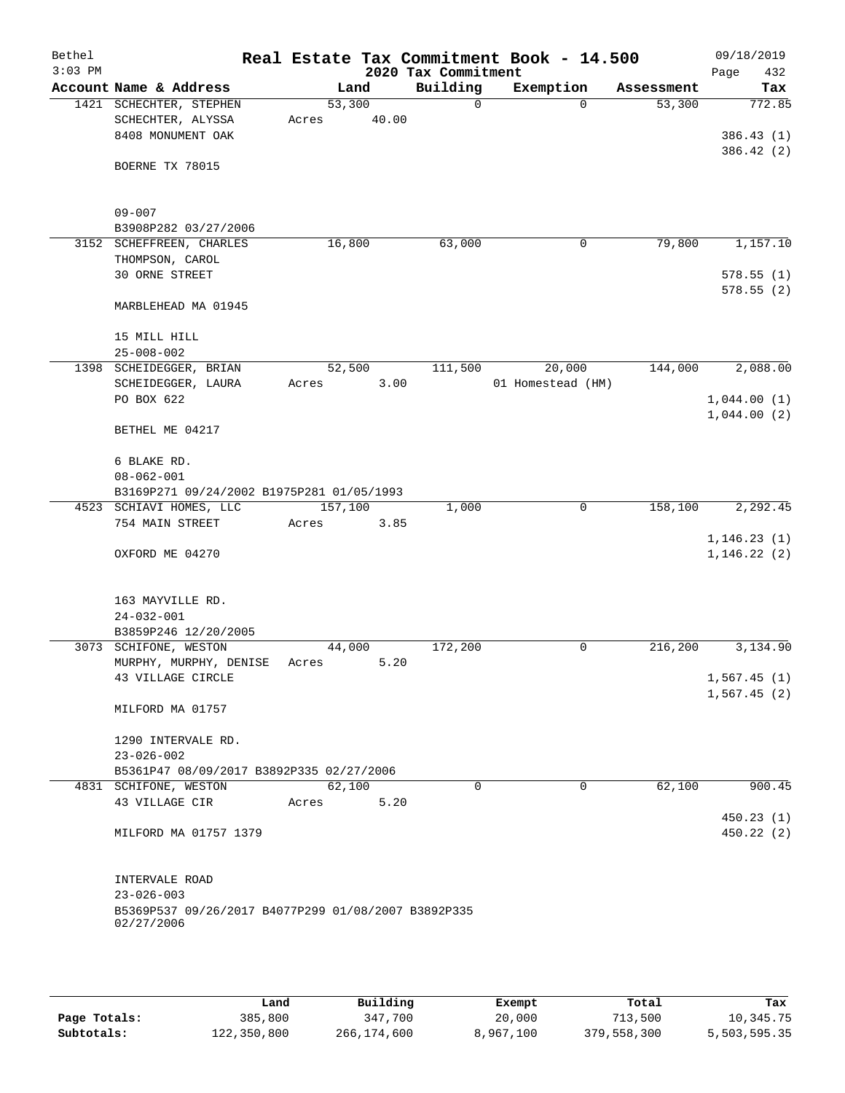| Bethel<br>$3:03$ PM |                                                                   |       |         | 2020 Tax Commitment | Real Estate Tax Commitment Book - 14.500 |            | 09/18/2019<br>Page<br>432  |
|---------------------|-------------------------------------------------------------------|-------|---------|---------------------|------------------------------------------|------------|----------------------------|
|                     | Account Name & Address                                            |       | Land    | Building            | Exemption                                | Assessment | Tax                        |
|                     | 1421 SCHECHTER, STEPHEN                                           |       | 53,300  | $\mathbf 0$         | $\Omega$                                 | 53,300     | 772.85                     |
|                     | SCHECHTER, ALYSSA                                                 | Acres | 40.00   |                     |                                          |            |                            |
|                     | 8408 MONUMENT OAK                                                 |       |         |                     |                                          |            | 386.43(1)                  |
|                     | BOERNE TX 78015                                                   |       |         |                     |                                          |            | 386.42 (2)                 |
|                     |                                                                   |       |         |                     |                                          |            |                            |
|                     |                                                                   |       |         |                     |                                          |            |                            |
|                     | $09 - 007$                                                        |       |         |                     |                                          |            |                            |
|                     | B3908P282 03/27/2006<br>3152 SCHEFFREEN, CHARLES                  |       | 16,800  | 63,000              | 0                                        | 79,800     | 1,157.10                   |
|                     | THOMPSON, CAROL                                                   |       |         |                     |                                          |            |                            |
|                     | 30 ORNE STREET                                                    |       |         |                     |                                          |            | 578.55(1)                  |
|                     |                                                                   |       |         |                     |                                          |            | 578.55 (2)                 |
|                     | MARBLEHEAD MA 01945                                               |       |         |                     |                                          |            |                            |
|                     | 15 MILL HILL                                                      |       |         |                     |                                          |            |                            |
|                     | $25 - 008 - 002$                                                  |       |         |                     |                                          |            |                            |
|                     | 1398 SCHEIDEGGER, BRIAN                                           |       | 52,500  | 111,500             | 20,000                                   | 144,000    | 2,088.00                   |
|                     | SCHEIDEGGER, LAURA                                                | Acres | 3.00    |                     | 01 Homestead (HM)                        |            |                            |
|                     | PO BOX 622                                                        |       |         |                     |                                          |            | 1,044.00(1)                |
|                     |                                                                   |       |         |                     |                                          |            | 1,044.00(2)                |
|                     | BETHEL ME 04217                                                   |       |         |                     |                                          |            |                            |
|                     | 6 BLAKE RD.                                                       |       |         |                     |                                          |            |                            |
|                     | $08 - 062 - 001$                                                  |       |         |                     |                                          |            |                            |
|                     | B3169P271 09/24/2002 B1975P281 01/05/1993                         |       |         |                     |                                          |            |                            |
|                     | 4523 SCHIAVI HOMES, LLC                                           |       | 157,100 | 1,000               | 0                                        | 158,100    | 2,292.45                   |
|                     | 754 MAIN STREET                                                   | Acres | 3.85    |                     |                                          |            |                            |
|                     |                                                                   |       |         |                     |                                          |            | 1, 146.23(1)               |
|                     | OXFORD ME 04270                                                   |       |         |                     |                                          |            | 1, 146.22(2)               |
|                     |                                                                   |       |         |                     |                                          |            |                            |
|                     | 163 MAYVILLE RD.                                                  |       |         |                     |                                          |            |                            |
|                     | $24 - 032 - 001$                                                  |       |         |                     |                                          |            |                            |
|                     | B3859P246 12/20/2005                                              |       |         |                     |                                          |            |                            |
|                     | 3073 SCHIFONE, WESTON                                             |       | 44,000  | 172,200             | 0                                        | 216,200    | 3,134.90                   |
|                     | MURPHY, MURPHY, DENISE                                            | Acres | 5.20    |                     |                                          |            |                            |
|                     | 43 VILLAGE CIRCLE                                                 |       |         |                     |                                          |            | 1,567.45(1)<br>1,567.45(2) |
|                     | MILFORD MA 01757                                                  |       |         |                     |                                          |            |                            |
|                     |                                                                   |       |         |                     |                                          |            |                            |
|                     | 1290 INTERVALE RD.                                                |       |         |                     |                                          |            |                            |
|                     | $23 - 026 - 002$                                                  |       |         |                     |                                          |            |                            |
|                     | B5361P47 08/09/2017 B3892P335 02/27/2006<br>4831 SCHIFONE, WESTON |       | 62,100  | 0                   | 0                                        | 62,100     | 900.45                     |
|                     | 43 VILLAGE CIR                                                    | Acres | 5.20    |                     |                                          |            |                            |
|                     |                                                                   |       |         |                     |                                          |            | 450.23(1)                  |
|                     | MILFORD MA 01757 1379                                             |       |         |                     |                                          |            | 450.22(2)                  |
|                     |                                                                   |       |         |                     |                                          |            |                            |
|                     |                                                                   |       |         |                     |                                          |            |                            |
|                     | INTERVALE ROAD<br>$23 - 026 - 003$                                |       |         |                     |                                          |            |                            |
|                     | B5369P537 09/26/2017 B4077P299 01/08/2007 B3892P335               |       |         |                     |                                          |            |                            |
|                     | 02/27/2006                                                        |       |         |                     |                                          |            |                            |
|                     |                                                                   |       |         |                     |                                          |            |                            |
|                     |                                                                   |       |         |                     |                                          |            |                            |
|                     |                                                                   |       |         |                     |                                          |            |                            |

|              | Land        | Building    | Exempt    | Total       | Tax          |
|--------------|-------------|-------------|-----------|-------------|--------------|
| Page Totals: | 385,800     | 347,700     | 20,000    | 713,500     | 10,345.75    |
| Subtotals:   | 122,350,800 | 266,174,600 | 8,967,100 | 379,558,300 | 5,503,595.35 |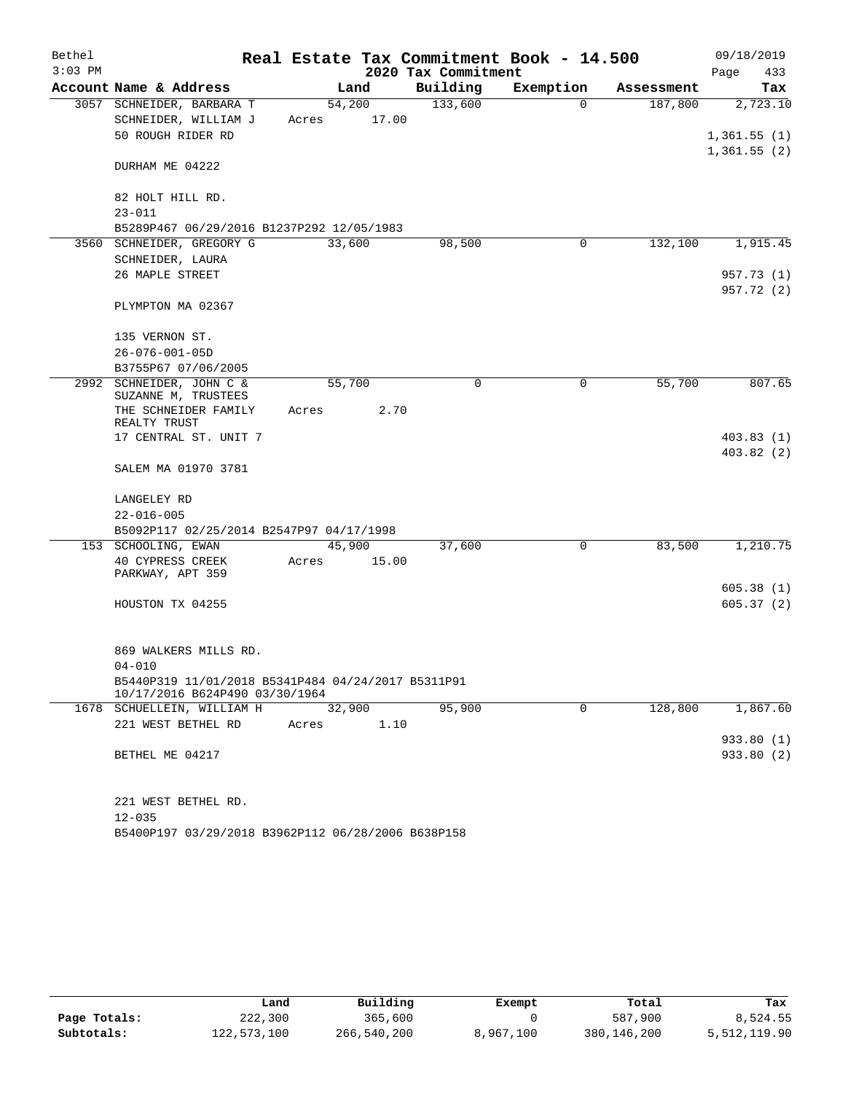| Bethel    |                                                                                      | Real Estate Tax Commitment Book - 14.500 |                     |             |            | 09/18/2019  |
|-----------|--------------------------------------------------------------------------------------|------------------------------------------|---------------------|-------------|------------|-------------|
| $3:03$ PM |                                                                                      |                                          | 2020 Tax Commitment |             |            | Page<br>433 |
|           | Account Name & Address                                                               | Land                                     | Building            | Exemption   | Assessment | Tax         |
|           | 3057 SCHNEIDER, BARBARA T                                                            | 54,200                                   | 133,600             | $\Omega$    | 187,800    | 2,723.10    |
|           | SCHNEIDER, WILLIAM J                                                                 | 17.00<br>Acres                           |                     |             |            |             |
|           | 50 ROUGH RIDER RD                                                                    |                                          |                     |             |            | 1,361.55(1) |
|           | DURHAM ME 04222                                                                      |                                          |                     |             |            | 1,361.55(2) |
|           | 82 HOLT HILL RD.                                                                     |                                          |                     |             |            |             |
|           | $23 - 011$                                                                           |                                          |                     |             |            |             |
|           | B5289P467 06/29/2016 B1237P292 12/05/1983                                            |                                          |                     |             |            |             |
|           | 3560 SCHNEIDER, GREGORY G                                                            | 33,600                                   | 98,500              | 0           | 132,100    | 1,915.45    |
|           | SCHNEIDER, LAURA                                                                     |                                          |                     |             |            |             |
|           | 26 MAPLE STREET                                                                      |                                          |                     |             |            | 957.73 (1)  |
|           |                                                                                      |                                          |                     |             |            | 957.72 (2)  |
|           | PLYMPTON MA 02367                                                                    |                                          |                     |             |            |             |
|           | 135 VERNON ST.                                                                       |                                          |                     |             |            |             |
|           | $26 - 076 - 001 - 05D$                                                               |                                          |                     |             |            |             |
|           | B3755P67 07/06/2005                                                                  |                                          |                     |             |            |             |
|           | 2992 SCHNEIDER, JOHN C &<br>SUZANNE M, TRUSTEES                                      | 55,700                                   | $\mathbf 0$         | 0           | 55,700     | 807.65      |
|           | THE SCHNEIDER FAMILY<br>REALTY TRUST                                                 | 2.70<br>Acres                            |                     |             |            |             |
|           | 17 CENTRAL ST. UNIT 7                                                                |                                          |                     |             |            | 403.83(1)   |
|           | SALEM MA 01970 3781                                                                  |                                          |                     |             |            | 403.82(2)   |
|           | LANGELEY RD                                                                          |                                          |                     |             |            |             |
|           | $22 - 016 - 005$                                                                     |                                          |                     |             |            |             |
|           | B5092P117 02/25/2014 B2547P97 04/17/1998                                             |                                          |                     |             |            |             |
|           | 153 SCHOOLING, EWAN                                                                  | 45,900                                   | 37,600              | 0           | 83,500     | 1,210.75    |
|           | 40 CYPRESS CREEK<br>PARKWAY, APT 359                                                 | 15.00<br>Acres                           |                     |             |            |             |
|           |                                                                                      |                                          |                     |             |            | 605.38(1)   |
|           | HOUSTON TX 04255                                                                     |                                          |                     |             |            | 605.37(2)   |
|           |                                                                                      |                                          |                     |             |            |             |
|           | 869 WALKERS MILLS RD.                                                                |                                          |                     |             |            |             |
|           | $04 - 010$                                                                           |                                          |                     |             |            |             |
|           | B5440P319 11/01/2018 B5341P484 04/24/2017 B5311P91<br>10/17/2016 B624P490 03/30/1964 |                                          |                     |             |            |             |
|           | 1678 SCHUELLEIN, WILLIAM H                                                           | 32,900                                   | 95,900              | $\mathbf 0$ | 128,800    | 1,867.60    |
|           | 221 WEST BETHEL RD                                                                   | 1.10<br>Acres                            |                     |             |            |             |
|           |                                                                                      |                                          |                     |             |            | 933.80 (1)  |
|           | BETHEL ME 04217                                                                      |                                          |                     |             |            | 933.80 (2)  |
|           |                                                                                      |                                          |                     |             |            |             |
|           |                                                                                      |                                          |                     |             |            |             |
|           | 221 WEST BETHEL RD.<br>$12 - 035$                                                    |                                          |                     |             |            |             |
|           |                                                                                      |                                          |                     |             |            |             |

B5400P197 03/29/2018 B3962P112 06/28/2006 B638P158

|              | Land        | Building    | Exempt    | Total       | Tax          |
|--------------|-------------|-------------|-----------|-------------|--------------|
| Page Totals: | 222,300     | 365,600     |           | 587,900     | 8,524.55     |
| Subtotals:   | 122,573,100 | 266,540,200 | 8,967,100 | 380,146,200 | 5,512,119.90 |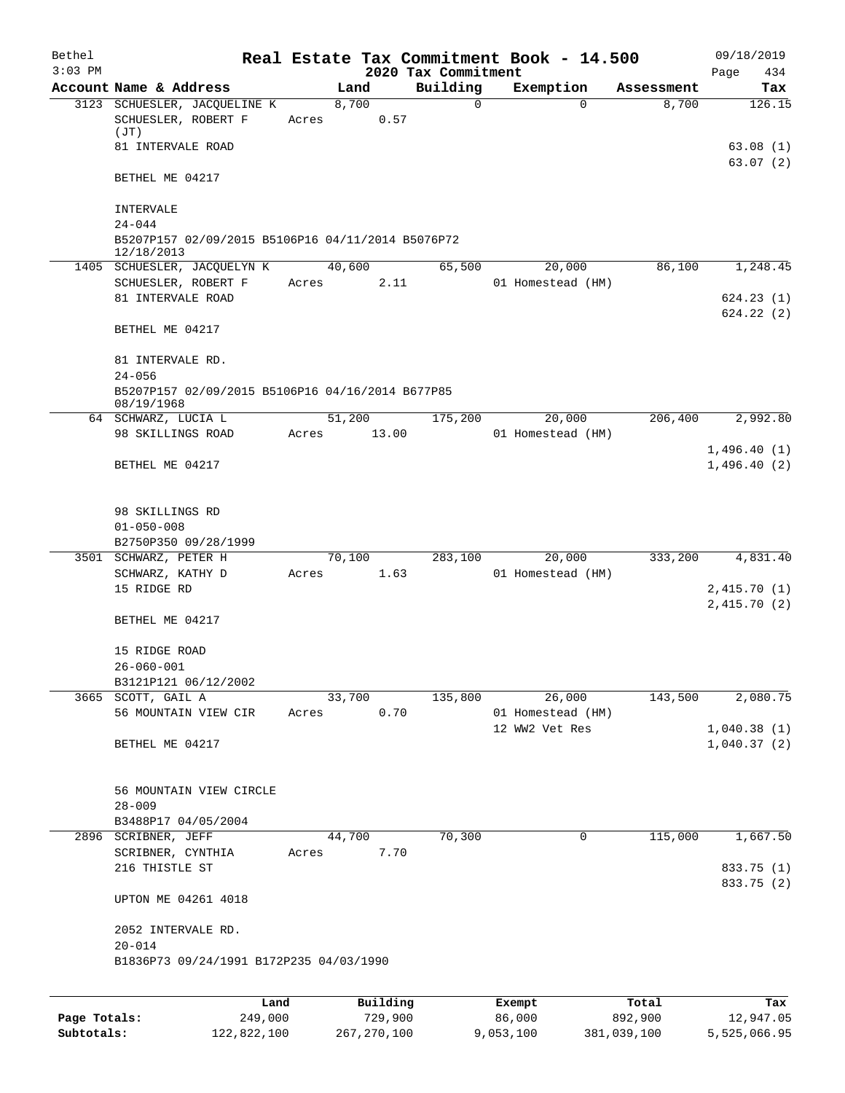| Bethel<br>$3:03$ PM |                                                                                            |                 |          | 2020 Tax Commitment | Real Estate Tax Commitment Book - 14.500 |            | 09/18/2019<br>434<br>Page          |
|---------------------|--------------------------------------------------------------------------------------------|-----------------|----------|---------------------|------------------------------------------|------------|------------------------------------|
|                     | Account Name & Address                                                                     |                 | Land     | Building            | Exemption                                | Assessment | Tax                                |
|                     | 3123 SCHUESLER, JACQUELINE K<br>SCHUESLER, ROBERT F<br>(JT)<br>81 INTERVALE ROAD           | 8,700<br>Acres  | 0.57     | 0                   | $\Omega$                                 | 8,700      | 126.15<br>63.08(1)                 |
|                     | BETHEL ME 04217                                                                            |                 |          |                     |                                          |            | 63.07(2)                           |
|                     | INTERVALE<br>$24 - 044$<br>B5207P157 02/09/2015 B5106P16 04/11/2014 B5076P72<br>12/18/2013 |                 |          |                     |                                          |            |                                    |
|                     | 1405 SCHUESLER, JACQUELYN K<br>SCHUESLER, ROBERT F<br>81 INTERVALE ROAD                    | 40,600<br>Acres | 2.11     | 65,500              | 20,000<br>01 Homestead (HM)              | 86,100     | 1,248.45<br>624.23(1)<br>624.22(2) |
|                     | BETHEL ME 04217                                                                            |                 |          |                     |                                          |            |                                    |
|                     | 81 INTERVALE RD.<br>$24 - 056$<br>B5207P157 02/09/2015 B5106P16 04/16/2014 B677P85         |                 |          |                     |                                          |            |                                    |
|                     | 08/19/1968<br>64 SCHWARZ, LUCIA L                                                          | 51,200          |          | 175,200             | 20,000                                   | 206,400    | 2,992.80                           |
|                     | 98 SKILLINGS ROAD                                                                          | Acres           | 13.00    |                     | 01 Homestead (HM)                        |            | 1,496.40(1)                        |
|                     | BETHEL ME 04217                                                                            |                 |          |                     |                                          |            | 1,496.40(2)                        |
|                     | 98 SKILLINGS RD<br>$01 - 050 - 008$<br>B2750P350 09/28/1999                                |                 |          |                     |                                          |            |                                    |
|                     | 3501 SCHWARZ, PETER H<br>SCHWARZ, KATHY D                                                  | 70,100<br>Acres | 1.63     | 283,100             | 20,000<br>01 Homestead (HM)              | 333,200    | 4,831.40                           |
|                     | 15 RIDGE RD                                                                                |                 |          |                     |                                          |            | 2,415.70(1)<br>2,415.70(2)         |
|                     | BETHEL ME 04217                                                                            |                 |          |                     |                                          |            |                                    |
|                     | 15 RIDGE ROAD<br>$26 - 060 - 001$<br>B3121P121 06/12/2002                                  |                 |          |                     |                                          |            |                                    |
|                     | 3665 SCOTT, GAIL A                                                                         | 33,700          |          | 135,800             | 26,000                                   | 143,500    | 2,080.75                           |
|                     | 56 MOUNTAIN VIEW CIR                                                                       | Acres           | 0.70     |                     | 01 Homestead (HM)                        |            |                                    |
|                     | BETHEL ME 04217                                                                            |                 |          |                     | 12 WW2 Vet Res                           |            | 1,040.38(1)<br>1,040.37(2)         |
|                     | 56 MOUNTAIN VIEW CIRCLE<br>$28 - 009$<br>B3488P17 04/05/2004                               |                 |          |                     |                                          |            |                                    |
|                     | 2896 SCRIBNER, JEFF                                                                        | 44,700          |          | 70,300              | 0                                        | 115,000    | 1,667.50                           |
|                     | SCRIBNER, CYNTHIA<br>216 THISTLE ST                                                        | Acres           | 7.70     |                     |                                          |            | 833.75 (1)                         |
|                     | UPTON ME 04261 4018                                                                        |                 |          |                     |                                          |            | 833.75 (2)                         |
|                     | 2052 INTERVALE RD.<br>$20 - 014$<br>B1836P73 09/24/1991 B172P235 04/03/1990                |                 |          |                     |                                          |            |                                    |
|                     |                                                                                            |                 |          |                     |                                          |            |                                    |
|                     | Land                                                                                       |                 | Building |                     | Exempt                                   | Total      | Tax                                |
| Page Totals:        | 249,000                                                                                    |                 | 729,900  |                     | 86,000                                   | 892,900    | 12,947.05                          |

**Subtotals:** 122,822,100 267,270,100 9,053,100 381,039,100 5,525,066.95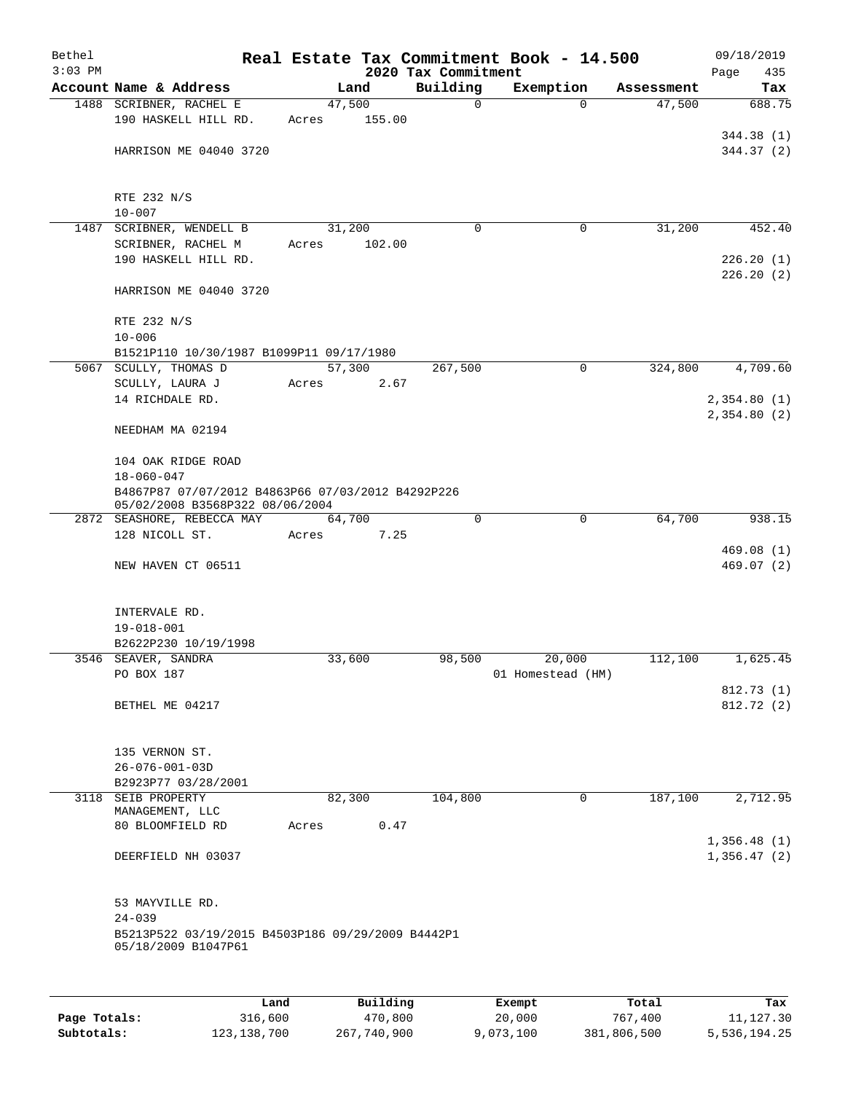| Bethel    |                                                                                      |                |        |                         | Real Estate Tax Commitment Book - 14.500 |                      | 09/18/2019                 |
|-----------|--------------------------------------------------------------------------------------|----------------|--------|-------------------------|------------------------------------------|----------------------|----------------------------|
| $3:03$ PM |                                                                                      |                |        | 2020 Tax Commitment     |                                          |                      | Page<br>435                |
|           | Account Name & Address<br>1488 SCRIBNER, RACHEL E                                    | Land<br>47,500 |        | Building<br>$\mathbf 0$ | Exemption<br>$\mathbf 0$                 | Assessment<br>47,500 | Tax<br>688.75              |
|           | 190 HASKELL HILL RD.                                                                 | Acres          | 155.00 |                         |                                          |                      |                            |
|           | HARRISON ME 04040 3720                                                               |                |        |                         |                                          |                      | 344.38 (1)<br>344.37 (2)   |
|           | RTE 232 N/S<br>$10 - 007$                                                            |                |        |                         |                                          |                      |                            |
|           | 1487 SCRIBNER, WENDELL B                                                             | 31,200         |        | $\mathbf 0$             | 0                                        | 31,200               | 452.40                     |
|           | SCRIBNER, RACHEL M                                                                   | Acres          | 102.00 |                         |                                          |                      |                            |
|           | 190 HASKELL HILL RD.                                                                 |                |        |                         |                                          |                      | 226.20(1)<br>226.20(2)     |
|           | HARRISON ME 04040 3720                                                               |                |        |                         |                                          |                      |                            |
|           | RTE 232 N/S<br>$10 - 006$                                                            |                |        |                         |                                          |                      |                            |
|           | B1521P110 10/30/1987 B1099P11 09/17/1980                                             |                |        |                         |                                          |                      |                            |
|           | 5067 SCULLY, THOMAS D                                                                | 57,300         |        | 267,500                 | 0                                        | 324,800              | 4,709.60                   |
|           | SCULLY, LAURA J                                                                      | Acres          | 2.67   |                         |                                          |                      |                            |
|           | 14 RICHDALE RD.                                                                      |                |        |                         |                                          |                      | 2,354.80(1)                |
|           | NEEDHAM MA 02194                                                                     |                |        |                         |                                          |                      | 2,354.80(2)                |
|           | 104 OAK RIDGE ROAD                                                                   |                |        |                         |                                          |                      |                            |
|           | $18 - 060 - 047$                                                                     |                |        |                         |                                          |                      |                            |
|           | B4867P87 07/07/2012 B4863P66 07/03/2012 B4292P226<br>05/02/2008 B3568P322 08/06/2004 |                |        |                         |                                          |                      |                            |
|           | 2872 SEASHORE, REBECCA MAY<br>128 NICOLL ST.                                         | 64,700         | 7.25   | $\mathbf 0$             | $\mathbf 0$                              | 64,700               | 938.15                     |
|           |                                                                                      | Acres          |        |                         |                                          |                      | 469.08(1)                  |
|           | NEW HAVEN CT 06511                                                                   |                |        |                         |                                          |                      | 469.07(2)                  |
|           | INTERVALE RD.<br>$19 - 018 - 001$                                                    |                |        |                         |                                          |                      |                            |
|           | B2622P230 10/19/1998                                                                 |                |        |                         |                                          |                      |                            |
|           | 3546 SEAVER, SANDRA                                                                  | 33,600         |        | 98,500                  | 20,000                                   | 112,100              | 1,625.45                   |
|           | PO BOX 187                                                                           |                |        |                         | 01 Homestead (HM)                        |                      |                            |
|           |                                                                                      |                |        |                         |                                          |                      | 812.73 (1)                 |
|           | BETHEL ME 04217                                                                      |                |        |                         |                                          |                      | 812.72 (2)                 |
|           | 135 VERNON ST.                                                                       |                |        |                         |                                          |                      |                            |
|           | $26 - 076 - 001 - 03D$                                                               |                |        |                         |                                          |                      |                            |
|           | B2923P77 03/28/2001<br>3118 SEIB PROPERTY                                            | 82,300         |        | 104,800                 | 0                                        | 187,100              | 2,712.95                   |
|           | MANAGEMENT, LLC                                                                      |                |        |                         |                                          |                      |                            |
|           | 80 BLOOMFIELD RD                                                                     | Acres          | 0.47   |                         |                                          |                      |                            |
|           | DEERFIELD NH 03037                                                                   |                |        |                         |                                          |                      | 1,356.48(1)<br>1,356.47(2) |
|           | 53 MAYVILLE RD.                                                                      |                |        |                         |                                          |                      |                            |
|           | $24 - 039$                                                                           |                |        |                         |                                          |                      |                            |
|           | B5213P522 03/19/2015 B4503P186 09/29/2009 B4442P1<br>05/18/2009 B1047P61             |                |        |                         |                                          |                      |                            |
|           |                                                                                      |                |        |                         |                                          |                      |                            |
|           |                                                                                      |                |        |                         |                                          |                      |                            |

|              | Land          | Building    | Exempt    | Total       | Tax          |
|--------------|---------------|-------------|-----------|-------------|--------------|
| Page Totals: | 316,600       | 470,800     | 20,000    | 767,400     | 11,127.30    |
| Subtotals:   | 123, 138, 700 | 267,740,900 | 9,073,100 | 381,806,500 | 5,536,194.25 |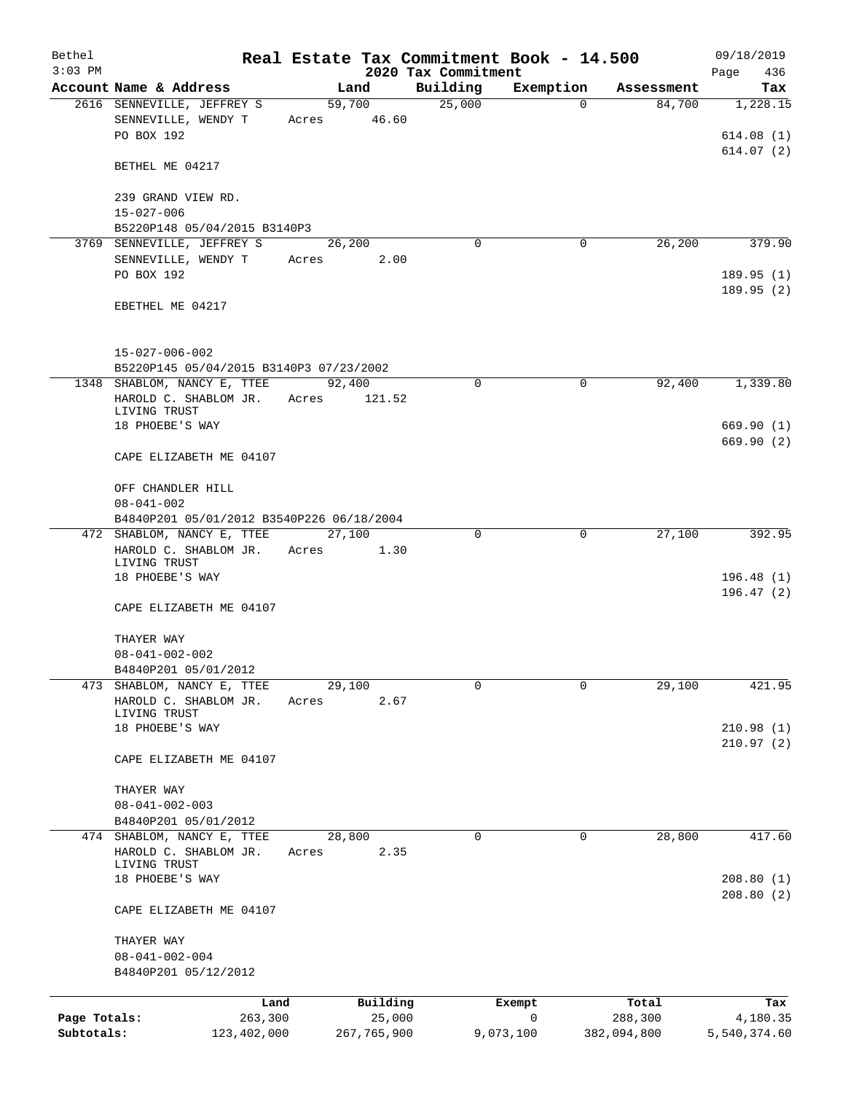| Bethel                     |                                                                        |             |                       | Real Estate Tax Commitment Book - 14.500 |                |                        | 09/18/2019               |
|----------------------------|------------------------------------------------------------------------|-------------|-----------------------|------------------------------------------|----------------|------------------------|--------------------------|
| $3:03$ PM                  | Account Name & Address                                                 |             | Land                  | 2020 Tax Commitment<br>Building          | Exemption      | Assessment             | Page<br>436<br>Tax       |
|                            | 2616 SENNEVILLE, JEFFREY S                                             |             | 59,700                | 25,000                                   | $\mathbf 0$    | 84,700                 | 1,228.15                 |
|                            | SENNEVILLE, WENDY T<br>PO BOX 192                                      | Acres 46.60 |                       |                                          |                |                        | 614.08(1)                |
|                            | BETHEL ME 04217                                                        |             |                       |                                          |                |                        | 614.07(2)                |
|                            | 239 GRAND VIEW RD.                                                     |             |                       |                                          |                |                        |                          |
|                            | $15 - 027 - 006$<br>B5220P148 05/04/2015 B3140P3                       |             |                       |                                          |                |                        |                          |
|                            | 3769 SENNEVILLE, JEFFREY S                                             |             | 26,200                | $\Omega$                                 | 0              | 26,200                 | 379.90                   |
|                            | SENNEVILLE, WENDY T                                                    | Acres       | 2.00                  |                                          |                |                        |                          |
|                            | PO BOX 192                                                             |             |                       |                                          |                |                        | 189.95 (1)<br>189.95(2)  |
|                            | EBETHEL ME 04217                                                       |             |                       |                                          |                |                        |                          |
|                            | $15 - 027 - 006 - 002$                                                 |             |                       |                                          |                |                        |                          |
|                            | B5220P145 05/04/2015 B3140P3 07/23/2002<br>1348 SHABLOM, NANCY E, TTEE |             | 92,400                | 0                                        | $\mathbf 0$    | 92,400                 | 1,339.80                 |
|                            | HAROLD C. SHABLOM JR.<br>LIVING TRUST                                  | Acres       | 121.52                |                                          |                |                        |                          |
|                            | 18 PHOEBE'S WAY                                                        |             |                       |                                          |                |                        | 669.90(1)<br>669.90(2)   |
|                            | CAPE ELIZABETH ME 04107                                                |             |                       |                                          |                |                        |                          |
|                            | OFF CHANDLER HILL<br>$08 - 041 - 002$                                  |             |                       |                                          |                |                        |                          |
|                            | B4840P201 05/01/2012 B3540P226 06/18/2004                              |             |                       |                                          |                |                        |                          |
|                            | 472 SHABLOM, NANCY E, TTEE<br>HAROLD C. SHABLOM JR.<br>LIVING TRUST    | Acres       | 27,100<br>1.30        | 0                                        | $\mathbf 0$    | 27,100                 | 392.95                   |
|                            | 18 PHOEBE'S WAY                                                        |             |                       |                                          |                |                        | 196.48(1)<br>196.47(2)   |
|                            | CAPE ELIZABETH ME 04107                                                |             |                       |                                          |                |                        |                          |
|                            | THAYER WAY                                                             |             |                       |                                          |                |                        |                          |
|                            | $08 - 041 - 002 - 002$                                                 |             |                       |                                          |                |                        |                          |
|                            | B4840P201 05/01/2012                                                   |             |                       |                                          |                |                        |                          |
| 473                        | SHABLOM, NANCY E, TTEE<br>HAROLD C. SHABLOM JR.                        | Acres       | 29,100<br>2.67        | 0                                        | $\mathbf 0$    | 29,100                 | 421.95                   |
|                            | LIVING TRUST                                                           |             |                       |                                          |                |                        |                          |
|                            | 18 PHOEBE'S WAY                                                        |             |                       |                                          |                |                        | 210.98(1)                |
|                            | CAPE ELIZABETH ME 04107                                                |             |                       |                                          |                |                        | 210.97(2)                |
|                            | THAYER WAY                                                             |             |                       |                                          |                |                        |                          |
|                            | $08 - 041 - 002 - 003$<br>B4840P201 05/01/2012                         |             |                       |                                          |                |                        |                          |
|                            | 474 SHABLOM, NANCY E, TTEE                                             |             | 28,800                | 0                                        | 0              | 28,800                 | 417.60                   |
|                            | HAROLD C. SHABLOM JR.                                                  | Acres       | 2.35                  |                                          |                |                        |                          |
|                            | LIVING TRUST<br>18 PHOEBE'S WAY                                        |             |                       |                                          |                |                        | 208.80(1)                |
|                            | CAPE ELIZABETH ME 04107                                                |             |                       |                                          |                |                        | 208.80(2)                |
|                            | THAYER WAY                                                             |             |                       |                                          |                |                        |                          |
|                            | $08 - 041 - 002 - 004$<br>B4840P201 05/12/2012                         |             |                       |                                          |                |                        |                          |
|                            |                                                                        | Land        | Building              |                                          | Exempt         | Total                  | Tax                      |
| Page Totals:<br>Subtotals: | 263,300<br>123,402,000                                                 |             | 25,000<br>267,765,900 |                                          | 0<br>9,073,100 | 288,300<br>382,094,800 | 4,180.35<br>5,540,374.60 |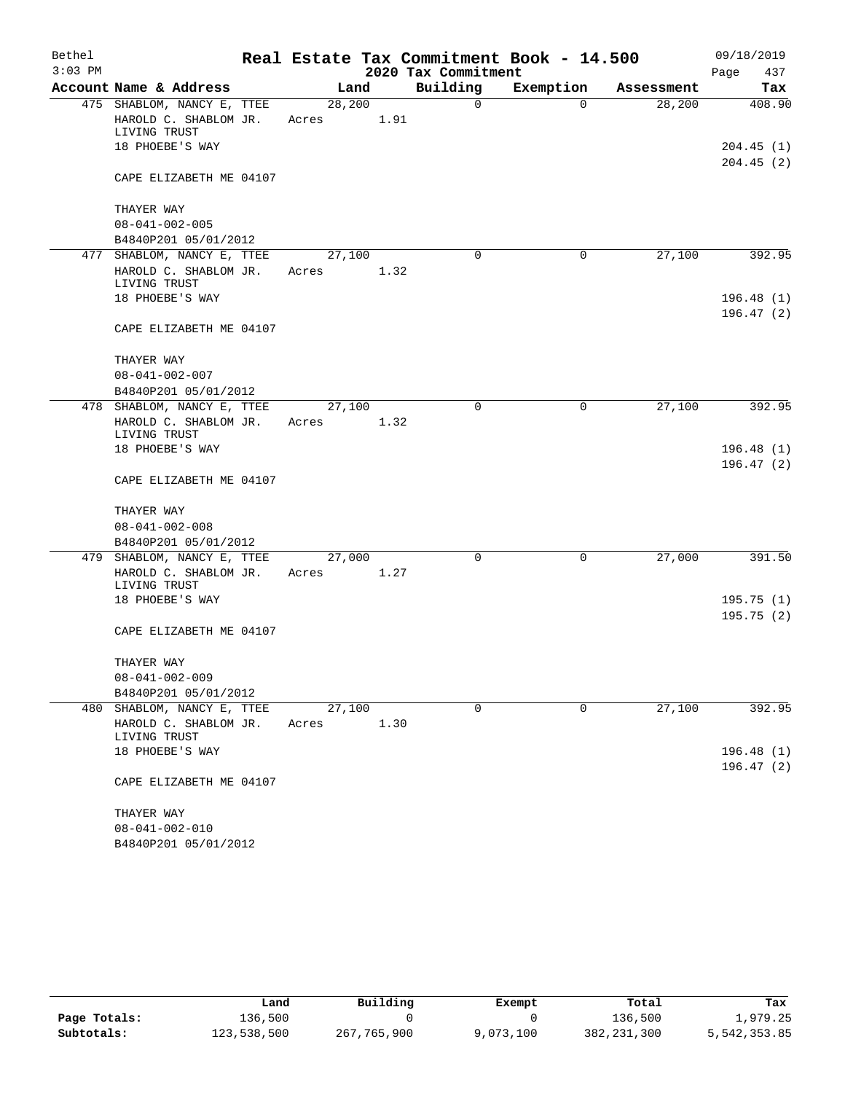| Bethel    |                                                                                        |                  |      |                     | Real Estate Tax Commitment Book - 14.500 |            | 09/18/2019             |
|-----------|----------------------------------------------------------------------------------------|------------------|------|---------------------|------------------------------------------|------------|------------------------|
| $3:03$ PM |                                                                                        |                  |      | 2020 Tax Commitment |                                          |            | 437<br>Page            |
|           | Account Name & Address                                                                 |                  | Land | Building            | Exemption                                | Assessment | Tax                    |
|           | 475 SHABLOM, NANCY E, TTEE<br>HAROLD C. SHABLOM JR.<br>LIVING TRUST<br>18 PHOEBE'S WAY | 28, 200<br>Acres | 1.91 | $\mathbf 0$         | $\Omega$                                 | 28, 200    | 408.90<br>204.45(1)    |
|           |                                                                                        |                  |      |                     |                                          |            | 204.45(2)              |
|           | CAPE ELIZABETH ME 04107                                                                |                  |      |                     |                                          |            |                        |
|           | THAYER WAY                                                                             |                  |      |                     |                                          |            |                        |
|           | $08 - 041 - 002 - 005$                                                                 |                  |      |                     |                                          |            |                        |
|           | B4840P201 05/01/2012                                                                   |                  |      |                     |                                          |            |                        |
|           | 477 SHABLOM, NANCY E, TTEE<br>HAROLD C. SHABLOM JR.<br>LIVING TRUST                    | 27,100<br>Acres  | 1.32 | 0                   | $\mathbf 0$                              | 27,100     | 392.95                 |
|           | 18 PHOEBE'S WAY                                                                        |                  |      |                     |                                          |            | 196.48(1)<br>196.47(2) |
|           | CAPE ELIZABETH ME 04107                                                                |                  |      |                     |                                          |            |                        |
|           | THAYER WAY                                                                             |                  |      |                     |                                          |            |                        |
|           | $08 - 041 - 002 - 007$                                                                 |                  |      |                     |                                          |            |                        |
|           | B4840P201 05/01/2012                                                                   |                  |      |                     |                                          |            |                        |
|           | 478 SHABLOM, NANCY E, TTEE<br>HAROLD C. SHABLOM JR.<br>LIVING TRUST                    | 27,100<br>Acres  | 1.32 | $\Omega$            | 0                                        | 27,100     | 392.95                 |
|           | 18 PHOEBE'S WAY                                                                        |                  |      |                     |                                          |            | 196.48(1)              |
|           |                                                                                        |                  |      |                     |                                          |            | 196.47(2)              |
|           | CAPE ELIZABETH ME 04107                                                                |                  |      |                     |                                          |            |                        |
|           | THAYER WAY                                                                             |                  |      |                     |                                          |            |                        |
|           | $08 - 041 - 002 - 008$                                                                 |                  |      |                     |                                          |            |                        |
|           | B4840P201 05/01/2012                                                                   |                  |      |                     |                                          |            |                        |
|           | 479 SHABLOM, NANCY E, TTEE                                                             | 27,000           |      | $\mathbf 0$         | 0                                        | 27,000     | 391.50                 |
|           | HAROLD C. SHABLOM JR.<br>LIVING TRUST                                                  | Acres            | 1.27 |                     |                                          |            |                        |
|           | 18 PHOEBE'S WAY                                                                        |                  |      |                     |                                          |            | 195.75(1)<br>195.75(2) |
|           | CAPE ELIZABETH ME 04107                                                                |                  |      |                     |                                          |            |                        |
|           | THAYER WAY                                                                             |                  |      |                     |                                          |            |                        |
|           | $08 - 041 - 002 - 009$                                                                 |                  |      |                     |                                          |            |                        |
|           | B4840P201 05/01/2012                                                                   |                  |      |                     |                                          |            |                        |
|           | 480 SHABLOM, NANCY E, TTEE                                                             | 27,100           |      | 0                   | 0                                        | 27,100     | 392.95                 |
|           | HAROLD C. SHABLOM JR.<br>LIVING TRUST                                                  | Acres            | 1.30 |                     |                                          |            |                        |
|           | 18 PHOEBE'S WAY                                                                        |                  |      |                     |                                          |            | 196.48(1)<br>196.47(2) |
|           | CAPE ELIZABETH ME 04107                                                                |                  |      |                     |                                          |            |                        |
|           | THAYER WAY                                                                             |                  |      |                     |                                          |            |                        |
|           | $08 - 041 - 002 - 010$                                                                 |                  |      |                     |                                          |            |                        |
|           | B4840P201 05/01/2012                                                                   |                  |      |                     |                                          |            |                        |

|              | Land        | Building    | Exempt    | Total         | Tax          |
|--------------|-------------|-------------|-----------|---------------|--------------|
| Page Totals: | 136,500     |             |           | 136,500       | 1,979.25     |
| Subtotals:   | 123,538,500 | 267,765,900 | 9,073,100 | 382, 231, 300 | 5,542,353.85 |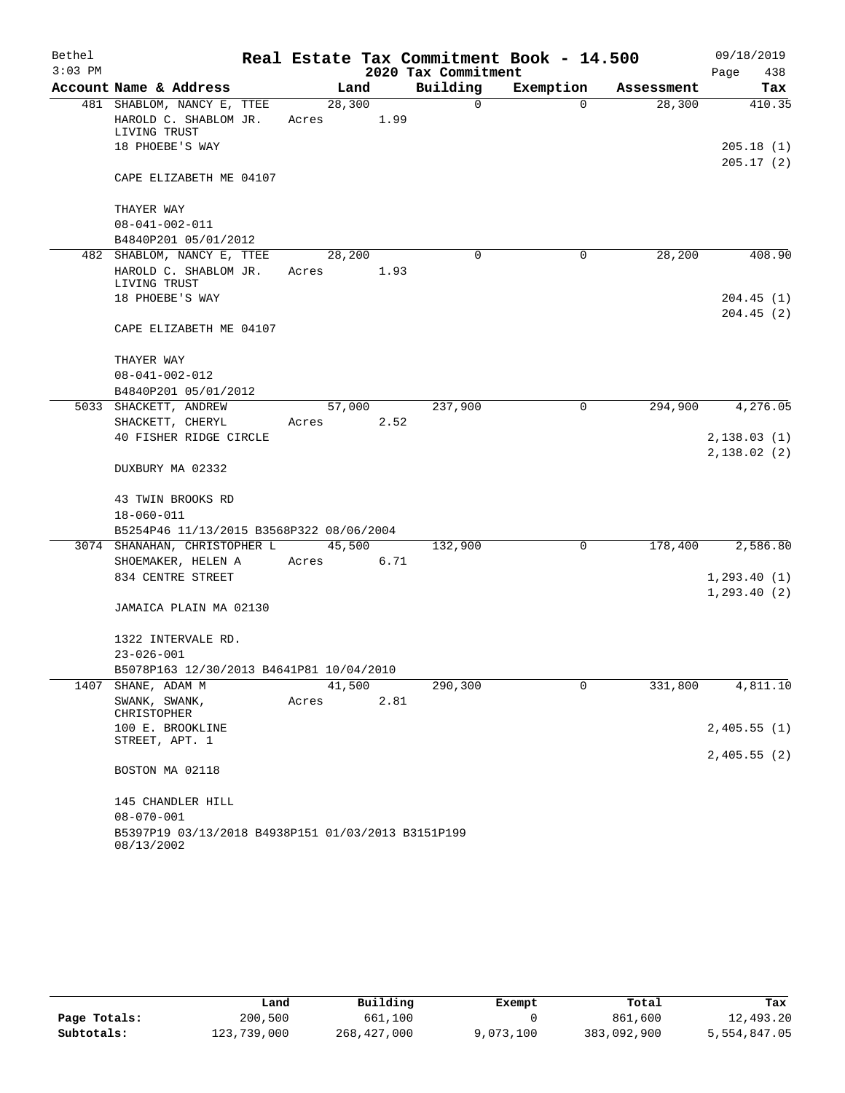| Bethel<br>$3:03$ PM |                                                                  |       |        |      | 2020 Tax Commitment | Real Estate Tax Commitment Book - 14.500 |            | 09/18/2019<br>Page<br>438  |
|---------------------|------------------------------------------------------------------|-------|--------|------|---------------------|------------------------------------------|------------|----------------------------|
|                     | Account Name & Address                                           |       | Land   |      | Building            | Exemption                                | Assessment | Tax                        |
|                     | 481 SHABLOM, NANCY E, TTEE                                       |       | 28,300 |      | 0                   | $\Omega$                                 | 28,300     | 410.35                     |
|                     | HAROLD C. SHABLOM JR.<br>LIVING TRUST                            | Acres |        | 1.99 |                     |                                          |            |                            |
|                     | 18 PHOEBE'S WAY                                                  |       |        |      |                     |                                          |            | 205.18(1)                  |
|                     | CAPE ELIZABETH ME 04107                                          |       |        |      |                     |                                          |            | 205.17(2)                  |
|                     | THAYER WAY                                                       |       |        |      |                     |                                          |            |                            |
|                     | $08 - 041 - 002 - 011$                                           |       |        |      |                     |                                          |            |                            |
|                     | B4840P201 05/01/2012                                             |       |        |      |                     |                                          |            |                            |
|                     | 482 SHABLOM, NANCY E, TTEE                                       |       | 28,200 |      | 0                   | $\mathbf 0$                              | 28,200     | 408.90                     |
|                     | HAROLD C. SHABLOM JR.<br>LIVING TRUST                            | Acres |        | 1.93 |                     |                                          |            |                            |
|                     | 18 PHOEBE'S WAY                                                  |       |        |      |                     |                                          |            | 204.45(1)                  |
|                     | CAPE ELIZABETH ME 04107                                          |       |        |      |                     |                                          |            | 204.45(2)                  |
|                     | THAYER WAY                                                       |       |        |      |                     |                                          |            |                            |
|                     | $08 - 041 - 002 - 012$                                           |       |        |      |                     |                                          |            |                            |
|                     | B4840P201 05/01/2012                                             |       |        |      |                     |                                          |            |                            |
|                     | 5033 SHACKETT, ANDREW                                            |       | 57,000 |      | 237,900             | 0                                        | 294,900    | 4,276.05                   |
|                     | SHACKETT, CHERYL                                                 | Acres |        | 2.52 |                     |                                          |            |                            |
|                     | 40 FISHER RIDGE CIRCLE                                           |       |        |      |                     |                                          |            | 2,138.03(1)<br>2,138.02(2) |
|                     | DUXBURY MA 02332                                                 |       |        |      |                     |                                          |            |                            |
|                     | 43 TWIN BROOKS RD                                                |       |        |      |                     |                                          |            |                            |
|                     | $18 - 060 - 011$                                                 |       |        |      |                     |                                          |            |                            |
|                     | B5254P46 11/13/2015 B3568P322 08/06/2004                         |       |        |      |                     |                                          |            |                            |
|                     | 3074 SHANAHAN, CHRISTOPHER L                                     |       | 45,500 |      | 132,900             | 0                                        | 178,400    | 2,586.80                   |
|                     | SHOEMAKER, HELEN A                                               | Acres |        | 6.71 |                     |                                          |            |                            |
|                     | 834 CENTRE STREET                                                |       |        |      |                     |                                          |            | 1, 293.40(1)               |
|                     | JAMAICA PLAIN MA 02130                                           |       |        |      |                     |                                          |            | 1, 293.40(2)               |
|                     | 1322 INTERVALE RD.                                               |       |        |      |                     |                                          |            |                            |
|                     | $23 - 026 - 001$                                                 |       |        |      |                     |                                          |            |                            |
|                     | B5078P163 12/30/2013 B4641P81 10/04/2010                         |       |        |      |                     |                                          |            |                            |
| 1407                | SHANE, ADAM M                                                    |       | 41,500 |      | 290,300             | 0                                        | 331,800    | 4,811.10                   |
|                     | SWANK, SWANK,<br>CHRISTOPHER                                     | Acres |        | 2.81 |                     |                                          |            |                            |
|                     | 100 E. BROOKLINE                                                 |       |        |      |                     |                                          |            | 2,405.55(1)                |
|                     | STREET, APT. 1                                                   |       |        |      |                     |                                          |            | 2,405.55(2)                |
|                     | BOSTON MA 02118                                                  |       |        |      |                     |                                          |            |                            |
|                     | 145 CHANDLER HILL                                                |       |        |      |                     |                                          |            |                            |
|                     | $08 - 070 - 001$                                                 |       |        |      |                     |                                          |            |                            |
|                     | B5397P19 03/13/2018 B4938P151 01/03/2013 B3151P199<br>08/13/2002 |       |        |      |                     |                                          |            |                            |

|              | Land        | Building    | Exempt    | Total       | Tax          |
|--------------|-------------|-------------|-----------|-------------|--------------|
| Page Totals: | 200,500     | 661,100     |           | 861,600     | 12,493.20    |
| Subtotals:   | 123,739,000 | 268,427,000 | 9,073,100 | 383,092,900 | 5,554,847.05 |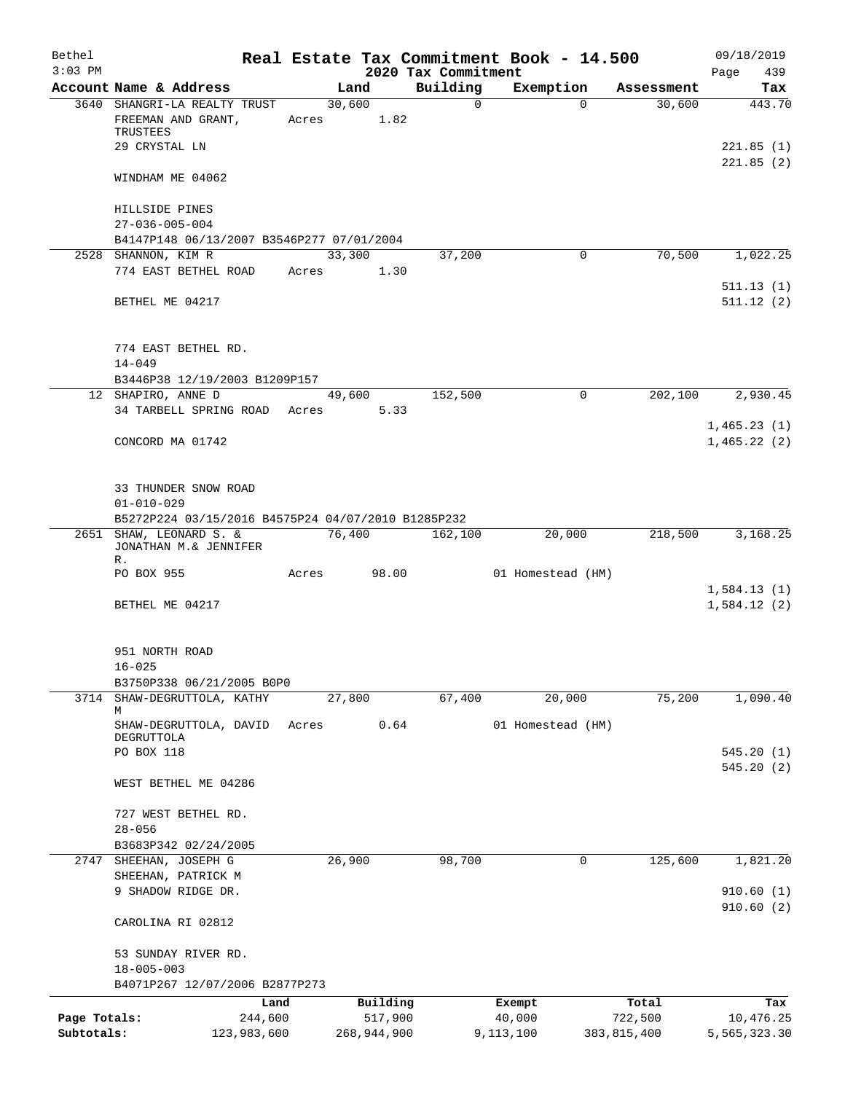| Bethel<br>$3:03$ PM |                                                        |       |                | 2020 Tax Commitment | Real Estate Tax Commitment Book - 14.500 |               | 09/18/2019<br>439<br>Page |
|---------------------|--------------------------------------------------------|-------|----------------|---------------------|------------------------------------------|---------------|---------------------------|
|                     | Account Name & Address                                 |       | Land           | Building            | Exemption                                | Assessment    | Tax                       |
|                     | 3640 SHANGRI-LA REALTY TRUST<br>FREEMAN AND GRANT,     | Acres | 30,600<br>1.82 | $\mathsf{O}$        | $\Omega$                                 | 30,600        | 443.70                    |
|                     | TRUSTEES                                               |       |                |                     |                                          |               |                           |
|                     | 29 CRYSTAL LN                                          |       |                |                     |                                          |               | 221.85(1)<br>221.85(2)    |
|                     | WINDHAM ME 04062                                       |       |                |                     |                                          |               |                           |
|                     | HILLSIDE PINES                                         |       |                |                     |                                          |               |                           |
|                     | $27 - 036 - 005 - 004$                                 |       |                |                     |                                          |               |                           |
|                     | B4147P148 06/13/2007 B3546P277 07/01/2004              |       |                |                     |                                          |               |                           |
|                     | 2528 SHANNON, KIM R<br>774 EAST BETHEL ROAD            | Acres | 33,300<br>1.30 | 37,200              | $\Omega$                                 | 70,500        | 1,022.25                  |
|                     |                                                        |       |                |                     |                                          |               | 511.13(1)                 |
|                     | BETHEL ME 04217                                        |       |                |                     |                                          |               | 511.12(2)                 |
|                     | 774 EAST BETHEL RD.<br>$14 - 049$                      |       |                |                     |                                          |               |                           |
|                     | B3446P38 12/19/2003 B1209P157                          |       |                |                     |                                          |               |                           |
|                     | 12 SHAPIRO, ANNE D                                     |       | 49,600         | 152,500             | 0                                        | 202,100       | 2,930.45                  |
|                     | 34 TARBELL SPRING ROAD                                 | Acres | 5.33           |                     |                                          |               |                           |
|                     |                                                        |       |                |                     |                                          |               | 1,465.23(1)               |
|                     | CONCORD MA 01742                                       |       |                |                     |                                          |               | 1,465.22(2)               |
|                     | 33 THUNDER SNOW ROAD<br>$01 - 010 - 029$               |       |                |                     |                                          |               |                           |
|                     | B5272P224 03/15/2016 B4575P24 04/07/2010 B1285P232     |       |                |                     |                                          |               |                           |
|                     | 2651 SHAW, LEONARD S. &<br>JONATHAN M.& JENNIFER<br>R. |       | 76,400         | 162,100             | 20,000                                   | 218,500       | 3,168.25                  |
|                     | PO BOX 955                                             | Acres | 98.00          |                     | 01 Homestead (HM)                        |               |                           |
|                     |                                                        |       |                |                     |                                          |               | 1,584.13(1)               |
|                     | BETHEL ME 04217                                        |       |                |                     |                                          |               | 1,584.12(2)               |
|                     | 951 NORTH ROAD<br>$16 - 025$                           |       |                |                     |                                          |               |                           |
|                     | B3750P338 06/21/2005 B0P0                              |       |                |                     |                                          |               |                           |
| 3714                | SHAW-DEGRUTTOLA, KATHY                                 |       | 27,800         | 67,400              | 20,000                                   | 75,200        | 1,090.40                  |
|                     | М<br>SHAW-DEGRUTTOLA, DAVID<br>DEGRUTTOLA              | Acres | 0.64           |                     | 01 Homestead (HM)                        |               |                           |
|                     | PO BOX 118                                             |       |                |                     |                                          |               | 545.20(1)<br>545.20(2)    |
|                     | WEST BETHEL ME 04286                                   |       |                |                     |                                          |               |                           |
|                     | 727 WEST BETHEL RD.<br>$28 - 056$                      |       |                |                     |                                          |               |                           |
|                     | B3683P342 02/24/2005                                   |       |                |                     |                                          |               |                           |
|                     | 2747 SHEEHAN, JOSEPH G                                 |       | 26,900         | 98,700              | 0                                        | 125,600       | 1,821.20                  |
|                     | SHEEHAN, PATRICK M                                     |       |                |                     |                                          |               |                           |
|                     | 9 SHADOW RIDGE DR.                                     |       |                |                     |                                          |               | 910.60(1)<br>910.60(2)    |
|                     | CAROLINA RI 02812                                      |       |                |                     |                                          |               |                           |
|                     | 53 SUNDAY RIVER RD.                                    |       |                |                     |                                          |               |                           |
|                     | $18 - 005 - 003$<br>B4071P267 12/07/2006 B2877P273     |       |                |                     |                                          |               |                           |
|                     | Land                                                   |       | Building       |                     | Exempt                                   | Total         | Tax                       |
| Page Totals:        | 244,600                                                |       | 517,900        |                     | 40,000                                   | 722,500       | 10,476.25                 |
| Subtotals:          | 123,983,600                                            |       | 268, 944, 900  |                     | 9,113,100                                | 383, 815, 400 | 5,565,323.30              |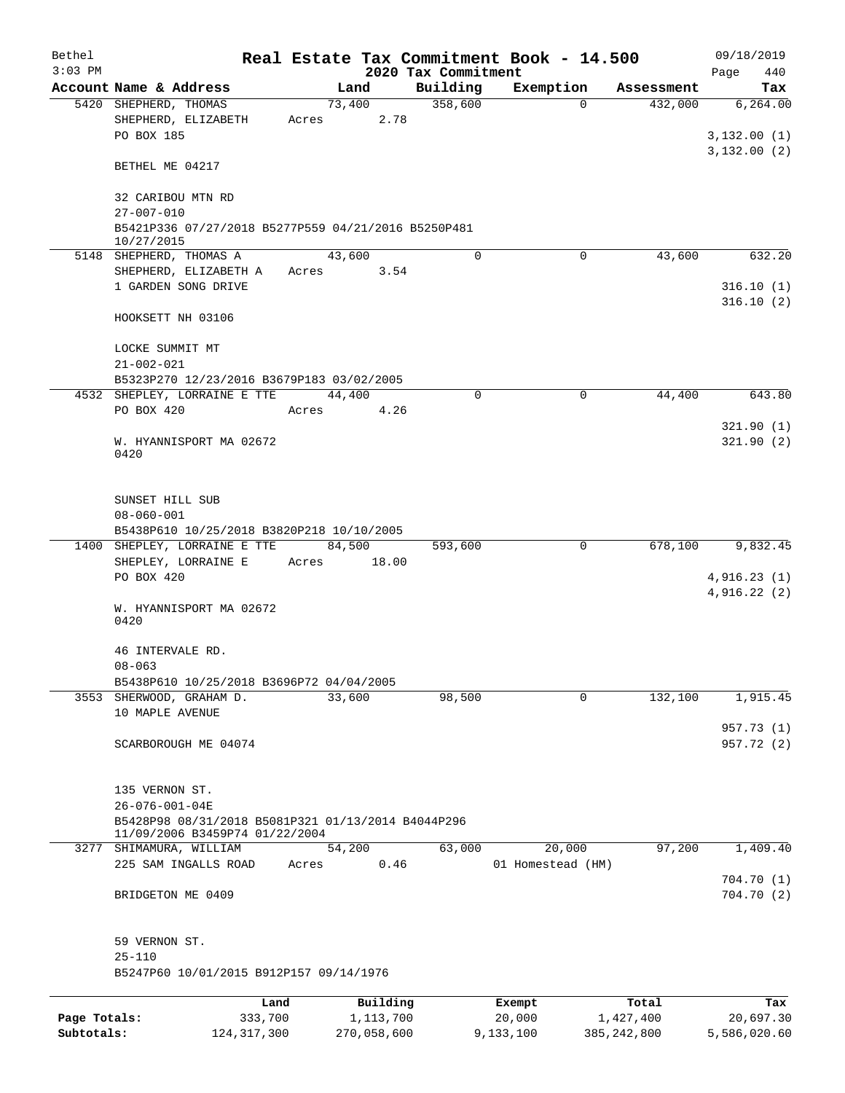| Bethel       |                                                                                                | Real Estate Tax Commitment Book - 14.500 |                     |                       |                       | 09/18/2019                 |
|--------------|------------------------------------------------------------------------------------------------|------------------------------------------|---------------------|-----------------------|-----------------------|----------------------------|
| $3:03$ PM    | Account Name & Address                                                                         |                                          | 2020 Tax Commitment |                       |                       | Page<br>440                |
|              | 5420 SHEPHERD, THOMAS                                                                          | Land<br>73,400                           | Building<br>358,600 | Exemption<br>$\Omega$ | Assessment<br>432,000 | Tax<br>6, 264.00           |
|              | SHEPHERD, ELIZABETH<br>PO BOX 185                                                              | 2.78<br>Acres                            |                     |                       |                       | 3,132.00(1)                |
|              | BETHEL ME 04217                                                                                |                                          |                     |                       |                       | 3,132.00(2)                |
|              | 32 CARIBOU MTN RD<br>$27 - 007 - 010$                                                          |                                          |                     |                       |                       |                            |
|              | B5421P336 07/27/2018 B5277P559 04/21/2016 B5250P481<br>10/27/2015                              |                                          |                     |                       |                       |                            |
|              | 5148 SHEPHERD, THOMAS A                                                                        | 43,600                                   | $\mathbf 0$         | $\mathbf 0$           | 43,600                | 632.20                     |
|              | SHEPHERD, ELIZABETH A<br>1 GARDEN SONG DRIVE                                                   | 3.54<br>Acres                            |                     |                       |                       | 316.10(1)<br>316.10(2)     |
|              | HOOKSETT NH 03106                                                                              |                                          |                     |                       |                       |                            |
|              | LOCKE SUMMIT MT<br>$21 - 002 - 021$                                                            |                                          |                     |                       |                       |                            |
|              | B5323P270 12/23/2016 B3679P183 03/02/2005                                                      |                                          |                     |                       |                       |                            |
|              | 4532 SHEPLEY, LORRAINE E TTE<br>PO BOX 420                                                     | 44,400<br>4.26<br>Acres                  | $\mathbf 0$         | 0                     | 44,400                | 643.80                     |
|              |                                                                                                |                                          |                     |                       |                       | 321.90(1)                  |
|              | W. HYANNISPORT MA 02672<br>0420                                                                |                                          |                     |                       |                       | 321.90(2)                  |
|              | SUNSET HILL SUB<br>$08 - 060 - 001$<br>B5438P610 10/25/2018 B3820P218 10/10/2005               |                                          |                     |                       |                       |                            |
|              | 1400 SHEPLEY, LORRAINE E TTE                                                                   | 84,500                                   | 593,600             | 0                     | 678,100               | 9,832.45                   |
|              | SHEPLEY, LORRAINE E                                                                            | 18.00<br>Acres                           |                     |                       |                       |                            |
|              | PO BOX 420                                                                                     |                                          |                     |                       |                       | 4,916.23(1)<br>4,916.22(2) |
|              | W. HYANNISPORT MA 02672<br>0420                                                                |                                          |                     |                       |                       |                            |
|              | 46 INTERVALE RD.<br>$08 - 063$                                                                 |                                          |                     |                       |                       |                            |
|              | B5438P610 10/25/2018 B3696P72 04/04/2005                                                       |                                          |                     |                       |                       |                            |
|              | 3553 SHERWOOD, GRAHAM D.<br>10 MAPLE AVENUE                                                    | 33,600                                   | 98,500              | 0                     | 132,100               | 1,915.45                   |
|              | SCARBOROUGH ME 04074                                                                           |                                          |                     |                       |                       | 957.73 (1)<br>957.72 (2)   |
|              | 135 VERNON ST.<br>$26 - 076 - 001 - 04E$<br>B5428P98 08/31/2018 B5081P321 01/13/2014 B4044P296 |                                          |                     |                       |                       |                            |
| 3277         | 11/09/2006 B3459P74 01/22/2004<br>SHIMAMURA, WILLIAM                                           | 54,200                                   | 63,000              | 20,000                | 97,200                | 1,409.40                   |
|              | 225 SAM INGALLS ROAD                                                                           | 0.46<br>Acres                            |                     | 01 Homestead (HM)     |                       | 704.70(1)                  |
|              | BRIDGETON ME 0409                                                                              |                                          |                     |                       |                       | 704.70(2)                  |
|              | 59 VERNON ST.<br>$25 - 110$<br>B5247P60 10/01/2015 B912P157 09/14/1976                         |                                          |                     |                       |                       |                            |
|              |                                                                                                |                                          |                     |                       |                       |                            |
| Page Totals: | Land<br>333,700                                                                                | Building<br>1,113,700                    |                     | Exempt<br>20,000      | Total<br>1,427,400    | Tax<br>20,697.30           |

**Subtotals:** 124,317,300 270,058,600 9,133,100 385,242,800 5,586,020.60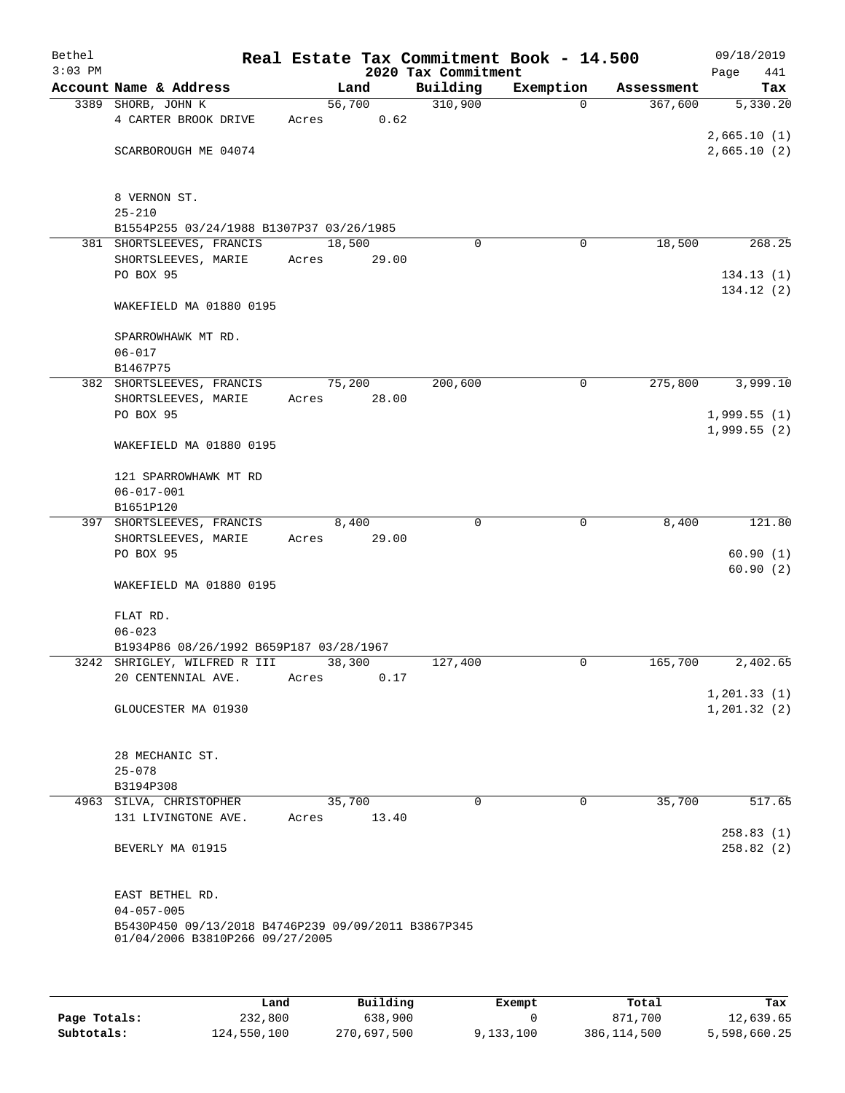| Bethel<br>$3:03$ PM |                                                     |        |       | Real Estate Tax Commitment Book - 14.500<br>2020 Tax Commitment |             |            | 09/18/2019<br>441<br>Page    |
|---------------------|-----------------------------------------------------|--------|-------|-----------------------------------------------------------------|-------------|------------|------------------------------|
|                     | Account Name & Address                              |        | Land  | Building                                                        | Exemption   | Assessment | Tax                          |
|                     | 3389 SHORB, JOHN K                                  | 56,700 |       | 310,900                                                         | 0           | 367,600    | 5,330.20                     |
|                     | 4 CARTER BROOK DRIVE                                | Acres  | 0.62  |                                                                 |             |            |                              |
|                     |                                                     |        |       |                                                                 |             |            | 2,665.10(1)                  |
|                     | SCARBOROUGH ME 04074                                |        |       |                                                                 |             |            | 2,665.10(2)                  |
|                     | 8 VERNON ST.                                        |        |       |                                                                 |             |            |                              |
|                     | $25 - 210$                                          |        |       |                                                                 |             |            |                              |
|                     | B1554P255 03/24/1988 B1307P37 03/26/1985            |        |       |                                                                 |             |            |                              |
|                     | 381 SHORTSLEEVES, FRANCIS                           | 18,500 |       | $\Omega$                                                        | 0           | 18,500     | 268.25                       |
|                     | SHORTSLEEVES, MARIE                                 | Acres  | 29.00 |                                                                 |             |            |                              |
|                     | PO BOX 95                                           |        |       |                                                                 |             |            | 134.13(1)<br>134.12 (2)      |
|                     | WAKEFIELD MA 01880 0195                             |        |       |                                                                 |             |            |                              |
|                     | SPARROWHAWK MT RD.                                  |        |       |                                                                 |             |            |                              |
|                     | $06 - 017$                                          |        |       |                                                                 |             |            |                              |
|                     | B1467P75                                            |        |       |                                                                 |             |            |                              |
|                     | 382 SHORTSLEEVES, FRANCIS                           | 75,200 |       | 200,600                                                         | $\mathbf 0$ | 275,800    | 3,999.10                     |
|                     | SHORTSLEEVES, MARIE                                 | Acres  | 28.00 |                                                                 |             |            |                              |
|                     | PO BOX 95                                           |        |       |                                                                 |             |            | 1,999.55(1)<br>1,999.55(2)   |
|                     | WAKEFIELD MA 01880 0195                             |        |       |                                                                 |             |            |                              |
|                     | 121 SPARROWHAWK MT RD                               |        |       |                                                                 |             |            |                              |
|                     | $06 - 017 - 001$                                    |        |       |                                                                 |             |            |                              |
|                     | B1651P120                                           |        |       |                                                                 |             |            |                              |
|                     | 397 SHORTSLEEVES, FRANCIS                           |        | 8,400 | $\Omega$                                                        | $\mathbf 0$ | 8,400      | 121.80                       |
|                     | SHORTSLEEVES, MARIE                                 | Acres  | 29.00 |                                                                 |             |            |                              |
|                     | PO BOX 95                                           |        |       |                                                                 |             |            | 60.90(1)                     |
|                     | WAKEFIELD MA 01880 0195                             |        |       |                                                                 |             |            | 60.90(2)                     |
|                     |                                                     |        |       |                                                                 |             |            |                              |
|                     | FLAT RD.                                            |        |       |                                                                 |             |            |                              |
|                     | $06 - 023$                                          |        |       |                                                                 |             |            |                              |
|                     | B1934P86 08/26/1992 B659P187 03/28/1967             |        |       |                                                                 |             |            |                              |
|                     | 3242 SHRIGLEY, WILFRED R III                        | 38,300 |       | 127,400                                                         | 0           | 165,700    | 2,402.65                     |
|                     | 20 CENTENNIAL AVE.                                  | Acres  | 0.17  |                                                                 |             |            |                              |
|                     | GLOUCESTER MA 01930                                 |        |       |                                                                 |             |            | 1, 201.33(1)<br>1, 201.32(2) |
|                     |                                                     |        |       |                                                                 |             |            |                              |
|                     |                                                     |        |       |                                                                 |             |            |                              |
|                     | 28 MECHANIC ST.<br>$25 - 078$                       |        |       |                                                                 |             |            |                              |
|                     | B3194P308                                           |        |       |                                                                 |             |            |                              |
|                     | 4963 SILVA, CHRISTOPHER                             | 35,700 |       | $\mathbf 0$                                                     | $\mathbf 0$ | 35,700     | 517.65                       |
|                     | 131 LIVINGTONE AVE.                                 | Acres  | 13.40 |                                                                 |             |            |                              |
|                     |                                                     |        |       |                                                                 |             |            | 258.83(1)                    |
|                     | BEVERLY MA 01915                                    |        |       |                                                                 |             |            | 258.82(2)                    |
|                     |                                                     |        |       |                                                                 |             |            |                              |
|                     | EAST BETHEL RD.<br>$04 - 057 - 005$                 |        |       |                                                                 |             |            |                              |
|                     | B5430P450 09/13/2018 B4746P239 09/09/2011 B3867P345 |        |       |                                                                 |             |            |                              |
|                     | 01/04/2006 B3810P266 09/27/2005                     |        |       |                                                                 |             |            |                              |
|                     |                                                     |        |       |                                                                 |             |            |                              |
|                     |                                                     |        |       |                                                                 |             |            |                              |
|                     |                                                     |        |       |                                                                 |             |            |                              |

|              | Land        | Building    | Exempt    | Total         | Tax          |
|--------------|-------------|-------------|-----------|---------------|--------------|
| Page Totals: | 232,800     | 638,900     |           | 871,700       | 12,639.65    |
| Subtotals:   | 124,550,100 | 270,697,500 | 9,133,100 | 386, 114, 500 | 5,598,660.25 |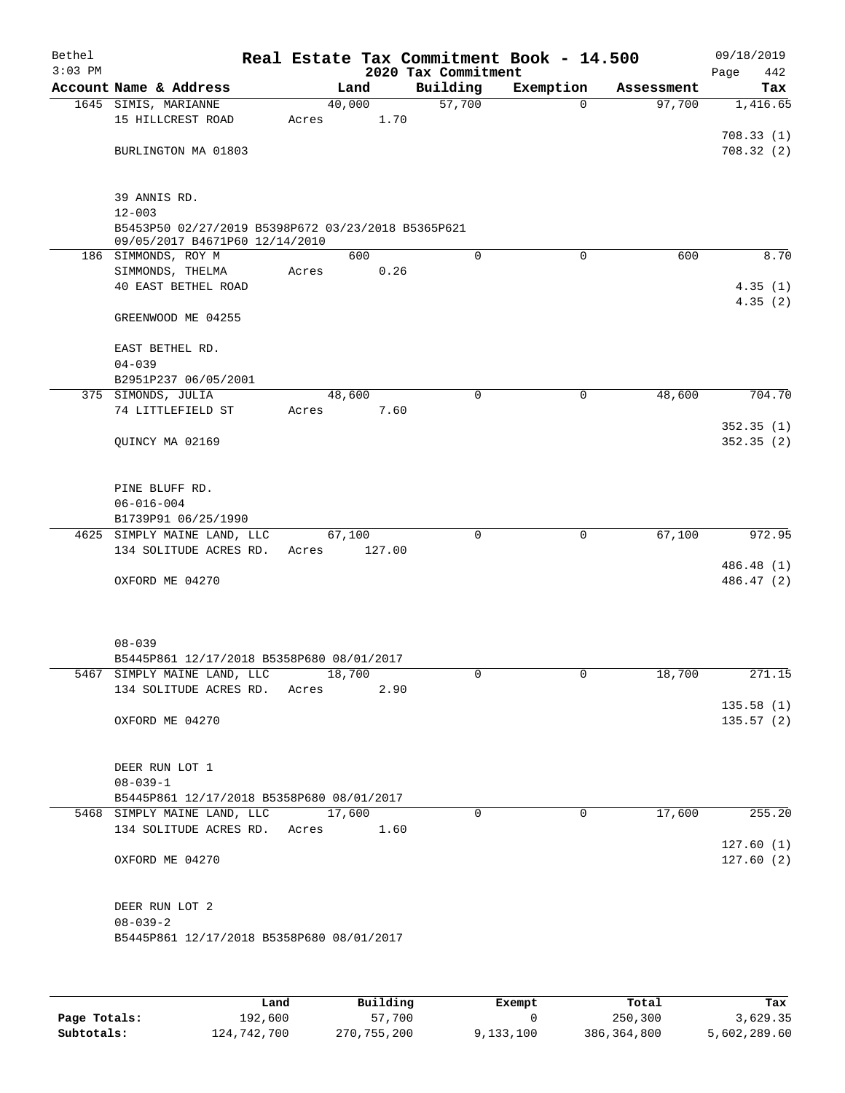| Bethel<br>$3:03$ PM |                                                                                      |       |        |      | Real Estate Tax Commitment Book - 14.500<br>2020 Tax Commitment |             |            | 09/18/2019<br>Page<br>442 |  |
|---------------------|--------------------------------------------------------------------------------------|-------|--------|------|-----------------------------------------------------------------|-------------|------------|---------------------------|--|
|                     | Account Name & Address                                                               |       | Land   |      | Building                                                        | Exemption   | Assessment | Tax                       |  |
|                     | 1645 SIMIS, MARIANNE                                                                 |       | 40,000 |      | 57,700                                                          | $\mathbf 0$ | 97,700     | 1,416.65                  |  |
|                     | 15 HILLCREST ROAD                                                                    | Acres |        | 1.70 |                                                                 |             |            |                           |  |
|                     |                                                                                      |       |        |      |                                                                 |             |            | 708.33(1)                 |  |
|                     | BURLINGTON MA 01803                                                                  |       |        |      |                                                                 |             |            | 708.32(2)                 |  |
|                     |                                                                                      |       |        |      |                                                                 |             |            |                           |  |
|                     | 39 ANNIS RD.                                                                         |       |        |      |                                                                 |             |            |                           |  |
|                     | $12 - 003$                                                                           |       |        |      |                                                                 |             |            |                           |  |
|                     | B5453P50 02/27/2019 B5398P672 03/23/2018 B5365P621<br>09/05/2017 B4671P60 12/14/2010 |       |        |      |                                                                 |             |            |                           |  |
|                     | 186 SIMMONDS, ROY M                                                                  |       | 600    |      | $\Omega$                                                        | 0           | 600        | 8.70                      |  |
|                     | SIMMONDS, THELMA                                                                     | Acres |        | 0.26 |                                                                 |             |            |                           |  |
|                     | 40 EAST BETHEL ROAD                                                                  |       |        |      |                                                                 |             |            | 4.35(1)                   |  |
|                     |                                                                                      |       |        |      |                                                                 |             |            | 4.35(2)                   |  |
|                     | GREENWOOD ME 04255                                                                   |       |        |      |                                                                 |             |            |                           |  |
|                     | EAST BETHEL RD.                                                                      |       |        |      |                                                                 |             |            |                           |  |
|                     | $04 - 039$                                                                           |       |        |      |                                                                 |             |            |                           |  |
|                     | B2951P237 06/05/2001                                                                 |       |        |      |                                                                 |             |            |                           |  |
|                     | 375 SIMONDS, JULIA                                                                   |       | 48,600 |      | $\mathbf 0$                                                     | 0           | 48,600     | 704.70                    |  |
|                     | 74 LITTLEFIELD ST                                                                    | Acres |        | 7.60 |                                                                 |             |            |                           |  |
|                     |                                                                                      |       |        |      |                                                                 |             |            | 352.35(1)                 |  |
|                     | QUINCY MA 02169                                                                      |       |        |      |                                                                 |             |            | 352.35(2)                 |  |
|                     |                                                                                      |       |        |      |                                                                 |             |            |                           |  |
|                     | PINE BLUFF RD.<br>$06 - 016 - 004$                                                   |       |        |      |                                                                 |             |            |                           |  |
|                     | B1739P91 06/25/1990                                                                  |       |        |      |                                                                 |             |            |                           |  |
|                     | 4625 SIMPLY MAINE LAND, LLC                                                          |       | 67,100 |      | $\mathbf 0$                                                     | $\mathbf 0$ | 67,100     | 972.95                    |  |
|                     | 134 SOLITUDE ACRES RD.                                                               | Acres | 127.00 |      |                                                                 |             |            |                           |  |
|                     |                                                                                      |       |        |      |                                                                 |             |            | 486.48 (1)                |  |
|                     | OXFORD ME 04270                                                                      |       |        |      |                                                                 |             |            | 486.47 (2)                |  |
|                     |                                                                                      |       |        |      |                                                                 |             |            |                           |  |
|                     |                                                                                      |       |        |      |                                                                 |             |            |                           |  |
|                     | $08 - 039$                                                                           |       |        |      |                                                                 |             |            |                           |  |
|                     | B5445P861 12/17/2018 B5358P680 08/01/2017                                            |       |        |      |                                                                 |             |            |                           |  |
|                     | 5467 SIMPLY MAINE LAND, LLC                                                          |       | 18,700 |      | 0                                                               | 0           | 18,700     | 271.15                    |  |
|                     | 134 SOLITUDE ACRES RD.                                                               | Acres |        | 2.90 |                                                                 |             |            |                           |  |
|                     |                                                                                      |       |        |      |                                                                 |             |            | 135.58(1)                 |  |
|                     | OXFORD ME 04270                                                                      |       |        |      |                                                                 |             |            | 135.57(2)                 |  |
|                     |                                                                                      |       |        |      |                                                                 |             |            |                           |  |
|                     |                                                                                      |       |        |      |                                                                 |             |            |                           |  |
|                     | DEER RUN LOT 1                                                                       |       |        |      |                                                                 |             |            |                           |  |
|                     | $08 - 039 - 1$<br>B5445P861 12/17/2018 B5358P680 08/01/2017                          |       |        |      |                                                                 |             |            |                           |  |
|                     | 5468 SIMPLY MAINE LAND, LLC                                                          |       | 17,600 |      | $\Omega$                                                        | $\Omega$    | 17,600     | 255.20                    |  |
|                     | 134 SOLITUDE ACRES RD.                                                               | Acres |        | 1.60 |                                                                 |             |            |                           |  |
|                     |                                                                                      |       |        |      |                                                                 |             |            | 127.60(1)                 |  |
|                     | OXFORD ME 04270                                                                      |       |        |      |                                                                 |             |            | 127.60(2)                 |  |
|                     |                                                                                      |       |        |      |                                                                 |             |            |                           |  |
|                     |                                                                                      |       |        |      |                                                                 |             |            |                           |  |
|                     | DEER RUN LOT 2<br>$08 - 039 - 2$                                                     |       |        |      |                                                                 |             |            |                           |  |
|                     | B5445P861 12/17/2018 B5358P680 08/01/2017                                            |       |        |      |                                                                 |             |            |                           |  |
|                     |                                                                                      |       |        |      |                                                                 |             |            |                           |  |
|                     |                                                                                      |       |        |      |                                                                 |             |            |                           |  |
|                     |                                                                                      |       |        |      |                                                                 |             |            |                           |  |

|              | Land        | Building      | Exempt    | Total       | Tax          |
|--------------|-------------|---------------|-----------|-------------|--------------|
| Page Totals: | 192,600     | 57,700        |           | 250,300     | 3,629.35     |
| Subtotals:   | 124,742,700 | 270, 755, 200 | 9,133,100 | 386,364,800 | 5,602,289.60 |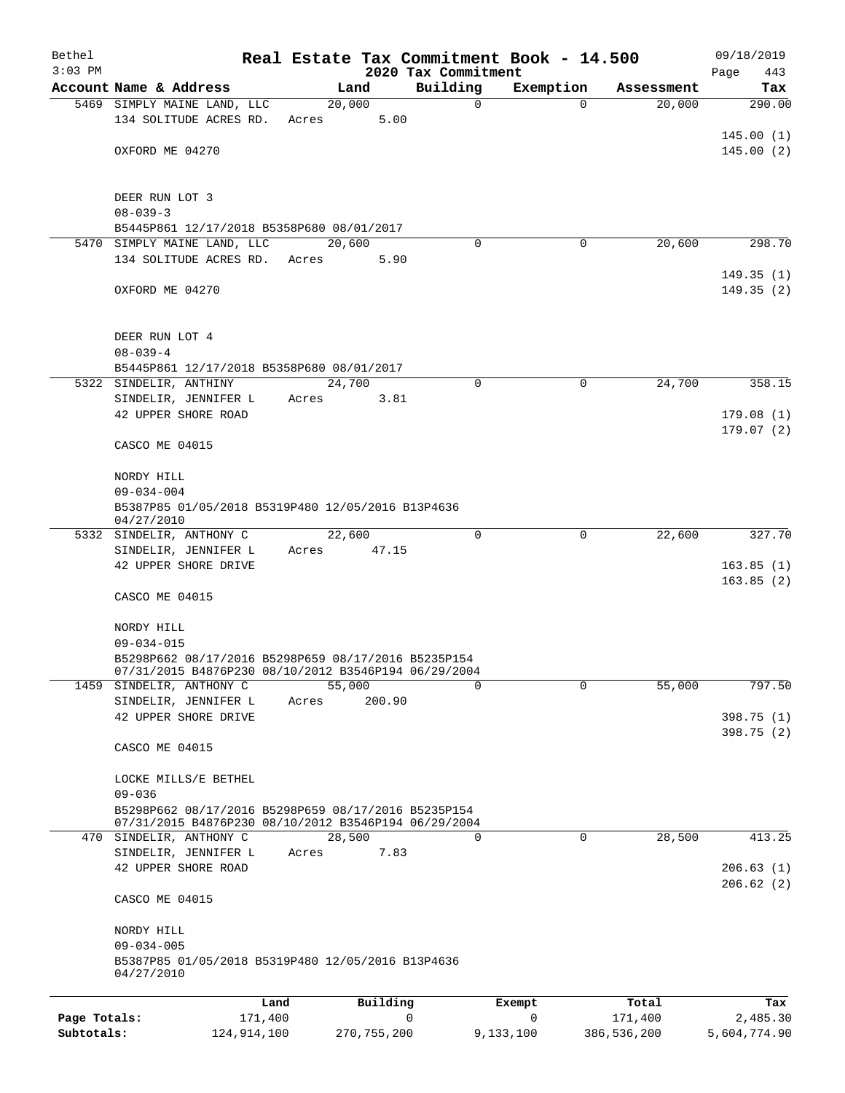| Bethel<br>$3:03$ PM |                                                                                                             |        |                | 2020 Tax Commitment | Real Estate Tax Commitment Book - 14.500 |            | 09/18/2019<br>443<br>Page |
|---------------------|-------------------------------------------------------------------------------------------------------------|--------|----------------|---------------------|------------------------------------------|------------|---------------------------|
|                     | Account Name & Address                                                                                      |        | Land           | Building            | Exemption                                | Assessment | Tax                       |
|                     | 5469 SIMPLY MAINE LAND, LLC                                                                                 |        | 20,000         | 0                   | $\Omega$                                 | 20,000     | 290.00                    |
|                     | 134 SOLITUDE ACRES RD.                                                                                      | Acres  | 5.00           |                     |                                          |            |                           |
|                     |                                                                                                             |        |                |                     |                                          |            | 145.00(1)                 |
|                     | OXFORD ME 04270                                                                                             |        |                |                     |                                          |            | 145.00(2)                 |
|                     |                                                                                                             |        |                |                     |                                          |            |                           |
|                     | DEER RUN LOT 3                                                                                              |        |                |                     |                                          |            |                           |
|                     | $08 - 039 - 3$                                                                                              |        |                |                     |                                          |            |                           |
|                     | B5445P861 12/17/2018 B5358P680 08/01/2017                                                                   |        |                |                     |                                          |            |                           |
|                     | 5470 SIMPLY MAINE LAND, LLC<br>134 SOLITUDE ACRES RD.                                                       | Acres  | 20,600<br>5.90 | $\Omega$            | 0                                        | 20,600     | 298.70                    |
|                     |                                                                                                             |        |                |                     |                                          |            | 149.35(1)                 |
|                     | OXFORD ME 04270                                                                                             |        |                |                     |                                          |            | 149.35 (2)                |
|                     |                                                                                                             |        |                |                     |                                          |            |                           |
|                     |                                                                                                             |        |                |                     |                                          |            |                           |
|                     | DEER RUN LOT 4<br>$08 - 039 - 4$                                                                            |        |                |                     |                                          |            |                           |
|                     | B5445P861 12/17/2018 B5358P680 08/01/2017                                                                   |        |                |                     |                                          |            |                           |
|                     | 5322 SINDELIR, ANTHINY                                                                                      | 24,700 |                | 0                   | $\mathbf 0$                              | 24,700     | 358.15                    |
|                     | SINDELIR, JENNIFER L                                                                                        | Acres  | 3.81           |                     |                                          |            |                           |
|                     | 42 UPPER SHORE ROAD                                                                                         |        |                |                     |                                          |            | 179.08(1)                 |
|                     | CASCO ME 04015                                                                                              |        |                |                     |                                          |            | 179.07(2)                 |
|                     |                                                                                                             |        |                |                     |                                          |            |                           |
|                     | NORDY HILL                                                                                                  |        |                |                     |                                          |            |                           |
|                     | $09 - 034 - 004$                                                                                            |        |                |                     |                                          |            |                           |
|                     | B5387P85 01/05/2018 B5319P480 12/05/2016 B13P4636<br>04/27/2010                                             |        |                |                     |                                          |            |                           |
|                     | 5332 SINDELIR, ANTHONY C                                                                                    |        | 22,600         | 0                   | 0                                        | 22,600     | 327.70                    |
|                     | SINDELIR, JENNIFER L                                                                                        | Acres  | 47.15          |                     |                                          |            |                           |
|                     | 42 UPPER SHORE DRIVE                                                                                        |        |                |                     |                                          |            | 163.85(1)                 |
|                     |                                                                                                             |        |                |                     |                                          |            | 163.85(2)                 |
|                     | CASCO ME 04015                                                                                              |        |                |                     |                                          |            |                           |
|                     | NORDY HILL                                                                                                  |        |                |                     |                                          |            |                           |
|                     | $09 - 034 - 015$                                                                                            |        |                |                     |                                          |            |                           |
|                     | B5298P662 08/17/2016 B5298P659 08/17/2016 B5235P154<br>07/31/2015 B4876P230 08/10/2012 B3546P194 06/29/2004 |        |                |                     |                                          |            |                           |
| 1459                | SINDELIR, ANTHONY C                                                                                         | 55,000 |                | $\Omega$            | $\mathbf 0$                              | 55,000     | 797.50                    |
|                     | SINDELIR, JENNIFER L                                                                                        | Acres  | 200.90         |                     |                                          |            |                           |
|                     | 42 UPPER SHORE DRIVE                                                                                        |        |                |                     |                                          |            | 398.75 (1)                |
|                     | CASCO ME 04015                                                                                              |        |                |                     |                                          |            | 398.75 (2)                |
|                     |                                                                                                             |        |                |                     |                                          |            |                           |
|                     | LOCKE MILLS/E BETHEL                                                                                        |        |                |                     |                                          |            |                           |
|                     | $09 - 036$                                                                                                  |        |                |                     |                                          |            |                           |
|                     | B5298P662 08/17/2016 B5298P659 08/17/2016 B5235P154<br>07/31/2015 B4876P230 08/10/2012 B3546P194 06/29/2004 |        |                |                     |                                          |            |                           |
|                     | 470 SINDELIR, ANTHONY C                                                                                     |        | 28,500         | 0                   | $\mathbf 0$                              | 28,500     | 413.25                    |
|                     | SINDELIR, JENNIFER L                                                                                        | Acres  | 7.83           |                     |                                          |            |                           |
|                     | 42 UPPER SHORE ROAD                                                                                         |        |                |                     |                                          |            | 206.63(1)                 |
|                     |                                                                                                             |        |                |                     |                                          |            | 206.62(2)                 |
|                     | CASCO ME 04015                                                                                              |        |                |                     |                                          |            |                           |
|                     | NORDY HILL                                                                                                  |        |                |                     |                                          |            |                           |
|                     | $09 - 034 - 005$                                                                                            |        |                |                     |                                          |            |                           |
|                     | B5387P85 01/05/2018 B5319P480 12/05/2016 B13P4636<br>04/27/2010                                             |        |                |                     |                                          |            |                           |
|                     |                                                                                                             |        |                |                     |                                          |            |                           |
|                     | Land                                                                                                        |        | Building       |                     | Exempt                                   | Total      | Tax                       |
| Page Totals:        | 171,400                                                                                                     |        |                | 0                   | 0                                        | 171,400    | 2,485.30                  |

**Subtotals:** 124,914,100 270,755,200 9,133,100 386,536,200 5,604,774.90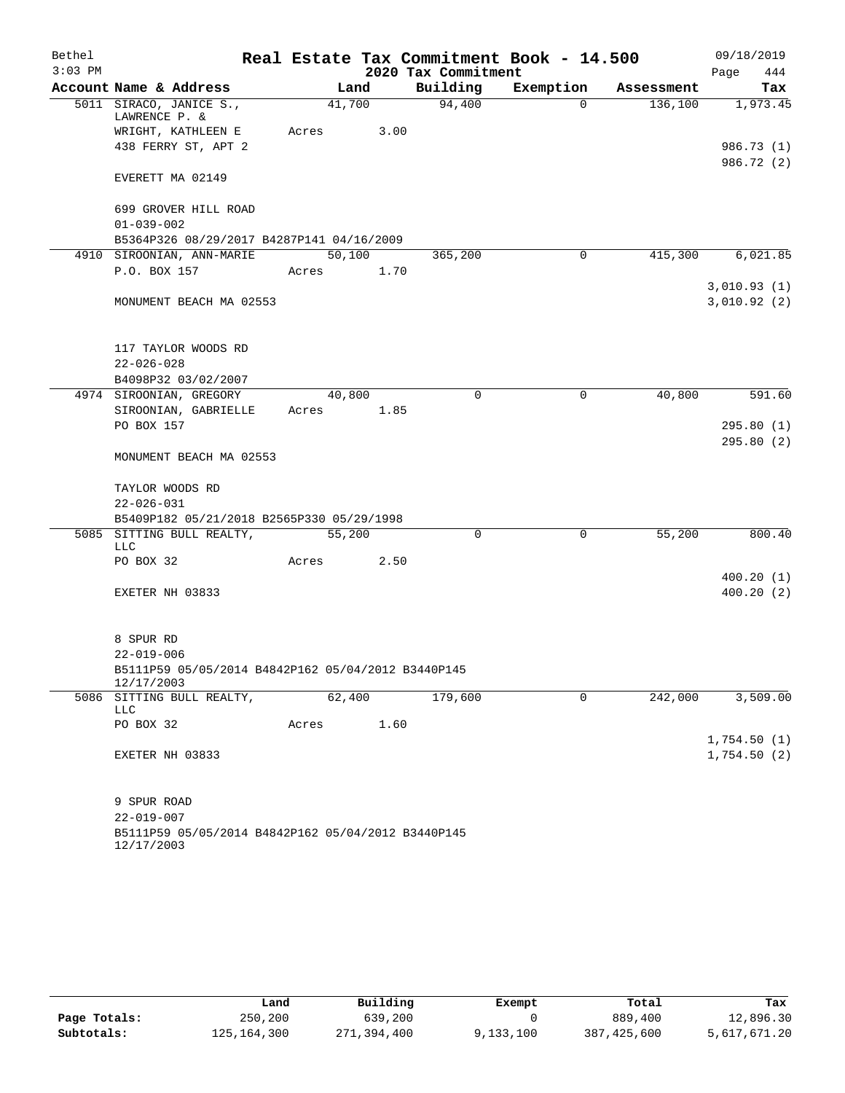| Bethel    |                                                                        |        |        |                     | Real Estate Tax Commitment Book - 14.500 |            | 09/18/2019  |  |  |
|-----------|------------------------------------------------------------------------|--------|--------|---------------------|------------------------------------------|------------|-------------|--|--|
| $3:03$ PM |                                                                        |        |        | 2020 Tax Commitment |                                          |            | 444<br>Page |  |  |
|           | Account Name & Address                                                 |        | Land   | Building            | Exemption                                | Assessment | Tax         |  |  |
|           | 5011 SIRACO, JANICE S.,<br>LAWRENCE P. &                               |        | 41,700 | 94,400              | $\Omega$                                 | 136,100    | 1,973.45    |  |  |
|           | WRIGHT, KATHLEEN E                                                     | Acres  | 3.00   |                     |                                          |            |             |  |  |
|           | 438 FERRY ST, APT 2                                                    |        |        |                     |                                          |            | 986.73 (1)  |  |  |
|           |                                                                        |        |        |                     |                                          |            | 986.72 (2)  |  |  |
|           | EVERETT MA 02149                                                       |        |        |                     |                                          |            |             |  |  |
|           | 699 GROVER HILL ROAD                                                   |        |        |                     |                                          |            |             |  |  |
|           | $01 - 039 - 002$                                                       |        |        |                     |                                          |            |             |  |  |
|           | B5364P326 08/29/2017 B4287P141 04/16/2009                              |        |        |                     |                                          |            |             |  |  |
|           | 4910 SIROONIAN, ANN-MARIE                                              |        | 50,100 | 365,200             | $\Omega$                                 | 415,300    | 6,021.85    |  |  |
|           | P.O. BOX 157                                                           | Acres  | 1.70   |                     |                                          |            |             |  |  |
|           |                                                                        |        |        |                     |                                          |            | 3,010.93(1) |  |  |
|           | MONUMENT BEACH MA 02553                                                |        |        |                     |                                          |            | 3,010.92(2) |  |  |
|           |                                                                        |        |        |                     |                                          |            |             |  |  |
|           |                                                                        |        |        |                     |                                          |            |             |  |  |
|           | 117 TAYLOR WOODS RD                                                    |        |        |                     |                                          |            |             |  |  |
|           | $22 - 026 - 028$                                                       |        |        |                     |                                          |            |             |  |  |
|           | B4098P32 03/02/2007                                                    |        |        |                     |                                          |            |             |  |  |
|           | 4974 SIROONIAN, GREGORY                                                |        | 40,800 | $\Omega$            | $\mathbf 0$                              | 40,800     | 591.60      |  |  |
|           | SIROONIAN, GABRIELLE                                                   | Acres  | 1.85   |                     |                                          |            |             |  |  |
|           | PO BOX 157                                                             |        |        |                     |                                          |            | 295.80(1)   |  |  |
|           | MONUMENT BEACH MA 02553                                                |        |        |                     |                                          |            | 295.80(2)   |  |  |
|           |                                                                        |        |        |                     |                                          |            |             |  |  |
|           | TAYLOR WOODS RD                                                        |        |        |                     |                                          |            |             |  |  |
|           | $22 - 026 - 031$                                                       |        |        |                     |                                          |            |             |  |  |
|           | B5409P182 05/21/2018 B2565P330 05/29/1998<br>5085 SITTING BULL REALTY, |        | 55,200 | 0                   | $\mathbf 0$                              | 55,200     | 800.40      |  |  |
|           | <b>LLC</b>                                                             |        |        |                     |                                          |            |             |  |  |
|           | PO BOX 32                                                              | Acres  | 2.50   |                     |                                          |            |             |  |  |
|           |                                                                        |        |        |                     |                                          |            | 400.20(1)   |  |  |
|           | EXETER NH 03833                                                        |        |        |                     |                                          |            | 400.20(2)   |  |  |
|           |                                                                        |        |        |                     |                                          |            |             |  |  |
|           |                                                                        |        |        |                     |                                          |            |             |  |  |
|           | 8 SPUR RD                                                              |        |        |                     |                                          |            |             |  |  |
|           | $22 - 019 - 006$                                                       |        |        |                     |                                          |            |             |  |  |
|           | B5111P59 05/05/2014 B4842P162 05/04/2012 B3440P145<br>12/17/2003       |        |        |                     |                                          |            |             |  |  |
|           | 5086 SITTING BULL REALTY,                                              | 62,400 |        | 179,600             | $\Omega$                                 | 242,000    | 3,509.00    |  |  |
|           | LLC<br>PO BOX 32                                                       | Acres  | 1.60   |                     |                                          |            |             |  |  |
|           |                                                                        |        |        |                     |                                          |            | 1,754.50(1) |  |  |
|           | EXETER NH 03833                                                        |        |        |                     |                                          |            | 1,754.50(2) |  |  |
|           |                                                                        |        |        |                     |                                          |            |             |  |  |
|           | 9 SPUR ROAD                                                            |        |        |                     |                                          |            |             |  |  |
|           | $22 - 019 - 007$                                                       |        |        |                     |                                          |            |             |  |  |
|           | B5111P59 05/05/2014 B4842P162 05/04/2012 B3440P145<br>12/17/2003       |        |        |                     |                                          |            |             |  |  |

|              | Land        | Building    | Exempt    | Total       | Tax          |
|--------------|-------------|-------------|-----------|-------------|--------------|
| Page Totals: | 250,200     | 639,200     |           | 889,400     | 12,896.30    |
| Subtotals:   | 125,164,300 | 271,394,400 | 9,133,100 | 387,425,600 | 5,617,671.20 |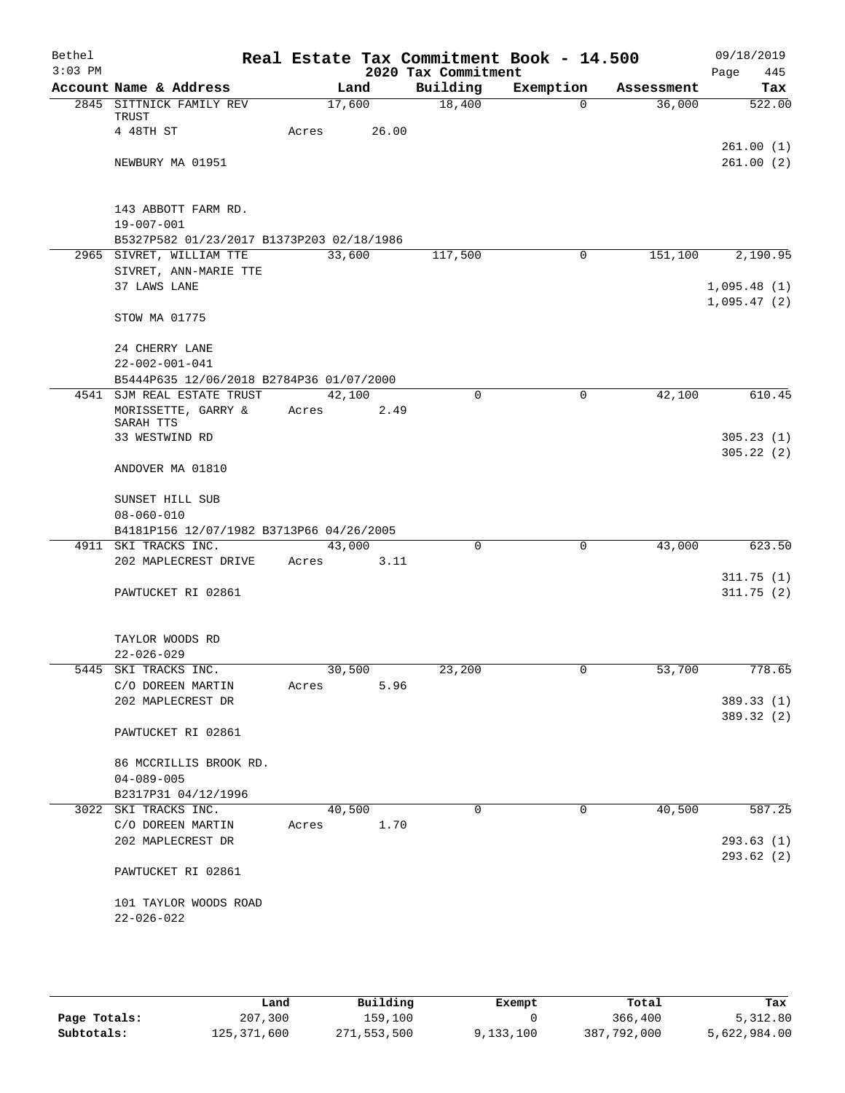| Bethel    |                                           |       |        |                     | Real Estate Tax Commitment Book - 14.500 |            | 09/18/2019  |
|-----------|-------------------------------------------|-------|--------|---------------------|------------------------------------------|------------|-------------|
| $3:03$ PM |                                           |       |        | 2020 Tax Commitment |                                          |            | 445<br>Page |
|           | Account Name & Address                    |       | Land   | Building            | Exemption                                | Assessment | Tax         |
|           | 2845 SITTNICK FAMILY REV<br>TRUST         |       | 17,600 | 18,400              | $\Omega$                                 | 36,000     | 522.00      |
|           | 4 48TH ST                                 | Acres | 26.00  |                     |                                          |            |             |
|           |                                           |       |        |                     |                                          |            | 261.00(1)   |
|           | NEWBURY MA 01951                          |       |        |                     |                                          |            | 261.00(2)   |
|           | 143 ABBOTT FARM RD.                       |       |        |                     |                                          |            |             |
|           | $19 - 007 - 001$                          |       |        |                     |                                          |            |             |
|           | B5327P582 01/23/2017 B1373P203 02/18/1986 |       |        |                     |                                          |            |             |
|           | 2965 SIVRET, WILLIAM TTE                  |       | 33,600 | 117,500             | 0                                        | 151,100    | 2,190.95    |
|           | SIVRET, ANN-MARIE TTE                     |       |        |                     |                                          |            |             |
|           | 37 LAWS LANE                              |       |        |                     |                                          |            | 1,095.48(1) |
|           | STOW MA 01775                             |       |        |                     |                                          |            | 1,095.47(2) |
|           |                                           |       |        |                     |                                          |            |             |
|           | 24 CHERRY LANE                            |       |        |                     |                                          |            |             |
|           | $22 - 002 - 001 - 041$                    |       |        |                     |                                          |            |             |
|           | B5444P635 12/06/2018 B2784P36 01/07/2000  |       |        |                     |                                          |            |             |
|           | 4541 SJM REAL ESTATE TRUST                |       | 42,100 | $\mathbf 0$         | $\mathbf 0$                              | 42,100     | 610.45      |
|           | MORISSETTE, GARRY &<br>SARAH TTS          | Acres | 2.49   |                     |                                          |            |             |
|           | 33 WESTWIND RD                            |       |        |                     |                                          |            | 305.23(1)   |
|           | ANDOVER MA 01810                          |       |        |                     |                                          |            | 305.22(2)   |
|           | SUNSET HILL SUB                           |       |        |                     |                                          |            |             |
|           | $08 - 060 - 010$                          |       |        |                     |                                          |            |             |
|           | B4181P156 12/07/1982 B3713P66 04/26/2005  |       |        |                     |                                          |            |             |
|           | 4911 SKI TRACKS INC.                      |       | 43,000 | $\Omega$            | $\mathbf 0$                              | 43,000     | 623.50      |
|           | 202 MAPLECREST DRIVE                      | Acres | 3.11   |                     |                                          |            |             |
|           |                                           |       |        |                     |                                          |            | 311.75(1)   |
|           | PAWTUCKET RI 02861                        |       |        |                     |                                          |            | 311.75(2)   |
|           |                                           |       |        |                     |                                          |            |             |
|           | TAYLOR WOODS RD<br>$22 - 026 - 029$       |       |        |                     |                                          |            |             |
|           | 5445 SKI TRACKS INC.                      |       | 30,500 | 23,200              |                                          | 53,700     | 778.65      |
|           | C/O DOREEN MARTIN                         | Acres | 5.96   |                     |                                          |            |             |
|           | 202 MAPLECREST DR                         |       |        |                     |                                          |            | 389.33 (1)  |
|           |                                           |       |        |                     |                                          |            | 389.32 (2)  |
|           | PAWTUCKET RI 02861                        |       |        |                     |                                          |            |             |
|           | 86 MCCRILLIS BROOK RD.                    |       |        |                     |                                          |            |             |
|           | $04 - 089 - 005$                          |       |        |                     |                                          |            |             |
|           | B2317P31 04/12/1996                       |       |        |                     |                                          |            |             |
|           | 3022 SKI TRACKS INC.                      |       | 40,500 | $\Omega$            | $\mathbf 0$                              | 40,500     | 587.25      |
|           | C/O DOREEN MARTIN                         | Acres | 1.70   |                     |                                          |            |             |
|           | 202 MAPLECREST DR                         |       |        |                     |                                          |            | 293.63(1)   |
|           | PAWTUCKET RI 02861                        |       |        |                     |                                          |            | 293.62(2)   |
|           |                                           |       |        |                     |                                          |            |             |
|           | 101 TAYLOR WOODS ROAD                     |       |        |                     |                                          |            |             |
|           | $22 - 026 - 022$                          |       |        |                     |                                          |            |             |
|           |                                           |       |        |                     |                                          |            |             |

|              | Land        | Building    | Exempt    | Total       | Tax          |
|--------------|-------------|-------------|-----------|-------------|--------------|
| Page Totals: | 207,300     | 159,100     |           | 366,400     | 5,312.80     |
| Subtotals:   | 125,371,600 | 271,553,500 | 9,133,100 | 387,792,000 | 5,622,984.00 |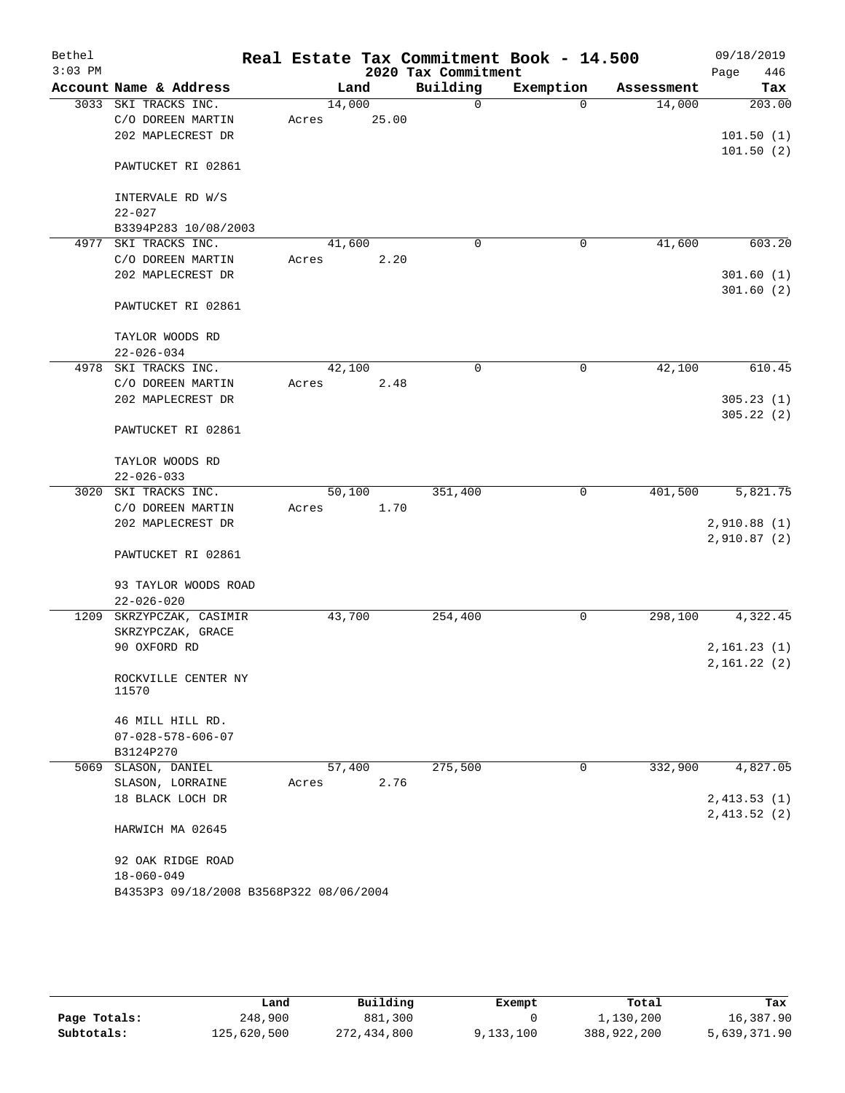| Bethel<br>$3:03$ PM |                                           |                 |       | 2020 Tax Commitment | Real Estate Tax Commitment Book - 14.500 |            | 09/18/2019<br>446<br>Page |
|---------------------|-------------------------------------------|-----------------|-------|---------------------|------------------------------------------|------------|---------------------------|
|                     | Account Name & Address                    | Land            |       | Building            | Exemption                                | Assessment | Tax                       |
|                     | 3033 SKI TRACKS INC.<br>C/O DOREEN MARTIN | 14,000<br>Acres | 25.00 | 0                   | $\Omega$                                 | 14,000     | 203.00                    |
|                     | 202 MAPLECREST DR                         |                 |       |                     |                                          |            | 101.50(1)<br>101.50(2)    |
|                     | PAWTUCKET RI 02861                        |                 |       |                     |                                          |            |                           |
|                     | INTERVALE RD W/S<br>$22 - 027$            |                 |       |                     |                                          |            |                           |
|                     | B3394P283 10/08/2003                      |                 |       |                     |                                          |            |                           |
| 4977                | SKI TRACKS INC.                           | 41,600          |       | $\mathbf 0$         | 0                                        | 41,600     | 603.20                    |
|                     | C/O DOREEN MARTIN                         | Acres           | 2.20  |                     |                                          |            |                           |
|                     | 202 MAPLECREST DR                         |                 |       |                     |                                          |            | 301.60(1)<br>301.60(2)    |
|                     | PAWTUCKET RI 02861                        |                 |       |                     |                                          |            |                           |
|                     | TAYLOR WOODS RD<br>$22 - 026 - 034$       |                 |       |                     |                                          |            |                           |
| 4978                | SKI TRACKS INC.                           | 42,100          |       | 0                   | 0                                        | 42,100     | 610.45                    |
|                     | C/O DOREEN MARTIN                         | Acres           | 2.48  |                     |                                          |            |                           |
|                     | 202 MAPLECREST DR                         |                 |       |                     |                                          |            | 305.23(1)                 |
|                     |                                           |                 |       |                     |                                          |            | 305.22(2)                 |
|                     | PAWTUCKET RI 02861                        |                 |       |                     |                                          |            |                           |
|                     | TAYLOR WOODS RD                           |                 |       |                     |                                          |            |                           |
|                     | $22 - 026 - 033$                          |                 |       |                     |                                          |            |                           |
| 3020                | SKI TRACKS INC.                           | 50,100          |       | 351,400             | 0                                        | 401,500    | 5,821.75                  |
|                     | C/O DOREEN MARTIN                         | Acres           | 1.70  |                     |                                          |            |                           |
|                     | 202 MAPLECREST DR                         |                 |       |                     |                                          |            | 2,910.88(1)               |
|                     | PAWTUCKET RI 02861                        |                 |       |                     |                                          |            | 2,910.87(2)               |
|                     | 93 TAYLOR WOODS ROAD                      |                 |       |                     |                                          |            |                           |
| 1209                | $22 - 026 - 020$<br>SKRZYPCZAK, CASIMIR   | 43,700          |       | 254,400             | 0                                        | 298,100    | 4,322.45                  |
|                     | SKRZYPCZAK, GRACE                         |                 |       |                     |                                          |            |                           |
|                     | 90 OXFORD RD                              |                 |       |                     |                                          |            | 2,161.23(1)               |
|                     |                                           |                 |       |                     |                                          |            | 2,161.22(2)               |
|                     | ROCKVILLE CENTER NY<br>11570              |                 |       |                     |                                          |            |                           |
|                     | 46 MILL HILL RD.                          |                 |       |                     |                                          |            |                           |
|                     | $07 - 028 - 578 - 606 - 07$               |                 |       |                     |                                          |            |                           |
|                     | B3124P270                                 |                 |       |                     |                                          |            |                           |
|                     | 5069 SLASON, DANIEL                       | 57,400          |       | 275,500             | 0                                        | 332,900    | 4,827.05                  |
|                     | SLASON, LORRAINE                          | Acres           | 2.76  |                     |                                          |            |                           |
|                     | 18 BLACK LOCH DR                          |                 |       |                     |                                          |            | 2,413.53(1)               |
|                     | HARWICH MA 02645                          |                 |       |                     |                                          |            | 2,413.52(2)               |
|                     | 92 OAK RIDGE ROAD                         |                 |       |                     |                                          |            |                           |
|                     | $18 - 060 - 049$                          |                 |       |                     |                                          |            |                           |
|                     | B4353P3 09/18/2008 B3568P322 08/06/2004   |                 |       |                     |                                          |            |                           |

|              | Land        | Building    | Exempt    | Total       | Tax          |
|--------------|-------------|-------------|-----------|-------------|--------------|
| Page Totals: | 248,900     | 881,300     |           | 1,130,200   | 16,387.90    |
| Subtotals:   | 125,620,500 | 272,434,800 | 9,133,100 | 388,922,200 | 5,639,371.90 |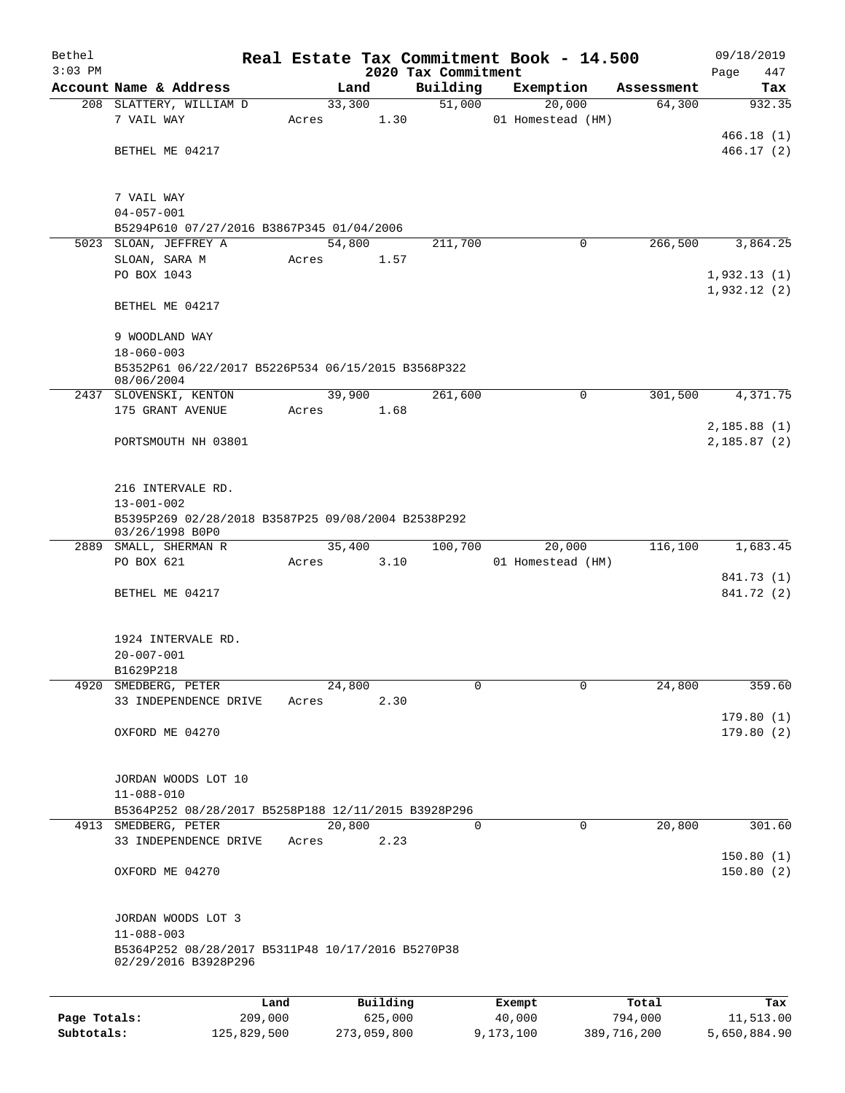| Bethel       |                                                                       |             |       |                |                     | Real Estate Tax Commitment Book - 14.500 |             |             | 09/18/2019             |
|--------------|-----------------------------------------------------------------------|-------------|-------|----------------|---------------------|------------------------------------------|-------------|-------------|------------------------|
| $3:03$ PM    |                                                                       |             |       |                | 2020 Tax Commitment |                                          |             |             | Page<br>447            |
|              | Account Name & Address                                                |             |       | Land           | Building            | Exemption                                |             | Assessment  | Tax                    |
|              | 208 SLATTERY, WILLIAM D<br>7 VAIL WAY                                 |             | Acres | 33,300<br>1.30 | 51,000              | 20,000<br>01 Homestead (HM)              |             | 64,300      | 932.35                 |
|              |                                                                       |             |       |                |                     |                                          |             |             | 466.18(1)              |
|              | BETHEL ME 04217                                                       |             |       |                |                     |                                          |             |             | 466.17(2)              |
|              |                                                                       |             |       |                |                     |                                          |             |             |                        |
|              |                                                                       |             |       |                |                     |                                          |             |             |                        |
|              | 7 VAIL WAY                                                            |             |       |                |                     |                                          |             |             |                        |
|              | $04 - 057 - 001$                                                      |             |       |                |                     |                                          |             |             |                        |
|              | B5294P610 07/27/2016 B3867P345 01/04/2006<br>5023 SLOAN, JEFFREY A    |             |       | 54,800         | 211,700             |                                          | 0           | 266,500     | 3,864.25               |
|              | SLOAN, SARA M                                                         |             | Acres | 1.57           |                     |                                          |             |             |                        |
|              | PO BOX 1043                                                           |             |       |                |                     |                                          |             |             | 1,932.13(1)            |
|              |                                                                       |             |       |                |                     |                                          |             |             | 1,932.12(2)            |
|              | BETHEL ME 04217                                                       |             |       |                |                     |                                          |             |             |                        |
|              |                                                                       |             |       |                |                     |                                          |             |             |                        |
|              | 9 WOODLAND WAY                                                        |             |       |                |                     |                                          |             |             |                        |
|              | $18 - 060 - 003$                                                      |             |       |                |                     |                                          |             |             |                        |
|              | B5352P61 06/22/2017 B5226P534 06/15/2015 B3568P322<br>08/06/2004      |             |       |                |                     |                                          |             |             |                        |
| 2437         | SLOVENSKI, KENTON                                                     |             |       | 39,900         | 261,600             |                                          | 0           | 301,500     | 4,371.75               |
|              | 175 GRANT AVENUE                                                      |             | Acres | 1.68           |                     |                                          |             |             |                        |
|              |                                                                       |             |       |                |                     |                                          |             |             | 2,185.88(1)            |
|              | PORTSMOUTH NH 03801                                                   |             |       |                |                     |                                          |             |             | 2,185.87(2)            |
|              |                                                                       |             |       |                |                     |                                          |             |             |                        |
|              |                                                                       |             |       |                |                     |                                          |             |             |                        |
|              | 216 INTERVALE RD.                                                     |             |       |                |                     |                                          |             |             |                        |
|              | $13 - 001 - 002$                                                      |             |       |                |                     |                                          |             |             |                        |
|              | B5395P269 02/28/2018 B3587P25 09/08/2004 B2538P292<br>03/26/1998 B0P0 |             |       |                |                     |                                          |             |             |                        |
|              | 2889 SMALL, SHERMAN R                                                 |             |       | 35,400         | 100,700             | 20,000                                   |             | 116,100     | 1,683.45               |
|              | PO BOX 621                                                            |             | Acres | 3.10           |                     | 01 Homestead (HM)                        |             |             |                        |
|              |                                                                       |             |       |                |                     |                                          |             |             | 841.73 (1)             |
|              | BETHEL ME 04217                                                       |             |       |                |                     |                                          |             |             | 841.72 (2)             |
|              |                                                                       |             |       |                |                     |                                          |             |             |                        |
|              |                                                                       |             |       |                |                     |                                          |             |             |                        |
|              | 1924 INTERVALE RD.                                                    |             |       |                |                     |                                          |             |             |                        |
|              | $20 - 007 - 001$                                                      |             |       |                |                     |                                          |             |             |                        |
|              | B1629P218                                                             |             |       |                |                     |                                          |             |             |                        |
| 4920         | SMEDBERG, PETER                                                       |             |       | 24,800         | 0                   |                                          | $\mathbf 0$ | 24,800      | 359.60                 |
|              | 33 INDEPENDENCE DRIVE                                                 |             | Acres | 2.30           |                     |                                          |             |             |                        |
|              | OXFORD ME 04270                                                       |             |       |                |                     |                                          |             |             | 179.80(1)<br>179.80(2) |
|              |                                                                       |             |       |                |                     |                                          |             |             |                        |
|              |                                                                       |             |       |                |                     |                                          |             |             |                        |
|              | JORDAN WOODS LOT 10                                                   |             |       |                |                     |                                          |             |             |                        |
|              | $11 - 088 - 010$                                                      |             |       |                |                     |                                          |             |             |                        |
|              | B5364P252 08/28/2017 B5258P188 12/11/2015 B3928P296                   |             |       |                |                     |                                          |             |             |                        |
|              | 4913 SMEDBERG, PETER                                                  |             |       | 20,800         | 0                   |                                          | $\mathbf 0$ | 20,800      | 301.60                 |
|              | 33 INDEPENDENCE DRIVE                                                 |             | Acres | 2.23           |                     |                                          |             |             |                        |
|              |                                                                       |             |       |                |                     |                                          |             |             | 150.80(1)              |
|              | OXFORD ME 04270                                                       |             |       |                |                     |                                          |             |             | 150.80(2)              |
|              |                                                                       |             |       |                |                     |                                          |             |             |                        |
|              |                                                                       |             |       |                |                     |                                          |             |             |                        |
|              | JORDAN WOODS LOT 3                                                    |             |       |                |                     |                                          |             |             |                        |
|              | $11 - 088 - 003$<br>B5364P252 08/28/2017 B5311P48 10/17/2016 B5270P38 |             |       |                |                     |                                          |             |             |                        |
|              | 02/29/2016 B3928P296                                                  |             |       |                |                     |                                          |             |             |                        |
|              |                                                                       |             |       |                |                     |                                          |             |             |                        |
|              |                                                                       | Land        |       | Building       |                     |                                          |             | Total       | Tax                    |
| Page Totals: |                                                                       | 209,000     |       | 625,000        |                     | Exempt<br>40,000                         |             | 794,000     | 11,513.00              |
| Subtotals:   |                                                                       | 125,829,500 |       | 273,059,800    |                     | 9,173,100                                |             | 389,716,200 | 5,650,884.90           |
|              |                                                                       |             |       |                |                     |                                          |             |             |                        |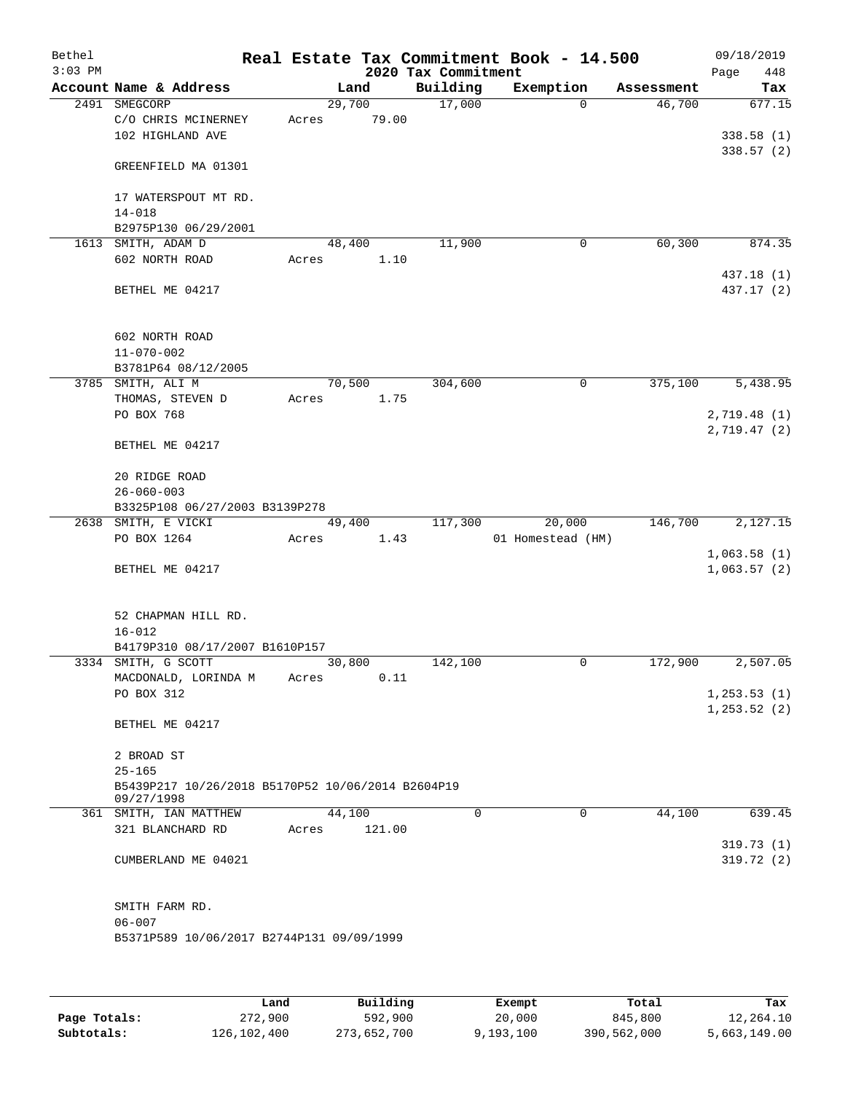| Bethel    |                                                   |       |                |      | Real Estate Tax Commitment Book - 14.500 |                   |                      |      | 09/18/2019    |
|-----------|---------------------------------------------------|-------|----------------|------|------------------------------------------|-------------------|----------------------|------|---------------|
| $3:03$ PM | Account Name & Address                            |       |                |      | 2020 Tax Commitment                      | Exemption         |                      | Page | 448           |
| 2491      | SMEGCORP                                          |       | Land<br>29,700 |      | Building<br>17,000                       | $\Omega$          | Assessment<br>46,700 |      | Tax<br>677.15 |
|           | C/O CHRIS MCINERNEY                               | Acres | 79.00          |      |                                          |                   |                      |      |               |
|           | 102 HIGHLAND AVE                                  |       |                |      |                                          |                   |                      |      | 338.58(1)     |
|           |                                                   |       |                |      |                                          |                   |                      |      | 338.57(2)     |
|           | GREENFIELD MA 01301                               |       |                |      |                                          |                   |                      |      |               |
|           |                                                   |       |                |      |                                          |                   |                      |      |               |
|           | 17 WATERSPOUT MT RD.                              |       |                |      |                                          |                   |                      |      |               |
|           |                                                   |       |                |      |                                          |                   |                      |      |               |
|           | $14 - 018$<br>B2975P130 06/29/2001                |       |                |      |                                          |                   |                      |      |               |
|           |                                                   |       |                |      | 11,900                                   | 0                 | 60,300               |      | 874.35        |
| 1613      | SMITH, ADAM D<br>602 NORTH ROAD                   |       | 48,400         | 1.10 |                                          |                   |                      |      |               |
|           |                                                   | Acres |                |      |                                          |                   |                      |      | 437.18 (1)    |
|           |                                                   |       |                |      |                                          |                   |                      |      |               |
|           | BETHEL ME 04217                                   |       |                |      |                                          |                   |                      |      | 437.17 (2)    |
|           |                                                   |       |                |      |                                          |                   |                      |      |               |
|           |                                                   |       |                |      |                                          |                   |                      |      |               |
|           | 602 NORTH ROAD                                    |       |                |      |                                          |                   |                      |      |               |
|           | $11 - 070 - 002$                                  |       |                |      |                                          |                   |                      |      |               |
|           | B3781P64 08/12/2005                               |       |                |      | 304,600                                  |                   |                      |      |               |
|           | 3785 SMITH, ALI M                                 |       | 70,500         |      |                                          | 0                 | 375,100              |      | 5,438.95      |
|           | THOMAS, STEVEN D                                  | Acres |                | 1.75 |                                          |                   |                      |      |               |
|           | PO BOX 768                                        |       |                |      |                                          |                   |                      |      | 2,719.48 (1)  |
|           |                                                   |       |                |      |                                          |                   |                      |      | 2,719.47(2)   |
|           | BETHEL ME 04217                                   |       |                |      |                                          |                   |                      |      |               |
|           |                                                   |       |                |      |                                          |                   |                      |      |               |
|           | 20 RIDGE ROAD                                     |       |                |      |                                          |                   |                      |      |               |
|           | $26 - 060 - 003$                                  |       |                |      |                                          |                   |                      |      |               |
|           | B3325P108 06/27/2003 B3139P278                    |       |                |      |                                          |                   |                      |      |               |
|           | 2638 SMITH, E VICKI                               |       | 49,400         |      | 117,300                                  | 20,000            | 146,700              |      | 2,127.15      |
|           | PO BOX 1264                                       | Acres |                | 1.43 |                                          | 01 Homestead (HM) |                      |      |               |
|           | BETHEL ME 04217                                   |       |                |      |                                          |                   |                      |      | 1,063.58(1)   |
|           |                                                   |       |                |      |                                          |                   |                      |      | 1,063.57(2)   |
|           |                                                   |       |                |      |                                          |                   |                      |      |               |
|           | 52 CHAPMAN HILL RD.                               |       |                |      |                                          |                   |                      |      |               |
|           | $16 - 012$                                        |       |                |      |                                          |                   |                      |      |               |
|           | B4179P310 08/17/2007 B1610P157                    |       |                |      |                                          |                   |                      |      |               |
|           | 3334 SMITH, G SCOTT                               |       | 30,800         |      | 142,100                                  | 0                 | 172,900              |      | 2,507.05      |
|           | MACDONALD, LORINDA M                              | Acres |                | 0.11 |                                          |                   |                      |      |               |
|           | PO BOX 312                                        |       |                |      |                                          |                   |                      |      | 1, 253.53(1)  |
|           |                                                   |       |                |      |                                          |                   |                      |      | 1, 253.52(2)  |
|           | BETHEL ME 04217                                   |       |                |      |                                          |                   |                      |      |               |
|           |                                                   |       |                |      |                                          |                   |                      |      |               |
|           | 2 BROAD ST                                        |       |                |      |                                          |                   |                      |      |               |
|           | $25 - 165$                                        |       |                |      |                                          |                   |                      |      |               |
|           | B5439P217 10/26/2018 B5170P52 10/06/2014 B2604P19 |       |                |      |                                          |                   |                      |      |               |
|           | 09/27/1998                                        |       |                |      |                                          |                   |                      |      |               |
|           | 361 SMITH, IAN MATTHEW                            |       | 44,100         |      | $\Omega$                                 | 0                 | 44,100               |      | 639.45        |
|           | 321 BLANCHARD RD                                  | Acres | 121.00         |      |                                          |                   |                      |      |               |
|           |                                                   |       |                |      |                                          |                   |                      |      | 319.73(1)     |
|           | CUMBERLAND ME 04021                               |       |                |      |                                          |                   |                      |      | 319.72 (2)    |
|           |                                                   |       |                |      |                                          |                   |                      |      |               |
|           |                                                   |       |                |      |                                          |                   |                      |      |               |
|           | SMITH FARM RD.                                    |       |                |      |                                          |                   |                      |      |               |
|           | $06 - 007$                                        |       |                |      |                                          |                   |                      |      |               |
|           | B5371P589 10/06/2017 B2744P131 09/09/1999         |       |                |      |                                          |                   |                      |      |               |
|           |                                                   |       |                |      |                                          |                   |                      |      |               |
|           |                                                   |       |                |      |                                          |                   |                      |      |               |
|           |                                                   |       |                |      |                                          |                   |                      |      |               |
|           |                                                   |       |                |      |                                          |                   |                      |      |               |

|              | Land        | Building    | Exempt    | Total       | Tax          |
|--------------|-------------|-------------|-----------|-------------|--------------|
| Page Totals: | 272,900     | 592,900     | 20,000    | 845,800     | 12,264.10    |
| Subtotals:   | 126,102,400 | 273,652,700 | 9,193,100 | 390,562,000 | 5,663,149.00 |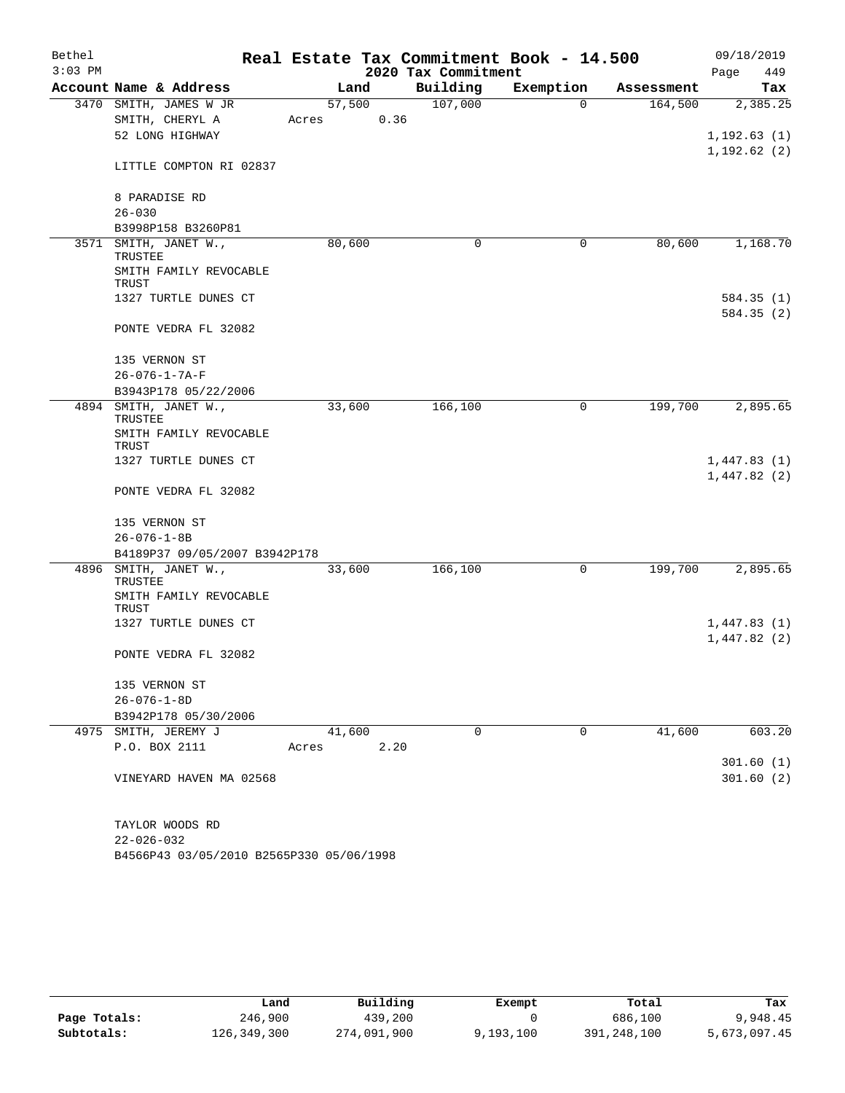| Bethel    |                                  | Real Estate Tax Commitment Book - 14.500 |                     |             |            | 09/18/2019             |
|-----------|----------------------------------|------------------------------------------|---------------------|-------------|------------|------------------------|
| $3:03$ PM |                                  |                                          | 2020 Tax Commitment |             |            | Page<br>449            |
|           | Account Name & Address           | Land                                     | Building            | Exemption   | Assessment | Tax                    |
|           | 3470 SMITH, JAMES W JR           | 57,500                                   | 107,000             | $\Omega$    | 164,500    | 2,385.25               |
|           | SMITH, CHERYL A                  | 0.36<br>Acres                            |                     |             |            |                        |
|           | 52 LONG HIGHWAY                  |                                          |                     |             |            | 1,192.63(1)            |
|           | LITTLE COMPTON RI 02837          |                                          |                     |             |            | 1, 192.62(2)           |
|           | 8 PARADISE RD                    |                                          |                     |             |            |                        |
|           | $26 - 030$                       |                                          |                     |             |            |                        |
|           | B3998P158 B3260P81               |                                          |                     |             |            |                        |
| 3571      | SMITH, JANET W.,                 | 80,600                                   | 0                   | $\mathbf 0$ | 80,600     | 1,168.70               |
|           | TRUSTEE                          |                                          |                     |             |            |                        |
|           | SMITH FAMILY REVOCABLE<br>TRUST  |                                          |                     |             |            |                        |
|           | 1327 TURTLE DUNES CT             |                                          |                     |             |            | 584.35(1)              |
|           |                                  |                                          |                     |             |            | 584.35(2)              |
|           | PONTE VEDRA FL 32082             |                                          |                     |             |            |                        |
|           | 135 VERNON ST                    |                                          |                     |             |            |                        |
|           | $26 - 076 - 1 - 7A - F$          |                                          |                     |             |            |                        |
|           | B3943P178 05/22/2006             |                                          |                     |             |            |                        |
|           | 4894 SMITH, JANET W.,<br>TRUSTEE | 33,600                                   | 166,100             | 0           | 199,700    | 2,895.65               |
|           | SMITH FAMILY REVOCABLE<br>TRUST  |                                          |                     |             |            |                        |
|           | 1327 TURTLE DUNES CT             |                                          |                     |             |            | 1,447.83(1)            |
|           |                                  |                                          |                     |             |            | 1,447.82(2)            |
|           | PONTE VEDRA FL 32082             |                                          |                     |             |            |                        |
|           | 135 VERNON ST                    |                                          |                     |             |            |                        |
|           | $26 - 076 - 1 - 8B$              |                                          |                     |             |            |                        |
|           | B4189P37 09/05/2007 B3942P178    |                                          |                     |             |            |                        |
| 4896      | SMITH, JANET W.,                 | 33,600                                   | 166,100             | 0           | 199,700    | 2,895.65               |
|           | TRUSTEE                          |                                          |                     |             |            |                        |
|           | SMITH FAMILY REVOCABLE<br>TRUST  |                                          |                     |             |            |                        |
|           | 1327 TURTLE DUNES CT             |                                          |                     |             |            | 1,447.83(1)            |
|           |                                  |                                          |                     |             |            | 1,447.82(2)            |
|           | PONTE VEDRA FL 32082             |                                          |                     |             |            |                        |
|           | 135 VERNON ST                    |                                          |                     |             |            |                        |
|           | $26 - 076 - 1 - 8D$              |                                          |                     |             |            |                        |
|           | B3942P178 05/30/2006             |                                          |                     |             |            |                        |
|           | 4975 SMITH, JEREMY J             | 41,600                                   | $\Omega$            | $\Omega$    | 41,600     | 603.20                 |
|           | P.O. BOX 2111                    | 2.20<br>Acres                            |                     |             |            |                        |
|           | VINEYARD HAVEN MA 02568          |                                          |                     |             |            | 301.60(1)<br>301.60(2) |
|           |                                  |                                          |                     |             |            |                        |
|           | TAYLOR WOODS RD                  |                                          |                     |             |            |                        |
|           | $22 - 026 - 032$                 |                                          |                     |             |            |                        |

B4566P43 03/05/2010 B2565P330 05/06/1998

|              | Land        | Building    | Exempt    | Total       | Tax          |
|--------------|-------------|-------------|-----------|-------------|--------------|
| Page Totals: | 246,900     | 439,200     |           | 686,100     | 9,948.45     |
| Subtotals:   | 126,349,300 | 274,091,900 | 9,193,100 | 391,248,100 | 5,673,097.45 |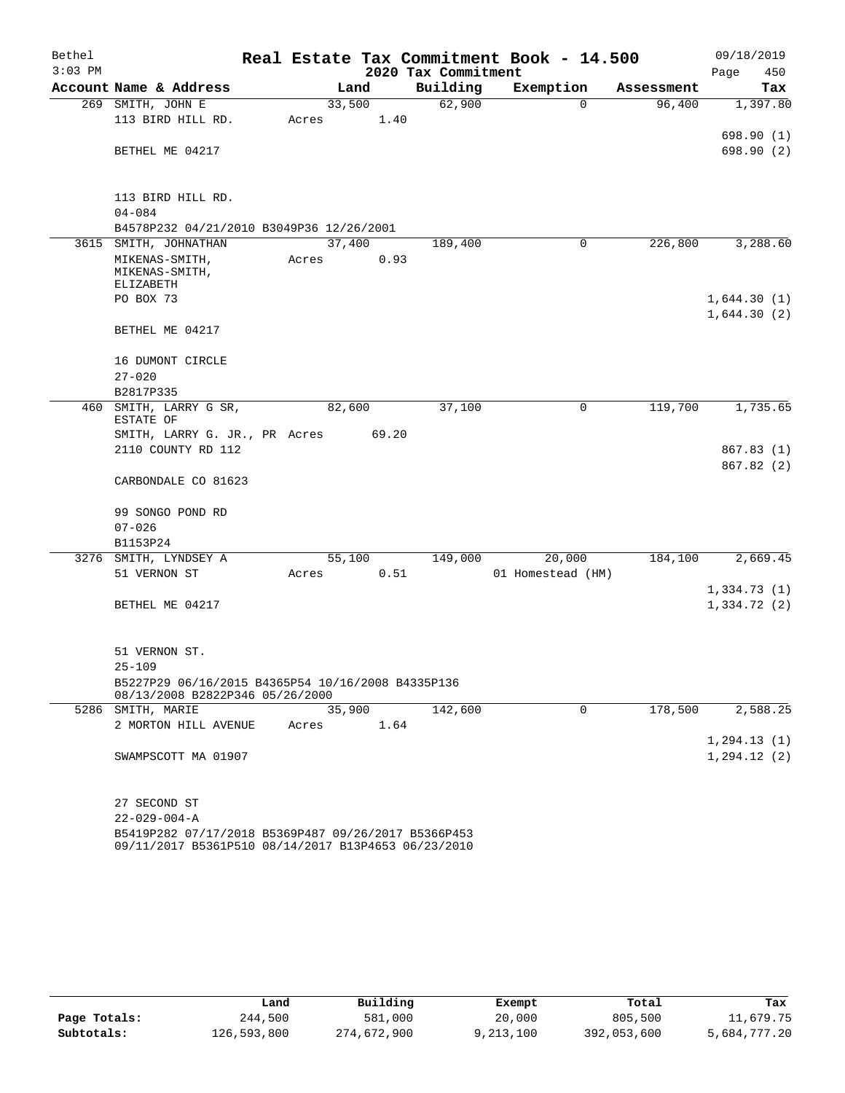| Bethel    |                                                                                                            |       |        |                     | Real Estate Tax Commitment Book - 14.500 |            | 09/18/2019                 |
|-----------|------------------------------------------------------------------------------------------------------------|-------|--------|---------------------|------------------------------------------|------------|----------------------------|
| $3:03$ PM |                                                                                                            |       |        | 2020 Tax Commitment |                                          |            | Page<br>450                |
|           | Account Name & Address                                                                                     |       | Land   | Building            | Exemption                                | Assessment | Tax                        |
| 269       | SMITH, JOHN E                                                                                              |       | 33,500 | 62,900              | $\mathbf 0$                              | 96,400     | 1,397.80                   |
|           | 113 BIRD HILL RD.                                                                                          | Acres | 1.40   |                     |                                          |            |                            |
|           |                                                                                                            |       |        |                     |                                          |            | 698.90(1)                  |
|           | BETHEL ME 04217                                                                                            |       |        |                     |                                          |            | 698.90 (2)                 |
|           |                                                                                                            |       |        |                     |                                          |            |                            |
|           | 113 BIRD HILL RD.                                                                                          |       |        |                     |                                          |            |                            |
|           | $04 - 084$                                                                                                 |       |        |                     |                                          |            |                            |
|           | B4578P232 04/21/2010 B3049P36 12/26/2001                                                                   |       |        |                     |                                          |            |                            |
| 3615      | SMITH, JOHNATHAN                                                                                           |       | 37,400 | 189,400             | 0                                        | 226,800    | 3,288.60                   |
|           | MIKENAS-SMITH,                                                                                             | Acres | 0.93   |                     |                                          |            |                            |
|           | MIKENAS-SMITH,                                                                                             |       |        |                     |                                          |            |                            |
|           | ELIZABETH<br>PO BOX 73                                                                                     |       |        |                     |                                          |            | 1,644.30(1)                |
|           |                                                                                                            |       |        |                     |                                          |            | 1,644.30(2)                |
|           | BETHEL ME 04217                                                                                            |       |        |                     |                                          |            |                            |
|           |                                                                                                            |       |        |                     |                                          |            |                            |
|           | 16 DUMONT CIRCLE                                                                                           |       |        |                     |                                          |            |                            |
|           | $27 - 020$                                                                                                 |       |        |                     |                                          |            |                            |
|           | B2817P335                                                                                                  |       |        |                     |                                          |            |                            |
| 460       | SMITH, LARRY G SR,                                                                                         |       | 82,600 | 37,100              | 0                                        | 119,700    | 1,735.65                   |
|           | ESTATE OF<br>SMITH, LARRY G. JR., PR Acres                                                                 |       | 69.20  |                     |                                          |            |                            |
|           | 2110 COUNTY RD 112                                                                                         |       |        |                     |                                          |            | 867.83(1)                  |
|           |                                                                                                            |       |        |                     |                                          |            | 867.82(2)                  |
|           | CARBONDALE CO 81623                                                                                        |       |        |                     |                                          |            |                            |
|           |                                                                                                            |       |        |                     |                                          |            |                            |
|           | 99 SONGO POND RD                                                                                           |       |        |                     |                                          |            |                            |
|           | $07 - 026$                                                                                                 |       |        |                     |                                          |            |                            |
|           | B1153P24                                                                                                   |       |        |                     |                                          |            |                            |
| 3276      | SMITH, LYNDSEY A                                                                                           |       | 55,100 | 149,000             | 20,000                                   | 184,100    | 2,669.45                   |
|           | 51 VERNON ST                                                                                               | Acres | 0.51   |                     | 01 Homestead (HM)                        |            |                            |
|           | BETHEL ME 04217                                                                                            |       |        |                     |                                          |            | 1,334.73(1)<br>1,334.72(2) |
|           |                                                                                                            |       |        |                     |                                          |            |                            |
|           |                                                                                                            |       |        |                     |                                          |            |                            |
|           | 51 VERNON ST.                                                                                              |       |        |                     |                                          |            |                            |
|           | 25-109                                                                                                     |       |        |                     |                                          |            |                            |
|           | B5227P29 06/16/2015 B4365P54 10/16/2008 B4335P136                                                          |       |        |                     |                                          |            |                            |
|           | 08/13/2008 B2822P346 05/26/2000                                                                            |       |        |                     |                                          |            |                            |
|           | 5286 SMITH, MARIE                                                                                          |       | 35,900 | 142,600             | $\mathbf 0$                              | 178,500    | 2,588.25                   |
|           | 2 MORTON HILL AVENUE                                                                                       | Acres | 1.64   |                     |                                          |            | 1, 294.13(1)               |
|           | SWAMPSCOTT MA 01907                                                                                        |       |        |                     |                                          |            | 1,294.12(2)                |
|           |                                                                                                            |       |        |                     |                                          |            |                            |
|           |                                                                                                            |       |        |                     |                                          |            |                            |
|           | 27 SECOND ST                                                                                               |       |        |                     |                                          |            |                            |
|           | $22 - 029 - 004 - A$                                                                                       |       |        |                     |                                          |            |                            |
|           | B5419P282 07/17/2018 B5369P487 09/26/2017 B5366P453<br>09/11/2017 B5361P510 08/14/2017 B13P4653 06/23/2010 |       |        |                     |                                          |            |                            |

|              | Land        | Building    | Exempt    | Total       | Tax          |
|--------------|-------------|-------------|-----------|-------------|--------------|
| Page Totals: | 244,500     | 581,000     | 20,000    | 805,500     | 11,679.75    |
| Subtotals:   | 126,593,800 | 274,672,900 | 9,213,100 | 392,053,600 | 5,684,777.20 |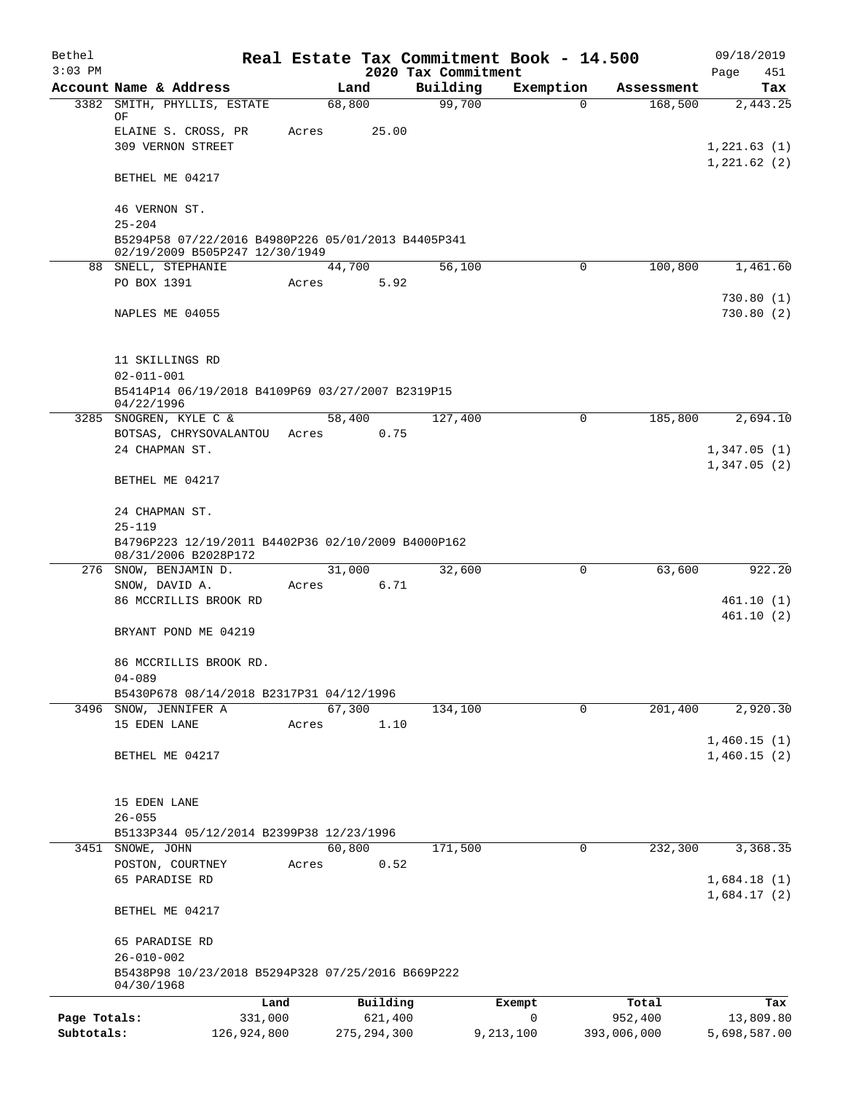| Bethel       |                                                                                      |                 |               |                     |                                 | Real Estate Tax Commitment Book - 14.500 |                  | 09/18/2019                 |
|--------------|--------------------------------------------------------------------------------------|-----------------|---------------|---------------------|---------------------------------|------------------------------------------|------------------|----------------------------|
| $3:03$ PM    | Account Name & Address                                                               |                 | Land          |                     | 2020 Tax Commitment<br>Building | Exemption                                | Assessment       | Page<br>451<br>Tax         |
| 3382         | SMITH, PHYLLIS, ESTATE                                                               |                 | 68,800        |                     | 99,700                          | $\Omega$                                 | 168,500          | 2,443.25                   |
|              | ΟF                                                                                   |                 |               |                     |                                 |                                          |                  |                            |
|              | ELAINE S. CROSS, PR                                                                  | Acres           |               | 25.00               |                                 |                                          |                  |                            |
|              | <b>309 VERNON STREET</b>                                                             |                 |               |                     |                                 |                                          |                  | 1,221.63(1)<br>1,221.62(2) |
|              | BETHEL ME 04217                                                                      |                 |               |                     |                                 |                                          |                  |                            |
|              | 46 VERNON ST.                                                                        |                 |               |                     |                                 |                                          |                  |                            |
|              | $25 - 204$                                                                           |                 |               |                     |                                 |                                          |                  |                            |
|              | B5294P58 07/22/2016 B4980P226 05/01/2013 B4405P341<br>02/19/2009 B505P247 12/30/1949 |                 |               |                     |                                 |                                          |                  |                            |
|              | 88 SNELL, STEPHANIE                                                                  |                 | 44,700        |                     | 56,100                          | 0                                        | 100,800          | 1,461.60                   |
|              | PO BOX 1391                                                                          | Acres           |               | 5.92                |                                 |                                          |                  |                            |
|              |                                                                                      |                 |               |                     |                                 |                                          |                  | 730.80(1)                  |
|              | NAPLES ME 04055                                                                      |                 |               |                     |                                 |                                          |                  | 730.80(2)                  |
|              | 11 SKILLINGS RD                                                                      |                 |               |                     |                                 |                                          |                  |                            |
|              | $02 - 011 - 001$                                                                     |                 |               |                     |                                 |                                          |                  |                            |
|              | B5414P14 06/19/2018 B4109P69 03/27/2007 B2319P15                                     |                 |               |                     |                                 |                                          |                  |                            |
|              | 04/22/1996<br>3285 SNOGREN, KYLE C &                                                 |                 | 58,400        |                     | 127,400                         | $\mathbf 0$                              | 185,800          | 2,694.10                   |
|              | BOTSAS, CHRYSOVALANTOU                                                               |                 | Acres         | 0.75                |                                 |                                          |                  |                            |
|              | 24 CHAPMAN ST.                                                                       |                 |               |                     |                                 |                                          |                  | 1,347.05(1)                |
|              | BETHEL ME 04217                                                                      |                 |               |                     |                                 |                                          |                  | 1,347.05(2)                |
|              | 24 CHAPMAN ST.                                                                       |                 |               |                     |                                 |                                          |                  |                            |
|              | $25 - 119$                                                                           |                 |               |                     |                                 |                                          |                  |                            |
|              | B4796P223 12/19/2011 B4402P36 02/10/2009 B4000P162<br>08/31/2006 B2028P172           |                 |               |                     |                                 |                                          |                  |                            |
|              | 276 SNOW, BENJAMIN D.                                                                |                 | 31,000        |                     | 32,600                          | $\mathbf 0$                              | 63,600           | 922.20                     |
|              | SNOW, DAVID A.                                                                       | Acres           |               | 6.71                |                                 |                                          |                  |                            |
|              | 86 MCCRILLIS BROOK RD                                                                |                 |               |                     |                                 |                                          |                  | 461.10(1)                  |
|              | BRYANT POND ME 04219                                                                 |                 |               |                     |                                 |                                          |                  | 461.10(2)                  |
|              | 86 MCCRILLIS BROOK RD.                                                               |                 |               |                     |                                 |                                          |                  |                            |
|              | $04 - 089$                                                                           |                 |               |                     |                                 |                                          |                  |                            |
|              | B5430P678 08/14/2018 B2317P31 04/12/1996                                             |                 |               |                     |                                 |                                          |                  |                            |
|              | 3496 SNOW, JENNIFER A                                                                |                 | 67,300        |                     | 134,100                         | 0                                        | 201,400          | 2,920.30                   |
|              | 15 EDEN LANE                                                                         | Acres           |               | 1.10                |                                 |                                          |                  |                            |
|              | BETHEL ME 04217                                                                      |                 |               |                     |                                 |                                          |                  | 1,460.15(1)<br>1,460.15(2) |
|              |                                                                                      |                 |               |                     |                                 |                                          |                  |                            |
|              |                                                                                      |                 |               |                     |                                 |                                          |                  |                            |
|              | 15 EDEN LANE<br>$26 - 055$                                                           |                 |               |                     |                                 |                                          |                  |                            |
|              | B5133P344 05/12/2014 B2399P38 12/23/1996                                             |                 |               |                     |                                 |                                          |                  |                            |
|              | 3451 SNOWE, JOHN                                                                     |                 | 60,800        |                     | 171,500                         | 0                                        | 232,300          | 3,368.35                   |
|              | POSTON, COURTNEY                                                                     | Acres           |               | 0.52                |                                 |                                          |                  |                            |
|              | 65 PARADISE RD                                                                       |                 |               |                     |                                 |                                          |                  | 1,684.18(1)                |
|              | BETHEL ME 04217                                                                      |                 |               |                     |                                 |                                          |                  | 1,684.17(2)                |
|              | 65 PARADISE RD                                                                       |                 |               |                     |                                 |                                          |                  |                            |
|              | $26 - 010 - 002$<br>B5438P98 10/23/2018 B5294P328 07/25/2016 B669P222                |                 |               |                     |                                 |                                          |                  |                            |
|              | 04/30/1968                                                                           |                 |               |                     |                                 |                                          |                  |                            |
| Page Totals: |                                                                                      | Land<br>331,000 |               | Building<br>621,400 |                                 | Exempt<br>0                              | Total<br>952,400 | Tax<br>13,809.80           |
| Subtotals:   |                                                                                      | 126,924,800     | 275, 294, 300 |                     |                                 | 9,213,100                                | 393,006,000      | 5,698,587.00               |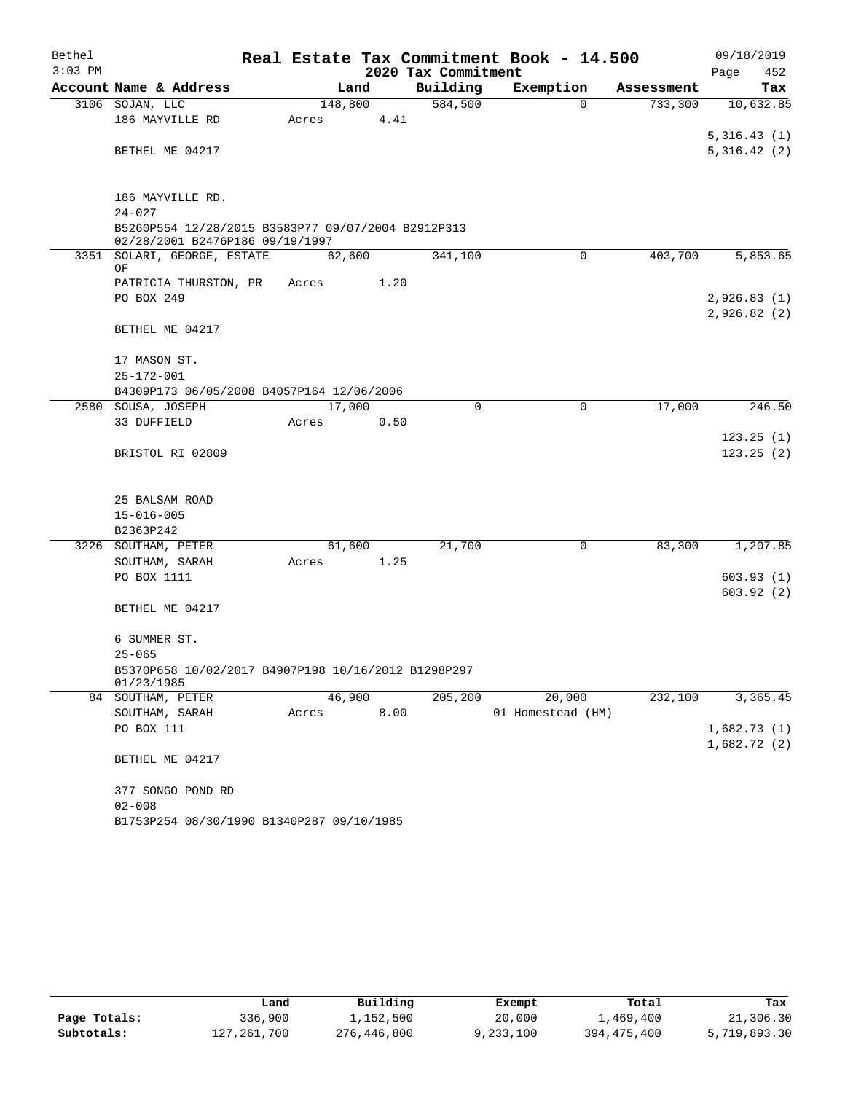| Bethel    |                                                                                                     |         |      |                     | Real Estate Tax Commitment Book - 14.500 |            | 09/18/2019  |
|-----------|-----------------------------------------------------------------------------------------------------|---------|------|---------------------|------------------------------------------|------------|-------------|
| $3:03$ PM |                                                                                                     |         |      | 2020 Tax Commitment |                                          |            | Page<br>452 |
|           | Account Name & Address                                                                              |         | Land | Building            | Exemption                                | Assessment | Tax         |
|           | 3106 SOJAN, LLC                                                                                     | 148,800 |      | 584,500             | $\Omega$                                 | 733,300    | 10,632.85   |
|           | 186 MAYVILLE RD                                                                                     | Acres   | 4.41 |                     |                                          |            |             |
|           |                                                                                                     |         |      |                     |                                          |            | 5,316.43(1) |
|           | BETHEL ME 04217                                                                                     |         |      |                     |                                          |            | 5,316.42(2) |
|           | 186 MAYVILLE RD.                                                                                    |         |      |                     |                                          |            |             |
|           | $24 - 027$<br>B5260P554 12/28/2015 B3583P77 09/07/2004 B2912P313<br>02/28/2001 B2476P186 09/19/1997 |         |      |                     |                                          |            |             |
|           | 3351 SOLARI, GEORGE, ESTATE                                                                         | 62,600  |      | 341,100             | $\Omega$                                 | 403,700    | 5,853.65    |
|           | ΟF                                                                                                  |         |      |                     |                                          |            |             |
|           | PATRICIA THURSTON, PR                                                                               | Acres   | 1.20 |                     |                                          |            |             |
|           | PO BOX 249                                                                                          |         |      |                     |                                          |            | 2,926.83(1) |
|           | BETHEL ME 04217                                                                                     |         |      |                     |                                          |            | 2,926.82(2) |
|           |                                                                                                     |         |      |                     |                                          |            |             |
|           | 17 MASON ST.                                                                                        |         |      |                     |                                          |            |             |
|           | $25 - 172 - 001$                                                                                    |         |      |                     |                                          |            |             |
|           | B4309P173 06/05/2008 B4057P164 12/06/2006                                                           |         |      |                     |                                          |            |             |
|           | 2580 SOUSA, JOSEPH                                                                                  | 17,000  |      | $\Omega$            | $\Omega$                                 | 17,000     | 246.50      |
|           | 33 DUFFIELD                                                                                         | Acres   | 0.50 |                     |                                          |            |             |
|           |                                                                                                     |         |      |                     |                                          |            | 123.25(1)   |
|           | BRISTOL RI 02809                                                                                    |         |      |                     |                                          |            | 123.25(2)   |
|           | 25 BALSAM ROAD                                                                                      |         |      |                     |                                          |            |             |
|           | $15 - 016 - 005$                                                                                    |         |      |                     |                                          |            |             |
|           | B2363P242                                                                                           |         |      |                     |                                          |            |             |
|           | 3226 SOUTHAM, PETER                                                                                 | 61,600  |      | 21,700              | 0                                        | 83,300     | 1,207.85    |
|           | SOUTHAM, SARAH                                                                                      | Acres   | 1.25 |                     |                                          |            |             |
|           | PO BOX 1111                                                                                         |         |      |                     |                                          |            | 603.93(1)   |
|           |                                                                                                     |         |      |                     |                                          |            | 603.92(2)   |
|           | BETHEL ME 04217                                                                                     |         |      |                     |                                          |            |             |
|           | 6 SUMMER ST.                                                                                        |         |      |                     |                                          |            |             |
|           | $25 - 065$                                                                                          |         |      |                     |                                          |            |             |
|           | B5370P658 10/02/2017 B4907P198 10/16/2012 B1298P297<br>01/23/1985                                   |         |      |                     |                                          |            |             |
|           | 84 SOUTHAM, PETER                                                                                   | 46,900  |      | 205,200             | 20,000                                   | 232,100    | 3,365.45    |
|           | SOUTHAM, SARAH                                                                                      | Acres   | 8.00 |                     | 01 Homestead (HM)                        |            |             |
|           | PO BOX 111                                                                                          |         |      |                     |                                          |            | 1,682.73(1) |
|           |                                                                                                     |         |      |                     |                                          |            | 1,682.72(2) |
|           | BETHEL ME 04217                                                                                     |         |      |                     |                                          |            |             |
|           | 377 SONGO POND RD                                                                                   |         |      |                     |                                          |            |             |
|           | $02 - 008$                                                                                          |         |      |                     |                                          |            |             |
|           | B1753P254 08/30/1990 B1340P287 09/10/1985                                                           |         |      |                     |                                          |            |             |

|              | Land        | Building    | Exempt    | Total       | Tax          |
|--------------|-------------|-------------|-----------|-------------|--------------|
| Page Totals: | 336,900     | 1,152,500   | 20,000    | 1,469,400   | 21,306.30    |
| Subtotals:   | 127,261,700 | 276,446,800 | 9,233,100 | 394,475,400 | 5,719,893.30 |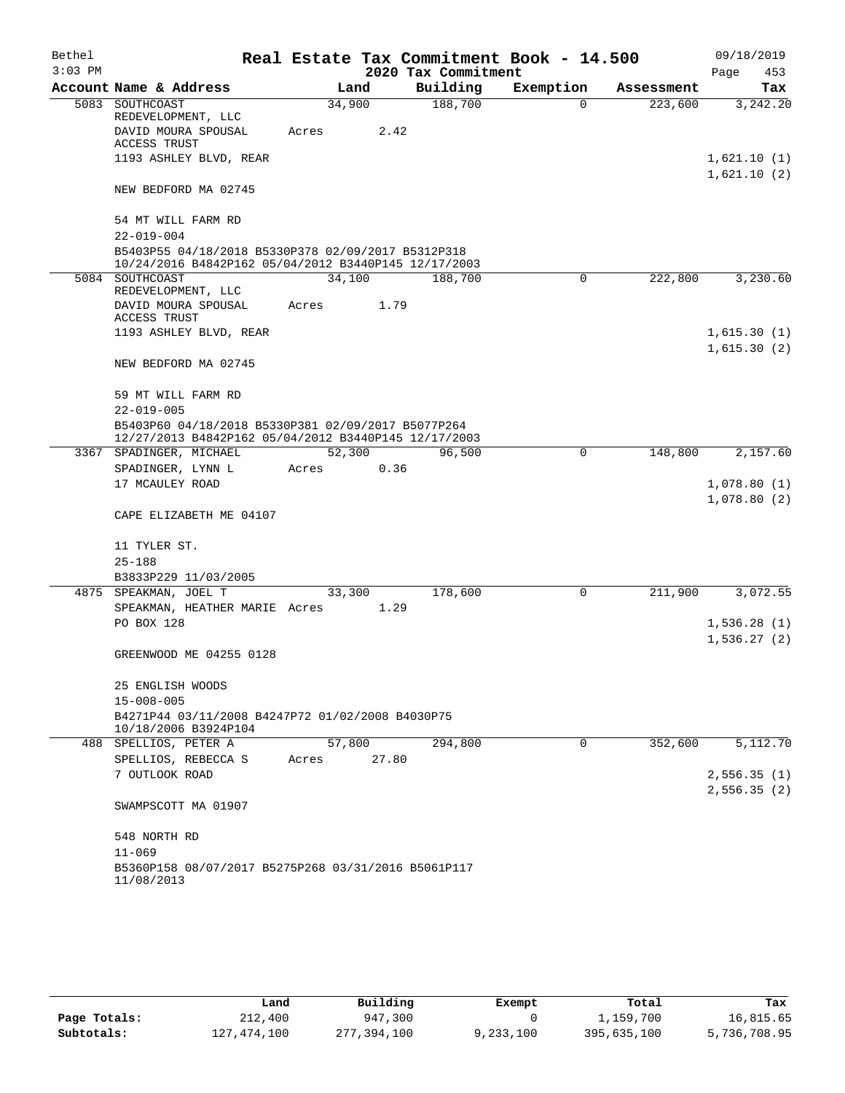| Bethel<br>$3:03$ PM |                                                                                                            |        |       | 2020 Tax Commitment | Real Estate Tax Commitment Book - 14.500 |            | 09/18/2019<br>Page<br>453  |
|---------------------|------------------------------------------------------------------------------------------------------------|--------|-------|---------------------|------------------------------------------|------------|----------------------------|
|                     | Account Name & Address                                                                                     | Land   |       | Building            | Exemption                                | Assessment | Tax                        |
|                     | 5083 SOUTHCOAST<br>REDEVELOPMENT, LLC                                                                      | 34,900 |       | 188,700             | 0                                        | 223,600    | 3,242.20                   |
|                     | DAVID MOURA SPOUSAL<br>ACCESS TRUST                                                                        | Acres  | 2.42  |                     |                                          |            |                            |
|                     | 1193 ASHLEY BLVD, REAR                                                                                     |        |       |                     |                                          |            | 1,621.10(1)<br>1,621.10(2) |
|                     | NEW BEDFORD MA 02745                                                                                       |        |       |                     |                                          |            |                            |
|                     | 54 MT WILL FARM RD<br>$22 - 019 - 004$                                                                     |        |       |                     |                                          |            |                            |
|                     | B5403P55 04/18/2018 B5330P378 02/09/2017 B5312P318                                                         |        |       |                     |                                          |            |                            |
|                     | 10/24/2016 B4842P162 05/04/2012 B3440P145 12/17/2003                                                       |        |       |                     |                                          |            |                            |
|                     | 5084 SOUTHCOAST<br>REDEVELOPMENT, LLC                                                                      | 34,100 |       | 188,700             | 0                                        | 222,800    | 3,230.60                   |
|                     | DAVID MOURA SPOUSAL<br>ACCESS TRUST                                                                        | Acres  | 1.79  |                     |                                          |            |                            |
|                     | 1193 ASHLEY BLVD, REAR                                                                                     |        |       |                     |                                          |            | 1,615.30(1)<br>1,615.30(2) |
|                     | NEW BEDFORD MA 02745                                                                                       |        |       |                     |                                          |            |                            |
|                     | 59 MT WILL FARM RD                                                                                         |        |       |                     |                                          |            |                            |
|                     | $22 - 019 - 005$                                                                                           |        |       |                     |                                          |            |                            |
|                     | B5403P60 04/18/2018 B5330P381 02/09/2017 B5077P264<br>12/27/2013 B4842P162 05/04/2012 B3440P145 12/17/2003 |        |       |                     |                                          |            |                            |
|                     | 3367 SPADINGER, MICHAEL                                                                                    | 52,300 |       | 96,500              | $\mathbf 0$                              | 148,800    | 2,157.60                   |
|                     | SPADINGER, LYNN L                                                                                          | Acres  | 0.36  |                     |                                          |            |                            |
|                     | 17 MCAULEY ROAD                                                                                            |        |       |                     |                                          |            | 1,078.80(1)<br>1,078.80(2) |
|                     | CAPE ELIZABETH ME 04107                                                                                    |        |       |                     |                                          |            |                            |
|                     | 11 TYLER ST.                                                                                               |        |       |                     |                                          |            |                            |
|                     | $25 - 188$<br>B3833P229 11/03/2005                                                                         |        |       |                     |                                          |            |                            |
|                     | 4875 SPEAKMAN, JOEL T                                                                                      | 33,300 |       | 178,600             | $\mathbf 0$                              | 211,900    | 3,072.55                   |
|                     | SPEAKMAN, HEATHER MARIE Acres                                                                              |        | 1.29  |                     |                                          |            |                            |
|                     | PO BOX 128                                                                                                 |        |       |                     |                                          |            | 1,536.28(1)                |
|                     | GREENWOOD ME 04255 0128                                                                                    |        |       |                     |                                          |            | 1,536.27(2)                |
|                     |                                                                                                            |        |       |                     |                                          |            |                            |
|                     | 25 ENGLISH WOODS<br>$15 - 008 - 005$                                                                       |        |       |                     |                                          |            |                            |
|                     | B4271P44 03/11/2008 B4247P72 01/02/2008 B4030P75<br>10/18/2006 B3924P104                                   |        |       |                     |                                          |            |                            |
|                     | 488 SPELLIOS, PETER A                                                                                      | 57,800 |       | 294,800             | $\mathbf 0$                              | 352,600    | 5,112.70                   |
|                     | SPELLIOS, REBECCA S                                                                                        | Acres  | 27.80 |                     |                                          |            |                            |
|                     | 7 OUTLOOK ROAD                                                                                             |        |       |                     |                                          |            | 2,556.35(1)                |
|                     | SWAMPSCOTT MA 01907                                                                                        |        |       |                     |                                          |            | 2,556.35(2)                |
|                     | 548 NORTH RD                                                                                               |        |       |                     |                                          |            |                            |
|                     | $11 - 069$                                                                                                 |        |       |                     |                                          |            |                            |
|                     | B5360P158 08/07/2017 B5275P268 03/31/2016 B5061P117<br>11/08/2013                                          |        |       |                     |                                          |            |                            |

|              | Land        | Building    | Exempt    | Total       | Tax          |
|--------------|-------------|-------------|-----------|-------------|--------------|
| Page Totals: | 212,400     | 947,300     |           | 1,159,700   | 16,815.65    |
| Subtotals:   | 127,474,100 | 277,394,100 | 9,233,100 | 395,635,100 | 5,736,708.95 |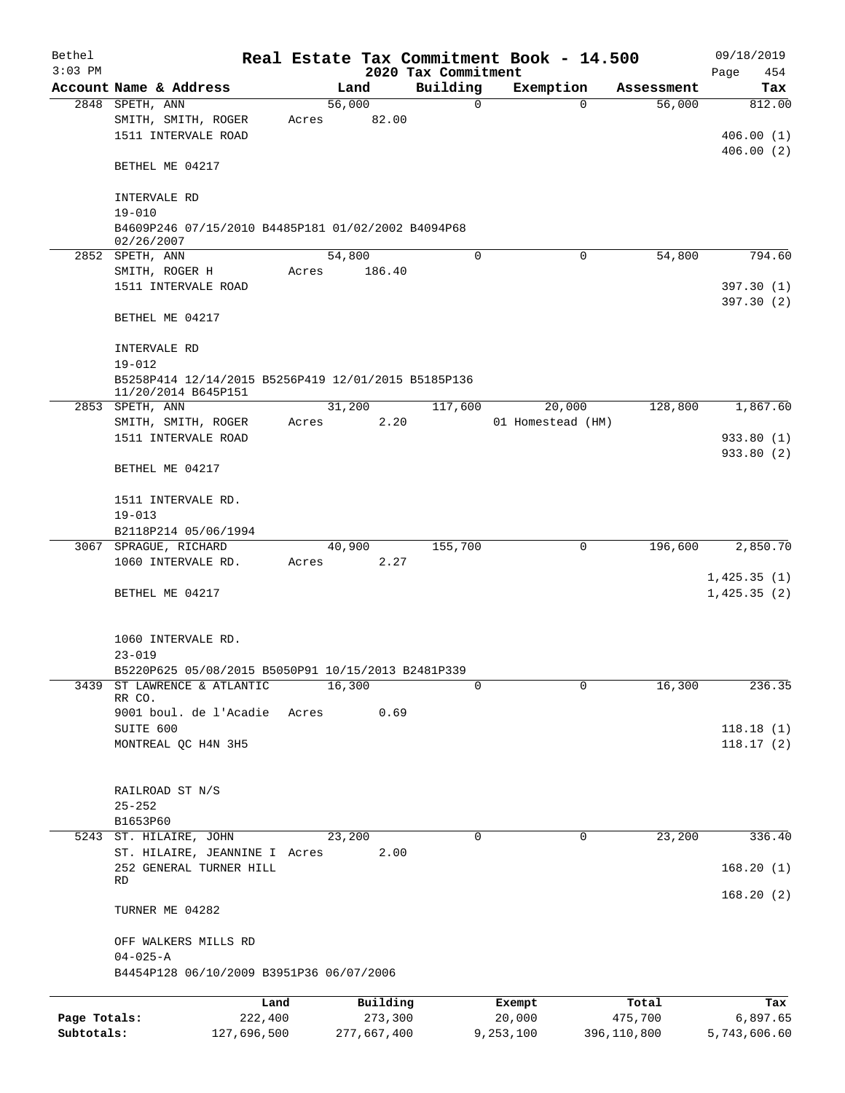| Bethel<br>$3:03$ PM |                                                                            |       |             | 2020 Tax Commitment | Real Estate Tax Commitment Book - 14.500 |                       | 09/18/2019<br>Page<br>454 |
|---------------------|----------------------------------------------------------------------------|-------|-------------|---------------------|------------------------------------------|-----------------------|---------------------------|
|                     | Account Name & Address                                                     |       | Land        | Building            | Exemption                                | Assessment            | Tax                       |
|                     | 2848 SPETH, ANN                                                            |       | 56,000      | 0                   |                                          | 56,000<br>$\Omega$    | 812.00                    |
|                     | SMITH, SMITH, ROGER                                                        | Acres | 82.00       |                     |                                          |                       |                           |
|                     | 1511 INTERVALE ROAD                                                        |       |             |                     |                                          |                       | 406.00(1)                 |
|                     |                                                                            |       |             |                     |                                          |                       | 406.00(2)                 |
|                     | BETHEL ME 04217                                                            |       |             |                     |                                          |                       |                           |
|                     |                                                                            |       |             |                     |                                          |                       |                           |
|                     | INTERVALE RD                                                               |       |             |                     |                                          |                       |                           |
|                     | $19 - 010$                                                                 |       |             |                     |                                          |                       |                           |
|                     | B4609P246 07/15/2010 B4485P181 01/02/2002 B4094P68<br>02/26/2007           |       |             |                     |                                          |                       |                           |
|                     | 2852 SPETH, ANN                                                            |       | 54,800      | $\mathbf 0$         |                                          | $\mathbf 0$<br>54,800 | 794.60                    |
|                     | SMITH, ROGER H                                                             | Acres | 186.40      |                     |                                          |                       |                           |
|                     | 1511 INTERVALE ROAD                                                        |       |             |                     |                                          |                       | 397.30 (1)                |
|                     |                                                                            |       |             |                     |                                          |                       | 397.30(2)                 |
|                     | BETHEL ME 04217                                                            |       |             |                     |                                          |                       |                           |
|                     |                                                                            |       |             |                     |                                          |                       |                           |
|                     | INTERVALE RD                                                               |       |             |                     |                                          |                       |                           |
|                     | $19 - 012$                                                                 |       |             |                     |                                          |                       |                           |
|                     | B5258P414 12/14/2015 B5256P419 12/01/2015 B5185P136<br>11/20/2014 B645P151 |       |             |                     |                                          |                       |                           |
|                     | 2853 SPETH, ANN                                                            |       | 31,200      | 117,600             | 20,000                                   | 128,800               | 1,867.60                  |
|                     | SMITH, SMITH, ROGER                                                        | Acres | 2.20        |                     | 01 Homestead (HM)                        |                       |                           |
|                     | 1511 INTERVALE ROAD                                                        |       |             |                     |                                          |                       | 933.80 (1)                |
|                     |                                                                            |       |             |                     |                                          |                       | 933.80 (2)                |
|                     | BETHEL ME 04217                                                            |       |             |                     |                                          |                       |                           |
|                     |                                                                            |       |             |                     |                                          |                       |                           |
|                     | 1511 INTERVALE RD.                                                         |       |             |                     |                                          |                       |                           |
|                     | $19 - 013$                                                                 |       |             |                     |                                          |                       |                           |
|                     | B2118P214 05/06/1994                                                       |       |             |                     |                                          |                       |                           |
|                     | 3067 SPRAGUE, RICHARD                                                      |       | 40,900      | 155,700             |                                          | 196,600<br>0          | 2,850.70                  |
|                     | 1060 INTERVALE RD.                                                         | Acres | 2.27        |                     |                                          |                       |                           |
|                     |                                                                            |       |             |                     |                                          |                       | 1,425.35(1)               |
|                     | BETHEL ME 04217                                                            |       |             |                     |                                          |                       | 1,425.35(2)               |
|                     |                                                                            |       |             |                     |                                          |                       |                           |
|                     | 1060 INTERVALE RD.                                                         |       |             |                     |                                          |                       |                           |
|                     | $23 - 019$                                                                 |       |             |                     |                                          |                       |                           |
|                     | B5220P625 05/08/2015 B5050P91 10/15/2013 B2481P339                         |       |             |                     |                                          |                       |                           |
| 3439                | ST LAWRENCE & ATLANTIC                                                     |       | 16,300      | 0                   |                                          | 16,300<br>0           | 236.35                    |
|                     | RR CO.                                                                     |       |             |                     |                                          |                       |                           |
|                     | 9001 boul. de l'Acadie                                                     | Acres | 0.69        |                     |                                          |                       |                           |
|                     | SUITE 600                                                                  |       |             |                     |                                          |                       | 118.18(1)                 |
|                     | MONTREAL QC H4N 3H5                                                        |       |             |                     |                                          |                       | 118.17(2)                 |
|                     |                                                                            |       |             |                     |                                          |                       |                           |
|                     |                                                                            |       |             |                     |                                          |                       |                           |
|                     | RAILROAD ST N/S                                                            |       |             |                     |                                          |                       |                           |
|                     | $25 - 252$<br>B1653P60                                                     |       |             |                     |                                          |                       |                           |
|                     | 5243 ST. HILAIRE, JOHN                                                     |       | 23,200      | 0                   |                                          | 0<br>23,200           | 336.40                    |
|                     | ST. HILAIRE, JEANNINE I Acres                                              |       | 2.00        |                     |                                          |                       |                           |
|                     | 252 GENERAL TURNER HILL                                                    |       |             |                     |                                          |                       | 168.20(1)                 |
|                     | RD                                                                         |       |             |                     |                                          |                       |                           |
|                     |                                                                            |       |             |                     |                                          |                       | 168.20(2)                 |
|                     | TURNER ME 04282                                                            |       |             |                     |                                          |                       |                           |
|                     |                                                                            |       |             |                     |                                          |                       |                           |
|                     | OFF WALKERS MILLS RD                                                       |       |             |                     |                                          |                       |                           |
|                     | $04 - 025 - A$                                                             |       |             |                     |                                          |                       |                           |
|                     | B4454P128 06/10/2009 B3951P36 06/07/2006                                   |       |             |                     |                                          |                       |                           |
|                     |                                                                            | Land  | Building    |                     | Exempt                                   | Total                 | Tax                       |
| Page Totals:        | 222,400                                                                    |       | 273,300     |                     | 20,000                                   | 475,700               | 6,897.65                  |
| Subtotals:          | 127,696,500                                                                |       | 277,667,400 |                     | 9,253,100                                | 396,110,800           | 5,743,606.60              |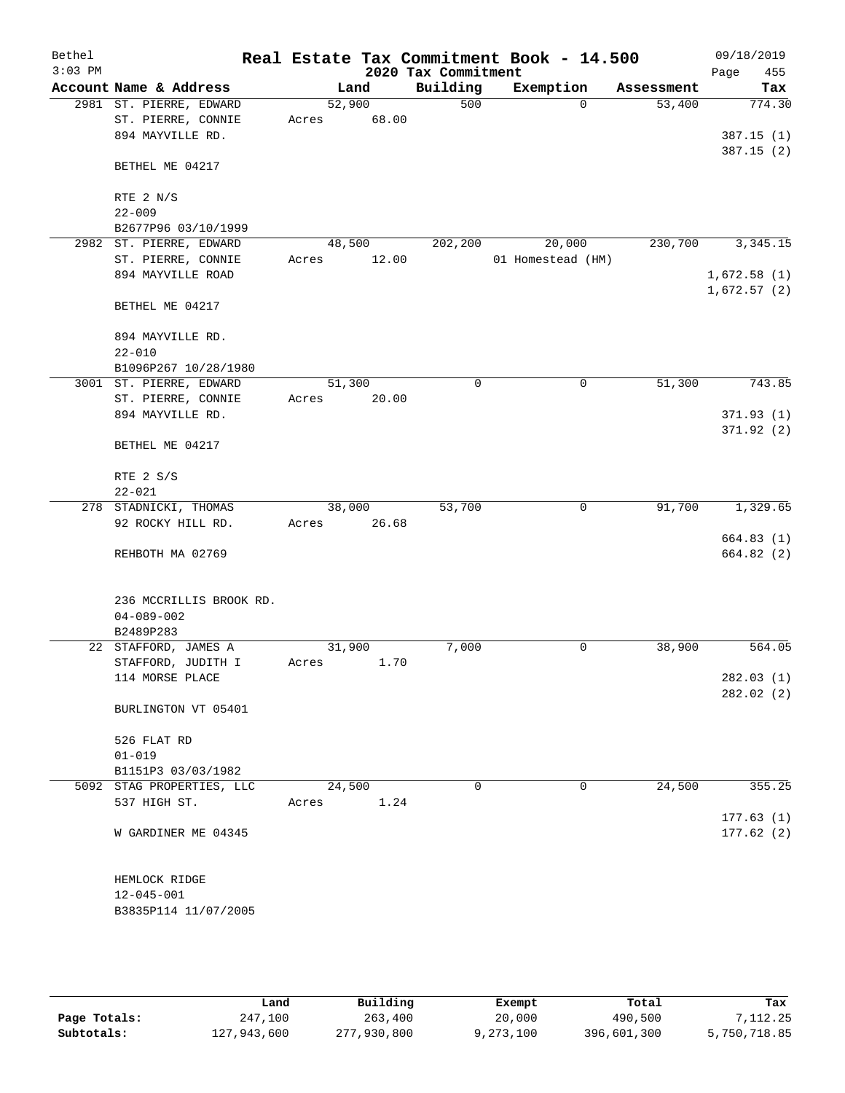| Bethel    |                                        |        |       |                     | Real Estate Tax Commitment Book - 14.500 |            | 09/18/2019  |
|-----------|----------------------------------------|--------|-------|---------------------|------------------------------------------|------------|-------------|
| $3:03$ PM |                                        |        |       | 2020 Tax Commitment |                                          |            | Page<br>455 |
|           | Account Name & Address                 |        | Land  | Building            | Exemption                                | Assessment | Tax         |
|           | 2981 ST. PIERRE, EDWARD                | 52,900 |       | 500                 | $\Omega$                                 | 53,400     | 774.30      |
|           | ST. PIERRE, CONNIE<br>894 MAYVILLE RD. | Acres  | 68.00 |                     |                                          |            | 387.15(1)   |
|           |                                        |        |       |                     |                                          |            | 387.15(2)   |
|           | BETHEL ME 04217                        |        |       |                     |                                          |            |             |
|           | RTE 2 N/S                              |        |       |                     |                                          |            |             |
|           | $22 - 009$                             |        |       |                     |                                          |            |             |
|           | B2677P96 03/10/1999                    |        |       |                     |                                          |            |             |
|           | 2982 ST. PIERRE, EDWARD                | 48,500 |       | 202,200             | 20,000                                   | 230,700    | 3,345.15    |
|           | ST. PIERRE, CONNIE                     | Acres  | 12.00 |                     | 01 Homestead (HM)                        |            |             |
|           | 894 MAYVILLE ROAD                      |        |       |                     |                                          |            | 1,672.58(1) |
|           | BETHEL ME 04217                        |        |       |                     |                                          |            | 1,672.57(2) |
|           | 894 MAYVILLE RD.                       |        |       |                     |                                          |            |             |
|           | $22 - 010$                             |        |       |                     |                                          |            |             |
|           | B1096P267 10/28/1980                   |        |       |                     |                                          |            |             |
|           | 3001 ST. PIERRE, EDWARD                | 51,300 |       | $\mathbf 0$         | $\mathbf 0$                              | 51,300     | 743.85      |
|           | ST. PIERRE, CONNIE<br>894 MAYVILLE RD. | Acres  | 20.00 |                     |                                          |            | 371.93 (1)  |
|           |                                        |        |       |                     |                                          |            | 371.92 (2)  |
|           | BETHEL ME 04217                        |        |       |                     |                                          |            |             |
|           | RTE 2 S/S                              |        |       |                     |                                          |            |             |
|           | $22 - 021$                             |        |       |                     |                                          |            |             |
|           | 278 STADNICKI, THOMAS                  | 38,000 |       | 53,700              | $\mathbf 0$                              | 91,700     | 1,329.65    |
|           | 92 ROCKY HILL RD.                      | Acres  | 26.68 |                     |                                          |            |             |
|           |                                        |        |       |                     |                                          |            | 664.83(1)   |
|           | REHBOTH MA 02769                       |        |       |                     |                                          |            | 664.82 (2)  |
|           | 236 MCCRILLIS BROOK RD.                |        |       |                     |                                          |            |             |
|           | $04 - 089 - 002$                       |        |       |                     |                                          |            |             |
|           | B2489P283                              |        |       |                     |                                          |            |             |
|           | 22 STAFFORD, JAMES A                   | 31,900 |       | 7,000               | 0                                        | 38,900     | 564.05      |
|           | STAFFORD, JUDITH I<br>114 MORSE PLACE  | Acres  | 1.70  |                     |                                          |            | 282.03 (1)  |
|           |                                        |        |       |                     |                                          |            | 282.02 (2)  |
|           | BURLINGTON VT 05401                    |        |       |                     |                                          |            |             |
|           | 526 FLAT RD                            |        |       |                     |                                          |            |             |
|           | $01 - 019$                             |        |       |                     |                                          |            |             |
|           | B1151P3 03/03/1982                     |        |       |                     |                                          |            |             |
|           | 5092 STAG PROPERTIES, LLC              | 24,500 |       | 0                   | $\mathbf 0$                              | 24,500     | 355.25      |
|           | 537 HIGH ST.                           | Acres  | 1.24  |                     |                                          |            |             |
|           |                                        |        |       |                     |                                          |            | 177.63(1)   |
|           | W GARDINER ME 04345                    |        |       |                     |                                          |            | 177.62(2)   |
|           | HEMLOCK RIDGE                          |        |       |                     |                                          |            |             |
|           | $12 - 045 - 001$                       |        |       |                     |                                          |            |             |
|           | B3835P114 11/07/2005                   |        |       |                     |                                          |            |             |
|           |                                        |        |       |                     |                                          |            |             |

|              | Land        | Building    | Exempt    | Total       | Tax          |
|--------------|-------------|-------------|-----------|-------------|--------------|
| Page Totals: | 247,100     | 263,400     | 20,000    | 490,500     | 7.112.25     |
| Subtotals:   | 127,943,600 | 277,930,800 | 9,273,100 | 396,601,300 | 5,750,718.85 |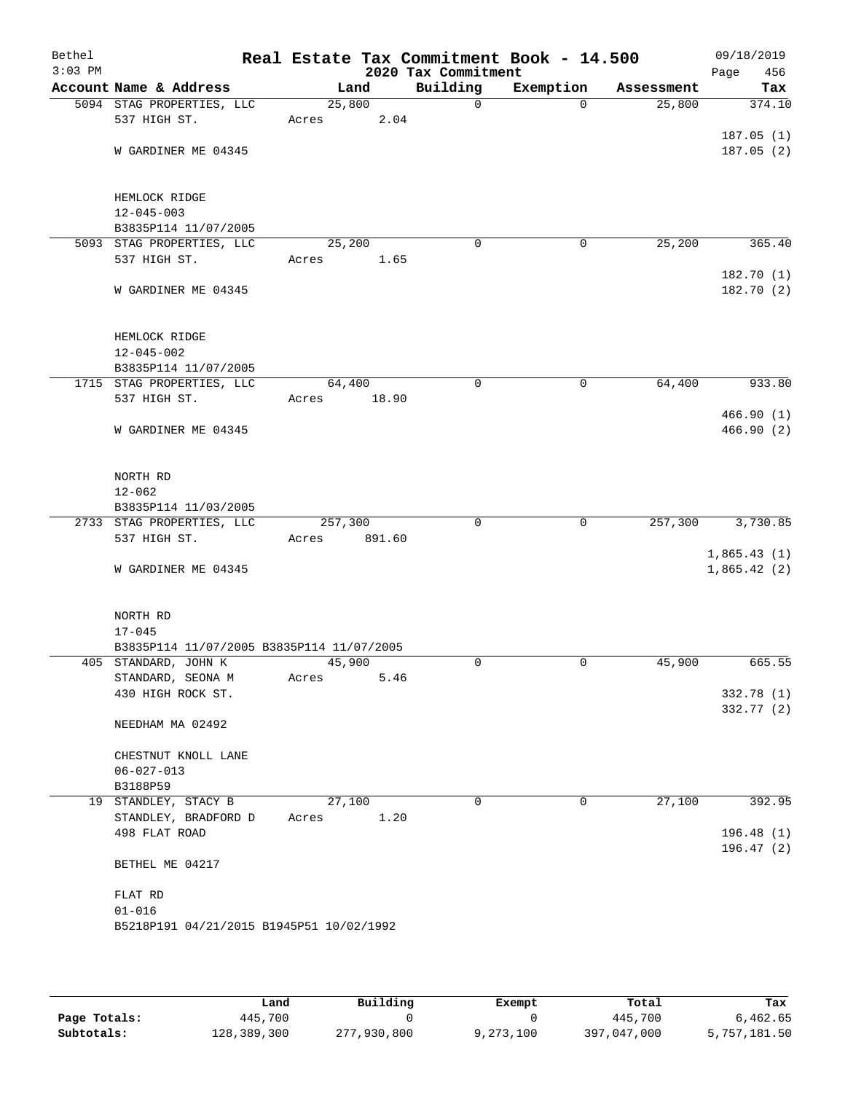| Bethel<br>$3:03$ PM |                                              |         |        | 2020 Tax Commitment | Real Estate Tax Commitment Book - 14.500 |            | 09/18/2019<br>Page<br>456 |
|---------------------|----------------------------------------------|---------|--------|---------------------|------------------------------------------|------------|---------------------------|
|                     | Account Name & Address                       | Land    |        | Building            | Exemption                                | Assessment | Tax                       |
|                     | 5094 STAG PROPERTIES, LLC                    | 25,800  |        | $\mathsf{O}$        | $\Omega$                                 | 25,800     | 374.10                    |
|                     | 537 HIGH ST.                                 | Acres   | 2.04   |                     |                                          |            |                           |
|                     |                                              |         |        |                     |                                          |            | 187.05 (1)                |
|                     | W GARDINER ME 04345                          |         |        |                     |                                          |            | 187.05(2)                 |
|                     |                                              |         |        |                     |                                          |            |                           |
|                     | HEMLOCK RIDGE                                |         |        |                     |                                          |            |                           |
|                     | $12 - 045 - 003$<br>B3835P114 11/07/2005     |         |        |                     |                                          |            |                           |
|                     | 5093 STAG PROPERTIES, LLC                    | 25,200  |        | $\mathbf 0$         | 0                                        | 25,200     | 365.40                    |
|                     | 537 HIGH ST.                                 | Acres   | 1.65   |                     |                                          |            |                           |
|                     |                                              |         |        |                     |                                          |            | 182.70(1)                 |
|                     | W GARDINER ME 04345                          |         |        |                     |                                          |            | 182.70 (2)                |
|                     | HEMLOCK RIDGE                                |         |        |                     |                                          |            |                           |
|                     | $12 - 045 - 002$                             |         |        |                     |                                          |            |                           |
|                     | B3835P114 11/07/2005                         |         |        |                     |                                          |            |                           |
|                     | 1715 STAG PROPERTIES, LLC                    | 64,400  |        | 0                   | 0                                        | 64,400     | 933.80                    |
|                     | 537 HIGH ST.                                 | Acres   | 18.90  |                     |                                          |            |                           |
|                     |                                              |         |        |                     |                                          |            | 466.90 (1)                |
|                     | W GARDINER ME 04345                          |         |        |                     |                                          |            | 466.90(2)                 |
|                     | NORTH RD                                     |         |        |                     |                                          |            |                           |
|                     | $12 - 062$                                   |         |        |                     |                                          |            |                           |
|                     | B3835P114 11/03/2005                         |         |        |                     |                                          |            |                           |
|                     | 2733 STAG PROPERTIES, LLC                    | 257,300 |        | 0                   | $\mathbf 0$                              | 257,300    | 3,730.85                  |
|                     | 537 HIGH ST.                                 | Acres   | 891.60 |                     |                                          |            |                           |
|                     |                                              |         |        |                     |                                          |            | 1,865.43(1)               |
|                     | W GARDINER ME 04345                          |         |        |                     |                                          |            | 1,865.42(2)               |
|                     | NORTH RD                                     |         |        |                     |                                          |            |                           |
|                     | $17 - 045$                                   |         |        |                     |                                          |            |                           |
|                     | B3835P114 11/07/2005 B3835P114 11/07/2005    |         |        |                     |                                          |            |                           |
|                     | 405 STANDARD, JOHN K                         | 45,900  |        | 0                   | 0                                        | 45,900     | 665.55                    |
|                     | STANDARD, SEONA M                            | Acres   | 5.46   |                     |                                          |            |                           |
|                     | 430 HIGH ROCK ST.                            |         |        |                     |                                          |            | 332.78 (1)<br>332.77 (2)  |
|                     | NEEDHAM MA 02492                             |         |        |                     |                                          |            |                           |
|                     | CHESTNUT KNOLL LANE                          |         |        |                     |                                          |            |                           |
|                     | $06 - 027 - 013$                             |         |        |                     |                                          |            |                           |
|                     | B3188P59                                     |         |        |                     |                                          |            |                           |
|                     | 19 STANDLEY, STACY B<br>STANDLEY, BRADFORD D | 27,100  | 1.20   | 0                   | 0                                        | 27,100     | 392.95                    |
|                     | 498 FLAT ROAD                                | Acres   |        |                     |                                          |            | 196.48(1)                 |
|                     |                                              |         |        |                     |                                          |            | 196.47(2)                 |
|                     | BETHEL ME 04217                              |         |        |                     |                                          |            |                           |
|                     | FLAT RD                                      |         |        |                     |                                          |            |                           |
|                     | $01 - 016$                                   |         |        |                     |                                          |            |                           |
|                     | B5218P191 04/21/2015 B1945P51 10/02/1992     |         |        |                     |                                          |            |                           |
|                     |                                              |         |        |                     |                                          |            |                           |

|              | Land        | Building    | Exempt    | Total       | Tax          |
|--------------|-------------|-------------|-----------|-------------|--------------|
| Page Totals: | 445,700     |             |           | 445,700     | 6,462.65     |
| Subtotals:   | 128,389,300 | 277,930,800 | 9,273,100 | 397,047,000 | 5,757,181.50 |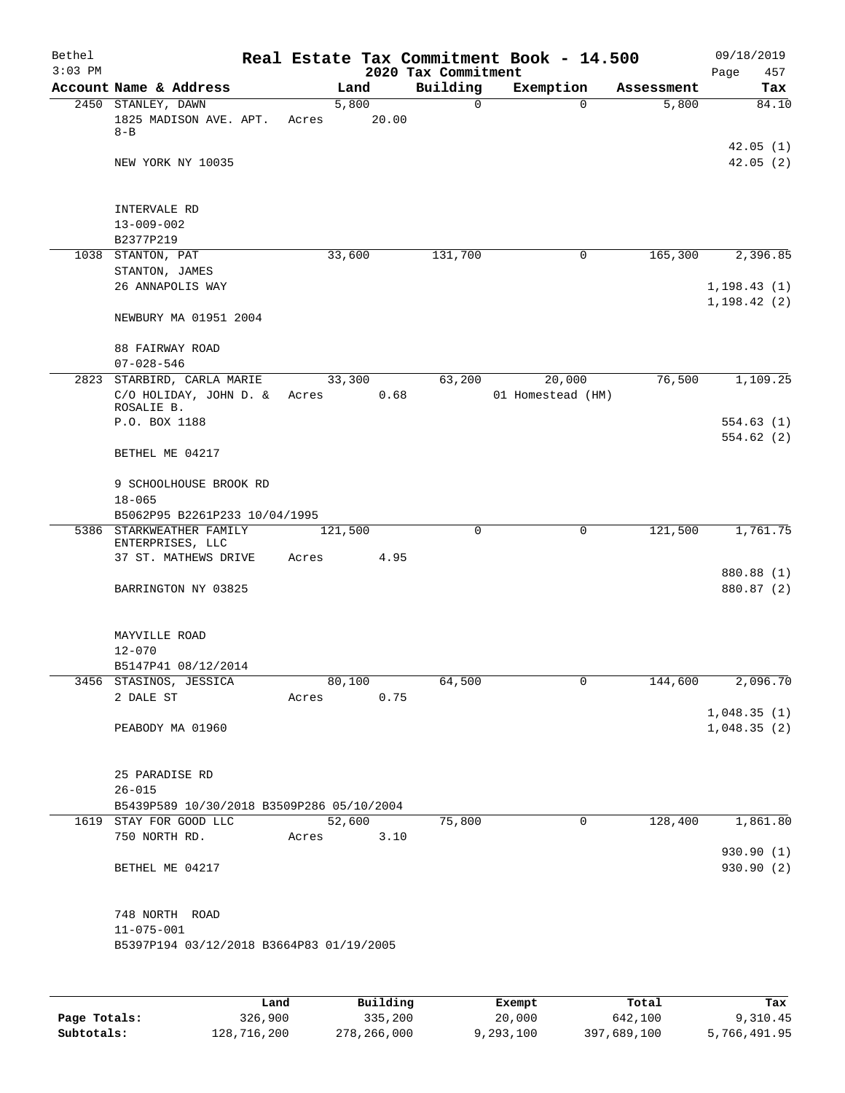| Bethel<br>$3:03$ PM |                                                              |                |       | 2020 Tax Commitment | Real Estate Tax Commitment Book - 14.500 |            | 09/18/2019<br>Page<br>457    |
|---------------------|--------------------------------------------------------------|----------------|-------|---------------------|------------------------------------------|------------|------------------------------|
|                     | Account Name & Address                                       | Land           |       | Building            | Exemption                                | Assessment | Tax                          |
|                     | 2450 STANLEY, DAWN<br>1825 MADISON AVE. APT.<br>$8 - B$      | 5,800<br>Acres | 20.00 | $\mathbf 0$         | $\Omega$                                 | 5,800      | 84.10                        |
|                     | NEW YORK NY 10035                                            |                |       |                     |                                          |            | 42.05(1)<br>42.05(2)         |
|                     |                                                              |                |       |                     |                                          |            |                              |
|                     | INTERVALE RD<br>$13 - 009 - 002$                             |                |       |                     |                                          |            |                              |
|                     | B2377P219                                                    |                |       |                     |                                          |            |                              |
|                     | 1038 STANTON, PAT                                            | 33,600         |       | 131,700             | 0                                        | 165,300    | 2,396.85                     |
|                     | STANTON, JAMES<br>26 ANNAPOLIS WAY                           |                |       |                     |                                          |            | 1, 198.43(1)<br>1, 198.42(2) |
|                     | NEWBURY MA 01951 2004                                        |                |       |                     |                                          |            |                              |
|                     | 88 FAIRWAY ROAD<br>$07 - 028 - 546$                          |                |       |                     |                                          |            |                              |
|                     | 2823 STARBIRD, CARLA MARIE                                   | 33,300         |       | 63,200              | 20,000                                   | 76,500     | 1,109.25                     |
|                     | C/O HOLIDAY, JOHN D. & Acres<br>ROSALIE B.                   |                | 0.68  |                     | 01 Homestead (HM)                        |            |                              |
|                     | P.O. BOX 1188                                                |                |       |                     |                                          |            | 554.63(1)                    |
|                     | BETHEL ME 04217                                              |                |       |                     |                                          |            | 554.62(2)                    |
|                     | 9 SCHOOLHOUSE BROOK RD                                       |                |       |                     |                                          |            |                              |
|                     | $18 - 065$<br>B5062P95 B2261P233 10/04/1995                  |                |       |                     |                                          |            |                              |
|                     | 5386 STARKWEATHER FAMILY                                     |                |       | 0                   | 0                                        | 121,500    | 1,761.75                     |
|                     | ENTERPRISES, LLC                                             | 121,500        |       |                     |                                          |            |                              |
|                     | 37 ST. MATHEWS DRIVE                                         | Acres          | 4.95  |                     |                                          |            |                              |
|                     |                                                              |                |       |                     |                                          |            | 880.88 (1)                   |
|                     | BARRINGTON NY 03825                                          |                |       |                     |                                          |            | 880.87 (2)                   |
|                     | MAYVILLE ROAD                                                |                |       |                     |                                          |            |                              |
|                     | $12 - 070$                                                   |                |       |                     |                                          |            |                              |
|                     | B5147P41 08/12/2014<br>3456 STASINOS, JESSICA                | 80,100         |       | 64,500              | 0                                        | 144,600    | 2,096.70                     |
|                     | 2 DALE ST                                                    | Acres          | 0.75  |                     |                                          |            |                              |
|                     |                                                              |                |       |                     |                                          |            | 1,048.35(1)                  |
|                     | PEABODY MA 01960                                             |                |       |                     |                                          |            | 1,048.35(2)                  |
|                     | 25 PARADISE RD                                               |                |       |                     |                                          |            |                              |
|                     | $26 - 015$                                                   |                |       |                     |                                          |            |                              |
|                     | B5439P589 10/30/2018 B3509P286 05/10/2004                    |                |       |                     |                                          |            |                              |
|                     | 1619 STAY FOR GOOD LLC                                       | 52,600         |       | 75,800              | $\mathbf 0$                              | 128,400    | 1,861.80                     |
|                     | 750 NORTH RD.                                                | Acres          | 3.10  |                     |                                          |            |                              |
|                     | BETHEL ME 04217                                              |                |       |                     |                                          |            | 930.90 (1)<br>930.90 (2)     |
|                     | 748 NORTH ROAD                                               |                |       |                     |                                          |            |                              |
|                     | $11 - 075 - 001$<br>B5397P194 03/12/2018 B3664P83 01/19/2005 |                |       |                     |                                          |            |                              |
|                     |                                                              |                |       |                     |                                          |            |                              |
|                     |                                                              |                |       |                     |                                          |            |                              |

|              | Land        | Building    | Exempt    | Total       | Tax          |
|--------------|-------------|-------------|-----------|-------------|--------------|
| Page Totals: | 326,900     | 335,200     | 20,000    | 642,100     | 9,310.45     |
| Subtotals:   | 128,716,200 | 278,266,000 | 9,293,100 | 397,689,100 | 5,766,491.95 |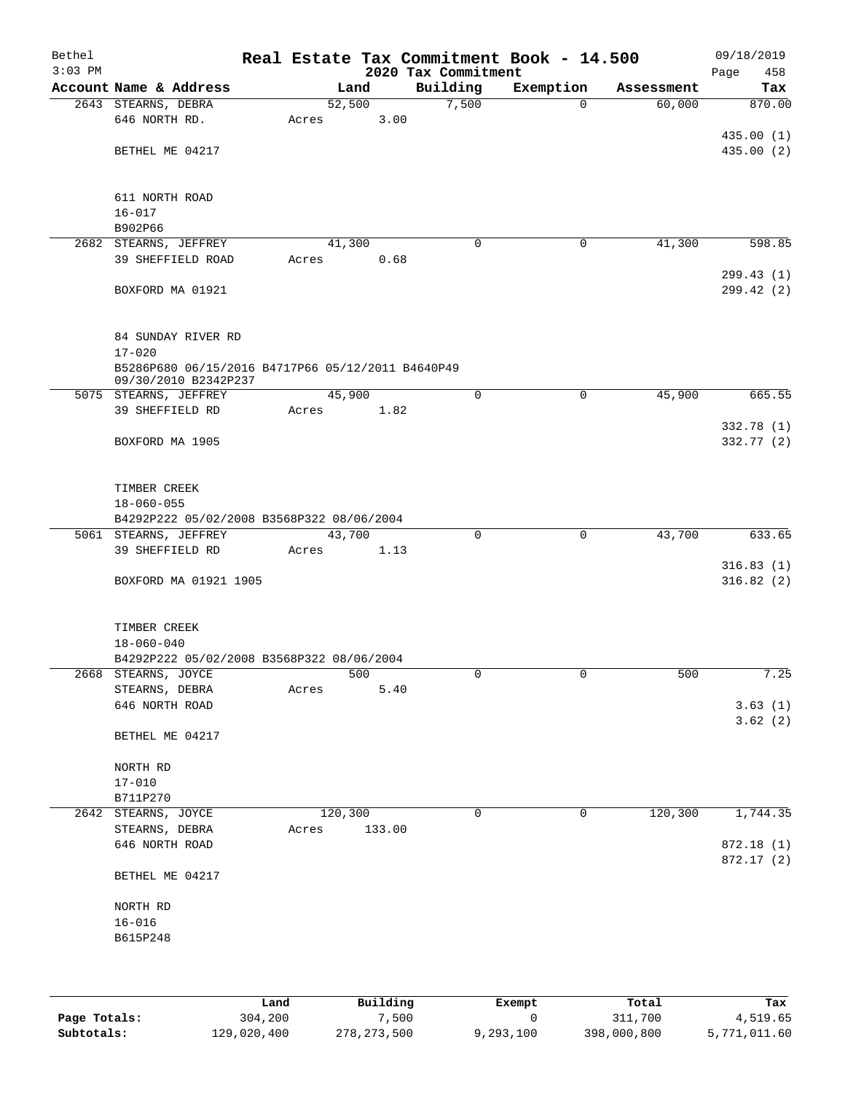| Bethel<br>$3:03$ PM |                                                   |       |         |                                 | Real Estate Tax Commitment Book - 14.500 |            | 09/18/2019             |
|---------------------|---------------------------------------------------|-------|---------|---------------------------------|------------------------------------------|------------|------------------------|
|                     | Account Name & Address                            |       | Land    | 2020 Tax Commitment<br>Building | Exemption                                | Assessment | 458<br>Page<br>Tax     |
|                     | 2643 STEARNS, DEBRA                               |       | 52,500  | 7,500                           | $\Omega$                                 | 60,000     | 870.00                 |
|                     | 646 NORTH RD.                                     | Acres | 3.00    |                                 |                                          |            |                        |
|                     |                                                   |       |         |                                 |                                          |            | 435.00(1)              |
|                     | BETHEL ME 04217                                   |       |         |                                 |                                          |            | 435.00(2)              |
|                     |                                                   |       |         |                                 |                                          |            |                        |
|                     |                                                   |       |         |                                 |                                          |            |                        |
|                     | 611 NORTH ROAD                                    |       |         |                                 |                                          |            |                        |
|                     | $16 - 017$<br>B902P66                             |       |         |                                 |                                          |            |                        |
|                     | 2682 STEARNS, JEFFREY                             |       | 41,300  | $\mathbf 0$                     | 0                                        | 41,300     | 598.85                 |
|                     | 39 SHEFFIELD ROAD                                 | Acres | 0.68    |                                 |                                          |            |                        |
|                     |                                                   |       |         |                                 |                                          |            | 299.43(1)              |
|                     | BOXFORD MA 01921                                  |       |         |                                 |                                          |            | 299.42 (2)             |
|                     |                                                   |       |         |                                 |                                          |            |                        |
|                     |                                                   |       |         |                                 |                                          |            |                        |
|                     | 84 SUNDAY RIVER RD                                |       |         |                                 |                                          |            |                        |
|                     | $17 - 020$                                        |       |         |                                 |                                          |            |                        |
|                     | B5286P680 06/15/2016 B4717P66 05/12/2011 B4640P49 |       |         |                                 |                                          |            |                        |
|                     | 09/30/2010 B2342P237<br>5075 STEARNS, JEFFREY     |       | 45,900  | $\mathbf 0$                     | 0                                        | 45,900     | 665.55                 |
|                     | 39 SHEFFIELD RD                                   | Acres | 1.82    |                                 |                                          |            |                        |
|                     |                                                   |       |         |                                 |                                          |            | 332.78(1)              |
|                     | BOXFORD MA 1905                                   |       |         |                                 |                                          |            | 332.77 (2)             |
|                     |                                                   |       |         |                                 |                                          |            |                        |
|                     |                                                   |       |         |                                 |                                          |            |                        |
|                     | TIMBER CREEK                                      |       |         |                                 |                                          |            |                        |
|                     | $18 - 060 - 055$                                  |       |         |                                 |                                          |            |                        |
|                     | B4292P222 05/02/2008 B3568P322 08/06/2004         |       |         |                                 |                                          |            |                        |
|                     | 5061 STEARNS, JEFFREY                             |       | 43,700  | $\mathbf 0$                     | $\mathbf 0$                              | 43,700     | 633.65                 |
|                     | 39 SHEFFIELD RD                                   | Acres | 1.13    |                                 |                                          |            |                        |
|                     | BOXFORD MA 01921 1905                             |       |         |                                 |                                          |            | 316.83(1)<br>316.82(2) |
|                     |                                                   |       |         |                                 |                                          |            |                        |
|                     |                                                   |       |         |                                 |                                          |            |                        |
|                     | TIMBER CREEK                                      |       |         |                                 |                                          |            |                        |
|                     | $18 - 060 - 040$                                  |       |         |                                 |                                          |            |                        |
|                     | B4292P222 05/02/2008 B3568P322 08/06/2004         |       |         |                                 |                                          |            |                        |
|                     | 2668 STEARNS, JOYCE                               |       | 500     | 0                               | 0                                        | 500        | 7.25                   |
|                     | STEARNS, DEBRA                                    | Acres | 5.40    |                                 |                                          |            |                        |
|                     | 646 NORTH ROAD                                    |       |         |                                 |                                          |            | 3.63(1)                |
|                     |                                                   |       |         |                                 |                                          |            | 3.62(2)                |
|                     | BETHEL ME 04217                                   |       |         |                                 |                                          |            |                        |
|                     | NORTH RD                                          |       |         |                                 |                                          |            |                        |
|                     | $17 - 010$                                        |       |         |                                 |                                          |            |                        |
|                     | B711P270                                          |       |         |                                 |                                          |            |                        |
|                     | 2642 STEARNS, JOYCE                               |       | 120,300 | 0                               | 0                                        | 120,300    | 1,744.35               |
|                     | STEARNS, DEBRA                                    | Acres | 133.00  |                                 |                                          |            |                        |
|                     | 646 NORTH ROAD                                    |       |         |                                 |                                          |            | 872.18 (1)             |
|                     |                                                   |       |         |                                 |                                          |            | 872.17 (2)             |
|                     | BETHEL ME 04217                                   |       |         |                                 |                                          |            |                        |
|                     |                                                   |       |         |                                 |                                          |            |                        |
|                     | NORTH RD                                          |       |         |                                 |                                          |            |                        |
|                     | $16 - 016$<br>B615P248                            |       |         |                                 |                                          |            |                        |
|                     |                                                   |       |         |                                 |                                          |            |                        |
|                     |                                                   |       |         |                                 |                                          |            |                        |
|                     |                                                   |       |         |                                 |                                          |            |                        |

|              | Land        | Building      | Exempt    | Total       | Tax          |
|--------------|-------------|---------------|-----------|-------------|--------------|
| Page Totals: | 304,200     | 7,500         |           | 311,700     | 4,519.65     |
| Subtotals:   | 129,020,400 | 278, 273, 500 | 9,293,100 | 398,000,800 | 5,771,011.60 |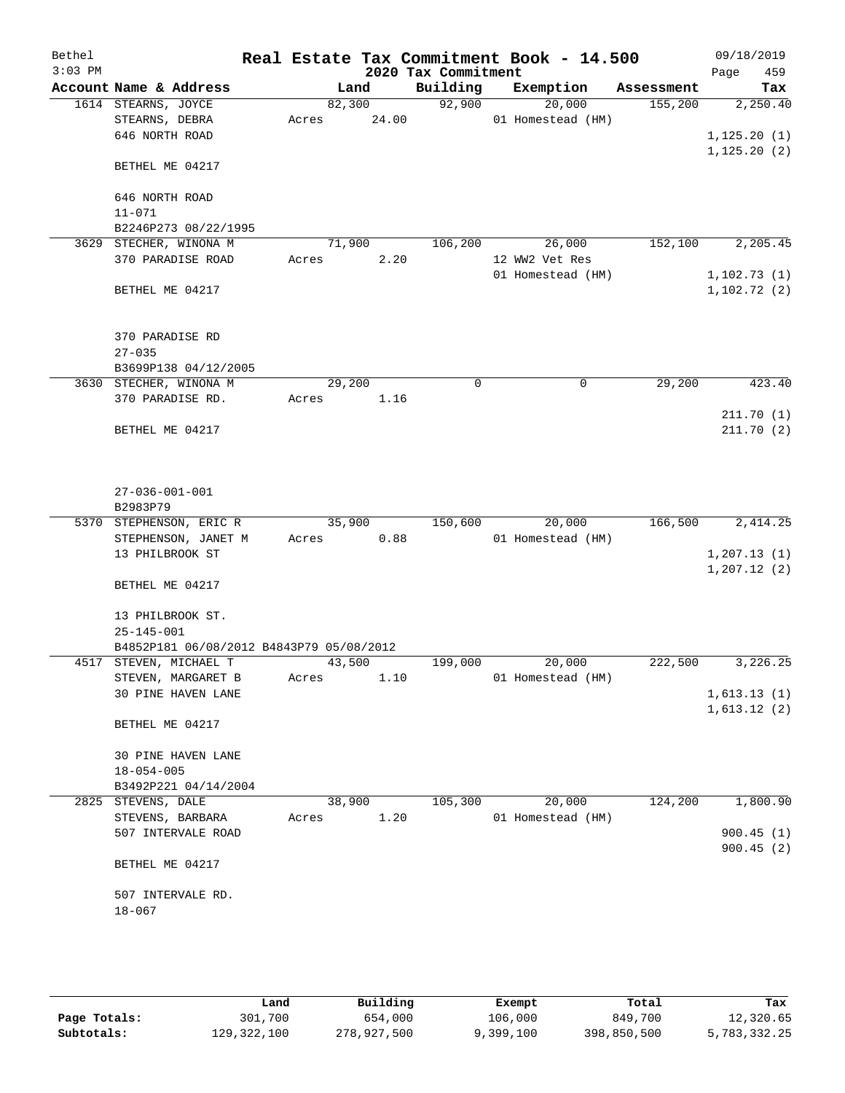| Bethel    |                                                |       |        |                     | Real Estate Tax Commitment Book - 14.500 |            | 09/18/2019                   |
|-----------|------------------------------------------------|-------|--------|---------------------|------------------------------------------|------------|------------------------------|
| $3:03$ PM |                                                |       |        | 2020 Tax Commitment |                                          |            | 459<br>Page                  |
|           | Account Name & Address                         |       | Land   | Building            | Exemption                                | Assessment | Tax                          |
|           | 1614 STEARNS, JOYCE                            |       | 82,300 | 92,900              | 20,000                                   | 155,200    | 2,250.40                     |
|           | STEARNS, DEBRA<br>646 NORTH ROAD               | Acres | 24.00  |                     | 01 Homestead (HM)                        |            | 1, 125.20(1)                 |
|           |                                                |       |        |                     |                                          |            | 1, 125.20(2)                 |
|           | BETHEL ME 04217                                |       |        |                     |                                          |            |                              |
|           | 646 NORTH ROAD                                 |       |        |                     |                                          |            |                              |
|           | $11 - 071$<br>B2246P273 08/22/1995             |       |        |                     |                                          |            |                              |
| 3629      | STECHER, WINONA M                              |       | 71,900 | 106,200             | 26,000                                   | 152,100    | 2, 205.45                    |
|           | 370 PARADISE ROAD                              | Acres | 2.20   |                     | 12 WW2 Vet Res                           |            |                              |
|           |                                                |       |        |                     | 01 Homestead (HM)                        |            | 1,102.73(1)                  |
|           | BETHEL ME 04217                                |       |        |                     |                                          |            | 1,102.72(2)                  |
|           | 370 PARADISE RD                                |       |        |                     |                                          |            |                              |
|           | $27 - 035$                                     |       |        |                     |                                          |            |                              |
|           | B3699P138 04/12/2005<br>3630 STECHER, WINONA M |       | 29,200 | 0                   | $\mathbf 0$                              | 29,200     | 423.40                       |
|           | 370 PARADISE RD.                               | Acres | 1.16   |                     |                                          |            |                              |
|           |                                                |       |        |                     |                                          |            | 211.70(1)                    |
|           | BETHEL ME 04217                                |       |        |                     |                                          |            | 211.70(2)                    |
|           | $27 - 036 - 001 - 001$<br>B2983P79             |       |        |                     |                                          |            |                              |
|           | 5370 STEPHENSON, ERIC R                        |       | 35,900 | 150,600             | 20,000                                   | 166,500    | 2,414.25                     |
|           | STEPHENSON, JANET M                            | Acres | 0.88   |                     | 01 Homestead (HM)                        |            |                              |
|           | 13 PHILBROOK ST                                |       |        |                     |                                          |            | 1, 207.13(1)<br>1, 207.12(2) |
|           | BETHEL ME 04217                                |       |        |                     |                                          |            |                              |
|           | 13 PHILBROOK ST.<br>$25 - 145 - 001$           |       |        |                     |                                          |            |                              |
|           | B4852P181 06/08/2012 B4843P79 05/08/2012       |       |        |                     |                                          |            |                              |
|           | 4517 STEVEN, MICHAEL T                         |       | 43,500 | 199,000             | 20,000                                   | 222,500    | 3,226.25                     |
|           | STEVEN, MARGARET B                             | Acres | 1.10   |                     | 01 Homestead (HM)                        |            |                              |
|           | 30 PINE HAVEN LANE                             |       |        |                     |                                          |            | 1,613.13(1)                  |
|           | BETHEL ME 04217                                |       |        |                     |                                          |            | 1,613.12(2)                  |
|           | <b>30 PINE HAVEN LANE</b>                      |       |        |                     |                                          |            |                              |
|           | $18 - 054 - 005$<br>B3492P221 04/14/2004       |       |        |                     |                                          |            |                              |
|           | 2825 STEVENS, DALE                             |       | 38,900 | 105,300             | 20,000                                   | 124,200    | 1,800.90                     |
|           | STEVENS, BARBARA                               | Acres | 1.20   |                     | 01 Homestead (HM)                        |            |                              |
|           | 507 INTERVALE ROAD                             |       |        |                     |                                          |            | 900.45(1)                    |
|           |                                                |       |        |                     |                                          |            | 900.45(2)                    |
|           | BETHEL ME 04217                                |       |        |                     |                                          |            |                              |
|           | 507 INTERVALE RD.<br>$18 - 067$                |       |        |                     |                                          |            |                              |
|           |                                                |       |        |                     |                                          |            |                              |

|              | Land        | Building    | Exempt    | Total       | Tax          |
|--------------|-------------|-------------|-----------|-------------|--------------|
| Page Totals: | 301,700     | 654,000     | 106,000   | 849,700     | 12,320.65    |
| Subtotals:   | 129,322,100 | 278,927,500 | 9,399,100 | 398,850,500 | 5,783,332.25 |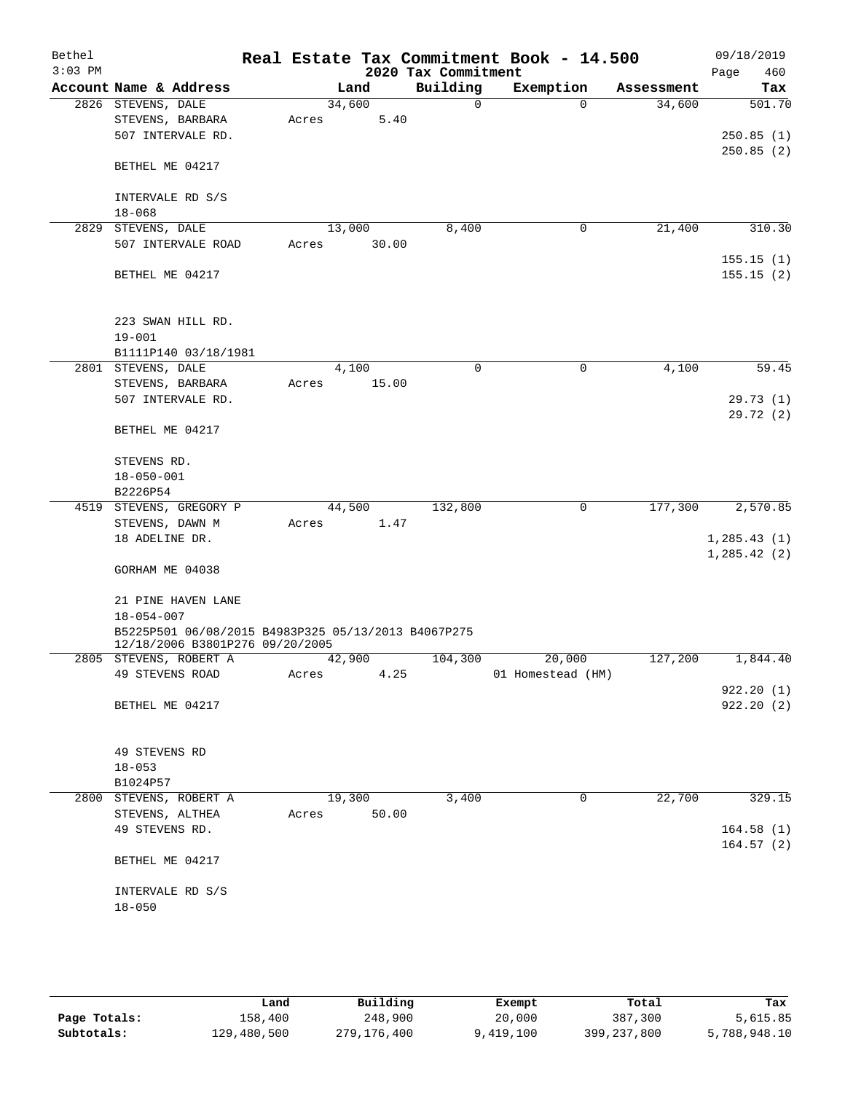| Bethel<br>$3:03$ PM |                                                     |        |       | 2020 Tax Commitment | Real Estate Tax Commitment Book - 14.500 |            | 09/18/2019<br>460 |
|---------------------|-----------------------------------------------------|--------|-------|---------------------|------------------------------------------|------------|-------------------|
|                     | Account Name & Address                              |        | Land  | Building            | Exemption                                | Assessment | Page<br>Tax       |
|                     | 2826 STEVENS, DALE                                  | 34,600 |       | $\Omega$            | $\Omega$                                 | 34,600     | 501.70            |
|                     | STEVENS, BARBARA                                    | Acres  | 5.40  |                     |                                          |            |                   |
|                     | 507 INTERVALE RD.                                   |        |       |                     |                                          |            | 250.85(1)         |
|                     |                                                     |        |       |                     |                                          |            | 250.85(2)         |
|                     | BETHEL ME 04217                                     |        |       |                     |                                          |            |                   |
|                     |                                                     |        |       |                     |                                          |            |                   |
|                     | INTERVALE RD S/S                                    |        |       |                     |                                          |            |                   |
|                     | $18 - 068$                                          |        |       |                     |                                          |            |                   |
|                     | 2829 STEVENS, DALE                                  | 13,000 |       | 8,400               | $\mathbf 0$                              | 21,400     | 310.30            |
|                     | 507 INTERVALE ROAD                                  | Acres  | 30.00 |                     |                                          |            |                   |
|                     |                                                     |        |       |                     |                                          |            | 155.15(1)         |
|                     | BETHEL ME 04217                                     |        |       |                     |                                          |            | 155.15(2)         |
|                     |                                                     |        |       |                     |                                          |            |                   |
|                     | 223 SWAN HILL RD.                                   |        |       |                     |                                          |            |                   |
|                     | $19 - 001$                                          |        |       |                     |                                          |            |                   |
|                     | B1111P140 03/18/1981                                |        |       |                     |                                          |            |                   |
|                     | 2801 STEVENS, DALE                                  | 4,100  |       | $\mathbf 0$         | $\mathbf 0$                              | 4,100      | 59.45             |
|                     | STEVENS, BARBARA                                    | Acres  | 15.00 |                     |                                          |            |                   |
|                     | 507 INTERVALE RD.                                   |        |       |                     |                                          |            | 29.73(1)          |
|                     |                                                     |        |       |                     |                                          |            | 29.72(2)          |
|                     | BETHEL ME 04217                                     |        |       |                     |                                          |            |                   |
|                     |                                                     |        |       |                     |                                          |            |                   |
|                     | STEVENS RD.                                         |        |       |                     |                                          |            |                   |
|                     | $18 - 050 - 001$                                    |        |       |                     |                                          |            |                   |
|                     | B2226P54                                            |        |       |                     |                                          |            |                   |
|                     | 4519 STEVENS, GREGORY P                             | 44,500 |       | 132,800             | 0                                        | 177,300    | 2,570.85          |
|                     | STEVENS, DAWN M                                     | Acres  | 1.47  |                     |                                          |            |                   |
|                     | 18 ADELINE DR.                                      |        |       |                     |                                          |            | 1,285.43(1)       |
|                     |                                                     |        |       |                     |                                          |            | 1, 285.42(2)      |
|                     | GORHAM ME 04038                                     |        |       |                     |                                          |            |                   |
|                     |                                                     |        |       |                     |                                          |            |                   |
|                     | 21 PINE HAVEN LANE                                  |        |       |                     |                                          |            |                   |
|                     | $18 - 054 - 007$                                    |        |       |                     |                                          |            |                   |
|                     | B5225P501 06/08/2015 B4983P325 05/13/2013 B4067P275 |        |       |                     |                                          |            |                   |
|                     | 12/18/2006 B3801P276 09/20/2005                     |        |       |                     |                                          |            |                   |
|                     | 2805 STEVENS, ROBERT A                              | 42,900 |       | 104,300             | 20,000                                   | 127,200    | 1,844.40          |
|                     | 49 STEVENS ROAD                                     | Acres  | 4.25  |                     | 01 Homestead (HM)                        |            | 922.20(1)         |
|                     | BETHEL ME 04217                                     |        |       |                     |                                          |            | 922.20(2)         |
|                     |                                                     |        |       |                     |                                          |            |                   |
|                     |                                                     |        |       |                     |                                          |            |                   |
|                     | 49 STEVENS RD                                       |        |       |                     |                                          |            |                   |
|                     | $18 - 053$                                          |        |       |                     |                                          |            |                   |
|                     | B1024P57                                            |        |       |                     |                                          |            |                   |
| 2800                | STEVENS, ROBERT A                                   | 19,300 |       | 3,400               | 0                                        | 22,700     | 329.15            |
|                     | STEVENS, ALTHEA                                     | Acres  | 50.00 |                     |                                          |            |                   |
|                     | 49 STEVENS RD.                                      |        |       |                     |                                          |            | 164.58(1)         |
|                     |                                                     |        |       |                     |                                          |            | 164.57(2)         |
|                     | BETHEL ME 04217                                     |        |       |                     |                                          |            |                   |
|                     |                                                     |        |       |                     |                                          |            |                   |
|                     | INTERVALE RD S/S                                    |        |       |                     |                                          |            |                   |
|                     | $18 - 050$                                          |        |       |                     |                                          |            |                   |
|                     |                                                     |        |       |                     |                                          |            |                   |
|                     |                                                     |        |       |                     |                                          |            |                   |

|              | Land        | Building    | Exempt    | Total         | Tax          |
|--------------|-------------|-------------|-----------|---------------|--------------|
| Page Totals: | 158,400     | 248,900     | 20,000    | 387,300       | 5,615.85     |
| Subtotals:   | 129,480,500 | 279,176,400 | 9,419,100 | 399, 237, 800 | 5,788,948.10 |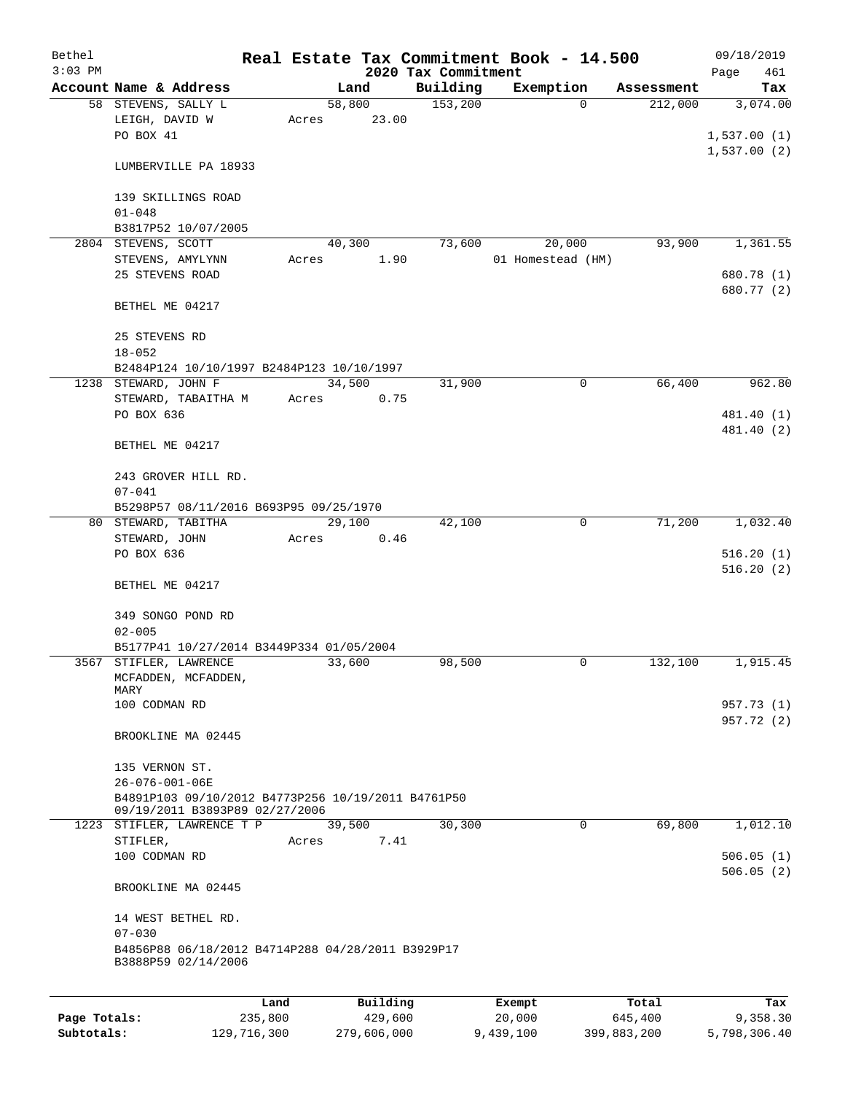| Bethel       |                                                                                      |         |       |          |         |                                 | Real Estate Tax Commitment Book - 14.500 |          |            | 09/18/2019         |
|--------------|--------------------------------------------------------------------------------------|---------|-------|----------|---------|---------------------------------|------------------------------------------|----------|------------|--------------------|
| $3:03$ PM    | Account Name & Address                                                               |         |       | Land     |         | 2020 Tax Commitment<br>Building | Exemption                                |          | Assessment | Page<br>461<br>Tax |
|              | 58 STEVENS, SALLY L                                                                  |         |       | 58,800   |         | 153,200                         |                                          | $\Omega$ | 212,000    | 3,074.00           |
|              | LEIGH, DAVID W                                                                       |         | Acres |          | 23.00   |                                 |                                          |          |            |                    |
|              | PO BOX 41                                                                            |         |       |          |         |                                 |                                          |          |            | 1,537.00(1)        |
|              |                                                                                      |         |       |          |         |                                 |                                          |          |            | 1,537.00(2)        |
|              | LUMBERVILLE PA 18933                                                                 |         |       |          |         |                                 |                                          |          |            |                    |
|              | 139 SKILLINGS ROAD                                                                   |         |       |          |         |                                 |                                          |          |            |                    |
|              | $01 - 048$                                                                           |         |       |          |         |                                 |                                          |          |            |                    |
|              | B3817P52 10/07/2005                                                                  |         |       |          |         |                                 |                                          |          |            |                    |
|              | 2804 STEVENS, SCOTT                                                                  |         |       | 40,300   |         | 73,600                          | 20,000                                   |          | 93,900     | 1,361.55           |
|              | STEVENS, AMYLYNN                                                                     |         | Acres |          | 1.90    |                                 | 01 Homestead (HM)                        |          |            |                    |
|              | 25 STEVENS ROAD                                                                      |         |       |          |         |                                 |                                          |          |            | 680.78 (1)         |
|              |                                                                                      |         |       |          |         |                                 |                                          |          |            | 680.77 (2)         |
|              | BETHEL ME 04217                                                                      |         |       |          |         |                                 |                                          |          |            |                    |
|              |                                                                                      |         |       |          |         |                                 |                                          |          |            |                    |
|              | 25 STEVENS RD                                                                        |         |       |          |         |                                 |                                          |          |            |                    |
|              | $18 - 052$                                                                           |         |       |          |         |                                 |                                          |          |            |                    |
|              | B2484P124 10/10/1997 B2484P123 10/10/1997                                            |         |       |          |         |                                 |                                          |          | 66,400     |                    |
|              | 1238 STEWARD, JOHN F                                                                 |         |       | 34,500   |         | 31,900                          |                                          | 0        |            | 962.80             |
|              | STEWARD, TABAITHA M                                                                  |         | Acres |          | 0.75    |                                 |                                          |          |            |                    |
|              | PO BOX 636                                                                           |         |       |          |         |                                 |                                          |          |            | 481.40 (1)         |
|              |                                                                                      |         |       |          |         |                                 |                                          |          |            | 481.40 (2)         |
|              | BETHEL ME 04217                                                                      |         |       |          |         |                                 |                                          |          |            |                    |
|              | 243 GROVER HILL RD.                                                                  |         |       |          |         |                                 |                                          |          |            |                    |
|              | $07 - 041$                                                                           |         |       |          |         |                                 |                                          |          |            |                    |
|              | B5298P57 08/11/2016 B693P95 09/25/1970                                               |         |       |          |         |                                 |                                          |          |            |                    |
|              | 80 STEWARD, TABITHA                                                                  |         |       | 29,100   |         | 42,100                          |                                          | 0        | 71,200     | 1,032.40           |
|              | STEWARD, JOHN                                                                        |         | Acres |          | 0.46    |                                 |                                          |          |            |                    |
|              | PO BOX 636                                                                           |         |       |          |         |                                 |                                          |          |            | 516.20(1)          |
|              |                                                                                      |         |       |          |         |                                 |                                          |          |            | 516.20(2)          |
|              | BETHEL ME 04217                                                                      |         |       |          |         |                                 |                                          |          |            |                    |
|              |                                                                                      |         |       |          |         |                                 |                                          |          |            |                    |
|              | 349 SONGO POND RD                                                                    |         |       |          |         |                                 |                                          |          |            |                    |
|              | $02 - 005$                                                                           |         |       |          |         |                                 |                                          |          |            |                    |
|              | B5177P41 10/27/2014 B3449P334 01/05/2004                                             |         |       |          |         |                                 |                                          |          |            |                    |
|              | 3567 STIFLER, LAWRENCE                                                               |         |       | 33,600   |         | 98,500                          |                                          | 0        | 132,100    | 1,915.45           |
|              | MCFADDEN, MCFADDEN,                                                                  |         |       |          |         |                                 |                                          |          |            |                    |
|              | MARY                                                                                 |         |       |          |         |                                 |                                          |          |            |                    |
|              | 100 CODMAN RD                                                                        |         |       |          |         |                                 |                                          |          |            | 957.73 (1)         |
|              |                                                                                      |         |       |          |         |                                 |                                          |          |            | 957.72 (2)         |
|              | BROOKLINE MA 02445                                                                   |         |       |          |         |                                 |                                          |          |            |                    |
|              |                                                                                      |         |       |          |         |                                 |                                          |          |            |                    |
|              | 135 VERNON ST.                                                                       |         |       |          |         |                                 |                                          |          |            |                    |
|              | 26-076-001-06E                                                                       |         |       |          |         |                                 |                                          |          |            |                    |
|              | B4891P103 09/10/2012 B4773P256 10/19/2011 B4761P50<br>09/19/2011 B3893P89 02/27/2006 |         |       |          |         |                                 |                                          |          |            |                    |
|              | 1223 STIFLER, LAWRENCE T P                                                           |         |       | 39,500   |         | 30,300                          |                                          | 0        | 69,800     | 1,012.10           |
|              | STIFLER,                                                                             |         | Acres |          | 7.41    |                                 |                                          |          |            |                    |
|              | 100 CODMAN RD                                                                        |         |       |          |         |                                 |                                          |          |            | 506.05(1)          |
|              |                                                                                      |         |       |          |         |                                 |                                          |          |            | 506.05(2)          |
|              | BROOKLINE MA 02445                                                                   |         |       |          |         |                                 |                                          |          |            |                    |
|              | 14 WEST BETHEL RD.                                                                   |         |       |          |         |                                 |                                          |          |            |                    |
|              | $07 - 030$                                                                           |         |       |          |         |                                 |                                          |          |            |                    |
|              | B4856P88 06/18/2012 B4714P288 04/28/2011 B3929P17                                    |         |       |          |         |                                 |                                          |          |            |                    |
|              | B3888P59 02/14/2006                                                                  |         |       |          |         |                                 |                                          |          |            |                    |
|              |                                                                                      |         |       |          |         |                                 |                                          |          |            |                    |
|              |                                                                                      | Land    |       | Building |         |                                 | Exempt                                   |          | Total      | Tax                |
| Page Totals: |                                                                                      | 235,800 |       |          | 429,600 |                                 | 20,000                                   |          | 645,400    | 9,358.30           |

**Subtotals:** 129,716,300 279,606,000 9,439,100 399,883,200 5,798,306.40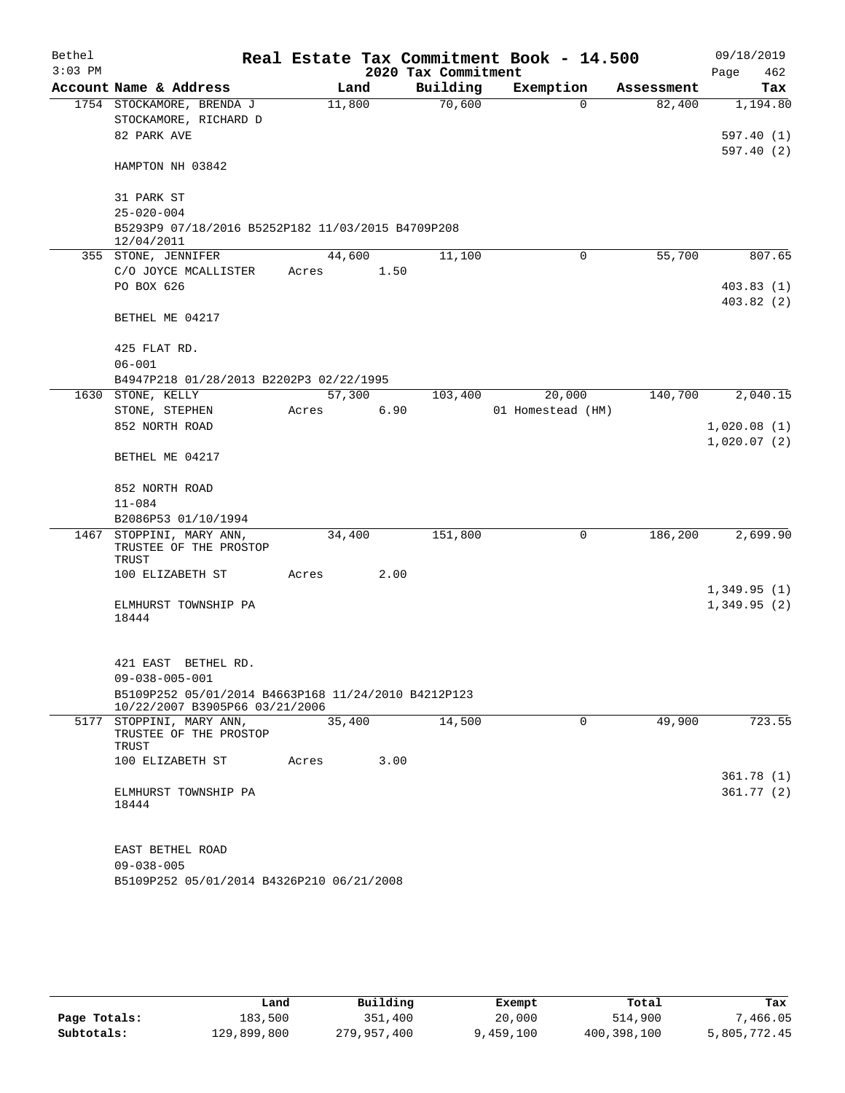| $3:03$ PM<br>2020 Tax Commitment<br>Page<br>462<br>Account Name & Address<br>Building<br>Exemption<br>Land<br>Assessment<br>Tax<br>70,600<br>1754 STOCKAMORE, BRENDA J<br>11,800<br>82,400<br>1,194.80<br>$\Omega$<br>STOCKAMORE, RICHARD D<br>82 PARK AVE<br>HAMPTON NH 03842<br>31 PARK ST<br>$25 - 020 - 004$<br>B5293P9 07/18/2016 B5252P182 11/03/2015 B4709P208<br>12/04/2011<br>11,100<br>55,700<br>355 STONE, JENNIFER<br>44,600<br>0<br>C/O JOYCE MCALLISTER<br>1.50<br>Acres<br>PO BOX 626<br>BETHEL ME 04217<br>425 FLAT RD.<br>$06 - 001$<br>B4947P218 01/28/2013 B2202P3 02/22/1995<br>57,300<br>140,700<br>1630 STONE, KELLY<br>103,400<br>20,000<br>2,040.15<br>6.90<br>01 Homestead (HM)<br>STONE, STEPHEN<br>Acres<br>852 NORTH ROAD<br>BETHEL ME 04217<br>852 NORTH ROAD<br>$11 - 084$<br>B2086P53 01/10/1994<br>186,200<br>1467 STOPPINI, MARY ANN,<br>34,400<br>151,800<br>0<br>2,699.90<br>TRUSTEE OF THE PROSTOP<br>TRUST<br>2.00<br>100 ELIZABETH ST<br>Acres<br>ELMHURST TOWNSHIP PA<br>18444<br>421 EAST<br>BETHEL RD.<br>$09 - 038 - 005 - 001$<br>B5109P252 05/01/2014 B4663P168 11/24/2010 B4212P123<br>10/22/2007 B3905P66 03/21/2006<br>5177 STOPPINI, MARY ANN,<br>35,400<br>14,500<br>49,900<br>723.55<br>0<br>TRUSTEE OF THE PROSTOP<br>TRUST<br>100 ELIZABETH ST<br>3.00<br>Acres<br>ELMHURST TOWNSHIP PA<br>18444<br>EAST BETHEL ROAD<br>$09 - 038 - 005$<br>B5109P252 05/01/2014 B4326P210 06/21/2008 | Bethel |  |  |  |  | Real Estate Tax Commitment Book - 14.500 |  | 09/18/2019 |  |
|-------------------------------------------------------------------------------------------------------------------------------------------------------------------------------------------------------------------------------------------------------------------------------------------------------------------------------------------------------------------------------------------------------------------------------------------------------------------------------------------------------------------------------------------------------------------------------------------------------------------------------------------------------------------------------------------------------------------------------------------------------------------------------------------------------------------------------------------------------------------------------------------------------------------------------------------------------------------------------------------------------------------------------------------------------------------------------------------------------------------------------------------------------------------------------------------------------------------------------------------------------------------------------------------------------------------------------------------------------------------------------------------------------------------------------------------|--------|--|--|--|--|------------------------------------------|--|------------|--|
| 597.40(1)<br>597.40(2)<br>807.65<br>403.83(1)<br>403.82(2)                                                                                                                                                                                                                                                                                                                                                                                                                                                                                                                                                                                                                                                                                                                                                                                                                                                                                                                                                                                                                                                                                                                                                                                                                                                                                                                                                                                |        |  |  |  |  |                                          |  |            |  |
|                                                                                                                                                                                                                                                                                                                                                                                                                                                                                                                                                                                                                                                                                                                                                                                                                                                                                                                                                                                                                                                                                                                                                                                                                                                                                                                                                                                                                                           |        |  |  |  |  |                                          |  |            |  |
|                                                                                                                                                                                                                                                                                                                                                                                                                                                                                                                                                                                                                                                                                                                                                                                                                                                                                                                                                                                                                                                                                                                                                                                                                                                                                                                                                                                                                                           |        |  |  |  |  |                                          |  |            |  |
|                                                                                                                                                                                                                                                                                                                                                                                                                                                                                                                                                                                                                                                                                                                                                                                                                                                                                                                                                                                                                                                                                                                                                                                                                                                                                                                                                                                                                                           |        |  |  |  |  |                                          |  |            |  |
|                                                                                                                                                                                                                                                                                                                                                                                                                                                                                                                                                                                                                                                                                                                                                                                                                                                                                                                                                                                                                                                                                                                                                                                                                                                                                                                                                                                                                                           |        |  |  |  |  |                                          |  |            |  |
|                                                                                                                                                                                                                                                                                                                                                                                                                                                                                                                                                                                                                                                                                                                                                                                                                                                                                                                                                                                                                                                                                                                                                                                                                                                                                                                                                                                                                                           |        |  |  |  |  |                                          |  |            |  |
|                                                                                                                                                                                                                                                                                                                                                                                                                                                                                                                                                                                                                                                                                                                                                                                                                                                                                                                                                                                                                                                                                                                                                                                                                                                                                                                                                                                                                                           |        |  |  |  |  |                                          |  |            |  |
|                                                                                                                                                                                                                                                                                                                                                                                                                                                                                                                                                                                                                                                                                                                                                                                                                                                                                                                                                                                                                                                                                                                                                                                                                                                                                                                                                                                                                                           |        |  |  |  |  |                                          |  |            |  |
|                                                                                                                                                                                                                                                                                                                                                                                                                                                                                                                                                                                                                                                                                                                                                                                                                                                                                                                                                                                                                                                                                                                                                                                                                                                                                                                                                                                                                                           |        |  |  |  |  |                                          |  |            |  |
|                                                                                                                                                                                                                                                                                                                                                                                                                                                                                                                                                                                                                                                                                                                                                                                                                                                                                                                                                                                                                                                                                                                                                                                                                                                                                                                                                                                                                                           |        |  |  |  |  |                                          |  |            |  |
|                                                                                                                                                                                                                                                                                                                                                                                                                                                                                                                                                                                                                                                                                                                                                                                                                                                                                                                                                                                                                                                                                                                                                                                                                                                                                                                                                                                                                                           |        |  |  |  |  |                                          |  |            |  |
|                                                                                                                                                                                                                                                                                                                                                                                                                                                                                                                                                                                                                                                                                                                                                                                                                                                                                                                                                                                                                                                                                                                                                                                                                                                                                                                                                                                                                                           |        |  |  |  |  |                                          |  |            |  |
|                                                                                                                                                                                                                                                                                                                                                                                                                                                                                                                                                                                                                                                                                                                                                                                                                                                                                                                                                                                                                                                                                                                                                                                                                                                                                                                                                                                                                                           |        |  |  |  |  |                                          |  |            |  |
|                                                                                                                                                                                                                                                                                                                                                                                                                                                                                                                                                                                                                                                                                                                                                                                                                                                                                                                                                                                                                                                                                                                                                                                                                                                                                                                                                                                                                                           |        |  |  |  |  |                                          |  |            |  |
|                                                                                                                                                                                                                                                                                                                                                                                                                                                                                                                                                                                                                                                                                                                                                                                                                                                                                                                                                                                                                                                                                                                                                                                                                                                                                                                                                                                                                                           |        |  |  |  |  |                                          |  |            |  |
|                                                                                                                                                                                                                                                                                                                                                                                                                                                                                                                                                                                                                                                                                                                                                                                                                                                                                                                                                                                                                                                                                                                                                                                                                                                                                                                                                                                                                                           |        |  |  |  |  |                                          |  |            |  |
|                                                                                                                                                                                                                                                                                                                                                                                                                                                                                                                                                                                                                                                                                                                                                                                                                                                                                                                                                                                                                                                                                                                                                                                                                                                                                                                                                                                                                                           |        |  |  |  |  |                                          |  |            |  |
| 1,020.08(1)<br>1,020.07(2)<br>1,349.95(1)<br>1,349.95(2)<br>361.78(1)<br>361.77(2)                                                                                                                                                                                                                                                                                                                                                                                                                                                                                                                                                                                                                                                                                                                                                                                                                                                                                                                                                                                                                                                                                                                                                                                                                                                                                                                                                        |        |  |  |  |  |                                          |  |            |  |
|                                                                                                                                                                                                                                                                                                                                                                                                                                                                                                                                                                                                                                                                                                                                                                                                                                                                                                                                                                                                                                                                                                                                                                                                                                                                                                                                                                                                                                           |        |  |  |  |  |                                          |  |            |  |
|                                                                                                                                                                                                                                                                                                                                                                                                                                                                                                                                                                                                                                                                                                                                                                                                                                                                                                                                                                                                                                                                                                                                                                                                                                                                                                                                                                                                                                           |        |  |  |  |  |                                          |  |            |  |
|                                                                                                                                                                                                                                                                                                                                                                                                                                                                                                                                                                                                                                                                                                                                                                                                                                                                                                                                                                                                                                                                                                                                                                                                                                                                                                                                                                                                                                           |        |  |  |  |  |                                          |  |            |  |
|                                                                                                                                                                                                                                                                                                                                                                                                                                                                                                                                                                                                                                                                                                                                                                                                                                                                                                                                                                                                                                                                                                                                                                                                                                                                                                                                                                                                                                           |        |  |  |  |  |                                          |  |            |  |
|                                                                                                                                                                                                                                                                                                                                                                                                                                                                                                                                                                                                                                                                                                                                                                                                                                                                                                                                                                                                                                                                                                                                                                                                                                                                                                                                                                                                                                           |        |  |  |  |  |                                          |  |            |  |
|                                                                                                                                                                                                                                                                                                                                                                                                                                                                                                                                                                                                                                                                                                                                                                                                                                                                                                                                                                                                                                                                                                                                                                                                                                                                                                                                                                                                                                           |        |  |  |  |  |                                          |  |            |  |
|                                                                                                                                                                                                                                                                                                                                                                                                                                                                                                                                                                                                                                                                                                                                                                                                                                                                                                                                                                                                                                                                                                                                                                                                                                                                                                                                                                                                                                           |        |  |  |  |  |                                          |  |            |  |
|                                                                                                                                                                                                                                                                                                                                                                                                                                                                                                                                                                                                                                                                                                                                                                                                                                                                                                                                                                                                                                                                                                                                                                                                                                                                                                                                                                                                                                           |        |  |  |  |  |                                          |  |            |  |
|                                                                                                                                                                                                                                                                                                                                                                                                                                                                                                                                                                                                                                                                                                                                                                                                                                                                                                                                                                                                                                                                                                                                                                                                                                                                                                                                                                                                                                           |        |  |  |  |  |                                          |  |            |  |
|                                                                                                                                                                                                                                                                                                                                                                                                                                                                                                                                                                                                                                                                                                                                                                                                                                                                                                                                                                                                                                                                                                                                                                                                                                                                                                                                                                                                                                           |        |  |  |  |  |                                          |  |            |  |
|                                                                                                                                                                                                                                                                                                                                                                                                                                                                                                                                                                                                                                                                                                                                                                                                                                                                                                                                                                                                                                                                                                                                                                                                                                                                                                                                                                                                                                           |        |  |  |  |  |                                          |  |            |  |
|                                                                                                                                                                                                                                                                                                                                                                                                                                                                                                                                                                                                                                                                                                                                                                                                                                                                                                                                                                                                                                                                                                                                                                                                                                                                                                                                                                                                                                           |        |  |  |  |  |                                          |  |            |  |
|                                                                                                                                                                                                                                                                                                                                                                                                                                                                                                                                                                                                                                                                                                                                                                                                                                                                                                                                                                                                                                                                                                                                                                                                                                                                                                                                                                                                                                           |        |  |  |  |  |                                          |  |            |  |
|                                                                                                                                                                                                                                                                                                                                                                                                                                                                                                                                                                                                                                                                                                                                                                                                                                                                                                                                                                                                                                                                                                                                                                                                                                                                                                                                                                                                                                           |        |  |  |  |  |                                          |  |            |  |
|                                                                                                                                                                                                                                                                                                                                                                                                                                                                                                                                                                                                                                                                                                                                                                                                                                                                                                                                                                                                                                                                                                                                                                                                                                                                                                                                                                                                                                           |        |  |  |  |  |                                          |  |            |  |
|                                                                                                                                                                                                                                                                                                                                                                                                                                                                                                                                                                                                                                                                                                                                                                                                                                                                                                                                                                                                                                                                                                                                                                                                                                                                                                                                                                                                                                           |        |  |  |  |  |                                          |  |            |  |
|                                                                                                                                                                                                                                                                                                                                                                                                                                                                                                                                                                                                                                                                                                                                                                                                                                                                                                                                                                                                                                                                                                                                                                                                                                                                                                                                                                                                                                           |        |  |  |  |  |                                          |  |            |  |
|                                                                                                                                                                                                                                                                                                                                                                                                                                                                                                                                                                                                                                                                                                                                                                                                                                                                                                                                                                                                                                                                                                                                                                                                                                                                                                                                                                                                                                           |        |  |  |  |  |                                          |  |            |  |
|                                                                                                                                                                                                                                                                                                                                                                                                                                                                                                                                                                                                                                                                                                                                                                                                                                                                                                                                                                                                                                                                                                                                                                                                                                                                                                                                                                                                                                           |        |  |  |  |  |                                          |  |            |  |
|                                                                                                                                                                                                                                                                                                                                                                                                                                                                                                                                                                                                                                                                                                                                                                                                                                                                                                                                                                                                                                                                                                                                                                                                                                                                                                                                                                                                                                           |        |  |  |  |  |                                          |  |            |  |
|                                                                                                                                                                                                                                                                                                                                                                                                                                                                                                                                                                                                                                                                                                                                                                                                                                                                                                                                                                                                                                                                                                                                                                                                                                                                                                                                                                                                                                           |        |  |  |  |  |                                          |  |            |  |
|                                                                                                                                                                                                                                                                                                                                                                                                                                                                                                                                                                                                                                                                                                                                                                                                                                                                                                                                                                                                                                                                                                                                                                                                                                                                                                                                                                                                                                           |        |  |  |  |  |                                          |  |            |  |
|                                                                                                                                                                                                                                                                                                                                                                                                                                                                                                                                                                                                                                                                                                                                                                                                                                                                                                                                                                                                                                                                                                                                                                                                                                                                                                                                                                                                                                           |        |  |  |  |  |                                          |  |            |  |
|                                                                                                                                                                                                                                                                                                                                                                                                                                                                                                                                                                                                                                                                                                                                                                                                                                                                                                                                                                                                                                                                                                                                                                                                                                                                                                                                                                                                                                           |        |  |  |  |  |                                          |  |            |  |
|                                                                                                                                                                                                                                                                                                                                                                                                                                                                                                                                                                                                                                                                                                                                                                                                                                                                                                                                                                                                                                                                                                                                                                                                                                                                                                                                                                                                                                           |        |  |  |  |  |                                          |  |            |  |
|                                                                                                                                                                                                                                                                                                                                                                                                                                                                                                                                                                                                                                                                                                                                                                                                                                                                                                                                                                                                                                                                                                                                                                                                                                                                                                                                                                                                                                           |        |  |  |  |  |                                          |  |            |  |
|                                                                                                                                                                                                                                                                                                                                                                                                                                                                                                                                                                                                                                                                                                                                                                                                                                                                                                                                                                                                                                                                                                                                                                                                                                                                                                                                                                                                                                           |        |  |  |  |  |                                          |  |            |  |
|                                                                                                                                                                                                                                                                                                                                                                                                                                                                                                                                                                                                                                                                                                                                                                                                                                                                                                                                                                                                                                                                                                                                                                                                                                                                                                                                                                                                                                           |        |  |  |  |  |                                          |  |            |  |
|                                                                                                                                                                                                                                                                                                                                                                                                                                                                                                                                                                                                                                                                                                                                                                                                                                                                                                                                                                                                                                                                                                                                                                                                                                                                                                                                                                                                                                           |        |  |  |  |  |                                          |  |            |  |
|                                                                                                                                                                                                                                                                                                                                                                                                                                                                                                                                                                                                                                                                                                                                                                                                                                                                                                                                                                                                                                                                                                                                                                                                                                                                                                                                                                                                                                           |        |  |  |  |  |                                          |  |            |  |

|              | Land        | Building    | Exempt    | Total       | Tax          |
|--------------|-------------|-------------|-----------|-------------|--------------|
| Page Totals: | 183,500     | 351,400     | 20,000    | 514,900     | .466.05      |
| Subtotals:   | 129,899,800 | 279,957,400 | 9,459,100 | 400,398,100 | 5,805,772.45 |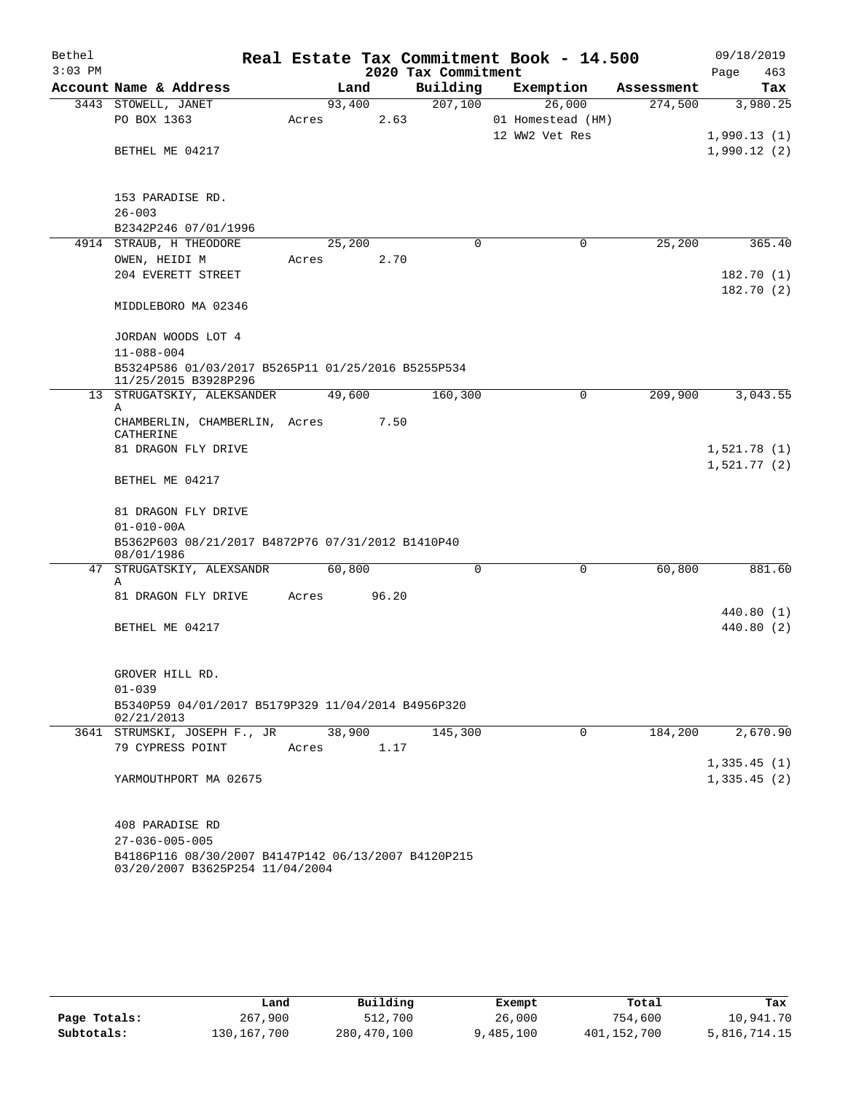| Bethel    |                                                                                        |                 |       |                     | Real Estate Tax Commitment Book - 14.500      |            | 09/18/2019                 |  |  |
|-----------|----------------------------------------------------------------------------------------|-----------------|-------|---------------------|-----------------------------------------------|------------|----------------------------|--|--|
| $3:03$ PM |                                                                                        |                 |       | 2020 Tax Commitment |                                               |            | 463<br>Page                |  |  |
|           | Account Name & Address                                                                 |                 | Land  | Building            | Exemption                                     | Assessment | Tax                        |  |  |
|           | 3443 STOWELL, JANET<br>PO BOX 1363                                                     | 93,400<br>Acres | 2.63  | 207,100             | 26,000<br>01 Homestead (HM)<br>12 WW2 Vet Res | 274,500    | 3,980.25<br>1,990.13(1)    |  |  |
|           | BETHEL ME 04217                                                                        |                 |       |                     |                                               |            | 1,990.12(2)                |  |  |
|           | 153 PARADISE RD.                                                                       |                 |       |                     |                                               |            |                            |  |  |
|           | $26 - 003$                                                                             |                 |       |                     |                                               |            |                            |  |  |
|           | B2342P246 07/01/1996<br>4914 STRAUB, H THEODORE                                        | 25,200          |       | $\Omega$            | 0                                             | 25,200     | 365.40                     |  |  |
|           | OWEN, HEIDI M                                                                          | Acres           | 2.70  |                     |                                               |            |                            |  |  |
|           | 204 EVERETT STREET                                                                     |                 |       |                     |                                               |            | 182.70 (1)<br>182.70(2)    |  |  |
|           | MIDDLEBORO MA 02346                                                                    |                 |       |                     |                                               |            |                            |  |  |
|           | JORDAN WOODS LOT 4                                                                     |                 |       |                     |                                               |            |                            |  |  |
|           | $11 - 088 - 004$<br>B5324P586 01/03/2017 B5265P11 01/25/2016 B5255P534                 |                 |       |                     |                                               |            |                            |  |  |
|           | 11/25/2015 B3928P296                                                                   |                 |       |                     |                                               |            |                            |  |  |
|           | 13 STRUGATSKIY, ALEKSANDER                                                             | 49,600          |       | 160,300             | $\mathbf 0$                                   | 209,900    | 3,043.55                   |  |  |
|           | Α<br>CHAMBERLIN, CHAMBERLIN, Acres<br>CATHERINE                                        |                 | 7.50  |                     |                                               |            |                            |  |  |
|           | 81 DRAGON FLY DRIVE                                                                    |                 |       |                     |                                               |            | 1,521.78(1)                |  |  |
|           | BETHEL ME 04217                                                                        |                 |       |                     |                                               |            | 1,521.77(2)                |  |  |
|           | 81 DRAGON FLY DRIVE<br>$01 - 010 - 00A$                                                |                 |       |                     |                                               |            |                            |  |  |
|           | B5362P603 08/21/2017 B4872P76 07/31/2012 B1410P40                                      |                 |       |                     |                                               |            |                            |  |  |
|           | 08/01/1986                                                                             | 60,800          |       | $\Omega$            | $\Omega$                                      | 60,800     | 881.60                     |  |  |
|           | 47 STRUGATSKIY, ALEXSANDR<br>Α<br>81 DRAGON FLY DRIVE                                  | Acres           | 96.20 |                     |                                               |            |                            |  |  |
|           |                                                                                        |                 |       |                     |                                               |            | 440.80 (1)                 |  |  |
|           | BETHEL ME 04217                                                                        |                 |       |                     |                                               |            | 440.80 (2)                 |  |  |
|           | GROVER HILL RD.                                                                        |                 |       |                     |                                               |            |                            |  |  |
|           | $01 - 039$                                                                             |                 |       |                     |                                               |            |                            |  |  |
|           | B5340P59 04/01/2017 B5179P329 11/04/2014 B4956P320<br>02/21/2013                       |                 |       |                     |                                               |            |                            |  |  |
|           | 3641 STRUMSKI, JOSEPH F., JR                                                           | 38,900          |       | 145,300             | $\mathbf 0$                                   | 184,200    | 2,670.90                   |  |  |
|           | 79 CYPRESS POINT                                                                       | Acres           | 1.17  |                     |                                               |            |                            |  |  |
|           | YARMOUTHPORT MA 02675                                                                  |                 |       |                     |                                               |            | 1,335.45(1)<br>1,335.45(2) |  |  |
|           | 408 PARADISE RD                                                                        |                 |       |                     |                                               |            |                            |  |  |
|           | $27 - 036 - 005 - 005$                                                                 |                 |       |                     |                                               |            |                            |  |  |
|           | B4186P116 08/30/2007 B4147P142 06/13/2007 B4120P215<br>03/20/2007 B3625P254 11/04/2004 |                 |       |                     |                                               |            |                            |  |  |

|              | Land          | Building    | Exempt    | Total       | Tax          |
|--------------|---------------|-------------|-----------|-------------|--------------|
| Page Totals: | 267,900       | 512,700     | 26,000    | 754,600     | 10,941.70    |
| Subtotals:   | 130, 167, 700 | 280,470,100 | 9,485,100 | 401,152,700 | 5,816,714.15 |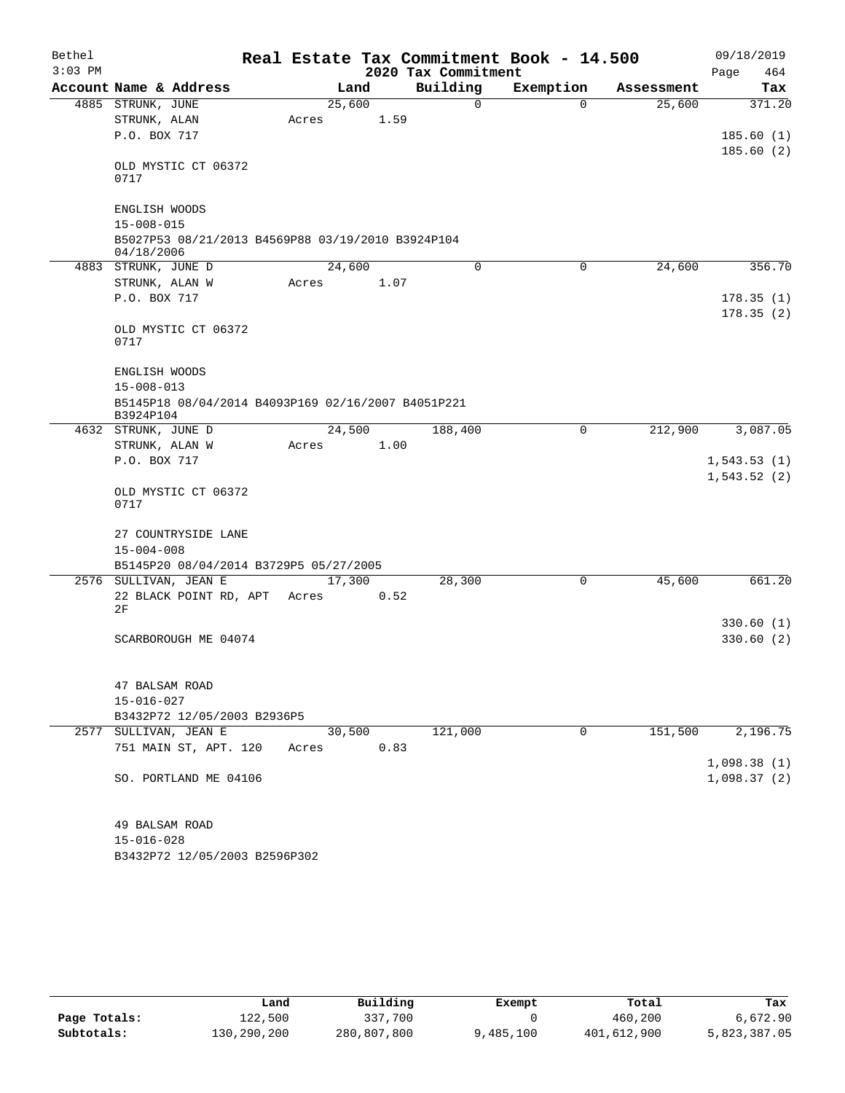| Bethel    |                                                                 |  |                 |      |                     | Real Estate Tax Commitment Book - 14.500 |            | 09/18/2019  |  |  |  |
|-----------|-----------------------------------------------------------------|--|-----------------|------|---------------------|------------------------------------------|------------|-------------|--|--|--|
| $3:03$ PM |                                                                 |  |                 |      | 2020 Tax Commitment |                                          |            | Page<br>464 |  |  |  |
|           | Account Name & Address                                          |  |                 | Land | Building            | Exemption                                | Assessment | Tax         |  |  |  |
|           | 4885 STRUNK, JUNE                                               |  | 25,600          |      | 0                   | 0                                        | 25,600     | 371.20      |  |  |  |
|           | STRUNK, ALAN                                                    |  | Acres           | 1.59 |                     |                                          |            |             |  |  |  |
|           | P.O. BOX 717                                                    |  |                 |      |                     |                                          |            | 185.60(1)   |  |  |  |
|           | OLD MYSTIC CT 06372<br>0717                                     |  |                 |      |                     |                                          |            | 185.60(2)   |  |  |  |
|           | ENGLISH WOODS                                                   |  |                 |      |                     |                                          |            |             |  |  |  |
|           | $15 - 008 - 015$                                                |  |                 |      |                     |                                          |            |             |  |  |  |
|           | B5027P53 08/21/2013 B4569P88 03/19/2010 B3924P104<br>04/18/2006 |  |                 |      |                     |                                          |            |             |  |  |  |
|           | 4883 STRUNK, JUNE D                                             |  | 24,600          |      | 0                   | 0                                        | 24,600     | 356.70      |  |  |  |
|           | STRUNK, ALAN W                                                  |  | Acres           | 1.07 |                     |                                          |            |             |  |  |  |
|           | P.O. BOX 717                                                    |  |                 |      |                     |                                          |            | 178.35(1)   |  |  |  |
|           | OLD MYSTIC CT 06372<br>0717                                     |  |                 |      |                     |                                          |            | 178.35(2)   |  |  |  |
|           | ENGLISH WOODS                                                   |  |                 |      |                     |                                          |            |             |  |  |  |
|           | $15 - 008 - 013$                                                |  |                 |      |                     |                                          |            |             |  |  |  |
|           | B5145P18 08/04/2014 B4093P169 02/16/2007 B4051P221<br>B3924P104 |  |                 |      |                     |                                          |            |             |  |  |  |
|           | 4632 STRUNK, JUNE D                                             |  | 24,500          |      | 188,400             | 0                                        | 212,900    | 3,087.05    |  |  |  |
|           | STRUNK, ALAN W                                                  |  | Acres           | 1.00 |                     |                                          |            |             |  |  |  |
|           | P.O. BOX 717                                                    |  |                 |      |                     |                                          |            | 1,543.53(1) |  |  |  |
|           | OLD MYSTIC CT 06372<br>0717                                     |  |                 |      |                     |                                          |            | 1,543.52(2) |  |  |  |
|           | 27 COUNTRYSIDE LANE<br>$15 - 004 - 008$                         |  |                 |      |                     |                                          |            |             |  |  |  |
|           | B5145P20 08/04/2014 B3729P5 05/27/2005                          |  |                 |      |                     |                                          |            |             |  |  |  |
|           | 2576 SULLIVAN, JEAN E                                           |  | 17,300<br>Acres |      | 28,300              | 0                                        | 45,600     | 661.20      |  |  |  |
|           | 22 BLACK POINT RD, APT<br>2F                                    |  |                 | 0.52 |                     |                                          |            |             |  |  |  |
|           |                                                                 |  |                 |      |                     |                                          |            | 330.60(1)   |  |  |  |
|           | SCARBOROUGH ME 04074                                            |  |                 |      |                     |                                          |            | 330.60(2)   |  |  |  |
|           | 47 BALSAM ROAD                                                  |  |                 |      |                     |                                          |            |             |  |  |  |
|           | $15 - 016 - 027$                                                |  |                 |      |                     |                                          |            |             |  |  |  |
|           | B3432P72 12/05/2003 B2936P5                                     |  |                 |      |                     |                                          |            |             |  |  |  |
|           | 2577 SULLIVAN, JEAN E                                           |  | 30,500          |      | 121,000             | 0                                        | 151,500    | 2,196.75    |  |  |  |
|           | 751 MAIN ST, APT. 120                                           |  | Acres           | 0.83 |                     |                                          |            |             |  |  |  |
|           |                                                                 |  |                 |      |                     |                                          |            | 1,098.38(1) |  |  |  |
|           | SO. PORTLAND ME 04106                                           |  |                 |      |                     |                                          |            | 1,098.37(2) |  |  |  |
|           | 49 BALSAM ROAD                                                  |  |                 |      |                     |                                          |            |             |  |  |  |
|           |                                                                 |  |                 |      |                     |                                          |            |             |  |  |  |

B3432P72 12/05/2003 B2596P302 15-016-028

|              | Land        | Building    | Exempt    | Total       | Tax          |
|--------------|-------------|-------------|-----------|-------------|--------------|
| Page Totals: | 122,500     | 337,700     |           | 460,200     | 6,672.90     |
| Subtotals:   | 130,290,200 | 280,807,800 | 9,485,100 | 401,612,900 | 5,823,387.05 |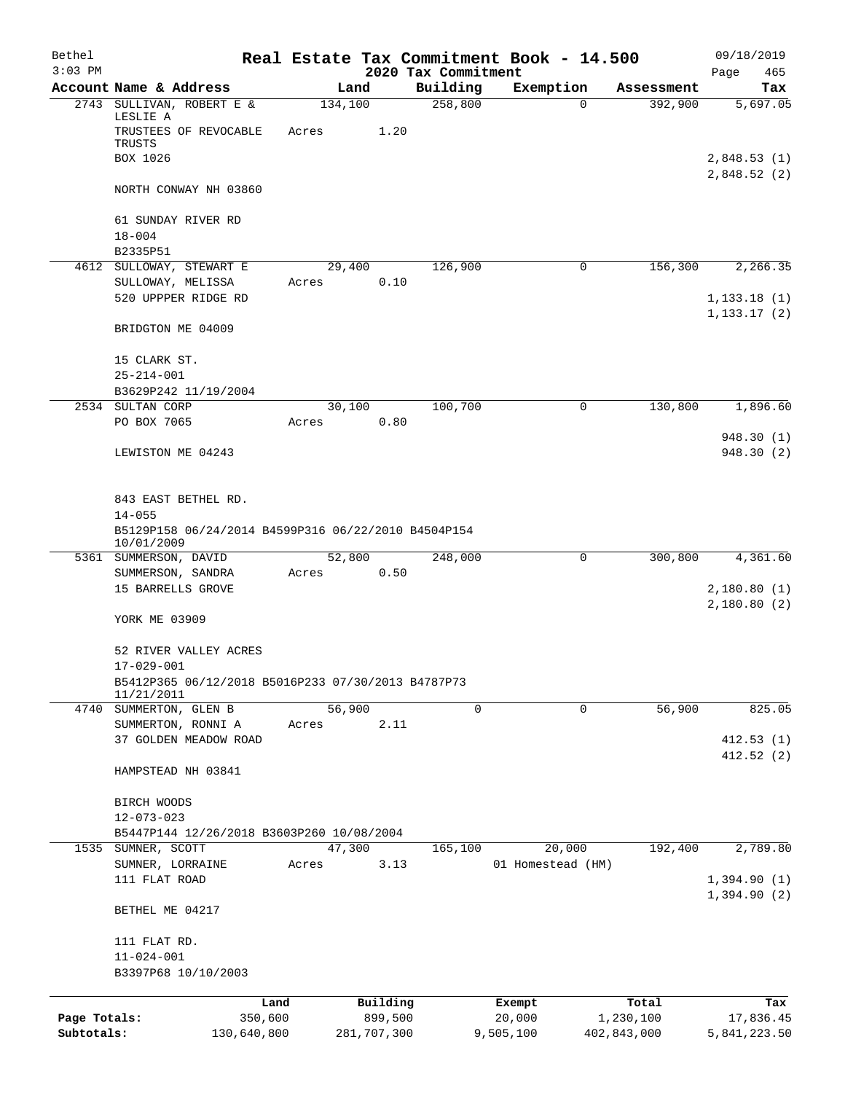| Bethel<br>$3:03$ PM |                                                                                 |       |                     | 2020 Tax Commitment | Real Estate Tax Commitment Book - 14.500 |                    | 09/18/2019<br>Page<br>465    |
|---------------------|---------------------------------------------------------------------------------|-------|---------------------|---------------------|------------------------------------------|--------------------|------------------------------|
|                     | Account Name & Address                                                          |       | Land                | Building            | Exemption                                | Assessment         | Tax                          |
|                     | 2743 SULLIVAN, ROBERT E &<br>LESLIE A<br>TRUSTEES OF REVOCABLE<br>TRUSTS        | Acres | 134,100<br>1.20     | 258,800             | 0                                        | 392,900            | 5,697.05                     |
|                     | BOX 1026                                                                        |       |                     |                     |                                          |                    | 2,848.53(1)<br>2,848.52(2)   |
|                     | NORTH CONWAY NH 03860                                                           |       |                     |                     |                                          |                    |                              |
|                     | 61 SUNDAY RIVER RD<br>$18 - 004$                                                |       |                     |                     |                                          |                    |                              |
|                     | B2335P51                                                                        |       |                     |                     |                                          |                    |                              |
|                     | 4612 SULLOWAY, STEWART E                                                        |       | 29,400              | 126,900             | 0                                        | 156,300            | 2,266.35                     |
|                     | SULLOWAY, MELISSA<br>520 UPPPER RIDGE RD                                        | Acres | 0.10                |                     |                                          |                    | 1, 133.18(1)<br>1, 133.17(2) |
|                     | BRIDGTON ME 04009                                                               |       |                     |                     |                                          |                    |                              |
|                     | 15 CLARK ST.<br>$25 - 214 - 001$                                                |       |                     |                     |                                          |                    |                              |
|                     | B3629P242 11/19/2004                                                            |       |                     |                     |                                          |                    |                              |
|                     | 2534 SULTAN CORP                                                                |       | 30,100              | 100,700             | 0                                        | 130,800            | 1,896.60                     |
|                     | PO BOX 7065                                                                     | Acres | 0.80                |                     |                                          |                    | 948.30 (1)                   |
|                     | LEWISTON ME 04243                                                               |       |                     |                     |                                          |                    | 948.30 (2)                   |
|                     | 843 EAST BETHEL RD.                                                             |       |                     |                     |                                          |                    |                              |
|                     | $14 - 055$<br>B5129P158 06/24/2014 B4599P316 06/22/2010 B4504P154<br>10/01/2009 |       |                     |                     |                                          |                    |                              |
|                     | 5361 SUMMERSON, DAVID                                                           |       | 52,800              | 248,000             | 0                                        | 300,800            | 4,361.60                     |
|                     | SUMMERSON, SANDRA<br>15 BARRELLS GROVE                                          | Acres | 0.50                |                     |                                          |                    | 2,180.80(1)                  |
|                     | YORK ME 03909                                                                   |       |                     |                     |                                          |                    | 2,180.80(2)                  |
|                     | 52 RIVER VALLEY ACRES<br>$17 - 029 - 001$                                       |       |                     |                     |                                          |                    |                              |
|                     | B5412P365 06/12/2018 B5016P233 07/30/2013 B4787P73<br>11/21/2011                |       |                     |                     |                                          |                    |                              |
|                     | 4740 SUMMERTON, GLEN B                                                          |       | 56,900              | 0                   | $\mathbf 0$                              | 56,900             | 825.05                       |
|                     | SUMMERTON, RONNI A                                                              | Acres | 2.11                |                     |                                          |                    |                              |
|                     | 37 GOLDEN MEADOW ROAD                                                           |       |                     |                     |                                          |                    | 412.53(1)<br>412.52(2)       |
|                     | HAMPSTEAD NH 03841                                                              |       |                     |                     |                                          |                    |                              |
|                     | BIRCH WOODS<br>$12 - 073 - 023$                                                 |       |                     |                     |                                          |                    |                              |
|                     | B5447P144 12/26/2018 B3603P260 10/08/2004                                       |       |                     |                     |                                          |                    |                              |
| 1535                | SUMNER, SCOTT                                                                   |       | 47,300              | 165,100             | 20,000                                   | 192,400            | 2,789.80                     |
|                     | SUMNER, LORRAINE                                                                | Acres | 3.13                |                     | 01 Homestead (HM)                        |                    |                              |
|                     | 111 FLAT ROAD                                                                   |       |                     |                     |                                          |                    | 1,394.90(1)<br>1,394.90(2)   |
|                     | BETHEL ME 04217                                                                 |       |                     |                     |                                          |                    |                              |
|                     | 111 FLAT RD.<br>$11 - 024 - 001$                                                |       |                     |                     |                                          |                    |                              |
|                     | B3397P68 10/10/2003                                                             |       |                     |                     |                                          |                    |                              |
| Page Totals:        | 350,600                                                                         | Land  | Building<br>899,500 |                     | Exempt<br>20,000                         | Total<br>1,230,100 | Tax<br>17,836.45             |
| Subtotals:          | 130,640,800                                                                     |       | 281,707,300         |                     | 9,505,100                                | 402,843,000        | 5,841,223.50                 |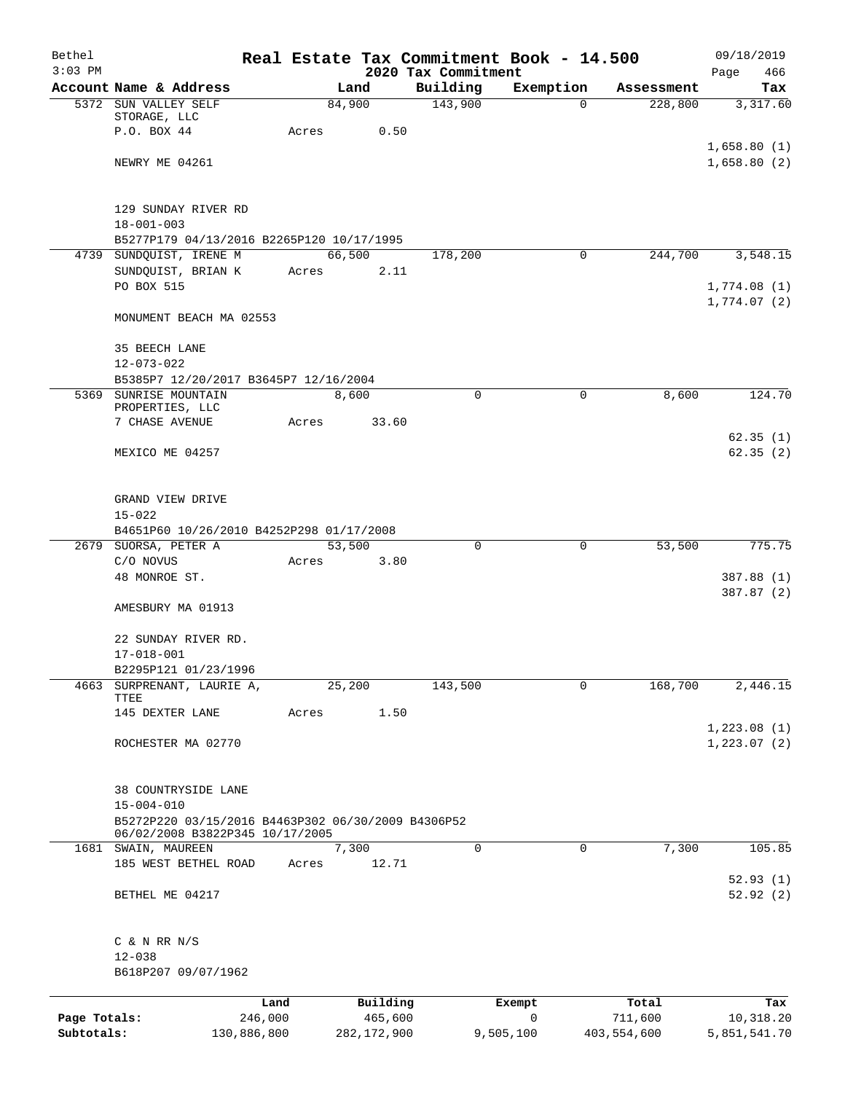| Bethel<br>$3:03$ PM |                                                        |       |                | 2020 Tax Commitment | Real Estate Tax Commitment Book - 14.500 |             | 09/18/2019<br>Page<br>466 |
|---------------------|--------------------------------------------------------|-------|----------------|---------------------|------------------------------------------|-------------|---------------------------|
|                     | Account Name & Address                                 |       | Land           | Building            | Exemption                                | Assessment  | Tax                       |
|                     | 5372 SUN VALLEY SELF                                   |       | 84,900         | 143,900             | $\Omega$                                 | 228,800     | 3,317.60                  |
|                     | STORAGE, LLC<br>P.O. BOX 44                            | Acres | 0.50           |                     |                                          |             |                           |
|                     |                                                        |       |                |                     |                                          |             | 1,658.80(1)               |
|                     | NEWRY ME 04261                                         |       |                |                     |                                          |             | 1,658.80(2)               |
|                     |                                                        |       |                |                     |                                          |             |                           |
|                     |                                                        |       |                |                     |                                          |             |                           |
|                     | 129 SUNDAY RIVER RD<br>$18 - 001 - 003$                |       |                |                     |                                          |             |                           |
|                     | B5277P179 04/13/2016 B2265P120 10/17/1995              |       |                |                     |                                          |             |                           |
|                     | 4739 SUNDQUIST, IRENE M                                |       | 66,500         | 178,200             | 0                                        | 244,700     | 3,548.15                  |
|                     | SUNDQUIST, BRIAN K                                     | Acres | 2.11           |                     |                                          |             |                           |
|                     | PO BOX 515                                             |       |                |                     |                                          |             | 1,774.08(1)               |
|                     | MONUMENT BEACH MA 02553                                |       |                |                     |                                          |             | 1,774.07(2)               |
|                     |                                                        |       |                |                     |                                          |             |                           |
|                     | 35 BEECH LANE                                          |       |                |                     |                                          |             |                           |
|                     | $12 - 073 - 022$                                       |       |                |                     |                                          |             |                           |
|                     | B5385P7 12/20/2017 B3645P7 12/16/2004                  |       |                | $\mathbf 0$         |                                          |             |                           |
|                     | 5369 SUNRISE MOUNTAIN<br>PROPERTIES, LLC               |       | 8,600          |                     | $\mathsf{O}$                             | 8,600       | 124.70                    |
|                     | 7 CHASE AVENUE                                         | Acres | 33.60          |                     |                                          |             |                           |
|                     |                                                        |       |                |                     |                                          |             | 62.35(1)                  |
|                     | MEXICO ME 04257                                        |       |                |                     |                                          |             | 62.35(2)                  |
|                     |                                                        |       |                |                     |                                          |             |                           |
|                     | GRAND VIEW DRIVE                                       |       |                |                     |                                          |             |                           |
|                     | $15 - 022$                                             |       |                |                     |                                          |             |                           |
|                     | B4651P60 10/26/2010 B4252P298 01/17/2008               |       |                |                     |                                          |             |                           |
|                     | 2679 SUORSA, PETER A<br>C/O NOVUS                      | Acres | 53,500<br>3.80 | $\mathbf 0$         | $\mathbf 0$                              | 53,500      | 775.75                    |
|                     | 48 MONROE ST.                                          |       |                |                     |                                          |             | 387.88 (1)                |
|                     |                                                        |       |                |                     |                                          |             | 387.87 (2)                |
|                     | AMESBURY MA 01913                                      |       |                |                     |                                          |             |                           |
|                     | 22 SUNDAY RIVER RD.                                    |       |                |                     |                                          |             |                           |
|                     | 17-018-001                                             |       |                |                     |                                          |             |                           |
|                     | B2295P121 01/23/1996                                   |       |                |                     |                                          |             |                           |
| 4663                | SURPRENANT, LAURIE A,                                  |       | 25,200         | 143,500             | $\mathbf 0$                              | 168,700     | 2,446.15                  |
|                     | TTEE<br>145 DEXTER LANE                                | Acres | 1.50           |                     |                                          |             |                           |
|                     |                                                        |       |                |                     |                                          |             | 1,223.08(1)               |
|                     | ROCHESTER MA 02770                                     |       |                |                     |                                          |             | 1, 223.07(2)              |
|                     |                                                        |       |                |                     |                                          |             |                           |
|                     | 38 COUNTRYSIDE LANE                                    |       |                |                     |                                          |             |                           |
|                     | $15 - 004 - 010$                                       |       |                |                     |                                          |             |                           |
|                     | B5272P220 03/15/2016 B4463P302 06/30/2009 B4306P52     |       |                |                     |                                          |             |                           |
|                     | 06/02/2008 B3822P345 10/17/2005<br>1681 SWAIN, MAUREEN |       | 7,300          | $\Omega$            | 0                                        | 7,300       | 105.85                    |
|                     | 185 WEST BETHEL ROAD                                   | Acres | 12.71          |                     |                                          |             |                           |
|                     |                                                        |       |                |                     |                                          |             | 52.93(1)                  |
|                     | BETHEL ME 04217                                        |       |                |                     |                                          |             | 52.92(2)                  |
|                     | $C$ & N RR N/S                                         |       |                |                     |                                          |             |                           |
|                     | $12 - 038$                                             |       |                |                     |                                          |             |                           |
|                     | B618P207 09/07/1962                                    |       |                |                     |                                          |             |                           |
|                     |                                                        |       | Building       |                     |                                          | Total       |                           |
| Page Totals:        | 246,000                                                | Land  | 465,600        |                     | Exempt<br>0                              | 711,600     | Tax<br>10,318.20          |
| Subtotals:          | 130,886,800                                            |       | 282, 172, 900  |                     | 9,505,100                                | 403,554,600 | 5,851,541.70              |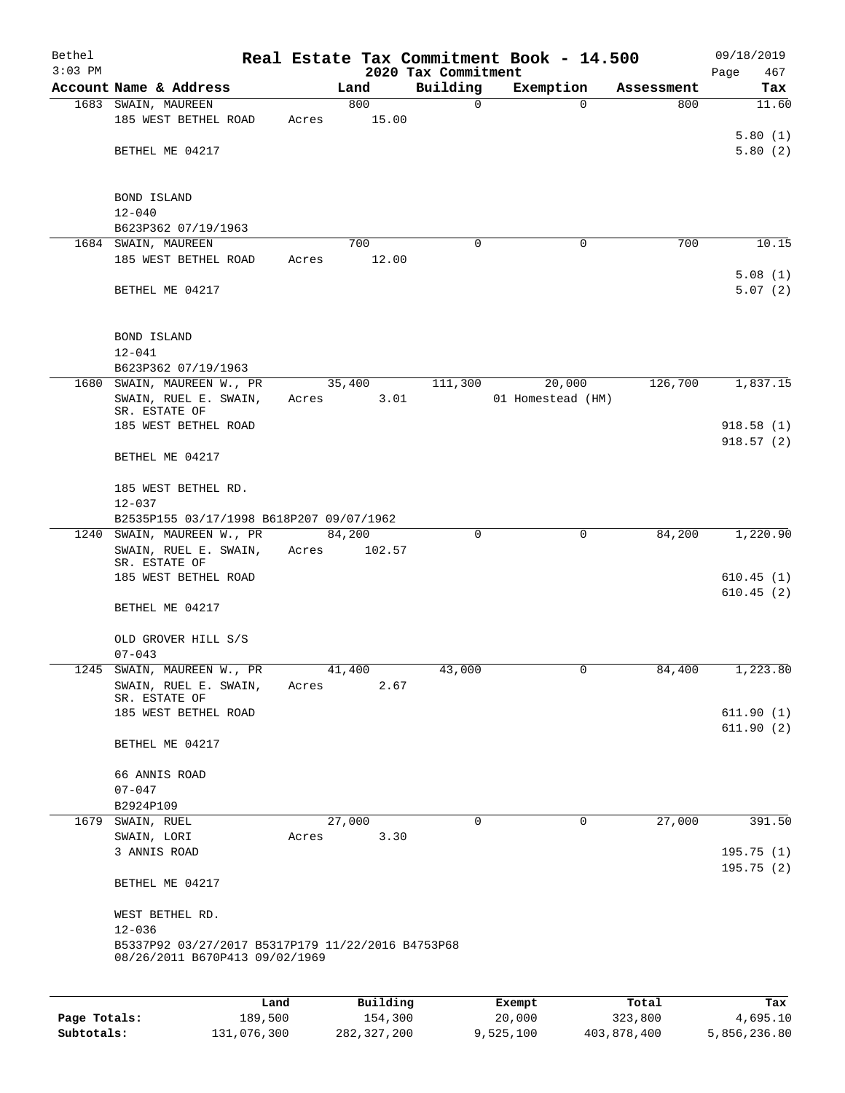| Bethel<br>$3:03$ PM |                                                                                     |        |          |                                 | Real Estate Tax Commitment Book - 14.500 |                   | 09/18/2019             |
|---------------------|-------------------------------------------------------------------------------------|--------|----------|---------------------------------|------------------------------------------|-------------------|------------------------|
|                     | Account Name & Address                                                              |        | Land     | 2020 Tax Commitment<br>Building |                                          |                   | Page<br>467            |
|                     |                                                                                     |        | 800      | 0                               | Exemption<br>$\mathbf 0$                 | Assessment<br>800 | Tax<br>11.60           |
|                     | 1683 SWAIN, MAUREEN<br>185 WEST BETHEL ROAD                                         | Acres  | 15.00    |                                 |                                          |                   |                        |
|                     |                                                                                     |        |          |                                 |                                          |                   | 5.80(1)                |
|                     | BETHEL ME 04217                                                                     |        |          |                                 |                                          |                   | 5.80(2)                |
|                     |                                                                                     |        |          |                                 |                                          |                   |                        |
|                     | BOND ISLAND                                                                         |        |          |                                 |                                          |                   |                        |
|                     | $12 - 040$                                                                          |        |          |                                 |                                          |                   |                        |
|                     | B623P362 07/19/1963                                                                 |        |          |                                 |                                          |                   |                        |
|                     | 1684 SWAIN, MAUREEN                                                                 |        | 700      | $\mathbf 0$                     | 0                                        | 700               | 10.15                  |
|                     | 185 WEST BETHEL ROAD                                                                | Acres  | 12.00    |                                 |                                          |                   |                        |
|                     |                                                                                     |        |          |                                 |                                          |                   | 5.08(1)                |
|                     | BETHEL ME 04217                                                                     |        |          |                                 |                                          |                   | 5.07(2)                |
|                     | <b>BOND ISLAND</b>                                                                  |        |          |                                 |                                          |                   |                        |
|                     | $12 - 041$                                                                          |        |          |                                 |                                          |                   |                        |
|                     | B623P362 07/19/1963                                                                 |        |          |                                 |                                          |                   |                        |
|                     | 1680 SWAIN, MAUREEN W., PR                                                          |        | 35,400   | 111,300                         | 20,000                                   | 126,700           | 1,837.15               |
|                     | SWAIN, RUEL E. SWAIN,                                                               | Acres  | 3.01     |                                 | 01 Homestead (HM)                        |                   |                        |
|                     | SR. ESTATE OF                                                                       |        |          |                                 |                                          |                   |                        |
|                     | 185 WEST BETHEL ROAD                                                                |        |          |                                 |                                          |                   | 918.58(1)              |
|                     |                                                                                     |        |          |                                 |                                          |                   | 918.57(2)              |
|                     | BETHEL ME 04217                                                                     |        |          |                                 |                                          |                   |                        |
|                     | 185 WEST BETHEL RD.                                                                 |        |          |                                 |                                          |                   |                        |
|                     | $12 - 037$                                                                          |        |          |                                 |                                          |                   |                        |
|                     | B2535P155 03/17/1998 B618P207 09/07/1962                                            |        |          |                                 |                                          |                   |                        |
| 1240                | SWAIN, MAUREEN W., PR                                                               |        | 84,200   | 0                               | 0                                        | 84,200            | 1,220.90               |
|                     | SWAIN, RUEL E. SWAIN,<br>SR. ESTATE OF                                              | Acres  | 102.57   |                                 |                                          |                   |                        |
|                     | 185 WEST BETHEL ROAD                                                                |        |          |                                 |                                          |                   | 610.45(1)              |
|                     |                                                                                     |        |          |                                 |                                          |                   | 610.45(2)              |
|                     | BETHEL ME 04217                                                                     |        |          |                                 |                                          |                   |                        |
|                     | OLD GROVER HILL S/S                                                                 |        |          |                                 |                                          |                   |                        |
|                     | $07 - 043$                                                                          |        |          |                                 |                                          |                   |                        |
|                     | 1245 SWAIN, MAUREEN W., PR                                                          | 41,400 |          | 43,000                          | 0                                        | 84,400            | 1,223.80               |
|                     | SWAIN, RUEL E. SWAIN,                                                               | Acres  | 2.67     |                                 |                                          |                   |                        |
|                     | SR. ESTATE OF                                                                       |        |          |                                 |                                          |                   |                        |
|                     | 185 WEST BETHEL ROAD                                                                |        |          |                                 |                                          |                   | 611.90(1)              |
|                     | BETHEL ME 04217                                                                     |        |          |                                 |                                          |                   | 611.90(2)              |
|                     |                                                                                     |        |          |                                 |                                          |                   |                        |
|                     | 66 ANNIS ROAD                                                                       |        |          |                                 |                                          |                   |                        |
|                     | $07 - 047$                                                                          |        |          |                                 |                                          |                   |                        |
|                     | B2924P109                                                                           |        |          |                                 |                                          |                   |                        |
|                     | 1679 SWAIN, RUEL                                                                    |        | 27,000   | $\mathbf 0$                     | 0                                        | 27,000            | 391.50                 |
|                     | SWAIN, LORI                                                                         | Acres  | 3.30     |                                 |                                          |                   |                        |
|                     | 3 ANNIS ROAD                                                                        |        |          |                                 |                                          |                   | 195.75(1)<br>195.75(2) |
|                     | BETHEL ME 04217                                                                     |        |          |                                 |                                          |                   |                        |
|                     | WEST BETHEL RD.                                                                     |        |          |                                 |                                          |                   |                        |
|                     | $12 - 036$                                                                          |        |          |                                 |                                          |                   |                        |
|                     | B5337P92 03/27/2017 B5317P179 11/22/2016 B4753P68<br>08/26/2011 B670P413 09/02/1969 |        |          |                                 |                                          |                   |                        |
|                     |                                                                                     |        |          |                                 |                                          |                   |                        |
|                     | Land                                                                                |        | Building |                                 | Exempt                                   | Total             | Tax                    |

|              | Land        | Building    | Exempt    | Total       | Tax          |
|--------------|-------------|-------------|-----------|-------------|--------------|
| Page Totals: | 189,500     | 154,300     | 20,000    | 323,800     | 4,695.10     |
| Subtotals:   | 131,076,300 | 282,327,200 | 9,525,100 | 403,878,400 | 5,856,236.80 |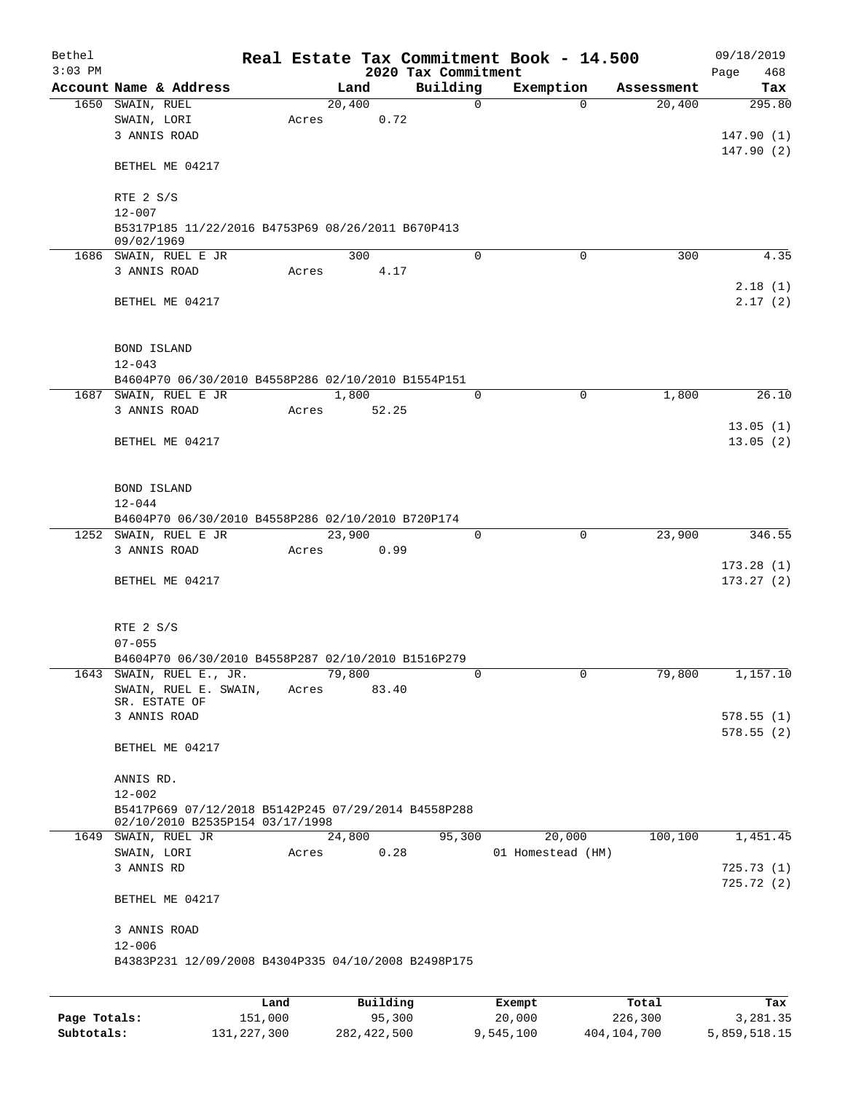| Bethel<br>$3:03$ PM |                                                     |         |          | 2020 Tax Commitment | Real Estate Tax Commitment Book - 14.500 |            | 09/18/2019<br>468<br>Page |
|---------------------|-----------------------------------------------------|---------|----------|---------------------|------------------------------------------|------------|---------------------------|
|                     | Account Name & Address                              |         | Land     | Building            | Exemption                                | Assessment | Tax                       |
|                     | 1650 SWAIN, RUEL                                    |         | 20,400   | $\mathbf 0$         | $\Omega$                                 | 20,400     | 295.80                    |
|                     | SWAIN, LORI                                         | Acres   | 0.72     |                     |                                          |            |                           |
|                     | 3 ANNIS ROAD                                        |         |          |                     |                                          |            | 147.90(1)                 |
|                     |                                                     |         |          |                     |                                          |            | 147.90(2)                 |
|                     | BETHEL ME 04217                                     |         |          |                     |                                          |            |                           |
|                     |                                                     |         |          |                     |                                          |            |                           |
|                     | RTE 2 S/S                                           |         |          |                     |                                          |            |                           |
|                     | $12 - 007$                                          |         |          |                     |                                          |            |                           |
|                     | B5317P185 11/22/2016 B4753P69 08/26/2011 B670P413   |         |          |                     |                                          |            |                           |
|                     | 09/02/1969                                          |         | 300      | $\Omega$            | 0                                        | 300        | 4.35                      |
|                     | 1686 SWAIN, RUEL E JR<br>3 ANNIS ROAD               |         | 4.17     |                     |                                          |            |                           |
|                     |                                                     | Acres   |          |                     |                                          |            | 2.18(1)                   |
|                     | BETHEL ME 04217                                     |         |          |                     |                                          |            | 2.17(2)                   |
|                     |                                                     |         |          |                     |                                          |            |                           |
|                     |                                                     |         |          |                     |                                          |            |                           |
|                     | <b>BOND ISLAND</b>                                  |         |          |                     |                                          |            |                           |
|                     | $12 - 043$                                          |         |          |                     |                                          |            |                           |
|                     | B4604P70 06/30/2010 B4558P286 02/10/2010 B1554P151  |         |          |                     |                                          |            |                           |
|                     | 1687 SWAIN, RUEL E JR                               |         | 1,800    | $\mathbf 0$         | $\mathbf 0$                              | 1,800      | 26.10                     |
|                     | 3 ANNIS ROAD                                        | Acres   | 52.25    |                     |                                          |            |                           |
|                     |                                                     |         |          |                     |                                          |            | 13.05(1)                  |
|                     | BETHEL ME 04217                                     |         |          |                     |                                          |            | 13.05(2)                  |
|                     |                                                     |         |          |                     |                                          |            |                           |
|                     |                                                     |         |          |                     |                                          |            |                           |
|                     | BOND ISLAND                                         |         |          |                     |                                          |            |                           |
|                     | $12 - 044$                                          |         |          |                     |                                          |            |                           |
|                     | B4604P70 06/30/2010 B4558P286 02/10/2010 B720P174   |         |          |                     |                                          |            |                           |
|                     | 1252 SWAIN, RUEL E JR                               |         | 23,900   | $\mathbf 0$         | $\mathbf 0$                              | 23,900     | 346.55                    |
|                     | 3 ANNIS ROAD                                        | Acres   | 0.99     |                     |                                          |            |                           |
|                     |                                                     |         |          |                     |                                          |            | 173.28(1)                 |
|                     | BETHEL ME 04217                                     |         |          |                     |                                          |            | 173.27(2)                 |
|                     |                                                     |         |          |                     |                                          |            |                           |
|                     |                                                     |         |          |                     |                                          |            |                           |
|                     | RTE 2 S/S                                           |         |          |                     |                                          |            |                           |
|                     | $07 - 055$                                          |         |          |                     |                                          |            |                           |
|                     | B4604P70 06/30/2010 B4558P287 02/10/2010 B1516P279  |         |          |                     |                                          |            |                           |
| 1643                | SWAIN, RUEL E., JR.                                 |         | 79,800   | 0                   | 0                                        | 79,800     | 1,157.10                  |
|                     | SWAIN, RUEL E. SWAIN,<br>SR. ESTATE OF              | Acres   | 83.40    |                     |                                          |            |                           |
|                     | 3 ANNIS ROAD                                        |         |          |                     |                                          |            | 578.55(1)                 |
|                     |                                                     |         |          |                     |                                          |            | 578.55(2)                 |
|                     | BETHEL ME 04217                                     |         |          |                     |                                          |            |                           |
|                     |                                                     |         |          |                     |                                          |            |                           |
|                     | ANNIS RD.                                           |         |          |                     |                                          |            |                           |
|                     | $12 - 002$                                          |         |          |                     |                                          |            |                           |
|                     | B5417P669 07/12/2018 B5142P245 07/29/2014 B4558P288 |         |          |                     |                                          |            |                           |
|                     | 02/10/2010 B2535P154 03/17/1998                     |         |          |                     |                                          |            |                           |
|                     | 1649 SWAIN, RUEL JR                                 |         | 24,800   | 95,300              | 20,000                                   | 100,100    | 1,451.45                  |
|                     | SWAIN, LORI                                         | Acres   | 0.28     |                     | 01 Homestead (HM)                        |            |                           |
|                     | 3 ANNIS RD                                          |         |          |                     |                                          |            | 725.73(1)                 |
|                     |                                                     |         |          |                     |                                          |            | 725.72(2)                 |
|                     | BETHEL ME 04217                                     |         |          |                     |                                          |            |                           |
|                     | 3 ANNIS ROAD                                        |         |          |                     |                                          |            |                           |
|                     | $12 - 006$                                          |         |          |                     |                                          |            |                           |
|                     | B4383P231 12/09/2008 B4304P335 04/10/2008 B2498P175 |         |          |                     |                                          |            |                           |
|                     |                                                     |         |          |                     |                                          |            |                           |
|                     |                                                     |         |          |                     |                                          |            |                           |
|                     |                                                     | Land    | Building |                     | Exempt                                   | Total      | Tax                       |
| Page Totals:        |                                                     | 151,000 | 95,300   |                     | 20,000                                   | 226,300    | 3,281.35                  |

**Subtotals:** 131,227,300 282,422,500 9,545,100 404,104,700 5,859,518.15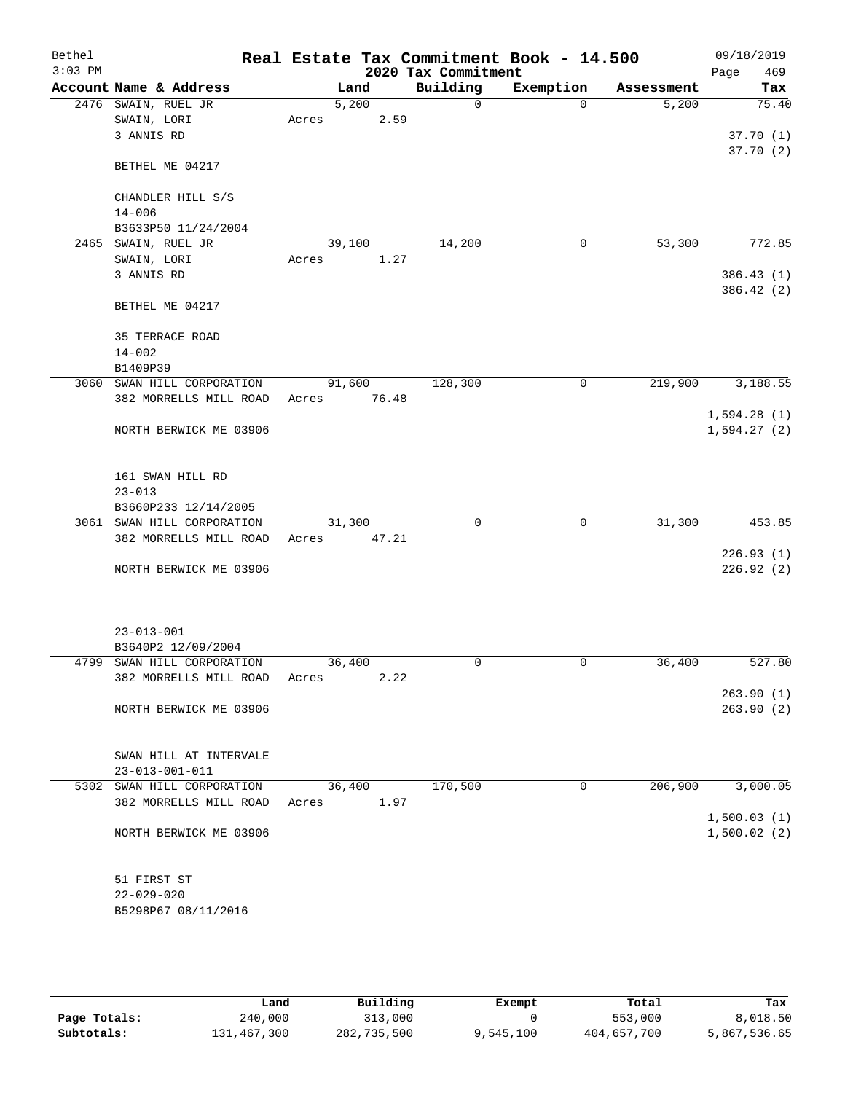| Bethel    |                            |       |        |       |                     | Real Estate Tax Commitment Book - 14.500 |            | 09/18/2019  |
|-----------|----------------------------|-------|--------|-------|---------------------|------------------------------------------|------------|-------------|
| $3:03$ PM |                            |       |        |       | 2020 Tax Commitment |                                          |            | 469<br>Page |
|           | Account Name & Address     |       | Land   |       | Building            | Exemption                                | Assessment | Tax         |
|           | 2476 SWAIN, RUEL JR        |       | 5,200  |       | $\Omega$            | $\Omega$                                 | 5,200      | 75.40       |
|           | SWAIN, LORI                | Acres |        | 2.59  |                     |                                          |            |             |
|           | 3 ANNIS RD                 |       |        |       |                     |                                          |            | 37.70(1)    |
|           |                            |       |        |       |                     |                                          |            | 37.70(2)    |
|           | BETHEL ME 04217            |       |        |       |                     |                                          |            |             |
|           |                            |       |        |       |                     |                                          |            |             |
|           | CHANDLER HILL S/S          |       |        |       |                     |                                          |            |             |
|           | $14 - 006$                 |       |        |       |                     |                                          |            |             |
|           | B3633P50 11/24/2004        |       |        |       |                     |                                          |            |             |
|           | 2465 SWAIN, RUEL JR        |       | 39,100 |       | 14,200              | 0                                        | 53,300     | 772.85      |
|           | SWAIN, LORI                | Acres |        | 1.27  |                     |                                          |            |             |
|           | 3 ANNIS RD                 |       |        |       |                     |                                          |            | 386.43(1)   |
|           |                            |       |        |       |                     |                                          |            | 386.42 (2)  |
|           | BETHEL ME 04217            |       |        |       |                     |                                          |            |             |
|           |                            |       |        |       |                     |                                          |            |             |
|           | <b>35 TERRACE ROAD</b>     |       |        |       |                     |                                          |            |             |
|           | $14 - 002$                 |       |        |       |                     |                                          |            |             |
|           | B1409P39                   |       |        |       |                     |                                          |            |             |
|           | 3060 SWAN HILL CORPORATION |       | 91,600 |       | 128,300             | $\mathbf 0$                              | 219,900    | 3,188.55    |
|           | 382 MORRELLS MILL ROAD     | Acres |        | 76.48 |                     |                                          |            |             |
|           |                            |       |        |       |                     |                                          |            | 1,594.28(1) |
|           | NORTH BERWICK ME 03906     |       |        |       |                     |                                          |            | 1,594.27(2) |
|           |                            |       |        |       |                     |                                          |            |             |
|           |                            |       |        |       |                     |                                          |            |             |
|           | 161 SWAN HILL RD           |       |        |       |                     |                                          |            |             |
|           | $23 - 013$                 |       |        |       |                     |                                          |            |             |
|           | B3660P233 12/14/2005       |       |        |       |                     |                                          |            |             |
|           | 3061 SWAN HILL CORPORATION |       | 31,300 |       | 0                   | 0                                        | 31,300     | 453.85      |
|           | 382 MORRELLS MILL ROAD     | Acres |        | 47.21 |                     |                                          |            |             |
|           |                            |       |        |       |                     |                                          |            | 226.93(1)   |
|           | NORTH BERWICK ME 03906     |       |        |       |                     |                                          |            | 226.92(2)   |
|           |                            |       |        |       |                     |                                          |            |             |
|           |                            |       |        |       |                     |                                          |            |             |
|           |                            |       |        |       |                     |                                          |            |             |
|           | $23 - 013 - 001$           |       |        |       |                     |                                          |            |             |
|           | B3640P2 12/09/2004         |       |        |       |                     |                                          |            |             |
| 4799      | SWAN HILL CORPORATION      |       | 36,400 |       | $\mathbf 0$         | $\mathbf 0$                              | 36,400     | 527.80      |
|           | 382 MORRELLS MILL ROAD     | Acres |        | 2.22  |                     |                                          |            |             |
|           |                            |       |        |       |                     |                                          |            | 263.90(1)   |
|           | NORTH BERWICK ME 03906     |       |        |       |                     |                                          |            | 263.90(2)   |
|           |                            |       |        |       |                     |                                          |            |             |
|           |                            |       |        |       |                     |                                          |            |             |
|           | SWAN HILL AT INTERVALE     |       |        |       |                     |                                          |            |             |
|           | $23 - 013 - 001 - 011$     |       |        |       |                     |                                          |            |             |
|           | 5302 SWAN HILL CORPORATION |       | 36,400 |       | 170,500             | 0                                        | 206,900    | 3,000.05    |
|           | 382 MORRELLS MILL ROAD     | Acres |        | 1.97  |                     |                                          |            |             |
|           |                            |       |        |       |                     |                                          |            | 1,500.03(1) |
|           | NORTH BERWICK ME 03906     |       |        |       |                     |                                          |            | 1,500.02(2) |
|           |                            |       |        |       |                     |                                          |            |             |
|           |                            |       |        |       |                     |                                          |            |             |
|           | 51 FIRST ST                |       |        |       |                     |                                          |            |             |
|           | $22 - 029 - 020$           |       |        |       |                     |                                          |            |             |
|           | B5298P67 08/11/2016        |       |        |       |                     |                                          |            |             |
|           |                            |       |        |       |                     |                                          |            |             |

|              | Land        | Building    | Exempt    | Total       | Tax          |
|--------------|-------------|-------------|-----------|-------------|--------------|
| Page Totals: | 240,000     | 313,000     |           | 553,000     | 8,018.50     |
| Subtotals:   | 131,467,300 | 282,735,500 | 9,545,100 | 404,657,700 | 5,867,536.65 |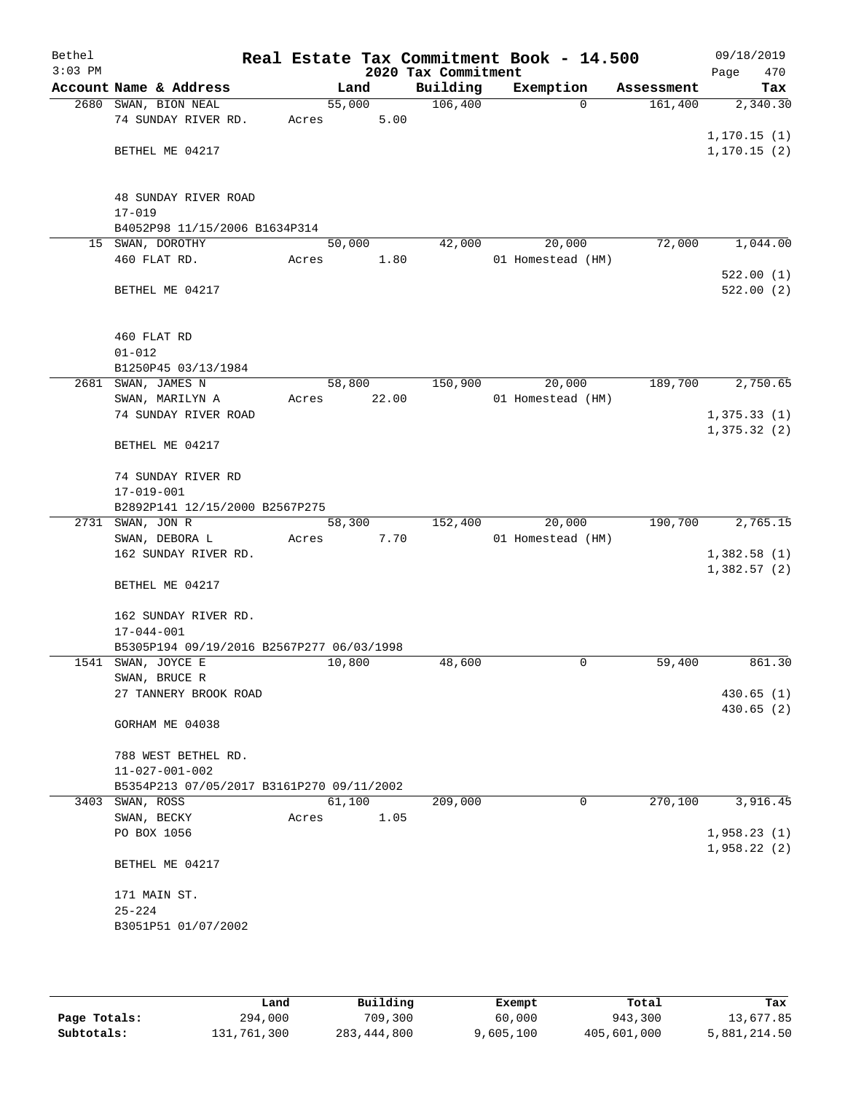| Bethel<br>$3:03$ PM |                                                              |        |                | 2020 Tax Commitment | Real Estate Tax Commitment Book - 14.500 |            | 09/18/2019<br>470<br>Page |
|---------------------|--------------------------------------------------------------|--------|----------------|---------------------|------------------------------------------|------------|---------------------------|
|                     | Account Name & Address                                       |        | Land           | Building            | Exemption                                | Assessment | Tax                       |
|                     | 2680 SWAN, BION NEAL                                         | 55,000 |                | 106,400             | $\Omega$                                 | 161,400    | 2,340.30                  |
|                     | 74 SUNDAY RIVER RD.                                          | Acres  | 5.00           |                     |                                          |            |                           |
|                     |                                                              |        |                |                     |                                          |            | 1, 170.15(1)              |
|                     | BETHEL ME 04217                                              |        |                |                     |                                          |            | 1, 170.15(2)              |
|                     |                                                              |        |                |                     |                                          |            |                           |
|                     |                                                              |        |                |                     |                                          |            |                           |
|                     | 48 SUNDAY RIVER ROAD                                         |        |                |                     |                                          |            |                           |
|                     | $17 - 019$<br>B4052P98 11/15/2006 B1634P314                  |        |                |                     |                                          |            |                           |
|                     | 15 SWAN, DOROTHY                                             | 50,000 |                | 42,000              | 20,000                                   | 72,000     | 1,044.00                  |
|                     | 460 FLAT RD.                                                 | Acres  | 1.80           |                     | 01 Homestead (HM)                        |            |                           |
|                     |                                                              |        |                |                     |                                          |            | 522.00(1)                 |
|                     | BETHEL ME 04217                                              |        |                |                     |                                          |            | 522.00(2)                 |
|                     |                                                              |        |                |                     |                                          |            |                           |
|                     |                                                              |        |                |                     |                                          |            |                           |
|                     | 460 FLAT RD                                                  |        |                |                     |                                          |            |                           |
|                     | $01 - 012$                                                   |        |                |                     |                                          |            |                           |
|                     | B1250P45 03/13/1984                                          |        |                |                     |                                          |            |                           |
|                     | 2681 SWAN, JAMES N                                           |        | 58,800         | 150,900             | 20,000                                   | 189,700    | 2,750.65                  |
|                     | SWAN, MARILYN A                                              | Acres  | 22.00          |                     | 01 Homestead (HM)                        |            |                           |
|                     | 74 SUNDAY RIVER ROAD                                         |        |                |                     |                                          |            | 1,375.33(1)               |
|                     |                                                              |        |                |                     |                                          |            | 1,375.32(2)               |
|                     | BETHEL ME 04217                                              |        |                |                     |                                          |            |                           |
|                     |                                                              |        |                |                     |                                          |            |                           |
|                     | 74 SUNDAY RIVER RD                                           |        |                |                     |                                          |            |                           |
|                     | $17 - 019 - 001$                                             |        |                |                     |                                          |            |                           |
|                     | B2892P141 12/15/2000 B2567P275<br>2731 SWAN, JON R           |        |                |                     |                                          | 190,700    | 2,765.15                  |
|                     | SWAN, DEBORA L                                               | Acres  | 58,300<br>7.70 | 152,400             | 20,000<br>01 Homestead (HM)              |            |                           |
|                     | 162 SUNDAY RIVER RD.                                         |        |                |                     |                                          |            | 1,382.58(1)               |
|                     |                                                              |        |                |                     |                                          |            | 1,382.57(2)               |
|                     | BETHEL ME 04217                                              |        |                |                     |                                          |            |                           |
|                     |                                                              |        |                |                     |                                          |            |                           |
|                     | 162 SUNDAY RIVER RD.                                         |        |                |                     |                                          |            |                           |
|                     | $17 - 044 - 001$                                             |        |                |                     |                                          |            |                           |
|                     | B5305P194 09/19/2016 B2567P277 06/03/1998                    |        |                |                     |                                          |            |                           |
|                     | 1541 SWAN, JOYCE E                                           | 10,800 |                | 48,600              | 0                                        | 59,400     | 861.30                    |
|                     | SWAN, BRUCE R                                                |        |                |                     |                                          |            |                           |
|                     | 27 TANNERY BROOK ROAD                                        |        |                |                     |                                          |            | 430.65(1)                 |
|                     |                                                              |        |                |                     |                                          |            | 430.65(2)                 |
|                     | GORHAM ME 04038                                              |        |                |                     |                                          |            |                           |
|                     |                                                              |        |                |                     |                                          |            |                           |
|                     | 788 WEST BETHEL RD.                                          |        |                |                     |                                          |            |                           |
|                     | $11 - 027 - 001 - 002$                                       |        |                |                     |                                          |            |                           |
|                     | B5354P213 07/05/2017 B3161P270 09/11/2002<br>3403 SWAN, ROSS | 61,100 |                | 209,000             | $\mathbf 0$                              | 270,100    | 3,916.45                  |
|                     | SWAN, BECKY                                                  | Acres  | 1.05           |                     |                                          |            |                           |
|                     | PO BOX 1056                                                  |        |                |                     |                                          |            | 1,958.23(1)               |
|                     |                                                              |        |                |                     |                                          |            | 1,958.22(2)               |
|                     | BETHEL ME 04217                                              |        |                |                     |                                          |            |                           |
|                     |                                                              |        |                |                     |                                          |            |                           |
|                     | 171 MAIN ST.                                                 |        |                |                     |                                          |            |                           |
|                     | $25 - 224$                                                   |        |                |                     |                                          |            |                           |
|                     | B3051P51 01/07/2002                                          |        |                |                     |                                          |            |                           |
|                     |                                                              |        |                |                     |                                          |            |                           |
|                     |                                                              |        |                |                     |                                          |            |                           |

|              | Land        | Building    | Exempt    | Total       | Tax          |
|--------------|-------------|-------------|-----------|-------------|--------------|
| Page Totals: | 294,000     | 709,300     | 60,000    | 943,300     | 13,677.85    |
| Subtotals:   | 131,761,300 | 283,444,800 | 9,605,100 | 405,601,000 | 5,881,214.50 |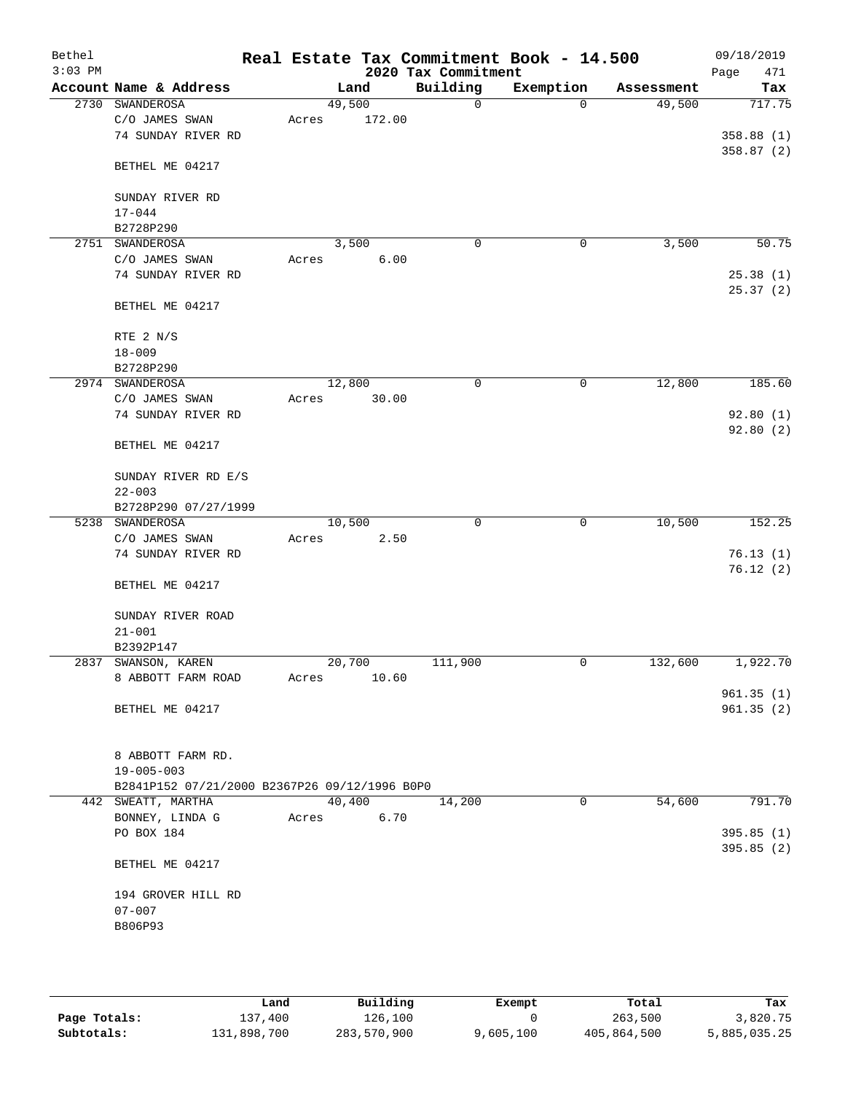| Bethel<br>$3:03$ PM |                                               |       |        | 2020 Tax Commitment | Real Estate Tax Commitment Book - 14.500 |            | 09/18/2019<br>Page<br>471 |
|---------------------|-----------------------------------------------|-------|--------|---------------------|------------------------------------------|------------|---------------------------|
|                     | Account Name & Address                        |       | Land   | Building            | Exemption                                | Assessment | Tax                       |
| 2730                | SWANDEROSA                                    |       | 49,500 | $\mathbf 0$         | $\Omega$                                 | 49,500     | 717.75                    |
|                     | C/O JAMES SWAN                                | Acres | 172.00 |                     |                                          |            |                           |
|                     | 74 SUNDAY RIVER RD                            |       |        |                     |                                          |            | 358.88(1)                 |
|                     |                                               |       |        |                     |                                          |            | 358.87(2)                 |
|                     | BETHEL ME 04217                               |       |        |                     |                                          |            |                           |
|                     |                                               |       |        |                     |                                          |            |                           |
|                     | SUNDAY RIVER RD                               |       |        |                     |                                          |            |                           |
|                     | $17 - 044$                                    |       |        |                     |                                          |            |                           |
|                     | B2728P290                                     |       |        |                     |                                          |            |                           |
| 2751                | SWANDEROSA                                    |       | 3,500  | $\mathbf 0$         | 0                                        | 3,500      | 50.75                     |
|                     | C/O JAMES SWAN                                | Acres | 6.00   |                     |                                          |            |                           |
|                     | 74 SUNDAY RIVER RD                            |       |        |                     |                                          |            | 25.38(1)                  |
|                     |                                               |       |        |                     |                                          |            | 25.37(2)                  |
|                     | BETHEL ME 04217                               |       |        |                     |                                          |            |                           |
|                     |                                               |       |        |                     |                                          |            |                           |
|                     | RTE 2 N/S                                     |       |        |                     |                                          |            |                           |
|                     | $18 - 009$                                    |       |        |                     |                                          |            |                           |
|                     | B2728P290                                     |       |        |                     |                                          |            |                           |
|                     | 2974 SWANDEROSA                               |       | 12,800 | 0                   | 0                                        | 12,800     | 185.60                    |
|                     | C/O JAMES SWAN                                | Acres | 30.00  |                     |                                          |            |                           |
|                     | 74 SUNDAY RIVER RD                            |       |        |                     |                                          |            | 92.80(1)                  |
|                     |                                               |       |        |                     |                                          |            | 92.80 (2)                 |
|                     | BETHEL ME 04217                               |       |        |                     |                                          |            |                           |
|                     |                                               |       |        |                     |                                          |            |                           |
|                     | SUNDAY RIVER RD E/S                           |       |        |                     |                                          |            |                           |
|                     | $22 - 003$                                    |       |        |                     |                                          |            |                           |
|                     | B2728P290 07/27/1999                          |       |        |                     |                                          |            |                           |
|                     | 5238 SWANDEROSA                               |       | 10,500 | $\mathbf 0$         | 0                                        | 10,500     | 152.25                    |
|                     | C/O JAMES SWAN                                | Acres | 2.50   |                     |                                          |            |                           |
|                     | 74 SUNDAY RIVER RD                            |       |        |                     |                                          |            | 76.13(1)                  |
|                     |                                               |       |        |                     |                                          |            | 76.12(2)                  |
|                     | BETHEL ME 04217                               |       |        |                     |                                          |            |                           |
|                     |                                               |       |        |                     |                                          |            |                           |
|                     | SUNDAY RIVER ROAD                             |       |        |                     |                                          |            |                           |
|                     | $21 - 001$                                    |       |        |                     |                                          |            |                           |
|                     | B2392P147                                     |       |        |                     |                                          |            |                           |
|                     | 2837 SWANSON, KAREN                           |       | 20,700 | 111,900             | 0                                        | 132,600    | 1,922.70                  |
|                     | 8 ABBOTT FARM ROAD                            | Acres | 10.60  |                     |                                          |            |                           |
|                     |                                               |       |        |                     |                                          |            | 961.35(1)                 |
|                     | BETHEL ME 04217                               |       |        |                     |                                          |            | 961.35(2)                 |
|                     |                                               |       |        |                     |                                          |            |                           |
|                     |                                               |       |        |                     |                                          |            |                           |
|                     | 8 ABBOTT FARM RD.                             |       |        |                     |                                          |            |                           |
|                     | $19 - 005 - 003$                              |       |        |                     |                                          |            |                           |
|                     | B2841P152 07/21/2000 B2367P26 09/12/1996 B0P0 |       |        |                     |                                          |            |                           |
|                     | 442 SWEATT, MARTHA                            |       | 40,400 | 14,200              | 0                                        | 54,600     | 791.70                    |
|                     | BONNEY, LINDA G                               | Acres | 6.70   |                     |                                          |            |                           |
|                     | PO BOX 184                                    |       |        |                     |                                          |            | 395.85(1)                 |
|                     |                                               |       |        |                     |                                          |            | 395.85(2)                 |
|                     | BETHEL ME 04217                               |       |        |                     |                                          |            |                           |
|                     |                                               |       |        |                     |                                          |            |                           |
|                     | 194 GROVER HILL RD                            |       |        |                     |                                          |            |                           |
|                     | $07 - 007$                                    |       |        |                     |                                          |            |                           |
|                     | B806P93                                       |       |        |                     |                                          |            |                           |
|                     |                                               |       |        |                     |                                          |            |                           |
|                     |                                               |       |        |                     |                                          |            |                           |

|              | Land        | Building    | Exempt    | Total       | Tax          |
|--------------|-------------|-------------|-----------|-------------|--------------|
| Page Totals: | 137,400     | 126,100     |           | 263,500     | 3,820.75     |
| Subtotals:   | 131,898,700 | 283,570,900 | 9,605,100 | 405,864,500 | 5,885,035.25 |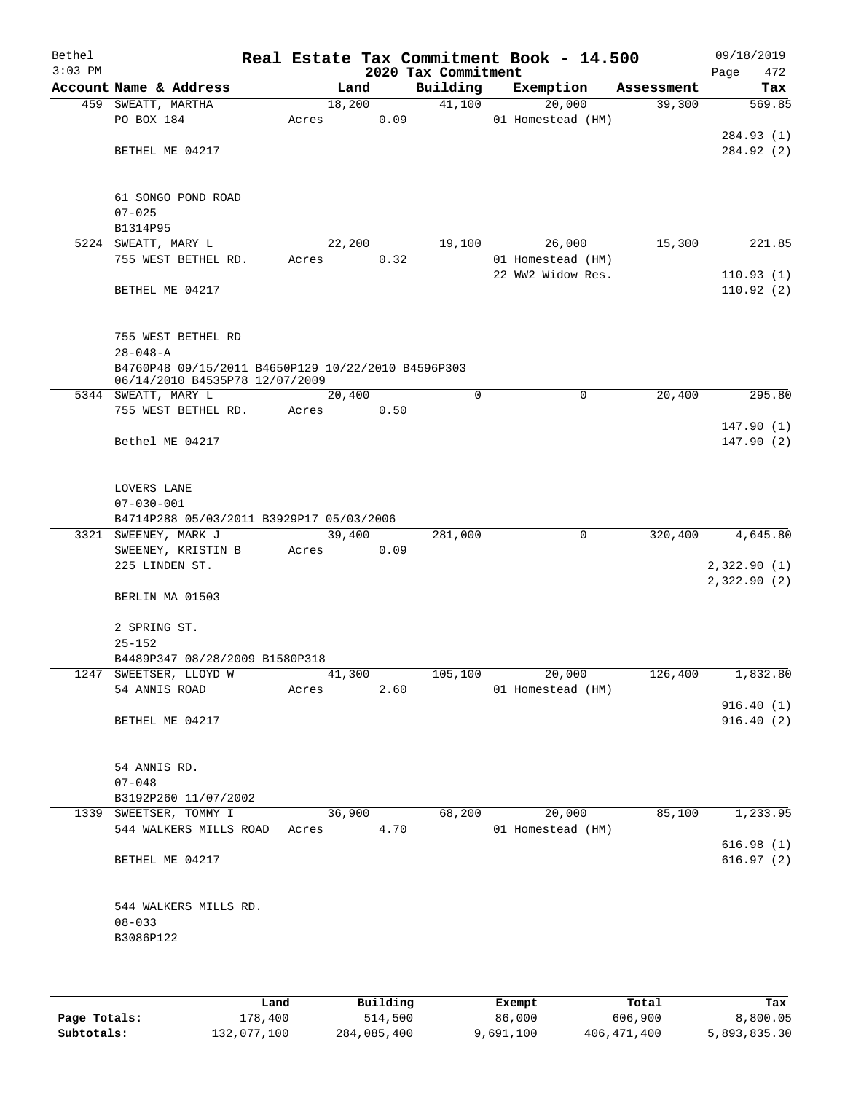| Bethel<br>$3:03$ PM |                                                    |        |      |      | 2020 Tax Commitment | Real Estate Tax Commitment Book - 14.500 |            | Page | 09/18/2019<br>472 |
|---------------------|----------------------------------------------------|--------|------|------|---------------------|------------------------------------------|------------|------|-------------------|
|                     | Account Name & Address                             |        | Land |      | Building            | Exemption                                | Assessment |      | Tax               |
|                     | 459 SWEATT, MARTHA                                 | 18,200 |      |      | 41,100              | 20,000                                   | 39,300     |      | 569.85            |
|                     | PO BOX 184                                         | Acres  |      | 0.09 |                     | 01 Homestead (HM)                        |            |      |                   |
|                     |                                                    |        |      |      |                     |                                          |            |      | 284.93 (1)        |
|                     | BETHEL ME 04217                                    |        |      |      |                     |                                          |            |      | 284.92 (2)        |
|                     |                                                    |        |      |      |                     |                                          |            |      |                   |
|                     | 61 SONGO POND ROAD                                 |        |      |      |                     |                                          |            |      |                   |
|                     | $07 - 025$                                         |        |      |      |                     |                                          |            |      |                   |
|                     | B1314P95<br>5224 SWEATT, MARY L                    | 22,200 |      |      | 19,100              | 26,000                                   | 15,300     |      | 221.85            |
|                     | 755 WEST BETHEL RD.                                | Acres  |      | 0.32 |                     | 01 Homestead (HM)                        |            |      |                   |
|                     |                                                    |        |      |      |                     | 22 WW2 Widow Res.                        |            |      | 110.93(1)         |
|                     | BETHEL ME 04217                                    |        |      |      |                     |                                          |            |      | 110.92(2)         |
|                     | 755 WEST BETHEL RD                                 |        |      |      |                     |                                          |            |      |                   |
|                     | $28 - 048 - A$                                     |        |      |      |                     |                                          |            |      |                   |
|                     | B4760P48 09/15/2011 B4650P129 10/22/2010 B4596P303 |        |      |      |                     |                                          |            |      |                   |
|                     | 06/14/2010 B4535P78 12/07/2009                     |        |      |      |                     |                                          |            |      |                   |
|                     | 5344 SWEATT, MARY L                                | 20,400 |      |      | 0                   | $\mathbf 0$                              | 20,400     |      | 295.80            |
|                     | 755 WEST BETHEL RD.                                | Acres  |      | 0.50 |                     |                                          |            |      | 147.90(1)         |
|                     | Bethel ME 04217                                    |        |      |      |                     |                                          |            |      | 147.90(2)         |
|                     |                                                    |        |      |      |                     |                                          |            |      |                   |
|                     | LOVERS LANE                                        |        |      |      |                     |                                          |            |      |                   |
|                     | $07 - 030 - 001$                                   |        |      |      |                     |                                          |            |      |                   |
|                     | B4714P288 05/03/2011 B3929P17 05/03/2006           |        |      |      |                     |                                          |            |      |                   |
|                     | 3321 SWEENEY, MARK J                               | 39,400 |      | 0.09 | 281,000             | 0                                        | 320,400    |      | 4,645.80          |
|                     | SWEENEY, KRISTIN B<br>225 LINDEN ST.               | Acres  |      |      |                     |                                          |            |      | 2,322.90(1)       |
|                     |                                                    |        |      |      |                     |                                          |            |      | 2,322.90(2)       |
|                     | BERLIN MA 01503                                    |        |      |      |                     |                                          |            |      |                   |
|                     | 2 SPRING ST.                                       |        |      |      |                     |                                          |            |      |                   |
|                     | $25 - 152$                                         |        |      |      |                     |                                          |            |      |                   |
|                     | B4489P347 08/28/2009 B1580P318                     |        |      |      |                     |                                          |            |      |                   |
|                     | 1247 SWEETSER, LLOYD W                             | 41,300 |      |      | 105,100             | 20,000                                   | 126,400    |      | 1,832.80          |
|                     | 54 ANNIS ROAD                                      | Acres  |      | 2.60 |                     | 01 Homestead (HM)                        |            |      |                   |
|                     |                                                    |        |      |      |                     |                                          |            |      | 916.40(1)         |
|                     | BETHEL ME 04217                                    |        |      |      |                     |                                          |            |      | 916.40(2)         |
|                     | 54 ANNIS RD.                                       |        |      |      |                     |                                          |            |      |                   |
|                     | $07 - 048$                                         |        |      |      |                     |                                          |            |      |                   |
|                     | B3192P260 11/07/2002                               |        |      |      |                     |                                          |            |      |                   |
|                     | 1339 SWEETSER, TOMMY I                             | 36,900 |      |      | 68,200              | 20,000                                   | 85,100     |      | 1,233.95          |
|                     | 544 WALKERS MILLS ROAD Acres                       |        |      | 4.70 |                     | 01 Homestead (HM)                        |            |      | 616.98(1)         |
|                     | BETHEL ME 04217                                    |        |      |      |                     |                                          |            |      | 616.97(2)         |
|                     |                                                    |        |      |      |                     |                                          |            |      |                   |
|                     | 544 WALKERS MILLS RD.<br>$08 - 033$                |        |      |      |                     |                                          |            |      |                   |
|                     | B3086P122                                          |        |      |      |                     |                                          |            |      |                   |
|                     |                                                    |        |      |      |                     |                                          |            |      |                   |
|                     |                                                    |        |      |      |                     |                                          |            |      |                   |
|                     |                                                    |        |      |      |                     |                                          |            |      |                   |

|              | Land        | Building    | Exempt    | Total         | Tax          |
|--------------|-------------|-------------|-----------|---------------|--------------|
| Page Totals: | L78,400     | 514,500     | 86,000    | 606,900       | 8,800.05     |
| Subtotals:   | 132,077,100 | 284,085,400 | 9,691,100 | 406, 471, 400 | 5,893,835.30 |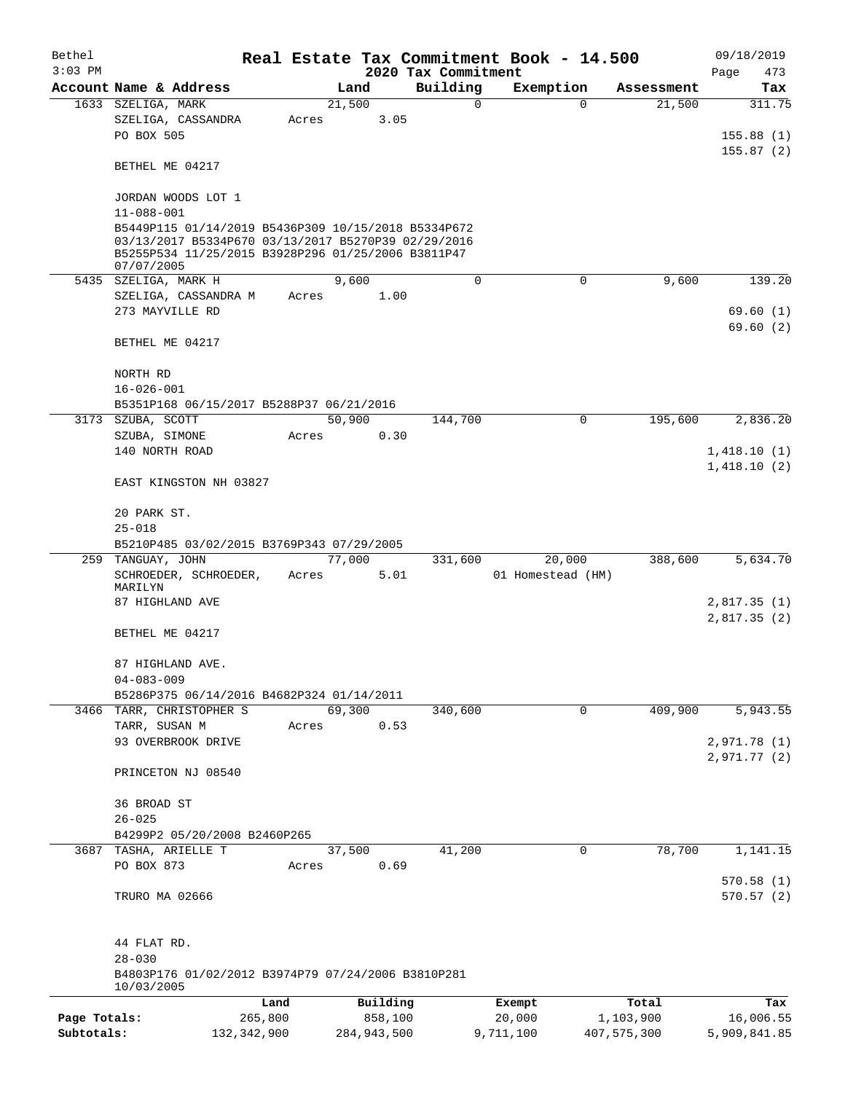| Bethel       |                                                                                                                                                                                |         |                |          |                         | Real Estate Tax Commitment Book - 14.500 |                      | 09/18/2019    |
|--------------|--------------------------------------------------------------------------------------------------------------------------------------------------------------------------------|---------|----------------|----------|-------------------------|------------------------------------------|----------------------|---------------|
| $3:03$ PM    | Account Name & Address                                                                                                                                                         |         |                |          | 2020 Tax Commitment     |                                          |                      | Page<br>473   |
|              | 1633 SZELIGA, MARK                                                                                                                                                             |         | Land<br>21,500 |          | Building<br>$\mathbf 0$ | Exemption<br>$\Omega$                    | Assessment<br>21,500 | Tax<br>311.75 |
|              | SZELIGA, CASSANDRA<br>PO BOX 505                                                                                                                                               | Acres   |                | 3.05     |                         |                                          |                      | 155.88(1)     |
|              | BETHEL ME 04217                                                                                                                                                                |         |                |          |                         |                                          |                      | 155.87(2)     |
|              | JORDAN WOODS LOT 1<br>$11 - 088 - 001$                                                                                                                                         |         |                |          |                         |                                          |                      |               |
|              | B5449P115 01/14/2019 B5436P309 10/15/2018 B5334P672<br>03/13/2017 B5334P670 03/13/2017 B5270P39 02/29/2016<br>B5255P534 11/25/2015 B3928P296 01/25/2006 B3811P47<br>07/07/2005 |         |                |          |                         |                                          |                      |               |
|              | 5435 SZELIGA, MARK H                                                                                                                                                           |         | 9,600          |          | $\mathbf 0$             | $\mathbf 0$                              | 9,600                | 139.20        |
|              | SZELIGA, CASSANDRA M                                                                                                                                                           | Acres   |                | 1.00     |                         |                                          |                      |               |
|              | 273 MAYVILLE RD                                                                                                                                                                |         |                |          |                         |                                          |                      | 69.60(1)      |
|              | BETHEL ME 04217                                                                                                                                                                |         |                |          |                         |                                          |                      | 69.60(2)      |
|              | NORTH RD<br>$16 - 026 - 001$                                                                                                                                                   |         |                |          |                         |                                          |                      |               |
|              | B5351P168 06/15/2017 B5288P37 06/21/2016                                                                                                                                       |         |                |          |                         |                                          |                      |               |
|              | 3173 SZUBA, SCOTT                                                                                                                                                              |         | 50,900         |          | 144,700                 | $\mathbf 0$                              | 195,600              | 2,836.20      |
|              | SZUBA, SIMONE                                                                                                                                                                  | Acres   |                | 0.30     |                         |                                          |                      |               |
|              | 140 NORTH ROAD                                                                                                                                                                 |         |                |          |                         |                                          |                      | 1,418.10(1)   |
|              | EAST KINGSTON NH 03827                                                                                                                                                         |         |                |          |                         |                                          |                      | 1,418.10(2)   |
|              | 20 PARK ST.<br>$25 - 018$                                                                                                                                                      |         |                |          |                         |                                          |                      |               |
|              | B5210P485 03/02/2015 B3769P343 07/29/2005                                                                                                                                      |         |                |          |                         |                                          |                      |               |
|              | 259 TANGUAY, JOHN                                                                                                                                                              |         | 77,000         |          | 331,600                 | 20,000                                   | 388,600              | 5,634.70      |
|              | SCHROEDER, SCHROEDER,<br>MARILYN                                                                                                                                               | Acres   |                | 5.01     |                         | 01 Homestead (HM)                        |                      |               |
|              | 87 HIGHLAND AVE                                                                                                                                                                |         |                |          |                         |                                          |                      | 2,817.35(1)   |
|              | BETHEL ME 04217                                                                                                                                                                |         |                |          |                         |                                          |                      | 2,817.35(2)   |
|              | 87 HIGHLAND AVE.<br>$04 - 083 - 009$                                                                                                                                           |         |                |          |                         |                                          |                      |               |
|              | B5286P375 06/14/2016 B4682P324 01/14/2011                                                                                                                                      |         |                |          |                         |                                          |                      |               |
|              | 3466 TARR, CHRISTOPHER S                                                                                                                                                       |         | 69,300         |          | 340,600                 | $\mathbf 0$                              | 409,900              | 5,943.55      |
|              | TARR, SUSAN M                                                                                                                                                                  | Acres   |                | 0.53     |                         |                                          |                      |               |
|              | 93 OVERBROOK DRIVE                                                                                                                                                             |         |                |          |                         |                                          |                      | 2,971.78(1)   |
|              | PRINCETON NJ 08540                                                                                                                                                             |         |                |          |                         |                                          |                      | 2,971.77(2)   |
|              | 36 BROAD ST<br>$26 - 025$                                                                                                                                                      |         |                |          |                         |                                          |                      |               |
|              | B4299P2 05/20/2008 B2460P265                                                                                                                                                   |         |                |          |                         |                                          |                      |               |
| 3687         | TASHA, ARIELLE T                                                                                                                                                               |         | 37,500         |          | 41,200                  | 0                                        | 78,700               | 1,141.15      |
|              | PO BOX 873                                                                                                                                                                     | Acres   |                | 0.69     |                         |                                          |                      |               |
|              |                                                                                                                                                                                |         |                |          |                         |                                          |                      | 570.58(1)     |
|              | TRURO MA 02666                                                                                                                                                                 |         |                |          |                         |                                          |                      | 570.57(2)     |
|              | 44 FLAT RD.<br>$28 - 030$                                                                                                                                                      |         |                |          |                         |                                          |                      |               |
|              | B4803P176 01/02/2012 B3974P79 07/24/2006 B3810P281<br>10/03/2005                                                                                                               |         |                |          |                         |                                          |                      |               |
|              |                                                                                                                                                                                | Land    |                | Building |                         | Exempt                                   | Total                | Tax           |
| Page Totals: |                                                                                                                                                                                | 265,800 |                | 858,100  |                         | 20,000                                   | 1,103,900            | 16,006.55     |
| Subtotals:   | 132, 342, 900                                                                                                                                                                  |         | 284,943,500    |          |                         | 9,711,100                                | 407,575,300          | 5,909,841.85  |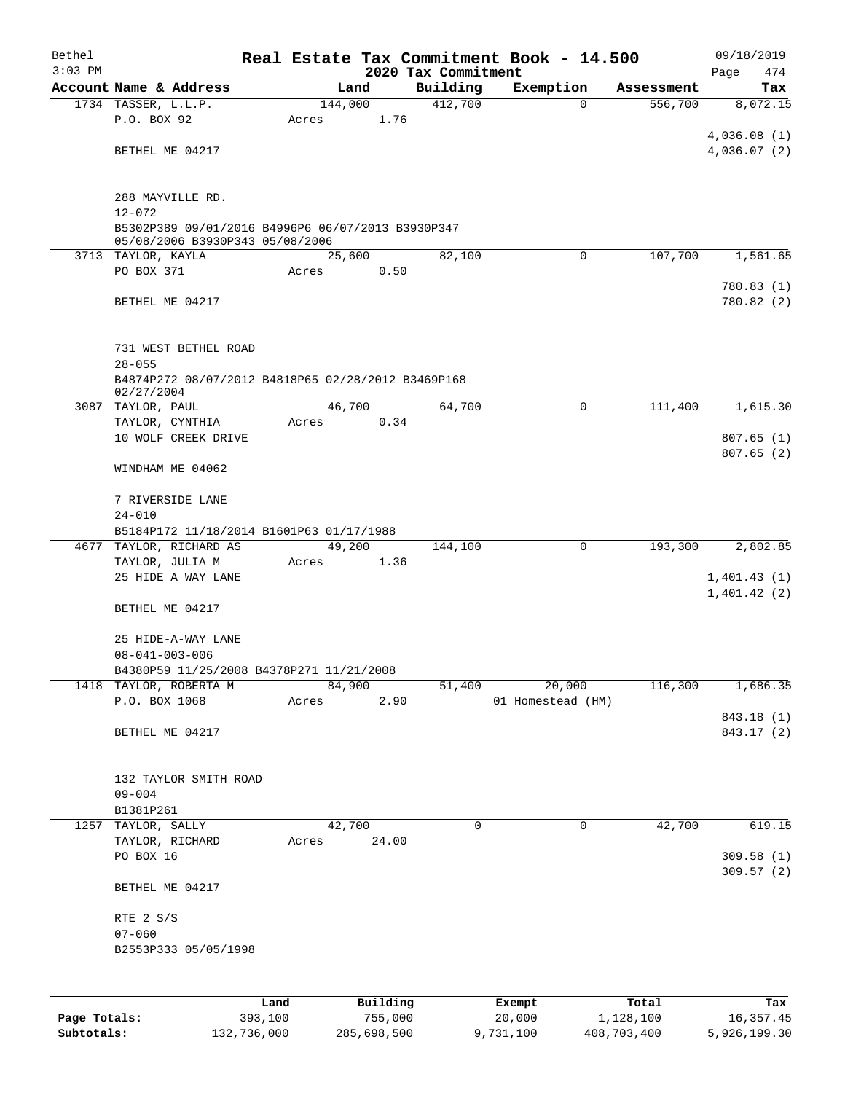| Bethel       |                                                                                      |             |         |             |                     | Real Estate Tax Commitment Book - 14.500 |                       | 09/18/2019                 |
|--------------|--------------------------------------------------------------------------------------|-------------|---------|-------------|---------------------|------------------------------------------|-----------------------|----------------------------|
| $3:03$ PM    |                                                                                      |             |         |             | 2020 Tax Commitment |                                          |                       | Page<br>474                |
|              | Account Name & Address                                                               |             | 144,000 | Land        | Building<br>412,700 | Exemption<br>$\Omega$                    | Assessment<br>556,700 | Tax<br>8,072.15            |
|              | 1734 TASSER, L.L.P.<br>P.O. BOX 92                                                   |             | Acres   | 1.76        |                     |                                          |                       |                            |
|              |                                                                                      |             |         |             |                     |                                          |                       | 4,036.08(1)                |
|              | BETHEL ME 04217                                                                      |             |         |             |                     |                                          |                       | 4,036.07(2)                |
|              |                                                                                      |             |         |             |                     |                                          |                       |                            |
|              |                                                                                      |             |         |             |                     |                                          |                       |                            |
|              | 288 MAYVILLE RD.                                                                     |             |         |             |                     |                                          |                       |                            |
|              | $12 - 072$                                                                           |             |         |             |                     |                                          |                       |                            |
|              | B5302P389 09/01/2016 B4996P6 06/07/2013 B3930P347<br>05/08/2006 B3930P343 05/08/2006 |             |         |             |                     |                                          |                       |                            |
|              | 3713 TAYLOR, KAYLA                                                                   |             |         | 25,600      | 82,100              | $\mathbf 0$                              | 107,700               | 1,561.65                   |
|              | PO BOX 371                                                                           |             | Acres   | 0.50        |                     |                                          |                       |                            |
|              |                                                                                      |             |         |             |                     |                                          |                       | 780.83 (1)                 |
|              | BETHEL ME 04217                                                                      |             |         |             |                     |                                          |                       | 780.82 (2)                 |
|              |                                                                                      |             |         |             |                     |                                          |                       |                            |
|              | 731 WEST BETHEL ROAD                                                                 |             |         |             |                     |                                          |                       |                            |
|              | $28 - 055$                                                                           |             |         |             |                     |                                          |                       |                            |
|              | B4874P272 08/07/2012 B4818P65 02/28/2012 B3469P168                                   |             |         |             |                     |                                          |                       |                            |
|              | 02/27/2004                                                                           |             |         |             |                     |                                          |                       |                            |
|              | 3087 TAYLOR, PAUL                                                                    |             |         | 46,700      | 64,700              | $\Omega$                                 | 111,400               | 1,615.30                   |
|              | TAYLOR, CYNTHIA                                                                      |             | Acres   | 0.34        |                     |                                          |                       |                            |
|              | 10 WOLF CREEK DRIVE                                                                  |             |         |             |                     |                                          |                       | 807.65(1)<br>807.65(2)     |
|              | WINDHAM ME 04062                                                                     |             |         |             |                     |                                          |                       |                            |
|              |                                                                                      |             |         |             |                     |                                          |                       |                            |
|              | 7 RIVERSIDE LANE                                                                     |             |         |             |                     |                                          |                       |                            |
|              | $24 - 010$                                                                           |             |         |             |                     |                                          |                       |                            |
|              | B5184P172 11/18/2014 B1601P63 01/17/1988                                             |             |         |             |                     |                                          |                       |                            |
|              | 4677 TAYLOR, RICHARD AS                                                              |             |         | 49,200      | 144,100             | 0                                        | 193,300               | 2,802.85                   |
|              | TAYLOR, JULIA M                                                                      |             | Acres   | 1.36        |                     |                                          |                       |                            |
|              | 25 HIDE A WAY LANE                                                                   |             |         |             |                     |                                          |                       | 1,401.43(1)<br>1,401.42(2) |
|              | BETHEL ME 04217                                                                      |             |         |             |                     |                                          |                       |                            |
|              |                                                                                      |             |         |             |                     |                                          |                       |                            |
|              | 25 HIDE-A-WAY LANE                                                                   |             |         |             |                     |                                          |                       |                            |
|              | $08 - 041 - 003 - 006$                                                               |             |         |             |                     |                                          |                       |                            |
|              | B4380P59 11/25/2008 B4378P271 11/21/2008                                             |             |         |             |                     |                                          |                       |                            |
| 1418         | TAYLOR, ROBERTA M                                                                    |             |         | 84,900      | 51,400              | 20,000                                   | 116,300               | 1,686.35                   |
|              | P.O. BOX 1068                                                                        |             | Acres   | 2.90        |                     | 01 Homestead (HM)                        |                       |                            |
|              | BETHEL ME 04217                                                                      |             |         |             |                     |                                          |                       | 843.18 (1)<br>843.17 (2)   |
|              |                                                                                      |             |         |             |                     |                                          |                       |                            |
|              |                                                                                      |             |         |             |                     |                                          |                       |                            |
|              | 132 TAYLOR SMITH ROAD                                                                |             |         |             |                     |                                          |                       |                            |
|              | $09 - 004$                                                                           |             |         |             |                     |                                          |                       |                            |
|              | B1381P261                                                                            |             |         |             |                     |                                          |                       |                            |
|              | 1257 TAYLOR, SALLY                                                                   |             |         | 42,700      | 0                   | 0                                        | 42,700                | 619.15                     |
|              | TAYLOR, RICHARD                                                                      |             | Acres   | 24.00       |                     |                                          |                       |                            |
|              | PO BOX 16                                                                            |             |         |             |                     |                                          |                       | 309.58(1)<br>309.57(2)     |
|              | BETHEL ME 04217                                                                      |             |         |             |                     |                                          |                       |                            |
|              |                                                                                      |             |         |             |                     |                                          |                       |                            |
|              | RTE 2 S/S                                                                            |             |         |             |                     |                                          |                       |                            |
|              | $07 - 060$                                                                           |             |         |             |                     |                                          |                       |                            |
|              | B2553P333 05/05/1998                                                                 |             |         |             |                     |                                          |                       |                            |
|              |                                                                                      |             |         |             |                     |                                          |                       |                            |
|              |                                                                                      |             |         |             |                     |                                          |                       |                            |
|              |                                                                                      | Land        |         | Building    |                     | Exempt                                   | Total                 | Tax                        |
| Page Totals: |                                                                                      | 393,100     |         | 755,000     |                     | 20,000                                   | 1,128,100             | 16, 357.45                 |
| Subtotals:   |                                                                                      | 132,736,000 |         | 285,698,500 |                     | 9,731,100                                | 408,703,400           | 5,926,199.30               |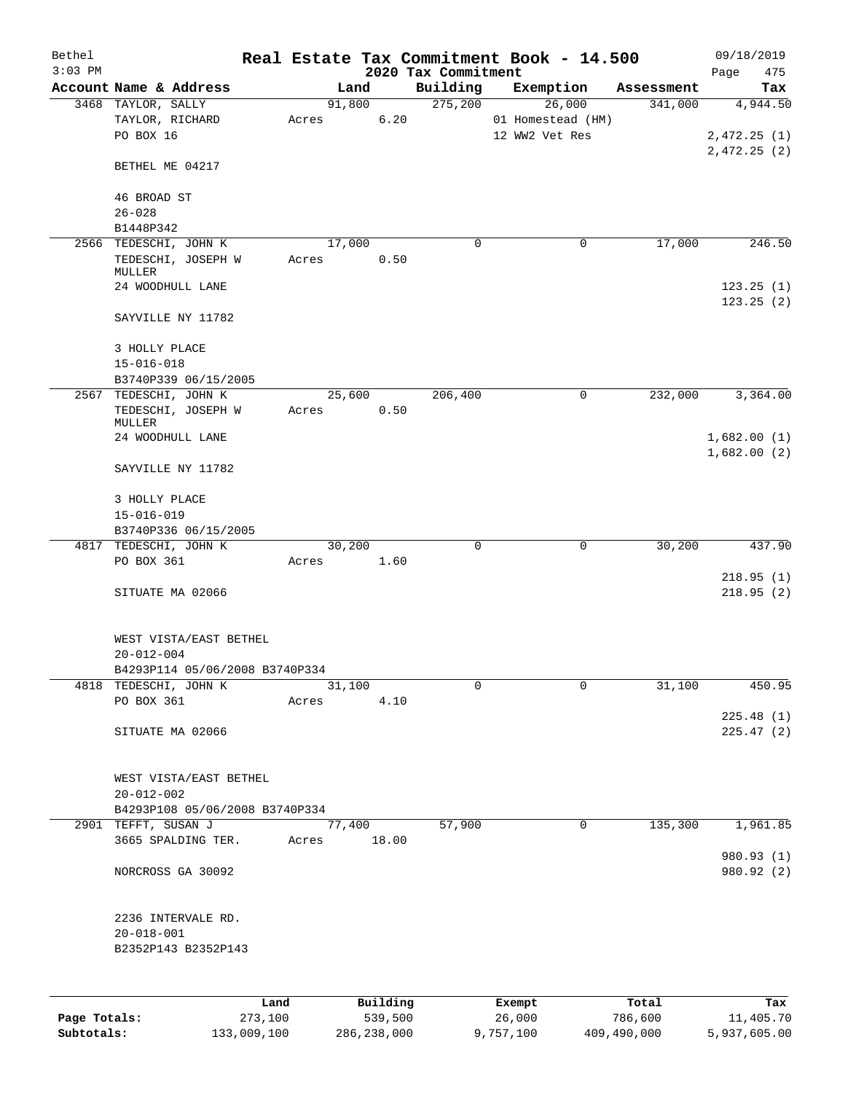| Bethel<br>$3:03$ PM |                                     |       |                | 2020 Tax Commitment | Real Estate Tax Commitment Book - 14.500 |            | 09/18/2019<br>Page<br>475 |
|---------------------|-------------------------------------|-------|----------------|---------------------|------------------------------------------|------------|---------------------------|
|                     | Account Name & Address              |       | Land           | Building            | Exemption                                | Assessment | Tax                       |
|                     | 3468 TAYLOR, SALLY                  |       | 91,800         | 275,200             | 26,000                                   | 341,000    | 4,944.50                  |
|                     | TAYLOR, RICHARD                     | Acres | 6.20           |                     | 01 Homestead (HM)                        |            |                           |
|                     | PO BOX 16                           |       |                |                     | 12 WW2 Vet Res                           |            | 2,472.25(1)               |
|                     |                                     |       |                |                     |                                          |            | 2,472.25(2)               |
|                     | BETHEL ME 04217                     |       |                |                     |                                          |            |                           |
|                     | 46 BROAD ST                         |       |                |                     |                                          |            |                           |
|                     | $26 - 028$                          |       |                |                     |                                          |            |                           |
|                     | B1448P342                           |       |                |                     |                                          |            |                           |
|                     | 2566 TEDESCHI, JOHN K               |       | 17,000         | 0                   | 0                                        | 17,000     | 246.50                    |
|                     | TEDESCHI, JOSEPH W                  | Acres | 0.50           |                     |                                          |            |                           |
|                     | MULLER<br>24 WOODHULL LANE          |       |                |                     |                                          |            | 123.25(1)                 |
|                     |                                     |       |                |                     |                                          |            | 123.25(2)                 |
|                     | SAYVILLE NY 11782                   |       |                |                     |                                          |            |                           |
|                     |                                     |       |                |                     |                                          |            |                           |
|                     | 3 HOLLY PLACE                       |       |                |                     |                                          |            |                           |
|                     | $15 - 016 - 018$                    |       |                |                     |                                          |            |                           |
|                     | B3740P339 06/15/2005                |       |                |                     |                                          |            |                           |
|                     | 2567 TEDESCHI, JOHN K               |       | 25,600         | 206,400             | $\mathbf 0$                              | 232,000    | 3,364.00                  |
|                     | TEDESCHI, JOSEPH W<br>MULLER        | Acres | 0.50           |                     |                                          |            |                           |
|                     | 24 WOODHULL LANE                    |       |                |                     |                                          |            | 1,682.00(1)               |
|                     |                                     |       |                |                     |                                          |            | 1,682.00(2)               |
|                     | SAYVILLE NY 11782                   |       |                |                     |                                          |            |                           |
|                     |                                     |       |                |                     |                                          |            |                           |
|                     | 3 HOLLY PLACE                       |       |                |                     |                                          |            |                           |
|                     | $15 - 016 - 019$                    |       |                |                     |                                          |            |                           |
|                     | B3740P336 06/15/2005                |       |                |                     |                                          |            |                           |
|                     | 4817 TEDESCHI, JOHN K<br>PO BOX 361 |       | 30,200<br>1.60 | $\mathbf 0$         | $\mathbf 0$                              | 30,200     | 437.90                    |
|                     |                                     | Acres |                |                     |                                          |            | 218.95(1)                 |
|                     | SITUATE MA 02066                    |       |                |                     |                                          |            | 218.95(2)                 |
|                     |                                     |       |                |                     |                                          |            |                           |
|                     |                                     |       |                |                     |                                          |            |                           |
|                     | WEST VISTA/EAST BETHEL              |       |                |                     |                                          |            |                           |
|                     | $20 - 012 - 004$                    |       |                |                     |                                          |            |                           |
|                     | B4293P114 05/06/2008 B3740P334      |       |                |                     |                                          |            |                           |
|                     | 4818 TEDESCHI, JOHN K<br>PO BOX 361 | Acres | 31,100<br>4.10 | 0                   | $\mathbf 0$                              | 31,100     | 450.95                    |
|                     |                                     |       |                |                     |                                          |            | 225.48(1)                 |
|                     | SITUATE MA 02066                    |       |                |                     |                                          |            | 225.47(2)                 |
|                     |                                     |       |                |                     |                                          |            |                           |
|                     |                                     |       |                |                     |                                          |            |                           |
|                     | WEST VISTA/EAST BETHEL              |       |                |                     |                                          |            |                           |
|                     | $20 - 012 - 002$                    |       |                |                     |                                          |            |                           |
|                     | B4293P108 05/06/2008 B3740P334      |       |                |                     |                                          |            |                           |
|                     | 2901 TEFFT, SUSAN J                 |       | 77,400         | 57,900              | 0                                        | 135,300    | 1,961.85                  |
|                     | 3665 SPALDING TER.                  | Acres | 18.00          |                     |                                          |            | 980.93 (1)                |
|                     | NORCROSS GA 30092                   |       |                |                     |                                          |            | 980.92 (2)                |
|                     |                                     |       |                |                     |                                          |            |                           |
|                     |                                     |       |                |                     |                                          |            |                           |
|                     | 2236 INTERVALE RD.                  |       |                |                     |                                          |            |                           |
|                     | $20 - 018 - 001$                    |       |                |                     |                                          |            |                           |
|                     | B2352P143 B2352P143                 |       |                |                     |                                          |            |                           |
|                     |                                     |       |                |                     |                                          |            |                           |
|                     |                                     |       |                |                     |                                          |            |                           |
|                     |                                     | Land  | Building       |                     | Exempt                                   | Total      | Tax                       |
| Page Totals:        | 273,100                             |       | 539,500        |                     | 26,000                                   | 786,600    | 11,405.70                 |

**Subtotals:** 133,009,100 286,238,000 9,757,100 409,490,000 5,937,605.00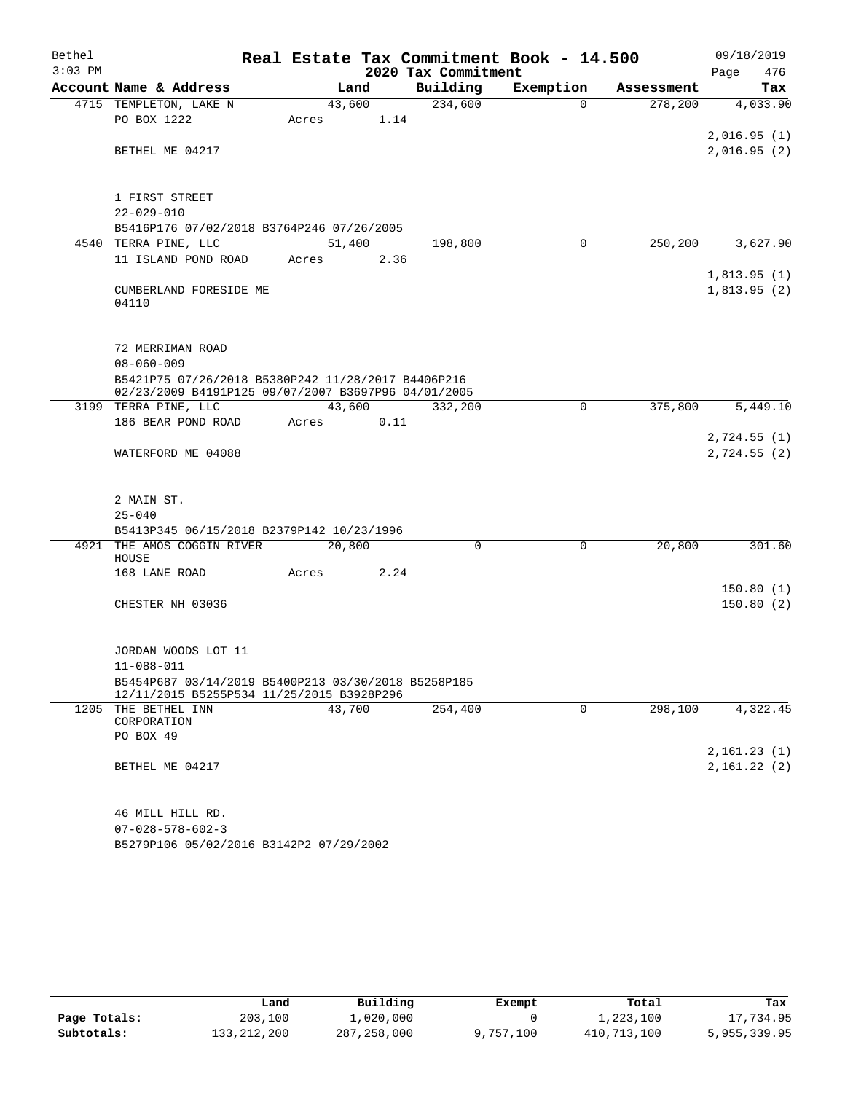| Bethel    |                                                     |        |      |                     | Real Estate Tax Commitment Book - 14.500 |            | 09/18/2019   |
|-----------|-----------------------------------------------------|--------|------|---------------------|------------------------------------------|------------|--------------|
| $3:03$ PM |                                                     |        |      | 2020 Tax Commitment |                                          |            | 476<br>Page  |
|           | Account Name & Address                              | Land   |      | Building            | Exemption                                | Assessment | Tax          |
|           | 4715 TEMPLETON, LAKE N                              | 43,600 |      | 234,600             | $\Omega$                                 | 278,200    | 4,033.90     |
|           | PO BOX 1222                                         | Acres  | 1.14 |                     |                                          |            |              |
|           |                                                     |        |      |                     |                                          |            | 2,016.95(1)  |
|           | BETHEL ME 04217                                     |        |      |                     |                                          |            | 2,016.95(2)  |
|           |                                                     |        |      |                     |                                          |            |              |
|           | 1 FIRST STREET                                      |        |      |                     |                                          |            |              |
|           | $22 - 029 - 010$                                    |        |      |                     |                                          |            |              |
|           | B5416P176 07/02/2018 B3764P246 07/26/2005           |        |      |                     |                                          |            |              |
|           | 4540 TERRA PINE, LLC                                | 51,400 |      | 198,800             | $\Omega$                                 | 250,200    | 3,627.90     |
|           | 11 ISLAND POND ROAD                                 | Acres  | 2.36 |                     |                                          |            |              |
|           |                                                     |        |      |                     |                                          |            | 1,813.95(1)  |
|           | CUMBERLAND FORESIDE ME                              |        |      |                     |                                          |            | 1,813.95(2)  |
|           | 04110                                               |        |      |                     |                                          |            |              |
|           |                                                     |        |      |                     |                                          |            |              |
|           | 72 MERRIMAN ROAD                                    |        |      |                     |                                          |            |              |
|           | $08 - 060 - 009$                                    |        |      |                     |                                          |            |              |
|           | B5421P75 07/26/2018 B5380P242 11/28/2017 B4406P216  |        |      |                     |                                          |            |              |
|           | 02/23/2009 B4191P125 09/07/2007 B3697P96 04/01/2005 |        |      |                     |                                          |            |              |
|           | 3199 TERRA PINE, LLC                                | 43,600 |      | 332,200             | 0                                        | 375,800    | 5,449.10     |
|           | 186 BEAR POND ROAD                                  | Acres  | 0.11 |                     |                                          |            |              |
|           |                                                     |        |      |                     |                                          |            | 2,724.55(1)  |
|           | WATERFORD ME 04088                                  |        |      |                     |                                          |            | 2,724.55 (2) |
|           |                                                     |        |      |                     |                                          |            |              |
|           | 2 MAIN ST.                                          |        |      |                     |                                          |            |              |
|           | $25 - 040$                                          |        |      |                     |                                          |            |              |
|           | B5413P345 06/15/2018 B2379P142 10/23/1996           |        |      |                     |                                          |            |              |
|           | 4921 THE AMOS COGGIN RIVER                          | 20,800 |      | 0                   | 0                                        | 20,800     | 301.60       |
|           | HOUSE                                               |        |      |                     |                                          |            |              |
|           | 168 LANE ROAD                                       | Acres  | 2.24 |                     |                                          |            |              |
|           |                                                     |        |      |                     |                                          |            | 150.80(1)    |
|           | CHESTER NH 03036                                    |        |      |                     |                                          |            | 150.80(2)    |
|           |                                                     |        |      |                     |                                          |            |              |
|           | JORDAN WOODS LOT 11                                 |        |      |                     |                                          |            |              |
|           | $11 - 088 - 011$                                    |        |      |                     |                                          |            |              |
|           | B5454P687 03/14/2019 B5400P213 03/30/2018 B5258P185 |        |      |                     |                                          |            |              |
|           | 12/11/2015 B5255P534 11/25/2015 B3928P296           |        |      |                     |                                          |            |              |
|           | 1205 THE BETHEL INN<br>CORPORATION                  | 43,700 |      | 254,400             | 0                                        | 298,100    | 4,322.45     |
|           | PO BOX 49                                           |        |      |                     |                                          |            |              |
|           |                                                     |        |      |                     |                                          |            | 2,161.23(1)  |
|           | BETHEL ME 04217                                     |        |      |                     |                                          |            | 2,161.22(2)  |
|           |                                                     |        |      |                     |                                          |            |              |
|           |                                                     |        |      |                     |                                          |            |              |
|           | 46 MILL HILL RD.                                    |        |      |                     |                                          |            |              |
|           | $07 - 028 - 578 - 602 - 3$                          |        |      |                     |                                          |            |              |
|           | B5279P106 05/02/2016 B3142P2 07/29/2002             |        |      |                     |                                          |            |              |

|              | Land        | Building      | Exempt    | Total       | Tax          |
|--------------|-------------|---------------|-----------|-------------|--------------|
| Page Totals: | 203,100     | 1,020,000     |           | 1,223,100   | 17,734.95    |
| Subtotals:   | 133,212,200 | 287, 258, 000 | 9,757,100 | 410,713,100 | 5,955,339.95 |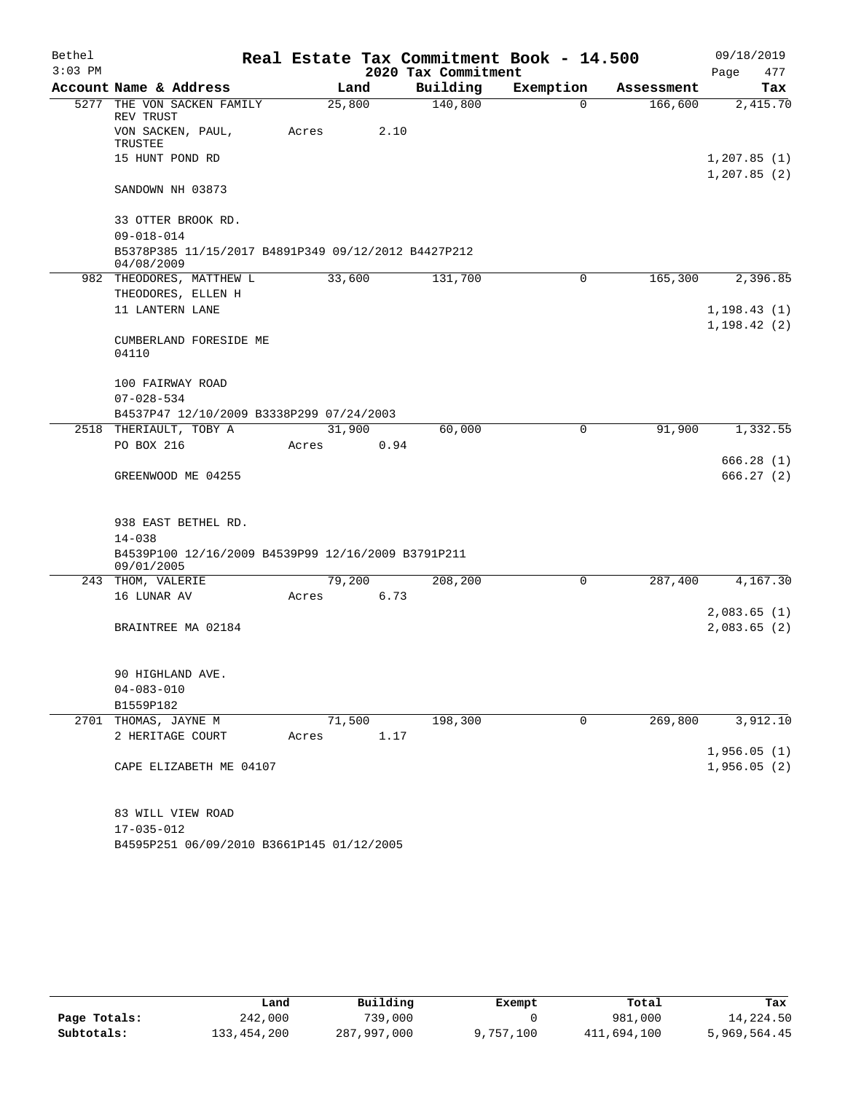| Bethel    |                                                                   |        |      |                     | Real Estate Tax Commitment Book - 14.500 |            |                              | 09/18/2019 |
|-----------|-------------------------------------------------------------------|--------|------|---------------------|------------------------------------------|------------|------------------------------|------------|
| $3:03$ PM |                                                                   |        |      | 2020 Tax Commitment |                                          |            | Page                         | 477        |
|           | Account Name & Address                                            |        | Land | Building            | Exemption                                | Assessment |                              | Tax        |
| 5277      | THE VON SACKEN FAMILY<br>REV TRUST                                | 25,800 |      | 140,800             | 0                                        | 166,600    |                              | 2,415.70   |
|           | VON SACKEN, PAUL,<br>TRUSTEE                                      | Acres  | 2.10 |                     |                                          |            |                              |            |
|           | 15 HUNT POND RD                                                   |        |      |                     |                                          |            | 1, 207.85(1)<br>1, 207.85(2) |            |
|           | SANDOWN NH 03873                                                  |        |      |                     |                                          |            |                              |            |
|           | 33 OTTER BROOK RD.                                                |        |      |                     |                                          |            |                              |            |
|           | $09 - 018 - 014$                                                  |        |      |                     |                                          |            |                              |            |
|           | B5378P385 11/15/2017 B4891P349 09/12/2012 B4427P212<br>04/08/2009 |        |      |                     |                                          |            |                              |            |
|           | 982 THEODORES, MATTHEW L                                          | 33,600 |      | 131,700             | 0                                        | 165,300    |                              | 2,396.85   |
|           | THEODORES, ELLEN H                                                |        |      |                     |                                          |            |                              |            |
|           | 11 LANTERN LANE                                                   |        |      |                     |                                          |            | 1, 198.43(1)                 |            |
|           |                                                                   |        |      |                     |                                          |            | 1, 198.42(2)                 |            |
|           | CUMBERLAND FORESIDE ME<br>04110                                   |        |      |                     |                                          |            |                              |            |
|           | 100 FAIRWAY ROAD                                                  |        |      |                     |                                          |            |                              |            |
|           | $07 - 028 - 534$                                                  |        |      |                     |                                          |            |                              |            |
|           | B4537P47 12/10/2009 B3338P299 07/24/2003                          |        |      |                     |                                          |            |                              |            |
|           | 2518 THERIAULT, TOBY A                                            | 31,900 |      | 60,000              | 0                                        | 91,900     |                              | 1,332.55   |
|           | PO BOX 216                                                        | Acres  | 0.94 |                     |                                          |            |                              |            |
|           |                                                                   |        |      |                     |                                          |            |                              | 666.28(1)  |
|           | GREENWOOD ME 04255                                                |        |      |                     |                                          |            |                              | 666.27(2)  |
|           | 938 EAST BETHEL RD.                                               |        |      |                     |                                          |            |                              |            |
|           | $14 - 038$                                                        |        |      |                     |                                          |            |                              |            |
|           | B4539P100 12/16/2009 B4539P99 12/16/2009 B3791P211<br>09/01/2005  |        |      |                     |                                          |            |                              |            |
|           | 243 THOM, VALERIE                                                 | 79,200 |      | 208,200             | 0                                        | 287,400    |                              | 4,167.30   |
|           | 16 LUNAR AV                                                       | Acres  | 6.73 |                     |                                          |            |                              |            |
|           |                                                                   |        |      |                     |                                          |            | 2,083.65(1)                  |            |
|           | BRAINTREE MA 02184                                                |        |      |                     |                                          |            | 2,083.65(2)                  |            |
|           | 90 HIGHLAND AVE.                                                  |        |      |                     |                                          |            |                              |            |
|           | $04 - 083 - 010$                                                  |        |      |                     |                                          |            |                              |            |
|           | B1559P182                                                         |        |      |                     |                                          |            |                              |            |
|           | 2701 THOMAS, JAYNE M                                              | 71,500 |      | 198,300             | 0                                        | 269,800    |                              | 3,912.10   |
|           | 2 HERITAGE COURT                                                  | Acres  | 1.17 |                     |                                          |            |                              |            |
|           |                                                                   |        |      |                     |                                          |            | 1,956.05(1)                  |            |
|           | CAPE ELIZABETH ME 04107                                           |        |      |                     |                                          |            | 1,956.05(2)                  |            |
|           | 83 WILL VIEW ROAD                                                 |        |      |                     |                                          |            |                              |            |
|           | $17 - 035 - 012$                                                  |        |      |                     |                                          |            |                              |            |

B4595P251 06/09/2010 B3661P145 01/12/2005

|              | Land        | Building    | Exempt    | Total       | Tax          |
|--------------|-------------|-------------|-----------|-------------|--------------|
| Page Totals: | 242,000     | 739,000     |           | 981,000     | 14,224.50    |
| Subtotals:   | 133,454,200 | 287,997,000 | 9,757,100 | 411,694,100 | 5,969,564.45 |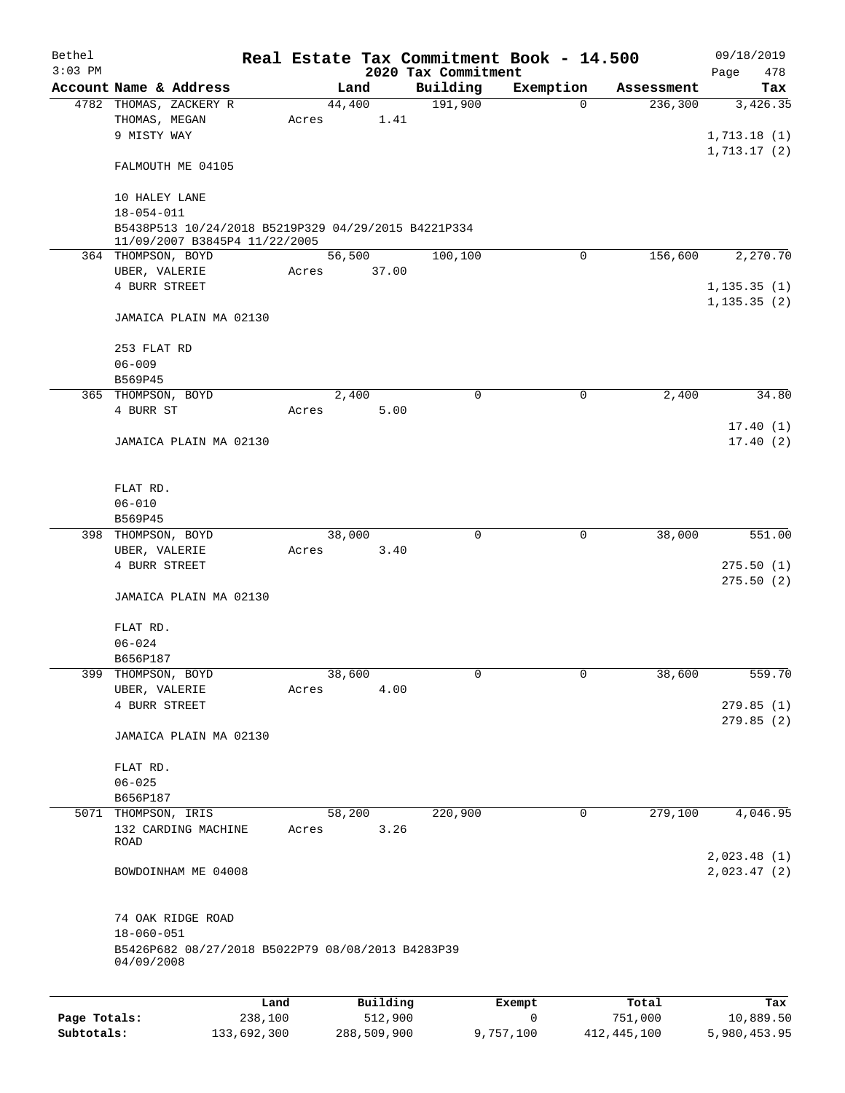| Bethel<br>$3:03$ PM |                                                                                      |       |          | 2020 Tax Commitment | Real Estate Tax Commitment Book - 14.500 |            | 09/18/2019         |
|---------------------|--------------------------------------------------------------------------------------|-------|----------|---------------------|------------------------------------------|------------|--------------------|
|                     | Account Name & Address                                                               |       | Land     | Building            | Exemption                                | Assessment | Page<br>478<br>Tax |
|                     | 4782 THOMAS, ZACKERY R                                                               |       | 44,400   | 191,900             | $\Omega$                                 | 236,300    | 3,426.35           |
|                     | THOMAS, MEGAN                                                                        | Acres | 1.41     |                     |                                          |            |                    |
|                     | 9 MISTY WAY                                                                          |       |          |                     |                                          |            | 1,713.18(1)        |
|                     |                                                                                      |       |          |                     |                                          |            | 1, 713.17(2)       |
|                     | FALMOUTH ME 04105                                                                    |       |          |                     |                                          |            |                    |
|                     | 10 HALEY LANE                                                                        |       |          |                     |                                          |            |                    |
|                     | $18 - 054 - 011$                                                                     |       |          |                     |                                          |            |                    |
|                     |                                                                                      |       |          |                     |                                          |            |                    |
|                     | B5438P513 10/24/2018 B5219P329 04/29/2015 B4221P334<br>11/09/2007 B3845P4 11/22/2005 |       |          |                     |                                          |            |                    |
|                     | 364 THOMPSON, BOYD                                                                   |       | 56,500   | 100,100             | $\mathbf 0$                              | 156,600    | 2,270.70           |
|                     | UBER, VALERIE                                                                        | Acres | 37.00    |                     |                                          |            |                    |
|                     | 4 BURR STREET                                                                        |       |          |                     |                                          |            | 1, 135.35(1)       |
|                     |                                                                                      |       |          |                     |                                          |            | 1, 135.35(2)       |
|                     | JAMAICA PLAIN MA 02130                                                               |       |          |                     |                                          |            |                    |
|                     |                                                                                      |       |          |                     |                                          |            |                    |
|                     | 253 FLAT RD                                                                          |       |          |                     |                                          |            |                    |
|                     | $06 - 009$                                                                           |       |          |                     |                                          |            |                    |
|                     | B569P45                                                                              |       |          |                     |                                          |            |                    |
|                     | 365 THOMPSON, BOYD                                                                   |       | 2,400    |                     | $\mathbf 0$<br>$\mathbf 0$               | 2,400      | 34.80              |
|                     |                                                                                      |       |          |                     |                                          |            |                    |
|                     | 4 BURR ST                                                                            | Acres | 5.00     |                     |                                          |            |                    |
|                     |                                                                                      |       |          |                     |                                          |            | 17.40(1)           |
|                     | JAMAICA PLAIN MA 02130                                                               |       |          |                     |                                          |            | 17.40(2)           |
|                     |                                                                                      |       |          |                     |                                          |            |                    |
|                     |                                                                                      |       |          |                     |                                          |            |                    |
|                     | FLAT RD.                                                                             |       |          |                     |                                          |            |                    |
|                     | $06 - 010$                                                                           |       |          |                     |                                          |            |                    |
|                     | B569P45                                                                              |       |          |                     |                                          |            |                    |
|                     | 398 THOMPSON, BOYD                                                                   |       | 38,000   |                     | $\mathbf 0$<br>$\mathbf 0$               | 38,000     | 551.00             |
|                     | UBER, VALERIE                                                                        | Acres | 3.40     |                     |                                          |            |                    |
|                     | 4 BURR STREET                                                                        |       |          |                     |                                          |            | 275.50(1)          |
|                     |                                                                                      |       |          |                     |                                          |            | 275.50(2)          |
|                     | JAMAICA PLAIN MA 02130                                                               |       |          |                     |                                          |            |                    |
|                     |                                                                                      |       |          |                     |                                          |            |                    |
|                     | FLAT RD.                                                                             |       |          |                     |                                          |            |                    |
|                     | $06 - 024$                                                                           |       |          |                     |                                          |            |                    |
|                     | B656P187                                                                             |       |          |                     |                                          |            |                    |
| 399                 | THOMPSON, BOYD                                                                       |       | 38,600   |                     | 0<br>$\mathbf 0$                         | 38,600     | 559.70             |
|                     | UBER, VALERIE                                                                        | Acres | 4.00     |                     |                                          |            |                    |
|                     | 4 BURR STREET                                                                        |       |          |                     |                                          |            | 279.85(1)          |
|                     |                                                                                      |       |          |                     |                                          |            | 279.85(2)          |
|                     | JAMAICA PLAIN MA 02130                                                               |       |          |                     |                                          |            |                    |
|                     |                                                                                      |       |          |                     |                                          |            |                    |
|                     | FLAT RD.                                                                             |       |          |                     |                                          |            |                    |
|                     | $06 - 025$                                                                           |       |          |                     |                                          |            |                    |
|                     | B656P187                                                                             |       |          |                     |                                          |            |                    |
| 5071                | THOMPSON, IRIS                                                                       |       | 58,200   | 220,900             | 0                                        | 279,100    | 4,046.95           |
|                     | 132 CARDING MACHINE                                                                  | Acres | 3.26     |                     |                                          |            |                    |
|                     | <b>ROAD</b>                                                                          |       |          |                     |                                          |            |                    |
|                     |                                                                                      |       |          |                     |                                          |            | 2,023.48(1)        |
|                     | BOWDOINHAM ME 04008                                                                  |       |          |                     |                                          |            | 2,023.47(2)        |
|                     |                                                                                      |       |          |                     |                                          |            |                    |
|                     |                                                                                      |       |          |                     |                                          |            |                    |
|                     | 74 OAK RIDGE ROAD                                                                    |       |          |                     |                                          |            |                    |
|                     | $18 - 060 - 051$                                                                     |       |          |                     |                                          |            |                    |
|                     | B5426P682 08/27/2018 B5022P79 08/08/2013 B4283P39                                    |       |          |                     |                                          |            |                    |
|                     | 04/09/2008                                                                           |       |          |                     |                                          |            |                    |
|                     |                                                                                      |       |          |                     |                                          |            |                    |
|                     | Land                                                                                 |       | Building |                     | Exempt                                   | Total      | Tax                |
| Page Totals:        | 238,100                                                                              |       | 512,900  |                     | $\mathbf 0$                              | 751,000    | 10,889.50          |

**Subtotals:** 133,692,300 288,509,900 9,757,100 412,445,100 5,980,453.95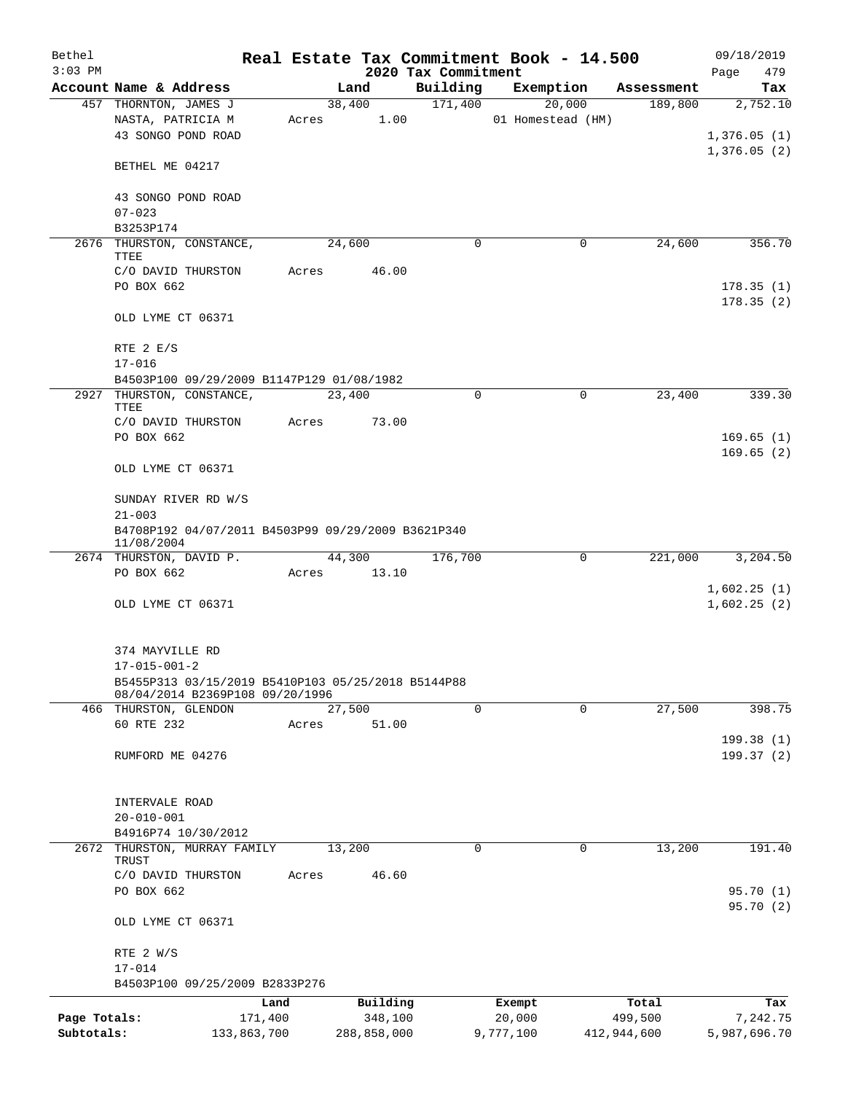| Bethel<br>$3:03$ PM |                                                                                |       |                 | 2020 Tax Commitment | Real Estate Tax Commitment Book - 14.500 |             | 09/18/2019<br>479<br>Page |
|---------------------|--------------------------------------------------------------------------------|-------|-----------------|---------------------|------------------------------------------|-------------|---------------------------|
|                     | Account Name & Address                                                         |       | Land            | Building            | Exemption                                | Assessment  | Tax                       |
|                     | 457 THORNTON, JAMES J                                                          |       | 38,400          | 171,400             | 20,000                                   | 189,800     | 2,752.10                  |
|                     | NASTA, PATRICIA M<br>43 SONGO POND ROAD                                        | Acres | 1.00            |                     | 01 Homestead (HM)                        |             | 1,376.05(1)               |
|                     | BETHEL ME 04217                                                                |       |                 |                     |                                          |             | 1,376.05(2)               |
|                     | 43 SONGO POND ROAD<br>$07 - 023$                                               |       |                 |                     |                                          |             |                           |
|                     | B3253P174                                                                      |       |                 |                     |                                          |             |                           |
|                     | 2676 THURSTON, CONSTANCE,<br>TTEE<br>C/O DAVID THURSTON                        | Acres | 24,600<br>46.00 | 0                   | 0                                        | 24,600      | 356.70                    |
|                     | PO BOX 662                                                                     |       |                 |                     |                                          |             | 178.35(1)<br>178.35(2)    |
|                     | OLD LYME CT 06371                                                              |       |                 |                     |                                          |             |                           |
|                     | RTE 2 E/S<br>$17 - 016$                                                        |       |                 |                     |                                          |             |                           |
|                     | B4503P100 09/29/2009 B1147P129 01/08/1982                                      |       |                 |                     |                                          |             |                           |
|                     | 2927 THURSTON, CONSTANCE,<br>TTEE                                              |       | 23,400          | 0                   | 0                                        | 23,400      | 339.30                    |
|                     | C/O DAVID THURSTON<br>PO BOX 662                                               | Acres | 73.00           |                     |                                          |             | 169.65(1)                 |
|                     | OLD LYME CT 06371                                                              |       |                 |                     |                                          |             | 169.65(2)                 |
|                     | SUNDAY RIVER RD W/S                                                            |       |                 |                     |                                          |             |                           |
|                     | $21 - 003$<br>B4708P192 04/07/2011 B4503P99 09/29/2009 B3621P340<br>11/08/2004 |       |                 |                     |                                          |             |                           |
|                     | 2674 THURSTON, DAVID P.                                                        |       | 44,300          | 176,700             | 0                                        | 221,000     | 3,204.50                  |
|                     | PO BOX 662                                                                     |       | Acres 13.10     |                     |                                          |             | 1,602.25(1)               |
|                     | OLD LYME CT 06371                                                              |       |                 |                     |                                          |             | 1,602.25(2)               |
|                     | 374 MAYVILLE RD                                                                |       |                 |                     |                                          |             |                           |
|                     | $17 - 015 - 001 - 2$<br>B5455P313 03/15/2019 B5410P103 05/25/2018 B5144P88     |       |                 |                     |                                          |             |                           |
|                     | 08/04/2014 B2369P108 09/20/1996                                                |       |                 |                     |                                          |             |                           |
|                     | 466 THURSTON, GLENDON                                                          |       | 27,500          | $\mathbf 0$         | $\mathbf 0$                              | 27,500      | 398.75                    |
|                     | 60 RTE 232                                                                     | Acres | 51.00           |                     |                                          |             | 199.38 (1)                |
|                     | RUMFORD ME 04276                                                               |       |                 |                     |                                          |             | 199.37(2)                 |
|                     | INTERVALE ROAD                                                                 |       |                 |                     |                                          |             |                           |
|                     | $20 - 010 - 001$                                                               |       |                 |                     |                                          |             |                           |
|                     | B4916P74 10/30/2012                                                            |       |                 |                     |                                          |             |                           |
| 2672                | THURSTON, MURRAY FAMILY<br>TRUST                                               |       | 13,200          | $\mathbf 0$         | 0                                        | 13,200      | 191.40                    |
|                     | C/O DAVID THURSTON<br>PO BOX 662                                               | Acres | 46.60           |                     |                                          |             | 95.70(1)                  |
|                     | OLD LYME CT 06371                                                              |       |                 |                     |                                          |             | 95.70(2)                  |
|                     | RTE 2 W/S<br>$17 - 014$                                                        |       |                 |                     |                                          |             |                           |
|                     | B4503P100 09/25/2009 B2833P276                                                 |       |                 |                     |                                          |             |                           |
|                     |                                                                                | Land  | Building        |                     | Exempt                                   | Total       | Tax                       |
| Page Totals:        | 171,400                                                                        |       | 348,100         |                     | 20,000                                   | 499,500     | 7,242.75                  |
| Subtotals:          | 133,863,700                                                                    |       | 288,858,000     |                     | 9,777,100                                | 412,944,600 | 5,987,696.70              |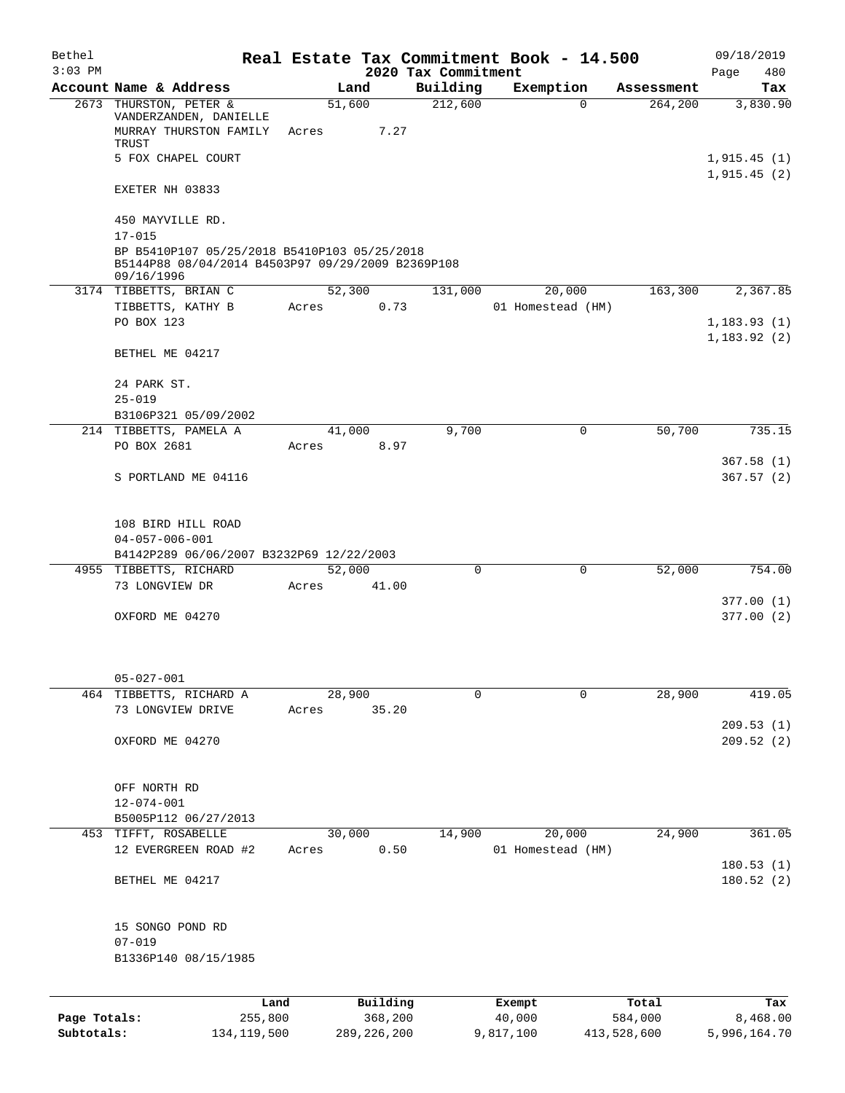| Bethel<br>$3:03$ PM |                                                                                                                 |                 |          | 2020 Tax Commitment | Real Estate Tax Commitment Book - 14.500 |            | 09/18/2019              |
|---------------------|-----------------------------------------------------------------------------------------------------------------|-----------------|----------|---------------------|------------------------------------------|------------|-------------------------|
|                     | Account Name & Address                                                                                          |                 | Land     | Building            | Exemption                                | Assessment | 480<br>Page<br>Tax      |
|                     | 2673 THURSTON, PETER &<br>VANDERZANDEN, DANIELLE<br>MURRAY THURSTON FAMILY                                      | 51,600<br>Acres | 7.27     | 212,600             | $\Omega$                                 | 264, 200   | 3,830.90                |
|                     | TRUST<br>5 FOX CHAPEL COURT                                                                                     |                 |          |                     |                                          |            | 1,915.45(1)             |
|                     | EXETER NH 03833                                                                                                 |                 |          |                     |                                          |            | 1,915.45(2)             |
|                     | 450 MAYVILLE RD.<br>$17 - 015$                                                                                  |                 |          |                     |                                          |            |                         |
|                     | BP B5410P107 05/25/2018 B5410P103 05/25/2018<br>B5144P88 08/04/2014 B4503P97 09/29/2009 B2369P108<br>09/16/1996 |                 |          |                     |                                          |            |                         |
|                     | 3174 TIBBETTS, BRIAN C                                                                                          | 52,300          |          | 131,000             | 20,000                                   | 163,300    | 2,367.85                |
|                     | TIBBETTS, KATHY B<br>PO BOX 123                                                                                 | Acres           | 0.73     |                     | 01 Homestead (HM)                        |            | 1, 183.93(1)            |
|                     | BETHEL ME 04217                                                                                                 |                 |          |                     |                                          |            | 1, 183.92(2)            |
|                     | 24 PARK ST.<br>$25 - 019$                                                                                       |                 |          |                     |                                          |            |                         |
|                     | B3106P321 05/09/2002                                                                                            |                 |          |                     |                                          |            |                         |
|                     | 214 TIBBETTS, PAMELA A                                                                                          | 41,000          |          | 9,700               | 0                                        | 50,700     | 735.15                  |
|                     | PO BOX 2681                                                                                                     | Acres           | 8.97     |                     |                                          |            | 367.58(1)               |
|                     | S PORTLAND ME 04116                                                                                             |                 |          |                     |                                          |            | 367.57(2)               |
|                     | 108 BIRD HILL ROAD                                                                                              |                 |          |                     |                                          |            |                         |
|                     | $04 - 057 - 006 - 001$                                                                                          |                 |          |                     |                                          |            |                         |
|                     | B4142P289 06/06/2007 B3232P69 12/22/2003                                                                        |                 |          |                     |                                          |            |                         |
|                     | 4955 TIBBETTS, RICHARD<br>73 LONGVIEW DR                                                                        | 52,000<br>Acres | 41.00    | $\Omega$            | $\Omega$                                 | 52,000     | 754.00                  |
|                     |                                                                                                                 |                 |          |                     |                                          |            | 377.00(1)               |
|                     | OXFORD ME 04270                                                                                                 |                 |          |                     |                                          |            | 377.00(2)               |
|                     | $05 - 027 - 001$                                                                                                |                 |          |                     |                                          |            |                         |
|                     | 464 TIBBETTS, RICHARD A                                                                                         | 28,900          |          | $\Omega$            | $\Omega$                                 | 28,900     | 419.05                  |
|                     | 73 LONGVIEW DRIVE                                                                                               | Acres           | 35.20    |                     |                                          |            | 209.53(1)               |
|                     | OXFORD ME 04270                                                                                                 |                 |          |                     |                                          |            | 209.52(2)               |
|                     | OFF NORTH RD                                                                                                    |                 |          |                     |                                          |            |                         |
|                     | $12 - 074 - 001$                                                                                                |                 |          |                     |                                          |            |                         |
|                     | B5005P112 06/27/2013<br>453 TIFFT, ROSABELLE                                                                    |                 | 30,000   | 14,900              | 20,000                                   | 24,900     | 361.05                  |
|                     | 12 EVERGREEN ROAD #2                                                                                            | Acres           | 0.50     |                     | 01 Homestead (HM)                        |            |                         |
|                     | BETHEL ME 04217                                                                                                 |                 |          |                     |                                          |            | 180.53(1)<br>180.52 (2) |
|                     | 15 SONGO POND RD                                                                                                |                 |          |                     |                                          |            |                         |
|                     | $07 - 019$<br>B1336P140 08/15/1985                                                                              |                 |          |                     |                                          |            |                         |
|                     |                                                                                                                 |                 |          |                     |                                          |            |                         |
|                     | Land                                                                                                            |                 | Building |                     | Exempt                                   | Total      | Tax                     |

|              | .           | <u>DULLULUM</u> | <b>BY CITING</b> | ----        | $-0.0$       |
|--------------|-------------|-----------------|------------------|-------------|--------------|
| Page Totals: | 255,800     | 368,200         | 40,000           | 584,000     | 8,468.00     |
| Subtotals:   | 134,119,500 | 289, 226, 200   | 9,817,100        | 413,528,600 | 5,996,164.70 |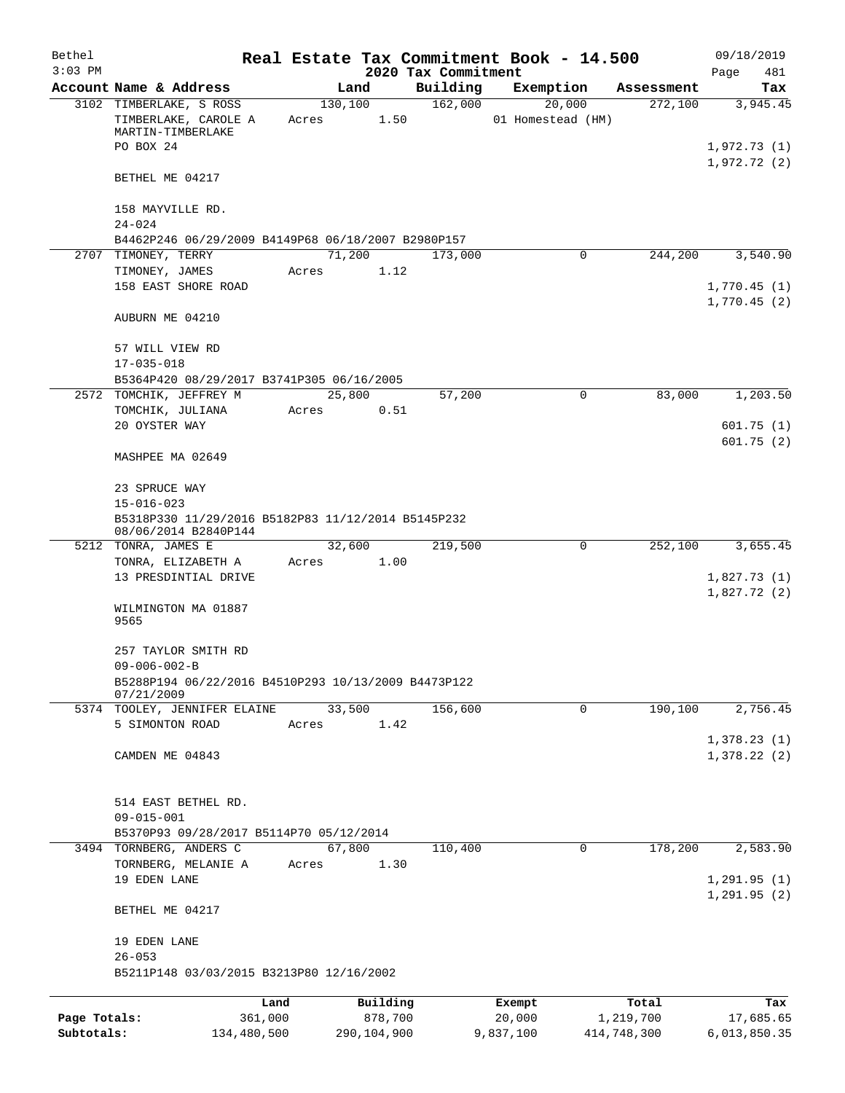| Bethel<br>$3:03$ PM |                                                                            |         |          | 2020 Tax Commitment | Real Estate Tax Commitment Book - 14.500 |            | 09/18/2019<br>Page<br>481  |
|---------------------|----------------------------------------------------------------------------|---------|----------|---------------------|------------------------------------------|------------|----------------------------|
|                     | Account Name & Address                                                     |         | Land     | Building            | Exemption                                | Assessment | Tax                        |
|                     | 3102 TIMBERLAKE, S ROSS                                                    |         | 130,100  | 162,000             | 20,000                                   | 272,100    | 3,945.45                   |
|                     | TIMBERLAKE, CAROLE A<br>MARTIN-TIMBERLAKE                                  | Acres   | 1.50     |                     | 01 Homestead (HM)                        |            |                            |
|                     | PO BOX 24                                                                  |         |          |                     |                                          |            | 1,972.73(1)<br>1,972.72(2) |
|                     | BETHEL ME 04217                                                            |         |          |                     |                                          |            |                            |
|                     | 158 MAYVILLE RD.<br>$24 - 024$                                             |         |          |                     |                                          |            |                            |
|                     | B4462P246 06/29/2009 B4149P68 06/18/2007 B2980P157                         |         |          |                     |                                          |            |                            |
|                     | 2707 TIMONEY, TERRY                                                        |         | 71,200   | 173,000             | $\mathbf 0$                              | 244,200    | 3,540.90                   |
|                     | TIMONEY, JAMES                                                             | Acres   | 1.12     |                     |                                          |            |                            |
|                     | 158 EAST SHORE ROAD                                                        |         |          |                     |                                          |            | 1,770.45(1)<br>1,770.45(2) |
|                     | AUBURN ME 04210                                                            |         |          |                     |                                          |            |                            |
|                     | 57 WILL VIEW RD                                                            |         |          |                     |                                          |            |                            |
|                     | $17 - 035 - 018$                                                           |         |          |                     |                                          |            |                            |
| 2572                | B5364P420 08/29/2017 B3741P305 06/16/2005<br>TOMCHIK, JEFFREY M            |         | 25,800   | 57,200              | 0                                        | 83,000     | 1,203.50                   |
|                     | TOMCHIK, JULIANA                                                           | Acres   | 0.51     |                     |                                          |            |                            |
|                     | 20 OYSTER WAY                                                              |         |          |                     |                                          |            | 601.75(1)                  |
|                     | MASHPEE MA 02649                                                           |         |          |                     |                                          |            | 601.75(2)                  |
|                     | 23 SPRUCE WAY                                                              |         |          |                     |                                          |            |                            |
|                     | $15 - 016 - 023$                                                           |         |          |                     |                                          |            |                            |
|                     | B5318P330 11/29/2016 B5182P83 11/12/2014 B5145P232<br>08/06/2014 B2840P144 |         |          |                     |                                          |            |                            |
|                     | 5212 TONRA, JAMES E                                                        |         | 32,600   | 219,500             | 0                                        | 252,100    | 3,655.45                   |
|                     | TONRA, ELIZABETH A                                                         | Acres   | 1.00     |                     |                                          |            |                            |
|                     | 13 PRESDINTIAL DRIVE                                                       |         |          |                     |                                          |            | 1,827.73(1)<br>1,827.72(2) |
|                     | WILMINGTON MA 01887<br>9565                                                |         |          |                     |                                          |            |                            |
|                     | 257 TAYLOR SMITH RD                                                        |         |          |                     |                                          |            |                            |
|                     | $09 - 006 - 002 - B$                                                       |         |          |                     |                                          |            |                            |
|                     | B5288P194 06/22/2016 B4510P293 10/13/2009 B4473P122<br>07/21/2009          |         |          |                     |                                          |            |                            |
|                     | 5374 TOOLEY, JENNIFER ELAINE                                               |         | 33,500   | 156,600             | $\mathbf 0$                              | 190,100    | 2,756.45                   |
|                     | 5 SIMONTON ROAD                                                            | Acres   | 1.42     |                     |                                          |            |                            |
|                     | CAMDEN ME 04843                                                            |         |          |                     |                                          |            | 1,378.23(1)<br>1,378.22(2) |
|                     |                                                                            |         |          |                     |                                          |            |                            |
|                     | 514 EAST BETHEL RD.                                                        |         |          |                     |                                          |            |                            |
|                     | $09 - 015 - 001$                                                           |         |          |                     |                                          |            |                            |
|                     | B5370P93 09/28/2017 B5114P70 05/12/2014                                    |         |          |                     |                                          |            |                            |
|                     | 3494 TORNBERG, ANDERS C                                                    |         | 67,800   | 110,400             | 0                                        | 178,200    | 2,583.90                   |
|                     | TORNBERG, MELANIE A<br>19 EDEN LANE                                        | Acres   | 1.30     |                     |                                          |            | 1,291.95(1)                |
|                     |                                                                            |         |          |                     |                                          |            | 1, 291.95(2)               |
|                     | BETHEL ME 04217                                                            |         |          |                     |                                          |            |                            |
|                     | 19 EDEN LANE                                                               |         |          |                     |                                          |            |                            |
|                     | $26 - 053$                                                                 |         |          |                     |                                          |            |                            |
|                     | B5211P148 03/03/2015 B3213P80 12/16/2002                                   |         |          |                     |                                          |            |                            |
|                     |                                                                            | Land    | Building |                     | Exempt                                   | Total      | Tax                        |
| Page Totals:        |                                                                            | 361,000 | 878,700  |                     | 20,000                                   | 1,219,700  | 17,685.65                  |

**Subtotals:** 134,480,500 290,104,900 9,837,100 414,748,300 6,013,850.35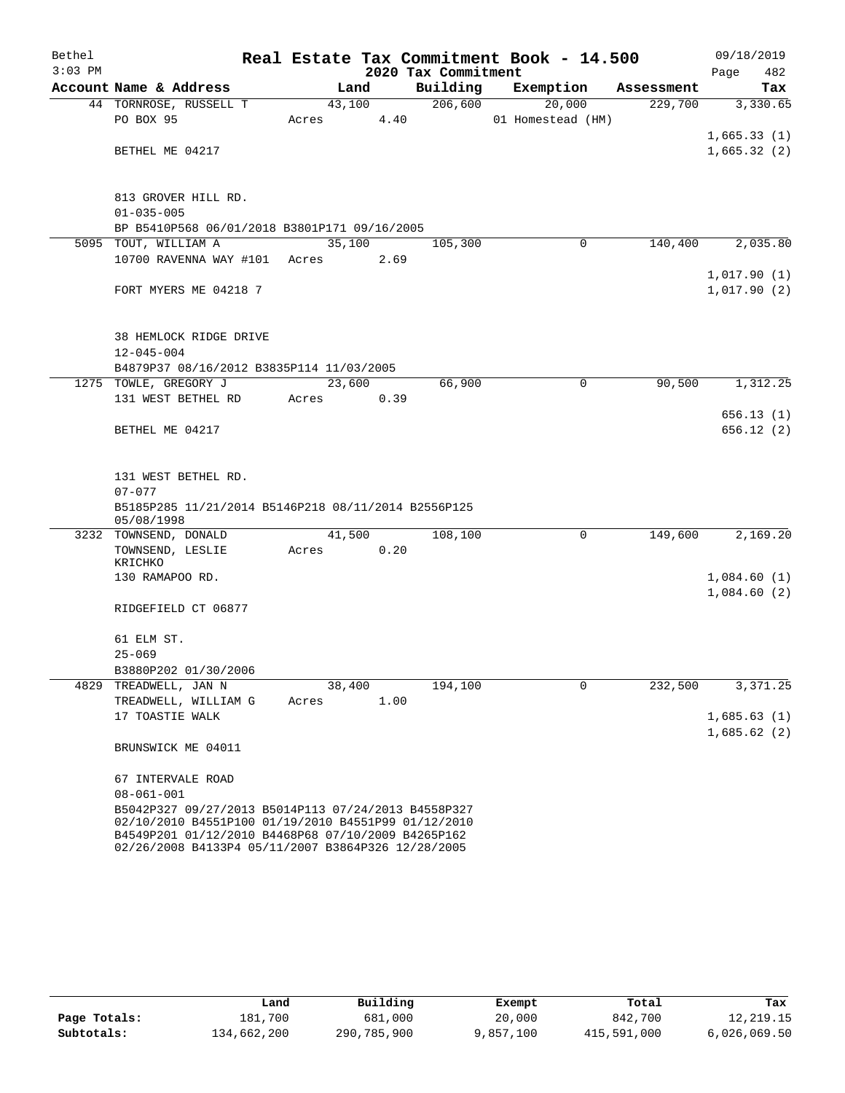| Bethel    |                                                                                                           |        |      |                     | Real Estate Tax Commitment Book - 14.500 |            |             | 09/18/2019 |
|-----------|-----------------------------------------------------------------------------------------------------------|--------|------|---------------------|------------------------------------------|------------|-------------|------------|
| $3:03$ PM |                                                                                                           |        |      | 2020 Tax Commitment |                                          |            | Page        | 482        |
|           | Account Name & Address                                                                                    | Land   |      | Building            | Exemption                                | Assessment |             | Tax        |
|           | 44 TORNROSE, RUSSELL T                                                                                    | 43,100 |      | 206,600             | 20,000                                   | 229,700    |             | 3,330.65   |
|           | PO BOX 95                                                                                                 | Acres  | 4.40 |                     | 01 Homestead (HM)                        |            | 1,665.33(1) |            |
|           | BETHEL ME 04217                                                                                           |        |      |                     |                                          |            | 1,665.32(2) |            |
|           |                                                                                                           |        |      |                     |                                          |            |             |            |
|           | 813 GROVER HILL RD.                                                                                       |        |      |                     |                                          |            |             |            |
|           | $01 - 035 - 005$                                                                                          |        |      |                     |                                          |            |             |            |
|           | BP B5410P568 06/01/2018 B3801P171 09/16/2005                                                              |        |      |                     |                                          |            |             |            |
|           | 5095 TOUT, WILLIAM A                                                                                      | 35,100 |      | 105,300             | 0                                        | 140,400    |             | 2,035.80   |
|           | 10700 RAVENNA WAY #101 Acres                                                                              |        | 2.69 |                     |                                          |            |             |            |
|           |                                                                                                           |        |      |                     |                                          |            | 1,017.90(1) |            |
|           | FORT MYERS ME 04218 7                                                                                     |        |      |                     |                                          |            | 1,017.90(2) |            |
|           |                                                                                                           |        |      |                     |                                          |            |             |            |
|           | 38 HEMLOCK RIDGE DRIVE                                                                                    |        |      |                     |                                          |            |             |            |
|           | $12 - 045 - 004$                                                                                          |        |      |                     |                                          |            |             |            |
|           | B4879P37 08/16/2012 B3835P114 11/03/2005                                                                  |        |      |                     |                                          |            |             |            |
|           | 1275 TOWLE, GREGORY J                                                                                     | 23,600 |      | 66,900              | $\mathbf 0$                              | 90,500     |             | 1,312.25   |
|           | 131 WEST BETHEL RD                                                                                        | Acres  | 0.39 |                     |                                          |            |             |            |
|           |                                                                                                           |        |      |                     |                                          |            |             | 656.13(1)  |
|           | BETHEL ME 04217                                                                                           |        |      |                     |                                          |            |             | 656.12(2)  |
|           |                                                                                                           |        |      |                     |                                          |            |             |            |
|           | 131 WEST BETHEL RD.                                                                                       |        |      |                     |                                          |            |             |            |
|           | $07 - 077$                                                                                                |        |      |                     |                                          |            |             |            |
|           | B5185P285 11/21/2014 B5146P218 08/11/2014 B2556P125<br>05/08/1998                                         |        |      |                     |                                          |            |             |            |
|           | 3232 TOWNSEND, DONALD                                                                                     | 41,500 |      | 108,100             | 0                                        | 149,600    |             | 2,169.20   |
|           | TOWNSEND, LESLIE                                                                                          | Acres  | 0.20 |                     |                                          |            |             |            |
|           | KRICHKO                                                                                                   |        |      |                     |                                          |            |             |            |
|           | 130 RAMAPOO RD.                                                                                           |        |      |                     |                                          |            | 1,084.60(1) |            |
|           |                                                                                                           |        |      |                     |                                          |            | 1,084.60(2) |            |
|           | RIDGEFIELD CT 06877                                                                                       |        |      |                     |                                          |            |             |            |
|           | 61 ELM ST.                                                                                                |        |      |                     |                                          |            |             |            |
|           | $25 - 069$                                                                                                |        |      |                     |                                          |            |             |            |
|           | B3880P202 01/30/2006                                                                                      |        |      |                     |                                          |            |             |            |
|           | 4829 TREADWELL, JAN N                                                                                     | 38,400 |      | 194,100             | $\mathbf 0$                              | 232,500    |             | 3,371.25   |
|           | TREADWELL, WILLIAM G                                                                                      | Acres  | 1.00 |                     |                                          |            |             |            |
|           | 17 TOASTIE WALK                                                                                           |        |      |                     |                                          |            | 1,685.63(1) |            |
|           |                                                                                                           |        |      |                     |                                          |            | 1,685.62(2) |            |
|           | BRUNSWICK ME 04011                                                                                        |        |      |                     |                                          |            |             |            |
|           | 67 INTERVALE ROAD                                                                                         |        |      |                     |                                          |            |             |            |
|           | $08 - 061 - 001$                                                                                          |        |      |                     |                                          |            |             |            |
|           | B5042P327 09/27/2013 B5014P113 07/24/2013 B4558P327                                                       |        |      |                     |                                          |            |             |            |
|           | 02/10/2010 B4551P100 01/19/2010 B4551P99 01/12/2010<br>B4549P201 01/12/2010 B4468P68 07/10/2009 B4265P162 |        |      |                     |                                          |            |             |            |
|           | 02/26/2008 B4133P4 05/11/2007 B3864P326 12/28/2005                                                        |        |      |                     |                                          |            |             |            |

|              | Land        | Building    | Exempt    | Total       | Tax          |
|--------------|-------------|-------------|-----------|-------------|--------------|
| Page Totals: | 181,700     | 681,000     | 20,000    | 842,700     | 12,219.15    |
| Subtotals:   | 134,662,200 | 290,785,900 | 9,857,100 | 415,591,000 | 6,026,069.50 |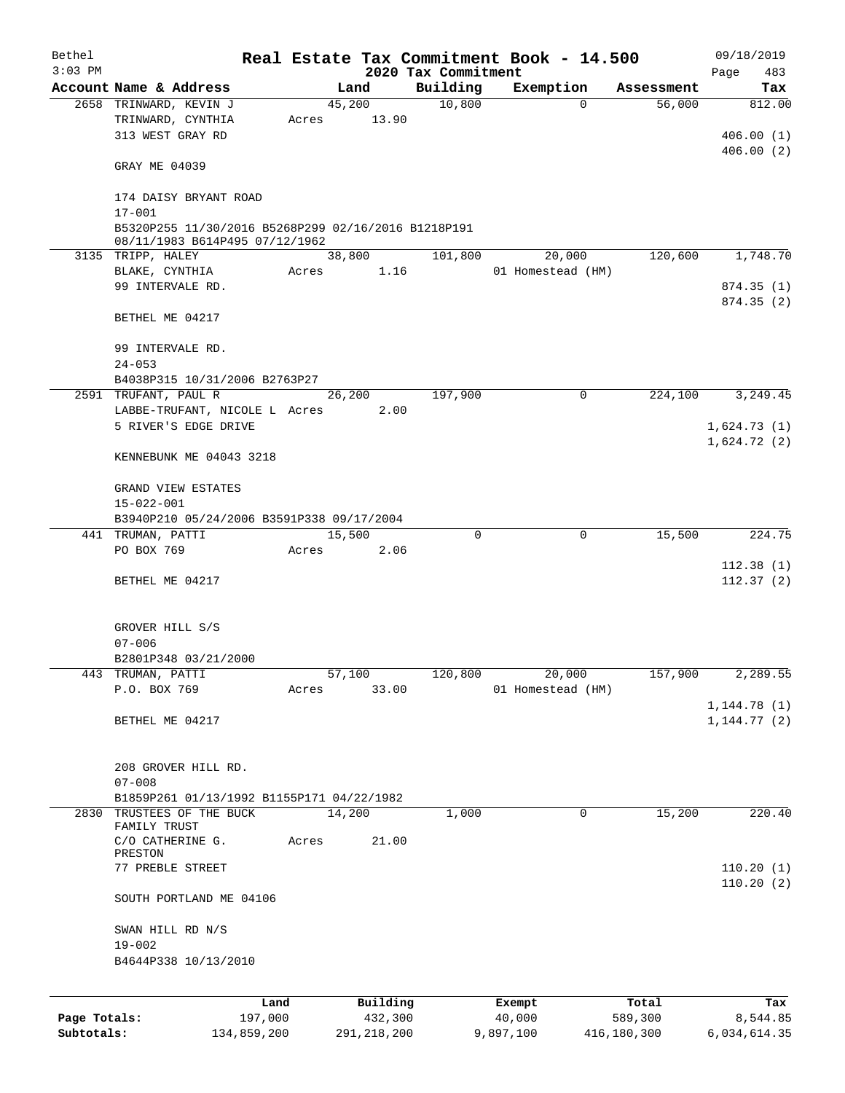| Bethel       |                                                     |       |               |                     | Real Estate Tax Commitment Book - 14.500 |             | 09/18/2019                   |
|--------------|-----------------------------------------------------|-------|---------------|---------------------|------------------------------------------|-------------|------------------------------|
| $3:03$ PM    |                                                     |       |               | 2020 Tax Commitment |                                          |             | 483<br>Page                  |
|              | Account Name & Address                              |       | Land          | Building            | Exemption                                | Assessment  | Tax                          |
|              | 2658 TRINWARD, KEVIN J<br>TRINWARD, CYNTHIA         |       | 45,200        | 10,800              | $\Omega$                                 | 56,000      | 812.00                       |
|              | 313 WEST GRAY RD                                    | Acres | 13.90         |                     |                                          |             | 406.00(1)                    |
|              |                                                     |       |               |                     |                                          |             | 406.00(2)                    |
|              | GRAY ME 04039                                       |       |               |                     |                                          |             |                              |
|              | 174 DAISY BRYANT ROAD<br>$17 - 001$                 |       |               |                     |                                          |             |                              |
|              | B5320P255 11/30/2016 B5268P299 02/16/2016 B1218P191 |       |               |                     |                                          |             |                              |
|              | 08/11/1983 B614P495 07/12/1962<br>3135 TRIPP, HALEY |       | 38,800        | 101,800             | 20,000                                   | 120,600     | 1,748.70                     |
|              | BLAKE, CYNTHIA                                      | Acres | 1.16          |                     | 01 Homestead (HM)                        |             |                              |
|              | 99 INTERVALE RD.                                    |       |               |                     |                                          |             | 874.35(1)                    |
|              |                                                     |       |               |                     |                                          |             | 874.35(2)                    |
|              | BETHEL ME 04217                                     |       |               |                     |                                          |             |                              |
|              | 99 INTERVALE RD.                                    |       |               |                     |                                          |             |                              |
|              | $24 - 053$                                          |       |               |                     |                                          |             |                              |
|              | B4038P315 10/31/2006 B2763P27                       |       |               |                     |                                          |             |                              |
|              | 2591 TRUFANT, PAUL R                                |       | 26, 200       | 197,900             | $\mathbf 0$                              | 224,100     | 3,249.45                     |
|              | LABBE-TRUFANT, NICOLE L Acres                       |       | 2.00          |                     |                                          |             |                              |
|              | 5 RIVER'S EDGE DRIVE                                |       |               |                     |                                          |             | 1,624.73(1)                  |
|              | KENNEBUNK ME 04043 3218                             |       |               |                     |                                          |             | 1,624.72(2)                  |
|              | GRAND VIEW ESTATES                                  |       |               |                     |                                          |             |                              |
|              | $15 - 022 - 001$                                    |       |               |                     |                                          |             |                              |
|              | B3940P210 05/24/2006 B3591P338 09/17/2004           |       |               |                     |                                          |             |                              |
|              | 441 TRUMAN, PATTI                                   |       | 15,500        | 0                   | $\mathbf 0$                              | 15,500      | 224.75                       |
|              | PO BOX 769                                          | Acres | 2.06          |                     |                                          |             |                              |
|              | BETHEL ME 04217                                     |       |               |                     |                                          |             | 112.38(1)<br>112.37(2)       |
|              |                                                     |       |               |                     |                                          |             |                              |
|              | GROVER HILL S/S                                     |       |               |                     |                                          |             |                              |
|              | $07 - 006$                                          |       |               |                     |                                          |             |                              |
|              | B2801P348 03/21/2000                                |       |               |                     |                                          |             |                              |
|              | 443 TRUMAN, PATTI                                   |       | 57,100        | 120,800             | 20,000                                   | 157,900     | 2,289.55                     |
|              | P.O. BOX 769                                        | Acres | 33.00         |                     | 01 Homestead (HM)                        |             |                              |
|              | BETHEL ME 04217                                     |       |               |                     |                                          |             | 1, 144.78(1)<br>1, 144.77(2) |
|              |                                                     |       |               |                     |                                          |             |                              |
|              | 208 GROVER HILL RD.                                 |       |               |                     |                                          |             |                              |
|              | $07 - 008$                                          |       |               |                     |                                          |             |                              |
|              | B1859P261 01/13/1992 B1155P171 04/22/1982           |       |               |                     |                                          |             |                              |
|              | 2830 TRUSTEES OF THE BUCK<br>FAMILY TRUST           |       | 14,200        | 1,000               | $\mathbf 0$                              | 15,200      | 220.40                       |
|              | C/O CATHERINE G.<br>PRESTON                         | Acres | 21.00         |                     |                                          |             |                              |
|              | 77 PREBLE STREET                                    |       |               |                     |                                          |             | 110.20(1)                    |
|              | SOUTH PORTLAND ME 04106                             |       |               |                     |                                          |             | 110.20(2)                    |
|              | SWAN HILL RD N/S                                    |       |               |                     |                                          |             |                              |
|              | $19 - 002$                                          |       |               |                     |                                          |             |                              |
|              | B4644P338 10/13/2010                                |       |               |                     |                                          |             |                              |
|              | Land                                                |       | Building      |                     | Exempt                                   | Total       | Tax                          |
| Page Totals: | 197,000                                             |       | 432,300       |                     | 40,000                                   | 589,300     | 8,544.85                     |
| Subtotals:   | 134,859,200                                         |       | 291, 218, 200 |                     | 9,897,100                                | 416,180,300 | 6,034,614.35                 |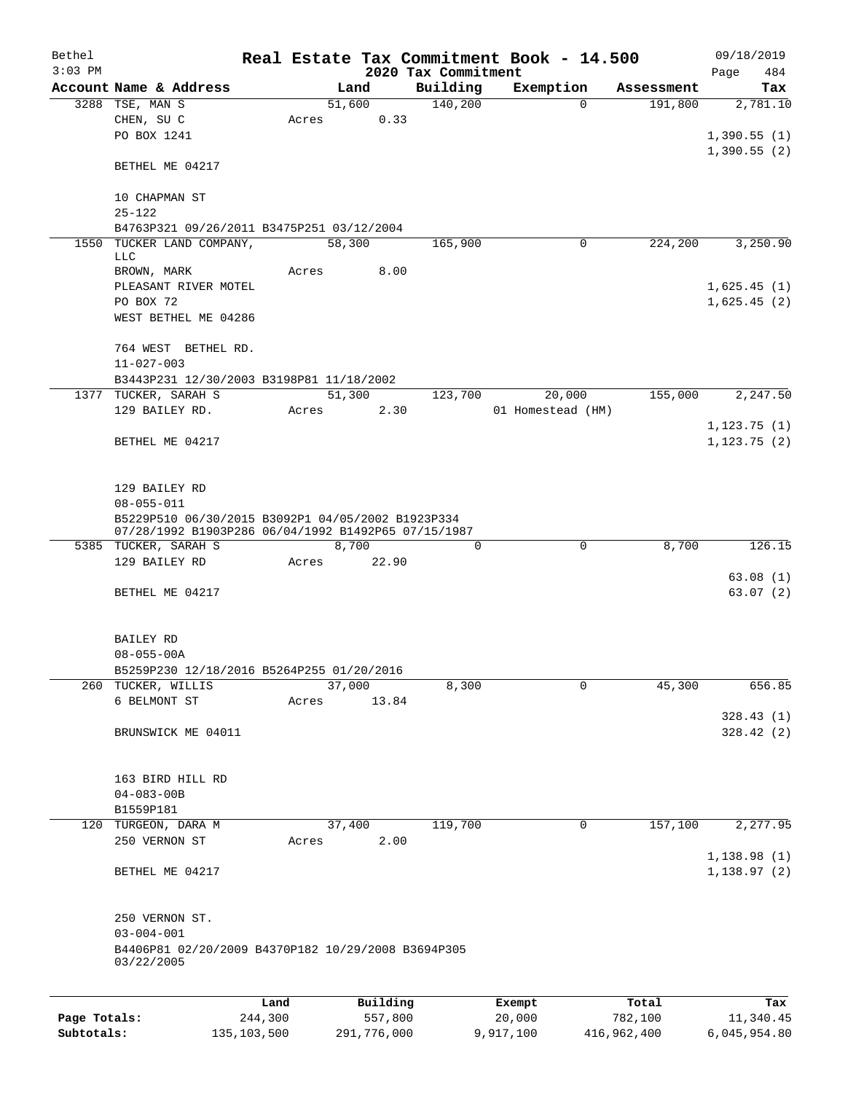| Bethel       |                                                                                                          |               |       |                |                     | Real Estate Tax Commitment Book - 14.500 |                      | 09/18/2019   |
|--------------|----------------------------------------------------------------------------------------------------------|---------------|-------|----------------|---------------------|------------------------------------------|----------------------|--------------|
| $3:03$ PM    |                                                                                                          |               |       |                | 2020 Tax Commitment |                                          |                      | 484<br>Page  |
|              | Account Name & Address                                                                                   |               |       | Land           | Building            | Exemption                                | Assessment           | Tax          |
|              | 3288 TSE, MAN S                                                                                          |               |       | 51,600<br>0.33 | 140,200             |                                          | 191,800<br>0         | 2,781.10     |
|              | CHEN, SU C<br>PO BOX 1241                                                                                |               | Acres |                |                     |                                          |                      | 1,390.55(1)  |
|              |                                                                                                          |               |       |                |                     |                                          |                      | 1,390.55(2)  |
|              | BETHEL ME 04217                                                                                          |               |       |                |                     |                                          |                      |              |
|              | 10 CHAPMAN ST                                                                                            |               |       |                |                     |                                          |                      |              |
|              | $25 - 122$                                                                                               |               |       |                |                     |                                          |                      |              |
|              | B4763P321 09/26/2011 B3475P251 03/12/2004<br>1550 TUCKER LAND COMPANY,                                   |               |       | 58,300         | 165,900             |                                          | 224,200<br>0         | 3,250.90     |
|              | LLC                                                                                                      |               |       |                |                     |                                          |                      |              |
|              | BROWN, MARK                                                                                              |               | Acres | 8.00           |                     |                                          |                      |              |
|              | PLEASANT RIVER MOTEL                                                                                     |               |       |                |                     |                                          |                      | 1,625.45(1)  |
|              | PO BOX 72                                                                                                |               |       |                |                     |                                          |                      | 1,625.45(2)  |
|              | WEST BETHEL ME 04286                                                                                     |               |       |                |                     |                                          |                      |              |
|              | 764 WEST BETHEL RD.                                                                                      |               |       |                |                     |                                          |                      |              |
|              | $11 - 027 - 003$                                                                                         |               |       |                |                     |                                          |                      |              |
|              | B3443P231 12/30/2003 B3198P81 11/18/2002                                                                 |               |       |                |                     |                                          |                      |              |
|              | 1377 TUCKER, SARAH S                                                                                     |               |       | 51,300         | 123,700             | 20,000                                   | 155,000              | 2,247.50     |
|              | 129 BAILEY RD.                                                                                           |               | Acres | 2.30           |                     | 01 Homestead (HM)                        |                      |              |
|              |                                                                                                          |               |       |                |                     |                                          |                      | 1, 123.75(1) |
|              | BETHEL ME 04217                                                                                          |               |       |                |                     |                                          |                      | 1, 123.75(2) |
|              |                                                                                                          |               |       |                |                     |                                          |                      |              |
|              |                                                                                                          |               |       |                |                     |                                          |                      |              |
|              | 129 BAILEY RD                                                                                            |               |       |                |                     |                                          |                      |              |
|              | $08 - 055 - 011$                                                                                         |               |       |                |                     |                                          |                      |              |
|              | B5229P510 06/30/2015 B3092P1 04/05/2002 B1923P334<br>07/28/1992 B1903P286 06/04/1992 B1492P65 07/15/1987 |               |       |                |                     |                                          |                      |              |
|              | 5385 TUCKER, SARAH S                                                                                     |               |       | 8,700          | $\Omega$            |                                          | $\mathbf 0$<br>8,700 | 126.15       |
|              | 129 BAILEY RD                                                                                            |               | Acres | 22.90          |                     |                                          |                      |              |
|              |                                                                                                          |               |       |                |                     |                                          |                      | 63.08(1)     |
|              | BETHEL ME 04217                                                                                          |               |       |                |                     |                                          |                      | 63.07(2)     |
|              |                                                                                                          |               |       |                |                     |                                          |                      |              |
|              |                                                                                                          |               |       |                |                     |                                          |                      |              |
|              | BAILEY RD<br>$08 - 055 - 00A$                                                                            |               |       |                |                     |                                          |                      |              |
|              | B5259P230 12/18/2016 B5264P255 01/20/2016                                                                |               |       |                |                     |                                          |                      |              |
| 260          | TUCKER, WILLIS                                                                                           |               |       | 37,000         | 8,300               |                                          | 0<br>45,300          | 656.85       |
|              | 6 BELMONT ST                                                                                             |               | Acres | 13.84          |                     |                                          |                      |              |
|              |                                                                                                          |               |       |                |                     |                                          |                      | 328.43(1)    |
|              | BRUNSWICK ME 04011                                                                                       |               |       |                |                     |                                          |                      | 328.42(2)    |
|              |                                                                                                          |               |       |                |                     |                                          |                      |              |
|              |                                                                                                          |               |       |                |                     |                                          |                      |              |
|              | 163 BIRD HILL RD                                                                                         |               |       |                |                     |                                          |                      |              |
|              | $04 - 083 - 00B$                                                                                         |               |       |                |                     |                                          |                      |              |
|              | B1559P181                                                                                                |               |       |                |                     |                                          |                      |              |
| 120          | TURGEON, DARA M                                                                                          |               |       | 37,400         | 119,700             |                                          | 157,100<br>0         | 2,277.95     |
|              | 250 VERNON ST                                                                                            |               | Acres | 2.00           |                     |                                          |                      |              |
|              |                                                                                                          |               |       |                |                     |                                          |                      | 1,138.98(1)  |
|              | BETHEL ME 04217                                                                                          |               |       |                |                     |                                          |                      | 1,138.97(2)  |
|              |                                                                                                          |               |       |                |                     |                                          |                      |              |
|              | 250 VERNON ST.                                                                                           |               |       |                |                     |                                          |                      |              |
|              | $03 - 004 - 001$                                                                                         |               |       |                |                     |                                          |                      |              |
|              | B4406P81 02/20/2009 B4370P182 10/29/2008 B3694P305<br>03/22/2005                                         |               |       |                |                     |                                          |                      |              |
|              |                                                                                                          |               |       |                |                     |                                          |                      |              |
|              |                                                                                                          | Land          |       | Building       |                     | Exempt                                   | Total                | Tax          |
| Page Totals: |                                                                                                          | 244,300       |       | 557,800        |                     | 20,000                                   | 782,100              | 11,340.45    |
| Subtotals:   |                                                                                                          | 135, 103, 500 |       | 291,776,000    |                     | 9,917,100                                | 416,962,400          | 6,045,954.80 |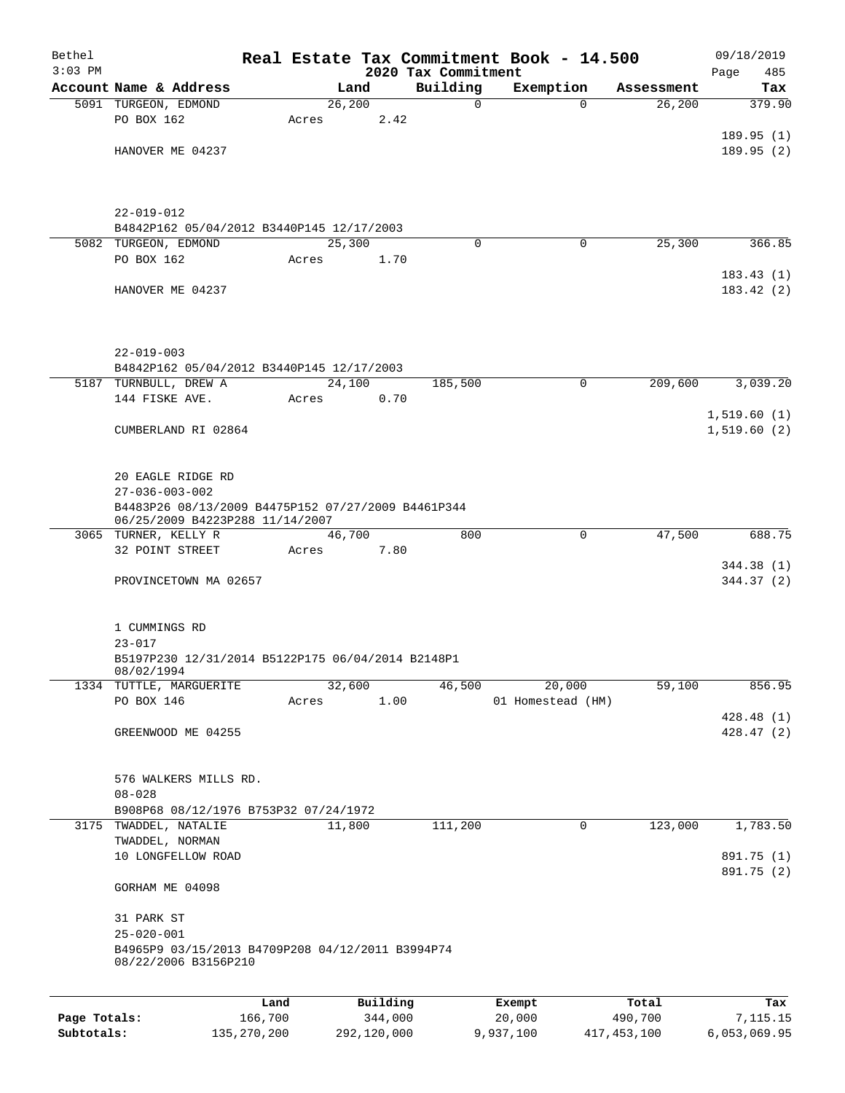| Bethel       |                                                                                                               |               |       |                 |                     | Real Estate Tax Commitment Book - 14.500 |             |                       | 09/18/2019               |
|--------------|---------------------------------------------------------------------------------------------------------------|---------------|-------|-----------------|---------------------|------------------------------------------|-------------|-----------------------|--------------------------|
| $3:03$ PM    |                                                                                                               |               |       |                 | 2020 Tax Commitment |                                          |             |                       | 485<br>Page              |
|              | Account Name & Address<br>5091 TURGEON, EDMOND                                                                |               |       | Land<br>26, 200 | Building            | Exemption<br>0                           | $\Omega$    | Assessment<br>26, 200 | Tax<br>379.90            |
|              | PO BOX 162                                                                                                    |               | Acres |                 | 2.42                |                                          |             |                       |                          |
|              |                                                                                                               |               |       |                 |                     |                                          |             |                       | 189.95(1)                |
|              | HANOVER ME 04237                                                                                              |               |       |                 |                     |                                          |             |                       | 189.95(2)                |
|              |                                                                                                               |               |       |                 |                     |                                          |             |                       |                          |
|              | $22 - 019 - 012$                                                                                              |               |       |                 |                     |                                          |             |                       |                          |
|              | B4842P162 05/04/2012 B3440P145 12/17/2003                                                                     |               |       |                 |                     |                                          |             |                       |                          |
|              | 5082 TURGEON, EDMOND                                                                                          |               |       | 25,300          |                     | $\Omega$                                 | 0           | 25,300                | 366.85                   |
|              | PO BOX 162                                                                                                    |               | Acres |                 | 1.70                |                                          |             |                       | 183.43(1)                |
|              | HANOVER ME 04237                                                                                              |               |       |                 |                     |                                          |             |                       | 183.42(2)                |
|              | $22 - 019 - 003$                                                                                              |               |       |                 |                     |                                          |             |                       |                          |
|              | B4842P162 05/04/2012 B3440P145 12/17/2003<br>5187 TURNBULL, DREW A                                            |               |       | 24,100          | 185,500             |                                          | $\mathbf 0$ | 209,600               | 3,039.20                 |
|              | 144 FISKE AVE.                                                                                                |               | Acres |                 | 0.70                |                                          |             |                       |                          |
|              |                                                                                                               |               |       |                 |                     |                                          |             |                       | 1,519.60(1)              |
|              | CUMBERLAND RI 02864                                                                                           |               |       |                 |                     |                                          |             |                       | 1,519.60(2)              |
|              | 20 EAGLE RIDGE RD                                                                                             |               |       |                 |                     |                                          |             |                       |                          |
|              | $27 - 036 - 003 - 002$                                                                                        |               |       |                 |                     |                                          |             |                       |                          |
|              | B4483P26 08/13/2009 B4475P152 07/27/2009 B4461P344<br>06/25/2009 B4223P288 11/14/2007<br>3065 TURNER, KELLY R |               |       | 46,700          |                     | 800                                      | $\mathbf 0$ | 47,500                | 688.75                   |
|              | 32 POINT STREET                                                                                               |               | Acres |                 | 7.80                |                                          |             |                       |                          |
|              | PROVINCETOWN MA 02657                                                                                         |               |       |                 |                     |                                          |             |                       | 344.38 (1)<br>344.37 (2) |
|              | 1 CUMMINGS RD<br>$23 - 017$<br>B5197P230 12/31/2014 B5122P175 06/04/2014 B2148P1<br>08/02/1994                |               |       |                 |                     |                                          |             |                       |                          |
|              | 1334 TUTTLE, MARGUERITE                                                                                       |               |       | 32,600          | 46,500              |                                          | 20,000      | 59,100                | 856.95                   |
|              | PO BOX 146                                                                                                    |               | Acres |                 | 1.00                | 01 Homestead (HM)                        |             |                       |                          |
|              |                                                                                                               |               |       |                 |                     |                                          |             |                       | 428.48 (1)               |
|              | GREENWOOD ME 04255                                                                                            |               |       |                 |                     |                                          |             |                       | 428.47 (2)               |
|              | 576 WALKERS MILLS RD.<br>$08 - 028$                                                                           |               |       |                 |                     |                                          |             |                       |                          |
|              | B908P68 08/12/1976 B753P32 07/24/1972                                                                         |               |       |                 |                     |                                          |             |                       |                          |
|              | 3175 TWADDEL, NATALIE                                                                                         |               |       | 11,800          | 111,200             |                                          | 0           | 123,000               | 1,783.50                 |
|              | TWADDEL, NORMAN                                                                                               |               |       |                 |                     |                                          |             |                       |                          |
|              | 10 LONGFELLOW ROAD                                                                                            |               |       |                 |                     |                                          |             |                       | 891.75 (1)               |
|              | GORHAM ME 04098                                                                                               |               |       |                 |                     |                                          |             |                       | 891.75 (2)               |
|              | 31 PARK ST<br>$25 - 020 - 001$                                                                                |               |       |                 |                     |                                          |             |                       |                          |
|              | B4965P9 03/15/2013 B4709P208 04/12/2011 B3994P74<br>08/22/2006 B3156P210                                      |               |       |                 |                     |                                          |             |                       |                          |
|              |                                                                                                               | Land          |       | Building        |                     | Exempt                                   |             | Total                 | Tax                      |
| Page Totals: |                                                                                                               | 166,700       |       | 344,000         |                     | 20,000                                   |             | 490,700               | 7,115.15                 |
| Subtotals:   |                                                                                                               | 135, 270, 200 |       | 292,120,000     |                     | 9,937,100                                |             | 417, 453, 100         | 6,053,069.95             |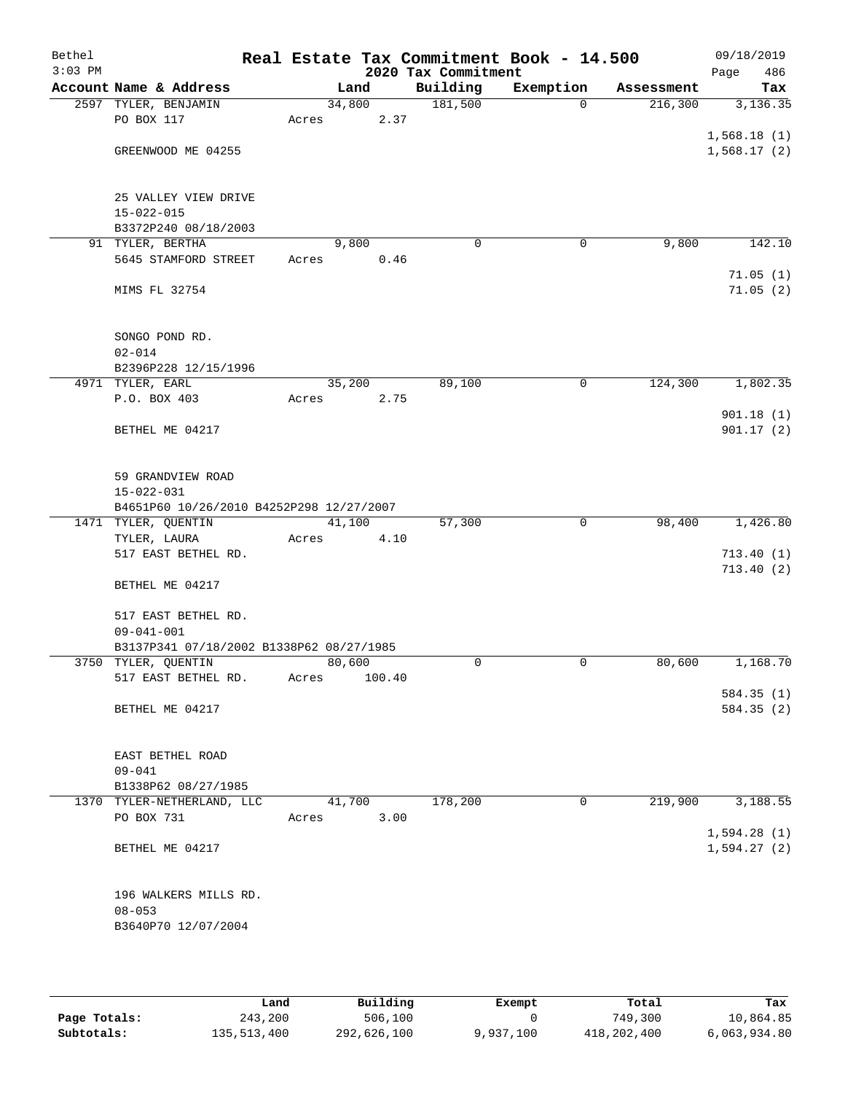| Bethel<br>$3:03$ PM |                                          |       |        | 2020 Tax Commitment | Real Estate Tax Commitment Book - 14.500 |            | 09/18/2019<br>Page<br>486 |
|---------------------|------------------------------------------|-------|--------|---------------------|------------------------------------------|------------|---------------------------|
|                     | Account Name & Address                   |       | Land   | Building            | Exemption                                | Assessment | Tax                       |
|                     | 2597 TYLER, BENJAMIN                     |       | 34,800 | 181,500             | $\Omega$                                 | 216,300    | 3,136.35                  |
|                     | PO BOX 117                               | Acres | 2.37   |                     |                                          |            |                           |
|                     |                                          |       |        |                     |                                          |            | 1,568.18(1)               |
|                     | GREENWOOD ME 04255                       |       |        |                     |                                          |            | 1,568.17(2)               |
|                     |                                          |       |        |                     |                                          |            |                           |
|                     | 25 VALLEY VIEW DRIVE                     |       |        |                     |                                          |            |                           |
|                     | $15 - 022 - 015$                         |       |        |                     |                                          |            |                           |
|                     | B3372P240 08/18/2003                     |       |        |                     |                                          |            |                           |
|                     | 91 TYLER, BERTHA                         |       | 9,800  | 0                   | 0                                        | 9,800      | 142.10                    |
|                     | 5645 STAMFORD STREET                     | Acres | 0.46   |                     |                                          |            |                           |
|                     |                                          |       |        |                     |                                          |            | 71.05(1)                  |
|                     | MIMS FL 32754                            |       |        |                     |                                          |            | 71.05(2)                  |
|                     |                                          |       |        |                     |                                          |            |                           |
|                     |                                          |       |        |                     |                                          |            |                           |
|                     | SONGO POND RD.<br>$02 - 014$             |       |        |                     |                                          |            |                           |
|                     | B2396P228 12/15/1996                     |       |        |                     |                                          |            |                           |
|                     | 4971 TYLER, EARL                         |       | 35,200 | 89,100              | 0                                        | 124,300    | 1,802.35                  |
|                     | P.O. BOX 403                             | Acres | 2.75   |                     |                                          |            |                           |
|                     |                                          |       |        |                     |                                          |            | 901.18(1)                 |
|                     | BETHEL ME 04217                          |       |        |                     |                                          |            | 901.17(2)                 |
|                     |                                          |       |        |                     |                                          |            |                           |
|                     |                                          |       |        |                     |                                          |            |                           |
|                     | 59 GRANDVIEW ROAD<br>$15 - 022 - 031$    |       |        |                     |                                          |            |                           |
|                     | B4651P60 10/26/2010 B4252P298 12/27/2007 |       |        |                     |                                          |            |                           |
|                     | 1471 TYLER, QUENTIN                      |       | 41,100 | 57,300              | $\mathbf 0$                              | 98,400     | 1,426.80                  |
|                     | TYLER, LAURA                             | Acres | 4.10   |                     |                                          |            |                           |
|                     | 517 EAST BETHEL RD.                      |       |        |                     |                                          |            | 713.40(1)                 |
|                     |                                          |       |        |                     |                                          |            | 713.40(2)                 |
|                     | BETHEL ME 04217                          |       |        |                     |                                          |            |                           |
|                     | 517 EAST BETHEL RD.                      |       |        |                     |                                          |            |                           |
|                     | $09 - 041 - 001$                         |       |        |                     |                                          |            |                           |
|                     | B3137P341 07/18/2002 B1338P62 08/27/1985 |       |        |                     |                                          |            |                           |
|                     | 3750 TYLER, QUENTIN                      |       | 80,600 | 0                   | 0                                        | 80,600     | 1,168.70                  |
|                     | 517 EAST BETHEL RD.                      | Acres | 100.40 |                     |                                          |            |                           |
|                     |                                          |       |        |                     |                                          |            | 584.35 (1)                |
|                     | BETHEL ME 04217                          |       |        |                     |                                          |            | 584.35 (2)                |
|                     |                                          |       |        |                     |                                          |            |                           |
|                     | EAST BETHEL ROAD                         |       |        |                     |                                          |            |                           |
|                     | $09 - 041$                               |       |        |                     |                                          |            |                           |
|                     | B1338P62 08/27/1985                      |       |        |                     |                                          |            |                           |
|                     | 1370 TYLER-NETHERLAND, LLC               |       | 41,700 | 178,200             | 0                                        | 219,900    | 3,188.55                  |
|                     | PO BOX 731                               | Acres | 3.00   |                     |                                          |            |                           |
|                     |                                          |       |        |                     |                                          |            | 1,594.28(1)               |
|                     | BETHEL ME 04217                          |       |        |                     |                                          |            | 1,594.27(2)               |
|                     |                                          |       |        |                     |                                          |            |                           |
|                     | 196 WALKERS MILLS RD.                    |       |        |                     |                                          |            |                           |
|                     | $08 - 053$                               |       |        |                     |                                          |            |                           |
|                     | B3640P70 12/07/2004                      |       |        |                     |                                          |            |                           |
|                     |                                          |       |        |                     |                                          |            |                           |

|              | Land        | Building    | Exempt    | Total       | Tax          |
|--------------|-------------|-------------|-----------|-------------|--------------|
| Page Totals: | 243,200     | 506,100     |           | 749,300     | 10,864.85    |
| Subtotals:   | 135,513,400 | 292,626,100 | 9,937,100 | 418,202,400 | 6,063,934.80 |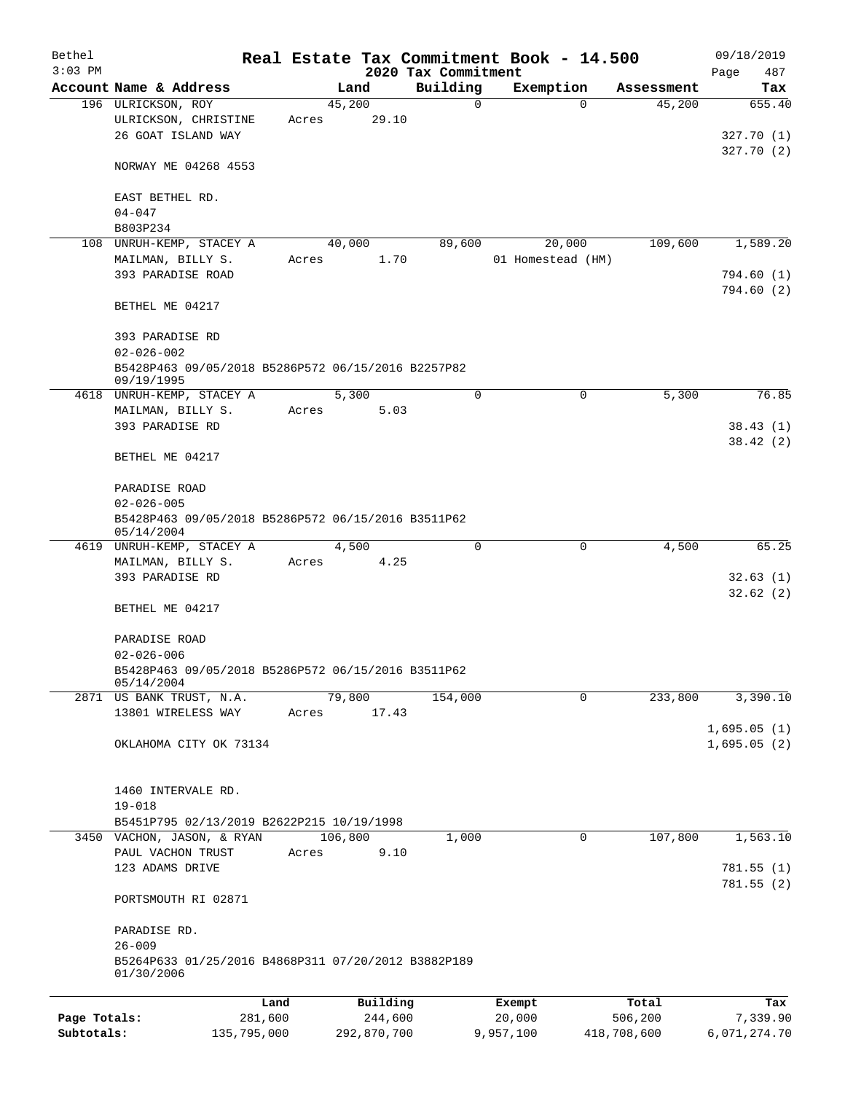| Bethel<br>$3:03$ PM |                                                         |         |                | 2020 Tax Commitment | Real Estate Tax Commitment Book - 14.500 |            | 09/18/2019<br>487 |
|---------------------|---------------------------------------------------------|---------|----------------|---------------------|------------------------------------------|------------|-------------------|
|                     | Account Name & Address                                  |         | Land           | Building            | Exemption                                | Assessment | Page<br>Tax       |
|                     | 196 ULRICKSON, ROY                                      |         | 45,200         | $\mathbf 0$         | $\Omega$                                 | 45,200     | 655.40            |
|                     | ULRICKSON, CHRISTINE                                    | Acres   | 29.10          |                     |                                          |            |                   |
|                     | 26 GOAT ISLAND WAY                                      |         |                |                     |                                          |            | 327.70(1)         |
|                     |                                                         |         |                |                     |                                          |            | 327.70(2)         |
|                     | NORWAY ME 04268 4553                                    |         |                |                     |                                          |            |                   |
|                     |                                                         |         |                |                     |                                          |            |                   |
|                     | EAST BETHEL RD.                                         |         |                |                     |                                          |            |                   |
|                     | $04 - 047$                                              |         |                |                     |                                          |            |                   |
|                     | B803P234                                                |         |                |                     |                                          |            |                   |
|                     | 108 UNRUH-KEMP, STACEY A                                |         | 40,000<br>1.70 | 89,600              | 20,000                                   | 109,600    | 1,589.20          |
|                     | MAILMAN, BILLY S.<br>393 PARADISE ROAD                  | Acres   |                |                     | 01 Homestead (HM)                        |            | 794.60(1)         |
|                     |                                                         |         |                |                     |                                          |            | 794.60(2)         |
|                     | BETHEL ME 04217                                         |         |                |                     |                                          |            |                   |
|                     |                                                         |         |                |                     |                                          |            |                   |
|                     | 393 PARADISE RD                                         |         |                |                     |                                          |            |                   |
|                     | $02 - 026 - 002$                                        |         |                |                     |                                          |            |                   |
|                     | B5428P463 09/05/2018 B5286P572 06/15/2016 B2257P82      |         |                |                     |                                          |            |                   |
|                     | 09/19/1995                                              |         |                |                     |                                          |            |                   |
|                     | 4618 UNRUH-KEMP, STACEY A                               |         | 5,300          | $\mathbf 0$         | $\mathbf 0$                              | 5,300      | 76.85             |
|                     | MAILMAN, BILLY S.                                       | Acres   | 5.03           |                     |                                          |            |                   |
|                     | 393 PARADISE RD                                         |         |                |                     |                                          |            | 38.43(1)          |
|                     |                                                         |         |                |                     |                                          |            | 38.42(2)          |
|                     | BETHEL ME 04217                                         |         |                |                     |                                          |            |                   |
|                     | PARADISE ROAD                                           |         |                |                     |                                          |            |                   |
|                     | $02 - 026 - 005$                                        |         |                |                     |                                          |            |                   |
|                     | B5428P463 09/05/2018 B5286P572 06/15/2016 B3511P62      |         |                |                     |                                          |            |                   |
|                     | 05/14/2004                                              |         |                |                     |                                          |            |                   |
|                     | 4619 UNRUH-KEMP, STACEY A                               |         | 4,500          | $\mathbf 0$         | $\mathbf 0$                              | 4,500      | 65.25             |
|                     | MAILMAN, BILLY S.                                       | Acres   | 4.25           |                     |                                          |            |                   |
|                     | 393 PARADISE RD                                         |         |                |                     |                                          |            | 32.63(1)          |
|                     |                                                         |         |                |                     |                                          |            | 32.62(2)          |
|                     | BETHEL ME 04217                                         |         |                |                     |                                          |            |                   |
|                     |                                                         |         |                |                     |                                          |            |                   |
|                     | PARADISE ROAD<br>$02 - 026 - 006$                       |         |                |                     |                                          |            |                   |
|                     | B5428P463 09/05/2018 B5286P572 06/15/2016 B3511P62      |         |                |                     |                                          |            |                   |
|                     | 05/14/2004                                              |         |                |                     |                                          |            |                   |
|                     | 2871 US BANK TRUST, N.A.                                |         | 79,800         | 154,000             | $\mathbf 0$                              | 233,800    | 3,390.10          |
|                     | 13801 WIRELESS WAY                                      | Acres   | 17.43          |                     |                                          |            |                   |
|                     |                                                         |         |                |                     |                                          |            | 1,695.05(1)       |
|                     | OKLAHOMA CITY OK 73134                                  |         |                |                     |                                          |            | 1,695.05(2)       |
|                     |                                                         |         |                |                     |                                          |            |                   |
|                     |                                                         |         |                |                     |                                          |            |                   |
|                     | 1460 INTERVALE RD.                                      |         |                |                     |                                          |            |                   |
|                     | $19 - 018$<br>B5451P795 02/13/2019 B2622P215 10/19/1998 |         |                |                     |                                          |            |                   |
|                     | 3450 VACHON, JASON, & RYAN                              |         | 106,800        | 1,000               | 0                                        | 107,800    | 1,563.10          |
|                     | PAUL VACHON TRUST                                       | Acres   | 9.10           |                     |                                          |            |                   |
|                     | 123 ADAMS DRIVE                                         |         |                |                     |                                          |            | 781.55(1)         |
|                     |                                                         |         |                |                     |                                          |            | 781.55(2)         |
|                     | PORTSMOUTH RI 02871                                     |         |                |                     |                                          |            |                   |
|                     |                                                         |         |                |                     |                                          |            |                   |
|                     | PARADISE RD.                                            |         |                |                     |                                          |            |                   |
|                     | $26 - 009$                                              |         |                |                     |                                          |            |                   |
|                     | B5264P633 01/25/2016 B4868P311 07/20/2012 B3882P189     |         |                |                     |                                          |            |                   |
|                     | 01/30/2006                                              |         |                |                     |                                          |            |                   |
|                     |                                                         | Land    | Building       |                     | Exempt                                   | Total      | Tax               |
| Page Totals:        |                                                         | 281,600 | 244,600        |                     | 20,000                                   | 506,200    | 7,339.90          |
|                     |                                                         |         |                |                     |                                          |            |                   |

**Subtotals:** 135,795,000 292,870,700 9,957,100 418,708,600 6,071,274.70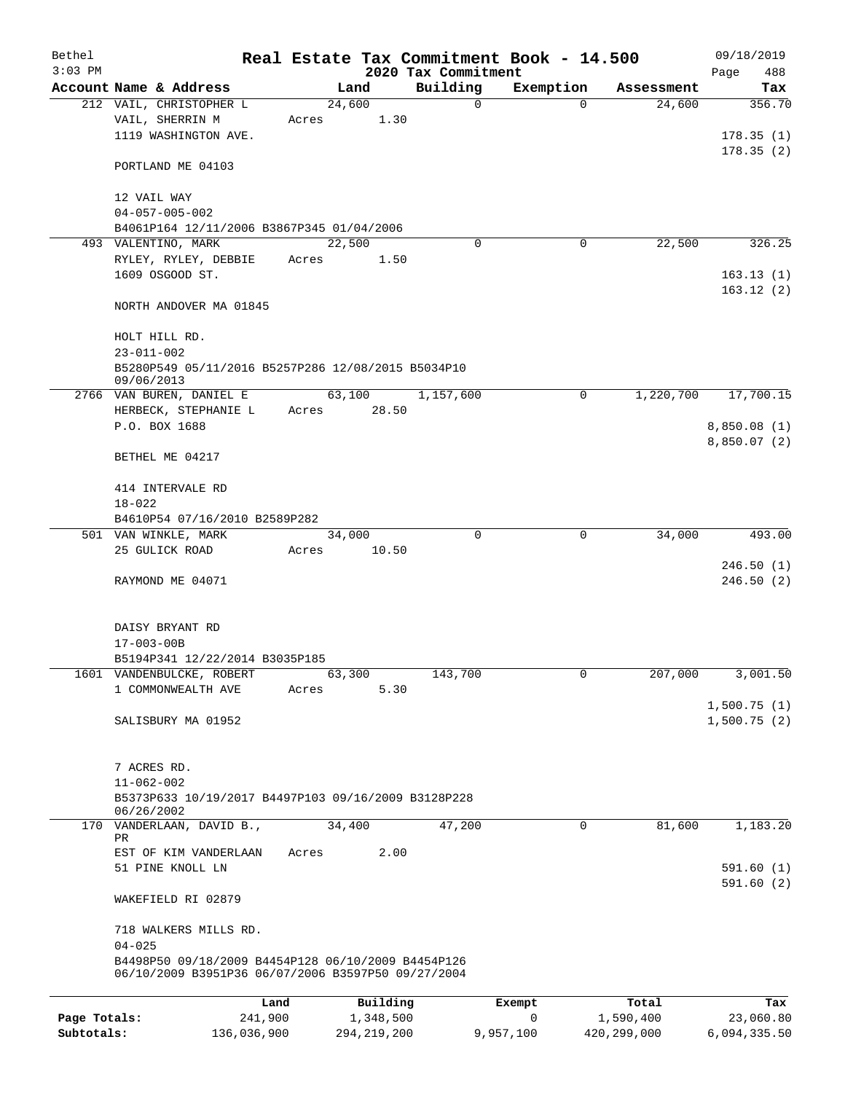| Bethel<br>$3:03$ PM |                                                                                                          |       |                       | 2020 Tax Commitment | Real Estate Tax Commitment Book - 14.500 |                    | 09/18/2019<br>Page<br>488 |
|---------------------|----------------------------------------------------------------------------------------------------------|-------|-----------------------|---------------------|------------------------------------------|--------------------|---------------------------|
|                     | Account Name & Address                                                                                   |       | Land                  | Building            | Exemption                                | Assessment         | Tax                       |
|                     | 212 VAIL, CHRISTOPHER L                                                                                  |       | 24,600                | 0                   | $\Omega$                                 | 24,600             | 356.70                    |
|                     | VAIL, SHERRIN M                                                                                          | Acres | 1.30                  |                     |                                          |                    |                           |
|                     | 1119 WASHINGTON AVE.                                                                                     |       |                       |                     |                                          |                    | 178.35(1)                 |
|                     |                                                                                                          |       |                       |                     |                                          |                    | 178.35(2)                 |
|                     | PORTLAND ME 04103                                                                                        |       |                       |                     |                                          |                    |                           |
|                     | 12 VAIL WAY                                                                                              |       |                       |                     |                                          |                    |                           |
|                     | $04 - 057 - 005 - 002$                                                                                   |       |                       |                     |                                          |                    |                           |
|                     | B4061P164 12/11/2006 B3867P345 01/04/2006                                                                |       |                       |                     |                                          |                    |                           |
|                     | 493 VALENTINO, MARK                                                                                      |       | 22,500                | $\Omega$            | 0                                        | 22,500             | 326.25                    |
|                     | RYLEY, RYLEY, DEBBIE                                                                                     | Acres | 1.50                  |                     |                                          |                    |                           |
|                     | 1609 OSGOOD ST.                                                                                          |       |                       |                     |                                          |                    | 163.13(1)                 |
|                     | NORTH ANDOVER MA 01845                                                                                   |       |                       |                     |                                          |                    | 163.12(2)                 |
|                     |                                                                                                          |       |                       |                     |                                          |                    |                           |
|                     | HOLT HILL RD.<br>$23 - 011 - 002$                                                                        |       |                       |                     |                                          |                    |                           |
|                     | B5280P549 05/11/2016 B5257P286 12/08/2015 B5034P10                                                       |       |                       |                     |                                          |                    |                           |
|                     | 09/06/2013                                                                                               |       |                       |                     |                                          |                    |                           |
|                     | 2766 VAN BUREN, DANIEL E                                                                                 |       | 63,100                | 1,157,600           | 0                                        | 1,220,700          | 17,700.15                 |
|                     | HERBECK, STEPHANIE L                                                                                     | Acres | 28.50                 |                     |                                          |                    |                           |
|                     | P.O. BOX 1688                                                                                            |       |                       |                     |                                          |                    | 8,850.08(1)               |
|                     | BETHEL ME 04217                                                                                          |       |                       |                     |                                          |                    | 8,850.07(2)               |
|                     |                                                                                                          |       |                       |                     |                                          |                    |                           |
|                     | 414 INTERVALE RD                                                                                         |       |                       |                     |                                          |                    |                           |
|                     | $18 - 022$<br>B4610P54 07/16/2010 B2589P282                                                              |       |                       |                     |                                          |                    |                           |
|                     | 501 VAN WINKLE, MARK                                                                                     |       | 34,000                | $\mathbf 0$         | $\mathbf 0$                              | 34,000             | 493.00                    |
|                     | 25 GULICK ROAD                                                                                           | Acres | 10.50                 |                     |                                          |                    |                           |
|                     |                                                                                                          |       |                       |                     |                                          |                    | 246.50(1)                 |
|                     | RAYMOND ME 04071                                                                                         |       |                       |                     |                                          |                    | 246.50(2)                 |
|                     |                                                                                                          |       |                       |                     |                                          |                    |                           |
|                     | DAISY BRYANT RD                                                                                          |       |                       |                     |                                          |                    |                           |
|                     | $17 - 003 - 00B$                                                                                         |       |                       |                     |                                          |                    |                           |
|                     | B5194P341 12/22/2014 B3035P185<br>1601 VANDENBULCKE, ROBERT                                              |       | 63,300                | 143,700             | 0                                        | 207,000            | 3,001.50                  |
|                     | 1 COMMONWEALTH AVE                                                                                       | Acres | 5.30                  |                     |                                          |                    |                           |
|                     |                                                                                                          |       |                       |                     |                                          |                    | 1,500.75(1)               |
|                     | SALISBURY MA 01952                                                                                       |       |                       |                     |                                          |                    | 1,500.75(2)               |
|                     |                                                                                                          |       |                       |                     |                                          |                    |                           |
|                     |                                                                                                          |       |                       |                     |                                          |                    |                           |
|                     | 7 ACRES RD.                                                                                              |       |                       |                     |                                          |                    |                           |
|                     | $11 - 062 - 002$                                                                                         |       |                       |                     |                                          |                    |                           |
|                     | B5373P633 10/19/2017 B4497P103 09/16/2009 B3128P228<br>06/26/2002                                        |       |                       |                     |                                          |                    |                           |
|                     | 170 VANDERLAAN, DAVID B.,                                                                                |       | 34,400                | 47,200              | 0                                        | 81,600             | 1,183.20                  |
|                     | PR                                                                                                       |       |                       |                     |                                          |                    |                           |
|                     | EST OF KIM VANDERLAAN<br>51 PINE KNOLL LN                                                                | Acres | 2.00                  |                     |                                          |                    | 591.60 (1)                |
|                     | WAKEFIELD RI 02879                                                                                       |       |                       |                     |                                          |                    | 591.60(2)                 |
|                     | 718 WALKERS MILLS RD.                                                                                    |       |                       |                     |                                          |                    |                           |
|                     | $04 - 025$                                                                                               |       |                       |                     |                                          |                    |                           |
|                     | B4498P50 09/18/2009 B4454P128 06/10/2009 B4454P126<br>06/10/2009 B3951P36 06/07/2006 B3597P50 09/27/2004 |       |                       |                     |                                          |                    |                           |
|                     |                                                                                                          |       |                       |                     |                                          |                    |                           |
| Page Totals:        | 241,900                                                                                                  | Land  | Building<br>1,348,500 |                     | Exempt<br>$\mathbf 0$                    | Total<br>1,590,400 | Tax<br>23,060.80          |
|                     |                                                                                                          |       |                       |                     |                                          |                    |                           |

**Subtotals:** 136,036,900 294,219,200 9,957,100 420,299,000 6,094,335.50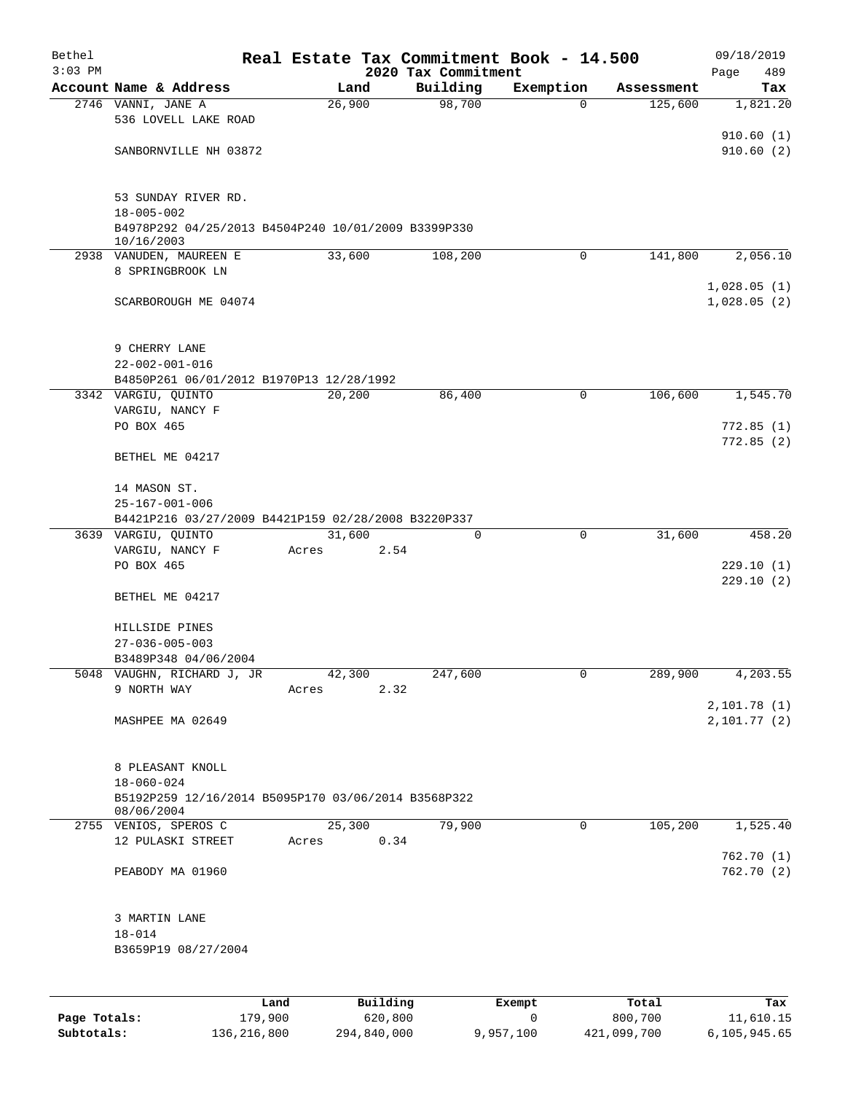| Bethel    |                                                                                       |       |          |                                 | Real Estate Tax Commitment Book - 14.500 |            | 09/18/2019                 |
|-----------|---------------------------------------------------------------------------------------|-------|----------|---------------------------------|------------------------------------------|------------|----------------------------|
| $3:03$ PM | Account Name & Address                                                                |       | Land     | 2020 Tax Commitment<br>Building | Exemption                                | Assessment | 489<br>Page<br>Tax         |
|           | 2746 VANNI, JANE A                                                                    |       | 26,900   | 98,700                          | $\Omega$                                 | 125,600    | 1,821.20                   |
|           | 536 LOVELL LAKE ROAD                                                                  |       |          |                                 |                                          |            |                            |
|           | SANBORNVILLE NH 03872                                                                 |       |          |                                 |                                          |            | 910.60(1)<br>910.60(2)     |
|           | 53 SUNDAY RIVER RD.<br>$18 - 005 - 002$                                               |       |          |                                 |                                          |            |                            |
|           | B4978P292 04/25/2013 B4504P240 10/01/2009 B3399P330<br>10/16/2003                     |       |          |                                 |                                          |            |                            |
|           | 2938 VANUDEN, MAUREEN E<br>8 SPRINGBROOK LN                                           |       | 33,600   | 108,200                         | $\mathbf 0$                              | 141,800    | 2,056.10                   |
|           | SCARBOROUGH ME 04074                                                                  |       |          |                                 |                                          |            | 1,028.05(1)<br>1,028.05(2) |
|           | 9 CHERRY LANE                                                                         |       |          |                                 |                                          |            |                            |
|           | $22 - 002 - 001 - 016$                                                                |       |          |                                 |                                          |            |                            |
|           | B4850P261 06/01/2012 B1970P13 12/28/1992                                              |       |          |                                 |                                          |            |                            |
|           | 3342 VARGIU, QUINTO<br>VARGIU, NANCY F                                                |       | 20,200   | 86,400                          | 0                                        | 106,600    | 1,545.70                   |
|           | PO BOX 465                                                                            |       |          |                                 |                                          |            | 772.85(1)                  |
|           | BETHEL ME 04217                                                                       |       |          |                                 |                                          |            | 772.85(2)                  |
|           | 14 MASON ST.                                                                          |       |          |                                 |                                          |            |                            |
|           | $25 - 167 - 001 - 006$<br>B4421P216 03/27/2009 B4421P159 02/28/2008 B3220P337         |       |          |                                 |                                          |            |                            |
|           | 3639 VARGIU, QUINTO                                                                   |       | 31,600   | 0                               | 0                                        | 31,600     | 458.20                     |
|           | VARGIU, NANCY F                                                                       | Acres | 2.54     |                                 |                                          |            |                            |
|           | PO BOX 465                                                                            |       |          |                                 |                                          |            | 229.10(1)                  |
|           | BETHEL ME 04217                                                                       |       |          |                                 |                                          |            | 229.10(2)                  |
|           | HILLSIDE PINES                                                                        |       |          |                                 |                                          |            |                            |
|           | $27 - 036 - 005 - 003$                                                                |       |          |                                 |                                          |            |                            |
|           | B3489P348 04/06/2004                                                                  |       |          |                                 |                                          |            |                            |
|           | 5048 VAUGHN, RICHARD J, JR                                                            |       | 42,300   | 247,600                         | 0                                        | 289,900    | 4,203.55                   |
|           | 9 NORTH WAY                                                                           | Acres | 2.32     |                                 |                                          |            | 2,101.78(1)                |
|           | MASHPEE MA 02649                                                                      |       |          |                                 |                                          |            | 2,101.77(2)                |
|           | 8 PLEASANT KNOLL                                                                      |       |          |                                 |                                          |            |                            |
|           | $18 - 060 - 024$<br>B5192P259 12/16/2014 B5095P170 03/06/2014 B3568P322<br>08/06/2004 |       |          |                                 |                                          |            |                            |
|           | 2755 VENIOS, SPEROS C                                                                 |       | 25,300   | 79,900                          | $\mathbf 0$                              | 105, 200   | 1,525.40                   |
|           | 12 PULASKI STREET                                                                     | Acres | 0.34     |                                 |                                          |            |                            |
|           | PEABODY MA 01960                                                                      |       |          |                                 |                                          |            | 762.70(1)<br>762.70(2)     |
|           | 3 MARTIN LANE                                                                         |       |          |                                 |                                          |            |                            |
|           | $18 - 014$<br>B3659P19 08/27/2004                                                     |       |          |                                 |                                          |            |                            |
|           |                                                                                       |       |          |                                 |                                          |            |                            |
|           |                                                                                       | Land  | Building |                                 | Exempt                                   | Total      | Tax                        |
|           |                                                                                       |       |          |                                 |                                          |            |                            |

**Page Totals:** 179,900 620,800 0 800,700 11,610.15 **Subtotals:** 136,216,800 294,840,000 9,957,100 421,099,700 6,105,945.65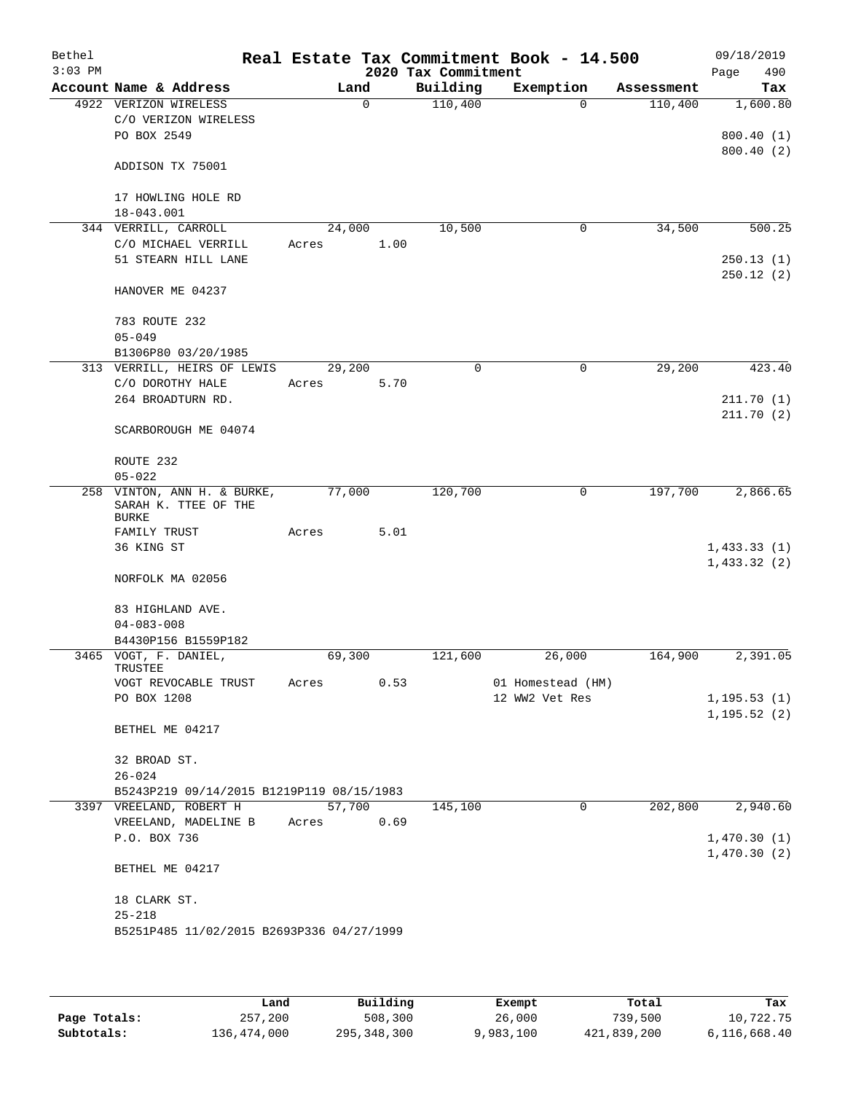| Bethel<br>$3:03$ PM |                                                                 |       |          |      | 2020 Tax Commitment | Real Estate Tax Commitment Book - 14.500 |            | 09/18/2019<br>490<br>Page |
|---------------------|-----------------------------------------------------------------|-------|----------|------|---------------------|------------------------------------------|------------|---------------------------|
|                     | Account Name & Address                                          |       | Land     |      | Building            | Exemption                                | Assessment | Tax                       |
|                     | 4922 VERIZON WIRELESS                                           |       | $\Omega$ |      | 110,400             | $\Omega$                                 | 110,400    | 1,600.80                  |
|                     | C/O VERIZON WIRELESS                                            |       |          |      |                     |                                          |            |                           |
|                     | PO BOX 2549                                                     |       |          |      |                     |                                          |            | 800.40(1)                 |
|                     | ADDISON TX 75001                                                |       |          |      |                     |                                          |            | 800.40(2)                 |
|                     | 17 HOWLING HOLE RD                                              |       |          |      |                     |                                          |            |                           |
|                     | 18-043.001                                                      |       |          |      |                     |                                          |            |                           |
|                     | 344 VERRILL, CARROLL                                            |       | 24,000   |      | 10,500              | 0                                        | 34,500     | 500.25                    |
|                     | C/O MICHAEL VERRILL                                             | Acres |          | 1.00 |                     |                                          |            |                           |
|                     | 51 STEARN HILL LANE                                             |       |          |      |                     |                                          |            | 250.13(1)                 |
|                     | HANOVER ME 04237                                                |       |          |      |                     |                                          |            | 250.12(2)                 |
|                     | 783 ROUTE 232                                                   |       |          |      |                     |                                          |            |                           |
|                     | $05 - 049$                                                      |       |          |      |                     |                                          |            |                           |
|                     | B1306P80 03/20/1985                                             |       |          |      |                     |                                          |            |                           |
|                     | 313 VERRILL, HEIRS OF LEWIS                                     |       | 29,200   |      | $\mathbf 0$         | $\mathbf 0$                              | 29,200     | 423.40                    |
|                     | C/O DOROTHY HALE<br>264 BROADTURN RD.                           | Acres |          | 5.70 |                     |                                          |            | 211.70(1)                 |
|                     |                                                                 |       |          |      |                     |                                          |            | 211.70(2)                 |
|                     | SCARBOROUGH ME 04074                                            |       |          |      |                     |                                          |            |                           |
|                     | ROUTE 232                                                       |       |          |      |                     |                                          |            |                           |
|                     | $05 - 022$                                                      |       |          |      |                     |                                          |            |                           |
| 258                 | VINTON, ANN H. & BURKE,<br>SARAH K. TTEE OF THE<br><b>BURKE</b> |       | 77,000   |      | 120,700             | 0                                        | 197,700    | 2,866.65                  |
|                     | FAMILY TRUST                                                    | Acres |          | 5.01 |                     |                                          |            |                           |
|                     | 36 KING ST                                                      |       |          |      |                     |                                          |            | 1,433.33(1)               |
|                     | NORFOLK MA 02056                                                |       |          |      |                     |                                          |            | 1,433.32(2)               |
|                     | 83 HIGHLAND AVE.<br>$04 - 083 - 008$                            |       |          |      |                     |                                          |            |                           |
|                     | B4430P156 B1559P182                                             |       |          |      |                     |                                          |            |                           |
|                     | 3465 VOGT, F. DANIEL,<br>TRUSTEE                                |       | 69,300   |      | 121,600             | 26,000                                   | 164,900    | 2,391.05                  |
|                     | VOGT REVOCABLE TRUST                                            | Acres |          | 0.53 |                     | 01 Homestead (HM)                        |            |                           |
|                     | PO BOX 1208                                                     |       |          |      |                     | 12 WW2 Vet Res                           |            | 1, 195.53(1)              |
|                     |                                                                 |       |          |      |                     |                                          |            | 1, 195.52(2)              |
|                     | BETHEL ME 04217                                                 |       |          |      |                     |                                          |            |                           |
|                     | 32 BROAD ST.                                                    |       |          |      |                     |                                          |            |                           |
|                     | $26 - 024$                                                      |       |          |      |                     |                                          |            |                           |
|                     | B5243P219 09/14/2015 B1219P119 08/15/1983                       |       |          |      |                     |                                          |            |                           |
|                     | 3397 VREELAND, ROBERT H                                         |       | 57,700   |      | 145,100             | $\mathbf 0$                              | 202,800    | 2,940.60                  |
|                     | VREELAND, MADELINE B                                            |       | Acres    | 0.69 |                     |                                          |            |                           |
|                     | P.O. BOX 736                                                    |       |          |      |                     |                                          |            | 1,470.30(1)               |
|                     | BETHEL ME 04217                                                 |       |          |      |                     |                                          |            | 1,470.30(2)               |
|                     |                                                                 |       |          |      |                     |                                          |            |                           |
|                     | 18 CLARK ST.                                                    |       |          |      |                     |                                          |            |                           |
|                     | $25 - 218$<br>B5251P485 11/02/2015 B2693P336 04/27/1999         |       |          |      |                     |                                          |            |                           |
|                     |                                                                 |       |          |      |                     |                                          |            |                           |
|                     |                                                                 |       |          |      |                     |                                          |            |                           |

|              | Land        | Building    | Exempt    | Total       | Tax          |
|--------------|-------------|-------------|-----------|-------------|--------------|
| Page Totals: | 257,200     | 508,300     | 26,000    | 739,500     | 10,722.75    |
| Subtotals:   | 136,474,000 | 295,348,300 | 9,983,100 | 421,839,200 | 6,116,668.40 |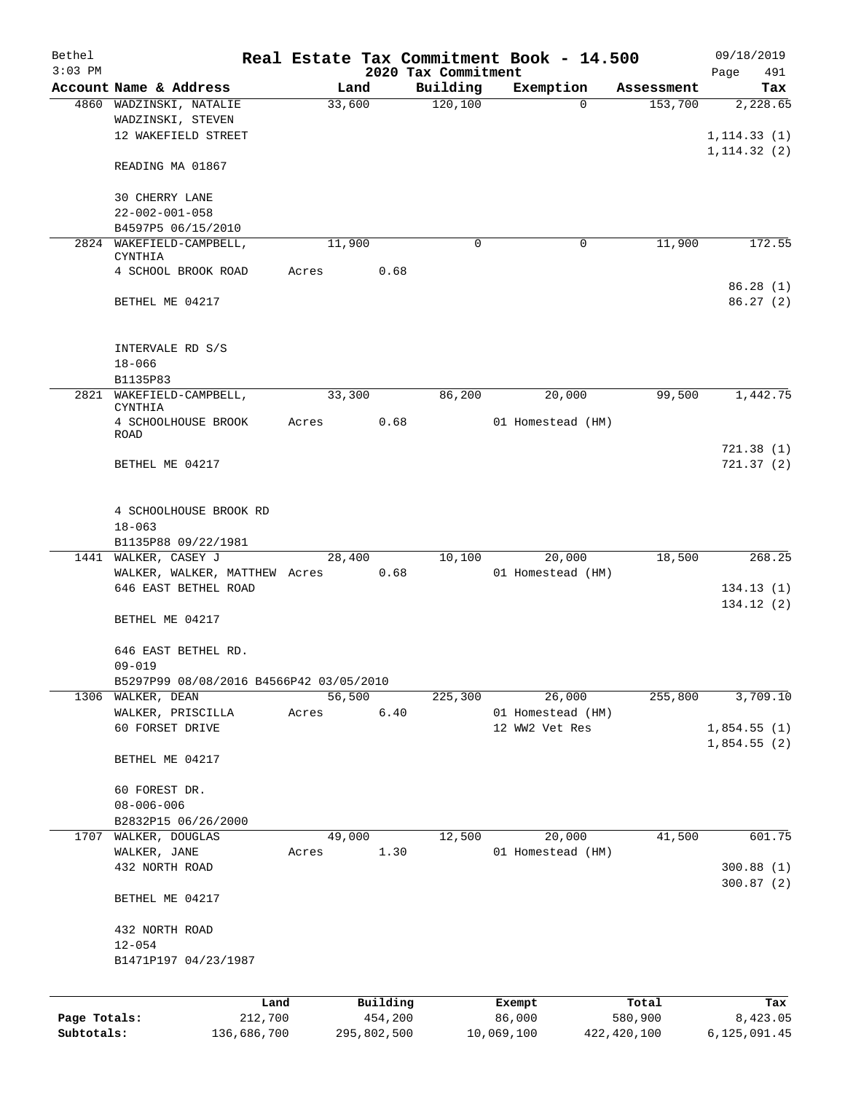| Bethel<br>$3:03$ PM |                                         |       |             |        | 2020 Tax Commitment | Real Estate Tax Commitment Book - 14.500 |               | 09/18/2019<br>Page<br>491 |
|---------------------|-----------------------------------------|-------|-------------|--------|---------------------|------------------------------------------|---------------|---------------------------|
|                     | Account Name & Address                  |       | Land        |        | Building            | Exemption                                | Assessment    | Tax                       |
|                     | 4860 WADZINSKI, NATALIE                 |       | 33,600      |        | 120, 100            | $\Omega$                                 | 153,700       | 2,228.65                  |
|                     | WADZINSKI, STEVEN                       |       |             |        |                     |                                          |               |                           |
|                     | 12 WAKEFIELD STREET                     |       |             |        |                     |                                          |               | 1, 114.33(1)              |
|                     |                                         |       |             |        |                     |                                          |               | 1, 114.32(2)              |
|                     | READING MA 01867                        |       |             |        |                     |                                          |               |                           |
|                     | 30 CHERRY LANE                          |       |             |        |                     |                                          |               |                           |
|                     | $22 - 002 - 001 - 058$                  |       |             |        |                     |                                          |               |                           |
|                     | B4597P5 06/15/2010                      |       |             |        |                     |                                          |               |                           |
|                     | 2824 WAKEFIELD-CAMPBELL,                |       | 11,900      |        | 0                   | 0                                        | 11,900        | 172.55                    |
|                     | CYNTHIA                                 |       |             |        |                     |                                          |               |                           |
|                     | 4 SCHOOL BROOK ROAD                     | Acres |             | 0.68   |                     |                                          |               |                           |
|                     |                                         |       |             |        |                     |                                          |               | 86.28(1)                  |
|                     | BETHEL ME 04217                         |       |             |        |                     |                                          |               | 86.27(2)                  |
|                     |                                         |       |             |        |                     |                                          |               |                           |
|                     | INTERVALE RD S/S                        |       |             |        |                     |                                          |               |                           |
|                     | $18 - 066$                              |       |             |        |                     |                                          |               |                           |
|                     | B1135P83                                |       |             |        |                     |                                          |               |                           |
|                     | 2821 WAKEFIELD-CAMPBELL,                |       | 33,300      |        | 86,200              | 20,000                                   | 99,500        | 1,442.75                  |
|                     | <b>CYNTHIA</b>                          |       |             |        |                     |                                          |               |                           |
|                     | 4 SCHOOLHOUSE BROOK                     | Acres |             | 0.68   |                     | 01 Homestead (HM)                        |               |                           |
|                     | <b>ROAD</b>                             |       |             |        |                     |                                          |               |                           |
|                     |                                         |       |             |        |                     |                                          |               | 721.38(1)                 |
|                     | BETHEL ME 04217                         |       |             |        |                     |                                          |               | 721.37(2)                 |
|                     |                                         |       |             |        |                     |                                          |               |                           |
|                     | 4 SCHOOLHOUSE BROOK RD                  |       |             |        |                     |                                          |               |                           |
|                     | $18 - 063$                              |       |             |        |                     |                                          |               |                           |
|                     | B1135P88 09/22/1981                     |       |             |        |                     |                                          |               |                           |
|                     | 1441 WALKER, CASEY J                    |       | 28,400      |        | 10,100              | 20,000                                   | 18,500        | 268.25                    |
|                     | WALKER, WALKER, MATTHEW Acres           |       |             | 0.68   |                     | 01 Homestead (HM)                        |               |                           |
|                     | 646 EAST BETHEL ROAD                    |       |             |        |                     |                                          |               | 134.13(1)                 |
|                     |                                         |       |             |        |                     |                                          |               | 134.12(2)                 |
|                     | BETHEL ME 04217                         |       |             |        |                     |                                          |               |                           |
|                     | 646 EAST BETHEL RD.                     |       |             |        |                     |                                          |               |                           |
|                     | $09 - 019$                              |       |             |        |                     |                                          |               |                           |
|                     | B5297P99 08/08/2016 B4566P42 03/05/2010 |       |             |        |                     |                                          |               |                           |
| 1306                | WALKER, DEAN                            |       | 56,500      |        | 225,300             | 26,000                                   | 255,800       | 3,709.10                  |
|                     | WALKER, PRISCILLA                       | Acres |             | $6.40$ |                     | 01 Homestead (HM)                        |               |                           |
|                     | 60 FORSET DRIVE                         |       |             |        |                     | 12 WW2 Vet Res                           |               | 1,854.55(1)               |
|                     |                                         |       |             |        |                     |                                          |               | 1,854.55(2)               |
|                     | BETHEL ME 04217                         |       |             |        |                     |                                          |               |                           |
|                     |                                         |       |             |        |                     |                                          |               |                           |
|                     | 60 FOREST DR.                           |       |             |        |                     |                                          |               |                           |
|                     | $08 - 006 - 006$                        |       |             |        |                     |                                          |               |                           |
|                     | B2832P15 06/26/2000                     |       |             |        |                     |                                          |               |                           |
| 1707                | WALKER, DOUGLAS                         |       | 49,000      |        | 12,500              | 20,000                                   | 41,500        | 601.75                    |
|                     | WALKER, JANE                            | Acres |             | 1.30   |                     | 01 Homestead (HM)                        |               |                           |
|                     | 432 NORTH ROAD                          |       |             |        |                     |                                          |               | 300.88 (1)                |
|                     |                                         |       |             |        |                     |                                          |               | 300.87(2)                 |
|                     | BETHEL ME 04217                         |       |             |        |                     |                                          |               |                           |
|                     | 432 NORTH ROAD                          |       |             |        |                     |                                          |               |                           |
|                     | $12 - 054$                              |       |             |        |                     |                                          |               |                           |
|                     | B1471P197 04/23/1987                    |       |             |        |                     |                                          |               |                           |
|                     |                                         |       |             |        |                     |                                          |               |                           |
|                     | Land                                    |       | Building    |        |                     | Exempt                                   | Total         | Tax                       |
| Page Totals:        | 212,700                                 |       | 454,200     |        |                     | 86,000                                   | 580,900       | 8,423.05                  |
| Subtotals:          | 136,686,700                             |       | 295,802,500 |        |                     | 10,069,100                               | 422, 420, 100 | 6,125,091.45              |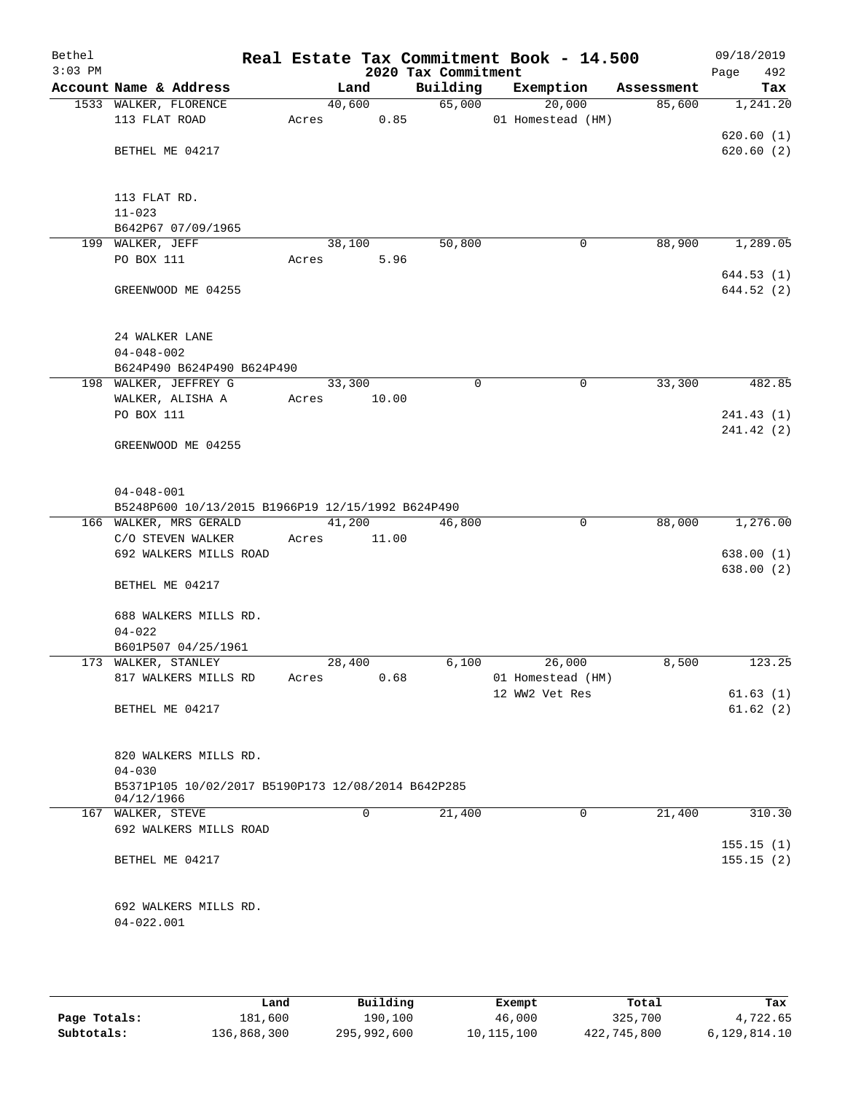| Bethel<br>$3:03$ PM |                                                                  |        |        | 2020 Tax Commitment | Real Estate Tax Commitment Book - 14.500 |            | 09/18/2019<br>492<br>Page |
|---------------------|------------------------------------------------------------------|--------|--------|---------------------|------------------------------------------|------------|---------------------------|
|                     | Account Name & Address                                           |        | Land   | Building            | Exemption                                | Assessment | Tax                       |
|                     | 1533 WALKER, FLORENCE                                            |        | 40,600 | 65,000              | 20,000                                   | 85,600     | 1,241.20                  |
|                     | 113 FLAT ROAD                                                    | Acres  | 0.85   |                     | 01 Homestead (HM)                        |            |                           |
|                     |                                                                  |        |        |                     |                                          |            | 620.60(1)                 |
|                     | BETHEL ME 04217                                                  |        |        |                     |                                          |            | 620.60(2)                 |
|                     | 113 FLAT RD.                                                     |        |        |                     |                                          |            |                           |
|                     | $11 - 023$                                                       |        |        |                     |                                          |            |                           |
|                     | B642P67 07/09/1965                                               |        |        |                     |                                          |            |                           |
|                     | 199 WALKER, JEFF                                                 |        | 38,100 | 50,800              | $\mathbf 0$                              | 88,900     | 1,289.05                  |
|                     | PO BOX 111                                                       | Acres  | 5.96   |                     |                                          |            |                           |
|                     |                                                                  |        |        |                     |                                          |            | 644.53(1)                 |
|                     | GREENWOOD ME 04255                                               |        |        |                     |                                          |            | 644.52 (2)                |
|                     | 24 WALKER LANE                                                   |        |        |                     |                                          |            |                           |
|                     | $04 - 048 - 002$                                                 |        |        |                     |                                          |            |                           |
|                     | B624P490 B624P490 B624P490                                       |        |        |                     |                                          |            |                           |
|                     | 198 WALKER, JEFFREY G                                            | 33,300 |        | $\mathbf 0$         | 0                                        | 33,300     | 482.85                    |
|                     | WALKER, ALISHA A                                                 | Acres  | 10.00  |                     |                                          |            |                           |
|                     | PO BOX 111                                                       |        |        |                     |                                          |            | 241.43 (1)                |
|                     |                                                                  |        |        |                     |                                          |            | 241.42(2)                 |
|                     | GREENWOOD ME 04255                                               |        |        |                     |                                          |            |                           |
|                     | $04 - 048 - 001$                                                 |        |        |                     |                                          |            |                           |
|                     | B5248P600 10/13/2015 B1966P19 12/15/1992 B624P490                |        |        |                     |                                          |            |                           |
|                     | 166 WALKER, MRS GERALD                                           | 41,200 |        | 46,800              | $\mathbf 0$                              | 88,000     | 1,276.00                  |
|                     | C/O STEVEN WALKER                                                | Acres  | 11.00  |                     |                                          |            |                           |
|                     | 692 WALKERS MILLS ROAD                                           |        |        |                     |                                          |            | 638.00 (1)                |
|                     |                                                                  |        |        |                     |                                          |            | 638.00(2)                 |
|                     | BETHEL ME 04217                                                  |        |        |                     |                                          |            |                           |
|                     | 688 WALKERS MILLS RD.                                            |        |        |                     |                                          |            |                           |
|                     | $04 - 022$                                                       |        |        |                     |                                          |            |                           |
|                     | B601P507 04/25/1961<br>173 WALKER, STANLEY                       | 28,400 |        | 6,100               | 26,000                                   |            | 123.25                    |
|                     |                                                                  |        | 0.68   |                     | 01 Homestead (HM)                        | 8,500      |                           |
|                     | 817 WALKERS MILLS RD                                             | Acres  |        |                     | 12 WW2 Vet Res                           |            | 61.63(1)                  |
|                     | BETHEL ME 04217                                                  |        |        |                     |                                          |            | 61.62(2)                  |
|                     |                                                                  |        |        |                     |                                          |            |                           |
|                     | 820 WALKERS MILLS RD.                                            |        |        |                     |                                          |            |                           |
|                     | $04 - 030$                                                       |        |        |                     |                                          |            |                           |
|                     | B5371P105 10/02/2017 B5190P173 12/08/2014 B642P285<br>04/12/1966 |        |        |                     |                                          |            |                           |
|                     | 167 WALKER, STEVE                                                |        | 0      | 21,400              | 0                                        | 21,400     | 310.30                    |
|                     | 692 WALKERS MILLS ROAD                                           |        |        |                     |                                          |            |                           |
|                     | BETHEL ME 04217                                                  |        |        |                     |                                          |            | 155.15(1)<br>155.15(2)    |
|                     |                                                                  |        |        |                     |                                          |            |                           |
|                     | 692 WALKERS MILLS RD.                                            |        |        |                     |                                          |            |                           |
|                     | $04 - 022.001$                                                   |        |        |                     |                                          |            |                           |
|                     |                                                                  |        |        |                     |                                          |            |                           |
|                     |                                                                  |        |        |                     |                                          |            |                           |

|              | Land        | Building    | Exempt     | Total       | Tax          |
|--------------|-------------|-------------|------------|-------------|--------------|
| Page Totals: | 181,600     | 190,100     | 46,000     | 325,700     | 4,722.65     |
| Subtotals:   | 136,868,300 | 295,992,600 | 10,115,100 | 422,745,800 | 6,129,814.10 |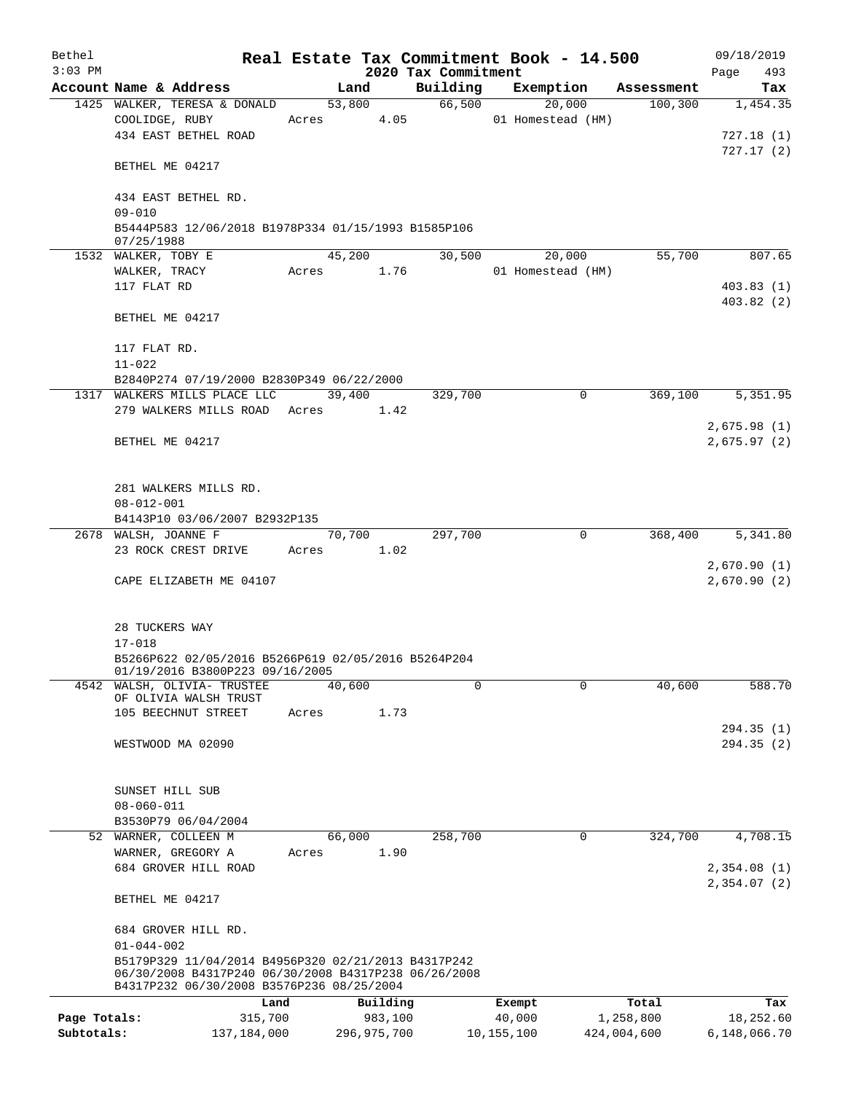| Bethel       |                                                                   |       |               |                     | Real Estate Tax Commitment Book - 14.500 |             | 09/18/2019   |
|--------------|-------------------------------------------------------------------|-------|---------------|---------------------|------------------------------------------|-------------|--------------|
| $3:03$ PM    |                                                                   |       |               | 2020 Tax Commitment |                                          |             | 493<br>Page  |
|              | Account Name & Address                                            |       | Land          | Building            | Exemption                                | Assessment  | Tax          |
|              | 1425 WALKER, TERESA & DONALD                                      |       | 53,800        |                     | 66,500<br>20,000                         | 100, 300    | 1,454.35     |
|              | COOLIDGE, RUBY                                                    |       | Acres 4.05    |                     | 01 Homestead (HM)                        |             |              |
|              | 434 EAST BETHEL ROAD                                              |       |               |                     |                                          |             | 727.18(1)    |
|              |                                                                   |       |               |                     |                                          |             | 727.17(2)    |
|              | BETHEL ME 04217                                                   |       |               |                     |                                          |             |              |
|              |                                                                   |       |               |                     |                                          |             |              |
|              | 434 EAST BETHEL RD.                                               |       |               |                     |                                          |             |              |
|              | $09 - 010$                                                        |       |               |                     |                                          |             |              |
|              | B5444P583 12/06/2018 B1978P334 01/15/1993 B1585P106<br>07/25/1988 |       |               |                     |                                          |             |              |
|              | 1532 WALKER, TOBY E                                               |       | 45,200        | 30,500              | 20,000                                   | 55,700      | 807.65       |
|              | WALKER, TRACY                                                     | Acres | 1.76          |                     | 01 Homestead (HM)                        |             |              |
|              | 117 FLAT RD                                                       |       |               |                     |                                          |             | 403.83(1)    |
|              |                                                                   |       |               |                     |                                          |             | 403.82(2)    |
|              | BETHEL ME 04217                                                   |       |               |                     |                                          |             |              |
|              |                                                                   |       |               |                     |                                          |             |              |
|              | 117 FLAT RD.                                                      |       |               |                     |                                          |             |              |
|              | $11 - 022$                                                        |       |               |                     |                                          |             |              |
|              | B2840P274 07/19/2000 B2830P349 06/22/2000                         |       |               |                     |                                          |             |              |
|              | 1317 WALKERS MILLS PLACE LLC                                      |       | 39,400        | 329,700             | 0                                        | 369,100     | 5,351.95     |
|              | 279 WALKERS MILLS ROAD Acres 1.42                                 |       |               |                     |                                          |             |              |
|              |                                                                   |       |               |                     |                                          |             | 2,675.98(1)  |
|              | BETHEL ME 04217                                                   |       |               |                     |                                          |             | 2,675.97(2)  |
|              |                                                                   |       |               |                     |                                          |             |              |
|              |                                                                   |       |               |                     |                                          |             |              |
|              | 281 WALKERS MILLS RD.                                             |       |               |                     |                                          |             |              |
|              | $08 - 012 - 001$                                                  |       |               |                     |                                          |             |              |
|              | B4143P10 03/06/2007 B2932P135                                     |       |               |                     |                                          |             |              |
|              | 2678 WALSH, JOANNE F                                              |       | 70,700        | 297,700             | 0                                        | 368,400     | 5,341.80     |
|              | 23 ROCK CREST DRIVE                                               |       | Acres 1.02    |                     |                                          |             |              |
|              |                                                                   |       |               |                     |                                          |             | 2,670.90(1)  |
|              | CAPE ELIZABETH ME 04107                                           |       |               |                     |                                          |             | 2,670.90 (2) |
|              |                                                                   |       |               |                     |                                          |             |              |
|              |                                                                   |       |               |                     |                                          |             |              |
|              | 28 TUCKERS WAY                                                    |       |               |                     |                                          |             |              |
|              | $17 - 018$                                                        |       |               |                     |                                          |             |              |
|              | B5266P622 02/05/2016 B5266P619 02/05/2016 B5264P204               |       |               |                     |                                          |             |              |
|              | 01/19/2016 B3800P223 09/16/2005                                   |       |               |                     |                                          |             |              |
| 4542         | WALSH, OLIVIA- TRUSTEE<br>OF OLIVIA WALSH TRUST                   |       | 40,600        | 0                   | 0                                        | 40,600      | 588.70       |
|              | 105 BEECHNUT STREET                                               | Acres | 1.73          |                     |                                          |             |              |
|              |                                                                   |       |               |                     |                                          |             | 294.35(1)    |
|              | WESTWOOD MA 02090                                                 |       |               |                     |                                          |             | 294.35(2)    |
|              |                                                                   |       |               |                     |                                          |             |              |
|              |                                                                   |       |               |                     |                                          |             |              |
|              | SUNSET HILL SUB                                                   |       |               |                     |                                          |             |              |
|              | $08 - 060 - 011$                                                  |       |               |                     |                                          |             |              |
|              | B3530P79 06/04/2004                                               |       |               |                     |                                          |             |              |
|              | 52 WARNER, COLLEEN M                                              |       | 66,000        | 258,700             | 0                                        | 324,700     | 4,708.15     |
|              | WARNER, GREGORY A                                                 | Acres | 1.90          |                     |                                          |             |              |
|              | 684 GROVER HILL ROAD                                              |       |               |                     |                                          |             | 2,354.08(1)  |
|              |                                                                   |       |               |                     |                                          |             | 2,354.07(2)  |
|              | BETHEL ME 04217                                                   |       |               |                     |                                          |             |              |
|              |                                                                   |       |               |                     |                                          |             |              |
|              | 684 GROVER HILL RD.                                               |       |               |                     |                                          |             |              |
|              | $01 - 044 - 002$                                                  |       |               |                     |                                          |             |              |
|              | B5179P329 11/04/2014 B4956P320 02/21/2013 B4317P242               |       |               |                     |                                          |             |              |
|              | 06/30/2008 B4317P240 06/30/2008 B4317P238 06/26/2008              |       |               |                     |                                          |             |              |
|              | B4317P232 06/30/2008 B3576P236 08/25/2004                         |       |               |                     |                                          |             |              |
|              |                                                                   | Land  | Building      |                     | Exempt                                   | Total       | Tax          |
| Page Totals: | 315,700                                                           |       | 983,100       |                     | 40,000                                   | 1,258,800   | 18,252.60    |
| Subtotals:   | 137, 184, 000                                                     |       | 296, 975, 700 |                     | 10,155,100                               | 424,004,600 | 6,148,066.70 |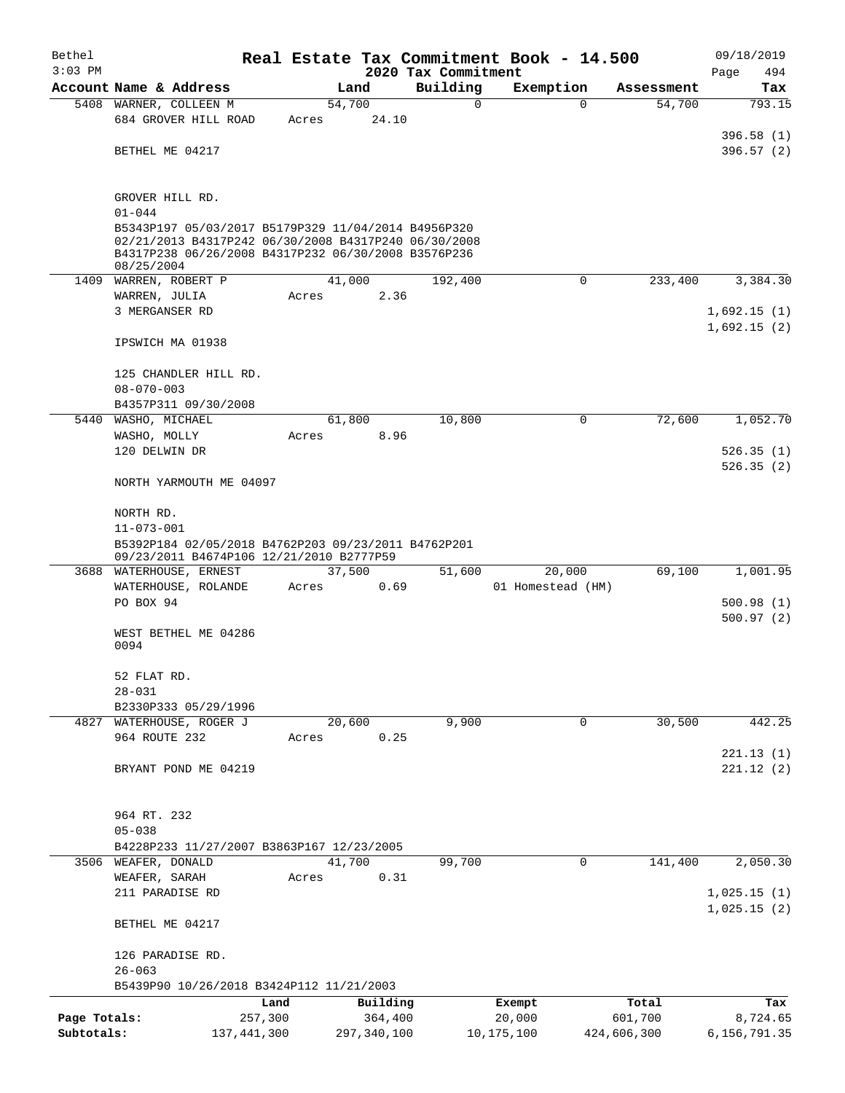| Bethel       |                                                                                                                                                                                  |               |       |        |             |                     | Real Estate Tax Commitment Book - 14.500 |              |             | 09/18/2019   |
|--------------|----------------------------------------------------------------------------------------------------------------------------------------------------------------------------------|---------------|-------|--------|-------------|---------------------|------------------------------------------|--------------|-------------|--------------|
| $3:03$ PM    |                                                                                                                                                                                  |               |       |        |             | 2020 Tax Commitment |                                          |              |             | 494<br>Page  |
|              | Account Name & Address                                                                                                                                                           |               |       | Land   |             | Building            | Exemption                                |              | Assessment  | Tax          |
|              | 5408 WARNER, COLLEEN M                                                                                                                                                           |               |       | 54,700 |             | 0                   |                                          | 0            | 54,700      | 793.15       |
|              | 684 GROVER HILL ROAD                                                                                                                                                             |               | Acres |        | 24.10       |                     |                                          |              |             |              |
|              |                                                                                                                                                                                  |               |       |        |             |                     |                                          |              |             | 396.58(1)    |
|              | BETHEL ME 04217                                                                                                                                                                  |               |       |        |             |                     |                                          |              |             | 396.57(2)    |
|              | GROVER HILL RD.                                                                                                                                                                  |               |       |        |             |                     |                                          |              |             |              |
|              | $01 - 044$                                                                                                                                                                       |               |       |        |             |                     |                                          |              |             |              |
|              | B5343P197 05/03/2017 B5179P329 11/04/2014 B4956P320<br>02/21/2013 B4317P242 06/30/2008 B4317P240 06/30/2008<br>B4317P238 06/26/2008 B4317P232 06/30/2008 B3576P236<br>08/25/2004 |               |       |        |             |                     |                                          |              |             |              |
|              | 1409 WARREN, ROBERT P                                                                                                                                                            |               |       | 41,000 |             | 192,400             |                                          | $\mathbf 0$  | 233,400     | 3,384.30     |
|              | WARREN, JULIA                                                                                                                                                                    |               | Acres |        | 2.36        |                     |                                          |              |             |              |
|              | 3 MERGANSER RD                                                                                                                                                                   |               |       |        |             |                     |                                          |              |             | 1,692.15(1)  |
|              | IPSWICH MA 01938                                                                                                                                                                 |               |       |        |             |                     |                                          |              |             | 1,692.15(2)  |
|              | 125 CHANDLER HILL RD.<br>$08 - 070 - 003$                                                                                                                                        |               |       |        |             |                     |                                          |              |             |              |
|              | B4357P311 09/30/2008                                                                                                                                                             |               |       |        |             |                     |                                          |              |             |              |
| 5440         | WASHO, MICHAEL                                                                                                                                                                   |               |       | 61,800 |             | 10,800              |                                          | 0            | 72,600      | 1,052.70     |
|              | WASHO, MOLLY                                                                                                                                                                     |               | Acres |        | 8.96        |                     |                                          |              |             |              |
|              | 120 DELWIN DR                                                                                                                                                                    |               |       |        |             |                     |                                          |              |             | 526.35(1)    |
|              | NORTH YARMOUTH ME 04097                                                                                                                                                          |               |       |        |             |                     |                                          |              |             | 526.35(2)    |
|              | NORTH RD.                                                                                                                                                                        |               |       |        |             |                     |                                          |              |             |              |
|              | $11 - 073 - 001$                                                                                                                                                                 |               |       |        |             |                     |                                          |              |             |              |
|              | B5392P184 02/05/2018 B4762P203 09/23/2011 B4762P201<br>09/23/2011 B4674P106 12/21/2010 B2777P59                                                                                  |               |       |        |             |                     |                                          |              |             |              |
|              | 3688 WATERHOUSE, ERNEST                                                                                                                                                          |               |       | 37,500 |             | 51,600              | 20,000                                   |              | 69,100      | 1,001.95     |
|              | WATERHOUSE, ROLANDE                                                                                                                                                              |               | Acres |        | 0.69        |                     | 01 Homestead (HM)                        |              |             |              |
|              | PO BOX 94                                                                                                                                                                        |               |       |        |             |                     |                                          |              |             | 500.98(1)    |
|              | WEST BETHEL ME 04286<br>0094                                                                                                                                                     |               |       |        |             |                     |                                          |              |             | 500.97(2)    |
|              |                                                                                                                                                                                  |               |       |        |             |                     |                                          |              |             |              |
|              | 52 FLAT RD.                                                                                                                                                                      |               |       |        |             |                     |                                          |              |             |              |
|              | $28 - 031$                                                                                                                                                                       |               |       |        |             |                     |                                          |              |             |              |
|              | B2330P333 05/29/1996                                                                                                                                                             |               |       |        |             |                     |                                          |              |             |              |
|              | 4827 WATERHOUSE, ROGER J                                                                                                                                                         |               |       | 20,600 |             | 9,900               |                                          | 0            | 30,500      | 442.25       |
|              | 964 ROUTE 232                                                                                                                                                                    |               | Acres |        | 0.25        |                     |                                          |              |             | 221.13(1)    |
|              | BRYANT POND ME 04219                                                                                                                                                             |               |       |        |             |                     |                                          |              |             | 221.12(2)    |
|              | 964 RT. 232                                                                                                                                                                      |               |       |        |             |                     |                                          |              |             |              |
|              | $05 - 038$                                                                                                                                                                       |               |       |        |             |                     |                                          |              |             |              |
|              | B4228P233 11/27/2007 B3863P167 12/23/2005                                                                                                                                        |               |       |        |             |                     |                                          |              |             |              |
|              | 3506 WEAFER, DONALD                                                                                                                                                              |               |       | 41,700 |             | 99,700              |                                          | $\mathbf{0}$ | 141,400     | 2,050.30     |
|              | WEAFER, SARAH                                                                                                                                                                    |               | Acres |        | 0.31        |                     |                                          |              |             |              |
|              | 211 PARADISE RD                                                                                                                                                                  |               |       |        |             |                     |                                          |              |             | 1,025.15(1)  |
|              | BETHEL ME 04217                                                                                                                                                                  |               |       |        |             |                     |                                          |              |             | 1,025.15(2)  |
|              | 126 PARADISE RD.                                                                                                                                                                 |               |       |        |             |                     |                                          |              |             |              |
|              | $26 - 063$                                                                                                                                                                       |               |       |        |             |                     |                                          |              |             |              |
|              | B5439P90 10/26/2018 B3424P112 11/21/2003                                                                                                                                         |               |       |        |             |                     |                                          |              |             |              |
|              |                                                                                                                                                                                  | Land          |       |        | Building    |                     | Exempt                                   |              | Total       | Tax          |
| Page Totals: |                                                                                                                                                                                  | 257,300       |       |        | 364,400     |                     | 20,000                                   |              | 601,700     | 8,724.65     |
| Subtotals:   |                                                                                                                                                                                  | 137, 441, 300 |       |        | 297,340,100 |                     | 10, 175, 100                             |              | 424,606,300 | 6,156,791.35 |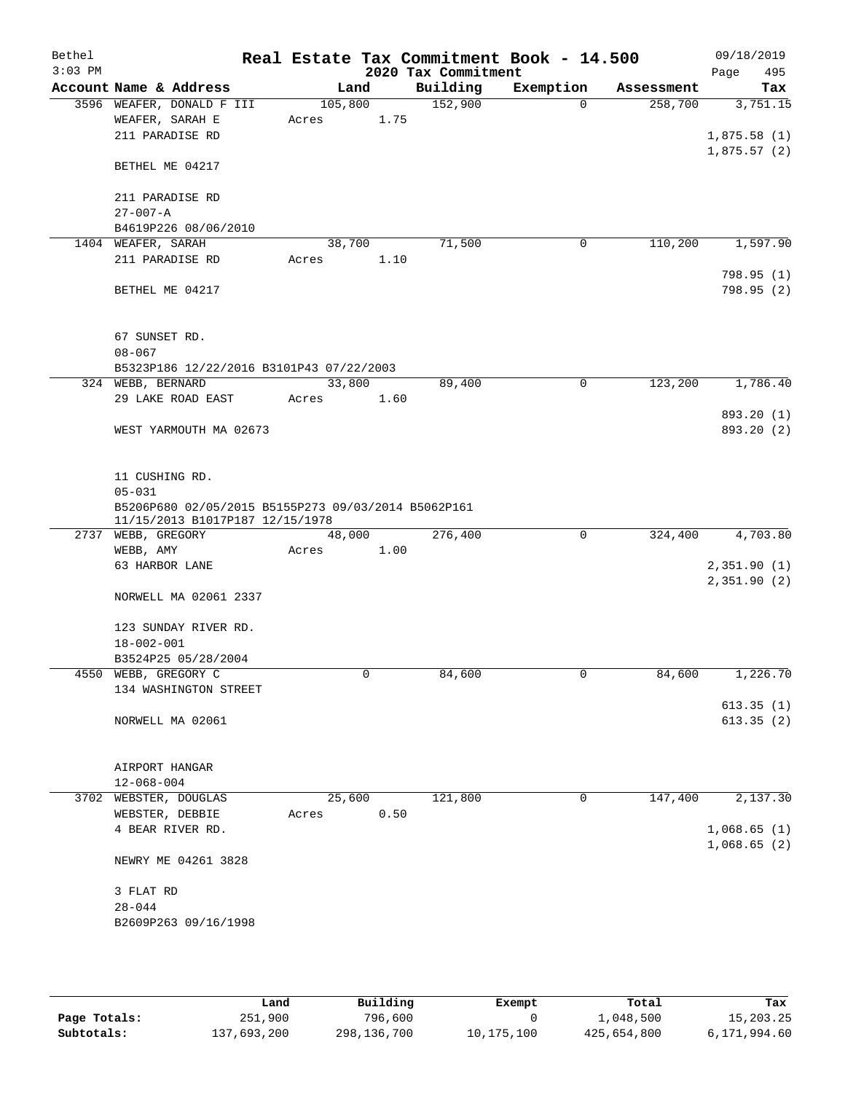| Bethel<br>$3:03$ PM |                                                     |         |      |                                 | Real Estate Tax Commitment Book - 14.500 |            | 09/18/2019               |
|---------------------|-----------------------------------------------------|---------|------|---------------------------------|------------------------------------------|------------|--------------------------|
|                     | Account Name & Address                              | Land    |      | 2020 Tax Commitment<br>Building | Exemption                                | Assessment | 495<br>Page<br>Tax       |
|                     | 3596 WEAFER, DONALD F III                           | 105,800 |      | 152,900                         | $\Omega$                                 | 258,700    | 3,751.15                 |
|                     | WEAFER, SARAH E                                     | Acres   | 1.75 |                                 |                                          |            |                          |
|                     | 211 PARADISE RD                                     |         |      |                                 |                                          |            | 1,875.58(1)              |
|                     |                                                     |         |      |                                 |                                          |            | 1,875.57(2)              |
|                     | BETHEL ME 04217                                     |         |      |                                 |                                          |            |                          |
|                     |                                                     |         |      |                                 |                                          |            |                          |
|                     | 211 PARADISE RD                                     |         |      |                                 |                                          |            |                          |
|                     | $27 - 007 - A$                                      |         |      |                                 |                                          |            |                          |
|                     | B4619P226 08/06/2010                                |         |      |                                 |                                          |            |                          |
|                     | 1404 WEAFER, SARAH                                  | 38,700  |      | 71,500                          | 0                                        | 110,200    | 1,597.90                 |
|                     | 211 PARADISE RD                                     | Acres   | 1.10 |                                 |                                          |            | 798.95 (1)               |
|                     | BETHEL ME 04217                                     |         |      |                                 |                                          |            | 798.95(2)                |
|                     |                                                     |         |      |                                 |                                          |            |                          |
|                     |                                                     |         |      |                                 |                                          |            |                          |
|                     | 67 SUNSET RD.                                       |         |      |                                 |                                          |            |                          |
|                     | $08 - 067$                                          |         |      |                                 |                                          |            |                          |
|                     | B5323P186 12/22/2016 B3101P43 07/22/2003            |         |      |                                 |                                          |            |                          |
|                     | 324 WEBB, BERNARD                                   | 33,800  |      | 89,400                          | 0                                        | 123,200    | 1,786.40                 |
|                     | 29 LAKE ROAD EAST                                   | Acres   | 1.60 |                                 |                                          |            |                          |
|                     |                                                     |         |      |                                 |                                          |            | 893.20 (1)<br>893.20 (2) |
|                     | WEST YARMOUTH MA 02673                              |         |      |                                 |                                          |            |                          |
|                     |                                                     |         |      |                                 |                                          |            |                          |
|                     | 11 CUSHING RD.                                      |         |      |                                 |                                          |            |                          |
|                     | $05 - 031$                                          |         |      |                                 |                                          |            |                          |
|                     | B5206P680 02/05/2015 B5155P273 09/03/2014 B5062P161 |         |      |                                 |                                          |            |                          |
|                     | 11/15/2013 B1017P187 12/15/1978                     |         |      |                                 |                                          |            |                          |
|                     | 2737 WEBB, GREGORY                                  | 48,000  |      | 276,400                         | $\mathbf 0$                              | 324,400    | 4,703.80                 |
|                     | WEBB, AMY<br>63 HARBOR LANE                         | Acres   | 1.00 |                                 |                                          |            | 2,351.90(1)              |
|                     |                                                     |         |      |                                 |                                          |            | 2,351.90(2)              |
|                     | NORWELL MA 02061 2337                               |         |      |                                 |                                          |            |                          |
|                     |                                                     |         |      |                                 |                                          |            |                          |
|                     | 123 SUNDAY RIVER RD.                                |         |      |                                 |                                          |            |                          |
|                     | $18 - 002 - 001$                                    |         |      |                                 |                                          |            |                          |
|                     | B3524P25 05/28/2004                                 |         |      |                                 |                                          |            |                          |
|                     | 4550 WEBB, GREGORY C                                |         | 0    | 84,600                          | 0                                        | 84,600     | 1,226.70                 |
|                     | 134 WASHINGTON STREET                               |         |      |                                 |                                          |            |                          |
|                     | NORWELL MA 02061                                    |         |      |                                 |                                          |            | 613.35(1)<br>613.35(2)   |
|                     |                                                     |         |      |                                 |                                          |            |                          |
|                     |                                                     |         |      |                                 |                                          |            |                          |
|                     | AIRPORT HANGAR                                      |         |      |                                 |                                          |            |                          |
|                     | $12 - 068 - 004$                                    |         |      |                                 |                                          |            |                          |
|                     | 3702 WEBSTER, DOUGLAS                               | 25,600  |      | 121,800                         | 0                                        | 147,400    | 2,137.30                 |
|                     | WEBSTER, DEBBIE                                     | Acres   | 0.50 |                                 |                                          |            |                          |
|                     | 4 BEAR RIVER RD.                                    |         |      |                                 |                                          |            | 1,068.65(1)              |
|                     |                                                     |         |      |                                 |                                          |            | 1,068.65(2)              |
|                     | NEWRY ME 04261 3828                                 |         |      |                                 |                                          |            |                          |
|                     | 3 FLAT RD                                           |         |      |                                 |                                          |            |                          |
|                     | $28 - 044$                                          |         |      |                                 |                                          |            |                          |
|                     | B2609P263 09/16/1998                                |         |      |                                 |                                          |            |                          |
|                     |                                                     |         |      |                                 |                                          |            |                          |

|              | Land        | Building    | Exempt     | Total       | Tax          |
|--------------|-------------|-------------|------------|-------------|--------------|
| Page Totals: | 251,900     | 796,600     |            | 1,048,500   | 15,203.25    |
| Subtotals:   | 137,693,200 | 298,136,700 | 10,175,100 | 425,654,800 | 6,171,994.60 |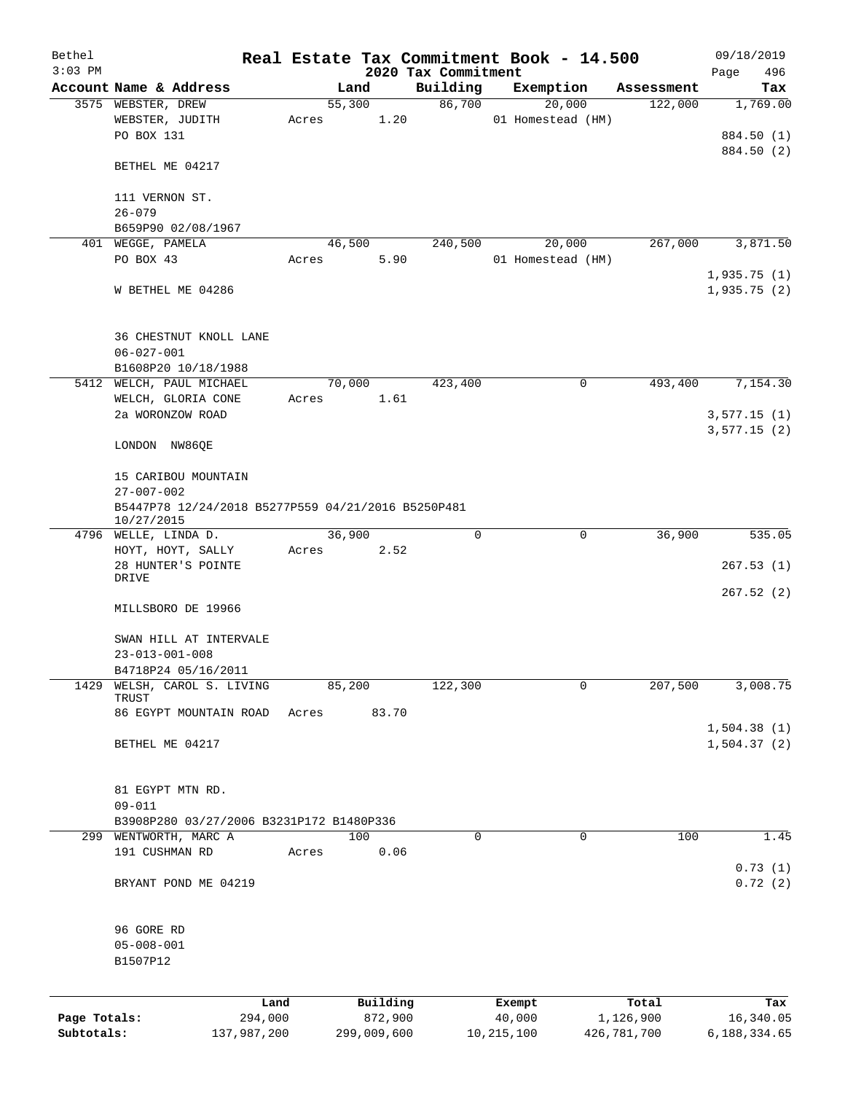| Bethel       |                                                    |       |             |                                 | Real Estate Tax Commitment Book - 14.500 |              | 09/18/2019                 |
|--------------|----------------------------------------------------|-------|-------------|---------------------------------|------------------------------------------|--------------|----------------------------|
| $3:03$ PM    | Account Name & Address                             |       | Land        | 2020 Tax Commitment<br>Building | Exemption                                | Assessment   | Page<br>496<br>Tax         |
|              | 3575 WEBSTER, DREW                                 |       | 55,300      | 86,700                          | 20,000                                   | 122,000      | 1,769.00                   |
|              | WEBSTER, JUDITH                                    | Acres | 1.20        |                                 | 01 Homestead (HM)                        |              |                            |
|              | PO BOX 131                                         |       |             |                                 |                                          |              | 884.50 (1)                 |
|              |                                                    |       |             |                                 |                                          |              | 884.50 (2)                 |
|              | BETHEL ME 04217                                    |       |             |                                 |                                          |              |                            |
|              | 111 VERNON ST.                                     |       |             |                                 |                                          |              |                            |
|              | $26 - 079$                                         |       |             |                                 |                                          |              |                            |
|              | B659P90 02/08/1967                                 |       |             |                                 |                                          |              |                            |
|              | 401 WEGGE, PAMELA                                  |       | 46,500      | 240,500                         | 20,000                                   | 267,000      | 3,871.50                   |
|              | PO BOX 43                                          | Acres | 5.90        |                                 | 01 Homestead (HM)                        |              |                            |
|              |                                                    |       |             |                                 |                                          |              | 1,935.75(1)                |
|              | W BETHEL ME 04286                                  |       |             |                                 |                                          |              | 1,935.75(2)                |
|              | 36 CHESTNUT KNOLL LANE                             |       |             |                                 |                                          |              |                            |
|              | $06 - 027 - 001$                                   |       |             |                                 |                                          |              |                            |
|              | B1608P20 10/18/1988                                |       |             |                                 |                                          |              |                            |
|              | 5412 WELCH, PAUL MICHAEL                           |       | 70,000      | 423,400                         |                                          | 0<br>493,400 | 7,154.30                   |
|              | WELCH, GLORIA CONE                                 | Acres | 1.61        |                                 |                                          |              |                            |
|              | 2a WORONZOW ROAD                                   |       |             |                                 |                                          |              | 3,577.15(1)                |
|              |                                                    |       |             |                                 |                                          |              | 3,577.15(2)                |
|              | LONDON NW86QE                                      |       |             |                                 |                                          |              |                            |
|              | 15 CARIBOU MOUNTAIN                                |       |             |                                 |                                          |              |                            |
|              | $27 - 007 - 002$                                   |       |             |                                 |                                          |              |                            |
|              | B5447P78 12/24/2018 B5277P559 04/21/2016 B5250P481 |       |             |                                 |                                          |              |                            |
|              | 10/27/2015                                         |       |             |                                 |                                          |              |                            |
|              | 4796 WELLE, LINDA D.                               |       | 36,900      | 0                               |                                          | 0<br>36,900  | 535.05                     |
|              | HOYT, HOYT, SALLY                                  | Acres | 2.52        |                                 |                                          |              |                            |
|              | 28 HUNTER'S POINTE                                 |       |             |                                 |                                          |              | 267.53(1)                  |
|              | DRIVE                                              |       |             |                                 |                                          |              |                            |
|              |                                                    |       |             |                                 |                                          |              | 267.52(2)                  |
|              | MILLSBORO DE 19966                                 |       |             |                                 |                                          |              |                            |
|              |                                                    |       |             |                                 |                                          |              |                            |
|              | SWAN HILL AT INTERVALE                             |       |             |                                 |                                          |              |                            |
|              | $23 - 013 - 001 - 008$                             |       |             |                                 |                                          |              |                            |
|              | B4718P24 05/16/2011                                |       |             |                                 |                                          |              |                            |
| 1429         | WELSH, CAROL S. LIVING<br>TRUST                    |       | 85,200      | 122,300                         |                                          | 207,500<br>0 | 3,008.75                   |
|              | 86 EGYPT MOUNTAIN ROAD                             | Acres | 83.70       |                                 |                                          |              |                            |
|              | BETHEL ME 04217                                    |       |             |                                 |                                          |              | 1,504.38(1)<br>1,504.37(2) |
|              |                                                    |       |             |                                 |                                          |              |                            |
|              | 81 EGYPT MTN RD.                                   |       |             |                                 |                                          |              |                            |
|              | $09 - 011$                                         |       |             |                                 |                                          |              |                            |
|              | B3908P280 03/27/2006 B3231P172 B1480P336           |       |             |                                 |                                          |              |                            |
|              | 299 WENTWORTH, MARC A                              |       | 100         | 0                               |                                          | 0<br>100     | 1.45                       |
|              | 191 CUSHMAN RD                                     | Acres | 0.06        |                                 |                                          |              |                            |
|              |                                                    |       |             |                                 |                                          |              | 0.73(1)                    |
|              | BRYANT POND ME 04219                               |       |             |                                 |                                          |              | 0.72(2)                    |
|              | 96 GORE RD                                         |       |             |                                 |                                          |              |                            |
|              | $05 - 008 - 001$                                   |       |             |                                 |                                          |              |                            |
|              | B1507P12                                           |       |             |                                 |                                          |              |                            |
|              |                                                    |       |             |                                 |                                          |              |                            |
|              | Land                                               |       | Building    |                                 | Exempt                                   | Total        | Tax                        |
| Page Totals: | 294,000                                            |       | 872,900     |                                 | 40,000                                   | 1,126,900    | 16,340.05                  |
| Subtotals:   | 137,987,200                                        |       | 299,009,600 |                                 | 10, 215, 100                             | 426,781,700  | 6,188,334.65               |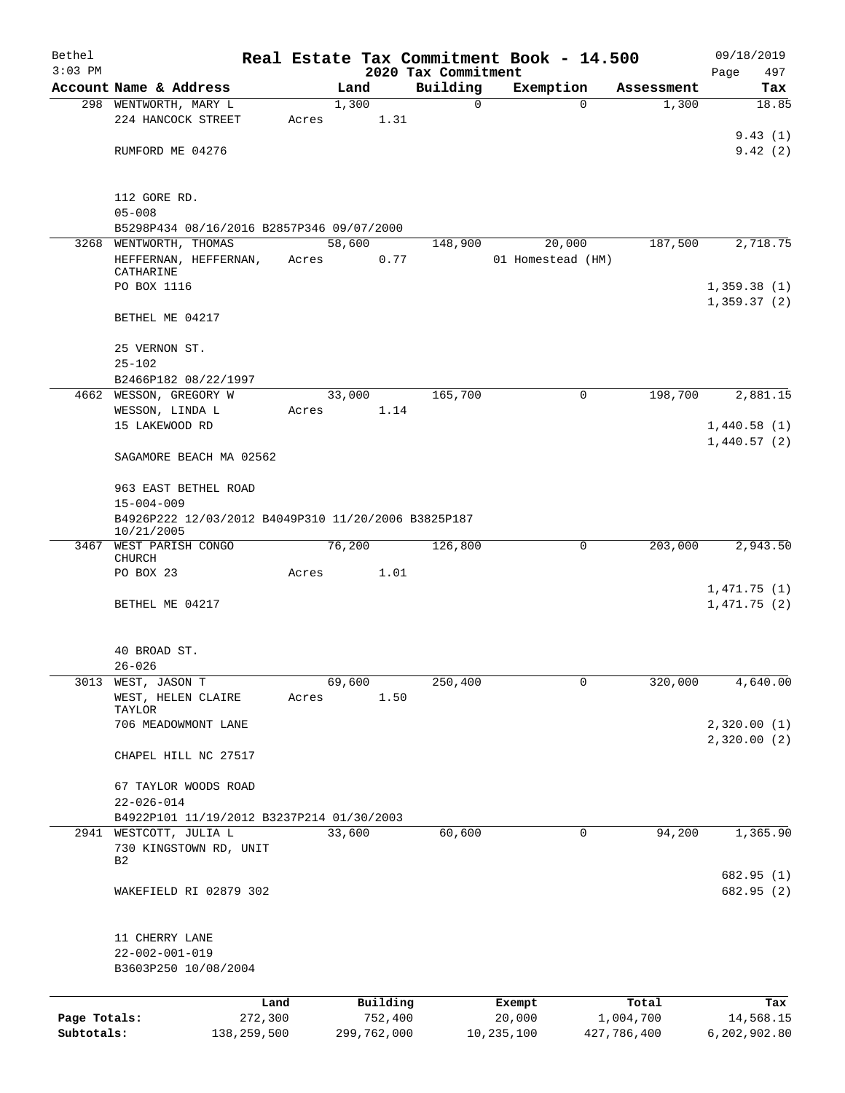| Bethel                     |                                                                         |       |                        |                                 | Real Estate Tax Commitment Book - 14.500 |                          | 09/18/2019                |  |  |  |  |
|----------------------------|-------------------------------------------------------------------------|-------|------------------------|---------------------------------|------------------------------------------|--------------------------|---------------------------|--|--|--|--|
| $3:03$ PM                  | Account Name & Address                                                  |       | Land                   | 2020 Tax Commitment<br>Building | Exemption                                | Assessment               | Page<br>497<br>Tax        |  |  |  |  |
|                            | 298 WENTWORTH, MARY L                                                   |       | 1,300                  | $\mathbf 0$                     | $\Omega$                                 | 1,300                    | 18.85                     |  |  |  |  |
|                            | 224 HANCOCK STREET                                                      | Acres | 1.31                   |                                 |                                          |                          |                           |  |  |  |  |
|                            |                                                                         |       |                        |                                 |                                          |                          | 9.43(1)                   |  |  |  |  |
|                            | RUMFORD ME 04276                                                        |       |                        |                                 |                                          |                          | 9.42(2)                   |  |  |  |  |
|                            | 112 GORE RD.                                                            |       |                        |                                 |                                          |                          |                           |  |  |  |  |
|                            | $05 - 008$                                                              |       |                        |                                 |                                          |                          |                           |  |  |  |  |
|                            | B5298P434 08/16/2016 B2857P346 09/07/2000<br>3268 WENTWORTH, THOMAS     |       | 58,600                 | 148,900                         | 20,000                                   | 187,500                  | 2,718.75                  |  |  |  |  |
|                            | HEFFERNAN, HEFFERNAN,<br>CATHARINE                                      | Acres | 0.77                   |                                 | 01 Homestead (HM)                        |                          |                           |  |  |  |  |
|                            | PO BOX 1116                                                             |       |                        |                                 |                                          |                          | 1,359.38(1)               |  |  |  |  |
|                            | BETHEL ME 04217                                                         |       |                        |                                 |                                          |                          | 1,359.37(2)               |  |  |  |  |
|                            | 25 VERNON ST.                                                           |       |                        |                                 |                                          |                          |                           |  |  |  |  |
|                            | $25 - 102$<br>B2466P182 08/22/1997                                      |       |                        |                                 |                                          |                          |                           |  |  |  |  |
| 4662                       | WESSON, GREGORY W                                                       |       | 33,000                 | 165,700                         | 0                                        | 198,700                  | 2,881.15                  |  |  |  |  |
|                            | WESSON, LINDA L                                                         | Acres | 1.14                   |                                 |                                          |                          |                           |  |  |  |  |
|                            | 15 LAKEWOOD RD                                                          |       |                        |                                 |                                          |                          | 1,440.58(1)               |  |  |  |  |
|                            | SAGAMORE BEACH MA 02562                                                 |       |                        |                                 |                                          |                          | 1,440.57(2)               |  |  |  |  |
|                            | 963 EAST BETHEL ROAD                                                    |       |                        |                                 |                                          |                          |                           |  |  |  |  |
|                            | $15 - 004 - 009$<br>B4926P222 12/03/2012 B4049P310 11/20/2006 B3825P187 |       |                        |                                 |                                          |                          |                           |  |  |  |  |
|                            | 10/21/2005                                                              |       |                        |                                 |                                          |                          |                           |  |  |  |  |
|                            | 3467 WEST PARISH CONGO<br><b>CHURCH</b>                                 |       | 76,200                 | 126,800                         | 0                                        | 203,000                  | 2,943.50                  |  |  |  |  |
|                            | PO BOX 23                                                               | Acres | 1.01                   |                                 |                                          |                          | 1,471.75(1)               |  |  |  |  |
|                            | BETHEL ME 04217                                                         |       |                        |                                 |                                          |                          | 1,471.75(2)               |  |  |  |  |
|                            | 40 BROAD ST.                                                            |       |                        |                                 |                                          |                          |                           |  |  |  |  |
|                            | $26 - 026$                                                              |       |                        |                                 |                                          |                          |                           |  |  |  |  |
| 3013                       | WEST, JASON T<br>WEST, HELEN CLAIRE<br>TAYLOR                           | Acres | 69,600<br>1.50         | 250,400                         | $\mathbf 0$                              | 320,000                  | 4,640.00                  |  |  |  |  |
|                            | 706 MEADOWMONT LANE                                                     |       |                        |                                 |                                          |                          | 2,320.00(1)               |  |  |  |  |
|                            | CHAPEL HILL NC 27517                                                    |       |                        |                                 |                                          |                          | 2,320.00(2)               |  |  |  |  |
|                            | 67 TAYLOR WOODS ROAD                                                    |       |                        |                                 |                                          |                          |                           |  |  |  |  |
|                            | $22 - 026 - 014$                                                        |       |                        |                                 |                                          |                          |                           |  |  |  |  |
|                            | B4922P101 11/19/2012 B3237P214 01/30/2003                               |       |                        |                                 |                                          |                          |                           |  |  |  |  |
| 2941                       | WESTCOTT, JULIA L<br>730 KINGSTOWN RD, UNIT<br>B2                       |       | 33,600                 | 60,600                          | 0                                        | 94,200                   | 1,365.90                  |  |  |  |  |
|                            | WAKEFIELD RI 02879 302                                                  |       |                        |                                 |                                          |                          | 682.95 (1)<br>682.95 (2)  |  |  |  |  |
|                            |                                                                         |       |                        |                                 |                                          |                          |                           |  |  |  |  |
|                            | 11 CHERRY LANE                                                          |       |                        |                                 |                                          |                          |                           |  |  |  |  |
|                            | $22 - 002 - 001 - 019$<br>B3603P250 10/08/2004                          |       |                        |                                 |                                          |                          |                           |  |  |  |  |
|                            |                                                                         |       |                        |                                 |                                          |                          |                           |  |  |  |  |
|                            | Land                                                                    |       | Building               |                                 | Exempt                                   | Total                    | Tax                       |  |  |  |  |
| Page Totals:<br>Subtotals: | 272,300<br>138,259,500                                                  |       | 752,400<br>299,762,000 |                                 | 20,000<br>10,235,100                     | 1,004,700<br>427,786,400 | 14,568.15<br>6,202,902.80 |  |  |  |  |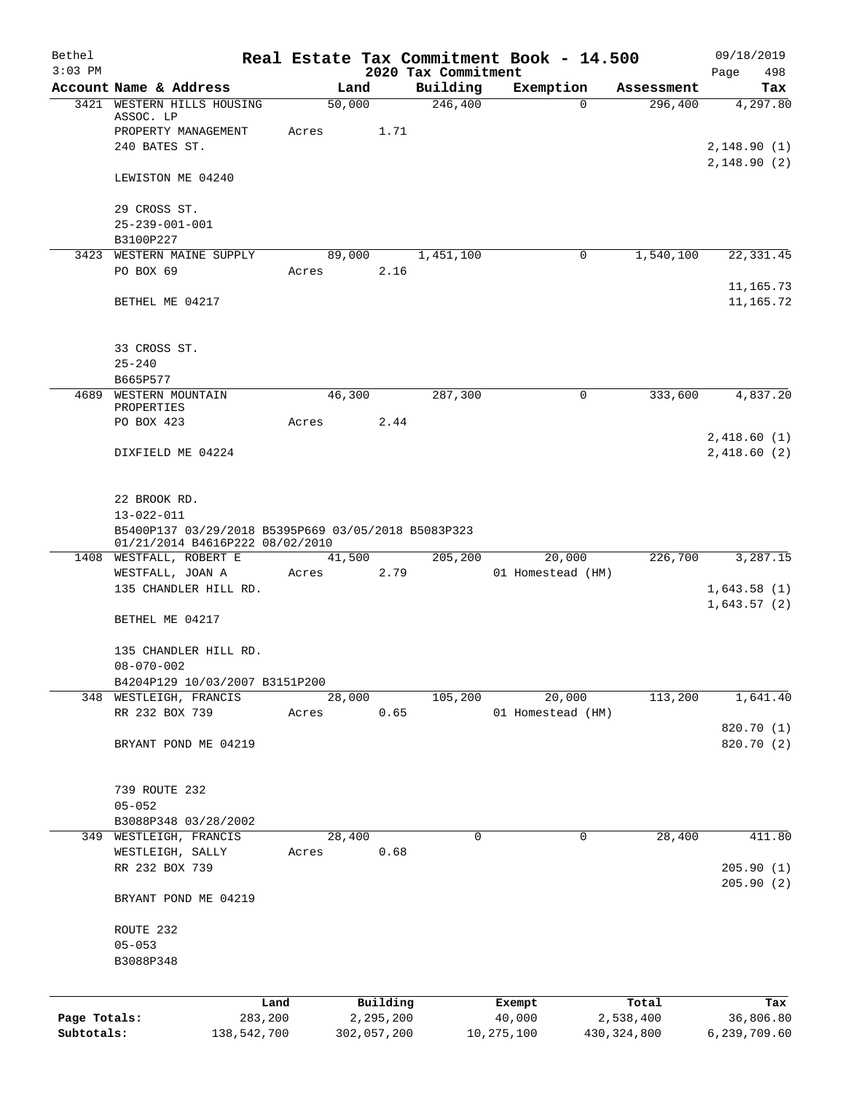| Bethel       |                                                     |       |                |                     | Real Estate Tax Commitment Book - 14.500 |                       | 09/18/2019      |
|--------------|-----------------------------------------------------|-------|----------------|---------------------|------------------------------------------|-----------------------|-----------------|
| $3:03$ PM    |                                                     |       |                | 2020 Tax Commitment |                                          |                       | Page<br>498     |
| 3421         | Account Name & Address<br>WESTERN HILLS HOUSING     |       | Land<br>50,000 | Building<br>246,400 | Exemption<br>$\Omega$                    | Assessment<br>296,400 | Tax<br>4,297.80 |
|              | ASSOC. LP                                           |       |                |                     |                                          |                       |                 |
|              | PROPERTY MANAGEMENT                                 | Acres | 1.71           |                     |                                          |                       |                 |
|              | 240 BATES ST.                                       |       |                |                     |                                          |                       | 2,148.90(1)     |
|              | LEWISTON ME 04240                                   |       |                |                     |                                          |                       | 2,148.90(2)     |
|              |                                                     |       |                |                     |                                          |                       |                 |
|              | 29 CROSS ST.                                        |       |                |                     |                                          |                       |                 |
|              | $25 - 239 - 001 - 001$                              |       |                |                     |                                          |                       |                 |
|              | B3100P227<br>3423 WESTERN MAINE SUPPLY              |       | 89,000         | 1,451,100           | 0                                        | 1,540,100             | 22, 331.45      |
|              | PO BOX 69                                           | Acres | 2.16           |                     |                                          |                       |                 |
|              |                                                     |       |                |                     |                                          |                       | 11,165.73       |
|              | BETHEL ME 04217                                     |       |                |                     |                                          |                       | 11,165.72       |
|              |                                                     |       |                |                     |                                          |                       |                 |
|              | 33 CROSS ST.                                        |       |                |                     |                                          |                       |                 |
|              | $25 - 240$                                          |       |                |                     |                                          |                       |                 |
|              | B665P577                                            |       |                |                     |                                          |                       |                 |
| 4689         | WESTERN MOUNTAIN<br>PROPERTIES                      |       | 46,300         | 287,300             | $\mathbf 0$                              | 333,600               | 4,837.20        |
|              | PO BOX 423                                          | Acres | 2.44           |                     |                                          |                       |                 |
|              |                                                     |       |                |                     |                                          |                       | 2,418.60(1)     |
|              | DIXFIELD ME 04224                                   |       |                |                     |                                          |                       | 2,418.60(2)     |
|              | 22 BROOK RD.                                        |       |                |                     |                                          |                       |                 |
|              | $13 - 022 - 011$                                    |       |                |                     |                                          |                       |                 |
|              | B5400P137 03/29/2018 B5395P669 03/05/2018 B5083P323 |       |                |                     |                                          |                       |                 |
|              | 01/21/2014 B4616P222 08/02/2010                     |       |                |                     |                                          |                       |                 |
|              | 1408 WESTFALL, ROBERT E                             |       | 41,500         | 205,200             | 20,000                                   | 226,700               | 3,287.15        |
|              | WESTFALL, JOAN A                                    | Acres | 2.79           |                     | 01 Homestead (HM)                        |                       |                 |
|              | 135 CHANDLER HILL RD.                               |       |                |                     |                                          |                       | 1,643.58(1)     |
|              | BETHEL ME 04217                                     |       |                |                     |                                          |                       | 1,643.57(2)     |
|              | 135 CHANDLER HILL RD.                               |       |                |                     |                                          |                       |                 |
|              | $08 - 070 - 002$                                    |       |                |                     |                                          |                       |                 |
|              | B4204P129 10/03/2007 B3151P200                      |       |                |                     |                                          |                       |                 |
|              | 348 WESTLEIGH, FRANCIS                              |       | 28,000         | 105,200             | 20,000                                   | 113,200               | 1,641.40        |
|              | RR 232 BOX 739                                      | Acres | 0.65           |                     | 01 Homestead (HM)                        |                       |                 |
|              |                                                     |       |                |                     |                                          |                       | 820.70 (1)      |
|              | BRYANT POND ME 04219                                |       |                |                     |                                          |                       | 820.70 (2)      |
|              | 739 ROUTE 232                                       |       |                |                     |                                          |                       |                 |
|              | $05 - 052$                                          |       |                |                     |                                          |                       |                 |
|              | B3088P348 03/28/2002                                |       |                |                     |                                          |                       |                 |
|              | 349 WESTLEIGH, FRANCIS                              |       | 28,400         | 0                   | 0                                        | 28,400                | 411.80          |
|              | WESTLEIGH, SALLY                                    | Acres | 0.68           |                     |                                          |                       |                 |
|              | RR 232 BOX 739                                      |       |                |                     |                                          |                       | 205.90(1)       |
|              | BRYANT POND ME 04219                                |       |                |                     |                                          |                       | 205.90(2)       |
|              |                                                     |       |                |                     |                                          |                       |                 |
|              | ROUTE 232                                           |       |                |                     |                                          |                       |                 |
|              | $05 - 053$                                          |       |                |                     |                                          |                       |                 |
|              | B3088P348                                           |       |                |                     |                                          |                       |                 |
|              |                                                     | Land  | Building       |                     | Exempt                                   | Total                 | Tax             |
| Page Totals: | 283,200                                             |       | 2,295,200      |                     | 40,000                                   | 2,538,400             | 36,806.80       |
| Subtotals:   | 138,542,700                                         |       | 302,057,200    |                     | 10, 275, 100                             | 430, 324, 800         | 6,239,709.60    |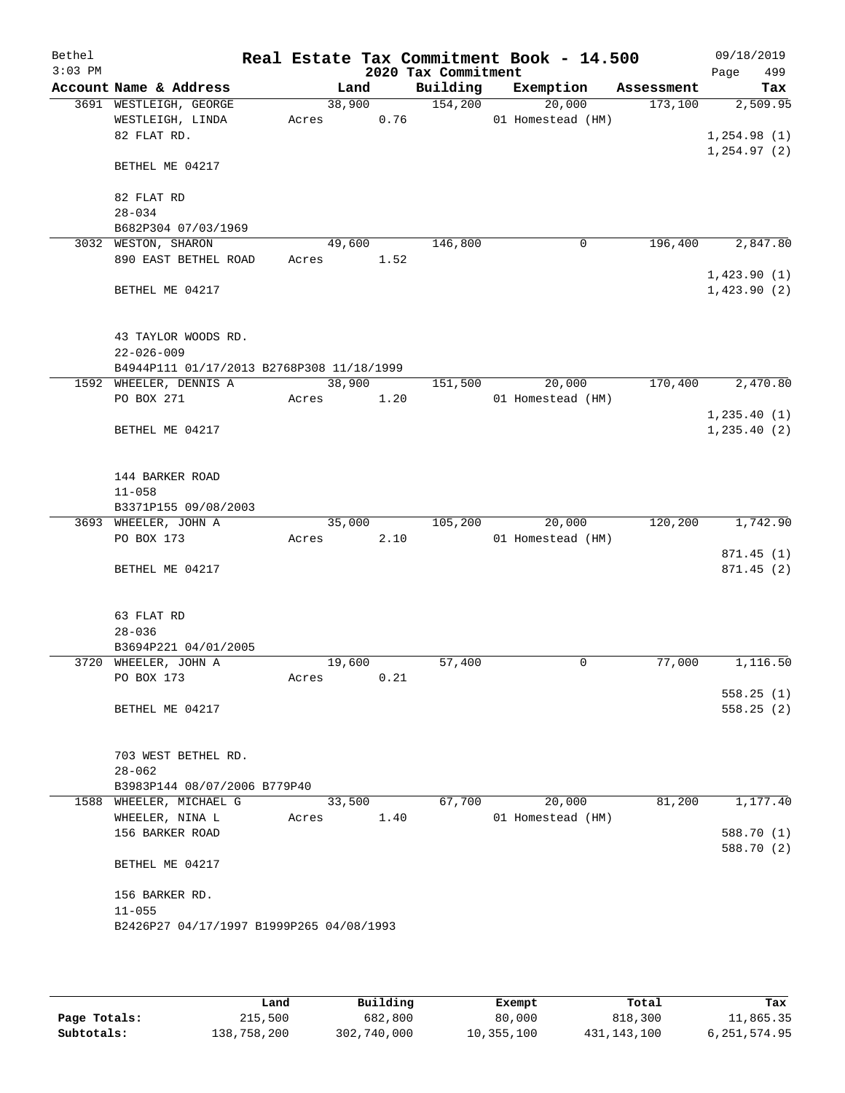| Bethel<br>$3:03$ PM |                                                               |       |        |      | 2020 Tax Commitment | Real Estate Tax Commitment Book - 14.500 |            | 09/18/2019<br>499<br>Page |
|---------------------|---------------------------------------------------------------|-------|--------|------|---------------------|------------------------------------------|------------|---------------------------|
|                     | Account Name & Address                                        |       | Land   |      | Building            | Exemption                                | Assessment | Tax                       |
|                     | 3691 WESTLEIGH, GEORGE                                        |       | 38,900 |      | 154,200             | 20,000                                   | 173,100    | 2,509.95                  |
|                     | WESTLEIGH, LINDA                                              | Acres |        | 0.76 |                     | 01 Homestead (HM)                        |            |                           |
|                     | 82 FLAT RD.                                                   |       |        |      |                     |                                          |            | 1,254.98(1)               |
|                     |                                                               |       |        |      |                     |                                          |            | 1, 254.97(2)              |
|                     | BETHEL ME 04217                                               |       |        |      |                     |                                          |            |                           |
|                     | 82 FLAT RD                                                    |       |        |      |                     |                                          |            |                           |
|                     | $28 - 034$                                                    |       |        |      |                     |                                          |            |                           |
|                     | B682P304 07/03/1969                                           |       |        |      |                     |                                          |            |                           |
|                     | 3032 WESTON, SHARON                                           |       | 49,600 |      | 146,800             | 0                                        | 196,400    | 2,847.80                  |
|                     | 890 EAST BETHEL ROAD                                          | Acres |        | 1.52 |                     |                                          |            |                           |
|                     |                                                               |       |        |      |                     |                                          |            | 1,423.90(1)               |
|                     | BETHEL ME 04217                                               |       |        |      |                     |                                          |            | 1,423.90(2)               |
|                     |                                                               |       |        |      |                     |                                          |            |                           |
|                     |                                                               |       |        |      |                     |                                          |            |                           |
|                     | 43 TAYLOR WOODS RD.                                           |       |        |      |                     |                                          |            |                           |
|                     | $22 - 026 - 009$<br>B4944P111 01/17/2013 B2768P308 11/18/1999 |       |        |      |                     |                                          |            |                           |
|                     | 1592 WHEELER, DENNIS A                                        |       | 38,900 |      | 151,500             | 20,000                                   | 170,400    | 2,470.80                  |
|                     | PO BOX 271                                                    | Acres |        | 1.20 |                     | 01 Homestead (HM)                        |            |                           |
|                     |                                                               |       |        |      |                     |                                          |            | 1, 235.40(1)              |
|                     | BETHEL ME 04217                                               |       |        |      |                     |                                          |            | 1, 235.40(2)              |
|                     |                                                               |       |        |      |                     |                                          |            |                           |
|                     |                                                               |       |        |      |                     |                                          |            |                           |
|                     | 144 BARKER ROAD                                               |       |        |      |                     |                                          |            |                           |
|                     | $11 - 058$                                                    |       |        |      |                     |                                          |            |                           |
|                     | B3371P155 09/08/2003                                          |       |        |      |                     |                                          |            |                           |
|                     | 3693 WHEELER, JOHN A<br>PO BOX 173                            | Acres | 35,000 | 2.10 | 105,200             | 20,000<br>01 Homestead (HM)              | 120,200    | 1,742.90                  |
|                     |                                                               |       |        |      |                     |                                          |            | 871.45(1)                 |
|                     | BETHEL ME 04217                                               |       |        |      |                     |                                          |            | 871.45 (2)                |
|                     |                                                               |       |        |      |                     |                                          |            |                           |
|                     |                                                               |       |        |      |                     |                                          |            |                           |
|                     | 63 FLAT RD                                                    |       |        |      |                     |                                          |            |                           |
|                     | $28 - 036$                                                    |       |        |      |                     |                                          |            |                           |
|                     | B3694P221 04/01/2005                                          |       |        |      |                     |                                          |            |                           |
|                     | 3720 WHEELER, JOHN A<br>PO BOX 173                            | Acres | 19,600 | 0.21 | 57,400              | $\mathbf 0$                              | 77,000     | 1,116.50                  |
|                     |                                                               |       |        |      |                     |                                          |            | 558.25(1)                 |
|                     | BETHEL ME 04217                                               |       |        |      |                     |                                          |            | 558.25(2)                 |
|                     |                                                               |       |        |      |                     |                                          |            |                           |
|                     |                                                               |       |        |      |                     |                                          |            |                           |
|                     | 703 WEST BETHEL RD.                                           |       |        |      |                     |                                          |            |                           |
|                     | $28 - 062$                                                    |       |        |      |                     |                                          |            |                           |
|                     | B3983P144 08/07/2006 B779P40                                  |       |        |      |                     |                                          |            |                           |
|                     | 1588 WHEELER, MICHAEL G                                       |       | 33,500 |      | 67,700              | 20,000                                   | 81,200     | 1,177.40                  |
|                     | WHEELER, NINA L<br>156 BARKER ROAD                            | Acres |        | 1.40 |                     | 01 Homestead (HM)                        |            | 588.70 (1)                |
|                     |                                                               |       |        |      |                     |                                          |            | 588.70 (2)                |
|                     | BETHEL ME 04217                                               |       |        |      |                     |                                          |            |                           |
|                     |                                                               |       |        |      |                     |                                          |            |                           |
|                     | 156 BARKER RD.                                                |       |        |      |                     |                                          |            |                           |
|                     | $11 - 055$                                                    |       |        |      |                     |                                          |            |                           |
|                     | B2426P27 04/17/1997 B1999P265 04/08/1993                      |       |        |      |                     |                                          |            |                           |
|                     |                                                               |       |        |      |                     |                                          |            |                           |
|                     |                                                               |       |        |      |                     |                                          |            |                           |

|              | úand        | Building    | Exempt     | Total         | Tax            |
|--------------|-------------|-------------|------------|---------------|----------------|
| Page Totals: | 215,500     | 682,800     | 80,000     | 818,300       | 11,865.35      |
| Subtotals:   | 138,758,200 | 302,740,000 | 10,355,100 | 431, 143, 100 | 6, 251, 574.95 |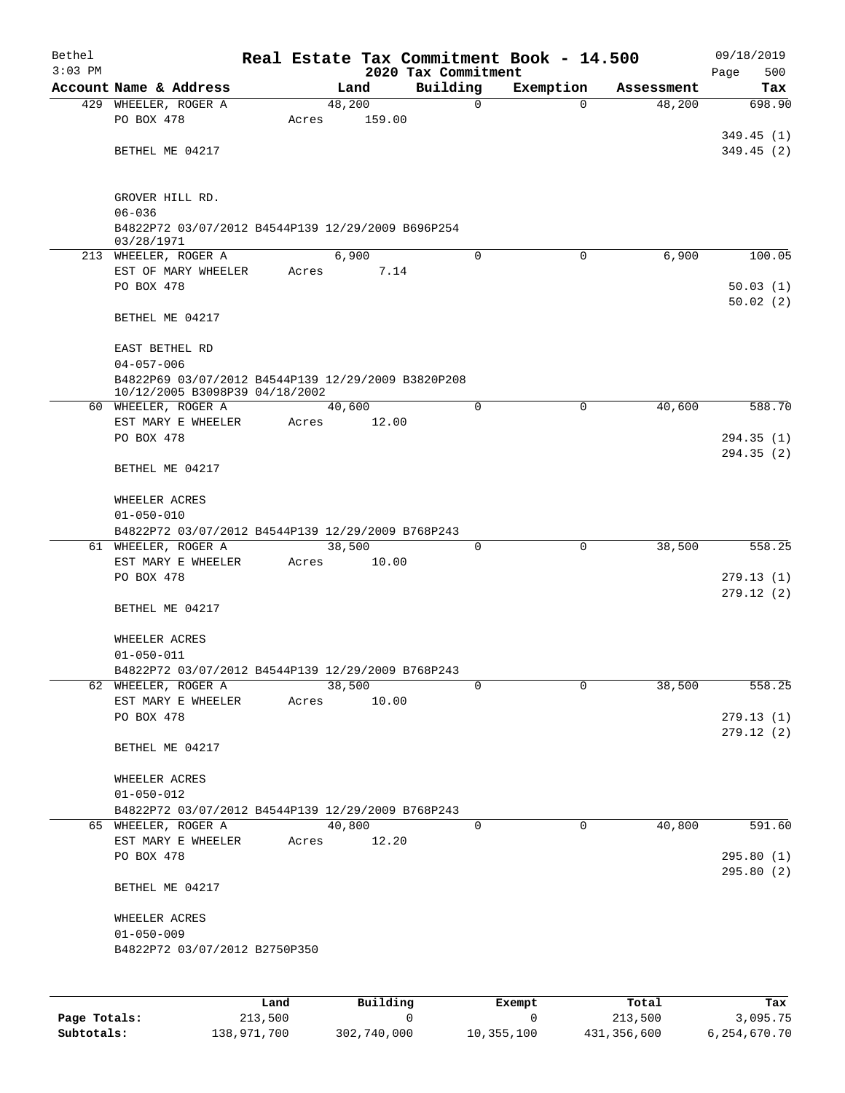| Bethel<br>$3:03$ PM |                                                                                      |       |        |                                     | 2020 Tax Commitment |             | Real Estate Tax Commitment Book - 14.500 |            | 09/18/2019<br>500<br>Page |
|---------------------|--------------------------------------------------------------------------------------|-------|--------|-------------------------------------|---------------------|-------------|------------------------------------------|------------|---------------------------|
|                     | Account Name & Address                                                               |       | Land   |                                     | Building            |             | Exemption                                | Assessment | Tax                       |
|                     | 429 WHEELER, ROGER A                                                                 |       | 48,200 |                                     |                     | 0           | $\Omega$                                 | 48,200     | 698.90                    |
|                     | PO BOX 478                                                                           | Acres |        | 159.00                              |                     |             |                                          |            |                           |
|                     |                                                                                      |       |        |                                     |                     |             |                                          |            | 349.45(1)                 |
|                     | BETHEL ME 04217                                                                      |       |        |                                     |                     |             |                                          |            | 349.45(2)                 |
|                     | GROVER HILL RD.                                                                      |       |        |                                     |                     |             |                                          |            |                           |
|                     | $06 - 036$                                                                           |       |        |                                     |                     |             |                                          |            |                           |
|                     | B4822P72 03/07/2012 B4544P139 12/29/2009 B696P254                                    |       |        |                                     |                     |             |                                          |            |                           |
|                     | 03/28/1971                                                                           |       |        |                                     |                     |             |                                          |            |                           |
|                     | 213 WHEELER, ROGER A                                                                 |       | 6,900  |                                     |                     | $\Omega$    | 0                                        | 6,900      | 100.05                    |
|                     | EST OF MARY WHEELER                                                                  | Acres |        | 7.14                                |                     |             |                                          |            |                           |
|                     | PO BOX 478                                                                           |       |        |                                     |                     |             |                                          |            | 50.03(1)                  |
|                     | BETHEL ME 04217                                                                      |       |        |                                     |                     |             |                                          |            | 50.02(2)                  |
|                     |                                                                                      |       |        |                                     |                     |             |                                          |            |                           |
|                     | EAST BETHEL RD                                                                       |       |        |                                     |                     |             |                                          |            |                           |
|                     | $04 - 057 - 006$                                                                     |       |        |                                     |                     |             |                                          |            |                           |
|                     | B4822P69 03/07/2012 B4544P139 12/29/2009 B3820P208<br>10/12/2005 B3098P39 04/18/2002 |       |        |                                     |                     |             |                                          |            |                           |
|                     | 60 WHEELER, ROGER A                                                                  |       | 40,600 |                                     |                     | $\Omega$    | 0                                        | 40,600     | 588.70                    |
|                     | EST MARY E WHEELER                                                                   | Acres |        | 12.00                               |                     |             |                                          |            |                           |
|                     | PO BOX 478                                                                           |       |        |                                     |                     |             |                                          |            | 294.35(1)                 |
|                     |                                                                                      |       |        |                                     |                     |             |                                          |            | 294.35(2)                 |
|                     | BETHEL ME 04217                                                                      |       |        |                                     |                     |             |                                          |            |                           |
|                     | WHEELER ACRES                                                                        |       |        |                                     |                     |             |                                          |            |                           |
|                     | $01 - 050 - 010$                                                                     |       |        |                                     |                     |             |                                          |            |                           |
|                     | B4822P72 03/07/2012 B4544P139 12/29/2009 B768P243                                    |       |        |                                     |                     |             |                                          |            |                           |
|                     | 61 WHEELER, ROGER A                                                                  |       | 38,500 |                                     |                     | $\mathbf 0$ | $\mathbf 0$                              | 38,500     | 558.25                    |
|                     | EST MARY E WHEELER                                                                   | Acres |        | 10.00                               |                     |             |                                          |            |                           |
|                     | PO BOX 478                                                                           |       |        |                                     |                     |             |                                          |            | 279.13(1)<br>279.12(2)    |
|                     | BETHEL ME 04217                                                                      |       |        |                                     |                     |             |                                          |            |                           |
|                     | WHEELER ACRES                                                                        |       |        |                                     |                     |             |                                          |            |                           |
|                     | $01 - 050 - 011$                                                                     |       |        |                                     |                     |             |                                          |            |                           |
|                     | B4822P72 03/07/2012 B4544P139 12/29/2009 B768P243                                    |       |        |                                     |                     |             |                                          |            |                           |
|                     | 62 WHEELER, ROGER A                                                                  |       | 38,500 |                                     |                     | 0           | 0                                        | 38,500     | 558.25                    |
|                     | EST MARY E WHEELER                                                                   | Acres |        | 10.00                               |                     |             |                                          |            |                           |
|                     | PO BOX 478                                                                           |       |        |                                     |                     |             |                                          |            | 279.13(1)                 |
|                     |                                                                                      |       |        |                                     |                     |             |                                          |            | 279.12(2)                 |
|                     | BETHEL ME 04217                                                                      |       |        |                                     |                     |             |                                          |            |                           |
|                     | WHEELER ACRES                                                                        |       |        |                                     |                     |             |                                          |            |                           |
|                     | $01 - 050 - 012$                                                                     |       |        |                                     |                     |             |                                          |            |                           |
|                     | B4822P72 03/07/2012 B4544P139 12/29/2009 B768P243                                    |       |        |                                     |                     |             |                                          |            |                           |
|                     | 65 WHEELER, ROGER A                                                                  |       | 40,800 |                                     |                     | 0           | 0                                        | 40,800     | 591.60                    |
|                     | EST MARY E WHEELER                                                                   | Acres |        | 12.20                               |                     |             |                                          |            |                           |
|                     | PO BOX 478                                                                           |       |        |                                     |                     |             |                                          |            | 295.80(1)                 |
|                     | BETHEL ME 04217                                                                      |       |        |                                     |                     |             |                                          |            | 295.80(2)                 |
|                     |                                                                                      |       |        |                                     |                     |             |                                          |            |                           |
|                     | WHEELER ACRES                                                                        |       |        |                                     |                     |             |                                          |            |                           |
|                     | $01 - 050 - 009$                                                                     |       |        |                                     |                     |             |                                          |            |                           |
|                     | B4822P72 03/07/2012 B2750P350                                                        |       |        |                                     |                     |             |                                          |            |                           |
|                     |                                                                                      |       |        |                                     |                     |             |                                          |            |                           |
|                     |                                                                                      |       |        |                                     |                     |             |                                          |            |                           |
|                     |                                                                                      |       |        | $P_{11}$ $P_{21}$ $P_{31}$ $P_{42}$ |                     |             | <b>Durame</b>                            |            |                           |

|              | Land        | Building    | Exempt     | Total       | Tax          |
|--------------|-------------|-------------|------------|-------------|--------------|
| Page Totals: | 213,500     |             |            | 213,500     | 3,095.75     |
| Subtotals:   | 138,971,700 | 302,740,000 | 10,355,100 | 431,356,600 | 6,254,670.70 |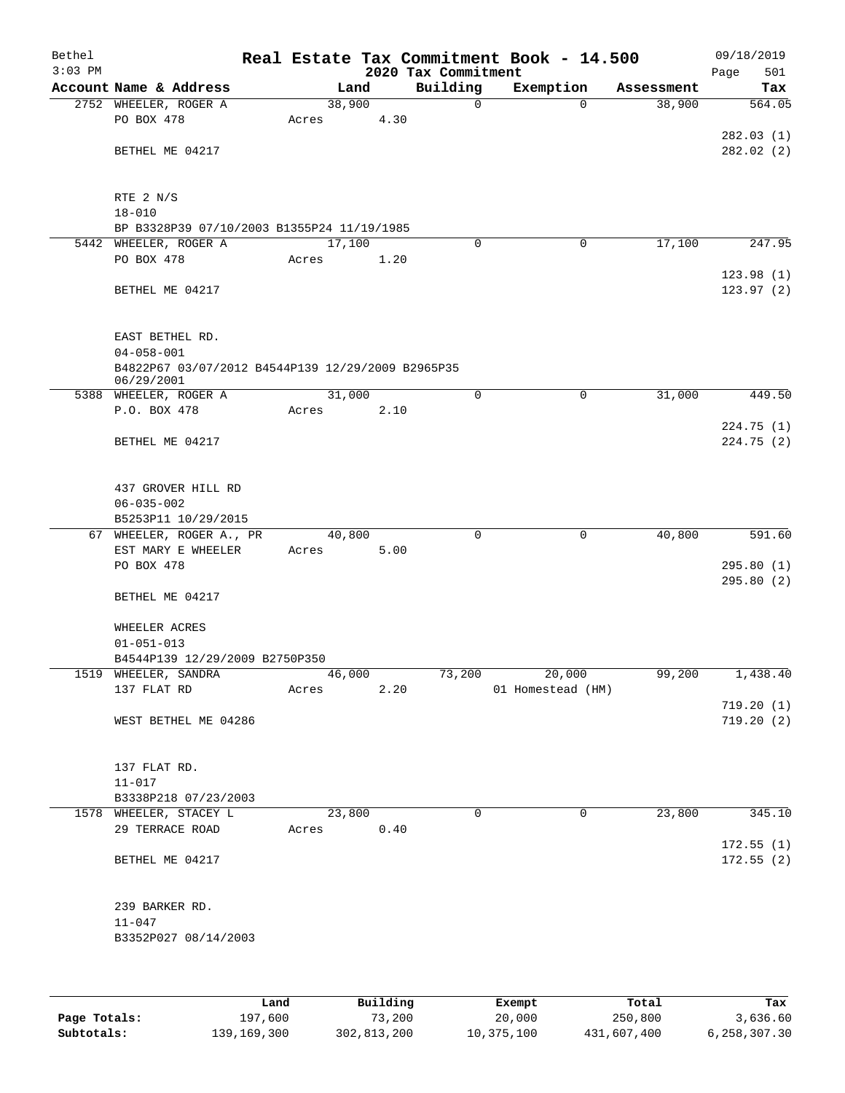| Bethel<br>$3:03$ PM |                                                                 |       |        | 2020 Tax Commitment | Real Estate Tax Commitment Book - 14.500 |            | 09/18/2019<br>501<br>Page |
|---------------------|-----------------------------------------------------------------|-------|--------|---------------------|------------------------------------------|------------|---------------------------|
|                     | Account Name & Address                                          |       | Land   | Building            | Exemption                                | Assessment | Tax                       |
|                     | 2752 WHEELER, ROGER A                                           |       | 38,900 | $\mathbf 0$         | $\Omega$                                 | 38,900     | 564.05                    |
|                     | PO BOX 478                                                      | Acres | 4.30   |                     |                                          |            |                           |
|                     |                                                                 |       |        |                     |                                          |            | 282.03(1)                 |
|                     | BETHEL ME 04217                                                 |       |        |                     |                                          |            | 282.02(2)                 |
|                     |                                                                 |       |        |                     |                                          |            |                           |
|                     |                                                                 |       |        |                     |                                          |            |                           |
|                     | RTE 2 N/S                                                       |       |        |                     |                                          |            |                           |
|                     | $18 - 010$                                                      |       |        |                     |                                          |            |                           |
|                     | BP B3328P39 07/10/2003 B1355P24 11/19/1985                      |       |        |                     |                                          |            |                           |
|                     | 5442 WHEELER, ROGER A                                           |       | 17,100 | 0                   | 0                                        | 17,100     | 247.95                    |
|                     | PO BOX 478                                                      | Acres | 1.20   |                     |                                          |            |                           |
|                     |                                                                 |       |        |                     |                                          |            | 123.98(1)                 |
|                     | BETHEL ME 04217                                                 |       |        |                     |                                          |            | 123.97(2)                 |
|                     |                                                                 |       |        |                     |                                          |            |                           |
|                     |                                                                 |       |        |                     |                                          |            |                           |
|                     | EAST BETHEL RD.                                                 |       |        |                     |                                          |            |                           |
|                     | $04 - 058 - 001$                                                |       |        |                     |                                          |            |                           |
|                     | B4822P67 03/07/2012 B4544P139 12/29/2009 B2965P35<br>06/29/2001 |       |        |                     |                                          |            |                           |
|                     | 5388 WHEELER, ROGER A                                           |       | 31,000 | $\mathbf 0$         | $\mathbf 0$                              | 31,000     | 449.50                    |
|                     | P.O. BOX 478                                                    | Acres | 2.10   |                     |                                          |            |                           |
|                     |                                                                 |       |        |                     |                                          |            | 224.75 (1)                |
|                     | BETHEL ME 04217                                                 |       |        |                     |                                          |            | 224.75 (2)                |
|                     |                                                                 |       |        |                     |                                          |            |                           |
|                     |                                                                 |       |        |                     |                                          |            |                           |
|                     | 437 GROVER HILL RD                                              |       |        |                     |                                          |            |                           |
|                     | $06 - 035 - 002$                                                |       |        |                     |                                          |            |                           |
|                     | B5253P11 10/29/2015                                             |       |        |                     |                                          |            |                           |
|                     | 67 WHEELER, ROGER A., PR                                        |       | 40,800 | $\mathbf 0$         | $\mathbf 0$                              | 40,800     | 591.60                    |
|                     | EST MARY E WHEELER                                              | Acres | 5.00   |                     |                                          |            |                           |
|                     | PO BOX 478                                                      |       |        |                     |                                          |            | 295.80(1)                 |
|                     | BETHEL ME 04217                                                 |       |        |                     |                                          |            | 295.80(2)                 |
|                     |                                                                 |       |        |                     |                                          |            |                           |
|                     | WHEELER ACRES                                                   |       |        |                     |                                          |            |                           |
|                     | $01 - 051 - 013$                                                |       |        |                     |                                          |            |                           |
|                     | B4544P139 12/29/2009 B2750P350                                  |       |        |                     |                                          |            |                           |
|                     | 1519 WHEELER, SANDRA                                            |       | 46,000 | 73,200              | 20,000                                   | 99,200     | 1,438.40                  |
|                     | 137 FLAT RD                                                     | Acres | 2.20   |                     | 01 Homestead (HM)                        |            |                           |
|                     |                                                                 |       |        |                     |                                          |            | 719.20(1)                 |
|                     | WEST BETHEL ME 04286                                            |       |        |                     |                                          |            | 719.20(2)                 |
|                     |                                                                 |       |        |                     |                                          |            |                           |
|                     |                                                                 |       |        |                     |                                          |            |                           |
|                     | 137 FLAT RD.                                                    |       |        |                     |                                          |            |                           |
|                     | $11 - 017$                                                      |       |        |                     |                                          |            |                           |
|                     | B3338P218 07/23/2003                                            |       |        |                     |                                          |            |                           |
|                     | 1578 WHEELER, STACEY L                                          |       | 23,800 | $\Omega$            | 0                                        | 23,800     | 345.10                    |
|                     | 29 TERRACE ROAD                                                 | Acres | 0.40   |                     |                                          |            |                           |
|                     | BETHEL ME 04217                                                 |       |        |                     |                                          |            | 172.55(1)<br>172.55(2)    |
|                     |                                                                 |       |        |                     |                                          |            |                           |
|                     |                                                                 |       |        |                     |                                          |            |                           |
|                     | 239 BARKER RD.                                                  |       |        |                     |                                          |            |                           |
|                     | $11 - 047$                                                      |       |        |                     |                                          |            |                           |
|                     | B3352P027 08/14/2003                                            |       |        |                     |                                          |            |                           |
|                     |                                                                 |       |        |                     |                                          |            |                           |
|                     |                                                                 |       |        |                     |                                          |            |                           |
|                     |                                                                 |       |        |                     |                                          |            |                           |

|              | Land        | Building    | Exempt     | Total       | Tax          |
|--------------|-------------|-------------|------------|-------------|--------------|
| Page Totals: | 197,600     | 73,200      | 20,000     | 250,800     | 3,636.60     |
| Subtotals:   | 139,169,300 | 302,813,200 | 10,375,100 | 431,607,400 | 6,258,307.30 |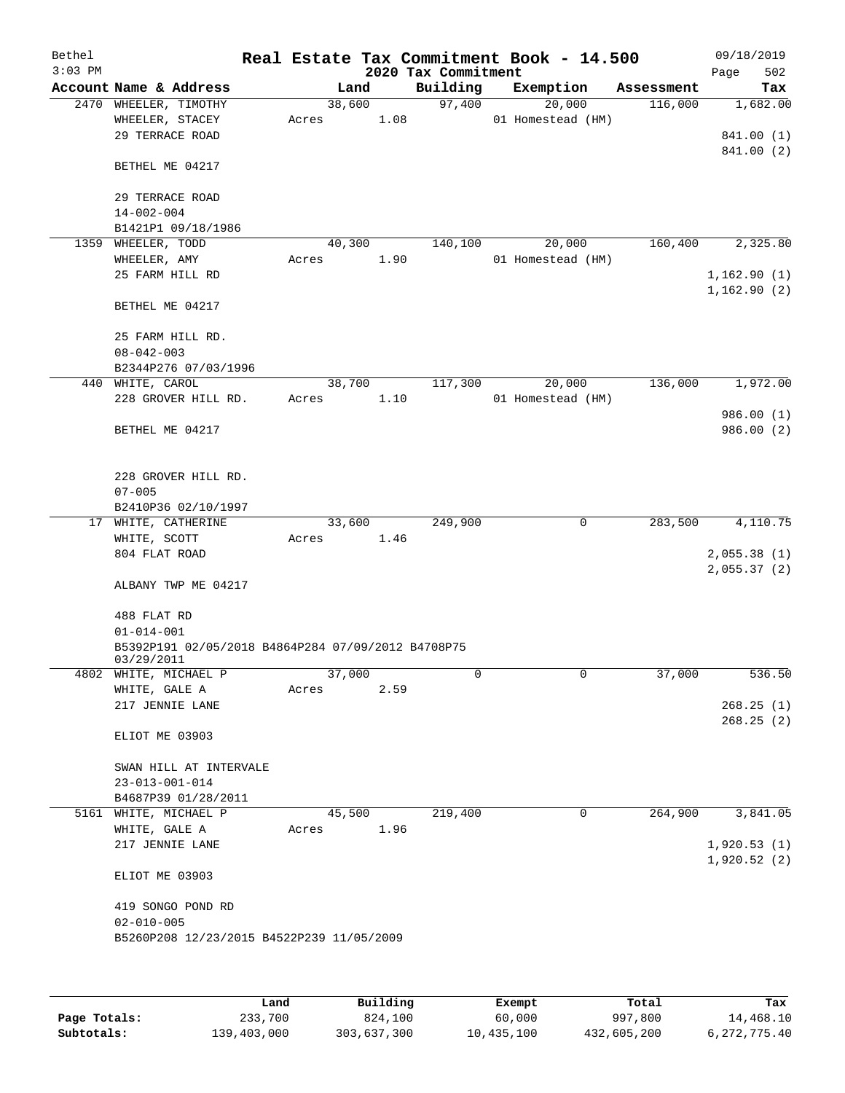| Bethel<br>$3:03$ PM |                                                    |       |                | 2020 Tax Commitment | Real Estate Tax Commitment Book - 14.500 |            | 09/18/2019<br>502<br>Page |
|---------------------|----------------------------------------------------|-------|----------------|---------------------|------------------------------------------|------------|---------------------------|
|                     | Account Name & Address                             |       | Land           | Building            | Exemption                                | Assessment | Tax                       |
|                     | 2470 WHEELER, TIMOTHY                              |       | 38,600         | 97,400              | 20,000                                   | 116,000    | 1,682.00                  |
|                     | WHEELER, STACEY                                    | Acres | 1.08           |                     | 01 Homestead (HM)                        |            |                           |
|                     | 29 TERRACE ROAD                                    |       |                |                     |                                          |            | 841.00 (1)                |
|                     |                                                    |       |                |                     |                                          |            | 841.00 (2)                |
|                     | BETHEL ME 04217                                    |       |                |                     |                                          |            |                           |
|                     |                                                    |       |                |                     |                                          |            |                           |
|                     | 29 TERRACE ROAD                                    |       |                |                     |                                          |            |                           |
|                     | $14 - 002 - 004$<br>B1421P1 09/18/1986             |       |                |                     |                                          |            |                           |
| 1359                | WHEELER, TODD                                      |       | 40,300         | 140,100             | 20,000                                   | 160,400    | 2,325.80                  |
|                     | WHEELER, AMY                                       | Acres | 1.90           |                     | 01 Homestead (HM)                        |            |                           |
|                     | 25 FARM HILL RD                                    |       |                |                     |                                          |            | 1,162.90(1)               |
|                     |                                                    |       |                |                     |                                          |            | 1,162.90(2)               |
|                     | BETHEL ME 04217                                    |       |                |                     |                                          |            |                           |
|                     |                                                    |       |                |                     |                                          |            |                           |
|                     | 25 FARM HILL RD.                                   |       |                |                     |                                          |            |                           |
|                     | $08 - 042 - 003$                                   |       |                |                     |                                          |            |                           |
|                     | B2344P276 07/03/1996                               |       |                |                     |                                          |            |                           |
|                     | 440 WHITE, CAROL                                   |       | 38,700         | 117,300             | 20,000                                   | 136,000    | 1,972.00                  |
|                     | 228 GROVER HILL RD.                                | Acres | 1.10           |                     | 01 Homestead (HM)                        |            |                           |
|                     |                                                    |       |                |                     |                                          |            | 986.00(1)                 |
|                     | BETHEL ME 04217                                    |       |                |                     |                                          |            | 986.00(2)                 |
|                     |                                                    |       |                |                     |                                          |            |                           |
|                     |                                                    |       |                |                     |                                          |            |                           |
|                     | 228 GROVER HILL RD.                                |       |                |                     |                                          |            |                           |
|                     | $07 - 005$                                         |       |                |                     |                                          |            |                           |
|                     | B2410P36 02/10/1997                                |       |                |                     | 0                                        | 283,500    | 4,110.75                  |
|                     | 17 WHITE, CATHERINE<br>WHITE, SCOTT                | Acres | 33,600<br>1.46 | 249,900             |                                          |            |                           |
|                     | 804 FLAT ROAD                                      |       |                |                     |                                          |            | 2,055.38(1)               |
|                     |                                                    |       |                |                     |                                          |            | 2,055.37(2)               |
|                     | ALBANY TWP ME 04217                                |       |                |                     |                                          |            |                           |
|                     |                                                    |       |                |                     |                                          |            |                           |
|                     | 488 FLAT RD                                        |       |                |                     |                                          |            |                           |
|                     | $01 - 014 - 001$                                   |       |                |                     |                                          |            |                           |
|                     | B5392P191 02/05/2018 B4864P284 07/09/2012 B4708P75 |       |                |                     |                                          |            |                           |
|                     | 03/29/2011                                         |       |                |                     |                                          |            |                           |
|                     | 4802 WHITE, MICHAEL P                              |       | 37,000         | 0                   | 0                                        | 37,000     | 536.50                    |
|                     | WHITE, GALE A                                      | Acres | 2.59           |                     |                                          |            |                           |
|                     | 217 JENNIE LANE                                    |       |                |                     |                                          |            | 268.25(1)                 |
|                     |                                                    |       |                |                     |                                          |            | 268.25(2)                 |
|                     | ELIOT ME 03903                                     |       |                |                     |                                          |            |                           |
|                     | SWAN HILL AT INTERVALE                             |       |                |                     |                                          |            |                           |
|                     | $23 - 013 - 001 - 014$                             |       |                |                     |                                          |            |                           |
|                     | B4687P39 01/28/2011                                |       |                |                     |                                          |            |                           |
| 5161                | WHITE, MICHAEL P                                   |       | 45,500         | 219,400             | 0                                        | 264,900    | 3,841.05                  |
|                     | WHITE, GALE A                                      | Acres | 1.96           |                     |                                          |            |                           |
|                     | 217 JENNIE LANE                                    |       |                |                     |                                          |            | 1,920.53(1)               |
|                     |                                                    |       |                |                     |                                          |            | 1,920.52(2)               |
|                     | ELIOT ME 03903                                     |       |                |                     |                                          |            |                           |
|                     |                                                    |       |                |                     |                                          |            |                           |
|                     | 419 SONGO POND RD                                  |       |                |                     |                                          |            |                           |
|                     | $02 - 010 - 005$                                   |       |                |                     |                                          |            |                           |
|                     | B5260P208 12/23/2015 B4522P239 11/05/2009          |       |                |                     |                                          |            |                           |
|                     |                                                    |       |                |                     |                                          |            |                           |
|                     |                                                    |       |                |                     |                                          |            |                           |
|                     |                                                    |       |                |                     |                                          |            |                           |

|              | Land        | Building    | Exempt     | Total       | Tax          |
|--------------|-------------|-------------|------------|-------------|--------------|
| Page Totals: | 233,700     | 824,100     | 60,000     | 997,800     | 14,468.10    |
| Subtotals:   | 139,403,000 | 303,637,300 | 10,435,100 | 432,605,200 | 6,272,775.40 |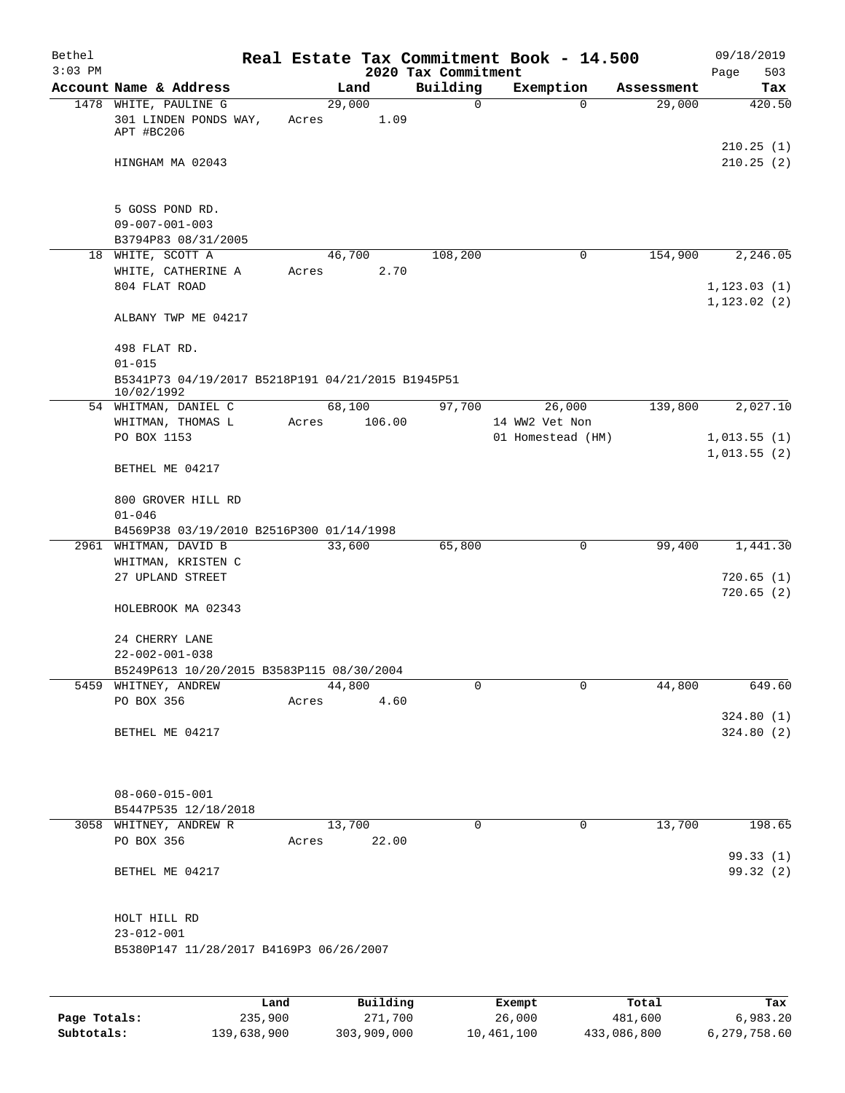| Bethel    |                                                                   |       |          |        |                                 | Real Estate Tax Commitment Book - 14.500 |                      | 09/18/2019             |
|-----------|-------------------------------------------------------------------|-------|----------|--------|---------------------------------|------------------------------------------|----------------------|------------------------|
| $3:03$ PM | Account Name & Address                                            |       | Land     |        | 2020 Tax Commitment<br>Building | Exemption                                |                      | 503<br>Page            |
|           | 1478 WHITE, PAULINE G                                             |       | 29,000   |        | $\mathbf 0$                     | $\Omega$                                 | Assessment<br>29,000 | Tax<br>420.50          |
|           | 301 LINDEN PONDS WAY,<br>APT #BC206                               | Acres |          | 1.09   |                                 |                                          |                      |                        |
|           | HINGHAM MA 02043                                                  |       |          |        |                                 |                                          |                      | 210.25(1)<br>210.25(2) |
|           | 5 GOSS POND RD.                                                   |       |          |        |                                 |                                          |                      |                        |
|           | $09 - 007 - 001 - 003$                                            |       |          |        |                                 |                                          |                      |                        |
|           | B3794P83 08/31/2005                                               |       |          |        |                                 |                                          |                      |                        |
|           | 18 WHITE, SCOTT A                                                 |       | 46,700   |        | 108,200                         | 0                                        | 154,900              | 2,246.05               |
|           | WHITE, CATHERINE A                                                | Acres |          | 2.70   |                                 |                                          |                      |                        |
|           | 804 FLAT ROAD                                                     |       |          |        |                                 |                                          |                      | 1, 123.03(1)           |
|           | ALBANY TWP ME 04217                                               |       |          |        |                                 |                                          |                      | 1, 123.02(2)           |
|           | 498 FLAT RD.                                                      |       |          |        |                                 |                                          |                      |                        |
|           | $01 - 015$                                                        |       |          |        |                                 |                                          |                      |                        |
|           | B5341P73 04/19/2017 B5218P191 04/21/2015 B1945P51<br>10/02/1992   |       |          |        |                                 |                                          |                      |                        |
|           | 54 WHITMAN, DANIEL C                                              |       | 68,100   |        | 97,700                          | 26,000                                   | 139,800              | 2,027.10               |
|           | WHITMAN, THOMAS L                                                 | Acres |          | 106.00 |                                 | 14 WW2 Vet Non                           |                      |                        |
|           | PO BOX 1153                                                       |       |          |        |                                 | 01 Homestead (HM)                        |                      | 1,013.55(1)            |
|           | BETHEL ME 04217                                                   |       |          |        |                                 |                                          |                      | 1,013.55(2)            |
|           | 800 GROVER HILL RD<br>$01 - 046$                                  |       |          |        |                                 |                                          |                      |                        |
|           | B4569P38 03/19/2010 B2516P300 01/14/1998                          |       |          |        |                                 |                                          |                      |                        |
|           | 2961 WHITMAN, DAVID B                                             |       | 33,600   |        | 65,800                          | 0                                        | 99,400               | 1,441.30               |
|           | WHITMAN, KRISTEN C                                                |       |          |        |                                 |                                          |                      |                        |
|           | 27 UPLAND STREET                                                  |       |          |        |                                 |                                          |                      | 720.65(1)              |
|           | HOLEBROOK MA 02343                                                |       |          |        |                                 |                                          |                      | 720.65(2)              |
|           | 24 CHERRY LANE                                                    |       |          |        |                                 |                                          |                      |                        |
|           | $22 - 002 - 001 - 038$                                            |       |          |        |                                 |                                          |                      |                        |
|           | B5249P613 10/20/2015 B3583P115 08/30/2004<br>5459 WHITNEY, ANDREW |       | 44,800   |        | 0                               | $\mathbf 0$                              | 44,800               | 649.60                 |
|           | PO BOX 356                                                        | Acres |          | 4.60   |                                 |                                          |                      |                        |
|           |                                                                   |       |          |        |                                 |                                          |                      | 324.80(1)              |
|           | BETHEL ME 04217                                                   |       |          |        |                                 |                                          |                      | 324.80(2)              |
|           |                                                                   |       |          |        |                                 |                                          |                      |                        |
|           | $08 - 060 - 015 - 001$                                            |       |          |        |                                 |                                          |                      |                        |
|           | B5447P535 12/18/2018                                              |       |          |        |                                 |                                          |                      |                        |
|           | 3058 WHITNEY, ANDREW R<br>PO BOX 356                              | Acres | 13,700   | 22.00  | 0                               | $\mathbf 0$                              | 13,700               | 198.65                 |
|           |                                                                   |       |          |        |                                 |                                          |                      | 99.33(1)               |
|           | BETHEL ME 04217                                                   |       |          |        |                                 |                                          |                      | 99.32 (2)              |
|           | HOLT HILL RD                                                      |       |          |        |                                 |                                          |                      |                        |
|           | $23 - 012 - 001$                                                  |       |          |        |                                 |                                          |                      |                        |
|           | B5380P147 11/28/2017 B4169P3 06/26/2007                           |       |          |        |                                 |                                          |                      |                        |
|           |                                                                   |       |          |        |                                 |                                          |                      |                        |
|           |                                                                   | Land, | Building |        |                                 | <b>Exempt</b>                            | Total                | Tax                    |

|              | Land        | Building    | Exempt     | Total       | Tax          |
|--------------|-------------|-------------|------------|-------------|--------------|
| Page Totals: | 235,900     | 271,700     | 26,000     | 481,600     | 6,983.20     |
| Subtotals:   | 139,638,900 | 303,909,000 | 10,461,100 | 433,086,800 | 6,279,758.60 |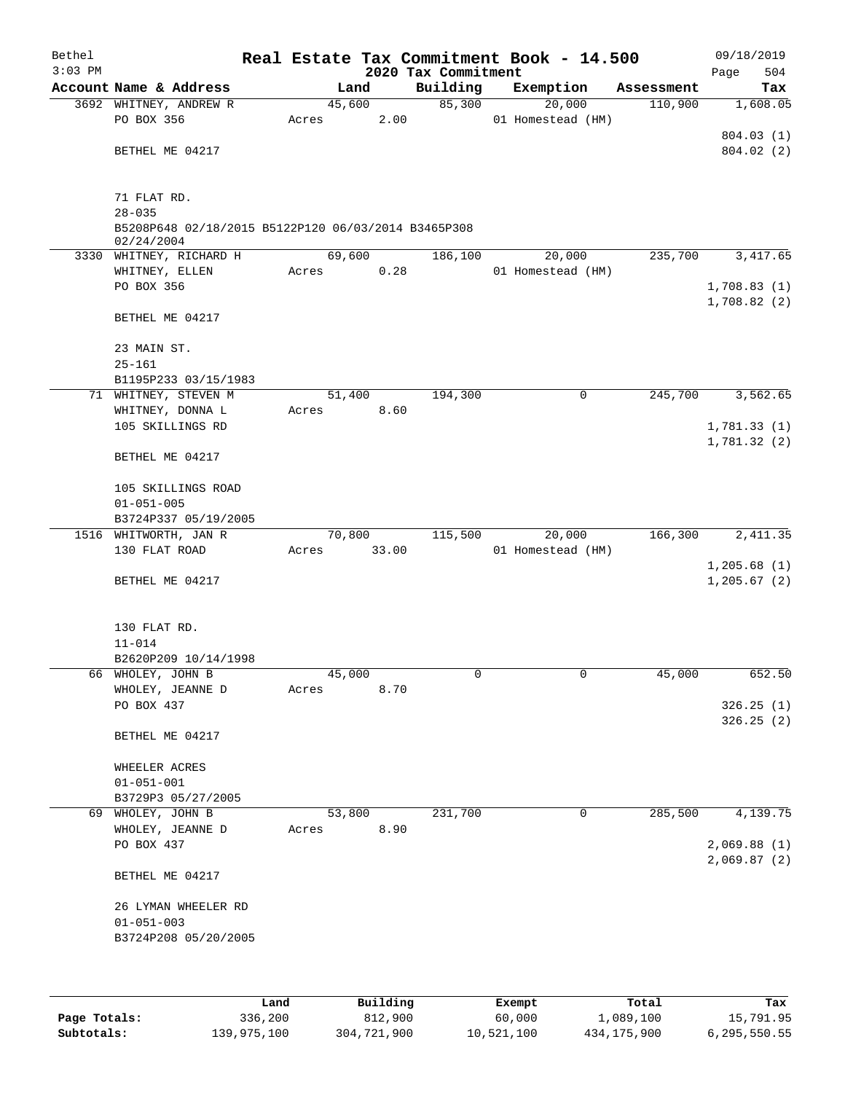| Bethel    |                                                                   |       |        |       |                     | Real Estate Tax Commitment Book - 14.500 |            |      | 09/18/2019             |
|-----------|-------------------------------------------------------------------|-------|--------|-------|---------------------|------------------------------------------|------------|------|------------------------|
| $3:03$ PM |                                                                   |       |        |       | 2020 Tax Commitment |                                          |            | Page | 504                    |
|           | Account Name & Address                                            |       | Land   |       | Building            | Exemption                                | Assessment |      | Tax                    |
|           | 3692 WHITNEY, ANDREW R<br>PO BOX 356                              | Acres | 45,600 | 2.00  | 85,300              | 20,000<br>01 Homestead (HM)              | 110,900    |      | 1,608.05               |
|           |                                                                   |       |        |       |                     |                                          |            |      | 804.03 (1)             |
|           | BETHEL ME 04217                                                   |       |        |       |                     |                                          |            |      | 804.02(2)              |
|           |                                                                   |       |        |       |                     |                                          |            |      |                        |
|           |                                                                   |       |        |       |                     |                                          |            |      |                        |
|           | 71 FLAT RD.                                                       |       |        |       |                     |                                          |            |      |                        |
|           | $28 - 035$                                                        |       |        |       |                     |                                          |            |      |                        |
|           | B5208P648 02/18/2015 B5122P120 06/03/2014 B3465P308<br>02/24/2004 |       |        |       |                     |                                          |            |      |                        |
|           | 3330 WHITNEY, RICHARD H                                           |       | 69,600 |       | 186,100             | 20,000                                   | 235,700    |      | 3, 417.65              |
|           | WHITNEY, ELLEN                                                    | Acres |        | 0.28  |                     | 01 Homestead (HM)                        |            |      |                        |
|           | PO BOX 356                                                        |       |        |       |                     |                                          |            |      | 1,708.83(1)            |
|           |                                                                   |       |        |       |                     |                                          |            |      | 1,708.82(2)            |
|           | BETHEL ME 04217                                                   |       |        |       |                     |                                          |            |      |                        |
|           |                                                                   |       |        |       |                     |                                          |            |      |                        |
|           | 23 MAIN ST.                                                       |       |        |       |                     |                                          |            |      |                        |
|           | $25 - 161$                                                        |       |        |       |                     |                                          |            |      |                        |
|           | B1195P233 03/15/1983                                              |       |        |       | 194,300             | 0                                        | 245,700    |      |                        |
|           | 71 WHITNEY, STEVEN M<br>WHITNEY, DONNA L                          | Acres | 51,400 | 8.60  |                     |                                          |            |      | 3,562.65               |
|           | 105 SKILLINGS RD                                                  |       |        |       |                     |                                          |            |      | 1,781.33(1)            |
|           |                                                                   |       |        |       |                     |                                          |            |      | 1,781.32(2)            |
|           | BETHEL ME 04217                                                   |       |        |       |                     |                                          |            |      |                        |
|           |                                                                   |       |        |       |                     |                                          |            |      |                        |
|           | 105 SKILLINGS ROAD                                                |       |        |       |                     |                                          |            |      |                        |
|           | $01 - 051 - 005$                                                  |       |        |       |                     |                                          |            |      |                        |
|           | B3724P337 05/19/2005                                              |       |        |       |                     |                                          |            |      |                        |
|           | 1516 WHITWORTH, JAN R                                             |       | 70,800 |       | 115,500             | 20,000                                   | 166,300    |      | 2, 411.35              |
|           | 130 FLAT ROAD                                                     | Acres |        | 33.00 |                     | 01 Homestead (HM)                        |            |      | 1,205.68(1)            |
|           | BETHEL ME 04217                                                   |       |        |       |                     |                                          |            |      | 1,205.67(2)            |
|           |                                                                   |       |        |       |                     |                                          |            |      |                        |
|           |                                                                   |       |        |       |                     |                                          |            |      |                        |
|           | 130 FLAT RD.                                                      |       |        |       |                     |                                          |            |      |                        |
|           | $11 - 014$                                                        |       |        |       |                     |                                          |            |      |                        |
|           | B2620P209 10/14/1998                                              |       |        |       |                     |                                          |            |      |                        |
|           | 66 WHOLEY, JOHN B                                                 |       | 45,000 |       | 0                   | 0                                        | 45,000     |      | 652.50                 |
|           | WHOLEY, JEANNE D                                                  | Acres |        | 8.70  |                     |                                          |            |      |                        |
|           | PO BOX 437                                                        |       |        |       |                     |                                          |            |      | 326.25(1)<br>326.25(2) |
|           | BETHEL ME 04217                                                   |       |        |       |                     |                                          |            |      |                        |
|           |                                                                   |       |        |       |                     |                                          |            |      |                        |
|           | WHEELER ACRES                                                     |       |        |       |                     |                                          |            |      |                        |
|           | $01 - 051 - 001$                                                  |       |        |       |                     |                                          |            |      |                        |
|           | B3729P3 05/27/2005                                                |       |        |       |                     |                                          |            |      |                        |
|           | 69 WHOLEY, JOHN B                                                 |       | 53,800 |       | 231,700             | 0                                        | 285,500    |      | 4,139.75               |
|           | WHOLEY, JEANNE D                                                  | Acres |        | 8.90  |                     |                                          |            |      |                        |
|           | PO BOX 437                                                        |       |        |       |                     |                                          |            |      | 2,069.88(1)            |
|           | BETHEL ME 04217                                                   |       |        |       |                     |                                          |            |      | 2,069.87(2)            |
|           |                                                                   |       |        |       |                     |                                          |            |      |                        |
|           | 26 LYMAN WHEELER RD                                               |       |        |       |                     |                                          |            |      |                        |
|           | $01 - 051 - 003$                                                  |       |        |       |                     |                                          |            |      |                        |
|           | B3724P208 05/20/2005                                              |       |        |       |                     |                                          |            |      |                        |
|           |                                                                   |       |        |       |                     |                                          |            |      |                        |
|           |                                                                   |       |        |       |                     |                                          |            |      |                        |
|           |                                                                   |       |        |       |                     |                                          |            |      |                        |

|              | Land        | Building    | Exempt     | Total       | Tax          |
|--------------|-------------|-------------|------------|-------------|--------------|
| Page Totals: | 336,200     | 812,900     | 60,000     | 1,089,100   | 15,791.95    |
| Subtotals:   | 139,975,100 | 304,721,900 | 10,521,100 | 434,175,900 | 6,295,550.55 |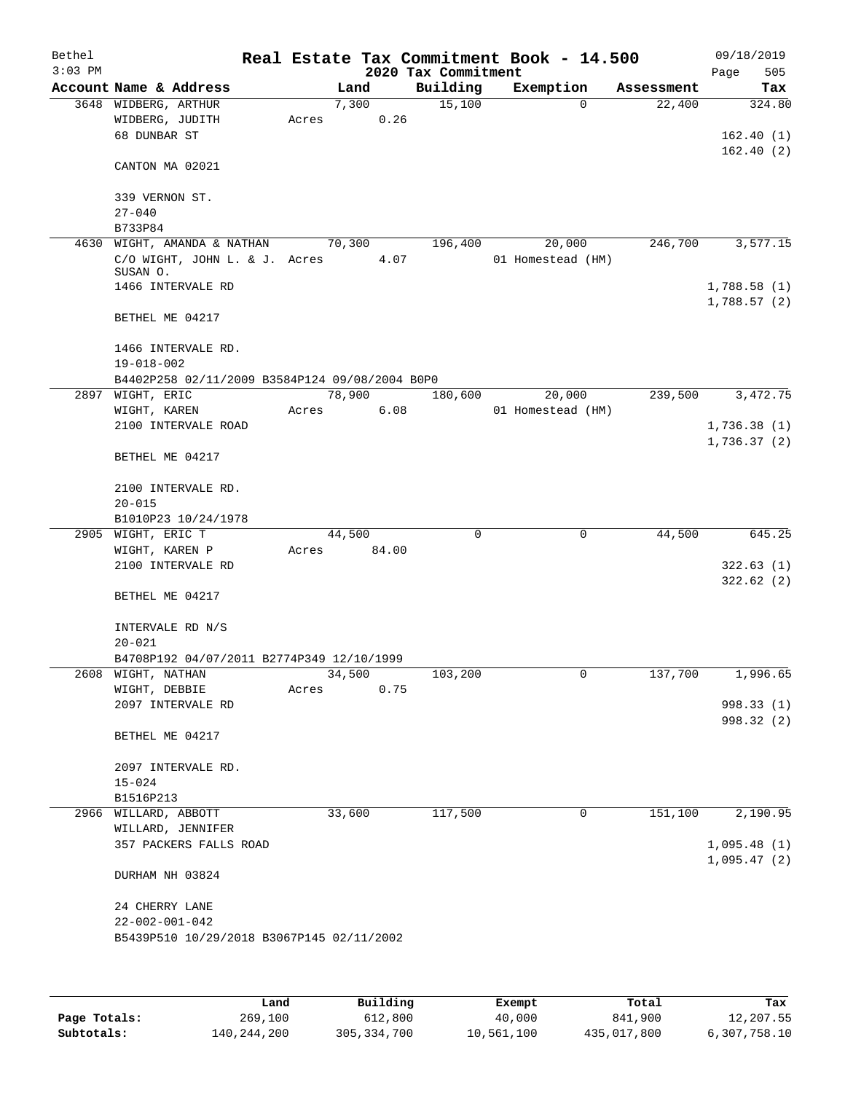| Bethel<br>$3:03$ PM |                                                         |       |        |       | 2020 Tax Commitment | Real Estate Tax Commitment Book - 14.500 |            | 09/18/2019<br>Page<br>505  |
|---------------------|---------------------------------------------------------|-------|--------|-------|---------------------|------------------------------------------|------------|----------------------------|
|                     | Account Name & Address                                  |       | Land   |       | Building            | Exemption                                | Assessment | Tax                        |
|                     | 3648 WIDBERG, ARTHUR<br>WIDBERG, JUDITH<br>68 DUNBAR ST | Acres | 7,300  | 0.26  | 15,100              | $\Omega$                                 | 22,400     | 324.80<br>162.40(1)        |
|                     | CANTON MA 02021                                         |       |        |       |                     |                                          |            | 162.40(2)                  |
|                     | 339 VERNON ST.<br>$27 - 040$                            |       |        |       |                     |                                          |            |                            |
|                     | B733P84                                                 |       |        |       |                     |                                          |            |                            |
|                     | 4630 WIGHT, AMANDA & NATHAN                             |       | 70,300 |       | 196,400             | 20,000                                   | 246,700    | 3,577.15                   |
|                     | C/O WIGHT, JOHN L. & J. Acres                           |       |        | 4.07  |                     | 01 Homestead (HM)                        |            |                            |
|                     | SUSAN O.<br>1466 INTERVALE RD                           |       |        |       |                     |                                          |            |                            |
|                     |                                                         |       |        |       |                     |                                          |            | 1,788.58(1)<br>1,788.57(2) |
|                     | BETHEL ME 04217                                         |       |        |       |                     |                                          |            |                            |
|                     | 1466 INTERVALE RD.<br>$19 - 018 - 002$                  |       |        |       |                     |                                          |            |                            |
|                     | B4402P258 02/11/2009 B3584P124 09/08/2004 B0P0          |       |        |       |                     |                                          |            |                            |
|                     | 2897 WIGHT, ERIC                                        |       | 78,900 |       | 180,600             | 20,000                                   | 239,500    | 3,472.75                   |
|                     | WIGHT, KAREN                                            | Acres |        | 6.08  |                     | 01 Homestead (HM)                        |            |                            |
|                     | 2100 INTERVALE ROAD                                     |       |        |       |                     |                                          |            | 1,736.38(1)                |
|                     | BETHEL ME 04217                                         |       |        |       |                     |                                          |            | 1,736.37(2)                |
|                     | 2100 INTERVALE RD.<br>$20 - 015$                        |       |        |       |                     |                                          |            |                            |
|                     | B1010P23 10/24/1978                                     |       |        |       |                     |                                          |            |                            |
|                     | 2905 WIGHT, ERIC T                                      |       | 44,500 |       | 0                   | 0                                        | 44,500     | 645.25                     |
|                     | WIGHT, KAREN P                                          | Acres |        | 84.00 |                     |                                          |            |                            |
|                     | 2100 INTERVALE RD                                       |       |        |       |                     |                                          |            | 322.63(1)                  |
|                     | BETHEL ME 04217                                         |       |        |       |                     |                                          |            | 322.62(2)                  |
|                     | INTERVALE RD N/S<br>$20 - 021$                          |       |        |       |                     |                                          |            |                            |
|                     | B4708P192 04/07/2011 B2774P349 12/10/1999               |       |        |       |                     |                                          |            |                            |
|                     | 2608 WIGHT, NATHAN                                      |       | 34,500 |       | 103,200             | 0                                        | 137,700    | 1,996.65                   |
|                     | WIGHT, DEBBIE                                           | Acres |        | 0.75  |                     |                                          |            |                            |
|                     | 2097 INTERVALE RD                                       |       |        |       |                     |                                          |            | 998.33 (1)                 |
|                     | BETHEL ME 04217                                         |       |        |       |                     |                                          |            | 998.32 (2)                 |
|                     | 2097 INTERVALE RD.                                      |       |        |       |                     |                                          |            |                            |
|                     | $15 - 024$<br>B1516P213                                 |       |        |       |                     |                                          |            |                            |
|                     | 2966 WILLARD, ABBOTT                                    |       | 33,600 |       | 117,500             | 0                                        | 151,100    | 2,190.95                   |
|                     | WILLARD, JENNIFER                                       |       |        |       |                     |                                          |            |                            |
|                     | 357 PACKERS FALLS ROAD                                  |       |        |       |                     |                                          |            | 1,095.48(1)<br>1,095.47(2) |
|                     | DURHAM NH 03824                                         |       |        |       |                     |                                          |            |                            |
|                     | 24 CHERRY LANE                                          |       |        |       |                     |                                          |            |                            |
|                     | $22 - 002 - 001 - 042$                                  |       |        |       |                     |                                          |            |                            |
|                     | B5439P510 10/29/2018 B3067P145 02/11/2002               |       |        |       |                     |                                          |            |                            |
|                     |                                                         |       |        |       |                     |                                          |            |                            |
|                     |                                                         |       |        |       |                     |                                          |            |                            |

|              | Land        | Building      | Exempt     | Total       | Tax          |
|--------------|-------------|---------------|------------|-------------|--------------|
| Page Totals: | 269,100     | 612,800       | 40,000     | 841,900     | 12,207.55    |
| Subtotals:   | 140,244,200 | 305, 334, 700 | 10,561,100 | 435,017,800 | 6,307,758.10 |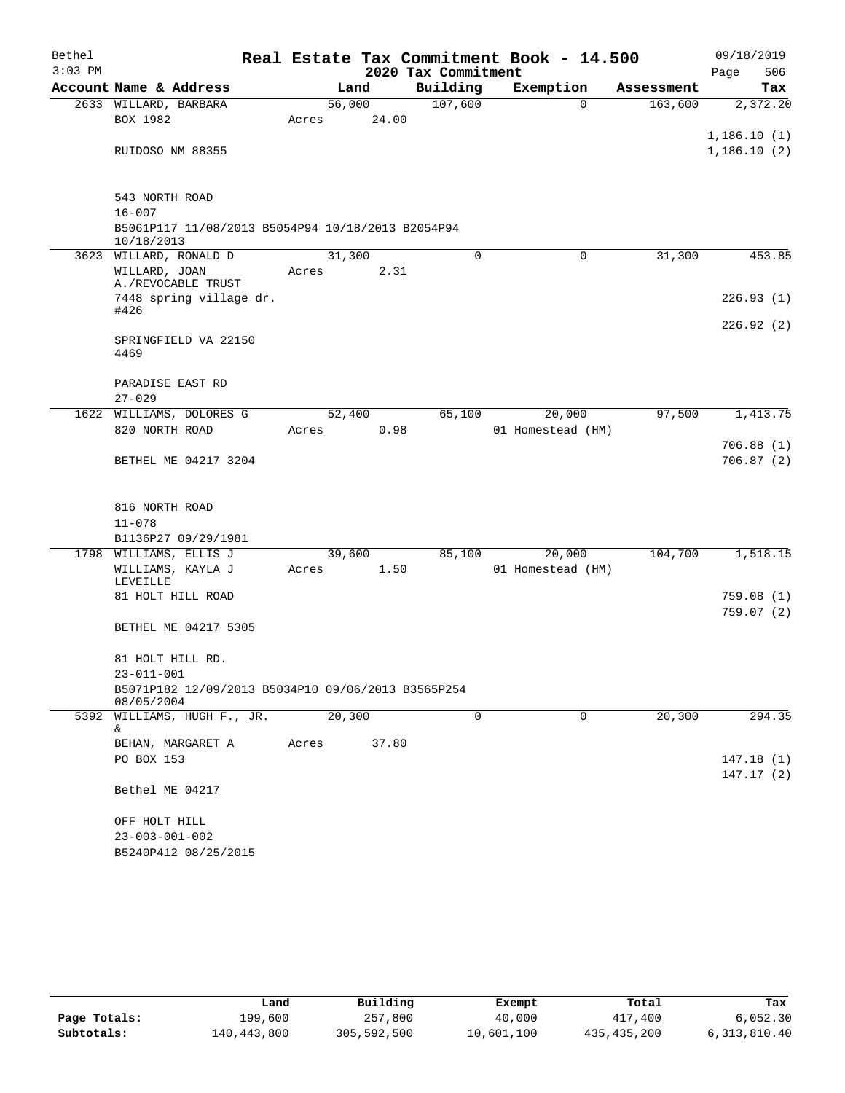| Bethel    |                                                                  |                 |       |                     | Real Estate Tax Commitment Book - 14.500 |            | 09/18/2019                 |
|-----------|------------------------------------------------------------------|-----------------|-------|---------------------|------------------------------------------|------------|----------------------------|
| $3:03$ PM |                                                                  |                 |       | 2020 Tax Commitment |                                          |            | 506<br>Page                |
|           | Account Name & Address                                           |                 | Land  | Building            | Exemption                                | Assessment | Tax                        |
|           | 2633 WILLARD, BARBARA<br>BOX 1982                                | 56,000<br>Acres | 24.00 | 107,600             | $\mathbf 0$                              | 163,600    | 2,372.20                   |
|           | RUIDOSO NM 88355                                                 |                 |       |                     |                                          |            | 1,186.10(1)<br>1,186.10(2) |
|           | 543 NORTH ROAD<br>$16 - 007$                                     |                 |       |                     |                                          |            |                            |
|           | B5061P117 11/08/2013 B5054P94 10/18/2013 B2054P94<br>10/18/2013  |                 |       |                     |                                          |            |                            |
|           | 3623 WILLARD, RONALD D                                           | 31,300          |       | $\Omega$            | 0                                        | 31,300     | 453.85                     |
|           | WILLARD, JOAN<br>A./REVOCABLE TRUST                              | Acres           | 2.31  |                     |                                          |            |                            |
|           | 7448 spring village dr.<br>#426                                  |                 |       |                     |                                          |            | 226.93(1)<br>226.92(2)     |
|           | SPRINGFIELD VA 22150<br>4469                                     |                 |       |                     |                                          |            |                            |
|           | PARADISE EAST RD                                                 |                 |       |                     |                                          |            |                            |
|           | $27 - 029$<br>1622 WILLIAMS, DOLORES G                           | 52,400          |       | 65,100              | 20,000                                   | 97,500     | 1,413.75                   |
|           | 820 NORTH ROAD                                                   | Acres           | 0.98  |                     | 01 Homestead (HM)                        |            |                            |
|           | BETHEL ME 04217 3204                                             |                 |       |                     |                                          |            | 706.88(1)<br>706.87(2)     |
|           | 816 NORTH ROAD                                                   |                 |       |                     |                                          |            |                            |
|           | $11 - 078$                                                       |                 |       |                     |                                          |            |                            |
|           | B1136P27 09/29/1981                                              |                 |       |                     |                                          |            |                            |
|           | 1798 WILLIAMS, ELLIS J<br>WILLIAMS, KAYLA J                      | 39,600<br>Acres | 1.50  | 85,100              | 20,000<br>01 Homestead (HM)              | 104,700    | 1,518.15                   |
|           | LEVEILLE                                                         |                 |       |                     |                                          |            |                            |
|           | 81 HOLT HILL ROAD                                                |                 |       |                     |                                          |            | 759.08(1)<br>759.07(2)     |
|           | BETHEL ME 04217 5305                                             |                 |       |                     |                                          |            |                            |
|           | 81 HOLT HILL RD.<br>$23 - 011 - 001$                             |                 |       |                     |                                          |            |                            |
|           | B5071P182 12/09/2013 B5034P10 09/06/2013 B3565P254<br>08/05/2004 |                 |       |                     |                                          |            |                            |
|           | 5392 WILLIAMS, HUGH F., JR.<br>&                                 | 20,300          |       | $\Omega$            | $\Omega$                                 | 20,300     | 294.35                     |
|           | BEHAN, MARGARET A                                                | Acres           | 37.80 |                     |                                          |            |                            |
|           | PO BOX 153                                                       |                 |       |                     |                                          |            | 147.18(1)<br>147.17(2)     |
|           | Bethel ME 04217                                                  |                 |       |                     |                                          |            |                            |
|           | OFF HOLT HILL                                                    |                 |       |                     |                                          |            |                            |
|           | $23 - 003 - 001 - 002$                                           |                 |       |                     |                                          |            |                            |
|           | B5240P412 08/25/2015                                             |                 |       |                     |                                          |            |                            |

|              | Land        | Building    | Exempt     | Total         | Tax          |
|--------------|-------------|-------------|------------|---------------|--------------|
| Page Totals: | 199,600     | 257,800     | 40,000     | 417,400       | 6,052.30     |
| Subtotals:   | 140,443,800 | 305,592,500 | 10,601,100 | 435, 435, 200 | 6,313,810.40 |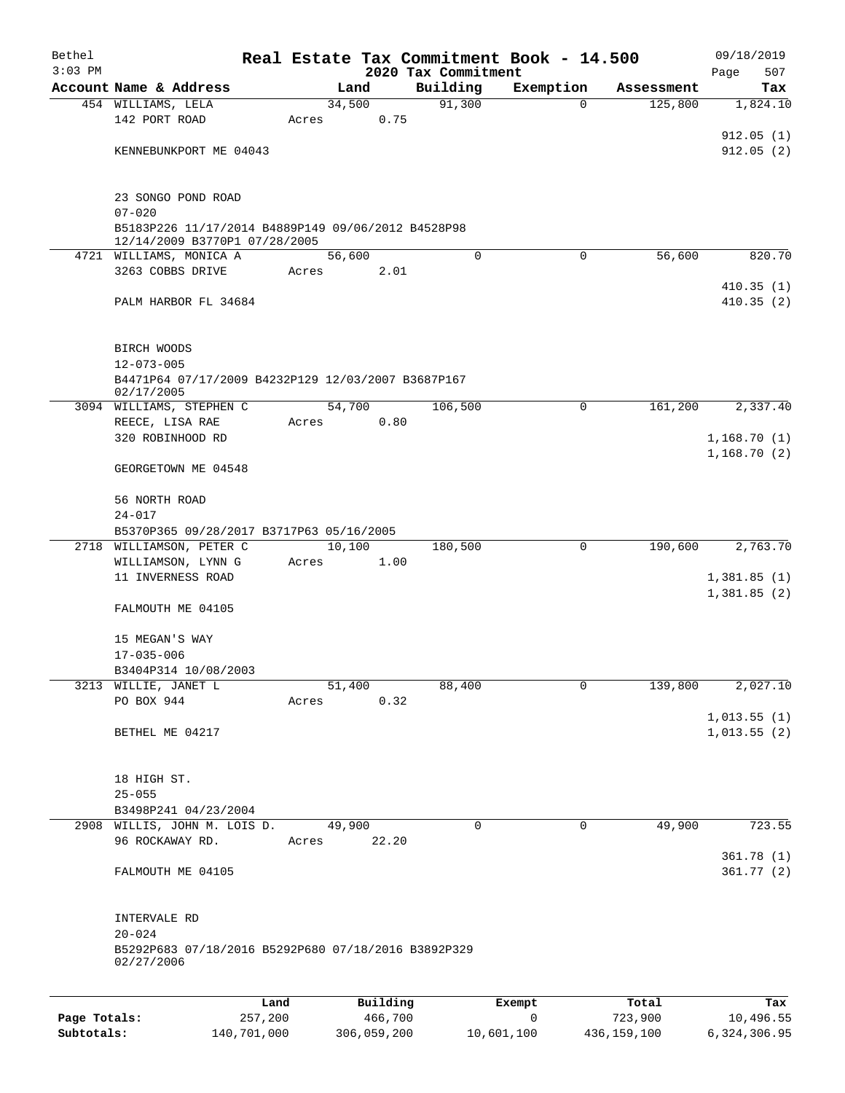| Bethel<br>$3:03$ PM |                                                                  |         |       |                 | 2020 Tax Commitment | Real Estate Tax Commitment Book - 14.500 |            | 09/18/2019<br>507<br>Page |
|---------------------|------------------------------------------------------------------|---------|-------|-----------------|---------------------|------------------------------------------|------------|---------------------------|
|                     | Account Name & Address                                           |         |       | Land            | Building            | Exemption                                | Assessment | Tax                       |
|                     | 454 WILLIAMS, LELA                                               |         |       | 34,500          | 91,300              | 0                                        | 125,800    | 1,824.10                  |
|                     | 142 PORT ROAD                                                    |         | Acres | 0.75            |                     |                                          |            |                           |
|                     |                                                                  |         |       |                 |                     |                                          |            | 912.05(1)                 |
|                     | KENNEBUNKPORT ME 04043                                           |         |       |                 |                     |                                          |            | 912.05(2)                 |
|                     |                                                                  |         |       |                 |                     |                                          |            |                           |
|                     |                                                                  |         |       |                 |                     |                                          |            |                           |
|                     | 23 SONGO POND ROAD                                               |         |       |                 |                     |                                          |            |                           |
|                     | $07 - 020$<br>B5183P226 11/17/2014 B4889P149 09/06/2012 B4528P98 |         |       |                 |                     |                                          |            |                           |
|                     | 12/14/2009 B3770P1 07/28/2005                                    |         |       |                 |                     |                                          |            |                           |
|                     | 4721 WILLIAMS, MONICA A                                          |         |       | 56,600          | $\Omega$            | $\Omega$                                 | 56,600     | 820.70                    |
|                     | 3263 COBBS DRIVE                                                 |         | Acres | 2.01            |                     |                                          |            |                           |
|                     |                                                                  |         |       |                 |                     |                                          |            | 410.35(1)                 |
|                     | PALM HARBOR FL 34684                                             |         |       |                 |                     |                                          |            | 410.35(2)                 |
|                     |                                                                  |         |       |                 |                     |                                          |            |                           |
|                     |                                                                  |         |       |                 |                     |                                          |            |                           |
|                     | BIRCH WOODS<br>$12 - 073 - 005$                                  |         |       |                 |                     |                                          |            |                           |
|                     | B4471P64 07/17/2009 B4232P129 12/03/2007 B3687P167               |         |       |                 |                     |                                          |            |                           |
|                     | 02/17/2005                                                       |         |       |                 |                     |                                          |            |                           |
|                     | 3094 WILLIAMS, STEPHEN C                                         |         |       | 54,700          | 106,500             | $\mathbf 0$                              | 161,200    | 2,337.40                  |
|                     | REECE, LISA RAE                                                  |         | Acres | 0.80            |                     |                                          |            |                           |
|                     | 320 ROBINHOOD RD                                                 |         |       |                 |                     |                                          |            | 1,168.70(1)               |
|                     |                                                                  |         |       |                 |                     |                                          |            | 1,168.70(2)               |
|                     | GEORGETOWN ME 04548                                              |         |       |                 |                     |                                          |            |                           |
|                     | 56 NORTH ROAD                                                    |         |       |                 |                     |                                          |            |                           |
|                     | $24 - 017$                                                       |         |       |                 |                     |                                          |            |                           |
|                     | B5370P365 09/28/2017 B3717P63 05/16/2005                         |         |       |                 |                     |                                          |            |                           |
|                     | 2718 WILLIAMSON, PETER C                                         |         |       | 10,100          | 180,500             | 0                                        | 190,600    | 2,763.70                  |
|                     | WILLIAMSON, LYNN G                                               |         | Acres | 1.00            |                     |                                          |            |                           |
|                     | 11 INVERNESS ROAD                                                |         |       |                 |                     |                                          |            | 1,381.85(1)               |
|                     |                                                                  |         |       |                 |                     |                                          |            | 1,381.85(2)               |
|                     | FALMOUTH ME 04105                                                |         |       |                 |                     |                                          |            |                           |
|                     |                                                                  |         |       |                 |                     |                                          |            |                           |
|                     | 15 MEGAN'S WAY                                                   |         |       |                 |                     |                                          |            |                           |
|                     | $17 - 035 - 006$                                                 |         |       |                 |                     |                                          |            |                           |
|                     | B3404P314 10/08/2003<br>3213 WILLIE, JANET L                     |         |       | 51,400          | 88,400              | 0                                        | 139,800    | 2,027.10                  |
|                     | PO BOX 944                                                       |         | Acres | 0.32            |                     |                                          |            |                           |
|                     |                                                                  |         |       |                 |                     |                                          |            | 1,013.55(1)               |
|                     | BETHEL ME 04217                                                  |         |       |                 |                     |                                          |            | 1,013.55(2)               |
|                     |                                                                  |         |       |                 |                     |                                          |            |                           |
|                     |                                                                  |         |       |                 |                     |                                          |            |                           |
|                     | 18 HIGH ST.                                                      |         |       |                 |                     |                                          |            |                           |
|                     | $25 - 055$                                                       |         |       |                 |                     |                                          |            |                           |
|                     | B3498P241 04/23/2004                                             |         |       |                 |                     |                                          |            |                           |
|                     | 2908 WILLIS, JOHN M. LOIS D.<br>96 ROCKAWAY RD.                  |         |       | 49,900<br>22.20 | $\mathbf 0$         | $\mathbf 0$                              | 49,900     | 723.55                    |
|                     |                                                                  |         | Acres |                 |                     |                                          |            | 361.78(1)                 |
|                     | FALMOUTH ME 04105                                                |         |       |                 |                     |                                          |            | 361.77(2)                 |
|                     |                                                                  |         |       |                 |                     |                                          |            |                           |
|                     |                                                                  |         |       |                 |                     |                                          |            |                           |
|                     | INTERVALE RD                                                     |         |       |                 |                     |                                          |            |                           |
|                     | $20 - 024$                                                       |         |       |                 |                     |                                          |            |                           |
|                     | B5292P683 07/18/2016 B5292P680 07/18/2016 B3892P329              |         |       |                 |                     |                                          |            |                           |
|                     | 02/27/2006                                                       |         |       |                 |                     |                                          |            |                           |
|                     |                                                                  |         |       |                 |                     |                                          |            |                           |
|                     |                                                                  | Land    |       | Building        |                     | Exempt                                   | Total      | Tax                       |
| Page Totals:        |                                                                  | 257,200 |       | 466,700         |                     | 0                                        | 723,900    | 10,496.55                 |

**Subtotals:** 140,701,000 306,059,200 10,601,100 436,159,100 6,324,306.95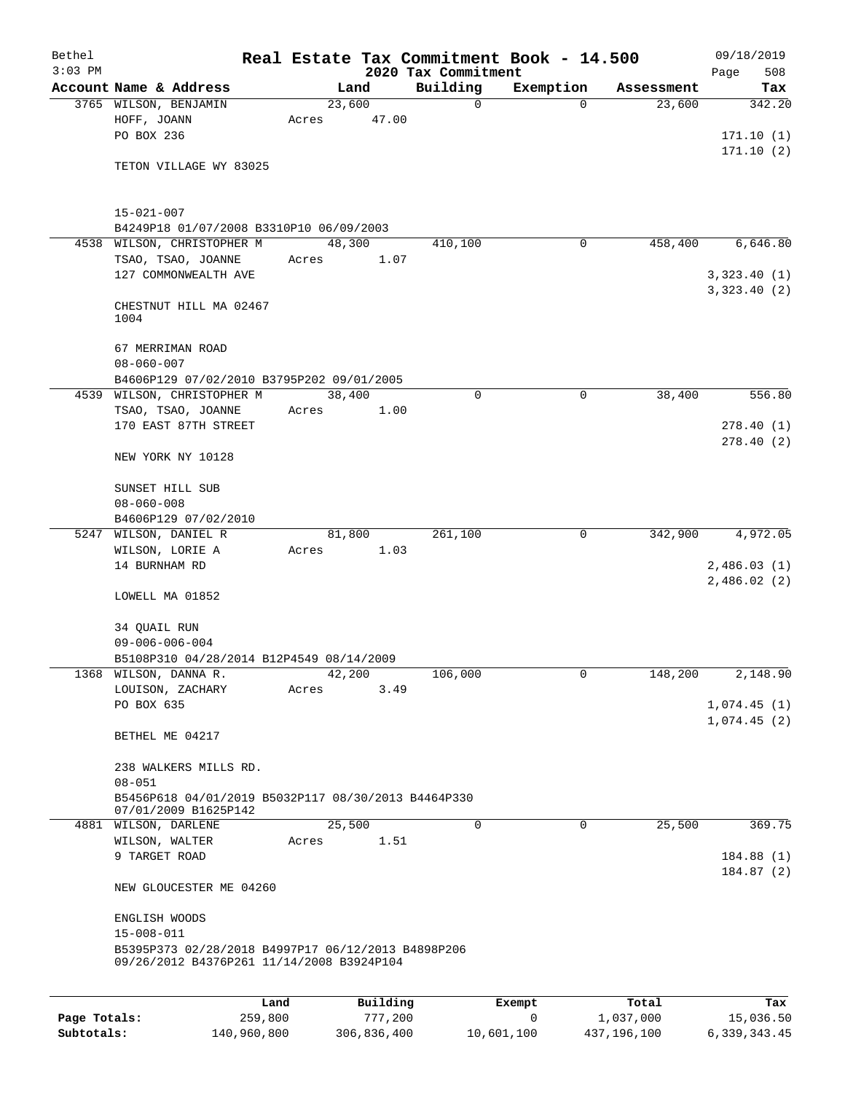| Bethel       |                                                                                                 |             |       |                |      |                     | Real Estate Tax Commitment Book - 14.500 |             | 09/18/2019                  |
|--------------|-------------------------------------------------------------------------------------------------|-------------|-------|----------------|------|---------------------|------------------------------------------|-------------|-----------------------------|
| $3:03$ PM    | Account Name & Address                                                                          |             |       |                |      | 2020 Tax Commitment |                                          | Assessment  | 508<br>Page                 |
|              | 3765 WILSON, BENJAMIN                                                                           |             |       | Land<br>23,600 |      | Building<br>0       | Exemption<br>$\Omega$                    | 23,600      | Tax<br>342.20               |
|              | HOFF, JOANN                                                                                     |             | Acres | 47.00          |      |                     |                                          |             |                             |
|              | PO BOX 236                                                                                      |             |       |                |      |                     |                                          |             | 171.10(1)                   |
|              |                                                                                                 |             |       |                |      |                     |                                          |             | 171.10(2)                   |
|              | TETON VILLAGE WY 83025                                                                          |             |       |                |      |                     |                                          |             |                             |
|              |                                                                                                 |             |       |                |      |                     |                                          |             |                             |
|              | $15 - 021 - 007$                                                                                |             |       |                |      |                     |                                          |             |                             |
|              | B4249P18 01/07/2008 B3310P10 06/09/2003                                                         |             |       |                |      |                     |                                          |             | 6,646.80                    |
| 4538         | WILSON, CHRISTOPHER M<br>TSAO, TSAO, JOANNE                                                     |             | Acres | 48,300         | 1.07 | 410,100             | 0                                        | 458,400     |                             |
|              | 127 COMMONWEALTH AVE                                                                            |             |       |                |      |                     |                                          |             | 3,323.40(1)                 |
|              |                                                                                                 |             |       |                |      |                     |                                          |             | 3,323.40(2)                 |
|              | CHESTNUT HILL MA 02467                                                                          |             |       |                |      |                     |                                          |             |                             |
|              | 1004                                                                                            |             |       |                |      |                     |                                          |             |                             |
|              | 67 MERRIMAN ROAD                                                                                |             |       |                |      |                     |                                          |             |                             |
|              | $08 - 060 - 007$                                                                                |             |       |                |      |                     |                                          |             |                             |
|              | B4606P129 07/02/2010 B3795P202 09/01/2005                                                       |             |       |                |      |                     |                                          |             |                             |
| 4539         | WILSON, CHRISTOPHER M                                                                           |             |       | 38,400         |      | 0                   | $\mathbf 0$                              | 38,400      | 556.80                      |
|              | TSAO, TSAO, JOANNE                                                                              |             | Acres | 1.00           |      |                     |                                          |             |                             |
|              | 170 EAST 87TH STREET                                                                            |             |       |                |      |                     |                                          |             | 278.40(1)                   |
|              | NEW YORK NY 10128                                                                               |             |       |                |      |                     |                                          |             | 278.40(2)                   |
|              | SUNSET HILL SUB                                                                                 |             |       |                |      |                     |                                          |             |                             |
|              | $08 - 060 - 008$                                                                                |             |       |                |      |                     |                                          |             |                             |
|              | B4606P129 07/02/2010                                                                            |             |       |                |      |                     |                                          |             |                             |
|              | 5247 WILSON, DANIEL R                                                                           |             |       | 81,800         |      | 261,100             | 0                                        | 342,900     | 4,972.05                    |
|              | WILSON, LORIE A                                                                                 |             | Acres |                | 1.03 |                     |                                          |             |                             |
|              | 14 BURNHAM RD                                                                                   |             |       |                |      |                     |                                          |             | 2,486.03(1)<br>2,486.02 (2) |
|              | LOWELL MA 01852                                                                                 |             |       |                |      |                     |                                          |             |                             |
|              | 34 QUAIL RUN                                                                                    |             |       |                |      |                     |                                          |             |                             |
|              | $09 - 006 - 006 - 004$                                                                          |             |       |                |      |                     |                                          |             |                             |
|              | B5108P310 04/28/2014 B12P4549 08/14/2009                                                        |             |       |                |      |                     |                                          |             |                             |
|              | 1368 WILSON, DANNA R.                                                                           |             |       | 42,200         |      | 106,000             | 0                                        | 148,200     | 2,148.90                    |
|              | LOUISON, ZACHARY                                                                                |             | Acres |                | 3.49 |                     |                                          |             |                             |
|              | PO BOX 635                                                                                      |             |       |                |      |                     |                                          |             | 1,074.45(1)                 |
|              | BETHEL ME 04217                                                                                 |             |       |                |      |                     |                                          |             | 1,074.45(2)                 |
|              |                                                                                                 |             |       |                |      |                     |                                          |             |                             |
|              | 238 WALKERS MILLS RD.<br>$08 - 051$                                                             |             |       |                |      |                     |                                          |             |                             |
|              | B5456P618 04/01/2019 B5032P117 08/30/2013 B4464P330                                             |             |       |                |      |                     |                                          |             |                             |
|              | 07/01/2009 B1625P142<br>4881 WILSON, DARLENE                                                    |             |       | 25,500         |      | 0                   | $\mathbf 0$                              | 25,500      | 369.75                      |
|              | WILSON, WALTER                                                                                  |             | Acres |                | 1.51 |                     |                                          |             |                             |
|              | 9 TARGET ROAD                                                                                   |             |       |                |      |                     |                                          |             | 184.88(1)                   |
|              | NEW GLOUCESTER ME 04260                                                                         |             |       |                |      |                     |                                          |             | 184.87(2)                   |
|              | ENGLISH WOODS                                                                                   |             |       |                |      |                     |                                          |             |                             |
|              | $15 - 008 - 011$                                                                                |             |       |                |      |                     |                                          |             |                             |
|              | B5395P373 02/28/2018 B4997P17 06/12/2013 B4898P206<br>09/26/2012 B4376P261 11/14/2008 B3924P104 |             |       |                |      |                     |                                          |             |                             |
|              |                                                                                                 | Land        |       | Building       |      |                     | Exempt                                   | Total       | Tax                         |
| Page Totals: |                                                                                                 | 259,800     |       | 777,200        |      |                     | 0                                        | 1,037,000   | 15,036.50                   |
| Subtotals:   |                                                                                                 | 140,960,800 |       | 306,836,400    |      |                     | 10,601,100                               | 437,196,100 | 6, 339, 343.45              |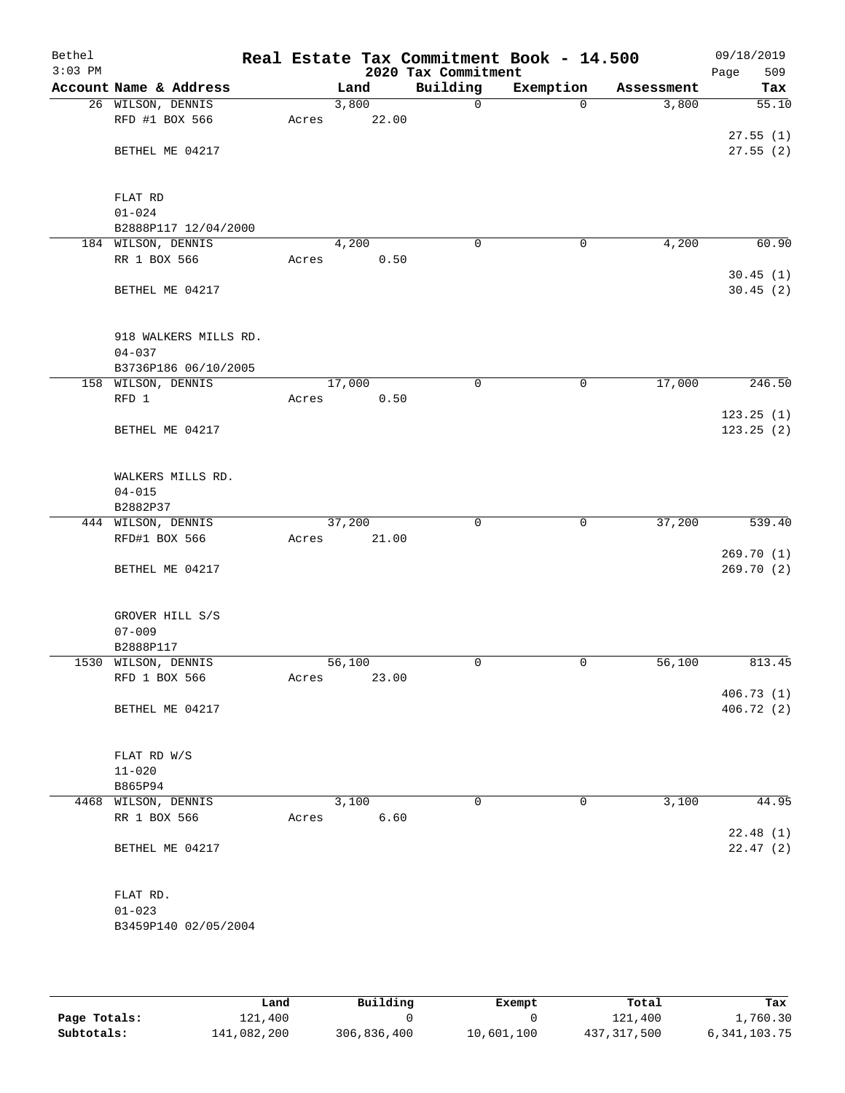| Bethel<br>$3:03$ PM |                        |       |        |       | 2020 Tax Commitment | Real Estate Tax Commitment Book - 14.500 |            | 09/18/2019<br>Page<br>509 |
|---------------------|------------------------|-------|--------|-------|---------------------|------------------------------------------|------------|---------------------------|
|                     | Account Name & Address |       | Land   |       | Building            | Exemption                                | Assessment | Tax                       |
|                     | 26 WILSON, DENNIS      |       | 3,800  |       | $\mathsf{O}$        | $\Omega$                                 | 3,800      | 55.10                     |
|                     | RFD #1 BOX 566         | Acres |        | 22.00 |                     |                                          |            |                           |
|                     |                        |       |        |       |                     |                                          |            | 27.55(1)                  |
|                     | BETHEL ME 04217        |       |        |       |                     |                                          |            | 27.55(2)                  |
|                     |                        |       |        |       |                     |                                          |            |                           |
|                     | FLAT RD                |       |        |       |                     |                                          |            |                           |
|                     | $01 - 024$             |       |        |       |                     |                                          |            |                           |
|                     | B2888P117 12/04/2000   |       |        |       |                     |                                          |            |                           |
|                     | 184 WILSON, DENNIS     |       | 4,200  |       | $\mathbf 0$         | 0                                        | 4,200      | 60.90                     |
|                     | RR 1 BOX 566           | Acres |        | 0.50  |                     |                                          |            |                           |
|                     |                        |       |        |       |                     |                                          |            | 30.45(1)                  |
|                     | BETHEL ME 04217        |       |        |       |                     |                                          |            | 30.45(2)                  |
|                     |                        |       |        |       |                     |                                          |            |                           |
|                     | 918 WALKERS MILLS RD.  |       |        |       |                     |                                          |            |                           |
|                     | $04 - 037$             |       |        |       |                     |                                          |            |                           |
|                     | B3736P186 06/10/2005   |       |        |       |                     |                                          |            |                           |
|                     | 158 WILSON, DENNIS     |       | 17,000 |       | 0                   | 0                                        | 17,000     | 246.50                    |
|                     | RFD 1                  | Acres |        | 0.50  |                     |                                          |            |                           |
|                     |                        |       |        |       |                     |                                          |            | 123.25(1)                 |
|                     | BETHEL ME 04217        |       |        |       |                     |                                          |            | 123.25(2)                 |
|                     | WALKERS MILLS RD.      |       |        |       |                     |                                          |            |                           |
|                     | $04 - 015$             |       |        |       |                     |                                          |            |                           |
|                     | B2882P37               |       |        |       |                     |                                          |            |                           |
|                     | 444 WILSON, DENNIS     |       | 37,200 |       | $\mathbf 0$         | 0                                        | 37,200     | 539.40                    |
|                     | RFD#1 BOX 566          | Acres |        | 21.00 |                     |                                          |            |                           |
|                     |                        |       |        |       |                     |                                          |            | 269.70 (1)                |
|                     | BETHEL ME 04217        |       |        |       |                     |                                          |            | 269.70 (2)                |
|                     | GROVER HILL S/S        |       |        |       |                     |                                          |            |                           |
|                     | $07 - 009$             |       |        |       |                     |                                          |            |                           |
|                     | B2888P117              |       |        |       |                     |                                          |            |                           |
|                     | 1530 WILSON, DENNIS    |       | 56,100 |       | 0                   | 0                                        | 56,100     | 813.45                    |
|                     | RFD 1 BOX 566          | Acres |        | 23.00 |                     |                                          |            | 406.73(1)                 |
|                     | BETHEL ME 04217        |       |        |       |                     |                                          |            | 406.72 (2)                |
|                     |                        |       |        |       |                     |                                          |            |                           |
|                     | FLAT RD W/S            |       |        |       |                     |                                          |            |                           |
|                     | $11 - 020$             |       |        |       |                     |                                          |            |                           |
|                     | B865P94                |       |        |       |                     |                                          |            |                           |
|                     | 4468 WILSON, DENNIS    |       | 3,100  |       | $\mathbf 0$         | 0                                        | 3,100      | 44.95                     |
|                     | RR 1 BOX 566           | Acres |        | 6.60  |                     |                                          |            |                           |
|                     | BETHEL ME 04217        |       |        |       |                     |                                          |            | 22.48(1)<br>22.47(2)      |
|                     |                        |       |        |       |                     |                                          |            |                           |
|                     | FLAT RD.               |       |        |       |                     |                                          |            |                           |
|                     | $01 - 023$             |       |        |       |                     |                                          |            |                           |
|                     | B3459P140 02/05/2004   |       |        |       |                     |                                          |            |                           |
|                     |                        |       |        |       |                     |                                          |            |                           |
|                     |                        |       |        |       |                     |                                          |            |                           |

|              | Land        | Building    | Exempt     | Total       | Tax          |
|--------------|-------------|-------------|------------|-------------|--------------|
| Page Totals: | 121,400     |             |            | 121,400     | 1,760.30     |
| Subtotals:   | 141,082,200 | 306,836,400 | 10,601,100 | 437,317,500 | 6,341,103.75 |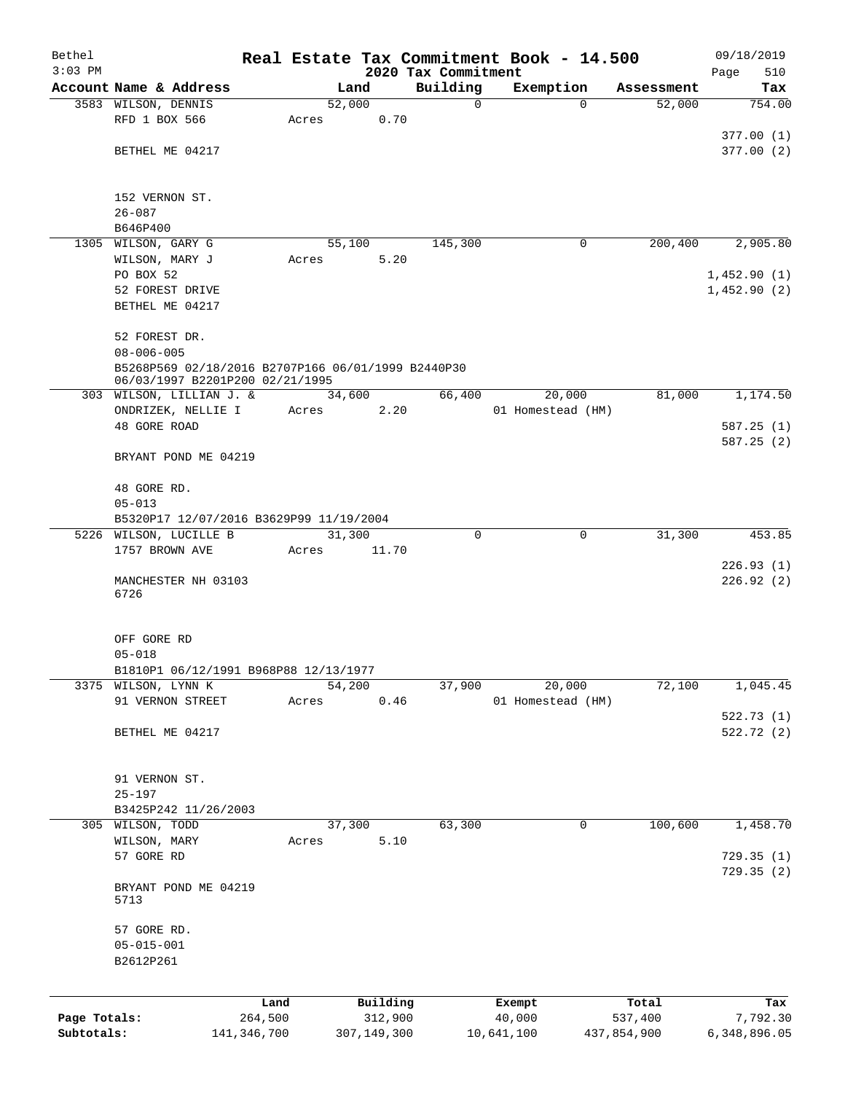| Bethel                     |                                                    |                        |       |                        |      |                         | Real Estate Tax Commitment Book - 14.500 |                        |      | 09/18/2019               |
|----------------------------|----------------------------------------------------|------------------------|-------|------------------------|------|-------------------------|------------------------------------------|------------------------|------|--------------------------|
| $3:03$ PM                  |                                                    |                        |       |                        |      | 2020 Tax Commitment     |                                          |                        | Page | 510                      |
|                            | Account Name & Address                             |                        |       | Land<br>52,000         |      | Building<br>$\mathbf 0$ | Exemption<br>$\Omega$                    | Assessment<br>52,000   |      | Tax<br>754.00            |
|                            | 3583 WILSON, DENNIS<br>RFD 1 BOX 566               |                        | Acres |                        | 0.70 |                         |                                          |                        |      |                          |
|                            |                                                    |                        |       |                        |      |                         |                                          |                        |      | 377.00(1)                |
|                            | BETHEL ME 04217                                    |                        |       |                        |      |                         |                                          |                        |      | 377.00(2)                |
|                            |                                                    |                        |       |                        |      |                         |                                          |                        |      |                          |
|                            | 152 VERNON ST.                                     |                        |       |                        |      |                         |                                          |                        |      |                          |
|                            | $26 - 087$                                         |                        |       |                        |      |                         |                                          |                        |      |                          |
|                            | B646P400                                           |                        |       |                        |      |                         |                                          |                        |      |                          |
|                            | 1305 WILSON, GARY G<br>WILSON, MARY J              |                        | Acres | 55,100                 | 5.20 | 145,300                 | 0                                        | 200,400                |      | 2,905.80                 |
|                            | PO BOX 52                                          |                        |       |                        |      |                         |                                          |                        |      | 1,452.90(1)              |
|                            | 52 FOREST DRIVE                                    |                        |       |                        |      |                         |                                          |                        |      | 1,452.90(2)              |
|                            | BETHEL ME 04217                                    |                        |       |                        |      |                         |                                          |                        |      |                          |
|                            | 52 FOREST DR.                                      |                        |       |                        |      |                         |                                          |                        |      |                          |
|                            | $08 - 006 - 005$                                   |                        |       |                        |      |                         |                                          |                        |      |                          |
|                            | B5268P569 02/18/2016 B2707P166 06/01/1999 B2440P30 |                        |       |                        |      |                         |                                          |                        |      |                          |
|                            | 06/03/1997 B2201P200 02/21/1995                    |                        |       |                        |      |                         |                                          |                        |      |                          |
|                            | 303 WILSON, LILLIAN J. &                           |                        |       | 34,600                 |      | 66,400                  | 20,000                                   | 81,000                 |      | 1,174.50                 |
|                            | ONDRIZEK, NELLIE I<br>48 GORE ROAD                 |                        | Acres |                        | 2.20 |                         | 01 Homestead (HM)                        |                        |      | 587.25(1)                |
|                            |                                                    |                        |       |                        |      |                         |                                          |                        |      | 587.25 (2)               |
|                            | BRYANT POND ME 04219                               |                        |       |                        |      |                         |                                          |                        |      |                          |
|                            | 48 GORE RD.                                        |                        |       |                        |      |                         |                                          |                        |      |                          |
|                            | $05 - 013$                                         |                        |       |                        |      |                         |                                          |                        |      |                          |
|                            | B5320P17 12/07/2016 B3629P99 11/19/2004            |                        |       |                        |      |                         |                                          |                        |      |                          |
|                            | 5226 WILSON, LUCILLE B                             |                        |       | 31,300                 |      | 0                       | $\mathbf 0$                              | 31,300                 |      | 453.85                   |
|                            | 1757 BROWN AVE                                     |                        | Acres | 11.70                  |      |                         |                                          |                        |      |                          |
|                            |                                                    |                        |       |                        |      |                         |                                          |                        |      | 226.93(1)                |
|                            | MANCHESTER NH 03103<br>6726                        |                        |       |                        |      |                         |                                          |                        |      | 226.92(2)                |
|                            |                                                    |                        |       |                        |      |                         |                                          |                        |      |                          |
|                            | OFF GORE RD                                        |                        |       |                        |      |                         |                                          |                        |      |                          |
|                            | $05 - 018$                                         |                        |       |                        |      |                         |                                          |                        |      |                          |
|                            | B1810P1 06/12/1991 B968P88 12/13/1977              |                        |       |                        |      |                         |                                          |                        |      |                          |
|                            | 3375 WILSON, LYNN K                                |                        |       | 54,200                 |      | 37,900                  | 20,000                                   | 72,100                 |      | 1,045.45                 |
|                            | 91 VERNON STREET                                   |                        | Acres |                        | 0.46 |                         | 01 Homestead (HM)                        |                        |      |                          |
|                            |                                                    |                        |       |                        |      |                         |                                          |                        |      | 522.73(1)                |
|                            | BETHEL ME 04217                                    |                        |       |                        |      |                         |                                          |                        |      | 522.72(2)                |
|                            | 91 VERNON ST.                                      |                        |       |                        |      |                         |                                          |                        |      |                          |
|                            | $25 - 197$                                         |                        |       |                        |      |                         |                                          |                        |      |                          |
|                            | B3425P242 11/26/2003                               |                        |       |                        |      |                         |                                          |                        |      |                          |
|                            | 305 WILSON, TODD                                   |                        |       | 37,300                 |      | 63,300                  | 0                                        | 100,600                |      | 1,458.70                 |
|                            | WILSON, MARY                                       |                        | Acres |                        | 5.10 |                         |                                          |                        |      |                          |
|                            | 57 GORE RD                                         |                        |       |                        |      |                         |                                          |                        |      | 729.35(1)                |
|                            |                                                    |                        |       |                        |      |                         |                                          |                        |      | 729.35(2)                |
|                            | BRYANT POND ME 04219<br>5713                       |                        |       |                        |      |                         |                                          |                        |      |                          |
|                            | 57 GORE RD.                                        |                        |       |                        |      |                         |                                          |                        |      |                          |
|                            | $05 - 015 - 001$                                   |                        |       |                        |      |                         |                                          |                        |      |                          |
|                            | B2612P261                                          |                        |       |                        |      |                         |                                          |                        |      |                          |
|                            |                                                    |                        |       |                        |      |                         |                                          |                        |      |                          |
|                            |                                                    | Land                   |       | Building               |      |                         | Exempt                                   | Total                  |      | Tax                      |
| Page Totals:<br>Subtotals: |                                                    | 264,500<br>141,346,700 |       | 312,900<br>307,149,300 |      |                         | 40,000<br>10,641,100                     | 537,400<br>437,854,900 |      | 7,792.30<br>6,348,896.05 |
|                            |                                                    |                        |       |                        |      |                         |                                          |                        |      |                          |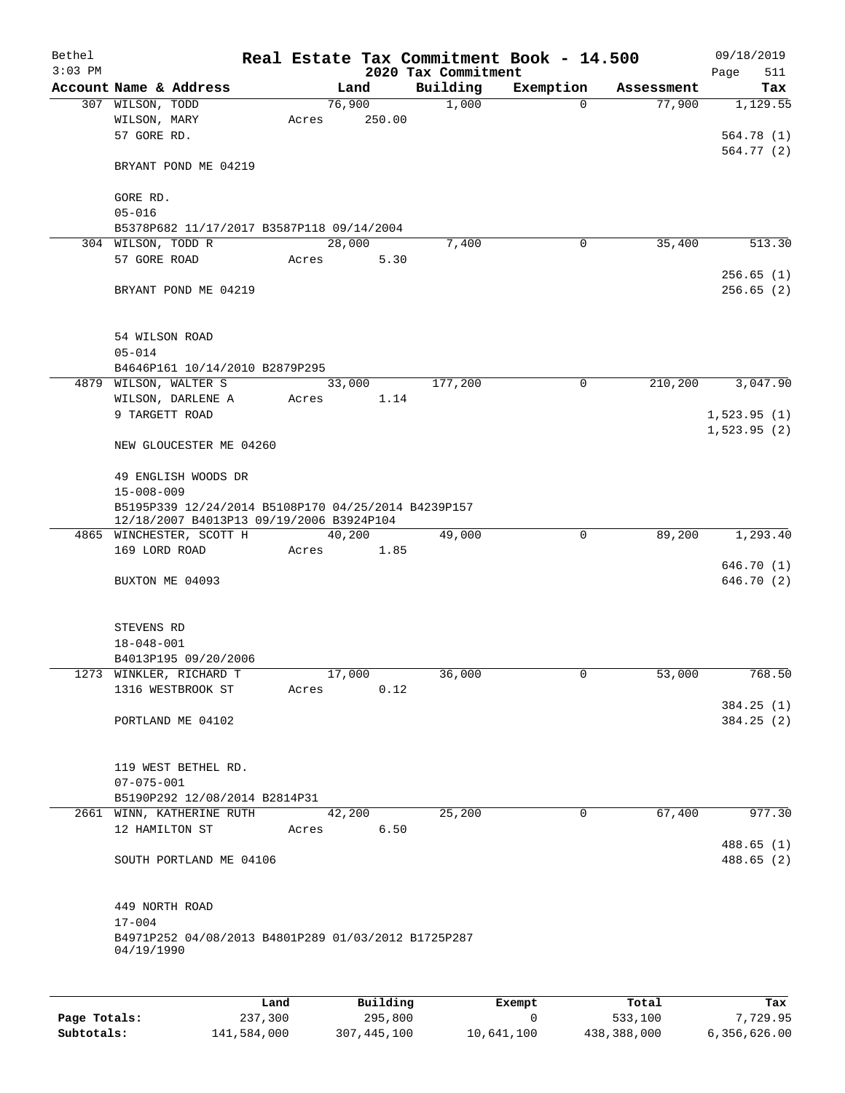| Bethel<br>$3:03$ PM |                                                                                                 |       |        |            | 2020 Tax Commitment | Real Estate Tax Commitment Book - 14.500 |            | 09/18/2019<br>511<br>Page |
|---------------------|-------------------------------------------------------------------------------------------------|-------|--------|------------|---------------------|------------------------------------------|------------|---------------------------|
|                     | Account Name & Address                                                                          |       | Land   |            | Building            | Exemption                                | Assessment | Tax                       |
|                     | 307 WILSON, TODD                                                                                |       | 76,900 |            | 1,000               | 0                                        | 77,900     | 1,129.55                  |
|                     | WILSON, MARY                                                                                    | Acres |        | 250.00     |                     |                                          |            |                           |
|                     | 57 GORE RD.                                                                                     |       |        |            |                     |                                          |            | 564.78 (1)                |
|                     |                                                                                                 |       |        |            |                     |                                          |            | 564.77 (2)                |
|                     | BRYANT POND ME 04219                                                                            |       |        |            |                     |                                          |            |                           |
|                     | GORE RD.                                                                                        |       |        |            |                     |                                          |            |                           |
|                     | $05 - 016$                                                                                      |       |        |            |                     |                                          |            |                           |
|                     | B5378P682 11/17/2017 B3587P118 09/14/2004                                                       |       |        |            |                     |                                          |            |                           |
|                     | 304 WILSON, TODD R                                                                              |       | 28,000 |            | 7,400               | 0                                        | 35,400     | 513.30                    |
|                     | 57 GORE ROAD                                                                                    | Acres |        | 5.30       |                     |                                          |            |                           |
|                     |                                                                                                 |       |        |            |                     |                                          |            | 256.65(1)                 |
|                     | BRYANT POND ME 04219                                                                            |       |        |            |                     |                                          |            | 256.65(2)                 |
|                     | 54 WILSON ROAD                                                                                  |       |        |            |                     |                                          |            |                           |
|                     | $05 - 014$                                                                                      |       |        |            |                     |                                          |            |                           |
|                     | B4646P161 10/14/2010 B2879P295                                                                  |       |        |            |                     |                                          |            |                           |
|                     | 4879 WILSON, WALTER S                                                                           |       | 33,000 |            | 177,200             | 0                                        | 210,200    | 3,047.90                  |
|                     | WILSON, DARLENE A                                                                               | Acres |        | 1.14       |                     |                                          |            |                           |
|                     | 9 TARGETT ROAD                                                                                  |       |        |            |                     |                                          |            | 1,523.95(1)               |
|                     |                                                                                                 |       |        |            |                     |                                          |            | 1,523.95(2)               |
|                     | NEW GLOUCESTER ME 04260                                                                         |       |        |            |                     |                                          |            |                           |
|                     | 49 ENGLISH WOODS DR                                                                             |       |        |            |                     |                                          |            |                           |
|                     | $15 - 008 - 009$                                                                                |       |        |            |                     |                                          |            |                           |
|                     | B5195P339 12/24/2014 B5108P170 04/25/2014 B4239P157<br>12/18/2007 B4013P13 09/19/2006 B3924P104 |       |        |            |                     |                                          |            |                           |
|                     | 4865 WINCHESTER, SCOTT H                                                                        |       | 40,200 |            | 49,000              | $\mathbf 0$                              | 89,200     | 1,293.40                  |
|                     | 169 LORD ROAD                                                                                   | Acres |        | 1.85       |                     |                                          |            |                           |
|                     |                                                                                                 |       |        |            |                     |                                          |            | 646.70 (1)                |
|                     | BUXTON ME 04093                                                                                 |       |        |            |                     |                                          |            | 646.70 (2)                |
|                     | STEVENS RD                                                                                      |       |        |            |                     |                                          |            |                           |
|                     | $18 - 048 - 001$                                                                                |       |        |            |                     |                                          |            |                           |
|                     | B4013P195 09/20/2006                                                                            |       |        |            |                     |                                          |            |                           |
|                     |                                                                                                 |       | 17,000 |            | 36,000              | 0                                        |            | 768.50                    |
|                     | 1273 WINKLER, RICHARD T<br>1316 WESTBROOK ST                                                    | Acres |        | 0.12       |                     |                                          | 53,000     |                           |
|                     |                                                                                                 |       |        |            |                     |                                          |            | 384.25(1)                 |
|                     | PORTLAND ME 04102                                                                               |       |        |            |                     |                                          |            | 384.25(2)                 |
|                     |                                                                                                 |       |        |            |                     |                                          |            |                           |
|                     | 119 WEST BETHEL RD.                                                                             |       |        |            |                     |                                          |            |                           |
|                     | $07 - 075 - 001$                                                                                |       |        |            |                     |                                          |            |                           |
|                     | B5190P292 12/08/2014 B2814P31                                                                   |       |        |            |                     |                                          |            |                           |
|                     | 2661 WINN, KATHERINE RUTH                                                                       |       | 42,200 |            | 25,200              | 0                                        | 67,400     | 977.30                    |
|                     | 12 HAMILTON ST                                                                                  |       |        | Acres 6.50 |                     |                                          |            | 488.65 (1)                |
|                     | SOUTH PORTLAND ME 04106                                                                         |       |        |            |                     |                                          |            | 488.65 (2)                |
|                     | 449 NORTH ROAD                                                                                  |       |        |            |                     |                                          |            |                           |
|                     | $17 - 004$                                                                                      |       |        |            |                     |                                          |            |                           |
|                     | B4971P252 04/08/2013 B4801P289 01/03/2012 B1725P287<br>04/19/1990                               |       |        |            |                     |                                          |            |                           |
|                     |                                                                                                 |       |        |            |                     |                                          |            |                           |
|                     |                                                                                                 | Land  |        | Building   |                     | Exempt                                   | Total      | Tax                       |

|              | Land        | Building    | Exempt     | Total       | Tax          |
|--------------|-------------|-------------|------------|-------------|--------------|
| Page Totals: | 237,300     | 295,800     |            | 533,100     | 7,729.95     |
| Subtotals:   | 141,584,000 | 307,445,100 | 10,641,100 | 438,388,000 | 6,356,626.00 |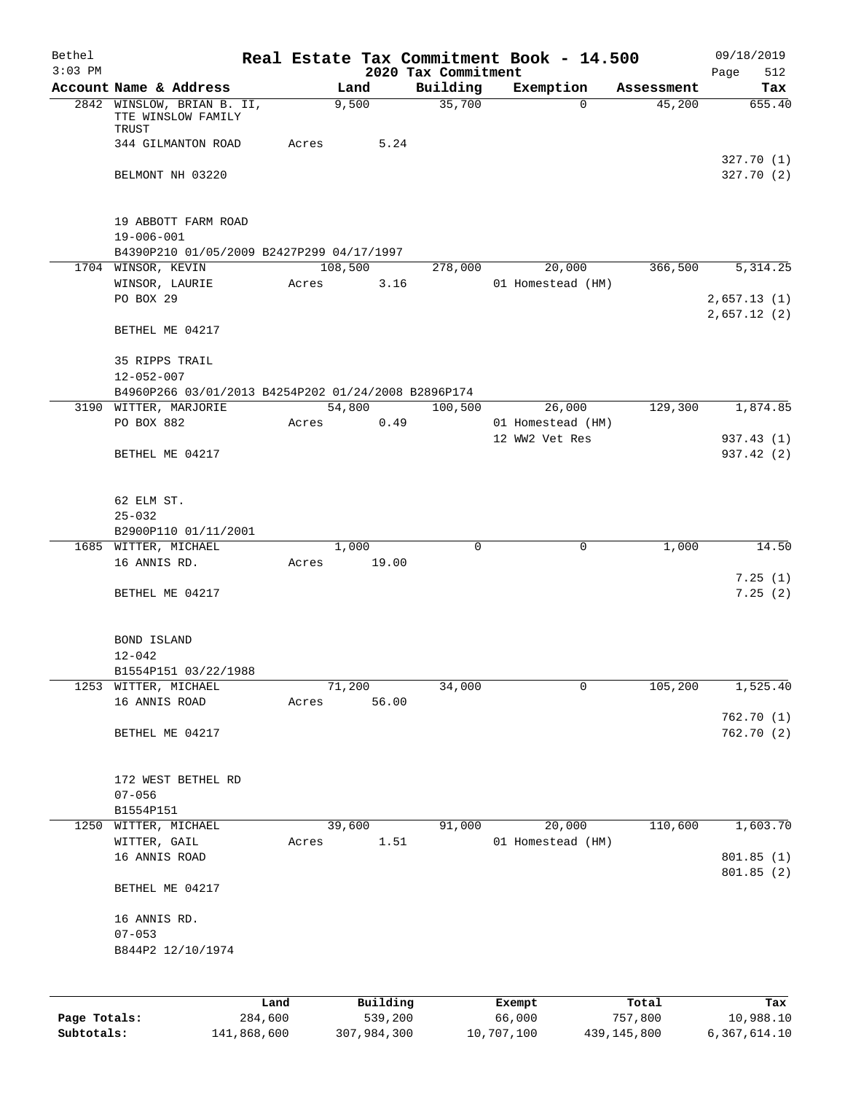| 2020 Tax Commitment<br>Building<br>Account Name & Address<br>Exemption<br>Land<br>Tax<br>Assessment<br>35,700<br>2842 WINSLOW, BRIAN B. II,<br>655.40<br>9,500<br>45,200<br>$\Omega$<br>TTE WINSLOW FAMILY<br>TRUST<br>344 GILMANTON ROAD<br>Acres<br>5.24<br>327.70(1)<br>BELMONT NH 03220<br>327.70(2)<br>19 ABBOTT FARM ROAD<br>$19 - 006 - 001$<br>B4390P210 01/05/2009 B2427P299 04/17/1997<br>108,500<br>20,000<br>366,500<br>5, 314.25<br>1704 WINSOR, KEVIN<br>278,000<br>WINSOR, LAURIE<br>3.16<br>01 Homestead (HM)<br>Acres<br>PO BOX 29<br>2,657.13(1)<br>2,657.12(2)<br>BETHEL ME 04217<br>35 RIPPS TRAIL<br>$12 - 052 - 007$<br>B4960P266 03/01/2013 B4254P202 01/24/2008 B2896P174<br>54,800<br>100,500<br>129,300<br>1,874.85<br>3190 WITTER, MARJORIE<br>26,000<br>PO BOX 882<br>0.49<br>01 Homestead (HM)<br>Acres<br>12 WW2 Vet Res<br>BETHEL ME 04217<br>62 ELM ST.<br>$25 - 032$<br>B2900P110 01/11/2001<br>1,000<br>$\mathsf{O}$<br>1,000<br>1685 WITTER, MICHAEL<br>0<br>16 ANNIS RD.<br>19.00<br>Acres<br>7.25(1)<br>BETHEL ME 04217<br>BOND ISLAND<br>$12 - 042$<br>B1554P151 03/22/1988<br>1253 WITTER, MICHAEL<br>71,200<br>34,000<br>105,200<br>0<br>56.00<br>16 ANNIS ROAD<br>Acres<br>762.70(1)<br>BETHEL ME 04217<br>172 WEST BETHEL RD<br>$07 - 056$<br>B1554P151<br>20,000<br>110,600<br>1250<br>39,600<br>91,000<br>WITTER, MICHAEL<br>WITTER, GAIL<br>1.51<br>01 Homestead (HM)<br>Acres<br>16 ANNIS ROAD<br>801.85 (1)<br>801.85(2)<br>BETHEL ME 04217<br>16 ANNIS RD.<br>$07 - 053$<br>B844P2 12/10/1974<br>Building<br>Land<br>Exempt<br>Total<br>539,200<br>284,600<br>66,000<br>757,800<br>10,988.10<br>Page Totals: | Bethel    |  |  | Real Estate Tax Commitment Book - 14.500 | 09/18/2019  |
|--------------------------------------------------------------------------------------------------------------------------------------------------------------------------------------------------------------------------------------------------------------------------------------------------------------------------------------------------------------------------------------------------------------------------------------------------------------------------------------------------------------------------------------------------------------------------------------------------------------------------------------------------------------------------------------------------------------------------------------------------------------------------------------------------------------------------------------------------------------------------------------------------------------------------------------------------------------------------------------------------------------------------------------------------------------------------------------------------------------------------------------------------------------------------------------------------------------------------------------------------------------------------------------------------------------------------------------------------------------------------------------------------------------------------------------------------------------------------------------------------------------------------------------------------------------------------------------------------------------------------------------------------------------|-----------|--|--|------------------------------------------|-------------|
|                                                                                                                                                                                                                                                                                                                                                                                                                                                                                                                                                                                                                                                                                                                                                                                                                                                                                                                                                                                                                                                                                                                                                                                                                                                                                                                                                                                                                                                                                                                                                                                                                                                              | $3:03$ PM |  |  |                                          | Page<br>512 |
|                                                                                                                                                                                                                                                                                                                                                                                                                                                                                                                                                                                                                                                                                                                                                                                                                                                                                                                                                                                                                                                                                                                                                                                                                                                                                                                                                                                                                                                                                                                                                                                                                                                              |           |  |  |                                          |             |
|                                                                                                                                                                                                                                                                                                                                                                                                                                                                                                                                                                                                                                                                                                                                                                                                                                                                                                                                                                                                                                                                                                                                                                                                                                                                                                                                                                                                                                                                                                                                                                                                                                                              |           |  |  |                                          |             |
|                                                                                                                                                                                                                                                                                                                                                                                                                                                                                                                                                                                                                                                                                                                                                                                                                                                                                                                                                                                                                                                                                                                                                                                                                                                                                                                                                                                                                                                                                                                                                                                                                                                              |           |  |  |                                          |             |
|                                                                                                                                                                                                                                                                                                                                                                                                                                                                                                                                                                                                                                                                                                                                                                                                                                                                                                                                                                                                                                                                                                                                                                                                                                                                                                                                                                                                                                                                                                                                                                                                                                                              |           |  |  |                                          |             |
|                                                                                                                                                                                                                                                                                                                                                                                                                                                                                                                                                                                                                                                                                                                                                                                                                                                                                                                                                                                                                                                                                                                                                                                                                                                                                                                                                                                                                                                                                                                                                                                                                                                              |           |  |  |                                          |             |
|                                                                                                                                                                                                                                                                                                                                                                                                                                                                                                                                                                                                                                                                                                                                                                                                                                                                                                                                                                                                                                                                                                                                                                                                                                                                                                                                                                                                                                                                                                                                                                                                                                                              |           |  |  |                                          |             |
|                                                                                                                                                                                                                                                                                                                                                                                                                                                                                                                                                                                                                                                                                                                                                                                                                                                                                                                                                                                                                                                                                                                                                                                                                                                                                                                                                                                                                                                                                                                                                                                                                                                              |           |  |  |                                          |             |
|                                                                                                                                                                                                                                                                                                                                                                                                                                                                                                                                                                                                                                                                                                                                                                                                                                                                                                                                                                                                                                                                                                                                                                                                                                                                                                                                                                                                                                                                                                                                                                                                                                                              |           |  |  |                                          |             |
|                                                                                                                                                                                                                                                                                                                                                                                                                                                                                                                                                                                                                                                                                                                                                                                                                                                                                                                                                                                                                                                                                                                                                                                                                                                                                                                                                                                                                                                                                                                                                                                                                                                              |           |  |  |                                          |             |
|                                                                                                                                                                                                                                                                                                                                                                                                                                                                                                                                                                                                                                                                                                                                                                                                                                                                                                                                                                                                                                                                                                                                                                                                                                                                                                                                                                                                                                                                                                                                                                                                                                                              |           |  |  |                                          |             |
|                                                                                                                                                                                                                                                                                                                                                                                                                                                                                                                                                                                                                                                                                                                                                                                                                                                                                                                                                                                                                                                                                                                                                                                                                                                                                                                                                                                                                                                                                                                                                                                                                                                              |           |  |  |                                          |             |
|                                                                                                                                                                                                                                                                                                                                                                                                                                                                                                                                                                                                                                                                                                                                                                                                                                                                                                                                                                                                                                                                                                                                                                                                                                                                                                                                                                                                                                                                                                                                                                                                                                                              |           |  |  |                                          |             |
|                                                                                                                                                                                                                                                                                                                                                                                                                                                                                                                                                                                                                                                                                                                                                                                                                                                                                                                                                                                                                                                                                                                                                                                                                                                                                                                                                                                                                                                                                                                                                                                                                                                              |           |  |  |                                          |             |
|                                                                                                                                                                                                                                                                                                                                                                                                                                                                                                                                                                                                                                                                                                                                                                                                                                                                                                                                                                                                                                                                                                                                                                                                                                                                                                                                                                                                                                                                                                                                                                                                                                                              |           |  |  |                                          |             |
|                                                                                                                                                                                                                                                                                                                                                                                                                                                                                                                                                                                                                                                                                                                                                                                                                                                                                                                                                                                                                                                                                                                                                                                                                                                                                                                                                                                                                                                                                                                                                                                                                                                              |           |  |  |                                          |             |
|                                                                                                                                                                                                                                                                                                                                                                                                                                                                                                                                                                                                                                                                                                                                                                                                                                                                                                                                                                                                                                                                                                                                                                                                                                                                                                                                                                                                                                                                                                                                                                                                                                                              |           |  |  |                                          | 937.43 (1)  |
|                                                                                                                                                                                                                                                                                                                                                                                                                                                                                                                                                                                                                                                                                                                                                                                                                                                                                                                                                                                                                                                                                                                                                                                                                                                                                                                                                                                                                                                                                                                                                                                                                                                              |           |  |  |                                          | 937.42 (2)  |
|                                                                                                                                                                                                                                                                                                                                                                                                                                                                                                                                                                                                                                                                                                                                                                                                                                                                                                                                                                                                                                                                                                                                                                                                                                                                                                                                                                                                                                                                                                                                                                                                                                                              |           |  |  |                                          |             |
|                                                                                                                                                                                                                                                                                                                                                                                                                                                                                                                                                                                                                                                                                                                                                                                                                                                                                                                                                                                                                                                                                                                                                                                                                                                                                                                                                                                                                                                                                                                                                                                                                                                              |           |  |  |                                          |             |
|                                                                                                                                                                                                                                                                                                                                                                                                                                                                                                                                                                                                                                                                                                                                                                                                                                                                                                                                                                                                                                                                                                                                                                                                                                                                                                                                                                                                                                                                                                                                                                                                                                                              |           |  |  |                                          |             |
|                                                                                                                                                                                                                                                                                                                                                                                                                                                                                                                                                                                                                                                                                                                                                                                                                                                                                                                                                                                                                                                                                                                                                                                                                                                                                                                                                                                                                                                                                                                                                                                                                                                              |           |  |  |                                          | 14.50       |
|                                                                                                                                                                                                                                                                                                                                                                                                                                                                                                                                                                                                                                                                                                                                                                                                                                                                                                                                                                                                                                                                                                                                                                                                                                                                                                                                                                                                                                                                                                                                                                                                                                                              |           |  |  |                                          |             |
|                                                                                                                                                                                                                                                                                                                                                                                                                                                                                                                                                                                                                                                                                                                                                                                                                                                                                                                                                                                                                                                                                                                                                                                                                                                                                                                                                                                                                                                                                                                                                                                                                                                              |           |  |  |                                          | 7.25(2)     |
|                                                                                                                                                                                                                                                                                                                                                                                                                                                                                                                                                                                                                                                                                                                                                                                                                                                                                                                                                                                                                                                                                                                                                                                                                                                                                                                                                                                                                                                                                                                                                                                                                                                              |           |  |  |                                          |             |
|                                                                                                                                                                                                                                                                                                                                                                                                                                                                                                                                                                                                                                                                                                                                                                                                                                                                                                                                                                                                                                                                                                                                                                                                                                                                                                                                                                                                                                                                                                                                                                                                                                                              |           |  |  |                                          |             |
|                                                                                                                                                                                                                                                                                                                                                                                                                                                                                                                                                                                                                                                                                                                                                                                                                                                                                                                                                                                                                                                                                                                                                                                                                                                                                                                                                                                                                                                                                                                                                                                                                                                              |           |  |  |                                          |             |
|                                                                                                                                                                                                                                                                                                                                                                                                                                                                                                                                                                                                                                                                                                                                                                                                                                                                                                                                                                                                                                                                                                                                                                                                                                                                                                                                                                                                                                                                                                                                                                                                                                                              |           |  |  |                                          | 1,525.40    |
|                                                                                                                                                                                                                                                                                                                                                                                                                                                                                                                                                                                                                                                                                                                                                                                                                                                                                                                                                                                                                                                                                                                                                                                                                                                                                                                                                                                                                                                                                                                                                                                                                                                              |           |  |  |                                          |             |
|                                                                                                                                                                                                                                                                                                                                                                                                                                                                                                                                                                                                                                                                                                                                                                                                                                                                                                                                                                                                                                                                                                                                                                                                                                                                                                                                                                                                                                                                                                                                                                                                                                                              |           |  |  |                                          | 762.70 (2)  |
|                                                                                                                                                                                                                                                                                                                                                                                                                                                                                                                                                                                                                                                                                                                                                                                                                                                                                                                                                                                                                                                                                                                                                                                                                                                                                                                                                                                                                                                                                                                                                                                                                                                              |           |  |  |                                          |             |
|                                                                                                                                                                                                                                                                                                                                                                                                                                                                                                                                                                                                                                                                                                                                                                                                                                                                                                                                                                                                                                                                                                                                                                                                                                                                                                                                                                                                                                                                                                                                                                                                                                                              |           |  |  |                                          |             |
|                                                                                                                                                                                                                                                                                                                                                                                                                                                                                                                                                                                                                                                                                                                                                                                                                                                                                                                                                                                                                                                                                                                                                                                                                                                                                                                                                                                                                                                                                                                                                                                                                                                              |           |  |  |                                          |             |
|                                                                                                                                                                                                                                                                                                                                                                                                                                                                                                                                                                                                                                                                                                                                                                                                                                                                                                                                                                                                                                                                                                                                                                                                                                                                                                                                                                                                                                                                                                                                                                                                                                                              |           |  |  |                                          | 1,603.70    |
|                                                                                                                                                                                                                                                                                                                                                                                                                                                                                                                                                                                                                                                                                                                                                                                                                                                                                                                                                                                                                                                                                                                                                                                                                                                                                                                                                                                                                                                                                                                                                                                                                                                              |           |  |  |                                          |             |
|                                                                                                                                                                                                                                                                                                                                                                                                                                                                                                                                                                                                                                                                                                                                                                                                                                                                                                                                                                                                                                                                                                                                                                                                                                                                                                                                                                                                                                                                                                                                                                                                                                                              |           |  |  |                                          |             |
|                                                                                                                                                                                                                                                                                                                                                                                                                                                                                                                                                                                                                                                                                                                                                                                                                                                                                                                                                                                                                                                                                                                                                                                                                                                                                                                                                                                                                                                                                                                                                                                                                                                              |           |  |  |                                          |             |
|                                                                                                                                                                                                                                                                                                                                                                                                                                                                                                                                                                                                                                                                                                                                                                                                                                                                                                                                                                                                                                                                                                                                                                                                                                                                                                                                                                                                                                                                                                                                                                                                                                                              |           |  |  |                                          |             |
|                                                                                                                                                                                                                                                                                                                                                                                                                                                                                                                                                                                                                                                                                                                                                                                                                                                                                                                                                                                                                                                                                                                                                                                                                                                                                                                                                                                                                                                                                                                                                                                                                                                              |           |  |  |                                          |             |
|                                                                                                                                                                                                                                                                                                                                                                                                                                                                                                                                                                                                                                                                                                                                                                                                                                                                                                                                                                                                                                                                                                                                                                                                                                                                                                                                                                                                                                                                                                                                                                                                                                                              |           |  |  |                                          |             |
|                                                                                                                                                                                                                                                                                                                                                                                                                                                                                                                                                                                                                                                                                                                                                                                                                                                                                                                                                                                                                                                                                                                                                                                                                                                                                                                                                                                                                                                                                                                                                                                                                                                              |           |  |  |                                          |             |
|                                                                                                                                                                                                                                                                                                                                                                                                                                                                                                                                                                                                                                                                                                                                                                                                                                                                                                                                                                                                                                                                                                                                                                                                                                                                                                                                                                                                                                                                                                                                                                                                                                                              |           |  |  |                                          |             |
|                                                                                                                                                                                                                                                                                                                                                                                                                                                                                                                                                                                                                                                                                                                                                                                                                                                                                                                                                                                                                                                                                                                                                                                                                                                                                                                                                                                                                                                                                                                                                                                                                                                              |           |  |  |                                          | Tax         |

**Subtotals:** 141,868,600 307,984,300 10,707,100 439,145,800 6,367,614.10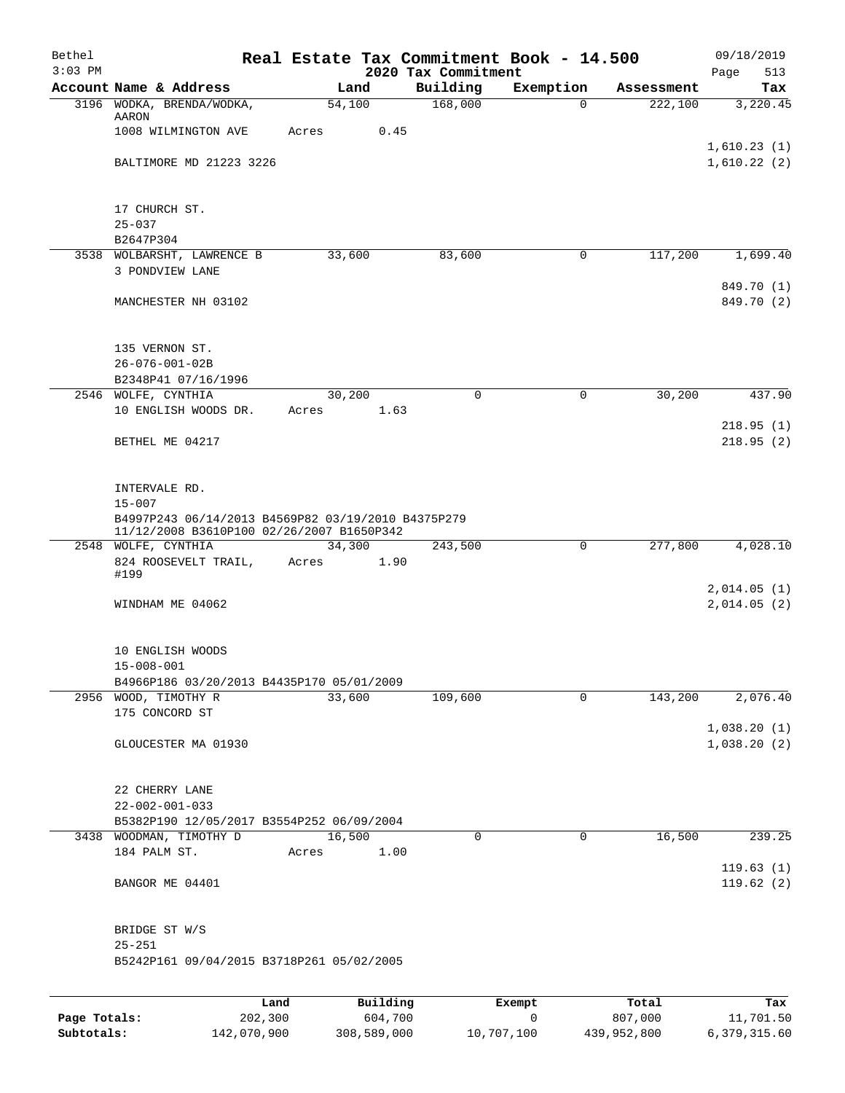| Bethel<br>$3:03$ PM |                                                                                                                                |                 |                     | 2020 Tax Commitment | Real Estate Tax Commitment Book - 14.500 |            | 09/18/2019<br>513<br>Page  |
|---------------------|--------------------------------------------------------------------------------------------------------------------------------|-----------------|---------------------|---------------------|------------------------------------------|------------|----------------------------|
|                     | Account Name & Address                                                                                                         |                 | Land                | Building            | Exemption                                | Assessment | Tax                        |
|                     | 3196 WODKA, BRENDA/WODKA,                                                                                                      |                 | 54,100              | 168,000             | $\Omega$                                 | 222,100    | 3,220.45                   |
|                     | AARON<br>1008 WILMINGTON AVE                                                                                                   | Acres           | 0.45                |                     |                                          |            |                            |
|                     | BALTIMORE MD 21223 3226                                                                                                        |                 |                     |                     |                                          |            | 1,610.23(1)<br>1,610.22(2) |
|                     | 17 CHURCH ST.                                                                                                                  |                 |                     |                     |                                          |            |                            |
|                     | $25 - 037$<br>B2647P304                                                                                                        |                 |                     |                     |                                          |            |                            |
|                     | 3538 WOLBARSHT, LAWRENCE B                                                                                                     |                 | 33,600              | 83,600              | 0                                        | 117,200    | 1,699.40                   |
|                     | 3 PONDVIEW LANE                                                                                                                |                 |                     |                     |                                          |            | 849.70 (1)                 |
|                     | MANCHESTER NH 03102                                                                                                            |                 |                     |                     |                                          |            | 849.70 (2)                 |
|                     | 135 VERNON ST.<br>$26 - 076 - 001 - 02B$                                                                                       |                 |                     |                     |                                          |            |                            |
|                     | B2348P41 07/16/1996                                                                                                            |                 |                     |                     |                                          |            |                            |
|                     | 2546 WOLFE, CYNTHIA<br>10 ENGLISH WOODS DR.                                                                                    | Acres           | 30,200<br>1.63      | 0                   | 0                                        | 30,200     | 437.90                     |
|                     | BETHEL ME 04217                                                                                                                |                 |                     |                     |                                          |            | 218.95(1)<br>218.95(2)     |
|                     | INTERVALE RD.<br>$15 - 007$<br>B4997P243 06/14/2013 B4569P82 03/19/2010 B4375P279<br>11/12/2008 B3610P100 02/26/2007 B1650P342 |                 |                     |                     |                                          |            |                            |
|                     | 2548 WOLFE, CYNTHIA                                                                                                            |                 | 34,300              | 243,500             | 0                                        | 277,800    | 4,028.10                   |
|                     | 824 ROOSEVELT TRAIL,<br>#199                                                                                                   | Acres           | 1.90                |                     |                                          |            |                            |
|                     | WINDHAM ME 04062                                                                                                               |                 |                     |                     |                                          |            | 2,014.05(1)<br>2,014.05(2) |
|                     | 10 ENGLISH WOODS<br>$15 - 008 - 001$                                                                                           |                 |                     |                     |                                          |            |                            |
|                     | B4966P186 03/20/2013 B4435P170 05/01/2009                                                                                      |                 |                     |                     |                                          |            |                            |
|                     | 2956 WOOD, TIMOTHY R<br>175 CONCORD ST                                                                                         |                 | 33,600              | 109,600             | $\mathbf 0$                              | 143,200    | 2,076.40                   |
|                     | GLOUCESTER MA 01930                                                                                                            |                 |                     |                     |                                          |            | 1,038.20(1)<br>1,038.20(2) |
|                     | 22 CHERRY LANE<br>$22 - 002 - 001 - 033$<br>B5382P190 12/05/2017 B3554P252 06/09/2004                                          |                 |                     |                     |                                          |            |                            |
|                     | 3438 WOODMAN, TIMOTHY D                                                                                                        |                 | 16,500              | 0                   | 0                                        | 16,500     | 239.25                     |
|                     | 184 PALM ST.                                                                                                                   | Acres           | 1.00                |                     |                                          |            | 119.63(1)                  |
|                     | BANGOR ME 04401                                                                                                                |                 |                     |                     |                                          |            | 119.62(2)                  |
|                     | BRIDGE ST W/S<br>$25 - 251$                                                                                                    |                 |                     |                     |                                          |            |                            |
|                     | B5242P161 09/04/2015 B3718P261 05/02/2005                                                                                      |                 |                     |                     |                                          |            |                            |
|                     |                                                                                                                                |                 |                     |                     |                                          | Total      |                            |
| Page Totals:        |                                                                                                                                | Land<br>202,300 | Building<br>604,700 |                     | Exempt<br>$\mathsf{O}$                   | 807,000    | Tax<br>11,701.50           |

**Subtotals:** 142,070,900 308,589,000 10,707,100 439,952,800 6,379,315.60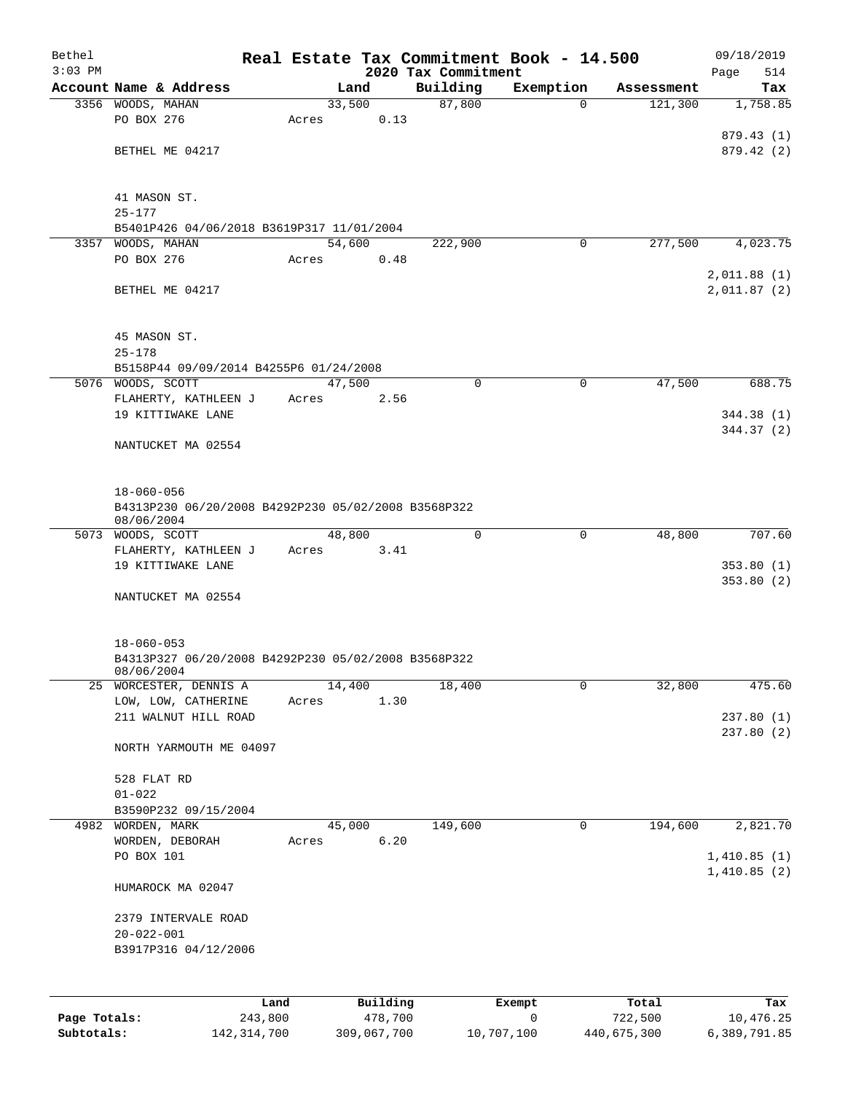| Bethel       |                                                     |       |        |          |                                 | Real Estate Tax Commitment Book - 14.500 |            | 09/18/2019         |
|--------------|-----------------------------------------------------|-------|--------|----------|---------------------------------|------------------------------------------|------------|--------------------|
| $3:03$ PM    | Account Name & Address                              |       | Land   |          | 2020 Tax Commitment<br>Building | Exemption                                | Assessment | 514<br>Page<br>Tax |
|              | 3356 WOODS, MAHAN                                   |       | 33,500 |          | 87,800                          | $\Omega$                                 | 121,300    | 1,758.85           |
|              | PO BOX 276                                          | Acres |        | 0.13     |                                 |                                          |            |                    |
|              |                                                     |       |        |          |                                 |                                          |            | 879.43 (1)         |
|              | BETHEL ME 04217                                     |       |        |          |                                 |                                          |            | 879.42(2)          |
|              |                                                     |       |        |          |                                 |                                          |            |                    |
|              |                                                     |       |        |          |                                 |                                          |            |                    |
|              | 41 MASON ST.<br>$25 - 177$                          |       |        |          |                                 |                                          |            |                    |
|              | B5401P426 04/06/2018 B3619P317 11/01/2004           |       |        |          |                                 |                                          |            |                    |
|              | 3357 WOODS, MAHAN                                   |       | 54,600 |          | 222,900                         | $\mathbf 0$                              | 277,500    | 4,023.75           |
|              | PO BOX 276                                          | Acres |        | 0.48     |                                 |                                          |            |                    |
|              |                                                     |       |        |          |                                 |                                          |            | 2,011.88(1)        |
|              | BETHEL ME 04217                                     |       |        |          |                                 |                                          |            | 2,011.87(2)        |
|              |                                                     |       |        |          |                                 |                                          |            |                    |
|              | 45 MASON ST.                                        |       |        |          |                                 |                                          |            |                    |
|              | $25 - 178$                                          |       |        |          |                                 |                                          |            |                    |
|              | B5158P44 09/09/2014 B4255P6 01/24/2008              |       |        |          |                                 |                                          |            |                    |
|              | 5076 WOODS, SCOTT                                   |       | 47,500 |          | 0                               | $\mathbf 0$                              | 47,500     | 688.75             |
|              | FLAHERTY, KATHLEEN J                                | Acres |        | 2.56     |                                 |                                          |            |                    |
|              | 19 KITTIWAKE LANE                                   |       |        |          |                                 |                                          |            | 344.38 (1)         |
|              | NANTUCKET MA 02554                                  |       |        |          |                                 |                                          |            | 344.37(2)          |
|              |                                                     |       |        |          |                                 |                                          |            |                    |
|              |                                                     |       |        |          |                                 |                                          |            |                    |
|              | $18 - 060 - 056$                                    |       |        |          |                                 |                                          |            |                    |
|              | B4313P230 06/20/2008 B4292P230 05/02/2008 B3568P322 |       |        |          |                                 |                                          |            |                    |
|              | 08/06/2004<br>5073 WOODS, SCOTT                     |       | 48,800 |          | 0                               | 0                                        | 48,800     | 707.60             |
|              | FLAHERTY, KATHLEEN J                                | Acres |        | 3.41     |                                 |                                          |            |                    |
|              | 19 KITTIWAKE LANE                                   |       |        |          |                                 |                                          |            | 353.80(1)          |
|              |                                                     |       |        |          |                                 |                                          |            | 353.80(2)          |
|              | NANTUCKET MA 02554                                  |       |        |          |                                 |                                          |            |                    |
|              |                                                     |       |        |          |                                 |                                          |            |                    |
|              | $18 - 060 - 053$                                    |       |        |          |                                 |                                          |            |                    |
|              | B4313P327 06/20/2008 B4292P230 05/02/2008 B3568P322 |       |        |          |                                 |                                          |            |                    |
|              | 08/06/2004                                          |       |        |          |                                 |                                          |            |                    |
|              | 25 WORCESTER, DENNIS A                              |       | 14,400 |          | 18,400                          | 0                                        | 32,800     | 475.60             |
|              | LOW, LOW, CATHERINE<br>211 WALNUT HILL ROAD         | Acres |        | 1.30     |                                 |                                          |            | 237.80(1)          |
|              |                                                     |       |        |          |                                 |                                          |            | 237.80(2)          |
|              | NORTH YARMOUTH ME 04097                             |       |        |          |                                 |                                          |            |                    |
|              |                                                     |       |        |          |                                 |                                          |            |                    |
|              | 528 FLAT RD                                         |       |        |          |                                 |                                          |            |                    |
|              | $01 - 022$                                          |       |        |          |                                 |                                          |            |                    |
|              | B3590P232 09/15/2004<br>4982 WORDEN, MARK           |       | 45,000 |          | 149,600                         | 0                                        | 194,600    | 2,821.70           |
|              | WORDEN, DEBORAH                                     | Acres |        | 6.20     |                                 |                                          |            |                    |
|              | PO BOX 101                                          |       |        |          |                                 |                                          |            | 1,410.85(1)        |
|              |                                                     |       |        |          |                                 |                                          |            | 1,410.85(2)        |
|              | HUMAROCK MA 02047                                   |       |        |          |                                 |                                          |            |                    |
|              |                                                     |       |        |          |                                 |                                          |            |                    |
|              | 2379 INTERVALE ROAD<br>$20 - 022 - 001$             |       |        |          |                                 |                                          |            |                    |
|              | B3917P316 04/12/2006                                |       |        |          |                                 |                                          |            |                    |
|              |                                                     |       |        |          |                                 |                                          |            |                    |
|              |                                                     |       |        |          |                                 |                                          |            |                    |
|              |                                                     | Land  |        | Building |                                 | Exempt                                   | Total      | Tax                |
| Page Totals: | 243,800                                             |       |        | 478,700  |                                 | 0                                        | 722,500    | 10,476.25          |

**Subtotals:** 142,314,700 309,067,700 10,707,100 440,675,300 6,389,791.85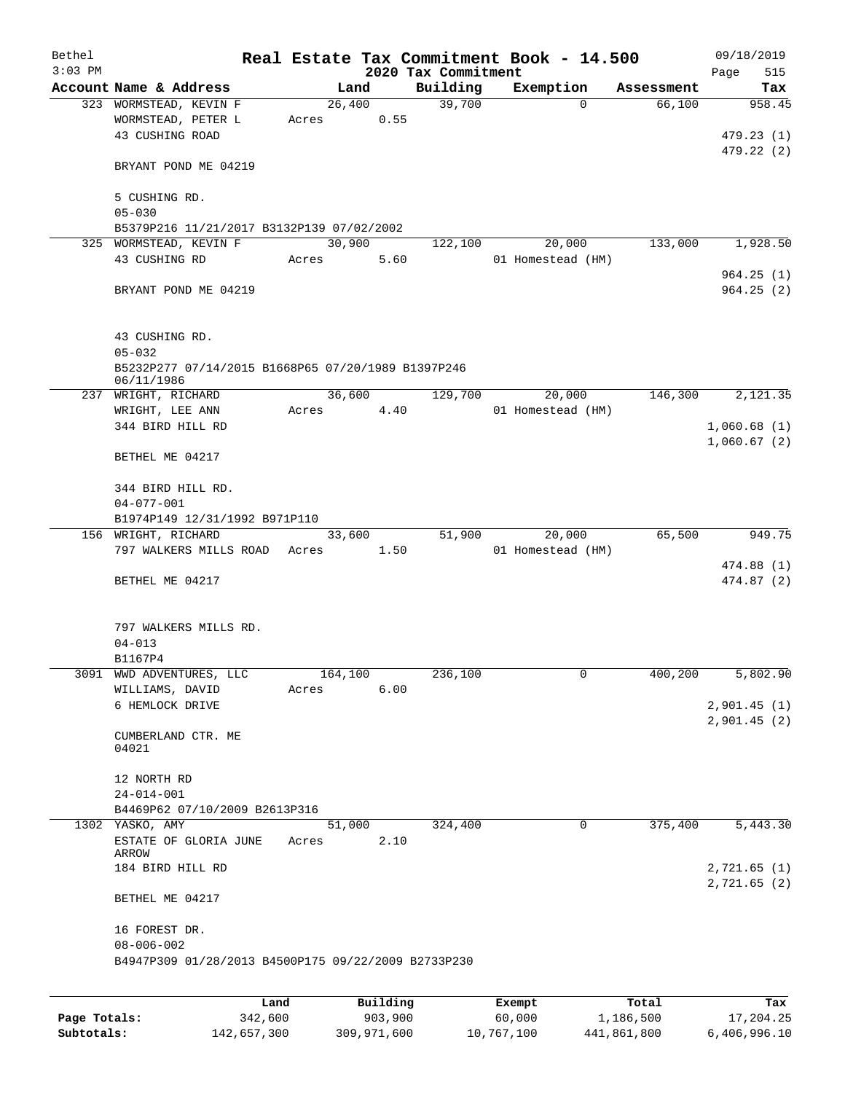| Bethel    |                                                     |       |         |          | Real Estate Tax Commitment Book - 14.500 |                   |          |            | 09/18/2019  |
|-----------|-----------------------------------------------------|-------|---------|----------|------------------------------------------|-------------------|----------|------------|-------------|
| $3:03$ PM |                                                     |       |         |          | 2020 Tax Commitment                      |                   |          |            | Page<br>515 |
|           | Account Name & Address                              |       | Land    |          | Building                                 | Exemption         |          | Assessment | Tax         |
|           | 323 WORMSTEAD, KEVIN F                              |       | 26,400  |          | 39,700                                   |                   | $\Omega$ | 66,100     | 958.45      |
|           | WORMSTEAD, PETER L                                  | Acres |         | 0.55     |                                          |                   |          |            |             |
|           | 43 CUSHING ROAD                                     |       |         |          |                                          |                   |          |            | 479.23(1)   |
|           |                                                     |       |         |          |                                          |                   |          |            | 479.22 (2)  |
|           | BRYANT POND ME 04219                                |       |         |          |                                          |                   |          |            |             |
|           |                                                     |       |         |          |                                          |                   |          |            |             |
|           | 5 CUSHING RD.                                       |       |         |          |                                          |                   |          |            |             |
|           | $05 - 030$                                          |       |         |          |                                          |                   |          |            |             |
|           | B5379P216 11/21/2017 B3132P139 07/02/2002           |       |         |          |                                          |                   |          |            |             |
|           | 325 WORMSTEAD, KEVIN F                              |       | 30,900  |          | 122,100                                  |                   | 20,000   | 133,000    | 1,928.50    |
|           | 43 CUSHING RD                                       | Acres |         | 5.60     |                                          | 01 Homestead (HM) |          |            |             |
|           |                                                     |       |         |          |                                          |                   |          |            | 964.25(1)   |
|           | BRYANT POND ME 04219                                |       |         |          |                                          |                   |          |            | 964.25(2)   |
|           |                                                     |       |         |          |                                          |                   |          |            |             |
|           |                                                     |       |         |          |                                          |                   |          |            |             |
|           | 43 CUSHING RD.                                      |       |         |          |                                          |                   |          |            |             |
|           | $05 - 032$                                          |       |         |          |                                          |                   |          |            |             |
|           | B5232P277 07/14/2015 B1668P65 07/20/1989 B1397P246  |       |         |          |                                          |                   |          |            |             |
|           | 06/11/1986                                          |       |         |          |                                          |                   |          | 146,300    |             |
|           | 237 WRIGHT, RICHARD                                 |       | 36,600  |          | 129,700                                  |                   | 20,000   |            | 2,121.35    |
|           | WRIGHT, LEE ANN                                     | Acres |         | 4.40     |                                          | 01 Homestead (HM) |          |            |             |
|           | 344 BIRD HILL RD                                    |       |         |          |                                          |                   |          |            | 1,060.68(1) |
|           |                                                     |       |         |          |                                          |                   |          |            | 1,060.67(2) |
|           | BETHEL ME 04217                                     |       |         |          |                                          |                   |          |            |             |
|           |                                                     |       |         |          |                                          |                   |          |            |             |
|           | 344 BIRD HILL RD.                                   |       |         |          |                                          |                   |          |            |             |
|           | $04 - 077 - 001$                                    |       |         |          |                                          |                   |          |            |             |
|           | B1974P149 12/31/1992 B971P110                       |       |         |          |                                          |                   |          |            |             |
|           | 156 WRIGHT, RICHARD                                 |       | 33,600  |          | 51,900                                   |                   | 20,000   | 65,500     | 949.75      |
|           | 797 WALKERS MILLS ROAD                              | Acres |         | 1.50     |                                          | 01 Homestead (HM) |          |            |             |
|           |                                                     |       |         |          |                                          |                   |          |            | 474.88(1)   |
|           | BETHEL ME 04217                                     |       |         |          |                                          |                   |          |            | 474.87 (2)  |
|           |                                                     |       |         |          |                                          |                   |          |            |             |
|           |                                                     |       |         |          |                                          |                   |          |            |             |
|           | 797 WALKERS MILLS RD.                               |       |         |          |                                          |                   |          |            |             |
|           | $04 - 013$                                          |       |         |          |                                          |                   |          |            |             |
|           | B1167P4<br>3091 WWD ADVENTURES, LLC                 |       | 164,100 |          | 236,100                                  |                   | 0        | 400,200    | 5,802.90    |
|           | WILLIAMS, DAVID                                     | Acres |         | 6.00     |                                          |                   |          |            |             |
|           | 6 HEMLOCK DRIVE                                     |       |         |          |                                          |                   |          |            | 2,901.45(1) |
|           |                                                     |       |         |          |                                          |                   |          |            | 2,901.45(2) |
|           | CUMBERLAND CTR. ME                                  |       |         |          |                                          |                   |          |            |             |
|           | 04021                                               |       |         |          |                                          |                   |          |            |             |
|           |                                                     |       |         |          |                                          |                   |          |            |             |
|           | 12 NORTH RD                                         |       |         |          |                                          |                   |          |            |             |
|           | $24 - 014 - 001$                                    |       |         |          |                                          |                   |          |            |             |
|           | B4469P62 07/10/2009 B2613P316                       |       |         |          |                                          |                   |          |            |             |
|           | 1302 YASKO, AMY                                     |       | 51,000  |          | 324,400                                  |                   | 0        | 375,400    | 5,443.30    |
|           | ESTATE OF GLORIA JUNE                               | Acres |         | 2.10     |                                          |                   |          |            |             |
|           | ARROW                                               |       |         |          |                                          |                   |          |            |             |
|           | 184 BIRD HILL RD                                    |       |         |          |                                          |                   |          |            | 2,721.65(1) |
|           |                                                     |       |         |          |                                          |                   |          |            | 2,721.65(2) |
|           | BETHEL ME 04217                                     |       |         |          |                                          |                   |          |            |             |
|           |                                                     |       |         |          |                                          |                   |          |            |             |
|           | 16 FOREST DR.                                       |       |         |          |                                          |                   |          |            |             |
|           | $08 - 006 - 002$                                    |       |         |          |                                          |                   |          |            |             |
|           | B4947P309 01/28/2013 B4500P175 09/22/2009 B2733P230 |       |         |          |                                          |                   |          |            |             |
|           |                                                     |       |         |          |                                          |                   |          |            |             |
|           |                                                     |       |         |          |                                          |                   |          |            |             |
|           |                                                     | Land  |         | Building |                                          | Exempt            |          | Total      | Tax         |

**Page Totals:** 342,600 903,900 60,000 1,186,500 17,204.25 **Subtotals:** 142,657,300 309,971,600 10,767,100 441,861,800 6,406,996.10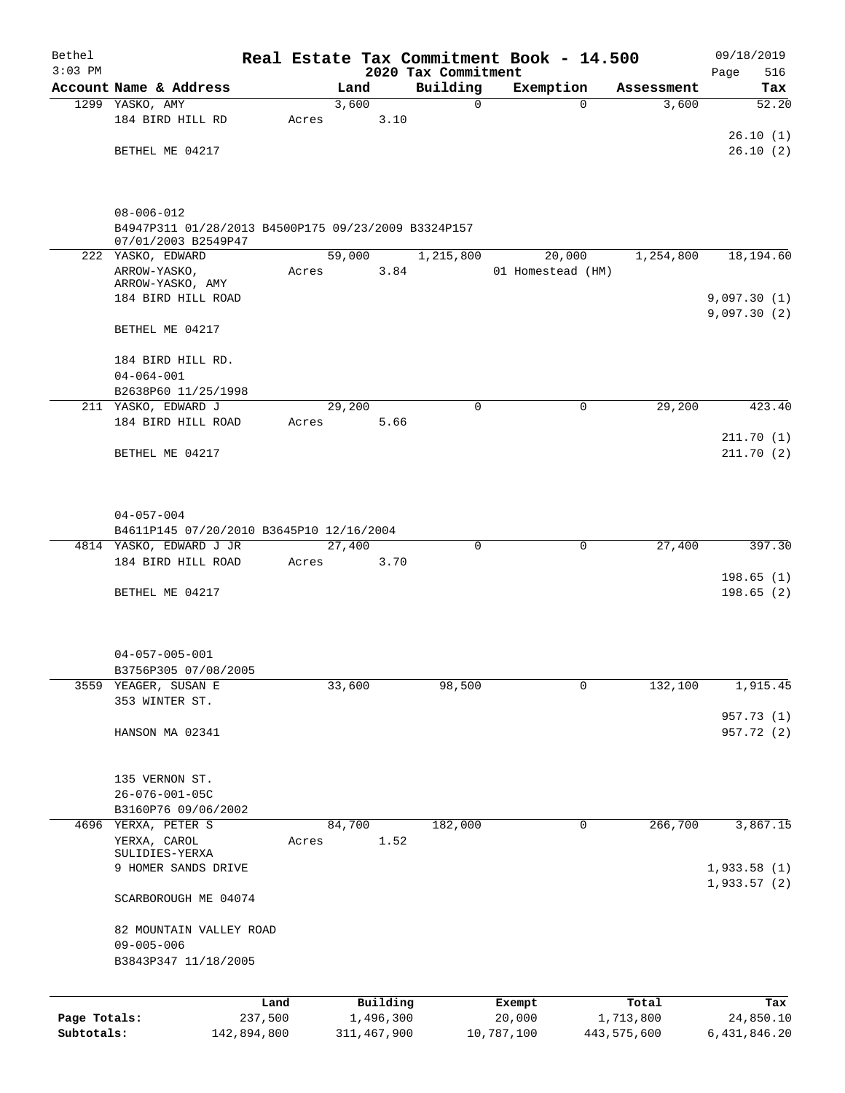| Bethel       |                                                                         |                 |       |               |                       |                         | Real Estate Tax Commitment Book - 14.500 |          |                     | 09/18/2019               |
|--------------|-------------------------------------------------------------------------|-----------------|-------|---------------|-----------------------|-------------------------|------------------------------------------|----------|---------------------|--------------------------|
| $3:03$ PM    |                                                                         |                 |       |               |                       | 2020 Tax Commitment     |                                          |          |                     | 516<br>Page              |
|              | Account Name & Address<br>1299 YASKO, AMY                               |                 |       | Land<br>3,600 |                       | Building<br>$\mathbf 0$ | Exemption                                | $\Omega$ | Assessment<br>3,600 | Tax<br>52.20             |
|              | 184 BIRD HILL RD                                                        |                 | Acres |               | 3.10                  |                         |                                          |          |                     |                          |
|              |                                                                         |                 |       |               |                       |                         |                                          |          |                     | 26.10(1)                 |
|              | BETHEL ME 04217                                                         |                 |       |               |                       |                         |                                          |          |                     | 26.10(2)                 |
|              |                                                                         |                 |       |               |                       |                         |                                          |          |                     |                          |
|              | $08 - 006 - 012$<br>B4947P311 01/28/2013 B4500P175 09/23/2009 B3324P157 |                 |       |               |                       |                         |                                          |          |                     |                          |
|              | 07/01/2003 B2549P47<br>222 YASKO, EDWARD                                |                 |       | 59,000        |                       | 1,215,800               |                                          |          | 1,254,800           | 18,194.60                |
|              | ARROW-YASKO,                                                            |                 | Acres |               | 3.84                  |                         | 20,000<br>01 Homestead (HM)              |          |                     |                          |
|              | ARROW-YASKO, AMY                                                        |                 |       |               |                       |                         |                                          |          |                     |                          |
|              | 184 BIRD HILL ROAD                                                      |                 |       |               |                       |                         |                                          |          |                     | 9,097.30(1)              |
|              | BETHEL ME 04217                                                         |                 |       |               |                       |                         |                                          |          |                     | 9,097.30(2)              |
|              | 184 BIRD HILL RD.                                                       |                 |       |               |                       |                         |                                          |          |                     |                          |
|              | $04 - 064 - 001$                                                        |                 |       |               |                       |                         |                                          |          |                     |                          |
|              | B2638P60 11/25/1998                                                     |                 |       |               |                       |                         |                                          |          |                     |                          |
|              | 211 YASKO, EDWARD J                                                     |                 |       | 29,200        |                       | $\Omega$                |                                          | $\Omega$ | 29,200              | 423.40                   |
|              | 184 BIRD HILL ROAD                                                      |                 | Acres |               | 5.66                  |                         |                                          |          |                     |                          |
|              | BETHEL ME 04217                                                         |                 |       |               |                       |                         |                                          |          |                     | 211.70 (1)<br>211.70(2)  |
|              |                                                                         |                 |       |               |                       |                         |                                          |          |                     |                          |
|              |                                                                         |                 |       |               |                       |                         |                                          |          |                     |                          |
|              | $04 - 057 - 004$                                                        |                 |       |               |                       |                         |                                          |          |                     |                          |
|              | B4611P145 07/20/2010 B3645P10 12/16/2004                                |                 |       |               |                       |                         |                                          |          |                     |                          |
|              | 4814 YASKO, EDWARD J JR                                                 |                 |       | 27,400        |                       | 0                       |                                          | 0        | 27,400              | 397.30                   |
|              | 184 BIRD HILL ROAD                                                      |                 | Acres |               | 3.70                  |                         |                                          |          |                     |                          |
|              |                                                                         |                 |       |               |                       |                         |                                          |          |                     | 198.65(1)<br>198.65(2)   |
|              | BETHEL ME 04217                                                         |                 |       |               |                       |                         |                                          |          |                     |                          |
|              |                                                                         |                 |       |               |                       |                         |                                          |          |                     |                          |
|              | $04 - 057 - 005 - 001$                                                  |                 |       |               |                       |                         |                                          |          |                     |                          |
|              | B3756P305 07/08/2005                                                    |                 |       |               |                       |                         |                                          |          |                     |                          |
| 3559         | YEAGER, SUSAN E                                                         |                 |       | 33,600        |                       | 98,500                  |                                          | 0        | 132,100             | 1,915.45                 |
|              | 353 WINTER ST.                                                          |                 |       |               |                       |                         |                                          |          |                     |                          |
|              | HANSON MA 02341                                                         |                 |       |               |                       |                         |                                          |          |                     | 957.73 (1)<br>957.72 (2) |
|              |                                                                         |                 |       |               |                       |                         |                                          |          |                     |                          |
|              | 135 VERNON ST.                                                          |                 |       |               |                       |                         |                                          |          |                     |                          |
|              | $26 - 076 - 001 - 05C$                                                  |                 |       |               |                       |                         |                                          |          |                     |                          |
|              | B3160P76 09/06/2002                                                     |                 |       |               |                       |                         |                                          |          |                     |                          |
|              | 4696 YERXA, PETER S                                                     |                 |       | 84,700        |                       | 182,000                 |                                          | 0        | 266,700             | 3,867.15                 |
|              | YERXA, CAROL                                                            |                 | Acres |               | 1.52                  |                         |                                          |          |                     |                          |
|              | SULIDIES-YERXA<br>9 HOMER SANDS DRIVE                                   |                 |       |               |                       |                         |                                          |          |                     | 1,933.58(1)              |
|              |                                                                         |                 |       |               |                       |                         |                                          |          |                     | 1,933.57(2)              |
|              | SCARBOROUGH ME 04074                                                    |                 |       |               |                       |                         |                                          |          |                     |                          |
|              | 82 MOUNTAIN VALLEY ROAD                                                 |                 |       |               |                       |                         |                                          |          |                     |                          |
|              | $09 - 005 - 006$                                                        |                 |       |               |                       |                         |                                          |          |                     |                          |
|              | B3843P347 11/18/2005                                                    |                 |       |               |                       |                         |                                          |          |                     |                          |
|              |                                                                         |                 |       |               |                       |                         |                                          |          |                     |                          |
| Page Totals: |                                                                         | Land<br>237,500 |       |               | Building<br>1,496,300 |                         | Exempt<br>20,000                         |          | Total<br>1,713,800  | Tax<br>24,850.10         |
| Subtotals:   | 142,894,800                                                             |                 |       |               | 311, 467, 900         |                         | 10,787,100                               |          | 443,575,600         | 6,431,846.20             |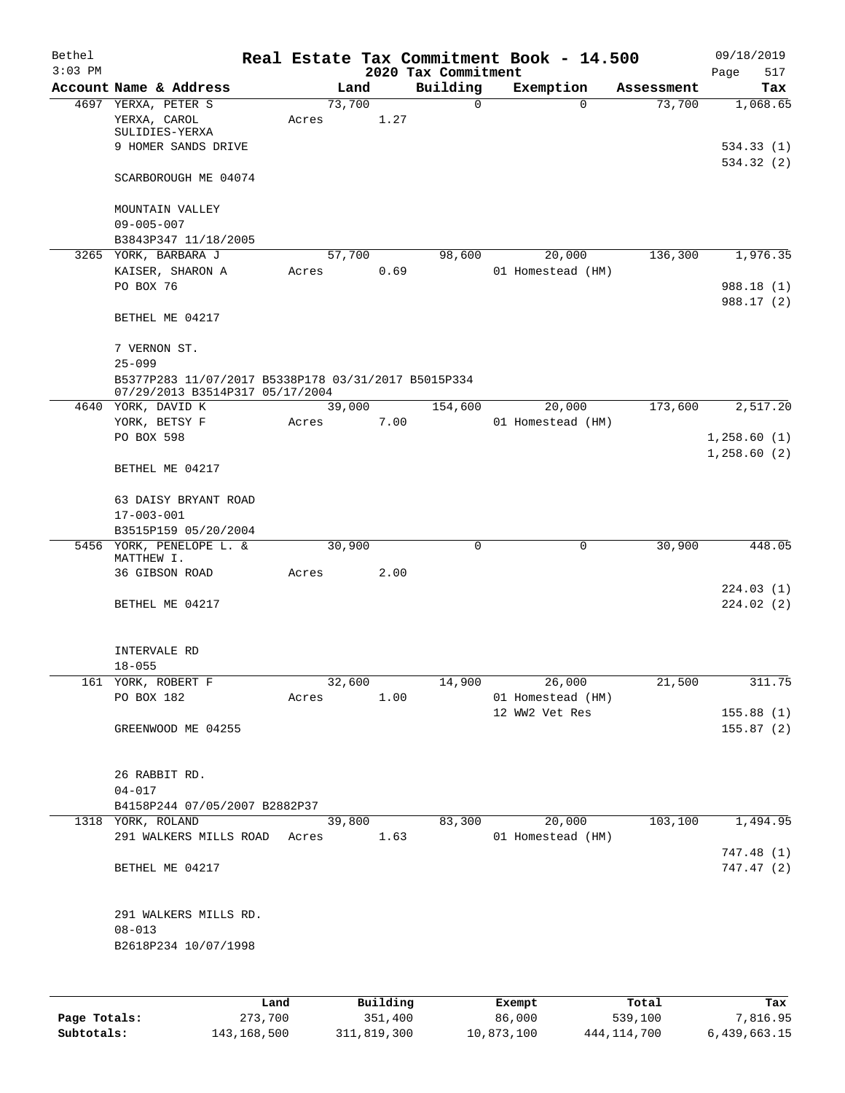| Bethel<br>$3:03$ PM |                                                     |            |        |      | 2020 Tax Commitment |   | Real Estate Tax Commitment Book - 14.500 |            | 09/18/2019<br>517 |
|---------------------|-----------------------------------------------------|------------|--------|------|---------------------|---|------------------------------------------|------------|-------------------|
|                     | Account Name & Address                              |            | Land   |      | Building            |   | Exemption                                | Assessment | Page<br>Tax       |
|                     | 4697 YERXA, PETER S                                 |            | 73,700 |      |                     | 0 | $\Omega$                                 | 73,700     | 1,068.65          |
|                     | YERXA, CAROL                                        | Acres      |        | 1.27 |                     |   |                                          |            |                   |
|                     | SULIDIES-YERXA                                      |            |        |      |                     |   |                                          |            |                   |
|                     | 9 HOMER SANDS DRIVE                                 |            |        |      |                     |   |                                          |            | 534.33(1)         |
|                     |                                                     |            |        |      |                     |   |                                          |            | 534.32 (2)        |
|                     | SCARBOROUGH ME 04074                                |            |        |      |                     |   |                                          |            |                   |
|                     | MOUNTAIN VALLEY                                     |            |        |      |                     |   |                                          |            |                   |
|                     |                                                     |            |        |      |                     |   |                                          |            |                   |
|                     | $09 - 005 - 007$                                    |            |        |      |                     |   |                                          |            |                   |
|                     | B3843P347 11/18/2005                                |            |        |      |                     |   |                                          |            |                   |
|                     | 3265 YORK, BARBARA J                                |            | 57,700 |      | 98,600              |   | 20,000                                   | 136,300    | 1,976.35          |
|                     | KAISER, SHARON A                                    | Acres      |        | 0.69 |                     |   | 01 Homestead (HM)                        |            |                   |
|                     | PO BOX 76                                           |            |        |      |                     |   |                                          |            | 988.18 (1)        |
|                     |                                                     |            |        |      |                     |   |                                          |            | 988.17 (2)        |
|                     | BETHEL ME 04217                                     |            |        |      |                     |   |                                          |            |                   |
|                     | 7 VERNON ST.                                        |            |        |      |                     |   |                                          |            |                   |
|                     | $25 - 099$                                          |            |        |      |                     |   |                                          |            |                   |
|                     | B5377P283 11/07/2017 B5338P178 03/31/2017 B5015P334 |            |        |      |                     |   |                                          |            |                   |
|                     | 07/29/2013 B3514P317 05/17/2004                     |            |        |      |                     |   |                                          |            |                   |
|                     | 4640 YORK, DAVID K                                  |            | 39,000 |      | 154,600             |   | 20,000                                   | 173,600    | 2,517.20          |
|                     | YORK, BETSY F                                       | Acres      |        | 7.00 |                     |   | 01 Homestead (HM)                        |            |                   |
|                     | PO BOX 598                                          |            |        |      |                     |   |                                          |            | 1,258.60(1)       |
|                     |                                                     |            |        |      |                     |   |                                          |            | 1,258.60(2)       |
|                     | BETHEL ME 04217                                     |            |        |      |                     |   |                                          |            |                   |
|                     | 63 DAISY BRYANT ROAD                                |            |        |      |                     |   |                                          |            |                   |
|                     |                                                     |            |        |      |                     |   |                                          |            |                   |
|                     | $17 - 003 - 001$                                    |            |        |      |                     |   |                                          |            |                   |
|                     | B3515P159 05/20/2004<br>5456 YORK, PENELOPE L. &    |            | 30,900 |      |                     | 0 | 0                                        |            | 448.05            |
|                     | MATTHEW I.                                          |            |        |      |                     |   |                                          | 30,900     |                   |
|                     | 36 GIBSON ROAD                                      | Acres      |        | 2.00 |                     |   |                                          |            |                   |
|                     |                                                     |            |        |      |                     |   |                                          |            | 224.03 (1)        |
|                     | BETHEL ME 04217                                     |            |        |      |                     |   |                                          |            | 224.02(2)         |
|                     |                                                     |            |        |      |                     |   |                                          |            |                   |
|                     |                                                     |            |        |      |                     |   |                                          |            |                   |
|                     | INTERVALE RD                                        |            |        |      |                     |   |                                          |            |                   |
|                     | $18 - 055$                                          |            |        |      |                     |   |                                          |            |                   |
|                     | 161 YORK, ROBERT F                                  |            | 32,600 |      | 14,900              |   | 26,000                                   | 21,500     | 311.75            |
|                     | PO BOX 182                                          | Acres      |        | 1.00 |                     |   | 01 Homestead (HM)                        |            |                   |
|                     |                                                     |            |        |      |                     |   | 12 WW2 Vet Res                           |            | 155.88(1)         |
|                     | GREENWOOD ME 04255                                  |            |        |      |                     |   |                                          |            | 155.87(2)         |
|                     |                                                     |            |        |      |                     |   |                                          |            |                   |
|                     |                                                     |            |        |      |                     |   |                                          |            |                   |
|                     | 26 RABBIT RD.                                       |            |        |      |                     |   |                                          |            |                   |
|                     | $04 - 017$                                          |            |        |      |                     |   |                                          |            |                   |
|                     | B4158P244 07/05/2007 B2882P37                       |            |        |      |                     |   |                                          |            |                   |
|                     | 1318 YORK, ROLAND                                   |            | 39,800 |      | 83,300              |   | 20,000                                   | 103,100    | 1,494.95          |
|                     | 291 WALKERS MILLS ROAD                              | Acres 1.63 |        |      |                     |   | 01 Homestead (HM)                        |            |                   |
|                     |                                                     |            |        |      |                     |   |                                          |            | 747.48 (1)        |
|                     | BETHEL ME 04217                                     |            |        |      |                     |   |                                          |            | 747.47 (2)        |
|                     |                                                     |            |        |      |                     |   |                                          |            |                   |
|                     | 291 WALKERS MILLS RD.                               |            |        |      |                     |   |                                          |            |                   |
|                     | $08 - 013$                                          |            |        |      |                     |   |                                          |            |                   |
|                     | B2618P234 10/07/1998                                |            |        |      |                     |   |                                          |            |                   |
|                     |                                                     |            |        |      |                     |   |                                          |            |                   |
|                     |                                                     |            |        |      |                     |   |                                          |            |                   |
|                     |                                                     |            |        |      |                     |   |                                          |            |                   |

|              | Land        | Building    | Exempt     | Total       | Tax          |
|--------------|-------------|-------------|------------|-------------|--------------|
| Page Totals: | 273,700     | 351,400     | 86,000     | 539,100     | 7,816.95     |
| Subtotals:   | 143,168,500 | 311,819,300 | 10,873,100 | 444,114,700 | 6,439,663.15 |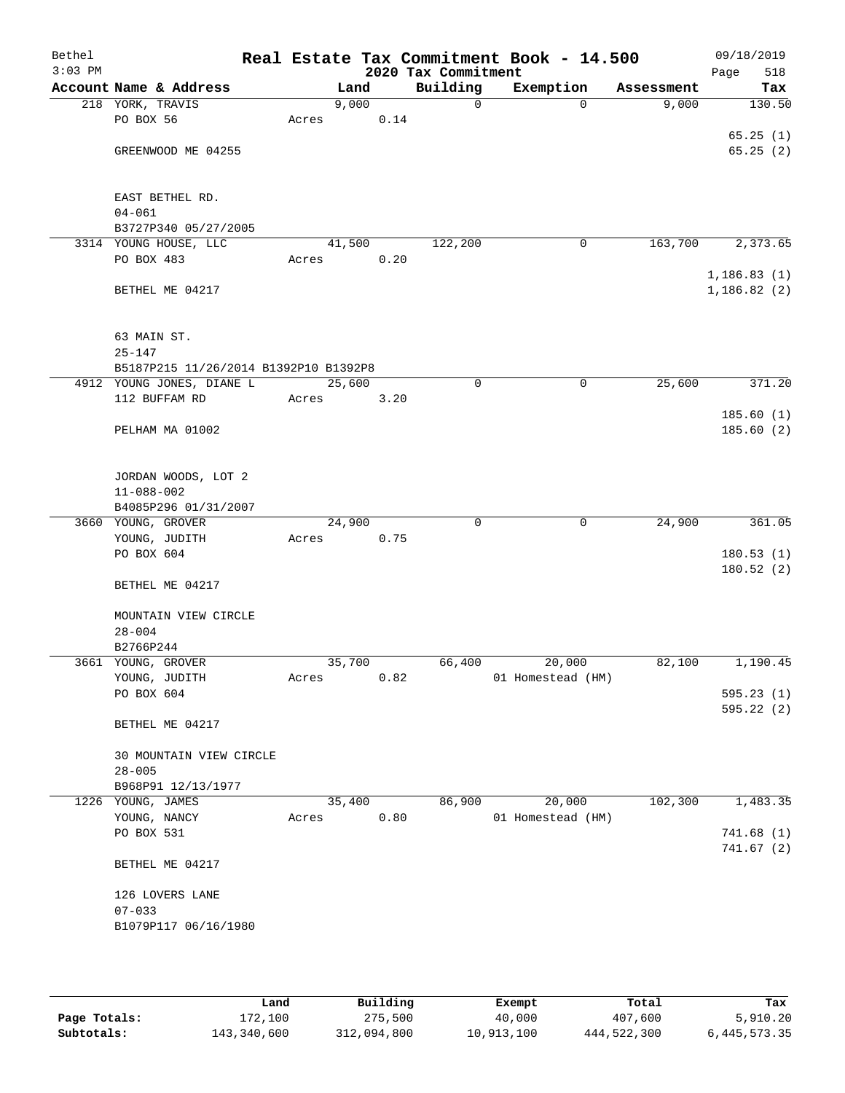| Bethel<br>$3:03$ PM |                                       |       |        |      | 2020 Tax Commitment | Real Estate Tax Commitment Book - 14.500 |            | 09/18/2019<br>Page<br>518 |
|---------------------|---------------------------------------|-------|--------|------|---------------------|------------------------------------------|------------|---------------------------|
|                     | Account Name & Address                |       | Land   |      | Building            | Exemption                                | Assessment | Tax                       |
|                     | 218 YORK, TRAVIS                      |       | 9,000  |      | 0                   | $\Omega$                                 | 9,000      | 130.50                    |
|                     | PO BOX 56                             | Acres |        | 0.14 |                     |                                          |            |                           |
|                     |                                       |       |        |      |                     |                                          |            | 65.25(1)                  |
|                     | GREENWOOD ME 04255                    |       |        |      |                     |                                          |            | 65.25(2)                  |
|                     |                                       |       |        |      |                     |                                          |            |                           |
|                     |                                       |       |        |      |                     |                                          |            |                           |
|                     | EAST BETHEL RD.                       |       |        |      |                     |                                          |            |                           |
|                     | $04 - 061$                            |       |        |      |                     |                                          |            |                           |
|                     | B3727P340 05/27/2005                  |       |        |      |                     |                                          |            |                           |
|                     | 3314 YOUNG HOUSE, LLC                 |       | 41,500 |      | 122,200             | $\mathbf 0$                              | 163,700    | 2,373.65                  |
|                     | PO BOX 483                            | Acres |        | 0.20 |                     |                                          |            |                           |
|                     |                                       |       |        |      |                     |                                          |            | 1,186.83(1)               |
|                     | BETHEL ME 04217                       |       |        |      |                     |                                          |            | 1,186.82(2)               |
|                     |                                       |       |        |      |                     |                                          |            |                           |
|                     |                                       |       |        |      |                     |                                          |            |                           |
|                     | 63 MAIN ST.                           |       |        |      |                     |                                          |            |                           |
|                     | $25 - 147$                            |       |        |      |                     |                                          |            |                           |
|                     | B5187P215 11/26/2014 B1392P10 B1392P8 |       |        |      | 0                   |                                          |            |                           |
|                     | 4912 YOUNG JONES, DIANE L             |       | 25,600 |      |                     | 0                                        | 25,600     | 371.20                    |
|                     | 112 BUFFAM RD                         | Acres |        | 3.20 |                     |                                          |            | 185.60(1)                 |
|                     | PELHAM MA 01002                       |       |        |      |                     |                                          |            | 185.60(2)                 |
|                     |                                       |       |        |      |                     |                                          |            |                           |
|                     |                                       |       |        |      |                     |                                          |            |                           |
|                     | JORDAN WOODS, LOT 2                   |       |        |      |                     |                                          |            |                           |
|                     | $11 - 088 - 002$                      |       |        |      |                     |                                          |            |                           |
|                     | B4085P296 01/31/2007                  |       |        |      |                     |                                          |            |                           |
|                     | 3660 YOUNG, GROVER                    |       | 24,900 |      | $\mathbf 0$         | $\mathbf 0$                              | 24,900     | 361.05                    |
|                     | YOUNG, JUDITH                         | Acres |        | 0.75 |                     |                                          |            |                           |
|                     | PO BOX 604                            |       |        |      |                     |                                          |            | 180.53(1)                 |
|                     |                                       |       |        |      |                     |                                          |            | 180.52(2)                 |
|                     | BETHEL ME 04217                       |       |        |      |                     |                                          |            |                           |
|                     |                                       |       |        |      |                     |                                          |            |                           |
|                     | MOUNTAIN VIEW CIRCLE                  |       |        |      |                     |                                          |            |                           |
|                     | $28 - 004$                            |       |        |      |                     |                                          |            |                           |
|                     | B2766P244                             |       |        |      |                     |                                          |            |                           |
|                     | 3661 YOUNG, GROVER                    |       | 35,700 |      | 66,400              | 20,000                                   | 82,100     | 1,190.45                  |
|                     | YOUNG, JUDITH                         | Acres |        | 0.82 |                     | 01 Homestead (HM)                        |            |                           |
|                     | PO BOX 604                            |       |        |      |                     |                                          |            | 595.23(1)                 |
|                     | BETHEL ME 04217                       |       |        |      |                     |                                          |            | 595.22(2)                 |
|                     |                                       |       |        |      |                     |                                          |            |                           |
|                     | 30 MOUNTAIN VIEW CIRCLE               |       |        |      |                     |                                          |            |                           |
|                     | $28 - 005$                            |       |        |      |                     |                                          |            |                           |
|                     | B968P91 12/13/1977                    |       |        |      |                     |                                          |            |                           |
|                     | 1226 YOUNG, JAMES                     |       | 35,400 |      | 86,900              | 20,000                                   | 102,300    | 1,483.35                  |
|                     | YOUNG, NANCY                          | Acres |        | 0.80 |                     | 01 Homestead (HM)                        |            |                           |
|                     | PO BOX 531                            |       |        |      |                     |                                          |            | 741.68(1)                 |
|                     |                                       |       |        |      |                     |                                          |            | 741.67(2)                 |
|                     | BETHEL ME 04217                       |       |        |      |                     |                                          |            |                           |
|                     |                                       |       |        |      |                     |                                          |            |                           |
|                     | 126 LOVERS LANE                       |       |        |      |                     |                                          |            |                           |
|                     | $07 - 033$                            |       |        |      |                     |                                          |            |                           |
|                     | B1079P117 06/16/1980                  |       |        |      |                     |                                          |            |                           |
|                     |                                       |       |        |      |                     |                                          |            |                           |
|                     |                                       |       |        |      |                     |                                          |            |                           |

|              | Land        | Building    | Exempt     | Total       | Tax             |
|--------------|-------------|-------------|------------|-------------|-----------------|
| Page Totals: | 172,100     | 275,500     | 40,000     | 407,600     | 5,910.20        |
| Subtotals:   | 143,340,600 | 312,094,800 | 10,913,100 | 444,522,300 | 6, 445, 573. 35 |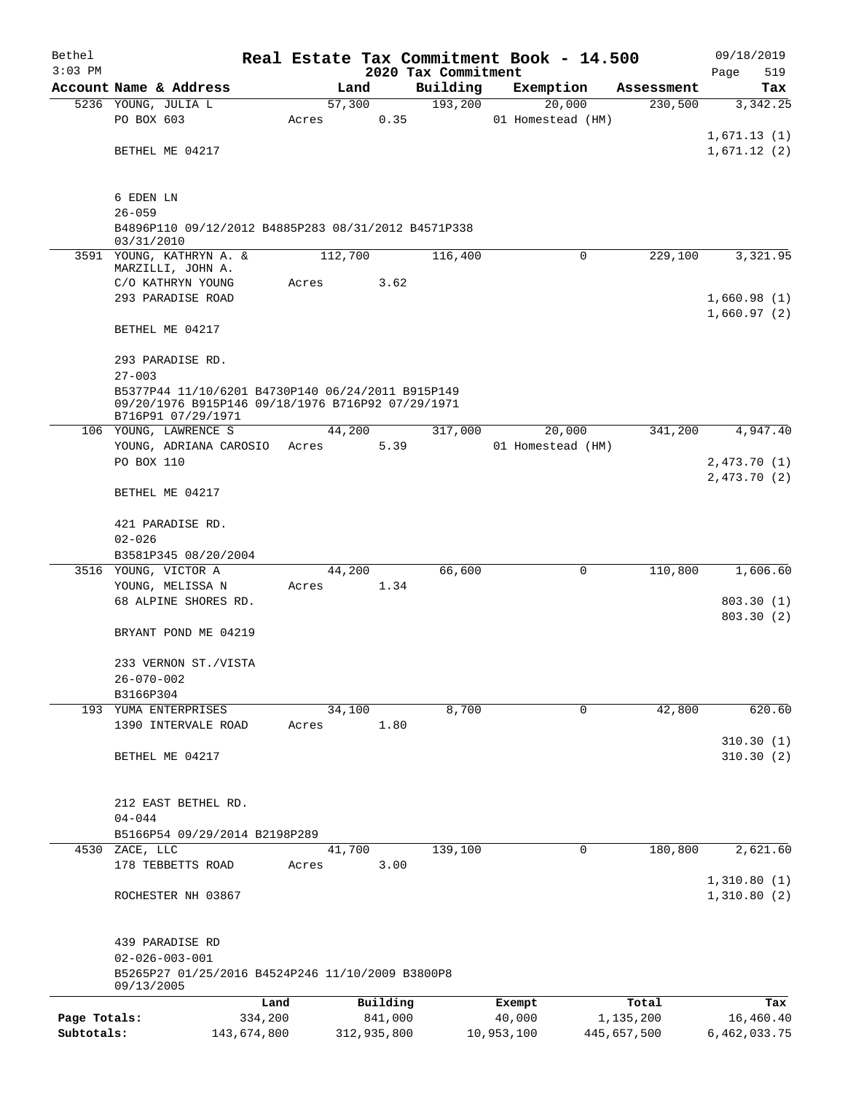| Bethel       |                                                     |             |       |         |             |                     | Real Estate Tax Commitment Book - 14.500 |             |             | 09/18/2019   |  |
|--------------|-----------------------------------------------------|-------------|-------|---------|-------------|---------------------|------------------------------------------|-------------|-------------|--------------|--|
| $3:03$ PM    |                                                     |             |       |         |             | 2020 Tax Commitment |                                          |             |             | Page<br>519  |  |
|              | Account Name & Address                              |             |       | Land    |             | Building            | Exemption                                |             | Assessment  | Tax          |  |
|              | 5236 YOUNG, JULIA L<br>PO BOX 603                   |             | Acres | 57,300  | 0.35        | 193,200             | 20,000<br>01 Homestead (HM)              |             | 230,500     | 3,342.25     |  |
|              |                                                     |             |       |         |             |                     |                                          |             |             | 1,671.13(1)  |  |
|              | BETHEL ME 04217                                     |             |       |         |             |                     |                                          |             |             | 1,671.12(2)  |  |
|              |                                                     |             |       |         |             |                     |                                          |             |             |              |  |
|              |                                                     |             |       |         |             |                     |                                          |             |             |              |  |
|              | 6 EDEN LN<br>$26 - 059$                             |             |       |         |             |                     |                                          |             |             |              |  |
|              | B4896P110 09/12/2012 B4885P283 08/31/2012 B4571P338 |             |       |         |             |                     |                                          |             |             |              |  |
|              | 03/31/2010                                          |             |       |         |             |                     |                                          |             |             |              |  |
|              | 3591 YOUNG, KATHRYN A. &<br>MARZILLI, JOHN A.       |             |       | 112,700 |             | 116,400             |                                          | $\mathbf 0$ | 229,100     | 3,321.95     |  |
|              | C/O KATHRYN YOUNG                                   |             | Acres |         | 3.62        |                     |                                          |             |             |              |  |
|              | 293 PARADISE ROAD                                   |             |       |         |             |                     |                                          |             |             | 1,660.98(1)  |  |
|              |                                                     |             |       |         |             |                     |                                          |             |             | 1,660.97(2)  |  |
|              | BETHEL ME 04217                                     |             |       |         |             |                     |                                          |             |             |              |  |
|              | 293 PARADISE RD.                                    |             |       |         |             |                     |                                          |             |             |              |  |
|              | $27 - 003$                                          |             |       |         |             |                     |                                          |             |             |              |  |
|              | B5377P44 11/10/6201 B4730P140 06/24/2011 B915P149   |             |       |         |             |                     |                                          |             |             |              |  |
|              | 09/20/1976 B915P146 09/18/1976 B716P92 07/29/1971   |             |       |         |             |                     |                                          |             |             |              |  |
|              | B716P91 07/29/1971<br>106 YOUNG, LAWRENCE S         |             |       | 44,200  |             | 317,000             | 20,000                                   |             | 341,200     | 4,947.40     |  |
|              | YOUNG, ADRIANA CAROSIO                              |             | Acres |         | 5.39        |                     | 01 Homestead (HM)                        |             |             |              |  |
|              | PO BOX 110                                          |             |       |         |             |                     |                                          |             |             | 2,473.70(1)  |  |
|              |                                                     |             |       |         |             |                     |                                          |             |             | 2,473.70(2)  |  |
|              | BETHEL ME 04217                                     |             |       |         |             |                     |                                          |             |             |              |  |
|              | 421 PARADISE RD.                                    |             |       |         |             |                     |                                          |             |             |              |  |
|              | $02 - 026$                                          |             |       |         |             |                     |                                          |             |             |              |  |
|              | B3581P345 08/20/2004                                |             |       |         |             |                     |                                          |             |             |              |  |
|              | 3516 YOUNG, VICTOR A                                |             |       | 44,200  |             | 66,600              |                                          | 0           | 110,800     | 1,606.60     |  |
|              | YOUNG, MELISSA N                                    |             | Acres |         | 1.34        |                     |                                          |             |             |              |  |
|              | 68 ALPINE SHORES RD.                                |             |       |         |             |                     |                                          |             |             | 803.30(1)    |  |
|              | BRYANT POND ME 04219                                |             |       |         |             |                     |                                          |             |             | 803.30 (2)   |  |
|              |                                                     |             |       |         |             |                     |                                          |             |             |              |  |
|              | 233 VERNON ST./VISTA                                |             |       |         |             |                     |                                          |             |             |              |  |
|              | $26 - 070 - 002$                                    |             |       |         |             |                     |                                          |             |             |              |  |
|              | B3166P304                                           |             |       |         |             |                     |                                          |             |             |              |  |
|              | 193 YUMA ENTERPRISES<br>1390 INTERVALE ROAD         |             | Acres | 34,100  | 1.80        | 8,700               |                                          | 0           | 42,800      | 620.60       |  |
|              |                                                     |             |       |         |             |                     |                                          |             |             | 310.30(1)    |  |
|              | BETHEL ME 04217                                     |             |       |         |             |                     |                                          |             |             | 310.30(2)    |  |
|              |                                                     |             |       |         |             |                     |                                          |             |             |              |  |
|              |                                                     |             |       |         |             |                     |                                          |             |             |              |  |
|              | 212 EAST BETHEL RD.                                 |             |       |         |             |                     |                                          |             |             |              |  |
|              | $04 - 044$<br>B5166P54 09/29/2014 B2198P289         |             |       |         |             |                     |                                          |             |             |              |  |
| 4530         | ZACE, LLC                                           |             |       | 41,700  |             | 139,100             |                                          | 0           | 180,800     | 2,621.60     |  |
|              | 178 TEBBETTS ROAD                                   |             | Acres |         | 3.00        |                     |                                          |             |             |              |  |
|              |                                                     |             |       |         |             |                     |                                          |             |             | 1,310.80(1)  |  |
|              | ROCHESTER NH 03867                                  |             |       |         |             |                     |                                          |             |             | 1,310.80(2)  |  |
|              |                                                     |             |       |         |             |                     |                                          |             |             |              |  |
|              | 439 PARADISE RD<br>$02 - 026 - 003 - 001$           |             |       |         |             |                     |                                          |             |             |              |  |
|              | B5265P27 01/25/2016 B4524P246 11/10/2009 B3800P8    |             |       |         |             |                     |                                          |             |             |              |  |
|              | 09/13/2005                                          |             |       |         |             |                     |                                          |             |             |              |  |
|              |                                                     | Land        |       |         | Building    |                     | Exempt                                   |             | Total       | Tax          |  |
| Page Totals: |                                                     | 334,200     |       |         | 841,000     |                     | 40,000                                   |             | 1,135,200   | 16,460.40    |  |
| Subtotals:   |                                                     | 143,674,800 |       |         | 312,935,800 |                     | 10,953,100                               |             | 445,657,500 | 6,462,033.75 |  |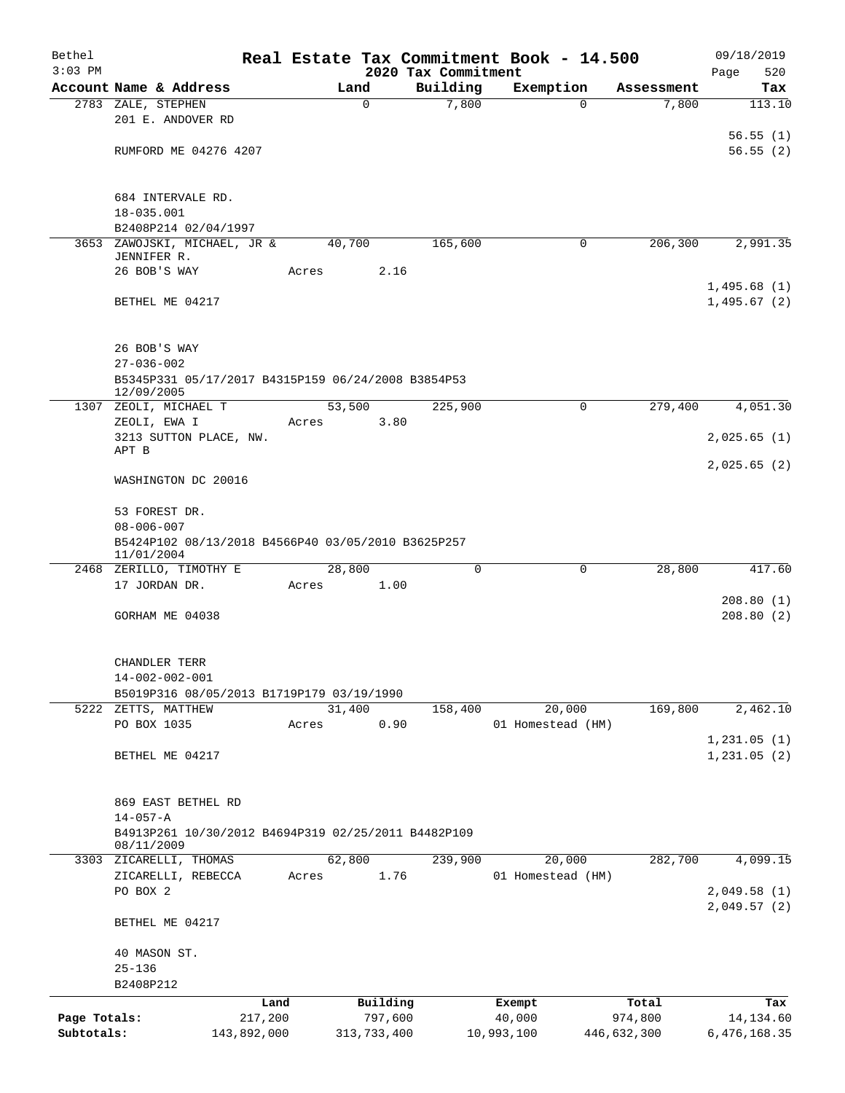| Bethel                     |                                                                  |                        |       |                     |         | Real Estate Tax Commitment Book - 14.500 |                      |   |                        | 09/18/2019                   |
|----------------------------|------------------------------------------------------------------|------------------------|-------|---------------------|---------|------------------------------------------|----------------------|---|------------------------|------------------------------|
| $3:03$ PM                  | Account Name & Address                                           |                        |       |                     |         | 2020 Tax Commitment<br>Building          |                      |   |                        | Page<br>520                  |
|                            | 2783 ZALE, STEPHEN                                               |                        |       | Land<br>$\mathbf 0$ |         | 7,800                                    | Exemption            | 0 | Assessment<br>7,800    | Tax<br>113.10                |
|                            | 201 E. ANDOVER RD                                                |                        |       |                     |         |                                          |                      |   |                        |                              |
|                            |                                                                  |                        |       |                     |         |                                          |                      |   |                        | 56.55(1)                     |
|                            | RUMFORD ME 04276 4207                                            |                        |       |                     |         |                                          |                      |   |                        | 56.55(2)                     |
|                            |                                                                  |                        |       |                     |         |                                          |                      |   |                        |                              |
|                            | 684 INTERVALE RD.                                                |                        |       |                     |         |                                          |                      |   |                        |                              |
|                            | 18-035.001                                                       |                        |       |                     |         |                                          |                      |   |                        |                              |
|                            | B2408P214 02/04/1997                                             |                        |       |                     |         |                                          |                      |   |                        |                              |
|                            | 3653 ZAWOJSKI, MICHAEL, JR &<br>JENNIFER R.                      |                        |       | 40,700              |         | 165,600                                  |                      | 0 | 206,300                | 2,991.35                     |
|                            | 26 BOB'S WAY                                                     |                        | Acres |                     | 2.16    |                                          |                      |   |                        |                              |
|                            |                                                                  |                        |       |                     |         |                                          |                      |   |                        | 1,495.68(1)                  |
|                            | BETHEL ME 04217                                                  |                        |       |                     |         |                                          |                      |   |                        | 1,495.67(2)                  |
|                            |                                                                  |                        |       |                     |         |                                          |                      |   |                        |                              |
|                            | 26 BOB'S WAY                                                     |                        |       |                     |         |                                          |                      |   |                        |                              |
|                            | $27 - 036 - 002$                                                 |                        |       |                     |         |                                          |                      |   |                        |                              |
|                            | B5345P331 05/17/2017 B4315P159 06/24/2008 B3854P53<br>12/09/2005 |                        |       |                     |         |                                          |                      |   |                        |                              |
|                            | 1307 ZEOLI, MICHAEL T                                            |                        |       | 53,500              |         | 225,900                                  |                      | 0 | 279,400                | 4,051.30                     |
|                            | ZEOLI, EWA I<br>3213 SUTTON PLACE, NW.                           |                        | Acres |                     | 3.80    |                                          |                      |   |                        | 2,025.65(1)                  |
|                            | APT B                                                            |                        |       |                     |         |                                          |                      |   |                        |                              |
|                            |                                                                  |                        |       |                     |         |                                          |                      |   |                        | 2,025.65(2)                  |
|                            | WASHINGTON DC 20016                                              |                        |       |                     |         |                                          |                      |   |                        |                              |
|                            | 53 FOREST DR.                                                    |                        |       |                     |         |                                          |                      |   |                        |                              |
|                            | $08 - 006 - 007$                                                 |                        |       |                     |         |                                          |                      |   |                        |                              |
|                            | B5424P102 08/13/2018 B4566P40 03/05/2010 B3625P257<br>11/01/2004 |                        |       |                     |         |                                          |                      |   |                        |                              |
|                            | 2468 ZERILLO, TIMOTHY E                                          |                        |       | 28,800              |         | 0                                        |                      | 0 | 28,800                 | 417.60                       |
|                            | 17 JORDAN DR.                                                    |                        | Acres |                     | 1.00    |                                          |                      |   |                        |                              |
|                            |                                                                  |                        |       |                     |         |                                          |                      |   |                        | 208.80(1)                    |
|                            | GORHAM ME 04038                                                  |                        |       |                     |         |                                          |                      |   |                        | 208.80(2)                    |
|                            |                                                                  |                        |       |                     |         |                                          |                      |   |                        |                              |
|                            | CHANDLER TERR                                                    |                        |       |                     |         |                                          |                      |   |                        |                              |
|                            | $14 - 002 - 002 - 001$                                           |                        |       |                     |         |                                          |                      |   |                        |                              |
| 5222                       | B5019P316 08/05/2013 B1719P179 03/19/1990<br>ZETTS, MATTHEW      |                        |       | 31,400              |         | 158,400                                  | 20,000               |   | 169,800                | 2,462.10                     |
|                            | PO BOX 1035                                                      |                        | Acres |                     | 0.90    |                                          | 01 Homestead (HM)    |   |                        |                              |
|                            |                                                                  |                        |       |                     |         |                                          |                      |   |                        | 1,231.05(1)                  |
|                            | BETHEL ME 04217                                                  |                        |       |                     |         |                                          |                      |   |                        | 1,231.05(2)                  |
|                            |                                                                  |                        |       |                     |         |                                          |                      |   |                        |                              |
|                            | 869 EAST BETHEL RD                                               |                        |       |                     |         |                                          |                      |   |                        |                              |
|                            | $14 - 057 - A$                                                   |                        |       |                     |         |                                          |                      |   |                        |                              |
|                            | B4913P261 10/30/2012 B4694P319 02/25/2011 B4482P109              |                        |       |                     |         |                                          |                      |   |                        |                              |
|                            | 08/11/2009<br>3303 ZICARELLI, THOMAS                             |                        |       | 62,800              |         | 239,900                                  | 20,000               |   | 282,700                | 4,099.15                     |
|                            | ZICARELLI, REBECCA                                               |                        | Acres |                     | 1.76    |                                          | 01 Homestead (HM)    |   |                        |                              |
|                            | PO BOX 2                                                         |                        |       |                     |         |                                          |                      |   |                        | 2,049.58(1)                  |
|                            |                                                                  |                        |       |                     |         |                                          |                      |   |                        | 2,049.57(2)                  |
|                            | BETHEL ME 04217                                                  |                        |       |                     |         |                                          |                      |   |                        |                              |
|                            | 40 MASON ST.                                                     |                        |       |                     |         |                                          |                      |   |                        |                              |
|                            | $25 - 136$                                                       |                        |       |                     |         |                                          |                      |   |                        |                              |
|                            | B2408P212                                                        |                        |       |                     |         |                                          |                      |   |                        |                              |
|                            |                                                                  | Land                   |       | Building            |         |                                          | Exempt               |   | Total                  | Tax                          |
| Page Totals:<br>Subtotals: |                                                                  | 217,200<br>143,892,000 |       | 313,733,400         | 797,600 |                                          | 40,000<br>10,993,100 |   | 974,800<br>446,632,300 | 14, 134.60<br>6, 476, 168.35 |
|                            |                                                                  |                        |       |                     |         |                                          |                      |   |                        |                              |